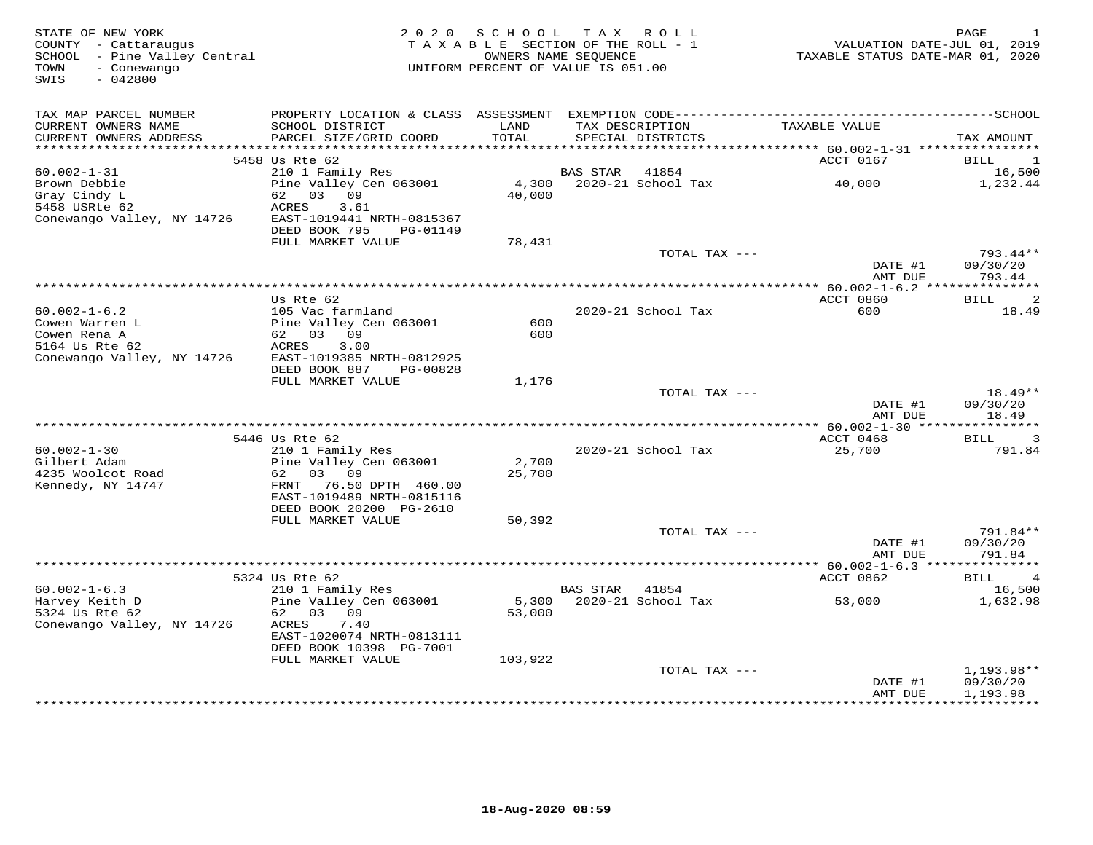| STATE OF NEW YORK<br>COUNTY - Cattaraugus<br>SCHOOL - Pine Valley Central<br>- Conewango<br>TOWN<br>SWIS<br>$-042800$ | 2 0 2 0                                                                                          | SCHOOL<br>TAXABLE SECTION OF THE ROLL - 1<br>OWNERS NAME SEQUENCE<br>UNIFORM PERCENT OF VALUE IS 051.00 |          | TAX ROLL                          | VALUATION DATE-JUL 01, 2019<br>TAXABLE STATUS DATE-MAR 01, 2020 | PAGE<br>-1                         |
|-----------------------------------------------------------------------------------------------------------------------|--------------------------------------------------------------------------------------------------|---------------------------------------------------------------------------------------------------------|----------|-----------------------------------|-----------------------------------------------------------------|------------------------------------|
| TAX MAP PARCEL NUMBER<br>CURRENT OWNERS NAME                                                                          | SCHOOL DISTRICT                                                                                  | LAND                                                                                                    |          | TAX DESCRIPTION                   | TAXABLE VALUE                                                   |                                    |
| CURRENT OWNERS ADDRESS                                                                                                | PARCEL SIZE/GRID COORD                                                                           | TOTAL                                                                                                   |          | SPECIAL DISTRICTS                 |                                                                 | TAX AMOUNT                         |
|                                                                                                                       | 5458 Us Rte 62                                                                                   |                                                                                                         |          |                                   | ACCT 0167                                                       | BILL<br>$\overline{\phantom{0}}$   |
| $60.002 - 1 - 31$                                                                                                     | 210 1 Family Res                                                                                 |                                                                                                         | BAS STAR | 41854                             |                                                                 | 16,500                             |
| Brown Debbie<br>Gray Cindy L<br>5458 USRte 62                                                                         | Pine Valley Cen 063001<br>62 03 09<br>ACRES<br>3.61                                              | 4,300<br>40,000                                                                                         |          | 2020-21 School Tax                | 40,000                                                          | 1,232.44                           |
| Conewango Valley, NY 14726                                                                                            | EAST-1019441 NRTH-0815367<br>DEED BOOK 795<br>PG-01149<br>FULL MARKET VALUE                      | 78,431                                                                                                  |          |                                   |                                                                 |                                    |
|                                                                                                                       |                                                                                                  |                                                                                                         |          | TOTAL TAX ---                     | DATE #1                                                         | 793.44**<br>09/30/20               |
|                                                                                                                       |                                                                                                  |                                                                                                         |          |                                   | AMT DUE<br>****************** 60.002-1-6.2 ***************      | 793.44                             |
|                                                                                                                       | Us Rte 62                                                                                        |                                                                                                         |          |                                   | ACCT 0860                                                       | <b>BILL</b><br>2                   |
| $60.002 - 1 - 6.2$                                                                                                    | 105 Vac farmland                                                                                 |                                                                                                         |          | 2020-21 School Tax                | 600                                                             | 18.49                              |
| Cowen Warren L                                                                                                        | Pine Valley Cen 063001                                                                           | 600                                                                                                     |          |                                   |                                                                 |                                    |
| Cowen Rena A<br>5164 Us Rte 62                                                                                        | 62 03 09<br>3.00<br>ACRES                                                                        | 600                                                                                                     |          |                                   |                                                                 |                                    |
| Conewango Valley, NY 14726                                                                                            | EAST-1019385 NRTH-0812925<br>DEED BOOK 887<br>PG-00828                                           |                                                                                                         |          |                                   |                                                                 |                                    |
|                                                                                                                       | FULL MARKET VALUE                                                                                | 1,176                                                                                                   |          |                                   |                                                                 |                                    |
|                                                                                                                       |                                                                                                  |                                                                                                         |          | TOTAL TAX ---                     | DATE #1                                                         | 18.49**<br>09/30/20                |
|                                                                                                                       |                                                                                                  |                                                                                                         |          |                                   | AMT DUE                                                         | 18.49                              |
|                                                                                                                       | 5446 Us Rte 62                                                                                   |                                                                                                         |          |                                   | ACCT 0468                                                       | $\overline{3}$<br>BILL             |
| $60.002 - 1 - 30$                                                                                                     | 210 1 Family Res                                                                                 |                                                                                                         |          | 2020-21 School Tax                | 25,700                                                          | 791.84                             |
| Gilbert Adam                                                                                                          | Pine Valley Cen 063001                                                                           | 2,700                                                                                                   |          |                                   |                                                                 |                                    |
| 4235 Woolcot Road<br>Kennedy, NY 14747                                                                                | 03 09<br>62<br>76.50 DPTH 460.00<br>FRNT<br>EAST-1019489 NRTH-0815116<br>DEED BOOK 20200 PG-2610 | 25,700                                                                                                  |          |                                   |                                                                 |                                    |
|                                                                                                                       | FULL MARKET VALUE                                                                                | 50,392                                                                                                  |          |                                   |                                                                 |                                    |
|                                                                                                                       |                                                                                                  |                                                                                                         |          | TOTAL TAX ---                     | DATE #1<br>AMT DUE                                              | 791.84**<br>09/30/20<br>791.84     |
|                                                                                                                       |                                                                                                  |                                                                                                         |          |                                   | ********** 60.002-1-6.3 ****************                        |                                    |
|                                                                                                                       | 5324 Us Rte 62                                                                                   |                                                                                                         |          |                                   | ACCT 0862                                                       | BILL<br>4                          |
| $60.002 - 1 - 6.3$<br>Harvey Keith D                                                                                  | 210 1 Family Res<br>Pine Valley Cen 063001                                                       |                                                                                                         | BAS STAR | 41854<br>5,300 2020-21 School Tax | 53,000                                                          | 16,500<br>1,632.98                 |
| 5324 Us Rte 62<br>Conewango Valley, NY 14726                                                                          | 62 03 09<br>ACRES<br>7.40                                                                        | 53,000                                                                                                  |          |                                   |                                                                 |                                    |
|                                                                                                                       | EAST-1020074 NRTH-0813111<br>DEED BOOK 10398 PG-7001                                             |                                                                                                         |          |                                   |                                                                 |                                    |
|                                                                                                                       | FULL MARKET VALUE                                                                                | 103,922                                                                                                 |          |                                   |                                                                 |                                    |
|                                                                                                                       |                                                                                                  |                                                                                                         |          | TOTAL TAX ---                     | DATE #1<br>AMT DUE                                              | 1,193.98**<br>09/30/20<br>1,193.98 |
|                                                                                                                       |                                                                                                  |                                                                                                         |          |                                   |                                                                 |                                    |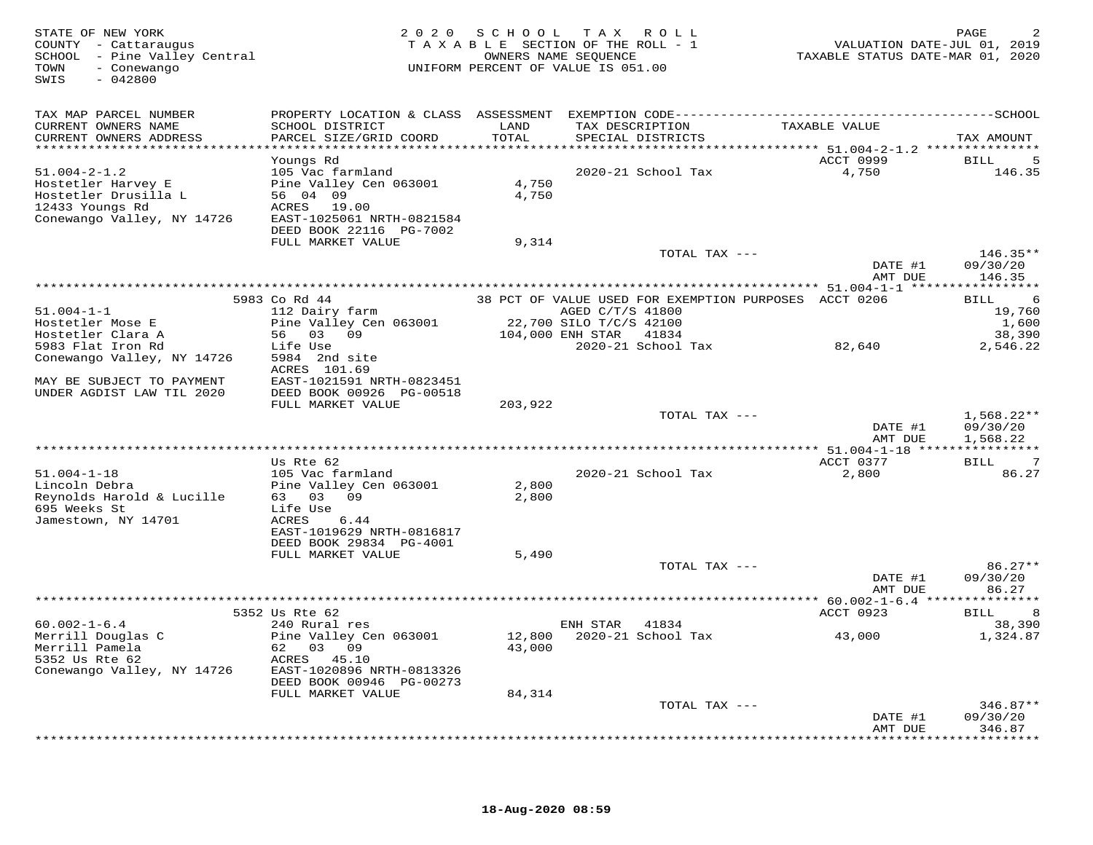| STATE OF NEW YORK<br>COUNTY - Cattaraugus<br>SCHOOL - Pine Valley Central<br>TOWN<br>- Conewango<br>SWIS<br>$-042800$ |                                               |               | 2020 SCHOOL TAX ROLL<br>TAXABLE SECTION OF THE ROLL - 1<br>OWNERS NAME SEQUENCE<br>UNIFORM PERCENT OF VALUE IS 051.00 | VALUATION DATE-JUL 01, 2019<br>TAXABLE STATUS DATE-MAR 01, 2020 | PAGE                            |
|-----------------------------------------------------------------------------------------------------------------------|-----------------------------------------------|---------------|-----------------------------------------------------------------------------------------------------------------------|-----------------------------------------------------------------|---------------------------------|
| TAX MAP PARCEL NUMBER                                                                                                 |                                               |               |                                                                                                                       |                                                                 |                                 |
| CURRENT OWNERS NAME<br>CURRENT OWNERS ADDRESS                                                                         | SCHOOL DISTRICT<br>PARCEL SIZE/GRID COORD     | LAND<br>TOTAL | TAX DESCRIPTION<br>SPECIAL DISTRICTS                                                                                  | TAXABLE VALUE                                                   | TAX AMOUNT                      |
|                                                                                                                       | Youngs Rd                                     |               |                                                                                                                       | ACCT 0999                                                       | 5<br>BILL                       |
| $51.004 - 2 - 1.2$                                                                                                    | 105 Vac farmland                              |               | 2020-21 School Tax                                                                                                    | 4,750                                                           | 146.35                          |
| Hostetler Harvey E                                                                                                    | Pine Valley Cen 063001                        | 4,750         |                                                                                                                       |                                                                 |                                 |
| Hostetler Drusilla L                                                                                                  | 56 04 09                                      | 4,750         |                                                                                                                       |                                                                 |                                 |
| 12433 Youngs Rd                                                                                                       | ACRES 19.00                                   |               |                                                                                                                       |                                                                 |                                 |
| Conewango Valley, NY 14726                                                                                            | EAST-1025061 NRTH-0821584                     |               |                                                                                                                       |                                                                 |                                 |
|                                                                                                                       | DEED BOOK 22116 PG-7002<br>FULL MARKET VALUE  | 9,314         |                                                                                                                       |                                                                 |                                 |
|                                                                                                                       |                                               |               | TOTAL TAX ---                                                                                                         |                                                                 | $146.35**$                      |
|                                                                                                                       |                                               |               |                                                                                                                       | DATE #1                                                         | 09/30/20                        |
|                                                                                                                       |                                               |               |                                                                                                                       | AMT DUE                                                         | 146.35                          |
|                                                                                                                       |                                               |               |                                                                                                                       |                                                                 |                                 |
| $51.004 - 1 - 1$                                                                                                      | 5983 Co Rd 44                                 |               | 38 PCT OF VALUE USED FOR EXEMPTION PURPOSES ACCT 0206                                                                 |                                                                 | 6<br>BILL                       |
| Hostetler Mose E                                                                                                      | 112 Dairy farm<br>Pine Valley Cen 063001      |               | AGED C/T/S 41800<br>22,700 SILO T/C/S 42100                                                                           |                                                                 | 19,760<br>1,600                 |
| Hostetler Clara A                                                                                                     | 56 03 09                                      |               | 104,000 ENH STAR 41834                                                                                                |                                                                 | 38,390                          |
| 5983 Flat Iron Rd                                                                                                     | Life Use                                      |               | 2020-21 School Tax                                                                                                    | 82,640                                                          | 2,546.22                        |
| Conewango Valley, NY 14726                                                                                            | 5984 2nd site                                 |               |                                                                                                                       |                                                                 |                                 |
|                                                                                                                       | ACRES 101.69                                  |               |                                                                                                                       |                                                                 |                                 |
| MAY BE SUBJECT TO PAYMENT<br>UNDER AGDIST LAW TIL 2020                                                                | EAST-1021591 NRTH-0823451                     |               |                                                                                                                       |                                                                 |                                 |
|                                                                                                                       | DEED BOOK 00926 PG-00518<br>FULL MARKET VALUE | 203,922       |                                                                                                                       |                                                                 |                                 |
|                                                                                                                       |                                               |               | TOTAL TAX ---                                                                                                         |                                                                 | $1,568.22**$                    |
|                                                                                                                       |                                               |               |                                                                                                                       | DATE #1                                                         | 09/30/20                        |
|                                                                                                                       |                                               |               |                                                                                                                       | AMT DUE                                                         | 1,568.22                        |
|                                                                                                                       |                                               |               |                                                                                                                       |                                                                 |                                 |
| $51.004 - 1 - 18$                                                                                                     | Us Rte 62<br>105 Vac farmland                 |               | 2020-21 School Tax                                                                                                    | ACCT 0377<br>2,800                                              | $\overline{7}$<br>BILL<br>86.27 |
| Lincoln Debra                                                                                                         | Pine Valley Cen 063001                        | 2,800         |                                                                                                                       |                                                                 |                                 |
| Reynolds Harold & Lucille                                                                                             | 63 03 09                                      | 2,800         |                                                                                                                       |                                                                 |                                 |
| 695 Weeks St                                                                                                          | Life Use                                      |               |                                                                                                                       |                                                                 |                                 |
| Jamestown, NY 14701                                                                                                   | ACRES<br>6.44                                 |               |                                                                                                                       |                                                                 |                                 |
|                                                                                                                       | EAST-1019629 NRTH-0816817                     |               |                                                                                                                       |                                                                 |                                 |
|                                                                                                                       | DEED BOOK 29834 PG-4001<br>FULL MARKET VALUE  | 5,490         |                                                                                                                       |                                                                 |                                 |
|                                                                                                                       |                                               |               | TOTAL TAX ---                                                                                                         |                                                                 | $86.27**$                       |
|                                                                                                                       |                                               |               |                                                                                                                       | DATE #1                                                         | 09/30/20                        |
|                                                                                                                       |                                               |               |                                                                                                                       | AMT DUE                                                         | 86.27                           |
|                                                                                                                       |                                               |               | ***********************                                                                                               | *** 60.002-1-6.4 ***************                                |                                 |
| $60.002 - 1 - 6.4$                                                                                                    | 5352 Us Rte 62<br>240 Rural res               |               | ENH STAR 41834                                                                                                        | ACCT 0923                                                       | <b>BILL</b><br>8<br>38,390      |
| Merrill Douglas C                                                                                                     | Pine Valley Cen 063001                        | 12,800        | 2020-21 School Tax                                                                                                    | 43,000                                                          | 1,324.87                        |
| Merrill Pamela                                                                                                        | 62 03 09                                      | 43,000        |                                                                                                                       |                                                                 |                                 |
| 5352 Us Rte 62                                                                                                        | ACRES 45.10                                   |               |                                                                                                                       |                                                                 |                                 |
| Conewango Valley, NY 14726                                                                                            | EAST-1020896 NRTH-0813326                     |               |                                                                                                                       |                                                                 |                                 |
|                                                                                                                       | DEED BOOK 00946 PG-00273                      |               |                                                                                                                       |                                                                 |                                 |
|                                                                                                                       | FULL MARKET VALUE                             | 84,314        |                                                                                                                       |                                                                 | $346.87**$                      |
|                                                                                                                       |                                               |               | TOTAL TAX ---                                                                                                         | DATE #1                                                         | 09/30/20                        |
|                                                                                                                       |                                               |               |                                                                                                                       | AMT DUE                                                         | 346.87                          |
|                                                                                                                       |                                               |               |                                                                                                                       |                                                                 | * * * * * * * *                 |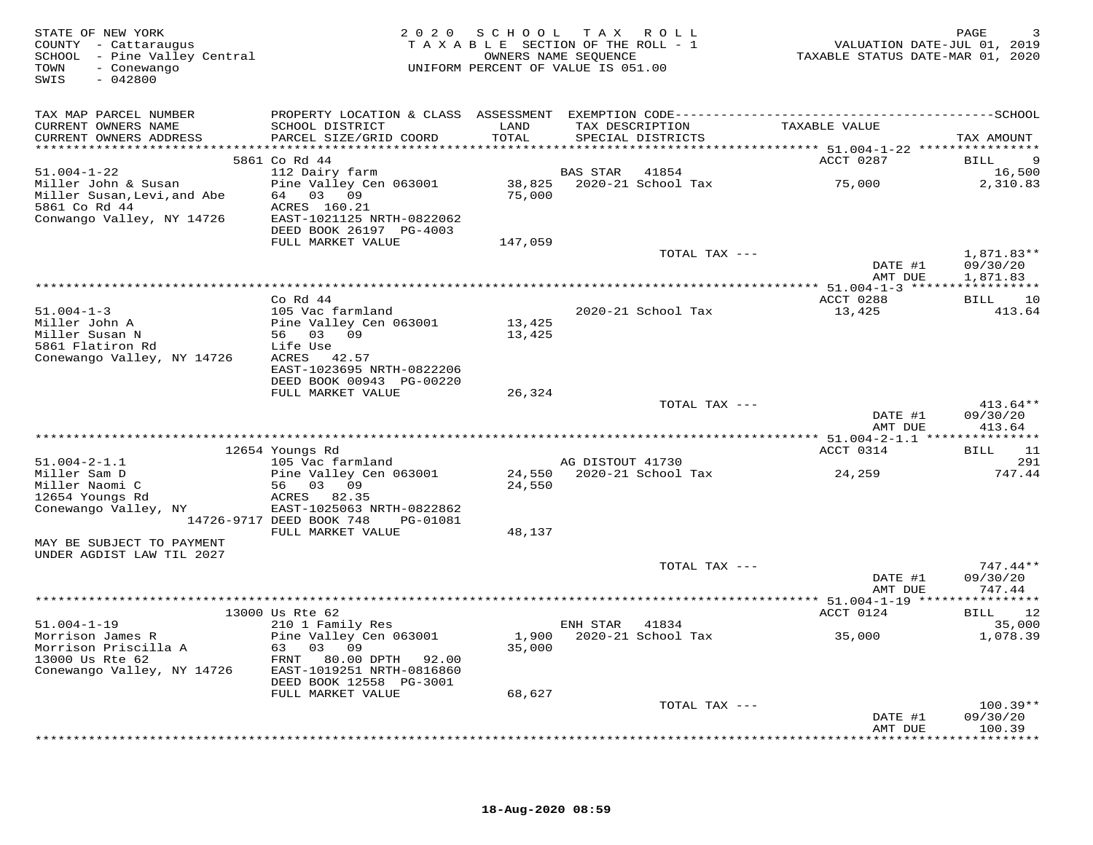| STATE OF NEW YORK<br>COUNTY - Cattaraugus<br>SCHOOL - Pine Valley Central<br>- Conewango<br>TOWN<br>$-042800$<br>SWIS |                                                                                 | 2020 SCHOOL                | TAX ROLL<br>TAXABLE SECTION OF THE ROLL - 1<br>OWNERS NAME SEQUENCE<br>UNIFORM PERCENT OF VALUE IS 051.00 | VALUATION DATE-JUL 01, 2019<br>TAXABLE STATUS DATE-MAR 01, 2020 | PAGE                                    |
|-----------------------------------------------------------------------------------------------------------------------|---------------------------------------------------------------------------------|----------------------------|-----------------------------------------------------------------------------------------------------------|-----------------------------------------------------------------|-----------------------------------------|
| TAX MAP PARCEL NUMBER                                                                                                 |                                                                                 |                            |                                                                                                           |                                                                 |                                         |
| CURRENT OWNERS NAME<br>CURRENT OWNERS ADDRESS                                                                         | SCHOOL DISTRICT<br>PARCEL SIZE/GRID COORD                                       | LAND<br>TOTAL              | TAX DESCRIPTION<br>SPECIAL DISTRICTS                                                                      | TAXABLE VALUE                                                   | TAX AMOUNT                              |
|                                                                                                                       | 5861 Co Rd 44                                                                   |                            |                                                                                                           | ACCT 0287                                                       | BILL<br>9                               |
| $51.004 - 1 - 22$                                                                                                     | 112 Dairy farm                                                                  |                            | <b>BAS STAR</b><br>41854                                                                                  |                                                                 | 16,500                                  |
| Miller John & Susan<br>Miller Susan, Levi, and Abe<br>5861 Co Rd 44<br>Conwango Valley, NY 14726                      | Pine Valley Cen 063001<br>64 03 09<br>ACRES 160.21<br>EAST-1021125 NRTH-0822062 | 38,825<br>75,000           | 2020-21 School Tax                                                                                        | 75,000                                                          | 2,310.83                                |
|                                                                                                                       | DEED BOOK 26197 PG-4003                                                         |                            |                                                                                                           |                                                                 |                                         |
|                                                                                                                       | FULL MARKET VALUE                                                               | 147,059                    | TOTAL TAX ---                                                                                             | DATE #1                                                         | 1,871.83**<br>09/30/20                  |
|                                                                                                                       |                                                                                 |                            |                                                                                                           | AMT DUE                                                         | 1,871.83                                |
|                                                                                                                       |                                                                                 |                            |                                                                                                           |                                                                 | ***********                             |
| $51.004 - 1 - 3$                                                                                                      | $Co$ Rd $44$<br>105 Vac farmland                                                |                            | 2020-21 School Tax                                                                                        | ACCT 0288<br>13,425                                             | <b>BILL</b><br>10<br>413.64             |
| Miller John A                                                                                                         | Pine Valley Cen 063001                                                          | 13,425                     |                                                                                                           |                                                                 |                                         |
| Miller Susan N                                                                                                        | 56 03 09                                                                        | 13,425                     |                                                                                                           |                                                                 |                                         |
| 5861 Flatiron Rd                                                                                                      | Life Use                                                                        |                            |                                                                                                           |                                                                 |                                         |
| Conewango Valley, NY 14726                                                                                            | ACRES 42.57<br>EAST-1023695 NRTH-0822206                                        |                            |                                                                                                           |                                                                 |                                         |
|                                                                                                                       | DEED BOOK 00943 PG-00220                                                        |                            |                                                                                                           |                                                                 |                                         |
|                                                                                                                       | FULL MARKET VALUE                                                               | 26,324                     |                                                                                                           |                                                                 |                                         |
|                                                                                                                       |                                                                                 |                            | TOTAL TAX ---                                                                                             |                                                                 | $413.64**$                              |
|                                                                                                                       |                                                                                 |                            |                                                                                                           | DATE #1<br>AMT DUE                                              | 09/30/20<br>413.64                      |
|                                                                                                                       |                                                                                 | ************************** |                                                                                                           | ********** 51.004-2-1.1 **                                      | ***********                             |
|                                                                                                                       | 12654 Youngs Rd                                                                 |                            |                                                                                                           | ACCT 0314                                                       | <b>BILL</b><br>11                       |
| $51.004 - 2 - 1.1$                                                                                                    | 105 Vac farmland                                                                |                            | AG DISTOUT 41730                                                                                          |                                                                 | 291                                     |
| Miller Sam D<br>Miller Naomi C                                                                                        | Pine Valley Cen 063001<br>56 03 09                                              | 24,550                     | 24,550 2020-21 School Tax                                                                                 | 24,259                                                          | 747.44                                  |
| 12654 Youngs Rd                                                                                                       | ACRES 82.35                                                                     |                            |                                                                                                           |                                                                 |                                         |
| Conewango Valley, NY                                                                                                  | EAST-1025063 NRTH-0822862                                                       |                            |                                                                                                           |                                                                 |                                         |
|                                                                                                                       | 14726-9717 DEED BOOK 748<br>PG-01081                                            |                            |                                                                                                           |                                                                 |                                         |
| MAY BE SUBJECT TO PAYMENT                                                                                             | FULL MARKET VALUE                                                               | 48,137                     |                                                                                                           |                                                                 |                                         |
| UNDER AGDIST LAW TIL 2027                                                                                             |                                                                                 |                            |                                                                                                           |                                                                 |                                         |
|                                                                                                                       |                                                                                 |                            | TOTAL TAX ---                                                                                             |                                                                 | $747.44**$                              |
|                                                                                                                       |                                                                                 |                            |                                                                                                           | DATE #1                                                         | 09/30/20                                |
|                                                                                                                       |                                                                                 |                            |                                                                                                           | AMT DUE                                                         | 747.44                                  |
|                                                                                                                       | 13000 Us Rte 62                                                                 |                            |                                                                                                           | ACCT 0124                                                       | BILL 12                                 |
| $51.004 - 1 - 19$                                                                                                     | 210 1 Family Res                                                                |                            | ENH STAR<br>41834                                                                                         |                                                                 | 35,000                                  |
| Morrison James R                                                                                                      | Pine Valley Cen 063001                                                          | 1,900                      | 2020-21 School Tax                                                                                        | 35,000                                                          | 1,078.39                                |
| Morrison Priscilla A<br>13000 Us Rte 62                                                                               | 63 03 09<br>FRNT 80.00 DPTH<br>92.00                                            | 35,000                     |                                                                                                           |                                                                 |                                         |
| Conewango Valley, NY 14726                                                                                            | EAST-1019251 NRTH-0816860<br>DEED BOOK 12558 PG-3001                            |                            |                                                                                                           |                                                                 |                                         |
|                                                                                                                       | FULL MARKET VALUE                                                               | 68,627                     |                                                                                                           |                                                                 |                                         |
|                                                                                                                       |                                                                                 |                            | TOTAL TAX ---                                                                                             |                                                                 | $100.39**$                              |
|                                                                                                                       |                                                                                 |                            |                                                                                                           | DATE #1<br>AMT DUE                                              | 09/30/20<br>100.39<br>* * * * * * * * * |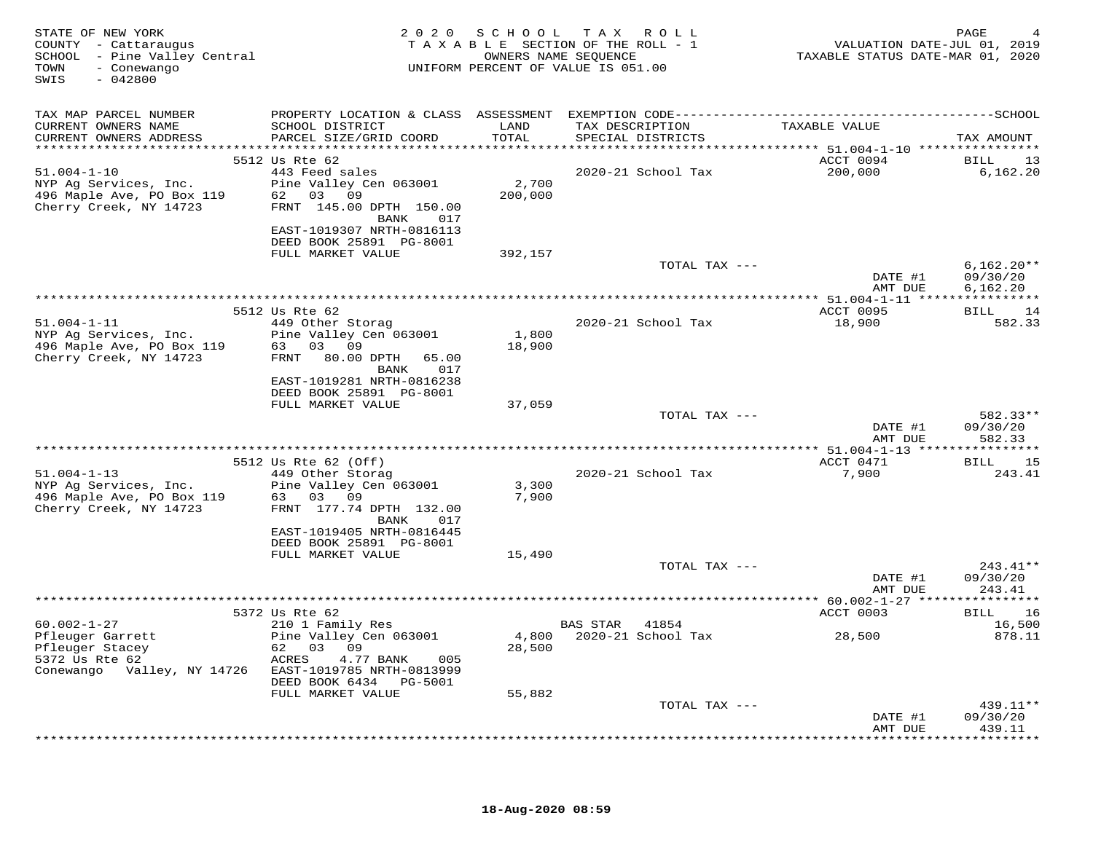| STATE OF NEW YORK<br>COUNTY - Cattaraugus<br>SCHOOL - Pine Valley Central<br>TOWN<br>- Conewango<br>$-042800$<br>SWIS |                                                                                |               | 2020 SCHOOL TAX ROLL<br>TAXABLE SECTION OF THE ROLL - 1<br>OWNERS NAME SEOUENCE<br>UNIFORM PERCENT OF VALUE IS 051.00 | VALUATION DATE-JUL 01, 2019<br>TAXABLE STATUS DATE-MAR 01, 2020 | PAGE                  |
|-----------------------------------------------------------------------------------------------------------------------|--------------------------------------------------------------------------------|---------------|-----------------------------------------------------------------------------------------------------------------------|-----------------------------------------------------------------|-----------------------|
| TAX MAP PARCEL NUMBER                                                                                                 |                                                                                |               |                                                                                                                       |                                                                 |                       |
| CURRENT OWNERS NAME<br>CURRENT OWNERS ADDRESS                                                                         | SCHOOL DISTRICT<br>PARCEL SIZE/GRID COORD                                      | LAND<br>TOTAL | TAX DESCRIPTION<br>SPECIAL DISTRICTS                                                                                  | TAXABLE VALUE                                                   | TAX AMOUNT            |
|                                                                                                                       |                                                                                |               |                                                                                                                       |                                                                 |                       |
| $51.004 - 1 - 10$                                                                                                     | 5512 Us Rte 62<br>443 Feed sales                                               |               | 2020-21 School Tax                                                                                                    | ACCT 0094<br>200,000                                            | BILL 13<br>6,162.20   |
| NYP Ag Services, Inc.                                                                                                 | Pine Valley Cen 063001                                                         | 2,700         |                                                                                                                       |                                                                 |                       |
| 496 Maple Ave, PO Box 119<br>Cherry Creek, NY 14723                                                                   | 62 03 09                                                                       | 200,000       |                                                                                                                       |                                                                 |                       |
|                                                                                                                       | FRNT 145.00 DPTH 150.00                                                        |               |                                                                                                                       |                                                                 |                       |
|                                                                                                                       | BANK 017                                                                       |               |                                                                                                                       |                                                                 |                       |
|                                                                                                                       | EAST-1019307 NRTH-0816113<br>DEED BOOK 25891 PG-8001                           |               |                                                                                                                       |                                                                 |                       |
|                                                                                                                       | FULL MARKET VALUE                                                              | 392,157       |                                                                                                                       |                                                                 |                       |
|                                                                                                                       |                                                                                |               | TOTAL TAX ---                                                                                                         |                                                                 | $6,162.20**$          |
|                                                                                                                       |                                                                                |               |                                                                                                                       | DATE #1                                                         | 09/30/20              |
|                                                                                                                       |                                                                                |               |                                                                                                                       | AMT DUE                                                         | 6,162.20              |
|                                                                                                                       | 5512 Us Rte 62                                                                 |               |                                                                                                                       | ACCT 0095                                                       | BILL 14               |
| $51.004 - 1 - 11$                                                                                                     | 449 Other Storag                                                               |               | 2020-21 School Tax                                                                                                    | 18,900                                                          | 582.33                |
| NYP Ag Services, Inc.                                                                                                 | Pine Valley Cen 063001                                                         | 1,800         |                                                                                                                       |                                                                 |                       |
| 496 Maple Ave, PO Box 119<br>Cherry Creek, NY 14723                                                                   | 63 03 09                                                                       | 18,900        |                                                                                                                       |                                                                 |                       |
|                                                                                                                       | FRNT 80.00 DPTH<br>65.00<br>BANK 017                                           |               |                                                                                                                       |                                                                 |                       |
|                                                                                                                       | EAST-1019281 NRTH-0816238                                                      |               |                                                                                                                       |                                                                 |                       |
|                                                                                                                       | DEED BOOK 25891 PG-8001                                                        |               |                                                                                                                       |                                                                 |                       |
|                                                                                                                       | FULL MARKET VALUE                                                              | 37,059        |                                                                                                                       |                                                                 |                       |
|                                                                                                                       |                                                                                |               | TOTAL TAX ---                                                                                                         | DATE #1                                                         | 582.33**<br>09/30/20  |
|                                                                                                                       |                                                                                |               |                                                                                                                       | AMT DUE                                                         | 582.33                |
|                                                                                                                       |                                                                                |               |                                                                                                                       |                                                                 |                       |
|                                                                                                                       | 5512 Us Rte 62 (Off)                                                           |               |                                                                                                                       | ACCT 0471                                                       | BILL 15               |
| $51.004 - 1 - 13$<br>NYP Ag Services, Inc.                                                                            | 449 Other Storag<br>Pine Valley Cen 063001                                     | 3,300         | 2020-21 School Tax                                                                                                    | 7,900                                                           | 243.41                |
| 496 Maple Ave, PO Box 119                                                                                             | 63 03 09                                                                       | 7,900         |                                                                                                                       |                                                                 |                       |
| Cherry Creek, NY 14723                                                                                                | FRNT 177.74 DPTH 132.00                                                        |               |                                                                                                                       |                                                                 |                       |
|                                                                                                                       | BANK 017                                                                       |               |                                                                                                                       |                                                                 |                       |
|                                                                                                                       | EAST-1019405 NRTH-0816445<br>DEED BOOK 25891 PG-8001                           |               |                                                                                                                       |                                                                 |                       |
|                                                                                                                       | FULL MARKET VALUE                                                              | 15,490        |                                                                                                                       |                                                                 |                       |
|                                                                                                                       |                                                                                |               | TOTAL TAX ---                                                                                                         |                                                                 | $243.41**$            |
|                                                                                                                       |                                                                                |               |                                                                                                                       | DATE #1                                                         | 09/30/20              |
|                                                                                                                       |                                                                                |               |                                                                                                                       | AMT DUE                                                         | 243.41                |
|                                                                                                                       | 5372 Us Rte 62                                                                 |               |                                                                                                                       | ********** 60.002-1-27 *****************<br>ACCT 0003           | <b>BILL</b><br>16     |
| $60.002 - 1 - 27$                                                                                                     | 210 1 Family Res                                                               |               | BAS STAR 41854                                                                                                        |                                                                 | 16,500                |
| 60.002-1-2,<br>Pfleuger Garrett<br>Pfleuger Stacey<br>The 62                                                          | Pine Valley Cen 063001                                                         |               | 4,800 2020-21 School Tax                                                                                              | 28,500                                                          | 878.11                |
|                                                                                                                       | 62 03 09                                                                       | 28,500        |                                                                                                                       |                                                                 |                       |
|                                                                                                                       | 4.77 BANK<br>ACRES<br>005                                                      |               |                                                                                                                       |                                                                 |                       |
|                                                                                                                       | Conewango Valley, NY 14726 EAST-1019785 NRTH-0813999<br>DEED BOOK 6434 PG-5001 |               |                                                                                                                       |                                                                 |                       |
|                                                                                                                       | FULL MARKET VALUE                                                              | 55,882        |                                                                                                                       |                                                                 |                       |
|                                                                                                                       |                                                                                |               | TOTAL TAX ---                                                                                                         |                                                                 | $439.11**$            |
|                                                                                                                       |                                                                                |               |                                                                                                                       | DATE #1                                                         | 09/30/20              |
|                                                                                                                       |                                                                                |               |                                                                                                                       | AMT DUE                                                         | 439.11<br>*********** |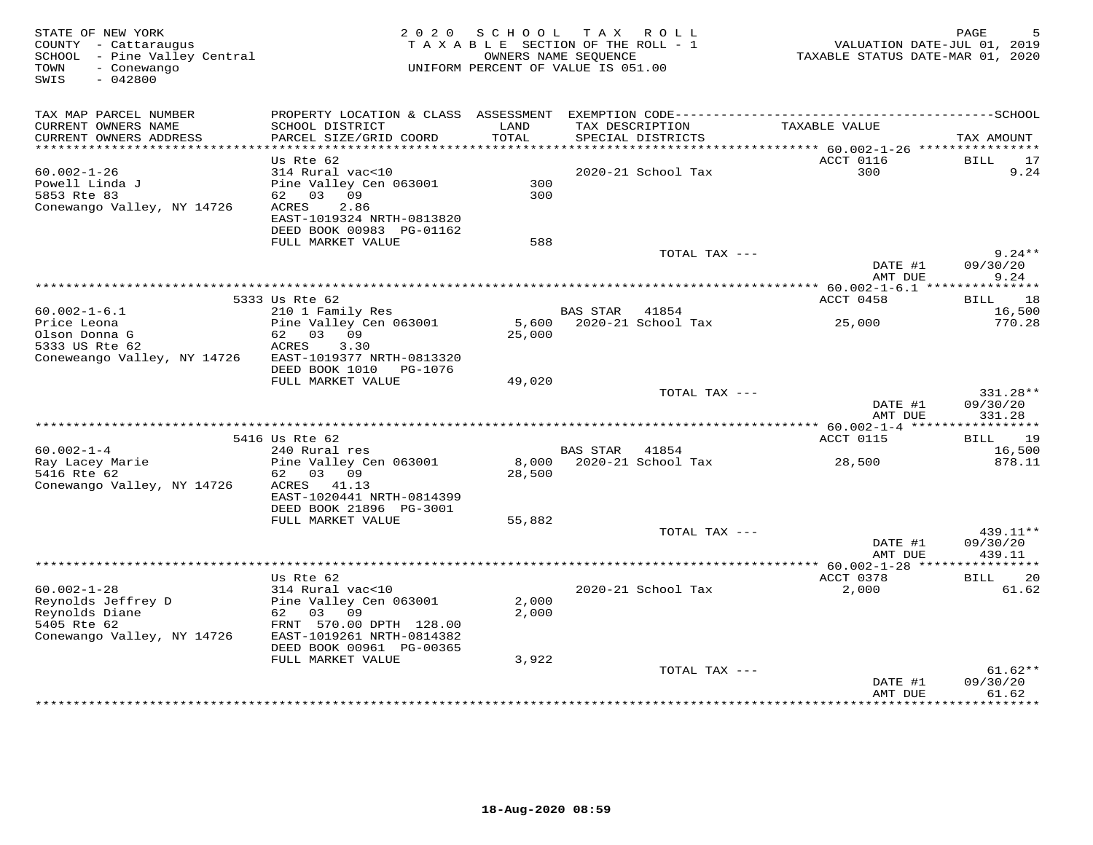| STATE OF NEW YORK<br>COUNTY - Cattaraugus<br>SCHOOL - Pine Valley Central<br>- Conewango<br>TOWN<br>$-042800$<br>SWIS |                                                                                                                                  | 2020 SCHOOL TAX ROLL<br>TAXABLE SECTION OF THE ROLL - 1<br>OWNERS NAME SEQUENCE<br>UNIFORM PERCENT OF VALUE IS 051.00 |                |                                      | VALUATION DATE-JUL 01, 2019<br>TAXABLE STATUS DATE-MAR 01, 2020 | PAGE                           |
|-----------------------------------------------------------------------------------------------------------------------|----------------------------------------------------------------------------------------------------------------------------------|-----------------------------------------------------------------------------------------------------------------------|----------------|--------------------------------------|-----------------------------------------------------------------|--------------------------------|
| TAX MAP PARCEL NUMBER                                                                                                 |                                                                                                                                  |                                                                                                                       |                |                                      |                                                                 |                                |
| CURRENT OWNERS NAME<br>CURRENT OWNERS ADDRESS<br>*************************                                            | SCHOOL DISTRICT<br>PARCEL SIZE/GRID COORD                                                                                        | LAND<br>TOTAL                                                                                                         |                | TAX DESCRIPTION<br>SPECIAL DISTRICTS | TAXABLE VALUE                                                   | TAX AMOUNT                     |
|                                                                                                                       | Us Rte 62                                                                                                                        |                                                                                                                       |                |                                      | ACCT 0116                                                       | BILL<br>17                     |
| $60.002 - 1 - 26$<br>Powell Linda J<br>5853 Rte 83<br>Conewango Valley, NY 14726                                      | 314 Rural vac<10<br>Pine Valley Cen 063001<br>62 03 09<br>ACRES<br>2.86<br>EAST-1019324 NRTH-0813820<br>DEED BOOK 00983 PG-01162 | 300<br>300                                                                                                            |                | 2020-21 School Tax                   | 300                                                             | 9.24                           |
|                                                                                                                       | FULL MARKET VALUE                                                                                                                | 588                                                                                                                   |                |                                      |                                                                 |                                |
|                                                                                                                       |                                                                                                                                  |                                                                                                                       |                | TOTAL TAX ---                        | DATE #1                                                         | $9.24**$<br>09/30/20           |
|                                                                                                                       | ***************                                                                                                                  | *************************************                                                                                 |                |                                      | AMT DUE<br>**************** 60.002-1-6.1 ****************       | 9.24                           |
|                                                                                                                       | 5333 Us Rte 62                                                                                                                   |                                                                                                                       |                |                                      | ACCT 0458                                                       | BILL 18                        |
| $60.002 - 1 - 6.1$                                                                                                    | 210 1 Family Res                                                                                                                 |                                                                                                                       | BAS STAR       | 41854                                |                                                                 | 16,500                         |
| Price Leona<br>Olson Donna G<br>5333 US Rte 62<br>Coneweango Valley, NY 14726                                         | Pine Valley Cen 063001<br>62 03 09<br>ACRES<br>3.30<br>EAST-1019377 NRTH-0813320<br>DEED BOOK 1010 PG-1076                       | 25,000                                                                                                                |                | 5,600 2020-21 School Tax             | 25,000                                                          | 770.28                         |
|                                                                                                                       | FULL MARKET VALUE                                                                                                                | 49,020                                                                                                                |                |                                      |                                                                 |                                |
|                                                                                                                       |                                                                                                                                  |                                                                                                                       |                | TOTAL TAX ---                        | DATE #1<br>AMT DUE                                              | 331.28**<br>09/30/20<br>331.28 |
|                                                                                                                       |                                                                                                                                  |                                                                                                                       |                |                                      |                                                                 |                                |
|                                                                                                                       | 5416 Us Rte 62                                                                                                                   |                                                                                                                       |                |                                      | ACCT 0115                                                       | BILL 19                        |
| $60.002 - 1 - 4$<br>Ray Lacey Marie<br>5416 Rte 62                                                                    | 240 Rural res<br>Pine Valley Cen 063001<br>62 03 09                                                                              | 28,500                                                                                                                | BAS STAR 41854 | 8,000 2020-21 School Tax             | 28,500                                                          | 16,500<br>878.11               |
| Conewango Valley, NY 14726                                                                                            | ACRES 41.13<br>EAST-1020441 NRTH-0814399<br>DEED BOOK 21896 PG-3001                                                              |                                                                                                                       |                |                                      |                                                                 |                                |
|                                                                                                                       | FULL MARKET VALUE                                                                                                                | 55,882                                                                                                                |                |                                      |                                                                 |                                |
|                                                                                                                       |                                                                                                                                  |                                                                                                                       |                | TOTAL TAX ---                        | DATE #1                                                         | 439.11**<br>09/30/20           |
|                                                                                                                       |                                                                                                                                  |                                                                                                                       |                |                                      | AMT DUE                                                         | 439.11                         |
| $60.002 - 1 - 28$                                                                                                     | Us Rte 62<br>314 Rural vac<10                                                                                                    |                                                                                                                       |                |                                      | ACCT 0378<br>2,000                                              | BILL 20                        |
| Reynolds Jeffrey D<br>Reynolds Diane<br>5405 Rte 62<br>Conewango Valley, NY 14726                                     | Pine Valley Cen 063001<br>62 03 09<br>FRNT 570.00 DPTH 128.00<br>EAST-1019261 NRTH-0814382                                       | 2,000<br>2,000                                                                                                        |                | 2020-21 School Tax                   |                                                                 | 61.62                          |
|                                                                                                                       | DEED BOOK 00961 PG-00365                                                                                                         |                                                                                                                       |                |                                      |                                                                 |                                |
|                                                                                                                       | FULL MARKET VALUE                                                                                                                | 3,922                                                                                                                 |                |                                      |                                                                 |                                |
|                                                                                                                       |                                                                                                                                  |                                                                                                                       |                | TOTAL TAX ---                        | DATE #1<br>AMT DUE                                              | $61.62**$<br>09/30/20<br>61.62 |
|                                                                                                                       |                                                                                                                                  |                                                                                                                       |                |                                      | + + + + + + + + + + + + +                                       | <b>+++++++++</b>               |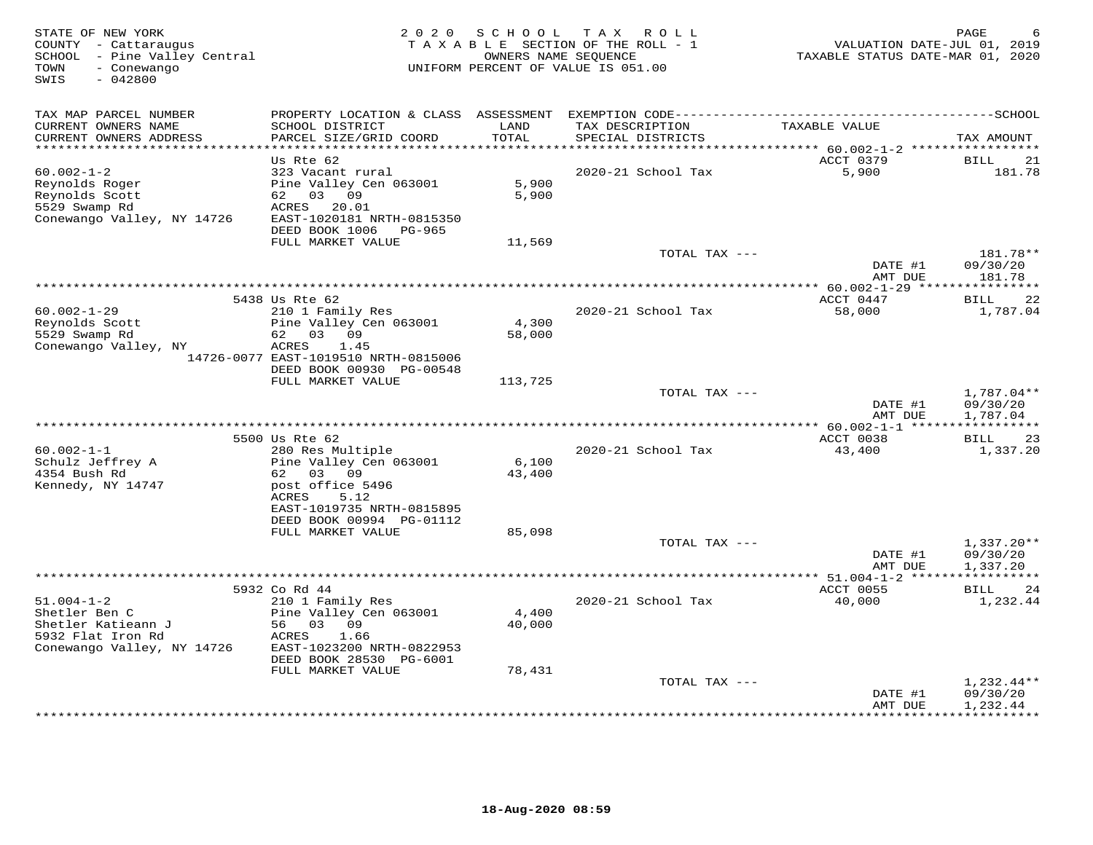| STATE OF NEW YORK<br>COUNTY - Cattaraugus<br>SCHOOL - Pine Valley Central<br>- Conewango<br>TOWN<br>$-042800$<br>SWIS | 2 0 2 0                                                                                                                                                               | SCHOOL                    | TAX ROLL<br>TAXABLE SECTION OF THE ROLL - 1<br>OWNERS NAME SEOUENCE<br>UNIFORM PERCENT OF VALUE IS 051.00 | VALUATION DATE-JUL 01, 2019<br>TAXABLE STATUS DATE-MAR 01, 2020 | PAGE                                 |
|-----------------------------------------------------------------------------------------------------------------------|-----------------------------------------------------------------------------------------------------------------------------------------------------------------------|---------------------------|-----------------------------------------------------------------------------------------------------------|-----------------------------------------------------------------|--------------------------------------|
| TAX MAP PARCEL NUMBER<br>CURRENT OWNERS NAME<br>CURRENT OWNERS ADDRESS                                                | SCHOOL DISTRICT<br>PARCEL SIZE/GRID COORD                                                                                                                             | LAND<br>TOTAL             | TAX DESCRIPTION<br>SPECIAL DISTRICTS                                                                      | TAXABLE VALUE                                                   | TAX AMOUNT                           |
|                                                                                                                       |                                                                                                                                                                       |                           |                                                                                                           |                                                                 |                                      |
| $60.002 - 1 - 2$<br>Reynolds Roger<br>Reynolds Scott<br>5529 Swamp Rd<br>Conewango Valley, NY 14726                   | Us Rte 62<br>323 Vacant rural<br>Pine Valley Cen 063001<br>62 03 09<br>ACRES<br>20.01<br>EAST-1020181 NRTH-0815350<br>DEED BOOK 1006<br>PG-965                        | 5,900<br>5,900            | 2020-21 School Tax                                                                                        | ACCT 0379<br>5,900                                              | BILL<br>21<br>181.78                 |
|                                                                                                                       | FULL MARKET VALUE                                                                                                                                                     | 11,569                    | TOTAL TAX ---                                                                                             |                                                                 | 181.78**                             |
|                                                                                                                       |                                                                                                                                                                       |                           |                                                                                                           | DATE #1<br>AMT DUE                                              | 09/30/20<br>181.78                   |
|                                                                                                                       | 5438 Us Rte 62                                                                                                                                                        |                           |                                                                                                           | ACCT 0447                                                       | 22<br><b>BILL</b>                    |
| $60.002 - 1 - 29$<br>Reynolds Scott<br>5529 Swamp Rd<br>Conewango Valley, NY                                          | 210 1 Family Res<br>Pine Valley Cen 063001<br>62 03 09<br>ACRES<br>1.45<br>14726-0077 EAST-1019510 NRTH-0815006<br>DEED BOOK 00930 PG-00548                           | 4,300<br>58,000           | 2020-21 School Tax                                                                                        | 58,000                                                          | 1,787.04                             |
|                                                                                                                       | FULL MARKET VALUE                                                                                                                                                     | 113,725                   |                                                                                                           |                                                                 |                                      |
|                                                                                                                       |                                                                                                                                                                       |                           | TOTAL TAX ---                                                                                             | DATE #1<br>AMT DUE                                              | 1,787.04**<br>09/30/20<br>1,787.04   |
|                                                                                                                       |                                                                                                                                                                       |                           |                                                                                                           |                                                                 | ************                         |
|                                                                                                                       | 5500 Us Rte 62                                                                                                                                                        |                           |                                                                                                           | ACCT 0038                                                       | 23<br>BILL                           |
| $60.002 - 1 - 1$<br>Schulz Jeffrey A<br>4354 Bush Rd<br>Kennedy, NY 14747                                             | 280 Res Multiple<br>Pine Valley Cen 063001<br>62 03 09<br>post office 5496<br>ACRES<br>5.12<br>EAST-1019735 NRTH-0815895<br>DEED BOOK 00994 PG-01112                  | 6,100<br>43,400           | 2020-21 School Tax                                                                                        | 43,400                                                          | 1,337.20                             |
|                                                                                                                       | FULL MARKET VALUE                                                                                                                                                     | 85,098                    |                                                                                                           |                                                                 |                                      |
|                                                                                                                       |                                                                                                                                                                       |                           | TOTAL TAX ---                                                                                             | DATE #1<br>AMT DUE                                              | $1,337.20**$<br>09/30/20<br>1,337.20 |
|                                                                                                                       |                                                                                                                                                                       |                           |                                                                                                           |                                                                 |                                      |
| $51.004 - 1 - 2$<br>Shetler Ben C<br>Shetler Katieann J<br>5932 Flat Iron Rd<br>Conewango Valley, NY 14726            | 5932 Co Rd 44<br>210 1 Family Res<br>Pine Valley Cen 063001<br>56 03 09<br>ACRES<br>1.66<br>EAST-1023200 NRTH-0822953<br>DEED BOOK 28530 PG-6001<br>FULL MARKET VALUE | 4,400<br>40,000<br>78,431 | 2020-21 School Tax                                                                                        | ACCT 0055<br>40,000                                             | <b>BILL</b><br>24<br>1,232.44        |
|                                                                                                                       |                                                                                                                                                                       |                           | TOTAL TAX ---                                                                                             |                                                                 | $1,232.44**$                         |
|                                                                                                                       |                                                                                                                                                                       |                           |                                                                                                           | DATE #1<br>AMT DUE                                              | 09/30/20<br>1,232.44<br>**********   |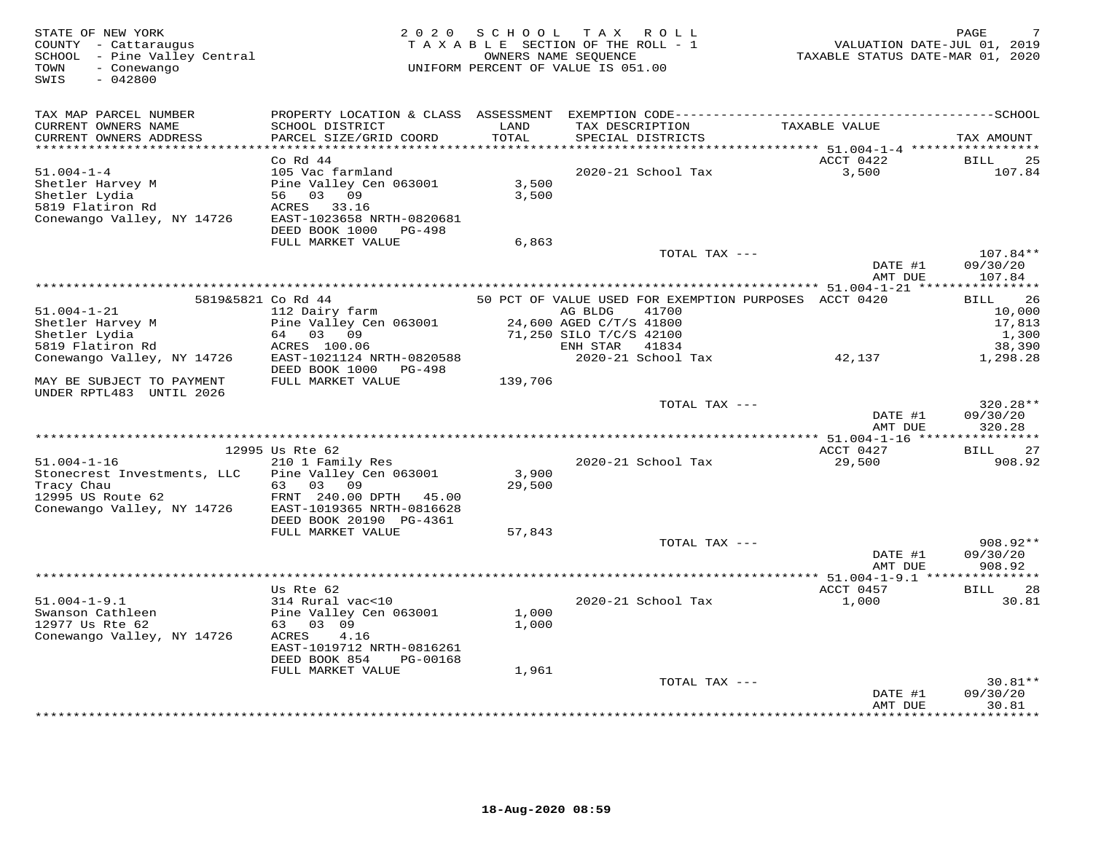| STATE OF NEW YORK<br>COUNTY - Cattaraugus<br>SCHOOL - Pine Valley Central<br>- Conewango<br>TOWN<br>SWIS<br>$-042800$ | 2 0 2 0                                                                                                                                     | SCHOOL          | TAX ROLL<br>TAXABLE SECTION OF THE ROLL - 1<br>OWNERS NAME SEQUENCE<br>UNIFORM PERCENT OF VALUE IS 051.00 |               | TAXABLE STATUS DATE-MAR 01, 2020                      | PAGE<br>VALUATION DATE-JUL 01, 2019 |
|-----------------------------------------------------------------------------------------------------------------------|---------------------------------------------------------------------------------------------------------------------------------------------|-----------------|-----------------------------------------------------------------------------------------------------------|---------------|-------------------------------------------------------|-------------------------------------|
| TAX MAP PARCEL NUMBER<br>CURRENT OWNERS NAME<br>CURRENT OWNERS ADDRESS                                                | PROPERTY LOCATION & CLASS ASSESSMENT EXEMPTION CODE-----------------------------------SCHOOL<br>SCHOOL DISTRICT<br>PARCEL SIZE/GRID COORD   | LAND<br>TOTAL   | TAX DESCRIPTION<br>SPECIAL DISTRICTS                                                                      |               | TAXABLE VALUE                                         | TAX AMOUNT                          |
|                                                                                                                       |                                                                                                                                             |                 |                                                                                                           |               |                                                       |                                     |
| $51.004 - 1 - 4$<br>Shetler Harvey M<br>Shetler Lydia<br>5819 Flatiron Rd<br>Conewango Valley, NY 14726               | $Co$ Rd $44$<br>105 Vac farmland<br>Pine Valley Cen 063001<br>56 03 09<br>ACRES 33.16<br>EAST-1023658 NRTH-0820681<br>DEED BOOK 1000 PG-498 | 3,500<br>3,500  | 2020-21 School Tax                                                                                        |               | ACCT 0422<br>3,500                                    | BILL<br>25<br>107.84                |
|                                                                                                                       | FULL MARKET VALUE                                                                                                                           | 6,863           |                                                                                                           |               |                                                       |                                     |
|                                                                                                                       |                                                                                                                                             |                 |                                                                                                           | TOTAL TAX --- | DATE #1<br>AMT DUE                                    | 107.84**<br>09/30/20<br>107.84      |
|                                                                                                                       | 5819&5821 Co Rd 44                                                                                                                          |                 |                                                                                                           |               | 50 PCT OF VALUE USED FOR EXEMPTION PURPOSES ACCT 0420 | 26<br>BILL                          |
| $51.004 - 1 - 21$<br>Shetler Harvey M<br>Shetler Lydia                                                                | 112 Dairy farm<br>Pine Valley Cen 063001<br>64 03 09                                                                                        |                 | AG BLDG<br>24,600 AGED C/T/S 41800<br>71,250 SILO T/C/S 42100                                             | 41700         |                                                       | 10,000<br>17,813<br>1,300           |
| 5819 Flatiron Rd<br>Conewango Valley, NY 14726                                                                        | ACRES 100.06<br>EAST-1021124 NRTH-0820588<br>DEED BOOK 1000 PG-498                                                                          |                 | ENH STAR 41834<br>2020-21 School Tax                                                                      |               | 42,137                                                | 38,390<br>1,298.28                  |
| MAY BE SUBJECT TO PAYMENT<br>UNDER RPTL483 UNTIL 2026                                                                 | FULL MARKET VALUE                                                                                                                           | 139,706         |                                                                                                           |               |                                                       |                                     |
|                                                                                                                       |                                                                                                                                             |                 |                                                                                                           | TOTAL TAX --- | DATE #1<br>AMT DUE                                    | 320.28**<br>09/30/20<br>320.28      |
|                                                                                                                       |                                                                                                                                             |                 |                                                                                                           |               |                                                       |                                     |
| $51.004 - 1 - 16$                                                                                                     | 12995 Us Rte 62<br>210 1 Family Res                                                                                                         |                 | 2020-21 School Tax                                                                                        |               | ACCT 0427<br>29,500                                   | <b>BILL</b><br>27<br>908.92         |
| Stonecrest Investments, LLC<br>Tracy Chau<br>12995 US Route 62<br>Conewango Valley, NY 14726                          | Pine Valley Cen 063001<br>63 03 09<br>FRNT 240.00 DPTH 45.00<br>EAST-1019365 NRTH-0816628<br>DEED BOOK 20190 PG-4361                        | 3,900<br>29,500 |                                                                                                           |               |                                                       |                                     |
|                                                                                                                       | FULL MARKET VALUE                                                                                                                           | 57,843          |                                                                                                           | TOTAL TAX --- |                                                       | 908.92**                            |
|                                                                                                                       |                                                                                                                                             |                 |                                                                                                           |               | DATE #1<br>AMT DUE                                    | 09/30/20<br>908.92                  |
|                                                                                                                       | Us Rte 62                                                                                                                                   |                 |                                                                                                           |               | ACCT 0457                                             | <b>BILL</b><br>28                   |
| $51.004 - 1 - 9.1$<br>Swanson Cathleen<br>12977 Us Rte 62<br>Conewango Valley, NY 14726                               | 314 Rural vac<10<br>Pine Valley Cen 063001<br>63 03 09<br>4.16<br>ACRES<br>EAST-1019712 NRTH-0816261<br>DEED BOOK 854<br>PG-00168           | 1,000<br>1,000  | 2020-21 School Tax                                                                                        |               | 1,000                                                 | 30.81                               |
|                                                                                                                       | FULL MARKET VALUE                                                                                                                           | 1,961           |                                                                                                           |               |                                                       |                                     |
|                                                                                                                       |                                                                                                                                             |                 |                                                                                                           | TOTAL TAX --- | DATE #1<br>AMT DUE                                    | $30.81**$<br>09/30/20<br>30.81      |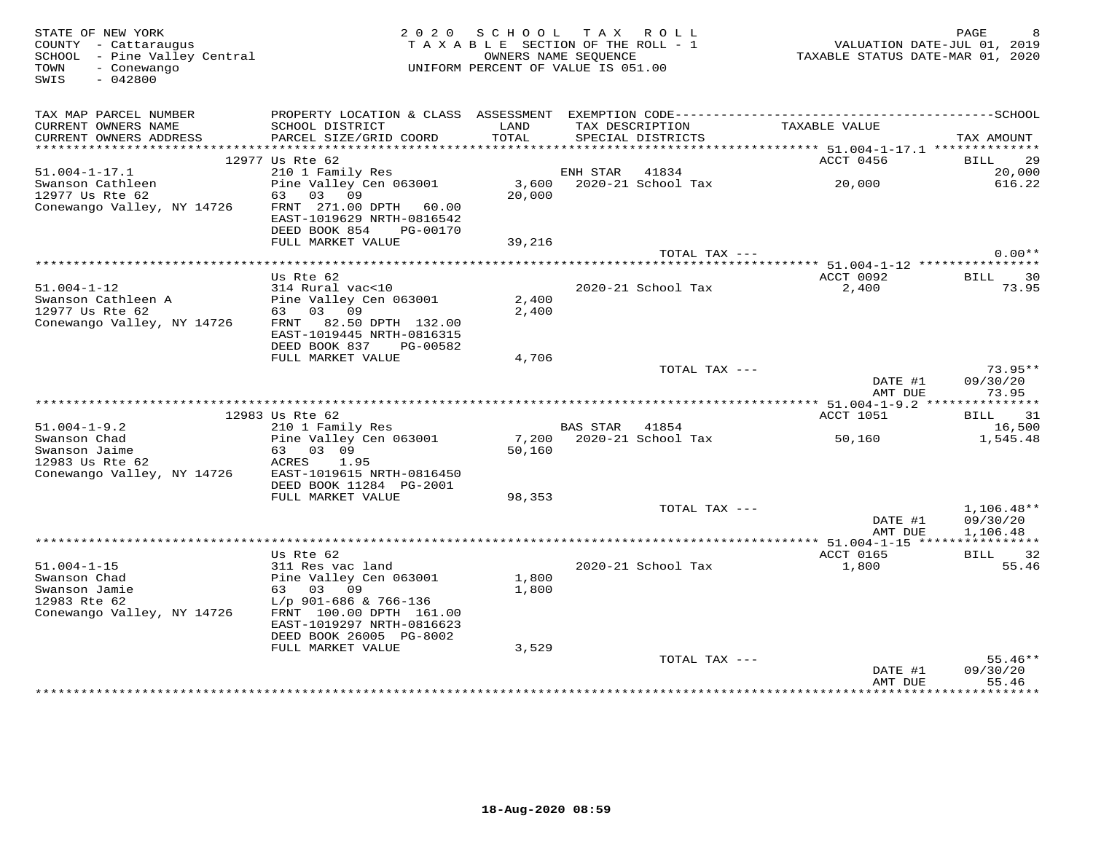| STATE OF NEW YORK<br>COUNTY - Cattaraugus<br>SCHOOL - Pine Valley Central<br>TOWN<br>- Conewango<br>$-042800$<br>SWIS        |                                                                                                                | 2020 SCHOOL TAX ROLL<br>TAXABLE SECTION OF THE ROLL - 1<br>OWNERS NAME SEQUENCE<br>UNIFORM PERCENT OF VALUE IS 051.00 |                |                                      | VALUATION DATE-JUL 01, 2019<br>TAXABLE STATUS DATE-MAR 01, 2020 | PAGE                           |
|------------------------------------------------------------------------------------------------------------------------------|----------------------------------------------------------------------------------------------------------------|-----------------------------------------------------------------------------------------------------------------------|----------------|--------------------------------------|-----------------------------------------------------------------|--------------------------------|
| TAX MAP PARCEL NUMBER<br>CURRENT OWNERS NAME<br>CURRENT OWNERS ADDRESS                                                       | SCHOOL DISTRICT<br>PARCEL SIZE/GRID COORD                                                                      | LAND<br>TOTAL                                                                                                         |                | TAX DESCRIPTION<br>SPECIAL DISTRICTS | TAXABLE VALUE                                                   | TAX AMOUNT                     |
|                                                                                                                              |                                                                                                                |                                                                                                                       |                |                                      |                                                                 |                                |
|                                                                                                                              | 12977 Us Rte 62                                                                                                |                                                                                                                       |                |                                      | ACCT 0456                                                       | BILL 29                        |
| $51.004 - 1 - 17.1$<br>Swanson Cathleen<br>12977 Us Rte 62                                                                   | 210 1 Family Res<br>210 1 Family Res<br>20,000 2020-21 School Tax 20,000<br>63 03 09<br>FRNT 271.00 DPTH 60.00 | 20,000                                                                                                                |                |                                      |                                                                 | 20,000<br>616.22               |
| Conewango Valley, NY 14726                                                                                                   | EAST-1019629 NRTH-0816542<br>DEED BOOK 854<br>PG-00170<br>FULL MARKET VALUE                                    | 39,216                                                                                                                |                |                                      |                                                                 |                                |
|                                                                                                                              |                                                                                                                |                                                                                                                       |                | TOTAL TAX ---                        |                                                                 | $0.00**$                       |
|                                                                                                                              |                                                                                                                |                                                                                                                       |                |                                      |                                                                 |                                |
| $51.004 - 1 - 12$                                                                                                            | Us Rte 62<br>314 Rural vac<10                                                                                  |                                                                                                                       |                | 2020-21 School Tax                   | ACCT 0092<br>2,400                                              | BILL 30<br>73.95               |
|                                                                                                                              |                                                                                                                | 2,400                                                                                                                 |                |                                      |                                                                 |                                |
| Conewango Valley, NY 14726                                                                                                   | FRNT 82.50 DPTH 132.00<br>EAST-1019445 NRTH-0816315<br>DEED BOOK 837 PG-00582                                  | 2,400                                                                                                                 |                |                                      |                                                                 |                                |
|                                                                                                                              | FULL MARKET VALUE                                                                                              | 4,706                                                                                                                 |                |                                      |                                                                 |                                |
|                                                                                                                              |                                                                                                                |                                                                                                                       |                | TOTAL TAX ---                        | DATE #1<br>AMT DUE                                              | $73.95**$<br>09/30/20<br>73.95 |
|                                                                                                                              |                                                                                                                |                                                                                                                       |                |                                      |                                                                 |                                |
|                                                                                                                              | 12983 Us Rte 62                                                                                                |                                                                                                                       |                |                                      | ACCT 1051                                                       | BILL 31                        |
|                                                                                                                              | 210 1 Family Res                                                                                               |                                                                                                                       | BAS STAR 41854 |                                      |                                                                 | 16,500                         |
| 51.004-1-9.2<br>Swanson Chad<br>Swanson Jaime<br>And Side Chapter 62<br>Conewango Valley, NY 14726 EAST-1019615 NRTH-0816450 | Pine Valley Cen 063001<br>63 03 09<br>ACRES 1.95                                                               | 50,160                                                                                                                |                |                                      |                                                                 | 1,545.48                       |
|                                                                                                                              | DEED BOOK 11284 PG-2001<br>FULL MARKET VALUE                                                                   | 98,353                                                                                                                |                |                                      |                                                                 |                                |
|                                                                                                                              |                                                                                                                |                                                                                                                       |                | TOTAL TAX ---                        |                                                                 | $1,106.48**$                   |
|                                                                                                                              |                                                                                                                |                                                                                                                       |                |                                      | DATE #1<br>AMT DUE                                              | 09/30/20<br>1,106.48           |
|                                                                                                                              |                                                                                                                |                                                                                                                       |                |                                      |                                                                 |                                |
| $51.004 - 1 - 15$                                                                                                            | Us Rte 62<br>311 Res vac land                                                                                  |                                                                                                                       |                | 2020-21 School Tax                   | ACCT 0165<br>1,800                                              | BILL 32<br>55.46               |
| Swanson Chad                                                                                                                 | Pine Valley Cen 063001                                                                                         | 1,800                                                                                                                 |                |                                      |                                                                 |                                |
| Swanson Jamie                                                                                                                | 63 03 09                                                                                                       | 1,800                                                                                                                 |                |                                      |                                                                 |                                |
| 12983 Rte 62<br>Conewango Valley, NY 14726                                                                                   | L/p 901-686 & 766-136<br>FRNT 100.00 DPTH 161.00<br>EAST-1019297 NRTH-0816623                                  |                                                                                                                       |                |                                      |                                                                 |                                |
|                                                                                                                              | DEED BOOK 26005 PG-8002                                                                                        |                                                                                                                       |                |                                      |                                                                 |                                |
|                                                                                                                              | FULL MARKET VALUE                                                                                              | 3,529                                                                                                                 |                |                                      |                                                                 |                                |
|                                                                                                                              |                                                                                                                |                                                                                                                       |                | TOTAL TAX ---                        |                                                                 | $55.46**$                      |
|                                                                                                                              |                                                                                                                |                                                                                                                       |                |                                      | DATE #1<br>AMT DUE                                              | 09/30/20<br>55.46              |
|                                                                                                                              |                                                                                                                |                                                                                                                       |                |                                      | *************                                                   | * * * * * * * * *              |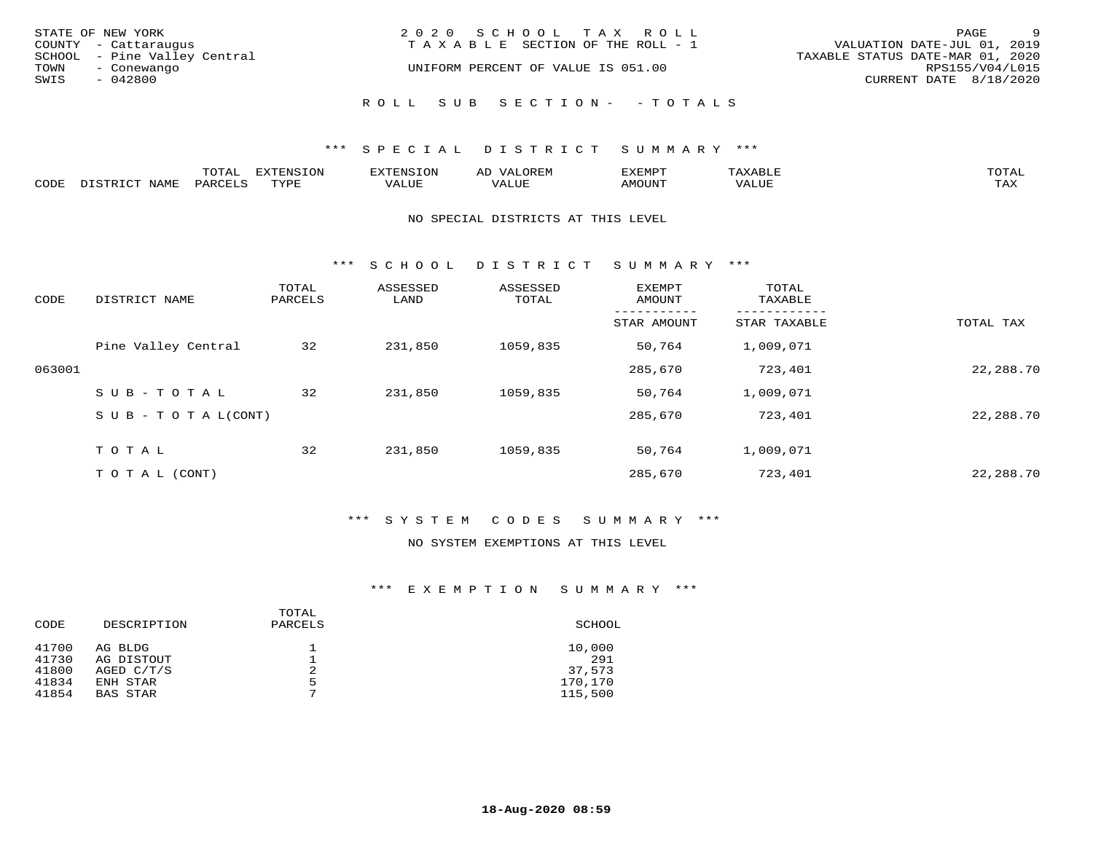| STATE OF NEW YORK<br>COUNTY - Cattaraugus<br>SCHOOL - Pine Valley Central<br>TOWN<br>- Conewango<br>SWIS<br>- 042800 | 2020 SCHOOL TAX ROLL<br>T A X A B L E SECTION OF THE ROLL - 1<br>UNIFORM PERCENT OF VALUE IS 051.00 | - 9<br>PAGE<br>VALUATION DATE-JUL 01, 2019<br>TAXABLE STATUS DATE-MAR 01, 2020<br>RPS155/V04/L015<br>CURRENT DATE 8/18/2020 |
|----------------------------------------------------------------------------------------------------------------------|-----------------------------------------------------------------------------------------------------|-----------------------------------------------------------------------------------------------------------------------------|
|                                                                                                                      | ROLL SUB SECTION- - TOTALS                                                                          |                                                                                                                             |

|      |                        | ጥ∩ጥአ<br>- UIAL | <b>DIZMONIC</b><br>ION | AD   | . ت س<br>⊐ויושב∠ |                                        |            |
|------|------------------------|----------------|------------------------|------|------------------|----------------------------------------|------------|
| CODE | <b>NTAMT</b><br>77 O L | PARO           | TVDF                   | ALUE | IMOUNT           | * * * * * * * *<br>$'$ ALUN $_{\rm L}$ | may<br>∸∽∸ |

#### NO SPECIAL DISTRICTS AT THIS LEVEL

\*\*\* S C H O O L D I S T R I C T S U M M A R Y \*\*\*

| CODE   | DISTRICT NAME                    | TOTAL<br>PARCELS | ASSESSED<br>LAND | ASSESSED<br>TOTAL | EXEMPT<br>AMOUNT | TOTAL<br>TAXABLE |           |
|--------|----------------------------------|------------------|------------------|-------------------|------------------|------------------|-----------|
|        |                                  |                  |                  |                   | STAR AMOUNT      | STAR TAXABLE     | TOTAL TAX |
|        | Pine Valley Central              | 32               | 231,850          | 1059,835          | 50,764           | 1,009,071        |           |
| 063001 |                                  |                  |                  |                   | 285,670          | 723,401          | 22,288.70 |
|        | SUB-TOTAL                        | 32               | 231,850          | 1059,835          | 50,764           | 1,009,071        |           |
|        | $S \cup B - T \cup T A L (CONT)$ |                  |                  |                   | 285,670          | 723,401          | 22,288.70 |
|        | TOTAL                            | 32               | 231,850          | 1059,835          | 50,764           | 1,009,071        |           |
|        | T O T A L (CONT)                 |                  |                  |                   | 285,670          | 723,401          | 22,288.70 |

# \*\*\* S Y S T E M C O D E S S U M M A R Y \*\*\*

## NO SYSTEM EXEMPTIONS AT THIS LEVEL

| CODE  | DESCRIPTION     | TOTAL<br>PARCELS | SCHOOL  |
|-------|-----------------|------------------|---------|
| 41700 | AG BLDG         | 2                | 10,000  |
| 41730 | AG DISTOUT      |                  | 291     |
| 41800 | AGED C/T/S      |                  | 37,573  |
| 41834 | ENH STAR        | 5                | 170,170 |
| 41854 | <b>BAS STAR</b> | ⇁                | 115,500 |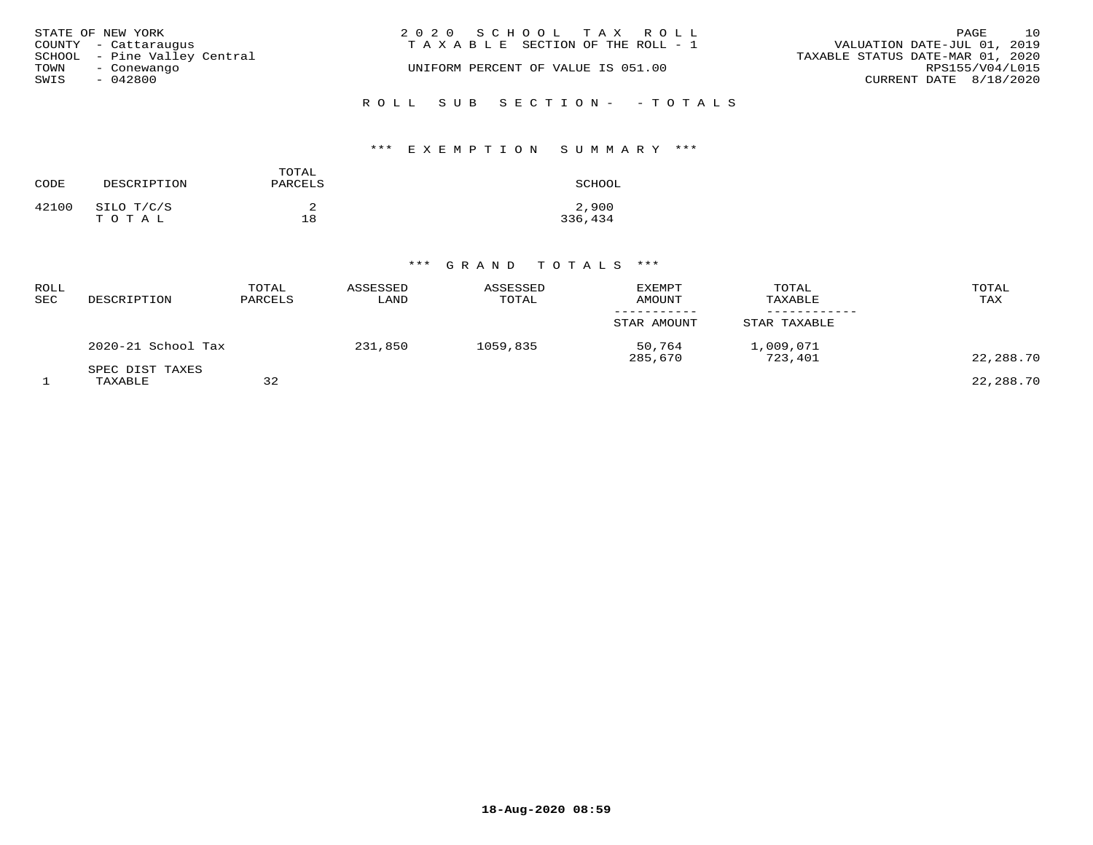| STATE OF NEW YORK<br>COUNTY - Cattaraugus           | 2020 SCHOOL TAX ROLL<br>TAXABLE SECTION OF THE ROLL - 1 | 10<br>PAGE<br>VALUATION DATE-JUL 01, 2019           |
|-----------------------------------------------------|---------------------------------------------------------|-----------------------------------------------------|
| SCHOOL - Pine Valley Central<br>TOWN<br>- Conewango | UNIFORM PERCENT OF VALUE IS 051.00                      | TAXABLE STATUS DATE-MAR 01, 2020<br>RPS155/V04/L015 |
| SWIS<br>- 042800                                    |                                                         | CURRENT DATE 8/18/2020                              |
|                                                     | ROLL SUB SECTION- - TOTALS                              |                                                     |

## \*\*\* E X E M P T I O N S U M M A R Y \*\*\*

| CODE  | DESCRIPTION         | TOTAL<br>PARCELS | SCHOOL           |
|-------|---------------------|------------------|------------------|
| 42100 | SILO T/C/S<br>TOTAL | 18               | 2,900<br>336,434 |

| ROLL<br>SEC | DESCRIPTION                | TOTAL<br>PARCELS | ASSESSED<br>LAND | ASSESSED<br>TOTAL | <b>EXEMPT</b><br>AMOUNT | TOTAL<br>TAXABLE     | TOTAL<br>TAX |
|-------------|----------------------------|------------------|------------------|-------------------|-------------------------|----------------------|--------------|
|             |                            |                  |                  |                   | STAR AMOUNT             | STAR TAXABLE         |              |
|             | 2020-21 School Tax         |                  | 231,850          | 1059,835          | 50,764<br>285,670       | 1,009,071<br>723,401 | 22,288.70    |
|             | SPEC DIST TAXES<br>TAXABLE | 32               |                  |                   |                         |                      | 22,288.70    |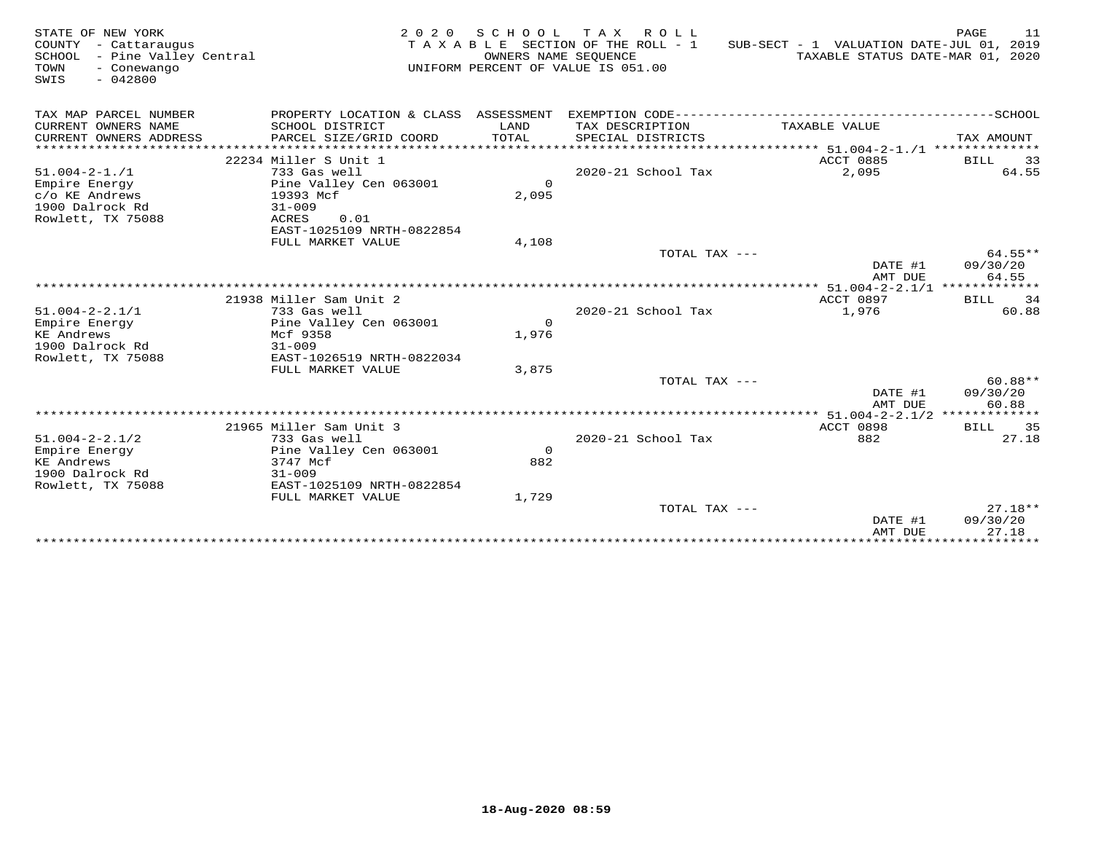| STATE OF NEW YORK<br>COUNTY<br>- Cattaraugus<br>SCHOOL - Pine Valley Central<br>TOWN<br>- Conewango<br>SWIS<br>$-042800$ | 2 0 2 0                                    | OWNERS NAME SEQUENCE | SCHOOL TAX ROLL<br>TAXABLE SECTION OF THE ROLL - 1<br>UNIFORM PERCENT OF VALUE IS 051.00 | SUB-SECT - 1 VALUATION DATE-JUL 01, 2019<br>TAXABLE STATUS DATE-MAR 01, 2020 | PAGE<br>11            |
|--------------------------------------------------------------------------------------------------------------------------|--------------------------------------------|----------------------|------------------------------------------------------------------------------------------|------------------------------------------------------------------------------|-----------------------|
| TAX MAP PARCEL NUMBER                                                                                                    |                                            |                      |                                                                                          |                                                                              |                       |
| CURRENT OWNERS NAME<br>CURRENT OWNERS ADDRESS                                                                            | SCHOOL DISTRICT<br>PARCEL SIZE/GRID COORD  | LAND<br>TOTAL        | TAX DESCRIPTION<br>SPECIAL DISTRICTS                                                     | TAXABLE VALUE                                                                | TAX AMOUNT            |
| ***********************                                                                                                  |                                            |                      |                                                                                          |                                                                              |                       |
|                                                                                                                          | 22234 Miller S Unit 1                      |                      |                                                                                          | ACCT 0885                                                                    | <b>BILL</b><br>33     |
| $51.004 - 2 - 1.71$                                                                                                      | 733 Gas well                               |                      | 2020-21 School Tax                                                                       | 2,095                                                                        | 64.55                 |
| Empire Energy                                                                                                            | Pine Valley Cen 063001                     | $\circ$              |                                                                                          |                                                                              |                       |
| c/o KE Andrews                                                                                                           | 19393 Mcf                                  | 2,095                |                                                                                          |                                                                              |                       |
| 1900 Dalrock Rd                                                                                                          | $31 - 009$                                 |                      |                                                                                          |                                                                              |                       |
| Rowlett, TX 75088                                                                                                        | ACRES<br>0.01<br>EAST-1025109 NRTH-0822854 |                      |                                                                                          |                                                                              |                       |
|                                                                                                                          | FULL MARKET VALUE                          | 4,108                |                                                                                          |                                                                              |                       |
|                                                                                                                          |                                            |                      | TOTAL TAX ---                                                                            |                                                                              | $64.55**$             |
|                                                                                                                          |                                            |                      |                                                                                          | DATE #1                                                                      | 09/30/20              |
|                                                                                                                          |                                            |                      |                                                                                          | AMT DUE                                                                      | 64.55                 |
|                                                                                                                          |                                            |                      |                                                                                          |                                                                              |                       |
|                                                                                                                          | 21938 Miller Sam Unit 2                    |                      |                                                                                          | <b>ACCT 0897</b>                                                             | 34<br>BILL            |
| $51.004 - 2 - 2.1/1$                                                                                                     | 733 Gas well                               |                      | 2020-21 School Tax                                                                       | 1,976                                                                        | 60.88                 |
| Empire Energy                                                                                                            | Pine Valley Cen 063001                     | $\Omega$             |                                                                                          |                                                                              |                       |
| KE Andrews                                                                                                               | Mcf 9358                                   | 1,976                |                                                                                          |                                                                              |                       |
| 1900 Dalrock Rd                                                                                                          | $31 - 009$                                 |                      |                                                                                          |                                                                              |                       |
| Rowlett, TX 75088                                                                                                        | EAST-1026519 NRTH-0822034                  |                      |                                                                                          |                                                                              |                       |
|                                                                                                                          | FULL MARKET VALUE                          | 3,875                |                                                                                          |                                                                              |                       |
|                                                                                                                          |                                            |                      | TOTAL TAX ---                                                                            | DATE #1                                                                      | $60.88**$<br>09/30/20 |
|                                                                                                                          |                                            |                      |                                                                                          | AMT DUE                                                                      | 60.88                 |
|                                                                                                                          |                                            |                      |                                                                                          | *** 51.004-2-2.1/2 *************                                             |                       |
|                                                                                                                          | 21965 Miller Sam Unit 3                    |                      |                                                                                          | <b>ACCT 0898</b>                                                             | BILL 35               |
| $51.004 - 2 - 2.1/2$                                                                                                     | 733 Gas well                               |                      | 2020-21 School Tax                                                                       | 882                                                                          | 27.18                 |
| Empire Energy                                                                                                            | Pine Valley Cen 063001                     | $\Omega$             |                                                                                          |                                                                              |                       |
| KE Andrews                                                                                                               | 3747 Mcf                                   | 882                  |                                                                                          |                                                                              |                       |
| 1900 Dalrock Rd                                                                                                          | $31 - 009$                                 |                      |                                                                                          |                                                                              |                       |
| Rowlett, TX 75088                                                                                                        | EAST-1025109 NRTH-0822854                  |                      |                                                                                          |                                                                              |                       |
|                                                                                                                          | FULL MARKET VALUE                          | 1,729                |                                                                                          |                                                                              |                       |
|                                                                                                                          |                                            |                      | TOTAL TAX ---                                                                            |                                                                              | $27.18**$             |
|                                                                                                                          |                                            |                      |                                                                                          | DATE #1<br>AMT DUE                                                           | 09/30/20<br>27.18     |
|                                                                                                                          |                                            |                      |                                                                                          |                                                                              | ********              |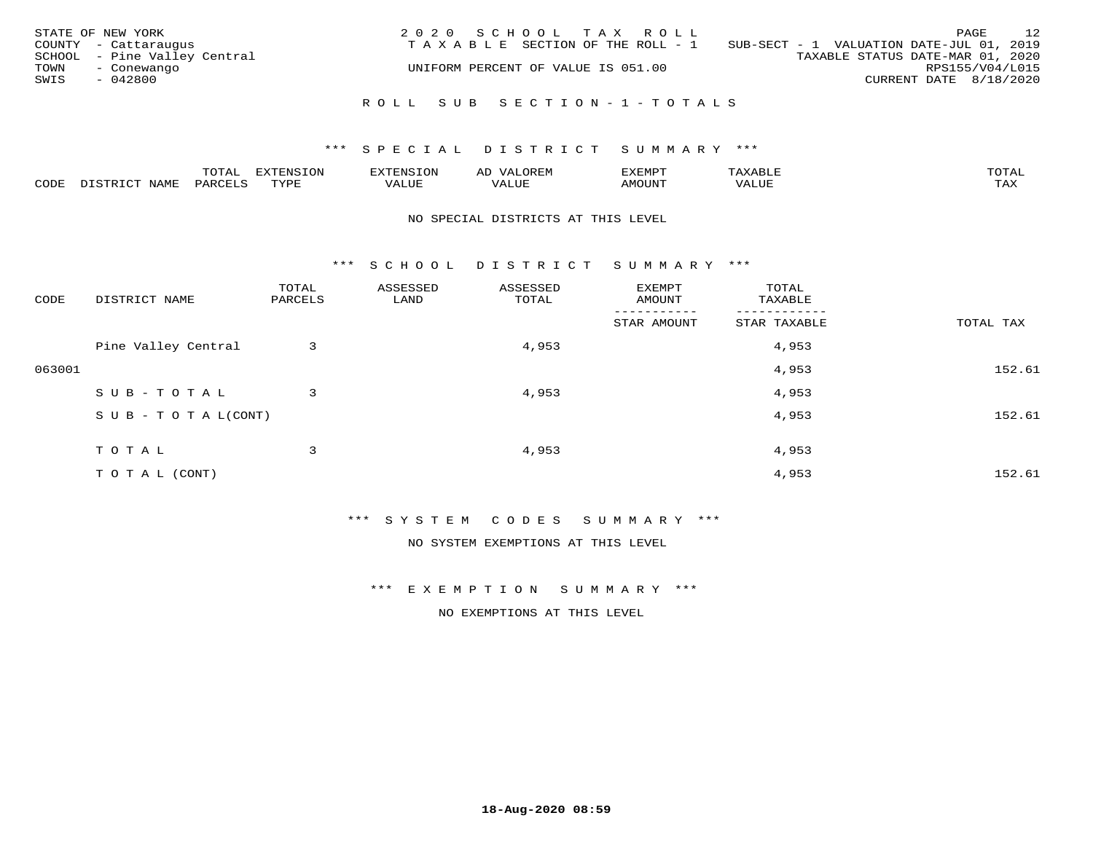| STATE OF NEW YORK<br>COUNTY - Cattaraugus<br>SCHOOL - Pine Valley Central<br>TOWN<br>- Conewango<br>SWIS<br>$-042800$ | 2020 SCHOOL TAX ROLL<br>TAXABLE SECTION OF THE ROLL - 1<br>UNIFORM PERCENT OF VALUE IS 051.00 | 12<br>PAGE<br>SUB-SECT - 1 VALUATION DATE-JUL 01, 2019<br>TAXABLE STATUS DATE-MAR 01, 2020<br>RPS155/V04/L015<br>CURRENT DATE 8/18/2020 |
|-----------------------------------------------------------------------------------------------------------------------|-----------------------------------------------------------------------------------------------|-----------------------------------------------------------------------------------------------------------------------------------------|
|                                                                                                                       | ROLL SUB SECTION-1-TOTALS                                                                     |                                                                                                                                         |

|      |      | $m \wedge m \wedge n$<br>◡∸ғ | TON                              | . HUNY              | AĽ                  | ے ا      |       | $m \wedge m \wedge n$ |
|------|------|------------------------------|----------------------------------|---------------------|---------------------|----------|-------|-----------------------|
| CODE | NAMF | 'AK                          | $m \times r \times r$<br>- - - - | T T T<br>اللالمستحم | - ---<br>اللالمستعم | 57077375 | VALUF | $m \times r$<br>- −-  |

#### NO SPECIAL DISTRICTS AT THIS LEVEL

\*\*\* S C H O O L D I S T R I C T S U M M A R Y \*\*\*

| CODE   | DISTRICT NAME                    | TOTAL<br>PARCELS | ASSESSED<br>LAND | ASSESSED<br>TOTAL | EXEMPT<br>AMOUNT | TOTAL<br>TAXABLE |           |
|--------|----------------------------------|------------------|------------------|-------------------|------------------|------------------|-----------|
|        |                                  |                  |                  |                   | STAR AMOUNT      | STAR TAXABLE     | TOTAL TAX |
|        | Pine Valley Central              | 3                |                  | 4,953             |                  | 4,953            |           |
| 063001 |                                  |                  |                  |                   |                  | 4,953            | 152.61    |
|        | SUB-TOTAL                        | 3                |                  | 4,953             |                  | 4,953            |           |
|        | $S \cup B - T \cup T A L (CONT)$ |                  |                  |                   |                  | 4,953            | 152.61    |
|        | TOTAL                            | 3                |                  | 4,953             |                  | 4,953            |           |
|        | TO TAL (CONT)                    |                  |                  |                   |                  | 4,953            | 152.61    |

\*\*\* S Y S T E M C O D E S S U M M A R Y \*\*\*

NO SYSTEM EXEMPTIONS AT THIS LEVEL

\*\*\* E X E M P T I O N S U M M A R Y \*\*\*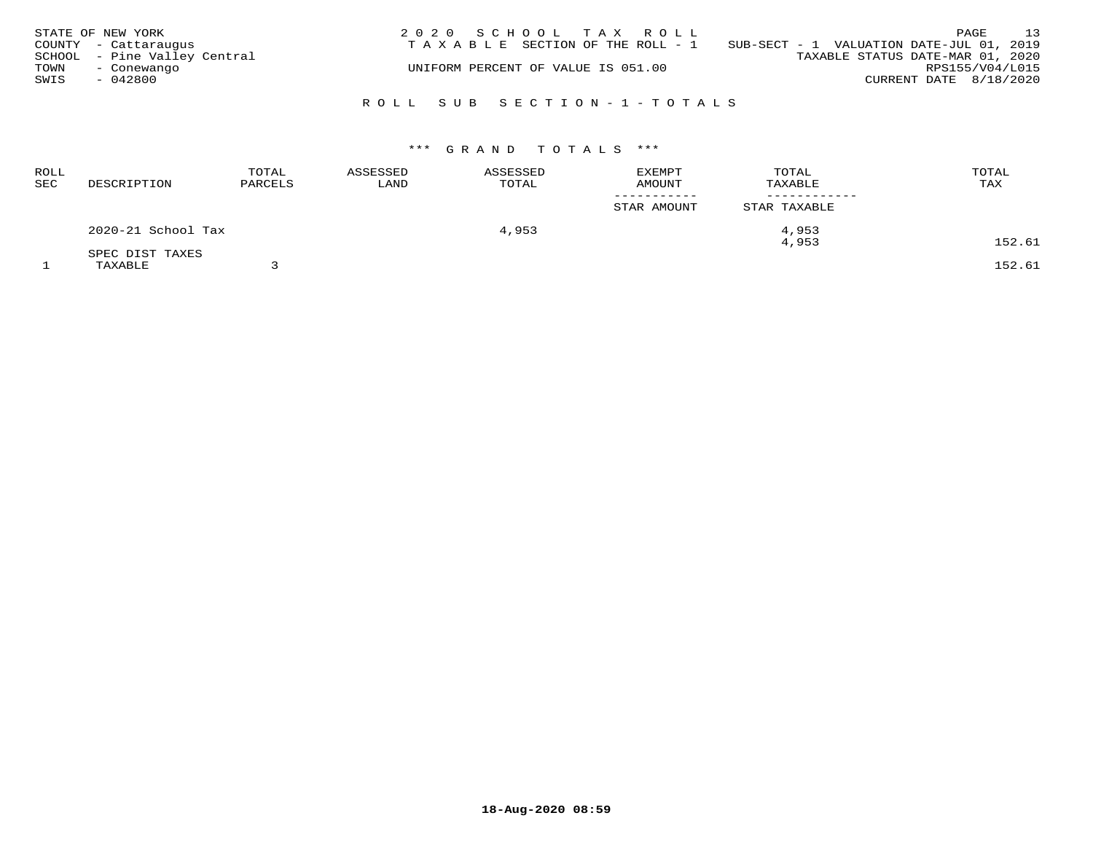|      | STATE OF NEW YORK<br>COUNTY - Cattaraugus   | 2020 SCHOOL TAX ROLL<br>T A X A B L E SECTION OF THE ROLL - 1 SUB-SECT - 1 VALUATION DATE-JUL 01, 2019 |                                  | 13<br>PAGE             |
|------|---------------------------------------------|--------------------------------------------------------------------------------------------------------|----------------------------------|------------------------|
| TOWN | SCHOOL - Pine Valley Central<br>- Conewango | UNIFORM PERCENT OF VALUE IS 051.00                                                                     | TAXABLE STATUS DATE-MAR 01, 2020 | RPS155/V04/L015        |
| SWIS | $-042800$                                   |                                                                                                        |                                  | CURRENT DATE 8/18/2020 |
|      |                                             | ROLL SUB SECTION-1-TOTALS                                                                              |                                  |                        |

| <b>ROLL</b><br>SEC | DESCRIPTION        | TOTAL<br>PARCELS | ASSESSED<br>LAND | ASSESSED<br>TOTAL | <b>EXEMPT</b><br><b>AMOUNT</b> | TOTAL<br>TAXABLE | TOTAL<br>TAX |
|--------------------|--------------------|------------------|------------------|-------------------|--------------------------------|------------------|--------------|
|                    |                    |                  |                  |                   | -----------<br>STAR AMOUNT     | STAR TAXABLE     |              |
|                    | 2020-21 School Tax |                  |                  | 4,953             |                                | 4,953            |              |
|                    | SPEC DIST TAXES    |                  |                  |                   |                                | 4,953            | 152.61       |
|                    | TAXABLE            |                  |                  |                   |                                |                  | 152.61       |

**18-Aug-2020 08:59**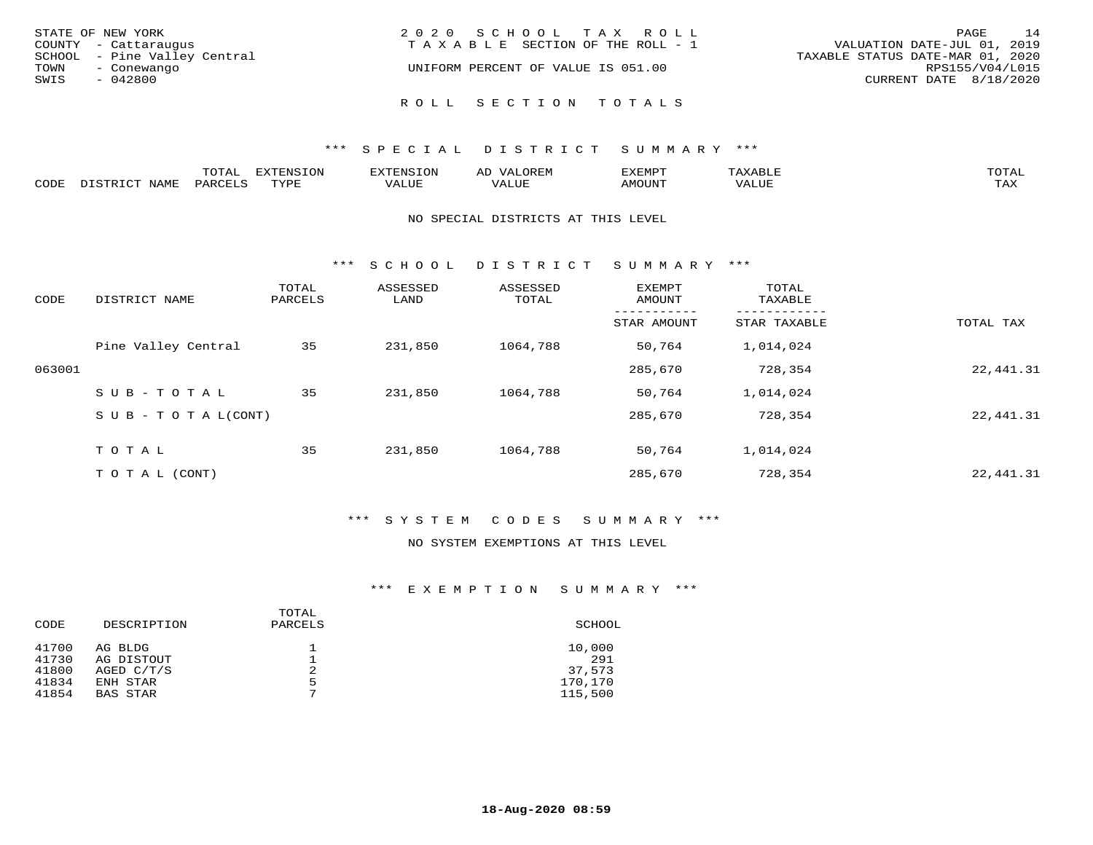| STATE OF NEW YORK |                              | 2020 SCHOOL TAX ROLL                  | PAGE                        | 14 |
|-------------------|------------------------------|---------------------------------------|-----------------------------|----|
|                   | COUNTY - Cattaraugus         | T A X A B L E SECTION OF THE ROLL - 1 | VALUATION DATE-JUL 01, 2019 |    |
|                   | SCHOOL - Pine Valley Central | TAXABLE STATUS DATE-MAR 01, 2020      |                             |    |
| TOWN              | - Conewango                  | UNIFORM PERCENT OF VALUE IS 051.00    | RPS155/V04/L015             |    |
| SWIS              | - 042800                     |                                       | CURRENT DATE 8/18/2020      |    |
|                   |                              |                                       |                             |    |
|                   |                              | ROLL SECTION TOTALS                   |                             |    |

|      |      | m^m*<br>⊥∪⊥ ∟ | $T \cap N$<br>$-1$ |           | AL.<br>21 V. PH |                            |           | <b>TOTA</b><br>$\cup$ $\pm$ $\pm$ $\pm$ |
|------|------|---------------|--------------------|-----------|-----------------|----------------------------|-----------|-----------------------------------------|
| CODE | NAME |               | mvnt               | סדד דרכז: |                 | $\triangle M\bigcirc$ tin' | $- - - -$ | $- - - -$<br>1.732                      |

#### NO SPECIAL DISTRICTS AT THIS LEVEL

\*\*\* S C H O O L D I S T R I C T S U M M A R Y \*\*\*

| CODE   | DISTRICT NAME                    | TOTAL<br>PARCELS | ASSESSED<br>LAND | ASSESSED<br>TOTAL | EXEMPT<br>AMOUNT | TOTAL<br>TAXABLE |           |
|--------|----------------------------------|------------------|------------------|-------------------|------------------|------------------|-----------|
|        |                                  |                  |                  |                   | STAR AMOUNT      | STAR TAXABLE     | TOTAL TAX |
|        | Pine Valley Central              | 35               | 231,850          | 1064,788          | 50,764           | 1,014,024        |           |
| 063001 |                                  |                  |                  |                   | 285,670          | 728,354          | 22,441.31 |
|        | $SUB - TO TAL$                   | 35               | 231,850          | 1064,788          | 50,764           | 1,014,024        |           |
|        | $S \cup B - T \cup T A L (CONT)$ |                  |                  |                   | 285,670          | 728,354          | 22,441.31 |
|        | TOTAL                            | 35               | 231,850          | 1064,788          | 50,764           | 1,014,024        |           |
|        | T O T A L (CONT)                 |                  |                  |                   | 285,670          | 728,354          | 22,441.31 |

# \*\*\* S Y S T E M C O D E S S U M M A R Y \*\*\*

#### NO SYSTEM EXEMPTIONS AT THIS LEVEL

| CODE  | DESCRIPTION     | TOTAL<br>PARCELS | SCHOOL  |
|-------|-----------------|------------------|---------|
| 41700 | AG BLDG         |                  | 10,000  |
| 41730 | AG DISTOUT      |                  | 291     |
| 41800 | AGED $C/T/S$    | 2                | 37,573  |
| 41834 | ENH STAR        | 5                | 170,170 |
| 41854 | <b>BAS STAR</b> | ⇁                | 115,500 |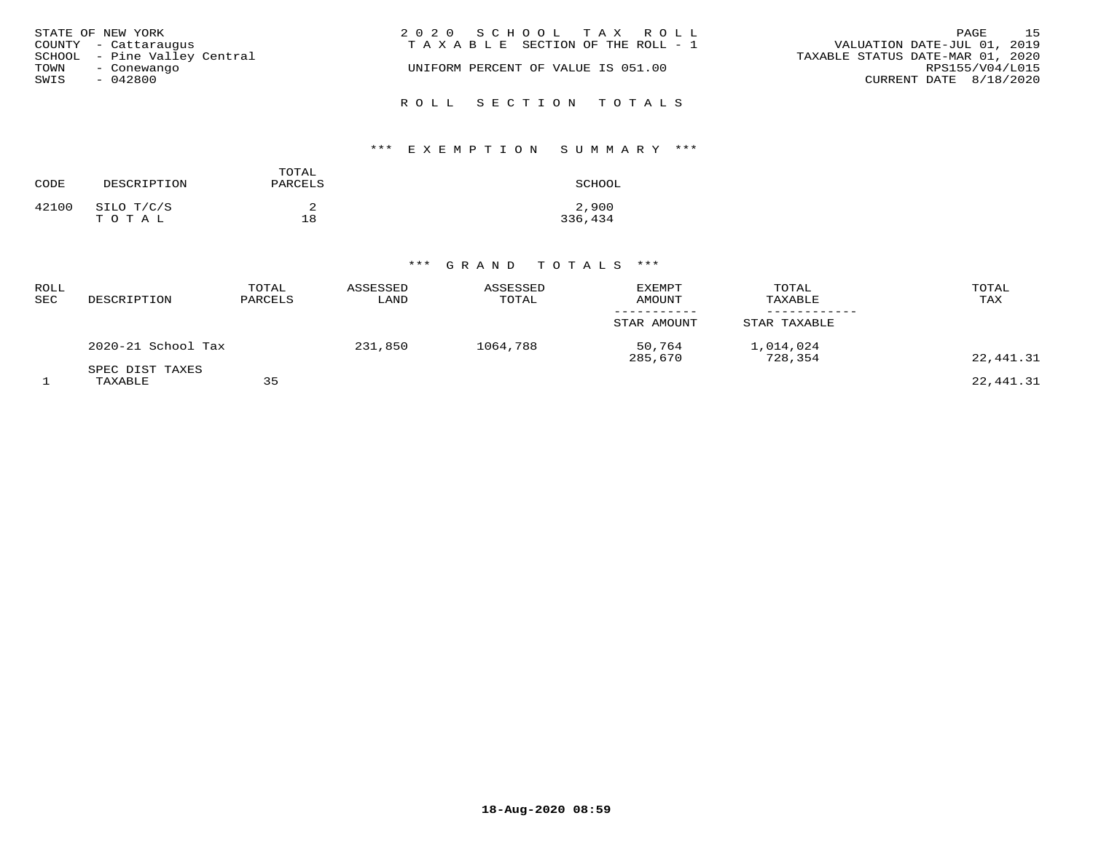| STATE OF NEW YORK            | 2020 SCHOOL TAX ROLL                  | 1.5<br>PAGE                      |
|------------------------------|---------------------------------------|----------------------------------|
| COUNTY - Cattaraugus         | T A X A B L E SECTION OF THE ROLL - 1 | VALUATION DATE-JUL 01, 2019      |
| SCHOOL - Pine Valley Central |                                       | TAXABLE STATUS DATE-MAR 01, 2020 |
| TOWN<br>- Conewango          | UNIFORM PERCENT OF VALUE IS 051.00    | RPS155/V04/L015                  |
| SWIS<br>- 042800             |                                       | CURRENT DATE 8/18/2020           |
|                              | ROLL SECTION TOTALS                   |                                  |

# \*\*\* E X E M P T I O N S U M M A R Y \*\*\*

| CODE  | DESCRIPTION         | TOTAL<br>PARCELS | SCHOOL           |
|-------|---------------------|------------------|------------------|
| 42100 | SILO T/C/S<br>TOTAL | 18               | 2,900<br>336,434 |

| ROLL<br>SEC | DESCRIPTION                | TOTAL<br>PARCELS | ASSESSED<br>LAND | ASSESSED<br>TOTAL | <b>EXEMPT</b><br><b>AMOUNT</b> | TOTAL<br>TAXABLE     | TOTAL<br>TAX |
|-------------|----------------------------|------------------|------------------|-------------------|--------------------------------|----------------------|--------------|
|             |                            |                  |                  |                   | STAR AMOUNT                    | STAR TAXABLE         |              |
|             | 2020-21 School Tax         |                  | 231,850          | 1064,788          | 50,764<br>285,670              | 1,014,024<br>728,354 | 22,441.31    |
|             | SPEC DIST TAXES<br>TAXABLE | 35               |                  |                   |                                |                      | 22,441.31    |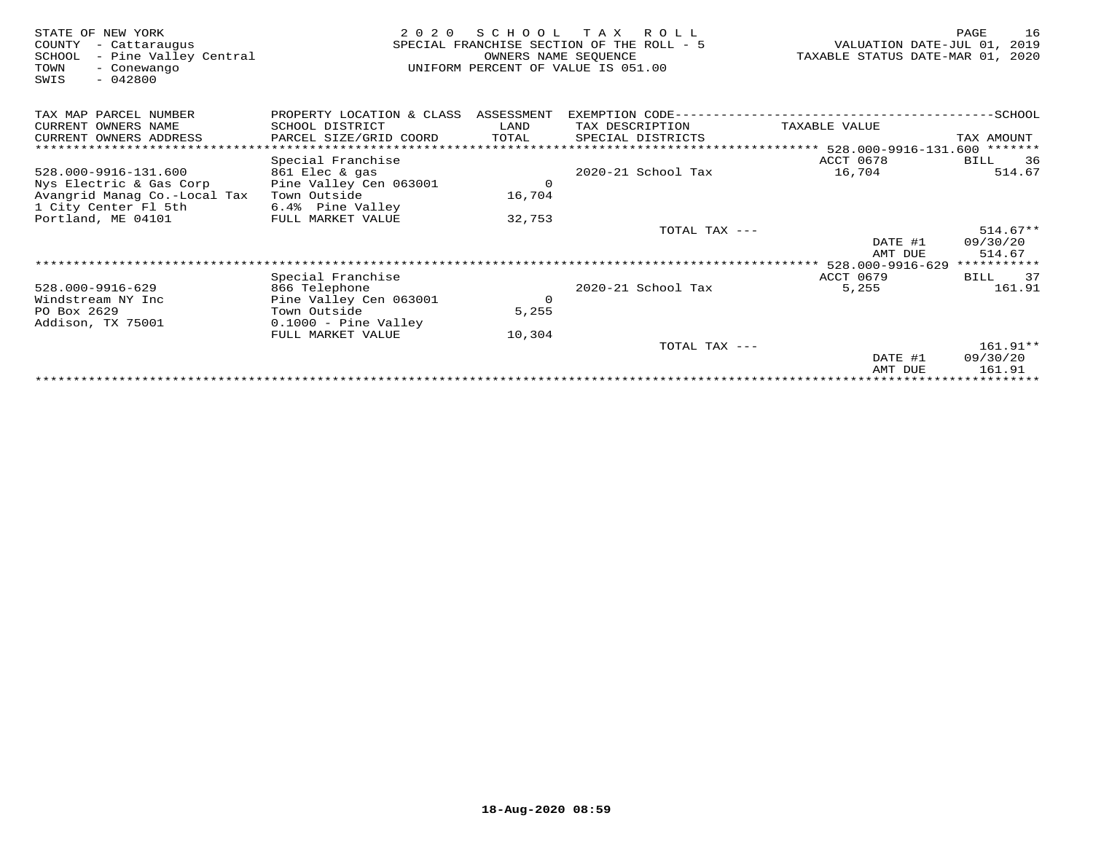| STATE OF NEW YORK<br>COUNTY<br>- Cattaraugus<br>- Pine Valley Central<br>SCHOOL<br>TOWN<br>- Conewango<br>$-042800$<br>SWIS | 2 0 2 0                              | S C H O O L<br>OWNERS NAME SEOUENCE | T A X<br>R O L L<br>SPECIAL FRANCHISE SECTION OF THE ROLL - 5<br>UNIFORM PERCENT OF VALUE IS 051.00 | VALUATION DATE-JUL 01,<br>TAXABLE STATUS DATE-MAR 01, 2020 | 16<br>PAGE<br>2019 |
|-----------------------------------------------------------------------------------------------------------------------------|--------------------------------------|-------------------------------------|-----------------------------------------------------------------------------------------------------|------------------------------------------------------------|--------------------|
| TAX MAP PARCEL NUMBER                                                                                                       | PROPERTY LOCATION & CLASS ASSESSMENT |                                     | EXEMPTION CODE-------                                                                               |                                                            | $-$ SCHOOL         |
| CURRENT OWNERS NAME                                                                                                         | SCHOOL DISTRICT                      | LAND                                | TAX DESCRIPTION                                                                                     | TAXABLE VALUE                                              |                    |
| CURRENT OWNERS ADDRESS                                                                                                      | PARCEL SIZE/GRID COORD               | TOTAL                               | SPECIAL DISTRICTS                                                                                   |                                                            | TAX AMOUNT         |
|                                                                                                                             |                                      |                                     |                                                                                                     | **************************** 528.000-9916-131.600 *******  |                    |
|                                                                                                                             | Special Franchise                    |                                     |                                                                                                     | ACCT 0678                                                  | 36<br>BILL         |
| 528.000-9916-131.600                                                                                                        | 861 Elec & gas                       |                                     | 2020-21 School Tax                                                                                  | 16,704                                                     | 514.67             |
| Nys Electric & Gas Corp                                                                                                     | Pine Valley Cen 063001               | $\circ$                             |                                                                                                     |                                                            |                    |
| Avangrid Manag Co.-Local Tax                                                                                                | Town Outside                         | 16,704                              |                                                                                                     |                                                            |                    |
| 1 City Center Fl 5th                                                                                                        | 6.4% Pine Valley                     |                                     |                                                                                                     |                                                            |                    |
| Portland, ME 04101                                                                                                          | FULL MARKET VALUE                    | 32,753                              |                                                                                                     |                                                            |                    |
|                                                                                                                             |                                      |                                     | TOTAL TAX ---                                                                                       |                                                            | $514.67**$         |
|                                                                                                                             |                                      |                                     |                                                                                                     | DATE #1                                                    | 09/30/20           |
|                                                                                                                             |                                      |                                     |                                                                                                     | AMT DUE                                                    | 514.67             |
|                                                                                                                             |                                      |                                     |                                                                                                     | 528.000-9916-629                                           | ***********        |
|                                                                                                                             | Special Franchise                    |                                     |                                                                                                     | ACCT 0679                                                  | 37<br>BILL         |
| 528.000-9916-629                                                                                                            | 866 Telephone                        |                                     | 2020-21 School Tax                                                                                  | 5,255                                                      | 161.91             |
| Windstream NY Inc                                                                                                           | Pine Valley Cen 063001               | $\circ$                             |                                                                                                     |                                                            |                    |
| PO Box 2629                                                                                                                 | Town Outside                         | 5,255                               |                                                                                                     |                                                            |                    |
| Addison, TX 75001                                                                                                           | $0.1000$ - Pine Valley               |                                     |                                                                                                     |                                                            |                    |
|                                                                                                                             | FULL MARKET VALUE                    | 10,304                              | TOTAL TAX ---                                                                                       |                                                            | $161.91**$         |
|                                                                                                                             |                                      |                                     |                                                                                                     | DATE #1                                                    | 09/30/20           |
|                                                                                                                             |                                      |                                     |                                                                                                     | AMT DUE                                                    | 161.91             |
|                                                                                                                             |                                      |                                     |                                                                                                     |                                                            |                    |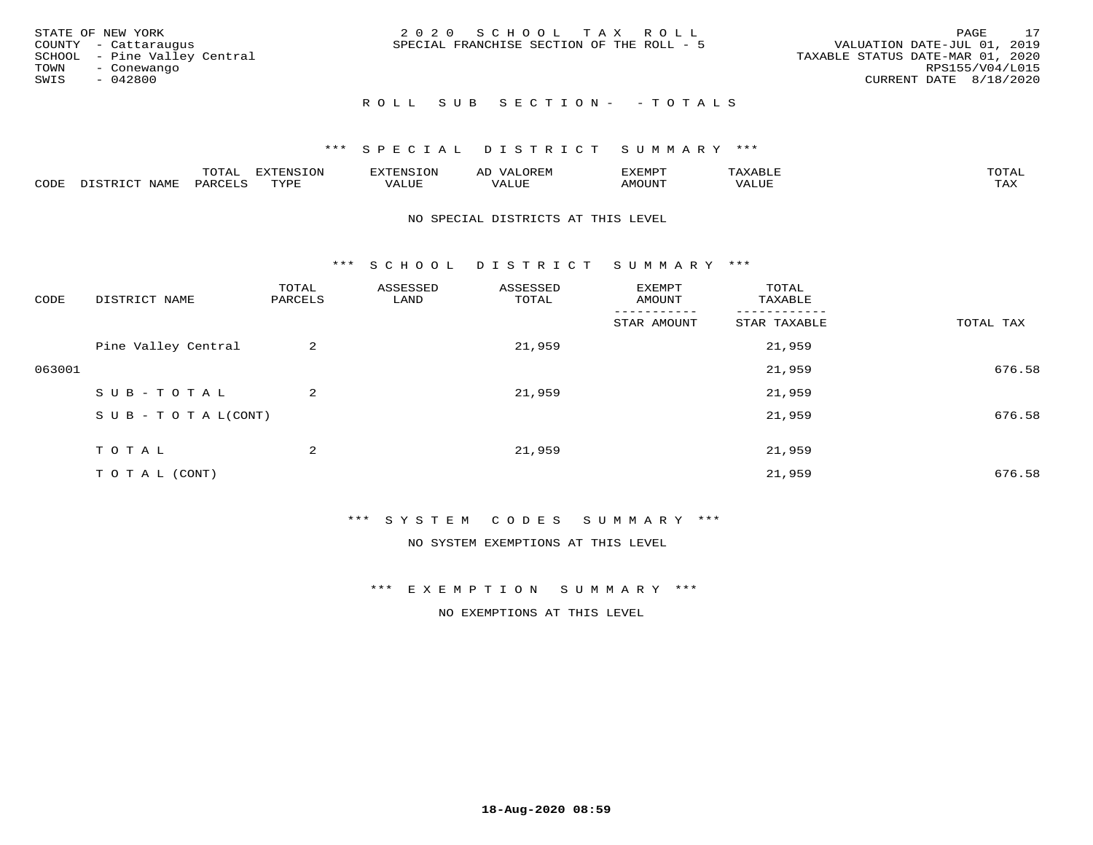| STATE OF NEW YORK<br>COUNTY - Cattaraugus<br>SCHOOL - Pine Valley Central<br>TOWN<br>- Conewango<br>SWIS<br>- 042800 | 2020 SCHOOL TAX ROLL<br>SPECIAL FRANCHISE SECTION OF THE ROLL - 5 | 17<br>PAGE<br>VALUATION DATE-JUL 01, 2019<br>TAXABLE STATUS DATE-MAR 01, 2020<br>RPS155/V04/L015<br>CURRENT DATE 8/18/2020 |
|----------------------------------------------------------------------------------------------------------------------|-------------------------------------------------------------------|----------------------------------------------------------------------------------------------------------------------------|
|                                                                                                                      | ROLL SUB SECTION- - TOTALS                                        |                                                                                                                            |

|      |                      | ----           | <b>FYTFNSION</b><br>- 75 | <b>FNC</b>     | ᅺᅜᄓ                      | SXEMPT | $\Delta$<br>.                  | $m \wedge m \wedge n$ |
|------|----------------------|----------------|--------------------------|----------------|--------------------------|--------|--------------------------------|-----------------------|
| CODE | <b>NTAMT</b><br>⊥∙⊥⊥ | D.ODT.<br>PARL | $m \tau \tau m$<br>.     | T T T<br>ALUF: | , <del>,</del> , , , , , | MOUN.  | , 77 T TT <del>D</del><br>ALUE | TAX                   |

#### NO SPECIAL DISTRICTS AT THIS LEVEL

\*\*\* S C H O O L D I S T R I C T S U M M A R Y \*\*\*

| CODE   | DISTRICT NAME                    | TOTAL<br>PARCELS | ASSESSED<br>LAND | ASSESSED<br>TOTAL | EXEMPT<br>AMOUNT | TOTAL<br>TAXABLE |           |
|--------|----------------------------------|------------------|------------------|-------------------|------------------|------------------|-----------|
|        |                                  |                  |                  |                   | STAR AMOUNT      | STAR TAXABLE     | TOTAL TAX |
|        | Pine Valley Central              | 2                |                  | 21,959            |                  | 21,959           |           |
| 063001 |                                  |                  |                  |                   |                  | 21,959           | 676.58    |
|        | SUB-TOTAL                        | 2                |                  | 21,959            |                  | 21,959           |           |
|        | $S \cup B - T \cup T A L (CONT)$ |                  |                  |                   |                  | 21,959           | 676.58    |
|        | TOTAL                            | 2                |                  | 21,959            |                  | 21,959           |           |
|        |                                  |                  |                  |                   |                  |                  |           |
|        | T O T A L (CONT)                 |                  |                  |                   |                  | 21,959           | 676.58    |

### \*\*\* S Y S T E M C O D E S S U M M A R Y \*\*\*

NO SYSTEM EXEMPTIONS AT THIS LEVEL

\*\*\* E X E M P T I O N S U M M A R Y \*\*\*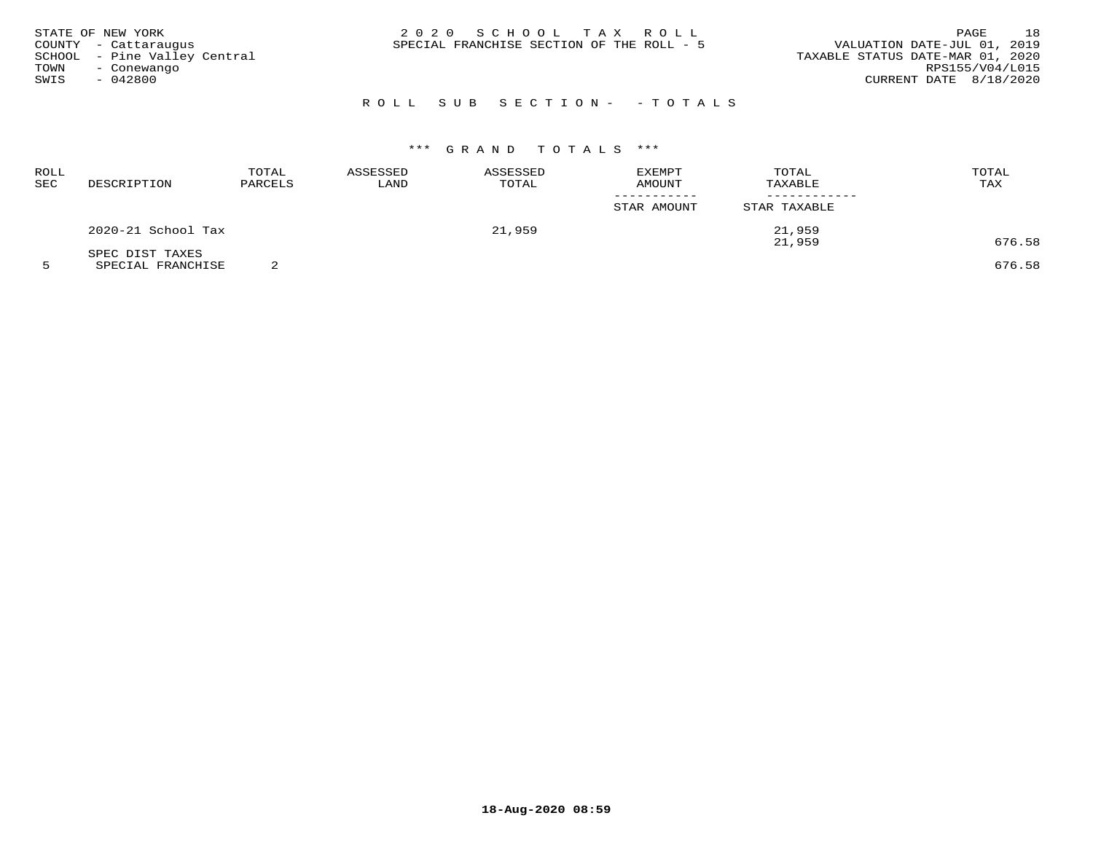| STATE OF NEW YORK<br>COUNTY - Cattaraugus<br>SCHOOL - Pine Valley Central<br>TOWN<br>- Conewango<br>SWIS<br>- 042800 | 2020 SCHOOL TAX ROLL<br>SPECIAL FRANCHISE SECTION OF THE ROLL - 5 | 18<br>PAGE<br>VALUATION DATE-JUL 01, 2019<br>TAXABLE STATUS DATE-MAR 01, 2020<br>RPS155/V04/L015<br>CURRENT DATE 8/18/2020 |
|----------------------------------------------------------------------------------------------------------------------|-------------------------------------------------------------------|----------------------------------------------------------------------------------------------------------------------------|
|                                                                                                                      | ROLL SUB SECTION- - TOTALS                                        |                                                                                                                            |

| ROLL<br>SEC | DESCRIPTION        | TOTAL<br>PARCELS | ASSESSED<br>LAND | ASSESSED<br>TOTAL | <b>EXEMPT</b><br><b>AMOUNT</b> | TOTAL<br>TAXABLE | TOTAL<br><b>TAX</b> |
|-------------|--------------------|------------------|------------------|-------------------|--------------------------------|------------------|---------------------|
|             |                    |                  |                  |                   | STAR AMOUNT                    | STAR TAXABLE     |                     |
|             | 2020-21 School Tax |                  |                  | 21,959            |                                | 21,959           |                     |
|             | SPEC DIST TAXES    |                  |                  |                   |                                | 21,959           | 676.58              |

5 SPECIAL FRANCHISE 2 676.58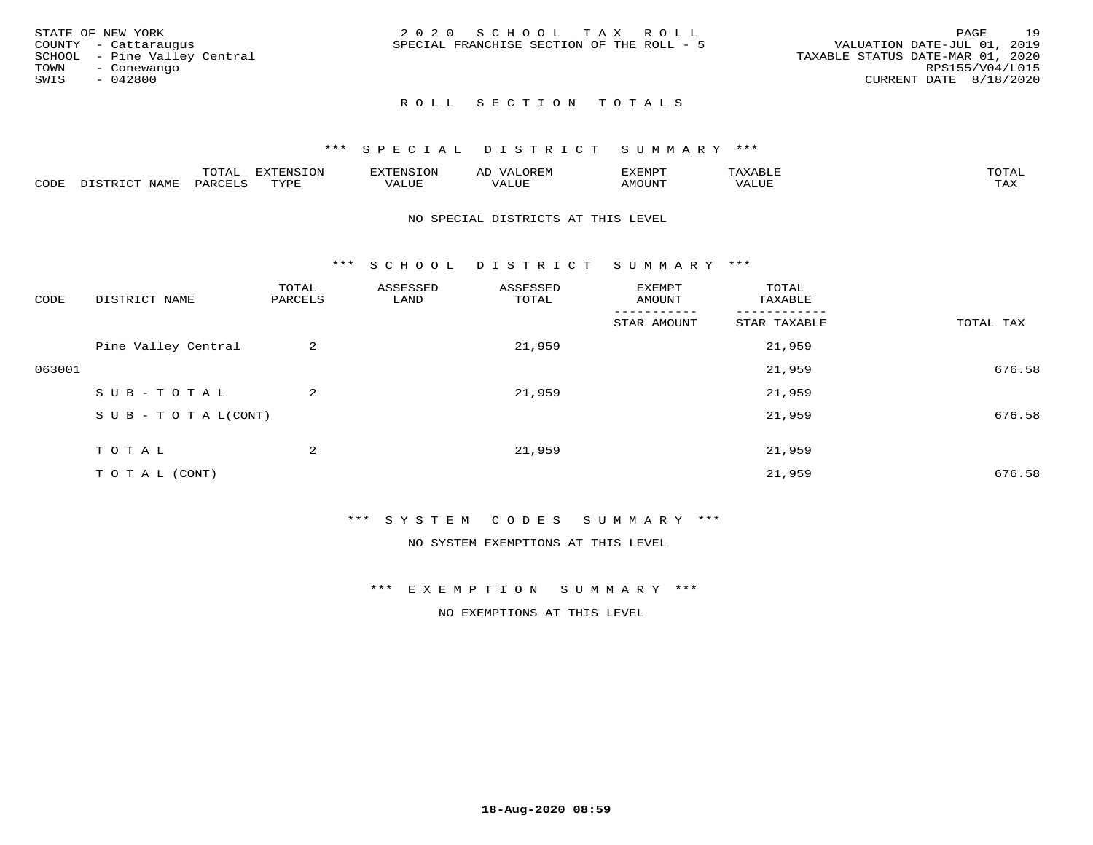| STATE OF NEW YORK            |  | 2020 SCHOOL TAX ROLL                      |  |                                  | PAGE                   | 19 |
|------------------------------|--|-------------------------------------------|--|----------------------------------|------------------------|----|
| COUNTY - Cattaraugus         |  | SPECIAL FRANCHISE SECTION OF THE ROLL - 5 |  | VALUATION DATE-JUL 01, 2019      |                        |    |
| SCHOOL - Pine Valley Central |  |                                           |  | TAXABLE STATUS DATE-MAR 01, 2020 |                        |    |
| TOWN<br>- Conewango          |  |                                           |  |                                  | RPS155/V04/L015        |    |
| SWIS<br>- 042800             |  |                                           |  |                                  | CURRENT DATE 8/18/2020 |    |
|                              |  |                                           |  |                                  |                        |    |

# ROLL SECTION TOTALS

#### \*\*\* S P E C I A L D I S T R I C T S U M M A R Y \*\*\*

|      |             | m^m <u>a</u> | <b>DVERMOTOM</b><br>. U L' | .              | ΑL    | חת היה שי<br>-∧EMP" |                 | $m \wedge m$<br>$\overline{\phantom{a}}$ |
|------|-------------|--------------|----------------------------|----------------|-------|---------------------|-----------------|------------------------------------------|
| CODE | <b>NTAM</b> | PARO         | TVDF                       | T T T<br>ALUF. | 'Alue | <b>MOUNT</b>        | ALUE<br>77 D. 1 | .<br>∸∽∸                                 |

#### NO SPECIAL DISTRICTS AT THIS LEVEL

\*\*\* S C H O O L D I S T R I C T S U M M A R Y \*\*\*

| CODE   | DISTRICT NAME                    | TOTAL<br>PARCELS | ASSESSED<br>LAND | ASSESSED<br>TOTAL | EXEMPT<br>AMOUNT | TOTAL<br>TAXABLE |           |
|--------|----------------------------------|------------------|------------------|-------------------|------------------|------------------|-----------|
|        |                                  |                  |                  |                   | STAR AMOUNT      | STAR TAXABLE     | TOTAL TAX |
|        | Pine Valley Central              | 2                |                  | 21,959            |                  | 21,959           |           |
| 063001 |                                  |                  |                  |                   |                  | 21,959           | 676.58    |
|        | SUB-TOTAL                        | 2                |                  | 21,959            |                  | 21,959           |           |
|        | $S \cup B - T \cup T A L (CONT)$ |                  |                  |                   |                  | 21,959           | 676.58    |
|        | TOTAL                            | 2                |                  | 21,959            |                  | 21,959           |           |
|        |                                  |                  |                  |                   |                  |                  |           |
|        | T O T A L (CONT)                 |                  |                  |                   |                  | 21,959           | 676.58    |

### \*\*\* S Y S T E M C O D E S S U M M A R Y \*\*\*

NO SYSTEM EXEMPTIONS AT THIS LEVEL

\*\*\* E X E M P T I O N S U M M A R Y \*\*\*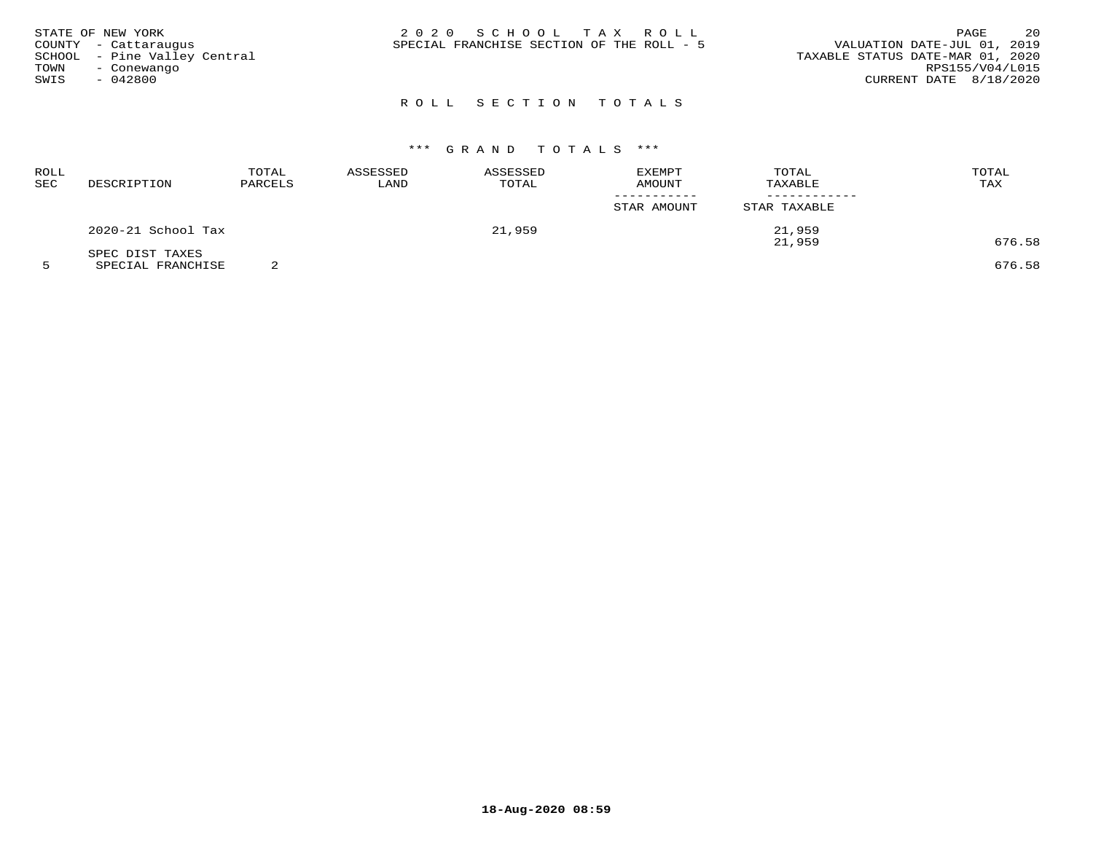|      | STATE OF NEW YORK            | 2020 SCHOOL TAX ROLL                                                     | PAGE            | 20 |
|------|------------------------------|--------------------------------------------------------------------------|-----------------|----|
|      | COUNTY - Cattaraugus         | VALUATION DATE-JUL 01, 2019<br>SPECIAL FRANCHISE SECTION OF THE ROLL - 5 |                 |    |
|      | SCHOOL - Pine Valley Central | TAXABLE STATUS DATE-MAR 01, 2020                                         |                 |    |
| TOWN | - Conewango                  |                                                                          | RPS155/V04/L015 |    |
| SWIS | - 042800                     | CURRENT DATE 8/18/2020                                                   |                 |    |
|      |                              |                                                                          |                 |    |

# R O L L S E C T I O N T O T A L S

# \*\*\* G R A N D T O T A L S \*\*\*

| ROLL<br>SEC | DESCRIPTION        | TOTAL<br>PARCELS | ASSESSED<br>LAND | ASSESSED<br>TOTAL | EXEMPT<br>AMOUNT | TOTAL<br>TAXABLE | TOTAL<br>TAX |
|-------------|--------------------|------------------|------------------|-------------------|------------------|------------------|--------------|
|             |                    |                  |                  |                   | STAR AMOUNT      | STAR TAXABLE     |              |
|             | 2020-21 School Tax |                  |                  | 21,959            |                  | 21,959           |              |
|             | SPEC DIST TAXES    |                  |                  |                   |                  | 21,959           | 676.58       |

5 SPECIAL FRANCHISE 2 676.58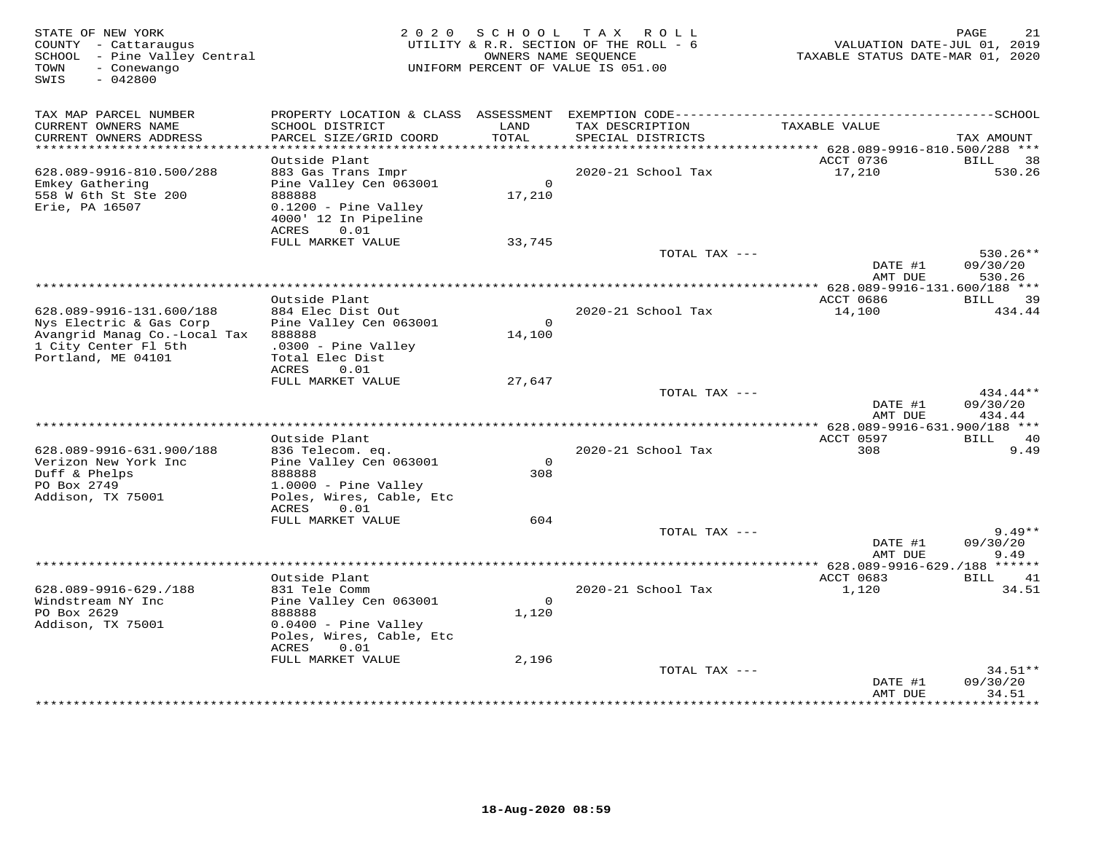| STATE OF NEW YORK<br>COUNTY - Cattaraugus<br>SCHOOL - Pine Valley Central<br>- Conewango<br>TOWN<br>$-042800$<br>SWIS |                                                                                                                                            |                    | 2020 SCHOOL TAX ROLL<br>UTILITY & R.R. SECTION OF THE ROLL - 6<br>OWNERS NAME SEQUENCE<br>UNIFORM PERCENT OF VALUE IS 051.00 | VALUATION DATE-JUL 01, 2019<br>TAXABLE STATUS DATE-MAR 01, 2020 | PAGE<br>21                       |
|-----------------------------------------------------------------------------------------------------------------------|--------------------------------------------------------------------------------------------------------------------------------------------|--------------------|------------------------------------------------------------------------------------------------------------------------------|-----------------------------------------------------------------|----------------------------------|
| TAX MAP PARCEL NUMBER<br>CURRENT OWNERS NAME                                                                          | SCHOOL DISTRICT                                                                                                                            | LAND               | TAX DESCRIPTION                                                                                                              | TAXABLE VALUE                                                   |                                  |
| CURRENT OWNERS ADDRESS                                                                                                | PARCEL SIZE/GRID COORD                                                                                                                     | TOTAL              | SPECIAL DISTRICTS                                                                                                            |                                                                 | TAX AMOUNT                       |
| **************************                                                                                            |                                                                                                                                            |                    |                                                                                                                              |                                                                 |                                  |
| 628.089-9916-810.500/288<br>Emkey Gathering<br>558 W 6th St Ste 200<br>Erie, PA 16507                                 | Outside Plant<br>883 Gas Trans Impr<br>Pine Valley Cen 063001<br>888888<br>$0.1200$ - Pine Valley<br>4000' 12 In Pipeline<br>0.01<br>ACRES | $\Omega$<br>17,210 | 2020-21 School Tax                                                                                                           | ACCT 0736<br>17,210                                             | BILL<br>38<br>530.26             |
|                                                                                                                       | FULL MARKET VALUE                                                                                                                          | 33,745             |                                                                                                                              |                                                                 |                                  |
|                                                                                                                       |                                                                                                                                            |                    | TOTAL TAX ---                                                                                                                | DATE #1<br>AMT DUE                                              | $530.26**$<br>09/30/20<br>530.26 |
|                                                                                                                       |                                                                                                                                            |                    |                                                                                                                              |                                                                 |                                  |
| 628.089-9916-131.600/188<br>Nys Electric & Gas Corp                                                                   | Outside Plant<br>884 Elec Dist Out<br>Pine Valley Cen 063001                                                                               | $\mathbf{O}$       | 2020-21 School Tax                                                                                                           | ACCT 0686<br>14,100                                             | BILL 39<br>434.44                |
| Avangrid Manag Co.-Local Tax<br>1 City Center Fl 5th<br>Portland, ME 04101                                            | 888888<br>$.0300 -$ Pine Valley<br>Total Elec Dist<br>ACRES<br>0.01                                                                        | 14,100             |                                                                                                                              |                                                                 |                                  |
|                                                                                                                       | FULL MARKET VALUE                                                                                                                          | 27,647             |                                                                                                                              |                                                                 |                                  |
|                                                                                                                       |                                                                                                                                            |                    | TOTAL TAX ---                                                                                                                | DATE #1<br>AMT DUE                                              | 434.44**<br>09/30/20<br>434.44   |
|                                                                                                                       |                                                                                                                                            |                    |                                                                                                                              | ** 628.089-9916-631.900/188 ***                                 |                                  |
| 628.089-9916-631.900/188<br>Verizon New York Inc                                                                      | Outside Plant<br>836 Telecom. eq.<br>Pine Valley Cen 063001                                                                                | $\mathbf{O}$       | 2020-21 School Tax                                                                                                           | ACCT 0597<br>308                                                | BILL 40<br>9.49                  |
| Duff & Phelps<br>PO Box 2749<br>Addison, TX 75001                                                                     | 888888<br>1.0000 - Pine Valley<br>Poles, Wires, Cable, Etc                                                                                 | 308                |                                                                                                                              |                                                                 |                                  |
|                                                                                                                       | ACRES<br>0.01                                                                                                                              | 604                |                                                                                                                              |                                                                 |                                  |
|                                                                                                                       | FULL MARKET VALUE                                                                                                                          |                    | TOTAL TAX ---                                                                                                                |                                                                 | $9.49**$                         |
|                                                                                                                       |                                                                                                                                            |                    |                                                                                                                              | DATE #1<br>AMT DUE                                              | 09/30/20<br>9.49                 |
|                                                                                                                       | Outside Plant                                                                                                                              |                    |                                                                                                                              | ACCT 0683                                                       | BILL<br>41                       |
| 628.089-9916-629./188                                                                                                 | 831 Tele Comm                                                                                                                              |                    | 2020-21 School Tax                                                                                                           | 1,120                                                           | 34.51                            |
| Windstream NY Inc                                                                                                     | Pine Valley Cen 063001                                                                                                                     | $\overline{0}$     |                                                                                                                              |                                                                 |                                  |
| PO Box 2629                                                                                                           | 888888                                                                                                                                     | 1,120              |                                                                                                                              |                                                                 |                                  |
| Addison, TX 75001                                                                                                     | $0.0400 -$ Pine Valley<br>Poles, Wires, Cable, Etc<br>ACRES<br>0.01                                                                        |                    |                                                                                                                              |                                                                 |                                  |
|                                                                                                                       | FULL MARKET VALUE                                                                                                                          | 2,196              |                                                                                                                              |                                                                 |                                  |
|                                                                                                                       |                                                                                                                                            |                    | TOTAL TAX ---                                                                                                                | DATE #1<br>AMT DUE                                              | $34.51**$<br>09/30/20<br>34.51   |
|                                                                                                                       |                                                                                                                                            |                    |                                                                                                                              |                                                                 | <b>+++++++</b>                   |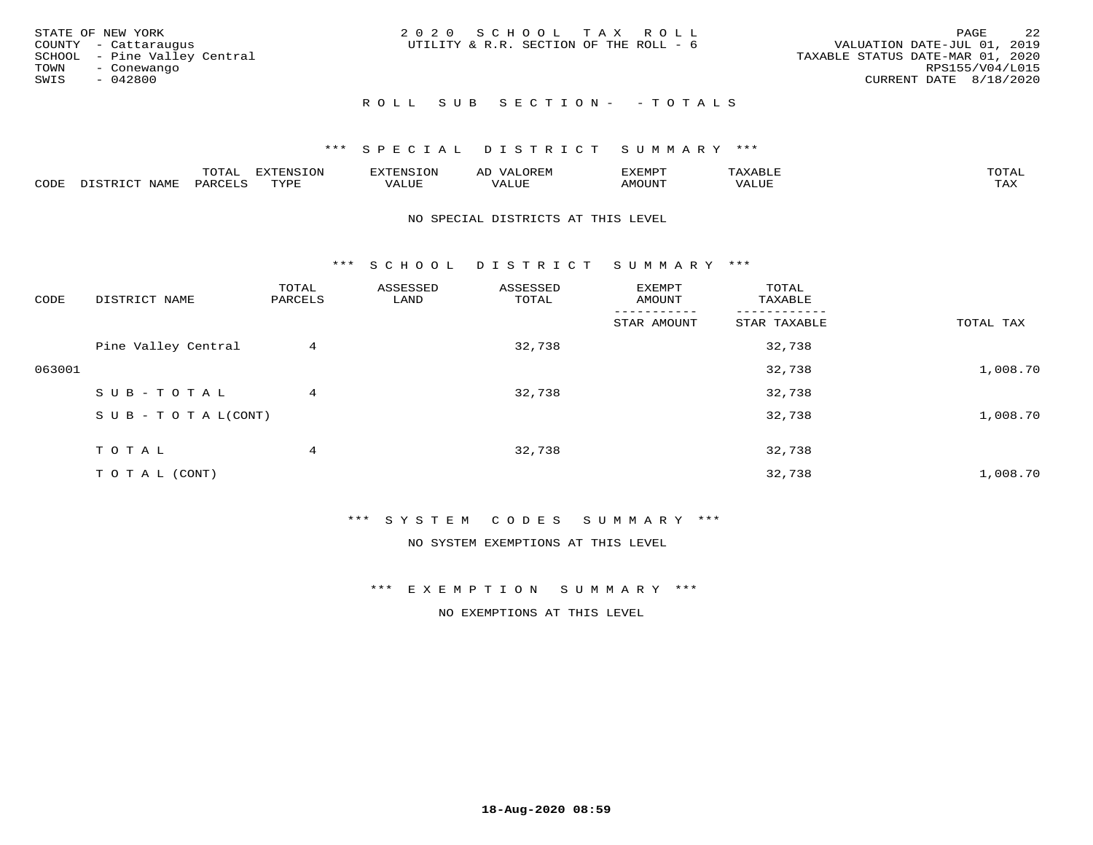| STATE OF NEW YORK<br>COUNTY - Cattaraugus<br>SCHOOL - Pine Valley Central<br>TOWN<br>- Conewango<br>SWIS<br>- 042800 | 2020 SCHOOL TAX ROLL<br>UTILITY & R.R. SECTION OF THE ROLL - 6 | 2.2<br>PAGE<br>VALUATION DATE-JUL 01, 2019<br>TAXABLE STATUS DATE-MAR 01, 2020<br>RPS155/V04/L015<br>CURRENT DATE 8/18/2020 |
|----------------------------------------------------------------------------------------------------------------------|----------------------------------------------------------------|-----------------------------------------------------------------------------------------------------------------------------|
|                                                                                                                      | ROLL SUB SECTION- - TOTALS                                     |                                                                                                                             |

|                         |      | m^m |      | 'NT C     |           | ∟ו∨ו          |              |                             |
|-------------------------|------|-----|------|-----------|-----------|---------------|--------------|-----------------------------|
| $\bigcap_{\Pi}$<br>◡◡◡ュ | мдмь |     | TVDF | ۳۰ تاللاد | $- - - -$ | 550T<br>IUUN. | ALUE<br>77 T | $m \times r$<br>- - - - - - |

#### NO SPECIAL DISTRICTS AT THIS LEVEL

\*\*\* S C H O O L D I S T R I C T S U M M A R Y \*\*\*

| CODE   | DISTRICT NAME                    | TOTAL<br>PARCELS | ASSESSED<br>LAND | ASSESSED<br>TOTAL | EXEMPT<br>AMOUNT | TOTAL<br>TAXABLE |           |
|--------|----------------------------------|------------------|------------------|-------------------|------------------|------------------|-----------|
|        |                                  |                  |                  |                   | STAR AMOUNT      | STAR TAXABLE     | TOTAL TAX |
|        | Pine Valley Central              | 4                |                  | 32,738            |                  | 32,738           |           |
| 063001 |                                  |                  |                  |                   |                  | 32,738           | 1,008.70  |
|        | SUB-TOTAL                        | 4                |                  | 32,738            |                  | 32,738           |           |
|        | $S \cup B - T \cup T A L (CONT)$ |                  |                  |                   |                  | 32,738           | 1,008.70  |
|        | TOTAL                            | 4                |                  | 32,738            |                  | 32,738           |           |
|        | T O T A L (CONT)                 |                  |                  |                   |                  | 32,738           | 1,008.70  |

# \*\*\* S Y S T E M C O D E S S U M M A R Y \*\*\*

NO SYSTEM EXEMPTIONS AT THIS LEVEL

\*\*\* E X E M P T I O N S U M M A R Y \*\*\*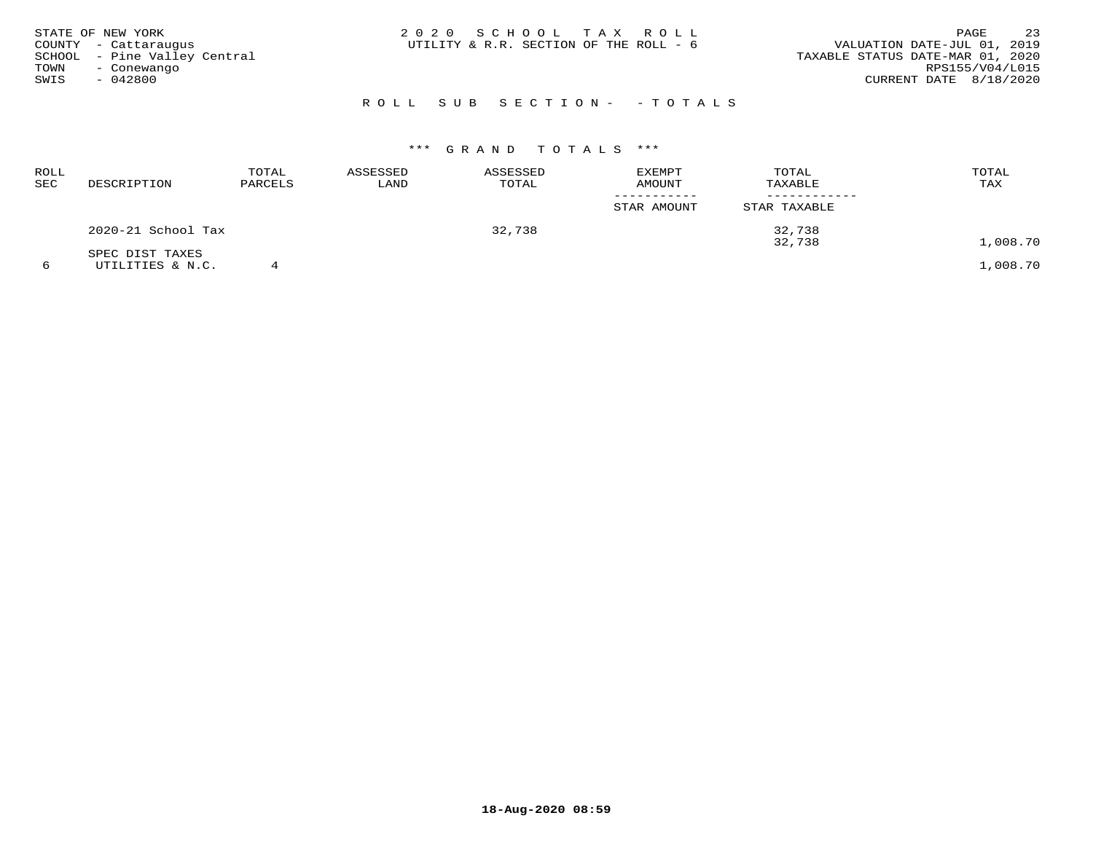| STATE OF NEW YORK<br>COUNTY - Cattaraugus<br>SCHOOL - Pine Valley Central<br>TOWN<br>- Conewango<br>SWIS<br>- 042800 |  |  | 2020 SCHOOL TAX ROLL<br>UTILITY & R.R. SECTION OF THE ROLL - 6 | VALUATION DATE-JUL 01, 2019<br>TAXABLE STATUS DATE-MAR 01, 2020 | PAGE<br>RPS155/V04/L015<br>CURRENT DATE 8/18/2020 | 23 |
|----------------------------------------------------------------------------------------------------------------------|--|--|----------------------------------------------------------------|-----------------------------------------------------------------|---------------------------------------------------|----|
|                                                                                                                      |  |  | ROLL SUB SECTION- - TOTALS                                     |                                                                 |                                                   |    |

| ROLL<br>SEC | DESCRIPTION        | TOTAL<br>PARCELS | ASSESSED<br>LAND | ASSESSED<br>TOTAL | <b>EXEMPT</b><br><b>AMOUNT</b> | TOTAL<br>TAXABLE | TOTAL<br>TAX |
|-------------|--------------------|------------------|------------------|-------------------|--------------------------------|------------------|--------------|
|             |                    |                  |                  |                   | STAR AMOUNT                    | STAR TAXABLE     |              |
|             | 2020-21 School Tax |                  |                  | 32,738            |                                | 32,738<br>32,738 | 1,008.70     |
|             | SPEC DIST TAXES    |                  |                  |                   |                                |                  |              |
|             | UTILITIES & N.C.   |                  |                  |                   |                                |                  | 1,008.70     |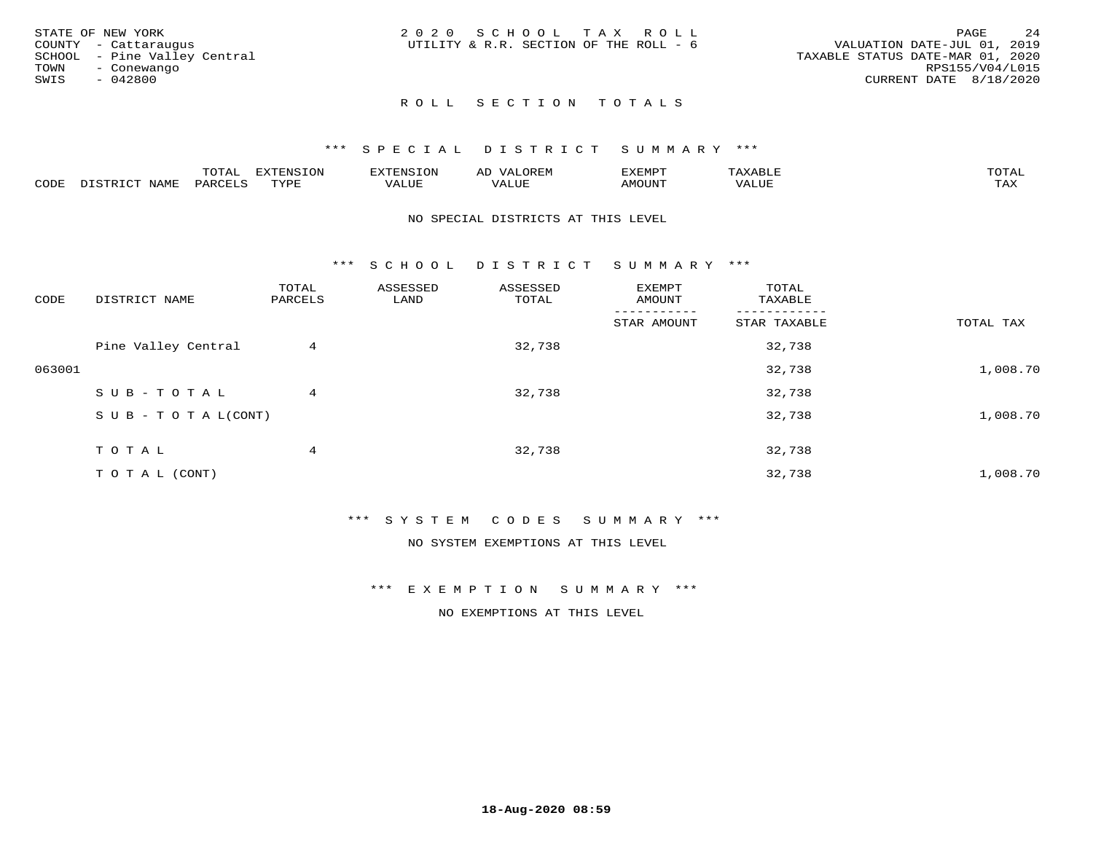|      | STATE OF NEW YORK            | 2020 SCHOOL TAX ROLL                   |  |  |                                  |                        | PAGE | 24 |
|------|------------------------------|----------------------------------------|--|--|----------------------------------|------------------------|------|----|
|      | COUNTY - Cattaraugus         | UTILITY & R.R. SECTION OF THE ROLL - 6 |  |  | VALUATION DATE-JUL 01, 2019      |                        |      |    |
|      | SCHOOL - Pine Valley Central |                                        |  |  | TAXABLE STATUS DATE-MAR 01, 2020 |                        |      |    |
| TOWN | - Conewango                  |                                        |  |  |                                  | RPS155/V04/L015        |      |    |
| SWIS | $-042800$                    |                                        |  |  |                                  | CURRENT DATE 8/18/2020 |      |    |
|      |                              |                                        |  |  |                                  |                        |      |    |

# ROLL SECTION TOTALS

# \*\*\* SPECIAL DISTRICT SUMMARY \*\*\*

|      |                             | momn.<br>LUIAL     | <b>EXTENSION</b> | $117$ mm $170707$<br>אי | ΑD<br>.JREN      | 33773850<br>ivi D'<br>ניומיום בי | $max$ and $max$ | $m \wedge m \wedge n$ |
|------|-----------------------------|--------------------|------------------|-------------------------|------------------|----------------------------------|-----------------|-----------------------|
| CODE | <b>NAME</b><br>דת דפידים דת | PARCE <sup>T</sup> | TVDF             | VALUE                   | -- - ---<br>ALUE | TUUOM4                           | VALUE           | <b>TAY</b><br>⊥⇔∆     |

#### NO SPECIAL DISTRICTS AT THIS LEVEL

\*\*\* S C H O O L D I S T R I C T S U M M A R Y \*\*\*

| CODE   | DISTRICT NAME                    | TOTAL<br>PARCELS | ASSESSED<br>LAND | ASSESSED<br>TOTAL | EXEMPT<br>AMOUNT | TOTAL<br>TAXABLE |           |
|--------|----------------------------------|------------------|------------------|-------------------|------------------|------------------|-----------|
|        |                                  |                  |                  |                   | STAR AMOUNT      | STAR TAXABLE     | TOTAL TAX |
|        | Pine Valley Central              | 4                |                  | 32,738            |                  | 32,738           |           |
| 063001 |                                  |                  |                  |                   |                  | 32,738           | 1,008.70  |
|        | SUB-TOTAL                        | 4                |                  | 32,738            |                  | 32,738           |           |
|        | $S \cup B - T \cup T A L (CONT)$ |                  |                  |                   |                  | 32,738           | 1,008.70  |
|        | TOTAL                            | 4                |                  | 32,738            |                  | 32,738           |           |
|        | T O T A L (CONT)                 |                  |                  |                   |                  | 32,738           | 1,008.70  |

# \*\*\* S Y S T E M C O D E S S U M M A R Y \*\*\*

NO SYSTEM EXEMPTIONS AT THIS LEVEL

\*\*\* E X E M P T I O N S U M M A R Y \*\*\*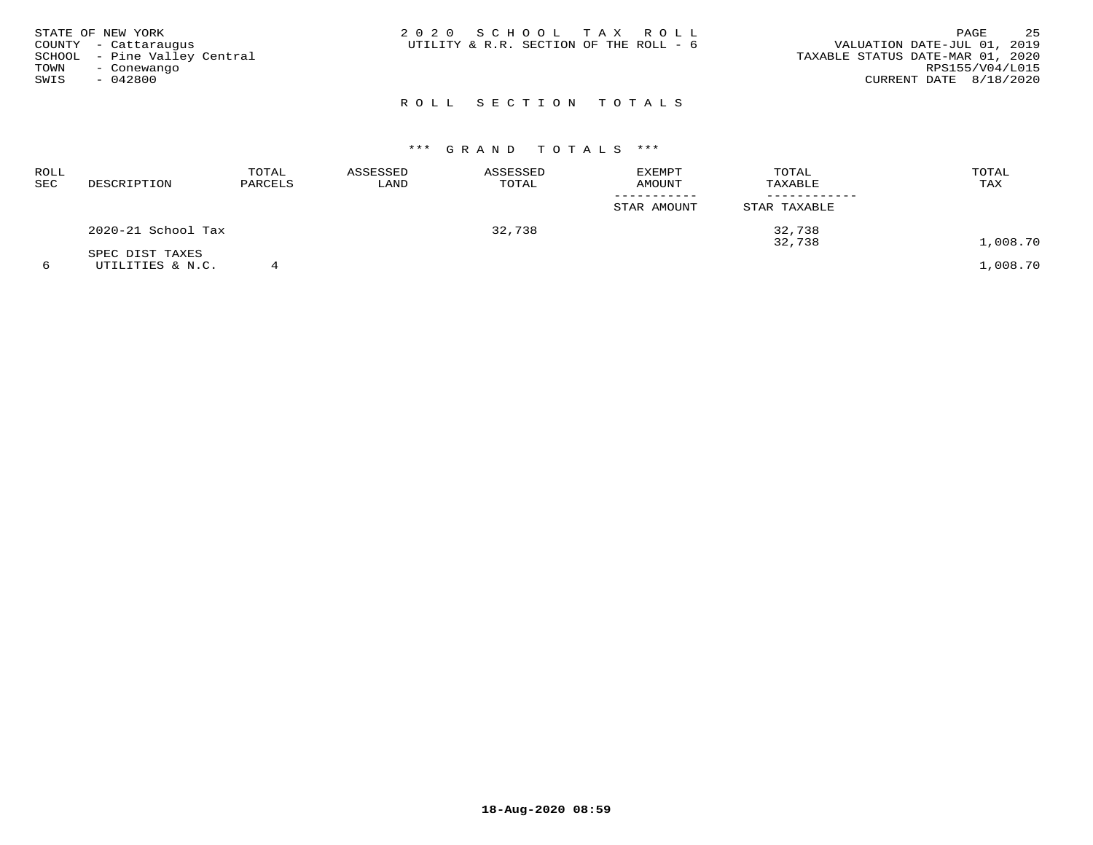| STATE OF NEW YORK<br>COUNTY - Cattaraugus<br>SCHOOL - Pine Valley Central<br>TOWN<br>- Conewango<br>SWIS<br>- 042800 | 2020 SCHOOL TAX ROLL<br>UTILITY & R.R. SECTION OF THE ROLL - 6 | 25<br>PAGE<br>VALUATION DATE-JUL 01, 2019<br>TAXABLE STATUS DATE-MAR 01, 2020<br>RPS155/V04/L015<br>CURRENT DATE 8/18/2020 |
|----------------------------------------------------------------------------------------------------------------------|----------------------------------------------------------------|----------------------------------------------------------------------------------------------------------------------------|
|                                                                                                                      | ROLL SECTION TOTALS                                            |                                                                                                                            |

| ROLL<br>SEC | DESCRIPTION        | TOTAL<br>PARCELS | ASSESSED<br>LAND | ASSESSED<br>TOTAL | <b>EXEMPT</b><br><b>AMOUNT</b> | TOTAL<br>TAXABLE | TOTAL<br>TAX |
|-------------|--------------------|------------------|------------------|-------------------|--------------------------------|------------------|--------------|
|             |                    |                  |                  |                   | STAR AMOUNT                    | STAR TAXABLE     |              |
|             | 2020-21 School Tax |                  |                  | 32,738            |                                | 32,738<br>32,738 | 1,008.70     |
|             | SPEC DIST TAXES    |                  |                  |                   |                                |                  |              |
|             | UTILITIES & N.C.   |                  |                  |                   |                                |                  | 1,008.70     |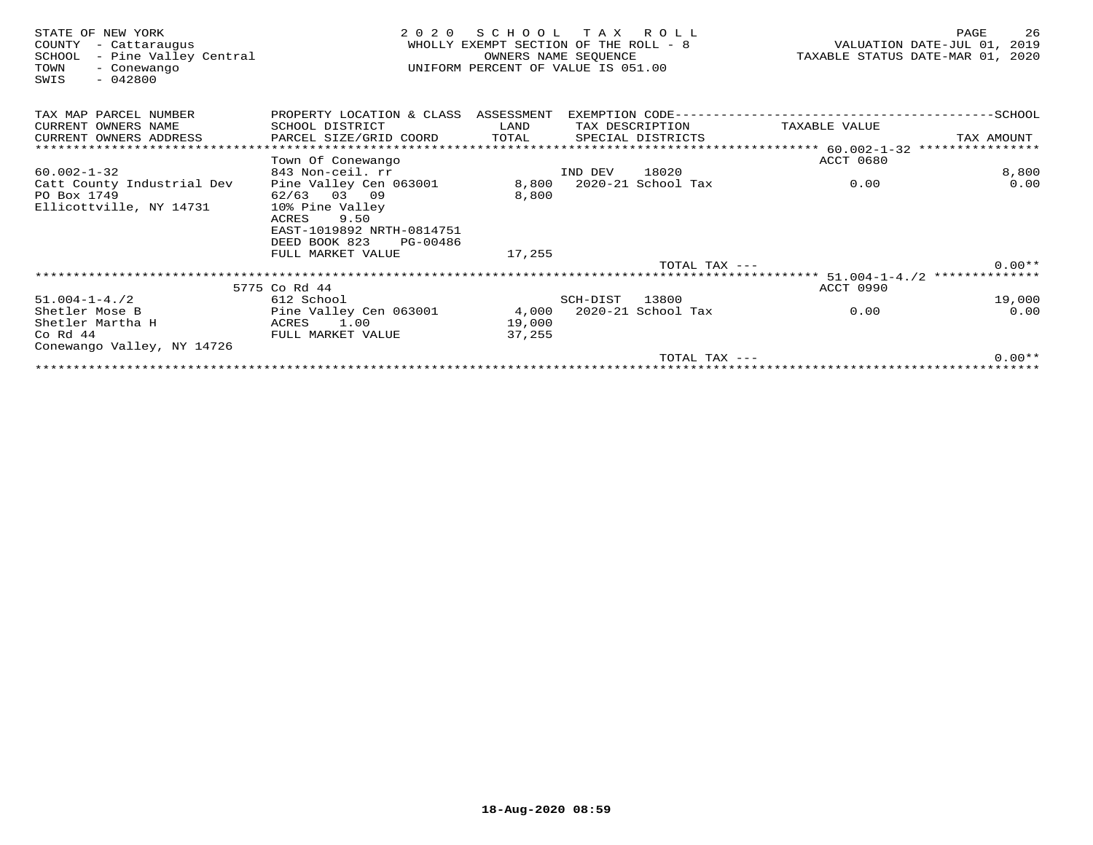| STATE OF NEW YORK<br>COUNTY<br>- Cattaraugus<br>- Pine Valley Central<br>SCHOOL<br>TOWN<br>- Conewango<br>$-042800$<br>SWIS | 2 0 2 0                                                | SCHOOL<br>WHOLLY EXEMPT SECTION OF THE ROLL - 8<br>OWNERS NAME SEQUENCE<br>UNIFORM PERCENT OF VALUE IS 051.00 |          | TAX ROLL           | TAXABLE STATUS DATE-MAR 01, 2020                       | PAGE<br>VALUATION DATE-JUL 01, 2019 | 26       |
|-----------------------------------------------------------------------------------------------------------------------------|--------------------------------------------------------|---------------------------------------------------------------------------------------------------------------|----------|--------------------|--------------------------------------------------------|-------------------------------------|----------|
| TAX MAP PARCEL NUMBER                                                                                                       | PROPERTY LOCATION & CLASS ASSESSMENT                   |                                                                                                               |          |                    |                                                        |                                     |          |
| CURRENT OWNERS NAME                                                                                                         | SCHOOL DISTRICT                                        | LAND                                                                                                          |          | TAX DESCRIPTION    | TAXABLE VALUE                                          |                                     |          |
| CURRENT OWNERS ADDRESS                                                                                                      | PARCEL SIZE/GRID COORD                                 | TOTAL                                                                                                         |          | SPECIAL DISTRICTS  |                                                        | TAX AMOUNT                          |          |
|                                                                                                                             |                                                        |                                                                                                               |          |                    | ****************** 60.002-1-32                         | ****************                    |          |
|                                                                                                                             | Town Of Conewango                                      |                                                                                                               |          |                    | <b>ACCT 0680</b>                                       |                                     |          |
| $60.002 - 1 - 32$                                                                                                           | 843 Non-ceil. rr                                       |                                                                                                               | IND DEV  | 18020              |                                                        |                                     | 8,800    |
| Catt County Industrial Dev                                                                                                  | Pine Valley Cen 063001                                 | 8,800                                                                                                         |          | 2020-21 School Tax | 0.00                                                   |                                     | 0.00     |
| PO Box 1749                                                                                                                 | 62/63 03 09                                            | 8,800                                                                                                         |          |                    |                                                        |                                     |          |
| Ellicottville, NY 14731                                                                                                     | 10% Pine Valley                                        |                                                                                                               |          |                    |                                                        |                                     |          |
|                                                                                                                             | ACRES<br>9.50                                          |                                                                                                               |          |                    |                                                        |                                     |          |
|                                                                                                                             | EAST-1019892 NRTH-0814751<br>DEED BOOK 823<br>PG-00486 |                                                                                                               |          |                    |                                                        |                                     |          |
|                                                                                                                             | FULL MARKET VALUE                                      | 17,255                                                                                                        |          |                    |                                                        |                                     |          |
|                                                                                                                             |                                                        |                                                                                                               |          | TOTAL TAX ---      |                                                        |                                     | $0.00**$ |
|                                                                                                                             |                                                        |                                                                                                               |          |                    | ************************* 51.004-1-4./2 ************** |                                     |          |
|                                                                                                                             | 5775 Co Rd 44                                          |                                                                                                               |          |                    | ACCT 0990                                              |                                     |          |
| $51.004 - 1 - 4.72$                                                                                                         | 612 School                                             |                                                                                                               | SCH-DIST | 13800              |                                                        |                                     | 19,000   |
| Shetler Mose B                                                                                                              | Pine Valley Cen 063001                                 | 4,000                                                                                                         |          | 2020-21 School Tax | 0.00                                                   |                                     | 0.00     |
| Shetler Martha H                                                                                                            | ACRES<br>1.00                                          | 19,000                                                                                                        |          |                    |                                                        |                                     |          |
| Co Rd 44                                                                                                                    | FULL MARKET VALUE                                      | 37,255                                                                                                        |          |                    |                                                        |                                     |          |
| Conewango Valley, NY 14726                                                                                                  |                                                        |                                                                                                               |          |                    |                                                        |                                     |          |
|                                                                                                                             |                                                        |                                                                                                               |          | TOTAL TAX $---$    |                                                        |                                     | $0.00**$ |
|                                                                                                                             |                                                        |                                                                                                               |          |                    |                                                        |                                     |          |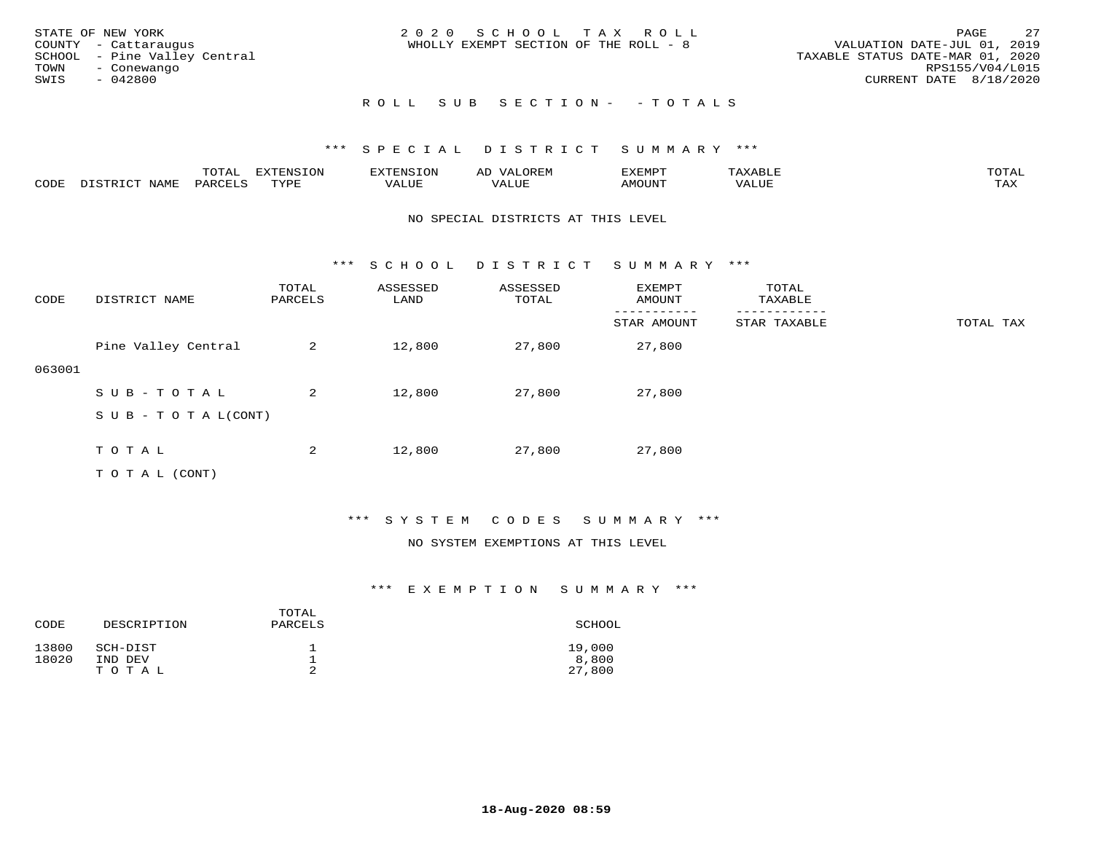| STATE OF NEW YORK<br>COUNTY - Cattaraugus<br>SCHOOL - Pine Valley Central<br>TOWN<br>- Conewango<br>SWIS<br>- 042800 | 2020 SCHOOL TAX ROLL<br>WHOLLY EXEMPT SECTION OF THE ROLL - 8 | 2.7<br>PAGE<br>VALUATION DATE-JUL 01, 2019<br>TAXABLE STATUS DATE-MAR 01, 2020<br>RPS155/V04/L015<br>CURRENT DATE 8/18/2020 |
|----------------------------------------------------------------------------------------------------------------------|---------------------------------------------------------------|-----------------------------------------------------------------------------------------------------------------------------|
|                                                                                                                      | ROLL SUB SECTION- - TOTALS                                    |                                                                                                                             |

|      |      | $m \wedge m \wedge n$<br>⊥∪⊥AL | <b>DIZPOILIC TOM</b><br>∸∪ | EN.  | .<br>AL'<br>٠، تن ١٠ | 5773570      |          | $m \wedge m \wedge n$<br>$\mathsf{L}^{\mathsf{L}}$ |
|------|------|--------------------------------|----------------------------|------|----------------------|--------------|----------|----------------------------------------------------|
| CODE | NAMF | PARO                           | TVDF<br><u>ـ د د</u>       | ALUE |                      | <b>MOUNT</b> | 7 A LU B | may<br>- ∠∡∡                                       |

#### NO SPECIAL DISTRICTS AT THIS LEVEL

\*\*\* S C H O O L D I S T R I C T S U M M A R Y \*\*\*

| CODE   | DISTRICT NAME                    | TOTAL<br>PARCELS | ASSESSED<br>LAND | ASSESSED<br>TOTAL | EXEMPT<br>AMOUNT | TOTAL<br>TAXABLE |           |
|--------|----------------------------------|------------------|------------------|-------------------|------------------|------------------|-----------|
|        |                                  |                  |                  |                   | STAR AMOUNT      | STAR TAXABLE     | TOTAL TAX |
|        | Pine Valley Central              | 2                | 12,800           | 27,800            | 27,800           |                  |           |
| 063001 |                                  |                  |                  |                   |                  |                  |           |
|        | SUB-TOTAL                        | 2                | 12,800           | 27,800            | 27,800           |                  |           |
|        | $S \cup B - T \cup T A L (CONT)$ |                  |                  |                   |                  |                  |           |
|        |                                  |                  |                  |                   |                  |                  |           |
|        | TOTAL                            | 2                | 12,800           | 27,800            | 27,800           |                  |           |
|        | T O T A L (CONT)                 |                  |                  |                   |                  |                  |           |

# \*\*\* S Y S T E M C O D E S S U M M A R Y \*\*\*

#### NO SYSTEM EXEMPTIONS AT THIS LEVEL

| CODE           | DESCRIPTION         | TOTAL<br>PARCELS | SCHOOL          |
|----------------|---------------------|------------------|-----------------|
| 13800<br>18020 | SCH-DIST<br>IND DEV |                  | 19,000<br>8,800 |
|                | TOTAL               |                  | 27,800          |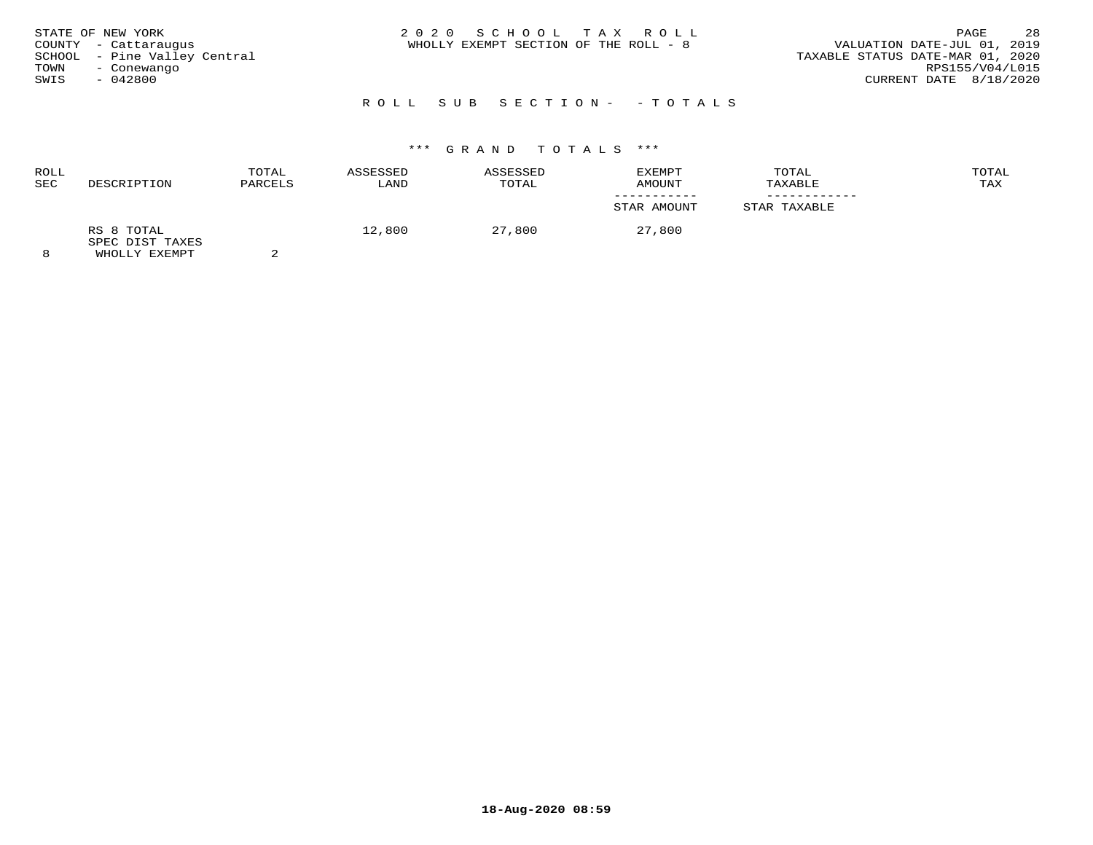| STATE OF NEW YORK<br>COUNTY - Cattaraugus<br>SCHOOL - Pine Valley Central<br>TOWN<br>- Conewango<br>$-042800$<br>SWIS | 2020 SCHOOL TAX ROLL<br>WHOLLY EXEMPT SECTION OF THE ROLL - 8 | PAGE<br>VALUATION DATE-JUL 01, 2019<br>TAXABLE STATUS DATE-MAR 01, 2020<br>CURRENT DATE 8/18/2020 | 28<br>RPS155/V04/L015 |
|-----------------------------------------------------------------------------------------------------------------------|---------------------------------------------------------------|---------------------------------------------------------------------------------------------------|-----------------------|
|                                                                                                                       | ROLL SUB SECTION- - TOTALS                                    |                                                                                                   |                       |

| <b>ROLL</b><br><b>SEC</b> | DESCRIPTION                                    | TOTAL<br>PARCELS | ASSESSED<br>LAND | ASSESSED<br>TOTAL | EXEMPT<br>AMOUNT | TOTAL<br>TAXABLE | TOTAL<br>TAX |
|---------------------------|------------------------------------------------|------------------|------------------|-------------------|------------------|------------------|--------------|
|                           |                                                |                  |                  |                   | STAR AMOUNT      | STAR TAXABLE     |              |
|                           | RS 8 TOTAL<br>SPEC DIST TAXES<br>WHOLLY EXEMPT |                  | 12,800           | 27,800            | 27,800           |                  |              |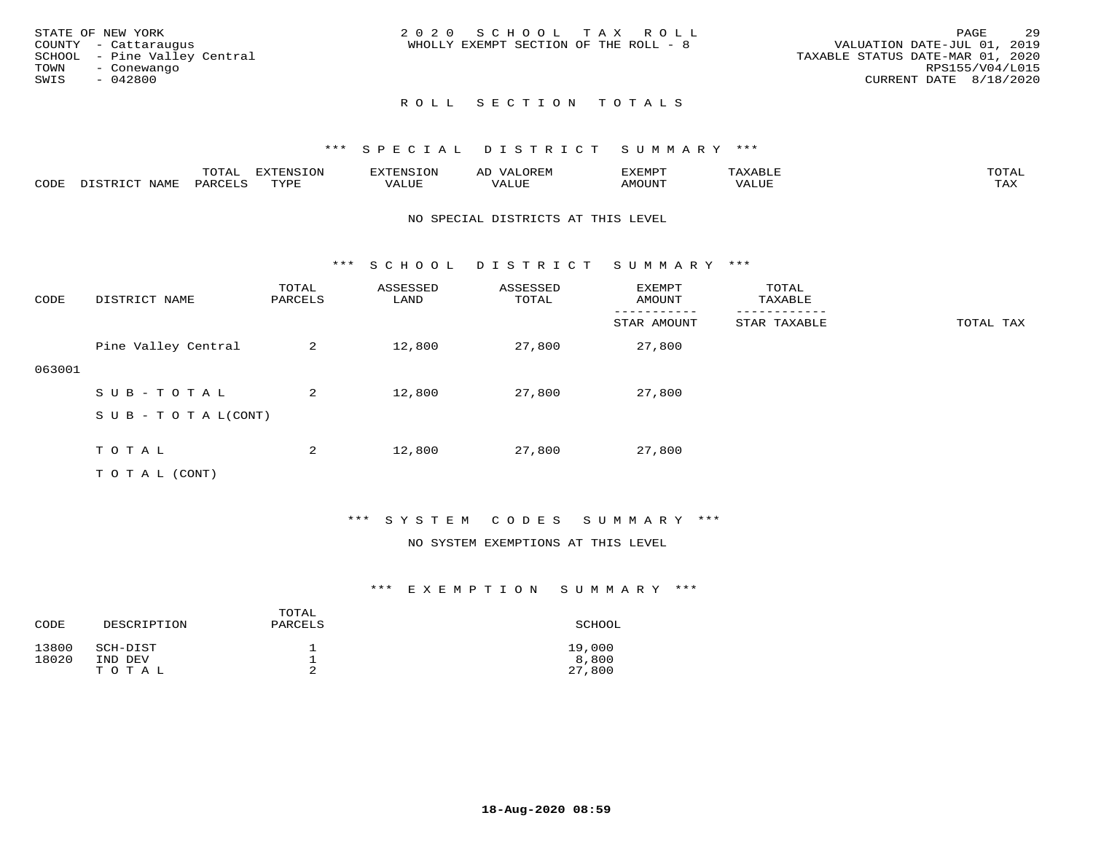|      | STATE OF NEW YORK            | 2020 SCHOOL TAX ROLL                                                 | PAGE            | 29 |
|------|------------------------------|----------------------------------------------------------------------|-----------------|----|
|      | COUNTY - Cattaraugus         | VALUATION DATE-JUL 01, 2019<br>WHOLLY EXEMPT SECTION OF THE ROLL - 8 |                 |    |
|      | SCHOOL - Pine Valley Central | TAXABLE STATUS DATE-MAR 01, 2020                                     |                 |    |
| TOWN | - Conewango                  |                                                                      | RPS155/V04/L015 |    |
| SWIS | - 042800                     | CURRENT DATE 8/18/2020                                               |                 |    |
|      |                              |                                                                      |                 |    |

# ROLL SECTION TOTALS

## \*\*\* S P E C I A L D I S T R I C T S U M M A R Y \*\*\*

|      |                  | ----<br>$\cdot$ $\rightarrow$ $\cdot$<br>. | $T \cap N$<br>--- | .               | ∸<br>∼      | SXEMP" |      | $m \wedge m \wedge$<br>$\cdots$ |
|------|------------------|--------------------------------------------|-------------------|-----------------|-------------|--------|------|---------------------------------|
| CODE | <b>NAMT</b><br>. | ⊃ TAROTT T                                 | $m \tau \tau n$   | , , , , , , , , | <b>TITT</b> | MOUNT  | LUE. | $m \times r$<br>∸∽∸             |

#### NO SPECIAL DISTRICTS AT THIS LEVEL

\*\*\* S C H O O L D I S T R I C T S U M M A R Y \*\*\*

| CODE   | DISTRICT NAME                    | TOTAL<br>PARCELS | ASSESSED<br>LAND | ASSESSED<br>TOTAL | EXEMPT<br>AMOUNT | TOTAL<br>TAXABLE |           |
|--------|----------------------------------|------------------|------------------|-------------------|------------------|------------------|-----------|
|        |                                  |                  |                  |                   | STAR AMOUNT      | STAR TAXABLE     | TOTAL TAX |
|        | Pine Valley Central              | 2                | 12,800           | 27,800            | 27,800           |                  |           |
| 063001 |                                  |                  |                  |                   |                  |                  |           |
|        | SUB-TOTAL                        | 2                | 12,800           | 27,800            | 27,800           |                  |           |
|        | $S \cup B - T \cup T A L (CONT)$ |                  |                  |                   |                  |                  |           |
|        |                                  |                  |                  |                   |                  |                  |           |
|        | TOTAL                            | 2                | 12,800           | 27,800            | 27,800           |                  |           |
|        | T O T A L (CONT)                 |                  |                  |                   |                  |                  |           |

# \*\*\* S Y S T E M C O D E S S U M M A R Y \*\*\*

#### NO SYSTEM EXEMPTIONS AT THIS LEVEL

| CODE           | DESCRIPTION         | TOTAL<br>PARCELS | SCHOOL          |
|----------------|---------------------|------------------|-----------------|
| 13800<br>18020 | SCH-DIST<br>IND DEV | ᅩ                | 19,000<br>8,800 |
|                | TOTAL               | ∠                | 27,800          |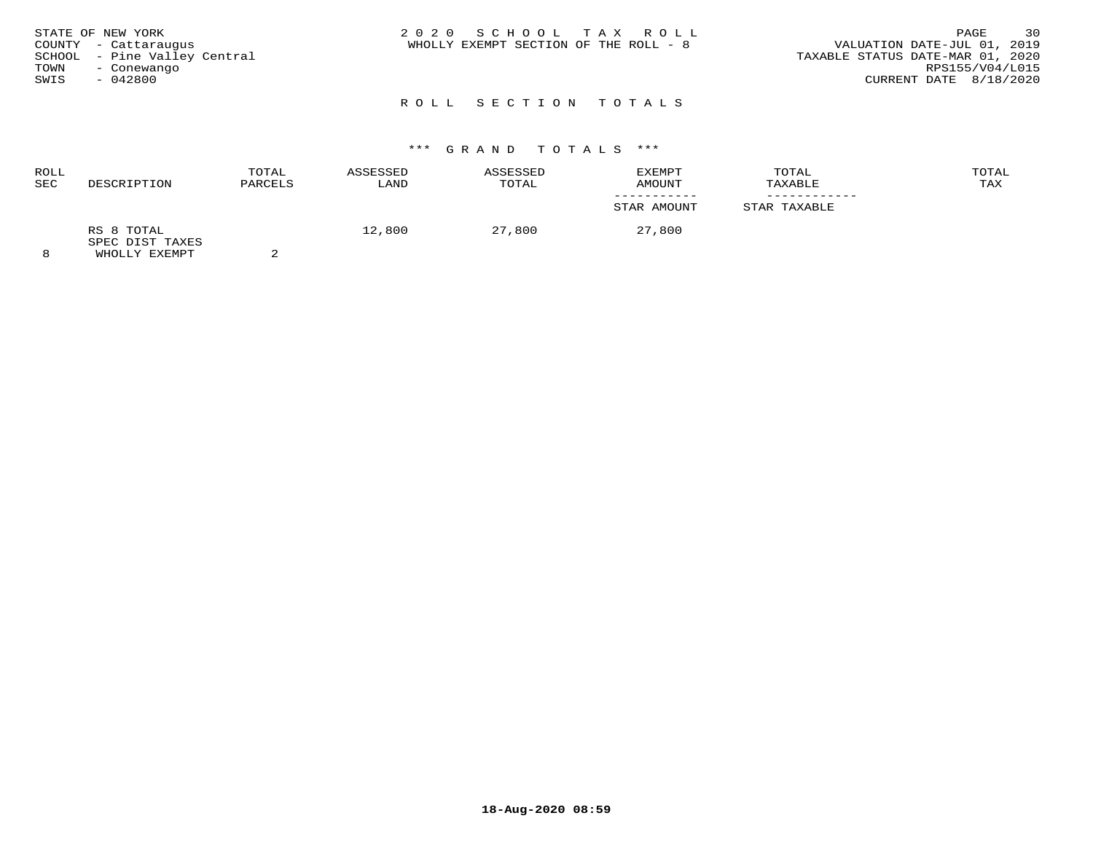| STATE OF NEW YORK<br>COUNTY - Cattaraugus<br>SCHOOL - Pine Valley Central<br>TOWN<br>- Conewango<br>SWIS<br>$-042800$ | 2020 SCHOOL TAX ROLL<br>WHOLLY EXEMPT SECTION OF THE ROLL - 8 | 30<br>PAGE<br>VALUATION DATE-JUL 01, 2019<br>TAXABLE STATUS DATE-MAR 01, 2020<br>RPS155/V04/L015<br>CURRENT DATE 8/18/2020 |
|-----------------------------------------------------------------------------------------------------------------------|---------------------------------------------------------------|----------------------------------------------------------------------------------------------------------------------------|
|                                                                                                                       | ROLL SECTION TOTALS                                           |                                                                                                                            |

| ROLL<br><b>SEC</b> | DESCRIPTION                                    | TOTAL<br>PARCELS | ASSESSED<br>LAND | ASSESSED<br>TOTAL | EXEMPT<br>AMOUNT | TOTAL<br>TAXABLE | TOTAL<br>TAX |
|--------------------|------------------------------------------------|------------------|------------------|-------------------|------------------|------------------|--------------|
|                    |                                                |                  |                  |                   | STAR AMOUNT      | STAR TAXABLE     |              |
| 8                  | RS 8 TOTAL<br>SPEC DIST TAXES<br>WHOLLY EXEMPT |                  | 12,800           | 27,800            | 27,800           |                  |              |

**18-Aug-2020 08:59**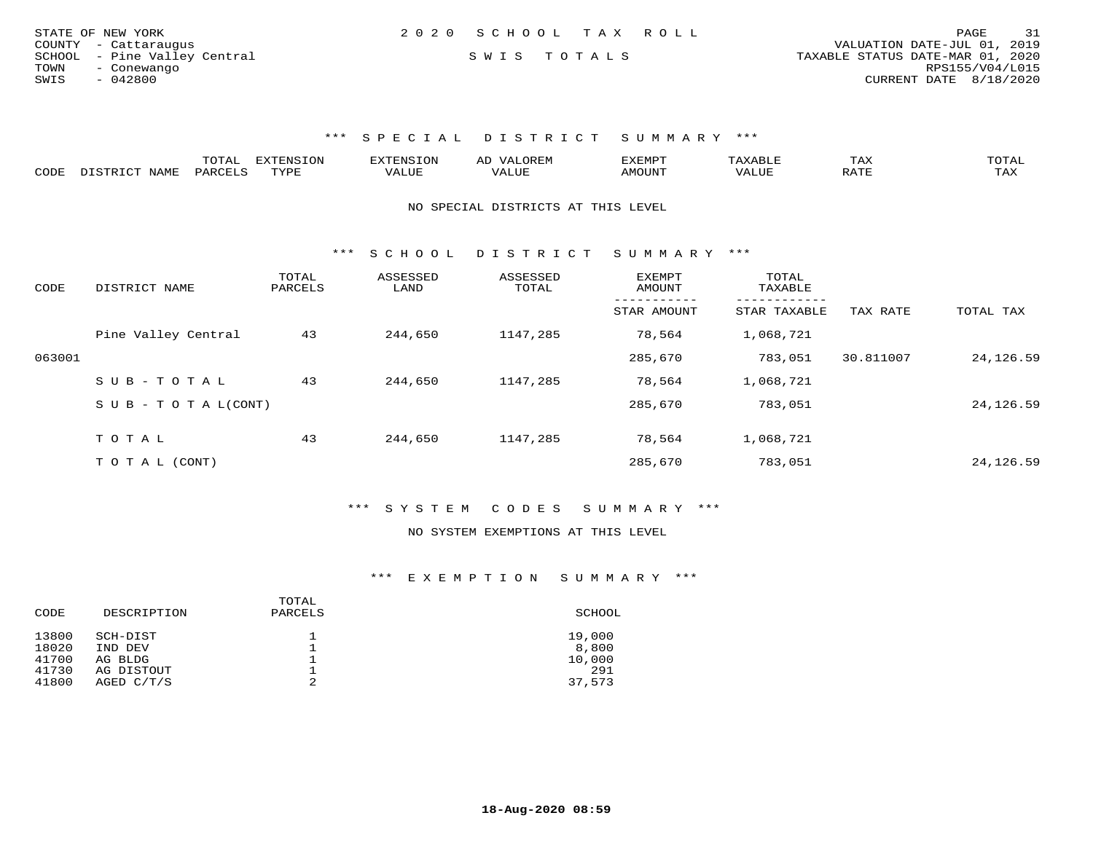| 31                               |
|----------------------------------|
| VALUATION DATE-JUL 01, 2019      |
| TAXABLE STATUS DATE-MAR 01, 2020 |
| RPS155/V04/L015                  |
| CURRENT DATE 8/18/2020           |
| PAGE                             |

|      |                             | ™∩m⊼<br>UIAI | <b>EXTENSION</b> | : N.S | A <sub>1</sub> | 'XEMP. |              | ГАХ            | ◡⊥▱⊥ |
|------|-----------------------------|--------------|------------------|-------|----------------|--------|--------------|----------------|------|
| CODE | <b>NAME</b><br>תר הרוסיים " | DARCTLS      | rvdr             | ALUE  |                | 'MOUN  | <b>7ALUE</b> | 5.7.77<br>KAII | TAX  |

NO SPECIAL DISTRICTS AT THIS LEVEL

\*\*\* S C H O O L D I S T R I C T S U M M A R Y \*\*\*

| CODE   | DISTRICT NAME              | TOTAL<br>PARCELS | ASSESSED<br>LAND | ASSESSED<br>TOTAL | <b>EXEMPT</b><br>AMOUNT | TOTAL<br>TAXABLE<br>-------- |           |            |
|--------|----------------------------|------------------|------------------|-------------------|-------------------------|------------------------------|-----------|------------|
|        |                            |                  |                  |                   | STAR AMOUNT             | STAR TAXABLE                 | TAX RATE  | TOTAL TAX  |
|        | Pine Valley Central        | 43               | 244,650          | 1147,285          | 78,564                  | 1,068,721                    |           |            |
| 063001 |                            |                  |                  |                   | 285,670                 | 783,051                      | 30.811007 | 24, 126.59 |
|        | SUB-TOTAL                  | 43               | 244,650          | 1147,285          | 78,564                  | 1,068,721                    |           |            |
|        | S U B - T O T A $L$ (CONT) |                  |                  |                   | 285,670                 | 783,051                      |           | 24, 126.59 |
|        | TOTAL                      | 43               | 244,650          | 1147,285          | 78,564                  | 1,068,721                    |           |            |
|        |                            |                  |                  |                   |                         |                              |           |            |
|        | TO TAL (CONT)              |                  |                  |                   | 285,670                 | 783,051                      |           | 24, 126.59 |

\*\*\* S Y S T E M C O D E S S U M M A R Y \*\*\*

#### NO SYSTEM EXEMPTIONS AT THIS LEVEL

| SCHOOL |
|--------|
| 19,000 |
| 8,800  |
| 10,000 |
| 291    |
| 37,573 |
|        |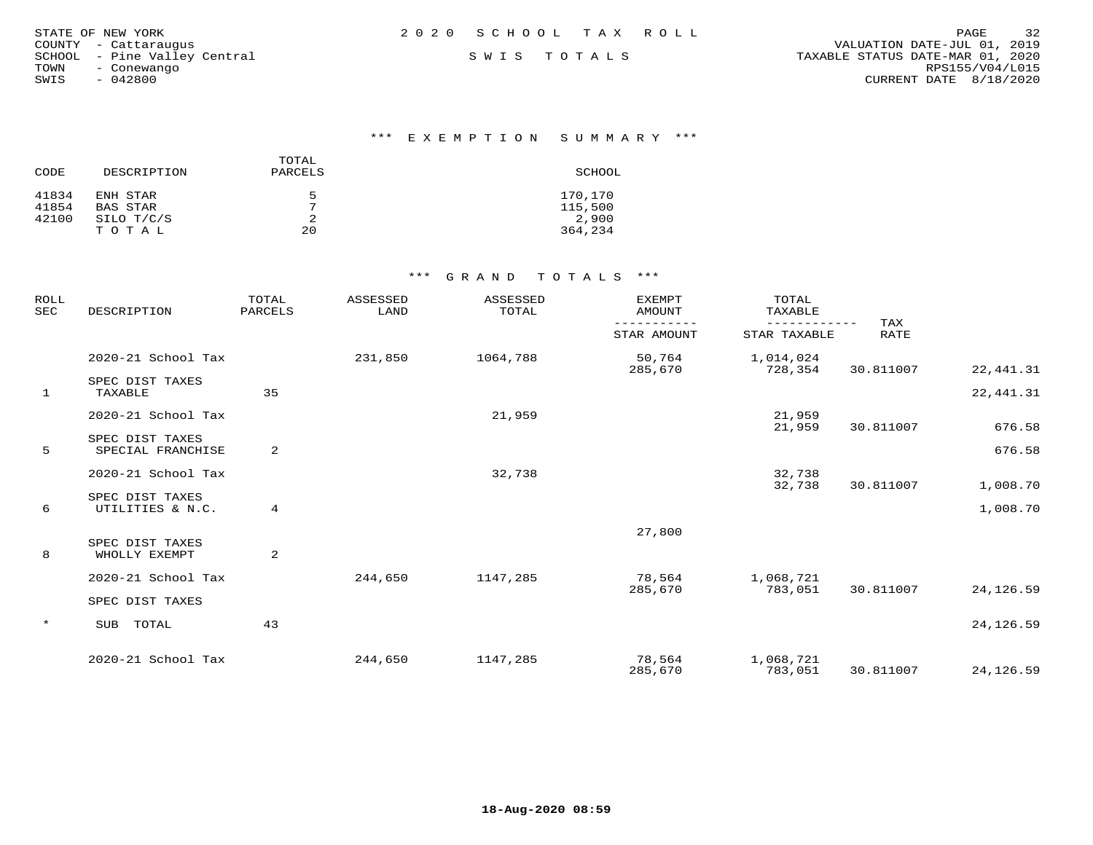| STATE OF NEW YORK            | 2020 SCHOOL TAX ROLL | 32<br>PAGE                       |
|------------------------------|----------------------|----------------------------------|
|                              |                      |                                  |
| COUNTY - Cattaraugus         |                      | VALUATION DATE-JUL 01, 2019      |
| SCHOOL - Pine Valley Central | SWIS TOTALS          | TAXABLE STATUS DATE-MAR 01, 2020 |
| TOWN<br>- Conewango          |                      | RPS155/V04/L015                  |
| $-042800$<br>SWIS            |                      | CURRENT DATE 8/18/2020           |

\*\*\* E X E M P T I O N S U M M A R Y \*\*\*

| CODE  | DESCRIPTION | TOTAL<br>PARCELS | SCHOOL  |
|-------|-------------|------------------|---------|
| 41834 | ENH STAR    | 5                | 170,170 |
| 41854 | BAS STAR    | $\mathcal{L}$    | 115,500 |
| 42100 | SILO T/C/S  |                  | 2,900   |
|       | TOTAL       | 20               | 364,234 |

| <b>ROLL</b><br><b>SEC</b> | DESCRIPTION                          | TOTAL<br>PARCELS | <b>ASSESSED</b><br>LAND | ASSESSED<br>TOTAL | <b>EXEMPT</b><br><b>AMOUNT</b> | TOTAL<br>TAXABLE          |                    |            |
|---------------------------|--------------------------------------|------------------|-------------------------|-------------------|--------------------------------|---------------------------|--------------------|------------|
|                           |                                      |                  |                         |                   | STAR AMOUNT                    | ---------<br>STAR TAXABLE | TAX<br><b>RATE</b> |            |
|                           | 2020-21 School Tax                   |                  | 231,850                 | 1064,788          | 50,764<br>285,670              | 1,014,024<br>728,354      | 30.811007          | 22, 441.31 |
| $\mathbf{1}$              | SPEC DIST TAXES<br>TAXABLE           | 35               |                         |                   |                                |                           |                    | 22, 441.31 |
|                           | 2020-21 School Tax                   |                  |                         | 21,959            |                                | 21,959<br>21,959          | 30.811007          | 676.58     |
| 5                         | SPEC DIST TAXES<br>SPECIAL FRANCHISE | 2                |                         |                   |                                |                           |                    | 676.58     |
|                           | 2020-21 School Tax                   |                  |                         | 32,738            |                                | 32,738<br>32,738          | 30.811007          | 1,008.70   |
| 6                         | SPEC DIST TAXES<br>UTILITIES & N.C.  | 4                |                         |                   |                                |                           |                    | 1,008.70   |
|                           |                                      |                  |                         |                   | 27,800                         |                           |                    |            |
| 8                         | SPEC DIST TAXES<br>WHOLLY EXEMPT     | 2                |                         |                   |                                |                           |                    |            |
|                           | 2020-21 School Tax                   |                  | 244,650                 | 1147,285          | 78,564<br>285,670              | 1,068,721<br>783,051      | 30.811007          | 24,126.59  |
|                           | SPEC DIST TAXES                      |                  |                         |                   |                                |                           |                    |            |
| $\star$                   | TOTAL<br>SUB                         | 43               |                         |                   |                                |                           |                    | 24,126.59  |
|                           | 2020-21 School Tax                   |                  | 244,650                 | 1147,285          | 78,564<br>285,670              | 1,068,721<br>783,051      | 30.811007          | 24, 126.59 |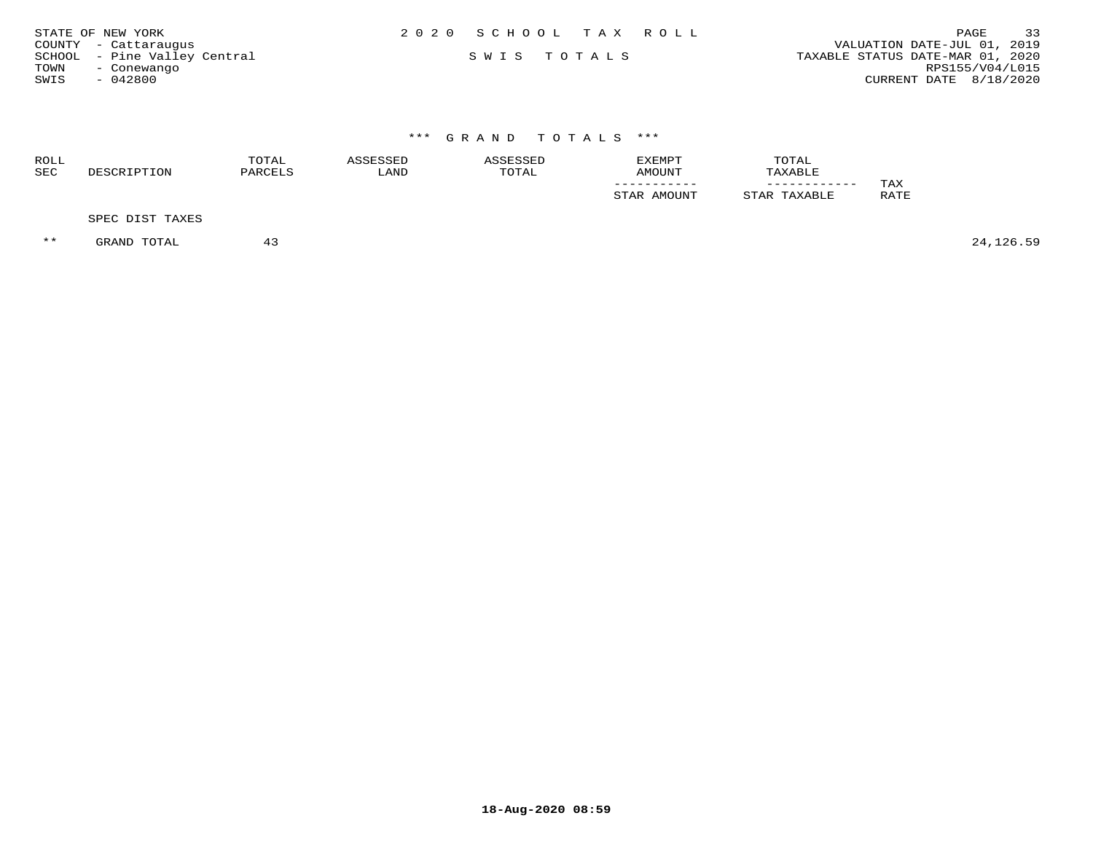| 2020 SCHOOL TAX ROLL<br>PAGE<br>STATE OF NEW YORK                               | 33 |
|---------------------------------------------------------------------------------|----|
| VALUATION DATE-JUL 01, 2019<br>COUNTY - Cattaraugus                             |    |
| SCHOOL - Pine Valley Central<br>TAXABLE STATUS DATE-MAR 01, 2020<br>SWIS TOTALS |    |
| RPS155/V04/L015<br>TOWN<br>- Conewango                                          |    |
| SWIS<br>CURRENT DATE 8/18/2020<br>- 042800                                      |    |

| ROLL<br>SEC | DESCRIPTION     | TOTAL<br>PARCELS | ASSESSED<br>LAND | ASSESSED<br>TOTAL | EXEMPT<br>AMOUNT | TOTAL<br>TAXABLE |             |
|-------------|-----------------|------------------|------------------|-------------------|------------------|------------------|-------------|
|             |                 |                  |                  |                   | STAR AMOUNT      | STAR TAXABLE     | TAX<br>RATE |
|             | SPEC DIST TAXES |                  |                  |                   |                  |                  |             |

 $**$  GRAND TOTAL 43 43 44  $43$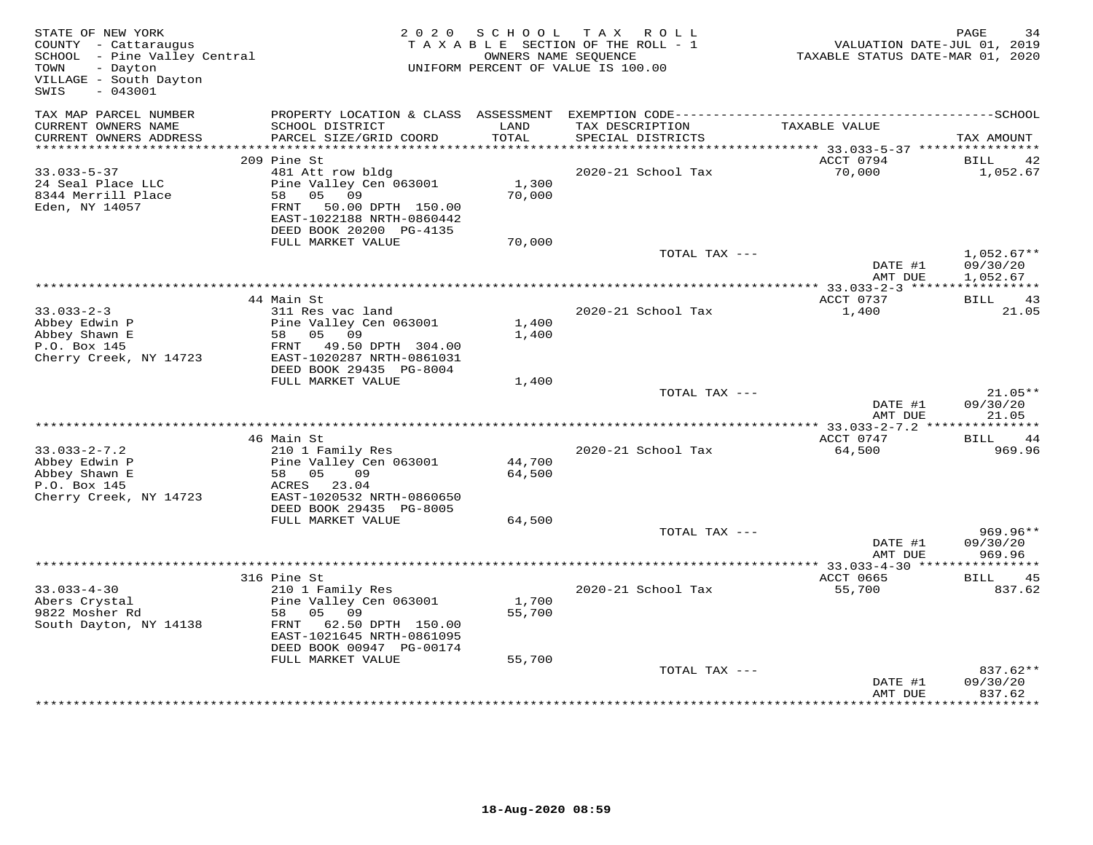| STATE OF NEW YORK<br>COUNTY - Cattaraugus<br>SCHOOL - Pine Valley Central<br>- Dayton<br>TOWN<br>VILLAGE - South Dayton<br>$-043001$<br>SWIS | 2 0 2 0                                                                                                                                      | S C H O O L     | T A X<br>ROLL ROLL<br>TAXABLE SECTION OF THE ROLL - 1<br>OWNERS NAME SEQUENCE<br>UNIFORM PERCENT OF VALUE IS 100.00 | VALUATION DATE-JUL 01, 2019<br>TAXABLE STATUS DATE-MAR 01, 2020 | PAGE<br>34                           |
|----------------------------------------------------------------------------------------------------------------------------------------------|----------------------------------------------------------------------------------------------------------------------------------------------|-----------------|---------------------------------------------------------------------------------------------------------------------|-----------------------------------------------------------------|--------------------------------------|
| TAX MAP PARCEL NUMBER<br>CURRENT OWNERS NAME<br>CURRENT OWNERS ADDRESS                                                                       | PROPERTY LOCATION & CLASS ASSESSMENT<br>SCHOOL DISTRICT<br>PARCEL SIZE/GRID COORD                                                            | LAND<br>TOTAL   | TAX DESCRIPTION<br>SPECIAL DISTRICTS                                                                                | TAXABLE VALUE                                                   | TAX AMOUNT                           |
| ***********************                                                                                                                      |                                                                                                                                              |                 |                                                                                                                     |                                                                 |                                      |
|                                                                                                                                              | 209 Pine St                                                                                                                                  |                 |                                                                                                                     | ACCT 0794                                                       | BILL<br>42                           |
| $33.033 - 5 - 37$<br>24 Seal Place LLC<br>8344 Merrill Place<br>Eden, NY 14057                                                               | 481 Att row bldg<br>Pine Valley Cen 063001<br>58 05 09<br>FRNT 50.00 DPTH 150.00<br>EAST-1022188 NRTH-0860442<br>DEED BOOK 20200 PG-4135     | 1,300<br>70,000 | 2020-21 School Tax                                                                                                  | 70,000                                                          | 1,052.67                             |
|                                                                                                                                              | FULL MARKET VALUE                                                                                                                            | 70,000          |                                                                                                                     |                                                                 |                                      |
|                                                                                                                                              |                                                                                                                                              |                 | TOTAL TAX ---                                                                                                       | DATE #1<br>AMT DUE                                              | $1,052.67**$<br>09/30/20<br>1,052.67 |
|                                                                                                                                              |                                                                                                                                              |                 | ***********************************                                                                                 | **** 33.033-2-3 ******                                          | * * * * * * * * * * *                |
| $33.033 - 2 - 3$<br>Abbey Edwin P<br>Abbey Shawn E<br>P.O. Box 145<br>Cherry Creek, NY 14723                                                 | 44 Main St<br>311 Res vac land<br>Pine Valley Cen 063001<br>58 05 09<br>FRNT 49.50 DPTH 304.00<br>EAST-1020287 NRTH-0861031                  | 1,400<br>1,400  | 2020-21 School Tax                                                                                                  | ACCT 0737<br>1,400                                              | BILL 43<br>21.05                     |
|                                                                                                                                              | DEED BOOK 29435 PG-8004                                                                                                                      |                 |                                                                                                                     |                                                                 |                                      |
|                                                                                                                                              | FULL MARKET VALUE                                                                                                                            | 1,400           |                                                                                                                     |                                                                 |                                      |
|                                                                                                                                              |                                                                                                                                              |                 | TOTAL TAX ---                                                                                                       | DATE #1<br>AMT DUE                                              | $21.05**$<br>09/30/20<br>21.05       |
|                                                                                                                                              |                                                                                                                                              |                 |                                                                                                                     |                                                                 |                                      |
|                                                                                                                                              | 46 Main St                                                                                                                                   |                 |                                                                                                                     | ACCT 0747                                                       | BILL<br>44                           |
| $33.033 - 2 - 7.2$<br>Abbey Edwin P                                                                                                          | 210 1 Family Res<br>Pine Valley Cen 063001                                                                                                   | 44,700          | 2020-21 School Tax                                                                                                  | 64,500                                                          | 969.96                               |
| Abbey Shawn E                                                                                                                                | 58 05<br>09                                                                                                                                  | 64,500          |                                                                                                                     |                                                                 |                                      |
| P.O. Box 145                                                                                                                                 | ACRES 23.04                                                                                                                                  |                 |                                                                                                                     |                                                                 |                                      |
| Cherry Creek, NY 14723                                                                                                                       | EAST-1020532 NRTH-0860650<br>DEED BOOK 29435 PG-8005                                                                                         |                 |                                                                                                                     |                                                                 |                                      |
|                                                                                                                                              | FULL MARKET VALUE                                                                                                                            | 64,500          |                                                                                                                     |                                                                 | $969.96**$                           |
|                                                                                                                                              |                                                                                                                                              |                 | TOTAL TAX ---                                                                                                       | DATE #1<br>AMT DUE                                              | 09/30/20<br>969.96                   |
|                                                                                                                                              |                                                                                                                                              |                 |                                                                                                                     |                                                                 |                                      |
|                                                                                                                                              | 316 Pine St                                                                                                                                  |                 |                                                                                                                     | ACCT 0665                                                       | <b>BILL</b><br>45                    |
| $33.033 - 4 - 30$<br>Abers Crystal<br>9822 Mosher Rd<br>South Dayton, NY 14138                                                               | 210 1 Family Res<br>Pine Valley Cen 063001<br>05 09<br>58<br>FRNT 62.50 DPTH 150.00<br>EAST-1021645 NRTH-0861095<br>DEED BOOK 00947 PG-00174 | 1,700<br>55,700 | 2020-21 School Tax                                                                                                  | 55,700                                                          | 837.62                               |
|                                                                                                                                              | FULL MARKET VALUE                                                                                                                            | 55,700          |                                                                                                                     |                                                                 |                                      |
|                                                                                                                                              |                                                                                                                                              |                 | TOTAL TAX ---                                                                                                       | DATE #1<br>AMT DUE                                              | 837.62**<br>09/30/20<br>837.62       |
|                                                                                                                                              |                                                                                                                                              |                 |                                                                                                                     |                                                                 |                                      |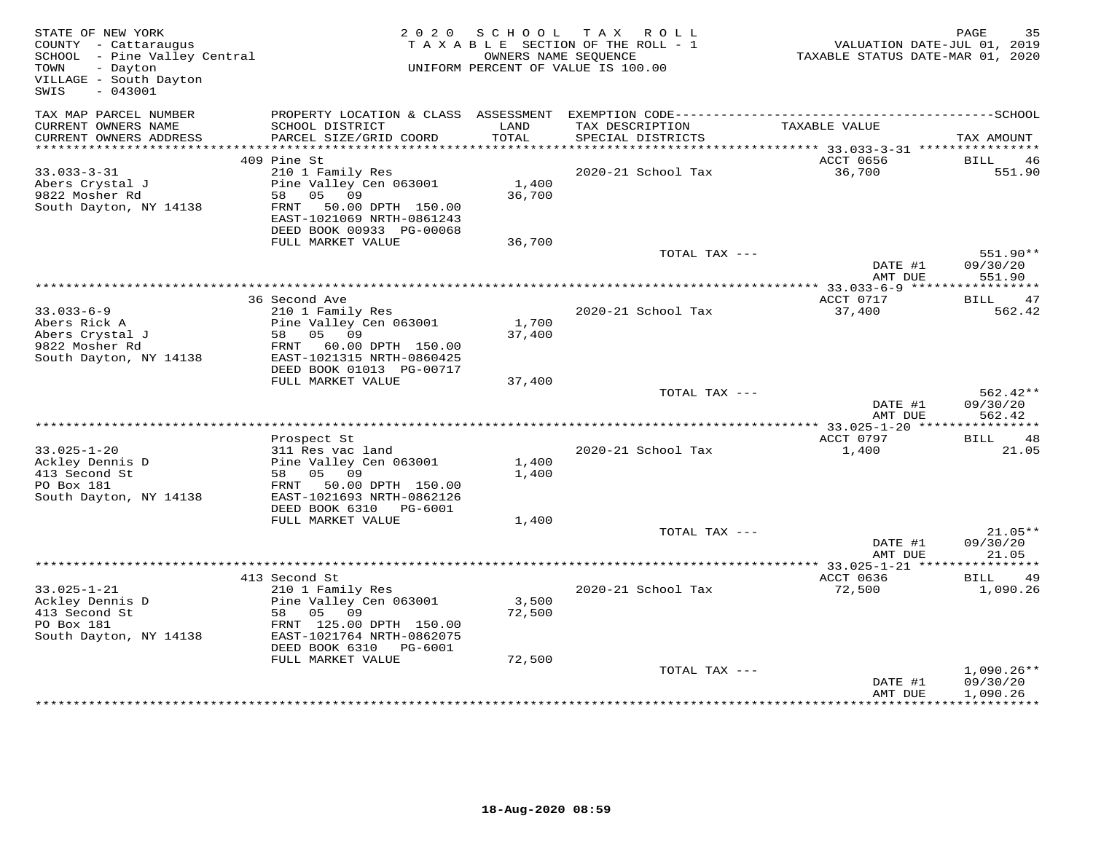| STATE OF NEW YORK<br>COUNTY - Cattaraugus<br>SCHOOL - Pine Valley Central<br>- Dayton<br>TOWN<br>VILLAGE - South Dayton<br>SWIS<br>$-043001$ |                                                                                                                                                                                   | 2020 SCHOOL               | TAX ROLL<br>TAXABLE SECTION OF THE ROLL - 1<br>OWNERS NAME SEQUENCE<br>UNIFORM PERCENT OF VALUE IS 100.00 | VALUATION DATE-JUL 01, 2019<br>TAXABLE STATUS DATE-MAR 01, 2020 | PAGE<br>35                           |
|----------------------------------------------------------------------------------------------------------------------------------------------|-----------------------------------------------------------------------------------------------------------------------------------------------------------------------------------|---------------------------|-----------------------------------------------------------------------------------------------------------|-----------------------------------------------------------------|--------------------------------------|
| TAX MAP PARCEL NUMBER<br>CURRENT OWNERS NAME<br>CURRENT OWNERS ADDRESS                                                                       | SCHOOL DISTRICT                                                                                                                                                                   | LAND<br>TOTAL             | TAX DESCRIPTION                                                                                           | TAXABLE VALUE                                                   |                                      |
|                                                                                                                                              | PARCEL SIZE/GRID COORD                                                                                                                                                            |                           | SPECIAL DISTRICTS                                                                                         |                                                                 | TAX AMOUNT                           |
|                                                                                                                                              | 409 Pine St                                                                                                                                                                       |                           |                                                                                                           | ACCT 0656                                                       | BILL<br>- 46                         |
| $33.033 - 3 - 31$<br>Abers Crystal J<br>9822 Mosher Rd<br>South Dayton, NY 14138                                                             | 210 1 Family Res<br>Pine Valley Cen 063001<br>05 09<br>58<br>FRNT 50.00 DPTH 150.00<br>EAST-1021069 NRTH-0861243<br>DEED BOOK 00933 PG-00068                                      | 1,400<br>36,700           | 2020-21 School Tax                                                                                        | 36,700                                                          | 551.90                               |
|                                                                                                                                              | FULL MARKET VALUE                                                                                                                                                                 | 36,700                    |                                                                                                           |                                                                 |                                      |
|                                                                                                                                              |                                                                                                                                                                                   |                           | TOTAL TAX ---                                                                                             | DATE #1<br>AMT DUE                                              | 551.90**<br>09/30/20<br>551.90       |
|                                                                                                                                              |                                                                                                                                                                                   |                           |                                                                                                           | ********** 33.033-6-9 *****                                     | * * * * * * * * * * *                |
| $33.033 - 6 - 9$<br>Abers Rick A<br>Abers Crystal J<br>9822 Mosher Rd<br>South Dayton, NY 14138                                              | 36 Second Ave<br>210 1 Family Res<br>Pine Valley Cen 063001<br>58 05 09<br>FRNT 60.00 DPTH 150.00<br>EAST-1021315 NRTH-0860425<br>DEED BOOK 01013 PG-00717                        | 1,700<br>37,400           | 2020-21 School Tax                                                                                        | ACCT 0717<br>37,400                                             | <b>BILL</b><br>47<br>562.42          |
|                                                                                                                                              | FULL MARKET VALUE                                                                                                                                                                 | 37,400                    |                                                                                                           |                                                                 |                                      |
|                                                                                                                                              |                                                                                                                                                                                   |                           | TOTAL TAX ---                                                                                             | DATE #1<br>AMT DUE                                              | $562.42**$<br>09/30/20<br>562.42     |
|                                                                                                                                              | Prospect St                                                                                                                                                                       |                           |                                                                                                           | **** 33.025-1-20 ****************<br>ACCT 0797                  | BILL<br>48                           |
| $33.025 - 1 - 20$<br>Ackley Dennis D<br>413 Second St<br>PO Box 181<br>South Dayton, NY 14138                                                | 311 Res vac land<br>Pine Valley Cen 063001<br>05 09<br>58<br>50.00 DPTH 150.00<br>FRNT<br>EAST-1021693 NRTH-0862126<br>DEED BOOK 6310 PG-6001                                     | 1,400<br>1,400            | 2020-21 School Tax                                                                                        | 1,400                                                           | 21.05                                |
|                                                                                                                                              | FULL MARKET VALUE                                                                                                                                                                 | 1,400                     |                                                                                                           |                                                                 |                                      |
|                                                                                                                                              |                                                                                                                                                                                   |                           | TOTAL TAX ---                                                                                             | DATE #1<br>AMT DUE                                              | $21.05**$<br>09/30/20<br>21.05       |
|                                                                                                                                              |                                                                                                                                                                                   |                           |                                                                                                           | ************ 33.025-1-21 *****                                  | * * * * * * * * * * *                |
| $33.025 - 1 - 21$<br>Ackley Dennis D<br>413 Second St<br>PO Box 181<br>South Dayton, NY 14138                                                | 413 Second St<br>210 1 Family Res<br>Pine Valley Cen 063001<br>58 05<br>09<br>FRNT 125.00 DPTH 150.00<br>EAST-1021764 NRTH-0862075<br>DEED BOOK 6310 PG-6001<br>FULL MARKET VALUE | 3,500<br>72,500<br>72,500 | 2020-21 School Tax                                                                                        | ACCT 0636<br>72,500                                             | BILL<br>49<br>1,090.26               |
|                                                                                                                                              |                                                                                                                                                                                   |                           | TOTAL TAX ---                                                                                             | DATE #1<br>AMT DUE                                              | $1,090.26**$<br>09/30/20<br>1,090.26 |
|                                                                                                                                              |                                                                                                                                                                                   |                           |                                                                                                           |                                                                 |                                      |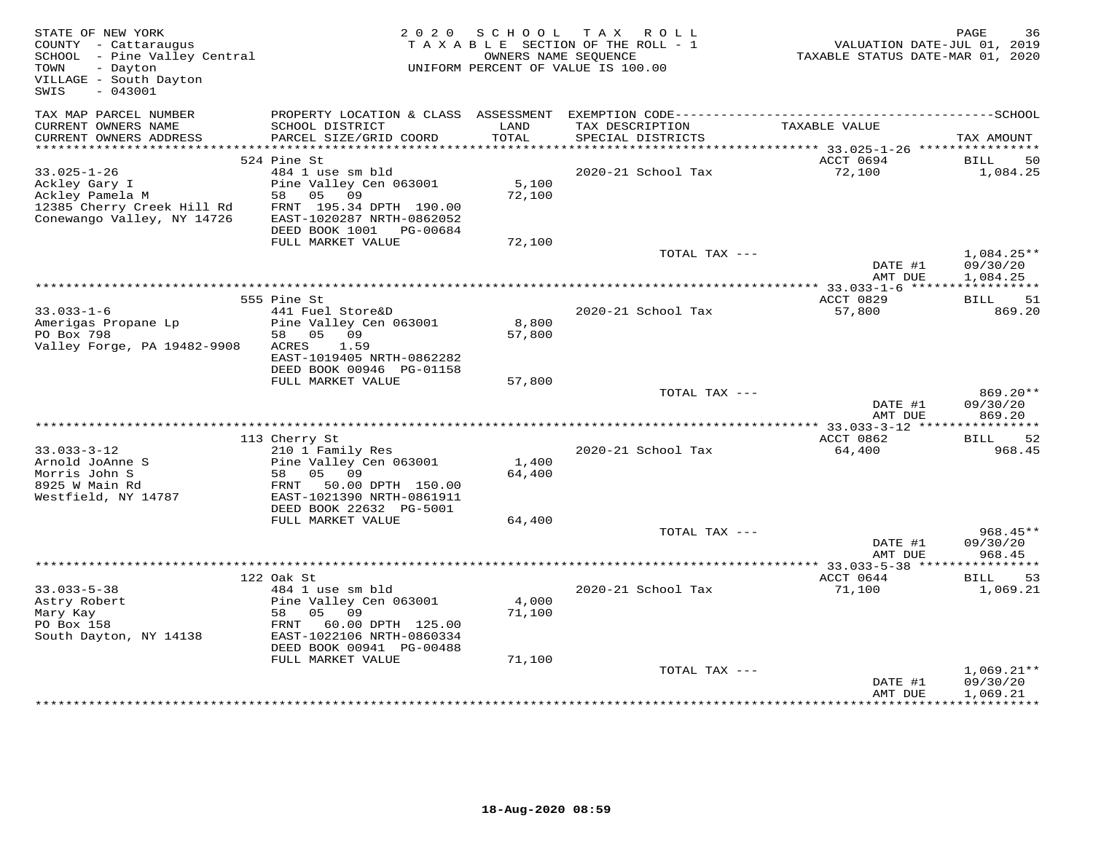| STATE OF NEW YORK<br>COUNTY - Cattaraugus<br>SCHOOL - Pine Valley Central<br>- Dayton<br>TOWN<br>VILLAGE - South Dayton<br>SWIS<br>$-043001$ | 2 0 2 0                                                                                                                                                                            | S C H O O L               | TAX ROLL<br>TAXABLE SECTION OF THE ROLL - 1<br>OWNERS NAME SEQUENCE<br>UNIFORM PERCENT OF VALUE IS 100.00 | VALUATION DATE-JUL 01, 2019<br>TAXABLE STATUS DATE-MAR 01, 2020 | PAGE<br>36                                                  |
|----------------------------------------------------------------------------------------------------------------------------------------------|------------------------------------------------------------------------------------------------------------------------------------------------------------------------------------|---------------------------|-----------------------------------------------------------------------------------------------------------|-----------------------------------------------------------------|-------------------------------------------------------------|
| TAX MAP PARCEL NUMBER<br>CURRENT OWNERS NAME<br>CURRENT OWNERS ADDRESS                                                                       | SCHOOL DISTRICT<br>PARCEL SIZE/GRID COORD                                                                                                                                          | LAND<br>TOTAL             | TAX DESCRIPTION<br>SPECIAL DISTRICTS                                                                      | TAXABLE VALUE                                                   | TAX AMOUNT                                                  |
|                                                                                                                                              |                                                                                                                                                                                    |                           |                                                                                                           |                                                                 |                                                             |
|                                                                                                                                              | 524 Pine St                                                                                                                                                                        |                           |                                                                                                           | ACCT 0694                                                       | BILL<br>-50                                                 |
| $33.025 - 1 - 26$<br>Ackley Gary I<br>Ackley Pamela M<br>12385 Cherry Creek Hill Rd<br>Conewango Valley, NY 14726                            | 484 1 use sm bld<br>Pine Valley Cen 063001<br>58 05 09<br>FRNT 195.34 DPTH 190.00<br>EAST-1020287 NRTH-0862052<br>DEED BOOK 1001 PG-00684                                          | 5,100<br>72,100           | 2020-21 School Tax                                                                                        | 72,100                                                          | 1,084.25                                                    |
|                                                                                                                                              | FULL MARKET VALUE                                                                                                                                                                  | 72,100                    |                                                                                                           |                                                                 |                                                             |
|                                                                                                                                              |                                                                                                                                                                                    |                           | TOTAL TAX ---                                                                                             | DATE #1<br>AMT DUE                                              | $1,084.25**$<br>09/30/20<br>1,084.25                        |
|                                                                                                                                              |                                                                                                                                                                                    |                           |                                                                                                           | ************** 33.033-1-6 ******                                | * * * * * * * * * * *                                       |
| $33.033 - 1 - 6$<br>Amerigas Propane Lp<br>PO Box 798<br>Valley Forge, PA 19482-9908                                                         | 555 Pine St<br>441 Fuel Store&D<br>Pine Valley Cen 063001<br>58 05 09<br>ACRES<br>1.59<br>EAST-1019405 NRTH-0862282<br>DEED BOOK 00946 PG-01158                                    | 8,800<br>57,800           | 2020-21 School Tax                                                                                        | ACCT 0829<br>57,800                                             | 51<br>BILL<br>869.20                                        |
|                                                                                                                                              | FULL MARKET VALUE                                                                                                                                                                  | 57,800                    |                                                                                                           |                                                                 |                                                             |
|                                                                                                                                              |                                                                                                                                                                                    |                           | TOTAL TAX ---                                                                                             | DATE #1<br>AMT DUE                                              | $869.20**$<br>09/30/20<br>869.20                            |
|                                                                                                                                              |                                                                                                                                                                                    |                           |                                                                                                           | **** 33.033-3-12 ****************                               |                                                             |
| $33.033 - 3 - 12$<br>Arnold JoAnne S<br>Morris John S<br>8925 W Main Rd<br>Westfield, NY 14787                                               | 113 Cherry St<br>210 1 Family Res<br>Pine Valley Cen 063001<br>05 09<br>58<br>50.00 DPTH 150.00<br>FRNT<br>EAST-1021390 NRTH-0861911<br>DEED BOOK 22632 PG-5001                    | 1,400<br>64,400           | 2020-21 School Tax                                                                                        | ACCT 0862<br>64,400                                             | BILL<br>52<br>968.45                                        |
|                                                                                                                                              | FULL MARKET VALUE                                                                                                                                                                  | 64,400                    |                                                                                                           |                                                                 |                                                             |
|                                                                                                                                              |                                                                                                                                                                                    |                           | TOTAL TAX ---                                                                                             | DATE #1<br>AMT DUE                                              | 968.45**<br>09/30/20<br>968.45                              |
|                                                                                                                                              |                                                                                                                                                                                    |                           |                                                                                                           | ******** 33.033-5-38 **                                         |                                                             |
| $33.033 - 5 - 38$<br>Astry Robert<br>Mary Kay<br>PO Box 158<br>South Dayton, NY 14138                                                        | 122 Oak St<br>484 1 use sm bld<br>Pine Valley Cen 063001<br>05 09<br>58<br>FRNT<br>60.00 DPTH 125.00<br>EAST-1022106 NRTH-0860334<br>DEED BOOK 00941 PG-00488<br>FULL MARKET VALUE | 4,000<br>71,100<br>71,100 | 2020-21 School Tax                                                                                        | ACCT 0644<br>71,100                                             | BILL<br>53<br>1,069.21                                      |
|                                                                                                                                              |                                                                                                                                                                                    |                           | TOTAL TAX ---                                                                                             | DATE #1<br>AMT DUE                                              | $1,069.21**$<br>09/30/20<br>1,069.21<br>* * * * * * * * * * |
|                                                                                                                                              |                                                                                                                                                                                    |                           |                                                                                                           |                                                                 |                                                             |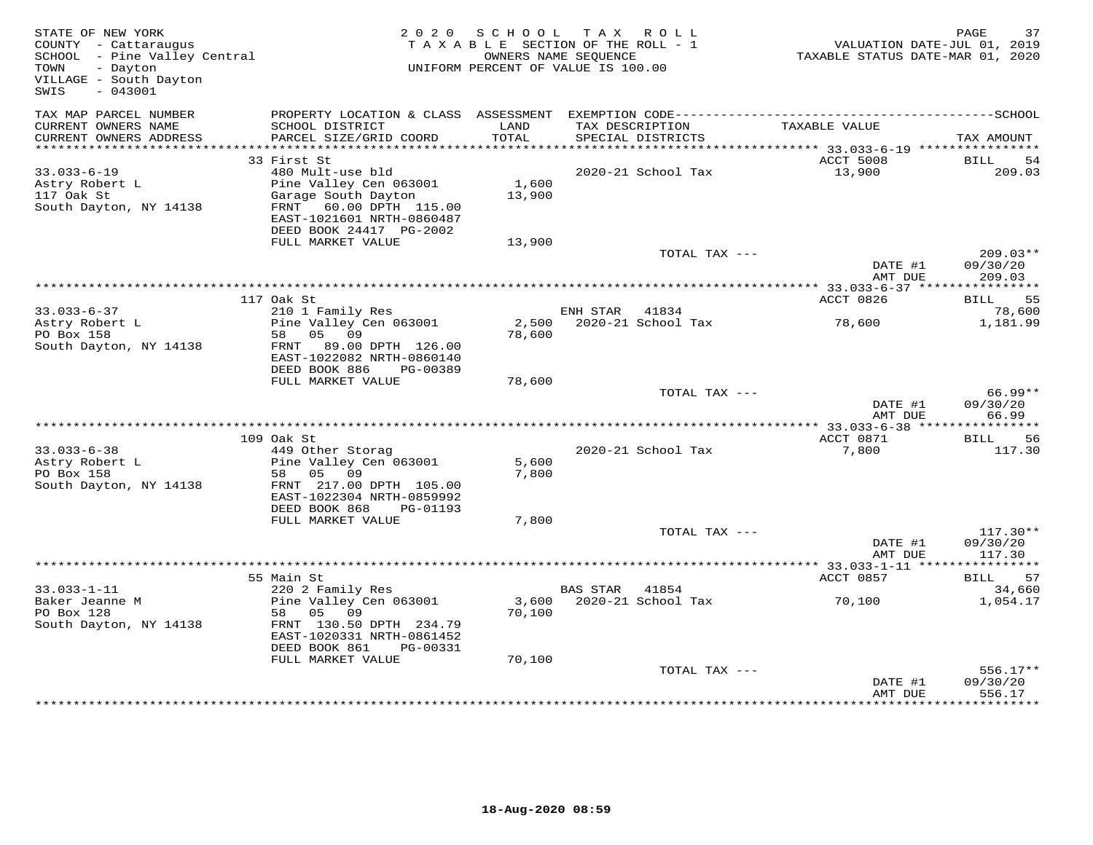| STATE OF NEW YORK<br>COUNTY - Cattaraugus<br>COUNTY - Cattaraugus<br>SCHOOL - Pine Valley Central<br>- Dayton<br>TOWN<br>VILLAGE - South Dayton<br>$-043001$<br>SWIS |                                                                                                                                                     | 2020 SCHOOL     | TAX ROLL<br>TAXABLE SECTION OF THE ROLL - 1<br>OWNERS NAME SEQUENCE<br>UNIFORM PERCENT OF VALUE IS 100.00 | VALUATION DATE-JUL 01, 2019<br>TAXABLE STATUS DATE-MAR 01, 2020 | PAGE<br>37                       |
|----------------------------------------------------------------------------------------------------------------------------------------------------------------------|-----------------------------------------------------------------------------------------------------------------------------------------------------|-----------------|-----------------------------------------------------------------------------------------------------------|-----------------------------------------------------------------|----------------------------------|
| TAX MAP PARCEL NUMBER<br>CURRENT OWNERS NAME<br>CURRENT OWNERS ADDRESS                                                                                               | PROPERTY LOCATION & CLASS ASSESSMENT<br>SCHOOL DISTRICT<br>PARCEL SIZE/GRID COORD                                                                   | LAND<br>TOTAL   | TAX DESCRIPTION<br>SPECIAL DISTRICTS                                                                      | TAXABLE VALUE                                                   | TAX AMOUNT                       |
|                                                                                                                                                                      |                                                                                                                                                     |                 |                                                                                                           |                                                                 |                                  |
|                                                                                                                                                                      | 33 First St                                                                                                                                         |                 |                                                                                                           | ACCT 5008                                                       | BILL<br>54                       |
| $33.033 - 6 - 19$<br>Astry Robert L<br>117 Oak St<br>South Dayton, NY 14138                                                                                          | 480 Mult-use bld<br>Pine Valley Cen 063001<br>Garage South Dayton<br>FRNT 60.00 DPTH 115.00<br>EAST-1021601 NRTH-0860487<br>DEED BOOK 24417 PG-2002 | 1,600<br>13,900 | 2020-21 School Tax                                                                                        | 13,900                                                          | 209.03                           |
|                                                                                                                                                                      | FULL MARKET VALUE                                                                                                                                   | 13,900          |                                                                                                           |                                                                 |                                  |
|                                                                                                                                                                      |                                                                                                                                                     |                 | TOTAL TAX ---                                                                                             | DATE #1<br>AMT DUE                                              | $209.03**$<br>09/30/20<br>209.03 |
|                                                                                                                                                                      |                                                                                                                                                     |                 |                                                                                                           | ***************** 33.033-6-37 *****************                 |                                  |
|                                                                                                                                                                      | 117 Oak St                                                                                                                                          |                 |                                                                                                           | ACCT 0826                                                       | BILL 55                          |
| $33.033 - 6 - 37$<br>33.033 v =<br>Astry Robert L                                                                                                                    | 210 1 Family Res<br>Pine Valley Cen 063001                                                                                                          |                 | ENH STAR 41834                                                                                            | 78,600                                                          | 78,600<br>1,181.99               |
| PO Box 158<br>South Dayton, NY 14138                                                                                                                                 | 58 05 09<br>FRNT 89.00 DPTH 126.00<br>EAST-1022082 NRTH-0860140<br>DEED BOOK 886<br>PG-00389                                                        | 78,600          |                                                                                                           |                                                                 |                                  |
|                                                                                                                                                                      | FULL MARKET VALUE                                                                                                                                   | 78,600          |                                                                                                           |                                                                 |                                  |
|                                                                                                                                                                      |                                                                                                                                                     |                 | TOTAL TAX ---                                                                                             | DATE #1<br>AMT DUE                                              | $66.99**$<br>09/30/20<br>66.99   |
|                                                                                                                                                                      |                                                                                                                                                     |                 |                                                                                                           |                                                                 |                                  |
|                                                                                                                                                                      | 109 Oak St                                                                                                                                          |                 |                                                                                                           | ACCT 0871                                                       | BILL<br>56                       |
| $33.033 - 6 - 38$<br>Astry Robert L                                                                                                                                  | 449 Other Storag<br>Pine Valley Cen 063001                                                                                                          | 5,600           | 2020-21 School Tax                                                                                        | 7,800                                                           | 117.30                           |
| PO Box 158<br>South Dayton, NY 14138                                                                                                                                 | 58 05 09<br>FRNT 217.00 DPTH 105.00<br>EAST-1022304 NRTH-0859992                                                                                    | 7,800           |                                                                                                           |                                                                 |                                  |
|                                                                                                                                                                      | DEED BOOK 868<br>PG-01193                                                                                                                           |                 |                                                                                                           |                                                                 |                                  |
|                                                                                                                                                                      | FULL MARKET VALUE                                                                                                                                   | 7,800           | TOTAL TAX ---                                                                                             |                                                                 | $117.30**$                       |
|                                                                                                                                                                      |                                                                                                                                                     |                 |                                                                                                           | DATE #1<br>AMT DUE                                              | 09/30/20<br>117.30               |
|                                                                                                                                                                      |                                                                                                                                                     |                 |                                                                                                           |                                                                 |                                  |
|                                                                                                                                                                      | 55 Main St                                                                                                                                          |                 |                                                                                                           | ACCT 0857                                                       | BILL 57                          |
| $33.033 - 1 - 11$<br>Baker Jeanne M<br>PO Box 128<br>South Dayton, NY 14138                                                                                          | 220 2 Family Res<br>Pine Valley Cen 063001<br>58 05 09<br>FRNT 130.50 DPTH 234.79                                                                   | 70,100          | BAS STAR 41854<br>3,600 2020-21 School Tax                                                                | 70,100                                                          | 34,660<br>1,054.17               |
|                                                                                                                                                                      | EAST-1020331 NRTH-0861452<br>DEED BOOK 861<br>PG-00331<br>FULL MARKET VALUE                                                                         | 70,100          |                                                                                                           |                                                                 |                                  |
|                                                                                                                                                                      |                                                                                                                                                     |                 | TOTAL TAX ---                                                                                             | DATE #1<br>AMT DUE                                              | $556.17**$<br>09/30/20<br>556.17 |
|                                                                                                                                                                      |                                                                                                                                                     |                 |                                                                                                           |                                                                 | ********                         |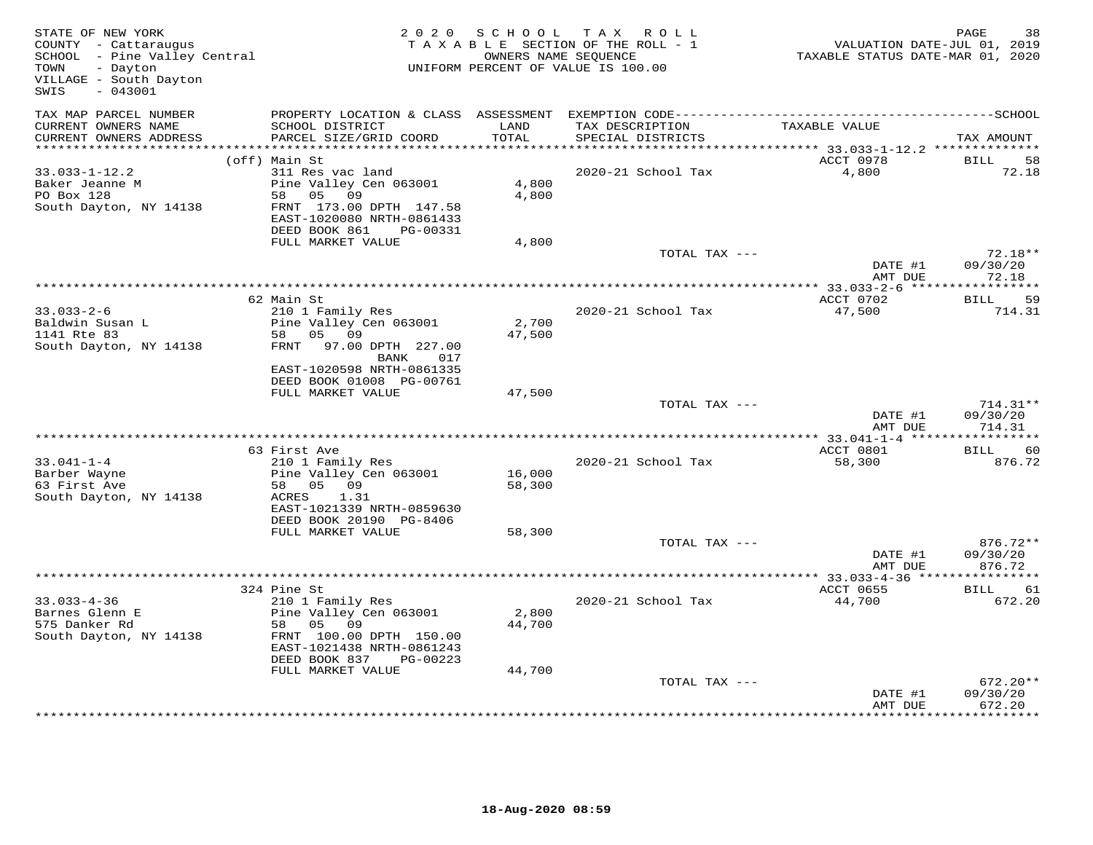| STATE OF NEW YORK<br>COUNTY - Cattaraugus<br>SCHOOL - Pine Valley Central<br>TOWN<br>- Dayton<br>VILLAGE - South Dayton<br>$-043001$<br>SWIS |                                                                                                                                                                                      |                           | 2020 SCHOOL TAX ROLL<br>TAXABLE SECTION OF THE ROLL - 1<br>OWNERS NAME SEQUENCE<br>UNIFORM PERCENT OF VALUE IS 100.00 | VALUATION DATE-JUL 01, 2019<br>TAXABLE STATUS DATE-MAR 01, 2020 | PAGE<br>38                       |
|----------------------------------------------------------------------------------------------------------------------------------------------|--------------------------------------------------------------------------------------------------------------------------------------------------------------------------------------|---------------------------|-----------------------------------------------------------------------------------------------------------------------|-----------------------------------------------------------------|----------------------------------|
| TAX MAP PARCEL NUMBER<br>CURRENT OWNERS NAME<br>CURRENT OWNERS ADDRESS                                                                       | SCHOOL DISTRICT<br>PARCEL SIZE/GRID COORD                                                                                                                                            | LAND<br>TOTAL             | TAX DESCRIPTION<br>SPECIAL DISTRICTS                                                                                  | TAXABLE VALUE                                                   | TAX AMOUNT                       |
| ************************                                                                                                                     |                                                                                                                                                                                      |                           |                                                                                                                       |                                                                 |                                  |
| $33.033 - 1 - 12.2$<br>Baker Jeanne M<br>PO Box 128<br>South Dayton, NY 14138                                                                | (off) Main St<br>311 Res vac land<br>Pine Valley Cen 063001<br>58 05<br>09<br>FRNT 173.00 DPTH 147.58<br>EAST-1020080 NRTH-0861433<br>DEED BOOK 861<br>PG-00331<br>FULL MARKET VALUE | 4,800<br>4,800<br>4,800   | 2020-21 School Tax                                                                                                    | ACCT 0978<br>4,800                                              | BILL<br>58<br>72.18              |
|                                                                                                                                              |                                                                                                                                                                                      |                           | TOTAL TAX ---                                                                                                         |                                                                 | $72.18**$                        |
|                                                                                                                                              |                                                                                                                                                                                      |                           |                                                                                                                       | DATE #1<br>AMT DUE                                              | 09/30/20<br>72.18                |
|                                                                                                                                              |                                                                                                                                                                                      |                           |                                                                                                                       |                                                                 |                                  |
| $33.033 - 2 - 6$<br>Baldwin Susan L<br>1141 Rte 83<br>South Dayton, NY 14138                                                                 | 62 Main St<br>210 1 Family Res<br>Pine Valley Cen 063001<br>58 05 09<br>FRNT 97.00 DPTH 227.00<br>BANK<br>017<br>EAST-1020598 NRTH-0861335                                           | 2,700<br>47,500           | 2020-21 School Tax                                                                                                    | ACCT 0702<br>47,500                                             | BILL 59<br>714.31                |
|                                                                                                                                              | DEED BOOK 01008 PG-00761                                                                                                                                                             |                           |                                                                                                                       |                                                                 |                                  |
|                                                                                                                                              | FULL MARKET VALUE                                                                                                                                                                    | 47,500                    | TOTAL TAX ---                                                                                                         |                                                                 | $714.31**$                       |
|                                                                                                                                              |                                                                                                                                                                                      |                           |                                                                                                                       | DATE #1<br>AMT DUE                                              | 09/30/20<br>714.31               |
|                                                                                                                                              | 63 First Ave                                                                                                                                                                         |                           |                                                                                                                       | ACCT 0801                                                       | BILL 60                          |
| $33.041 - 1 - 4$<br>Barber Wayne<br>63 First Ave<br>South Dayton, NY 14138                                                                   | 210 1 Family Res<br>Pine Valley Cen 063001<br>58 05 09<br>ACRES<br>1.31<br>EAST-1021339 NRTH-0859630<br>DEED BOOK 20190 PG-8406                                                      | 16,000<br>58,300          | 2020-21 School Tax                                                                                                    | 58,300                                                          | 876.72                           |
|                                                                                                                                              | FULL MARKET VALUE                                                                                                                                                                    | 58,300                    |                                                                                                                       |                                                                 |                                  |
|                                                                                                                                              |                                                                                                                                                                                      |                           | TOTAL TAX ---                                                                                                         | DATE #1<br>AMT DUE                                              | 876.72**<br>09/30/20<br>876.72   |
|                                                                                                                                              |                                                                                                                                                                                      |                           |                                                                                                                       |                                                                 |                                  |
| $33.033 - 4 - 36$<br>Barnes Glenn E<br>575 Danker Rd<br>South Dayton, NY 14138                                                               | 324 Pine St<br>210 1 Family Res<br>Pine Valley Cen 063001<br>58 05 09<br>FRNT 100.00 DPTH 150.00<br>EAST-1021438 NRTH-0861243<br>DEED BOOK 837<br>PG-00223<br>FULL MARKET VALUE      | 2,800<br>44,700<br>44,700 | 2020-21 School Tax                                                                                                    | ACCT 0655<br>44,700                                             | BILL 61<br>672.20                |
|                                                                                                                                              |                                                                                                                                                                                      |                           | TOTAL TAX ---                                                                                                         | DATE #1<br>AMT DUE                                              | $672.20**$<br>09/30/20<br>672.20 |
|                                                                                                                                              |                                                                                                                                                                                      |                           |                                                                                                                       |                                                                 |                                  |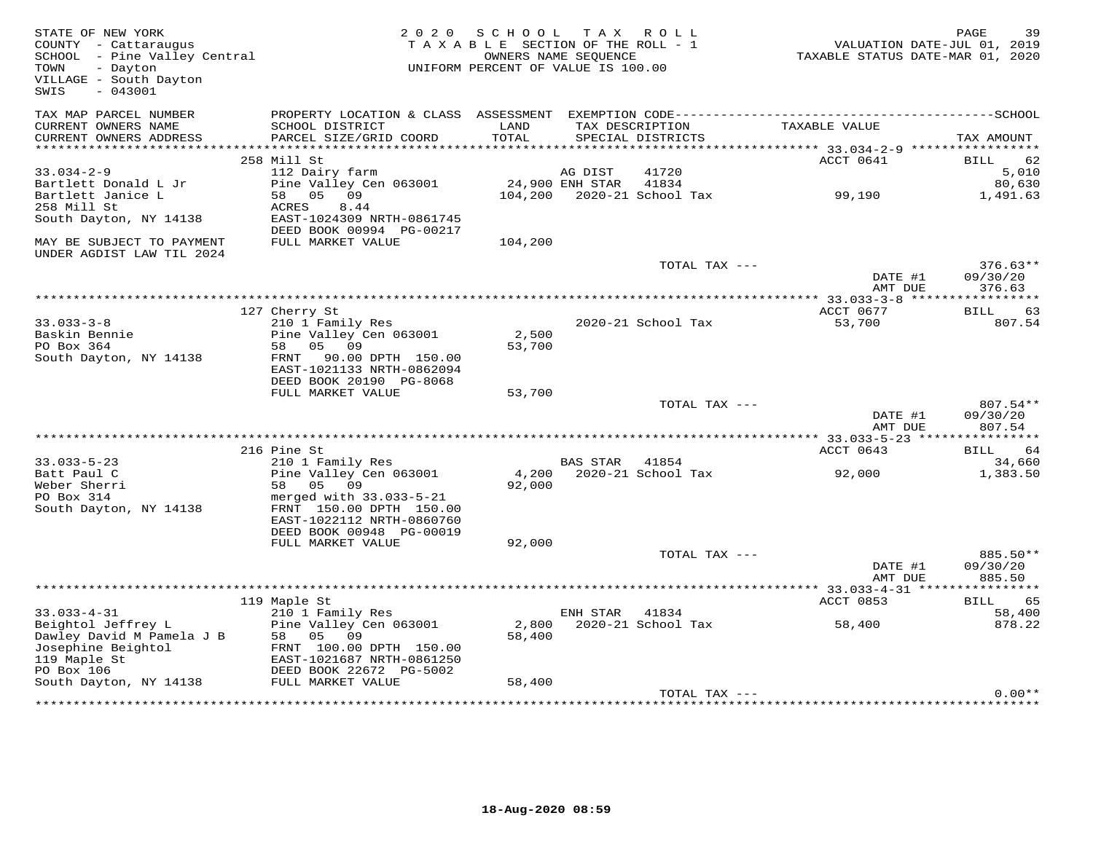| STATE OF NEW YORK<br>COUNTY - Cattaraugus<br>SCHOOL - Pine Valley Central<br>TOWN<br>- Dayton<br>VILLAGE - South Dayton<br>SWIS<br>$-043001$ | 2 0 2 0                                                                                          | S C H O O L<br>TAXABLE SECTION OF THE ROLL - 1<br>UNIFORM PERCENT OF VALUE IS 100.00 | T A X<br>OWNERS NAME SEQUENCE | R O L L                              | VALUATION DATE-JUL 01, 2019<br>TAXABLE STATUS DATE-MAR 01, 2020 | PAGE<br>39                       |
|----------------------------------------------------------------------------------------------------------------------------------------------|--------------------------------------------------------------------------------------------------|--------------------------------------------------------------------------------------|-------------------------------|--------------------------------------|-----------------------------------------------------------------|----------------------------------|
| TAX MAP PARCEL NUMBER<br>CURRENT OWNERS NAME<br>CURRENT OWNERS ADDRESS                                                                       | SCHOOL DISTRICT<br>PARCEL SIZE/GRID COORD                                                        | LAND<br>TOTAL                                                                        |                               | TAX DESCRIPTION<br>SPECIAL DISTRICTS | TAXABLE VALUE                                                   | TAX AMOUNT                       |
| ***********************                                                                                                                      |                                                                                                  |                                                                                      |                               |                                      |                                                                 |                                  |
|                                                                                                                                              | 258 Mill St                                                                                      |                                                                                      |                               |                                      | ACCT 0641                                                       | BILL<br>62                       |
| $33.034 - 2 - 9$                                                                                                                             | 112 Dairy farm                                                                                   |                                                                                      | AG DIST                       | 41720                                |                                                                 | 5,010                            |
| Bartlett Donald L Jr<br>Bartlett Janice L                                                                                                    | Pine Valley Cen 063001<br>58 05 09                                                               |                                                                                      | 24,900 ENH STAR 41834         |                                      | 104,200 2020-21 School Tax 99,190                               | 80,630<br>1,491.63               |
| 258 Mill St<br>South Dayton, NY 14138                                                                                                        | ACRES<br>8.44<br>EAST-1024309 NRTH-0861745                                                       |                                                                                      |                               |                                      |                                                                 |                                  |
| MAY BE SUBJECT TO PAYMENT<br>UNDER AGDIST LAW TIL 2024                                                                                       | DEED BOOK 00994 PG-00217<br>FULL MARKET VALUE                                                    | 104,200                                                                              |                               |                                      |                                                                 |                                  |
|                                                                                                                                              |                                                                                                  |                                                                                      |                               | TOTAL TAX ---                        | DATE #1<br>AMT DUE                                              | $376.63**$<br>09/30/20<br>376.63 |
|                                                                                                                                              |                                                                                                  |                                                                                      |                               |                                      |                                                                 |                                  |
|                                                                                                                                              | 127 Cherry St                                                                                    |                                                                                      |                               |                                      | ACCT 0677                                                       | BILL<br>63                       |
| $33.033 - 3 - 8$<br>Baskin Bennie<br>PO Box 364                                                                                              | 210 1 Family Res<br>Pine Valley Cen 063001<br>58 05 09                                           | 2,500<br>53,700                                                                      |                               | 2020-21 School Tax                   | 53,700                                                          | 807.54                           |
| South Dayton, NY 14138                                                                                                                       | FRNT<br>90.00 DPTH 150.00<br>EAST-1021133 NRTH-0862094<br>DEED BOOK 20190 PG-8068                |                                                                                      |                               |                                      |                                                                 |                                  |
|                                                                                                                                              | FULL MARKET VALUE                                                                                | 53,700                                                                               |                               |                                      |                                                                 |                                  |
|                                                                                                                                              |                                                                                                  |                                                                                      |                               | TOTAL TAX ---                        |                                                                 | 807.54**                         |
|                                                                                                                                              |                                                                                                  |                                                                                      |                               |                                      | DATE #1<br>AMT DUE                                              | 09/30/20<br>807.54               |
|                                                                                                                                              | 216 Pine St                                                                                      |                                                                                      |                               |                                      | ACCT 0643                                                       | 64<br>BILL                       |
| $33.033 - 5 - 23$                                                                                                                            | 210 1 Family Res                                                                                 |                                                                                      | BAS STAR 41854                |                                      |                                                                 | 34,660                           |
| Batt Paul C                                                                                                                                  | Pine Valley Cen 063001                                                                           | 4,200                                                                                |                               | 2020-21 School Tax                   | 92,000                                                          | 1,383.50                         |
| Weber Sherri<br>PO Box 314<br>South Dayton, NY 14138                                                                                         | 58<br>05 09<br>merged with 33.033-5-21<br>FRNT 150.00 DPTH 150.00                                | 92,000                                                                               |                               |                                      |                                                                 |                                  |
|                                                                                                                                              | EAST-1022112 NRTH-0860760<br>DEED BOOK 00948 PG-00019                                            |                                                                                      |                               |                                      |                                                                 |                                  |
|                                                                                                                                              | FULL MARKET VALUE                                                                                | 92,000                                                                               |                               |                                      |                                                                 |                                  |
|                                                                                                                                              |                                                                                                  |                                                                                      |                               | TOTAL TAX ---                        | DATE #1                                                         | 885.50**<br>09/30/20             |
|                                                                                                                                              |                                                                                                  |                                                                                      |                               |                                      | AMT DUE                                                         | 885.50                           |
|                                                                                                                                              | 119 Maple St                                                                                     |                                                                                      |                               |                                      | ACCT 0853                                                       | 65<br>BILL                       |
| $33.033 - 4 - 31$                                                                                                                            | 210 1 Family Res                                                                                 |                                                                                      | ENH STAR 41834                |                                      |                                                                 | 58,400                           |
| Beightol Jeffrey L<br>Dawley David M Pamela J B<br>Josephine Beightol<br>119 Maple St                                                        | Pine Valley Cen 063001<br>58<br>05<br>09<br>FRNT 100.00 DPTH 150.00<br>EAST-1021687 NRTH-0861250 | 2,800<br>58,400                                                                      |                               | 2020-21 School Tax                   | 58,400                                                          | 878.22                           |
| PO Box 106<br>South Dayton, NY 14138                                                                                                         | DEED BOOK 22672 PG-5002<br>FULL MARKET VALUE                                                     | 58,400                                                                               |                               |                                      |                                                                 |                                  |
|                                                                                                                                              |                                                                                                  |                                                                                      |                               | TOTAL TAX ---                        |                                                                 | $0.00**$                         |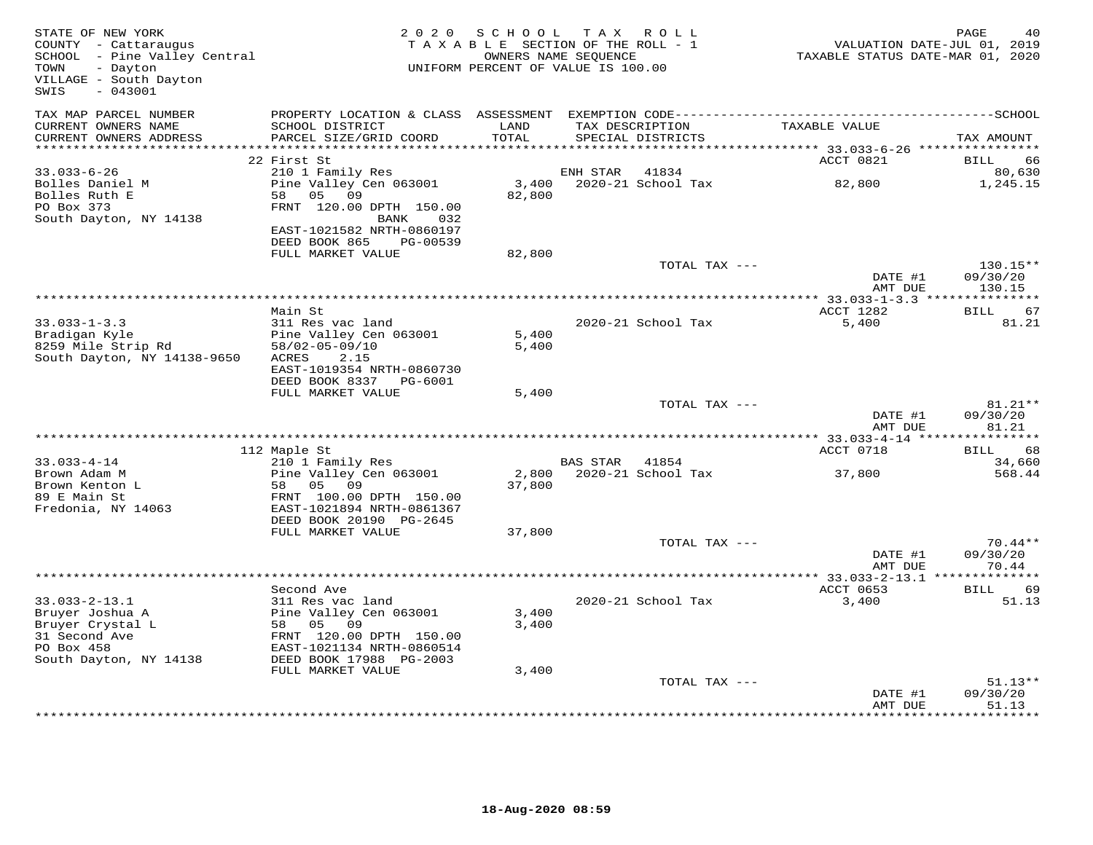| STATE OF NEW YORK<br>COUNTY - Cattaraugus<br>SCHOOL - Pine Valley Central<br>TOWN<br>- Dayton<br>VILLAGE - South Dayton<br>$-043001$<br>SWIS |                                                         | 2020 SCHOOL    | TAX ROLL<br>TAXABLE SECTION OF THE ROLL - 1<br>OWNERS NAME SEQUENCE<br>UNIFORM PERCENT OF VALUE IS 100.00 | VALUATION DATE-JUL 01, 2019<br>TAXABLE STATUS DATE-MAR 01, 2020 | PAGE               |
|----------------------------------------------------------------------------------------------------------------------------------------------|---------------------------------------------------------|----------------|-----------------------------------------------------------------------------------------------------------|-----------------------------------------------------------------|--------------------|
| TAX MAP PARCEL NUMBER<br>CURRENT OWNERS NAME                                                                                                 | PROPERTY LOCATION & CLASS ASSESSMENT<br>SCHOOL DISTRICT | LAND           | TAX DESCRIPTION                                                                                           | TAXABLE VALUE                                                   |                    |
| CURRENT OWNERS ADDRESS                                                                                                                       | PARCEL SIZE/GRID COORD                                  | TOTAL          | SPECIAL DISTRICTS                                                                                         |                                                                 | TAX AMOUNT         |
| **************************                                                                                                                   |                                                         |                |                                                                                                           |                                                                 |                    |
|                                                                                                                                              | 22 First St                                             |                |                                                                                                           | ACCT 0821                                                       | 66<br>BILL         |
| $33.033 - 6 - 26$<br>Bolles Daniel M                                                                                                         | 210 1 Family Res<br>Pine Valley Cen 063001              | 3,400          | ENH STAR<br>41834<br>2020-21 School Tax                                                                   | 82,800                                                          | 80,630<br>1,245.15 |
| Bolles Ruth E                                                                                                                                | 58<br>05<br>09                                          | 82,800         |                                                                                                           |                                                                 |                    |
| PO Box 373                                                                                                                                   | FRNT 120.00 DPTH 150.00                                 |                |                                                                                                           |                                                                 |                    |
| South Dayton, NY 14138                                                                                                                       | BANK<br>032                                             |                |                                                                                                           |                                                                 |                    |
|                                                                                                                                              | EAST-1021582 NRTH-0860197                               |                |                                                                                                           |                                                                 |                    |
|                                                                                                                                              | DEED BOOK 865<br>PG-00539                               |                |                                                                                                           |                                                                 |                    |
|                                                                                                                                              | FULL MARKET VALUE                                       | 82,800         | TOTAL TAX ---                                                                                             |                                                                 | 130.15**           |
|                                                                                                                                              |                                                         |                |                                                                                                           | DATE #1                                                         | 09/30/20           |
|                                                                                                                                              |                                                         |                |                                                                                                           | AMT DUE                                                         | 130.15             |
|                                                                                                                                              |                                                         |                |                                                                                                           |                                                                 |                    |
|                                                                                                                                              | Main St                                                 |                |                                                                                                           | ACCT 1282                                                       | BILL<br>67         |
| $33.033 - 1 - 3.3$                                                                                                                           | 311 Res vac land                                        |                | 2020-21 School Tax                                                                                        | 5,400                                                           | 81.21              |
| Bradigan Kyle<br>8259 Mile Strip Rd                                                                                                          | Pine Valley Cen 063001<br>58/02-05-09/10                | 5,400<br>5,400 |                                                                                                           |                                                                 |                    |
| South Dayton, NY 14138-9650                                                                                                                  | ACRES<br>2.15                                           |                |                                                                                                           |                                                                 |                    |
|                                                                                                                                              | EAST-1019354 NRTH-0860730                               |                |                                                                                                           |                                                                 |                    |
|                                                                                                                                              | DEED BOOK 8337 PG-6001                                  |                |                                                                                                           |                                                                 |                    |
|                                                                                                                                              | FULL MARKET VALUE                                       | 5,400          |                                                                                                           |                                                                 |                    |
|                                                                                                                                              |                                                         |                | TOTAL TAX ---                                                                                             |                                                                 | 81.21**            |
|                                                                                                                                              |                                                         |                |                                                                                                           | DATE #1<br>AMT DUE                                              | 09/30/20<br>81.21  |
|                                                                                                                                              |                                                         |                |                                                                                                           | ****** 33.033-4-14 *****                                        | ***********        |
|                                                                                                                                              | 112 Maple St                                            |                |                                                                                                           | ACCT 0718                                                       | 68<br>BILL         |
| $33.033 - 4 - 14$                                                                                                                            | 210 1 Family Res                                        |                | <b>BAS STAR</b><br>41854                                                                                  |                                                                 | 34,660             |
| Brown Adam M                                                                                                                                 | Pine Valley Cen 063001                                  | 2,800          | 2020-21 School Tax                                                                                        | 37,800                                                          | 568.44             |
| Brown Kenton L<br>89 E Main St                                                                                                               | 58<br>05<br>09<br>FRNT 100.00 DPTH 150.00               | 37,800         |                                                                                                           |                                                                 |                    |
| Fredonia, NY 14063                                                                                                                           | EAST-1021894 NRTH-0861367                               |                |                                                                                                           |                                                                 |                    |
|                                                                                                                                              | DEED BOOK 20190 PG-2645                                 |                |                                                                                                           |                                                                 |                    |
|                                                                                                                                              | FULL MARKET VALUE                                       | 37,800         |                                                                                                           |                                                                 |                    |
|                                                                                                                                              |                                                         |                | TOTAL TAX ---                                                                                             |                                                                 | $70.44**$          |
|                                                                                                                                              |                                                         |                |                                                                                                           | DATE #1                                                         | 09/30/20           |
|                                                                                                                                              |                                                         |                |                                                                                                           | AMT DUE                                                         | 70.44              |
|                                                                                                                                              | Second Ave                                              |                |                                                                                                           | ACCT 0653                                                       | 69<br>BILL         |
| $33.033 - 2 - 13.1$                                                                                                                          | 311 Res vac land                                        |                | 2020-21 School Tax                                                                                        | 3,400                                                           | 51.13              |
| Bruyer Joshua A                                                                                                                              | Pine Valley Cen 063001                                  | 3,400          |                                                                                                           |                                                                 |                    |
| Bruyer Crystal L                                                                                                                             | 58 05 09                                                | 3,400          |                                                                                                           |                                                                 |                    |
| 31 Second Ave                                                                                                                                | FRNT 120.00 DPTH 150.00                                 |                |                                                                                                           |                                                                 |                    |
| PO Box 458<br>South Dayton, NY 14138                                                                                                         | EAST-1021134 NRTH-0860514<br>DEED BOOK 17988 PG-2003    |                |                                                                                                           |                                                                 |                    |
|                                                                                                                                              | FULL MARKET VALUE                                       | 3,400          |                                                                                                           |                                                                 |                    |
|                                                                                                                                              |                                                         |                | TOTAL TAX ---                                                                                             |                                                                 | $51.13**$          |
|                                                                                                                                              |                                                         |                |                                                                                                           | DATE #1                                                         | 09/30/20           |
|                                                                                                                                              |                                                         |                |                                                                                                           | AMT DUE                                                         | 51.13              |
|                                                                                                                                              |                                                         |                |                                                                                                           |                                                                 |                    |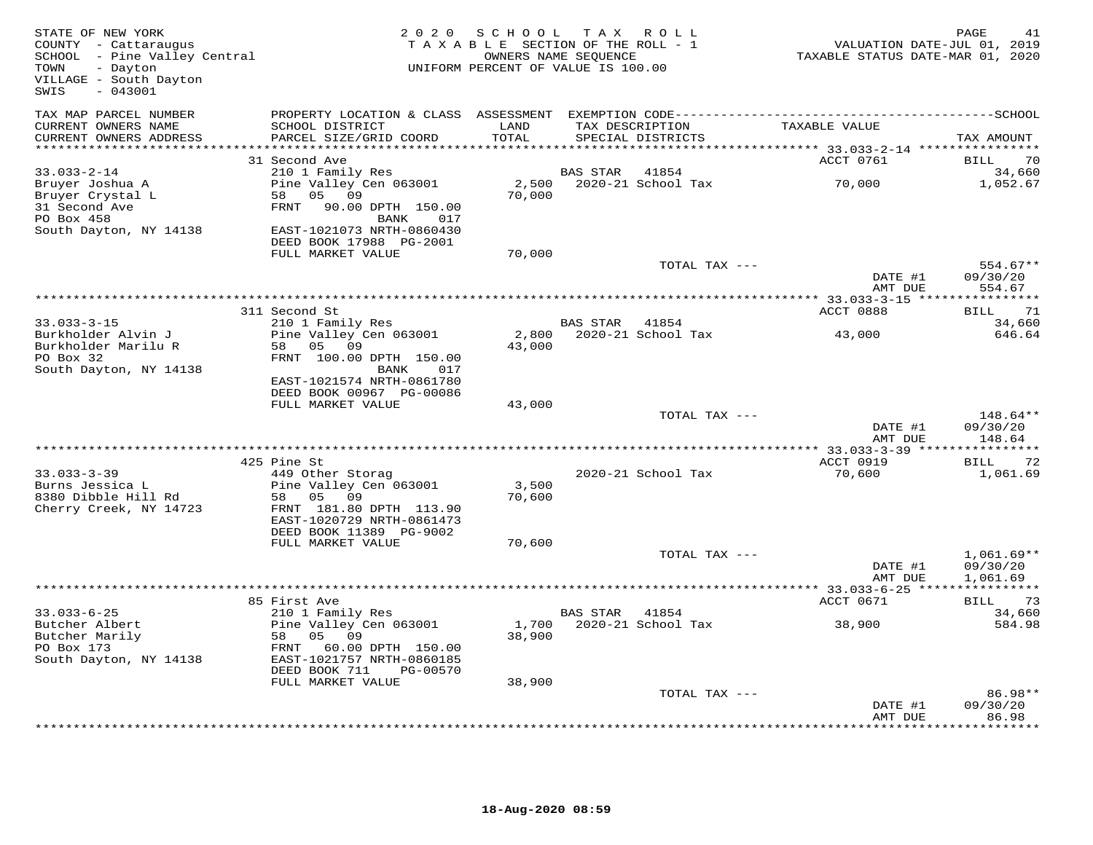| STATE OF NEW YORK<br>COUNTY - Cattaraugus<br>SCHOOL - Pine Valley Central<br>TOWN<br>- Dayton<br>VILLAGE - South Dayton<br>$-043001$<br>SWIS | 2 0 2 0                                                | SCHOOL<br>TAXABLE SECTION OF THE ROLL - 1<br>OWNERS NAME SEQUENCE<br>UNIFORM PERCENT OF VALUE IS 100.00 |                 | TAX ROLL                             | VALUATION DATE-JUL 01, 2019<br>TAXABLE STATUS DATE-MAR 01, 2020 | PAGE<br>41           |
|----------------------------------------------------------------------------------------------------------------------------------------------|--------------------------------------------------------|---------------------------------------------------------------------------------------------------------|-----------------|--------------------------------------|-----------------------------------------------------------------|----------------------|
| TAX MAP PARCEL NUMBER<br>CURRENT OWNERS NAME<br>CURRENT OWNERS ADDRESS                                                                       | SCHOOL DISTRICT<br>PARCEL SIZE/GRID COORD              | LAND<br>TOTAL                                                                                           |                 | TAX DESCRIPTION<br>SPECIAL DISTRICTS | TAXABLE VALUE                                                   | TAX AMOUNT           |
| ***********************                                                                                                                      |                                                        |                                                                                                         |                 |                                      |                                                                 |                      |
|                                                                                                                                              | 31 Second Ave                                          |                                                                                                         |                 |                                      | ACCT 0761                                                       | <b>BILL</b><br>70    |
| $33.033 - 2 - 14$<br>Bruyer Joshua A                                                                                                         | 210 1 Family Res<br>Pine Valley Cen 063001             |                                                                                                         | <b>BAS STAR</b> | 41854<br>2,500 2020-21 School Tax    | 70,000                                                          | 34,660<br>1,052.67   |
| Bruyer Crystal L                                                                                                                             | 58 05 09                                               | 70,000                                                                                                  |                 |                                      |                                                                 |                      |
| 31 Second Ave                                                                                                                                | FRNT<br>90.00 DPTH 150.00                              |                                                                                                         |                 |                                      |                                                                 |                      |
| PO Box 458                                                                                                                                   | <b>BANK</b><br>017                                     |                                                                                                         |                 |                                      |                                                                 |                      |
| South Dayton, NY 14138                                                                                                                       | EAST-1021073 NRTH-0860430                              |                                                                                                         |                 |                                      |                                                                 |                      |
|                                                                                                                                              | DEED BOOK 17988 PG-2001<br>FULL MARKET VALUE           | 70,000                                                                                                  |                 |                                      |                                                                 |                      |
|                                                                                                                                              |                                                        |                                                                                                         |                 | TOTAL TAX ---                        |                                                                 | $554.67**$           |
|                                                                                                                                              |                                                        |                                                                                                         |                 |                                      | DATE #1<br>AMT DUE                                              | 09/30/20<br>554.67   |
|                                                                                                                                              |                                                        |                                                                                                         |                 |                                      |                                                                 |                      |
| $33.033 - 3 - 15$                                                                                                                            | 311 Second St<br>210 1 Family Res                      |                                                                                                         | BAS STAR        | 41854                                | ACCT 0888                                                       | BILL<br>71<br>34,660 |
| Burkholder Alvin J                                                                                                                           | Pine Valley Cen 063001                                 |                                                                                                         |                 | 2,800 2020-21 School Tax             | 43,000                                                          | 646.64               |
| Burkholder Marilu R                                                                                                                          | 58 05 09                                               | 43,000                                                                                                  |                 |                                      |                                                                 |                      |
| PO Box 32                                                                                                                                    | FRNT 100.00 DPTH 150.00                                |                                                                                                         |                 |                                      |                                                                 |                      |
| South Dayton, NY 14138                                                                                                                       | 017<br>BANK<br>EAST-1021574 NRTH-0861780               |                                                                                                         |                 |                                      |                                                                 |                      |
|                                                                                                                                              | DEED BOOK 00967 PG-00086                               |                                                                                                         |                 |                                      |                                                                 |                      |
|                                                                                                                                              | FULL MARKET VALUE                                      | 43,000                                                                                                  |                 |                                      |                                                                 |                      |
|                                                                                                                                              |                                                        |                                                                                                         |                 | TOTAL TAX ---                        |                                                                 | 148.64**             |
|                                                                                                                                              |                                                        |                                                                                                         |                 |                                      | DATE #1                                                         | 09/30/20             |
|                                                                                                                                              |                                                        |                                                                                                         |                 |                                      | AMT DUE                                                         | 148.64               |
|                                                                                                                                              | 425 Pine St                                            |                                                                                                         |                 |                                      | ACCT 0919                                                       | 72<br>BILL           |
| $33.033 - 3 - 39$                                                                                                                            | 449 Other Storag                                       |                                                                                                         |                 | 2020-21 School Tax                   | 70,600                                                          | 1,061.69             |
| Burns Jessica L                                                                                                                              | Pine Valley Cen 063001                                 | 3,500                                                                                                   |                 |                                      |                                                                 |                      |
| 8380 Dibble Hill Rd                                                                                                                          | 58 05<br>09                                            | 70,600                                                                                                  |                 |                                      |                                                                 |                      |
| Cherry Creek, NY 14723                                                                                                                       | FRNT 181.80 DPTH 113.90<br>EAST-1020729 NRTH-0861473   |                                                                                                         |                 |                                      |                                                                 |                      |
|                                                                                                                                              | DEED BOOK 11389 PG-9002                                |                                                                                                         |                 |                                      |                                                                 |                      |
|                                                                                                                                              | FULL MARKET VALUE                                      | 70,600                                                                                                  |                 |                                      |                                                                 |                      |
|                                                                                                                                              |                                                        |                                                                                                         |                 | TOTAL TAX ---                        |                                                                 | $1,061.69**$         |
|                                                                                                                                              |                                                        |                                                                                                         |                 |                                      | DATE #1                                                         | 09/30/20             |
|                                                                                                                                              |                                                        |                                                                                                         |                 |                                      | AMT DUE                                                         | 1,061.69             |
|                                                                                                                                              | 85 First Ave                                           |                                                                                                         |                 |                                      | ACCT 0671                                                       | 73<br>BILL           |
| $33.033 - 6 - 25$                                                                                                                            | 210 1 Family Res                                       |                                                                                                         | BAS STAR        | 41854                                |                                                                 | 34,660               |
| Butcher Albert                                                                                                                               | Pine Valley Cen 063001                                 |                                                                                                         |                 | 1,700 2020-21 School Tax             | 38,900                                                          | 584.98               |
| Butcher Marily                                                                                                                               | 58<br>05<br>09                                         | 38,900                                                                                                  |                 |                                      |                                                                 |                      |
| PO Box 173<br>South Dayton, NY 14138                                                                                                         | 60.00 DPTH 150.00<br>FRNT<br>EAST-1021757 NRTH-0860185 |                                                                                                         |                 |                                      |                                                                 |                      |
|                                                                                                                                              | DEED BOOK 711<br>PG-00570                              |                                                                                                         |                 |                                      |                                                                 |                      |
|                                                                                                                                              | FULL MARKET VALUE                                      | 38,900                                                                                                  |                 |                                      |                                                                 |                      |
|                                                                                                                                              |                                                        |                                                                                                         |                 | TOTAL TAX ---                        |                                                                 | 86.98**              |
|                                                                                                                                              |                                                        |                                                                                                         |                 |                                      | DATE #1                                                         | 09/30/20             |
|                                                                                                                                              |                                                        |                                                                                                         |                 |                                      | AMT DUE                                                         | 86.98<br>.           |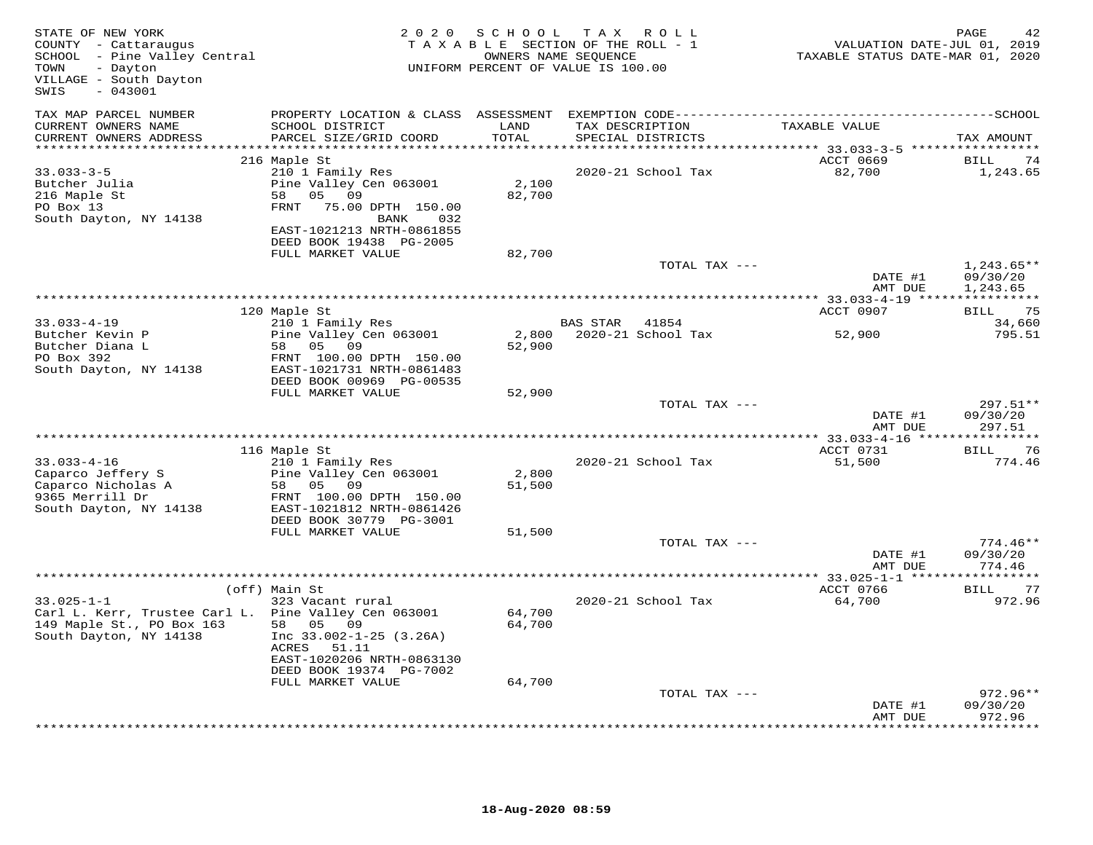| STATE OF NEW YORK<br>COUNTY - Cattaraugus<br>SCHOOL - Pine Valley Central<br>- Dayton<br>TOWN<br>VILLAGE - South Dayton<br>$-043001$<br>SWIS |                                                                                                                                                              | 2020 SCHOOL                              | TAX ROLL<br>TAXABLE SECTION OF THE ROLL - 1<br>OWNERS NAME SEQUENCE<br>UNIFORM PERCENT OF VALUE IS 100.00 | VALUATION DATE-JUL 01, 2019<br>TAXABLE STATUS DATE-MAR 01, 2020 | PAGE                   |
|----------------------------------------------------------------------------------------------------------------------------------------------|--------------------------------------------------------------------------------------------------------------------------------------------------------------|------------------------------------------|-----------------------------------------------------------------------------------------------------------|-----------------------------------------------------------------|------------------------|
| TAX MAP PARCEL NUMBER                                                                                                                        | PROPERTY LOCATION & CLASS ASSESSMENT                                                                                                                         |                                          |                                                                                                           |                                                                 |                        |
| CURRENT OWNERS NAME<br>CURRENT OWNERS ADDRESS<br>**********************                                                                      | SCHOOL DISTRICT<br>PARCEL SIZE/GRID COORD                                                                                                                    | LAND<br>TOTAL<br>* * * * * * * * * * * * | TAX DESCRIPTION<br>SPECIAL DISTRICTS                                                                      | TAXABLE VALUE                                                   | TAX AMOUNT             |
|                                                                                                                                              | 216 Maple St                                                                                                                                                 |                                          |                                                                                                           | ACCT 0669                                                       | BILL<br>74             |
| $33.033 - 3 - 5$<br>Butcher Julia<br>216 Maple St<br>PO Box 13<br>South Dayton, NY 14138                                                     | 210 1 Family Res<br>Pine Valley Cen 063001<br>58 05 09<br>75.00 DPTH 150.00<br>FRNT<br>BANK<br>032<br>EAST-1021213 NRTH-0861855                              | 2,100<br>82,700                          | 2020-21 School Tax                                                                                        | 82,700                                                          | 1,243.65               |
|                                                                                                                                              | DEED BOOK 19438 PG-2005<br>FULL MARKET VALUE                                                                                                                 | 82,700                                   |                                                                                                           |                                                                 |                        |
|                                                                                                                                              |                                                                                                                                                              |                                          | TOTAL TAX ---                                                                                             |                                                                 | $1,243.65**$           |
|                                                                                                                                              |                                                                                                                                                              |                                          |                                                                                                           | DATE #1<br>AMT DUE                                              | 09/30/20<br>1,243.65   |
|                                                                                                                                              | 120 Maple St                                                                                                                                                 |                                          |                                                                                                           | ACCT 0907                                                       | BILL<br>75             |
| $33.033 - 4 - 19$                                                                                                                            | 210 1 Family Res                                                                                                                                             |                                          | <b>BAS STAR</b><br>41854                                                                                  |                                                                 | 34,660                 |
| Butcher Kevin P<br>Butcher Diana L<br>PO Box 392<br>South Dayton, NY 14138                                                                   | Pine Valley Cen 063001<br>58 05 09<br>FRNT 100.00 DPTH 150.00<br>EAST-1021731 NRTH-0861483                                                                   | 52,900                                   | 2,800 2020-21 School Tax                                                                                  | 52,900                                                          | 795.51                 |
|                                                                                                                                              | DEED BOOK 00969 PG-00535                                                                                                                                     |                                          |                                                                                                           |                                                                 |                        |
|                                                                                                                                              | FULL MARKET VALUE                                                                                                                                            | 52,900                                   | TOTAL TAX ---                                                                                             |                                                                 | $297.51**$             |
|                                                                                                                                              |                                                                                                                                                              |                                          |                                                                                                           | DATE #1<br>AMT DUE                                              | 09/30/20<br>297.51     |
|                                                                                                                                              | 116 Maple St                                                                                                                                                 |                                          |                                                                                                           | ACCT 0731                                                       | 76                     |
| $33.033 - 4 - 16$<br>Caparco Jeffery S<br>Caparco Nicholas A<br>9365 Merrill Dr                                                              | 210 1 Family Res<br>Pine Valley Cen 063001<br>58 05 09<br>FRNT 100.00 DPTH 150.00                                                                            | 2,800<br>51,500                          | 2020-21 School Tax                                                                                        | 51,500                                                          | BILL<br>774.46         |
| South Dayton, NY 14138                                                                                                                       | EAST-1021812 NRTH-0861426<br>DEED BOOK 30779 PG-3001<br>FULL MARKET VALUE                                                                                    | 51,500                                   |                                                                                                           |                                                                 |                        |
|                                                                                                                                              |                                                                                                                                                              |                                          | TOTAL TAX ---                                                                                             | DATE #1                                                         | $774.46**$<br>09/30/20 |
|                                                                                                                                              |                                                                                                                                                              |                                          |                                                                                                           | AMT DUE                                                         | 774.46                 |
|                                                                                                                                              | (off) Main St                                                                                                                                                |                                          |                                                                                                           | ACCT 0766                                                       | BILL 77                |
| $33.025 - 1 - 1$<br>Carl L. Kerr, Trustee Carl L. Pine Valley Cen 063001<br>149 Maple St., PO Box 163<br>South Dayton, NY 14138              | 323 Vacant rural<br>58 05 09<br>Inc $33.002 - 1 - 25$ (3.26A)<br>ACRES<br>51.11<br>EAST-1020206 NRTH-0863130<br>DEED BOOK 19374 PG-7002<br>FULL MARKET VALUE | 64,700<br>64,700<br>64,700               | 2020-21 School Tax                                                                                        | 64,700                                                          | 972.96                 |
|                                                                                                                                              |                                                                                                                                                              |                                          | TOTAL TAX ---                                                                                             |                                                                 | $972.96**$             |
|                                                                                                                                              |                                                                                                                                                              |                                          |                                                                                                           | DATE #1<br>AMT DUE                                              | 09/30/20<br>972.96     |
|                                                                                                                                              |                                                                                                                                                              |                                          |                                                                                                           |                                                                 | ********               |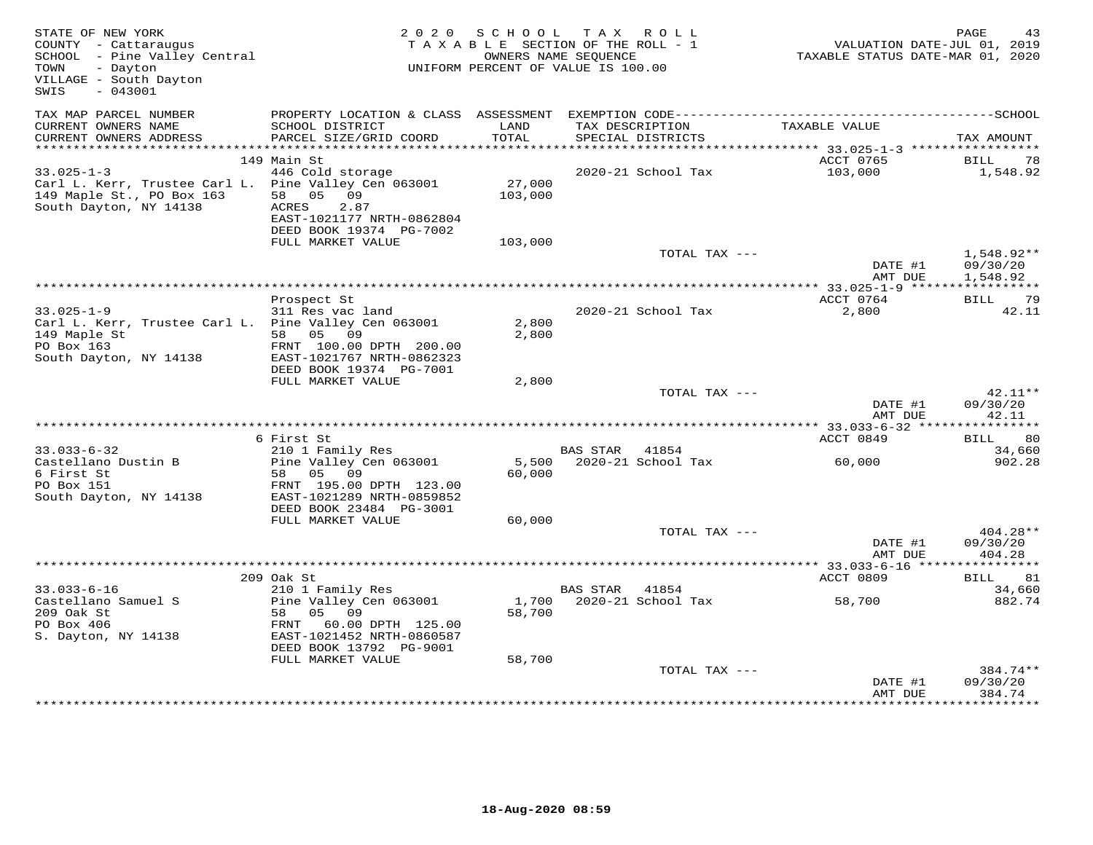| STATE OF NEW YORK<br>COUNTY - Cattaraugus<br>SCHOOL - Pine Valley Central<br>- Dayton<br>TOWN<br>VILLAGE - South Dayton<br>$-043001$<br>SWIS | 2 0 2 0                                                                                                                                           | SCHOOL            | T A X<br>R O L L<br>TAXABLE SECTION OF THE ROLL - 1<br>OWNERS NAME SEQUENCE<br>UNIFORM PERCENT OF VALUE IS 100.00 | VALUATION DATE-JUL 01, 2019<br>TAXABLE STATUS DATE-MAR 01, 2020 | PAGE<br>43                      |
|----------------------------------------------------------------------------------------------------------------------------------------------|---------------------------------------------------------------------------------------------------------------------------------------------------|-------------------|-------------------------------------------------------------------------------------------------------------------|-----------------------------------------------------------------|---------------------------------|
| TAX MAP PARCEL NUMBER                                                                                                                        |                                                                                                                                                   |                   |                                                                                                                   |                                                                 |                                 |
| CURRENT OWNERS NAME<br>CURRENT OWNERS ADDRESS                                                                                                | SCHOOL DISTRICT<br>PARCEL SIZE/GRID COORD                                                                                                         | LAND<br>TOTAL     | TAX DESCRIPTION<br>SPECIAL DISTRICTS                                                                              | TAXABLE VALUE                                                   | TAX AMOUNT                      |
| ***********************                                                                                                                      | 149 Main St                                                                                                                                       |                   |                                                                                                                   | ACCT 0765                                                       | BILL<br>78                      |
| $33.025 - 1 - 3$<br>Carl L. Kerr, Trustee Carl L.<br>149 Maple St., PO Box 163<br>South Dayton, NY 14138                                     | 446 Cold storage<br>Pine Valley Cen 063001<br>05<br>58<br>09<br><b>ACRES</b><br>2.87<br>EAST-1021177 NRTH-0862804<br>DEED BOOK 19374 PG-7002      | 27,000<br>103,000 | 2020-21 School Tax                                                                                                | 103,000                                                         | 1,548.92                        |
|                                                                                                                                              | FULL MARKET VALUE                                                                                                                                 | 103,000           | TOTAL TAX ---                                                                                                     |                                                                 | $1,548.92**$                    |
|                                                                                                                                              |                                                                                                                                                   |                   |                                                                                                                   | DATE #1<br>AMT DUE                                              | 09/30/20<br>1,548.92            |
|                                                                                                                                              |                                                                                                                                                   |                   |                                                                                                                   | ACCT 0764                                                       | 79                              |
| $33.025 - 1 - 9$<br>Carl L. Kerr, Trustee Carl L. Pine Valley Cen 063001<br>149 Maple St<br>PO Box 163<br>South Dayton, NY 14138             | Prospect St<br>311 Res vac land<br>58 05 09<br>FRNT 100.00 DPTH 200.00<br>EAST-1021767 NRTH-0862323<br>DEED BOOK 19374 PG-7001                    | 2,800<br>2,800    | 2020-21 School Tax                                                                                                | 2,800                                                           | BILL<br>42.11                   |
|                                                                                                                                              | FULL MARKET VALUE                                                                                                                                 | 2,800             |                                                                                                                   |                                                                 |                                 |
|                                                                                                                                              |                                                                                                                                                   |                   | TOTAL TAX ---                                                                                                     | DATE #1<br>AMT DUE                                              | $42.11**$<br>09/30/20<br>42.11  |
|                                                                                                                                              |                                                                                                                                                   |                   |                                                                                                                   |                                                                 |                                 |
|                                                                                                                                              | 6 First St                                                                                                                                        |                   |                                                                                                                   | ACCT 0849                                                       | -80<br>BILL                     |
| $33.033 - 6 - 32$<br>Castellano Dustin B                                                                                                     | 210 1 Family Res<br>Pine Valley Cen 063001                                                                                                        | 5,500             | BAS STAR 41854<br>2020-21 School Tax                                                                              | 60,000                                                          | 34,660<br>902.28                |
| 6 First St<br>PO Box 151<br>South Dayton, NY 14138                                                                                           | 58<br>05 09<br>FRNT 195.00 DPTH 123.00<br>EAST-1021289 NRTH-0859852<br>DEED BOOK 23484 PG-3001<br>FULL MARKET VALUE                               | 60,000<br>60,000  |                                                                                                                   |                                                                 |                                 |
|                                                                                                                                              |                                                                                                                                                   |                   | TOTAL TAX ---                                                                                                     |                                                                 | $404.28**$                      |
|                                                                                                                                              |                                                                                                                                                   |                   |                                                                                                                   | DATE #1<br>AMT DUE                                              | 09/30/20<br>404.28              |
|                                                                                                                                              |                                                                                                                                                   |                   |                                                                                                                   |                                                                 |                                 |
| $33.033 - 6 - 16$                                                                                                                            | 209 Oak St                                                                                                                                        |                   | BAS STAR<br>41854                                                                                                 | ACCT 0809                                                       | BILL<br>81<br>34,660            |
| Castellano Samuel S<br>209 Oak St<br>PO Box 406<br>S. Dayton, NY 14138                                                                       | 210 1 Family Res<br>Pine Valley Cen 063001<br>58<br>05<br>09<br>60.00 DPTH 125.00<br>FRNT<br>EAST-1021452 NRTH-0860587<br>DEED BOOK 13792 PG-9001 | 58,700            | 1,700 2020-21 School Tax                                                                                          | 58,700                                                          | 882.74                          |
|                                                                                                                                              | FULL MARKET VALUE                                                                                                                                 | 58,700            |                                                                                                                   |                                                                 |                                 |
|                                                                                                                                              |                                                                                                                                                   |                   | TOTAL TAX ---                                                                                                     | DATE #1<br>AMT DUE                                              | 384.74 **<br>09/30/20<br>384.74 |
|                                                                                                                                              |                                                                                                                                                   |                   |                                                                                                                   |                                                                 |                                 |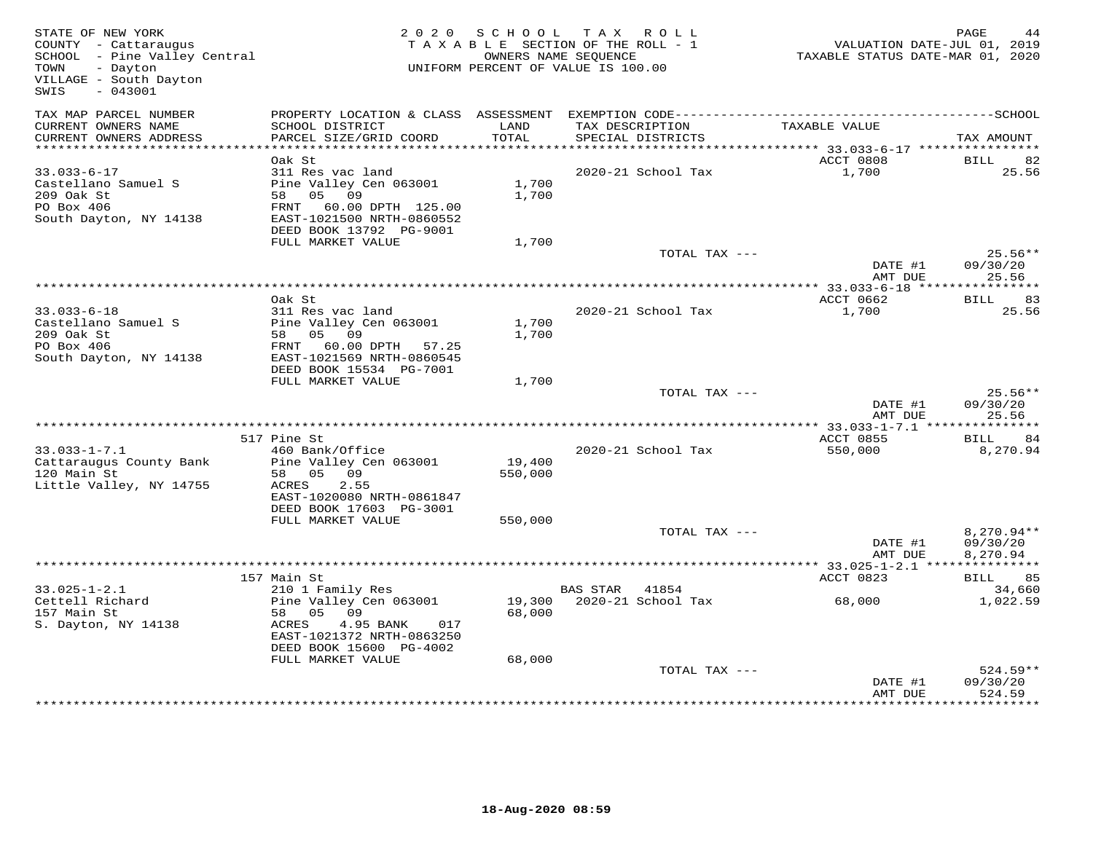| STATE OF NEW YORK<br>COUNTY - Cattaraugus<br>SCHOOL - Pine Valley Central<br>- Dayton<br>TOWN<br>VILLAGE - South Dayton<br>$-043001$<br>SWIS |                                                                                                                                         |                   | 2020 SCHOOL TAX ROLL<br>TAXABLE SECTION OF THE ROLL - 1<br>OWNERS NAME SEOUENCE<br>UNIFORM PERCENT OF VALUE IS 100.00 | VALUATION DATE-JUL 01, 2019<br>TAXABLE STATUS DATE-MAR 01, 2020 | PAGE                                 |
|----------------------------------------------------------------------------------------------------------------------------------------------|-----------------------------------------------------------------------------------------------------------------------------------------|-------------------|-----------------------------------------------------------------------------------------------------------------------|-----------------------------------------------------------------|--------------------------------------|
| TAX MAP PARCEL NUMBER<br>CURRENT OWNERS NAME                                                                                                 | SCHOOL DISTRICT                                                                                                                         | LAND              | TAX DESCRIPTION                                                                                                       | TAXABLE VALUE                                                   |                                      |
| CURRENT OWNERS ADDRESS<br>***********************                                                                                            | PARCEL SIZE/GRID COORD                                                                                                                  | TOTAL             | SPECIAL DISTRICTS                                                                                                     |                                                                 | TAX AMOUNT                           |
|                                                                                                                                              | Oak St                                                                                                                                  |                   |                                                                                                                       | ACCT 0808                                                       | BILL<br>82                           |
| $33.033 - 6 - 17$<br>Castellano Samuel S<br>209 Oak St<br>PO Box 406<br>South Dayton, NY 14138                                               | 311 Res vac land<br>Pine Valley Cen 063001<br>58 05 09<br>FRNT 60.00 DPTH 125.00<br>EAST-1021500 NRTH-0860552                           | 1,700<br>1,700    | 2020-21 School Tax                                                                                                    | 1,700                                                           | 25.56                                |
|                                                                                                                                              | DEED BOOK 13792 PG-9001                                                                                                                 |                   |                                                                                                                       |                                                                 |                                      |
|                                                                                                                                              | FULL MARKET VALUE                                                                                                                       | 1,700             |                                                                                                                       |                                                                 |                                      |
|                                                                                                                                              |                                                                                                                                         |                   | TOTAL TAX ---                                                                                                         | DATE #1<br>AMT DUE                                              | $25.56**$<br>09/30/20<br>25.56       |
|                                                                                                                                              |                                                                                                                                         |                   |                                                                                                                       |                                                                 |                                      |
|                                                                                                                                              | Oak St                                                                                                                                  |                   |                                                                                                                       | ACCT 0662                                                       | BILL 83                              |
| $33.033 - 6 - 18$<br>Castellano Samuel S<br>209 Oak St<br>PO Box 406<br>South Dayton, NY 14138                                               | 311 Res vac land<br>Pine Valley Cen 063001<br>58 05 09<br>FRNT 60.00 DPTH 57.25<br>EAST-1021569 NRTH-0860545<br>DEED BOOK 15534 PG-7001 | 1,700<br>1,700    | 2020-21 School Tax                                                                                                    | 1,700                                                           | 25.56                                |
|                                                                                                                                              | FULL MARKET VALUE                                                                                                                       | 1,700             |                                                                                                                       |                                                                 |                                      |
|                                                                                                                                              |                                                                                                                                         |                   | TOTAL TAX ---                                                                                                         | DATE #1<br>AMT DUE                                              | $25.56**$<br>09/30/20<br>25.56       |
|                                                                                                                                              |                                                                                                                                         |                   |                                                                                                                       |                                                                 |                                      |
|                                                                                                                                              | 517 Pine St                                                                                                                             |                   |                                                                                                                       | ACCT 0855                                                       | 84<br>BILL                           |
| $33.033 - 1 - 7.1$<br>Cattaraugus County Bank<br>120 Main St<br>Little Valley, NY 14755                                                      | 460 Bank/Office<br>Pine Valley Cen 063001<br>58 05 09<br>2.55<br>ACRES                                                                  | 19,400<br>550,000 | 2020-21 School Tax                                                                                                    | 550,000                                                         | 8,270.94                             |
|                                                                                                                                              | EAST-1020080 NRTH-0861847<br>DEED BOOK 17603 PG-3001                                                                                    |                   |                                                                                                                       |                                                                 |                                      |
|                                                                                                                                              | FULL MARKET VALUE                                                                                                                       | 550,000           |                                                                                                                       |                                                                 |                                      |
|                                                                                                                                              |                                                                                                                                         |                   | TOTAL TAX ---                                                                                                         | DATE #1<br>AMT DUE                                              | $8,270.94**$<br>09/30/20<br>8,270.94 |
|                                                                                                                                              |                                                                                                                                         |                   |                                                                                                                       | ***** 33.025-1-2.1 ***************                              |                                      |
|                                                                                                                                              | 157 Main St                                                                                                                             |                   |                                                                                                                       | ACCT 0823                                                       | BILL 85                              |
| $33.025 - 1 - 2.1$<br>Cettell Richard<br>157 Main St<br>S. Dayton, NY 14138                                                                  | 210 1 Family Res<br>Pine Valley Cen 063001<br>58 05 09<br>4.95 BANK<br>ACRES<br>017<br>EAST-1021372 NRTH-0863250                        | 68,000            | BAS STAR 41854<br>19,300 2020-21 School Tax                                                                           | 68,000                                                          | 34,660<br>1,022.59                   |
|                                                                                                                                              | DEED BOOK 15600 PG-4002                                                                                                                 |                   |                                                                                                                       |                                                                 |                                      |
|                                                                                                                                              | FULL MARKET VALUE                                                                                                                       | 68,000            | TOTAL TAX ---                                                                                                         | DATE #1<br>AMT DUE                                              | $524.59**$<br>09/30/20<br>524.59     |
|                                                                                                                                              |                                                                                                                                         |                   |                                                                                                                       |                                                                 |                                      |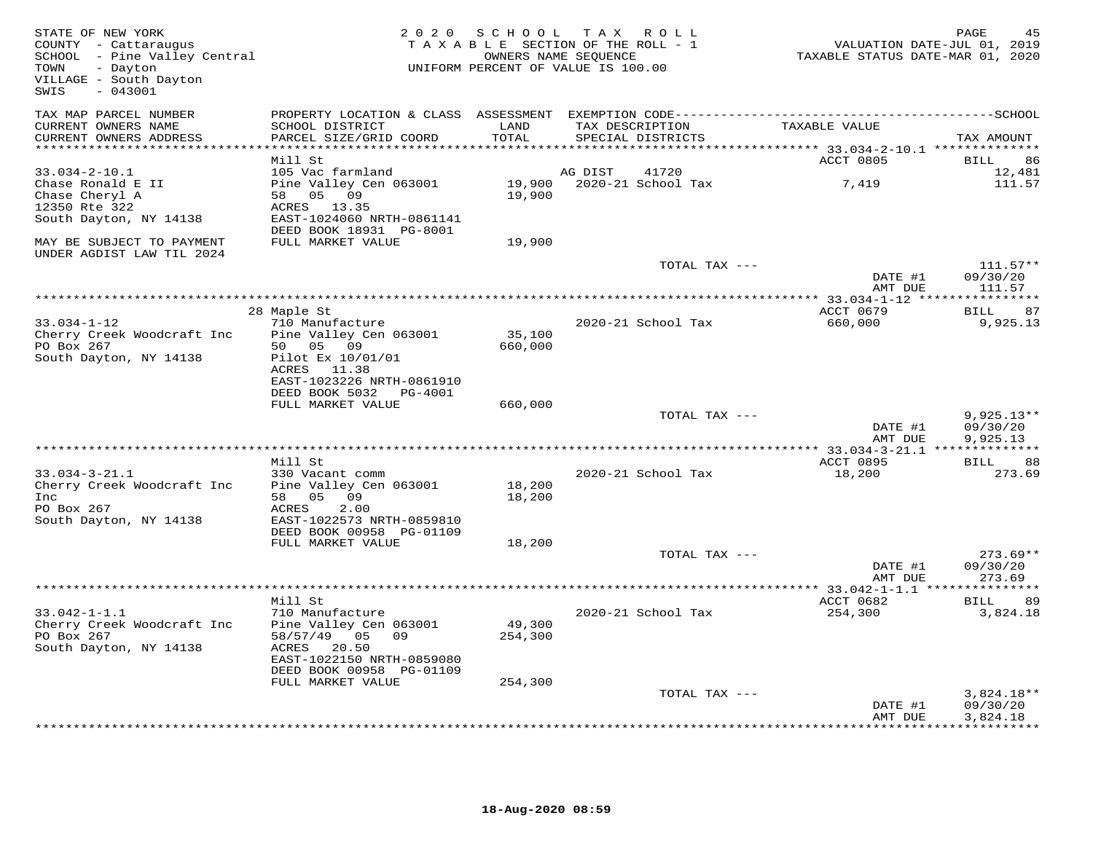| STATE OF NEW YORK<br>COUNTY - Cattaraugus<br>SCHOOL - Pine Valley Central<br>- Dayton<br>TOWN<br>VILLAGE - South Dayton<br>$-043001$<br>SWIS |                                                                                                                       | 2020 SCHOOL                  | TAX ROLL<br>TAXABLE SECTION OF THE ROLL - 1<br>OWNERS NAME SEQUENCE<br>UNIFORM PERCENT OF VALUE IS 100.00 | VALUATION DATE-JUL 01, 2019<br>TAXABLE STATUS DATE-MAR 01, 2020       | PAGE                             |
|----------------------------------------------------------------------------------------------------------------------------------------------|-----------------------------------------------------------------------------------------------------------------------|------------------------------|-----------------------------------------------------------------------------------------------------------|-----------------------------------------------------------------------|----------------------------------|
| TAX MAP PARCEL NUMBER                                                                                                                        | PROPERTY LOCATION & CLASS ASSESSMENT EXEMPTION CODE-----------------------------------SCHOOL                          |                              |                                                                                                           |                                                                       |                                  |
| CURRENT OWNERS NAME<br>CURRENT OWNERS ADDRESS                                                                                                | SCHOOL DISTRICT<br>PARCEL SIZE/GRID COORD                                                                             | LAND<br>TOTAL<br>*********** | TAX DESCRIPTION<br>SPECIAL DISTRICTS                                                                      | TAXABLE VALUE                                                         | TAX AMOUNT                       |
|                                                                                                                                              | Mill St                                                                                                               |                              |                                                                                                           | *************************** 33.034-2-10.1 **************<br>ACCT 0805 | BILL<br>86                       |
| $33.034 - 2 - 10.1$<br>Chase Ronald E II<br>Chase Cheryl A<br>12350 Rte 322                                                                  | 105 Vac farmland<br>Pine Valley Cen 063001<br>58 05 09<br>ACRES 13.35                                                 | 19,900                       | AG DIST<br>41720<br>19,900 2020-21 School Tax                                                             | 7,419                                                                 | 12,481<br>111.57                 |
| South Dayton, NY 14138                                                                                                                       | EAST-1024060 NRTH-0861141<br>DEED BOOK 18931 PG-8001                                                                  |                              |                                                                                                           |                                                                       |                                  |
| MAY BE SUBJECT TO PAYMENT<br>UNDER AGDIST LAW TIL 2024                                                                                       | FULL MARKET VALUE                                                                                                     | 19,900                       |                                                                                                           |                                                                       |                                  |
|                                                                                                                                              |                                                                                                                       |                              | TOTAL TAX ---                                                                                             |                                                                       | $111.57**$                       |
|                                                                                                                                              |                                                                                                                       |                              |                                                                                                           | DATE #1<br>AMT DUE                                                    | 09/30/20<br>111.57               |
|                                                                                                                                              |                                                                                                                       |                              |                                                                                                           | ************** 33.034-1-12 *****************                          |                                  |
|                                                                                                                                              | 28 Maple St                                                                                                           |                              |                                                                                                           | ACCT 0679                                                             | BILL<br>87                       |
| $33.034 - 1 - 12$<br>Cherry Creek Woodcraft Inc<br>PO Box 267<br>South Dayton, NY 14138                                                      | 710 Manufacture<br>Pine Valley Cen 063001<br>50 05 09<br>Pilot Ex 10/01/01<br>ACRES 11.38                             | 35,100<br>660,000            | 2020-21 School Tax                                                                                        | 660,000                                                               | 9,925.13                         |
|                                                                                                                                              | EAST-1023226 NRTH-0861910<br>DEED BOOK 5032 PG-4001                                                                   |                              |                                                                                                           |                                                                       |                                  |
|                                                                                                                                              | FULL MARKET VALUE                                                                                                     | 660,000                      | TOTAL TAX ---                                                                                             |                                                                       | $9,925.13**$                     |
|                                                                                                                                              |                                                                                                                       |                              |                                                                                                           | DATE #1<br>AMT DUE                                                    | 09/30/20<br>9,925.13             |
|                                                                                                                                              | Mill St                                                                                                               |                              |                                                                                                           | *************** 33.034-3-21.1 ***************                         | 88                               |
| $33.034 - 3 - 21.1$<br>Cherry Creek Woodcraft Inc                                                                                            | 330 Vacant comm<br>Pine Valley Cen 063001                                                                             | 18,200                       | 2020-21 School Tax                                                                                        | ACCT 0895<br>18,200                                                   | <b>BILL</b><br>273.69            |
| Inc<br>PO Box 267<br>South Dayton, NY 14138                                                                                                  | 58 05 09<br>2.00<br>ACRES<br>EAST-1022573 NRTH-0859810<br>DEED BOOK 00958 PG-01109                                    | 18,200                       |                                                                                                           |                                                                       |                                  |
|                                                                                                                                              | FULL MARKET VALUE                                                                                                     | 18,200                       |                                                                                                           |                                                                       |                                  |
|                                                                                                                                              |                                                                                                                       |                              | TOTAL TAX ---                                                                                             | DATE #1<br>AMT DUE                                                    | $273.69**$<br>09/30/20<br>273.69 |
|                                                                                                                                              |                                                                                                                       |                              |                                                                                                           |                                                                       |                                  |
| $33.042 - 1 - 1.1$<br>Cherry Creek Woodcraft Inc<br>PO Box 267<br>South Dayton, NY 14138                                                     | Mill St<br>710 Manufacture<br>Pine Valley Cen 063001<br>58/57/49 05 09<br>ACRES<br>20.50<br>EAST-1022150 NRTH-0859080 | 49,300<br>254,300            | 2020-21 School Tax                                                                                        | ACCT 0682<br>254,300                                                  | 89<br>BILL<br>3,824.18           |
|                                                                                                                                              | DEED BOOK 00958 PG-01109<br>FULL MARKET VALUE                                                                         | 254,300                      |                                                                                                           |                                                                       |                                  |
|                                                                                                                                              |                                                                                                                       |                              | TOTAL TAX ---                                                                                             | DATE #1                                                               | $3,824.18**$<br>09/30/20         |
|                                                                                                                                              |                                                                                                                       |                              |                                                                                                           | AMT DUE                                                               | 3,824.18<br>************         |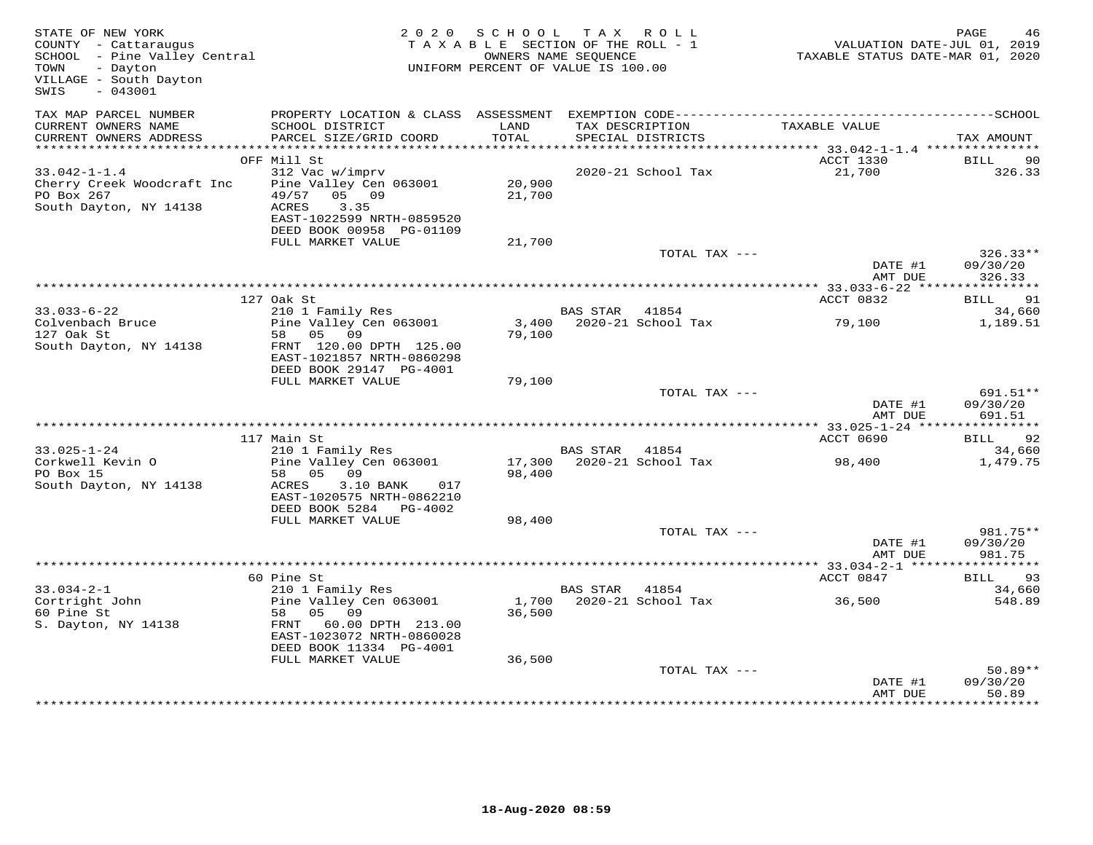| STATE OF NEW YORK<br>STATE OF NEW YORK<br>COUNTY - Cattaraugus<br>SCHOOL - Pine Valley Central<br>December<br>- Dayton<br>VILLAGE - South Dayton<br>SWIS<br>$-043001$ |                                                                                                                                           | 2020 SCHOOL TAX ROLL<br>TAXABLE SECTION OF THE ROLL - 1<br>OWNERS NAME SEQUENCE<br>UNIFORM PERCENT OF VALUE IS 100.00 |                |                                      | VALUATION DATE-JUL 01, 2019<br>TAXABLE STATUS DATE-MAR 01, 2020 | PAGE<br>46                                |
|-----------------------------------------------------------------------------------------------------------------------------------------------------------------------|-------------------------------------------------------------------------------------------------------------------------------------------|-----------------------------------------------------------------------------------------------------------------------|----------------|--------------------------------------|-----------------------------------------------------------------|-------------------------------------------|
| TAX MAP PARCEL NUMBER<br>CURRENT OWNERS NAME<br>CURRENT OWNERS ADDRESS                                                                                                | SCHOOL DISTRICT<br>PARCEL SIZE/GRID COORD                                                                                                 | LAND<br>TOTAL                                                                                                         |                | TAX DESCRIPTION<br>SPECIAL DISTRICTS | TAXABLE VALUE                                                   | TAX AMOUNT                                |
|                                                                                                                                                                       |                                                                                                                                           |                                                                                                                       |                |                                      |                                                                 |                                           |
|                                                                                                                                                                       | OFF Mill St                                                                                                                               |                                                                                                                       |                |                                      | ACCT 1330                                                       | <b>BILL</b><br>90                         |
| $33.042 - 1 - 1.4$<br>Cherry Creek Woodcraft Inc<br>PO Box 267<br>South Dayton, NY 14138                                                                              | 312 Vac w/imprv<br>Pine Valley Cen 063001 20,900<br>49/57 05 09<br>3.35<br>ACRES<br>EAST-1022599 NRTH-0859520<br>DEED BOOK 00958 PG-01109 | 21,700                                                                                                                |                | 2020-21 School Tax                   | 21,700                                                          | 326.33                                    |
|                                                                                                                                                                       | FULL MARKET VALUE                                                                                                                         | 21,700                                                                                                                |                |                                      |                                                                 |                                           |
|                                                                                                                                                                       |                                                                                                                                           |                                                                                                                       |                | TOTAL TAX ---                        | DATE #1<br>AMT DUE                                              | $326.33**$<br>09/30/20<br>326.33          |
|                                                                                                                                                                       |                                                                                                                                           |                                                                                                                       |                |                                      |                                                                 |                                           |
|                                                                                                                                                                       | 127 Oak St                                                                                                                                |                                                                                                                       |                |                                      | ACCT 0832                                                       | BILL 91                                   |
| $33.033 - 6 - 22$<br>33.033-0 LL<br>Colvenbach Bruce<br>127 Oak St<br>South Dayton, NY 14138                                                                          | 210 1 Family Res<br>Pine Valley Cen 063001<br>58 05 09<br>FRNT 120.00 DPTH 125.00                                                         | 79,100                                                                                                                | BAS STAR 41854 |                                      | 3,400 2020-21 School Tax 79,100                                 | 34,660<br>1,189.51                        |
|                                                                                                                                                                       | EAST-1021857 NRTH-0860298<br>DEED BOOK 29147 PG-4001<br>FULL MARKET VALUE                                                                 | 79,100                                                                                                                |                |                                      |                                                                 |                                           |
|                                                                                                                                                                       |                                                                                                                                           |                                                                                                                       |                | TOTAL TAX ---                        |                                                                 | 691.51**                                  |
|                                                                                                                                                                       |                                                                                                                                           |                                                                                                                       |                |                                      | DATE #1<br>AMT DUE                                              | 09/30/20<br>691.51                        |
|                                                                                                                                                                       | 117 Main St                                                                                                                               |                                                                                                                       |                |                                      | ACCT 0690                                                       | BILL 92                                   |
| $33.025 - 1 - 24$                                                                                                                                                     | 210 1 Family Res                                                                                                                          |                                                                                                                       | BAS STAR 41854 |                                      |                                                                 | 34,660                                    |
| Corkwell Kevin O<br>PO Box 15                                                                                                                                         | Pine Valley Cen 063001<br>58 05 09                                                                                                        | 98,400                                                                                                                |                | 17,300 2020-21 School Tax            | 98,400                                                          | 1,479.75                                  |
| South Dayton, NY 14138                                                                                                                                                | ACRES<br>3.10 BANK 017<br>EAST-1020575 NRTH-0862210<br>DEED BOOK 5284 PG-4002                                                             |                                                                                                                       |                |                                      |                                                                 |                                           |
|                                                                                                                                                                       | FULL MARKET VALUE                                                                                                                         | 98,400                                                                                                                |                |                                      |                                                                 |                                           |
|                                                                                                                                                                       |                                                                                                                                           |                                                                                                                       |                | TOTAL TAX ---                        | DATE #1<br>AMT DUE                                              | 981.75**<br>09/30/20<br>981.75            |
|                                                                                                                                                                       |                                                                                                                                           |                                                                                                                       |                |                                      |                                                                 |                                           |
|                                                                                                                                                                       | 60 Pine St                                                                                                                                |                                                                                                                       |                |                                      | ACCT 0847                                                       | BILL<br>93                                |
| $33.034 - 2 - 1$<br>Cortright John<br>60 Pine St<br>S. Dayton, NY 14138                                                                                               | 210 1 Family Res<br>Pine Valley Cen 063001<br>58   05   09<br>FRNT 60.00 DPTH 213.00<br>EAST-1023072 NRTH-0860028                         | 36,500                                                                                                                | BAS STAR 41854 | 1,700 2020-21 School Tax             | 36,500                                                          | 34,660<br>548.89                          |
|                                                                                                                                                                       | DEED BOOK 11334 PG-4001<br>FULL MARKET VALUE                                                                                              | 36,500                                                                                                                |                |                                      |                                                                 |                                           |
|                                                                                                                                                                       |                                                                                                                                           |                                                                                                                       |                | TOTAL TAX ---                        | DATE #1<br>AMT DUE                                              | $50.89**$<br>09/30/20<br>50.89<br>******* |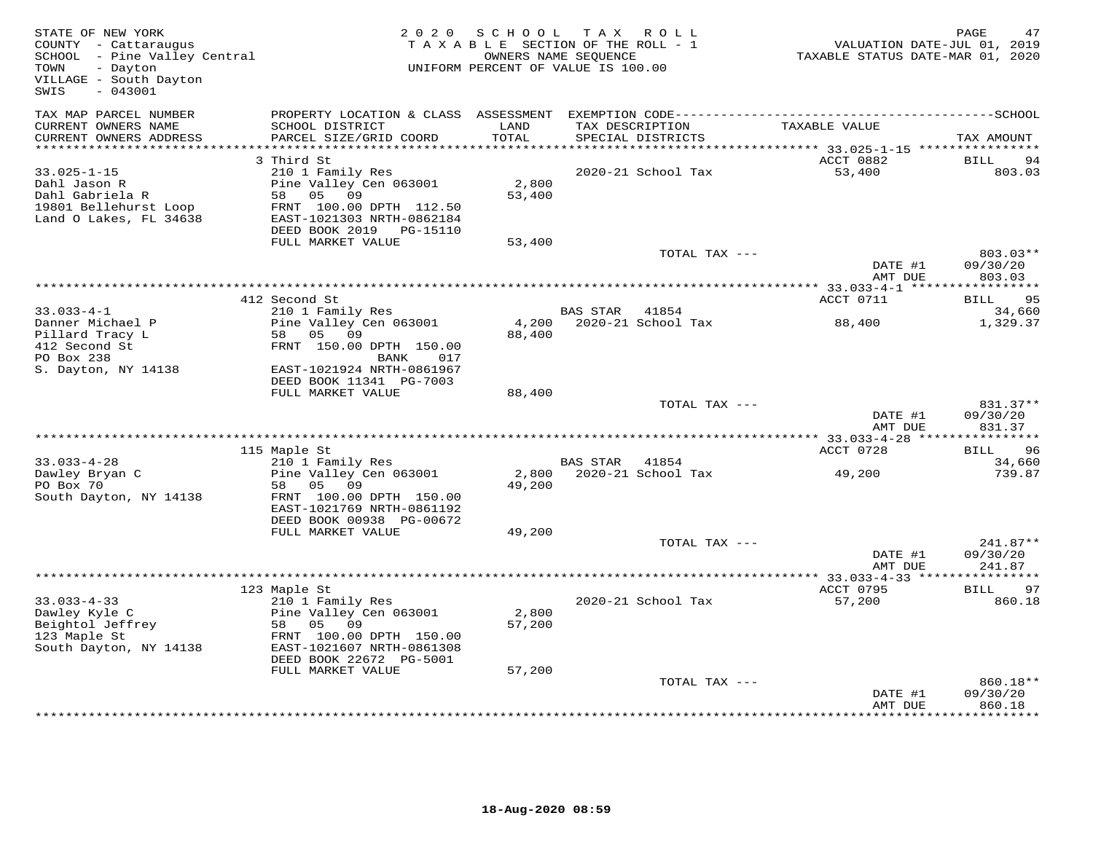| STATE OF NEW YORK<br>COUNTY - Cattaraugus<br>SCHOOL - Pine Valley Central<br>TOWN<br>- Dayton<br>VILLAGE - South Dayton<br>$-043001$<br>SWIS |                                                                                                                                                                   | 2020 SCHOOL TAX ROLL<br>TAXABLE SECTION OF THE ROLL - 1<br>UNIFORM PERCENT OF VALUE IS 100.00 | OWNERS NAME SEQUENCE |                    | TAXABLE STATUS DATE-MAR 01, 2020 | PAGE<br>47<br>VALUATION DATE-JUL 01, 2019 |
|----------------------------------------------------------------------------------------------------------------------------------------------|-------------------------------------------------------------------------------------------------------------------------------------------------------------------|-----------------------------------------------------------------------------------------------|----------------------|--------------------|----------------------------------|-------------------------------------------|
| TAX MAP PARCEL NUMBER<br>CURRENT OWNERS NAME<br>CURRENT OWNERS ADDRESS<br>*************************                                          | SCHOOL DISTRICT<br>PARCEL SIZE/GRID COORD                                                                                                                         | LAND<br>TOTAL                                                                                 | TAX DESCRIPTION      | SPECIAL DISTRICTS  | TAXABLE VALUE                    | TAX AMOUNT                                |
|                                                                                                                                              | 3 Third St                                                                                                                                                        |                                                                                               |                      |                    | ACCT 0882                        | BILL<br>94                                |
| $33.025 - 1 - 15$<br>Dahl Jason R<br>Dahl Gabriela R<br>19801 Bellehurst Loop<br>Land O Lakes, FL 34638                                      | 210 1 Family Res<br>Pine Valley Cen 063001<br>09<br>58 05<br>FRNT 100.00 DPTH 112.50<br>EAST-1021303 NRTH-0862184<br>DEED BOOK 2019 PG-15110                      | 2,800<br>53,400                                                                               |                      | 2020-21 School Tax | 53,400                           | 803.03                                    |
|                                                                                                                                              | FULL MARKET VALUE                                                                                                                                                 | 53,400                                                                                        |                      |                    |                                  |                                           |
|                                                                                                                                              |                                                                                                                                                                   |                                                                                               |                      | TOTAL TAX ---      | DATE #1<br>AMT DUE               | 803.03**<br>09/30/20<br>803.03            |
|                                                                                                                                              | 412 Second St                                                                                                                                                     |                                                                                               |                      |                    | ACCT 0711                        | BILL 95                                   |
| $33.033 - 4 - 1$                                                                                                                             | 210 1 Family Res                                                                                                                                                  |                                                                                               | BAS STAR 41854       |                    |                                  | 34,660                                    |
| Danner Michael P<br>Pillard Tracy L<br>412 Second St<br>PO Box 238<br>S. Dayton, NY 14138                                                    | Pine Valley Cen 063001<br>58 05 09<br>FRNT 150.00 DPTH 150.00<br>BANK<br>017<br>EAST-1021924 NRTH-0861967<br>DEED BOOK 11341 PG-7003                              | 4,200<br>88,400                                                                               |                      | 2020-21 School Tax | 88,400                           | 1,329.37                                  |
|                                                                                                                                              | FULL MARKET VALUE                                                                                                                                                 | 88,400                                                                                        |                      |                    |                                  |                                           |
|                                                                                                                                              |                                                                                                                                                                   |                                                                                               |                      | TOTAL TAX ---      | DATE #1<br>AMT DUE               | 831.37**<br>09/30/20<br>831.37            |
|                                                                                                                                              |                                                                                                                                                                   |                                                                                               |                      |                    |                                  |                                           |
| $33.033 - 4 - 28$                                                                                                                            | 115 Maple St<br>210 1 Family Res                                                                                                                                  |                                                                                               | <b>BAS STAR</b>      | 41854              | ACCT 0728                        | 96<br>BILL<br>34,660                      |
| Dawley Bryan C<br>PO Box 70<br>South Dayton, NY 14138                                                                                        | Pine Valley Cen 063001<br>58<br>05<br>09<br>FRNT 100.00 DPTH 150.00<br>EAST-1021769 NRTH-0861192<br>DEED BOOK 00938 PG-00672                                      | 2,800<br>49,200                                                                               |                      | 2020-21 School Tax | 49,200                           | 739.87                                    |
|                                                                                                                                              | FULL MARKET VALUE                                                                                                                                                 | 49,200                                                                                        |                      | TOTAL TAX ---      |                                  | 241.87**                                  |
|                                                                                                                                              |                                                                                                                                                                   |                                                                                               |                      |                    | DATE #1<br>AMT DUE               | 09/30/20<br>241.87                        |
|                                                                                                                                              | 123 Maple St                                                                                                                                                      |                                                                                               |                      |                    | ACCT 0795                        | 97<br>BILL                                |
| $33.033 - 4 - 33$<br>Dawley Kyle C<br>Beightol Jeffrey<br>123 Maple St<br>South Dayton, NY 14138                                             | 210 1 Family Res<br>Pine Valley Cen 063001<br>58<br>05 09<br>FRNT 100.00 DPTH 150.00<br>EAST-1021607 NRTH-0861308<br>DEED BOOK 22672 PG-5001<br>FULL MARKET VALUE | 2,800<br>57,200<br>57,200                                                                     |                      | 2020-21 School Tax | 57,200                           | 860.18                                    |
|                                                                                                                                              |                                                                                                                                                                   |                                                                                               |                      | TOTAL TAX ---      |                                  | 860.18**                                  |
|                                                                                                                                              |                                                                                                                                                                   |                                                                                               |                      |                    | DATE #1<br>AMT DUE               | 09/30/20<br>860.18                        |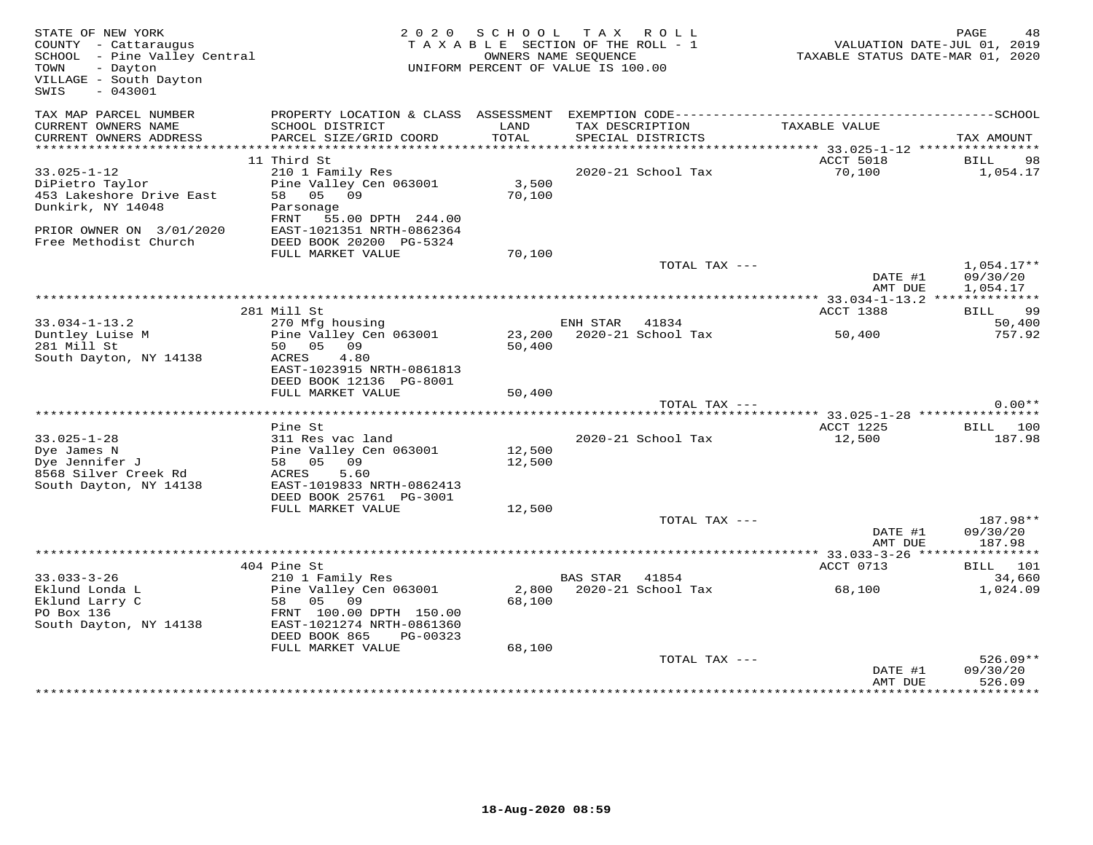| STATE OF NEW YORK<br>COUNTY - Cattaraugus<br>COUNIY - Cattaraugus<br>SCHOOL - Pine Valley Central<br>- Dayton<br>TOWN<br>VILLAGE - South Dayton<br>SWIS<br>$-043001$ |                                                                                                                                           | 2020 SCHOOL      | TAX ROLL<br>TAXABLE SECTION OF THE ROLL - 1<br>OWNERS NAME SEOUENCE<br>UNIFORM PERCENT OF VALUE IS 100.00 | VALUATION DATE-JUL 01, 2019<br>TAXABLE STATUS DATE-MAR 01, 2020 | PAGE<br>48                       |
|----------------------------------------------------------------------------------------------------------------------------------------------------------------------|-------------------------------------------------------------------------------------------------------------------------------------------|------------------|-----------------------------------------------------------------------------------------------------------|-----------------------------------------------------------------|----------------------------------|
| TAX MAP PARCEL NUMBER<br>CURRENT OWNERS NAME<br>CURRENT OWNERS ADDRESS                                                                                               | SCHOOL DISTRICT<br>PARCEL SIZE/GRID COORD                                                                                                 | LAND<br>TOTAL    | TAX DESCRIPTION<br>SPECIAL DISTRICTS                                                                      | TAXABLE VALUE                                                   | TAX AMOUNT                       |
|                                                                                                                                                                      |                                                                                                                                           |                  |                                                                                                           |                                                                 |                                  |
| $33.025 - 1 - 12$<br>DiPietro Taylor<br>453 Lakeshore Drive East<br>Dunkirk, NY 14048<br>PRIOR OWNER ON 3/01/2020                                                    | 11 Third St<br>210 1 Family Res<br>Pine Valley Cen 063001<br>58 05 09<br>Parsonage<br>FRNT 55.00 DPTH 244.00<br>EAST-1021351 NRTH-0862364 | 3,500<br>70,100  | 2020-21 School Tax                                                                                        | <b>ACCT 5018</b><br>70,100                                      | <b>BILL</b><br>98<br>1,054.17    |
| Free Methodist Church                                                                                                                                                | DEED BOOK 20200 PG-5324<br>FULL MARKET VALUE                                                                                              | 70,100           | TOTAL TAX ---                                                                                             |                                                                 | $1,054.17**$                     |
|                                                                                                                                                                      |                                                                                                                                           |                  |                                                                                                           | DATE #1<br>AMT DUE                                              | 09/30/20<br>1,054.17             |
|                                                                                                                                                                      |                                                                                                                                           |                  |                                                                                                           |                                                                 | BILL 99                          |
| $33.034 - 1 - 13.2$                                                                                                                                                  | 281 Mill St<br>270 Mfg housing                                                                                                            |                  | ENH STAR 41834                                                                                            | ACCT 1388                                                       | 50,400                           |
| Duntley Luise M<br>281 Mill St<br>South Dayton, NY 14138                                                                                                             | Pine Valley Cen 063001<br>50 05 09<br>ACRES<br>4.80                                                                                       | 23,200<br>50,400 | 2020-21 School Tax                                                                                        | 50,400                                                          | 757.92                           |
|                                                                                                                                                                      | EAST-1023915 NRTH-0861813<br>DEED BOOK 12136 PG-8001<br>FULL MARKET VALUE                                                                 | 50,400           |                                                                                                           |                                                                 |                                  |
|                                                                                                                                                                      |                                                                                                                                           |                  | TOTAL TAX ---                                                                                             |                                                                 | $0.00**$                         |
|                                                                                                                                                                      | Pine St                                                                                                                                   |                  |                                                                                                           | ACCT 1225                                                       | <b>BILL</b> 100                  |
| $33.025 - 1 - 28$<br>Dye James N<br>Dye Jennifer J<br>8568 Silver Creek Rd<br>South Dayton, NY 14138                                                                 | 311 Res vac land<br>Pine Valley Cen 063001<br>58 05 09<br>ACRES<br>5.60<br>EAST-1019833 NRTH-0862413<br>DEED BOOK 25761 PG-3001           | 12,500<br>12,500 | 2020-21 School Tax                                                                                        | 12,500                                                          | 187.98                           |
|                                                                                                                                                                      | FULL MARKET VALUE                                                                                                                         | 12,500           |                                                                                                           |                                                                 |                                  |
|                                                                                                                                                                      |                                                                                                                                           |                  | TOTAL TAX ---                                                                                             | DATE #1<br>AMT DUE                                              | 187.98**<br>09/30/20<br>187.98   |
|                                                                                                                                                                      |                                                                                                                                           |                  |                                                                                                           |                                                                 |                                  |
| $33.033 - 3 - 26$                                                                                                                                                    | 404 Pine St<br>210 1 Family Res                                                                                                           |                  | <b>BAS STAR</b><br>41854                                                                                  | ACCT 0713                                                       | BILL 101<br>34,660               |
| Eklund Londa L<br>Eklund Larry C<br>PO Box 136<br>South Dayton, NY 14138                                                                                             | Pine Valley Cen 063001<br>58 05 09<br>FRNT 100.00 DPTH 150.00<br>EAST-1021274 NRTH-0861360<br>DEED BOOK 865<br>PG-00323                   | 68,100           | 2,800 2020-21 School Tax                                                                                  | 68,100                                                          | 1,024.09                         |
|                                                                                                                                                                      | FULL MARKET VALUE                                                                                                                         | 68,100           | TOTAL TAX ---                                                                                             | DATE #1<br>AMT DUE                                              | $526.09**$<br>09/30/20<br>526.09 |
|                                                                                                                                                                      |                                                                                                                                           |                  |                                                                                                           |                                                                 |                                  |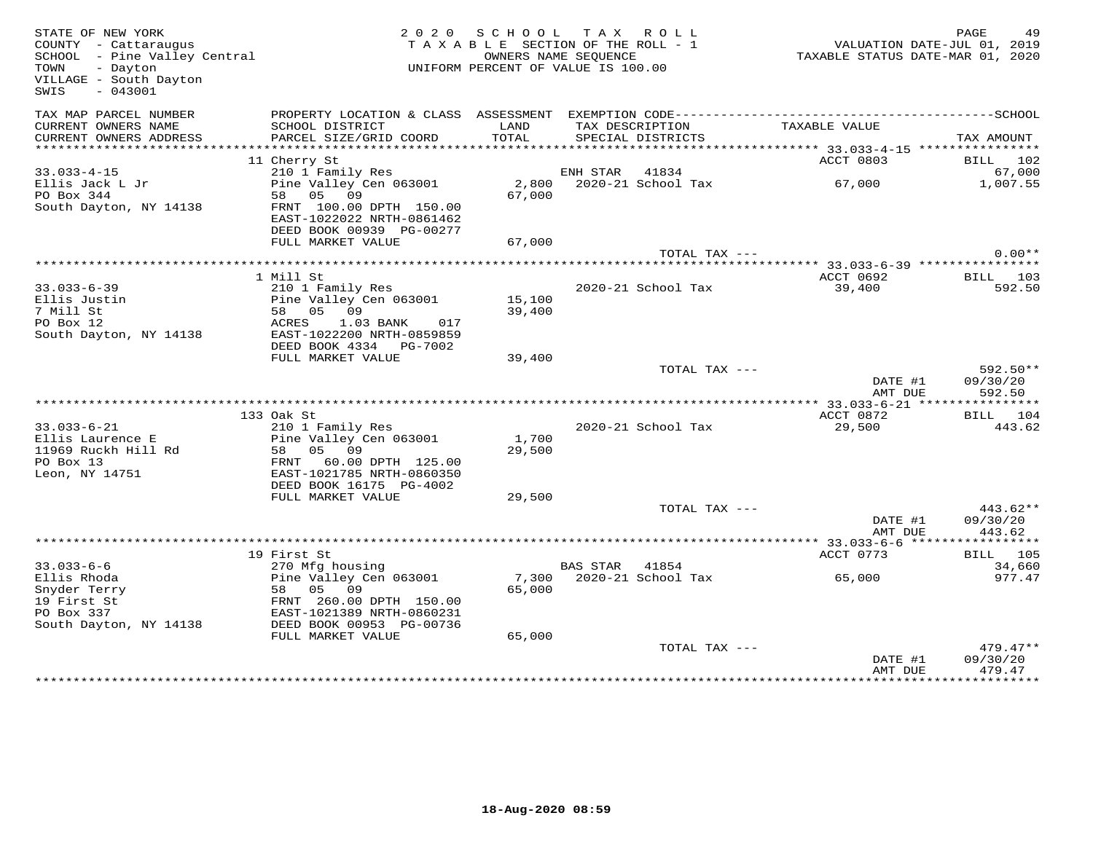| STATE OF NEW YORK<br>COUNTY - Cattaraugus<br>COUNTY - Cattaraugus<br>SCHOOL - Pine Valley Central<br>TOWN<br>- Dayton<br>VILLAGE - South Dayton<br>SWIS<br>$-043001$ |                                                                                  | 2020 SCHOOL TAX ROLL<br>TAXABLE SECTION OF THE ROLL - 1<br>UNIFORM PERCENT OF VALUE IS 100.00 | OWNERS NAME SEOUENCE |                                      | 7.00<br>VALUATION DATE-JUL 01, 2019<br>TAXABLE STATUS DATE-MAR 01, 2020 | PAGE<br>49            |
|----------------------------------------------------------------------------------------------------------------------------------------------------------------------|----------------------------------------------------------------------------------|-----------------------------------------------------------------------------------------------|----------------------|--------------------------------------|-------------------------------------------------------------------------|-----------------------|
| TAX MAP PARCEL NUMBER                                                                                                                                                |                                                                                  |                                                                                               |                      |                                      |                                                                         |                       |
| CURRENT OWNERS NAME<br>CURRENT OWNERS ADDRESS                                                                                                                        | SCHOOL DISTRICT<br>PARCEL SIZE/GRID COORD                                        | LAND<br>TOTAL                                                                                 |                      | TAX DESCRIPTION<br>SPECIAL DISTRICTS | TAXABLE VALUE                                                           | TAX AMOUNT            |
|                                                                                                                                                                      |                                                                                  |                                                                                               |                      |                                      |                                                                         |                       |
| $33.033 - 4 - 15$                                                                                                                                                    | 11 Cherry St<br>210 1 Family Res                                                 |                                                                                               | ENH STAR 41834       |                                      | ACCT 0803                                                               | BILL 102<br>67,000    |
| Ellis Jack L Jr                                                                                                                                                      | Pine Valley Cen 063001                                                           |                                                                                               |                      | 2,800 2020-21 School Tax             | 67,000                                                                  | 1,007.55              |
| PO Box 344                                                                                                                                                           | 58 05 09                                                                         | 67,000                                                                                        |                      |                                      |                                                                         |                       |
| South Dayton, NY 14138                                                                                                                                               | FRNT 100.00 DPTH 150.00<br>EAST-1022022 NRTH-0861462<br>DEED BOOK 00939 PG-00277 |                                                                                               |                      |                                      |                                                                         |                       |
|                                                                                                                                                                      | FULL MARKET VALUE                                                                | 67,000                                                                                        |                      |                                      |                                                                         |                       |
|                                                                                                                                                                      |                                                                                  |                                                                                               |                      | TOTAL TAX ---                        |                                                                         | $0.00**$              |
|                                                                                                                                                                      |                                                                                  |                                                                                               |                      |                                      |                                                                         |                       |
|                                                                                                                                                                      | 1 Mill St                                                                        |                                                                                               |                      |                                      | ACCT 0692                                                               | BILL 103              |
| $33.033 - 6 - 39$<br>Ellis Justin                                                                                                                                    | 210 1 Family Res<br>Pine Valley Cen 063001                                       | 15,100                                                                                        |                      | 2020-21 School Tax                   | 39,400                                                                  | 592.50                |
| 7 Mill St                                                                                                                                                            | 58 05 09                                                                         | 39,400                                                                                        |                      |                                      |                                                                         |                       |
| PO Box 12                                                                                                                                                            | ACRES<br>1.03 BANK 017                                                           |                                                                                               |                      |                                      |                                                                         |                       |
| South Dayton, NY 14138                                                                                                                                               | EAST-1022200 NRTH-0859859                                                        |                                                                                               |                      |                                      |                                                                         |                       |
|                                                                                                                                                                      | DEED BOOK 4334 PG-7002                                                           |                                                                                               |                      |                                      |                                                                         |                       |
|                                                                                                                                                                      | FULL MARKET VALUE                                                                | 39,400                                                                                        |                      |                                      |                                                                         |                       |
|                                                                                                                                                                      |                                                                                  |                                                                                               |                      | TOTAL TAX ---                        | DATE #1                                                                 | 592.50**<br>09/30/20  |
|                                                                                                                                                                      |                                                                                  |                                                                                               |                      |                                      | AMT DUE<br>**************** 33.033-6-21 *****************               | 592.50                |
|                                                                                                                                                                      | 133 Oak St                                                                       |                                                                                               |                      |                                      | ACCT 0872                                                               | BILL 104              |
| $33.033 - 6 - 21$                                                                                                                                                    | 210 1 Family Res                                                                 |                                                                                               |                      | 2020-21 School Tax                   | 29,500                                                                  | 443.62                |
| Ellis Laurence E                                                                                                                                                     | Pine Valley Cen 063001                                                           | 1,700                                                                                         |                      |                                      |                                                                         |                       |
| 11969 Ruckh Hill Rd                                                                                                                                                  | 58 05 09                                                                         | 29,500                                                                                        |                      |                                      |                                                                         |                       |
| PO Box 13                                                                                                                                                            | FRNT 60.00 DPTH 125.00                                                           |                                                                                               |                      |                                      |                                                                         |                       |
| Leon, NY 14751                                                                                                                                                       | EAST-1021785 NRTH-0860350<br>DEED BOOK 16175 PG-4002                             |                                                                                               |                      |                                      |                                                                         |                       |
|                                                                                                                                                                      | FULL MARKET VALUE                                                                | 29,500                                                                                        |                      |                                      |                                                                         |                       |
|                                                                                                                                                                      |                                                                                  |                                                                                               |                      | TOTAL TAX ---                        |                                                                         | $443.62**$            |
|                                                                                                                                                                      |                                                                                  |                                                                                               |                      |                                      | DATE #1                                                                 | 09/30/20              |
|                                                                                                                                                                      |                                                                                  |                                                                                               |                      |                                      | AMT DUE                                                                 | 443.62                |
|                                                                                                                                                                      |                                                                                  |                                                                                               |                      |                                      |                                                                         |                       |
| $33.033 - 6 - 6$                                                                                                                                                     | 19 First St<br>270 Mfg housing                                                   |                                                                                               | BAS STAR 41854       |                                      | ACCT 0773                                                               | BILL 105<br>34,660    |
| Ellis Rhoda                                                                                                                                                          | Pine Valley Cen 063001                                                           |                                                                                               |                      | 7,300 2020-21 School Tax             | 65,000                                                                  | 977.47                |
| Snyder Terry                                                                                                                                                         | 58 05 09                                                                         | 65,000                                                                                        |                      |                                      |                                                                         |                       |
| 19 First St                                                                                                                                                          | FRNT 260.00 DPTH 150.00                                                          |                                                                                               |                      |                                      |                                                                         |                       |
| PO Box 337                                                                                                                                                           | EAST-1021389 NRTH-0860231                                                        |                                                                                               |                      |                                      |                                                                         |                       |
| South Dayton, NY 14138                                                                                                                                               | DEED BOOK 00953 PG-00736                                                         |                                                                                               |                      |                                      |                                                                         |                       |
|                                                                                                                                                                      | FULL MARKET VALUE                                                                | 65,000                                                                                        |                      | TOTAL TAX ---                        |                                                                         | $479.47**$            |
|                                                                                                                                                                      |                                                                                  |                                                                                               |                      |                                      | DATE #1                                                                 | 09/30/20              |
|                                                                                                                                                                      |                                                                                  |                                                                                               |                      |                                      | AMT DUE                                                                 | 479.47                |
|                                                                                                                                                                      |                                                                                  |                                                                                               |                      |                                      | ***************                                                         | * * * * * * * * * * * |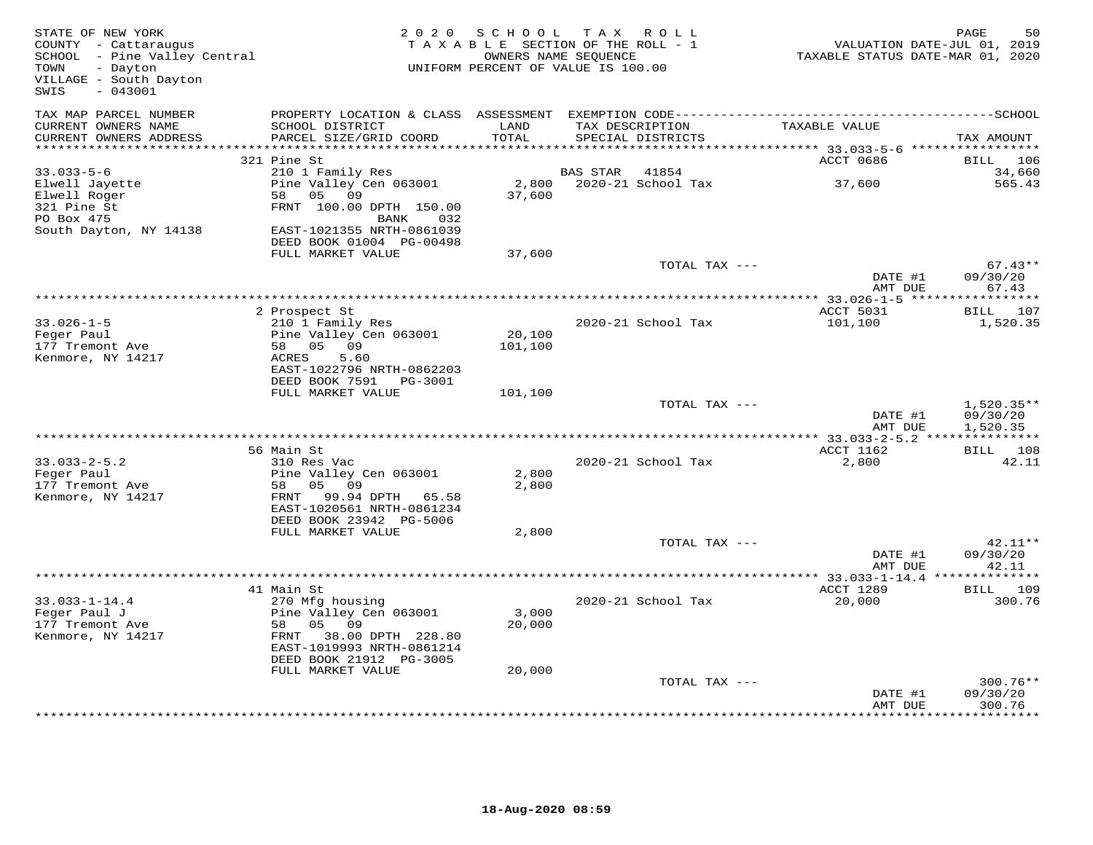| TAX MAP PARCEL NUMBER<br>PROPERTY LOCATION & CLASS ASSESSMENT<br>CURRENT OWNERS NAME<br>SCHOOL DISTRICT<br>LAND<br>TAX DESCRIPTION<br>TAXABLE VALUE<br>CURRENT OWNERS ADDRESS<br>PARCEL SIZE/GRID COORD<br>TOTAL<br>SPECIAL DISTRICTS<br>*************************<br>ACCT 0686<br>321 Pine St<br>BILL<br>106<br>$33.033 - 5 - 6$<br>210 1 Family Res<br><b>BAS STAR</b><br>41854<br>Pine Valley Cen 063001<br>2,800<br>2020-21 School Tax<br>37,600<br>Elwell Jayette<br>Elwell Roger<br>58<br>05<br>09<br>37,600<br>321 Pine St<br>FRNT 100.00 DPTH 150.00<br>PO Box 475<br>032<br>BANK<br>South Dayton, NY 14138<br>EAST-1021355 NRTH-0861039<br>DEED BOOK 01004 PG-00498<br>FULL MARKET VALUE<br>37,600<br>$67.43**$<br>TOTAL TAX ---<br>DATE #1<br>09/30/20<br>AMT DUE<br>67.43<br>*** 33.026-1-5 ****<br>107<br>2 Prospect St<br>ACCT 5031<br>BILL<br>$33.026 - 1 - 5$<br>210 1 Family Res<br>2020-21 School Tax<br>101,100<br>1,520.35<br>20,100<br>Feger Paul<br>Pine Valley Cen 063001<br>177 Tremont Ave<br>05 09<br>101,100<br>58<br>5.60<br>Kenmore, NY 14217<br>ACRES<br>EAST-1022796 NRTH-0862203<br>DEED BOOK 7591 PG-3001<br>FULL MARKET VALUE<br>101,100<br>TOTAL TAX ---<br>DATE #1<br>09/30/20<br>AMT DUE<br>1,520.35<br>**********************************<br>** 33.033-2-5.2 ****<br>56 Main St<br>ACCT 1162<br>$33.033 - 2 - 5.2$<br>310 Res Vac<br>2020-21 School Tax<br>2,800<br>Feger Paul<br>Pine Valley Cen 063001<br>2,800<br>177 Tremont Ave<br>05<br>2,800<br>58<br>09<br>Kenmore, NY 14217<br>99.94 DPTH<br>FRNT<br>65.58<br>EAST-1020561 NRTH-0861234<br>DEED BOOK 23942 PG-5006<br>FULL MARKET VALUE<br>2,800<br>TOTAL TAX ---<br>42.11**<br>09/30/20<br>DATE #1<br>AMT DUE<br>42.11<br>***********<br>ACCT 1289<br>41 Main St<br>BILL 109<br>$33.033 - 1 - 14.4$<br>20,000<br>270 Mfg housing<br>2020-21 School Tax<br>Pine Valley Cen 063001<br>Feger Paul J<br>3,000<br>20,000<br>177 Tremont Ave<br>58<br>05 09<br>FRNT 38.00 DPTH 228.80<br>Kenmore, NY 14217<br>EAST-1019993 NRTH-0861214<br>DEED BOOK 21912 PG-3005<br>FULL MARKET VALUE<br>20,000<br>TOTAL TAX ---<br>09/30/20<br>DATE #1<br>AMT DUE | STATE OF NEW YORK<br>COUNTY - Cattaraugus<br>SCHOOL - Pine Valley Central<br>TOWN<br>- Dayton<br>VILLAGE - South Dayton<br>$-043001$<br>SWIS | 2 0 2 0 | S C H O O L<br>TAXABLE SECTION OF THE ROLL - 1<br>UNIFORM PERCENT OF VALUE IS 100.00 | TAX ROLL<br>OWNERS NAME SEQUENCE |  | PAGE<br>50<br>VALUATION DATE-JUL 01, 2019<br>TAXABLE STATUS DATE-MAR 01, 2020 |
|-----------------------------------------------------------------------------------------------------------------------------------------------------------------------------------------------------------------------------------------------------------------------------------------------------------------------------------------------------------------------------------------------------------------------------------------------------------------------------------------------------------------------------------------------------------------------------------------------------------------------------------------------------------------------------------------------------------------------------------------------------------------------------------------------------------------------------------------------------------------------------------------------------------------------------------------------------------------------------------------------------------------------------------------------------------------------------------------------------------------------------------------------------------------------------------------------------------------------------------------------------------------------------------------------------------------------------------------------------------------------------------------------------------------------------------------------------------------------------------------------------------------------------------------------------------------------------------------------------------------------------------------------------------------------------------------------------------------------------------------------------------------------------------------------------------------------------------------------------------------------------------------------------------------------------------------------------------------------------------------------------------------------------------------------------------------------------------------------------------------------------------------------|----------------------------------------------------------------------------------------------------------------------------------------------|---------|--------------------------------------------------------------------------------------|----------------------------------|--|-------------------------------------------------------------------------------|
|                                                                                                                                                                                                                                                                                                                                                                                                                                                                                                                                                                                                                                                                                                                                                                                                                                                                                                                                                                                                                                                                                                                                                                                                                                                                                                                                                                                                                                                                                                                                                                                                                                                                                                                                                                                                                                                                                                                                                                                                                                                                                                                                               |                                                                                                                                              |         |                                                                                      |                                  |  | TAX AMOUNT                                                                    |
|                                                                                                                                                                                                                                                                                                                                                                                                                                                                                                                                                                                                                                                                                                                                                                                                                                                                                                                                                                                                                                                                                                                                                                                                                                                                                                                                                                                                                                                                                                                                                                                                                                                                                                                                                                                                                                                                                                                                                                                                                                                                                                                                               |                                                                                                                                              |         |                                                                                      |                                  |  |                                                                               |
|                                                                                                                                                                                                                                                                                                                                                                                                                                                                                                                                                                                                                                                                                                                                                                                                                                                                                                                                                                                                                                                                                                                                                                                                                                                                                                                                                                                                                                                                                                                                                                                                                                                                                                                                                                                                                                                                                                                                                                                                                                                                                                                                               |                                                                                                                                              |         |                                                                                      |                                  |  | 34,660<br>565.43                                                              |
|                                                                                                                                                                                                                                                                                                                                                                                                                                                                                                                                                                                                                                                                                                                                                                                                                                                                                                                                                                                                                                                                                                                                                                                                                                                                                                                                                                                                                                                                                                                                                                                                                                                                                                                                                                                                                                                                                                                                                                                                                                                                                                                                               |                                                                                                                                              |         |                                                                                      |                                  |  |                                                                               |
|                                                                                                                                                                                                                                                                                                                                                                                                                                                                                                                                                                                                                                                                                                                                                                                                                                                                                                                                                                                                                                                                                                                                                                                                                                                                                                                                                                                                                                                                                                                                                                                                                                                                                                                                                                                                                                                                                                                                                                                                                                                                                                                                               |                                                                                                                                              |         |                                                                                      |                                  |  |                                                                               |
|                                                                                                                                                                                                                                                                                                                                                                                                                                                                                                                                                                                                                                                                                                                                                                                                                                                                                                                                                                                                                                                                                                                                                                                                                                                                                                                                                                                                                                                                                                                                                                                                                                                                                                                                                                                                                                                                                                                                                                                                                                                                                                                                               |                                                                                                                                              |         |                                                                                      |                                  |  |                                                                               |
|                                                                                                                                                                                                                                                                                                                                                                                                                                                                                                                                                                                                                                                                                                                                                                                                                                                                                                                                                                                                                                                                                                                                                                                                                                                                                                                                                                                                                                                                                                                                                                                                                                                                                                                                                                                                                                                                                                                                                                                                                                                                                                                                               |                                                                                                                                              |         |                                                                                      |                                  |  |                                                                               |
|                                                                                                                                                                                                                                                                                                                                                                                                                                                                                                                                                                                                                                                                                                                                                                                                                                                                                                                                                                                                                                                                                                                                                                                                                                                                                                                                                                                                                                                                                                                                                                                                                                                                                                                                                                                                                                                                                                                                                                                                                                                                                                                                               |                                                                                                                                              |         |                                                                                      |                                  |  |                                                                               |
|                                                                                                                                                                                                                                                                                                                                                                                                                                                                                                                                                                                                                                                                                                                                                                                                                                                                                                                                                                                                                                                                                                                                                                                                                                                                                                                                                                                                                                                                                                                                                                                                                                                                                                                                                                                                                                                                                                                                                                                                                                                                                                                                               |                                                                                                                                              |         |                                                                                      |                                  |  |                                                                               |
|                                                                                                                                                                                                                                                                                                                                                                                                                                                                                                                                                                                                                                                                                                                                                                                                                                                                                                                                                                                                                                                                                                                                                                                                                                                                                                                                                                                                                                                                                                                                                                                                                                                                                                                                                                                                                                                                                                                                                                                                                                                                                                                                               |                                                                                                                                              |         |                                                                                      |                                  |  |                                                                               |
|                                                                                                                                                                                                                                                                                                                                                                                                                                                                                                                                                                                                                                                                                                                                                                                                                                                                                                                                                                                                                                                                                                                                                                                                                                                                                                                                                                                                                                                                                                                                                                                                                                                                                                                                                                                                                                                                                                                                                                                                                                                                                                                                               |                                                                                                                                              |         |                                                                                      |                                  |  | $1,520.35**$                                                                  |
|                                                                                                                                                                                                                                                                                                                                                                                                                                                                                                                                                                                                                                                                                                                                                                                                                                                                                                                                                                                                                                                                                                                                                                                                                                                                                                                                                                                                                                                                                                                                                                                                                                                                                                                                                                                                                                                                                                                                                                                                                                                                                                                                               |                                                                                                                                              |         |                                                                                      |                                  |  | ***********                                                                   |
|                                                                                                                                                                                                                                                                                                                                                                                                                                                                                                                                                                                                                                                                                                                                                                                                                                                                                                                                                                                                                                                                                                                                                                                                                                                                                                                                                                                                                                                                                                                                                                                                                                                                                                                                                                                                                                                                                                                                                                                                                                                                                                                                               |                                                                                                                                              |         |                                                                                      |                                  |  | BILL 108                                                                      |
|                                                                                                                                                                                                                                                                                                                                                                                                                                                                                                                                                                                                                                                                                                                                                                                                                                                                                                                                                                                                                                                                                                                                                                                                                                                                                                                                                                                                                                                                                                                                                                                                                                                                                                                                                                                                                                                                                                                                                                                                                                                                                                                                               |                                                                                                                                              |         |                                                                                      |                                  |  | 42.11                                                                         |
|                                                                                                                                                                                                                                                                                                                                                                                                                                                                                                                                                                                                                                                                                                                                                                                                                                                                                                                                                                                                                                                                                                                                                                                                                                                                                                                                                                                                                                                                                                                                                                                                                                                                                                                                                                                                                                                                                                                                                                                                                                                                                                                                               |                                                                                                                                              |         |                                                                                      |                                  |  |                                                                               |
|                                                                                                                                                                                                                                                                                                                                                                                                                                                                                                                                                                                                                                                                                                                                                                                                                                                                                                                                                                                                                                                                                                                                                                                                                                                                                                                                                                                                                                                                                                                                                                                                                                                                                                                                                                                                                                                                                                                                                                                                                                                                                                                                               |                                                                                                                                              |         |                                                                                      |                                  |  |                                                                               |
|                                                                                                                                                                                                                                                                                                                                                                                                                                                                                                                                                                                                                                                                                                                                                                                                                                                                                                                                                                                                                                                                                                                                                                                                                                                                                                                                                                                                                                                                                                                                                                                                                                                                                                                                                                                                                                                                                                                                                                                                                                                                                                                                               |                                                                                                                                              |         |                                                                                      |                                  |  |                                                                               |
|                                                                                                                                                                                                                                                                                                                                                                                                                                                                                                                                                                                                                                                                                                                                                                                                                                                                                                                                                                                                                                                                                                                                                                                                                                                                                                                                                                                                                                                                                                                                                                                                                                                                                                                                                                                                                                                                                                                                                                                                                                                                                                                                               |                                                                                                                                              |         |                                                                                      |                                  |  |                                                                               |
|                                                                                                                                                                                                                                                                                                                                                                                                                                                                                                                                                                                                                                                                                                                                                                                                                                                                                                                                                                                                                                                                                                                                                                                                                                                                                                                                                                                                                                                                                                                                                                                                                                                                                                                                                                                                                                                                                                                                                                                                                                                                                                                                               |                                                                                                                                              |         |                                                                                      |                                  |  | 300.76                                                                        |
|                                                                                                                                                                                                                                                                                                                                                                                                                                                                                                                                                                                                                                                                                                                                                                                                                                                                                                                                                                                                                                                                                                                                                                                                                                                                                                                                                                                                                                                                                                                                                                                                                                                                                                                                                                                                                                                                                                                                                                                                                                                                                                                                               |                                                                                                                                              |         |                                                                                      |                                  |  |                                                                               |
|                                                                                                                                                                                                                                                                                                                                                                                                                                                                                                                                                                                                                                                                                                                                                                                                                                                                                                                                                                                                                                                                                                                                                                                                                                                                                                                                                                                                                                                                                                                                                                                                                                                                                                                                                                                                                                                                                                                                                                                                                                                                                                                                               |                                                                                                                                              |         |                                                                                      |                                  |  |                                                                               |
|                                                                                                                                                                                                                                                                                                                                                                                                                                                                                                                                                                                                                                                                                                                                                                                                                                                                                                                                                                                                                                                                                                                                                                                                                                                                                                                                                                                                                                                                                                                                                                                                                                                                                                                                                                                                                                                                                                                                                                                                                                                                                                                                               |                                                                                                                                              |         |                                                                                      |                                  |  | $300.76**$<br>300.76<br>************                                          |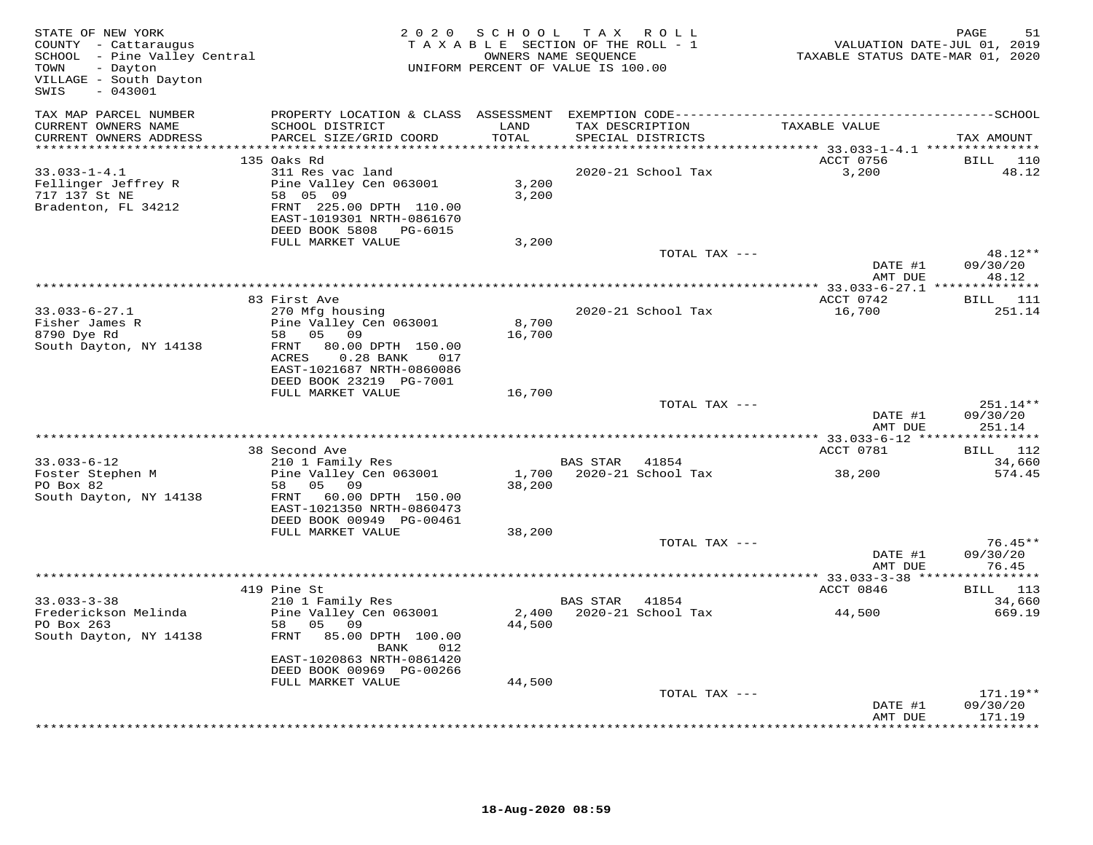| STATE OF NEW YORK<br>COUNTY - Cattaraugus<br>SCHOOL - Pine Valley Central<br>- Dayton<br>TOWN<br>VILLAGE - South Dayton<br>$-043001$<br>SWIS |                                                       | 2020 SCHOOL             | TAX ROLL<br>TAXABLE SECTION OF THE ROLL - 1<br>OWNERS NAME SEQUENCE<br>UNIFORM PERCENT OF VALUE IS 100.00 | VALUATION DATE-JUL 01, 2019<br>TAXABLE STATUS DATE-MAR 01, 2020 | PAGE<br>51         |
|----------------------------------------------------------------------------------------------------------------------------------------------|-------------------------------------------------------|-------------------------|-----------------------------------------------------------------------------------------------------------|-----------------------------------------------------------------|--------------------|
| TAX MAP PARCEL NUMBER                                                                                                                        |                                                       |                         |                                                                                                           |                                                                 |                    |
| CURRENT OWNERS NAME<br>CURRENT OWNERS ADDRESS                                                                                                | SCHOOL DISTRICT<br>PARCEL SIZE/GRID COORD             | LAND<br>TOTAL           | TAX DESCRIPTION<br>SPECIAL DISTRICTS                                                                      | TAXABLE VALUE                                                   | TAX AMOUNT         |
| **********************                                                                                                                       |                                                       | * * * * * * * * * * * * |                                                                                                           |                                                                 |                    |
|                                                                                                                                              | 135 Oaks Rd                                           |                         |                                                                                                           | ACCT 0756                                                       | <b>BILL</b> 110    |
| $33.033 - 1 - 4.1$                                                                                                                           | 311 Res vac land                                      |                         | 2020-21 School Tax                                                                                        | 3,200                                                           | 48.12              |
| Fellinger Jeffrey R<br>717 137 St NE                                                                                                         | Pine Valley Cen 063001<br>58 05 09                    | 3,200<br>3,200          |                                                                                                           |                                                                 |                    |
| Bradenton, FL 34212                                                                                                                          | FRNT 225.00 DPTH 110.00                               |                         |                                                                                                           |                                                                 |                    |
|                                                                                                                                              | EAST-1019301 NRTH-0861670                             |                         |                                                                                                           |                                                                 |                    |
|                                                                                                                                              | DEED BOOK 5808 PG-6015<br>FULL MARKET VALUE           | 3,200                   |                                                                                                           |                                                                 |                    |
|                                                                                                                                              |                                                       |                         | TOTAL TAX ---                                                                                             |                                                                 | $48.12**$          |
|                                                                                                                                              |                                                       |                         |                                                                                                           | DATE #1                                                         | 09/30/20           |
|                                                                                                                                              |                                                       |                         |                                                                                                           | AMT DUE                                                         | 48.12              |
|                                                                                                                                              | 83 First Ave                                          |                         |                                                                                                           | ACCT 0742                                                       | <b>BILL</b> 111    |
| $33.033 - 6 - 27.1$                                                                                                                          | 270 Mfg housing                                       |                         | 2020-21 School Tax                                                                                        | 16,700                                                          | 251.14             |
| Fisher James R                                                                                                                               | Pine Valley Cen 063001                                | 8,700                   |                                                                                                           |                                                                 |                    |
| 8790 Dye Rd                                                                                                                                  | 58 05 09                                              | 16,700                  |                                                                                                           |                                                                 |                    |
| South Dayton, NY 14138                                                                                                                       | 80.00 DPTH 150.00<br>FRNT                             |                         |                                                                                                           |                                                                 |                    |
|                                                                                                                                              | $0.28$ BANK<br>ACRES<br>017                           |                         |                                                                                                           |                                                                 |                    |
|                                                                                                                                              | EAST-1021687 NRTH-0860086                             |                         |                                                                                                           |                                                                 |                    |
|                                                                                                                                              | DEED BOOK 23219 PG-7001                               |                         |                                                                                                           |                                                                 |                    |
|                                                                                                                                              | FULL MARKET VALUE                                     | 16,700                  | TOTAL TAX ---                                                                                             |                                                                 | $251.14**$         |
|                                                                                                                                              |                                                       |                         |                                                                                                           | DATE #1<br>AMT DUE                                              | 09/30/20<br>251.14 |
|                                                                                                                                              |                                                       |                         |                                                                                                           |                                                                 |                    |
|                                                                                                                                              | 38 Second Ave                                         |                         |                                                                                                           | ACCT 0781                                                       | BILL 112           |
| $33.033 - 6 - 12$                                                                                                                            | 210 1 Family Res                                      |                         | BAS STAR 41854                                                                                            |                                                                 | 34,660             |
| Foster Stephen M                                                                                                                             | Pine Valley Cen 063001                                |                         | 1,700 2020-21 School Tax                                                                                  | 38,200                                                          | 574.45             |
| PO Box 82                                                                                                                                    | 58 05 09                                              | 38,200                  |                                                                                                           |                                                                 |                    |
| South Dayton, NY 14138                                                                                                                       | FRNT 60.00 DPTH 150.00                                |                         |                                                                                                           |                                                                 |                    |
|                                                                                                                                              | EAST-1021350 NRTH-0860473<br>DEED BOOK 00949 PG-00461 |                         |                                                                                                           |                                                                 |                    |
|                                                                                                                                              | FULL MARKET VALUE                                     | 38,200                  |                                                                                                           |                                                                 |                    |
|                                                                                                                                              |                                                       |                         | TOTAL TAX ---                                                                                             |                                                                 | $76.45**$          |
|                                                                                                                                              |                                                       |                         |                                                                                                           | DATE #1                                                         | 09/30/20           |
|                                                                                                                                              |                                                       |                         |                                                                                                           | AMT DUE                                                         | 76.45              |
|                                                                                                                                              |                                                       |                         |                                                                                                           |                                                                 |                    |
| $33.033 - 3 - 38$                                                                                                                            | 419 Pine St<br>210 1 Family Res                       |                         | BAS STAR<br>41854                                                                                         | ACCT 0846                                                       | BILL 113<br>34,660 |
| Frederickson Melinda                                                                                                                         | Pine Valley Cen 063001                                |                         | 2,400 2020-21 School Tax                                                                                  | 44,500                                                          | 669.19             |
| PO Box 263                                                                                                                                   | 05 09<br>58                                           | 44,500                  |                                                                                                           |                                                                 |                    |
| South Dayton, NY 14138                                                                                                                       | 85.00 DPTH 100.00<br>FRNT<br>BANK<br>012              |                         |                                                                                                           |                                                                 |                    |
|                                                                                                                                              | EAST-1020863 NRTH-0861420                             |                         |                                                                                                           |                                                                 |                    |
|                                                                                                                                              | DEED BOOK 00969 PG-00266                              |                         |                                                                                                           |                                                                 |                    |
|                                                                                                                                              | FULL MARKET VALUE                                     | 44,500                  |                                                                                                           |                                                                 |                    |
|                                                                                                                                              |                                                       |                         | TOTAL TAX ---                                                                                             |                                                                 | $171.19**$         |
|                                                                                                                                              |                                                       |                         |                                                                                                           | DATE #1<br>AMT DUE                                              | 09/30/20<br>171.19 |
|                                                                                                                                              |                                                       |                         |                                                                                                           |                                                                 | .                  |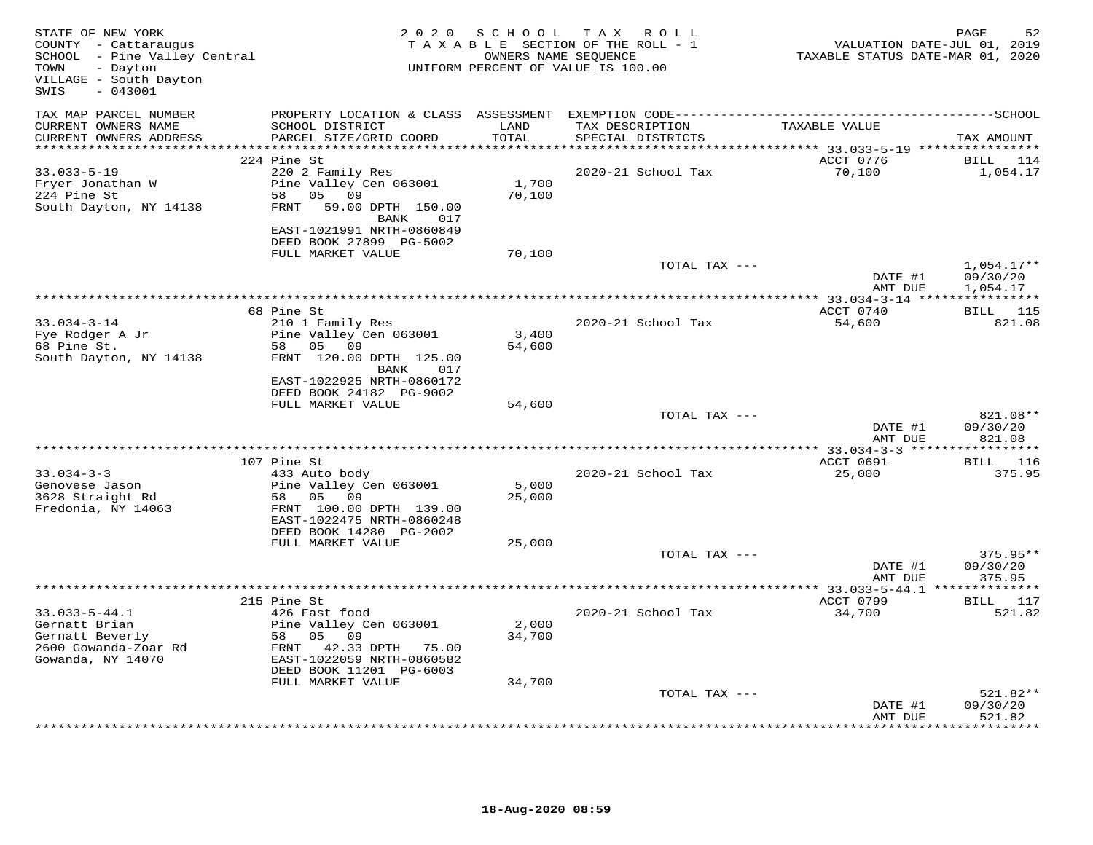| STATE OF NEW YORK<br>COUNTY - Cattaraugus<br>SCHOOL - Pine Valley Central<br>- Dayton<br>TOWN<br>VILLAGE - South Dayton<br>$-043001$<br>SWIS |                                                                           | 2020 SCHOOL     | TAX ROLL<br>TAXABLE SECTION OF THE ROLL - 1<br>OWNERS NAME SEQUENCE<br>UNIFORM PERCENT OF VALUE IS 100.00 | VALUATION DATE-JUL 01, 2019<br>TAXABLE STATUS DATE-MAR 01, 2020 | PAGE<br>52                       |
|----------------------------------------------------------------------------------------------------------------------------------------------|---------------------------------------------------------------------------|-----------------|-----------------------------------------------------------------------------------------------------------|-----------------------------------------------------------------|----------------------------------|
| TAX MAP PARCEL NUMBER                                                                                                                        |                                                                           |                 |                                                                                                           |                                                                 |                                  |
| CURRENT OWNERS NAME<br>CURRENT OWNERS ADDRESS                                                                                                | SCHOOL DISTRICT<br>PARCEL SIZE/GRID COORD                                 | LAND<br>TOTAL   | TAX DESCRIPTION<br>SPECIAL DISTRICTS                                                                      | TAXABLE VALUE                                                   | TAX AMOUNT                       |
| ***********************                                                                                                                      |                                                                           | **********      | ************************************* 33.033-5-19 ****************                                        |                                                                 |                                  |
| $33.033 - 5 - 19$                                                                                                                            | 224 Pine St<br>220 2 Family Res                                           |                 | 2020-21 School Tax                                                                                        | ACCT 0776<br>70,100                                             | BILL 114<br>1,054.17             |
| Fryer Jonathan W                                                                                                                             | Pine Valley Cen 063001                                                    | 1,700           |                                                                                                           |                                                                 |                                  |
| 224 Pine St                                                                                                                                  | 58 05 09                                                                  | 70,100          |                                                                                                           |                                                                 |                                  |
| South Dayton, NY 14138                                                                                                                       | FRNT 59.00 DPTH 150.00<br>BANK<br>017<br>EAST-1021991 NRTH-0860849        |                 |                                                                                                           |                                                                 |                                  |
|                                                                                                                                              | DEED BOOK 27899 PG-5002                                                   |                 |                                                                                                           |                                                                 |                                  |
|                                                                                                                                              | FULL MARKET VALUE                                                         | 70,100          |                                                                                                           |                                                                 |                                  |
|                                                                                                                                              |                                                                           |                 | TOTAL TAX ---                                                                                             | DATE #1                                                         | $1,054.17**$<br>09/30/20         |
|                                                                                                                                              |                                                                           |                 |                                                                                                           | AMT DUE                                                         | 1,054.17                         |
|                                                                                                                                              |                                                                           |                 |                                                                                                           |                                                                 |                                  |
|                                                                                                                                              | 68 Pine St                                                                |                 |                                                                                                           | ACCT 0740                                                       | BILL 115                         |
| $33.034 - 3 - 14$                                                                                                                            | 210 1 Family Res                                                          |                 | 2020-21 School Tax                                                                                        | 54,600                                                          | 821.08                           |
| Fye Rodger A Jr<br>68 Pine St.                                                                                                               | Pine Valley Cen 063001<br>58 05 09                                        | 3,400<br>54,600 |                                                                                                           |                                                                 |                                  |
| South Dayton, NY 14138                                                                                                                       | FRNT 120.00 DPTH 125.00<br>BANK<br>017                                    |                 |                                                                                                           |                                                                 |                                  |
|                                                                                                                                              | EAST-1022925 NRTH-0860172<br>DEED BOOK 24182 PG-9002<br>FULL MARKET VALUE | 54,600          |                                                                                                           |                                                                 |                                  |
|                                                                                                                                              |                                                                           |                 | TOTAL TAX ---                                                                                             |                                                                 | 821.08**                         |
|                                                                                                                                              |                                                                           |                 |                                                                                                           | DATE #1<br>AMT DUE                                              | 09/30/20<br>821.08               |
|                                                                                                                                              |                                                                           |                 |                                                                                                           | **************** 33.034-3-3 ******************                  |                                  |
| $33.034 - 3 - 3$                                                                                                                             | 107 Pine St<br>433 Auto body                                              |                 | 2020-21 School Tax                                                                                        | ACCT 0691<br>25,000                                             | BILL 116<br>375.95               |
| Genovese Jason                                                                                                                               | Pine Valley Cen 063001                                                    | 5,000           |                                                                                                           |                                                                 |                                  |
| 3628 Straight Rd<br>Fredonia, NY 14063                                                                                                       | 58 05 09<br>FRNT 100.00 DPTH 139.00<br>EAST-1022475 NRTH-0860248          | 25,000          |                                                                                                           |                                                                 |                                  |
|                                                                                                                                              | DEED BOOK 14280 PG-2002                                                   |                 |                                                                                                           |                                                                 |                                  |
|                                                                                                                                              | FULL MARKET VALUE                                                         | 25,000          |                                                                                                           |                                                                 |                                  |
|                                                                                                                                              |                                                                           |                 | TOTAL TAX ---                                                                                             | DATE #1<br>AMT DUE                                              | $375.95**$<br>09/30/20<br>375.95 |
|                                                                                                                                              |                                                                           |                 |                                                                                                           |                                                                 |                                  |
|                                                                                                                                              | 215 Pine St                                                               |                 |                                                                                                           | ACCT 0799                                                       | BILL 117                         |
| $33.033 - 5 - 44.1$                                                                                                                          | 426 Fast food                                                             | 2,000           | 2020-21 School Tax                                                                                        | 34,700                                                          | 521.82                           |
| Gernatt Brian<br>Gernatt Beverly                                                                                                             | Pine Valley Cen 063001<br>58 05<br>09                                     | 34,700          |                                                                                                           |                                                                 |                                  |
| 2600 Gowanda-Zoar Rd                                                                                                                         | FRNT 42.33 DPTH 75.00                                                     |                 |                                                                                                           |                                                                 |                                  |
| Gowanda, NY 14070                                                                                                                            | EAST-1022059 NRTH-0860582<br>DEED BOOK 11201 PG-6003                      |                 |                                                                                                           |                                                                 |                                  |
|                                                                                                                                              | FULL MARKET VALUE                                                         | 34,700          |                                                                                                           |                                                                 |                                  |
|                                                                                                                                              |                                                                           |                 | TOTAL TAX ---                                                                                             | DATE #1                                                         | $521.82**$<br>09/30/20           |
|                                                                                                                                              |                                                                           |                 |                                                                                                           | AMT DUE                                                         | 521.82<br>* * * * * * * *        |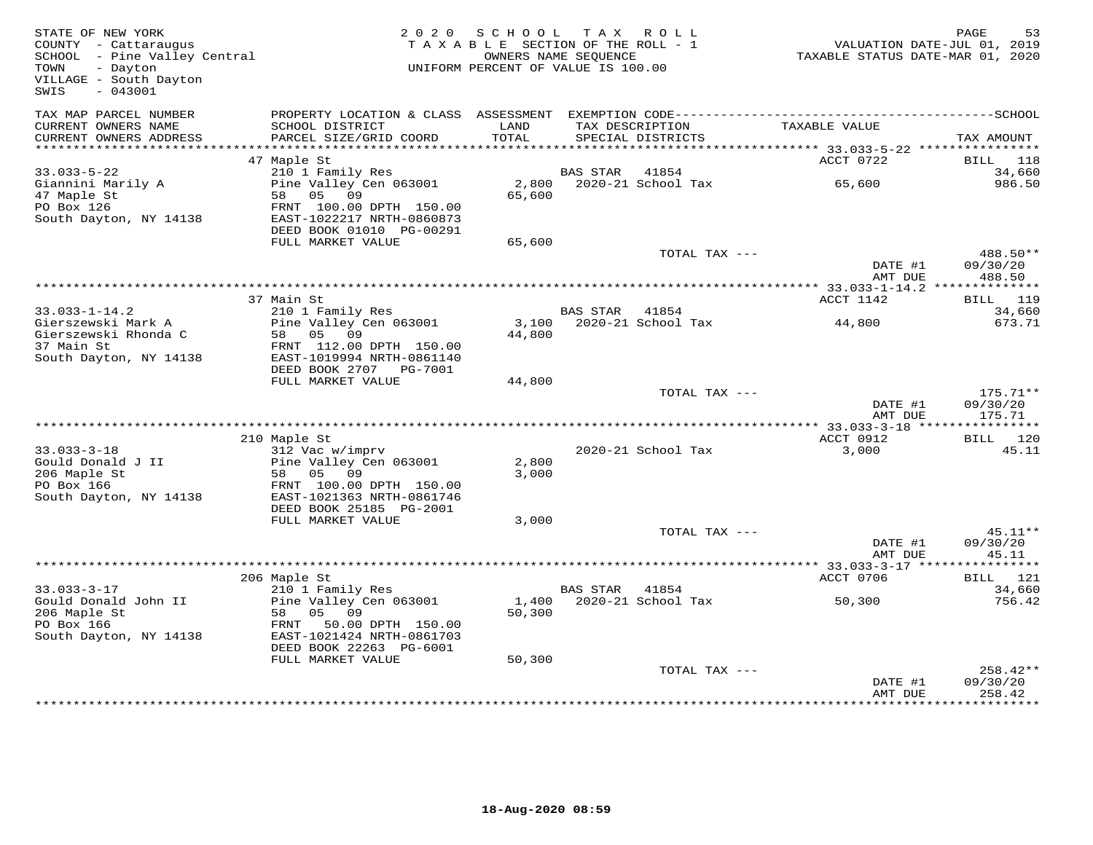| STATE OF NEW YORK<br>COUNTY - Cattaraugus<br>COUNTY - Cattaraugus<br>SCHOOL - Pine Valley Central<br>TOWN<br>- Dayton<br>VILLAGE - South Dayton<br>$-043001$<br>SWIS |                                                                                  | 2020 SCHOOL<br>TAXABLE SECTION OF THE ROLL - 1<br>UNIFORM PERCENT OF VALUE IS 100.00 | TAX ROLL<br>OWNERS NAME SEQUENCE |                                      | VALUATION DATE-JUL 01, 2019<br>TAXABLE STATUS DATE-MAR 01, 2020 | PAGE<br>53                     |
|----------------------------------------------------------------------------------------------------------------------------------------------------------------------|----------------------------------------------------------------------------------|--------------------------------------------------------------------------------------|----------------------------------|--------------------------------------|-----------------------------------------------------------------|--------------------------------|
| TAX MAP PARCEL NUMBER<br>CURRENT OWNERS NAME<br>CURRENT OWNERS ADDRESS                                                                                               | SCHOOL DISTRICT<br>PARCEL SIZE/GRID COORD                                        | LAND<br>TOTAL                                                                        |                                  | TAX DESCRIPTION<br>SPECIAL DISTRICTS | TAXABLE VALUE                                                   | TAX AMOUNT                     |
|                                                                                                                                                                      |                                                                                  |                                                                                      |                                  |                                      |                                                                 |                                |
| $33.033 - 5 - 22$                                                                                                                                                    | 47 Maple St<br>210 1 Family Res                                                  |                                                                                      | BAS STAR                         | 41854                                | ACCT 0722                                                       | <b>BILL</b><br>118<br>34,660   |
| Giannini Marily A<br>47 Maple St                                                                                                                                     | Pine Valley Cen 063001<br>58 05 09                                               | 2,800<br>65,600                                                                      |                                  | 2020-21 School Tax                   | 65,600                                                          | 986.50                         |
| PO Box 126<br>South Dayton, NY 14138                                                                                                                                 | FRNT 100.00 DPTH 150.00<br>EAST-1022217 NRTH-0860873<br>DEED BOOK 01010 PG-00291 |                                                                                      |                                  |                                      |                                                                 |                                |
|                                                                                                                                                                      | FULL MARKET VALUE                                                                | 65,600                                                                               |                                  |                                      |                                                                 |                                |
|                                                                                                                                                                      |                                                                                  |                                                                                      |                                  | TOTAL TAX ---                        | DATE #1                                                         | 488.50**<br>09/30/20           |
|                                                                                                                                                                      |                                                                                  |                                                                                      |                                  |                                      | AMT DUE                                                         | 488.50                         |
|                                                                                                                                                                      | 37 Main St                                                                       |                                                                                      |                                  |                                      | ACCT 1142                                                       | BILL 119                       |
| $33.033 - 1 - 14.2$                                                                                                                                                  | 210 1 Family Res<br>zio i ramily Res<br>Pine Valley Cen 063001                   |                                                                                      | BAS STAR 41854                   |                                      |                                                                 | 34,660                         |
| Gierszewski Mark A<br>Gierszewski Rhonda C<br>37 Main St                                                                                                             | 58 05 09<br>FRNT 112.00 DPTH 150.00                                              | 44,800                                                                               |                                  | 3,100 2020-21 School Tax             | 44,800                                                          | 673.71                         |
| South Dayton, NY 14138                                                                                                                                               | EAST-1019994 NRTH-0861140                                                        |                                                                                      |                                  |                                      |                                                                 |                                |
|                                                                                                                                                                      | DEED BOOK 2707 PG-7001<br>FULL MARKET VALUE                                      | 44,800                                                                               |                                  |                                      |                                                                 |                                |
|                                                                                                                                                                      |                                                                                  |                                                                                      |                                  | TOTAL TAX ---                        | DATE #1<br>AMT DUE                                              | $175.71**$<br>09/30/20         |
|                                                                                                                                                                      |                                                                                  |                                                                                      |                                  |                                      |                                                                 | 175.71                         |
|                                                                                                                                                                      | 210 Maple St                                                                     |                                                                                      |                                  |                                      | ACCT 0912                                                       | BILL 120                       |
| $33.033 - 3 - 18$                                                                                                                                                    | 312 Vac w/imprv                                                                  |                                                                                      |                                  | 2020-21 School Tax                   | 3,000                                                           | 45.11                          |
| Gould Donald J II<br>206 Maple St                                                                                                                                    | Pine Valley Cen 063001<br>58 05 09                                               | 2,800<br>3,000                                                                       |                                  |                                      |                                                                 |                                |
| PO Box 166<br>South Dayton, NY 14138                                                                                                                                 | FRNT 100.00 DPTH 150.00<br>EAST-1021363 NRTH-0861746                             |                                                                                      |                                  |                                      |                                                                 |                                |
|                                                                                                                                                                      | DEED BOOK 25185 PG-2001<br>FULL MARKET VALUE                                     | 3,000                                                                                |                                  |                                      |                                                                 |                                |
|                                                                                                                                                                      |                                                                                  |                                                                                      |                                  | TOTAL TAX ---                        |                                                                 | $45.11**$                      |
|                                                                                                                                                                      |                                                                                  |                                                                                      |                                  |                                      | DATE #1<br>AMT DUE                                              | 09/30/20<br>45.11              |
|                                                                                                                                                                      |                                                                                  |                                                                                      |                                  |                                      |                                                                 |                                |
| $33.033 - 3 - 17$                                                                                                                                                    | 206 Maple St<br>210 1 Family Res                                                 |                                                                                      | BAS STAR 41854                   |                                      | ACCT 0706                                                       | BILL 121<br>34,660             |
| Gould Donald John II<br>206 Maple St<br>PO Box 166                                                                                                                   | Pine Valley Cen 063001<br>58<br>05 09<br>FRNT 50.00 DPTH 150.00                  | 50,300                                                                               |                                  | 1,400 2020-21 School Tax             | 50,300                                                          | 756.42                         |
| South Dayton, NY 14138                                                                                                                                               | EAST-1021424 NRTH-0861703<br>DEED BOOK 22263 PG-6001<br>FULL MARKET VALUE        | 50,300                                                                               |                                  |                                      |                                                                 |                                |
|                                                                                                                                                                      |                                                                                  |                                                                                      |                                  | TOTAL TAX ---                        | DATE #1<br>AMT DUE                                              | 258.42**<br>09/30/20<br>258.42 |
|                                                                                                                                                                      |                                                                                  |                                                                                      |                                  |                                      |                                                                 |                                |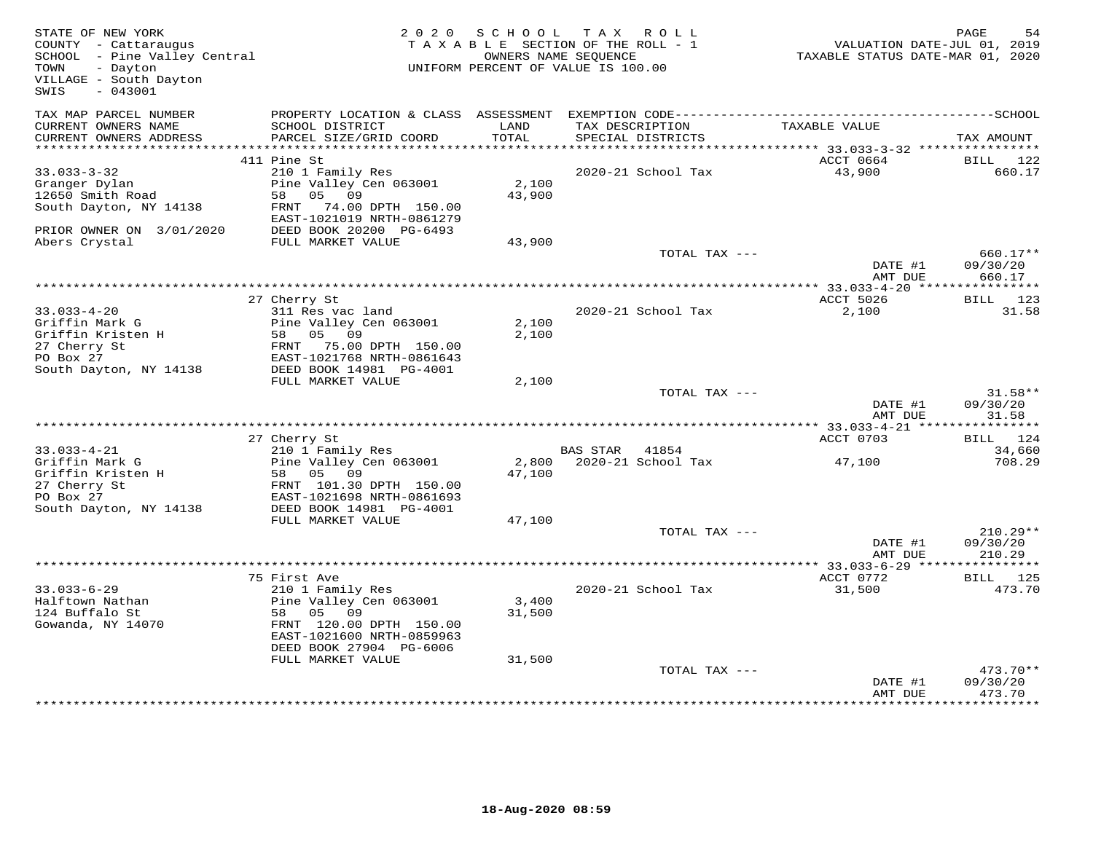| STATE OF NEW YORK<br>COUNTY - Cattaraugus<br>SCHOOL - Pine Valley Central<br>TOWN<br>- Dayton<br>VILLAGE - South Dayton<br>$-043001$<br>SWIS |                                                                                                                 | 2020 SCHOOL     | TAX ROLL<br>TAXABLE SECTION OF THE ROLL - 1<br>OWNERS NAME SEOUENCE<br>UNIFORM PERCENT OF VALUE IS 100.00 | VALUATION DATE-JUL 01, 2019<br>TAXABLE STATUS DATE-MAR 01, 2020 | PAGE<br>54                       |
|----------------------------------------------------------------------------------------------------------------------------------------------|-----------------------------------------------------------------------------------------------------------------|-----------------|-----------------------------------------------------------------------------------------------------------|-----------------------------------------------------------------|----------------------------------|
| TAX MAP PARCEL NUMBER<br>CURRENT OWNERS NAME                                                                                                 | PROPERTY LOCATION & CLASS ASSESSMENT EXEMPTION CODE-----------------------------------SCHOOL<br>SCHOOL DISTRICT | LAND            | TAX DESCRIPTION                                                                                           | TAXABLE VALUE                                                   |                                  |
| CURRENT OWNERS ADDRESS                                                                                                                       | PARCEL SIZE/GRID COORD                                                                                          | TOTAL           | SPECIAL DISTRICTS                                                                                         |                                                                 | TAX AMOUNT                       |
|                                                                                                                                              | 411 Pine St                                                                                                     |                 |                                                                                                           | ACCT 0664                                                       | BILL<br>122                      |
| $33.033 - 3 - 32$                                                                                                                            | 210 1 Family Res                                                                                                |                 | 2020-21 School Tax                                                                                        | 43,900                                                          | 660.17                           |
| Granger Dylan<br>12650 Smith Road                                                                                                            | Pine Valley Cen 063001<br>58 05 09                                                                              | 2,100<br>43,900 |                                                                                                           |                                                                 |                                  |
| South Dayton, NY 14138                                                                                                                       | FRNT 74.00 DPTH 150.00<br>EAST-1021019 NRTH-0861279                                                             |                 |                                                                                                           |                                                                 |                                  |
| PRIOR OWNER ON 3/01/2020<br>Abers Crystal                                                                                                    | DEED BOOK 20200 PG-6493<br>FULL MARKET VALUE                                                                    | 43,900          |                                                                                                           |                                                                 |                                  |
|                                                                                                                                              |                                                                                                                 |                 | TOTAL TAX ---                                                                                             | DATE #1                                                         | 660.17**<br>09/30/20             |
|                                                                                                                                              |                                                                                                                 |                 |                                                                                                           | AMT DUE                                                         | 660.17                           |
|                                                                                                                                              | 27 Cherry St                                                                                                    |                 |                                                                                                           | ACCT 5026                                                       | BILL 123                         |
| $33.033 - 4 - 20$                                                                                                                            | 311 Res vac land                                                                                                |                 | 2020-21 School Tax                                                                                        | 2,100                                                           | 31.58                            |
| Griffin Mark G                                                                                                                               | Pine Valley Cen 063001                                                                                          | 2,100           |                                                                                                           |                                                                 |                                  |
| Griffin Kristen H                                                                                                                            | 58 05 09                                                                                                        | 2,100           |                                                                                                           |                                                                 |                                  |
| 27 Cherry St                                                                                                                                 | FRNT 75.00 DPTH 150.00                                                                                          |                 |                                                                                                           |                                                                 |                                  |
| PO Box 27<br>South Dayton, NY 14138                                                                                                          | EAST-1021768 NRTH-0861643<br>DEED BOOK 14981 PG-4001                                                            |                 |                                                                                                           |                                                                 |                                  |
|                                                                                                                                              | FULL MARKET VALUE                                                                                               | 2,100           |                                                                                                           |                                                                 |                                  |
|                                                                                                                                              |                                                                                                                 |                 | TOTAL TAX ---                                                                                             |                                                                 | $31.58**$                        |
|                                                                                                                                              |                                                                                                                 |                 |                                                                                                           | DATE #1<br>AMT DUE                                              | 09/30/20<br>31.58                |
|                                                                                                                                              |                                                                                                                 |                 |                                                                                                           |                                                                 |                                  |
| $33.033 - 4 - 21$                                                                                                                            | 27 Cherry St<br>210 1 Family Res                                                                                |                 | BAS STAR 41854                                                                                            | ACCT 0703                                                       | BILL 124<br>34,660               |
| Griffin Mark G                                                                                                                               | Pine Valley Cen 063001                                                                                          |                 | 2,800 2020-21 School Tax                                                                                  | 47,100                                                          | 708.29                           |
| Griffin Kristen H                                                                                                                            | 58 05 09                                                                                                        | 47,100          |                                                                                                           |                                                                 |                                  |
| 27 Cherry St                                                                                                                                 | FRNT 101.30 DPTH 150.00                                                                                         |                 |                                                                                                           |                                                                 |                                  |
| PO Box 27                                                                                                                                    | EAST-1021698 NRTH-0861693                                                                                       |                 |                                                                                                           |                                                                 |                                  |
| South Dayton, NY 14138                                                                                                                       | DEED BOOK 14981 PG-4001<br>FULL MARKET VALUE                                                                    | 47,100          |                                                                                                           |                                                                 |                                  |
|                                                                                                                                              |                                                                                                                 |                 | TOTAL TAX ---                                                                                             |                                                                 | $210.29**$                       |
|                                                                                                                                              |                                                                                                                 |                 |                                                                                                           | DATE #1                                                         | 09/30/20                         |
|                                                                                                                                              |                                                                                                                 |                 |                                                                                                           | AMT DUE                                                         | 210.29                           |
|                                                                                                                                              | 75 First Ave                                                                                                    |                 |                                                                                                           | **************** 33.033-6-29 *****<br>ACCT 0772                 | ***********<br>BILL 125          |
| $33.033 - 6 - 29$                                                                                                                            | 210 1 Family Res                                                                                                |                 | 2020-21 School Tax                                                                                        | 31,500                                                          | 473.70                           |
| Halftown Nathan                                                                                                                              | Pine Valley Cen 063001                                                                                          | 3,400           |                                                                                                           |                                                                 |                                  |
| 124 Buffalo St                                                                                                                               | 58 05<br>09                                                                                                     | 31,500          |                                                                                                           |                                                                 |                                  |
| Gowanda, NY 14070                                                                                                                            | FRNT 120.00 DPTH 150.00<br>EAST-1021600 NRTH-0859963                                                            |                 |                                                                                                           |                                                                 |                                  |
|                                                                                                                                              | DEED BOOK 27904 PG-6006                                                                                         |                 |                                                                                                           |                                                                 |                                  |
|                                                                                                                                              | FULL MARKET VALUE                                                                                               | 31,500          |                                                                                                           |                                                                 |                                  |
|                                                                                                                                              |                                                                                                                 |                 | TOTAL TAX ---                                                                                             | DATE #1<br>AMT DUE                                              | $473.70**$<br>09/30/20<br>473.70 |
|                                                                                                                                              |                                                                                                                 |                 |                                                                                                           |                                                                 | * * * * * * * * ·                |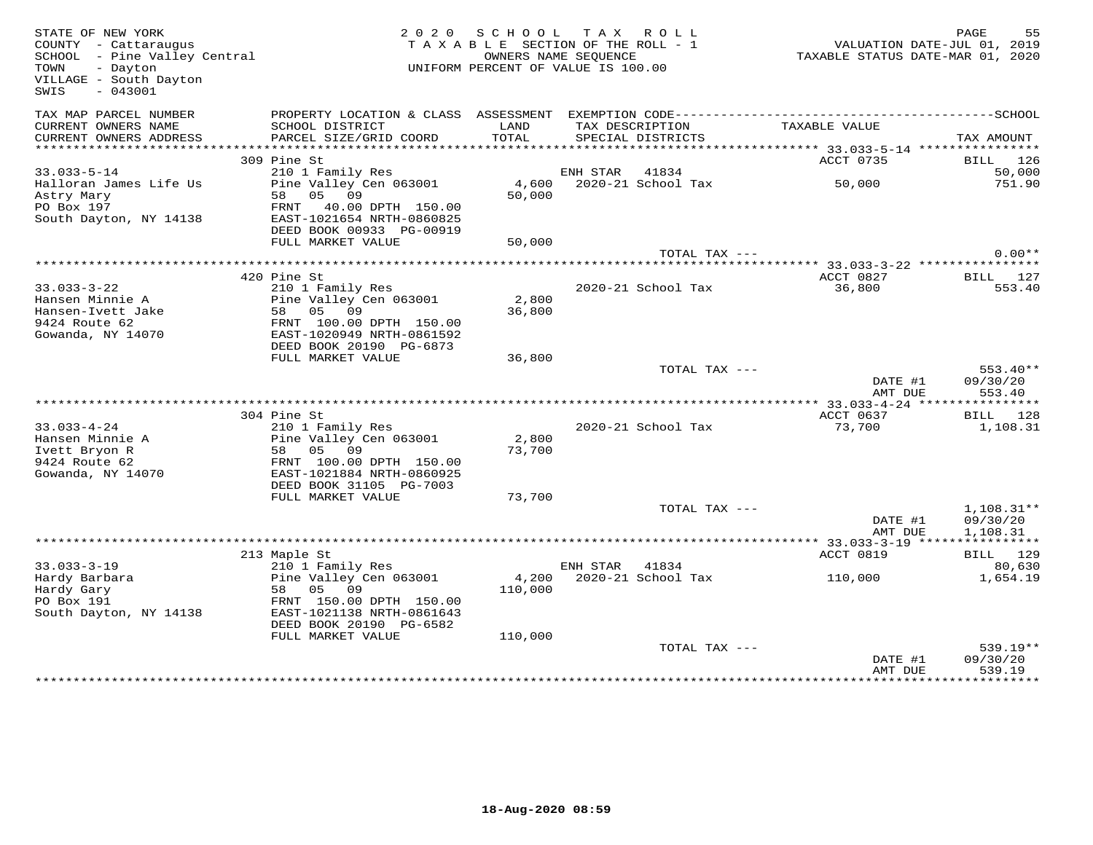| STATE OF NEW YORK<br>COUNTY - Cattaraugus<br>SCHOOL - Pine Valley Central<br>TOWN<br>- Dayton<br>VILLAGE - South Dayton<br>SWIS<br>$-043001$ |                                                      | 2020 SCHOOL<br>TAXABLE SECTION OF THE ROLL - 1<br>UNIFORM PERCENT OF VALUE IS 100.00 | TAX ROLL<br>OWNERS NAME SEOUENCE |                                      |                                                 | PAGE<br>55<br>VALUATION DATE-JUL 01, 2019<br>TAXABLE STATUS DATE-MAR 01, 2020 |
|----------------------------------------------------------------------------------------------------------------------------------------------|------------------------------------------------------|--------------------------------------------------------------------------------------|----------------------------------|--------------------------------------|-------------------------------------------------|-------------------------------------------------------------------------------|
| TAX MAP PARCEL NUMBER                                                                                                                        |                                                      |                                                                                      |                                  |                                      |                                                 |                                                                               |
| CURRENT OWNERS NAME<br>CURRENT OWNERS ADDRESS                                                                                                | SCHOOL DISTRICT<br>PARCEL SIZE/GRID COORD            | LAND<br>TOTAL                                                                        |                                  | TAX DESCRIPTION<br>SPECIAL DISTRICTS | TAXABLE VALUE                                   | TAX AMOUNT                                                                    |
| ***********************                                                                                                                      |                                                      |                                                                                      |                                  |                                      |                                                 |                                                                               |
| $33.033 - 5 - 14$                                                                                                                            | 309 Pine St<br>210 1 Family Res                      |                                                                                      | ENH STAR 41834                   |                                      | ACCT 0735                                       | BILL 126<br>50,000                                                            |
| Halloran James Life Us                                                                                                                       | Pine Valley Cen 063001                               | 4,600                                                                                |                                  | 2020-21 School Tax                   | 50,000                                          | 751.90                                                                        |
| Astry Mary                                                                                                                                   | 58 05 09                                             | 50,000                                                                               |                                  |                                      |                                                 |                                                                               |
| PO Box 197                                                                                                                                   | FRNT 40.00 DPTH 150.00                               |                                                                                      |                                  |                                      |                                                 |                                                                               |
| South Dayton, NY 14138                                                                                                                       | EAST-1021654 NRTH-0860825                            |                                                                                      |                                  |                                      |                                                 |                                                                               |
|                                                                                                                                              | DEED BOOK 00933 PG-00919                             |                                                                                      |                                  |                                      |                                                 |                                                                               |
|                                                                                                                                              | FULL MARKET VALUE                                    | 50,000                                                                               |                                  |                                      |                                                 |                                                                               |
|                                                                                                                                              |                                                      |                                                                                      |                                  | TOTAL TAX ---                        |                                                 | $0.00**$                                                                      |
|                                                                                                                                              | 420 Pine St                                          |                                                                                      |                                  |                                      | ACCT 0827                                       | BILL 127                                                                      |
| $33.033 - 3 - 22$                                                                                                                            | 210 1 Family Res                                     |                                                                                      |                                  | 2020-21 School Tax                   | 36,800                                          | 553.40                                                                        |
| Hansen Minnie A                                                                                                                              | Pine Valley Cen 063001                               | 2,800                                                                                |                                  |                                      |                                                 |                                                                               |
| Hansen-Ivett Jake                                                                                                                            | 58 05 09                                             | 36,800                                                                               |                                  |                                      |                                                 |                                                                               |
| 9424 Route 62                                                                                                                                | FRNT 100.00 DPTH 150.00                              |                                                                                      |                                  |                                      |                                                 |                                                                               |
| Gowanda, NY 14070                                                                                                                            | EAST-1020949 NRTH-0861592                            |                                                                                      |                                  |                                      |                                                 |                                                                               |
|                                                                                                                                              | DEED BOOK 20190 PG-6873                              |                                                                                      |                                  |                                      |                                                 |                                                                               |
|                                                                                                                                              | FULL MARKET VALUE                                    | 36,800                                                                               |                                  | TOTAL TAX ---                        |                                                 | $553.40**$                                                                    |
|                                                                                                                                              |                                                      |                                                                                      |                                  |                                      | DATE #1                                         | 09/30/20                                                                      |
|                                                                                                                                              |                                                      |                                                                                      |                                  |                                      | AMT DUE                                         | 553.40                                                                        |
|                                                                                                                                              |                                                      |                                                                                      |                                  |                                      | ***************** 33.033-4-24 ***************** |                                                                               |
|                                                                                                                                              | 304 Pine St                                          |                                                                                      |                                  |                                      | ACCT 0637                                       | BILL 128                                                                      |
| $33.033 - 4 - 24$                                                                                                                            | 210 1 Family Res                                     |                                                                                      |                                  | 2020-21 School Tax                   | 73,700                                          | 1,108.31                                                                      |
| Hansen Minnie A                                                                                                                              | Pine Valley Cen 063001                               | 2,800                                                                                |                                  |                                      |                                                 |                                                                               |
| Ivett Bryon R                                                                                                                                | 58 05 09                                             | 73,700                                                                               |                                  |                                      |                                                 |                                                                               |
| 9424 Route 62<br>Gowanda, NY 14070                                                                                                           | FRNT 100.00 DPTH 150.00<br>EAST-1021884 NRTH-0860925 |                                                                                      |                                  |                                      |                                                 |                                                                               |
|                                                                                                                                              | DEED BOOK 31105 PG-7003                              |                                                                                      |                                  |                                      |                                                 |                                                                               |
|                                                                                                                                              | FULL MARKET VALUE                                    | 73,700                                                                               |                                  |                                      |                                                 |                                                                               |
|                                                                                                                                              |                                                      |                                                                                      |                                  | TOTAL TAX ---                        |                                                 | $1,108.31**$                                                                  |
|                                                                                                                                              |                                                      |                                                                                      |                                  |                                      | DATE #1                                         | 09/30/20                                                                      |
|                                                                                                                                              |                                                      |                                                                                      |                                  |                                      | AMT DUE                                         | 1,108.31                                                                      |
|                                                                                                                                              |                                                      |                                                                                      |                                  |                                      |                                                 | ***********                                                                   |
|                                                                                                                                              | 213 Maple St                                         |                                                                                      |                                  |                                      | ACCT 0819                                       | BILL 129                                                                      |
| $33.033 - 3 - 19$<br>Hardy Barbara                                                                                                           | 210 1 Family Res<br>Pine Valley Cen 063001           | 4,200                                                                                | ENH STAR                         | 41834<br>2020-21 School Tax          | 110,000                                         | 80,630<br>1,654.19                                                            |
| Hardy Gary                                                                                                                                   | 58 05 09                                             | 110,000                                                                              |                                  |                                      |                                                 |                                                                               |
| PO Box 191                                                                                                                                   | FRNT 150.00 DPTH 150.00                              |                                                                                      |                                  |                                      |                                                 |                                                                               |
| South Dayton, NY 14138                                                                                                                       | EAST-1021138 NRTH-0861643                            |                                                                                      |                                  |                                      |                                                 |                                                                               |
|                                                                                                                                              | DEED BOOK 20190 PG-6582                              |                                                                                      |                                  |                                      |                                                 |                                                                               |
|                                                                                                                                              | FULL MARKET VALUE                                    | 110,000                                                                              |                                  |                                      |                                                 |                                                                               |
|                                                                                                                                              |                                                      |                                                                                      |                                  | TOTAL TAX ---                        |                                                 | 539.19**                                                                      |
|                                                                                                                                              |                                                      |                                                                                      |                                  |                                      | DATE #1                                         | 09/30/20                                                                      |
|                                                                                                                                              |                                                      |                                                                                      |                                  |                                      | AMT DUE                                         | 539.19<br>* * * * * * * * * *                                                 |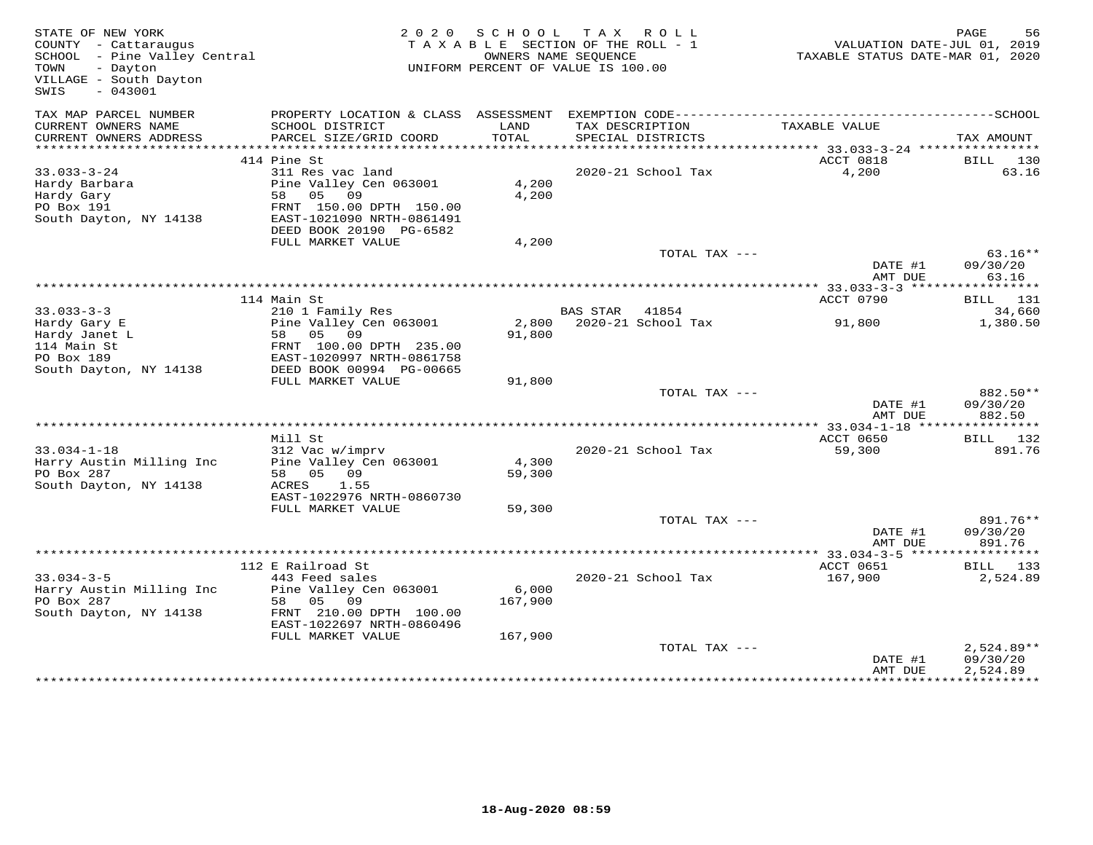| STATE OF NEW YORK<br>COUNTY - Cattaraugus<br>SCHOOL - Pine Valley Central<br>- Dayton<br>TOWN<br>VILLAGE - South Dayton<br>- 043001<br>SWIS |                                           |                      | 2020 SCHOOL TAX ROLL<br>TAXABLE SECTION OF THE ROLL - 1<br>OWNERS NAME SEOUENCE<br>UNIFORM PERCENT OF VALUE IS 100.00 | TAXABLE STATUS DATE-MAR 01, 2020           | PAGE<br>56<br>VALUATION DATE-JUL 01, 2019 |
|---------------------------------------------------------------------------------------------------------------------------------------------|-------------------------------------------|----------------------|-----------------------------------------------------------------------------------------------------------------------|--------------------------------------------|-------------------------------------------|
| TAX MAP PARCEL NUMBER                                                                                                                       | PROPERTY LOCATION & CLASS ASSESSMENT      |                      |                                                                                                                       |                                            |                                           |
| CURRENT OWNERS NAME<br>CURRENT OWNERS ADDRESS                                                                                               | SCHOOL DISTRICT<br>PARCEL SIZE/GRID COORD | LAND<br><b>TOTAL</b> | TAX DESCRIPTION<br>SPECIAL DISTRICTS                                                                                  | TAXABLE VALUE                              | TAX AMOUNT                                |
| ******************                                                                                                                          |                                           |                      | **************************                                                                                            | ************ 33.033-3-24 ***************** |                                           |
|                                                                                                                                             | 414 Pine St                               |                      |                                                                                                                       | ACCT 0818                                  | BILL 130                                  |
| $33.033 - 3 - 24$                                                                                                                           | 311 Res vac land                          |                      | 2020-21 School Tax                                                                                                    | 4,200                                      | 63.16                                     |
| Hardy Barbara<br>Hardy Gary                                                                                                                 | Pine Valley Cen 063001<br>09<br>58 05     | 4,200<br>4,200       |                                                                                                                       |                                            |                                           |
| PO Box 191                                                                                                                                  | FRNT 150.00 DPTH 150.00                   |                      |                                                                                                                       |                                            |                                           |
| South Dayton, NY 14138                                                                                                                      | EAST-1021090 NRTH-0861491                 |                      |                                                                                                                       |                                            |                                           |
|                                                                                                                                             | DEED BOOK 20190 PG-6582                   |                      |                                                                                                                       |                                            |                                           |
|                                                                                                                                             | FULL MARKET VALUE                         | 4,200                |                                                                                                                       |                                            |                                           |
|                                                                                                                                             |                                           |                      | TOTAL TAX ---                                                                                                         |                                            | $63.16**$                                 |
|                                                                                                                                             |                                           |                      |                                                                                                                       | DATE #1                                    | 09/30/20                                  |
|                                                                                                                                             |                                           |                      |                                                                                                                       | AMT DUE                                    | 63.16                                     |
|                                                                                                                                             | 114 Main St                               |                      |                                                                                                                       | ACCT 0790                                  | <b>BILL</b> 131                           |
| $33.033 - 3 - 3$                                                                                                                            | 210 1 Family Res                          |                      | BAS STAR 41854                                                                                                        |                                            | 34,660                                    |
| Hardy Gary E                                                                                                                                | Pine Valley Cen 063001                    | 2,800                | 2020-21 School Tax                                                                                                    | 91,800                                     | 1,380.50                                  |
| Hardy Janet L                                                                                                                               | 58 05<br>09                               | 91,800               |                                                                                                                       |                                            |                                           |
| 114 Main St                                                                                                                                 | FRNT 100.00 DPTH 235.00                   |                      |                                                                                                                       |                                            |                                           |
| PO Box 189                                                                                                                                  | EAST-1020997 NRTH-0861758                 |                      |                                                                                                                       |                                            |                                           |
| South Dayton, NY 14138                                                                                                                      | DEED BOOK 00994 PG-00665                  |                      |                                                                                                                       |                                            |                                           |
|                                                                                                                                             | FULL MARKET VALUE                         | 91,800               | TOTAL TAX ---                                                                                                         |                                            | 882.50**                                  |
|                                                                                                                                             |                                           |                      |                                                                                                                       | DATE #1                                    | 09/30/20                                  |
|                                                                                                                                             |                                           |                      |                                                                                                                       | AMT DUE                                    | 882.50                                    |
|                                                                                                                                             |                                           |                      |                                                                                                                       |                                            |                                           |
|                                                                                                                                             | Mill St                                   |                      |                                                                                                                       | ACCT 0650                                  | BILL 132                                  |
| $33.034 - 1 - 18$                                                                                                                           | 312 Vac w/imprv                           |                      | 2020-21 School Tax                                                                                                    | 59,300                                     | 891.76                                    |
| Harry Austin Milling Inc                                                                                                                    | Pine Valley Cen 063001                    | 4,300                |                                                                                                                       |                                            |                                           |
| PO Box 287<br>South Dayton, NY 14138                                                                                                        | 58 05 09<br>1.55<br>ACRES                 | 59,300               |                                                                                                                       |                                            |                                           |
|                                                                                                                                             | EAST-1022976 NRTH-0860730                 |                      |                                                                                                                       |                                            |                                           |
|                                                                                                                                             | FULL MARKET VALUE                         | 59,300               |                                                                                                                       |                                            |                                           |
|                                                                                                                                             |                                           |                      | TOTAL TAX ---                                                                                                         |                                            | 891.76**                                  |
|                                                                                                                                             |                                           |                      |                                                                                                                       | DATE #1                                    | 09/30/20                                  |
|                                                                                                                                             |                                           |                      |                                                                                                                       | AMT DUE                                    | 891.76                                    |
|                                                                                                                                             |                                           |                      |                                                                                                                       | ** 33.034-3-5 ******************           |                                           |
| $33.034 - 3 - 5$                                                                                                                            | 112 E Railroad St<br>443 Feed sales       |                      | 2020-21 School Tax                                                                                                    | ACCT 0651<br>167,900                       | BILL 133<br>2,524.89                      |
| Harry Austin Milling Inc                                                                                                                    | Pine Valley Cen 063001                    | 6,000                |                                                                                                                       |                                            |                                           |
| PO Box 287                                                                                                                                  | 58 05<br>09                               | 167,900              |                                                                                                                       |                                            |                                           |
| South Dayton, NY 14138                                                                                                                      | FRNT 210.00 DPTH 100.00                   |                      |                                                                                                                       |                                            |                                           |
|                                                                                                                                             | EAST-1022697 NRTH-0860496                 |                      |                                                                                                                       |                                            |                                           |
|                                                                                                                                             | FULL MARKET VALUE                         | 167,900              |                                                                                                                       |                                            |                                           |
|                                                                                                                                             |                                           |                      | TOTAL TAX ---                                                                                                         |                                            | $2,524.89**$                              |
|                                                                                                                                             |                                           |                      |                                                                                                                       | DATE #1                                    | 09/30/20<br>2,524.89                      |
|                                                                                                                                             |                                           |                      |                                                                                                                       | AMT DUE                                    |                                           |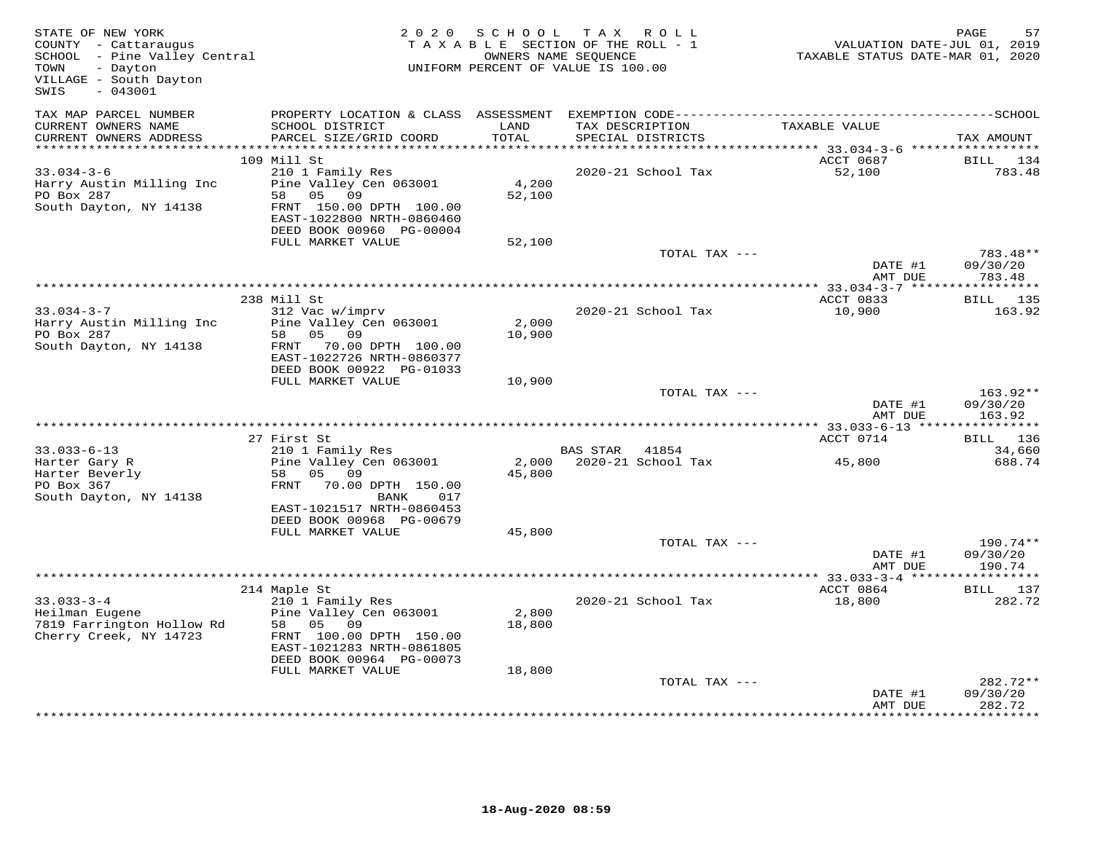| STATE OF NEW YORK<br>COUNTY - Cattaraugus<br>SCHOOL - Pine Valley Central<br>TOWN<br>- Dayton<br>VILLAGE - South Dayton<br>$-043001$<br>SWIS |                                                                                                                                                                    | 2020 SCHOOL               | TAX ROLL<br>TAXABLE SECTION OF THE ROLL - 1<br>OWNERS NAME SEQUENCE<br>UNIFORM PERCENT OF VALUE IS 100.00 | TAXABLE STATUS DATE-MAR 01, 2020 | PAGE<br>57<br>VALUATION DATE-JUL 01, 2019 |
|----------------------------------------------------------------------------------------------------------------------------------------------|--------------------------------------------------------------------------------------------------------------------------------------------------------------------|---------------------------|-----------------------------------------------------------------------------------------------------------|----------------------------------|-------------------------------------------|
| TAX MAP PARCEL NUMBER<br>CURRENT OWNERS NAME<br>CURRENT OWNERS ADDRESS                                                                       | SCHOOL DISTRICT<br>PARCEL SIZE/GRID COORD                                                                                                                          | LAND<br>TOTAL             | TAX DESCRIPTION<br>SPECIAL DISTRICTS                                                                      | TAXABLE VALUE                    | TAX AMOUNT                                |
|                                                                                                                                              | 109 Mill St                                                                                                                                                        |                           |                                                                                                           | ACCT 0687                        | BILL<br>134                               |
| $33.034 - 3 - 6$<br>Harry Austin Milling Inc<br>PO Box 287<br>South Dayton, NY 14138                                                         | 210 1 Family Res<br>Pine Valley Cen 063001<br>58 05<br>09<br>FRNT 150.00 DPTH 100.00<br>EAST-1022800 NRTH-0860460<br>DEED BOOK 00960 PG-00004<br>FULL MARKET VALUE | 4,200<br>52,100           | 2020-21 School Tax                                                                                        | 52,100                           | 783.48                                    |
|                                                                                                                                              |                                                                                                                                                                    | 52,100                    | TOTAL TAX ---                                                                                             |                                  | 783.48**                                  |
|                                                                                                                                              |                                                                                                                                                                    |                           |                                                                                                           | DATE #1<br>AMT DUE               | 09/30/20<br>783.48                        |
|                                                                                                                                              | 238 Mill St                                                                                                                                                        |                           |                                                                                                           | ACCT 0833                        | BILL 135                                  |
| $33.034 - 3 - 7$<br>Harry Austin Milling Inc<br>PO Box 287<br>South Dayton, NY 14138                                                         | 312 Vac w/imprv<br>Pine Valley Cen 063001<br>58 05<br>09<br>FRNT 70.00 DPTH 100.00<br>EAST-1022726 NRTH-0860377<br>DEED BOOK 00922 PG-01033                        | 2,000<br>10,900           | 2020-21 School Tax                                                                                        | 10,900                           | 163.92                                    |
|                                                                                                                                              | FULL MARKET VALUE                                                                                                                                                  | 10,900                    | TOTAL TAX ---                                                                                             | DATE #1<br>AMT DUE               | 163.92**<br>09/30/20<br>163.92            |
|                                                                                                                                              |                                                                                                                                                                    |                           |                                                                                                           |                                  |                                           |
|                                                                                                                                              | 27 First St                                                                                                                                                        |                           |                                                                                                           | ACCT 0714                        | BILL 136                                  |
| $33.033 - 6 - 13$<br>Harter Gary R<br>Harter Beverly<br>PO Box 367<br>South Dayton, NY 14138                                                 | 210 1 Family Res<br>Pine Valley Cen 063001<br>05 09<br>58<br>FRNT<br>70.00 DPTH 150.00<br>BANK<br>017<br>EAST-1021517 NRTH-0860453<br>DEED BOOK 00968 PG-00679     | 2,000<br>45,800           | BAS STAR 41854<br>2020-21 School Tax                                                                      | 45,800                           | 34,660<br>688.74                          |
|                                                                                                                                              | FULL MARKET VALUE                                                                                                                                                  | 45,800                    | TOTAL TAX ---                                                                                             |                                  | 190.74**                                  |
|                                                                                                                                              |                                                                                                                                                                    |                           |                                                                                                           | DATE #1<br>AMT DUE               | 09/30/20<br>190.74                        |
|                                                                                                                                              | 214 Maple St                                                                                                                                                       |                           |                                                                                                           | ACCT 0864                        | BILL 137                                  |
| $33.033 - 3 - 4$<br>Heilman Eugene<br>7819 Farrington Hollow Rd<br>Cherry Creek, NY 14723                                                    | 210 1 Family Res<br>Pine Valley Cen 063001<br>58<br>05 09<br>FRNT 100.00 DPTH 150.00<br>EAST-1021283 NRTH-0861805<br>DEED BOOK 00964 PG-00073<br>FULL MARKET VALUE | 2,800<br>18,800<br>18,800 | 2020-21 School Tax                                                                                        | 18,800                           | 282.72                                    |
|                                                                                                                                              |                                                                                                                                                                    |                           | TOTAL TAX ---                                                                                             | DATE #1<br>AMT DUE               | 282.72**<br>09/30/20<br>282.72            |
|                                                                                                                                              |                                                                                                                                                                    |                           |                                                                                                           |                                  |                                           |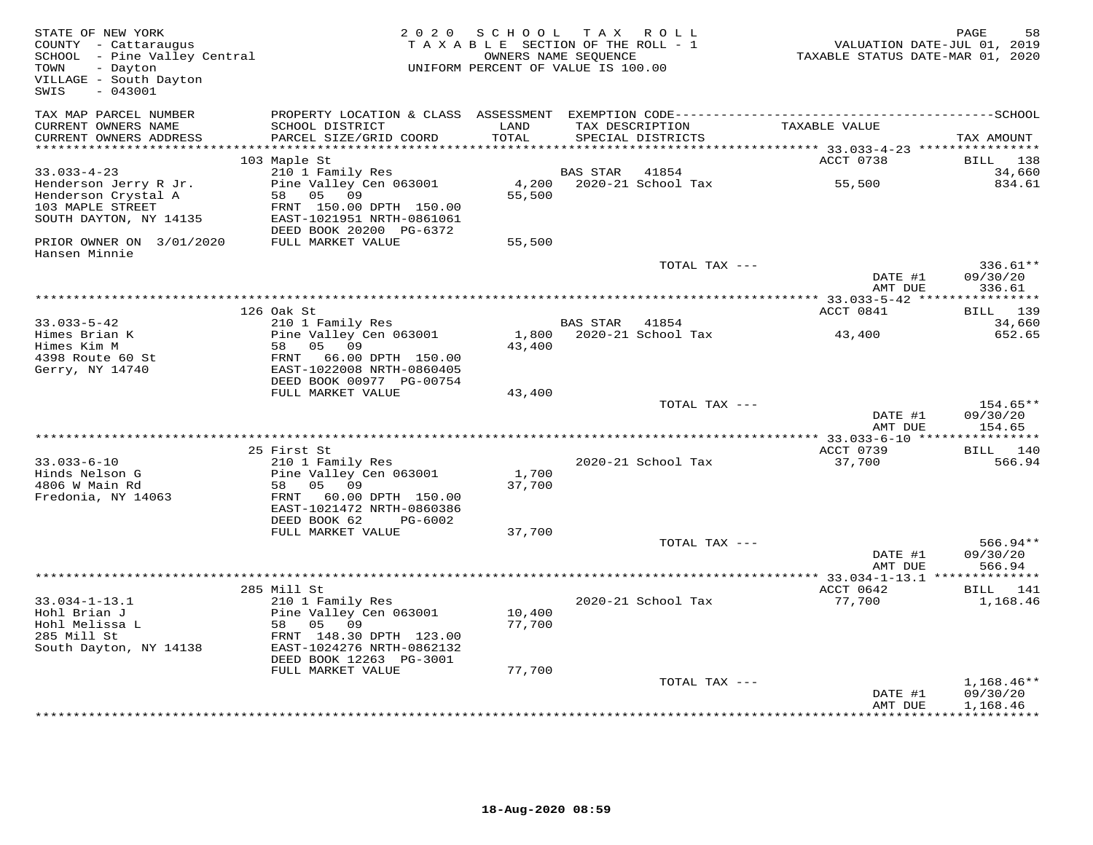| STATE OF NEW YORK<br>COUNTY - Cattaraugus<br>SCHOOL - Pine Valley Central<br>- Dayton<br>TOWN<br>VILLAGE - South Dayton<br>$-043001$<br>SWIS |                                                      | 2020 SCHOOL<br>TAXABLE SECTION OF THE ROLL - 1<br>UNIFORM PERCENT OF VALUE IS 100.00 | TAX ROLL<br>OWNERS NAME SEQUENCE |                    | TAXABLE STATUS DATE-MAR 01, 2020 | PAGE<br>58<br>VALUATION DATE-JUL 01, 2019 |
|----------------------------------------------------------------------------------------------------------------------------------------------|------------------------------------------------------|--------------------------------------------------------------------------------------|----------------------------------|--------------------|----------------------------------|-------------------------------------------|
| TAX MAP PARCEL NUMBER                                                                                                                        |                                                      |                                                                                      |                                  |                    |                                  |                                           |
| CURRENT OWNERS NAME<br>CURRENT OWNERS ADDRESS                                                                                                | SCHOOL DISTRICT<br>PARCEL SIZE/GRID COORD            | LAND<br>TOTAL                                                                        | TAX DESCRIPTION                  | SPECIAL DISTRICTS  | TAXABLE VALUE                    | TAX AMOUNT                                |
| ***********************                                                                                                                      | 103 Maple St                                         |                                                                                      |                                  |                    | ACCT 0738                        | BILL<br>138                               |
| $33.033 - 4 - 23$                                                                                                                            | 210 1 Family Res                                     |                                                                                      | BAS STAR                         | 41854              |                                  | 34,660                                    |
| Henderson Jerry R Jr.                                                                                                                        | Pine Valley Cen 063001                               | 4,200                                                                                |                                  | 2020-21 School Tax | 55,500                           | 834.61                                    |
| Henderson Crystal A                                                                                                                          | 58 05 09                                             | 55,500                                                                               |                                  |                    |                                  |                                           |
| 103 MAPLE STREET                                                                                                                             | FRNT 150.00 DPTH 150.00                              |                                                                                      |                                  |                    |                                  |                                           |
| SOUTH DAYTON, NY 14135                                                                                                                       | EAST-1021951 NRTH-0861061<br>DEED BOOK 20200 PG-6372 |                                                                                      |                                  |                    |                                  |                                           |
| PRIOR OWNER ON 3/01/2020<br>Hansen Minnie                                                                                                    | FULL MARKET VALUE                                    | 55,500                                                                               |                                  |                    |                                  |                                           |
|                                                                                                                                              |                                                      |                                                                                      |                                  | TOTAL TAX ---      | DATE #1                          | 336.61**<br>09/30/20                      |
|                                                                                                                                              |                                                      |                                                                                      |                                  |                    | AMT DUE                          | 336.61                                    |
|                                                                                                                                              |                                                      |                                                                                      |                                  |                    |                                  | ***********                               |
| $33.033 - 5 - 42$                                                                                                                            | 126 Oak St<br>210 1 Family Res                       |                                                                                      | BAS STAR                         | 41854              | ACCT 0841                        | BILL 139<br>34,660                        |
| Himes Brian K                                                                                                                                | Pine Valley Cen 063001                               | 1,800                                                                                |                                  | 2020-21 School Tax | 43,400                           | 652.65                                    |
| Himes Kim M                                                                                                                                  | 58<br>05 09                                          | 43,400                                                                               |                                  |                    |                                  |                                           |
| 4398 Route 60 St                                                                                                                             | FRNT 66.00 DPTH 150.00                               |                                                                                      |                                  |                    |                                  |                                           |
| Gerry, NY 14740                                                                                                                              | EAST-1022008 NRTH-0860405                            |                                                                                      |                                  |                    |                                  |                                           |
|                                                                                                                                              | DEED BOOK 00977 PG-00754<br>FULL MARKET VALUE        | 43,400                                                                               |                                  |                    |                                  |                                           |
|                                                                                                                                              |                                                      |                                                                                      |                                  | TOTAL TAX ---      |                                  | 154.65**                                  |
|                                                                                                                                              |                                                      |                                                                                      |                                  |                    | DATE #1<br>AMT DUE               | 09/30/20<br>154.65                        |
|                                                                                                                                              |                                                      |                                                                                      |                                  |                    |                                  |                                           |
| $33.033 - 6 - 10$                                                                                                                            | 25 First St<br>210 1 Family Res                      |                                                                                      |                                  | 2020-21 School Tax | ACCT 0739<br>37,700              | BILL 140<br>566.94                        |
| Hinds Nelson G                                                                                                                               | Pine Valley Cen 063001                               | 1,700                                                                                |                                  |                    |                                  |                                           |
| 4806 W Main Rd                                                                                                                               | 58<br>05 09                                          | 37,700                                                                               |                                  |                    |                                  |                                           |
| Fredonia, NY 14063                                                                                                                           | FRNT 60.00 DPTH 150.00                               |                                                                                      |                                  |                    |                                  |                                           |
|                                                                                                                                              | EAST-1021472 NRTH-0860386                            |                                                                                      |                                  |                    |                                  |                                           |
|                                                                                                                                              | DEED BOOK 62<br>PG-6002<br>FULL MARKET VALUE         | 37,700                                                                               |                                  |                    |                                  |                                           |
|                                                                                                                                              |                                                      |                                                                                      |                                  | TOTAL TAX ---      |                                  | $566.94**$                                |
|                                                                                                                                              |                                                      |                                                                                      |                                  |                    | DATE #1                          | 09/30/20                                  |
|                                                                                                                                              |                                                      |                                                                                      |                                  |                    | AMT DUE                          | 566.94                                    |
|                                                                                                                                              | 285 Mill St                                          |                                                                                      |                                  |                    | ACCT 0642                        | BILL 141                                  |
| $33.034 - 1 - 13.1$                                                                                                                          | 210 1 Family Res                                     |                                                                                      |                                  | 2020-21 School Tax | 77,700                           | 1,168.46                                  |
| Hohl Brian J                                                                                                                                 | Pine Valley Cen 063001                               | 10,400                                                                               |                                  |                    |                                  |                                           |
| Hohl Melissa L                                                                                                                               | 58<br>05 09                                          | 77,700                                                                               |                                  |                    |                                  |                                           |
| 285 Mill St                                                                                                                                  | FRNT 148.30 DPTH 123.00                              |                                                                                      |                                  |                    |                                  |                                           |
| South Dayton, NY 14138                                                                                                                       | EAST-1024276 NRTH-0862132<br>DEED BOOK 12263 PG-3001 |                                                                                      |                                  |                    |                                  |                                           |
|                                                                                                                                              | FULL MARKET VALUE                                    | 77,700                                                                               |                                  |                    |                                  |                                           |
|                                                                                                                                              |                                                      |                                                                                      |                                  | TOTAL TAX ---      |                                  | $1,168.46**$                              |
|                                                                                                                                              |                                                      |                                                                                      |                                  |                    | DATE #1                          | 09/30/20                                  |
|                                                                                                                                              |                                                      |                                                                                      |                                  |                    | AMT DUE                          | 1,168.46                                  |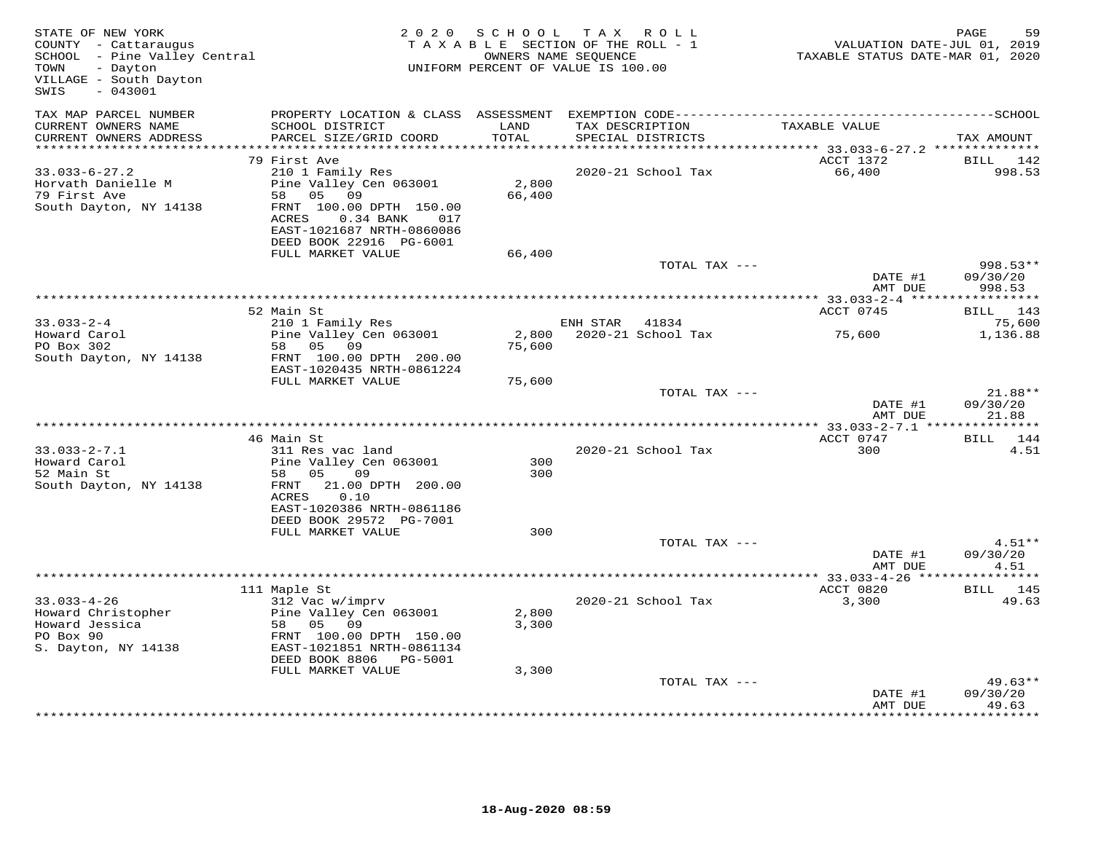| STATE OF NEW YORK<br>COUNTY - Cattaraugus<br>SCHOOL - Pine Valley Central<br>- Dayton<br>TOWN<br>VILLAGE - South Dayton<br>$-043001$<br>SWIS |                                                           | 2020 SCHOOL     | TAX ROLL<br>TAXABLE SECTION OF THE ROLL - 1<br>OWNERS NAME SEQUENCE<br>UNIFORM PERCENT OF VALUE IS 100.00 | TAXABLE STATUS DATE-MAR 01, 2020 | PAGE<br>59<br>VALUATION DATE-JUL 01, 2019 |
|----------------------------------------------------------------------------------------------------------------------------------------------|-----------------------------------------------------------|-----------------|-----------------------------------------------------------------------------------------------------------|----------------------------------|-------------------------------------------|
| TAX MAP PARCEL NUMBER                                                                                                                        |                                                           |                 |                                                                                                           |                                  |                                           |
| CURRENT OWNERS NAME                                                                                                                          | SCHOOL DISTRICT                                           | LAND            | TAX DESCRIPTION                                                                                           | TAXABLE VALUE                    |                                           |
| CURRENT OWNERS ADDRESS<br>***********************                                                                                            | PARCEL SIZE/GRID COORD<br>******************************* | TOTAL           | SPECIAL DISTRICTS                                                                                         |                                  | TAX AMOUNT                                |
|                                                                                                                                              | 79 First Ave                                              |                 |                                                                                                           | ACCT 1372                        | BILL<br>142                               |
| $33.033 - 6 - 27.2$                                                                                                                          | 210 1 Family Res                                          |                 | 2020-21 School Tax                                                                                        | 66,400                           | 998.53                                    |
| Horvath Danielle M                                                                                                                           | Pine Valley Cen 063001                                    | 2,800           |                                                                                                           |                                  |                                           |
| 79 First Ave                                                                                                                                 | 58 05<br>09                                               | 66,400          |                                                                                                           |                                  |                                           |
| South Dayton, NY 14138                                                                                                                       | FRNT 100.00 DPTH 150.00<br>ACRES<br>$0.34$ BANK<br>017    |                 |                                                                                                           |                                  |                                           |
|                                                                                                                                              | EAST-1021687 NRTH-0860086                                 |                 |                                                                                                           |                                  |                                           |
|                                                                                                                                              | DEED BOOK 22916 PG-6001                                   |                 |                                                                                                           |                                  |                                           |
|                                                                                                                                              | FULL MARKET VALUE                                         | 66,400          |                                                                                                           |                                  |                                           |
|                                                                                                                                              |                                                           |                 | TOTAL TAX ---                                                                                             | DATE #1<br>AMT DUE               | 998.53**<br>09/30/20<br>998.53            |
|                                                                                                                                              |                                                           |                 |                                                                                                           |                                  | ***********                               |
|                                                                                                                                              | 52 Main St                                                |                 |                                                                                                           | ACCT 0745                        | BILL 143                                  |
| $33.033 - 2 - 4$                                                                                                                             | 210 1 Family Res                                          |                 | ENH STAR<br>41834                                                                                         |                                  | 75,600                                    |
| Howard Carol<br>PO Box 302                                                                                                                   | Pine Valley Cen 063001<br>58 05 09                        | 2,800<br>75,600 | 2020-21 School Tax                                                                                        | 75,600                           | 1,136.88                                  |
| South Dayton, NY 14138                                                                                                                       | FRNT 100.00 DPTH 200.00                                   |                 |                                                                                                           |                                  |                                           |
|                                                                                                                                              | EAST-1020435 NRTH-0861224                                 |                 |                                                                                                           |                                  |                                           |
|                                                                                                                                              | FULL MARKET VALUE                                         | 75,600          |                                                                                                           |                                  |                                           |
|                                                                                                                                              |                                                           |                 | TOTAL TAX ---                                                                                             | DATE #1                          | 21.88**<br>09/30/20                       |
|                                                                                                                                              |                                                           |                 |                                                                                                           | AMT DUE                          | 21.88                                     |
|                                                                                                                                              |                                                           |                 |                                                                                                           |                                  |                                           |
|                                                                                                                                              | 46 Main St                                                |                 |                                                                                                           | ACCT 0747                        | 144<br>BILL                               |
| $33.033 - 2 - 7.1$<br>Howard Carol                                                                                                           | 311 Res vac land                                          | 300             | 2020-21 School Tax                                                                                        | 300                              | 4.51                                      |
| 52 Main St                                                                                                                                   | Pine Valley Cen 063001<br>58 05<br>09                     | 300             |                                                                                                           |                                  |                                           |
| South Dayton, NY 14138                                                                                                                       | 21.00 DPTH 200.00<br>FRNT                                 |                 |                                                                                                           |                                  |                                           |
|                                                                                                                                              | 0.10<br>ACRES                                             |                 |                                                                                                           |                                  |                                           |
|                                                                                                                                              | EAST-1020386 NRTH-0861186                                 |                 |                                                                                                           |                                  |                                           |
|                                                                                                                                              | DEED BOOK 29572 PG-7001                                   |                 |                                                                                                           |                                  |                                           |
|                                                                                                                                              | FULL MARKET VALUE                                         | 300             | TOTAL TAX ---                                                                                             |                                  | $4.51**$                                  |
|                                                                                                                                              |                                                           |                 |                                                                                                           | DATE #1                          | 09/30/20                                  |
|                                                                                                                                              |                                                           |                 |                                                                                                           | AMT DUE                          | 4.51                                      |
|                                                                                                                                              |                                                           |                 |                                                                                                           |                                  |                                           |
| $33.033 - 4 - 26$                                                                                                                            | 111 Maple St<br>312 Vac w/imprv                           |                 | 2020-21 School Tax                                                                                        | ACCT 0820<br>3,300               | <b>BILL</b> 145<br>49.63                  |
| Howard Christopher                                                                                                                           | Pine Valley Cen 063001                                    | 2,800           |                                                                                                           |                                  |                                           |
| Howard Jessica                                                                                                                               | 58 05 09                                                  | 3,300           |                                                                                                           |                                  |                                           |
| PO Box 90                                                                                                                                    | FRNT 100.00 DPTH 150.00                                   |                 |                                                                                                           |                                  |                                           |
| S. Dayton, NY 14138                                                                                                                          | EAST-1021851 NRTH-0861134                                 |                 |                                                                                                           |                                  |                                           |
|                                                                                                                                              | DEED BOOK 8806 PG-5001                                    |                 |                                                                                                           |                                  |                                           |
|                                                                                                                                              | FULL MARKET VALUE                                         | 3,300           | TOTAL TAX ---                                                                                             |                                  | $49.63**$                                 |
|                                                                                                                                              |                                                           |                 |                                                                                                           | DATE #1                          | 09/30/20                                  |
|                                                                                                                                              |                                                           |                 |                                                                                                           | AMT DUE                          | 49.63                                     |
|                                                                                                                                              |                                                           |                 |                                                                                                           |                                  |                                           |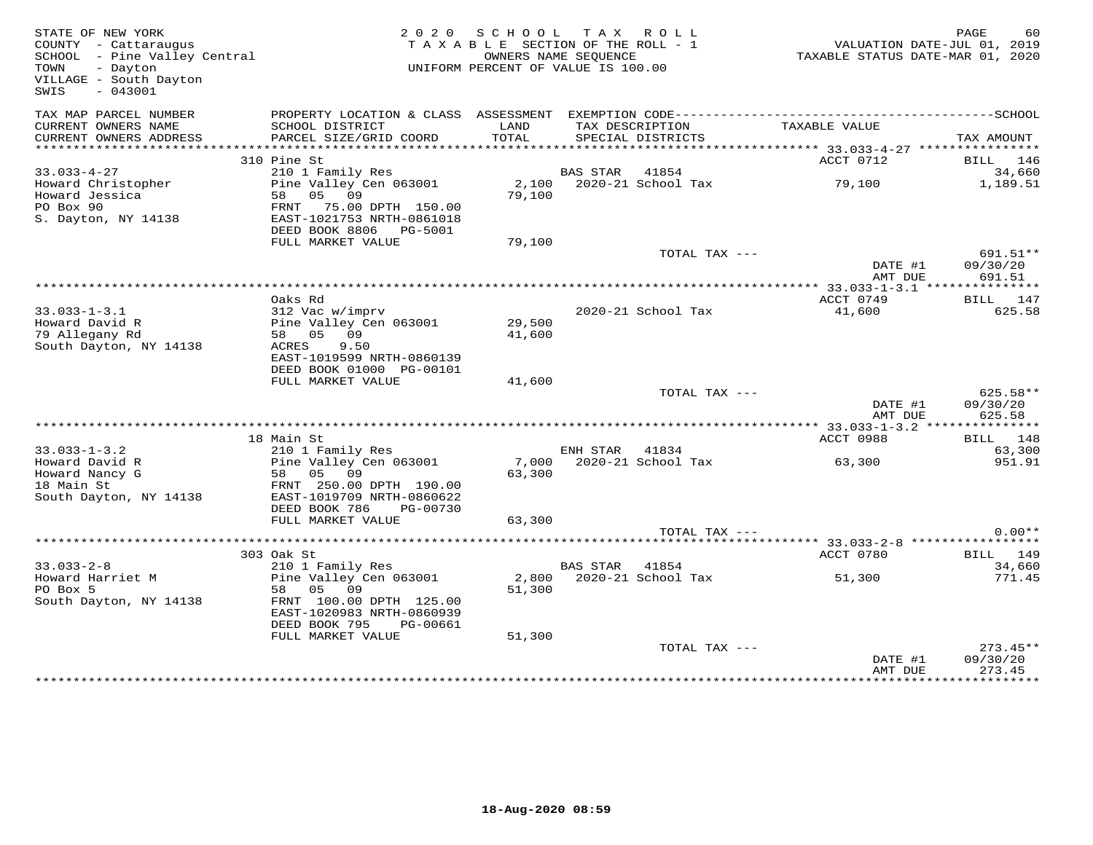| STATE OF NEW YORK<br>COUNTY - Cattaraugus<br>SCHOOL - Pine Valley Central<br>- Dayton<br>TOWN<br>VILLAGE - South Dayton<br>$-043001$<br>SWIS |                                                         |                     | 2020 SCHOOL TAX ROLL<br>TAXABLE SECTION OF THE ROLL - 1<br>OWNERS NAME SEOUENCE<br>UNIFORM PERCENT OF VALUE IS 100.00 | TAXABLE STATUS DATE-MAR 01, 2020                | PAGE<br>60<br>VALUATION DATE-JUL 01, 2019 |
|----------------------------------------------------------------------------------------------------------------------------------------------|---------------------------------------------------------|---------------------|-----------------------------------------------------------------------------------------------------------------------|-------------------------------------------------|-------------------------------------------|
| TAX MAP PARCEL NUMBER<br>CURRENT OWNERS NAME                                                                                                 | PROPERTY LOCATION & CLASS ASSESSMENT<br>SCHOOL DISTRICT | LAND                | TAX DESCRIPTION                                                                                                       | TAXABLE VALUE                                   |                                           |
| CURRENT OWNERS ADDRESS                                                                                                                       | PARCEL SIZE/GRID COORD                                  | TOTAL<br>********** | SPECIAL DISTRICTS                                                                                                     | ***************** 33.033-4-27 ***************** | TAX AMOUNT                                |
|                                                                                                                                              | 310 Pine St                                             |                     |                                                                                                                       | ACCT 0712                                       | BILL 146                                  |
| $33.033 - 4 - 27$                                                                                                                            | 210 1 Family Res                                        |                     | BAS STAR 41854                                                                                                        |                                                 | 34,660                                    |
| Howard Christopher                                                                                                                           | Pine Valley Cen 063001                                  |                     | 2,100 2020-21 School Tax                                                                                              | 79,100                                          | 1,189.51                                  |
| Howard Jessica                                                                                                                               | 58 05 09                                                | 79,100              |                                                                                                                       |                                                 |                                           |
| PO Box 90                                                                                                                                    | FRNT 75.00 DPTH 150.00                                  |                     |                                                                                                                       |                                                 |                                           |
| S. Dayton, NY 14138                                                                                                                          | EAST-1021753 NRTH-0861018<br>DEED BOOK 8806 PG-5001     |                     |                                                                                                                       |                                                 |                                           |
|                                                                                                                                              | FULL MARKET VALUE                                       | 79,100              |                                                                                                                       |                                                 |                                           |
|                                                                                                                                              |                                                         |                     | TOTAL TAX ---                                                                                                         |                                                 | 691.51**                                  |
|                                                                                                                                              |                                                         |                     |                                                                                                                       | DATE #1<br>AMT DUE                              | 09/30/20<br>691.51                        |
|                                                                                                                                              |                                                         |                     |                                                                                                                       |                                                 |                                           |
|                                                                                                                                              | Oaks Rd                                                 |                     |                                                                                                                       | ACCT 0749                                       | BILL 147                                  |
| $33.033 - 1 - 3.1$                                                                                                                           | 312 Vac w/imprv                                         |                     | 2020-21 School Tax                                                                                                    | 41,600                                          | 625.58                                    |
| Howard David R                                                                                                                               | Pine Valley Cen 063001                                  | 29,500              |                                                                                                                       |                                                 |                                           |
| 79 Allegany Rd<br>South Dayton, NY 14138                                                                                                     | 58 05 09<br>9.50<br>ACRES                               | 41,600              |                                                                                                                       |                                                 |                                           |
|                                                                                                                                              | EAST-1019599 NRTH-0860139                               |                     |                                                                                                                       |                                                 |                                           |
|                                                                                                                                              | DEED BOOK 01000 PG-00101                                |                     |                                                                                                                       |                                                 |                                           |
|                                                                                                                                              | FULL MARKET VALUE                                       | 41,600              |                                                                                                                       |                                                 |                                           |
|                                                                                                                                              |                                                         |                     | TOTAL TAX ---                                                                                                         |                                                 | $625.58**$                                |
|                                                                                                                                              |                                                         |                     |                                                                                                                       | DATE #1                                         | 09/30/20                                  |
|                                                                                                                                              |                                                         |                     |                                                                                                                       | AMT DUE                                         | 625.58<br>***********                     |
|                                                                                                                                              | 18 Main St                                              |                     |                                                                                                                       | ACCT 0988                                       | BILL 148                                  |
| $33.033 - 1 - 3.2$                                                                                                                           | 210 1 Family Res                                        |                     | ENH STAR 41834                                                                                                        |                                                 | 63,300                                    |
| Howard David R                                                                                                                               | Pine Valley Cen 063001                                  | 7,000               | 2020-21 School Tax                                                                                                    | 63,300                                          | 951.91                                    |
| Howard Nancy G                                                                                                                               | 58 05 09                                                | 63,300              |                                                                                                                       |                                                 |                                           |
| 18 Main St                                                                                                                                   | FRNT 250.00 DPTH 190.00                                 |                     |                                                                                                                       |                                                 |                                           |
| South Dayton, NY 14138                                                                                                                       | EAST-1019709 NRTH-0860622                               |                     |                                                                                                                       |                                                 |                                           |
|                                                                                                                                              | DEED BOOK 786<br>PG-00730                               |                     |                                                                                                                       |                                                 |                                           |
|                                                                                                                                              | FULL MARKET VALUE                                       | 63,300              |                                                                                                                       |                                                 | $0.00**$                                  |
|                                                                                                                                              |                                                         |                     | TOTAL TAX ---<br>************************                                                                             | ******** 33.033-2-8 *****************           |                                           |
|                                                                                                                                              | 303 Oak St                                              |                     |                                                                                                                       | ACCT 0780                                       | BILL 149                                  |
| $33.033 - 2 - 8$                                                                                                                             | 210 1 Family Res                                        |                     | BAS STAR 41854                                                                                                        |                                                 | 34,660                                    |
| Howard Harriet M                                                                                                                             | Pine Valley Cen 063001                                  | 2,800               | 2020-21 School Tax                                                                                                    | 51,300                                          | 771.45                                    |
| PO Box 5                                                                                                                                     | 58 05 09                                                | 51,300              |                                                                                                                       |                                                 |                                           |
| South Dayton, NY 14138                                                                                                                       | FRNT 100.00 DPTH 125.00                                 |                     |                                                                                                                       |                                                 |                                           |
|                                                                                                                                              | EAST-1020983 NRTH-0860939                               |                     |                                                                                                                       |                                                 |                                           |
|                                                                                                                                              | DEED BOOK 795<br>PG-00661<br>FULL MARKET VALUE          | 51,300              |                                                                                                                       |                                                 |                                           |
|                                                                                                                                              |                                                         |                     | TOTAL TAX ---                                                                                                         |                                                 | $273.45**$                                |
|                                                                                                                                              |                                                         |                     |                                                                                                                       | DATE #1                                         | 09/30/20                                  |
|                                                                                                                                              |                                                         |                     |                                                                                                                       | AMT DUE                                         | 273.45                                    |
|                                                                                                                                              |                                                         |                     |                                                                                                                       |                                                 |                                           |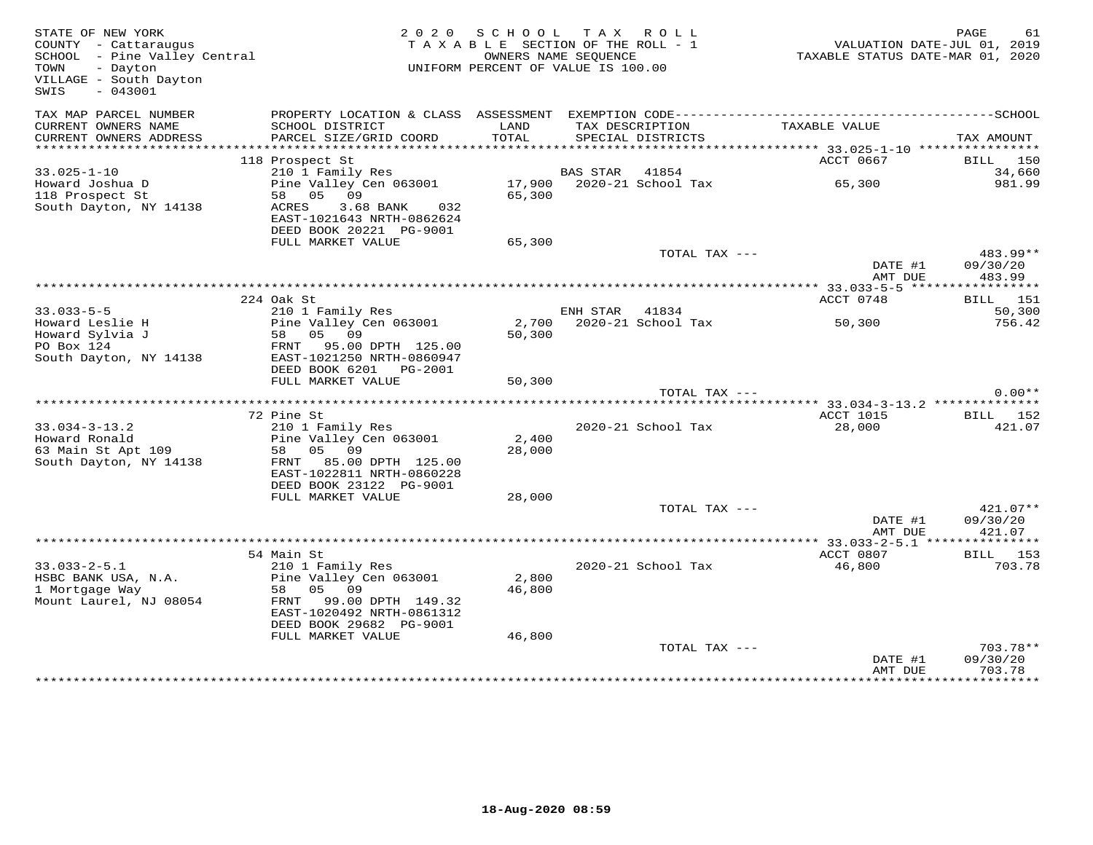| STATE OF NEW YORK<br>COUNTY - Cattaraugus<br>SCHOOL - Pine Valley Central<br>TOWN<br>- Dayton<br>VILLAGE - South Dayton<br>SWIS<br>$-043001$ |                                                                                                                                                               |                           | 2020 SCHOOL TAX ROLL<br>TAXABLE SECTION OF THE ROLL - 1<br>OWNERS NAME SEOUENCE<br>UNIFORM PERCENT OF VALUE IS 100.00 |                                     | PAGE<br>61<br>VALUATION DATE-JUL 01, 2019<br>TAXABLE STATUS DATE-MAR 01, 2020 |
|----------------------------------------------------------------------------------------------------------------------------------------------|---------------------------------------------------------------------------------------------------------------------------------------------------------------|---------------------------|-----------------------------------------------------------------------------------------------------------------------|-------------------------------------|-------------------------------------------------------------------------------|
| TAX MAP PARCEL NUMBER<br>CURRENT OWNERS NAME<br>CURRENT OWNERS ADDRESS                                                                       | SCHOOL DISTRICT<br>PARCEL SIZE/GRID COORD                                                                                                                     | LAND<br>TOTAL             | TAX DESCRIPTION<br>SPECIAL DISTRICTS                                                                                  | TAXABLE VALUE                       | TAX AMOUNT                                                                    |
| ***********************                                                                                                                      |                                                                                                                                                               |                           |                                                                                                                       |                                     |                                                                               |
|                                                                                                                                              | 118 Prospect St                                                                                                                                               |                           |                                                                                                                       | ACCT 0667                           | BILL 150                                                                      |
| $33.025 - 1 - 10$<br>Howard Joshua D<br>118 Prospect St<br>South Dayton, NY 14138                                                            | 210 1 Family Res<br>Pine Valley Cen 063001<br>58 05<br>09<br>3.68 BANK 032<br>ACRES<br>EAST-1021643 NRTH-0862624<br>DEED BOOK 20221 PG-9001                   | 65,300                    | BAS STAR 41854<br>17,900 2020-21 School Tax                                                                           | 65,300                              | 34,660<br>981.99                                                              |
|                                                                                                                                              | FULL MARKET VALUE                                                                                                                                             | 65,300                    |                                                                                                                       |                                     |                                                                               |
|                                                                                                                                              |                                                                                                                                                               |                           |                                                                                                                       | TOTAL TAX ---<br>DATE #1            | 483.99**<br>09/30/20                                                          |
|                                                                                                                                              |                                                                                                                                                               |                           |                                                                                                                       | AMT DUE                             | 483.99                                                                        |
|                                                                                                                                              | 224 Oak St                                                                                                                                                    |                           |                                                                                                                       | ACCT 0748                           | BILL 151                                                                      |
| $33.033 - 5 - 5$                                                                                                                             | 210 1 Family Res                                                                                                                                              |                           | ENH STAR 41834                                                                                                        |                                     | 50,300                                                                        |
| Howard Leslie H<br>Howard Sylvia J<br>PO Box 124<br>South Dayton, NY 14138                                                                   | Pine Valley Cen 063001<br>58 05 09<br>FRNT 95.00 DPTH 125.00<br>EAST-1021250 NRTH-0860947                                                                     | 50,300                    | 2,700 2020-21 School Tax                                                                                              | 50,300                              | 756.42                                                                        |
|                                                                                                                                              | DEED BOOK 6201 PG-2001                                                                                                                                        |                           |                                                                                                                       |                                     |                                                                               |
|                                                                                                                                              | FULL MARKET VALUE                                                                                                                                             | 50,300                    |                                                                                                                       | TOTAL TAX ---                       | $0.00**$                                                                      |
|                                                                                                                                              |                                                                                                                                                               |                           |                                                                                                                       |                                     |                                                                               |
|                                                                                                                                              | 72 Pine St                                                                                                                                                    |                           |                                                                                                                       | ACCT 1015                           | BILL 152                                                                      |
| $33.034 - 3 - 13.2$<br>Howard Ronald<br>63 Main St Apt 109<br>South Dayton, NY 14138                                                         | 210 1 Family Res<br>Pine Valley Cen 063001<br>58 05 09<br>FRNT 85.00 DPTH 125.00<br>EAST-1022811 NRTH-0860228                                                 | 2,400<br>28,000           | 2020-21 School Tax                                                                                                    | 28,000                              | 421.07                                                                        |
|                                                                                                                                              | DEED BOOK 23122 PG-9001<br>FULL MARKET VALUE                                                                                                                  | 28,000                    |                                                                                                                       |                                     |                                                                               |
|                                                                                                                                              |                                                                                                                                                               |                           |                                                                                                                       | TOTAL TAX ---<br>DATE #1<br>AMT DUE | 421.07**<br>09/30/20<br>421.07                                                |
|                                                                                                                                              |                                                                                                                                                               |                           |                                                                                                                       |                                     |                                                                               |
|                                                                                                                                              | 54 Main St                                                                                                                                                    |                           |                                                                                                                       | ACCT 0807                           | BILL 153                                                                      |
| $33.033 - 2 - 5.1$<br>HSBC BANK USA, N.A.<br>1 Mortgage Way<br>Mount Laurel, NJ 08054                                                        | 210 1 Family Res<br>Pine Valley Cen 063001<br>58 05 09<br>FRNT 99.00 DPTH 149.32<br>EAST-1020492 NRTH-0861312<br>DEED BOOK 29682 PG-9001<br>FULL MARKET VALUE | 2,800<br>46,800<br>46,800 | 2020-21 School Tax                                                                                                    | 46,800                              | 703.78                                                                        |
|                                                                                                                                              |                                                                                                                                                               |                           |                                                                                                                       | TOTAL TAX ---<br>DATE #1<br>AMT DUE | $703.78**$<br>09/30/20<br>703.78                                              |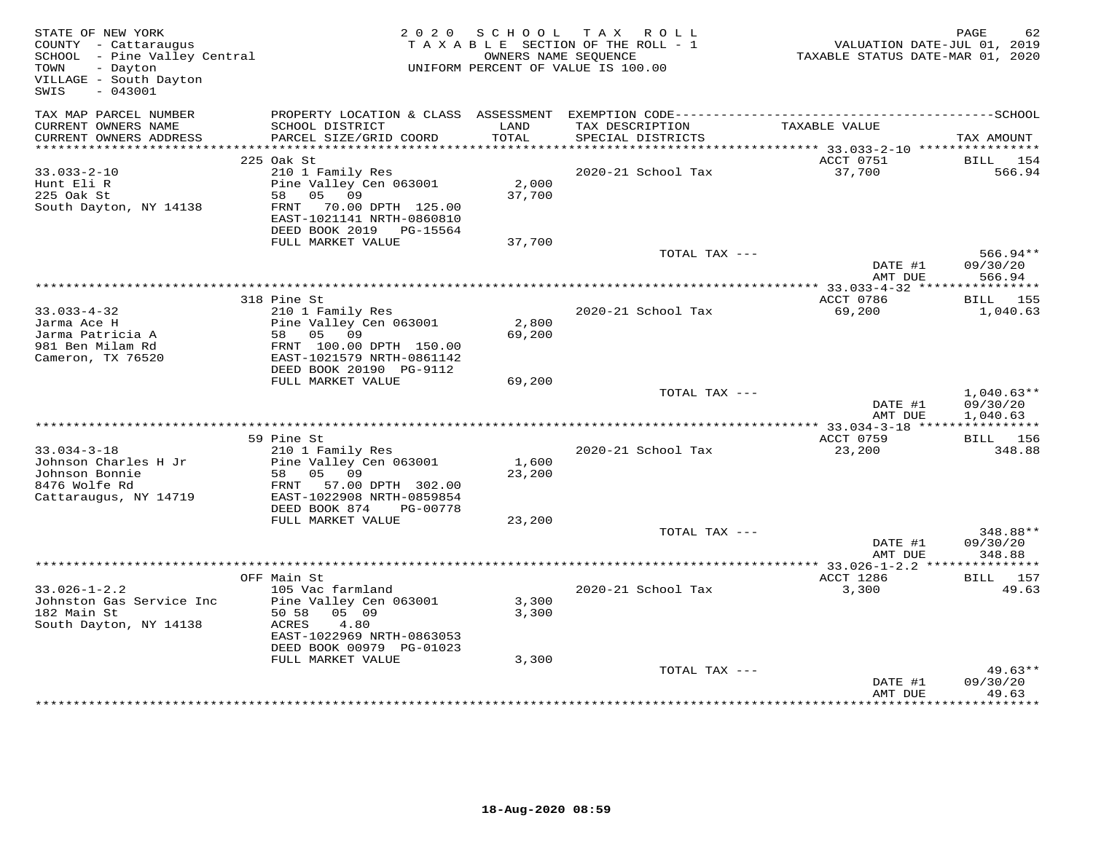| STATE OF NEW YORK<br>COUNTY - Cattaraugus<br>SCHOOL - Pine Valley Central<br>- Dayton<br>TOWN<br>VILLAGE - South Dayton<br>$-043001$<br>SWIS |                                                                                                                                                                            | 2020 SCHOOL             | TAX ROLL<br>TAXABLE SECTION OF THE ROLL - 1<br>OWNERS NAME SEQUENCE<br>UNIFORM PERCENT OF VALUE IS 100.00 | VALUATION DATE-JUL 01, 2019<br>TAXABLE STATUS DATE-MAR 01, 2020 | PAGE<br>62                           |
|----------------------------------------------------------------------------------------------------------------------------------------------|----------------------------------------------------------------------------------------------------------------------------------------------------------------------------|-------------------------|-----------------------------------------------------------------------------------------------------------|-----------------------------------------------------------------|--------------------------------------|
| TAX MAP PARCEL NUMBER<br>CURRENT OWNERS NAME<br>CURRENT OWNERS ADDRESS                                                                       | PROPERTY LOCATION & CLASS ASSESSMENT<br>SCHOOL DISTRICT<br>PARCEL SIZE/GRID COORD                                                                                          | LAND<br>TOTAL           | TAX DESCRIPTION<br>SPECIAL DISTRICTS                                                                      | TAXABLE VALUE                                                   | TAX AMOUNT                           |
| ***********************                                                                                                                      |                                                                                                                                                                            |                         |                                                                                                           |                                                                 |                                      |
| $33.033 - 2 - 10$<br>Hunt Eli R<br>225 Oak St<br>South Dayton, NY 14138                                                                      | 225 Oak St<br>210 1 Family Res<br>Pine Valley Cen 063001<br>58 05 09<br>FRNT 70.00 DPTH 125.00<br>EAST-1021141 NRTH-0860810                                                | 2,000<br>37,700         | 2020-21 School Tax                                                                                        | ACCT 0751<br>37,700                                             | BILL<br>154<br>566.94                |
|                                                                                                                                              | DEED BOOK 2019 PG-15564<br>FULL MARKET VALUE                                                                                                                               | 37,700                  |                                                                                                           |                                                                 |                                      |
|                                                                                                                                              |                                                                                                                                                                            |                         | TOTAL TAX ---                                                                                             | DATE #1<br>AMT DUE                                              | $566.94**$<br>09/30/20<br>566.94     |
|                                                                                                                                              |                                                                                                                                                                            |                         |                                                                                                           |                                                                 |                                      |
| $33.033 - 4 - 32$<br>Jarma Ace H<br>Jarma Patricia A<br>981 Ben Milam Rd<br>Cameron, TX 76520                                                | 318 Pine St<br>210 1 Family Res<br>Pine Valley Cen 063001<br>58 05 09<br>FRNT 100.00 DPTH 150.00<br>EAST-1021579 NRTH-0861142                                              | 2,800<br>69,200         | 2020-21 School Tax                                                                                        | ACCT 0786<br>69,200                                             | <b>BILL</b> 155<br>1,040.63          |
|                                                                                                                                              | DEED BOOK 20190 PG-9112<br>FULL MARKET VALUE                                                                                                                               | 69,200                  |                                                                                                           |                                                                 |                                      |
|                                                                                                                                              |                                                                                                                                                                            |                         | TOTAL TAX ---                                                                                             | DATE #1<br>AMT DUE                                              | $1,040.63**$<br>09/30/20<br>1,040.63 |
|                                                                                                                                              | 59 Pine St                                                                                                                                                                 |                         |                                                                                                           | ACCT 0759                                                       | <b>BILL</b> 156                      |
| $33.034 - 3 - 18$<br>Johnson Charles H Jr<br>Johnson Bonnie<br>8476 Wolfe Rd<br>Cattaraugus, NY 14719                                        | 210 1 Family Res<br>Pine Valley Cen 063001<br>58 05 09<br>FRNT 57.00 DPTH 302.00<br>EAST-1022908 NRTH-0859854<br>DEED BOOK 874<br>PG-00778                                 | 1,600<br>23,200         | 2020-21 School Tax                                                                                        | 23,200                                                          | 348.88                               |
|                                                                                                                                              | FULL MARKET VALUE                                                                                                                                                          | 23,200                  |                                                                                                           |                                                                 | 348.88**                             |
|                                                                                                                                              |                                                                                                                                                                            |                         | TOTAL TAX ---                                                                                             | DATE #1<br>AMT DUE                                              | 09/30/20<br>348.88                   |
|                                                                                                                                              |                                                                                                                                                                            |                         |                                                                                                           | ************ 33.026-1-2.2 ***                                   | * * * * * * * * * * *                |
| $33.026 - 1 - 2.2$<br>Johnston Gas Service Inc<br>182 Main St<br>South Dayton, NY 14138                                                      | OFF Main St<br>105 Vac farmland<br>Pine Valley Cen 063001<br>05 09<br>50 58<br>4.80<br>ACRES<br>EAST-1022969 NRTH-0863053<br>DEED BOOK 00979 PG-01023<br>FULL MARKET VALUE | 3,300<br>3,300<br>3,300 | 2020-21 School Tax                                                                                        | ACCT 1286<br>3,300                                              | <b>BILL</b> 157<br>49.63             |
|                                                                                                                                              |                                                                                                                                                                            |                         | TOTAL TAX ---                                                                                             | DATE #1<br>AMT DUE                                              | $49.63**$<br>09/30/20<br>49.63       |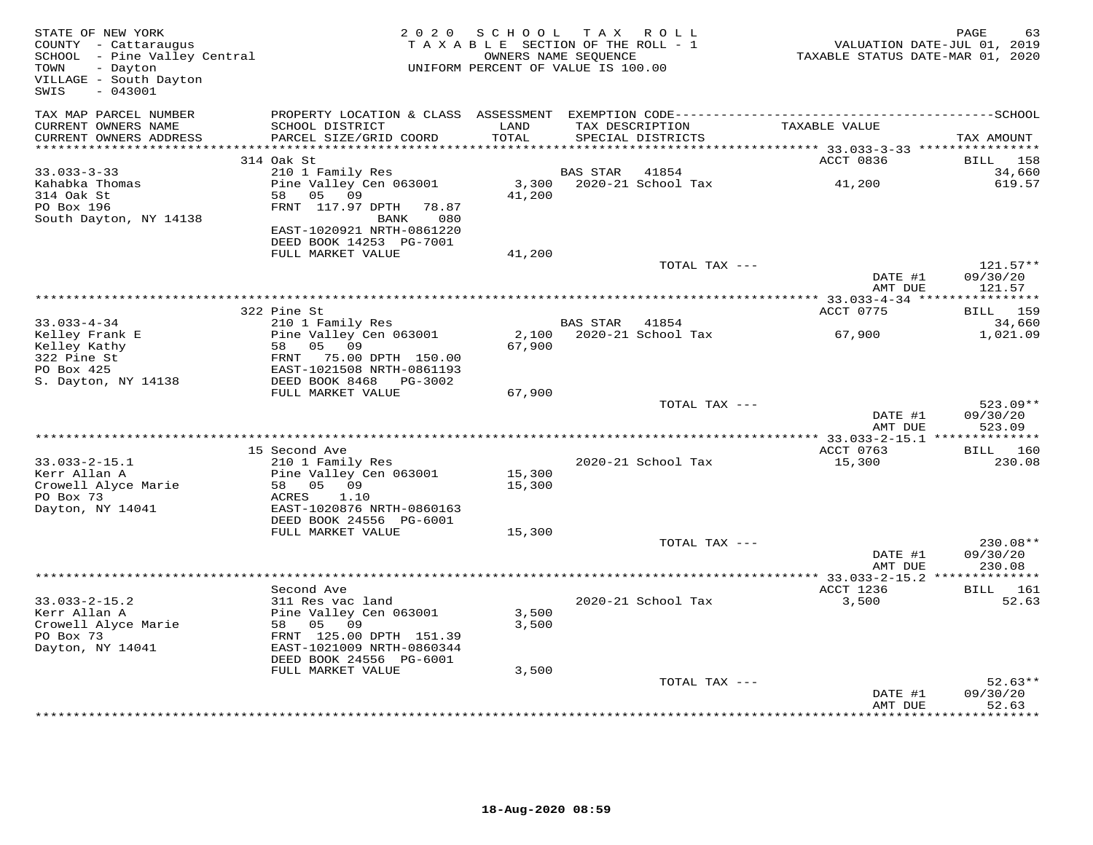| STATE OF NEW YORK<br>COUNTY - Cattaraugus<br>SCHOOL - Pine Valley Central<br>TOWN<br>- Dayton<br>VILLAGE - South Dayton<br>$-043001$<br>SWIS |                                             | 2020 SCHOOL<br>TAXABLE SECTION OF THE ROLL - 1<br>UNIFORM PERCENT OF VALUE IS 100.00 | OWNERS NAME SEQUENCE | TAX ROLL           | TAXABLE STATUS DATE-MAR 01, 2020 | PAGE<br>63<br>VALUATION DATE-JUL 01, 2019 |
|----------------------------------------------------------------------------------------------------------------------------------------------|---------------------------------------------|--------------------------------------------------------------------------------------|----------------------|--------------------|----------------------------------|-------------------------------------------|
| TAX MAP PARCEL NUMBER<br>CURRENT OWNERS NAME                                                                                                 | SCHOOL DISTRICT                             | LAND<br>TOTAL                                                                        |                      | TAX DESCRIPTION    | TAXABLE VALUE                    |                                           |
| CURRENT OWNERS ADDRESS<br>*************************                                                                                          | PARCEL SIZE/GRID COORD                      |                                                                                      |                      | SPECIAL DISTRICTS  |                                  | TAX AMOUNT                                |
|                                                                                                                                              | 314 Oak St                                  |                                                                                      |                      |                    | ACCT 0836                        | BILL 158                                  |
| $33.033 - 3 - 33$                                                                                                                            | 210 1 Family Res                            |                                                                                      | <b>BAS STAR</b>      | 41854              |                                  | 34,660                                    |
| Kahabka Thomas                                                                                                                               | Pine Valley Cen 063001                      | 3,300                                                                                |                      | 2020-21 School Tax | 41,200                           | 619.57                                    |
| 314 Oak St                                                                                                                                   | 58<br>05 09                                 | 41,200                                                                               |                      |                    |                                  |                                           |
| PO Box 196                                                                                                                                   | FRNT 117.97 DPTH<br>78.87                   |                                                                                      |                      |                    |                                  |                                           |
| South Dayton, NY 14138                                                                                                                       | 080<br>BANK                                 |                                                                                      |                      |                    |                                  |                                           |
|                                                                                                                                              | EAST-1020921 NRTH-0861220                   |                                                                                      |                      |                    |                                  |                                           |
|                                                                                                                                              | DEED BOOK 14253 PG-7001                     |                                                                                      |                      |                    |                                  |                                           |
|                                                                                                                                              | FULL MARKET VALUE                           | 41,200                                                                               |                      |                    |                                  |                                           |
|                                                                                                                                              |                                             |                                                                                      |                      | TOTAL TAX ---      | DATE #1<br>AMT DUE               | $121.57**$<br>09/30/20<br>121.57          |
|                                                                                                                                              |                                             |                                                                                      |                      |                    | ********** 33.033-4-34 ****      | ***********                               |
|                                                                                                                                              | 322 Pine St                                 |                                                                                      |                      |                    | ACCT 0775                        | BILL 159                                  |
| $33.033 - 4 - 34$                                                                                                                            | 210 1 Family Res                            |                                                                                      | BAS STAR             | 41854              |                                  | 34,660                                    |
| Kelley Frank E                                                                                                                               | Pine Valley Cen 063001                      | 2,100                                                                                |                      | 2020-21 School Tax | 67,900                           | 1,021.09                                  |
| Kelley Kathy                                                                                                                                 | 58<br>05 09                                 | 67,900                                                                               |                      |                    |                                  |                                           |
| 322 Pine St                                                                                                                                  | FRNT 75.00 DPTH 150.00                      |                                                                                      |                      |                    |                                  |                                           |
| PO Box 425                                                                                                                                   | EAST-1021508 NRTH-0861193                   |                                                                                      |                      |                    |                                  |                                           |
| S. Dayton, NY 14138                                                                                                                          | DEED BOOK 8468 PG-3002<br>FULL MARKET VALUE | 67,900                                                                               |                      |                    |                                  |                                           |
|                                                                                                                                              |                                             |                                                                                      |                      | TOTAL TAX ---      |                                  | $523.09**$                                |
|                                                                                                                                              |                                             |                                                                                      |                      |                    | DATE #1<br>AMT DUE               | 09/30/20<br>523.09                        |
|                                                                                                                                              |                                             |                                                                                      |                      |                    |                                  | ** $33.033 - 2 - 15.1$ **************     |
|                                                                                                                                              | 15 Second Ave                               |                                                                                      |                      |                    | ACCT 0763                        | BILL 160                                  |
| $33.033 - 2 - 15.1$                                                                                                                          | 210 1 Family Res                            |                                                                                      |                      | 2020-21 School Tax | 15,300                           | 230.08                                    |
| Kerr Allan A<br>Crowell Alyce Marie                                                                                                          | Pine Valley Cen 063001<br>58 05 09          | 15,300                                                                               |                      |                    |                                  |                                           |
| PO Box 73                                                                                                                                    | 1.10<br>ACRES                               | 15,300                                                                               |                      |                    |                                  |                                           |
| Dayton, NY 14041                                                                                                                             | EAST-1020876 NRTH-0860163                   |                                                                                      |                      |                    |                                  |                                           |
|                                                                                                                                              | DEED BOOK 24556 PG-6001                     |                                                                                      |                      |                    |                                  |                                           |
|                                                                                                                                              | FULL MARKET VALUE                           | 15,300                                                                               |                      |                    |                                  |                                           |
|                                                                                                                                              |                                             |                                                                                      |                      | TOTAL TAX ---      |                                  | 230.08**                                  |
|                                                                                                                                              |                                             |                                                                                      |                      |                    | DATE #1                          | 09/30/20                                  |
|                                                                                                                                              |                                             |                                                                                      |                      |                    | AMT DUE                          | 230.08                                    |
|                                                                                                                                              | Second Ave                                  |                                                                                      |                      |                    |                                  |                                           |
| $33.033 - 2 - 15.2$                                                                                                                          | 311 Res vac land                            |                                                                                      |                      | 2020-21 School Tax | ACCT 1236<br>3,500               | BILL 161<br>52.63                         |
| Kerr Allan A                                                                                                                                 | Pine Valley Cen 063001                      | 3,500                                                                                |                      |                    |                                  |                                           |
| Crowell Alyce Marie                                                                                                                          | 58<br>05 09                                 | 3,500                                                                                |                      |                    |                                  |                                           |
| PO Box 73                                                                                                                                    | FRNT 125.00 DPTH 151.39                     |                                                                                      |                      |                    |                                  |                                           |
| Dayton, NY 14041                                                                                                                             | EAST-1021009 NRTH-0860344                   |                                                                                      |                      |                    |                                  |                                           |
|                                                                                                                                              | DEED BOOK 24556 PG-6001                     |                                                                                      |                      |                    |                                  |                                           |
|                                                                                                                                              | FULL MARKET VALUE                           | 3,500                                                                                |                      |                    |                                  |                                           |
|                                                                                                                                              |                                             |                                                                                      |                      | TOTAL TAX ---      |                                  | $52.63**$                                 |
|                                                                                                                                              |                                             |                                                                                      |                      |                    | DATE #1<br>AMT DUE               | 09/30/20<br>52.63                         |
|                                                                                                                                              |                                             |                                                                                      |                      |                    |                                  |                                           |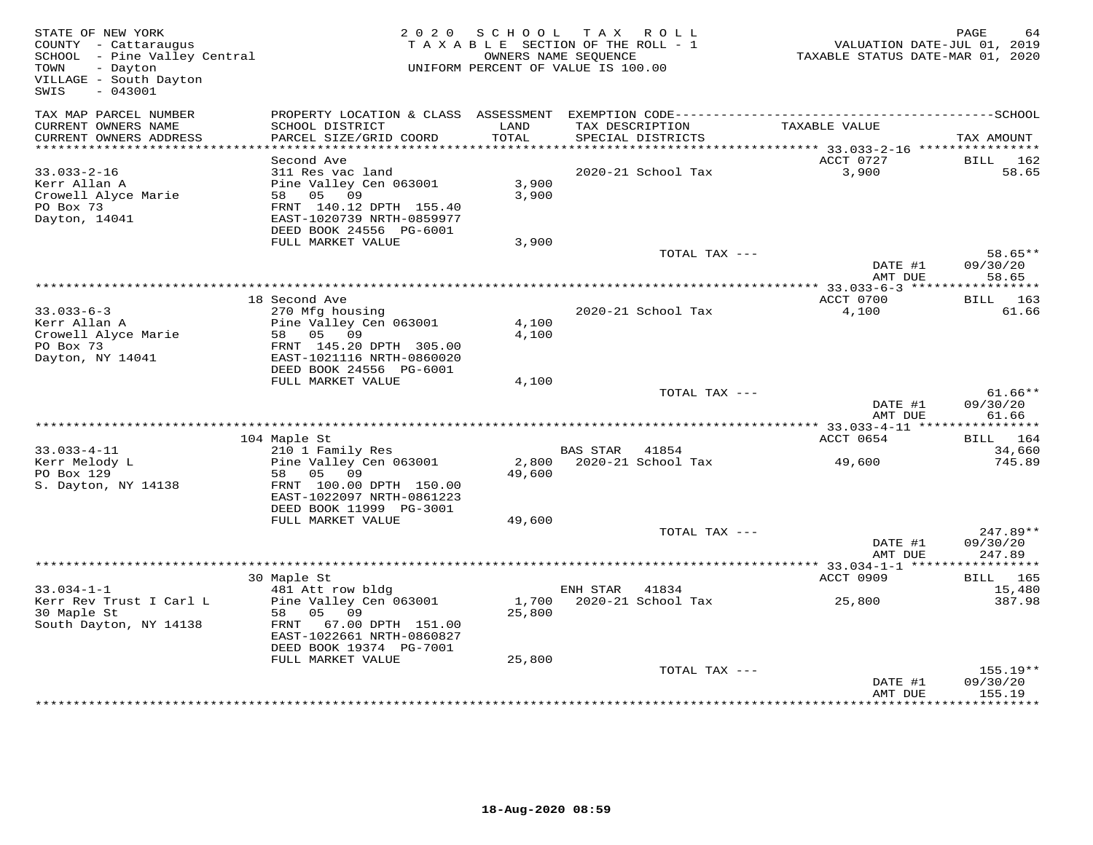| STATE OF NEW YORK<br>COUNTY - Cattaraugus<br>SCHOOL - Pine Valley Central<br>TOWN<br>- Dayton<br>VILLAGE - South Dayton<br>$-043001$<br>SWIS |                                                                                                                                                           | 2020 SCHOOL<br>TAXABLE SECTION OF THE ROLL - 1<br>OWNERS NAME SEQUENCE<br>UNIFORM PERCENT OF VALUE IS 100.00 | TAX ROLL        |                          | VALUATION DATE-JUL 01, 2019<br>TAXABLE STATUS DATE-MAR 01, 2020 | PAGE                                  |
|----------------------------------------------------------------------------------------------------------------------------------------------|-----------------------------------------------------------------------------------------------------------------------------------------------------------|--------------------------------------------------------------------------------------------------------------|-----------------|--------------------------|-----------------------------------------------------------------|---------------------------------------|
| TAX MAP PARCEL NUMBER<br>CURRENT OWNERS NAME<br>CURRENT OWNERS ADDRESS                                                                       | SCHOOL DISTRICT<br>PARCEL SIZE/GRID COORD                                                                                                                 | LAND<br>TOTAL                                                                                                | TAX DESCRIPTION | SPECIAL DISTRICTS        | TAXABLE VALUE                                                   | TAX AMOUNT                            |
| **********************                                                                                                                       |                                                                                                                                                           |                                                                                                              |                 |                          |                                                                 |                                       |
| $33.033 - 2 - 16$<br>Kerr Allan A<br>Crowell Alyce Marie<br>PO Box 73<br>Dayton, 14041                                                       | Second Ave<br>311 Res vac land<br>Pine Valley Cen 063001<br>58 05 09<br>FRNT 140.12 DPTH 155.40<br>EAST-1020739 NRTH-0859977<br>DEED BOOK 24556 PG-6001   | 3,900<br>3,900                                                                                               |                 | 2020-21 School Tax       | ACCT 0727<br>3,900                                              | BILL<br>162<br>58.65                  |
|                                                                                                                                              | FULL MARKET VALUE                                                                                                                                         | 3,900                                                                                                        |                 |                          |                                                                 |                                       |
|                                                                                                                                              |                                                                                                                                                           |                                                                                                              |                 | TOTAL TAX ---            | DATE #1<br>AMT DUE                                              | 58.65**<br>09/30/20<br>58.65          |
|                                                                                                                                              |                                                                                                                                                           |                                                                                                              |                 |                          |                                                                 |                                       |
| $33.033 - 6 - 3$<br>Kerr Allan A<br>Crowell Alyce Marie<br>PO Box 73<br>Dayton, NY 14041                                                     | 18 Second Ave<br>270 Mfg housing<br>Pine Valley Cen 063001<br>58 05 09<br>FRNT 145.20 DPTH 305.00<br>EAST-1021116 NRTH-0860020<br>DEED BOOK 24556 PG-6001 | 4,100<br>4,100                                                                                               |                 | 2020-21 School Tax       | ACCT 0700<br>4,100                                              | BILL 163<br>61.66                     |
|                                                                                                                                              | FULL MARKET VALUE                                                                                                                                         | 4,100                                                                                                        |                 |                          |                                                                 |                                       |
|                                                                                                                                              |                                                                                                                                                           |                                                                                                              |                 | TOTAL TAX ---            | DATE #1<br>AMT DUE                                              | $61.66**$<br>09/30/20<br>61.66        |
|                                                                                                                                              | 104 Maple St                                                                                                                                              |                                                                                                              |                 |                          | ACCT 0654                                                       | BILL 164                              |
| $33.033 - 4 - 11$                                                                                                                            | 210 1 Family Res                                                                                                                                          |                                                                                                              | BAS STAR 41854  |                          |                                                                 | 34,660                                |
| Kerr Melody L<br>PO Box 129<br>S. Dayton, NY 14138                                                                                           | Pine Valley Cen 063001<br>58 05 09<br>FRNT 100.00 DPTH 150.00<br>EAST-1022097 NRTH-0861223<br>DEED BOOK 11999 PG-3001                                     | 49,600                                                                                                       |                 | 2,800 2020-21 School Tax | 49,600                                                          | 745.89                                |
|                                                                                                                                              | FULL MARKET VALUE                                                                                                                                         | 49,600                                                                                                       |                 | TOTAL TAX ---            |                                                                 | 247.89**                              |
|                                                                                                                                              |                                                                                                                                                           |                                                                                                              |                 |                          | DATE #1<br>AMT DUE                                              | 09/30/20<br>247.89                    |
|                                                                                                                                              | 30 Maple St                                                                                                                                               |                                                                                                              |                 |                          | ********* 33.034-1-1 ******<br>ACCT 0909                        | ***********<br><b>BILL</b> 165        |
| $33.034 - 1 - 1$                                                                                                                             | 481 Att row bldg                                                                                                                                          |                                                                                                              | ENH STAR        | 41834                    |                                                                 | 15,480                                |
| Kerr Rev Trust I Carl L<br>30 Maple St<br>South Dayton, NY 14138                                                                             | Pine Valley Cen 063001<br>58 05 09<br>FRNT 67.00 DPTH 151.00<br>EAST-1022661 NRTH-0860827<br>DEED BOOK 19374 PG-7001                                      | 25,800                                                                                                       |                 | 1,700 2020-21 School Tax | 25,800                                                          | 387.98                                |
|                                                                                                                                              | FULL MARKET VALUE                                                                                                                                         | 25,800                                                                                                       |                 | TOTAL TAX ---            |                                                                 | 155.19**                              |
|                                                                                                                                              |                                                                                                                                                           |                                                                                                              |                 |                          | DATE #1<br>AMT DUE                                              | 09/30/20<br>155.19<br>* * * * * * * * |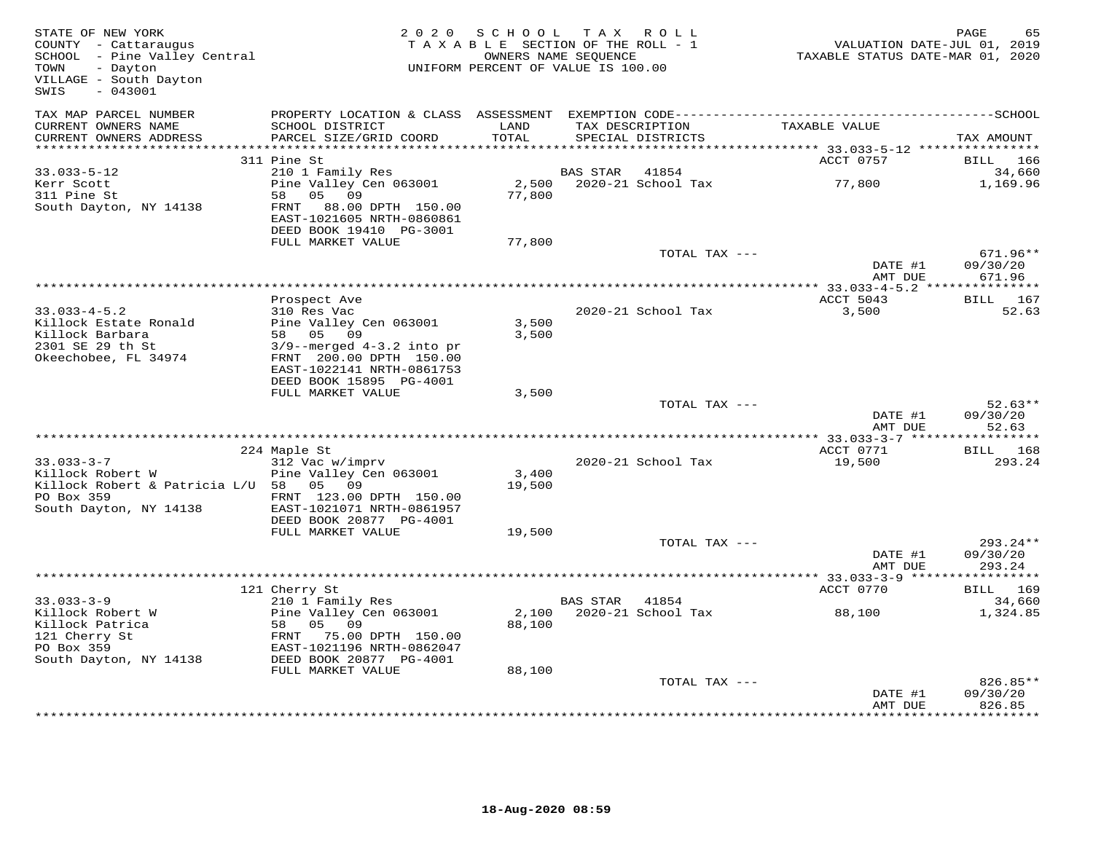| STATE OF NEW YORK<br>COUNTY - Cattaraugus<br>SCHOOL - Pine Valley Central<br>- Dayton<br>TOWN<br>VILLAGE - South Dayton<br>$-043001$<br>SWIS |                                              | 2020 SCHOOL   | TAX ROLL<br>TAXABLE SECTION OF THE ROLL - 1<br>OWNERS NAME SEQUENCE<br>UNIFORM PERCENT OF VALUE IS 100.00 | VALUATION DATE-JUL 01, 2019<br>TAXABLE STATUS DATE-MAR 01, 2020 | PAGE<br>65            |
|----------------------------------------------------------------------------------------------------------------------------------------------|----------------------------------------------|---------------|-----------------------------------------------------------------------------------------------------------|-----------------------------------------------------------------|-----------------------|
| TAX MAP PARCEL NUMBER                                                                                                                        |                                              |               |                                                                                                           |                                                                 |                       |
| CURRENT OWNERS NAME<br>CURRENT OWNERS ADDRESS                                                                                                | SCHOOL DISTRICT<br>PARCEL SIZE/GRID COORD    | LAND<br>TOTAL | TAX DESCRIPTION<br>SPECIAL DISTRICTS                                                                      | TAXABLE VALUE                                                   | TAX AMOUNT            |
| *************************                                                                                                                    |                                              |               |                                                                                                           |                                                                 |                       |
| $33.033 - 5 - 12$                                                                                                                            | 311 Pine St<br>210 1 Family Res              |               | BAS STAR<br>41854                                                                                         | ACCT 0757                                                       | BILL<br>166<br>34,660 |
| Kerr Scott                                                                                                                                   | Pine Valley Cen 063001                       | 2,500         | 2020-21 School Tax                                                                                        | 77,800                                                          | 1,169.96              |
| 311 Pine St                                                                                                                                  | 58 05 09                                     | 77,800        |                                                                                                           |                                                                 |                       |
| South Dayton, NY 14138                                                                                                                       | 88.00 DPTH 150.00<br>FRNT                    |               |                                                                                                           |                                                                 |                       |
|                                                                                                                                              | EAST-1021605 NRTH-0860861                    |               |                                                                                                           |                                                                 |                       |
|                                                                                                                                              | DEED BOOK 19410 PG-3001                      |               |                                                                                                           |                                                                 |                       |
|                                                                                                                                              | FULL MARKET VALUE                            | 77,800        |                                                                                                           |                                                                 |                       |
|                                                                                                                                              |                                              |               | TOTAL TAX ---                                                                                             |                                                                 | $671.96**$            |
|                                                                                                                                              |                                              |               |                                                                                                           | DATE #1                                                         | 09/30/20              |
|                                                                                                                                              |                                              |               |                                                                                                           | AMT DUE                                                         | 671.96                |
|                                                                                                                                              | Prospect Ave                                 |               |                                                                                                           | ACCT 5043                                                       | <b>BILL</b> 167       |
| $33.033 - 4 - 5.2$                                                                                                                           | 310 Res Vac                                  |               | 2020-21 School Tax                                                                                        | 3,500                                                           | 52.63                 |
| Killock Estate Ronald                                                                                                                        | Pine Valley Cen 063001                       | 3,500         |                                                                                                           |                                                                 |                       |
| Killock Barbara                                                                                                                              | 58 05 09                                     | 3,500         |                                                                                                           |                                                                 |                       |
| 2301 SE 29 th St                                                                                                                             | $3/9$ --merged $4-3.2$ into pr               |               |                                                                                                           |                                                                 |                       |
| Okeechobee, FL 34974                                                                                                                         | FRNT 200.00 DPTH 150.00                      |               |                                                                                                           |                                                                 |                       |
|                                                                                                                                              | EAST-1022141 NRTH-0861753                    |               |                                                                                                           |                                                                 |                       |
|                                                                                                                                              | DEED BOOK 15895 PG-4001                      |               |                                                                                                           |                                                                 |                       |
|                                                                                                                                              | FULL MARKET VALUE                            | 3,500         |                                                                                                           |                                                                 |                       |
|                                                                                                                                              |                                              |               | TOTAL TAX ---                                                                                             | DATE #1                                                         | $52.63**$<br>09/30/20 |
|                                                                                                                                              |                                              |               |                                                                                                           | AMT DUE                                                         | 52.63                 |
|                                                                                                                                              |                                              |               |                                                                                                           | ACCT 0771                                                       | BILL 168              |
| $33.033 - 3 - 7$                                                                                                                             | 224 Maple St<br>312 Vac w/imprv              |               | 2020-21 School Tax                                                                                        | 19,500                                                          | 293.24                |
| Killock Robert W                                                                                                                             | Pine Valley Cen 063001                       | 3,400         |                                                                                                           |                                                                 |                       |
| Killock Robert & Patricia L/U 58 05 09                                                                                                       |                                              | 19,500        |                                                                                                           |                                                                 |                       |
| PO Box 359                                                                                                                                   | FRNT 123.00 DPTH 150.00                      |               |                                                                                                           |                                                                 |                       |
| South Dayton, NY 14138                                                                                                                       | EAST-1021071 NRTH-0861957                    |               |                                                                                                           |                                                                 |                       |
|                                                                                                                                              | DEED BOOK 20877 PG-4001                      |               |                                                                                                           |                                                                 |                       |
|                                                                                                                                              | FULL MARKET VALUE                            | 19,500        |                                                                                                           |                                                                 |                       |
|                                                                                                                                              |                                              |               | TOTAL TAX ---                                                                                             |                                                                 | 293.24**              |
|                                                                                                                                              |                                              |               |                                                                                                           | DATE #1<br>AMT DUE                                              | 09/30/20<br>293.24    |
|                                                                                                                                              |                                              |               |                                                                                                           |                                                                 |                       |
|                                                                                                                                              | 121 Cherry St                                |               |                                                                                                           | ACCT 0770                                                       | BILL 169              |
| $33.033 - 3 - 9$                                                                                                                             | 210 1 Family Res                             |               | BAS STAR 41854                                                                                            |                                                                 | 34,660                |
| Killock Robert W                                                                                                                             | Pine Valley Cen 063001                       | 2,100         | 2020-21 School Tax                                                                                        | 88,100                                                          | 1,324.85              |
| Killock Patrica                                                                                                                              | 58 05 09                                     | 88,100        |                                                                                                           |                                                                 |                       |
| 121 Cherry St                                                                                                                                | FRNT 75.00 DPTH 150.00                       |               |                                                                                                           |                                                                 |                       |
| PO Box 359                                                                                                                                   | EAST-1021196 NRTH-0862047                    |               |                                                                                                           |                                                                 |                       |
| South Dayton, NY 14138                                                                                                                       | DEED BOOK 20877 PG-4001<br>FULL MARKET VALUE | 88,100        |                                                                                                           |                                                                 |                       |
|                                                                                                                                              |                                              |               | TOTAL TAX ---                                                                                             |                                                                 | 826.85**              |
|                                                                                                                                              |                                              |               |                                                                                                           | DATE #1                                                         | 09/30/20              |
|                                                                                                                                              |                                              |               |                                                                                                           | AMT DUE                                                         | 826.85                |
|                                                                                                                                              |                                              |               |                                                                                                           |                                                                 |                       |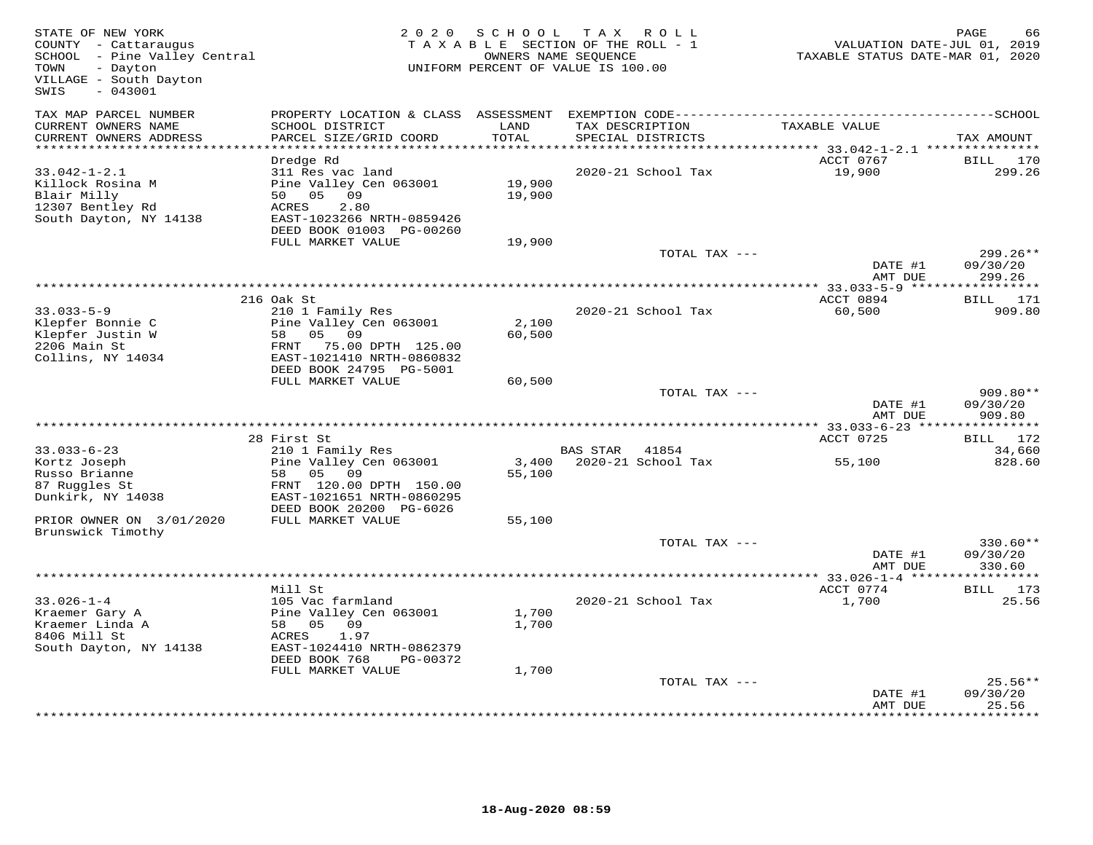| STATE OF NEW YORK<br>COUNTY - Cattaraugus<br>SCHOOL - Pine Valley Central<br>- Dayton<br>TOWN<br>VILLAGE - South Dayton<br>$-043001$<br>SWIS |                                                                                                                                     | 2020 SCHOOL      | TAX ROLL<br>TAXABLE SECTION OF THE ROLL - 1<br>OWNERS NAME SEQUENCE<br>UNIFORM PERCENT OF VALUE IS 100.00 | VALUATION DATE-JUL 01, 2019<br>TAXABLE STATUS DATE-MAR 01, 2020 | PAGE<br>66                       |
|----------------------------------------------------------------------------------------------------------------------------------------------|-------------------------------------------------------------------------------------------------------------------------------------|------------------|-----------------------------------------------------------------------------------------------------------|-----------------------------------------------------------------|----------------------------------|
| TAX MAP PARCEL NUMBER                                                                                                                        | PROPERTY LOCATION & CLASS ASSESSMENT                                                                                                |                  |                                                                                                           |                                                                 |                                  |
| CURRENT OWNERS NAME<br>CURRENT OWNERS ADDRESS                                                                                                | SCHOOL DISTRICT<br>PARCEL SIZE/GRID COORD<br>***************************                                                            | LAND<br>TOTAL    | TAX DESCRIPTION<br>SPECIAL DISTRICTS                                                                      | TAXABLE VALUE                                                   | TAX AMOUNT                       |
| **********************                                                                                                                       | Dredge Rd                                                                                                                           |                  |                                                                                                           | ACCT 0767                                                       | <b>BILL</b><br>170               |
| $33.042 - 1 - 2.1$<br>Killock Rosina M<br>Blair Milly<br>12307 Bentley Rd<br>South Dayton, NY 14138                                          | 311 Res vac land<br>Pine Valley Cen 063001<br>50 05<br>09<br>ACRES<br>2.80<br>EAST-1023266 NRTH-0859426<br>DEED BOOK 01003 PG-00260 | 19,900<br>19,900 | 2020-21 School Tax                                                                                        | 19,900                                                          | 299.26                           |
|                                                                                                                                              | FULL MARKET VALUE                                                                                                                   | 19,900           |                                                                                                           |                                                                 |                                  |
|                                                                                                                                              |                                                                                                                                     |                  | TOTAL TAX ---                                                                                             | DATE #1<br>AMT DUE                                              | $299.26**$<br>09/30/20<br>299.26 |
|                                                                                                                                              |                                                                                                                                     |                  |                                                                                                           |                                                                 |                                  |
|                                                                                                                                              | 216 Oak St                                                                                                                          |                  |                                                                                                           | ACCT 0894                                                       | BILL 171                         |
| $33.033 - 5 - 9$<br>Klepfer Bonnie C                                                                                                         | 210 1 Family Res<br>Pine Valley Cen 063001                                                                                          | 2,100            | 2020-21 School Tax                                                                                        | 60,500                                                          | 909.80                           |
| Klepfer Justin W<br>2206 Main St                                                                                                             | 09<br>58 05<br>FRNT<br>75.00 DPTH 125.00                                                                                            | 60,500           |                                                                                                           |                                                                 |                                  |
| Collins, NY 14034                                                                                                                            | EAST-1021410 NRTH-0860832<br>DEED BOOK 24795 PG-5001<br>FULL MARKET VALUE                                                           | 60,500           |                                                                                                           |                                                                 |                                  |
|                                                                                                                                              |                                                                                                                                     |                  | TOTAL TAX ---                                                                                             | DATE #1<br>AMT DUE                                              | 909.80**<br>09/30/20<br>909.80   |
|                                                                                                                                              |                                                                                                                                     |                  |                                                                                                           |                                                                 |                                  |
|                                                                                                                                              | 28 First St                                                                                                                         |                  |                                                                                                           | ACCT 0725                                                       | BILL 172                         |
| $33.033 - 6 - 23$                                                                                                                            | 210 1 Family Res                                                                                                                    |                  | <b>BAS STAR</b><br>41854                                                                                  |                                                                 | 34,660                           |
| Kortz Joseph<br>Russo Brianne<br>87 Ruggles St<br>Dunkirk, NY 14038                                                                          | Pine Valley Cen 063001<br>05<br>09<br>58<br>FRNT 120.00 DPTH 150.00<br>EAST-1021651 NRTH-0860295                                    | 3,400<br>55,100  | 2020-21 School Tax                                                                                        | 55,100                                                          | 828.60                           |
|                                                                                                                                              | DEED BOOK 20200 PG-6026<br>FULL MARKET VALUE                                                                                        |                  |                                                                                                           |                                                                 |                                  |
| PRIOR OWNER ON 3/01/2020<br>Brunswick Timothy                                                                                                |                                                                                                                                     | 55,100           |                                                                                                           |                                                                 |                                  |
|                                                                                                                                              |                                                                                                                                     |                  | TOTAL TAX ---                                                                                             | DATE #1<br>AMT DUE                                              | $330.60**$<br>09/30/20<br>330.60 |
|                                                                                                                                              |                                                                                                                                     |                  |                                                                                                           |                                                                 |                                  |
|                                                                                                                                              | Mill St                                                                                                                             |                  |                                                                                                           | ACCT 0774                                                       | BILL 173                         |
| $33.026 - 1 - 4$<br>Kraemer Gary A<br>Kraemer Linda A<br>8406 Mill St                                                                        | 105 Vac farmland<br>Pine Valley Cen 063001<br>58 05<br>09<br>1.97<br>ACRES                                                          | 1,700<br>1,700   | 2020-21 School Tax                                                                                        | 1,700                                                           | 25.56                            |
| South Dayton, NY 14138                                                                                                                       | EAST-1024410 NRTH-0862379<br>DEED BOOK 768<br>PG-00372<br>FULL MARKET VALUE                                                         | 1,700            |                                                                                                           |                                                                 |                                  |
|                                                                                                                                              |                                                                                                                                     |                  | TOTAL TAX ---                                                                                             | DATE #1                                                         | $25.56**$<br>09/30/20            |
|                                                                                                                                              |                                                                                                                                     |                  |                                                                                                           | AMT DUE                                                         | 25.56                            |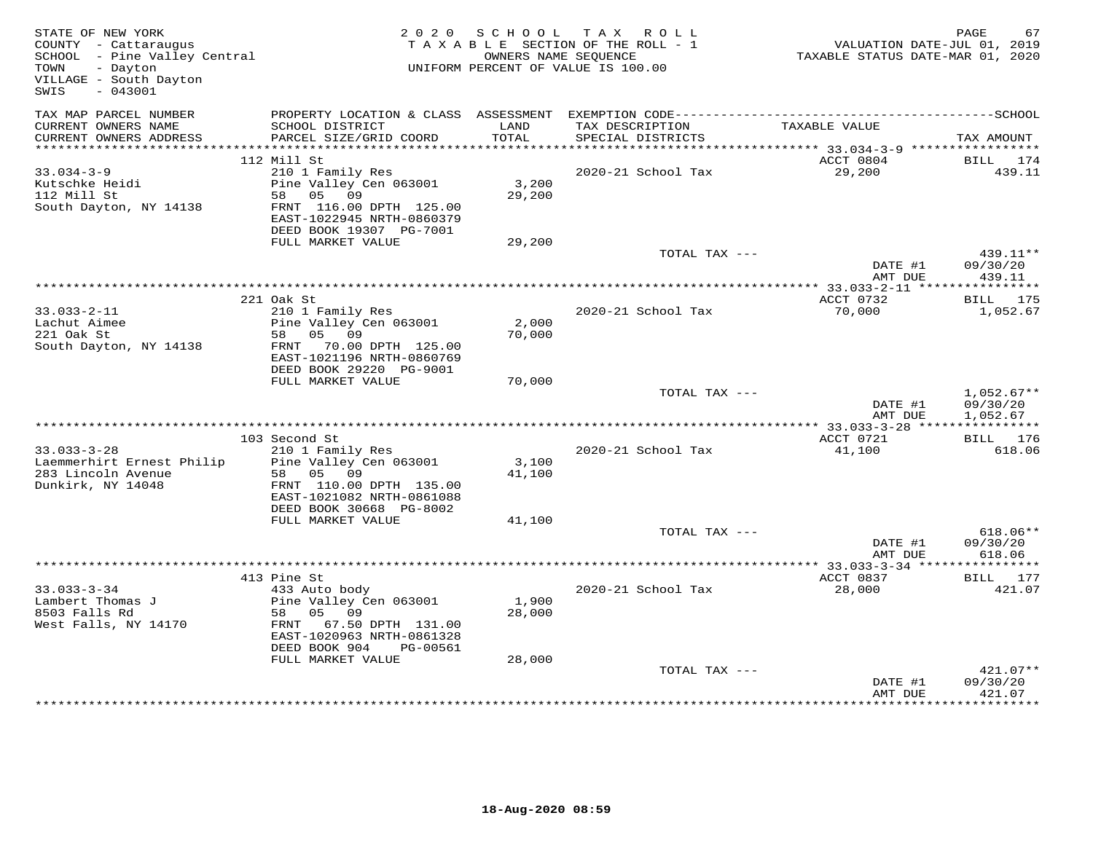| STATE OF NEW YORK<br>COUNTY - Cattaraugus<br>SCHOOL - Pine Valley Central<br>TOWN<br>- Dayton<br>VILLAGE - South Dayton<br>SWIS<br>$-043001$ |                                                                                                                                                                                | 2020 SCHOOL               | TAX ROLL<br>TAXABLE SECTION OF THE ROLL - 1<br>OWNERS NAME SEQUENCE<br>UNIFORM PERCENT OF VALUE IS 100.00 | VALUATION DATE-JUL 01, 2019<br>TAXABLE STATUS DATE-MAR 01, 2020 | PAGE<br>67                                   |
|----------------------------------------------------------------------------------------------------------------------------------------------|--------------------------------------------------------------------------------------------------------------------------------------------------------------------------------|---------------------------|-----------------------------------------------------------------------------------------------------------|-----------------------------------------------------------------|----------------------------------------------|
| TAX MAP PARCEL NUMBER<br>CURRENT OWNERS NAME<br>CURRENT OWNERS ADDRESS                                                                       | SCHOOL DISTRICT<br>PARCEL SIZE/GRID COORD                                                                                                                                      | LAND<br>TOTAL             | TAX DESCRIPTION<br>SPECIAL DISTRICTS                                                                      | TAXABLE VALUE                                                   | TAX AMOUNT                                   |
|                                                                                                                                              |                                                                                                                                                                                |                           |                                                                                                           |                                                                 |                                              |
|                                                                                                                                              | 112 Mill St                                                                                                                                                                    |                           |                                                                                                           | ACCT 0804                                                       | BILL<br>174                                  |
| $33.034 - 3 - 9$<br>Kutschke Heidi<br>112 Mill St<br>South Dayton, NY 14138                                                                  | 210 1 Family Res<br>Pine Valley Cen 063001<br>58<br>05 09<br>FRNT 116.00 DPTH 125.00<br>EAST-1022945 NRTH-0860379                                                              | 3,200<br>29,200           | 2020-21 School Tax                                                                                        | 29,200                                                          | 439.11                                       |
|                                                                                                                                              | DEED BOOK 19307 PG-7001<br>FULL MARKET VALUE                                                                                                                                   | 29,200                    |                                                                                                           |                                                                 |                                              |
|                                                                                                                                              |                                                                                                                                                                                |                           | TOTAL TAX ---                                                                                             | DATE #1<br>AMT DUE                                              | 439.11**<br>09/30/20<br>439.11               |
|                                                                                                                                              |                                                                                                                                                                                |                           |                                                                                                           | ************* 33.033-2-11 *****                                 | ***********                                  |
| $33.033 - 2 - 11$<br>Lachut Aimee<br>221 Oak St<br>South Dayton, NY 14138                                                                    | 221 Oak St<br>210 1 Family Res<br>Pine Valley Cen 063001<br>58 05 09<br>FRNT 70.00 DPTH 125.00<br>EAST-1021196 NRTH-0860769                                                    | 2,000<br>70,000           | 2020-21 School Tax                                                                                        | ACCT 0732<br>70,000                                             | BILL 175<br>1,052.67                         |
|                                                                                                                                              | DEED BOOK 29220 PG-9001                                                                                                                                                        |                           |                                                                                                           |                                                                 |                                              |
|                                                                                                                                              | FULL MARKET VALUE                                                                                                                                                              | 70,000                    | TOTAL TAX ---                                                                                             | DATE #1<br>AMT DUE                                              | $1,052.67**$<br>09/30/20<br>1,052.67         |
|                                                                                                                                              |                                                                                                                                                                                |                           |                                                                                                           | **** 33.033-3-28 *****                                          | ***********                                  |
| $33.033 - 3 - 28$<br>Laemmerhirt Ernest Philip<br>283 Lincoln Avenue<br>Dunkirk, NY 14048                                                    | 103 Second St<br>210 1 Family Res<br>Pine Valley Cen 063001<br>05 09<br>58<br>FRNT 110.00 DPTH 135.00<br>EAST-1021082 NRTH-0861088<br>DEED BOOK 30668 PG-8002                  | 3,100<br>41,100           | 2020-21 School Tax                                                                                        | ACCT 0721<br>41,100                                             | BILL 176<br>618.06                           |
|                                                                                                                                              | FULL MARKET VALUE                                                                                                                                                              | 41,100                    |                                                                                                           |                                                                 |                                              |
|                                                                                                                                              |                                                                                                                                                                                |                           | TOTAL TAX ---                                                                                             | DATE #1<br>AMT DUE                                              | $618.06**$<br>09/30/20<br>618.06             |
|                                                                                                                                              |                                                                                                                                                                                |                           |                                                                                                           | ***** 33.033-3-34 **                                            | * * * * * * * * * * *                        |
| $33.033 - 3 - 34$<br>Lambert Thomas J<br>8503 Falls Rd<br>West Falls, NY 14170                                                               | 413 Pine St<br>433 Auto body<br>Pine Valley Cen 063001<br>05 09<br>58<br>FRNT 67.50 DPTH 131.00<br>EAST-1020963 NRTH-0861328<br>DEED BOOK 904<br>PG-00561<br>FULL MARKET VALUE | 1,900<br>28,000<br>28,000 | 2020-21 School Tax                                                                                        | ACCT 0837<br>28,000                                             | BILL 177<br>421.07                           |
|                                                                                                                                              | ************************                                                                                                                                                       |                           | TOTAL TAX ---                                                                                             | DATE #1<br>AMT DUE                                              | $421.07**$<br>09/30/20<br>421.07<br>******** |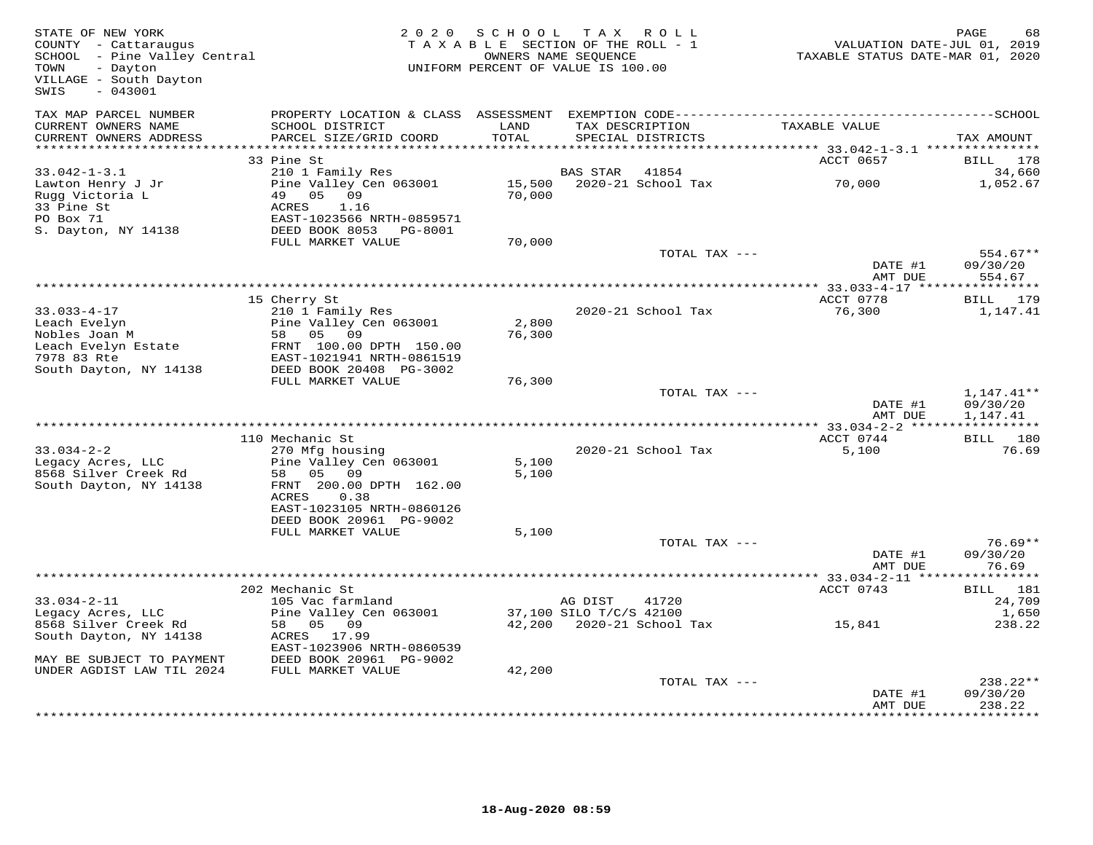| STATE OF NEW YORK<br>COUNTY - Cattaraugus<br>SCHOOL - Pine Valley Central<br>TOWN<br>- Dayton<br>VILLAGE - South Dayton<br>$-043001$<br>SWIS |                                                                                   | 2020 SCHOOL      | TAX ROLL<br>TAXABLE SECTION OF THE ROLL - 1<br>OWNERS NAME SEQUENCE<br>UNIFORM PERCENT OF VALUE IS 100.00 | VALUATION DATE-JUL 01, 2019<br>TAXABLE STATUS DATE-MAR 01, 2020 | PAGE<br>68              |
|----------------------------------------------------------------------------------------------------------------------------------------------|-----------------------------------------------------------------------------------|------------------|-----------------------------------------------------------------------------------------------------------|-----------------------------------------------------------------|-------------------------|
| TAX MAP PARCEL NUMBER<br>CURRENT OWNERS NAME<br>CURRENT OWNERS ADDRESS                                                                       | PROPERTY LOCATION & CLASS ASSESSMENT<br>SCHOOL DISTRICT<br>PARCEL SIZE/GRID COORD | LAND<br>TOTAL    | TAX DESCRIPTION<br>SPECIAL DISTRICTS                                                                      | TAXABLE VALUE                                                   | TAX AMOUNT              |
| ***********************                                                                                                                      |                                                                                   |                  |                                                                                                           |                                                                 |                         |
|                                                                                                                                              | 33 Pine St                                                                        |                  |                                                                                                           | ACCT 0657                                                       | 178<br>BILL             |
| $33.042 - 1 - 3.1$                                                                                                                           | 210 1 Family Res                                                                  |                  | 41854<br>BAS STAR                                                                                         |                                                                 | 34,660                  |
| Lawton Henry J Jr<br>Rugg Victoria L<br>33 Pine St                                                                                           | Pine Valley Cen 063001<br>05<br>49<br>09<br><b>ACRES</b><br>1.16                  | 15,500<br>70,000 | 2020-21 School Tax                                                                                        | 70,000                                                          | 1,052.67                |
| PO Box 71                                                                                                                                    | EAST-1023566 NRTH-0859571                                                         |                  |                                                                                                           |                                                                 |                         |
| S. Dayton, NY 14138                                                                                                                          | DEED BOOK 8053 PG-8001<br>FULL MARKET VALUE                                       | 70,000           |                                                                                                           |                                                                 |                         |
|                                                                                                                                              |                                                                                   |                  | TOTAL TAX ---                                                                                             |                                                                 | 554.67**                |
|                                                                                                                                              |                                                                                   |                  |                                                                                                           | DATE #1                                                         | 09/30/20                |
|                                                                                                                                              |                                                                                   |                  |                                                                                                           | AMT DUE<br>** 33.033-4-17 *****************                     | 554.67                  |
|                                                                                                                                              | 15 Cherry St                                                                      |                  |                                                                                                           | ACCT 0778                                                       | BILL 179                |
| $33.033 - 4 - 17$                                                                                                                            | 210 1 Family Res                                                                  |                  | 2020-21 School Tax                                                                                        | 76,300                                                          | 1,147.41                |
| Leach Evelyn                                                                                                                                 | Pine Valley Cen 063001                                                            | 2,800            |                                                                                                           |                                                                 |                         |
| Nobles Joan M                                                                                                                                | 58 05 09                                                                          | 76,300           |                                                                                                           |                                                                 |                         |
| Leach Evelyn Estate                                                                                                                          | FRNT 100.00 DPTH 150.00                                                           |                  |                                                                                                           |                                                                 |                         |
| 7978 83 Rte                                                                                                                                  | EAST-1021941 NRTH-0861519                                                         |                  |                                                                                                           |                                                                 |                         |
| South Dayton, NY 14138                                                                                                                       | DEED BOOK 20408 PG-3002                                                           |                  |                                                                                                           |                                                                 |                         |
|                                                                                                                                              | FULL MARKET VALUE                                                                 | 76,300           |                                                                                                           |                                                                 |                         |
|                                                                                                                                              |                                                                                   |                  | TOTAL TAX ---                                                                                             |                                                                 | $1,147.41**$            |
|                                                                                                                                              |                                                                                   |                  |                                                                                                           | DATE #1                                                         | 09/30/20                |
|                                                                                                                                              |                                                                                   |                  |                                                                                                           | AMT DUE<br>***************** 33.034-2-2 ******                  | 1,147.41<br>*********** |
|                                                                                                                                              | 110 Mechanic St                                                                   |                  |                                                                                                           | ACCT 0744                                                       | BILL 180                |
| $33.034 - 2 - 2$                                                                                                                             | 270 Mfg housing                                                                   |                  | 2020-21 School Tax                                                                                        | 5,100                                                           | 76.69                   |
| Legacy Acres, LLC                                                                                                                            | Pine Valley Cen 063001                                                            | 5,100            |                                                                                                           |                                                                 |                         |
| 8568 Silver Creek Rd                                                                                                                         | 58<br>05<br>09                                                                    | 5,100            |                                                                                                           |                                                                 |                         |
| South Dayton, NY 14138                                                                                                                       | FRNT 200.00 DPTH 162.00                                                           |                  |                                                                                                           |                                                                 |                         |
|                                                                                                                                              | 0.38<br>ACRES                                                                     |                  |                                                                                                           |                                                                 |                         |
|                                                                                                                                              | EAST-1023105 NRTH-0860126                                                         |                  |                                                                                                           |                                                                 |                         |
|                                                                                                                                              | DEED BOOK 20961 PG-9002<br>FULL MARKET VALUE                                      | 5,100            |                                                                                                           |                                                                 |                         |
|                                                                                                                                              |                                                                                   |                  | TOTAL TAX ---                                                                                             |                                                                 | $76.69**$               |
|                                                                                                                                              |                                                                                   |                  |                                                                                                           | DATE #1                                                         | 09/30/20                |
|                                                                                                                                              |                                                                                   |                  |                                                                                                           | AMT DUE                                                         | 76.69                   |
|                                                                                                                                              |                                                                                   |                  |                                                                                                           |                                                                 | * * * * * * * * * * *   |
|                                                                                                                                              | 202 Mechanic St                                                                   |                  |                                                                                                           | ACCT 0743                                                       | BILL 181                |
| $33.034 - 2 - 11$                                                                                                                            | 105 Vac farmland                                                                  |                  | AG DIST<br>41720                                                                                          |                                                                 | 24,709                  |
| Legacy Acres, LLC                                                                                                                            | Pine Valley Cen 063001                                                            |                  | 37,100 SILO T/C/S 42100                                                                                   |                                                                 | 1,650                   |
| 8568 Silver Creek Rd                                                                                                                         | 58<br>05 09                                                                       |                  | 42,200 2020-21 School Tax                                                                                 | 15,841                                                          | 238.22                  |
| South Dayton, NY 14138                                                                                                                       | ACRES 17.99                                                                       |                  |                                                                                                           |                                                                 |                         |
| MAY BE SUBJECT TO PAYMENT                                                                                                                    | EAST-1023906 NRTH-0860539<br>DEED BOOK 20961 PG-9002                              |                  |                                                                                                           |                                                                 |                         |
| UNDER AGDIST LAW TIL 2024                                                                                                                    | FULL MARKET VALUE                                                                 | 42,200           |                                                                                                           |                                                                 |                         |
|                                                                                                                                              |                                                                                   |                  | TOTAL TAX ---                                                                                             |                                                                 | $238.22**$              |
|                                                                                                                                              |                                                                                   |                  |                                                                                                           | DATE #1                                                         | 09/30/20                |
|                                                                                                                                              |                                                                                   |                  |                                                                                                           | AMT DUE                                                         | 238.22                  |
|                                                                                                                                              |                                                                                   |                  |                                                                                                           | *****************************                                   |                         |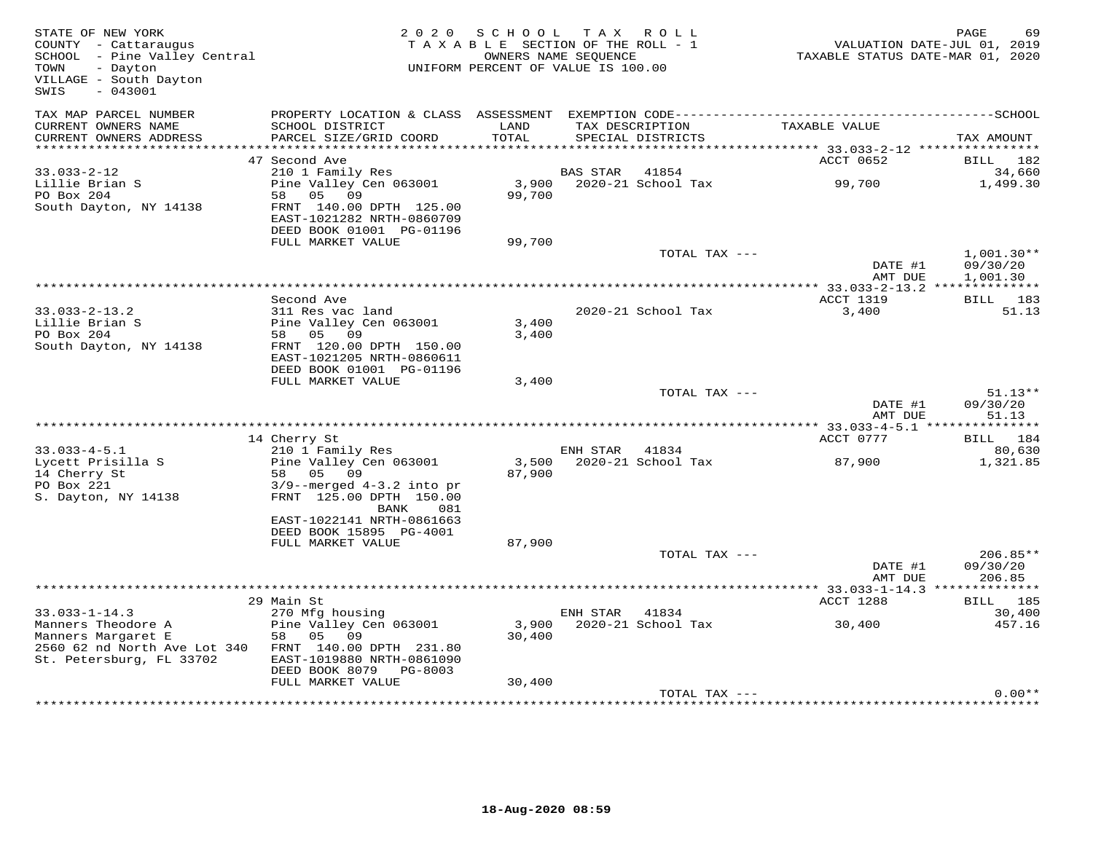| STATE OF NEW YORK<br>COUNTY - Cattaraugus<br>SCHOOL - Pine Valley Central<br>- Dayton<br>TOWN<br>VILLAGE - South Dayton<br>SWIS<br>$-043001$ |                                                                                  | 2020 SCHOOL<br>TAXABLE SECTION OF THE ROLL - 1<br>OWNERS NAME SEOUENCE<br>UNIFORM PERCENT OF VALUE IS 100.00 |                | TAX ROLL                             | VALUATION DATE-JUL 01, 2019<br>TAXABLE STATUS DATE-MAR 01, 2020 | PAGE<br>69            |
|----------------------------------------------------------------------------------------------------------------------------------------------|----------------------------------------------------------------------------------|--------------------------------------------------------------------------------------------------------------|----------------|--------------------------------------|-----------------------------------------------------------------|-----------------------|
| TAX MAP PARCEL NUMBER<br>CURRENT OWNERS NAME<br>CURRENT OWNERS ADDRESS                                                                       | SCHOOL DISTRICT<br>PARCEL SIZE/GRID COORD                                        | LAND<br>TOTAL                                                                                                |                | TAX DESCRIPTION<br>SPECIAL DISTRICTS | TAXABLE VALUE                                                   | TAX AMOUNT            |
|                                                                                                                                              |                                                                                  |                                                                                                              |                |                                      |                                                                 |                       |
|                                                                                                                                              | 47 Second Ave                                                                    |                                                                                                              |                |                                      | ACCT 0652                                                       | BILL 182              |
| $33.033 - 2 - 12$<br>Lillie Brian S                                                                                                          | 210 1 Family Res<br>Pine Valley Cen 063001                                       |                                                                                                              | BAS STAR 41854 | 3,900 2020-21 School Tax             | 99,700                                                          | 34,660<br>1,499.30    |
| PO Box 204                                                                                                                                   | 58 05 09                                                                         | 99,700                                                                                                       |                |                                      |                                                                 |                       |
| South Dayton, NY 14138                                                                                                                       | FRNT 140.00 DPTH 125.00<br>EAST-1021282 NRTH-0860709<br>DEED BOOK 01001 PG-01196 |                                                                                                              |                |                                      |                                                                 |                       |
|                                                                                                                                              | FULL MARKET VALUE                                                                | 99,700                                                                                                       |                |                                      |                                                                 |                       |
|                                                                                                                                              |                                                                                  |                                                                                                              |                | TOTAL TAX ---                        |                                                                 | $1,001.30**$          |
|                                                                                                                                              |                                                                                  |                                                                                                              |                |                                      | DATE #1<br>AMT DUE                                              | 09/30/20<br>1,001.30  |
|                                                                                                                                              | Second Ave                                                                       |                                                                                                              |                |                                      | ACCT 1319                                                       | BILL 183              |
| $33.033 - 2 - 13.2$                                                                                                                          | 311 Res vac land                                                                 |                                                                                                              |                | 2020-21 School Tax                   | 3,400                                                           | 51.13                 |
| Lillie Brian S                                                                                                                               | Pine Valley Cen 063001                                                           | 3,400                                                                                                        |                |                                      |                                                                 |                       |
| PO Box 204<br>South Dayton, NY 14138                                                                                                         | 58 05 09<br>FRNT 120.00 DPTH 150.00                                              | 3,400                                                                                                        |                |                                      |                                                                 |                       |
|                                                                                                                                              | EAST-1021205 NRTH-0860611                                                        |                                                                                                              |                |                                      |                                                                 |                       |
|                                                                                                                                              | DEED BOOK 01001 PG-01196                                                         |                                                                                                              |                |                                      |                                                                 |                       |
|                                                                                                                                              | FULL MARKET VALUE                                                                | 3,400                                                                                                        |                |                                      |                                                                 |                       |
|                                                                                                                                              |                                                                                  |                                                                                                              |                | TOTAL TAX ---                        | DATE #1                                                         | $51.13**$<br>09/30/20 |
|                                                                                                                                              |                                                                                  |                                                                                                              |                |                                      | AMT DUE                                                         | 51.13                 |
|                                                                                                                                              |                                                                                  |                                                                                                              |                |                                      |                                                                 |                       |
| $33.033 - 4 - 5.1$                                                                                                                           | 14 Cherry St                                                                     |                                                                                                              |                |                                      | ACCT 0777                                                       | BILL 184<br>80,630    |
| Lycett Prisilla S                                                                                                                            | 210 1 Family Res<br>Pine Valley Cen 063001                                       |                                                                                                              | ENH STAR 41834 | 3,500 2020-21 School Tax             | 87,900                                                          | 1,321.85              |
| 14 Cherry St                                                                                                                                 | 58 05<br>09                                                                      | 87,900                                                                                                       |                |                                      |                                                                 |                       |
| PO Box 221                                                                                                                                   | $3/9$ --merged $4-3.2$ into pr                                                   |                                                                                                              |                |                                      |                                                                 |                       |
| S. Dayton, NY 14138                                                                                                                          | FRNT 125.00 DPTH 150.00                                                          |                                                                                                              |                |                                      |                                                                 |                       |
|                                                                                                                                              | BANK<br>081<br>EAST-1022141 NRTH-0861663                                         |                                                                                                              |                |                                      |                                                                 |                       |
|                                                                                                                                              | DEED BOOK 15895 PG-4001                                                          |                                                                                                              |                |                                      |                                                                 |                       |
|                                                                                                                                              | FULL MARKET VALUE                                                                | 87,900                                                                                                       |                |                                      |                                                                 |                       |
|                                                                                                                                              |                                                                                  |                                                                                                              |                | TOTAL TAX ---                        |                                                                 | $206.85**$            |
|                                                                                                                                              |                                                                                  |                                                                                                              |                |                                      | DATE #1<br>AMT DUE                                              | 09/30/20<br>206.85    |
|                                                                                                                                              |                                                                                  |                                                                                                              |                |                                      |                                                                 |                       |
|                                                                                                                                              | 29 Main St                                                                       |                                                                                                              |                |                                      | ACCT 1288                                                       | BILL 185              |
| $33.033 - 1 - 14.3$                                                                                                                          | 270 Mfg housing                                                                  |                                                                                                              | ENH STAR 41834 |                                      |                                                                 | 30,400                |
| Manners Theodore A                                                                                                                           | Pine Valley Cen 063001                                                           |                                                                                                              |                | 3,900 2020-21 School Tax             | 30,400                                                          | 457.16                |
| Manners Margaret E<br>2560 62 nd North Ave Lot 340                                                                                           | 58 05<br>09<br>FRNT 140.00 DPTH 231.80                                           | 30,400                                                                                                       |                |                                      |                                                                 |                       |
| St. Petersburg, FL 33702                                                                                                                     | EAST-1019880 NRTH-0861090                                                        |                                                                                                              |                |                                      |                                                                 |                       |
|                                                                                                                                              | DEED BOOK 8079 PG-8003                                                           |                                                                                                              |                |                                      |                                                                 |                       |
|                                                                                                                                              | FULL MARKET VALUE                                                                | 30,400                                                                                                       |                |                                      |                                                                 |                       |
|                                                                                                                                              |                                                                                  |                                                                                                              |                | TOTAL TAX ---                        |                                                                 | $0.00**$              |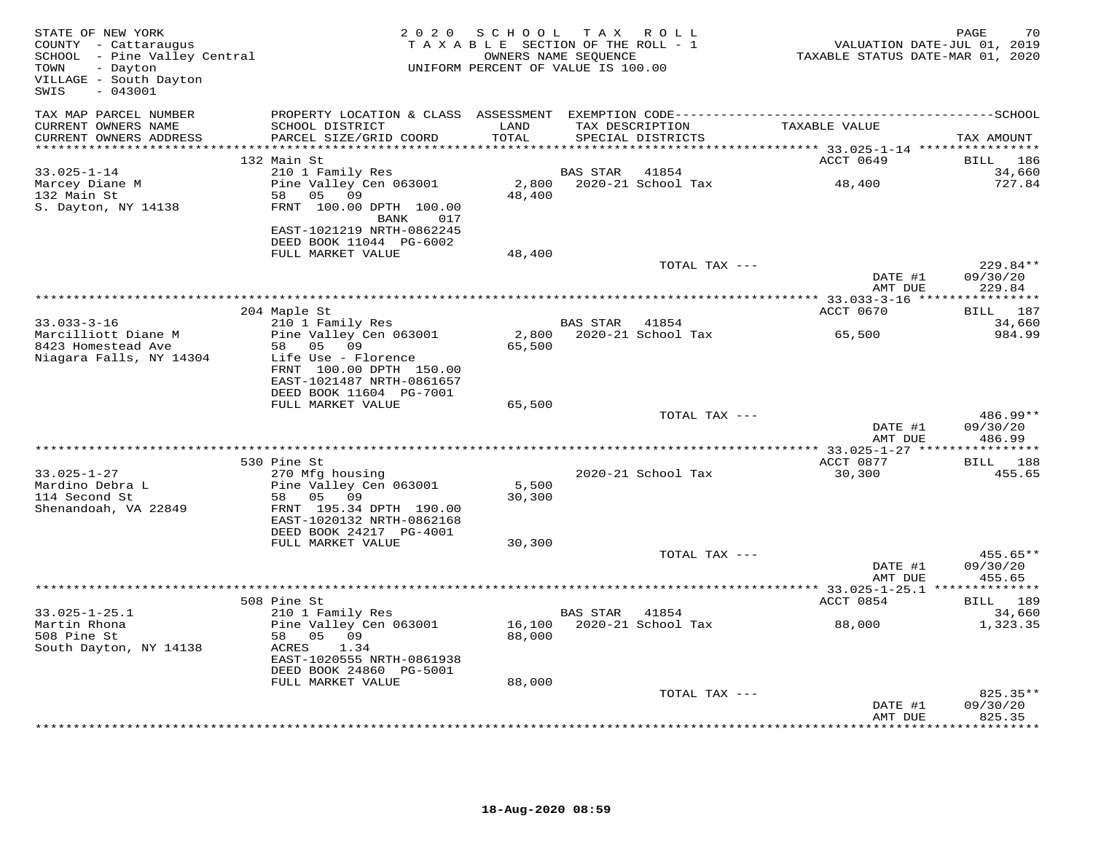| STATE OF NEW YORK<br>COUNTY - Cattaraugus<br>SCHOOL - Pine Valley Central<br>TOWN<br>- Dayton<br>VILLAGE - South Dayton<br>$-043001$<br>SWIS |                                                                                                                                                            | 2020 SCHOOL<br>TAXABLE SECTION OF THE ROLL - 1<br>UNIFORM PERCENT OF VALUE IS 100.00 | T A X<br>OWNERS NAME SEQUENCE | R O L L                              | TAXABLE STATUS DATE-MAR 01, 2020 | PAGE<br>70<br>VALUATION DATE-JUL 01, 2019             |
|----------------------------------------------------------------------------------------------------------------------------------------------|------------------------------------------------------------------------------------------------------------------------------------------------------------|--------------------------------------------------------------------------------------|-------------------------------|--------------------------------------|----------------------------------|-------------------------------------------------------|
| TAX MAP PARCEL NUMBER<br>CURRENT OWNERS NAME<br>CURRENT OWNERS ADDRESS<br>***********************                                            | SCHOOL DISTRICT<br>PARCEL SIZE/GRID COORD                                                                                                                  | LAND<br>TOTAL                                                                        |                               | TAX DESCRIPTION<br>SPECIAL DISTRICTS | TAXABLE VALUE                    | TAX AMOUNT                                            |
|                                                                                                                                              | 132 Main St                                                                                                                                                |                                                                                      |                               |                                      | ACCT 0649                        | BILL<br>186                                           |
| $33.025 - 1 - 14$<br>Marcey Diane M<br>132 Main St<br>S. Dayton, NY 14138                                                                    | 210 1 Family Res<br>Pine Valley Cen 063001<br>58 05<br>09<br>FRNT 100.00 DPTH 100.00                                                                       | 48,400                                                                               | <b>BAS STAR</b>               | 41854<br>2,800 2020-21 School Tax    | 48,400                           | 34,660<br>727.84                                      |
|                                                                                                                                              | BANK<br>017<br>EAST-1021219 NRTH-0862245<br>DEED BOOK 11044 PG-6002<br>FULL MARKET VALUE                                                                   | 48,400                                                                               |                               |                                      |                                  |                                                       |
|                                                                                                                                              |                                                                                                                                                            |                                                                                      |                               | TOTAL TAX ---                        | DATE #1<br>AMT DUE               | $229.84**$<br>09/30/20<br>229.84                      |
|                                                                                                                                              |                                                                                                                                                            | ***************************                                                          |                               |                                      | ********** 33.033-3-16 ***       | * * * * * * * * * * *                                 |
| $33.033 - 3 - 16$<br>Marcilliott Diane M                                                                                                     | 204 Maple St<br>210 1 Family Res<br>Pine Valley Cen 063001                                                                                                 |                                                                                      | BAS STAR                      | 41854<br>2,800 2020-21 School Tax    | ACCT 0670<br>65,500              | BILL 187<br>34,660<br>984.99                          |
| 8423 Homestead Ave<br>Niagara Falls, NY 14304                                                                                                | 58 05 09<br>Life Use - Florence<br>FRNT 100.00 DPTH 150.00<br>EAST-1021487 NRTH-0861657<br>DEED BOOK 11604 PG-7001                                         | 65,500                                                                               |                               |                                      |                                  |                                                       |
|                                                                                                                                              | FULL MARKET VALUE                                                                                                                                          | 65,500                                                                               |                               |                                      |                                  |                                                       |
|                                                                                                                                              |                                                                                                                                                            |                                                                                      |                               | TOTAL TAX ---                        | DATE #1<br>AMT DUE               | 486.99**<br>09/30/20<br>486.99                        |
|                                                                                                                                              |                                                                                                                                                            | ***********************************                                                  |                               |                                      | ***************** 33.025-1-27 ** | ***********                                           |
| $33.025 - 1 - 27$<br>Mardino Debra L<br>114 Second St<br>Shenandoah, VA 22849                                                                | 530 Pine St<br>270 Mfg housing<br>Pine Valley Cen 063001<br>58 05<br>09<br>FRNT 195.34 DPTH 190.00<br>EAST-1020132 NRTH-0862168<br>DEED BOOK 24217 PG-4001 | 5,500<br>30,300                                                                      |                               | 2020-21 School Tax                   | ACCT 0877<br>30,300              | BILL 188<br>455.65                                    |
|                                                                                                                                              | FULL MARKET VALUE                                                                                                                                          | 30,300                                                                               |                               |                                      |                                  |                                                       |
|                                                                                                                                              |                                                                                                                                                            |                                                                                      |                               | TOTAL TAX ---                        | DATE #1<br>AMT DUE               | 455.65**<br>09/30/20<br>455.65                        |
|                                                                                                                                              |                                                                                                                                                            |                                                                                      |                               |                                      |                                  |                                                       |
| $33.025 - 1 - 25.1$                                                                                                                          | 508 Pine St<br>210 1 Family Res                                                                                                                            |                                                                                      | BAS STAR 41854                |                                      | ACCT 0854                        | BILL 189<br>34,660                                    |
| Martin Rhona<br>508 Pine St<br>South Dayton, NY 14138                                                                                        | Pine Valley Cen 063001<br>58 05 09<br>ACRES<br>1.34<br>EAST-1020555 NRTH-0861938<br>DEED BOOK 24860 PG-5001                                                | 88,000                                                                               |                               | 16,100 2020-21 School Tax            | 88,000                           | 1,323.35                                              |
|                                                                                                                                              | FULL MARKET VALUE                                                                                                                                          | 88,000                                                                               |                               |                                      |                                  |                                                       |
|                                                                                                                                              |                                                                                                                                                            |                                                                                      |                               | TOTAL TAX ---                        | DATE #1<br>AMT DUE               | 825.35**<br>09/30/20<br>825.35<br>* * * * * * * * * * |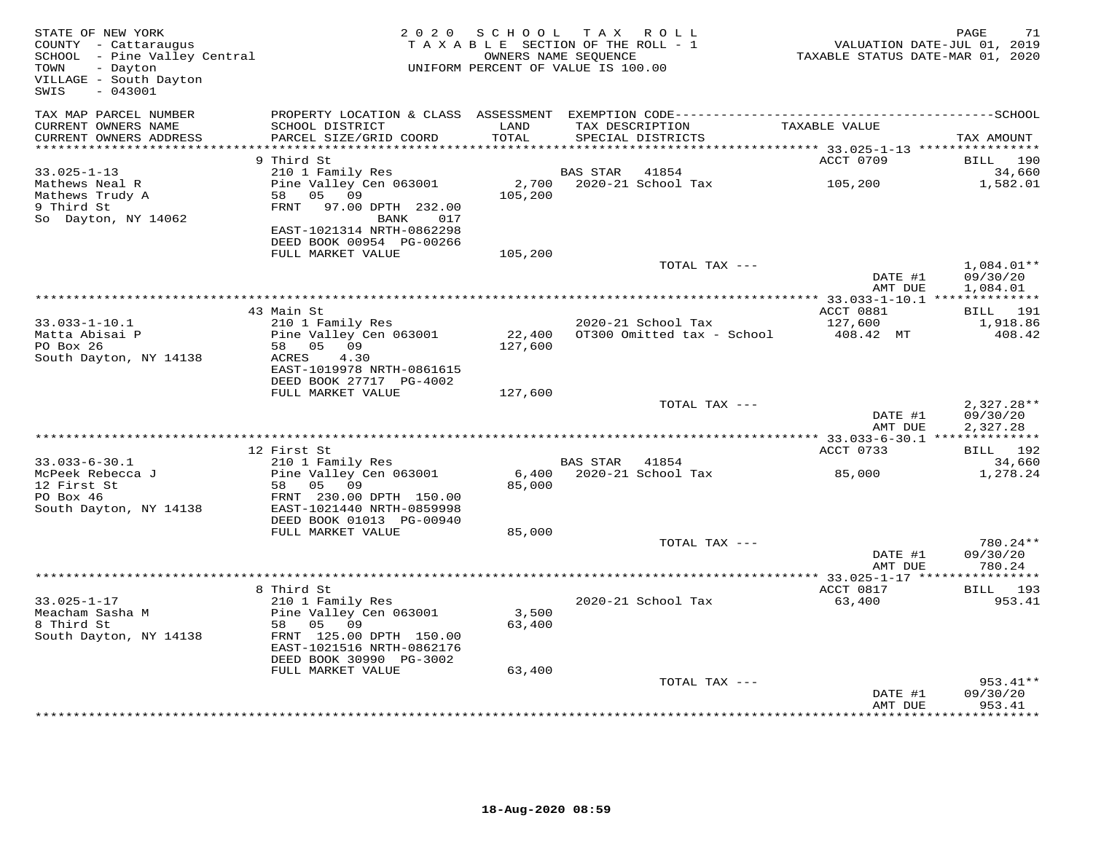| STATE OF NEW YORK<br>COUNTY - Cattaraugus<br>COUNTY - Cattaraugus<br>SCHOOL - Pine Valley Central<br>TOWN<br>- Dayton<br>VILLAGE - South Dayton<br>$-043001$<br>SWIS |                                              |         | 2020 SCHOOL TAX ROLL<br>TAXABLE SECTION OF THE ROLL - 1<br>OWNERS NAME SEQUENCE<br>UNIFORM PERCENT OF VALUE IS 100.00 | VALUATION DATE-JUL 01, 2019<br>TAXABLE STATUS DATE-MAR 01, 2020 | PAGE<br>71                           |
|----------------------------------------------------------------------------------------------------------------------------------------------------------------------|----------------------------------------------|---------|-----------------------------------------------------------------------------------------------------------------------|-----------------------------------------------------------------|--------------------------------------|
| TAX MAP PARCEL NUMBER<br>CURRENT OWNERS NAME                                                                                                                         | SCHOOL DISTRICT                              | LAND    | TAX DESCRIPTION                                                                                                       | TAXABLE VALUE                                                   |                                      |
| CURRENT OWNERS ADDRESS                                                                                                                                               | PARCEL SIZE/GRID COORD                       | TOTAL   | SPECIAL DISTRICTS                                                                                                     |                                                                 | TAX AMOUNT                           |
| ************************                                                                                                                                             |                                              |         |                                                                                                                       |                                                                 |                                      |
| $33.025 - 1 - 13$                                                                                                                                                    | 9 Third St<br>210 1 Family Res               |         | BAS STAR<br>41854                                                                                                     | ACCT 0709                                                       | BILL 190<br>34,660                   |
| Mathews Neal R                                                                                                                                                       | Pine Valley Cen 063001                       |         | 2,700 2020-21 School Tax                                                                                              | 105,200                                                         | 1,582.01                             |
| Mathews Trudy A                                                                                                                                                      | 05 09<br>58                                  | 105,200 |                                                                                                                       |                                                                 |                                      |
| 9 Third St                                                                                                                                                           | FRNT 97.00 DPTH 232.00                       |         |                                                                                                                       |                                                                 |                                      |
| So Dayton, NY 14062                                                                                                                                                  | BANK<br>017                                  |         |                                                                                                                       |                                                                 |                                      |
|                                                                                                                                                                      | EAST-1021314 NRTH-0862298                    |         |                                                                                                                       |                                                                 |                                      |
|                                                                                                                                                                      | DEED BOOK 00954 PG-00266                     |         |                                                                                                                       |                                                                 |                                      |
|                                                                                                                                                                      | FULL MARKET VALUE                            | 105,200 |                                                                                                                       |                                                                 |                                      |
|                                                                                                                                                                      |                                              |         | TOTAL TAX ---                                                                                                         | DATE #1<br>AMT DUE                                              | $1,084.01**$<br>09/30/20<br>1,084.01 |
|                                                                                                                                                                      |                                              |         |                                                                                                                       |                                                                 |                                      |
|                                                                                                                                                                      | 43 Main St                                   |         |                                                                                                                       | ACCT 0881                                                       | <b>BILL</b> 191                      |
| $33.033 - 1 - 10.1$                                                                                                                                                  | 210 1 Family Res                             |         | 2020-21 School Tax                                                                                                    | 127,600                                                         | 1,918.86                             |
| Matta Abisai P                                                                                                                                                       | Pine Valley Cen 063001                       | 22,400  | OT300 Omitted tax - School                                                                                            | 408.42 MT                                                       | 408.42                               |
| PO Box 26                                                                                                                                                            | 58 05 09                                     | 127,600 |                                                                                                                       |                                                                 |                                      |
| South Dayton, NY 14138                                                                                                                                               | ACRES<br>4.30<br>EAST-1019978 NRTH-0861615   |         |                                                                                                                       |                                                                 |                                      |
|                                                                                                                                                                      | DEED BOOK 27717 PG-4002                      |         |                                                                                                                       |                                                                 |                                      |
|                                                                                                                                                                      | FULL MARKET VALUE                            | 127,600 |                                                                                                                       |                                                                 |                                      |
|                                                                                                                                                                      |                                              |         | TOTAL TAX ---                                                                                                         |                                                                 | $2,327.28**$                         |
|                                                                                                                                                                      |                                              |         |                                                                                                                       | DATE #1<br>AMT DUE                                              | 09/30/20<br>2,327.28                 |
|                                                                                                                                                                      |                                              |         |                                                                                                                       |                                                                 |                                      |
|                                                                                                                                                                      | 12 First St                                  |         |                                                                                                                       | ACCT 0733                                                       | BILL 192                             |
| $33.033 - 6 - 30.1$<br>McPeek Rebecca J                                                                                                                              | 210 1 Family Res<br>Pine Valley Cen 063001   |         | BAS STAR<br>41854<br>6,400 2020-21 School Tax                                                                         | 85,000                                                          | 34,660<br>1,278.24                   |
| 12 First St                                                                                                                                                          | 58 05 09                                     | 85,000  |                                                                                                                       |                                                                 |                                      |
| PO Box 46                                                                                                                                                            | FRNT 230.00 DPTH 150.00                      |         |                                                                                                                       |                                                                 |                                      |
| South Dayton, NY 14138                                                                                                                                               | EAST-1021440 NRTH-0859998                    |         |                                                                                                                       |                                                                 |                                      |
|                                                                                                                                                                      | DEED BOOK 01013 PG-00940                     |         |                                                                                                                       |                                                                 |                                      |
|                                                                                                                                                                      | FULL MARKET VALUE                            | 85,000  |                                                                                                                       |                                                                 |                                      |
|                                                                                                                                                                      |                                              |         | TOTAL TAX ---                                                                                                         |                                                                 | 780.24**                             |
|                                                                                                                                                                      |                                              |         |                                                                                                                       | DATE #1<br>AMT DUE                                              | 09/30/20<br>780.24                   |
|                                                                                                                                                                      |                                              |         |                                                                                                                       |                                                                 |                                      |
|                                                                                                                                                                      | 8 Third St                                   |         |                                                                                                                       | ACCT 0817                                                       | BILL 193                             |
| $33.025 - 1 - 17$                                                                                                                                                    | 210 1 Family Res                             |         | 2020-21 School Tax                                                                                                    | 63,400                                                          | 953.41                               |
| Meacham Sasha M                                                                                                                                                      | Pine Valley Cen 063001                       | 3,500   |                                                                                                                       |                                                                 |                                      |
| 8 Third St                                                                                                                                                           | 58 05 09                                     | 63,400  |                                                                                                                       |                                                                 |                                      |
| South Dayton, NY 14138                                                                                                                                               | FRNT 125.00 DPTH 150.00                      |         |                                                                                                                       |                                                                 |                                      |
|                                                                                                                                                                      | EAST-1021516 NRTH-0862176                    |         |                                                                                                                       |                                                                 |                                      |
|                                                                                                                                                                      | DEED BOOK 30990 PG-3002<br>FULL MARKET VALUE | 63,400  |                                                                                                                       |                                                                 |                                      |
|                                                                                                                                                                      |                                              |         | TOTAL TAX ---                                                                                                         |                                                                 | 953.41**                             |
|                                                                                                                                                                      |                                              |         |                                                                                                                       | DATE #1                                                         | 09/30/20                             |
|                                                                                                                                                                      |                                              |         |                                                                                                                       | AMT DUE                                                         | 953.41                               |
|                                                                                                                                                                      |                                              |         |                                                                                                                       |                                                                 |                                      |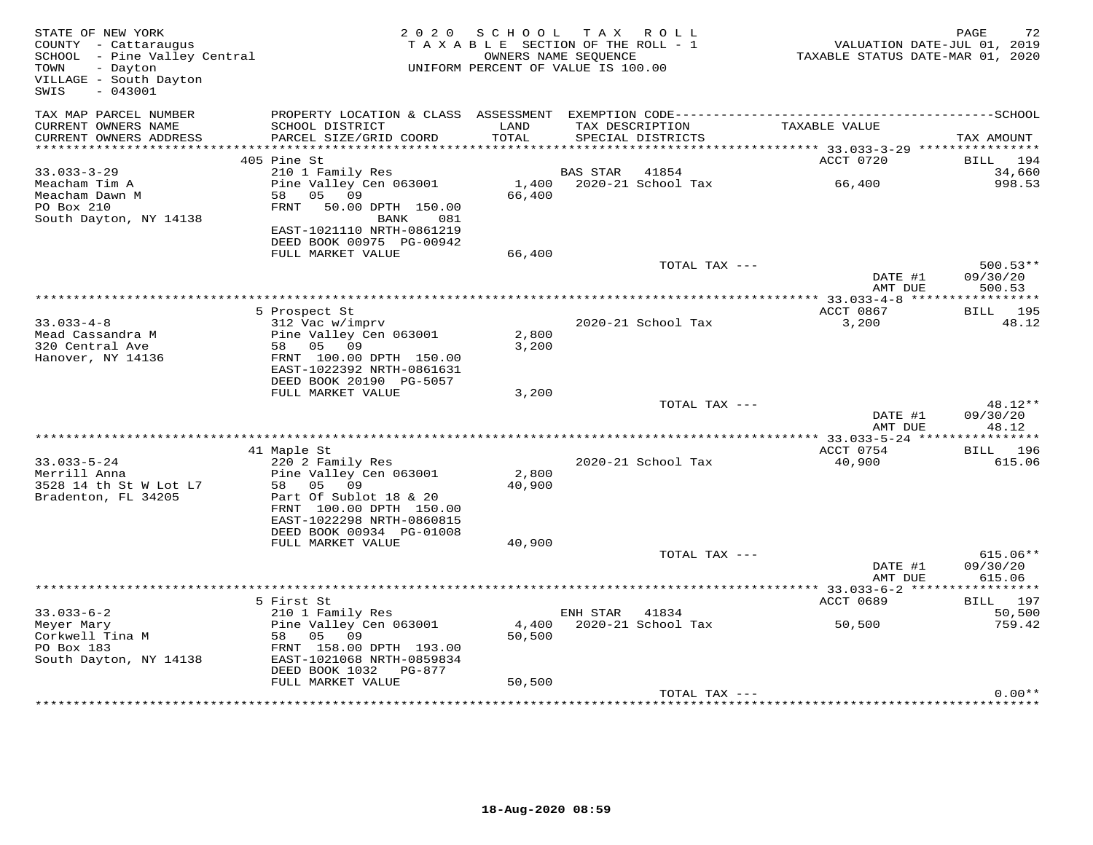| STATE OF NEW YORK<br>COUNTY - Cattaraugus<br>SCHOOL - Pine Valley Central<br>- Dayton<br>TOWN<br>VILLAGE - South Dayton<br>SWIS<br>$-043001$ |                                                                                | 2020 SCHOOL<br>TAXABLE SECTION OF THE ROLL - 1<br>UNIFORM PERCENT OF VALUE IS 100.00 | OWNERS NAME SEOUENCE | TAX ROLL                             | VALUATION DATE-JUL 01, 2019<br>TAXABLE STATUS DATE-MAR 01, 2020 | PAGE<br>72                     |
|----------------------------------------------------------------------------------------------------------------------------------------------|--------------------------------------------------------------------------------|--------------------------------------------------------------------------------------|----------------------|--------------------------------------|-----------------------------------------------------------------|--------------------------------|
| TAX MAP PARCEL NUMBER<br>CURRENT OWNERS NAME<br>CURRENT OWNERS ADDRESS                                                                       | SCHOOL DISTRICT<br>PARCEL SIZE/GRID COORD                                      | LAND<br>TOTAL                                                                        |                      | TAX DESCRIPTION<br>SPECIAL DISTRICTS | TAXABLE VALUE                                                   | TAX AMOUNT                     |
|                                                                                                                                              |                                                                                |                                                                                      |                      |                                      |                                                                 |                                |
|                                                                                                                                              | 405 Pine St                                                                    |                                                                                      |                      |                                      | ACCT 0720                                                       | BILL 194                       |
| $33.033 - 3 - 29$<br>Meacham Tim A                                                                                                           | 210 1 Family Res<br>Pine Valley Cen 063001                                     |                                                                                      | BAS STAR             | 41854<br>1,400 2020-21 School Tax    | 66,400                                                          | 34,660<br>998.53               |
| Meacham Dawn M<br>PO Box 210<br>South Dayton, NY 14138                                                                                       | 58 05 09<br>FRNT 50.00 DPTH 150.00<br>BANK<br>081                              | 66,400                                                                               |                      |                                      |                                                                 |                                |
|                                                                                                                                              | EAST-1021110 NRTH-0861219<br>DEED BOOK 00975 PG-00942<br>FULL MARKET VALUE     | 66,400                                                                               |                      |                                      |                                                                 |                                |
|                                                                                                                                              |                                                                                |                                                                                      |                      | TOTAL TAX ---                        | DATE #1                                                         | $500.53**$<br>09/30/20         |
|                                                                                                                                              |                                                                                |                                                                                      |                      |                                      | AMT DUE                                                         | 500.53                         |
|                                                                                                                                              | 5 Prospect St                                                                  |                                                                                      |                      |                                      | ACCT 0867                                                       | <b>BILL</b> 195                |
| $33.033 - 4 - 8$                                                                                                                             | 312 Vac w/imprv                                                                |                                                                                      |                      | 2020-21 School Tax                   | 3,200                                                           | 48.12                          |
| Mead Cassandra M                                                                                                                             | Pine Valley Cen 063001                                                         | 2,800                                                                                |                      |                                      |                                                                 |                                |
| 320 Central Ave<br>Hanover, NY 14136                                                                                                         | 58 05 09<br>FRNT 100.00 DPTH 150.00                                            | 3,200                                                                                |                      |                                      |                                                                 |                                |
|                                                                                                                                              | EAST-1022392 NRTH-0861631                                                      |                                                                                      |                      |                                      |                                                                 |                                |
|                                                                                                                                              | DEED BOOK 20190 PG-5057                                                        |                                                                                      |                      |                                      |                                                                 |                                |
|                                                                                                                                              | FULL MARKET VALUE                                                              | 3,200                                                                                |                      |                                      |                                                                 |                                |
|                                                                                                                                              |                                                                                |                                                                                      |                      | TOTAL TAX ---                        |                                                                 | 48.12**                        |
|                                                                                                                                              |                                                                                |                                                                                      |                      |                                      | DATE #1                                                         | 09/30/20                       |
|                                                                                                                                              |                                                                                |                                                                                      |                      |                                      | AMT DUE                                                         | 48.12                          |
|                                                                                                                                              | 41 Maple St                                                                    |                                                                                      |                      |                                      | ACCT 0754                                                       | BILL 196                       |
| $33.033 - 5 - 24$                                                                                                                            | 220 2 Family Res                                                               |                                                                                      |                      | 2020-21 School Tax                   | 40,900                                                          | 615.06                         |
| Merrill Anna                                                                                                                                 | Pine Valley Cen 063001                                                         | 2,800                                                                                |                      |                                      |                                                                 |                                |
| 3528 14 th St W Lot L7                                                                                                                       | 58 05 09                                                                       | 40,900                                                                               |                      |                                      |                                                                 |                                |
| Bradenton, FL 34205                                                                                                                          | Part Of Sublot 18 & 20<br>FRNT 100.00 DPTH 150.00<br>EAST-1022298 NRTH-0860815 |                                                                                      |                      |                                      |                                                                 |                                |
|                                                                                                                                              | DEED BOOK 00934 PG-01008                                                       |                                                                                      |                      |                                      |                                                                 |                                |
|                                                                                                                                              | FULL MARKET VALUE                                                              | 40,900                                                                               |                      |                                      |                                                                 |                                |
|                                                                                                                                              |                                                                                |                                                                                      |                      | TOTAL TAX ---                        | DATE #1<br>AMT DUE                                              | 615.06**<br>09/30/20<br>615.06 |
|                                                                                                                                              |                                                                                |                                                                                      |                      |                                      |                                                                 |                                |
|                                                                                                                                              | 5 First St                                                                     |                                                                                      |                      |                                      | ACCT 0689                                                       | BILL 197                       |
| $33.033 - 6 - 2$                                                                                                                             | 210 1 Family Res                                                               |                                                                                      | ENH STAR 41834       |                                      |                                                                 | 50,500                         |
| Meyer Mary                                                                                                                                   | Pine Valley Cen 063001                                                         |                                                                                      |                      | 4,400 2020-21 School Tax             | 50,500                                                          | 759.42                         |
| Corkwell Tina M<br>PO Box 183                                                                                                                | 58 05<br>09<br>FRNT 158.00 DPTH 193.00                                         | 50,500                                                                               |                      |                                      |                                                                 |                                |
| South Dayton, NY 14138                                                                                                                       | EAST-1021068 NRTH-0859834                                                      |                                                                                      |                      |                                      |                                                                 |                                |
|                                                                                                                                              | DEED BOOK 1032 PG-877                                                          |                                                                                      |                      |                                      |                                                                 |                                |
|                                                                                                                                              | FULL MARKET VALUE                                                              | 50,500                                                                               |                      |                                      |                                                                 |                                |
|                                                                                                                                              |                                                                                |                                                                                      |                      | TOTAL TAX ---                        |                                                                 | $0.00**$                       |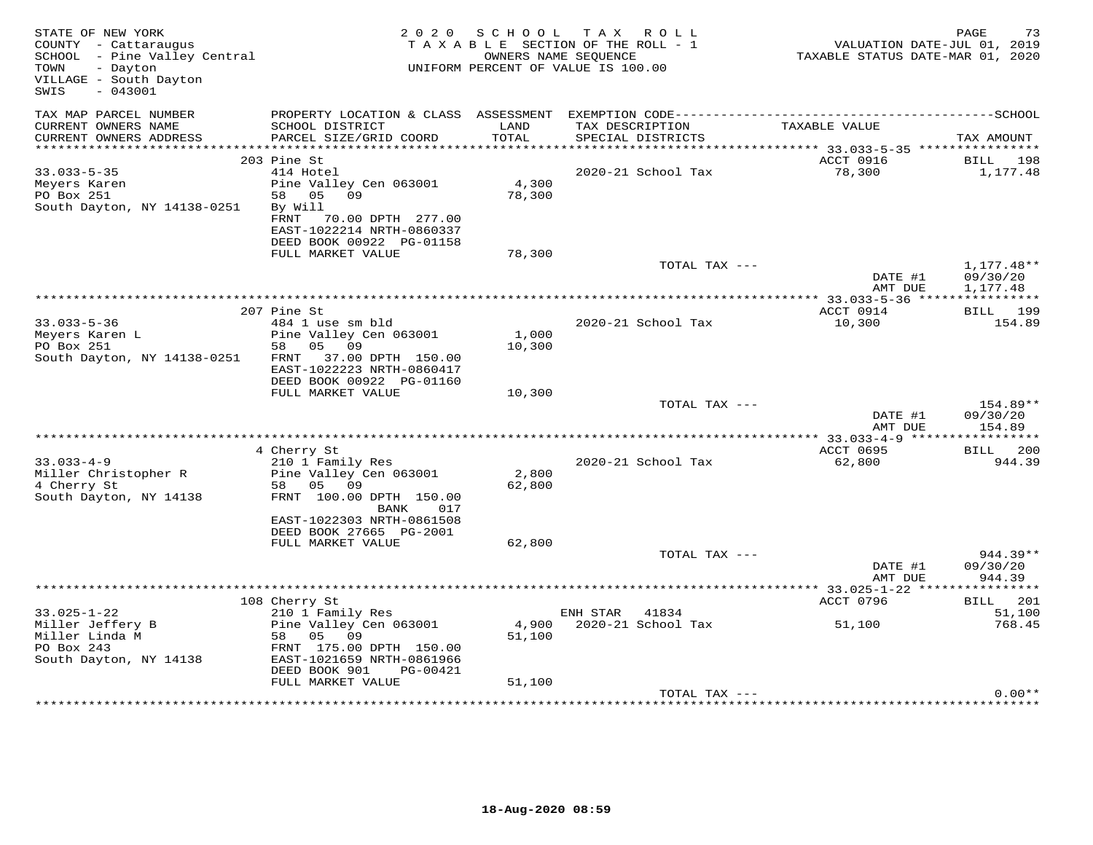| STATE OF NEW YORK<br>COUNTY - Cattaraugus<br>SCHOOL - Pine Valley Central<br>- Dayton<br>TOWN<br>VILLAGE - South Dayton<br>$-043001$<br>SWIS |                                                                                                                                 | 2020 SCHOOL     | TAX ROLL<br>TAXABLE SECTION OF THE ROLL - 1<br>OWNERS NAME SEQUENCE<br>UNIFORM PERCENT OF VALUE IS 100.00 | VALUATION DATE-JUL 01, 2019<br>TAXABLE STATUS DATE-MAR 01, 2020 | 73<br>PAGE               |
|----------------------------------------------------------------------------------------------------------------------------------------------|---------------------------------------------------------------------------------------------------------------------------------|-----------------|-----------------------------------------------------------------------------------------------------------|-----------------------------------------------------------------|--------------------------|
| TAX MAP PARCEL NUMBER<br>CURRENT OWNERS NAME                                                                                                 | SCHOOL DISTRICT                                                                                                                 | LAND            | TAX DESCRIPTION                                                                                           | TAXABLE VALUE                                                   |                          |
| CURRENT OWNERS ADDRESS                                                                                                                       | PARCEL SIZE/GRID COORD                                                                                                          | TOTAL           | SPECIAL DISTRICTS                                                                                         |                                                                 | TAX AMOUNT               |
|                                                                                                                                              | 203 Pine St                                                                                                                     |                 |                                                                                                           | ACCT 0916                                                       | BILL 198                 |
| $33.033 - 5 - 35$                                                                                                                            | 414 Hotel                                                                                                                       |                 | 2020-21 School Tax                                                                                        | 78,300                                                          | 1,177.48                 |
| Meyers Karen<br>PO Box 251<br>South Dayton, NY 14138-0251                                                                                    | Pine Valley Cen 063001<br>58 05 09<br>By Will<br>FRNT<br>70.00 DPTH 277.00<br>EAST-1022214 NRTH-0860337                         | 4,300<br>78,300 |                                                                                                           |                                                                 |                          |
|                                                                                                                                              | DEED BOOK 00922 PG-01158                                                                                                        |                 |                                                                                                           |                                                                 |                          |
|                                                                                                                                              | FULL MARKET VALUE                                                                                                               | 78,300          | TOTAL TAX ---                                                                                             | DATE #1                                                         | $1,177.48**$<br>09/30/20 |
|                                                                                                                                              |                                                                                                                                 |                 |                                                                                                           | AMT DUE                                                         | 1,177.48                 |
|                                                                                                                                              |                                                                                                                                 |                 |                                                                                                           |                                                                 |                          |
|                                                                                                                                              | 207 Pine St                                                                                                                     |                 |                                                                                                           | ACCT 0914                                                       | BILL 199                 |
| $33.033 - 5 - 36$<br>Meyers Karen L<br>PO Box 251<br>South Dayton, NY 14138-0251                                                             | 484 1 use sm bld<br>Pine Valley Cen 063001<br>05 09<br>58<br>FRNT 37.00 DPTH 150.00<br>EAST-1022223 NRTH-0860417                | 1,000<br>10,300 | 2020-21 School Tax                                                                                        | 10,300                                                          | 154.89                   |
|                                                                                                                                              | DEED BOOK 00922 PG-01160<br>FULL MARKET VALUE                                                                                   | 10,300          |                                                                                                           |                                                                 |                          |
|                                                                                                                                              |                                                                                                                                 |                 | TOTAL TAX ---                                                                                             |                                                                 | 154.89**                 |
|                                                                                                                                              |                                                                                                                                 |                 |                                                                                                           | DATE #1<br>AMT DUE                                              | 09/30/20<br>154.89       |
|                                                                                                                                              |                                                                                                                                 |                 |                                                                                                           |                                                                 |                          |
| $33.033 - 4 - 9$<br>Miller Christopher R                                                                                                     | 4 Cherry St<br>210 1 Family Res<br>Pine Valley Cen 063001                                                                       | 2,800           | 2020-21 School Tax                                                                                        | ACCT 0695<br>62,800                                             | BILL 200<br>944.39       |
| 4 Cherry St<br>South Dayton, NY 14138                                                                                                        | 58 05 09<br>FRNT 100.00 DPTH 150.00<br>BANK<br>017<br>EAST-1022303 NRTH-0861508                                                 | 62,800          |                                                                                                           |                                                                 |                          |
|                                                                                                                                              | DEED BOOK 27665 PG-2001                                                                                                         |                 |                                                                                                           |                                                                 |                          |
|                                                                                                                                              | FULL MARKET VALUE                                                                                                               | 62,800          | TOTAL TAX ---                                                                                             |                                                                 | 944.39**                 |
|                                                                                                                                              |                                                                                                                                 |                 |                                                                                                           | DATE #1<br>AMT DUE                                              | 09/30/20<br>944.39       |
|                                                                                                                                              |                                                                                                                                 |                 |                                                                                                           |                                                                 |                          |
|                                                                                                                                              | 108 Cherry St                                                                                                                   |                 |                                                                                                           | ACCT 0796                                                       | BILL 201                 |
| $33.025 - 1 - 22$                                                                                                                            | 210 1 Family Res                                                                                                                |                 | ENH STAR 41834                                                                                            |                                                                 | 51,100                   |
| Miller Jeffery B<br>Miller Linda M<br>PO Box 243<br>South Dayton, NY 14138                                                                   | Pine Valley Cen 063001<br>58<br>05<br>- 09<br>FRNT 175.00 DPTH 150.00<br>EAST-1021659 NRTH-0861966<br>DEED BOOK 901<br>PG-00421 | 51,100          | 4,900 2020-21 School Tax                                                                                  | 51,100                                                          | 768.45                   |
|                                                                                                                                              | FULL MARKET VALUE                                                                                                               | 51,100          |                                                                                                           |                                                                 |                          |
|                                                                                                                                              |                                                                                                                                 |                 | TOTAL TAX ---                                                                                             |                                                                 | $0.00**$                 |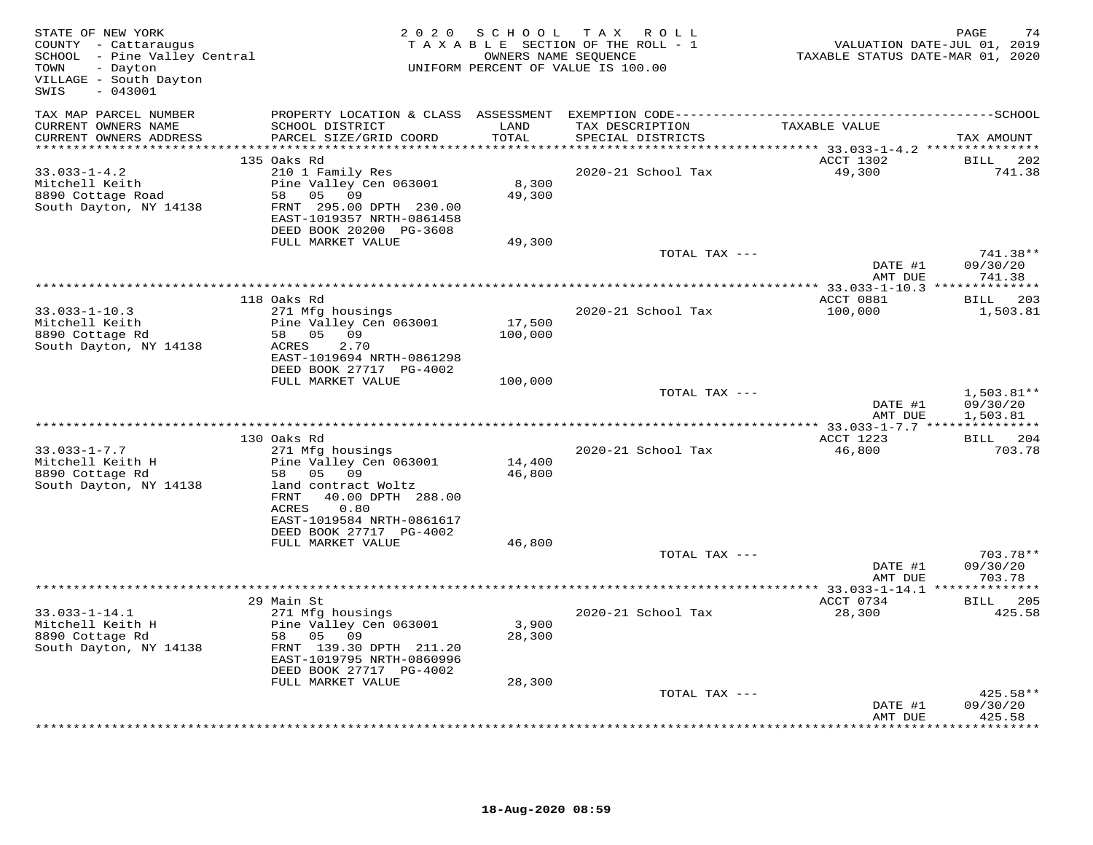| STATE OF NEW YORK<br>COUNTY - Cattaraugus<br>SCHOOL - Pine Valley Central<br>- Dayton<br>TOWN<br>VILLAGE - South Dayton<br>$-043001$<br>SWIS |                                                                                                                                                                                        | 2020 SCHOOL       | TAX ROLL<br>TAXABLE SECTION OF THE ROLL - 1<br>OWNERS NAME SEQUENCE<br>UNIFORM PERCENT OF VALUE IS 100.00 | VALUATION DATE-JUL 01, 2019<br>TAXABLE STATUS DATE-MAR 01, 2020 | PAGE<br>74                           |
|----------------------------------------------------------------------------------------------------------------------------------------------|----------------------------------------------------------------------------------------------------------------------------------------------------------------------------------------|-------------------|-----------------------------------------------------------------------------------------------------------|-----------------------------------------------------------------|--------------------------------------|
| TAX MAP PARCEL NUMBER<br>CURRENT OWNERS NAME                                                                                                 | PROPERTY LOCATION & CLASS ASSESSMENT<br>SCHOOL DISTRICT                                                                                                                                | LAND<br>TOTAL     | TAX DESCRIPTION                                                                                           | TAXABLE VALUE                                                   |                                      |
| CURRENT OWNERS ADDRESS                                                                                                                       | PARCEL SIZE/GRID COORD                                                                                                                                                                 | *********         | SPECIAL DISTRICTS                                                                                         | *********** 33.033-1-4.2 ***************                        | TAX AMOUNT                           |
| $33.033 - 1 - 4.2$                                                                                                                           | 135 Oaks Rd<br>210 1 Family Res                                                                                                                                                        |                   | 2020-21 School Tax                                                                                        | ACCT 1302<br>49,300                                             | <b>BILL</b> 202<br>741.38            |
| Mitchell Keith<br>8890 Cottage Road<br>South Dayton, NY 14138                                                                                | Pine Valley Cen 063001<br>58<br>05<br>09<br>FRNT 295.00 DPTH 230.00<br>EAST-1019357 NRTH-0861458                                                                                       | 8,300<br>49,300   |                                                                                                           |                                                                 |                                      |
|                                                                                                                                              | DEED BOOK 20200 PG-3608<br>FULL MARKET VALUE                                                                                                                                           | 49,300            |                                                                                                           |                                                                 |                                      |
|                                                                                                                                              |                                                                                                                                                                                        |                   | TOTAL TAX ---                                                                                             | DATE #1                                                         | 741.38**<br>09/30/20                 |
|                                                                                                                                              |                                                                                                                                                                                        |                   |                                                                                                           | AMT DUE                                                         | 741.38                               |
|                                                                                                                                              |                                                                                                                                                                                        |                   |                                                                                                           |                                                                 |                                      |
| $33.033 - 1 - 10.3$                                                                                                                          | 118 Oaks Rd<br>271 Mfg housings                                                                                                                                                        |                   | 2020-21 School Tax                                                                                        | ACCT 0881<br>100,000                                            | BILL 203<br>1,503.81                 |
| Mitchell Keith<br>8890 Cottage Rd<br>South Dayton, NY 14138                                                                                  | Pine Valley Cen 063001<br>58 05 09<br>ACRES<br>2.70<br>EAST-1019694 NRTH-0861298                                                                                                       | 17,500<br>100,000 |                                                                                                           |                                                                 |                                      |
|                                                                                                                                              | DEED BOOK 27717 PG-4002                                                                                                                                                                |                   |                                                                                                           |                                                                 |                                      |
|                                                                                                                                              | FULL MARKET VALUE                                                                                                                                                                      | 100,000           | TOTAL TAX ---                                                                                             | DATE #1<br>AMT DUE                                              | $1,503.81**$<br>09/30/20<br>1,503.81 |
|                                                                                                                                              |                                                                                                                                                                                        |                   |                                                                                                           | ******* 33.033-1-7.7 ***************                            |                                      |
|                                                                                                                                              | 130 Oaks Rd                                                                                                                                                                            |                   |                                                                                                           | ACCT 1223                                                       | BILL 204                             |
| $33.033 - 1 - 7.7$<br>Mitchell Keith H<br>8890 Cottage Rd<br>South Dayton, NY 14138                                                          | 271 Mfg housings<br>Pine Valley Cen 063001<br>05 09<br>58<br>land contract Woltz<br>40.00 DPTH 288.00<br>FRNT<br>0.80<br>ACRES<br>EAST-1019584 NRTH-0861617<br>DEED BOOK 27717 PG-4002 | 14,400<br>46,800  | 2020-21 School Tax                                                                                        | 46,800                                                          | 703.78                               |
|                                                                                                                                              | FULL MARKET VALUE                                                                                                                                                                      | 46,800            |                                                                                                           |                                                                 |                                      |
|                                                                                                                                              |                                                                                                                                                                                        |                   | TOTAL TAX ---                                                                                             | DATE #1<br>AMT DUE                                              | 703.78**<br>09/30/20<br>703.78       |
|                                                                                                                                              |                                                                                                                                                                                        |                   |                                                                                                           |                                                                 |                                      |
| $33.033 - 1 - 14.1$<br>Mitchell Keith H<br>8890 Cottage Rd<br>South Dayton, NY 14138                                                         | 29 Main St<br>271 Mfg housings<br>Pine Valley Cen 063001<br>58 05 09<br>FRNT 139.30 DPTH 211.20<br>EAST-1019795 NRTH-0860996<br>DEED BOOK 27717 PG-4002                                | 3,900<br>28,300   | 2020-21 School Tax                                                                                        | ACCT 0734<br>28,300                                             | BILL 205<br>425.58                   |
|                                                                                                                                              | FULL MARKET VALUE                                                                                                                                                                      | 28,300            |                                                                                                           |                                                                 |                                      |
|                                                                                                                                              |                                                                                                                                                                                        |                   | TOTAL TAX ---                                                                                             | DATE #1<br>AMT DUE                                              | 425.58**<br>09/30/20<br>425.58       |
|                                                                                                                                              |                                                                                                                                                                                        |                   |                                                                                                           | *************                                                   | * * * * * * * * * *                  |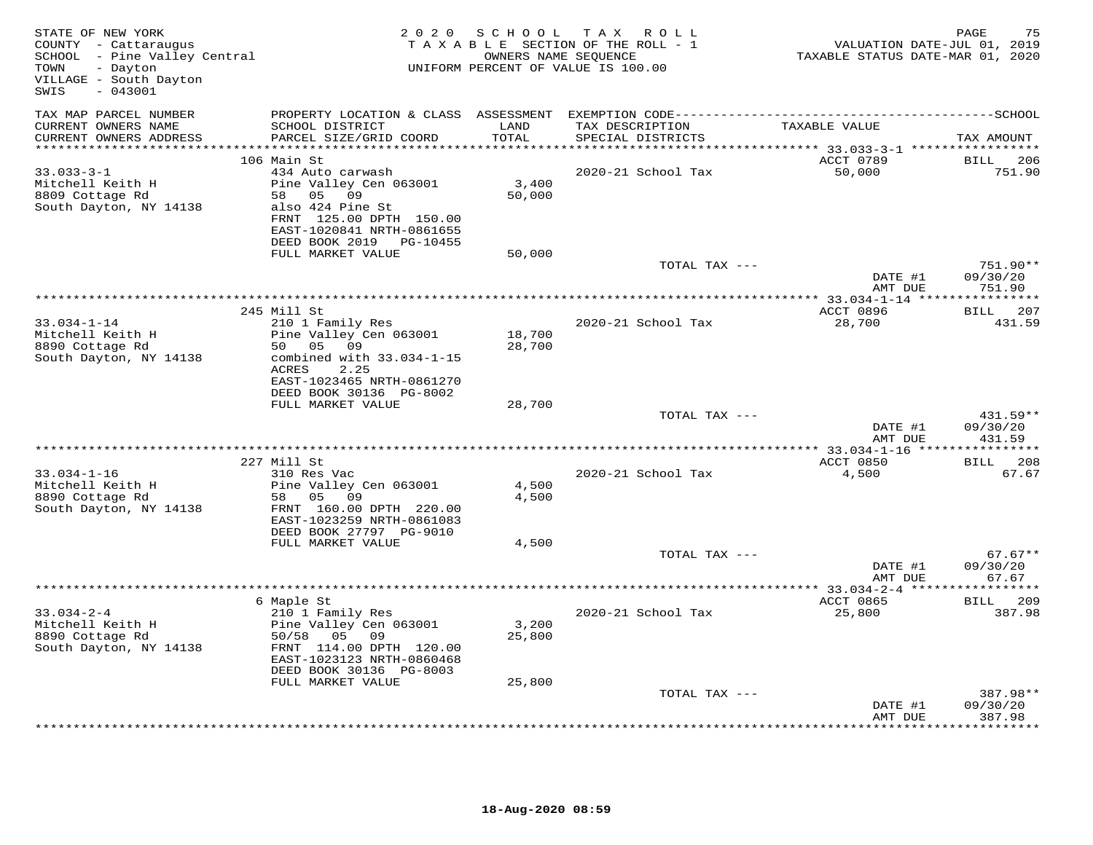| STATE OF NEW YORK<br>COUNTY - Cattaraugus<br>COUNII - Caccaraugus<br>SCHOOL - Pine Valley Central<br>TOWN<br>- Dayton<br>VILLAGE - South Dayton<br>$-043001$<br>SWIS |                                                                           | 2020 SCHOOL   | TAX ROLL<br>TAXABLE SECTION OF THE ROLL - 1<br>OWNERS NAME SEQUENCE<br>UNIFORM PERCENT OF VALUE IS 100.00 | VALUATION DATE-JUL 01, 2019<br>TAXABLE STATUS DATE-MAR 01, 2020 | PAGE<br>75                |
|----------------------------------------------------------------------------------------------------------------------------------------------------------------------|---------------------------------------------------------------------------|---------------|-----------------------------------------------------------------------------------------------------------|-----------------------------------------------------------------|---------------------------|
| TAX MAP PARCEL NUMBER                                                                                                                                                |                                                                           |               |                                                                                                           |                                                                 |                           |
| CURRENT OWNERS NAME<br>CURRENT OWNERS ADDRESS                                                                                                                        | SCHOOL DISTRICT<br>PARCEL SIZE/GRID COORD                                 | LAND<br>TOTAL | TAX DESCRIPTION<br>SPECIAL DISTRICTS                                                                      | TAXABLE VALUE                                                   | TAX AMOUNT                |
| **********************                                                                                                                                               |                                                                           | ***********   |                                                                                                           | ************ 33.033-3-1 ******************                      |                           |
|                                                                                                                                                                      | 106 Main St                                                               |               |                                                                                                           | ACCT 0789                                                       | <b>BILL</b><br>206        |
| $33.033 - 3 - 1$<br>Mitchell Keith H                                                                                                                                 | 434 Auto carwash<br>Pine Valley Cen 063001                                | 3,400         | 2020-21 School Tax                                                                                        | 50,000                                                          | 751.90                    |
| 8809 Cottage Rd                                                                                                                                                      | 58 05<br>09                                                               | 50,000        |                                                                                                           |                                                                 |                           |
| South Dayton, NY 14138                                                                                                                                               | also 424 Pine St                                                          |               |                                                                                                           |                                                                 |                           |
|                                                                                                                                                                      | FRNT 125.00 DPTH 150.00                                                   |               |                                                                                                           |                                                                 |                           |
|                                                                                                                                                                      | EAST-1020841 NRTH-0861655                                                 |               |                                                                                                           |                                                                 |                           |
|                                                                                                                                                                      | DEED BOOK 2019 PG-10455<br>FULL MARKET VALUE                              | 50,000        |                                                                                                           |                                                                 |                           |
|                                                                                                                                                                      |                                                                           |               | TOTAL TAX ---                                                                                             |                                                                 | 751.90**                  |
|                                                                                                                                                                      |                                                                           |               |                                                                                                           | DATE #1                                                         | 09/30/20                  |
|                                                                                                                                                                      |                                                                           |               |                                                                                                           | AMT DUE                                                         | 751.90                    |
|                                                                                                                                                                      | 245 Mill St                                                               |               |                                                                                                           | ************** 33.034-1-14 *****************<br>ACCT 0896       | 207<br><b>BILL</b>        |
| $33.034 - 1 - 14$                                                                                                                                                    | 210 1 Family Res                                                          |               | 2020-21 School Tax                                                                                        | 28,700                                                          | 431.59                    |
| Mitchell Keith H                                                                                                                                                     | Pine Valley Cen 063001                                                    | 18,700        |                                                                                                           |                                                                 |                           |
| 8890 Cottage Rd                                                                                                                                                      | 50 05 09                                                                  | 28,700        |                                                                                                           |                                                                 |                           |
| South Dayton, NY 14138                                                                                                                                               | combined with 33.034-1-15<br>2.25<br>ACRES                                |               |                                                                                                           |                                                                 |                           |
|                                                                                                                                                                      | EAST-1023465 NRTH-0861270<br>DEED BOOK 30136 PG-8002<br>FULL MARKET VALUE | 28,700        |                                                                                                           |                                                                 |                           |
|                                                                                                                                                                      |                                                                           |               | TOTAL TAX ---                                                                                             |                                                                 | 431.59**                  |
|                                                                                                                                                                      |                                                                           |               |                                                                                                           | DATE #1<br>AMT DUE                                              | 09/30/20<br>431.59        |
|                                                                                                                                                                      | 227 Mill St                                                               |               |                                                                                                           | ACCT 0850                                                       | BILL 208                  |
| $33.034 - 1 - 16$                                                                                                                                                    | 310 Res Vac                                                               |               | 2020-21 School Tax                                                                                        | 4,500                                                           | 67.67                     |
| Mitchell Keith H                                                                                                                                                     | Pine Valley Cen 063001                                                    | 4,500         |                                                                                                           |                                                                 |                           |
| 8890 Cottage Rd                                                                                                                                                      | 58 05 09                                                                  | 4,500         |                                                                                                           |                                                                 |                           |
| South Dayton, NY 14138                                                                                                                                               | FRNT 160.00 DPTH 220.00                                                   |               |                                                                                                           |                                                                 |                           |
|                                                                                                                                                                      | EAST-1023259 NRTH-0861083<br>DEED BOOK 27797 PG-9010                      |               |                                                                                                           |                                                                 |                           |
|                                                                                                                                                                      | FULL MARKET VALUE                                                         | 4,500         |                                                                                                           |                                                                 |                           |
|                                                                                                                                                                      |                                                                           |               | TOTAL TAX ---                                                                                             |                                                                 | $67.67**$                 |
|                                                                                                                                                                      |                                                                           |               |                                                                                                           | DATE #1                                                         | 09/30/20                  |
|                                                                                                                                                                      |                                                                           |               |                                                                                                           | AMT DUE                                                         | 67.67                     |
|                                                                                                                                                                      | 6 Maple St                                                                |               |                                                                                                           | ACCT 0865                                                       | BILL 209                  |
| $33.034 - 2 - 4$                                                                                                                                                     | 210 1 Family Res                                                          |               | 2020-21 School Tax                                                                                        | 25,800                                                          | 387.98                    |
| Mitchell Keith H                                                                                                                                                     | Pine Valley Cen 063001                                                    | 3,200         |                                                                                                           |                                                                 |                           |
| 8890 Cottage Rd                                                                                                                                                      | 50/58 05 09                                                               | 25,800        |                                                                                                           |                                                                 |                           |
| South Dayton, NY 14138                                                                                                                                               | FRNT 114.00 DPTH 120.00<br>EAST-1023123 NRTH-0860468                      |               |                                                                                                           |                                                                 |                           |
|                                                                                                                                                                      | DEED BOOK 30136 PG-8003                                                   |               |                                                                                                           |                                                                 |                           |
|                                                                                                                                                                      | FULL MARKET VALUE                                                         | 25,800        |                                                                                                           |                                                                 |                           |
|                                                                                                                                                                      |                                                                           |               | TOTAL TAX ---                                                                                             |                                                                 | 387.98**                  |
|                                                                                                                                                                      |                                                                           |               |                                                                                                           | DATE #1                                                         | 09/30/20                  |
|                                                                                                                                                                      |                                                                           |               |                                                                                                           | AMT DUE                                                         | 387.98<br>* * * * * * * * |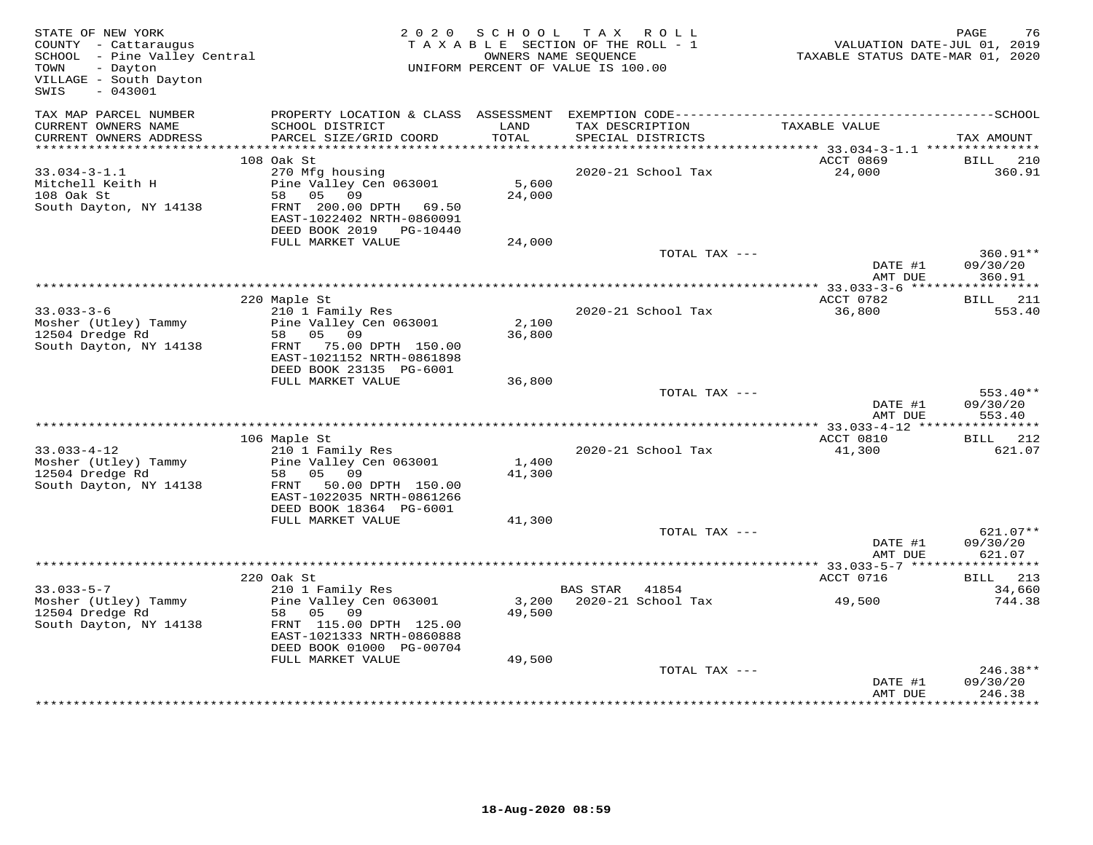| STATE OF NEW YORK<br>COUNTY - Cattaraugus<br>SCHOOL - Pine Valley Central<br>- Dayton<br>TOWN<br>VILLAGE - South Dayton<br>SWIS<br>$-043001$ |                                                                                                                                                             | 2020 SCHOOL     | TAX ROLL<br>TAXABLE SECTION OF THE ROLL - 1<br>OWNERS NAME SEQUENCE<br>UNIFORM PERCENT OF VALUE IS 100.00 | VALUATION DATE-JUL 01, 2019<br>TAXABLE STATUS DATE-MAR 01, 2020 | PAGE<br>76                       |
|----------------------------------------------------------------------------------------------------------------------------------------------|-------------------------------------------------------------------------------------------------------------------------------------------------------------|-----------------|-----------------------------------------------------------------------------------------------------------|-----------------------------------------------------------------|----------------------------------|
| TAX MAP PARCEL NUMBER<br>CURRENT OWNERS NAME<br>CURRENT OWNERS ADDRESS                                                                       | SCHOOL DISTRICT<br>PARCEL SIZE/GRID COORD                                                                                                                   | LAND<br>TOTAL   | TAX DESCRIPTION<br>SPECIAL DISTRICTS                                                                      | TAXABLE VALUE                                                   | TAX AMOUNT                       |
|                                                                                                                                              |                                                                                                                                                             |                 |                                                                                                           |                                                                 |                                  |
| $33.034 - 3 - 1.1$<br>Mitchell Keith H<br>108 Oak St<br>South Dayton, NY 14138                                                               | 108 Oak St<br>270 Mfg housing<br>Pine Valley Cen 063001<br>05 09<br>58<br>FRNT 200.00 DPTH 69.50<br>EAST-1022402 NRTH-0860091<br>DEED BOOK 2019    PG-10440 | 5,600<br>24,000 | 2020-21 School Tax                                                                                        | ACCT 0869<br>24,000                                             | BILL<br>210<br>360.91            |
|                                                                                                                                              | FULL MARKET VALUE                                                                                                                                           | 24,000          |                                                                                                           |                                                                 |                                  |
|                                                                                                                                              |                                                                                                                                                             |                 | TOTAL TAX ---                                                                                             | DATE #1<br>AMT DUE                                              | 360.91**<br>09/30/20<br>360.91   |
|                                                                                                                                              |                                                                                                                                                             |                 |                                                                                                           | ************ 33.033-3-6 ******                                  | ***********                      |
| $33.033 - 3 - 6$<br>Mosher (Utley) Tammy<br>12504 Dredge Rd<br>South Dayton, NY 14138                                                        | 220 Maple St<br>210 1 Family Res<br>Pine Valley Cen 063001<br>05 09<br>58<br>FRNT 75.00 DPTH 150.00<br>EAST-1021152 NRTH-0861898<br>DEED BOOK 23135 PG-6001 | 2,100<br>36,800 | 2020-21 School Tax                                                                                        | ACCT 0782<br>36,800                                             | <b>BILL</b> 211<br>553.40        |
|                                                                                                                                              | FULL MARKET VALUE                                                                                                                                           | 36,800          |                                                                                                           |                                                                 |                                  |
|                                                                                                                                              |                                                                                                                                                             |                 | TOTAL TAX ---                                                                                             | DATE #1<br>AMT DUE                                              | $553.40**$<br>09/30/20<br>553.40 |
|                                                                                                                                              |                                                                                                                                                             |                 |                                                                                                           |                                                                 |                                  |
| $33.033 - 4 - 12$<br>Mosher (Utley) Tammy<br>12504 Dredge Rd<br>South Dayton, NY 14138                                                       | 106 Maple St<br>210 1 Family Res<br>Pine Valley Cen 063001<br>05<br>09<br>58<br>50.00 DPTH 150.00<br>FRNT<br>EAST-1022035 NRTH-0861266                      | 1,400<br>41,300 | 2020-21 School Tax                                                                                        | ACCT 0810<br>41,300                                             | BILL 212<br>621.07               |
|                                                                                                                                              | DEED BOOK 18364 PG-6001<br>FULL MARKET VALUE                                                                                                                | 41,300          |                                                                                                           |                                                                 |                                  |
|                                                                                                                                              |                                                                                                                                                             |                 | TOTAL TAX ---                                                                                             | DATE #1<br>AMT DUE                                              | $621.07**$<br>09/30/20<br>621.07 |
|                                                                                                                                              |                                                                                                                                                             |                 |                                                                                                           |                                                                 |                                  |
| $33.033 - 5 - 7$<br>Mosher (Utley) Tammy<br>12504 Dredge Rd<br>South Dayton, NY 14138                                                        | 220 Oak St<br>210 1 Family Res<br>Pine Valley Cen 063001<br>58 05<br>09<br>FRNT 115.00 DPTH 125.00<br>EAST-1021333 NRTH-0860888                             | 49,500          | BAS STAR 41854<br>3,200 2020-21 School Tax                                                                | ACCT 0716<br>49,500                                             | BILL 213<br>34,660<br>744.38     |
|                                                                                                                                              | DEED BOOK 01000 PG-00704<br>FULL MARKET VALUE                                                                                                               | 49,500          | TOTAL TAX ---                                                                                             | DATE #1<br>AMT DUE                                              | 246.38**<br>09/30/20<br>246.38   |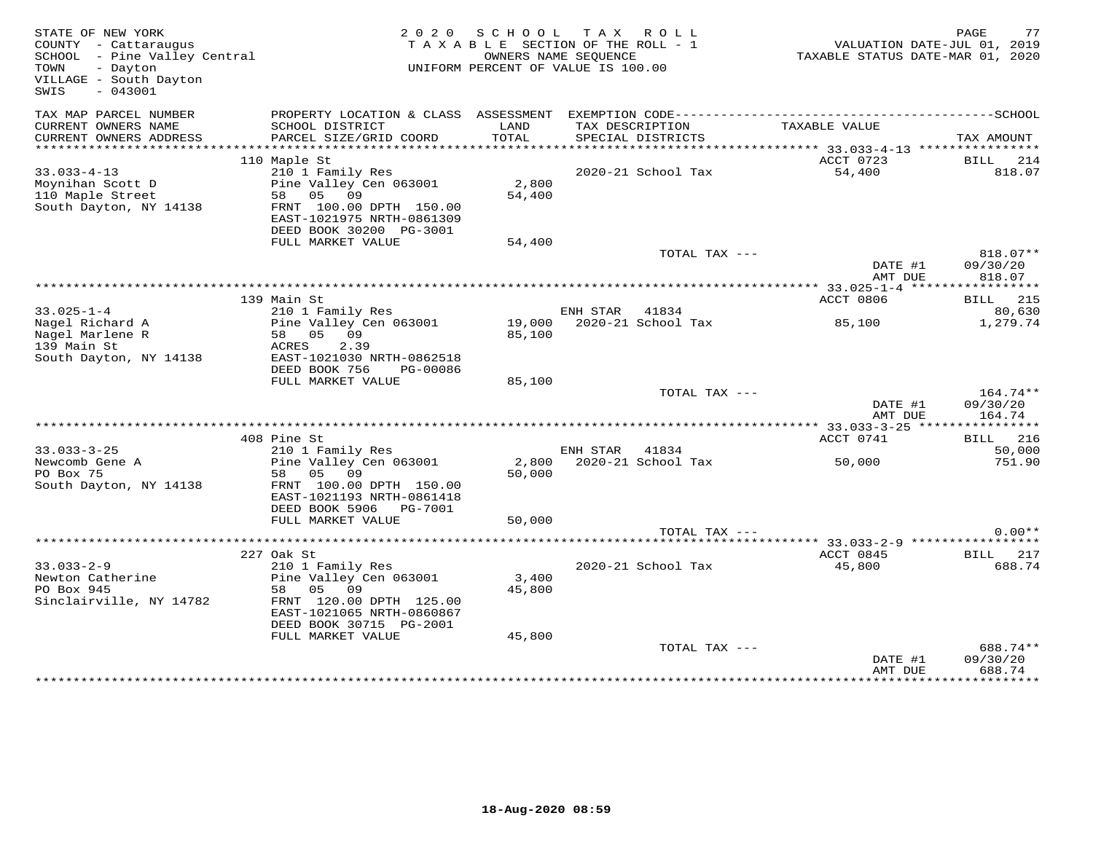| STATE OF NEW YORK<br>COUNTY - Cattaraugus<br>SCHOOL - Pine Valley Central<br>- Dayton<br>TOWN<br>VILLAGE - South Dayton<br>$-043001$<br>SWIS |                                                                                                                                                           |                 | 2020 SCHOOL TAX ROLL<br>TAXABLE SECTION OF THE ROLL - 1<br>OWNERS NAME SEQUENCE<br>UNIFORM PERCENT OF VALUE IS 100.00 | VALUATION DATE-JUL 01, 2019<br>TAXABLE STATUS DATE-MAR 01, 2020 | 77<br>PAGE                          |
|----------------------------------------------------------------------------------------------------------------------------------------------|-----------------------------------------------------------------------------------------------------------------------------------------------------------|-----------------|-----------------------------------------------------------------------------------------------------------------------|-----------------------------------------------------------------|-------------------------------------|
| TAX MAP PARCEL NUMBER<br>CURRENT OWNERS NAME<br>CURRENT OWNERS ADDRESS                                                                       | PROPERTY LOCATION & CLASS ASSESSMENT<br>SCHOOL DISTRICT<br>PARCEL SIZE/GRID COORD                                                                         | LAND<br>TOTAL   | TAX DESCRIPTION<br>SPECIAL DISTRICTS                                                                                  | TAXABLE VALUE                                                   | TAX AMOUNT                          |
| ***********************                                                                                                                      |                                                                                                                                                           |                 |                                                                                                                       |                                                                 |                                     |
| $33.033 - 4 - 13$<br>Moynihan Scott D<br>110 Maple Street<br>South Dayton, NY 14138                                                          | 110 Maple St<br>210 1 Family Res<br>Pine Valley Cen 063001<br>58 05 09<br>FRNT 100.00 DPTH 150.00<br>EAST-1021975 NRTH-0861309<br>DEED BOOK 30200 PG-3001 | 2,800<br>54,400 | 2020-21 School Tax                                                                                                    | ACCT 0723<br>54,400                                             | BILL 214<br>818.07                  |
|                                                                                                                                              | FULL MARKET VALUE                                                                                                                                         | 54,400          |                                                                                                                       |                                                                 |                                     |
|                                                                                                                                              |                                                                                                                                                           |                 | TOTAL TAX ---                                                                                                         | DATE #1<br>AMT DUE                                              | 818.07**<br>09/30/20<br>818.07      |
|                                                                                                                                              |                                                                                                                                                           |                 |                                                                                                                       |                                                                 |                                     |
|                                                                                                                                              | 139 Main St                                                                                                                                               |                 |                                                                                                                       | ACCT 0806                                                       | <b>BILL</b> 215                     |
| $33.025 - 1 - 4$<br>Nagel Richard A<br>Nagel Marlene R                                                                                       | 210 1 Family Res<br>Pine Valley Cen 063001<br>58 05 09                                                                                                    | 85,100          | ENH STAR 41834<br>19,000 2020-21 School Tax                                                                           | 85,100                                                          | 80,630<br>1,279.74                  |
| 139 Main St<br>South Dayton, NY 14138                                                                                                        | 2.39<br>ACRES<br>EAST-1021030 NRTH-0862518<br>DEED BOOK 756<br>PG-00086                                                                                   |                 |                                                                                                                       |                                                                 |                                     |
|                                                                                                                                              | FULL MARKET VALUE                                                                                                                                         | 85,100          | TOTAL TAX ---                                                                                                         |                                                                 | 164.74**                            |
|                                                                                                                                              |                                                                                                                                                           |                 |                                                                                                                       | DATE #1<br>AMT DUE                                              | 09/30/20<br>164.74                  |
|                                                                                                                                              |                                                                                                                                                           |                 |                                                                                                                       |                                                                 |                                     |
| $33.033 - 3 - 25$<br>Newcomb Gene A                                                                                                          | 408 Pine St<br>210 1 Family Res<br>Pine Valley Cen 063001                                                                                                 | 2,800           | ENH STAR 41834<br>2020-21 School Tax                                                                                  | ACCT 0741<br>50,000                                             | <b>BILL</b> 216<br>50,000<br>751.90 |
| PO Box 75<br>South Dayton, NY 14138                                                                                                          | 58 05 09<br>FRNT 100.00 DPTH 150.00<br>EAST-1021193 NRTH-0861418<br>DEED BOOK 5906    PG-7001                                                             | 50,000          |                                                                                                                       |                                                                 |                                     |
|                                                                                                                                              | FULL MARKET VALUE                                                                                                                                         | 50,000          |                                                                                                                       |                                                                 |                                     |
|                                                                                                                                              |                                                                                                                                                           |                 | TOTAL TAX ---                                                                                                         |                                                                 | $0.00**$                            |
|                                                                                                                                              |                                                                                                                                                           |                 | ********************************* 33.033-2-9 *****************                                                        |                                                                 |                                     |
| $33.033 - 2 - 9$<br>Newton Catherine<br>DO Rox 945<br>PO Box 945<br>Sinclairville, NY 14782                                                  | 227 Oak St<br>210 1 Family Res<br>Pine Valley Cen 063001<br>58 05 09<br>FRNT 120.00 DPTH 125.00<br>EAST-1021065 NRTH-0860867<br>DEED BOOK 30715 PG-2001   | 3,400<br>45,800 | 2020-21 School Tax                                                                                                    | ACCT 0845<br>45,800                                             | BILL 217<br>688.74                  |
|                                                                                                                                              | FULL MARKET VALUE                                                                                                                                         | 45,800          | TOTAL TAX ---                                                                                                         | DATE #1                                                         | 688.74**<br>09/30/20                |
|                                                                                                                                              |                                                                                                                                                           |                 |                                                                                                                       | AMT DUE                                                         | 688.74                              |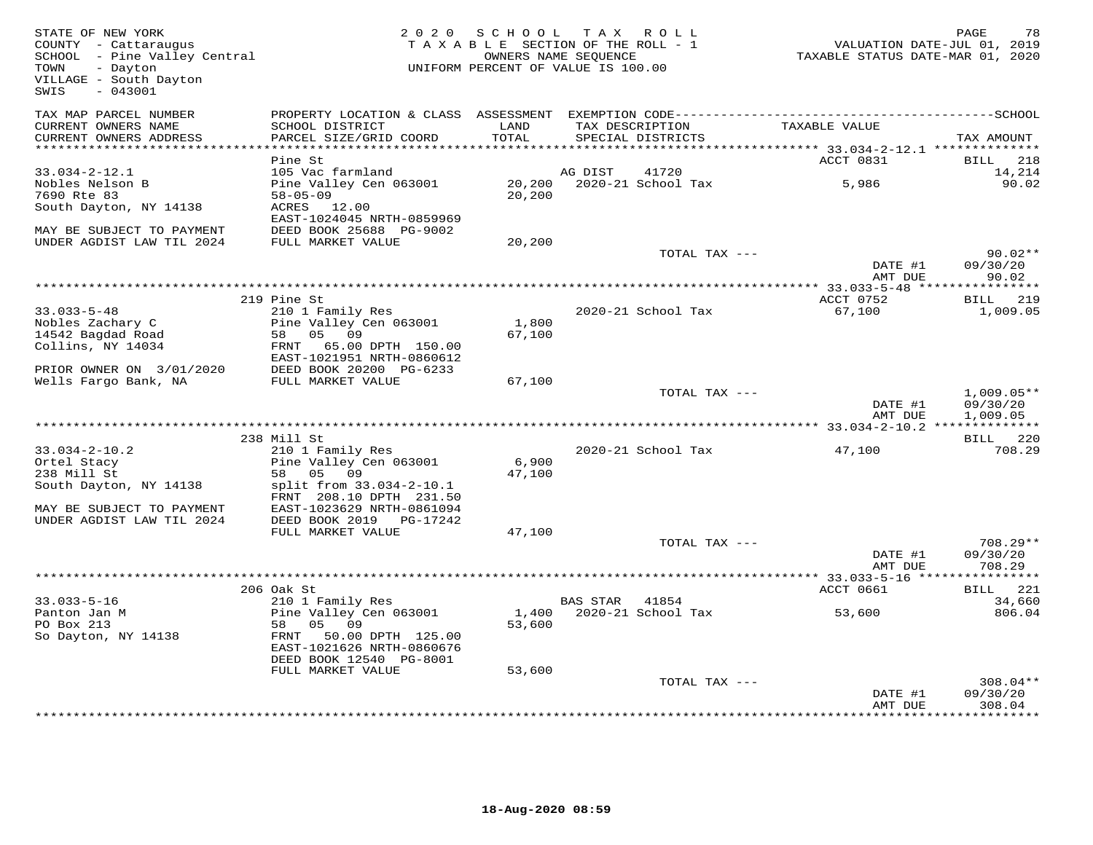| TAX MAP PARCEL NUMBER<br>PROPERTY LOCATION & CLASS ASSESSMENT<br>CURRENT OWNERS NAME<br>SCHOOL DISTRICT<br>LAND<br>TAXABLE VALUE<br>TAX DESCRIPTION<br>CURRENT OWNERS ADDRESS<br>PARCEL SIZE/GRID COORD<br>TOTAL<br>SPECIAL DISTRICTS<br>TAX AMOUNT<br>ACCT 0831<br>Pine St<br>BILL<br>218<br>$33.034 - 2 - 12.1$<br>105 Vac farmland<br>41720<br>14,214<br>AG DIST<br>Nobles Nelson B<br>Pine Valley Cen 063001<br>20,200<br>2020-21 School Tax<br>5,986<br>90.02<br>7690 Rte 83<br>$58 - 05 - 09$<br>20,200<br>South Dayton, NY 14138<br>ACRES 12.00<br>EAST-1024045 NRTH-0859969<br>MAY BE SUBJECT TO PAYMENT<br>DEED BOOK 25688 PG-9002<br>UNDER AGDIST LAW TIL 2024<br>FULL MARKET VALUE<br>20,200<br>TOTAL TAX ---<br>$90.02**$<br>DATE #1<br>09/30/20<br>AMT DUE<br>90.02<br>** 33.033-5-48 *****<br>* * * * * * * * * * *<br>ACCT 0752<br><b>BILL</b> 219<br>219 Pine St<br>$33.033 - 5 - 48$<br>210 1 Family Res<br>2020-21 School Tax<br>67,100<br>1,009.05<br>Nobles Zachary C<br>Pine Valley Cen 063001<br>1,800<br>05<br>14542 Bagdad Road<br>58<br>09<br>67,100<br>Collins, NY 14034<br>FRNT<br>65.00 DPTH 150.00<br>EAST-1021951 NRTH-0860612<br>DEED BOOK 20200 PG-6233<br>PRIOR OWNER ON 3/01/2020<br>Wells Fargo Bank, NA<br>FULL MARKET VALUE<br>67,100<br>TOTAL TAX ---<br>$1,009.05**$<br>DATE #1<br>09/30/20<br>AMT DUE<br>1,009.05<br>***************** 33.034-2-10.2 ***<br>238 Mill St<br>220<br>BILL<br>$33.034 - 2 - 10.2$<br>210 1 Family Res<br>2020-21 School Tax<br>47,100<br>708.29<br>Pine Valley Cen 063001<br>6,900<br>Ortel Stacy<br>05<br>09<br>47,100<br>238 Mill St<br>58<br>split from 33.034-2-10.1<br>South Dayton, NY 14138<br>FRNT 208.10 DPTH 231.50<br>EAST-1023629 NRTH-0861094<br>MAY BE SUBJECT TO PAYMENT<br>UNDER AGDIST LAW TIL 2024<br>DEED BOOK 2019<br>PG-17242<br>FULL MARKET VALUE<br>47,100<br>TOTAL TAX ---<br>708.29**<br>DATE #1<br>09/30/20<br>AMT DUE<br>708.29<br>***********************<br>** 33.033-5-16 **<br>206 Oak St<br>221<br>ACCT 0661<br>BILL<br>$33.033 - 5 - 16$<br>210 1 Family Res<br><b>BAS STAR</b><br>41854<br>34,660<br>Panton Jan M<br>Pine Valley Cen 063001<br>2020-21 School Tax<br>806.04<br>1,400<br>53,600<br>PO Box 213<br>58<br>05 09<br>53,600<br>So Dayton, NY 14138<br>50.00 DPTH 125.00<br>FRNT<br>EAST-1021626 NRTH-0860676<br>DEED BOOK 12540 PG-8001<br>FULL MARKET VALUE<br>53,600<br>TOTAL TAX ---<br>$308.04**$<br>09/30/20<br>DATE #1<br>308.04<br>AMT DUE<br>********* | STATE OF NEW YORK<br>COUNTY - Cattaraugus<br>SCHOOL - Pine Valley Central<br>TOWN<br>- Dayton<br>VILLAGE - South Dayton<br>$-043001$<br>SWIS | 2 0 2 0 | S C H O O L | T A X<br>ROLL<br>TAXABLE SECTION OF THE ROLL - 1<br>OWNERS NAME SEQUENCE<br>UNIFORM PERCENT OF VALUE IS 100.00 | VALUATION DATE-JUL 01, 2019<br>TAXABLE STATUS DATE-MAR 01, 2020 | 78<br>PAGE |
|--------------------------------------------------------------------------------------------------------------------------------------------------------------------------------------------------------------------------------------------------------------------------------------------------------------------------------------------------------------------------------------------------------------------------------------------------------------------------------------------------------------------------------------------------------------------------------------------------------------------------------------------------------------------------------------------------------------------------------------------------------------------------------------------------------------------------------------------------------------------------------------------------------------------------------------------------------------------------------------------------------------------------------------------------------------------------------------------------------------------------------------------------------------------------------------------------------------------------------------------------------------------------------------------------------------------------------------------------------------------------------------------------------------------------------------------------------------------------------------------------------------------------------------------------------------------------------------------------------------------------------------------------------------------------------------------------------------------------------------------------------------------------------------------------------------------------------------------------------------------------------------------------------------------------------------------------------------------------------------------------------------------------------------------------------------------------------------------------------------------------------------------------------------------------------------------------------------------------------------------------------------------------------------------------------------------------------------------------------------------------------------------------------------------------------------------------------------------------------|----------------------------------------------------------------------------------------------------------------------------------------------|---------|-------------|----------------------------------------------------------------------------------------------------------------|-----------------------------------------------------------------|------------|
|                                                                                                                                                                                                                                                                                                                                                                                                                                                                                                                                                                                                                                                                                                                                                                                                                                                                                                                                                                                                                                                                                                                                                                                                                                                                                                                                                                                                                                                                                                                                                                                                                                                                                                                                                                                                                                                                                                                                                                                                                                                                                                                                                                                                                                                                                                                                                                                                                                                                                |                                                                                                                                              |         |             |                                                                                                                |                                                                 |            |
|                                                                                                                                                                                                                                                                                                                                                                                                                                                                                                                                                                                                                                                                                                                                                                                                                                                                                                                                                                                                                                                                                                                                                                                                                                                                                                                                                                                                                                                                                                                                                                                                                                                                                                                                                                                                                                                                                                                                                                                                                                                                                                                                                                                                                                                                                                                                                                                                                                                                                |                                                                                                                                              |         |             |                                                                                                                |                                                                 |            |
|                                                                                                                                                                                                                                                                                                                                                                                                                                                                                                                                                                                                                                                                                                                                                                                                                                                                                                                                                                                                                                                                                                                                                                                                                                                                                                                                                                                                                                                                                                                                                                                                                                                                                                                                                                                                                                                                                                                                                                                                                                                                                                                                                                                                                                                                                                                                                                                                                                                                                |                                                                                                                                              |         |             |                                                                                                                |                                                                 |            |
|                                                                                                                                                                                                                                                                                                                                                                                                                                                                                                                                                                                                                                                                                                                                                                                                                                                                                                                                                                                                                                                                                                                                                                                                                                                                                                                                                                                                                                                                                                                                                                                                                                                                                                                                                                                                                                                                                                                                                                                                                                                                                                                                                                                                                                                                                                                                                                                                                                                                                |                                                                                                                                              |         |             |                                                                                                                |                                                                 |            |
|                                                                                                                                                                                                                                                                                                                                                                                                                                                                                                                                                                                                                                                                                                                                                                                                                                                                                                                                                                                                                                                                                                                                                                                                                                                                                                                                                                                                                                                                                                                                                                                                                                                                                                                                                                                                                                                                                                                                                                                                                                                                                                                                                                                                                                                                                                                                                                                                                                                                                |                                                                                                                                              |         |             |                                                                                                                |                                                                 |            |
|                                                                                                                                                                                                                                                                                                                                                                                                                                                                                                                                                                                                                                                                                                                                                                                                                                                                                                                                                                                                                                                                                                                                                                                                                                                                                                                                                                                                                                                                                                                                                                                                                                                                                                                                                                                                                                                                                                                                                                                                                                                                                                                                                                                                                                                                                                                                                                                                                                                                                |                                                                                                                                              |         |             |                                                                                                                |                                                                 |            |
|                                                                                                                                                                                                                                                                                                                                                                                                                                                                                                                                                                                                                                                                                                                                                                                                                                                                                                                                                                                                                                                                                                                                                                                                                                                                                                                                                                                                                                                                                                                                                                                                                                                                                                                                                                                                                                                                                                                                                                                                                                                                                                                                                                                                                                                                                                                                                                                                                                                                                |                                                                                                                                              |         |             |                                                                                                                |                                                                 |            |
|                                                                                                                                                                                                                                                                                                                                                                                                                                                                                                                                                                                                                                                                                                                                                                                                                                                                                                                                                                                                                                                                                                                                                                                                                                                                                                                                                                                                                                                                                                                                                                                                                                                                                                                                                                                                                                                                                                                                                                                                                                                                                                                                                                                                                                                                                                                                                                                                                                                                                |                                                                                                                                              |         |             |                                                                                                                |                                                                 |            |
|                                                                                                                                                                                                                                                                                                                                                                                                                                                                                                                                                                                                                                                                                                                                                                                                                                                                                                                                                                                                                                                                                                                                                                                                                                                                                                                                                                                                                                                                                                                                                                                                                                                                                                                                                                                                                                                                                                                                                                                                                                                                                                                                                                                                                                                                                                                                                                                                                                                                                |                                                                                                                                              |         |             |                                                                                                                |                                                                 |            |
|                                                                                                                                                                                                                                                                                                                                                                                                                                                                                                                                                                                                                                                                                                                                                                                                                                                                                                                                                                                                                                                                                                                                                                                                                                                                                                                                                                                                                                                                                                                                                                                                                                                                                                                                                                                                                                                                                                                                                                                                                                                                                                                                                                                                                                                                                                                                                                                                                                                                                |                                                                                                                                              |         |             |                                                                                                                |                                                                 |            |
|                                                                                                                                                                                                                                                                                                                                                                                                                                                                                                                                                                                                                                                                                                                                                                                                                                                                                                                                                                                                                                                                                                                                                                                                                                                                                                                                                                                                                                                                                                                                                                                                                                                                                                                                                                                                                                                                                                                                                                                                                                                                                                                                                                                                                                                                                                                                                                                                                                                                                |                                                                                                                                              |         |             |                                                                                                                |                                                                 |            |
|                                                                                                                                                                                                                                                                                                                                                                                                                                                                                                                                                                                                                                                                                                                                                                                                                                                                                                                                                                                                                                                                                                                                                                                                                                                                                                                                                                                                                                                                                                                                                                                                                                                                                                                                                                                                                                                                                                                                                                                                                                                                                                                                                                                                                                                                                                                                                                                                                                                                                |                                                                                                                                              |         |             |                                                                                                                |                                                                 |            |
|                                                                                                                                                                                                                                                                                                                                                                                                                                                                                                                                                                                                                                                                                                                                                                                                                                                                                                                                                                                                                                                                                                                                                                                                                                                                                                                                                                                                                                                                                                                                                                                                                                                                                                                                                                                                                                                                                                                                                                                                                                                                                                                                                                                                                                                                                                                                                                                                                                                                                |                                                                                                                                              |         |             |                                                                                                                |                                                                 |            |
|                                                                                                                                                                                                                                                                                                                                                                                                                                                                                                                                                                                                                                                                                                                                                                                                                                                                                                                                                                                                                                                                                                                                                                                                                                                                                                                                                                                                                                                                                                                                                                                                                                                                                                                                                                                                                                                                                                                                                                                                                                                                                                                                                                                                                                                                                                                                                                                                                                                                                |                                                                                                                                              |         |             |                                                                                                                |                                                                 |            |
|                                                                                                                                                                                                                                                                                                                                                                                                                                                                                                                                                                                                                                                                                                                                                                                                                                                                                                                                                                                                                                                                                                                                                                                                                                                                                                                                                                                                                                                                                                                                                                                                                                                                                                                                                                                                                                                                                                                                                                                                                                                                                                                                                                                                                                                                                                                                                                                                                                                                                |                                                                                                                                              |         |             |                                                                                                                |                                                                 |            |
|                                                                                                                                                                                                                                                                                                                                                                                                                                                                                                                                                                                                                                                                                                                                                                                                                                                                                                                                                                                                                                                                                                                                                                                                                                                                                                                                                                                                                                                                                                                                                                                                                                                                                                                                                                                                                                                                                                                                                                                                                                                                                                                                                                                                                                                                                                                                                                                                                                                                                |                                                                                                                                              |         |             |                                                                                                                |                                                                 |            |
|                                                                                                                                                                                                                                                                                                                                                                                                                                                                                                                                                                                                                                                                                                                                                                                                                                                                                                                                                                                                                                                                                                                                                                                                                                                                                                                                                                                                                                                                                                                                                                                                                                                                                                                                                                                                                                                                                                                                                                                                                                                                                                                                                                                                                                                                                                                                                                                                                                                                                |                                                                                                                                              |         |             |                                                                                                                |                                                                 |            |
|                                                                                                                                                                                                                                                                                                                                                                                                                                                                                                                                                                                                                                                                                                                                                                                                                                                                                                                                                                                                                                                                                                                                                                                                                                                                                                                                                                                                                                                                                                                                                                                                                                                                                                                                                                                                                                                                                                                                                                                                                                                                                                                                                                                                                                                                                                                                                                                                                                                                                |                                                                                                                                              |         |             |                                                                                                                |                                                                 |            |
|                                                                                                                                                                                                                                                                                                                                                                                                                                                                                                                                                                                                                                                                                                                                                                                                                                                                                                                                                                                                                                                                                                                                                                                                                                                                                                                                                                                                                                                                                                                                                                                                                                                                                                                                                                                                                                                                                                                                                                                                                                                                                                                                                                                                                                                                                                                                                                                                                                                                                |                                                                                                                                              |         |             |                                                                                                                |                                                                 |            |
|                                                                                                                                                                                                                                                                                                                                                                                                                                                                                                                                                                                                                                                                                                                                                                                                                                                                                                                                                                                                                                                                                                                                                                                                                                                                                                                                                                                                                                                                                                                                                                                                                                                                                                                                                                                                                                                                                                                                                                                                                                                                                                                                                                                                                                                                                                                                                                                                                                                                                |                                                                                                                                              |         |             |                                                                                                                |                                                                 |            |
|                                                                                                                                                                                                                                                                                                                                                                                                                                                                                                                                                                                                                                                                                                                                                                                                                                                                                                                                                                                                                                                                                                                                                                                                                                                                                                                                                                                                                                                                                                                                                                                                                                                                                                                                                                                                                                                                                                                                                                                                                                                                                                                                                                                                                                                                                                                                                                                                                                                                                |                                                                                                                                              |         |             |                                                                                                                |                                                                 |            |
|                                                                                                                                                                                                                                                                                                                                                                                                                                                                                                                                                                                                                                                                                                                                                                                                                                                                                                                                                                                                                                                                                                                                                                                                                                                                                                                                                                                                                                                                                                                                                                                                                                                                                                                                                                                                                                                                                                                                                                                                                                                                                                                                                                                                                                                                                                                                                                                                                                                                                |                                                                                                                                              |         |             |                                                                                                                |                                                                 |            |
|                                                                                                                                                                                                                                                                                                                                                                                                                                                                                                                                                                                                                                                                                                                                                                                                                                                                                                                                                                                                                                                                                                                                                                                                                                                                                                                                                                                                                                                                                                                                                                                                                                                                                                                                                                                                                                                                                                                                                                                                                                                                                                                                                                                                                                                                                                                                                                                                                                                                                |                                                                                                                                              |         |             |                                                                                                                |                                                                 |            |
|                                                                                                                                                                                                                                                                                                                                                                                                                                                                                                                                                                                                                                                                                                                                                                                                                                                                                                                                                                                                                                                                                                                                                                                                                                                                                                                                                                                                                                                                                                                                                                                                                                                                                                                                                                                                                                                                                                                                                                                                                                                                                                                                                                                                                                                                                                                                                                                                                                                                                |                                                                                                                                              |         |             |                                                                                                                |                                                                 |            |
|                                                                                                                                                                                                                                                                                                                                                                                                                                                                                                                                                                                                                                                                                                                                                                                                                                                                                                                                                                                                                                                                                                                                                                                                                                                                                                                                                                                                                                                                                                                                                                                                                                                                                                                                                                                                                                                                                                                                                                                                                                                                                                                                                                                                                                                                                                                                                                                                                                                                                |                                                                                                                                              |         |             |                                                                                                                |                                                                 |            |
|                                                                                                                                                                                                                                                                                                                                                                                                                                                                                                                                                                                                                                                                                                                                                                                                                                                                                                                                                                                                                                                                                                                                                                                                                                                                                                                                                                                                                                                                                                                                                                                                                                                                                                                                                                                                                                                                                                                                                                                                                                                                                                                                                                                                                                                                                                                                                                                                                                                                                |                                                                                                                                              |         |             |                                                                                                                |                                                                 |            |
|                                                                                                                                                                                                                                                                                                                                                                                                                                                                                                                                                                                                                                                                                                                                                                                                                                                                                                                                                                                                                                                                                                                                                                                                                                                                                                                                                                                                                                                                                                                                                                                                                                                                                                                                                                                                                                                                                                                                                                                                                                                                                                                                                                                                                                                                                                                                                                                                                                                                                |                                                                                                                                              |         |             |                                                                                                                |                                                                 |            |
|                                                                                                                                                                                                                                                                                                                                                                                                                                                                                                                                                                                                                                                                                                                                                                                                                                                                                                                                                                                                                                                                                                                                                                                                                                                                                                                                                                                                                                                                                                                                                                                                                                                                                                                                                                                                                                                                                                                                                                                                                                                                                                                                                                                                                                                                                                                                                                                                                                                                                |                                                                                                                                              |         |             |                                                                                                                |                                                                 |            |
|                                                                                                                                                                                                                                                                                                                                                                                                                                                                                                                                                                                                                                                                                                                                                                                                                                                                                                                                                                                                                                                                                                                                                                                                                                                                                                                                                                                                                                                                                                                                                                                                                                                                                                                                                                                                                                                                                                                                                                                                                                                                                                                                                                                                                                                                                                                                                                                                                                                                                |                                                                                                                                              |         |             |                                                                                                                |                                                                 |            |
|                                                                                                                                                                                                                                                                                                                                                                                                                                                                                                                                                                                                                                                                                                                                                                                                                                                                                                                                                                                                                                                                                                                                                                                                                                                                                                                                                                                                                                                                                                                                                                                                                                                                                                                                                                                                                                                                                                                                                                                                                                                                                                                                                                                                                                                                                                                                                                                                                                                                                |                                                                                                                                              |         |             |                                                                                                                |                                                                 |            |
|                                                                                                                                                                                                                                                                                                                                                                                                                                                                                                                                                                                                                                                                                                                                                                                                                                                                                                                                                                                                                                                                                                                                                                                                                                                                                                                                                                                                                                                                                                                                                                                                                                                                                                                                                                                                                                                                                                                                                                                                                                                                                                                                                                                                                                                                                                                                                                                                                                                                                |                                                                                                                                              |         |             |                                                                                                                |                                                                 |            |
|                                                                                                                                                                                                                                                                                                                                                                                                                                                                                                                                                                                                                                                                                                                                                                                                                                                                                                                                                                                                                                                                                                                                                                                                                                                                                                                                                                                                                                                                                                                                                                                                                                                                                                                                                                                                                                                                                                                                                                                                                                                                                                                                                                                                                                                                                                                                                                                                                                                                                |                                                                                                                                              |         |             |                                                                                                                |                                                                 |            |
|                                                                                                                                                                                                                                                                                                                                                                                                                                                                                                                                                                                                                                                                                                                                                                                                                                                                                                                                                                                                                                                                                                                                                                                                                                                                                                                                                                                                                                                                                                                                                                                                                                                                                                                                                                                                                                                                                                                                                                                                                                                                                                                                                                                                                                                                                                                                                                                                                                                                                |                                                                                                                                              |         |             |                                                                                                                |                                                                 |            |
|                                                                                                                                                                                                                                                                                                                                                                                                                                                                                                                                                                                                                                                                                                                                                                                                                                                                                                                                                                                                                                                                                                                                                                                                                                                                                                                                                                                                                                                                                                                                                                                                                                                                                                                                                                                                                                                                                                                                                                                                                                                                                                                                                                                                                                                                                                                                                                                                                                                                                |                                                                                                                                              |         |             |                                                                                                                |                                                                 |            |
|                                                                                                                                                                                                                                                                                                                                                                                                                                                                                                                                                                                                                                                                                                                                                                                                                                                                                                                                                                                                                                                                                                                                                                                                                                                                                                                                                                                                                                                                                                                                                                                                                                                                                                                                                                                                                                                                                                                                                                                                                                                                                                                                                                                                                                                                                                                                                                                                                                                                                |                                                                                                                                              |         |             |                                                                                                                |                                                                 |            |
|                                                                                                                                                                                                                                                                                                                                                                                                                                                                                                                                                                                                                                                                                                                                                                                                                                                                                                                                                                                                                                                                                                                                                                                                                                                                                                                                                                                                                                                                                                                                                                                                                                                                                                                                                                                                                                                                                                                                                                                                                                                                                                                                                                                                                                                                                                                                                                                                                                                                                |                                                                                                                                              |         |             |                                                                                                                |                                                                 |            |
|                                                                                                                                                                                                                                                                                                                                                                                                                                                                                                                                                                                                                                                                                                                                                                                                                                                                                                                                                                                                                                                                                                                                                                                                                                                                                                                                                                                                                                                                                                                                                                                                                                                                                                                                                                                                                                                                                                                                                                                                                                                                                                                                                                                                                                                                                                                                                                                                                                                                                |                                                                                                                                              |         |             |                                                                                                                |                                                                 |            |
|                                                                                                                                                                                                                                                                                                                                                                                                                                                                                                                                                                                                                                                                                                                                                                                                                                                                                                                                                                                                                                                                                                                                                                                                                                                                                                                                                                                                                                                                                                                                                                                                                                                                                                                                                                                                                                                                                                                                                                                                                                                                                                                                                                                                                                                                                                                                                                                                                                                                                |                                                                                                                                              |         |             |                                                                                                                |                                                                 |            |
|                                                                                                                                                                                                                                                                                                                                                                                                                                                                                                                                                                                                                                                                                                                                                                                                                                                                                                                                                                                                                                                                                                                                                                                                                                                                                                                                                                                                                                                                                                                                                                                                                                                                                                                                                                                                                                                                                                                                                                                                                                                                                                                                                                                                                                                                                                                                                                                                                                                                                |                                                                                                                                              |         |             |                                                                                                                |                                                                 |            |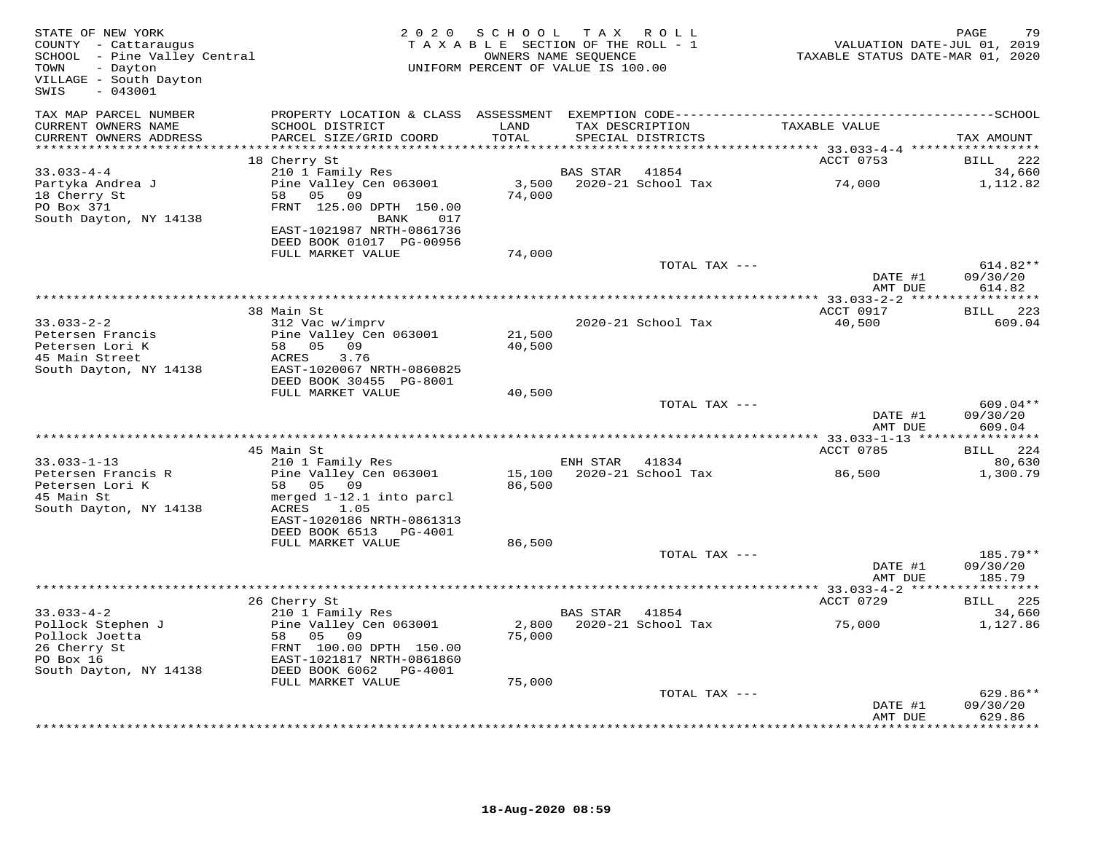| STATE OF NEW YORK<br>COUNTY - Cattaraugus<br>SCHOOL - Pine Valley Central<br>TOWN<br>- Dayton<br>VILLAGE - South Dayton<br>$-043001$<br>SWIS | 2 0 2 0                                    | SCHOOL<br>TAXABLE SECTION OF THE ROLL - 1<br>OWNERS NAME SEQUENCE<br>UNIFORM PERCENT OF VALUE IS 100.00 |                | TAX ROLL                             | VALUATION DATE-JUL 01, 2019<br>TAXABLE STATUS DATE-MAR 01, 2020 | PAGE<br>79                    |
|----------------------------------------------------------------------------------------------------------------------------------------------|--------------------------------------------|---------------------------------------------------------------------------------------------------------|----------------|--------------------------------------|-----------------------------------------------------------------|-------------------------------|
| TAX MAP PARCEL NUMBER                                                                                                                        |                                            |                                                                                                         |                |                                      |                                                                 |                               |
| CURRENT OWNERS NAME<br>CURRENT OWNERS ADDRESS                                                                                                | SCHOOL DISTRICT<br>PARCEL SIZE/GRID COORD  | LAND<br>TOTAL                                                                                           |                | TAX DESCRIPTION<br>SPECIAL DISTRICTS | TAXABLE VALUE                                                   | TAX AMOUNT                    |
| ***********************                                                                                                                      | 18 Cherry St                               |                                                                                                         |                |                                      | ACCT 0753                                                       | <b>BILL</b><br>222            |
| $33.033 - 4 - 4$                                                                                                                             | 210 1 Family Res                           |                                                                                                         | BAS STAR       | 41854                                |                                                                 | 34,660                        |
| Partyka Andrea J                                                                                                                             | Pine Valley Cen 063001                     |                                                                                                         |                | 3,500 2020-21 School Tax             | 74,000                                                          | 1,112.82                      |
| 18 Cherry St                                                                                                                                 | 58 05 09                                   | 74,000                                                                                                  |                |                                      |                                                                 |                               |
| PO Box 371                                                                                                                                   | FRNT 125.00 DPTH 150.00                    |                                                                                                         |                |                                      |                                                                 |                               |
| South Dayton, NY 14138                                                                                                                       | BANK<br>017<br>EAST-1021987 NRTH-0861736   |                                                                                                         |                |                                      |                                                                 |                               |
|                                                                                                                                              | DEED BOOK 01017 PG-00956                   |                                                                                                         |                |                                      |                                                                 |                               |
|                                                                                                                                              | FULL MARKET VALUE                          | 74,000                                                                                                  |                |                                      |                                                                 |                               |
|                                                                                                                                              |                                            |                                                                                                         |                | TOTAL TAX ---                        |                                                                 | $614.82**$                    |
|                                                                                                                                              |                                            |                                                                                                         |                |                                      | DATE #1<br>AMT DUE                                              | 09/30/20<br>614.82            |
|                                                                                                                                              |                                            |                                                                                                         |                |                                      |                                                                 |                               |
|                                                                                                                                              | 38 Main St                                 |                                                                                                         |                |                                      | ACCT 0917                                                       | 223<br><b>BILL</b>            |
| $33.033 - 2 - 2$                                                                                                                             | 312 Vac w/imprv                            |                                                                                                         |                | 2020-21 School Tax                   | 40,500                                                          | 609.04                        |
| Petersen Francis<br>Petersen Lori K                                                                                                          | Pine Valley Cen 063001<br>58 05 09         | 21,500<br>40,500                                                                                        |                |                                      |                                                                 |                               |
| 45 Main Street                                                                                                                               | ACRES<br>3.76                              |                                                                                                         |                |                                      |                                                                 |                               |
| South Dayton, NY 14138                                                                                                                       | EAST-1020067 NRTH-0860825                  |                                                                                                         |                |                                      |                                                                 |                               |
|                                                                                                                                              | DEED BOOK 30455 PG-8001                    |                                                                                                         |                |                                      |                                                                 |                               |
|                                                                                                                                              | FULL MARKET VALUE                          | 40,500                                                                                                  |                | TOTAL TAX ---                        |                                                                 | 609.04**                      |
|                                                                                                                                              |                                            |                                                                                                         |                |                                      | DATE #1                                                         | 09/30/20                      |
|                                                                                                                                              |                                            |                                                                                                         |                |                                      | AMT DUE                                                         | 609.04                        |
|                                                                                                                                              |                                            |                                                                                                         |                |                                      |                                                                 |                               |
| $33.033 - 1 - 13$                                                                                                                            | 45 Main St<br>210 1 Family Res             |                                                                                                         | ENH STAR       | 41834                                | ACCT 0785                                                       | BILL 224<br>80,630            |
| Petersen Francis R                                                                                                                           | Pine Valley Cen 063001                     | 15,100                                                                                                  |                | 2020-21 School Tax                   | 86,500                                                          | 1,300.79                      |
| Petersen Lori K                                                                                                                              | 58 05 09                                   | 86,500                                                                                                  |                |                                      |                                                                 |                               |
| 45 Main St                                                                                                                                   | merged 1-12.1 into parcl                   |                                                                                                         |                |                                      |                                                                 |                               |
| South Dayton, NY 14138                                                                                                                       | ACRES<br>1.05<br>EAST-1020186 NRTH-0861313 |                                                                                                         |                |                                      |                                                                 |                               |
|                                                                                                                                              | DEED BOOK 6513 PG-4001                     |                                                                                                         |                |                                      |                                                                 |                               |
|                                                                                                                                              | FULL MARKET VALUE                          | 86,500                                                                                                  |                |                                      |                                                                 |                               |
|                                                                                                                                              |                                            |                                                                                                         |                | TOTAL TAX ---                        |                                                                 | 185.79**                      |
|                                                                                                                                              |                                            |                                                                                                         |                |                                      | DATE #1<br>AMT DUE                                              | 09/30/20<br>185.79            |
|                                                                                                                                              |                                            |                                                                                                         |                |                                      |                                                                 |                               |
|                                                                                                                                              | 26 Cherry St                               |                                                                                                         |                |                                      | ACCT 0729                                                       | BILL 225                      |
| $33.033 - 4 - 2$                                                                                                                             | 210 1 Family Res                           |                                                                                                         | BAS STAR 41854 |                                      |                                                                 | 34,660                        |
| Pollock Stephen J<br>Pollock Joetta                                                                                                          | Pine Valley Cen 063001<br>58 05 09         | 2,800<br>75,000                                                                                         |                | 2020-21 School Tax                   | 75,000                                                          | 1,127.86                      |
| 26 Cherry St                                                                                                                                 | FRNT 100.00 DPTH 150.00                    |                                                                                                         |                |                                      |                                                                 |                               |
| PO Box 16                                                                                                                                    | EAST-1021817 NRTH-0861860                  |                                                                                                         |                |                                      |                                                                 |                               |
| South Dayton, NY 14138                                                                                                                       | DEED BOOK 6062 PG-4001                     |                                                                                                         |                |                                      |                                                                 |                               |
|                                                                                                                                              | FULL MARKET VALUE                          | 75,000                                                                                                  |                | TOTAL TAX ---                        |                                                                 | 629.86**                      |
|                                                                                                                                              |                                            |                                                                                                         |                |                                      | DATE #1                                                         | 09/30/20                      |
|                                                                                                                                              |                                            |                                                                                                         |                |                                      | AMT DUE                                                         | 629.86<br>* * * * * * * * * * |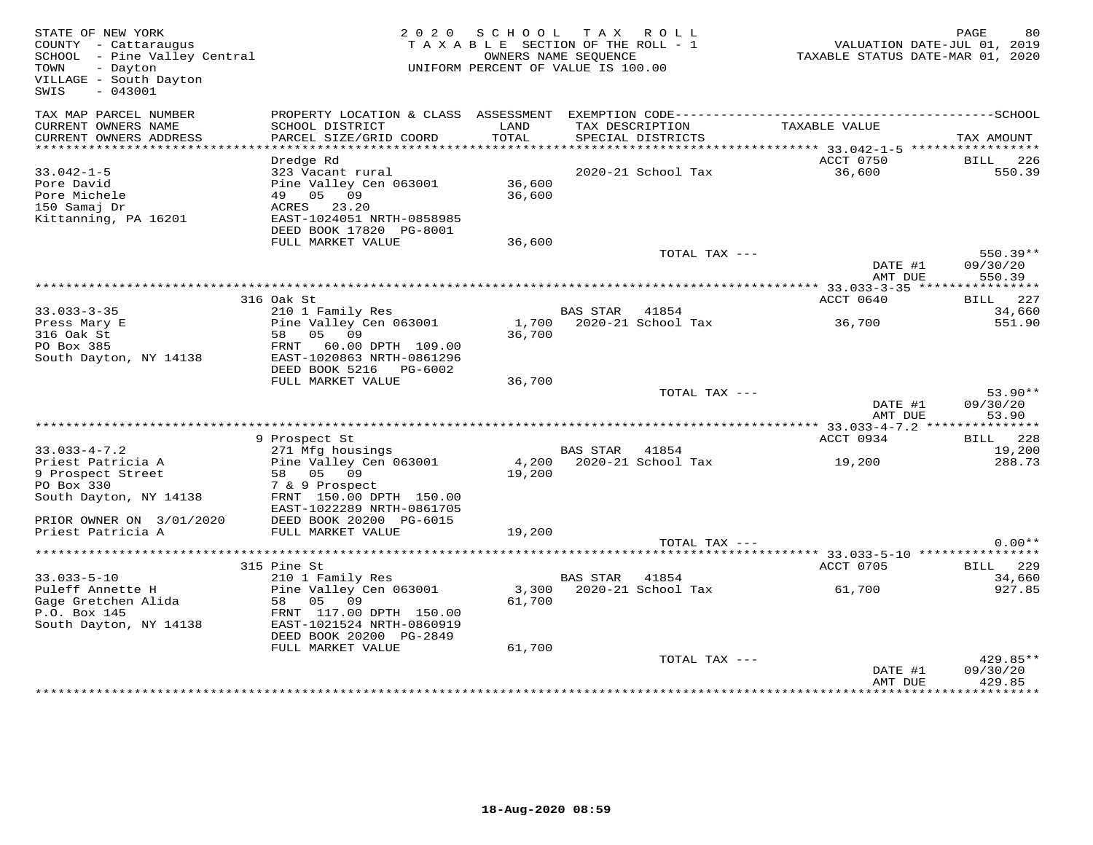| STATE OF NEW YORK<br>COUNTY - Cattaraugus<br>SCHOOL - Pine Valley Central<br>- Dayton<br>TOWN<br>VILLAGE - South Dayton<br>$-043001$<br>SWIS |                                                                                                                                           | 2020 SCHOOL TAX ROLL<br>TAXABLE SECTION OF THE ROLL - 1<br>UNIFORM PERCENT OF VALUE IS 100.00 | OWNERS NAME SEQUENCE |                          | TAXABLE STATUS DATE-MAR 01, 2020 | PAGE<br>80<br>VALUATION DATE-JUL 01, 2019 |
|----------------------------------------------------------------------------------------------------------------------------------------------|-------------------------------------------------------------------------------------------------------------------------------------------|-----------------------------------------------------------------------------------------------|----------------------|--------------------------|----------------------------------|-------------------------------------------|
| TAX MAP PARCEL NUMBER<br>CURRENT OWNERS NAME<br>CURRENT OWNERS ADDRESS                                                                       | PROPERTY LOCATION & CLASS ASSESSMENT EXEMPTION CODE-----------------------------------SCHOOL<br>SCHOOL DISTRICT<br>PARCEL SIZE/GRID COORD | LAND<br>TOTAL                                                                                 | TAX DESCRIPTION      | SPECIAL DISTRICTS        | TAXABLE VALUE                    |                                           |
| ***********************                                                                                                                      |                                                                                                                                           |                                                                                               |                      |                          |                                  | TAX AMOUNT                                |
|                                                                                                                                              | Dredge Rd                                                                                                                                 |                                                                                               |                      |                          | ACCT 0750                        | BILL 226                                  |
| $33.042 - 1 - 5$<br>Pore David<br>Pore Michele<br>150 Samaj Dr                                                                               | 323 Vacant rural<br>Pine Valley Cen 063001<br>49 05 09<br>ACRES 23.20                                                                     | 36,600<br>36,600                                                                              |                      | 2020-21 School Tax       | 36,600                           | 550.39                                    |
| Kittanning, PA 16201                                                                                                                         | EAST-1024051 NRTH-0858985<br>DEED BOOK 17820 PG-8001                                                                                      |                                                                                               |                      |                          |                                  |                                           |
|                                                                                                                                              | FULL MARKET VALUE                                                                                                                         | 36,600                                                                                        |                      | TOTAL TAX ---            | DATE #1                          | $550.39**$<br>09/30/20                    |
|                                                                                                                                              |                                                                                                                                           |                                                                                               |                      |                          | AMT DUE                          | 550.39                                    |
|                                                                                                                                              |                                                                                                                                           |                                                                                               |                      |                          |                                  |                                           |
|                                                                                                                                              | 316 Oak St                                                                                                                                |                                                                                               |                      |                          | ACCT 0640                        | <b>BILL</b> 227                           |
| $33.033 - 3 - 35$<br>Press Mary E                                                                                                            | 210 1 Family Res<br>Pine Valley Cen 063001                                                                                                | 1,700                                                                                         | BAS STAR 41854       | 2020-21 School Tax       | 36,700                           | 34,660<br>551.90                          |
| 316 Oak St                                                                                                                                   | 58 05 09                                                                                                                                  | 36,700                                                                                        |                      |                          |                                  |                                           |
| PO Box 385                                                                                                                                   | FRNT 60.00 DPTH 109.00                                                                                                                    |                                                                                               |                      |                          |                                  |                                           |
| South Dayton, NY 14138                                                                                                                       | EAST-1020863 NRTH-0861296<br>DEED BOOK 5216 PG-6002                                                                                       |                                                                                               |                      |                          |                                  |                                           |
|                                                                                                                                              | FULL MARKET VALUE                                                                                                                         | 36,700                                                                                        |                      |                          |                                  |                                           |
|                                                                                                                                              |                                                                                                                                           |                                                                                               |                      | TOTAL TAX ---            |                                  | $53.90**$                                 |
|                                                                                                                                              |                                                                                                                                           |                                                                                               |                      |                          | DATE #1<br>AMT DUE               | 09/30/20<br>53.90                         |
|                                                                                                                                              |                                                                                                                                           |                                                                                               |                      |                          |                                  |                                           |
| $33.033 - 4 - 7.2$                                                                                                                           | 9 Prospect St<br>271 Mfg housings                                                                                                         |                                                                                               | BAS STAR 41854       |                          | ACCT 0934                        | BILL 228<br>19,200                        |
| Priest Patricia A                                                                                                                            | Pine Valley Cen 063001                                                                                                                    |                                                                                               |                      | 4,200 2020-21 School Tax | 19,200                           | 288.73                                    |
| 9 Prospect Street                                                                                                                            | 58 05 09                                                                                                                                  | 19,200                                                                                        |                      |                          |                                  |                                           |
| PO Box 330                                                                                                                                   | 7 & 9 Prospect                                                                                                                            |                                                                                               |                      |                          |                                  |                                           |
| South Dayton, NY 14138                                                                                                                       | FRNT 150.00 DPTH 150.00<br>EAST-1022289 NRTH-0861705                                                                                      |                                                                                               |                      |                          |                                  |                                           |
| PRIOR OWNER ON 3/01/2020                                                                                                                     | DEED BOOK 20200 PG-6015                                                                                                                   |                                                                                               |                      |                          |                                  |                                           |
| Priest Patricia A                                                                                                                            | FULL MARKET VALUE                                                                                                                         | 19,200                                                                                        |                      |                          |                                  |                                           |
|                                                                                                                                              |                                                                                                                                           |                                                                                               |                      | TOTAL TAX ---            |                                  | $0.00**$                                  |
|                                                                                                                                              | 315 Pine St                                                                                                                               |                                                                                               |                      |                          | ACCT 0705                        | BILL 229                                  |
| $33.033 - 5 - 10$                                                                                                                            | 210 1 Family Res                                                                                                                          |                                                                                               | BAS STAR 41854       |                          |                                  | 34,660                                    |
| Puleff Annette H                                                                                                                             | Pine Valley Cen 063001                                                                                                                    |                                                                                               |                      | 3,300 2020-21 School Tax | 61,700                           | 927.85                                    |
| Gage Gretchen Alida                                                                                                                          | 58 05 09                                                                                                                                  | 61,700                                                                                        |                      |                          |                                  |                                           |
| P.O. Box 145                                                                                                                                 | FRNT 117.00 DPTH 150.00                                                                                                                   |                                                                                               |                      |                          |                                  |                                           |
| South Dayton, NY 14138                                                                                                                       | EAST-1021524 NRTH-0860919<br>DEED BOOK 20200 PG-2849                                                                                      |                                                                                               |                      |                          |                                  |                                           |
|                                                                                                                                              | FULL MARKET VALUE                                                                                                                         | 61,700                                                                                        |                      |                          |                                  |                                           |
|                                                                                                                                              |                                                                                                                                           |                                                                                               |                      | TOTAL TAX ---            | DATE #1                          | 429.85**<br>09/30/20                      |
|                                                                                                                                              |                                                                                                                                           |                                                                                               |                      |                          | AMT DUE                          | 429.85                                    |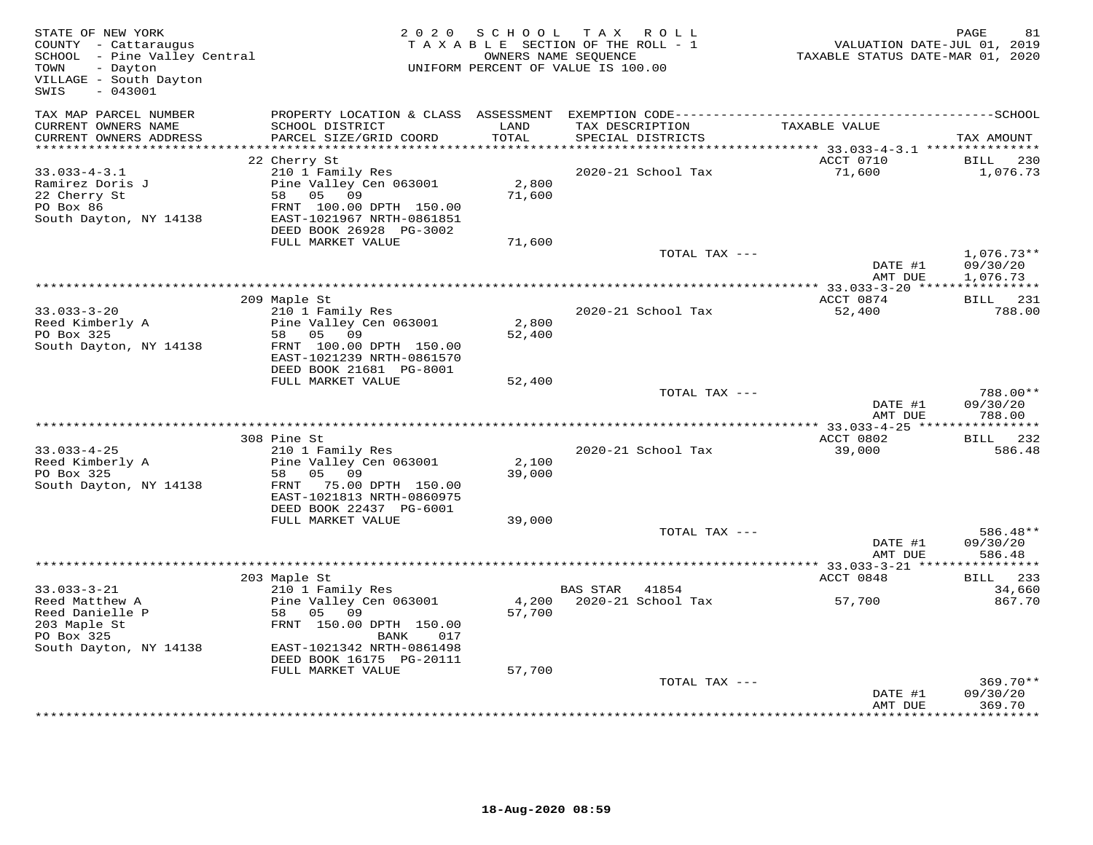| STATE OF NEW YORK<br>COUNTY - Cattaraugus<br>SCHOOL - Pine Valley Central<br>TOWN<br>- Dayton<br>VILLAGE - South Dayton<br>$-043001$<br>SWIS |                                                                                                                                                                                | 2020 SCHOOL               | TAX ROLL<br>TAXABLE SECTION OF THE ROLL - 1<br>OWNERS NAME SEQUENCE<br>UNIFORM PERCENT OF VALUE IS 100.00 | VALUATION DATE-JUL 01, 2019<br>TAXABLE STATUS DATE-MAR 01, 2020 | PAGE<br>81                       |
|----------------------------------------------------------------------------------------------------------------------------------------------|--------------------------------------------------------------------------------------------------------------------------------------------------------------------------------|---------------------------|-----------------------------------------------------------------------------------------------------------|-----------------------------------------------------------------|----------------------------------|
| TAX MAP PARCEL NUMBER<br>CURRENT OWNERS NAME<br>CURRENT OWNERS ADDRESS                                                                       | SCHOOL DISTRICT<br>PARCEL SIZE/GRID COORD                                                                                                                                      | LAND<br>TOTAL             | TAX DESCRIPTION<br>SPECIAL DISTRICTS                                                                      | TAXABLE VALUE                                                   | TAX AMOUNT                       |
| ************************                                                                                                                     |                                                                                                                                                                                |                           |                                                                                                           |                                                                 |                                  |
| $33.033 - 4 - 3.1$<br>Ramirez Doris J<br>22 Cherry St<br>PO Box 86<br>South Dayton, NY 14138                                                 | 22 Cherry St<br>210 1 Family Res<br>Pine Valley Cen 063001<br>58 05 09<br>FRNT 100.00 DPTH 150.00<br>EAST-1021967 NRTH-0861851<br>DEED BOOK 26928 PG-3002<br>FULL MARKET VALUE | 2,800<br>71,600<br>71,600 | 2020-21 School Tax                                                                                        | ACCT 0710<br>71,600                                             | 230<br>BILL<br>1,076.73          |
|                                                                                                                                              |                                                                                                                                                                                |                           | TOTAL TAX ---                                                                                             |                                                                 | $1,076.73**$                     |
|                                                                                                                                              |                                                                                                                                                                                |                           |                                                                                                           | DATE #1<br>AMT DUE                                              | 09/30/20<br>1,076.73             |
|                                                                                                                                              | 209 Maple St                                                                                                                                                                   |                           |                                                                                                           | ACCT 0874                                                       | BILL 231                         |
| $33.033 - 3 - 20$<br>Reed Kimberly A<br>PO Box 325<br>South Dayton, NY 14138                                                                 | 210 1 Family Res<br>Pine Valley Cen 063001<br>58 05 09<br>FRNT 100.00 DPTH 150.00<br>EAST-1021239 NRTH-0861570<br>DEED BOOK 21681 PG-8001                                      | 2,800<br>52,400           | 2020-21 School Tax                                                                                        | 52,400                                                          | 788.00                           |
|                                                                                                                                              | FULL MARKET VALUE                                                                                                                                                              | 52,400                    |                                                                                                           |                                                                 |                                  |
|                                                                                                                                              |                                                                                                                                                                                |                           | TOTAL TAX ---                                                                                             | DATE #1<br>AMT DUE                                              | 788.00**<br>09/30/20<br>788.00   |
|                                                                                                                                              |                                                                                                                                                                                |                           |                                                                                                           |                                                                 |                                  |
|                                                                                                                                              | 308 Pine St                                                                                                                                                                    |                           |                                                                                                           | ACCT 0802                                                       | BILL 232                         |
| $33.033 - 4 - 25$<br>Reed Kimberly A<br>PO Box 325<br>South Dayton, NY 14138                                                                 | 210 1 Family Res<br>Pine Valley Cen 063001<br>05 09<br>58<br>FRNT 75.00 DPTH 150.00<br>EAST-1021813 NRTH-0860975<br>DEED BOOK 22437 PG-6001                                    | 2,100<br>39,000           | 2020-21 School Tax                                                                                        | 39,000                                                          | 586.48                           |
|                                                                                                                                              | FULL MARKET VALUE                                                                                                                                                              | 39,000                    | TOTAL TAX ---                                                                                             |                                                                 | 586.48**                         |
|                                                                                                                                              |                                                                                                                                                                                |                           |                                                                                                           | DATE #1<br>AMT DUE                                              | 09/30/20<br>586.48               |
|                                                                                                                                              |                                                                                                                                                                                |                           |                                                                                                           |                                                                 |                                  |
| $33.033 - 3 - 21$<br>Reed Matthew A<br>Reed Danielle P<br>203 Maple St<br>PO Box 325<br>South Dayton, NY 14138                               | 203 Maple St<br>210 1 Family Res<br>Pine Valley Cen 063001<br>58 05 09<br>FRNT 150.00 DPTH 150.00<br>BANK<br>017<br>EAST-1021342 NRTH-0861498                                  | 57,700                    | BAS STAR 41854<br>4,200 2020-21 School Tax                                                                | ACCT 0848<br>57,700                                             | BILL 233<br>34,660<br>867.70     |
|                                                                                                                                              | DEED BOOK 16175 PG-20111                                                                                                                                                       |                           |                                                                                                           |                                                                 |                                  |
|                                                                                                                                              | FULL MARKET VALUE                                                                                                                                                              | 57,700                    | TOTAL TAX ---                                                                                             | DATE #1<br>AMT DUE                                              | $369.70**$<br>09/30/20<br>369.70 |
|                                                                                                                                              |                                                                                                                                                                                |                           |                                                                                                           |                                                                 |                                  |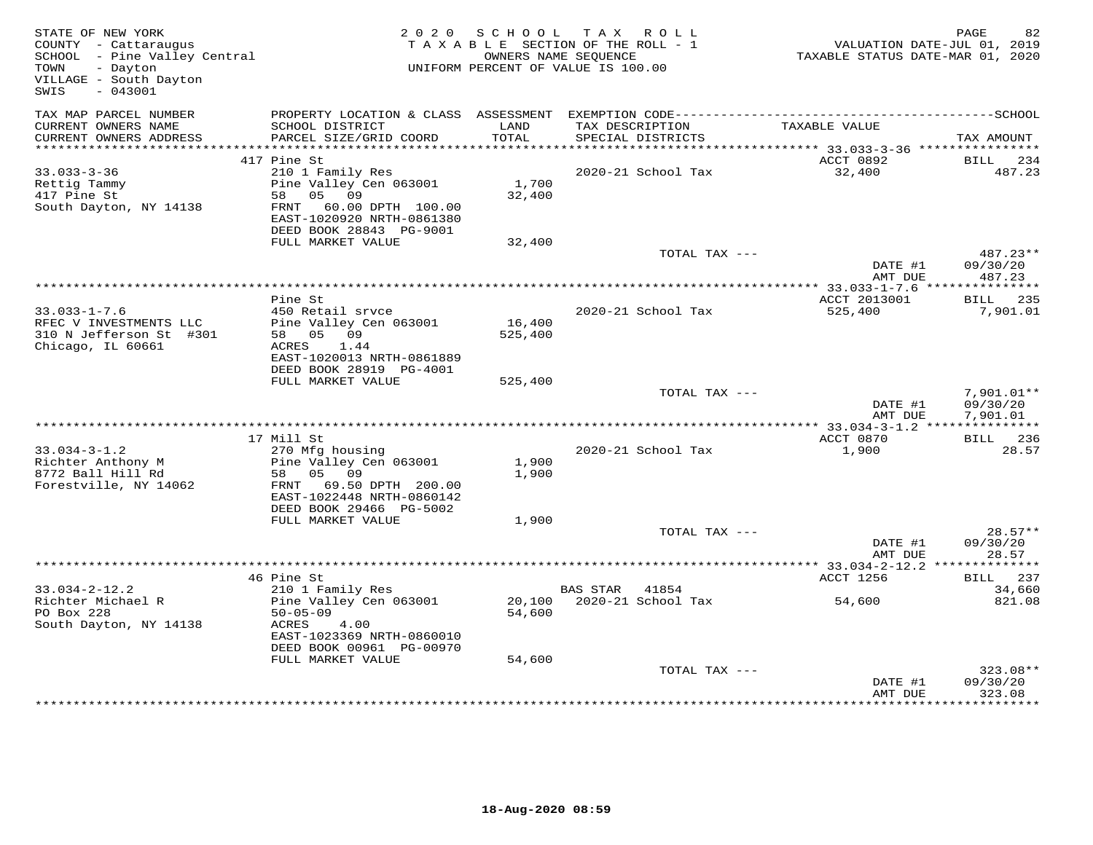| STATE OF NEW YORK<br>COUNTY - Cattaraugus<br>SCHOOL - Pine Valley Central<br>- Dayton<br>TOWN<br>VILLAGE - South Dayton<br>$-043001$<br>SWIS |                                                                                                                                        | 2020 SCHOOL       | TAX ROLL<br>TAXABLE SECTION OF THE ROLL - 1<br>OWNERS NAME SEOUENCE<br>UNIFORM PERCENT OF VALUE IS 100.00 | VALUATION DATE-JUL 01, 2019<br>TAXABLE STATUS DATE-MAR 01, 2020 | PAGE<br>82                           |
|----------------------------------------------------------------------------------------------------------------------------------------------|----------------------------------------------------------------------------------------------------------------------------------------|-------------------|-----------------------------------------------------------------------------------------------------------|-----------------------------------------------------------------|--------------------------------------|
| TAX MAP PARCEL NUMBER<br>CURRENT OWNERS NAME                                                                                                 | PROPERTY LOCATION & CLASS ASSESSMENT EXEMPTION CODE-----------------------------------SCHOOL<br>SCHOOL DISTRICT                        | LAND              | TAX DESCRIPTION                                                                                           | TAXABLE VALUE                                                   |                                      |
| CURRENT OWNERS ADDRESS<br>***********************                                                                                            | PARCEL SIZE/GRID COORD                                                                                                                 | TOTAL             | SPECIAL DISTRICTS                                                                                         |                                                                 | TAX AMOUNT                           |
|                                                                                                                                              | 417 Pine St                                                                                                                            |                   |                                                                                                           | ACCT 0892                                                       | BILL<br>234                          |
| $33.033 - 3 - 36$                                                                                                                            | 210 1 Family Res                                                                                                                       |                   | 2020-21 School Tax                                                                                        | 32,400                                                          | 487.23                               |
| Rettig Tammy<br>417 Pine St<br>South Dayton, NY 14138                                                                                        | Pine Valley Cen 063001<br>58 05 09<br>FRNT 60.00 DPTH 100.00<br>EAST-1020920 NRTH-0861380<br>DEED BOOK 28843 PG-9001                   | 1,700<br>32,400   |                                                                                                           |                                                                 |                                      |
|                                                                                                                                              | FULL MARKET VALUE                                                                                                                      | 32,400            |                                                                                                           |                                                                 |                                      |
|                                                                                                                                              |                                                                                                                                        |                   | TOTAL TAX ---                                                                                             | DATE #1<br>AMT DUE                                              | 487.23**<br>09/30/20<br>487.23       |
|                                                                                                                                              |                                                                                                                                        |                   |                                                                                                           |                                                                 |                                      |
|                                                                                                                                              | Pine St                                                                                                                                |                   |                                                                                                           | ACCT 2013001                                                    | <b>BILL</b> 235                      |
| $33.033 - 1 - 7.6$<br>RFEC V INVESTMENTS LLC<br>310 N Jefferson St #301<br>Chicago, IL 60661                                                 | 450 Retail srvce<br>Pine Valley Cen 063001<br>58 05 09<br>ACRES 1.44<br>EAST-1020013 NRTH-0861889                                      | 16,400<br>525,400 | 2020-21 School Tax                                                                                        | 525,400                                                         | 7,901.01                             |
|                                                                                                                                              | DEED BOOK 28919 PG-4001<br>FULL MARKET VALUE                                                                                           | 525,400           |                                                                                                           |                                                                 |                                      |
|                                                                                                                                              |                                                                                                                                        |                   | TOTAL TAX ---                                                                                             | DATE #1<br>AMT DUE                                              | $7,901.01**$<br>09/30/20<br>7,901.01 |
|                                                                                                                                              | 17 Mill St                                                                                                                             |                   |                                                                                                           | ACCT 0870                                                       | BILL 236                             |
| $33.034 - 3 - 1.2$<br>Richter Anthony M<br>8772 Ball Hill Rd<br>Forestville, NY 14062                                                        | 270 Mfg housing<br>Pine Valley Cen 063001<br>58 05 09<br>FRNT 69.50 DPTH 200.00<br>EAST-1022448 NRTH-0860142                           | 1,900<br>1,900    | 2020-21 School Tax                                                                                        | 1,900                                                           | 28.57                                |
|                                                                                                                                              | DEED BOOK 29466 PG-5002                                                                                                                |                   |                                                                                                           |                                                                 |                                      |
|                                                                                                                                              | FULL MARKET VALUE                                                                                                                      | 1,900             |                                                                                                           |                                                                 |                                      |
|                                                                                                                                              |                                                                                                                                        |                   | TOTAL TAX ---                                                                                             | DATE #1<br>AMT DUE                                              | $28.57**$<br>09/30/20<br>28.57       |
|                                                                                                                                              |                                                                                                                                        |                   |                                                                                                           | ********** 33.034-2-12.2 **                                     | * * * * * * * * * * *                |
|                                                                                                                                              | 46 Pine St                                                                                                                             |                   |                                                                                                           | ACCT 1256                                                       | BILL 237                             |
| $33.034 - 2 - 12.2$<br>Richter Michael R<br>PO Box 228<br>South Dayton, NY 14138                                                             | 210 1 Family Res<br>Pine Valley Cen 063001<br>$50 - 05 - 09$<br>4.00<br>ACRES<br>EAST-1023369 NRTH-0860010<br>DEED BOOK 00961 PG-00970 | 54,600            | BAS STAR 41854<br>20,100 2020-21 School Tax                                                               | 54,600                                                          | 34,660<br>821.08                     |
|                                                                                                                                              | FULL MARKET VALUE                                                                                                                      | 54,600            | TOTAL TAX ---                                                                                             | DATE #1<br>AMT DUE                                              | $323.08**$<br>09/30/20<br>323.08     |
|                                                                                                                                              |                                                                                                                                        |                   |                                                                                                           |                                                                 | *********                            |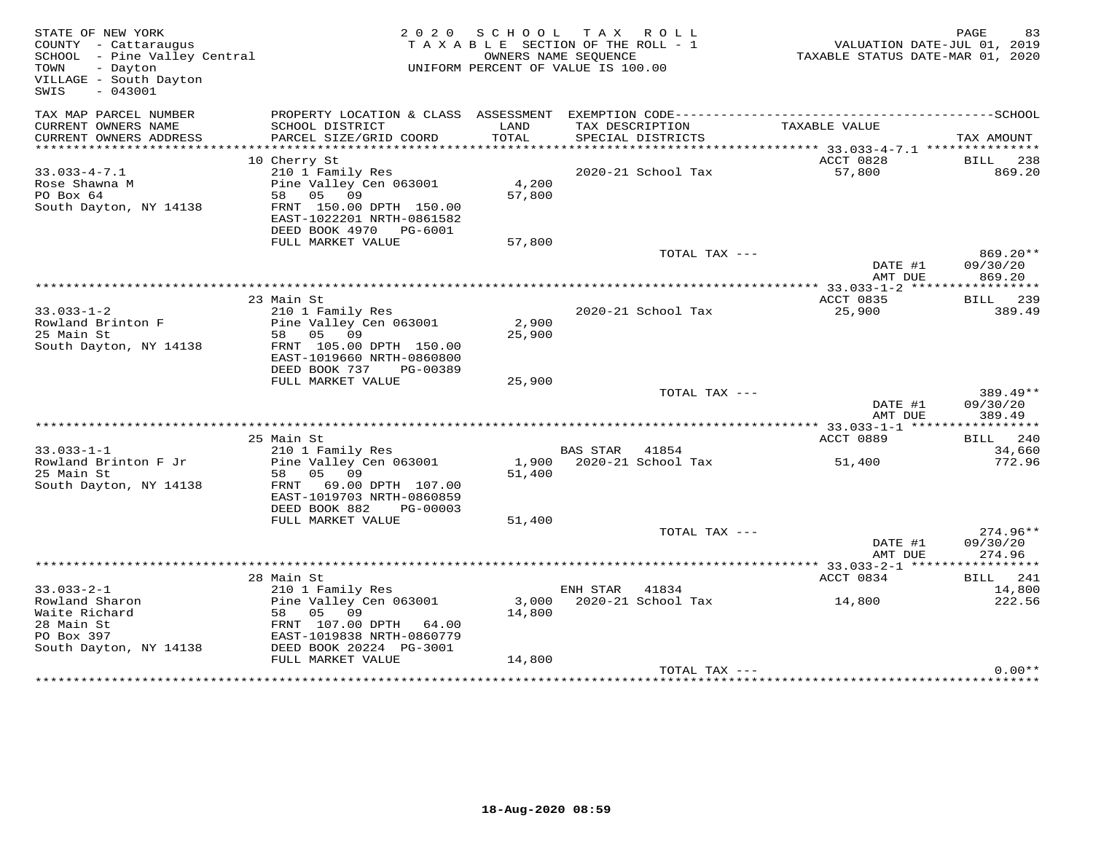| STATE OF NEW YORK<br>COUNTY - Cattaraugus<br>SCHOOL - Pine Valley Central<br>- Dayton<br>TOWN<br>VILLAGE - South Dayton<br>$-043001$<br>SWIS | 2 0 2 0                                                                                                                                     | S C H O O L     | TAX ROLL<br>TAXABLE SECTION OF THE ROLL - 1<br>OWNERS NAME SEQUENCE<br>UNIFORM PERCENT OF VALUE IS 100.00 | VALUATION DATE-JUL 01, 2019<br>TAXABLE STATUS DATE-MAR 01, 2020 | PAGE<br>83                           |
|----------------------------------------------------------------------------------------------------------------------------------------------|---------------------------------------------------------------------------------------------------------------------------------------------|-----------------|-----------------------------------------------------------------------------------------------------------|-----------------------------------------------------------------|--------------------------------------|
| TAX MAP PARCEL NUMBER<br>CURRENT OWNERS NAME<br>CURRENT OWNERS ADDRESS                                                                       | PROPERTY LOCATION & CLASS ASSESSMENT<br>SCHOOL DISTRICT<br>PARCEL SIZE/GRID COORD                                                           | LAND<br>TOTAL   | EXEMPTION CODE------------------------<br>TAX DESCRIPTION<br>SPECIAL DISTRICTS                            | TAXABLE VALUE                                                   | ----------------SCHOOL<br>TAX AMOUNT |
| **********************                                                                                                                       |                                                                                                                                             |                 |                                                                                                           |                                                                 |                                      |
| $33.033 - 4 - 7.1$<br>Rose Shawna M<br>PO Box 64<br>South Dayton, NY 14138                                                                   | 10 Cherry St<br>210 1 Family Res<br>Pine Valley Cen 063001<br>58 05<br>09<br>FRNT 150.00 DPTH 150.00<br>EAST-1022201 NRTH-0861582           | 4,200<br>57,800 | 2020-21 School Tax                                                                                        | ACCT 0828<br>57,800                                             | BILL 238<br>869.20                   |
|                                                                                                                                              | DEED BOOK 4970 PG-6001                                                                                                                      |                 |                                                                                                           |                                                                 |                                      |
|                                                                                                                                              | FULL MARKET VALUE                                                                                                                           | 57,800          | TOTAL TAX ---                                                                                             | DATE #1                                                         | 869.20**<br>09/30/20                 |
|                                                                                                                                              |                                                                                                                                             |                 |                                                                                                           | AMT DUE                                                         | 869.20                               |
|                                                                                                                                              |                                                                                                                                             |                 |                                                                                                           |                                                                 |                                      |
| $33.033 - 1 - 2$<br>Rowland Brinton F<br>25 Main St<br>South Dayton, NY 14138                                                                | 23 Main St<br>210 1 Family Res<br>Pine Valley Cen 063001<br>05<br>58<br>09<br>FRNT 105.00 DPTH 150.00                                       | 2,900<br>25,900 | 2020-21 School Tax                                                                                        | ACCT 0835<br>25,900                                             | BILL 239<br>389.49                   |
|                                                                                                                                              | EAST-1019660 NRTH-0860800<br>DEED BOOK 737<br>PG-00389<br>FULL MARKET VALUE                                                                 | 25,900          |                                                                                                           |                                                                 |                                      |
|                                                                                                                                              |                                                                                                                                             |                 | TOTAL TAX ---                                                                                             | DATE #1<br>AMT DUE                                              | 389.49**<br>09/30/20<br>389.49       |
|                                                                                                                                              |                                                                                                                                             |                 |                                                                                                           |                                                                 | ***********                          |
| $33.033 - 1 - 1$                                                                                                                             | 25 Main St<br>210 1 Family Res                                                                                                              |                 | <b>BAS STAR</b><br>41854                                                                                  | ACCT 0889                                                       | BILL 240<br>34,660                   |
| Rowland Brinton F Jr<br>25 Main St<br>South Dayton, NY 14138                                                                                 | Pine Valley Cen 063001<br>58<br>05 09<br>FRNT 69.00 DPTH 107.00<br>EAST-1019703 NRTH-0860859<br>DEED BOOK 882<br>PG-00003                   | 1,900<br>51,400 | 2020-21 School Tax                                                                                        | 51,400                                                          | 772.96                               |
|                                                                                                                                              | FULL MARKET VALUE                                                                                                                           | 51,400          |                                                                                                           |                                                                 | $274.96**$                           |
|                                                                                                                                              |                                                                                                                                             |                 | TOTAL TAX ---                                                                                             | DATE #1<br>AMT DUE                                              | 09/30/20<br>274.96                   |
|                                                                                                                                              |                                                                                                                                             |                 |                                                                                                           | ***************** 33.033-2-1 ******                             | ***********                          |
|                                                                                                                                              | 28 Main St                                                                                                                                  |                 |                                                                                                           | ACCT 0834                                                       | <b>BILL</b> 241                      |
| $33.033 - 2 - 1$<br>Rowland Sharon<br>Waite Richard<br>28 Main St<br>PO Box 397<br>South Dayton, NY 14138                                    | 210 1 Family Res<br>Pine Valley Cen 063001<br>58 05 09<br>FRNT 107.00 DPTH<br>64.00<br>EAST-1019838 NRTH-0860779<br>DEED BOOK 20224 PG-3001 | 3,000<br>14,800 | ENH STAR<br>41834<br>2020-21 School Tax                                                                   | 14,800                                                          | 14,800<br>222.56                     |
|                                                                                                                                              | FULL MARKET VALUE                                                                                                                           | 14,800          |                                                                                                           |                                                                 |                                      |
|                                                                                                                                              |                                                                                                                                             |                 | TOTAL TAX ---                                                                                             |                                                                 | $0.00**$                             |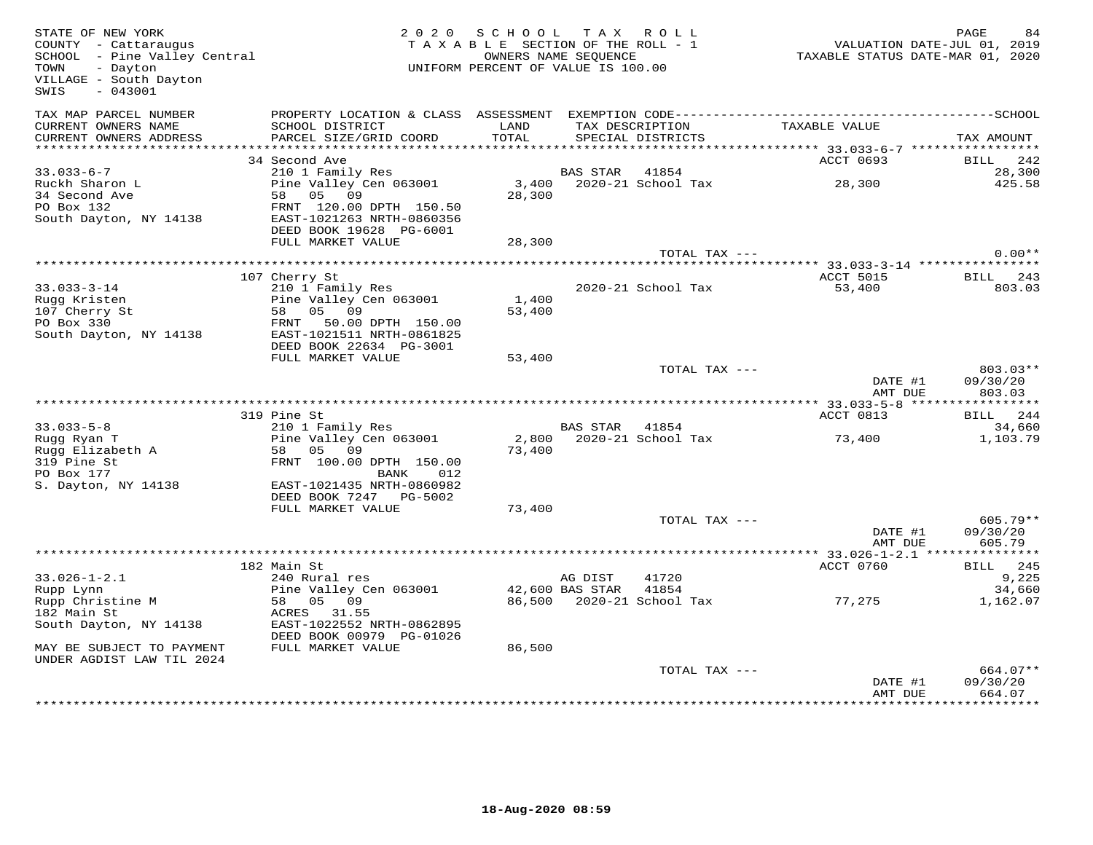| TAX MAP PARCEL NUMBER<br>TAX DESCRIPTION<br>CURRENT OWNERS NAME<br>SCHOOL DISTRICT<br>TAXABLE VALUE<br>LAND<br>CURRENT OWNERS ADDRESS<br>PARCEL SIZE/GRID COORD<br>TOTAL<br>SPECIAL DISTRICTS<br>34 Second Ave<br>ACCT 0693<br>$33.033 - 6 - 7$<br>210 1 Family Res<br>BAS STAR 41854<br>Ruckh Sharon L<br>Pine Valley Cen 063001<br>3,400<br>2020-21 School Tax<br>28,300<br>34 Second Ave<br>58 05 09<br>28,300<br>PO Box 132<br>FRNT 120.00 DPTH 150.50<br>South Dayton, NY 14138<br>EAST-1021263 NRTH-0860356<br>DEED BOOK 19628 PG-6001<br>FULL MARKET VALUE<br>28,300<br>TOTAL TAX ---<br>**************** 33.033-3-14 ****************<br>107 Cherry St<br>ACCT 5015<br>BILL<br>$33.033 - 3 - 14$<br>210 1 Family Res<br>2020-21 School Tax<br>53,400<br>Rugg Kristen<br>Pine Valley Cen 063001<br>1,400<br>107 Cherry St<br>58 05<br>09<br>53,400<br>PO Box 330<br>50.00 DPTH 150.00<br>FRNT | TAX AMOUNT<br>BILL<br>242<br>28,300<br>425.58 |
|------------------------------------------------------------------------------------------------------------------------------------------------------------------------------------------------------------------------------------------------------------------------------------------------------------------------------------------------------------------------------------------------------------------------------------------------------------------------------------------------------------------------------------------------------------------------------------------------------------------------------------------------------------------------------------------------------------------------------------------------------------------------------------------------------------------------------------------------------------------------------------------------------|-----------------------------------------------|
|                                                                                                                                                                                                                                                                                                                                                                                                                                                                                                                                                                                                                                                                                                                                                                                                                                                                                                      |                                               |
|                                                                                                                                                                                                                                                                                                                                                                                                                                                                                                                                                                                                                                                                                                                                                                                                                                                                                                      |                                               |
|                                                                                                                                                                                                                                                                                                                                                                                                                                                                                                                                                                                                                                                                                                                                                                                                                                                                                                      |                                               |
|                                                                                                                                                                                                                                                                                                                                                                                                                                                                                                                                                                                                                                                                                                                                                                                                                                                                                                      |                                               |
|                                                                                                                                                                                                                                                                                                                                                                                                                                                                                                                                                                                                                                                                                                                                                                                                                                                                                                      |                                               |
|                                                                                                                                                                                                                                                                                                                                                                                                                                                                                                                                                                                                                                                                                                                                                                                                                                                                                                      | $0.00**$                                      |
|                                                                                                                                                                                                                                                                                                                                                                                                                                                                                                                                                                                                                                                                                                                                                                                                                                                                                                      | 243                                           |
| South Dayton, NY 14138<br>EAST-1021511 NRTH-0861825                                                                                                                                                                                                                                                                                                                                                                                                                                                                                                                                                                                                                                                                                                                                                                                                                                                  | 803.03                                        |
| DEED BOOK 22634 PG-3001                                                                                                                                                                                                                                                                                                                                                                                                                                                                                                                                                                                                                                                                                                                                                                                                                                                                              |                                               |
| FULL MARKET VALUE<br>53,400                                                                                                                                                                                                                                                                                                                                                                                                                                                                                                                                                                                                                                                                                                                                                                                                                                                                          |                                               |
| TOTAL TAX ---<br>DATE #1<br>AMT DUE                                                                                                                                                                                                                                                                                                                                                                                                                                                                                                                                                                                                                                                                                                                                                                                                                                                                  | 803.03**<br>09/30/20<br>803.03                |
|                                                                                                                                                                                                                                                                                                                                                                                                                                                                                                                                                                                                                                                                                                                                                                                                                                                                                                      |                                               |
| 319 Pine St<br>ACCT 0813                                                                                                                                                                                                                                                                                                                                                                                                                                                                                                                                                                                                                                                                                                                                                                                                                                                                             | BILL 244                                      |
| $33.033 - 5 - 8$<br>210 1 Family Res<br>BAS STAR 41854<br>Rugg Ryan T<br>Pine Valley Cen 063001<br>2,800<br>2020-21 School Tax<br>73,400<br>Rugg Elizabeth A<br>58 05 09<br>73,400<br>319 Pine St<br>FRNT 100.00 DPTH 150.00<br>PO Box 177<br>BANK<br>012                                                                                                                                                                                                                                                                                                                                                                                                                                                                                                                                                                                                                                            | 34,660<br>1,103.79                            |
| S. Dayton, NY 14138<br>EAST-1021435 NRTH-0860982<br>DEED BOOK 7247 PG-5002<br>FULL MARKET VALUE<br>73,400                                                                                                                                                                                                                                                                                                                                                                                                                                                                                                                                                                                                                                                                                                                                                                                            |                                               |
| TOTAL TAX ---                                                                                                                                                                                                                                                                                                                                                                                                                                                                                                                                                                                                                                                                                                                                                                                                                                                                                        | $605.79**$                                    |
| DATE #1<br>AMT DUE                                                                                                                                                                                                                                                                                                                                                                                                                                                                                                                                                                                                                                                                                                                                                                                                                                                                                   | 09/30/20<br>605.79                            |
|                                                                                                                                                                                                                                                                                                                                                                                                                                                                                                                                                                                                                                                                                                                                                                                                                                                                                                      |                                               |
| 182 Main St<br>ACCT 0760<br>$33.026 - 1 - 2.1$<br>240 Rural res<br>41720<br>AG DIST<br>Pine Valley Cen 063001<br>42,600 BAS STAR<br>41854<br>Rupp Lynn                                                                                                                                                                                                                                                                                                                                                                                                                                                                                                                                                                                                                                                                                                                                               | BILL 245<br>9,225<br>34,660                   |
| 2020-21 School Tax<br>77,275<br>Rupp Christine M<br>58<br>05<br>09<br>86,500<br>182 Main St<br>ACRES 31.55<br>South Dayton, NY 14138<br>EAST-1022552 NRTH-0862895<br>DEED BOOK 00979 PG-01026                                                                                                                                                                                                                                                                                                                                                                                                                                                                                                                                                                                                                                                                                                        | 1,162.07                                      |
| FULL MARKET VALUE<br>MAY BE SUBJECT TO PAYMENT<br>86,500<br>UNDER AGDIST LAW TIL 2024                                                                                                                                                                                                                                                                                                                                                                                                                                                                                                                                                                                                                                                                                                                                                                                                                |                                               |
| TOTAL TAX ---<br>DATE #1<br>09/30/20<br>AMT DUE                                                                                                                                                                                                                                                                                                                                                                                                                                                                                                                                                                                                                                                                                                                                                                                                                                                      |                                               |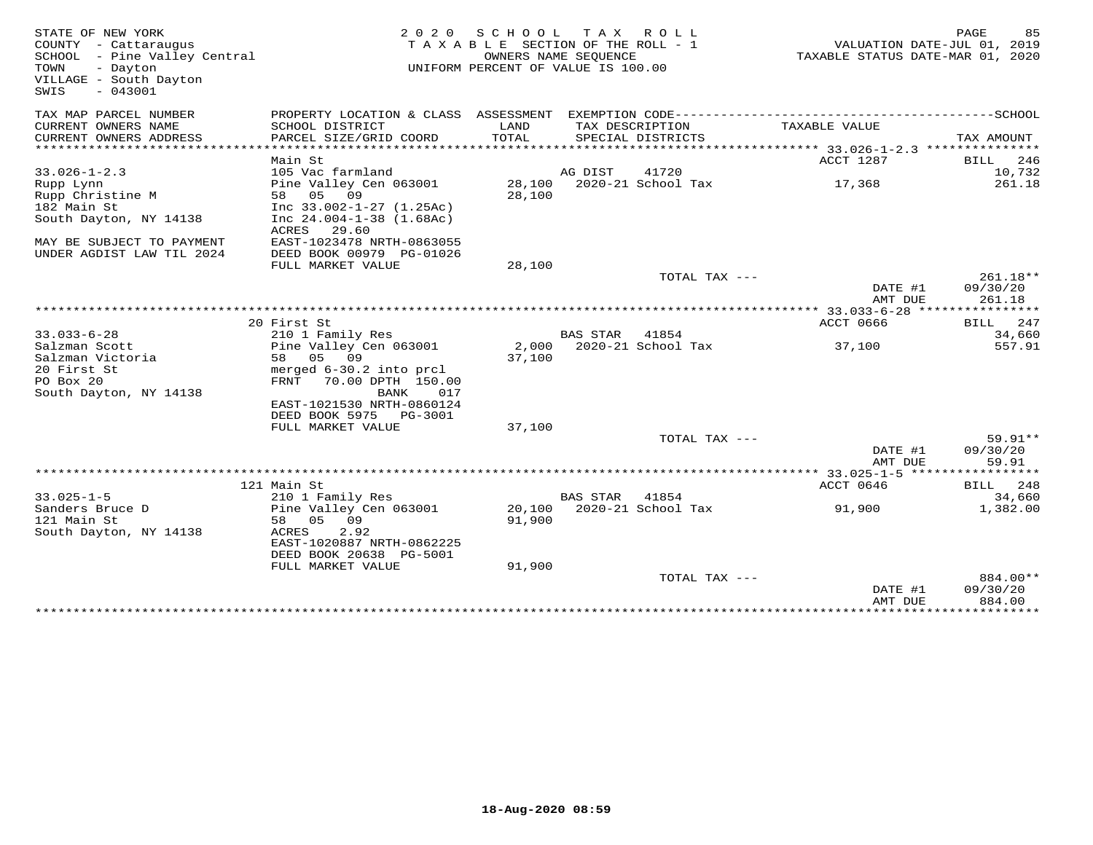| STATE OF NEW YORK<br>COUNTY - Cattaraugus<br>SCHOOL - Pine Valley Central<br>- Dayton<br>TOWN<br>VILLAGE - South Dayton<br>SWIS<br>$-043001$ | 2020                                                  | S C H O O L   | T A X<br>R O L L<br>TAXABLE SECTION OF THE ROLL - 1<br>OWNERS NAME SEQUENCE<br>UNIFORM PERCENT OF VALUE IS 100.00 | VALUATION DATE-JUL 01, 2019<br>TAXABLE STATUS DATE-MAR 01, 2020 | PAGE<br>85     |
|----------------------------------------------------------------------------------------------------------------------------------------------|-------------------------------------------------------|---------------|-------------------------------------------------------------------------------------------------------------------|-----------------------------------------------------------------|----------------|
| TAX MAP PARCEL NUMBER                                                                                                                        |                                                       |               |                                                                                                                   |                                                                 |                |
| CURRENT OWNERS NAME<br>CURRENT OWNERS ADDRESS<br>***********************                                                                     | SCHOOL DISTRICT<br>PARCEL SIZE/GRID COORD             | LAND<br>TOTAL | TAX DESCRIPTION<br>SPECIAL DISTRICTS                                                                              | TAXABLE VALUE                                                   | TAX AMOUNT     |
|                                                                                                                                              |                                                       |               |                                                                                                                   | ACCT 1287                                                       | 246            |
| $33.026 - 1 - 2.3$                                                                                                                           | Main St<br>105 Vac farmland                           |               | AG DIST<br>41720                                                                                                  |                                                                 | BILL<br>10,732 |
| Rupp Lynn                                                                                                                                    | Pine Valley Cen 063001                                | 28,100        | 2020-21 School Tax                                                                                                | 17,368                                                          | 261.18         |
| Rupp Christine M                                                                                                                             | 05 09<br>58                                           | 28,100        |                                                                                                                   |                                                                 |                |
| 182 Main St                                                                                                                                  | Inc $33.002 - 1 - 27$ (1.25Ac)                        |               |                                                                                                                   |                                                                 |                |
| South Dayton, NY 14138                                                                                                                       | Inc $24.004 - 1 - 38$ $(1.68AC)$                      |               |                                                                                                                   |                                                                 |                |
|                                                                                                                                              | ACRES<br>29.60                                        |               |                                                                                                                   |                                                                 |                |
| MAY BE SUBJECT TO PAYMENT<br>UNDER AGDIST LAW TIL 2024                                                                                       | EAST-1023478 NRTH-0863055<br>DEED BOOK 00979 PG-01026 |               |                                                                                                                   |                                                                 |                |
|                                                                                                                                              | FULL MARKET VALUE                                     | 28,100        |                                                                                                                   |                                                                 |                |
|                                                                                                                                              |                                                       |               | TOTAL TAX ---                                                                                                     |                                                                 | $261.18**$     |
|                                                                                                                                              |                                                       |               |                                                                                                                   | DATE #1                                                         | 09/30/20       |
|                                                                                                                                              |                                                       |               |                                                                                                                   | AMT DUE                                                         | 261.18         |
|                                                                                                                                              |                                                       |               |                                                                                                                   |                                                                 |                |
|                                                                                                                                              | 20 First St                                           |               |                                                                                                                   | <b>ACCT 0666</b>                                                | BILL<br>247    |
| $33.033 - 6 - 28$                                                                                                                            | 210 1 Family Res                                      |               | <b>BAS STAR</b><br>41854                                                                                          |                                                                 | 34,660         |
| Salzman Scott                                                                                                                                | Pine Valley Cen 063001                                | 2,000         | 2020-21 School Tax                                                                                                | 37,100                                                          | 557.91         |
| Salzman Victoria                                                                                                                             | 05 09<br>58                                           | 37,100        |                                                                                                                   |                                                                 |                |
| 20 First St                                                                                                                                  | merged 6-30.2 into prcl                               |               |                                                                                                                   |                                                                 |                |
| PO Box 20                                                                                                                                    | FRNT<br>70.00 DPTH 150.00                             |               |                                                                                                                   |                                                                 |                |
| South Dayton, NY 14138                                                                                                                       | BANK<br>017                                           |               |                                                                                                                   |                                                                 |                |
|                                                                                                                                              | EAST-1021530 NRTH-0860124                             |               |                                                                                                                   |                                                                 |                |
|                                                                                                                                              | DEED BOOK 5975<br>PG-3001<br>FULL MARKET VALUE        | 37,100        |                                                                                                                   |                                                                 |                |
|                                                                                                                                              |                                                       |               | TOTAL TAX ---                                                                                                     |                                                                 | $59.91**$      |
|                                                                                                                                              |                                                       |               |                                                                                                                   | DATE #1                                                         | 09/30/20       |
|                                                                                                                                              |                                                       |               |                                                                                                                   | AMT DUE                                                         | 59.91          |
|                                                                                                                                              |                                                       |               |                                                                                                                   |                                                                 |                |
|                                                                                                                                              | 121 Main St                                           |               |                                                                                                                   | ACCT 0646                                                       | BILL 248       |
| $33.025 - 1 - 5$                                                                                                                             | 210 1 Family Res                                      |               | <b>BAS STAR</b><br>41854                                                                                          |                                                                 | 34,660         |
| Sanders Bruce D                                                                                                                              | Pine Valley Cen 063001                                | 20,100        | 2020-21 School Tax                                                                                                | 91,900                                                          | 1,382.00       |
| 121 Main St                                                                                                                                  | 05 09<br>58                                           | 91,900        |                                                                                                                   |                                                                 |                |
| South Dayton, NY 14138                                                                                                                       | ACRES<br>2.92                                         |               |                                                                                                                   |                                                                 |                |
|                                                                                                                                              | EAST-1020887 NRTH-0862225                             |               |                                                                                                                   |                                                                 |                |
|                                                                                                                                              | DEED BOOK 20638 PG-5001                               |               |                                                                                                                   |                                                                 |                |
|                                                                                                                                              | FULL MARKET VALUE                                     | 91,900        | TOTAL TAX ---                                                                                                     |                                                                 | 884.00**       |
|                                                                                                                                              |                                                       |               |                                                                                                                   | DATE #1                                                         | 09/30/20       |
|                                                                                                                                              |                                                       |               |                                                                                                                   | AMT DUE                                                         | 884.00         |
|                                                                                                                                              |                                                       |               |                                                                                                                   |                                                                 |                |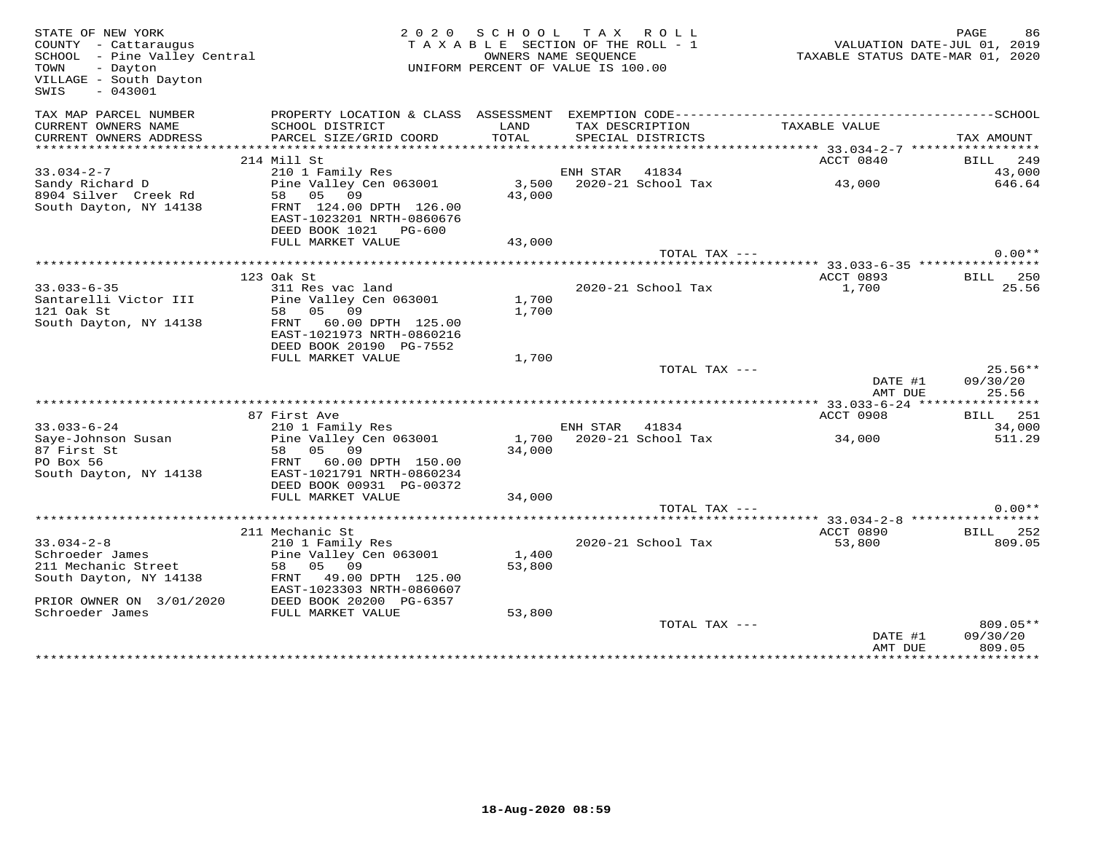| STATE OF NEW YORK<br>COUNTY - Cattaraugus<br>SCHOOL - Pine Valley Central<br>- Dayton<br>TOWN<br>VILLAGE - South Dayton<br>SWIS<br>$-043001$ |                                                            | 2020 SCHOOL TAX ROLL<br>TAXABLE SECTION OF THE ROLL - 1<br>OWNERS NAME SEQUENCE<br>UNIFORM PERCENT OF VALUE IS 100.00 |                |                                      |                    | PAGE<br>86<br>VALUATION DATE-JUL 01, 2019<br>TAXABLE STATUS DATE-MAR 01, 2020 |
|----------------------------------------------------------------------------------------------------------------------------------------------|------------------------------------------------------------|-----------------------------------------------------------------------------------------------------------------------|----------------|--------------------------------------|--------------------|-------------------------------------------------------------------------------|
| TAX MAP PARCEL NUMBER                                                                                                                        |                                                            |                                                                                                                       |                |                                      |                    |                                                                               |
| CURRENT OWNERS NAME<br>CURRENT OWNERS ADDRESS                                                                                                | SCHOOL DISTRICT<br>PARCEL SIZE/GRID COORD                  | LAND<br>TOTAL                                                                                                         |                | TAX DESCRIPTION<br>SPECIAL DISTRICTS | TAXABLE VALUE      | TAX AMOUNT                                                                    |
| ***********************                                                                                                                      |                                                            |                                                                                                                       |                |                                      |                    |                                                                               |
|                                                                                                                                              | 214 Mill St                                                |                                                                                                                       |                |                                      | ACCT 0840          | BILL 249                                                                      |
| $33.034 - 2 - 7$                                                                                                                             | 210 1 Family Res                                           |                                                                                                                       | ENH STAR       | 41834                                |                    | 43,000                                                                        |
| Sandy Richard D<br>8904 Silver Creek Rd                                                                                                      | Pine Valley Cen 063001<br>58 05 09                         | 43,000                                                                                                                |                | 3,500 2020-21 School Tax             | 43,000             | 646.64                                                                        |
| South Dayton, NY 14138                                                                                                                       | FRNT 124.00 DPTH 126.00                                    |                                                                                                                       |                |                                      |                    |                                                                               |
|                                                                                                                                              | EAST-1023201 NRTH-0860676                                  |                                                                                                                       |                |                                      |                    |                                                                               |
|                                                                                                                                              | DEED BOOK 1021 PG-600                                      |                                                                                                                       |                |                                      |                    |                                                                               |
|                                                                                                                                              | FULL MARKET VALUE                                          | 43,000                                                                                                                |                |                                      |                    |                                                                               |
|                                                                                                                                              |                                                            |                                                                                                                       |                | TOTAL TAX ---                        |                    | $0.00**$                                                                      |
|                                                                                                                                              |                                                            |                                                                                                                       |                |                                      |                    |                                                                               |
|                                                                                                                                              | 123 Oak St                                                 |                                                                                                                       |                |                                      | ACCT 0893          | BILL 250                                                                      |
| $33.033 - 6 - 35$                                                                                                                            | 311 Res vac land                                           |                                                                                                                       |                | 2020-21 School Tax                   | 1,700              | 25.56                                                                         |
| Santarelli Victor III                                                                                                                        | Pine Valley Cen 063001                                     | 1,700                                                                                                                 |                |                                      |                    |                                                                               |
| 121 Oak St                                                                                                                                   | 58 05 09                                                   | 1,700                                                                                                                 |                |                                      |                    |                                                                               |
| South Dayton, NY 14138                                                                                                                       | FRNT 60.00 DPTH 125.00<br>EAST-1021973 NRTH-0860216        |                                                                                                                       |                |                                      |                    |                                                                               |
|                                                                                                                                              | DEED BOOK 20190 PG-7552<br>FULL MARKET VALUE               | 1,700                                                                                                                 |                |                                      |                    |                                                                               |
|                                                                                                                                              |                                                            |                                                                                                                       |                | TOTAL TAX ---                        |                    | $25.56**$                                                                     |
|                                                                                                                                              |                                                            |                                                                                                                       |                |                                      | DATE #1<br>AMT DUE | 09/30/20<br>25.56                                                             |
|                                                                                                                                              |                                                            |                                                                                                                       |                |                                      |                    |                                                                               |
|                                                                                                                                              | 87 First Ave                                               |                                                                                                                       |                |                                      | ACCT 0908          | BILL 251                                                                      |
| $33.033 - 6 - 24$                                                                                                                            | 07 Filst Ave<br>210 1 Family Res<br>Pine Valley Cen 063001 |                                                                                                                       | ENH STAR 41834 |                                      |                    | 34,000                                                                        |
| Saye-Johnson Susan                                                                                                                           |                                                            |                                                                                                                       |                | 1,700 2020-21 School Tax             | 34,000             | 511.29                                                                        |
| 87 First St<br>PO Box 56                                                                                                                     | 58 05 09                                                   | 34,000                                                                                                                |                |                                      |                    |                                                                               |
| South Dayton, NY 14138                                                                                                                       | FRNT 60.00 DPTH 150.00<br>EAST-1021791 NRTH-0860234        |                                                                                                                       |                |                                      |                    |                                                                               |
|                                                                                                                                              | DEED BOOK 00931 PG-00372                                   |                                                                                                                       |                |                                      |                    |                                                                               |
|                                                                                                                                              | FULL MARKET VALUE                                          | 34,000                                                                                                                |                |                                      |                    |                                                                               |
|                                                                                                                                              |                                                            |                                                                                                                       |                | TOTAL TAX ---                        |                    | $0.00**$                                                                      |
|                                                                                                                                              |                                                            |                                                                                                                       |                |                                      |                    |                                                                               |
|                                                                                                                                              | 211 Mechanic St                                            |                                                                                                                       |                |                                      | ACCT 0890          | BILL 252                                                                      |
| $33.034 - 2 - 8$                                                                                                                             | 210 1 Family Res                                           |                                                                                                                       |                | 2020-21 School Tax                   | 53,800             | 809.05                                                                        |
| Schroeder James                                                                                                                              | Pine Valley Cen 063001                                     | 1,400                                                                                                                 |                |                                      |                    |                                                                               |
| 211 Mechanic Street                                                                                                                          | 58 05 09                                                   | 53,800                                                                                                                |                |                                      |                    |                                                                               |
| South Dayton, NY 14138                                                                                                                       | FRNT 49.00 DPTH 125.00                                     |                                                                                                                       |                |                                      |                    |                                                                               |
|                                                                                                                                              | EAST-1023303 NRTH-0860607                                  |                                                                                                                       |                |                                      |                    |                                                                               |
| PRIOR OWNER ON 3/01/2020                                                                                                                     | DEED BOOK 20200 PG-6357                                    |                                                                                                                       |                |                                      |                    |                                                                               |
| Schroeder James                                                                                                                              | FULL MARKET VALUE                                          | 53,800                                                                                                                |                | TOTAL TAX ---                        |                    | $809.05**$                                                                    |
|                                                                                                                                              |                                                            |                                                                                                                       |                |                                      | DATE #1<br>AMT DUE | 09/30/20<br>809.05                                                            |
|                                                                                                                                              |                                                            |                                                                                                                       |                |                                      |                    |                                                                               |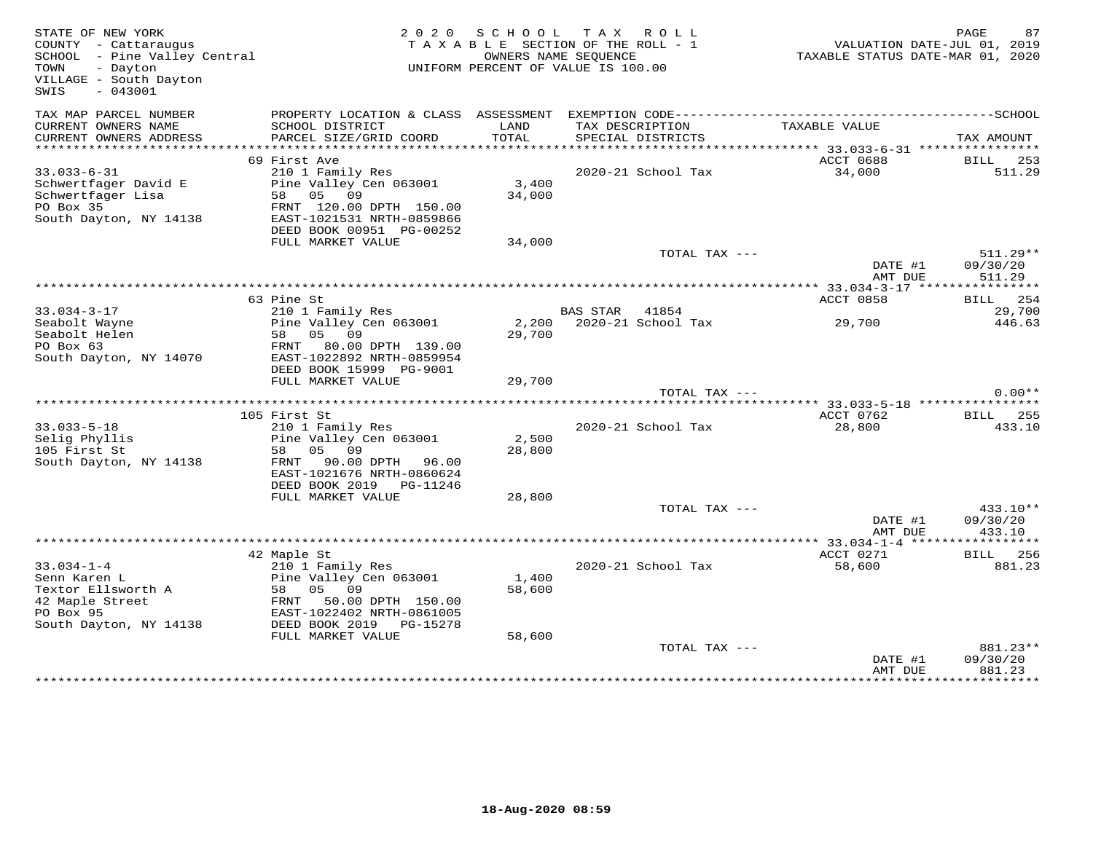| STATE OF NEW YORK<br>COUNTY - Cattaraugus<br>SCHOOL - Pine Valley Central<br>- Dayton<br>TOWN<br>VILLAGE - South Dayton<br>$-043001$<br>SWIS |                                                                                                                                                                                    | 2020 SCHOOL               | TAX ROLL<br>TAXABLE SECTION OF THE ROLL - 1<br>OWNERS NAME SEQUENCE<br>UNIFORM PERCENT OF VALUE IS 100.00 | TAXABLE STATUS DATE-MAR 01, 2020                | PAGE<br>VALUATION DATE-JUL 01, 2019   |
|----------------------------------------------------------------------------------------------------------------------------------------------|------------------------------------------------------------------------------------------------------------------------------------------------------------------------------------|---------------------------|-----------------------------------------------------------------------------------------------------------|-------------------------------------------------|---------------------------------------|
| TAX MAP PARCEL NUMBER<br>CURRENT OWNERS NAME<br>CURRENT OWNERS ADDRESS                                                                       | PROPERTY LOCATION & CLASS ASSESSMENT<br>SCHOOL DISTRICT<br>PARCEL SIZE/GRID COORD                                                                                                  | LAND<br><b>TOTAL</b>      | EXEMPTION CODE-------------------------<br>TAX DESCRIPTION<br>SPECIAL DISTRICTS                           | TAXABLE VALUE                                   | -----------------SCHOOL<br>TAX AMOUNT |
|                                                                                                                                              |                                                                                                                                                                                    |                           |                                                                                                           | ***************** 33.033-6-31 ***************** |                                       |
| $33.033 - 6 - 31$<br>Schwertfager David E<br>Schwertfager Lisa<br>PO Box 35<br>South Dayton, NY 14138                                        | 69 First Ave<br>210 1 Family Res<br>Pine Valley Cen 063001<br>58 05<br>09<br>FRNT 120.00 DPTH 150.00<br>EAST-1021531 NRTH-0859866<br>DEED BOOK 00951 PG-00252                      | 3,400<br>34,000           | 2020-21 School Tax                                                                                        | ACCT 0688<br>34,000                             | BILL<br>253<br>511.29                 |
|                                                                                                                                              | FULL MARKET VALUE                                                                                                                                                                  | 34,000                    | TOTAL TAX ---                                                                                             |                                                 | $511.29**$                            |
|                                                                                                                                              |                                                                                                                                                                                    |                           |                                                                                                           | DATE #1<br>AMT DUE                              | 09/30/20<br>511.29                    |
|                                                                                                                                              | 63 Pine St                                                                                                                                                                         |                           |                                                                                                           | ACCT 0858                                       | BILL 254                              |
| $33.034 - 3 - 17$<br>Seabolt Wayne                                                                                                           | 210 1 Family Res<br>Pine Valley Cen 063001                                                                                                                                         |                           | BAS STAR 41854<br>2,200 2020-21 School Tax                                                                | 29,700                                          | 29,700<br>446.63                      |
| Seabolt Helen<br>PO Box 63<br>South Dayton, NY 14070                                                                                         | 58<br>05 09<br>FRNT<br>80.00 DPTH 139.00<br>EAST-1022892 NRTH-0859954<br>DEED BOOK 15999 PG-9001                                                                                   | 29,700                    |                                                                                                           |                                                 |                                       |
|                                                                                                                                              | FULL MARKET VALUE                                                                                                                                                                  | 29,700                    |                                                                                                           |                                                 |                                       |
|                                                                                                                                              |                                                                                                                                                                                    |                           | TOTAL TAX ---                                                                                             |                                                 | $0.00**$                              |
|                                                                                                                                              | 105 First St                                                                                                                                                                       |                           |                                                                                                           | ACCT 0762                                       | <b>BILL</b> 255                       |
| $33.033 - 5 - 18$<br>Selig Phyllis<br>105 First St<br>South Dayton, NY 14138                                                                 | 210 1 Family Res<br>Pine Valley Cen 063001<br>58 05 09<br>FRNT 90.00 DPTH 96.00<br>EAST-1021676 NRTH-0860624<br>DEED BOOK 2019    PG-11246                                         | 2,500<br>28,800           | 2020-21 School Tax                                                                                        | 28,800                                          | 433.10                                |
|                                                                                                                                              | FULL MARKET VALUE                                                                                                                                                                  | 28,800                    |                                                                                                           |                                                 |                                       |
|                                                                                                                                              |                                                                                                                                                                                    |                           | TOTAL TAX ---                                                                                             | DATE #1<br>AMT DUE                              | 433.10**<br>09/30/20<br>433.10        |
|                                                                                                                                              |                                                                                                                                                                                    |                           |                                                                                                           |                                                 |                                       |
| $33.034 - 1 - 4$<br>Senn Karen L<br>Textor Ellsworth A<br>42 Maple Street<br>PO Box 95<br>South Dayton, NY 14138                             | 42 Maple St<br>210 1 Family Res<br>Pine Valley Cen 063001<br>05 09<br>58<br>50.00 DPTH 150.00<br>FRNT<br>EAST-1022402 NRTH-0861005<br>DEED BOOK 2019 PG-15278<br>FULL MARKET VALUE | 1,400<br>58,600<br>58,600 | 2020-21 School Tax                                                                                        | ACCT 0271<br>58,600                             | <b>BILL</b> 256<br>881.23             |
|                                                                                                                                              |                                                                                                                                                                                    |                           | TOTAL TAX ---                                                                                             | DATE #1<br>AMT DUE                              | 881.23**<br>09/30/20<br>881.23        |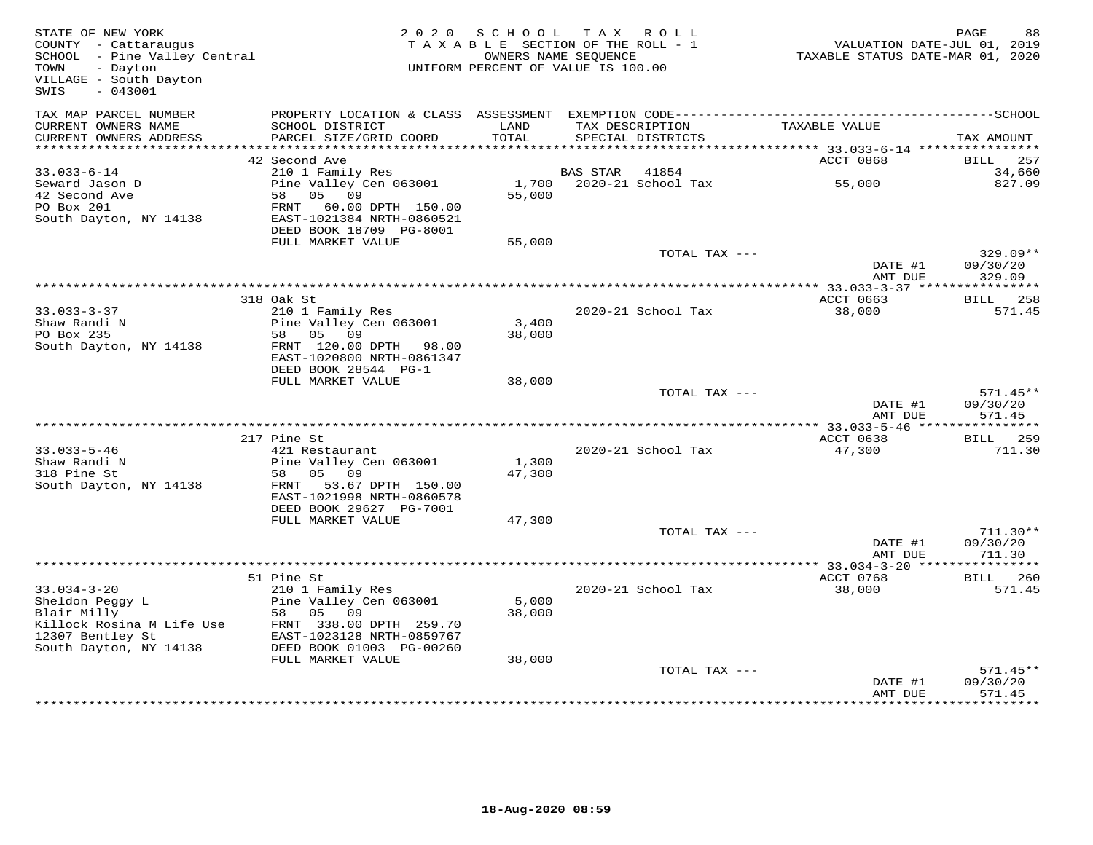| STATE OF NEW YORK<br>COUNTY - Cattaraugus<br>COUNIY - Cattaraugus<br>SCHOOL - Pine Valley Central<br>TOWN<br>- Dayton<br>VILLAGE - South Dayton<br>$-043001$<br>SWIS |                                                                                                                      | 2020 SCHOOL TAX ROLL<br>TAXABLE SECTION OF THE ROLL - 1<br>OWNERS NAME SEQUENCE<br>UNIFORM PERCENT OF VALUE IS 100.00 |                 |                          | VALUATION DATE-JUL 01, 2019<br>TAXABLE STATUS DATE-MAR 01, 2020 | PAGE<br>88                       |
|----------------------------------------------------------------------------------------------------------------------------------------------------------------------|----------------------------------------------------------------------------------------------------------------------|-----------------------------------------------------------------------------------------------------------------------|-----------------|--------------------------|-----------------------------------------------------------------|----------------------------------|
| TAX MAP PARCEL NUMBER<br>CURRENT OWNERS NAME                                                                                                                         | SCHOOL DISTRICT                                                                                                      | LAND                                                                                                                  |                 | TAX DESCRIPTION          | TAXABLE VALUE                                                   |                                  |
| CURRENT OWNERS ADDRESS                                                                                                                                               | PARCEL SIZE/GRID COORD                                                                                               | TOTAL                                                                                                                 |                 | SPECIAL DISTRICTS        |                                                                 | TAX AMOUNT                       |
|                                                                                                                                                                      | 42 Second Ave                                                                                                        |                                                                                                                       |                 |                          | ACCT 0868                                                       | BILL<br>257                      |
| $33.033 - 6 - 14$                                                                                                                                                    | 210 1 Family Res                                                                                                     |                                                                                                                       | <b>BAS STAR</b> | 41854                    |                                                                 | 34,660                           |
| Seward Jason D<br>42 Second Ave<br>PO Box 201<br>South Dayton, NY 14138                                                                                              | Pine Valley Cen 063001<br>58 05 09<br>FRNT 60.00 DPTH 150.00<br>EAST-1021384 NRTH-0860521<br>DEED BOOK 18709 PG-8001 | 55,000                                                                                                                |                 | 1,700 2020-21 School Tax | 55,000                                                          | 827.09                           |
|                                                                                                                                                                      | FULL MARKET VALUE                                                                                                    | 55,000                                                                                                                |                 |                          |                                                                 |                                  |
|                                                                                                                                                                      |                                                                                                                      |                                                                                                                       |                 | TOTAL TAX ---            | DATE #1                                                         | $329.09**$<br>09/30/20           |
|                                                                                                                                                                      |                                                                                                                      |                                                                                                                       |                 |                          | AMT DUE                                                         | 329.09                           |
|                                                                                                                                                                      | 318 Oak St                                                                                                           |                                                                                                                       |                 |                          | ACCT 0663                                                       | <b>BILL</b> 258                  |
| $33.033 - 3 - 37$                                                                                                                                                    | 210 1 Family Res                                                                                                     |                                                                                                                       |                 | 2020-21 School Tax       | 38,000                                                          | 571.45                           |
| Shaw Randi N                                                                                                                                                         | Pine Valley Cen 063001                                                                                               | 3,400                                                                                                                 |                 |                          |                                                                 |                                  |
| PO Box 235<br>South Dayton, NY 14138                                                                                                                                 | 58 05 09<br>FRNT 120.00 DPTH 98.00<br>EAST-1020800 NRTH-0861347                                                      | 38,000                                                                                                                |                 |                          |                                                                 |                                  |
|                                                                                                                                                                      | DEED BOOK 28544 PG-1                                                                                                 |                                                                                                                       |                 |                          |                                                                 |                                  |
|                                                                                                                                                                      | FULL MARKET VALUE                                                                                                    | 38,000                                                                                                                |                 |                          |                                                                 |                                  |
|                                                                                                                                                                      |                                                                                                                      |                                                                                                                       |                 | TOTAL TAX ---            | DATE #1<br>AMT DUE                                              | $571.45**$<br>09/30/20<br>571.45 |
|                                                                                                                                                                      |                                                                                                                      |                                                                                                                       |                 |                          |                                                                 |                                  |
| $33.033 - 5 - 46$                                                                                                                                                    | 217 Pine St<br>421 Restaurant                                                                                        |                                                                                                                       |                 | 2020-21 School Tax       | ACCT 0638<br>47,300                                             | <b>BILL</b> 259<br>711.30        |
| Shaw Randi N                                                                                                                                                         | Pine Valley Cen 063001                                                                                               | 1,300                                                                                                                 |                 |                          |                                                                 |                                  |
| 318 Pine St                                                                                                                                                          | 58 05 09                                                                                                             | 47,300                                                                                                                |                 |                          |                                                                 |                                  |
| South Dayton, NY 14138                                                                                                                                               | FRNT 53.67 DPTH 150.00<br>EAST-1021998 NRTH-0860578                                                                  |                                                                                                                       |                 |                          |                                                                 |                                  |
|                                                                                                                                                                      | DEED BOOK 29627 PG-7001<br>FULL MARKET VALUE                                                                         | 47,300                                                                                                                |                 |                          |                                                                 |                                  |
|                                                                                                                                                                      |                                                                                                                      |                                                                                                                       |                 | TOTAL TAX ---            |                                                                 | $711.30**$                       |
|                                                                                                                                                                      |                                                                                                                      |                                                                                                                       |                 |                          | DATE #1<br>AMT DUE                                              | 09/30/20<br>711.30               |
|                                                                                                                                                                      |                                                                                                                      |                                                                                                                       |                 |                          | ************ 33.034-3-20 **                                     | * * * * * * * * * * *            |
| $33.034 - 3 - 20$                                                                                                                                                    | 51 Pine St<br>210 1 Family Res                                                                                       |                                                                                                                       |                 | 2020-21 School Tax       | ACCT 0768<br>38,000                                             | <b>BILL</b> 260<br>571.45        |
| Sheldon Peggy L<br>Blair Milly                                                                                                                                       | Pine Valley Cen 063001<br>09<br>58 05                                                                                | 5,000<br>38,000                                                                                                       |                 |                          |                                                                 |                                  |
| BIAIT MILLY<br>Killock Rosina M Life Use FRNT 338.00 DPTH 259.70<br>12307 Bentley St EAST-1023128 NRTH-0859767<br>South Dayton, NY 14138 DEED BOOK 01003 PG-00260    |                                                                                                                      |                                                                                                                       |                 |                          |                                                                 |                                  |
|                                                                                                                                                                      | FULL MARKET VALUE                                                                                                    | 38,000                                                                                                                |                 |                          |                                                                 |                                  |
|                                                                                                                                                                      |                                                                                                                      |                                                                                                                       |                 | TOTAL TAX ---            |                                                                 | $571.45**$                       |
|                                                                                                                                                                      |                                                                                                                      |                                                                                                                       |                 |                          | DATE #1<br>AMT DUE                                              | 09/30/20<br>571.45               |
|                                                                                                                                                                      |                                                                                                                      |                                                                                                                       |                 |                          |                                                                 |                                  |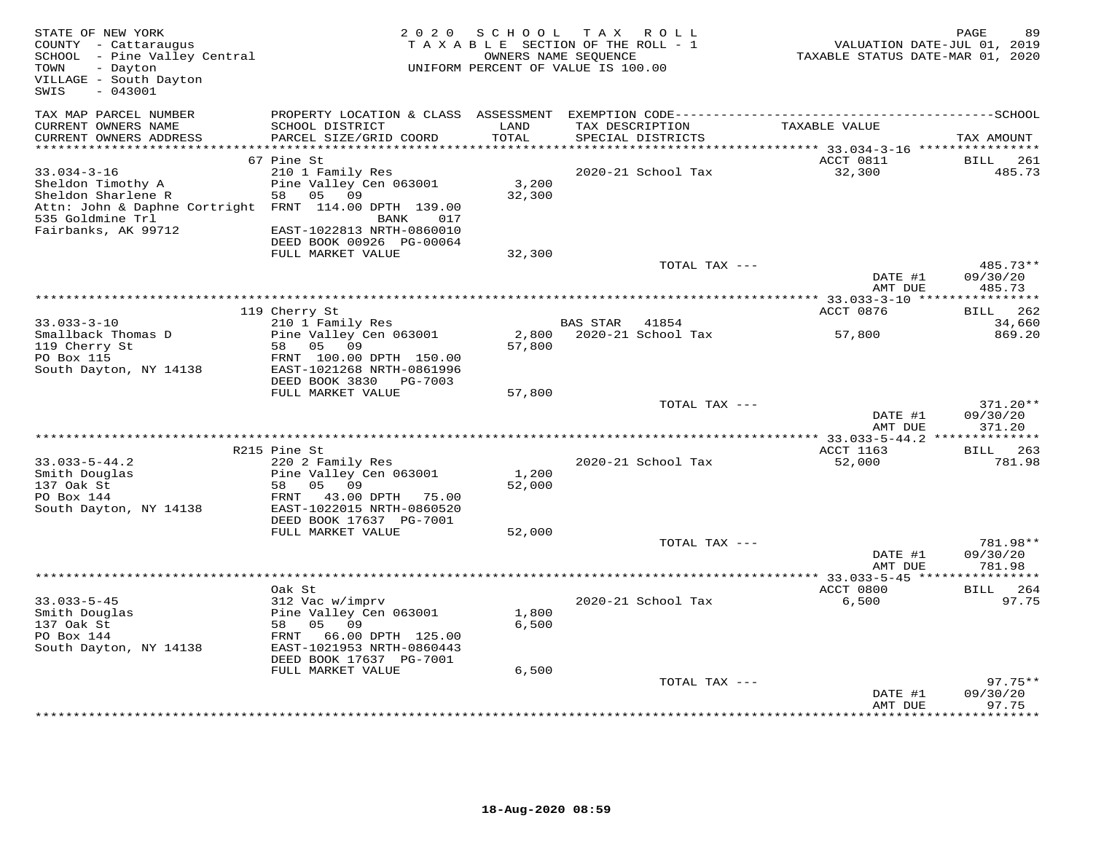| STATE OF NEW YORK<br>COUNTY - Cattaraugus<br>SCHOOL - Pine Valley Central<br>TOWN<br>- Dayton<br>VILLAGE - South Dayton<br>SWIS<br>$-043001$                     |                                                                                                                                                                           | 2020 SCHOOL<br>TAXABLE SECTION OF THE ROLL - 1<br>OWNERS NAME SEQUENCE<br>UNIFORM PERCENT OF VALUE IS 100.00 |          | TAX ROLL                             | VALUATION DATE-JUL 01, 2019<br>TAXABLE STATUS DATE-MAR 01, 2020 | PAGE<br>89                       |
|------------------------------------------------------------------------------------------------------------------------------------------------------------------|---------------------------------------------------------------------------------------------------------------------------------------------------------------------------|--------------------------------------------------------------------------------------------------------------|----------|--------------------------------------|-----------------------------------------------------------------|----------------------------------|
| TAX MAP PARCEL NUMBER<br>CURRENT OWNERS NAME<br>CURRENT OWNERS ADDRESS                                                                                           | SCHOOL DISTRICT<br>PARCEL SIZE/GRID COORD                                                                                                                                 | LAND<br>TOTAL                                                                                                |          | TAX DESCRIPTION<br>SPECIAL DISTRICTS | TAXABLE VALUE                                                   | TAX AMOUNT                       |
| ***********************                                                                                                                                          | *****************************                                                                                                                                             |                                                                                                              |          |                                      |                                                                 |                                  |
| $33.034 - 3 - 16$<br>Sheldon Timothy A<br>Sheldon Sharlene R<br>Attn: John & Daphne Cortright FRNT 114.00 DPTH 139.00<br>535 Goldmine Trl<br>Fairbanks, AK 99712 | 67 Pine St<br>210 1 Family Res<br>Pine Valley Cen 063001<br>05 09<br>58<br>BANK<br>017<br>EAST-1022813 NRTH-0860010<br>DEED BOOK 00926 PG-00064                           | 3,200<br>32,300                                                                                              |          | 2020-21 School Tax                   | ACCT 0811<br>32,300                                             | BILL<br>261<br>485.73            |
|                                                                                                                                                                  | FULL MARKET VALUE                                                                                                                                                         | 32,300                                                                                                       |          |                                      |                                                                 |                                  |
|                                                                                                                                                                  |                                                                                                                                                                           |                                                                                                              |          | TOTAL TAX ---                        | DATE #1<br>AMT DUE                                              | 485.73**<br>09/30/20<br>485.73   |
|                                                                                                                                                                  |                                                                                                                                                                           |                                                                                                              |          |                                      |                                                                 |                                  |
| $33.033 - 3 - 10$                                                                                                                                                | 119 Cherry St<br>210 1 Family Res                                                                                                                                         |                                                                                                              | BAS STAR | 41854                                | ACCT 0876                                                       | 262<br>BILL<br>34,660            |
| Smallback Thomas D<br>119 Cherry St<br>PO Box 115<br>South Dayton, NY 14138                                                                                      | Pine Valley Cen 063001<br>58 05 09<br>FRNT 100.00 DPTH 150.00<br>EAST-1021268 NRTH-0861996                                                                                | 2,800<br>57,800                                                                                              |          | 2020-21 School Tax                   | 57,800                                                          | 869.20                           |
|                                                                                                                                                                  | DEED BOOK 3830 PG-7003<br>FULL MARKET VALUE                                                                                                                               | 57,800                                                                                                       |          |                                      |                                                                 |                                  |
|                                                                                                                                                                  |                                                                                                                                                                           |                                                                                                              |          | TOTAL TAX ---                        | DATE #1<br>AMT DUE                                              | $371.20**$<br>09/30/20<br>371.20 |
|                                                                                                                                                                  |                                                                                                                                                                           |                                                                                                              |          |                                      |                                                                 |                                  |
| $33.033 - 5 - 44.2$                                                                                                                                              | R215 Pine St<br>220 2 Family Res                                                                                                                                          |                                                                                                              |          | 2020-21 School Tax                   | ACCT 1163<br>52,000                                             | BILL 263<br>781.98               |
| Smith Douglas<br>137 Oak St<br>PO Box 144<br>South Dayton, NY 14138                                                                                              | Pine Valley Cen 063001<br>58<br>05 09<br>43.00 DPTH 75.00<br>FRNT<br>EAST-1022015 NRTH-0860520<br>DEED BOOK 17637 PG-7001                                                 | 1,200<br>52,000                                                                                              |          |                                      |                                                                 |                                  |
|                                                                                                                                                                  | FULL MARKET VALUE                                                                                                                                                         | 52,000                                                                                                       |          | TOTAL TAX ---                        |                                                                 | 781.98**                         |
|                                                                                                                                                                  |                                                                                                                                                                           |                                                                                                              |          |                                      | DATE #1<br>AMT DUE                                              | 09/30/20<br>781.98               |
|                                                                                                                                                                  |                                                                                                                                                                           |                                                                                                              |          |                                      |                                                                 |                                  |
| $33.033 - 5 - 45$<br>Smith Douglas<br>137 Oak St<br>PO Box 144<br>South Dayton, NY 14138                                                                         | Oak St<br>312 Vac w/imprv<br>Pine Valley Cen 063001<br>58<br>05 09<br>FRNT 66.00 DPTH 125.00<br>EAST-1021953 NRTH-0860443<br>DEED BOOK 17637 PG-7001<br>FULL MARKET VALUE | 1,800<br>6,500<br>6,500                                                                                      |          | 2020-21 School Tax                   | ACCT 0800<br>6,500                                              | BILL 264<br>97.75                |
|                                                                                                                                                                  |                                                                                                                                                                           |                                                                                                              |          | TOTAL TAX ---                        | DATE #1                                                         | 97.75**<br>09/30/20              |
|                                                                                                                                                                  |                                                                                                                                                                           |                                                                                                              |          |                                      | AMT DUE                                                         | 97.75<br>***********             |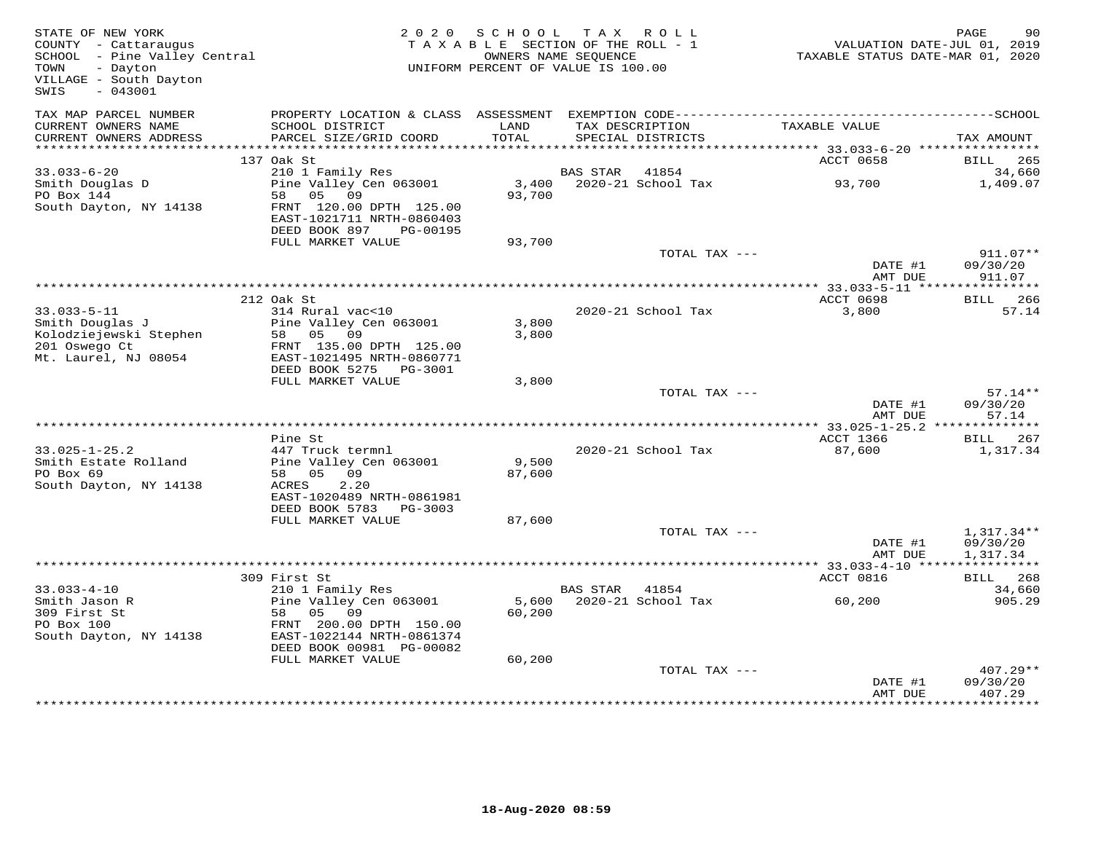| STATE OF NEW YORK<br>COUNTY - Cattaraugus<br>SCHOOL - Pine Valley Central<br>TOWN<br>- Dayton<br>VILLAGE - South Dayton<br>SWIS<br>$-043001$ |                                                                                                  | 2020 SCHOOL<br>TAXABLE SECTION OF THE ROLL - 1<br>UNIFORM PERCENT OF VALUE IS 100.00 | OWNERS NAME SEQUENCE | TAX ROLL           | VALUATION DATE-JUL 01, 2019<br>TAXABLE STATUS DATE-MAR 01, 2020 | PAGE<br>90                        |
|----------------------------------------------------------------------------------------------------------------------------------------------|--------------------------------------------------------------------------------------------------|--------------------------------------------------------------------------------------|----------------------|--------------------|-----------------------------------------------------------------|-----------------------------------|
| TAX MAP PARCEL NUMBER<br>CURRENT OWNERS NAME                                                                                                 | SCHOOL DISTRICT                                                                                  | LAND                                                                                 |                      | TAX DESCRIPTION    | TAXABLE VALUE                                                   |                                   |
| CURRENT OWNERS ADDRESS                                                                                                                       | PARCEL SIZE/GRID COORD                                                                           | TOTAL                                                                                |                      | SPECIAL DISTRICTS  |                                                                 | TAX AMOUNT                        |
|                                                                                                                                              | 137 Oak St                                                                                       |                                                                                      |                      |                    | ACCT 0658                                                       | 265<br>BILL                       |
| $33.033 - 6 - 20$                                                                                                                            | 210 1 Family Res                                                                                 |                                                                                      | BAS STAR             | 41854              |                                                                 | 34,660                            |
| Smith Douglas D                                                                                                                              | Pine Valley Cen 063001                                                                           | 3,400                                                                                |                      | 2020-21 School Tax | 93,700                                                          | 1,409.07                          |
| PO Box 144<br>South Dayton, NY 14138                                                                                                         | 58<br>05 09<br>FRNT 120.00 DPTH 125.00<br>EAST-1021711 NRTH-0860403<br>DEED BOOK 897<br>PG-00195 | 93,700                                                                               |                      |                    |                                                                 |                                   |
|                                                                                                                                              | FULL MARKET VALUE                                                                                | 93,700                                                                               |                      |                    |                                                                 |                                   |
|                                                                                                                                              |                                                                                                  |                                                                                      |                      | TOTAL TAX ---      |                                                                 | $911.07**$                        |
|                                                                                                                                              |                                                                                                  |                                                                                      |                      |                    | DATE #1<br>AMT DUE                                              | 09/30/20<br>911.07                |
|                                                                                                                                              |                                                                                                  |                                                                                      |                      |                    |                                                                 |                                   |
|                                                                                                                                              | 212 Oak St                                                                                       |                                                                                      |                      |                    | ACCT 0698                                                       | <b>BILL</b> 266                   |
| $33.033 - 5 - 11$                                                                                                                            | 314 Rural vac<10                                                                                 |                                                                                      |                      | 2020-21 School Tax | 3,800                                                           | 57.14                             |
| Smith Douglas J                                                                                                                              | Pine Valley Cen 063001                                                                           | 3,800                                                                                |                      |                    |                                                                 |                                   |
| Kolodziejewski Stephen                                                                                                                       | 58 05 09                                                                                         | 3,800                                                                                |                      |                    |                                                                 |                                   |
| 201 Oswego Ct                                                                                                                                | FRNT 135.00 DPTH 125.00                                                                          |                                                                                      |                      |                    |                                                                 |                                   |
| Mt. Laurel, NJ 08054                                                                                                                         | EAST-1021495 NRTH-0860771                                                                        |                                                                                      |                      |                    |                                                                 |                                   |
|                                                                                                                                              | DEED BOOK 5275 PG-3001<br>FULL MARKET VALUE                                                      | 3,800                                                                                |                      |                    |                                                                 |                                   |
|                                                                                                                                              |                                                                                                  |                                                                                      |                      | TOTAL TAX ---      |                                                                 | $57.14**$                         |
|                                                                                                                                              |                                                                                                  |                                                                                      |                      |                    | DATE #1<br>AMT DUE                                              | 09/30/20<br>57.14                 |
|                                                                                                                                              |                                                                                                  |                                                                                      |                      |                    |                                                                 |                                   |
|                                                                                                                                              | Pine St                                                                                          |                                                                                      |                      |                    | ACCT 1366                                                       | BILL 267                          |
| $33.025 - 1 - 25.2$                                                                                                                          | 447 Truck termnl                                                                                 |                                                                                      |                      | 2020-21 School Tax | 87,600                                                          | 1,317.34                          |
| Smith Estate Rolland                                                                                                                         | Pine Valley Cen 063001                                                                           | 9,500                                                                                |                      |                    |                                                                 |                                   |
| PO Box 69<br>South Dayton, NY 14138                                                                                                          | 58 05 09<br>2.20<br>ACRES                                                                        | 87,600                                                                               |                      |                    |                                                                 |                                   |
|                                                                                                                                              | EAST-1020489 NRTH-0861981                                                                        |                                                                                      |                      |                    |                                                                 |                                   |
|                                                                                                                                              | DEED BOOK 5783 PG-3003                                                                           |                                                                                      |                      |                    |                                                                 |                                   |
|                                                                                                                                              | FULL MARKET VALUE                                                                                | 87,600                                                                               |                      |                    |                                                                 |                                   |
|                                                                                                                                              |                                                                                                  |                                                                                      |                      | TOTAL TAX ---      |                                                                 | $1,317.34**$                      |
|                                                                                                                                              |                                                                                                  |                                                                                      |                      |                    | DATE #1                                                         | 09/30/20                          |
|                                                                                                                                              |                                                                                                  |                                                                                      |                      |                    | AMT DUE                                                         | 1,317.34<br>* * * * * * * * * * * |
|                                                                                                                                              | 309 First St                                                                                     |                                                                                      |                      |                    | *********** 33.033-4-10 ****<br>ACCT 0816                       | <b>BILL</b><br>268                |
| $33.033 - 4 - 10$                                                                                                                            | 210 1 Family Res                                                                                 |                                                                                      | <b>BAS STAR</b>      | 41854              |                                                                 | 34,660                            |
| Smith Jason R                                                                                                                                | Pine Valley Cen 063001                                                                           | 5,600                                                                                |                      | 2020-21 School Tax | 60,200                                                          | 905.29                            |
| 309 First St                                                                                                                                 | 05<br>09<br>58                                                                                   | 60,200                                                                               |                      |                    |                                                                 |                                   |
| PO Box 100                                                                                                                                   | FRNT 200.00 DPTH 150.00                                                                          |                                                                                      |                      |                    |                                                                 |                                   |
| South Dayton, NY 14138                                                                                                                       | EAST-1022144 NRTH-0861374                                                                        |                                                                                      |                      |                    |                                                                 |                                   |
|                                                                                                                                              | DEED BOOK 00981 PG-00082                                                                         |                                                                                      |                      |                    |                                                                 |                                   |
|                                                                                                                                              | FULL MARKET VALUE                                                                                | 60,200                                                                               |                      | TOTAL TAX ---      |                                                                 | $407.29**$                        |
|                                                                                                                                              |                                                                                                  |                                                                                      |                      |                    | DATE #1                                                         | 09/30/20                          |
|                                                                                                                                              |                                                                                                  |                                                                                      |                      |                    | AMT DUE                                                         | 407.29                            |
|                                                                                                                                              |                                                                                                  |                                                                                      |                      |                    |                                                                 |                                   |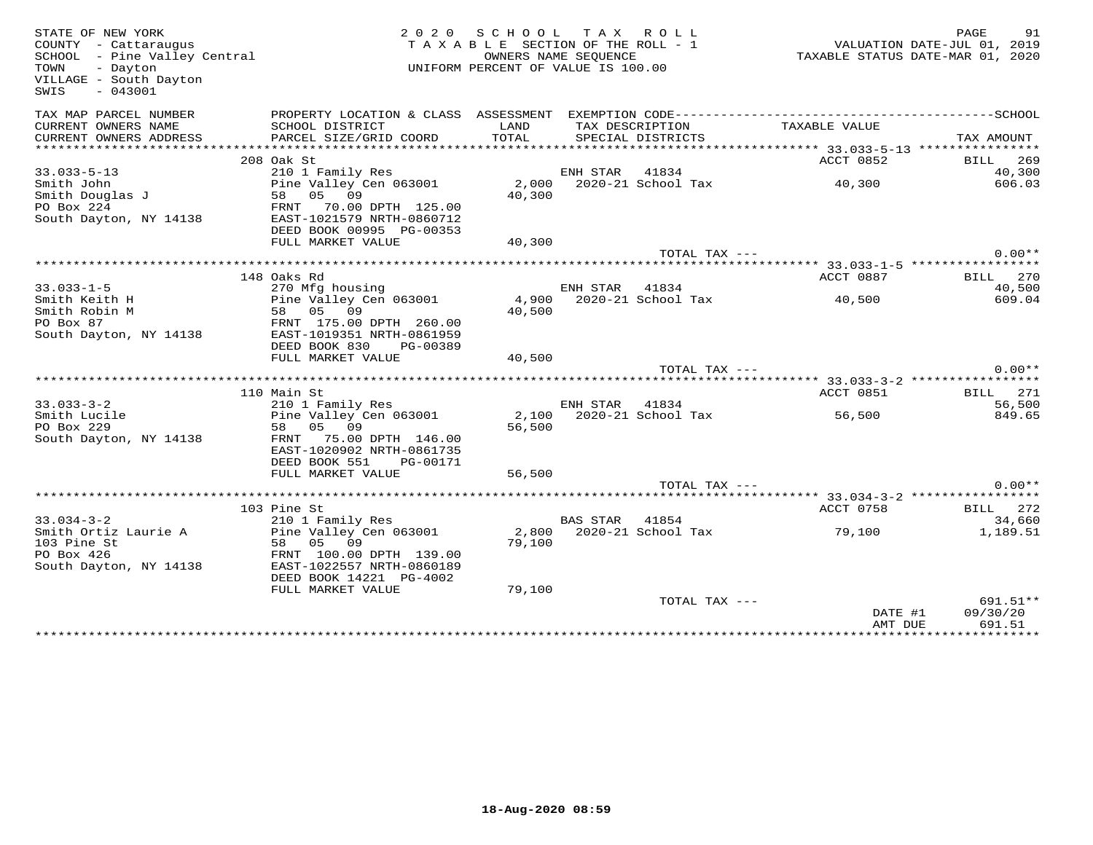| STATE OF NEW YORK<br>COUNTY - Cattaraugus<br>SCHOOL - Pine Valley Central<br>TOWN<br>- Dayton<br>VILLAGE - South Dayton<br>$-043001$<br>SWIS | 2020                      | SCHOOL<br>TAXABLE SECTION OF THE ROLL - 1<br>UNIFORM PERCENT OF VALUE IS 100.00 | T A X<br>OWNERS NAME SEQUENCE | ROLL                     | VALUATION DATE-JUL 01, 2019<br>TAXABLE STATUS DATE-MAR 01, 2020 | PAGE       | 91              |
|----------------------------------------------------------------------------------------------------------------------------------------------|---------------------------|---------------------------------------------------------------------------------|-------------------------------|--------------------------|-----------------------------------------------------------------|------------|-----------------|
| TAX MAP PARCEL NUMBER                                                                                                                        |                           |                                                                                 |                               |                          |                                                                 |            |                 |
| CURRENT OWNERS NAME                                                                                                                          | SCHOOL DISTRICT           | LAND                                                                            |                               | TAX DESCRIPTION          | TAXABLE VALUE                                                   |            |                 |
| CURRENT OWNERS ADDRESS                                                                                                                       | PARCEL SIZE/GRID COORD    | TOTAL                                                                           |                               | SPECIAL DISTRICTS        |                                                                 | TAX AMOUNT |                 |
|                                                                                                                                              | 208 Oak St                |                                                                                 |                               |                          | ACCT 0852                                                       | BILL       | 269             |
| $33.033 - 5 - 13$                                                                                                                            | 210 1 Family Res          |                                                                                 | ENH STAR                      | 41834                    |                                                                 |            | 40,300          |
| Smith John                                                                                                                                   | Pine Valley Cen 063001    | 2,000                                                                           |                               | 2020-21 School Tax       | 40,300                                                          |            | 606.03          |
| Smith Douglas J                                                                                                                              | 05 09<br>58               | 40,300                                                                          |                               |                          |                                                                 |            |                 |
| PO Box 224                                                                                                                                   | FRNT<br>70.00 DPTH 125.00 |                                                                                 |                               |                          |                                                                 |            |                 |
| South Dayton, NY 14138                                                                                                                       | EAST-1021579 NRTH-0860712 |                                                                                 |                               |                          |                                                                 |            |                 |
|                                                                                                                                              | DEED BOOK 00995 PG-00353  |                                                                                 |                               |                          |                                                                 |            |                 |
|                                                                                                                                              | FULL MARKET VALUE         | 40,300                                                                          |                               |                          |                                                                 |            |                 |
|                                                                                                                                              |                           |                                                                                 |                               | TOTAL TAX ---            |                                                                 |            | $0.00**$        |
|                                                                                                                                              | 148 Oaks Rd               |                                                                                 |                               |                          | ACCT 0887                                                       |            | BILL 270        |
| $33.033 - 1 - 5$                                                                                                                             | 270 Mfg housing           |                                                                                 | ENH STAR 41834                |                          |                                                                 |            | 40,500          |
| Smith Keith H                                                                                                                                | Pine Valley Cen 063001    | 4,900                                                                           |                               | 2020-21 School Tax       | 40,500                                                          |            | 609.04          |
| Smith Robin M                                                                                                                                | 58 05<br>09               | 40,500                                                                          |                               |                          |                                                                 |            |                 |
| PO Box 87                                                                                                                                    | FRNT 175.00 DPTH 260.00   |                                                                                 |                               |                          |                                                                 |            |                 |
| South Dayton, NY 14138                                                                                                                       | EAST-1019351 NRTH-0861959 |                                                                                 |                               |                          |                                                                 |            |                 |
|                                                                                                                                              | DEED BOOK 830<br>PG-00389 |                                                                                 |                               |                          |                                                                 |            |                 |
|                                                                                                                                              | FULL MARKET VALUE         | 40,500                                                                          |                               |                          |                                                                 |            |                 |
|                                                                                                                                              |                           |                                                                                 |                               | TOTAL TAX ---            |                                                                 |            | $0.00**$        |
|                                                                                                                                              | 110 Main St               |                                                                                 |                               |                          | ACCT 0851                                                       |            | <b>BILL</b> 271 |
| $33.033 - 3 - 2$                                                                                                                             | 210 1 Family Res          |                                                                                 | ENH STAR 41834                |                          |                                                                 |            | 56,500          |
| Smith Lucile                                                                                                                                 | Pine Valley Cen 063001    | 2,100                                                                           |                               | 2020-21 School Tax       | 56,500                                                          |            | 849.65          |
| PO Box 229                                                                                                                                   | 05 09<br>58               | 56,500                                                                          |                               |                          |                                                                 |            |                 |
| South Dayton, NY 14138                                                                                                                       | 75.00 DPTH 146.00<br>FRNT |                                                                                 |                               |                          |                                                                 |            |                 |
|                                                                                                                                              | EAST-1020902 NRTH-0861735 |                                                                                 |                               |                          |                                                                 |            |                 |
|                                                                                                                                              | DEED BOOK 551<br>PG-00171 |                                                                                 |                               |                          |                                                                 |            |                 |
|                                                                                                                                              | FULL MARKET VALUE         | 56,500                                                                          |                               |                          |                                                                 |            |                 |
|                                                                                                                                              |                           |                                                                                 |                               | TOTAL TAX ---            |                                                                 |            | $0.00**$        |
|                                                                                                                                              | 103 Pine St               |                                                                                 |                               |                          | ACCT 0758                                                       |            | <b>BILL</b> 272 |
| $33.034 - 3 - 2$                                                                                                                             | 210 1 Family Res          |                                                                                 | BAS STAR 41854                |                          |                                                                 |            | 34,660          |
| Smith Ortiz Laurie A                                                                                                                         | Pine Valley Cen 063001    |                                                                                 |                               | 2,800 2020-21 School Tax | 79,100                                                          |            | 1,189.51        |
| 103 Pine St                                                                                                                                  | 09<br>05<br>58            | 79,100                                                                          |                               |                          |                                                                 |            |                 |
| PO Box 426                                                                                                                                   | FRNT 100.00 DPTH 139.00   |                                                                                 |                               |                          |                                                                 |            |                 |
| South Dayton, NY 14138                                                                                                                       | EAST-1022557 NRTH-0860189 |                                                                                 |                               |                          |                                                                 |            |                 |
|                                                                                                                                              | DEED BOOK 14221 PG-4002   |                                                                                 |                               |                          |                                                                 |            |                 |
|                                                                                                                                              | FULL MARKET VALUE         | 79,100                                                                          |                               |                          |                                                                 |            |                 |
|                                                                                                                                              |                           |                                                                                 |                               | TOTAL TAX ---            |                                                                 |            | 691.51**        |
|                                                                                                                                              |                           |                                                                                 |                               |                          | DATE #1<br>AMT DUE                                              | 09/30/20   | 691.51          |
|                                                                                                                                              |                           |                                                                                 |                               |                          |                                                                 |            |                 |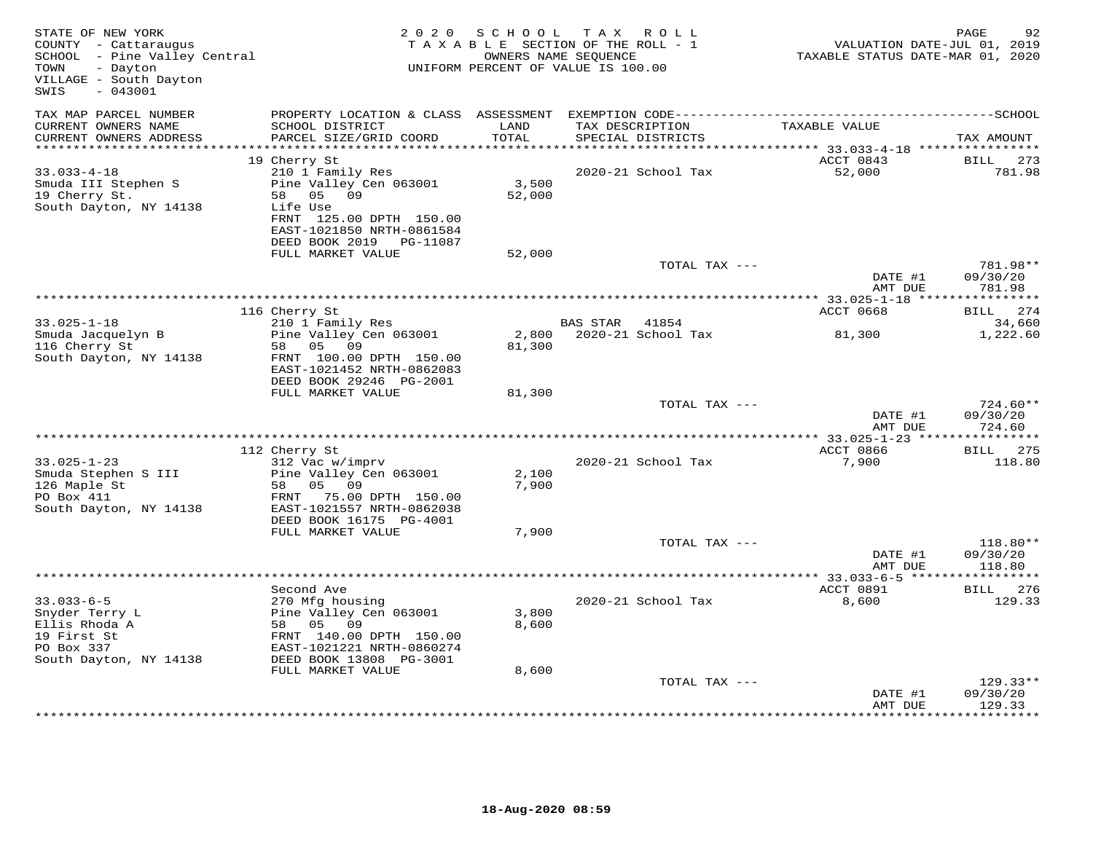| STATE OF NEW YORK<br>COUNTY - Cattaraugus<br>SCHOOL - Pine Valley Central<br>- Dayton<br>TOWN<br>VILLAGE - South Dayton<br>SWIS<br>$-043001$ |                                                      | 2020 SCHOOL   | TAX ROLL<br>TAXABLE SECTION OF THE ROLL - 1<br>OWNERS NAME SEQUENCE<br>UNIFORM PERCENT OF VALUE IS 100.00 | TAXABLE STATUS DATE-MAR 01, 2020 | PAGE<br>92<br>VALUATION DATE-JUL 01, 2019              |
|----------------------------------------------------------------------------------------------------------------------------------------------|------------------------------------------------------|---------------|-----------------------------------------------------------------------------------------------------------|----------------------------------|--------------------------------------------------------|
| TAX MAP PARCEL NUMBER                                                                                                                        |                                                      |               |                                                                                                           |                                  |                                                        |
| CURRENT OWNERS NAME<br>CURRENT OWNERS ADDRESS<br>***********************                                                                     | SCHOOL DISTRICT<br>PARCEL SIZE/GRID COORD            | LAND<br>TOTAL | TAX DESCRIPTION<br>SPECIAL DISTRICTS                                                                      | TAXABLE VALUE                    | TAX AMOUNT                                             |
|                                                                                                                                              | 19 Cherry St                                         |               |                                                                                                           | ACCT 0843                        | BILL                                                   |
| $33.033 - 4 - 18$                                                                                                                            | 210 1 Family Res                                     |               | 2020-21 School Tax                                                                                        | 52,000                           | 273<br>781.98                                          |
| Smuda III Stephen S                                                                                                                          | Pine Valley Cen 063001                               | 3,500         |                                                                                                           |                                  |                                                        |
| 19 Cherry St.                                                                                                                                | 05<br>09<br>58                                       | 52,000        |                                                                                                           |                                  |                                                        |
| South Dayton, NY 14138                                                                                                                       | Life Use<br>FRNT 125.00 DPTH 150.00                  |               |                                                                                                           |                                  |                                                        |
|                                                                                                                                              | EAST-1021850 NRTH-0861584                            |               |                                                                                                           |                                  |                                                        |
|                                                                                                                                              | DEED BOOK 2019 PG-11087                              |               |                                                                                                           |                                  |                                                        |
|                                                                                                                                              | FULL MARKET VALUE                                    | 52,000        |                                                                                                           |                                  |                                                        |
|                                                                                                                                              |                                                      |               | TOTAL TAX ---                                                                                             | DATE #1<br>AMT DUE               | 781.98**<br>09/30/20<br>781.98                         |
|                                                                                                                                              |                                                      |               |                                                                                                           |                                  | ***********                                            |
|                                                                                                                                              | 116 Cherry St                                        |               |                                                                                                           | ACCT 0668                        | BILL 274                                               |
| $33.025 - 1 - 18$                                                                                                                            | 210 1 Family Res                                     |               | <b>BAS STAR</b><br>41854                                                                                  |                                  | 34,660                                                 |
| Smuda Jacquelyn B                                                                                                                            | Pine Valley Cen 063001                               | 2,800         | 2020-21 School Tax                                                                                        | 81,300                           | 1,222.60                                               |
| 116 Cherry St<br>South Dayton, NY 14138                                                                                                      | 58 05 09<br>FRNT 100.00 DPTH 150.00                  | 81,300        |                                                                                                           |                                  |                                                        |
|                                                                                                                                              | EAST-1021452 NRTH-0862083<br>DEED BOOK 29246 PG-2001 |               |                                                                                                           |                                  |                                                        |
|                                                                                                                                              | FULL MARKET VALUE                                    | 81,300        |                                                                                                           |                                  |                                                        |
|                                                                                                                                              |                                                      |               | TOTAL TAX ---                                                                                             |                                  | 724.60**                                               |
|                                                                                                                                              |                                                      |               |                                                                                                           | DATE #1<br>AMT DUE               | 09/30/20<br>724.60<br>*** 33.025-1-23 **************** |
|                                                                                                                                              | 112 Cherry St                                        |               |                                                                                                           | ACCT 0866                        | BILL 275                                               |
| $33.025 - 1 - 23$                                                                                                                            | 312 Vac w/imprv                                      |               | 2020-21 School Tax                                                                                        | 7,900                            | 118.80                                                 |
| Smuda Stephen S III                                                                                                                          | Pine Valley Cen 063001                               | 2,100         |                                                                                                           |                                  |                                                        |
| 126 Maple St                                                                                                                                 | 58 05 09                                             | 7,900         |                                                                                                           |                                  |                                                        |
| PO Box 411<br>South Dayton, NY 14138                                                                                                         | FRNT 75.00 DPTH 150.00<br>EAST-1021557 NRTH-0862038  |               |                                                                                                           |                                  |                                                        |
|                                                                                                                                              | DEED BOOK 16175 PG-4001                              |               |                                                                                                           |                                  |                                                        |
|                                                                                                                                              | FULL MARKET VALUE                                    | 7,900         |                                                                                                           |                                  |                                                        |
|                                                                                                                                              |                                                      |               | TOTAL TAX ---                                                                                             |                                  | 118.80**                                               |
|                                                                                                                                              |                                                      |               |                                                                                                           | DATE #1                          | 09/30/20                                               |
|                                                                                                                                              |                                                      |               |                                                                                                           | AMT DUE                          | 118.80                                                 |
|                                                                                                                                              | Second Ave                                           |               |                                                                                                           | ACCT 0891                        | <b>BILL</b> 276                                        |
| $33.033 - 6 - 5$                                                                                                                             | 270 Mfg housing                                      |               | 2020-21 School Tax                                                                                        | 8,600                            | 129.33                                                 |
| Snyder Terry L                                                                                                                               | Pine Valley Cen 063001                               | 3,800         |                                                                                                           |                                  |                                                        |
| Ellis Rhoda A                                                                                                                                | 58 05 09                                             | 8,600         |                                                                                                           |                                  |                                                        |
| 19 First St<br>PO Box 337                                                                                                                    | FRNT 140.00 DPTH 150.00<br>EAST-1021221 NRTH-0860274 |               |                                                                                                           |                                  |                                                        |
| South Dayton, NY 14138                                                                                                                       | DEED BOOK 13808 PG-3001                              |               |                                                                                                           |                                  |                                                        |
|                                                                                                                                              | FULL MARKET VALUE                                    | 8,600         |                                                                                                           |                                  |                                                        |
|                                                                                                                                              |                                                      |               | TOTAL TAX ---                                                                                             |                                  | 129.33**                                               |
|                                                                                                                                              |                                                      |               |                                                                                                           | DATE #1                          | 09/30/20                                               |
|                                                                                                                                              |                                                      |               |                                                                                                           | AMT DUE                          | 129.33                                                 |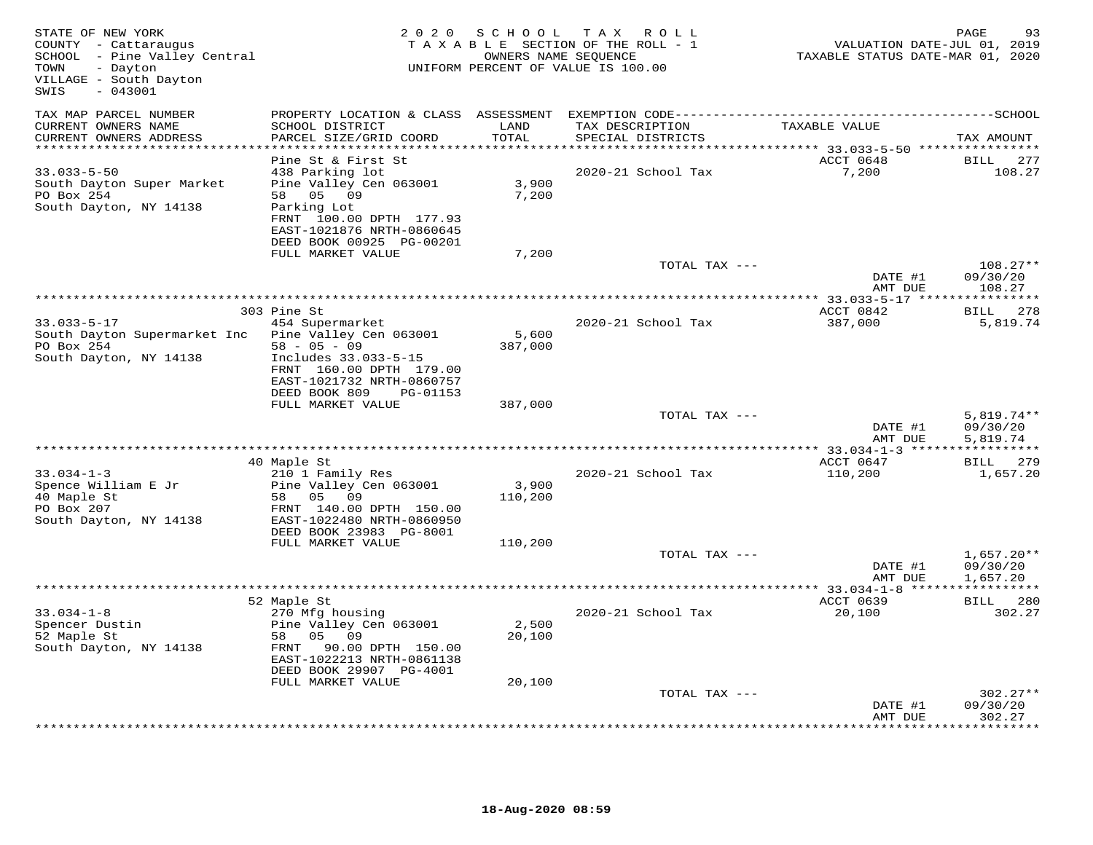| STATE OF NEW YORK<br>COUNTY - Cattaraugus<br>SCHOOL - Pine Valley Central<br>- Dayton<br>TOWN<br>VILLAGE - South Dayton<br>$-043001$<br>SWIS |                                                                                                                                           | 2020 SCHOOL      | T A X<br>R O L L<br>TAXABLE SECTION OF THE ROLL - 1<br>OWNERS NAME SEQUENCE<br>UNIFORM PERCENT OF VALUE IS 100.00 | VALUATION DATE-JUL 01, 2019<br>TAXABLE STATUS DATE-MAR 01, 2020 | 93<br>PAGE                           |
|----------------------------------------------------------------------------------------------------------------------------------------------|-------------------------------------------------------------------------------------------------------------------------------------------|------------------|-------------------------------------------------------------------------------------------------------------------|-----------------------------------------------------------------|--------------------------------------|
| TAX MAP PARCEL NUMBER<br>CURRENT OWNERS NAME<br>CURRENT OWNERS ADDRESS<br>***********************                                            | PROPERTY LOCATION & CLASS ASSESSMENT EXEMPTION CODE-----------------------------------SCHOOL<br>SCHOOL DISTRICT<br>PARCEL SIZE/GRID COORD | LAND<br>TOTAL    | TAX DESCRIPTION<br>SPECIAL DISTRICTS                                                                              | TAXABLE VALUE                                                   | TAX AMOUNT                           |
|                                                                                                                                              | Pine St & First St                                                                                                                        |                  |                                                                                                                   | ACCT 0648                                                       | <b>BILL</b><br>277                   |
| $33.033 - 5 - 50$<br>South Dayton Super Market<br>PO Box 254<br>South Dayton, NY 14138                                                       | 438 Parking lot<br>Pine Valley Cen 063001<br>58 05 09<br>Parking Lot<br>FRNT 100.00 DPTH 177.93<br>EAST-1021876 NRTH-0860645              | 3,900<br>7,200   | 2020-21 School Tax                                                                                                | 7,200                                                           | 108.27                               |
|                                                                                                                                              | DEED BOOK 00925 PG-00201                                                                                                                  |                  |                                                                                                                   |                                                                 |                                      |
|                                                                                                                                              | FULL MARKET VALUE                                                                                                                         | 7,200            | TOTAL TAX ---                                                                                                     | DATE #1                                                         | $108.27**$<br>09/30/20               |
|                                                                                                                                              |                                                                                                                                           |                  |                                                                                                                   | AMT DUE                                                         | 108.27                               |
|                                                                                                                                              | 303 Pine St                                                                                                                               |                  |                                                                                                                   | ACCT 0842                                                       | 278<br>BILL                          |
| $33.033 - 5 - 17$<br>South Dayton Supermarket Inc<br>PO Box 254                                                                              | 454 Supermarket<br>Pine Valley Cen 063001<br>$58 - 05 - 09$                                                                               | 5,600<br>387,000 | 2020-21 School Tax                                                                                                | 387,000                                                         | 5,819.74                             |
| South Dayton, NY 14138                                                                                                                       | Includes 33.033-5-15<br>FRNT 160.00 DPTH 179.00<br>EAST-1021732 NRTH-0860757<br>DEED BOOK 809<br>PG-01153                                 |                  |                                                                                                                   |                                                                 |                                      |
|                                                                                                                                              | FULL MARKET VALUE                                                                                                                         | 387,000          |                                                                                                                   |                                                                 |                                      |
|                                                                                                                                              |                                                                                                                                           |                  | TOTAL TAX ---                                                                                                     | DATE #1<br>AMT DUE                                              | $5,819.74**$<br>09/30/20<br>5,819.74 |
|                                                                                                                                              |                                                                                                                                           |                  |                                                                                                                   | **************** 33.034-1-3 ******************                  |                                      |
| $33.034 - 1 - 3$<br>Spence William E Jr                                                                                                      | 40 Maple St<br>210 1 Family Res<br>Pine Valley Cen 063001                                                                                 | 3,900            | 2020-21 School Tax                                                                                                | ACCT 0647<br>110,200                                            | <b>BILL</b><br>279<br>1,657.20       |
| 40 Maple St<br>PO Box 207<br>South Dayton, NY 14138                                                                                          | 58 05 09<br>FRNT 140.00 DPTH 150.00<br>EAST-1022480 NRTH-0860950                                                                          | 110,200          |                                                                                                                   |                                                                 |                                      |
|                                                                                                                                              | DEED BOOK 23983 PG-8001<br>FULL MARKET VALUE                                                                                              | 110,200          |                                                                                                                   |                                                                 |                                      |
|                                                                                                                                              |                                                                                                                                           |                  | TOTAL TAX ---                                                                                                     | DATE #1<br>AMT DUE                                              | $1,657.20**$<br>09/30/20<br>1,657.20 |
|                                                                                                                                              |                                                                                                                                           |                  |                                                                                                                   |                                                                 |                                      |
| $33.034 - 1 - 8$<br>Spencer Dustin<br>52 Maple St<br>South Dayton, NY 14138                                                                  | 52 Maple St<br>270 Mfg housing<br>Pine Valley Cen 063001<br>58 05<br>09<br>90.00 DPTH 150.00<br>FRNT<br>EAST-1022213 NRTH-0861138         | 2,500<br>20,100  | 2020-21 School Tax                                                                                                | ACCT 0639<br>20,100                                             | BILL 280<br>302.27                   |
|                                                                                                                                              | DEED BOOK 29907 PG-4001<br>FULL MARKET VALUE                                                                                              | 20,100           |                                                                                                                   |                                                                 |                                      |
|                                                                                                                                              |                                                                                                                                           |                  | TOTAL TAX ---                                                                                                     | DATE #1<br>AMT DUE                                              | $302.27**$<br>09/30/20<br>302.27     |
|                                                                                                                                              |                                                                                                                                           |                  |                                                                                                                   |                                                                 | ********                             |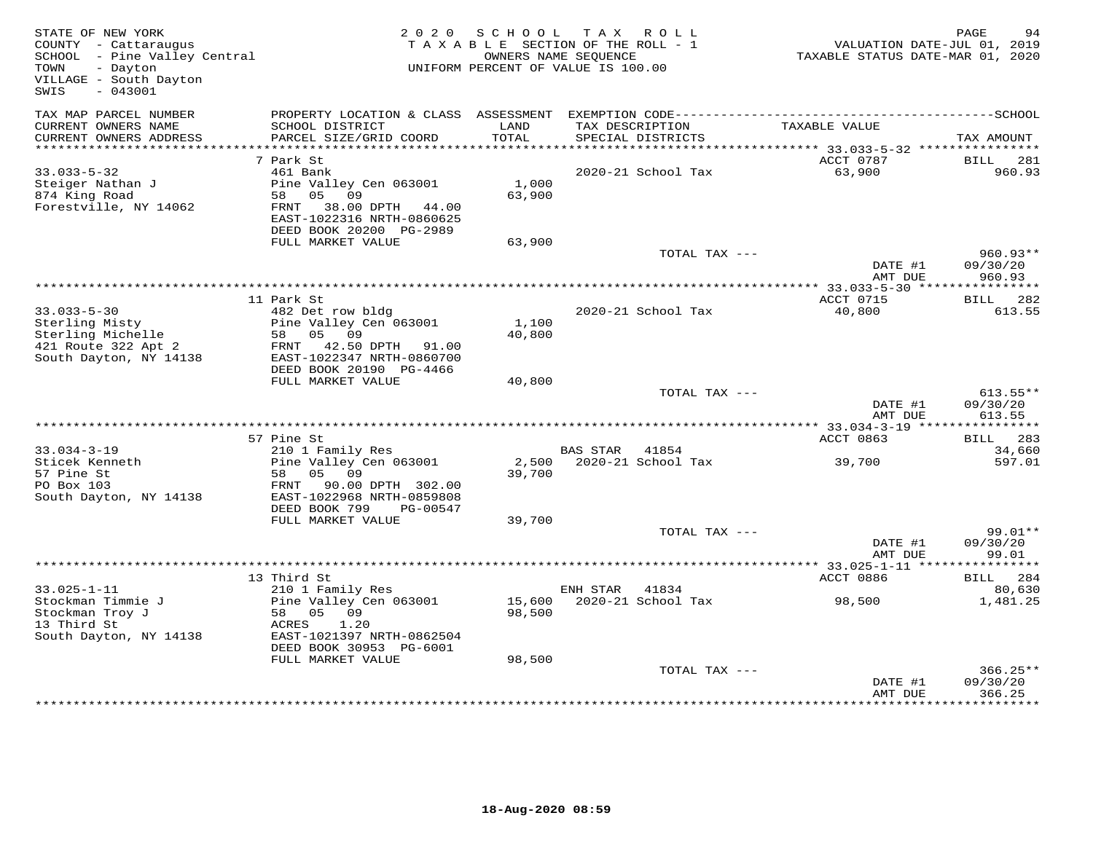| STATE OF NEW YORK<br>COUNTY - Cattaraugus<br>SCHOOL - Pine Valley Central<br>- Dayton<br>TOWN<br>VILLAGE - South Dayton<br>$-043001$<br>SWIS | 2 0 2 0                                                                                                                                               | S C H O O L      | TAX ROLL<br>TAXABLE SECTION OF THE ROLL - 1<br>OWNERS NAME SEQUENCE<br>UNIFORM PERCENT OF VALUE IS 100.00 | VALUATION DATE-JUL 01, 2019<br>TAXABLE STATUS DATE-MAR 01, 2020 | PAGE<br>94                       |
|----------------------------------------------------------------------------------------------------------------------------------------------|-------------------------------------------------------------------------------------------------------------------------------------------------------|------------------|-----------------------------------------------------------------------------------------------------------|-----------------------------------------------------------------|----------------------------------|
| TAX MAP PARCEL NUMBER<br>CURRENT OWNERS NAME<br>CURRENT OWNERS ADDRESS                                                                       | PROPERTY LOCATION & CLASS ASSESSMENT<br>SCHOOL DISTRICT<br>PARCEL SIZE/GRID COORD                                                                     | LAND<br>TOTAL    | TAX DESCRIPTION<br>SPECIAL DISTRICTS                                                                      | TAXABLE VALUE                                                   | TAX AMOUNT                       |
| ***********************                                                                                                                      |                                                                                                                                                       |                  |                                                                                                           |                                                                 |                                  |
| $33.033 - 5 - 32$<br>Steiger Nathan J<br>874 King Road<br>Forestville, NY 14062                                                              | 7 Park St<br>461 Bank<br>Pine Valley Cen 063001<br>58 05 09<br>FRNT 38.00 DPTH 44.00<br>EAST-1022316 NRTH-0860625<br>DEED BOOK 20200 PG-2989          | 1,000<br>63,900  | 2020-21 School Tax                                                                                        | ACCT 0787<br>63,900                                             | BILL<br>281<br>960.93            |
|                                                                                                                                              | FULL MARKET VALUE                                                                                                                                     | 63,900           |                                                                                                           |                                                                 |                                  |
|                                                                                                                                              |                                                                                                                                                       |                  | TOTAL TAX ---                                                                                             | DATE #1<br>AMT DUE                                              | $960.93**$<br>09/30/20<br>960.93 |
|                                                                                                                                              | * * * * * * * * * * * * * * *                                                                                                                         |                  |                                                                                                           |                                                                 |                                  |
| $33.033 - 5 - 30$<br>Sterling Misty<br>Sterling Michelle<br>421 Route 322 Apt 2<br>South Dayton, NY 14138                                    | 11 Park St<br>482 Det row bldg<br>Pine Valley Cen 063001<br>58 05 09<br>FRNT 42.50 DPTH 91.00<br>EAST-1022347 NRTH-0860700<br>DEED BOOK 20190 PG-4466 | 1,100<br>40,800  | 2020-21 School Tax                                                                                        | ACCT 0715<br>40,800                                             | BILL 282<br>613.55               |
|                                                                                                                                              | FULL MARKET VALUE                                                                                                                                     | 40,800           |                                                                                                           |                                                                 |                                  |
|                                                                                                                                              |                                                                                                                                                       |                  | TOTAL TAX ---                                                                                             | DATE #1<br>AMT DUE                                              | $613.55**$<br>09/30/20<br>613.55 |
|                                                                                                                                              | 57 Pine St                                                                                                                                            |                  |                                                                                                           | ACCT 0863                                                       | BILL 283                         |
| $33.034 - 3 - 19$<br>Sticek Kenneth<br>57 Pine St<br>PO Box 103<br>South Dayton, NY 14138                                                    | 210 1 Family Res<br>Pine Valley Cen 063001<br>05 09<br>58<br>FRNT 90.00 DPTH 302.00<br>EAST-1022968 NRTH-0859808                                      | 39,700           | BAS STAR 41854<br>2,500 2020-21 School Tax                                                                | 39,700                                                          | 34,660<br>597.01                 |
|                                                                                                                                              | DEED BOOK 799<br>PG-00547                                                                                                                             |                  |                                                                                                           |                                                                 |                                  |
|                                                                                                                                              | FULL MARKET VALUE                                                                                                                                     | 39,700           |                                                                                                           |                                                                 |                                  |
|                                                                                                                                              |                                                                                                                                                       |                  | TOTAL TAX ---                                                                                             | DATE #1<br>AMT DUE                                              | 99.01**<br>09/30/20<br>99.01     |
|                                                                                                                                              | **************************                                                                                                                            |                  |                                                                                                           | ******** 33.025-1-11 **                                         | * * * * * * * * * * *            |
| $33.025 - 1 - 11$                                                                                                                            | 13 Third St                                                                                                                                           |                  |                                                                                                           | ACCT 0886                                                       | BILL 284                         |
| Stockman Timmie J<br>Stockman Troy J<br>13 Third St<br>South Dayton, NY 14138                                                                | 210 1 Family Res<br>Pine Valley Cen 063001<br>58 05 09<br>1.20<br>ACRES<br>EAST-1021397 NRTH-0862504<br>DEED BOOK 30953 PG-6001                       | 15,600<br>98,500 | ENH STAR 41834<br>2020-21 School Tax                                                                      | 98,500                                                          | 80,630<br>1,481.25               |
|                                                                                                                                              | FULL MARKET VALUE                                                                                                                                     | 98,500           | TOTAL TAX ---                                                                                             | DATE #1<br>AMT DUE                                              | $366.25**$<br>09/30/20<br>366.25 |
|                                                                                                                                              |                                                                                                                                                       |                  |                                                                                                           |                                                                 | * * * * * * * * * ·              |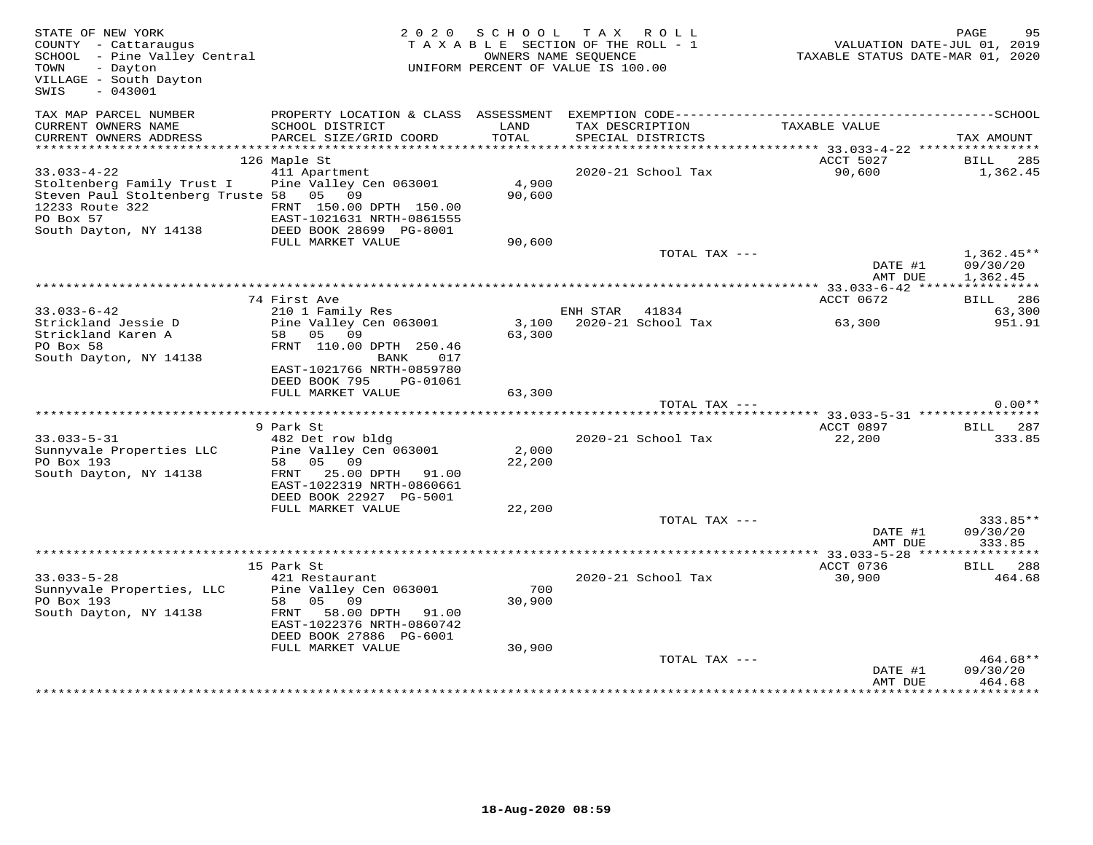| STATE OF NEW YORK<br>COUNTY - Cattaraugus<br>COONII - Caccaraugus<br>SCHOOL - Pine Valley Central<br>- Dayton<br>TOWN<br>VILLAGE - South Dayton<br>$-043001$<br>SWIS |                                                                                                                                                                          | 2020 SCHOOL<br>TAXABLE SECTION OF THE ROLL - 1<br>OWNERS NAME SEOUENCE<br>UNIFORM PERCENT OF VALUE IS 100.00 | TAX ROLL       |                                      | VALUATION DATE-JUL 01, 2019<br>TAXABLE STATUS DATE-MAR 01, 2020 | PAGE<br>95                           |
|----------------------------------------------------------------------------------------------------------------------------------------------------------------------|--------------------------------------------------------------------------------------------------------------------------------------------------------------------------|--------------------------------------------------------------------------------------------------------------|----------------|--------------------------------------|-----------------------------------------------------------------|--------------------------------------|
| TAX MAP PARCEL NUMBER<br>CURRENT OWNERS NAME<br>CURRENT OWNERS ADDRESS                                                                                               | SCHOOL DISTRICT<br>PARCEL SIZE/GRID COORD                                                                                                                                | LAND<br>TOTAL                                                                                                |                | TAX DESCRIPTION<br>SPECIAL DISTRICTS | TAXABLE VALUE                                                   |                                      |
|                                                                                                                                                                      |                                                                                                                                                                          |                                                                                                              |                |                                      |                                                                 | TAX AMOUNT                           |
|                                                                                                                                                                      | 126 Maple St                                                                                                                                                             |                                                                                                              |                |                                      | ACCT 5027                                                       | BILL 285                             |
| $33.033 - 4 - 22$<br>Stoltenberg Family Trust I<br>Steven Paul Stoltenberg Truste 58 05 09<br>12233 Route 322<br>PO Box 57<br>South Dayton, NY 14138                 | 411 Apartment<br>Pine Valley Cen 063001<br>FRNT 150.00 DPTH 150.00<br>EAST-1021631 NETH-0861EEE<br>EAST-1021631 NRTH-0861555<br>DEED BOOK 28699 PG-8001                  | 4,900<br>90,600                                                                                              |                | 2020-21 School Tax                   | 90,600                                                          | 1,362.45                             |
|                                                                                                                                                                      | FULL MARKET VALUE                                                                                                                                                        | 90,600                                                                                                       |                |                                      |                                                                 |                                      |
|                                                                                                                                                                      |                                                                                                                                                                          |                                                                                                              |                | TOTAL TAX ---                        | DATE #1<br>AMT DUE                                              | $1,362.45**$<br>09/30/20<br>1,362.45 |
|                                                                                                                                                                      |                                                                                                                                                                          |                                                                                                              |                |                                      |                                                                 |                                      |
|                                                                                                                                                                      | 74 First Ave                                                                                                                                                             |                                                                                                              |                |                                      | ACCT 0672                                                       | BILL 286                             |
| $33.033 - 6 - 42$                                                                                                                                                    | 210 1 Family Res                                                                                                                                                         |                                                                                                              | ENH STAR 41834 |                                      |                                                                 | 63,300                               |
| Strickland Jessie D<br>Strickland Karen A<br>PO Box 58<br>South Dayton, NY 14138                                                                                     | Pine Valley Cen 063001<br>58 05 09<br>FRNT 110.00 DPTH 250.46<br>BANK<br>017<br>EAST-1021766 NRTH-0859780<br>DEED BOOK 795<br>PG-01061                                   | 63,300                                                                                                       |                | 3,100 2020-21 School Tax             | 63,300                                                          | 951.91                               |
|                                                                                                                                                                      | FULL MARKET VALUE                                                                                                                                                        | 63,300                                                                                                       |                |                                      |                                                                 |                                      |
|                                                                                                                                                                      |                                                                                                                                                                          |                                                                                                              |                | TOTAL TAX ---                        |                                                                 | $0.00**$                             |
|                                                                                                                                                                      |                                                                                                                                                                          |                                                                                                              |                |                                      |                                                                 |                                      |
|                                                                                                                                                                      | 9 Park St                                                                                                                                                                |                                                                                                              |                |                                      |                                                                 | ACCT 0897 BILL 287                   |
| $33.033 - 5 - 31$<br>Sunnyvale Properties LLC<br>PO Box 193<br>South Dayton, NY 14138                                                                                | 482 Det row bldg<br>Pine Valley Cen 063001<br>58 05 09<br>FRNT 25.00 DPTH 91.00<br>EAST-1022319 NRTH-0860661<br>DEED BOOK 22927 PG-5001                                  | 2,000<br>22,200                                                                                              |                | 2020-21 School Tax                   | 22,200                                                          | 333.85                               |
|                                                                                                                                                                      | FULL MARKET VALUE                                                                                                                                                        | 22,200                                                                                                       |                |                                      |                                                                 |                                      |
|                                                                                                                                                                      |                                                                                                                                                                          |                                                                                                              |                | TOTAL TAX ---                        | DATE #1<br>AMT DUE                                              | $333.85**$<br>09/30/20<br>333.85     |
|                                                                                                                                                                      |                                                                                                                                                                          |                                                                                                              |                |                                      |                                                                 |                                      |
|                                                                                                                                                                      | 15 Park St                                                                                                                                                               |                                                                                                              |                |                                      | ACCT 0736                                                       | BILL 288                             |
| $33.033 - 5 - 28$<br>Sunnyvale Properties, LLC<br>PO Box 193<br>South Dayton, NY 14138                                                                               | 421 Restaurant<br>Pine Valley Cen 063001<br>58 05 09<br>$\texttt{FRNT}$<br>58.00 DPTH 91.00<br>EAST-1022376 NRTH-0860742<br>DEED BOOK 27886 PG-6001<br>FULL MARKET VALUE | 700<br>30,900<br>30,900                                                                                      |                | 2020-21 School Tax                   | 30,900                                                          | 464.68                               |
|                                                                                                                                                                      |                                                                                                                                                                          |                                                                                                              |                | TOTAL TAX ---                        | DATE #1<br>AMT DUE                                              | $464.68**$<br>09/30/20<br>464.68     |
|                                                                                                                                                                      |                                                                                                                                                                          |                                                                                                              |                |                                      |                                                                 | * * * * * * * * * ·                  |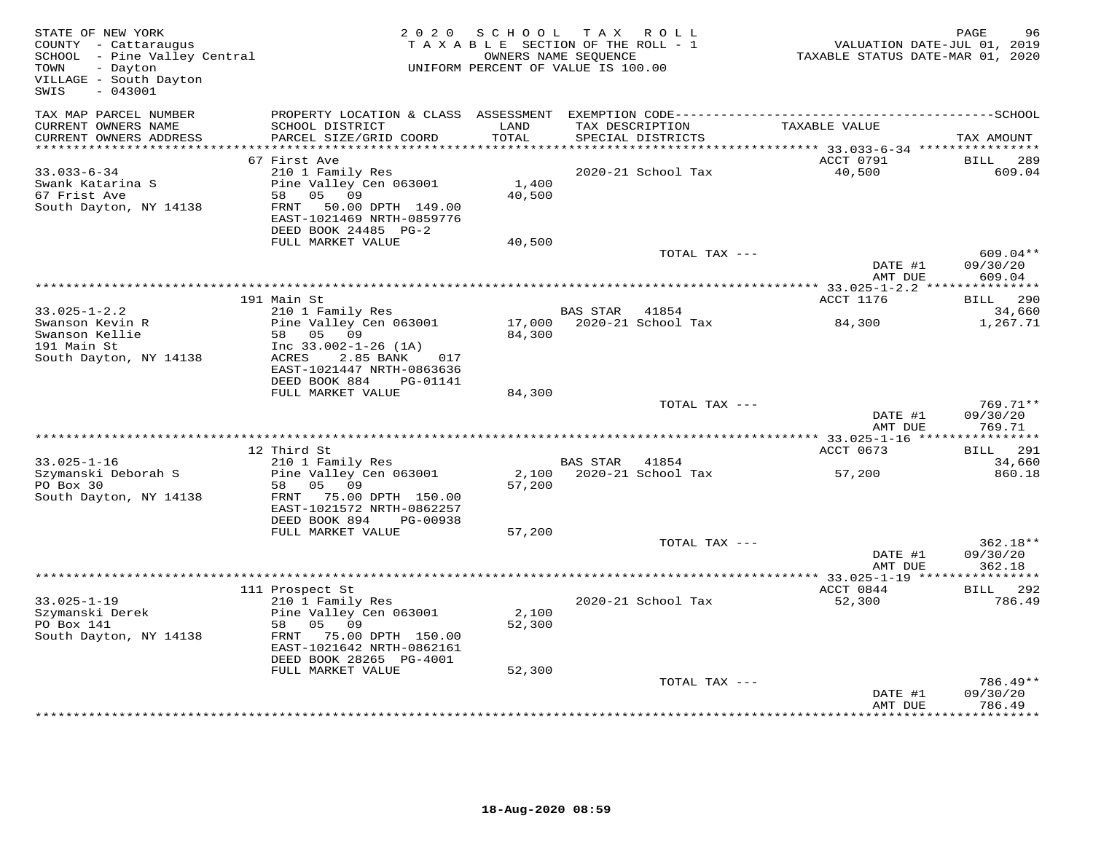| STATE OF NEW YORK<br>COUNTY - Cattaraugus<br>COONIY - Cattaraugus<br>SCHOOL - Pine Valley Central<br>- Dayton<br>TOWN<br>VILLAGE - South Dayton<br>$-043001$<br>SWIS |                                                                                     | 2020 SCHOOL<br>TAXABLE SECTION OF THE ROLL - 1<br>OWNERS NAME SEQUENCE<br>UNIFORM PERCENT OF VALUE IS 100.00 |                | TAX ROLL                             | VALUATION DATE-JUL 01, 2019<br>TAXABLE STATUS DATE-MAR 01, 2020 | PAGE<br>96                     |
|----------------------------------------------------------------------------------------------------------------------------------------------------------------------|-------------------------------------------------------------------------------------|--------------------------------------------------------------------------------------------------------------|----------------|--------------------------------------|-----------------------------------------------------------------|--------------------------------|
| TAX MAP PARCEL NUMBER                                                                                                                                                |                                                                                     |                                                                                                              |                |                                      |                                                                 |                                |
| CURRENT OWNERS NAME<br>CURRENT OWNERS ADDRESS                                                                                                                        | SCHOOL DISTRICT<br>PARCEL SIZE/GRID COORD                                           | LAND<br>TOTAL                                                                                                |                | TAX DESCRIPTION<br>SPECIAL DISTRICTS | TAXABLE VALUE                                                   | TAX AMOUNT                     |
| ***********************                                                                                                                                              |                                                                                     |                                                                                                              |                |                                      |                                                                 |                                |
| $33.033 - 6 - 34$                                                                                                                                                    | 67 First Ave<br>210 1 Family Res                                                    |                                                                                                              |                | 2020-21 School Tax                   | ACCT 0791<br>40,500                                             | <b>BILL</b><br>289<br>609.04   |
| Swank Katarina S                                                                                                                                                     | Pine Valley Cen 063001                                                              | 1,400                                                                                                        |                |                                      |                                                                 |                                |
| 67 Frist Ave                                                                                                                                                         | 58 05 09                                                                            | 40,500                                                                                                       |                |                                      |                                                                 |                                |
| South Dayton, NY 14138                                                                                                                                               | 50.00 DPTH 149.00<br>FRNT                                                           |                                                                                                              |                |                                      |                                                                 |                                |
|                                                                                                                                                                      | EAST-1021469 NRTH-0859776                                                           |                                                                                                              |                |                                      |                                                                 |                                |
|                                                                                                                                                                      | DEED BOOK 24485 PG-2                                                                |                                                                                                              |                |                                      |                                                                 |                                |
|                                                                                                                                                                      | FULL MARKET VALUE                                                                   | 40,500                                                                                                       |                |                                      |                                                                 |                                |
|                                                                                                                                                                      |                                                                                     |                                                                                                              |                | TOTAL TAX ---                        |                                                                 | 609.04**                       |
|                                                                                                                                                                      |                                                                                     |                                                                                                              |                |                                      | DATE #1<br>AMT DUE                                              | 09/30/20<br>609.04             |
|                                                                                                                                                                      |                                                                                     |                                                                                                              |                |                                      |                                                                 |                                |
|                                                                                                                                                                      | 191 Main St                                                                         |                                                                                                              |                |                                      | ACCT 1176                                                       | BILL 290                       |
| $33.025 - 1 - 2.2$                                                                                                                                                   | 210 1 Family Res                                                                    |                                                                                                              | BAS STAR 41854 |                                      |                                                                 | 34,660                         |
| Swanson Kevin R                                                                                                                                                      | Pine Valley Cen 063001                                                              |                                                                                                              |                | 17,000 2020-21 School Tax            | 84,300                                                          | 1,267.71                       |
| Swanson Kellie                                                                                                                                                       | 58 05 09                                                                            | 84,300                                                                                                       |                |                                      |                                                                 |                                |
| 191 Main St                                                                                                                                                          | Inc $33.002 - 1 - 26$ (1A)                                                          |                                                                                                              |                |                                      |                                                                 |                                |
| South Dayton, NY 14138                                                                                                                                               | ACRES<br>2.85 BANK<br>017<br>EAST-1021447 NRTH-0863636<br>DEED BOOK 884<br>PG-01141 |                                                                                                              |                |                                      |                                                                 |                                |
|                                                                                                                                                                      | FULL MARKET VALUE                                                                   | 84,300                                                                                                       |                |                                      |                                                                 |                                |
|                                                                                                                                                                      |                                                                                     |                                                                                                              |                | TOTAL TAX ---                        |                                                                 | 769.71**                       |
|                                                                                                                                                                      |                                                                                     |                                                                                                              |                |                                      | DATE #1<br>AMT DUE                                              | 09/30/20<br>769.71             |
|                                                                                                                                                                      |                                                                                     |                                                                                                              |                |                                      |                                                                 |                                |
| $33.025 - 1 - 16$                                                                                                                                                    | 12 Third St<br>210 1 Family Res                                                     |                                                                                                              | BAS STAR 41854 |                                      | ACCT 0673                                                       | <b>BILL</b> 291<br>34,660      |
| Szymanski Deborah S                                                                                                                                                  | Pine Valley Cen 063001                                                              |                                                                                                              |                | 2,100 2020-21 School Tax             | 57,200                                                          | 860.18                         |
| PO Box 30                                                                                                                                                            | 58 05 09                                                                            | 57,200                                                                                                       |                |                                      |                                                                 |                                |
| South Dayton, NY 14138                                                                                                                                               | FRNT 75.00 DPTH 150.00<br>EAST-1021572 NRTH-0862257                                 |                                                                                                              |                |                                      |                                                                 |                                |
|                                                                                                                                                                      | DEED BOOK 894<br>PG-00938                                                           |                                                                                                              |                |                                      |                                                                 |                                |
|                                                                                                                                                                      | FULL MARKET VALUE                                                                   | 57,200                                                                                                       |                |                                      |                                                                 |                                |
|                                                                                                                                                                      |                                                                                     |                                                                                                              |                | TOTAL TAX ---                        | DATE #1<br>AMT DUE                                              | 362.18**<br>09/30/20<br>362.18 |
|                                                                                                                                                                      |                                                                                     |                                                                                                              |                |                                      |                                                                 |                                |
|                                                                                                                                                                      | 111 Prospect St                                                                     |                                                                                                              |                |                                      | ACCT 0844                                                       | <b>BILL</b> 292                |
| $33.025 - 1 - 19$                                                                                                                                                    | 210 1 Family Res                                                                    |                                                                                                              |                | 2020-21 School Tax                   | 52,300                                                          | 786.49                         |
| Szymanski Derek                                                                                                                                                      | Pine Valley Cen 063001                                                              | 2,100                                                                                                        |                |                                      |                                                                 |                                |
| PO Box 141                                                                                                                                                           | 58 05 09                                                                            | 52,300                                                                                                       |                |                                      |                                                                 |                                |
| South Dayton, NY 14138                                                                                                                                               | FRNT 75.00 DPTH 150.00                                                              |                                                                                                              |                |                                      |                                                                 |                                |
|                                                                                                                                                                      | EAST-1021642 NRTH-0862161<br>DEED BOOK 28265 PG-4001                                |                                                                                                              |                |                                      |                                                                 |                                |
|                                                                                                                                                                      | FULL MARKET VALUE                                                                   | 52,300                                                                                                       |                |                                      |                                                                 |                                |
|                                                                                                                                                                      |                                                                                     |                                                                                                              |                | TOTAL TAX ---                        |                                                                 | 786.49**                       |
|                                                                                                                                                                      |                                                                                     |                                                                                                              |                |                                      | DATE #1                                                         | 09/30/20                       |
|                                                                                                                                                                      |                                                                                     |                                                                                                              |                |                                      | AMT DUE                                                         | 786.49                         |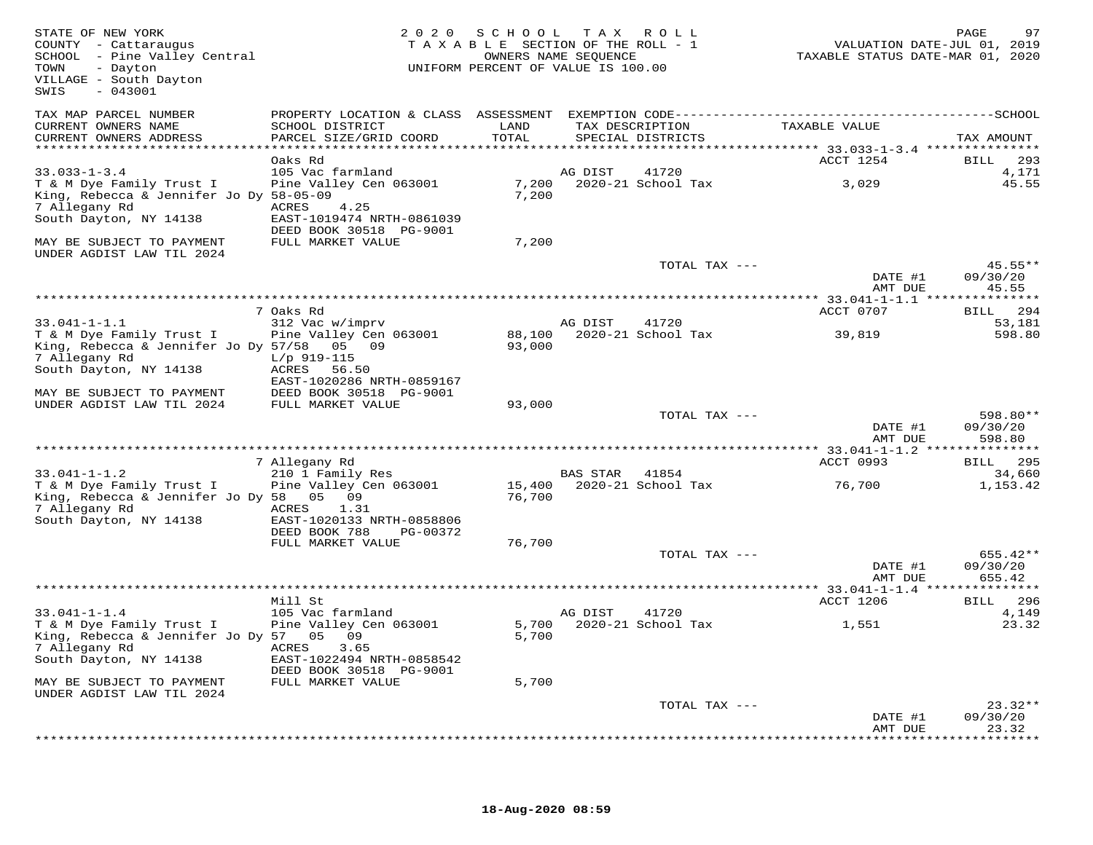| STATE OF NEW YORK<br>COUNTY - Cattaraugus<br>SCHOOL - Pine Valley Central<br>- Dayton<br>TOWN<br>VILLAGE - South Dayton<br>$-043001$<br>SWIS | 2 0 2 0                                                                                               | S C H O O L<br>TAXABLE SECTION OF THE ROLL - 1<br>UNIFORM PERCENT OF VALUE IS 100.00 | T A X<br>OWNERS NAME SEQUENCE | R O L L            |                                                          | PAGE<br>97<br>VALUATION DATE-JUL 01, 2019<br>TAXABLE STATUS DATE-MAR 01, 2020 |
|----------------------------------------------------------------------------------------------------------------------------------------------|-------------------------------------------------------------------------------------------------------|--------------------------------------------------------------------------------------|-------------------------------|--------------------|----------------------------------------------------------|-------------------------------------------------------------------------------|
| TAX MAP PARCEL NUMBER<br>CURRENT OWNERS NAME<br>CURRENT OWNERS ADDRESS                                                                       | SCHOOL DISTRICT<br>PARCEL SIZE/GRID COORD<br>**********************                                   | LAND<br>TOTAL                                                                        | TAX DESCRIPTION               | SPECIAL DISTRICTS  | TAXABLE VALUE                                            | TAX AMOUNT                                                                    |
| ***********************                                                                                                                      | Oaks Rd                                                                                               | * * * * * * * * * *                                                                  |                               |                    | ************* 33.033-1-3.4 ****************<br>ACCT 1254 | 293<br>BILL                                                                   |
| $33.033 - 1 - 3.4$                                                                                                                           | 105 Vac farmland                                                                                      |                                                                                      | AG DIST                       | 41720              |                                                          | 4,171                                                                         |
| T & M Dye Family Trust I<br>King, Rebecca & Jennifer Jo Dy 58-05-09<br>7 Allegany Rd<br>South Dayton, NY 14138                               | Pine Valley Cen 063001<br>ACRES<br>4.25<br>EAST-1019474 NRTH-0861039<br>DEED BOOK 30518 PG-9001       | 7,200<br>7,200                                                                       |                               | 2020-21 School Tax | 3,029                                                    | 45.55                                                                         |
| MAY BE SUBJECT TO PAYMENT<br>UNDER AGDIST LAW TIL 2024                                                                                       | FULL MARKET VALUE                                                                                     | 7,200                                                                                |                               |                    |                                                          |                                                                               |
|                                                                                                                                              |                                                                                                       |                                                                                      |                               | TOTAL TAX ---      | DATE #1<br>AMT DUE                                       | $45.55**$<br>09/30/20<br>45.55                                                |
|                                                                                                                                              |                                                                                                       |                                                                                      |                               |                    |                                                          |                                                                               |
| $33.041 - 1 - 1.1$                                                                                                                           | 7 Oaks Rd<br>312 Vac w/imprv                                                                          |                                                                                      | AG DIST                       | 41720              | ACCT 0707                                                | BILL 294<br>53,181                                                            |
| T & M Dye Family Trust I<br>King, Rebecca & Jennifer Jo Dy 57/58<br>7 Allegany Rd<br>South Dayton, NY 14138                                  | Pine Valley Cen 063001<br>05 09<br>$L/p$ 919-115<br>ACRES<br>56.50                                    | 88,100<br>93,000                                                                     |                               | 2020-21 School Tax | 39,819                                                   | 598.80                                                                        |
| MAY BE SUBJECT TO PAYMENT<br>UNDER AGDIST LAW TIL 2024                                                                                       | EAST-1020286 NRTH-0859167<br>DEED BOOK 30518 PG-9001<br>FULL MARKET VALUE                             | 93,000                                                                               |                               |                    |                                                          |                                                                               |
|                                                                                                                                              |                                                                                                       |                                                                                      |                               | TOTAL TAX ---      | DATE #1<br>AMT DUE                                       | 598.80**<br>09/30/20<br>598.80                                                |
|                                                                                                                                              | 7 Allegany Rd                                                                                         |                                                                                      |                               |                    | ACCT 0993                                                | * 33.041-1-1.2 ****************<br><b>BILL</b> 295                            |
| $33.041 - 1 - 1.2$                                                                                                                           | 210 1 Family Res                                                                                      |                                                                                      | <b>BAS STAR</b>               | 41854              |                                                          | 34,660                                                                        |
| T & M Dye Family Trust I<br>King, Rebecca & Jennifer Jo Dy 58<br>7 Allegany Rd<br>South Dayton, NY 14138                                     | Pine Valley Cen 063001<br>05 09<br>ACRES<br>1.31<br>EAST-1020133 NRTH-0858806                         | 15,400<br>76,700                                                                     |                               | 2020-21 School Tax | 76,700                                                   | 1,153.42                                                                      |
|                                                                                                                                              | DEED BOOK 788<br>PG-00372<br>FULL MARKET VALUE                                                        | 76,700                                                                               |                               |                    |                                                          |                                                                               |
|                                                                                                                                              |                                                                                                       |                                                                                      |                               | TOTAL TAX ---      | DATE #1<br>AMT DUE                                       | 655.42**<br>09/30/20<br>655.42                                                |
|                                                                                                                                              |                                                                                                       |                                                                                      |                               |                    |                                                          |                                                                               |
| $33.041 - 1 - 1.4$                                                                                                                           | Mill St<br>105 Vac farmland                                                                           |                                                                                      | AG DIST                       | 41720              | ACCT 1206                                                | <b>BILL</b> 296<br>4,149                                                      |
| T & M Dye Family Trust I<br>King, Rebecca & Jennifer Jo Dy 57 05<br>7 Allegany Rd<br>South Dayton, NY 14138                                  | Pine Valley Cen 063001<br>09<br>3.65<br>ACRES<br>EAST-1022494 NRTH-0858542<br>DEED BOOK 30518 PG-9001 | 5,700<br>5,700                                                                       |                               | 2020-21 School Tax | 1,551                                                    | 23.32                                                                         |
| MAY BE SUBJECT TO PAYMENT                                                                                                                    | FULL MARKET VALUE                                                                                     | 5,700                                                                                |                               |                    |                                                          |                                                                               |
| UNDER AGDIST LAW TIL 2024                                                                                                                    |                                                                                                       |                                                                                      |                               | TOTAL TAX ---      | DATE #1<br>AMT DUE                                       | $23.32**$<br>09/30/20<br>23.32                                                |
|                                                                                                                                              |                                                                                                       |                                                                                      |                               |                    |                                                          |                                                                               |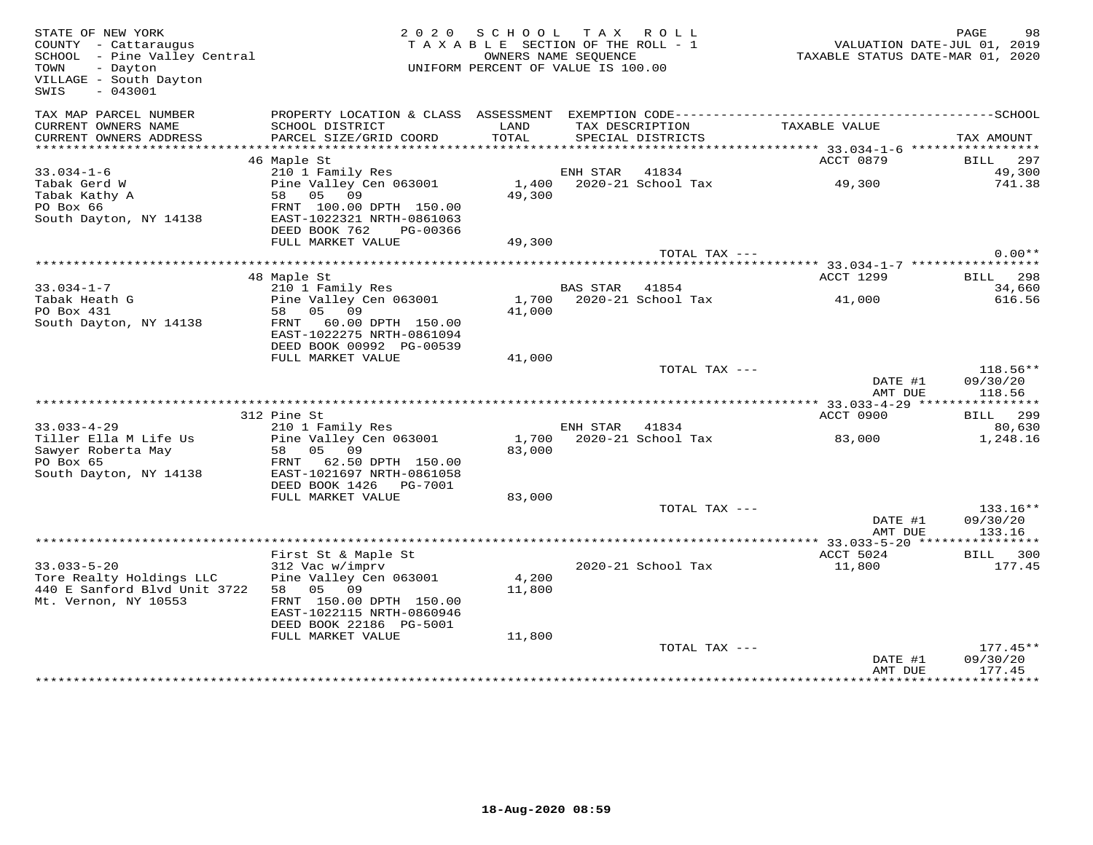| STATE OF NEW YORK<br>COUNTY - Cattaraugus<br>SCHOOL - Pine Valley Central<br>Text<br>TOWN<br>- Dayton<br>VILLAGE - South Dayton<br>$-043001$<br>SWIS |                                                     | 2020 SCHOOL TAX ROLL<br>TAXABLE SECTION OF THE ROLL - 1<br>UNIFORM PERCENT OF VALUE IS 100.00 | OWNERS NAME SEQUENCE |                                      | VALUATION DATE-JUL 01, 2019<br>TAXABLE STATUS DATE-MAR 01, 2020 | PAGE<br>98         |
|------------------------------------------------------------------------------------------------------------------------------------------------------|-----------------------------------------------------|-----------------------------------------------------------------------------------------------|----------------------|--------------------------------------|-----------------------------------------------------------------|--------------------|
| TAX MAP PARCEL NUMBER                                                                                                                                |                                                     |                                                                                               |                      |                                      |                                                                 |                    |
| CURRENT OWNERS NAME<br>CURRENT OWNERS ADDRESS                                                                                                        | SCHOOL DISTRICT<br>PARCEL SIZE/GRID COORD           | LAND<br>TOTAL                                                                                 |                      | TAX DESCRIPTION<br>SPECIAL DISTRICTS | TAXABLE VALUE                                                   | TAX AMOUNT         |
| **********************                                                                                                                               |                                                     |                                                                                               |                      |                                      |                                                                 |                    |
|                                                                                                                                                      | 46 Maple St                                         |                                                                                               | ENH STAR 41834       |                                      | ACCT 0879                                                       | BILL 297           |
| $33.034 - 1 - 6$<br>Tabak Gerd W                                                                                                                     | 210 1 Family Res<br>Pine Valley Cen 063001          |                                                                                               |                      | 1,400 2020-21 School Tax             | 49,300                                                          | 49,300<br>741.38   |
| Tabak Kathy A                                                                                                                                        | 58 05 09                                            | 49,300                                                                                        |                      |                                      |                                                                 |                    |
| PO Box 66                                                                                                                                            | FRNT 100.00 DPTH 150.00                             |                                                                                               |                      |                                      |                                                                 |                    |
| South Dayton, NY 14138                                                                                                                               | EAST-1022321 NRTH-0861063                           |                                                                                               |                      |                                      |                                                                 |                    |
|                                                                                                                                                      | DEED BOOK 762<br>PG-00366                           |                                                                                               |                      |                                      |                                                                 |                    |
|                                                                                                                                                      | FULL MARKET VALUE                                   | 49,300                                                                                        |                      |                                      |                                                                 |                    |
|                                                                                                                                                      |                                                     |                                                                                               |                      | TOTAL TAX ---                        |                                                                 | $0.00**$           |
|                                                                                                                                                      |                                                     |                                                                                               |                      |                                      |                                                                 |                    |
|                                                                                                                                                      | 48 Maple St                                         |                                                                                               |                      |                                      | ACCT 1299                                                       | BILL 298           |
| $33.034 - 1 - 7$                                                                                                                                     | 210 1 Family Res                                    |                                                                                               | BAS STAR 41854       |                                      |                                                                 | 34,660             |
| Tabak Heath G                                                                                                                                        | Pine Valley Cen 063001                              | 1,700                                                                                         |                      | 2020-21 School Tax                   | 41,000                                                          | 616.56             |
| PO Box 431                                                                                                                                           | 58 05 09                                            | 41,000                                                                                        |                      |                                      |                                                                 |                    |
| South Dayton, NY 14138                                                                                                                               | FRNT 60.00 DPTH 150.00<br>EAST-1022275 NRTH-0861094 |                                                                                               |                      |                                      |                                                                 |                    |
|                                                                                                                                                      | DEED BOOK 00992 PG-00539                            |                                                                                               |                      |                                      |                                                                 |                    |
|                                                                                                                                                      | FULL MARKET VALUE                                   | 41,000                                                                                        |                      |                                      |                                                                 |                    |
|                                                                                                                                                      |                                                     |                                                                                               |                      | TOTAL TAX ---                        |                                                                 | $118.56**$         |
|                                                                                                                                                      |                                                     |                                                                                               |                      |                                      | DATE #1<br>AMT DUE                                              | 09/30/20<br>118.56 |
|                                                                                                                                                      |                                                     |                                                                                               |                      |                                      | *********** 33.033-4-29 ***                                     | ***********        |
|                                                                                                                                                      | 312 Pine St                                         |                                                                                               |                      |                                      | ACCT 0900                                                       | BILL 299           |
| $33.033 - 4 - 29$                                                                                                                                    | 210 1 Family Res                                    |                                                                                               | ENH STAR 41834       |                                      |                                                                 | 80,630             |
| Tiller Ella M Life Us                                                                                                                                | Pine Valley Cen 063001                              | 1,700                                                                                         |                      | 2020-21 School Tax                   | 83,000                                                          | 1,248.16           |
| Sawyer Roberta May                                                                                                                                   | 58 05 09                                            | 83,000                                                                                        |                      |                                      |                                                                 |                    |
| PO Box 65                                                                                                                                            | FRNT 62.50 DPTH 150.00                              |                                                                                               |                      |                                      |                                                                 |                    |
| South Dayton, NY 14138                                                                                                                               | EAST-1021697 NRTH-0861058                           |                                                                                               |                      |                                      |                                                                 |                    |
|                                                                                                                                                      | DEED BOOK 1426 PG-7001                              |                                                                                               |                      |                                      |                                                                 |                    |
|                                                                                                                                                      | FULL MARKET VALUE                                   | 83,000                                                                                        |                      | TOTAL TAX ---                        |                                                                 | $133.16**$         |
|                                                                                                                                                      |                                                     |                                                                                               |                      |                                      | DATE #1                                                         | 09/30/20           |
|                                                                                                                                                      |                                                     |                                                                                               |                      |                                      | AMT DUE                                                         | 133.16             |
|                                                                                                                                                      |                                                     |                                                                                               |                      |                                      |                                                                 |                    |
|                                                                                                                                                      | First St & Maple St                                 |                                                                                               |                      |                                      | ACCT 5024                                                       | BILL 300           |
| $33.033 - 5 - 20$                                                                                                                                    | 312 Vac w/imprv                                     |                                                                                               |                      | 2020-21 School Tax                   | 11,800                                                          | 177.45             |
| Tore Realty Holdings LLC                                                                                                                             | Pine Valley Cen 063001                              | 4,200                                                                                         |                      |                                      |                                                                 |                    |
| 440 E Sanford Blvd Unit 3722                                                                                                                         | 58 05 09                                            | 11,800                                                                                        |                      |                                      |                                                                 |                    |
| Mt. Vernon, NY 10553                                                                                                                                 | FRNT 150.00 DPTH 150.00                             |                                                                                               |                      |                                      |                                                                 |                    |
|                                                                                                                                                      | EAST-1022115 NRTH-0860946                           |                                                                                               |                      |                                      |                                                                 |                    |
|                                                                                                                                                      | DEED BOOK 22186 PG-5001                             |                                                                                               |                      |                                      |                                                                 |                    |
|                                                                                                                                                      | FULL MARKET VALUE                                   | 11,800                                                                                        |                      |                                      |                                                                 |                    |
|                                                                                                                                                      |                                                     |                                                                                               |                      | TOTAL TAX ---                        |                                                                 | $177.45**$         |
|                                                                                                                                                      |                                                     |                                                                                               |                      |                                      | DATE #1<br>AMT DUE                                              | 09/30/20<br>177.45 |
|                                                                                                                                                      |                                                     |                                                                                               |                      |                                      | **************                                                  | **********         |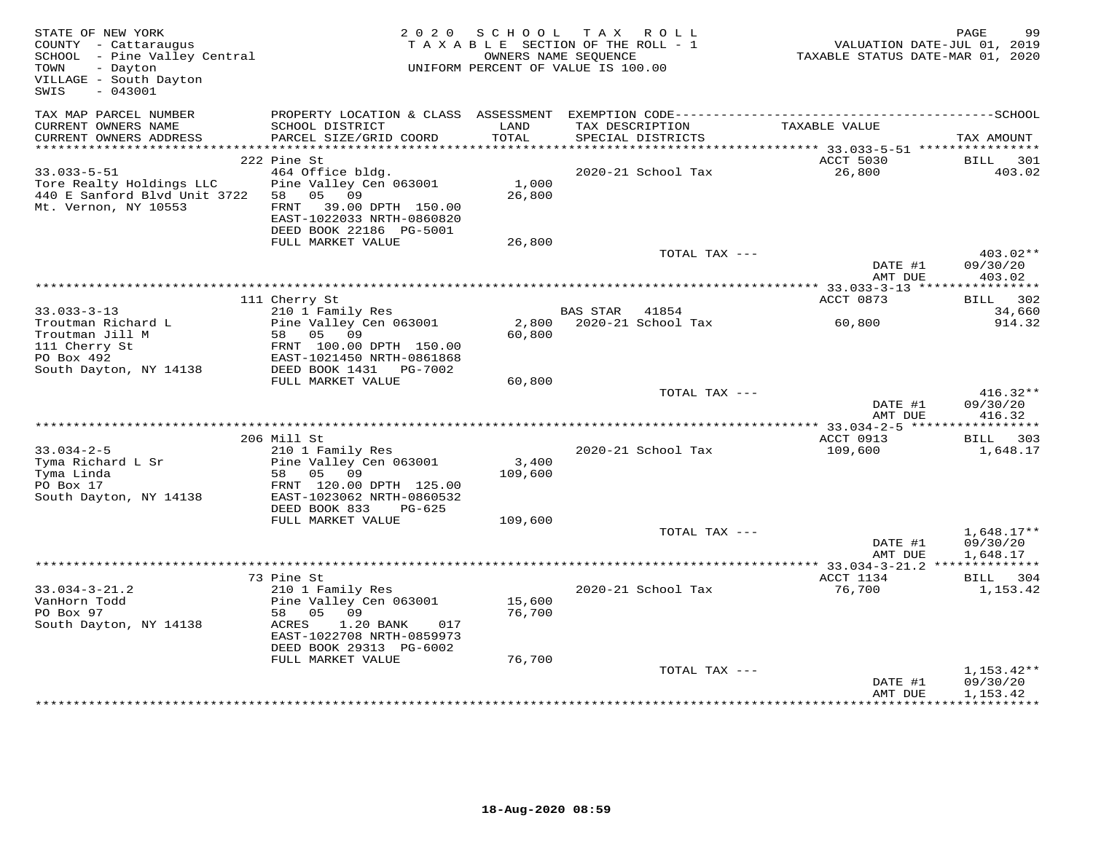| STATE OF NEW YORK<br>COUNTY - Cattaraugus<br>SCHOOL - Pine Valley Central<br>TOWN<br>- Dayton<br>VILLAGE - South Dayton<br>SWIS<br>$-043001$ | 2 0 2 0                                                                                                                                                       | S C H O O L      | T A X<br>R O L L<br>TAXABLE SECTION OF THE ROLL - 1<br>OWNERS NAME SEQUENCE<br>UNIFORM PERCENT OF VALUE IS 100.00 | VALUATION DATE-JUL 01, 2019<br>TAXABLE STATUS DATE-MAR 01, 2020 | PAGE<br>99                           |
|----------------------------------------------------------------------------------------------------------------------------------------------|---------------------------------------------------------------------------------------------------------------------------------------------------------------|------------------|-------------------------------------------------------------------------------------------------------------------|-----------------------------------------------------------------|--------------------------------------|
| TAX MAP PARCEL NUMBER<br>CURRENT OWNERS NAME<br>CURRENT OWNERS ADDRESS                                                                       | SCHOOL DISTRICT<br>PARCEL SIZE/GRID COORD                                                                                                                     | LAND<br>TOTAL    | TAX DESCRIPTION<br>SPECIAL DISTRICTS                                                                              | TAXABLE VALUE                                                   | TAX AMOUNT                           |
|                                                                                                                                              |                                                                                                                                                               |                  |                                                                                                                   |                                                                 |                                      |
| $33.033 - 5 - 51$<br>Tore Realty Holdings LLC<br>440 E Sanford Blvd Unit 3722<br>Mt. Vernon, NY 10553                                        | 222 Pine St<br>464 Office bldg.<br>Pine Valley Cen 063001<br>05 09<br>58<br>FRNT<br>39.00 DPTH 150.00<br>EAST-1022033 NRTH-0860820<br>DEED BOOK 22186 PG-5001 | 1,000<br>26,800  | 2020-21 School Tax                                                                                                | ACCT 5030<br>26,800                                             | BILL<br>301<br>403.02                |
|                                                                                                                                              | FULL MARKET VALUE                                                                                                                                             | 26,800           |                                                                                                                   |                                                                 |                                      |
|                                                                                                                                              |                                                                                                                                                               |                  | TOTAL TAX ---                                                                                                     | DATE #1<br>AMT DUE                                              | 403.02**<br>09/30/20<br>403.02       |
|                                                                                                                                              |                                                                                                                                                               |                  |                                                                                                                   | ******** 33.033-3-13 ****                                       | * * * * * * * * * * *                |
| $33.033 - 3 - 13$                                                                                                                            | 111 Cherry St<br>210 1 Family Res                                                                                                                             |                  | <b>BAS STAR</b><br>41854                                                                                          | ACCT 0873                                                       | 302<br>BILL<br>34,660                |
| Troutman Richard L<br>Troutman Jill M<br>111 Cherry St<br>PO Box 492<br>South Dayton, NY 14138                                               | Pine Valley Cen 063001<br>05 09<br>58<br>FRNT 100.00 DPTH 150.00<br>EAST-1021450 NRTH-0861868<br>DEED BOOK 1431<br>PG-7002                                    | 2,800<br>60,800  | 2020-21 School Tax                                                                                                | 60,800                                                          | 914.32                               |
|                                                                                                                                              | FULL MARKET VALUE                                                                                                                                             | 60,800           |                                                                                                                   |                                                                 |                                      |
|                                                                                                                                              |                                                                                                                                                               |                  | TOTAL TAX ---                                                                                                     | DATE #1<br>AMT DUE                                              | $416.32**$<br>09/30/20<br>416.32     |
|                                                                                                                                              |                                                                                                                                                               |                  |                                                                                                                   |                                                                 |                                      |
|                                                                                                                                              | 206 Mill St                                                                                                                                                   |                  |                                                                                                                   | ACCT 0913                                                       | BILL 303                             |
| $33.034 - 2 - 5$<br>Tyma Richard L Sr<br>Tyma Linda<br>PO Box 17<br>South Dayton, NY 14138                                                   | 210 1 Family Res<br>Pine Valley Cen 063001<br>05<br>09<br>58<br>FRNT 120.00 DPTH 125.00<br>EAST-1023062 NRTH-0860532                                          | 3,400<br>109,600 | 2020-21 School Tax                                                                                                | 109,600                                                         | 1,648.17                             |
|                                                                                                                                              | DEED BOOK 833<br>$PG-625$<br>FULL MARKET VALUE                                                                                                                | 109,600          |                                                                                                                   |                                                                 |                                      |
|                                                                                                                                              |                                                                                                                                                               |                  | TOTAL TAX ---                                                                                                     | DATE #1<br>AMT DUE                                              | $1,648.17**$<br>09/30/20<br>1,648.17 |
|                                                                                                                                              |                                                                                                                                                               |                  |                                                                                                                   |                                                                 |                                      |
|                                                                                                                                              | 73 Pine St                                                                                                                                                    |                  |                                                                                                                   | ACCT 1134                                                       | BILL 304                             |
| $33.034 - 3 - 21.2$<br>VanHorn Todd<br>PO Box 97<br>South Dayton, NY 14138                                                                   | 210 1 Family Res<br>Pine Valley Cen 063001<br>05<br>09<br>58<br>1.20 BANK<br>ACRES<br>017<br>EAST-1022708 NRTH-0859973<br>DEED BOOK 29313 PG-6002             | 15,600<br>76,700 | 2020-21 School Tax                                                                                                | 76,700                                                          | 1,153.42                             |
|                                                                                                                                              | FULL MARKET VALUE                                                                                                                                             | 76,700           | TOTAL TAX ---                                                                                                     | DATE #1<br>AMT DUE                                              | $1,153.42**$<br>09/30/20<br>1,153.42 |
|                                                                                                                                              |                                                                                                                                                               |                  |                                                                                                                   |                                                                 | * * * * * * * * * *                  |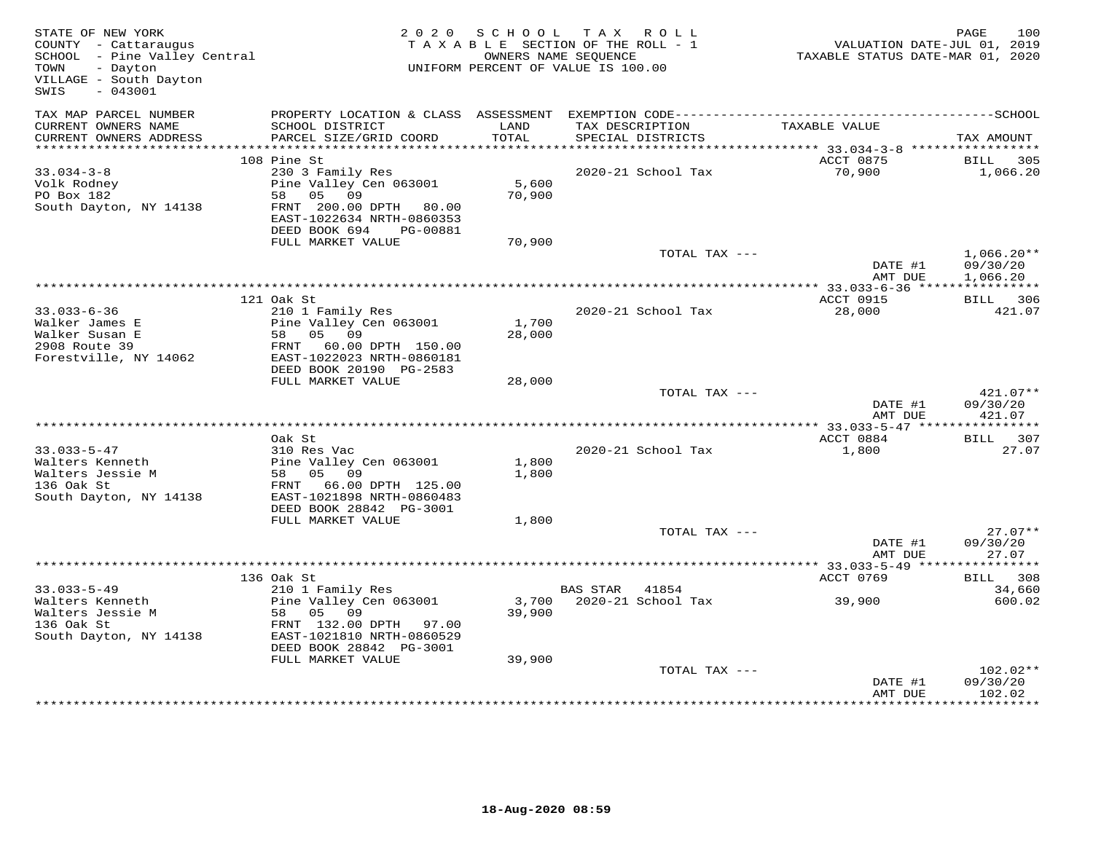| STATE OF NEW YORK<br>COUNTY - Cattaraugus<br>SCHOOL - Pine Valley Central<br>- Dayton<br>TOWN<br>VILLAGE - South Dayton<br>$-043001$<br>SWIS |                                                                                                                                                           | 2020 SCHOOL     | TAX ROLL<br>TAXABLE SECTION OF THE ROLL - 1<br>OWNERS NAME SEQUENCE<br>UNIFORM PERCENT OF VALUE IS 100.00 | VALUATION DATE-JUL 01, 2019<br>TAXABLE STATUS DATE-MAR 01, 2020 | PAGE<br>100                      |
|----------------------------------------------------------------------------------------------------------------------------------------------|-----------------------------------------------------------------------------------------------------------------------------------------------------------|-----------------|-----------------------------------------------------------------------------------------------------------|-----------------------------------------------------------------|----------------------------------|
| TAX MAP PARCEL NUMBER<br>CURRENT OWNERS NAME<br>CURRENT OWNERS ADDRESS                                                                       | PROPERTY LOCATION & CLASS ASSESSMENT<br>SCHOOL DISTRICT<br>PARCEL SIZE/GRID COORD                                                                         | LAND<br>TOTAL   | TAX DESCRIPTION<br>SPECIAL DISTRICTS                                                                      | TAXABLE VALUE                                                   | TAX AMOUNT                       |
|                                                                                                                                              |                                                                                                                                                           |                 |                                                                                                           |                                                                 |                                  |
| $33.034 - 3 - 8$<br>Volk Rodney<br>PO Box 182<br>South Dayton, NY 14138                                                                      | 108 Pine St<br>230 3 Family Res<br>Pine Valley Cen 063001<br>58 05 09<br>FRNT 200.00 DPTH 80.00<br>EAST-1022634 NRTH-0860353<br>DEED BOOK 694<br>PG-00881 | 5,600<br>70,900 | 2020-21 School Tax                                                                                        | ACCT 0875<br>70,900                                             | BILL 305<br>1,066.20             |
|                                                                                                                                              | FULL MARKET VALUE                                                                                                                                         | 70,900          | TOTAL TAX ---                                                                                             |                                                                 | $1,066.20**$                     |
|                                                                                                                                              |                                                                                                                                                           |                 |                                                                                                           | DATE #1<br>AMT DUE                                              | 09/30/20<br>1,066.20             |
|                                                                                                                                              |                                                                                                                                                           |                 |                                                                                                           | ************ 33.033-6-36 *****************                      |                                  |
| $33.033 - 6 - 36$<br>Walker James E<br>Walker Susan E<br>2908 Route 39<br>Forestville, NY 14062                                              | 121 Oak St<br>210 1 Family Res<br>Pine Valley Cen 063001<br>58 05 09<br>FRNT 60.00 DPTH 150.00<br>EAST-1022023 NRTH-0860181<br>DEED BOOK 20190 PG-2583    | 1,700<br>28,000 | 2020-21 School Tax                                                                                        | ACCT 0915<br>28,000                                             | <b>BILL</b> 306<br>421.07        |
|                                                                                                                                              | FULL MARKET VALUE                                                                                                                                         | 28,000          |                                                                                                           |                                                                 |                                  |
|                                                                                                                                              |                                                                                                                                                           |                 | TOTAL TAX ---                                                                                             | DATE #1<br>AMT DUE                                              | $421.07**$<br>09/30/20<br>421.07 |
|                                                                                                                                              |                                                                                                                                                           |                 |                                                                                                           |                                                                 |                                  |
| $33.033 - 5 - 47$<br>Walters Kenneth<br>Walters Jessie M<br>136 Oak St<br>South Dayton, NY 14138                                             | Oak St<br>310 Res Vac<br>Pine Valley Cen 063001<br>58 05 09<br>FRNT 66.00 DPTH 125.00<br>EAST-1021898 NRTH-0860483                                        | 1,800<br>1,800  | 2020-21 School Tax                                                                                        | ACCT 0884<br>1,800                                              | BILL 307<br>27.07                |
|                                                                                                                                              | DEED BOOK 28842 PG-3001                                                                                                                                   | 1,800           |                                                                                                           |                                                                 |                                  |
|                                                                                                                                              | FULL MARKET VALUE                                                                                                                                         |                 | TOTAL TAX ---                                                                                             | DATE #1<br>AMT DUE                                              | $27.07**$<br>09/30/20<br>27.07   |
|                                                                                                                                              |                                                                                                                                                           |                 |                                                                                                           |                                                                 |                                  |
|                                                                                                                                              | 136 Oak St                                                                                                                                                |                 |                                                                                                           | ACCT 0769                                                       | BILL 308                         |
| $33.033 - 5 - 49$<br>Walters Kenneth<br>Walters Jessie M<br>136 Oak St<br>South Dayton, NY 14138                                             | 210 1 Family Res<br>Pine Valley Cen 063001<br>58 05 09<br>FRNT 132.00 DPTH 97.00<br>EAST-1021810 NRTH-0860529                                             | 39,900          | BAS STAR 41854<br>3,700 2020-21 School Tax                                                                | 39,900                                                          | 34,660<br>600.02                 |
|                                                                                                                                              | DEED BOOK 28842 PG-3001<br>FULL MARKET VALUE                                                                                                              | 39,900          |                                                                                                           |                                                                 |                                  |
|                                                                                                                                              |                                                                                                                                                           |                 | TOTAL TAX ---                                                                                             | DATE #1<br>AMT DUE                                              | 102.02**<br>09/30/20<br>102.02   |
|                                                                                                                                              |                                                                                                                                                           |                 |                                                                                                           |                                                                 | **********                       |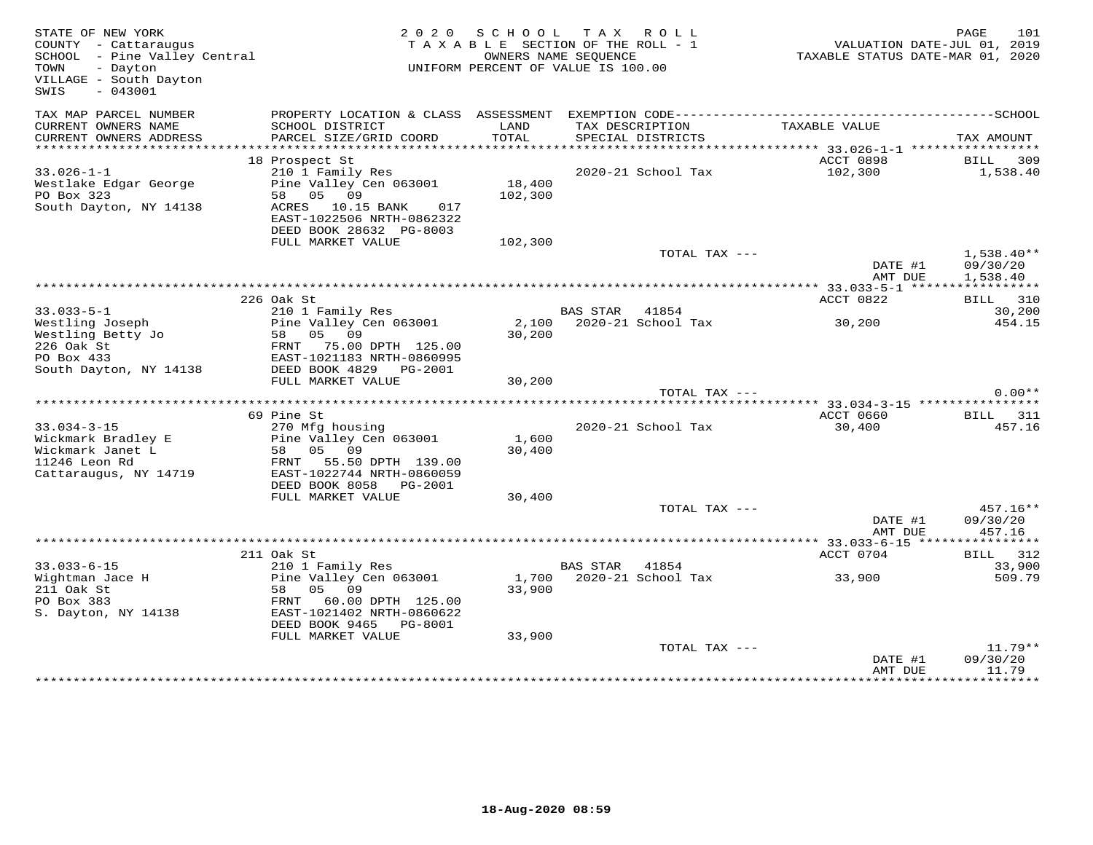| STATE OF NEW YORK<br>COUNTY - Cattaraugus<br>SCHOOL - Pine Valley Central<br>- Dayton<br>TOWN<br>VILLAGE - South Dayton<br>$-043001$<br>SWIS |                                                                                                                                                                            |                   | 2020 SCHOOL TAX ROLL<br>TAXABLE SECTION OF THE ROLL - 1<br>OWNERS NAME SEQUENCE<br>UNIFORM PERCENT OF VALUE IS 100.00 | VALUATION DATE-JUL 01, 2019<br>TAXABLE STATUS DATE-MAR 01, 2020 | 101<br>PAGE                          |
|----------------------------------------------------------------------------------------------------------------------------------------------|----------------------------------------------------------------------------------------------------------------------------------------------------------------------------|-------------------|-----------------------------------------------------------------------------------------------------------------------|-----------------------------------------------------------------|--------------------------------------|
| TAX MAP PARCEL NUMBER<br>CURRENT OWNERS NAME<br>CURRENT OWNERS ADDRESS                                                                       | PROPERTY LOCATION & CLASS ASSESSMENT<br>SCHOOL DISTRICT<br>PARCEL SIZE/GRID COORD                                                                                          | LAND<br>TOTAL     | TAX DESCRIPTION<br>SPECIAL DISTRICTS                                                                                  | TAXABLE VALUE                                                   | TAX AMOUNT                           |
| **********************                                                                                                                       | 18 Prospect St                                                                                                                                                             |                   |                                                                                                                       | ACCT 0898                                                       | <b>BILL</b> 309                      |
| $33.026 - 1 - 1$<br>Westlake Edgar George<br>PO Box 323<br>South Dayton, NY 14138                                                            | 210 1 Family Res<br>Pine Valley Cen 063001<br>58 05 09<br>ACRES 10.15 BANK 017<br>EAST-1022506 NRTH-0862322<br>DEED BOOK 28632 PG-8003                                     | 18,400<br>102,300 | 2020-21 School Tax                                                                                                    | 102,300                                                         | 1,538.40                             |
|                                                                                                                                              | FULL MARKET VALUE                                                                                                                                                          | 102,300           |                                                                                                                       |                                                                 |                                      |
|                                                                                                                                              |                                                                                                                                                                            |                   | TOTAL TAX ---                                                                                                         | DATE #1<br>AMT DUE                                              | $1,538.40**$<br>09/30/20<br>1,538.40 |
|                                                                                                                                              |                                                                                                                                                                            |                   |                                                                                                                       |                                                                 |                                      |
| $33.033 - 5 - 1$                                                                                                                             | 226 Oak St<br>210 1 Family Res                                                                                                                                             |                   | BAS STAR 41854                                                                                                        | ACCT 0822                                                       | BILL 310<br>30,200                   |
| Westling Joseph<br>Westling Betty Jo<br>226 Oak St<br>PO Box 433<br>South Dayton, NY 14138                                                   | Pine Valley Cen 063001<br>EAST-1021183 NRTH-0860995<br>DEED BOOK 4829    PG-2001                                                                                           | 30,200            | 2,100 2020-21 School Tax                                                                                              | 30,200                                                          | 454.15                               |
|                                                                                                                                              | FULL MARKET VALUE                                                                                                                                                          | 30,200            |                                                                                                                       |                                                                 |                                      |
|                                                                                                                                              |                                                                                                                                                                            |                   | TOTAL TAX ---                                                                                                         |                                                                 | $0.00**$                             |
|                                                                                                                                              | 69 Pine St                                                                                                                                                                 |                   |                                                                                                                       | ACCT 0660                                                       | BILL 311                             |
| $33.034 - 3 - 15$<br>Wickmark Bradley E<br>Wickmark Janet L<br>11246 Leon Rd<br>Cattaraugus, NY 14719                                        | 270 Mfg housing<br>Pine Valley Cen 063001<br>58 05 09<br>FRNT 55.50 DPTH 139.00<br>EAST-1022744 NRTH-0860059<br>DEED BOOK 8058 PG-2001                                     | 1,600<br>30,400   | 2020-21 School Tax                                                                                                    | 30,400                                                          | 457.16                               |
|                                                                                                                                              | FULL MARKET VALUE                                                                                                                                                          | 30,400            |                                                                                                                       |                                                                 |                                      |
|                                                                                                                                              |                                                                                                                                                                            |                   | TOTAL TAX ---                                                                                                         | DATE #1<br>AMT DUE                                              | 457.16**<br>09/30/20<br>457.16       |
|                                                                                                                                              |                                                                                                                                                                            |                   |                                                                                                                       |                                                                 |                                      |
| $33.033 - 6 - 15$<br>Wightman Jace H<br>211 Oak St<br>PO Box 383<br>S. Dayton, NY 14138                                                      | 211 Oak St<br>210 1 Family Res<br>Pine Valley Cen 063001<br>58 05 09<br>FRNT 60.00 DPTH 125.00<br>EAST-1021402 NRTH-0860622<br>DEED BOOK 9465 PG-8001<br>FULL MARKET VALUE | 33,900<br>33,900  | BAS STAR<br>41854<br>1,700 2020-21 School Tax                                                                         | ACCT 0704<br>33,900                                             | BILL 312<br>33,900<br>509.79         |
|                                                                                                                                              |                                                                                                                                                                            |                   | TOTAL TAX ---                                                                                                         | DATE #1<br>AMT DUE                                              | $11.79**$<br>09/30/20<br>11.79       |
|                                                                                                                                              |                                                                                                                                                                            |                   |                                                                                                                       |                                                                 |                                      |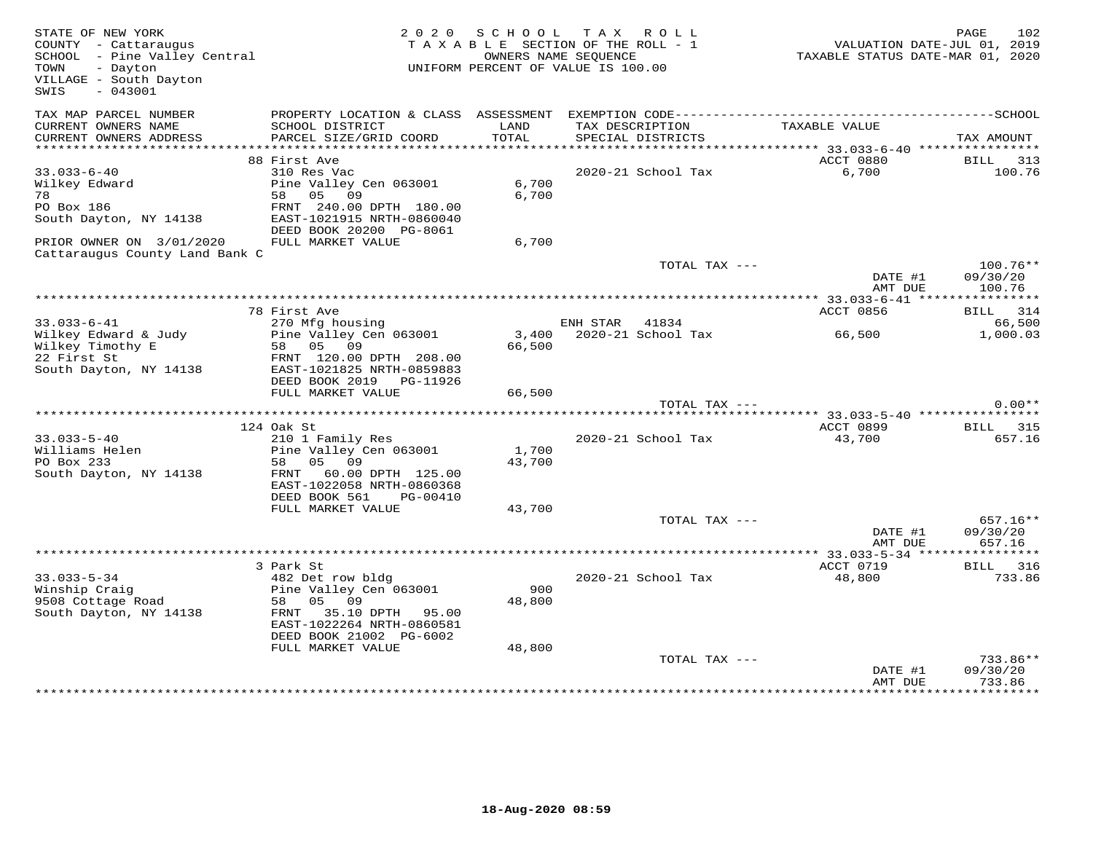| STATE OF NEW YORK<br>COUNTY - Cattaraugus<br>COUNTY - Cattaraugus<br>SCHOOL - Pine Valley Central<br>- Dayton<br>TOWN<br>VILLAGE - South Dayton<br>SWIS<br>$-043001$ |                                                                                              |                | 2020 SCHOOL TAX ROLL<br>TAXABLE SECTION OF THE ROLL - 1<br>OWNERS NAME SEQUENCE<br>UNIFORM PERCENT OF VALUE IS 100.00 | VALUATION DATE-JUL 01, 2019<br>TAXABLE STATUS DATE-MAR 01, 2020 | 102<br>PAGE                      |
|----------------------------------------------------------------------------------------------------------------------------------------------------------------------|----------------------------------------------------------------------------------------------|----------------|-----------------------------------------------------------------------------------------------------------------------|-----------------------------------------------------------------|----------------------------------|
| TAX MAP PARCEL NUMBER<br>CURRENT OWNERS NAME<br>CURRENT OWNERS ADDRESS                                                                                               | SCHOOL DISTRICT<br>PARCEL SIZE/GRID COORD                                                    | LAND<br>TOTAL  | TAX DESCRIPTION<br>SPECIAL DISTRICTS                                                                                  | TAXABLE VALUE                                                   | TAX AMOUNT                       |
|                                                                                                                                                                      |                                                                                              |                |                                                                                                                       |                                                                 |                                  |
| $33.033 - 6 - 40$                                                                                                                                                    | 88 First Ave<br>310 Res Vac                                                                  |                | 2020-21 School Tax                                                                                                    | ACCT 0880<br>6,700                                              | BILL 313<br>100.76               |
| Wilkey Edward<br>78                                                                                                                                                  | Pine Valley Cen 063001<br>58 05 09                                                           | 6,700<br>6,700 |                                                                                                                       |                                                                 |                                  |
|                                                                                                                                                                      | DEED BOOK 20200 PG-8061                                                                      |                |                                                                                                                       |                                                                 |                                  |
| PRIOR OWNER ON 3/01/2020<br>Cattaraugus County Land Bank C                                                                                                           | FULL MARKET VALUE                                                                            | 6,700          |                                                                                                                       |                                                                 |                                  |
|                                                                                                                                                                      |                                                                                              |                | TOTAL TAX ---                                                                                                         | DATE #1<br>AMT DUE                                              | $100.76**$<br>09/30/20<br>100.76 |
|                                                                                                                                                                      |                                                                                              |                |                                                                                                                       |                                                                 |                                  |
|                                                                                                                                                                      | 78 First Ave                                                                                 |                |                                                                                                                       | ACCT 0856                                                       | <b>BILL</b> 314                  |
| $33.033 - 6 - 41$<br>Wilkey Edward & Judy<br>Wilkey Timothy E<br>22 First St                                                                                         | 270 Mfg housing<br>Pine Valley Cen 063001                                                    | 66,500         | ENH STAR 41834<br>3,400 2020-21 School Tax                                                                            | 66,500                                                          | 66,500<br>1,000.03               |
| 22 First St<br>South Dayton, NY 14138 EAST-1021825 NRTH-0859883                                                                                                      | 58 05 09<br>FRNT 120.00 DPTH 208.00<br>DEED BOOK 2019 PG-11926                               |                |                                                                                                                       |                                                                 |                                  |
|                                                                                                                                                                      | FULL MARKET VALUE                                                                            | 66,500         |                                                                                                                       |                                                                 | $0.00**$                         |
|                                                                                                                                                                      |                                                                                              |                | TOTAL TAX ---                                                                                                         |                                                                 |                                  |
|                                                                                                                                                                      | 124 Oak St                                                                                   |                |                                                                                                                       | ACCT 0899 BILL 315                                              |                                  |
| $33.033 - 5 - 40$                                                                                                                                                    | 210 1 Family Res                                                                             |                | 2020-21 School Tax                                                                                                    | 43,700                                                          | 657.16                           |
| Williams Helen<br>Do Dox 233                                                                                                                                         | Pine Valley Cen 063001                                                                       | 1,700          |                                                                                                                       |                                                                 |                                  |
| South Dayton, NY 14138                                                                                                                                               | 58 05 09<br>FRNT 60.00 DPTH 125.00<br>EAST-1022058 NRTH-0860368<br>DEED BOOK 561<br>PG-00410 | 43,700         |                                                                                                                       |                                                                 |                                  |
|                                                                                                                                                                      | FULL MARKET VALUE                                                                            | 43,700         |                                                                                                                       |                                                                 |                                  |
|                                                                                                                                                                      |                                                                                              |                | TOTAL TAX ---                                                                                                         | DATE #1<br>AMT DUE                                              | $657.16**$<br>09/30/20<br>657.16 |
|                                                                                                                                                                      |                                                                                              |                |                                                                                                                       |                                                                 |                                  |
| $33.033 - 5 - 34$                                                                                                                                                    | 3 Park St<br>482 Det row bldg                                                                |                | 2020-21 School Tax                                                                                                    | ACCT 0719<br>48,800                                             | BILL 316<br>733.86               |
| Winship Craig<br>Minship Craig<br>9508 Cottage Road<br>South Dayton, NY 14138                                                                                        | Pine Valley Cen 063001<br>58 05 09<br>FRNT 35.10 DPTH 95.00<br>EAST-1022264 NRTH-0860581     | 900<br>48,800  |                                                                                                                       |                                                                 |                                  |
|                                                                                                                                                                      | DEED BOOK 21002 PG-6002<br>FULL MARKET VALUE                                                 | 48,800         |                                                                                                                       |                                                                 |                                  |
|                                                                                                                                                                      |                                                                                              |                | TOTAL TAX ---                                                                                                         | DATE #1<br>AMT DUE                                              | 733.86**<br>09/30/20<br>733.86   |
|                                                                                                                                                                      |                                                                                              |                |                                                                                                                       |                                                                 | **********                       |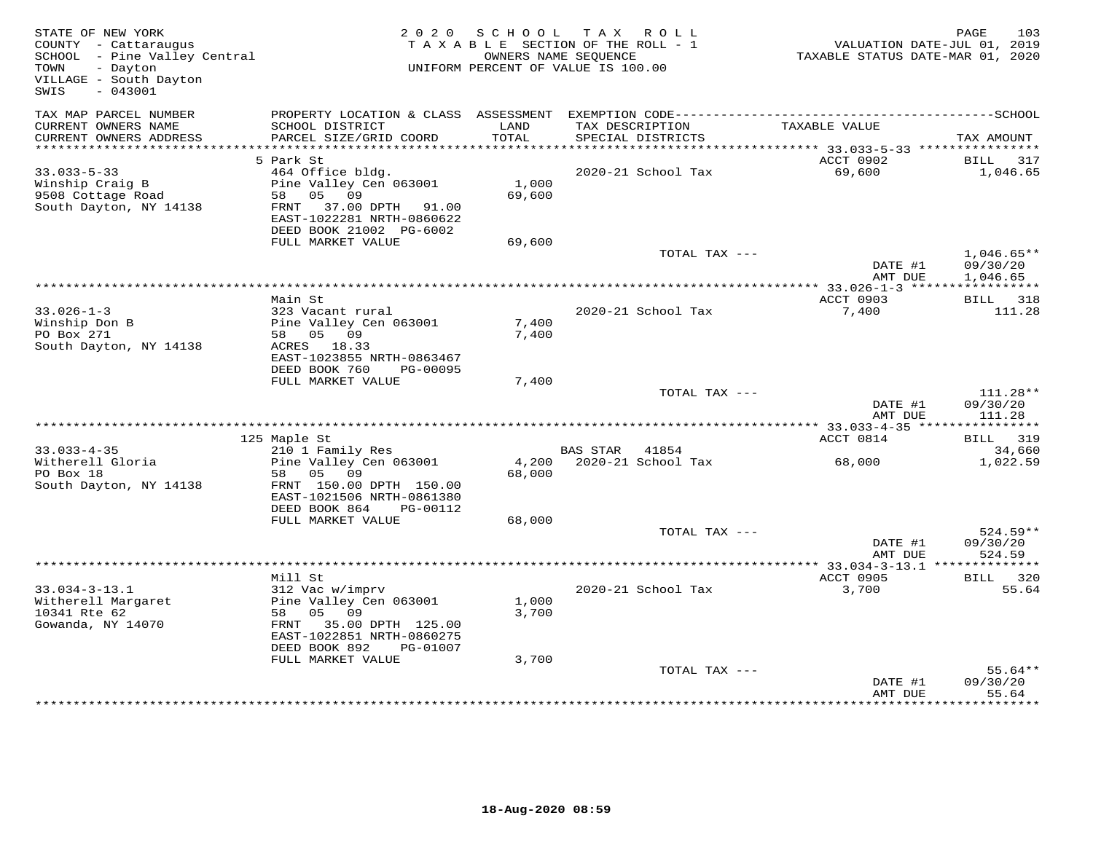| TAX MAP PARCEL NUMBER<br>PROPERTY LOCATION & CLASS ASSESSMENT<br>TAX DESCRIPTION<br>CURRENT OWNERS NAME<br>SCHOOL DISTRICT<br>LAND<br>TAXABLE VALUE<br>CURRENT OWNERS ADDRESS<br>PARCEL SIZE/GRID COORD<br>TOTAL<br>SPECIAL DISTRICTS<br>************************<br>5 Park St<br>ACCT 0902<br>BILL<br>$33.033 - 5 - 33$<br>464 Office bldg.<br>2020-21 School Tax<br>69,600<br>1,000<br>Winship Craig B<br>Pine Valley Cen 063001<br>69,600<br>9508 Cottage Road<br>58 05 09<br>South Dayton, NY 14138<br>FRNT 37.00 DPTH 91.00<br>EAST-1022281 NRTH-0860622<br>DEED BOOK 21002 PG-6002<br>FULL MARKET VALUE<br>69,600<br>TOTAL TAX ---<br>DATE #1<br>AMT DUE<br>ACCT 0903<br>Main St<br>$33.026 - 1 - 3$<br>323 Vacant rural<br>2020-21 School Tax<br>7,400<br>Pine Valley Cen 063001<br>Winship Don B<br>7,400<br>PO Box 271<br>58 05 09<br>7,400<br>South Dayton, NY 14138<br>ACRES 18.33<br>EAST-1023855 NRTH-0863467<br>DEED BOOK 760<br>PG-00095<br>FULL MARKET VALUE<br>7,400<br>TOTAL TAX ---<br>DATE #1<br>AMT DUE<br>ACCT 0814<br>125 Maple St<br>$33.033 - 4 - 35$<br>210 1 Family Res<br>BAS STAR 41854<br>Witherell Gloria<br>Pine Valley Cen 063001<br>4,200 2020-21 School Tax<br>68,000<br>PO Box 18<br>58 05 09<br>68,000<br>South Dayton, NY 14138<br>FRNT 150.00 DPTH 150.00<br>EAST-1021506 NRTH-0861380<br>DEED BOOK 864<br>PG-00112<br>FULL MARKET VALUE<br>68,000<br>TOTAL TAX ---<br>DATE #1<br>AMT DUE<br>************ 33.034-3-13.1 *<br>Mill St<br>ACCT 0905<br>$33.034 - 3 - 13.1$<br>312 Vac w/imprv<br>2020-21 School Tax<br>3,700<br>Witherell Margaret<br>Pine Valley Cen 063001<br>1,000<br>58 05 09<br>10341 Rte 62<br>3,700<br>Gowanda, NY 14070<br>FRNT 35.00 DPTH 125.00<br>EAST-1022851 NRTH-0860275<br>DEED BOOK 892<br>PG-01007<br>FULL MARKET VALUE<br>3,700 | STATE OF NEW YORK<br>COUNTY - Cattaraugus<br>SCHOOL - Pine Valley Central<br>- Dayton<br>TOWN<br>VILLAGE - South Dayton<br>$-043001$<br>SWIS | 2020 SCHOOL | TAX ROLL<br>TAXABLE SECTION OF THE ROLL - 1<br>OWNERS NAME SEQUENCE<br>UNIFORM PERCENT OF VALUE IS 100.00 | VALUATION DATE-JUL 01, 2019<br>TAXABLE STATUS DATE-MAR 01, 2020 | 103<br>PAGE                    |
|--------------------------------------------------------------------------------------------------------------------------------------------------------------------------------------------------------------------------------------------------------------------------------------------------------------------------------------------------------------------------------------------------------------------------------------------------------------------------------------------------------------------------------------------------------------------------------------------------------------------------------------------------------------------------------------------------------------------------------------------------------------------------------------------------------------------------------------------------------------------------------------------------------------------------------------------------------------------------------------------------------------------------------------------------------------------------------------------------------------------------------------------------------------------------------------------------------------------------------------------------------------------------------------------------------------------------------------------------------------------------------------------------------------------------------------------------------------------------------------------------------------------------------------------------------------------------------------------------------------------------------------------------------------------------------------------------------------------------------------------------------------------------------------------------------|----------------------------------------------------------------------------------------------------------------------------------------------|-------------|-----------------------------------------------------------------------------------------------------------|-----------------------------------------------------------------|--------------------------------|
|                                                                                                                                                                                                                                                                                                                                                                                                                                                                                                                                                                                                                                                                                                                                                                                                                                                                                                                                                                                                                                                                                                                                                                                                                                                                                                                                                                                                                                                                                                                                                                                                                                                                                                                                                                                                        |                                                                                                                                              |             |                                                                                                           |                                                                 | TAX AMOUNT                     |
|                                                                                                                                                                                                                                                                                                                                                                                                                                                                                                                                                                                                                                                                                                                                                                                                                                                                                                                                                                                                                                                                                                                                                                                                                                                                                                                                                                                                                                                                                                                                                                                                                                                                                                                                                                                                        |                                                                                                                                              |             |                                                                                                           |                                                                 |                                |
|                                                                                                                                                                                                                                                                                                                                                                                                                                                                                                                                                                                                                                                                                                                                                                                                                                                                                                                                                                                                                                                                                                                                                                                                                                                                                                                                                                                                                                                                                                                                                                                                                                                                                                                                                                                                        |                                                                                                                                              |             |                                                                                                           |                                                                 | 317<br>1,046.65                |
|                                                                                                                                                                                                                                                                                                                                                                                                                                                                                                                                                                                                                                                                                                                                                                                                                                                                                                                                                                                                                                                                                                                                                                                                                                                                                                                                                                                                                                                                                                                                                                                                                                                                                                                                                                                                        |                                                                                                                                              |             |                                                                                                           |                                                                 | $1,046.65**$<br>09/30/20       |
|                                                                                                                                                                                                                                                                                                                                                                                                                                                                                                                                                                                                                                                                                                                                                                                                                                                                                                                                                                                                                                                                                                                                                                                                                                                                                                                                                                                                                                                                                                                                                                                                                                                                                                                                                                                                        |                                                                                                                                              |             |                                                                                                           |                                                                 | 1,046.65                       |
|                                                                                                                                                                                                                                                                                                                                                                                                                                                                                                                                                                                                                                                                                                                                                                                                                                                                                                                                                                                                                                                                                                                                                                                                                                                                                                                                                                                                                                                                                                                                                                                                                                                                                                                                                                                                        |                                                                                                                                              |             |                                                                                                           |                                                                 |                                |
|                                                                                                                                                                                                                                                                                                                                                                                                                                                                                                                                                                                                                                                                                                                                                                                                                                                                                                                                                                                                                                                                                                                                                                                                                                                                                                                                                                                                                                                                                                                                                                                                                                                                                                                                                                                                        |                                                                                                                                              |             |                                                                                                           |                                                                 | BILL 318<br>111.28             |
|                                                                                                                                                                                                                                                                                                                                                                                                                                                                                                                                                                                                                                                                                                                                                                                                                                                                                                                                                                                                                                                                                                                                                                                                                                                                                                                                                                                                                                                                                                                                                                                                                                                                                                                                                                                                        |                                                                                                                                              |             |                                                                                                           |                                                                 |                                |
|                                                                                                                                                                                                                                                                                                                                                                                                                                                                                                                                                                                                                                                                                                                                                                                                                                                                                                                                                                                                                                                                                                                                                                                                                                                                                                                                                                                                                                                                                                                                                                                                                                                                                                                                                                                                        |                                                                                                                                              |             |                                                                                                           |                                                                 | 111.28**<br>09/30/20<br>111.28 |
|                                                                                                                                                                                                                                                                                                                                                                                                                                                                                                                                                                                                                                                                                                                                                                                                                                                                                                                                                                                                                                                                                                                                                                                                                                                                                                                                                                                                                                                                                                                                                                                                                                                                                                                                                                                                        |                                                                                                                                              |             |                                                                                                           |                                                                 | BILL 319                       |
|                                                                                                                                                                                                                                                                                                                                                                                                                                                                                                                                                                                                                                                                                                                                                                                                                                                                                                                                                                                                                                                                                                                                                                                                                                                                                                                                                                                                                                                                                                                                                                                                                                                                                                                                                                                                        |                                                                                                                                              |             |                                                                                                           |                                                                 | 34,660                         |
|                                                                                                                                                                                                                                                                                                                                                                                                                                                                                                                                                                                                                                                                                                                                                                                                                                                                                                                                                                                                                                                                                                                                                                                                                                                                                                                                                                                                                                                                                                                                                                                                                                                                                                                                                                                                        |                                                                                                                                              |             |                                                                                                           |                                                                 | 1,022.59                       |
|                                                                                                                                                                                                                                                                                                                                                                                                                                                                                                                                                                                                                                                                                                                                                                                                                                                                                                                                                                                                                                                                                                                                                                                                                                                                                                                                                                                                                                                                                                                                                                                                                                                                                                                                                                                                        |                                                                                                                                              |             |                                                                                                           |                                                                 | $524.59**$                     |
|                                                                                                                                                                                                                                                                                                                                                                                                                                                                                                                                                                                                                                                                                                                                                                                                                                                                                                                                                                                                                                                                                                                                                                                                                                                                                                                                                                                                                                                                                                                                                                                                                                                                                                                                                                                                        |                                                                                                                                              |             |                                                                                                           |                                                                 | 09/30/20<br>524.59             |
|                                                                                                                                                                                                                                                                                                                                                                                                                                                                                                                                                                                                                                                                                                                                                                                                                                                                                                                                                                                                                                                                                                                                                                                                                                                                                                                                                                                                                                                                                                                                                                                                                                                                                                                                                                                                        |                                                                                                                                              |             |                                                                                                           |                                                                 | * * * * * * * * * * * *        |
|                                                                                                                                                                                                                                                                                                                                                                                                                                                                                                                                                                                                                                                                                                                                                                                                                                                                                                                                                                                                                                                                                                                                                                                                                                                                                                                                                                                                                                                                                                                                                                                                                                                                                                                                                                                                        |                                                                                                                                              |             |                                                                                                           |                                                                 | BILL 320<br>55.64              |
| TOTAL TAX ---<br>DATE #1<br>AMT DUE                                                                                                                                                                                                                                                                                                                                                                                                                                                                                                                                                                                                                                                                                                                                                                                                                                                                                                                                                                                                                                                                                                                                                                                                                                                                                                                                                                                                                                                                                                                                                                                                                                                                                                                                                                    |                                                                                                                                              |             |                                                                                                           |                                                                 | $55.64**$<br>09/30/20<br>55.64 |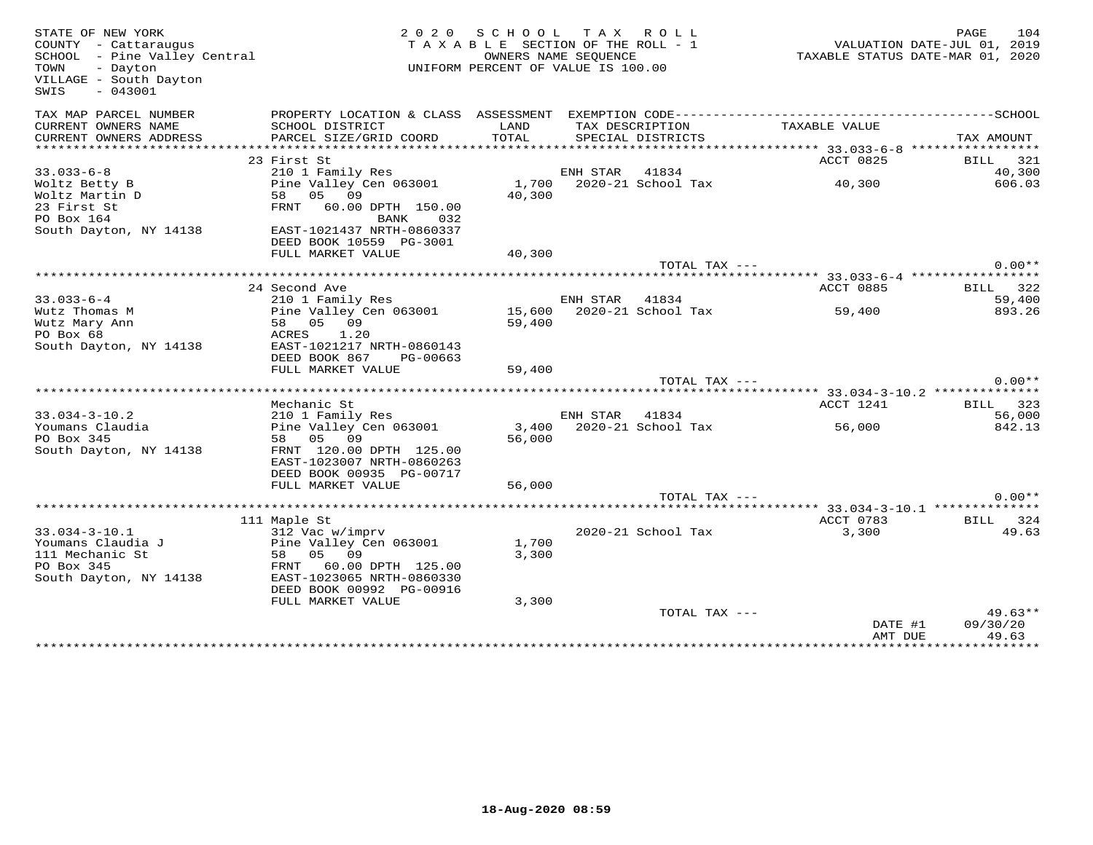| STATE OF NEW YORK<br>COUNTY - Cattaraugus<br>SCHOOL - Pine Valley Central<br>- Dayton<br>TOWN<br>VILLAGE - South Dayton<br>SWIS<br>$-043001$ |                                                      | 2020 SCHOOL TAX ROLL<br>TAXABLE SECTION OF THE ROLL - 1<br>OWNERS NAME SEQUENCE<br>UNIFORM PERCENT OF VALUE IS 100.00 |                |                    | VALUATION DATE-JUL 01, 2019<br>TAXABLE STATUS DATE-MAR 01, 2020 | PAGE       | 104       |
|----------------------------------------------------------------------------------------------------------------------------------------------|------------------------------------------------------|-----------------------------------------------------------------------------------------------------------------------|----------------|--------------------|-----------------------------------------------------------------|------------|-----------|
| TAX MAP PARCEL NUMBER                                                                                                                        |                                                      |                                                                                                                       |                |                    |                                                                 |            |           |
| CURRENT OWNERS NAME                                                                                                                          | SCHOOL DISTRICT                                      | LAND                                                                                                                  |                | TAX DESCRIPTION    | TAXABLE VALUE                                                   |            |           |
| CURRENT OWNERS ADDRESS                                                                                                                       | PARCEL SIZE/GRID COORD                               | TOTAL                                                                                                                 |                | SPECIAL DISTRICTS  |                                                                 | TAX AMOUNT |           |
|                                                                                                                                              |                                                      |                                                                                                                       |                |                    |                                                                 |            |           |
|                                                                                                                                              | 23 First St                                          |                                                                                                                       |                |                    | ACCT 0825                                                       |            | BILL 321  |
| $33.033 - 6 - 8$                                                                                                                             | 210 1 Family Res                                     |                                                                                                                       | ENH STAR       | 41834              |                                                                 |            | 40,300    |
| Woltz Betty B                                                                                                                                | Pine Valley Cen 063001                               | 1,700                                                                                                                 |                | 2020-21 School Tax | 40,300                                                          |            | 606.03    |
| Woltz Martin D                                                                                                                               | 58 05 09                                             | 40,300                                                                                                                |                |                    |                                                                 |            |           |
| 23 First St                                                                                                                                  | FRNT<br>60.00 DPTH 150.00                            |                                                                                                                       |                |                    |                                                                 |            |           |
| PO Box 164                                                                                                                                   | BANK<br>032                                          |                                                                                                                       |                |                    |                                                                 |            |           |
| South Dayton, NY 14138                                                                                                                       | EAST-1021437 NRTH-0860337<br>DEED BOOK 10559 PG-3001 |                                                                                                                       |                |                    |                                                                 |            |           |
|                                                                                                                                              | FULL MARKET VALUE                                    | 40,300                                                                                                                |                |                    |                                                                 |            |           |
|                                                                                                                                              |                                                      |                                                                                                                       |                | TOTAL TAX ---      |                                                                 |            | $0.00**$  |
|                                                                                                                                              |                                                      |                                                                                                                       |                |                    |                                                                 |            |           |
|                                                                                                                                              | 24 Second Ave                                        |                                                                                                                       |                |                    | ACCT 0885                                                       |            | BILL 322  |
| $33.033 - 6 - 4$                                                                                                                             | 210 1 Family Res                                     |                                                                                                                       | ENH STAR 41834 |                    |                                                                 |            | 59,400    |
| Wutz Thomas M                                                                                                                                | Pine Valley Cen 063001                               | 15,600                                                                                                                |                | 2020-21 School Tax | 59,400                                                          |            | 893.26    |
| Wutz Mary Ann                                                                                                                                | 58 05 09                                             | 59,400                                                                                                                |                |                    |                                                                 |            |           |
| PO Box 68                                                                                                                                    | ACRES 1.20                                           |                                                                                                                       |                |                    |                                                                 |            |           |
| South Dayton, NY 14138                                                                                                                       | EAST-1021217 NRTH-0860143                            |                                                                                                                       |                |                    |                                                                 |            |           |
|                                                                                                                                              | DEED BOOK 867<br>PG-00663                            |                                                                                                                       |                |                    |                                                                 |            |           |
|                                                                                                                                              | FULL MARKET VALUE                                    | 59,400                                                                                                                |                |                    |                                                                 |            |           |
|                                                                                                                                              |                                                      |                                                                                                                       |                | TOTAL TAX ---      |                                                                 |            | $0.00**$  |
|                                                                                                                                              |                                                      |                                                                                                                       |                |                    |                                                                 |            |           |
|                                                                                                                                              | Mechanic St                                          |                                                                                                                       |                |                    | ACCT 1241                                                       |            | BILL 323  |
| $33.034 - 3 - 10.2$                                                                                                                          | 210 1 Family Res                                     |                                                                                                                       | ENH STAR 41834 |                    |                                                                 |            | 56,000    |
| Youmans Claudia                                                                                                                              | Pine Valley Cen 063001                               | 3,400                                                                                                                 |                | 2020-21 School Tax | 56,000                                                          |            | 842.13    |
| PO Box 345                                                                                                                                   | 58 05 09                                             | 56,000                                                                                                                |                |                    |                                                                 |            |           |
| South Dayton, NY 14138                                                                                                                       | FRNT 120.00 DPTH 125.00                              |                                                                                                                       |                |                    |                                                                 |            |           |
|                                                                                                                                              | EAST-1023007 NRTH-0860263                            |                                                                                                                       |                |                    |                                                                 |            |           |
|                                                                                                                                              | DEED BOOK 00935 PG-00717<br>FULL MARKET VALUE        | 56,000                                                                                                                |                |                    |                                                                 |            |           |
|                                                                                                                                              |                                                      |                                                                                                                       |                | TOTAL TAX ---      |                                                                 |            | $0.00**$  |
|                                                                                                                                              |                                                      |                                                                                                                       |                |                    |                                                                 |            |           |
|                                                                                                                                              | 111 Maple St                                         |                                                                                                                       |                |                    | ACCT 0783                                                       |            | BILL 324  |
| $33.034 - 3 - 10.1$                                                                                                                          | 312 Vac w/imprv                                      |                                                                                                                       |                | 2020-21 School Tax | 3,300                                                           |            | 49.63     |
| Youmans Claudia J                                                                                                                            | Pine Valley Cen 063001                               | 1,700                                                                                                                 |                |                    |                                                                 |            |           |
| 111 Mechanic St                                                                                                                              | 58 05 09                                             | 3,300                                                                                                                 |                |                    |                                                                 |            |           |
| PO Box 345                                                                                                                                   | FRNT 60.00 DPTH 125.00                               |                                                                                                                       |                |                    |                                                                 |            |           |
| South Dayton, NY 14138                                                                                                                       | EAST-1023065 NRTH-0860330                            |                                                                                                                       |                |                    |                                                                 |            |           |
|                                                                                                                                              | DEED BOOK 00992 PG-00916                             |                                                                                                                       |                |                    |                                                                 |            |           |
|                                                                                                                                              | FULL MARKET VALUE                                    | 3,300                                                                                                                 |                |                    |                                                                 |            |           |
|                                                                                                                                              |                                                      |                                                                                                                       |                | TOTAL TAX ---      |                                                                 |            | $49.63**$ |
|                                                                                                                                              |                                                      |                                                                                                                       |                |                    | DATE #1                                                         | 09/30/20   |           |
|                                                                                                                                              |                                                      |                                                                                                                       |                |                    | AMT DUE                                                         |            | 49.63     |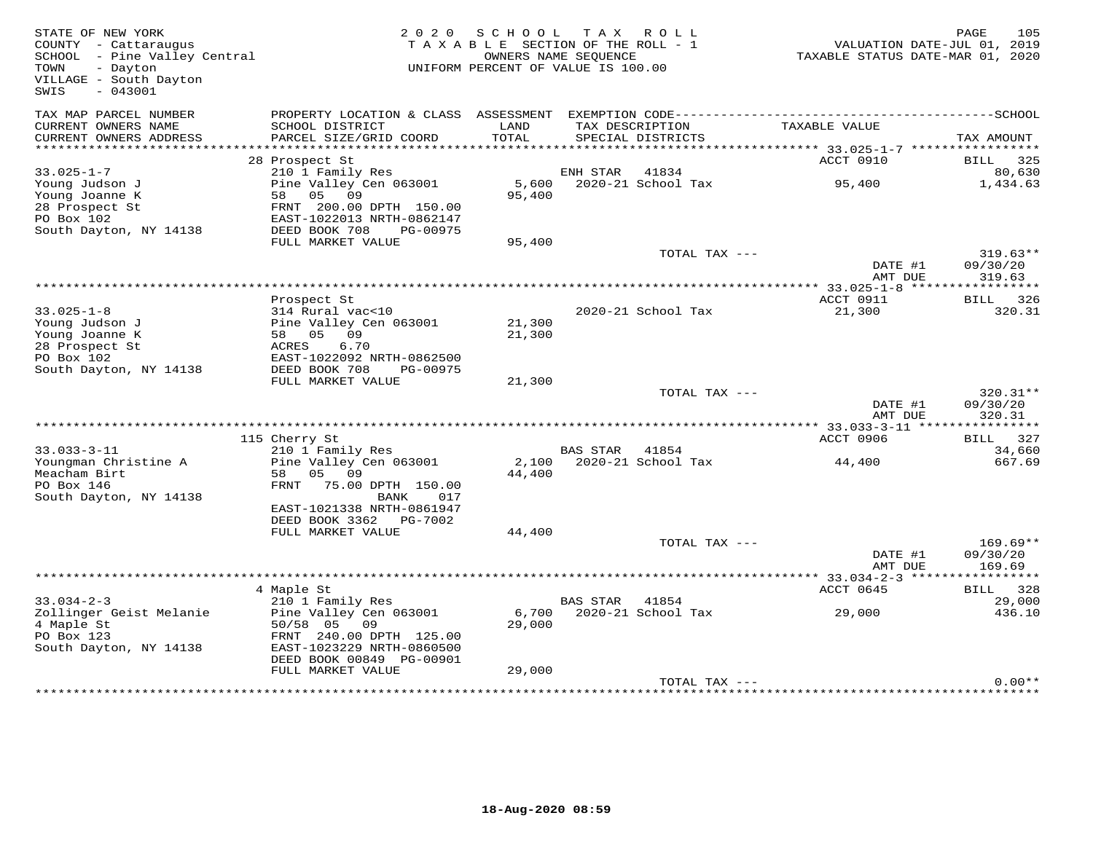| STATE OF NEW YORK<br>COUNTY - Cattaraugus<br>SCHOOL - Pine Valley Central<br>TOWN<br>- Dayton<br>VILLAGE - South Dayton<br>$-043001$<br>SWIS | 2 0 2 0                                                                           | S C H O O L<br>TAXABLE SECTION OF THE ROLL - 1<br>OWNERS NAME SEQUENCE<br>UNIFORM PERCENT OF VALUE IS 100.00 | T A X           | R O L L                              | TAXABLE STATUS DATE-MAR 01, 2020 | PAGE<br>VALUATION DATE-JUL 01, 2019 | 105              |
|----------------------------------------------------------------------------------------------------------------------------------------------|-----------------------------------------------------------------------------------|--------------------------------------------------------------------------------------------------------------|-----------------|--------------------------------------|----------------------------------|-------------------------------------|------------------|
| TAX MAP PARCEL NUMBER<br>CURRENT OWNERS NAME<br>CURRENT OWNERS ADDRESS                                                                       | PROPERTY LOCATION & CLASS ASSESSMENT<br>SCHOOL DISTRICT<br>PARCEL SIZE/GRID COORD | LAND<br>TOTAL                                                                                                |                 | TAX DESCRIPTION<br>SPECIAL DISTRICTS | TAXABLE VALUE                    | TAX AMOUNT                          |                  |
|                                                                                                                                              |                                                                                   |                                                                                                              |                 |                                      |                                  |                                     |                  |
|                                                                                                                                              | 28 Prospect St                                                                    |                                                                                                              |                 |                                      | ACCT 0910                        | BILL 325                            |                  |
| $33.025 - 1 - 7$                                                                                                                             | 210 1 Family Res                                                                  |                                                                                                              | ENH STAR 41834  |                                      |                                  |                                     | 80,630           |
| Young Judson J<br>Young Joanne K<br>28 Prospect St                                                                                           | Pine Valley Cen 063001<br>58 05<br>09<br>FRNT 200.00 DPTH 150.00                  | 95,400                                                                                                       |                 | 5,600 2020-21 School Tax             | 95,400                           |                                     | 1,434.63         |
| PO Box 102<br>South Dayton, NY 14138                                                                                                         | EAST-1022013 NRTH-0862147<br>DEED BOOK 708<br>PG-00975                            |                                                                                                              |                 |                                      |                                  |                                     |                  |
|                                                                                                                                              | FULL MARKET VALUE                                                                 | 95,400                                                                                                       |                 |                                      |                                  |                                     |                  |
|                                                                                                                                              |                                                                                   |                                                                                                              |                 | TOTAL TAX ---                        | DATE #1<br>AMT DUE               | 09/30/20<br>319.63                  | $319.63**$       |
|                                                                                                                                              |                                                                                   |                                                                                                              |                 |                                      |                                  |                                     |                  |
|                                                                                                                                              | Prospect St                                                                       |                                                                                                              |                 |                                      | ACCT 0911                        | BILL                                | 326              |
| $33.025 - 1 - 8$                                                                                                                             | 314 Rural vac<10                                                                  |                                                                                                              |                 | 2020-21 School Tax                   | 21,300                           |                                     | 320.31           |
| Young Judson J<br>Young Joanne K                                                                                                             | Pine Valley Cen 063001<br>58 05 09                                                | 21,300<br>21,300                                                                                             |                 |                                      |                                  |                                     |                  |
| 28 Prospect St                                                                                                                               | 6.70<br>ACRES                                                                     |                                                                                                              |                 |                                      |                                  |                                     |                  |
| PO Box 102                                                                                                                                   | EAST-1022092 NRTH-0862500                                                         |                                                                                                              |                 |                                      |                                  |                                     |                  |
| South Dayton, NY 14138                                                                                                                       | DEED BOOK 708<br>PG-00975                                                         |                                                                                                              |                 |                                      |                                  |                                     |                  |
|                                                                                                                                              | FULL MARKET VALUE                                                                 | 21,300                                                                                                       |                 |                                      |                                  |                                     |                  |
|                                                                                                                                              |                                                                                   |                                                                                                              |                 | TOTAL TAX ---                        | DATE #1                          | 09/30/20                            | $320.31**$       |
|                                                                                                                                              |                                                                                   |                                                                                                              |                 |                                      | AMT DUE                          | 320.31                              |                  |
|                                                                                                                                              |                                                                                   |                                                                                                              |                 |                                      |                                  |                                     |                  |
|                                                                                                                                              | 115 Cherry St                                                                     |                                                                                                              |                 |                                      | ACCT 0906                        | BILL                                | 327              |
| $33.033 - 3 - 11$<br>Youngman Christine A                                                                                                    | 210 1 Family Res<br>Pine Valley Cen 063001                                        | 2,100                                                                                                        | BAS STAR        | 41854<br>2020-21 School Tax          | 44,400                           |                                     | 34,660<br>667.69 |
| Meacham Birt<br>PO Box 146                                                                                                                   | 05 09<br>58<br>FRNT<br>75.00 DPTH 150.00                                          | 44,400                                                                                                       |                 |                                      |                                  |                                     |                  |
| South Dayton, NY 14138                                                                                                                       | BANK<br>017<br>EAST-1021338 NRTH-0861947<br>DEED BOOK 3362<br>PG-7002             |                                                                                                              |                 |                                      |                                  |                                     |                  |
|                                                                                                                                              | FULL MARKET VALUE                                                                 | 44,400                                                                                                       |                 |                                      |                                  |                                     |                  |
|                                                                                                                                              |                                                                                   |                                                                                                              |                 | TOTAL TAX ---                        | DATE #1                          | 09/30/20                            | $169.69**$       |
|                                                                                                                                              |                                                                                   |                                                                                                              |                 |                                      | AMT DUE                          | 169.69                              |                  |
|                                                                                                                                              | 4 Maple St                                                                        |                                                                                                              |                 |                                      | ACCT 0645                        | BILL 328                            |                  |
| $33.034 - 2 - 3$                                                                                                                             | 210 1 Family Res                                                                  |                                                                                                              | <b>BAS STAR</b> | 41854                                |                                  |                                     | 29,000           |
| Zollinger Geist Melanie                                                                                                                      | Pine Valley Cen 063001                                                            | 6,700                                                                                                        |                 | 2020-21 School Tax                   | 29,000                           |                                     | 436.10           |
| 4 Maple St<br>PO Box 123                                                                                                                     | 50/58 05<br>09<br>FRNT 240.00 DPTH 125.00                                         | 29,000                                                                                                       |                 |                                      |                                  |                                     |                  |
| South Dayton, NY 14138                                                                                                                       | EAST-1023229 NRTH-0860500                                                         |                                                                                                              |                 |                                      |                                  |                                     |                  |
|                                                                                                                                              | DEED BOOK 00849 PG-00901                                                          |                                                                                                              |                 |                                      |                                  |                                     |                  |
|                                                                                                                                              | FULL MARKET VALUE                                                                 | 29,000                                                                                                       |                 |                                      |                                  |                                     |                  |
|                                                                                                                                              |                                                                                   |                                                                                                              |                 | TOTAL TAX ---                        |                                  |                                     | $0.00**$         |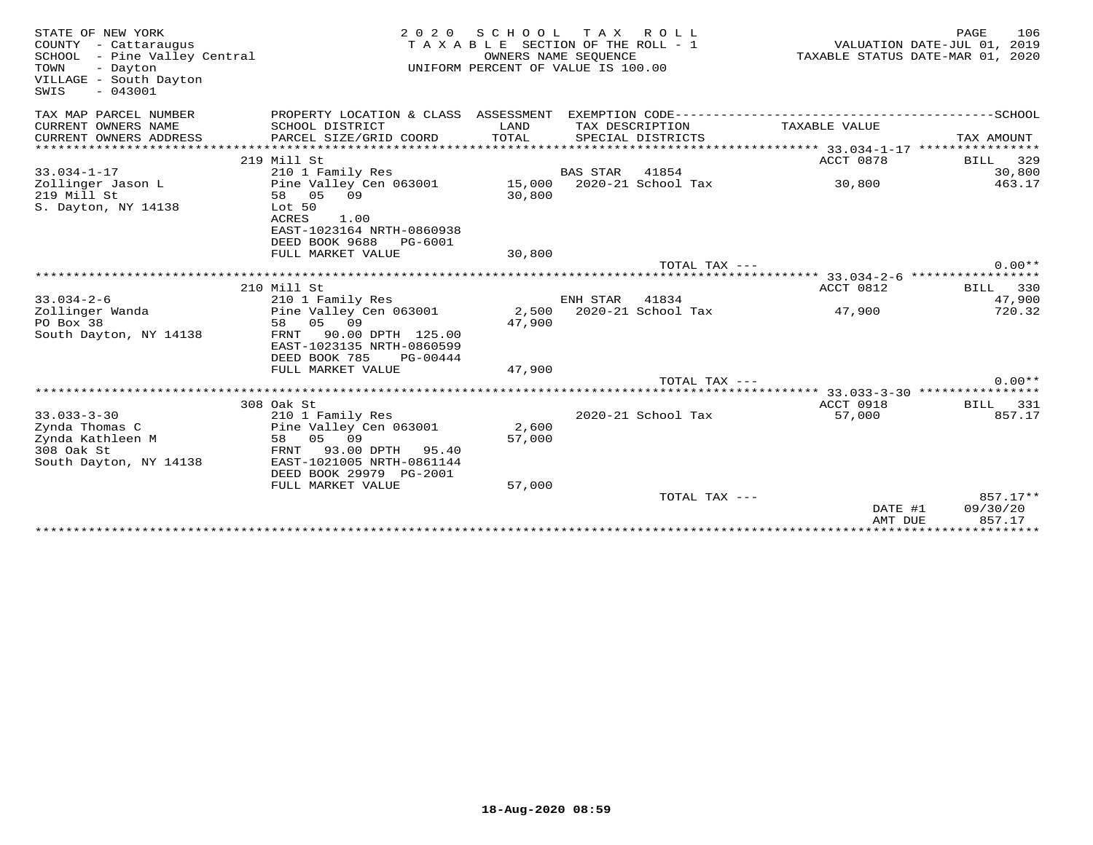| STATE OF NEW YORK<br>COUNTY - Cattaraugus<br>SCHOOL - Pine Valley Central<br>TOWN<br>- Dayton<br>VILLAGE - South Dayton<br>$-043001$<br>SWIS | 2 0 2 0                                                                | SCHOOL           | TAX ROLL<br>TAXABLE SECTION OF THE ROLL - 1<br>OWNERS NAME SEQUENCE<br>UNIFORM PERCENT OF VALUE IS 100.00 |               | TAXABLE STATUS DATE-MAR 01, 2020 | 106<br>PAGE<br>VALUATION DATE-JUL 01, 2019 |
|----------------------------------------------------------------------------------------------------------------------------------------------|------------------------------------------------------------------------|------------------|-----------------------------------------------------------------------------------------------------------|---------------|----------------------------------|--------------------------------------------|
| TAX MAP PARCEL NUMBER                                                                                                                        | PROPERTY LOCATION & CLASS ASSESSMENT                                   |                  |                                                                                                           |               |                                  |                                            |
| CURRENT OWNERS NAME<br>CURRENT OWNERS ADDRESS                                                                                                | SCHOOL DISTRICT<br>PARCEL SIZE/GRID COORD                              | LAND<br>TOTAL    | TAX DESCRIPTION<br>SPECIAL DISTRICTS                                                                      |               | TAXABLE VALUE                    | TAX AMOUNT                                 |
| ******************                                                                                                                           |                                                                        |                  |                                                                                                           |               |                                  |                                            |
|                                                                                                                                              | 219 Mill St                                                            |                  |                                                                                                           |               | ACCT 0878                        | BILL<br>329                                |
| $33.034 - 1 - 17$                                                                                                                            | 210 1 Family Res                                                       |                  | <b>BAS STAR</b>                                                                                           | 41854         |                                  | 30,800                                     |
| Zollinger Jason L<br>219 Mill St                                                                                                             | Pine Valley Cen 063001<br>58 05<br>09                                  | 15,000<br>30,800 | 2020-21 School Tax                                                                                        |               | 30,800                           | 463.17                                     |
| S. Dayton, NY 14138                                                                                                                          | Lot 50<br>1.00<br>ACRES<br>EAST-1023164 NRTH-0860938<br>DEED BOOK 9688 |                  |                                                                                                           |               |                                  |                                            |
|                                                                                                                                              | PG-6001<br>FULL MARKET VALUE                                           | 30,800           |                                                                                                           |               |                                  |                                            |
|                                                                                                                                              |                                                                        |                  |                                                                                                           | TOTAL TAX --- |                                  | $0.00**$                                   |
|                                                                                                                                              |                                                                        |                  |                                                                                                           |               |                                  |                                            |
|                                                                                                                                              | 210 Mill St                                                            |                  |                                                                                                           |               | ACCT 0812                        | 330<br>BILL                                |
| $33.034 - 2 - 6$                                                                                                                             | 210 1 Family Res                                                       |                  | ENH STAR                                                                                                  | 41834         |                                  | 47,900                                     |
| Zollinger Wanda                                                                                                                              | Pine Valley Cen 063001                                                 | 2,500            | 2020-21 School Tax                                                                                        |               | 47,900                           | 720.32                                     |
| PO Box 38                                                                                                                                    | 05 09<br>58                                                            | 47,900           |                                                                                                           |               |                                  |                                            |
| South Dayton, NY 14138                                                                                                                       | FRNT<br>90.00 DPTH 125.00<br>EAST-1023135 NRTH-0860599                 |                  |                                                                                                           |               |                                  |                                            |
|                                                                                                                                              | DEED BOOK 785<br>PG-00444                                              |                  |                                                                                                           |               |                                  |                                            |
|                                                                                                                                              | FULL MARKET VALUE                                                      | 47,900           |                                                                                                           |               |                                  | $0.00**$                                   |
|                                                                                                                                              |                                                                        |                  |                                                                                                           | TOTAL TAX --- |                                  |                                            |
|                                                                                                                                              | 308 Oak St                                                             |                  |                                                                                                           |               | <b>ACCT 0918</b>                 | BILL 331                                   |
| $33.033 - 3 - 30$                                                                                                                            | 210 1 Family Res                                                       |                  | 2020-21 School Tax                                                                                        |               | 57,000                           | 857.17                                     |
| Zynda Thomas C                                                                                                                               | Pine Valley Cen 063001                                                 | 2,600            |                                                                                                           |               |                                  |                                            |
| Zynda Kathleen M                                                                                                                             | 05 09<br>58                                                            | 57,000           |                                                                                                           |               |                                  |                                            |
| 308 Oak St                                                                                                                                   | 93.00 DPTH 95.40<br>FRNT                                               |                  |                                                                                                           |               |                                  |                                            |
| South Dayton, NY 14138                                                                                                                       | EAST-1021005 NRTH-0861144                                              |                  |                                                                                                           |               |                                  |                                            |
|                                                                                                                                              | DEED BOOK 29979 PG-2001<br>FULL MARKET VALUE                           | 57,000           |                                                                                                           |               |                                  |                                            |
|                                                                                                                                              |                                                                        |                  |                                                                                                           | TOTAL TAX --- |                                  | $857.17**$                                 |
|                                                                                                                                              |                                                                        |                  |                                                                                                           |               | DATE #1<br>AMT DUE               | 09/30/20<br>857.17                         |
|                                                                                                                                              |                                                                        |                  |                                                                                                           |               | * * * * * * * * * * * * * * *    | * * * * * * * * * * *                      |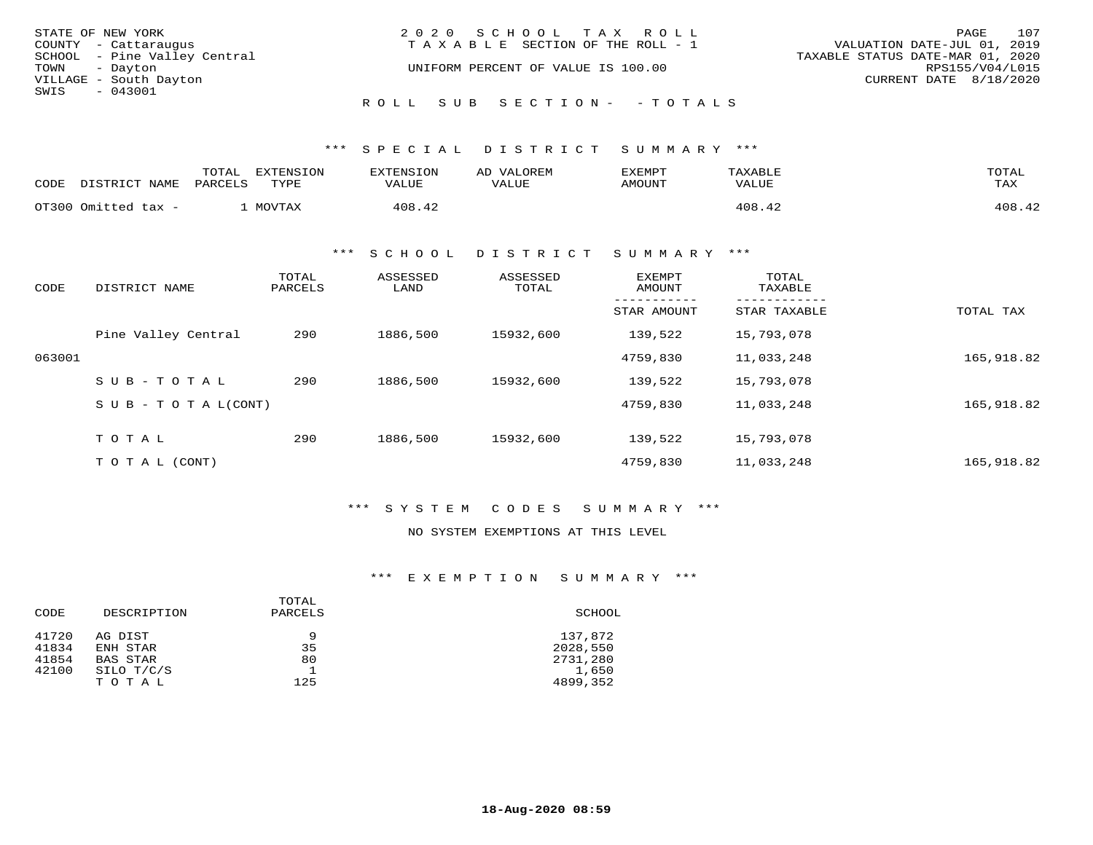| STATE OF NEW YORK            | 2020 SCHOOL TAX ROLL                  | 107<br>PAGE                      |
|------------------------------|---------------------------------------|----------------------------------|
| COUNTY - Cattaraugus         | T A X A B L E SECTION OF THE ROLL - 1 | VALUATION DATE-JUL 01, 2019      |
| SCHOOL - Pine Valley Central |                                       | TAXABLE STATUS DATE-MAR 01, 2020 |
| TOWN - Dayton                | UNIFORM PERCENT OF VALUE IS 100.00    | RPS155/V04/L015                  |
| VILLAGE - South Dayton       |                                       | CURRENT DATE 8/18/2020           |
| SWIS<br>$-043001$            |                                       |                                  |
|                              | ROLL SUB SECTION- - TOTALS            |                                  |

\*\*\* S P E C I A L D I S T R I C T S U M M A R Y \*\*\*

| CODE | DISTRICT NAME       | TOTAL<br>PARCELS | EXTENSION<br>TYPE | EXTENSION<br>VALUE | AD VALOREM<br>VALUE | EXEMPT<br>AMOUNT | TAXABLE<br>VALUE | TOTAL<br>TAX |
|------|---------------------|------------------|-------------------|--------------------|---------------------|------------------|------------------|--------------|
|      | OT300 Omitted tax - |                  | MOVTAX            | 408.42             |                     |                  | 408.42           | 408.42       |

\*\*\* S C H O O L D I S T R I C T S U M M A R Y \*\*\*

| CODE   | DISTRICT NAME       | TOTAL<br>PARCELS | ASSESSED<br>LAND | ASSESSED<br>TOTAL | <b>EXEMPT</b><br>AMOUNT | TOTAL<br>TAXABLE |            |
|--------|---------------------|------------------|------------------|-------------------|-------------------------|------------------|------------|
|        |                     |                  |                  |                   | STAR AMOUNT             | STAR TAXABLE     | TOTAL TAX  |
|        | Pine Valley Central | 290              | 1886,500         | 15932,600         | 139,522                 | 15,793,078       |            |
| 063001 |                     |                  |                  |                   | 4759,830                | 11,033,248       | 165,918.82 |
|        | $SUB - TO TAL$      | 290              | 1886,500         | 15932,600         | 139,522                 | 15,793,078       |            |
|        | SUB - TO TAL(CONT)  |                  |                  |                   | 4759,830                | 11,033,248       | 165,918.82 |
|        | TOTAL               | 290              | 1886,500         | 15932,600         | 139,522                 | 15,793,078       |            |
|        |                     |                  |                  |                   |                         |                  |            |
|        | T O T A L (CONT)    |                  |                  |                   | 4759,830                | 11,033,248       | 165,918.82 |

\*\*\* S Y S T E M C O D E S S U M M A R Y \*\*\*

## NO SYSTEM EXEMPTIONS AT THIS LEVEL

\*\*\* E X E M P T I O N S U M M A R Y \*\*\*

| DESCRIPTION | TOTAL<br>PARCELS | SCHOOL   |  |  |
|-------------|------------------|----------|--|--|
| AG DIST     | 9                | 137,872  |  |  |
| ENH STAR    | 35               | 2028,550 |  |  |
| BAS STAR    | 80               | 2731,280 |  |  |
| SILO T/C/S  |                  | 1,650    |  |  |
| TOTAL       | 125              | 4899,352 |  |  |
|             |                  |          |  |  |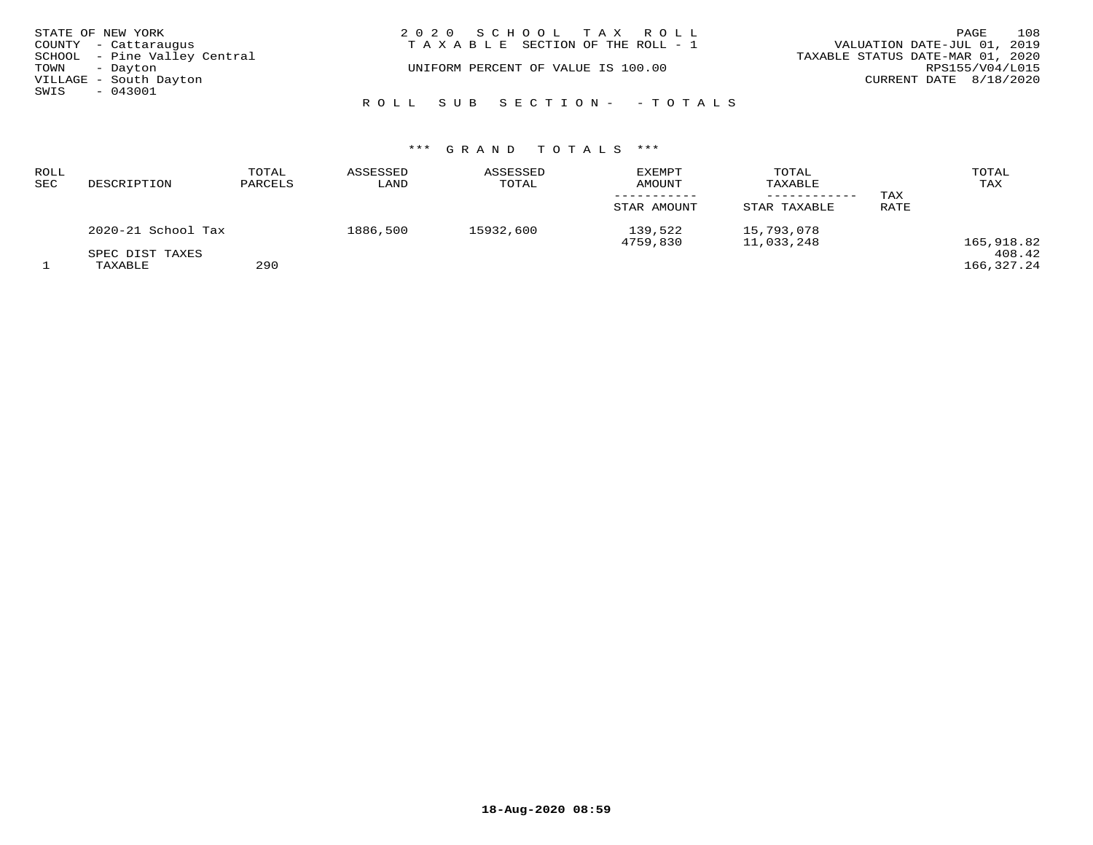| STATE OF NEW YORK |                              | 2020 SCHOOL TAX ROLL                  | 108<br>PAGE                      |
|-------------------|------------------------------|---------------------------------------|----------------------------------|
|                   | COUNTY - Cattaraugus         | T A X A B L E SECTION OF THE ROLL - 1 | VALUATION DATE-JUL 01, 2019      |
|                   | SCHOOL - Pine Valley Central |                                       | TAXABLE STATUS DATE-MAR 01, 2020 |
| TOWN - Dayton     |                              | UNIFORM PERCENT OF VALUE IS 100.00    | RPS155/V04/L015                  |
|                   | VILLAGE - South Dayton       |                                       | CURRENT DATE 8/18/2020           |
| SWIS              | $-043001$                    |                                       |                                  |
|                   |                              | ROLL SUB SECTION- - TOTALS            |                                  |

## \*\*\* G R A N D T O T A L S \*\*\*

| ROLL<br>SEC | DESCRIPTION                | TOTAL<br>PARCELS | ASSESSED<br>LAND | ASSESSED<br>TOTAL | <b>EXEMPT</b><br>AMOUNT<br>STAR AMOUNT | TOTAL<br>TAXABLE<br>STAR TAXABLE | TAX<br>RATE | TOTAL<br>TAX         |
|-------------|----------------------------|------------------|------------------|-------------------|----------------------------------------|----------------------------------|-------------|----------------------|
|             | 2020-21 School Tax         |                  | 1886,500         | 15932,600         | 139,522<br>4759,830                    | 15,793,078<br>11,033,248         |             | 165,918.82           |
|             | SPEC DIST TAXES<br>TAXABLE | 290              |                  |                   |                                        |                                  |             | 408.42<br>166,327.24 |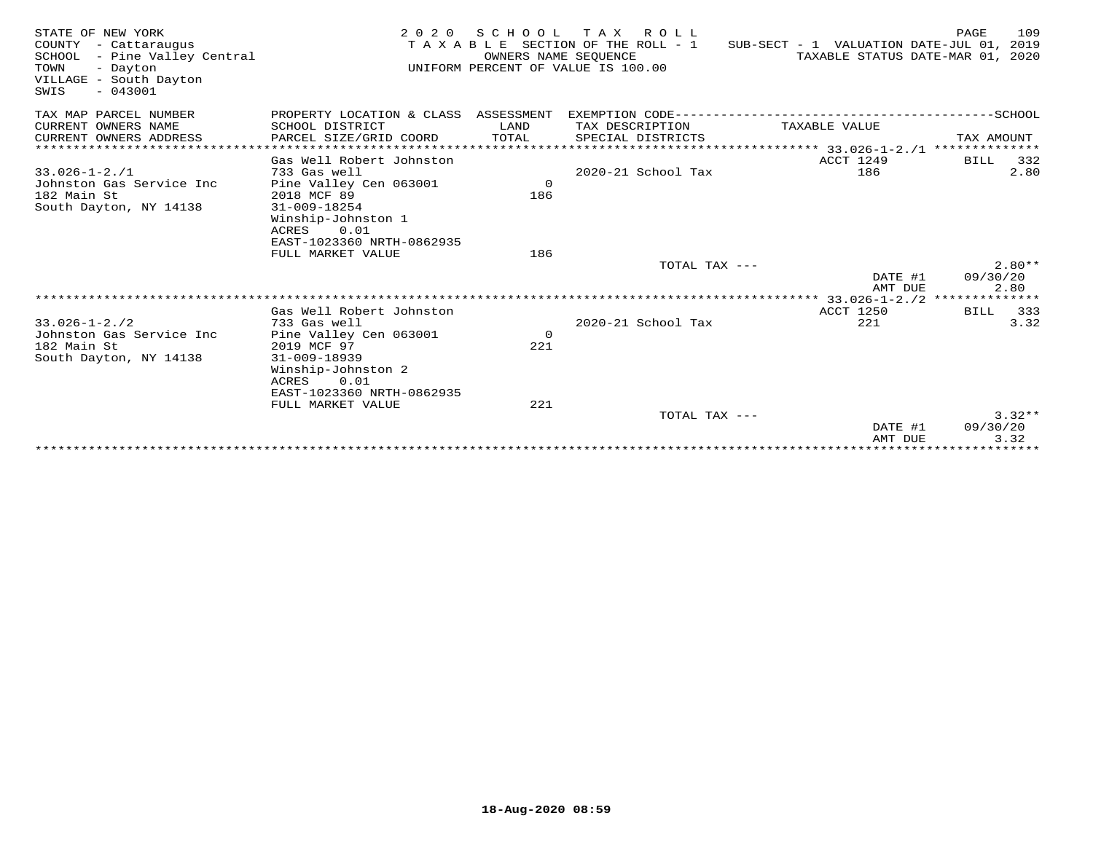| STATE OF NEW YORK<br>COUNTY - Cattaraugus<br>SCHOOL - Pine Valley Central<br>TOWN<br>- Dayton<br>VILLAGE - South Dayton<br>$-043001$<br>SWIS | 2 0 2 0                                    | SCHOOL<br>OWNERS NAME SEOUENCE | TAX ROLL<br>TAXABLE SECTION OF THE ROLL - 1<br>UNIFORM PERCENT OF VALUE IS 100.00 | SUB-SECT - 1 VALUATION DATE-JUL 01,<br>TAXABLE STATUS DATE-MAR 01, 2020 | PAGE<br>109<br>2019 |
|----------------------------------------------------------------------------------------------------------------------------------------------|--------------------------------------------|--------------------------------|-----------------------------------------------------------------------------------|-------------------------------------------------------------------------|---------------------|
| TAX MAP PARCEL NUMBER                                                                                                                        | PROPERTY LOCATION & CLASS ASSESSMENT       |                                | EXEMPTION CODE------------                                                        |                                                                         | -------------SCHOOL |
| CURRENT OWNERS NAME                                                                                                                          | SCHOOL DISTRICT                            | LAND                           | TAX DESCRIPTION                                                                   | TAXABLE VALUE                                                           |                     |
| CURRENT OWNERS ADDRESS                                                                                                                       | PARCEL SIZE/GRID COORD                     | TOTAL                          | SPECIAL DISTRICTS                                                                 |                                                                         | TAX AMOUNT          |
| ***********************                                                                                                                      |                                            |                                |                                                                                   |                                                                         |                     |
|                                                                                                                                              | Gas Well Robert Johnston                   |                                |                                                                                   | ACCT 1249                                                               | 332<br>BILL         |
| $33.026 - 1 - 2.71$                                                                                                                          | 733 Gas well                               |                                | 2020-21 School Tax                                                                | 186                                                                     | 2.80                |
| Johnston Gas Service Inc                                                                                                                     | Pine Valley Cen 063001                     | $\circ$                        |                                                                                   |                                                                         |                     |
| 182 Main St                                                                                                                                  | 2018 MCF 89                                | 186                            |                                                                                   |                                                                         |                     |
| South Dayton, NY 14138                                                                                                                       | $31 - 009 - 18254$<br>Winship-Johnston 1   |                                |                                                                                   |                                                                         |                     |
|                                                                                                                                              | 0.01<br>ACRES                              |                                |                                                                                   |                                                                         |                     |
|                                                                                                                                              | EAST-1023360 NRTH-0862935                  |                                |                                                                                   |                                                                         |                     |
|                                                                                                                                              | FULL MARKET VALUE                          | 186                            |                                                                                   |                                                                         |                     |
|                                                                                                                                              |                                            |                                | TOTAL TAX ---                                                                     |                                                                         | $2.80**$            |
|                                                                                                                                              |                                            |                                |                                                                                   | DATE #1                                                                 | 09/30/20            |
|                                                                                                                                              |                                            |                                |                                                                                   | AMT DUE                                                                 | 2.80                |
|                                                                                                                                              |                                            |                                |                                                                                   |                                                                         |                     |
|                                                                                                                                              | Gas Well Robert Johnston                   |                                |                                                                                   | <b>ACCT 1250</b>                                                        | <b>BILL</b><br>333  |
| $33.026 - 1 - 2.72$                                                                                                                          | 733 Gas well                               |                                | 2020-21 School Tax                                                                | 221                                                                     | 3.32                |
| Johnston Gas Service Inc                                                                                                                     | Pine Valley Cen 063001                     | $\overline{0}$                 |                                                                                   |                                                                         |                     |
| 182 Main St                                                                                                                                  | 2019 MCF 97                                | 221                            |                                                                                   |                                                                         |                     |
| South Dayton, NY 14138                                                                                                                       | $31 - 009 - 18939$                         |                                |                                                                                   |                                                                         |                     |
|                                                                                                                                              | Winship-Johnston 2                         |                                |                                                                                   |                                                                         |                     |
|                                                                                                                                              | ACRES<br>0.01<br>EAST-1023360 NRTH-0862935 |                                |                                                                                   |                                                                         |                     |
|                                                                                                                                              | FULL MARKET VALUE                          | 221                            |                                                                                   |                                                                         |                     |
|                                                                                                                                              |                                            |                                | TOTAL TAX ---                                                                     |                                                                         | $3.32**$            |
|                                                                                                                                              |                                            |                                |                                                                                   | DATE #1                                                                 | 09/30/20            |
|                                                                                                                                              |                                            |                                |                                                                                   | AMT DUE                                                                 | 3.32                |
|                                                                                                                                              |                                            |                                |                                                                                   |                                                                         |                     |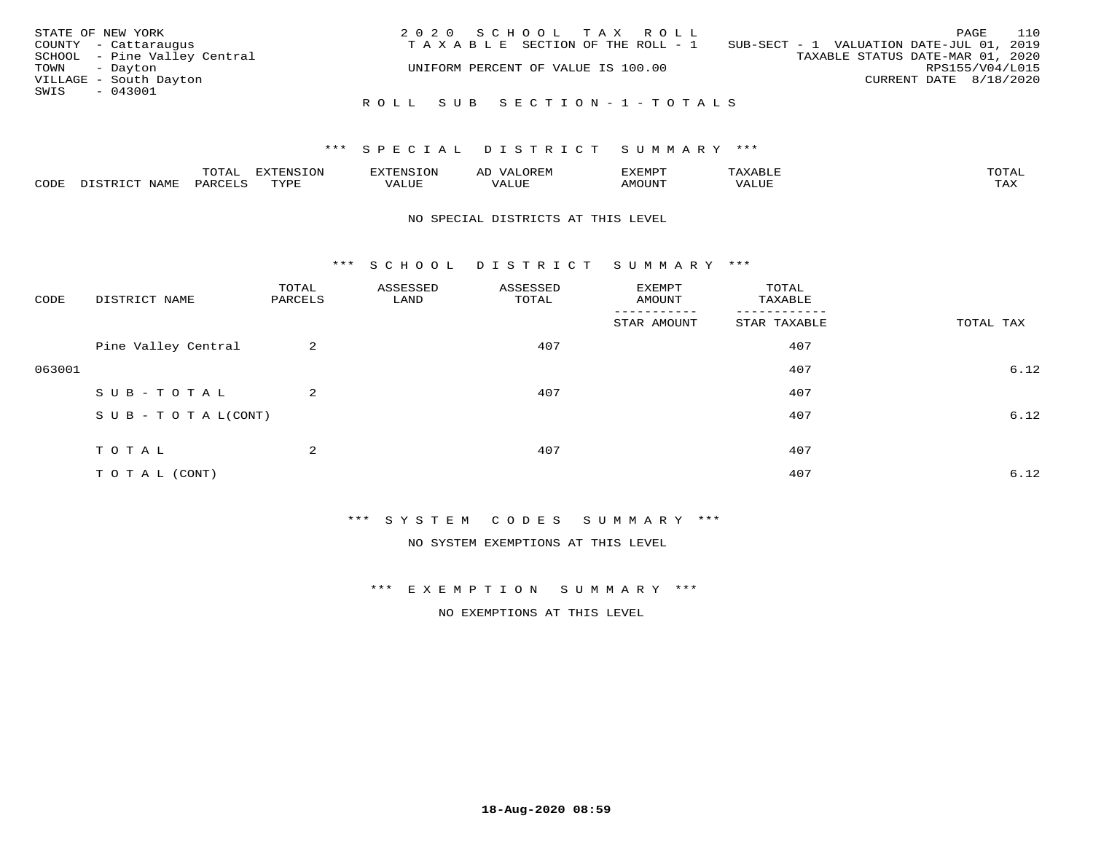| STATE OF NEW YORK            | 2020 SCHOOL TAX ROLL                  | 110<br>PAGE                              |
|------------------------------|---------------------------------------|------------------------------------------|
| COUNTY - Cattaraugus         | T A X A B L E SECTION OF THE ROLL - 1 | SUB-SECT - 1 VALUATION DATE-JUL 01, 2019 |
| SCHOOL - Pine Valley Central |                                       | TAXABLE STATUS DATE-MAR 01, 2020         |
| TOWN - Dayton                | UNIFORM PERCENT OF VALUE IS 100.00    | RPS155/V04/L015                          |
| VILLAGE - South Dayton       |                                       | CURRENT DATE 8/18/2020                   |
| SWIS<br>- 043001             |                                       |                                          |
|                              | ROLL SUB SECTION-1-TOTALS             |                                          |

### \*\*\* SPECIAL DISTRICT SUMMARY \*\*\*

|      |      | $m \wedge m \wedge n$<br>◡∸ғ | TON                              | . HUNY              | AĽ                  | ے ا      |       | $m \wedge m \wedge n$ |
|------|------|------------------------------|----------------------------------|---------------------|---------------------|----------|-------|-----------------------|
| CODE | NAMF | 'AK                          | $m \times r \times r$<br>- - - - | T T T<br>اللالمستحم | - ---<br>اللالمستعم | 57077375 | VALUF | $m \times r$<br>- −-  |

#### NO SPECIAL DISTRICTS AT THIS LEVEL

\*\*\* S C H O O L D I S T R I C T S U M M A R Y \*\*\*

| CODE   | DISTRICT NAME                    | TOTAL<br>PARCELS | ASSESSED<br>LAND | ASSESSED<br>TOTAL | EXEMPT<br>AMOUNT    | TOTAL<br>TAXABLE         |           |
|--------|----------------------------------|------------------|------------------|-------------------|---------------------|--------------------------|-----------|
|        |                                  |                  |                  |                   | ----<br>STAR AMOUNT | --------<br>STAR TAXABLE | TOTAL TAX |
|        | Pine Valley Central              | 2                |                  | 407               |                     | 407                      |           |
| 063001 |                                  |                  |                  |                   |                     | 407                      | 6.12      |
|        | SUB-TOTAL                        | $\overline{a}$   |                  | 407               |                     | 407                      |           |
|        | $S \cup B - T \cup T A L (CONT)$ |                  |                  |                   |                     | 407                      | 6.12      |
|        | TOTAL                            | $\overline{2}$   |                  | 407               |                     | 407                      |           |
|        | T O T A L (CONT)                 |                  |                  |                   |                     | 407                      | 6.12      |

\*\*\* S Y S T E M C O D E S S U M M A R Y \*\*\*

NO SYSTEM EXEMPTIONS AT THIS LEVEL

\*\*\* E X E M P T I O N S U M M A R Y \*\*\*

NO EXEMPTIONS AT THIS LEVEL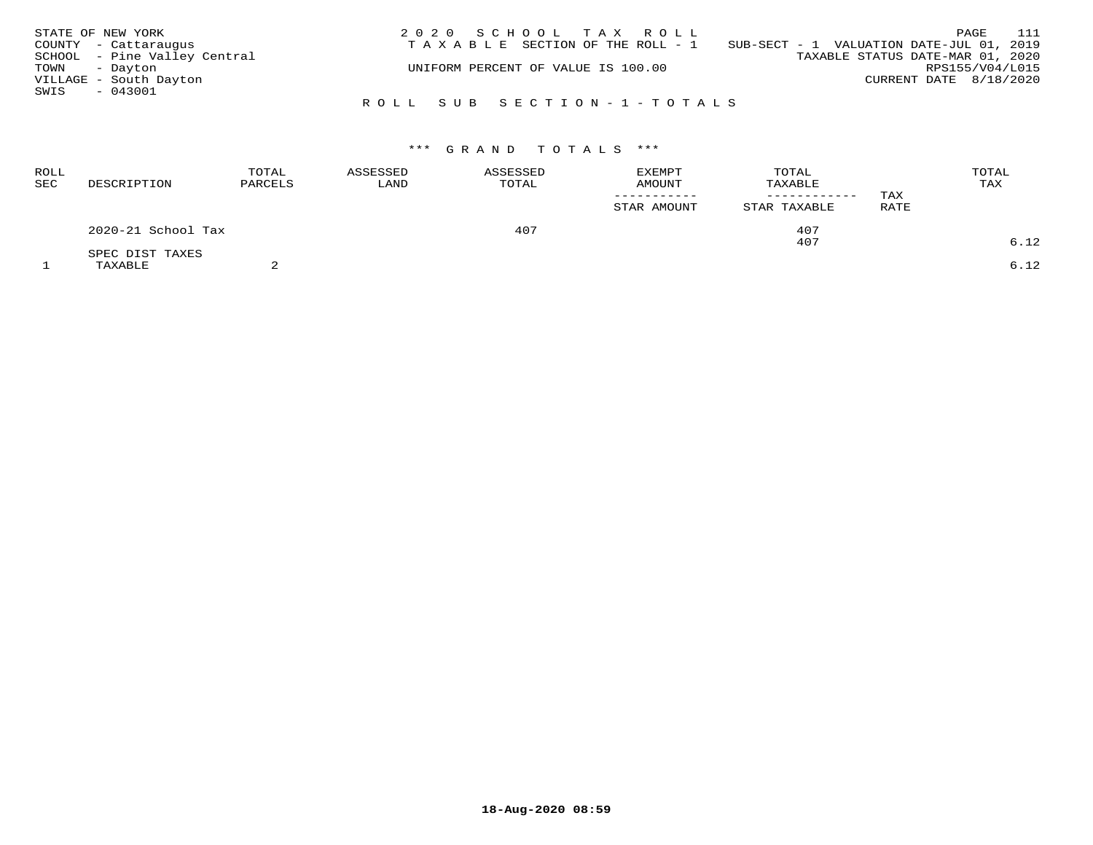| STATE OF NEW YORK |                              | 2020 SCHOOL TAX ROLL                  | 111<br>PAGE                              |
|-------------------|------------------------------|---------------------------------------|------------------------------------------|
|                   | COUNTY - Cattaraugus         | T A X A B L E SECTION OF THE ROLL - 1 | SUB-SECT - 1 VALUATION DATE-JUL 01, 2019 |
|                   | SCHOOL - Pine Valley Central |                                       | TAXABLE STATUS DATE-MAR 01, 2020         |
| TOWN - Dayton     |                              | UNIFORM PERCENT OF VALUE IS 100.00    | RPS155/V04/L015                          |
|                   | VILLAGE - South Dayton       |                                       | CURRENT DATE 8/18/2020                   |
| SWIS - 043001     |                              |                                       |                                          |
|                   |                              | ROLL SUB SECTION-1-TOTALS             |                                          |

| ROLL<br>SEC | DESCRIPTION        | TOTAL<br>PARCELS | ASSESSED<br>LAND | ASSESSED<br>TOTAL | <b>EXEMPT</b><br>AMOUNT<br>STAR AMOUNT | TOTAL<br>TAXABLE<br>------------<br>STAR TAXABLE | TAX<br>RATE | TOTAL<br>TAX |
|-------------|--------------------|------------------|------------------|-------------------|----------------------------------------|--------------------------------------------------|-------------|--------------|
|             | 2020-21 School Tax |                  | 407              |                   | 407                                    |                                                  |             |              |
|             | SPEC DIST TAXES    |                  |                  |                   |                                        | 407                                              |             | 6.12         |
|             | TAXABLE            |                  |                  |                   |                                        |                                                  |             | 6.12         |

**18-Aug-2020 08:59**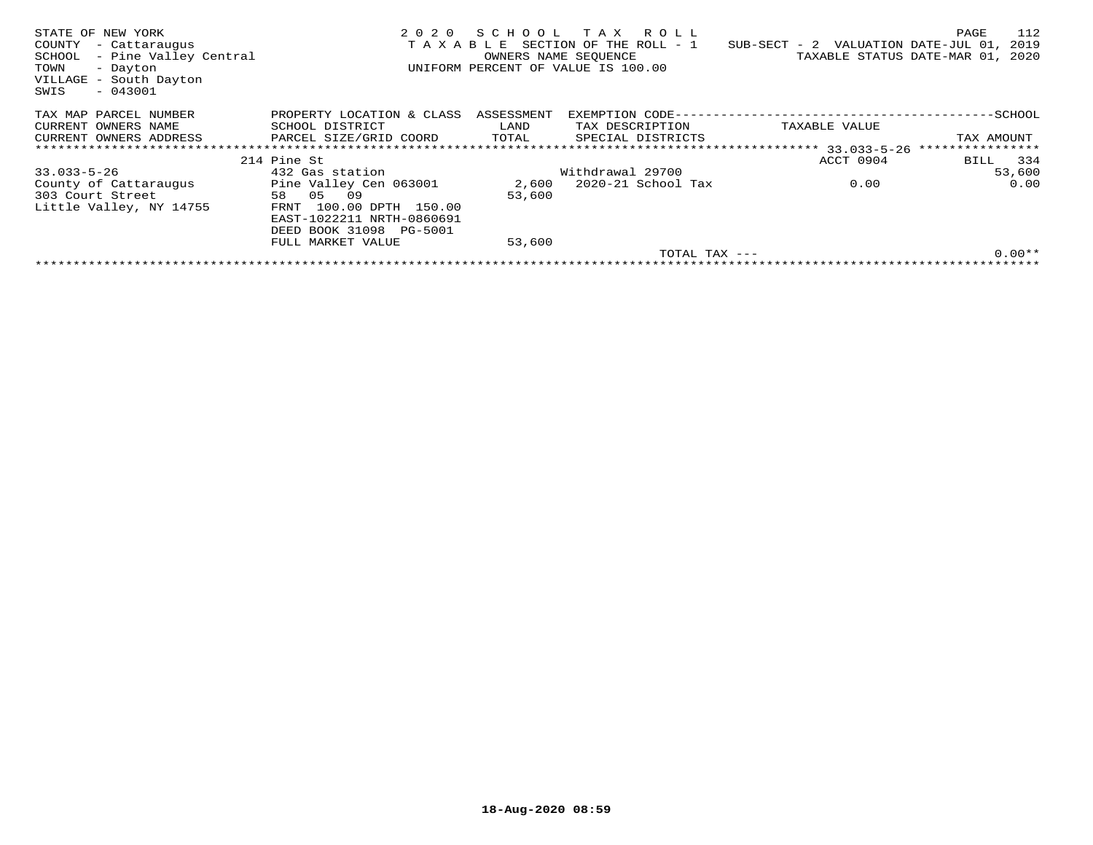| STATE OF NEW YORK<br>COUNTY<br>- Cattaraugus<br>- Pine Valley Central<br>SCHOOL<br>- Dayton<br>TOWN<br>VILLAGE - South Dayton<br>$-043001$<br>SWIS | 2020<br>TAXABLE            | SCHOOL<br>OWNERS NAME SEOUENCE | TAX ROLL<br>SECTION OF THE ROLL - 1<br>UNIFORM PERCENT OF VALUE IS 100.00 | $SUB-SECTION - 2$ VALUATION DATE-JUL 01,    | 112<br>PAGE<br>2019<br>TAXABLE STATUS DATE-MAR 01, 2020 |
|----------------------------------------------------------------------------------------------------------------------------------------------------|----------------------------|--------------------------------|---------------------------------------------------------------------------|---------------------------------------------|---------------------------------------------------------|
| TAX MAP PARCEL NUMBER                                                                                                                              | PROPERTY LOCATION & CLASS  | ASSESSMENT                     |                                                                           | EXEMPTION CODE----------------------------- | --------------SCHOOL                                    |
| CURRENT OWNERS NAME                                                                                                                                | SCHOOL DISTRICT            | LAND                           | TAX DESCRIPTION                                                           | TAXABLE VALUE                               |                                                         |
| CURRENT OWNERS ADDRESS                                                                                                                             | PARCEL SIZE/GRID COORD     | TOTAL                          | SPECIAL DISTRICTS                                                         |                                             | TAX AMOUNT                                              |
|                                                                                                                                                    |                            |                                |                                                                           |                                             |                                                         |
|                                                                                                                                                    | 214 Pine St                |                                |                                                                           | ACCT 0904                                   | BILL 334                                                |
| $33.033 - 5 - 26$                                                                                                                                  | 432 Gas station            |                                | Withdrawal 29700                                                          |                                             | 53,600                                                  |
| County of Cattaraugus                                                                                                                              | Pine Valley Cen 063001     | 2,600                          | 2020-21 School Tax                                                        | 0.00                                        | 0.00                                                    |
| 303 Court Street                                                                                                                                   | 58 05<br>09                | 53,600                         |                                                                           |                                             |                                                         |
| Little Valley, NY 14755                                                                                                                            | 100.00 DPTH 150.00<br>FRNT |                                |                                                                           |                                             |                                                         |
|                                                                                                                                                    | EAST-1022211 NRTH-0860691  |                                |                                                                           |                                             |                                                         |
|                                                                                                                                                    | DEED BOOK 31098 PG-5001    |                                |                                                                           |                                             |                                                         |
|                                                                                                                                                    | FULL MARKET VALUE          | 53,600                         |                                                                           |                                             |                                                         |
|                                                                                                                                                    |                            |                                | $TOTAL$ $TAX$ $---$                                                       |                                             | $0.00**$                                                |
|                                                                                                                                                    |                            |                                |                                                                           |                                             |                                                         |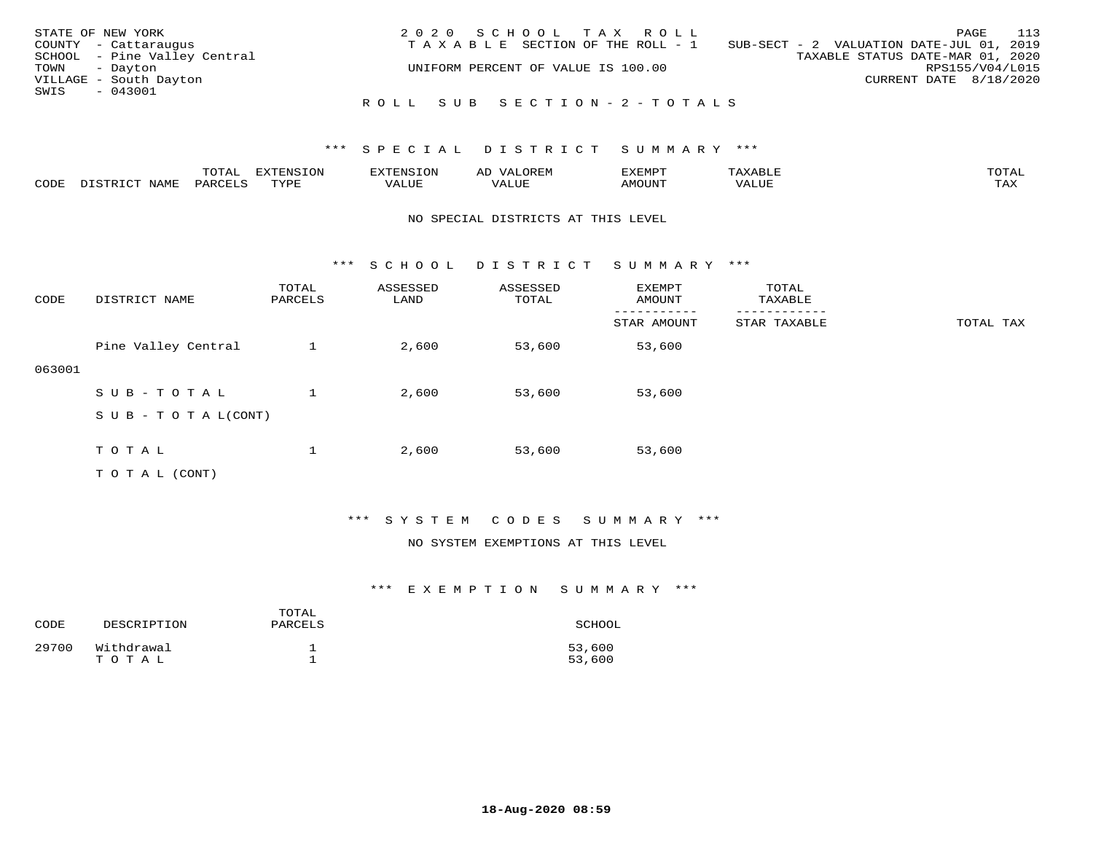| STATE OF NEW YORK            | 2020 SCHOOL TAX ROLL               | 113<br>PAGE                              |
|------------------------------|------------------------------------|------------------------------------------|
| COUNTY - Cattaraugus         | TAXABLE SECTION OF THE ROLL - 1    | SUB-SECT - 2 VALUATION DATE-JUL 01, 2019 |
| SCHOOL - Pine Valley Central |                                    | TAXABLE STATUS DATE-MAR 01, 2020         |
| TOWN - Dayton                | UNIFORM PERCENT OF VALUE IS 100.00 | RPS155/V04/L015                          |
| VILLAGE - South Dayton       |                                    | CURRENT DATE 8/18/2020                   |
| SWIS<br>$-043001$            |                                    |                                          |
|                              | ROLL SUB SECTION-2-TOTALS          |                                          |

|      |                  | TOTAL   | <b>DYMONIC TONT</b><br>7.NR TOIZ | 'ENS. | OREM<br>AL'             | דים איהו איה | $x \sim$ $\sim$ | TOTAI |
|------|------------------|---------|----------------------------------|-------|-------------------------|--------------|-----------------|-------|
| CODE | DISTRICT<br>NAME | PARCELS | TVDF<br>ت ہے۔                    | VALUE | . <del>.</del><br>VALUE | AMOUNT       | VALUE           | TAX   |

### NO SPECIAL DISTRICTS AT THIS LEVEL

\*\*\* S C H O O L D I S T R I C T S U M M A R Y \*\*\*

| CODE   | DISTRICT NAME                    | TOTAL<br>PARCELS | ASSESSED<br>LAND | ASSESSED<br>TOTAL | EXEMPT<br>AMOUNT | TOTAL<br>TAXABLE |           |
|--------|----------------------------------|------------------|------------------|-------------------|------------------|------------------|-----------|
|        |                                  |                  |                  |                   | STAR AMOUNT      | STAR TAXABLE     | TOTAL TAX |
|        | Pine Valley Central              |                  | 2,600            | 53,600            | 53,600           |                  |           |
| 063001 |                                  |                  |                  |                   |                  |                  |           |
|        | SUB-TOTAL                        |                  | 2,600            | 53,600            | 53,600           |                  |           |
|        | $S \cup B - T \cup T A L (CONT)$ |                  |                  |                   |                  |                  |           |
|        |                                  |                  |                  |                   |                  |                  |           |
|        | TOTAL                            |                  | 2,600            | 53,600            | 53,600           |                  |           |
|        | T O T A L (CONT)                 |                  |                  |                   |                  |                  |           |

## \*\*\* S Y S T E M C O D E S S U M M A R Y \*\*\*

#### NO SYSTEM EXEMPTIONS AT THIS LEVEL

## \*\*\* E X E M P T I O N S U M M A R Y \*\*\*

| CODE  | DESCRIPTION         | TOTAL<br>PARCELS | SCHOOL           |
|-------|---------------------|------------------|------------------|
| 29700 | Withdrawal<br>TOTAL |                  | 53,600<br>53,600 |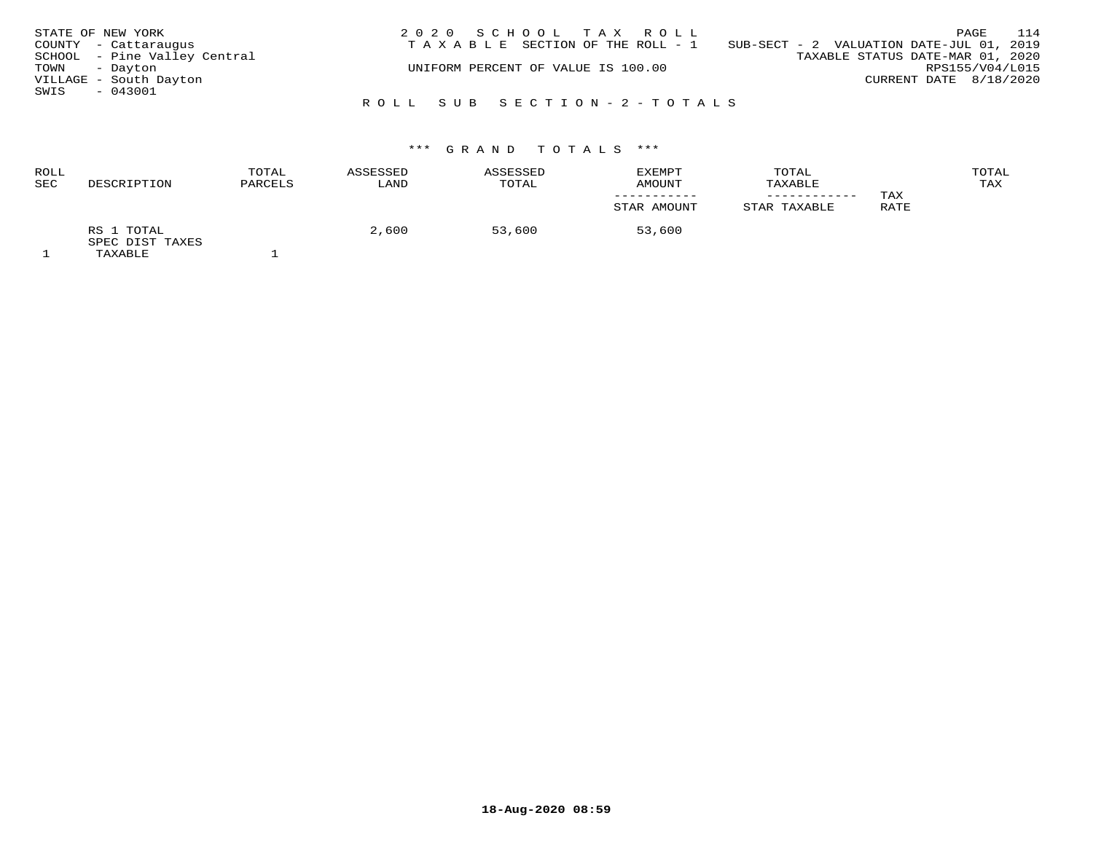|      | STATE OF NEW YORK            | 2020 SCHOOL TAX ROLL                                                           |                                  | PAGE                   | 114 |
|------|------------------------------|--------------------------------------------------------------------------------|----------------------------------|------------------------|-----|
|      | COUNTY - Cattaraugus         | T A X A B L E SECTION OF THE ROLL - 1 SUB-SECT - 2 VALUATION DATE-JUL 01, 2019 |                                  |                        |     |
|      | SCHOOL - Pine Valley Central |                                                                                | TAXABLE STATUS DATE-MAR 01, 2020 |                        |     |
|      | TOWN - Dayton                | UNIFORM PERCENT OF VALUE IS 100.00                                             |                                  | RPS155/V04/L015        |     |
|      | VILLAGE - South Dayton       |                                                                                |                                  | CURRENT DATE 8/18/2020 |     |
| SWIS | - 043001                     |                                                                                |                                  |                        |     |
|      |                              | ROLL SUB SECTION-2-TOTALS                                                      |                                  |                        |     |

| ROLL<br><b>SEC</b> | DESCRIPTION                              | TOTAL<br>PARCELS | ASSESSED<br>LAND | ASSESSED<br>TOTAL | EXEMPT<br>AMOUNT | TOTAL<br>TAXABLE | TAX  | TOTAL<br>TAX |
|--------------------|------------------------------------------|------------------|------------------|-------------------|------------------|------------------|------|--------------|
|                    |                                          |                  |                  |                   | STAR AMOUNT      | STAR TAXABLE     | RATE |              |
|                    | RS 1 TOTAL<br>SPEC DIST TAXES<br>TAXABLE |                  | 2,600            | 53,600            | 53,600           |                  |      |              |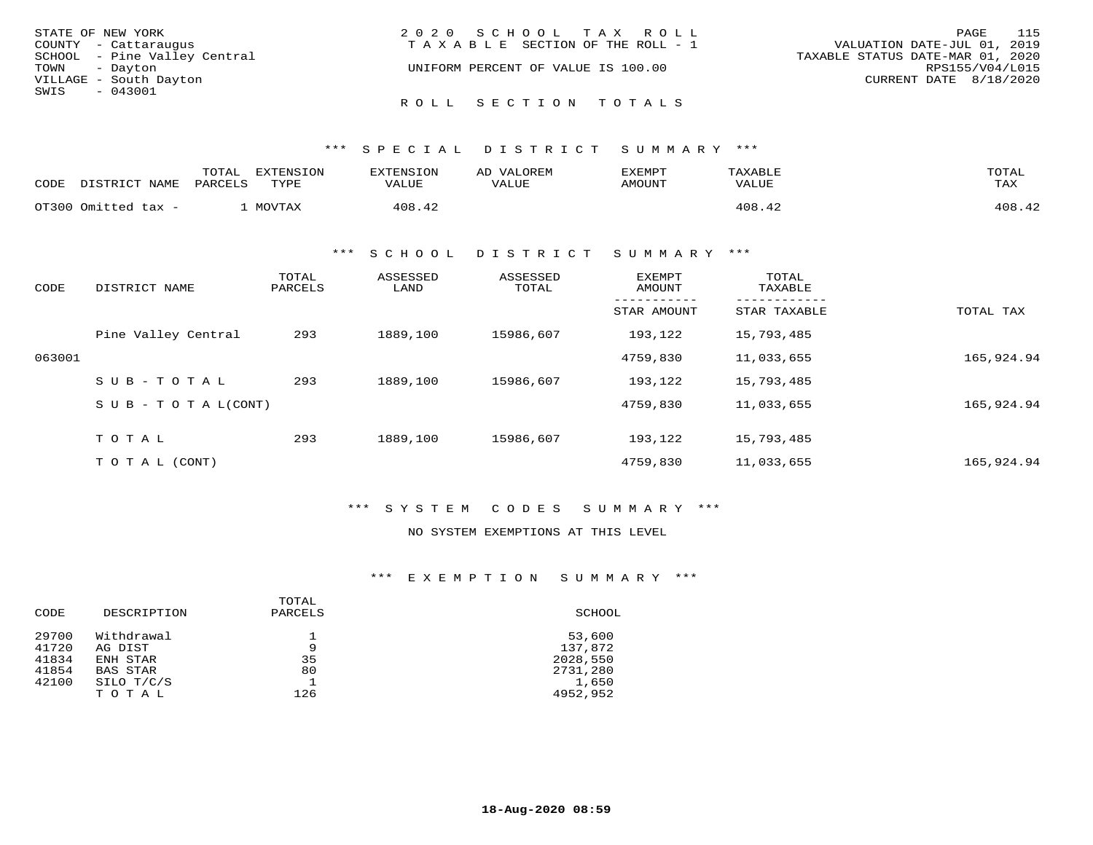|               | STATE OF NEW YORK            | 2020 SCHOOL TAX ROLL                  | PAGE                             | 115 |
|---------------|------------------------------|---------------------------------------|----------------------------------|-----|
|               | COUNTY - Cattaraugus         | T A X A B L E SECTION OF THE ROLL - 1 | VALUATION DATE-JUL 01, 2019      |     |
|               | SCHOOL - Pine Valley Central |                                       | TAXABLE STATUS DATE-MAR 01, 2020 |     |
| TOWN - Dayton |                              | UNIFORM PERCENT OF VALUE IS 100.00    | RPS155/V04/L015                  |     |
|               | VILLAGE - South Dayton       |                                       | CURRENT DATE 8/18/2020           |     |
| SWIS - 043001 |                              |                                       |                                  |     |
|               |                              | ROLL SECTION TOTALS                   |                                  |     |

| CODE | DISTRICT NAME       | TOTAL<br>PARCELS | EXTENSION<br>TYPE | EXTENSION<br>VALUE | AD VALOREM<br>VALUE | EXEMPT<br>AMOUNT | TAXABLE<br>VALUE | TOTAL<br>TAX |
|------|---------------------|------------------|-------------------|--------------------|---------------------|------------------|------------------|--------------|
|      | OT300 Omitted tax - |                  | MOVTAX            | 408.42             |                     |                  | 408.42           | 408.42       |

\*\*\* S C H O O L D I S T R I C T S U M M A R Y \*\*\*

| CODE   | DISTRICT NAME       | TOTAL<br>PARCELS | ASSESSED<br>LAND | ASSESSED<br>TOTAL | <b>EXEMPT</b><br>AMOUNT | TOTAL<br>TAXABLE |            |
|--------|---------------------|------------------|------------------|-------------------|-------------------------|------------------|------------|
|        |                     |                  |                  |                   | STAR AMOUNT             | STAR TAXABLE     | TOTAL TAX  |
|        | Pine Valley Central | 293              | 1889,100         | 15986,607         | 193,122                 | 15,793,485       |            |
| 063001 |                     |                  |                  |                   | 4759,830                | 11,033,655       | 165,924.94 |
|        | $SUB - TO TAL$      | 293              | 1889,100         | 15986,607         | 193,122                 | 15,793,485       |            |
|        | SUB - TO TAL(CONT)  |                  |                  |                   | 4759,830                | 11,033,655       | 165,924.94 |
|        | TOTAL               | 293              | 1889,100         | 15986,607         | 193,122                 | 15,793,485       |            |
|        |                     |                  |                  |                   |                         |                  |            |
|        | T O T A L (CONT)    |                  |                  |                   | 4759,830                | 11,033,655       | 165,924.94 |

\*\*\* S Y S T E M C O D E S S U M M A R Y \*\*\*

NO SYSTEM EXEMPTIONS AT THIS LEVEL

\*\*\* E X E M P T I O N S U M M A R Y \*\*\*

| DESCRIPTION<br>PARCELS<br>SCHOOL<br>CODE<br>29700<br>Withdrawal<br>53,600 |  |
|---------------------------------------------------------------------------|--|
|                                                                           |  |
|                                                                           |  |
| 41720<br>137,872<br>9<br>AG DIST                                          |  |
| 41834<br>35<br>2028,550<br>ENH STAR                                       |  |
| 41854<br>2731,280<br>80<br>BAS STAR                                       |  |
| 42100<br>SILO T/C/S<br>1,650                                              |  |
| 4952,952<br>126<br>TOTAL                                                  |  |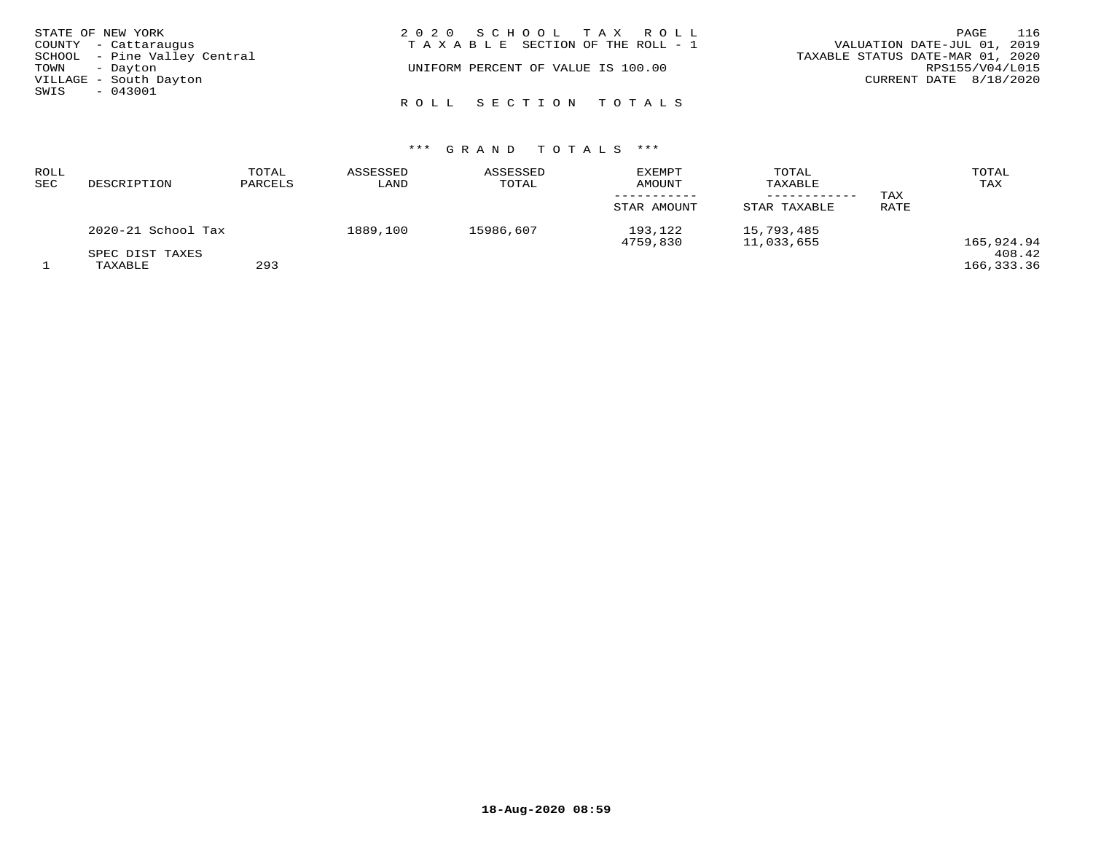| STATE OF NEW YORK            | 2020 SCHOOL TAX ROLL               | 116<br>PAGE                      |
|------------------------------|------------------------------------|----------------------------------|
| COUNTY - Cattaraugus         | TAXABLE SECTION OF THE ROLL - 1    | VALUATION DATE-JUL 01, 2019      |
| SCHOOL - Pine Valley Central |                                    | TAXABLE STATUS DATE-MAR 01, 2020 |
| TOWN - Dayton                | UNIFORM PERCENT OF VALUE IS 100.00 | RPS155/V04/L015                  |
| VILLAGE - South Dayton       |                                    | CURRENT DATE $8/18/2020$         |
| $-043001$<br>SWIS            |                                    |                                  |
|                              | ROLL SECTION TOTALS                |                                  |

| ROLL<br>SEC | DESCRIPTION                | TOTAL<br>PARCELS | ASSESSED<br>LAND | ASSESSED<br>TOTAL | <b>EXEMPT</b><br><b>AMOUNT</b><br>STAR AMOUNT | TOTAL<br>TAXABLE<br>STAR TAXABLE | TOTAL<br>TAX<br>TAX<br><b>RATE</b> |                      |
|-------------|----------------------------|------------------|------------------|-------------------|-----------------------------------------------|----------------------------------|------------------------------------|----------------------|
|             | 2020-21 School Tax         |                  | 1889,100         | 15986,607         | 193,122<br>4759,830                           | 15,793,485<br>11,033,655         |                                    | 165,924.94           |
|             | SPEC DIST TAXES<br>TAXABLE | 293              |                  |                   |                                               |                                  |                                    | 408.42<br>166,333.36 |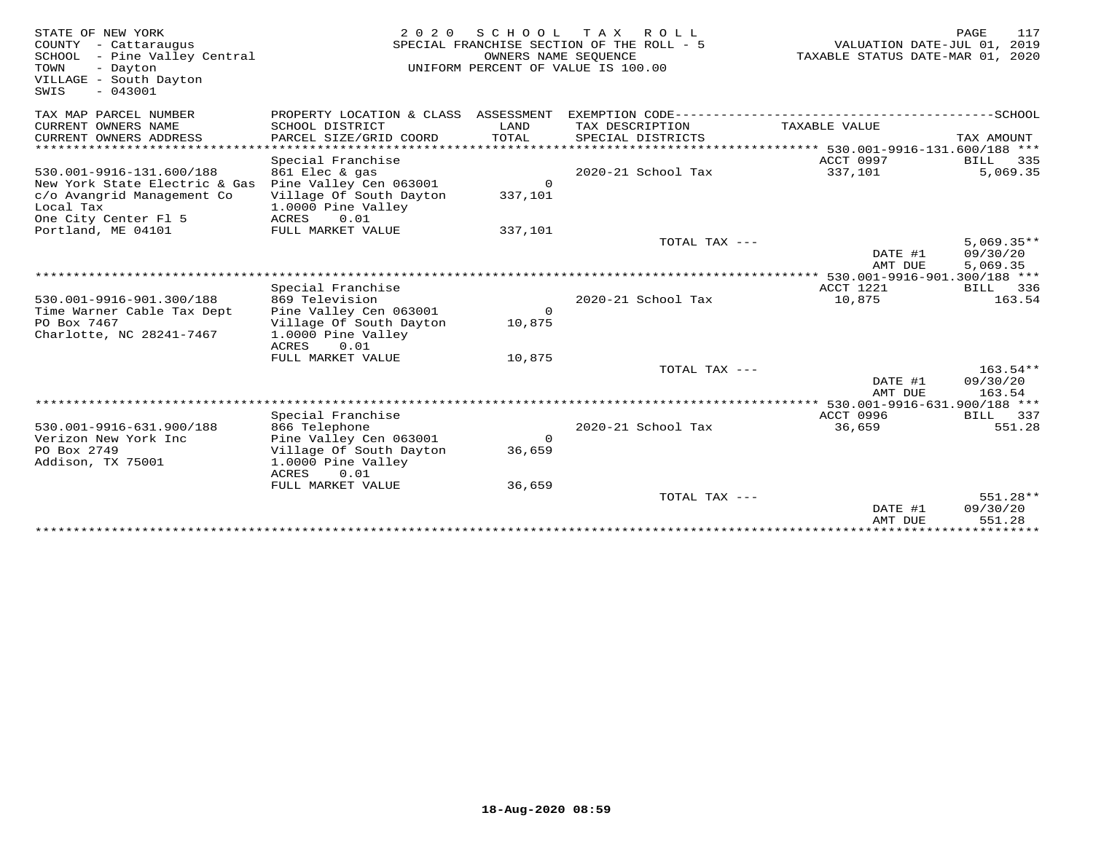| STATE OF NEW YORK<br>COUNTY - Cattaraugus<br>SCHOOL - Pine Valley Central<br>TOWN<br>- Dayton<br>VILLAGE - South Dayton<br>$-043001$<br>SWIS | 2 0 2 0                                       | SCHOOL<br>OWNERS NAME SEQUENCE | TAX ROLL<br>SPECIAL FRANCHISE SECTION OF THE ROLL - 5<br>UNIFORM PERCENT OF VALUE IS 100.00 | VALUATION DATE-JUL 01, 2019<br>TAXABLE STATUS DATE-MAR 01, 2020 | 117<br><b>PAGE</b> |
|----------------------------------------------------------------------------------------------------------------------------------------------|-----------------------------------------------|--------------------------------|---------------------------------------------------------------------------------------------|-----------------------------------------------------------------|--------------------|
| TAX MAP PARCEL NUMBER                                                                                                                        | PROPERTY LOCATION & CLASS ASSESSMENT          |                                |                                                                                             |                                                                 |                    |
| CURRENT OWNERS NAME<br>CURRENT OWNERS ADDRESS                                                                                                | SCHOOL DISTRICT<br>PARCEL SIZE/GRID COORD     | LAND<br>TOTAL                  | TAX DESCRIPTION<br>SPECIAL DISTRICTS                                                        | TAXABLE VALUE                                                   | TAX AMOUNT         |
| *******************                                                                                                                          |                                               |                                |                                                                                             | ******************** 530.001-9916-131.600/188 ***               |                    |
|                                                                                                                                              | Special Franchise                             |                                |                                                                                             | ACCT 0997                                                       | BILL<br>335        |
| 530.001-9916-131.600/188                                                                                                                     | 861 Elec & gas                                |                                | 2020-21 School Tax                                                                          | 337,101                                                         | 5,069.35           |
| New York State Electric & Gas                                                                                                                | Pine Valley Cen 063001                        | $\overline{0}$                 |                                                                                             |                                                                 |                    |
| c/o Avangrid Management Co<br>Local Tax                                                                                                      | Village Of South Dayton<br>1.0000 Pine Valley | 337,101                        |                                                                                             |                                                                 |                    |
| One City Center Fl 5                                                                                                                         | 0.01<br>ACRES                                 |                                |                                                                                             |                                                                 |                    |
| Portland, ME 04101                                                                                                                           | FULL MARKET VALUE                             | 337,101                        |                                                                                             |                                                                 |                    |
|                                                                                                                                              |                                               |                                | TOTAL TAX ---                                                                               |                                                                 | $5,069.35**$       |
|                                                                                                                                              |                                               |                                |                                                                                             | DATE #1                                                         | 09/30/20           |
| *****************************                                                                                                                |                                               |                                |                                                                                             | AMT DUE                                                         | 5,069.35           |
|                                                                                                                                              | Special Franchise                             |                                |                                                                                             | ACCT 1221                                                       | BILL<br>336        |
| 530.001-9916-901.300/188                                                                                                                     | 869 Television                                |                                | 2020-21 School Tax                                                                          | 10,875                                                          | 163.54             |
| Time Warner Cable Tax Dept                                                                                                                   | Pine Valley Cen 063001                        | $\Omega$                       |                                                                                             |                                                                 |                    |
| PO Box 7467                                                                                                                                  | Village Of South Dayton                       | 10,875                         |                                                                                             |                                                                 |                    |
| Charlotte, NC 28241-7467                                                                                                                     | 1.0000 Pine Valley                            |                                |                                                                                             |                                                                 |                    |
|                                                                                                                                              | ACRES<br>0.01                                 |                                |                                                                                             |                                                                 |                    |
|                                                                                                                                              | FULL MARKET VALUE                             | 10,875                         | TOTAL TAX $---$                                                                             |                                                                 | $163.54**$         |
|                                                                                                                                              |                                               |                                |                                                                                             | DATE #1                                                         | 09/30/20           |
|                                                                                                                                              |                                               |                                |                                                                                             | AMT DUE                                                         | 163.54             |
|                                                                                                                                              |                                               |                                |                                                                                             | $***$ 530.001-9916-631.900/188 ***                              |                    |
|                                                                                                                                              | Special Franchise                             |                                |                                                                                             | ACCT 0996                                                       | BILL 337           |
| 530.001-9916-631.900/188<br>Verizon New York Inc                                                                                             | 866 Telephone<br>Pine Valley Cen 063001       | $\Omega$                       | 2020-21 School Tax                                                                          | 36,659                                                          | 551.28             |
| PO Box 2749                                                                                                                                  | Village Of South Dayton                       | 36,659                         |                                                                                             |                                                                 |                    |
| Addison, TX 75001                                                                                                                            | 1.0000 Pine Valley                            |                                |                                                                                             |                                                                 |                    |
|                                                                                                                                              | <b>ACRES</b><br>0.01                          |                                |                                                                                             |                                                                 |                    |
|                                                                                                                                              | FULL MARKET VALUE                             | 36,659                         |                                                                                             |                                                                 |                    |
|                                                                                                                                              |                                               |                                | TOTAL TAX ---                                                                               |                                                                 | 551.28**           |
|                                                                                                                                              |                                               |                                |                                                                                             | DATE #1<br>AMT DUE                                              | 09/30/20<br>551.28 |
|                                                                                                                                              |                                               |                                |                                                                                             |                                                                 |                    |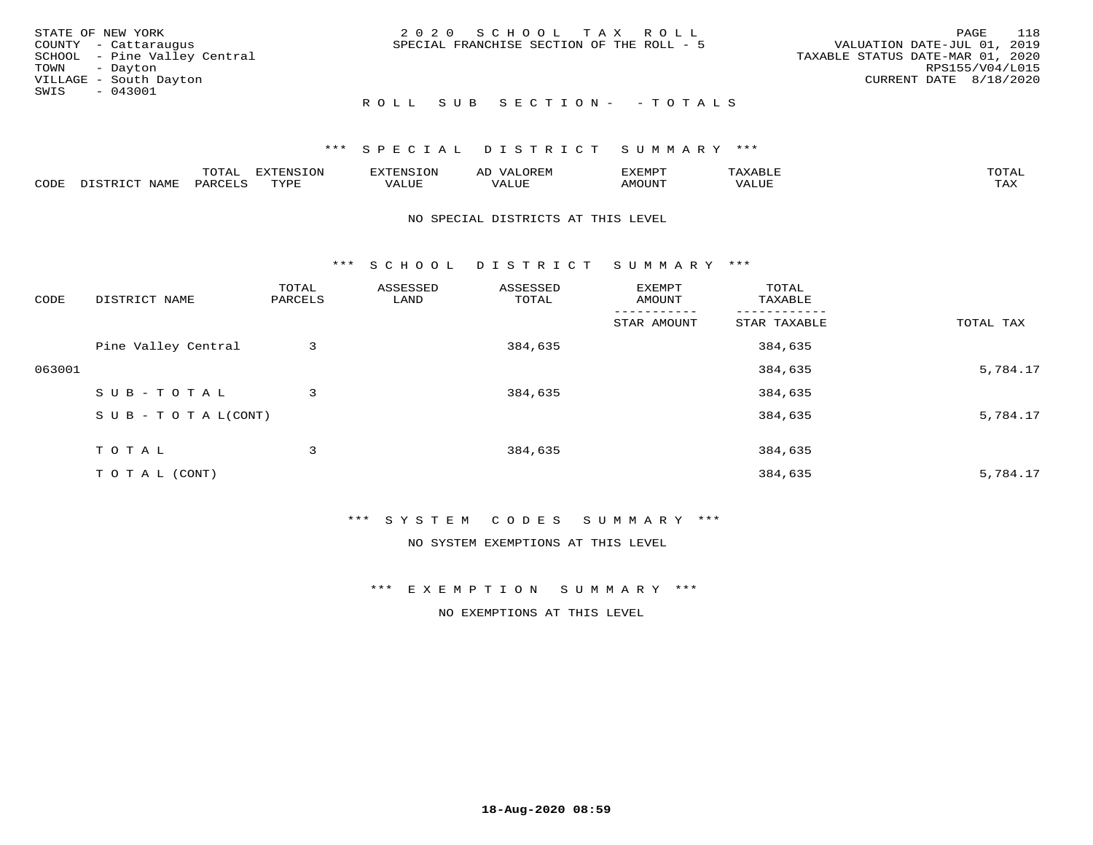|      | STATE OF NEW YORK            | 2020 SCHOOL TAX ROLL                      | 118<br>PAGE                      |
|------|------------------------------|-------------------------------------------|----------------------------------|
|      | COUNTY - Cattaraugus         | SPECIAL FRANCHISE SECTION OF THE ROLL - 5 | VALUATION DATE-JUL 01, 2019      |
|      | SCHOOL - Pine Valley Central |                                           | TAXABLE STATUS DATE-MAR 01, 2020 |
|      | TOWN - Dayton                |                                           | RPS155/V04/L015                  |
|      | VILLAGE - South Dayton       |                                           | CURRENT DATE 8/18/2020           |
| SWIS | $-043001$                    |                                           |                                  |
|      |                              | ROLL SUB SECTION- - TOTALS                |                                  |

|      | $T0$ $T1$                   | . v             | n s       | $\leftrightarrow$ | ,,, <del>,</del> ,,,,,<br>◡<br>⊐ויושג∠ | <b>ጥ</b> ଠጥ አ           |
|------|-----------------------------|-----------------|-----------|-------------------|----------------------------------------|-------------------------|
| CODE | 9A <sub>K<sub>Y</sub></sub> | $m \tau \tau n$ | $- - - -$ |                   |                                        | $- - - -$<br>. <i>.</i> |

### NO SPECIAL DISTRICTS AT THIS LEVEL

\*\*\* S C H O O L D I S T R I C T S U M M A R Y \*\*\*

| CODE   | DISTRICT NAME                    | TOTAL<br>PARCELS | ASSESSED<br>LAND | ASSESSED<br>TOTAL | EXEMPT<br>AMOUNT | TOTAL<br>TAXABLE |           |
|--------|----------------------------------|------------------|------------------|-------------------|------------------|------------------|-----------|
|        |                                  |                  |                  |                   | STAR AMOUNT      | STAR TAXABLE     | TOTAL TAX |
|        | Pine Valley Central              | 3                |                  | 384,635           |                  | 384,635          |           |
| 063001 |                                  |                  |                  |                   |                  | 384,635          | 5,784.17  |
|        | SUB-TOTAL                        | 3                |                  | 384,635           |                  | 384,635          |           |
|        | $S \cup B - T \cup T A L (CONT)$ |                  |                  |                   |                  | 384,635          | 5,784.17  |
|        | T O T A L                        | 3                |                  | 384,635           |                  | 384,635          |           |
|        | T O T A L (CONT)                 |                  |                  |                   |                  | 384,635          | 5,784.17  |

### \*\*\* S Y S T E M C O D E S S U M M A R Y \*\*\*

NO SYSTEM EXEMPTIONS AT THIS LEVEL

\*\*\* E X E M P T I O N S U M M A R Y \*\*\*

NO EXEMPTIONS AT THIS LEVEL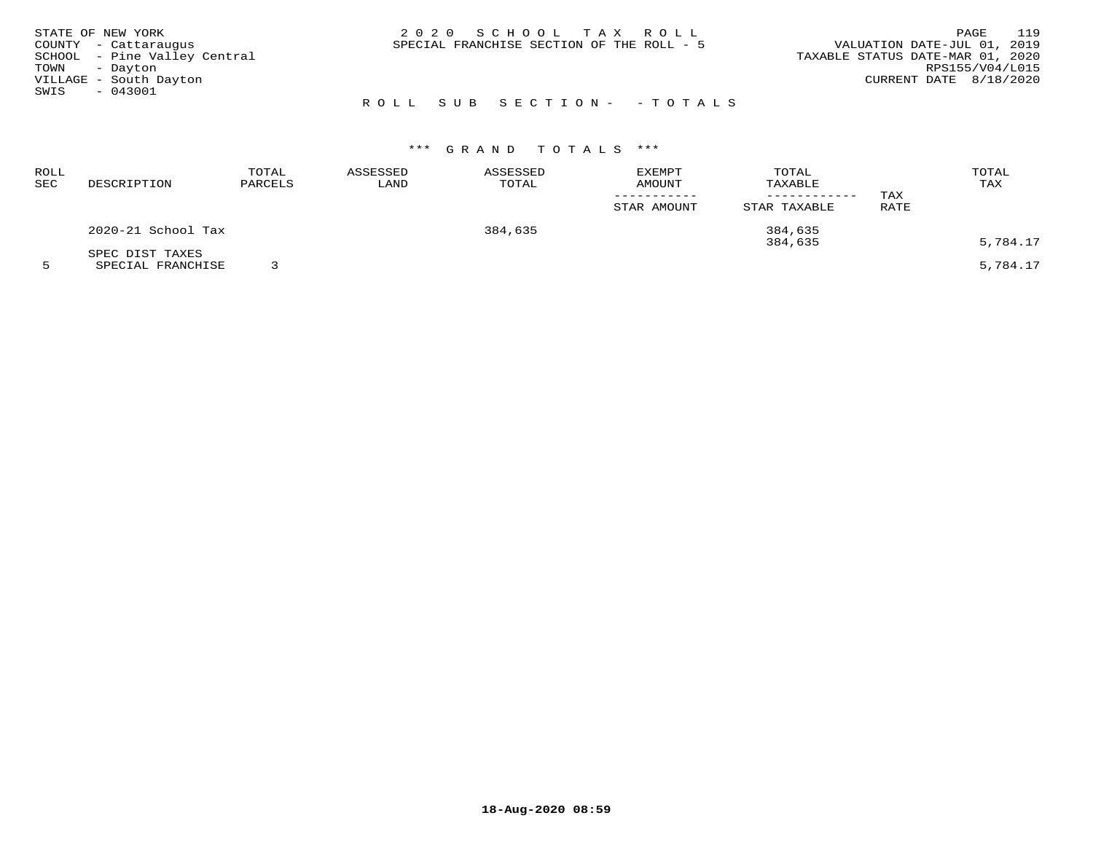| STATE OF NEW YORK            |  | 2020 SCHOOL TAX ROLL                      |                           |                                  | PAGE                     | 119 |
|------------------------------|--|-------------------------------------------|---------------------------|----------------------------------|--------------------------|-----|
| COUNTY - Cattaraugus         |  | SPECIAL FRANCHISE SECTION OF THE ROLL - 5 |                           | VALUATION DATE-JUL 01, 2019      |                          |     |
| SCHOOL - Pine Valley Central |  |                                           |                           | TAXABLE STATUS DATE-MAR 01, 2020 |                          |     |
| TOWN - Dayton                |  |                                           |                           |                                  | RPS155/V04/L015          |     |
| VILLAGE - South Dayton       |  |                                           |                           |                                  | CURRENT DATE $8/18/2020$ |     |
| SWIS<br>- 043001             |  |                                           |                           |                                  |                          |     |
|                              |  |                                           | ROLL SUB SECTION- -TOTALS |                                  |                          |     |

| ROLL<br>SEC | DESCRIPTION                          | TOTAL<br>PARCELS | ASSESSED<br>LAND | ASSESSED<br>TOTAL | <b>EXEMPT</b><br>AMOUNT | TOTAL<br>TAXABLE<br>------------ | TAX  | TOTAL<br>TAX |
|-------------|--------------------------------------|------------------|------------------|-------------------|-------------------------|----------------------------------|------|--------------|
|             |                                      |                  |                  |                   | STAR AMOUNT             | STAR TAXABLE                     | RATE |              |
|             | 2020-21 School Tax                   |                  |                  | 384,635           |                         | 384,635<br>384,635               |      | 5,784.17     |
|             | SPEC DIST TAXES<br>SPECIAL FRANCHISE |                  |                  |                   |                         |                                  |      | 5,784.17     |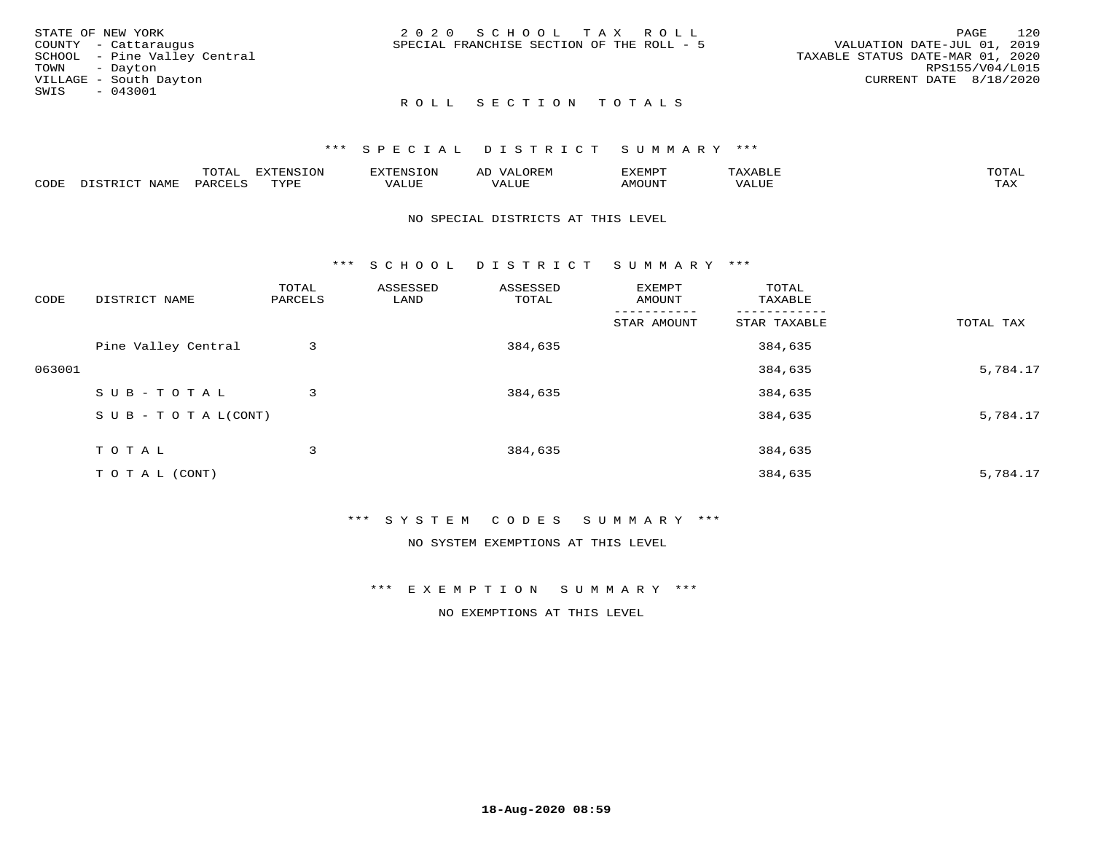| STATE OF NEW YORK            | 2020 SCHOOL TAX ROLL                      | 120<br>PAGE                      |
|------------------------------|-------------------------------------------|----------------------------------|
| COUNTY - Cattaraugus         | SPECIAL FRANCHISE SECTION OF THE ROLL - 5 | VALUATION DATE-JUL 01, 2019      |
| SCHOOL - Pine Valley Central |                                           | TAXABLE STATUS DATE-MAR 01, 2020 |
| TOWN - Dayton                |                                           | RPS155/V04/L015                  |
| VILLAGE - South Dayton       |                                           | CURRENT DATE 8/18/2020           |
| SWIS<br>$-043001$            |                                           |                                  |
|                              | ROLL SECTION TOTALS                       |                                  |

|      |                  | momz<br><u>UIAI</u> | <b>DIZPOILIC TOM</b><br>LUP | --------          | $\sim$ | ,,, <del>,</del> ,,,,,<br>. ب<br>7 A PILLE | max                | $m \wedge m \wedge n$ |
|------|------------------|---------------------|-----------------------------|-------------------|--------|--------------------------------------------|--------------------|-----------------------|
| CODE | NAM <sup>7</sup> | PARO                | TVDF                        | $- - - -$<br>ALUF | ALUL   | TUUOM4                                     | --- - ---<br>'ALUL | max 37<br>∸∽∽         |

#### NO SPECIAL DISTRICTS AT THIS LEVEL

\*\*\* S C H O O L D I S T R I C T S U M M A R Y \*\*\*

| CODE   | DISTRICT NAME                    | TOTAL<br>PARCELS | ASSESSED<br>LAND | ASSESSED<br>TOTAL | EXEMPT<br>AMOUNT | TOTAL<br>TAXABLE |           |
|--------|----------------------------------|------------------|------------------|-------------------|------------------|------------------|-----------|
|        |                                  |                  |                  |                   | STAR AMOUNT      | STAR TAXABLE     | TOTAL TAX |
|        | Pine Valley Central              | 3                |                  | 384,635           |                  | 384,635          |           |
| 063001 |                                  |                  |                  |                   |                  | 384,635          | 5,784.17  |
|        | SUB-TOTAL                        | 3                |                  | 384,635           |                  | 384,635          |           |
|        | $S \cup B - T \cup T A L (CONT)$ |                  |                  |                   |                  | 384,635          | 5,784.17  |
|        | TOTAL                            | 3                |                  | 384,635           |                  | 384,635          |           |
|        | T O T A L (CONT)                 |                  |                  |                   |                  | 384,635          | 5,784.17  |

### \*\*\* S Y S T E M C O D E S S U M M A R Y \*\*\*

NO SYSTEM EXEMPTIONS AT THIS LEVEL

\*\*\* E X E M P T I O N S U M M A R Y \*\*\*

NO EXEMPTIONS AT THIS LEVEL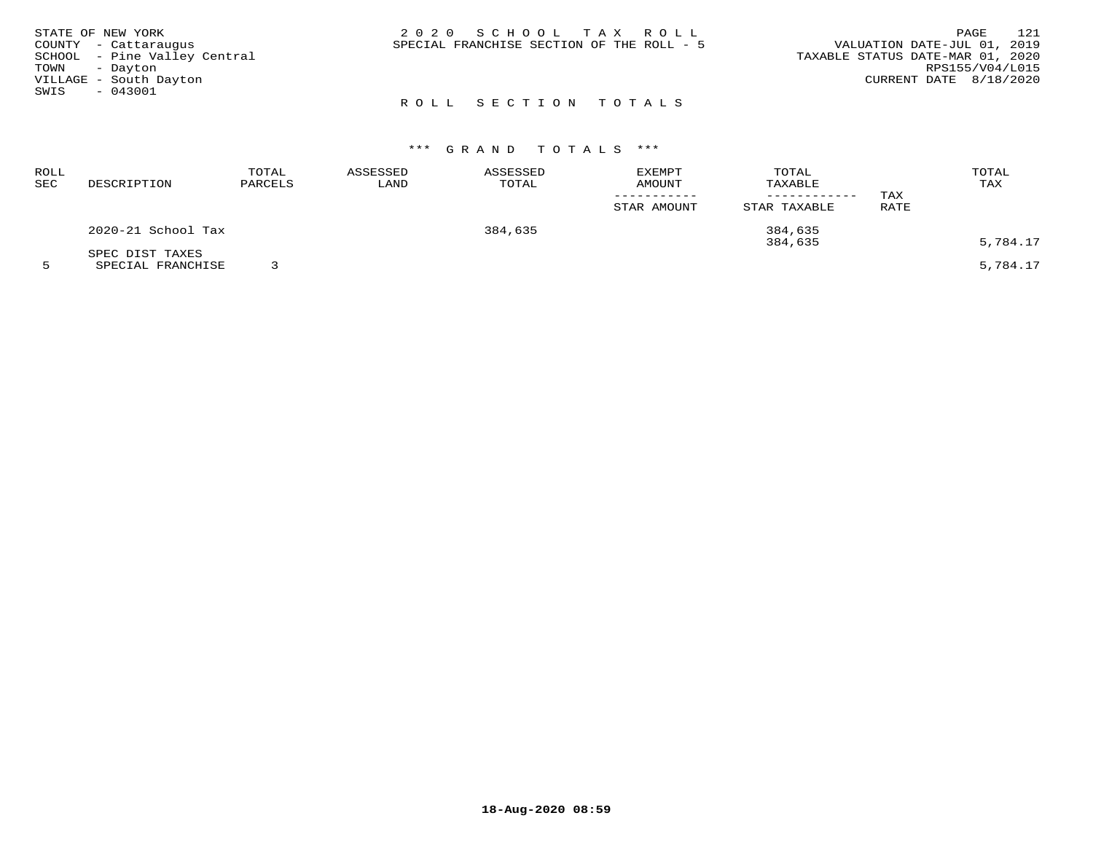|               | STATE OF NEW YORK            | 2020 SCHOOL TAX ROLL                      | PAGE                             | 121 |
|---------------|------------------------------|-------------------------------------------|----------------------------------|-----|
|               | COUNTY - Cattaraugus         | SPECIAL FRANCHISE SECTION OF THE ROLL - 5 | VALUATION DATE-JUL 01, 2019      |     |
|               | SCHOOL - Pine Valley Central |                                           | TAXABLE STATUS DATE-MAR 01, 2020 |     |
| TOWN - Dayton |                              |                                           | RPS155/V04/L015                  |     |
|               | VILLAGE - South Dayton       |                                           | CURRENT DATE 8/18/2020           |     |
| SWIS          | $-043001$                    |                                           |                                  |     |
|               |                              | ROLL SECTION TOTALS                       |                                  |     |

| ROLL<br>SEC | DESCRIPTION        | TOTAL<br>PARCELS | ASSESSED<br>LAND | ASSESSED<br>TOTAL | <b>EXEMPT</b><br><b>AMOUNT</b> | TOTAL<br>TAXABLE<br>--------- | TAX  | TOTAL<br>TAX |
|-------------|--------------------|------------------|------------------|-------------------|--------------------------------|-------------------------------|------|--------------|
|             |                    |                  |                  |                   | STAR AMOUNT                    | STAR TAXABLE                  | RATE |              |
|             | 2020-21 School Tax |                  |                  | 384,635           |                                | 384,635<br>384,635            |      | 5,784.17     |
|             | SPEC DIST TAXES    |                  |                  |                   |                                |                               |      |              |
|             | SPECIAL FRANCHISE  |                  |                  |                   |                                |                               |      | 5,784.17     |

**18-Aug-2020 08:59**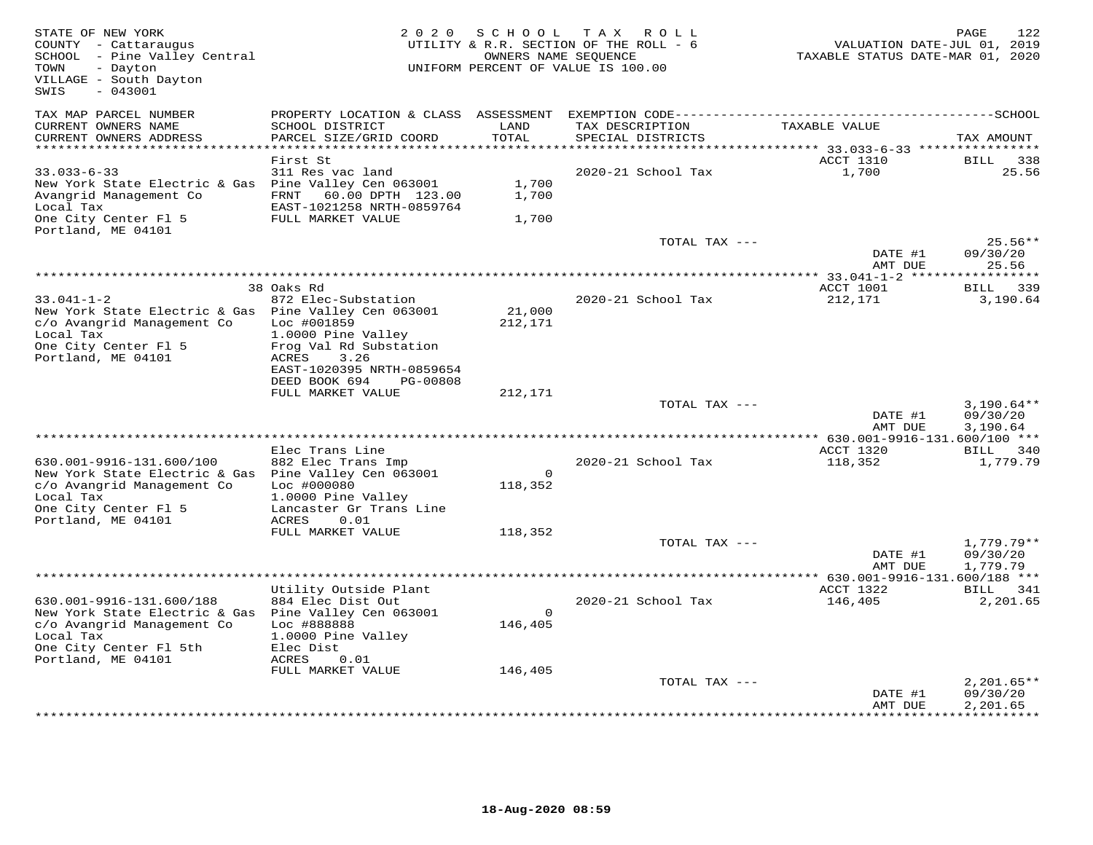| STATE OF NEW YORK<br>COUNTY - Cattaraugus<br>SCHOOL - Pine Valley Central<br>TOWN<br>- Dayton<br>VILLAGE - South Dayton<br>SWIS<br>$-043001$ |                                                                      | 2020 SCHOOL<br>OWNERS NAME SEQUENCE | TAX ROLL<br>UTILITY & R.R. SECTION OF THE ROLL - 6<br>UNIFORM PERCENT OF VALUE IS 100.00 | VALUATION DATE-JUL 01, 2019<br>TAXABLE STATUS DATE-MAR 01, 2020 | 122<br>PAGE              |
|----------------------------------------------------------------------------------------------------------------------------------------------|----------------------------------------------------------------------|-------------------------------------|------------------------------------------------------------------------------------------|-----------------------------------------------------------------|--------------------------|
| TAX MAP PARCEL NUMBER                                                                                                                        |                                                                      |                                     |                                                                                          |                                                                 |                          |
| CURRENT OWNERS NAME<br>CURRENT OWNERS ADDRESS<br>**********************                                                                      | SCHOOL DISTRICT<br>PARCEL SIZE/GRID COORD                            | LAND<br>TOTAL                       | TAX DESCRIPTION<br>SPECIAL DISTRICTS                                                     | TAXABLE VALUE                                                   | TAX AMOUNT               |
|                                                                                                                                              | First St                                                             |                                     |                                                                                          | ACCT 1310                                                       | 338<br><b>BILL</b>       |
| $33.033 - 6 - 33$                                                                                                                            | 311 Res vac land                                                     |                                     | 2020-21 School Tax                                                                       | 1,700                                                           | 25.56                    |
| New York State Electric & Gas Pine Valley Cen 063001<br>Avangrid Management Co                                                               | 60.00 DPTH 123.00<br>FRNT                                            | 1,700<br>1,700                      |                                                                                          |                                                                 |                          |
| Local Tax<br>One City Center Fl 5                                                                                                            | EAST-1021258 NRTH-0859764<br>FULL MARKET VALUE                       | 1,700                               |                                                                                          |                                                                 |                          |
| Portland, ME 04101                                                                                                                           |                                                                      |                                     | TOTAL TAX ---                                                                            |                                                                 | $25.56**$                |
|                                                                                                                                              |                                                                      |                                     |                                                                                          | DATE #1<br>AMT DUE                                              | 09/30/20<br>25.56        |
|                                                                                                                                              |                                                                      |                                     |                                                                                          |                                                                 | *********                |
|                                                                                                                                              | 38 Oaks Rd                                                           |                                     |                                                                                          | ACCT 1001                                                       | BILL<br>339              |
| $33.041 - 1 - 2$<br>New York State Electric & Gas Pine Valley Cen 063001<br>c/o Avangrid Management Co<br>Local Tax                          | 872 Elec-Substation<br>Loc #001859<br>1.0000 Pine Valley             | 21,000<br>212,171                   | 2020-21 School Tax                                                                       | 212,171                                                         | 3,190.64                 |
| One City Center Fl 5<br>Portland, ME 04101                                                                                                   | Frog Val Rd Substation<br>ACRES<br>3.26<br>EAST-1020395 NRTH-0859654 |                                     |                                                                                          |                                                                 |                          |
|                                                                                                                                              | DEED BOOK 694<br>PG-00808<br>FULL MARKET VALUE                       | 212,171                             |                                                                                          |                                                                 |                          |
|                                                                                                                                              |                                                                      |                                     | TOTAL TAX ---                                                                            |                                                                 | $3,190.64**$             |
|                                                                                                                                              |                                                                      |                                     |                                                                                          | DATE #1<br>AMT DUE                                              | 09/30/20<br>3,190.64     |
|                                                                                                                                              |                                                                      |                                     |                                                                                          | ** $630.001 - 9916 - 131.600/100$ ***                           |                          |
| 630.001-9916-131.600/100                                                                                                                     | Elec Trans Line<br>882 Elec Trans Imp                                |                                     | 2020-21 School Tax                                                                       | ACCT 1320<br>118,352                                            | BILL 340<br>1,779.79     |
| New York State Electric & Gas Pine Valley Cen 063001<br>c/o Avangrid Management Co                                                           | Loc #000080                                                          | $\Omega$<br>118,352                 |                                                                                          |                                                                 |                          |
| Local Tax<br>One City Center Fl 5                                                                                                            | 1.0000 Pine Valley<br>Lancaster Gr Trans Line                        |                                     |                                                                                          |                                                                 |                          |
| Portland, ME 04101                                                                                                                           | ACRES<br>0.01                                                        |                                     |                                                                                          |                                                                 |                          |
|                                                                                                                                              | FULL MARKET VALUE                                                    | 118,352                             | TOTAL TAX ---                                                                            |                                                                 | $1,779.79**$             |
|                                                                                                                                              |                                                                      |                                     |                                                                                          | DATE #1<br>AMT DUE                                              | 09/30/20<br>1,779.79     |
|                                                                                                                                              |                                                                      |                                     |                                                                                          |                                                                 |                          |
| 630.001-9916-131.600/188                                                                                                                     | Utility Outside Plant<br>884 Elec Dist Out                           |                                     | 2020-21 School Tax                                                                       | ACCT 1322<br>146,405                                            | BILL 341<br>2,201.65     |
| New York State Electric & Gas Pine Valley Cen 063001                                                                                         |                                                                      | $\Omega$                            |                                                                                          |                                                                 |                          |
| c/o Avangrid Management Co<br>Local Tax                                                                                                      | Loc #888888<br>1.0000 Pine Valley                                    | 146,405                             |                                                                                          |                                                                 |                          |
| One City Center Fl 5th<br>Portland, ME 04101                                                                                                 | Elec Dist<br>ACRES<br>0.01                                           |                                     |                                                                                          |                                                                 |                          |
|                                                                                                                                              | FULL MARKET VALUE                                                    | 146,405                             |                                                                                          |                                                                 |                          |
|                                                                                                                                              |                                                                      |                                     | TOTAL TAX ---                                                                            | DATE #1                                                         | $2,201.65**$<br>09/30/20 |
|                                                                                                                                              |                                                                      |                                     |                                                                                          | AMT DUE                                                         | 2,201.65                 |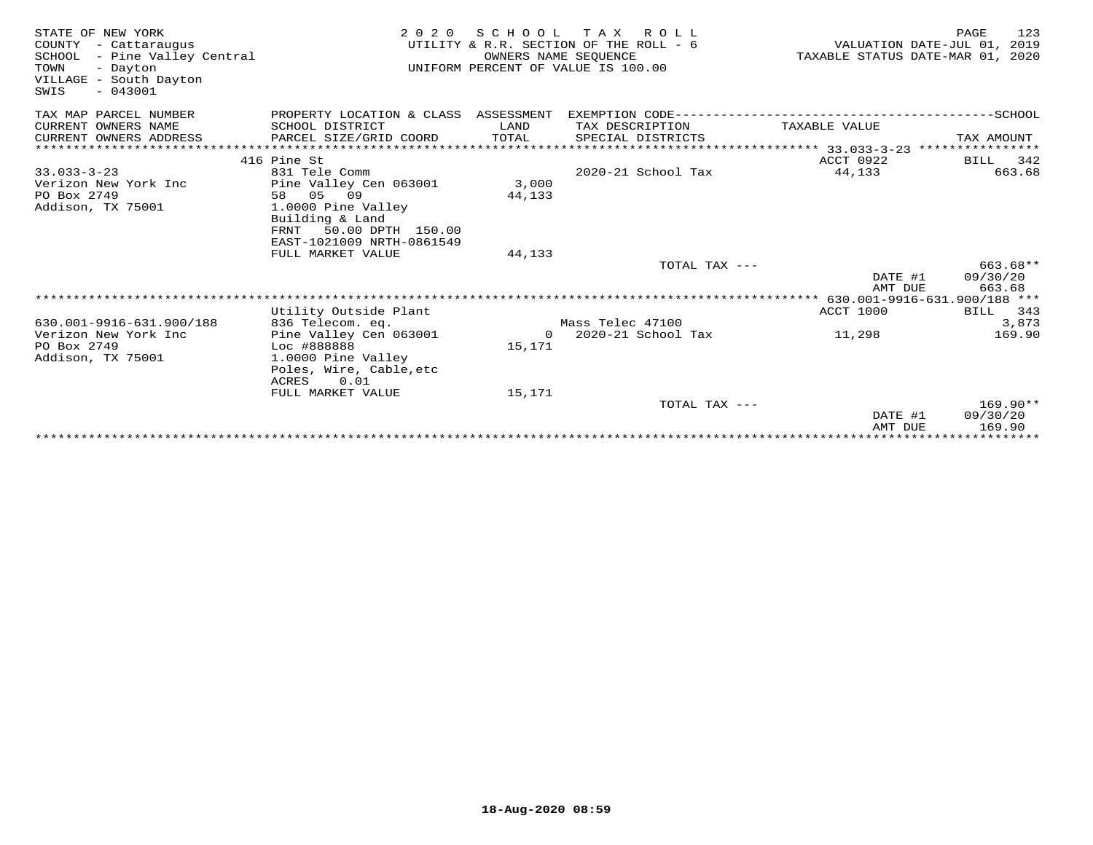| STATE OF NEW YORK<br>COUNTY - Cattaraugus<br>SCHOOL - Pine Valley Central<br>TOWN<br>- Dayton<br>VILLAGE - South Dayton<br>$-043001$<br>SWIS | 2 0 2 0                                   | SCHOOL<br>OWNERS NAME SEOUENCE | T A X<br>R O L L<br>UTILITY & R.R. SECTION OF THE ROLL - 6<br>UNIFORM PERCENT OF VALUE IS 100.00 | TAXABLE STATUS DATE-MAR 01, 2020 | 123<br>PAGE<br>VALUATION DATE-JUL 01, 2019 |
|----------------------------------------------------------------------------------------------------------------------------------------------|-------------------------------------------|--------------------------------|--------------------------------------------------------------------------------------------------|----------------------------------|--------------------------------------------|
| TAX MAP PARCEL NUMBER                                                                                                                        | PROPERTY LOCATION & CLASS ASSESSMENT      |                                | EXEMPTION CODE-----------                                                                        |                                  | ------------SCHOOL                         |
| CURRENT OWNERS NAME                                                                                                                          | SCHOOL DISTRICT                           | LAND                           | TAX DESCRIPTION                                                                                  | TAXABLE VALUE                    |                                            |
| CURRENT OWNERS ADDRESS                                                                                                                       | PARCEL SIZE/GRID COORD                    | TOTAL                          | SPECIAL DISTRICTS                                                                                |                                  | TAX AMOUNT                                 |
|                                                                                                                                              |                                           |                                |                                                                                                  |                                  |                                            |
| $33.033 - 3 - 23$                                                                                                                            | 416 Pine St<br>831 Tele Comm              |                                | 2020-21 School Tax                                                                               | ACCT 0922<br>44,133              | 342<br>BILL<br>663.68                      |
| Verizon New York Inc                                                                                                                         | Pine Valley Cen 063001                    | 3,000                          |                                                                                                  |                                  |                                            |
| PO Box 2749                                                                                                                                  | 58 05 09                                  | 44,133                         |                                                                                                  |                                  |                                            |
| Addison, TX 75001                                                                                                                            | 1.0000 Pine Valley                        |                                |                                                                                                  |                                  |                                            |
|                                                                                                                                              | Building & Land                           |                                |                                                                                                  |                                  |                                            |
|                                                                                                                                              | 50.00 DPTH 150.00<br>FRNT                 |                                |                                                                                                  |                                  |                                            |
|                                                                                                                                              | EAST-1021009 NRTH-0861549                 |                                |                                                                                                  |                                  |                                            |
|                                                                                                                                              | FULL MARKET VALUE                         | 44,133                         |                                                                                                  |                                  |                                            |
|                                                                                                                                              |                                           |                                | TOTAL TAX ---                                                                                    |                                  | $663.68**$                                 |
|                                                                                                                                              |                                           |                                |                                                                                                  | DATE #1<br>AMT DUE               | 09/30/20<br>663.68                         |
|                                                                                                                                              |                                           |                                |                                                                                                  |                                  |                                            |
|                                                                                                                                              | Utility Outside Plant                     |                                |                                                                                                  | <b>ACCT 1000</b>                 | 343<br>BILL                                |
| 630.001-9916-631.900/188                                                                                                                     | 836 Telecom. eq.                          |                                | Mass Telec 47100                                                                                 |                                  | 3,873                                      |
| Verizon New York Inc                                                                                                                         | Pine Valley Cen 063001                    | $\Omega$                       | 2020-21 School Tax                                                                               | 11,298                           | 169.90                                     |
| PO Box 2749                                                                                                                                  | Loc #888888                               | 15,171                         |                                                                                                  |                                  |                                            |
| Addison, TX 75001                                                                                                                            | 1.0000 Pine Valley                        |                                |                                                                                                  |                                  |                                            |
|                                                                                                                                              | Poles, Wire, Cable, etc                   |                                |                                                                                                  |                                  |                                            |
|                                                                                                                                              | 0.01<br><b>ACRES</b><br>FULL MARKET VALUE | 15,171                         |                                                                                                  |                                  |                                            |
|                                                                                                                                              |                                           |                                | TOTAL TAX ---                                                                                    |                                  | $169.90**$                                 |
|                                                                                                                                              |                                           |                                |                                                                                                  | DATE #1                          | 09/30/20                                   |
|                                                                                                                                              |                                           |                                |                                                                                                  | AMT DUE                          | 169.90                                     |
|                                                                                                                                              |                                           |                                |                                                                                                  |                                  |                                            |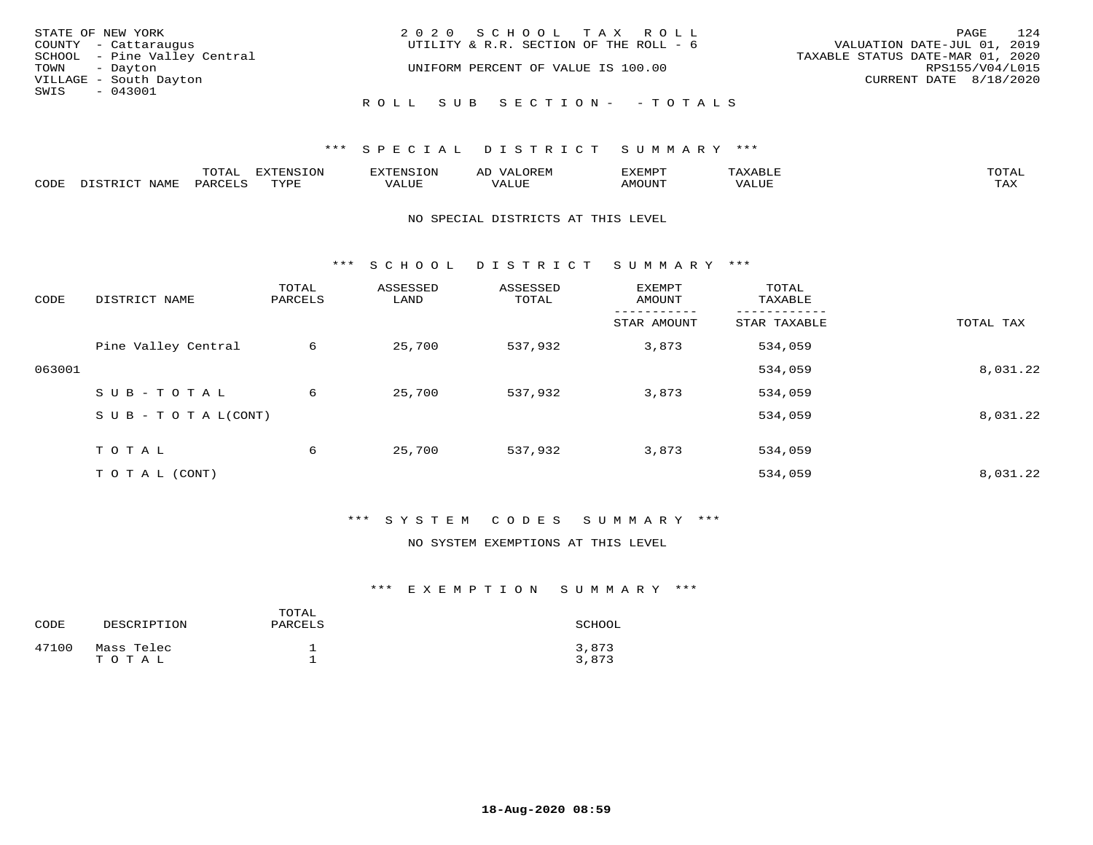| STATE OF NEW YORK |                              | 2020 SCHOOL TAX ROLL                   | 124<br>PAGE                      |
|-------------------|------------------------------|----------------------------------------|----------------------------------|
|                   | COUNTY - Cattaraugus         | UTILITY & R.R. SECTION OF THE ROLL - 6 | VALUATION DATE-JUL 01, 2019      |
|                   | SCHOOL - Pine Valley Central |                                        | TAXABLE STATUS DATE-MAR 01, 2020 |
| TOWN - Dayton     |                              | UNIFORM PERCENT OF VALUE IS 100.00     | RPS155/V04/L015                  |
|                   | VILLAGE - South Dayton       |                                        | CURRENT DATE 8/18/2020           |
| SWIS - 043001     |                              |                                        |                                  |
|                   |                              | ROLL SUB SECTION- - TOTALS             |                                  |

|      |              | momn'<br>UIAL | $\pi$<br>. vi |            | 17773500 |       | $T$ $\cap$ $T$ $\Delta$ |
|------|--------------|---------------|---------------|------------|----------|-------|-------------------------|
| CODE | <b>NTAMT</b> | PARO          | TVDF          | <b>TTT</b> | AMOUNT   | 'ALUL | max x<br>- - - - -      |

### NO SPECIAL DISTRICTS AT THIS LEVEL

\*\*\* S C H O O L D I S T R I C T S U M M A R Y \*\*\*

| CODE   | DISTRICT NAME                    | TOTAL<br>PARCELS | ASSESSED<br>LAND | ASSESSED<br>TOTAL | EXEMPT<br>AMOUNT | TOTAL<br>TAXABLE |           |
|--------|----------------------------------|------------------|------------------|-------------------|------------------|------------------|-----------|
|        |                                  |                  |                  |                   | STAR AMOUNT      | STAR TAXABLE     | TOTAL TAX |
|        | Pine Valley Central              | 6                | 25,700           | 537,932           | 3,873            | 534,059          |           |
| 063001 |                                  |                  |                  |                   |                  | 534,059          | 8,031.22  |
|        | SUB-TOTAL                        | 6                | 25,700           | 537,932           | 3,873            | 534,059          |           |
|        | $S \cup B - T \cup T A L (CONT)$ |                  |                  |                   |                  | 534,059          | 8,031.22  |
|        | TOTAL                            | 6                | 25,700           | 537,932           | 3,873            | 534,059          |           |
|        | T O T A L (CONT)                 |                  |                  |                   |                  | 534,059          | 8,031.22  |

# \*\*\* S Y S T E M C O D E S S U M M A R Y \*\*\*

### NO SYSTEM EXEMPTIONS AT THIS LEVEL

# \*\*\* E X E M P T I O N S U M M A R Y \*\*\*

| CODE  | DESCRIPTION         | TOTAL<br>PARCELS | SCHOOL         |
|-------|---------------------|------------------|----------------|
| 47100 | Mass Telec<br>TOTAL |                  | 3,873<br>3,873 |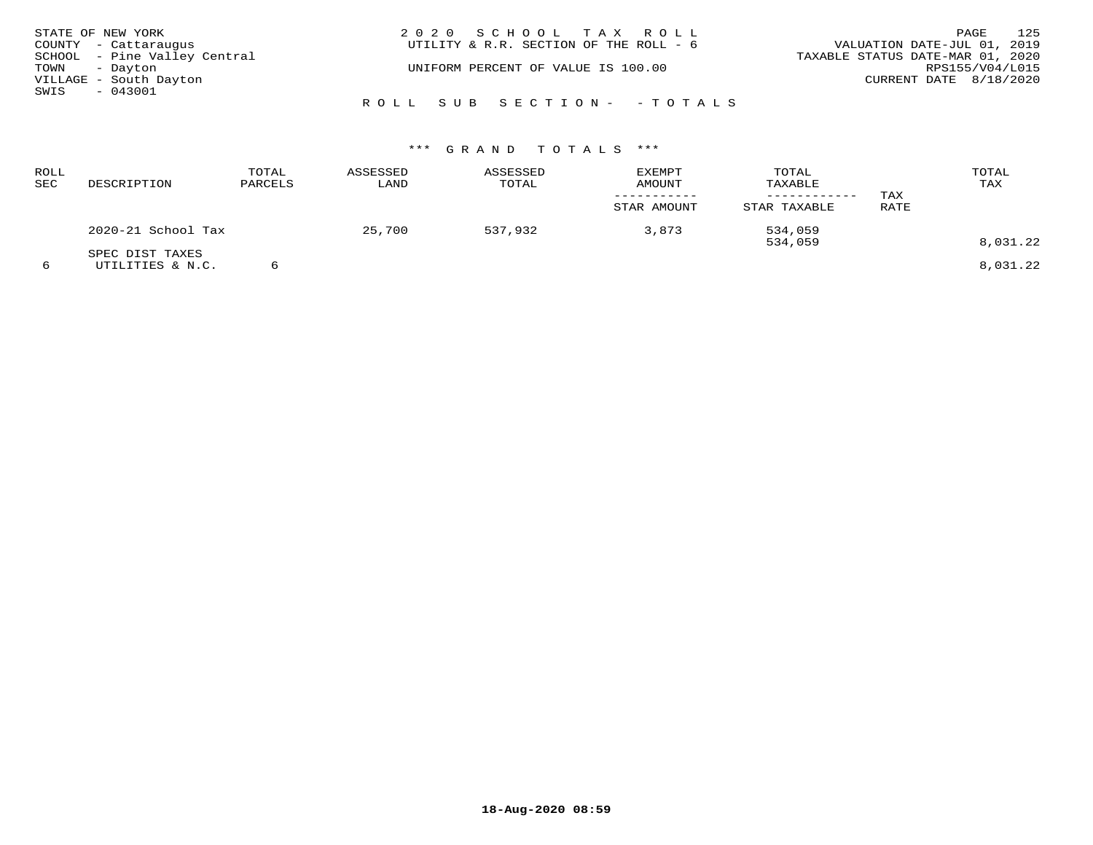| STATE OF NEW YORK    |                              | 2020 SCHOOL TAX ROLL                                                  | 125<br>PAGE            |
|----------------------|------------------------------|-----------------------------------------------------------------------|------------------------|
| COUNTY - Cattaraugus |                              | VALUATION DATE-JUL 01, 2019<br>UTILITY & R.R. SECTION OF THE ROLL - 6 |                        |
|                      | SCHOOL - Pine Valley Central | TAXABLE STATUS DATE-MAR 01, 2020                                      |                        |
| TOWN - Dayton        |                              | UNIFORM PERCENT OF VALUE IS 100.00                                    | RPS155/V04/L015        |
|                      | VILLAGE - South Dayton       |                                                                       | CURRENT DATE 8/18/2020 |
| SWIS<br>$-043001$    |                              |                                                                       |                        |
|                      |                              | ROLL SUB SECTION - - TOTALS                                           |                        |

| ROLL<br>SEC | DESCRIPTION                         | TOTAL<br>PARCELS | ASSESSED<br>LAND | ASSESSED<br>TOTAL | <b>EXEMPT</b><br><b>AMOUNT</b><br>STAR AMOUNT | TOTAL<br>TAXABLE<br>----------<br>STAR TAXABLE | TAX<br>RATE | TOTAL<br>TAX |
|-------------|-------------------------------------|------------------|------------------|-------------------|-----------------------------------------------|------------------------------------------------|-------------|--------------|
|             | 2020-21 School Tax                  |                  | 25,700           | 537,932           | 3,873                                         | 534,059<br>534,059                             |             | 8,031.22     |
|             | SPEC DIST TAXES<br>UTILITIES & N.C. |                  |                  |                   |                                               |                                                |             | 8,031.22     |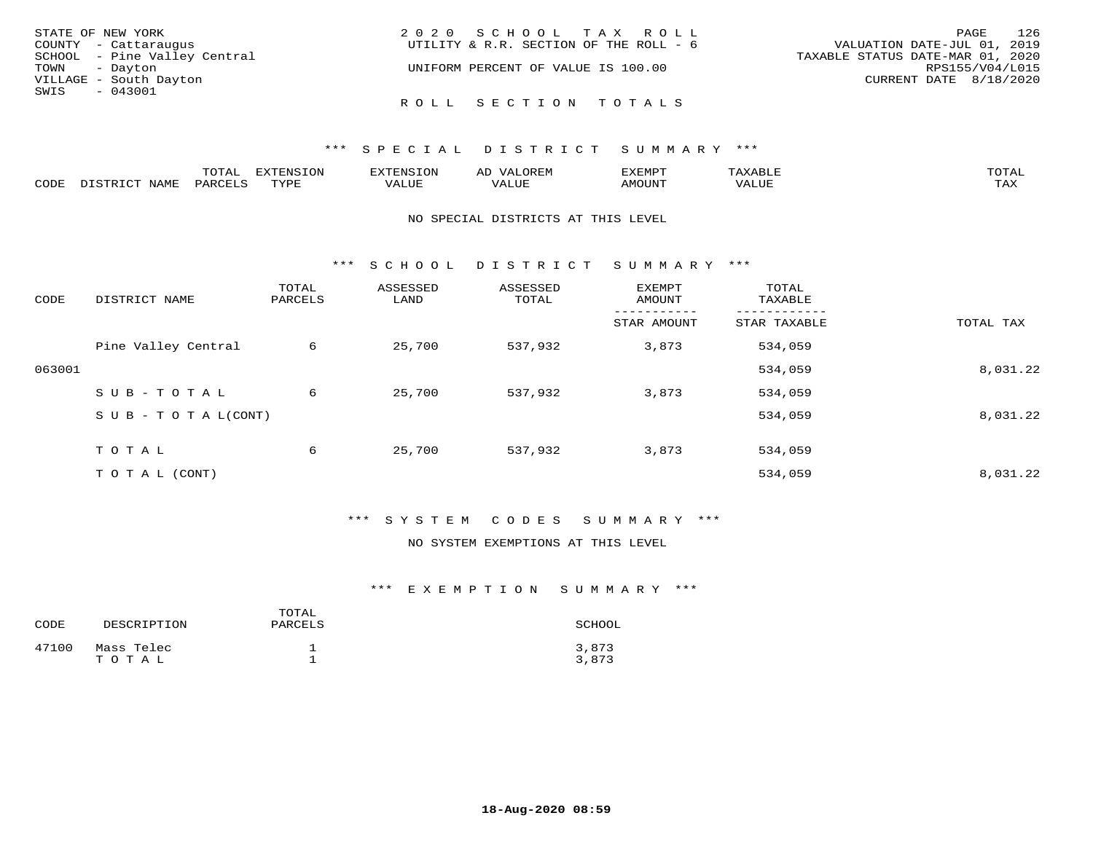| STATE OF NEW YORK            | 2020 SCHOOL TAX ROLL                   | 126<br>PAGE                      |
|------------------------------|----------------------------------------|----------------------------------|
| COUNTY - Cattaraugus         | UTILITY & R.R. SECTION OF THE ROLL - 6 | VALUATION DATE-JUL 01, 2019      |
| SCHOOL - Pine Valley Central |                                        | TAXABLE STATUS DATE-MAR 01, 2020 |
| TOWN - Dayton                | UNIFORM PERCENT OF VALUE IS 100.00     | RPS155/V04/L015                  |
| VILLAGE - South Dayton       |                                        | CURRENT DATE 8/18/2020           |
| SWIS<br>- 043001             |                                        |                                  |
|                              | ROLL SECTION TOTALS                    |                                  |

|             |      | ----<br>⊥∪⊥ <del>പ</del> | $T^{\sim}$<br>T T T T T |                       | ,,,,,,    | ,,, <del>,</del> ,,, <del>,</del><br>$\overline{\phantom{0}}$ |          | $m \wedge m \wedge n$ |
|-------------|------|--------------------------|-------------------------|-----------------------|-----------|---------------------------------------------------------------|----------|-----------------------|
| <b>PODE</b> | NAME |                          | TVDI<br>.               | 77 T TT <del>T.</del> | $- - - -$ | TUUOM                                                         | $\Delta$ | $m \times r$<br>- −-  |

#### NO SPECIAL DISTRICTS AT THIS LEVEL

\*\*\* S C H O O L D I S T R I C T S U M M A R Y \*\*\*

| CODE   | DISTRICT NAME                    | TOTAL<br>PARCELS | ASSESSED<br>LAND | ASSESSED<br>TOTAL | EXEMPT<br>AMOUNT | TOTAL<br>TAXABLE |           |
|--------|----------------------------------|------------------|------------------|-------------------|------------------|------------------|-----------|
|        |                                  |                  |                  |                   | STAR AMOUNT      | STAR TAXABLE     | TOTAL TAX |
|        | Pine Valley Central              | 6                | 25,700           | 537,932           | 3,873            | 534,059          |           |
| 063001 |                                  |                  |                  |                   |                  | 534,059          | 8,031.22  |
|        | SUB-TOTAL                        | 6                | 25,700           | 537,932           | 3,873            | 534,059          |           |
|        | $S \cup B - T \cup T A L (CONT)$ |                  |                  |                   |                  | 534,059          | 8,031.22  |
|        | TOTAL                            | 6                | 25,700           | 537,932           | 3,873            | 534,059          |           |
|        | T O T A L (CONT)                 |                  |                  |                   |                  | 534,059          | 8,031.22  |

# \*\*\* S Y S T E M C O D E S S U M M A R Y \*\*\*

### NO SYSTEM EXEMPTIONS AT THIS LEVEL

# \*\*\* E X E M P T I O N S U M M A R Y \*\*\*

| CODE  | DESCRIPTION         | TOTAL<br>PARCELS | SCHOOL         |
|-------|---------------------|------------------|----------------|
| 47100 | Mass Telec<br>TOTAL |                  | 3,873<br>3,873 |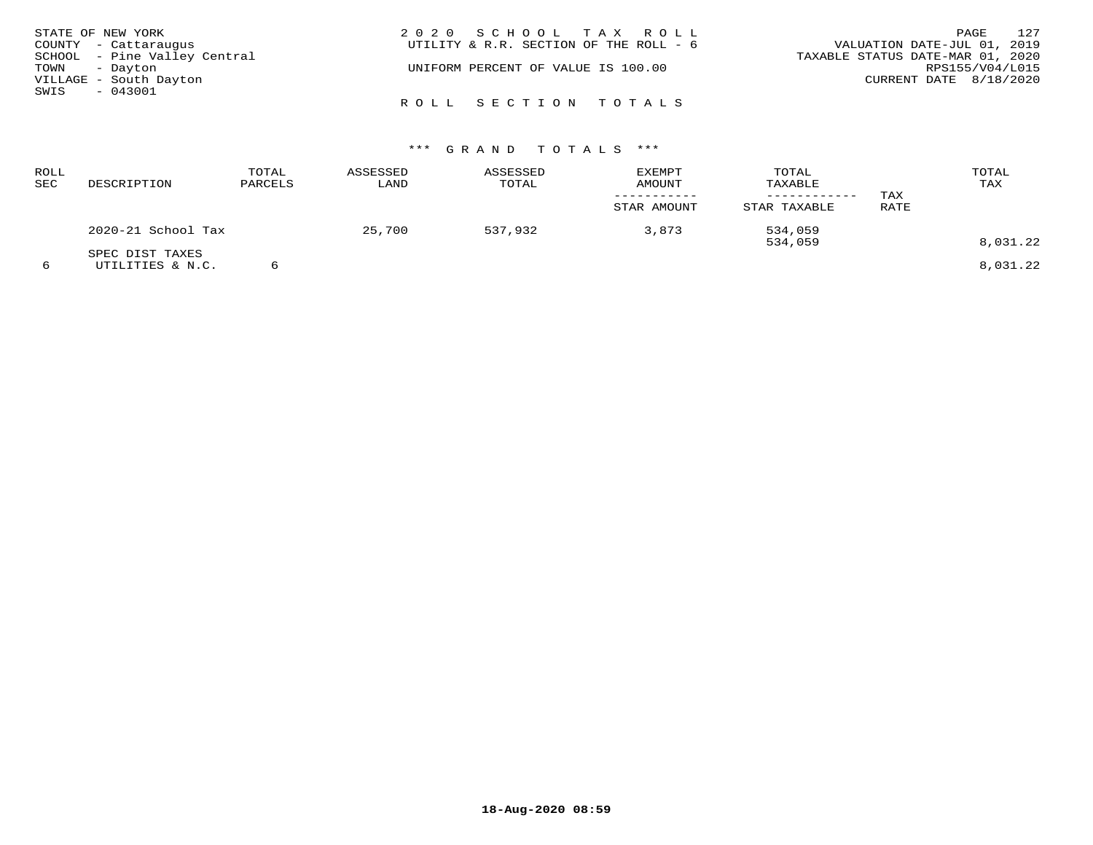| STATE OF NEW YORK            | 2020 SCHOOL TAX ROLL                   | 127<br>PAGE                      |
|------------------------------|----------------------------------------|----------------------------------|
| COUNTY - Cattaraugus         | UTILITY & R.R. SECTION OF THE ROLL - 6 | VALUATION DATE-JUL 01, 2019      |
| SCHOOL - Pine Valley Central |                                        | TAXABLE STATUS DATE-MAR 01, 2020 |
| TOWN - Dayton                | UNIFORM PERCENT OF VALUE IS 100.00     | RPS155/V04/L015                  |
| VILLAGE - South Dayton       |                                        | CURRENT DATE 8/18/2020           |
| $-043001$<br>SWIS            |                                        |                                  |
|                              | ROLL SECTION TOTALS                    |                                  |

| <b>ROLL</b><br>SEC | DESCRIPTION                         | TOTAL<br>PARCELS | ASSESSED<br>LAND | ASSESSED<br>TOTAL | <b>EXEMPT</b><br>AMOUNT<br>STAR AMOUNT | TOTAL<br>TAXABLE<br>STAR TAXABLE | TAX<br>RATE | TOTAL<br>TAX |
|--------------------|-------------------------------------|------------------|------------------|-------------------|----------------------------------------|----------------------------------|-------------|--------------|
|                    | 2020-21 School Tax                  |                  | 25,700           | 537,932           | 3,873                                  | 534,059<br>534,059               |             | 8,031.22     |
| 6                  | SPEC DIST TAXES<br>UTILITIES & N.C. |                  |                  |                   |                                        |                                  |             | 8,031.22     |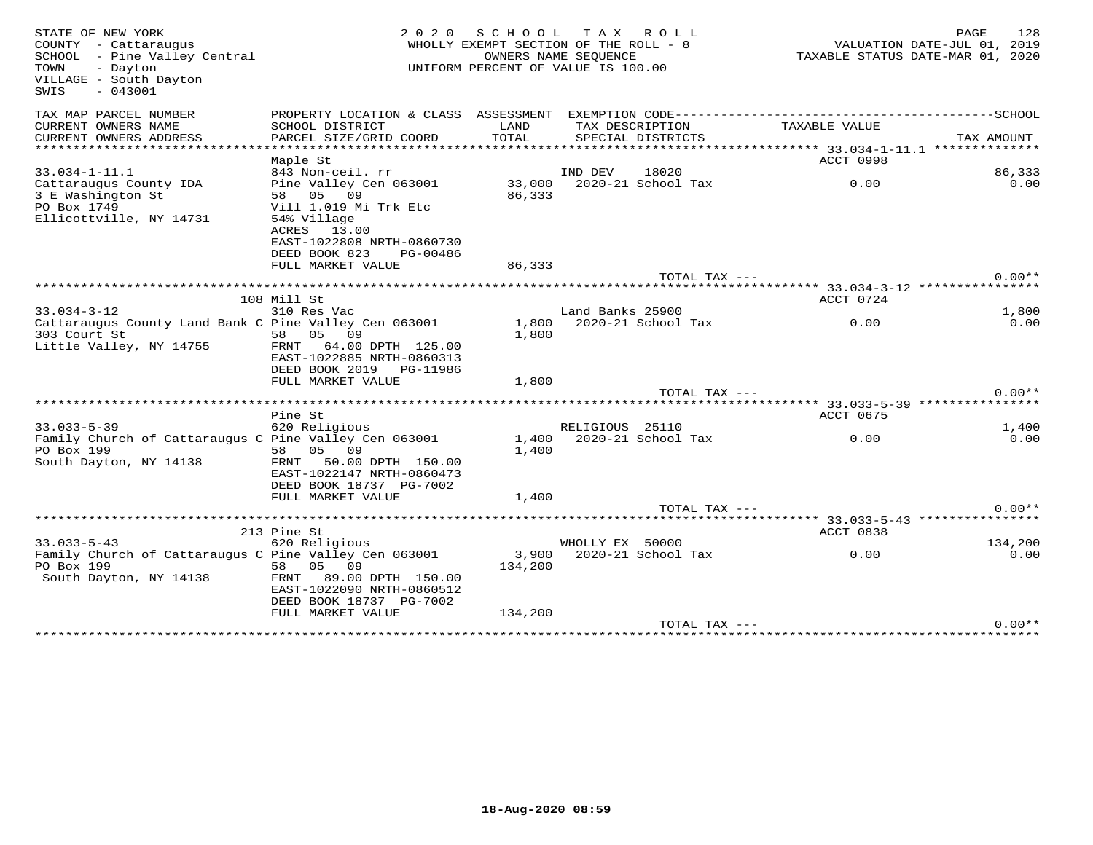| STATE OF NEW YORK<br>2 0 2 0<br>SCHOOL<br>WHOLLY EXEMPT SECTION OF THE ROLL - 8<br>COUNTY - Cattaraugus<br>SCHOOL - Pine Valley Central<br>OWNERS NAME SEQUENCE<br>- Dayton<br>UNIFORM PERCENT OF VALUE IS 100.00<br>TOWN<br>VILLAGE - South Dayton<br>SWIS<br>$-043001$ |                                                                                                                                                     |                         | TAX ROLL                             | PAGE<br>128<br>VALUATION DATE-JUL 01, 2019<br>TAXABLE STATUS DATE-MAR 01, 2020 |            |  |  |
|--------------------------------------------------------------------------------------------------------------------------------------------------------------------------------------------------------------------------------------------------------------------------|-----------------------------------------------------------------------------------------------------------------------------------------------------|-------------------------|--------------------------------------|--------------------------------------------------------------------------------|------------|--|--|
| TAX MAP PARCEL NUMBER                                                                                                                                                                                                                                                    | PROPERTY LOCATION & CLASS ASSESSMENT EXEMPTION CODE-----------------------------------SCHOOL                                                        |                         |                                      |                                                                                |            |  |  |
| CURRENT OWNERS NAME<br>CURRENT OWNERS ADDRESS<br>***********************                                                                                                                                                                                                 | SCHOOL DISTRICT<br>PARCEL SIZE/GRID COORD                                                                                                           | LAND<br>TOTAL           | TAX DESCRIPTION<br>SPECIAL DISTRICTS | TAXABLE VALUE                                                                  | TAX AMOUNT |  |  |
|                                                                                                                                                                                                                                                                          | Maple St                                                                                                                                            |                         |                                      | ACCT 0998                                                                      |            |  |  |
| $33.034 - 1 - 11.1$                                                                                                                                                                                                                                                      | 843 Non-ceil. rr                                                                                                                                    |                         | 18020<br>IND DEV                     |                                                                                | 86,333     |  |  |
| Cattaraugus County IDA<br>3 E Washington St<br>PO Box 1749<br>Ellicottville, NY 14731                                                                                                                                                                                    | Pine Valley Cen 063001<br>58 05 09<br>Vill 1.019 Mi Trk Etc<br>54% Village<br>ACRES 13.00<br>EAST-1022808 NRTH-0860730<br>DEED BOOK 823<br>PG-00486 | 33,000<br>86,333        | 2020-21 School Tax                   | 0.00                                                                           | 0.00       |  |  |
|                                                                                                                                                                                                                                                                          | FULL MARKET VALUE                                                                                                                                   | 86,333                  |                                      |                                                                                |            |  |  |
|                                                                                                                                                                                                                                                                          |                                                                                                                                                     |                         | TOTAL TAX ---                        |                                                                                | $0.00**$   |  |  |
|                                                                                                                                                                                                                                                                          | 108 Mill St                                                                                                                                         |                         |                                      | ACCT 0724                                                                      |            |  |  |
| $33.034 - 3 - 12$                                                                                                                                                                                                                                                        | 310 Res Vac                                                                                                                                         |                         | Land Banks 25900                     |                                                                                | 1,800      |  |  |
| Cattaraugus County Land Bank C Pine Valley Cen 063001<br>303 Court St<br>Little Valley, NY 14755                                                                                                                                                                         | 58 05<br>09<br>64.00 DPTH 125.00<br>FRNT<br>EAST-1022885 NRTH-0860313<br>DEED BOOK 2019 PG-11986<br>FULL MARKET VALUE                               | 1,800<br>1,800<br>1,800 | 2020-21 School Tax                   | 0.00                                                                           | 0.00       |  |  |
|                                                                                                                                                                                                                                                                          |                                                                                                                                                     |                         | TOTAL TAX ---                        |                                                                                | $0.00**$   |  |  |
|                                                                                                                                                                                                                                                                          | Pine St                                                                                                                                             |                         |                                      | ****** 33.033-5-39 ***************<br>ACCT 0675                                |            |  |  |
| $33.033 - 5 - 39$                                                                                                                                                                                                                                                        | 620 Religious                                                                                                                                       |                         | RELIGIOUS 25110                      |                                                                                | 1,400      |  |  |
| Family Church of Cattaraugus C Pine Valley Cen 063001<br>PO Box 199<br>South Dayton, NY 14138                                                                                                                                                                            | 58 05 09<br>FRNT<br>50.00 DPTH 150.00<br>EAST-1022147 NRTH-0860473<br>DEED BOOK 18737 PG-7002                                                       | 1,400<br>1,400          | 2020-21 School Tax                   | 0.00                                                                           | 0.00       |  |  |
|                                                                                                                                                                                                                                                                          | FULL MARKET VALUE                                                                                                                                   | 1,400                   |                                      |                                                                                |            |  |  |
|                                                                                                                                                                                                                                                                          |                                                                                                                                                     |                         | TOTAL TAX ---                        |                                                                                | $0.00**$   |  |  |
|                                                                                                                                                                                                                                                                          | 213 Pine St                                                                                                                                         |                         |                                      | ACCT 0838                                                                      |            |  |  |
| $33.033 - 5 - 43$                                                                                                                                                                                                                                                        | 620 Religious                                                                                                                                       |                         | WHOLLY EX 50000                      |                                                                                | 134,200    |  |  |
| Family Church of Cattaraugus C Pine Valley Cen 063001<br>PO Box 199<br>South Dayton, NY 14138                                                                                                                                                                            | 05<br>09<br>58<br>FRNT 89.00 DPTH 150.00<br>EAST-1022090 NRTH-0860512<br>DEED BOOK 18737 PG-7002                                                    | 3,900<br>134,200        | 2020-21 School Tax                   | 0.00                                                                           | 0.00       |  |  |
|                                                                                                                                                                                                                                                                          | FULL MARKET VALUE                                                                                                                                   | 134,200                 |                                      |                                                                                |            |  |  |
|                                                                                                                                                                                                                                                                          |                                                                                                                                                     |                         | TOTAL TAX ---                        |                                                                                | $0.00**$   |  |  |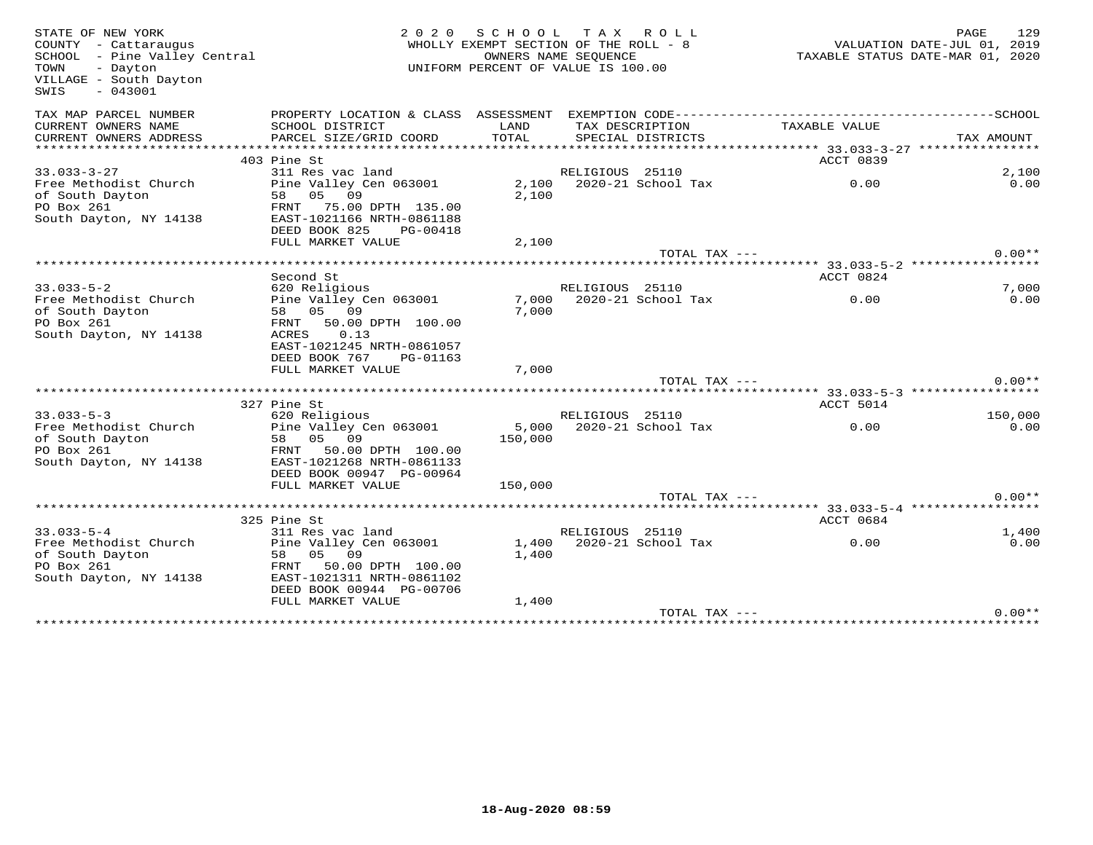| STATE OF NEW YORK<br>COUNTY - Cattaraugus<br>SCHOOL - Pine Valley Central<br>- Dayton<br>TOWN<br>VILLAGE - South Dayton<br>$-043001$<br>SWIS | 2 0 2 0                                                                 | SCHOOL TAX ROLL<br>WHOLLY EXEMPT SECTION OF THE ROLL - 8<br>UNIFORM PERCENT OF VALUE IS 100.00 | OWNERS NAME SEOUENCE |                                      | ---<br>11, VALUATION DATE-JUL 01, 2019<br>2020, TAXABLE STATUS DATE-MAR 01 | 129<br>PAGE |
|----------------------------------------------------------------------------------------------------------------------------------------------|-------------------------------------------------------------------------|------------------------------------------------------------------------------------------------|----------------------|--------------------------------------|----------------------------------------------------------------------------|-------------|
| TAX MAP PARCEL NUMBER                                                                                                                        |                                                                         |                                                                                                |                      |                                      |                                                                            |             |
| CURRENT OWNERS NAME<br>CURRENT OWNERS ADDRESS                                                                                                | SCHOOL DISTRICT<br>PARCEL SIZE/GRID COORD                               | LAND<br>TOTAL                                                                                  |                      | TAX DESCRIPTION<br>SPECIAL DISTRICTS | TAXABLE VALUE                                                              | TAX AMOUNT  |
|                                                                                                                                              |                                                                         |                                                                                                |                      |                                      |                                                                            |             |
|                                                                                                                                              | 403 Pine St                                                             |                                                                                                |                      |                                      | ACCT 0839                                                                  |             |
| $33.033 - 3 - 27$                                                                                                                            | 311 Res vac land                                                        |                                                                                                | RELIGIOUS 25110      |                                      |                                                                            | 2,100       |
| Free Methodist Church<br>of South Dayton                                                                                                     | Pine Valley Cen 063001<br>58 05 09                                      | 2,100                                                                                          |                      |                                      | 2,100 2020-21 School Tax<br>0.00                                           | 0.00        |
| PO Box 261<br>South Dayton, NY 14138                                                                                                         | FRNT 75.00 DPTH 135.00<br>EAST-1021166 NRTH-0861188                     |                                                                                                |                      |                                      |                                                                            |             |
|                                                                                                                                              | DEED BOOK 825<br>PG-00418                                               |                                                                                                |                      |                                      |                                                                            |             |
|                                                                                                                                              | FULL MARKET VALUE                                                       | 2,100                                                                                          |                      |                                      |                                                                            |             |
|                                                                                                                                              |                                                                         |                                                                                                |                      | TOTAL TAX ---                        |                                                                            | $0.00**$    |
|                                                                                                                                              |                                                                         |                                                                                                |                      |                                      |                                                                            |             |
|                                                                                                                                              | Second St                                                               |                                                                                                |                      |                                      | ACCT 0824                                                                  |             |
| $33.033 - 5 - 2$                                                                                                                             | 620 Religious                                                           |                                                                                                | RELIGIOUS 25110      |                                      |                                                                            | 7,000       |
| Free Methodist Church<br>of South Dayton<br>PO Box 261                                                                                       | Pine Valley Cen 063001<br>58 05 09<br>FRNT 50.00 DPTH 100.00            | 7,000                                                                                          |                      | 7,000 2020-21 School Tax             | 0.00                                                                       | 0.00        |
| South Dayton, NY 14138                                                                                                                       | 0.13<br>ACRES<br>EAST-1021245 NRTH-0861057<br>DEED BOOK 767<br>PG-01163 |                                                                                                |                      |                                      |                                                                            |             |
|                                                                                                                                              | FULL MARKET VALUE                                                       | 7,000                                                                                          |                      |                                      |                                                                            |             |
|                                                                                                                                              |                                                                         |                                                                                                |                      | TOTAL TAX ---                        |                                                                            | $0.00**$    |
|                                                                                                                                              |                                                                         |                                                                                                |                      |                                      |                                                                            |             |
|                                                                                                                                              | 327 Pine St                                                             |                                                                                                |                      |                                      | ACCT 5014                                                                  |             |
| $33.033 - 5 - 3$                                                                                                                             | 620 Religious                                                           |                                                                                                | RELIGIOUS 25110      |                                      |                                                                            | 150,000     |
| Free Methodist Church                                                                                                                        | Pine Valley Cen 063001                                                  | 5,000                                                                                          |                      |                                      | 2020-21 School Tax 0.00                                                    | 0.00        |
| of South Dayton                                                                                                                              | 58 05 09                                                                | 150,000                                                                                        |                      |                                      |                                                                            |             |
| PO Box 261                                                                                                                                   | FRNT 50.00 DPTH 100.00                                                  |                                                                                                |                      |                                      |                                                                            |             |
| South Dayton, NY 14138                                                                                                                       | EAST-1021268 NRTH-0861133                                               |                                                                                                |                      |                                      |                                                                            |             |
|                                                                                                                                              | DEED BOOK 00947 PG-00964                                                |                                                                                                |                      |                                      |                                                                            |             |
|                                                                                                                                              | FULL MARKET VALUE                                                       | 150,000                                                                                        |                      |                                      |                                                                            |             |
|                                                                                                                                              |                                                                         |                                                                                                |                      | TOTAL TAX ---                        |                                                                            | $0.00**$    |
|                                                                                                                                              |                                                                         |                                                                                                |                      |                                      |                                                                            |             |
|                                                                                                                                              | 325 Pine St                                                             |                                                                                                |                      |                                      | ACCT 0684                                                                  |             |
| $33.033 - 5 - 4$                                                                                                                             | 311 Res vac land                                                        |                                                                                                | RELIGIOUS 25110      |                                      |                                                                            | 1,400       |
| Free Methodist Church                                                                                                                        | Pine Valley Cen 063001                                                  |                                                                                                |                      | 1,400 2020-21 School Tax             | 0.00                                                                       | 0.00        |
| of South Dayton                                                                                                                              | 58 05 09                                                                | 1,400                                                                                          |                      |                                      |                                                                            |             |
| PO Box 261                                                                                                                                   | FRNT 50.00 DPTH 100.00                                                  |                                                                                                |                      |                                      |                                                                            |             |
| South Dayton, NY 14138                                                                                                                       | EAST-1021311 NRTH-0861102                                               |                                                                                                |                      |                                      |                                                                            |             |
|                                                                                                                                              | DEED BOOK 00944 PG-00706                                                |                                                                                                |                      |                                      |                                                                            |             |
|                                                                                                                                              | FULL MARKET VALUE                                                       | 1,400                                                                                          |                      |                                      |                                                                            |             |
|                                                                                                                                              |                                                                         |                                                                                                |                      | TOTAL TAX ---                        |                                                                            | $0.00**$    |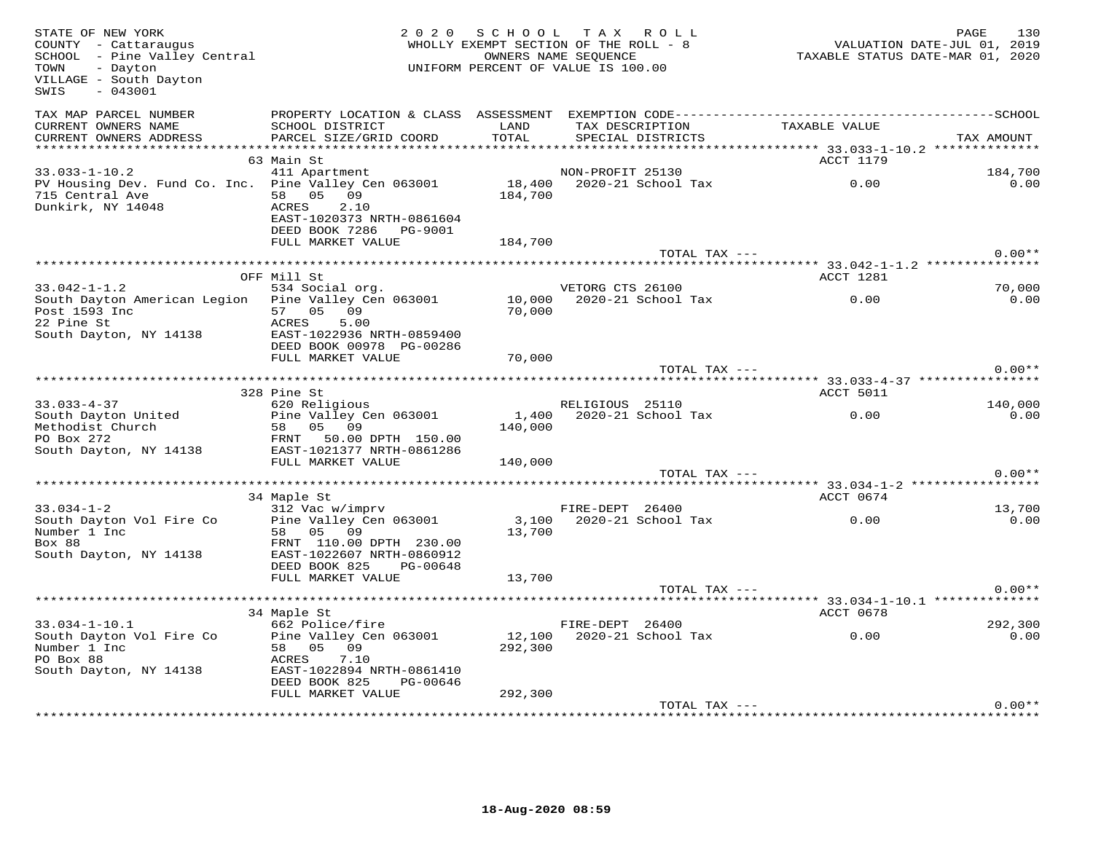| STATE OF NEW YORK<br>COUNTY - Cattaraugus<br>SCHOOL - Pine Valley Central<br>- Dayton<br>TOWN<br>VILLAGE - South Dayton<br>$-043001$<br>SWIS |                                                                                                                         | 2020 SCHOOL<br>WHOLLY EXEMPT SECTION OF THE ROLL - 8<br>OWNERS NAME SEQUENCE<br>UNIFORM PERCENT OF VALUE IS 100.00 |                  | TAX ROLL                  | VALUATION DATE-JUL 01, 2019<br>TAXABLE STATUS DATE-MAR 01, 2020 | PAGE       | 130      |
|----------------------------------------------------------------------------------------------------------------------------------------------|-------------------------------------------------------------------------------------------------------------------------|--------------------------------------------------------------------------------------------------------------------|------------------|---------------------------|-----------------------------------------------------------------|------------|----------|
| TAX MAP PARCEL NUMBER<br>CURRENT OWNERS NAME<br>CURRENT OWNERS ADDRESS                                                                       | SCHOOL DISTRICT<br>PARCEL SIZE/GRID COORD                                                                               | LAND<br>TOTAL                                                                                                      |                  | SPECIAL DISTRICTS         | TAX DESCRIPTION TAXABLE VALUE                                   | TAX AMOUNT |          |
|                                                                                                                                              |                                                                                                                         |                                                                                                                    |                  |                           |                                                                 |            |          |
| $33.033 - 1 - 10.2$                                                                                                                          | 63 Main St<br>411 Apartment                                                                                             |                                                                                                                    | NON-PROFIT 25130 |                           | ACCT 1179                                                       |            | 184,700  |
| PV Housing Dev. Fund Co. Inc. Pine Valley Cen 063001<br>715 Central Ave<br>Dunkirk, NY 14048                                                 | 58 05 09<br>ACRES<br>2.10                                                                                               | 184,700                                                                                                            |                  |                           | 18,400 2020-21 School Tax 0.00                                  |            | 0.00     |
|                                                                                                                                              | EAST-1020373 NRTH-0861604<br>DEED BOOK 7286    PG-9001<br>FULL MARKET VALUE                                             | 184,700                                                                                                            |                  |                           |                                                                 |            |          |
|                                                                                                                                              |                                                                                                                         |                                                                                                                    |                  | TOTAL TAX ---             |                                                                 |            | $0.00**$ |
|                                                                                                                                              | OFF Mill St                                                                                                             |                                                                                                                    |                  |                           | ACCT 1281                                                       |            |          |
| $33.042 - 1 - 1.2$                                                                                                                           | 534 Social org.                                                                                                         |                                                                                                                    | VETORG CTS 26100 |                           |                                                                 |            | 70,000   |
| South Dayton American Legion Pine Valley Cen 063001<br>Post 1593 Inc<br>22 Pine St                                                           | 57 05 09<br>ACRES<br>5.00                                                                                               | 70,000                                                                                                             |                  | 10,000 2020-21 School Tax | 0.00                                                            |            | 0.00     |
| South Dayton, NY 14138                                                                                                                       | EAST-1022936 NRTH-0859400<br>DEED BOOK 00978 PG-00286<br>FULL MARKET VALUE                                              | 70,000                                                                                                             |                  |                           |                                                                 |            |          |
|                                                                                                                                              |                                                                                                                         |                                                                                                                    |                  | TOTAL TAX ---             |                                                                 |            | $0.00**$ |
|                                                                                                                                              |                                                                                                                         |                                                                                                                    |                  |                           |                                                                 |            |          |
| $33.033 - 4 - 37$                                                                                                                            | 328 Pine St                                                                                                             |                                                                                                                    |                  |                           | ACCT 5011                                                       |            | 140,000  |
| South Dayton United<br>Methodist Church<br>PO Box 272<br>South Dayton, NY 14138                                                              | 620 Religious<br>Pine Valley Cen 063001<br>58 05 09<br>FRNT 50.00 DPTH 150.00<br>EAST-1021377 NRTH-0861286              | 140,000                                                                                                            | RELIGIOUS 25110  |                           | 1,400 2020-21 School Tax 0.00                                   |            | 0.00     |
|                                                                                                                                              | FULL MARKET VALUE                                                                                                       | 140,000                                                                                                            |                  |                           |                                                                 |            |          |
|                                                                                                                                              |                                                                                                                         |                                                                                                                    |                  | TOTAL TAX ---             |                                                                 |            | $0.00**$ |
|                                                                                                                                              | 34 Maple St                                                                                                             |                                                                                                                    |                  |                           | ACCT 0674                                                       |            |          |
| $33.034 - 1 - 2$                                                                                                                             | 312 Vac w/imprv                                                                                                         |                                                                                                                    | FIRE-DEPT 26400  |                           |                                                                 |            | 13,700   |
| South Dayton Vol Fire Co<br>Number 1 Inc<br>Box 88<br>South Dayton, NY 14138                                                                 | Pine Valley Cen 063001<br>58 05 09<br>FRNT 110.00 DPTH 230.00<br>EAST-1022607 NRTH-0860912<br>DEED BOOK 825<br>PG-00648 | 13,700                                                                                                             |                  | 3,100 2020-21 School Tax  | 0.00                                                            |            | 0.00     |
|                                                                                                                                              | FULL MARKET VALUE                                                                                                       | 13,700                                                                                                             |                  |                           |                                                                 |            |          |
|                                                                                                                                              |                                                                                                                         |                                                                                                                    |                  | TOTAL TAX ---             |                                                                 |            | $0.00**$ |
|                                                                                                                                              |                                                                                                                         |                                                                                                                    |                  |                           | ********* 33.034-1-10.1 *************                           |            |          |
| $33.034 - 1 - 10.1$                                                                                                                          | 34 Maple St<br>662 Police/fire                                                                                          |                                                                                                                    | FIRE-DEPT 26400  |                           | ACCT 0678                                                       |            | 292,300  |
| South Dayton Vol Fire Co<br>Number 1 Inc<br>PO Box 88                                                                                        | Pine Valley Cen 063001<br>58 05 09<br>7.10<br>ACRES                                                                     | 292,300                                                                                                            |                  |                           |                                                                 |            | 0.00     |
| South Dayton, NY 14138                                                                                                                       | EAST-1022894 NRTH-0861410<br>DEED BOOK 825<br>PG-00646<br>FULL MARKET VALUE                                             | 292,300                                                                                                            |                  |                           |                                                                 |            |          |
|                                                                                                                                              |                                                                                                                         |                                                                                                                    |                  | TOTAL TAX ---             |                                                                 |            | $0.00**$ |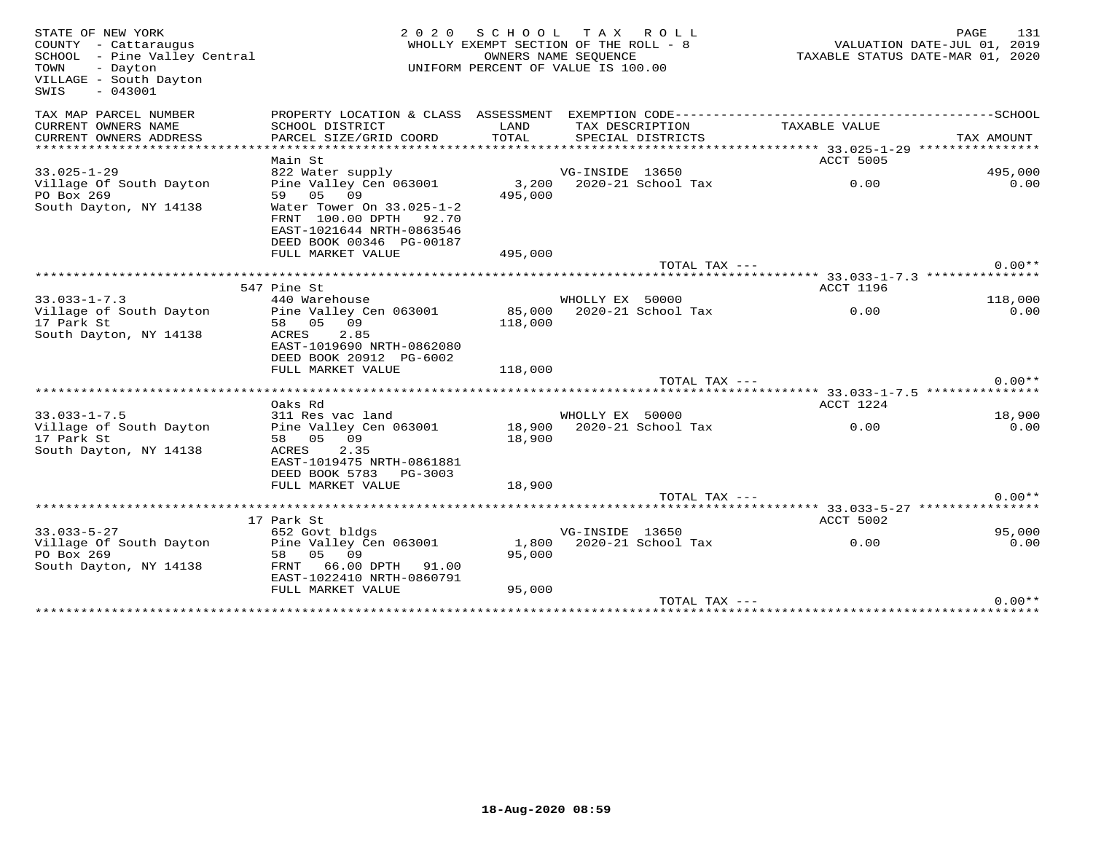| STATE OF NEW YORK<br>COUNTY - Cattaraugus<br>SCHOOL - Pine Valley Central<br>TOWN<br>- Dayton<br>VILLAGE - South Dayton<br>$-043001$<br>SWIS | 2 0 2 0                                                                                      | SCHOOL TAX ROLL<br>WHOLLY EXEMPT SECTION OF THE ROLL - 8<br>OWNERS NAME SEQUENCE<br>UNIFORM PERCENT OF VALUE IS 100.00 |                 |                                      | VALUATION DATE-JUL 01, 2019 | PAGE<br>131<br>TAXABLE STATUS DATE-MAR 01, 2020 |
|----------------------------------------------------------------------------------------------------------------------------------------------|----------------------------------------------------------------------------------------------|------------------------------------------------------------------------------------------------------------------------|-----------------|--------------------------------------|-----------------------------|-------------------------------------------------|
| TAX MAP PARCEL NUMBER                                                                                                                        | PROPERTY LOCATION & CLASS ASSESSMENT EXEMPTION CODE-----------------------------------SCHOOL |                                                                                                                        |                 |                                      |                             |                                                 |
| CURRENT OWNERS NAME<br>CURRENT OWNERS ADDRESS                                                                                                | SCHOOL DISTRICT<br>PARCEL SIZE/GRID COORD                                                    | LAND<br>TOTAL                                                                                                          |                 | TAX DESCRIPTION<br>SPECIAL DISTRICTS | TAXABLE VALUE               | TAX AMOUNT                                      |
|                                                                                                                                              |                                                                                              |                                                                                                                        |                 |                                      |                             |                                                 |
|                                                                                                                                              | Main St                                                                                      |                                                                                                                        |                 |                                      | ACCT 5005                   |                                                 |
| $33.025 - 1 - 29$                                                                                                                            | 822 Water supply                                                                             |                                                                                                                        | VG-INSIDE 13650 |                                      |                             | 495,000                                         |
| Village Of South Dayton                                                                                                                      | Pine Valley Cen 063001                                                                       | 3,200                                                                                                                  |                 | 2020-21 School Tax                   | 0.00                        | 0.00                                            |
| PO Box 269                                                                                                                                   | 59 05 09                                                                                     | 495,000                                                                                                                |                 |                                      |                             |                                                 |
| South Dayton, NY 14138                                                                                                                       | Water Tower On 33.025-1-2                                                                    |                                                                                                                        |                 |                                      |                             |                                                 |
|                                                                                                                                              | FRNT 100.00 DPTH 92.70                                                                       |                                                                                                                        |                 |                                      |                             |                                                 |
|                                                                                                                                              | EAST-1021644 NRTH-0863546<br>DEED BOOK 00346 PG-00187                                        |                                                                                                                        |                 |                                      |                             |                                                 |
|                                                                                                                                              | FULL MARKET VALUE                                                                            | 495,000                                                                                                                |                 |                                      |                             |                                                 |
|                                                                                                                                              |                                                                                              |                                                                                                                        |                 | TOTAL TAX ---                        |                             | $0.00**$                                        |
|                                                                                                                                              |                                                                                              |                                                                                                                        |                 |                                      |                             |                                                 |
|                                                                                                                                              | 547 Pine St                                                                                  |                                                                                                                        |                 |                                      | ACCT 1196                   |                                                 |
| $33.033 - 1 - 7.3$                                                                                                                           | 440 Warehouse                                                                                |                                                                                                                        | WHOLLY EX 50000 |                                      |                             | 118,000                                         |
| Village of South Dayton                                                                                                                      | Pine Valley Cen 063001                                                                       | 85,000                                                                                                                 |                 | 2020-21 School Tax                   | 0.00                        | 0.00                                            |
| 17 Park St                                                                                                                                   | 58 05 09                                                                                     | 118,000                                                                                                                |                 |                                      |                             |                                                 |
| South Dayton, NY 14138                                                                                                                       | 2.85<br>ACRES<br>EAST-1019690 NRTH-0862080                                                   |                                                                                                                        |                 |                                      |                             |                                                 |
|                                                                                                                                              | DEED BOOK 20912 PG-6002                                                                      |                                                                                                                        |                 |                                      |                             |                                                 |
|                                                                                                                                              | FULL MARKET VALUE                                                                            | 118,000                                                                                                                |                 |                                      |                             |                                                 |
|                                                                                                                                              |                                                                                              |                                                                                                                        |                 | TOTAL TAX ---                        |                             | $0.00**$                                        |
|                                                                                                                                              |                                                                                              |                                                                                                                        |                 |                                      |                             |                                                 |
|                                                                                                                                              | Oaks Rd                                                                                      |                                                                                                                        |                 |                                      | ACCT 1224                   |                                                 |
| $33.033 - 1 - 7.5$                                                                                                                           | 311 Res vac land                                                                             |                                                                                                                        | WHOLLY EX 50000 |                                      |                             | 18,900                                          |
| Village of South Dayton                                                                                                                      | Pine Valley Cen 063001                                                                       | 18,900                                                                                                                 |                 | 2020-21 School Tax                   | 0.00                        | 0.00                                            |
| 17 Park St<br>South Dayton, NY 14138                                                                                                         | 58 05 09<br>ACRES<br>2.35                                                                    | 18,900                                                                                                                 |                 |                                      |                             |                                                 |
|                                                                                                                                              | EAST-1019475 NRTH-0861881                                                                    |                                                                                                                        |                 |                                      |                             |                                                 |
|                                                                                                                                              | DEED BOOK 5783 PG-3003                                                                       |                                                                                                                        |                 |                                      |                             |                                                 |
|                                                                                                                                              | FULL MARKET VALUE                                                                            | 18,900                                                                                                                 |                 |                                      |                             |                                                 |
|                                                                                                                                              |                                                                                              |                                                                                                                        |                 | TOTAL TAX ---                        |                             | $0.00**$                                        |
|                                                                                                                                              |                                                                                              |                                                                                                                        |                 |                                      |                             |                                                 |
|                                                                                                                                              | 17 Park St                                                                                   |                                                                                                                        |                 |                                      | ACCT 5002                   |                                                 |
| $33.033 - 5 - 27$                                                                                                                            | 652 Govt bldgs                                                                               |                                                                                                                        | VG-INSIDE 13650 |                                      |                             | 95,000                                          |
| Village Of South Dayton                                                                                                                      | Pine Valley Cen 063001                                                                       |                                                                                                                        |                 |                                      | 0.00                        | 0.00                                            |
| PO Box 269<br>South Dayton, NY 14138                                                                                                         | 09<br>58 05<br>FRNT 66.00 DPTH 91.00                                                         | 95,000                                                                                                                 |                 |                                      |                             |                                                 |
|                                                                                                                                              | EAST-1022410 NRTH-0860791                                                                    |                                                                                                                        |                 |                                      |                             |                                                 |
|                                                                                                                                              | FULL MARKET VALUE                                                                            | 95,000                                                                                                                 |                 |                                      |                             |                                                 |
|                                                                                                                                              |                                                                                              |                                                                                                                        |                 | TOTAL TAX ---                        |                             | $0.00**$                                        |
|                                                                                                                                              |                                                                                              |                                                                                                                        |                 |                                      |                             |                                                 |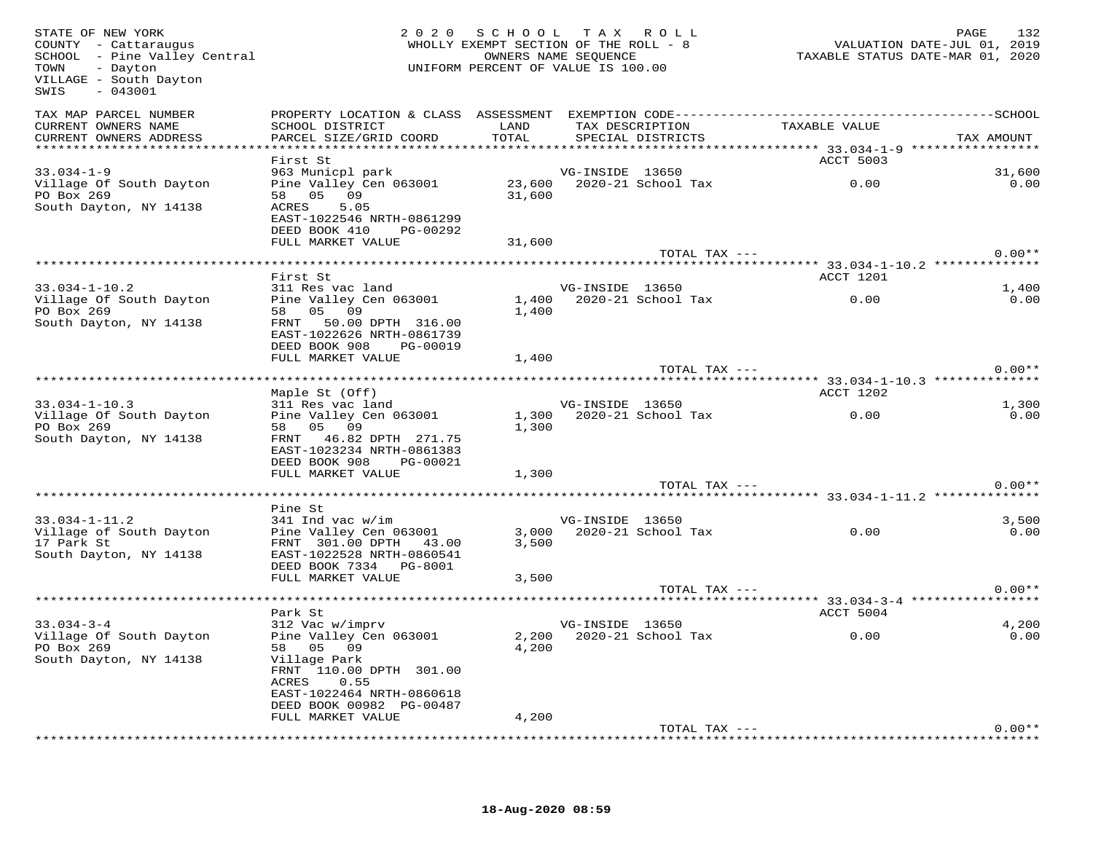| STATE OF NEW YORK<br>COUNTY - Cattaraugus<br>SCHOOL - Pine Valley Central<br>- Dayton<br>TOWN<br>VILLAGE - South Dayton<br>$-043001$<br>SWIS |                                                                                                                          | 2020 SCHOOL TAX ROLL<br>WHOLLY EXEMPT SECTION OF THE ROLL - 8<br>OWNERS NAME SEQUENCE<br>UNIFORM PERCENT OF VALUE IS 100.00 |                 |                          | ے۔۔<br>2019 , VALUATION DATE-JUL<br>2020, TAXABLE STATUS DATE-MAR | 132<br>PAGE |
|----------------------------------------------------------------------------------------------------------------------------------------------|--------------------------------------------------------------------------------------------------------------------------|-----------------------------------------------------------------------------------------------------------------------------|-----------------|--------------------------|-------------------------------------------------------------------|-------------|
| TAX MAP PARCEL NUMBER                                                                                                                        |                                                                                                                          |                                                                                                                             |                 |                          |                                                                   |             |
| CURRENT OWNERS NAME<br>CURRENT OWNERS ADDRESS                                                                                                | SCHOOL DISTRICT                   LAND         TAX DESCRIPTION                   TAXABLE VALUE<br>PARCEL SIZE/GRID COORD | TOTAL                                                                                                                       |                 | SPECIAL DISTRICTS        |                                                                   | TAX AMOUNT  |
|                                                                                                                                              |                                                                                                                          |                                                                                                                             |                 |                          |                                                                   |             |
|                                                                                                                                              | First St                                                                                                                 |                                                                                                                             |                 |                          | ACCT 5003                                                         |             |
| $33.034 - 1 - 9$                                                                                                                             | 963 Municpl park                                                                                                         |                                                                                                                             | VG-INSIDE 13650 |                          |                                                                   | 31,600      |
| Village Of South Dayton<br>PO Box 269                                                                                                        | 963 Municp1 park<br>Pine Valley Cen 063001 23,600 2020-21 School Tax<br>58 05 09 31,600                                  |                                                                                                                             |                 |                          | 0.00                                                              | 0.00        |
| South Dayton, NY 14138                                                                                                                       | ACRES<br>5.05                                                                                                            |                                                                                                                             |                 |                          |                                                                   |             |
|                                                                                                                                              | EAST-1022546 NRTH-0861299                                                                                                |                                                                                                                             |                 |                          |                                                                   |             |
|                                                                                                                                              | DEED BOOK 410 PG-00292                                                                                                   |                                                                                                                             |                 |                          |                                                                   |             |
|                                                                                                                                              | FULL MARKET VALUE                                                                                                        | 31,600                                                                                                                      |                 |                          |                                                                   |             |
|                                                                                                                                              |                                                                                                                          |                                                                                                                             |                 | TOTAL TAX ---            |                                                                   | $0.00**$    |
|                                                                                                                                              |                                                                                                                          |                                                                                                                             |                 |                          |                                                                   |             |
|                                                                                                                                              | First St                                                                                                                 |                                                                                                                             |                 |                          | ACCT 1201                                                         |             |
| $33.034 - 1 - 10.2$                                                                                                                          | 311 Res vac land                                                                                                         |                                                                                                                             | VG-INSIDE 13650 |                          |                                                                   | 1,400       |
| Village Of South Dayton<br>PO Box 269                                                                                                        | Pine Valley Cen 063001<br>58 05 09                                                                                       | 1,400                                                                                                                       |                 | 1,400 2020-21 School Tax | 0.00                                                              | 0.00        |
| South Dayton, NY 14138                                                                                                                       | FRNT 50.00 DPTH 316.00                                                                                                   |                                                                                                                             |                 |                          |                                                                   |             |
|                                                                                                                                              | EAST-1022626 NRTH-0861739                                                                                                |                                                                                                                             |                 |                          |                                                                   |             |
|                                                                                                                                              | DEED BOOK 908 PG-00019                                                                                                   |                                                                                                                             |                 |                          |                                                                   |             |
|                                                                                                                                              | FULL MARKET VALUE                                                                                                        | 1,400                                                                                                                       |                 |                          |                                                                   |             |
|                                                                                                                                              |                                                                                                                          |                                                                                                                             |                 | TOTAL TAX ---            |                                                                   | $0.00**$    |
| ******************************                                                                                                               |                                                                                                                          |                                                                                                                             |                 |                          |                                                                   |             |
|                                                                                                                                              | Maple St (Off)                                                                                                           |                                                                                                                             |                 |                          | ACCT 1202                                                         |             |
| $33.034 - 1 - 10.3$                                                                                                                          | 311 Res vac land                                                                                                         |                                                                                                                             | VG-INSIDE 13650 |                          |                                                                   | 1,300       |
| Village Of South Dayton                                                                                                                      | Pine Valley Cen 063001                                                                                                   |                                                                                                                             |                 | 1,300 2020-21 School Tax | 0.00                                                              | 0.00        |
| PO Box 269                                                                                                                                   | 58 05 09                                                                                                                 | 1,300                                                                                                                       |                 |                          |                                                                   |             |
| South Dayton, NY 14138                                                                                                                       | FRNT 46.82 DPTH 271.75                                                                                                   |                                                                                                                             |                 |                          |                                                                   |             |
|                                                                                                                                              | EAST-1023234 NRTH-0861383<br>DEED BOOK 908 PG-00021                                                                      |                                                                                                                             |                 |                          |                                                                   |             |
|                                                                                                                                              | FULL MARKET VALUE                                                                                                        | 1,300                                                                                                                       |                 |                          |                                                                   |             |
|                                                                                                                                              |                                                                                                                          |                                                                                                                             |                 | TOTAL TAX ---            |                                                                   | $0.00**$    |
|                                                                                                                                              |                                                                                                                          |                                                                                                                             |                 |                          |                                                                   |             |
|                                                                                                                                              | Pine St                                                                                                                  |                                                                                                                             |                 |                          |                                                                   |             |
| $33.034 - 1 - 11.2$                                                                                                                          | 341 Ind vac w/im                                                                                                         |                                                                                                                             | VG-INSIDE 13650 |                          |                                                                   | 3,500       |
| Village of South Dayton Pine Valley Cen 063001                                                                                               |                                                                                                                          |                                                                                                                             |                 | 3,000 2020-21 School Tax | 0.00                                                              | 0.00        |
| 17 Park St                                                                                                                                   | FRNT 301.00 DPTH 43.00                                                                                                   | 3,500                                                                                                                       |                 |                          |                                                                   |             |
| South Dayton, NY 14138                                                                                                                       | EAST-1022528 NRTH-0860541                                                                                                |                                                                                                                             |                 |                          |                                                                   |             |
|                                                                                                                                              | DEED BOOK 7334 PG-8001                                                                                                   |                                                                                                                             |                 |                          |                                                                   |             |
|                                                                                                                                              | FULL MARKET VALUE                                                                                                        | 3,500                                                                                                                       |                 | TOTAL TAX ---            |                                                                   | $0.00**$    |
|                                                                                                                                              |                                                                                                                          |                                                                                                                             |                 |                          | ********************* 33.034-3-4 ***************                  |             |
|                                                                                                                                              | Park St                                                                                                                  |                                                                                                                             |                 |                          | ACCT 5004                                                         |             |
| $33.034 - 3 - 4$                                                                                                                             | 312 Vac w/imprv                                                                                                          |                                                                                                                             | VG-INSIDE 13650 |                          |                                                                   | 4,200       |
| Village Of South Dayton                                                                                                                      | Pine Valley Cen 063001                                                                                                   |                                                                                                                             |                 |                          | 2,200 2020-21 School Tax 0.00                                     | 0.00        |
| PO Box 269                                                                                                                                   | 58 05 09                                                                                                                 | 4,200                                                                                                                       |                 |                          |                                                                   |             |
| South Dayton, NY 14138                                                                                                                       | Village Park                                                                                                             |                                                                                                                             |                 |                          |                                                                   |             |
|                                                                                                                                              | FRNT 110.00 DPTH 301.00                                                                                                  |                                                                                                                             |                 |                          |                                                                   |             |
|                                                                                                                                              | ACRES 0.55                                                                                                               |                                                                                                                             |                 |                          |                                                                   |             |
|                                                                                                                                              | EAST-1022464 NRTH-0860618                                                                                                |                                                                                                                             |                 |                          |                                                                   |             |
|                                                                                                                                              | DEED BOOK 00982 PG-00487<br>FULL MARKET VALUE                                                                            | 4,200                                                                                                                       |                 |                          |                                                                   |             |
|                                                                                                                                              |                                                                                                                          |                                                                                                                             |                 | TOTAL TAX ---            |                                                                   | $0.00**$    |
|                                                                                                                                              |                                                                                                                          |                                                                                                                             |                 |                          |                                                                   |             |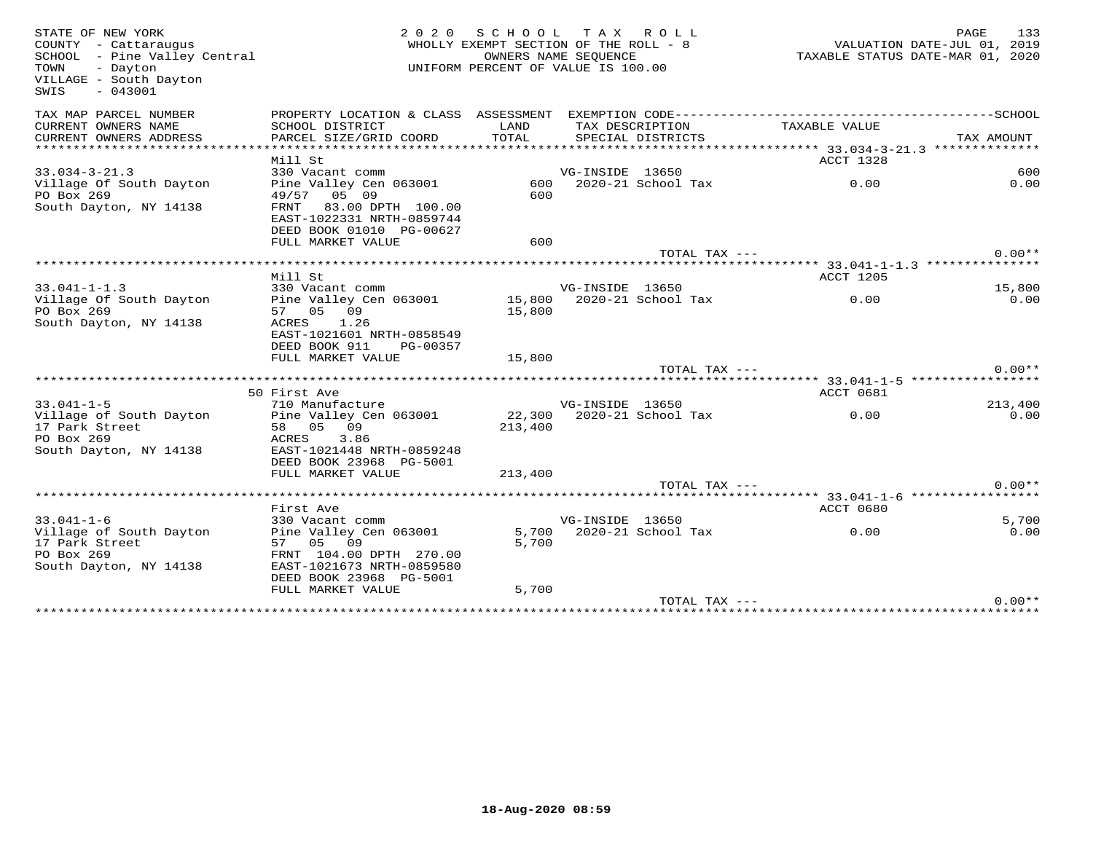| STATE OF NEW YORK<br>COUNTY - Cattaraugus<br>SCHOOL - Pine Valley Central<br>TOWN<br>- Dayton<br>VILLAGE - South Dayton<br>$-043001$<br>SWIS | 2 0 2 0                                                                                      |                | SCHOOL TAX ROLL<br>WHOLLY EXEMPT SECTION OF THE ROLL - 8<br>OWNERS NAME SEQUENCE<br>UNIFORM PERCENT OF VALUE IS 100.00 |               | VALUATION DATE-JUL 01, 2019<br>TAXABLE STATUS DATE-MAR 01, 2020 | PAGE       | 133      |
|----------------------------------------------------------------------------------------------------------------------------------------------|----------------------------------------------------------------------------------------------|----------------|------------------------------------------------------------------------------------------------------------------------|---------------|-----------------------------------------------------------------|------------|----------|
| TAX MAP PARCEL NUMBER                                                                                                                        | PROPERTY LOCATION & CLASS ASSESSMENT EXEMPTION CODE-----------------------------------SCHOOL |                |                                                                                                                        |               |                                                                 |            |          |
| CURRENT OWNERS NAME                                                                                                                          | SCHOOL DISTRICT                                                                              | LAND           | TAX DESCRIPTION                                                                                                        |               | TAXABLE VALUE                                                   |            |          |
| CURRENT OWNERS ADDRESS                                                                                                                       | PARCEL SIZE/GRID COORD                                                                       | TOTAL          | SPECIAL DISTRICTS                                                                                                      |               |                                                                 | TAX AMOUNT |          |
|                                                                                                                                              | Mill St                                                                                      |                |                                                                                                                        |               | ACCT 1328                                                       |            |          |
| $33.034 - 3 - 21.3$                                                                                                                          | 330 Vacant comm                                                                              |                | VG-INSIDE 13650                                                                                                        |               |                                                                 |            | 600      |
| Village Of South Dayton                                                                                                                      | Pine Valley Cen 063001                                                                       | 600            | 2020-21 School Tax                                                                                                     |               | 0.00                                                            |            | 0.00     |
| PO Box 269                                                                                                                                   | 49/57 05 09                                                                                  | 600            |                                                                                                                        |               |                                                                 |            |          |
| South Dayton, NY 14138                                                                                                                       | 83.00 DPTH 100.00<br>FRNT                                                                    |                |                                                                                                                        |               |                                                                 |            |          |
|                                                                                                                                              | EAST-1022331 NRTH-0859744                                                                    |                |                                                                                                                        |               |                                                                 |            |          |
|                                                                                                                                              | DEED BOOK 01010 PG-00627<br>FULL MARKET VALUE                                                | 600            |                                                                                                                        |               |                                                                 |            |          |
|                                                                                                                                              |                                                                                              |                |                                                                                                                        | TOTAL TAX --- |                                                                 |            | $0.00**$ |
|                                                                                                                                              |                                                                                              |                |                                                                                                                        |               |                                                                 |            |          |
|                                                                                                                                              | Mill St                                                                                      |                |                                                                                                                        |               | ACCT 1205                                                       |            |          |
| $33.041 - 1 - 1.3$                                                                                                                           | 330 Vacant comm                                                                              |                | VG-INSIDE 13650                                                                                                        |               |                                                                 |            | 15,800   |
| Village Of South Dayton                                                                                                                      | Pine Valley Cen 063001                                                                       | 15,800         | 2020-21 School Tax                                                                                                     |               | 0.00                                                            |            | 0.00     |
| PO Box 269<br>South Dayton, NY 14138                                                                                                         | 57 05 09<br>1.26<br>ACRES<br>EAST-1021601 NRTH-0858549<br>DEED BOOK 911<br>PG-00357          | 15,800         |                                                                                                                        |               |                                                                 |            |          |
|                                                                                                                                              | FULL MARKET VALUE                                                                            | 15,800         |                                                                                                                        |               |                                                                 |            |          |
|                                                                                                                                              |                                                                                              |                |                                                                                                                        | TOTAL TAX --- |                                                                 |            | $0.00**$ |
|                                                                                                                                              |                                                                                              |                |                                                                                                                        |               |                                                                 |            |          |
|                                                                                                                                              | 50 First Ave                                                                                 |                |                                                                                                                        |               | ACCT 0681                                                       |            |          |
| $33.041 - 1 - 5$                                                                                                                             | 710 Manufacture                                                                              |                | VG-INSIDE 13650                                                                                                        |               |                                                                 |            | 213,400  |
| Village of South Dayton                                                                                                                      | Pine Valley Cen 063001                                                                       |                | 22,300 2020-21 School Tax                                                                                              |               | 0.00                                                            |            | 0.00     |
| 17 Park Street<br>PO Box 269                                                                                                                 | 58 05 09<br>ACRES<br>3.86                                                                    | 213,400        |                                                                                                                        |               |                                                                 |            |          |
| South Dayton, NY 14138                                                                                                                       | EAST-1021448 NRTH-0859248                                                                    |                |                                                                                                                        |               |                                                                 |            |          |
|                                                                                                                                              | DEED BOOK 23968 PG-5001                                                                      |                |                                                                                                                        |               |                                                                 |            |          |
|                                                                                                                                              | FULL MARKET VALUE                                                                            | 213,400        |                                                                                                                        |               |                                                                 |            |          |
|                                                                                                                                              |                                                                                              |                |                                                                                                                        | TOTAL TAX --- |                                                                 |            | $0.00**$ |
|                                                                                                                                              |                                                                                              |                |                                                                                                                        |               |                                                                 |            |          |
|                                                                                                                                              | First Ave                                                                                    |                |                                                                                                                        |               | <b>ACCT 0680</b>                                                |            |          |
| $33.041 - 1 - 6$                                                                                                                             | 330 Vacant comm                                                                              |                | VG-INSIDE 13650                                                                                                        |               |                                                                 |            | 5,700    |
| Village of South Dayton<br>17 Park Street                                                                                                    | Pine Valley Cen 063001<br>57 05 09                                                           | 5,700<br>5,700 | 2020-21 School Tax                                                                                                     |               | 0.00                                                            |            | 0.00     |
| PO Box 269                                                                                                                                   | FRNT 104.00 DPTH 270.00                                                                      |                |                                                                                                                        |               |                                                                 |            |          |
| South Dayton, NY 14138                                                                                                                       | EAST-1021673 NRTH-0859580                                                                    |                |                                                                                                                        |               |                                                                 |            |          |
|                                                                                                                                              | DEED BOOK 23968 PG-5001                                                                      |                |                                                                                                                        |               |                                                                 |            |          |
|                                                                                                                                              | FULL MARKET VALUE                                                                            | 5,700          |                                                                                                                        | TOTAL TAX --- |                                                                 |            | $0.00**$ |
|                                                                                                                                              |                                                                                              |                |                                                                                                                        |               |                                                                 |            |          |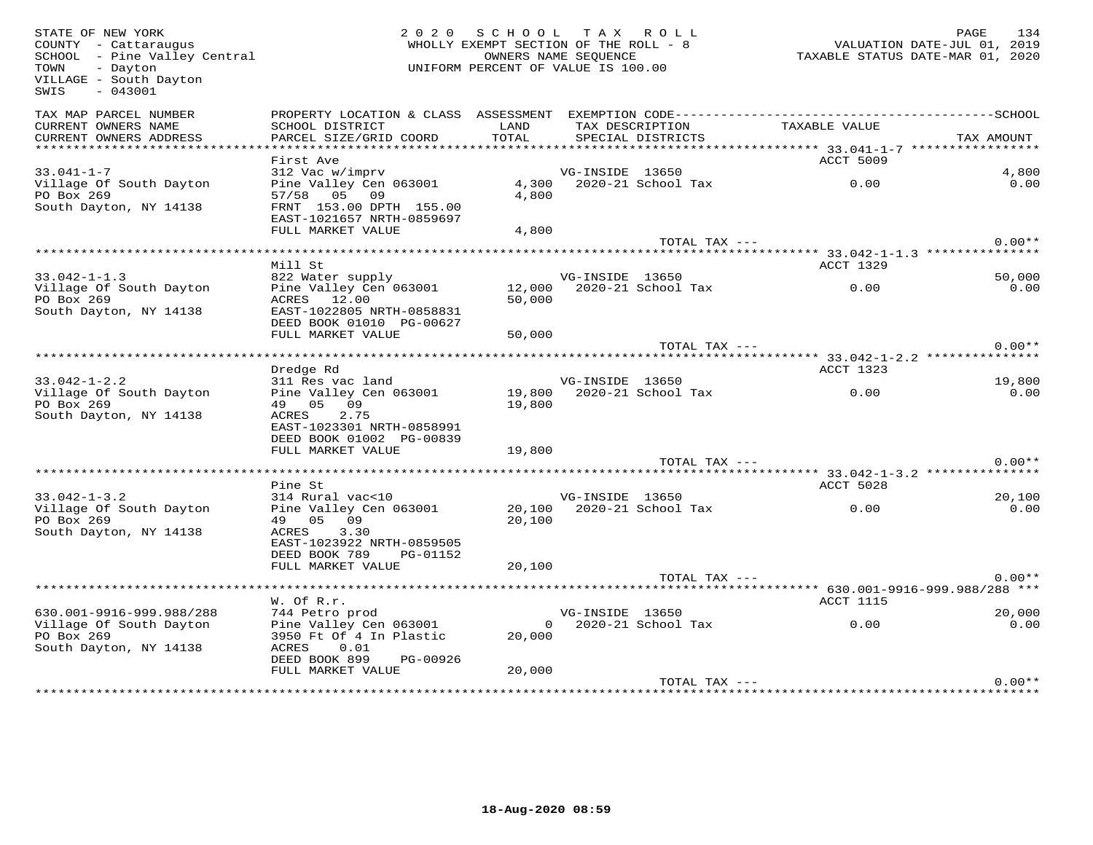| STATE OF NEW YORK<br>COUNTY - Cattaraugus<br>SCHOOL - Pine Valley Central<br>TOWN<br>- Dayton<br>VILLAGE - South Dayton<br>$-043001$<br>SWIS | 2 0 2 0                                           | SCHOOL<br>WHOLLY EXEMPT SECTION OF THE ROLL - 8<br>OWNERS NAME SEQUENCE<br>UNIFORM PERCENT OF VALUE IS 100.00 |                 | TAX ROLL                             |                                                          | PAGE<br>134<br>VALUATION DATE-JUL 01, 2019<br>TAXABLE STATUS DATE-MAR 01, 2020 |
|----------------------------------------------------------------------------------------------------------------------------------------------|---------------------------------------------------|---------------------------------------------------------------------------------------------------------------|-----------------|--------------------------------------|----------------------------------------------------------|--------------------------------------------------------------------------------|
| TAX MAP PARCEL NUMBER                                                                                                                        | PROPERTY LOCATION & CLASS ASSESSMENT              |                                                                                                               |                 |                                      |                                                          |                                                                                |
| CURRENT OWNERS NAME<br>CURRENT OWNERS ADDRESS                                                                                                | SCHOOL DISTRICT<br>PARCEL SIZE/GRID COORD         | LAND<br>TOTAL                                                                                                 |                 | TAX DESCRIPTION<br>SPECIAL DISTRICTS | TAXABLE VALUE                                            | TAX AMOUNT                                                                     |
| ***********************                                                                                                                      |                                                   |                                                                                                               |                 |                                      |                                                          |                                                                                |
|                                                                                                                                              | First Ave                                         |                                                                                                               |                 |                                      | ACCT 5009                                                |                                                                                |
| $33.041 - 1 - 7$<br>Village Of South Dayton                                                                                                  | 312 Vac w/imprv<br>Pine Valley Cen 063001         |                                                                                                               | VG-INSIDE 13650 | 4,300 2020-21 School Tax             | 0.00                                                     | 4,800<br>0.00                                                                  |
| PO Box 269                                                                                                                                   | 57/58 05 09                                       | 4,800                                                                                                         |                 |                                      |                                                          |                                                                                |
| South Dayton, NY 14138                                                                                                                       | FRNT 153.00 DPTH 155.00                           |                                                                                                               |                 |                                      |                                                          |                                                                                |
|                                                                                                                                              | EAST-1021657 NRTH-0859697                         |                                                                                                               |                 |                                      |                                                          |                                                                                |
|                                                                                                                                              | FULL MARKET VALUE                                 | 4,800                                                                                                         |                 |                                      |                                                          |                                                                                |
|                                                                                                                                              |                                                   |                                                                                                               |                 | TOTAL TAX ---                        |                                                          | $0.00**$                                                                       |
|                                                                                                                                              | Mill St                                           |                                                                                                               |                 |                                      | ACCT 1329                                                |                                                                                |
| $33.042 - 1 - 1.3$                                                                                                                           | 822 Water supply                                  |                                                                                                               | VG-INSIDE 13650 |                                      |                                                          | 50,000                                                                         |
| Village Of South Dayton                                                                                                                      | Pine Valley Cen 063001                            | 12,000                                                                                                        |                 | 2020-21 School Tax                   | 0.00                                                     | 0.00                                                                           |
| PO Box 269                                                                                                                                   | ACRES 12.00                                       | 50,000                                                                                                        |                 |                                      |                                                          |                                                                                |
| South Dayton, NY 14138                                                                                                                       | EAST-1022805 NRTH-0858831                         |                                                                                                               |                 |                                      |                                                          |                                                                                |
|                                                                                                                                              | DEED BOOK 01010 PG-00627                          |                                                                                                               |                 |                                      |                                                          |                                                                                |
|                                                                                                                                              | FULL MARKET VALUE                                 | 50,000                                                                                                        |                 |                                      |                                                          |                                                                                |
|                                                                                                                                              | **************************************            |                                                                                                               |                 | TOTAL TAX ---                        | ************************** 33.042-1-2.2 **************** | $0.00**$                                                                       |
|                                                                                                                                              | Dredge Rd                                         |                                                                                                               |                 |                                      | ACCT 1323                                                |                                                                                |
| $33.042 - 1 - 2.2$                                                                                                                           | 311 Res vac land                                  |                                                                                                               | VG-INSIDE 13650 |                                      |                                                          | 19,800                                                                         |
| Village Of South Dayton                                                                                                                      | Pine Valley Cen 063001                            | 19,800                                                                                                        |                 | 2020-21 School Tax                   | 0.00                                                     | 0.00                                                                           |
| PO Box 269                                                                                                                                   | 49 05 09                                          | 19,800                                                                                                        |                 |                                      |                                                          |                                                                                |
| South Dayton, NY 14138                                                                                                                       | ACRES<br>2.75                                     |                                                                                                               |                 |                                      |                                                          |                                                                                |
|                                                                                                                                              | EAST-1023301 NRTH-0858991                         |                                                                                                               |                 |                                      |                                                          |                                                                                |
|                                                                                                                                              | DEED BOOK 01002 PG-00839<br>FULL MARKET VALUE     | 19,800                                                                                                        |                 |                                      |                                                          |                                                                                |
|                                                                                                                                              |                                                   |                                                                                                               |                 | TOTAL TAX ---                        |                                                          | $0.00**$                                                                       |
|                                                                                                                                              |                                                   |                                                                                                               |                 |                                      |                                                          |                                                                                |
|                                                                                                                                              | Pine St                                           |                                                                                                               |                 |                                      | ACCT 5028                                                |                                                                                |
| $33.042 - 1 - 3.2$                                                                                                                           | 314 Rural vac<10                                  |                                                                                                               | VG-INSIDE 13650 |                                      |                                                          | 20,100                                                                         |
| Village Of South Dayton                                                                                                                      | Pine Valley Cen 063001                            | 20,100                                                                                                        |                 | 2020-21 School Tax                   | 0.00                                                     | 0.00                                                                           |
| PO Box 269                                                                                                                                   | 49 05 09                                          | 20,100                                                                                                        |                 |                                      |                                                          |                                                                                |
| South Dayton, NY 14138                                                                                                                       | ACRES<br>3.30<br>EAST-1023922 NRTH-0859505        |                                                                                                               |                 |                                      |                                                          |                                                                                |
|                                                                                                                                              | DEED BOOK 789<br>PG-01152                         |                                                                                                               |                 |                                      |                                                          |                                                                                |
|                                                                                                                                              | FULL MARKET VALUE                                 | 20,100                                                                                                        |                 |                                      |                                                          |                                                                                |
|                                                                                                                                              |                                                   |                                                                                                               |                 | TOTAL TAX ---                        |                                                          | $0.00**$                                                                       |
|                                                                                                                                              |                                                   |                                                                                                               |                 |                                      |                                                          |                                                                                |
|                                                                                                                                              | W. Of R.r.                                        |                                                                                                               |                 |                                      | ACCT 1115                                                |                                                                                |
| 630.001-9916-999.988/288                                                                                                                     | 744 Petro prod                                    |                                                                                                               | VG-INSIDE 13650 |                                      |                                                          | 20,000                                                                         |
| Village Of South Dayton<br>PO Box 269                                                                                                        | Pine Valley Cen 063001<br>3950 Ft Of 4 In Plastic | 20,000                                                                                                        |                 | 0 2020-21 School Tax                 | 0.00                                                     | 0.00                                                                           |
| South Dayton, NY 14138                                                                                                                       | 0.01<br>ACRES                                     |                                                                                                               |                 |                                      |                                                          |                                                                                |
|                                                                                                                                              | DEED BOOK 899<br>PG-00926                         |                                                                                                               |                 |                                      |                                                          |                                                                                |
|                                                                                                                                              | FULL MARKET VALUE                                 | 20,000                                                                                                        |                 |                                      |                                                          |                                                                                |
|                                                                                                                                              |                                                   |                                                                                                               |                 | TOTAL TAX ---                        |                                                          | $0.00**$                                                                       |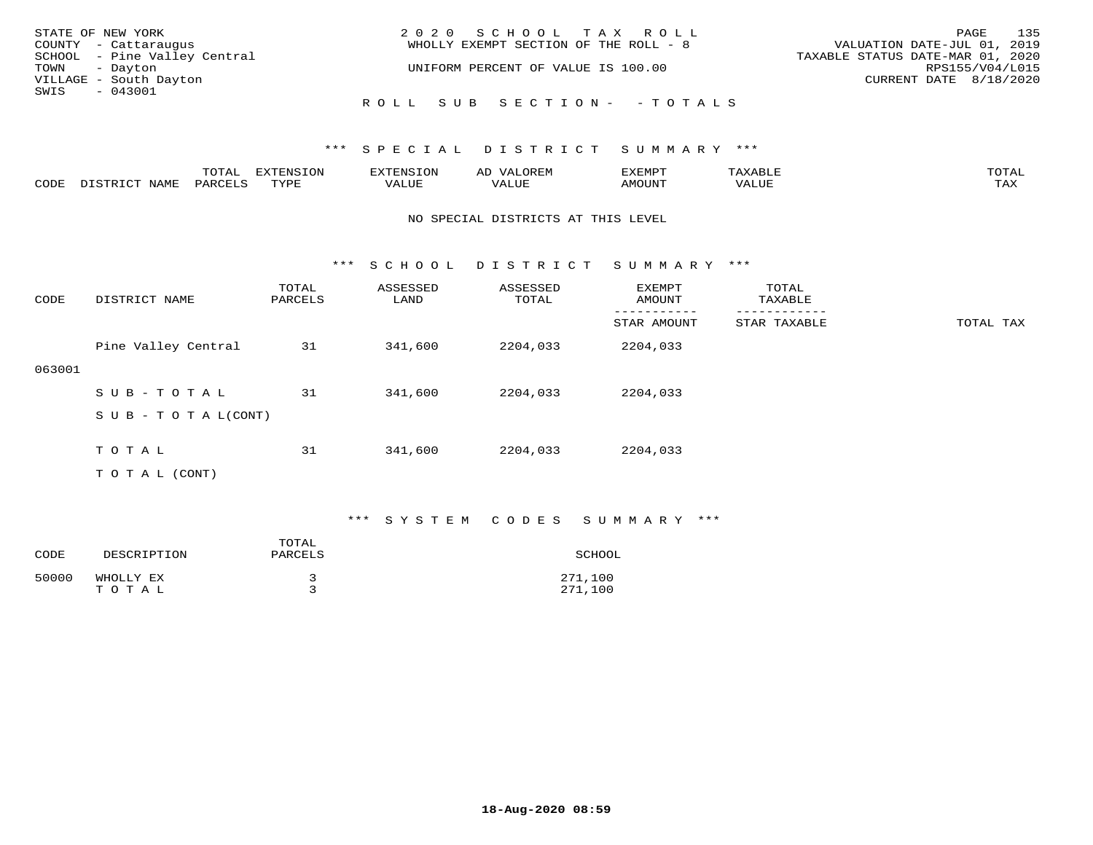| STATE OF NEW YORK            | 2020 SCHOOL TAX ROLL                  | 135<br>PAGE                      |
|------------------------------|---------------------------------------|----------------------------------|
| COUNTY - Cattaraugus         | WHOLLY EXEMPT SECTION OF THE ROLL - 8 | VALUATION DATE-JUL 01, 2019      |
| SCHOOL - Pine Valley Central |                                       | TAXABLE STATUS DATE-MAR 01, 2020 |
| TOWN - Dayton                | UNIFORM PERCENT OF VALUE IS 100.00    | RPS155/V04/L015                  |
| VILLAGE - South Dayton       |                                       | CURRENT DATE 8/18/2020           |
| SWIS<br>- 043001             |                                       |                                  |
|                              | ROLL SUB SECTION- - TOTALS            |                                  |

|      |      | momz<br>L∪⊥AI | $\pi$<br>- 1.11 |      | 21 V. PH<br>- 11 | T/T   |       | $m \wedge m \wedge n$<br>$\cdot$ $\Delta$ |
|------|------|---------------|-----------------|------|------------------|-------|-------|-------------------------------------------|
| CODE | NAMI | PARO          | TVDI<br>سديد    | ALUE | - --             | TINT. | 'ALUL | mav<br>⊥ ∠~∡∡                             |

#### NO SPECIAL DISTRICTS AT THIS LEVEL

\*\*\* S C H O O L D I S T R I C T S U M M A R Y \*\*\*

| CODE   | DISTRICT NAME             | TOTAL<br>PARCELS | ASSESSED<br>LAND | ASSESSED<br>TOTAL | EXEMPT<br>AMOUNT | TOTAL<br>TAXABLE |           |
|--------|---------------------------|------------------|------------------|-------------------|------------------|------------------|-----------|
|        |                           |                  |                  |                   | STAR AMOUNT      | STAR TAXABLE     | TOTAL TAX |
|        | Pine Valley Central       | 31               | 341,600          | 2204,033          | 2204,033         |                  |           |
| 063001 |                           |                  |                  |                   |                  |                  |           |
|        | SUB-TOTAL                 | 31               | 341,600          | 2204,033          | 2204,033         |                  |           |
|        | S U B - T O T A $L(CONT)$ |                  |                  |                   |                  |                  |           |
|        |                           |                  |                  |                   |                  |                  |           |
|        | T O T A L                 | 31               | 341,600          | 2204,033          | 2204,033         |                  |           |
|        | T O T A L (CONT)          |                  |                  |                   |                  |                  |           |

## \*\*\* S Y S T E M C O D E S S U M M A R Y \*\*\*

| CODE  | DESCRIPTION        | TOTAL<br>PARCELS | SCHOOL             |
|-------|--------------------|------------------|--------------------|
| 50000 | WHOLLY EX<br>TOTAL |                  | 271,100<br>271,100 |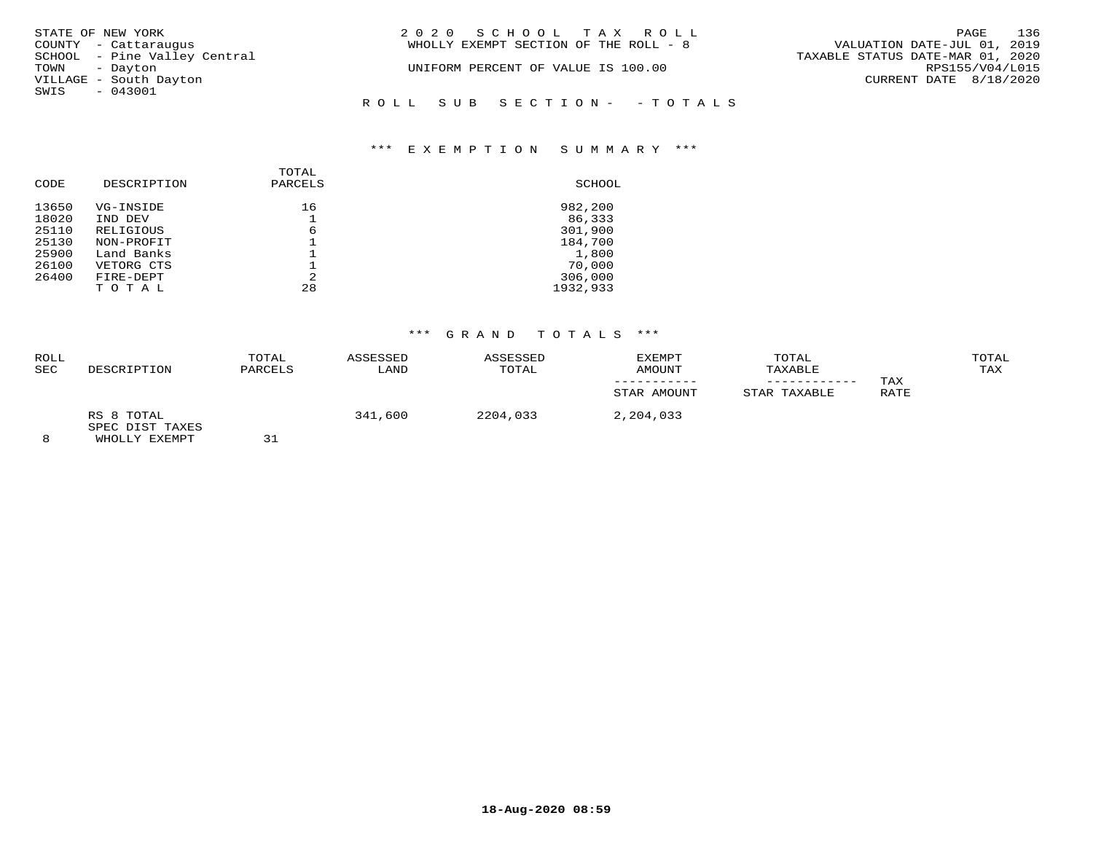| STATE OF NEW YORK            | 2020 SCHOOL TAX ROLL                  | 136<br>PAGE                      |
|------------------------------|---------------------------------------|----------------------------------|
| COUNTY - Cattaraugus         | WHOLLY EXEMPT SECTION OF THE ROLL - 8 | VALUATION DATE-JUL 01, 2019      |
| SCHOOL - Pine Valley Central |                                       | TAXABLE STATUS DATE-MAR 01, 2020 |
| TOWN<br>- Dayton             | UNIFORM PERCENT OF VALUE IS 100.00    | RPS155/V04/L015                  |
| VILLAGE - South Dayton       |                                       | CURRENT DATE 8/18/2020           |
| SWIS<br>$-043001$            |                                       |                                  |
|                              | ROLL SUB SECTION- - TOTALS            |                                  |
|                              |                                       |                                  |

# \*\*\* E X E M P T I O N S U M M A R Y \*\*\*

| CODE  | DESCRIPTION | TOTAL<br>PARCELS | SCHOOL   |
|-------|-------------|------------------|----------|
| 13650 | VG-INSIDE   | 16               | 982,200  |
| 18020 | IND DEV     |                  | 86,333   |
| 25110 | RELIGIOUS   | 6                | 301,900  |
| 25130 | NON-PROFIT  |                  | 184,700  |
| 25900 | Land Banks  |                  | 1,800    |
| 26100 | VETORG CTS  |                  | 70,000   |
| 26400 | FIRE-DEPT   | 2                | 306,000  |
|       | TOTAL       | 28               | 1932,933 |

# \*\*\* G R A N D T O T A L S \*\*\*

| ROLL<br><b>SEC</b> | DESCRIPTION                   | TOTAL<br>PARCELS | ASSESSED<br>LAND | ASSESSED<br>TOTAL | EXEMPT<br><b>AMOUNT</b> | TOTAL<br>TAXABLE | TAX  | TOTAL<br>TAX |
|--------------------|-------------------------------|------------------|------------------|-------------------|-------------------------|------------------|------|--------------|
|                    |                               |                  |                  |                   | STAR AMOUNT             | STAR TAXABLE     | RATE |              |
|                    | RS 8 TOTAL<br>SPEC DIST TAXES |                  | 341,600          | 2204,033          | 2,204,033               |                  |      |              |
| $\sim$             | ______________________        | $\sim$ $\sim$    |                  |                   |                         |                  |      |              |

8 WHOLLY EXEMPT 31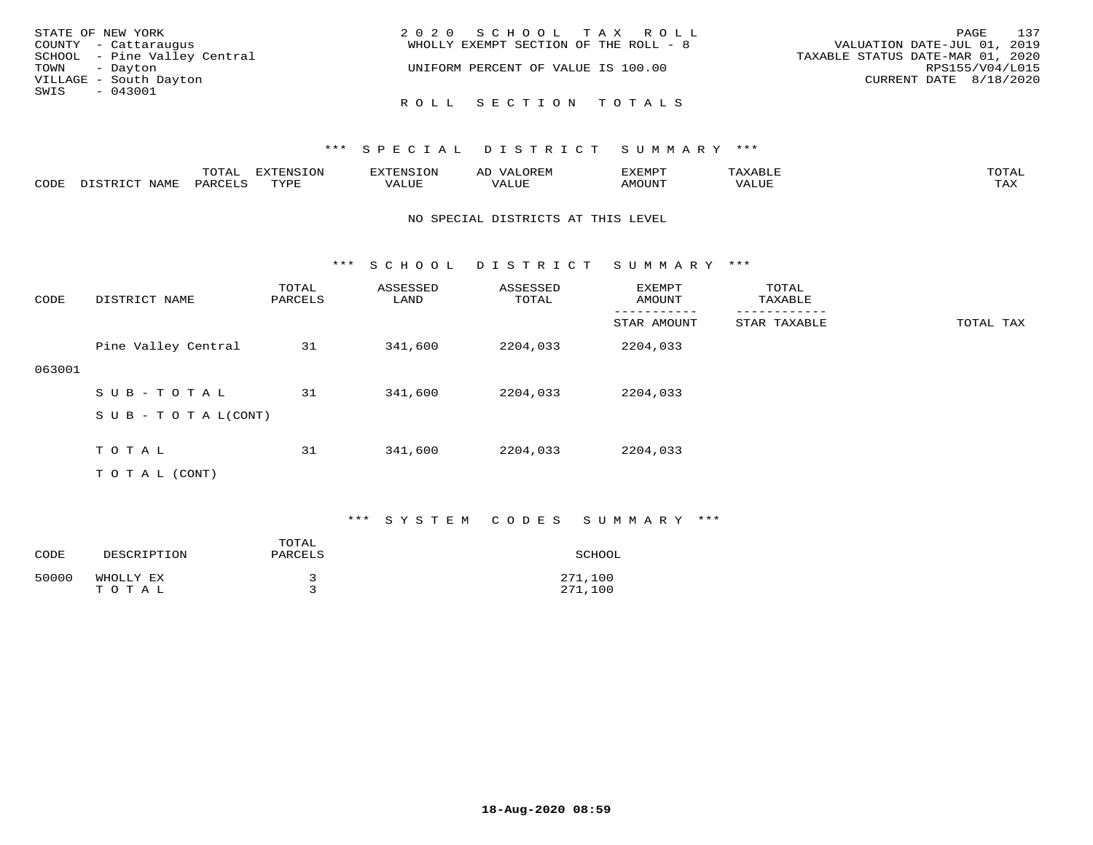| STATE OF NEW YORK            | 2020 SCHOOL TAX ROLL                  | 137<br>PAGE                      |
|------------------------------|---------------------------------------|----------------------------------|
| COUNTY - Cattaraugus         | WHOLLY EXEMPT SECTION OF THE ROLL - 8 | VALUATION DATE-JUL 01, 2019      |
| SCHOOL - Pine Valley Central |                                       | TAXABLE STATUS DATE-MAR 01, 2020 |
| TOWN - Dayton                | UNIFORM PERCENT OF VALUE IS 100.00    | RPS155/V04/L015                  |
| VILLAGE - South Dayton       |                                       | CURRENT DATE 8/18/2020           |
| SWIS<br>- 043001             |                                       |                                  |
|                              | ROLL SECTION TOTALS                   |                                  |

|      |      | $m \wedge m \wedge n$<br>· A I<br>- 777 | EXTENSION |       | UREF                                     | SXEMP. |       | TOTAI       |
|------|------|-----------------------------------------|-----------|-------|------------------------------------------|--------|-------|-------------|
| CODE | NAMF | DARCTIC                                 | TVDL      | 'ALUE | , <del>,</del> , , , , , ,<br>$\sqrt{ }$ |        | 'ALUE | max z<br>-∽ |

#### NO SPECIAL DISTRICTS AT THIS LEVEL

\*\*\* S C H O O L D I S T R I C T S U M M A R Y \*\*\*

| CODE   | DISTRICT NAME             | TOTAL<br>PARCELS | ASSESSED<br>LAND | ASSESSED<br>TOTAL | EXEMPT<br>AMOUNT | TOTAL<br>TAXABLE |           |
|--------|---------------------------|------------------|------------------|-------------------|------------------|------------------|-----------|
|        |                           |                  |                  |                   | STAR AMOUNT      | STAR TAXABLE     | TOTAL TAX |
|        | Pine Valley Central       | 31               | 341,600          | 2204,033          | 2204,033         |                  |           |
| 063001 |                           |                  |                  |                   |                  |                  |           |
|        | SUB-TOTAL                 | 31               | 341,600          | 2204,033          | 2204,033         |                  |           |
|        | S U B - T O T A $L(CONT)$ |                  |                  |                   |                  |                  |           |
|        |                           |                  |                  |                   |                  |                  |           |
|        | TOTAL                     | 31               | 341,600          | 2204,033          | 2204,033         |                  |           |
|        | T O T A L (CONT)          |                  |                  |                   |                  |                  |           |

## \*\*\* S Y S T E M C O D E S S U M M A R Y \*\*\*

| CODE  | DESCRIPTION        | TOTAL<br>PARCELS | SCHOOL             |
|-------|--------------------|------------------|--------------------|
| 50000 | WHOLLY EX<br>TOTAL |                  | 271,100<br>271,100 |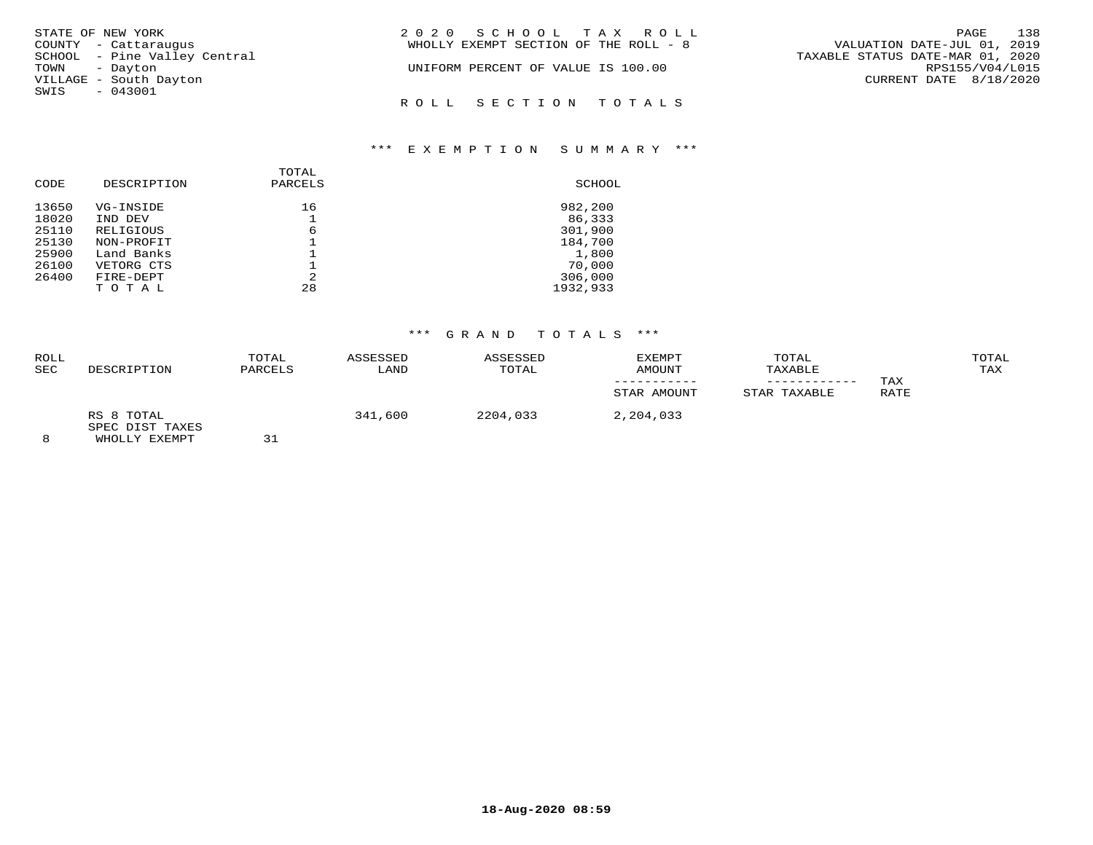| STATE OF NEW YORK            | 2020 SCHOOL TAX ROLL                  | 138<br>PAGE                      |
|------------------------------|---------------------------------------|----------------------------------|
| COUNTY - Cattaraugus         | WHOLLY EXEMPT SECTION OF THE ROLL - 8 | VALUATION DATE-JUL 01, 2019      |
| SCHOOL - Pine Valley Central |                                       | TAXABLE STATUS DATE-MAR 01, 2020 |
| TOWN - Dayton                | UNIFORM PERCENT OF VALUE IS 100.00    | RPS155/V04/L015                  |
| VILLAGE - South Dayton       |                                       | CURRENT DATE 8/18/2020           |
| SWIS - 043001                |                                       |                                  |
|                              | ROLL SECTION TOTALS                   |                                  |

## \*\*\* E X E M P T I O N S U M M A R Y \*\*\*

| CODE  | DESCRIPTION | TOTAL<br>PARCELS | SCHOOL   |
|-------|-------------|------------------|----------|
| 13650 | VG-INSIDE   | 16               | 982,200  |
| 18020 | IND DEV     |                  | 86,333   |
| 25110 | RELIGIOUS   | 6                | 301,900  |
| 25130 | NON-PROFIT  |                  | 184,700  |
| 25900 | Land Banks  |                  | 1,800    |
| 26100 | VETORG CTS  |                  | 70,000   |
| 26400 | FIRE-DEPT   | 2                | 306,000  |
|       | TOTAL       | 28               | 1932,933 |

# \*\*\* G R A N D T O T A L S \*\*\*

| <b>ROLL</b><br><b>SEC</b> | DESCRIPTION                   | TOTAL<br>PARCELS | ASSESSED<br>LAND | ASSESSED<br>TOTAL | EXEMPT<br>AMOUNT<br>STAR AMOUNT | TOTAL<br>TAXABLE<br>-----------<br>STAR TAXABLE | TAX<br>RATE | TOTAL<br>TAX |
|---------------------------|-------------------------------|------------------|------------------|-------------------|---------------------------------|-------------------------------------------------|-------------|--------------|
|                           | RS 8 TOTAL<br>SPEC DIST TAXES | --               | 341,600          | 2204,033          | 2,204,033                       |                                                 |             |              |

8 WHOLLY EXEMPT 31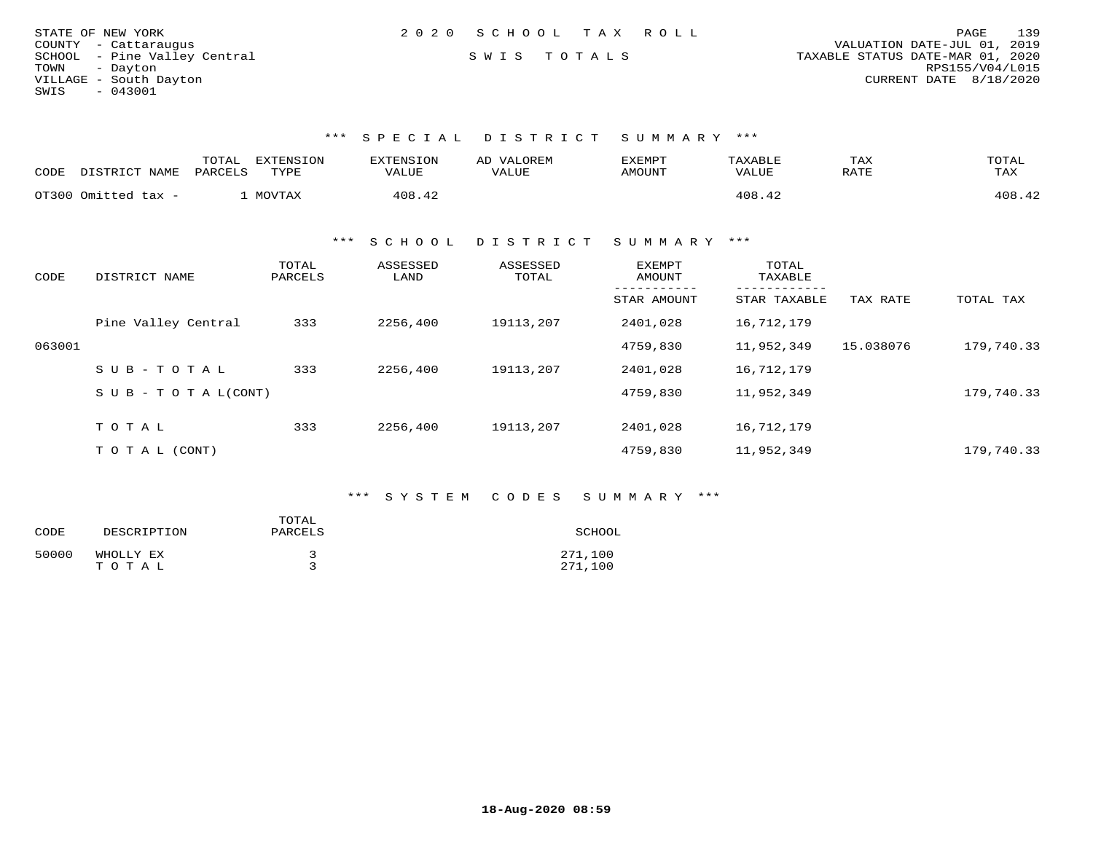| STATE OF NEW YORK            | 2020 SCHOOL TAX ROLL | 139<br>PAGE                      |
|------------------------------|----------------------|----------------------------------|
| COUNTY - Cattaraugus         |                      | VALUATION DATE-JUL 01, 2019      |
| SCHOOL - Pine Valley Central | SWIS TOTALS          | TAXABLE STATUS DATE-MAR 01, 2020 |
| TOWN<br>- Davton             |                      | RPS155/V04/L015                  |
| VILLAGE - South Dayton       |                      | CURRENT DATE 8/18/2020           |
| - 043001<br>SWIS             |                      |                                  |

| CODE | DISTRICT NAME       | TOTAL<br>EXTENSION<br>PARCELS<br>TYPE | <b>EXTENSION</b><br><b>VALUE</b> | VALOREM<br>AD<br>VALUE | EXEMPT<br>AMOUNT | TAXABLE<br><b>VALUE</b> | TAX<br>RATE | TOTAL<br>TAX |
|------|---------------------|---------------------------------------|----------------------------------|------------------------|------------------|-------------------------|-------------|--------------|
|      | OT300 Omitted tax - | MOVTAX                                | 408.42                           |                        |                  | 408.42                  |             | 408.42       |

\*\*\* S C H O O L D I S T R I C T S U M M A R Y \*\*\*

| CODE   | DISTRICT NAME                    | TOTAL<br>PARCELS | ASSESSED<br>LAND | ASSESSED<br>TOTAL | EXEMPT<br>AMOUNT | TOTAL<br>TAXABLE |           |            |
|--------|----------------------------------|------------------|------------------|-------------------|------------------|------------------|-----------|------------|
|        |                                  |                  |                  |                   | STAR AMOUNT      | STAR TAXABLE     | TAX RATE  | TOTAL TAX  |
|        | Pine Valley Central              | 333              | 2256,400         | 19113,207         | 2401,028         | 16,712,179       |           |            |
| 063001 |                                  |                  |                  |                   | 4759,830         | 11,952,349       | 15.038076 | 179,740.33 |
|        | $SUB - TO T AL$                  | 333              | 2256,400         | 19113,207         | 2401,028         | 16,712,179       |           |            |
|        | $S \cup B - T \cup T A L (CONT)$ |                  |                  |                   | 4759,830         | 11,952,349       |           | 179,740.33 |
|        |                                  |                  |                  |                   |                  |                  |           |            |
|        | TOTAL                            | 333              | 2256,400         | 19113,207         | 2401,028         | 16,712,179       |           |            |
|        | T O T A L (CONT)                 |                  |                  |                   | 4759,830         | 11,952,349       |           | 179,740.33 |

# \*\*\* S Y S T E M C O D E S S U M M A R Y \*\*\*

| CODE  | DESCRIPTION        | TOTAL<br>PARCELS | SCHOOL             |
|-------|--------------------|------------------|--------------------|
| 50000 | WHOLLY EX<br>TOTAL |                  | 271,100<br>271,100 |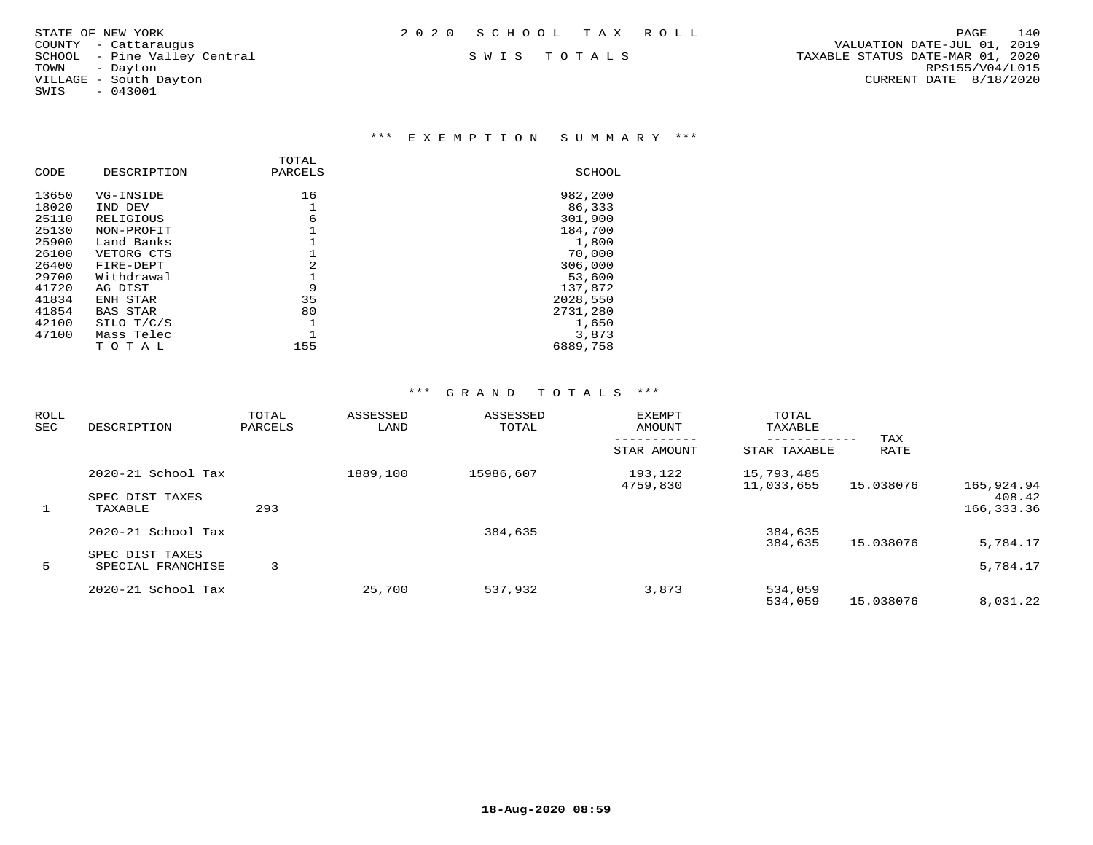SWIS - 043001

## \*\*\* E X E M P T I O N S U M M A R Y \*\*\*

| DESCRIPTION     | PARCELS | SCHOOL   |
|-----------------|---------|----------|
| VG-INSIDE       | 16      | 982,200  |
| IND DEV         |         | 86,333   |
| RELIGIOUS       | 6       | 301,900  |
| NON-PROFIT      |         | 184,700  |
| Land Banks      |         | 1,800    |
| VETORG CTS      |         | 70,000   |
| FIRE-DEPT       | 2       | 306,000  |
| Withdrawal      |         | 53,600   |
| AG DIST         | 9       | 137,872  |
| ENH STAR        | 35      | 2028,550 |
| <b>BAS STAR</b> | 80      | 2731,280 |
| SILO T/C/S      |         | 1,650    |
| Mass Telec      |         | 3,873    |
| TOTAL           | 155     | 6889,758 |
|                 |         | TOTAL    |

| ROLL<br>SEC | DESCRIPTION                          | TOTAL<br>PARCELS | ASSESSED<br>LAND | ASSESSED<br>TOTAL | <b>EXEMPT</b><br>AMOUNT | TOTAL<br>TAXABLE         |             |                      |
|-------------|--------------------------------------|------------------|------------------|-------------------|-------------------------|--------------------------|-------------|----------------------|
|             |                                      |                  |                  |                   | STAR AMOUNT             | STAR TAXABLE             | TAX<br>RATE |                      |
|             | 2020-21 School Tax                   |                  | 1889,100         | 15986,607         | 193,122<br>4759,830     | 15,793,485<br>11,033,655 | 15.038076   | 165,924.94           |
| 1           | SPEC DIST TAXES<br>TAXABLE           | 293              |                  |                   |                         |                          |             | 408.42<br>166,333.36 |
|             | 2020-21 School Tax                   |                  |                  | 384,635           |                         | 384,635<br>384,635       | 15.038076   | 5,784.17             |
| 5           | SPEC DIST TAXES<br>SPECIAL FRANCHISE | 3                |                  |                   |                         |                          |             | 5,784.17             |
|             | 2020-21 School Tax                   |                  | 25,700           | 537,932           | 3,873                   | 534,059<br>534,059       | 15.038076   | 8,031.22             |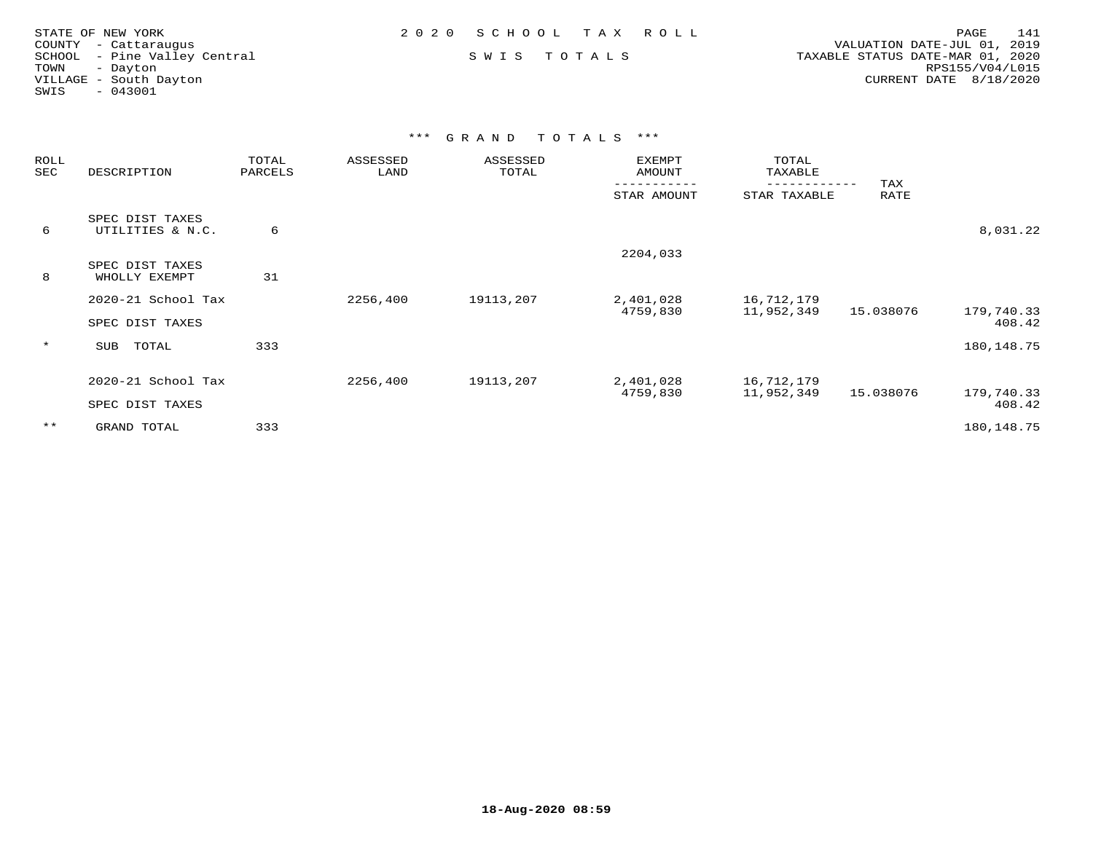| STATE OF NEW YORK            | 2020 SCHOOL TAX ROLL | PAGE<br>141                      |
|------------------------------|----------------------|----------------------------------|
| COUNTY - Cattaraugus         |                      | VALUATION DATE-JUL 01, 2019      |
| SCHOOL - Pine Valley Central | SWIS TOTALS          | TAXABLE STATUS DATE-MAR 01, 2020 |
| TOWN<br>- Davton             |                      | RPS155/V04/L015                  |
| VILLAGE - South Dayton       |                      | CURRENT DATE 8/18/2020           |
| $-043001$<br>SWIS            |                      |                                  |
|                              |                      |                                  |
|                              |                      |                                  |

| ROLL<br>SEC | DESCRIPTION                         | TOTAL<br>PARCELS | ASSESSED<br>LAND | ASSESSED<br>TOTAL | EXEMPT<br>AMOUNT      | TOTAL<br>TAXABLE<br>------------ | TAX       |                      |
|-------------|-------------------------------------|------------------|------------------|-------------------|-----------------------|----------------------------------|-----------|----------------------|
|             |                                     |                  |                  |                   | STAR AMOUNT           | STAR TAXABLE                     | RATE      |                      |
| 6           | SPEC DIST TAXES<br>UTILITIES & N.C. | 6                |                  |                   |                       |                                  |           | 8,031.22             |
|             |                                     |                  |                  |                   | 2204,033              |                                  |           |                      |
| 8           | SPEC DIST TAXES<br>WHOLLY EXEMPT    | 31               |                  |                   |                       |                                  |           |                      |
|             | 2020-21 School Tax                  |                  | 2256,400         | 19113,207         | 2,401,028             | 16,712,179                       |           |                      |
|             | SPEC DIST TAXES                     |                  |                  |                   | 4759,830              | 11,952,349                       | 15.038076 | 179,740.33<br>408.42 |
| $\star$     | TOTAL<br>SUB                        | 333              |                  |                   |                       |                                  |           | 180, 148. 75         |
|             |                                     |                  |                  |                   |                       |                                  |           |                      |
|             | 2020-21 School Tax                  |                  | 2256,400         | 19113,207         | 2,401,028<br>4759,830 | 16,712,179<br>11,952,349         | 15.038076 | 179,740.33           |
|             | SPEC DIST TAXES                     |                  |                  |                   |                       |                                  |           | 408.42               |
| $***$       | GRAND TOTAL                         | 333              |                  |                   |                       |                                  |           | 180,148.75           |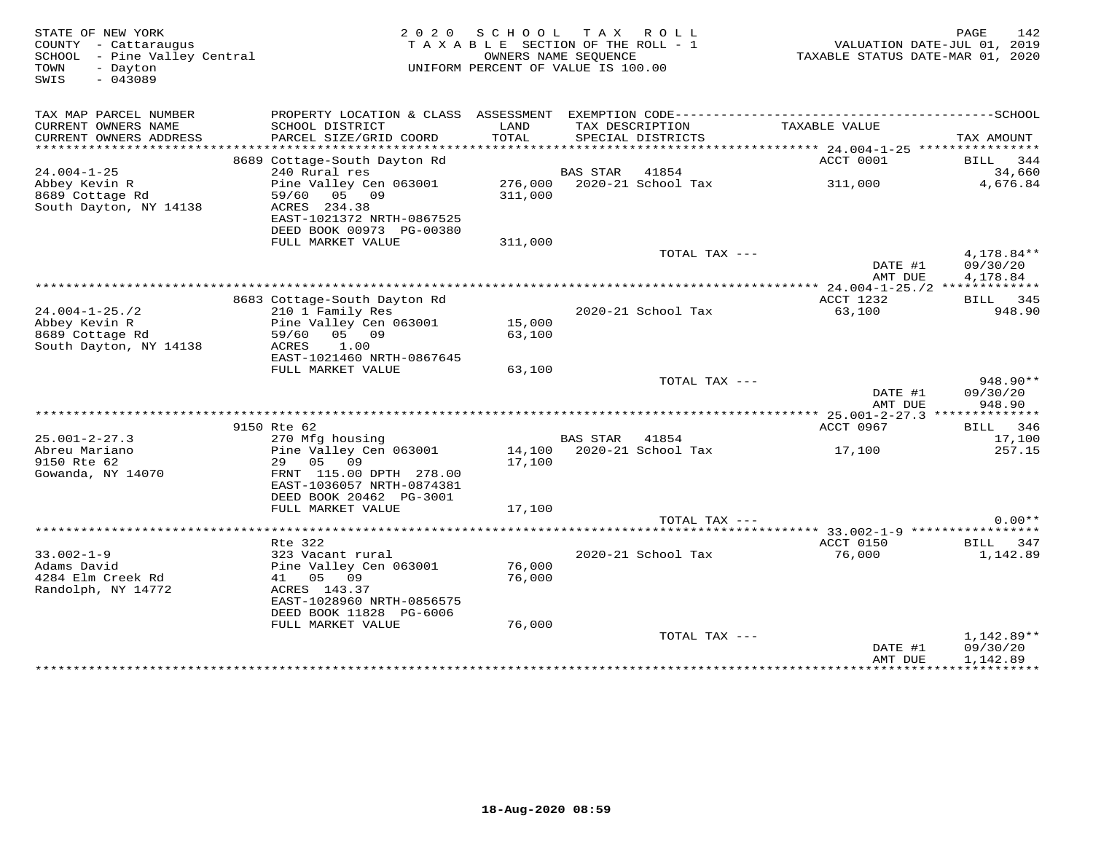| STATE OF NEW YORK<br>COUNTY - Cattaraugus<br>SCHOOL - Pine Valley Central<br>TOWN<br>- Dayton<br>$-043089$<br>SWIS |                                                   | 2020 SCHOOL   | TAX ROLL<br>TAXABLE SECTION OF THE ROLL - 1<br>OWNERS NAME SEQUENCE<br>UNIFORM PERCENT OF VALUE IS 100.00 | VALUATION DATE-JUL 01, 2019<br>TAXABLE STATUS DATE-MAR 01, 2020 | 142<br>PAGE          |
|--------------------------------------------------------------------------------------------------------------------|---------------------------------------------------|---------------|-----------------------------------------------------------------------------------------------------------|-----------------------------------------------------------------|----------------------|
| TAX MAP PARCEL NUMBER                                                                                              |                                                   |               |                                                                                                           |                                                                 |                      |
| CURRENT OWNERS NAME<br>CURRENT OWNERS ADDRESS                                                                      | SCHOOL DISTRICT<br>PARCEL SIZE/GRID COORD         | LAND<br>TOTAL | TAX DESCRIPTION<br>SPECIAL DISTRICTS                                                                      | TAXABLE VALUE                                                   | TAX AMOUNT           |
| ***********************                                                                                            |                                                   |               |                                                                                                           |                                                                 |                      |
| $24.004 - 1 - 25$                                                                                                  | 8689 Cottage-South Dayton Rd<br>240 Rural res     |               | BAS STAR 41854                                                                                            | ACCT 0001                                                       | BILL 344<br>34,660   |
| Abbey Kevin R                                                                                                      | Pine Valley Cen 063001 276,000 2020-21 School Tax |               |                                                                                                           | 311,000                                                         | 4,676.84             |
| South r<br>8689 Cottage Rd                                                                                         | 59/60 05 09                                       | 311,000       |                                                                                                           |                                                                 |                      |
| South Dayton, NY 14138                                                                                             | ACRES 234.38                                      |               |                                                                                                           |                                                                 |                      |
|                                                                                                                    | EAST-1021372 NRTH-0867525                         |               |                                                                                                           |                                                                 |                      |
|                                                                                                                    | DEED BOOK 00973 PG-00380                          |               |                                                                                                           |                                                                 |                      |
|                                                                                                                    | FULL MARKET VALUE                                 | 311,000       |                                                                                                           |                                                                 |                      |
|                                                                                                                    |                                                   |               | TOTAL TAX ---                                                                                             |                                                                 | 4,178.84**           |
|                                                                                                                    |                                                   |               |                                                                                                           | DATE #1<br>AMT DUE                                              | 09/30/20<br>4,178.84 |
|                                                                                                                    |                                                   |               |                                                                                                           |                                                                 |                      |
|                                                                                                                    | 8683 Cottage-South Dayton Rd                      |               |                                                                                                           | ACCT 1232                                                       | BILL 345             |
| $24.004 - 1 - 25.72$                                                                                               | 210 1 Family Res                                  |               | 2020-21 School Tax                                                                                        | 63,100                                                          | 948.90               |
| Abbey Kevin R                                                                                                      | Pine Valley Cen 063001                            | 15,000        |                                                                                                           |                                                                 |                      |
| 8689 Cottage Rd                                                                                                    | 59/60 05 09                                       | 63,100        |                                                                                                           |                                                                 |                      |
| South Dayton, NY 14138                                                                                             | 1.00<br>ACRES                                     |               |                                                                                                           |                                                                 |                      |
|                                                                                                                    | EAST-1021460 NRTH-0867645<br>FULL MARKET VALUE    | 63,100        |                                                                                                           |                                                                 |                      |
|                                                                                                                    |                                                   |               | TOTAL TAX ---                                                                                             |                                                                 | $948.90**$           |
|                                                                                                                    |                                                   |               |                                                                                                           | DATE #1                                                         | 09/30/20             |
|                                                                                                                    |                                                   |               |                                                                                                           | AMT DUE                                                         | 948.90               |
|                                                                                                                    |                                                   |               |                                                                                                           | *********** 25.001-2-27.3 **************                        |                      |
|                                                                                                                    | 9150 Rte 62                                       |               |                                                                                                           | ACCT 0967                                                       | BILL 346             |
| $25.001 - 2 - 27.3$                                                                                                | 270 Mfg housing                                   |               | BAS STAR 41854                                                                                            |                                                                 | 17,100               |
| Abreu Mariano<br>9150 Rte 62                                                                                       | Pine Valley Cen 063001<br>29 05 09                | 17,100        |                                                                                                           |                                                                 | 257.15               |
| Gowanda, NY 14070                                                                                                  | FRNT 115.00 DPTH 278.00                           |               |                                                                                                           |                                                                 |                      |
|                                                                                                                    | EAST-1036057 NRTH-0874381                         |               |                                                                                                           |                                                                 |                      |
|                                                                                                                    | DEED BOOK 20462 PG-3001                           |               |                                                                                                           |                                                                 |                      |
|                                                                                                                    | FULL MARKET VALUE                                 | 17,100        |                                                                                                           |                                                                 |                      |
|                                                                                                                    |                                                   |               | TOTAL TAX ---                                                                                             |                                                                 | $0.00**$             |
|                                                                                                                    |                                                   |               |                                                                                                           | ******* 33.002-1-9 *****************                            |                      |
|                                                                                                                    | Rte 322                                           |               |                                                                                                           | ACCT 0150                                                       | BILL 347             |
| $33.002 - 1 - 9$<br>Adams David                                                                                    | 323 Vacant rural<br>Pine Valley Cen 063001        | 76,000        | 2020-21 School Tax                                                                                        | 76,000                                                          | 1,142.89             |
| 4284 Elm Creek Rd                                                                                                  | 41 05 09                                          | 76,000        |                                                                                                           |                                                                 |                      |
| Randolph, NY 14772                                                                                                 | ACRES 143.37                                      |               |                                                                                                           |                                                                 |                      |
|                                                                                                                    | EAST-1028960 NRTH-0856575                         |               |                                                                                                           |                                                                 |                      |
|                                                                                                                    | DEED BOOK 11828 PG-6006                           |               |                                                                                                           |                                                                 |                      |
|                                                                                                                    | FULL MARKET VALUE                                 | 76,000        |                                                                                                           |                                                                 |                      |
|                                                                                                                    |                                                   |               | TOTAL TAX ---                                                                                             |                                                                 | $1,142.89**$         |
|                                                                                                                    |                                                   |               |                                                                                                           | DATE #1<br>AMT DUE                                              | 09/30/20<br>1,142.89 |
|                                                                                                                    | *********************************                 |               |                                                                                                           |                                                                 |                      |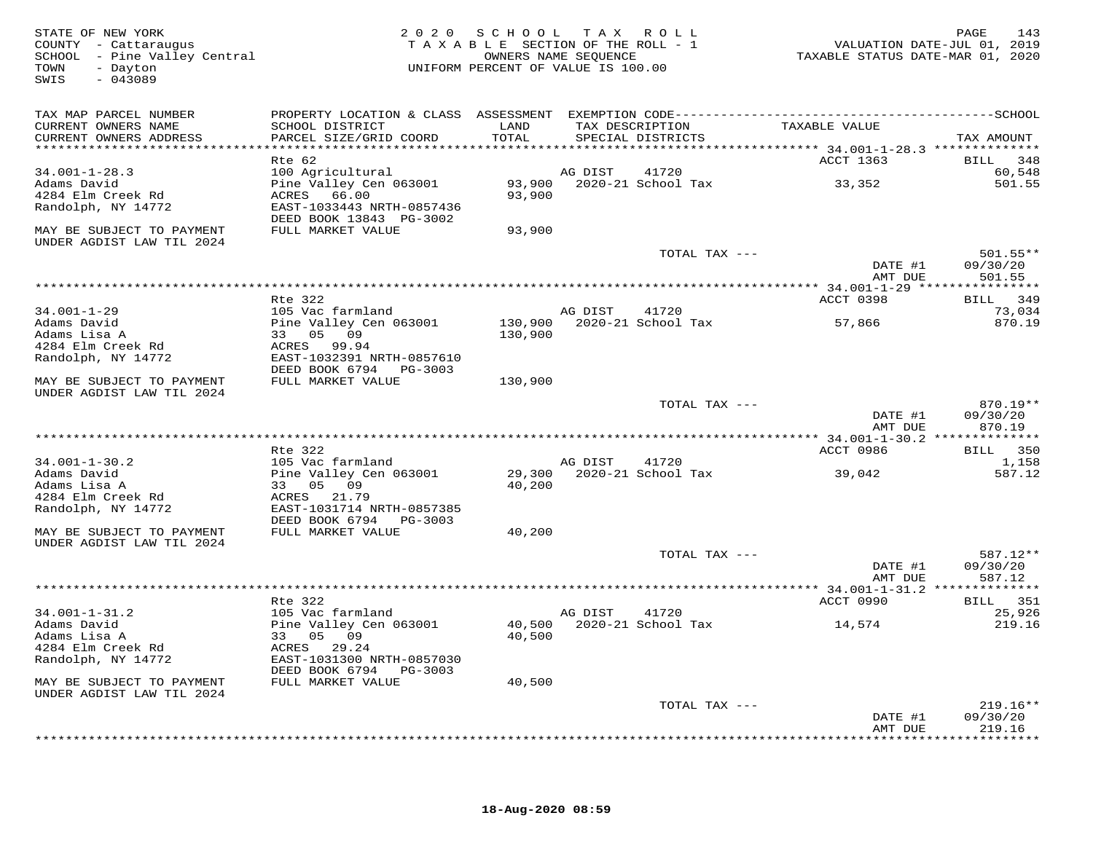| STATE OF NEW YORK<br>COUNTY - Cattaraugus<br>SCHOOL - Pine Valley Central<br>- Dayton<br>TOWN<br>SWIS<br>$-043089$ | 2 0 2 0                                                                                      | S C H O O L<br>TAXABLE SECTION OF THE ROLL - 1<br>UNIFORM PERCENT OF VALUE IS 100.00 | OWNERS NAME SEQUENCE | TAX ROLL                    | TAXABLE STATUS DATE-MAR 01, 2020        | 143<br>PAGE<br>VALUATION DATE-JUL 01, 2019 |
|--------------------------------------------------------------------------------------------------------------------|----------------------------------------------------------------------------------------------|--------------------------------------------------------------------------------------|----------------------|-----------------------------|-----------------------------------------|--------------------------------------------|
| TAX MAP PARCEL NUMBER                                                                                              | PROPERTY LOCATION & CLASS ASSESSMENT EXEMPTION CODE-----------------------------------SCHOOL |                                                                                      |                      |                             |                                         |                                            |
| CURRENT OWNERS NAME                                                                                                | SCHOOL DISTRICT                                                                              | LAND                                                                                 |                      | TAX DESCRIPTION             | TAXABLE VALUE                           |                                            |
| CURRENT OWNERS ADDRESS                                                                                             | PARCEL SIZE/GRID COORD                                                                       | TOTAL<br>*****************                                                           |                      | SPECIAL DISTRICTS           | ******** 34.001-1-28.3 **************   | TAX AMOUNT                                 |
|                                                                                                                    | Rte 62                                                                                       |                                                                                      |                      |                             | ACCT 1363                               | BILL<br>348                                |
| $34.001 - 1 - 28.3$                                                                                                | 100 Agricultural                                                                             |                                                                                      | AG DIST              | 41720                       |                                         | 60,548                                     |
| Adams David                                                                                                        | Pine Valley Cen 063001                                                                       | 93,900                                                                               |                      | 2020-21 School Tax          | 33,352                                  | 501.55                                     |
| 4284 Elm Creek Rd                                                                                                  | ACRES<br>66.00                                                                               | 93,900                                                                               |                      |                             |                                         |                                            |
| Randolph, NY 14772                                                                                                 | EAST-1033443 NRTH-0857436<br>DEED BOOK 13843 PG-3002                                         |                                                                                      |                      |                             |                                         |                                            |
| MAY BE SUBJECT TO PAYMENT                                                                                          | FULL MARKET VALUE                                                                            | 93,900                                                                               |                      |                             |                                         |                                            |
| UNDER AGDIST LAW TIL 2024                                                                                          |                                                                                              |                                                                                      |                      |                             |                                         |                                            |
|                                                                                                                    |                                                                                              |                                                                                      |                      | TOTAL TAX ---               |                                         | $501.55**$                                 |
|                                                                                                                    |                                                                                              |                                                                                      |                      |                             | DATE #1                                 | 09/30/20                                   |
|                                                                                                                    |                                                                                              | ************************                                                             |                      |                             | AMT DUE<br>*********** 34.001-1-29 ***: | 501.55<br>* * * * * * * * *                |
|                                                                                                                    | Rte 322                                                                                      |                                                                                      |                      |                             | ACCT 0398                               | 349<br>BILL                                |
| $34.001 - 1 - 29$                                                                                                  | 105 Vac farmland                                                                             |                                                                                      | AG DIST              | 41720                       |                                         | 73,034                                     |
| Adams David                                                                                                        | Pine Valley Cen 063001                                                                       | 130,900                                                                              |                      | 2020-21 School Tax          | 57,866                                  | 870.19                                     |
| Adams Lisa A<br>4284 Elm Creek Rd                                                                                  | 33 05 09<br>ACRES 99.94                                                                      | 130,900                                                                              |                      |                             |                                         |                                            |
| Randolph, NY 14772                                                                                                 | EAST-1032391 NRTH-0857610                                                                    |                                                                                      |                      |                             |                                         |                                            |
|                                                                                                                    | DEED BOOK 6794 PG-3003                                                                       |                                                                                      |                      |                             |                                         |                                            |
| MAY BE SUBJECT TO PAYMENT                                                                                          | FULL MARKET VALUE                                                                            | 130,900                                                                              |                      |                             |                                         |                                            |
| UNDER AGDIST LAW TIL 2024                                                                                          |                                                                                              |                                                                                      |                      |                             |                                         | $870.19**$                                 |
|                                                                                                                    |                                                                                              |                                                                                      |                      | TOTAL TAX ---               | DATE #1                                 | 09/30/20                                   |
|                                                                                                                    |                                                                                              |                                                                                      |                      |                             | AMT DUE                                 | 870.19                                     |
|                                                                                                                    |                                                                                              |                                                                                      |                      |                             |                                         |                                            |
|                                                                                                                    | Rte 322                                                                                      |                                                                                      |                      |                             | ACCT 0986                               | 350<br>BILL                                |
| $34.001 - 1 - 30.2$<br>Adams David                                                                                 | 105 Vac farmland<br>Pine Valley Cen 063001                                                   | 29,300                                                                               | AG DIST              | 41720<br>2020-21 School Tax | 39,042                                  | 1,158<br>587.12                            |
| Adams Lisa A                                                                                                       | 33 05 09                                                                                     | 40,200                                                                               |                      |                             |                                         |                                            |
| 4284 Elm Creek Rd                                                                                                  | ACRES<br>21.79                                                                               |                                                                                      |                      |                             |                                         |                                            |
| Randolph, NY 14772                                                                                                 | EAST-1031714 NRTH-0857385                                                                    |                                                                                      |                      |                             |                                         |                                            |
| MAY BE SUBJECT TO PAYMENT                                                                                          | DEED BOOK 6794 PG-3003<br>FULL MARKET VALUE                                                  | 40,200                                                                               |                      |                             |                                         |                                            |
| UNDER AGDIST LAW TIL 2024                                                                                          |                                                                                              |                                                                                      |                      |                             |                                         |                                            |
|                                                                                                                    |                                                                                              |                                                                                      |                      | TOTAL TAX ---               |                                         | 587.12**                                   |
|                                                                                                                    |                                                                                              |                                                                                      |                      |                             | DATE #1                                 | 09/30/20                                   |
|                                                                                                                    |                                                                                              |                                                                                      |                      |                             | AMT DUE                                 | 587.12                                     |
|                                                                                                                    | Rte 322                                                                                      |                                                                                      |                      |                             | ACCT 0990                               | BILL 351                                   |
| $34.001 - 1 - 31.2$                                                                                                | 105 Vac farmland                                                                             |                                                                                      | AG DIST              | 41720                       |                                         | 25,926                                     |
| Adams David                                                                                                        | Pine Valley Cen 063001                                                                       | 40,500                                                                               |                      | 2020-21 School Tax          | 14,574                                  | 219.16                                     |
| Adams Lisa A                                                                                                       | 33 05<br>09                                                                                  | 40,500                                                                               |                      |                             |                                         |                                            |
| 4284 Elm Creek Rd                                                                                                  | ACRES<br>29.24                                                                               |                                                                                      |                      |                             |                                         |                                            |
| Randolph, NY 14772                                                                                                 | EAST-1031300 NRTH-0857030<br>DEED BOOK 6794<br>PG-3003                                       |                                                                                      |                      |                             |                                         |                                            |
| MAY BE SUBJECT TO PAYMENT                                                                                          | FULL MARKET VALUE                                                                            | 40,500                                                                               |                      |                             |                                         |                                            |
| UNDER AGDIST LAW TIL 2024                                                                                          |                                                                                              |                                                                                      |                      |                             |                                         |                                            |
|                                                                                                                    |                                                                                              |                                                                                      |                      | TOTAL TAX ---               |                                         | $219.16**$                                 |
|                                                                                                                    |                                                                                              |                                                                                      |                      |                             | DATE #1<br>AMT DUE                      | 09/30/20<br>219.16                         |
|                                                                                                                    |                                                                                              |                                                                                      |                      |                             |                                         | * * * * * * * * * * *                      |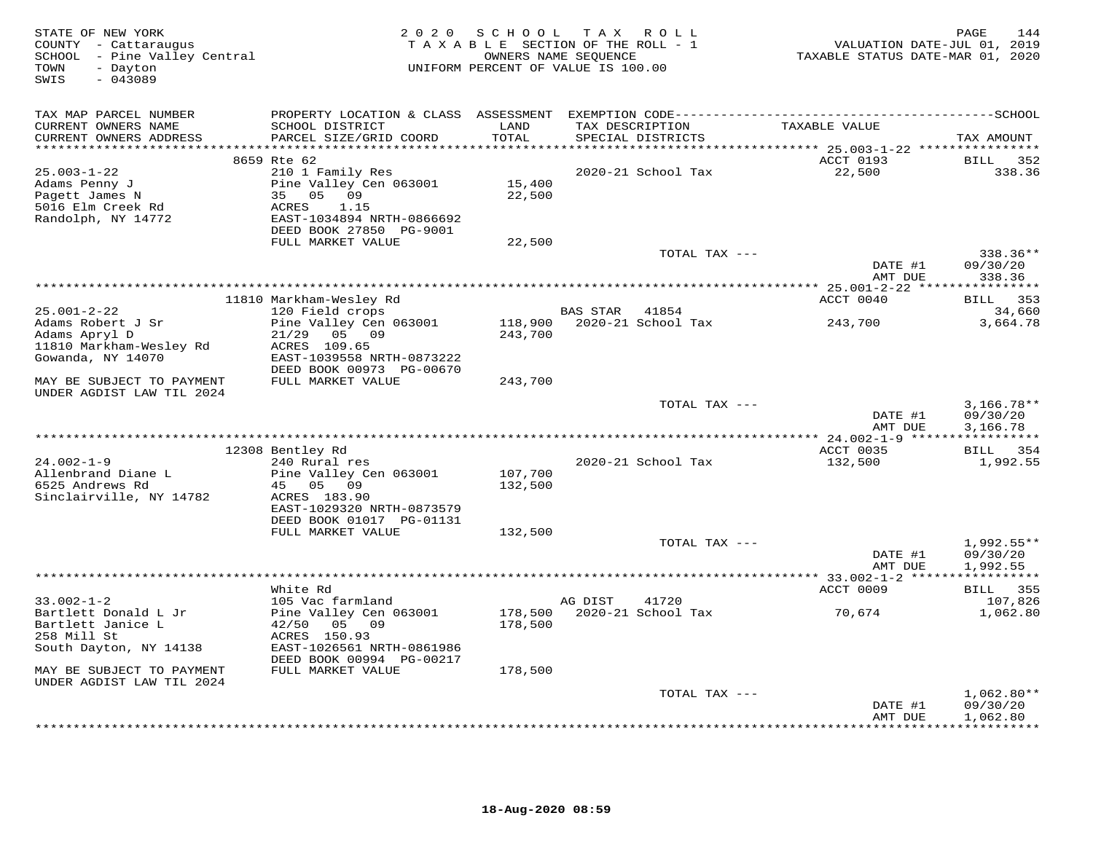| STATE OF NEW YORK<br>COUNTY - Cattaraugus<br>SCHOOL - Pine Valley Central<br>- Dayton<br>TOWN<br>$-043089$<br>SWIS | 2 0 2 0                                                                                                                         | S C H O O L<br>TAXABLE SECTION OF THE ROLL - 1<br>OWNERS NAME SEQUENCE<br>UNIFORM PERCENT OF VALUE IS 100.00 | T A X                                | R O L L            | VALUATION DATE-JUL 01, 2019<br>TAXABLE STATUS DATE-MAR 01, 2020 | PAGE<br>144                          |
|--------------------------------------------------------------------------------------------------------------------|---------------------------------------------------------------------------------------------------------------------------------|--------------------------------------------------------------------------------------------------------------|--------------------------------------|--------------------|-----------------------------------------------------------------|--------------------------------------|
| TAX MAP PARCEL NUMBER                                                                                              | PROPERTY LOCATION & CLASS ASSESSMENT                                                                                            |                                                                                                              |                                      |                    |                                                                 |                                      |
| CURRENT OWNERS NAME<br>CURRENT OWNERS ADDRESS                                                                      | SCHOOL DISTRICT<br>PARCEL SIZE/GRID COORD                                                                                       | LAND<br>TOTAL                                                                                                | TAX DESCRIPTION<br>SPECIAL DISTRICTS |                    | TAXABLE VALUE                                                   | TAX AMOUNT                           |
| **********************                                                                                             | 8659 Rte 62                                                                                                                     | *******                                                                                                      |                                      |                    | *********** 25.003-1-22 ****************<br>ACCT 0193           | BILL<br>352                          |
| $25.003 - 1 - 22$<br>Adams Penny J<br>Pagett James N<br>5016 Elm Creek Rd<br>Randolph, NY 14772                    | 210 1 Family Res<br>Pine Valley Cen 063001<br>35 05 09<br>1.15<br>ACRES<br>EAST-1034894 NRTH-0866692<br>DEED BOOK 27850 PG-9001 | 15,400<br>22,500                                                                                             |                                      | 2020-21 School Tax | 22,500                                                          | 338.36                               |
|                                                                                                                    | FULL MARKET VALUE                                                                                                               | 22,500                                                                                                       |                                      |                    |                                                                 |                                      |
|                                                                                                                    |                                                                                                                                 |                                                                                                              |                                      | TOTAL TAX ---      | DATE #1                                                         | 338.36**<br>09/30/20                 |
|                                                                                                                    |                                                                                                                                 |                                                                                                              |                                      |                    | AMT DUE                                                         | 338.36                               |
|                                                                                                                    | 11810 Markham-Wesley Rd                                                                                                         |                                                                                                              |                                      |                    | ACCT 0040                                                       | BILL 353                             |
| $25.001 - 2 - 22$                                                                                                  | 120 Field crops                                                                                                                 |                                                                                                              | BAS STAR 41854                       |                    |                                                                 | 34,660                               |
| Adams Robert J Sr<br>Adams Apryl D                                                                                 | Pine Valley Cen 063001<br>21/29<br>05 09                                                                                        | 118,900<br>243,700                                                                                           |                                      | 2020-21 School Tax | 243,700                                                         | 3,664.78                             |
| 11810 Markham-Wesley Rd<br>Gowanda, NY 14070                                                                       | ACRES 109.65<br>EAST-1039558 NRTH-0873222<br>DEED BOOK 00973 PG-00670                                                           |                                                                                                              |                                      |                    |                                                                 |                                      |
| MAY BE SUBJECT TO PAYMENT<br>UNDER AGDIST LAW TIL 2024                                                             | FULL MARKET VALUE                                                                                                               | 243,700                                                                                                      |                                      |                    |                                                                 |                                      |
|                                                                                                                    |                                                                                                                                 |                                                                                                              |                                      | TOTAL TAX ---      | DATE #1<br>AMT DUE                                              | $3,166.78**$<br>09/30/20<br>3,166.78 |
|                                                                                                                    |                                                                                                                                 |                                                                                                              |                                      |                    |                                                                 |                                      |
| $24.002 - 1 - 9$                                                                                                   | 12308 Bentley Rd<br>240 Rural res                                                                                               |                                                                                                              |                                      | 2020-21 School Tax | ACCT 0035<br>132,500                                            | BILL 354<br>1,992.55                 |
| Allenbrand Diane L<br>6525 Andrews Rd                                                                              | Pine Valley Cen 063001<br>45 05 09                                                                                              | 107,700<br>132,500                                                                                           |                                      |                    |                                                                 |                                      |
| Sinclairville, NY 14782                                                                                            | ACRES 183.90<br>EAST-1029320 NRTH-0873579<br>DEED BOOK 01017 PG-01131                                                           |                                                                                                              |                                      |                    |                                                                 |                                      |
|                                                                                                                    | FULL MARKET VALUE                                                                                                               | 132,500                                                                                                      |                                      |                    |                                                                 |                                      |
|                                                                                                                    |                                                                                                                                 |                                                                                                              |                                      | TOTAL TAX ---      |                                                                 | $1,992.55**$                         |
|                                                                                                                    |                                                                                                                                 |                                                                                                              |                                      |                    | DATE #1                                                         | 09/30/20                             |
|                                                                                                                    |                                                                                                                                 |                                                                                                              |                                      |                    | AMT DUE                                                         | 1,992.55                             |
|                                                                                                                    | White Rd                                                                                                                        |                                                                                                              |                                      |                    | ACCT 0009                                                       | BILL 355                             |
| $33.002 - 1 - 2$                                                                                                   | 105 Vac farmland                                                                                                                |                                                                                                              | AG DIST                              | 41720              |                                                                 | 107,826                              |
| Bartlett Donald L Jr<br>Bartlett Janice L<br>258 Mill St                                                           | Pine Valley Cen 063001<br>42/50 05 09<br>ACRES 150.93                                                                           | 178,500<br>178,500                                                                                           |                                      | 2020-21 School Tax | 70,674                                                          | 1,062.80                             |
| South Dayton, NY 14138                                                                                             | EAST-1026561 NRTH-0861986<br>DEED BOOK 00994 PG-00217                                                                           |                                                                                                              |                                      |                    |                                                                 |                                      |
| MAY BE SUBJECT TO PAYMENT<br>UNDER AGDIST LAW TIL 2024                                                             | FULL MARKET VALUE                                                                                                               | 178,500                                                                                                      |                                      |                    |                                                                 |                                      |
|                                                                                                                    |                                                                                                                                 |                                                                                                              |                                      | TOTAL TAX ---      |                                                                 | $1,062.80**$                         |
|                                                                                                                    |                                                                                                                                 |                                                                                                              |                                      |                    | DATE #1<br>AMT DUE                                              | 09/30/20<br>1,062.80                 |
|                                                                                                                    |                                                                                                                                 |                                                                                                              |                                      |                    |                                                                 | <b>++++++++++</b>                    |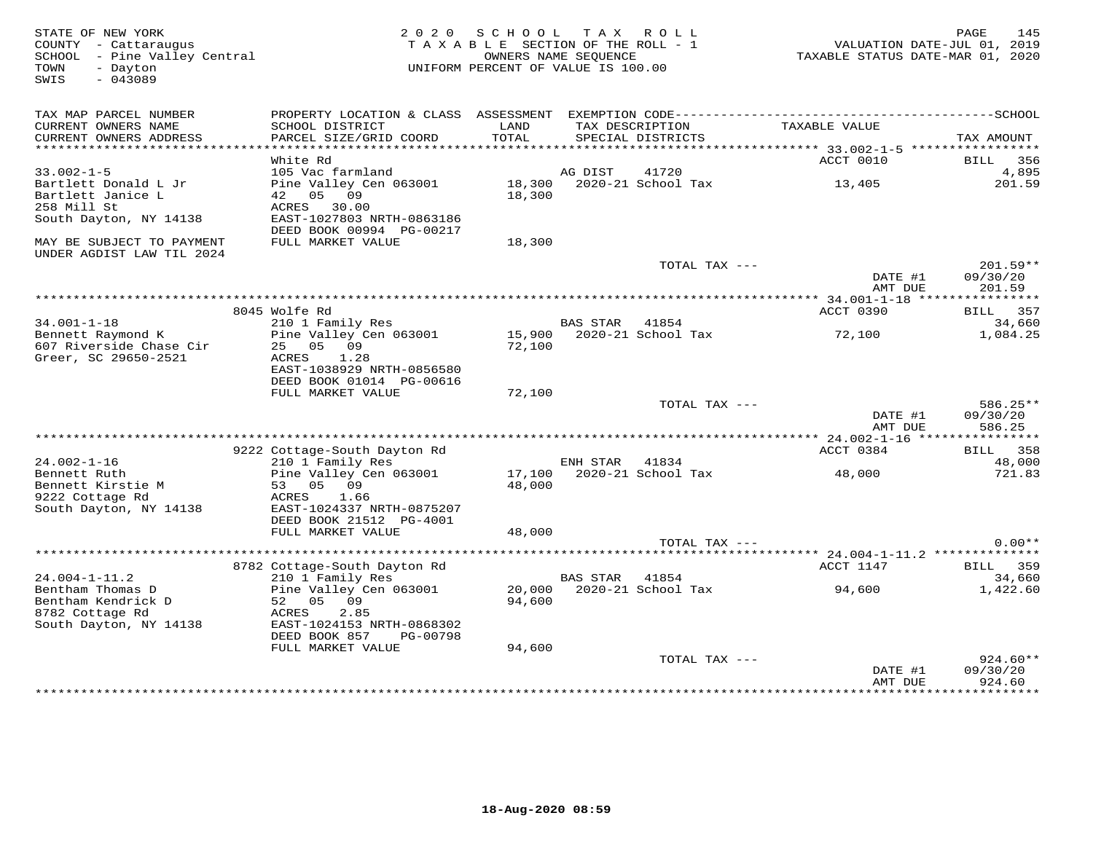| STATE OF NEW YORK<br>COUNTY - Cattaraugus<br>SCHOOL - Pine Valley Central<br>- Dayton<br>TOWN<br>SWIS<br>$-043089$ | 2 0 2 0                                                                                                       | S C H O O L<br>TAXABLE SECTION OF THE ROLL - 1<br>UNIFORM PERCENT OF VALUE IS 100.00 | OWNERS NAME SEQUENCE | TAX ROLL                             | TAXABLE STATUS DATE-MAR 01, 2020 | 145<br>PAGE<br>VALUATION DATE-JUL 01, 2019 |
|--------------------------------------------------------------------------------------------------------------------|---------------------------------------------------------------------------------------------------------------|--------------------------------------------------------------------------------------|----------------------|--------------------------------------|----------------------------------|--------------------------------------------|
| TAX MAP PARCEL NUMBER<br>CURRENT OWNERS NAME<br>CURRENT OWNERS ADDRESS                                             | SCHOOL DISTRICT<br>PARCEL SIZE/GRID COORD                                                                     | LAND<br>TOTAL                                                                        |                      | TAX DESCRIPTION<br>SPECIAL DISTRICTS | TAXABLE VALUE                    | TAX AMOUNT                                 |
| **********************                                                                                             |                                                                                                               |                                                                                      |                      |                                      |                                  |                                            |
|                                                                                                                    | White Rd                                                                                                      |                                                                                      |                      |                                      | ACCT 0010                        | BILL<br>356                                |
| $33.002 - 1 - 5$                                                                                                   | 105 Vac farmland                                                                                              |                                                                                      | AG DIST              | 41720                                |                                  | 4,895                                      |
| Bartlett Donald L Jr<br>Bartlett Janice L<br>258 Mill St                                                           | Pine Valley Cen 063001<br>42 05 09<br>ACRES 30.00                                                             | 18,300                                                                               |                      | 18,300 2020-21 School Tax            | 13,405                           | 201.59                                     |
| South Dayton, NY 14138                                                                                             | EAST-1027803 NRTH-0863186<br>DEED BOOK 00994 PG-00217                                                         |                                                                                      |                      |                                      |                                  |                                            |
| MAY BE SUBJECT TO PAYMENT<br>UNDER AGDIST LAW TIL 2024                                                             | FULL MARKET VALUE                                                                                             | 18,300                                                                               |                      |                                      |                                  |                                            |
|                                                                                                                    |                                                                                                               |                                                                                      |                      | TOTAL TAX ---                        | DATE #1<br>AMT DUE               | $201.59**$<br>09/30/20<br>201.59           |
|                                                                                                                    |                                                                                                               |                                                                                      |                      |                                      |                                  |                                            |
|                                                                                                                    | 8045 Wolfe Rd                                                                                                 |                                                                                      |                      |                                      | ACCT 0390                        | BILL 357                                   |
| $34.001 - 1 - 18$                                                                                                  | 210 1 Family Res                                                                                              |                                                                                      | <b>BAS STAR</b>      | 41854                                |                                  | 34,660                                     |
| Bennett Raymond K<br>607 Riverside Chase Cir<br>Greer, SC 29650-2521                                               | Pine Valley Cen 063001<br>25 05 09<br>ACRES<br>1.28<br>EAST-1038929 NRTH-0856580<br>DEED BOOK 01014 PG-00616  | 15,900<br>72,100                                                                     |                      | 2020-21 School Tax                   | 72,100                           | 1,084.25                                   |
|                                                                                                                    | FULL MARKET VALUE                                                                                             | 72,100                                                                               |                      |                                      |                                  |                                            |
|                                                                                                                    |                                                                                                               |                                                                                      |                      | TOTAL TAX ---                        | DATE #1<br>AMT DUE               | 586.25**<br>09/30/20<br>586.25             |
|                                                                                                                    |                                                                                                               |                                                                                      |                      |                                      |                                  |                                            |
| $24.002 - 1 - 16$                                                                                                  | 9222 Cottage-South Dayton Rd<br>210 1 Family Res                                                              |                                                                                      | ENH STAR             | 41834                                | ACCT 0384                        | BILL 358<br>48,000                         |
| Bennett Ruth<br>Bennett Kirstie M<br>9222 Cottage Rd<br>South Dayton, NY 14138                                     | Pine Valley Cen 063001<br>53 05 09<br>ACRES<br>1.66<br>EAST-1024337 NRTH-0875207<br>DEED BOOK 21512 PG-4001   | 17,100<br>48,000                                                                     |                      | 2020-21 School Tax                   | 48,000                           | 721.83                                     |
|                                                                                                                    | FULL MARKET VALUE                                                                                             | 48,000                                                                               |                      |                                      |                                  |                                            |
|                                                                                                                    |                                                                                                               |                                                                                      |                      | TOTAL TAX ---                        |                                  | $0.00**$                                   |
|                                                                                                                    |                                                                                                               |                                                                                      |                      |                                      |                                  |                                            |
| $24.004 - 1 - 11.2$                                                                                                | 8782 Cottage-South Dayton Rd<br>210 1 Family Res                                                              |                                                                                      | <b>BAS STAR</b>      | 41854                                | ACCT 1147                        | BILL 359<br>34,660                         |
| Bentham Thomas D<br>Bentham Kendrick D<br>8782 Cottage Rd<br>South Dayton, NY 14138                                | Pine Valley Cen 063001<br>52 05 09<br>2.85<br>ACRES<br>EAST-1024153 NRTH-0868302<br>DEED BOOK 857<br>PG-00798 | 20,000<br>94,600                                                                     |                      | 2020-21 School Tax                   | 94,600                           | 1,422.60                                   |
|                                                                                                                    | FULL MARKET VALUE                                                                                             | 94,600                                                                               |                      |                                      |                                  |                                            |
|                                                                                                                    |                                                                                                               |                                                                                      |                      | TOTAL TAX ---                        |                                  | $924.60**$                                 |
|                                                                                                                    |                                                                                                               |                                                                                      |                      |                                      | DATE #1<br>AMT DUE               | 09/30/20<br>924.60                         |
|                                                                                                                    |                                                                                                               |                                                                                      |                      |                                      | * * * * * * * * * * * * * * * *  | * * * * * * * * *                          |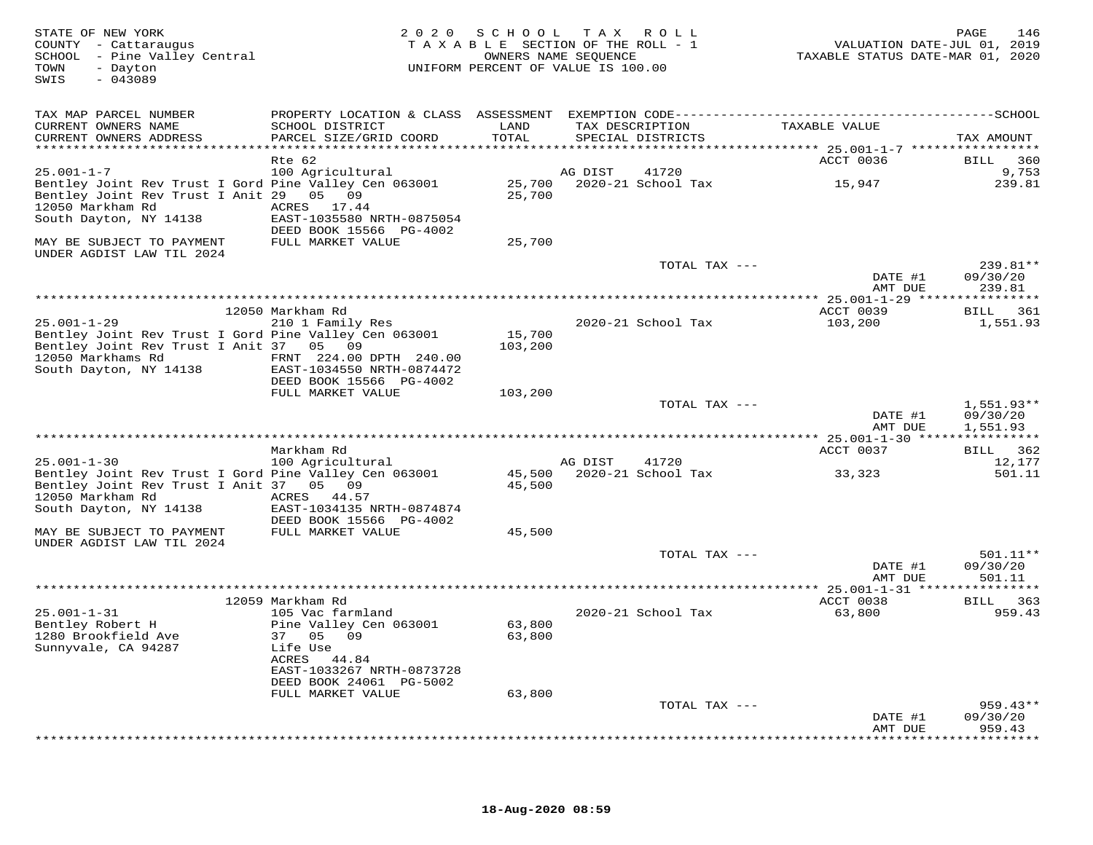| STATE OF NEW YORK<br>COUNTY - Cattaraugus<br>SCHOOL - Pine Valley Central<br>- Dayton<br>TOWN<br>SWIS<br>$-043089$                             | 2 0 2 0                                                 | SCHOOL           | TAX ROLL<br>TAXABLE SECTION OF THE ROLL - 1<br>OWNERS NAME SEQUENCE<br>UNIFORM PERCENT OF VALUE IS 100.00 |                                       | 146<br>PAGE<br>VALUATION DATE-JUL 01, 2019<br>TAXABLE STATUS DATE-MAR 01, 2020 |
|------------------------------------------------------------------------------------------------------------------------------------------------|---------------------------------------------------------|------------------|-----------------------------------------------------------------------------------------------------------|---------------------------------------|--------------------------------------------------------------------------------|
| TAX MAP PARCEL NUMBER                                                                                                                          |                                                         |                  |                                                                                                           |                                       |                                                                                |
| CURRENT OWNERS NAME<br>CURRENT OWNERS ADDRESS                                                                                                  | SCHOOL DISTRICT<br>PARCEL SIZE/GRID COORD               | LAND<br>TOTAL    | TAX DESCRIPTION<br>SPECIAL DISTRICTS                                                                      | TAXABLE VALUE                         | TAX AMOUNT                                                                     |
|                                                                                                                                                | ******************************                          |                  |                                                                                                           | ******** 25.001-1-7 ***************** |                                                                                |
| $25.001 - 1 - 7$                                                                                                                               | Rte 62<br>100 Agricultural                              |                  | AG DIST<br>41720                                                                                          | ACCT 0036                             | 360<br>BILL<br>9,753                                                           |
| Bentley Joint Rev Trust I Gord Pine Valley Cen 063001<br>Bentley Joint Rev Trust I Anit 29 05 09<br>12050 Markham Rd<br>South Dayton, NY 14138 | ACRES 17.44<br>EAST-1035580 NRTH-0875054                | 25,700<br>25,700 | 2020-21 School Tax                                                                                        | 15,947                                | 239.81                                                                         |
|                                                                                                                                                | DEED BOOK 15566 PG-4002                                 |                  |                                                                                                           |                                       |                                                                                |
| MAY BE SUBJECT TO PAYMENT                                                                                                                      | FULL MARKET VALUE                                       | 25,700           |                                                                                                           |                                       |                                                                                |
| UNDER AGDIST LAW TIL 2024                                                                                                                      |                                                         |                  |                                                                                                           | TOTAL TAX ---                         | 239.81**                                                                       |
|                                                                                                                                                |                                                         |                  |                                                                                                           | DATE #1<br>AMT DUE                    | 09/30/20<br>239.81                                                             |
|                                                                                                                                                |                                                         |                  |                                                                                                           |                                       |                                                                                |
|                                                                                                                                                | 12050 Markham Rd                                        |                  |                                                                                                           | ACCT 0039                             | BILL 361                                                                       |
| $25.001 - 1 - 29$<br>Bentley Joint Rev Trust I Gord Pine Valley Cen 063001                                                                     | 210 1 Family Res                                        | 15,700           | 2020-21 School Tax                                                                                        | 103,200                               | 1,551.93                                                                       |
| Bentley Joint Rev Trust I Anit 37 05 09<br>12050 Markhams Rd<br>South Dayton, NY 14138                                                         | FRNT 224.00 DPTH 240.00<br>EAST-1034550 NRTH-0874472    | 103,200          |                                                                                                           |                                       |                                                                                |
|                                                                                                                                                | DEED BOOK 15566 PG-4002<br>FULL MARKET VALUE            | 103,200          |                                                                                                           |                                       |                                                                                |
|                                                                                                                                                |                                                         |                  |                                                                                                           | TOTAL TAX ---                         | $1,551.93**$                                                                   |
|                                                                                                                                                |                                                         |                  |                                                                                                           | DATE #1<br>AMT DUE                    | 09/30/20<br>1,551.93                                                           |
|                                                                                                                                                |                                                         |                  |                                                                                                           |                                       |                                                                                |
| $25.001 - 1 - 30$                                                                                                                              | Markham Rd<br>100 Agricultural                          |                  | AG DIST<br>41720                                                                                          | ACCT 0037                             | BILL 362<br>12,177                                                             |
| Bentley Joint Rev Trust I Gord Pine Valley Cen 063001                                                                                          |                                                         |                  | 45,500 2020-21 School Tax                                                                                 | 33,323                                | 501.11                                                                         |
| Bentley Joint Rev Trust I Anit 37 05 09                                                                                                        |                                                         | 45,500           |                                                                                                           |                                       |                                                                                |
| 12050 Markham Rd<br>South Dayton, NY 14138                                                                                                     | ACRES 44.57<br>EAST-1034135 NRTH-0874874                |                  |                                                                                                           |                                       |                                                                                |
| MAY BE SUBJECT TO PAYMENT<br>UNDER AGDIST LAW TIL 2024                                                                                         | DEED BOOK 15566 PG-4002<br>FULL MARKET VALUE            | 45,500           |                                                                                                           |                                       |                                                                                |
|                                                                                                                                                |                                                         |                  |                                                                                                           | TOTAL TAX ---                         | 501.11**                                                                       |
|                                                                                                                                                |                                                         |                  |                                                                                                           | DATE #1<br>AMT DUE                    | 09/30/20<br>501.11                                                             |
|                                                                                                                                                |                                                         |                  |                                                                                                           |                                       |                                                                                |
|                                                                                                                                                | 12059 Markham Rd                                        |                  |                                                                                                           | ACCT 0038                             | BILL 363                                                                       |
| $25.001 - 1 - 31$<br>Bentley Robert H<br>1280 Brookfield Ave                                                                                   | 105 Vac farmland<br>Pine Valley Cen 063001<br>37 05 09  | 63,800<br>63,800 | 2020-21 School Tax                                                                                        | 63,800                                | 959.43                                                                         |
| Sunnyvale, CA 94287                                                                                                                            | Life Use<br>ACRES<br>44.84<br>EAST-1033267 NRTH-0873728 |                  |                                                                                                           |                                       |                                                                                |
|                                                                                                                                                | DEED BOOK 24061 PG-5002                                 |                  |                                                                                                           |                                       |                                                                                |
|                                                                                                                                                | FULL MARKET VALUE                                       | 63,800           |                                                                                                           |                                       |                                                                                |
|                                                                                                                                                |                                                         |                  |                                                                                                           | TOTAL TAX ---<br>DATE #1              | $959.43**$<br>09/30/20                                                         |
|                                                                                                                                                |                                                         |                  |                                                                                                           | AMT DUE                               | 959.43<br>* * * * * * * * * *                                                  |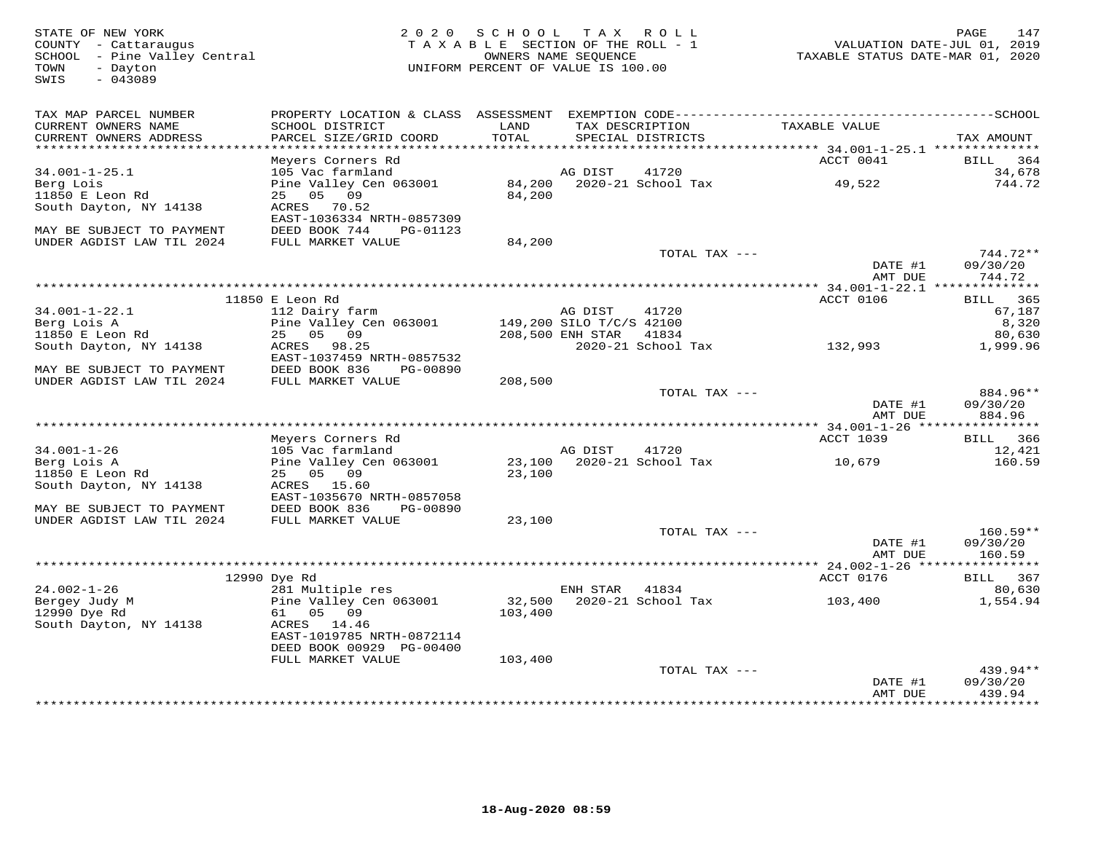FATE OF NEW YORK PAGE 147<br>COUNTY - Cattaraugus (COUNTY - Cattaraugus ) and the section of the SECTION OF THE ROLL - 1 (COUNTY - Cattaraugus<br>SCHOOL - Pine Valley Central (COUNTRE PARTE SECTION OF THE ROLL - 1 (COUNTRE STATU SWIS - 043089TAX MAP PARCEL NUMBER PROPERTY LOCATION & CLASS ASSESSMENT EXEMPTION CODE------------------------------------------SCHOOL CURRENT OWNERS NAME SCHOOL DISTRICT LAND TAX DESCRIPTION TAXABLE VALUE CURRENT OWNERS ADDRESS PARCEL SIZE/GRID COORD TOTAL SPECIAL DISTRICTS TAX AMOUNT \*\*\*\*\*\*\*\*\*\*\*\*\*\*\*\*\*\*\*\*\*\*\*\*\*\*\*\*\*\*\*\*\*\*\*\*\*\*\*\*\*\*\*\*\*\*\*\*\*\*\*\*\*\*\*\*\*\*\*\*\*\*\*\*\*\*\*\*\*\*\*\*\*\*\*\*\*\*\*\*\*\*\*\*\*\*\*\*\*\*\*\*\*\*\*\*\*\*\*\*\*\*\* 34.001-1-25.1 \*\*\*\*\*\*\*\*\*\*\*\*\*\*Meyers Corners Rd<br>
Meyers Corners Rd<br>
105 Vac farmland<br>
105 Vac farmland<br>
25 05 09 091 84,200 2020-21 School Tax 49,522 49,522<br>
25 05 09<br>
26 2020-21 School Tax 49,522 49,522<br>
26 2020-21 School Tax 49,522<br>
26 2020-21 School MAY BE SUBJECT TO PAYMENT DEED BOOK 744 PG-01123 UNDER AGDIST LAW TIL 2024 FULL MARKET VALUE 84,200 TOTAL TAX --- 744.72\*\* DATE #1 09/30/20 AMT DUE 744.72 \*\*\*\*\*\*\*\*\*\*\*\*\*\*\*\*\*\*\*\*\*\*\*\*\*\*\*\*\*\*\*\*\*\*\*\*\*\*\*\*\*\*\*\*\*\*\*\*\*\*\*\*\*\*\*\*\*\*\*\*\*\*\*\*\*\*\*\*\*\*\*\*\*\*\*\*\*\*\*\*\*\*\*\*\*\*\*\*\*\*\*\*\*\*\*\*\*\*\*\*\*\*\* 34.001-1-22.1 \*\*\*\*\*\*\*\*\*\*\*\*\*\*ACCT 0106 BILL 365 11850 E Leon Rd ACCT 0106 BILL 36567,187 34.001-1-22.1 112 Dairy farm AG DIST 41720 67,1878,320 Berg Lois A Pine Valley Cen 063001 149,200 SILO T/C/S 42100 8,320 80,630 11850 E Leon Rd 25 05 09 208,500 ENH STAR 41834 80,6301,999.96 South Dayton, NY 14138 ACRES 98.25 2020-21 School Tax 132,993 1,999.96 EAST-1037459 NRTH-0857532 MAY BE SUBJECT TO PAYMENT DEED BOOK 836 PG-00890 UNDER AGDIST LAW TIL 2024 FULL MARKET VALUE 208,500 TOTAL TAX --- 884.96\*\* DATE #1 09/30/20 AMT DUE 884.96 \*\*\*\*\*\*\*\*\*\*\*\*\*\*\*\*\*\*\*\*\*\*\*\*\*\*\*\*\*\*\*\*\*\*\*\*\*\*\*\*\*\*\*\*\*\*\*\*\*\*\*\*\*\*\*\*\*\*\*\*\*\*\*\*\*\*\*\*\*\*\*\*\*\*\*\*\*\*\*\*\*\*\*\*\*\*\*\*\*\*\*\*\*\*\*\*\*\*\*\*\*\*\* 34.001-1-26 \*\*\*\*\*\*\*\*\*\*\*\*\*\*\*\*ACCT 1039 BILL 366 Meyers Corners Rd ACCT 1039 BILL 366 12,421 34.001-1-26 105 Vac farmland AG DIST 41720 12,421160.59 Berg Lois A Pine Valley Cen 063001 23,100 2020-21 School Tax 10,679 160.5911850 E Leon Rd 25 05 09 23,100 South Dayton, NY 14138 ACRES 15.60 EAST-1035670 NRTH-0857058 MAY BE SUBJECT TO PAYMENT DEED BOOK 836 PG-00890 UNDER AGDIST LAW TIL 2024 FULL MARKET VALUE 23,100 TOTAL TAX --- 160.59\*\* DATE #1 09/30/20AMT DUE 160.59 AMT DUE 160.59<br>AMT DUE 160.59 MMT DUE 160.59<br>24.002-1-26 12990 Dye Rd 24.002-1-26 281 Multiple res ENH STAR 41834<br>2990 Dye Rd Pine Valley Cen 063001 32,500 2020-21 School Tax 103,400 17554.94<br>2990 Dye Rd 61 05 09 103,400 1 DEED BOOK 00929 PG-00400 FULL MARKET VALUE 103,400TOTAL TAX  $---$  439.94\*\* DATE #1 09/30/20 AMT DUE 439.94

\*\*\*\*\*\*\*\*\*\*\*\*\*\*\*\*\*\*\*\*\*\*\*\*\*\*\*\*\*\*\*\*\*\*\*\*\*\*\*\*\*\*\*\*\*\*\*\*\*\*\*\*\*\*\*\*\*\*\*\*\*\*\*\*\*\*\*\*\*\*\*\*\*\*\*\*\*\*\*\*\*\*\*\*\*\*\*\*\*\*\*\*\*\*\*\*\*\*\*\*\*\*\*\*\*\*\*\*\*\*\*\*\*\*\*\*\*\*\*\*\*\*\*\*\*\*\*\*\*\*\*\*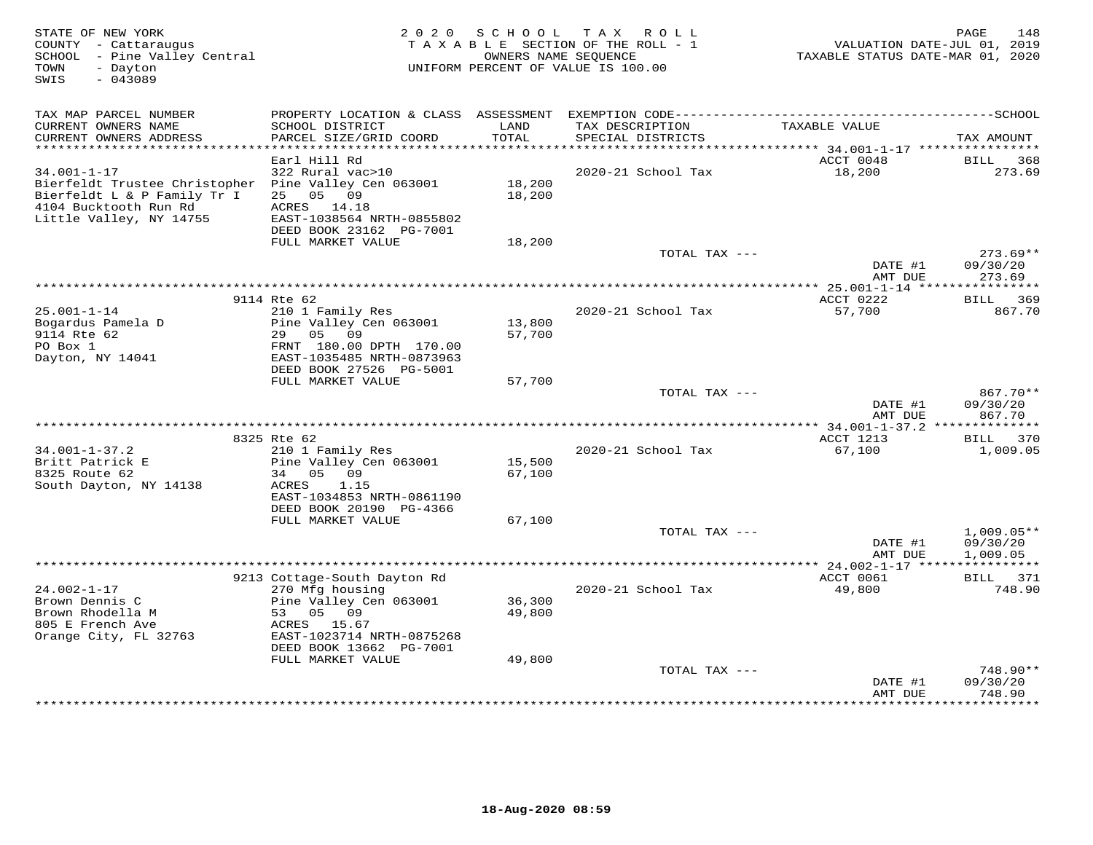| STATE OF NEW YORK<br>COUNTY - Cattaraugus<br>SCHOOL - Pine Valley Central<br>- Dayton<br>TOWN<br>$-043089$<br>SWIS                                           | 2 0 2 0                                                                                                                         | SCHOOL           | T A X<br>R O L L<br>TAXABLE SECTION OF THE ROLL - 1<br>OWNERS NAME SEQUENCE<br>UNIFORM PERCENT OF VALUE IS 100.00 | VALUATION DATE-JUL 01, 2019<br>TAXABLE STATUS DATE-MAR 01, 2020 | 148<br>PAGE                          |
|--------------------------------------------------------------------------------------------------------------------------------------------------------------|---------------------------------------------------------------------------------------------------------------------------------|------------------|-------------------------------------------------------------------------------------------------------------------|-----------------------------------------------------------------|--------------------------------------|
| TAX MAP PARCEL NUMBER                                                                                                                                        |                                                                                                                                 |                  |                                                                                                                   |                                                                 |                                      |
| CURRENT OWNERS NAME<br>CURRENT OWNERS ADDRESS<br>**********************                                                                                      | SCHOOL DISTRICT<br>PARCEL SIZE/GRID COORD<br>************************                                                           | LAND<br>TOTAL    | TAX DESCRIPTION<br>SPECIAL DISTRICTS                                                                              | TAXABLE VALUE                                                   | TAX AMOUNT                           |
|                                                                                                                                                              | Earl Hill Rd                                                                                                                    |                  |                                                                                                                   | ACCT 0048                                                       | BILL<br>368                          |
| $34.001 - 1 - 17$<br>Bierfeldt Trustee Christopher Pine Valley Cen 063001<br>Bierfeldt L & P Family Tr I<br>4104 Bucktooth Run Rd<br>Little Valley, NY 14755 | 322 Rural vac>10<br>25 05 09<br>ACRES 14.18<br>EAST-1038564 NRTH-0855802<br>DEED BOOK 23162 PG-7001                             | 18,200<br>18,200 | 2020-21 School Tax                                                                                                | 18,200                                                          | 273.69                               |
|                                                                                                                                                              | FULL MARKET VALUE                                                                                                               | 18,200           | TOTAL TAX ---                                                                                                     |                                                                 | $273.69**$                           |
|                                                                                                                                                              |                                                                                                                                 |                  |                                                                                                                   | DATE #1<br>AMT DUE                                              | 09/30/20<br>273.69                   |
|                                                                                                                                                              |                                                                                                                                 |                  | ************                                                                                                      | $* 25.001 - 1 - 14$ ****                                        |                                      |
| $25.001 - 1 - 14$<br>Bogardus Pamela D                                                                                                                       | 9114 Rte 62<br>210 1 Family Res<br>Pine Valley Cen 063001                                                                       | 13,800           | 2020-21 School Tax                                                                                                | ACCT 0222<br>57,700                                             | BILL<br>369<br>867.70                |
| 9114 Rte 62<br>PO Box 1<br>Dayton, NY 14041                                                                                                                  | 29 05<br>09<br>FRNT 180.00 DPTH 170.00<br>EAST-1035485 NRTH-0873963<br>DEED BOOK 27526 PG-5001                                  | 57,700           |                                                                                                                   |                                                                 |                                      |
|                                                                                                                                                              | FULL MARKET VALUE                                                                                                               | 57,700           |                                                                                                                   |                                                                 |                                      |
|                                                                                                                                                              |                                                                                                                                 |                  | TOTAL TAX ---                                                                                                     | DATE #1<br>AMT DUE                                              | $867.70**$<br>09/30/20<br>867.70     |
|                                                                                                                                                              |                                                                                                                                 |                  |                                                                                                                   | *** 34.001-1-37.2 ***************                               |                                      |
| $34.001 - 1 - 37.2$<br>Britt Patrick E                                                                                                                       | 8325 Rte 62<br>210 1 Family Res<br>Pine Valley Cen 063001                                                                       | 15,500           | 2020-21 School Tax                                                                                                | ACCT 1213<br>67,100                                             | BILL 370<br>1,009.05                 |
| 8325 Route 62<br>South Dayton, NY 14138                                                                                                                      | 34 05<br>09<br>1.15<br>ACRES<br>EAST-1034853 NRTH-0861190                                                                       | 67,100           |                                                                                                                   |                                                                 |                                      |
|                                                                                                                                                              | DEED BOOK 20190 PG-4366<br>FULL MARKET VALUE                                                                                    | 67,100           |                                                                                                                   |                                                                 |                                      |
|                                                                                                                                                              |                                                                                                                                 |                  | TOTAL TAX ---                                                                                                     | DATE #1<br>AMT DUE                                              | $1,009.05**$<br>09/30/20<br>1,009.05 |
|                                                                                                                                                              |                                                                                                                                 |                  |                                                                                                                   |                                                                 | ***********                          |
|                                                                                                                                                              | 9213 Cottage-South Dayton Rd                                                                                                    |                  |                                                                                                                   | ACCT 0061                                                       | 371<br>BILL                          |
| $24.002 - 1 - 17$<br>Brown Dennis C<br>Brown Rhodella M<br>805 E French Ave<br>Orange City, FL 32763                                                         | 270 Mfg housing<br>Pine Valley Cen 063001<br>53 05 09<br>ACRES<br>15.67<br>EAST-1023714 NRTH-0875268<br>DEED BOOK 13662 PG-7001 | 36,300<br>49,800 | 2020-21 School Tax                                                                                                | 49,800                                                          | 748.90                               |
|                                                                                                                                                              | FULL MARKET VALUE                                                                                                               | 49,800           |                                                                                                                   |                                                                 |                                      |
|                                                                                                                                                              |                                                                                                                                 |                  | TOTAL TAX ---                                                                                                     | DATE #1<br>AMT DUE                                              | 748.90**<br>09/30/20<br>748.90       |
|                                                                                                                                                              |                                                                                                                                 |                  |                                                                                                                   | ***************                                                 | **********                           |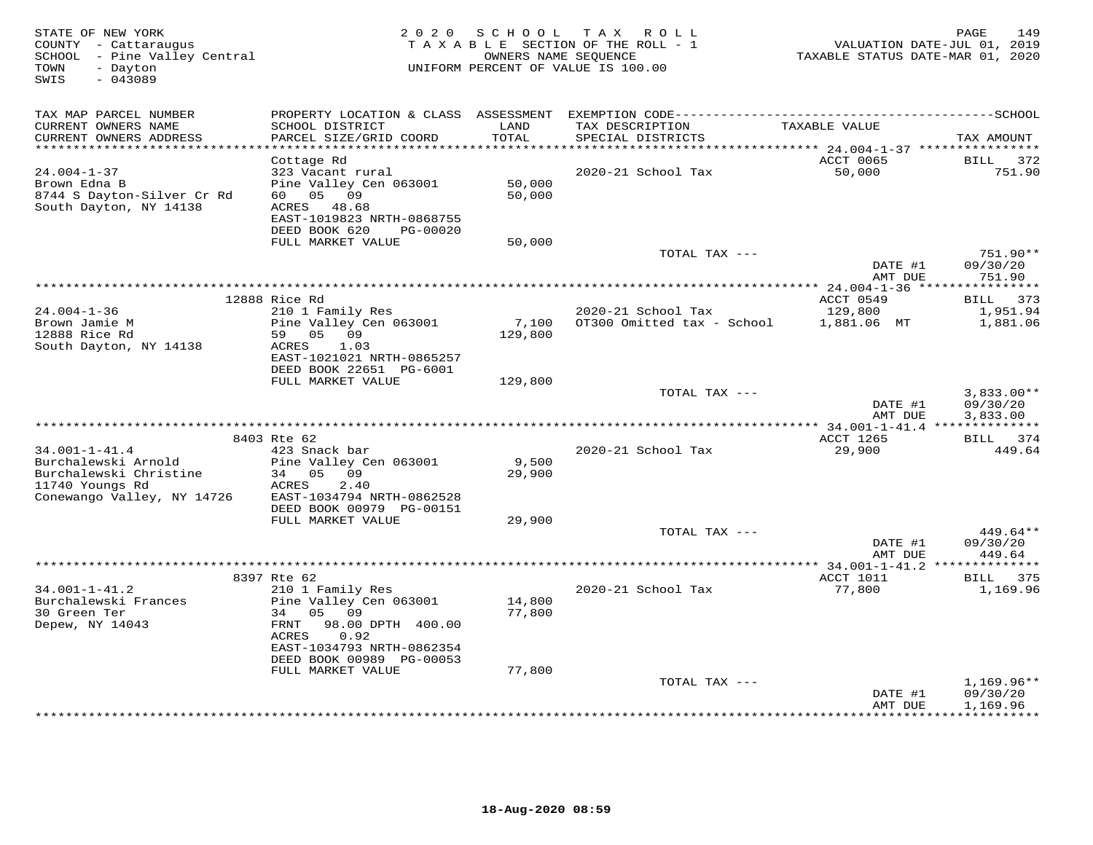| STATE OF NEW YORK<br>COUNTY - Cattaraugus<br>SCHOOL - Pine Valley Central<br>TOWN<br>- Dayton<br>$-043089$<br>SWIS |                                               |                  | 2020 SCHOOL TAX ROLL<br>TAXABLE SECTION OF THE ROLL - 1<br>OWNERS NAME SEQUENCE<br>UNIFORM PERCENT OF VALUE IS 100.00 | VALUATION DATE-JUL 01, 2019<br>TAXABLE STATUS DATE-MAR 01, 2020 | 149<br>PAGE             |
|--------------------------------------------------------------------------------------------------------------------|-----------------------------------------------|------------------|-----------------------------------------------------------------------------------------------------------------------|-----------------------------------------------------------------|-------------------------|
| TAX MAP PARCEL NUMBER                                                                                              |                                               |                  |                                                                                                                       |                                                                 |                         |
| CURRENT OWNERS NAME                                                                                                | SCHOOL DISTRICT                               | LAND             | TAX DESCRIPTION                                                                                                       | TAXABLE VALUE                                                   |                         |
| CURRENT OWNERS ADDRESS                                                                                             | PARCEL SIZE/GRID COORD                        | TOTAL            | SPECIAL DISTRICTS                                                                                                     |                                                                 | TAX AMOUNT              |
| *********************                                                                                              |                                               |                  |                                                                                                                       | ******** 24.004-1-37 *****************<br>ACCT 0065             | BILL 372                |
| $24.004 - 1 - 37$                                                                                                  | Cottage Rd<br>323 Vacant rural                |                  | 2020-21 School Tax                                                                                                    | 50,000                                                          | 751.90                  |
| Brown Edna B                                                                                                       | Pine Valley Cen 063001                        | 50,000           |                                                                                                                       |                                                                 |                         |
| 8744 S Dayton-Silver Cr Rd                                                                                         | 60  05  09                                    | 50,000           |                                                                                                                       |                                                                 |                         |
| South Dayton, NY 14138                                                                                             | ACRES 48.68                                   |                  |                                                                                                                       |                                                                 |                         |
|                                                                                                                    | EAST-1019823 NRTH-0868755                     |                  |                                                                                                                       |                                                                 |                         |
|                                                                                                                    | DEED BOOK 620<br>PG-00020                     |                  |                                                                                                                       |                                                                 |                         |
|                                                                                                                    | FULL MARKET VALUE                             | 50,000           | TOTAL TAX ---                                                                                                         |                                                                 | 751.90**                |
|                                                                                                                    |                                               |                  |                                                                                                                       | DATE #1                                                         | 09/30/20                |
|                                                                                                                    |                                               |                  |                                                                                                                       | AMT DUE                                                         | 751.90                  |
|                                                                                                                    |                                               |                  |                                                                                                                       |                                                                 |                         |
|                                                                                                                    | 12888 Rice Rd                                 |                  |                                                                                                                       | ACCT 0549                                                       | BILL 373                |
| $24.004 - 1 - 36$                                                                                                  | 210 1 Family Res                              |                  | 2020-21 School Tax                                                                                                    | 129,800                                                         | 1,951.94                |
| Brown Jamie M<br>12888 Rice Rd                                                                                     | Pine Valley Cen 063001<br>59 05 09            | 7,100<br>129,800 | OT300 Omitted tax - School 1,881.06 MT                                                                                |                                                                 | 1,881.06                |
| South Dayton, NY 14138                                                                                             | ACRES<br>1.03                                 |                  |                                                                                                                       |                                                                 |                         |
|                                                                                                                    | EAST-1021021 NRTH-0865257                     |                  |                                                                                                                       |                                                                 |                         |
|                                                                                                                    | DEED BOOK 22651 PG-6001                       |                  |                                                                                                                       |                                                                 |                         |
|                                                                                                                    | FULL MARKET VALUE                             | 129,800          |                                                                                                                       |                                                                 |                         |
|                                                                                                                    |                                               |                  | TOTAL TAX ---                                                                                                         |                                                                 | $3,833.00**$            |
|                                                                                                                    |                                               |                  |                                                                                                                       | DATE #1<br>AMT DUE                                              | 09/30/20<br>3,833.00    |
|                                                                                                                    |                                               |                  |                                                                                                                       |                                                                 |                         |
|                                                                                                                    | 8403 Rte 62                                   |                  |                                                                                                                       | ACCT 1265                                                       | BILL 374                |
| $34.001 - 1 - 41.4$                                                                                                | 423 Snack bar                                 |                  | 2020-21 School Tax                                                                                                    | 29,900                                                          | 449.64                  |
| Burchalewski Arnold                                                                                                | Pine Valley Cen 063001                        | 9,500            |                                                                                                                       |                                                                 |                         |
| Burchalewski Christine                                                                                             | 34 05 09                                      | 29,900           |                                                                                                                       |                                                                 |                         |
| 11740 Youngs Rd<br>Conewango Valley, NY 14726                                                                      | ACRES<br>2.40<br>EAST-1034794 NRTH-0862528    |                  |                                                                                                                       |                                                                 |                         |
|                                                                                                                    | DEED BOOK 00979 PG-00151                      |                  |                                                                                                                       |                                                                 |                         |
|                                                                                                                    | FULL MARKET VALUE                             | 29,900           |                                                                                                                       |                                                                 |                         |
|                                                                                                                    |                                               |                  | TOTAL TAX ---                                                                                                         |                                                                 | $449.64**$              |
|                                                                                                                    |                                               |                  |                                                                                                                       | DATE #1                                                         | 09/30/20                |
|                                                                                                                    |                                               |                  |                                                                                                                       | AMT DUE                                                         | 449.64                  |
|                                                                                                                    | 8397 Rte 62                                   |                  |                                                                                                                       | ACCT 1011                                                       | BILL 375                |
| $34.001 - 1 - 41.2$                                                                                                | 210 1 Family Res                              |                  | 2020-21 School Tax                                                                                                    | 77,800                                                          | 1,169.96                |
| Burchalewski Frances                                                                                               | Pine Valley Cen 063001                        | 14,800           |                                                                                                                       |                                                                 |                         |
| 30 Green Ter                                                                                                       | 34 05 09                                      | 77,800           |                                                                                                                       |                                                                 |                         |
| Depew, NY 14043                                                                                                    | FRNT<br>98.00 DPTH 400.00                     |                  |                                                                                                                       |                                                                 |                         |
|                                                                                                                    | ACRES<br>0.92                                 |                  |                                                                                                                       |                                                                 |                         |
|                                                                                                                    | EAST-1034793 NRTH-0862354                     |                  |                                                                                                                       |                                                                 |                         |
|                                                                                                                    | DEED BOOK 00989 PG-00053<br>FULL MARKET VALUE | 77,800           |                                                                                                                       |                                                                 |                         |
|                                                                                                                    |                                               |                  | TOTAL TAX ---                                                                                                         |                                                                 | $1,169.96**$            |
|                                                                                                                    |                                               |                  |                                                                                                                       | DATE #1                                                         | 09/30/20                |
|                                                                                                                    |                                               |                  |                                                                                                                       | AMT DUE                                                         | 1,169.96                |
|                                                                                                                    |                                               |                  |                                                                                                                       |                                                                 | * * * * * * * * * * * * |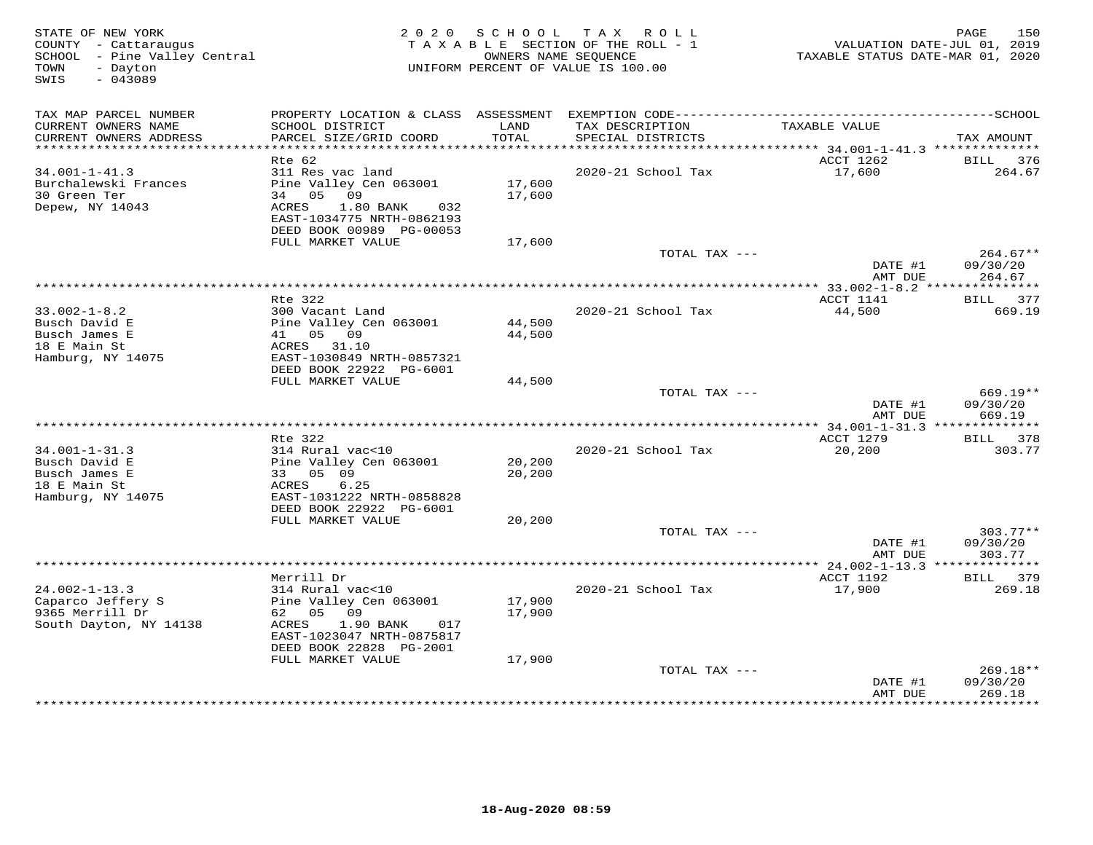| SCHOOL - Pine Valley Central<br>- Dayton<br>TOWN                               | UNIFORM PERCENT OF VALUE IS 100.00                                                                                                              | 150<br>PAGE<br>VALUATION DATE-JUL 01, 2019<br>TAXABLE STATUS DATE-MAR 01, 2020 |                                      |                                                   |                                   |
|--------------------------------------------------------------------------------|-------------------------------------------------------------------------------------------------------------------------------------------------|--------------------------------------------------------------------------------|--------------------------------------|---------------------------------------------------|-----------------------------------|
| SWIS<br>$-043089$                                                              |                                                                                                                                                 |                                                                                |                                      |                                                   |                                   |
| TAX MAP PARCEL NUMBER                                                          |                                                                                                                                                 |                                                                                |                                      |                                                   |                                   |
| CURRENT OWNERS NAME<br>CURRENT OWNERS ADDRESS<br>**********************        | SCHOOL DISTRICT<br>PARCEL SIZE/GRID COORD<br>************************                                                                           | LAND<br>TOTAL                                                                  | TAX DESCRIPTION<br>SPECIAL DISTRICTS | TAXABLE VALUE                                     | TAX AMOUNT                        |
|                                                                                | Rte 62                                                                                                                                          |                                                                                |                                      | ACCT 1262                                         | BILL<br>376                       |
| $34.001 - 1 - 41.3$<br>Burchalewski Frances<br>30 Green Ter<br>Depew, NY 14043 | 311 Res vac land<br>Pine Valley Cen 063001<br>34 05<br>09<br>ACRES<br>1.80 BANK<br>032<br>EAST-1034775 NRTH-0862193<br>DEED BOOK 00989 PG-00053 | 17,600<br>17,600                                                               | 2020-21 School Tax                   | 17,600                                            | 264.67                            |
|                                                                                | FULL MARKET VALUE                                                                                                                               | 17,600                                                                         |                                      |                                                   |                                   |
|                                                                                |                                                                                                                                                 |                                                                                | TOTAL TAX ---                        | DATE #1<br>AMT DUE                                | $264.67**$<br>09/30/20<br>264.67  |
|                                                                                |                                                                                                                                                 |                                                                                | ********************************     | **** 33.002-1-8.2 ****                            | ***********                       |
| $33.002 - 1 - 8.2$<br>Busch David E<br>Busch James E                           | Rte 322<br>300 Vacant Land<br>Pine Valley Cen 063001<br>41 05 09                                                                                | 44,500<br>44,500                                                               | 2020-21 School Tax                   | ACCT 1141<br>44,500                               | BILL 377<br>669.19                |
| 18 E Main St<br>Hamburg, NY 14075                                              | ACRES 31.10<br>EAST-1030849 NRTH-0857321<br>DEED BOOK 22922 PG-6001<br>FULL MARKET VALUE                                                        | 44,500                                                                         |                                      |                                                   |                                   |
|                                                                                |                                                                                                                                                 |                                                                                | TOTAL TAX ---                        | DATE #1<br>AMT DUE                                | $669.19**$<br>09/30/20<br>669.19  |
|                                                                                |                                                                                                                                                 |                                                                                |                                      |                                                   |                                   |
| $34.001 - 1 - 31.3$                                                            | Rte 322<br>314 Rural vac<10                                                                                                                     |                                                                                | 2020-21 School Tax                   | ACCT 1279<br>20,200                               | BILL 378<br>303.77                |
| Busch David E<br>Busch James E<br>18 E Main St                                 | Pine Valley Cen 063001<br>33 05 09<br>6.25<br>ACRES                                                                                             | 20,200<br>20,200                                                               |                                      |                                                   |                                   |
| Hamburg, NY 14075                                                              | EAST-1031222 NRTH-0858828<br>DEED BOOK 22922 PG-6001<br>FULL MARKET VALUE                                                                       | 20,200                                                                         |                                      |                                                   |                                   |
|                                                                                |                                                                                                                                                 |                                                                                | TOTAL TAX ---                        |                                                   | $303.77**$                        |
|                                                                                |                                                                                                                                                 |                                                                                |                                      | DATE #1<br>AMT DUE                                | 09/30/20<br>303.77                |
|                                                                                | Merrill Dr                                                                                                                                      |                                                                                |                                      | ****************** 24.002-1-13.3 ***<br>ACCT 1192 | ***********<br>379<br><b>BILL</b> |
| $24.002 - 1 - 13.3$                                                            | 314 Rural vac<10                                                                                                                                |                                                                                | 2020-21 School Tax                   | 17,900                                            | 269.18                            |
| Caparco Jeffery S<br>9365 Merrill Dr                                           | Pine Valley Cen 063001<br>62 05 09                                                                                                              | 17,900<br>17,900                                                               |                                      |                                                   |                                   |
| South Dayton, NY 14138                                                         | ACRES<br>1.90 BANK<br>017<br>EAST-1023047 NRTH-0875817<br>DEED BOOK 22828 PG-2001                                                               |                                                                                |                                      |                                                   |                                   |
|                                                                                | FULL MARKET VALUE                                                                                                                               | 17,900                                                                         |                                      |                                                   |                                   |
|                                                                                |                                                                                                                                                 |                                                                                | TOTAL TAX ---                        | DATE #1<br>AMT DUE                                | 269.18**<br>09/30/20<br>269.18    |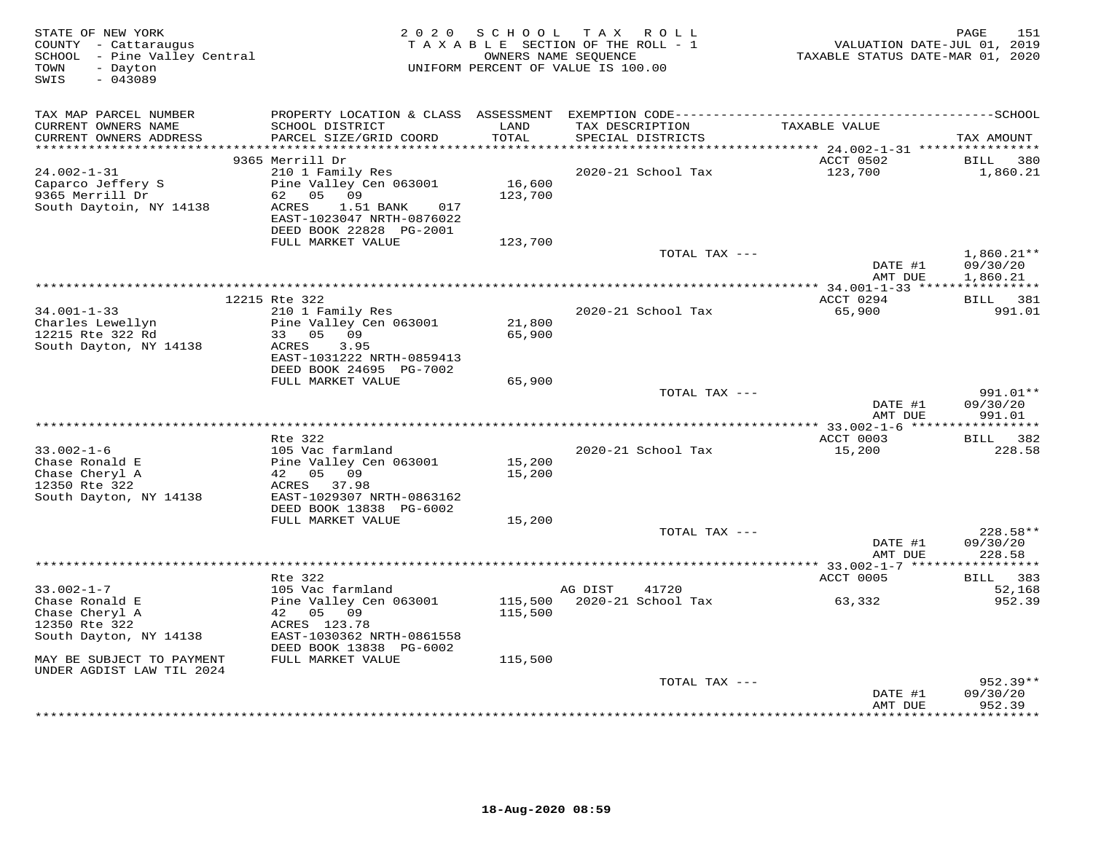| STATE OF NEW YORK<br>COUNTY - Cattaraugus<br>SCHOOL - Pine Valley Central<br>- Dayton<br>TOWN<br>$-043089$<br>SWIS | 2 0 2 0                                                                                                                                                          | SCHOOL                       | T A X<br>R O L L<br>TAXABLE SECTION OF THE ROLL - 1<br>OWNERS NAME SEQUENCE<br>UNIFORM PERCENT OF VALUE IS 100.00 | VALUATION DATE-JUL 01, 2019<br>TAXABLE STATUS DATE-MAR 01, 2020 | 151<br>PAGE                    |
|--------------------------------------------------------------------------------------------------------------------|------------------------------------------------------------------------------------------------------------------------------------------------------------------|------------------------------|-------------------------------------------------------------------------------------------------------------------|-----------------------------------------------------------------|--------------------------------|
| TAX MAP PARCEL NUMBER<br>CURRENT OWNERS NAME<br>CURRENT OWNERS ADDRESS                                             | SCHOOL DISTRICT<br>PARCEL SIZE/GRID COORD                                                                                                                        | LAND<br>TOTAL                | TAX DESCRIPTION<br>SPECIAL DISTRICTS                                                                              | TAXABLE VALUE                                                   | TAX AMOUNT                     |
|                                                                                                                    | 9365 Merrill Dr                                                                                                                                                  |                              |                                                                                                                   | ACCT 0502                                                       | <b>BILL</b><br>380             |
| $24.002 - 1 - 31$<br>Caparco Jeffery S<br>9365 Merrill Dr<br>South Daytoin, NY 14138                               | 210 1 Family Res<br>Pine Valley Cen 063001<br>62 05 09<br>ACRES<br>1.51 BANK<br>017<br>EAST-1023047 NRTH-0876022<br>DEED BOOK 22828 PG-2001<br>FULL MARKET VALUE | 16,600<br>123,700<br>123,700 | 2020-21 School Tax                                                                                                | 123,700                                                         | 1,860.21                       |
|                                                                                                                    |                                                                                                                                                                  |                              | TOTAL TAX ---                                                                                                     |                                                                 | $1,860.21**$                   |
|                                                                                                                    |                                                                                                                                                                  |                              |                                                                                                                   | DATE #1<br>AMT DUE                                              | 09/30/20<br>1,860.21           |
|                                                                                                                    | 12215 Rte 322                                                                                                                                                    |                              |                                                                                                                   | ACCT 0294                                                       | BILL 381                       |
| $34.001 - 1 - 33$<br>Charles Lewellyn<br>12215 Rte 322 Rd<br>South Dayton, NY 14138                                | 210 1 Family Res<br>Pine Valley Cen 063001<br>33 05 09<br>ACRES<br>3.95<br>EAST-1031222 NRTH-0859413<br>DEED BOOK 24695 PG-7002                                  | 21,800<br>65,900             | 2020-21 School Tax                                                                                                | 65,900                                                          | 991.01                         |
|                                                                                                                    | FULL MARKET VALUE                                                                                                                                                | 65,900                       |                                                                                                                   |                                                                 |                                |
|                                                                                                                    |                                                                                                                                                                  |                              | TOTAL TAX ---                                                                                                     | DATE #1<br>AMT DUE                                              | 991.01**<br>09/30/20<br>991.01 |
|                                                                                                                    |                                                                                                                                                                  |                              |                                                                                                                   |                                                                 |                                |
|                                                                                                                    | Rte 322                                                                                                                                                          |                              |                                                                                                                   | ACCT 0003                                                       | BILL 382                       |
| $33.002 - 1 - 6$<br>Chase Ronald E<br>Chase Cheryl A<br>12350 Rte 322<br>South Dayton, NY 14138                    | 105 Vac farmland<br>Pine Valley Cen 063001<br>42 05 09<br>ACRES 37.98<br>EAST-1029307 NRTH-0863162                                                               | 15,200<br>15,200             | 2020-21 School Tax                                                                                                | 15,200                                                          | 228.58                         |
|                                                                                                                    | DEED BOOK 13838 PG-6002                                                                                                                                          |                              |                                                                                                                   |                                                                 |                                |
|                                                                                                                    | FULL MARKET VALUE                                                                                                                                                | 15,200                       | TOTAL TAX ---                                                                                                     | DATE #1                                                         | 228.58**<br>09/30/20           |
|                                                                                                                    |                                                                                                                                                                  |                              |                                                                                                                   | AMT DUE                                                         | 228.58                         |
|                                                                                                                    | Rte 322                                                                                                                                                          |                              |                                                                                                                   | ACCT 0005                                                       | BILL 383                       |
| $33.002 - 1 - 7$<br>Chase Ronald E                                                                                 | 105 Vac farmland<br>Pine Valley Cen 063001                                                                                                                       | 115,500                      | AG DIST<br>41720<br>2020-21 School Tax                                                                            | 63,332                                                          | 52,168<br>952.39               |
| Chase Cheryl A<br>12350 Rte 322<br>South Dayton, NY 14138                                                          | 42 05 09<br>ACRES 123.78<br>EAST-1030362 NRTH-0861558<br>DEED BOOK 13838 PG-6002                                                                                 | 115,500                      |                                                                                                                   |                                                                 |                                |
| MAY BE SUBJECT TO PAYMENT<br>UNDER AGDIST LAW TIL 2024                                                             | FULL MARKET VALUE                                                                                                                                                | 115,500                      |                                                                                                                   |                                                                 |                                |
|                                                                                                                    |                                                                                                                                                                  |                              | TOTAL TAX ---                                                                                                     |                                                                 | $952.39**$                     |
|                                                                                                                    |                                                                                                                                                                  |                              |                                                                                                                   | DATE #1<br>AMT DUE                                              | 09/30/20<br>952.39             |
|                                                                                                                    |                                                                                                                                                                  |                              |                                                                                                                   |                                                                 | * * * * * * * *                |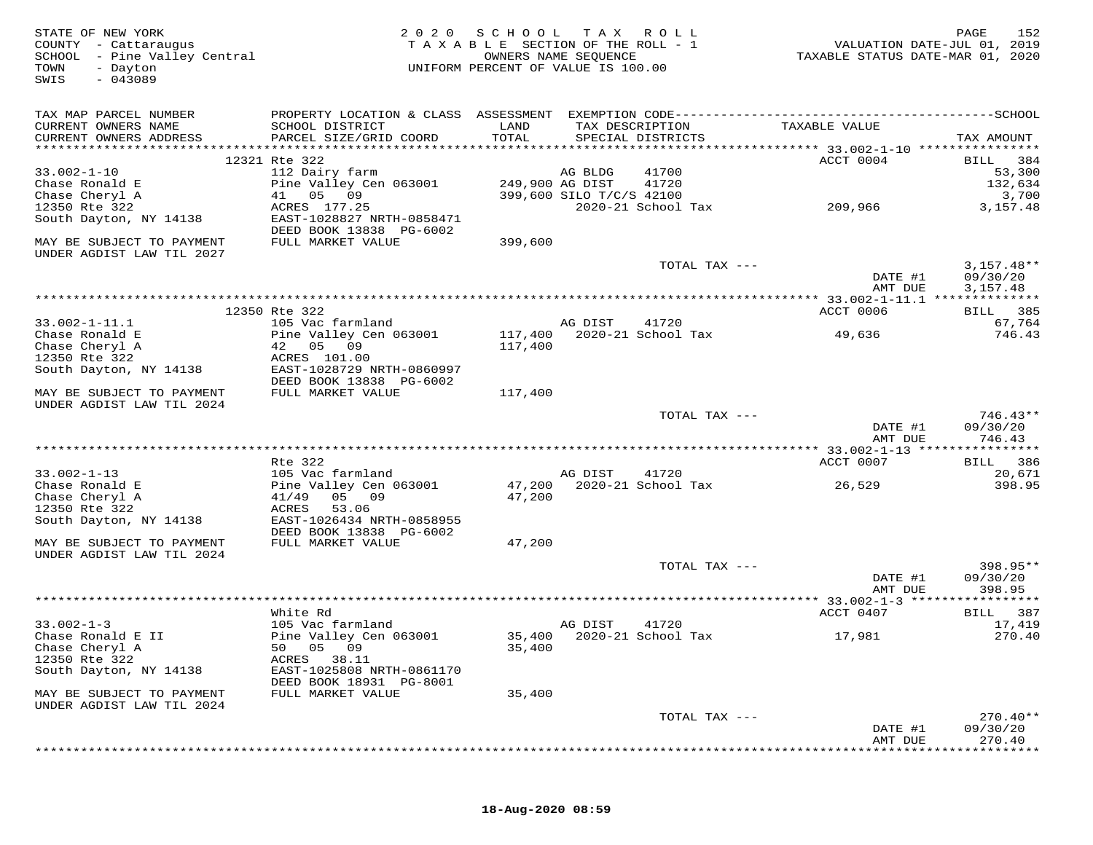| STATE OF NEW YORK<br>COUNTY - Cattaraugus<br>SCHOOL - Pine Valley Central<br>TOWN<br>- Dayton<br>$-043089$<br>SWIS | 2 0 2 0                                              | SCHOOL<br>TAXABLE SECTION OF THE ROLL - 1<br>UNIFORM PERCENT OF VALUE IS 100.00 | T A X<br>OWNERS NAME SEQUENCE | R O L L                              | VALUATION DATE-JUL 01, 2019<br>TAXABLE STATUS DATE-MAR 01, 2020 | PAGE<br>152              |
|--------------------------------------------------------------------------------------------------------------------|------------------------------------------------------|---------------------------------------------------------------------------------|-------------------------------|--------------------------------------|-----------------------------------------------------------------|--------------------------|
| TAX MAP PARCEL NUMBER                                                                                              |                                                      |                                                                                 |                               |                                      |                                                                 |                          |
| CURRENT OWNERS NAME<br>CURRENT OWNERS ADDRESS                                                                      | SCHOOL DISTRICT<br>PARCEL SIZE/GRID COORD            | LAND<br>TOTAL                                                                   |                               | TAX DESCRIPTION<br>SPECIAL DISTRICTS | TAXABLE VALUE                                                   | TAX AMOUNT               |
|                                                                                                                    |                                                      |                                                                                 |                               |                                      |                                                                 |                          |
| $33.002 - 1 - 10$                                                                                                  | 12321 Rte 322<br>112 Dairy farm                      |                                                                                 | AG BLDG                       | 41700                                | ACCT 0004                                                       | 384<br>BILL              |
| Chase Ronald E                                                                                                     | Pine Valley Cen 063001                               |                                                                                 | 249,900 AG DIST               | 41720                                |                                                                 | 53,300<br>132,634        |
| Chase Cheryl A                                                                                                     | 05 09<br>41                                          |                                                                                 | 399,600 SILO T/C/S 42100      |                                      |                                                                 | 3,700                    |
| 12350 Rte 322                                                                                                      | ACRES 177.25                                         |                                                                                 |                               | 2020-21 School Tax                   | 209,966                                                         | 3,157.48                 |
| South Dayton, NY 14138                                                                                             | EAST-1028827 NRTH-0858471<br>DEED BOOK 13838 PG-6002 |                                                                                 |                               |                                      |                                                                 |                          |
| MAY BE SUBJECT TO PAYMENT<br>UNDER AGDIST LAW TIL 2027                                                             | FULL MARKET VALUE                                    | 399,600                                                                         |                               |                                      |                                                                 |                          |
|                                                                                                                    |                                                      |                                                                                 |                               | TOTAL TAX ---                        | DATE #1                                                         | $3,157.48**$<br>09/30/20 |
|                                                                                                                    |                                                      |                                                                                 |                               |                                      | AMT DUE                                                         | 3,157.48                 |
|                                                                                                                    | 12350 Rte 322                                        |                                                                                 |                               |                                      | ACCT 0006                                                       | BILL 385                 |
| $33.002 - 1 - 11.1$                                                                                                | 105 Vac farmland                                     |                                                                                 | AG DIST                       | 41720                                |                                                                 | 67,764                   |
| Chase Ronald E                                                                                                     | Pine Valley Cen 063001                               | 117,400                                                                         |                               | 2020-21 School Tax                   | 49,636                                                          | 746.43                   |
| Chase Cheryl A                                                                                                     | 42 05 09                                             | 117,400                                                                         |                               |                                      |                                                                 |                          |
| 12350 Rte 322                                                                                                      | ACRES 101.00                                         |                                                                                 |                               |                                      |                                                                 |                          |
| South Dayton, NY 14138                                                                                             | EAST-1028729 NRTH-0860997<br>DEED BOOK 13838 PG-6002 |                                                                                 |                               |                                      |                                                                 |                          |
| MAY BE SUBJECT TO PAYMENT                                                                                          | FULL MARKET VALUE                                    | 117,400                                                                         |                               |                                      |                                                                 |                          |
| UNDER AGDIST LAW TIL 2024                                                                                          |                                                      |                                                                                 |                               |                                      |                                                                 |                          |
|                                                                                                                    |                                                      |                                                                                 |                               | TOTAL TAX ---                        |                                                                 | $746.43**$               |
|                                                                                                                    |                                                      |                                                                                 |                               |                                      | DATE #1<br>AMT DUE                                              | 09/30/20<br>746.43       |
|                                                                                                                    |                                                      |                                                                                 |                               |                                      | *********** 33.002-1-13 *****                                   | * * * * * * * *          |
| $33.002 - 1 - 13$                                                                                                  | Rte 322<br>105 Vac farmland                          |                                                                                 | AG DIST                       | 41720                                | ACCT 0007                                                       | 386<br>BILL<br>20,671    |
| Chase Ronald E                                                                                                     | Pine Valley Cen 063001                               | 47,200                                                                          |                               | 2020-21 School Tax                   | 26,529                                                          | 398.95                   |
| Chase Cheryl A                                                                                                     | 05 09<br>41/49                                       | 47,200                                                                          |                               |                                      |                                                                 |                          |
| 12350 Rte 322                                                                                                      | ACRES<br>53.06                                       |                                                                                 |                               |                                      |                                                                 |                          |
| South Dayton, NY 14138                                                                                             | EAST-1026434 NRTH-0858955                            |                                                                                 |                               |                                      |                                                                 |                          |
|                                                                                                                    | DEED BOOK 13838 PG-6002                              |                                                                                 |                               |                                      |                                                                 |                          |
| MAY BE SUBJECT TO PAYMENT<br>UNDER AGDIST LAW TIL 2024                                                             | FULL MARKET VALUE                                    | 47,200                                                                          |                               |                                      |                                                                 |                          |
|                                                                                                                    |                                                      |                                                                                 |                               | TOTAL TAX ---                        |                                                                 | 398.95**                 |
|                                                                                                                    |                                                      |                                                                                 |                               |                                      | DATE #1                                                         | 09/30/20                 |
|                                                                                                                    |                                                      |                                                                                 |                               |                                      | AMT DUE                                                         | 398.95                   |
|                                                                                                                    |                                                      |                                                                                 |                               |                                      | ************ 33.002-1-3 ******************                      |                          |
|                                                                                                                    | White Rd                                             |                                                                                 |                               |                                      | ACCT 0407                                                       | BILL 387                 |
| $33.002 - 1 - 3$<br>Chase Ronald E II                                                                              | 105 Vac farmland<br>Pine Valley Cen 063001           |                                                                                 | AG DIST                       | 41720<br>35,400 2020-21 School Tax   | 17,981                                                          | 17,419<br>270.40         |
| Chase Cheryl A                                                                                                     | 50 05 09                                             | 35,400                                                                          |                               |                                      |                                                                 |                          |
| 12350 Rte 322                                                                                                      | ACRES 38.11                                          |                                                                                 |                               |                                      |                                                                 |                          |
| South Dayton, NY 14138                                                                                             | EAST-1025808 NRTH-0861170<br>DEED BOOK 18931 PG-8001 |                                                                                 |                               |                                      |                                                                 |                          |
| MAY BE SUBJECT TO PAYMENT                                                                                          | FULL MARKET VALUE                                    | 35,400                                                                          |                               |                                      |                                                                 |                          |
| UNDER AGDIST LAW TIL 2024                                                                                          |                                                      |                                                                                 |                               |                                      |                                                                 |                          |
|                                                                                                                    |                                                      |                                                                                 |                               | TOTAL TAX ---                        | DATE #1                                                         | $270.40**$<br>09/30/20   |
|                                                                                                                    |                                                      |                                                                                 |                               |                                      | AMT DUE                                                         | 270.40                   |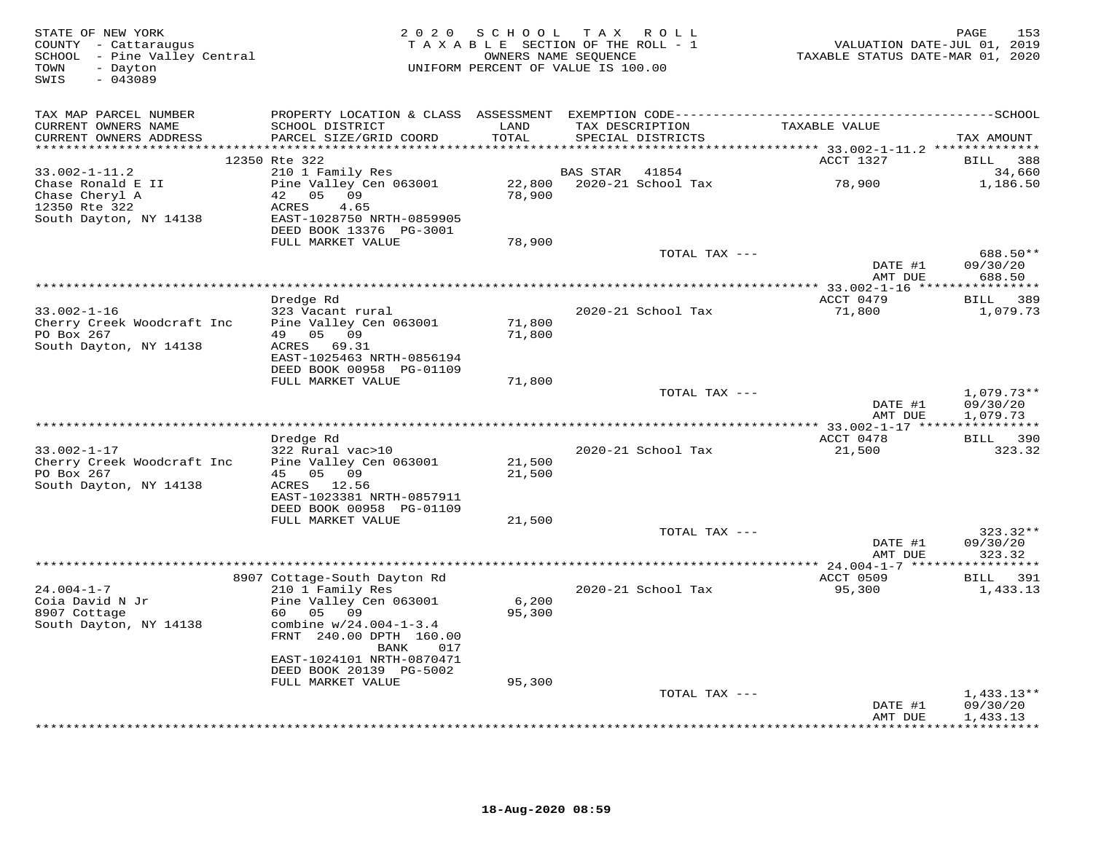| STATE OF NEW YORK<br>COUNTY - Cattaraugus<br>SCHOOL - Pine Valley Central<br>TOWN<br>- Dayton<br>SWIS<br>$-043089$ |                                                                                        |                  | 2020 SCHOOL TAX ROLL<br>TAXABLE SECTION OF THE ROLL - 1<br>OWNERS NAME SEQUENCE<br>UNIFORM PERCENT OF VALUE IS 100.00 | VALUATION DATE-JUL 01, 2019<br>TAXABLE STATUS DATE-MAR 01, 2020 | 153<br>PAGE                          |
|--------------------------------------------------------------------------------------------------------------------|----------------------------------------------------------------------------------------|------------------|-----------------------------------------------------------------------------------------------------------------------|-----------------------------------------------------------------|--------------------------------------|
| TAX MAP PARCEL NUMBER                                                                                              |                                                                                        |                  |                                                                                                                       |                                                                 |                                      |
| CURRENT OWNERS NAME<br>CURRENT OWNERS ADDRESS                                                                      | SCHOOL DISTRICT<br>PARCEL SIZE/GRID COORD                                              | LAND<br>TOTAL    | TAX DESCRIPTION<br>SPECIAL DISTRICTS                                                                                  | TAXABLE VALUE                                                   | TAX AMOUNT                           |
|                                                                                                                    | 12350 Rte 322                                                                          |                  |                                                                                                                       | ACCT 1327                                                       | BILL 388                             |
| $33.002 - 1 - 11.2$                                                                                                | 210 1 Family Res                                                                       |                  | <b>BAS STAR</b><br>41854                                                                                              |                                                                 | 34,660                               |
| Chase Ronald E II<br>Chase Cheryl A<br>12350 Rte 322<br>South Dayton, NY 14138                                     | Pine Valley Cen 063001<br>42 05 09<br>ACRES<br>4.65<br>EAST-1028750 NRTH-0859905       | 78,900           | 22,800 2020-21 School Tax                                                                                             | 78,900                                                          | 1,186.50                             |
|                                                                                                                    | DEED BOOK 13376 PG-3001                                                                |                  |                                                                                                                       |                                                                 |                                      |
|                                                                                                                    | FULL MARKET VALUE                                                                      | 78,900           | TOTAL TAX ---                                                                                                         |                                                                 | 688.50**                             |
|                                                                                                                    |                                                                                        |                  |                                                                                                                       | DATE #1                                                         | 09/30/20                             |
|                                                                                                                    |                                                                                        |                  |                                                                                                                       | AMT DUE                                                         | 688.50                               |
|                                                                                                                    |                                                                                        |                  |                                                                                                                       |                                                                 |                                      |
| $33.002 - 1 - 16$                                                                                                  | Dredge Rd<br>323 Vacant rural                                                          |                  | 2020-21 School Tax                                                                                                    | ACCT 0479<br>71,800                                             | BILL 389<br>1,079.73                 |
| Cherry Creek Woodcraft Inc<br>PO Box 267                                                                           | Pine Valley Cen 063001<br>49 05 09                                                     | 71,800<br>71,800 |                                                                                                                       |                                                                 |                                      |
| South Dayton, NY 14138                                                                                             | ACRES 69.31<br>EAST-1025463 NRTH-0856194<br>DEED BOOK 00958 PG-01109                   |                  |                                                                                                                       |                                                                 |                                      |
|                                                                                                                    | FULL MARKET VALUE                                                                      | 71,800           |                                                                                                                       |                                                                 |                                      |
|                                                                                                                    |                                                                                        |                  | TOTAL TAX ---                                                                                                         | DATE #1<br>AMT DUE                                              | $1,079.73**$<br>09/30/20<br>1,079.73 |
|                                                                                                                    |                                                                                        |                  |                                                                                                                       | ******** 33.002-1-17 *****************                          |                                      |
|                                                                                                                    | Dredge Rd                                                                              |                  |                                                                                                                       | ACCT 0478                                                       | BILL 390                             |
| $33.002 - 1 - 17$<br>Cherry Creek Woodcraft Inc                                                                    | 322 Rural vac>10<br>Pine Valley Cen 063001                                             | 21,500           | 2020-21 School Tax                                                                                                    | 21,500                                                          | 323.32                               |
| PO Box 267<br>South Dayton, NY 14138                                                                               | 45 05 09<br>ACRES 12.56                                                                | 21,500           |                                                                                                                       |                                                                 |                                      |
|                                                                                                                    | EAST-1023381 NRTH-0857911                                                              |                  |                                                                                                                       |                                                                 |                                      |
|                                                                                                                    | DEED BOOK 00958 PG-01109<br>FULL MARKET VALUE                                          | 21,500           |                                                                                                                       |                                                                 |                                      |
|                                                                                                                    |                                                                                        |                  | TOTAL TAX ---                                                                                                         |                                                                 | $323.32**$                           |
|                                                                                                                    |                                                                                        |                  |                                                                                                                       | DATE #1<br>AMT DUE                                              | 09/30/20<br>323.32                   |
|                                                                                                                    |                                                                                        |                  |                                                                                                                       |                                                                 |                                      |
| $24.004 - 1 - 7$                                                                                                   | 8907 Cottage-South Dayton Rd<br>210 1 Family Res                                       |                  | 2020-21 School Tax                                                                                                    | ACCT 0509<br>95,300                                             | BILL 391<br>1,433.13                 |
| Coia David N Jr                                                                                                    | Pine Valley Cen 063001                                                                 | 6,200            |                                                                                                                       |                                                                 |                                      |
| 8907 Cottage<br>South Dayton, NY 14138                                                                             | 60 —<br>05<br>09<br>combine $w/24.004-1-3.4$<br>FRNT 240.00 DPTH 160.00<br>BANK<br>017 | 95,300           |                                                                                                                       |                                                                 |                                      |
|                                                                                                                    | EAST-1024101 NRTH-0870471                                                              |                  |                                                                                                                       |                                                                 |                                      |
|                                                                                                                    | DEED BOOK 20139 PG-5002                                                                |                  |                                                                                                                       |                                                                 |                                      |
|                                                                                                                    | FULL MARKET VALUE                                                                      | 95,300           | TOTAL TAX ---                                                                                                         |                                                                 | $1,433.13**$                         |
|                                                                                                                    |                                                                                        |                  |                                                                                                                       | DATE #1<br>AMT DUE                                              | 09/30/20<br>1,433.13                 |
|                                                                                                                    |                                                                                        |                  |                                                                                                                       |                                                                 | <b>+++++++++</b>                     |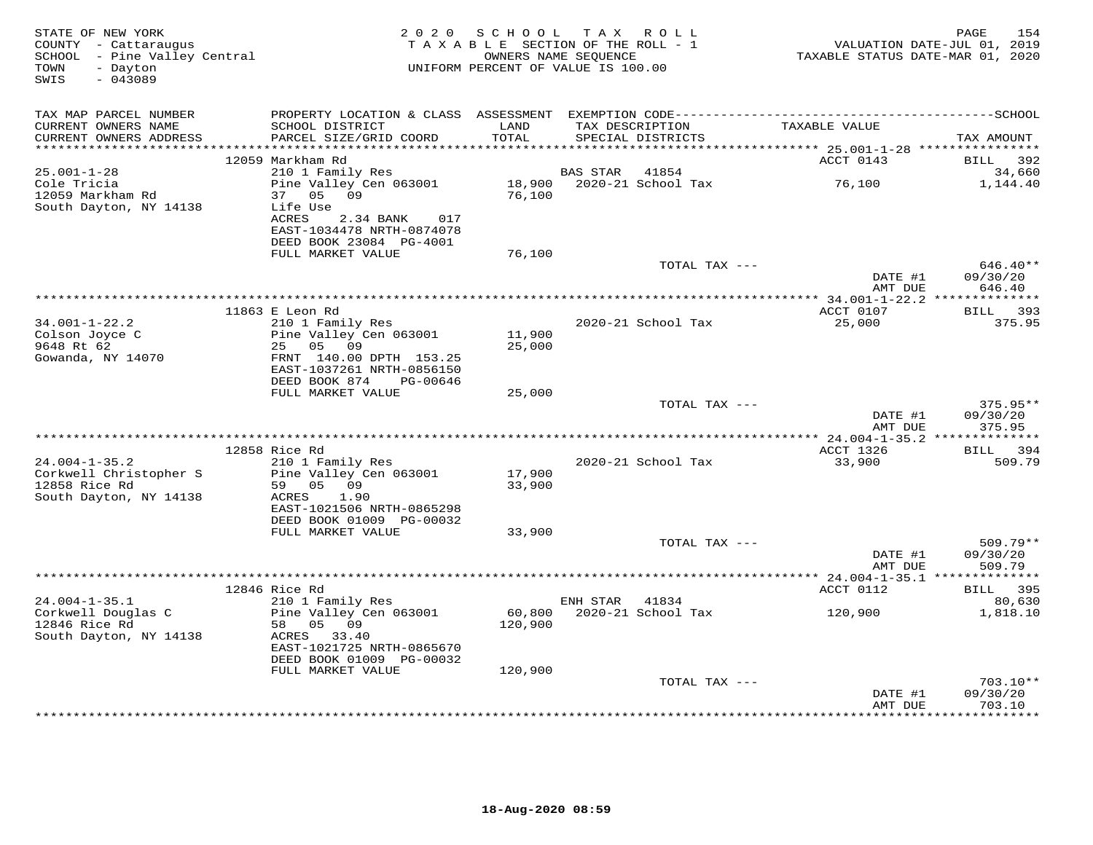| STATE OF NEW YORK<br>COUNTY - Cattaraugus<br>SCHOOL - Pine Valley Central<br>- Dayton<br>TOWN<br>SWIS<br>$-043089$ | 2 0 2 0                                                                           | S C H O O L<br>TAXABLE SECTION OF THE ROLL - 1<br>OWNERS NAME SEQUENCE<br>UNIFORM PERCENT OF VALUE IS 100.00 |          | TAX ROLL                             | TAXABLE STATUS DATE-MAR 01, 2020 | 154<br>PAGE<br>VALUATION DATE-JUL 01, 2019 |
|--------------------------------------------------------------------------------------------------------------------|-----------------------------------------------------------------------------------|--------------------------------------------------------------------------------------------------------------|----------|--------------------------------------|----------------------------------|--------------------------------------------|
| TAX MAP PARCEL NUMBER                                                                                              |                                                                                   |                                                                                                              |          |                                      |                                  |                                            |
| CURRENT OWNERS NAME<br>CURRENT OWNERS ADDRESS                                                                      | SCHOOL DISTRICT<br>PARCEL SIZE/GRID COORD                                         | LAND<br>TOTAL                                                                                                |          | TAX DESCRIPTION<br>SPECIAL DISTRICTS | TAXABLE VALUE                    | TAX AMOUNT                                 |
|                                                                                                                    | 12059 Markham Rd                                                                  |                                                                                                              |          |                                      | ACCT 0143                        | BILL<br>392                                |
| $25.001 - 1 - 28$                                                                                                  | 210 1 Family Res                                                                  |                                                                                                              | BAS STAR | 41854                                |                                  | 34,660                                     |
| Cole Tricia<br>12059 Markham Rd<br>South Dayton, NY 14138                                                          | Pine Valley Cen 063001<br>05 09<br>37<br>Life Use                                 | 18,900<br>76,100                                                                                             |          | 2020-21 School Tax                   | 76,100                           | 1,144.40                                   |
|                                                                                                                    | ACRES<br>2.34 BANK<br>017<br>EAST-1034478 NRTH-0874078<br>DEED BOOK 23084 PG-4001 |                                                                                                              |          |                                      |                                  |                                            |
|                                                                                                                    | FULL MARKET VALUE                                                                 | 76,100                                                                                                       |          |                                      |                                  |                                            |
|                                                                                                                    |                                                                                   |                                                                                                              |          | TOTAL TAX ---                        | DATE #1                          | $646.40**$<br>09/30/20                     |
|                                                                                                                    |                                                                                   |                                                                                                              |          |                                      | AMT DUE                          | 646.40                                     |
|                                                                                                                    | 11863 E Leon Rd                                                                   |                                                                                                              |          |                                      | ACCT 0107                        | 393<br>BILL                                |
| $34.001 - 1 - 22.2$                                                                                                | 210 1 Family Res                                                                  |                                                                                                              |          | 2020-21 School Tax                   | 25,000                           | 375.95                                     |
| Colson Joyce C                                                                                                     | Pine Valley Cen 063001                                                            | 11,900                                                                                                       |          |                                      |                                  |                                            |
| 9648 Rt 62                                                                                                         | 25 05 09                                                                          | 25,000                                                                                                       |          |                                      |                                  |                                            |
| Gowanda, NY 14070                                                                                                  | FRNT 140.00 DPTH 153.25<br>EAST-1037261 NRTH-0856150<br>DEED BOOK 874<br>PG-00646 |                                                                                                              |          |                                      |                                  |                                            |
|                                                                                                                    | FULL MARKET VALUE                                                                 | 25,000                                                                                                       |          |                                      |                                  |                                            |
|                                                                                                                    |                                                                                   |                                                                                                              |          | TOTAL TAX ---                        |                                  | $375.95**$                                 |
|                                                                                                                    |                                                                                   |                                                                                                              |          |                                      | DATE #1<br>AMT DUE               | 09/30/20<br>375.95                         |
|                                                                                                                    | 12858 Rice Rd                                                                     |                                                                                                              |          |                                      | ACCT 1326                        | BILL 394                                   |
| $24.004 - 1 - 35.2$                                                                                                | 210 1 Family Res                                                                  |                                                                                                              |          | 2020-21 School Tax                   | 33,900                           | 509.79                                     |
| Corkwell Christopher S                                                                                             | Pine Valley Cen 063001                                                            | 17,900                                                                                                       |          |                                      |                                  |                                            |
| 12858 Rice Rd                                                                                                      | 59 05 09                                                                          | 33,900                                                                                                       |          |                                      |                                  |                                            |
| South Dayton, NY 14138                                                                                             | ACRES<br>1.90<br>EAST-1021506 NRTH-0865298                                        |                                                                                                              |          |                                      |                                  |                                            |
|                                                                                                                    | DEED BOOK 01009 PG-00032                                                          |                                                                                                              |          |                                      |                                  |                                            |
|                                                                                                                    | FULL MARKET VALUE                                                                 | 33,900                                                                                                       |          |                                      |                                  |                                            |
|                                                                                                                    |                                                                                   |                                                                                                              |          | TOTAL TAX ---                        |                                  | $509.79**$                                 |
|                                                                                                                    |                                                                                   |                                                                                                              |          |                                      | DATE #1                          | 09/30/20                                   |
|                                                                                                                    |                                                                                   |                                                                                                              |          |                                      | AMT DUE                          | 509.79                                     |
|                                                                                                                    | 12846 Rice Rd                                                                     |                                                                                                              |          |                                      | ACCT 0112                        | BILL 395                                   |
| $24.004 - 1 - 35.1$                                                                                                | 210 1 Family Res                                                                  |                                                                                                              | ENH STAR | 41834                                |                                  | 80,630                                     |
| Corkwell Douglas C                                                                                                 | Pine Valley Cen 063001                                                            | 60,800                                                                                                       |          | 2020-21 School Tax                   | 120,900                          | 1,818.10                                   |
| 12846 Rice Rd<br>South Dayton, NY 14138                                                                            | 58 05 09<br>ACRES 33.40                                                           | 120,900                                                                                                      |          |                                      |                                  |                                            |
|                                                                                                                    | EAST-1021725 NRTH-0865670<br>DEED BOOK 01009 PG-00032                             |                                                                                                              |          |                                      |                                  |                                            |
|                                                                                                                    | FULL MARKET VALUE                                                                 | 120,900                                                                                                      |          |                                      |                                  |                                            |
|                                                                                                                    |                                                                                   |                                                                                                              |          | TOTAL TAX ---                        |                                  | 703.10**                                   |
|                                                                                                                    |                                                                                   |                                                                                                              |          |                                      | DATE #1<br>AMT DUE               | 09/30/20<br>703.10<br>**********           |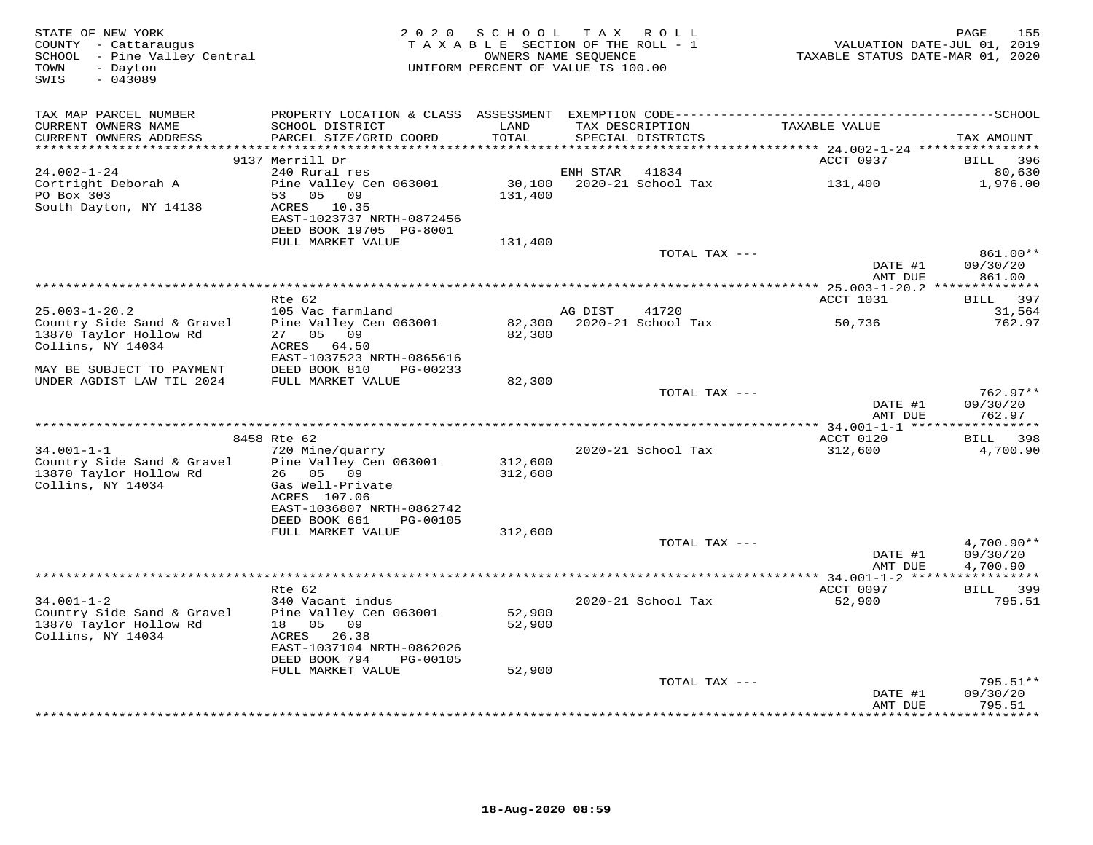| STATE OF NEW YORK<br>COUNTY - Cattaraugus<br>SCHOOL - Pine Valley Central<br>- Dayton<br>TOWN<br>SWIS<br>$-043089$ | 2 0 2 0                                   | SCHOOL TAX ROLL<br>TAXABLE SECTION OF THE ROLL - 1<br>OWNERS NAME SEQUENCE<br>UNIFORM PERCENT OF VALUE IS 100.00 |          |                                      | VALUATION DATE-JUL 01, 2019<br>TAXABLE STATUS DATE-MAR 01, 2020 | 155<br>PAGE              |
|--------------------------------------------------------------------------------------------------------------------|-------------------------------------------|------------------------------------------------------------------------------------------------------------------|----------|--------------------------------------|-----------------------------------------------------------------|--------------------------|
| TAX MAP PARCEL NUMBER                                                                                              |                                           |                                                                                                                  |          |                                      |                                                                 |                          |
| CURRENT OWNERS NAME<br>CURRENT OWNERS ADDRESS                                                                      | SCHOOL DISTRICT<br>PARCEL SIZE/GRID COORD | LAND<br>TOTAL                                                                                                    |          | TAX DESCRIPTION<br>SPECIAL DISTRICTS | TAXABLE VALUE                                                   | TAX AMOUNT               |
| *******************                                                                                                |                                           | **********                                                                                                       |          |                                      | *********** 24.002-1-24 *****************                       |                          |
|                                                                                                                    | 9137 Merrill Dr                           |                                                                                                                  |          |                                      | ACCT 0937                                                       | <b>BILL</b><br>396       |
| 24.002-1-24                                                                                                        | 240 Rural res                             |                                                                                                                  | ENH STAR | 41834                                |                                                                 | 80,630                   |
| Cortright Deborah A                                                                                                | Pine Valley Cen 063001                    | 30,100                                                                                                           |          | 2020-21 School Tax                   | 131,400                                                         | 1,976.00                 |
| PO Box 303                                                                                                         | 53 05 09                                  | 131,400                                                                                                          |          |                                      |                                                                 |                          |
| South Dayton, NY 14138                                                                                             | ACRES 10.35                               |                                                                                                                  |          |                                      |                                                                 |                          |
|                                                                                                                    | EAST-1023737 NRTH-0872456                 |                                                                                                                  |          |                                      |                                                                 |                          |
|                                                                                                                    | DEED BOOK 19705 PG-8001                   |                                                                                                                  |          |                                      |                                                                 |                          |
|                                                                                                                    | FULL MARKET VALUE                         | 131,400                                                                                                          |          |                                      |                                                                 |                          |
|                                                                                                                    |                                           |                                                                                                                  |          | TOTAL TAX ---                        |                                                                 | 861.00**                 |
|                                                                                                                    |                                           |                                                                                                                  |          |                                      | DATE #1                                                         | 09/30/20<br>861.00       |
|                                                                                                                    |                                           |                                                                                                                  |          |                                      | AMT DUE                                                         |                          |
|                                                                                                                    | Rte 62                                    |                                                                                                                  |          |                                      | ACCT 1031                                                       | BILL 397                 |
| $25.003 - 1 - 20.2$                                                                                                | 105 Vac farmland                          |                                                                                                                  | AG DIST  | 41720                                |                                                                 | 31,564                   |
| Country Side Sand & Gravel                                                                                         | Pine Valley Cen 063001                    |                                                                                                                  |          | 82,300 2020-21 School Tax            | 50,736                                                          | 762.97                   |
| 13870 Taylor Hollow Rd                                                                                             | 27 05 09                                  | 82,300                                                                                                           |          |                                      |                                                                 |                          |
| Collins, NY 14034                                                                                                  | ACRES<br>64.50                            |                                                                                                                  |          |                                      |                                                                 |                          |
|                                                                                                                    | EAST-1037523 NRTH-0865616                 |                                                                                                                  |          |                                      |                                                                 |                          |
| MAY BE SUBJECT TO PAYMENT                                                                                          | DEED BOOK 810<br>PG-00233                 |                                                                                                                  |          |                                      |                                                                 |                          |
| UNDER AGDIST LAW TIL 2024                                                                                          | FULL MARKET VALUE                         | 82,300                                                                                                           |          |                                      |                                                                 |                          |
|                                                                                                                    |                                           |                                                                                                                  |          | TOTAL TAX ---                        |                                                                 | $762.97**$               |
|                                                                                                                    |                                           |                                                                                                                  |          |                                      | DATE #1<br>AMT DUE                                              | 09/30/20<br>762.97       |
| *********************                                                                                              |                                           |                                                                                                                  |          |                                      |                                                                 |                          |
|                                                                                                                    | 8458 Rte 62                               |                                                                                                                  |          |                                      | ACCT 0120                                                       | 398<br><b>BILL</b>       |
| $34.001 - 1 - 1$                                                                                                   | 720 Mine/quarry                           |                                                                                                                  |          | 2020-21 School Tax                   | 312,600                                                         | 4,700.90                 |
| Country Side Sand & Gravel                                                                                         | Pine Valley Cen 063001                    | 312,600                                                                                                          |          |                                      |                                                                 |                          |
| 13870 Taylor Hollow Rd                                                                                             | 26 05 09                                  | 312,600                                                                                                          |          |                                      |                                                                 |                          |
| Collins, NY 14034                                                                                                  | Gas Well-Private                          |                                                                                                                  |          |                                      |                                                                 |                          |
|                                                                                                                    | ACRES 107.06                              |                                                                                                                  |          |                                      |                                                                 |                          |
|                                                                                                                    | EAST-1036807 NRTH-0862742                 |                                                                                                                  |          |                                      |                                                                 |                          |
|                                                                                                                    | DEED BOOK 661<br>PG-00105                 |                                                                                                                  |          |                                      |                                                                 |                          |
|                                                                                                                    | FULL MARKET VALUE                         | 312,600                                                                                                          |          |                                      |                                                                 |                          |
|                                                                                                                    |                                           |                                                                                                                  |          | TOTAL TAX ---                        | DATE #1                                                         | $4,700.90**$<br>09/30/20 |
|                                                                                                                    |                                           |                                                                                                                  |          |                                      | AMT DUE                                                         | 4,700.90                 |
|                                                                                                                    |                                           |                                                                                                                  |          |                                      |                                                                 |                          |
|                                                                                                                    | Rte 62                                    |                                                                                                                  |          |                                      | ACCT 0097                                                       | BILL 399                 |
| $34.001 - 1 - 2$                                                                                                   | 340 Vacant indus                          |                                                                                                                  |          | 2020-21 School Tax                   | 52,900                                                          | 795.51                   |
| Country Side Sand & Gravel                                                                                         | Pine Valley Cen 063001                    | 52,900                                                                                                           |          |                                      |                                                                 |                          |
| 13870 Taylor Hollow Rd                                                                                             | 18  05  09                                | 52,900                                                                                                           |          |                                      |                                                                 |                          |
| Collins, NY 14034                                                                                                  | ACRES 26.38                               |                                                                                                                  |          |                                      |                                                                 |                          |
|                                                                                                                    | EAST-1037104 NRTH-0862026                 |                                                                                                                  |          |                                      |                                                                 |                          |
|                                                                                                                    | DEED BOOK 794<br>PG-00105                 |                                                                                                                  |          |                                      |                                                                 |                          |
|                                                                                                                    | FULL MARKET VALUE                         | 52,900                                                                                                           |          |                                      |                                                                 | $795.51**$               |
|                                                                                                                    |                                           |                                                                                                                  |          | TOTAL TAX ---                        | DATE #1                                                         | 09/30/20                 |
|                                                                                                                    |                                           |                                                                                                                  |          |                                      | AMT DUE                                                         | 795.51                   |
|                                                                                                                    |                                           |                                                                                                                  |          |                                      |                                                                 | *********                |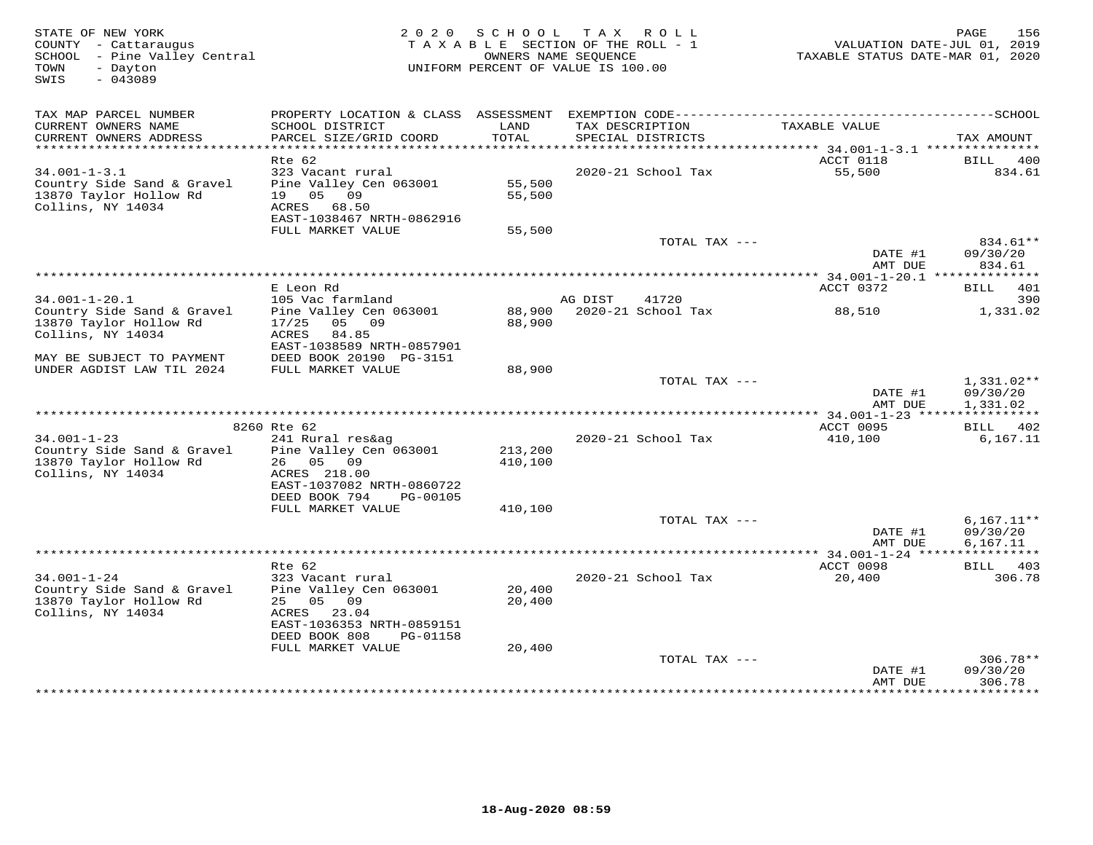| STATE OF NEW YORK<br>COUNTY - Cattaraugus<br>SCHOOL - Pine Valley Central<br>- Dayton<br>TOWN<br>$-043089$<br>SWIS | 2 0 2 0<br>S C H O O L<br>TAXABLE SECTION OF THE ROLL - 1<br>UNIFORM PERCENT OF VALUE IS 100.00                                     | 156<br>PAGE<br>VALUATION DATE-JUL 01, 2019<br>TAXABLE STATUS DATE-MAR 01, 2020 |                                      |                     |                                      |
|--------------------------------------------------------------------------------------------------------------------|-------------------------------------------------------------------------------------------------------------------------------------|--------------------------------------------------------------------------------|--------------------------------------|---------------------|--------------------------------------|
| TAX MAP PARCEL NUMBER                                                                                              |                                                                                                                                     |                                                                                |                                      |                     |                                      |
| CURRENT OWNERS NAME<br>CURRENT OWNERS ADDRESS                                                                      | SCHOOL DISTRICT<br>PARCEL SIZE/GRID COORD                                                                                           | LAND<br>TOTAL                                                                  | TAX DESCRIPTION<br>SPECIAL DISTRICTS | TAXABLE VALUE       | TAX AMOUNT                           |
| ********************                                                                                               |                                                                                                                                     |                                                                                |                                      |                     |                                      |
| $34.001 - 1 - 3.1$                                                                                                 | Rte 62<br>323 Vacant rural                                                                                                          |                                                                                | 2020-21 School Tax                   | ACCT 0118<br>55,500 | 400<br>BILL<br>834.61                |
| Country Side Sand & Gravel<br>13870 Taylor Hollow Rd<br>Collins, NY 14034                                          | Pine Valley Cen 063001<br>19 05<br>09<br>ACRES<br>68.50<br>EAST-1038467 NRTH-0862916                                                | 55,500<br>55,500                                                               |                                      |                     |                                      |
|                                                                                                                    | FULL MARKET VALUE                                                                                                                   | 55,500                                                                         |                                      |                     |                                      |
|                                                                                                                    |                                                                                                                                     |                                                                                | TOTAL TAX ---                        | DATE #1             | 834.61**<br>09/30/20                 |
|                                                                                                                    |                                                                                                                                     |                                                                                |                                      | AMT DUE             | 834.61                               |
|                                                                                                                    | E Leon Rd                                                                                                                           |                                                                                |                                      | ACCT 0372           | BILL 401                             |
| $34.001 - 1 - 20.1$                                                                                                | 105 Vac farmland                                                                                                                    |                                                                                | AG DIST<br>41720                     |                     | 390                                  |
| Country Side Sand & Gravel<br>13870 Taylor Hollow Rd<br>Collins, NY 14034                                          | Pine Valley Cen 063001<br>05 09<br>17/25<br>ACRES<br>84.85<br>EAST-1038589 NRTH-0857901                                             | 88,900                                                                         | 88,900 2020-21 School Tax            | 88,510              | 1,331.02                             |
| MAY BE SUBJECT TO PAYMENT                                                                                          | DEED BOOK 20190 PG-3151                                                                                                             |                                                                                |                                      |                     |                                      |
| UNDER AGDIST LAW TIL 2024                                                                                          | FULL MARKET VALUE                                                                                                                   | 88,900                                                                         |                                      |                     |                                      |
|                                                                                                                    |                                                                                                                                     |                                                                                | TOTAL TAX ---                        | DATE #1<br>AMT DUE  | $1,331.02**$<br>09/30/20<br>1,331.02 |
|                                                                                                                    |                                                                                                                                     |                                                                                |                                      |                     |                                      |
|                                                                                                                    | 8260 Rte 62                                                                                                                         |                                                                                |                                      | ACCT 0095           | BILL 402                             |
| $34.001 - 1 - 23$<br>Country Side Sand & Gravel<br>13870 Taylor Hollow Rd<br>Collins, NY 14034                     | 241 Rural res&ag<br>Pine Valley Cen 063001<br>26 05<br>09<br>ACRES 218.00<br>EAST-1037082 NRTH-0860722<br>DEED BOOK 794<br>PG-00105 | 213,200<br>410,100                                                             | 2020-21 School Tax                   | 410,100             | 6, 167.11                            |
|                                                                                                                    | FULL MARKET VALUE                                                                                                                   | 410,100                                                                        |                                      |                     |                                      |
|                                                                                                                    |                                                                                                                                     |                                                                                | TOTAL TAX ---                        | DATE #1<br>AMT DUE  | $6,167.11**$<br>09/30/20<br>6,167.11 |
|                                                                                                                    |                                                                                                                                     |                                                                                |                                      |                     |                                      |
|                                                                                                                    | Rte 62                                                                                                                              |                                                                                |                                      | ACCT 0098           | BILL 403                             |
| $34.001 - 1 - 24$<br>Country Side Sand & Gravel<br>13870 Taylor Hollow Rd<br>Collins, NY 14034                     | 323 Vacant rural<br>Pine Valley Cen 063001<br>25 05 09<br>23.04<br>ACRES<br>EAST-1036353 NRTH-0859151<br>DEED BOOK 808<br>PG-01158  | 20,400<br>20,400                                                               | 2020-21 School Tax                   | 20,400              | 306.78                               |
|                                                                                                                    | FULL MARKET VALUE                                                                                                                   | 20,400                                                                         |                                      |                     |                                      |
|                                                                                                                    |                                                                                                                                     |                                                                                | TOTAL TAX ---                        | DATE #1<br>AMT DUE  | 306.78**<br>09/30/20<br>306.78       |
|                                                                                                                    |                                                                                                                                     |                                                                                |                                      |                     |                                      |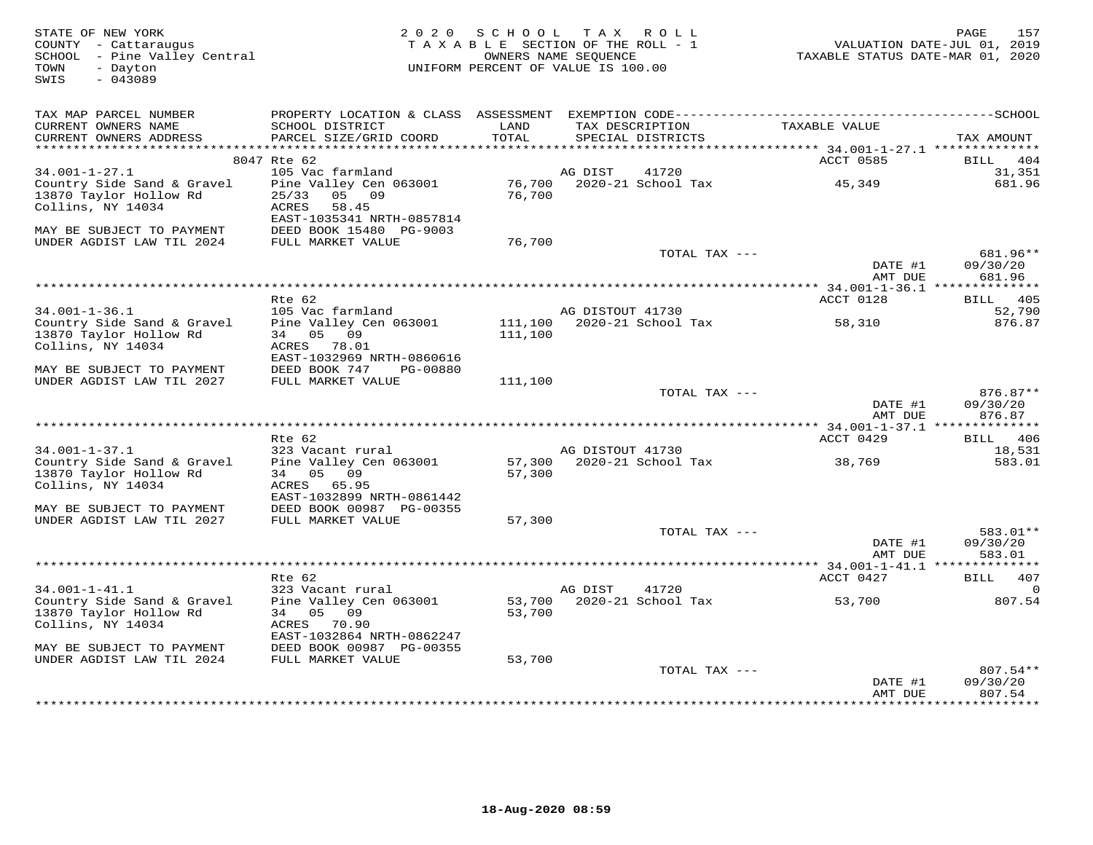| STATE OF NEW YORK<br>COUNTY - Cattaraugus<br>SCHOOL - Pine Valley Central<br>TOWN<br>- Dayton<br>$-043089$<br>SWIS | 2 0 2 0                                        | SCHOOL<br>TAXABLE SECTION OF THE ROLL - 1<br>OWNERS NAME SEOUENCE<br>UNIFORM PERCENT OF VALUE IS 100.00 |                  | TAX ROLL                    | TAXABLE STATUS DATE-MAR 01, 2020              | 157<br>PAGE<br>VALUATION DATE-JUL 01, 2019 |
|--------------------------------------------------------------------------------------------------------------------|------------------------------------------------|---------------------------------------------------------------------------------------------------------|------------------|-----------------------------|-----------------------------------------------|--------------------------------------------|
|                                                                                                                    |                                                |                                                                                                         |                  |                             |                                               |                                            |
| TAX MAP PARCEL NUMBER<br>CURRENT OWNERS NAME                                                                       | SCHOOL DISTRICT                                | LAND                                                                                                    | TAX DESCRIPTION  |                             | TAXABLE VALUE                                 |                                            |
| CURRENT OWNERS ADDRESS                                                                                             | PARCEL SIZE/GRID COORD                         | TOTAL                                                                                                   |                  | SPECIAL DISTRICTS           |                                               | TAX AMOUNT                                 |
| ******************************                                                                                     |                                                |                                                                                                         |                  |                             |                                               |                                            |
|                                                                                                                    | 8047 Rte 62                                    |                                                                                                         |                  |                             | ACCT 0585                                     | <b>BILL</b><br>404                         |
| $34.001 - 1 - 27.1$                                                                                                | 105 Vac farmland                               |                                                                                                         | AG DIST          | 41720                       |                                               | 31,351                                     |
| Country Side Sand & Gravel<br>13870 Taylor Hollow Rd                                                               | Pine Valley Cen 063001<br>05 09<br>25/33       | 76,700<br>76,700                                                                                        |                  | 2020-21 School Tax          | 45,349                                        | 681.96                                     |
| Collins, NY 14034                                                                                                  | ACRES<br>58.45<br>EAST-1035341 NRTH-0857814    |                                                                                                         |                  |                             |                                               |                                            |
| MAY BE SUBJECT TO PAYMENT                                                                                          | DEED BOOK 15480 PG-9003                        |                                                                                                         |                  |                             |                                               |                                            |
| UNDER AGDIST LAW TIL 2024                                                                                          | FULL MARKET VALUE                              | 76,700                                                                                                  |                  |                             |                                               |                                            |
|                                                                                                                    |                                                |                                                                                                         |                  | TOTAL TAX ---               |                                               | 681.96**                                   |
|                                                                                                                    |                                                |                                                                                                         |                  |                             | DATE #1                                       | 09/30/20                                   |
|                                                                                                                    |                                                |                                                                                                         |                  |                             | AMT DUE                                       | 681.96                                     |
|                                                                                                                    | Rte 62                                         |                                                                                                         |                  |                             | ** 34.001-1-36.1 ***************<br>ACCT 0128 | 405                                        |
| $34.001 - 1 - 36.1$                                                                                                | 105 Vac farmland                               |                                                                                                         | AG DISTOUT 41730 |                             |                                               | <b>BILL</b><br>52,790                      |
| Country Side Sand & Gravel                                                                                         | Pine Valley Cen 063001                         | 111,100                                                                                                 |                  | $2020 - 21$ School Tax      | 58,310                                        | 876.87                                     |
| 13870 Taylor Hollow Rd                                                                                             | 34 05 09                                       | 111,100                                                                                                 |                  |                             |                                               |                                            |
| Collins, NY 14034                                                                                                  | ACRES<br>78.01                                 |                                                                                                         |                  |                             |                                               |                                            |
|                                                                                                                    | EAST-1032969 NRTH-0860616                      |                                                                                                         |                  |                             |                                               |                                            |
| MAY BE SUBJECT TO PAYMENT<br>UNDER AGDIST LAW TIL 2027                                                             | DEED BOOK 747<br>PG-00880<br>FULL MARKET VALUE | 111,100                                                                                                 |                  |                             |                                               |                                            |
|                                                                                                                    |                                                |                                                                                                         |                  | TOTAL TAX ---               |                                               | 876.87**                                   |
|                                                                                                                    |                                                |                                                                                                         |                  |                             | DATE #1                                       | 09/30/20                                   |
|                                                                                                                    |                                                |                                                                                                         |                  |                             | AMT DUE                                       | 876.87                                     |
|                                                                                                                    |                                                |                                                                                                         |                  |                             |                                               |                                            |
| $34.001 - 1 - 37.1$                                                                                                | Rte 62<br>323 Vacant rural                     |                                                                                                         | AG DISTOUT 41730 |                             | ACCT 0429                                     | BILL 406<br>18,531                         |
| Country Side Sand & Gravel                                                                                         | Pine Valley Cen 063001                         | 57,300                                                                                                  |                  | 2020-21 School Tax          | 38,769                                        | 583.01                                     |
| 13870 Taylor Hollow Rd                                                                                             | 34 05<br>09                                    | 57,300                                                                                                  |                  |                             |                                               |                                            |
| Collins, NY 14034                                                                                                  | ACRES 65.95                                    |                                                                                                         |                  |                             |                                               |                                            |
|                                                                                                                    | EAST-1032899 NRTH-0861442                      |                                                                                                         |                  |                             |                                               |                                            |
| MAY BE SUBJECT TO PAYMENT<br>UNDER AGDIST LAW TIL 2027                                                             | DEED BOOK 00987 PG-00355<br>FULL MARKET VALUE  | 57,300                                                                                                  |                  |                             |                                               |                                            |
|                                                                                                                    |                                                |                                                                                                         |                  | TOTAL TAX ---               |                                               | 583.01**                                   |
|                                                                                                                    |                                                |                                                                                                         |                  |                             | DATE #1                                       | 09/30/20                                   |
|                                                                                                                    |                                                |                                                                                                         |                  |                             | AMT DUE                                       | 583.01                                     |
| ******************************                                                                                     |                                                |                                                                                                         |                  |                             |                                               |                                            |
|                                                                                                                    | Rte 62                                         |                                                                                                         |                  |                             | ACCT 0427                                     | 407<br>BILL                                |
| $34.001 - 1 - 41.1$<br>Country Side Sand & Gravel                                                                  | 323 Vacant rural<br>Pine Valley Cen 063001     | 53,700                                                                                                  | AG DIST          | 41720<br>2020-21 School Tax | 53,700                                        | $\cap$<br>807.54                           |
| 13870 Taylor Hollow Rd                                                                                             | 34<br>05 09                                    | 53,700                                                                                                  |                  |                             |                                               |                                            |
| Collins, NY 14034                                                                                                  | ACRES<br>70.90                                 |                                                                                                         |                  |                             |                                               |                                            |
|                                                                                                                    | EAST-1032864 NRTH-0862247                      |                                                                                                         |                  |                             |                                               |                                            |
| MAY BE SUBJECT TO PAYMENT                                                                                          | DEED BOOK 00987 PG-00355                       |                                                                                                         |                  |                             |                                               |                                            |
| UNDER AGDIST LAW TIL 2024                                                                                          | FULL MARKET VALUE                              | 53,700                                                                                                  |                  | TOTAL TAX ---               |                                               | 807.54**                                   |
|                                                                                                                    |                                                |                                                                                                         |                  |                             | DATE #1                                       | 09/30/20                                   |
|                                                                                                                    |                                                |                                                                                                         |                  |                             | AMT DUE<br>***********                        | 807.54<br>*********                        |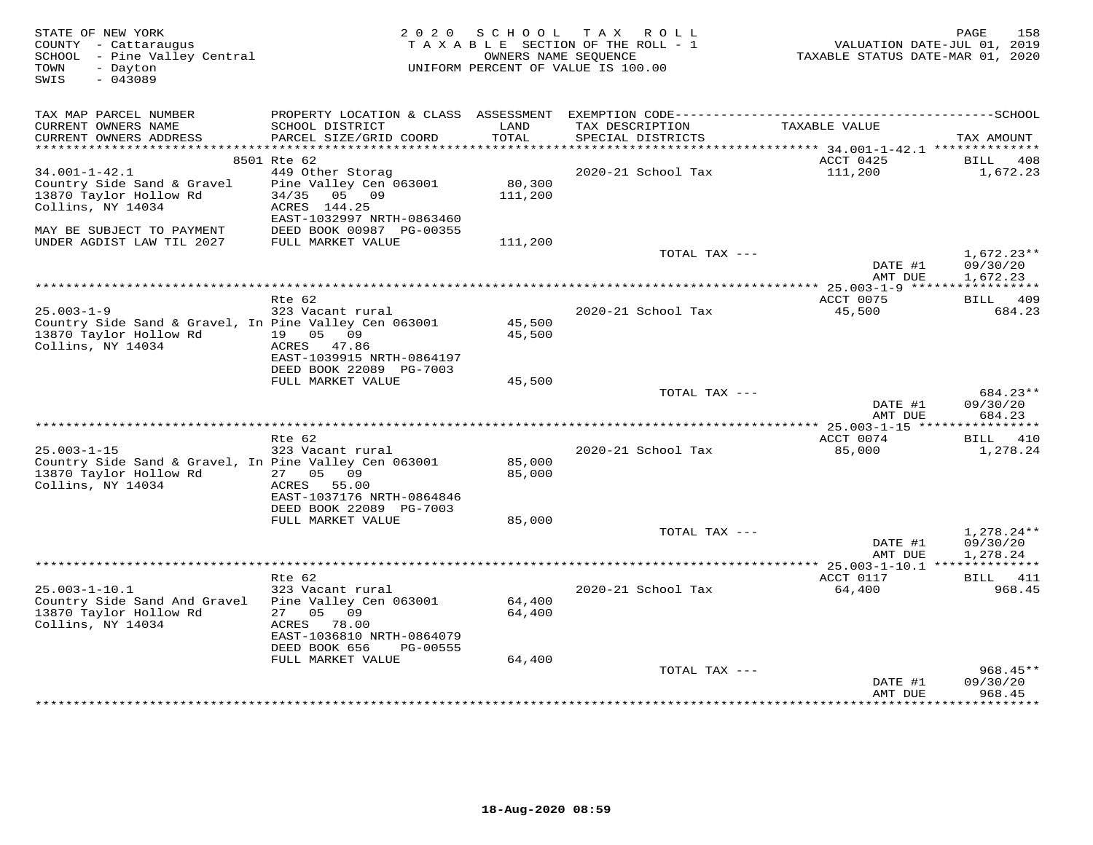| STATE OF NEW YORK<br>COUNTY - Cattaraugus<br>SCHOOL - Pine Valley Central<br>- Dayton<br>TOWN<br>$-043089$<br>SWIS            |                                                                                                                                           | OWNERS NAME SEQUENCE       | 2020 SCHOOL TAX ROLL<br>TAXABLE SECTION OF THE ROLL - 1<br>UNIFORM PERCENT OF VALUE IS 100.00 | VALUATION DATE-JUL 01, 2019<br>TAXABLE STATUS DATE-MAR 01, 2020 | 158<br>PAGE                          |
|-------------------------------------------------------------------------------------------------------------------------------|-------------------------------------------------------------------------------------------------------------------------------------------|----------------------------|-----------------------------------------------------------------------------------------------|-----------------------------------------------------------------|--------------------------------------|
| TAX MAP PARCEL NUMBER<br>CURRENT OWNERS NAME                                                                                  | SCHOOL DISTRICT                                                                                                                           | LAND                       | TAX DESCRIPTION                                                                               | TAXABLE VALUE                                                   |                                      |
| CURRENT OWNERS ADDRESS<br>***********************                                                                             | PARCEL SIZE/GRID COORD                                                                                                                    | <b>TOTAL</b>               | SPECIAL DISTRICTS                                                                             |                                                                 | TAX AMOUNT                           |
|                                                                                                                               | 8501 Rte 62                                                                                                                               |                            |                                                                                               | ACCT 0425                                                       | BILL<br>408                          |
| $34.001 - 1 - 42.1$<br>Country Side Sand & Gravel<br>13870 Taylor Hollow Rd<br>Collins, NY 14034<br>MAY BE SUBJECT TO PAYMENT | 449 Other Storag<br>Pine Valley Cen 063001<br>34/35<br>05 09<br>ACRES 144.25<br>EAST-1032997 NRTH-0863460<br>DEED BOOK 00987 PG-00355     | 80,300<br>111,200          | 2020-21 School Tax                                                                            | 111,200                                                         | 1,672.23                             |
| UNDER AGDIST LAW TIL 2027                                                                                                     | FULL MARKET VALUE                                                                                                                         | 111,200                    |                                                                                               |                                                                 |                                      |
|                                                                                                                               |                                                                                                                                           |                            | TOTAL TAX ---                                                                                 | DATE #1<br>AMT DUE                                              | $1,672.23**$<br>09/30/20<br>1,672.23 |
|                                                                                                                               |                                                                                                                                           |                            |                                                                                               | ** 25.003-1-9 ******                                            | ***********                          |
| $25.003 - 1 - 9$                                                                                                              | Rte 62<br>323 Vacant rural                                                                                                                |                            | 2020-21 School Tax                                                                            | ACCT 0075<br>45,500                                             | BILL 409<br>684.23                   |
| Country Side Sand & Gravel, In Pine Valley Cen 063001<br>13870 Taylor Hollow Rd<br>Collins, NY 14034                          | 19 05 09<br>ACRES 47.86<br>EAST-1039915 NRTH-0864197                                                                                      | 45,500<br>45,500           |                                                                                               |                                                                 |                                      |
|                                                                                                                               | DEED BOOK 22089 PG-7003                                                                                                                   |                            |                                                                                               |                                                                 |                                      |
|                                                                                                                               | FULL MARKET VALUE                                                                                                                         | 45,500                     |                                                                                               |                                                                 |                                      |
|                                                                                                                               |                                                                                                                                           |                            | TOTAL TAX ---                                                                                 | DATE #1<br>AMT DUE                                              | 684.23**<br>09/30/20<br>684.23       |
|                                                                                                                               |                                                                                                                                           |                            |                                                                                               |                                                                 |                                      |
| $25.003 - 1 - 15$<br>Country Side Sand & Gravel, In Pine Valley Cen 063001<br>13870 Taylor Hollow Rd<br>Collins, NY 14034     | Rte 62<br>323 Vacant rural<br>27 05 09<br>ACRES 55.00                                                                                     | 85,000<br>85,000           | 2020-21 School Tax                                                                            | ACCT 0074<br>85,000                                             | <b>BILL</b> 410<br>1,278.24          |
|                                                                                                                               | EAST-1037176 NRTH-0864846<br>DEED BOOK 22089 PG-7003                                                                                      |                            |                                                                                               |                                                                 |                                      |
|                                                                                                                               | FULL MARKET VALUE                                                                                                                         | 85,000                     |                                                                                               |                                                                 |                                      |
|                                                                                                                               |                                                                                                                                           |                            | TOTAL TAX ---                                                                                 | DATE #1<br>AMT DUE                                              | $1,278.24**$<br>09/30/20<br>1,278.24 |
|                                                                                                                               |                                                                                                                                           |                            |                                                                                               |                                                                 |                                      |
| $25.003 - 1 - 10.1$                                                                                                           | Rte 62<br>323 Vacant rural                                                                                                                |                            | 2020-21 School Tax                                                                            | ACCT 0117<br>64,400                                             | BILL 411<br>968.45                   |
| Country Side Sand And Gravel<br>13870 Taylor Hollow Rd<br>Collins, NY 14034                                                   | Pine Valley Cen 063001<br>05<br>09<br>27<br>ACRES<br>78.00<br>EAST-1036810 NRTH-0864079<br>DEED BOOK 656<br>PG-00555<br>FULL MARKET VALUE | 64,400<br>64,400<br>64,400 |                                                                                               |                                                                 |                                      |
|                                                                                                                               |                                                                                                                                           |                            | TOTAL TAX ---                                                                                 |                                                                 | $968.45**$                           |
|                                                                                                                               |                                                                                                                                           |                            |                                                                                               | DATE #1<br>AMT DUE                                              | 09/30/20<br>968.45<br>***********    |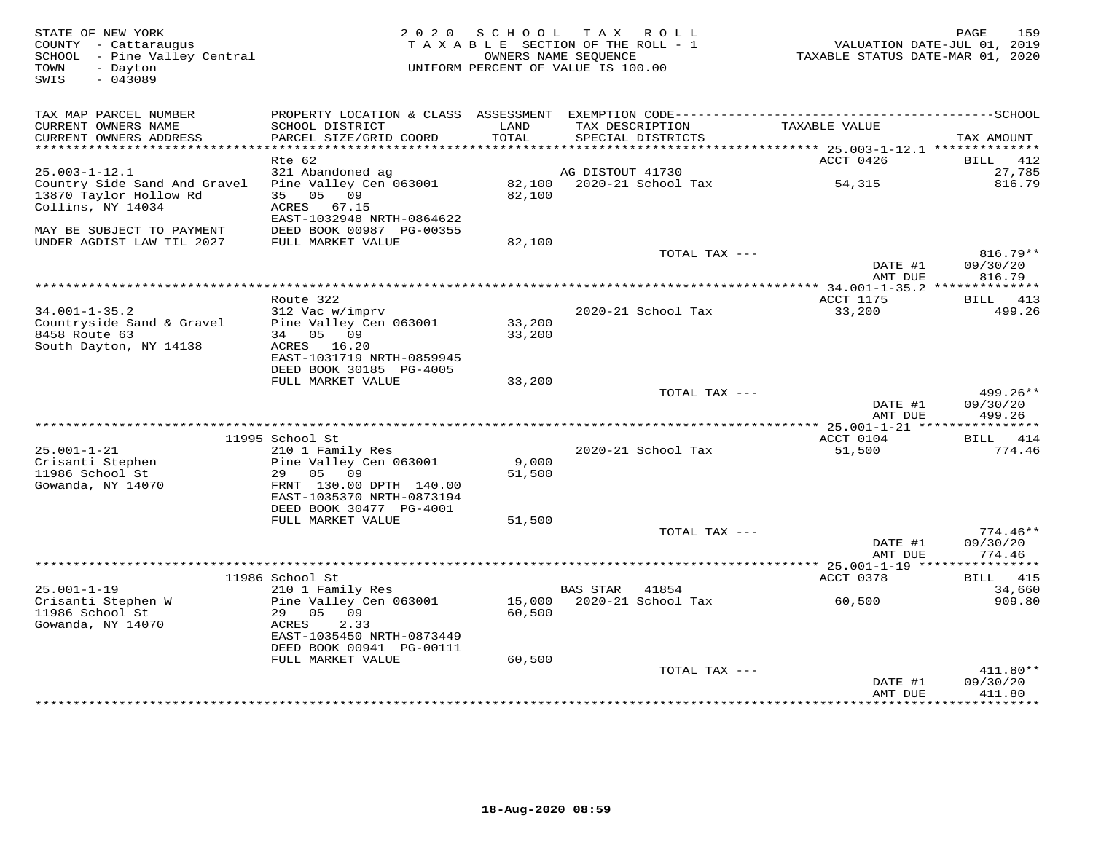| STATE OF NEW YORK<br>COUNTY - Cattaraugus<br>SCHOOL - Pine Valley Central<br>- Dayton<br>TOWN<br>$-043089$<br>SWIS | 2 0 2 0                                                                                                    | S C H O O L      | TAX ROLL<br>TAXABLE SECTION OF THE ROLL - 1<br>OWNERS NAME SEQUENCE<br>UNIFORM PERCENT OF VALUE IS 100.00 | VALUATION DATE-JUL 01, 2019<br>TAXABLE STATUS DATE-MAR 01, 2020 | 159<br>PAGE                      |
|--------------------------------------------------------------------------------------------------------------------|------------------------------------------------------------------------------------------------------------|------------------|-----------------------------------------------------------------------------------------------------------|-----------------------------------------------------------------|----------------------------------|
| TAX MAP PARCEL NUMBER                                                                                              | PROPERTY LOCATION & CLASS ASSESSMENT EXEMPTION CODE-----------------------------------SCHOOL               |                  |                                                                                                           |                                                                 |                                  |
| CURRENT OWNERS NAME<br>CURRENT OWNERS ADDRESS                                                                      | SCHOOL DISTRICT<br>PARCEL SIZE/GRID COORD                                                                  | LAND<br>TOTAL    | TAX DESCRIPTION<br>SPECIAL DISTRICTS                                                                      | TAXABLE VALUE                                                   | TAX AMOUNT                       |
| ***********************                                                                                            |                                                                                                            |                  |                                                                                                           |                                                                 |                                  |
|                                                                                                                    | Rte 62                                                                                                     |                  |                                                                                                           | ACCT 0426                                                       | BILL<br>412                      |
| $25.003 - 1 - 12.1$<br>Country Side Sand And Gravel                                                                | 321 Abandoned ag<br>Pine Valley Cen 063001                                                                 | 82,100           | AG DISTOUT 41730<br>2020-21 School Tax                                                                    | 54,315                                                          | 27,785<br>816.79                 |
| 13870 Taylor Hollow Rd<br>Collins, NY 14034<br>MAY BE SUBJECT TO PAYMENT                                           | 05 09<br>35<br>ACRES<br>67.15<br>EAST-1032948 NRTH-0864622<br>DEED BOOK 00987 PG-00355                     | 82,100           |                                                                                                           |                                                                 |                                  |
| UNDER AGDIST LAW TIL 2027                                                                                          | FULL MARKET VALUE                                                                                          | 82,100           |                                                                                                           |                                                                 |                                  |
|                                                                                                                    |                                                                                                            |                  | TOTAL TAX ---                                                                                             |                                                                 | $816.79**$                       |
|                                                                                                                    |                                                                                                            |                  |                                                                                                           | DATE #1<br>AMT DUE                                              | 09/30/20<br>816.79               |
|                                                                                                                    | Route 322                                                                                                  |                  |                                                                                                           | ACCT 1175                                                       | BILL 413                         |
| $34.001 - 1 - 35.2$                                                                                                | 312 Vac w/imprv                                                                                            |                  | 2020-21 School Tax                                                                                        | 33,200                                                          | 499.26                           |
| Countryside Sand & Gravel<br>8458 Route 63<br>South Dayton, NY 14138                                               | Pine Valley Cen 063001<br>34 05 09<br>ACRES 16.20<br>EAST-1031719 NRTH-0859945                             | 33,200<br>33,200 |                                                                                                           |                                                                 |                                  |
|                                                                                                                    | DEED BOOK 30185 PG-4005                                                                                    |                  |                                                                                                           |                                                                 |                                  |
|                                                                                                                    | FULL MARKET VALUE                                                                                          | 33,200           | TOTAL TAX ---                                                                                             |                                                                 | 499.26**                         |
|                                                                                                                    |                                                                                                            |                  |                                                                                                           | DATE #1<br>AMT DUE                                              | 09/30/20<br>499.26               |
|                                                                                                                    |                                                                                                            |                  |                                                                                                           |                                                                 |                                  |
| $25.001 - 1 - 21$                                                                                                  | 11995 School St<br>210 1 Family Res                                                                        |                  | 2020-21 School Tax                                                                                        | ACCT 0104<br>51,500                                             | <b>BILL</b> 414<br>774.46        |
| Crisanti Stephen                                                                                                   | Pine Valley Cen 063001                                                                                     | 9,000            |                                                                                                           |                                                                 |                                  |
| 11986 School St<br>Gowanda, NY 14070                                                                               | 05<br>29<br>09<br>FRNT 130.00 DPTH 140.00<br>EAST-1035370 NRTH-0873194<br>DEED BOOK 30477 PG-4001          | 51,500           |                                                                                                           |                                                                 |                                  |
|                                                                                                                    | FULL MARKET VALUE                                                                                          | 51,500           | TOTAL TAX ---                                                                                             |                                                                 | $774.46**$                       |
|                                                                                                                    |                                                                                                            |                  |                                                                                                           | DATE #1<br>AMT DUE                                              | 09/30/20<br>774.46               |
|                                                                                                                    |                                                                                                            |                  |                                                                                                           |                                                                 | *********                        |
|                                                                                                                    | 11986 School St                                                                                            |                  |                                                                                                           | ACCT 0378                                                       | 415<br>BILL                      |
| $25.001 - 1 - 19$<br>Crisanti Stephen W                                                                            | 210 1 Family Res<br>Pine Valley Cen 063001                                                                 | 15,000           | BAS STAR<br>41854<br>2020-21 School Tax                                                                   | 60,500                                                          | 34,660<br>909.80                 |
| 11986 School St<br>Gowanda, NY 14070                                                                               | 05 09<br>29<br>ACRES<br>2.33<br>EAST-1035450 NRTH-0873449<br>DEED BOOK 00941 PG-00111<br>FULL MARKET VALUE | 60,500<br>60,500 |                                                                                                           |                                                                 |                                  |
|                                                                                                                    |                                                                                                            |                  | TOTAL TAX ---                                                                                             |                                                                 | 411.80**                         |
|                                                                                                                    |                                                                                                            |                  | ************************                                                                                  | DATE #1<br>AMT DUE<br>· * * * * * * * * * * * * *               | 09/30/20<br>411.80<br>********** |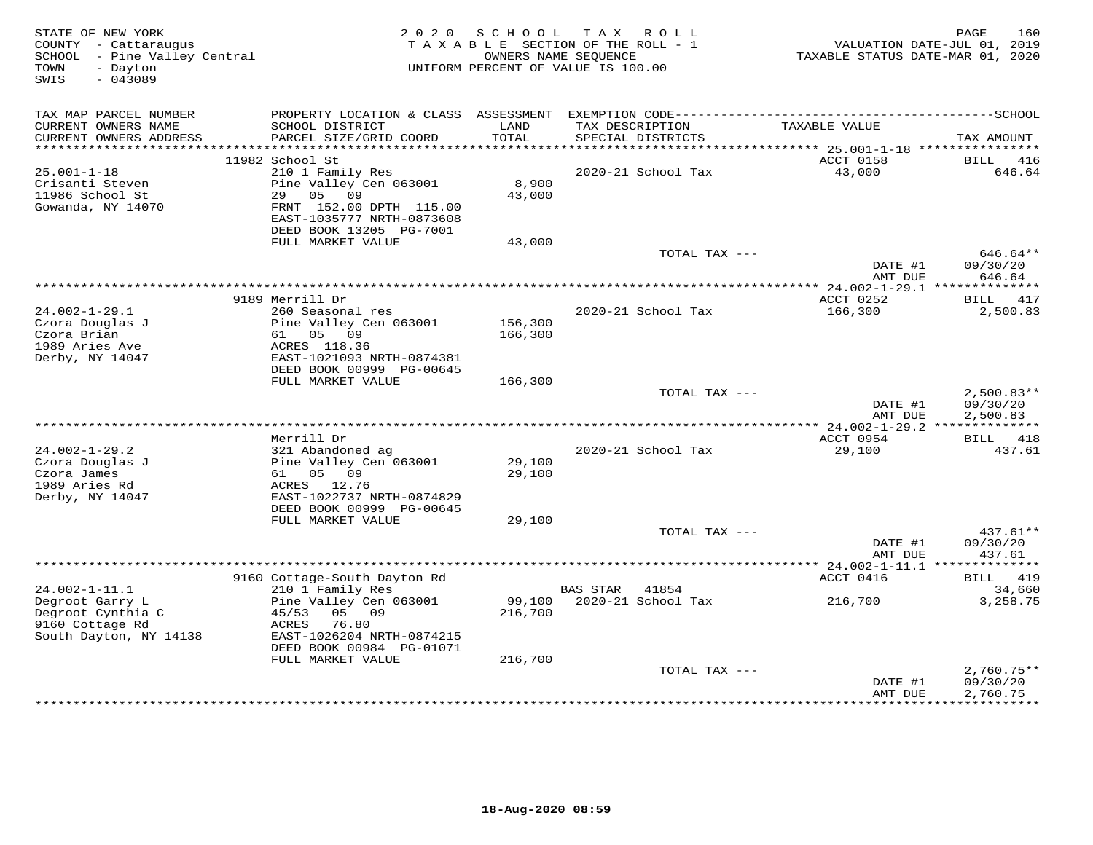| STATE OF NEW YORK<br>COUNTY - Cattaraugus<br>SCHOOL - Pine Valley Central<br>TOWN<br>- Dayton<br>$-043089$<br>SWIS | 2 0 2 0                                              | SCHOOL<br>TAXABLE SECTION OF THE ROLL - 1<br>UNIFORM PERCENT OF VALUE IS 100.00 | OWNERS NAME SEQUENCE | TAX ROLL               | TAXABLE STATUS DATE-MAR 01, 2020                 | 160<br>PAGE<br>VALUATION DATE-JUL 01, 2019 |
|--------------------------------------------------------------------------------------------------------------------|------------------------------------------------------|---------------------------------------------------------------------------------|----------------------|------------------------|--------------------------------------------------|--------------------------------------------|
| TAX MAP PARCEL NUMBER                                                                                              |                                                      |                                                                                 |                      |                        |                                                  |                                            |
| CURRENT OWNERS NAME                                                                                                | SCHOOL DISTRICT                                      | LAND<br>TOTAL                                                                   | TAX DESCRIPTION      |                        | TAXABLE VALUE                                    |                                            |
| CURRENT OWNERS ADDRESS                                                                                             | PARCEL SIZE/GRID COORD                               |                                                                                 |                      | SPECIAL DISTRICTS      |                                                  | TAX AMOUNT                                 |
|                                                                                                                    | 11982 School St                                      |                                                                                 |                      |                        | ACCT 0158                                        | BILL<br>416                                |
| $25.001 - 1 - 18$                                                                                                  | 210 1 Family Res                                     |                                                                                 |                      | 2020-21 School Tax     | 43,000                                           | 646.64                                     |
| Crisanti Steven                                                                                                    | Pine Valley Cen 063001                               | 8,900                                                                           |                      |                        |                                                  |                                            |
| 11986 School St                                                                                                    | 29<br>05<br>09                                       | 43,000                                                                          |                      |                        |                                                  |                                            |
| Gowanda, NY 14070                                                                                                  | FRNT 152.00 DPTH 115.00<br>EAST-1035777 NRTH-0873608 |                                                                                 |                      |                        |                                                  |                                            |
|                                                                                                                    | DEED BOOK 13205 PG-7001                              |                                                                                 |                      |                        |                                                  |                                            |
|                                                                                                                    | FULL MARKET VALUE                                    | 43,000                                                                          |                      |                        |                                                  |                                            |
|                                                                                                                    |                                                      |                                                                                 |                      | TOTAL TAX ---          |                                                  | 646.64**                                   |
|                                                                                                                    |                                                      |                                                                                 |                      |                        | DATE #1<br>AMT DUE                               | 09/30/20<br>646.64                         |
|                                                                                                                    |                                                      | **************************************                                          |                      |                        | ****************** 24.002-1-29.1 *************** |                                            |
|                                                                                                                    | 9189 Merrill Dr                                      |                                                                                 |                      |                        | ACCT 0252                                        | BILL 417                                   |
| $24.002 - 1 - 29.1$                                                                                                | 260 Seasonal res                                     |                                                                                 |                      | 2020-21 School Tax     | 166,300                                          | 2,500.83                                   |
| Czora Douglas J                                                                                                    | Pine Valley Cen 063001                               | 156,300                                                                         |                      |                        |                                                  |                                            |
| Czora Brian<br>1989 Aries Ave                                                                                      | 61 05 09<br>ACRES 118.36                             | 166,300                                                                         |                      |                        |                                                  |                                            |
| Derby, NY 14047                                                                                                    | EAST-1021093 NRTH-0874381                            |                                                                                 |                      |                        |                                                  |                                            |
|                                                                                                                    | DEED BOOK 00999 PG-00645                             |                                                                                 |                      |                        |                                                  |                                            |
|                                                                                                                    | FULL MARKET VALUE                                    | 166,300                                                                         |                      |                        |                                                  |                                            |
|                                                                                                                    |                                                      |                                                                                 |                      | TOTAL TAX ---          |                                                  | $2.500.83**$                               |
|                                                                                                                    |                                                      |                                                                                 |                      |                        | DATE #1<br>AMT DUE                               | 09/30/20<br>2,500.83                       |
|                                                                                                                    |                                                      |                                                                                 |                      |                        | ** 24.002-1-29.2 **************                  |                                            |
|                                                                                                                    | Merrill Dr                                           |                                                                                 |                      |                        | ACCT 0954                                        | BILL<br>418                                |
| $24.002 - 1 - 29.2$                                                                                                | 321 Abandoned ag                                     |                                                                                 |                      | 2020-21 School Tax     | 29,100                                           | 437.61                                     |
| Czora Douglas J                                                                                                    | Pine Valley Cen 063001                               | 29,100                                                                          |                      |                        |                                                  |                                            |
| Czora James<br>1989 Aries Rd                                                                                       | 61 05 09<br>ACRES 12.76                              | 29,100                                                                          |                      |                        |                                                  |                                            |
| Derby, NY 14047                                                                                                    | EAST-1022737 NRTH-0874829                            |                                                                                 |                      |                        |                                                  |                                            |
|                                                                                                                    | DEED BOOK 00999 PG-00645                             |                                                                                 |                      |                        |                                                  |                                            |
|                                                                                                                    | FULL MARKET VALUE                                    | 29,100                                                                          |                      |                        |                                                  |                                            |
|                                                                                                                    |                                                      |                                                                                 |                      | TOTAL TAX ---          | DATE #1                                          | 437.61**                                   |
|                                                                                                                    |                                                      |                                                                                 |                      |                        | AMT DUE                                          | 09/30/20<br>437.61                         |
|                                                                                                                    |                                                      |                                                                                 |                      |                        |                                                  |                                            |
|                                                                                                                    | 9160 Cottage-South Dayton Rd                         |                                                                                 |                      |                        | ACCT 0416                                        | 419<br>BILL                                |
| $24.002 - 1 - 11.1$                                                                                                | 210 1 Family Res                                     |                                                                                 | <b>BAS STAR</b>      | 41854                  |                                                  | 34,660                                     |
| Degroot Garry L<br>Degroot Cynthia C                                                                               | Pine Valley Cen 063001<br>45/53<br>05<br>09          | 99,100<br>216,700                                                               |                      | 2020-21 School Tax     | 216,700                                          | 3,258.75                                   |
| 9160 Cottage Rd                                                                                                    | 76.80<br>ACRES                                       |                                                                                 |                      |                        |                                                  |                                            |
| South Dayton, NY 14138                                                                                             | EAST-1026204 NRTH-0874215                            |                                                                                 |                      |                        |                                                  |                                            |
|                                                                                                                    | DEED BOOK 00984 PG-01071                             |                                                                                 |                      |                        |                                                  |                                            |
|                                                                                                                    | FULL MARKET VALUE                                    | 216,700                                                                         |                      |                        |                                                  |                                            |
|                                                                                                                    |                                                      |                                                                                 |                      | TOTAL TAX ---          | DATE #1                                          | $2,760.75**$<br>09/30/20                   |
|                                                                                                                    |                                                      |                                                                                 |                      |                        | AMT DUE                                          | 2,760.75                                   |
|                                                                                                                    |                                                      |                                                                                 |                      | ********************** |                                                  | ***********                                |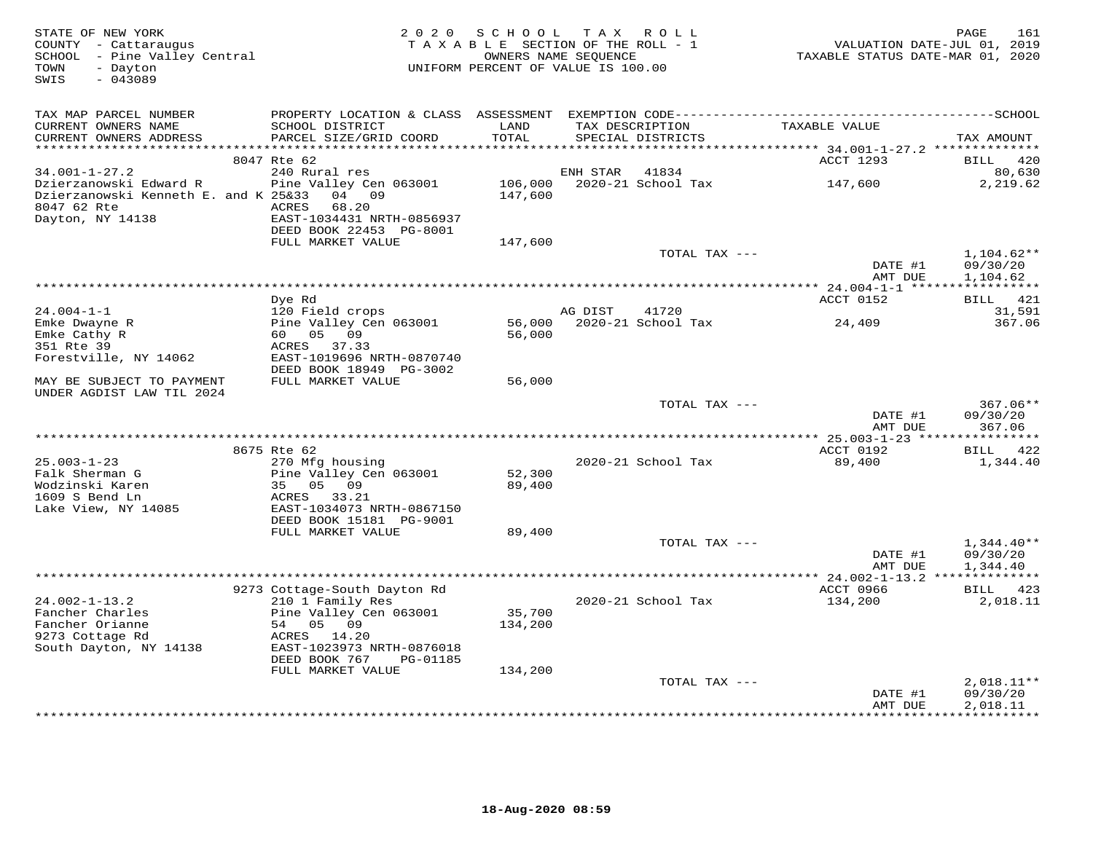| STATE OF NEW YORK<br>COUNTY - Cattaraugus<br>SCHOOL - Pine Valley Central<br>- Dayton<br>TOWN<br>$-043089$<br>SWIS | 2 0 2 0                                                | SCHOOL<br>TAXABLE SECTION OF THE ROLL - 1<br>OWNERS NAME SEQUENCE<br>UNIFORM PERCENT OF VALUE IS 100.00 |          | TAX ROLL                             | VALUATION DATE-JUL 01, 2019<br>TAXABLE STATUS DATE-MAR 01, 2020 | PAGE<br>161              |
|--------------------------------------------------------------------------------------------------------------------|--------------------------------------------------------|---------------------------------------------------------------------------------------------------------|----------|--------------------------------------|-----------------------------------------------------------------|--------------------------|
| TAX MAP PARCEL NUMBER                                                                                              |                                                        |                                                                                                         |          |                                      |                                                                 |                          |
| CURRENT OWNERS NAME<br>CURRENT OWNERS ADDRESS                                                                      | SCHOOL DISTRICT<br>PARCEL SIZE/GRID COORD              | LAND<br>TOTAL                                                                                           |          | TAX DESCRIPTION<br>SPECIAL DISTRICTS | TAXABLE VALUE                                                   | TAX AMOUNT               |
| ***********************                                                                                            |                                                        |                                                                                                         |          |                                      |                                                                 |                          |
| $34.001 - 1 - 27.2$                                                                                                | 8047 Rte 62<br>240 Rural res                           |                                                                                                         | ENH STAR | 41834                                | ACCT 1293                                                       | BILL 420<br>80,630       |
| Dzierzanowski Edward R                                                                                             | Pine Valley Cen 063001                                 | 106,000                                                                                                 |          | 2020-21 School Tax                   | 147,600                                                         | 2,219.62                 |
| Dzierzanowski Kenneth E. and K 25&33                                                                               | 04 09                                                  | 147,600                                                                                                 |          |                                      |                                                                 |                          |
| 8047 62 Rte                                                                                                        | 68.20<br>ACRES                                         |                                                                                                         |          |                                      |                                                                 |                          |
| Dayton, NY 14138                                                                                                   | EAST-1034431 NRTH-0856937                              |                                                                                                         |          |                                      |                                                                 |                          |
|                                                                                                                    | DEED BOOK 22453 PG-8001                                |                                                                                                         |          |                                      |                                                                 |                          |
|                                                                                                                    | FULL MARKET VALUE                                      | 147,600                                                                                                 |          |                                      |                                                                 |                          |
|                                                                                                                    |                                                        |                                                                                                         |          | TOTAL TAX ---                        |                                                                 | $1,104.62**$             |
|                                                                                                                    |                                                        |                                                                                                         |          |                                      | DATE #1<br>AMT DUE                                              | 09/30/20<br>1,104.62     |
|                                                                                                                    |                                                        |                                                                                                         |          |                                      | **** 24.004-1-1 ******************                              |                          |
|                                                                                                                    | Dye Rd                                                 |                                                                                                         |          |                                      | ACCT 0152                                                       | BILL 421                 |
| $24.004 - 1 - 1$                                                                                                   | 120 Field crops                                        |                                                                                                         | AG DIST  | 41720                                |                                                                 | 31,591                   |
| Emke Dwayne R                                                                                                      | Pine Valley Cen 063001                                 | 56,000                                                                                                  |          | 2020-21 School Tax                   | 24,409                                                          | 367.06                   |
| Emke Cathy R                                                                                                       | 60 05 09                                               | 56,000                                                                                                  |          |                                      |                                                                 |                          |
| 351 Rte 39                                                                                                         | 37.33<br>ACRES                                         |                                                                                                         |          |                                      |                                                                 |                          |
| Forestville, NY 14062                                                                                              | EAST-1019696 NRTH-0870740<br>DEED BOOK 18949 PG-3002   |                                                                                                         |          |                                      |                                                                 |                          |
| MAY BE SUBJECT TO PAYMENT                                                                                          | FULL MARKET VALUE                                      | 56,000                                                                                                  |          |                                      |                                                                 |                          |
| UNDER AGDIST LAW TIL 2024                                                                                          |                                                        |                                                                                                         |          |                                      |                                                                 |                          |
|                                                                                                                    |                                                        |                                                                                                         |          | TOTAL TAX ---                        |                                                                 | $367.06**$               |
|                                                                                                                    |                                                        |                                                                                                         |          |                                      | DATE #1                                                         | 09/30/20                 |
|                                                                                                                    |                                                        |                                                                                                         |          |                                      | AMT DUE                                                         | 367.06                   |
|                                                                                                                    |                                                        |                                                                                                         |          |                                      | ACCT 0192                                                       | BILL 422                 |
| $25.003 - 1 - 23$                                                                                                  | 8675 Rte 62<br>270 Mfg housing                         |                                                                                                         |          | 2020-21 School Tax                   | 89,400                                                          | 1,344.40                 |
| Falk Sherman G                                                                                                     | Pine Valley Cen 063001                                 | 52,300                                                                                                  |          |                                      |                                                                 |                          |
| Wodzinski Karen                                                                                                    | 35 05 09                                               | 89,400                                                                                                  |          |                                      |                                                                 |                          |
| 1609 S Bend Ln                                                                                                     | ACRES<br>33.21                                         |                                                                                                         |          |                                      |                                                                 |                          |
| Lake View, NY 14085                                                                                                | EAST-1034073 NRTH-0867150                              |                                                                                                         |          |                                      |                                                                 |                          |
|                                                                                                                    | DEED BOOK 15181 PG-9001                                |                                                                                                         |          |                                      |                                                                 |                          |
|                                                                                                                    | FULL MARKET VALUE                                      | 89,400                                                                                                  |          |                                      |                                                                 |                          |
|                                                                                                                    |                                                        |                                                                                                         |          | TOTAL TAX ---                        | DATE #1                                                         | $1,344.40**$<br>09/30/20 |
|                                                                                                                    |                                                        |                                                                                                         |          |                                      | AMT DUE                                                         | 1,344.40                 |
|                                                                                                                    |                                                        |                                                                                                         |          |                                      |                                                                 |                          |
|                                                                                                                    | 9273 Cottage-South Dayton Rd                           |                                                                                                         |          |                                      | ACCT 0966                                                       | BILL 423                 |
| $24.002 - 1 - 13.2$                                                                                                | 210 1 Family Res                                       |                                                                                                         |          | 2020-21 School Tax                   | 134,200                                                         | 2,018.11                 |
| Fancher Charles                                                                                                    | Pine Valley Cen 063001                                 | 35,700                                                                                                  |          |                                      |                                                                 |                          |
| Fancher Orianne                                                                                                    | 54 05 09                                               | 134,200                                                                                                 |          |                                      |                                                                 |                          |
| 9273 Cottage Rd                                                                                                    | ACRES 14.20                                            |                                                                                                         |          |                                      |                                                                 |                          |
| South Dayton, NY 14138                                                                                             | EAST-1023973 NRTH-0876018<br>DEED BOOK 767<br>PG-01185 |                                                                                                         |          |                                      |                                                                 |                          |
|                                                                                                                    | FULL MARKET VALUE                                      | 134,200                                                                                                 |          |                                      |                                                                 |                          |
|                                                                                                                    |                                                        |                                                                                                         |          | TOTAL TAX ---                        |                                                                 | $2,018.11**$             |
|                                                                                                                    |                                                        |                                                                                                         |          |                                      | DATE #1                                                         | 09/30/20                 |
|                                                                                                                    |                                                        |                                                                                                         |          |                                      | AMT DUE                                                         | 2,018.11                 |
|                                                                                                                    |                                                        |                                                                                                         |          |                                      |                                                                 | * * * * * * * * * *      |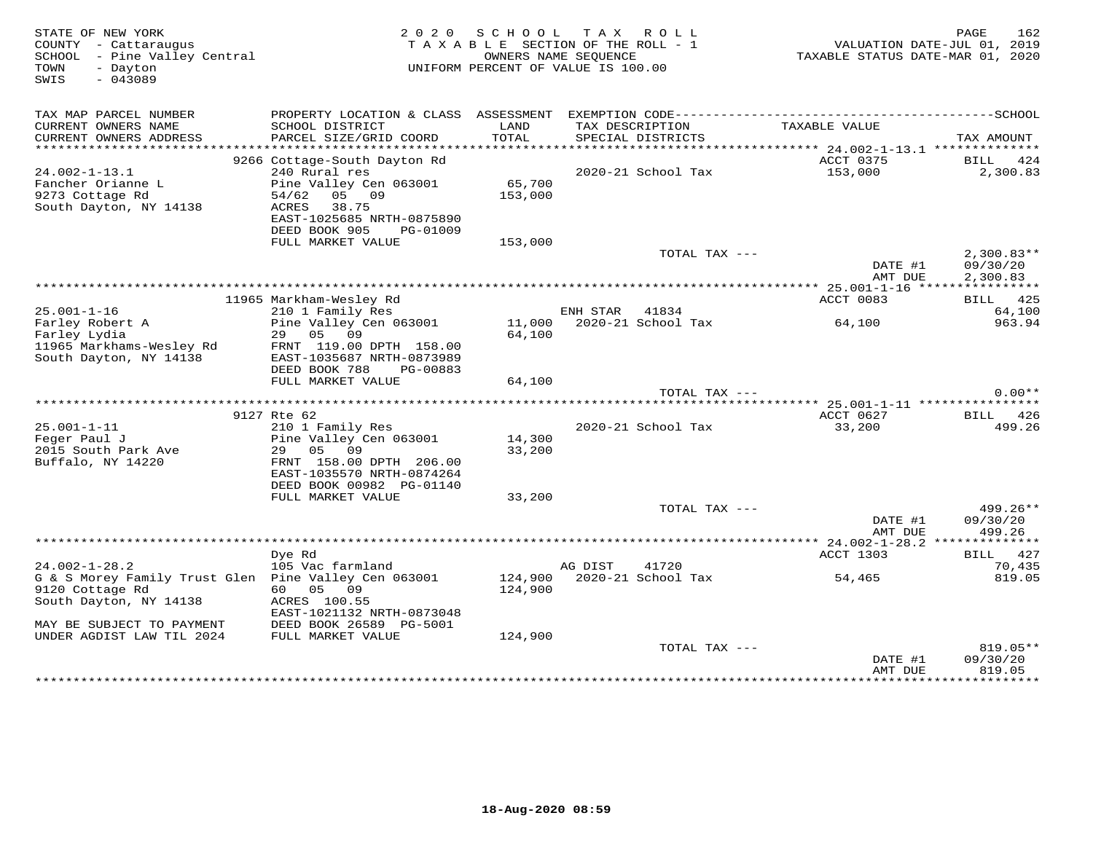| STATE OF NEW YORK<br>COUNTY - Cattaraugus<br>SCHOOL - Pine Valley Central<br>- Dayton<br>TOWN<br>$-043089$<br>SWIS |                                                      | 2020 SCHOOL<br>TAXABLE SECTION OF THE ROLL - 1<br>UNIFORM PERCENT OF VALUE IS 100.00 | T A X<br>OWNERS NAME SEQUENCE | R O L L                              | TAXABLE STATUS DATE-MAR 01, 2020 | 162<br>PAGE<br>VALUATION DATE-JUL 01, 2019 |
|--------------------------------------------------------------------------------------------------------------------|------------------------------------------------------|--------------------------------------------------------------------------------------|-------------------------------|--------------------------------------|----------------------------------|--------------------------------------------|
| TAX MAP PARCEL NUMBER<br>CURRENT OWNERS NAME                                                                       | SCHOOL DISTRICT                                      | LAND                                                                                 |                               |                                      | TAXABLE VALUE                    |                                            |
| CURRENT OWNERS ADDRESS                                                                                             | PARCEL SIZE/GRID COORD                               | TOTAL                                                                                |                               | TAX DESCRIPTION<br>SPECIAL DISTRICTS |                                  | TAX AMOUNT                                 |
|                                                                                                                    |                                                      |                                                                                      |                               |                                      |                                  |                                            |
|                                                                                                                    | 9266 Cottage-South Dayton Rd                         |                                                                                      |                               |                                      | ACCT 0375                        | BILL 424                                   |
| $24.002 - 1 - 13.1$                                                                                                | 240 Rural res                                        |                                                                                      |                               | 2020-21 School Tax                   | 153,000                          | 2,300.83                                   |
| Fancher Orianne L                                                                                                  | Pine Valley Cen 063001                               | 65,700                                                                               |                               |                                      |                                  |                                            |
| 9273 Cottage Rd<br>South Dayton, NY 14138                                                                          | 05 09<br>54/62<br>ACRES<br>38.75                     | 153,000                                                                              |                               |                                      |                                  |                                            |
|                                                                                                                    | EAST-1025685 NRTH-0875890                            |                                                                                      |                               |                                      |                                  |                                            |
|                                                                                                                    | DEED BOOK 905<br>PG-01009                            |                                                                                      |                               |                                      |                                  |                                            |
|                                                                                                                    | FULL MARKET VALUE                                    | 153,000                                                                              |                               |                                      |                                  |                                            |
|                                                                                                                    |                                                      |                                                                                      |                               | TOTAL TAX ---                        |                                  | $2,300.83**$                               |
|                                                                                                                    |                                                      |                                                                                      |                               |                                      | DATE #1<br>AMT DUE               | 09/30/20<br>2,300.83                       |
|                                                                                                                    |                                                      |                                                                                      |                               |                                      |                                  |                                            |
|                                                                                                                    | 11965 Markham-Wesley Rd                              |                                                                                      |                               |                                      | ACCT 0083                        | BILL 425                                   |
| $25.001 - 1 - 16$                                                                                                  | 210 1 Family Res                                     |                                                                                      | ENH STAR 41834                |                                      |                                  | 64,100                                     |
| Farley Robert A                                                                                                    | Pine Valley Cen 063001                               |                                                                                      |                               | 11,000 2020-21 School Tax            | 64,100                           | 963.94                                     |
| Farley Lydia                                                                                                       | 29<br>05<br>09                                       | 64,100                                                                               |                               |                                      |                                  |                                            |
| 11965 Markhams-Wesley Rd<br>South Dayton, NY 14138                                                                 | FRNT 119.00 DPTH 158.00<br>EAST-1035687 NRTH-0873989 |                                                                                      |                               |                                      |                                  |                                            |
|                                                                                                                    | DEED BOOK 788<br>PG-00883                            |                                                                                      |                               |                                      |                                  |                                            |
|                                                                                                                    | FULL MARKET VALUE                                    | 64,100                                                                               |                               |                                      |                                  |                                            |
|                                                                                                                    |                                                      |                                                                                      |                               | TOTAL TAX ---                        |                                  | $0.00**$                                   |
|                                                                                                                    |                                                      |                                                                                      |                               |                                      |                                  |                                            |
| $25.001 - 1 - 11$                                                                                                  | 9127 Rte 62<br>210 1 Family Res                      |                                                                                      |                               | 2020-21 School Tax                   | ACCT 0627<br>33,200              | BILL 426<br>499.26                         |
| Feger Paul J                                                                                                       | Pine Valley Cen 063001                               | 14,300                                                                               |                               |                                      |                                  |                                            |
| 2015 South Park Ave                                                                                                | 09<br>29<br>05                                       | 33,200                                                                               |                               |                                      |                                  |                                            |
| Buffalo, NY 14220                                                                                                  | FRNT 158.00 DPTH 206.00                              |                                                                                      |                               |                                      |                                  |                                            |
|                                                                                                                    | EAST-1035570 NRTH-0874264                            |                                                                                      |                               |                                      |                                  |                                            |
|                                                                                                                    | DEED BOOK 00982 PG-01140                             |                                                                                      |                               |                                      |                                  |                                            |
|                                                                                                                    | FULL MARKET VALUE                                    | 33,200                                                                               |                               | TOTAL TAX ---                        |                                  | 499.26**                                   |
|                                                                                                                    |                                                      |                                                                                      |                               |                                      | DATE #1                          | 09/30/20                                   |
|                                                                                                                    |                                                      |                                                                                      |                               |                                      | AMT DUE                          | 499.26                                     |
|                                                                                                                    |                                                      |                                                                                      |                               |                                      |                                  |                                            |
|                                                                                                                    | Dye Rd                                               |                                                                                      |                               |                                      | ACCT 1303                        | BILL 427                                   |
| $24.002 - 1 - 28.2$                                                                                                | 105 Vac farmland                                     |                                                                                      | AG DIST                       | 41720                                |                                  | 70,435                                     |
| G & S Morey Family Trust Glen  Pine Valley Cen 063001<br>9120 Cottage Rd                                           | 60  05  09                                           | 124,900                                                                              |                               | 124,900 2020-21 School Tax           | 54,465                           | 819.05                                     |
| South Dayton, NY 14138                                                                                             | ACRES 100.55                                         |                                                                                      |                               |                                      |                                  |                                            |
|                                                                                                                    | EAST-1021132 NRTH-0873048                            |                                                                                      |                               |                                      |                                  |                                            |
| MAY BE SUBJECT TO PAYMENT                                                                                          | DEED BOOK 26589 PG-5001                              |                                                                                      |                               |                                      |                                  |                                            |
| UNDER AGDIST LAW TIL 2024                                                                                          | FULL MARKET VALUE                                    | 124,900                                                                              |                               |                                      |                                  |                                            |
|                                                                                                                    |                                                      |                                                                                      |                               | TOTAL TAX ---                        |                                  | $819.05**$                                 |
|                                                                                                                    |                                                      |                                                                                      |                               |                                      | DATE #1<br>AMT DUE               | 09/30/20<br>819.05                         |
|                                                                                                                    |                                                      |                                                                                      |                               |                                      |                                  | ***********                                |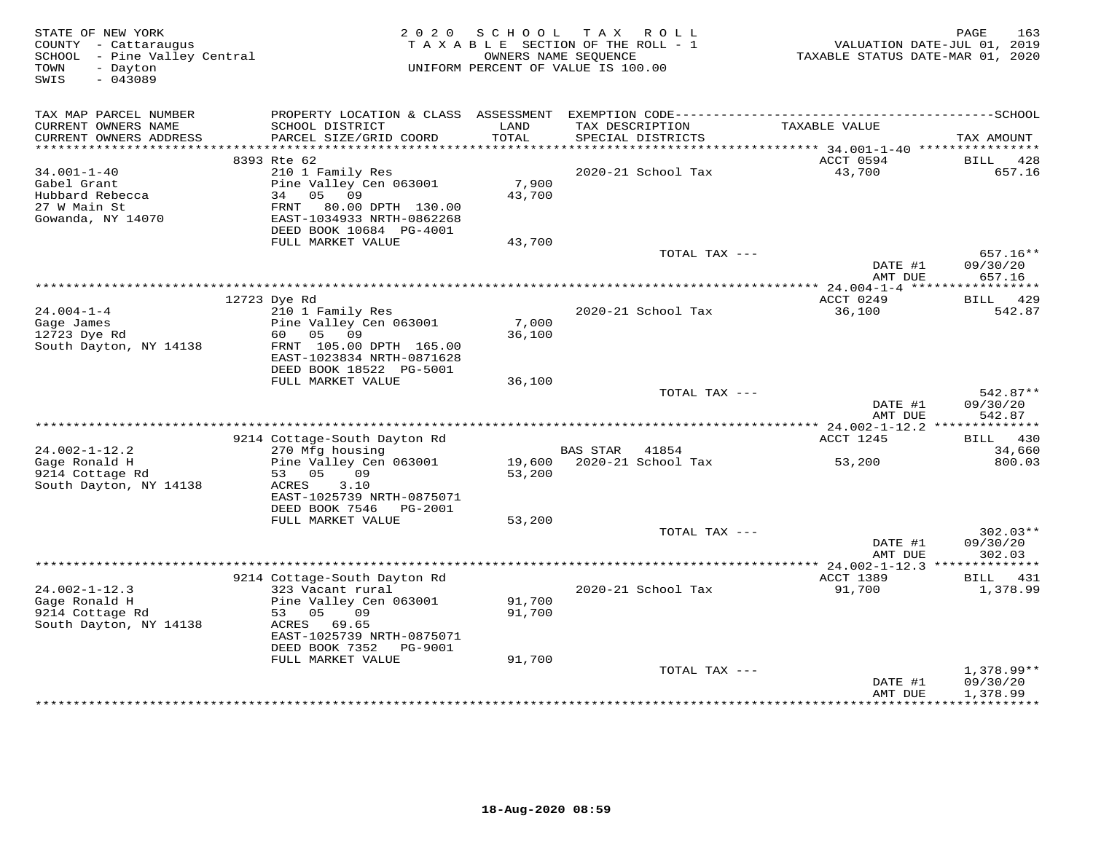| STATE OF NEW YORK<br>COUNTY - Cattaraugus<br>SCHOOL - Pine Valley Central<br>TOWN<br>- Dayton<br>$-043089$<br>SWIS | 2 0 2 0                                                                                                                 | SCHOOL          | T A X<br>ROLL<br>TAXABLE SECTION OF THE ROLL - 1<br>OWNERS NAME SEOUENCE<br>UNIFORM PERCENT OF VALUE IS 100.00 | VALUATION DATE-JUL 01, 2019<br>TAXABLE STATUS DATE-MAR 01, 2020 | 163<br>PAGE                    |
|--------------------------------------------------------------------------------------------------------------------|-------------------------------------------------------------------------------------------------------------------------|-----------------|----------------------------------------------------------------------------------------------------------------|-----------------------------------------------------------------|--------------------------------|
| TAX MAP PARCEL NUMBER<br>CURRENT OWNERS NAME<br>CURRENT OWNERS ADDRESS                                             | SCHOOL DISTRICT<br>PARCEL SIZE/GRID COORD                                                                               | LAND<br>TOTAL   | TAX DESCRIPTION<br>SPECIAL DISTRICTS                                                                           | TAXABLE VALUE                                                   | TAX AMOUNT                     |
| ***********************                                                                                            |                                                                                                                         |                 |                                                                                                                |                                                                 |                                |
| $34.001 - 1 - 40$                                                                                                  | 8393 Rte 62<br>210 1 Family Res                                                                                         |                 | 2020-21 School Tax                                                                                             | ACCT 0594<br>43,700                                             | BILL<br>428<br>657.16          |
| Gabel Grant<br>Hubbard Rebecca<br>27 W Main St<br>Gowanda, NY 14070                                                | Pine Valley Cen 063001<br>34 05 09<br>80.00 DPTH 130.00<br>FRNT<br>EAST-1034933 NRTH-0862268<br>DEED BOOK 10684 PG-4001 | 7,900<br>43,700 |                                                                                                                |                                                                 |                                |
|                                                                                                                    | FULL MARKET VALUE                                                                                                       | 43,700          |                                                                                                                |                                                                 |                                |
|                                                                                                                    |                                                                                                                         |                 | TOTAL TAX ---                                                                                                  | DATE #1                                                         | 657.16**<br>09/30/20           |
|                                                                                                                    |                                                                                                                         |                 |                                                                                                                | AMT DUE                                                         | 657.16                         |
|                                                                                                                    | 12723 Dye Rd                                                                                                            |                 |                                                                                                                | ACCT 0249                                                       | <b>BILL</b><br>429             |
| $24.004 - 1 - 4$<br>Gage James<br>12723 Dye Rd<br>South Dayton, NY 14138                                           | 210 1 Family Res<br>Pine Valley Cen 063001<br>60<br>05<br>09<br>FRNT 105.00 DPTH 165.00                                 | 7,000<br>36,100 | 2020-21 School Tax                                                                                             | 36,100                                                          | 542.87                         |
|                                                                                                                    | EAST-1023834 NRTH-0871628<br>DEED BOOK 18522 PG-5001                                                                    |                 |                                                                                                                |                                                                 |                                |
|                                                                                                                    | FULL MARKET VALUE                                                                                                       | 36,100          |                                                                                                                |                                                                 |                                |
|                                                                                                                    |                                                                                                                         |                 | TOTAL TAX ---                                                                                                  | DATE #1<br>AMT DUE                                              | 542.87**<br>09/30/20<br>542.87 |
|                                                                                                                    |                                                                                                                         |                 |                                                                                                                |                                                                 |                                |
| $24.002 - 1 - 12.2$                                                                                                | 9214 Cottage-South Dayton Rd                                                                                            |                 | BAS STAR 41854                                                                                                 | ACCT 1245                                                       | <b>BILL</b> 430<br>34,660      |
| Gage Ronald H<br>9214 Cottage Rd                                                                                   | 270 Mfg housing<br>Pine Valley Cen 063001<br>09<br>53 05                                                                | 53,200          | 19,600 2020-21 School Tax                                                                                      | 53,200                                                          | 800.03                         |
| South Dayton, NY 14138                                                                                             | ACRES<br>3.10<br>EAST-1025739 NRTH-0875071                                                                              |                 |                                                                                                                |                                                                 |                                |
|                                                                                                                    | DEED BOOK 7546<br>PG-2001                                                                                               |                 |                                                                                                                |                                                                 |                                |
|                                                                                                                    | FULL MARKET VALUE                                                                                                       | 53,200          | TOTAL TAX ---                                                                                                  |                                                                 | $302.03**$                     |
|                                                                                                                    |                                                                                                                         |                 |                                                                                                                | DATE #1<br>AMT DUE                                              | 09/30/20<br>302.03             |
|                                                                                                                    |                                                                                                                         |                 |                                                                                                                |                                                                 |                                |
|                                                                                                                    | 9214 Cottage-South Dayton Rd                                                                                            |                 |                                                                                                                | ACCT 1389                                                       | <b>BILL</b><br>431             |
| $24.002 - 1 - 12.3$<br>Gage Ronald H                                                                               | 323 Vacant rural<br>Pine Valley Cen 063001                                                                              | 91,700          | 2020-21 School Tax                                                                                             | 91,700                                                          | 1,378.99                       |
| 9214 Cottage Rd<br>South Dayton, NY 14138                                                                          | 53 05<br>09<br>ACRES 69.65<br>EAST-1025739 NRTH-0875071<br>DEED BOOK 7352<br>PG-9001                                    | 91,700          |                                                                                                                |                                                                 |                                |
|                                                                                                                    | FULL MARKET VALUE                                                                                                       | 91,700          |                                                                                                                |                                                                 |                                |
|                                                                                                                    |                                                                                                                         |                 | TOTAL TAX ---                                                                                                  |                                                                 | 1,378.99**                     |
|                                                                                                                    |                                                                                                                         |                 |                                                                                                                | DATE #1<br>AMT DUE                                              | 09/30/20<br>1,378.99           |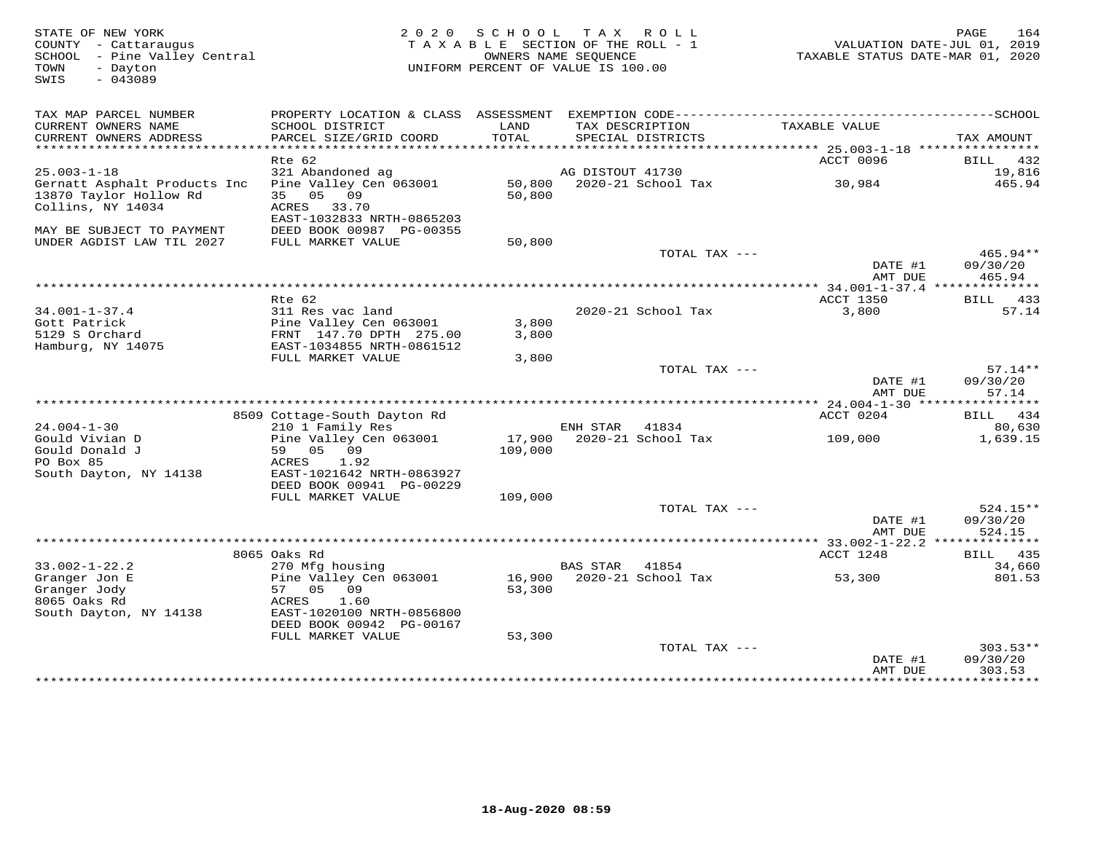| STATE OF NEW YORK<br>COUNTY - Cattaraugus<br>SCHOOL - Pine Valley Central<br>- Dayton<br>TOWN<br>$-043089$<br>SWIS | 2 0 2 0                                                                    | SCHOOL            | TAX ROLL<br>TAXABLE SECTION OF THE ROLL - 1<br>OWNERS NAME SEQUENCE<br>UNIFORM PERCENT OF VALUE IS 100.00 |                    | 164<br>PAGE<br>VALUATION DATE-JUL 01, 2019<br>TAXABLE STATUS DATE-MAR 01, 2020 |
|--------------------------------------------------------------------------------------------------------------------|----------------------------------------------------------------------------|-------------------|-----------------------------------------------------------------------------------------------------------|--------------------|--------------------------------------------------------------------------------|
| TAX MAP PARCEL NUMBER<br>CURRENT OWNERS NAME                                                                       | SCHOOL DISTRICT                                                            | LAND              | TAX DESCRIPTION                                                                                           | TAXABLE VALUE      |                                                                                |
| CURRENT OWNERS ADDRESS                                                                                             | PARCEL SIZE/GRID COORD                                                     | TOTAL             | SPECIAL DISTRICTS                                                                                         |                    | TAX AMOUNT                                                                     |
|                                                                                                                    |                                                                            |                   |                                                                                                           |                    |                                                                                |
|                                                                                                                    | Rte 62                                                                     |                   |                                                                                                           | ACCT 0096          | BILL 432                                                                       |
| $25.003 - 1 - 18$                                                                                                  | 321 Abandoned ag<br>Pine Valley Cen 063001                                 |                   | AG DISTOUT 41730<br>50,800 2020-21 School Tax                                                             | 30,984             | 19,816<br>465.94                                                               |
| Gernatt Asphalt Products Inc<br>13870 Taylor Hollow Rd<br>Collins, NY 14034                                        | 35 05 09<br>ACRES 33.70                                                    | 50,800            |                                                                                                           |                    |                                                                                |
| MAY BE SUBJECT TO PAYMENT<br>UNDER AGDIST LAW TIL 2027                                                             | EAST-1032833 NRTH-0865203<br>DEED BOOK 00987 PG-00355<br>FULL MARKET VALUE | 50,800            |                                                                                                           |                    |                                                                                |
|                                                                                                                    |                                                                            |                   |                                                                                                           | TOTAL TAX ---      | 465.94**                                                                       |
|                                                                                                                    |                                                                            |                   |                                                                                                           | DATE #1<br>AMT DUE | 09/30/20<br>465.94                                                             |
|                                                                                                                    |                                                                            |                   |                                                                                                           |                    |                                                                                |
|                                                                                                                    | $Rte$ 62                                                                   |                   | 2020-21 School Tax                                                                                        | ACCT 1350<br>3,800 | BILL 433<br>57.14                                                              |
| $34.001 - 1 - 37.4$<br>Gott Patrick                                                                                | 311 Res vac land<br>Pine Valley Cen 063001                                 | 3,800             |                                                                                                           |                    |                                                                                |
| 5129 S Orchard                                                                                                     | FRNT 147.70 DPTH 275.00                                                    | 3,800             |                                                                                                           |                    |                                                                                |
| Hamburg, NY 14075                                                                                                  | EAST-1034855 NRTH-0861512                                                  |                   |                                                                                                           |                    |                                                                                |
|                                                                                                                    | FULL MARKET VALUE                                                          | 3,800             |                                                                                                           |                    |                                                                                |
|                                                                                                                    |                                                                            |                   | TOTAL TAX ---                                                                                             | DATE #1<br>AMT DUE | $57.14**$<br>09/30/20<br>57.14                                                 |
|                                                                                                                    |                                                                            |                   |                                                                                                           |                    |                                                                                |
|                                                                                                                    | 8509 Cottage-South Dayton Rd                                               |                   |                                                                                                           | ACCT 0204          | BILL 434                                                                       |
| $24.004 - 1 - 30$                                                                                                  | 210 1 Family Res                                                           |                   | ENH STAR<br>41834                                                                                         |                    | 80,630                                                                         |
| Gould Vivian D<br>Gould Donald J<br>PO Box 85                                                                      | Pine Valley Cen 063001<br>59 05 09<br>ACRES<br>1.92                        | 17,900<br>109,000 | 2020-21 School Tax                                                                                        | 109,000            | 1,639.15                                                                       |
| South Dayton, NY 14138                                                                                             | EAST-1021642 NRTH-0863927<br>DEED BOOK 00941 PG-00229                      |                   |                                                                                                           |                    |                                                                                |
|                                                                                                                    | FULL MARKET VALUE                                                          | 109,000           | TOTAL TAX ---                                                                                             |                    | 524.15**                                                                       |
|                                                                                                                    |                                                                            |                   |                                                                                                           | DATE #1<br>AMT DUE | 09/30/20<br>524.15                                                             |
|                                                                                                                    |                                                                            |                   |                                                                                                           |                    |                                                                                |
|                                                                                                                    | 8065 Oaks Rd                                                               |                   |                                                                                                           | ACCT 1248          | BILL 435                                                                       |
| $33.002 - 1 - 22.2$<br>Granger Jon E                                                                               | 270 Mfg housing<br>Pine Valley Cen 063001                                  |                   | <b>BAS STAR</b><br>41854<br>16,900 2020-21 School Tax                                                     | 53,300             | 34,660<br>801.53                                                               |
| Granger Jody<br>8065 Oaks Rd                                                                                       | 57 05<br>09<br>1.60<br>ACRES                                               | 53,300            |                                                                                                           |                    |                                                                                |
| South Dayton, NY 14138                                                                                             | EAST-1020100 NRTH-0856800<br>DEED BOOK 00942 PG-00167<br>FULL MARKET VALUE | 53,300            |                                                                                                           |                    |                                                                                |
|                                                                                                                    |                                                                            |                   | TOTAL TAX ---                                                                                             |                    | $303.53**$                                                                     |
|                                                                                                                    |                                                                            |                   |                                                                                                           | DATE #1            | 09/30/20                                                                       |
|                                                                                                                    |                                                                            |                   |                                                                                                           | AMT DUE            | 303.53                                                                         |
|                                                                                                                    |                                                                            |                   |                                                                                                           |                    | ***********                                                                    |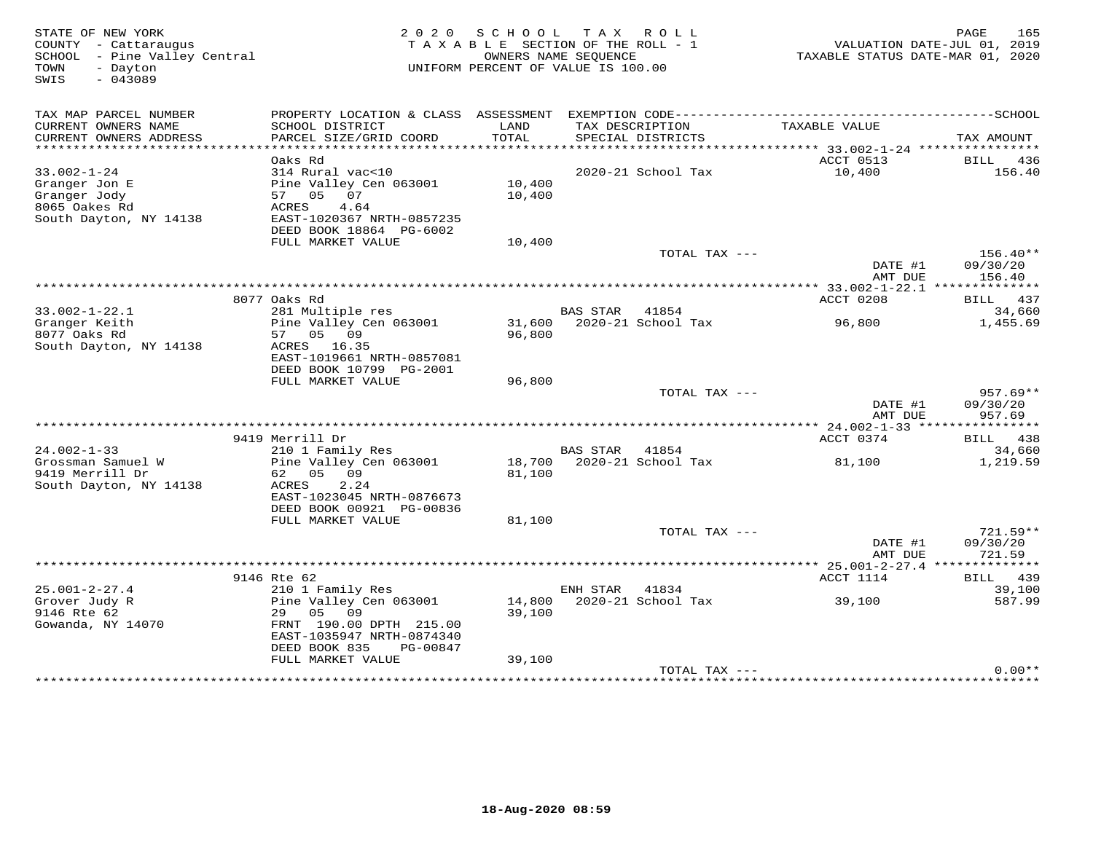| STATE OF NEW YORK<br>COUNTY - Cattaraugus<br>- Pine Valley Central<br>SCHOOL<br>TOWN<br>- Dayton<br>$-043089$<br>SWIS | 2 0 2 0                                              | SCHOOL<br>TAXABLE SECTION OF THE ROLL - 1<br>UNIFORM PERCENT OF VALUE IS 100.00 | T A X<br>OWNERS NAME SEOUENCE | R O L L            | TAXABLE STATUS DATE-MAR 01, 2020 | 165<br>PAGE<br>VALUATION DATE-JUL 01, 2019 |
|-----------------------------------------------------------------------------------------------------------------------|------------------------------------------------------|---------------------------------------------------------------------------------|-------------------------------|--------------------|----------------------------------|--------------------------------------------|
| TAX MAP PARCEL NUMBER                                                                                                 | PROPERTY LOCATION & CLASS ASSESSMENT                 |                                                                                 |                               |                    |                                  |                                            |
| CURRENT OWNERS NAME<br>CURRENT OWNERS ADDRESS                                                                         | SCHOOL DISTRICT<br>PARCEL SIZE/GRID COORD            | LAND<br>TOTAL                                                                   | TAX DESCRIPTION               | SPECIAL DISTRICTS  | TAXABLE VALUE                    | TAX AMOUNT                                 |
| ***********************                                                                                               |                                                      |                                                                                 |                               |                    |                                  |                                            |
|                                                                                                                       | Oaks Rd                                              |                                                                                 |                               |                    | ACCT 0513                        | BILL 436                                   |
| $33.002 - 1 - 24$                                                                                                     | 314 Rural vac<10                                     |                                                                                 |                               | 2020-21 School Tax | 10,400                           | 156.40                                     |
| Granger Jon E                                                                                                         | Pine Valley Cen 063001                               | 10,400                                                                          |                               |                    |                                  |                                            |
| Granger Jody<br>8065 Oakes Rd                                                                                         | 07<br>57 05<br>4.64<br>ACRES                         | 10,400                                                                          |                               |                    |                                  |                                            |
| South Dayton, NY 14138                                                                                                | EAST-1020367 NRTH-0857235                            |                                                                                 |                               |                    |                                  |                                            |
|                                                                                                                       | DEED BOOK 18864 PG-6002                              |                                                                                 |                               |                    |                                  |                                            |
|                                                                                                                       | FULL MARKET VALUE                                    | 10,400                                                                          |                               |                    |                                  |                                            |
|                                                                                                                       |                                                      |                                                                                 |                               | TOTAL TAX ---      |                                  | $156.40**$                                 |
|                                                                                                                       |                                                      |                                                                                 |                               |                    | DATE #1                          | 09/30/20                                   |
|                                                                                                                       |                                                      |                                                                                 |                               |                    | AMT DUE                          | 156.40                                     |
|                                                                                                                       | 8077 Oaks Rd                                         |                                                                                 |                               |                    | ACCT 0208                        | 437<br>BILL                                |
| $33.002 - 1 - 22.1$                                                                                                   | 281 Multiple res                                     |                                                                                 | <b>BAS STAR</b>               | 41854              |                                  | 34,660                                     |
| Granger Keith                                                                                                         | Pine Valley Cen 063001                               | 31,600                                                                          |                               | 2020-21 School Tax | 96,800                           | 1,455.69                                   |
| 8077 Oaks Rd                                                                                                          | 57<br>05<br>09                                       | 96,800                                                                          |                               |                    |                                  |                                            |
| South Dayton, NY 14138                                                                                                | ACRES 16.35                                          |                                                                                 |                               |                    |                                  |                                            |
|                                                                                                                       | EAST-1019661 NRTH-0857081<br>DEED BOOK 10799 PG-2001 |                                                                                 |                               |                    |                                  |                                            |
|                                                                                                                       | FULL MARKET VALUE                                    | 96,800                                                                          |                               |                    |                                  |                                            |
|                                                                                                                       |                                                      |                                                                                 |                               | TOTAL TAX ---      |                                  | $957.69**$                                 |
|                                                                                                                       |                                                      |                                                                                 |                               |                    | DATE #1                          | 09/30/20                                   |
|                                                                                                                       |                                                      |                                                                                 |                               |                    | AMT DUE                          | 957.69                                     |
|                                                                                                                       |                                                      |                                                                                 |                               |                    | *********** 24.002-1-33 ****     |                                            |
| $24.002 - 1 - 33$                                                                                                     | 9419 Merrill Dr<br>210 1 Family Res                  |                                                                                 | <b>BAS STAR</b>               | 41854              | ACCT 0374                        | 438<br><b>BILL</b><br>34,660               |
| Grossman Samuel W                                                                                                     | Pine Valley Cen 063001                               | 18,700                                                                          |                               | 2020-21 School Tax | 81,100                           | 1,219.59                                   |
| 9419 Merrill Dr                                                                                                       | 62<br>05<br>09                                       | 81,100                                                                          |                               |                    |                                  |                                            |
| South Dayton, NY 14138                                                                                                | ACRES<br>2.24                                        |                                                                                 |                               |                    |                                  |                                            |
|                                                                                                                       | EAST-1023045 NRTH-0876673                            |                                                                                 |                               |                    |                                  |                                            |
|                                                                                                                       | DEED BOOK 00921 PG-00836                             |                                                                                 |                               |                    |                                  |                                            |
|                                                                                                                       | FULL MARKET VALUE                                    | 81,100                                                                          |                               | TOTAL TAX ---      |                                  | $721.59**$                                 |
|                                                                                                                       |                                                      |                                                                                 |                               |                    | DATE #1                          | 09/30/20                                   |
|                                                                                                                       |                                                      |                                                                                 |                               |                    | AMT DUE                          | 721.59                                     |
|                                                                                                                       |                                                      |                                                                                 |                               |                    |                                  |                                            |
|                                                                                                                       | 9146 Rte 62                                          |                                                                                 |                               |                    | ACCT 1114                        | BILL 439                                   |
| $25.001 - 2 - 27.4$                                                                                                   | 210 1 Family Res                                     |                                                                                 | ENH STAR                      | 41834              |                                  | 39,100                                     |
| Grover Judy R<br>9146 Rte 62                                                                                          | Pine Valley Cen 063001<br>05<br>09<br>29             | 14,800<br>39,100                                                                |                               | 2020-21 School Tax | 39,100                           | 587.99                                     |
| Gowanda, NY 14070                                                                                                     | FRNT 190.00 DPTH 215.00                              |                                                                                 |                               |                    |                                  |                                            |
|                                                                                                                       | EAST-1035947 NRTH-0874340                            |                                                                                 |                               |                    |                                  |                                            |
|                                                                                                                       | DEED BOOK 835<br>PG-00847                            |                                                                                 |                               |                    |                                  |                                            |
|                                                                                                                       | FULL MARKET VALUE                                    | 39,100                                                                          |                               |                    |                                  |                                            |
|                                                                                                                       |                                                      |                                                                                 |                               | TOTAL TAX ---      |                                  | $0.00**$                                   |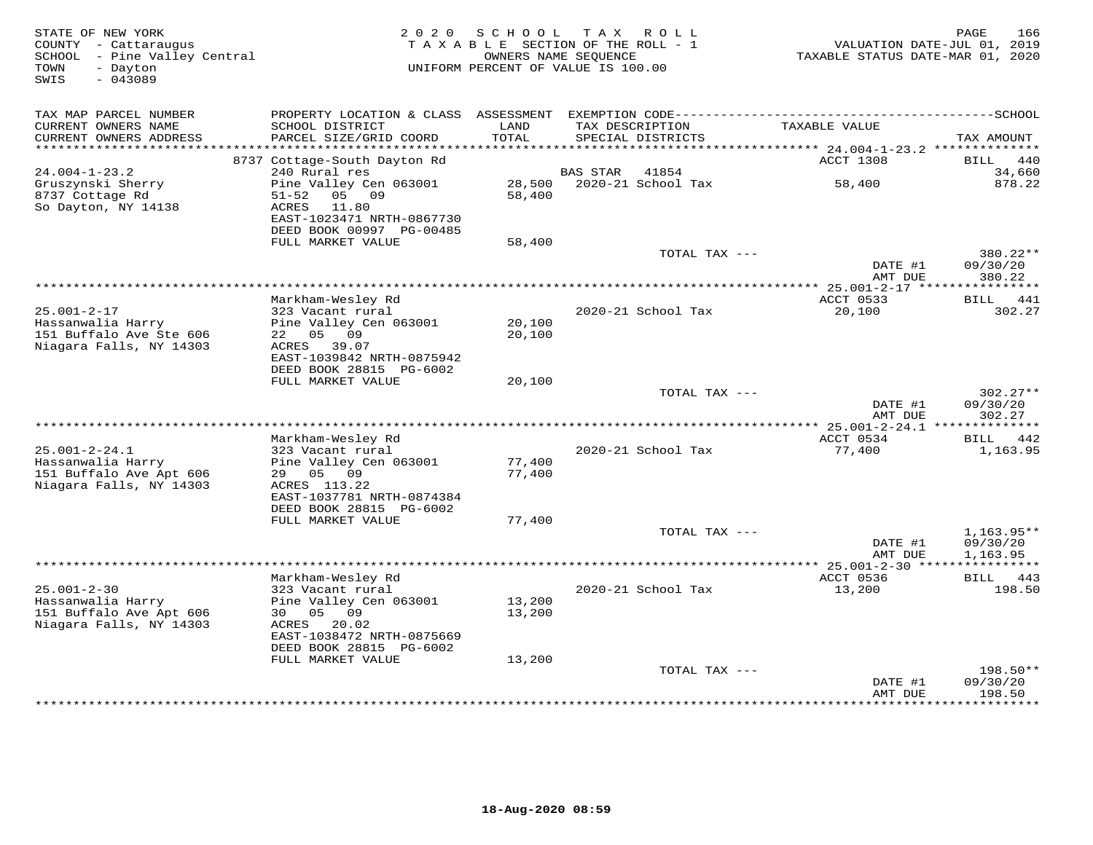| TAX MAP PARCEL NUMBER<br>PROPERTY LOCATION & CLASS<br>TAXABLE VALUE<br>CURRENT OWNERS NAME<br>SCHOOL DISTRICT<br>LAND<br>TAX DESCRIPTION<br>TOTAL<br>CURRENT OWNERS ADDRESS<br>PARCEL SIZE/GRID COORD<br>SPECIAL DISTRICTS<br>TAX AMOUNT<br>**********************<br>*********************<br>8737 Cottage-South Dayton Rd<br>ACCT 1308<br><b>BILL</b><br>440<br>$24.004 - 1 - 23.2$<br>240 Rural res<br><b>BAS STAR</b><br>41854<br>34,660<br>Gruszynski Sherry<br>Pine Valley Cen 063001<br>28,500<br>2020-21 School Tax<br>58,400<br>878.22<br>8737 Cottage Rd<br>09<br>58,400<br>$51 - 52$<br>05<br>So Dayton, NY 14138<br><b>ACRES</b><br>11.80<br>EAST-1023471 NRTH-0867730<br>DEED BOOK 00997 PG-00485<br>FULL MARKET VALUE<br>58,400<br>TOTAL TAX ---<br>380.22**<br>DATE #1<br>09/30/20<br>AMT DUE<br>380.22<br>*******************<br>**********************<br>$*$ 25.001-2-17 ***<br>**********<br>Markham-Wesley Rd<br>ACCT 0533<br>BILL 441<br>$25.001 - 2 - 17$<br>323 Vacant rural<br>2020-21 School Tax<br>20,100<br>302.27<br>Hassanwalia Harry<br>Pine Valley Cen 063001<br>20,100<br>151 Buffalo Ave Ste 606<br>22 05 09<br>20,100<br>Niagara Falls, NY 14303<br>ACRES 39.07<br>EAST-1039842 NRTH-0875942<br>DEED BOOK 28815 PG-6002<br>FULL MARKET VALUE<br>20,100<br>TOTAL TAX ---<br>$302.27**$<br>DATE #1<br>09/30/20<br>AMT DUE<br>302.27<br>ACCT 0534<br>Markham-Wesley Rd<br>BILL 442<br>$25.001 - 2 - 24.1$<br>323 Vacant rural<br>2020-21 School Tax<br>77,400<br>1,163.95<br>Hassanwalia Harry<br>Pine Valley Cen 063001<br>77,400<br>151 Buffalo Ave Apt 606<br>2.9<br>05<br>09<br>77,400<br>Niagara Falls, NY 14303<br>ACRES 113.22<br>EAST-1037781 NRTH-0874384<br>DEED BOOK 28815 PG-6002<br>FULL MARKET VALUE<br>77,400<br>TOTAL TAX ---<br>$1,163.95**$<br>DATE #1<br>09/30/20<br>AMT DUE<br>1,163.95<br>ACCT 0536<br>Markham-Wesley Rd<br>443<br><b>BILL</b><br>$25.001 - 2 - 30$<br>323 Vacant rural<br>2020-21 School Tax<br>13,200<br>198.50<br>Hassanwalia Harry<br>Pine Valley Cen 063001<br>13,200<br>151 Buffalo Ave Apt 606<br>30<br>05<br>09<br>13,200<br>Niagara Falls, NY 14303<br>20.02<br>ACRES<br>EAST-1038472 NRTH-0875669<br>DEED BOOK 28815 PG-6002<br>FULL MARKET VALUE<br>13,200<br>TOTAL TAX ---<br>$198.50**$<br>DATE #1<br>09/30/20<br>198.50<br>AMT DUE | STATE OF NEW YORK<br>COUNTY - Cattaraugus<br>SCHOOL - Pine Valley Central<br>- Dayton<br>TOWN<br>$-043089$<br>SWIS | 2 0 2 0 | SCHOOL<br>TAXABLE SECTION OF THE ROLL - 1<br>OWNERS NAME SEQUENCE<br>UNIFORM PERCENT OF VALUE IS 100.00 | T A X | R O L L | TAXABLE STATUS DATE-MAR 01, 2020 | 166<br>PAGE<br>VALUATION DATE-JUL 01, 2019 |
|----------------------------------------------------------------------------------------------------------------------------------------------------------------------------------------------------------------------------------------------------------------------------------------------------------------------------------------------------------------------------------------------------------------------------------------------------------------------------------------------------------------------------------------------------------------------------------------------------------------------------------------------------------------------------------------------------------------------------------------------------------------------------------------------------------------------------------------------------------------------------------------------------------------------------------------------------------------------------------------------------------------------------------------------------------------------------------------------------------------------------------------------------------------------------------------------------------------------------------------------------------------------------------------------------------------------------------------------------------------------------------------------------------------------------------------------------------------------------------------------------------------------------------------------------------------------------------------------------------------------------------------------------------------------------------------------------------------------------------------------------------------------------------------------------------------------------------------------------------------------------------------------------------------------------------------------------------------------------------------------------------------------------------------------------------------------------------------------------------------------------------------------------------------------------------------------------------------------------------------------------------------------------------------------------------------------|--------------------------------------------------------------------------------------------------------------------|---------|---------------------------------------------------------------------------------------------------------|-------|---------|----------------------------------|--------------------------------------------|
|                                                                                                                                                                                                                                                                                                                                                                                                                                                                                                                                                                                                                                                                                                                                                                                                                                                                                                                                                                                                                                                                                                                                                                                                                                                                                                                                                                                                                                                                                                                                                                                                                                                                                                                                                                                                                                                                                                                                                                                                                                                                                                                                                                                                                                                                                                                      |                                                                                                                    |         |                                                                                                         |       |         |                                  |                                            |
|                                                                                                                                                                                                                                                                                                                                                                                                                                                                                                                                                                                                                                                                                                                                                                                                                                                                                                                                                                                                                                                                                                                                                                                                                                                                                                                                                                                                                                                                                                                                                                                                                                                                                                                                                                                                                                                                                                                                                                                                                                                                                                                                                                                                                                                                                                                      |                                                                                                                    |         |                                                                                                         |       |         |                                  |                                            |
|                                                                                                                                                                                                                                                                                                                                                                                                                                                                                                                                                                                                                                                                                                                                                                                                                                                                                                                                                                                                                                                                                                                                                                                                                                                                                                                                                                                                                                                                                                                                                                                                                                                                                                                                                                                                                                                                                                                                                                                                                                                                                                                                                                                                                                                                                                                      |                                                                                                                    |         |                                                                                                         |       |         |                                  |                                            |
|                                                                                                                                                                                                                                                                                                                                                                                                                                                                                                                                                                                                                                                                                                                                                                                                                                                                                                                                                                                                                                                                                                                                                                                                                                                                                                                                                                                                                                                                                                                                                                                                                                                                                                                                                                                                                                                                                                                                                                                                                                                                                                                                                                                                                                                                                                                      |                                                                                                                    |         |                                                                                                         |       |         |                                  |                                            |
|                                                                                                                                                                                                                                                                                                                                                                                                                                                                                                                                                                                                                                                                                                                                                                                                                                                                                                                                                                                                                                                                                                                                                                                                                                                                                                                                                                                                                                                                                                                                                                                                                                                                                                                                                                                                                                                                                                                                                                                                                                                                                                                                                                                                                                                                                                                      |                                                                                                                    |         |                                                                                                         |       |         |                                  |                                            |
|                                                                                                                                                                                                                                                                                                                                                                                                                                                                                                                                                                                                                                                                                                                                                                                                                                                                                                                                                                                                                                                                                                                                                                                                                                                                                                                                                                                                                                                                                                                                                                                                                                                                                                                                                                                                                                                                                                                                                                                                                                                                                                                                                                                                                                                                                                                      |                                                                                                                    |         |                                                                                                         |       |         |                                  |                                            |
|                                                                                                                                                                                                                                                                                                                                                                                                                                                                                                                                                                                                                                                                                                                                                                                                                                                                                                                                                                                                                                                                                                                                                                                                                                                                                                                                                                                                                                                                                                                                                                                                                                                                                                                                                                                                                                                                                                                                                                                                                                                                                                                                                                                                                                                                                                                      |                                                                                                                    |         |                                                                                                         |       |         |                                  |                                            |
|                                                                                                                                                                                                                                                                                                                                                                                                                                                                                                                                                                                                                                                                                                                                                                                                                                                                                                                                                                                                                                                                                                                                                                                                                                                                                                                                                                                                                                                                                                                                                                                                                                                                                                                                                                                                                                                                                                                                                                                                                                                                                                                                                                                                                                                                                                                      |                                                                                                                    |         |                                                                                                         |       |         |                                  |                                            |
|                                                                                                                                                                                                                                                                                                                                                                                                                                                                                                                                                                                                                                                                                                                                                                                                                                                                                                                                                                                                                                                                                                                                                                                                                                                                                                                                                                                                                                                                                                                                                                                                                                                                                                                                                                                                                                                                                                                                                                                                                                                                                                                                                                                                                                                                                                                      |                                                                                                                    |         |                                                                                                         |       |         |                                  |                                            |
|                                                                                                                                                                                                                                                                                                                                                                                                                                                                                                                                                                                                                                                                                                                                                                                                                                                                                                                                                                                                                                                                                                                                                                                                                                                                                                                                                                                                                                                                                                                                                                                                                                                                                                                                                                                                                                                                                                                                                                                                                                                                                                                                                                                                                                                                                                                      |                                                                                                                    |         |                                                                                                         |       |         |                                  |                                            |
|                                                                                                                                                                                                                                                                                                                                                                                                                                                                                                                                                                                                                                                                                                                                                                                                                                                                                                                                                                                                                                                                                                                                                                                                                                                                                                                                                                                                                                                                                                                                                                                                                                                                                                                                                                                                                                                                                                                                                                                                                                                                                                                                                                                                                                                                                                                      |                                                                                                                    |         |                                                                                                         |       |         |                                  |                                            |
|                                                                                                                                                                                                                                                                                                                                                                                                                                                                                                                                                                                                                                                                                                                                                                                                                                                                                                                                                                                                                                                                                                                                                                                                                                                                                                                                                                                                                                                                                                                                                                                                                                                                                                                                                                                                                                                                                                                                                                                                                                                                                                                                                                                                                                                                                                                      |                                                                                                                    |         |                                                                                                         |       |         |                                  |                                            |
|                                                                                                                                                                                                                                                                                                                                                                                                                                                                                                                                                                                                                                                                                                                                                                                                                                                                                                                                                                                                                                                                                                                                                                                                                                                                                                                                                                                                                                                                                                                                                                                                                                                                                                                                                                                                                                                                                                                                                                                                                                                                                                                                                                                                                                                                                                                      |                                                                                                                    |         |                                                                                                         |       |         |                                  |                                            |
|                                                                                                                                                                                                                                                                                                                                                                                                                                                                                                                                                                                                                                                                                                                                                                                                                                                                                                                                                                                                                                                                                                                                                                                                                                                                                                                                                                                                                                                                                                                                                                                                                                                                                                                                                                                                                                                                                                                                                                                                                                                                                                                                                                                                                                                                                                                      |                                                                                                                    |         |                                                                                                         |       |         |                                  |                                            |
|                                                                                                                                                                                                                                                                                                                                                                                                                                                                                                                                                                                                                                                                                                                                                                                                                                                                                                                                                                                                                                                                                                                                                                                                                                                                                                                                                                                                                                                                                                                                                                                                                                                                                                                                                                                                                                                                                                                                                                                                                                                                                                                                                                                                                                                                                                                      |                                                                                                                    |         |                                                                                                         |       |         |                                  |                                            |
|                                                                                                                                                                                                                                                                                                                                                                                                                                                                                                                                                                                                                                                                                                                                                                                                                                                                                                                                                                                                                                                                                                                                                                                                                                                                                                                                                                                                                                                                                                                                                                                                                                                                                                                                                                                                                                                                                                                                                                                                                                                                                                                                                                                                                                                                                                                      |                                                                                                                    |         |                                                                                                         |       |         |                                  |                                            |
|                                                                                                                                                                                                                                                                                                                                                                                                                                                                                                                                                                                                                                                                                                                                                                                                                                                                                                                                                                                                                                                                                                                                                                                                                                                                                                                                                                                                                                                                                                                                                                                                                                                                                                                                                                                                                                                                                                                                                                                                                                                                                                                                                                                                                                                                                                                      |                                                                                                                    |         |                                                                                                         |       |         |                                  |                                            |
|                                                                                                                                                                                                                                                                                                                                                                                                                                                                                                                                                                                                                                                                                                                                                                                                                                                                                                                                                                                                                                                                                                                                                                                                                                                                                                                                                                                                                                                                                                                                                                                                                                                                                                                                                                                                                                                                                                                                                                                                                                                                                                                                                                                                                                                                                                                      |                                                                                                                    |         |                                                                                                         |       |         |                                  |                                            |
|                                                                                                                                                                                                                                                                                                                                                                                                                                                                                                                                                                                                                                                                                                                                                                                                                                                                                                                                                                                                                                                                                                                                                                                                                                                                                                                                                                                                                                                                                                                                                                                                                                                                                                                                                                                                                                                                                                                                                                                                                                                                                                                                                                                                                                                                                                                      |                                                                                                                    |         |                                                                                                         |       |         |                                  |                                            |
|                                                                                                                                                                                                                                                                                                                                                                                                                                                                                                                                                                                                                                                                                                                                                                                                                                                                                                                                                                                                                                                                                                                                                                                                                                                                                                                                                                                                                                                                                                                                                                                                                                                                                                                                                                                                                                                                                                                                                                                                                                                                                                                                                                                                                                                                                                                      |                                                                                                                    |         |                                                                                                         |       |         |                                  |                                            |
|                                                                                                                                                                                                                                                                                                                                                                                                                                                                                                                                                                                                                                                                                                                                                                                                                                                                                                                                                                                                                                                                                                                                                                                                                                                                                                                                                                                                                                                                                                                                                                                                                                                                                                                                                                                                                                                                                                                                                                                                                                                                                                                                                                                                                                                                                                                      |                                                                                                                    |         |                                                                                                         |       |         |                                  |                                            |
|                                                                                                                                                                                                                                                                                                                                                                                                                                                                                                                                                                                                                                                                                                                                                                                                                                                                                                                                                                                                                                                                                                                                                                                                                                                                                                                                                                                                                                                                                                                                                                                                                                                                                                                                                                                                                                                                                                                                                                                                                                                                                                                                                                                                                                                                                                                      |                                                                                                                    |         |                                                                                                         |       |         |                                  |                                            |
|                                                                                                                                                                                                                                                                                                                                                                                                                                                                                                                                                                                                                                                                                                                                                                                                                                                                                                                                                                                                                                                                                                                                                                                                                                                                                                                                                                                                                                                                                                                                                                                                                                                                                                                                                                                                                                                                                                                                                                                                                                                                                                                                                                                                                                                                                                                      |                                                                                                                    |         |                                                                                                         |       |         |                                  |                                            |
|                                                                                                                                                                                                                                                                                                                                                                                                                                                                                                                                                                                                                                                                                                                                                                                                                                                                                                                                                                                                                                                                                                                                                                                                                                                                                                                                                                                                                                                                                                                                                                                                                                                                                                                                                                                                                                                                                                                                                                                                                                                                                                                                                                                                                                                                                                                      |                                                                                                                    |         |                                                                                                         |       |         |                                  |                                            |
|                                                                                                                                                                                                                                                                                                                                                                                                                                                                                                                                                                                                                                                                                                                                                                                                                                                                                                                                                                                                                                                                                                                                                                                                                                                                                                                                                                                                                                                                                                                                                                                                                                                                                                                                                                                                                                                                                                                                                                                                                                                                                                                                                                                                                                                                                                                      |                                                                                                                    |         |                                                                                                         |       |         |                                  |                                            |
|                                                                                                                                                                                                                                                                                                                                                                                                                                                                                                                                                                                                                                                                                                                                                                                                                                                                                                                                                                                                                                                                                                                                                                                                                                                                                                                                                                                                                                                                                                                                                                                                                                                                                                                                                                                                                                                                                                                                                                                                                                                                                                                                                                                                                                                                                                                      |                                                                                                                    |         |                                                                                                         |       |         |                                  |                                            |
|                                                                                                                                                                                                                                                                                                                                                                                                                                                                                                                                                                                                                                                                                                                                                                                                                                                                                                                                                                                                                                                                                                                                                                                                                                                                                                                                                                                                                                                                                                                                                                                                                                                                                                                                                                                                                                                                                                                                                                                                                                                                                                                                                                                                                                                                                                                      |                                                                                                                    |         |                                                                                                         |       |         |                                  |                                            |
|                                                                                                                                                                                                                                                                                                                                                                                                                                                                                                                                                                                                                                                                                                                                                                                                                                                                                                                                                                                                                                                                                                                                                                                                                                                                                                                                                                                                                                                                                                                                                                                                                                                                                                                                                                                                                                                                                                                                                                                                                                                                                                                                                                                                                                                                                                                      |                                                                                                                    |         |                                                                                                         |       |         |                                  |                                            |
|                                                                                                                                                                                                                                                                                                                                                                                                                                                                                                                                                                                                                                                                                                                                                                                                                                                                                                                                                                                                                                                                                                                                                                                                                                                                                                                                                                                                                                                                                                                                                                                                                                                                                                                                                                                                                                                                                                                                                                                                                                                                                                                                                                                                                                                                                                                      |                                                                                                                    |         |                                                                                                         |       |         |                                  |                                            |
|                                                                                                                                                                                                                                                                                                                                                                                                                                                                                                                                                                                                                                                                                                                                                                                                                                                                                                                                                                                                                                                                                                                                                                                                                                                                                                                                                                                                                                                                                                                                                                                                                                                                                                                                                                                                                                                                                                                                                                                                                                                                                                                                                                                                                                                                                                                      |                                                                                                                    |         |                                                                                                         |       |         |                                  |                                            |
|                                                                                                                                                                                                                                                                                                                                                                                                                                                                                                                                                                                                                                                                                                                                                                                                                                                                                                                                                                                                                                                                                                                                                                                                                                                                                                                                                                                                                                                                                                                                                                                                                                                                                                                                                                                                                                                                                                                                                                                                                                                                                                                                                                                                                                                                                                                      |                                                                                                                    |         |                                                                                                         |       |         |                                  |                                            |
|                                                                                                                                                                                                                                                                                                                                                                                                                                                                                                                                                                                                                                                                                                                                                                                                                                                                                                                                                                                                                                                                                                                                                                                                                                                                                                                                                                                                                                                                                                                                                                                                                                                                                                                                                                                                                                                                                                                                                                                                                                                                                                                                                                                                                                                                                                                      |                                                                                                                    |         |                                                                                                         |       |         |                                  |                                            |
|                                                                                                                                                                                                                                                                                                                                                                                                                                                                                                                                                                                                                                                                                                                                                                                                                                                                                                                                                                                                                                                                                                                                                                                                                                                                                                                                                                                                                                                                                                                                                                                                                                                                                                                                                                                                                                                                                                                                                                                                                                                                                                                                                                                                                                                                                                                      |                                                                                                                    |         |                                                                                                         |       |         |                                  |                                            |
|                                                                                                                                                                                                                                                                                                                                                                                                                                                                                                                                                                                                                                                                                                                                                                                                                                                                                                                                                                                                                                                                                                                                                                                                                                                                                                                                                                                                                                                                                                                                                                                                                                                                                                                                                                                                                                                                                                                                                                                                                                                                                                                                                                                                                                                                                                                      |                                                                                                                    |         |                                                                                                         |       |         |                                  |                                            |
|                                                                                                                                                                                                                                                                                                                                                                                                                                                                                                                                                                                                                                                                                                                                                                                                                                                                                                                                                                                                                                                                                                                                                                                                                                                                                                                                                                                                                                                                                                                                                                                                                                                                                                                                                                                                                                                                                                                                                                                                                                                                                                                                                                                                                                                                                                                      |                                                                                                                    |         |                                                                                                         |       |         |                                  |                                            |
|                                                                                                                                                                                                                                                                                                                                                                                                                                                                                                                                                                                                                                                                                                                                                                                                                                                                                                                                                                                                                                                                                                                                                                                                                                                                                                                                                                                                                                                                                                                                                                                                                                                                                                                                                                                                                                                                                                                                                                                                                                                                                                                                                                                                                                                                                                                      |                                                                                                                    |         |                                                                                                         |       |         |                                  |                                            |
|                                                                                                                                                                                                                                                                                                                                                                                                                                                                                                                                                                                                                                                                                                                                                                                                                                                                                                                                                                                                                                                                                                                                                                                                                                                                                                                                                                                                                                                                                                                                                                                                                                                                                                                                                                                                                                                                                                                                                                                                                                                                                                                                                                                                                                                                                                                      |                                                                                                                    |         |                                                                                                         |       |         |                                  |                                            |
|                                                                                                                                                                                                                                                                                                                                                                                                                                                                                                                                                                                                                                                                                                                                                                                                                                                                                                                                                                                                                                                                                                                                                                                                                                                                                                                                                                                                                                                                                                                                                                                                                                                                                                                                                                                                                                                                                                                                                                                                                                                                                                                                                                                                                                                                                                                      |                                                                                                                    |         |                                                                                                         |       |         |                                  | *********                                  |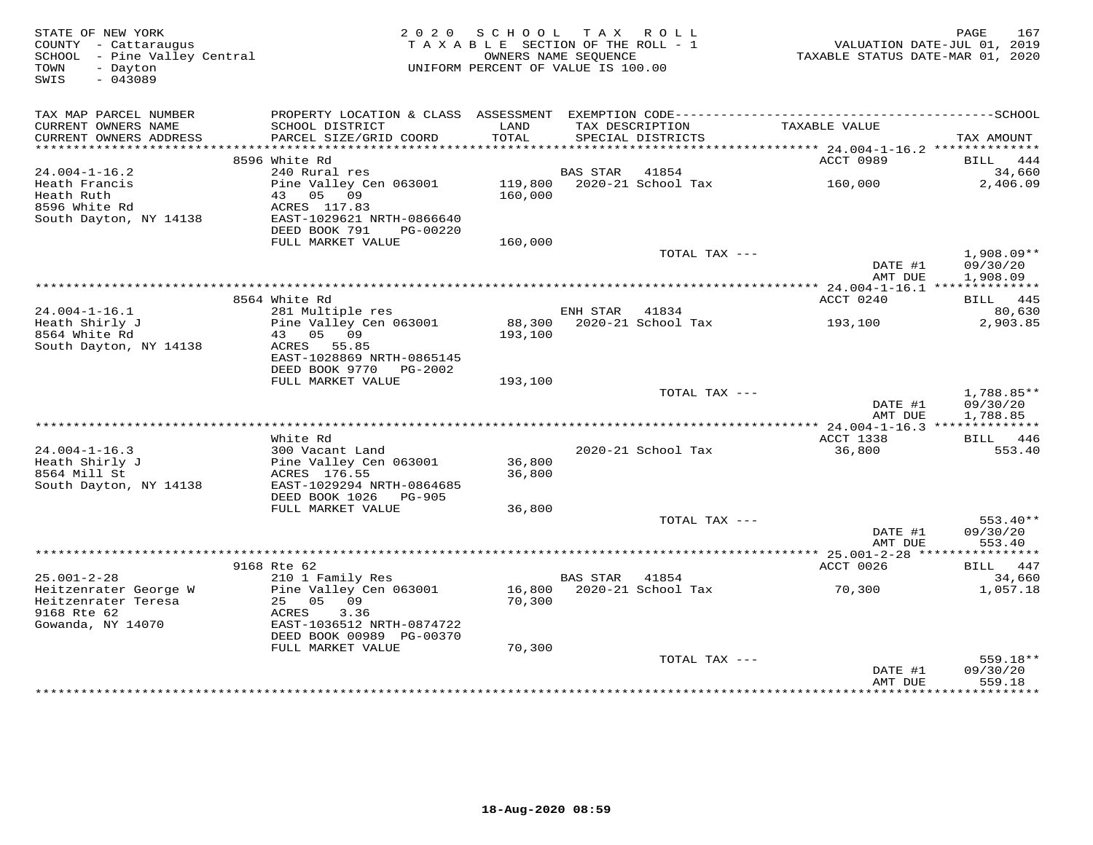| STATE OF NEW YORK<br>COUNTY - Cattaraugus<br>SCHOOL - Pine Valley Central<br>TOWN<br>- Dayton<br>$-043089$<br>SWIS |                                                | 2020 SCHOOL TAX ROLL<br>TAXABLE SECTION OF THE ROLL - 1<br>OWNERS NAME SEOUENCE<br>UNIFORM PERCENT OF VALUE IS 100.00 |                 |                            | PAGE<br>167<br>VALUATION DATE-JUL 01, 2019<br>TAXABLE STATUS DATE-MAR 01, 2020 |                       |  |
|--------------------------------------------------------------------------------------------------------------------|------------------------------------------------|-----------------------------------------------------------------------------------------------------------------------|-----------------|----------------------------|--------------------------------------------------------------------------------|-----------------------|--|
| TAX MAP PARCEL NUMBER<br>CURRENT OWNERS NAME                                                                       | SCHOOL DISTRICT                                | LAND                                                                                                                  |                 | TAX DESCRIPTION            | TAXABLE VALUE                                                                  |                       |  |
| CURRENT OWNERS ADDRESS                                                                                             | PARCEL SIZE/GRID COORD                         | TOTAL                                                                                                                 |                 | SPECIAL DISTRICTS          |                                                                                | TAX AMOUNT            |  |
|                                                                                                                    |                                                |                                                                                                                       |                 |                            |                                                                                |                       |  |
| $24.004 - 1 - 16.2$                                                                                                | 8596 White Rd<br>240 Rural res                 |                                                                                                                       | <b>BAS STAR</b> | 41854                      | ACCT 0989                                                                      | 444<br>BILL<br>34,660 |  |
| Heath Francis                                                                                                      | Pine Valley Cen 063001                         |                                                                                                                       |                 | 119,800 2020-21 School Tax | 160,000                                                                        | 2,406.09              |  |
| Heath Ruth                                                                                                         | 43 05 09                                       | 160,000                                                                                                               |                 |                            |                                                                                |                       |  |
| 8596 White Rd                                                                                                      | ACRES 117.83                                   |                                                                                                                       |                 |                            |                                                                                |                       |  |
| South Dayton, NY 14138                                                                                             | EAST-1029621 NRTH-0866640                      |                                                                                                                       |                 |                            |                                                                                |                       |  |
|                                                                                                                    | DEED BOOK 791<br>PG-00220<br>FULL MARKET VALUE | 160,000                                                                                                               |                 |                            |                                                                                |                       |  |
|                                                                                                                    |                                                |                                                                                                                       |                 | TOTAL TAX ---              |                                                                                | 1,908.09**            |  |
|                                                                                                                    |                                                |                                                                                                                       |                 |                            | DATE #1                                                                        | 09/30/20              |  |
|                                                                                                                    |                                                |                                                                                                                       |                 |                            | AMT DUE                                                                        | 1,908.09              |  |
|                                                                                                                    |                                                |                                                                                                                       |                 |                            | ****************** 24.004-1-16.1 **************                                |                       |  |
| $24.004 - 1 - 16.1$                                                                                                | 8564 White Rd<br>281 Multiple res              |                                                                                                                       | ENH STAR        | 41834                      | ACCT 0240                                                                      | BILL 445<br>80,630    |  |
| Heath Shirly J                                                                                                     | Pine Valley Cen 063001                         |                                                                                                                       |                 | 88,300 2020-21 School Tax  | 193,100                                                                        | 2,903.85              |  |
| 8564 White Rd                                                                                                      | 43 05 09                                       | 193,100                                                                                                               |                 |                            |                                                                                |                       |  |
| South Dayton, NY 14138                                                                                             | ACRES 55.85                                    |                                                                                                                       |                 |                            |                                                                                |                       |  |
|                                                                                                                    | EAST-1028869 NRTH-0865145                      |                                                                                                                       |                 |                            |                                                                                |                       |  |
|                                                                                                                    | DEED BOOK 9770 PG-2002<br>FULL MARKET VALUE    |                                                                                                                       |                 |                            |                                                                                |                       |  |
|                                                                                                                    |                                                | 193,100                                                                                                               |                 | TOTAL TAX ---              |                                                                                | $1,788.85**$          |  |
|                                                                                                                    |                                                |                                                                                                                       |                 |                            | DATE #1                                                                        | 09/30/20              |  |
|                                                                                                                    |                                                |                                                                                                                       |                 |                            | AMT DUE                                                                        | 1,788.85              |  |
|                                                                                                                    |                                                |                                                                                                                       |                 |                            |                                                                                |                       |  |
| $24.004 - 1 - 16.3$                                                                                                | White Rd<br>300 Vacant Land                    |                                                                                                                       |                 | 2020-21 School Tax         | ACCT 1338<br>36,800                                                            | BILL 446<br>553.40    |  |
| Heath Shirly J                                                                                                     | Pine Valley Cen 063001                         | 36,800                                                                                                                |                 |                            |                                                                                |                       |  |
| 8564 Mill St                                                                                                       | ACRES 176.55                                   | 36,800                                                                                                                |                 |                            |                                                                                |                       |  |
| South Dayton, NY 14138                                                                                             | EAST-1029294 NRTH-0864685                      |                                                                                                                       |                 |                            |                                                                                |                       |  |
|                                                                                                                    | DEED BOOK 1026 PG-905                          |                                                                                                                       |                 |                            |                                                                                |                       |  |
|                                                                                                                    | FULL MARKET VALUE                              | 36,800                                                                                                                |                 |                            |                                                                                |                       |  |
|                                                                                                                    |                                                |                                                                                                                       |                 | TOTAL TAX ---              | DATE #1                                                                        | 553.40**<br>09/30/20  |  |
|                                                                                                                    |                                                |                                                                                                                       |                 |                            | AMT DUE                                                                        | 553.40                |  |
|                                                                                                                    |                                                |                                                                                                                       |                 |                            |                                                                                |                       |  |
|                                                                                                                    | 9168 Rte 62                                    |                                                                                                                       |                 |                            | ACCT 0026                                                                      | BILL 447              |  |
| $25.001 - 2 - 28$                                                                                                  | 210 1 Family Res                               |                                                                                                                       | BAS STAR 41854  |                            |                                                                                | 34,660                |  |
| Heitzenrater George W<br>Heitzenrater Teresa                                                                       | Pine Valley Cen 063001<br>25 05 09             | 70,300                                                                                                                |                 | 16,800 2020-21 School Tax  | 70,300                                                                         | 1,057.18              |  |
| 9168 Rte 62                                                                                                        | ACRES<br>3.36                                  |                                                                                                                       |                 |                            |                                                                                |                       |  |
| Gowanda, NY 14070                                                                                                  | EAST-1036512 NRTH-0874722                      |                                                                                                                       |                 |                            |                                                                                |                       |  |
|                                                                                                                    | DEED BOOK 00989 PG-00370                       |                                                                                                                       |                 |                            |                                                                                |                       |  |
|                                                                                                                    | FULL MARKET VALUE                              | 70,300                                                                                                                |                 |                            |                                                                                |                       |  |
|                                                                                                                    |                                                |                                                                                                                       |                 | TOTAL TAX ---              | DATE #1                                                                        | 559.18**<br>09/30/20  |  |
|                                                                                                                    |                                                |                                                                                                                       |                 |                            | AMT DUE                                                                        | 559.18                |  |
|                                                                                                                    |                                                |                                                                                                                       |                 |                            |                                                                                | **********            |  |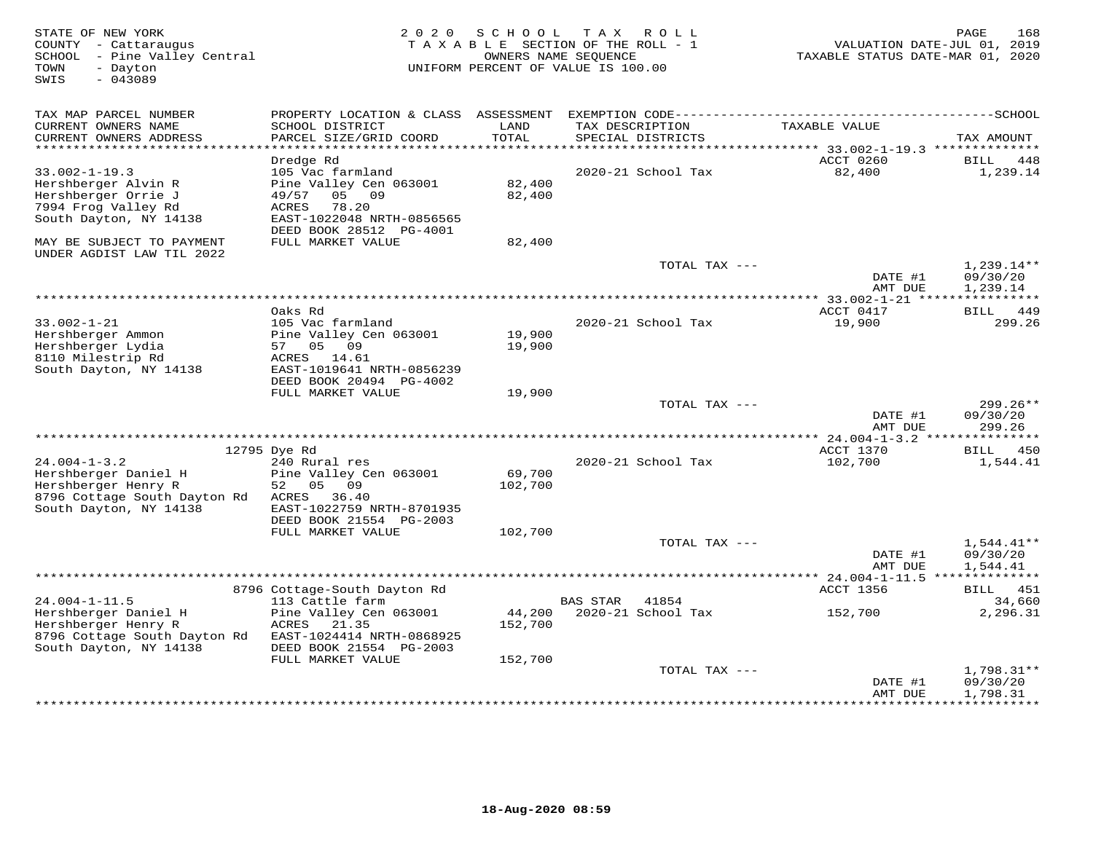| STATE OF NEW YORK<br>COUNTY - Cattaraugus<br>SCHOOL - Pine Valley Central<br>TOWN<br>- Dayton<br>$-043089$<br>SWIS | 2 0 2 0                                              | S C H O O L       | T A X<br>R O L L<br>TAXABLE SECTION OF THE ROLL - 1<br>OWNERS NAME SEQUENCE<br>UNIFORM PERCENT OF VALUE IS 100.00 | VALUATION DATE-JUL 01, 2019<br>TAXABLE STATUS DATE-MAR 01, 2020 | PAGE<br>168          |
|--------------------------------------------------------------------------------------------------------------------|------------------------------------------------------|-------------------|-------------------------------------------------------------------------------------------------------------------|-----------------------------------------------------------------|----------------------|
| TAX MAP PARCEL NUMBER                                                                                              | PROPERTY LOCATION & CLASS ASSESSMENT                 |                   |                                                                                                                   |                                                                 |                      |
| CURRENT OWNERS NAME<br>CURRENT OWNERS ADDRESS<br>*************************                                         | SCHOOL DISTRICT<br>PARCEL SIZE/GRID COORD            | LAND<br>TOTAL     | TAX DESCRIPTION<br>SPECIAL DISTRICTS                                                                              | TAXABLE VALUE                                                   | TAX AMOUNT           |
|                                                                                                                    | Dredge Rd                                            |                   |                                                                                                                   | ACCT 0260                                                       | BILL<br>448          |
| $33.002 - 1 - 19.3$                                                                                                | 105 Vac farmland                                     |                   | 2020-21 School Tax                                                                                                | 82,400                                                          | 1,239.14             |
| Hershberger Alvin R                                                                                                | Pine Valley Cen 063001                               | 82,400            |                                                                                                                   |                                                                 |                      |
| Hershberger Orrie J                                                                                                | 49/57<br>05 09                                       | 82,400            |                                                                                                                   |                                                                 |                      |
| 7994 Frog Valley Rd                                                                                                | <b>ACRES</b><br>78.20                                |                   |                                                                                                                   |                                                                 |                      |
| South Dayton, NY 14138                                                                                             | EAST-1022048 NRTH-0856565<br>DEED BOOK 28512 PG-4001 |                   |                                                                                                                   |                                                                 |                      |
| MAY BE SUBJECT TO PAYMENT                                                                                          | FULL MARKET VALUE                                    | 82,400            |                                                                                                                   |                                                                 |                      |
| UNDER AGDIST LAW TIL 2022                                                                                          |                                                      |                   | TOTAL TAX ---                                                                                                     |                                                                 | $1,239.14**$         |
|                                                                                                                    |                                                      |                   |                                                                                                                   | DATE #1<br>AMT DUE                                              | 09/30/20<br>1,239.14 |
|                                                                                                                    |                                                      |                   |                                                                                                                   |                                                                 |                      |
|                                                                                                                    | Oaks Rd                                              |                   |                                                                                                                   | ACCT 0417                                                       | BILL 449             |
| $33.002 - 1 - 21$                                                                                                  | 105 Vac farmland                                     |                   | 2020-21 School Tax                                                                                                | 19,900                                                          | 299.26               |
| Hershberger Ammon                                                                                                  | Pine Valley Cen 063001                               | 19,900            |                                                                                                                   |                                                                 |                      |
| Hershberger Lydia<br>8110 Milestrip Rd                                                                             | 57 05<br>09<br>ACRES 14.61                           | 19,900            |                                                                                                                   |                                                                 |                      |
| South Dayton, NY 14138                                                                                             | EAST-1019641 NRTH-0856239                            |                   |                                                                                                                   |                                                                 |                      |
|                                                                                                                    | DEED BOOK 20494 PG-4002                              |                   |                                                                                                                   |                                                                 |                      |
|                                                                                                                    | FULL MARKET VALUE                                    | 19,900            |                                                                                                                   |                                                                 |                      |
|                                                                                                                    |                                                      |                   | TOTAL TAX ---                                                                                                     |                                                                 | 299.26**             |
|                                                                                                                    |                                                      |                   |                                                                                                                   | DATE #1<br>AMT DUE                                              | 09/30/20<br>299.26   |
|                                                                                                                    |                                                      |                   |                                                                                                                   |                                                                 |                      |
|                                                                                                                    | 12795 Dye Rd                                         |                   |                                                                                                                   | ACCT 1370                                                       | 450<br>BILL          |
| $24.004 - 1 - 3.2$                                                                                                 | 240 Rural res                                        |                   | 2020-21 School Tax                                                                                                | 102,700                                                         | 1,544.41             |
| Hershberger Daniel H                                                                                               | Pine Valley Cen 063001                               | 69,700            |                                                                                                                   |                                                                 |                      |
| Hershberger Henry R                                                                                                | 52<br>05<br>09                                       | 102,700           |                                                                                                                   |                                                                 |                      |
| 8796 Cottage South Dayton Rd<br>South Dayton, NY 14138                                                             | 36.40<br>ACRES<br>EAST-1022759 NRTH-8701935          |                   |                                                                                                                   |                                                                 |                      |
|                                                                                                                    | DEED BOOK 21554 PG-2003                              |                   |                                                                                                                   |                                                                 |                      |
|                                                                                                                    | FULL MARKET VALUE                                    | 102,700           |                                                                                                                   |                                                                 |                      |
|                                                                                                                    |                                                      |                   | TOTAL TAX ---                                                                                                     |                                                                 | $1,544.41**$         |
|                                                                                                                    |                                                      |                   |                                                                                                                   | DATE #1<br>AMT DUE                                              | 09/30/20<br>1,544.41 |
|                                                                                                                    |                                                      |                   |                                                                                                                   |                                                                 |                      |
|                                                                                                                    | 8796 Cottage-South Dayton Rd                         |                   |                                                                                                                   | ACCT 1356                                                       | BILL 451             |
| $24.004 - 1 - 11.5$                                                                                                | 113 Cattle farm                                      |                   | BAS STAR<br>41854                                                                                                 |                                                                 | 34,660               |
| Hershberger Daniel H<br>Hershberger Henry R                                                                        | Pine Valley Cen 063001<br>ACRES<br>21.35             | 44,200<br>152,700 | 2020-21 School Tax                                                                                                | 152,700                                                         | 2,296.31             |
| 8796 Cottage South Dayton Rd                                                                                       | EAST-1024414 NRTH-0868925                            |                   |                                                                                                                   |                                                                 |                      |
| South Dayton, NY 14138                                                                                             | DEED BOOK 21554 PG-2003                              |                   |                                                                                                                   |                                                                 |                      |
|                                                                                                                    | FULL MARKET VALUE                                    | 152,700           |                                                                                                                   |                                                                 |                      |
|                                                                                                                    |                                                      |                   | TOTAL TAX ---                                                                                                     |                                                                 | 1,798.31**           |
|                                                                                                                    |                                                      |                   |                                                                                                                   | DATE #1<br>AMT DUE                                              | 09/30/20<br>1,798.31 |
|                                                                                                                    |                                                      |                   |                                                                                                                   |                                                                 |                      |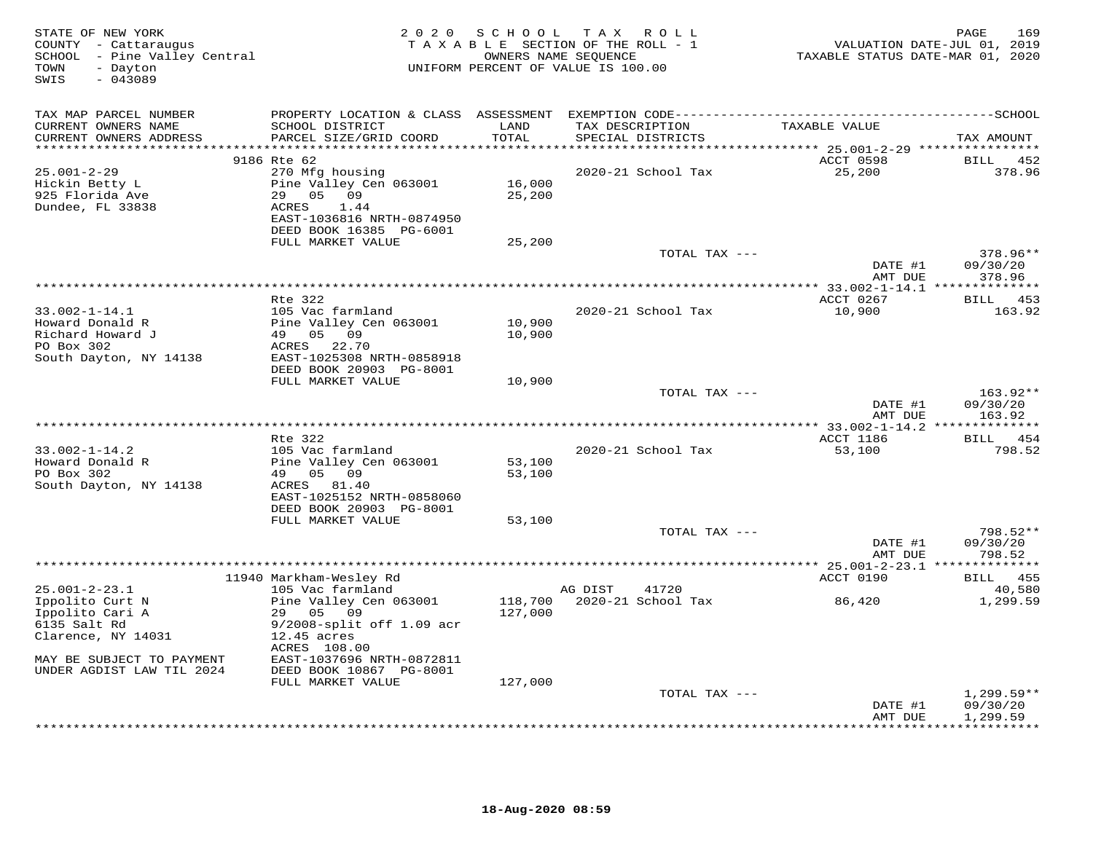| STATE OF NEW YORK<br>COUNTY - Cattaraugus<br>SCHOOL - Pine Valley Central<br>TOWN<br>- Dayton<br>$-043089$<br>SWIS | 2 0 2 0                                                                                                                                       | SCHOOL<br>TAXABLE SECTION OF THE ROLL - 1<br>UNIFORM PERCENT OF VALUE IS 100.00 | OWNERS NAME SEQUENCE     | TAX ROLL           | TAXABLE STATUS DATE-MAR 01, 2020     | 169<br>PAGE<br>VALUATION DATE-JUL 01, 2019 |
|--------------------------------------------------------------------------------------------------------------------|-----------------------------------------------------------------------------------------------------------------------------------------------|---------------------------------------------------------------------------------|--------------------------|--------------------|--------------------------------------|--------------------------------------------|
| TAX MAP PARCEL NUMBER                                                                                              |                                                                                                                                               |                                                                                 |                          |                    |                                      |                                            |
| CURRENT OWNERS NAME<br>CURRENT OWNERS ADDRESS                                                                      | SCHOOL DISTRICT<br>PARCEL SIZE/GRID COORD                                                                                                     | LAND<br>TOTAL                                                                   | TAX DESCRIPTION          | SPECIAL DISTRICTS  | TAXABLE VALUE                        | TAX AMOUNT                                 |
| **************                                                                                                     |                                                                                                                                               | ******                                                                          |                          |                    | ******* 25.001-2-29 **************** |                                            |
| $25.001 - 2 - 29$<br>Hickin Betty L<br>925 Florida Ave<br>Dundee, FL 33838                                         | 9186 Rte 62<br>270 Mfg housing<br>Pine Valley Cen 063001<br>29 05 09<br>ACRES<br>1.44<br>EAST-1036816 NRTH-0874950<br>DEED BOOK 16385 PG-6001 | 16,000<br>25,200                                                                |                          | 2020-21 School Tax | ACCT 0598<br>25,200                  | <b>BILL</b><br>452<br>378.96               |
|                                                                                                                    | FULL MARKET VALUE                                                                                                                             | 25,200                                                                          |                          |                    |                                      |                                            |
|                                                                                                                    |                                                                                                                                               |                                                                                 |                          | TOTAL TAX ---      |                                      | 378.96**                                   |
|                                                                                                                    |                                                                                                                                               |                                                                                 |                          |                    | DATE #1                              | 09/30/20                                   |
| ******************************                                                                                     |                                                                                                                                               |                                                                                 |                          |                    | AMT DUE                              | 378.96<br>* * * * * * * * *                |
|                                                                                                                    | Rte 322                                                                                                                                       |                                                                                 |                          |                    | ACCT 0267                            | 453<br>BILL                                |
| $33.002 - 1 - 14.1$<br>Howard Donald R<br>Richard Howard J<br>PO Box 302<br>South Dayton, NY 14138                 | 105 Vac farmland<br>Pine Valley Cen 063001<br>49 05 09<br>ACRES<br>22.70<br>EAST-1025308 NRTH-0858918                                         | 10,900<br>10,900                                                                |                          | 2020-21 School Tax | 10,900                               | 163.92                                     |
|                                                                                                                    | DEED BOOK 20903 PG-8001                                                                                                                       |                                                                                 |                          |                    |                                      |                                            |
|                                                                                                                    | FULL MARKET VALUE                                                                                                                             | 10,900                                                                          |                          | TOTAL TAX ---      | DATE #1                              | 163.92**<br>09/30/20                       |
|                                                                                                                    |                                                                                                                                               |                                                                                 |                          |                    | AMT DUE                              | 163.92                                     |
|                                                                                                                    |                                                                                                                                               |                                                                                 | ************************ |                    | **** 33.002-1-14.2 ****              | * * * * * * * * *                          |
|                                                                                                                    | Rte 322                                                                                                                                       |                                                                                 |                          |                    | ACCT 1186                            | BILL 454                                   |
| $33.002 - 1 - 14.2$<br>Howard Donald R<br>PO Box 302<br>South Dayton, NY 14138                                     | 105 Vac farmland<br>Pine Valley Cen 063001<br>49 05 09<br>ACRES 81.40                                                                         | 53,100<br>53,100                                                                |                          | 2020-21 School Tax | 53,100                               | 798.52                                     |
|                                                                                                                    | EAST-1025152 NRTH-0858060<br>DEED BOOK 20903 PG-8001                                                                                          |                                                                                 |                          |                    |                                      |                                            |
|                                                                                                                    | FULL MARKET VALUE                                                                                                                             | 53,100                                                                          |                          |                    |                                      |                                            |
|                                                                                                                    |                                                                                                                                               |                                                                                 |                          | TOTAL TAX ---      | DATE #1<br>AMT DUE                   | 798.52**<br>09/30/20<br>798.52             |
|                                                                                                                    |                                                                                                                                               |                                                                                 |                          |                    |                                      |                                            |
|                                                                                                                    | 11940 Markham-Wesley Rd                                                                                                                       |                                                                                 |                          |                    | ACCT 0190                            | 455<br>BILL                                |
| $25.001 - 2 - 23.1$                                                                                                | 105 Vac farmland                                                                                                                              |                                                                                 | AG DIST                  | 41720              |                                      | 40,580                                     |
| Ippolito Curt N<br>Ippolito Cari A<br>6135 Salt Rd<br>Clarence, NY 14031                                           | Pine Valley Cen 063001<br>29 05<br>09<br>9/2008-split off 1.09 acr<br>$12.45$ acres<br>ACRES 108.00                                           | 118,700<br>127,000                                                              |                          | 2020-21 School Tax | 86,420                               | 1,299.59                                   |
| MAY BE SUBJECT TO PAYMENT<br>UNDER AGDIST LAW TIL 2024                                                             | EAST-1037696 NRTH-0872811<br>DEED BOOK 10867 PG-8001                                                                                          |                                                                                 |                          |                    |                                      |                                            |
|                                                                                                                    | FULL MARKET VALUE                                                                                                                             | 127,000                                                                         |                          | TOTAL TAX ---      |                                      | $1,299.59**$                               |
|                                                                                                                    |                                                                                                                                               |                                                                                 |                          |                    | DATE #1<br>AMT DUE                   | 09/30/20<br>1,299.59                       |
|                                                                                                                    |                                                                                                                                               |                                                                                 |                          |                    |                                      | * * * * * * * * *                          |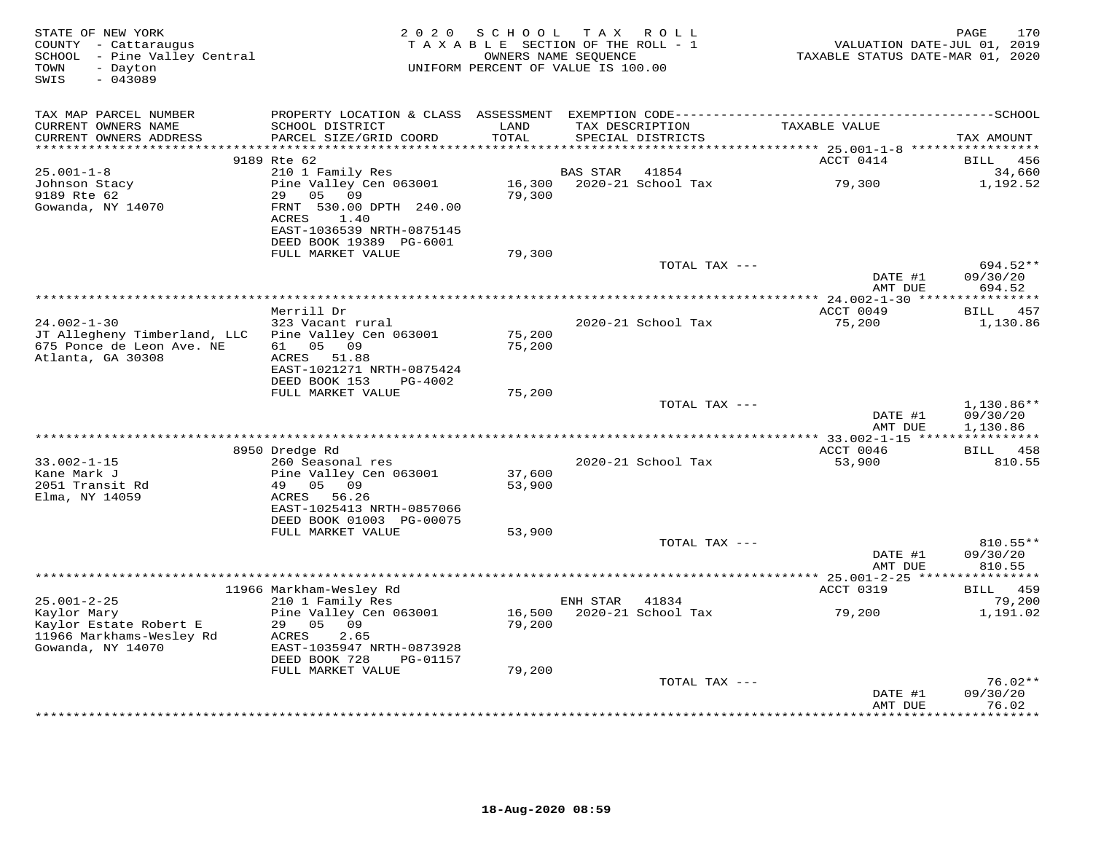| TAX MAP PARCEL NUMBER<br>TAXABLE VALUE<br>CURRENT OWNERS NAME<br>SCHOOL DISTRICT<br>LAND<br>TAX DESCRIPTION<br>PARCEL SIZE/GRID COORD<br>TOTAL<br>CURRENT OWNERS ADDRESS<br>SPECIAL DISTRICTS<br>TAX AMOUNT<br>******************<br>******<br>******* 25.001-1-8 *****************<br>9189 Rte 62<br>ACCT 0414<br><b>BILL</b><br>456<br>$25.001 - 1 - 8$<br>210 1 Family Res<br><b>BAS STAR</b><br>41854<br>34,660<br>Pine Valley Cen 063001<br>16,300<br>2020-21 School Tax<br>79,300<br>1,192.52<br>Johnson Stacy<br>9189 Rte 62<br>29<br>05 09<br>79,300<br>Gowanda, NY 14070<br>FRNT 530.00 DPTH 240.00<br>ACRES<br>1.40<br>EAST-1036539 NRTH-0875145<br>DEED BOOK 19389 PG-6001<br>79,300<br>FULL MARKET VALUE<br>694.52**<br>TOTAL TAX ---<br>DATE #1<br>09/30/20<br>AMT DUE<br>694.52<br>Merrill Dr<br>ACCT 0049<br>BILL 457<br>$24.002 - 1 - 30$<br>2020-21 School Tax<br>323 Vacant rural<br>75,200<br>1,130.86<br>JT Allegheny Timberland, LLC<br>Pine Valley Cen 063001<br>75,200<br>675 Ponce de Leon Ave. NE<br>61<br>05 09<br>75,200<br>Atlanta, GA 30308<br>51.88<br>ACRES<br>EAST-1021271 NRTH-0875424<br>DEED BOOK 153<br>PG-4002<br>FULL MARKET VALUE<br>75,200<br>TOTAL TAX ---<br>$1,130.86**$<br>DATE #1<br>09/30/20<br>AMT DUE<br>1,130.86<br>******* 33.002-1-15 *****************<br>BILL 458<br>8950 Dredge Rd<br>ACCT 0046<br>$33.002 - 1 - 15$<br>260 Seasonal res<br>2020-21 School Tax<br>53,900<br>810.55<br>Kane Mark J<br>Pine Valley Cen 063001<br>37,600<br>2051 Transit Rd<br>49 05 09<br>53,900<br>Elma, NY 14059<br>ACRES 56.26<br>EAST-1025413 NRTH-0857066<br>DEED BOOK 01003 PG-00075<br>FULL MARKET VALUE<br>53,900<br>TOTAL TAX ---<br>810.55**<br>09/30/20<br>DATE #1<br>AMT DUE<br>810.55<br>*********** 25.001-2-25 ***<br>11966 Markham-Wesley Rd<br>ACCT 0319<br>BILL 459<br>$25.001 - 2 - 25$<br>79,200<br>210 1 Family Res<br>ENH STAR<br>41834<br>Kaylor Mary<br>Pine Valley Cen 063001<br>16,500<br>2020-21 School Tax<br>79,200<br>1,191.02<br>Kaylor Estate Robert E<br>29 05<br>09<br>79,200<br>11966 Markhams-Wesley Rd<br>ACRES<br>2.65<br>Gowanda, NY 14070<br>EAST-1035947 NRTH-0873928<br>DEED BOOK 728<br>PG-01157<br>FULL MARKET VALUE<br>79,200<br>$76.02**$<br>TOTAL TAX ---<br>09/30/20<br>DATE #1<br>AMT DUE<br>76.02 | STATE OF NEW YORK<br>COUNTY - Cattaraugus<br>SCHOOL - Pine Valley Central<br>- Dayton<br>TOWN<br>SWIS<br>$-043089$ | 2 0 2 0 | SCHOOL<br>TAXABLE SECTION OF THE ROLL - 1<br>OWNERS NAME SEQUENCE<br>UNIFORM PERCENT OF VALUE IS 100.00 | T A X | R O L L | VALUATION DATE-JUL 01, 2019<br>TAXABLE STATUS DATE-MAR 01, 2020 | 170<br>PAGE     |
|-----------------------------------------------------------------------------------------------------------------------------------------------------------------------------------------------------------------------------------------------------------------------------------------------------------------------------------------------------------------------------------------------------------------------------------------------------------------------------------------------------------------------------------------------------------------------------------------------------------------------------------------------------------------------------------------------------------------------------------------------------------------------------------------------------------------------------------------------------------------------------------------------------------------------------------------------------------------------------------------------------------------------------------------------------------------------------------------------------------------------------------------------------------------------------------------------------------------------------------------------------------------------------------------------------------------------------------------------------------------------------------------------------------------------------------------------------------------------------------------------------------------------------------------------------------------------------------------------------------------------------------------------------------------------------------------------------------------------------------------------------------------------------------------------------------------------------------------------------------------------------------------------------------------------------------------------------------------------------------------------------------------------------------------------------------------------------------------------------------------------------------------------------------------------------------------------------------------------------------------------------------------------------------------|--------------------------------------------------------------------------------------------------------------------|---------|---------------------------------------------------------------------------------------------------------|-------|---------|-----------------------------------------------------------------|-----------------|
|                                                                                                                                                                                                                                                                                                                                                                                                                                                                                                                                                                                                                                                                                                                                                                                                                                                                                                                                                                                                                                                                                                                                                                                                                                                                                                                                                                                                                                                                                                                                                                                                                                                                                                                                                                                                                                                                                                                                                                                                                                                                                                                                                                                                                                                                                         |                                                                                                                    |         |                                                                                                         |       |         |                                                                 |                 |
|                                                                                                                                                                                                                                                                                                                                                                                                                                                                                                                                                                                                                                                                                                                                                                                                                                                                                                                                                                                                                                                                                                                                                                                                                                                                                                                                                                                                                                                                                                                                                                                                                                                                                                                                                                                                                                                                                                                                                                                                                                                                                                                                                                                                                                                                                         |                                                                                                                    |         |                                                                                                         |       |         |                                                                 |                 |
|                                                                                                                                                                                                                                                                                                                                                                                                                                                                                                                                                                                                                                                                                                                                                                                                                                                                                                                                                                                                                                                                                                                                                                                                                                                                                                                                                                                                                                                                                                                                                                                                                                                                                                                                                                                                                                                                                                                                                                                                                                                                                                                                                                                                                                                                                         |                                                                                                                    |         |                                                                                                         |       |         |                                                                 |                 |
|                                                                                                                                                                                                                                                                                                                                                                                                                                                                                                                                                                                                                                                                                                                                                                                                                                                                                                                                                                                                                                                                                                                                                                                                                                                                                                                                                                                                                                                                                                                                                                                                                                                                                                                                                                                                                                                                                                                                                                                                                                                                                                                                                                                                                                                                                         |                                                                                                                    |         |                                                                                                         |       |         |                                                                 |                 |
|                                                                                                                                                                                                                                                                                                                                                                                                                                                                                                                                                                                                                                                                                                                                                                                                                                                                                                                                                                                                                                                                                                                                                                                                                                                                                                                                                                                                                                                                                                                                                                                                                                                                                                                                                                                                                                                                                                                                                                                                                                                                                                                                                                                                                                                                                         |                                                                                                                    |         |                                                                                                         |       |         |                                                                 |                 |
|                                                                                                                                                                                                                                                                                                                                                                                                                                                                                                                                                                                                                                                                                                                                                                                                                                                                                                                                                                                                                                                                                                                                                                                                                                                                                                                                                                                                                                                                                                                                                                                                                                                                                                                                                                                                                                                                                                                                                                                                                                                                                                                                                                                                                                                                                         |                                                                                                                    |         |                                                                                                         |       |         |                                                                 |                 |
|                                                                                                                                                                                                                                                                                                                                                                                                                                                                                                                                                                                                                                                                                                                                                                                                                                                                                                                                                                                                                                                                                                                                                                                                                                                                                                                                                                                                                                                                                                                                                                                                                                                                                                                                                                                                                                                                                                                                                                                                                                                                                                                                                                                                                                                                                         |                                                                                                                    |         |                                                                                                         |       |         |                                                                 |                 |
|                                                                                                                                                                                                                                                                                                                                                                                                                                                                                                                                                                                                                                                                                                                                                                                                                                                                                                                                                                                                                                                                                                                                                                                                                                                                                                                                                                                                                                                                                                                                                                                                                                                                                                                                                                                                                                                                                                                                                                                                                                                                                                                                                                                                                                                                                         |                                                                                                                    |         |                                                                                                         |       |         |                                                                 |                 |
|                                                                                                                                                                                                                                                                                                                                                                                                                                                                                                                                                                                                                                                                                                                                                                                                                                                                                                                                                                                                                                                                                                                                                                                                                                                                                                                                                                                                                                                                                                                                                                                                                                                                                                                                                                                                                                                                                                                                                                                                                                                                                                                                                                                                                                                                                         |                                                                                                                    |         |                                                                                                         |       |         |                                                                 |                 |
|                                                                                                                                                                                                                                                                                                                                                                                                                                                                                                                                                                                                                                                                                                                                                                                                                                                                                                                                                                                                                                                                                                                                                                                                                                                                                                                                                                                                                                                                                                                                                                                                                                                                                                                                                                                                                                                                                                                                                                                                                                                                                                                                                                                                                                                                                         |                                                                                                                    |         |                                                                                                         |       |         |                                                                 |                 |
|                                                                                                                                                                                                                                                                                                                                                                                                                                                                                                                                                                                                                                                                                                                                                                                                                                                                                                                                                                                                                                                                                                                                                                                                                                                                                                                                                                                                                                                                                                                                                                                                                                                                                                                                                                                                                                                                                                                                                                                                                                                                                                                                                                                                                                                                                         |                                                                                                                    |         |                                                                                                         |       |         |                                                                 |                 |
|                                                                                                                                                                                                                                                                                                                                                                                                                                                                                                                                                                                                                                                                                                                                                                                                                                                                                                                                                                                                                                                                                                                                                                                                                                                                                                                                                                                                                                                                                                                                                                                                                                                                                                                                                                                                                                                                                                                                                                                                                                                                                                                                                                                                                                                                                         |                                                                                                                    |         |                                                                                                         |       |         |                                                                 |                 |
|                                                                                                                                                                                                                                                                                                                                                                                                                                                                                                                                                                                                                                                                                                                                                                                                                                                                                                                                                                                                                                                                                                                                                                                                                                                                                                                                                                                                                                                                                                                                                                                                                                                                                                                                                                                                                                                                                                                                                                                                                                                                                                                                                                                                                                                                                         |                                                                                                                    |         |                                                                                                         |       |         |                                                                 |                 |
|                                                                                                                                                                                                                                                                                                                                                                                                                                                                                                                                                                                                                                                                                                                                                                                                                                                                                                                                                                                                                                                                                                                                                                                                                                                                                                                                                                                                                                                                                                                                                                                                                                                                                                                                                                                                                                                                                                                                                                                                                                                                                                                                                                                                                                                                                         |                                                                                                                    |         |                                                                                                         |       |         |                                                                 |                 |
|                                                                                                                                                                                                                                                                                                                                                                                                                                                                                                                                                                                                                                                                                                                                                                                                                                                                                                                                                                                                                                                                                                                                                                                                                                                                                                                                                                                                                                                                                                                                                                                                                                                                                                                                                                                                                                                                                                                                                                                                                                                                                                                                                                                                                                                                                         |                                                                                                                    |         |                                                                                                         |       |         |                                                                 |                 |
|                                                                                                                                                                                                                                                                                                                                                                                                                                                                                                                                                                                                                                                                                                                                                                                                                                                                                                                                                                                                                                                                                                                                                                                                                                                                                                                                                                                                                                                                                                                                                                                                                                                                                                                                                                                                                                                                                                                                                                                                                                                                                                                                                                                                                                                                                         |                                                                                                                    |         |                                                                                                         |       |         |                                                                 |                 |
|                                                                                                                                                                                                                                                                                                                                                                                                                                                                                                                                                                                                                                                                                                                                                                                                                                                                                                                                                                                                                                                                                                                                                                                                                                                                                                                                                                                                                                                                                                                                                                                                                                                                                                                                                                                                                                                                                                                                                                                                                                                                                                                                                                                                                                                                                         |                                                                                                                    |         |                                                                                                         |       |         |                                                                 |                 |
|                                                                                                                                                                                                                                                                                                                                                                                                                                                                                                                                                                                                                                                                                                                                                                                                                                                                                                                                                                                                                                                                                                                                                                                                                                                                                                                                                                                                                                                                                                                                                                                                                                                                                                                                                                                                                                                                                                                                                                                                                                                                                                                                                                                                                                                                                         |                                                                                                                    |         |                                                                                                         |       |         |                                                                 |                 |
|                                                                                                                                                                                                                                                                                                                                                                                                                                                                                                                                                                                                                                                                                                                                                                                                                                                                                                                                                                                                                                                                                                                                                                                                                                                                                                                                                                                                                                                                                                                                                                                                                                                                                                                                                                                                                                                                                                                                                                                                                                                                                                                                                                                                                                                                                         |                                                                                                                    |         |                                                                                                         |       |         |                                                                 |                 |
|                                                                                                                                                                                                                                                                                                                                                                                                                                                                                                                                                                                                                                                                                                                                                                                                                                                                                                                                                                                                                                                                                                                                                                                                                                                                                                                                                                                                                                                                                                                                                                                                                                                                                                                                                                                                                                                                                                                                                                                                                                                                                                                                                                                                                                                                                         |                                                                                                                    |         |                                                                                                         |       |         |                                                                 |                 |
|                                                                                                                                                                                                                                                                                                                                                                                                                                                                                                                                                                                                                                                                                                                                                                                                                                                                                                                                                                                                                                                                                                                                                                                                                                                                                                                                                                                                                                                                                                                                                                                                                                                                                                                                                                                                                                                                                                                                                                                                                                                                                                                                                                                                                                                                                         |                                                                                                                    |         |                                                                                                         |       |         |                                                                 |                 |
|                                                                                                                                                                                                                                                                                                                                                                                                                                                                                                                                                                                                                                                                                                                                                                                                                                                                                                                                                                                                                                                                                                                                                                                                                                                                                                                                                                                                                                                                                                                                                                                                                                                                                                                                                                                                                                                                                                                                                                                                                                                                                                                                                                                                                                                                                         |                                                                                                                    |         |                                                                                                         |       |         |                                                                 |                 |
|                                                                                                                                                                                                                                                                                                                                                                                                                                                                                                                                                                                                                                                                                                                                                                                                                                                                                                                                                                                                                                                                                                                                                                                                                                                                                                                                                                                                                                                                                                                                                                                                                                                                                                                                                                                                                                                                                                                                                                                                                                                                                                                                                                                                                                                                                         |                                                                                                                    |         |                                                                                                         |       |         |                                                                 |                 |
|                                                                                                                                                                                                                                                                                                                                                                                                                                                                                                                                                                                                                                                                                                                                                                                                                                                                                                                                                                                                                                                                                                                                                                                                                                                                                                                                                                                                                                                                                                                                                                                                                                                                                                                                                                                                                                                                                                                                                                                                                                                                                                                                                                                                                                                                                         |                                                                                                                    |         |                                                                                                         |       |         |                                                                 |                 |
|                                                                                                                                                                                                                                                                                                                                                                                                                                                                                                                                                                                                                                                                                                                                                                                                                                                                                                                                                                                                                                                                                                                                                                                                                                                                                                                                                                                                                                                                                                                                                                                                                                                                                                                                                                                                                                                                                                                                                                                                                                                                                                                                                                                                                                                                                         |                                                                                                                    |         |                                                                                                         |       |         |                                                                 |                 |
|                                                                                                                                                                                                                                                                                                                                                                                                                                                                                                                                                                                                                                                                                                                                                                                                                                                                                                                                                                                                                                                                                                                                                                                                                                                                                                                                                                                                                                                                                                                                                                                                                                                                                                                                                                                                                                                                                                                                                                                                                                                                                                                                                                                                                                                                                         |                                                                                                                    |         |                                                                                                         |       |         |                                                                 |                 |
|                                                                                                                                                                                                                                                                                                                                                                                                                                                                                                                                                                                                                                                                                                                                                                                                                                                                                                                                                                                                                                                                                                                                                                                                                                                                                                                                                                                                                                                                                                                                                                                                                                                                                                                                                                                                                                                                                                                                                                                                                                                                                                                                                                                                                                                                                         |                                                                                                                    |         |                                                                                                         |       |         |                                                                 |                 |
|                                                                                                                                                                                                                                                                                                                                                                                                                                                                                                                                                                                                                                                                                                                                                                                                                                                                                                                                                                                                                                                                                                                                                                                                                                                                                                                                                                                                                                                                                                                                                                                                                                                                                                                                                                                                                                                                                                                                                                                                                                                                                                                                                                                                                                                                                         |                                                                                                                    |         |                                                                                                         |       |         |                                                                 |                 |
|                                                                                                                                                                                                                                                                                                                                                                                                                                                                                                                                                                                                                                                                                                                                                                                                                                                                                                                                                                                                                                                                                                                                                                                                                                                                                                                                                                                                                                                                                                                                                                                                                                                                                                                                                                                                                                                                                                                                                                                                                                                                                                                                                                                                                                                                                         |                                                                                                                    |         |                                                                                                         |       |         |                                                                 |                 |
|                                                                                                                                                                                                                                                                                                                                                                                                                                                                                                                                                                                                                                                                                                                                                                                                                                                                                                                                                                                                                                                                                                                                                                                                                                                                                                                                                                                                                                                                                                                                                                                                                                                                                                                                                                                                                                                                                                                                                                                                                                                                                                                                                                                                                                                                                         |                                                                                                                    |         |                                                                                                         |       |         |                                                                 |                 |
|                                                                                                                                                                                                                                                                                                                                                                                                                                                                                                                                                                                                                                                                                                                                                                                                                                                                                                                                                                                                                                                                                                                                                                                                                                                                                                                                                                                                                                                                                                                                                                                                                                                                                                                                                                                                                                                                                                                                                                                                                                                                                                                                                                                                                                                                                         |                                                                                                                    |         |                                                                                                         |       |         |                                                                 |                 |
|                                                                                                                                                                                                                                                                                                                                                                                                                                                                                                                                                                                                                                                                                                                                                                                                                                                                                                                                                                                                                                                                                                                                                                                                                                                                                                                                                                                                                                                                                                                                                                                                                                                                                                                                                                                                                                                                                                                                                                                                                                                                                                                                                                                                                                                                                         |                                                                                                                    |         |                                                                                                         |       |         |                                                                 |                 |
|                                                                                                                                                                                                                                                                                                                                                                                                                                                                                                                                                                                                                                                                                                                                                                                                                                                                                                                                                                                                                                                                                                                                                                                                                                                                                                                                                                                                                                                                                                                                                                                                                                                                                                                                                                                                                                                                                                                                                                                                                                                                                                                                                                                                                                                                                         |                                                                                                                    |         |                                                                                                         |       |         |                                                                 |                 |
|                                                                                                                                                                                                                                                                                                                                                                                                                                                                                                                                                                                                                                                                                                                                                                                                                                                                                                                                                                                                                                                                                                                                                                                                                                                                                                                                                                                                                                                                                                                                                                                                                                                                                                                                                                                                                                                                                                                                                                                                                                                                                                                                                                                                                                                                                         |                                                                                                                    |         |                                                                                                         |       |         |                                                                 |                 |
|                                                                                                                                                                                                                                                                                                                                                                                                                                                                                                                                                                                                                                                                                                                                                                                                                                                                                                                                                                                                                                                                                                                                                                                                                                                                                                                                                                                                                                                                                                                                                                                                                                                                                                                                                                                                                                                                                                                                                                                                                                                                                                                                                                                                                                                                                         |                                                                                                                    |         |                                                                                                         |       |         |                                                                 |                 |
|                                                                                                                                                                                                                                                                                                                                                                                                                                                                                                                                                                                                                                                                                                                                                                                                                                                                                                                                                                                                                                                                                                                                                                                                                                                                                                                                                                                                                                                                                                                                                                                                                                                                                                                                                                                                                                                                                                                                                                                                                                                                                                                                                                                                                                                                                         |                                                                                                                    |         |                                                                                                         |       |         |                                                                 |                 |
|                                                                                                                                                                                                                                                                                                                                                                                                                                                                                                                                                                                                                                                                                                                                                                                                                                                                                                                                                                                                                                                                                                                                                                                                                                                                                                                                                                                                                                                                                                                                                                                                                                                                                                                                                                                                                                                                                                                                                                                                                                                                                                                                                                                                                                                                                         |                                                                                                                    |         |                                                                                                         |       |         | *************                                                   | * * * * * * * * |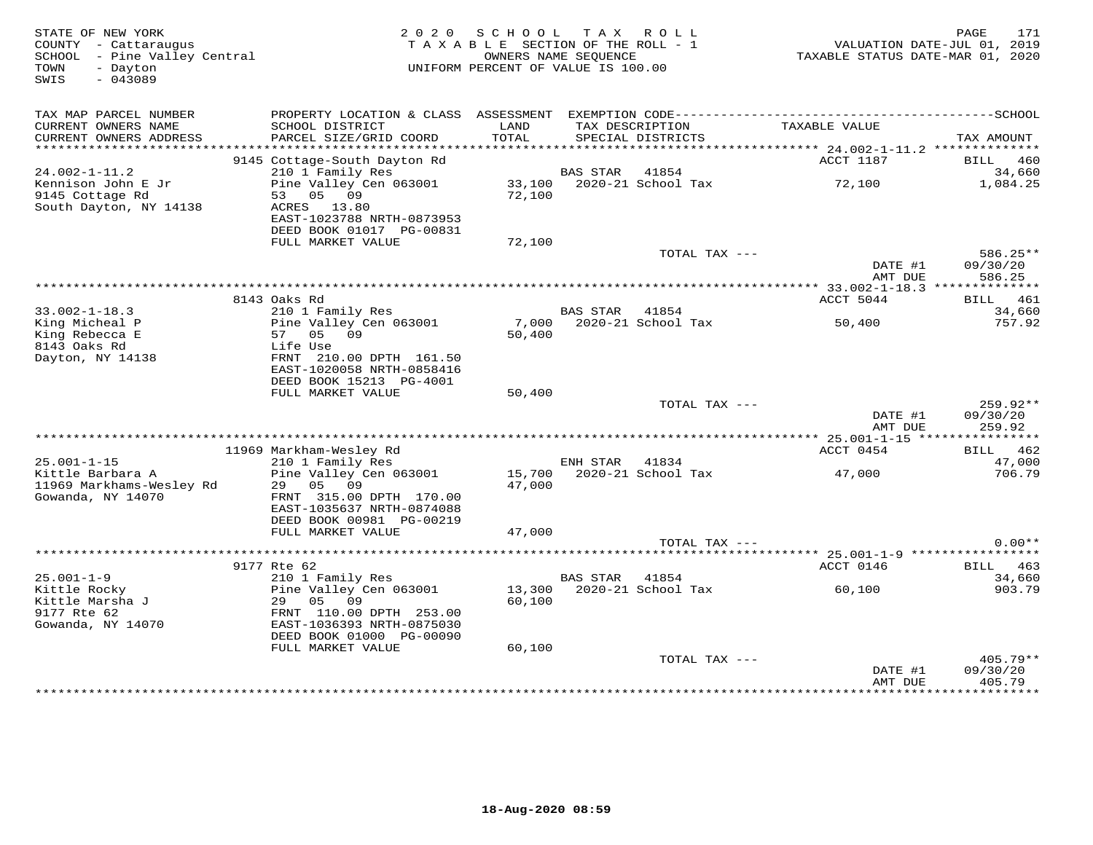| STATE OF NEW YORK<br>COUNTY - Cattaraugus<br>SCHOOL - Pine Valley Central<br>TOWN<br>- Dayton<br>SWIS<br>$-043089$ |                                                       | 2020 SCHOOL TAX ROLL<br>TAXABLE SECTION OF THE ROLL - 1<br>UNIFORM PERCENT OF VALUE IS 100.00 | OWNERS NAME SEOUENCE |                                      | VALUATION DATE-JUL 01, 2019<br>TAXABLE STATUS DATE-MAR 01, 2020 | 171<br>PAGE        |
|--------------------------------------------------------------------------------------------------------------------|-------------------------------------------------------|-----------------------------------------------------------------------------------------------|----------------------|--------------------------------------|-----------------------------------------------------------------|--------------------|
| TAX MAP PARCEL NUMBER<br>CURRENT OWNERS NAME<br>CURRENT OWNERS ADDRESS                                             | SCHOOL DISTRICT<br>PARCEL SIZE/GRID COORD             | LAND<br>TOTAL                                                                                 |                      | TAX DESCRIPTION<br>SPECIAL DISTRICTS | TAXABLE VALUE                                                   | TAX AMOUNT         |
| ***********************                                                                                            |                                                       |                                                                                               |                      |                                      |                                                                 |                    |
|                                                                                                                    | 9145 Cottage-South Dayton Rd                          |                                                                                               |                      |                                      | ACCT 1187                                                       | BILL 460           |
| $24.002 - 1 - 11.2$                                                                                                | 210 1 Family Res                                      |                                                                                               | BAS STAR             | 41854                                |                                                                 | 34,660             |
| Kennison John E Jr<br>9145 Cottage Rd<br>South Dayton, NY 14138                                                    | Pine Valley Cen 063001<br>53 05 09<br>ACRES 13.80     | 72,100                                                                                        |                      | 33,100 2020-21 School Tax            | 72,100                                                          | 1,084.25           |
|                                                                                                                    | EAST-1023788 NRTH-0873953<br>DEED BOOK 01017 PG-00831 |                                                                                               |                      |                                      |                                                                 |                    |
|                                                                                                                    | FULL MARKET VALUE                                     | 72,100                                                                                        |                      | TOTAL TAX ---                        |                                                                 | 586.25**           |
|                                                                                                                    |                                                       |                                                                                               |                      |                                      | DATE #1<br>AMT DUE                                              | 09/30/20<br>586.25 |
|                                                                                                                    |                                                       |                                                                                               |                      |                                      | ****************** 33.002-1-18.3 **************                 |                    |
|                                                                                                                    | 8143 Oaks Rd                                          |                                                                                               |                      |                                      | ACCT 5044                                                       | BILL 461           |
| $33.002 - 1 - 18.3$<br>King Micheal P                                                                              | 210 1 Family Res<br>Pine Valley Cen 063001            | 7,000                                                                                         | BAS STAR             | 41854<br>2020-21 School Tax          | 50,400                                                          | 34,660<br>757.92   |
| King Rebecca E                                                                                                     | 57 05 09                                              | 50,400                                                                                        |                      |                                      |                                                                 |                    |
| 8143 Oaks Rd                                                                                                       | Life Use                                              |                                                                                               |                      |                                      |                                                                 |                    |
| Dayton, NY 14138                                                                                                   | FRNT 210.00 DPTH 161.50                               |                                                                                               |                      |                                      |                                                                 |                    |
|                                                                                                                    | EAST-1020058 NRTH-0858416<br>DEED BOOK 15213 PG-4001  |                                                                                               |                      |                                      |                                                                 |                    |
|                                                                                                                    | FULL MARKET VALUE                                     | 50,400                                                                                        |                      |                                      |                                                                 |                    |
|                                                                                                                    |                                                       |                                                                                               |                      | TOTAL TAX ---                        |                                                                 | 259.92**           |
|                                                                                                                    |                                                       |                                                                                               |                      |                                      | DATE #1<br>AMT DUE                                              | 09/30/20<br>259.92 |
|                                                                                                                    | 11969 Markham-Wesley Rd                               |                                                                                               |                      |                                      | ACCT 0454                                                       | BILL 462           |
| $25.001 - 1 - 15$                                                                                                  | 210 1 Family Res                                      |                                                                                               | ENH STAR 41834       |                                      |                                                                 | 47,000             |
| Kittle Barbara A                                                                                                   | Pine Valley Cen 063001                                |                                                                                               |                      | 15,700 2020-21 School Tax            | 47,000                                                          | 706.79             |
| 11969 Markhams-Wesley Rd                                                                                           | 29 05 09                                              | 47,000                                                                                        |                      |                                      |                                                                 |                    |
| Gowanda, NY 14070                                                                                                  | FRNT 315.00 DPTH 170.00<br>EAST-1035637 NRTH-0874088  |                                                                                               |                      |                                      |                                                                 |                    |
|                                                                                                                    | DEED BOOK 00981 PG-00219                              |                                                                                               |                      |                                      |                                                                 |                    |
|                                                                                                                    | FULL MARKET VALUE                                     | 47,000                                                                                        |                      |                                      |                                                                 |                    |
|                                                                                                                    |                                                       |                                                                                               |                      | TOTAL TAX ---                        |                                                                 | $0.00**$           |
|                                                                                                                    | 9177 Rte 62                                           |                                                                                               |                      |                                      |                                                                 | BILL 463           |
| $25.001 - 1 - 9$                                                                                                   | 210 1 Family Res                                      |                                                                                               | BAS STAR             | 41854                                | ACCT 0146                                                       | 34,660             |
| Kittle Rocky                                                                                                       | Pine Valley Cen 063001                                |                                                                                               |                      | 13,300 2020-21 School Tax            | 60,100                                                          | 903.79             |
| Kittle Marsha J                                                                                                    | 29 05 09                                              | 60,100                                                                                        |                      |                                      |                                                                 |                    |
| 9177 Rte 62                                                                                                        | FRNT 110.00 DPTH 253.00                               |                                                                                               |                      |                                      |                                                                 |                    |
| Gowanda, NY 14070                                                                                                  | EAST-1036393 NRTH-0875030<br>DEED BOOK 01000 PG-00090 |                                                                                               |                      |                                      |                                                                 |                    |
|                                                                                                                    | FULL MARKET VALUE                                     | 60,100                                                                                        |                      |                                      |                                                                 |                    |
|                                                                                                                    |                                                       |                                                                                               |                      | TOTAL TAX ---                        |                                                                 | 405.79**           |
|                                                                                                                    |                                                       |                                                                                               |                      |                                      | DATE #1<br>AMT DUE                                              | 09/30/20<br>405.79 |
|                                                                                                                    |                                                       |                                                                                               |                      |                                      |                                                                 |                    |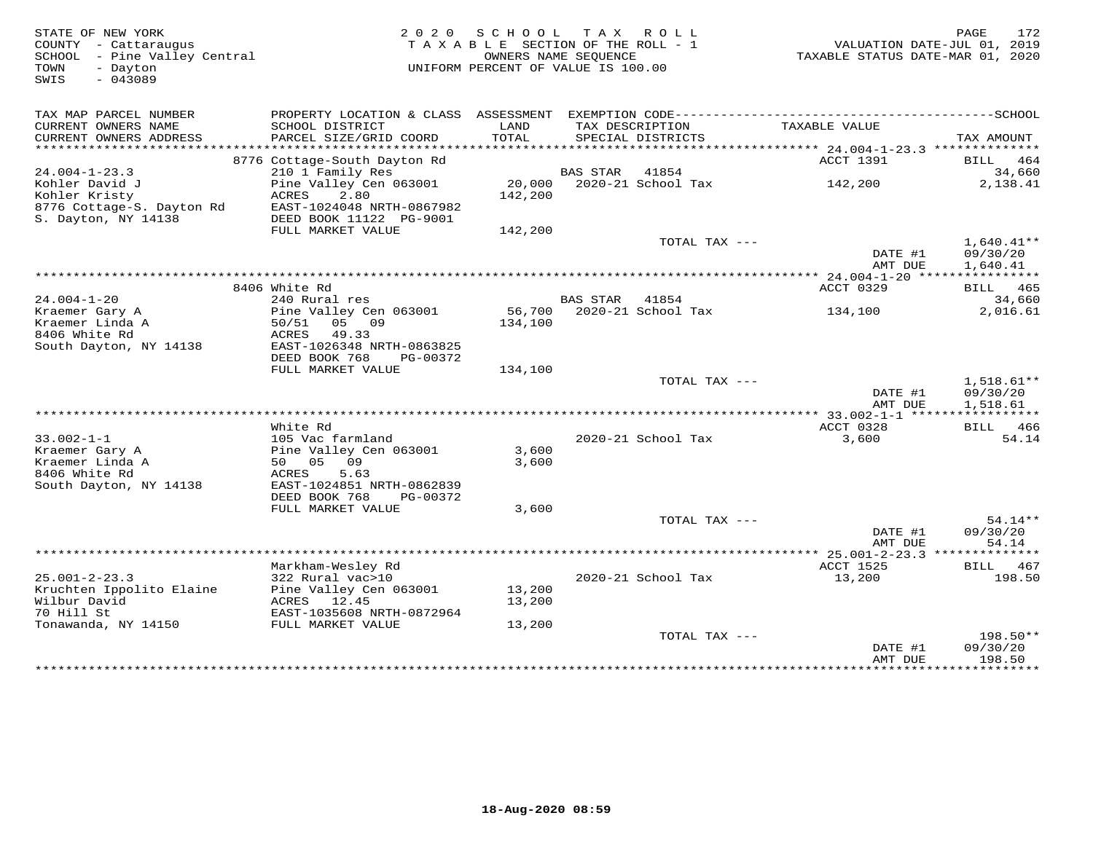| STATE OF NEW YORK<br>COUNTY - Cattaraugus<br>SCHOOL - Pine Valley Central                                                                                                                                                                    |                                                        | 2020 SCHOOL<br>TAXABLE SECTION OF THE ROLL - 1<br>OWNERS NAME SEOUENCE |                | TAX ROLL                             | VALUATION DATE-JUL 01, 2019<br>TAXABLE STATUS DATE-MAR 01, 2020 | PAGE<br>172                         |
|----------------------------------------------------------------------------------------------------------------------------------------------------------------------------------------------------------------------------------------------|--------------------------------------------------------|------------------------------------------------------------------------|----------------|--------------------------------------|-----------------------------------------------------------------|-------------------------------------|
| - Dayton<br>TOWN<br>$-043089$<br>SWIS                                                                                                                                                                                                        |                                                        | UNIFORM PERCENT OF VALUE IS 100.00                                     |                |                                      |                                                                 |                                     |
| TAX MAP PARCEL NUMBER                                                                                                                                                                                                                        |                                                        |                                                                        |                |                                      |                                                                 |                                     |
| CURRENT OWNERS NAME<br>CURRENT OWNERS ADDRESS                                                                                                                                                                                                | SCHOOL DISTRICT<br>PARCEL SIZE/GRID COORD              | LAND<br>TOTAL                                                          |                | TAX DESCRIPTION<br>SPECIAL DISTRICTS | TAXABLE VALUE                                                   |                                     |
| **********************                                                                                                                                                                                                                       |                                                        |                                                                        |                |                                      |                                                                 | TAX AMOUNT                          |
|                                                                                                                                                                                                                                              | 8776 Cottage-South Dayton Rd                           |                                                                        |                |                                      | ACCT 1391                                                       | BILL 464                            |
| $24.004 - 1 - 23.3$                                                                                                                                                                                                                          | 210 1 Family Res                                       |                                                                        | BAS STAR 41854 |                                      |                                                                 | 34,660                              |
| Kohler David J                                                                                                                                                                                                                               | Pine Valley Cen 063001                                 |                                                                        |                | 20,000 2020-21 School Tax            | 142,200                                                         | 2,138.41                            |
|                                                                                                                                                                                                                                              | ACRES<br>2.80<br>EAST-1024048 NRTH-0867982             | 142,200                                                                |                |                                      |                                                                 |                                     |
| Kohler Kristy<br>8776 Cottage-S. Dayton Rd<br>S. Dayton, NY 14138                                                                                                                                                                            | DEED BOOK 11122 PG-9001<br>FULL MARKET VALUE           | 142,200                                                                |                |                                      |                                                                 |                                     |
|                                                                                                                                                                                                                                              |                                                        |                                                                        |                | TOTAL TAX ---                        |                                                                 | $1,640.41**$                        |
|                                                                                                                                                                                                                                              |                                                        |                                                                        |                |                                      | DATE #1<br>AMT DUE                                              | 09/30/20<br>1,640.41                |
|                                                                                                                                                                                                                                              |                                                        |                                                                        |                |                                      |                                                                 |                                     |
| $24.004 - 1 - 20$                                                                                                                                                                                                                            | 8406 White Rd<br>240 Rural res                         |                                                                        | BAS STAR 41854 |                                      | ACCT 0329                                                       | BILL 465<br>34,660                  |
| Kraemer Gary A                                                                                                                                                                                                                               | Pine Valley Cen 063001                                 |                                                                        |                | 56,700 2020-21 School Tax            | 134,100                                                         | 2,016.61                            |
| Kraemer Linda A                                                                                                                                                                                                                              | $50/51$ 05 09                                          | 134,100                                                                |                |                                      |                                                                 |                                     |
| 8406 White Rd                                                                                                                                                                                                                                | ACRES 49.33                                            |                                                                        |                |                                      |                                                                 |                                     |
| South Dayton, NY 14138                                                                                                                                                                                                                       | EAST-1026348 NRTH-0863825<br>DEED BOOK 768<br>PG-00372 |                                                                        |                |                                      |                                                                 |                                     |
|                                                                                                                                                                                                                                              | FULL MARKET VALUE                                      | 134,100                                                                |                |                                      |                                                                 |                                     |
|                                                                                                                                                                                                                                              |                                                        |                                                                        |                | TOTAL TAX ---                        |                                                                 | $1,518.61**$                        |
|                                                                                                                                                                                                                                              |                                                        |                                                                        |                |                                      | DATE #1<br>AMT DUE                                              | 09/30/20<br>1,518.61                |
|                                                                                                                                                                                                                                              |                                                        |                                                                        |                |                                      |                                                                 |                                     |
| $33.002 - 1 - 1$                                                                                                                                                                                                                             | White Rd<br>105 Vac farmland                           |                                                                        |                | 2020-21 School Tax                   | ACCT 0328<br>3,600                                              | BILL 466<br>54.14                   |
| Kraemer Gary A                                                                                                                                                                                                                               | Pine Valley Cen 063001<br>50 05 00                     | 3,600                                                                  |                |                                      |                                                                 |                                     |
| Kraemer Linda A                                                                                                                                                                                                                              |                                                        | 3,600                                                                  |                |                                      |                                                                 |                                     |
| 8406 White Rd                                                                                                                                                                                                                                | ACRES<br>5.63                                          |                                                                        |                |                                      |                                                                 |                                     |
| South Dayton, NY 14138                                                                                                                                                                                                                       | EAST-1024851 NRTH-0862839<br>DEED BOOK 768<br>PG-00372 |                                                                        |                |                                      |                                                                 |                                     |
|                                                                                                                                                                                                                                              | FULL MARKET VALUE                                      | 3,600                                                                  |                |                                      |                                                                 |                                     |
|                                                                                                                                                                                                                                              |                                                        |                                                                        |                | TOTAL TAX ---                        |                                                                 | $54.14**$                           |
|                                                                                                                                                                                                                                              |                                                        |                                                                        |                |                                      | DATE #1                                                         | 09/30/20                            |
|                                                                                                                                                                                                                                              |                                                        |                                                                        |                |                                      | AMT DUE                                                         | 54.14                               |
|                                                                                                                                                                                                                                              | Markham-Wesley Rd                                      |                                                                        |                |                                      | ACCT 1525                                                       | <b>BILL</b> 467                     |
| $25.001 - 2 - 23.3$                                                                                                                                                                                                                          | 322 Rural vac>10                                       |                                                                        |                | 2020-21 School Tax                   | 13,200                                                          | 198.50                              |
| Kruchten Ippolito Elaine                                                                                                                                                                                                                     | Pine Valley Cen 063001                                 | 13,200                                                                 |                |                                      |                                                                 |                                     |
| Wilbur David                                                                                                                                                                                                                                 | ACRES 12.45                                            | 13,200                                                                 |                |                                      |                                                                 |                                     |
| 70 Hill St<br>To hill be the most consumer that the most will have the constant of the control of the most control of the control of the control of the control of the control of the control of the control of the control of the control o | EAST-1035608 NRTH-0872964                              | 13,200                                                                 |                |                                      |                                                                 |                                     |
|                                                                                                                                                                                                                                              |                                                        |                                                                        |                | TOTAL TAX ---                        |                                                                 | 198.50**                            |
|                                                                                                                                                                                                                                              |                                                        |                                                                        |                |                                      | DATE #1                                                         | 09/30/20                            |
|                                                                                                                                                                                                                                              |                                                        |                                                                        |                |                                      | AMT DUE                                                         | 198.50<br>+ + + + + + + + + + + + + |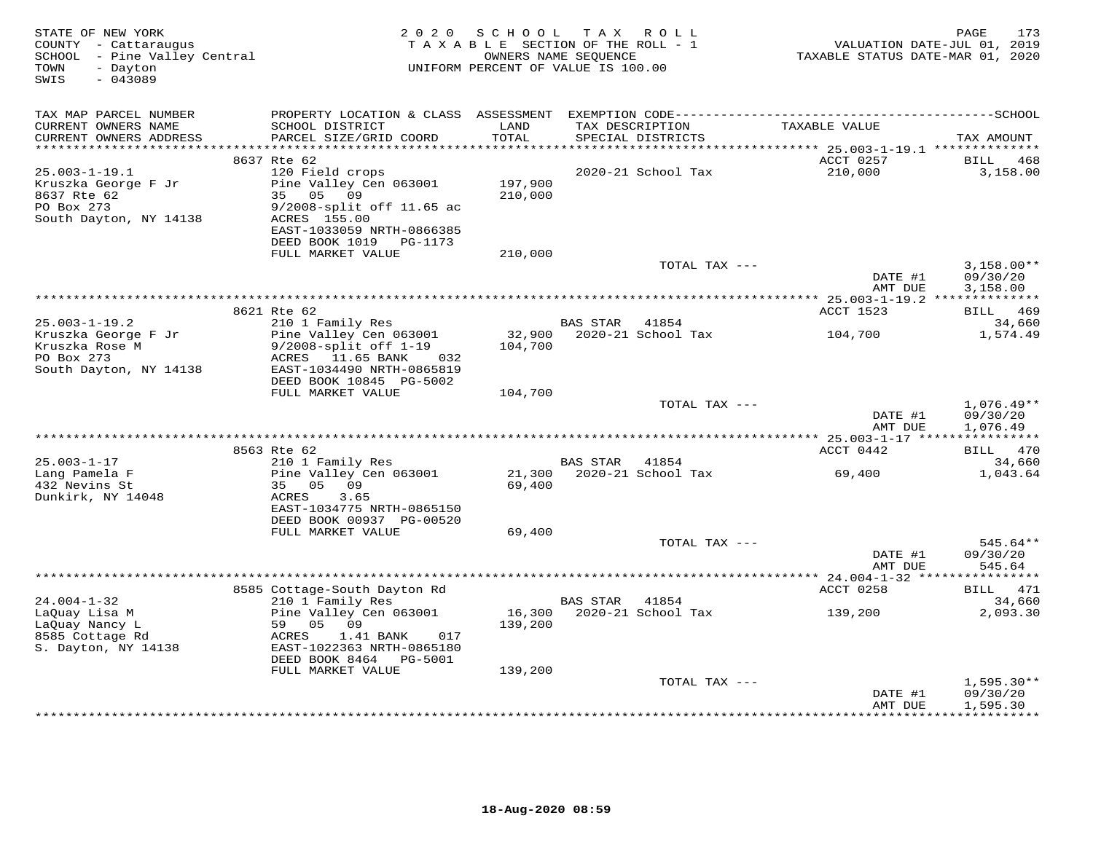| STATE OF NEW YORK<br>COUNTY - Cattaraugus<br>SCHOOL - Pine Valley Central<br>- Dayton<br>TOWN<br>SWIS<br>$-043089$ | 2 0 2 0                                         | SCHOOL<br>TAXABLE SECTION OF THE ROLL - 1<br>OWNERS NAME SEQUENCE<br>UNIFORM PERCENT OF VALUE IS 100.00 |          | TAX ROLL                             | VALUATION DATE-JUL 01, 2019<br>TAXABLE STATUS DATE-MAR 01, 2020 | 173<br>PAGE            |
|--------------------------------------------------------------------------------------------------------------------|-------------------------------------------------|---------------------------------------------------------------------------------------------------------|----------|--------------------------------------|-----------------------------------------------------------------|------------------------|
| TAX MAP PARCEL NUMBER                                                                                              |                                                 |                                                                                                         |          |                                      |                                                                 |                        |
| CURRENT OWNERS NAME<br>CURRENT OWNERS ADDRESS<br>***********************                                           | SCHOOL DISTRICT<br>PARCEL SIZE/GRID COORD       | LAND<br>TOTAL                                                                                           |          | TAX DESCRIPTION<br>SPECIAL DISTRICTS | TAXABLE VALUE                                                   | TAX AMOUNT             |
|                                                                                                                    | 8637 Rte 62                                     |                                                                                                         |          |                                      | ACCT 0257                                                       | 468<br>BILL            |
| $25.003 - 1 - 19.1$                                                                                                | 120 Field crops                                 |                                                                                                         |          | 2020-21 School Tax                   | 210,000                                                         | 3,158.00               |
| Kruszka George F Jr                                                                                                | Pine Valley Cen 063001                          | 197,900                                                                                                 |          |                                      |                                                                 |                        |
| 8637 Rte 62                                                                                                        | 35 05<br>09                                     | 210,000                                                                                                 |          |                                      |                                                                 |                        |
| PO Box 273                                                                                                         | 9/2008-split off 11.65 ac                       |                                                                                                         |          |                                      |                                                                 |                        |
| South Dayton, NY 14138                                                                                             | ACRES 155.00<br>EAST-1033059 NRTH-0866385       |                                                                                                         |          |                                      |                                                                 |                        |
|                                                                                                                    | DEED BOOK 1019 PG-1173                          |                                                                                                         |          |                                      |                                                                 |                        |
|                                                                                                                    | FULL MARKET VALUE                               | 210,000                                                                                                 |          |                                      |                                                                 |                        |
|                                                                                                                    |                                                 |                                                                                                         |          | TOTAL TAX ---                        |                                                                 | $3,158.00**$           |
|                                                                                                                    |                                                 |                                                                                                         |          |                                      | DATE #1<br>AMT DUE                                              | 09/30/20<br>3,158.00   |
|                                                                                                                    |                                                 |                                                                                                         |          |                                      | *********** 25.003-1-19.2 ***************                       |                        |
| $25.003 - 1 - 19.2$                                                                                                | 8621 Rte 62<br>210 1 Family Res                 |                                                                                                         | BAS STAR | 41854                                | ACCT 1523                                                       | BILL 469<br>34,660     |
| Kruszka George F Jr                                                                                                | Pine Valley Cen 063001                          | 32,900                                                                                                  |          | 2020-21 School Tax                   | 104,700                                                         | 1,574.49               |
| Kruszka Rose M                                                                                                     | $9/2008$ -split off $1-19$                      | 104,700                                                                                                 |          |                                      |                                                                 |                        |
| PO Box 273                                                                                                         | ACRES 11.65 BANK<br>032                         |                                                                                                         |          |                                      |                                                                 |                        |
| South Dayton, NY 14138                                                                                             | EAST-1034490 NRTH-0865819                       |                                                                                                         |          |                                      |                                                                 |                        |
|                                                                                                                    | DEED BOOK 10845 PG-5002                         |                                                                                                         |          |                                      |                                                                 |                        |
|                                                                                                                    | FULL MARKET VALUE                               | 104,700                                                                                                 |          | TOTAL TAX ---                        |                                                                 | $1,076.49**$           |
|                                                                                                                    |                                                 |                                                                                                         |          |                                      | DATE #1                                                         | 09/30/20               |
|                                                                                                                    |                                                 |                                                                                                         |          |                                      | AMT DUE                                                         | 1,076.49               |
|                                                                                                                    | *****************                               |                                                                                                         |          |                                      | *********** 25.003-1-17 *****************                       |                        |
|                                                                                                                    | 8563 Rte 62                                     |                                                                                                         |          |                                      | ACCT 0442                                                       | BILL 470               |
| $25.003 - 1 - 17$                                                                                                  | 210 1 Family Res                                |                                                                                                         | BAS STAR | 41854                                |                                                                 | 34,660                 |
| Lang Pamela F<br>432 Nevins St                                                                                     | Pine Valley Cen 063001<br>35 05<br>09           | 21,300<br>69,400                                                                                        |          | 2020-21 School Tax                   | 69,400                                                          | 1,043.64               |
| Dunkirk, NY 14048                                                                                                  | 3.65<br>ACRES                                   |                                                                                                         |          |                                      |                                                                 |                        |
|                                                                                                                    | EAST-1034775 NRTH-0865150                       |                                                                                                         |          |                                      |                                                                 |                        |
|                                                                                                                    | DEED BOOK 00937 PG-00520                        |                                                                                                         |          |                                      |                                                                 |                        |
|                                                                                                                    | FULL MARKET VALUE                               | 69,400                                                                                                  |          |                                      |                                                                 |                        |
|                                                                                                                    |                                                 |                                                                                                         |          | TOTAL TAX ---                        |                                                                 | 545.64**               |
|                                                                                                                    |                                                 |                                                                                                         |          |                                      | DATE #1<br>AMT DUE                                              | 09/30/20<br>545.64     |
|                                                                                                                    |                                                 |                                                                                                         |          |                                      | *** 24.004-1-32 ****                                            | * * * * * * * * * *    |
|                                                                                                                    | 8585 Cottage-South Dayton Rd                    |                                                                                                         |          |                                      | ACCT 0258                                                       | BILL 471               |
| $24.004 - 1 - 32$                                                                                                  | 210 1 Family Res                                |                                                                                                         | BAS STAR | 41854                                |                                                                 | 34,660                 |
| LaQuay Lisa M                                                                                                      | Pine Valley Cen 063001                          | 16,300                                                                                                  |          | 2020-21 School Tax                   | 139,200                                                         | 2,093.30               |
| LaOuay Nancy L<br>8585 Cottage Rd                                                                                  | 59 05 09<br>017                                 | 139,200                                                                                                 |          |                                      |                                                                 |                        |
| S. Dayton, NY 14138                                                                                                | ACRES<br>1.41 BANK<br>EAST-1022363 NRTH-0865180 |                                                                                                         |          |                                      |                                                                 |                        |
|                                                                                                                    | DEED BOOK 8464 PG-5001                          |                                                                                                         |          |                                      |                                                                 |                        |
|                                                                                                                    | FULL MARKET VALUE                               | 139,200                                                                                                 |          |                                      |                                                                 |                        |
|                                                                                                                    |                                                 |                                                                                                         |          | TOTAL TAX ---                        |                                                                 | $1,595.30**$           |
|                                                                                                                    |                                                 |                                                                                                         |          |                                      | DATE #1                                                         | 09/30/20               |
|                                                                                                                    |                                                 |                                                                                                         |          |                                      | AMT DUE                                                         | 1,595.30<br>********** |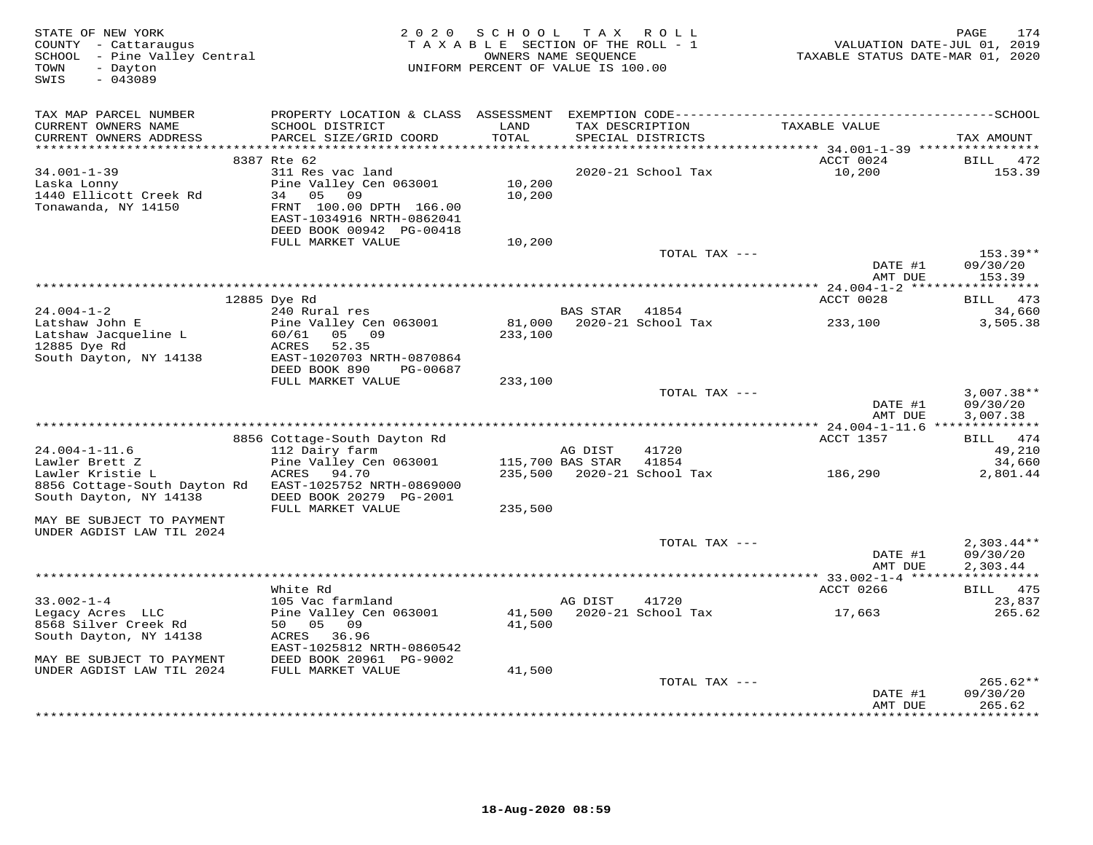| STATE OF NEW YORK<br>COUNTY - Cattaraugus<br>SCHOOL - Pine Valley Central<br>- Dayton<br>TOWN<br>SWIS<br>$-043089$ | 2 0 2 0                                                                                 | SCHOOL TAX ROLL<br>TAXABLE SECTION OF THE ROLL - 1<br>OWNERS NAME SEQUENCE<br>UNIFORM PERCENT OF VALUE IS 100.00 |                  |                                      | VALUATION DATE-JUL 01, 2019<br>TAXABLE STATUS DATE-MAR 01, 2020 | 174<br>PAGE              |
|--------------------------------------------------------------------------------------------------------------------|-----------------------------------------------------------------------------------------|------------------------------------------------------------------------------------------------------------------|------------------|--------------------------------------|-----------------------------------------------------------------|--------------------------|
| TAX MAP PARCEL NUMBER                                                                                              | PROPERTY LOCATION & CLASS ASSESSMENT                                                    |                                                                                                                  |                  |                                      |                                                                 |                          |
| CURRENT OWNERS NAME<br>CURRENT OWNERS ADDRESS                                                                      | SCHOOL DISTRICT<br>PARCEL SIZE/GRID COORD                                               | LAND<br>TOTAL                                                                                                    |                  | TAX DESCRIPTION<br>SPECIAL DISTRICTS | TAXABLE VALUE                                                   | TAX AMOUNT               |
|                                                                                                                    | 8387 Rte 62                                                                             |                                                                                                                  |                  |                                      | ACCT 0024                                                       | BILL 472                 |
| $34.001 - 1 - 39$<br>Laska Lonny<br>1440 Ellicott Creek Rd<br>Tonawanda, NY 14150                                  | 311 Res vac land<br>Pine Valley Cen 063001<br>05<br>09<br>34<br>FRNT 100.00 DPTH 166.00 | 10,200<br>10,200                                                                                                 |                  | 2020-21 School Tax                   | 10,200                                                          | 153.39                   |
|                                                                                                                    | EAST-1034916 NRTH-0862041<br>DEED BOOK 00942 PG-00418                                   |                                                                                                                  |                  |                                      |                                                                 |                          |
|                                                                                                                    | FULL MARKET VALUE                                                                       | 10,200                                                                                                           |                  |                                      |                                                                 |                          |
|                                                                                                                    |                                                                                         |                                                                                                                  |                  | TOTAL TAX ---                        | DATE #1                                                         | 153.39**<br>09/30/20     |
|                                                                                                                    |                                                                                         |                                                                                                                  |                  |                                      | AMT DUE                                                         | 153.39                   |
|                                                                                                                    | 12885 Dye Rd                                                                            |                                                                                                                  |                  |                                      | ACCT 0028                                                       | BILL 473                 |
| $24.004 - 1 - 2$                                                                                                   | 240 Rural res                                                                           |                                                                                                                  | BAS STAR 41854   |                                      |                                                                 | 34,660                   |
| Latshaw John E                                                                                                     | Pine Valley Cen 063001                                                                  | 81,000                                                                                                           |                  | 2020-21 School Tax                   | 233,100                                                         | 3,505.38                 |
| Latshaw Jacqueline L                                                                                               | 05 09<br>60/61                                                                          | 233,100                                                                                                          |                  |                                      |                                                                 |                          |
| 12885 Dye Rd<br>South Dayton, NY 14138                                                                             | ACRES<br>52.35<br>EAST-1020703 NRTH-0870864                                             |                                                                                                                  |                  |                                      |                                                                 |                          |
|                                                                                                                    | DEED BOOK 890<br>PG-00687                                                               |                                                                                                                  |                  |                                      |                                                                 |                          |
|                                                                                                                    | FULL MARKET VALUE                                                                       | 233,100                                                                                                          |                  |                                      |                                                                 |                          |
|                                                                                                                    |                                                                                         |                                                                                                                  |                  | TOTAL TAX ---                        |                                                                 | $3,007.38**$             |
|                                                                                                                    |                                                                                         |                                                                                                                  |                  |                                      | DATE #1<br>AMT DUE                                              | 09/30/20<br>3,007.38     |
|                                                                                                                    |                                                                                         |                                                                                                                  |                  |                                      |                                                                 |                          |
|                                                                                                                    | 8856 Cottage-South Dayton Rd                                                            |                                                                                                                  |                  |                                      | ACCT 1357                                                       | BILL 474                 |
| $24.004 - 1 - 11.6$                                                                                                | 112 Dairy farm                                                                          |                                                                                                                  | AG DIST          | 41720                                |                                                                 | 49,210                   |
| Lawler Brett Z                                                                                                     | Pine Valley Cen 063001                                                                  |                                                                                                                  | 115,700 BAS STAR | 41854                                |                                                                 | 34,660                   |
| Lawler Kristie L<br>8856 Cottage-South Dayton Rd<br>South Dayton, NY 14138                                         | ACRES<br>94.70<br>EAST-1025752 NRTH-0869000<br>DEED BOOK 20279 PG-2001                  | 235,500                                                                                                          |                  | 2020-21 School Tax                   | 186,290                                                         | 2,801.44                 |
|                                                                                                                    | FULL MARKET VALUE                                                                       | 235,500                                                                                                          |                  |                                      |                                                                 |                          |
| MAY BE SUBJECT TO PAYMENT                                                                                          |                                                                                         |                                                                                                                  |                  |                                      |                                                                 |                          |
| UNDER AGDIST LAW TIL 2024                                                                                          |                                                                                         |                                                                                                                  |                  |                                      |                                                                 |                          |
|                                                                                                                    |                                                                                         |                                                                                                                  |                  | TOTAL TAX ---                        | DATE #1                                                         | $2,303.44**$<br>09/30/20 |
|                                                                                                                    |                                                                                         |                                                                                                                  |                  |                                      | AMT DUE                                                         | 2,303.44                 |
|                                                                                                                    | White Rd                                                                                |                                                                                                                  |                  |                                      | ACCT 0266                                                       | BILL 475                 |
| $33.002 - 1 - 4$                                                                                                   | 105 Vac farmland                                                                        |                                                                                                                  | AG DIST          | 41720                                |                                                                 | 23,837                   |
| Legacy Acres LLC                                                                                                   | Pine Valley Cen 063001                                                                  | 41,500                                                                                                           |                  | 2020-21 School Tax                   | 17,663                                                          | 265.62                   |
| 8568 Silver Creek Rd                                                                                               | 50 05 09                                                                                | 41,500                                                                                                           |                  |                                      |                                                                 |                          |
| South Dayton, NY 14138                                                                                             | ACRES 36.96<br>EAST-1025812 NRTH-0860542                                                |                                                                                                                  |                  |                                      |                                                                 |                          |
| MAY BE SUBJECT TO PAYMENT<br>UNDER AGDIST LAW TIL 2024                                                             | DEED BOOK 20961 PG-9002<br>FULL MARKET VALUE                                            | 41,500                                                                                                           |                  |                                      |                                                                 |                          |
|                                                                                                                    |                                                                                         |                                                                                                                  |                  | TOTAL TAX ---                        |                                                                 | $265.62**$               |
|                                                                                                                    |                                                                                         |                                                                                                                  |                  |                                      | DATE #1                                                         | 09/30/20                 |
|                                                                                                                    |                                                                                         |                                                                                                                  |                  |                                      | AMT DUE                                                         | 265.62<br>*********      |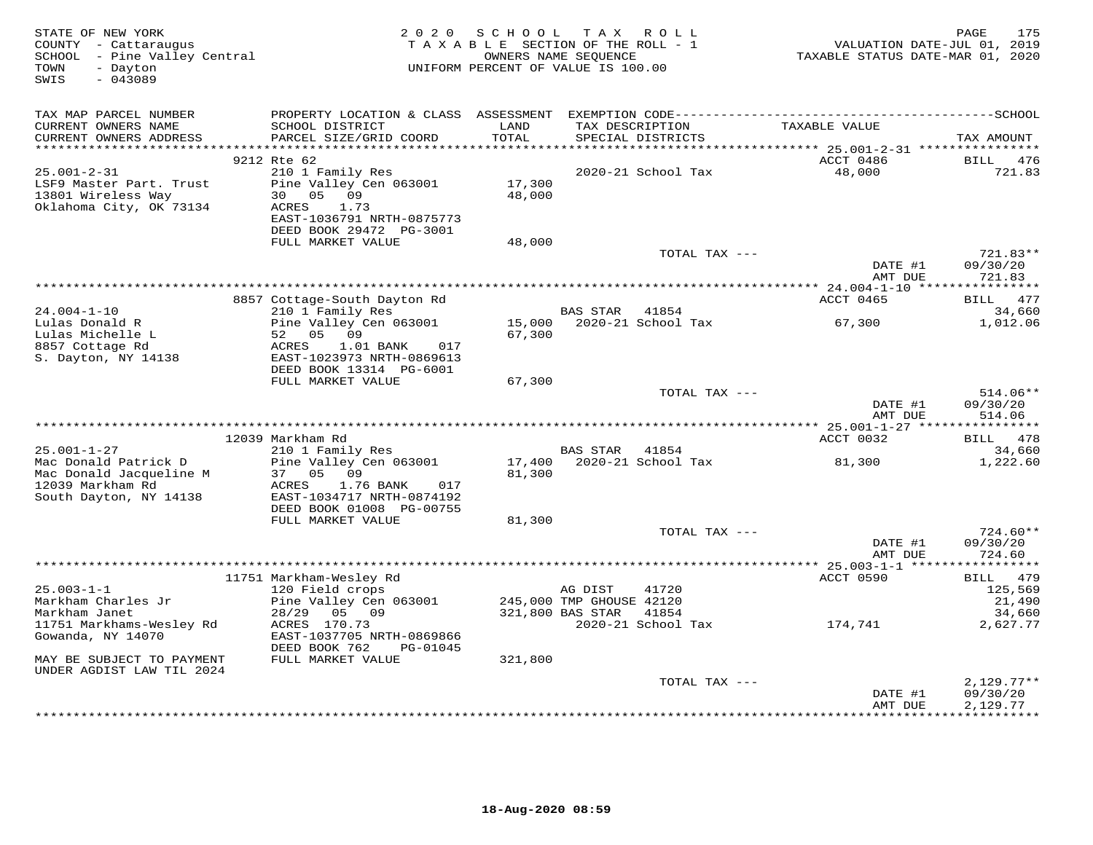| STATE OF NEW YORK<br>COUNTY - Cattaraugus<br>SCHOOL - Pine Valley Central<br>TOWN<br>- Dayton<br>$-043089$<br>SWIS | 2 0 2 0                                                                                                                                           | S C H O O L<br>TAXABLE SECTION OF THE ROLL - 1<br>UNIFORM PERCENT OF VALUE IS 100.00 | OWNERS NAME SEQUENCE                                    | TAX ROLL                    | TAXABLE STATUS DATE-MAR 01, 2020 | PAGE<br>175<br>VALUATION DATE-JUL 01, 2019 |
|--------------------------------------------------------------------------------------------------------------------|---------------------------------------------------------------------------------------------------------------------------------------------------|--------------------------------------------------------------------------------------|---------------------------------------------------------|-----------------------------|----------------------------------|--------------------------------------------|
| TAX MAP PARCEL NUMBER<br>CURRENT OWNERS NAME<br>CURRENT OWNERS ADDRESS                                             | SCHOOL DISTRICT<br>PARCEL SIZE/GRID COORD                                                                                                         | LAND<br>TOTAL                                                                        | TAX DESCRIPTION                                         | SPECIAL DISTRICTS           | TAXABLE VALUE                    | TAX AMOUNT                                 |
| $25.001 - 2 - 31$<br>LSF9 Master Part. Trust<br>13801 Wireless Way<br>Oklahoma City, OK 73134                      | 9212 Rte 62<br>210 1 Family Res<br>Pine Valley Cen 063001<br>05 09<br>30<br>ACRES<br>1.73<br>EAST-1036791 NRTH-0875773<br>DEED BOOK 29472 PG-3001 | 17,300<br>48,000                                                                     |                                                         | 2020-21 School Tax          | ACCT 0486<br>48,000              | <b>BILL</b><br>476<br>721.83               |
|                                                                                                                    | FULL MARKET VALUE                                                                                                                                 | 48,000                                                                               |                                                         | TOTAL TAX ---               | DATE #1<br>AMT DUE               | 721.83**<br>09/30/20<br>721.83             |
|                                                                                                                    |                                                                                                                                                   |                                                                                      |                                                         |                             |                                  |                                            |
| $24.004 - 1 - 10$                                                                                                  | 8857 Cottage-South Dayton Rd<br>210 1 Family Res                                                                                                  |                                                                                      | BAS STAR                                                | 41854                       | ACCT 0465                        | BILL 477<br>34,660                         |
| Lulas Donald R<br>Lulas Michelle L<br>8857 Cottage Rd<br>S. Dayton, NY 14138                                       | Pine Valley Cen 063001<br>52 05 09<br>ACRES<br>$1.01$ BANK<br>017<br>EAST-1023973 NRTH-0869613<br>DEED BOOK 13314 PG-6001                         | 15,000<br>67,300                                                                     |                                                         | 2020-21 School Tax          | 67,300                           | 1,012.06                                   |
|                                                                                                                    | FULL MARKET VALUE                                                                                                                                 | 67,300                                                                               |                                                         | TOTAL TAX ---               | DATE #1                          | 514.06**<br>09/30/20                       |
|                                                                                                                    |                                                                                                                                                   |                                                                                      |                                                         |                             | AMT DUE                          | 514.06                                     |
|                                                                                                                    | 12039 Markham Rd                                                                                                                                  |                                                                                      |                                                         |                             | ACCT 0032                        | BILL 478                                   |
| $25.001 - 1 - 27$<br>Mac Donald Patrick D<br>Mac Donald Jacqueline M<br>12039 Markham Rd<br>South Dayton, NY 14138 | 210 1 Family Res<br>Pine Valley Cen 063001<br>37<br>0.5<br>09<br>1.76 BANK<br>ACRES<br>017<br>EAST-1034717 NRTH-0874192                           | 17,400<br>81,300                                                                     | BAS STAR                                                | 41854<br>2020-21 School Tax | 81,300                           | 34,660<br>1,222.60                         |
|                                                                                                                    | DEED BOOK 01008 PG-00755<br>FULL MARKET VALUE                                                                                                     | 81,300                                                                               |                                                         |                             |                                  |                                            |
|                                                                                                                    |                                                                                                                                                   |                                                                                      |                                                         | TOTAL TAX ---               | DATE #1<br>AMT DUE               | $724.60**$<br>09/30/20<br>724.60           |
|                                                                                                                    |                                                                                                                                                   |                                                                                      |                                                         |                             |                                  |                                            |
| $25.003 - 1 - 1$<br>Markham Charles Jr<br>Markham Janet                                                            | 11751 Markham-Wesley Rd<br>120 Field crops<br>Pine Valley Cen 063001<br>28/29<br>05 09                                                            |                                                                                      | AG DIST<br>245,000 TMP GHOUSE 42120<br>321,800 BAS STAR | 41720<br>41854              | ACCT 0590                        | BILL 479<br>125,569<br>21,490<br>34,660    |
| 11751 Markhams-Wesley Rd<br>Gowanda, NY 14070<br>MAY BE SUBJECT TO PAYMENT                                         | ACRES 170.73<br>EAST-1037705 NRTH-0869866<br>DEED BOOK 762<br>PG-01045<br>FULL MARKET VALUE                                                       | 321,800                                                                              |                                                         | 2020-21 School Tax          | 174,741                          | 2,627.77                                   |
| UNDER AGDIST LAW TIL 2024                                                                                          |                                                                                                                                                   |                                                                                      |                                                         |                             |                                  |                                            |
|                                                                                                                    |                                                                                                                                                   |                                                                                      |                                                         | TOTAL TAX ---               | DATE #1<br>AMT DUE               | $2,129.77**$<br>09/30/20<br>2,129.77       |
|                                                                                                                    |                                                                                                                                                   |                                                                                      |                                                         |                             |                                  | **********                                 |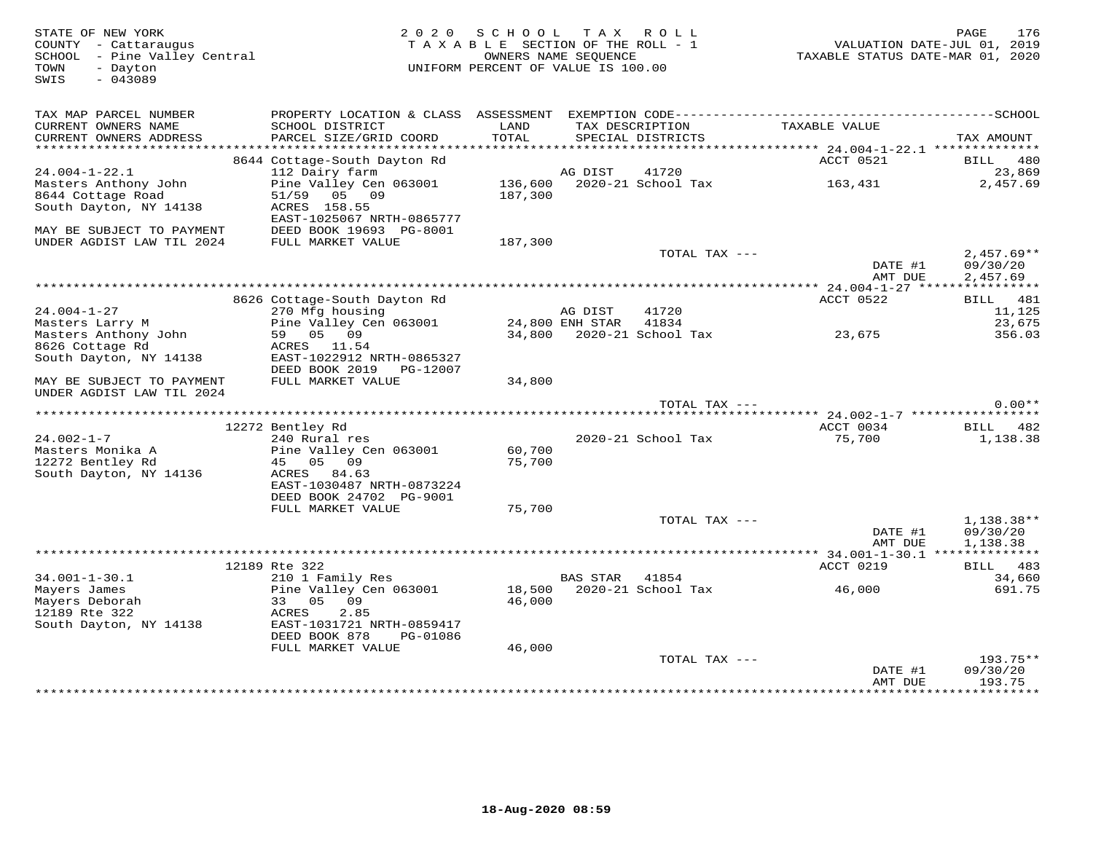| STATE OF NEW YORK<br>COUNTY - Cattaraugus<br>SCHOOL - Pine Valley Central<br>- Dayton<br>TOWN<br>$-043089$<br>SWIS | 2 0 2 0                                                 | S C H O O L<br>TAXABLE SECTION OF THE ROLL - 1<br>OWNERS NAME SEQUENCE<br>UNIFORM PERCENT OF VALUE IS 100.00 |          | TAX ROLL                             | TAXABLE STATUS DATE-MAR 01, 2020         | 176<br>PAGE<br>VALUATION DATE-JUL 01, 2019 |
|--------------------------------------------------------------------------------------------------------------------|---------------------------------------------------------|--------------------------------------------------------------------------------------------------------------|----------|--------------------------------------|------------------------------------------|--------------------------------------------|
| TAX MAP PARCEL NUMBER<br>CURRENT OWNERS NAME<br>CURRENT OWNERS ADDRESS                                             | SCHOOL DISTRICT<br>PARCEL SIZE/GRID COORD               | LAND<br>TOTAL                                                                                                |          | TAX DESCRIPTION<br>SPECIAL DISTRICTS | TAXABLE VALUE                            | TAX AMOUNT                                 |
|                                                                                                                    |                                                         |                                                                                                              |          |                                      |                                          |                                            |
|                                                                                                                    | 8644 Cottage-South Dayton Rd                            |                                                                                                              |          |                                      | ACCT 0521                                | BILL 480                                   |
| $24.004 - 1 - 22.1$                                                                                                | 112 Dairy farm                                          |                                                                                                              | AG DIST  | 41720                                |                                          | 23,869                                     |
| Masters Anthony John<br>8644 Cottage Road<br>South Dayton, NY 14138                                                | Pine Valley Cen 063001<br>51/59 05 09<br>ACRES 158.55   | 187,300                                                                                                      |          | 136,600 2020-21 School Tax           | 163,431                                  | 2,457.69                                   |
|                                                                                                                    | EAST-1025067 NRTH-0865777                               |                                                                                                              |          |                                      |                                          |                                            |
| MAY BE SUBJECT TO PAYMENT                                                                                          | DEED BOOK 19693 PG-8001                                 |                                                                                                              |          |                                      |                                          |                                            |
| UNDER AGDIST LAW TIL 2024                                                                                          | FULL MARKET VALUE                                       | 187,300                                                                                                      |          | TOTAL TAX ---                        |                                          | $2,457.69**$                               |
|                                                                                                                    |                                                         |                                                                                                              |          |                                      | DATE #1<br>AMT DUE                       | 09/30/20<br>2,457.69                       |
|                                                                                                                    |                                                         |                                                                                                              |          |                                      |                                          |                                            |
|                                                                                                                    | 8626 Cottage-South Dayton Rd                            |                                                                                                              |          |                                      | ACCT 0522                                | BILL 481                                   |
| $24.004 - 1 - 27$<br>Masters Larry M                                                                               | 270 Mfg housing<br>Pine Valley Cen 063001               |                                                                                                              | AG DIST  | 41720<br>41834                       |                                          | 11,125<br>23,675                           |
| Masters Anthony John                                                                                               | 59 05 09                                                | 24,800 ENH STAR                                                                                              |          | 34,800 2020-21 School Tax            | 23,675                                   | 356.03                                     |
| 8626 Cottage Rd                                                                                                    | ACRES 11.54                                             |                                                                                                              |          |                                      |                                          |                                            |
| South Dayton, NY 14138                                                                                             | EAST-1022912 NRTH-0865327<br>DEED BOOK 2019    PG-12007 |                                                                                                              |          |                                      |                                          |                                            |
| MAY BE SUBJECT TO PAYMENT<br>UNDER AGDIST LAW TIL 2024                                                             | FULL MARKET VALUE                                       | 34,800                                                                                                       |          |                                      |                                          |                                            |
|                                                                                                                    |                                                         |                                                                                                              |          | TOTAL TAX ---                        |                                          | $0.00**$                                   |
|                                                                                                                    | 12272 Bentley Rd                                        |                                                                                                              |          |                                      | ACCT 0034                                | BILL 482                                   |
| $24.002 - 1 - 7$                                                                                                   | 240 Rural res                                           |                                                                                                              |          | 2020-21 School Tax                   | 75,700                                   | 1,138.38                                   |
| Masters Monika A                                                                                                   | Pine Valley Cen 063001                                  | 60,700                                                                                                       |          |                                      |                                          |                                            |
| 12272 Bentley Rd                                                                                                   | 45 05 09                                                | 75,700                                                                                                       |          |                                      |                                          |                                            |
| South Dayton, NY 14136                                                                                             | ACRES 84.63                                             |                                                                                                              |          |                                      |                                          |                                            |
|                                                                                                                    | EAST-1030487 NRTH-0873224<br>DEED BOOK 24702 PG-9001    |                                                                                                              |          |                                      |                                          |                                            |
|                                                                                                                    | FULL MARKET VALUE                                       | 75,700                                                                                                       |          |                                      |                                          |                                            |
|                                                                                                                    |                                                         |                                                                                                              |          | TOTAL TAX ---                        |                                          | 1,138.38**                                 |
|                                                                                                                    |                                                         |                                                                                                              |          |                                      | DATE #1<br>AMT DUE                       | 09/30/20<br>1,138.38                       |
|                                                                                                                    |                                                         |                                                                                                              |          |                                      | *********** 34.001-1-30.1 ************** |                                            |
| $34.001 - 1 - 30.1$                                                                                                | 12189 Rte 322<br>210 1 Family Res                       |                                                                                                              | BAS STAR | 41854                                | ACCT 0219                                | BILL 483<br>34,660                         |
| Mayers James                                                                                                       | Pine Valley Cen 063001                                  |                                                                                                              |          | 18,500 2020-21 School Tax            | 46,000                                   | 691.75                                     |
| Mayers Deborah                                                                                                     | 09<br>33 05                                             | 46,000                                                                                                       |          |                                      |                                          |                                            |
| 12189 Rte 322                                                                                                      | ACRES<br>2.85                                           |                                                                                                              |          |                                      |                                          |                                            |
| South Dayton, NY 14138                                                                                             | EAST-1031721 NRTH-0859417<br>DEED BOOK 878<br>PG-01086  |                                                                                                              |          |                                      |                                          |                                            |
|                                                                                                                    | FULL MARKET VALUE                                       | 46,000                                                                                                       |          |                                      |                                          |                                            |
|                                                                                                                    |                                                         |                                                                                                              |          | TOTAL TAX ---                        |                                          | 193.75**                                   |
|                                                                                                                    |                                                         |                                                                                                              |          |                                      | DATE #1                                  | 09/30/20                                   |
|                                                                                                                    |                                                         |                                                                                                              |          |                                      | AMT DUE                                  | 193.75<br>**********                       |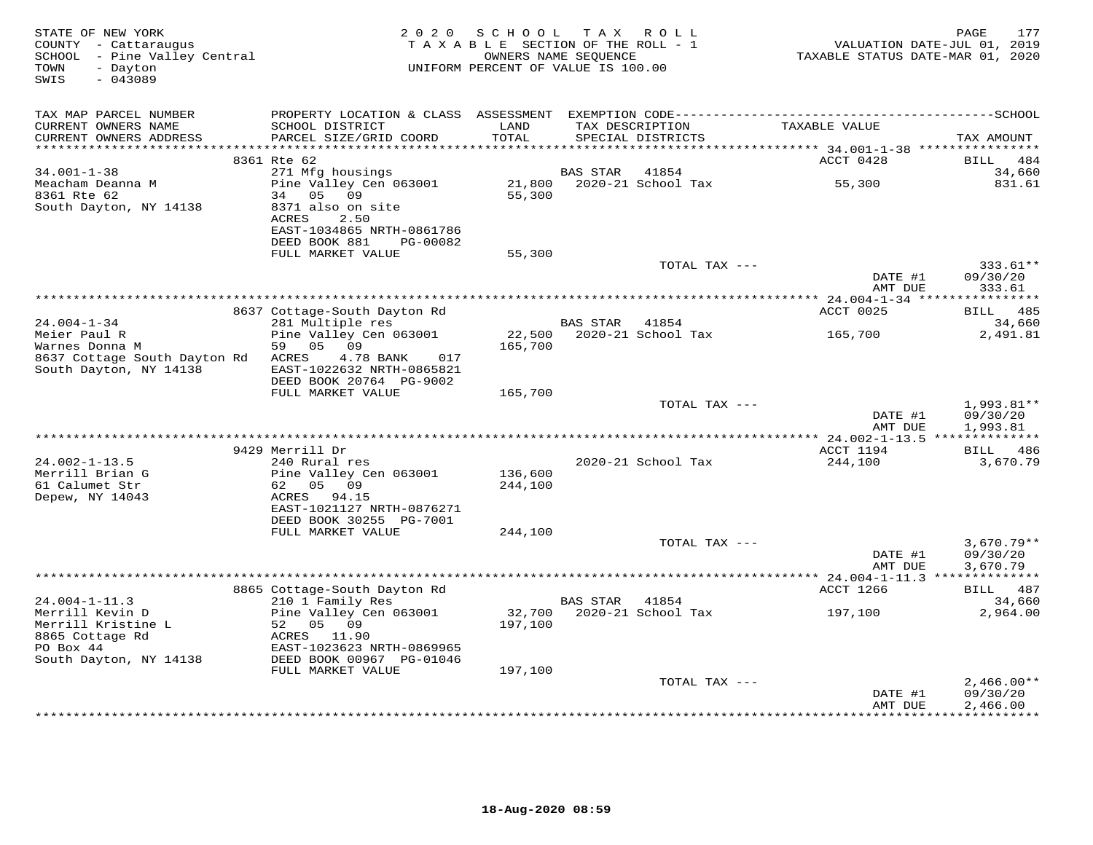| STATE OF NEW YORK<br>COUNTY - Cattaraugus<br>SCHOOL - Pine Valley Central<br>TOWN<br>- Dayton<br>SWIS<br>$-043089$ |                                                                                   | 2020 SCHOOL<br>TAXABLE SECTION OF THE ROLL - 1<br>OWNERS NAME SEQUENCE<br>UNIFORM PERCENT OF VALUE IS 100.00 | T A X           | ROLL                                 | TAXABLE STATUS DATE-MAR 01, 2020 | 177<br>PAGE<br>VALUATION DATE-JUL 01, 2019 |
|--------------------------------------------------------------------------------------------------------------------|-----------------------------------------------------------------------------------|--------------------------------------------------------------------------------------------------------------|-----------------|--------------------------------------|----------------------------------|--------------------------------------------|
| TAX MAP PARCEL NUMBER                                                                                              |                                                                                   |                                                                                                              |                 |                                      |                                  |                                            |
| CURRENT OWNERS NAME<br>CURRENT OWNERS ADDRESS                                                                      | SCHOOL DISTRICT<br>PARCEL SIZE/GRID COORD                                         | LAND<br>TOTAL                                                                                                |                 | TAX DESCRIPTION<br>SPECIAL DISTRICTS | TAXABLE VALUE                    | TAX AMOUNT                                 |
| ***********************                                                                                            | 8361 Rte 62                                                                       |                                                                                                              |                 |                                      | ACCT 0428                        | <b>BILL</b><br>484                         |
| $34.001 - 1 - 38$                                                                                                  | 271 Mfg housings                                                                  |                                                                                                              | <b>BAS STAR</b> | 41854                                |                                  | 34,660                                     |
| Meacham Deanna M<br>8361 Rte 62<br>South Dayton, NY 14138                                                          | Pine Valley Cen 063001<br>05<br>09<br>34<br>8371 also on site<br>2.50<br>ACRES    | 21,800<br>55,300                                                                                             |                 | 2020-21 School Tax                   | 55,300                           | 831.61                                     |
|                                                                                                                    | EAST-1034865 NRTH-0861786<br>DEED BOOK 881<br>PG-00082                            |                                                                                                              |                 |                                      |                                  |                                            |
|                                                                                                                    | FULL MARKET VALUE                                                                 | 55,300                                                                                                       |                 |                                      |                                  |                                            |
|                                                                                                                    |                                                                                   |                                                                                                              |                 | TOTAL TAX ---                        | DATE #1<br>AMT DUE               | 333.61**<br>09/30/20<br>333.61             |
|                                                                                                                    |                                                                                   |                                                                                                              |                 |                                      |                                  |                                            |
|                                                                                                                    | 8637 Cottage-South Dayton Rd                                                      |                                                                                                              |                 |                                      | ACCT 0025                        | 485<br><b>BILL</b>                         |
| $24.004 - 1 - 34$                                                                                                  | 281 Multiple res                                                                  |                                                                                                              | <b>BAS STAR</b> | 41854                                |                                  | 34,660                                     |
| Meier Paul R<br>Warnes Donna M                                                                                     | Pine Valley Cen 063001<br>59<br>05 09                                             | 22,500<br>165,700                                                                                            |                 | 2020-21 School Tax                   | 165,700                          | 2,491.81                                   |
| 8637 Cottage South Dayton Rd<br>South Dayton, NY 14138                                                             | ACRES<br>4.78 BANK<br>017<br>EAST-1022632 NRTH-0865821<br>DEED BOOK 20764 PG-9002 |                                                                                                              |                 |                                      |                                  |                                            |
|                                                                                                                    | FULL MARKET VALUE                                                                 | 165,700                                                                                                      |                 |                                      |                                  |                                            |
|                                                                                                                    |                                                                                   |                                                                                                              |                 | TOTAL TAX ---                        | DATE #1<br>AMT DUE               | 1,993.81**<br>09/30/20<br>1,993.81         |
|                                                                                                                    |                                                                                   |                                                                                                              |                 |                                      | ** 24.002-1-13.5 *************** |                                            |
|                                                                                                                    | 9429 Merrill Dr                                                                   |                                                                                                              |                 |                                      | ACCT 1194                        | BILL 486                                   |
| $24.002 - 1 - 13.5$                                                                                                | 240 Rural res                                                                     |                                                                                                              |                 | 2020-21 School Tax                   | 244,100                          | 3,670.79                                   |
| Merrill Brian G<br>61 Calumet Str                                                                                  | Pine Valley Cen 063001<br>62 05 09                                                | 136,600<br>244,100                                                                                           |                 |                                      |                                  |                                            |
| Depew, NY 14043                                                                                                    | ACRES 94.15<br>EAST-1021127 NRTH-0876271<br>DEED BOOK 30255 PG-7001               |                                                                                                              |                 |                                      |                                  |                                            |
|                                                                                                                    | FULL MARKET VALUE                                                                 | 244,100                                                                                                      |                 |                                      |                                  |                                            |
|                                                                                                                    |                                                                                   |                                                                                                              |                 | TOTAL TAX ---                        | DATE #1<br>AMT DUE               | $3,670.79**$<br>09/30/20<br>3,670.79       |
|                                                                                                                    |                                                                                   |                                                                                                              |                 |                                      |                                  |                                            |
|                                                                                                                    | 8865 Cottage-South Dayton Rd                                                      |                                                                                                              |                 |                                      | ACCT 1266                        | BILL 487                                   |
| $24.004 - 1 - 11.3$                                                                                                | 210 1 Family Res                                                                  |                                                                                                              | <b>BAS STAR</b> | 41854                                |                                  | 34,660                                     |
| Merrill Kevin D<br>Merrill Kristine L                                                                              | Pine Valley Cen 063001<br>52<br>05 09                                             | 32,700<br>197,100                                                                                            |                 | 2020-21 School Tax                   | 197,100                          | 2,964.00                                   |
| 8865 Cottage Rd<br>PO Box 44<br>South Dayton, NY 14138                                                             | ACRES 11.90<br>EAST-1023623 NRTH-0869965<br>DEED BOOK 00967 PG-01046              |                                                                                                              |                 |                                      |                                  |                                            |
|                                                                                                                    | FULL MARKET VALUE                                                                 | 197,100                                                                                                      |                 |                                      |                                  |                                            |
|                                                                                                                    |                                                                                   |                                                                                                              |                 | TOTAL TAX ---                        |                                  | $2,466.00**$                               |
|                                                                                                                    |                                                                                   |                                                                                                              |                 |                                      | DATE #1<br>AMT DUE               | 09/30/20<br>2,466.00                       |
|                                                                                                                    |                                                                                   |                                                                                                              |                 |                                      |                                  |                                            |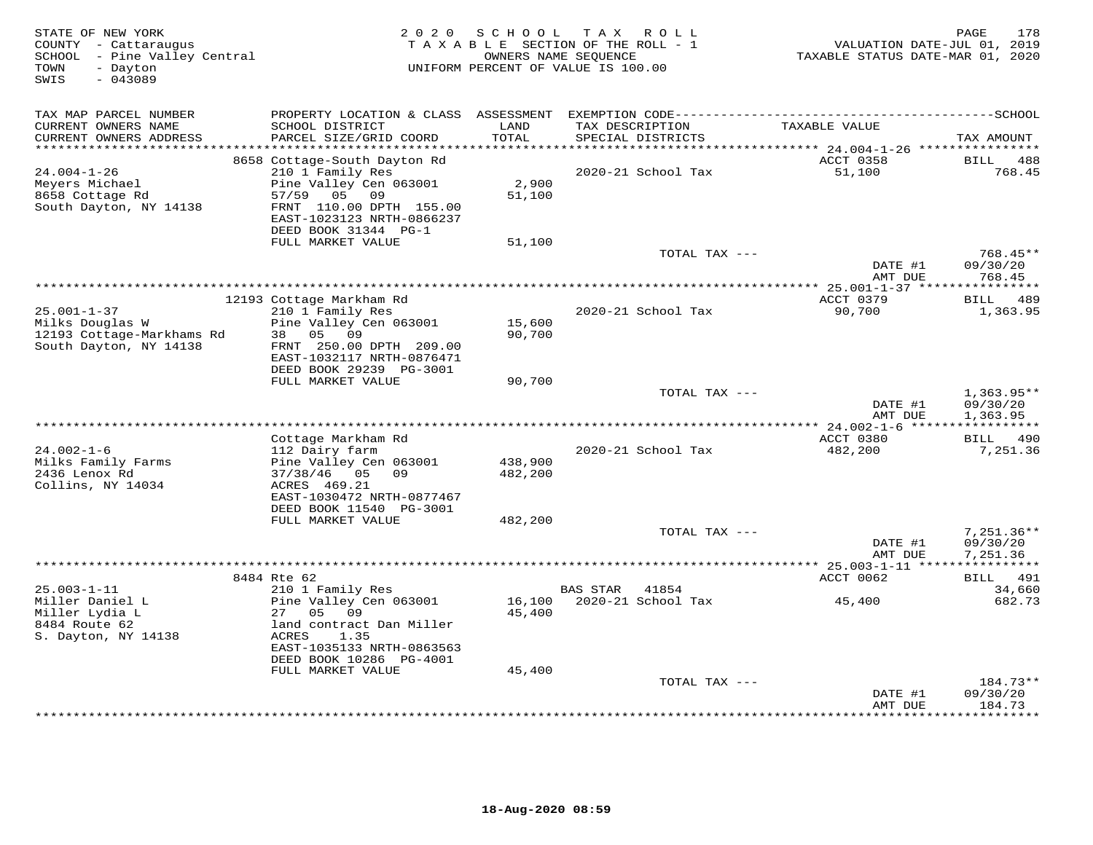| STATE OF NEW YORK<br>COUNTY - Cattaraugus<br>SCHOOL - Pine Valley Central<br>TOWN<br>- Dayton<br>$-043089$<br>SWIS | 2 0 2 0                                                                                                                                                                                | SCHOOL                     | T A X<br>R O L L<br>TAXABLE SECTION OF THE ROLL - 1<br>OWNERS NAME SEQUENCE<br>UNIFORM PERCENT OF VALUE IS 100.00 | VALUATION DATE-JUL 01, 2019<br>TAXABLE STATUS DATE-MAR 01, 2020 | 178<br>PAGE                           |
|--------------------------------------------------------------------------------------------------------------------|----------------------------------------------------------------------------------------------------------------------------------------------------------------------------------------|----------------------------|-------------------------------------------------------------------------------------------------------------------|-----------------------------------------------------------------|---------------------------------------|
| TAX MAP PARCEL NUMBER<br>CURRENT OWNERS NAME<br>CURRENT OWNERS ADDRESS                                             | SCHOOL DISTRICT<br>PARCEL SIZE/GRID COORD                                                                                                                                              | LAND<br>TOTAL              | TAX DESCRIPTION<br>SPECIAL DISTRICTS                                                                              | TAXABLE VALUE                                                   | TAX AMOUNT                            |
| *************************                                                                                          | 8658 Cottage-South Dayton Rd                                                                                                                                                           |                            |                                                                                                                   | ACCT 0358                                                       | BILL<br>488                           |
| $24.004 - 1 - 26$<br>Meyers Michael<br>8658 Cottage Rd<br>South Dayton, NY 14138                                   | 210 1 Family Res<br>Pine Valley Cen 063001<br>57/59 05 09<br>FRNT 110.00 DPTH 155.00<br>EAST-1023123 NRTH-0866237<br>DEED BOOK 31344 PG-1                                              | 2,900<br>51,100            | 2020-21 School Tax                                                                                                | 51,100                                                          | 768.45                                |
|                                                                                                                    | FULL MARKET VALUE                                                                                                                                                                      | 51,100                     | TOTAL TAX ---                                                                                                     |                                                                 | 768.45**                              |
|                                                                                                                    |                                                                                                                                                                                        |                            |                                                                                                                   | DATE #1<br>AMT DUE                                              | 09/30/20<br>768.45                    |
|                                                                                                                    |                                                                                                                                                                                        |                            |                                                                                                                   | $* 25.001 - 1 - 37$ ****************                            |                                       |
| $25.001 - 1 - 37$<br>Milks Douglas W<br>12193 Cottage-Markhams Rd<br>South Dayton, NY 14138                        | 12193 Cottage Markham Rd<br>210 1 Family Res<br>Pine Valley Cen 063001<br>05 09<br>38<br>FRNT 250.00 DPTH 209.00<br>EAST-1032117 NRTH-0876471                                          | 15,600<br>90,700           | 2020-21 School Tax                                                                                                | ACCT 0379<br>90,700                                             | BILL 489<br>1,363.95                  |
|                                                                                                                    | DEED BOOK 29239 PG-3001<br>FULL MARKET VALUE                                                                                                                                           | 90,700                     |                                                                                                                   |                                                                 |                                       |
|                                                                                                                    |                                                                                                                                                                                        |                            | TOTAL TAX $---$                                                                                                   | DATE #1<br>AMT DUE                                              | $1,363.95**$<br>09/30/20<br>1,363.95  |
|                                                                                                                    |                                                                                                                                                                                        |                            |                                                                                                                   | ***************** 24.002-1-6 *****                              |                                       |
|                                                                                                                    | Cottage Markham Rd                                                                                                                                                                     |                            |                                                                                                                   | ACCT 0380                                                       | 490<br><b>BILL</b>                    |
| $24.002 - 1 - 6$<br>Milks Family Farms<br>2436 Lenox Rd<br>Collins, NY 14034                                       | 112 Dairy farm<br>Pine Valley Cen 063001<br>$37/38/46$ 05 09<br>ACRES 469.21<br>EAST-1030472 NRTH-0877467                                                                              | 438,900<br>482,200         | 2020-21 School Tax                                                                                                | 482,200                                                         | 7,251.36                              |
|                                                                                                                    | DEED BOOK 11540 PG-3001<br>FULL MARKET VALUE                                                                                                                                           | 482,200                    |                                                                                                                   |                                                                 |                                       |
|                                                                                                                    |                                                                                                                                                                                        |                            | TOTAL TAX ---                                                                                                     | DATE #1<br>AMT DUE                                              | $7,251.36**$<br>09/30/20<br>7,251.36  |
|                                                                                                                    |                                                                                                                                                                                        |                            |                                                                                                                   |                                                                 | ***********                           |
|                                                                                                                    | 8484 Rte 62                                                                                                                                                                            |                            |                                                                                                                   | ACCT 0062                                                       | BILL 491                              |
| $25.003 - 1 - 11$<br>Miller Daniel L<br>Miller Lydia L<br>8484 Route 62<br>S. Dayton, NY 14138                     | 210 1 Family Res<br>Pine Valley Cen 063001<br>27<br>05<br>09<br>land contract Dan Miller<br>ACRES<br>1.35<br>EAST-1035133 NRTH-0863563<br>DEED BOOK 10286 PG-4001<br>FULL MARKET VALUE | 16,100<br>45,400<br>45,400 | <b>BAS STAR</b><br>41854<br>2020-21 School Tax                                                                    | 45,400                                                          | 34,660<br>682.73                      |
|                                                                                                                    |                                                                                                                                                                                        |                            | TOTAL TAX ---                                                                                                     |                                                                 | 184.73**                              |
|                                                                                                                    |                                                                                                                                                                                        |                            |                                                                                                                   | DATE #1<br>AMT DUE                                              | 09/30/20<br>184.73<br>* * * * * * * * |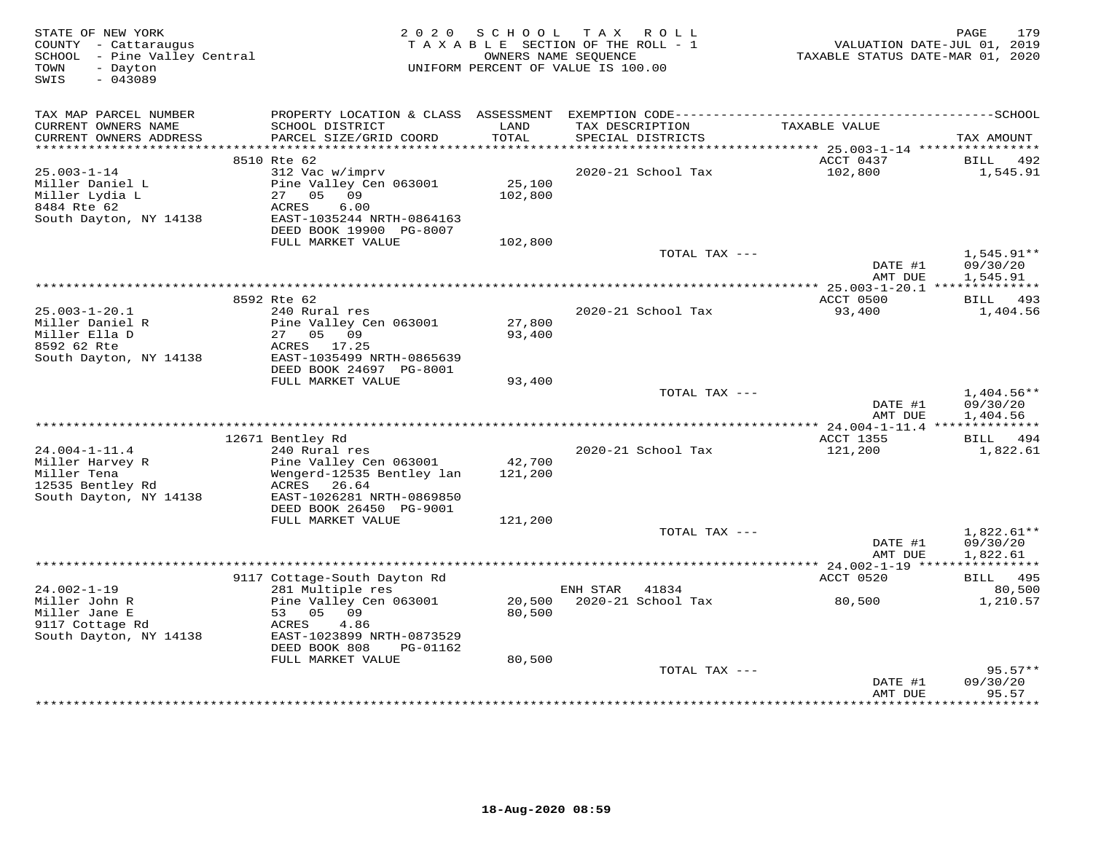| STATE OF NEW YORK<br>COUNTY - Cattaraugus<br>SCHOOL - Pine Valley Central<br>TOWN<br>- Dayton<br>SWIS<br>$-043089$ | 2 0 2 0                                          | S C H O O L | TAX ROLL<br>TAXABLE SECTION OF THE ROLL - 1<br>OWNERS NAME SEQUENCE<br>UNIFORM PERCENT OF VALUE IS 100.00 | VALUATION DATE-JUL 01, 2019<br>TAXABLE STATUS DATE-MAR 01, 2020 | 179<br>PAGE             |
|--------------------------------------------------------------------------------------------------------------------|--------------------------------------------------|-------------|-----------------------------------------------------------------------------------------------------------|-----------------------------------------------------------------|-------------------------|
| TAX MAP PARCEL NUMBER                                                                                              |                                                  |             |                                                                                                           |                                                                 |                         |
| CURRENT OWNERS NAME                                                                                                | SCHOOL DISTRICT                                  | LAND        | TAX DESCRIPTION                                                                                           | TAXABLE VALUE                                                   |                         |
| CURRENT OWNERS ADDRESS                                                                                             | PARCEL SIZE/GRID COORD                           | TOTAL       | SPECIAL DISTRICTS                                                                                         |                                                                 | TAX AMOUNT              |
|                                                                                                                    |                                                  |             |                                                                                                           |                                                                 |                         |
|                                                                                                                    | 8510 Rte 62                                      |             | 2020-21 School Tax                                                                                        | ACCT 0437                                                       | BILL 492                |
| $25.003 - 1 - 14$<br>Miller Daniel L                                                                               | 312 Vac w/imprv<br>Pine Valley Cen 063001        | 25,100      |                                                                                                           | 102,800                                                         | 1,545.91                |
| Miller Lydia L                                                                                                     | 27<br>05<br>09                                   | 102,800     |                                                                                                           |                                                                 |                         |
| 8484 Rte 62                                                                                                        | 6.00<br>ACRES                                    |             |                                                                                                           |                                                                 |                         |
| South Dayton, NY 14138                                                                                             | EAST-1035244 NRTH-0864163                        |             |                                                                                                           |                                                                 |                         |
|                                                                                                                    | DEED BOOK 19900 PG-8007                          |             |                                                                                                           |                                                                 |                         |
|                                                                                                                    | FULL MARKET VALUE                                | 102,800     |                                                                                                           |                                                                 |                         |
|                                                                                                                    |                                                  |             | TOTAL TAX ---                                                                                             |                                                                 | $1,545.91**$            |
|                                                                                                                    |                                                  |             |                                                                                                           | DATE #1                                                         | 09/30/20                |
|                                                                                                                    |                                                  |             |                                                                                                           | AMT DUE                                                         | 1,545.91                |
|                                                                                                                    | 8592 Rte 62                                      |             |                                                                                                           | ACCT 0500                                                       | <b>BILL</b> 493         |
| $25.003 - 1 - 20.1$                                                                                                | 240 Rural res                                    |             | 2020-21 School Tax                                                                                        | 93,400                                                          | 1,404.56                |
| Miller Daniel R                                                                                                    | Pine Valley Cen 063001                           | 27,800      |                                                                                                           |                                                                 |                         |
| Miller Ella D                                                                                                      | 27 05 09                                         | 93,400      |                                                                                                           |                                                                 |                         |
| 8592 62 Rte                                                                                                        | ACRES 17.25                                      |             |                                                                                                           |                                                                 |                         |
| South Dayton, NY 14138                                                                                             | EAST-1035499 NRTH-0865639                        |             |                                                                                                           |                                                                 |                         |
|                                                                                                                    | DEED BOOK 24697 PG-8001                          |             |                                                                                                           |                                                                 |                         |
|                                                                                                                    | FULL MARKET VALUE                                | 93,400      | TOTAL TAX ---                                                                                             |                                                                 | $1,404.56**$            |
|                                                                                                                    |                                                  |             |                                                                                                           | DATE #1                                                         | 09/30/20                |
|                                                                                                                    |                                                  |             |                                                                                                           | AMT DUE                                                         | 1,404.56                |
|                                                                                                                    |                                                  |             |                                                                                                           | ** 24.004-1-11.4 ***************                                |                         |
|                                                                                                                    | 12671 Bentley Rd                                 |             |                                                                                                           | <b>ACCT 1355</b>                                                | BILL 494                |
| $24.004 - 1 - 11.4$                                                                                                | 240 Rural res                                    |             | 2020-21 School Tax                                                                                        | 121,200                                                         | 1,822.61                |
| Miller Harvey R                                                                                                    | Pine Valley Cen 063001                           | 42,700      |                                                                                                           |                                                                 |                         |
| Miller Tena<br>12535 Bentley Rd                                                                                    | Wengerd-12535 Bentley lan<br>26.64<br>ACRES      | 121,200     |                                                                                                           |                                                                 |                         |
| South Dayton, NY 14138                                                                                             | EAST-1026281 NRTH-0869850                        |             |                                                                                                           |                                                                 |                         |
|                                                                                                                    | DEED BOOK 26450 PG-9001                          |             |                                                                                                           |                                                                 |                         |
|                                                                                                                    | FULL MARKET VALUE                                | 121,200     |                                                                                                           |                                                                 |                         |
|                                                                                                                    |                                                  |             | TOTAL TAX ---                                                                                             |                                                                 | $1,822.61**$            |
|                                                                                                                    |                                                  |             |                                                                                                           | DATE #1                                                         | 09/30/20                |
|                                                                                                                    |                                                  |             |                                                                                                           | AMT DUE                                                         | 1,822.61                |
|                                                                                                                    |                                                  |             |                                                                                                           | ACCT 0520                                                       | ***********<br>BILL 495 |
| $24.002 - 1 - 19$                                                                                                  | 9117 Cottage-South Dayton Rd<br>281 Multiple res |             | ENH STAR<br>41834                                                                                         |                                                                 | 80,500                  |
| Miller John R                                                                                                      | Pine Valley Cen 063001                           | 20,500      | 2020-21 School Tax                                                                                        | 80,500                                                          | 1,210.57                |
| Miller Jane E                                                                                                      | 53 05 09                                         | 80,500      |                                                                                                           |                                                                 |                         |
| 9117 Cottage Rd                                                                                                    | ACRES<br>4.86                                    |             |                                                                                                           |                                                                 |                         |
| South Dayton, NY 14138                                                                                             | EAST-1023899 NRTH-0873529                        |             |                                                                                                           |                                                                 |                         |
|                                                                                                                    | DEED BOOK 808<br>PG-01162                        |             |                                                                                                           |                                                                 |                         |
|                                                                                                                    | FULL MARKET VALUE                                | 80,500      |                                                                                                           |                                                                 |                         |
|                                                                                                                    |                                                  |             | TOTAL TAX ---                                                                                             |                                                                 | $95.57**$<br>09/30/20   |
|                                                                                                                    |                                                  |             |                                                                                                           | DATE #1<br>AMT DUE                                              | 95.57                   |
|                                                                                                                    |                                                  |             |                                                                                                           | * * * * * * * * * * * * *                                       | * * * * * * * * *       |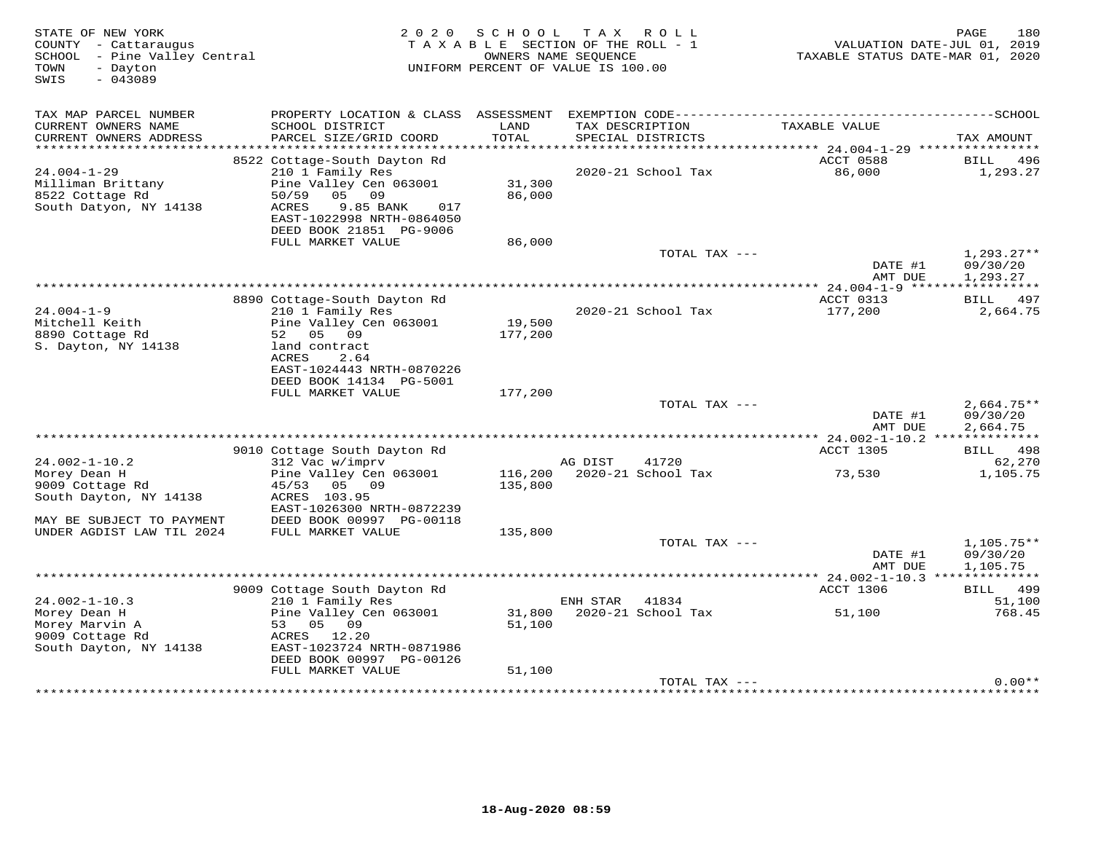| STATE OF NEW YORK<br>COUNTY - Cattaraugus<br>SCHOOL - Pine Valley Central<br>TOWN<br>- Dayton<br>SWIS<br>$-043089$ | 2 0 2 0                                                                                                       | S C H O O L<br>TAXABLE SECTION OF THE ROLL - 1<br>UNIFORM PERCENT OF VALUE IS 100.00 | T A X<br>OWNERS NAME SEQUENCE | R O L L                              | VALUATION DATE-JUL 01, 2019<br>TAXABLE STATUS DATE-MAR 01, 2020 | 180<br>PAGE                          |
|--------------------------------------------------------------------------------------------------------------------|---------------------------------------------------------------------------------------------------------------|--------------------------------------------------------------------------------------|-------------------------------|--------------------------------------|-----------------------------------------------------------------|--------------------------------------|
| TAX MAP PARCEL NUMBER<br>CURRENT OWNERS NAME<br>CURRENT OWNERS ADDRESS                                             | PROPERTY LOCATION & CLASS ASSESSMENT<br>SCHOOL DISTRICT<br>PARCEL SIZE/GRID COORD                             | LAND<br>TOTAL                                                                        |                               | TAX DESCRIPTION<br>SPECIAL DISTRICTS | TAXABLE VALUE                                                   | TAX AMOUNT                           |
| $24.004 - 1 - 29$<br>Milliman Brittany                                                                             | 8522 Cottage-South Dayton Rd<br>210 1 Family Res<br>Pine Valley Cen 063001                                    | 31,300                                                                               |                               | 2020-21 School Tax                   | ACCT 0588<br>86,000                                             | BILL 496<br>1,293.27                 |
| 8522 Cottage Rd<br>South Datyon, NY 14138                                                                          | 50/59<br>0.5<br>09<br>9.85 BANK<br>ACRES<br>017<br>EAST-1022998 NRTH-0864050<br>DEED BOOK 21851 PG-9006       | 86,000                                                                               |                               |                                      |                                                                 |                                      |
|                                                                                                                    | FULL MARKET VALUE                                                                                             | 86,000                                                                               |                               | TOTAL TAX ---                        | DATE #1<br>AMT DUE                                              | $1,293.27**$<br>09/30/20<br>1,293.27 |
|                                                                                                                    |                                                                                                               |                                                                                      |                               |                                      |                                                                 |                                      |
| $24.004 - 1 - 9$<br>Mitchell Keith<br>8890 Cottage Rd<br>S. Dayton, NY 14138                                       | 8890 Cottage-South Dayton Rd<br>210 1 Family Res<br>Pine Valley Cen 063001<br>52<br>05<br>09<br>land contract | 19,500<br>177,200                                                                    |                               | 2020-21 School Tax                   | ACCT 0313<br>177,200                                            | 497<br>BILL<br>2,664.75              |
|                                                                                                                    | ACRES<br>2.64<br>EAST-1024443 NRTH-0870226<br>DEED BOOK 14134 PG-5001<br>FULL MARKET VALUE                    | 177,200                                                                              |                               |                                      |                                                                 |                                      |
|                                                                                                                    |                                                                                                               |                                                                                      |                               | TOTAL TAX ---                        | DATE #1<br>AMT DUE                                              | $2,664.75**$<br>09/30/20<br>2,664.75 |
|                                                                                                                    | 9010 Cottage South Dayton Rd                                                                                  |                                                                                      |                               |                                      | <b>ACCT 1305</b>                                                | BILL 498                             |
| $24.002 - 1 - 10.2$                                                                                                | 312 Vac w/imprv                                                                                               |                                                                                      | AG DIST                       | 41720                                |                                                                 | 62,270                               |
| Morey Dean H<br>9009 Cottage Rd<br>South Dayton, NY 14138                                                          | Pine Valley Cen 063001<br>45/53<br>05 09<br>ACRES 103.95<br>EAST-1026300 NRTH-0872239                         | 116,200<br>135,800                                                                   |                               | 2020-21 School Tax                   | 73,530                                                          | 1,105.75                             |
| MAY BE SUBJECT TO PAYMENT                                                                                          | DEED BOOK 00997 PG-00118                                                                                      |                                                                                      |                               |                                      |                                                                 |                                      |
| UNDER AGDIST LAW TIL 2024                                                                                          | FULL MARKET VALUE                                                                                             | 135,800                                                                              |                               |                                      |                                                                 |                                      |
|                                                                                                                    |                                                                                                               |                                                                                      |                               | TOTAL TAX ---                        | DATE #1<br>AMT DUE                                              | $1,105.75**$<br>09/30/20<br>1,105.75 |
|                                                                                                                    |                                                                                                               |                                                                                      |                               |                                      |                                                                 |                                      |
| $24.002 - 1 - 10.3$                                                                                                | 9009 Cottage South Dayton Rd<br>210 1 Family Res                                                              |                                                                                      | ENH STAR                      | 41834                                | ACCT 1306                                                       | BILL 499<br>51,100                   |
| Morey Dean H<br>Morey Marvin A<br>9009 Cottage Rd<br>South Dayton, NY 14138                                        | Pine Valley Cen 063001<br>53<br>05 09<br>ACRES 12.20<br>EAST-1023724 NRTH-0871986                             | 31,800<br>51,100                                                                     |                               | 2020-21 School Tax                   | 51,100                                                          | 768.45                               |
|                                                                                                                    | DEED BOOK 00997 PG-00126<br>FULL MARKET VALUE                                                                 | 51,100                                                                               |                               |                                      |                                                                 |                                      |
|                                                                                                                    |                                                                                                               |                                                                                      |                               | TOTAL TAX ---                        |                                                                 | $0.00**$                             |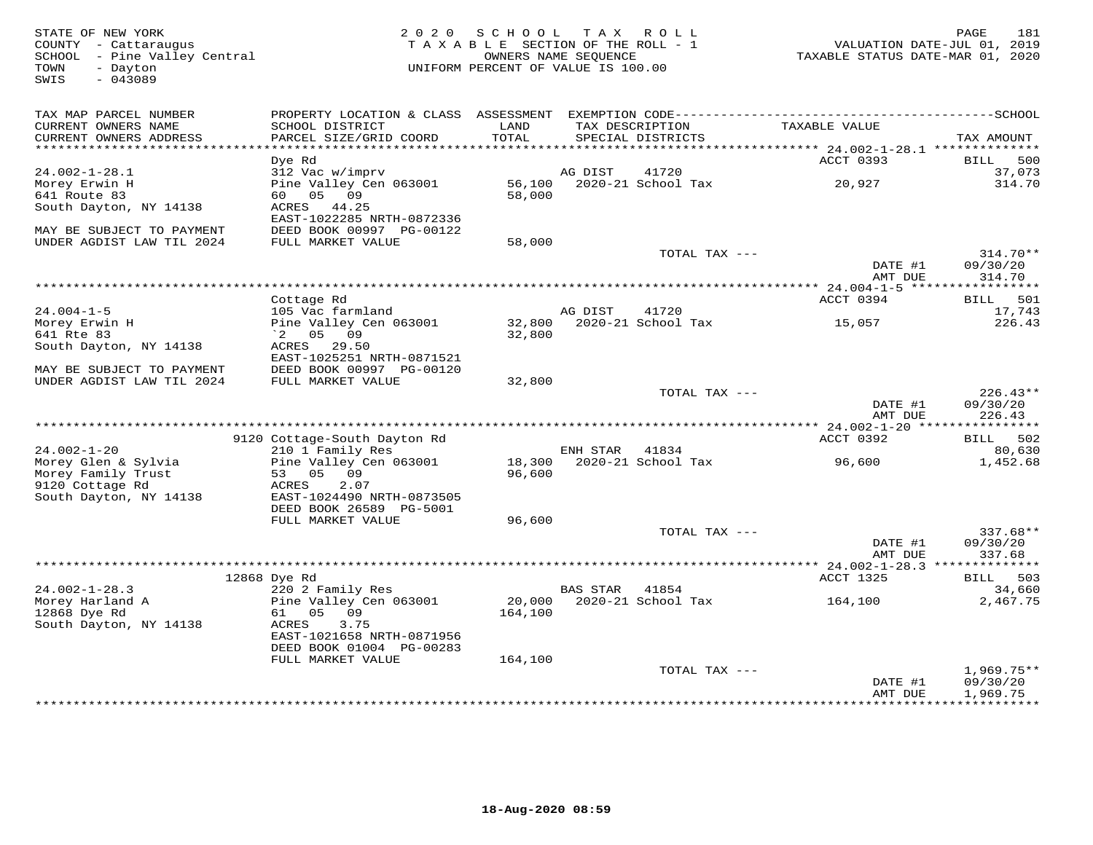FATE OF NEW YORK PAGE 181<br>COUNTY - Cattaraugus (COUNTY - Cattaraugus ) and the section of the SECTION OF THE ROLL - 1 (COUNTY - Cattaraugus<br>SCHOOL - Pine Valley Central (COUNTRE STATUS DATE-UL OI, 2019)<br>TAXABLE STATUS DATE SWIS - 043089TAX MAP PARCEL NUMBER PROPERTY LOCATION & CLASS ASSESSMENT EXEMPTION CODE------------------------------------------SCHOOL CURRENT OWNERS NAME SCHOOL DISTRICT LAND TAX DESCRIPTION TAXABLE VALUE CURRENT OWNERS ADDRESS PARCEL SIZE/GRID COORD TOTAL SPECIAL DISTRICTS TAX AMOUNT \*\*\*\*\*\*\*\*\*\*\*\*\*\*\*\*\*\*\*\*\*\*\*\*\*\*\*\*\*\*\*\*\*\*\*\*\*\*\*\*\*\*\*\*\*\*\*\*\*\*\*\*\*\*\*\*\*\*\*\*\*\*\*\*\*\*\*\*\*\*\*\*\*\*\*\*\*\*\*\*\*\*\*\*\*\*\*\*\*\*\*\*\*\*\*\*\*\*\*\*\*\*\* 24.002-1-28.1 \*\*\*\*\*\*\*\*\*\*\*\*\*\*ACCT 0393 BILL 500 dig by the Rd Accredit Control of the Maria Control of the Accredit Control of the ACCT 0393 BILL 500 BILL 500 37,073 24.002-1-28.1 312 Vac w/imprv AG DIST 41720 37,073 $314.70$ Morey Erwin H Pine Valley Cen 063001 56,100 2020-21 School Tax 20,927 314.70641 Route 83 60 05 09 58,000 South Dayton, NY 14138 ACRES 44.25 EAST-1022285 NRTH-0872336 MAY BE SUBJECT TO PAYMENT DEED BOOK 00997 PG-00122 UNDER AGDIST LAW TIL 2024 FULL MARKET VALUE 58,000 TOTAL TAX --- 314.70\*\* DATE #1 09/30/20 AMT DUE 314.70 \*\*\*\*\*\*\*\*\*\*\*\*\*\*\*\*\*\*\*\*\*\*\*\*\*\*\*\*\*\*\*\*\*\*\*\*\*\*\*\*\*\*\*\*\*\*\*\*\*\*\*\*\*\*\*\*\*\*\*\*\*\*\*\*\*\*\*\*\*\*\*\*\*\*\*\*\*\*\*\*\*\*\*\*\*\*\*\*\*\*\*\*\*\*\*\*\*\*\*\*\*\*\* 24.004-1-5 \*\*\*\*\*\*\*\*\*\*\*\*\*\*\*\*\*ACCT 0394 BILL 501 Cottage Rd ACCT 0394 BILL 50117,743 24.004-1-5 105 Vac farmland AG DIST 41720 17,743226.43 Morey Erwin H Pine Valley Cen 063001 32,800 2020-21 School Tax 15,057 226.43641 Rte 83 `2 05 09 32,800 South Dayton, NY 14138 ACRES 29.50 EAST-1025251 NRTH-0871521 MAY BE SUBJECT TO PAYMENT DEED BOOK 00997 PG-00120 UNDER AGDIST LAW TIL 2024 FULL MARKET VALUE 32,800 TOTAL TAX --- 226.43\*\* DATE #1 09/30/20 AMT DUE 226.43 \*\*\*\*\*\*\*\*\*\*\*\*\*\*\*\*\*\*\*\*\*\*\*\*\*\*\*\*\*\*\*\*\*\*\*\*\*\*\*\*\*\*\*\*\*\*\*\*\*\*\*\*\*\*\*\*\*\*\*\*\*\*\*\*\*\*\*\*\*\*\*\*\*\*\*\*\*\*\*\*\*\*\*\*\*\*\*\*\*\*\*\*\*\*\*\*\*\*\*\*\*\*\* 24.002-1-20 \*\*\*\*\*\*\*\*\*\*\*\*\*\*\*\*ACCT 0392 BILL 502 9120 Cottage-South Dayton Rd ACCT 0392 BILL 50280,630 24.002-1-20 210 1 Family Res ENH STAR 41834 80,630 1,452.68 Morey Glen & Sylvia Pine Valley Cen 063001 18,300 2020-21 School Tax 96,600 1,452.68Morey Family Trust 53 05 09 96,600 9120 Cottage Rd ACRES 2.07 South Dayton, NY 14138 EAST-1024490 NRTH-0873505 DEED BOOK 26589 PG-5001 FULL MARKET VALUE 96,600 TOTAL TAX --- 337.68\*\* DATE #1 09/30/20AMT DUE 337.68 AMT DUE 337.68 \*\*\*\*\*\*\*\*\*\*\*\*\*\*\*\*\*\*\*\*\*\*\*\*\*\*\*\*\*\*\*\*\*\*\*\*\*\*\*\*\*\*\*\*\*\*\*\*\*\*\*\*\*\*\*\*\*\*\*\*\*\*\*\*\*\*\*\*\*\*\*\*\*\*\*\*\*\*\*\*\*\*\*\*\*\*\*\*\*\*\*\*\*\*\*\*\*\*\*\*\*\*\* 24.002-1-28.3 \*\*\*\*\*\*\*\*\*\*\*\*\*\* 12868 Dye Rd ACCT 1325 BILL 503 24.002-1-28.3 220 2 Family Res BAS STAR 41854 34,660 Morey Harland A Pine Valley Cen 063001 20,000 2020-21 School Tax 164,100 2,467.75 12868 Dye Rd 61 05 09 164,100 South Dayton, NY 14138 ACRES 3.75 EAST-1021658 NRTH-0871956 DEED BOOK 01004 PG-00283 FULL MARKET VALUE 164,100 $\text{TOTAL TAX}$  ---  $1,969.75**$  DATE #1 09/30/20 AMT DUE 1,969.75\*\*\*\*\*\*\*\*\*\*\*\*\*\*\*\*\*\*\*\*\*\*\*\*\*\*\*\*\*\*\*\*\*\*\*\*\*\*\*\*\*\*\*\*\*\*\*\*\*\*\*\*\*\*\*\*\*\*\*\*\*\*\*\*\*\*\*\*\*\*\*\*\*\*\*\*\*\*\*\*\*\*\*\*\*\*\*\*\*\*\*\*\*\*\*\*\*\*\*\*\*\*\*\*\*\*\*\*\*\*\*\*\*\*\*\*\*\*\*\*\*\*\*\*\*\*\*\*\*\*\*\*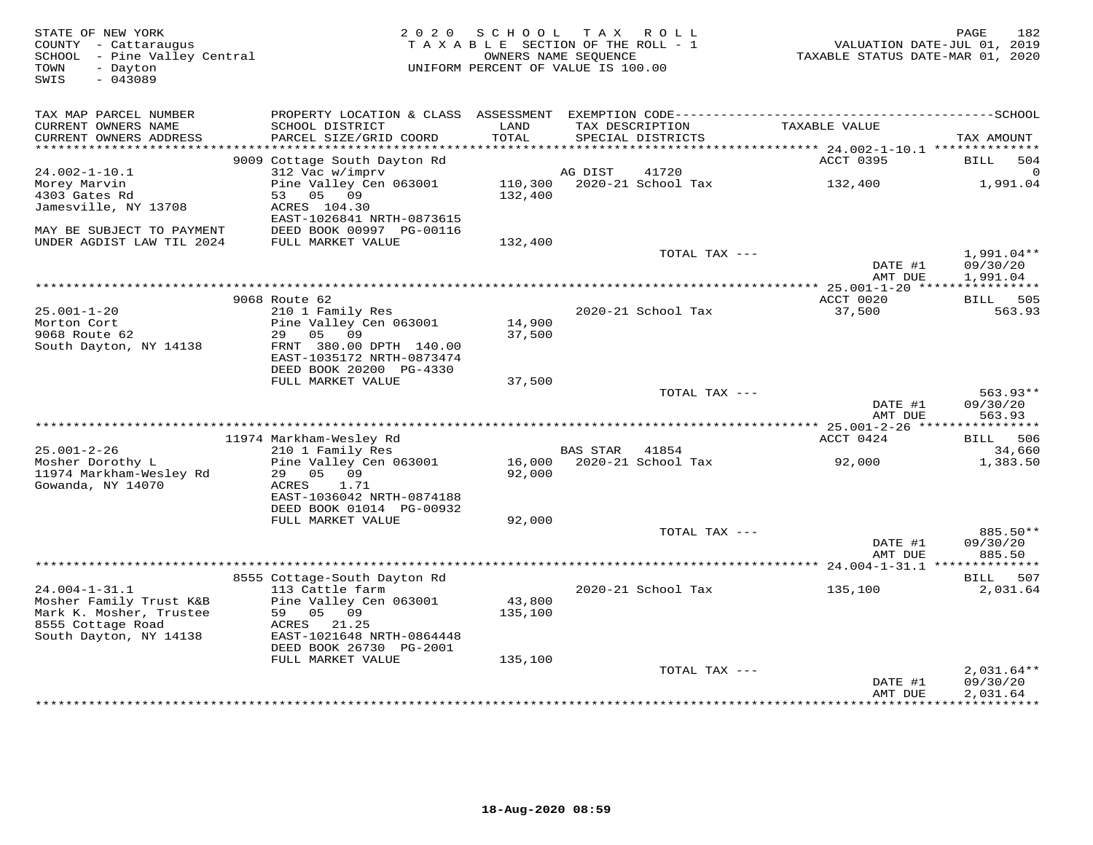| STATE OF NEW YORK<br>COUNTY - Cattaraugus<br>SCHOOL - Pine Valley Central<br>- Dayton<br>TOWN<br>$-043089$<br>SWIS | 2 0 2 0                                         | SCHOOL<br>TAXABLE SECTION OF THE ROLL - 1<br>OWNERS NAME SEQUENCE<br>UNIFORM PERCENT OF VALUE IS 100.00 |          | TAX ROLL                             | VALUATION DATE-JUL 01, 2019<br>TAXABLE STATUS DATE-MAR 01, 2020 | 182<br>PAGE            |
|--------------------------------------------------------------------------------------------------------------------|-------------------------------------------------|---------------------------------------------------------------------------------------------------------|----------|--------------------------------------|-----------------------------------------------------------------|------------------------|
| TAX MAP PARCEL NUMBER                                                                                              |                                                 |                                                                                                         |          |                                      |                                                                 |                        |
| CURRENT OWNERS NAME<br>CURRENT OWNERS ADDRESS<br>***********************                                           | SCHOOL DISTRICT<br>PARCEL SIZE/GRID COORD       | LAND<br>TOTAL                                                                                           |          | TAX DESCRIPTION<br>SPECIAL DISTRICTS | TAXABLE VALUE                                                   | TAX AMOUNT             |
|                                                                                                                    | 9009 Cottage South Dayton Rd                    |                                                                                                         |          |                                      | ACCT 0395                                                       | BILL<br>504            |
| $24.002 - 1 - 10.1$                                                                                                | 312 Vac w/imprv                                 |                                                                                                         | AG DIST  | 41720                                |                                                                 | $\Omega$               |
| Morey Marvin                                                                                                       | Pine Valley Cen 063001                          | 110,300                                                                                                 |          | 2020-21 School Tax                   | 132,400                                                         | 1,991.04               |
| 4303 Gates Rd                                                                                                      | 05 09<br>53                                     | 132,400                                                                                                 |          |                                      |                                                                 |                        |
| Jamesville, NY 13708                                                                                               | ACRES 104.30<br>EAST-1026841 NRTH-0873615       |                                                                                                         |          |                                      |                                                                 |                        |
| MAY BE SUBJECT TO PAYMENT                                                                                          | DEED BOOK 00997 PG-00116                        |                                                                                                         |          |                                      |                                                                 |                        |
| UNDER AGDIST LAW TIL 2024                                                                                          | FULL MARKET VALUE                               | 132,400                                                                                                 |          |                                      |                                                                 |                        |
|                                                                                                                    |                                                 |                                                                                                         |          | TOTAL TAX ---                        |                                                                 | $1,991.04**$           |
|                                                                                                                    |                                                 |                                                                                                         |          |                                      | DATE #1<br>AMT DUE                                              | 09/30/20<br>1,991.04   |
|                                                                                                                    |                                                 |                                                                                                         |          |                                      | $* 25.001 - 1 - 20$ *****                                       | ***********            |
|                                                                                                                    | 9068 Route 62                                   |                                                                                                         |          |                                      | ACCT 0020                                                       | BILL 505               |
| $25.001 - 1 - 20$                                                                                                  | 210 1 Family Res                                |                                                                                                         |          | 2020-21 School Tax                   | 37,500                                                          | 563.93                 |
| Morton Cort                                                                                                        | Pine Valley Cen 063001                          | 14,900                                                                                                  |          |                                      |                                                                 |                        |
| 9068 Route 62<br>South Dayton, NY 14138                                                                            | 05<br>09<br>29<br>FRNT 380.00 DPTH 140.00       | 37,500                                                                                                  |          |                                      |                                                                 |                        |
|                                                                                                                    | EAST-1035172 NRTH-0873474                       |                                                                                                         |          |                                      |                                                                 |                        |
|                                                                                                                    | DEED BOOK 20200 PG-4330                         |                                                                                                         |          |                                      |                                                                 |                        |
|                                                                                                                    | FULL MARKET VALUE                               | 37,500                                                                                                  |          |                                      |                                                                 |                        |
|                                                                                                                    |                                                 |                                                                                                         |          | TOTAL TAX ---                        | DATE #1                                                         | $563.93**$<br>09/30/20 |
|                                                                                                                    |                                                 |                                                                                                         |          |                                      | AMT DUE                                                         | 563.93                 |
|                                                                                                                    |                                                 |                                                                                                         |          |                                      | *********** 25.001-2-26 *****                                   | ***********            |
|                                                                                                                    | 11974 Markham-Wesley Rd                         |                                                                                                         |          |                                      | ACCT 0424                                                       | 506<br>BILL            |
| $25.001 - 2 - 26$<br>Mosher Dorothy L                                                                              | 210 1 Family Res<br>Pine Valley Cen 063001      |                                                                                                         | BAS STAR | 41854<br>16,000 2020-21 School Tax   | 92,000                                                          | 34,660<br>1,383.50     |
| 11974 Markham-Wesley Rd                                                                                            | 29<br>05 09                                     | 92,000                                                                                                  |          |                                      |                                                                 |                        |
| Gowanda, NY 14070                                                                                                  | ACRES<br>1.71                                   |                                                                                                         |          |                                      |                                                                 |                        |
|                                                                                                                    | EAST-1036042 NRTH-0874188                       |                                                                                                         |          |                                      |                                                                 |                        |
|                                                                                                                    | DEED BOOK 01014 PG-00932                        |                                                                                                         |          |                                      |                                                                 |                        |
|                                                                                                                    | FULL MARKET VALUE                               | 92,000                                                                                                  |          | TOTAL TAX ---                        |                                                                 | 885.50**               |
|                                                                                                                    |                                                 |                                                                                                         |          |                                      | DATE #1                                                         | 09/30/20               |
|                                                                                                                    |                                                 |                                                                                                         |          |                                      | AMT DUE                                                         | 885.50                 |
|                                                                                                                    |                                                 |                                                                                                         |          |                                      | *************** 24.004-1-31.1 **                                |                        |
| $24.004 - 1 - 31.1$                                                                                                | 8555 Cottage-South Dayton Rd<br>113 Cattle farm |                                                                                                         |          | 2020-21 School Tax                   |                                                                 | 507<br>BILL            |
| Mosher Family Trust K&B                                                                                            | Pine Valley Cen 063001                          | 43,800                                                                                                  |          |                                      | 135,100                                                         | 2,031.64               |
| Mark K. Mosher, Trustee                                                                                            | 0.5<br>09<br>59                                 | 135,100                                                                                                 |          |                                      |                                                                 |                        |
| 8555 Cottage Road                                                                                                  | ACRES<br>21.25                                  |                                                                                                         |          |                                      |                                                                 |                        |
| South Dayton, NY 14138                                                                                             | EAST-1021648 NRTH-0864448                       |                                                                                                         |          |                                      |                                                                 |                        |
|                                                                                                                    | DEED BOOK 26730 PG-2001<br>FULL MARKET VALUE    | 135,100                                                                                                 |          |                                      |                                                                 |                        |
|                                                                                                                    |                                                 |                                                                                                         |          | TOTAL TAX ---                        |                                                                 | $2,031.64**$           |
|                                                                                                                    |                                                 |                                                                                                         |          |                                      | DATE #1                                                         | 09/30/20               |
|                                                                                                                    |                                                 |                                                                                                         |          |                                      | AMT DUE                                                         | 2,031.64               |
|                                                                                                                    |                                                 |                                                                                                         |          |                                      |                                                                 |                        |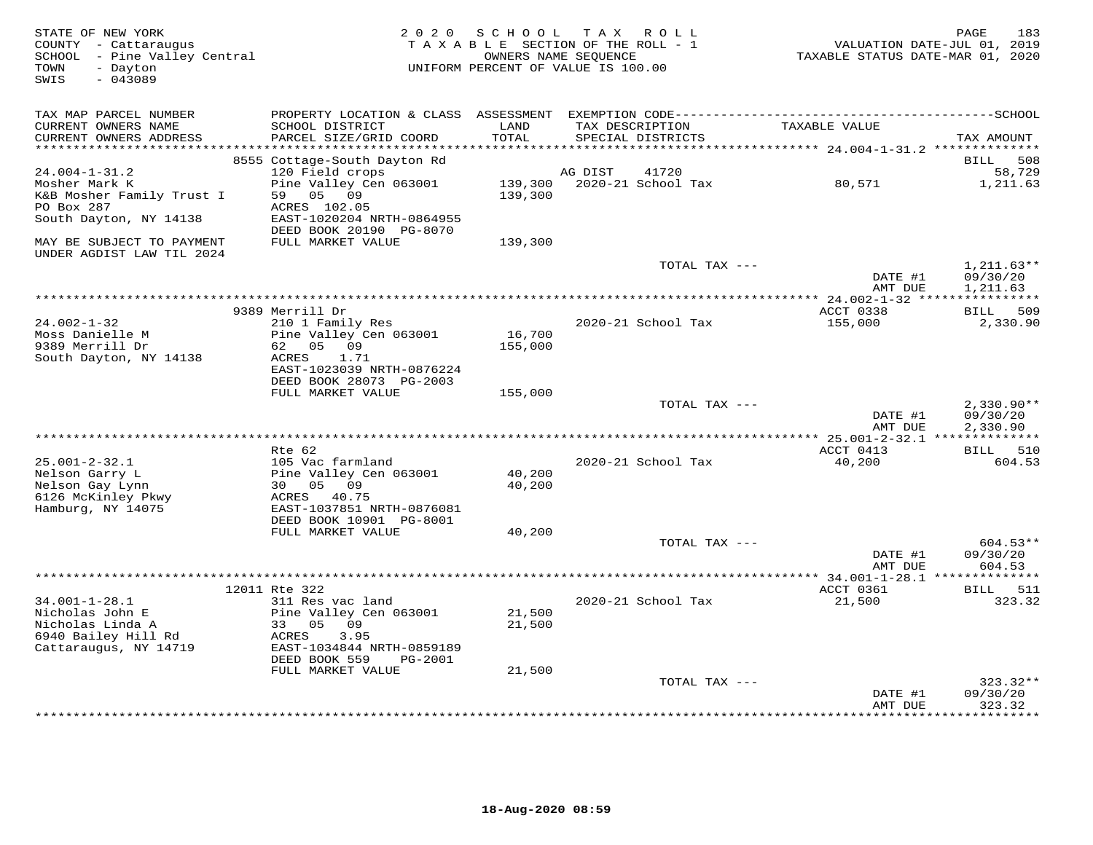| STATE OF NEW YORK<br>COUNTY - Cattaraugus<br>SCHOOL - Pine Valley Central<br>- Dayton<br>TOWN<br>$-043089$<br>SWIS | 2 0 2 0                                                                                                                                              | SCHOOL             | T A X<br>R O L L<br>TAXABLE SECTION OF THE ROLL - 1<br>OWNERS NAME SEQUENCE<br>UNIFORM PERCENT OF VALUE IS 100.00 | VALUATION DATE-JUL 01, 2019<br>TAXABLE STATUS DATE-MAR 01, 2020 | 183<br>PAGE                                   |
|--------------------------------------------------------------------------------------------------------------------|------------------------------------------------------------------------------------------------------------------------------------------------------|--------------------|-------------------------------------------------------------------------------------------------------------------|-----------------------------------------------------------------|-----------------------------------------------|
| TAX MAP PARCEL NUMBER<br>CURRENT OWNERS NAME<br>CURRENT OWNERS ADDRESS                                             | SCHOOL DISTRICT<br>PARCEL SIZE/GRID COORD                                                                                                            | LAND<br>TOTAL      | TAX DESCRIPTION<br>SPECIAL DISTRICTS                                                                              | TAXABLE VALUE                                                   | TAX AMOUNT                                    |
|                                                                                                                    |                                                                                                                                                      | * * * * * * * *    |                                                                                                                   | ********************* 24.004-1-31.2 ***********                 |                                               |
| $24.004 - 1 - 31.2$<br>Mosher Mark K<br>K&B Mosher Family Trust I<br>PO Box 287<br>South Dayton, NY 14138          | 8555 Cottage-South Dayton Rd<br>120 Field crops<br>Pine Valley Cen 063001<br>59<br>05 09<br>ACRES 102.05<br>EAST-1020204 NRTH-0864955                | 139,300<br>139,300 | 41720<br>AG DIST<br>2020-21 School Tax                                                                            | 80,571                                                          | 508<br>BILL<br>58,729<br>1,211.63             |
| MAY BE SUBJECT TO PAYMENT                                                                                          | DEED BOOK 20190 PG-8070<br>FULL MARKET VALUE                                                                                                         | 139,300            |                                                                                                                   |                                                                 |                                               |
| UNDER AGDIST LAW TIL 2024                                                                                          |                                                                                                                                                      |                    | TOTAL TAX ---                                                                                                     | DATE #1                                                         | $1,211.63**$<br>09/30/20                      |
|                                                                                                                    |                                                                                                                                                      |                    |                                                                                                                   | AMT DUE                                                         | 1,211.63                                      |
|                                                                                                                    | 9389 Merrill Dr                                                                                                                                      |                    |                                                                                                                   | ACCT 0338                                                       | 509<br>BILL                                   |
| $24.002 - 1 - 32$<br>Moss Danielle M<br>9389 Merrill Dr<br>South Dayton, NY 14138                                  | 210 1 Family Res<br>Pine Valley Cen 063001<br>62<br>05<br>09<br>ACRES<br>1.71<br>EAST-1023039 NRTH-0876224                                           | 16,700<br>155,000  | 2020-21 School Tax                                                                                                | 155,000                                                         | 2,330.90                                      |
|                                                                                                                    | DEED BOOK 28073 PG-2003                                                                                                                              |                    |                                                                                                                   |                                                                 |                                               |
|                                                                                                                    | FULL MARKET VALUE                                                                                                                                    | 155,000            | TOTAL TAX ---                                                                                                     | DATE #1<br>AMT DUE                                              | $2,330.90**$<br>09/30/20<br>2,330.90          |
|                                                                                                                    |                                                                                                                                                      |                    |                                                                                                                   | ******** 25.001-2-32.1 **************                           |                                               |
| $25.001 - 2 - 32.1$<br>Nelson Garry L<br>Nelson Gay Lynn<br>6126 McKinley Pkwy<br>Hamburg, NY 14075                | $Rte$ 62<br>105 Vac farmland<br>Pine Valley Cen 063001<br>30 05 09<br>ACRES 40.75<br>EAST-1037851 NRTH-0876081                                       | 40,200<br>40,200   | 2020-21 School Tax                                                                                                | ACCT 0413<br>40,200                                             | BILL 510<br>604.53                            |
|                                                                                                                    | DEED BOOK 10901 PG-8001                                                                                                                              |                    |                                                                                                                   |                                                                 |                                               |
|                                                                                                                    | FULL MARKET VALUE                                                                                                                                    | 40,200             | TOTAL TAX ---                                                                                                     | DATE #1<br>AMT DUE                                              | $604.53**$<br>09/30/20<br>604.53              |
|                                                                                                                    |                                                                                                                                                      |                    |                                                                                                                   |                                                                 |                                               |
| $34.001 - 1 - 28.1$<br>Nicholas John E<br>Nicholas Linda A<br>6940 Bailey Hill Rd<br>Cattaraugus, NY 14719         | 12011 Rte 322<br>311 Res vac land<br>Pine Valley Cen 063001<br>33 05<br>09<br>3.95<br>ACRES<br>EAST-1034844 NRTH-0859189<br>DEED BOOK 559<br>PG-2001 | 21,500<br>21,500   | 2020-21 School Tax                                                                                                | ACCT 0361<br>21,500                                             | BILL 511<br>323.32                            |
|                                                                                                                    | FULL MARKET VALUE                                                                                                                                    | 21,500             |                                                                                                                   |                                                                 |                                               |
|                                                                                                                    |                                                                                                                                                      |                    | TOTAL TAX ---                                                                                                     | DATE #1<br>AMT DUE<br>***************                           | $323.32**$<br>09/30/20<br>323.32<br>********* |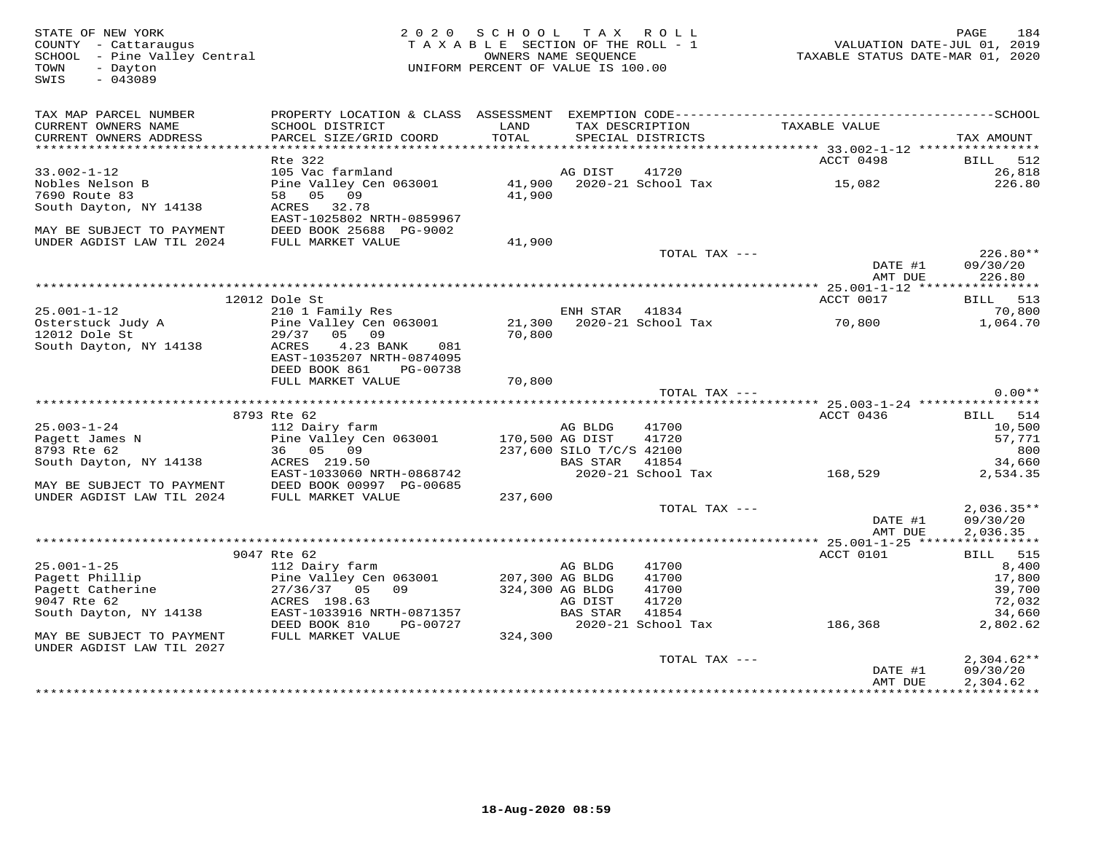FATE OF NEW YORK PAGE 184<br>COUNTY - Cattaraugus (COUNTY - Cattaraugus ) and the section of the SECTION OF THE ROLL - 1 (COUNTY - Cattaraugus<br>SCHOOL - Pine Valley Central (COUNTRE PARTE SECTION OF THE ROLL - 1 (COUNTRE STATU SWIS - 043089TAX MAP PARCEL NUMBER PROPERTY LOCATION & CLASS ASSESSMENT EXEMPTION CODE------------------------------------------SCHOOL CURRENT OWNERS NAME SCHOOL DISTRICT LAND TAX DESCRIPTION TAXABLE VALUE CURRENT OWNERS ADDRESS PARCEL SIZE/GRID COORD TOTAL SPECIAL DISTRICTS TAX AMOUNT \*\*\*\*\*\*\*\*\*\*\*\*\*\*\*\*\*\*\*\*\*\*\*\*\*\*\*\*\*\*\*\*\*\*\*\*\*\*\*\*\*\*\*\*\*\*\*\*\*\*\*\*\*\*\*\*\*\*\*\*\*\*\*\*\*\*\*\*\*\*\*\*\*\*\*\*\*\*\*\*\*\*\*\*\*\*\*\*\*\*\*\*\*\*\*\*\*\*\*\*\*\*\* 33.002-1-12 \*\*\*\*\*\*\*\*\*\*\*\*\*\*\*\*33.002-1-12 Rte 322<br>
Rte 322<br>
105 Vac farmland<br>
Nobles Nelson B Distribution of the Valley Cen 063001 41,900 2020-21 School Tax 15,082 15,082<br>
7690 Route 83 58 05 09 41,900<br>
South Dayton, NY 14138 ACRES 32.78<br>
FARY BE SUBJ DATE #1 09/30/20<br>AMT DUE 126.80 AMT DUE 226.80 \*\*\*\*\*\*\*\*\*\*\*\*\*\*\*\*\*\*\*\*\*\*\*\*\*\*\*\*\*\*\*\*\*\*\*\*\*\*\*\*\*\*\*\*\*\*\*\*\*\*\*\*\*\*\*\*\*\*\*\*\*\*\*\*\*\*\*\*\*\*\*\*\*\*\*\*\*\*\*\*\*\*\*\*\*\*\*\*\*\*\*\*\*\*\*\*\*\*\*\*\*\*\* 25.001-1-12 \*\*\*\*\*\*\*\*\*\*\*\*\*\*\*\*ACCT 0017 BILL 513 12012 Dole St ACCT 0017 BILL 51325.001-1-12 210 1 Family Res ENH STAR 41834 70,800Osterstuck Judy A Pine Valley Cen 063001 21,300 2020-21 School Tax 70,800 1,064.7012012 Dole St 29/37 05 09 70,800 South Dayton, NY 14138 ACRES 4.23 BANK 081 EAST-1035207 NRTH-0874095 DEED BOOK 861 PG-00738 FULL MARKET VALUE 70,800 TOTAL TAX --- 0.00\*\* \*\*\*\*\*\*\*\*\*\*\*\*\*\*\*\*\*\*\*\*\*\*\*\*\*\*\*\*\*\*\*\*\*\*\*\*\*\*\*\*\*\*\*\*\*\*\*\*\*\*\*\*\*\*\*\*\*\*\*\*\*\*\*\*\*\*\*\*\*\*\*\*\*\*\*\*\*\*\*\*\*\*\*\*\*\*\*\*\*\*\*\*\*\*\*\*\*\*\*\*\*\*\* 25.003-1-24 \*\*\*\*\*\*\*\*\*\*\*\*\*\*\*\* 8793 Rte 62 ACCT 0436 BILL 514 25.003-1-24 112 Dairy farm AG BLDG 41700 10,500 Pagett James N Pine Valley Cen 063001 170,500 AG DIST 41720 57,771 8793 Rte 62 36 05 09 237,600 SILO T/C/S 42100 800 South Dayton, NY 14138 ACRES 219.50 BAS STAR 41854 34,660 EAST-1033060 NRTH-0868742 2020-21 School Tax 168,529 2,534.35 MAY BE SUBJECT TO PAYMENT DEED BOOK 00997 PG-00685 UNDER AGDIST LAW TIL 2024 FULL MARKET VALUE 237,600 TOTAL TAX --- 2,036.35\*\* DATE #1 09/30/20 AMT DUE 2,036.35 \*\*\*\*\*\*\*\*\*\*\*\*\*\*\*\*\*\*\*\*\*\*\*\*\*\*\*\*\*\*\*\*\*\*\*\*\*\*\*\*\*\*\*\*\*\*\*\*\*\*\*\*\*\*\*\*\*\*\*\*\*\*\*\*\*\*\*\*\*\*\*\*\*\*\*\*\*\*\*\*\*\*\*\*\*\*\*\*\*\*\*\*\*\*\*\*\*\*\*\*\*\*\* 25.001-1-25 \*\*\*\*\*\*\*\*\*\*\*\*\*\*\*\*35.001-1-25 9047 Rte 62 Pagett Phillip Fill Dairy farm and the MCT 0101 BILL 515<br>
Pagett Phillip Pine Valley Cen 063001 207,300 AG BLDG 41700 AG HOU 17,800<br>
Pagett Catherine 27/36/37 05 09 324,300 AG BLDG 41700 AG DIG 27/3 TOTAL TAX --- 2,304.62\*\* DATE #1 09/30/20 AMT DUE 2,304.62

\*\*\*\*\*\*\*\*\*\*\*\*\*\*\*\*\*\*\*\*\*\*\*\*\*\*\*\*\*\*\*\*\*\*\*\*\*\*\*\*\*\*\*\*\*\*\*\*\*\*\*\*\*\*\*\*\*\*\*\*\*\*\*\*\*\*\*\*\*\*\*\*\*\*\*\*\*\*\*\*\*\*\*\*\*\*\*\*\*\*\*\*\*\*\*\*\*\*\*\*\*\*\*\*\*\*\*\*\*\*\*\*\*\*\*\*\*\*\*\*\*\*\*\*\*\*\*\*\*\*\*\*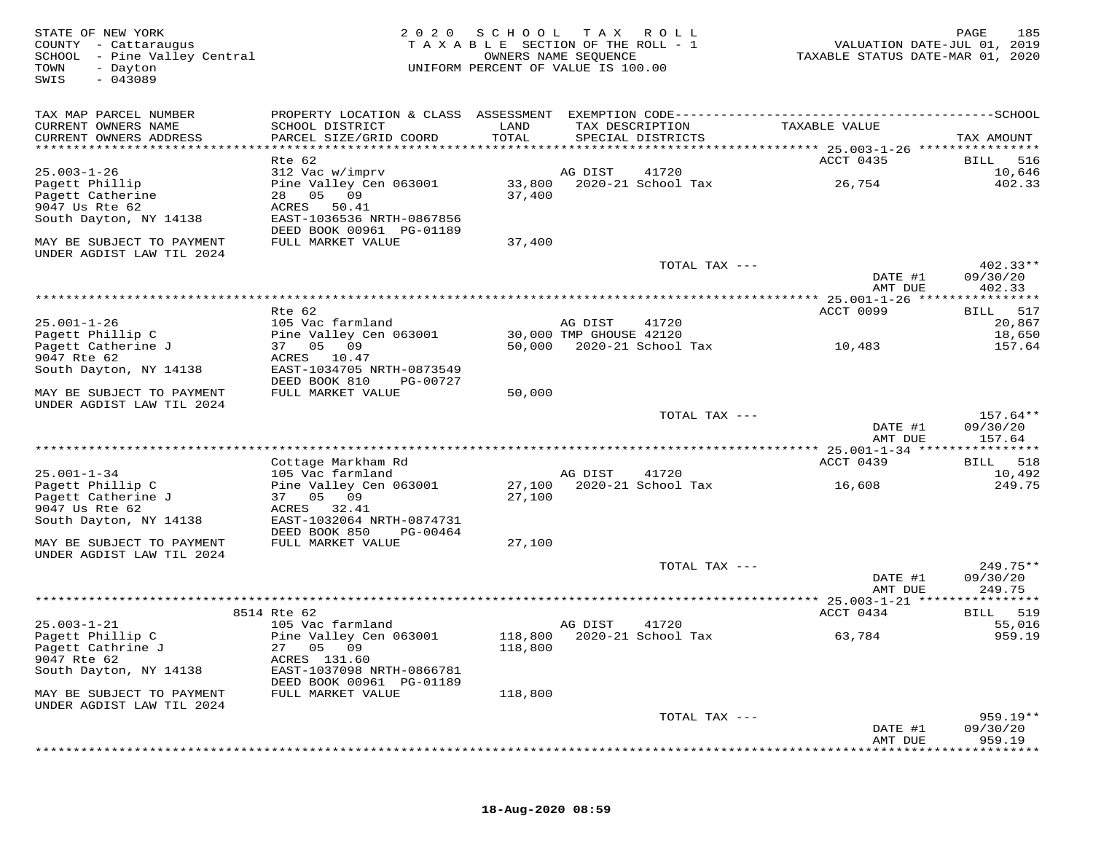| STATE OF NEW YORK<br>COUNTY - Cattaraugus<br>SCHOOL - Pine Valley Central<br>TOWN<br>- Dayton<br>$-043089$<br>SWIS | 2 0 2 0                                               | S C H O O L<br>TAXABLE SECTION OF THE ROLL - 1<br>UNIFORM PERCENT OF VALUE IS 100.00 | T A X<br>OWNERS NAME SEQUENCE | R O L L                    | VALUATION DATE-JUL 01, 2019<br>TAXABLE STATUS DATE-MAR 01, 2020 | 185<br>PAGE          |
|--------------------------------------------------------------------------------------------------------------------|-------------------------------------------------------|--------------------------------------------------------------------------------------|-------------------------------|----------------------------|-----------------------------------------------------------------|----------------------|
| TAX MAP PARCEL NUMBER                                                                                              |                                                       |                                                                                      |                               |                            |                                                                 |                      |
| CURRENT OWNERS NAME<br>CURRENT OWNERS ADDRESS                                                                      | SCHOOL DISTRICT<br>PARCEL SIZE/GRID COORD             | LAND<br>TOTAL                                                                        | TAX DESCRIPTION               | SPECIAL DISTRICTS          | TAXABLE VALUE                                                   | TAX AMOUNT           |
| ************************                                                                                           |                                                       |                                                                                      |                               |                            |                                                                 |                      |
|                                                                                                                    | Rte 62                                                |                                                                                      |                               |                            | ACCT 0435                                                       | BILL<br>516          |
| $25.003 - 1 - 26$                                                                                                  | 312 Vac w/imprv                                       |                                                                                      | AG DIST                       | 41720                      |                                                                 | 10,646               |
| Pagett Phillip<br>Pagett Catherine                                                                                 | Pine Valley Cen 063001<br>28 05<br>09                 | 33,800<br>37,400                                                                     |                               | 2020-21 School Tax         | 26,754                                                          | 402.33               |
| 9047 Us Rte 62                                                                                                     | ACRES<br>50.41                                        |                                                                                      |                               |                            |                                                                 |                      |
| South Dayton, NY 14138                                                                                             | EAST-1036536 NRTH-0867856                             |                                                                                      |                               |                            |                                                                 |                      |
|                                                                                                                    | DEED BOOK 00961 PG-01189                              |                                                                                      |                               |                            |                                                                 |                      |
| MAY BE SUBJECT TO PAYMENT<br>UNDER AGDIST LAW TIL 2024                                                             | FULL MARKET VALUE                                     | 37,400                                                                               |                               |                            |                                                                 |                      |
|                                                                                                                    |                                                       |                                                                                      |                               | TOTAL TAX ---              |                                                                 | $402.33**$           |
|                                                                                                                    |                                                       |                                                                                      |                               |                            | DATE #1<br>AMT DUE                                              | 09/30/20<br>402.33   |
|                                                                                                                    |                                                       |                                                                                      |                               |                            |                                                                 |                      |
|                                                                                                                    | Rte 62                                                |                                                                                      |                               |                            | ACCT 0099                                                       | 517<br>BILL          |
| $25.001 - 1 - 26$                                                                                                  | 105 Vac farmland                                      |                                                                                      | AG DIST                       | 41720                      |                                                                 | 20,867               |
| Pagett Phillip C                                                                                                   | Pine Valley Cen 063001                                |                                                                                      | 30,000 TMP GHOUSE 42120       |                            |                                                                 | 18,650               |
| Pagett Catherine J                                                                                                 | 37 05 09                                              |                                                                                      |                               | 50,000 2020-21 School Tax  | 10,483                                                          | 157.64               |
| 9047 Rte 62<br>South Dayton, NY 14138                                                                              | ACRES 10.47<br>EAST-1034705 NRTH-0873549              |                                                                                      |                               |                            |                                                                 |                      |
|                                                                                                                    | DEED BOOK 810<br>PG-00727                             |                                                                                      |                               |                            |                                                                 |                      |
| MAY BE SUBJECT TO PAYMENT                                                                                          | FULL MARKET VALUE                                     | 50,000                                                                               |                               |                            |                                                                 |                      |
| UNDER AGDIST LAW TIL 2024                                                                                          |                                                       |                                                                                      |                               | TOTAL TAX ---              |                                                                 | $157.64**$           |
|                                                                                                                    |                                                       |                                                                                      |                               |                            | DATE #1                                                         | 09/30/20             |
|                                                                                                                    |                                                       |                                                                                      |                               |                            | AMT DUE                                                         | 157.64               |
|                                                                                                                    |                                                       |                                                                                      |                               |                            |                                                                 |                      |
|                                                                                                                    | Cottage Markham Rd                                    |                                                                                      |                               |                            | ACCT 0439                                                       | 518<br>BILL          |
| $25.001 - 1 - 34$                                                                                                  | 105 Vac farmland                                      |                                                                                      | AG DIST                       | 41720                      |                                                                 | 10,492               |
| Pagett Phillip C                                                                                                   | Pine Valley Cen 063001<br>37 05 09                    | 27,100                                                                               |                               | 2020-21 School Tax         | 16,608                                                          | 249.75               |
| Pagett Catherine J<br>9047 Us Rte 62                                                                               | 32.41<br>ACRES                                        | 27,100                                                                               |                               |                            |                                                                 |                      |
| South Dayton, NY 14138                                                                                             | EAST-1032064 NRTH-0874731                             |                                                                                      |                               |                            |                                                                 |                      |
|                                                                                                                    | DEED BOOK 850<br>PG-00464                             |                                                                                      |                               |                            |                                                                 |                      |
| MAY BE SUBJECT TO PAYMENT                                                                                          | FULL MARKET VALUE                                     | 27,100                                                                               |                               |                            |                                                                 |                      |
| UNDER AGDIST LAW TIL 2024                                                                                          |                                                       |                                                                                      |                               |                            |                                                                 |                      |
|                                                                                                                    |                                                       |                                                                                      |                               | TOTAL TAX ---              |                                                                 | $249.75**$           |
|                                                                                                                    |                                                       |                                                                                      |                               |                            | DATE #1                                                         | 09/30/20             |
|                                                                                                                    |                                                       |                                                                                      |                               |                            | AMT DUE<br>********** 25.003-1-21 ****************              | 249.75               |
|                                                                                                                    | 8514 Rte 62                                           |                                                                                      |                               |                            | ACCT 0434                                                       | 519<br>BILL          |
| $25.003 - 1 - 21$                                                                                                  | 105 Vac farmland                                      |                                                                                      | AG DIST                       | 41720                      |                                                                 | 55,016               |
| Pagett Phillip C                                                                                                   | Pine Valley Cen 063001                                |                                                                                      |                               | 118,800 2020-21 School Tax | 63,784                                                          | 959.19               |
| Pagett Cathrine J                                                                                                  | 27 05 09                                              | 118,800                                                                              |                               |                            |                                                                 |                      |
| 9047 Rte 62                                                                                                        | ACRES 131.60                                          |                                                                                      |                               |                            |                                                                 |                      |
| South Dayton, NY 14138                                                                                             | EAST-1037098 NRTH-0866781<br>DEED BOOK 00961 PG-01189 |                                                                                      |                               |                            |                                                                 |                      |
| MAY BE SUBJECT TO PAYMENT                                                                                          | FULL MARKET VALUE                                     | 118,800                                                                              |                               |                            |                                                                 |                      |
| UNDER AGDIST LAW TIL 2024                                                                                          |                                                       |                                                                                      |                               |                            |                                                                 |                      |
|                                                                                                                    |                                                       |                                                                                      |                               | TOTAL TAX ---              |                                                                 | 959.19**<br>09/30/20 |
|                                                                                                                    |                                                       |                                                                                      |                               |                            | DATE #1<br>AMT DUE                                              | 959.19               |
|                                                                                                                    |                                                       |                                                                                      |                               |                            |                                                                 |                      |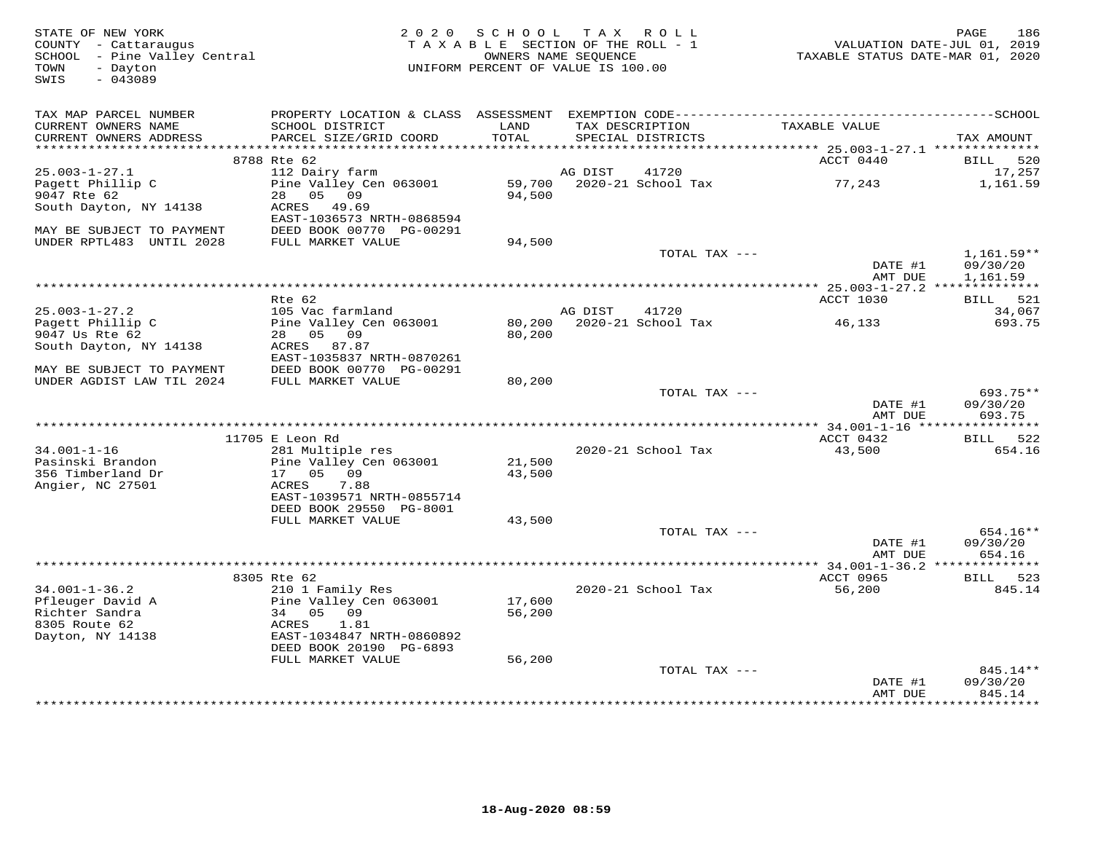| STATE OF NEW YORK<br>COUNTY - Cattaraugus<br>SCHOOL - Pine Valley Central | 2 0 2 0                                               | SCHOOL<br>TAXABLE SECTION OF THE ROLL - 1<br>OWNERS NAME SEOUENCE |         | TAX ROLL           | VALUATION DATE-JUL 01, 2019<br>TAXABLE STATUS DATE-MAR 01, 2020 | 186<br>PAGE               |
|---------------------------------------------------------------------------|-------------------------------------------------------|-------------------------------------------------------------------|---------|--------------------|-----------------------------------------------------------------|---------------------------|
| TOWN<br>- Dayton<br>$-043089$<br>SWIS                                     |                                                       | UNIFORM PERCENT OF VALUE IS 100.00                                |         |                    |                                                                 |                           |
| TAX MAP PARCEL NUMBER                                                     |                                                       |                                                                   |         |                    |                                                                 |                           |
| CURRENT OWNERS NAME                                                       | SCHOOL DISTRICT                                       | LAND                                                              |         | TAX DESCRIPTION    | TAXABLE VALUE                                                   |                           |
| CURRENT OWNERS ADDRESS<br>***********************                         | PARCEL SIZE/GRID COORD                                | TOTAL                                                             |         | SPECIAL DISTRICTS  |                                                                 | TAX AMOUNT                |
|                                                                           | 8788 Rte 62                                           |                                                                   |         |                    | ACCT 0440                                                       | <b>BILL</b><br>520        |
| $25.003 - 1 - 27.1$                                                       | 112 Dairy farm                                        |                                                                   | AG DIST | 41720              |                                                                 | 17,257                    |
| Pagett Phillip C                                                          | Pine Valley Cen 063001                                | 59,700                                                            |         | 2020-21 School Tax | 77,243                                                          | 1,161.59                  |
| 9047 Rte 62                                                               | 05<br>09<br>28                                        | 94,500                                                            |         |                    |                                                                 |                           |
| South Dayton, NY 14138                                                    | ACRES<br>49.69                                        |                                                                   |         |                    |                                                                 |                           |
| MAY BE SUBJECT TO PAYMENT                                                 | EAST-1036573 NRTH-0868594<br>DEED BOOK 00770 PG-00291 |                                                                   |         |                    |                                                                 |                           |
| UNDER RPTL483 UNTIL 2028                                                  | FULL MARKET VALUE                                     | 94,500                                                            |         |                    |                                                                 |                           |
|                                                                           |                                                       |                                                                   |         | TOTAL TAX ---      |                                                                 | 1,161.59**                |
|                                                                           |                                                       |                                                                   |         |                    | DATE #1                                                         | 09/30/20                  |
|                                                                           |                                                       |                                                                   |         |                    | AMT DUE                                                         | 1,161.59                  |
|                                                                           |                                                       | **********************************                                |         |                    | ** $25.003 - 1 - 27.2$ ***                                      | ***********               |
| $25.003 - 1 - 27.2$                                                       | Rte 62<br>105 Vac farmland                            |                                                                   | AG DIST | 41720              | ACCT 1030                                                       | 521<br>BILL<br>34,067     |
| Pagett Phillip C                                                          | Pine Valley Cen 063001                                | 80,200                                                            |         | 2020-21 School Tax | 46,133                                                          | 693.75                    |
| 9047 Us Rte 62                                                            | 28  05  09                                            | 80,200                                                            |         |                    |                                                                 |                           |
| South Dayton, NY 14138                                                    | ACRES 87.87                                           |                                                                   |         |                    |                                                                 |                           |
|                                                                           | EAST-1035837 NRTH-0870261                             |                                                                   |         |                    |                                                                 |                           |
| MAY BE SUBJECT TO PAYMENT                                                 | DEED BOOK 00770 PG-00291                              |                                                                   |         |                    |                                                                 |                           |
| UNDER AGDIST LAW TIL 2024                                                 | FULL MARKET VALUE                                     | 80,200                                                            |         | TOTAL TAX ---      |                                                                 | $693.75**$                |
|                                                                           |                                                       |                                                                   |         |                    | DATE #1                                                         | 09/30/20                  |
|                                                                           |                                                       |                                                                   |         |                    | AMT DUE                                                         | 693.75                    |
|                                                                           |                                                       |                                                                   |         |                    |                                                                 |                           |
|                                                                           | 11705 E Leon Rd                                       |                                                                   |         |                    | ACCT 0432                                                       | BILL 522                  |
| $34.001 - 1 - 16$<br>Pasinski Brandon                                     | 281 Multiple res<br>Pine Valley Cen 063001            | 21,500                                                            |         | 2020-21 School Tax | 43,500                                                          | 654.16                    |
| 356 Timberland Dr                                                         | 17 05 09                                              | 43,500                                                            |         |                    |                                                                 |                           |
| Angier, NC 27501                                                          | ACRES<br>7.88                                         |                                                                   |         |                    |                                                                 |                           |
|                                                                           | EAST-1039571 NRTH-0855714                             |                                                                   |         |                    |                                                                 |                           |
|                                                                           | DEED BOOK 29550 PG-8001                               |                                                                   |         |                    |                                                                 |                           |
|                                                                           | FULL MARKET VALUE                                     | 43,500                                                            |         |                    |                                                                 |                           |
|                                                                           |                                                       |                                                                   |         | TOTAL TAX ---      | DATE #1                                                         | 654.16**<br>09/30/20      |
|                                                                           |                                                       |                                                                   |         |                    | AMT DUE                                                         | 654.16                    |
|                                                                           |                                                       |                                                                   |         |                    | *************** 34.001-1-36.2 *****                             | * * * * * * * *           |
|                                                                           | 8305 Rte 62                                           |                                                                   |         |                    | ACCT 0965                                                       | 523<br>BILL               |
| $34.001 - 1 - 36.2$                                                       | 210 1 Family Res                                      |                                                                   |         | 2020-21 School Tax | 56,200                                                          | 845.14                    |
| Pfleuger David A                                                          | Pine Valley Cen 063001                                | 17,600                                                            |         |                    |                                                                 |                           |
| Richter Sandra<br>8305 Route 62                                           | 34<br>05<br>09<br>1.81<br>ACRES                       | 56,200                                                            |         |                    |                                                                 |                           |
| Dayton, NY 14138                                                          | EAST-1034847 NRTH-0860892                             |                                                                   |         |                    |                                                                 |                           |
|                                                                           | DEED BOOK 20190 PG-6893                               |                                                                   |         |                    |                                                                 |                           |
|                                                                           | FULL MARKET VALUE                                     | 56,200                                                            |         |                    |                                                                 |                           |
|                                                                           |                                                       |                                                                   |         | TOTAL TAX ---      |                                                                 | 845.14**                  |
|                                                                           |                                                       |                                                                   |         |                    | DATE #1                                                         | 09/30/20                  |
|                                                                           |                                                       |                                                                   |         |                    | AMT DUE                                                         | 845.14<br>* * * * * * * * |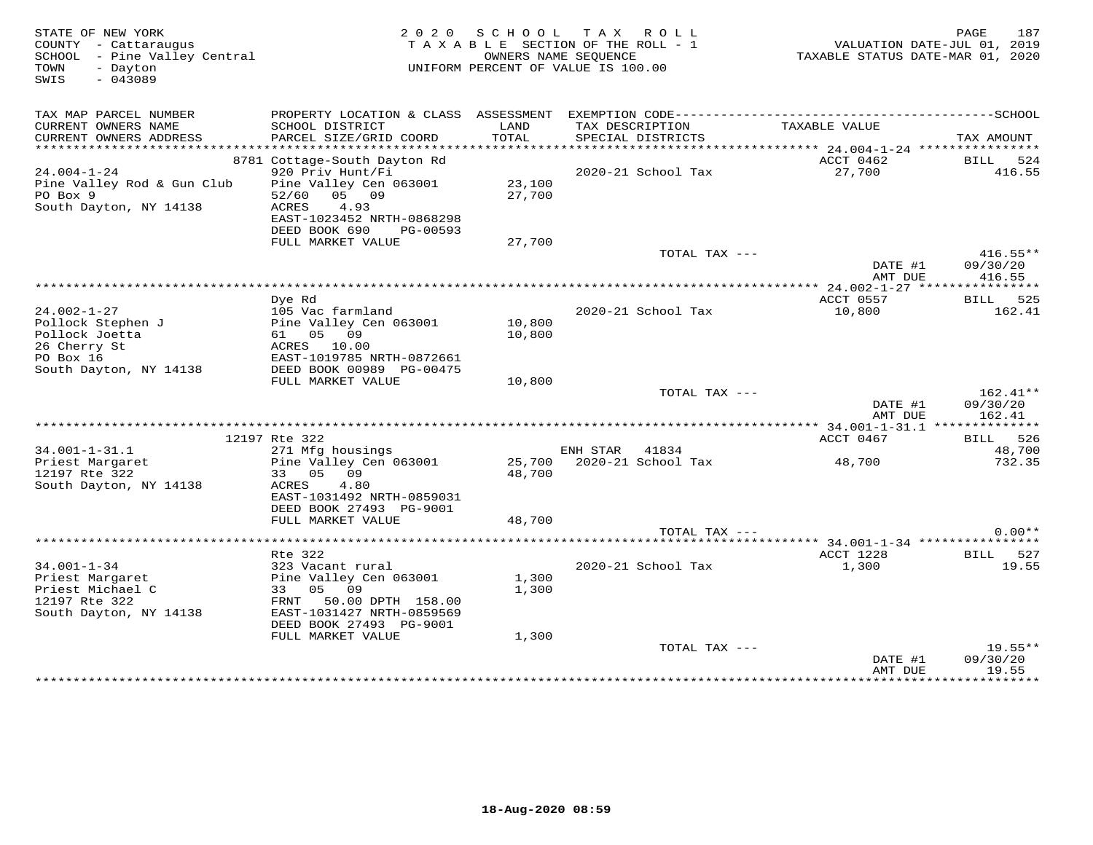| STATE OF NEW YORK<br>COUNTY - Cattaraugus<br>SCHOOL - Pine Valley Central<br>- Dayton<br>TOWN<br>SWIS<br>$-043089$ | 2 0 2 0                                          | SCHOOL<br>TAXABLE SECTION OF THE ROLL - 1<br>OWNERS NAME SEQUENCE<br>UNIFORM PERCENT OF VALUE IS 100.00 | TAX ROLL           | 187<br>PAGE<br>VALUATION DATE-JUL 01, 2019<br>TAXABLE STATUS DATE-MAR 01, 2020 |                    |                    |
|--------------------------------------------------------------------------------------------------------------------|--------------------------------------------------|---------------------------------------------------------------------------------------------------------|--------------------|--------------------------------------------------------------------------------|--------------------|--------------------|
| TAX MAP PARCEL NUMBER<br>CURRENT OWNERS NAME                                                                       | SCHOOL DISTRICT                                  | LAND                                                                                                    | TAX DESCRIPTION    |                                                                                | TAXABLE VALUE      |                    |
| CURRENT OWNERS ADDRESS                                                                                             | PARCEL SIZE/GRID COORD                           | TOTAL                                                                                                   | SPECIAL DISTRICTS  |                                                                                |                    | TAX AMOUNT         |
|                                                                                                                    |                                                  |                                                                                                         |                    |                                                                                | ACCT 0462          |                    |
| $24.004 - 1 - 24$                                                                                                  | 8781 Cottage-South Dayton Rd<br>920 Priv Hunt/Fi |                                                                                                         | 2020-21 School Tax |                                                                                | 27,700             | BILL 524<br>416.55 |
| Pine Valley Rod & Gun Club                                                                                         | Pine Valley Cen 063001                           | 23,100                                                                                                  |                    |                                                                                |                    |                    |
| PO Box 9                                                                                                           | 05 09<br>52/60                                   | 27,700                                                                                                  |                    |                                                                                |                    |                    |
| South Dayton, NY 14138                                                                                             | <b>ACRES</b><br>4.93                             |                                                                                                         |                    |                                                                                |                    |                    |
|                                                                                                                    | EAST-1023452 NRTH-0868298                        |                                                                                                         |                    |                                                                                |                    |                    |
|                                                                                                                    | DEED BOOK 690<br>PG-00593<br>FULL MARKET VALUE   | 27,700                                                                                                  |                    |                                                                                |                    |                    |
|                                                                                                                    |                                                  |                                                                                                         |                    | TOTAL TAX ---                                                                  |                    | $416.55**$         |
|                                                                                                                    |                                                  |                                                                                                         |                    |                                                                                | DATE #1            | 09/30/20           |
|                                                                                                                    |                                                  |                                                                                                         |                    |                                                                                | AMT DUE            | 416.55             |
|                                                                                                                    |                                                  |                                                                                                         |                    |                                                                                |                    |                    |
|                                                                                                                    | Dye Rd                                           |                                                                                                         |                    |                                                                                | ACCT 0557          | BILL 525           |
| $24.002 - 1 - 27$<br>Pollock Stephen J                                                                             | 105 Vac farmland<br>Pine Valley Cen 063001       | 10,800                                                                                                  | 2020-21 School Tax |                                                                                | 10,800             | 162.41             |
| Pollock Joetta                                                                                                     | 61 05 09                                         | 10,800                                                                                                  |                    |                                                                                |                    |                    |
| 26 Cherry St                                                                                                       | ACRES 10.00                                      |                                                                                                         |                    |                                                                                |                    |                    |
| PO Box 16                                                                                                          | EAST-1019785 NRTH-0872661                        |                                                                                                         |                    |                                                                                |                    |                    |
| South Dayton, NY 14138                                                                                             | DEED BOOK 00989 PG-00475                         |                                                                                                         |                    |                                                                                |                    |                    |
|                                                                                                                    | FULL MARKET VALUE                                | 10,800                                                                                                  |                    |                                                                                |                    |                    |
|                                                                                                                    |                                                  |                                                                                                         |                    | TOTAL TAX ---                                                                  |                    | $162.41**$         |
|                                                                                                                    |                                                  |                                                                                                         |                    |                                                                                | DATE #1<br>AMT DUE | 09/30/20<br>162.41 |
|                                                                                                                    |                                                  |                                                                                                         |                    |                                                                                |                    |                    |
|                                                                                                                    | 12197 Rte 322                                    |                                                                                                         |                    |                                                                                | ACCT 0467          | BILL 526           |
| $34.001 - 1 - 31.1$                                                                                                | 271 Mfg housings                                 |                                                                                                         | ENH STAR<br>41834  |                                                                                |                    | 48,700             |
| Priest Margaret                                                                                                    | Pine Valley Cen 063001                           | 25,700                                                                                                  | 2020-21 School Tax |                                                                                | 48,700             | 732.35             |
| 12197 Rte 322                                                                                                      | 33 05 09                                         | 48,700                                                                                                  |                    |                                                                                |                    |                    |
| South Dayton, NY 14138                                                                                             | 4.80<br>ACRES<br>EAST-1031492 NRTH-0859031       |                                                                                                         |                    |                                                                                |                    |                    |
|                                                                                                                    | DEED BOOK 27493 PG-9001                          |                                                                                                         |                    |                                                                                |                    |                    |
|                                                                                                                    | FULL MARKET VALUE                                | 48,700                                                                                                  |                    |                                                                                |                    |                    |
|                                                                                                                    |                                                  |                                                                                                         |                    | TOTAL TAX ---                                                                  |                    | $0.00**$           |
|                                                                                                                    |                                                  |                                                                                                         |                    |                                                                                |                    |                    |
|                                                                                                                    | Rte 322                                          |                                                                                                         |                    |                                                                                | ACCT 1228          | BILL 527           |
| $34.001 - 1 - 34$                                                                                                  | 323 Vacant rural<br>Pine Valley Cen 063001       | 1,300                                                                                                   | 2020-21 School Tax |                                                                                | 1,300              | 19.55              |
| Priest Margaret<br>Priest Michael C                                                                                | 33<br>05 09                                      | 1,300                                                                                                   |                    |                                                                                |                    |                    |
| 12197 Rte 322                                                                                                      | FRNT<br>50.00 DPTH 158.00                        |                                                                                                         |                    |                                                                                |                    |                    |
| South Dayton, NY 14138                                                                                             | EAST-1031427 NRTH-0859569                        |                                                                                                         |                    |                                                                                |                    |                    |
|                                                                                                                    | DEED BOOK 27493 PG-9001                          |                                                                                                         |                    |                                                                                |                    |                    |
|                                                                                                                    | FULL MARKET VALUE                                | 1,300                                                                                                   |                    |                                                                                |                    |                    |
|                                                                                                                    |                                                  |                                                                                                         |                    | TOTAL TAX ---                                                                  |                    | $19.55**$          |
|                                                                                                                    |                                                  |                                                                                                         |                    |                                                                                | DATE #1<br>AMT DUE | 09/30/20<br>19.55  |
|                                                                                                                    |                                                  |                                                                                                         |                    |                                                                                |                    | **********         |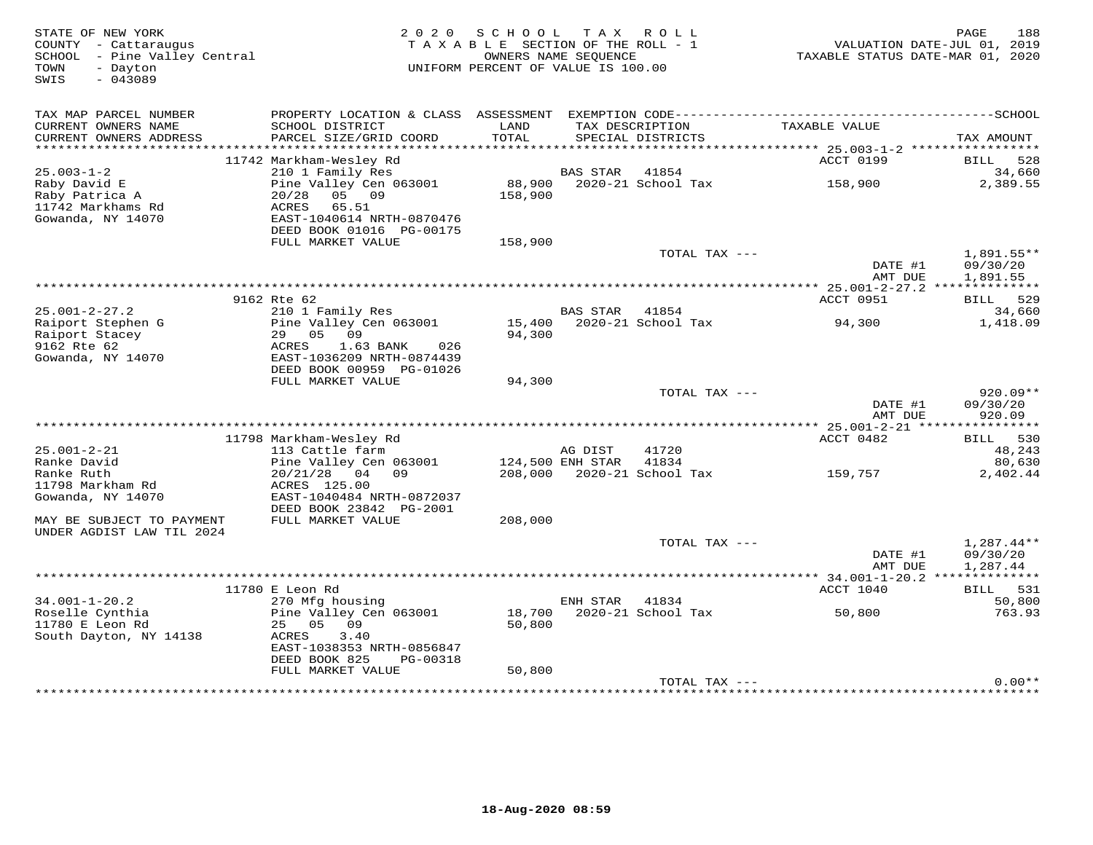| STATE OF NEW YORK<br>COUNTY - Cattaraugus<br>SCHOOL - Pine Valley Central<br>- Dayton<br>TOWN<br>$-043089$<br>SWIS | 2 0 2 0                                              | SCHOOL<br>TAXABLE SECTION OF THE ROLL - 1<br>UNIFORM PERCENT OF VALUE IS 100.00 | T A X<br>OWNERS NAME SEQUENCE | ROLL                                 | TAXABLE STATUS DATE-MAR 01, 2020 | 188<br>PAGE<br>VALUATION DATE-JUL 01, 2019 |
|--------------------------------------------------------------------------------------------------------------------|------------------------------------------------------|---------------------------------------------------------------------------------|-------------------------------|--------------------------------------|----------------------------------|--------------------------------------------|
| TAX MAP PARCEL NUMBER<br>CURRENT OWNERS NAME<br>CURRENT OWNERS ADDRESS                                             | SCHOOL DISTRICT<br>PARCEL SIZE/GRID COORD            | LAND<br>TOTAL                                                                   |                               | TAX DESCRIPTION<br>SPECIAL DISTRICTS | TAXABLE VALUE                    | TAX AMOUNT                                 |
|                                                                                                                    |                                                      |                                                                                 |                               |                                      |                                  |                                            |
|                                                                                                                    | 11742 Markham-Wesley Rd                              |                                                                                 |                               |                                      | ACCT 0199                        | BILL<br>528                                |
| $25.003 - 1 - 2$                                                                                                   | 210 1 Family Res                                     |                                                                                 | <b>BAS STAR</b>               | 41854                                |                                  | 34,660                                     |
| Raby David E<br>Raby Patrica A                                                                                     | Pine Valley Cen 063001<br>20/28<br>05 09             | 88,900<br>158,900                                                               |                               | 2020-21 School Tax                   | 158,900                          | 2,389.55                                   |
| 11742 Markhams Rd                                                                                                  | <b>ACRES</b><br>65.51                                |                                                                                 |                               |                                      |                                  |                                            |
| Gowanda, NY 14070                                                                                                  | EAST-1040614 NRTH-0870476                            |                                                                                 |                               |                                      |                                  |                                            |
|                                                                                                                    | DEED BOOK 01016 PG-00175                             |                                                                                 |                               |                                      |                                  |                                            |
|                                                                                                                    | FULL MARKET VALUE                                    | 158,900                                                                         |                               |                                      |                                  |                                            |
|                                                                                                                    |                                                      |                                                                                 |                               | TOTAL TAX ---                        |                                  | 1,891.55**                                 |
|                                                                                                                    |                                                      |                                                                                 |                               |                                      | DATE #1<br>AMT DUE               | 09/30/20<br>1,891.55                       |
|                                                                                                                    |                                                      |                                                                                 |                               |                                      |                                  |                                            |
|                                                                                                                    | 9162 Rte 62                                          |                                                                                 |                               |                                      | ACCT 0951                        | 529<br>BILL                                |
| $25.001 - 2 - 27.2$                                                                                                | 210 1 Family Res                                     |                                                                                 | <b>BAS STAR</b>               | 41854                                |                                  | 34,660                                     |
| Raiport Stephen G                                                                                                  | Pine Valley Cen 063001                               | 15,400                                                                          |                               | 2020-21 School Tax                   | 94,300                           | 1,418.09                                   |
| Raiport Stacey<br>9162 Rte 62                                                                                      | 29<br>0.5<br>09<br>1.63 BANK<br>ACRES<br>026         | 94,300                                                                          |                               |                                      |                                  |                                            |
| Gowanda, NY 14070                                                                                                  | EAST-1036209 NRTH-0874439                            |                                                                                 |                               |                                      |                                  |                                            |
|                                                                                                                    | DEED BOOK 00959 PG-01026                             |                                                                                 |                               |                                      |                                  |                                            |
|                                                                                                                    | FULL MARKET VALUE                                    | 94,300                                                                          |                               |                                      |                                  |                                            |
|                                                                                                                    |                                                      |                                                                                 |                               | TOTAL TAX ---                        |                                  | $920.09**$                                 |
|                                                                                                                    |                                                      |                                                                                 |                               |                                      | DATE #1                          | 09/30/20                                   |
|                                                                                                                    |                                                      |                                                                                 |                               |                                      | AMT DUE                          | 920.09                                     |
|                                                                                                                    | 11798 Markham-Wesley Rd                              |                                                                                 |                               |                                      | ACCT 0482                        | BILL 530                                   |
| $25.001 - 2 - 21$                                                                                                  | 113 Cattle farm                                      |                                                                                 | AG DIST                       | 41720                                |                                  | 48,243                                     |
| Ranke David                                                                                                        | Pine Valley Cen 063001                               |                                                                                 | 124,500 ENH STAR              | 41834                                |                                  | 80,630                                     |
| Ranke Ruth                                                                                                         | 20/21/28<br>04<br>09                                 | 208,000                                                                         |                               | 2020-21 School Tax                   | 159,757                          | 2,402.44                                   |
| 11798 Markham Rd                                                                                                   | ACRES 125.00                                         |                                                                                 |                               |                                      |                                  |                                            |
| Gowanda, NY 14070                                                                                                  | EAST-1040484 NRTH-0872037<br>DEED BOOK 23842 PG-2001 |                                                                                 |                               |                                      |                                  |                                            |
| MAY BE SUBJECT TO PAYMENT                                                                                          | FULL MARKET VALUE                                    | 208,000                                                                         |                               |                                      |                                  |                                            |
| UNDER AGDIST LAW TIL 2024                                                                                          |                                                      |                                                                                 |                               |                                      |                                  |                                            |
|                                                                                                                    |                                                      |                                                                                 |                               | TOTAL TAX ---                        |                                  | $1,287.44**$                               |
|                                                                                                                    |                                                      |                                                                                 |                               |                                      | DATE #1                          | 09/30/20                                   |
|                                                                                                                    |                                                      |                                                                                 |                               |                                      | AMT DUE                          | 1,287.44                                   |
|                                                                                                                    | 11780 E Leon Rd                                      |                                                                                 |                               |                                      | ACCT 1040                        | BILL 531                                   |
| $34.001 - 1 - 20.2$                                                                                                | 270 Mfg housing                                      |                                                                                 | ENH STAR                      | 41834                                |                                  | 50,800                                     |
| Roselle Cynthia                                                                                                    | Pine Valley Cen 063001                               | 18,700                                                                          |                               | 2020-21 School Tax                   | 50,800                           | 763.93                                     |
| 11780 E Leon Rd                                                                                                    | 05<br>09<br>25                                       | 50,800                                                                          |                               |                                      |                                  |                                            |
| South Dayton, NY 14138                                                                                             | 3.40<br>ACRES                                        |                                                                                 |                               |                                      |                                  |                                            |
|                                                                                                                    | EAST-1038353 NRTH-0856847                            |                                                                                 |                               |                                      |                                  |                                            |
|                                                                                                                    | DEED BOOK 825<br>PG-00318<br>FULL MARKET VALUE       | 50,800                                                                          |                               |                                      |                                  |                                            |
|                                                                                                                    |                                                      |                                                                                 |                               | TOTAL TAX ---                        |                                  | $0.00**$                                   |
|                                                                                                                    |                                                      |                                                                                 |                               |                                      |                                  |                                            |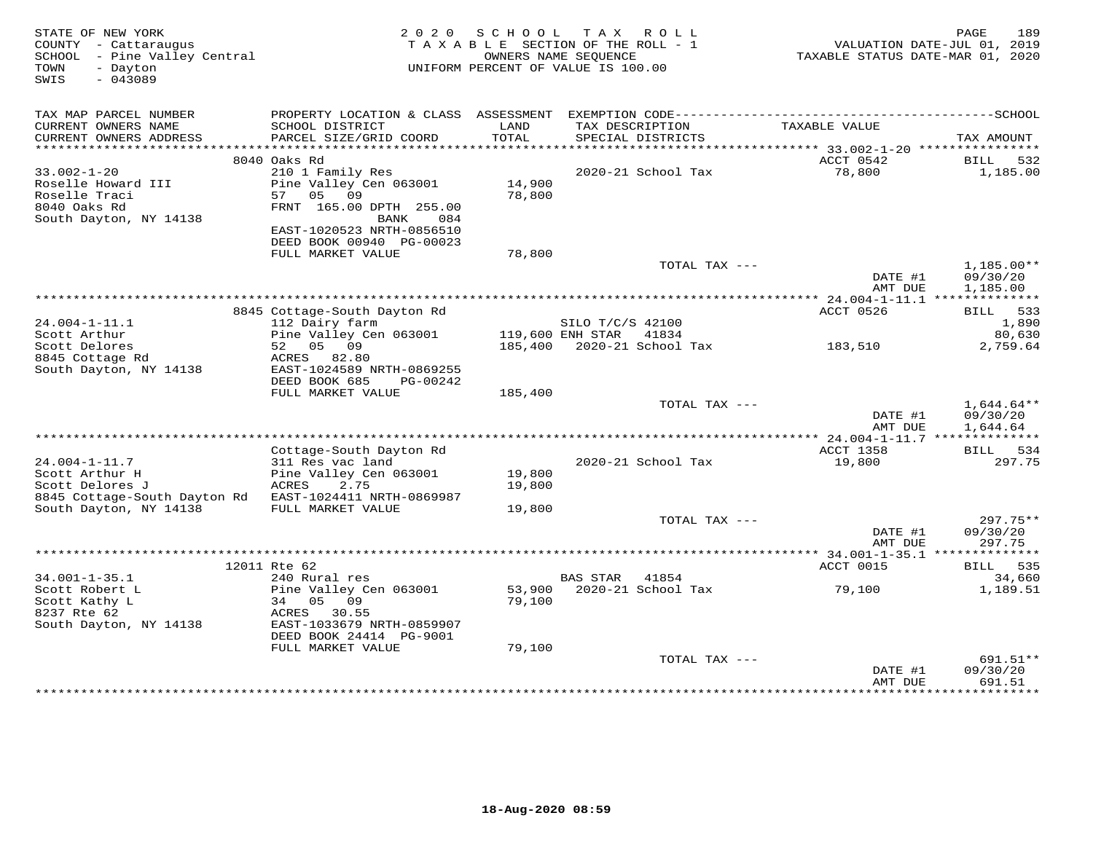| STATE OF NEW YORK<br>COUNTY - Cattaraugus<br>SCHOOL - Pine Valley Central<br>- Dayton<br>TOWN<br>$-043089$<br>SWIS | 2 0 2 0                                                                                                                             | SCHOOL           | T A X<br>ROLL<br>TAXABLE SECTION OF THE ROLL - 1<br>OWNERS NAME SEOUENCE<br>UNIFORM PERCENT OF VALUE IS 100.00 | TAXABLE STATUS DATE-MAR 01, 2020        | PAGE<br>189<br>VALUATION DATE-JUL 01, 2019 |
|--------------------------------------------------------------------------------------------------------------------|-------------------------------------------------------------------------------------------------------------------------------------|------------------|----------------------------------------------------------------------------------------------------------------|-----------------------------------------|--------------------------------------------|
| TAX MAP PARCEL NUMBER<br>CURRENT OWNERS NAME                                                                       | SCHOOL DISTRICT                                                                                                                     | LAND             | TAX DESCRIPTION                                                                                                | TAXABLE VALUE                           |                                            |
| CURRENT OWNERS ADDRESS                                                                                             | PARCEL SIZE/GRID COORD                                                                                                              | TOTAL            | SPECIAL DISTRICTS                                                                                              |                                         | TAX AMOUNT                                 |
|                                                                                                                    |                                                                                                                                     |                  |                                                                                                                |                                         |                                            |
|                                                                                                                    | 8040 Oaks Rd                                                                                                                        |                  |                                                                                                                | ACCT 0542                               | BILL<br>532                                |
| $33.002 - 1 - 20$<br>Roselle Howard III<br>Roselle Traci<br>8040 Oaks Rd<br>South Dayton, NY 14138                 | 210 1 Family Res<br>Pine Valley Cen 063001<br>57<br>05<br>09<br>FRNT 165.00 DPTH 255.00<br>BANK<br>084<br>EAST-1020523 NRTH-0856510 | 14,900<br>78,800 | 2020-21 School Tax                                                                                             | 78,800                                  | 1,185.00                                   |
|                                                                                                                    | DEED BOOK 00940 PG-00023                                                                                                            |                  |                                                                                                                |                                         |                                            |
|                                                                                                                    | FULL MARKET VALUE                                                                                                                   | 78,800           |                                                                                                                |                                         |                                            |
|                                                                                                                    |                                                                                                                                     |                  |                                                                                                                | TOTAL TAX ---<br>DATE #1<br>AMT DUE     | $1,185.00**$<br>09/30/20<br>1,185.00       |
|                                                                                                                    |                                                                                                                                     |                  |                                                                                                                |                                         |                                            |
|                                                                                                                    | 8845 Cottage-South Dayton Rd                                                                                                        |                  |                                                                                                                | ACCT 0526                               | BILL 533                                   |
| $24.004 - 1 - 11.1$<br>Scott Arthur                                                                                | 112 Dairy farm<br>Pine Valley Cen 063001                                                                                            |                  | SILO T/C/S 42100<br>119,600 ENH STAR 41834                                                                     |                                         | 1,890                                      |
| Scott Delores                                                                                                      | 52 05 09                                                                                                                            |                  |                                                                                                                | 185,400  2020-21  School Tax   183,510  | 80,630<br>2,759.64                         |
| 8845 Cottage Rd<br>South Dayton, NY 14138                                                                          | ACRES 82.80<br>EAST-1024589 NRTH-0869255<br>DEED BOOK 685<br>PG-00242<br>FULL MARKET VALUE                                          | 185,400          |                                                                                                                |                                         |                                            |
|                                                                                                                    |                                                                                                                                     |                  |                                                                                                                | TOTAL TAX ---                           | $1,644.64**$                               |
|                                                                                                                    |                                                                                                                                     |                  |                                                                                                                | DATE #1<br>AMT DUE                      | 09/30/20<br>1,644.64                       |
|                                                                                                                    |                                                                                                                                     |                  |                                                                                                                | $*******24.004-1-11.7*****************$ |                                            |
| $24.004 - 1 - 11.7$                                                                                                | Cottage-South Dayton Rd<br>311 Res vac land                                                                                         |                  | 2020-21 School Tax                                                                                             | ACCT 1358<br>19,800                     | BILL 534<br>297.75                         |
| Scott Arthur H                                                                                                     | Pine Valley Cen 063001                                                                                                              | 19,800           |                                                                                                                |                                         |                                            |
| Scott Delores J                                                                                                    | <b>ACRES</b><br>2.75                                                                                                                | 19,800           |                                                                                                                |                                         |                                            |
| 8845 Cottage-South Dayton Rd EAST-1024411 NRTH-0869987                                                             |                                                                                                                                     |                  |                                                                                                                |                                         |                                            |
| South Dayton, NY 14138                                                                                             | FULL MARKET VALUE                                                                                                                   | 19,800           |                                                                                                                |                                         |                                            |
|                                                                                                                    |                                                                                                                                     |                  |                                                                                                                | TOTAL TAX ---<br>DATE #1                | 297.75**<br>09/30/20                       |
|                                                                                                                    |                                                                                                                                     |                  |                                                                                                                | AMT DUE                                 | 297.75                                     |
|                                                                                                                    |                                                                                                                                     |                  |                                                                                                                |                                         |                                            |
|                                                                                                                    | 12011 Rte 62                                                                                                                        |                  |                                                                                                                | ACCT 0015                               | BILL 535                                   |
| $34.001 - 1 - 35.1$                                                                                                | 240 Rural res                                                                                                                       |                  | <b>BAS STAR</b><br>41854                                                                                       |                                         | 34,660                                     |
| Scott Robert L<br>Scott Kathy L<br>8237 Rte 62                                                                     | Pine Valley Cen 063001<br>34<br>05<br>09<br>ACRES<br>30.55                                                                          | 79,100           | 53,900 2020-21 School Tax                                                                                      | 79,100                                  | 1,189.51                                   |
| South Dayton, NY 14138                                                                                             | EAST-1033679 NRTH-0859907<br>DEED BOOK 24414 PG-9001                                                                                |                  |                                                                                                                |                                         |                                            |
|                                                                                                                    | FULL MARKET VALUE                                                                                                                   | 79,100           |                                                                                                                |                                         |                                            |
|                                                                                                                    |                                                                                                                                     |                  |                                                                                                                | TOTAL TAX ---<br>DATE #1<br>AMT DUE     | 691.51**<br>09/30/20<br>691.51             |
|                                                                                                                    |                                                                                                                                     |                  |                                                                                                                |                                         |                                            |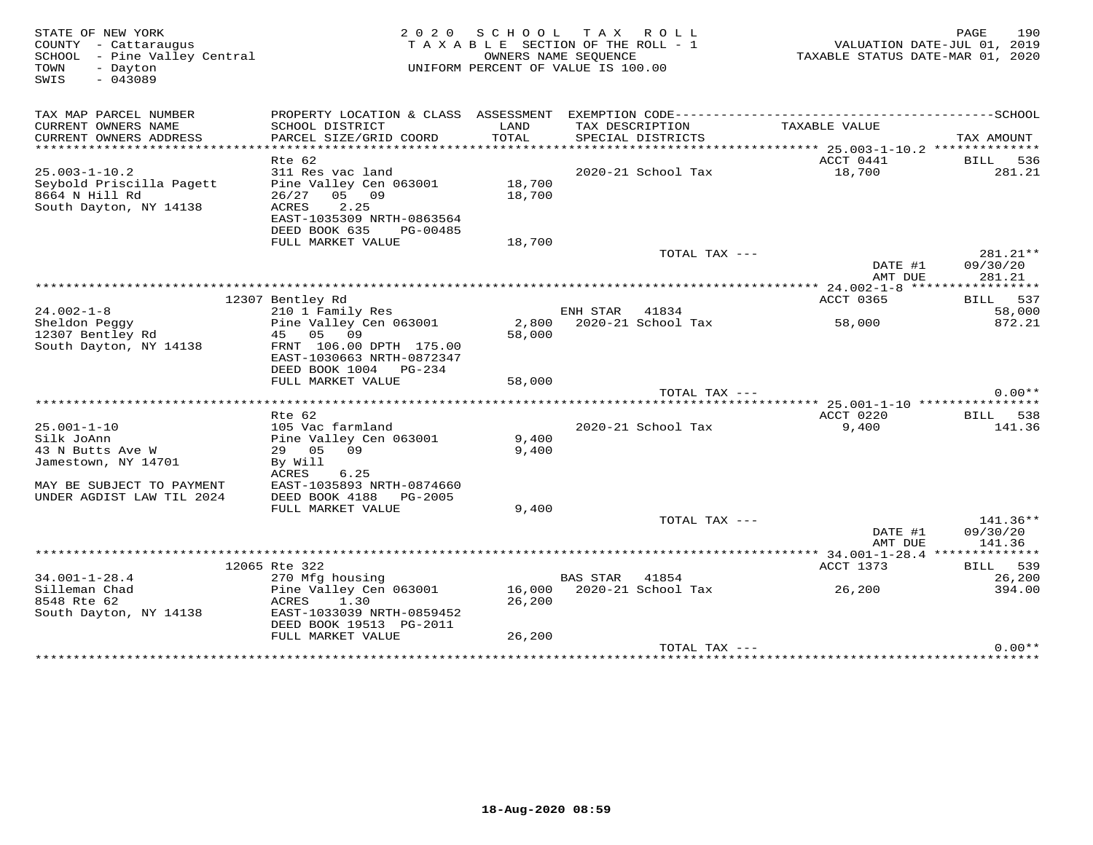| STATE OF NEW YORK<br>COUNTY - Cattaraugus<br>SCHOOL - Pine Valley Central<br>- Dayton<br>TOWN<br>$-043089$<br>SWIS | 2 0 2 0                                                |        | SCHOOL TAX ROLL<br>TAXABLE SECTION OF THE ROLL - 1<br>OWNERS NAME SEQUENCE<br>UNIFORM PERCENT OF VALUE IS 100.00 | TAXABLE STATUS DATE-MAR 01, 2020                                                             | 190<br>PAGE<br>VALUATION DATE-JUL 01, 2019 |
|--------------------------------------------------------------------------------------------------------------------|--------------------------------------------------------|--------|------------------------------------------------------------------------------------------------------------------|----------------------------------------------------------------------------------------------|--------------------------------------------|
| TAX MAP PARCEL NUMBER                                                                                              |                                                        |        |                                                                                                                  | PROPERTY LOCATION & CLASS ASSESSMENT EXEMPTION CODE-----------------------------------SCHOOL |                                            |
| CURRENT OWNERS NAME                                                                                                | SCHOOL DISTRICT                                        | LAND   | TAX DESCRIPTION                                                                                                  | TAXABLE VALUE                                                                                |                                            |
| CURRENT OWNERS ADDRESS<br>***********************                                                                  | PARCEL SIZE/GRID COORD                                 | TOTAL  | SPECIAL DISTRICTS                                                                                                |                                                                                              | TAX AMOUNT                                 |
|                                                                                                                    | Rte 62                                                 |        |                                                                                                                  | ACCT 0441                                                                                    | BILL 536                                   |
| $25.003 - 1 - 10.2$                                                                                                | 311 Res vac land                                       |        | 2020-21 School Tax                                                                                               | 18,700                                                                                       | 281.21                                     |
| Seybold Priscilla Pagett                                                                                           | Pine Valley Cen 063001                                 | 18,700 |                                                                                                                  |                                                                                              |                                            |
| 8664 N Hill Rd                                                                                                     | $26/27$ 05 09                                          | 18,700 |                                                                                                                  |                                                                                              |                                            |
| South Dayton, NY 14138                                                                                             | ACRES<br>2.25                                          |        |                                                                                                                  |                                                                                              |                                            |
|                                                                                                                    | EAST-1035309 NRTH-0863564<br>DEED BOOK 635<br>PG-00485 |        |                                                                                                                  |                                                                                              |                                            |
|                                                                                                                    | FULL MARKET VALUE                                      | 18,700 |                                                                                                                  |                                                                                              |                                            |
|                                                                                                                    |                                                        |        | TOTAL TAX ---                                                                                                    |                                                                                              | 281.21**                                   |
|                                                                                                                    |                                                        |        |                                                                                                                  | DATE #1                                                                                      | 09/30/20                                   |
|                                                                                                                    |                                                        |        |                                                                                                                  | AMT DUE                                                                                      | 281.21                                     |
|                                                                                                                    | 12307 Bentley Rd                                       |        |                                                                                                                  | ACCT 0365                                                                                    | BILL 537                                   |
| $24.002 - 1 - 8$                                                                                                   | 210 1 Family Res                                       |        | ENH STAR<br>41834                                                                                                |                                                                                              | 58,000                                     |
| Sheldon Peggy                                                                                                      | Pine Valley Cen 063001                                 | 2,800  | 2020-21 School Tax                                                                                               | 58,000                                                                                       | 872.21                                     |
| 12307 Bentley Rd                                                                                                   | 45 05 09                                               | 58,000 |                                                                                                                  |                                                                                              |                                            |
| South Dayton, NY 14138                                                                                             | FRNT 106.00 DPTH 175.00<br>EAST-1030663 NRTH-0872347   |        |                                                                                                                  |                                                                                              |                                            |
|                                                                                                                    | DEED BOOK 1004 PG-234                                  |        |                                                                                                                  |                                                                                              |                                            |
|                                                                                                                    | FULL MARKET VALUE                                      | 58,000 |                                                                                                                  |                                                                                              |                                            |
|                                                                                                                    |                                                        |        | TOTAL TAX ---                                                                                                    |                                                                                              | $0.00**$                                   |
|                                                                                                                    |                                                        |        |                                                                                                                  | ********** 25.001-1-10 ****************                                                      |                                            |
| $25.001 - 1 - 10$                                                                                                  | Rte 62<br>105 Vac farmland                             |        | 2020-21 School Tax                                                                                               | ACCT 0220<br>9,400                                                                           | BILL 538<br>141.36                         |
| Silk JoAnn                                                                                                         | Pine Valley Cen 063001                                 | 9,400  |                                                                                                                  |                                                                                              |                                            |
| 43 N Butts Ave W                                                                                                   | 29 05 09                                               | 9,400  |                                                                                                                  |                                                                                              |                                            |
| Jamestown, NY 14701                                                                                                | By Will                                                |        |                                                                                                                  |                                                                                              |                                            |
|                                                                                                                    | 6.25<br>ACRES                                          |        |                                                                                                                  |                                                                                              |                                            |
| MAY BE SUBJECT TO PAYMENT<br>UNDER AGDIST LAW TIL 2024                                                             | EAST-1035893 NRTH-0874660<br>DEED BOOK 4188<br>PG-2005 |        |                                                                                                                  |                                                                                              |                                            |
|                                                                                                                    | FULL MARKET VALUE                                      | 9,400  |                                                                                                                  |                                                                                              |                                            |
|                                                                                                                    |                                                        |        | TOTAL TAX ---                                                                                                    |                                                                                              | 141.36**                                   |
|                                                                                                                    |                                                        |        |                                                                                                                  | DATE #1                                                                                      | 09/30/20                                   |
|                                                                                                                    |                                                        |        |                                                                                                                  | AMT DUE                                                                                      | 141.36                                     |
|                                                                                                                    | 12065 Rte 322                                          |        |                                                                                                                  | ACCT 1373                                                                                    | BILL 539                                   |
| $34.001 - 1 - 28.4$                                                                                                | 270 Mfg housing                                        |        | BAS STAR<br>41854                                                                                                |                                                                                              | 26,200                                     |
| Silleman Chad                                                                                                      | Pine Valley Cen 063001                                 |        | 16,000 2020-21 School Tax                                                                                        | 26,200                                                                                       | 394.00                                     |
| 8548 Rte 62                                                                                                        | ACRES 1.30                                             | 26,200 |                                                                                                                  |                                                                                              |                                            |
| South Dayton, NY 14138                                                                                             | EAST-1033039 NRTH-0859452                              |        |                                                                                                                  |                                                                                              |                                            |
|                                                                                                                    | DEED BOOK 19513 PG-2011<br>FULL MARKET VALUE           | 26,200 |                                                                                                                  |                                                                                              |                                            |
|                                                                                                                    |                                                        |        | TOTAL TAX ---                                                                                                    |                                                                                              | $0.00**$                                   |
|                                                                                                                    |                                                        |        |                                                                                                                  |                                                                                              |                                            |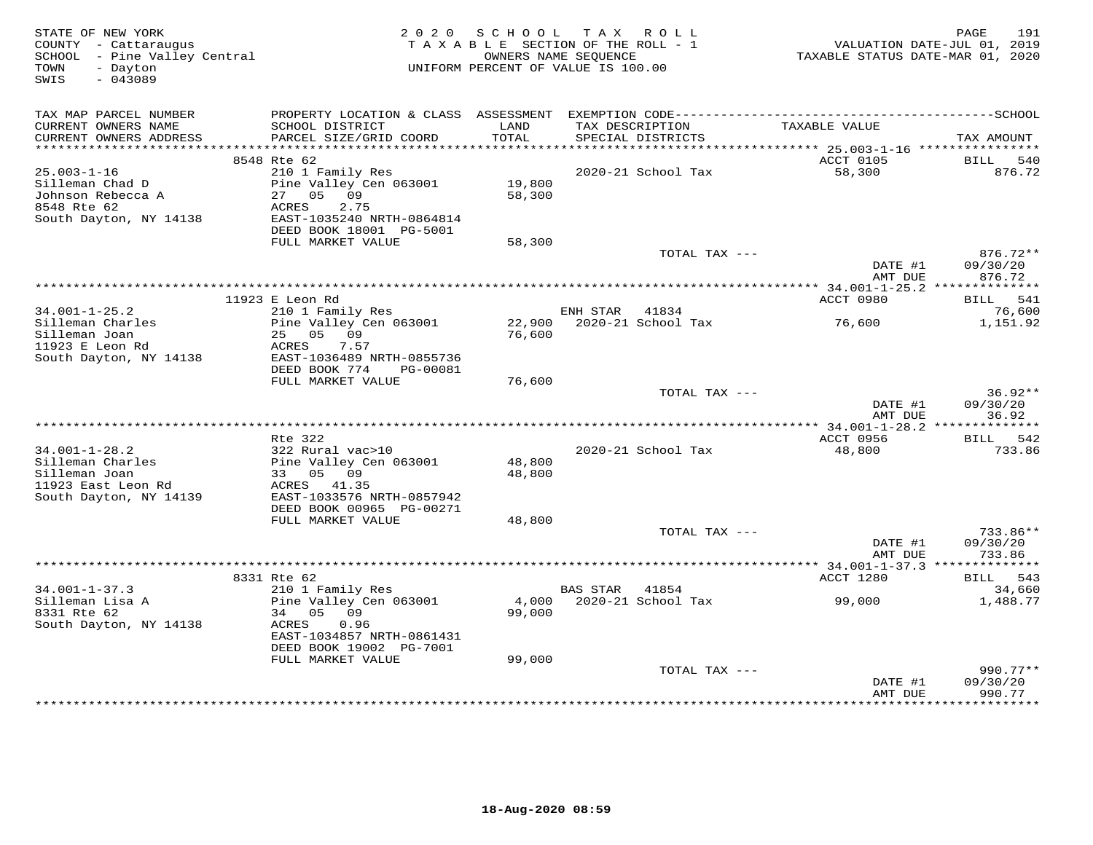| STATE OF NEW YORK<br>COUNTY - Cattaraugus<br>SCHOOL - Pine Valley Central<br>- Dayton<br>TOWN<br>SWIS<br>$-043089$ | 2 0 2 0                                                                                                           | SCHOOL           | T A X<br>R O L L<br>TAXABLE SECTION OF THE ROLL - 1<br>OWNERS NAME SEQUENCE<br>UNIFORM PERCENT OF VALUE IS 100.00 | TAXABLE STATUS DATE-MAR 01, 2020 | 191<br>PAGE<br>VALUATION DATE-JUL 01, 2019 |
|--------------------------------------------------------------------------------------------------------------------|-------------------------------------------------------------------------------------------------------------------|------------------|-------------------------------------------------------------------------------------------------------------------|----------------------------------|--------------------------------------------|
| TAX MAP PARCEL NUMBER                                                                                              |                                                                                                                   |                  |                                                                                                                   |                                  |                                            |
| CURRENT OWNERS NAME<br>CURRENT OWNERS ADDRESS<br>***********************                                           | SCHOOL DISTRICT<br>PARCEL SIZE/GRID COORD<br>******************************                                       | LAND<br>TOTAL    | TAX DESCRIPTION<br>SPECIAL DISTRICTS                                                                              | TAXABLE VALUE                    | TAX AMOUNT                                 |
|                                                                                                                    | 8548 Rte 62                                                                                                       |                  |                                                                                                                   | ACCT 0105                        | <b>BILL</b>                                |
| $25.003 - 1 - 16$<br>Silleman Chad D<br>Johnson Rebecca A<br>8548 Rte 62<br>South Dayton, NY 14138                 | 210 1 Family Res<br>Pine Valley Cen 063001<br>27<br>05<br>09<br><b>ACRES</b><br>2.75<br>EAST-1035240 NRTH-0864814 | 19,800<br>58,300 | 2020-21 School Tax                                                                                                | 58,300                           | 540<br>876.72                              |
|                                                                                                                    | DEED BOOK 18001 PG-5001                                                                                           |                  |                                                                                                                   |                                  |                                            |
|                                                                                                                    | FULL MARKET VALUE                                                                                                 | 58,300           | TOTAL TAX ---                                                                                                     |                                  | $876.72**$                                 |
|                                                                                                                    |                                                                                                                   |                  |                                                                                                                   | DATE #1<br>AMT DUE               | 09/30/20<br>876.72                         |
|                                                                                                                    |                                                                                                                   |                  |                                                                                                                   | *** 34.001-1-25.2 ************** |                                            |
|                                                                                                                    | 11923 E Leon Rd                                                                                                   |                  |                                                                                                                   | ACCT 0980                        | BILL 541                                   |
| $34.001 - 1 - 25.2$<br>Silleman Charles                                                                            | 210 1 Family Res<br>Pine Valley Cen 063001                                                                        | 22,900           | ENH STAR<br>41834<br>2020-21 School Tax                                                                           | 76,600                           | 76,600<br>1,151.92                         |
| Silleman Joan<br>11923 E Leon Rd<br>South Dayton, NY 14138                                                         | 25 05 09<br>ACRES<br>7.57<br>EAST-1036489 NRTH-0855736<br>DEED BOOK 774<br>PG-00081                               | 76,600           |                                                                                                                   |                                  |                                            |
|                                                                                                                    | FULL MARKET VALUE                                                                                                 | 76,600           |                                                                                                                   |                                  |                                            |
|                                                                                                                    |                                                                                                                   |                  | TOTAL TAX ---                                                                                                     | DATE #1<br>AMT DUE               | $36.92**$<br>09/30/20<br>36.92             |
|                                                                                                                    |                                                                                                                   |                  |                                                                                                                   |                                  |                                            |
|                                                                                                                    | Rte 322                                                                                                           |                  |                                                                                                                   | ACCT 0956                        | 542<br>BILL                                |
| $34.001 - 1 - 28.2$                                                                                                | 322 Rural vac>10                                                                                                  |                  | 2020-21 School Tax                                                                                                | 48,800                           | 733.86                                     |
| Silleman Charles                                                                                                   | Pine Valley Cen 063001                                                                                            | 48,800           |                                                                                                                   |                                  |                                            |
| Silleman Joan<br>11923 East Leon Rd                                                                                | 33 05 09<br>ACRES 41.35                                                                                           | 48,800           |                                                                                                                   |                                  |                                            |
| South Dayton, NY 14139                                                                                             | EAST-1033576 NRTH-0857942<br>DEED BOOK 00965 PG-00271                                                             |                  |                                                                                                                   |                                  |                                            |
|                                                                                                                    | FULL MARKET VALUE                                                                                                 | 48,800           |                                                                                                                   |                                  |                                            |
|                                                                                                                    |                                                                                                                   |                  | TOTAL TAX ---                                                                                                     |                                  | $733.86**$                                 |
|                                                                                                                    |                                                                                                                   |                  |                                                                                                                   | DATE #1<br>AMT DUE               | 09/30/20<br>733.86                         |
|                                                                                                                    |                                                                                                                   |                  |                                                                                                                   |                                  |                                            |
| $34.001 - 1 - 37.3$                                                                                                | 8331 Rte 62<br>210 1 Family Res                                                                                   |                  | <b>BAS STAR</b><br>41854                                                                                          | ACCT 1280                        | 543<br>BILL<br>34,660                      |
| Silleman Lisa A                                                                                                    | Pine Valley Cen 063001                                                                                            | 4,000            | 2020-21 School Tax                                                                                                | 99,000                           | 1,488.77                                   |
| 8331 Rte 62<br>South Dayton, NY 14138                                                                              | 34<br>05<br>09<br>ACRES<br>0.96<br>EAST-1034857 NRTH-0861431                                                      | 99,000           |                                                                                                                   |                                  |                                            |
|                                                                                                                    | DEED BOOK 19002 PG-7001                                                                                           |                  |                                                                                                                   |                                  |                                            |
|                                                                                                                    | FULL MARKET VALUE                                                                                                 | 99,000           | TOTAL TAX ---                                                                                                     |                                  | $990.77**$                                 |
|                                                                                                                    |                                                                                                                   |                  |                                                                                                                   | DATE #1<br>AMT DUE               | 09/30/20<br>990.77                         |
|                                                                                                                    |                                                                                                                   |                  |                                                                                                                   | ***********                      | **********                                 |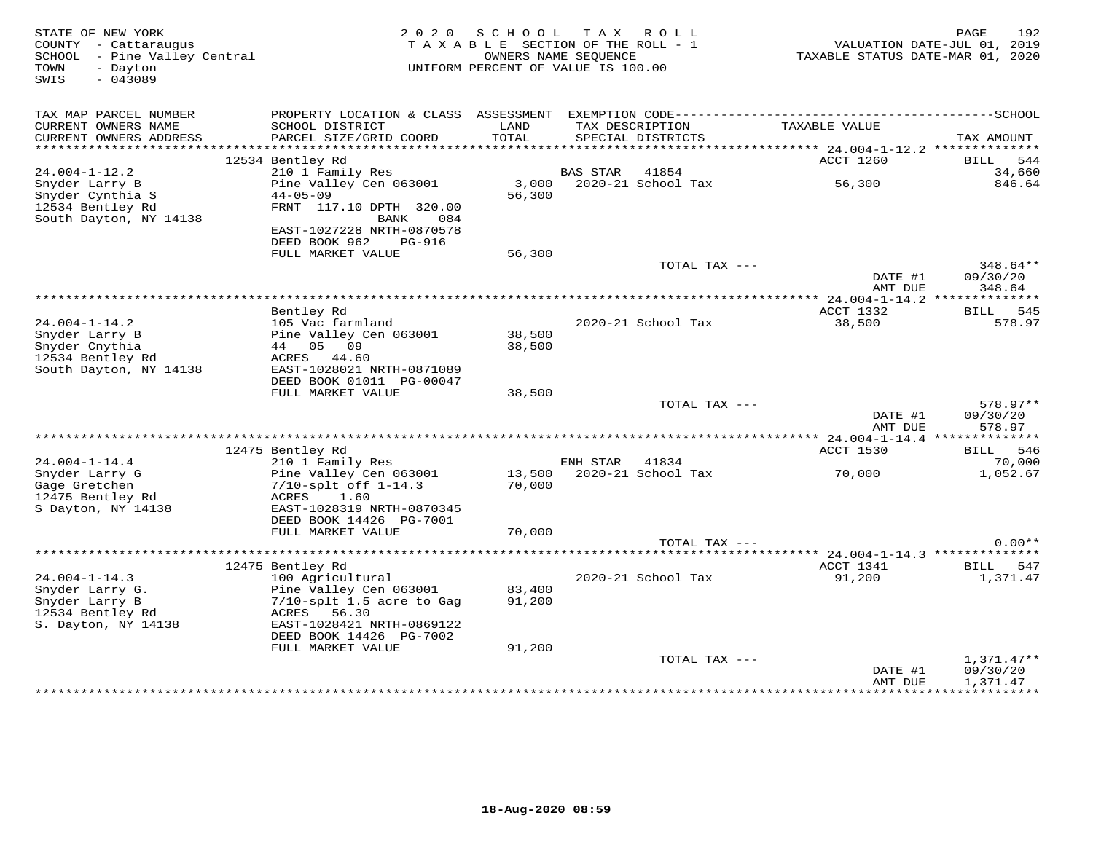| TAX MAP PARCEL NUMBER<br>CURRENT OWNERS NAME<br>SCHOOL DISTRICT<br>TAX DESCRIPTION<br>LAND<br>TAXABLE VALUE<br>CURRENT OWNERS ADDRESS<br>PARCEL SIZE/GRID COORD<br>TOTAL<br>SPECIAL DISTRICTS<br>12534 Bentley Rd<br>ACCT 1260<br>$24.004 - 1 - 12.2$<br>210 1 Family Res<br>41854<br><b>BAS STAR</b> | TAX AMOUNT<br>544<br>BILL<br>34,660<br>846.64 |
|-------------------------------------------------------------------------------------------------------------------------------------------------------------------------------------------------------------------------------------------------------------------------------------------------------|-----------------------------------------------|
|                                                                                                                                                                                                                                                                                                       |                                               |
|                                                                                                                                                                                                                                                                                                       |                                               |
|                                                                                                                                                                                                                                                                                                       |                                               |
|                                                                                                                                                                                                                                                                                                       |                                               |
| Pine Valley Cen 063001<br>3,000<br>2020-21 School Tax<br>56,300<br>Snyder Larry B<br>Snyder Cynthia S<br>$44 - 05 - 09$<br>56,300<br>12534 Bentley Rd<br>FRNT 117.10 DPTH 320.00                                                                                                                      |                                               |
| South Dayton, NY 14138<br>084<br>BANK<br>EAST-1027228 NRTH-0870578<br>DEED BOOK 962<br>PG-916<br>FULL MARKET VALUE<br>56,300                                                                                                                                                                          |                                               |
| TOTAL TAX ---<br>DATE #1<br>AMT DUE                                                                                                                                                                                                                                                                   | $348.64**$<br>09/30/20<br>348.64              |
| **** 24.004-1-14.2 ***************                                                                                                                                                                                                                                                                    |                                               |
| ACCT 1332<br>Bentley Rd                                                                                                                                                                                                                                                                               | 545<br>BILL                                   |
| $24.004 - 1 - 14.2$<br>105 Vac farmland<br>38,500<br>2020-21 School Tax<br>Snyder Larry B<br>Pine Valley Cen 063001<br>38,500<br>Snyder Cnythia<br>44 05 09<br>38,500<br>12534 Bentley Rd<br>ACRES 44.60<br>South Dayton, NY 14138<br>EAST-1028021 NRTH-0871089<br>DEED BOOK 01011 PG-00047           | 578.97                                        |
| FULL MARKET VALUE<br>38,500                                                                                                                                                                                                                                                                           |                                               |
| TOTAL TAX ---<br>DATE #1                                                                                                                                                                                                                                                                              | 578.97**<br>09/30/20                          |
| AMT DUE                                                                                                                                                                                                                                                                                               | 578.97                                        |
| 12475 Bentley Rd<br>ACCT 1530                                                                                                                                                                                                                                                                         | <b>BILL</b> 546                               |
| $24.004 - 1 - 14.4$<br>210 1 Family Res<br>ENH STAR 41834                                                                                                                                                                                                                                             | 70,000                                        |
| 2020-21 School Tax<br>Snyder Larry G<br>Pine Valley Cen 063001<br>13,500<br>70,000<br>Gage Gretchen<br>$7/10$ -splt off $1-14.3$<br>70,000<br>12475 Bentley Rd<br>ACRES<br>1.60<br>S Dayton, NY 14138<br>EAST-1028319 NRTH-0870345<br>DEED BOOK 14426 PG-7001                                         | 1,052.67                                      |
| FULL MARKET VALUE<br>70,000                                                                                                                                                                                                                                                                           |                                               |
| TOTAL TAX $---$                                                                                                                                                                                                                                                                                       | $0.00**$                                      |
|                                                                                                                                                                                                                                                                                                       |                                               |
| 12475 Bentley Rd<br>ACCT 1341<br>$24.004 - 1 - 14.3$<br>100 Agricultural<br>2020-21 School Tax<br>91,200                                                                                                                                                                                              | <b>BILL</b><br>547<br>1,371.47                |
| Snyder Larry G.<br>Pine Valley Cen 063001<br>83,400<br>Snyder Larry B<br>$7/10$ -splt 1.5 acre to Gag<br>91,200<br>12534 Bentley Rd<br>ACRES<br>56.30<br>S. Dayton, NY 14138<br>EAST-1028421 NRTH-0869122<br>DEED BOOK 14426 PG-7002<br>FULL MARKET VALUE<br>91,200                                   |                                               |
| TOTAL TAX ---                                                                                                                                                                                                                                                                                         | $1,371.47**$                                  |
| DATE #1<br>AMT DUE                                                                                                                                                                                                                                                                                    | 09/30/20                                      |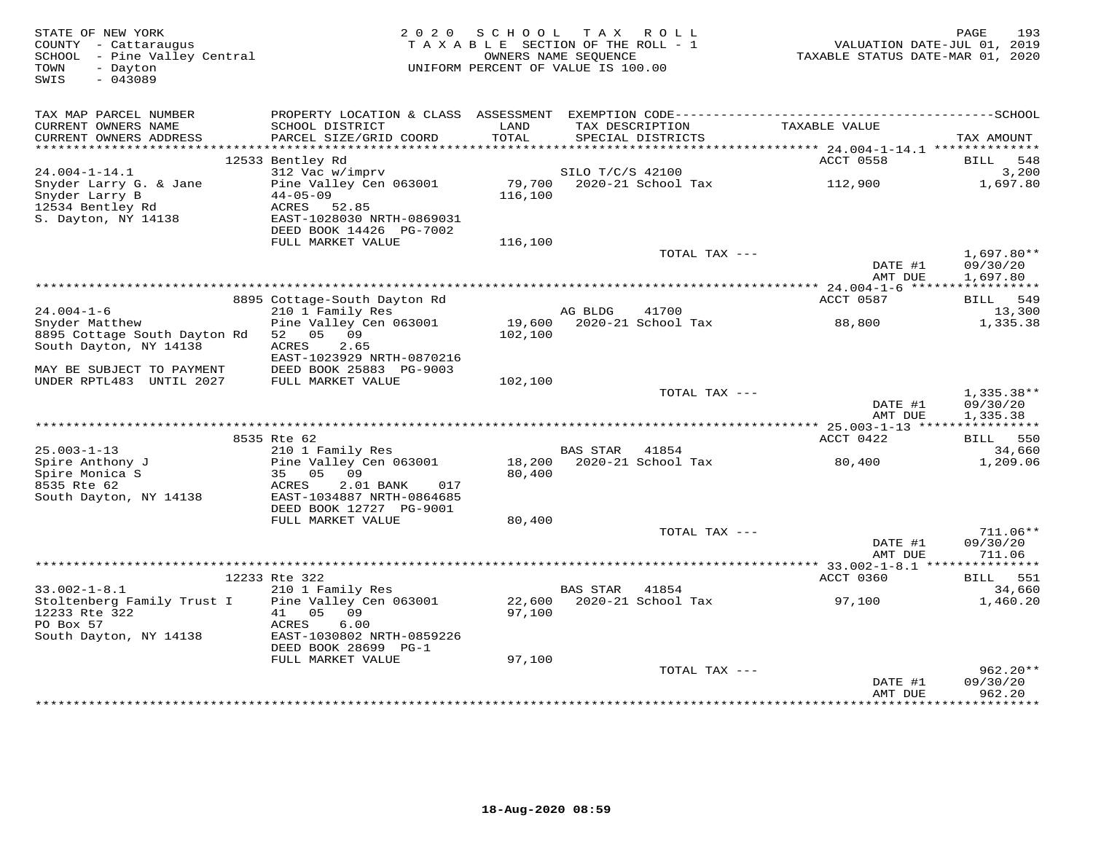| STATE OF NEW YORK<br>COUNTY - Cattaraugus<br>SCHOOL - Pine Valley Central<br>- Dayton<br>TOWN | 2 0 2 0                                              | SCHOOL<br>TAXABLE SECTION OF THE ROLL - 1<br>OWNERS NAME SEQUENCE<br>UNIFORM PERCENT OF VALUE IS 100.00 | T A X            | R O L L                   | VALUATION DATE-JUL 01, 2019<br>TAXABLE STATUS DATE-MAR 01, 2020 | 193<br>PAGE             |
|-----------------------------------------------------------------------------------------------|------------------------------------------------------|---------------------------------------------------------------------------------------------------------|------------------|---------------------------|-----------------------------------------------------------------|-------------------------|
| $-043089$<br>SWIS                                                                             |                                                      |                                                                                                         |                  |                           |                                                                 |                         |
| TAX MAP PARCEL NUMBER                                                                         |                                                      |                                                                                                         |                  |                           |                                                                 |                         |
| CURRENT OWNERS NAME                                                                           | SCHOOL DISTRICT                                      | LAND                                                                                                    |                  | TAX DESCRIPTION           | TAXABLE VALUE                                                   |                         |
| CURRENT OWNERS ADDRESS                                                                        | PARCEL SIZE/GRID COORD                               | TOTAL                                                                                                   |                  | SPECIAL DISTRICTS         |                                                                 | TAX AMOUNT              |
| ************************                                                                      |                                                      |                                                                                                         |                  |                           |                                                                 |                         |
| $24.004 - 1 - 14.1$                                                                           | 12533 Bentley Rd<br>312 Vac w/imprv                  |                                                                                                         | SILO T/C/S 42100 |                           | ACCT 0558                                                       | BILL<br>548<br>3,200    |
| Snyder Larry G. & Jane                                                                        | Pine Valley Cen 063001                               | 79,700                                                                                                  |                  | 2020-21 School Tax        | 112,900                                                         | 1,697.80                |
| Snyder Larry B                                                                                | $44 - 05 - 09$                                       | 116,100                                                                                                 |                  |                           |                                                                 |                         |
| 12534 Bentley Rd                                                                              | ACRES 52.85                                          |                                                                                                         |                  |                           |                                                                 |                         |
| S. Dayton, NY 14138                                                                           | EAST-1028030 NRTH-0869031                            |                                                                                                         |                  |                           |                                                                 |                         |
|                                                                                               | DEED BOOK 14426 PG-7002<br>FULL MARKET VALUE         | 116,100                                                                                                 |                  |                           |                                                                 |                         |
|                                                                                               |                                                      |                                                                                                         |                  | TOTAL TAX ---             |                                                                 | $1,697.80**$            |
|                                                                                               |                                                      |                                                                                                         |                  |                           | DATE #1                                                         | 09/30/20                |
|                                                                                               |                                                      |                                                                                                         |                  |                           | AMT DUE                                                         | 1,697.80<br>*********** |
|                                                                                               | 8895 Cottage-South Dayton Rd                         |                                                                                                         |                  |                           | ACCT 0587                                                       | BILL 549                |
| $24.004 - 1 - 6$                                                                              | 210 1 Family Res                                     |                                                                                                         | AG BLDG          | 41700                     |                                                                 | 13,300                  |
| Snyder Matthew                                                                                | Pine Valley Cen 063001                               |                                                                                                         |                  | 19,600 2020-21 School Tax | 88,800                                                          | 1,335.38                |
| 8895 Cottage South Dayton Rd                                                                  | 52 05 09                                             | 102,100                                                                                                 |                  |                           |                                                                 |                         |
| South Dayton, NY 14138                                                                        | ACRES<br>2.65                                        |                                                                                                         |                  |                           |                                                                 |                         |
| MAY BE SUBJECT TO PAYMENT                                                                     | EAST-1023929 NRTH-0870216<br>DEED BOOK 25883 PG-9003 |                                                                                                         |                  |                           |                                                                 |                         |
| UNDER RPTL483 UNTIL 2027                                                                      | FULL MARKET VALUE                                    | 102,100                                                                                                 |                  |                           |                                                                 |                         |
|                                                                                               |                                                      |                                                                                                         |                  | TOTAL TAX ---             |                                                                 | $1,335.38**$            |
|                                                                                               |                                                      |                                                                                                         |                  |                           | DATE #1                                                         | 09/30/20                |
|                                                                                               |                                                      |                                                                                                         |                  |                           | AMT DUE                                                         | 1,335.38                |
|                                                                                               | 8535 Rte 62                                          |                                                                                                         |                  |                           | ACCT 0422                                                       | BILL 550                |
| $25.003 - 1 - 13$                                                                             | 210 1 Family Res                                     |                                                                                                         | BAS STAR 41854   |                           |                                                                 | 34,660                  |
| Spire Anthony J                                                                               | Pine Valley Cen 063001                               |                                                                                                         |                  | 18,200 2020-21 School Tax | 80,400                                                          | 1,209.06                |
| Spire Monica S<br>8535 Rte 62                                                                 | 35 05<br>09<br>ACRES<br>2.01 BANK<br>017             | 80,400                                                                                                  |                  |                           |                                                                 |                         |
| South Dayton, NY 14138                                                                        | EAST-1034887 NRTH-0864685                            |                                                                                                         |                  |                           |                                                                 |                         |
|                                                                                               | DEED BOOK 12727 PG-9001                              |                                                                                                         |                  |                           |                                                                 |                         |
|                                                                                               | FULL MARKET VALUE                                    | 80,400                                                                                                  |                  |                           |                                                                 |                         |
|                                                                                               |                                                      |                                                                                                         |                  | TOTAL TAX ---             |                                                                 | $711.06**$              |
|                                                                                               |                                                      |                                                                                                         |                  |                           | DATE #1<br>AMT DUE                                              | 09/30/20<br>711.06      |
|                                                                                               |                                                      |                                                                                                         |                  |                           |                                                                 |                         |
|                                                                                               | 12233 Rte 322                                        |                                                                                                         |                  |                           | ACCT 0360                                                       | 551<br>BILL             |
| $33.002 - 1 - 8.1$                                                                            | 210 1 Family Res                                     |                                                                                                         | BAS STAR         | 41854                     |                                                                 | 34,660                  |
| Stoltenberg Family Trust I<br>12233 Rte 322                                                   | Pine Valley Cen 063001<br>41<br>05<br>09             | 22,600<br>97,100                                                                                        |                  | 2020-21 School Tax        | 97,100                                                          | 1,460.20                |
| PO Box 57                                                                                     | 6.00<br>ACRES                                        |                                                                                                         |                  |                           |                                                                 |                         |
| South Dayton, NY 14138                                                                        | EAST-1030802 NRTH-0859226                            |                                                                                                         |                  |                           |                                                                 |                         |
|                                                                                               | DEED BOOK 28699 PG-1                                 |                                                                                                         |                  |                           |                                                                 |                         |
|                                                                                               | FULL MARKET VALUE                                    | 97,100                                                                                                  |                  |                           |                                                                 |                         |
|                                                                                               |                                                      |                                                                                                         |                  | TOTAL TAX ---             | DATE #1                                                         | $962.20**$<br>09/30/20  |
|                                                                                               |                                                      |                                                                                                         |                  |                           | AMT DUE                                                         | 962.20                  |
|                                                                                               |                                                      |                                                                                                         |                  |                           | *************                                                   | **********              |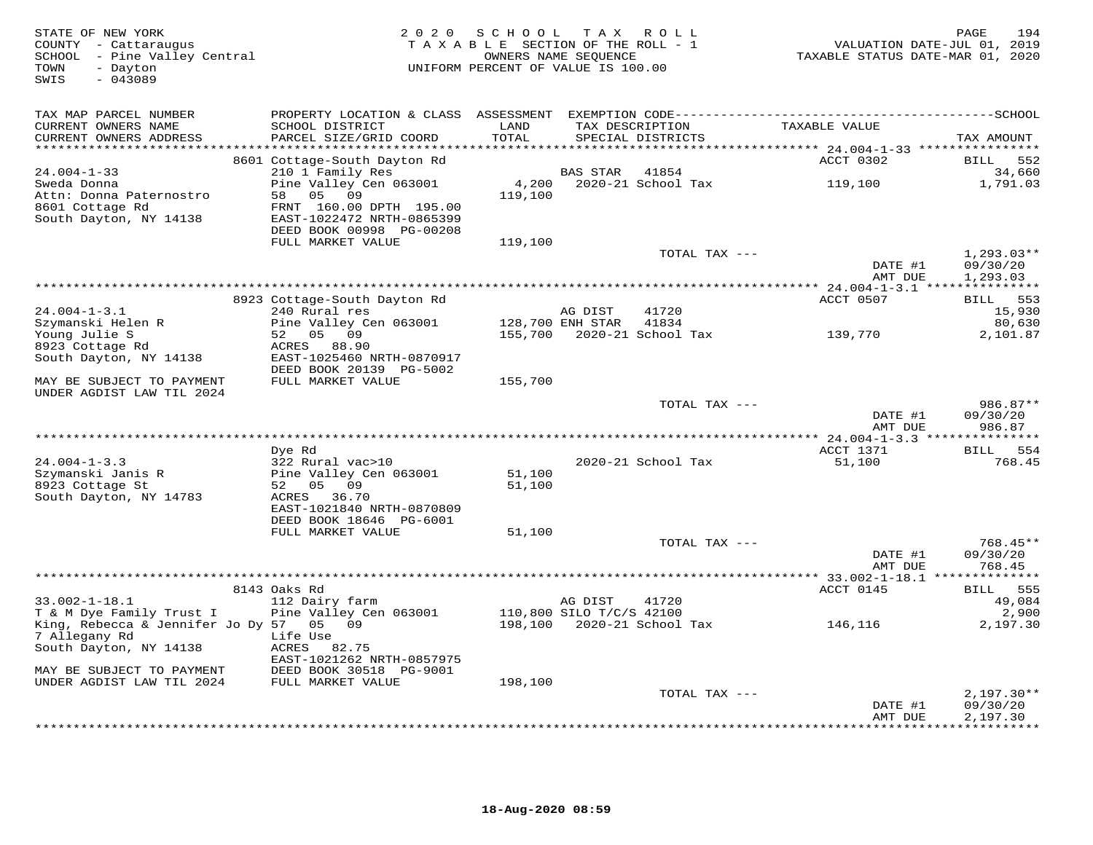| STATE OF NEW YORK<br>COUNTY - Cattaraugus<br>SCHOOL - Pine Valley Central<br>- Dayton<br>TOWN<br>SWIS<br>$-043089$ | 2 0 2 0<br>TAXABLE SECTION OF THE ROLL - 1<br>UNIFORM PERCENT OF VALUE IS 100.00        | 194<br>PAGE<br>VALUATION DATE-JUL 01, 2019<br>TAXABLE STATUS DATE-MAR 01, 2020 |                                     |                                      |                     |                                       |
|--------------------------------------------------------------------------------------------------------------------|-----------------------------------------------------------------------------------------|--------------------------------------------------------------------------------|-------------------------------------|--------------------------------------|---------------------|---------------------------------------|
| TAX MAP PARCEL NUMBER<br>CURRENT OWNERS NAME<br>CURRENT OWNERS ADDRESS                                             | PROPERTY LOCATION & CLASS<br>SCHOOL DISTRICT<br>PARCEL SIZE/GRID COORD                  | LAND<br>TOTAL                                                                  |                                     | TAX DESCRIPTION<br>SPECIAL DISTRICTS | TAXABLE VALUE       | TAX AMOUNT                            |
| **********************                                                                                             | 8601 Cottage-South Dayton Rd                                                            | ************                                                                   |                                     |                                      | ACCT 0302           | BILL<br>552                           |
| $24.004 - 1 - 33$<br>Sweda Donna<br>Attn: Donna Paternostro<br>8601 Cottage Rd                                     | 210 1 Family Res<br>Pine Valley Cen 063001<br>05<br>09<br>58<br>FRNT 160.00 DPTH 195.00 | 4,200<br>119,100                                                               | <b>BAS STAR</b>                     | 41854<br>2020-21 School Tax          | 119,100             | 34,660<br>1,791.03                    |
| South Dayton, NY 14138                                                                                             | EAST-1022472 NRTH-0865399<br>DEED BOOK 00998 PG-00208<br>FULL MARKET VALUE              | 119,100                                                                        |                                     |                                      |                     |                                       |
|                                                                                                                    |                                                                                         |                                                                                |                                     | TOTAL TAX ---                        | DATE #1<br>AMT DUE  | $1,293.03**$<br>09/30/20<br>1,293.03  |
|                                                                                                                    |                                                                                         |                                                                                |                                     |                                      |                     |                                       |
| $24.004 - 1 - 3.1$                                                                                                 | 8923 Cottage-South Dayton Rd<br>240 Rural res                                           |                                                                                | AG DIST                             | 41720                                | ACCT 0507           | BILL 553<br>15,930                    |
| Szymanski Helen R<br>Young Julie S                                                                                 | Pine Valley Cen 063001<br>52 05 09                                                      | 155,700                                                                        | 128,700 ENH STAR                    | 41834<br>2020-21 School Tax          | 139,770             | 80,630<br>2,101.87                    |
| 8923 Cottage Rd<br>South Dayton, NY 14138                                                                          | ACRES 88.90<br>EAST-1025460 NRTH-0870917<br>DEED BOOK 20139 PG-5002                     |                                                                                |                                     |                                      |                     |                                       |
| MAY BE SUBJECT TO PAYMENT<br>UNDER AGDIST LAW TIL 2024                                                             | FULL MARKET VALUE                                                                       | 155,700                                                                        |                                     |                                      |                     |                                       |
|                                                                                                                    |                                                                                         |                                                                                |                                     | TOTAL TAX $---$                      | DATE #1<br>AMT DUE  | $986.87**$<br>09/30/20<br>986.87      |
|                                                                                                                    |                                                                                         |                                                                                |                                     |                                      |                     |                                       |
| $24.004 - 1 - 3.3$<br>Szymanski Janis R                                                                            | Dye Rd<br>322 Rural vac>10<br>Pine Valley Cen 063001                                    | 51,100                                                                         |                                     | 2020-21 School Tax                   | ACCT 1371<br>51,100 | BILL 554<br>768.45                    |
| 8923 Cottage St<br>South Dayton, NY 14783                                                                          | 52 05 09<br>ACRES 36.70<br>EAST-1021840 NRTH-0870809                                    | 51,100                                                                         |                                     |                                      |                     |                                       |
|                                                                                                                    | DEED BOOK 18646 PG-6001<br>FULL MARKET VALUE                                            | 51,100                                                                         |                                     | TOTAL TAX ---                        |                     | $768.45**$                            |
|                                                                                                                    |                                                                                         |                                                                                |                                     |                                      | DATE #1<br>AMT DUE  | 09/30/20<br>768.45                    |
|                                                                                                                    |                                                                                         |                                                                                |                                     |                                      |                     |                                       |
| $33.002 - 1 - 18.1$<br>T & M Dye Family Trust I                                                                    | 8143 Oaks Rd<br>112 Dairy farm<br>Pine Valley Cen 063001                                |                                                                                | AG DIST<br>110,800 SILO T/C/S 42100 | 41720                                | ACCT 0145           | 555<br><b>BILL</b><br>49,084<br>2,900 |
| King, Rebecca & Jennifer Jo Dy 57 05 09<br>7 Allegany Rd<br>South Dayton, NY 14138                                 | Life Use<br>ACRES<br>82.75<br>EAST-1021262 NRTH-0857975                                 |                                                                                |                                     | 198,100 2020-21 School Tax           | 146,116             | 2,197.30                              |
| MAY BE SUBJECT TO PAYMENT<br>UNDER AGDIST LAW TIL 2024                                                             | DEED BOOK 30518 PG-9001<br>FULL MARKET VALUE                                            | 198,100                                                                        |                                     |                                      |                     |                                       |
|                                                                                                                    |                                                                                         |                                                                                |                                     | TOTAL TAX ---                        | DATE #1             | $2,197.30**$<br>09/30/20              |
|                                                                                                                    |                                                                                         |                                                                                |                                     |                                      | AMT DUE             | 2,197.30<br>+ + + + + + + + + +       |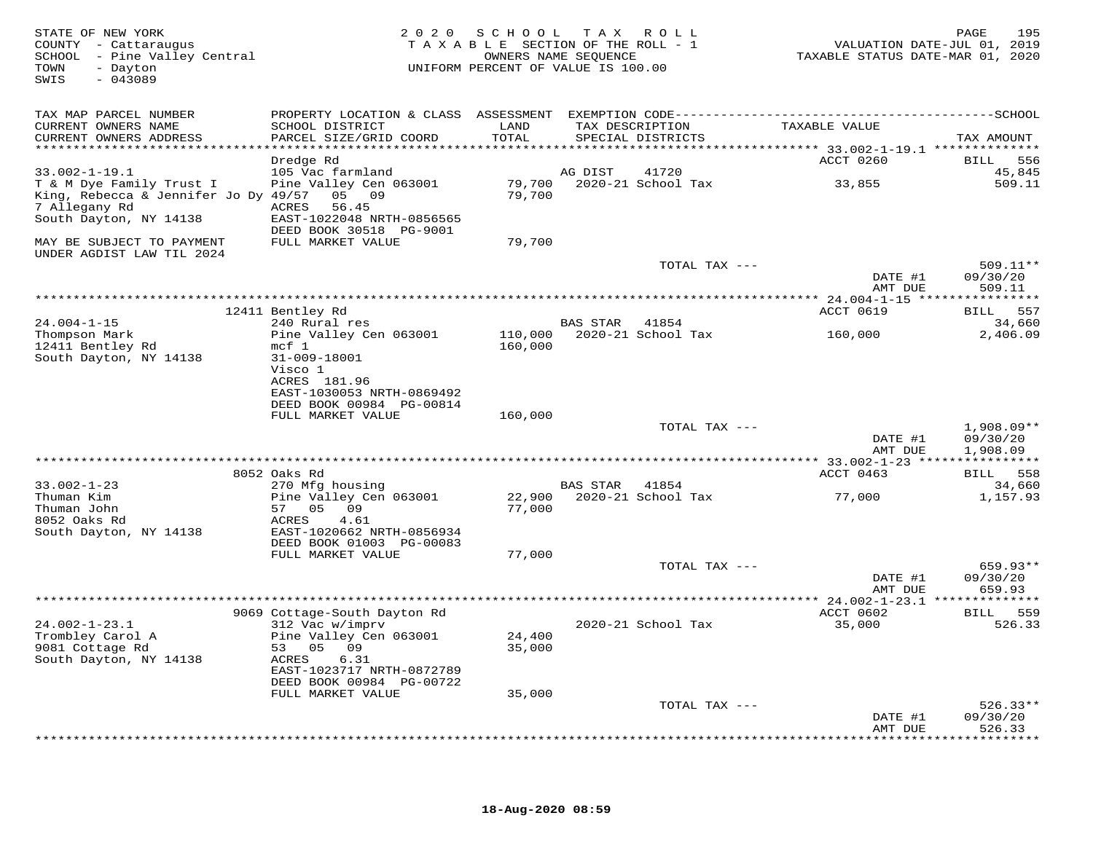| STATE OF NEW YORK<br>COUNTY - Cattaraugus<br>SCHOOL - Pine Valley Central<br>- Dayton<br>TOWN<br>$-043089$<br>SWIS | 2 0 2 0                                                   | S C H O O L<br>TAXABLE SECTION OF THE ROLL - 1<br>UNIFORM PERCENT OF VALUE IS 100.00 | T A X<br>OWNERS NAME SEOUENCE | R O L L                  | VALUATION DATE-JUL 01, 2019<br>TAXABLE STATUS DATE-MAR 01, 2020 | 195<br>PAGE                          |
|--------------------------------------------------------------------------------------------------------------------|-----------------------------------------------------------|--------------------------------------------------------------------------------------|-------------------------------|--------------------------|-----------------------------------------------------------------|--------------------------------------|
| TAX MAP PARCEL NUMBER                                                                                              |                                                           |                                                                                      |                               |                          |                                                                 |                                      |
| CURRENT OWNERS NAME<br>CURRENT OWNERS ADDRESS<br>************************                                          | SCHOOL DISTRICT<br>PARCEL SIZE/GRID COORD                 | LAND<br>TOTAL                                                                        | TAX DESCRIPTION               | SPECIAL DISTRICTS        | TAXABLE VALUE                                                   | TAX AMOUNT                           |
|                                                                                                                    | Dredge Rd                                                 |                                                                                      |                               |                          | ACCT 0260                                                       | 556<br>BILL                          |
| $33.002 - 1 - 19.1$                                                                                                | 105 Vac farmland                                          |                                                                                      | AG DIST                       | 41720                    |                                                                 | 45,845                               |
| T & M Dye Family Trust I<br>King, Rebecca & Jennifer Jo Dy 49/57                                                   | Pine Valley Cen 063001<br>05 09                           | 79,700<br>79,700                                                                     |                               | 2020-21 School Tax       | 33,855                                                          | 509.11                               |
| 7 Allegany Rd<br>South Dayton, NY 14138                                                                            | ACRES<br>56.45<br>EAST-1022048 NRTH-0856565               |                                                                                      |                               |                          |                                                                 |                                      |
| MAY BE SUBJECT TO PAYMENT                                                                                          | DEED BOOK 30518 PG-9001<br>FULL MARKET VALUE              | 79,700                                                                               |                               |                          |                                                                 |                                      |
| UNDER AGDIST LAW TIL 2024                                                                                          |                                                           |                                                                                      |                               | TOTAL TAX ---            |                                                                 | 509.11**                             |
|                                                                                                                    |                                                           |                                                                                      |                               |                          | DATE #1<br>AMT DUE                                              | 09/30/20<br>509.11                   |
|                                                                                                                    |                                                           |                                                                                      |                               |                          | ** 24.004-1-15 ****************<br><b>ACCT 0619</b>             | 557<br><b>BILL</b>                   |
| $24.004 - 1 - 15$                                                                                                  | 12411 Bentley Rd<br>240 Rural res                         |                                                                                      | BAS STAR                      | 41854                    |                                                                 | 34,660                               |
| Thompson Mark<br>12411 Bentley Rd                                                                                  | Pine Valley Cen 063001<br>$mcf$ 1                         | 110,000<br>160,000                                                                   |                               | 2020-21 School Tax       | 160,000                                                         | 2,406.09                             |
| South Dayton, NY 14138                                                                                             | 31-009-18001<br>Visco 1<br>ACRES 181.96                   |                                                                                      |                               |                          |                                                                 |                                      |
|                                                                                                                    | EAST-1030053 NRTH-0869492<br>DEED BOOK 00984 PG-00814     |                                                                                      |                               |                          |                                                                 |                                      |
|                                                                                                                    | FULL MARKET VALUE                                         | 160,000                                                                              |                               |                          |                                                                 |                                      |
|                                                                                                                    |                                                           |                                                                                      |                               | TOTAL TAX ---            | DATE #1<br>AMT DUE                                              | $1,908.09**$<br>09/30/20<br>1,908.09 |
|                                                                                                                    |                                                           |                                                                                      |                               |                          |                                                                 |                                      |
|                                                                                                                    | 8052 Oaks Rd                                              |                                                                                      |                               |                          | ACCT 0463                                                       | 558<br><b>BILL</b>                   |
| $33.002 - 1 - 23$                                                                                                  | 270 Mfg housing                                           |                                                                                      | <b>BAS STAR</b>               | 41854                    |                                                                 | 34,660                               |
| Thuman Kim<br>Thuman John<br>8052 Oaks Rd                                                                          | Pine Valley Cen 063001<br>57<br>05<br>09<br>4.61<br>ACRES | 22,900<br>77,000                                                                     |                               | 2020-21 School Tax       | 77,000                                                          | 1,157.93                             |
| South Dayton, NY 14138                                                                                             | EAST-1020662 NRTH-0856934<br>DEED BOOK 01003 PG-00083     |                                                                                      |                               |                          |                                                                 |                                      |
|                                                                                                                    | FULL MARKET VALUE                                         | 77,000                                                                               |                               |                          |                                                                 |                                      |
|                                                                                                                    |                                                           |                                                                                      |                               | TOTAL TAX ---            | DATE #1<br>AMT DUE                                              | 659.93**<br>09/30/20<br>659.93       |
|                                                                                                                    |                                                           |                                                                                      |                               | ************************ | * 24.002-1-23.1 ***************                                 |                                      |
|                                                                                                                    | 9069 Cottage-South Dayton Rd                              |                                                                                      |                               |                          | ACCT 0602                                                       | BILL 559                             |
| $24.002 - 1 - 23.1$<br>Trombley Carol A                                                                            | 312 Vac w/imprv<br>Pine Valley Cen 063001                 | 24,400                                                                               |                               | 2020-21 School Tax       | 35,000                                                          | 526.33                               |
| 9081 Cottage Rd<br>South Dayton, NY 14138                                                                          | 05 09<br>53<br>ACRES<br>6.31                              | 35,000                                                                               |                               |                          |                                                                 |                                      |
|                                                                                                                    | EAST-1023717 NRTH-0872789<br>DEED BOOK 00984 PG-00722     |                                                                                      |                               |                          |                                                                 |                                      |
|                                                                                                                    | FULL MARKET VALUE                                         | 35,000                                                                               |                               | TOTAL TAX ---            |                                                                 | $526.33**$                           |
|                                                                                                                    |                                                           |                                                                                      |                               |                          | DATE #1<br>AMT DUE                                              | 09/30/20<br>526.33                   |
|                                                                                                                    |                                                           |                                                                                      |                               |                          |                                                                 | * * * * * * *                        |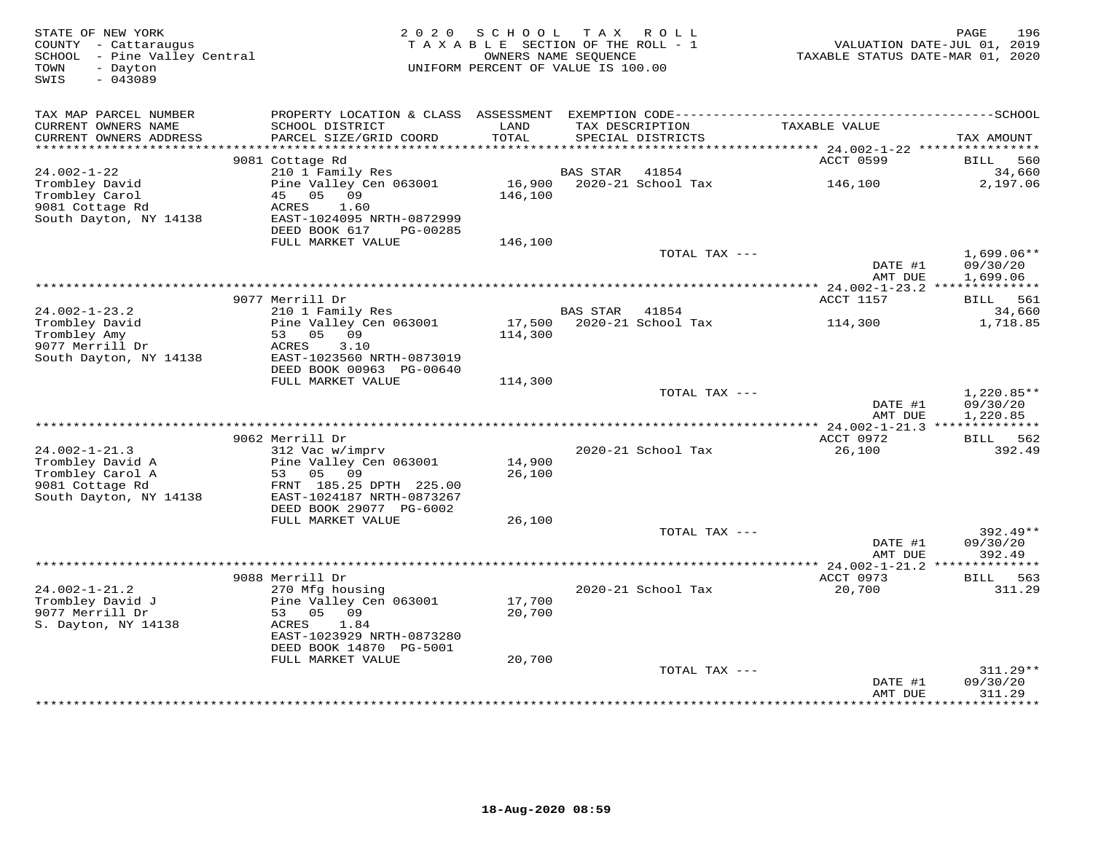| STATE OF NEW YORK<br>COUNTY - Cattaraugus<br>SCHOOL - Pine Valley Central<br>- Dayton<br>TOWN<br>$-043089$<br>SWIS | 2 0 2 0                                                          | S C H O O L<br>TAXABLE SECTION OF THE ROLL - 1<br>OWNERS NAME SEOUENCE<br>UNIFORM PERCENT OF VALUE IS 100.00 |                 | TAX ROLL                             | TAXABLE STATUS DATE-MAR 01, 2020 | PAGE<br>196<br>VALUATION DATE-JUL 01, 2019 |
|--------------------------------------------------------------------------------------------------------------------|------------------------------------------------------------------|--------------------------------------------------------------------------------------------------------------|-----------------|--------------------------------------|----------------------------------|--------------------------------------------|
|                                                                                                                    |                                                                  |                                                                                                              |                 |                                      |                                  |                                            |
| TAX MAP PARCEL NUMBER                                                                                              | PROPERTY LOCATION & CLASS ASSESSMENT                             |                                                                                                              |                 |                                      |                                  |                                            |
| CURRENT OWNERS NAME<br>CURRENT OWNERS ADDRESS                                                                      | SCHOOL DISTRICT<br>PARCEL SIZE/GRID COORD                        | LAND<br>TOTAL                                                                                                |                 | TAX DESCRIPTION<br>SPECIAL DISTRICTS | TAXABLE VALUE                    | TAX AMOUNT                                 |
| **********************                                                                                             | 9081 Cottage Rd                                                  |                                                                                                              |                 |                                      | ACCT 0599                        | <b>BILL</b><br>560                         |
| $24.002 - 1 - 22$                                                                                                  | 210 1 Family Res                                                 |                                                                                                              | <b>BAS STAR</b> | 41854                                |                                  | 34,660                                     |
| Trombley David<br>Trombley Carol<br>9081 Cottage Rd                                                                | Pine Valley Cen 063001<br>45<br>05<br>09<br><b>ACRES</b><br>1.60 | 16,900<br>146,100                                                                                            |                 | 2020-21 School Tax                   | 146,100                          | 2,197.06                                   |
| South Dayton, NY 14138                                                                                             | EAST-1024095 NRTH-0872999<br>DEED BOOK 617<br>PG-00285           |                                                                                                              |                 |                                      |                                  |                                            |
|                                                                                                                    | FULL MARKET VALUE                                                | 146,100                                                                                                      |                 |                                      |                                  |                                            |
|                                                                                                                    |                                                                  |                                                                                                              |                 | TOTAL TAX ---                        | DATE #1<br>AMT DUE               | $1,699.06**$<br>09/30/20<br>1,699.06       |
|                                                                                                                    |                                                                  | ************************************                                                                         |                 |                                      | ** 24.002-1-23.2 **************  |                                            |
|                                                                                                                    | 9077 Merrill Dr                                                  |                                                                                                              |                 |                                      | ACCT 1157                        | BILL<br>561                                |
| $24.002 - 1 - 23.2$                                                                                                | 210 1 Family Res                                                 |                                                                                                              | <b>BAS STAR</b> | 41854                                |                                  | 34,660                                     |
| Trombley David<br>Trombley Amy                                                                                     | Pine Valley Cen 063001<br>53 05<br>09                            | 17,500<br>114,300                                                                                            |                 | 2020-21 School Tax                   | 114,300                          | 1,718.85                                   |
| 9077 Merrill Dr                                                                                                    | ACRES<br>3.10                                                    |                                                                                                              |                 |                                      |                                  |                                            |
| South Dayton, NY 14138                                                                                             | EAST-1023560 NRTH-0873019                                        |                                                                                                              |                 |                                      |                                  |                                            |
|                                                                                                                    | DEED BOOK 00963 PG-00640<br>FULL MARKET VALUE                    | 114,300                                                                                                      |                 |                                      |                                  |                                            |
|                                                                                                                    |                                                                  |                                                                                                              |                 | TOTAL TAX ---                        |                                  | 1,220.85**                                 |
|                                                                                                                    |                                                                  |                                                                                                              |                 |                                      | DATE #1                          | 09/30/20                                   |
|                                                                                                                    |                                                                  |                                                                                                              |                 |                                      | AMT DUE                          | 1,220.85                                   |
|                                                                                                                    | 9062 Merrill Dr                                                  |                                                                                                              |                 |                                      | ACCT 0972                        | BILL 562                                   |
| $24.002 - 1 - 21.3$                                                                                                | 312 Vac w/imprv                                                  |                                                                                                              |                 | 2020-21 School Tax                   | 26,100                           | 392.49                                     |
| Trombley David A                                                                                                   | Pine Valley Cen 063001<br>53<br>05<br>09                         | 14,900                                                                                                       |                 |                                      |                                  |                                            |
| Trombley Carol A<br>9081 Cottage Rd                                                                                | FRNT 185.25 DPTH 225.00                                          | 26,100                                                                                                       |                 |                                      |                                  |                                            |
| South Dayton, NY 14138                                                                                             | EAST-1024187 NRTH-0873267                                        |                                                                                                              |                 |                                      |                                  |                                            |
|                                                                                                                    | DEED BOOK 29077 PG-6002                                          |                                                                                                              |                 |                                      |                                  |                                            |
|                                                                                                                    | FULL MARKET VALUE                                                | 26,100                                                                                                       |                 | TOTAL TAX ---                        |                                  | $392.49**$                                 |
|                                                                                                                    |                                                                  |                                                                                                              |                 |                                      | DATE #1                          | 09/30/20                                   |
|                                                                                                                    |                                                                  |                                                                                                              |                 |                                      | AMT DUE                          | 392.49                                     |
|                                                                                                                    | 9088 Merrill Dr                                                  |                                                                                                              |                 |                                      | ACCT 0973                        | ********<br>563<br>BILL                    |
| $24.002 - 1 - 21.2$                                                                                                | 270 Mfg housing                                                  |                                                                                                              |                 | 2020-21 School Tax                   | 20,700                           | 311.29                                     |
| Trombley David J                                                                                                   | Pine Valley Cen 063001                                           | 17,700                                                                                                       |                 |                                      |                                  |                                            |
| 9077 Merrill Dr                                                                                                    | 53<br>0.5<br>09                                                  | 20,700                                                                                                       |                 |                                      |                                  |                                            |
| S. Dayton, NY 14138                                                                                                | <b>ACRES</b><br>1.84<br>EAST-1023929 NRTH-0873280                |                                                                                                              |                 |                                      |                                  |                                            |
|                                                                                                                    | DEED BOOK 14870 PG-5001                                          |                                                                                                              |                 |                                      |                                  |                                            |
|                                                                                                                    | FULL MARKET VALUE                                                | 20,700                                                                                                       |                 |                                      |                                  |                                            |
|                                                                                                                    |                                                                  |                                                                                                              |                 | TOTAL TAX ---                        | DATE #1                          | 311.29**<br>09/30/20                       |
|                                                                                                                    |                                                                  |                                                                                                              |                 |                                      | AMT DUE<br>*********             | 311.29<br>*********                        |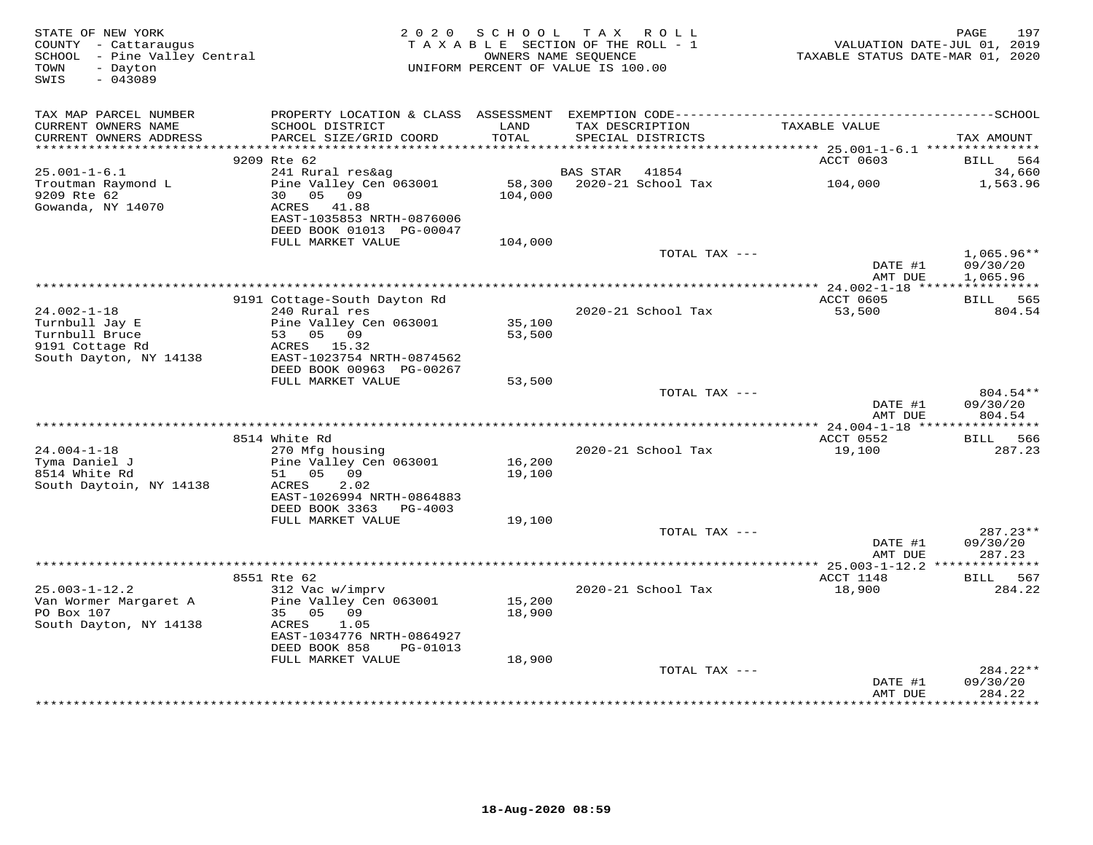| STATE OF NEW YORK<br>COUNTY - Cattaraugus<br>SCHOOL - Pine Valley Central<br>- Dayton<br>TOWN<br>$-043089$<br>SWIS |                                                                                                                                     | 2020 SCHOOL<br>TAXABLE SECTION OF THE ROLL - 1<br>OWNERS NAME SEQUENCE<br>UNIFORM PERCENT OF VALUE IS 100.00 |          | TAX ROLL                             | TAXABLE STATUS DATE-MAR 01, 2020 | 197<br>PAGE<br>VALUATION DATE-JUL 01, 2019 |
|--------------------------------------------------------------------------------------------------------------------|-------------------------------------------------------------------------------------------------------------------------------------|--------------------------------------------------------------------------------------------------------------|----------|--------------------------------------|----------------------------------|--------------------------------------------|
| TAX MAP PARCEL NUMBER                                                                                              |                                                                                                                                     |                                                                                                              |          |                                      |                                  |                                            |
| CURRENT OWNERS NAME<br>CURRENT OWNERS ADDRESS                                                                      | SCHOOL DISTRICT<br>PARCEL SIZE/GRID COORD                                                                                           | LAND<br>TOTAL                                                                                                |          | TAX DESCRIPTION<br>SPECIAL DISTRICTS | TAXABLE VALUE                    | TAX AMOUNT                                 |
|                                                                                                                    | 9209 Rte 62                                                                                                                         |                                                                                                              |          |                                      | ACCT 0603                        | BILL 564                                   |
| $25.001 - 1 - 6.1$                                                                                                 | 241 Rural res&aq                                                                                                                    |                                                                                                              | BAS STAR | 41854                                |                                  | 34,660                                     |
| Troutman Raymond L<br>9209 Rte 62<br>Gowanda, NY 14070                                                             | Pine Valley Cen 063001<br>30 05 09<br>ACRES 41.88<br>EAST-1035853 NRTH-0876006                                                      | 58,300<br>104,000                                                                                            |          | 2020-21 School Tax                   | 104,000                          | 1,563.96                                   |
|                                                                                                                    | DEED BOOK 01013 PG-00047                                                                                                            |                                                                                                              |          |                                      |                                  |                                            |
|                                                                                                                    | FULL MARKET VALUE                                                                                                                   | 104,000                                                                                                      |          | TOTAL TAX ---                        | DATE #1<br>AMT DUE               | $1,065.96**$<br>09/30/20<br>1,065.96       |
|                                                                                                                    |                                                                                                                                     |                                                                                                              |          |                                      |                                  |                                            |
|                                                                                                                    | 9191 Cottage-South Dayton Rd                                                                                                        |                                                                                                              |          |                                      | ACCT 0605                        | BILL 565                                   |
| $24.002 - 1 - 18$<br>Turnbull Jay E<br>Turnbull Bruce<br>9191 Cottage Rd<br>South Dayton, NY 14138                 | 240 Rural res<br>Pine Valley Cen 063001<br>53 05 09<br>ACRES 15.32<br>EAST-1023754 NRTH-0874562                                     | 35,100<br>53,500                                                                                             |          | 2020-21 School Tax                   | 53,500                           | 804.54                                     |
|                                                                                                                    | DEED BOOK 00963 PG-00267<br>FULL MARKET VALUE                                                                                       | 53,500                                                                                                       |          |                                      |                                  |                                            |
|                                                                                                                    |                                                                                                                                     |                                                                                                              |          | TOTAL TAX ---                        | DATE #1<br>AMT DUE               | 804.54**<br>09/30/20<br>804.54             |
|                                                                                                                    |                                                                                                                                     |                                                                                                              |          |                                      |                                  |                                            |
| $24.004 - 1 - 18$<br>Tyma Daniel J                                                                                 | 8514 White Rd<br>270 Mfg housing<br>Pine Valley Cen 063001                                                                          | 16,200                                                                                                       |          | 2020-21 School Tax                   | ACCT 0552<br>19,100              | BILL 566<br>287.23                         |
| 8514 White Rd<br>South Daytoin, NY 14138                                                                           | 51 05 09<br>2.02<br>ACRES<br>EAST-1026994 NRTH-0864883<br>DEED BOOK 3363 PG-4003                                                    | 19,100                                                                                                       |          |                                      |                                  |                                            |
|                                                                                                                    | FULL MARKET VALUE                                                                                                                   | 19,100                                                                                                       |          |                                      |                                  |                                            |
|                                                                                                                    |                                                                                                                                     |                                                                                                              |          | TOTAL TAX ---                        | DATE #1<br>AMT DUE               | $287.23**$<br>09/30/20<br>287.23           |
|                                                                                                                    |                                                                                                                                     |                                                                                                              |          |                                      |                                  |                                            |
|                                                                                                                    | 8551 Rte 62                                                                                                                         |                                                                                                              |          |                                      | ACCT 1148                        | BILL 567<br>284.22                         |
| $25.003 - 1 - 12.2$<br>Van Wormer Margaret A<br>PO Box 107<br>South Dayton, NY 14138                               | 312 Vac w/imprv<br>Pine Valley Cen 063001<br>09<br>35 05<br>ACRES<br>1.05<br>EAST-1034776 NRTH-0864927<br>DEED BOOK 858<br>PG-01013 | 15,200<br>18,900                                                                                             |          | 2020-21 School Tax                   | 18,900                           |                                            |
|                                                                                                                    | FULL MARKET VALUE                                                                                                                   | 18,900                                                                                                       |          |                                      |                                  |                                            |
|                                                                                                                    |                                                                                                                                     |                                                                                                              |          | TOTAL TAX ---                        | DATE #1<br>AMT DUE               | 284.22**<br>09/30/20<br>284.22             |
|                                                                                                                    |                                                                                                                                     |                                                                                                              |          |                                      |                                  |                                            |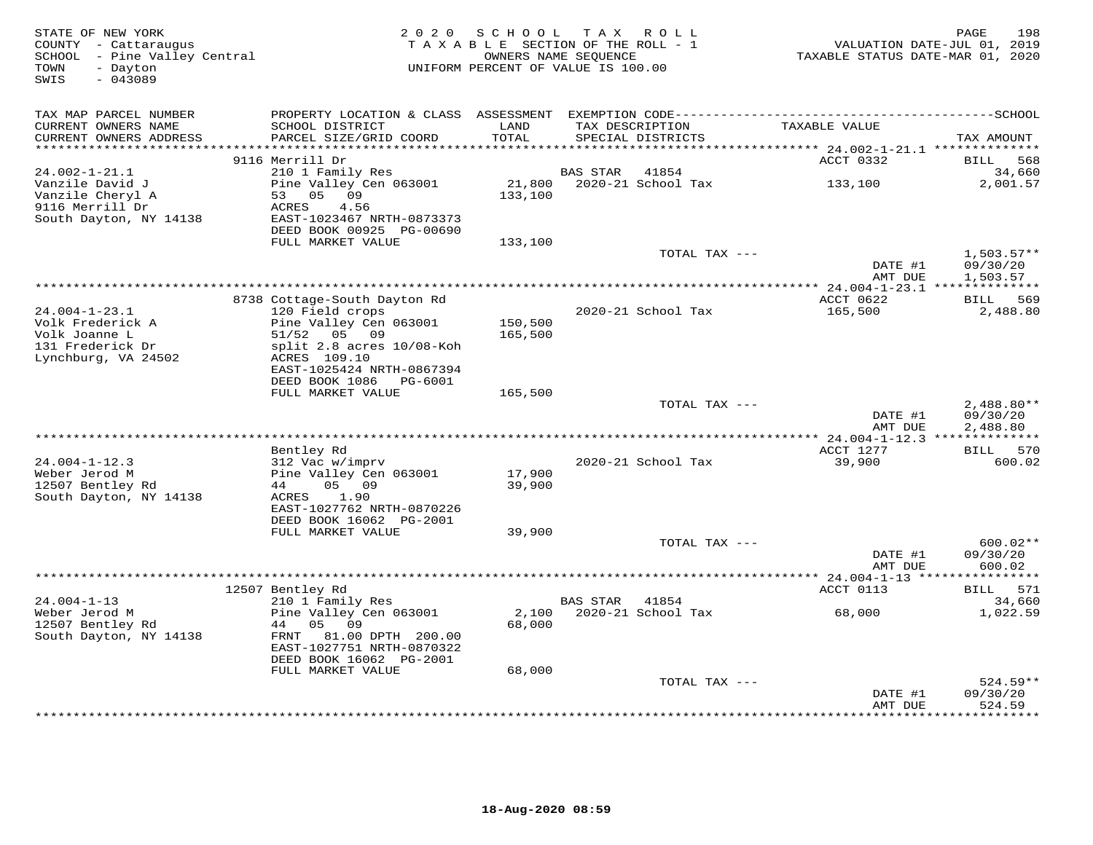| STATE OF NEW YORK<br>COUNTY - Cattaraugus<br>SCHOOL - Pine Valley Central<br>TOWN<br>- Dayton<br>$-043089$<br>SWIS |                                               | 2020 SCHOOL<br>TAXABLE SECTION OF THE ROLL - 1<br>OWNERS NAME SEQUENCE<br>UNIFORM PERCENT OF VALUE IS 100.00 | T A X          | R O L L                              | TAXABLE STATUS DATE-MAR 01, 2020 | 198<br>PAGE<br>VALUATION DATE-JUL 01, 2019 |
|--------------------------------------------------------------------------------------------------------------------|-----------------------------------------------|--------------------------------------------------------------------------------------------------------------|----------------|--------------------------------------|----------------------------------|--------------------------------------------|
| TAX MAP PARCEL NUMBER                                                                                              |                                               |                                                                                                              |                |                                      |                                  |                                            |
| CURRENT OWNERS NAME<br>CURRENT OWNERS ADDRESS<br>************************                                          | SCHOOL DISTRICT<br>PARCEL SIZE/GRID COORD     | LAND<br>TOTAL                                                                                                |                | TAX DESCRIPTION<br>SPECIAL DISTRICTS | TAXABLE VALUE                    | TAX AMOUNT                                 |
|                                                                                                                    | 9116 Merrill Dr                               |                                                                                                              |                |                                      | ACCT 0332                        | BILL 568                                   |
| 24.002-1-21.1                                                                                                      | 210 1 Family Res                              |                                                                                                              | BAS STAR       | 41854                                |                                  | 34,660                                     |
| Vanzile David J<br>Vanzile Cheryl A                                                                                | Pine Valley Cen 063001<br>53 05 09            | 21,800<br>133,100                                                                                            |                | 2020-21 School Tax                   | 133,100                          | 2,001.57                                   |
| 9116 Merrill Dr<br>South Dayton, NY 14138                                                                          | ACRES<br>4.56<br>EAST-1023467 NRTH-0873373    |                                                                                                              |                |                                      |                                  |                                            |
|                                                                                                                    | DEED BOOK 00925 PG-00690<br>FULL MARKET VALUE | 133,100                                                                                                      |                |                                      |                                  |                                            |
|                                                                                                                    |                                               |                                                                                                              |                | TOTAL TAX ---                        |                                  | $1,503.57**$                               |
|                                                                                                                    |                                               |                                                                                                              |                |                                      | DATE #1<br>AMT DUE               | 09/30/20<br>1,503.57                       |
|                                                                                                                    | 8738 Cottage-South Dayton Rd                  |                                                                                                              |                |                                      | ACCT 0622                        | BILL 569                                   |
| $24.004 - 1 - 23.1$                                                                                                | 120 Field crops                               |                                                                                                              |                | 2020-21 School Tax                   | 165,500                          | 2,488.80                                   |
| Volk Frederick A                                                                                                   | Pine Valley Cen 063001                        | 150,500                                                                                                      |                |                                      |                                  |                                            |
| Volk Joanne L                                                                                                      | 51/52 05 09                                   | 165,500                                                                                                      |                |                                      |                                  |                                            |
| 131 Frederick Dr                                                                                                   | split 2.8 acres 10/08-Koh                     |                                                                                                              |                |                                      |                                  |                                            |
| Lynchburg, VA 24502                                                                                                | ACRES 109.10<br>EAST-1025424 NRTH-0867394     |                                                                                                              |                |                                      |                                  |                                            |
|                                                                                                                    | DEED BOOK 1086 PG-6001<br>FULL MARKET VALUE   | 165,500                                                                                                      |                |                                      |                                  |                                            |
|                                                                                                                    |                                               |                                                                                                              |                | TOTAL TAX ---                        |                                  | $2,488.80**$                               |
|                                                                                                                    |                                               |                                                                                                              |                |                                      | DATE #1<br>AMT DUE               | 09/30/20<br>2,488.80                       |
|                                                                                                                    |                                               |                                                                                                              |                |                                      |                                  |                                            |
|                                                                                                                    | Bentley Rd                                    |                                                                                                              |                |                                      | ACCT 1277                        | BILL 570                                   |
| $24.004 - 1 - 12.3$                                                                                                | 312 Vac w/imprv                               |                                                                                                              |                | 2020-21 School Tax                   | 39,900                           | 600.02                                     |
| Weber Jerod M                                                                                                      | Pine Valley Cen 063001                        | 17,900                                                                                                       |                |                                      |                                  |                                            |
| 12507 Bentley Rd<br>South Dayton, NY 14138                                                                         | 44<br>05 09<br>1.90<br>ACRES                  | 39,900                                                                                                       |                |                                      |                                  |                                            |
|                                                                                                                    | EAST-1027762 NRTH-0870226                     |                                                                                                              |                |                                      |                                  |                                            |
|                                                                                                                    | DEED BOOK 16062 PG-2001                       |                                                                                                              |                |                                      |                                  |                                            |
|                                                                                                                    | FULL MARKET VALUE                             | 39,900                                                                                                       |                |                                      |                                  |                                            |
|                                                                                                                    |                                               |                                                                                                              |                | TOTAL TAX ---                        |                                  | $600.02**$                                 |
|                                                                                                                    |                                               |                                                                                                              |                |                                      | DATE #1                          | 09/30/20                                   |
|                                                                                                                    |                                               |                                                                                                              |                |                                      | AMT DUE                          | 600.02                                     |
|                                                                                                                    | 12507 Bentley Rd                              |                                                                                                              |                |                                      | ACCT 0113                        | BILL 571                                   |
| $24.004 - 1 - 13$                                                                                                  | 210 1 Family Res                              |                                                                                                              | BAS STAR 41854 |                                      |                                  | 34,660                                     |
| Weber Jerod M                                                                                                      | Pine Valley Cen 063001                        | 2,100                                                                                                        |                | 2020-21 School Tax                   | 68,000                           | 1,022.59                                   |
| 12507 Bentley Rd                                                                                                   | 44 05 09                                      | 68,000                                                                                                       |                |                                      |                                  |                                            |
| South Dayton, NY 14138                                                                                             | FRNT 81.00 DPTH 200.00                        |                                                                                                              |                |                                      |                                  |                                            |
|                                                                                                                    | EAST-1027751 NRTH-0870322                     |                                                                                                              |                |                                      |                                  |                                            |
|                                                                                                                    | DEED BOOK 16062 PG-2001<br>FULL MARKET VALUE  | 68,000                                                                                                       |                |                                      |                                  |                                            |
|                                                                                                                    |                                               |                                                                                                              |                | TOTAL TAX ---                        |                                  | $524.59**$                                 |
|                                                                                                                    |                                               |                                                                                                              |                |                                      | DATE #1                          | 09/30/20                                   |
|                                                                                                                    |                                               |                                                                                                              |                |                                      | AMT DUE                          | 524.59<br>* * * * * * * * * *              |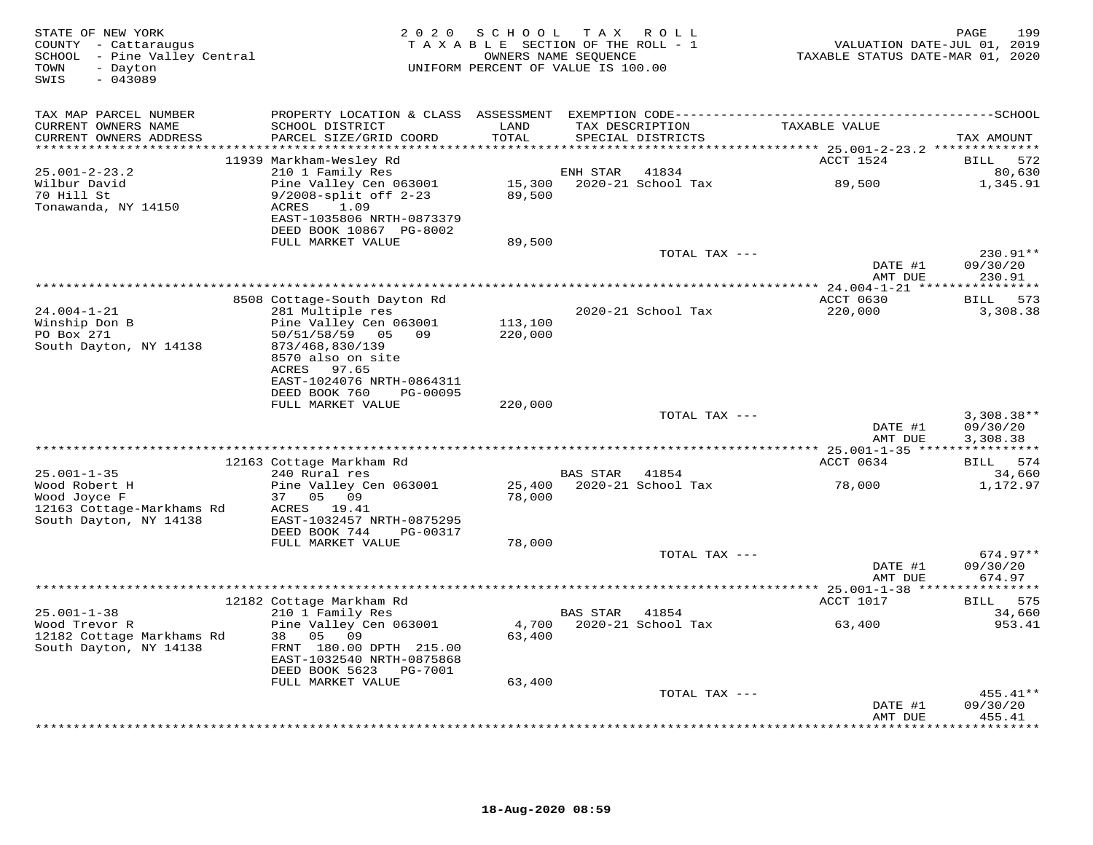| STATE OF NEW YORK<br>COUNTY - Cattaraugus<br>SCHOOL - Pine Valley Central<br>- Dayton<br>TOWN<br>$-043089$<br>SWIS | 2 0 2 0                                                                  | SCHOOL<br>TAXABLE SECTION OF THE ROLL - 1<br>OWNERS NAME SEQUENCE<br>UNIFORM PERCENT OF VALUE IS 100.00 |          | TAX ROLL                             | VALUATION DATE-JUL 01, 2019<br>TAXABLE STATUS DATE-MAR 01, 2020 | 199<br>PAGE             |
|--------------------------------------------------------------------------------------------------------------------|--------------------------------------------------------------------------|---------------------------------------------------------------------------------------------------------|----------|--------------------------------------|-----------------------------------------------------------------|-------------------------|
| TAX MAP PARCEL NUMBER<br>CURRENT OWNERS NAME<br>CURRENT OWNERS ADDRESS                                             | SCHOOL DISTRICT<br>PARCEL SIZE/GRID COORD                                | LAND<br>TOTAL                                                                                           |          | TAX DESCRIPTION<br>SPECIAL DISTRICTS | TAXABLE VALUE                                                   | TAX AMOUNT              |
|                                                                                                                    | 11939 Markham-Wesley Rd                                                  |                                                                                                         |          |                                      | ACCT 1524                                                       | BILL<br>572             |
| $25.001 - 2 - 23.2$<br>Wilbur David<br>70 Hill St                                                                  | 210 1 Family Res<br>Pine Valley Cen 063001<br>$9/2008$ -split off $2-23$ | 15,300<br>89,500                                                                                        | ENH STAR | 41834<br>2020-21 School Tax          | 89,500                                                          | 80,630<br>1,345.91      |
| Tonawanda, NY 14150                                                                                                | ACRES<br>1.09<br>EAST-1035806 NRTH-0873379<br>DEED BOOK 10867 PG-8002    |                                                                                                         |          |                                      |                                                                 |                         |
|                                                                                                                    | FULL MARKET VALUE                                                        | 89,500                                                                                                  |          |                                      |                                                                 | 230.91**                |
|                                                                                                                    |                                                                          |                                                                                                         |          | TOTAL TAX ---                        | DATE #1                                                         | 09/30/20                |
|                                                                                                                    |                                                                          |                                                                                                         |          |                                      | AMT DUE                                                         | 230.91                  |
|                                                                                                                    | 8508 Cottage-South Dayton Rd                                             |                                                                                                         |          |                                      | ACCT 0630                                                       | 573<br><b>BILL</b>      |
| $24.004 - 1 - 21$                                                                                                  | 281 Multiple res                                                         |                                                                                                         |          | 2020-21 School Tax                   | 220,000                                                         | 3,308.38                |
| Winship Don B                                                                                                      | Pine Valley Cen 063001                                                   | 113,100                                                                                                 |          |                                      |                                                                 |                         |
| PO Box 271                                                                                                         | 50/51/58/59 05 09                                                        | 220,000                                                                                                 |          |                                      |                                                                 |                         |
| South Dayton, NY 14138                                                                                             | 873/468,830/139<br>8570 also on site                                     |                                                                                                         |          |                                      |                                                                 |                         |
|                                                                                                                    | ACRES<br>97.65                                                           |                                                                                                         |          |                                      |                                                                 |                         |
|                                                                                                                    | EAST-1024076 NRTH-0864311                                                |                                                                                                         |          |                                      |                                                                 |                         |
|                                                                                                                    | DEED BOOK 760<br>PG-00095<br>FULL MARKET VALUE                           | 220,000                                                                                                 |          |                                      |                                                                 |                         |
|                                                                                                                    |                                                                          |                                                                                                         |          | TOTAL TAX ---                        |                                                                 | $3,308.38**$            |
|                                                                                                                    |                                                                          |                                                                                                         |          |                                      | DATE #1                                                         | 09/30/20                |
|                                                                                                                    |                                                                          | ********************************                                                                        |          |                                      | AMT DUE<br>*********** 25.001-1-35 *****                        | 3,308.38<br>*********** |
|                                                                                                                    | 12163 Cottage Markham Rd                                                 |                                                                                                         |          |                                      | ACCT 0634                                                       | <b>BILL</b><br>574      |
| $25.001 - 1 - 35$                                                                                                  | 240 Rural res                                                            |                                                                                                         | BAS STAR | 41854                                |                                                                 | 34,660                  |
| Wood Robert H<br>Wood Joyce F                                                                                      | Pine Valley Cen 063001<br>37 05 09                                       | 25,400<br>78,000                                                                                        |          | 2020-21 School Tax                   | 78,000                                                          | 1,172.97                |
| 12163 Cottage-Markhams Rd<br>South Dayton, NY 14138                                                                | ACRES 19.41<br>EAST-1032457 NRTH-0875295                                 |                                                                                                         |          |                                      |                                                                 |                         |
|                                                                                                                    | DEED BOOK 744<br>PG-00317                                                |                                                                                                         |          |                                      |                                                                 |                         |
|                                                                                                                    | FULL MARKET VALUE                                                        | 78,000                                                                                                  |          |                                      |                                                                 |                         |
|                                                                                                                    |                                                                          |                                                                                                         |          | TOTAL TAX ---                        | DATE #1                                                         | $674.97**$<br>09/30/20  |
|                                                                                                                    |                                                                          |                                                                                                         |          |                                      | AMT DUE                                                         | 674.97                  |
|                                                                                                                    | 12182 Cottage Markham Rd                                                 |                                                                                                         |          |                                      | ACCT 1017                                                       | 575<br>BILL             |
| $25.001 - 1 - 38$                                                                                                  | 210 1 Family Res                                                         |                                                                                                         | BAS STAR | 41854                                |                                                                 | 34,660                  |
| Wood Trevor R                                                                                                      | Pine Valley Cen 063001                                                   | 4,700                                                                                                   |          | 2020-21 School Tax                   | 63,400                                                          | 953.41                  |
| 12182 Cottage Markhams Rd<br>South Dayton, NY 14138                                                                | 38 05<br>09<br>FRNT 180.00 DPTH 215.00                                   | 63,400                                                                                                  |          |                                      |                                                                 |                         |
|                                                                                                                    | EAST-1032540 NRTH-0875868<br>DEED BOOK 5623<br>PG-7001                   |                                                                                                         |          |                                      |                                                                 |                         |
|                                                                                                                    | FULL MARKET VALUE                                                        | 63,400                                                                                                  |          |                                      |                                                                 |                         |
|                                                                                                                    |                                                                          |                                                                                                         |          | TOTAL TAX ---                        |                                                                 | 455.41**                |
|                                                                                                                    |                                                                          |                                                                                                         |          |                                      | DATE #1<br>AMT DUE                                              | 09/30/20<br>455.41      |
|                                                                                                                    |                                                                          |                                                                                                         |          |                                      | ***************                                                 | * * * * * * * * * *     |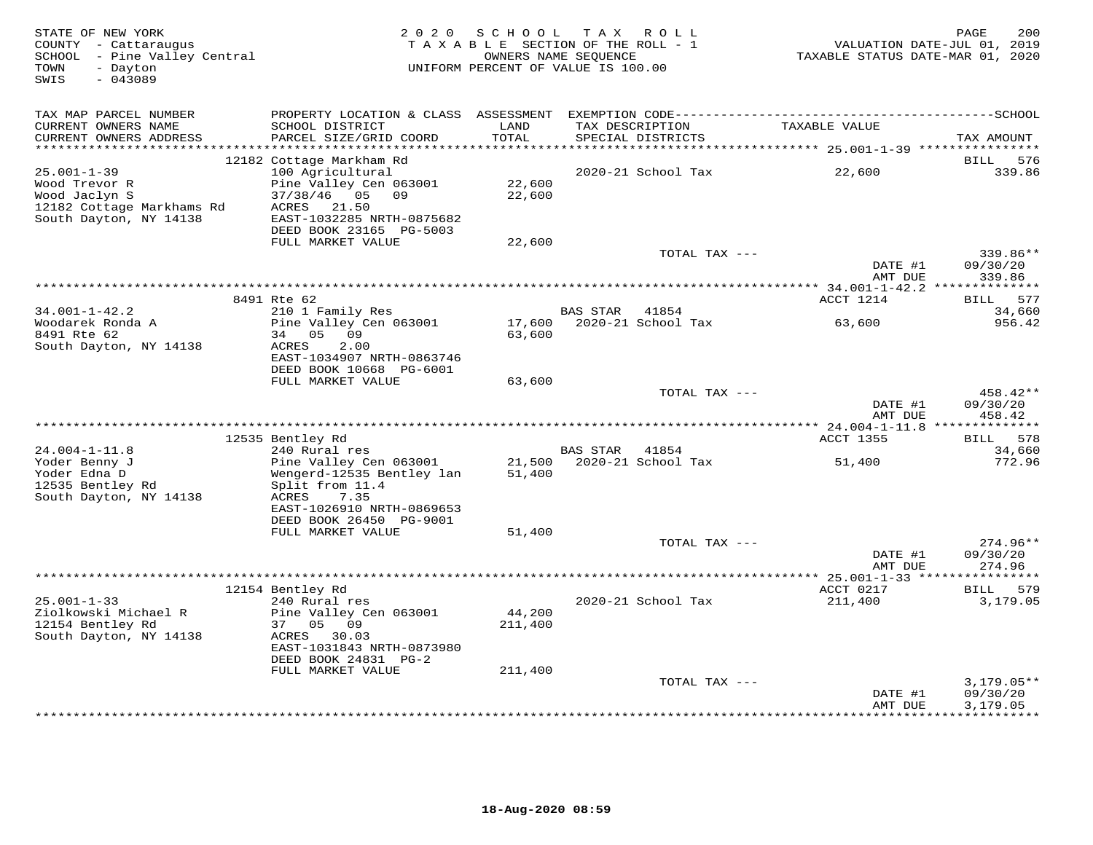| STATE OF NEW YORK<br>COUNTY - Cattaraugus<br>SCHOOL - Pine Valley Central<br>TOWN<br>- Dayton<br>SWIS<br>$-043089$ |                                                                                                                                                                  | TAXABLE SECTION OF THE ROLL - 1<br>OWNERS NAME SEQUENCE<br>UNIFORM PERCENT OF VALUE IS 100.00 | 2020 SCHOOL TAX ROLL |                                      | TAXABLE STATUS DATE-MAR 01, 2020 | 200<br>PAGE<br>VALUATION DATE-JUL 01, 2019 |
|--------------------------------------------------------------------------------------------------------------------|------------------------------------------------------------------------------------------------------------------------------------------------------------------|-----------------------------------------------------------------------------------------------|----------------------|--------------------------------------|----------------------------------|--------------------------------------------|
| TAX MAP PARCEL NUMBER<br>CURRENT OWNERS NAME<br>CURRENT OWNERS ADDRESS<br>************************                 | SCHOOL DISTRICT<br>PARCEL SIZE/GRID COORD                                                                                                                        | LAND<br>TOTAL                                                                                 |                      | TAX DESCRIPTION<br>SPECIAL DISTRICTS | TAXABLE VALUE                    | TAX AMOUNT                                 |
|                                                                                                                    | 12182 Cottage Markham Rd                                                                                                                                         |                                                                                               |                      |                                      |                                  | BILL<br>576                                |
| $25.001 - 1 - 39$<br>Wood Trevor R<br>Wood Jaclyn S<br>12182 Cottage Markhams Rd<br>South Dayton, NY 14138         | 100 Agricultural<br>Pine Valley Cen 063001<br>$37/38/46$ 05<br>09<br>ACRES<br>21.50<br>EAST-1032285 NRTH-0875682<br>DEED BOOK 23165 PG-5003<br>FULL MARKET VALUE | 22,600<br>22,600<br>22,600                                                                    |                      | 2020-21 School Tax                   | 22,600                           | 339.86                                     |
|                                                                                                                    |                                                                                                                                                                  |                                                                                               |                      | TOTAL TAX ---                        |                                  | 339.86**                                   |
|                                                                                                                    |                                                                                                                                                                  |                                                                                               |                      |                                      | DATE #1<br>AMT DUE               | 09/30/20<br>339.86                         |
|                                                                                                                    | 8491 Rte 62                                                                                                                                                      |                                                                                               |                      |                                      | ACCT 1214                        | BILL 577                                   |
| $34.001 - 1 - 42.2$<br>Woodarek Ronda A                                                                            | 210 1 Family Res<br>Pine Valley Cen 063001                                                                                                                       | 17,600                                                                                        | BAS STAR 41854       | 2020-21 School Tax                   | 63,600                           | 34,660<br>956.42                           |
| 8491 Rte 62<br>South Dayton, NY 14138                                                                              | 34 05 09<br>ACRES<br>2.00<br>EAST-1034907 NRTH-0863746<br>DEED BOOK 10668 PG-6001                                                                                | 63,600                                                                                        |                      |                                      |                                  |                                            |
|                                                                                                                    | FULL MARKET VALUE                                                                                                                                                | 63,600                                                                                        |                      | TOTAL TAX ---                        |                                  | 458.42**                                   |
|                                                                                                                    |                                                                                                                                                                  |                                                                                               |                      |                                      | DATE #1<br>AMT DUE               | 09/30/20<br>458.42                         |
|                                                                                                                    |                                                                                                                                                                  |                                                                                               |                      |                                      |                                  |                                            |
| $24.004 - 1 - 11.8$                                                                                                | 12535 Bentley Rd<br>240 Rural res                                                                                                                                |                                                                                               | BAS STAR             | 41854                                | ACCT 1355                        | BILL 578<br>34,660                         |
| Yoder Benny J<br>Yoder Edna D<br>12535 Bentley Rd<br>South Dayton, NY 14138                                        | Pine Valley Cen 063001<br>Wengerd-12535 Bentley lan<br>Split from 11.4<br>ACRES<br>7.35<br>EAST-1026910 NRTH-0869653<br>DEED BOOK 26450 PG-9001                  | 21,500<br>51,400                                                                              |                      | 2020-21 School Tax                   | 51,400                           | 772.96                                     |
|                                                                                                                    | FULL MARKET VALUE                                                                                                                                                | 51,400                                                                                        |                      |                                      |                                  |                                            |
|                                                                                                                    |                                                                                                                                                                  |                                                                                               |                      | TOTAL TAX ---                        | DATE #1<br>AMT DUE               | 274.96**<br>09/30/20<br>274.96             |
|                                                                                                                    |                                                                                                                                                                  |                                                                                               |                      |                                      |                                  |                                            |
| $25.001 - 1 - 33$<br>Ziolkowski Michael R<br>12154 Bentley Rd<br>South Dayton, NY 14138                            | 12154 Bentley Rd<br>240 Rural res<br>Pine Valley Cen 063001<br>37 05 09<br>ACRES 30.03<br>EAST-1031843 NRTH-0873980<br>DEED BOOK 24831 PG-2                      | 44,200<br>211,400                                                                             |                      | 2020-21 School Tax                   | ACCT 0217<br>211,400             | BILL 579<br>3,179.05                       |
|                                                                                                                    | FULL MARKET VALUE                                                                                                                                                | 211,400                                                                                       |                      | TOTAL TAX ---                        |                                  | $3,179.05**$                               |
|                                                                                                                    |                                                                                                                                                                  |                                                                                               |                      |                                      | DATE #1<br>AMT DUE               | 09/30/20<br>3,179.05<br>**********         |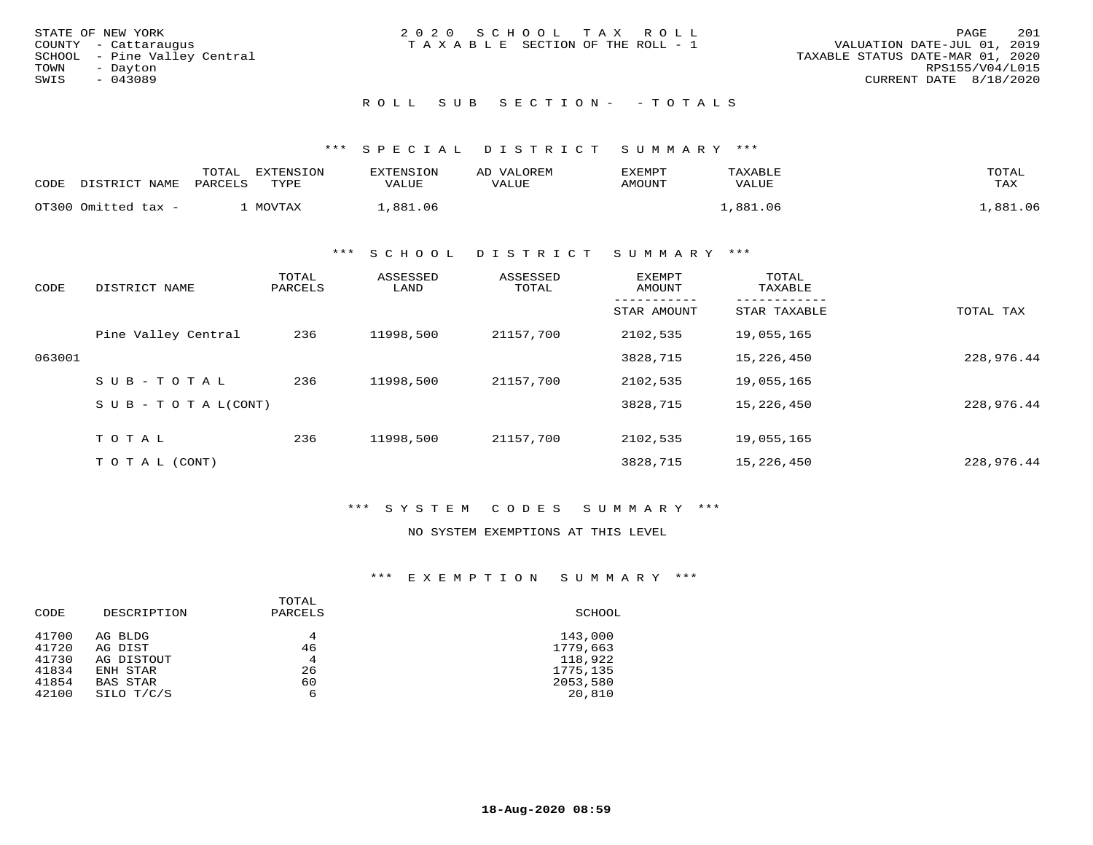| STATE OF NEW YORK<br>COUNTY - Cattaraugus         | 2020 SCHOOL TAX ROLL<br>T A X A B L E SECTION OF THE ROLL - 1 | 201<br>PAGE<br>VALUATION DATE-JUL 01, 2019          |
|---------------------------------------------------|---------------------------------------------------------------|-----------------------------------------------------|
| SCHOOL  – Pine Valley Central<br>TOWN<br>- Dayton |                                                               | TAXABLE STATUS DATE-MAR 01, 2020<br>RPS155/V04/L015 |
| SWIS<br>$-043089$                                 |                                                               | CURRENT DATE 8/18/2020                              |
|                                                   | ROLL SUB SECTION- - TOTALS                                    |                                                     |

| CODE | חים דמידים דר<br>NT 7\MTP | TOTAL<br>DARCELS | <b>EXTENSION</b><br>TYPE | VALUE  | ∵∩ਸ ਸਾM<br>LUE<br>$T\Delta$ | EXEMPT<br>AMOUNT. | <b><i>FAXARLF</i></b><br>VALUE | TOTAL<br>TAX    |
|------|---------------------------|------------------|--------------------------|--------|-----------------------------|-------------------|--------------------------------|-----------------|
|      | OT300 Omitted tax -       |                  | $M \cap T$ $T \cap R$    | 881.06 |                             |                   | 881 O6                         | 881<br>$\cap$ 6 |

#### \*\*\* S C H O O L D I S T R I C T S U M M A R Y \*\*\*

| CODE   | DISTRICT NAME                    | TOTAL<br>PARCELS | ASSESSED<br>LAND | ASSESSED<br>TOTAL | <b>EXEMPT</b><br>AMOUNT | TOTAL<br>TAXABLE |            |
|--------|----------------------------------|------------------|------------------|-------------------|-------------------------|------------------|------------|
|        |                                  |                  |                  |                   | STAR AMOUNT             | STAR TAXABLE     | TOTAL TAX  |
|        | Pine Valley Central              | 236              | 11998,500        | 21157,700         | 2102,535                | 19,055,165       |            |
| 063001 |                                  |                  |                  |                   | 3828,715                | 15,226,450       | 228,976.44 |
|        | SUB-TOTAL                        | 236              | 11998,500        | 21157,700         | 2102,535                | 19,055,165       |            |
|        | $S \cup B - T \cup T A L (CONT)$ |                  |                  |                   | 3828,715                | 15,226,450       | 228,976.44 |
|        |                                  |                  |                  |                   |                         |                  |            |
|        | TOTAL                            | 236              | 11998,500        | 21157,700         | 2102,535                | 19,055,165       |            |
|        | T O T A L (CONT)                 |                  |                  |                   | 3828,715                | 15,226,450       | 228,976.44 |

## \*\*\* S Y S T E M C O D E S S U M M A R Y \*\*\*

## NO SYSTEM EXEMPTIONS AT THIS LEVEL

## \*\*\* E X E M P T I O N S U M M A R Y \*\*\*

|       |             | TOTAL   |          |
|-------|-------------|---------|----------|
| CODE  | DESCRIPTION | PARCELS | SCHOOL   |
| 41700 | AG BLDG     | 4       | 143,000  |
| 41720 | AG DIST     | 46      | 1779,663 |
| 41730 | AG DISTOUT  | 4       | 118,922  |
| 41834 | ENH STAR    | 26      | 1775,135 |
| 41854 | BAS STAR    | 60      | 2053,580 |
| 42100 | SILO T/C/S  | 6       | 20,810   |
|       |             |         |          |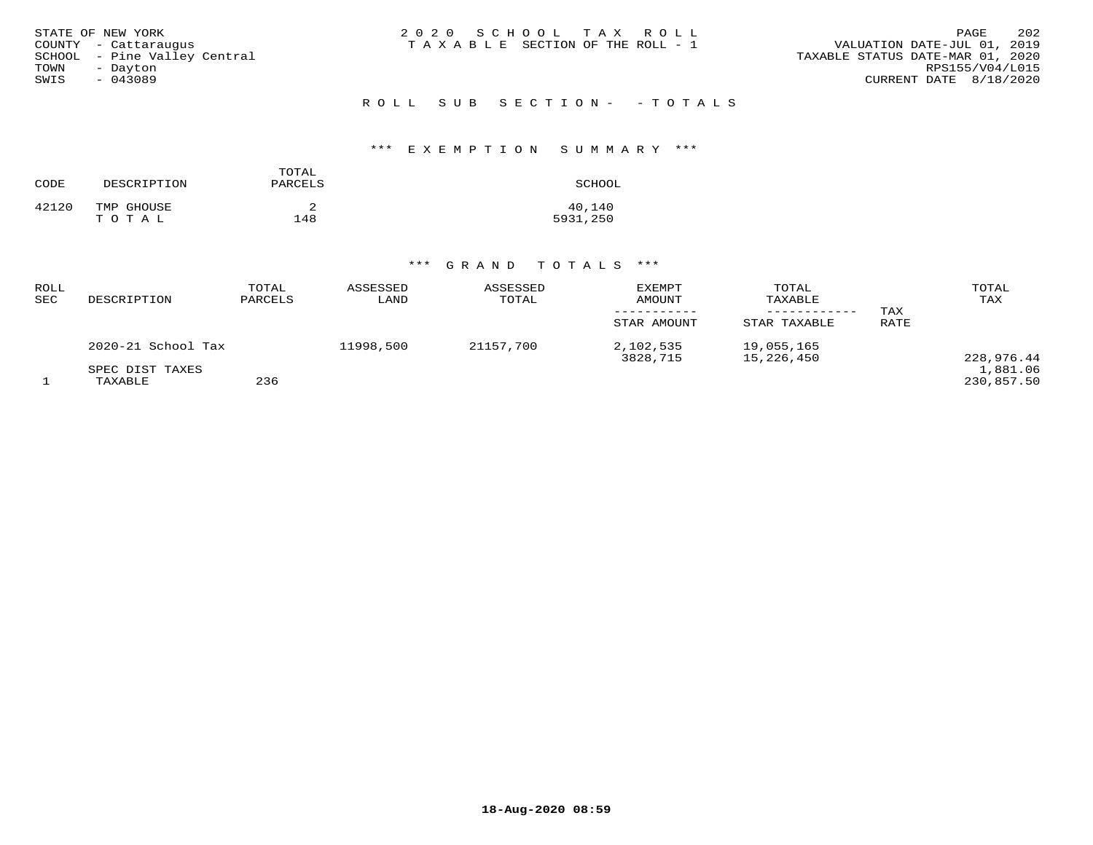| STATE OF NEW YORK<br>COUNTY - Cattaraugus<br>SCHOOL - Pine Valley Central<br>TOWN<br>- Dayton<br>SWIS<br>$-043089$ | 2020 SCHOOL TAX ROLL<br>T A X A B L E SECTION OF THE ROLL - 1 | 202<br>PAGE<br>VALUATION DATE-JUL 01, 2019<br>TAXABLE STATUS DATE-MAR 01, 2020<br>RPS155/V04/L015<br>CURRENT DATE 8/18/2020 |
|--------------------------------------------------------------------------------------------------------------------|---------------------------------------------------------------|-----------------------------------------------------------------------------------------------------------------------------|
|                                                                                                                    | ROLL SUB SECTION- - TOTALS                                    |                                                                                                                             |

# \*\*\* E X E M P T I O N S U M M A R Y \*\*\*

| CODE  | DESCRIPTION         | TOTAL<br>PARCELS | SCHOOL             |
|-------|---------------------|------------------|--------------------|
| 42120 | TMP GHOUSE<br>TOTAL | 148              | 40,140<br>5931,250 |

# \*\*\* G R A N D T O T A L S \*\*\*

| ROLL<br>SEC | DESCRIPTION                | TOTAL<br>PARCELS | ASSESSED<br>LAND | ASSESSED<br>TOTAL | <b>EXEMPT</b><br>AMOUNT<br>STAR AMOUNT | TOTAL<br>TAXABLE<br>STAR TAXABLE | TAX<br>RATE | TOTAL<br>TAX           |
|-------------|----------------------------|------------------|------------------|-------------------|----------------------------------------|----------------------------------|-------------|------------------------|
|             | 2020-21 School Tax         |                  | 11998,500        | 21157,700         | 2,102,535<br>3828,715                  | 19,055,165<br>15,226,450         |             | 228,976.44             |
|             | SPEC DIST TAXES<br>TAXABLE | 236              |                  |                   |                                        |                                  |             | 1,881.06<br>230,857.50 |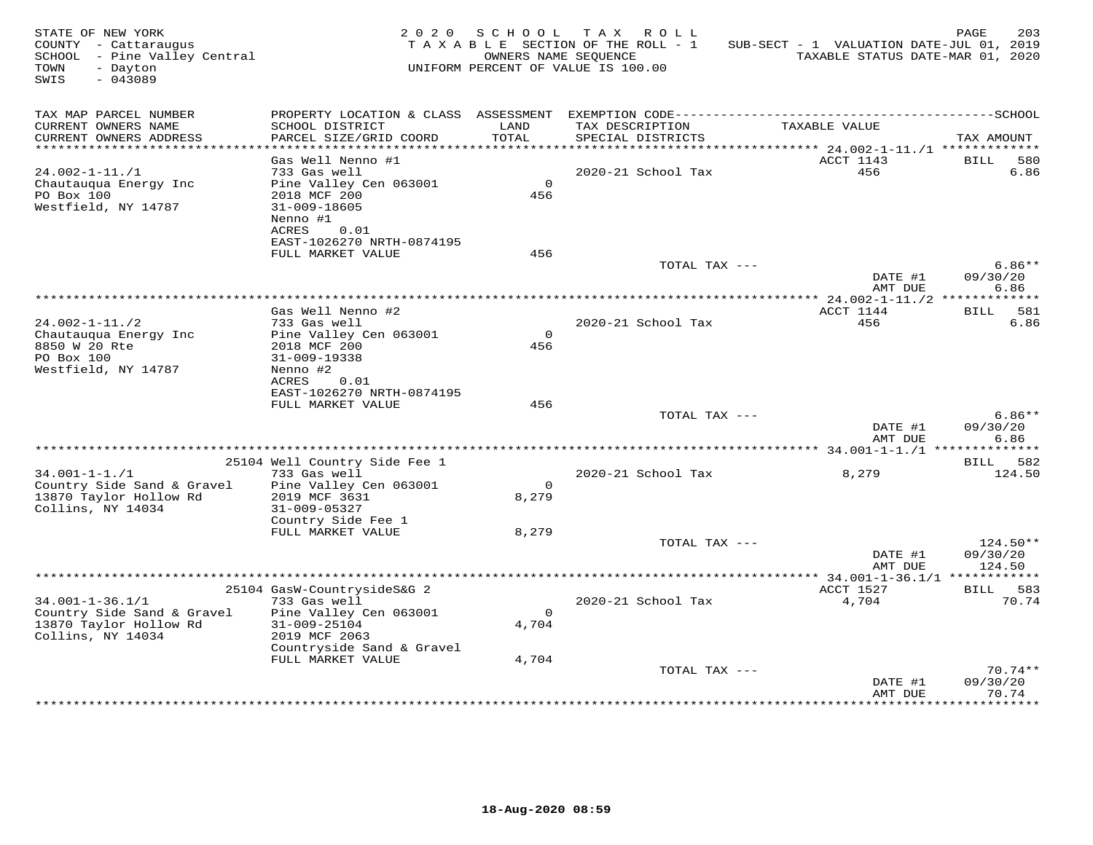| TAX MAP PARCEL NUMBER<br>TAX DESCRIPTION<br>CURRENT OWNERS NAME<br>TAXABLE VALUE<br>SCHOOL DISTRICT<br>LAND<br>TOTAL<br>CURRENT OWNERS ADDRESS<br>PARCEL SIZE/GRID COORD<br>SPECIAL DISTRICTS<br>TAX AMOUNT<br>******************************<br>ACCT 1143<br>Gas Well Nenno #1<br><b>BILL</b><br>580<br>2020-21 School Tax<br>456<br>6.86<br>$24.002 - 1 - 11. / 1$<br>733 Gas well<br>Chautauqua Energy Inc<br>Pine Valley Cen 063001<br>$\overline{0}$<br>PO Box 100<br>2018 MCF 200<br>456<br>Westfield, NY 14787<br>$31 - 009 - 18605$<br>Nenno #1<br>ACRES<br>0.01<br>EAST-1026270 NRTH-0874195<br>FULL MARKET VALUE<br>456<br>$6.86**$<br>TOTAL TAX ---<br>DATE #1<br>09/30/20<br>6.86<br>AMT DUE<br>ACCT 1144<br>BILL 581<br>Gas Well Nenno #2<br>456<br>6.86<br>$24.002 - 1 - 11.72$<br>733 Gas well<br>2020-21 School Tax<br>$\Omega$<br>Chautauqua Energy Inc<br>Pine Valley Cen 063001<br>8850 W 20 Rte<br>2018 MCF 200<br>456<br>PO Box 100<br>31-009-19338<br>Westfield, NY 14787<br>Nenno #2<br>ACRES<br>0.01<br>EAST-1026270 NRTH-0874195<br>FULL MARKET VALUE<br>456<br>$6.86**$<br>TOTAL TAX ---<br>DATE #1<br>09/30/20<br>6.86<br>AMT DUE<br>25104 Well Country Side Fee 1<br>BILL 582<br>8,279<br>$34.001 - 1 - 1.71$<br>733 Gas well<br>2020-21 School Tax<br>124.50<br>Country Side Sand & Gravel<br>Pine Valley Cen 063001<br>$\Omega$<br>13870 Taylor Hollow Rd<br>2019 MCF 3631<br>8,279<br>Collins, NY 14034<br>31-009-05327<br>Country Side Fee 1<br>FULL MARKET VALUE<br>8,279<br>$124.50**$<br>TOTAL TAX ---<br>DATE #1<br>09/30/20<br>AMT DUE<br>124.50<br>ACCT 1527<br>25104 GasW-CountrysideS&G 2<br>BILL 583<br>70.74<br>$34.001 - 1 - 36.1/1$<br>733 Gas well<br>2020-21 School Tax<br>4,704<br>Country Side Sand & Gravel<br>Pine Valley Cen 063001<br>$\circ$<br>4,704<br>13870 Taylor Hollow Rd<br>31-009-25104<br>Collins, NY 14034<br>2019 MCF 2063<br>Countryside Sand & Gravel<br>FULL MARKET VALUE<br>4,704<br>$70.74**$<br>TOTAL TAX ---<br>DATE #1<br>09/30/20<br>70.74<br>AMT DUE | STATE OF NEW YORK<br>COUNTY - Cattaraugus<br>SCHOOL - Pine Valley Central<br>- Dayton<br>TOWN<br>SWIS<br>$-043089$ |  | 2020 SCHOOL TAX ROLL<br>TAXABLE SECTION OF THE ROLL - 1<br>OWNERS NAME SEQUENCE<br>UNIFORM PERCENT OF VALUE IS 100.00 | SUB-SECT - 1 VALUATION DATE-JUL 01, 2019<br>TAXABLE STATUS DATE-MAR 01, 2020 | PAGE<br>203 |
|--------------------------------------------------------------------------------------------------------------------------------------------------------------------------------------------------------------------------------------------------------------------------------------------------------------------------------------------------------------------------------------------------------------------------------------------------------------------------------------------------------------------------------------------------------------------------------------------------------------------------------------------------------------------------------------------------------------------------------------------------------------------------------------------------------------------------------------------------------------------------------------------------------------------------------------------------------------------------------------------------------------------------------------------------------------------------------------------------------------------------------------------------------------------------------------------------------------------------------------------------------------------------------------------------------------------------------------------------------------------------------------------------------------------------------------------------------------------------------------------------------------------------------------------------------------------------------------------------------------------------------------------------------------------------------------------------------------------------------------------------------------------------------------------------------------------------------------------------------------------------------------------------------------------------------------------------------------------------------------------------------------------------------|--------------------------------------------------------------------------------------------------------------------|--|-----------------------------------------------------------------------------------------------------------------------|------------------------------------------------------------------------------|-------------|
|                                                                                                                                                                                                                                                                                                                                                                                                                                                                                                                                                                                                                                                                                                                                                                                                                                                                                                                                                                                                                                                                                                                                                                                                                                                                                                                                                                                                                                                                                                                                                                                                                                                                                                                                                                                                                                                                                                                                                                                                                                |                                                                                                                    |  |                                                                                                                       |                                                                              |             |
|                                                                                                                                                                                                                                                                                                                                                                                                                                                                                                                                                                                                                                                                                                                                                                                                                                                                                                                                                                                                                                                                                                                                                                                                                                                                                                                                                                                                                                                                                                                                                                                                                                                                                                                                                                                                                                                                                                                                                                                                                                |                                                                                                                    |  |                                                                                                                       |                                                                              |             |
|                                                                                                                                                                                                                                                                                                                                                                                                                                                                                                                                                                                                                                                                                                                                                                                                                                                                                                                                                                                                                                                                                                                                                                                                                                                                                                                                                                                                                                                                                                                                                                                                                                                                                                                                                                                                                                                                                                                                                                                                                                |                                                                                                                    |  |                                                                                                                       |                                                                              |             |
|                                                                                                                                                                                                                                                                                                                                                                                                                                                                                                                                                                                                                                                                                                                                                                                                                                                                                                                                                                                                                                                                                                                                                                                                                                                                                                                                                                                                                                                                                                                                                                                                                                                                                                                                                                                                                                                                                                                                                                                                                                |                                                                                                                    |  |                                                                                                                       |                                                                              |             |
|                                                                                                                                                                                                                                                                                                                                                                                                                                                                                                                                                                                                                                                                                                                                                                                                                                                                                                                                                                                                                                                                                                                                                                                                                                                                                                                                                                                                                                                                                                                                                                                                                                                                                                                                                                                                                                                                                                                                                                                                                                |                                                                                                                    |  |                                                                                                                       |                                                                              |             |
|                                                                                                                                                                                                                                                                                                                                                                                                                                                                                                                                                                                                                                                                                                                                                                                                                                                                                                                                                                                                                                                                                                                                                                                                                                                                                                                                                                                                                                                                                                                                                                                                                                                                                                                                                                                                                                                                                                                                                                                                                                |                                                                                                                    |  |                                                                                                                       |                                                                              |             |
|                                                                                                                                                                                                                                                                                                                                                                                                                                                                                                                                                                                                                                                                                                                                                                                                                                                                                                                                                                                                                                                                                                                                                                                                                                                                                                                                                                                                                                                                                                                                                                                                                                                                                                                                                                                                                                                                                                                                                                                                                                |                                                                                                                    |  |                                                                                                                       |                                                                              |             |
|                                                                                                                                                                                                                                                                                                                                                                                                                                                                                                                                                                                                                                                                                                                                                                                                                                                                                                                                                                                                                                                                                                                                                                                                                                                                                                                                                                                                                                                                                                                                                                                                                                                                                                                                                                                                                                                                                                                                                                                                                                |                                                                                                                    |  |                                                                                                                       |                                                                              |             |
|                                                                                                                                                                                                                                                                                                                                                                                                                                                                                                                                                                                                                                                                                                                                                                                                                                                                                                                                                                                                                                                                                                                                                                                                                                                                                                                                                                                                                                                                                                                                                                                                                                                                                                                                                                                                                                                                                                                                                                                                                                |                                                                                                                    |  |                                                                                                                       |                                                                              |             |
|                                                                                                                                                                                                                                                                                                                                                                                                                                                                                                                                                                                                                                                                                                                                                                                                                                                                                                                                                                                                                                                                                                                                                                                                                                                                                                                                                                                                                                                                                                                                                                                                                                                                                                                                                                                                                                                                                                                                                                                                                                |                                                                                                                    |  |                                                                                                                       |                                                                              |             |
|                                                                                                                                                                                                                                                                                                                                                                                                                                                                                                                                                                                                                                                                                                                                                                                                                                                                                                                                                                                                                                                                                                                                                                                                                                                                                                                                                                                                                                                                                                                                                                                                                                                                                                                                                                                                                                                                                                                                                                                                                                |                                                                                                                    |  |                                                                                                                       |                                                                              |             |
|                                                                                                                                                                                                                                                                                                                                                                                                                                                                                                                                                                                                                                                                                                                                                                                                                                                                                                                                                                                                                                                                                                                                                                                                                                                                                                                                                                                                                                                                                                                                                                                                                                                                                                                                                                                                                                                                                                                                                                                                                                |                                                                                                                    |  |                                                                                                                       |                                                                              |             |
|                                                                                                                                                                                                                                                                                                                                                                                                                                                                                                                                                                                                                                                                                                                                                                                                                                                                                                                                                                                                                                                                                                                                                                                                                                                                                                                                                                                                                                                                                                                                                                                                                                                                                                                                                                                                                                                                                                                                                                                                                                |                                                                                                                    |  |                                                                                                                       |                                                                              |             |
|                                                                                                                                                                                                                                                                                                                                                                                                                                                                                                                                                                                                                                                                                                                                                                                                                                                                                                                                                                                                                                                                                                                                                                                                                                                                                                                                                                                                                                                                                                                                                                                                                                                                                                                                                                                                                                                                                                                                                                                                                                |                                                                                                                    |  |                                                                                                                       |                                                                              |             |
|                                                                                                                                                                                                                                                                                                                                                                                                                                                                                                                                                                                                                                                                                                                                                                                                                                                                                                                                                                                                                                                                                                                                                                                                                                                                                                                                                                                                                                                                                                                                                                                                                                                                                                                                                                                                                                                                                                                                                                                                                                |                                                                                                                    |  |                                                                                                                       |                                                                              |             |
|                                                                                                                                                                                                                                                                                                                                                                                                                                                                                                                                                                                                                                                                                                                                                                                                                                                                                                                                                                                                                                                                                                                                                                                                                                                                                                                                                                                                                                                                                                                                                                                                                                                                                                                                                                                                                                                                                                                                                                                                                                |                                                                                                                    |  |                                                                                                                       |                                                                              |             |
|                                                                                                                                                                                                                                                                                                                                                                                                                                                                                                                                                                                                                                                                                                                                                                                                                                                                                                                                                                                                                                                                                                                                                                                                                                                                                                                                                                                                                                                                                                                                                                                                                                                                                                                                                                                                                                                                                                                                                                                                                                |                                                                                                                    |  |                                                                                                                       |                                                                              |             |
|                                                                                                                                                                                                                                                                                                                                                                                                                                                                                                                                                                                                                                                                                                                                                                                                                                                                                                                                                                                                                                                                                                                                                                                                                                                                                                                                                                                                                                                                                                                                                                                                                                                                                                                                                                                                                                                                                                                                                                                                                                |                                                                                                                    |  |                                                                                                                       |                                                                              |             |
|                                                                                                                                                                                                                                                                                                                                                                                                                                                                                                                                                                                                                                                                                                                                                                                                                                                                                                                                                                                                                                                                                                                                                                                                                                                                                                                                                                                                                                                                                                                                                                                                                                                                                                                                                                                                                                                                                                                                                                                                                                |                                                                                                                    |  |                                                                                                                       |                                                                              |             |
|                                                                                                                                                                                                                                                                                                                                                                                                                                                                                                                                                                                                                                                                                                                                                                                                                                                                                                                                                                                                                                                                                                                                                                                                                                                                                                                                                                                                                                                                                                                                                                                                                                                                                                                                                                                                                                                                                                                                                                                                                                |                                                                                                                    |  |                                                                                                                       |                                                                              |             |
|                                                                                                                                                                                                                                                                                                                                                                                                                                                                                                                                                                                                                                                                                                                                                                                                                                                                                                                                                                                                                                                                                                                                                                                                                                                                                                                                                                                                                                                                                                                                                                                                                                                                                                                                                                                                                                                                                                                                                                                                                                |                                                                                                                    |  |                                                                                                                       |                                                                              |             |
|                                                                                                                                                                                                                                                                                                                                                                                                                                                                                                                                                                                                                                                                                                                                                                                                                                                                                                                                                                                                                                                                                                                                                                                                                                                                                                                                                                                                                                                                                                                                                                                                                                                                                                                                                                                                                                                                                                                                                                                                                                |                                                                                                                    |  |                                                                                                                       |                                                                              |             |
|                                                                                                                                                                                                                                                                                                                                                                                                                                                                                                                                                                                                                                                                                                                                                                                                                                                                                                                                                                                                                                                                                                                                                                                                                                                                                                                                                                                                                                                                                                                                                                                                                                                                                                                                                                                                                                                                                                                                                                                                                                |                                                                                                                    |  |                                                                                                                       |                                                                              |             |
|                                                                                                                                                                                                                                                                                                                                                                                                                                                                                                                                                                                                                                                                                                                                                                                                                                                                                                                                                                                                                                                                                                                                                                                                                                                                                                                                                                                                                                                                                                                                                                                                                                                                                                                                                                                                                                                                                                                                                                                                                                |                                                                                                                    |  |                                                                                                                       |                                                                              |             |
|                                                                                                                                                                                                                                                                                                                                                                                                                                                                                                                                                                                                                                                                                                                                                                                                                                                                                                                                                                                                                                                                                                                                                                                                                                                                                                                                                                                                                                                                                                                                                                                                                                                                                                                                                                                                                                                                                                                                                                                                                                |                                                                                                                    |  |                                                                                                                       |                                                                              |             |
|                                                                                                                                                                                                                                                                                                                                                                                                                                                                                                                                                                                                                                                                                                                                                                                                                                                                                                                                                                                                                                                                                                                                                                                                                                                                                                                                                                                                                                                                                                                                                                                                                                                                                                                                                                                                                                                                                                                                                                                                                                |                                                                                                                    |  |                                                                                                                       |                                                                              |             |
|                                                                                                                                                                                                                                                                                                                                                                                                                                                                                                                                                                                                                                                                                                                                                                                                                                                                                                                                                                                                                                                                                                                                                                                                                                                                                                                                                                                                                                                                                                                                                                                                                                                                                                                                                                                                                                                                                                                                                                                                                                |                                                                                                                    |  |                                                                                                                       |                                                                              |             |
|                                                                                                                                                                                                                                                                                                                                                                                                                                                                                                                                                                                                                                                                                                                                                                                                                                                                                                                                                                                                                                                                                                                                                                                                                                                                                                                                                                                                                                                                                                                                                                                                                                                                                                                                                                                                                                                                                                                                                                                                                                |                                                                                                                    |  |                                                                                                                       |                                                                              |             |
|                                                                                                                                                                                                                                                                                                                                                                                                                                                                                                                                                                                                                                                                                                                                                                                                                                                                                                                                                                                                                                                                                                                                                                                                                                                                                                                                                                                                                                                                                                                                                                                                                                                                                                                                                                                                                                                                                                                                                                                                                                |                                                                                                                    |  |                                                                                                                       |                                                                              |             |
|                                                                                                                                                                                                                                                                                                                                                                                                                                                                                                                                                                                                                                                                                                                                                                                                                                                                                                                                                                                                                                                                                                                                                                                                                                                                                                                                                                                                                                                                                                                                                                                                                                                                                                                                                                                                                                                                                                                                                                                                                                |                                                                                                                    |  |                                                                                                                       |                                                                              |             |
|                                                                                                                                                                                                                                                                                                                                                                                                                                                                                                                                                                                                                                                                                                                                                                                                                                                                                                                                                                                                                                                                                                                                                                                                                                                                                                                                                                                                                                                                                                                                                                                                                                                                                                                                                                                                                                                                                                                                                                                                                                |                                                                                                                    |  |                                                                                                                       |                                                                              |             |
|                                                                                                                                                                                                                                                                                                                                                                                                                                                                                                                                                                                                                                                                                                                                                                                                                                                                                                                                                                                                                                                                                                                                                                                                                                                                                                                                                                                                                                                                                                                                                                                                                                                                                                                                                                                                                                                                                                                                                                                                                                |                                                                                                                    |  |                                                                                                                       |                                                                              |             |
|                                                                                                                                                                                                                                                                                                                                                                                                                                                                                                                                                                                                                                                                                                                                                                                                                                                                                                                                                                                                                                                                                                                                                                                                                                                                                                                                                                                                                                                                                                                                                                                                                                                                                                                                                                                                                                                                                                                                                                                                                                |                                                                                                                    |  |                                                                                                                       |                                                                              |             |
|                                                                                                                                                                                                                                                                                                                                                                                                                                                                                                                                                                                                                                                                                                                                                                                                                                                                                                                                                                                                                                                                                                                                                                                                                                                                                                                                                                                                                                                                                                                                                                                                                                                                                                                                                                                                                                                                                                                                                                                                                                |                                                                                                                    |  |                                                                                                                       |                                                                              |             |
|                                                                                                                                                                                                                                                                                                                                                                                                                                                                                                                                                                                                                                                                                                                                                                                                                                                                                                                                                                                                                                                                                                                                                                                                                                                                                                                                                                                                                                                                                                                                                                                                                                                                                                                                                                                                                                                                                                                                                                                                                                |                                                                                                                    |  |                                                                                                                       |                                                                              |             |
|                                                                                                                                                                                                                                                                                                                                                                                                                                                                                                                                                                                                                                                                                                                                                                                                                                                                                                                                                                                                                                                                                                                                                                                                                                                                                                                                                                                                                                                                                                                                                                                                                                                                                                                                                                                                                                                                                                                                                                                                                                |                                                                                                                    |  |                                                                                                                       |                                                                              |             |
|                                                                                                                                                                                                                                                                                                                                                                                                                                                                                                                                                                                                                                                                                                                                                                                                                                                                                                                                                                                                                                                                                                                                                                                                                                                                                                                                                                                                                                                                                                                                                                                                                                                                                                                                                                                                                                                                                                                                                                                                                                |                                                                                                                    |  |                                                                                                                       |                                                                              |             |
|                                                                                                                                                                                                                                                                                                                                                                                                                                                                                                                                                                                                                                                                                                                                                                                                                                                                                                                                                                                                                                                                                                                                                                                                                                                                                                                                                                                                                                                                                                                                                                                                                                                                                                                                                                                                                                                                                                                                                                                                                                |                                                                                                                    |  |                                                                                                                       |                                                                              |             |
|                                                                                                                                                                                                                                                                                                                                                                                                                                                                                                                                                                                                                                                                                                                                                                                                                                                                                                                                                                                                                                                                                                                                                                                                                                                                                                                                                                                                                                                                                                                                                                                                                                                                                                                                                                                                                                                                                                                                                                                                                                |                                                                                                                    |  |                                                                                                                       |                                                                              |             |
| **************                                                                                                                                                                                                                                                                                                                                                                                                                                                                                                                                                                                                                                                                                                                                                                                                                                                                                                                                                                                                                                                                                                                                                                                                                                                                                                                                                                                                                                                                                                                                                                                                                                                                                                                                                                                                                                                                                                                                                                                                                 |                                                                                                                    |  |                                                                                                                       |                                                                              | *********   |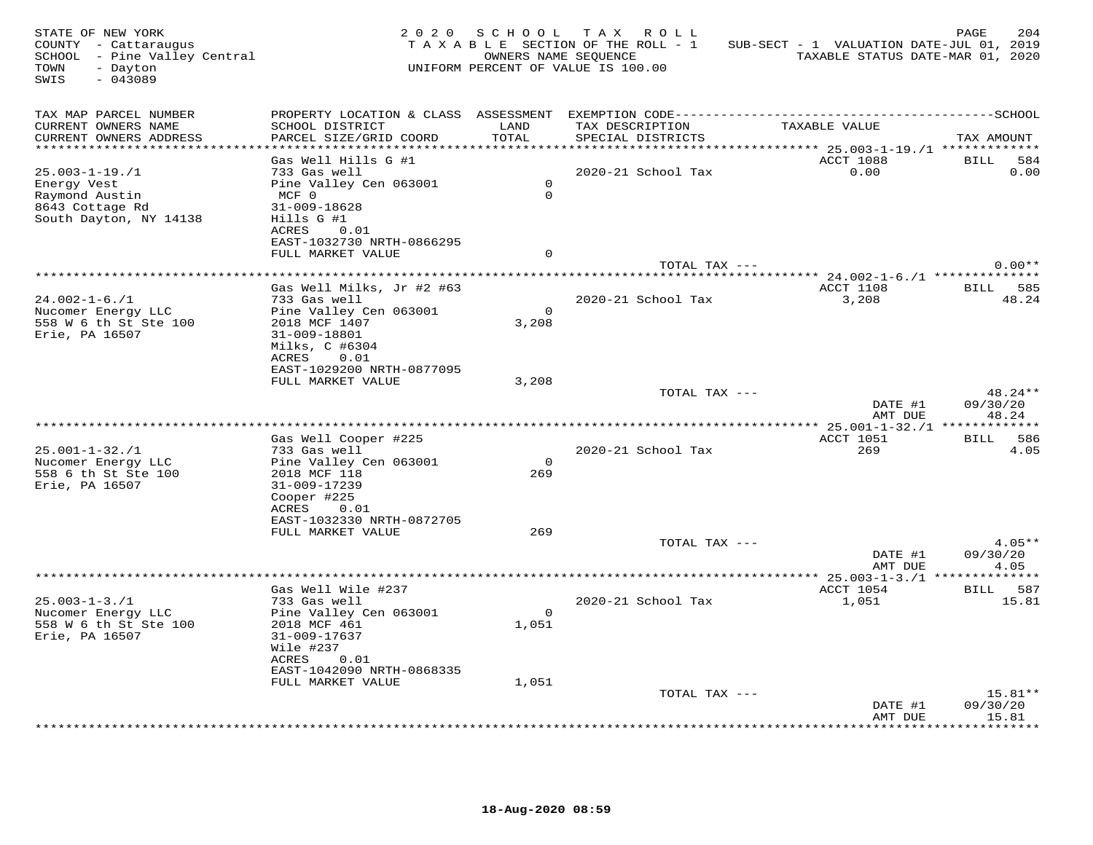| STATE OF NEW YORK<br>COUNTY - Cattaraugus<br>SCHOOL - Pine Valley Central<br>- Dayton<br>TOWN<br>$-043089$<br>SWIS |                                                                                                                                                                              |                                  | 2020 SCHOOL TAX ROLL<br>TAXABLE SECTION OF THE ROLL - 1<br>OWNERS NAME SEQUENCE<br>UNIFORM PERCENT OF VALUE IS 100.00 | SUB-SECT - 1 VALUATION DATE-JUL 01, 2019<br>TAXABLE STATUS DATE-MAR 01, 2020 | PAGE<br>204                               |
|--------------------------------------------------------------------------------------------------------------------|------------------------------------------------------------------------------------------------------------------------------------------------------------------------------|----------------------------------|-----------------------------------------------------------------------------------------------------------------------|------------------------------------------------------------------------------|-------------------------------------------|
| TAX MAP PARCEL NUMBER<br>CURRENT OWNERS NAME<br>CURRENT OWNERS ADDRESS<br>************************                 | SCHOOL DISTRICT<br>PARCEL SIZE/GRID COORD                                                                                                                                    | LAND<br>TOTAL                    | TAX DESCRIPTION<br>SPECIAL DISTRICTS                                                                                  | TAXABLE VALUE                                                                | TAX AMOUNT                                |
| $25.003 - 1 - 19. / 1$<br>Energy Vest<br>Raymond Austin<br>8643 Cottage Rd<br>South Dayton, NY 14138               | Gas Well Hills G #1<br>733 Gas well<br>Pine Valley Cen 063001<br>$MCF$ 0<br>31-009-18628<br>Hills G #1<br>ACRES<br>0.01                                                      | $\overline{0}$<br>$\Omega$       | 2020-21 School Tax                                                                                                    | ACCT 1088<br>0.00                                                            | <b>BILL</b><br>584<br>0.00                |
|                                                                                                                    | EAST-1032730 NRTH-0866295<br>FULL MARKET VALUE                                                                                                                               | $\Omega$                         | TOTAL TAX ---                                                                                                         |                                                                              | $0.00**$                                  |
| $24.002 - 1 - 6.71$<br>Nucomer Energy LLC<br>558 W 6 th St Ste 100<br>Erie, PA 16507                               | Gas Well Milks, Jr #2 #63<br>733 Gas well<br>Pine Valley Cen 063001<br>2018 MCF 1407<br>31-009-18801<br>Milks, C #6304<br>ACRES 0.01                                         | $\overline{0}$<br>3,208          | 2020-21 School Tax                                                                                                    | ACCT 1108<br>3,208                                                           | BILL 585<br>48.24                         |
|                                                                                                                    | EAST-1029200 NRTH-0877095<br>FULL MARKET VALUE                                                                                                                               | 3,208                            | TOTAL TAX ---                                                                                                         | DATE #1<br>AMT DUE                                                           | $48.24**$<br>09/30/20<br>48.24            |
| $25.001 - 1 - 32. / 1$<br>Nucomer Energy LLC<br>558 6 th St Ste 100<br>Erie, PA 16507                              | Gas Well Cooper #225<br>733 Gas well<br>Pine Valley Cen 063001<br>2018 MCF 118<br>31-009-17239<br>Cooper #225<br>ACRES<br>0.01                                               | $\overline{0}$<br>269            | 2020-21 School Tax                                                                                                    | ACCT 1051<br>269                                                             | BILL 586<br>4.05                          |
|                                                                                                                    | EAST-1032330 NRTH-0872705<br>FULL MARKET VALUE                                                                                                                               | 269                              | TOTAL TAX ---                                                                                                         | DATE #1<br>AMT DUE                                                           | $4.05**$<br>09/30/20<br>4.05              |
|                                                                                                                    |                                                                                                                                                                              |                                  |                                                                                                                       |                                                                              |                                           |
| $25.003 - 1 - 3.71$<br>Nucomer Energy LLC<br>558 W 6 th St Ste 100<br>Erie, PA 16507                               | Gas Well Wile #237<br>733 Gas well<br>Pine Valley Cen 063001<br>2018 MCF 461<br>31-009-17637<br>Wile #237<br>0.01<br>ACRES<br>EAST-1042090 NRTH-0868335<br>FULL MARKET VALUE | $\overline{0}$<br>1,051<br>1,051 | 2020-21 School Tax                                                                                                    | ACCT 1054<br>1,051                                                           | BILL 587<br>15.81                         |
|                                                                                                                    |                                                                                                                                                                              |                                  | TOTAL TAX ---                                                                                                         | DATE #1<br>AMT DUE                                                           | $15.81**$<br>09/30/20<br>15.81<br>******* |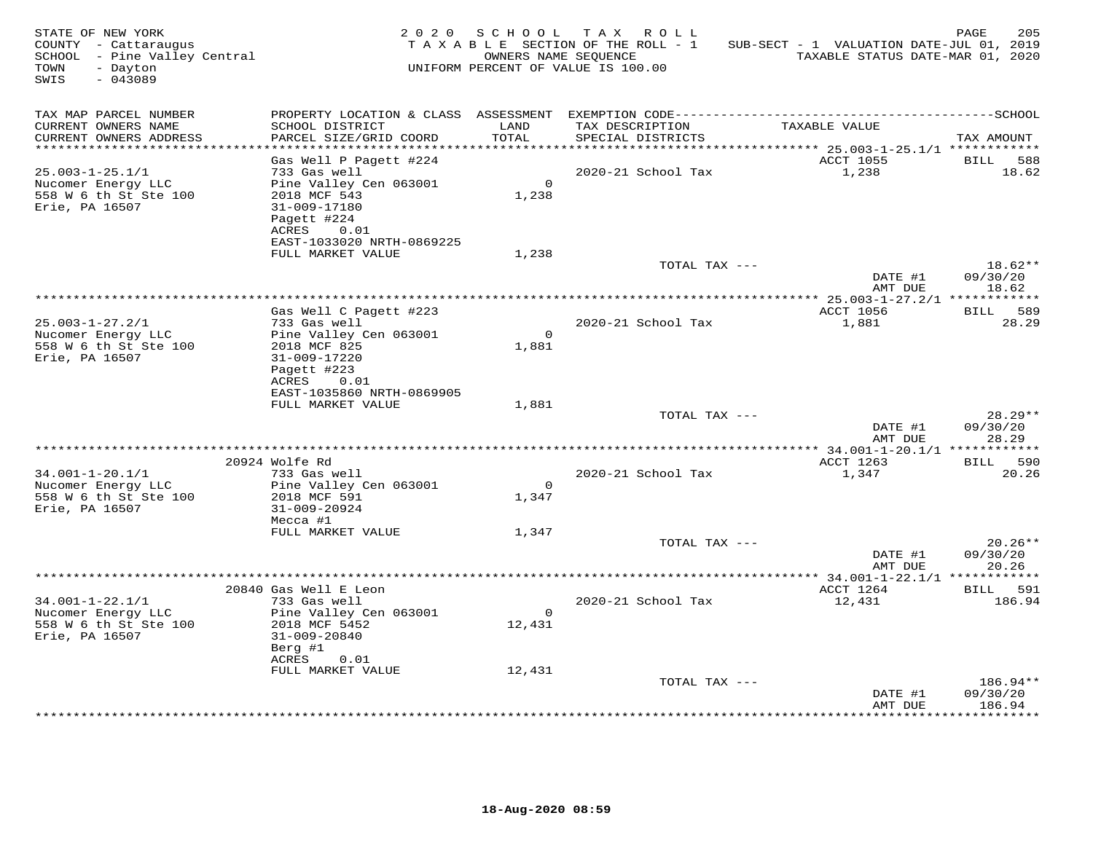| TAX MAP PARCEL NUMBER<br>CURRENT OWNERS NAME<br>SCHOOL DISTRICT<br>LAND<br>TAX DESCRIPTION<br>TAXABLE VALUE<br>PARCEL SIZE/GRID COORD<br>TOTAL<br>CURRENT OWNERS ADDRESS<br>SPECIAL DISTRICTS<br>*******************<br>********* 25.003-1-25.1/1 ************<br>ACCT 1055<br>Gas Well P Pagett #224<br>BILL<br>$25.003 - 1 - 25.1/1$<br>733 Gas well<br>2020-21 School Tax<br>1,238<br>18.62<br>$\bigcirc$<br>Pine Valley Cen 063001<br>Nucomer Energy LLC<br>558 W 6 th St Ste 100<br>2018 MCF 543<br>1,238<br>Erie, PA 16507<br>31-009-17180<br>Pagett #224<br>ACRES<br>0.01<br>EAST-1033020 NRTH-0869225<br>FULL MARKET VALUE<br>1,238<br>TOTAL TAX ---<br>DATE #1<br>AMT DUE<br>18.62<br>ACCT 1056<br>BILL 589<br>Gas Well C Pagett #223<br>733 Gas well<br>2020-21 School Tax<br>1,881<br>$25.003 - 1 - 27.2/1$<br>$\overline{0}$<br>Nucomer Energy LLC<br>Pine Valley Cen 063001<br>558 W 6 th St Ste 100<br>2018 MCF 825<br>1,881<br>Erie, PA 16507<br>31-009-17220<br>Pagett #223<br>ACRES<br>0.01 | STATE OF NEW YORK<br>COUNTY - Cattaraugus<br>SCHOOL - Pine Valley Central<br>- Dayton<br>TOWN<br>$-043089$<br>SWIS |                           | OWNERS NAME SEQUENCE | 2020 SCHOOL TAX ROLL<br>TAXABLE SECTION OF THE ROLL - 1<br>UNIFORM PERCENT OF VALUE IS 100.00 | SUB-SECT - 1 VALUATION DATE-JUL 01, 2019<br>TAXABLE STATUS DATE-MAR 01, 2020 | PAGE<br>205           |
|--------------------------------------------------------------------------------------------------------------------------------------------------------------------------------------------------------------------------------------------------------------------------------------------------------------------------------------------------------------------------------------------------------------------------------------------------------------------------------------------------------------------------------------------------------------------------------------------------------------------------------------------------------------------------------------------------------------------------------------------------------------------------------------------------------------------------------------------------------------------------------------------------------------------------------------------------------------------------------------------------------------|--------------------------------------------------------------------------------------------------------------------|---------------------------|----------------------|-----------------------------------------------------------------------------------------------|------------------------------------------------------------------------------|-----------------------|
|                                                                                                                                                                                                                                                                                                                                                                                                                                                                                                                                                                                                                                                                                                                                                                                                                                                                                                                                                                                                              |                                                                                                                    |                           |                      |                                                                                               |                                                                              |                       |
|                                                                                                                                                                                                                                                                                                                                                                                                                                                                                                                                                                                                                                                                                                                                                                                                                                                                                                                                                                                                              |                                                                                                                    |                           |                      |                                                                                               |                                                                              | TAX AMOUNT            |
|                                                                                                                                                                                                                                                                                                                                                                                                                                                                                                                                                                                                                                                                                                                                                                                                                                                                                                                                                                                                              |                                                                                                                    |                           |                      |                                                                                               |                                                                              |                       |
|                                                                                                                                                                                                                                                                                                                                                                                                                                                                                                                                                                                                                                                                                                                                                                                                                                                                                                                                                                                                              |                                                                                                                    |                           |                      |                                                                                               |                                                                              | 588                   |
|                                                                                                                                                                                                                                                                                                                                                                                                                                                                                                                                                                                                                                                                                                                                                                                                                                                                                                                                                                                                              |                                                                                                                    |                           |                      |                                                                                               |                                                                              |                       |
|                                                                                                                                                                                                                                                                                                                                                                                                                                                                                                                                                                                                                                                                                                                                                                                                                                                                                                                                                                                                              |                                                                                                                    |                           |                      |                                                                                               |                                                                              |                       |
|                                                                                                                                                                                                                                                                                                                                                                                                                                                                                                                                                                                                                                                                                                                                                                                                                                                                                                                                                                                                              |                                                                                                                    |                           |                      |                                                                                               |                                                                              |                       |
|                                                                                                                                                                                                                                                                                                                                                                                                                                                                                                                                                                                                                                                                                                                                                                                                                                                                                                                                                                                                              |                                                                                                                    |                           |                      |                                                                                               |                                                                              |                       |
|                                                                                                                                                                                                                                                                                                                                                                                                                                                                                                                                                                                                                                                                                                                                                                                                                                                                                                                                                                                                              |                                                                                                                    |                           |                      |                                                                                               |                                                                              |                       |
|                                                                                                                                                                                                                                                                                                                                                                                                                                                                                                                                                                                                                                                                                                                                                                                                                                                                                                                                                                                                              |                                                                                                                    |                           |                      |                                                                                               |                                                                              |                       |
|                                                                                                                                                                                                                                                                                                                                                                                                                                                                                                                                                                                                                                                                                                                                                                                                                                                                                                                                                                                                              |                                                                                                                    |                           |                      |                                                                                               |                                                                              | $18.62**$             |
|                                                                                                                                                                                                                                                                                                                                                                                                                                                                                                                                                                                                                                                                                                                                                                                                                                                                                                                                                                                                              |                                                                                                                    |                           |                      |                                                                                               |                                                                              | 09/30/20              |
|                                                                                                                                                                                                                                                                                                                                                                                                                                                                                                                                                                                                                                                                                                                                                                                                                                                                                                                                                                                                              |                                                                                                                    |                           |                      |                                                                                               |                                                                              |                       |
|                                                                                                                                                                                                                                                                                                                                                                                                                                                                                                                                                                                                                                                                                                                                                                                                                                                                                                                                                                                                              |                                                                                                                    |                           |                      |                                                                                               |                                                                              |                       |
|                                                                                                                                                                                                                                                                                                                                                                                                                                                                                                                                                                                                                                                                                                                                                                                                                                                                                                                                                                                                              |                                                                                                                    |                           |                      |                                                                                               |                                                                              | 28.29                 |
|                                                                                                                                                                                                                                                                                                                                                                                                                                                                                                                                                                                                                                                                                                                                                                                                                                                                                                                                                                                                              |                                                                                                                    |                           |                      |                                                                                               |                                                                              |                       |
|                                                                                                                                                                                                                                                                                                                                                                                                                                                                                                                                                                                                                                                                                                                                                                                                                                                                                                                                                                                                              |                                                                                                                    |                           |                      |                                                                                               |                                                                              |                       |
|                                                                                                                                                                                                                                                                                                                                                                                                                                                                                                                                                                                                                                                                                                                                                                                                                                                                                                                                                                                                              |                                                                                                                    |                           |                      |                                                                                               |                                                                              |                       |
|                                                                                                                                                                                                                                                                                                                                                                                                                                                                                                                                                                                                                                                                                                                                                                                                                                                                                                                                                                                                              |                                                                                                                    |                           |                      |                                                                                               |                                                                              |                       |
|                                                                                                                                                                                                                                                                                                                                                                                                                                                                                                                                                                                                                                                                                                                                                                                                                                                                                                                                                                                                              |                                                                                                                    | EAST-1035860 NRTH-0869905 |                      |                                                                                               |                                                                              |                       |
| FULL MARKET VALUE<br>1,881                                                                                                                                                                                                                                                                                                                                                                                                                                                                                                                                                                                                                                                                                                                                                                                                                                                                                                                                                                                   |                                                                                                                    |                           |                      |                                                                                               |                                                                              |                       |
| TOTAL TAX ---<br>DATE #1                                                                                                                                                                                                                                                                                                                                                                                                                                                                                                                                                                                                                                                                                                                                                                                                                                                                                                                                                                                     |                                                                                                                    |                           |                      |                                                                                               |                                                                              | $28.29**$<br>09/30/20 |
| AMT DUE                                                                                                                                                                                                                                                                                                                                                                                                                                                                                                                                                                                                                                                                                                                                                                                                                                                                                                                                                                                                      |                                                                                                                    |                           |                      |                                                                                               |                                                                              | 28.29                 |
|                                                                                                                                                                                                                                                                                                                                                                                                                                                                                                                                                                                                                                                                                                                                                                                                                                                                                                                                                                                                              |                                                                                                                    |                           |                      |                                                                                               |                                                                              |                       |
| 20924 Wolfe Rd<br>ACCT 1263                                                                                                                                                                                                                                                                                                                                                                                                                                                                                                                                                                                                                                                                                                                                                                                                                                                                                                                                                                                  |                                                                                                                    |                           |                      |                                                                                               |                                                                              | BILL 590              |
| $34.001 - 1 - 20.1/1$<br>733 Gas well<br>2020-21 School Tax<br>1,347<br>$\overline{0}$<br>Nucomer Energy LLC<br>Pine Valley Cen 063001                                                                                                                                                                                                                                                                                                                                                                                                                                                                                                                                                                                                                                                                                                                                                                                                                                                                       |                                                                                                                    |                           |                      |                                                                                               |                                                                              | 20.26                 |
| 558 W 6 th St Ste 100<br>2018 MCF 591<br>1,347                                                                                                                                                                                                                                                                                                                                                                                                                                                                                                                                                                                                                                                                                                                                                                                                                                                                                                                                                               |                                                                                                                    |                           |                      |                                                                                               |                                                                              |                       |
| Erie, PA 16507<br>31-009-20924                                                                                                                                                                                                                                                                                                                                                                                                                                                                                                                                                                                                                                                                                                                                                                                                                                                                                                                                                                               |                                                                                                                    |                           |                      |                                                                                               |                                                                              |                       |
| Mecca #1                                                                                                                                                                                                                                                                                                                                                                                                                                                                                                                                                                                                                                                                                                                                                                                                                                                                                                                                                                                                     |                                                                                                                    |                           |                      |                                                                                               |                                                                              |                       |
| FULL MARKET VALUE<br>1,347<br>TOTAL TAX ---                                                                                                                                                                                                                                                                                                                                                                                                                                                                                                                                                                                                                                                                                                                                                                                                                                                                                                                                                                  |                                                                                                                    |                           |                      |                                                                                               |                                                                              | $20.26**$             |
| DATE #1                                                                                                                                                                                                                                                                                                                                                                                                                                                                                                                                                                                                                                                                                                                                                                                                                                                                                                                                                                                                      |                                                                                                                    |                           |                      |                                                                                               |                                                                              | 09/30/20              |
| AMT DUE<br>20.26                                                                                                                                                                                                                                                                                                                                                                                                                                                                                                                                                                                                                                                                                                                                                                                                                                                                                                                                                                                             |                                                                                                                    |                           |                      |                                                                                               |                                                                              |                       |
|                                                                                                                                                                                                                                                                                                                                                                                                                                                                                                                                                                                                                                                                                                                                                                                                                                                                                                                                                                                                              |                                                                                                                    |                           |                      |                                                                                               |                                                                              |                       |
| 20840 Gas Well E Leon<br>ACCT 1264                                                                                                                                                                                                                                                                                                                                                                                                                                                                                                                                                                                                                                                                                                                                                                                                                                                                                                                                                                           |                                                                                                                    |                           |                      |                                                                                               |                                                                              | BILL 591<br>186.94    |
| $34.001 - 1 - 22.1/1$<br>733 Gas well<br>2020-21 School Tax<br>12,431<br>Nucomer Energy LLC<br>Pine Valley Cen 063001<br>$\overline{0}$                                                                                                                                                                                                                                                                                                                                                                                                                                                                                                                                                                                                                                                                                                                                                                                                                                                                      |                                                                                                                    |                           |                      |                                                                                               |                                                                              |                       |
| 558 W 6 th St Ste 100<br>2018 MCF 5452<br>12,431                                                                                                                                                                                                                                                                                                                                                                                                                                                                                                                                                                                                                                                                                                                                                                                                                                                                                                                                                             |                                                                                                                    |                           |                      |                                                                                               |                                                                              |                       |
| Erie, PA 16507<br>31-009-20840                                                                                                                                                                                                                                                                                                                                                                                                                                                                                                                                                                                                                                                                                                                                                                                                                                                                                                                                                                               |                                                                                                                    |                           |                      |                                                                                               |                                                                              |                       |
| Berg #1                                                                                                                                                                                                                                                                                                                                                                                                                                                                                                                                                                                                                                                                                                                                                                                                                                                                                                                                                                                                      |                                                                                                                    |                           |                      |                                                                                               |                                                                              |                       |
| ACRES<br>0.01<br>FULL MARKET VALUE<br>12,431                                                                                                                                                                                                                                                                                                                                                                                                                                                                                                                                                                                                                                                                                                                                                                                                                                                                                                                                                                 |                                                                                                                    |                           |                      |                                                                                               |                                                                              |                       |
| TOTAL TAX ---                                                                                                                                                                                                                                                                                                                                                                                                                                                                                                                                                                                                                                                                                                                                                                                                                                                                                                                                                                                                |                                                                                                                    |                           |                      |                                                                                               |                                                                              | 186.94**              |
| 09/30/20<br>DATE #1                                                                                                                                                                                                                                                                                                                                                                                                                                                                                                                                                                                                                                                                                                                                                                                                                                                                                                                                                                                          |                                                                                                                    |                           |                      |                                                                                               |                                                                              |                       |
| 186.94<br>AMT DUE                                                                                                                                                                                                                                                                                                                                                                                                                                                                                                                                                                                                                                                                                                                                                                                                                                                                                                                                                                                            |                                                                                                                    |                           |                      |                                                                                               |                                                                              | *********             |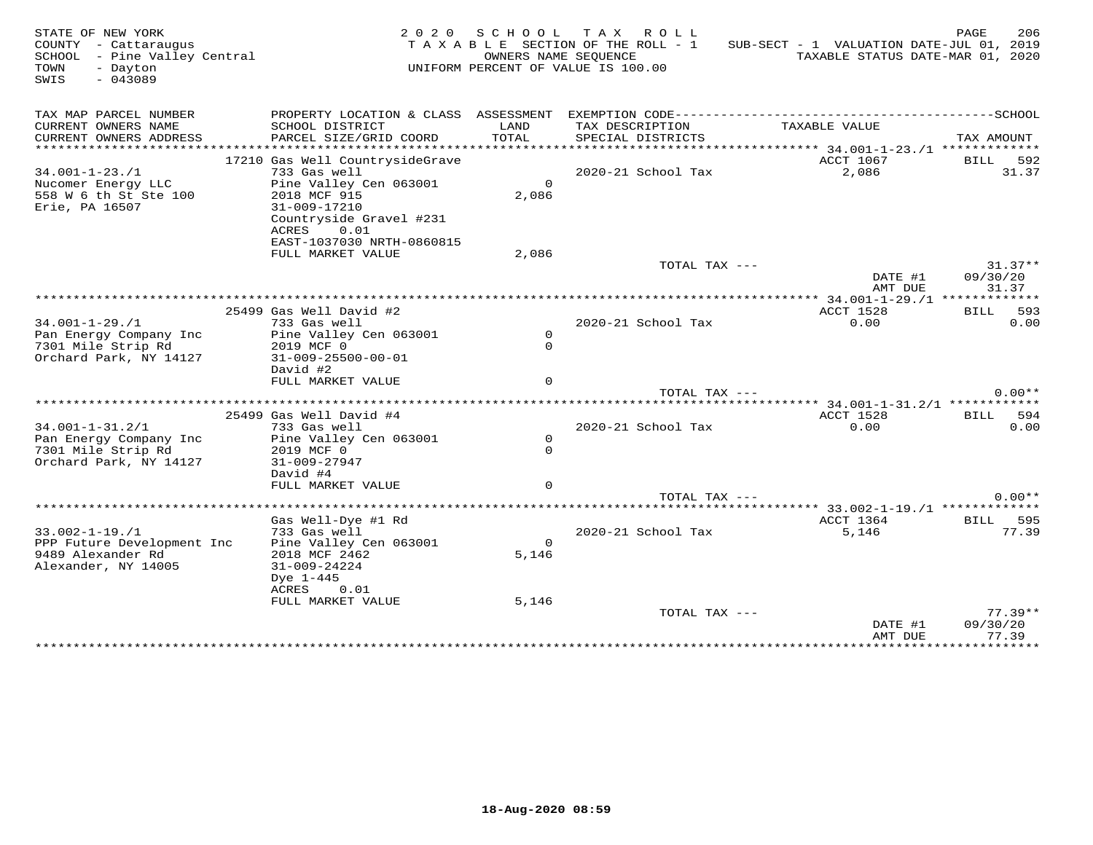| STATE OF NEW YORK<br>COUNTY - Cattaraugus<br>SCHOOL - Pine Valley Central<br>TOWN<br>- Dayton<br>$-043089$<br>SWIS |                                                                                                    |                      | 2020 SCHOOL TAX ROLL<br>TAXABLE SECTION OF THE ROLL - 1<br>OWNERS NAME SEQUENCE<br>UNIFORM PERCENT OF VALUE IS 100.00 | SUB-SECT - 1 VALUATION DATE-JUL 01, 2019<br>TAXABLE STATUS DATE-MAR 01, 2020 | 206<br>PAGE                    |
|--------------------------------------------------------------------------------------------------------------------|----------------------------------------------------------------------------------------------------|----------------------|-----------------------------------------------------------------------------------------------------------------------|------------------------------------------------------------------------------|--------------------------------|
| TAX MAP PARCEL NUMBER                                                                                              |                                                                                                    |                      |                                                                                                                       |                                                                              |                                |
| CURRENT OWNERS NAME<br>CURRENT OWNERS ADDRESS                                                                      | SCHOOL DISTRICT<br>PARCEL SIZE/GRID COORD                                                          | LAND<br>TOTAL        | TAX DESCRIPTION<br>SPECIAL DISTRICTS                                                                                  | TAXABLE VALUE                                                                | TAX AMOUNT                     |
|                                                                                                                    | 17210 Gas Well CountrysideGrave                                                                    |                      |                                                                                                                       | ACCT 1067                                                                    | <b>BILL</b><br>592             |
| $34.001 - 1 - 23.71$                                                                                               | 733 Gas well                                                                                       |                      | 2020-21 School Tax                                                                                                    | 2,086                                                                        | 31.37                          |
| Nucomer Energy LLC<br>558 W 6 th St Ste 100<br>Erie, PA 16507                                                      | Pine Valley Cen 063001<br>2018 MCF 915<br>31-009-17210<br>Countryside Gravel #231<br>ACRES<br>0.01 | $\mathbf 0$<br>2,086 |                                                                                                                       |                                                                              |                                |
|                                                                                                                    | EAST-1037030 NRTH-0860815                                                                          |                      |                                                                                                                       |                                                                              |                                |
|                                                                                                                    | FULL MARKET VALUE                                                                                  | 2,086                |                                                                                                                       |                                                                              |                                |
|                                                                                                                    |                                                                                                    |                      | TOTAL TAX ---                                                                                                         | DATE #1<br>AMT DUE                                                           | $31.37**$<br>09/30/20<br>31.37 |
|                                                                                                                    |                                                                                                    |                      |                                                                                                                       |                                                                              |                                |
|                                                                                                                    | 25499 Gas Well David #2                                                                            |                      |                                                                                                                       | ACCT 1528                                                                    | 593<br>BILL                    |
| $34.001 - 1 - 29.71$                                                                                               | 733 Gas well                                                                                       |                      | 2020-21 School Tax                                                                                                    | 0.00                                                                         | 0.00                           |
| Pan Energy Company Inc                                                                                             | Pine Valley Cen 063001                                                                             | $\mathsf{O}$         |                                                                                                                       |                                                                              |                                |
| 7301 Mile Strip Rd                                                                                                 | 2019 MCF 0                                                                                         | $\mathsf{O}$         |                                                                                                                       |                                                                              |                                |
| Orchard Park, NY 14127                                                                                             | $31 - 009 - 25500 - 00 - 01$                                                                       |                      |                                                                                                                       |                                                                              |                                |
|                                                                                                                    | David #2                                                                                           |                      |                                                                                                                       |                                                                              |                                |
|                                                                                                                    | FULL MARKET VALUE                                                                                  | $\Omega$             |                                                                                                                       |                                                                              | $0.00**$                       |
|                                                                                                                    |                                                                                                    | *******************  | TOTAL TAX ---                                                                                                         | ************************** 34.001-1-31.2/1 ************                      |                                |
|                                                                                                                    | 25499 Gas Well David #4                                                                            |                      |                                                                                                                       | ACCT 1528                                                                    | 594<br>BILL                    |
| $34.001 - 1 - 31.2/1$                                                                                              | 733 Gas well                                                                                       |                      | 2020-21 School Tax                                                                                                    | 0.00                                                                         | 0.00                           |
| Pan Energy Company Inc                                                                                             | Pine Valley Cen 063001                                                                             | $\mathsf{O}$         |                                                                                                                       |                                                                              |                                |
| 7301 Mile Strip Rd                                                                                                 | 2019 MCF 0                                                                                         | $\mathsf{O}$         |                                                                                                                       |                                                                              |                                |
| Orchard Park, NY 14127                                                                                             | $31 - 009 - 27947$                                                                                 |                      |                                                                                                                       |                                                                              |                                |
|                                                                                                                    | David #4                                                                                           |                      |                                                                                                                       |                                                                              |                                |
|                                                                                                                    | FULL MARKET VALUE                                                                                  | $\Omega$             |                                                                                                                       |                                                                              |                                |
|                                                                                                                    | **************                                                                                     |                      | TOTAL TAX ---                                                                                                         |                                                                              | $0.00**$                       |
|                                                                                                                    |                                                                                                    |                      |                                                                                                                       |                                                                              |                                |
| $33.002 - 1 - 19.1$                                                                                                | Gas Well-Dye #1 Rd<br>733 Gas well                                                                 |                      | 2020-21 School Tax                                                                                                    | ACCT 1364<br>5,146                                                           | 595<br>BILL<br>77.39           |
| PPP Future Development Inc                                                                                         | Pine Valley Cen 063001                                                                             | $\Omega$             |                                                                                                                       |                                                                              |                                |
| 9489 Alexander Rd                                                                                                  | 2018 MCF 2462                                                                                      | 5,146                |                                                                                                                       |                                                                              |                                |
| Alexander, NY 14005                                                                                                | $31 - 009 - 24224$                                                                                 |                      |                                                                                                                       |                                                                              |                                |
|                                                                                                                    | Dye 1-445                                                                                          |                      |                                                                                                                       |                                                                              |                                |
|                                                                                                                    | ACRES<br>0.01                                                                                      |                      |                                                                                                                       |                                                                              |                                |
|                                                                                                                    | FULL MARKET VALUE                                                                                  | 5,146                |                                                                                                                       |                                                                              |                                |
|                                                                                                                    |                                                                                                    |                      | TOTAL TAX ---                                                                                                         |                                                                              | $77.39**$                      |
|                                                                                                                    |                                                                                                    |                      |                                                                                                                       | DATE #1                                                                      | 09/30/20                       |
|                                                                                                                    |                                                                                                    |                      |                                                                                                                       | AMT DUE                                                                      | 77.39<br>***********           |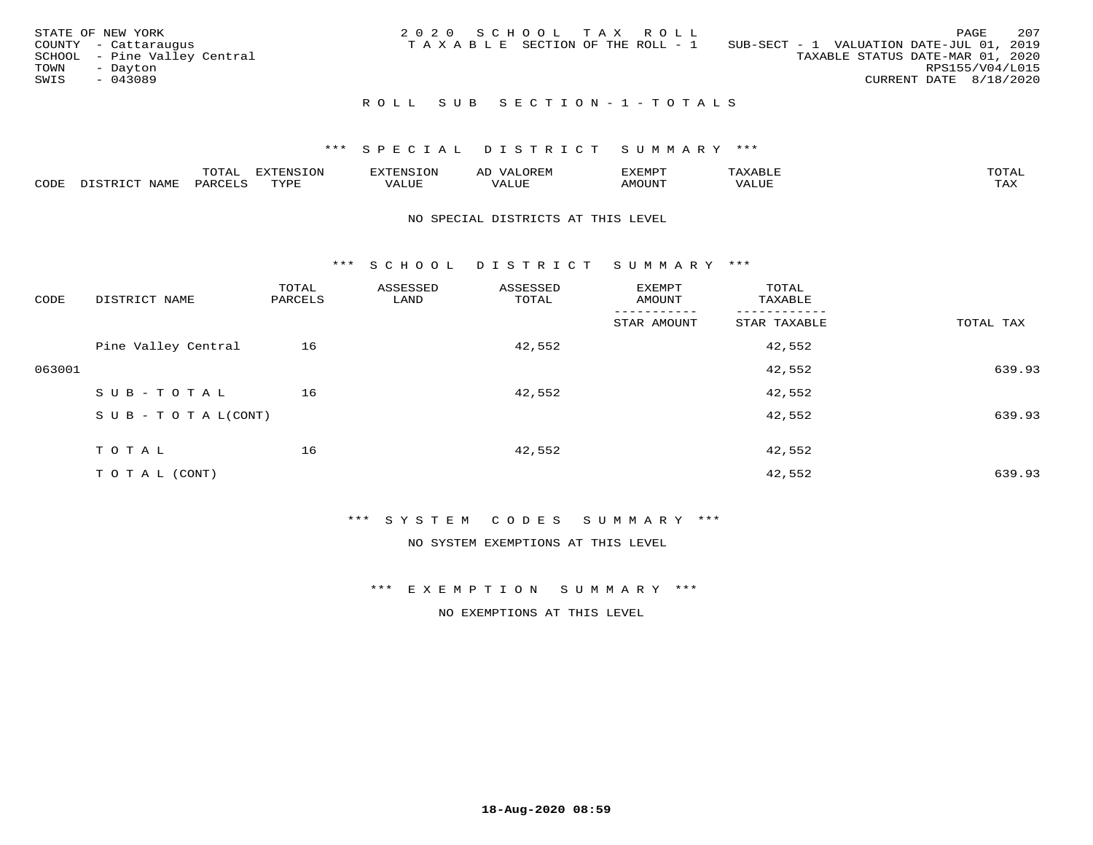| STATE OF NEW YORK<br>COUNTY - Cattaraugus<br>SCHOOL - Pine Valley Central<br>TOWN<br>- Dayton<br>SWIS<br>$-043089$ | 2020 SCHOOL TAX ROLL<br>T A X A B L E SECTION OF THE ROLL - 1 | 207<br>PAGE<br>SUB-SECT - 1 VALUATION DATE-JUL 01, 2019<br>TAXABLE STATUS DATE-MAR 01, 2020<br>RPS155/V04/L015<br>CURRENT DATE 8/18/2020 |
|--------------------------------------------------------------------------------------------------------------------|---------------------------------------------------------------|------------------------------------------------------------------------------------------------------------------------------------------|
|                                                                                                                    | ROLL SUB SECTION-1-TOTALS                                     |                                                                                                                                          |

|      |                            | ----<br>$\overline{\phantom{a}}$ | EXTENSION | <b>ENS</b>         | AL<br>$\cdots$ | דסאים אי     |                       | momn. |
|------|----------------------------|----------------------------------|-----------|--------------------|----------------|--------------|-----------------------|-------|
| CODE | $ \sim$ $-$<br><b>NAMP</b> | $\Omega$<br>'ARI                 | TVDF      | <b><i>ALUE</i></b> | 'ALUE          | <b>MOUNT</b> | . <del>.</del><br>JUI | TAX   |

#### NO SPECIAL DISTRICTS AT THIS LEVEL

\*\*\* S C H O O L D I S T R I C T S U M M A R Y \*\*\*

| CODE   | DISTRICT NAME                    | TOTAL<br>PARCELS | ASSESSED<br>LAND | ASSESSED<br>TOTAL | EXEMPT<br>AMOUNT | TOTAL<br>TAXABLE |           |
|--------|----------------------------------|------------------|------------------|-------------------|------------------|------------------|-----------|
|        |                                  |                  |                  |                   | STAR AMOUNT      | STAR TAXABLE     | TOTAL TAX |
|        | Pine Valley Central              | 16               |                  | 42,552            |                  | 42,552           |           |
| 063001 |                                  |                  |                  |                   |                  | 42,552           | 639.93    |
|        | SUB-TOTAL                        | 16               |                  | 42,552            |                  | 42,552           |           |
|        | $S \cup B - T \cup T A L (CONT)$ |                  |                  |                   |                  | 42,552           | 639.93    |
|        | TOTAL                            | 16               |                  | 42,552            |                  | 42,552           |           |
|        | T O T A L (CONT)                 |                  |                  |                   |                  | 42,552           | 639.93    |

\*\*\* S Y S T E M C O D E S S U M M A R Y \*\*\*

NO SYSTEM EXEMPTIONS AT THIS LEVEL

\*\*\* E X E M P T I O N S U M M A R Y \*\*\*

NO EXEMPTIONS AT THIS LEVEL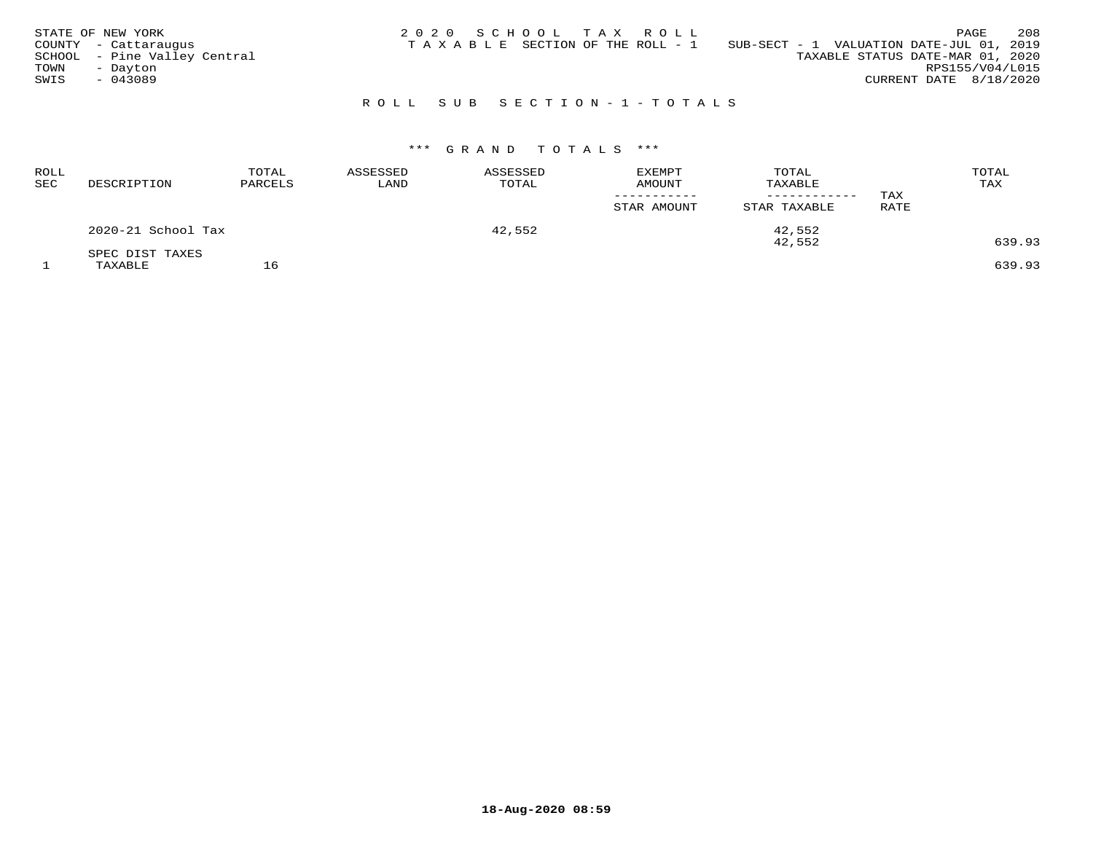| STATE OF NEW YORK<br>COUNTY - Cattaraugus<br>SCHOOL - Pine Valley Central<br>TOWN<br>- Dayton<br>SWIS<br>$-043089$ |  | 2020 SCHOOL TAX ROLL<br>TAXABLE SECTION OF THE ROLL - 1 |                           | SUB-SECT - 1 VALUATION DATE-JUL 01, 2019 | TAXABLE STATUS DATE-MAR 01, 2020 | RPS155/V04/L015<br>CURRENT DATE 8/18/2020 | PAGE | 208 |
|--------------------------------------------------------------------------------------------------------------------|--|---------------------------------------------------------|---------------------------|------------------------------------------|----------------------------------|-------------------------------------------|------|-----|
|                                                                                                                    |  |                                                         | ROLL SUB SECTION-1-TOTALS |                                          |                                  |                                           |      |     |

# \*\*\* G R A N D T O T A L S \*\*\*

| <b>ROLL</b><br>SEC | DESCRIPTION                | TOTAL<br>PARCELS | ASSESSED<br>LAND | ASSESSED<br>TOTAL | <b>EXEMPT</b><br>AMOUNT<br>STAR AMOUNT | TOTAL<br>TAXABLE<br>STAR TAXABLE | TAX<br>RATE | TOTAL<br>TAX     |
|--------------------|----------------------------|------------------|------------------|-------------------|----------------------------------------|----------------------------------|-------------|------------------|
|                    | 2020-21 School Tax         |                  |                  | 42,552            |                                        | 42,552                           |             |                  |
|                    | SPEC DIST TAXES<br>TAXABLE |                  |                  |                   |                                        | 42,552                           |             | 639.93<br>639.93 |

**18-Aug-2020 08:59**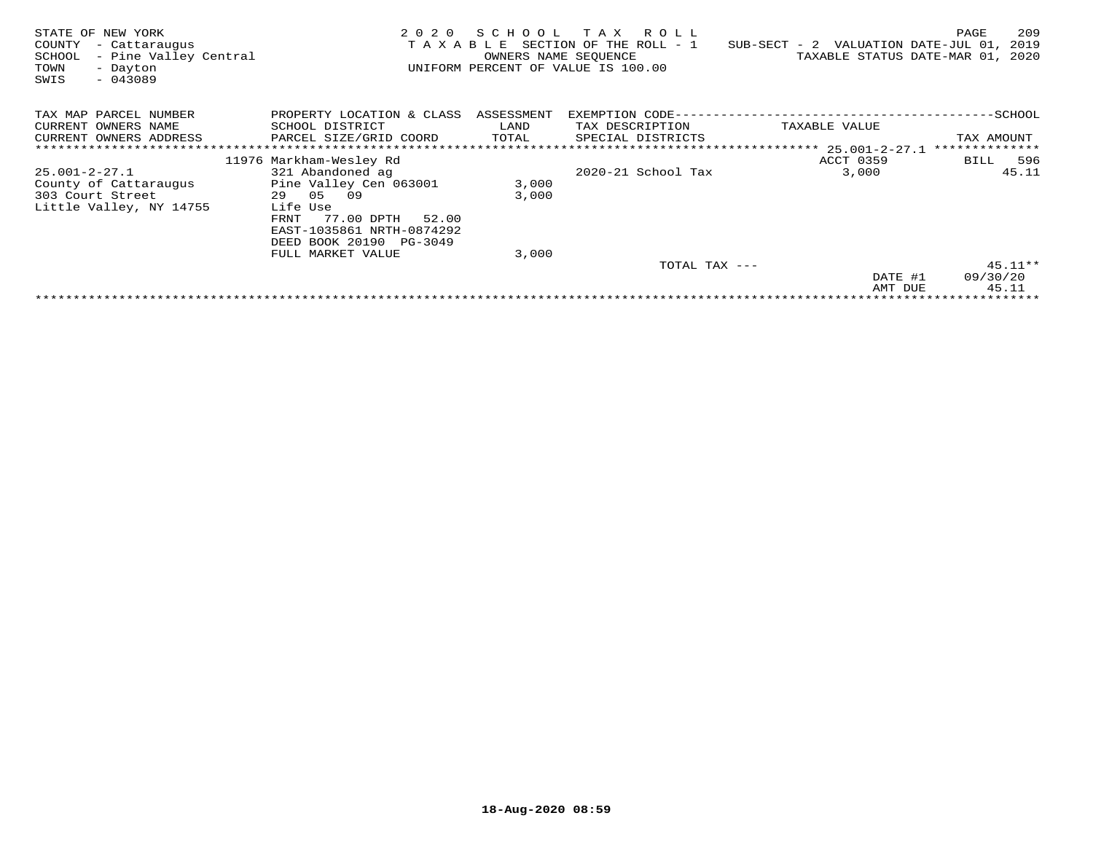| STATE OF NEW YORK<br>COUNTY<br>- Cattaraugus<br>- Pine Valley Central<br>SCHOOL<br>TOWN<br>- Dayton<br>$-043089$<br>SWIS | 2020<br>TAXABLE                                                                                                      | SCHOOL<br>OWNERS NAME SEQUENCE | R O L L<br>тах<br>SECTION OF THE ROLL - 1<br>UNIFORM PERCENT OF VALUE IS 100.00 | $SUB-SECTION - 2$                                   | 209<br>PAGE<br>VALUATION DATE-JUL 01,<br>2019<br>TAXABLE STATUS DATE-MAR 01, 2020 |
|--------------------------------------------------------------------------------------------------------------------------|----------------------------------------------------------------------------------------------------------------------|--------------------------------|---------------------------------------------------------------------------------|-----------------------------------------------------|-----------------------------------------------------------------------------------|
| TAX MAP PARCEL NUMBER<br>CURRENT OWNERS NAME<br>CURRENT OWNERS ADDRESS                                                   | PROPERTY LOCATION & CLASS<br>SCHOOL DISTRICT<br>PARCEL SIZE/GRID COORD                                               | ASSESSMENT<br>LAND<br>TOTAL    | EXEMPTION CODE---<br>TAX DESCRIPTION<br>SPECIAL DISTRICTS                       | TAXABLE VALUE<br>******************** 25.001-2-27.1 | ------------SCHOOL<br>TAX AMOUNT<br>**************                                |
|                                                                                                                          |                                                                                                                      |                                |                                                                                 | ACCT 0359                                           | 596<br>BILL                                                                       |
|                                                                                                                          | 11976 Markham-Wesley Rd                                                                                              |                                | $2020 - 21$ School Tax                                                          |                                                     |                                                                                   |
| 25.001-2-27.1                                                                                                            | 321 Abandoned ag                                                                                                     |                                |                                                                                 | 3,000                                               | 45.11                                                                             |
| County of Cattaraugus                                                                                                    | Pine Valley Cen 063001                                                                                               | 3,000                          |                                                                                 |                                                     |                                                                                   |
| 303 Court Street                                                                                                         | 29 05<br>09                                                                                                          | 3,000                          |                                                                                 |                                                     |                                                                                   |
| Little Valley, NY 14755                                                                                                  | Life Use<br>77.00 DPTH<br>52.00<br>FRNT<br>EAST-1035861 NRTH-0874292<br>DEED BOOK 20190 PG-3049<br>FULL MARKET VALUE | 3,000                          |                                                                                 |                                                     |                                                                                   |
|                                                                                                                          |                                                                                                                      |                                | TOTAL TAX ---                                                                   |                                                     | $45.11**$                                                                         |
|                                                                                                                          |                                                                                                                      |                                |                                                                                 | DATE #1                                             | 09/30/20                                                                          |
|                                                                                                                          |                                                                                                                      |                                |                                                                                 | AMT DUE                                             | 45.11                                                                             |
|                                                                                                                          |                                                                                                                      |                                |                                                                                 |                                                     |                                                                                   |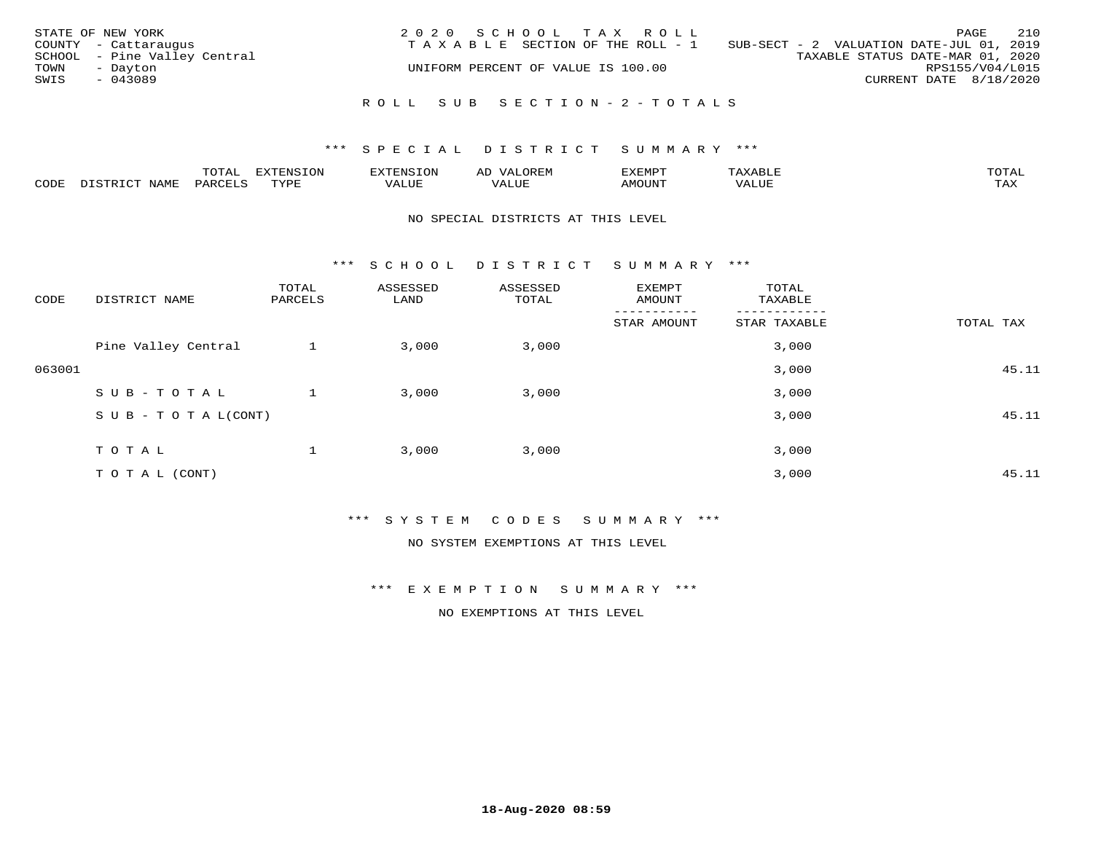| STATE OF NEW YORK<br>COUNTY - Cattaraugus<br>SCHOOL - Pine Valley Central<br>TOWN<br>- Dayton<br>SWIS<br>$-043089$ | 2020 SCHOOL TAX ROLL<br>TAXABLE SECTION OF THE ROLL - 1<br>UNIFORM PERCENT OF VALUE IS 100.00 | 210<br>PAGE<br>SUB-SECT - 2 VALUATION DATE-JUL 01, 2019<br>TAXABLE STATUS DATE-MAR 01, 2020<br>RPS155/V04/L015<br>CURRENT DATE 8/18/2020 |
|--------------------------------------------------------------------------------------------------------------------|-----------------------------------------------------------------------------------------------|------------------------------------------------------------------------------------------------------------------------------------------|
|                                                                                                                    | ROLL SUB SECTION-2-TOTALS                                                                     |                                                                                                                                          |

|      |      | $m \wedge m \wedge n$<br>◡∸ғ | TON                              | . HUNY              | AĽ                  | ے ا      |       | $m \wedge m \wedge n$ |
|------|------|------------------------------|----------------------------------|---------------------|---------------------|----------|-------|-----------------------|
| CODE | NAMF | 'AK                          | $m \times r \times r$<br>- - - - | T T T<br>اللالمستحم | - ---<br>اللالمستعم | 57077375 | VALUF | $m \times r$<br>- −-  |

#### NO SPECIAL DISTRICTS AT THIS LEVEL

\*\*\* S C H O O L D I S T R I C T S U M M A R Y \*\*\*

| CODE   | DISTRICT NAME                    | TOTAL<br>PARCELS | ASSESSED<br>LAND | ASSESSED<br>TOTAL | <b>EXEMPT</b><br>AMOUNT | TOTAL<br>TAXABLE |           |
|--------|----------------------------------|------------------|------------------|-------------------|-------------------------|------------------|-----------|
|        |                                  |                  |                  |                   | STAR AMOUNT             | STAR TAXABLE     | TOTAL TAX |
|        | Pine Valley Central              |                  | 3,000            | 3,000             |                         | 3,000            |           |
| 063001 |                                  |                  |                  |                   |                         | 3,000            | 45.11     |
|        | SUB-TOTAL                        |                  | 3,000            | 3,000             |                         | 3,000            |           |
|        | $S \cup B - T \cup T A L (CONT)$ |                  |                  |                   |                         | 3,000            | 45.11     |
|        | TOTAL                            |                  | 3,000            | 3,000             |                         | 3,000            |           |
|        | TO TAL (CONT)                    |                  |                  |                   |                         | 3,000            | 45.11     |

\*\*\* S Y S T E M C O D E S S U M M A R Y \*\*\*

NO SYSTEM EXEMPTIONS AT THIS LEVEL

\*\*\* E X E M P T I O N S U M M A R Y \*\*\*

NO EXEMPTIONS AT THIS LEVEL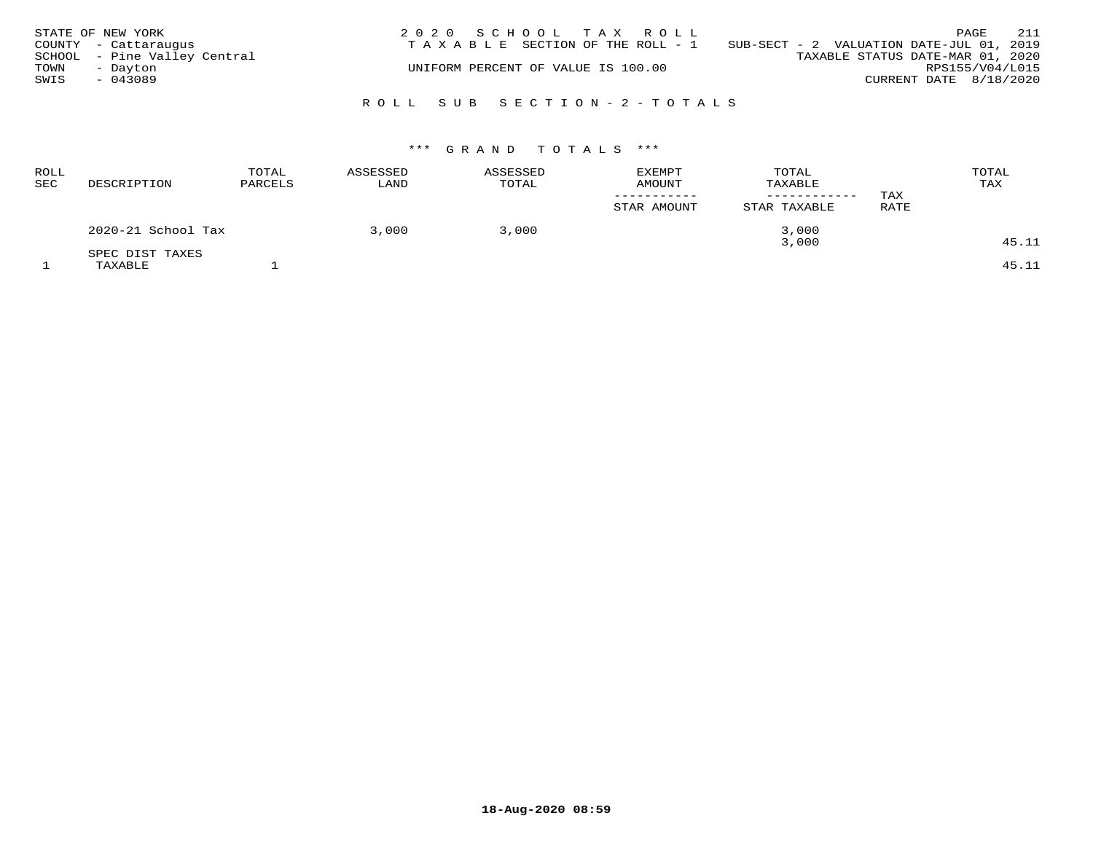|      | STATE OF NEW YORK            | 2020 SCHOOL TAX ROLL                                                           |                        | PAGE | 211 |
|------|------------------------------|--------------------------------------------------------------------------------|------------------------|------|-----|
|      | COUNTY - Cattaraugus         | T A X A B L E SECTION OF THE ROLL - 1 SUB-SECT - 2 VALUATION DATE-JUL 01, 2019 |                        |      |     |
|      | SCHOOL - Pine Valley Central | TAXABLE STATUS DATE-MAR 01, 2020                                               |                        |      |     |
| TOWN | - Dayton                     | UNIFORM PERCENT OF VALUE IS 100.00                                             | RPS155/V04/L015        |      |     |
| SWIS | $-043089$                    |                                                                                | CURRENT DATE 8/18/2020 |      |     |
|      |                              |                                                                                |                        |      |     |
|      |                              | ROLL SUB SECTION-2-TOTALS                                                      |                        |      |     |

# \*\*\* G R A N D T O T A L S \*\*\*

| ROLL<br><b>SEC</b> | DESCRIPTION                | TOTAL<br>PARCELS | ASSESSED<br>LAND | ASSESSED<br>TOTAL | <b>EXEMPT</b><br><b>AMOUNT</b><br>STAR AMOUNT | TOTAL<br>TAXABLE<br>------------<br>STAR TAXABLE | TAX<br>RATE | TOTAL<br>TAX   |
|--------------------|----------------------------|------------------|------------------|-------------------|-----------------------------------------------|--------------------------------------------------|-------------|----------------|
|                    | 2020-21 School Tax         |                  | 3,000            | 3,000             |                                               | 3,000                                            |             |                |
|                    | SPEC DIST TAXES<br>TAXABLE |                  |                  |                   |                                               | 3,000                                            |             | 45.11<br>45.11 |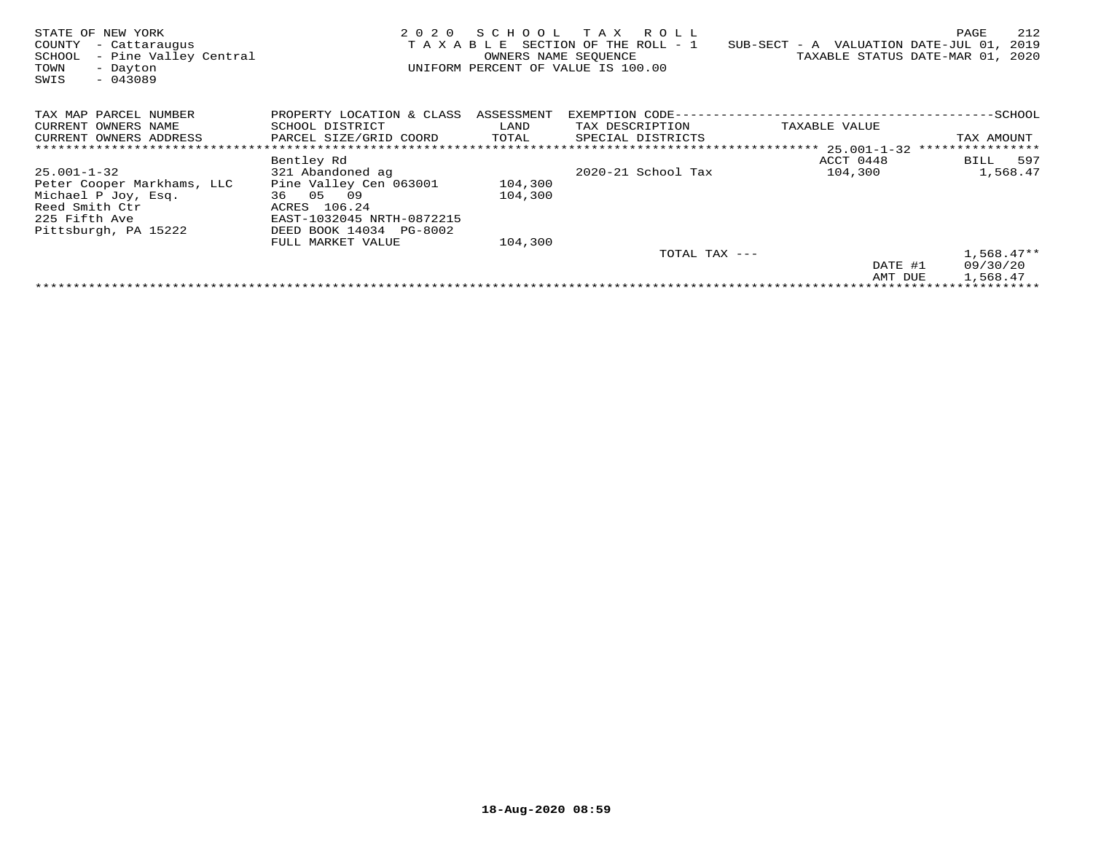| STATE OF NEW YORK<br>COUNTY<br>- Cattaraugus<br>- Pine Valley Central<br>SCHOOL<br>TOWN<br>- Dayton<br>SWIS<br>$-043089$          | TAXABLE                                                                                                                        | OWNERS NAME SEQUENCE | 2020 SCHOOL TAX ROLL<br>SECTION OF THE ROLL - 1<br>UNIFORM PERCENT OF VALUE IS 100.00 | $SUB-SECTION - A$ VALUATION DATE-JUL 01, | 212<br>PAGE<br>2019<br>TAXABLE STATUS DATE-MAR 01, 2020 |
|-----------------------------------------------------------------------------------------------------------------------------------|--------------------------------------------------------------------------------------------------------------------------------|----------------------|---------------------------------------------------------------------------------------|------------------------------------------|---------------------------------------------------------|
| TAX MAP PARCEL NUMBER<br>CURRENT OWNERS NAME<br>CURRENT OWNERS ADDRESS                                                            | PROPERTY LOCATION & CLASS ASSESSMENT<br>SCHOOL DISTRICT<br>PARCEL SIZE/GRID COORD                                              | LAND<br>TOTAL        | EXEMPTION CODE---<br>TAX DESCRIPTION<br>SPECIAL DISTRICTS                             | TAXABLE VALUE                            | -----------SCHOOL<br>TAX AMOUNT                         |
|                                                                                                                                   | Bentley Rd                                                                                                                     |                      |                                                                                       | ACCT 0448                                | BILL 597                                                |
| $25.001 - 1 - 32$<br>Peter Cooper Markhams, LLC<br>Michael P Joy, Esq.<br>Reed Smith Ctr<br>225 Fifth Ave<br>Pittsburgh, PA 15222 | 321 Abandoned ag<br>Pine Valley Cen 063001<br>36 05 09<br>ACRES 106.24<br>EAST-1032045 NRTH-0872215<br>DEED BOOK 14034 PG-8002 | 104,300<br>104,300   | 2020-21 School Tax                                                                    | 104,300                                  | 1,568.47                                                |
|                                                                                                                                   | FULL MARKET VALUE                                                                                                              | 104,300              |                                                                                       |                                          |                                                         |
|                                                                                                                                   |                                                                                                                                |                      | TOTAL TAX ---                                                                         | DATE #1                                  | $1,568.47**$<br>09/30/20                                |
|                                                                                                                                   |                                                                                                                                |                      |                                                                                       | AMT DUE                                  | 1,568.47                                                |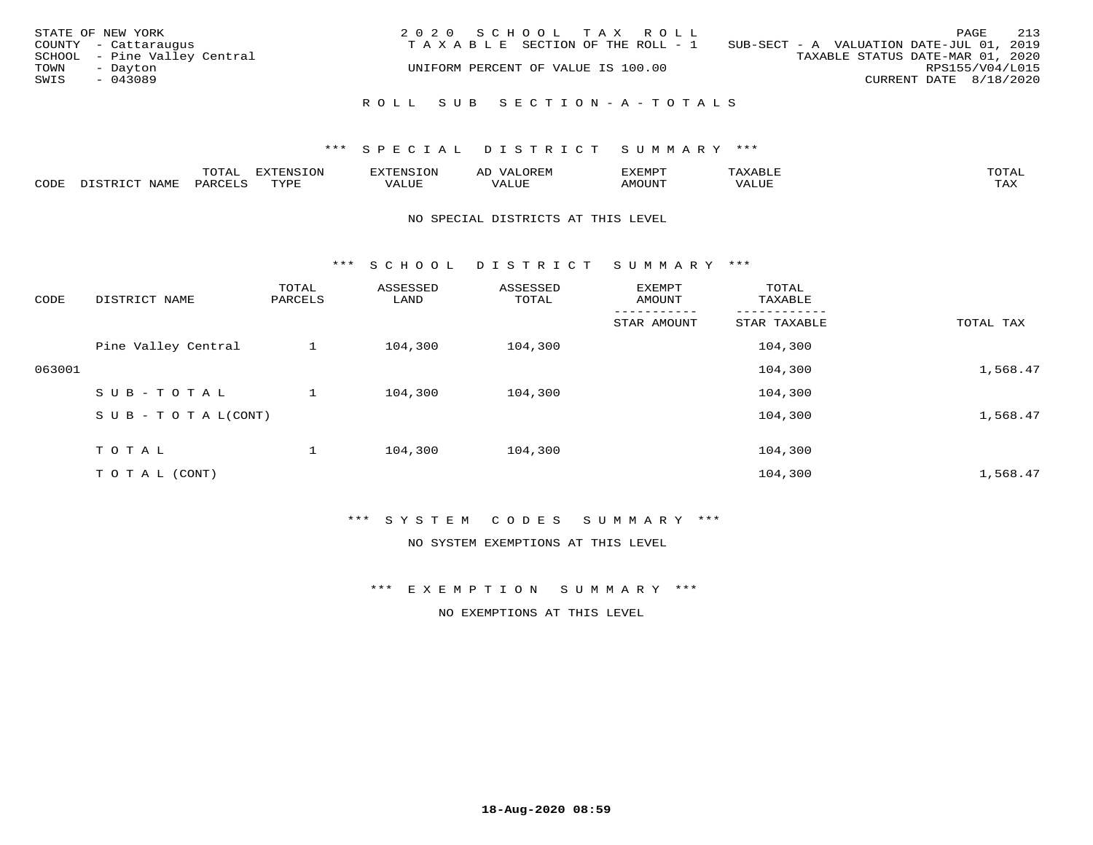| STATE OF NEW YORK<br>COUNTY - Cattaraugus<br>SCHOOL - Pine Valley Central<br>TOWN<br>- Dayton<br>SWIS<br>$-043089$ | 2020 SCHOOL TAX ROLL<br>TAXABLE SECTION OF THE ROLL - 1<br>UNIFORM PERCENT OF VALUE IS 100.00 | PAGE<br>SUB-SECT - A VALUATION DATE-JUL 01, 2019<br>TAXABLE STATUS DATE-MAR 01, 2020<br>RPS155/V04/L015<br>CURRENT DATE 8/18/2020 | 213 |
|--------------------------------------------------------------------------------------------------------------------|-----------------------------------------------------------------------------------------------|-----------------------------------------------------------------------------------------------------------------------------------|-----|
|                                                                                                                    | ROLL SUB SECTION-A-TOTALS                                                                     |                                                                                                                                   |     |

|      |              | ™∩ͲϪ<br>بمحمد ب | -OP,             | <b>FNC</b> | ΑL    | ֿישו          |       |                    |
|------|--------------|-----------------|------------------|------------|-------|---------------|-------|--------------------|
| CODE | NAME<br>– a- | PART            | mynne<br>- - - - | ALUF       | 'ALUE | <b>IMOUNT</b> | VALUE | <b>TRAV</b><br>∸∽∸ |

#### NO SPECIAL DISTRICTS AT THIS LEVEL

\*\*\* S C H O O L D I S T R I C T S U M M A R Y \*\*\*

| CODE   | DISTRICT NAME                    | TOTAL<br>PARCELS | ASSESSED<br>LAND | ASSESSED<br>TOTAL | EXEMPT<br>AMOUNT | TOTAL<br>TAXABLE |           |
|--------|----------------------------------|------------------|------------------|-------------------|------------------|------------------|-----------|
|        |                                  |                  |                  |                   | STAR AMOUNT      | STAR TAXABLE     | TOTAL TAX |
|        | Pine Valley Central              |                  | 104,300          | 104,300           |                  | 104,300          |           |
| 063001 |                                  |                  |                  |                   |                  | 104,300          | 1,568.47  |
|        | SUB-TOTAL                        |                  | 104,300          | 104,300           |                  | 104,300          |           |
|        | $S \cup B - T \cup T A L (CONT)$ |                  |                  |                   |                  | 104,300          | 1,568.47  |
|        | TOTAL                            |                  | 104,300          | 104,300           |                  | 104,300          |           |
|        | T O T A L (CONT)                 |                  |                  |                   |                  | 104,300          | 1,568.47  |

## \*\*\* S Y S T E M C O D E S S U M M A R Y \*\*\*

NO SYSTEM EXEMPTIONS AT THIS LEVEL

\*\*\* E X E M P T I O N S U M M A R Y \*\*\*

NO EXEMPTIONS AT THIS LEVEL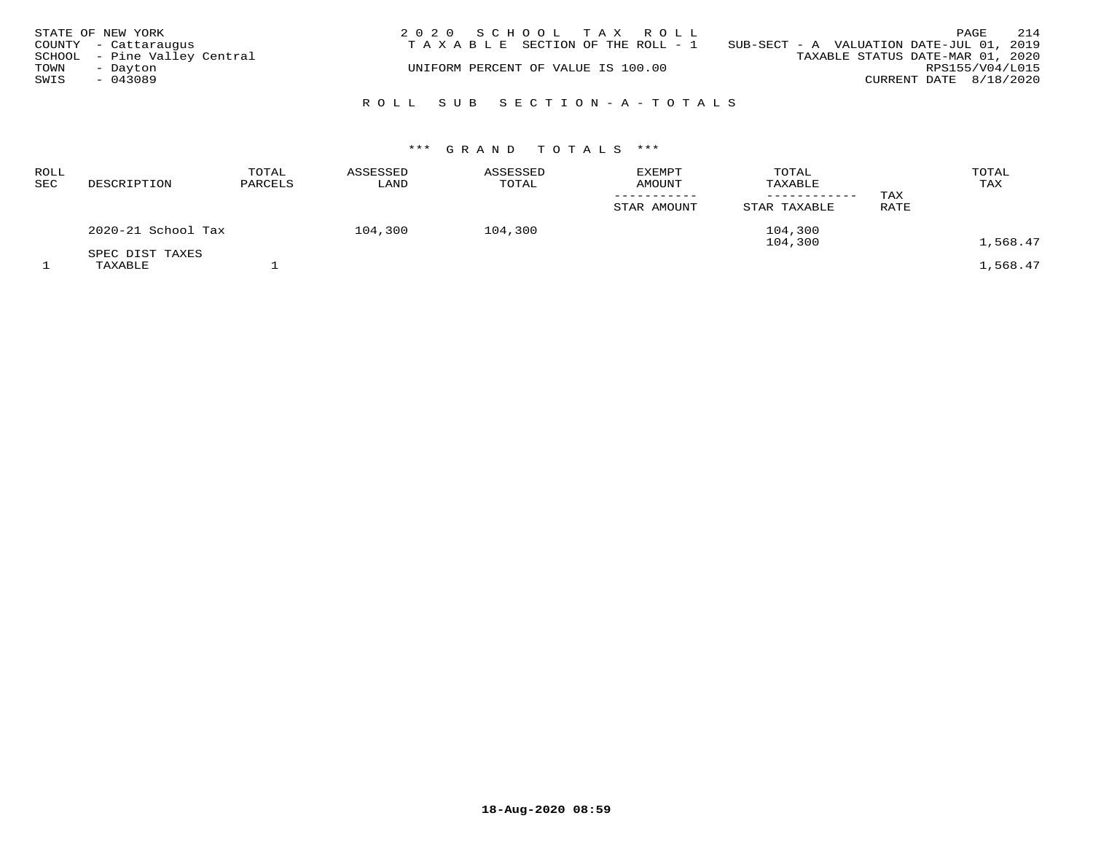|      | STATE OF NEW YORK            | 2020 SCHOOL TAX ROLL                                                           |                        | PAGE | 214 |
|------|------------------------------|--------------------------------------------------------------------------------|------------------------|------|-----|
|      | COUNTY - Cattaraugus         | T A X A B L E SECTION OF THE ROLL - 1 SUB-SECT - A VALUATION DATE-JUL 01, 2019 |                        |      |     |
|      | SCHOOL - Pine Valley Central | TAXABLE STATUS DATE-MAR 01, 2020                                               |                        |      |     |
| TOWN | - Dayton                     | UNIFORM PERCENT OF VALUE IS 100.00                                             | RPS155/V04/L015        |      |     |
| SWIS | $-043089$                    |                                                                                | CURRENT DATE 8/18/2020 |      |     |
|      |                              |                                                                                |                        |      |     |
|      |                              | ROLL SUB SECTION-A-TOTALS                                                      |                        |      |     |

# \*\*\* G R A N D T O T A L S \*\*\*

| DESCRIPTION        | TOTAL<br>PARCELS | ASSESSED<br>LAND | ASSESSED<br>TOTAL | <b>EXEMPT</b><br><b>AMOUNT</b> | TOTAL<br>TAXABLE | TAX     | TOTAL<br>TAX |
|--------------------|------------------|------------------|-------------------|--------------------------------|------------------|---------|--------------|
|                    |                  |                  |                   | STAR AMOUNT                    | STAR TAXABLE     | RATE    |              |
| 2020-21 School Tax |                  | 104,300          | 104,300           |                                | 104,300          |         | 1,568.47     |
| SPEC DIST TAXES    |                  |                  |                   |                                |                  |         | 1,568.47     |
|                    | TAXABLE          |                  |                   |                                |                  | 104,300 |              |

**18-Aug-2020 08:59**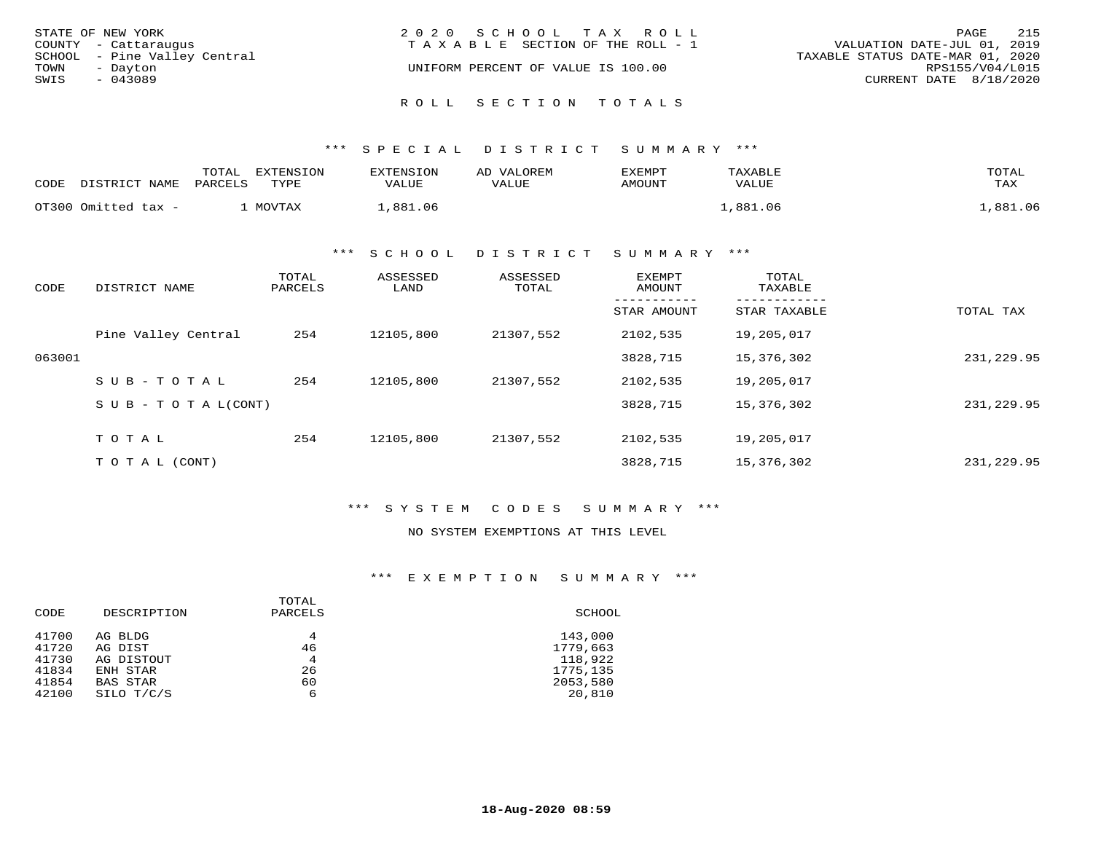| STATE OF NEW YORK            | 2020 SCHOOL TAX ROLL                  | 215<br>PAGE                      |
|------------------------------|---------------------------------------|----------------------------------|
|                              |                                       |                                  |
| COUNTY - Cattaraugus         | T A X A B L E SECTION OF THE ROLL - 1 | VALUATION DATE-JUL 01, 2019      |
| SCHOOL - Pine Valley Central |                                       | TAXABLE STATUS DATE-MAR 01, 2020 |
| TOWN<br>- Dayton             | UNIFORM PERCENT OF VALUE IS 100.00    | RPS155/V04/L015                  |
| SWIS<br>$-043089$            |                                       | CURRENT DATE 8/18/2020           |
|                              | ROLL SECTION TOTALS                   |                                  |

| CODE | DISTRICT NAME       | TOTAL<br>PARCELS | EXTENSION<br>TYPE | EXTENSION<br>VALUE | AD VALOREM<br><b>VALUE</b> | EXEMPT<br>AMOUNT | TAXABLE<br>VALUE | TOTAL<br>TAX |
|------|---------------------|------------------|-------------------|--------------------|----------------------------|------------------|------------------|--------------|
|      | OT300 Omitted tax - |                  | MOVTAX            | .881.06            |                            |                  | .881.06          | ,881.06      |

\*\*\* S C H O O L D I S T R I C T S U M M A R Y \*\*\*

| CODE   | DISTRICT NAME       | TOTAL<br>PARCELS | ASSESSED<br>LAND | ASSESSED<br>TOTAL | <b>EXEMPT</b><br>AMOUNT | TOTAL<br>TAXABLE |             |
|--------|---------------------|------------------|------------------|-------------------|-------------------------|------------------|-------------|
|        |                     |                  |                  |                   | STAR AMOUNT             | STAR TAXABLE     | TOTAL TAX   |
|        | Pine Valley Central | 254              | 12105,800        | 21307,552         | 2102,535                | 19,205,017       |             |
| 063001 |                     |                  |                  |                   | 3828,715                | 15,376,302       | 231, 229.95 |
|        | $SUB - TO TAL$      | 254              | 12105,800        | 21307,552         | 2102,535                | 19,205,017       |             |
|        | SUB - TO TAL(CONT)  |                  |                  |                   | 3828,715                | 15,376,302       | 231, 229.95 |
|        | TOTAL               | 254              | 12105,800        | 21307,552         | 2102,535                | 19,205,017       |             |
|        |                     |                  |                  |                   |                         |                  |             |
|        | T O T A L (CONT)    |                  |                  |                   | 3828,715                | 15,376,302       | 231,229.95  |

\*\*\* S Y S T E M C O D E S S U M M A R Y \*\*\*

### NO SYSTEM EXEMPTIONS AT THIS LEVEL

\*\*\* E X E M P T I O N S U M M A R Y \*\*\*

|       |             | TOTAL   |          |
|-------|-------------|---------|----------|
| CODE  | DESCRIPTION | PARCELS | SCHOOL   |
| 41700 | AG BLDG     | 4       | 143,000  |
| 41720 | AG DIST     | 46      | 1779,663 |
| 41730 | AG DISTOUT  | 4       | 118,922  |
| 41834 | ENH STAR    | 26      | 1775,135 |
| 41854 | BAS STAR    | 60      | 2053,580 |
| 42100 | SILO T/C/S  | 6       | 20,810   |
|       |             |         |          |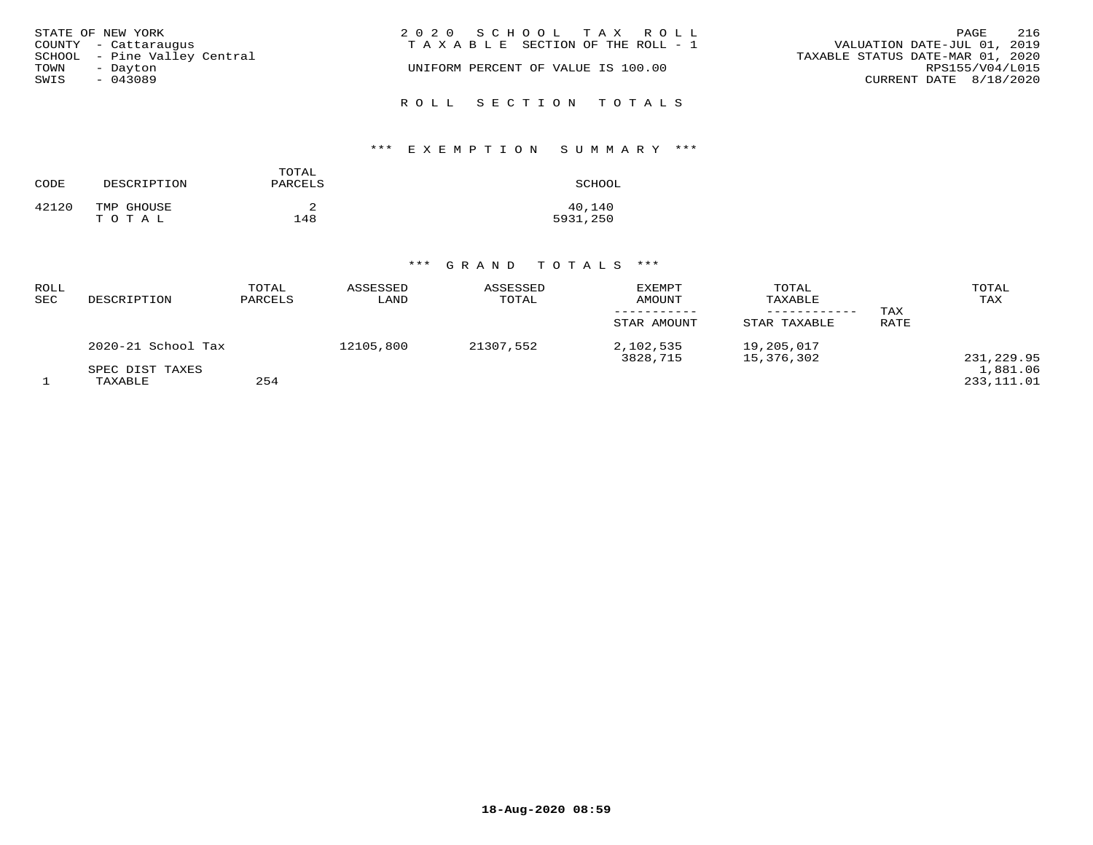| STATE OF NEW YORK                                    | 2020 SCHOOL TAX ROLL                  | 216<br>PAGE                                                     |
|------------------------------------------------------|---------------------------------------|-----------------------------------------------------------------|
| COUNTY - Cattaraugus<br>SCHOOL - Pine Valley Central | T A X A B L E SECTION OF THE ROLL - 1 | VALUATION DATE-JUL 01, 2019<br>TAXABLE STATUS DATE-MAR 01, 2020 |
| TOWN<br>- Dayton                                     | UNIFORM PERCENT OF VALUE IS 100.00    | RPS155/V04/L015                                                 |
| SWIS<br>$-043089$                                    |                                       | CURRENT DATE 8/18/2020                                          |
|                                                      | ROLL SECTION TOTALS                   |                                                                 |

# \*\*\* E X E M P T I O N S U M M A R Y \*\*\*

| CODE  | DESCRIPTION         | TOTAL<br>PARCELS | SCHOOL             |
|-------|---------------------|------------------|--------------------|
| 42120 | TMP GHOUSE<br>TOTAL | 148              | 40,140<br>5931,250 |

# \*\*\* G R A N D T O T A L S \*\*\*

| ROLL<br><b>SEC</b> | DESCRIPTION                | TOTAL<br>PARCELS | ASSESSED<br>LAND | ASSESSED<br>TOTAL | <b>EXEMPT</b><br>AMOUNT<br>STAR AMOUNT | TOTAL<br>TAXABLE<br>STAR TAXABLE | TAX<br><b>RATE</b> | TOTAL<br>TAX           |
|--------------------|----------------------------|------------------|------------------|-------------------|----------------------------------------|----------------------------------|--------------------|------------------------|
|                    | 2020-21 School Tax         |                  | 12105,800        | 21307,552         | 2,102,535<br>3828,715                  | 19,205,017<br>15,376,302         |                    | 231,229.95             |
|                    | SPEC DIST TAXES<br>TAXABLE | 254              |                  |                   |                                        |                                  |                    | 1,881.06<br>233,111.01 |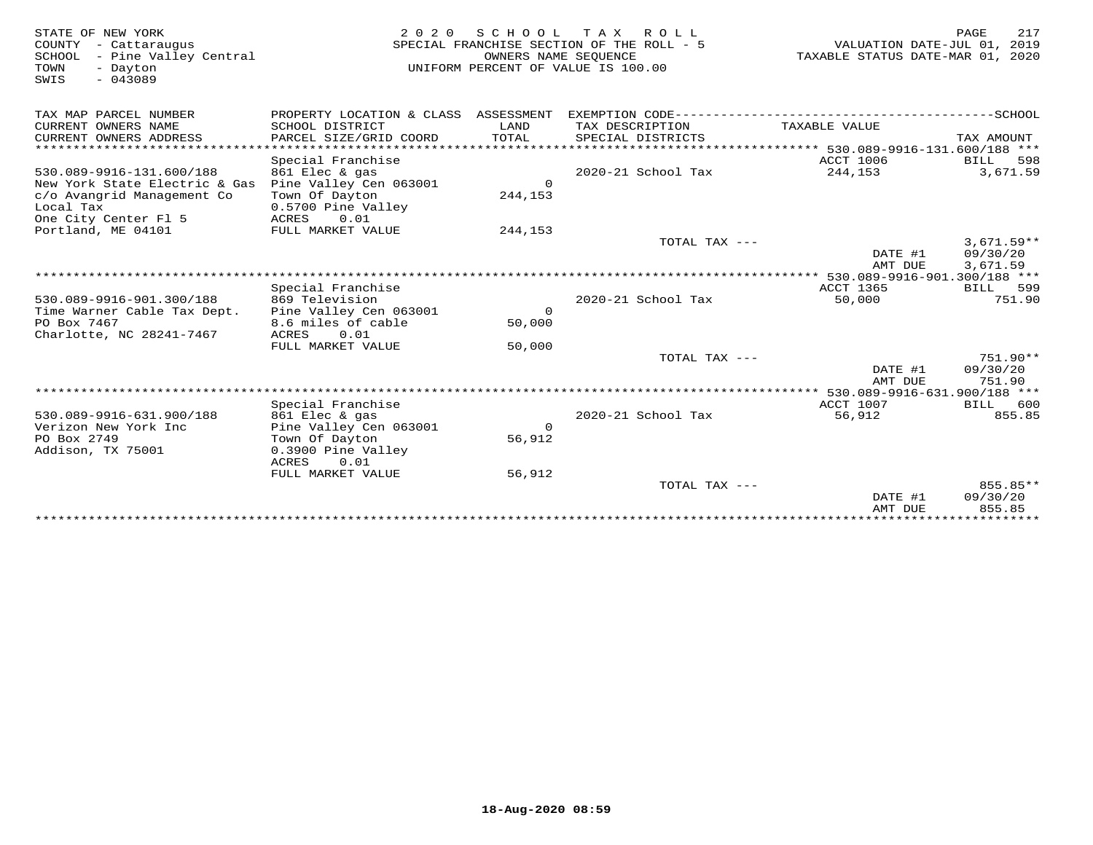| STATE OF NEW YORK<br>COUNTY - Cattaraugus<br>SCHOOL<br>- Pine Valley Central<br>TOWN<br>- Dayton<br>$-043089$<br>SWIS | 2 0 2 0                                  | OWNERS NAME SEOUENCE | SCHOOL TAX ROLL<br>SPECIAL FRANCHISE SECTION OF THE ROLL - 5<br>UNIFORM PERCENT OF VALUE IS 100.00 | VALUATION DATE-JUL 01, 2019<br>TAXABLE STATUS DATE-MAR 01, 2020 | 217<br>PAGE             |
|-----------------------------------------------------------------------------------------------------------------------|------------------------------------------|----------------------|----------------------------------------------------------------------------------------------------|-----------------------------------------------------------------|-------------------------|
| TAX MAP PARCEL NUMBER                                                                                                 |                                          |                      |                                                                                                    |                                                                 |                         |
| CURRENT OWNERS NAME                                                                                                   | SCHOOL DISTRICT                          | LAND                 | TAX DESCRIPTION                                                                                    | TAXABLE VALUE                                                   |                         |
| CURRENT OWNERS ADDRESS                                                                                                | PARCEL SIZE/GRID COORD                   | TOTAL                | SPECIAL DISTRICTS                                                                                  |                                                                 | TAX AMOUNT              |
| *************************                                                                                             |                                          |                      |                                                                                                    |                                                                 |                         |
| 530.089-9916-131.600/188                                                                                              | Special Franchise                        |                      | 2020-21 School Tax                                                                                 | ACCT 1006<br>244,153                                            | BILL<br>598<br>3,671.59 |
| New York State Electric & Gas                                                                                         | 861 Elec & gas<br>Pine Valley Cen 063001 | $\Omega$             |                                                                                                    |                                                                 |                         |
| c/o Avangrid Management Co                                                                                            | Town Of Dayton                           | 244,153              |                                                                                                    |                                                                 |                         |
| Local Tax                                                                                                             | 0.5700 Pine Valley                       |                      |                                                                                                    |                                                                 |                         |
| One City Center Fl 5                                                                                                  | ACRES<br>0.01                            |                      |                                                                                                    |                                                                 |                         |
| Portland, ME 04101                                                                                                    | FULL MARKET VALUE                        | 244,153              |                                                                                                    |                                                                 |                         |
|                                                                                                                       |                                          |                      | TOTAL TAX ---                                                                                      |                                                                 | $3,671.59**$            |
|                                                                                                                       |                                          |                      |                                                                                                    | DATE #1                                                         | 09/30/20                |
|                                                                                                                       |                                          |                      |                                                                                                    | AMT DUE                                                         | 3,671.59                |
|                                                                                                                       |                                          |                      |                                                                                                    |                                                                 |                         |
|                                                                                                                       | Special Franchise                        |                      |                                                                                                    | ACCT 1365                                                       | BILL 599<br>751.90      |
| 530.089-9916-901.300/188<br>Time Warner Cable Tax Dept.                                                               | 869 Television<br>Pine Valley Cen 063001 | $\Omega$             | 2020-21 School Tax                                                                                 | 50,000                                                          |                         |
| PO Box 7467                                                                                                           | 8.6 miles of cable                       | 50,000               |                                                                                                    |                                                                 |                         |
| Charlotte, NC 28241-7467                                                                                              | 0.01<br>ACRES                            |                      |                                                                                                    |                                                                 |                         |
|                                                                                                                       | FULL MARKET VALUE                        | 50,000               |                                                                                                    |                                                                 |                         |
|                                                                                                                       |                                          |                      | TOTAL TAX $---$                                                                                    |                                                                 | 751.90**                |
|                                                                                                                       |                                          |                      |                                                                                                    | DATE #1                                                         | 09/30/20                |
|                                                                                                                       |                                          |                      |                                                                                                    | AMT DUE                                                         | 751.90                  |
|                                                                                                                       |                                          |                      |                                                                                                    |                                                                 |                         |
|                                                                                                                       | Special Franchise                        |                      |                                                                                                    | ACCT 1007                                                       | BILL 600                |
| 530.089-9916-631.900/188                                                                                              | 861 Elec & gas                           |                      | 2020-21 School Tax                                                                                 | 56,912                                                          | 855.85                  |
| Verizon New York Inc                                                                                                  | Pine Valley Cen 063001                   | $\Omega$             |                                                                                                    |                                                                 |                         |
| PO Box 2749<br>Addison, TX 75001                                                                                      | Town Of Dayton<br>0.3900 Pine Valley     | 56,912               |                                                                                                    |                                                                 |                         |
|                                                                                                                       | 0.01<br>ACRES                            |                      |                                                                                                    |                                                                 |                         |
|                                                                                                                       | FULL MARKET VALUE                        | 56,912               |                                                                                                    |                                                                 |                         |
|                                                                                                                       |                                          |                      | TOTAL TAX ---                                                                                      |                                                                 | $855.85**$              |
|                                                                                                                       |                                          |                      |                                                                                                    | DATE #1                                                         | 09/30/20                |
|                                                                                                                       |                                          |                      |                                                                                                    | AMT DUE                                                         | 855.85                  |
|                                                                                                                       |                                          |                      |                                                                                                    | ***************************                                     |                         |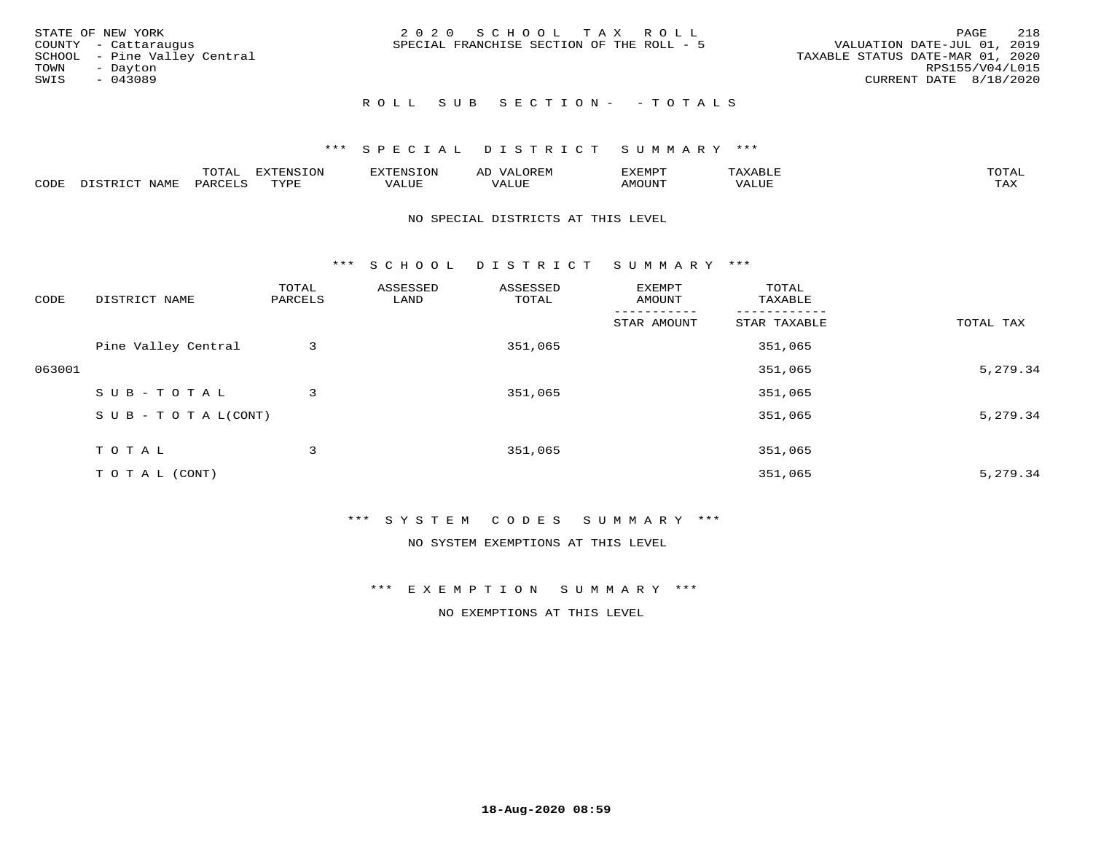| STATE OF NEW YORK<br>COUNTY - Cattaraugus<br>SCHOOL - Pine Valley Central<br>TOWN<br>- Dayton<br>SWIS<br>$-043089$ | 2020 SCHOOL TAX ROLL<br>SPECIAL FRANCHISE SECTION OF THE ROLL - 5 | - 218<br>PAGE<br>VALUATION DATE-JUL 01, 2019<br>TAXABLE STATUS DATE-MAR 01, 2020<br>RPS155/V04/L015<br>CURRENT DATE 8/18/2020 |
|--------------------------------------------------------------------------------------------------------------------|-------------------------------------------------------------------|-------------------------------------------------------------------------------------------------------------------------------|
|                                                                                                                    | ROLL SUB SECTION- - TOTALS                                        |                                                                                                                               |

|      |                            | ----<br>$\overline{\phantom{a}}$ | EXTENSION | <b>ENS</b>         | AL<br>$\cdots$ | דסאים אי     |                       | momn. |
|------|----------------------------|----------------------------------|-----------|--------------------|----------------|--------------|-----------------------|-------|
| CODE | $ \sim$ $-$<br><b>NAMP</b> | $\Omega$<br>'ARI                 | TVDF      | <b><i>ALUE</i></b> | 'ALUE          | <b>MOUNT</b> | . <del>.</del><br>JUI | TAX   |

### NO SPECIAL DISTRICTS AT THIS LEVEL

\*\*\* S C H O O L D I S T R I C T S U M M A R Y \*\*\*

| CODE   | DISTRICT NAME                    | TOTAL<br>PARCELS | ASSESSED<br>LAND | ASSESSED<br>TOTAL | EXEMPT<br>AMOUNT | TOTAL<br>TAXABLE |           |
|--------|----------------------------------|------------------|------------------|-------------------|------------------|------------------|-----------|
|        |                                  |                  |                  |                   | STAR AMOUNT      | STAR TAXABLE     | TOTAL TAX |
|        | Pine Valley Central              | 3                |                  | 351,065           |                  | 351,065          |           |
| 063001 |                                  |                  |                  |                   |                  | 351,065          | 5,279.34  |
|        | SUB-TOTAL                        | 3                |                  | 351,065           |                  | 351,065          |           |
|        | $S \cup B - T \cup T A L (CONT)$ |                  |                  |                   |                  | 351,065          | 5,279.34  |
|        | T O T A L                        | 3                |                  | 351,065           |                  | 351,065          |           |
|        | T O T A L (CONT)                 |                  |                  |                   |                  | 351,065          | 5,279.34  |

## \*\*\* S Y S T E M C O D E S S U M M A R Y \*\*\*

NO SYSTEM EXEMPTIONS AT THIS LEVEL

\*\*\* E X E M P T I O N S U M M A R Y \*\*\*

NO EXEMPTIONS AT THIS LEVEL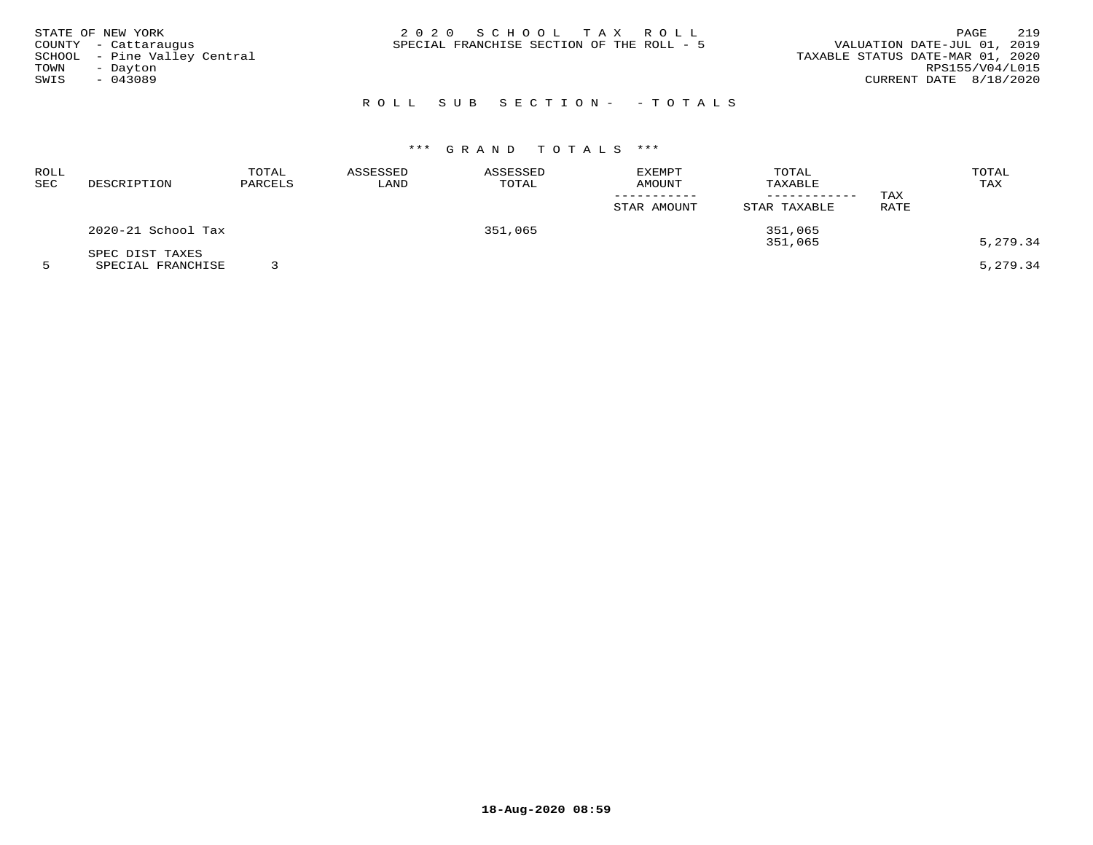| STATE OF NEW YORK<br>COUNTY - Cattaraugus<br>SCHOOL - Pine Valley Central<br>TOWN<br>- Dayton<br>SWIS<br>- 043089 | 2020 SCHOOL TAX ROLL<br>SPECIAL FRANCHISE SECTION OF THE ROLL - 5 | 219<br>PAGE<br>VALUATION DATE-JUL 01, 2019<br>TAXABLE STATUS DATE-MAR 01, 2020<br>RPS155/V04/L015<br>CURRENT DATE 8/18/2020 |
|-------------------------------------------------------------------------------------------------------------------|-------------------------------------------------------------------|-----------------------------------------------------------------------------------------------------------------------------|
|                                                                                                                   | ROLL SUB SECTION- - TOTALS                                        |                                                                                                                             |

| ROLL<br>SEC | DESCRIPTION                          | TOTAL<br>PARCELS | ASSESSED<br>LAND | ASSESSED<br>TOTAL | <b>EXEMPT</b><br>AMOUNT<br>STAR AMOUNT | TOTAL<br>TAXABLE<br>STAR TAXABLE | TAX<br>RATE | TOTAL<br>TAX |
|-------------|--------------------------------------|------------------|------------------|-------------------|----------------------------------------|----------------------------------|-------------|--------------|
|             | 2020-21 School Tax                   |                  |                  | 351,065           |                                        | 351,065<br>351,065               |             | 5,279.34     |
|             | SPEC DIST TAXES<br>SPECIAL FRANCHISE |                  |                  |                   |                                        |                                  |             | 5,279.34     |

**18-Aug-2020 08:59**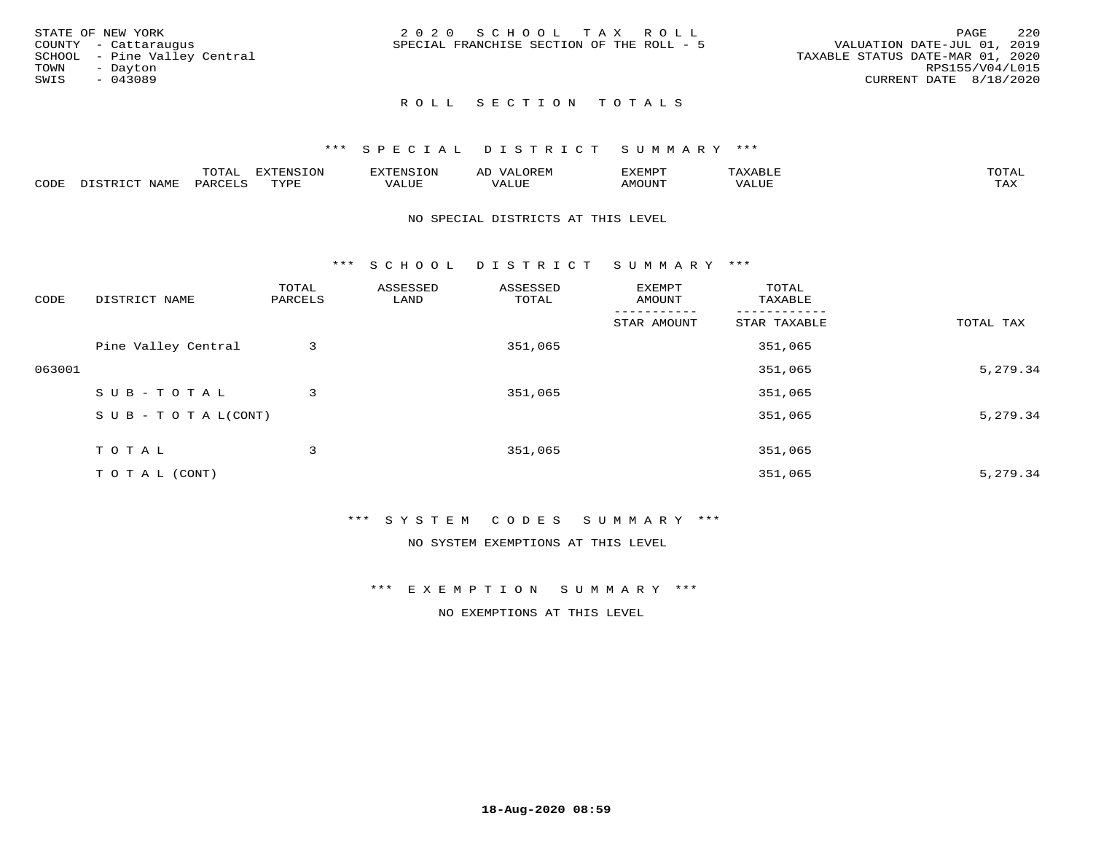| STATE OF NEW YORK            | 2020 SCHOOL TAX ROLL                      |                                  | 220<br>PAGE            |
|------------------------------|-------------------------------------------|----------------------------------|------------------------|
| COUNTY - Cattaraugus         | SPECIAL FRANCHISE SECTION OF THE ROLL - 5 | VALUATION DATE-JUL 01, 2019      |                        |
| SCHOOL - Pine Valley Central |                                           | TAXABLE STATUS DATE-MAR 01, 2020 |                        |
| TOWN<br>- Dayton             |                                           |                                  | RPS155/V04/L015        |
| SWIS<br>$-043089$            |                                           |                                  | CURRENT DATE 8/18/2020 |
|                              |                                           |                                  |                        |

### \*\*\* S P E C I A L D I S T R I C T S U M M A R Y \*\*\*

|      |                           | m∧m⊼ | <b>DVERMOTOM</b><br>LUI | TENSION       | ΑL<br>$\cdots$      | EXEMPT | $\Delta \times \Delta$<br>9 D.L | $m \wedge m \wedge n$<br>$\overline{a}$ |
|------|---------------------------|------|-------------------------|---------------|---------------------|--------|---------------------------------|-----------------------------------------|
| CODE | NTAM <sup>T</sup><br>⊥∙⊥⊥ | PARC | <b>TVDL</b>             | T T T<br>ALUF | <b>TTT</b><br>'ALUE | MOUNT  | VALUE                           | $m \times r$<br>$+$ $  +$ $-$           |

### NO SPECIAL DISTRICTS AT THIS LEVEL

\*\*\* S C H O O L D I S T R I C T S U M M A R Y \*\*\*

| CODE   | DISTRICT NAME                    | TOTAL<br>PARCELS | ASSESSED<br>LAND | ASSESSED<br>TOTAL | EXEMPT<br>AMOUNT | TOTAL<br>TAXABLE |           |
|--------|----------------------------------|------------------|------------------|-------------------|------------------|------------------|-----------|
|        |                                  |                  |                  |                   | STAR AMOUNT      | STAR TAXABLE     | TOTAL TAX |
|        | Pine Valley Central              | 3                |                  | 351,065           |                  | 351,065          |           |
| 063001 |                                  |                  |                  |                   |                  | 351,065          | 5,279.34  |
|        | SUB-TOTAL                        | 3                |                  | 351,065           |                  | 351,065          |           |
|        | $S \cup B - T \cup T A L (CONT)$ |                  |                  |                   |                  | 351,065          | 5,279.34  |
|        | TOTAL                            | 3                |                  | 351,065           |                  | 351,065          |           |
|        | T O T A L (CONT)                 |                  |                  |                   |                  | 351,065          | 5,279.34  |

## \*\*\* S Y S T E M C O D E S S U M M A R Y \*\*\*

NO SYSTEM EXEMPTIONS AT THIS LEVEL

\*\*\* E X E M P T I O N S U M M A R Y \*\*\*

NO EXEMPTIONS AT THIS LEVEL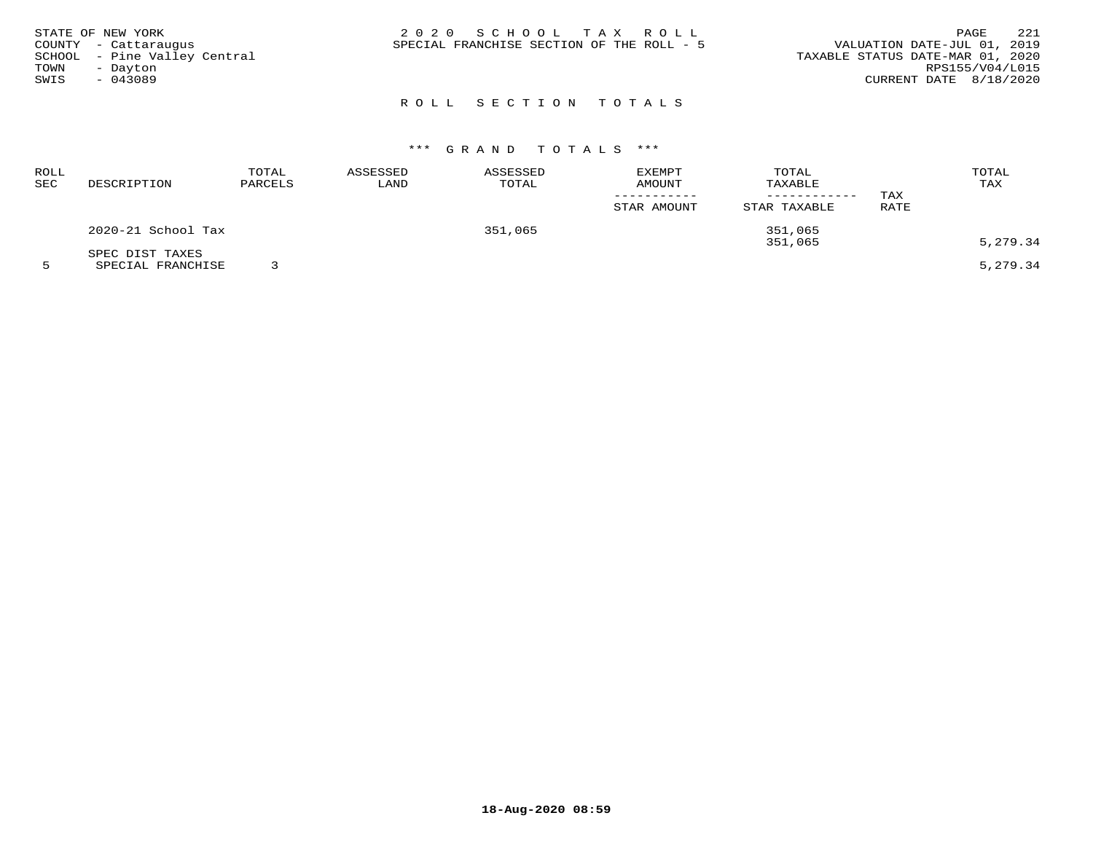| STATE OF NEW YORK<br>COUNTY - Cattaraugus<br>TOWN<br>- Dayton<br>SWIS<br>- 043089 | SCHOOL - Pine Valley Central | 2020 SCHOOL TAX ROLL<br>SPECIAL FRANCHISE SECTION OF THE ROLL - 5 | VALUATION DATE-JUL 01, 2019<br>TAXABLE STATUS DATE-MAR 01, 2020<br>RPS155/V04/L015<br>CURRENT DATE 8/18/2020 | PAGE | 221 |
|-----------------------------------------------------------------------------------|------------------------------|-------------------------------------------------------------------|--------------------------------------------------------------------------------------------------------------|------|-----|
|                                                                                   |                              |                                                                   |                                                                                                              |      |     |

# \*\*\* G R A N D T O T A L S \*\*\*

| ROLL<br>SEC | DESCRIPTION                          | TOTAL<br>PARCELS | ASSESSED<br>LAND | ASSESSED<br>TOTAL | <b>EXEMPT</b><br><b>AMOUNT</b><br>STAR AMOUNT | TOTAL<br>TAXABLE<br>----------<br>STAR TAXABLE | TAX<br>RATE | TOTAL<br>TAX         |
|-------------|--------------------------------------|------------------|------------------|-------------------|-----------------------------------------------|------------------------------------------------|-------------|----------------------|
|             | 2020-21 School Tax                   |                  |                  | 351,065           |                                               | 351,065                                        |             |                      |
|             | SPEC DIST TAXES<br>SPECIAL FRANCHISE |                  |                  |                   |                                               | 351,065                                        |             | 5,279.34<br>5,279.34 |

**18-Aug-2020 08:59**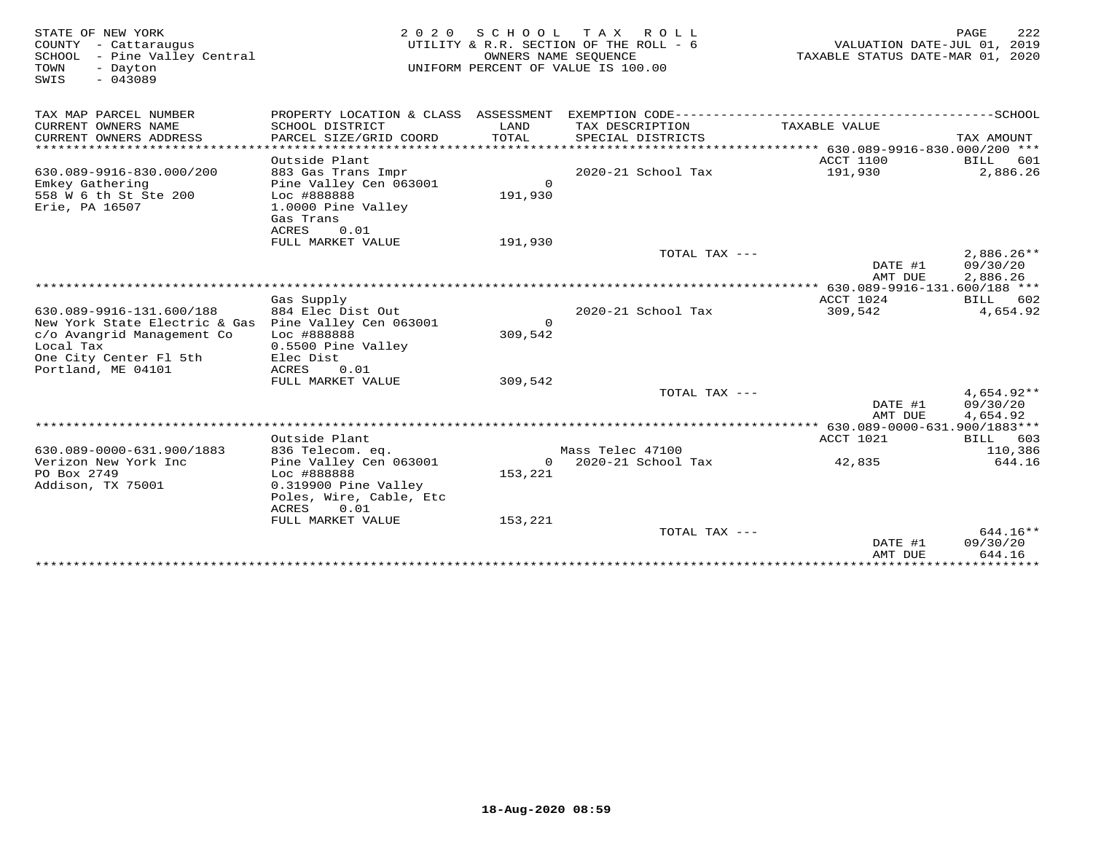| STATE OF NEW YORK<br>COUNTY - Cattaraugus<br>SCHOOL - Pine Valley Central<br>TOWN<br>- Dayton<br>$-043089$<br>SWIS |                                                                                                           | OWNERS NAME SEOUENCE | 2020 SCHOOL TAX ROLL<br>UTILITY & R.R. SECTION OF THE ROLL - 6<br>UNIFORM PERCENT OF VALUE IS 100.00 | VALUATION DATE-JUL 01, 2019<br>TAXABLE STATUS DATE-MAR 01, 2020 | 222<br>PAGE                        |
|--------------------------------------------------------------------------------------------------------------------|-----------------------------------------------------------------------------------------------------------|----------------------|------------------------------------------------------------------------------------------------------|-----------------------------------------------------------------|------------------------------------|
| TAX MAP PARCEL NUMBER                                                                                              | PROPERTY LOCATION & CLASS ASSESSMENT                                                                      |                      |                                                                                                      |                                                                 |                                    |
| CURRENT OWNERS NAME<br>CURRENT OWNERS ADDRESS                                                                      | SCHOOL DISTRICT<br>PARCEL SIZE/GRID COORD                                                                 | LAND<br>TOTAL        | TAX DESCRIPTION<br>SPECIAL DISTRICTS                                                                 | TAXABLE VALUE                                                   | TAX AMOUNT                         |
| ********************                                                                                               |                                                                                                           |                      |                                                                                                      |                                                                 |                                    |
| 630.089-9916-830.000/200                                                                                           | Outside Plant<br>883 Gas Trans Impr                                                                       |                      | 2020-21 School Tax                                                                                   | ACCT 1100<br>191,930                                            | BILL<br>601<br>2,886.26            |
| Emkey Gathering<br>558 W 6 th St Ste 200                                                                           | Pine Valley Cen 063001<br>Loc #888888                                                                     | $\Omega$<br>191,930  |                                                                                                      |                                                                 |                                    |
| Erie, PA 16507                                                                                                     | 1.0000 Pine Valley<br>Gas Trans                                                                           |                      |                                                                                                      |                                                                 |                                    |
|                                                                                                                    | <b>ACRES</b><br>0.01<br>FULL MARKET VALUE                                                                 | 191,930              |                                                                                                      |                                                                 |                                    |
|                                                                                                                    |                                                                                                           |                      | TOTAL TAX ---                                                                                        | DATE #1                                                         | $2,886.26**$<br>09/30/20           |
|                                                                                                                    |                                                                                                           |                      |                                                                                                      | AMT DUE                                                         | 2,886.26                           |
|                                                                                                                    |                                                                                                           |                      |                                                                                                      | ACCT 1024                                                       |                                    |
| 630.089-9916-131.600/188                                                                                           | Gas Supply<br>884 Elec Dist Out                                                                           |                      | $2020 - 21$ School Tax                                                                               | 309,542                                                         | BILL 602<br>4,654.92               |
| New York State Electric & Gas                                                                                      | Pine Valley Cen 063001                                                                                    | $\Omega$             |                                                                                                      |                                                                 |                                    |
| c/o Avangrid Management Co                                                                                         | Loc #888888                                                                                               | 309,542              |                                                                                                      |                                                                 |                                    |
| Local Tax                                                                                                          | 0.5500 Pine Valley                                                                                        |                      |                                                                                                      |                                                                 |                                    |
| One City Center Fl 5th<br>Portland, ME 04101                                                                       | Elec Dist<br>ACRES<br>0.01                                                                                |                      |                                                                                                      |                                                                 |                                    |
|                                                                                                                    | FULL MARKET VALUE                                                                                         | 309,542              |                                                                                                      |                                                                 |                                    |
|                                                                                                                    |                                                                                                           |                      | TOTAL TAX ---                                                                                        | DATE #1<br>AMT DUE                                              | 4,654.92**<br>09/30/20<br>4,654.92 |
|                                                                                                                    |                                                                                                           |                      |                                                                                                      | ************** 630.089-0000-631.900/1883***                     |                                    |
|                                                                                                                    | Outside Plant                                                                                             |                      |                                                                                                      | ACCT 1021                                                       | BILL 603                           |
| 630.089-0000-631.900/1883                                                                                          | 836 Telecom. eq.                                                                                          |                      | Mass Telec 47100                                                                                     |                                                                 | 110,386                            |
| Verizon New York Inc<br>PO Box 2749<br>Addison, TX 75001                                                           | Pine Valley Cen 063001<br>Loc #888888<br>0.319900 Pine Valley<br>Poles, Wire, Cable, Etc<br>ACRES<br>0.01 | $\circ$<br>153,221   | 2020-21 School Tax                                                                                   | 42,835                                                          | 644.16                             |
|                                                                                                                    | FULL MARKET VALUE                                                                                         | 153,221              |                                                                                                      |                                                                 |                                    |
|                                                                                                                    |                                                                                                           |                      | TOTAL TAX ---                                                                                        | DATE #1<br>AMT DUE                                              | $644.16**$<br>09/30/20<br>644.16   |
|                                                                                                                    |                                                                                                           |                      |                                                                                                      |                                                                 |                                    |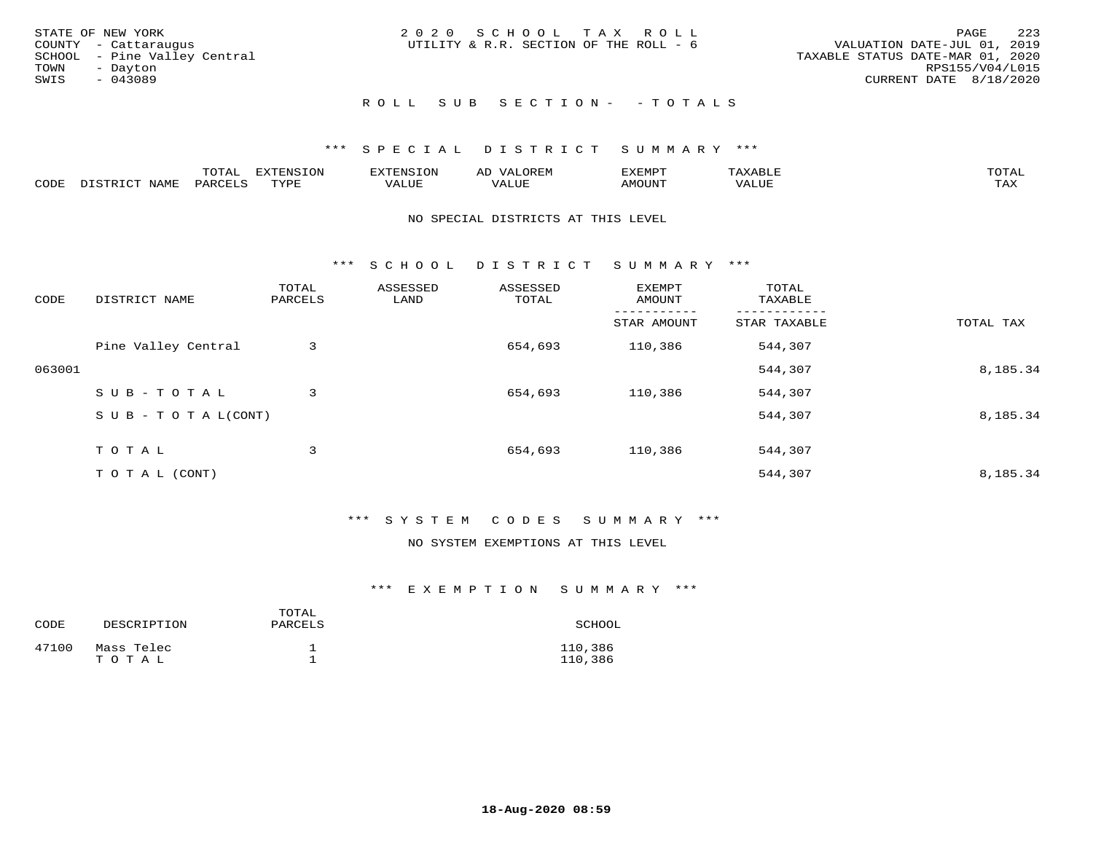| STATE OF NEW YORK            | 2020 SCHOOL TAX ROLL                   | 223<br>PAGE                      |
|------------------------------|----------------------------------------|----------------------------------|
| COUNTY - Cattaraugus         | UTILITY & R.R. SECTION OF THE ROLL - 6 | VALUATION DATE-JUL 01, 2019      |
| SCHOOL - Pine Valley Central |                                        | TAXABLE STATUS DATE-MAR 01, 2020 |
| TOWN<br>- Dayton             |                                        | RPS155/V04/L015                  |
| SWIS<br>- 043089             |                                        | CURRENT DATE 8/18/2020           |
|                              |                                        |                                  |
|                              | ROLL SUB SECTION- - TOTALS             |                                  |

|      |      | momn.<br>.UIAL | <b>DIZODALO TOM</b><br><b>1115</b><br>LUP | ר את דר            | ΑL<br>$\cdots$      | EXEMPT        | 'ΔΧΔ<br>AAABLE | momn. |
|------|------|----------------|-------------------------------------------|--------------------|---------------------|---------------|----------------|-------|
| CODE | NAME | 'ARC           | TVDF<br><u>ی ہے</u>                       | <b>TTT</b><br>ALUM | <b>TTT</b><br>7ALUE | <b>TNUOMA</b> | . ALUE         | TAX   |

#### NO SPECIAL DISTRICTS AT THIS LEVEL

\*\*\* S C H O O L D I S T R I C T S U M M A R Y \*\*\*

| CODE   | DISTRICT NAME                    | TOTAL<br>PARCELS | ASSESSED<br>LAND | ASSESSED<br>TOTAL | EXEMPT<br>AMOUNT | TOTAL<br>TAXABLE |           |
|--------|----------------------------------|------------------|------------------|-------------------|------------------|------------------|-----------|
|        |                                  |                  |                  |                   | STAR AMOUNT      | STAR TAXABLE     | TOTAL TAX |
|        | Pine Valley Central              | 3                |                  | 654,693           | 110,386          | 544,307          |           |
| 063001 |                                  |                  |                  |                   |                  | 544,307          | 8,185.34  |
|        | SUB-TOTAL                        | 3                |                  | 654,693           | 110,386          | 544,307          |           |
|        | $S \cup B - T \cup T A L (CONT)$ |                  |                  |                   |                  | 544,307          | 8,185.34  |
|        | T O T A L                        | 3                |                  | 654,693           | 110,386          | 544,307          |           |
|        | T O T A L (CONT)                 |                  |                  |                   |                  | 544,307          | 8,185.34  |

## \*\*\* S Y S T E M C O D E S S U M M A R Y \*\*\*

#### NO SYSTEM EXEMPTIONS AT THIS LEVEL

| CODE  | DESCRIPTION         | TOTAL<br>PARCELS | SCHOOL             |
|-------|---------------------|------------------|--------------------|
| 47100 | Mass Telec<br>тотаь |                  | 110,386<br>110,386 |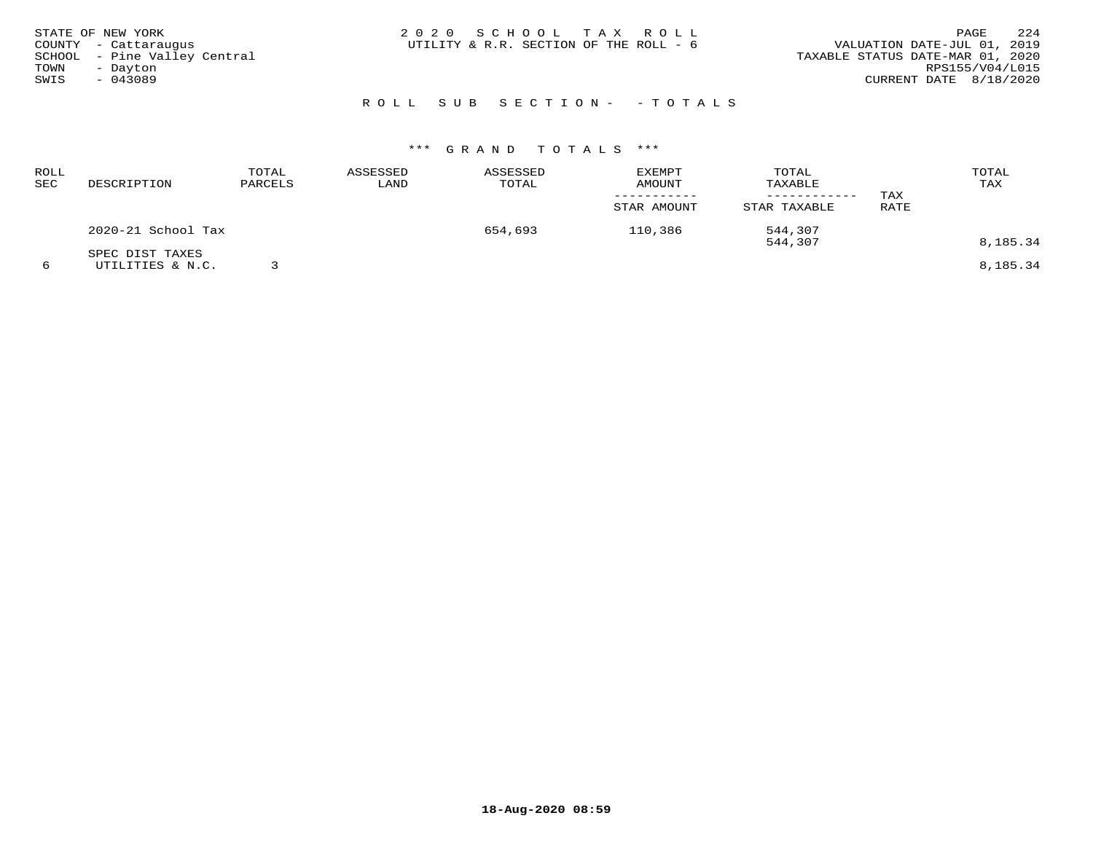| STATE OF NEW YORK<br>COUNTY - Cattaraugus<br>SCHOOL - Pine Valley Central<br>TOWN<br>- Dayton<br>SWIS<br>- 043089 | 2020 SCHOOL TAX ROLL<br>UTILITY & R.R. SECTION OF THE ROLL - 6 | 224<br>PAGE<br>VALUATION DATE-JUL 01, 2019<br>TAXABLE STATUS DATE-MAR 01, 2020<br>RPS155/V04/L015<br>CURRENT DATE 8/18/2020 |
|-------------------------------------------------------------------------------------------------------------------|----------------------------------------------------------------|-----------------------------------------------------------------------------------------------------------------------------|
|                                                                                                                   | ROLL SUB SECTION- - TOTALS                                     |                                                                                                                             |

| <b>ROLL</b><br>SEC | DESCRIPTION                         | TOTAL<br>PARCELS | ASSESSED<br>LAND | ASSESSED<br>TOTAL | <b>EXEMPT</b><br>AMOUNT<br>STAR AMOUNT | TOTAL<br>TAXABLE<br>STAR TAXABLE | TAX<br>RATE | TOTAL<br>TAX |
|--------------------|-------------------------------------|------------------|------------------|-------------------|----------------------------------------|----------------------------------|-------------|--------------|
|                    | 2020-21 School Tax                  |                  |                  | 654,693           | 110,386                                | 544,307<br>544,307               |             | 8,185.34     |
| 6                  | SPEC DIST TAXES<br>UTILITIES & N.C. |                  |                  |                   |                                        |                                  |             | 8,185.34     |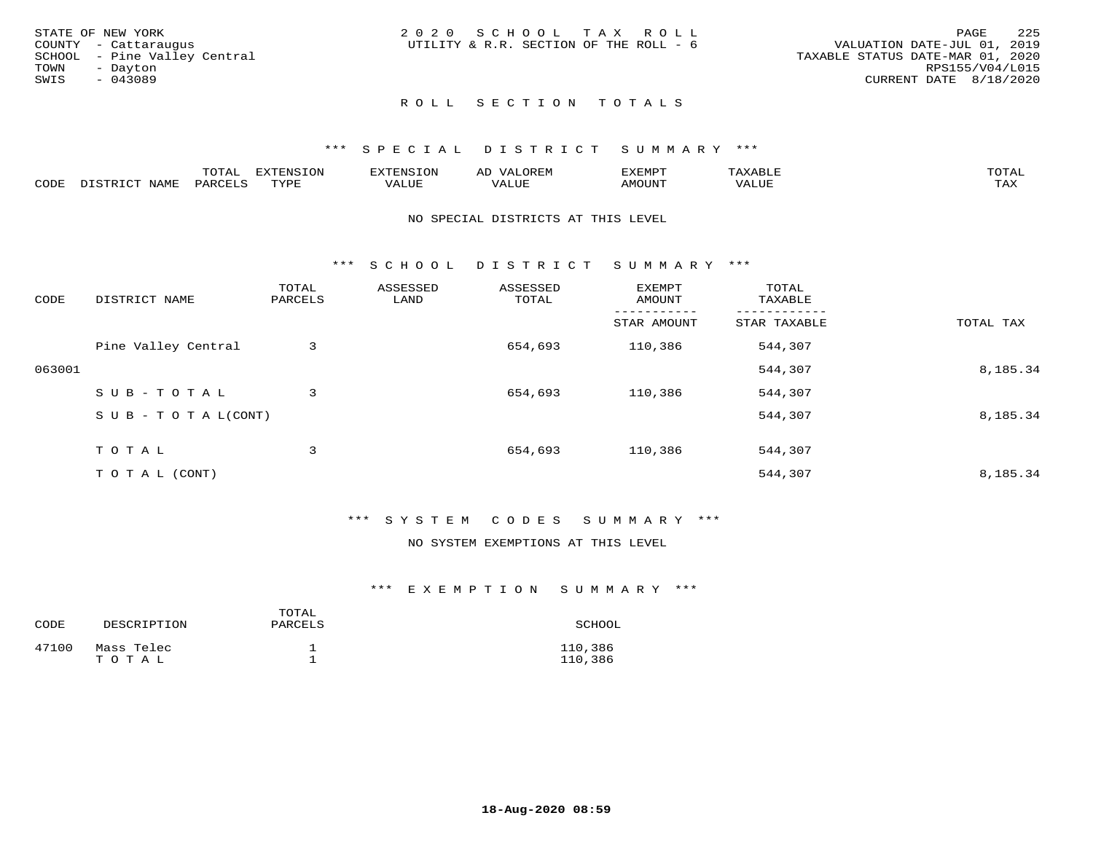|      | STATE OF NEW YORK            | 2020 SCHOOL TAX ROLL                   |  |                                  |                        | PAGE | - 225 |
|------|------------------------------|----------------------------------------|--|----------------------------------|------------------------|------|-------|
|      | COUNTY - Cattaraugus         | UTILITY & R.R. SECTION OF THE ROLL - 6 |  | VALUATION DATE-JUL 01, 2019      |                        |      |       |
|      | SCHOOL - Pine Valley Central |                                        |  | TAXABLE STATUS DATE-MAR 01, 2020 |                        |      |       |
| TOWN | - Dayton                     |                                        |  |                                  | RPS155/V04/L015        |      |       |
| SWIS | - 043089                     |                                        |  |                                  | CURRENT DATE 8/18/2020 |      |       |
|      |                              |                                        |  |                                  |                        |      |       |

#### \*\*\* S P E C I A L D I S T R I C T S U M M A R Y \*\*\*

|      |                  | momm <sup>.</sup><br>TOTAT | <b>ELIMENT OF ONT</b><br>T OTA | 'ENS   | OREM                     | CXEMPT        | $max$ is $max$ $n$       | $m \wedge m \wedge n$ |
|------|------------------|----------------------------|--------------------------------|--------|--------------------------|---------------|--------------------------|-----------------------|
| CODE | NAME<br>DISTRICT | PARCELS                    | TVDF<br>.                      | 7ALUE. | . <del>.</del><br>. ALUF | <b>AMOUNT</b> | * * * * * * * *<br>'ALUL | <b>TAY</b><br>⊥⇔∆     |

#### NO SPECIAL DISTRICTS AT THIS LEVEL

\*\*\* S C H O O L D I S T R I C T S U M M A R Y \*\*\*

| CODE   | DISTRICT NAME                    | TOTAL<br>PARCELS | ASSESSED<br>LAND | ASSESSED<br>TOTAL | EXEMPT<br>AMOUNT | TOTAL<br>TAXABLE |           |
|--------|----------------------------------|------------------|------------------|-------------------|------------------|------------------|-----------|
|        |                                  |                  |                  |                   | STAR AMOUNT      | STAR TAXABLE     | TOTAL TAX |
|        | Pine Valley Central              | 3                |                  | 654,693           | 110,386          | 544,307          |           |
| 063001 |                                  |                  |                  |                   |                  | 544,307          | 8,185.34  |
|        | SUB-TOTAL                        | 3                |                  | 654,693           | 110,386          | 544,307          |           |
|        | $S \cup B - T \cup T A L (CONT)$ |                  |                  |                   |                  | 544,307          | 8,185.34  |
|        | TOTAL                            | 3                |                  | 654,693           | 110,386          | 544,307          |           |
|        | T O T A L (CONT)                 |                  |                  |                   |                  | 544,307          | 8,185.34  |

## \*\*\* S Y S T E M C O D E S S U M M A R Y \*\*\*

## NO SYSTEM EXEMPTIONS AT THIS LEVEL

| CODE  | DESCRIPTION         | TOTAL<br>PARCELS | SCHOOL             |
|-------|---------------------|------------------|--------------------|
| 47100 | Mass Telec<br>TOTAL |                  | 110,386<br>110,386 |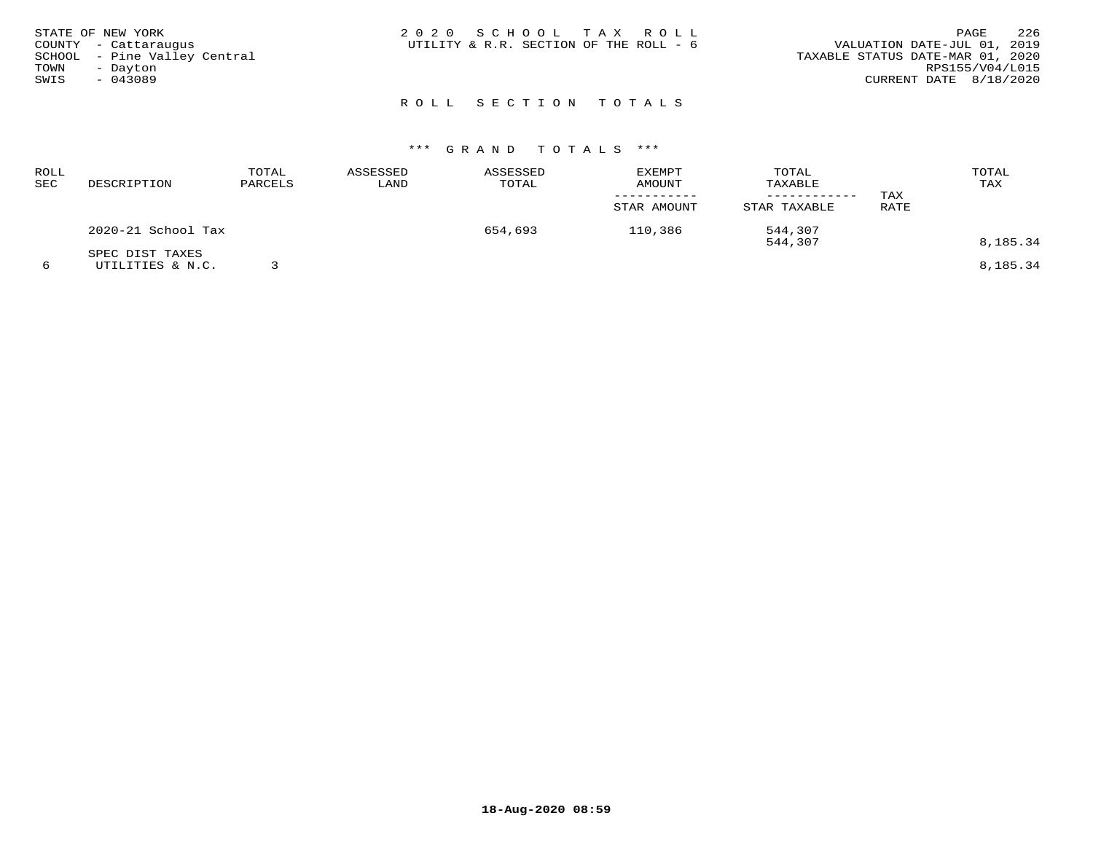| STATE OF NEW YORK<br>COUNTY - Cattaraugus<br>SCHOOL - Pine Valley Central<br>TOWN<br>- Dayton<br>SWIS<br>$-043089$ | 2020 SCHOOL TAX ROLL<br>UTILITY & R.R. SECTION OF THE ROLL - 6 | 226<br>PAGE<br>VALUATION DATE-JUL 01, 2019<br>TAXABLE STATUS DATE-MAR 01, 2020<br>RPS155/V04/L015<br>CURRENT DATE 8/18/2020 |
|--------------------------------------------------------------------------------------------------------------------|----------------------------------------------------------------|-----------------------------------------------------------------------------------------------------------------------------|
|                                                                                                                    | ROLL SECTION TOTALS                                            |                                                                                                                             |

| ROLL<br>SEC | DESCRIPTION                         | TOTAL<br>PARCELS | ASSESSED<br>LAND | ASSESSED<br>TOTAL | <b>EXEMPT</b><br><b>AMOUNT</b><br>STAR AMOUNT | TOTAL<br>TAXABLE<br>----------<br>STAR TAXABLE | TAX<br>RATE | TOTAL<br>TAX |
|-------------|-------------------------------------|------------------|------------------|-------------------|-----------------------------------------------|------------------------------------------------|-------------|--------------|
|             | 2020-21 School Tax                  |                  |                  | 654,693           | 110,386                                       | 544,307<br>544,307                             |             | 8,185.34     |
|             | SPEC DIST TAXES<br>UTILITIES & N.C. |                  |                  |                   |                                               |                                                |             | 8,185.34     |

**18-Aug-2020 08:59**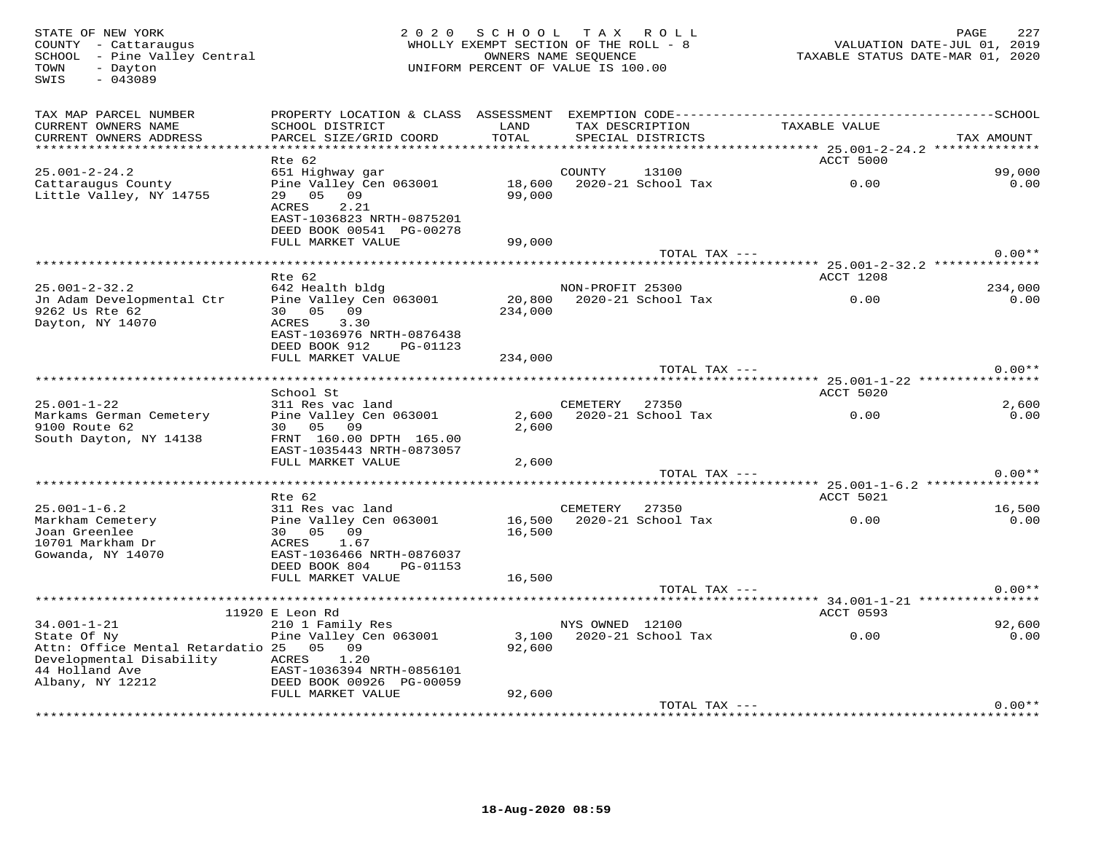STATE OF NEW YORK MORE 227<br>COUNTY - Cattaraugus (Altra 1991) ANDLLY EXEMPT SECTION OF THE ROLL - 8 (SALUATION DATE-JUL 01, 2019<br>SOHOOL - Pine Valley Central (Altra 1992) AND DONNERS NAME SEQUENCE<br>TOWN - Dayton (1, 2020) IN SWIS - 043089TAX MAP PARCEL NUMBER PROPERTY LOCATION & CLASS ASSESSMENT EXEMPTION CODE------------------------------------------SCHOOL CURRENT OWNERS NAME SCHOOL DISTRICT LAND TAX DESCRIPTION TAXABLE VALUE CURRENT OWNERS ADDRESS PARCEL SIZE/GRID COORD TOTAL SPECIAL DISTRICTS TAX AMOUNT \*\*\*\*\*\*\*\*\*\*\*\*\*\*\*\*\*\*\*\*\*\*\*\*\*\*\*\*\*\*\*\*\*\*\*\*\*\*\*\*\*\*\*\*\*\*\*\*\*\*\*\*\*\*\*\*\*\*\*\*\*\*\*\*\*\*\*\*\*\*\*\*\*\*\*\*\*\*\*\*\*\*\*\*\*\*\*\*\*\*\*\*\*\*\*\*\*\*\*\*\*\*\* 25.001-2-24.2 \*\*\*\*\*\*\*\*\*\*\*\*\*\* Rte 62 ACCT 5000 25.001-2-24.2 651 Highway gar COUNTY 13100 99,000 $0.00$ Cattaraugus County Pine Valley Cen 063001 18,600 2020-21 School Tax 0.00 0.00Little Valley, NY 14755 29 05 09 99,000 ACRES 2.21 EAST-1036823 NRTH-0875201 DEED BOOK 00541 PG-00278 FULL MARKET VALUE 99,000TOTAL TAX  $---$  0.00\*\* \*\*\*\*\*\*\*\*\*\*\*\*\*\*\*\*\*\*\*\*\*\*\*\*\*\*\*\*\*\*\*\*\*\*\*\*\*\*\*\*\*\*\*\*\*\*\*\*\*\*\*\*\*\*\*\*\*\*\*\*\*\*\*\*\*\*\*\*\*\*\*\*\*\*\*\*\*\*\*\*\*\*\*\*\*\*\*\*\*\*\*\*\*\*\*\*\*\*\*\*\*\*\* 25.001-2-32.2 \*\*\*\*\*\*\*\*\*\*\*\*\*\* Rte 62 ACCT 1208 25.001-2-32.2 642 Health bldg NON-PROFIT 25300 234,000 $0.00$ Jn Adam Developmental Ctr Pine Valley Cen 063001 20,800 2020-21 School Tax 0.00 0.009262 Us Rte 62 30 05 09 234,000 Dayton, NY 14070 ACRES 3.30 EAST-1036976 NRTH-0876438 DEED BOOK 912 PG-01123 FULL MARKET VALUE 234,000TOTAL TAX  $---$  0.00\*\* \*\*\*\*\*\*\*\*\*\*\*\*\*\*\*\*\*\*\*\*\*\*\*\*\*\*\*\*\*\*\*\*\*\*\*\*\*\*\*\*\*\*\*\*\*\*\*\*\*\*\*\*\*\*\*\*\*\*\*\*\*\*\*\*\*\*\*\*\*\*\*\*\*\*\*\*\*\*\*\*\*\*\*\*\*\*\*\*\*\*\*\*\*\*\*\*\*\*\*\*\*\*\* 25.001-1-22 \*\*\*\*\*\*\*\*\*\*\*\*\*\*\*\*School St Accredit Superintensity of the School State Accredit Superintensity of the School State Accredit Superintensity of the Accredit Superintensity of the Accredit Superintensity of the Accredit Superintensity of the  $0.00$ 25.001-1-22 311 Res vac land CEMETERY 27350 2,600 $0.00$ Markams German Cemetery Pine Valley Cen 063001 2,600 2020-21 School Tax 0.00 0.009100 Route 62 30 05 09 2,600 South Dayton, NY 14138 FRNT 160.00 DPTH 165.00 EAST-1035443 NRTH-0873057 FULL MARKET VALUE 2,600 TOTAL TAX --- 0.00\*\* \*\*\*\*\*\*\*\*\*\*\*\*\*\*\*\*\*\*\*\*\*\*\*\*\*\*\*\*\*\*\*\*\*\*\*\*\*\*\*\*\*\*\*\*\*\*\*\*\*\*\*\*\*\*\*\*\*\*\*\*\*\*\*\*\*\*\*\*\*\*\*\*\*\*\*\*\*\*\*\*\*\*\*\*\*\*\*\*\*\*\*\*\*\*\*\*\*\*\*\*\*\*\* 25.001-1-6.2 \*\*\*\*\*\*\*\*\*\*\*\*\*\*\* Rte 62 ACCT 5021 25.001-1-6.2 311 Res vac land CEMETERY 27350 16,500 $0.00$ Markham Cemetery Pine Valley Cen 063001 16,500 2020-21 School Tax 0.00 0.00Joan Greenlee 30 05 09 16,500 10701 Markham Dr ACRES 1.67 Gowanda, NY 14070 EAST-1036466 NRTH-0876037 DEED BOOK 804 PG-01153 FULL MARKET VALUE 16,500 TOTAL TAX --- 0.00\*\* \*\*\*\*\*\*\*\*\*\*\*\*\*\*\*\*\*\*\*\*\*\*\*\*\*\*\*\*\*\*\*\*\*\*\*\*\*\*\*\*\*\*\*\*\*\*\*\*\*\*\*\*\*\*\*\*\*\*\*\*\*\*\*\*\*\*\*\*\*\*\*\*\*\*\*\*\*\*\*\*\*\*\*\*\*\*\*\*\*\*\*\*\*\*\*\*\*\*\*\*\*\*\* 34.001-1-21 \*\*\*\*\*\*\*\*\*\*\*\*\*\*\*\* 11920 E Leon Rd ACCT 0593 34.001-1-21 210 1 Family Res NYS OWNED 12100 92,600 $0.00$ State Of Ny Pine Valley Cen 063001 3,100 2020-21 School Tax 0.00 0.00Attn: Office Mental Retardatio 25 05 09 92,600 Developmental Disability ACRES 1.20 44 Holland Ave EAST-1036394 NRTH-0856101 Albany, NY 12212 DEED BOOK 00926 PG-00059 FULL MARKET VALUE 92,600 TOTAL TAX --- 0.00\*\*

\*\*\*\*\*\*\*\*\*\*\*\*\*\*\*\*\*\*\*\*\*\*\*\*\*\*\*\*\*\*\*\*\*\*\*\*\*\*\*\*\*\*\*\*\*\*\*\*\*\*\*\*\*\*\*\*\*\*\*\*\*\*\*\*\*\*\*\*\*\*\*\*\*\*\*\*\*\*\*\*\*\*\*\*\*\*\*\*\*\*\*\*\*\*\*\*\*\*\*\*\*\*\*\*\*\*\*\*\*\*\*\*\*\*\*\*\*\*\*\*\*\*\*\*\*\*\*\*\*\*\*\*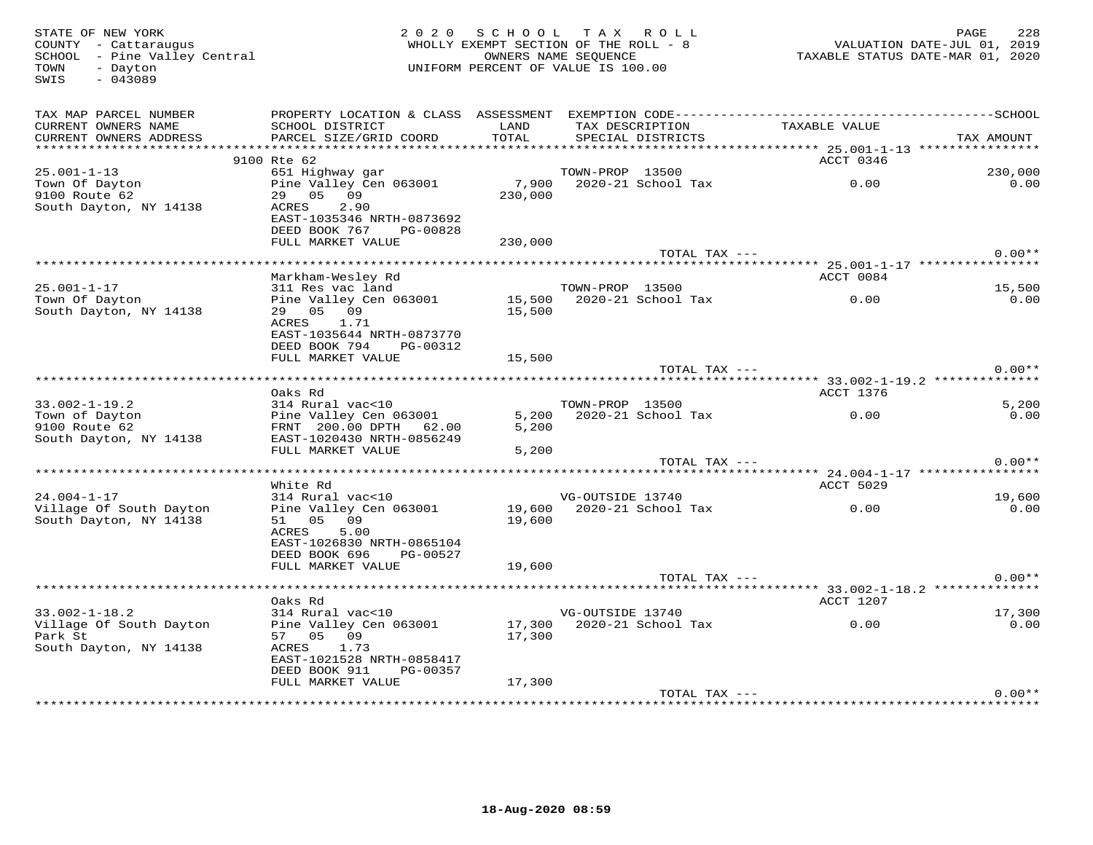| STATE OF NEW YORK<br>COUNTY - Cattaraugus<br>SCHOOL - Pine Valley Central<br>- Dayton<br>TOWN<br>SWIS<br>$-043089$ |                                                                                     | 2020 SCHOOL TAX<br>WHOLLY EXEMPT SECTION OF THE ROLL - 8<br>OWNERS NAME SEQUENCE<br>UNIFORM PERCENT OF VALUE IS 100.00 |                  | R O L L                              |               | 228<br>PAGE<br>VALUATION DATE-JUL 01, 2019<br>TAXABLE STATUS DATE-MAR 01, 2020 |
|--------------------------------------------------------------------------------------------------------------------|-------------------------------------------------------------------------------------|------------------------------------------------------------------------------------------------------------------------|------------------|--------------------------------------|---------------|--------------------------------------------------------------------------------|
| TAX MAP PARCEL NUMBER<br>CURRENT OWNERS NAME<br>CURRENT OWNERS ADDRESS                                             | SCHOOL DISTRICT<br>PARCEL SIZE/GRID COORD                                           | LAND<br>TOTAL                                                                                                          |                  | TAX DESCRIPTION<br>SPECIAL DISTRICTS | TAXABLE VALUE | TAX AMOUNT                                                                     |
|                                                                                                                    |                                                                                     |                                                                                                                        |                  |                                      |               |                                                                                |
| $25.001 - 1 - 13$                                                                                                  | 9100 Rte 62<br>651 Highway gar                                                      |                                                                                                                        | TOWN-PROP 13500  |                                      | ACCT 0346     | 230,000                                                                        |
| Town Of Dayton<br>9100 Route 62<br>South Dayton, NY 14138                                                          | Pine Valley Cen 063001<br>29 05 09<br>2.90<br>ACRES<br>EAST-1035346 NRTH-0873692    | 7,900<br>230,000                                                                                                       |                  | 2020-21 School Tax                   | 0.00          | 0.00                                                                           |
|                                                                                                                    | DEED BOOK 767<br>PG-00828                                                           |                                                                                                                        |                  |                                      |               |                                                                                |
|                                                                                                                    | FULL MARKET VALUE                                                                   | 230,000                                                                                                                |                  |                                      |               |                                                                                |
|                                                                                                                    |                                                                                     |                                                                                                                        |                  | TOTAL TAX ---                        |               | $0.00**$                                                                       |
|                                                                                                                    | Markham-Wesley Rd                                                                   |                                                                                                                        |                  |                                      | ACCT 0084     |                                                                                |
| $25.001 - 1 - 17$                                                                                                  | 311 Res vac land                                                                    |                                                                                                                        | TOWN-PROP 13500  |                                      |               | 15,500                                                                         |
| Town Of Dayton<br>South Dayton, NY 14138                                                                           | Pine Valley Cen 063001<br>29 05 09<br>ACRES<br>1.71                                 | 15,500<br>15,500                                                                                                       |                  | 2020-21 School Tax                   | 0.00          | 0.00                                                                           |
|                                                                                                                    | EAST-1035644 NRTH-0873770<br>DEED BOOK 794<br>PG-00312                              |                                                                                                                        |                  |                                      |               |                                                                                |
|                                                                                                                    | FULL MARKET VALUE                                                                   | 15,500                                                                                                                 |                  | TOTAL TAX ---                        |               | $0.00**$                                                                       |
|                                                                                                                    |                                                                                     |                                                                                                                        |                  |                                      |               |                                                                                |
|                                                                                                                    | Oaks Rd                                                                             |                                                                                                                        |                  |                                      | ACCT 1376     |                                                                                |
| $33.002 - 1 - 19.2$                                                                                                | 314 Rural vac<10                                                                    |                                                                                                                        | TOWN-PROP 13500  |                                      |               | 5,200                                                                          |
| Town of Dayton<br>9100 Route 62<br>South Dayton, NY 14138                                                          | Pine Valley Cen 063001<br>FRNT 200.00 DPTH 62.00<br>EAST-1020430 NRTH-0856249       | 5,200<br>5,200                                                                                                         |                  | 2020-21 School Tax                   | 0.00          | 0.00                                                                           |
|                                                                                                                    | FULL MARKET VALUE                                                                   | 5,200                                                                                                                  |                  |                                      |               |                                                                                |
|                                                                                                                    |                                                                                     |                                                                                                                        |                  | TOTAL TAX ---                        |               | $0.00**$                                                                       |
|                                                                                                                    | White Rd                                                                            |                                                                                                                        |                  |                                      | ACCT 5029     |                                                                                |
| $24.004 - 1 - 17$                                                                                                  | 314 Rural vac<10                                                                    |                                                                                                                        | VG-OUTSIDE 13740 |                                      |               | 19,600                                                                         |
| Village Of South Dayton<br>South Dayton, NY 14138                                                                  | Pine Valley Cen 063001<br>09<br>51 05<br>5.00<br>ACRES<br>EAST-1026830 NRTH-0865104 | 19,600                                                                                                                 |                  | 19,600 2020-21 School Tax            | 0.00          | 0.00                                                                           |
|                                                                                                                    | DEED BOOK 696<br>PG-00527                                                           |                                                                                                                        |                  |                                      |               |                                                                                |
|                                                                                                                    | FULL MARKET VALUE                                                                   | 19,600                                                                                                                 |                  |                                      |               | $0.00**$                                                                       |
|                                                                                                                    |                                                                                     |                                                                                                                        |                  | TOTAL TAX ---                        |               |                                                                                |
|                                                                                                                    | Oaks Rd                                                                             |                                                                                                                        |                  |                                      | ACCT 1207     |                                                                                |
| $33.002 - 1 - 18.2$                                                                                                | 314 Rural vac<10                                                                    |                                                                                                                        | VG-OUTSIDE 13740 |                                      |               | 17,300                                                                         |
| Village Of South Dayton<br>Park St<br>South Dayton, NY 14138                                                       | Pine Valley Cen 063001<br>57 05 09<br>ACRES<br>1.73<br>EAST-1021528 NRTH-0858417    | 17,300                                                                                                                 |                  |                                      | 0.00          | 0.00                                                                           |
|                                                                                                                    | DEED BOOK 911<br>PG-00357<br>FULL MARKET VALUE                                      | 17,300                                                                                                                 |                  |                                      |               |                                                                                |
|                                                                                                                    |                                                                                     |                                                                                                                        |                  | TOTAL TAX ---                        |               | $0.00**$                                                                       |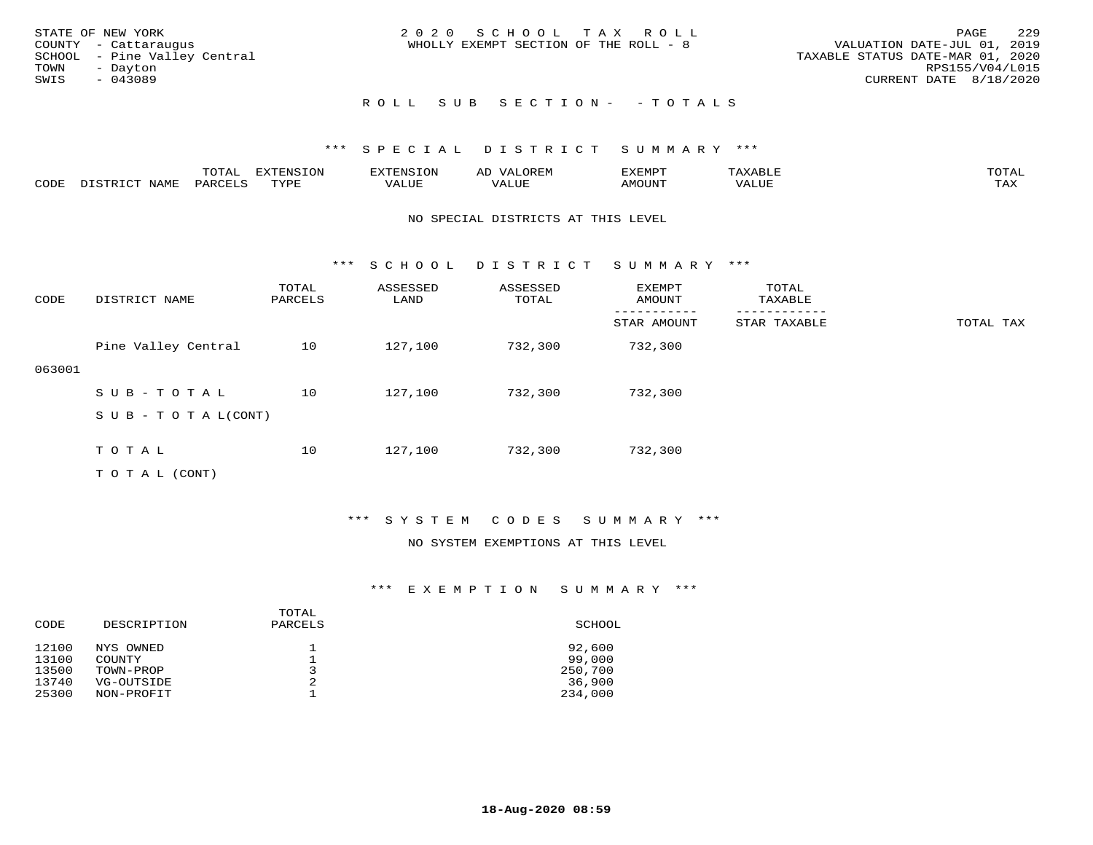| STATE OF NEW YORK<br>COUNTY - Cattaraugus<br>SCHOOL - Pine Valley Central<br>TOWN<br>- Dayton | 2020 SCHOOL TAX ROLL<br>WHOLLY EXEMPT SECTION OF THE ROLL - 8 | 229<br>PAGE<br>VALUATION DATE-JUL 01, 2019<br>TAXABLE STATUS DATE-MAR 01, 2020<br>RPS155/V04/L015 |
|-----------------------------------------------------------------------------------------------|---------------------------------------------------------------|---------------------------------------------------------------------------------------------------|
| SWIS<br>$-043089$                                                                             |                                                               | CURRENT DATE 8/18/2020                                                                            |
|                                                                                               | ROLL SUB SECTION- - TOTALS                                    |                                                                                                   |

|      |                   | TOTAL   | <b>EXTENSION</b> | EXTENSION | OREM<br>AD | EXEMPT | XABLF | TOTAI |
|------|-------------------|---------|------------------|-----------|------------|--------|-------|-------|
| CODE | NAME<br>DISTRICT. | PARCELS | TVDE             | VALUE     | VALUE      | AMOUNT | VALUE | TAX   |

#### NO SPECIAL DISTRICTS AT THIS LEVEL

\*\*\* S C H O O L D I S T R I C T S U M M A R Y \*\*\*

| CODE   | DISTRICT NAME              | TOTAL<br>PARCELS | ASSESSED<br>LAND | ASSESSED<br>TOTAL | EXEMPT<br>AMOUNT | TOTAL<br>TAXABLE |           |
|--------|----------------------------|------------------|------------------|-------------------|------------------|------------------|-----------|
|        |                            |                  |                  |                   | STAR AMOUNT      | STAR TAXABLE     | TOTAL TAX |
|        | Pine Valley Central        | 10               | 127,100          | 732,300           | 732,300          |                  |           |
| 063001 |                            |                  |                  |                   |                  |                  |           |
|        | SUB-TOTAL                  | 10               | 127,100          | 732,300           | 732,300          |                  |           |
|        | S U B - T O T A $L$ (CONT) |                  |                  |                   |                  |                  |           |
|        |                            |                  |                  |                   |                  |                  |           |
|        | TOTAL                      | 10               | 127,100          | 732,300           | 732,300          |                  |           |
|        | T O T A L (CONT)           |                  |                  |                   |                  |                  |           |

## \*\*\* S Y S T E M C O D E S S U M M A R Y \*\*\*

### NO SYSTEM EXEMPTIONS AT THIS LEVEL

| DESCRIPTION | PARCELS                                  | SCHOOL            |
|-------------|------------------------------------------|-------------------|
| NYS OWNED   |                                          | 92,600            |
|             |                                          | 99,000            |
|             |                                          | 250,700<br>36,900 |
| NON-PROFIT  |                                          | 234,000           |
|             | <b>COUNTY</b><br>TOWN-PROP<br>VG-OUTSIDE | TOTAL<br>2<br>2   |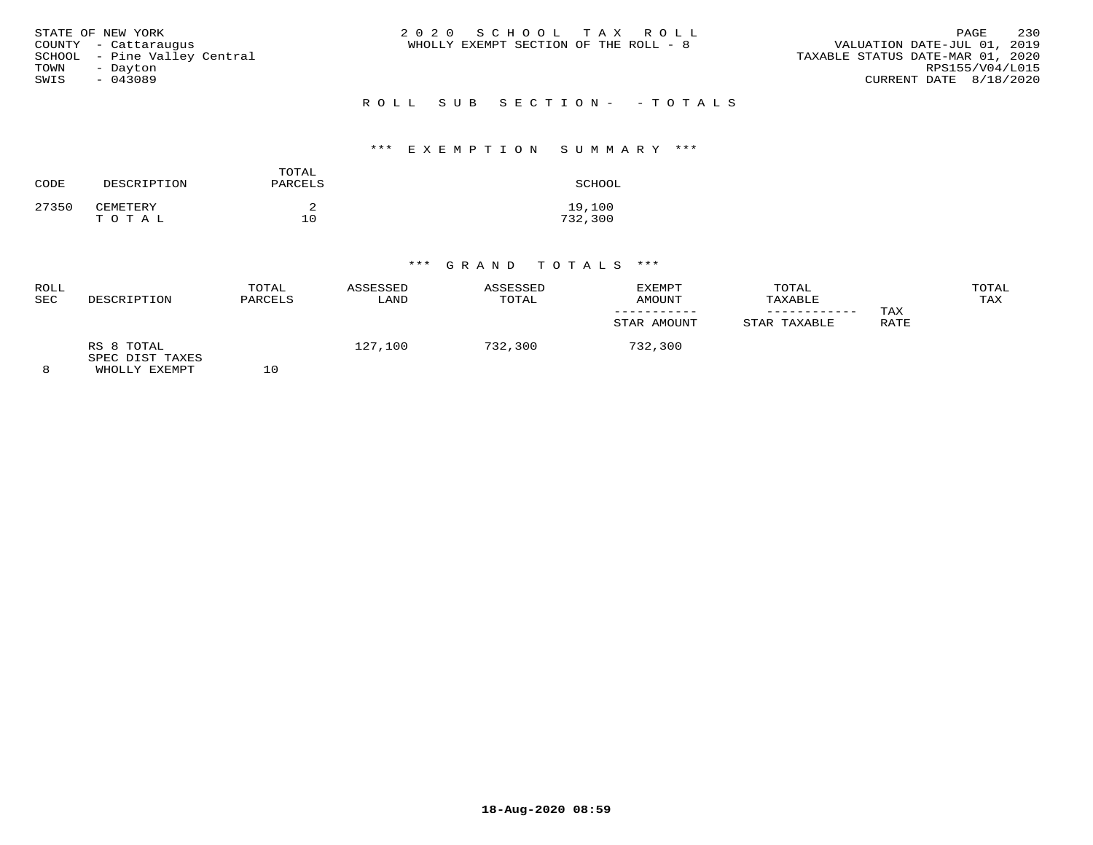| TOWN | STATE OF NEW YORK<br>COUNTY - Cattaraugus<br>SCHOOL - Pine Valley Central<br>- Dayton | 2020 SCHOOL TAX ROLL<br>VALUATION DATE-JUL 01, 2019<br>WHOLLY EXEMPT SECTION OF THE ROLL - 8<br>TAXABLE STATUS DATE-MAR 01, 2020 | PAGE<br>RPS155/V04/L015 | 230 |
|------|---------------------------------------------------------------------------------------|----------------------------------------------------------------------------------------------------------------------------------|-------------------------|-----|
| SWIS | $-043089$                                                                             | CURRENT DATE 8/18/2020                                                                                                           |                         |     |
|      |                                                                                       | ROLL SUB SECTION- - TOTALS                                                                                                       |                         |     |

## \*\*\* E X E M P T I O N S U M M A R Y \*\*\*

| CODE  | DESCRIPTION       | TOTAL<br>PARCELS | SCHOOL            |
|-------|-------------------|------------------|-------------------|
| 27350 | CEMETERY<br>TOTAL | 10               | 19,100<br>732,300 |

| ROLL<br>SEC | DESCRIPTION                                    | TOTAL<br>PARCELS | ASSESSED<br>LAND | ASSESSED<br>TOTAL | EXEMPT<br>AMOUNT<br>STAR AMOUNT | TOTAL<br>TAXABLE<br>STAR TAXABLE | TAX<br>RATE | TOTAL<br>TAX |
|-------------|------------------------------------------------|------------------|------------------|-------------------|---------------------------------|----------------------------------|-------------|--------------|
|             | RS 8 TOTAL<br>SPEC DIST TAXES<br>WHOLLY EXEMPT | 10               | 127,100          | 732,300           | 732,300                         |                                  |             |              |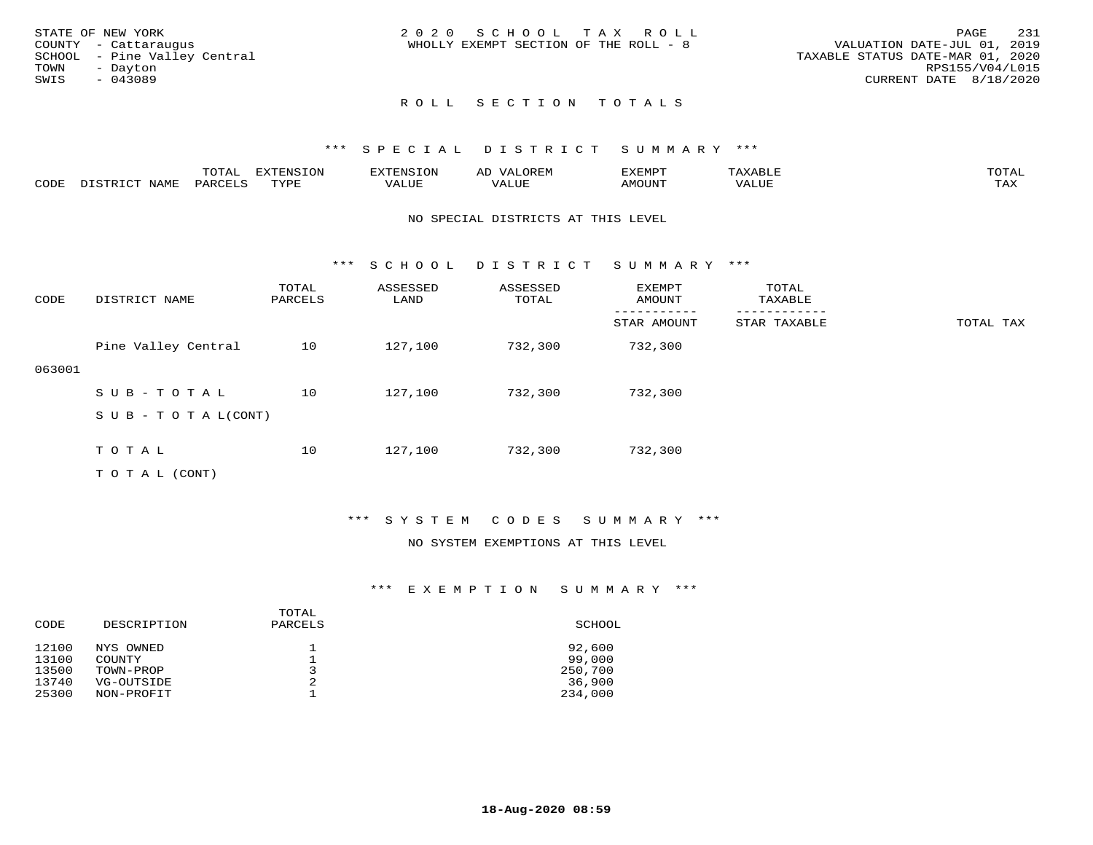|      | STATE OF NEW YORK            | 2020 SCHOOL TAX ROLL                                                 | PAGE            | -231 |
|------|------------------------------|----------------------------------------------------------------------|-----------------|------|
|      | COUNTY - Cattaraugus         | VALUATION DATE-JUL 01, 2019<br>WHOLLY EXEMPT SECTION OF THE ROLL - 8 |                 |      |
|      | SCHOOL - Pine Valley Central | TAXABLE STATUS DATE-MAR 01, 2020                                     |                 |      |
| TOWN | - Davton                     |                                                                      | RPS155/V04/L015 |      |
| SWIS | - 043089                     | CURRENT DATE 8/18/2020                                               |                 |      |
|      |                              |                                                                      |                 |      |

## \*\*\* S P E C I A L D I S T R I C T S U M M A R Y \*\*\*

|      |      | m∧m ⊼<br>.UIA. | $\pi$ |       | ⊶⊥ | יסאים צי      |             |                   |
|------|------|----------------|-------|-------|----|---------------|-------------|-------------------|
| CODE | NAME | . nAT          | mvnt  | VALUE |    | <b>AMOUNT</b> | $T$ $T$ $T$ | <b>TAY</b><br>∸∽∸ |

#### NO SPECIAL DISTRICTS AT THIS LEVEL

\*\*\* S C H O O L D I S T R I C T S U M M A R Y \*\*\*

| CODE   | DISTRICT NAME                    | TOTAL<br>PARCELS | ASSESSED<br>LAND | ASSESSED<br>TOTAL | <b>EXEMPT</b><br>AMOUNT | TOTAL<br>TAXABLE |           |
|--------|----------------------------------|------------------|------------------|-------------------|-------------------------|------------------|-----------|
|        |                                  |                  |                  |                   | STAR AMOUNT             | STAR TAXABLE     | TOTAL TAX |
|        | Pine Valley Central              | 10               | 127,100          | 732,300           | 732,300                 |                  |           |
| 063001 |                                  |                  |                  |                   |                         |                  |           |
|        | SUB-TOTAL                        | 10               | 127,100          | 732,300           | 732,300                 |                  |           |
|        | $S \cup B - T \cup T A L (CONT)$ |                  |                  |                   |                         |                  |           |
|        |                                  |                  |                  |                   |                         |                  |           |
|        | TOTAL                            | 10               | 127,100          | 732,300           | 732,300                 |                  |           |

T O T A L (CONT)

## \*\*\* S Y S T E M C O D E S S U M M A R Y \*\*\*

## NO SYSTEM EXEMPTIONS AT THIS LEVEL

| CODE  | DESCRIPTION | TOTAL<br>PARCELS | SCHOOL  |
|-------|-------------|------------------|---------|
| 12100 | NYS OWNED   |                  | 92,600  |
| 13100 | COUNTY      |                  | 99,000  |
| 13500 | TOWN-PROP   | 2                | 250,700 |
| 13740 | VG-OUTSIDE  |                  | 36,900  |
| 25300 | NON-PROFIT  |                  | 234,000 |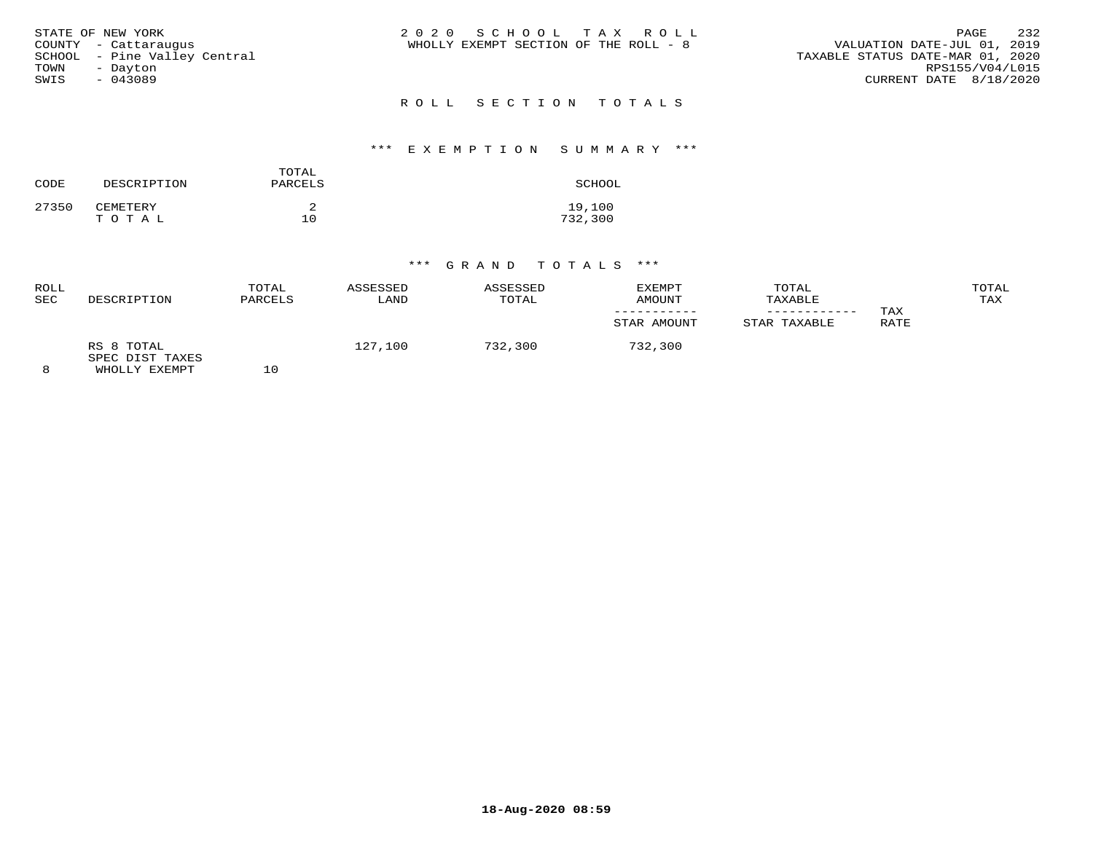|      | STATE OF NEW YORK            | 2020 SCHOOL TAX ROLL                  | PAGE                             | -232 |
|------|------------------------------|---------------------------------------|----------------------------------|------|
|      | COUNTY - Cattaraugus         | WHOLLY EXEMPT SECTION OF THE ROLL - 8 | VALUATION DATE-JUL 01, 2019      |      |
|      | SCHOOL - Pine Valley Central |                                       | TAXABLE STATUS DATE-MAR 01, 2020 |      |
| TOWN | - Davton                     |                                       | RPS155/V04/L015                  |      |
| SWIS | - 043089                     |                                       | CURRENT DATE 8/18/2020           |      |
|      |                              |                                       |                                  |      |

# R O L L S E C T I O N T O T A L S

## \*\*\* E X E M P T I O N S U M M A R Y \*\*\*

| CODE  | DESCRIPTION       | TOTAL<br>PARCELS | SCHOOL            |
|-------|-------------------|------------------|-------------------|
| 27350 | CEMETERY<br>TOTAL | 10               | 19,100<br>732,300 |

| ROLL<br><b>SEC</b> | DESCRIPTION                                    | TOTAL<br>PARCELS | ASSESSED<br>LAND | ASSESSED<br>TOTAL | <b>EXEMPT</b><br>AMOUNT<br>STAR AMOUNT | TOTAL<br>TAXABLE<br>STAR TAXABLE | TAX<br>RATE | TOTAL<br>TAX |
|--------------------|------------------------------------------------|------------------|------------------|-------------------|----------------------------------------|----------------------------------|-------------|--------------|
| 8                  | RS 8 TOTAL<br>SPEC DIST TAXES<br>WHOLLY EXEMPT | L O              | 127,100          | 732,300           | 732,300                                |                                  |             |              |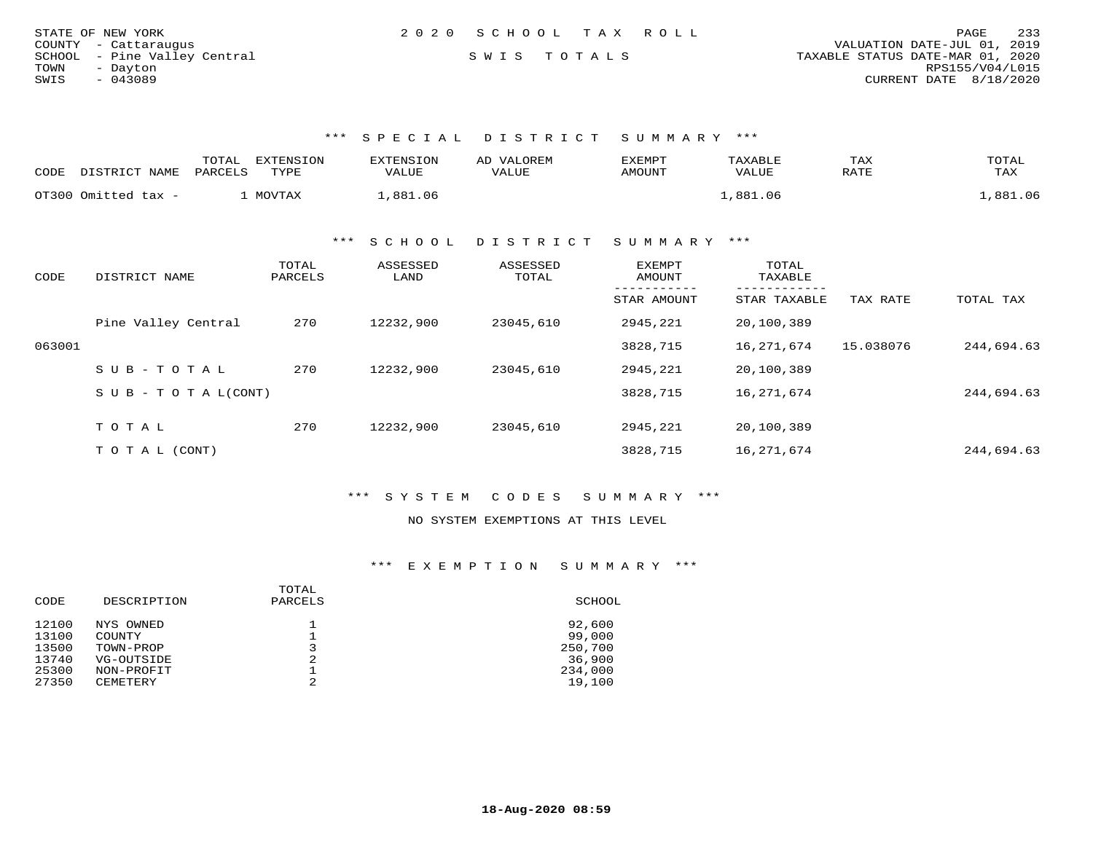| STATE OF NEW YORK            | 2020 SCHOOL TAX ROLL | 233<br>PAGE                      |
|------------------------------|----------------------|----------------------------------|
| COUNTY - Cattaraugus         |                      | VALUATION DATE-JUL 01, 2019      |
| SCHOOL - Pine Valley Central | SWIS TOTALS          | TAXABLE STATUS DATE-MAR 01, 2020 |
| TOWN<br>- Davton             |                      | RPS155/V04/L015                  |
| SWIS<br>- 043089             |                      | CURRENT DATE 8/18/2020           |

| CODE | DISTRICT NAME       | EXTENSION<br>TOTAL<br>PARCELS<br>TYPE | <b>EXTENSION</b><br>VALUE | VALOREM<br>AD<br>VALUE | EXEMPT<br>AMOUNT | TAXABLE<br>VALUE | TAX<br>RATE | TOTAL<br>TAX |
|------|---------------------|---------------------------------------|---------------------------|------------------------|------------------|------------------|-------------|--------------|
|      | OT300 Omitted tax - | MOVTAX                                | .881.06                   |                        |                  | ,881.06          |             | 881.06       |

\*\*\* S C H O O L D I S T R I C T S U M M A R Y \*\*\*

| CODE   | DISTRICT NAME                    | TOTAL<br>PARCELS | ASSESSED<br>LAND | ASSESSED<br>TOTAL | EXEMPT<br>AMOUNT | TOTAL<br>TAXABLE |           |            |
|--------|----------------------------------|------------------|------------------|-------------------|------------------|------------------|-----------|------------|
|        |                                  |                  |                  |                   | STAR AMOUNT      | STAR TAXABLE     | TAX RATE  | TOTAL TAX  |
|        | Pine Valley Central              | 270              | 12232,900        | 23045,610         | 2945,221         | 20,100,389       |           |            |
| 063001 |                                  |                  |                  |                   | 3828,715         | 16,271,674       | 15.038076 | 244,694.63 |
|        | SUB-TOTAL                        | 270              | 12232,900        | 23045,610         | 2945,221         | 20,100,389       |           |            |
|        | $S \cup B - T \cup T A L (CONT)$ |                  |                  |                   | 3828,715         | 16,271,674       |           | 244,694.63 |
|        | TOTAL                            | 270              | 12232,900        | 23045,610         | 2945,221         | 20,100,389       |           |            |
|        | T O T A L (CONT)                 |                  |                  |                   | 3828,715         | 16,271,674       |           | 244,694.63 |

\*\*\* S Y S T E M C O D E S S U M M A R Y \*\*\*

NO SYSTEM EXEMPTIONS AT THIS LEVEL

| DESCRIPTION | TOTAL<br>PARCELS | SCHOOL  |
|-------------|------------------|---------|
| NYS OWNED   |                  | 92,600  |
| COUNTY      |                  | 99,000  |
| TOWN-PROP   |                  | 250,700 |
| VG-OUTSIDE  | 2                | 36,900  |
| NON-PROFIT  |                  | 234,000 |
| CEMETERY    | 2                | 19,100  |
|             |                  |         |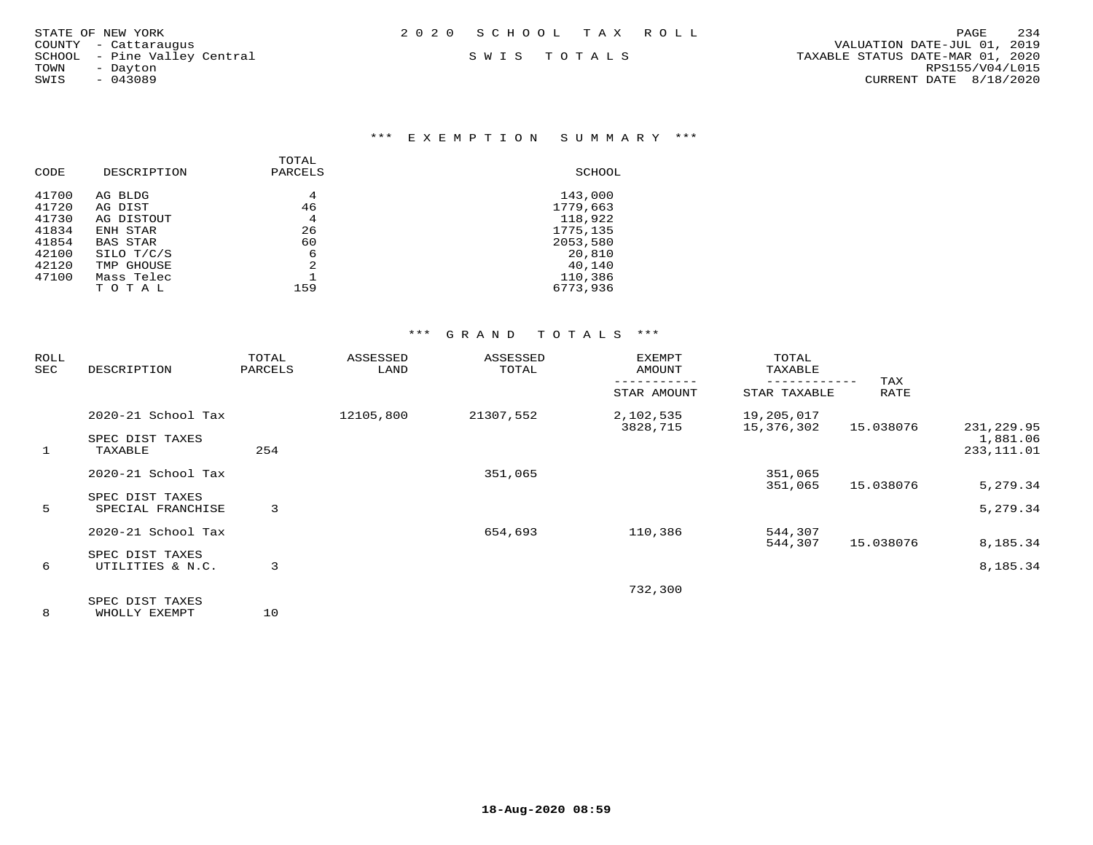## \*\*\* E X E M P T I O N S U M M A R Y \*\*\*

| CODE  | DESCRIPTION     | TOTAL<br>PARCELS | SCHOOL   |
|-------|-----------------|------------------|----------|
| 41700 | AG BLDG         | 4                | 143,000  |
| 41720 | AG DIST         | 46               | 1779,663 |
| 41730 | AG DISTOUT      | 4                | 118,922  |
| 41834 | ENH STAR        | 26               | 1775,135 |
| 41854 | <b>BAS STAR</b> | 60               | 2053,580 |
| 42100 | SILO T/C/S      | 6                | 20,810   |
| 42120 | TMP GHOUSE      | $\mathfrak{D}$   | 40,140   |
| 47100 | Mass Telec      |                  | 110,386  |
|       | TOTAL           | 159              | 6773,936 |
|       |                 |                  |          |

## \*\*\* G R A N D T O T A L S \*\*\*

| ROLL<br>SEC | DESCRIPTION                          | TOTAL<br>PARCELS | ASSESSED<br>LAND | ASSESSED<br>TOTAL | <b>EXEMPT</b><br>AMOUNT | TOTAL<br>TAXABLE         |             |                         |
|-------------|--------------------------------------|------------------|------------------|-------------------|-------------------------|--------------------------|-------------|-------------------------|
|             |                                      |                  |                  |                   | STAR AMOUNT             | STAR TAXABLE             | TAX<br>RATE |                         |
|             | 2020-21 School Tax                   |                  | 12105,800        | 21307,552         | 2,102,535<br>3828,715   | 19,205,017<br>15,376,302 | 15.038076   | 231, 229.95             |
| 1           | SPEC DIST TAXES<br>TAXABLE           | 254              |                  |                   |                         |                          |             | 1,881.06<br>233, 111.01 |
|             | 2020-21 School Tax                   |                  |                  | 351,065           |                         | 351,065                  |             |                         |
| 5           | SPEC DIST TAXES<br>SPECIAL FRANCHISE | 3                |                  |                   |                         | 351,065                  | 15.038076   | 5,279.34<br>5,279.34    |
|             | 2020-21 School Tax                   |                  |                  | 654,693           | 110,386                 | 544,307                  |             |                         |
| 6           | SPEC DIST TAXES<br>UTILITIES & N.C.  | 3                |                  |                   |                         | 544,307                  | 15.038076   | 8,185.34<br>8,185.34    |
|             | SPEC DIST TAXES                      |                  |                  |                   | 732,300                 |                          |             |                         |

8 WHOLLY EXEMPT 10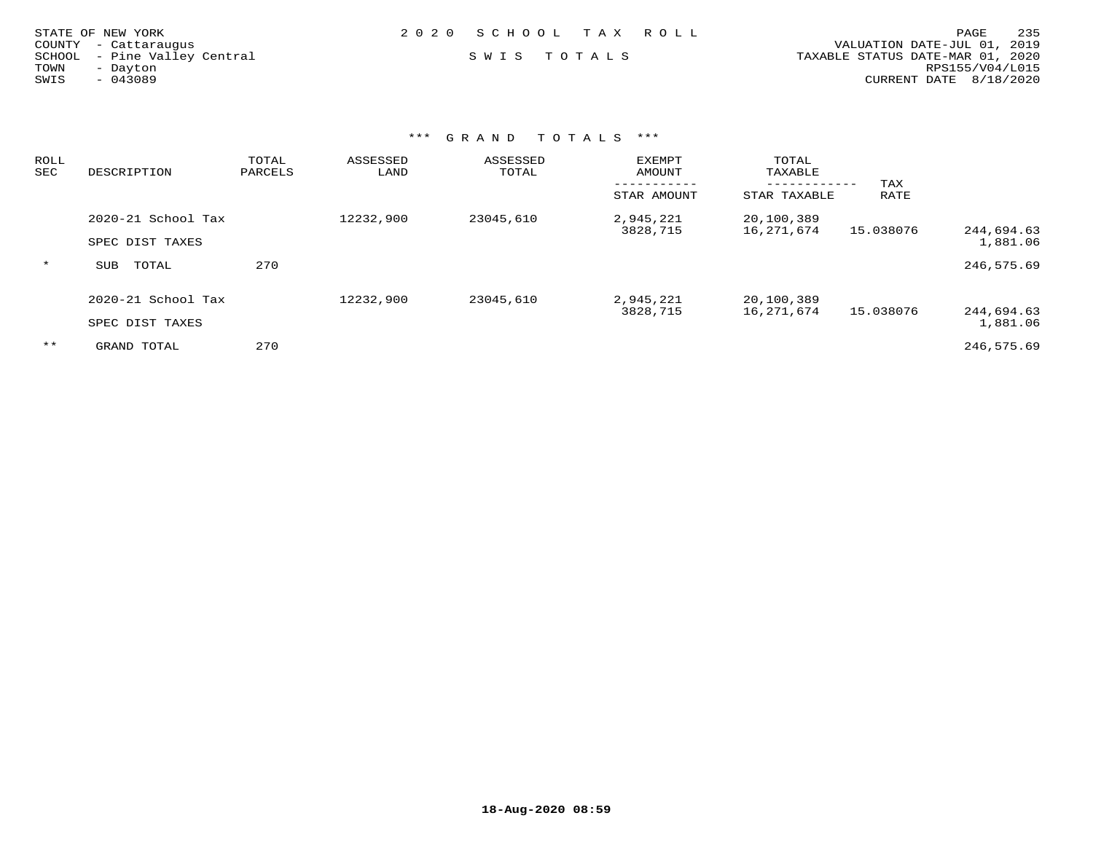|      | STATE OF NEW YORK            | 2020 SCHOOL TAX ROLL |  | 235<br>PAGE                      |
|------|------------------------------|----------------------|--|----------------------------------|
|      | COUNTY - Cattaraugus         |                      |  | VALUATION DATE-JUL 01, 2019      |
|      | SCHOOL - Pine Valley Central | SWIS TOTALS          |  | TAXABLE STATUS DATE-MAR 01, 2020 |
| TOWN | - Dayton                     |                      |  | RPS155/V04/L015                  |
| SWIS | $-043089$                    |                      |  | CURRENT DATE 8/18/2020           |
|      |                              |                      |  |                                  |
|      |                              |                      |  |                                  |

| ROLL<br>SEC | DESCRIPTION         | TOTAL<br>PARCELS | ASSESSED<br>LAND | ASSESSED<br>TOTAL | EXEMPT<br>AMOUNT      | TOTAL<br>TAXABLE                    |             |                        |
|-------------|---------------------|------------------|------------------|-------------------|-----------------------|-------------------------------------|-------------|------------------------|
|             |                     |                  |                  |                   | STAR AMOUNT           | . _ _ _ _ _ _ _ _ _<br>STAR TAXABLE | TAX<br>RATE |                        |
|             | 2020-21 School Tax  |                  | 12232,900        | 23045,610         | 2,945,221<br>3828,715 | 20,100,389<br>16,271,674            | 15.038076   | 244,694.63             |
|             | SPEC DIST TAXES     |                  |                  |                   |                       |                                     |             | 1,881.06               |
| $\star$     | TOTAL<br><b>SUB</b> | 270              |                  |                   |                       |                                     |             | 246,575.69             |
|             | 2020-21 School Tax  |                  | 12232,900        | 23045,610         | 2,945,221             | 20,100,389                          |             |                        |
|             | SPEC DIST TAXES     |                  |                  |                   | 3828,715              | 16,271,674                          | 15.038076   | 244,694.63<br>1,881.06 |
| $***$       | GRAND TOTAL         | 270              |                  |                   |                       |                                     |             | 246,575.69             |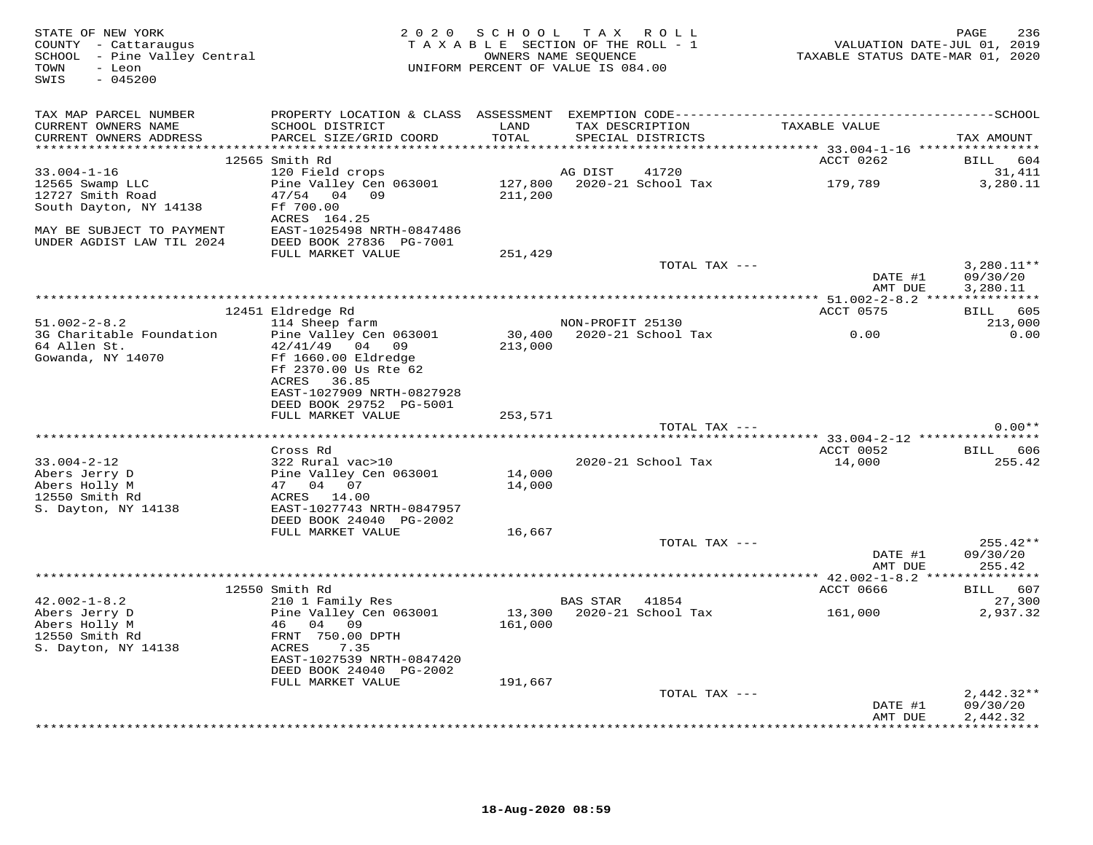| STATE OF NEW YORK<br>COUNTY - Cattaraugus<br>SCHOOL - Pine Valley Central<br>TOWN - Leon<br>$-045200$<br>SWIS |                                                      |         | 2020 SCHOOL TAX ROLL<br>TAXABLE SECTION OF THE ROLL - 1<br>OWNERS NAME SEQUENCE<br>UNIFORM PERCENT OF VALUE IS 084.00 | VALUATION DATE-JUL 01, 2019<br>TAXABLE STATUS DATE-MAR 01, 2020 | 236<br>PAGE          |
|---------------------------------------------------------------------------------------------------------------|------------------------------------------------------|---------|-----------------------------------------------------------------------------------------------------------------------|-----------------------------------------------------------------|----------------------|
| TAX MAP PARCEL NUMBER                                                                                         |                                                      |         |                                                                                                                       |                                                                 |                      |
| CURRENT OWNERS NAME                                                                                           | SCHOOL DISTRICT                                      | LAND    | TAX DESCRIPTION TAXABLE VALUE                                                                                         |                                                                 |                      |
| CURRENT OWNERS ADDRESS                                                                                        | PARCEL SIZE/GRID COORD                               | TOTAL   | SPECIAL DISTRICTS                                                                                                     |                                                                 | TAX AMOUNT           |
|                                                                                                               | 12565 Smith Rd                                       |         |                                                                                                                       | ACCT 0262                                                       | BILL 604             |
| $33.004 - 1 - 16$                                                                                             | 120 Field crops                                      | AG DIST | 41720                                                                                                                 |                                                                 | 31,411               |
| 12565 Swamp LLC                                                                                               | Pine Valley Cen 063001                               |         | 127,800 2020-21 School Tax 179,789                                                                                    |                                                                 | 3,280.11             |
| 12727 Smith Road                                                                                              | 47/54 04 09                                          | 211,200 |                                                                                                                       |                                                                 |                      |
| South Dayton, NY 14138                                                                                        | Ff 700.00                                            |         |                                                                                                                       |                                                                 |                      |
|                                                                                                               | ACRES 164.25                                         |         |                                                                                                                       |                                                                 |                      |
| MAY BE SUBJECT TO PAYMENT<br>UNDER AGDIST LAW TIL 2024                                                        | EAST-1025498 NRTH-0847486<br>DEED BOOK 27836 PG-7001 |         |                                                                                                                       |                                                                 |                      |
|                                                                                                               | FULL MARKET VALUE                                    | 251,429 |                                                                                                                       |                                                                 |                      |
|                                                                                                               |                                                      |         | TOTAL TAX ---                                                                                                         |                                                                 | $3,280.11**$         |
|                                                                                                               |                                                      |         |                                                                                                                       | DATE #1<br>AMT DUE                                              | 09/30/20<br>3,280.11 |
|                                                                                                               |                                                      |         |                                                                                                                       |                                                                 |                      |
|                                                                                                               | 12451 Eldredge Rd                                    |         |                                                                                                                       | ACCT 0575                                                       | BILL 605             |
| $51.002 - 2 - 8.2$                                                                                            | 114 Sheep farm                                       |         | NON-PROFIT 25130                                                                                                      |                                                                 | 213,000              |
| 3G Charitable Foundation                                                                                      | Pine Valley Cen 063001                               |         | 30,400 2020-21 School Tax                                                                                             | 0.00                                                            | 0.00                 |
| 64 Allen St.                                                                                                  | 42/41/49 04 09                                       | 213,000 |                                                                                                                       |                                                                 |                      |
| Gowanda, NY 14070                                                                                             | Ff 1660.00 Eldredge<br>Ff 2370.00 Us Rte 62          |         |                                                                                                                       |                                                                 |                      |
|                                                                                                               | ACRES 36.85                                          |         |                                                                                                                       |                                                                 |                      |
|                                                                                                               | EAST-1027909 NRTH-0827928                            |         |                                                                                                                       |                                                                 |                      |
|                                                                                                               | DEED BOOK 29752 PG-5001                              |         |                                                                                                                       |                                                                 |                      |
|                                                                                                               | FULL MARKET VALUE                                    | 253,571 |                                                                                                                       |                                                                 |                      |
|                                                                                                               |                                                      |         | TOTAL TAX ---                                                                                                         |                                                                 | $0.00**$             |
|                                                                                                               |                                                      |         |                                                                                                                       |                                                                 |                      |
| $33.004 - 2 - 12$                                                                                             | Cross Rd<br>322 Rural vac>10                         |         | 2020-21 School Tax                                                                                                    | ACCT 0052<br>14,000                                             | BILL 606<br>255.42   |
| Abers Jerry D                                                                                                 | Pine Valley Cen 063001<br>47   04   07               | 14,000  |                                                                                                                       |                                                                 |                      |
| Abers Holly M                                                                                                 |                                                      | 14,000  |                                                                                                                       |                                                                 |                      |
| 12550 Smith Rd                                                                                                | ACRES 14.00                                          |         |                                                                                                                       |                                                                 |                      |
| S. Dayton, NY 14138                                                                                           | EAST-1027743 NRTH-0847957                            |         |                                                                                                                       |                                                                 |                      |
|                                                                                                               | DEED BOOK 24040 PG-2002                              |         |                                                                                                                       |                                                                 |                      |
|                                                                                                               | FULL MARKET VALUE                                    | 16,667  | TOTAL TAX ---                                                                                                         |                                                                 | $255.42**$           |
|                                                                                                               |                                                      |         |                                                                                                                       | DATE #1                                                         | 09/30/20             |
|                                                                                                               |                                                      |         |                                                                                                                       | AMT DUE                                                         | 255.42               |
|                                                                                                               |                                                      |         |                                                                                                                       |                                                                 |                      |
|                                                                                                               | 12550 Smith Rd                                       |         |                                                                                                                       | ACCT 0666                                                       | BILL 607             |
| $42.002 - 1 - 8.2$                                                                                            | 210 1 Family Res                                     |         | BAS STAR 41854                                                                                                        |                                                                 | 27,300               |
| 42.002-1-0.2<br>Abers Jerry D<br>Abers Holly M<br>12550 Smith Rd                                              | Pine Valley Cen 063001                               |         | 13,300 2020-21 School Tax 161,000                                                                                     |                                                                 | 2,937.32             |
|                                                                                                               | 46 04 09                                             | 161,000 |                                                                                                                       |                                                                 |                      |
| 12550 Smith Rd<br>S. Dayton, NY 14138                                                                         | FRNT 750.00 DPTH<br>ACRES<br>7.35                    |         |                                                                                                                       |                                                                 |                      |
|                                                                                                               | EAST-1027539 NRTH-0847420                            |         |                                                                                                                       |                                                                 |                      |
|                                                                                                               | DEED BOOK 24040 PG-2002                              |         |                                                                                                                       |                                                                 |                      |
|                                                                                                               | FULL MARKET VALUE                                    | 191,667 |                                                                                                                       |                                                                 |                      |
|                                                                                                               |                                                      |         | TOTAL TAX ---                                                                                                         |                                                                 | $2,442.32**$         |
|                                                                                                               |                                                      |         |                                                                                                                       | DATE #1                                                         | 09/30/20             |
|                                                                                                               |                                                      |         |                                                                                                                       | AMT DUE                                                         | 2,442.32             |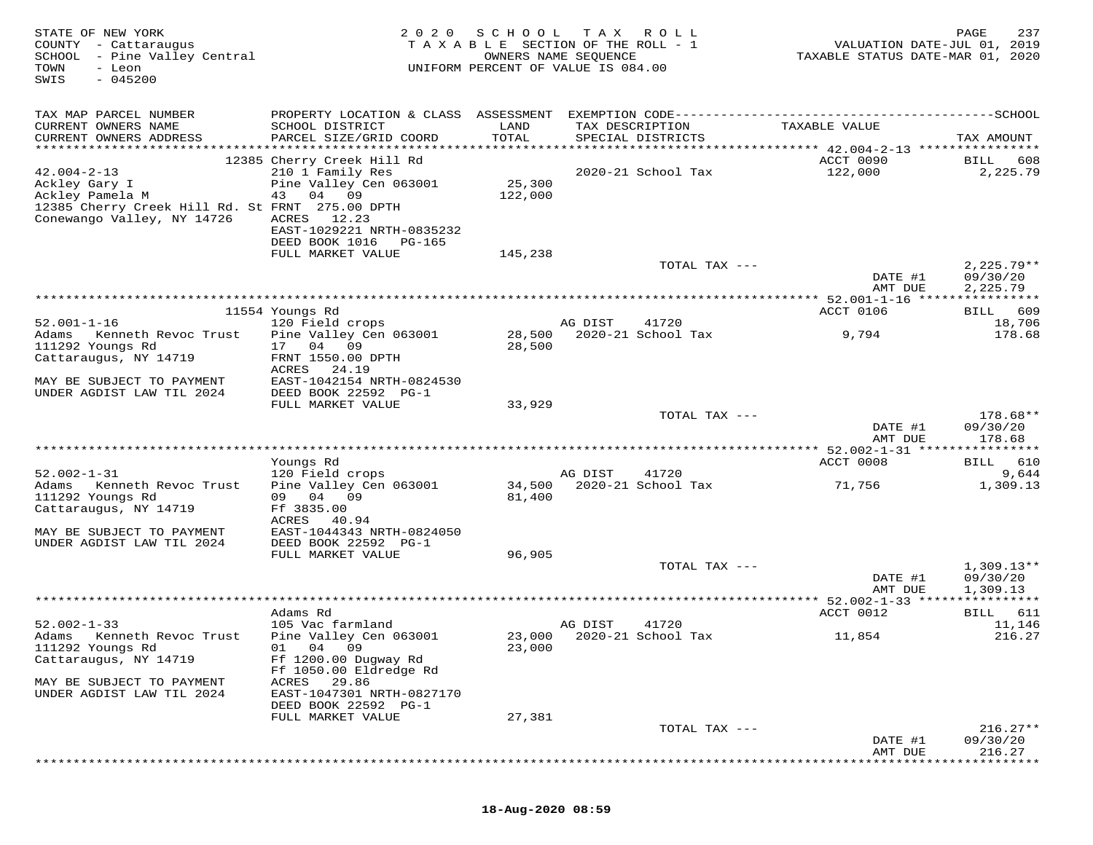| STATE OF NEW YORK<br>COUNTY - Cattaraugus<br>SCHOOL - Pine Valley Central<br>- Leon<br>TOWN<br>$-045200$<br>SWIS                       | 2 0 2 0                                                                                                                             | S C H O O L<br>TAXABLE SECTION OF THE ROLL - 1<br>OWNERS NAME SEQUENCE<br>UNIFORM PERCENT OF VALUE IS 084.00 | T A X           | <b>ROLL</b>                        | VALUATION DATE-JUL 01, 2019<br>TAXABLE STATUS DATE-MAR 01, 2020 | PAGE<br>237              |
|----------------------------------------------------------------------------------------------------------------------------------------|-------------------------------------------------------------------------------------------------------------------------------------|--------------------------------------------------------------------------------------------------------------|-----------------|------------------------------------|-----------------------------------------------------------------|--------------------------|
| TAX MAP PARCEL NUMBER<br>CURRENT OWNERS NAME<br>CURRENT OWNERS ADDRESS                                                                 | SCHOOL DISTRICT<br>PARCEL SIZE/GRID COORD                                                                                           | LAND<br>TOTAL                                                                                                | TAX DESCRIPTION | SPECIAL DISTRICTS                  | TAXABLE VALUE                                                   | TAX AMOUNT               |
|                                                                                                                                        |                                                                                                                                     |                                                                                                              |                 |                                    |                                                                 |                          |
| $42.004 - 2 - 13$<br>Ackley Gary I<br>Ackley Pamela M<br>12385 Cherry Creek Hill Rd. St FRNT 275.00 DPTH<br>Conewango Valley, NY 14726 | 12385 Cherry Creek Hill Rd<br>210 1 Family Res<br>Pine Valley Cen 063001<br>43 04 09<br>ACRES<br>12.23<br>EAST-1029221 NRTH-0835232 | 25,300<br>122,000                                                                                            |                 | 2020-21 School Tax                 | ACCT 0090<br>122,000                                            | 608<br>BILL<br>2,225.79  |
|                                                                                                                                        | DEED BOOK 1016<br>PG-165                                                                                                            |                                                                                                              |                 |                                    |                                                                 |                          |
|                                                                                                                                        | FULL MARKET VALUE                                                                                                                   | 145,238                                                                                                      |                 |                                    |                                                                 |                          |
|                                                                                                                                        |                                                                                                                                     |                                                                                                              |                 | TOTAL TAX ---                      | DATE #1                                                         | $2,225.79**$<br>09/30/20 |
|                                                                                                                                        |                                                                                                                                     |                                                                                                              |                 |                                    | AMT DUE                                                         | 2,225.79                 |
|                                                                                                                                        |                                                                                                                                     |                                                                                                              |                 |                                    |                                                                 |                          |
|                                                                                                                                        | 11554 Youngs Rd                                                                                                                     |                                                                                                              |                 |                                    | ACCT 0106                                                       | 609<br>BILL              |
| $52.001 - 1 - 16$<br>Adams<br>Kenneth Revoc Trust                                                                                      | 120 Field crops<br>Pine Valley Cen 063001                                                                                           | 28,500                                                                                                       | AG DIST         | 41720<br>2020-21 School Tax        | 9,794                                                           | 18,706<br>178.68         |
| 111292 Youngs Rd                                                                                                                       | 17 04 09                                                                                                                            | 28,500                                                                                                       |                 |                                    |                                                                 |                          |
| Cattaraugus, NY 14719                                                                                                                  | FRNT 1550.00 DPTH                                                                                                                   |                                                                                                              |                 |                                    |                                                                 |                          |
| MAY BE SUBJECT TO PAYMENT                                                                                                              | ACRES<br>24.19<br>EAST-1042154 NRTH-0824530                                                                                         |                                                                                                              |                 |                                    |                                                                 |                          |
| UNDER AGDIST LAW TIL 2024                                                                                                              | DEED BOOK 22592 PG-1                                                                                                                |                                                                                                              |                 |                                    |                                                                 |                          |
|                                                                                                                                        | FULL MARKET VALUE                                                                                                                   | 33,929                                                                                                       |                 |                                    |                                                                 |                          |
|                                                                                                                                        |                                                                                                                                     |                                                                                                              |                 | TOTAL TAX ---                      | DATE #1                                                         | 178.68**<br>09/30/20     |
|                                                                                                                                        |                                                                                                                                     |                                                                                                              |                 |                                    | AMT DUE                                                         | 178.68                   |
|                                                                                                                                        |                                                                                                                                     |                                                                                                              |                 |                                    |                                                                 |                          |
|                                                                                                                                        | Youngs Rd                                                                                                                           |                                                                                                              |                 |                                    | ACCT 0008                                                       | BILL 610                 |
| $52.002 - 1 - 31$<br>Adams<br>Kenneth Revoc Trust                                                                                      | 120 Field crops<br>Pine Valley Cen 063001                                                                                           | 34,500                                                                                                       | AG DIST         | 41720<br>2020-21 School Tax        | 71,756                                                          | 9,644<br>1,309.13        |
| 111292 Youngs Rd                                                                                                                       | 09 04 09                                                                                                                            | 81,400                                                                                                       |                 |                                    |                                                                 |                          |
| Cattaraugus, NY 14719                                                                                                                  | Ff 3835.00                                                                                                                          |                                                                                                              |                 |                                    |                                                                 |                          |
| MAY BE SUBJECT TO PAYMENT                                                                                                              | 40.94<br>ACRES<br>EAST-1044343 NRTH-0824050                                                                                         |                                                                                                              |                 |                                    |                                                                 |                          |
| UNDER AGDIST LAW TIL 2024                                                                                                              | DEED BOOK 22592 PG-1                                                                                                                |                                                                                                              |                 |                                    |                                                                 |                          |
|                                                                                                                                        | FULL MARKET VALUE                                                                                                                   | 96,905                                                                                                       |                 |                                    |                                                                 |                          |
|                                                                                                                                        |                                                                                                                                     |                                                                                                              |                 | TOTAL TAX ---                      |                                                                 | $1,309.13**$             |
|                                                                                                                                        |                                                                                                                                     |                                                                                                              |                 |                                    | DATE #1<br>AMT DUE                                              | 09/30/20<br>1,309.13     |
|                                                                                                                                        |                                                                                                                                     |                                                                                                              |                 |                                    |                                                                 |                          |
|                                                                                                                                        | Adams Rd                                                                                                                            |                                                                                                              |                 |                                    | ACCT 0012                                                       | BILL 611                 |
| $52.002 - 1 - 33$<br>Adams Kenneth Revoc Trust                                                                                         | 105 Vac farmland<br>Pine Valley Cen 063001                                                                                          |                                                                                                              | AG DIST         | 41720<br>23,000 2020-21 School Tax | 11,854                                                          | 11,146<br>216.27         |
| 111292 Youngs Rd                                                                                                                       | 01<br>04 09                                                                                                                         | 23,000                                                                                                       |                 |                                    |                                                                 |                          |
| Cattaraugus, NY 14719                                                                                                                  | Ff 1200.00 Dugway Rd                                                                                                                |                                                                                                              |                 |                                    |                                                                 |                          |
|                                                                                                                                        | Ff 1050.00 Eldredge Rd                                                                                                              |                                                                                                              |                 |                                    |                                                                 |                          |
| MAY BE SUBJECT TO PAYMENT<br>UNDER AGDIST LAW TIL 2024                                                                                 | 29.86<br>ACRES<br>EAST-1047301 NRTH-0827170                                                                                         |                                                                                                              |                 |                                    |                                                                 |                          |
|                                                                                                                                        | DEED BOOK 22592 PG-1                                                                                                                |                                                                                                              |                 |                                    |                                                                 |                          |
|                                                                                                                                        | FULL MARKET VALUE                                                                                                                   | 27,381                                                                                                       |                 |                                    |                                                                 |                          |
|                                                                                                                                        |                                                                                                                                     |                                                                                                              |                 | TOTAL TAX ---                      | DATE #1                                                         | $216.27**$<br>09/30/20   |
|                                                                                                                                        |                                                                                                                                     |                                                                                                              |                 |                                    | AMT DUE                                                         | 216.27                   |
|                                                                                                                                        |                                                                                                                                     |                                                                                                              |                 |                                    |                                                                 |                          |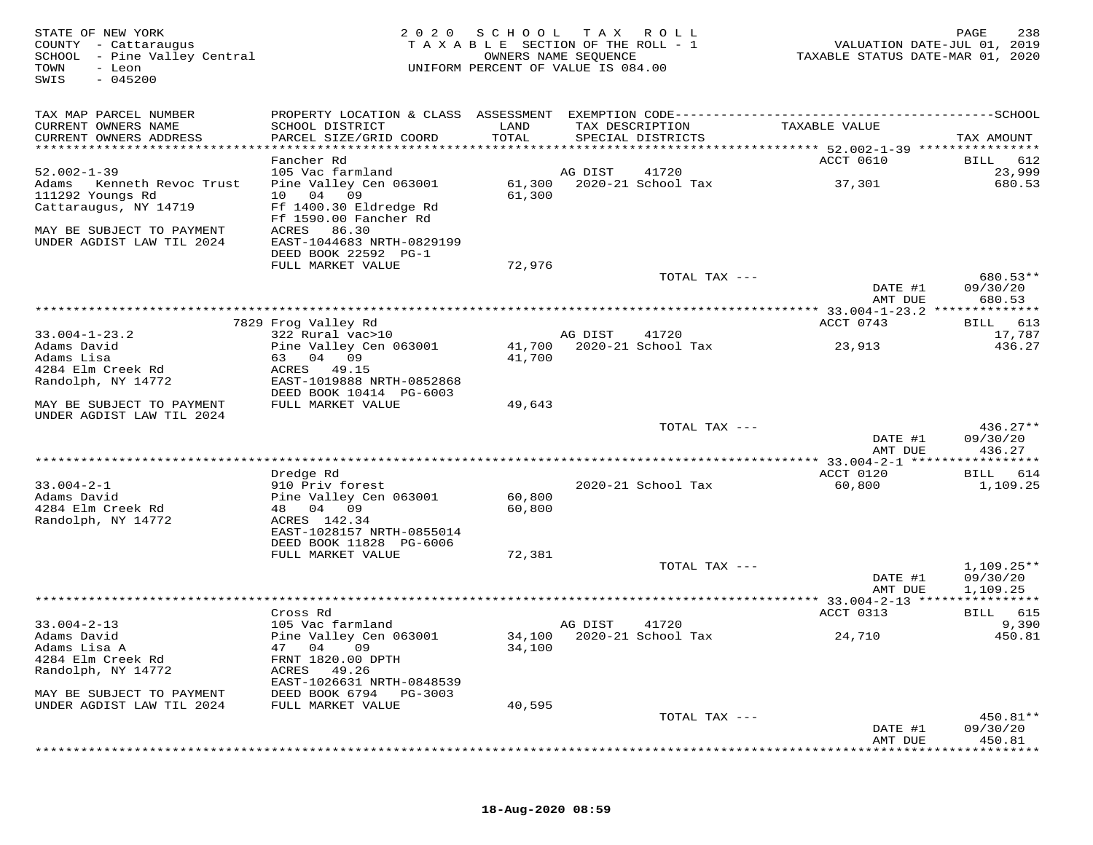| STATE OF NEW YORK<br>COUNTY - Cattaraugus<br>SCHOOL - Pine Valley Central<br>TOWN<br>- Leon<br>$-045200$<br>SWIS | 2 0 2 0                                                             | S C H O O L<br>TAXABLE SECTION OF THE ROLL - 1<br>UNIFORM PERCENT OF VALUE IS 084.00 | T A X<br>OWNERS NAME SEQUENCE | ROLL                                 | TAXABLE STATUS DATE-MAR 01, 2020                   | PAGE<br>238<br>VALUATION DATE-JUL 01, 2019 |
|------------------------------------------------------------------------------------------------------------------|---------------------------------------------------------------------|--------------------------------------------------------------------------------------|-------------------------------|--------------------------------------|----------------------------------------------------|--------------------------------------------|
| TAX MAP PARCEL NUMBER                                                                                            |                                                                     |                                                                                      |                               |                                      |                                                    |                                            |
| CURRENT OWNERS NAME<br>CURRENT OWNERS ADDRESS                                                                    | SCHOOL DISTRICT<br>PARCEL SIZE/GRID COORD                           | LAND<br>TOTAL                                                                        |                               | TAX DESCRIPTION<br>SPECIAL DISTRICTS | TAXABLE VALUE                                      | TAX AMOUNT                                 |
| **********************                                                                                           |                                                                     |                                                                                      |                               |                                      |                                                    |                                            |
| $52.002 - 1 - 39$                                                                                                | Fancher Rd<br>105 Vac farmland                                      |                                                                                      | AG DIST                       | 41720                                | ACCT 0610                                          | 612<br>BILL<br>23,999                      |
| Adams<br>Kenneth Revoc Trust<br>111292 Youngs Rd                                                                 | Pine Valley Cen 063001<br>04<br>10<br>09                            | 61,300<br>61,300                                                                     |                               | 2020-21 School Tax                   | 37,301                                             | 680.53                                     |
| Cattaraugus, NY 14719                                                                                            | Ff 1400.30 Eldredge Rd<br>Ff 1590.00 Fancher Rd                     |                                                                                      |                               |                                      |                                                    |                                            |
| MAY BE SUBJECT TO PAYMENT<br>UNDER AGDIST LAW TIL 2024                                                           | 86.30<br>ACRES<br>EAST-1044683 NRTH-0829199<br>DEED BOOK 22592 PG-1 |                                                                                      |                               |                                      |                                                    |                                            |
|                                                                                                                  | FULL MARKET VALUE                                                   | 72,976                                                                               |                               |                                      |                                                    |                                            |
|                                                                                                                  |                                                                     |                                                                                      |                               | TOTAL TAX ---                        | DATE #1                                            | 680.53**<br>09/30/20                       |
|                                                                                                                  |                                                                     |                                                                                      | ***********************       |                                      | AMT DUE<br>$*******33.004-1-23.2*****************$ | 680.53                                     |
|                                                                                                                  | 7829 Frog Valley Rd                                                 |                                                                                      |                               |                                      | ACCT 0743                                          | 613<br>BILL                                |
| $33.004 - 1 - 23.2$                                                                                              | 322 Rural vac>10                                                    |                                                                                      | AG DIST                       | 41720                                |                                                    | 17,787                                     |
| Adams David                                                                                                      | Pine Valley Cen 063001                                              | 41,700                                                                               |                               | 2020-21 School Tax                   | 23,913                                             | 436.27                                     |
| Adams Lisa                                                                                                       | 63<br>04 09                                                         | 41,700                                                                               |                               |                                      |                                                    |                                            |
| 4284 Elm Creek Rd<br>Randolph, NY 14772                                                                          | ACRES<br>49.15<br>EAST-1019888 NRTH-0852868                         |                                                                                      |                               |                                      |                                                    |                                            |
|                                                                                                                  | DEED BOOK 10414 PG-6003                                             |                                                                                      |                               |                                      |                                                    |                                            |
| MAY BE SUBJECT TO PAYMENT<br>UNDER AGDIST LAW TIL 2024                                                           | FULL MARKET VALUE                                                   | 49,643                                                                               |                               |                                      |                                                    |                                            |
|                                                                                                                  |                                                                     |                                                                                      |                               | TOTAL TAX ---                        |                                                    | 436.27**                                   |
|                                                                                                                  |                                                                     |                                                                                      |                               |                                      | DATE #1                                            | 09/30/20                                   |
|                                                                                                                  |                                                                     | ****************************                                                         |                               |                                      | AMT DUE<br>******* 33.004-2-1 *****************    | 436.27                                     |
|                                                                                                                  | Dredge Rd                                                           |                                                                                      |                               |                                      | ACCT 0120                                          | 614<br>BILL                                |
| $33.004 - 2 - 1$                                                                                                 | 910 Priv forest                                                     |                                                                                      |                               | 2020-21 School Tax                   | 60,800                                             | 1,109.25                                   |
| Adams David                                                                                                      | Pine Valley Cen 063001                                              | 60,800                                                                               |                               |                                      |                                                    |                                            |
| 4284 Elm Creek Rd                                                                                                | 04<br>09<br>48                                                      | 60,800                                                                               |                               |                                      |                                                    |                                            |
| Randolph, NY 14772                                                                                               | ACRES 142.34<br>EAST-1028157 NRTH-0855014                           |                                                                                      |                               |                                      |                                                    |                                            |
|                                                                                                                  | DEED BOOK 11828 PG-6006                                             |                                                                                      |                               |                                      |                                                    |                                            |
|                                                                                                                  | FULL MARKET VALUE                                                   | 72,381                                                                               |                               |                                      |                                                    |                                            |
|                                                                                                                  |                                                                     |                                                                                      |                               | TOTAL TAX ---                        |                                                    | $1,109.25**$                               |
|                                                                                                                  |                                                                     |                                                                                      |                               |                                      | DATE #1<br>AMT DUE                                 | 09/30/20<br>1,109.25                       |
|                                                                                                                  | * * * * * * * * * * * * * * * * *                                   |                                                                                      | ********************          |                                      | *********** 33.004-2-13 *****                      | *********                                  |
|                                                                                                                  | Cross Rd                                                            |                                                                                      |                               |                                      | ACCT 0313                                          | BILL 615                                   |
| $33.004 - 2 - 13$                                                                                                | 105 Vac farmland                                                    |                                                                                      | AG DIST                       | 41720                                |                                                    | 9,390                                      |
| Adams David                                                                                                      | Pine Valley Cen 063001                                              |                                                                                      |                               | 34,100 2020-21 School Tax            | 24,710                                             | 450.81                                     |
| Adams Lisa A<br>4284 Elm Creek Rd                                                                                | 47 04 09<br>FRNT 1820.00 DPTH                                       | 34,100                                                                               |                               |                                      |                                                    |                                            |
| Randolph, NY 14772                                                                                               | ACRES<br>49.26                                                      |                                                                                      |                               |                                      |                                                    |                                            |
|                                                                                                                  | EAST-1026631 NRTH-0848539                                           |                                                                                      |                               |                                      |                                                    |                                            |
| MAY BE SUBJECT TO PAYMENT                                                                                        | DEED BOOK 6794<br>PG-3003                                           |                                                                                      |                               |                                      |                                                    |                                            |
| UNDER AGDIST LAW TIL 2024                                                                                        | FULL MARKET VALUE                                                   | 40,595                                                                               |                               | TOTAL TAX ---                        |                                                    | 450.81**                                   |
|                                                                                                                  |                                                                     |                                                                                      |                               |                                      | DATE #1                                            | 09/30/20                                   |
|                                                                                                                  |                                                                     |                                                                                      |                               |                                      | AMT DUE                                            | 450.81                                     |

\*\*\*\*\*\*\*\*\*\*\*\*\*\*\*\*\*\*\*\*\*\*\*\*\*\*\*\*\*\*\*\*\*\*\*\*\*\*\*\*\*\*\*\*\*\*\*\*\*\*\*\*\*\*\*\*\*\*\*\*\*\*\*\*\*\*\*\*\*\*\*\*\*\*\*\*\*\*\*\*\*\*\*\*\*\*\*\*\*\*\*\*\*\*\*\*\*\*\*\*\*\*\*\*\*\*\*\*\*\*\*\*\*\*\*\*\*\*\*\*\*\*\*\*\*\*\*\*\*\*\*\*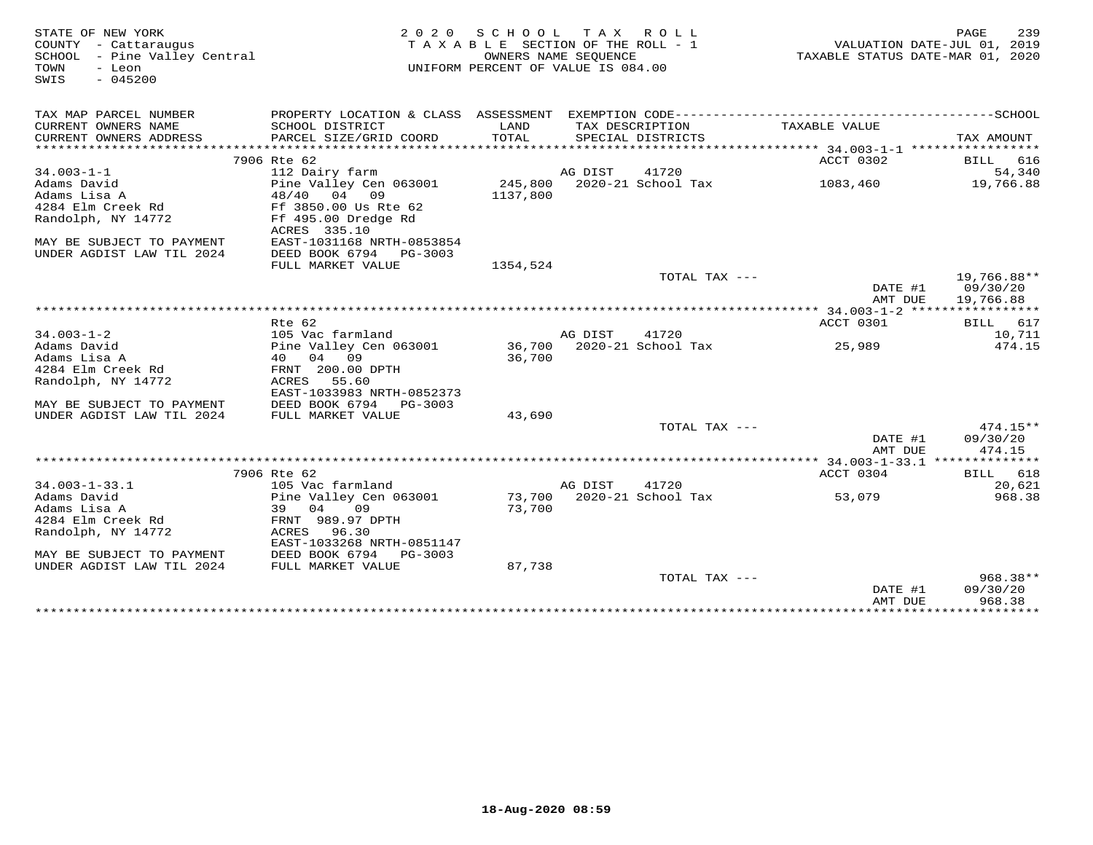| STATE OF NEW YORK<br>COUNTY - Cattaraugus<br>SCHOOL - Pine Valley Central | 2 0 2 0                                                | SCHOOL<br>TAXABLE SECTION OF THE ROLL - 1<br>OWNERS NAME SEQUENCE |         | TAX ROLL                             | TAXABLE STATUS DATE-MAR 01, 2020 | 239<br>PAGE<br>VALUATION DATE-JUL 01, 2019 |
|---------------------------------------------------------------------------|--------------------------------------------------------|-------------------------------------------------------------------|---------|--------------------------------------|----------------------------------|--------------------------------------------|
| TOWN<br>- Leon<br>$-045200$<br>SWIS                                       |                                                        | UNIFORM PERCENT OF VALUE IS 084.00                                |         |                                      |                                  |                                            |
| TAX MAP PARCEL NUMBER                                                     |                                                        |                                                                   |         |                                      |                                  |                                            |
| CURRENT OWNERS NAME<br>CURRENT OWNERS ADDRESS                             | SCHOOL DISTRICT<br>PARCEL SIZE/GRID COORD              | LAND<br>TOTAL                                                     |         | TAX DESCRIPTION<br>SPECIAL DISTRICTS | TAXABLE VALUE                    | TAX AMOUNT                                 |
|                                                                           |                                                        |                                                                   |         |                                      |                                  |                                            |
|                                                                           | 7906 Rte 62                                            |                                                                   |         |                                      | ACCT 0302                        | BILL 616                                   |
| $34.003 - 1 - 1$                                                          | 112 Dairy farm                                         |                                                                   | AG DIST | 41720                                |                                  | 54,340                                     |
| Adams David                                                               | Pine Valley Cen 063001                                 | 245,800                                                           |         | 2020-21 School Tax                   | 1083,460                         | 19,766.88                                  |
| Adams Lisa A                                                              | 48/40 04 09                                            | 1137,800                                                          |         |                                      |                                  |                                            |
| 4284 Elm Creek Rd                                                         | Ff 3850.00 Us Rte 62                                   |                                                                   |         |                                      |                                  |                                            |
| Randolph, NY 14772                                                        | Ff 495.00 Dredge Rd                                    |                                                                   |         |                                      |                                  |                                            |
|                                                                           | ACRES 335.10                                           |                                                                   |         |                                      |                                  |                                            |
| MAY BE SUBJECT TO PAYMENT<br>UNDER AGDIST LAW TIL 2024                    | EAST-1031168 NRTH-0853854<br>DEED BOOK 6794<br>PG-3003 |                                                                   |         |                                      |                                  |                                            |
|                                                                           | FULL MARKET VALUE                                      | 1354,524                                                          |         |                                      |                                  |                                            |
|                                                                           |                                                        |                                                                   |         | TOTAL TAX ---                        |                                  | 19,766.88**                                |
|                                                                           |                                                        |                                                                   |         |                                      | DATE #1                          | 09/30/20                                   |
|                                                                           |                                                        |                                                                   |         |                                      | AMT DUE                          | 19,766.88                                  |
|                                                                           |                                                        |                                                                   |         |                                      |                                  |                                            |
|                                                                           | Rte 62                                                 |                                                                   |         |                                      | ACCT 0301                        | BILL 617                                   |
| $34.003 - 1 - 2$                                                          | 105 Vac farmland                                       |                                                                   | AG DIST | 41720                                |                                  | 10,711                                     |
| Adams David<br>Adams Lisa A                                               | Pine Valley Cen 063001                                 |                                                                   |         | 36,700 2020-21 School Tax            | 25,989                           | 474.15                                     |
| 4284 Elm Creek Rd                                                         | 40 04 09<br>FRNT 200.00 DPTH                           | 36,700                                                            |         |                                      |                                  |                                            |
| Randolph, NY 14772                                                        | ACRES<br>55.60                                         |                                                                   |         |                                      |                                  |                                            |
|                                                                           | EAST-1033983 NRTH-0852373                              |                                                                   |         |                                      |                                  |                                            |
| MAY BE SUBJECT TO PAYMENT                                                 | DEED BOOK 6794 PG-3003                                 |                                                                   |         |                                      |                                  |                                            |
| UNDER AGDIST LAW TIL 2024                                                 | FULL MARKET VALUE                                      | 43,690                                                            |         |                                      |                                  |                                            |
|                                                                           |                                                        |                                                                   |         | TOTAL TAX ---                        |                                  | $474.15**$                                 |
|                                                                           |                                                        |                                                                   |         |                                      | DATE #1                          | 09/30/20                                   |
|                                                                           |                                                        |                                                                   |         |                                      | AMT DUE                          | 474.15                                     |
|                                                                           | 7906 Rte 62                                            |                                                                   |         |                                      | ACCT 0304                        | BILL 618                                   |
| $34.003 - 1 - 33.1$                                                       | 105 Vac farmland                                       |                                                                   | AG DIST | 41720                                |                                  | 20,621                                     |
| Adams David                                                               | Pine Valley Cen 063001                                 |                                                                   |         | 73,700 2020-21 School Tax            | 53,079                           | 968.38                                     |
| Adams Lisa A                                                              | 39<br>04<br>09                                         | 73,700                                                            |         |                                      |                                  |                                            |
| 4284 Elm Creek Rd                                                         | FRNT 989.97 DPTH                                       |                                                                   |         |                                      |                                  |                                            |
| Randolph, NY 14772                                                        | ACRES<br>96.30                                         |                                                                   |         |                                      |                                  |                                            |
|                                                                           | EAST-1033268 NRTH-0851147                              |                                                                   |         |                                      |                                  |                                            |
| MAY BE SUBJECT TO PAYMENT                                                 | DEED BOOK 6794<br>PG-3003                              |                                                                   |         |                                      |                                  |                                            |
| UNDER AGDIST LAW TIL 2024                                                 | FULL MARKET VALUE                                      | 87,738                                                            |         |                                      |                                  |                                            |
|                                                                           |                                                        |                                                                   |         | TOTAL TAX ---                        | DATE #1                          | 968.38**<br>09/30/20                       |
|                                                                           |                                                        |                                                                   |         |                                      | AMT DUE                          | 968.38                                     |
|                                                                           |                                                        |                                                                   |         | **********************************   | *****************************    |                                            |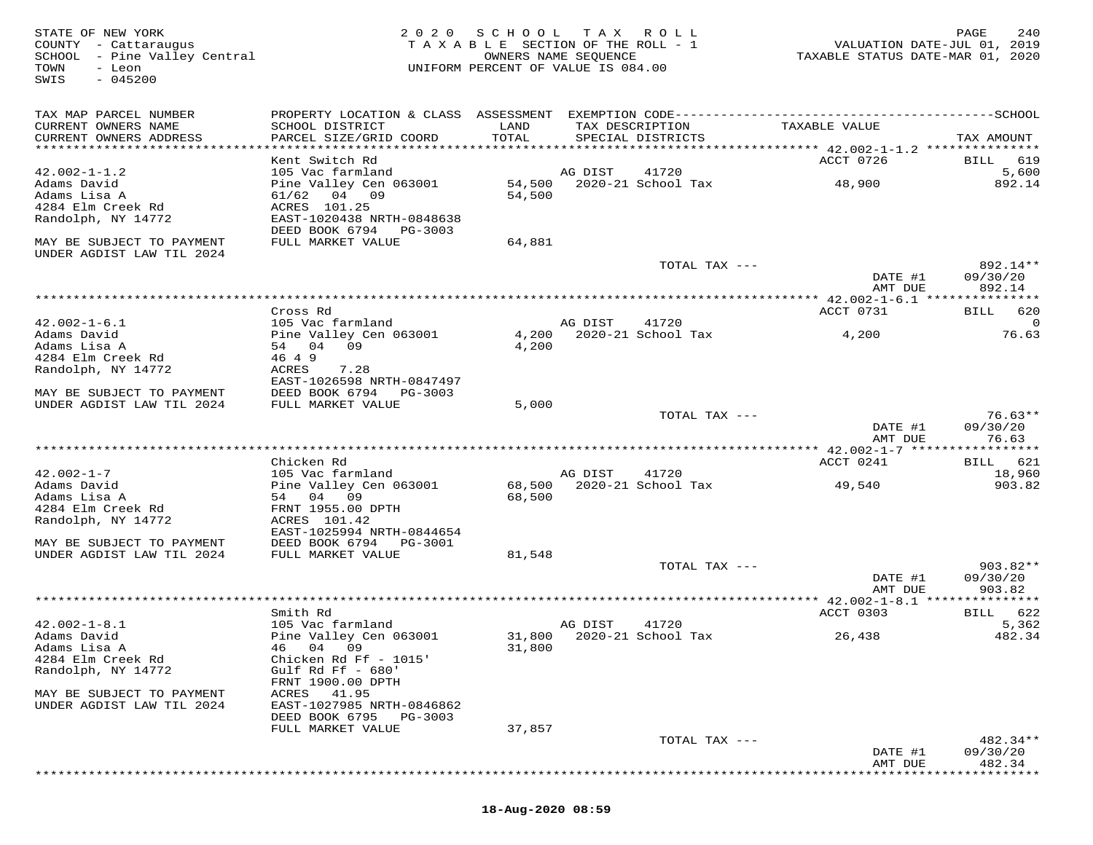STATE OF NEW YORK MESS PAGE 240 ACT MARKE 240 ACT AND RELIGE AND RELIGE STATE OF NEW YORK 2019<br>COUNTY - Cattaraugus and the section of the Roll - 1 when the NALUATION DATE-JUL 01, 2019<br>STATE STATUS DATE-MAR 01, 2020<br>TOWN -SWIS - 045200TAX MAP PARCEL NUMBER PROPERTY LOCATION & CLASS ASSESSMENT EXEMPTION CODE------------------------------------------SCHOOL CURRENT OWNERS NAME SCHOOL DISTRICT LAND TAX DESCRIPTION TAXABLE VALUE CURRENT OWNERS ADDRESS PARCEL SIZE/GRID COORD TOTAL SPECIAL DISTRICTS TAX AMOUNT \*\*\*\*\*\*\*\*\*\*\*\*\*\*\*\*\*\*\*\*\*\*\*\*\*\*\*\*\*\*\*\*\*\*\*\*\*\*\*\*\*\*\*\*\*\*\*\*\*\*\*\*\*\*\*\*\*\*\*\*\*\*\*\*\*\*\*\*\*\*\*\*\*\*\*\*\*\*\*\*\*\*\*\*\*\*\*\*\*\*\*\*\*\*\*\*\*\*\*\*\*\*\* 42.002-1-1.2 \*\*\*\*\*\*\*\*\*\*\*\*\*\*\* Kent Switch Rd ACCT 0726 BILL 619 42.002-1-1.2 105 Vac farmland AG DIST 41720 5,600 Adams David Pine Valley Cen 063001 54,500 2020-21 School Tax 48,900 892.14 Adams Lisa A 61/62 04 09 54,500 4284 Elm Creek Rd ACRES 101.25 Randolph, NY 14772 EAST-1020438 NRTH-0848638 DEED BOOK 6794 PG-3003 MAY BE SUBJECT TO PAYMENT FULL MARKET VALUE 64,881UNDER AGDIST LAW TIL 2024 TOTAL TAX --- 892.14\*\* DATE #1 09/30/20 AMT DUE 892.14 \*\*\*\*\*\*\*\*\*\*\*\*\*\*\*\*\*\*\*\*\*\*\*\*\*\*\*\*\*\*\*\*\*\*\*\*\*\*\*\*\*\*\*\*\*\*\*\*\*\*\*\*\*\*\*\*\*\*\*\*\*\*\*\*\*\*\*\*\*\*\*\*\*\*\*\*\*\*\*\*\*\*\*\*\*\*\*\*\*\*\*\*\*\*\*\*\*\*\*\*\*\*\* 42.002-1-6.1 \*\*\*\*\*\*\*\*\*\*\*\*\*\*\* Cross Rd ACCT 0731 BILL 620 42.002-1-6.1 105 Vac farmland AG DIST 41720 0 Adams David Pine Valley Cen 063001 4,200 2020-21 School Tax 4,200 76.63 Adams Lisa A 54 04 09 4,200 4284 Elm Creek Rd 46 4 9 Randolph, NY 14772 ACRES 7.28 EAST-1026598 NRTH-0847497 MAY BE SUBJECT TO PAYMENT DEED BOOK 6794 PG-3003 UNDER AGDIST LAW TIL 2024 FULL MARKET VALUE 5,000 TOTAL TAX --- 76.63\*\*DATE #1 09/30/20<br>NMT DIE 26:30 AMT DUE 76.63 \*\*\*\*\*\*\*\*\*\*\*\*\*\*\*\*\*\*\*\*\*\*\*\*\*\*\*\*\*\*\*\*\*\*\*\*\*\*\*\*\*\*\*\*\*\*\*\*\*\*\*\*\*\*\*\*\*\*\*\*\*\*\*\*\*\*\*\*\*\*\*\*\*\*\*\*\*\*\*\*\*\*\*\*\*\*\*\*\*\*\*\*\*\*\*\*\*\*\*\*\*\*\* 42.002-1-7 \*\*\*\*\*\*\*\*\*\*\*\*\*\*\*\*\*ACCT 0241 BILL 621 Chicken Rd ACCT 0241 BILL 62118,960 42.002-1-7 105 Vac farmland AG DIST 41720 18,960903.82 Adams David Pine Valley Cen 063001 68,500 2020-21 School Tax 49,540 903.82Adams Lisa A 54 04 09 68,500 4284 Elm Creek Rd FRNT 1955.00 DPTH Randolph, NY 14772 ACRES 101.42 EAST-1025994 NRTH-0844654 MAY BE SUBJECT TO PAYMENT DEED BOOK 6794 PG-3001 UNDER AGDIST LAW TIL 2024 FULL MARKET VALUE 81,548 TOTAL TAX --- 903.82\*\* DATE #1 09/30/20 AMT DUE 903.82 \*\*\*\*\*\*\*\*\*\*\*\*\*\*\*\*\*\*\*\*\*\*\*\*\*\*\*\*\*\*\*\*\*\*\*\*\*\*\*\*\*\*\*\*\*\*\*\*\*\*\*\*\*\*\*\*\*\*\*\*\*\*\*\*\*\*\*\*\*\*\*\*\*\*\*\*\*\*\*\*\*\*\*\*\*\*\*\*\*\*\*\*\*\*\*\*\*\*\*\*\*\*\* 42.002-1-8.1 \*\*\*\*\*\*\*\*\*\*\*\*\*\*\*ACCT 0303 BILL 622 Smith Rd ACCT 0303 BILL 6225,362 42.002-1-8.1 105 Vac farmland AG DIST 41720 5,362 482.34 Adams David Pine Valley Cen 063001 31,800 2020-21 School Tax 26,438 482.34Adams Lisa A 46 04 09 31,800 4284 Elm Creek Rd Chicken Rd Ff - 1015' Randolph, NY 14772 Gulf Rd Ff - 680' FRNT 1900.00 DPTH MAY BE SUBJECT TO PAYMENT ACRES 41.95 UNDER AGDIST LAW TIL 2024 EAST-1027985 NRTH-0846862 DEED BOOK 6795 PG-3003 FULL MARKET VALUE 37,857 TOTAL TAX --- 482.34\*\* DATE #1 09/30/20 AMT DUE 482.34\*\*\*\*\*\*\*\*\*\*\*\*\*\*\*\*\*\*\*\*\*\*\*\*\*\*\*\*\*\*\*\*\*\*\*\*\*\*\*\*\*\*\*\*\*\*\*\*\*\*\*\*\*\*\*\*\*\*\*\*\*\*\*\*\*\*\*\*\*\*\*\*\*\*\*\*\*\*\*\*\*\*\*\*\*\*\*\*\*\*\*\*\*\*\*\*\*\*\*\*\*\*\*\*\*\*\*\*\*\*\*\*\*\*\*\*\*\*\*\*\*\*\*\*\*\*\*\*\*\*\*\*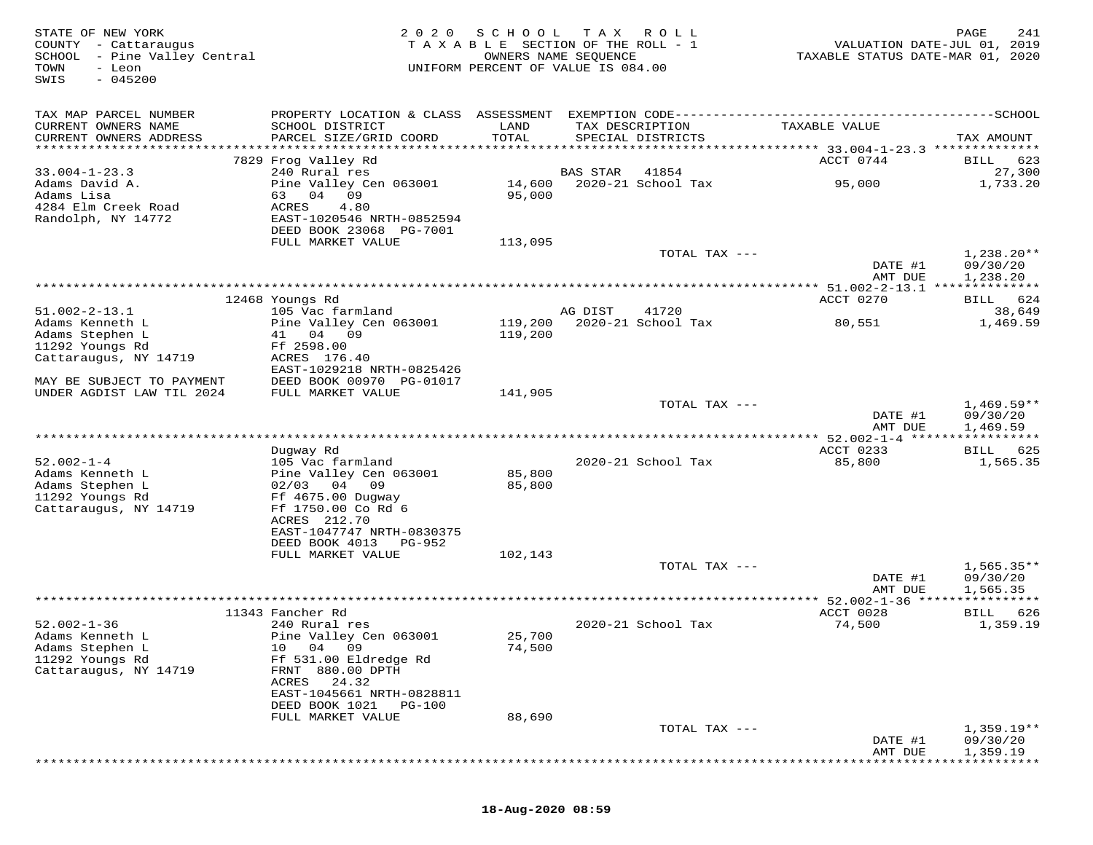| STATE OF NEW YORK<br>COUNTY - Cattaraugus<br>SCHOOL - Pine Valley Central<br>TOWN<br>- Leon<br>$-045200$<br>SWIS | 2 0 2 0                                                   | SCHOOL<br>TAXABLE SECTION OF THE ROLL - 1<br>OWNERS NAME SEQUENCE<br>UNIFORM PERCENT OF VALUE IS 084.00 | T A X    | ROLL                                 | TAXABLE STATUS DATE-MAR 01, 2020 | PAGE<br>241<br>VALUATION DATE-JUL 01, 2019 |
|------------------------------------------------------------------------------------------------------------------|-----------------------------------------------------------|---------------------------------------------------------------------------------------------------------|----------|--------------------------------------|----------------------------------|--------------------------------------------|
| TAX MAP PARCEL NUMBER                                                                                            |                                                           |                                                                                                         |          |                                      |                                  |                                            |
| CURRENT OWNERS NAME<br>CURRENT OWNERS ADDRESS                                                                    | SCHOOL DISTRICT<br>PARCEL SIZE/GRID COORD                 | LAND<br>TOTAL                                                                                           |          | TAX DESCRIPTION<br>SPECIAL DISTRICTS | TAXABLE VALUE                    | TAX AMOUNT                                 |
|                                                                                                                  | 7829 Frog Valley Rd                                       |                                                                                                         |          |                                      | ACCT 0744                        | 623<br>BILL                                |
| $33.004 - 1 - 23.3$                                                                                              | 240 Rural res                                             |                                                                                                         | BAS STAR | 41854                                |                                  | 27,300                                     |
| Adams David A.<br>Adams Lisa<br>4284 Elm Creek Road                                                              | Pine Valley Cen 063001<br>04<br>09<br>63<br>ACRES<br>4.80 | 14,600<br>95,000                                                                                        |          | 2020-21 School Tax                   | 95,000                           | 1,733.20                                   |
| Randolph, NY 14772                                                                                               | EAST-1020546 NRTH-0852594<br>DEED BOOK 23068 PG-7001      |                                                                                                         |          |                                      |                                  |                                            |
|                                                                                                                  | FULL MARKET VALUE                                         | 113,095                                                                                                 |          |                                      |                                  |                                            |
|                                                                                                                  |                                                           |                                                                                                         |          | TOTAL TAX ---                        | DATE #1<br>AMT DUE               | $1,238.20**$<br>09/30/20<br>1,238.20       |
|                                                                                                                  |                                                           |                                                                                                         |          |                                      |                                  |                                            |
|                                                                                                                  | 12468 Youngs Rd                                           |                                                                                                         |          |                                      | ACCT 0270                        | 624<br><b>BILL</b>                         |
| $51.002 - 2 - 13.1$                                                                                              | 105 Vac farmland                                          |                                                                                                         | AG DIST  | 41720                                |                                  | 38,649                                     |
| Adams Kenneth L<br>Adams Stephen L                                                                               | Pine Valley Cen 063001<br>04 09<br>41                     | 119,200<br>119,200                                                                                      |          | 2020-21 School Tax                   | 80,551                           | 1,469.59                                   |
| 11292 Youngs Rd                                                                                                  | Ff 2598.00                                                |                                                                                                         |          |                                      |                                  |                                            |
| Cattaraugus, NY 14719                                                                                            | ACRES 176.40                                              |                                                                                                         |          |                                      |                                  |                                            |
|                                                                                                                  | EAST-1029218 NRTH-0825426                                 |                                                                                                         |          |                                      |                                  |                                            |
| MAY BE SUBJECT TO PAYMENT<br>UNDER AGDIST LAW TIL 2024                                                           | DEED BOOK 00970 PG-01017<br>FULL MARKET VALUE             | 141,905                                                                                                 |          |                                      |                                  |                                            |
|                                                                                                                  |                                                           |                                                                                                         |          | TOTAL TAX ---                        |                                  | $1,469.59**$                               |
|                                                                                                                  |                                                           |                                                                                                         |          |                                      | DATE #1<br>AMT DUE               | 09/30/20<br>1,469.59                       |
| ******************************                                                                                   |                                                           |                                                                                                         |          |                                      |                                  |                                            |
| $52.002 - 1 - 4$                                                                                                 | Dugway Rd<br>105 Vac farmland                             |                                                                                                         |          | 2020-21 School Tax                   | ACCT 0233<br>85,800              | 625<br>BILL<br>1,565.35                    |
| Adams Kenneth L                                                                                                  | Pine Valley Cen 063001                                    | 85,800                                                                                                  |          |                                      |                                  |                                            |
| Adams Stephen L                                                                                                  | $02/03$ 04<br>09                                          | 85,800                                                                                                  |          |                                      |                                  |                                            |
| 11292 Youngs Rd                                                                                                  | Ff 4675.00 Dugway                                         |                                                                                                         |          |                                      |                                  |                                            |
| Cattaraugus, NY 14719                                                                                            | Ff 1750.00 Co Rd 6<br>ACRES 212.70                        |                                                                                                         |          |                                      |                                  |                                            |
|                                                                                                                  | EAST-1047747 NRTH-0830375                                 |                                                                                                         |          |                                      |                                  |                                            |
|                                                                                                                  | DEED BOOK 4013<br>PG-952                                  |                                                                                                         |          |                                      |                                  |                                            |
|                                                                                                                  | FULL MARKET VALUE                                         | 102,143                                                                                                 |          |                                      |                                  |                                            |
|                                                                                                                  |                                                           |                                                                                                         |          | TOTAL TAX ---                        | DATE #1                          | $1,565.35**$<br>09/30/20                   |
|                                                                                                                  |                                                           |                                                                                                         |          |                                      | AMT DUE                          | 1,565.35                                   |
|                                                                                                                  |                                                           |                                                                                                         |          |                                      | ***** 52.002-1-36 ****           |                                            |
| $52.002 - 1 - 36$                                                                                                | 11343 Fancher Rd<br>240 Rural res                         |                                                                                                         |          | 2020-21 School Tax                   | ACCT 0028                        | BILL<br>626                                |
| Adams Kenneth L                                                                                                  | Pine Valley Cen 063001                                    | 25,700                                                                                                  |          |                                      | 74,500                           | 1,359.19                                   |
| Adams Stephen L                                                                                                  | 10 04 09                                                  | 74,500                                                                                                  |          |                                      |                                  |                                            |
| 11292 Youngs Rd                                                                                                  | Ff 531.00 Eldredge Rd                                     |                                                                                                         |          |                                      |                                  |                                            |
| Cattaraugus, NY 14719                                                                                            | FRNT 880.00 DPTH                                          |                                                                                                         |          |                                      |                                  |                                            |
|                                                                                                                  | 24.32<br>ACRES<br>EAST-1045661 NRTH-0828811               |                                                                                                         |          |                                      |                                  |                                            |
|                                                                                                                  | DEED BOOK 1021<br>PG-100                                  |                                                                                                         |          |                                      |                                  |                                            |
|                                                                                                                  | FULL MARKET VALUE                                         | 88,690                                                                                                  |          |                                      |                                  |                                            |
|                                                                                                                  |                                                           |                                                                                                         |          | TOTAL TAX ---                        | DATE #1                          | $1,359.19**$<br>09/30/20                   |
|                                                                                                                  |                                                           |                                                                                                         |          |                                      | AMT DUE                          | 1,359.19                                   |

\*\*\*\*\*\*\*\*\*\*\*\*\*\*\*\*\*\*\*\*\*\*\*\*\*\*\*\*\*\*\*\*\*\*\*\*\*\*\*\*\*\*\*\*\*\*\*\*\*\*\*\*\*\*\*\*\*\*\*\*\*\*\*\*\*\*\*\*\*\*\*\*\*\*\*\*\*\*\*\*\*\*\*\*\*\*\*\*\*\*\*\*\*\*\*\*\*\*\*\*\*\*\*\*\*\*\*\*\*\*\*\*\*\*\*\*\*\*\*\*\*\*\*\*\*\*\*\*\*\*\*\*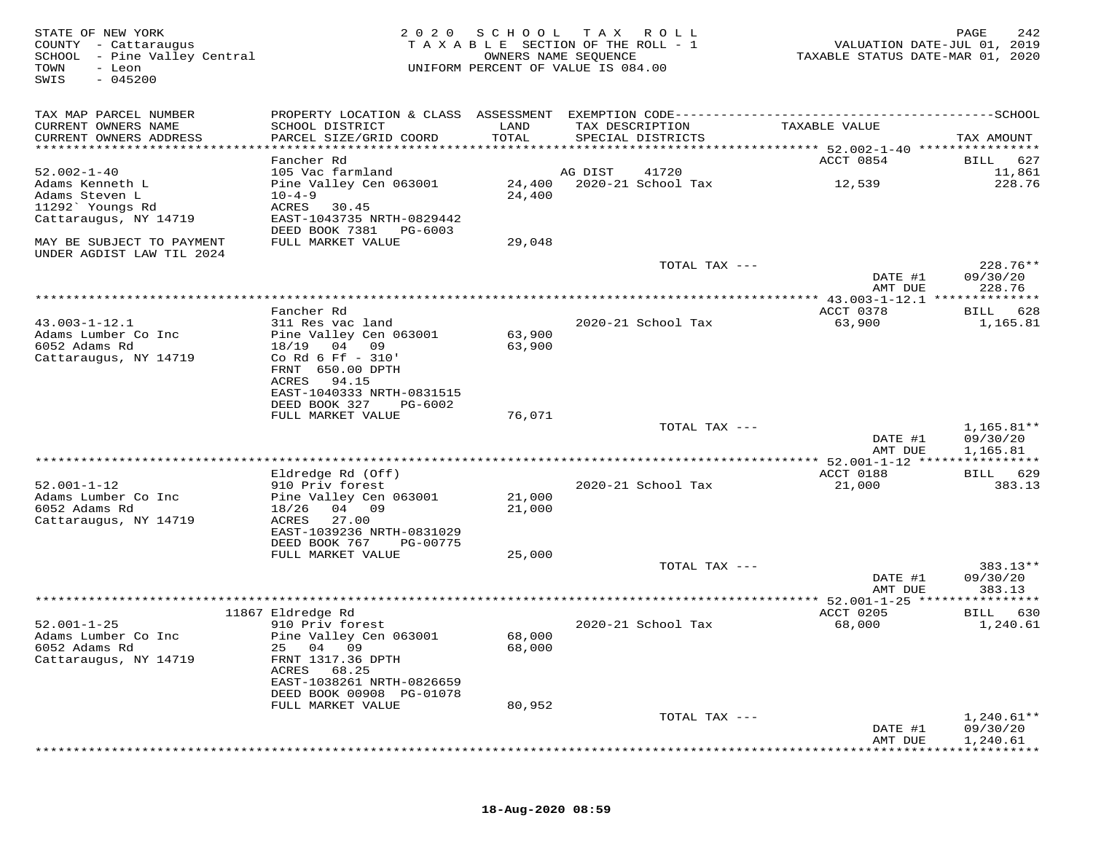| STATE OF NEW YORK<br>COUNTY - Cattaraugus<br>SCHOOL - Pine Valley Central<br>TOWN<br>- Leon<br>SWIS<br>$-045200$ | 2 0 2 0                                                | S C H O O L   | T A X<br>R O L L<br>TAXABLE SECTION OF THE ROLL - 1<br>OWNERS NAME SEQUENCE<br>UNIFORM PERCENT OF VALUE IS 084.00 | VALUATION DATE-JUL 01, 2019<br>TAXABLE STATUS DATE-MAR 01, 2020 | PAGE<br>242              |
|------------------------------------------------------------------------------------------------------------------|--------------------------------------------------------|---------------|-------------------------------------------------------------------------------------------------------------------|-----------------------------------------------------------------|--------------------------|
| TAX MAP PARCEL NUMBER                                                                                            |                                                        |               |                                                                                                                   |                                                                 |                          |
| CURRENT OWNERS NAME<br>CURRENT OWNERS ADDRESS                                                                    | SCHOOL DISTRICT<br>PARCEL SIZE/GRID COORD              | LAND<br>TOTAL | TAX DESCRIPTION<br>SPECIAL DISTRICTS                                                                              | TAXABLE VALUE                                                   | TAX AMOUNT               |
|                                                                                                                  | Fancher Rd                                             |               |                                                                                                                   | ACCT 0854                                                       | 627<br>BILL              |
| $52.002 - 1 - 40$                                                                                                | 105 Vac farmland                                       |               | 41720<br>AG DIST                                                                                                  |                                                                 | 11,861                   |
| Adams Kenneth L                                                                                                  | Pine Valley Cen 063001                                 | 24,400        | 2020-21 School Tax                                                                                                | 12,539                                                          | 228.76                   |
| Adams Steven L                                                                                                   | $10 - 4 - 9$                                           | 24,400        |                                                                                                                   |                                                                 |                          |
| 11292` Youngs Rd                                                                                                 | ACRES<br>30.45                                         |               |                                                                                                                   |                                                                 |                          |
| Cattaraugus, NY 14719                                                                                            | EAST-1043735 NRTH-0829442<br>DEED BOOK 7381<br>PG-6003 |               |                                                                                                                   |                                                                 |                          |
| MAY BE SUBJECT TO PAYMENT                                                                                        | FULL MARKET VALUE                                      | 29,048        |                                                                                                                   |                                                                 |                          |
| UNDER AGDIST LAW TIL 2024                                                                                        |                                                        |               |                                                                                                                   |                                                                 |                          |
|                                                                                                                  |                                                        |               | TOTAL TAX ---                                                                                                     | DATE #1                                                         | 228.76**<br>09/30/20     |
|                                                                                                                  |                                                        |               |                                                                                                                   | AMT DUE<br>**************** 43.003-1-12.1 **************        | 228.76                   |
|                                                                                                                  | Fancher Rd                                             |               |                                                                                                                   | ACCT 0378                                                       | 628<br>BILL              |
| $43.003 - 1 - 12.1$                                                                                              | 311 Res vac land                                       |               | 2020-21 School Tax                                                                                                | 63,900                                                          | 1,165.81                 |
| Adams Lumber Co Inc                                                                                              | Pine Valley Cen 063001                                 | 63,900        |                                                                                                                   |                                                                 |                          |
| 6052 Adams Rd                                                                                                    | 18/19<br>04 09                                         | 63,900        |                                                                                                                   |                                                                 |                          |
| Cattaraugus, NY 14719                                                                                            | Co Rd 6 Ff - 310'<br>FRNT 650.00 DPTH                  |               |                                                                                                                   |                                                                 |                          |
|                                                                                                                  | ACRES<br>94.15                                         |               |                                                                                                                   |                                                                 |                          |
|                                                                                                                  | EAST-1040333 NRTH-0831515                              |               |                                                                                                                   |                                                                 |                          |
|                                                                                                                  | DEED BOOK 327<br>PG-6002                               |               |                                                                                                                   |                                                                 |                          |
|                                                                                                                  | FULL MARKET VALUE                                      | 76,071        |                                                                                                                   |                                                                 |                          |
|                                                                                                                  |                                                        |               | TOTAL TAX ---                                                                                                     | DATE #1                                                         | $1,165.81**$<br>09/30/20 |
|                                                                                                                  |                                                        |               |                                                                                                                   | AMT DUE                                                         | 1,165.81                 |
|                                                                                                                  |                                                        |               |                                                                                                                   |                                                                 |                          |
|                                                                                                                  | Eldredge Rd (Off)                                      |               |                                                                                                                   | ACCT 0188                                                       | BILL 629                 |
| $52.001 - 1 - 12$<br>Adams Lumber Co Inc                                                                         | 910 Priv forest<br>Pine Valley Cen 063001              | 21,000        | 2020-21 School Tax                                                                                                | 21,000                                                          | 383.13                   |
| 6052 Adams Rd                                                                                                    | 18/26<br>04 09                                         | 21,000        |                                                                                                                   |                                                                 |                          |
| Cattaraugus, NY 14719                                                                                            | ACRES<br>27.00                                         |               |                                                                                                                   |                                                                 |                          |
|                                                                                                                  | EAST-1039236 NRTH-0831029                              |               |                                                                                                                   |                                                                 |                          |
|                                                                                                                  | DEED BOOK 767<br>PG-00775<br>FULL MARKET VALUE         | 25,000        |                                                                                                                   |                                                                 |                          |
|                                                                                                                  |                                                        |               | TOTAL TAX ---                                                                                                     |                                                                 | $383.13**$               |
|                                                                                                                  |                                                        |               |                                                                                                                   | DATE #1                                                         | 09/30/20                 |
|                                                                                                                  |                                                        |               |                                                                                                                   | AMT DUE                                                         | 383.13                   |
|                                                                                                                  |                                                        |               |                                                                                                                   |                                                                 | ********                 |
| $52.001 - 1 - 25$                                                                                                | 11867 Eldredge Rd<br>910 Priv forest                   |               | 2020-21 School Tax                                                                                                | ACCT 0205<br>68,000                                             | 630<br>BILL<br>1,240.61  |
| Adams Lumber Co Inc                                                                                              | Pine Valley Cen 063001                                 | 68,000        |                                                                                                                   |                                                                 |                          |
| 6052 Adams Rd                                                                                                    | 25 04 09                                               | 68,000        |                                                                                                                   |                                                                 |                          |
| Cattaraugus, NY 14719                                                                                            | FRNT 1317.36 DPTH                                      |               |                                                                                                                   |                                                                 |                          |
|                                                                                                                  | ACRES<br>68.25<br>EAST-1038261 NRTH-0826659            |               |                                                                                                                   |                                                                 |                          |
|                                                                                                                  | DEED BOOK 00908 PG-01078                               |               |                                                                                                                   |                                                                 |                          |
|                                                                                                                  | FULL MARKET VALUE                                      | 80,952        |                                                                                                                   |                                                                 |                          |
|                                                                                                                  |                                                        |               | TOTAL TAX ---                                                                                                     |                                                                 | $1,240.61**$             |
|                                                                                                                  |                                                        |               |                                                                                                                   | DATE #1<br>AMT DUE                                              | 09/30/20<br>1,240.61     |
|                                                                                                                  |                                                        |               |                                                                                                                   |                                                                 |                          |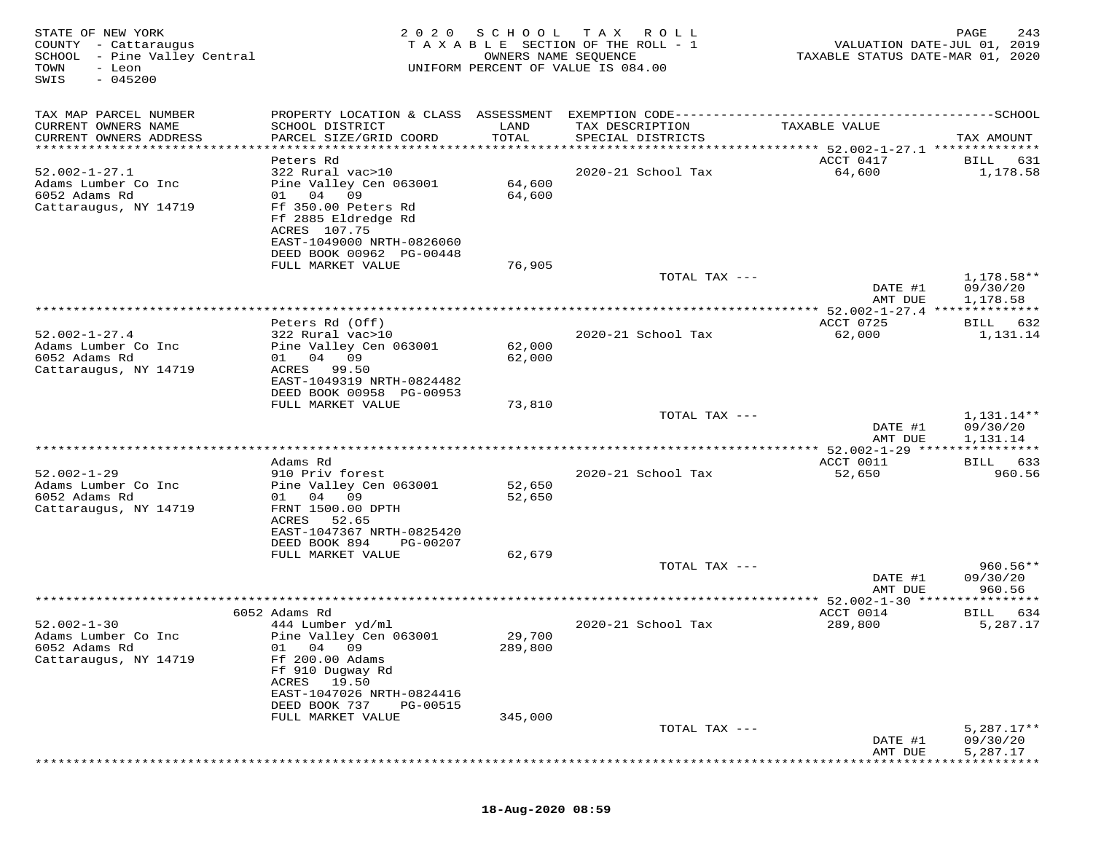| STATE OF NEW YORK<br>COUNTY - Cattaraugus<br>SCHOOL - Pine Valley Central<br>TOWN<br>- Leon<br>$-045200$<br>SWIS | 2 0 2 0                                                                                      | SCHOOL<br>OWNERS NAME SEQUENCE  | T A X<br>R O L L<br>T A X A B L E SECTION OF THE ROLL - 1<br>UNIFORM PERCENT OF VALUE IS 084.00 | VALUATION DATE-JUL 01, 2019<br>TAXABLE STATUS DATE-MAR 01, 2020 | PAGE<br>243                          |
|------------------------------------------------------------------------------------------------------------------|----------------------------------------------------------------------------------------------|---------------------------------|-------------------------------------------------------------------------------------------------|-----------------------------------------------------------------|--------------------------------------|
| TAX MAP PARCEL NUMBER                                                                                            | PROPERTY LOCATION & CLASS ASSESSMENT                                                         |                                 |                                                                                                 |                                                                 |                                      |
| CURRENT OWNERS NAME<br>CURRENT OWNERS ADDRESS                                                                    | SCHOOL DISTRICT<br>PARCEL SIZE/GRID COORD                                                    | LAND<br>TOTAL                   | TAX DESCRIPTION<br>SPECIAL DISTRICTS                                                            | TAXABLE VALUE                                                   | TAX AMOUNT                           |
| **********************                                                                                           | ************************                                                                     | * * * * * * * * * * * * * * * * |                                                                                                 | ********************************* 52.002-1-27.1 **************  |                                      |
| $52.002 - 1 - 27.1$                                                                                              | Peters Rd<br>322 Rural vac>10                                                                |                                 | 2020-21 School Tax                                                                              | ACCT 0417<br>64,600                                             | BILL<br>631<br>1,178.58              |
| Adams Lumber Co Inc<br>6052 Adams Rd<br>Cattaraugus, NY 14719                                                    | Pine Valley Cen 063001<br>04<br>09<br>01 —<br>Ff 350.00 Peters Rd                            | 64,600<br>64,600                |                                                                                                 |                                                                 |                                      |
|                                                                                                                  | Ff 2885 Eldredge Rd<br>ACRES 107.75<br>EAST-1049000 NRTH-0826060<br>DEED BOOK 00962 PG-00448 |                                 |                                                                                                 |                                                                 |                                      |
|                                                                                                                  | FULL MARKET VALUE                                                                            | 76,905                          |                                                                                                 |                                                                 |                                      |
|                                                                                                                  |                                                                                              |                                 | TOTAL TAX ---                                                                                   | DATE #1                                                         | 1,178.58**<br>09/30/20               |
|                                                                                                                  |                                                                                              |                                 |                                                                                                 | AMT DUE                                                         | 1,178.58                             |
|                                                                                                                  | Peters Rd (Off)                                                                              |                                 |                                                                                                 | ACCT 0725                                                       | 632<br>BILL                          |
| $52.002 - 1 - 27.4$<br>Adams Lumber Co Inc                                                                       | 322 Rural vac>10<br>Pine Valley Cen 063001                                                   | 62,000                          | 2020-21 School Tax                                                                              | 62,000                                                          | 1,131.14                             |
| 6052 Adams Rd<br>Cattaraugus, NY 14719                                                                           | 04 09<br>01<br>ACRES<br>99.50<br>EAST-1049319 NRTH-0824482                                   | 62,000                          |                                                                                                 |                                                                 |                                      |
|                                                                                                                  | DEED BOOK 00958 PG-00953                                                                     |                                 |                                                                                                 |                                                                 |                                      |
|                                                                                                                  | FULL MARKET VALUE                                                                            | 73,810                          | TOTAL TAX ---                                                                                   |                                                                 | 1,131.14**                           |
|                                                                                                                  |                                                                                              |                                 |                                                                                                 | DATE #1<br>AMT DUE                                              | 09/30/20<br>1,131.14                 |
|                                                                                                                  |                                                                                              |                                 |                                                                                                 |                                                                 |                                      |
|                                                                                                                  | Adams Rd                                                                                     |                                 |                                                                                                 | ACCT 0011                                                       | 633<br>BILL                          |
| $52.002 - 1 - 29$<br>Adams Lumber Co Inc                                                                         | 910 Priv forest<br>Pine Valley Cen 063001                                                    | 52,650                          | 2020-21 School Tax                                                                              | 52,650                                                          | 960.56                               |
| 6052 Adams Rd<br>Cattaraugus, NY 14719                                                                           | 01 04<br>09<br>FRNT 1500.00 DPTH                                                             | 52,650                          |                                                                                                 |                                                                 |                                      |
|                                                                                                                  | ACRES<br>52.65<br>EAST-1047367 NRTH-0825420                                                  |                                 |                                                                                                 |                                                                 |                                      |
|                                                                                                                  | DEED BOOK 894<br>PG-00207                                                                    |                                 |                                                                                                 |                                                                 |                                      |
|                                                                                                                  | FULL MARKET VALUE                                                                            | 62,679                          | TOTAL TAX ---                                                                                   |                                                                 | $960.56**$                           |
|                                                                                                                  |                                                                                              |                                 |                                                                                                 | DATE #1<br>AMT DUE                                              | 09/30/20<br>960.56                   |
|                                                                                                                  |                                                                                              |                                 |                                                                                                 |                                                                 |                                      |
|                                                                                                                  | 6052 Adams Rd                                                                                |                                 |                                                                                                 | ACCT 0014                                                       | 634<br>BILL                          |
| $52.002 - 1 - 30$<br>Adams Lumber Co Inc                                                                         | 444 Lumber yd/ml<br>Pine Valley Cen 063001                                                   | 29,700                          | 2020-21 School Tax                                                                              | 289,800                                                         | 5,287.17                             |
| 6052 Adams Rd                                                                                                    | 01 04 09                                                                                     | 289,800                         |                                                                                                 |                                                                 |                                      |
| Cattaraugus, NY 14719                                                                                            | Ff 200.00 Adams<br>Ff 910 Dugway Rd                                                          |                                 |                                                                                                 |                                                                 |                                      |
|                                                                                                                  | 19.50<br>ACRES<br>EAST-1047026 NRTH-0824416                                                  |                                 |                                                                                                 |                                                                 |                                      |
|                                                                                                                  | DEED BOOK 737<br>PG-00515                                                                    |                                 |                                                                                                 |                                                                 |                                      |
|                                                                                                                  | FULL MARKET VALUE                                                                            | 345,000                         |                                                                                                 |                                                                 |                                      |
|                                                                                                                  |                                                                                              |                                 | TOTAL TAX ---                                                                                   | DATE #1<br>AMT DUE                                              | $5,287.17**$<br>09/30/20<br>5,287.17 |
|                                                                                                                  |                                                                                              |                                 |                                                                                                 |                                                                 |                                      |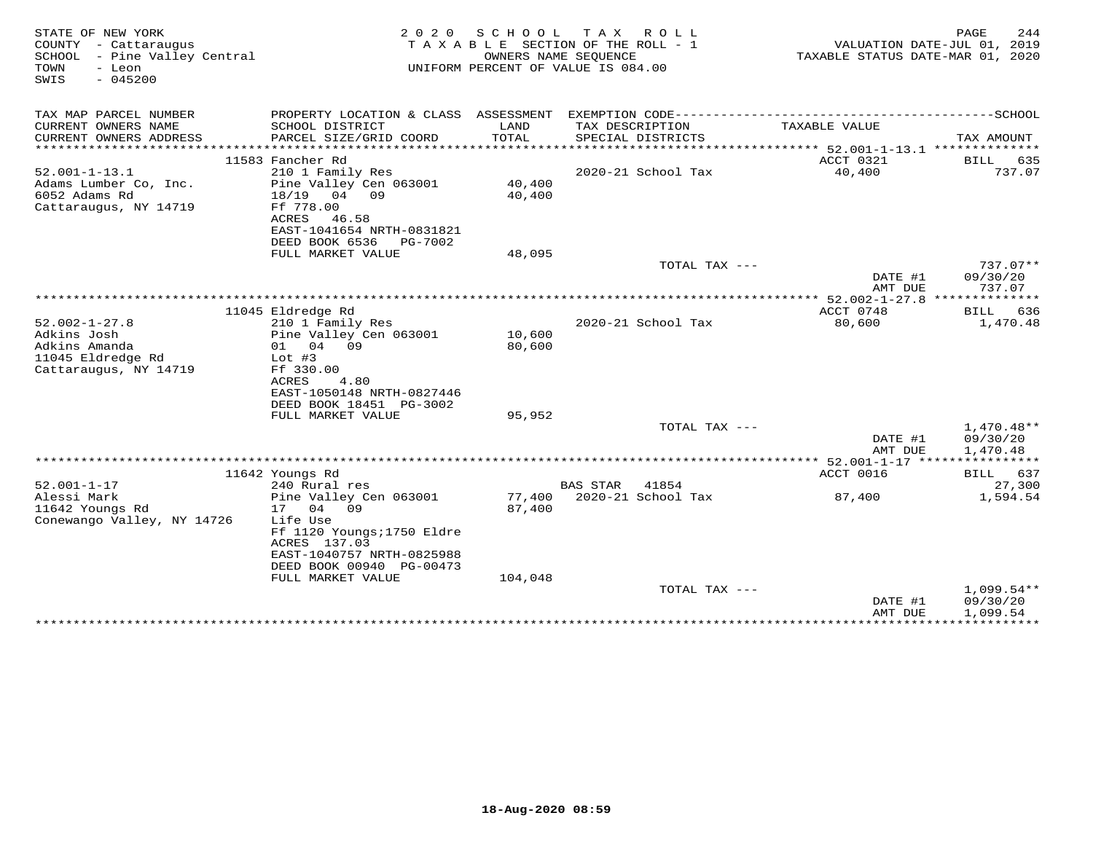| STATE OF NEW YORK<br>COUNTY - Cattaraugus<br>- Pine Valley Central<br>SCHOOL<br>TOWN<br>- Leon<br>$-045200$<br>SWIS | 2 0 2 0                                       | S C H O O L<br>TAXABLE SECTION OF THE ROLL - 1<br>UNIFORM PERCENT OF VALUE IS 084.00 | T A X<br>OWNERS NAME SEQUENCE | R O L L                   | TAXABLE STATUS DATE-MAR 01, 2020         | PAGE<br>VALUATION DATE-JUL 01, 2019     | 244           |
|---------------------------------------------------------------------------------------------------------------------|-----------------------------------------------|--------------------------------------------------------------------------------------|-------------------------------|---------------------------|------------------------------------------|-----------------------------------------|---------------|
| TAX MAP PARCEL NUMBER                                                                                               | PROPERTY LOCATION & CLASS ASSESSMENT          |                                                                                      |                               | EXEMPTION CODE----------- |                                          | -------------SCHOOL                     |               |
| CURRENT OWNERS NAME<br>SCHOOL DISTRICT                                                                              |                                               | LAND                                                                                 |                               | TAX DESCRIPTION           | TAXABLE VALUE                            |                                         |               |
| CURRENT OWNERS ADDRESS                                                                                              | PARCEL SIZE/GRID COORD                        | TOTAL                                                                                |                               | SPECIAL DISTRICTS         |                                          | TAX AMOUNT                              |               |
| ***********************                                                                                             | ********************************              |                                                                                      |                               |                           |                                          |                                         |               |
| 11583 Fancher Rd<br>$52.001 - 1 - 13.1$                                                                             | 210 1 Family Res                              |                                                                                      |                               | 2020-21 School Tax        | ACCT 0321<br>40,400                      | <b>BILL</b>                             | 635<br>737.07 |
| Adams Lumber Co, Inc.                                                                                               | Pine Valley Cen 063001                        | 40,400                                                                               |                               |                           |                                          |                                         |               |
| 6052 Adams Rd<br>18/19 04 09                                                                                        |                                               | 40,400                                                                               |                               |                           |                                          |                                         |               |
| Ff 778.00<br>Cattaraugus, NY 14719                                                                                  |                                               |                                                                                      |                               |                           |                                          |                                         |               |
| ACRES                                                                                                               | 46.58                                         |                                                                                      |                               |                           |                                          |                                         |               |
| DEED BOOK 6536                                                                                                      | EAST-1041654 NRTH-0831821<br>PG-7002          |                                                                                      |                               |                           |                                          |                                         |               |
|                                                                                                                     | FULL MARKET VALUE                             | 48,095                                                                               |                               |                           |                                          |                                         |               |
|                                                                                                                     |                                               |                                                                                      |                               | TOTAL TAX ---             |                                          | 737.07**                                |               |
|                                                                                                                     |                                               |                                                                                      |                               |                           | DATE #1                                  | 09/30/20                                |               |
|                                                                                                                     |                                               |                                                                                      | **********************        |                           | AMT DUE                                  | 737.07<br>***********                   |               |
| 11045 Eldredge Rd                                                                                                   |                                               |                                                                                      |                               |                           | ** $52.002 - 1 - 27.8$ ***<br>ACCT 0748  | BILL                                    | 636           |
| $52.002 - 1 - 27.8$                                                                                                 | 210 1 Family Res                              |                                                                                      |                               | 2020-21 School Tax        | 80,600                                   | 1,470.48                                |               |
| Adkins Josh                                                                                                         | Pine Valley Cen 063001                        | 10,600                                                                               |                               |                           |                                          |                                         |               |
| 01 04 09<br>Adkins Amanda                                                                                           |                                               | 80,600                                                                               |                               |                           |                                          |                                         |               |
| 11045 Eldredge Rd<br>Lot $#3$<br>Cattaraugus, NY 14719<br>Ff 330.00                                                 |                                               |                                                                                      |                               |                           |                                          |                                         |               |
| ACRES                                                                                                               | 4.80                                          |                                                                                      |                               |                           |                                          |                                         |               |
|                                                                                                                     | EAST-1050148 NRTH-0827446                     |                                                                                      |                               |                           |                                          |                                         |               |
|                                                                                                                     | DEED BOOK 18451 PG-3002                       |                                                                                      |                               |                           |                                          |                                         |               |
|                                                                                                                     | FULL MARKET VALUE                             | 95,952                                                                               |                               |                           |                                          |                                         |               |
|                                                                                                                     |                                               |                                                                                      |                               | TOTAL TAX ---             | DATE #1                                  | $1,470.48**$<br>09/30/20                |               |
|                                                                                                                     |                                               |                                                                                      |                               |                           | AMT DUE                                  | 1,470.48                                |               |
|                                                                                                                     |                                               |                                                                                      |                               |                           | *********** 52.001-1-17 **************** |                                         |               |
| 11642 Youngs Rd                                                                                                     |                                               |                                                                                      |                               |                           | ACCT 0016                                | BILL                                    | 637           |
| $52.001 - 1 - 17$<br>240 Rural res                                                                                  |                                               |                                                                                      | <b>BAS STAR</b>               | 41854                     |                                          |                                         | 27,300        |
| Alessi Mark<br>11642 Youngs Rd<br>17 04 09                                                                          | Pine Valley Cen 063001                        | 77,400<br>87,400                                                                     |                               | 2020-21 School Tax        | 87,400                                   | 1,594.54                                |               |
| Conewango Valley, NY 14726<br>Life Use                                                                              |                                               |                                                                                      |                               |                           |                                          |                                         |               |
|                                                                                                                     | Ff 1120 Youngs; 1750 Eldre                    |                                                                                      |                               |                           |                                          |                                         |               |
| ACRES 137.03                                                                                                        |                                               |                                                                                      |                               |                           |                                          |                                         |               |
|                                                                                                                     | EAST-1040757 NRTH-0825988                     |                                                                                      |                               |                           |                                          |                                         |               |
|                                                                                                                     | DEED BOOK 00940 PG-00473<br>FULL MARKET VALUE | 104,048                                                                              |                               |                           |                                          |                                         |               |
|                                                                                                                     |                                               |                                                                                      |                               | TOTAL TAX ---             |                                          | $1,099.54**$                            |               |
|                                                                                                                     |                                               |                                                                                      |                               |                           | DATE #1                                  | 09/30/20                                |               |
|                                                                                                                     |                                               |                                                                                      |                               |                           | AMT DUE                                  | 1,099.54<br>*************************** |               |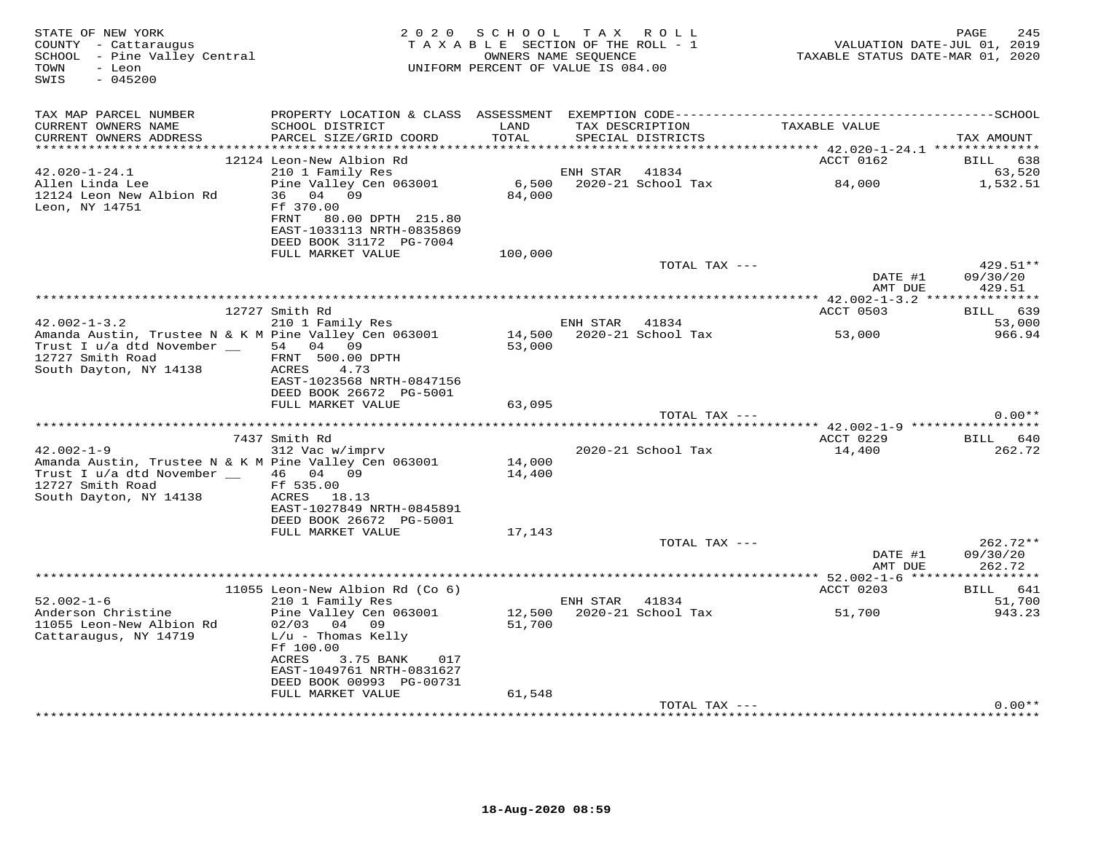| STATE OF NEW YORK<br>COUNTY - Cattaraugus<br>SCHOOL - Pine Valley Central<br>TOWN<br>- Leon<br>$-045200$<br>SWIS                   | 2 0 2 0                                                                                                              | SCHOOL<br>TAXABLE SECTION OF THE ROLL - 1<br>OWNERS NAME SEQUENCE<br>UNIFORM PERCENT OF VALUE IS 084.00 | T A X    | R O L L                              | TAXABLE STATUS DATE-MAR 01, 2020                               | 245<br>PAGE<br>VALUATION DATE-JUL 01, 2019 |
|------------------------------------------------------------------------------------------------------------------------------------|----------------------------------------------------------------------------------------------------------------------|---------------------------------------------------------------------------------------------------------|----------|--------------------------------------|----------------------------------------------------------------|--------------------------------------------|
| TAX MAP PARCEL NUMBER                                                                                                              |                                                                                                                      |                                                                                                         |          |                                      |                                                                |                                            |
| CURRENT OWNERS NAME<br>CURRENT OWNERS ADDRESS                                                                                      | SCHOOL DISTRICT<br>PARCEL SIZE/GRID COORD                                                                            | LAND<br>TOTAL                                                                                           |          | TAX DESCRIPTION<br>SPECIAL DISTRICTS | TAXABLE VALUE                                                  | TAX AMOUNT                                 |
| *********************                                                                                                              |                                                                                                                      |                                                                                                         |          |                                      |                                                                |                                            |
| $42.020 - 1 - 24.1$                                                                                                                | 12124 Leon-New Albion Rd                                                                                             |                                                                                                         | ENH STAR | 41834                                | ACCT 0162                                                      | <b>BILL</b><br>638                         |
| Allen Linda Lee<br>12124 Leon New Albion Rd                                                                                        | 210 1 Family Res<br>Pine Valley Cen 063001<br>36 04<br>09                                                            | 6,500<br>84,000                                                                                         |          | 2020-21 School Tax                   | 84,000                                                         | 63,520<br>1,532.51                         |
| Leon, NY 14751                                                                                                                     | Ff 370.00<br>FRNT<br>80.00 DPTH 215.80<br>EAST-1033113 NRTH-0835869<br>DEED BOOK 31172 PG-7004                       |                                                                                                         |          |                                      |                                                                |                                            |
|                                                                                                                                    | FULL MARKET VALUE                                                                                                    | 100,000                                                                                                 |          |                                      |                                                                |                                            |
|                                                                                                                                    |                                                                                                                      |                                                                                                         |          | TOTAL TAX ---                        | DATE #1                                                        | 429.51**<br>09/30/20                       |
|                                                                                                                                    |                                                                                                                      |                                                                                                         |          |                                      | AMT DUE                                                        | 429.51                                     |
|                                                                                                                                    | 12727 Smith Rd                                                                                                       |                                                                                                         |          |                                      | ACCT 0503                                                      | 639<br>BILL                                |
| $42.002 - 1 - 3.2$                                                                                                                 | 210 1 Family Res                                                                                                     |                                                                                                         | ENH STAR | 41834                                |                                                                | 53,000                                     |
| Amanda Austin, Trustee N & K M Pine Valley Cen 063001<br>Trust I u/a dtd November __<br>12727 Smith Road<br>South Dayton, NY 14138 | 54 04 09<br>FRNT 500.00 DPTH<br>ACRES<br>4.73<br>EAST-1023568 NRTH-0847156                                           | 14,500<br>53,000                                                                                        |          | 2020-21 School Tax                   | 53,000                                                         | 966.94                                     |
|                                                                                                                                    | DEED BOOK 26672 PG-5001                                                                                              |                                                                                                         |          |                                      |                                                                |                                            |
|                                                                                                                                    | FULL MARKET VALUE                                                                                                    | 63,095                                                                                                  |          |                                      |                                                                | $0.00**$                                   |
|                                                                                                                                    |                                                                                                                      |                                                                                                         |          | TOTAL TAX ---                        | ******************************** 42.002-1-9 ****************** |                                            |
|                                                                                                                                    | 7437 Smith Rd                                                                                                        |                                                                                                         |          |                                      | ACCT 0229                                                      | BILL<br>640                                |
| $42.002 - 1 - 9$                                                                                                                   | 312 Vac w/imprv                                                                                                      |                                                                                                         |          | 2020-21 School Tax                   | 14,400                                                         | 262.72                                     |
| Amanda Austin, Trustee N & K M Pine Valley Cen 063001<br>Trust I u/a dtd November __<br>12727 Smith Road<br>South Dayton, NY 14138 | 46 04 09<br>Ff 535.00<br>ACRES 18.13                                                                                 | 14,000<br>14,400                                                                                        |          |                                      |                                                                |                                            |
|                                                                                                                                    | EAST-1027849 NRTH-0845891<br>DEED BOOK 26672 PG-5001                                                                 |                                                                                                         |          |                                      |                                                                |                                            |
|                                                                                                                                    | FULL MARKET VALUE                                                                                                    | 17,143                                                                                                  |          |                                      |                                                                |                                            |
|                                                                                                                                    |                                                                                                                      |                                                                                                         |          | TOTAL TAX ---                        | DATE #1                                                        | 262.72**<br>09/30/20                       |
|                                                                                                                                    |                                                                                                                      |                                                                                                         |          |                                      | AMT DUE                                                        | 262.72<br>***********                      |
|                                                                                                                                    | 11055 Leon-New Albion Rd (Co 6)                                                                                      |                                                                                                         |          |                                      | ACCT 0203                                                      | 641<br>BILL                                |
| $52.002 - 1 - 6$                                                                                                                   | 210 1 Family Res                                                                                                     |                                                                                                         | ENH STAR | 41834                                |                                                                | 51,700                                     |
| Anderson Christine<br>11055 Leon-New Albion Rd<br>Cattaraugus, NY 14719                                                            | Pine Valley Cen 063001<br>$02/03$ 04 09<br>$L/u$ - Thomas Kelly                                                      | 12,500<br>51,700                                                                                        |          | 2020-21 School Tax                   | 51,700                                                         | 943.23                                     |
|                                                                                                                                    | Ff 100.00<br>3.75 BANK<br>ACRES<br>017<br>EAST-1049761 NRTH-0831627<br>DEED BOOK 00993 PG-00731<br>FULL MARKET VALUE | 61,548                                                                                                  |          |                                      |                                                                |                                            |
|                                                                                                                                    |                                                                                                                      |                                                                                                         |          | TOTAL TAX ---                        |                                                                | $0.00**$                                   |
|                                                                                                                                    |                                                                                                                      |                                                                                                         |          |                                      |                                                                |                                            |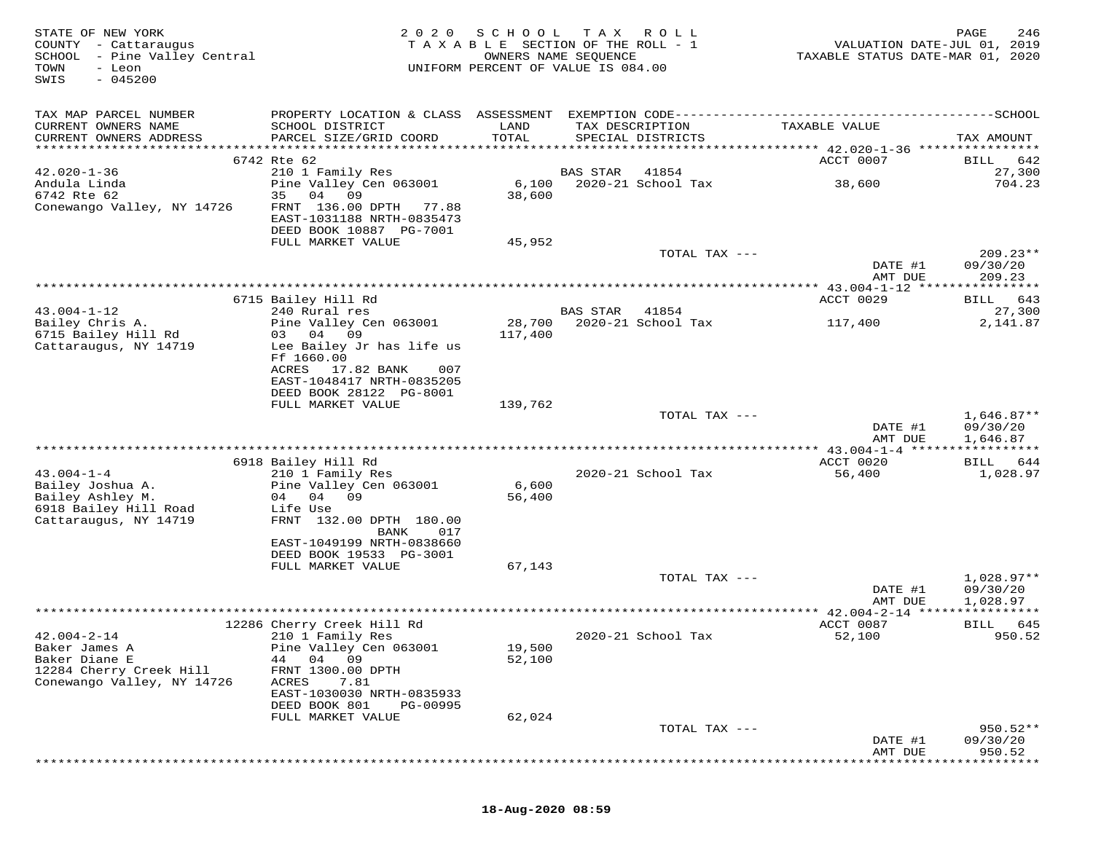| STATE OF NEW YORK<br>COUNTY - Cattaraugus<br>SCHOOL - Pine Valley Central<br>- Leon<br>TOWN<br>$-045200$<br>SWIS | 2020                                                                                                                                                      | SCHOOL            | T A X<br>R O L L<br>TAXABLE SECTION OF THE ROLL - 1<br>OWNERS NAME SEQUENCE<br>UNIFORM PERCENT OF VALUE IS 084.00 | TAXABLE STATUS DATE-MAR 01, 2020                    | PAGE<br>246<br>VALUATION DATE-JUL 01, 2019 |
|------------------------------------------------------------------------------------------------------------------|-----------------------------------------------------------------------------------------------------------------------------------------------------------|-------------------|-------------------------------------------------------------------------------------------------------------------|-----------------------------------------------------|--------------------------------------------|
| TAX MAP PARCEL NUMBER                                                                                            |                                                                                                                                                           |                   |                                                                                                                   |                                                     |                                            |
| CURRENT OWNERS NAME<br>CURRENT OWNERS ADDRESS                                                                    | SCHOOL DISTRICT<br>PARCEL SIZE/GRID COORD                                                                                                                 | LAND<br>TOTAL     | TAX DESCRIPTION<br>SPECIAL DISTRICTS                                                                              | TAXABLE VALUE                                       | TAX AMOUNT                                 |
|                                                                                                                  | 6742 Rte 62                                                                                                                                               |                   |                                                                                                                   | ACCT 0007                                           | 642<br>BILL                                |
| $42.020 - 1 - 36$                                                                                                | 210 1 Family Res                                                                                                                                          |                   | 41854<br>BAS STAR                                                                                                 |                                                     | 27,300                                     |
| Andula Linda<br>6742 Rte 62<br>Conewango Valley, NY 14726                                                        | Pine Valley Cen 063001<br>35<br>04<br>09<br>FRNT 136.00 DPTH<br>77.88<br>EAST-1031188 NRTH-0835473<br>DEED BOOK 10887 PG-7001                             | 6,100<br>38,600   | 2020-21 School Tax                                                                                                | 38,600                                              | 704.23                                     |
|                                                                                                                  | FULL MARKET VALUE                                                                                                                                         | 45,952            |                                                                                                                   |                                                     |                                            |
|                                                                                                                  |                                                                                                                                                           |                   | TOTAL TAX ---                                                                                                     | DATE #1                                             | $209.23**$<br>09/30/20                     |
|                                                                                                                  |                                                                                                                                                           |                   |                                                                                                                   | AMT DUE<br>*********** 43.004-1-12 **************** | 209.23                                     |
|                                                                                                                  | 6715 Bailey Hill Rd                                                                                                                                       |                   |                                                                                                                   | ACCT 0029                                           | 643<br>BILL                                |
| $43.004 - 1 - 12$                                                                                                | 240 Rural res                                                                                                                                             |                   | 41854<br>BAS STAR                                                                                                 |                                                     | 27,300                                     |
| Bailey Chris A.<br>6715 Bailey Hill Rd<br>Cattaraugus, NY 14719                                                  | Pine Valley Cen 063001<br>09<br>03 04<br>Lee Bailey Jr has life us<br>Ff 1660.00<br>17.82 BANK<br>ACRES<br>007                                            | 28,700<br>117,400 | 2020-21 School Tax                                                                                                | 117,400                                             | 2,141.87                                   |
|                                                                                                                  | EAST-1048417 NRTH-0835205<br>DEED BOOK 28122 PG-8001                                                                                                      |                   |                                                                                                                   |                                                     |                                            |
|                                                                                                                  | FULL MARKET VALUE                                                                                                                                         | 139,762           |                                                                                                                   |                                                     |                                            |
|                                                                                                                  |                                                                                                                                                           |                   | TOTAL TAX ---                                                                                                     | DATE #1<br>AMT DUE                                  | $1,646.87**$<br>09/30/20<br>1,646.87       |
|                                                                                                                  |                                                                                                                                                           |                   |                                                                                                                   |                                                     |                                            |
|                                                                                                                  | 6918 Bailey Hill Rd                                                                                                                                       |                   |                                                                                                                   | ACCT 0020                                           | 644<br>BILL                                |
| $43.004 - 1 - 4$<br>Bailey Joshua A.<br>Bailey Ashley M.<br>6918 Bailey Hill Road<br>Cattaraugus, NY 14719       | 210 1 Family Res<br>Pine Valley Cen 063001<br>04 09<br>04<br>Life Use<br>FRNT 132.00 DPTH 180.00<br>BANK<br>017                                           | 6,600<br>56,400   | 2020-21 School Tax                                                                                                | 56,400                                              | 1,028.97                                   |
|                                                                                                                  | EAST-1049199 NRTH-0838660<br>DEED BOOK 19533 PG-3001                                                                                                      |                   |                                                                                                                   |                                                     |                                            |
|                                                                                                                  | FULL MARKET VALUE                                                                                                                                         | 67,143            |                                                                                                                   |                                                     |                                            |
|                                                                                                                  |                                                                                                                                                           |                   | TOTAL TAX ---                                                                                                     | DATE #1<br>AMT DUE                                  | $1,028.97**$<br>09/30/20<br>1,028.97       |
|                                                                                                                  |                                                                                                                                                           |                   |                                                                                                                   | ************* 42.004-2-14 *****************         |                                            |
|                                                                                                                  | 12286 Cherry Creek Hill Rd                                                                                                                                |                   |                                                                                                                   | ACCT 0087                                           | BILL<br>645                                |
| $42.004 - 2 - 14$<br>Baker James A<br>Baker Diane E<br>12284 Cherry Creek Hill<br>Conewango Valley, NY 14726     | 210 1 Family Res<br>Pine Valley Cen 063001<br>04 09<br>44<br>FRNT 1300.00 DPTH<br>7.81<br>ACRES<br>EAST-1030030 NRTH-0835933<br>DEED BOOK 801<br>PG-00995 | 19,500<br>52,100  | 2020-21 School Tax                                                                                                | 52,100                                              | 950.52                                     |
|                                                                                                                  | FULL MARKET VALUE                                                                                                                                         | 62,024            | TOTAL TAX ---                                                                                                     |                                                     | 950.52**                                   |
|                                                                                                                  |                                                                                                                                                           |                   |                                                                                                                   | DATE #1<br>AMT DUE                                  | 09/30/20<br>950.52                         |
|                                                                                                                  |                                                                                                                                                           |                   |                                                                                                                   |                                                     |                                            |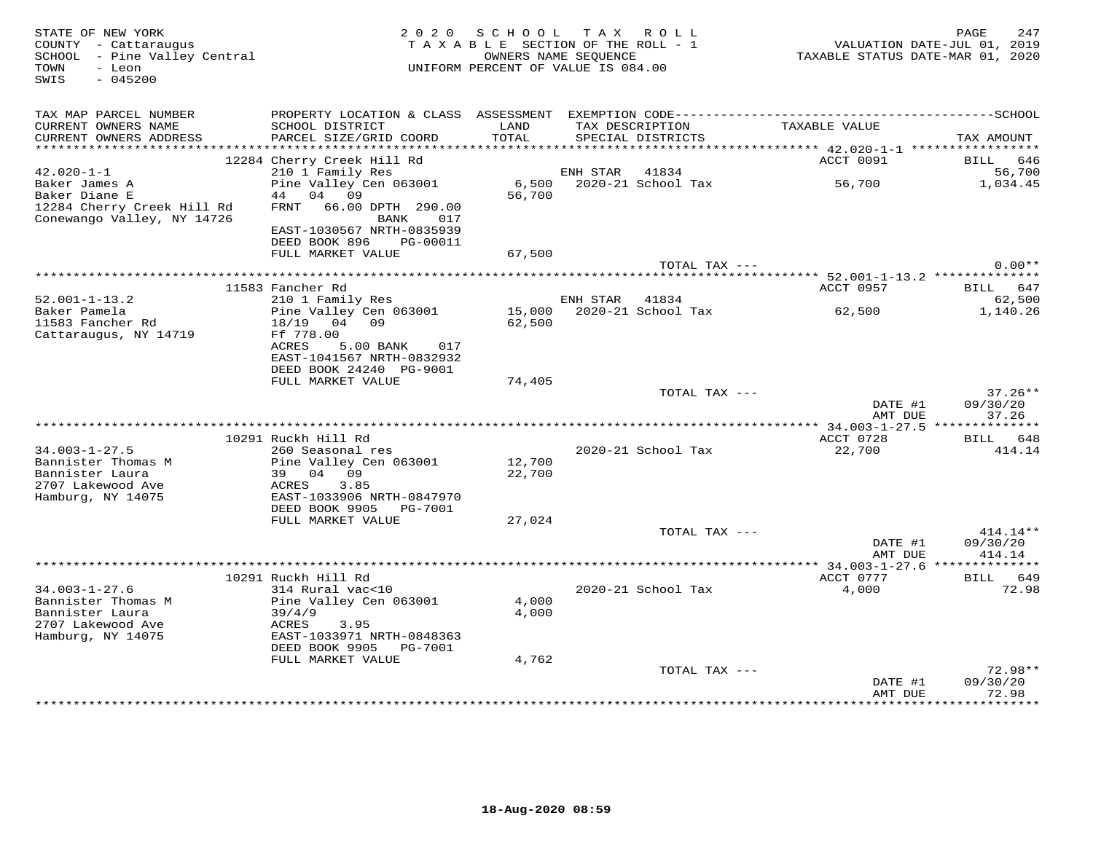STATE OF NEW YORK MESS PAGE 247<br>COUNTY - Cattaraugus (COUNTY - Cattaraugus and the section of the SECTION OF THE ROLL - 1 (COUNTY - Cattaraugu<br>SCHOOL - Pine Valley Central (2019) (COUNT ANNE SECTION OF THE ROLL - 1 (CALUAT SWIS - 045200TAX MAP PARCEL NUMBER PROPERTY LOCATION & CLASS ASSESSMENT EXEMPTION CODE------------------------------------------SCHOOL CURRENT OWNERS NAME SCHOOL DISTRICT LAND TAX DESCRIPTION TAXABLE VALUE CURRENT OWNERS ADDRESS PARCEL SIZE/GRID COORD TOTAL SPECIAL DISTRICTS TAX AMOUNT \*\*\*\*\*\*\*\*\*\*\*\*\*\*\*\*\*\*\*\*\*\*\*\*\*\*\*\*\*\*\*\*\*\*\*\*\*\*\*\*\*\*\*\*\*\*\*\*\*\*\*\*\*\*\*\*\*\*\*\*\*\*\*\*\*\*\*\*\*\*\*\*\*\*\*\*\*\*\*\*\*\*\*\*\*\*\*\*\*\*\*\*\*\*\*\*\*\*\*\*\*\*\* 42.020-1-1 \*\*\*\*\*\*\*\*\*\*\*\*\*\*\*\*\* 12284 Cherry Creek Hill Rd ACCT 0091 BILL 646 42.020-1-1 210 1 Family Res ENH STAR 41834 56,700 Baker James A Pine Valley Cen 063001 6,500 2020-21 School Tax 56,700 1,034.45 Baker Diane E 44 04 09 56,700 12284 Cherry Creek Hill Rd FRNT 66.00 DPTH 290.00 Conewango Valley, NY 14726 BANK 017 EAST-1030567 NRTH-0835939 DEED BOOK 896 PG-00011 FULL MARKET VALUE 67,500TOTAL TAX  $---$  0.00\*\* \*\*\*\*\*\*\*\*\*\*\*\*\*\*\*\*\*\*\*\*\*\*\*\*\*\*\*\*\*\*\*\*\*\*\*\*\*\*\*\*\*\*\*\*\*\*\*\*\*\*\*\*\*\*\*\*\*\*\*\*\*\*\*\*\*\*\*\*\*\*\*\*\*\*\*\*\*\*\*\*\*\*\*\*\*\*\*\*\*\*\*\*\*\*\*\*\*\*\*\*\*\*\* 52.001-1-13.2 \*\*\*\*\*\*\*\*\*\*\*\*\*\*ACCT 0957 BILL 647 11583 Fancher Rd ACCT 0957 BILL 647 $62,500$ 52.001-1-13.2 210 1 Family Res 41834 62,500 1,140.26 Baker Pamela Pine Valley Cen 063001 15,000 2020-21 School Tax 62,500 1,140.2611583 Fancher Rd 18/19 04 09 62,500 Cattaraugus, NY 14719 Ff 778.00 ACRES 5.00 BANK 017 EAST-1041567 NRTH-0832932 DEED BOOK 24240 PG-9001 FULL MARKET VALUE 74,405 TOTAL TAX --- 37.26\*\* DATE #1 09/30/20 AMT DUE 37.26 \*\*\*\*\*\*\*\*\*\*\*\*\*\*\*\*\*\*\*\*\*\*\*\*\*\*\*\*\*\*\*\*\*\*\*\*\*\*\*\*\*\*\*\*\*\*\*\*\*\*\*\*\*\*\*\*\*\*\*\*\*\*\*\*\*\*\*\*\*\*\*\*\*\*\*\*\*\*\*\*\*\*\*\*\*\*\*\*\*\*\*\*\*\*\*\*\*\*\*\*\*\*\* 34.003-1-27.5 \*\*\*\*\*\*\*\*\*\*\*\*\*\* 10291 Ruckh Hill Rd ACCT 0728 BILL 648414.14 34.003-1-27.5 260 Seasonal res 2020-21 School Tax 22,700 414.14Bannister Thomas M Pine Valley Cen 063001 12,700 Bannister Laura 39 04 09 22,700 2707 Lakewood Ave ACRES 3.85 Hamburg, NY 14075 EAST-1033906 NRTH-0847970 DEED BOOK 9905 PG-7001 FULL MARKET VALUE 27,024TOTAL TAX ---  $414.14**$  DATE #1 09/30/20AMT DUE 414.14 AMT DUE 414.14 \*\*\*\*\*\*\*\*\*\*\*\*\*\*\*\*\*\*\*\*\*\*\*\*\*\*\*\*\*\*\*\*\*\*\*\*\*\*\*\*\*\*\*\*\*\*\*\*\*\*\*\*\*\*\*\*\*\*\*\*\*\*\*\*\*\*\*\*\*\*\*\*\*\*\*\*\*\*\*\*\*\*\*\*\*\*\*\*\*\*\*\*\*\*\*\*\*\*\*\*\*\*\* 34.003-1-27.6 \*\*\*\*\*\*\*\*\*\*\*\*\*\* 10291 Ruckh Hill Rd ACCT 0777 BILL 64934.003-1-27.6 314 Rural vac<10 2020-21 School Tax 4,000 72.98Bannister Thomas M Pine Valley Cen 063001 4,000 Bannister Laura 39/4/9 4,000 2707 Lakewood Ave ACRES 3.95 Hamburg, NY 14075 EAST-1033971 NRTH-0848363 DEED BOOK 9905 PG-7001 FULL MARKET VALUE 4,762 TOTAL TAX --- 72.98\*\* DATE #1 09/30/20 AMT DUE 72.98\*\*\*\*\*\*\*\*\*\*\*\*\*\*\*\*\*\*\*\*\*\*\*\*\*\*\*\*\*\*\*\*\*\*\*\*\*\*\*\*\*\*\*\*\*\*\*\*\*\*\*\*\*\*\*\*\*\*\*\*\*\*\*\*\*\*\*\*\*\*\*\*\*\*\*\*\*\*\*\*\*\*\*\*\*\*\*\*\*\*\*\*\*\*\*\*\*\*\*\*\*\*\*\*\*\*\*\*\*\*\*\*\*\*\*\*\*\*\*\*\*\*\*\*\*\*\*\*\*\*\*\*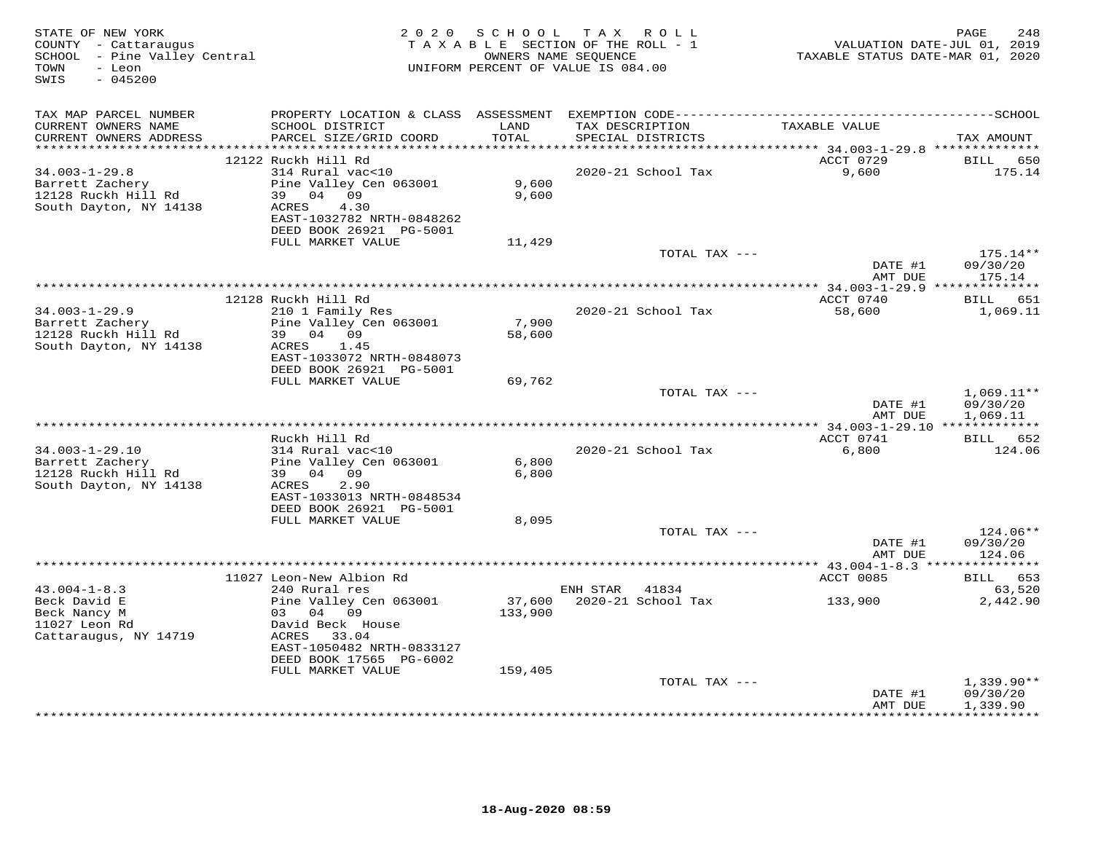| STATE OF NEW YORK<br>COUNTY - Cattaraugus<br>SCHOOL - Pine Valley Central<br>- Leon<br>TOWN<br>$-045200$<br>SWIS |                                                                               | 2020 SCHOOL     | TAX ROLL<br>TAXABLE SECTION OF THE ROLL - 1<br>OWNERS NAME SEQUENCE<br>UNIFORM PERCENT OF VALUE IS 084.00 | VALUATION DATE-JUL 01, 2019<br>TAXABLE STATUS DATE-MAR 01, 2020 | PAGE<br>248            |
|------------------------------------------------------------------------------------------------------------------|-------------------------------------------------------------------------------|-----------------|-----------------------------------------------------------------------------------------------------------|-----------------------------------------------------------------|------------------------|
| TAX MAP PARCEL NUMBER                                                                                            |                                                                               |                 |                                                                                                           |                                                                 |                        |
| CURRENT OWNERS NAME<br>CURRENT OWNERS ADDRESS<br>***********************                                         | SCHOOL DISTRICT<br>PARCEL SIZE/GRID COORD<br>******************************** | LAND<br>TOTAL   | TAX DESCRIPTION<br>SPECIAL DISTRICTS                                                                      | TAXABLE VALUE                                                   | TAX AMOUNT             |
|                                                                                                                  | 12122 Ruckh Hill Rd                                                           |                 |                                                                                                           | ACCT 0729                                                       | BILL<br>650            |
| $34.003 - 1 - 29.8$                                                                                              | 314 Rural vac<10                                                              |                 | 2020-21 School Tax                                                                                        | 9,600                                                           | 175.14                 |
| Barrett Zachery                                                                                                  | Pine Valley Cen 063001                                                        | 9,600           |                                                                                                           |                                                                 |                        |
| 12128 Ruckh Hill Rd                                                                                              | 39 04 09                                                                      | 9,600           |                                                                                                           |                                                                 |                        |
| South Dayton, NY 14138                                                                                           | ACRES<br>4.30                                                                 |                 |                                                                                                           |                                                                 |                        |
|                                                                                                                  | EAST-1032782 NRTH-0848262                                                     |                 |                                                                                                           |                                                                 |                        |
|                                                                                                                  | DEED BOOK 26921 PG-5001<br>FULL MARKET VALUE                                  |                 |                                                                                                           |                                                                 |                        |
|                                                                                                                  |                                                                               | 11,429          | TOTAL TAX ---                                                                                             |                                                                 | 175.14**               |
|                                                                                                                  |                                                                               |                 |                                                                                                           | DATE #1                                                         | 09/30/20               |
|                                                                                                                  |                                                                               |                 |                                                                                                           | AMT DUE                                                         | 175.14                 |
|                                                                                                                  |                                                                               |                 |                                                                                                           |                                                                 |                        |
|                                                                                                                  | 12128 Ruckh Hill Rd                                                           |                 |                                                                                                           | ACCT 0740                                                       | BILL 651               |
| $34.003 - 1 - 29.9$                                                                                              | 210 1 Family Res                                                              |                 | 2020-21 School Tax                                                                                        | 58,600                                                          | 1,069.11               |
| Barrett Zachery<br>12128 Ruckh Hill Rd                                                                           | Pine Valley Cen 063001<br>39 04 09                                            | 7,900<br>58,600 |                                                                                                           |                                                                 |                        |
| South Dayton, NY 14138                                                                                           | 1.45<br>ACRES                                                                 |                 |                                                                                                           |                                                                 |                        |
|                                                                                                                  | EAST-1033072 NRTH-0848073                                                     |                 |                                                                                                           |                                                                 |                        |
|                                                                                                                  | DEED BOOK 26921 PG-5001                                                       |                 |                                                                                                           |                                                                 |                        |
|                                                                                                                  | FULL MARKET VALUE                                                             | 69,762          |                                                                                                           |                                                                 |                        |
|                                                                                                                  |                                                                               |                 | TOTAL TAX ---                                                                                             |                                                                 | $1,069.11**$           |
|                                                                                                                  |                                                                               |                 |                                                                                                           | DATE #1                                                         | 09/30/20               |
|                                                                                                                  |                                                                               |                 |                                                                                                           | AMT DUE                                                         | 1,069.11               |
|                                                                                                                  | Ruckh Hill Rd                                                                 |                 |                                                                                                           | ACCT 0741                                                       | BILL 652               |
| $34.003 - 1 - 29.10$                                                                                             | 314 Rural vac<10                                                              |                 | 2020-21 School Tax                                                                                        | 6,800                                                           | 124.06                 |
| Barrett Zachery                                                                                                  | Pine Valley Cen 063001                                                        | 6,800           |                                                                                                           |                                                                 |                        |
| 12128 Ruckh Hill Rd                                                                                              | 39 04 09                                                                      | 6,800           |                                                                                                           |                                                                 |                        |
| South Dayton, NY 14138                                                                                           | ACRES<br>2.90                                                                 |                 |                                                                                                           |                                                                 |                        |
|                                                                                                                  | EAST-1033013 NRTH-0848534                                                     |                 |                                                                                                           |                                                                 |                        |
|                                                                                                                  | DEED BOOK 26921 PG-5001<br>FULL MARKET VALUE                                  | 8,095           |                                                                                                           |                                                                 |                        |
|                                                                                                                  |                                                                               |                 | TOTAL TAX ---                                                                                             |                                                                 | 124.06**               |
|                                                                                                                  |                                                                               |                 |                                                                                                           | DATE #1                                                         | 09/30/20               |
|                                                                                                                  |                                                                               |                 |                                                                                                           | AMT DUE                                                         | 124.06                 |
|                                                                                                                  |                                                                               |                 |                                                                                                           |                                                                 |                        |
|                                                                                                                  | 11027 Leon-New Albion Rd                                                      |                 |                                                                                                           | ACCT 0085                                                       | BILL 653               |
| $43.004 - 1 - 8.3$                                                                                               | 240 Rural res                                                                 |                 | ENH STAR 41834                                                                                            |                                                                 | 63,520                 |
| Beck David E                                                                                                     | Pine Valley Cen 063001                                                        | 37,600          | 2020-21 School Tax                                                                                        | 133,900                                                         | 2,442.90               |
| Beck Nancy M<br>11027 Leon Rd                                                                                    | 03 04 09<br>David Beck House                                                  | 133,900         |                                                                                                           |                                                                 |                        |
| Cattaraugus, NY 14719                                                                                            | ACRES 33.04                                                                   |                 |                                                                                                           |                                                                 |                        |
|                                                                                                                  | EAST-1050482 NRTH-0833127                                                     |                 |                                                                                                           |                                                                 |                        |
|                                                                                                                  | DEED BOOK 17565 PG-6002                                                       |                 |                                                                                                           |                                                                 |                        |
|                                                                                                                  | FULL MARKET VALUE                                                             | 159,405         |                                                                                                           |                                                                 |                        |
|                                                                                                                  |                                                                               |                 | TOTAL TAX ---                                                                                             |                                                                 | $1,339.90**$           |
|                                                                                                                  |                                                                               |                 |                                                                                                           | DATE #1                                                         | 09/30/20               |
|                                                                                                                  |                                                                               |                 | *********************************                                                                         | AMT DUE                                                         | 1,339.90<br>********** |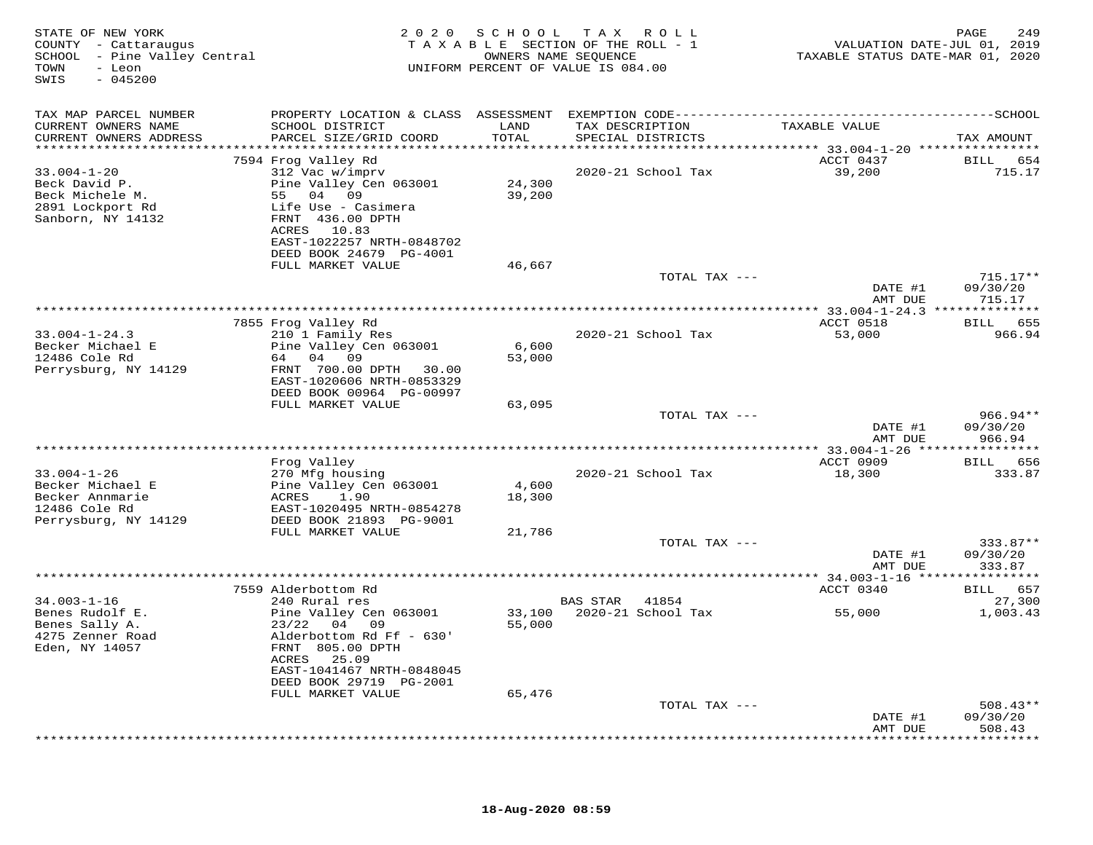| STATE OF NEW YORK<br>COUNTY - Cattaraugus<br>SCHOOL - Pine Valley Central<br>- Leon<br>TOWN<br>SWIS<br>$-045200$ | 2 0 2 0                                                                                      | S C H O O L   | T A X<br>ROLL<br>TAXABLE SECTION OF THE ROLL - 1<br>OWNERS NAME SEQUENCE<br>UNIFORM PERCENT OF VALUE IS 084.00 | TAXABLE STATUS DATE-MAR 01, 2020 | PAGE<br>249<br>VALUATION DATE-JUL 01, 2019 |
|------------------------------------------------------------------------------------------------------------------|----------------------------------------------------------------------------------------------|---------------|----------------------------------------------------------------------------------------------------------------|----------------------------------|--------------------------------------------|
| TAX MAP PARCEL NUMBER                                                                                            | PROPERTY LOCATION & CLASS ASSESSMENT EXEMPTION CODE-----------------------------------SCHOOL |               |                                                                                                                |                                  |                                            |
| CURRENT OWNERS NAME<br>CURRENT OWNERS ADDRESS                                                                    | SCHOOL DISTRICT<br>PARCEL SIZE/GRID COORD                                                    | LAND<br>TOTAL | TAX DESCRIPTION<br>SPECIAL DISTRICTS                                                                           | TAXABLE VALUE                    | TAX AMOUNT                                 |
|                                                                                                                  | 7594 Frog Valley Rd                                                                          |               |                                                                                                                | ACCT 0437                        | BILL 654                                   |
| $33.004 - 1 - 20$                                                                                                | 312 Vac w/imprv                                                                              |               | 2020-21 School Tax                                                                                             | 39,200                           | 715.17                                     |
| Beck David P.                                                                                                    | Pine Valley Cen 063001                                                                       | 24,300        |                                                                                                                |                                  |                                            |
| Beck Michele M.                                                                                                  | 55 04 09                                                                                     | 39,200        |                                                                                                                |                                  |                                            |
| 2891 Lockport Rd<br>Sanborn, NY 14132                                                                            | Life Use - Casimera<br>FRNT 436.00 DPTH<br>ACRES 10.83                                       |               |                                                                                                                |                                  |                                            |
|                                                                                                                  | EAST-1022257 NRTH-0848702<br>DEED BOOK 24679 PG-4001                                         |               |                                                                                                                |                                  |                                            |
|                                                                                                                  | FULL MARKET VALUE                                                                            | 46,667        |                                                                                                                |                                  |                                            |
|                                                                                                                  |                                                                                              |               | TOTAL TAX ---                                                                                                  | DATE #1                          | $715.17**$<br>09/30/20                     |
|                                                                                                                  |                                                                                              |               |                                                                                                                | AMT DUE                          | 715.17                                     |
|                                                                                                                  | 7855 Frog Valley Rd                                                                          |               |                                                                                                                | ACCT 0518                        | BILL<br>655                                |
| $33.004 - 1 - 24.3$                                                                                              | 210 1 Family Res                                                                             |               | 2020-21 School Tax                                                                                             | 53,000                           | 966.94                                     |
| Becker Michael E                                                                                                 | Pine Valley Cen 063001                                                                       | 6,600         |                                                                                                                |                                  |                                            |
| 12486 Cole Rd                                                                                                    | 64 04 09                                                                                     | 53,000        |                                                                                                                |                                  |                                            |
| Perrysburg, NY 14129                                                                                             | FRNT 700.00 DPTH 30.00<br>EAST-1020606 NRTH-0853329                                          |               |                                                                                                                |                                  |                                            |
|                                                                                                                  | DEED BOOK 00964 PG-00997                                                                     |               |                                                                                                                |                                  |                                            |
|                                                                                                                  | FULL MARKET VALUE                                                                            | 63,095        |                                                                                                                |                                  |                                            |
|                                                                                                                  |                                                                                              |               | TOTAL TAX ---                                                                                                  |                                  | $966.94**$                                 |
|                                                                                                                  |                                                                                              |               |                                                                                                                | DATE #1                          | 09/30/20                                   |
|                                                                                                                  |                                                                                              |               |                                                                                                                | AMT DUE                          | 966.94                                     |
|                                                                                                                  | Frog Valley                                                                                  |               |                                                                                                                | ACCT 0909                        | BILL 656                                   |
| $33.004 - 1 - 26$                                                                                                | 270 Mfg housing                                                                              |               | 2020-21 School Tax                                                                                             | 18,300                           | 333.87                                     |
| Becker Michael E                                                                                                 | Pine Valley Cen 063001                                                                       | 4,600         |                                                                                                                |                                  |                                            |
| Becker Annmarie                                                                                                  | 1.90<br>ACRES                                                                                | 18,300        |                                                                                                                |                                  |                                            |
| 12486 Cole Rd<br>Perrysburg, NY 14129                                                                            | EAST-1020495 NRTH-0854278<br>DEED BOOK 21893 PG-9001                                         |               |                                                                                                                |                                  |                                            |
|                                                                                                                  | FULL MARKET VALUE                                                                            | 21,786        |                                                                                                                |                                  |                                            |
|                                                                                                                  |                                                                                              |               | TOTAL TAX ---                                                                                                  |                                  | 333.87**                                   |
|                                                                                                                  |                                                                                              |               |                                                                                                                | DATE #1<br>AMT DUE               | 09/30/20<br>333.87                         |
|                                                                                                                  |                                                                                              |               |                                                                                                                |                                  | * * * * * * * * *                          |
|                                                                                                                  | 7559 Alderbottom Rd                                                                          |               |                                                                                                                | ACCT 0340                        | 657<br>BILL                                |
| $34.003 - 1 - 16$                                                                                                | 240 Rural res                                                                                |               | BAS STAR<br>41854                                                                                              |                                  | 27,300                                     |
| Benes Rudolf E.                                                                                                  | Pine Valley Cen 063001                                                                       | 33,100        | 2020-21 School Tax                                                                                             | 55,000                           | 1,003.43                                   |
| Benes Sally A.<br>4275 Zenner Road                                                                               | 23/22<br>04 09                                                                               | 55,000        |                                                                                                                |                                  |                                            |
| Eden, NY 14057                                                                                                   | Alderbottom Rd Ff - 630'<br>FRNT 805.00 DPTH                                                 |               |                                                                                                                |                                  |                                            |
|                                                                                                                  | ACRES<br>25.09                                                                               |               |                                                                                                                |                                  |                                            |
|                                                                                                                  | EAST-1041467 NRTH-0848045                                                                    |               |                                                                                                                |                                  |                                            |
|                                                                                                                  | DEED BOOK 29719 PG-2001                                                                      |               |                                                                                                                |                                  |                                            |
|                                                                                                                  | FULL MARKET VALUE                                                                            | 65,476        |                                                                                                                |                                  |                                            |
|                                                                                                                  |                                                                                              |               | TOTAL TAX ---                                                                                                  | DATE #1                          | $508.43**$<br>09/30/20                     |
|                                                                                                                  |                                                                                              |               |                                                                                                                | AMT DUE                          | 508.43                                     |
|                                                                                                                  |                                                                                              |               |                                                                                                                |                                  | *******                                    |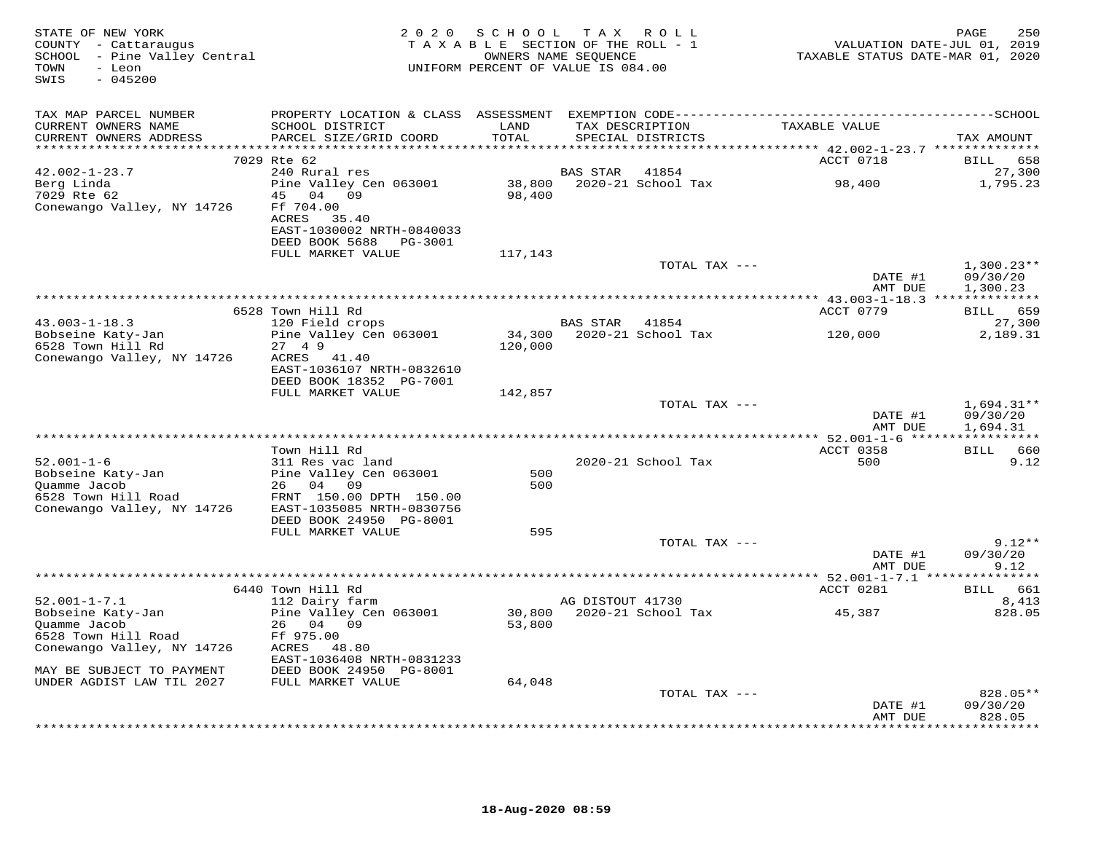| STATE OF NEW YORK<br>COUNTY - Cattaraugus<br>SCHOOL - Pine Valley Central<br>TOWN<br>- Leon<br>$-045200$<br>SWIS                                                         |                                                                     |         | 2020 SCHOOL TAX ROLL<br>T A X A B L E SECTION OF THE ROLL - 1<br>OWNERS NAME SEQUENCE<br>UNIFORM PERCENT OF VALUE IS 084.00 |                               | 250<br>PAGE<br>VALUATION DATE-JUL 01, 2019<br>TAXABLE STATUS DATE-MAR 01, 2020 |
|--------------------------------------------------------------------------------------------------------------------------------------------------------------------------|---------------------------------------------------------------------|---------|-----------------------------------------------------------------------------------------------------------------------------|-------------------------------|--------------------------------------------------------------------------------|
| TAX MAP PARCEL NUMBER                                                                                                                                                    |                                                                     |         |                                                                                                                             |                               |                                                                                |
| CURRENT OWNERS NAME<br>CURRENT OWNERS ADDRESS                                                                                                                            | SCHOOL DISTRICT LAND<br>PARCEL SIZE/GRID COORD                      | TOTAL   | SPECIAL DISTRICTS                                                                                                           | TAX DESCRIPTION TAXABLE VALUE | TAX AMOUNT                                                                     |
|                                                                                                                                                                          | 7029 Rte 62                                                         |         |                                                                                                                             | ACCT 0718                     | BILL 658                                                                       |
| $42.002 - 1 - 23.7$                                                                                                                                                      | 240 Rural res                                                       |         | BAS STAR 41854                                                                                                              |                               | 27,300                                                                         |
| Berg Linda<br>7029 Rte 62                                                                                                                                                | Pine Valley Cen 063001 38,800 2020-21 School Tax 98,400<br>45 04 09 | 98,400  |                                                                                                                             |                               | 1,795.23                                                                       |
| Conewango Valley, NY 14726                                                                                                                                               | Ff 704.00<br>ACRES 35.40                                            |         |                                                                                                                             |                               |                                                                                |
|                                                                                                                                                                          | EAST-1030002 NRTH-0840033                                           |         |                                                                                                                             |                               |                                                                                |
|                                                                                                                                                                          | DEED BOOK 5688 PG-3001<br>FULL MARKET VALUE                         | 117,143 |                                                                                                                             |                               |                                                                                |
|                                                                                                                                                                          |                                                                     |         |                                                                                                                             | TOTAL TAX ---                 | $1,300.23**$                                                                   |
|                                                                                                                                                                          |                                                                     |         |                                                                                                                             |                               | DATE #1<br>09/30/20<br>AMT DUE<br>1,300.23                                     |
|                                                                                                                                                                          |                                                                     |         |                                                                                                                             |                               |                                                                                |
| $43.003 - 1 - 18.3$                                                                                                                                                      | 6528 Town Hill Rd<br>120 Field crops                                |         |                                                                                                                             | ACCT 0779                     | BILL 659<br>27,300                                                             |
|                                                                                                                                                                          | Pine Valley Cen 063001                                              |         | BAS STAR 41854<br>34,300 2020-21 School Tax                                                                                 | 120,000                       | 2,189.31                                                                       |
| Bobseine Katy-Jan<br>6528 Town Hill Rd                                                                                                                                   | 27 4 9                                                              | 120,000 |                                                                                                                             |                               |                                                                                |
| Conewango Valley, NY 14726                                                                                                                                               | ACRES 41.40<br>EAST-1036107 NRTH-0832610                            |         |                                                                                                                             |                               |                                                                                |
|                                                                                                                                                                          | DEED BOOK 18352 PG-7001                                             |         |                                                                                                                             |                               |                                                                                |
|                                                                                                                                                                          | FULL MARKET VALUE                                                   | 142,857 |                                                                                                                             |                               |                                                                                |
|                                                                                                                                                                          |                                                                     |         |                                                                                                                             | TOTAL TAX ---                 | $1,694.31**$                                                                   |
|                                                                                                                                                                          |                                                                     |         |                                                                                                                             |                               | DATE #1<br>09/30/20<br>1,694.31<br>AMT DUE                                     |
|                                                                                                                                                                          |                                                                     |         |                                                                                                                             |                               |                                                                                |
|                                                                                                                                                                          | Town Hill Rd                                                        |         |                                                                                                                             | ACCT 0358                     | BILL 660                                                                       |
| $52.001 - 1 - 6$                                                                                                                                                         | 311 Res vac land                                                    | 500     | 2020-21 School Tax                                                                                                          | 500                           | 9.12                                                                           |
|                                                                                                                                                                          |                                                                     | 500     |                                                                                                                             |                               |                                                                                |
| Pobseine Katy-Jan Pine Valley Cen 063001<br>Quamme Jacob 26 04 09<br>6528 Town Hill Road FRNT 150.00 DPTH 150.00<br>Conewango Valley, NY 14726 EAST-1035085 NRTH-0830756 |                                                                     |         |                                                                                                                             |                               |                                                                                |
|                                                                                                                                                                          | DEED BOOK 24950 PG-8001                                             |         |                                                                                                                             |                               |                                                                                |
|                                                                                                                                                                          | FULL MARKET VALUE                                                   | 595     |                                                                                                                             |                               |                                                                                |
|                                                                                                                                                                          |                                                                     |         |                                                                                                                             | TOTAL TAX ---                 | $9.12**$                                                                       |
|                                                                                                                                                                          |                                                                     |         |                                                                                                                             |                               | DATE #1<br>09/30/20<br>9.12                                                    |
|                                                                                                                                                                          |                                                                     |         |                                                                                                                             |                               | AMT DUE                                                                        |
|                                                                                                                                                                          | 6440 Town Hill Rd                                                   |         |                                                                                                                             | ACCT 0281                     | BILL 661                                                                       |
| $52.001 - 1 - 7.1$                                                                                                                                                       | 112 Dairy farm                                                      |         | AG DISTOUT 41730                                                                                                            |                               | 8,413                                                                          |
| Bobseine Katy-Jan<br>Quamme Jacob                                                                                                                                        | Pine Valley Cen 063001 30,800 2020-21 School Tax 45,387<br>26 04 09 | 53,800  |                                                                                                                             |                               | 828.05                                                                         |
| 6528 Town Hill Road                                                                                                                                                      | Ff 975.00                                                           |         |                                                                                                                             |                               |                                                                                |
| Conewango Valley, NY 14726                                                                                                                                               | ACRES 48.80                                                         |         |                                                                                                                             |                               |                                                                                |
| MAY BE SUBJECT TO PAYMENT                                                                                                                                                | EAST-1036408 NRTH-0831233<br>DEED BOOK 24950 PG-8001                |         |                                                                                                                             |                               |                                                                                |
| UNDER AGDIST LAW TIL 2027                                                                                                                                                | FULL MARKET VALUE                                                   | 64,048  |                                                                                                                             |                               |                                                                                |
|                                                                                                                                                                          |                                                                     |         |                                                                                                                             | TOTAL TAX ---                 | 828.05**                                                                       |
|                                                                                                                                                                          |                                                                     |         |                                                                                                                             |                               | 09/30/20<br>DATE #1                                                            |
|                                                                                                                                                                          |                                                                     |         |                                                                                                                             |                               | 828.05<br>AMT DUE<br><b>++++++++++</b>                                         |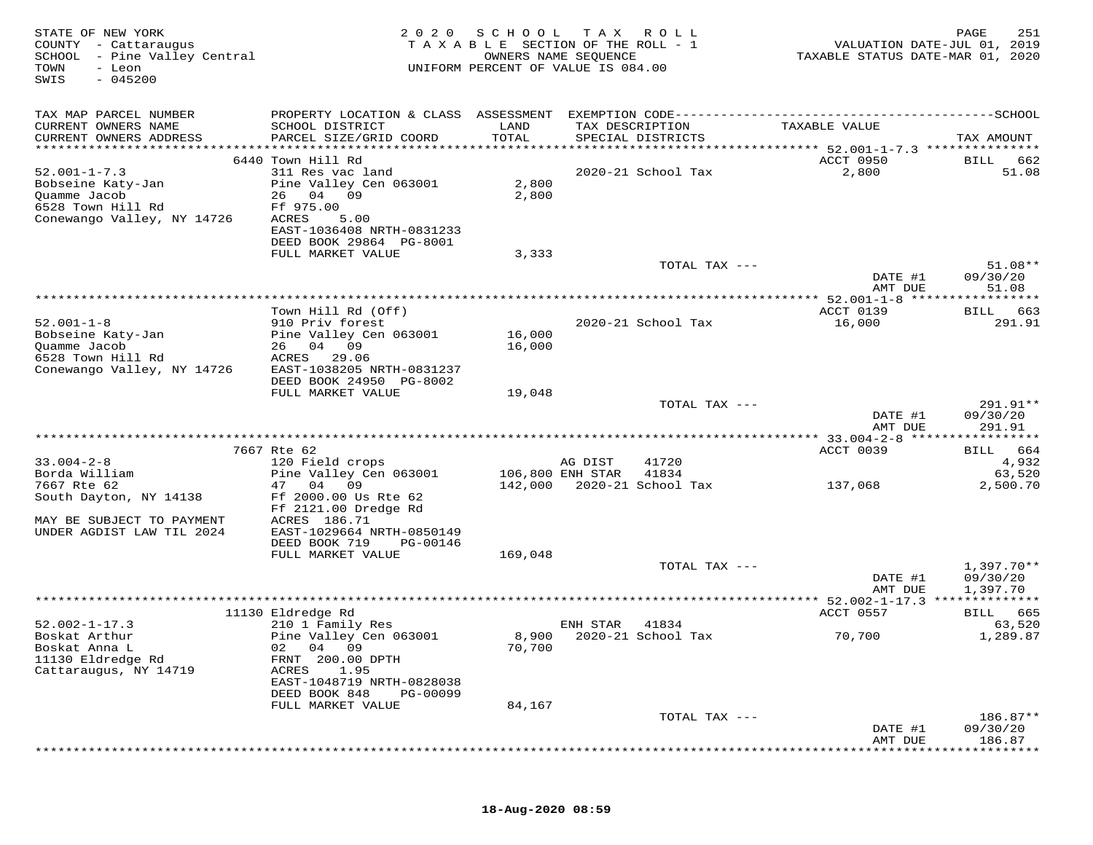| STATE OF NEW YORK<br>COUNTY - Cattaraugus<br>SCHOOL - Pine Valley Central<br>TOWN<br>- Leon<br>$-045200$<br>SWIS | 2 0 2 0                                                | S C H O O L      | TAX ROLL<br>TAXABLE SECTION OF THE ROLL - 1<br>OWNERS NAME SEQUENCE<br>UNIFORM PERCENT OF VALUE IS 084.00 | VALUATION DATE-JUL 01, 2019<br>TAXABLE STATUS DATE-MAR 01, 2020 | 251<br>PAGE            |
|------------------------------------------------------------------------------------------------------------------|--------------------------------------------------------|------------------|-----------------------------------------------------------------------------------------------------------|-----------------------------------------------------------------|------------------------|
| TAX MAP PARCEL NUMBER                                                                                            |                                                        |                  |                                                                                                           |                                                                 |                        |
| CURRENT OWNERS NAME                                                                                              | SCHOOL DISTRICT                                        | LAND             | TAX DESCRIPTION                                                                                           | TAXABLE VALUE                                                   |                        |
| CURRENT OWNERS ADDRESS                                                                                           | PARCEL SIZE/GRID COORD                                 | TOTAL            | SPECIAL DISTRICTS                                                                                         |                                                                 | TAX AMOUNT             |
|                                                                                                                  | 6440 Town Hill Rd                                      |                  |                                                                                                           | ACCT 0950                                                       | BILL 662               |
| $52.001 - 1 - 7.3$                                                                                               | 311 Res vac land                                       |                  | 2020-21 School Tax                                                                                        | 2,800                                                           | 51.08                  |
| Bobseine Katy-Jan                                                                                                | Pine Valley Cen 063001                                 | 2,800            |                                                                                                           |                                                                 |                        |
| Quamme Jacob<br>6528 Town Hill Rd                                                                                | 26 04 09<br>Ff 975.00                                  | 2,800            |                                                                                                           |                                                                 |                        |
| Conewango Valley, NY 14726                                                                                       | ACRES<br>5.00                                          |                  |                                                                                                           |                                                                 |                        |
|                                                                                                                  | EAST-1036408 NRTH-0831233                              |                  |                                                                                                           |                                                                 |                        |
|                                                                                                                  | DEED BOOK 29864 PG-8001                                |                  |                                                                                                           |                                                                 |                        |
|                                                                                                                  | FULL MARKET VALUE                                      | 3,333            | TOTAL TAX ---                                                                                             |                                                                 | $51.08**$              |
|                                                                                                                  |                                                        |                  |                                                                                                           | DATE #1                                                         | 09/30/20               |
|                                                                                                                  |                                                        |                  |                                                                                                           | AMT DUE                                                         | 51.08                  |
|                                                                                                                  | Town Hill Rd (Off)                                     |                  |                                                                                                           | ACCT 0139                                                       | BILL 663               |
| $52.001 - 1 - 8$                                                                                                 | 910 Priv forest                                        |                  | 2020-21 School Tax                                                                                        | 16,000                                                          | 291.91                 |
| Bobseine Katy-Jan                                                                                                | Pine Valley Cen 063001                                 | 16,000           |                                                                                                           |                                                                 |                        |
| Quamme Jacob                                                                                                     | 26 04 09                                               | 16,000           |                                                                                                           |                                                                 |                        |
| 6528 Town Hill Rd<br>Conewango Valley, NY 14726                                                                  | ACRES 29.06<br>EAST-1038205 NRTH-0831237               |                  |                                                                                                           |                                                                 |                        |
|                                                                                                                  | DEED BOOK 24950 PG-8002                                |                  |                                                                                                           |                                                                 |                        |
|                                                                                                                  | FULL MARKET VALUE                                      | 19,048           |                                                                                                           |                                                                 |                        |
|                                                                                                                  |                                                        |                  | TOTAL TAX ---                                                                                             |                                                                 | $291.91**$             |
|                                                                                                                  |                                                        |                  |                                                                                                           | DATE #1<br>AMT DUE                                              | 09/30/20<br>291.91     |
|                                                                                                                  |                                                        |                  |                                                                                                           |                                                                 |                        |
|                                                                                                                  | 7667 Rte 62                                            |                  |                                                                                                           | ACCT 0039                                                       | BILL 664               |
| $33.004 - 2 - 8$<br>Borda William                                                                                | 120 Field crops<br>Pine Valley Cen 063001              | 106,800 ENH STAR | 41720<br>AG DIST<br>41834                                                                                 |                                                                 | 4,932<br>63,520        |
| 7667 Rte 62                                                                                                      | 47 04 09                                               |                  | 142,000 2020-21 School Tax                                                                                | 137,068                                                         | 2,500.70               |
| South Dayton, NY 14138                                                                                           | Ff 2000.00 Us Rte 62                                   |                  |                                                                                                           |                                                                 |                        |
| MAY BE SUBJECT TO PAYMENT                                                                                        | Ff 2121.00 Dredge Rd<br>ACRES 186.71                   |                  |                                                                                                           |                                                                 |                        |
| UNDER AGDIST LAW TIL 2024                                                                                        | EAST-1029664 NRTH-0850149                              |                  |                                                                                                           |                                                                 |                        |
|                                                                                                                  | DEED BOOK 719<br>PG-00146                              |                  |                                                                                                           |                                                                 |                        |
|                                                                                                                  | FULL MARKET VALUE                                      | 169,048          |                                                                                                           |                                                                 |                        |
|                                                                                                                  |                                                        |                  | TOTAL TAX ---                                                                                             | DATE #1                                                         | 1,397.70**<br>09/30/20 |
|                                                                                                                  |                                                        |                  |                                                                                                           | AMT DUE                                                         | 1,397.70               |
|                                                                                                                  |                                                        |                  |                                                                                                           |                                                                 |                        |
| $52.002 - 1 - 17.3$                                                                                              | 11130 Eldredge Rd                                      |                  |                                                                                                           | ACCT 0557                                                       | BILL 665               |
| Boskat Arthur                                                                                                    | 210 1 Family Res<br>Pine Valley Cen 063001             |                  | ENH STAR<br>41834<br>8,900 2020-21 School Tax                                                             | 70,700                                                          | 63,520<br>1,289.87     |
| Boskat Anna L                                                                                                    | 02 04 09                                               | 70,700           |                                                                                                           |                                                                 |                        |
| 11130 Eldredge Rd                                                                                                | FRNT 200.00 DPTH                                       |                  |                                                                                                           |                                                                 |                        |
| Cattaraugus, NY 14719                                                                                            | 1.95<br>ACRES                                          |                  |                                                                                                           |                                                                 |                        |
|                                                                                                                  | EAST-1048719 NRTH-0828038<br>DEED BOOK 848<br>PG-00099 |                  |                                                                                                           |                                                                 |                        |
|                                                                                                                  | FULL MARKET VALUE                                      | 84,167           |                                                                                                           |                                                                 |                        |
|                                                                                                                  |                                                        |                  | TOTAL TAX ---                                                                                             |                                                                 | 186.87**               |
|                                                                                                                  |                                                        |                  |                                                                                                           | DATE #1<br>AMT DUE                                              | 09/30/20<br>186.87     |
|                                                                                                                  |                                                        |                  |                                                                                                           |                                                                 |                        |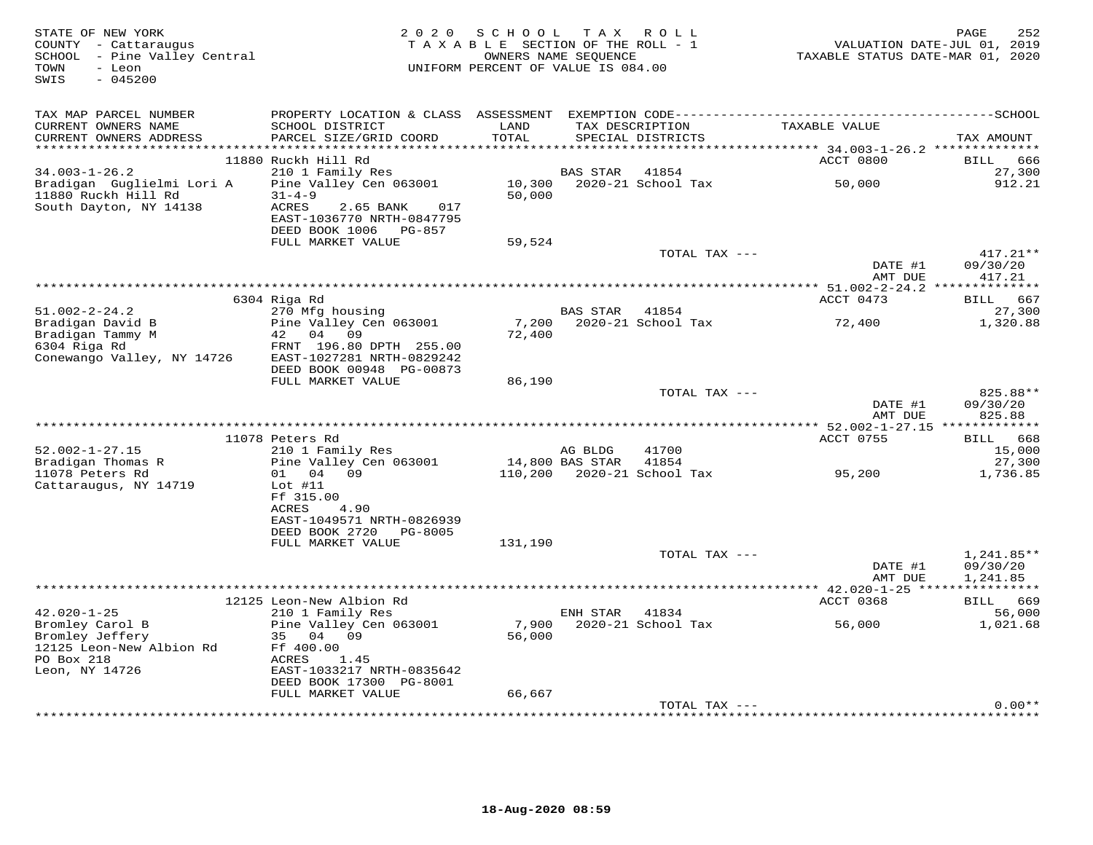| STATE OF NEW YORK<br>COUNTY - Cattaraugus<br>SCHOOL - Pine Valley Central<br>TOWN<br>- Leon<br>$-045200$<br>SWIS | 2 0 2 0<br>SCHOOL<br>TAX ROLL<br>TAXABLE SECTION OF THE ROLL - 1<br>OWNERS NAME SEQUENCE<br>UNIFORM PERCENT OF VALUE IS 084.00 |                 |                 |                                      |                    | PAGE<br>252<br>VALUATION DATE-JUL 01, 2019<br>TAXABLE STATUS DATE-MAR 01, 2020 |  |
|------------------------------------------------------------------------------------------------------------------|--------------------------------------------------------------------------------------------------------------------------------|-----------------|-----------------|--------------------------------------|--------------------|--------------------------------------------------------------------------------|--|
| TAX MAP PARCEL NUMBER<br>CURRENT OWNERS NAME<br>CURRENT OWNERS ADDRESS                                           | SCHOOL DISTRICT<br>PARCEL SIZE/GRID COORD                                                                                      | LAND<br>TOTAL   |                 | TAX DESCRIPTION<br>SPECIAL DISTRICTS | TAXABLE VALUE      | TAX AMOUNT                                                                     |  |
|                                                                                                                  | 11880 Ruckh Hill Rd                                                                                                            |                 |                 |                                      | ACCT 0800          | BILL 666                                                                       |  |
| $34.003 - 1 - 26.2$<br>Bradigan Guglielmi Lori A<br>11880 Ruckh Hill Rd<br>South Dayton, NY 14138                | 210 1 Family Res<br>Pine Valley Cen 063001<br>$31 - 4 - 9$<br><b>ACRES</b><br>2.65 BANK<br>017                                 | 50,000          | <b>BAS STAR</b> | 41854<br>10,300 2020-21 School Tax   | 50,000             | 27,300<br>912.21                                                               |  |
|                                                                                                                  | EAST-1036770 NRTH-0847795<br>DEED BOOK 1006 PG-857                                                                             |                 |                 |                                      |                    |                                                                                |  |
|                                                                                                                  | FULL MARKET VALUE                                                                                                              | 59,524          |                 |                                      |                    |                                                                                |  |
|                                                                                                                  |                                                                                                                                |                 |                 | TOTAL TAX ---                        | DATE #1            | $417.21**$<br>09/30/20                                                         |  |
|                                                                                                                  |                                                                                                                                |                 |                 |                                      | AMT DUE            | 417.21                                                                         |  |
|                                                                                                                  | 6304 Riga Rd                                                                                                                   |                 |                 |                                      | ACCT 0473          | BILL 667                                                                       |  |
| 51.002-2-24.2                                                                                                    | 270 Mfg housing                                                                                                                |                 | BAS STAR        | 41854                                |                    | 27,300                                                                         |  |
| Bradigan David B<br>Bradigan Tammy M<br>6304 Riga Rd<br>Conewango Valley, NY 14726                               | Pine Valley Cen 063001<br>42 04 09<br>FRNT 196.80 DPTH 255.00<br>EAST-1027281 NRTH-0829242<br>DEED BOOK 00948 PG-00873         | 7,200<br>72,400 |                 | 2020-21 School Tax                   | 72,400             | 1,320.88                                                                       |  |
|                                                                                                                  | FULL MARKET VALUE                                                                                                              | 86,190          |                 |                                      |                    |                                                                                |  |
|                                                                                                                  |                                                                                                                                |                 |                 | TOTAL TAX ---                        | DATE #1<br>AMT DUE | 825.88**<br>09/30/20<br>825.88                                                 |  |
|                                                                                                                  |                                                                                                                                |                 |                 |                                      |                    |                                                                                |  |
|                                                                                                                  | 11078 Peters Rd                                                                                                                |                 |                 |                                      | ACCT 0755          | BILL 668                                                                       |  |
| $52.002 - 1 - 27.15$<br>Bradigan Thomas R                                                                        | 210 1 Family Res<br>Pine Valley Cen 063001                                                                                     | 14,800 BAS STAR | AG BLDG         | 41700<br>41854                       |                    | 15,000<br>27,300                                                               |  |
| 11078 Peters Rd<br>Cattaraugus, NY 14719                                                                         | 01 04 09<br>Lot $#11$<br>Ff 315.00<br>ACRES<br>4.90<br>EAST-1049571 NRTH-0826939                                               |                 |                 | 110,200 2020-21 School Tax           | 95,200             | 1,736.85                                                                       |  |
|                                                                                                                  | DEED BOOK 2720 PG-8005                                                                                                         |                 |                 |                                      |                    |                                                                                |  |
|                                                                                                                  | FULL MARKET VALUE                                                                                                              | 131,190         |                 | TOTAL TAX ---                        |                    | $1,241.85**$                                                                   |  |
|                                                                                                                  |                                                                                                                                |                 |                 |                                      | DATE #1<br>AMT DUE | 09/30/20<br>1,241.85                                                           |  |
|                                                                                                                  | 12125 Leon-New Albion Rd                                                                                                       |                 |                 |                                      | ACCT 0368          | BILL 669                                                                       |  |
| $42.020 - 1 - 25$                                                                                                | 210 1 Family Res                                                                                                               |                 | ENH STAR        | 41834                                |                    | 56,000                                                                         |  |
| Bromley Carol B<br>Bromley Jeffery<br>12125 Leon-New Albion Rd<br>PO Box 218<br>Leon, NY 14726                   | Pine Valley Cen 063001<br>35 04 09<br>Ff 400.00<br>1.45<br>ACRES<br>EAST-1033217 NRTH-0835642<br>DEED BOOK 17300 PG-8001       | 56,000          |                 | 7,900 2020-21 School Tax             | 56,000             | 1,021.68                                                                       |  |
|                                                                                                                  | FULL MARKET VALUE                                                                                                              | 66,667          |                 |                                      |                    |                                                                                |  |
|                                                                                                                  |                                                                                                                                |                 |                 | TOTAL TAX ---                        |                    | $0.00**$                                                                       |  |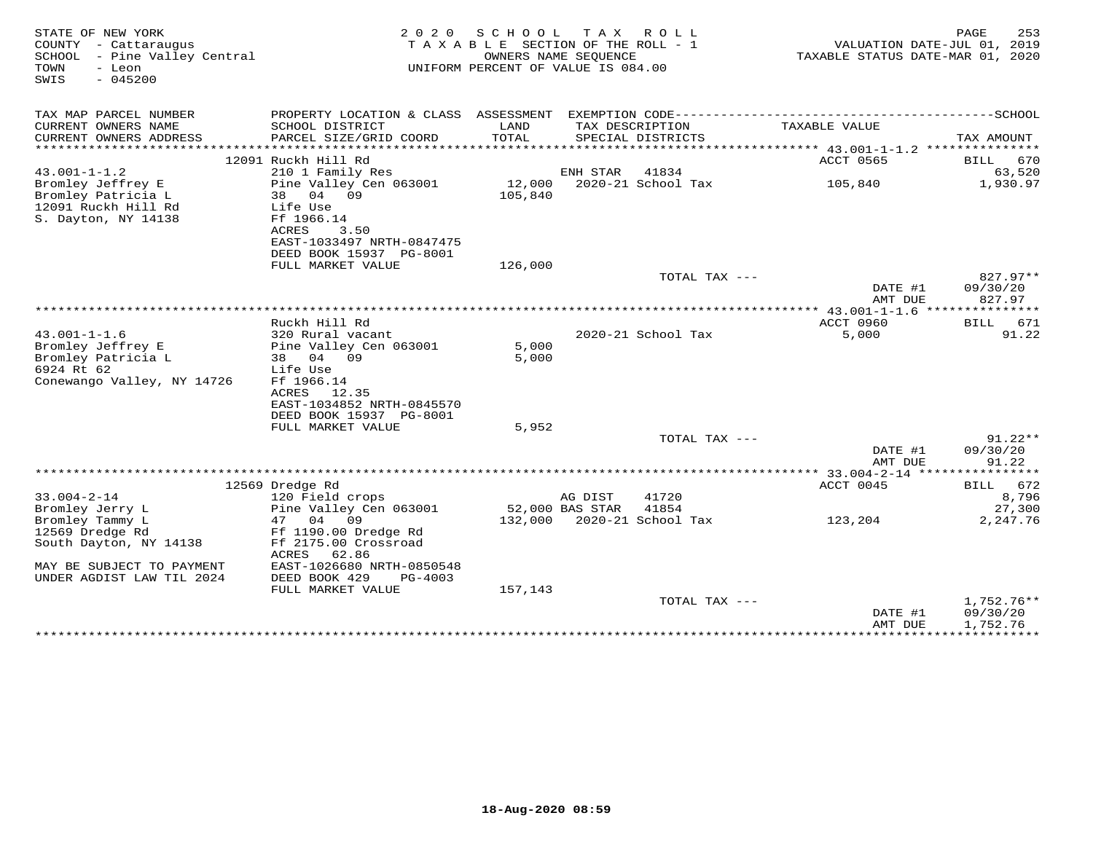| STATE OF NEW YORK<br>COUNTY - Cattaraugus<br>SCHOOL - Pine Valley Central<br>- Leon<br>TOWN<br>$-045200$<br>SWIS | 2 0 2 0                                             | SCHOOL<br>TAXABLE SECTION OF THE ROLL - 1<br>OWNERS NAME SEOUENCE<br>UNIFORM PERCENT OF VALUE IS 084.00 | T A X           | ROLL                                 | VALUATION DATE-JUL 01, 2019<br>TAXABLE STATUS DATE-MAR 01, 2020 | PAGE<br>253        |
|------------------------------------------------------------------------------------------------------------------|-----------------------------------------------------|---------------------------------------------------------------------------------------------------------|-----------------|--------------------------------------|-----------------------------------------------------------------|--------------------|
| TAX MAP PARCEL NUMBER                                                                                            |                                                     |                                                                                                         |                 |                                      |                                                                 |                    |
| CURRENT OWNERS NAME<br>CURRENT OWNERS ADDRESS                                                                    | SCHOOL DISTRICT<br>PARCEL SIZE/GRID COORD           | LAND<br>TOTAL                                                                                           |                 | TAX DESCRIPTION<br>SPECIAL DISTRICTS | TAXABLE VALUE                                                   | TAX AMOUNT         |
| **********************                                                                                           |                                                     |                                                                                                         |                 |                                      |                                                                 |                    |
|                                                                                                                  | 12091 Ruckh Hill Rd                                 |                                                                                                         |                 |                                      | ACCT 0565                                                       | BILL 670           |
| $43.001 - 1 - 1.2$<br>Bromley Jeffrey E                                                                          | 210 1 Family Res<br>Pine Valley Cen 063001          | 12,000                                                                                                  | ENH STAR        | 41834<br>2020-21 School Tax          | 105,840                                                         | 63,520<br>1,930.97 |
| Bromley Patricia L<br>12091 Ruckh Hill Rd<br>S. Dayton, NY 14138                                                 | 38 04 09<br>Life Use<br>Ff 1966.14<br>ACRES<br>3.50 | 105,840                                                                                                 |                 |                                      |                                                                 |                    |
|                                                                                                                  | EAST-1033497 NRTH-0847475                           |                                                                                                         |                 |                                      |                                                                 |                    |
|                                                                                                                  | DEED BOOK 15937 PG-8001                             |                                                                                                         |                 |                                      |                                                                 |                    |
|                                                                                                                  | FULL MARKET VALUE                                   | 126,000                                                                                                 |                 |                                      |                                                                 |                    |
|                                                                                                                  |                                                     |                                                                                                         |                 | TOTAL TAX ---                        |                                                                 | $827.97**$         |
|                                                                                                                  |                                                     |                                                                                                         |                 |                                      | DATE #1                                                         | 09/30/20           |
|                                                                                                                  |                                                     |                                                                                                         |                 |                                      | AMT DUE                                                         | 827.97             |
|                                                                                                                  | Ruckh Hill Rd                                       |                                                                                                         |                 |                                      | ACCT 0960                                                       | 671<br>BILL        |
| $43.001 - 1 - 1.6$                                                                                               | 320 Rural vacant                                    |                                                                                                         |                 | 2020-21 School Tax                   | 5,000                                                           | 91.22              |
| Bromley Jeffrey E                                                                                                | Pine Valley Cen 063001                              | 5,000                                                                                                   |                 |                                      |                                                                 |                    |
| Bromley Patricia L                                                                                               | 38 04 09                                            | 5,000                                                                                                   |                 |                                      |                                                                 |                    |
| 6924 Rt 62                                                                                                       | Life Use                                            |                                                                                                         |                 |                                      |                                                                 |                    |
| Conewango Valley, NY 14726                                                                                       | Ff 1966.14                                          |                                                                                                         |                 |                                      |                                                                 |                    |
|                                                                                                                  | ACRES<br>12.35                                      |                                                                                                         |                 |                                      |                                                                 |                    |
|                                                                                                                  | EAST-1034852 NRTH-0845570                           |                                                                                                         |                 |                                      |                                                                 |                    |
|                                                                                                                  | DEED BOOK 15937 PG-8001                             |                                                                                                         |                 |                                      |                                                                 |                    |
|                                                                                                                  | FULL MARKET VALUE                                   | 5,952                                                                                                   |                 |                                      |                                                                 |                    |
|                                                                                                                  |                                                     |                                                                                                         |                 | TOTAL TAX ---                        |                                                                 | $91.22**$          |
|                                                                                                                  |                                                     |                                                                                                         |                 |                                      | DATE #1                                                         | 09/30/20           |
|                                                                                                                  |                                                     |                                                                                                         |                 |                                      | AMT DUE                                                         | 91.22              |
|                                                                                                                  | 12569 Dredge Rd                                     |                                                                                                         |                 |                                      | ACCT 0045                                                       | BILL 672           |
| $33.004 - 2 - 14$                                                                                                | 120 Field crops                                     |                                                                                                         | AG DIST         | 41720                                |                                                                 | 8,796              |
| Bromley Jerry L                                                                                                  | Pine Valley Cen 063001                              |                                                                                                         | 52,000 BAS STAR | 41854                                |                                                                 | 27,300             |
| Bromley Tammy L                                                                                                  | 47<br>04<br>09                                      |                                                                                                         |                 | 132,000 2020-21 School Tax           | 123,204                                                         | 2,247.76           |
| 12569 Dredge Rd                                                                                                  | Ff 1190.00 Dredge Rd                                |                                                                                                         |                 |                                      |                                                                 |                    |
| South Dayton, NY 14138                                                                                           | Ff 2175.00 Crossroad<br><b>ACRES</b><br>62.86       |                                                                                                         |                 |                                      |                                                                 |                    |
| MAY BE SUBJECT TO PAYMENT                                                                                        | EAST-1026680 NRTH-0850548                           |                                                                                                         |                 |                                      |                                                                 |                    |
| UNDER AGDIST LAW TIL 2024                                                                                        | DEED BOOK 429<br>PG-4003                            |                                                                                                         |                 |                                      |                                                                 |                    |
|                                                                                                                  | FULL MARKET VALUE                                   | 157,143                                                                                                 |                 |                                      |                                                                 |                    |
|                                                                                                                  |                                                     |                                                                                                         |                 | TOTAL TAX ---                        |                                                                 | 1,752.76**         |
|                                                                                                                  |                                                     |                                                                                                         |                 |                                      | DATE #1                                                         | 09/30/20           |
|                                                                                                                  |                                                     |                                                                                                         |                 |                                      | AMT DUE                                                         | 1,752.76           |
|                                                                                                                  |                                                     |                                                                                                         |                 | ********************************     | *****************************                                   |                    |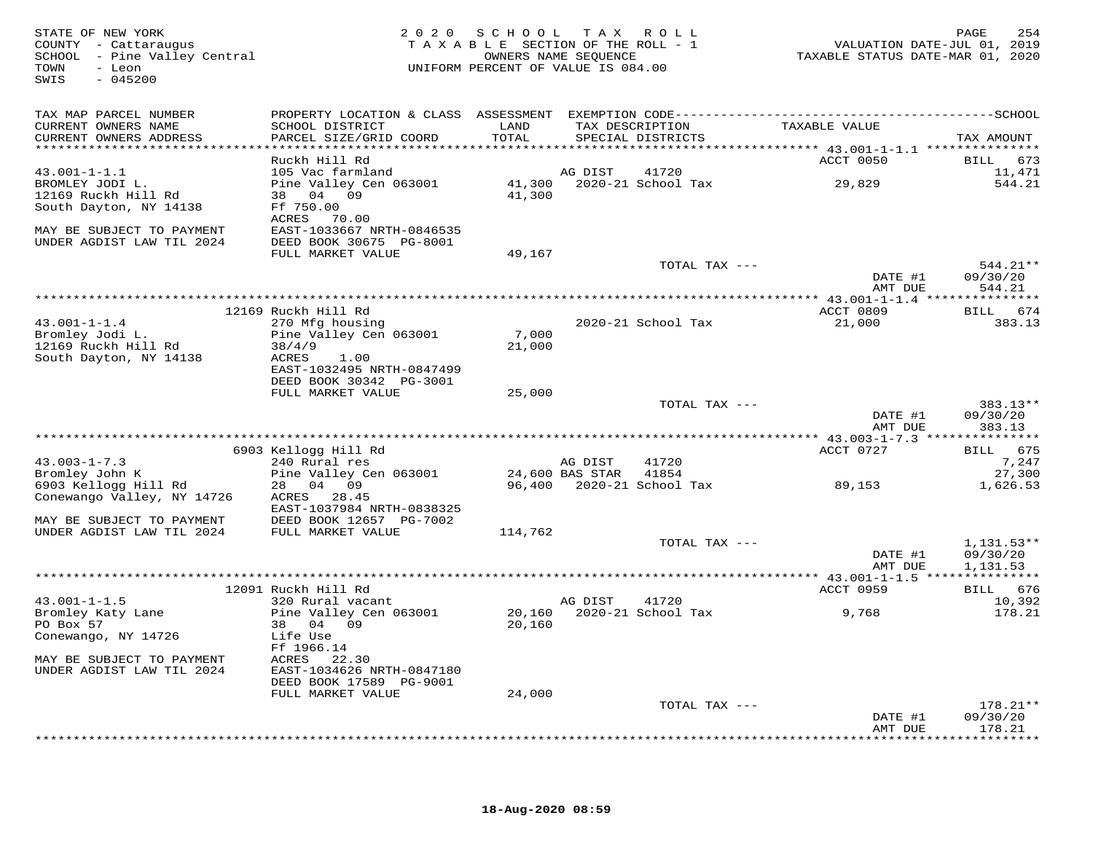| STATE OF NEW YORK<br>COUNTY - Cattaraugus<br>SCHOOL - Pine Valley Central<br>TOWN<br>- Leon<br>$-045200$<br>SWIS |                                           | 2020 SCHOOL<br>TAXABLE SECTION OF THE ROLL - 1<br>UNIFORM PERCENT OF VALUE IS 084.00 | OWNERS NAME SEOUENCE | TAX ROLL                             | VALUATION DATE-JUL 01, 2019<br>TAXABLE STATUS DATE-MAR 01, 2020 | 254<br>PAGE          |
|------------------------------------------------------------------------------------------------------------------|-------------------------------------------|--------------------------------------------------------------------------------------|----------------------|--------------------------------------|-----------------------------------------------------------------|----------------------|
| TAX MAP PARCEL NUMBER                                                                                            |                                           |                                                                                      |                      |                                      |                                                                 |                      |
| CURRENT OWNERS NAME<br>CURRENT OWNERS ADDRESS                                                                    | SCHOOL DISTRICT<br>PARCEL SIZE/GRID COORD | LAND<br>TOTAL                                                                        |                      | TAX DESCRIPTION<br>SPECIAL DISTRICTS | TAXABLE VALUE                                                   | TAX AMOUNT           |
| *************************                                                                                        |                                           |                                                                                      |                      |                                      |                                                                 |                      |
|                                                                                                                  | Ruckh Hill Rd                             |                                                                                      |                      |                                      | ACCT 0050                                                       | 673<br><b>BILL</b>   |
| $43.001 - 1 - 1.1$                                                                                               | 105 Vac farmland                          |                                                                                      | AG DIST              | 41720                                |                                                                 | 11,471               |
| BROMLEY JODI L.                                                                                                  | Pine Valley Cen 063001<br>38 04 09        | 41,300<br>41,300                                                                     |                      | 2020-21 School Tax                   | 29,829                                                          | 544.21               |
| 12169 Ruckh Hill Rd<br>South Dayton, NY 14138                                                                    | Ff 750.00                                 |                                                                                      |                      |                                      |                                                                 |                      |
|                                                                                                                  | ACRES<br>70.00                            |                                                                                      |                      |                                      |                                                                 |                      |
| MAY BE SUBJECT TO PAYMENT                                                                                        | EAST-1033667 NRTH-0846535                 |                                                                                      |                      |                                      |                                                                 |                      |
| UNDER AGDIST LAW TIL 2024                                                                                        | DEED BOOK 30675 PG-8001                   |                                                                                      |                      |                                      |                                                                 |                      |
|                                                                                                                  | FULL MARKET VALUE                         | 49,167                                                                               |                      |                                      |                                                                 |                      |
|                                                                                                                  |                                           |                                                                                      |                      | TOTAL TAX ---                        | DATE #1                                                         | 544.21**<br>09/30/20 |
|                                                                                                                  |                                           |                                                                                      |                      |                                      | AMT DUE                                                         | 544.21               |
|                                                                                                                  |                                           |                                                                                      |                      |                                      |                                                                 |                      |
|                                                                                                                  | 12169 Ruckh Hill Rd                       |                                                                                      |                      |                                      | ACCT 0809                                                       | BILL 674             |
| $43.001 - 1 - 1.4$                                                                                               | 270 Mfg housing                           |                                                                                      |                      | 2020-21 School Tax                   | 21,000                                                          | 383.13               |
| Bromley Jodi L.<br>12169 Ruckh Hill Rd                                                                           | Pine Valley Cen 063001<br>38/4/9          | 7,000<br>21,000                                                                      |                      |                                      |                                                                 |                      |
| South Dayton, NY 14138                                                                                           | ACRES<br>1.00                             |                                                                                      |                      |                                      |                                                                 |                      |
|                                                                                                                  | EAST-1032495 NRTH-0847499                 |                                                                                      |                      |                                      |                                                                 |                      |
|                                                                                                                  | DEED BOOK 30342 PG-3001                   |                                                                                      |                      |                                      |                                                                 |                      |
|                                                                                                                  | FULL MARKET VALUE                         | 25,000                                                                               |                      |                                      |                                                                 |                      |
|                                                                                                                  |                                           |                                                                                      |                      | TOTAL TAX ---                        | DATE #1                                                         | 383.13**<br>09/30/20 |
|                                                                                                                  |                                           |                                                                                      |                      |                                      | AMT DUE                                                         | 383.13               |
|                                                                                                                  |                                           | ******************************                                                       |                      |                                      | ********* 43.003-1-7.3 **                                       | **********           |
|                                                                                                                  | 6903 Kellogg Hill Rd                      |                                                                                      |                      |                                      | ACCT 0727                                                       | <b>BILL</b><br>675   |
| $43.003 - 1 - 7.3$                                                                                               | 240 Rural res                             |                                                                                      | AG DIST              | 41720                                |                                                                 | 7,247                |
| Bromley John K                                                                                                   | Pine Valley Cen 063001                    |                                                                                      | 24,600 BAS STAR      | 41854                                |                                                                 | 27,300               |
| 6903 Kellogg Hill Rd<br>Conewango Valley, NY 14726                                                               | 28 04 09<br>ACRES 28.45                   | 96,400                                                                               |                      | 2020-21 School Tax                   | 89,153                                                          | 1,626.53             |
|                                                                                                                  | EAST-1037984 NRTH-0838325                 |                                                                                      |                      |                                      |                                                                 |                      |
| MAY BE SUBJECT TO PAYMENT                                                                                        | DEED BOOK 12657 PG-7002                   |                                                                                      |                      |                                      |                                                                 |                      |
| UNDER AGDIST LAW TIL 2024                                                                                        | FULL MARKET VALUE                         | 114,762                                                                              |                      |                                      |                                                                 |                      |
|                                                                                                                  |                                           |                                                                                      |                      | TOTAL TAX ---                        |                                                                 | $1,131.53**$         |
|                                                                                                                  |                                           |                                                                                      |                      |                                      | DATE #1<br>AMT DUE                                              | 09/30/20<br>1,131.53 |
|                                                                                                                  |                                           |                                                                                      |                      |                                      | ***** 43.001-1-1.5 ***************                              |                      |
|                                                                                                                  | 12091 Ruckh Hill Rd                       |                                                                                      |                      |                                      | ACCT 0959                                                       | BILL 676             |
| $43.001 - 1 - 1.5$                                                                                               | 320 Rural vacant                          |                                                                                      | AG DIST              | 41720                                |                                                                 | 10,392               |
| Bromley Katy Lane                                                                                                | Pine Valley Cen 063001                    | 20,160                                                                               |                      | 2020-21 School Tax                   | 9,768                                                           | 178.21               |
| PO Box 57<br>Conewango, NY 14726                                                                                 | 38 04 09<br>Life Use                      | 20,160                                                                               |                      |                                      |                                                                 |                      |
|                                                                                                                  | Ff 1966.14                                |                                                                                      |                      |                                      |                                                                 |                      |
| MAY BE SUBJECT TO PAYMENT                                                                                        | ACRES<br>22.30                            |                                                                                      |                      |                                      |                                                                 |                      |
| UNDER AGDIST LAW TIL 2024                                                                                        | EAST-1034626 NRTH-0847180                 |                                                                                      |                      |                                      |                                                                 |                      |
|                                                                                                                  | DEED BOOK 17589 PG-9001                   |                                                                                      |                      |                                      |                                                                 |                      |
|                                                                                                                  | FULL MARKET VALUE                         | 24,000                                                                               |                      | TOTAL TAX ---                        |                                                                 | $178.21**$           |
|                                                                                                                  |                                           |                                                                                      |                      |                                      | DATE #1                                                         | 09/30/20             |
|                                                                                                                  |                                           |                                                                                      |                      |                                      | AMT DUE                                                         | 178.21               |
|                                                                                                                  |                                           |                                                                                      |                      |                                      |                                                                 | * * * * * * * *      |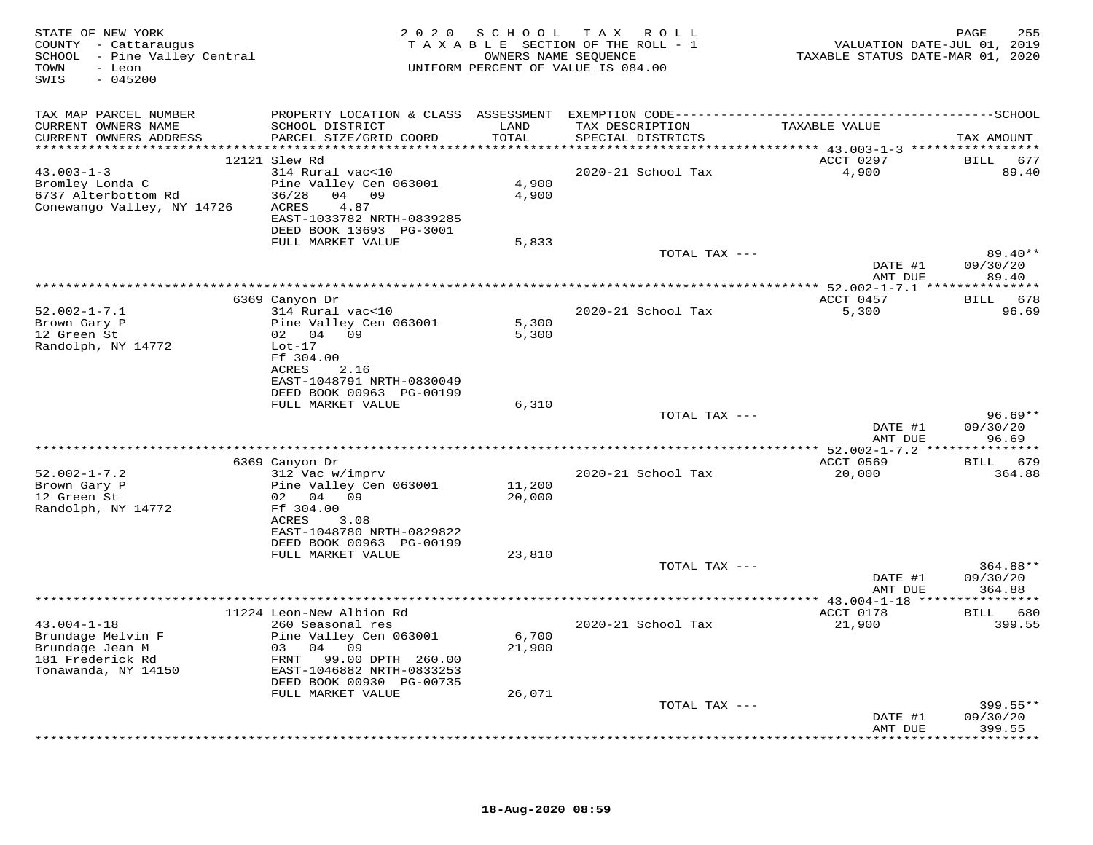| STATE OF NEW YORK<br>COUNTY - Cattaraugus<br>SCHOOL - Pine Valley Central<br>TOWN<br>- Leon<br>SWIS<br>$-045200$ | 2 0 2 0<br>S C H O O L<br>TAX ROLL<br>TAXABLE SECTION OF THE ROLL - 1<br>OWNERS NAME SEQUENCE<br>UNIFORM PERCENT OF VALUE IS 084.00 |               |                                      |                                              | 255<br>PAGE<br>VALUATION DATE-JUL 01, 2019<br>TAXABLE STATUS DATE-MAR 01, 2020 |
|------------------------------------------------------------------------------------------------------------------|-------------------------------------------------------------------------------------------------------------------------------------|---------------|--------------------------------------|----------------------------------------------|--------------------------------------------------------------------------------|
| TAX MAP PARCEL NUMBER                                                                                            |                                                                                                                                     |               |                                      |                                              |                                                                                |
| CURRENT OWNERS NAME<br>CURRENT OWNERS ADDRESS                                                                    | SCHOOL DISTRICT<br>PARCEL SIZE/GRID COORD                                                                                           | LAND<br>TOTAL | TAX DESCRIPTION<br>SPECIAL DISTRICTS | TAXABLE VALUE                                | TAX AMOUNT                                                                     |
|                                                                                                                  | 12121 Slew Rd                                                                                                                       |               |                                      | ACCT 0297                                    | BILL 677                                                                       |
| $43.003 - 1 - 3$                                                                                                 | 314 Rural vac<10                                                                                                                    |               | 2020-21 School Tax                   | 4,900                                        | 89.40                                                                          |
| Bromley Londa C                                                                                                  | Pine Valley Cen 063001                                                                                                              | 4,900         |                                      |                                              |                                                                                |
| 6737 Alterbottom Rd                                                                                              | 36/28 04 09                                                                                                                         | 4,900         |                                      |                                              |                                                                                |
| Conewango Valley, NY 14726                                                                                       | ACRES<br>4.87                                                                                                                       |               |                                      |                                              |                                                                                |
|                                                                                                                  | EAST-1033782 NRTH-0839285                                                                                                           |               |                                      |                                              |                                                                                |
|                                                                                                                  | DEED BOOK 13693 PG-3001<br>FULL MARKET VALUE                                                                                        | 5,833         |                                      |                                              |                                                                                |
|                                                                                                                  |                                                                                                                                     |               | TOTAL TAX ---                        |                                              | 89.40**                                                                        |
|                                                                                                                  |                                                                                                                                     |               |                                      | DATE #1                                      | 09/30/20                                                                       |
|                                                                                                                  |                                                                                                                                     |               |                                      | AMT DUE                                      | 89.40                                                                          |
|                                                                                                                  |                                                                                                                                     |               |                                      |                                              |                                                                                |
| $52.002 - 1 - 7.1$                                                                                               | 6369 Canyon Dr<br>314 Rural vac<10                                                                                                  |               | 2020-21 School Tax                   | ACCT 0457<br>5,300                           | BILL<br>678<br>96.69                                                           |
| Brown Gary P                                                                                                     | Pine Valley Cen 063001                                                                                                              | 5,300         |                                      |                                              |                                                                                |
| 12 Green St                                                                                                      | 02 04 09                                                                                                                            | 5,300         |                                      |                                              |                                                                                |
| Randolph, NY 14772                                                                                               | $Lot-17$                                                                                                                            |               |                                      |                                              |                                                                                |
|                                                                                                                  | Ff 304.00                                                                                                                           |               |                                      |                                              |                                                                                |
|                                                                                                                  | 2.16<br>ACRES                                                                                                                       |               |                                      |                                              |                                                                                |
|                                                                                                                  | EAST-1048791 NRTH-0830049<br>DEED BOOK 00963 PG-00199                                                                               |               |                                      |                                              |                                                                                |
|                                                                                                                  | FULL MARKET VALUE                                                                                                                   | 6,310         |                                      |                                              |                                                                                |
|                                                                                                                  |                                                                                                                                     |               | TOTAL TAX ---                        |                                              | $96.69**$                                                                      |
|                                                                                                                  |                                                                                                                                     |               |                                      | DATE #1                                      | 09/30/20                                                                       |
|                                                                                                                  |                                                                                                                                     |               |                                      | AMT DUE                                      | 96.69                                                                          |
|                                                                                                                  | 6369 Canyon Dr                                                                                                                      |               |                                      | ACCT 0569                                    | BILL 679                                                                       |
| $52.002 - 1 - 7.2$                                                                                               | 312 Vac w/imprv                                                                                                                     |               | 2020-21 School Tax                   | 20,000                                       | 364.88                                                                         |
| Brown Gary P                                                                                                     | Pine Valley Cen 063001                                                                                                              | 11,200        |                                      |                                              |                                                                                |
| 12 Green St                                                                                                      | 02 04 09                                                                                                                            | 20,000        |                                      |                                              |                                                                                |
| Randolph, NY 14772                                                                                               | Ff 304.00                                                                                                                           |               |                                      |                                              |                                                                                |
|                                                                                                                  | ACRES<br>3.08                                                                                                                       |               |                                      |                                              |                                                                                |
|                                                                                                                  | EAST-1048780 NRTH-0829822<br>DEED BOOK 00963 PG-00199                                                                               |               |                                      |                                              |                                                                                |
|                                                                                                                  | FULL MARKET VALUE                                                                                                                   | 23,810        |                                      |                                              |                                                                                |
|                                                                                                                  |                                                                                                                                     |               | TOTAL TAX ---                        |                                              | 364.88**                                                                       |
|                                                                                                                  |                                                                                                                                     |               |                                      | DATE #1                                      | 09/30/20                                                                       |
|                                                                                                                  |                                                                                                                                     |               | *********************                | AMT DUE                                      | 364.88                                                                         |
|                                                                                                                  | 11224 Leon-New Albion Rd                                                                                                            |               |                                      | ** 43.004-1-18 ****************<br>ACCT 0178 | BILL 680                                                                       |
| $43.004 - 1 - 18$                                                                                                | 260 Seasonal res                                                                                                                    |               | 2020-21 School Tax                   | 21,900                                       | 399.55                                                                         |
| Brundage Melvin F                                                                                                | Pine Valley Cen 063001                                                                                                              | 6,700         |                                      |                                              |                                                                                |
| Brundage Jean M                                                                                                  | 03 04 09                                                                                                                            | 21,900        |                                      |                                              |                                                                                |
| 181 Frederick Rd                                                                                                 | FRNT<br>99.00 DPTH 260.00                                                                                                           |               |                                      |                                              |                                                                                |
| Tonawanda, NY 14150                                                                                              | EAST-1046882 NRTH-0833253                                                                                                           |               |                                      |                                              |                                                                                |
|                                                                                                                  | DEED BOOK 00930 PG-00735<br>FULL MARKET VALUE                                                                                       | 26,071        |                                      |                                              |                                                                                |
|                                                                                                                  |                                                                                                                                     |               | TOTAL TAX ---                        |                                              | $399.55**$                                                                     |
|                                                                                                                  |                                                                                                                                     |               |                                      | DATE #1                                      | 09/30/20                                                                       |
|                                                                                                                  |                                                                                                                                     |               |                                      | AMT DUE                                      | 399.55                                                                         |
|                                                                                                                  |                                                                                                                                     |               |                                      |                                              | * * * * * * *                                                                  |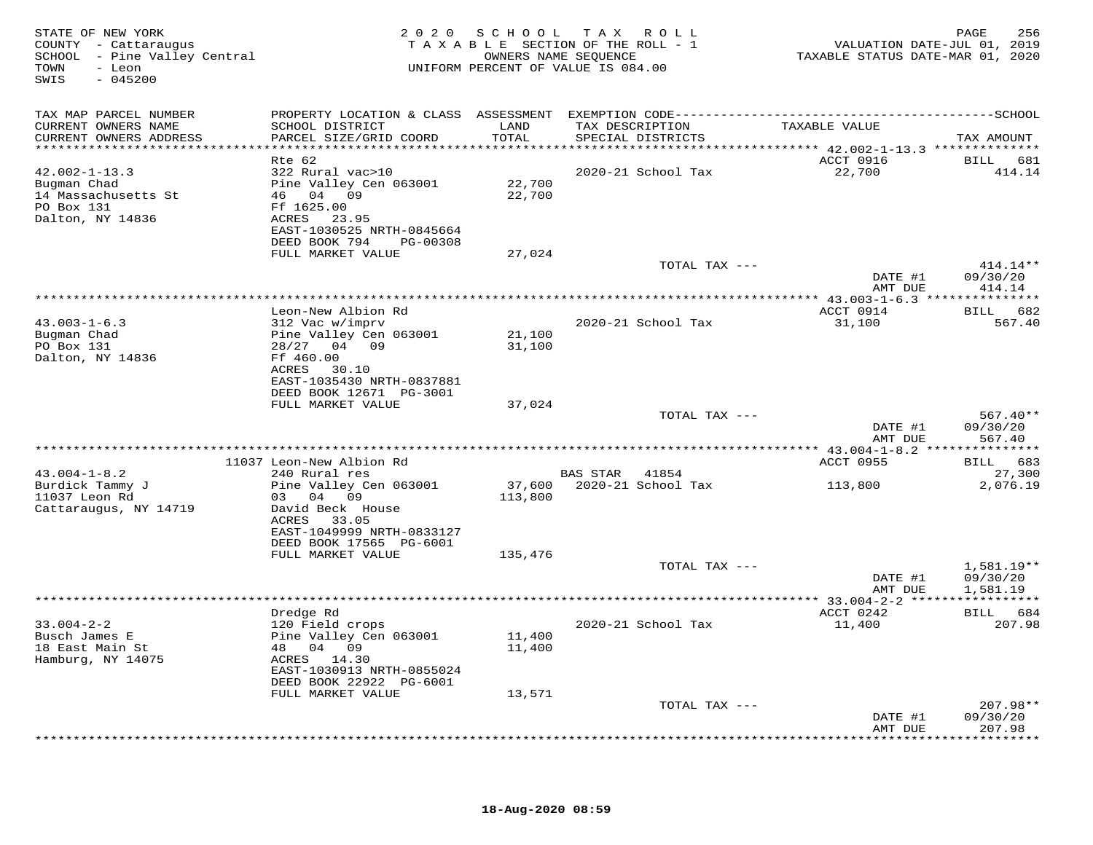| TAX MAP PARCEL NUMBER<br>CURRENT OWNERS NAME<br>SCHOOL DISTRICT<br>LAND<br>TAX DESCRIPTION<br>TAXABLE VALUE<br>CURRENT OWNERS ADDRESS<br>PARCEL SIZE/GRID COORD<br>TOTAL<br>SPECIAL DISTRICTS<br>TAX AMOUNT<br>***********************<br>ACCT 0916<br>Rte 62<br>BILL 681<br>22,700<br>$42.002 - 1 - 13.3$<br>322 Rural vac>10<br>2020-21 School Tax<br>414.14<br>Pine Valley Cen 063001<br>22,700<br>Bugman Chad<br>46 04 09<br>14 Massachusetts St<br>22,700<br>PO Box 131<br>Ff 1625.00<br>Dalton, NY 14836<br>ACRES 23.95<br>EAST-1030525 NRTH-0845664<br>DEED BOOK 794<br>PG-00308<br>FULL MARKET VALUE<br>27,024<br>TOTAL TAX ---<br>414.14**<br>09/30/20<br>DATE #1<br>414.14<br>AMT DUE<br>ACCT 0914<br>Leon-New Albion Rd<br>BILL 682<br>$43.003 - 1 - 6.3$<br>31,100<br>567.40<br>312 Vac w/imprv<br>2020-21 School Tax<br>Bugman Chad<br>Pine Valley Cen 063001<br>21,100<br>PO Box 131<br>28/27 04 09<br>31,100<br>Dalton, NY 14836<br>Ff 460.00<br>ACRES<br>30.10<br>EAST-1035430 NRTH-0837881<br>DEED BOOK 12671 PG-3001<br>FULL MARKET VALUE<br>37,024<br>TOTAL TAX ---<br>$567.40**$<br>DATE #1<br>09/30/20<br>567.40<br>AMT DUE<br>BILL 683<br>11037 Leon-New Albion Rd<br>ACCT 0955<br>$43.004 - 1 - 8.2$<br>27,300<br>240 Rural res<br>BAS STAR 41854<br>2020-21 School Tax<br>2,076.19<br>Burdick Tammy J<br>Pine Valley Cen 063001<br>37,600<br>113,800<br>03 04 09<br>11037 Leon Rd<br>113,800<br>Cattaraugus, NY 14719<br>David Beck House<br>ACRES 33.05<br>EAST-1049999 NRTH-0833127<br>DEED BOOK 17565 PG-6001<br>FULL MARKET VALUE<br>135,476<br>1,581.19**<br>TOTAL TAX ---<br>DATE #1<br>09/30/20<br>AMT DUE<br>1,581.19<br>*****************************<br>* 33.004-2-2 ******************<br>ACCT 0242<br>BILL 684<br>Dredge Rd<br>$33.004 - 2 - 2$<br>120 Field crops<br>2020-21 School Tax<br>11,400<br>207.98<br>Pine Valley Cen 063001<br>11,400<br>Busch James E<br>18 East Main St<br>48 04 09<br>11,400<br>Hamburg, NY 14075<br>ACRES 14.30<br>EAST-1030913 NRTH-0855024<br>DEED BOOK 22922 PG-6001<br>FULL MARKET VALUE<br>13,571<br>$207.98**$<br>TOTAL TAX ---<br>DATE #1<br>09/30/20<br>AMT DUE<br>207.98<br>********* | STATE OF NEW YORK<br>COUNTY - Cattaraugus<br>SCHOOL - Pine Valley Central<br>TOWN<br>- Leon<br>SWIS<br>$-045200$ | 2020 SCHOOL TAX<br>TAXABLE SECTION OF THE ROLL - 1<br>UNIFORM PERCENT OF VALUE IS 084.00 | 256<br>PAGE<br>VALUATION DATE-JUL 01, 2019<br>TAXABLE STATUS DATE-MAR 01, 2020 |  |  |
|-------------------------------------------------------------------------------------------------------------------------------------------------------------------------------------------------------------------------------------------------------------------------------------------------------------------------------------------------------------------------------------------------------------------------------------------------------------------------------------------------------------------------------------------------------------------------------------------------------------------------------------------------------------------------------------------------------------------------------------------------------------------------------------------------------------------------------------------------------------------------------------------------------------------------------------------------------------------------------------------------------------------------------------------------------------------------------------------------------------------------------------------------------------------------------------------------------------------------------------------------------------------------------------------------------------------------------------------------------------------------------------------------------------------------------------------------------------------------------------------------------------------------------------------------------------------------------------------------------------------------------------------------------------------------------------------------------------------------------------------------------------------------------------------------------------------------------------------------------------------------------------------------------------------------------------------------------------------------------------------------------------------------------------------------------------------------------------------------------------------------------------------------------------------|------------------------------------------------------------------------------------------------------------------|------------------------------------------------------------------------------------------|--------------------------------------------------------------------------------|--|--|
|                                                                                                                                                                                                                                                                                                                                                                                                                                                                                                                                                                                                                                                                                                                                                                                                                                                                                                                                                                                                                                                                                                                                                                                                                                                                                                                                                                                                                                                                                                                                                                                                                                                                                                                                                                                                                                                                                                                                                                                                                                                                                                                                                                   |                                                                                                                  |                                                                                          |                                                                                |  |  |
|                                                                                                                                                                                                                                                                                                                                                                                                                                                                                                                                                                                                                                                                                                                                                                                                                                                                                                                                                                                                                                                                                                                                                                                                                                                                                                                                                                                                                                                                                                                                                                                                                                                                                                                                                                                                                                                                                                                                                                                                                                                                                                                                                                   |                                                                                                                  |                                                                                          |                                                                                |  |  |
|                                                                                                                                                                                                                                                                                                                                                                                                                                                                                                                                                                                                                                                                                                                                                                                                                                                                                                                                                                                                                                                                                                                                                                                                                                                                                                                                                                                                                                                                                                                                                                                                                                                                                                                                                                                                                                                                                                                                                                                                                                                                                                                                                                   |                                                                                                                  |                                                                                          |                                                                                |  |  |
|                                                                                                                                                                                                                                                                                                                                                                                                                                                                                                                                                                                                                                                                                                                                                                                                                                                                                                                                                                                                                                                                                                                                                                                                                                                                                                                                                                                                                                                                                                                                                                                                                                                                                                                                                                                                                                                                                                                                                                                                                                                                                                                                                                   |                                                                                                                  |                                                                                          |                                                                                |  |  |
|                                                                                                                                                                                                                                                                                                                                                                                                                                                                                                                                                                                                                                                                                                                                                                                                                                                                                                                                                                                                                                                                                                                                                                                                                                                                                                                                                                                                                                                                                                                                                                                                                                                                                                                                                                                                                                                                                                                                                                                                                                                                                                                                                                   |                                                                                                                  |                                                                                          |                                                                                |  |  |
|                                                                                                                                                                                                                                                                                                                                                                                                                                                                                                                                                                                                                                                                                                                                                                                                                                                                                                                                                                                                                                                                                                                                                                                                                                                                                                                                                                                                                                                                                                                                                                                                                                                                                                                                                                                                                                                                                                                                                                                                                                                                                                                                                                   |                                                                                                                  |                                                                                          |                                                                                |  |  |
|                                                                                                                                                                                                                                                                                                                                                                                                                                                                                                                                                                                                                                                                                                                                                                                                                                                                                                                                                                                                                                                                                                                                                                                                                                                                                                                                                                                                                                                                                                                                                                                                                                                                                                                                                                                                                                                                                                                                                                                                                                                                                                                                                                   |                                                                                                                  |                                                                                          |                                                                                |  |  |
|                                                                                                                                                                                                                                                                                                                                                                                                                                                                                                                                                                                                                                                                                                                                                                                                                                                                                                                                                                                                                                                                                                                                                                                                                                                                                                                                                                                                                                                                                                                                                                                                                                                                                                                                                                                                                                                                                                                                                                                                                                                                                                                                                                   |                                                                                                                  |                                                                                          |                                                                                |  |  |
|                                                                                                                                                                                                                                                                                                                                                                                                                                                                                                                                                                                                                                                                                                                                                                                                                                                                                                                                                                                                                                                                                                                                                                                                                                                                                                                                                                                                                                                                                                                                                                                                                                                                                                                                                                                                                                                                                                                                                                                                                                                                                                                                                                   |                                                                                                                  |                                                                                          |                                                                                |  |  |
|                                                                                                                                                                                                                                                                                                                                                                                                                                                                                                                                                                                                                                                                                                                                                                                                                                                                                                                                                                                                                                                                                                                                                                                                                                                                                                                                                                                                                                                                                                                                                                                                                                                                                                                                                                                                                                                                                                                                                                                                                                                                                                                                                                   |                                                                                                                  |                                                                                          |                                                                                |  |  |
|                                                                                                                                                                                                                                                                                                                                                                                                                                                                                                                                                                                                                                                                                                                                                                                                                                                                                                                                                                                                                                                                                                                                                                                                                                                                                                                                                                                                                                                                                                                                                                                                                                                                                                                                                                                                                                                                                                                                                                                                                                                                                                                                                                   |                                                                                                                  |                                                                                          |                                                                                |  |  |
|                                                                                                                                                                                                                                                                                                                                                                                                                                                                                                                                                                                                                                                                                                                                                                                                                                                                                                                                                                                                                                                                                                                                                                                                                                                                                                                                                                                                                                                                                                                                                                                                                                                                                                                                                                                                                                                                                                                                                                                                                                                                                                                                                                   |                                                                                                                  |                                                                                          |                                                                                |  |  |
|                                                                                                                                                                                                                                                                                                                                                                                                                                                                                                                                                                                                                                                                                                                                                                                                                                                                                                                                                                                                                                                                                                                                                                                                                                                                                                                                                                                                                                                                                                                                                                                                                                                                                                                                                                                                                                                                                                                                                                                                                                                                                                                                                                   |                                                                                                                  |                                                                                          |                                                                                |  |  |
|                                                                                                                                                                                                                                                                                                                                                                                                                                                                                                                                                                                                                                                                                                                                                                                                                                                                                                                                                                                                                                                                                                                                                                                                                                                                                                                                                                                                                                                                                                                                                                                                                                                                                                                                                                                                                                                                                                                                                                                                                                                                                                                                                                   |                                                                                                                  |                                                                                          |                                                                                |  |  |
|                                                                                                                                                                                                                                                                                                                                                                                                                                                                                                                                                                                                                                                                                                                                                                                                                                                                                                                                                                                                                                                                                                                                                                                                                                                                                                                                                                                                                                                                                                                                                                                                                                                                                                                                                                                                                                                                                                                                                                                                                                                                                                                                                                   |                                                                                                                  |                                                                                          |                                                                                |  |  |
|                                                                                                                                                                                                                                                                                                                                                                                                                                                                                                                                                                                                                                                                                                                                                                                                                                                                                                                                                                                                                                                                                                                                                                                                                                                                                                                                                                                                                                                                                                                                                                                                                                                                                                                                                                                                                                                                                                                                                                                                                                                                                                                                                                   |                                                                                                                  |                                                                                          |                                                                                |  |  |
|                                                                                                                                                                                                                                                                                                                                                                                                                                                                                                                                                                                                                                                                                                                                                                                                                                                                                                                                                                                                                                                                                                                                                                                                                                                                                                                                                                                                                                                                                                                                                                                                                                                                                                                                                                                                                                                                                                                                                                                                                                                                                                                                                                   |                                                                                                                  |                                                                                          |                                                                                |  |  |
|                                                                                                                                                                                                                                                                                                                                                                                                                                                                                                                                                                                                                                                                                                                                                                                                                                                                                                                                                                                                                                                                                                                                                                                                                                                                                                                                                                                                                                                                                                                                                                                                                                                                                                                                                                                                                                                                                                                                                                                                                                                                                                                                                                   |                                                                                                                  |                                                                                          |                                                                                |  |  |
|                                                                                                                                                                                                                                                                                                                                                                                                                                                                                                                                                                                                                                                                                                                                                                                                                                                                                                                                                                                                                                                                                                                                                                                                                                                                                                                                                                                                                                                                                                                                                                                                                                                                                                                                                                                                                                                                                                                                                                                                                                                                                                                                                                   |                                                                                                                  |                                                                                          |                                                                                |  |  |
|                                                                                                                                                                                                                                                                                                                                                                                                                                                                                                                                                                                                                                                                                                                                                                                                                                                                                                                                                                                                                                                                                                                                                                                                                                                                                                                                                                                                                                                                                                                                                                                                                                                                                                                                                                                                                                                                                                                                                                                                                                                                                                                                                                   |                                                                                                                  |                                                                                          |                                                                                |  |  |
|                                                                                                                                                                                                                                                                                                                                                                                                                                                                                                                                                                                                                                                                                                                                                                                                                                                                                                                                                                                                                                                                                                                                                                                                                                                                                                                                                                                                                                                                                                                                                                                                                                                                                                                                                                                                                                                                                                                                                                                                                                                                                                                                                                   |                                                                                                                  |                                                                                          |                                                                                |  |  |
|                                                                                                                                                                                                                                                                                                                                                                                                                                                                                                                                                                                                                                                                                                                                                                                                                                                                                                                                                                                                                                                                                                                                                                                                                                                                                                                                                                                                                                                                                                                                                                                                                                                                                                                                                                                                                                                                                                                                                                                                                                                                                                                                                                   |                                                                                                                  |                                                                                          |                                                                                |  |  |
|                                                                                                                                                                                                                                                                                                                                                                                                                                                                                                                                                                                                                                                                                                                                                                                                                                                                                                                                                                                                                                                                                                                                                                                                                                                                                                                                                                                                                                                                                                                                                                                                                                                                                                                                                                                                                                                                                                                                                                                                                                                                                                                                                                   |                                                                                                                  |                                                                                          |                                                                                |  |  |
|                                                                                                                                                                                                                                                                                                                                                                                                                                                                                                                                                                                                                                                                                                                                                                                                                                                                                                                                                                                                                                                                                                                                                                                                                                                                                                                                                                                                                                                                                                                                                                                                                                                                                                                                                                                                                                                                                                                                                                                                                                                                                                                                                                   |                                                                                                                  |                                                                                          |                                                                                |  |  |
|                                                                                                                                                                                                                                                                                                                                                                                                                                                                                                                                                                                                                                                                                                                                                                                                                                                                                                                                                                                                                                                                                                                                                                                                                                                                                                                                                                                                                                                                                                                                                                                                                                                                                                                                                                                                                                                                                                                                                                                                                                                                                                                                                                   |                                                                                                                  |                                                                                          |                                                                                |  |  |
|                                                                                                                                                                                                                                                                                                                                                                                                                                                                                                                                                                                                                                                                                                                                                                                                                                                                                                                                                                                                                                                                                                                                                                                                                                                                                                                                                                                                                                                                                                                                                                                                                                                                                                                                                                                                                                                                                                                                                                                                                                                                                                                                                                   |                                                                                                                  |                                                                                          |                                                                                |  |  |
|                                                                                                                                                                                                                                                                                                                                                                                                                                                                                                                                                                                                                                                                                                                                                                                                                                                                                                                                                                                                                                                                                                                                                                                                                                                                                                                                                                                                                                                                                                                                                                                                                                                                                                                                                                                                                                                                                                                                                                                                                                                                                                                                                                   |                                                                                                                  |                                                                                          |                                                                                |  |  |
|                                                                                                                                                                                                                                                                                                                                                                                                                                                                                                                                                                                                                                                                                                                                                                                                                                                                                                                                                                                                                                                                                                                                                                                                                                                                                                                                                                                                                                                                                                                                                                                                                                                                                                                                                                                                                                                                                                                                                                                                                                                                                                                                                                   |                                                                                                                  |                                                                                          |                                                                                |  |  |
|                                                                                                                                                                                                                                                                                                                                                                                                                                                                                                                                                                                                                                                                                                                                                                                                                                                                                                                                                                                                                                                                                                                                                                                                                                                                                                                                                                                                                                                                                                                                                                                                                                                                                                                                                                                                                                                                                                                                                                                                                                                                                                                                                                   |                                                                                                                  |                                                                                          |                                                                                |  |  |
|                                                                                                                                                                                                                                                                                                                                                                                                                                                                                                                                                                                                                                                                                                                                                                                                                                                                                                                                                                                                                                                                                                                                                                                                                                                                                                                                                                                                                                                                                                                                                                                                                                                                                                                                                                                                                                                                                                                                                                                                                                                                                                                                                                   |                                                                                                                  |                                                                                          |                                                                                |  |  |
|                                                                                                                                                                                                                                                                                                                                                                                                                                                                                                                                                                                                                                                                                                                                                                                                                                                                                                                                                                                                                                                                                                                                                                                                                                                                                                                                                                                                                                                                                                                                                                                                                                                                                                                                                                                                                                                                                                                                                                                                                                                                                                                                                                   |                                                                                                                  |                                                                                          |                                                                                |  |  |
|                                                                                                                                                                                                                                                                                                                                                                                                                                                                                                                                                                                                                                                                                                                                                                                                                                                                                                                                                                                                                                                                                                                                                                                                                                                                                                                                                                                                                                                                                                                                                                                                                                                                                                                                                                                                                                                                                                                                                                                                                                                                                                                                                                   |                                                                                                                  |                                                                                          |                                                                                |  |  |
|                                                                                                                                                                                                                                                                                                                                                                                                                                                                                                                                                                                                                                                                                                                                                                                                                                                                                                                                                                                                                                                                                                                                                                                                                                                                                                                                                                                                                                                                                                                                                                                                                                                                                                                                                                                                                                                                                                                                                                                                                                                                                                                                                                   |                                                                                                                  |                                                                                          |                                                                                |  |  |
|                                                                                                                                                                                                                                                                                                                                                                                                                                                                                                                                                                                                                                                                                                                                                                                                                                                                                                                                                                                                                                                                                                                                                                                                                                                                                                                                                                                                                                                                                                                                                                                                                                                                                                                                                                                                                                                                                                                                                                                                                                                                                                                                                                   |                                                                                                                  |                                                                                          |                                                                                |  |  |
|                                                                                                                                                                                                                                                                                                                                                                                                                                                                                                                                                                                                                                                                                                                                                                                                                                                                                                                                                                                                                                                                                                                                                                                                                                                                                                                                                                                                                                                                                                                                                                                                                                                                                                                                                                                                                                                                                                                                                                                                                                                                                                                                                                   |                                                                                                                  |                                                                                          |                                                                                |  |  |
|                                                                                                                                                                                                                                                                                                                                                                                                                                                                                                                                                                                                                                                                                                                                                                                                                                                                                                                                                                                                                                                                                                                                                                                                                                                                                                                                                                                                                                                                                                                                                                                                                                                                                                                                                                                                                                                                                                                                                                                                                                                                                                                                                                   |                                                                                                                  |                                                                                          |                                                                                |  |  |
|                                                                                                                                                                                                                                                                                                                                                                                                                                                                                                                                                                                                                                                                                                                                                                                                                                                                                                                                                                                                                                                                                                                                                                                                                                                                                                                                                                                                                                                                                                                                                                                                                                                                                                                                                                                                                                                                                                                                                                                                                                                                                                                                                                   |                                                                                                                  |                                                                                          |                                                                                |  |  |
|                                                                                                                                                                                                                                                                                                                                                                                                                                                                                                                                                                                                                                                                                                                                                                                                                                                                                                                                                                                                                                                                                                                                                                                                                                                                                                                                                                                                                                                                                                                                                                                                                                                                                                                                                                                                                                                                                                                                                                                                                                                                                                                                                                   |                                                                                                                  |                                                                                          |                                                                                |  |  |
|                                                                                                                                                                                                                                                                                                                                                                                                                                                                                                                                                                                                                                                                                                                                                                                                                                                                                                                                                                                                                                                                                                                                                                                                                                                                                                                                                                                                                                                                                                                                                                                                                                                                                                                                                                                                                                                                                                                                                                                                                                                                                                                                                                   |                                                                                                                  |                                                                                          |                                                                                |  |  |
|                                                                                                                                                                                                                                                                                                                                                                                                                                                                                                                                                                                                                                                                                                                                                                                                                                                                                                                                                                                                                                                                                                                                                                                                                                                                                                                                                                                                                                                                                                                                                                                                                                                                                                                                                                                                                                                                                                                                                                                                                                                                                                                                                                   |                                                                                                                  |                                                                                          |                                                                                |  |  |
|                                                                                                                                                                                                                                                                                                                                                                                                                                                                                                                                                                                                                                                                                                                                                                                                                                                                                                                                                                                                                                                                                                                                                                                                                                                                                                                                                                                                                                                                                                                                                                                                                                                                                                                                                                                                                                                                                                                                                                                                                                                                                                                                                                   |                                                                                                                  |                                                                                          |                                                                                |  |  |
|                                                                                                                                                                                                                                                                                                                                                                                                                                                                                                                                                                                                                                                                                                                                                                                                                                                                                                                                                                                                                                                                                                                                                                                                                                                                                                                                                                                                                                                                                                                                                                                                                                                                                                                                                                                                                                                                                                                                                                                                                                                                                                                                                                   |                                                                                                                  |                                                                                          |                                                                                |  |  |
|                                                                                                                                                                                                                                                                                                                                                                                                                                                                                                                                                                                                                                                                                                                                                                                                                                                                                                                                                                                                                                                                                                                                                                                                                                                                                                                                                                                                                                                                                                                                                                                                                                                                                                                                                                                                                                                                                                                                                                                                                                                                                                                                                                   |                                                                                                                  |                                                                                          |                                                                                |  |  |
|                                                                                                                                                                                                                                                                                                                                                                                                                                                                                                                                                                                                                                                                                                                                                                                                                                                                                                                                                                                                                                                                                                                                                                                                                                                                                                                                                                                                                                                                                                                                                                                                                                                                                                                                                                                                                                                                                                                                                                                                                                                                                                                                                                   |                                                                                                                  |                                                                                          |                                                                                |  |  |
|                                                                                                                                                                                                                                                                                                                                                                                                                                                                                                                                                                                                                                                                                                                                                                                                                                                                                                                                                                                                                                                                                                                                                                                                                                                                                                                                                                                                                                                                                                                                                                                                                                                                                                                                                                                                                                                                                                                                                                                                                                                                                                                                                                   |                                                                                                                  |                                                                                          |                                                                                |  |  |
|                                                                                                                                                                                                                                                                                                                                                                                                                                                                                                                                                                                                                                                                                                                                                                                                                                                                                                                                                                                                                                                                                                                                                                                                                                                                                                                                                                                                                                                                                                                                                                                                                                                                                                                                                                                                                                                                                                                                                                                                                                                                                                                                                                   |                                                                                                                  |                                                                                          |                                                                                |  |  |
|                                                                                                                                                                                                                                                                                                                                                                                                                                                                                                                                                                                                                                                                                                                                                                                                                                                                                                                                                                                                                                                                                                                                                                                                                                                                                                                                                                                                                                                                                                                                                                                                                                                                                                                                                                                                                                                                                                                                                                                                                                                                                                                                                                   |                                                                                                                  |                                                                                          |                                                                                |  |  |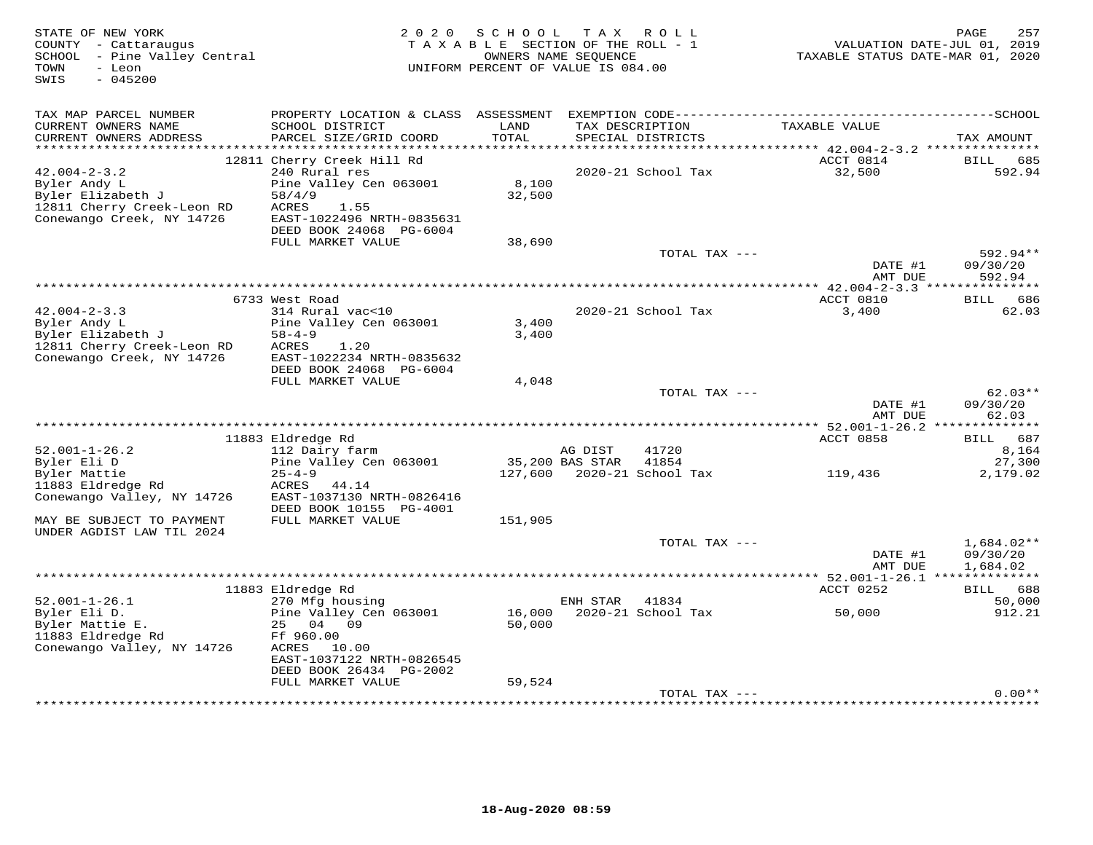| STATE OF NEW YORK<br>COUNTY - Cattaraugus<br>SCHOOL - Pine Valley Central<br>- Leon<br>TOWN<br>$-045200$<br>SWIS   | 2 0 2 0<br>TAXABLE SECTION OF THE ROLL - 1<br>UNIFORM PERCENT OF VALUE IS 084.00                                                                      | 257<br>PAGE<br>VALUATION DATE-JUL 01, 2019<br>TAXABLE STATUS DATE-MAR 01, 2020 |                 |                                      |                                               |                                      |
|--------------------------------------------------------------------------------------------------------------------|-------------------------------------------------------------------------------------------------------------------------------------------------------|--------------------------------------------------------------------------------|-----------------|--------------------------------------|-----------------------------------------------|--------------------------------------|
| TAX MAP PARCEL NUMBER                                                                                              | PROPERTY LOCATION & CLASS ASSESSMENT                                                                                                                  |                                                                                |                 |                                      |                                               |                                      |
| CURRENT OWNERS NAME<br>CURRENT OWNERS ADDRESS<br>************************                                          | SCHOOL DISTRICT<br>PARCEL SIZE/GRID COORD                                                                                                             | LAND<br>TOTAL                                                                  |                 | TAX DESCRIPTION<br>SPECIAL DISTRICTS | TAXABLE VALUE                                 | TAX AMOUNT                           |
|                                                                                                                    | 12811 Cherry Creek Hill Rd                                                                                                                            |                                                                                |                 |                                      | ACCT 0814                                     | BILL<br>685                          |
| $42.004 - 2 - 3.2$<br>Byler Andy L<br>Byler Elizabeth J<br>12811 Cherry Creek-Leon RD<br>Conewango Creek, NY 14726 | 240 Rural res<br>Pine Valley Cen 063001<br>58/4/9<br>ACRES<br>1.55<br>EAST-1022496 NRTH-0835631<br>DEED BOOK 24068 PG-6004                            | 8,100<br>32,500                                                                |                 | 2020-21 School Tax                   | 32,500                                        | 592.94                               |
|                                                                                                                    | FULL MARKET VALUE                                                                                                                                     | 38,690                                                                         |                 |                                      |                                               | 592.94**                             |
|                                                                                                                    |                                                                                                                                                       |                                                                                |                 | TOTAL TAX ---                        | DATE #1<br>AMT DUE                            | 09/30/20<br>592.94                   |
|                                                                                                                    |                                                                                                                                                       | *********************************                                              |                 |                                      | *********** 42.004-2-3.3 ****************     |                                      |
| $42.004 - 2 - 3.3$<br>Byler Andy L<br>Byler Elizabeth J<br>12811 Cherry Creek-Leon RD<br>Conewango Creek, NY 14726 | 6733 West Road<br>314 Rural vac<10<br>Pine Valley Cen 063001<br>$58 - 4 - 9$<br>ACRES<br>1.20<br>EAST-1022234 NRTH-0835632<br>DEED BOOK 24068 PG-6004 | 3,400<br>3,400                                                                 |                 | $2020 - 21$ School Tax               | ACCT 0810<br>3,400                            | BILL 686<br>62.03                    |
|                                                                                                                    | FULL MARKET VALUE                                                                                                                                     | 4,048                                                                          |                 |                                      |                                               |                                      |
|                                                                                                                    |                                                                                                                                                       |                                                                                |                 | TOTAL TAX ---                        | DATE #1<br>AMT DUE                            | $62.03**$<br>09/30/20<br>62.03       |
|                                                                                                                    | 11883 Eldredge Rd                                                                                                                                     |                                                                                |                 |                                      | ACCT 0858                                     | BILL 687                             |
| $52.001 - 1 - 26.2$                                                                                                | 112 Dairy farm                                                                                                                                        |                                                                                | AG DIST         | 41720                                |                                               | 8,164                                |
| Byler Eli D                                                                                                        | Pine Valley Cen 063001                                                                                                                                |                                                                                | 35,200 BAS STAR | 41854                                |                                               | 27,300                               |
| Byler Mattie<br>11883 Eldredge Rd<br>Conewango Valley, NY 14726                                                    | $25 - 4 - 9$<br>ACRES<br>44.14<br>EAST-1037130 NRTH-0826416<br>DEED BOOK 10155 PG-4001                                                                |                                                                                |                 | 127,600 2020-21 School Tax           | 119,436                                       | 2,179.02                             |
| MAY BE SUBJECT TO PAYMENT<br>UNDER AGDIST LAW TIL 2024                                                             | FULL MARKET VALUE                                                                                                                                     | 151,905                                                                        |                 |                                      |                                               |                                      |
|                                                                                                                    |                                                                                                                                                       |                                                                                |                 | TOTAL TAX ---                        | DATE #1<br>AMT DUE                            | $1,684.02**$<br>09/30/20<br>1,684.02 |
|                                                                                                                    |                                                                                                                                                       |                                                                                |                 |                                      | **************** 52.001-1-26.1 ************** |                                      |
|                                                                                                                    | 11883 Eldredge Rd                                                                                                                                     |                                                                                |                 |                                      | ACCT 0252                                     | BILL 688                             |
| $52.001 - 1 - 26.1$<br>Byler Eli D.<br>Byler Mattie E.<br>11883 Eldredge Rd<br>Conewango Valley, NY 14726          | 270 Mfg housing<br>Pine Valley Cen 063001<br>25 04 09<br>Ff 960.00<br>ACRES<br>10.00<br>EAST-1037122 NRTH-0826545                                     | 16,000<br>50,000                                                               | ENH STAR        | 41834<br>2020-21 School Tax          | 50,000                                        | 50,000<br>912.21                     |
|                                                                                                                    | DEED BOOK 26434 PG-2002<br>FULL MARKET VALUE                                                                                                          | 59,524                                                                         |                 | TOTAL TAX ---                        |                                               | $0.00**$                             |
|                                                                                                                    |                                                                                                                                                       |                                                                                |                 |                                      |                                               |                                      |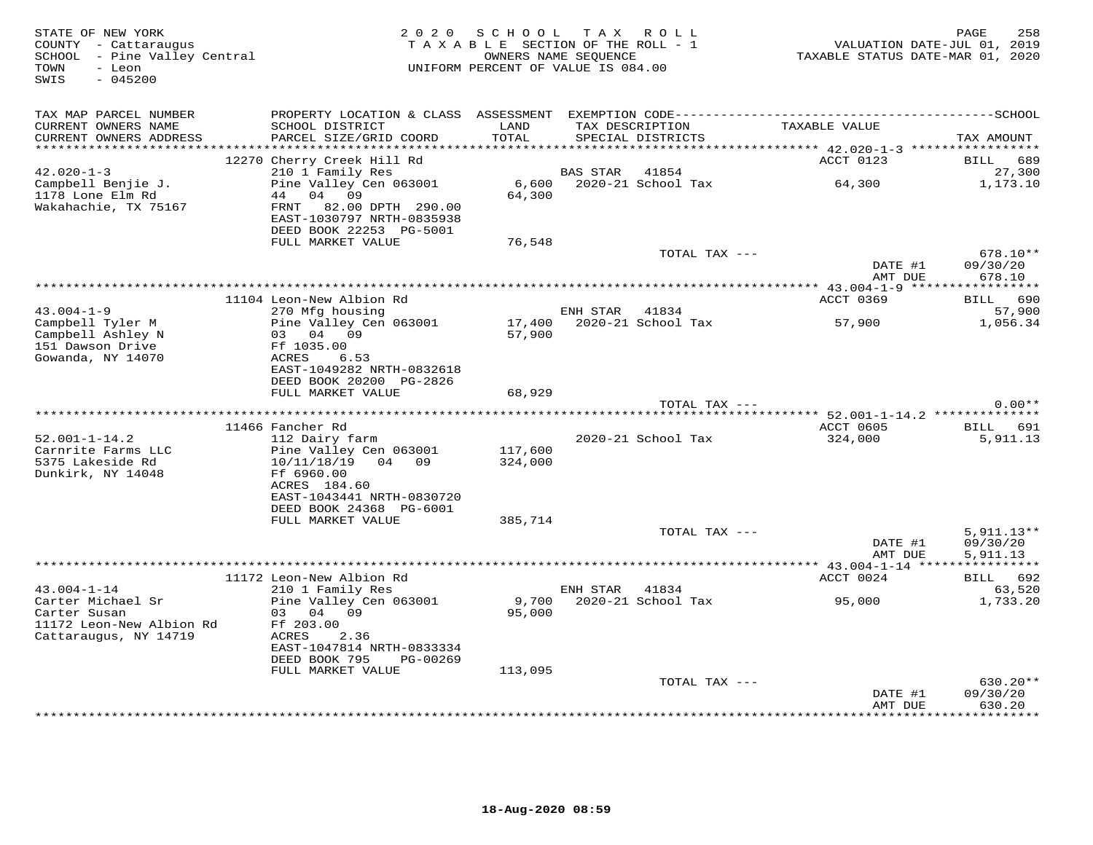| STATE OF NEW YORK<br>COUNTY - Cattaraugus<br>SCHOOL - Pine Valley Central<br>- Leon<br>TOWN<br>SWIS<br>$-045200$ |                                                                                                  | 2020 SCHOOL<br>TAXABLE SECTION OF THE ROLL - 1<br>OWNERS NAME SEQUENCE<br>UNIFORM PERCENT OF VALUE IS 084.00 |                | TAX ROLL                             | TAXABLE STATUS DATE-MAR 01, 2020 | PAGE<br>258<br>VALUATION DATE-JUL 01, 2019 |
|------------------------------------------------------------------------------------------------------------------|--------------------------------------------------------------------------------------------------|--------------------------------------------------------------------------------------------------------------|----------------|--------------------------------------|----------------------------------|--------------------------------------------|
| TAX MAP PARCEL NUMBER                                                                                            |                                                                                                  |                                                                                                              |                |                                      |                                  |                                            |
| CURRENT OWNERS NAME<br>CURRENT OWNERS ADDRESS<br>************************                                        | SCHOOL DISTRICT<br>PARCEL SIZE/GRID COORD                                                        | LAND<br>TOTAL                                                                                                |                | TAX DESCRIPTION<br>SPECIAL DISTRICTS | TAXABLE VALUE                    | TAX AMOUNT                                 |
|                                                                                                                  |                                                                                                  |                                                                                                              |                |                                      |                                  | <b>BILL</b><br>689                         |
| $42.020 - 1 - 3$                                                                                                 | 12270 Cherry Creek Hill Rd<br>210 1 Family Res                                                   |                                                                                                              | BAS STAR       | 41854                                | ACCT 0123                        | 27,300                                     |
| Campbell Benjie J.                                                                                               | Pine Valley Cen 063001                                                                           | 6,600                                                                                                        |                | 2020-21 School Tax                   | 64,300                           | 1,173.10                                   |
| 1178 Lone Elm Rd<br>Wakahachie, TX 75167                                                                         | 44<br>04 09<br>FRNT<br>82.00 DPTH 290.00<br>EAST-1030797 NRTH-0835938<br>DEED BOOK 22253 PG-5001 | 64,300                                                                                                       |                |                                      |                                  |                                            |
|                                                                                                                  | FULL MARKET VALUE                                                                                | 76,548                                                                                                       |                |                                      |                                  |                                            |
|                                                                                                                  |                                                                                                  |                                                                                                              |                | TOTAL TAX ---                        |                                  | $678.10**$                                 |
|                                                                                                                  |                                                                                                  |                                                                                                              |                |                                      | DATE #1<br>AMT DUE               | 09/30/20<br>678.10                         |
|                                                                                                                  |                                                                                                  |                                                                                                              |                |                                      |                                  |                                            |
|                                                                                                                  | 11104 Leon-New Albion Rd                                                                         |                                                                                                              |                |                                      | ACCT 0369                        | BILL 690                                   |
| $43.004 - 1 - 9$                                                                                                 | 270 Mfg housing                                                                                  |                                                                                                              | ENH STAR 41834 |                                      |                                  | 57,900                                     |
| Campbell Tyler M                                                                                                 | Pine Valley Cen 063001                                                                           |                                                                                                              |                | 17,400 2020-21 School Tax            | 57,900                           | 1,056.34                                   |
| Campbell Ashley N                                                                                                | 03 04 09                                                                                         | 57,900                                                                                                       |                |                                      |                                  |                                            |
| 151 Dawson Drive                                                                                                 | Ff 1035.00                                                                                       |                                                                                                              |                |                                      |                                  |                                            |
| Gowanda, NY 14070                                                                                                | 6.53<br>ACRES<br>EAST-1049282 NRTH-0832618                                                       |                                                                                                              |                |                                      |                                  |                                            |
|                                                                                                                  | DEED BOOK 20200 PG-2826                                                                          |                                                                                                              |                |                                      |                                  |                                            |
|                                                                                                                  | FULL MARKET VALUE                                                                                | 68,929                                                                                                       |                |                                      |                                  |                                            |
|                                                                                                                  |                                                                                                  |                                                                                                              |                | TOTAL TAX ---                        |                                  | $0.00**$                                   |
|                                                                                                                  |                                                                                                  |                                                                                                              |                |                                      | **** 52.001-1-14.2 ************* |                                            |
|                                                                                                                  | 11466 Fancher Rd                                                                                 |                                                                                                              |                |                                      | ACCT 0605                        | BILL 691                                   |
| $52.001 - 1 - 14.2$                                                                                              | 112 Dairy farm                                                                                   |                                                                                                              |                | 2020-21 School Tax                   | 324,000                          | 5,911.13                                   |
| Carnrite Farms LLC<br>5375 Lakeside Rd                                                                           | Pine Valley Cen 063001                                                                           | 117,600                                                                                                      |                |                                      |                                  |                                            |
| Dunkirk, NY 14048                                                                                                | 10/11/18/19 04 09<br>Ff 6960.00                                                                  | 324,000                                                                                                      |                |                                      |                                  |                                            |
|                                                                                                                  | ACRES 184.60                                                                                     |                                                                                                              |                |                                      |                                  |                                            |
|                                                                                                                  | EAST-1043441 NRTH-0830720                                                                        |                                                                                                              |                |                                      |                                  |                                            |
|                                                                                                                  | DEED BOOK 24368 PG-6001                                                                          |                                                                                                              |                |                                      |                                  |                                            |
|                                                                                                                  | FULL MARKET VALUE                                                                                | 385,714                                                                                                      |                |                                      |                                  |                                            |
|                                                                                                                  |                                                                                                  |                                                                                                              |                | TOTAL TAX ---                        |                                  | $5,911.13**$                               |
|                                                                                                                  |                                                                                                  |                                                                                                              |                |                                      | DATE #1                          | 09/30/20                                   |
|                                                                                                                  |                                                                                                  |                                                                                                              |                |                                      | AMT DUE                          | 5,911.13                                   |
|                                                                                                                  | 11172 Leon-New Albion Rd                                                                         |                                                                                                              |                |                                      | ACCT 0024                        | BILL 692                                   |
| $43.004 - 1 - 14$                                                                                                | 210 1 Family Res                                                                                 |                                                                                                              | ENH STAR 41834 |                                      |                                  | 63,520                                     |
| Carter Michael Sr                                                                                                | Pine Valley Cen 063001                                                                           | 9,700                                                                                                        |                | 2020-21 School Tax                   | 95,000                           | 1,733.20                                   |
| Carter Susan                                                                                                     | 03 04 09                                                                                         | 95,000                                                                                                       |                |                                      |                                  |                                            |
| 11172 Leon-New Albion Rd                                                                                         | Ff 203.00                                                                                        |                                                                                                              |                |                                      |                                  |                                            |
| Cattaraugus, NY 14719                                                                                            | ACRES<br>2.36                                                                                    |                                                                                                              |                |                                      |                                  |                                            |
|                                                                                                                  | EAST-1047814 NRTH-0833334<br>DEED BOOK 795<br>PG-00269                                           |                                                                                                              |                |                                      |                                  |                                            |
|                                                                                                                  | FULL MARKET VALUE                                                                                | 113,095                                                                                                      |                |                                      |                                  |                                            |
|                                                                                                                  |                                                                                                  |                                                                                                              |                | TOTAL TAX ---                        |                                  | 630.20**                                   |
|                                                                                                                  |                                                                                                  |                                                                                                              |                |                                      | DATE #1                          | 09/30/20                                   |
|                                                                                                                  |                                                                                                  |                                                                                                              |                |                                      | AMT DUE                          | 630.20                                     |
|                                                                                                                  |                                                                                                  |                                                                                                              |                | ***********************************  |                                  | ********                                   |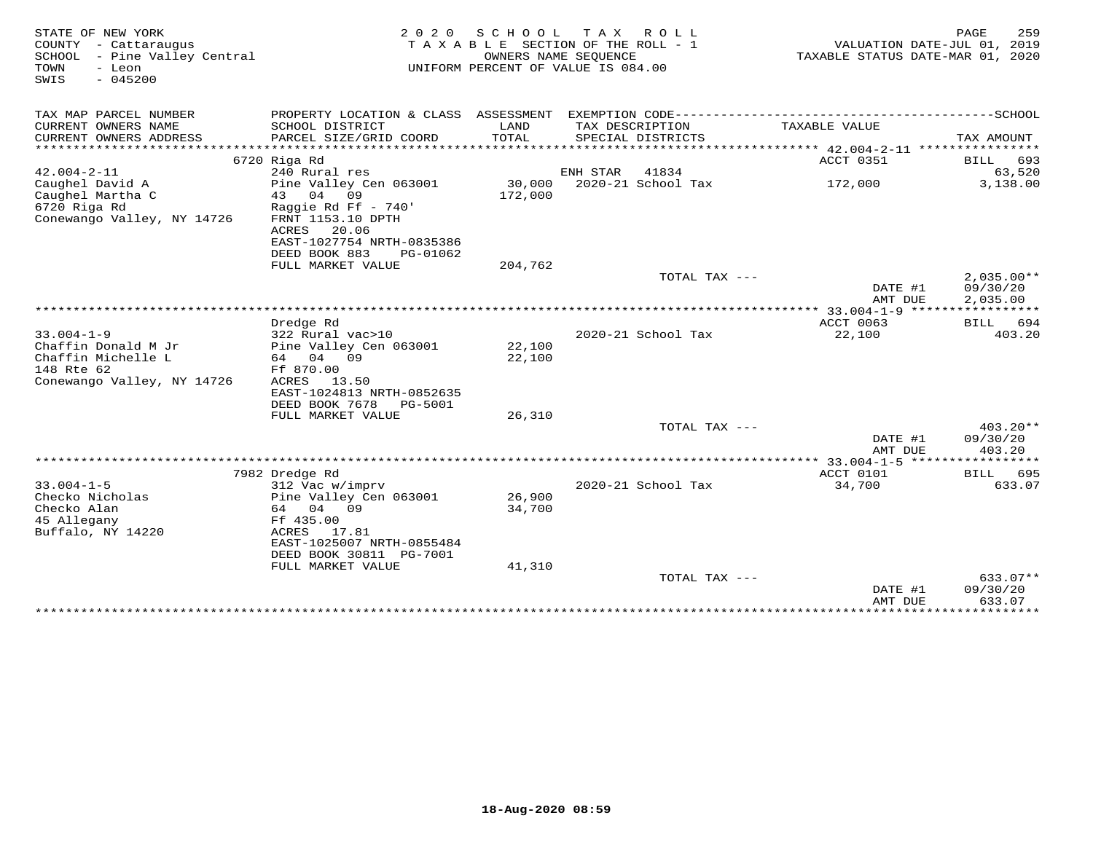| STATE OF NEW YORK<br>COUNTY - Cattaraugus<br>SCHOOL - Pine Valley Central<br>TOWN<br>- Leon<br>$-045200$<br>SWIS | 2 0 2 0<br>TAXABLE SECTION OF THE ROLL - 1<br>UNIFORM PERCENT OF VALUE IS 084.00 | TAXABLE STATUS DATE-MAR 01, 2020 | 259<br>PAGE<br>VALUATION DATE-JUL 01, 2019 |                    |                        |                       |
|------------------------------------------------------------------------------------------------------------------|----------------------------------------------------------------------------------|----------------------------------|--------------------------------------------|--------------------|------------------------|-----------------------|
| TAX MAP PARCEL NUMBER                                                                                            |                                                                                  |                                  |                                            |                    |                        |                       |
| CURRENT OWNERS NAME<br>CURRENT OWNERS ADDRESS                                                                    | SCHOOL DISTRICT<br>PARCEL SIZE/GRID COORD                                        | LAND<br>TOTAL                    | TAX DESCRIPTION                            | SPECIAL DISTRICTS  | TAXABLE VALUE          | TAX AMOUNT            |
|                                                                                                                  |                                                                                  |                                  |                                            |                    |                        |                       |
| $42.004 - 2 - 11$                                                                                                | 6720 Riga Rd<br>240 Rural res                                                    |                                  | ENH STAR                                   | 41834              | ACCT 0351              | BILL<br>693<br>63,520 |
| Caughel David A                                                                                                  | Pine Valley Cen 063001                                                           | 30,000                           |                                            | 2020-21 School Tax | 172,000                | 3,138.00              |
| Caughel Martha C                                                                                                 | 09<br>04<br>43                                                                   | 172,000                          |                                            |                    |                        |                       |
| 6720 Riga Rd                                                                                                     | Raggie Rd Ff - $740'$                                                            |                                  |                                            |                    |                        |                       |
| Conewango Valley, NY 14726                                                                                       | FRNT 1153.10 DPTH                                                                |                                  |                                            |                    |                        |                       |
|                                                                                                                  | 20.06<br>ACRES                                                                   |                                  |                                            |                    |                        |                       |
|                                                                                                                  | EAST-1027754 NRTH-0835386<br>DEED BOOK 883                                       |                                  |                                            |                    |                        |                       |
|                                                                                                                  | PG-01062<br>FULL MARKET VALUE                                                    | 204,762                          |                                            |                    |                        |                       |
|                                                                                                                  |                                                                                  |                                  |                                            | TOTAL TAX $---$    |                        | $2,035.00**$          |
|                                                                                                                  |                                                                                  |                                  |                                            |                    | DATE #1                | 09/30/20              |
|                                                                                                                  |                                                                                  |                                  |                                            |                    | AMT DUE                | 2,035.00              |
|                                                                                                                  |                                                                                  |                                  | ***********************                    |                    | $***$ 33.004-1-9 ***** |                       |
|                                                                                                                  | Dredge Rd                                                                        |                                  |                                            |                    | ACCT 0063              | 694<br>BILL           |
| $33.004 - 1 - 9$<br>Chaffin Donald M Jr                                                                          | 322 Rural vac>10<br>Pine Valley Cen 063001                                       | 22,100                           |                                            | 2020-21 School Tax | 22,100                 | 403.20                |
| Chaffin Michelle L                                                                                               | 64 04 09                                                                         | 22,100                           |                                            |                    |                        |                       |
| 148 Rte 62                                                                                                       | Ff 870.00                                                                        |                                  |                                            |                    |                        |                       |
| Conewango Valley, NY 14726                                                                                       | ACRES<br>13.50                                                                   |                                  |                                            |                    |                        |                       |
|                                                                                                                  | EAST-1024813 NRTH-0852635                                                        |                                  |                                            |                    |                        |                       |
|                                                                                                                  | DEED BOOK 7678<br>PG-5001                                                        |                                  |                                            |                    |                        |                       |
|                                                                                                                  | FULL MARKET VALUE                                                                | 26,310                           |                                            |                    |                        |                       |
|                                                                                                                  |                                                                                  |                                  |                                            | TOTAL TAX $---$    |                        | $403.20**$            |
|                                                                                                                  |                                                                                  |                                  |                                            |                    | DATE #1<br>AMT DUE     | 09/30/20<br>403.20    |
|                                                                                                                  |                                                                                  |                                  |                                            |                    | *** 33.004-1-5 ******  | ****                  |
|                                                                                                                  | 7982 Dredge Rd                                                                   |                                  |                                            |                    | ACCT 0101              | 695<br>BILL           |
| $33.004 - 1 - 5$                                                                                                 | 312 Vac w/imprv                                                                  |                                  |                                            | 2020-21 School Tax | 34,700                 | 633.07                |
| Checko Nicholas                                                                                                  | Pine Valley Cen 063001                                                           | 26,900                           |                                            |                    |                        |                       |
| Checko Alan                                                                                                      | 64 04 09                                                                         | 34,700                           |                                            |                    |                        |                       |
| 45 Allegany                                                                                                      | Ff 435.00                                                                        |                                  |                                            |                    |                        |                       |
| Buffalo, NY 14220                                                                                                | ACRES<br>17.81<br>EAST-1025007 NRTH-0855484                                      |                                  |                                            |                    |                        |                       |
|                                                                                                                  | DEED BOOK 30811 PG-7001                                                          |                                  |                                            |                    |                        |                       |
|                                                                                                                  | FULL MARKET VALUE                                                                | 41,310                           |                                            |                    |                        |                       |
|                                                                                                                  |                                                                                  |                                  |                                            | TOTAL TAX ---      |                        | $633.07**$            |
|                                                                                                                  |                                                                                  |                                  |                                            |                    | DATE #1                | 09/30/20              |
|                                                                                                                  |                                                                                  |                                  |                                            |                    | AMT DUE                | 633.07                |
|                                                                                                                  |                                                                                  |                                  |                                            |                    | *************          | ************          |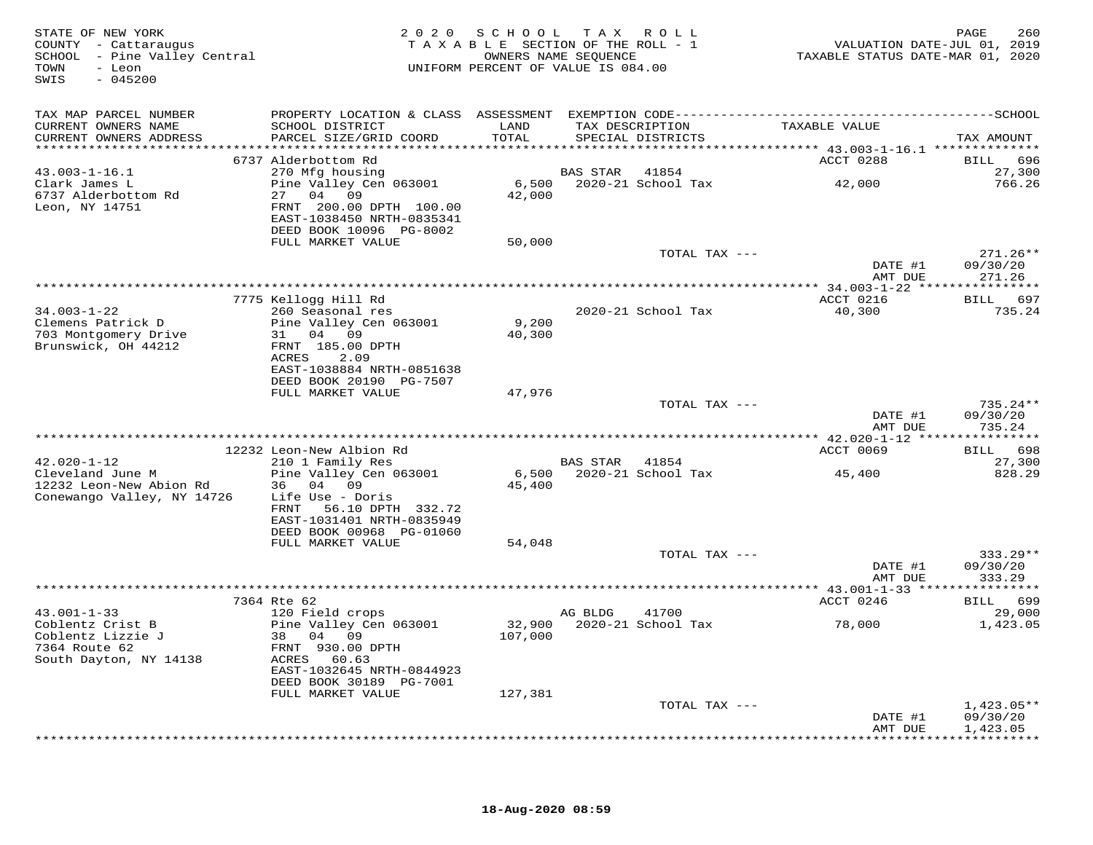| STATE OF NEW YORK<br>COUNTY - Cattaraugus<br>SCHOOL - Pine Valley Central<br>TOWN<br>- Leon<br>SWIS<br>$-045200$ |                                                                                             |                   | 2020 SCHOOL TAX ROLL<br>TAXABLE SECTION OF THE ROLL - 1<br>OWNERS NAME SEQUENCE<br>UNIFORM PERCENT OF VALUE IS 084.00 |               | VALUATION DATE-JUL 01, 2019<br>TAXABLE STATUS DATE-MAR 01, 2020 | 260<br>PAGE           |
|------------------------------------------------------------------------------------------------------------------|---------------------------------------------------------------------------------------------|-------------------|-----------------------------------------------------------------------------------------------------------------------|---------------|-----------------------------------------------------------------|-----------------------|
| TAX MAP PARCEL NUMBER                                                                                            |                                                                                             |                   |                                                                                                                       |               |                                                                 |                       |
| CURRENT OWNERS NAME<br>CURRENT OWNERS ADDRESS                                                                    | SCHOOL DISTRICT<br>PARCEL SIZE/GRID COORD                                                   | LAND<br>TOTAL     | TAX DESCRIPTION<br>SPECIAL DISTRICTS                                                                                  |               | TAXABLE VALUE                                                   | TAX AMOUNT            |
|                                                                                                                  |                                                                                             |                   |                                                                                                                       |               |                                                                 |                       |
|                                                                                                                  | 6737 Alderbottom Rd                                                                         |                   |                                                                                                                       |               | ACCT 0288                                                       | 696<br>BILL           |
| $43.003 - 1 - 16.1$                                                                                              | 270 Mfg housing                                                                             |                   | BAS STAR                                                                                                              | 41854         |                                                                 | 27,300                |
| Clark James L                                                                                                    | Pine Valley Cen 063001                                                                      |                   | 6,500 2020-21 School Tax                                                                                              |               | 42,000                                                          | 766.26                |
| 6737 Alderbottom Rd<br>Leon, NY 14751                                                                            | 27 04 09<br>FRNT 200.00 DPTH 100.00<br>EAST-1038450 NRTH-0835341<br>DEED BOOK 10096 PG-8002 | 42,000            |                                                                                                                       |               |                                                                 |                       |
|                                                                                                                  | FULL MARKET VALUE                                                                           | 50,000            |                                                                                                                       |               |                                                                 |                       |
|                                                                                                                  |                                                                                             |                   |                                                                                                                       | TOTAL TAX --- |                                                                 | 271.26**              |
|                                                                                                                  |                                                                                             |                   |                                                                                                                       |               | DATE #1<br>AMT DUE                                              | 09/30/20<br>271.26    |
|                                                                                                                  |                                                                                             |                   |                                                                                                                       |               |                                                                 |                       |
|                                                                                                                  | 7775 Kellogg Hill Rd                                                                        |                   |                                                                                                                       |               | ACCT 0216                                                       | BILL 697              |
| $34.003 - 1 - 22$                                                                                                | 260 Seasonal res                                                                            |                   | 2020-21 School Tax                                                                                                    |               | 40,300                                                          | 735.24                |
| Clemens Patrick D                                                                                                | Pine Valley Cen 063001                                                                      | 9,200             |                                                                                                                       |               |                                                                 |                       |
| 703 Montgomery Drive<br>Brunswick, OH 44212                                                                      | 31 04 09<br>FRNT 185.00 DPTH                                                                | 40,300            |                                                                                                                       |               |                                                                 |                       |
|                                                                                                                  | ACRES<br>2.09                                                                               |                   |                                                                                                                       |               |                                                                 |                       |
|                                                                                                                  | EAST-1038884 NRTH-0851638                                                                   |                   |                                                                                                                       |               |                                                                 |                       |
|                                                                                                                  | DEED BOOK 20190 PG-7507                                                                     |                   |                                                                                                                       |               |                                                                 |                       |
|                                                                                                                  | FULL MARKET VALUE                                                                           | 47,976            |                                                                                                                       |               |                                                                 |                       |
|                                                                                                                  |                                                                                             |                   |                                                                                                                       | TOTAL TAX --- | DATE #1                                                         | 735.24 **<br>09/30/20 |
|                                                                                                                  |                                                                                             |                   |                                                                                                                       |               | AMT DUE                                                         | 735.24                |
|                                                                                                                  |                                                                                             |                   |                                                                                                                       |               |                                                                 |                       |
|                                                                                                                  | 12232 Leon-New Albion Rd                                                                    |                   |                                                                                                                       |               | ACCT 0069                                                       | BILL 698              |
| $42.020 - 1 - 12$                                                                                                | 210 1 Family Res                                                                            |                   | BAS STAR 41854                                                                                                        |               |                                                                 | 27,300                |
| Cleveland June M                                                                                                 | Pine Valley Cen 063001<br>36 04 09                                                          | 45,400            | 6,500 2020-21 School Tax                                                                                              |               | 45,400                                                          | 828.29                |
| 12232 Leon-New Abion Rd<br>Conewango Valley, NY 14726                                                            | Life Use - Doris                                                                            |                   |                                                                                                                       |               |                                                                 |                       |
|                                                                                                                  | FRNT 56.10 DPTH 332.72                                                                      |                   |                                                                                                                       |               |                                                                 |                       |
|                                                                                                                  | EAST-1031401 NRTH-0835949                                                                   |                   |                                                                                                                       |               |                                                                 |                       |
|                                                                                                                  | DEED BOOK 00968 PG-01060                                                                    |                   |                                                                                                                       |               |                                                                 |                       |
|                                                                                                                  | FULL MARKET VALUE                                                                           | 54,048            |                                                                                                                       |               |                                                                 | $333.29**$            |
|                                                                                                                  |                                                                                             |                   |                                                                                                                       | TOTAL TAX --- | DATE #1                                                         | 09/30/20              |
|                                                                                                                  |                                                                                             |                   |                                                                                                                       |               | AMT DUE                                                         | 333.29                |
|                                                                                                                  |                                                                                             |                   |                                                                                                                       |               |                                                                 |                       |
|                                                                                                                  | 7364 Rte 62                                                                                 |                   |                                                                                                                       |               | ACCT 0246                                                       | BILL 699              |
| $43.001 - 1 - 33$                                                                                                | 120 Field crops                                                                             |                   | AG BLDG                                                                                                               | 41700         |                                                                 | 29,000                |
| Coblentz Crist B<br>Coblentz Lizzie J                                                                            | Pine Valley Cen 063001<br>38 04 09                                                          | 32,900<br>107,000 | 2020-21 School Tax                                                                                                    |               | 78,000                                                          | 1,423.05              |
| 7364 Route 62                                                                                                    | FRNT 930.00 DPTH                                                                            |                   |                                                                                                                       |               |                                                                 |                       |
| South Dayton, NY 14138                                                                                           | ACRES 60.63                                                                                 |                   |                                                                                                                       |               |                                                                 |                       |
|                                                                                                                  | EAST-1032645 NRTH-0844923                                                                   |                   |                                                                                                                       |               |                                                                 |                       |
|                                                                                                                  | DEED BOOK 30189 PG-7001                                                                     |                   |                                                                                                                       |               |                                                                 |                       |
|                                                                                                                  | FULL MARKET VALUE                                                                           | 127,381           |                                                                                                                       | TOTAL TAX --- |                                                                 | $1,423.05**$          |
|                                                                                                                  |                                                                                             |                   |                                                                                                                       |               | DATE #1                                                         | 09/30/20              |
|                                                                                                                  |                                                                                             |                   |                                                                                                                       |               | AMT DUE                                                         | 1,423.05              |
|                                                                                                                  |                                                                                             |                   |                                                                                                                       |               |                                                                 |                       |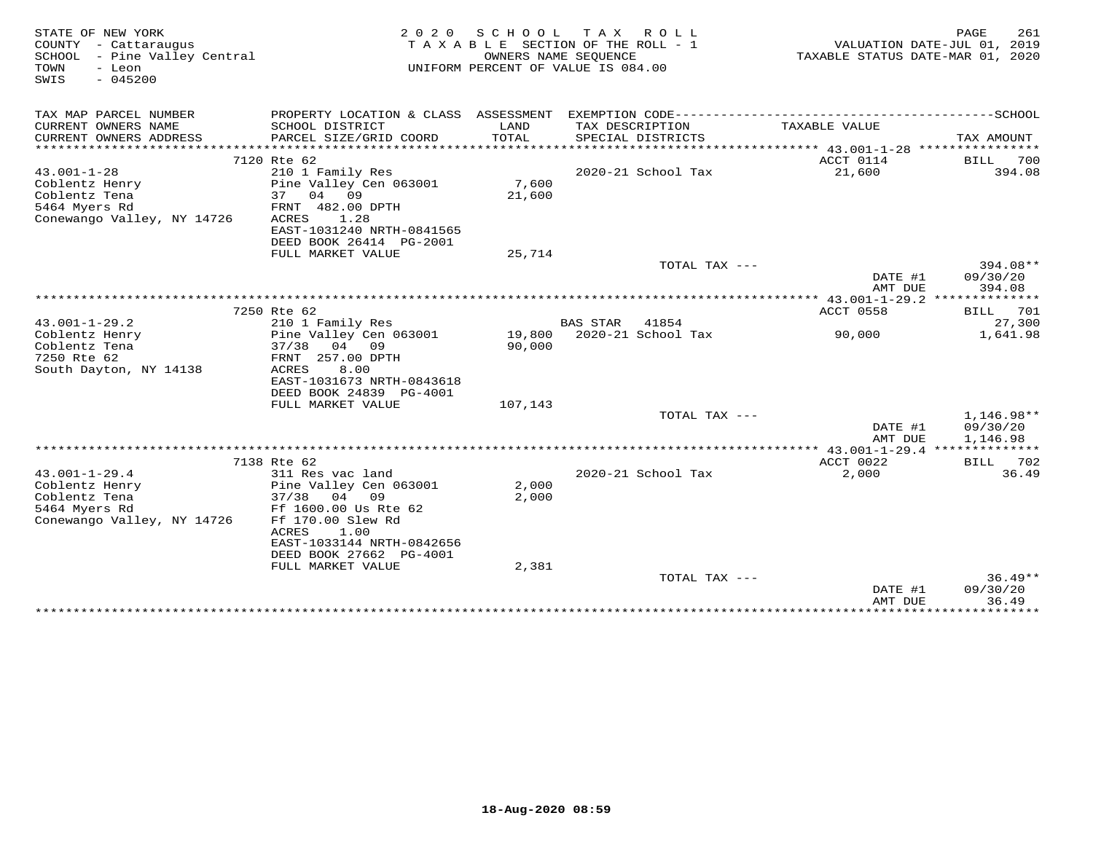| STATE OF NEW YORK<br>COUNTY - Cattaraugus<br>SCHOOL - Pine Valley Central<br>- Leon<br>TOWN<br>$-045200$<br>SWIS | 2 0 2 0                                                                                                                                                | SCHOOL<br>OWNERS NAME SEQUENCE | TAX ROLL<br>TAXABLE SECTION OF THE ROLL - 1<br>UNIFORM PERCENT OF VALUE IS 084.00 | TAXABLE STATUS DATE-MAR 01, 2020                          | PAGE<br>261<br>VALUATION DATE-JUL 01, 2019 |
|------------------------------------------------------------------------------------------------------------------|--------------------------------------------------------------------------------------------------------------------------------------------------------|--------------------------------|-----------------------------------------------------------------------------------|-----------------------------------------------------------|--------------------------------------------|
| TAX MAP PARCEL NUMBER                                                                                            |                                                                                                                                                        |                                |                                                                                   |                                                           |                                            |
| CURRENT OWNERS NAME<br>CURRENT OWNERS ADDRESS                                                                    | SCHOOL DISTRICT<br>PARCEL SIZE/GRID COORD                                                                                                              | LAND<br><b>TOTAL</b>           | TAX DESCRIPTION<br>SPECIAL DISTRICTS                                              | TAXABLE VALUE                                             | TAX AMOUNT                                 |
|                                                                                                                  |                                                                                                                                                        |                                |                                                                                   |                                                           |                                            |
| $43.001 - 1 - 28$<br>Coblentz Henry<br>Coblentz Tena<br>5464 Myers Rd                                            | 7120 Rte 62<br>210 1 Family Res<br>Pine Valley Cen 063001<br>37<br>04 09<br>FRNT 482.00 DPTH                                                           | 7,600<br>21,600                | 2020-21 School Tax                                                                | ACCT 0114<br>21,600                                       | 700<br>BILL<br>394.08                      |
| Conewango Valley, NY 14726                                                                                       | 1.28<br>ACRES<br>EAST-1031240 NRTH-0841565<br>DEED BOOK 26414 PG-2001<br>FULL MARKET VALUE                                                             | 25,714                         |                                                                                   |                                                           |                                            |
|                                                                                                                  |                                                                                                                                                        |                                | TOTAL TAX ---                                                                     |                                                           | 394.08**                                   |
|                                                                                                                  |                                                                                                                                                        |                                |                                                                                   | DATE #1<br>AMT DUE                                        | 09/30/20<br>394.08                         |
|                                                                                                                  | 7250 Rte 62                                                                                                                                            |                                |                                                                                   | *************** 43.001-1-29.2 **************<br>ACCT 0558 | BILL<br>701                                |
| $43.001 - 1 - 29.2$                                                                                              | 210 1 Family Res                                                                                                                                       |                                | <b>BAS STAR</b><br>41854                                                          |                                                           | 27,300                                     |
| Coblentz Henry<br>Coblentz Tena<br>7250 Rte 62<br>South Dayton, NY 14138                                         | Pine Valley Cen 063001<br>$37/38$ 04 09<br>FRNT 257.00 DPTH<br>8.00<br>ACRES<br>EAST-1031673 NRTH-0843618<br>DEED BOOK 24839 PG-4001                   | 19,800<br>90,000               | 2020-21 School Tax                                                                | 90,000                                                    | 1,641.98                                   |
|                                                                                                                  | FULL MARKET VALUE                                                                                                                                      | 107,143                        |                                                                                   |                                                           |                                            |
|                                                                                                                  |                                                                                                                                                        |                                | TOTAL TAX ---                                                                     | DATE #1<br>AMT DUE                                        | 1,146.98**<br>09/30/20<br>1,146.98         |
|                                                                                                                  |                                                                                                                                                        |                                |                                                                                   |                                                           |                                            |
|                                                                                                                  | 7138 Rte 62                                                                                                                                            |                                |                                                                                   | ACCT 0022                                                 | BILL 702                                   |
| $43.001 - 1 - 29.4$<br>Coblentz Henry<br>Coblentz Tena<br>5464 Myers Rd<br>Conewango Valley, NY 14726            | 311 Res vac land<br>Pine Valley Cen 063001<br>$37/38$ 04 09<br>Ff 1600.00 Us Rte 62<br>Ff 170.00 Slew Rd<br>ACRES<br>1.00<br>EAST-1033144 NRTH-0842656 | 2,000<br>2,000                 | 2020-21 School Tax                                                                | 2,000                                                     | 36.49                                      |
|                                                                                                                  | DEED BOOK 27662 PG-4001                                                                                                                                |                                |                                                                                   |                                                           |                                            |
|                                                                                                                  | FULL MARKET VALUE                                                                                                                                      | 2,381                          | TOTAL TAX ---                                                                     |                                                           | $36.49**$                                  |
|                                                                                                                  |                                                                                                                                                        |                                |                                                                                   | DATE #1<br>AMT DUE<br>***************                     | 09/30/20<br>36.49<br>************          |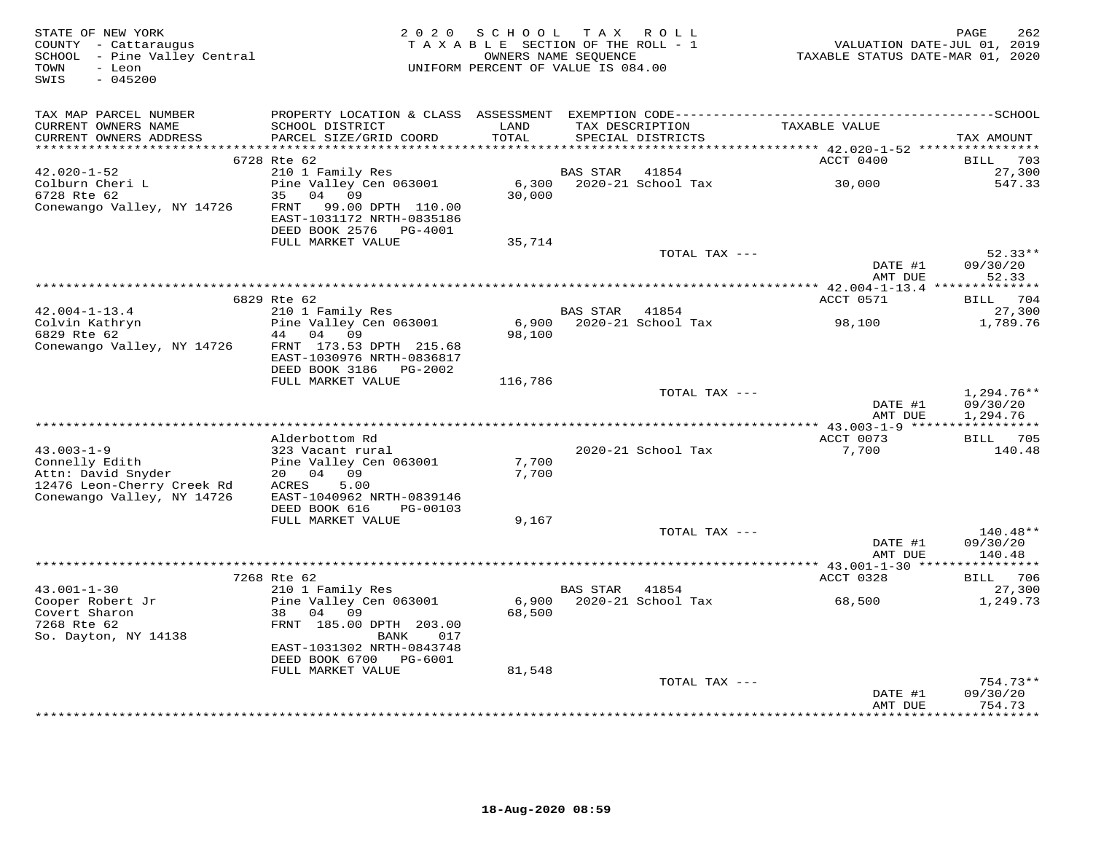| TAX MAP PARCEL NUMBER<br>TAXABLE VALUE<br>LAND<br>CURRENT OWNERS NAME<br>SCHOOL DISTRICT<br>TAX DESCRIPTION<br>CURRENT OWNERS ADDRESS<br>PARCEL SIZE/GRID COORD<br>TOTAL<br>SPECIAL DISTRICTS<br>TAX AMOUNT<br>6728 Rte 62<br>BILL 703<br>ACCT 0400<br>27,300<br>42.020-1-52<br>210 1 Family Res<br>BAS STAR<br>41854<br>6,300 2020-21 School Tax 30,000<br>Pine Valley Cen 063001<br>Colburn Cheri L<br>6728 Rte 62<br>547.33<br>30,000<br>35 04 09<br>Conewango Valley, NY 14726<br>FRNT<br>99.00 DPTH 110.00<br>EAST-1031172 NRTH-0835186<br>DEED BOOK 2576 PG-4001<br>FULL MARKET VALUE<br>35,714<br>$52.33**$<br>TOTAL TAX ---<br>DATE #1<br>09/30/20<br>52.33<br>AMT DUE<br>ACCT 0571<br>BILL 704<br>6829 Rte 62<br>$42.004 - 1 - 13.4$<br>210 1 Family Res<br>BAS STAR 41854<br>27,300<br>Colvin Kathryn<br>6829 Rte 62<br>Pine Valley Cen 063001<br>1,789.76<br>6829 Rte 62<br>44 04 09<br>98,100<br>Conewango Valley, NY 14726<br>FRNT 173.53 DPTH 215.68<br>EAST-1030976 NRTH-0836817<br>DEED BOOK 3186 PG-2002<br>FULL MARKET VALUE<br>116,786<br>TOTAL TAX ---<br>$1,294.76**$<br>DATE #1<br>09/30/20<br>AMT DUE<br>1,294.76<br>ACCT 0073<br>BILL 705<br>Alderbottom Rd<br>323 Vacant rural<br>$43.003 - 1 - 9$<br>2020-21 School Tax<br>7,700<br>140.48<br>Pine Valley Cen 063001<br>7,700<br>Connelly Edith<br>Attn: David Snyder<br>20 04 09<br>7,700<br>12476 Leon-Cherry Creek Rd<br>ACRES<br>5.00<br>Conewango Valley, NY 14726<br>EAST-1040962 NRTH-0839146<br>DEED BOOK 616<br>PG-00103<br>FULL MARKET VALUE<br>9,167<br>140.48**<br>TOTAL TAX ---<br>DATE #1<br>09/30/20<br>140.48<br>AMT DUE<br>BILL 706<br>7268 Rte 62<br>ACCT 0328<br>$43.001 - 1 - 30$<br>210 1 Family Res<br>27,300<br>BAS STAR 41854<br>Cooper Robert Jr<br>Pine Valley Cen 063001<br>1,249.73<br>Covert Sharon<br>38 04 09<br>68,500<br>7268 Rte 62<br>FRNT 185.00 DPTH 203.00<br>So. Dayton, NY 14138<br>BANK<br>017<br>EAST-1031302 NRTH-0843748<br>DEED BOOK 6700 PG-6001<br>81,548<br>FULL MARKET VALUE<br>$754.73**$<br>TOTAL TAX ---<br>09/30/20<br>DATE #1<br>754.73<br>AMT DUE<br>* * * * * * * * * * | STATE OF NEW YORK<br>COUNTY - Cattaraugus<br>SCHOOL - Pine Valley Central<br>TOWN<br>- Leon<br>SWIS<br>$-045200$ | 2 0 2 0 | SCHOOL TAX ROLL<br>TAXABLE SECTION OF THE ROLL - 1 | OWNERS NAME SEQUENCE<br>UNIFORM PERCENT OF VALUE IS 084.00 | VALUATION DATE-JUL 01, 2019<br>TAXABLE STATUS DATE-MAR 01, 2020 | 262<br>PAGE |
|-----------------------------------------------------------------------------------------------------------------------------------------------------------------------------------------------------------------------------------------------------------------------------------------------------------------------------------------------------------------------------------------------------------------------------------------------------------------------------------------------------------------------------------------------------------------------------------------------------------------------------------------------------------------------------------------------------------------------------------------------------------------------------------------------------------------------------------------------------------------------------------------------------------------------------------------------------------------------------------------------------------------------------------------------------------------------------------------------------------------------------------------------------------------------------------------------------------------------------------------------------------------------------------------------------------------------------------------------------------------------------------------------------------------------------------------------------------------------------------------------------------------------------------------------------------------------------------------------------------------------------------------------------------------------------------------------------------------------------------------------------------------------------------------------------------------------------------------------------------------------------------------------------------------------------------------------------------------------------------------------------------------------------------------------------------------------------------------------------------|------------------------------------------------------------------------------------------------------------------|---------|----------------------------------------------------|------------------------------------------------------------|-----------------------------------------------------------------|-------------|
|                                                                                                                                                                                                                                                                                                                                                                                                                                                                                                                                                                                                                                                                                                                                                                                                                                                                                                                                                                                                                                                                                                                                                                                                                                                                                                                                                                                                                                                                                                                                                                                                                                                                                                                                                                                                                                                                                                                                                                                                                                                                                                           |                                                                                                                  |         |                                                    |                                                            |                                                                 |             |
|                                                                                                                                                                                                                                                                                                                                                                                                                                                                                                                                                                                                                                                                                                                                                                                                                                                                                                                                                                                                                                                                                                                                                                                                                                                                                                                                                                                                                                                                                                                                                                                                                                                                                                                                                                                                                                                                                                                                                                                                                                                                                                           |                                                                                                                  |         |                                                    |                                                            |                                                                 |             |
|                                                                                                                                                                                                                                                                                                                                                                                                                                                                                                                                                                                                                                                                                                                                                                                                                                                                                                                                                                                                                                                                                                                                                                                                                                                                                                                                                                                                                                                                                                                                                                                                                                                                                                                                                                                                                                                                                                                                                                                                                                                                                                           |                                                                                                                  |         |                                                    |                                                            |                                                                 |             |
|                                                                                                                                                                                                                                                                                                                                                                                                                                                                                                                                                                                                                                                                                                                                                                                                                                                                                                                                                                                                                                                                                                                                                                                                                                                                                                                                                                                                                                                                                                                                                                                                                                                                                                                                                                                                                                                                                                                                                                                                                                                                                                           |                                                                                                                  |         |                                                    |                                                            |                                                                 |             |
|                                                                                                                                                                                                                                                                                                                                                                                                                                                                                                                                                                                                                                                                                                                                                                                                                                                                                                                                                                                                                                                                                                                                                                                                                                                                                                                                                                                                                                                                                                                                                                                                                                                                                                                                                                                                                                                                                                                                                                                                                                                                                                           |                                                                                                                  |         |                                                    |                                                            |                                                                 |             |
|                                                                                                                                                                                                                                                                                                                                                                                                                                                                                                                                                                                                                                                                                                                                                                                                                                                                                                                                                                                                                                                                                                                                                                                                                                                                                                                                                                                                                                                                                                                                                                                                                                                                                                                                                                                                                                                                                                                                                                                                                                                                                                           |                                                                                                                  |         |                                                    |                                                            |                                                                 |             |
|                                                                                                                                                                                                                                                                                                                                                                                                                                                                                                                                                                                                                                                                                                                                                                                                                                                                                                                                                                                                                                                                                                                                                                                                                                                                                                                                                                                                                                                                                                                                                                                                                                                                                                                                                                                                                                                                                                                                                                                                                                                                                                           |                                                                                                                  |         |                                                    |                                                            |                                                                 |             |
|                                                                                                                                                                                                                                                                                                                                                                                                                                                                                                                                                                                                                                                                                                                                                                                                                                                                                                                                                                                                                                                                                                                                                                                                                                                                                                                                                                                                                                                                                                                                                                                                                                                                                                                                                                                                                                                                                                                                                                                                                                                                                                           |                                                                                                                  |         |                                                    |                                                            |                                                                 |             |
|                                                                                                                                                                                                                                                                                                                                                                                                                                                                                                                                                                                                                                                                                                                                                                                                                                                                                                                                                                                                                                                                                                                                                                                                                                                                                                                                                                                                                                                                                                                                                                                                                                                                                                                                                                                                                                                                                                                                                                                                                                                                                                           |                                                                                                                  |         |                                                    |                                                            |                                                                 |             |
|                                                                                                                                                                                                                                                                                                                                                                                                                                                                                                                                                                                                                                                                                                                                                                                                                                                                                                                                                                                                                                                                                                                                                                                                                                                                                                                                                                                                                                                                                                                                                                                                                                                                                                                                                                                                                                                                                                                                                                                                                                                                                                           |                                                                                                                  |         |                                                    |                                                            |                                                                 |             |
|                                                                                                                                                                                                                                                                                                                                                                                                                                                                                                                                                                                                                                                                                                                                                                                                                                                                                                                                                                                                                                                                                                                                                                                                                                                                                                                                                                                                                                                                                                                                                                                                                                                                                                                                                                                                                                                                                                                                                                                                                                                                                                           |                                                                                                                  |         |                                                    |                                                            |                                                                 |             |
|                                                                                                                                                                                                                                                                                                                                                                                                                                                                                                                                                                                                                                                                                                                                                                                                                                                                                                                                                                                                                                                                                                                                                                                                                                                                                                                                                                                                                                                                                                                                                                                                                                                                                                                                                                                                                                                                                                                                                                                                                                                                                                           |                                                                                                                  |         |                                                    |                                                            |                                                                 |             |
|                                                                                                                                                                                                                                                                                                                                                                                                                                                                                                                                                                                                                                                                                                                                                                                                                                                                                                                                                                                                                                                                                                                                                                                                                                                                                                                                                                                                                                                                                                                                                                                                                                                                                                                                                                                                                                                                                                                                                                                                                                                                                                           |                                                                                                                  |         |                                                    |                                                            |                                                                 |             |
|                                                                                                                                                                                                                                                                                                                                                                                                                                                                                                                                                                                                                                                                                                                                                                                                                                                                                                                                                                                                                                                                                                                                                                                                                                                                                                                                                                                                                                                                                                                                                                                                                                                                                                                                                                                                                                                                                                                                                                                                                                                                                                           |                                                                                                                  |         |                                                    |                                                            |                                                                 |             |
|                                                                                                                                                                                                                                                                                                                                                                                                                                                                                                                                                                                                                                                                                                                                                                                                                                                                                                                                                                                                                                                                                                                                                                                                                                                                                                                                                                                                                                                                                                                                                                                                                                                                                                                                                                                                                                                                                                                                                                                                                                                                                                           |                                                                                                                  |         |                                                    |                                                            |                                                                 |             |
|                                                                                                                                                                                                                                                                                                                                                                                                                                                                                                                                                                                                                                                                                                                                                                                                                                                                                                                                                                                                                                                                                                                                                                                                                                                                                                                                                                                                                                                                                                                                                                                                                                                                                                                                                                                                                                                                                                                                                                                                                                                                                                           |                                                                                                                  |         |                                                    |                                                            |                                                                 |             |
|                                                                                                                                                                                                                                                                                                                                                                                                                                                                                                                                                                                                                                                                                                                                                                                                                                                                                                                                                                                                                                                                                                                                                                                                                                                                                                                                                                                                                                                                                                                                                                                                                                                                                                                                                                                                                                                                                                                                                                                                                                                                                                           |                                                                                                                  |         |                                                    |                                                            |                                                                 |             |
|                                                                                                                                                                                                                                                                                                                                                                                                                                                                                                                                                                                                                                                                                                                                                                                                                                                                                                                                                                                                                                                                                                                                                                                                                                                                                                                                                                                                                                                                                                                                                                                                                                                                                                                                                                                                                                                                                                                                                                                                                                                                                                           |                                                                                                                  |         |                                                    |                                                            |                                                                 |             |
|                                                                                                                                                                                                                                                                                                                                                                                                                                                                                                                                                                                                                                                                                                                                                                                                                                                                                                                                                                                                                                                                                                                                                                                                                                                                                                                                                                                                                                                                                                                                                                                                                                                                                                                                                                                                                                                                                                                                                                                                                                                                                                           |                                                                                                                  |         |                                                    |                                                            |                                                                 |             |
|                                                                                                                                                                                                                                                                                                                                                                                                                                                                                                                                                                                                                                                                                                                                                                                                                                                                                                                                                                                                                                                                                                                                                                                                                                                                                                                                                                                                                                                                                                                                                                                                                                                                                                                                                                                                                                                                                                                                                                                                                                                                                                           |                                                                                                                  |         |                                                    |                                                            |                                                                 |             |
|                                                                                                                                                                                                                                                                                                                                                                                                                                                                                                                                                                                                                                                                                                                                                                                                                                                                                                                                                                                                                                                                                                                                                                                                                                                                                                                                                                                                                                                                                                                                                                                                                                                                                                                                                                                                                                                                                                                                                                                                                                                                                                           |                                                                                                                  |         |                                                    |                                                            |                                                                 |             |
|                                                                                                                                                                                                                                                                                                                                                                                                                                                                                                                                                                                                                                                                                                                                                                                                                                                                                                                                                                                                                                                                                                                                                                                                                                                                                                                                                                                                                                                                                                                                                                                                                                                                                                                                                                                                                                                                                                                                                                                                                                                                                                           |                                                                                                                  |         |                                                    |                                                            |                                                                 |             |
|                                                                                                                                                                                                                                                                                                                                                                                                                                                                                                                                                                                                                                                                                                                                                                                                                                                                                                                                                                                                                                                                                                                                                                                                                                                                                                                                                                                                                                                                                                                                                                                                                                                                                                                                                                                                                                                                                                                                                                                                                                                                                                           |                                                                                                                  |         |                                                    |                                                            |                                                                 |             |
|                                                                                                                                                                                                                                                                                                                                                                                                                                                                                                                                                                                                                                                                                                                                                                                                                                                                                                                                                                                                                                                                                                                                                                                                                                                                                                                                                                                                                                                                                                                                                                                                                                                                                                                                                                                                                                                                                                                                                                                                                                                                                                           |                                                                                                                  |         |                                                    |                                                            |                                                                 |             |
|                                                                                                                                                                                                                                                                                                                                                                                                                                                                                                                                                                                                                                                                                                                                                                                                                                                                                                                                                                                                                                                                                                                                                                                                                                                                                                                                                                                                                                                                                                                                                                                                                                                                                                                                                                                                                                                                                                                                                                                                                                                                                                           |                                                                                                                  |         |                                                    |                                                            |                                                                 |             |
|                                                                                                                                                                                                                                                                                                                                                                                                                                                                                                                                                                                                                                                                                                                                                                                                                                                                                                                                                                                                                                                                                                                                                                                                                                                                                                                                                                                                                                                                                                                                                                                                                                                                                                                                                                                                                                                                                                                                                                                                                                                                                                           |                                                                                                                  |         |                                                    |                                                            |                                                                 |             |
|                                                                                                                                                                                                                                                                                                                                                                                                                                                                                                                                                                                                                                                                                                                                                                                                                                                                                                                                                                                                                                                                                                                                                                                                                                                                                                                                                                                                                                                                                                                                                                                                                                                                                                                                                                                                                                                                                                                                                                                                                                                                                                           |                                                                                                                  |         |                                                    |                                                            |                                                                 |             |
|                                                                                                                                                                                                                                                                                                                                                                                                                                                                                                                                                                                                                                                                                                                                                                                                                                                                                                                                                                                                                                                                                                                                                                                                                                                                                                                                                                                                                                                                                                                                                                                                                                                                                                                                                                                                                                                                                                                                                                                                                                                                                                           |                                                                                                                  |         |                                                    |                                                            |                                                                 |             |
|                                                                                                                                                                                                                                                                                                                                                                                                                                                                                                                                                                                                                                                                                                                                                                                                                                                                                                                                                                                                                                                                                                                                                                                                                                                                                                                                                                                                                                                                                                                                                                                                                                                                                                                                                                                                                                                                                                                                                                                                                                                                                                           |                                                                                                                  |         |                                                    |                                                            |                                                                 |             |
|                                                                                                                                                                                                                                                                                                                                                                                                                                                                                                                                                                                                                                                                                                                                                                                                                                                                                                                                                                                                                                                                                                                                                                                                                                                                                                                                                                                                                                                                                                                                                                                                                                                                                                                                                                                                                                                                                                                                                                                                                                                                                                           |                                                                                                                  |         |                                                    |                                                            |                                                                 |             |
|                                                                                                                                                                                                                                                                                                                                                                                                                                                                                                                                                                                                                                                                                                                                                                                                                                                                                                                                                                                                                                                                                                                                                                                                                                                                                                                                                                                                                                                                                                                                                                                                                                                                                                                                                                                                                                                                                                                                                                                                                                                                                                           |                                                                                                                  |         |                                                    |                                                            |                                                                 |             |
|                                                                                                                                                                                                                                                                                                                                                                                                                                                                                                                                                                                                                                                                                                                                                                                                                                                                                                                                                                                                                                                                                                                                                                                                                                                                                                                                                                                                                                                                                                                                                                                                                                                                                                                                                                                                                                                                                                                                                                                                                                                                                                           |                                                                                                                  |         |                                                    |                                                            |                                                                 |             |
|                                                                                                                                                                                                                                                                                                                                                                                                                                                                                                                                                                                                                                                                                                                                                                                                                                                                                                                                                                                                                                                                                                                                                                                                                                                                                                                                                                                                                                                                                                                                                                                                                                                                                                                                                                                                                                                                                                                                                                                                                                                                                                           |                                                                                                                  |         |                                                    |                                                            |                                                                 |             |
|                                                                                                                                                                                                                                                                                                                                                                                                                                                                                                                                                                                                                                                                                                                                                                                                                                                                                                                                                                                                                                                                                                                                                                                                                                                                                                                                                                                                                                                                                                                                                                                                                                                                                                                                                                                                                                                                                                                                                                                                                                                                                                           |                                                                                                                  |         |                                                    |                                                            |                                                                 |             |
|                                                                                                                                                                                                                                                                                                                                                                                                                                                                                                                                                                                                                                                                                                                                                                                                                                                                                                                                                                                                                                                                                                                                                                                                                                                                                                                                                                                                                                                                                                                                                                                                                                                                                                                                                                                                                                                                                                                                                                                                                                                                                                           |                                                                                                                  |         |                                                    |                                                            |                                                                 |             |
|                                                                                                                                                                                                                                                                                                                                                                                                                                                                                                                                                                                                                                                                                                                                                                                                                                                                                                                                                                                                                                                                                                                                                                                                                                                                                                                                                                                                                                                                                                                                                                                                                                                                                                                                                                                                                                                                                                                                                                                                                                                                                                           |                                                                                                                  |         |                                                    |                                                            |                                                                 |             |
|                                                                                                                                                                                                                                                                                                                                                                                                                                                                                                                                                                                                                                                                                                                                                                                                                                                                                                                                                                                                                                                                                                                                                                                                                                                                                                                                                                                                                                                                                                                                                                                                                                                                                                                                                                                                                                                                                                                                                                                                                                                                                                           |                                                                                                                  |         |                                                    |                                                            |                                                                 |             |
|                                                                                                                                                                                                                                                                                                                                                                                                                                                                                                                                                                                                                                                                                                                                                                                                                                                                                                                                                                                                                                                                                                                                                                                                                                                                                                                                                                                                                                                                                                                                                                                                                                                                                                                                                                                                                                                                                                                                                                                                                                                                                                           |                                                                                                                  |         |                                                    |                                                            |                                                                 |             |
|                                                                                                                                                                                                                                                                                                                                                                                                                                                                                                                                                                                                                                                                                                                                                                                                                                                                                                                                                                                                                                                                                                                                                                                                                                                                                                                                                                                                                                                                                                                                                                                                                                                                                                                                                                                                                                                                                                                                                                                                                                                                                                           |                                                                                                                  |         |                                                    |                                                            |                                                                 |             |
|                                                                                                                                                                                                                                                                                                                                                                                                                                                                                                                                                                                                                                                                                                                                                                                                                                                                                                                                                                                                                                                                                                                                                                                                                                                                                                                                                                                                                                                                                                                                                                                                                                                                                                                                                                                                                                                                                                                                                                                                                                                                                                           |                                                                                                                  |         |                                                    |                                                            |                                                                 |             |
|                                                                                                                                                                                                                                                                                                                                                                                                                                                                                                                                                                                                                                                                                                                                                                                                                                                                                                                                                                                                                                                                                                                                                                                                                                                                                                                                                                                                                                                                                                                                                                                                                                                                                                                                                                                                                                                                                                                                                                                                                                                                                                           |                                                                                                                  |         |                                                    |                                                            |                                                                 |             |
|                                                                                                                                                                                                                                                                                                                                                                                                                                                                                                                                                                                                                                                                                                                                                                                                                                                                                                                                                                                                                                                                                                                                                                                                                                                                                                                                                                                                                                                                                                                                                                                                                                                                                                                                                                                                                                                                                                                                                                                                                                                                                                           |                                                                                                                  |         |                                                    |                                                            |                                                                 |             |
|                                                                                                                                                                                                                                                                                                                                                                                                                                                                                                                                                                                                                                                                                                                                                                                                                                                                                                                                                                                                                                                                                                                                                                                                                                                                                                                                                                                                                                                                                                                                                                                                                                                                                                                                                                                                                                                                                                                                                                                                                                                                                                           |                                                                                                                  |         |                                                    |                                                            |                                                                 |             |
|                                                                                                                                                                                                                                                                                                                                                                                                                                                                                                                                                                                                                                                                                                                                                                                                                                                                                                                                                                                                                                                                                                                                                                                                                                                                                                                                                                                                                                                                                                                                                                                                                                                                                                                                                                                                                                                                                                                                                                                                                                                                                                           |                                                                                                                  |         |                                                    |                                                            |                                                                 |             |
|                                                                                                                                                                                                                                                                                                                                                                                                                                                                                                                                                                                                                                                                                                                                                                                                                                                                                                                                                                                                                                                                                                                                                                                                                                                                                                                                                                                                                                                                                                                                                                                                                                                                                                                                                                                                                                                                                                                                                                                                                                                                                                           |                                                                                                                  |         |                                                    |                                                            |                                                                 |             |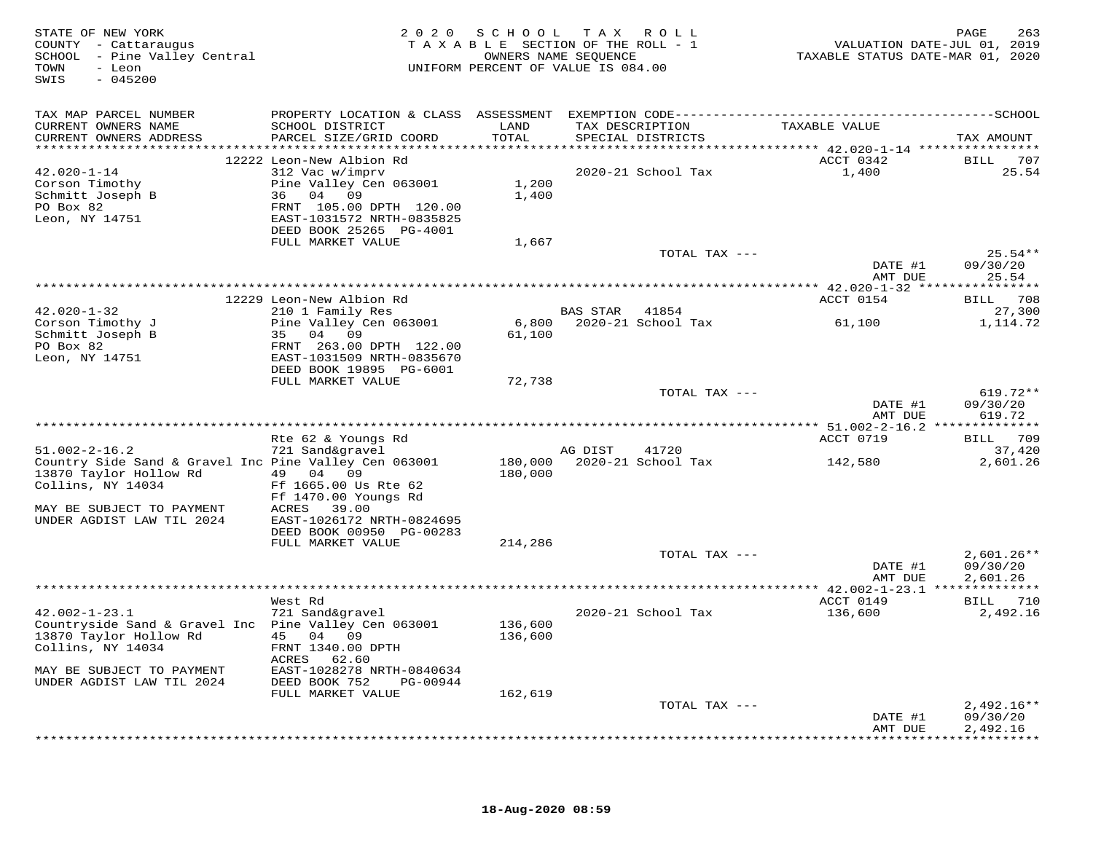| STATE OF NEW YORK<br>COUNTY - Cattaraugus<br>SCHOOL - Pine Valley Central<br>- Leon<br>TOWN<br>$-045200$<br>SWIS |                                               | 2020 SCHOOL<br>TAXABLE SECTION OF THE ROLL - 1<br>OWNERS NAME SEOUENCE<br>UNIFORM PERCENT OF VALUE IS 084.00 | T A X    | R O L L                              | TAXABLE STATUS DATE-MAR 01, 2020 | PAGE<br>263<br>VALUATION DATE-JUL 01, 2019 |
|------------------------------------------------------------------------------------------------------------------|-----------------------------------------------|--------------------------------------------------------------------------------------------------------------|----------|--------------------------------------|----------------------------------|--------------------------------------------|
| TAX MAP PARCEL NUMBER                                                                                            |                                               |                                                                                                              |          |                                      |                                  |                                            |
| CURRENT OWNERS NAME<br>CURRENT OWNERS ADDRESS                                                                    | SCHOOL DISTRICT<br>PARCEL SIZE/GRID COORD     | LAND<br>TOTAL                                                                                                |          | TAX DESCRIPTION<br>SPECIAL DISTRICTS | TAXABLE VALUE                    | TAX AMOUNT                                 |
| ************************                                                                                         |                                               |                                                                                                              |          |                                      |                                  |                                            |
| $42.020 - 1 - 14$                                                                                                | 12222 Leon-New Albion Rd<br>312 Vac w/imprv   |                                                                                                              |          | 2020-21 School Tax                   | ACCT 0342<br>1,400               | BILL 707<br>25.54                          |
| Corson Timothy                                                                                                   | Pine Valley Cen 063001                        | 1,200                                                                                                        |          |                                      |                                  |                                            |
| Schmitt Joseph B                                                                                                 | 36 04 09                                      | 1,400                                                                                                        |          |                                      |                                  |                                            |
| PO Box 82                                                                                                        | FRNT 105.00 DPTH 120.00                       |                                                                                                              |          |                                      |                                  |                                            |
| Leon, NY 14751                                                                                                   | EAST-1031572 NRTH-0835825                     |                                                                                                              |          |                                      |                                  |                                            |
|                                                                                                                  | DEED BOOK 25265 PG-4001                       |                                                                                                              |          |                                      |                                  |                                            |
|                                                                                                                  | FULL MARKET VALUE                             | 1,667                                                                                                        |          |                                      |                                  |                                            |
|                                                                                                                  |                                               |                                                                                                              |          | TOTAL TAX ---                        |                                  | $25.54**$                                  |
|                                                                                                                  |                                               |                                                                                                              |          |                                      | DATE #1                          | 09/30/20                                   |
|                                                                                                                  |                                               |                                                                                                              |          |                                      | AMT DUE                          | 25.54<br>* * * * * * * *                   |
|                                                                                                                  | 12229 Leon-New Albion Rd                      |                                                                                                              |          |                                      | ACCT 0154                        | 708<br>BILL                                |
| $42.020 - 1 - 32$                                                                                                | 210 1 Family Res                              |                                                                                                              | BAS STAR | 41854                                |                                  | 27,300                                     |
| Corson Timothy J                                                                                                 | Pine Valley Cen 063001                        | 6,800                                                                                                        |          | 2020-21 School Tax                   | 61,100                           | 1,114.72                                   |
| Schmitt Joseph B                                                                                                 | 04 09<br>35                                   | 61,100                                                                                                       |          |                                      |                                  |                                            |
| PO Box 82                                                                                                        | FRNT 263.00 DPTH 122.00                       |                                                                                                              |          |                                      |                                  |                                            |
| Leon, NY 14751                                                                                                   | EAST-1031509 NRTH-0835670                     |                                                                                                              |          |                                      |                                  |                                            |
|                                                                                                                  | DEED BOOK 19895 PG-6001                       |                                                                                                              |          |                                      |                                  |                                            |
|                                                                                                                  | FULL MARKET VALUE                             | 72,738                                                                                                       |          |                                      |                                  |                                            |
|                                                                                                                  |                                               |                                                                                                              |          | TOTAL TAX ---                        |                                  | $619.72**$                                 |
|                                                                                                                  |                                               |                                                                                                              |          |                                      | DATE #1                          | 09/30/20                                   |
|                                                                                                                  |                                               |                                                                                                              |          |                                      | AMT DUE                          | 619.72                                     |
|                                                                                                                  | Rte 62 & Youngs Rd                            |                                                                                                              |          |                                      | ACCT 0719                        | BILL 709                                   |
| $51.002 - 2 - 16.2$                                                                                              | 721 Sand&gravel                               |                                                                                                              | AG DIST  | 41720                                |                                  | 37,420                                     |
| Country Side Sand & Gravel Inc Pine Valley Cen 063001                                                            |                                               | 180,000                                                                                                      |          | 2020-21 School Tax                   | 142,580                          | 2,601.26                                   |
| 13870 Taylor Hollow Rd                                                                                           | 49 04 09                                      | 180,000                                                                                                      |          |                                      |                                  |                                            |
| Collins, NY 14034                                                                                                | Ff 1665.00 Us Rte 62                          |                                                                                                              |          |                                      |                                  |                                            |
|                                                                                                                  | Ff 1470.00 Youngs Rd                          |                                                                                                              |          |                                      |                                  |                                            |
| MAY BE SUBJECT TO PAYMENT                                                                                        | <b>ACRES</b><br>39.00                         |                                                                                                              |          |                                      |                                  |                                            |
| UNDER AGDIST LAW TIL 2024                                                                                        | EAST-1026172 NRTH-0824695                     |                                                                                                              |          |                                      |                                  |                                            |
|                                                                                                                  | DEED BOOK 00950 PG-00283<br>FULL MARKET VALUE | 214,286                                                                                                      |          |                                      |                                  |                                            |
|                                                                                                                  |                                               |                                                                                                              |          | TOTAL TAX ---                        |                                  | $2,601.26**$                               |
|                                                                                                                  |                                               |                                                                                                              |          |                                      | DATE #1                          | 09/30/20                                   |
|                                                                                                                  |                                               |                                                                                                              |          |                                      | AMT DUE                          | 2,601.26                                   |
|                                                                                                                  |                                               |                                                                                                              |          |                                      |                                  |                                            |
|                                                                                                                  | West Rd                                       |                                                                                                              |          |                                      | ACCT 0149                        | BILL 710                                   |
| $42.002 - 1 - 23.1$                                                                                              | 721 Sand&gravel                               |                                                                                                              |          | 2020-21 School Tax                   | 136,600                          | 2,492.16                                   |
| Countryside Sand & Gravel Inc Pine Valley Cen 063001                                                             |                                               | 136,600                                                                                                      |          |                                      |                                  |                                            |
| 13870 Taylor Hollow Rd                                                                                           | 45 04 09                                      | 136,600                                                                                                      |          |                                      |                                  |                                            |
| Collins, NY 14034                                                                                                | FRNT 1340.00 DPTH<br>ACRES<br>62.60           |                                                                                                              |          |                                      |                                  |                                            |
| MAY BE SUBJECT TO PAYMENT                                                                                        | EAST-1028278 NRTH-0840634                     |                                                                                                              |          |                                      |                                  |                                            |
| UNDER AGDIST LAW TIL 2024                                                                                        | DEED BOOK 752<br>PG-00944                     |                                                                                                              |          |                                      |                                  |                                            |
|                                                                                                                  | FULL MARKET VALUE                             | 162,619                                                                                                      |          |                                      |                                  |                                            |
|                                                                                                                  |                                               |                                                                                                              |          | TOTAL TAX ---                        |                                  | $2,492.16**$                               |
|                                                                                                                  |                                               |                                                                                                              |          |                                      | DATE #1                          | 09/30/20                                   |
|                                                                                                                  |                                               |                                                                                                              |          |                                      | AMT DUE                          | 2,492.16                                   |
|                                                                                                                  |                                               |                                                                                                              |          |                                      |                                  | ***********                                |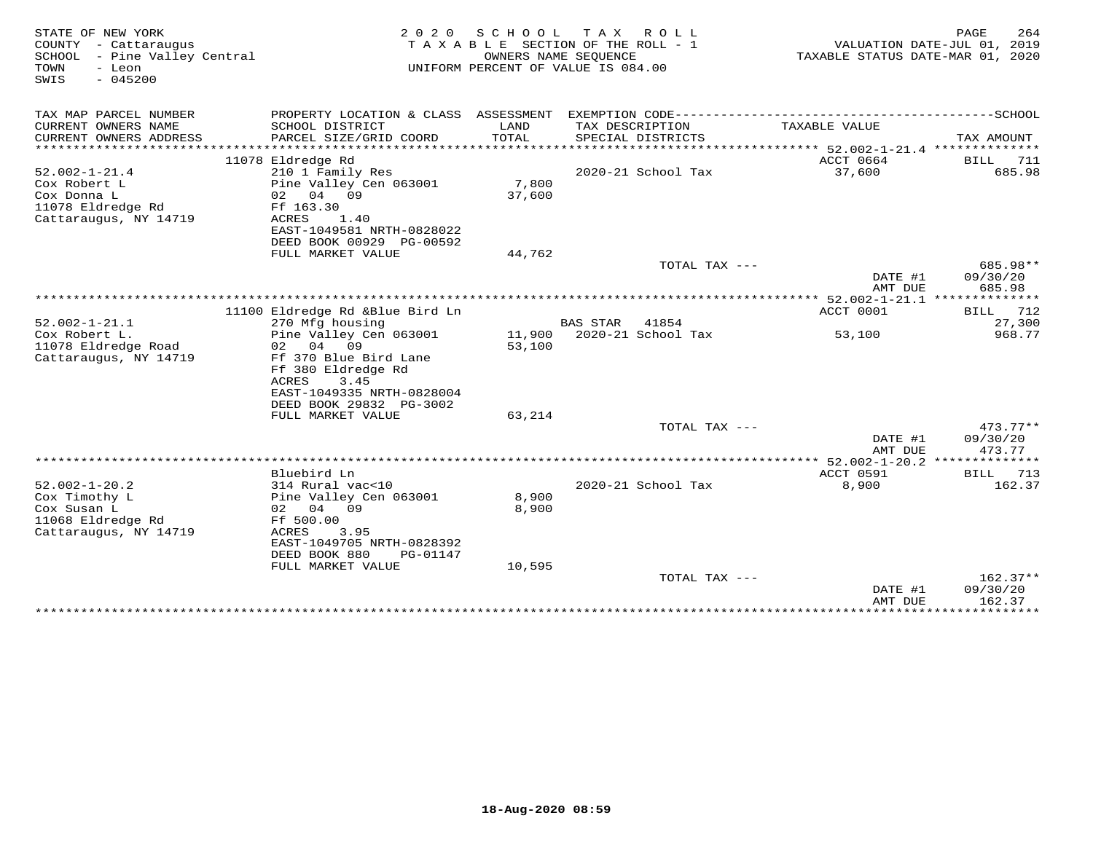| STATE OF NEW YORK<br>COUNTY - Cattaraugus<br>SCHOOL - Pine Valley Central<br>- Leon<br>TOWN<br>$-045200$<br>SWIS | 2 0 2 0                                                                 | SCHOOL<br>TAXABLE SECTION OF THE ROLL - 1<br>OWNERS NAME SEQUENCE<br>UNIFORM PERCENT OF VALUE IS 084.00 | TAXABLE STATUS DATE-MAR 01, 2020               | PAGE<br>264<br>VALUATION DATE-JUL 01, 2019 |                                  |
|------------------------------------------------------------------------------------------------------------------|-------------------------------------------------------------------------|---------------------------------------------------------------------------------------------------------|------------------------------------------------|--------------------------------------------|----------------------------------|
| TAX MAP PARCEL NUMBER                                                                                            | PROPERTY LOCATION & CLASS ASSESSMENT                                    |                                                                                                         |                                                |                                            |                                  |
| CURRENT OWNERS NAME<br>CURRENT OWNERS ADDRESS<br>**********************                                          | SCHOOL DISTRICT<br>PARCEL SIZE/GRID COORD                               | LAND<br>TOTAL                                                                                           | TAX DESCRIPTION<br>SPECIAL DISTRICTS           | TAXABLE VALUE                              | TAX AMOUNT                       |
|                                                                                                                  | 11078 Eldredge Rd                                                       |                                                                                                         |                                                | <b>ACCT 0664</b>                           | BILL<br>711                      |
| $52.002 - 1 - 21.4$<br>Cox Robert L                                                                              | 210 1 Family Res<br>Pine Valley Cen 063001                              | 7,800                                                                                                   | 2020-21 School Tax                             | 37,600                                     | 685.98                           |
| Cox Donna L<br>11078 Eldredge Rd<br>Cattaraugus, NY 14719                                                        | 02 04 09<br>Ff 163.30<br>ACRES<br>1.40                                  | 37,600                                                                                                  |                                                |                                            |                                  |
|                                                                                                                  | EAST-1049581 NRTH-0828022<br>DEED BOOK 00929 PG-00592                   |                                                                                                         |                                                |                                            |                                  |
|                                                                                                                  | FULL MARKET VALUE                                                       | 44,762                                                                                                  |                                                |                                            |                                  |
|                                                                                                                  |                                                                         |                                                                                                         | TOTAL TAX ---                                  | DATE #1<br>AMT DUE                         | 685.98**<br>09/30/20<br>685.98   |
|                                                                                                                  |                                                                         |                                                                                                         |                                                |                                            |                                  |
|                                                                                                                  | 11100 Eldredge Rd &Blue Bird Ln                                         |                                                                                                         |                                                | ACCT 0001                                  | 712<br><b>BILL</b>               |
| $52.002 - 1 - 21.1$<br>Cox Robert L.                                                                             | 270 Mfg housing<br>Pine Valley Cen 063001                               | 11,900                                                                                                  | <b>BAS STAR</b><br>41854<br>2020-21 School Tax | 53,100                                     | 27,300<br>968.77                 |
| 11078 Eldredge Road                                                                                              | 04 09<br>02                                                             | 53,100                                                                                                  |                                                |                                            |                                  |
| Cattaraugus, NY 14719                                                                                            | Ff 370 Blue Bird Lane<br>Ff 380 Eldredge Rd<br>ACRES<br>3.45            |                                                                                                         |                                                |                                            |                                  |
|                                                                                                                  | EAST-1049335 NRTH-0828004                                               |                                                                                                         |                                                |                                            |                                  |
|                                                                                                                  | DEED BOOK 29832 PG-3002<br>FULL MARKET VALUE                            | 63,214                                                                                                  |                                                |                                            |                                  |
|                                                                                                                  |                                                                         |                                                                                                         | TOTAL TAX ---                                  | DATE #1                                    | $473.77**$<br>09/30/20           |
|                                                                                                                  |                                                                         |                                                                                                         |                                                | AMT DUE                                    | 473.77                           |
|                                                                                                                  | Bluebird Ln                                                             |                                                                                                         |                                                | ACCT 0591                                  | 713<br>BILL                      |
| $52.002 - 1 - 20.2$                                                                                              | 314 Rural vac<10                                                        |                                                                                                         | 2020-21 School Tax                             | 8,900                                      | 162.37                           |
| Cox Timothy L<br>Cox Susan L<br>11068 Eldredge Rd                                                                | Pine Valley Cen 063001<br>02 04<br>09<br>Ff 500.00                      | 8,900<br>8,900                                                                                          |                                                |                                            |                                  |
| Cattaraugus, NY 14719                                                                                            | ACRES<br>3.95<br>EAST-1049705 NRTH-0828392<br>DEED BOOK 880<br>PG-01147 |                                                                                                         |                                                |                                            |                                  |
|                                                                                                                  | FULL MARKET VALUE                                                       | 10,595                                                                                                  |                                                |                                            |                                  |
|                                                                                                                  |                                                                         |                                                                                                         | TOTAL TAX ---                                  | DATE #1<br>AMT DUE                         | $162.37**$<br>09/30/20<br>162.37 |
|                                                                                                                  | *******************************                                         |                                                                                                         |                                                | ******************************             |                                  |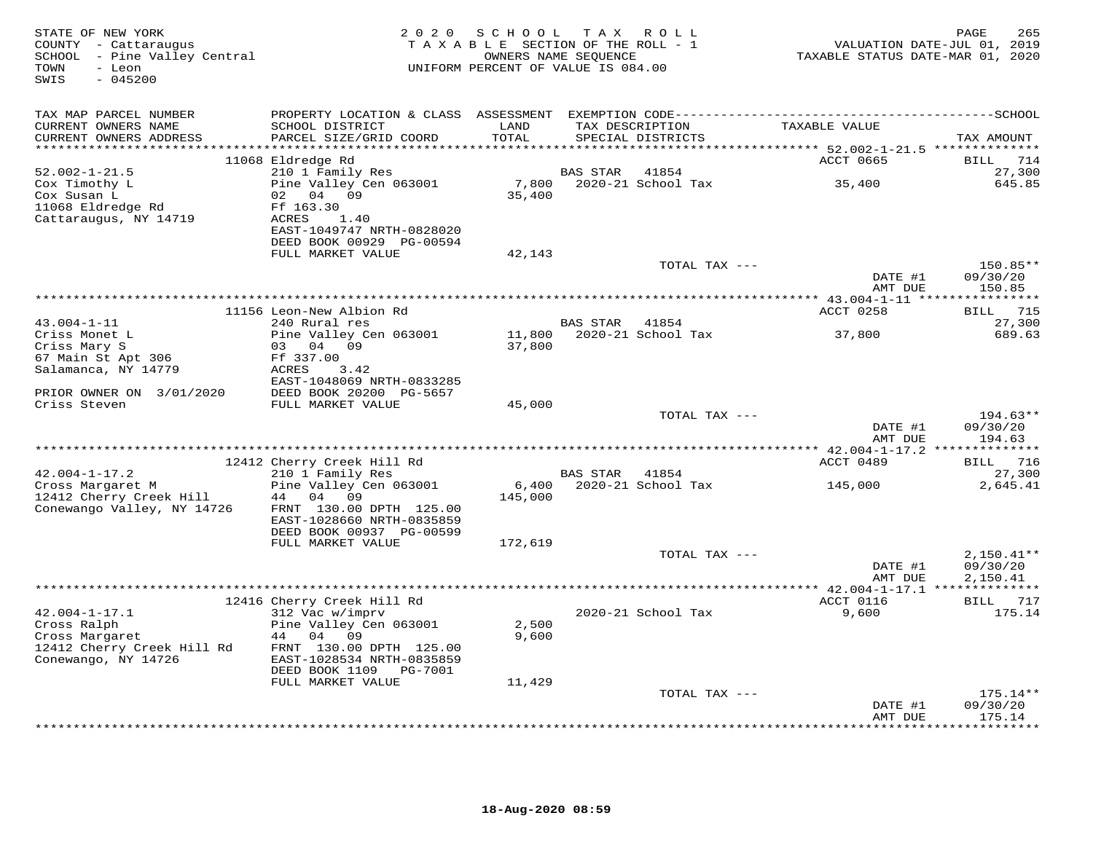| STATE OF NEW YORK<br>COUNTY - Cattaraugus<br>SCHOOL - Pine Valley Central<br>- Leon<br>TOWN<br>$-045200$<br>SWIS | 2 0 2 0<br>TAXABLE SECTION OF THE ROLL - 1<br>UNIFORM PERCENT OF VALUE IS 084.00                                       | VALUATION DATE-JUL 01, 2019<br>TAXABLE STATUS DATE-MAR 01, 2020 | PAGE<br>265 |                                      |                    |                                           |
|------------------------------------------------------------------------------------------------------------------|------------------------------------------------------------------------------------------------------------------------|-----------------------------------------------------------------|-------------|--------------------------------------|--------------------|-------------------------------------------|
| TAX MAP PARCEL NUMBER                                                                                            |                                                                                                                        |                                                                 |             |                                      |                    |                                           |
| CURRENT OWNERS NAME<br>CURRENT OWNERS ADDRESS                                                                    | SCHOOL DISTRICT<br>PARCEL SIZE/GRID COORD                                                                              | LAND<br>TOTAL                                                   |             | TAX DESCRIPTION<br>SPECIAL DISTRICTS | TAXABLE VALUE      | TAX AMOUNT                                |
|                                                                                                                  |                                                                                                                        |                                                                 |             |                                      | ACCT 0665          | <b>BILL</b><br>714                        |
| $52.002 - 1 - 21.5$                                                                                              | 11068 Eldredge Rd<br>210 1 Family Res                                                                                  |                                                                 | BAS STAR    | 41854                                |                    | 27,300                                    |
| Cox Timothy L<br>Cox Susan L                                                                                     | Pine Valley Cen 063001<br>02 04 09                                                                                     | 7,800<br>35,400                                                 |             | 2020-21 School Tax                   | 35,400             | 645.85                                    |
| 11068 Eldredge Rd<br>Cattaraugus, NY 14719                                                                       | Ff 163.30<br>ACRES<br>1.40<br>EAST-1049747 NRTH-0828020                                                                |                                                                 |             |                                      |                    |                                           |
|                                                                                                                  | DEED BOOK 00929 PG-00594<br>FULL MARKET VALUE                                                                          | 42,143                                                          |             |                                      |                    |                                           |
|                                                                                                                  |                                                                                                                        |                                                                 |             | TOTAL TAX ---                        |                    | 150.85**                                  |
|                                                                                                                  |                                                                                                                        |                                                                 |             |                                      | DATE #1<br>AMT DUE | 09/30/20<br>150.85                        |
|                                                                                                                  | 11156 Leon-New Albion Rd                                                                                               |                                                                 |             |                                      | ACCT 0258          | BILL 715                                  |
| $43.004 - 1 - 11$                                                                                                | 240 Rural res                                                                                                          |                                                                 | BAS STAR    | 41854                                |                    | 27,300                                    |
| Criss Monet L                                                                                                    | Pine Valley Cen 063001                                                                                                 | 11,800                                                          |             | 2020-21 School Tax                   | 37,800             | 689.63                                    |
| Criss Mary S                                                                                                     | 03 04 09                                                                                                               | 37,800                                                          |             |                                      |                    |                                           |
| 67 Main St Apt 306<br>Salamanca, NY 14779                                                                        | Ff 337.00<br>ACRES<br>3.42<br>EAST-1048069 NRTH-0833285                                                                |                                                                 |             |                                      |                    |                                           |
| PRIOR OWNER ON 3/01/2020<br>Criss Steven                                                                         | DEED BOOK 20200 PG-5657<br>FULL MARKET VALUE                                                                           | 45,000                                                          |             |                                      |                    |                                           |
|                                                                                                                  |                                                                                                                        |                                                                 |             | TOTAL TAX ---                        |                    | $194.63**$                                |
|                                                                                                                  |                                                                                                                        |                                                                 |             |                                      | DATE #1<br>AMT DUE | 09/30/20<br>194.63                        |
|                                                                                                                  |                                                                                                                        |                                                                 |             |                                      |                    |                                           |
|                                                                                                                  | 12412 Cherry Creek Hill Rd                                                                                             |                                                                 |             |                                      | ACCT 0489          | BILL 716                                  |
| $42.004 - 1 - 17.2$                                                                                              | 210 1 Family Res                                                                                                       |                                                                 | BAS STAR    | 41854                                |                    | 27,300                                    |
| Cross Margaret M<br>12412 Cherry Creek Hill<br>Conewango Valley, NY 14726                                        | Pine Valley Cen 063001<br>44 04 09<br>FRNT 130.00 DPTH 125.00<br>EAST-1028660 NRTH-0835859<br>DEED BOOK 00937 PG-00599 | 6,400<br>145,000                                                |             | 2020-21 School Tax                   | 145,000            | 2,645.41                                  |
|                                                                                                                  | FULL MARKET VALUE                                                                                                      | 172,619                                                         |             |                                      |                    |                                           |
|                                                                                                                  |                                                                                                                        |                                                                 |             | TOTAL TAX ---                        | DATE #1<br>AMT DUE | $2,150.41**$<br>09/30/20<br>2,150.41      |
|                                                                                                                  |                                                                                                                        |                                                                 |             |                                      |                    |                                           |
|                                                                                                                  | 12416 Cherry Creek Hill Rd                                                                                             |                                                                 |             |                                      | ACCT 0116          | BILL 717                                  |
| $42.004 - 1 - 17.1$<br>Cross Ralph                                                                               | 312 Vac w/imprv<br>Pine Valley Cen 063001                                                                              | 2,500                                                           |             | 2020-21 School Tax                   | 9,600              | 175.14                                    |
| Cross Margaret<br>12412 Cherry Creek Hill Rd<br>Conewango, NY 14726                                              | 44 04<br>09<br>FRNT 130.00 DPTH 125.00<br>EAST-1028534 NRTH-0835859<br>DEED BOOK 1109<br>PG-7001                       | 9,600                                                           |             |                                      |                    |                                           |
|                                                                                                                  | FULL MARKET VALUE                                                                                                      | 11,429                                                          |             |                                      |                    |                                           |
|                                                                                                                  |                                                                                                                        |                                                                 |             | TOTAL TAX ---                        |                    | $175.14**$                                |
|                                                                                                                  |                                                                                                                        |                                                                 |             |                                      | DATE #1<br>AMT DUE | 09/30/20<br>175.14<br>* * * * * * * * * * |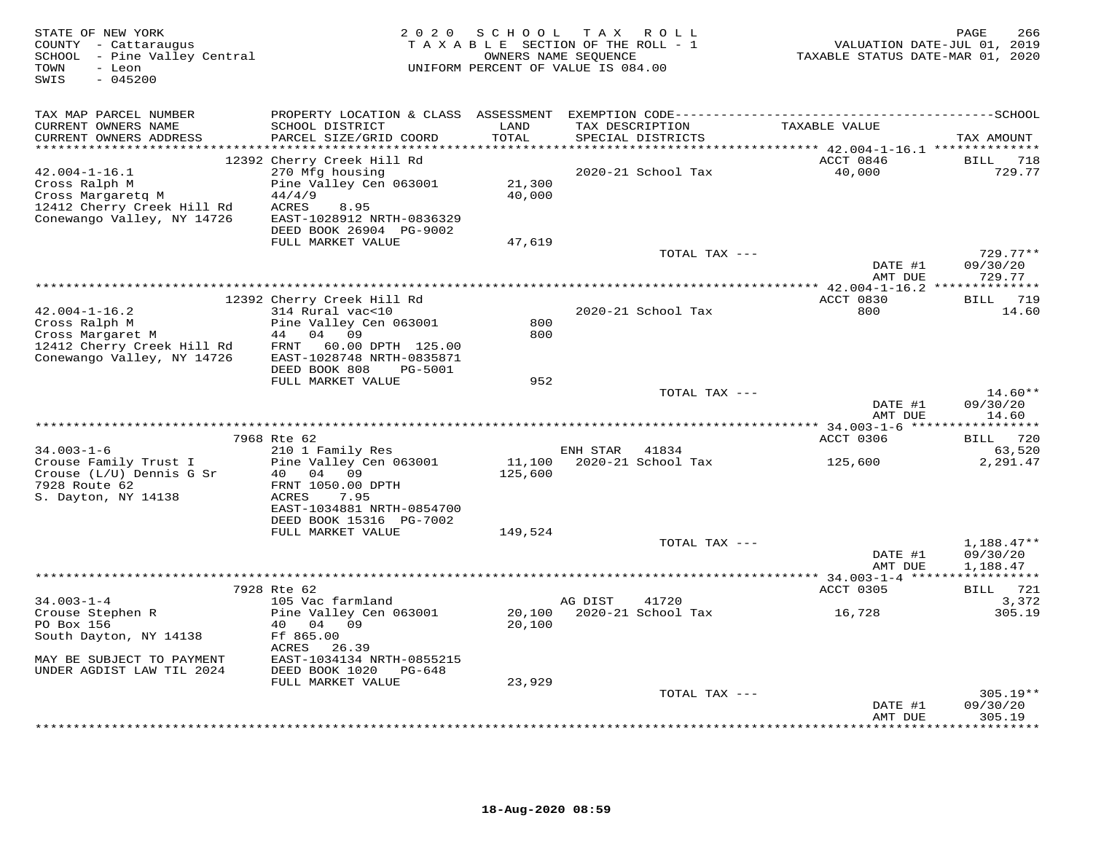| STATE OF NEW YORK<br>COUNTY - Cattaraugus<br>SCHOOL - Pine Valley Central<br>- Leon<br>TOWN<br>$-045200$<br>SWIS      | 2020                                                                                                                            |                   | SCHOOL TAX ROLL<br>TAXABLE SECTION OF THE ROLL - 1<br>OWNERS NAME SEQUENCE<br>UNIFORM PERCENT OF VALUE IS 084.00 | VALUATION DATE-JUL 01, 2019<br>TAXABLE STATUS DATE-MAR 01, 2020 | 266<br>PAGE                    |
|-----------------------------------------------------------------------------------------------------------------------|---------------------------------------------------------------------------------------------------------------------------------|-------------------|------------------------------------------------------------------------------------------------------------------|-----------------------------------------------------------------|--------------------------------|
| TAX MAP PARCEL NUMBER                                                                                                 |                                                                                                                                 |                   |                                                                                                                  |                                                                 |                                |
| CURRENT OWNERS NAME<br>CURRENT OWNERS ADDRESS                                                                         | SCHOOL DISTRICT<br>PARCEL SIZE/GRID COORD                                                                                       | LAND<br>TOTAL     | TAX DESCRIPTION<br>SPECIAL DISTRICTS                                                                             | TAXABLE VALUE                                                   | TAX AMOUNT                     |
| $42.004 - 1 - 16.1$<br>Cross Ralph M<br>Cross Margaretq M<br>12412 Cherry Creek Hill Rd<br>Conewango Valley, NY 14726 | 12392 Cherry Creek Hill Rd<br>270 Mfg housing<br>Pine Valley Cen 063001<br>44/4/9<br>ACRES<br>8.95<br>EAST-1028912 NRTH-0836329 | 21,300<br>40,000  | 2020-21 School Tax                                                                                               | ACCT 0846<br>40,000                                             | BILL 718<br>729.77             |
|                                                                                                                       | DEED BOOK 26904 PG-9002<br>FULL MARKET VALUE                                                                                    | 47,619            |                                                                                                                  |                                                                 |                                |
|                                                                                                                       |                                                                                                                                 |                   | TOTAL TAX ---                                                                                                    | DATE #1                                                         | $729.77**$<br>09/30/20         |
| *****************************                                                                                         |                                                                                                                                 |                   |                                                                                                                  | AMT DUE                                                         | 729.77                         |
|                                                                                                                       | 12392 Cherry Creek Hill Rd                                                                                                      |                   |                                                                                                                  | ACCT 0830                                                       | BILL 719                       |
| $42.004 - 1 - 16.2$<br>Cross Ralph M<br>Cross Margaret M<br>12412 Cherry Creek Hill Rd                                | 314 Rural vac<10<br>Pine Valley Cen 063001<br>44 04 09<br>60.00 DPTH 125.00<br>FRNT                                             | 800<br>800        | 2020-21 School Tax                                                                                               | 800                                                             | 14.60                          |
| Conewango Valley, NY 14726                                                                                            | EAST-1028748 NRTH-0835871<br>DEED BOOK 808<br>PG-5001<br>FULL MARKET VALUE                                                      | 952               |                                                                                                                  |                                                                 |                                |
|                                                                                                                       |                                                                                                                                 |                   | TOTAL TAX ---                                                                                                    | DATE #1<br>AMT DUE                                              | $14.60**$<br>09/30/20<br>14.60 |
|                                                                                                                       |                                                                                                                                 |                   |                                                                                                                  |                                                                 |                                |
| $34.003 - 1 - 6$                                                                                                      | 7968 Rte 62<br>210 1 Family Res                                                                                                 |                   | ENH STAR 41834                                                                                                   | ACCT 0306                                                       | BILL 720<br>63,520             |
| Crouse Family Trust I<br>Crouse (L/U) Dennis G Sr<br>7928 Route 62<br>S. Dayton, NY 14138                             | Pine Valley Cen 063001<br>40 04 09<br>FRNT 1050.00 DPTH<br>ACRES<br>7.95                                                        | 11,100<br>125,600 | 2020-21 School Tax                                                                                               | 125,600                                                         | 2,291.47                       |
|                                                                                                                       | EAST-1034881 NRTH-0854700<br>DEED BOOK 15316 PG-7002                                                                            |                   |                                                                                                                  |                                                                 |                                |
|                                                                                                                       | FULL MARKET VALUE                                                                                                               | 149,524           |                                                                                                                  |                                                                 |                                |
|                                                                                                                       |                                                                                                                                 |                   | TOTAL TAX ---                                                                                                    | DATE #1                                                         | $1,188.47**$<br>09/30/20       |
|                                                                                                                       |                                                                                                                                 |                   |                                                                                                                  | AMT DUE                                                         | 1,188.47                       |
|                                                                                                                       | 7928 Rte 62                                                                                                                     |                   |                                                                                                                  | ACCT 0305                                                       | BILL 721                       |
| $34.003 - 1 - 4$                                                                                                      | 105 Vac farmland                                                                                                                |                   | 41720<br>AG DIST                                                                                                 |                                                                 | 3,372                          |
| Crouse Stephen R<br>PO Box 156<br>South Dayton, NY 14138                                                              | Pine Valley Cen 063001<br>40 04 09<br>Ff 865.00<br>ACRES<br>26.39                                                               | 20,100<br>20,100  | 2020-21 School Tax                                                                                               | 16,728                                                          | 305.19                         |
| MAY BE SUBJECT TO PAYMENT<br>UNDER AGDIST LAW TIL 2024                                                                | EAST-1034134 NRTH-0855215<br>DEED BOOK 1020 PG-648                                                                              |                   |                                                                                                                  |                                                                 |                                |
|                                                                                                                       | FULL MARKET VALUE                                                                                                               | 23,929            | TOTAL TAX ---                                                                                                    |                                                                 | $305.19**$                     |
|                                                                                                                       |                                                                                                                                 |                   |                                                                                                                  | DATE #1<br>AMT DUE                                              | 09/30/20<br>305.19             |
|                                                                                                                       |                                                                                                                                 |                   |                                                                                                                  |                                                                 | <b>+++++++</b>                 |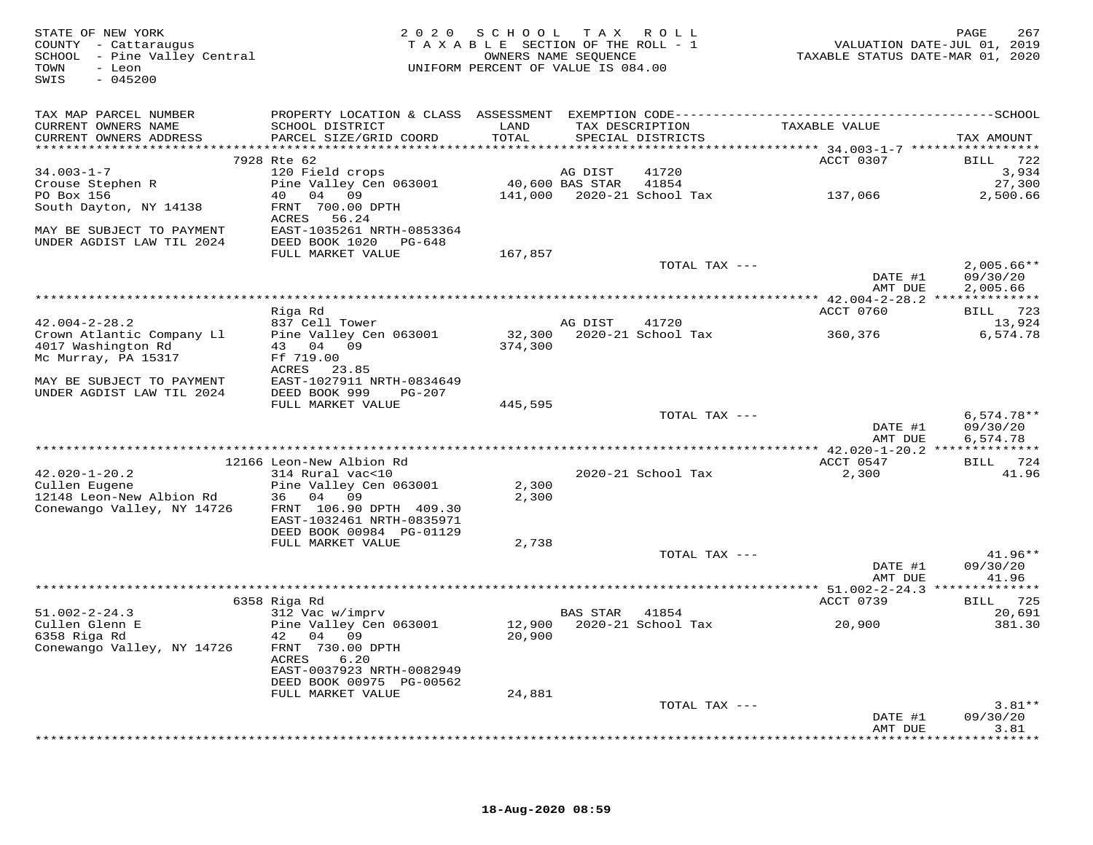| STATE OF NEW YORK<br>COUNTY - Cattaraugus<br>SCHOOL - Pine Valley Central<br>TOWN<br>- Leon<br>$-045200$<br>SWIS |                                              | 2020 SCHOOL TAX ROLL<br>TAXABLE SECTION OF THE ROLL - 1<br>UNIFORM PERCENT OF VALUE IS 084.00 | OWNERS NAME SEQUENCE |                                      | TAXABLE STATUS DATE-MAR 01, 2020 | 267<br>PAGE<br>VALUATION DATE-JUL 01, 2019 |
|------------------------------------------------------------------------------------------------------------------|----------------------------------------------|-----------------------------------------------------------------------------------------------|----------------------|--------------------------------------|----------------------------------|--------------------------------------------|
| TAX MAP PARCEL NUMBER                                                                                            |                                              |                                                                                               |                      |                                      |                                  |                                            |
| CURRENT OWNERS NAME<br>CURRENT OWNERS ADDRESS                                                                    | SCHOOL DISTRICT<br>PARCEL SIZE/GRID COORD    | LAND<br>TOTAL                                                                                 |                      | TAX DESCRIPTION<br>SPECIAL DISTRICTS | TAXABLE VALUE                    | TAX AMOUNT                                 |
|                                                                                                                  | 7928 Rte 62                                  |                                                                                               |                      |                                      | ACCT 0307                        | BILL 722                                   |
| $34.003 - 1 - 7$                                                                                                 | 120 Field crops                              |                                                                                               | AG DIST              | 41720                                |                                  | 3,934                                      |
| Crouse Stephen R                                                                                                 | Pine Valley Cen 063001 40,600 BAS STAR 41854 |                                                                                               |                      |                                      |                                  | 27,300                                     |
| PO Box 156                                                                                                       | 40 04 09                                     |                                                                                               |                      | 141,000  2020-21  School Tax         | 137,066                          | 2,500.66                                   |
| South Dayton, NY 14138                                                                                           | FRNT 700.00 DPTH<br>ACRES<br>56.24           |                                                                                               |                      |                                      |                                  |                                            |
| MAY BE SUBJECT TO PAYMENT                                                                                        | EAST-1035261 NRTH-0853364                    |                                                                                               |                      |                                      |                                  |                                            |
| UNDER AGDIST LAW TIL 2024                                                                                        | DEED BOOK 1020 PG-648                        |                                                                                               |                      |                                      |                                  |                                            |
|                                                                                                                  | FULL MARKET VALUE                            | 167,857                                                                                       |                      |                                      |                                  |                                            |
|                                                                                                                  |                                              |                                                                                               |                      | TOTAL TAX ---                        |                                  | $2,005.66**$                               |
|                                                                                                                  |                                              |                                                                                               |                      |                                      | DATE #1<br>AMT DUE               | 09/30/20<br>2,005.66                       |
|                                                                                                                  |                                              |                                                                                               |                      |                                      |                                  |                                            |
|                                                                                                                  | Riga Rd                                      |                                                                                               |                      |                                      | ACCT 0760                        | BILL 723                                   |
| $42.004 - 2 - 28.2$                                                                                              | 837 Cell Tower                               |                                                                                               | AG DIST              | 41720                                |                                  | 13,924                                     |
| Crown Atlantic Company Ll                                                                                        | Pine Valley Cen 063001                       |                                                                                               |                      | 32,300 2020-21 School Tax            | 360,376                          | 6,574.78                                   |
| 4017 Washington Rd<br>Mc Murray, PA 15317                                                                        | 43 04 09<br>Ff 719.00                        | 374,300                                                                                       |                      |                                      |                                  |                                            |
|                                                                                                                  | ACRES 23.85                                  |                                                                                               |                      |                                      |                                  |                                            |
| MAY BE SUBJECT TO PAYMENT                                                                                        | EAST-1027911 NRTH-0834649                    |                                                                                               |                      |                                      |                                  |                                            |
| UNDER AGDIST LAW TIL 2024                                                                                        | DEED BOOK 999<br>PG-207                      |                                                                                               |                      |                                      |                                  |                                            |
|                                                                                                                  | FULL MARKET VALUE                            | 445,595                                                                                       |                      |                                      |                                  | $6,574.78**$                               |
|                                                                                                                  |                                              |                                                                                               |                      | TOTAL TAX ---                        | DATE #1                          | 09/30/20                                   |
|                                                                                                                  |                                              |                                                                                               |                      |                                      | AMT DUE                          | 6,574.78                                   |
|                                                                                                                  |                                              |                                                                                               |                      |                                      |                                  |                                            |
|                                                                                                                  | 12166 Leon-New Albion Rd                     |                                                                                               |                      |                                      | ACCT 0547                        | BILL 724                                   |
| $42.020 - 1 - 20.2$<br>Cullen Eugene                                                                             | 314 Rural vac<10<br>Pine Valley Cen 063001   | 2,300                                                                                         |                      | 2020-21 School Tax                   | 2,300                            | 41.96                                      |
| 12148 Leon-New Albion Rd                                                                                         | 36 04 09                                     | 2,300                                                                                         |                      |                                      |                                  |                                            |
| Conewango Valley, NY 14726                                                                                       | FRNT 106.90 DPTH 409.30                      |                                                                                               |                      |                                      |                                  |                                            |
|                                                                                                                  | EAST-1032461 NRTH-0835971                    |                                                                                               |                      |                                      |                                  |                                            |
|                                                                                                                  | DEED BOOK 00984 PG-01129                     |                                                                                               |                      |                                      |                                  |                                            |
|                                                                                                                  | FULL MARKET VALUE                            | 2,738                                                                                         |                      | TOTAL TAX ---                        |                                  | $41.96**$                                  |
|                                                                                                                  |                                              |                                                                                               |                      |                                      | DATE #1                          | 09/30/20                                   |
|                                                                                                                  |                                              |                                                                                               |                      |                                      | AMT DUE                          | 41.96                                      |
|                                                                                                                  |                                              |                                                                                               |                      |                                      |                                  |                                            |
| $51.002 - 2 - 24.3$                                                                                              | 6358 Riga Rd<br>312 Vac w/imprv              |                                                                                               | BAS STAR             |                                      | ACCT 0739                        | BILL 725<br>20,691                         |
| Cullen Glenn E                                                                                                   | Pine Valley Cen 063001                       |                                                                                               |                      | 41854                                | 20,900                           | 381.30                                     |
| 6358 Riga Rd                                                                                                     | 42 04 09                                     | 20,900                                                                                        |                      |                                      |                                  |                                            |
| Conewango Valley, NY 14726                                                                                       | FRNT 730.00 DPTH<br>ACRES<br>6.20            |                                                                                               |                      |                                      |                                  |                                            |
|                                                                                                                  | EAST-0037923 NRTH-0082949                    |                                                                                               |                      |                                      |                                  |                                            |
|                                                                                                                  | DEED BOOK 00975 PG-00562                     |                                                                                               |                      |                                      |                                  |                                            |
|                                                                                                                  | FULL MARKET VALUE                            | 24,881                                                                                        |                      |                                      |                                  |                                            |
|                                                                                                                  |                                              |                                                                                               |                      | TOTAL TAX ---                        | DATE #1                          | $3.81**$<br>09/30/20                       |
|                                                                                                                  |                                              |                                                                                               |                      |                                      | AMT DUE                          | 3.81                                       |
|                                                                                                                  |                                              |                                                                                               |                      |                                      |                                  |                                            |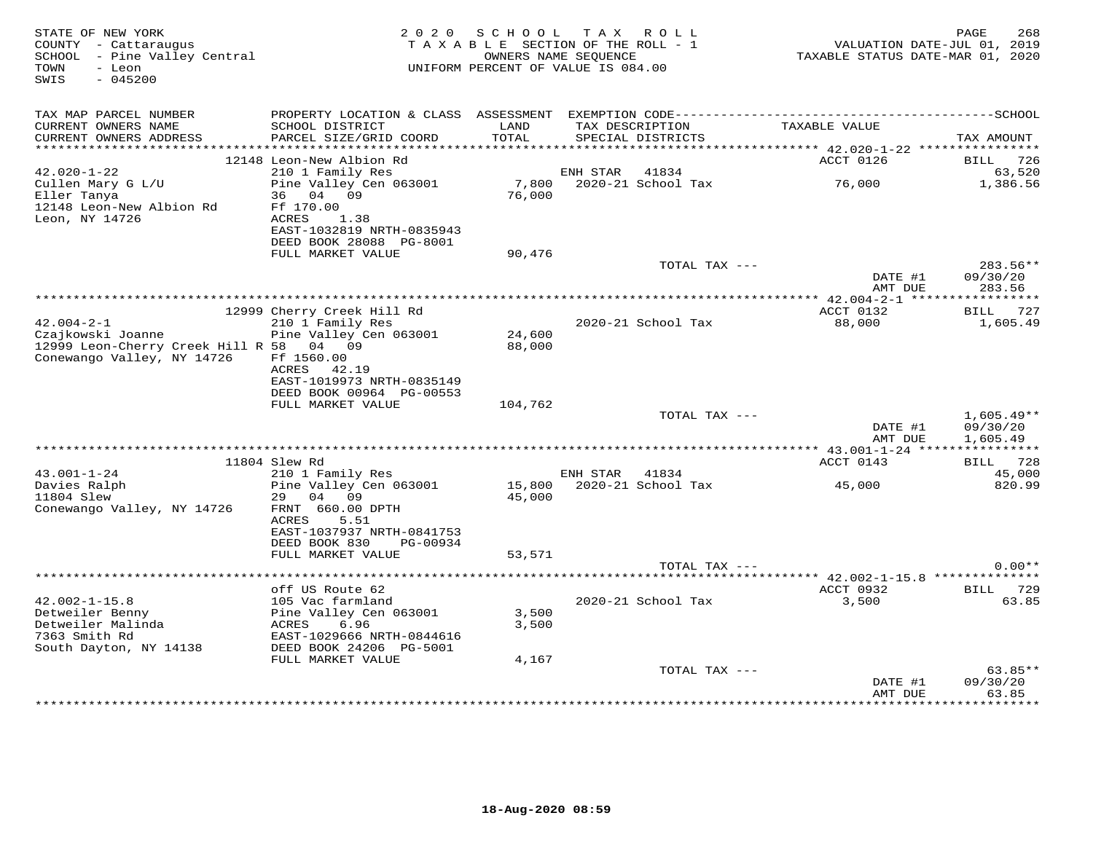| STATE OF NEW YORK<br>COUNTY - Cattaraugus<br>SCHOOL - Pine Valley Central<br>- Leon<br>TOWN<br>SWIS<br>$-045200$ | 2 0 2 0                                                               | SCHOOL<br>TAXABLE SECTION OF THE ROLL - 1<br>UNIFORM PERCENT OF VALUE IS 084.00 | OWNERS NAME SEQUENCE | TAX ROLL                             | TAXABLE STATUS DATE-MAR 01, 2020                 | 268<br>PAGE<br>VALUATION DATE-JUL 01, 2019 |
|------------------------------------------------------------------------------------------------------------------|-----------------------------------------------------------------------|---------------------------------------------------------------------------------|----------------------|--------------------------------------|--------------------------------------------------|--------------------------------------------|
| TAX MAP PARCEL NUMBER                                                                                            |                                                                       |                                                                                 |                      |                                      |                                                  |                                            |
| CURRENT OWNERS NAME<br>CURRENT OWNERS ADDRESS<br>***********************                                         | SCHOOL DISTRICT<br>PARCEL SIZE/GRID COORD                             | LAND<br>TOTAL                                                                   |                      | TAX DESCRIPTION<br>SPECIAL DISTRICTS | TAXABLE VALUE                                    | TAX AMOUNT                                 |
|                                                                                                                  | 12148 Leon-New Albion Rd                                              |                                                                                 |                      |                                      | ACCT 0126                                        | 726<br>BILL                                |
| $42.020 - 1 - 22$                                                                                                | 210 1 Family Res                                                      |                                                                                 | ENH STAR             | 41834                                |                                                  | 63,520                                     |
| Cullen Mary G L/U<br>Eller Tanya<br>12148 Leon-New Albion Rd                                                     | Pine Valley Cen 063001<br>04 09<br>36<br>Ff 170.00                    | 7,800<br>76,000                                                                 |                      | 2020-21 School Tax                   | 76,000                                           | 1,386.56                                   |
| Leon, NY 14726                                                                                                   | ACRES<br>1.38<br>EAST-1032819 NRTH-0835943<br>DEED BOOK 28088 PG-8001 |                                                                                 |                      |                                      |                                                  |                                            |
|                                                                                                                  | FULL MARKET VALUE                                                     | 90,476                                                                          |                      |                                      |                                                  |                                            |
|                                                                                                                  |                                                                       |                                                                                 |                      | TOTAL TAX ---                        | DATE #1<br>AMT DUE                               | 283.56**<br>09/30/20<br>283.56             |
|                                                                                                                  |                                                                       |                                                                                 |                      |                                      |                                                  | ***********                                |
| $42.004 - 2 - 1$                                                                                                 | 12999 Cherry Creek Hill Rd<br>210 1 Family Res                        |                                                                                 |                      | 2020-21 School Tax                   | ACCT 0132<br>88,000                              | BILL 727                                   |
| Czajkowski Joanne                                                                                                | Pine Valley Cen 063001                                                | 24,600                                                                          |                      |                                      |                                                  | 1,605.49                                   |
| 12999 Leon-Cherry Creek Hill R 58 04 09                                                                          |                                                                       | 88,000                                                                          |                      |                                      |                                                  |                                            |
| Conewango Valley, NY 14726                                                                                       | Ff 1560.00                                                            |                                                                                 |                      |                                      |                                                  |                                            |
|                                                                                                                  | ACRES<br>42.19                                                        |                                                                                 |                      |                                      |                                                  |                                            |
|                                                                                                                  | EAST-1019973 NRTH-0835149<br>DEED BOOK 00964 PG-00553                 |                                                                                 |                      |                                      |                                                  |                                            |
|                                                                                                                  | FULL MARKET VALUE                                                     | 104,762                                                                         |                      |                                      |                                                  |                                            |
|                                                                                                                  |                                                                       |                                                                                 |                      | TOTAL TAX ---                        |                                                  | $1,605.49**$                               |
|                                                                                                                  |                                                                       |                                                                                 |                      |                                      | DATE #1<br>AMT DUE                               | 09/30/20<br>1,605.49                       |
|                                                                                                                  |                                                                       |                                                                                 |                      |                                      |                                                  |                                            |
| $43.001 - 1 - 24$                                                                                                | 11804 Slew Rd<br>210 1 Family Res                                     |                                                                                 | ENH STAR             | 41834                                | ACCT 0143                                        | BILL 728<br>45,000                         |
| Davies Ralph                                                                                                     | Pine Valley Cen 063001                                                | 15,800                                                                          |                      | 2020-21 School Tax                   | 45,000                                           | 820.99                                     |
| 11804 Slew                                                                                                       | 29<br>04<br>09                                                        | 45,000                                                                          |                      |                                      |                                                  |                                            |
| Conewango Valley, NY 14726                                                                                       | FRNT 660.00 DPTH                                                      |                                                                                 |                      |                                      |                                                  |                                            |
|                                                                                                                  | 5.51<br>ACRES<br>EAST-1037937 NRTH-0841753                            |                                                                                 |                      |                                      |                                                  |                                            |
|                                                                                                                  | DEED BOOK 830<br>PG-00934                                             |                                                                                 |                      |                                      |                                                  |                                            |
|                                                                                                                  | FULL MARKET VALUE                                                     | 53,571                                                                          |                      |                                      |                                                  |                                            |
|                                                                                                                  |                                                                       |                                                                                 |                      | TOTAL TAX ---                        |                                                  | $0.00**$                                   |
|                                                                                                                  | off US Route 62                                                       |                                                                                 |                      |                                      | ****** 42.002-1-15.8 **************<br>ACCT 0932 | <b>BILL</b> 729                            |
| $42.002 - 1 - 15.8$                                                                                              | 105 Vac farmland                                                      |                                                                                 |                      | 2020-21 School Tax                   | 3,500                                            | 63.85                                      |
| Detweiler Benny                                                                                                  | Pine Valley Cen 063001                                                | 3,500                                                                           |                      |                                      |                                                  |                                            |
| Detweiler Malinda                                                                                                | 6.96<br>ACRES                                                         | 3,500                                                                           |                      |                                      |                                                  |                                            |
| 7363 Smith Rd                                                                                                    | EAST-1029666 NRTH-0844616<br>DEED BOOK 24206 PG-5001                  |                                                                                 |                      |                                      |                                                  |                                            |
| South Dayton, NY 14138                                                                                           | FULL MARKET VALUE                                                     | 4,167                                                                           |                      |                                      |                                                  |                                            |
|                                                                                                                  |                                                                       |                                                                                 |                      | TOTAL TAX ---                        |                                                  | $63.85**$                                  |
|                                                                                                                  |                                                                       |                                                                                 |                      |                                      | DATE #1<br>AMT DUE                               | 09/30/20<br>63.85                          |
|                                                                                                                  |                                                                       |                                                                                 |                      |                                      |                                                  |                                            |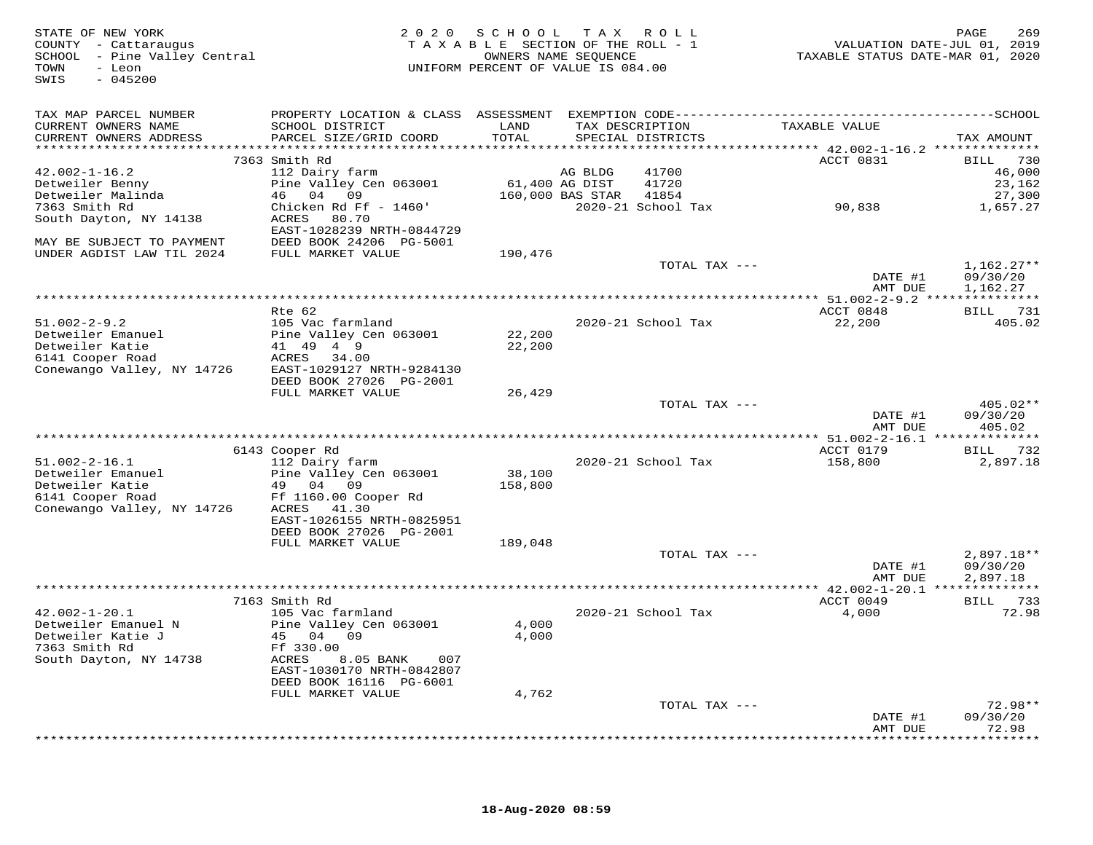| TAX MAP PARCEL NUMBER<br>CURRENT OWNERS NAME<br>LAND<br>TAXABLE VALUE<br>SCHOOL DISTRICT<br>TAX DESCRIPTION<br>CURRENT OWNERS ADDRESS<br>PARCEL SIZE/GRID COORD<br>TOTAL<br>SPECIAL DISTRICTS<br>TAX AMOUNT<br>***********************<br>7363 Smith Rd<br>ACCT 0831<br>730<br>BILL<br>$42.002 - 1 - 16.2$<br>112 Dairy farm<br>AG BLDG<br>41700<br>46,000<br>Detweiler Benny<br>Pine Valley Cen 063001<br>61,400 AG DIST<br>41720<br>23,162<br>Detweiler Malinda<br>46 04 09<br>160,000 BAS STAR<br>41854<br>27,300<br>7363 Smith Rd<br>Chicken Rd Ff - 1460'<br>2020-21 School Tax<br>90,838<br>1,657.27<br>South Dayton, NY 14138<br>ACRES<br>80.70<br>EAST-1028239 NRTH-0844729<br>MAY BE SUBJECT TO PAYMENT<br>DEED BOOK 24206 PG-5001<br>UNDER AGDIST LAW TIL 2024<br>FULL MARKET VALUE<br>190,476<br>$1,162.27**$<br>TOTAL TAX ---<br>DATE #1<br>09/30/20<br>AMT DUE<br>1,162.27<br>*************************<br>*********** 51.002-2-9.2 ****************<br>BILL 731<br>Rte 62<br>ACCT 0848<br>$51.002 - 2 - 9.2$<br>105 Vac farmland<br>2020-21 School Tax<br>22,200<br>405.02<br>Detweiler Emanuel<br>Pine Valley Cen 063001<br>22,200<br>Detweiler Katie<br>41 49 4 9<br>22,200<br>6141 Cooper Road<br>ACRES<br>34.00<br>Conewango Valley, NY 14726<br>EAST-1029127 NRTH-9284130<br>DEED BOOK 27026 PG-2001<br>FULL MARKET VALUE<br>26,429<br>$405.02**$<br>TOTAL TAX ---<br>DATE #1<br>09/30/20<br>AMT DUE<br>405.02<br>6143 Cooper Rd<br>ACCT 0179<br><b>BILL</b><br>732<br>$51.002 - 2 - 16.1$<br>112 Dairy farm<br>2020-21 School Tax<br>158,800<br>2,897.18<br>Detweiler Emanuel<br>Pine Valley Cen 063001<br>38,100<br>Detweiler Katie<br>158,800<br>49 04 09<br>6141 Cooper Road<br>Ff 1160.00 Cooper Rd<br>Conewango Valley, NY 14726<br>ACRES 41.30<br>EAST-1026155 NRTH-0825951<br>DEED BOOK 27026 PG-2001<br>FULL MARKET VALUE<br>189,048<br>TOTAL TAX ---<br>$2,897.18**$<br>DATE #1<br>09/30/20<br>AMT DUE<br>2,897.18<br>7163 Smith Rd<br>ACCT 0049<br><b>BILL</b><br>733<br>$42.002 - 1 - 20.1$<br>105 Vac farmland<br>2020-21 School Tax<br>4,000<br>72.98<br>Detweiler Emanuel N<br>Pine Valley Cen 063001<br>4,000<br>Detweiler Katie J<br>45 04 09<br>4,000<br>7363 Smith Rd<br>Ff 330.00<br>South Dayton, NY 14738<br>ACRES<br>8.05 BANK<br>007<br>EAST-1030170 NRTH-0842807<br>DEED BOOK 16116 PG-6001<br>FULL MARKET VALUE<br>4,762<br>TOTAL TAX ---<br>$72.98**$<br>09/30/20<br>DATE #1<br>72.98<br>AMT DUE<br>* * * * * * *<br>* * * * * * * * | STATE OF NEW YORK<br>COUNTY - Cattaraugus<br>SCHOOL - Pine Valley Central<br>- Leon<br>TOWN<br>$-045200$<br>SWIS | 2 0 2 0 | SCHOOL TAX ROLL<br>TAXABLE SECTION OF THE ROLL - 1<br>OWNERS NAME SEQUENCE<br>UNIFORM PERCENT OF VALUE IS 084.00 |  | TAXABLE STATUS DATE-MAR 01, 2020 | 269<br>PAGE<br>VALUATION DATE-JUL 01, 2019 |
|------------------------------------------------------------------------------------------------------------------------------------------------------------------------------------------------------------------------------------------------------------------------------------------------------------------------------------------------------------------------------------------------------------------------------------------------------------------------------------------------------------------------------------------------------------------------------------------------------------------------------------------------------------------------------------------------------------------------------------------------------------------------------------------------------------------------------------------------------------------------------------------------------------------------------------------------------------------------------------------------------------------------------------------------------------------------------------------------------------------------------------------------------------------------------------------------------------------------------------------------------------------------------------------------------------------------------------------------------------------------------------------------------------------------------------------------------------------------------------------------------------------------------------------------------------------------------------------------------------------------------------------------------------------------------------------------------------------------------------------------------------------------------------------------------------------------------------------------------------------------------------------------------------------------------------------------------------------------------------------------------------------------------------------------------------------------------------------------------------------------------------------------------------------------------------------------------------------------------------------------------------------------------------------------------------------------------------------------------------------------------------------------------------------------------------------------------------------------------------|------------------------------------------------------------------------------------------------------------------|---------|------------------------------------------------------------------------------------------------------------------|--|----------------------------------|--------------------------------------------|
|                                                                                                                                                                                                                                                                                                                                                                                                                                                                                                                                                                                                                                                                                                                                                                                                                                                                                                                                                                                                                                                                                                                                                                                                                                                                                                                                                                                                                                                                                                                                                                                                                                                                                                                                                                                                                                                                                                                                                                                                                                                                                                                                                                                                                                                                                                                                                                                                                                                                                    |                                                                                                                  |         |                                                                                                                  |  |                                  |                                            |
|                                                                                                                                                                                                                                                                                                                                                                                                                                                                                                                                                                                                                                                                                                                                                                                                                                                                                                                                                                                                                                                                                                                                                                                                                                                                                                                                                                                                                                                                                                                                                                                                                                                                                                                                                                                                                                                                                                                                                                                                                                                                                                                                                                                                                                                                                                                                                                                                                                                                                    |                                                                                                                  |         |                                                                                                                  |  |                                  |                                            |
|                                                                                                                                                                                                                                                                                                                                                                                                                                                                                                                                                                                                                                                                                                                                                                                                                                                                                                                                                                                                                                                                                                                                                                                                                                                                                                                                                                                                                                                                                                                                                                                                                                                                                                                                                                                                                                                                                                                                                                                                                                                                                                                                                                                                                                                                                                                                                                                                                                                                                    |                                                                                                                  |         |                                                                                                                  |  |                                  |                                            |
|                                                                                                                                                                                                                                                                                                                                                                                                                                                                                                                                                                                                                                                                                                                                                                                                                                                                                                                                                                                                                                                                                                                                                                                                                                                                                                                                                                                                                                                                                                                                                                                                                                                                                                                                                                                                                                                                                                                                                                                                                                                                                                                                                                                                                                                                                                                                                                                                                                                                                    |                                                                                                                  |         |                                                                                                                  |  |                                  |                                            |
|                                                                                                                                                                                                                                                                                                                                                                                                                                                                                                                                                                                                                                                                                                                                                                                                                                                                                                                                                                                                                                                                                                                                                                                                                                                                                                                                                                                                                                                                                                                                                                                                                                                                                                                                                                                                                                                                                                                                                                                                                                                                                                                                                                                                                                                                                                                                                                                                                                                                                    |                                                                                                                  |         |                                                                                                                  |  |                                  |                                            |
|                                                                                                                                                                                                                                                                                                                                                                                                                                                                                                                                                                                                                                                                                                                                                                                                                                                                                                                                                                                                                                                                                                                                                                                                                                                                                                                                                                                                                                                                                                                                                                                                                                                                                                                                                                                                                                                                                                                                                                                                                                                                                                                                                                                                                                                                                                                                                                                                                                                                                    |                                                                                                                  |         |                                                                                                                  |  |                                  |                                            |
|                                                                                                                                                                                                                                                                                                                                                                                                                                                                                                                                                                                                                                                                                                                                                                                                                                                                                                                                                                                                                                                                                                                                                                                                                                                                                                                                                                                                                                                                                                                                                                                                                                                                                                                                                                                                                                                                                                                                                                                                                                                                                                                                                                                                                                                                                                                                                                                                                                                                                    |                                                                                                                  |         |                                                                                                                  |  |                                  |                                            |
|                                                                                                                                                                                                                                                                                                                                                                                                                                                                                                                                                                                                                                                                                                                                                                                                                                                                                                                                                                                                                                                                                                                                                                                                                                                                                                                                                                                                                                                                                                                                                                                                                                                                                                                                                                                                                                                                                                                                                                                                                                                                                                                                                                                                                                                                                                                                                                                                                                                                                    |                                                                                                                  |         |                                                                                                                  |  |                                  |                                            |
|                                                                                                                                                                                                                                                                                                                                                                                                                                                                                                                                                                                                                                                                                                                                                                                                                                                                                                                                                                                                                                                                                                                                                                                                                                                                                                                                                                                                                                                                                                                                                                                                                                                                                                                                                                                                                                                                                                                                                                                                                                                                                                                                                                                                                                                                                                                                                                                                                                                                                    |                                                                                                                  |         |                                                                                                                  |  |                                  |                                            |
|                                                                                                                                                                                                                                                                                                                                                                                                                                                                                                                                                                                                                                                                                                                                                                                                                                                                                                                                                                                                                                                                                                                                                                                                                                                                                                                                                                                                                                                                                                                                                                                                                                                                                                                                                                                                                                                                                                                                                                                                                                                                                                                                                                                                                                                                                                                                                                                                                                                                                    |                                                                                                                  |         |                                                                                                                  |  |                                  |                                            |
|                                                                                                                                                                                                                                                                                                                                                                                                                                                                                                                                                                                                                                                                                                                                                                                                                                                                                                                                                                                                                                                                                                                                                                                                                                                                                                                                                                                                                                                                                                                                                                                                                                                                                                                                                                                                                                                                                                                                                                                                                                                                                                                                                                                                                                                                                                                                                                                                                                                                                    |                                                                                                                  |         |                                                                                                                  |  |                                  |                                            |
|                                                                                                                                                                                                                                                                                                                                                                                                                                                                                                                                                                                                                                                                                                                                                                                                                                                                                                                                                                                                                                                                                                                                                                                                                                                                                                                                                                                                                                                                                                                                                                                                                                                                                                                                                                                                                                                                                                                                                                                                                                                                                                                                                                                                                                                                                                                                                                                                                                                                                    |                                                                                                                  |         |                                                                                                                  |  |                                  |                                            |
|                                                                                                                                                                                                                                                                                                                                                                                                                                                                                                                                                                                                                                                                                                                                                                                                                                                                                                                                                                                                                                                                                                                                                                                                                                                                                                                                                                                                                                                                                                                                                                                                                                                                                                                                                                                                                                                                                                                                                                                                                                                                                                                                                                                                                                                                                                                                                                                                                                                                                    |                                                                                                                  |         |                                                                                                                  |  |                                  |                                            |
|                                                                                                                                                                                                                                                                                                                                                                                                                                                                                                                                                                                                                                                                                                                                                                                                                                                                                                                                                                                                                                                                                                                                                                                                                                                                                                                                                                                                                                                                                                                                                                                                                                                                                                                                                                                                                                                                                                                                                                                                                                                                                                                                                                                                                                                                                                                                                                                                                                                                                    |                                                                                                                  |         |                                                                                                                  |  |                                  |                                            |
|                                                                                                                                                                                                                                                                                                                                                                                                                                                                                                                                                                                                                                                                                                                                                                                                                                                                                                                                                                                                                                                                                                                                                                                                                                                                                                                                                                                                                                                                                                                                                                                                                                                                                                                                                                                                                                                                                                                                                                                                                                                                                                                                                                                                                                                                                                                                                                                                                                                                                    |                                                                                                                  |         |                                                                                                                  |  |                                  |                                            |
|                                                                                                                                                                                                                                                                                                                                                                                                                                                                                                                                                                                                                                                                                                                                                                                                                                                                                                                                                                                                                                                                                                                                                                                                                                                                                                                                                                                                                                                                                                                                                                                                                                                                                                                                                                                                                                                                                                                                                                                                                                                                                                                                                                                                                                                                                                                                                                                                                                                                                    |                                                                                                                  |         |                                                                                                                  |  |                                  |                                            |
|                                                                                                                                                                                                                                                                                                                                                                                                                                                                                                                                                                                                                                                                                                                                                                                                                                                                                                                                                                                                                                                                                                                                                                                                                                                                                                                                                                                                                                                                                                                                                                                                                                                                                                                                                                                                                                                                                                                                                                                                                                                                                                                                                                                                                                                                                                                                                                                                                                                                                    |                                                                                                                  |         |                                                                                                                  |  |                                  |                                            |
|                                                                                                                                                                                                                                                                                                                                                                                                                                                                                                                                                                                                                                                                                                                                                                                                                                                                                                                                                                                                                                                                                                                                                                                                                                                                                                                                                                                                                                                                                                                                                                                                                                                                                                                                                                                                                                                                                                                                                                                                                                                                                                                                                                                                                                                                                                                                                                                                                                                                                    |                                                                                                                  |         |                                                                                                                  |  |                                  |                                            |
|                                                                                                                                                                                                                                                                                                                                                                                                                                                                                                                                                                                                                                                                                                                                                                                                                                                                                                                                                                                                                                                                                                                                                                                                                                                                                                                                                                                                                                                                                                                                                                                                                                                                                                                                                                                                                                                                                                                                                                                                                                                                                                                                                                                                                                                                                                                                                                                                                                                                                    |                                                                                                                  |         |                                                                                                                  |  |                                  |                                            |
|                                                                                                                                                                                                                                                                                                                                                                                                                                                                                                                                                                                                                                                                                                                                                                                                                                                                                                                                                                                                                                                                                                                                                                                                                                                                                                                                                                                                                                                                                                                                                                                                                                                                                                                                                                                                                                                                                                                                                                                                                                                                                                                                                                                                                                                                                                                                                                                                                                                                                    |                                                                                                                  |         |                                                                                                                  |  |                                  |                                            |
|                                                                                                                                                                                                                                                                                                                                                                                                                                                                                                                                                                                                                                                                                                                                                                                                                                                                                                                                                                                                                                                                                                                                                                                                                                                                                                                                                                                                                                                                                                                                                                                                                                                                                                                                                                                                                                                                                                                                                                                                                                                                                                                                                                                                                                                                                                                                                                                                                                                                                    |                                                                                                                  |         |                                                                                                                  |  |                                  |                                            |
|                                                                                                                                                                                                                                                                                                                                                                                                                                                                                                                                                                                                                                                                                                                                                                                                                                                                                                                                                                                                                                                                                                                                                                                                                                                                                                                                                                                                                                                                                                                                                                                                                                                                                                                                                                                                                                                                                                                                                                                                                                                                                                                                                                                                                                                                                                                                                                                                                                                                                    |                                                                                                                  |         |                                                                                                                  |  |                                  |                                            |
|                                                                                                                                                                                                                                                                                                                                                                                                                                                                                                                                                                                                                                                                                                                                                                                                                                                                                                                                                                                                                                                                                                                                                                                                                                                                                                                                                                                                                                                                                                                                                                                                                                                                                                                                                                                                                                                                                                                                                                                                                                                                                                                                                                                                                                                                                                                                                                                                                                                                                    |                                                                                                                  |         |                                                                                                                  |  |                                  |                                            |
|                                                                                                                                                                                                                                                                                                                                                                                                                                                                                                                                                                                                                                                                                                                                                                                                                                                                                                                                                                                                                                                                                                                                                                                                                                                                                                                                                                                                                                                                                                                                                                                                                                                                                                                                                                                                                                                                                                                                                                                                                                                                                                                                                                                                                                                                                                                                                                                                                                                                                    |                                                                                                                  |         |                                                                                                                  |  |                                  |                                            |
|                                                                                                                                                                                                                                                                                                                                                                                                                                                                                                                                                                                                                                                                                                                                                                                                                                                                                                                                                                                                                                                                                                                                                                                                                                                                                                                                                                                                                                                                                                                                                                                                                                                                                                                                                                                                                                                                                                                                                                                                                                                                                                                                                                                                                                                                                                                                                                                                                                                                                    |                                                                                                                  |         |                                                                                                                  |  |                                  |                                            |
|                                                                                                                                                                                                                                                                                                                                                                                                                                                                                                                                                                                                                                                                                                                                                                                                                                                                                                                                                                                                                                                                                                                                                                                                                                                                                                                                                                                                                                                                                                                                                                                                                                                                                                                                                                                                                                                                                                                                                                                                                                                                                                                                                                                                                                                                                                                                                                                                                                                                                    |                                                                                                                  |         |                                                                                                                  |  |                                  |                                            |
|                                                                                                                                                                                                                                                                                                                                                                                                                                                                                                                                                                                                                                                                                                                                                                                                                                                                                                                                                                                                                                                                                                                                                                                                                                                                                                                                                                                                                                                                                                                                                                                                                                                                                                                                                                                                                                                                                                                                                                                                                                                                                                                                                                                                                                                                                                                                                                                                                                                                                    |                                                                                                                  |         |                                                                                                                  |  |                                  |                                            |
|                                                                                                                                                                                                                                                                                                                                                                                                                                                                                                                                                                                                                                                                                                                                                                                                                                                                                                                                                                                                                                                                                                                                                                                                                                                                                                                                                                                                                                                                                                                                                                                                                                                                                                                                                                                                                                                                                                                                                                                                                                                                                                                                                                                                                                                                                                                                                                                                                                                                                    |                                                                                                                  |         |                                                                                                                  |  |                                  |                                            |
|                                                                                                                                                                                                                                                                                                                                                                                                                                                                                                                                                                                                                                                                                                                                                                                                                                                                                                                                                                                                                                                                                                                                                                                                                                                                                                                                                                                                                                                                                                                                                                                                                                                                                                                                                                                                                                                                                                                                                                                                                                                                                                                                                                                                                                                                                                                                                                                                                                                                                    |                                                                                                                  |         |                                                                                                                  |  |                                  |                                            |
|                                                                                                                                                                                                                                                                                                                                                                                                                                                                                                                                                                                                                                                                                                                                                                                                                                                                                                                                                                                                                                                                                                                                                                                                                                                                                                                                                                                                                                                                                                                                                                                                                                                                                                                                                                                                                                                                                                                                                                                                                                                                                                                                                                                                                                                                                                                                                                                                                                                                                    |                                                                                                                  |         |                                                                                                                  |  |                                  |                                            |
|                                                                                                                                                                                                                                                                                                                                                                                                                                                                                                                                                                                                                                                                                                                                                                                                                                                                                                                                                                                                                                                                                                                                                                                                                                                                                                                                                                                                                                                                                                                                                                                                                                                                                                                                                                                                                                                                                                                                                                                                                                                                                                                                                                                                                                                                                                                                                                                                                                                                                    |                                                                                                                  |         |                                                                                                                  |  |                                  |                                            |
|                                                                                                                                                                                                                                                                                                                                                                                                                                                                                                                                                                                                                                                                                                                                                                                                                                                                                                                                                                                                                                                                                                                                                                                                                                                                                                                                                                                                                                                                                                                                                                                                                                                                                                                                                                                                                                                                                                                                                                                                                                                                                                                                                                                                                                                                                                                                                                                                                                                                                    |                                                                                                                  |         |                                                                                                                  |  |                                  |                                            |
|                                                                                                                                                                                                                                                                                                                                                                                                                                                                                                                                                                                                                                                                                                                                                                                                                                                                                                                                                                                                                                                                                                                                                                                                                                                                                                                                                                                                                                                                                                                                                                                                                                                                                                                                                                                                                                                                                                                                                                                                                                                                                                                                                                                                                                                                                                                                                                                                                                                                                    |                                                                                                                  |         |                                                                                                                  |  |                                  |                                            |
|                                                                                                                                                                                                                                                                                                                                                                                                                                                                                                                                                                                                                                                                                                                                                                                                                                                                                                                                                                                                                                                                                                                                                                                                                                                                                                                                                                                                                                                                                                                                                                                                                                                                                                                                                                                                                                                                                                                                                                                                                                                                                                                                                                                                                                                                                                                                                                                                                                                                                    |                                                                                                                  |         |                                                                                                                  |  |                                  |                                            |
|                                                                                                                                                                                                                                                                                                                                                                                                                                                                                                                                                                                                                                                                                                                                                                                                                                                                                                                                                                                                                                                                                                                                                                                                                                                                                                                                                                                                                                                                                                                                                                                                                                                                                                                                                                                                                                                                                                                                                                                                                                                                                                                                                                                                                                                                                                                                                                                                                                                                                    |                                                                                                                  |         |                                                                                                                  |  |                                  |                                            |
|                                                                                                                                                                                                                                                                                                                                                                                                                                                                                                                                                                                                                                                                                                                                                                                                                                                                                                                                                                                                                                                                                                                                                                                                                                                                                                                                                                                                                                                                                                                                                                                                                                                                                                                                                                                                                                                                                                                                                                                                                                                                                                                                                                                                                                                                                                                                                                                                                                                                                    |                                                                                                                  |         |                                                                                                                  |  |                                  |                                            |
|                                                                                                                                                                                                                                                                                                                                                                                                                                                                                                                                                                                                                                                                                                                                                                                                                                                                                                                                                                                                                                                                                                                                                                                                                                                                                                                                                                                                                                                                                                                                                                                                                                                                                                                                                                                                                                                                                                                                                                                                                                                                                                                                                                                                                                                                                                                                                                                                                                                                                    |                                                                                                                  |         |                                                                                                                  |  |                                  |                                            |
|                                                                                                                                                                                                                                                                                                                                                                                                                                                                                                                                                                                                                                                                                                                                                                                                                                                                                                                                                                                                                                                                                                                                                                                                                                                                                                                                                                                                                                                                                                                                                                                                                                                                                                                                                                                                                                                                                                                                                                                                                                                                                                                                                                                                                                                                                                                                                                                                                                                                                    |                                                                                                                  |         |                                                                                                                  |  |                                  |                                            |
|                                                                                                                                                                                                                                                                                                                                                                                                                                                                                                                                                                                                                                                                                                                                                                                                                                                                                                                                                                                                                                                                                                                                                                                                                                                                                                                                                                                                                                                                                                                                                                                                                                                                                                                                                                                                                                                                                                                                                                                                                                                                                                                                                                                                                                                                                                                                                                                                                                                                                    |                                                                                                                  |         |                                                                                                                  |  |                                  |                                            |
|                                                                                                                                                                                                                                                                                                                                                                                                                                                                                                                                                                                                                                                                                                                                                                                                                                                                                                                                                                                                                                                                                                                                                                                                                                                                                                                                                                                                                                                                                                                                                                                                                                                                                                                                                                                                                                                                                                                                                                                                                                                                                                                                                                                                                                                                                                                                                                                                                                                                                    |                                                                                                                  |         |                                                                                                                  |  |                                  |                                            |
|                                                                                                                                                                                                                                                                                                                                                                                                                                                                                                                                                                                                                                                                                                                                                                                                                                                                                                                                                                                                                                                                                                                                                                                                                                                                                                                                                                                                                                                                                                                                                                                                                                                                                                                                                                                                                                                                                                                                                                                                                                                                                                                                                                                                                                                                                                                                                                                                                                                                                    |                                                                                                                  |         |                                                                                                                  |  |                                  |                                            |
|                                                                                                                                                                                                                                                                                                                                                                                                                                                                                                                                                                                                                                                                                                                                                                                                                                                                                                                                                                                                                                                                                                                                                                                                                                                                                                                                                                                                                                                                                                                                                                                                                                                                                                                                                                                                                                                                                                                                                                                                                                                                                                                                                                                                                                                                                                                                                                                                                                                                                    |                                                                                                                  |         |                                                                                                                  |  |                                  |                                            |
|                                                                                                                                                                                                                                                                                                                                                                                                                                                                                                                                                                                                                                                                                                                                                                                                                                                                                                                                                                                                                                                                                                                                                                                                                                                                                                                                                                                                                                                                                                                                                                                                                                                                                                                                                                                                                                                                                                                                                                                                                                                                                                                                                                                                                                                                                                                                                                                                                                                                                    |                                                                                                                  |         |                                                                                                                  |  |                                  |                                            |
|                                                                                                                                                                                                                                                                                                                                                                                                                                                                                                                                                                                                                                                                                                                                                                                                                                                                                                                                                                                                                                                                                                                                                                                                                                                                                                                                                                                                                                                                                                                                                                                                                                                                                                                                                                                                                                                                                                                                                                                                                                                                                                                                                                                                                                                                                                                                                                                                                                                                                    |                                                                                                                  |         |                                                                                                                  |  |                                  |                                            |
|                                                                                                                                                                                                                                                                                                                                                                                                                                                                                                                                                                                                                                                                                                                                                                                                                                                                                                                                                                                                                                                                                                                                                                                                                                                                                                                                                                                                                                                                                                                                                                                                                                                                                                                                                                                                                                                                                                                                                                                                                                                                                                                                                                                                                                                                                                                                                                                                                                                                                    |                                                                                                                  |         |                                                                                                                  |  |                                  |                                            |
|                                                                                                                                                                                                                                                                                                                                                                                                                                                                                                                                                                                                                                                                                                                                                                                                                                                                                                                                                                                                                                                                                                                                                                                                                                                                                                                                                                                                                                                                                                                                                                                                                                                                                                                                                                                                                                                                                                                                                                                                                                                                                                                                                                                                                                                                                                                                                                                                                                                                                    |                                                                                                                  |         |                                                                                                                  |  |                                  |                                            |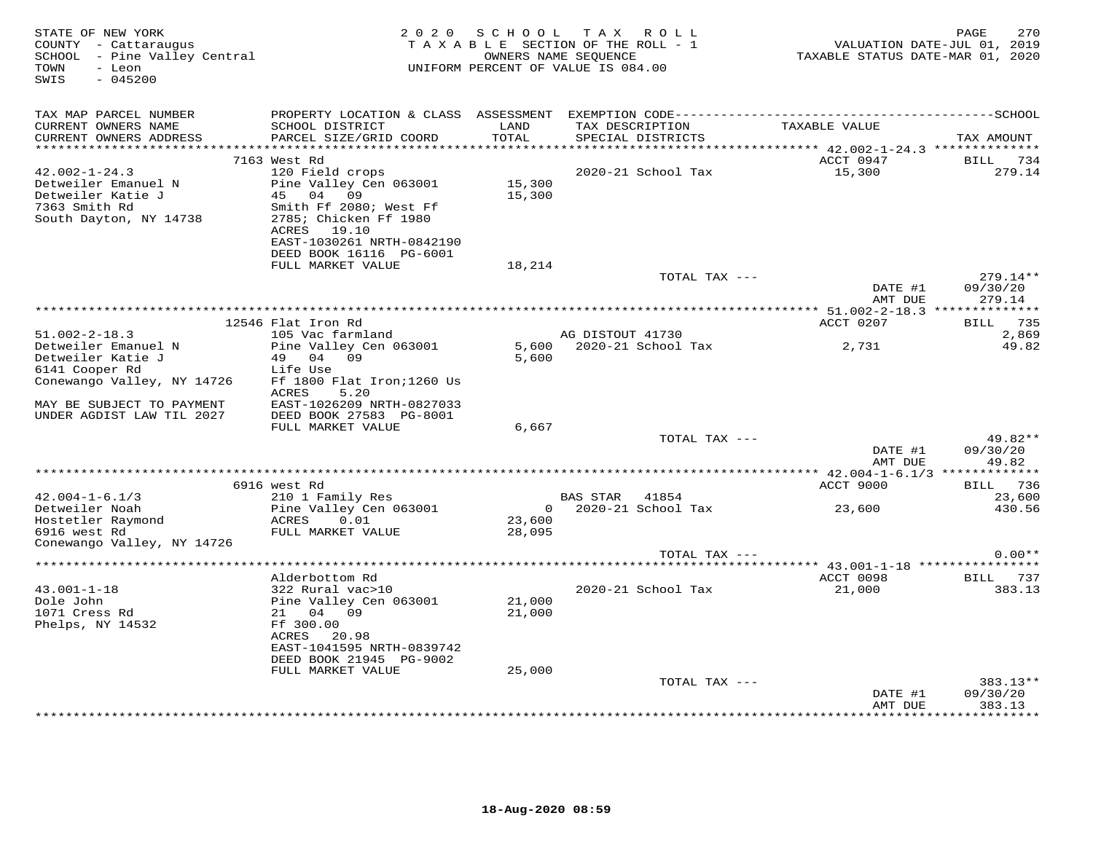| STATE OF NEW YORK<br>COUNTY - Cattaraugus<br>SCHOOL - Pine Valley Central<br>TOWN<br>- Leon<br>SWIS<br>$-045200$ |                                                                                                                                                                      | 2020 SCHOOL TAX ROLL<br>TAXABLE SECTION OF THE ROLL - 1<br>OWNERS NAME SEQUENCE<br>UNIFORM PERCENT OF VALUE IS 084.00 |                  |                                      |                        | 2012<br>2019 , VALUATION DATE-JUL<br>2019 TAXABLE STATUS DATE-MAR | PAGE<br>270                    |
|------------------------------------------------------------------------------------------------------------------|----------------------------------------------------------------------------------------------------------------------------------------------------------------------|-----------------------------------------------------------------------------------------------------------------------|------------------|--------------------------------------|------------------------|-------------------------------------------------------------------|--------------------------------|
| TAX MAP PARCEL NUMBER<br>CURRENT OWNERS NAME<br>CURRENT OWNERS ADDRESS                                           | SCHOOL DISTRICT<br>PARCEL SIZE/GRID COORD                                                                                                                            | LAND<br>TOTAL                                                                                                         |                  | TAX DESCRIPTION<br>SPECIAL DISTRICTS |                        | TAXABLE VALUE                                                     | TAX AMOUNT                     |
|                                                                                                                  |                                                                                                                                                                      |                                                                                                                       |                  |                                      |                        |                                                                   |                                |
| $42.002 - 1 - 24.3$<br>Detweiler Emanuel N<br>Detweiler Katie J<br>7363 Smith Rd<br>South Dayton, NY 14738       | 7163 West Rd<br>120 Field crops<br>Pine Valley Cen 063001<br>45 04 09<br>Smith Ff 2080; West Ff<br>2785; Chicken Ff 1980<br>ACRES 19.10<br>EAST-1030261 NRTH-0842190 | 15,300<br>15,300                                                                                                      |                  | 2020-21 School Tax                   |                        | ACCT 0947<br>15,300                                               | <b>BILL</b><br>734<br>279.14   |
|                                                                                                                  | DEED BOOK 16116 PG-6001<br>FULL MARKET VALUE                                                                                                                         |                                                                                                                       |                  |                                      |                        |                                                                   |                                |
|                                                                                                                  |                                                                                                                                                                      | 18,214                                                                                                                |                  |                                      | TOTAL TAX ---          | DATE #1                                                           | $279.14**$<br>09/30/20         |
|                                                                                                                  |                                                                                                                                                                      |                                                                                                                       |                  |                                      |                        | AMT DUE                                                           | 279.14                         |
|                                                                                                                  | 12546 Flat Iron Rd                                                                                                                                                   |                                                                                                                       |                  |                                      |                        | ACCT 0207                                                         | BILL 735                       |
| $51.002 - 2 - 18.3$                                                                                              | 105 Vac farmland                                                                                                                                                     |                                                                                                                       | AG DISTOUT 41730 |                                      |                        |                                                                   | 2,869                          |
| Detweiler Emanuel N<br>Detweiler Katie J<br>6141 Cooper Rd<br>Conewango Valley, NY 14726                         | Pine Valley Cen 063001<br>49 04 09<br>Life Use<br>Ff 1800 Flat Iron; 1260 Us                                                                                         | 5,600                                                                                                                 |                  |                                      |                        | 2,731                                                             | 49.82                          |
| MAY BE SUBJECT TO PAYMENT<br>UNDER AGDIST LAW TIL 2027                                                           | ACRES<br>5.20<br>EAST-1026209 NRTH-0827033<br>DEED BOOK 27583 PG-8001<br>FULL MARKET VALUE                                                                           | 6,667                                                                                                                 |                  |                                      |                        |                                                                   |                                |
|                                                                                                                  |                                                                                                                                                                      |                                                                                                                       |                  |                                      | TOTAL TAX ---          | DATE #1<br>AMT DUE                                                | $49.82**$<br>09/30/20<br>49.82 |
|                                                                                                                  |                                                                                                                                                                      |                                                                                                                       |                  |                                      |                        |                                                                   |                                |
|                                                                                                                  | 6916 west Rd                                                                                                                                                         |                                                                                                                       |                  |                                      |                        | ACCT 9000                                                         | BILL 736                       |
| $42.004 - 1 - 6.1/3$<br>Detweiler Noah<br>Hostetler Raymond<br>5016 west Rd                                      | 210 1 Family Res<br>Pine Valley Cen 063001<br>0.01<br>ACRES<br>FULL MARKET VALUE                                                                                     | 23,600<br>28,095                                                                                                      | BAS STAR 41854   |                                      | $0$ 2020-21 School Tax | 23,600                                                            | 23,600<br>430.56               |
| Conewango Valley, NY 14726                                                                                       |                                                                                                                                                                      |                                                                                                                       |                  |                                      |                        |                                                                   |                                |
|                                                                                                                  |                                                                                                                                                                      |                                                                                                                       |                  |                                      | TOTAL TAX ---          |                                                                   | $0.00**$                       |
|                                                                                                                  | Alderbottom Rd                                                                                                                                                       |                                                                                                                       |                  |                                      |                        | ACCT 0098                                                         | BILL 737                       |
| $43.001 - 1 - 18$<br>Dole John<br>1071 Cress Rd<br>Phelps, NY 14532                                              | 322 Rural vac>10<br>Pine Valley Cen 063001<br>21 04 09<br>Ff 300.00<br>ACRES 20.98<br>EAST-1041595 NRTH-0839742<br>DEED BOOK 21945 PG-9002<br>FULL MARKET VALUE      | 21,000<br>21,000<br>25,000                                                                                            |                  | 2020-21 School Tax                   |                        | 21,000                                                            | 383.13                         |
|                                                                                                                  |                                                                                                                                                                      |                                                                                                                       |                  |                                      | TOTAL TAX ---          |                                                                   | 383.13**                       |
|                                                                                                                  |                                                                                                                                                                      |                                                                                                                       |                  |                                      |                        | DATE #1<br>AMT DUE                                                | 09/30/20<br>383.13             |
|                                                                                                                  |                                                                                                                                                                      |                                                                                                                       |                  |                                      |                        |                                                                   | * * * * * * * * *              |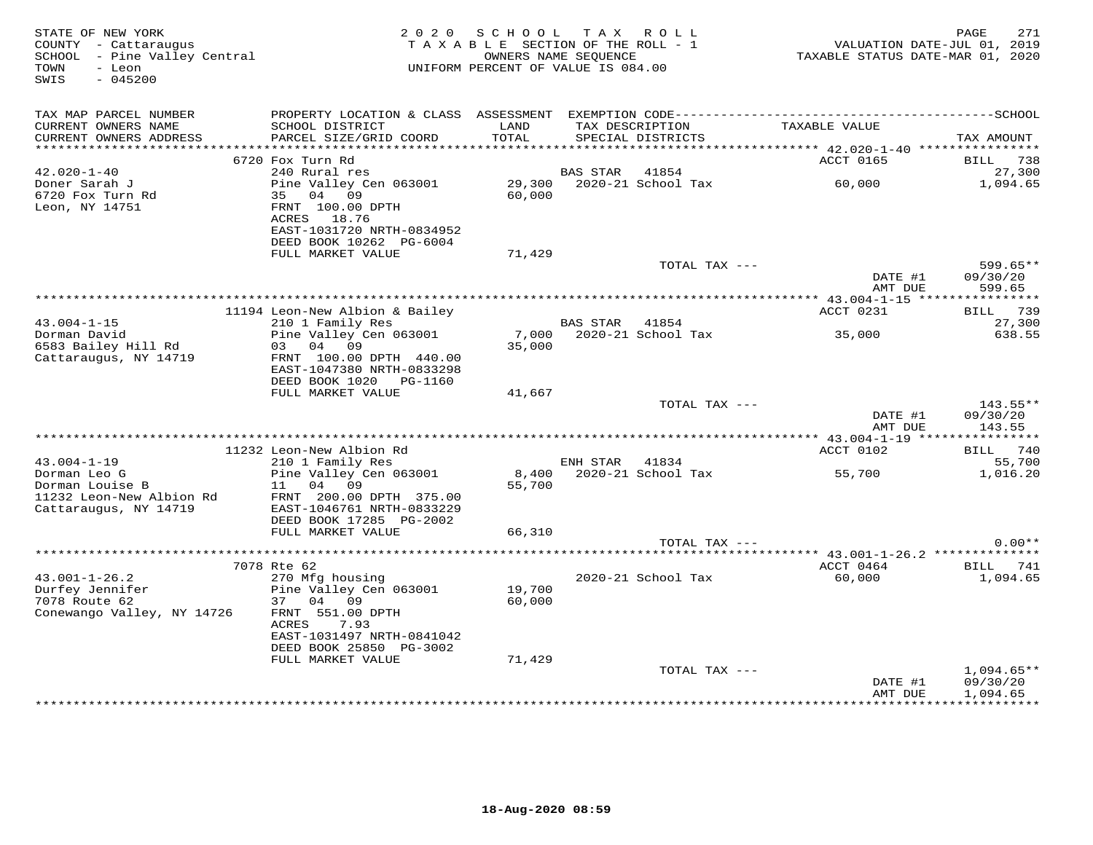| STATE OF NEW YORK<br>COUNTY - Cattaraugus<br>COUNTY - Cattaraugus<br>SCHOOL - Pine Valley Central<br>TOWN<br>- Leon<br>$-045200$<br>SWIS |                                                                                                                                           | 2020 SCHOOL<br>TAXABLE SECTION OF THE ROLL - 1<br>OWNERS NAME SEQUENCE<br>UNIFORM PERCENT OF VALUE IS 084.00 |                 | TAX ROLL                             | VALUATION DATE-JUL 01, 2019<br>TAXABLE STATUS DATE-MAR 01, 2020 | 271<br>PAGE                        |
|------------------------------------------------------------------------------------------------------------------------------------------|-------------------------------------------------------------------------------------------------------------------------------------------|--------------------------------------------------------------------------------------------------------------|-----------------|--------------------------------------|-----------------------------------------------------------------|------------------------------------|
| TAX MAP PARCEL NUMBER<br>CURRENT OWNERS NAME<br>CURRENT OWNERS ADDRESS                                                                   | PROPERTY LOCATION & CLASS ASSESSMENT EXEMPTION CODE-----------------------------------SCHOOL<br>SCHOOL DISTRICT<br>PARCEL SIZE/GRID COORD | LAND<br>TOTAL                                                                                                |                 | TAX DESCRIPTION<br>SPECIAL DISTRICTS | TAXABLE VALUE                                                   | TAX AMOUNT                         |
| ***********************                                                                                                                  |                                                                                                                                           |                                                                                                              |                 |                                      |                                                                 |                                    |
| $42.020 - 1 - 40$                                                                                                                        | 6720 Fox Turn Rd<br>240 Rural res                                                                                                         |                                                                                                              | <b>BAS STAR</b> | 41854                                | ACCT 0165                                                       | BILL 738<br>27,300                 |
| Doner Sarah J                                                                                                                            | Pine Valley Cen 063001                                                                                                                    | 29,300                                                                                                       |                 | 2020-21 School Tax                   | 60,000                                                          | 1,094.65                           |
| 6720 Fox Turn Rd<br>Leon, NY 14751                                                                                                       | 35 04 09<br>FRNT 100.00 DPTH<br>ACRES 18.76<br>EAST-1031720 NRTH-0834952<br>DEED BOOK 10262 PG-6004                                       | 60,000                                                                                                       |                 |                                      |                                                                 |                                    |
|                                                                                                                                          | FULL MARKET VALUE                                                                                                                         | 71,429                                                                                                       |                 |                                      |                                                                 |                                    |
|                                                                                                                                          |                                                                                                                                           |                                                                                                              |                 | TOTAL TAX ---                        | DATE #1<br>AMT DUE                                              | $599.65**$<br>09/30/20<br>599.65   |
|                                                                                                                                          |                                                                                                                                           |                                                                                                              |                 |                                      |                                                                 |                                    |
|                                                                                                                                          | 11194 Leon-New Albion & Bailey                                                                                                            |                                                                                                              |                 |                                      | ACCT 0231                                                       | BILL 739                           |
| $43.004 - 1 - 15$<br>Dorman David<br>6583 Bailey Hill Rd                                                                                 | 210 1 Family Res<br>Pine Valley Cen 063001<br>03 04 09                                                                                    | 35,000                                                                                                       | BAS STAR 41854  | 7,000 2020-21 School Tax             | 35,000                                                          | 27,300<br>638.55                   |
| Cattaraugus, NY 14719                                                                                                                    | FRNT 100.00 DPTH 440.00<br>EAST-1047380 NRTH-0833298<br>DEED BOOK 1020 PG-1160                                                            |                                                                                                              |                 |                                      |                                                                 |                                    |
|                                                                                                                                          | FULL MARKET VALUE                                                                                                                         | 41,667                                                                                                       |                 |                                      |                                                                 |                                    |
|                                                                                                                                          |                                                                                                                                           |                                                                                                              |                 | TOTAL TAX ---                        | DATE #1<br>AMT DUE                                              | 143.55**<br>09/30/20<br>143.55     |
|                                                                                                                                          |                                                                                                                                           |                                                                                                              |                 |                                      |                                                                 |                                    |
|                                                                                                                                          | 11232 Leon-New Albion Rd                                                                                                                  |                                                                                                              |                 |                                      | ACCT 0102                                                       | BILL 740                           |
| $43.004 - 1 - 19$                                                                                                                        | 210 1 Family Res                                                                                                                          |                                                                                                              | ENH STAR 41834  |                                      | 55,700                                                          | 55,700                             |
| Dorman Leo G<br>Dorman Louise B<br>11232 Leon-New Albion Rd                                                                              | Pine Valley Cen 063001<br>11 04 09<br>FRNT 200.00 DPTH 375.00                                                                             | 8,400<br>55,700                                                                                              |                 | 2020-21 School Tax                   |                                                                 | 1,016.20                           |
| Cattaraugus, NY 14719                                                                                                                    | EAST-1046761 NRTH-0833229<br>DEED BOOK 17285 PG-2002                                                                                      |                                                                                                              |                 |                                      |                                                                 |                                    |
|                                                                                                                                          | FULL MARKET VALUE                                                                                                                         | 66,310                                                                                                       |                 | TOTAL TAX ---                        |                                                                 | $0.00**$                           |
|                                                                                                                                          |                                                                                                                                           |                                                                                                              |                 |                                      |                                                                 |                                    |
|                                                                                                                                          | 7078 Rte 62                                                                                                                               |                                                                                                              |                 |                                      | ACCT 0464                                                       | <b>BILL</b> 741                    |
| $43.001 - 1 - 26.2$                                                                                                                      | 270 Mfg housing                                                                                                                           |                                                                                                              |                 | 2020-21 School Tax                   | 60,000                                                          | 1,094.65                           |
| Durfey Jennifer                                                                                                                          | Pine Valley Cen 063001                                                                                                                    | 19,700                                                                                                       |                 |                                      |                                                                 |                                    |
| 7078 Route 62<br>Conewango Valley, NY 14726                                                                                              | 37 04 09<br>FRNT 551.00 DPTH                                                                                                              | 60,000                                                                                                       |                 |                                      |                                                                 |                                    |
|                                                                                                                                          | 7.93<br>ACRES<br>EAST-1031497 NRTH-0841042                                                                                                |                                                                                                              |                 |                                      |                                                                 |                                    |
|                                                                                                                                          | DEED BOOK 25850 PG-3002<br>FULL MARKET VALUE                                                                                              |                                                                                                              |                 |                                      |                                                                 |                                    |
|                                                                                                                                          |                                                                                                                                           | 71,429                                                                                                       |                 | TOTAL TAX ---                        |                                                                 | $1,094.65**$                       |
|                                                                                                                                          |                                                                                                                                           |                                                                                                              |                 |                                      | DATE #1<br>AMT DUE                                              | 09/30/20<br>1,094.65<br>********** |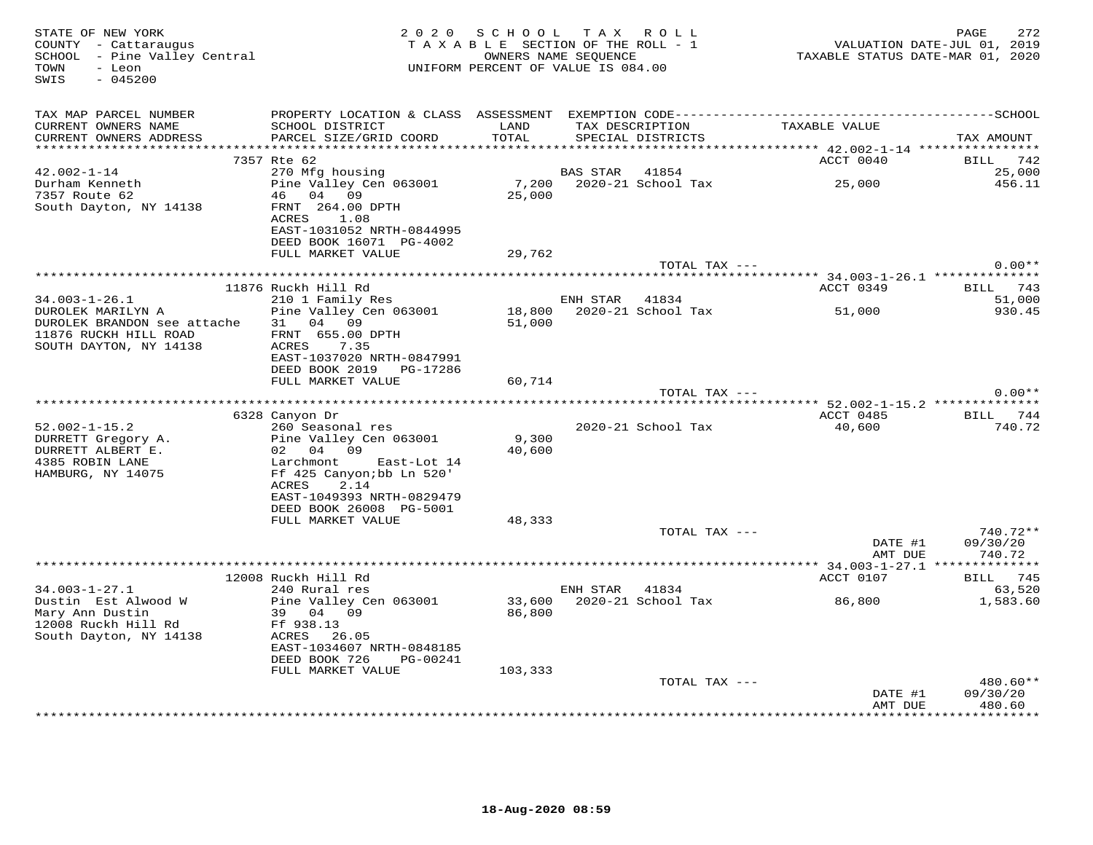| STATE OF NEW YORK<br>COUNTY - Cattaraugus<br>SCHOOL - Pine Valley Central<br>- Leon<br>TOWN<br>SWIS<br>$-045200$ |                                                                                                                                                                | 2020 SCHOOL TAX ROLL<br>TAXABLE SECTION OF THE ROLL - 1<br>OWNERS NAME SEQUENCE<br>UNIFORM PERCENT OF VALUE IS 084.00 |                |                           | TAXABLE STATUS DATE-MAR 01, 2020 | 272<br>PAGE<br>VALUATION DATE-JUL 01, 2019 |
|------------------------------------------------------------------------------------------------------------------|----------------------------------------------------------------------------------------------------------------------------------------------------------------|-----------------------------------------------------------------------------------------------------------------------|----------------|---------------------------|----------------------------------|--------------------------------------------|
| TAX MAP PARCEL NUMBER<br>CURRENT OWNERS NAME<br>CURRENT OWNERS ADDRESS                                           | SCHOOL DISTRICT LAND<br>PARCEL SIZE/GRID COORD                                                                                                                 | TOTAL                                                                                                                 |                | SPECIAL DISTRICTS         | TAX DESCRIPTION TAXABLE VALUE    | TAX AMOUNT                                 |
|                                                                                                                  | 7357 Rte 62                                                                                                                                                    |                                                                                                                       |                |                           | ACCT 0040                        | BILL 742                                   |
| $42.002 - 1 - 14$<br>Durham Kenneth<br>7357 Route 62<br>South Dayton, NY 14138                                   | 270 Mfg housing<br>Pine Valley Cen 063001<br>46 04 09<br>FRNT 264.00 DPTH<br>ACRES 1.08<br>EAST-1031052 NRTH-0844995                                           | 25,000                                                                                                                | BAS STAR 41854 |                           |                                  | 25,000<br>456.11                           |
|                                                                                                                  | DEED BOOK 16071 PG-4002                                                                                                                                        |                                                                                                                       |                |                           |                                  |                                            |
|                                                                                                                  | FULL MARKET VALUE                                                                                                                                              | 29,762                                                                                                                |                |                           |                                  |                                            |
|                                                                                                                  |                                                                                                                                                                |                                                                                                                       |                | TOTAL TAX ---             |                                  | $0.00**$                                   |
|                                                                                                                  | 11876 Ruckh Hill Rd                                                                                                                                            |                                                                                                                       |                |                           | ACCT 0349                        | BILL 743                                   |
| $34.003 - 1 - 26.1$                                                                                              | 210 1 Family Res                                                                                                                                               |                                                                                                                       | ENH STAR 41834 |                           |                                  | 51,000                                     |
| DUROLEK MARILYN A                                                                                                | Pine Valley Cen 063001                                                                                                                                         |                                                                                                                       |                | 18,800 2020-21 School Tax | 51,000                           | 930.45                                     |
| DUROLEK BRANDON see attache<br>11876 RUCKH HILL ROAD<br>SOUTH DAYTON, NY 14138                                   | 31 04 09<br>FRNT 655.00 DPTH<br>ACRES<br>7.35<br>EAST-1037020 NRTH-0847991<br>DEED BOOK 2019 PG-17286                                                          | 51,000                                                                                                                |                |                           |                                  |                                            |
|                                                                                                                  | FULL MARKET VALUE                                                                                                                                              | 60,714                                                                                                                |                | TOTAL TAX ---             |                                  | $0.00**$                                   |
|                                                                                                                  |                                                                                                                                                                |                                                                                                                       |                |                           |                                  |                                            |
|                                                                                                                  | 6328 Canyon Dr                                                                                                                                                 |                                                                                                                       |                |                           | ACCT 0485                        | BILL 744                                   |
| $52.002 - 1 - 15.2$<br>DURRETT Gregory A.<br>DURRETT ALBERT E.<br>4385 ROBIN LANE<br>HAMBURG, NY 14075           | 260 Seasonal res<br>Pine Valley Cen 063001<br>02 04 09<br>Larchmont East-Lot 14<br>Ff 425 Canyon; bb Ln 520'<br>2.14<br>ACRES<br>EAST-1049393 NRTH-0829479     | 9,300<br>40,600                                                                                                       |                | 2020-21 School Tax        | 40,600                           | 740.72                                     |
|                                                                                                                  | DEED BOOK 26008 PG-5001                                                                                                                                        |                                                                                                                       |                |                           |                                  |                                            |
|                                                                                                                  | FULL MARKET VALUE                                                                                                                                              | 48,333                                                                                                                |                |                           |                                  |                                            |
|                                                                                                                  |                                                                                                                                                                |                                                                                                                       |                | TOTAL TAX ---             | DATE #1<br>AMT DUE               | 740.72**<br>09/30/20<br>740.72             |
|                                                                                                                  | 12008 Ruckh Hill Rd                                                                                                                                            |                                                                                                                       |                |                           | ACCT 0107                        | BILL 745                                   |
| $34.003 - 1 - 27.1$<br>Dustin Est Alwood W<br>Mary Ann Dustin<br>12008 Ruckh Hill Rd<br>South Dayton, NY 14138   | 240 Rural res<br>Pine Valley Cen 063001<br>39 04 09<br>Ff 938.13<br>ACRES 26.05<br>EAST-1034607 NRTH-0848185<br>DEED BOOK 726<br>PG-00241<br>FULL MARKET VALUE | 86,800<br>103,333                                                                                                     | ENH STAR 41834 | 33,600 2020-21 School Tax | 86,800                           | 63,520<br>1,583.60                         |
|                                                                                                                  |                                                                                                                                                                |                                                                                                                       |                | TOTAL TAX ---             |                                  | $480.60**$                                 |
|                                                                                                                  |                                                                                                                                                                |                                                                                                                       |                |                           | DATE #1<br>AMT DUE               | 09/30/20<br>480.60<br>***********          |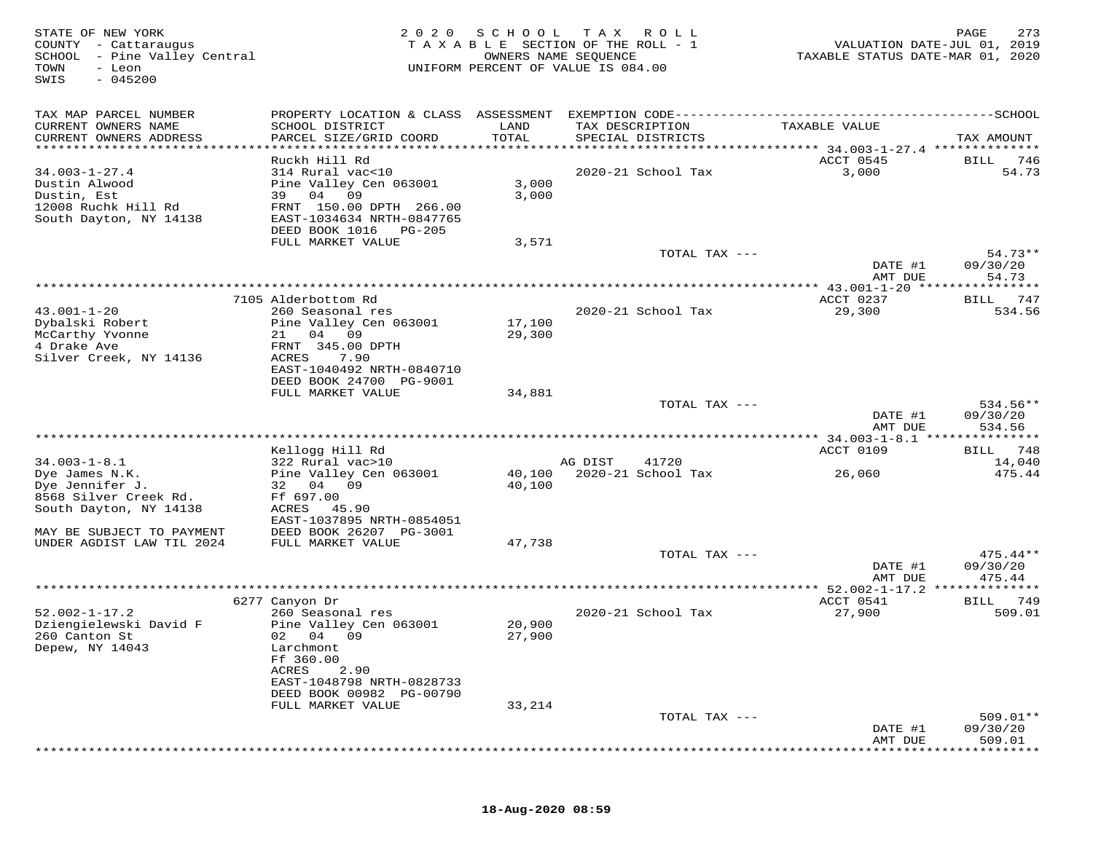| STATE OF NEW YORK<br>COUNTY - Cattaraugus<br>SCHOOL - Pine Valley Central<br>TOWN<br>- Leon<br>$-045200$<br>SWIS | 2 0 2 0                                                                                                                                                                                 | SCHOOL                     | T A X<br>R O L L<br>TAXABLE SECTION OF THE ROLL - 1<br>OWNERS NAME SEQUENCE<br>UNIFORM PERCENT OF VALUE IS 084.00 | TAXABLE STATUS DATE-MAR 01, 2020               | PAGE<br>273<br>VALUATION DATE-JUL 01, 2019 |
|------------------------------------------------------------------------------------------------------------------|-----------------------------------------------------------------------------------------------------------------------------------------------------------------------------------------|----------------------------|-------------------------------------------------------------------------------------------------------------------|------------------------------------------------|--------------------------------------------|
| TAX MAP PARCEL NUMBER                                                                                            |                                                                                                                                                                                         |                            |                                                                                                                   |                                                |                                            |
| CURRENT OWNERS NAME<br>CURRENT OWNERS ADDRESS                                                                    | SCHOOL DISTRICT<br>PARCEL SIZE/GRID COORD                                                                                                                                               | LAND<br>TOTAL              | TAX DESCRIPTION<br>SPECIAL DISTRICTS                                                                              | TAXABLE VALUE                                  | TAX AMOUNT                                 |
| ***********************                                                                                          |                                                                                                                                                                                         |                            |                                                                                                                   |                                                |                                            |
|                                                                                                                  | Ruckh Hill Rd                                                                                                                                                                           |                            |                                                                                                                   | ACCT 0545                                      | 746<br>BILL                                |
| $34.003 - 1 - 27.4$<br>Dustin Alwood                                                                             | 314 Rural vac<10<br>Pine Valley Cen 063001                                                                                                                                              | 3,000                      | 2020-21 School Tax                                                                                                | 3,000                                          | 54.73                                      |
| Dustin, Est                                                                                                      | 39 04<br>09                                                                                                                                                                             | 3,000                      |                                                                                                                   |                                                |                                            |
| 12008 Ruchk Hill Rd                                                                                              | FRNT 150.00 DPTH 266.00                                                                                                                                                                 |                            |                                                                                                                   |                                                |                                            |
| South Dayton, NY 14138                                                                                           | EAST-1034634 NRTH-0847765                                                                                                                                                               |                            |                                                                                                                   |                                                |                                            |
|                                                                                                                  | DEED BOOK 1016<br>PG-205                                                                                                                                                                |                            |                                                                                                                   |                                                |                                            |
|                                                                                                                  | FULL MARKET VALUE                                                                                                                                                                       | 3,571                      | TOTAL TAX ---                                                                                                     |                                                | $54.73**$                                  |
|                                                                                                                  |                                                                                                                                                                                         |                            |                                                                                                                   | DATE #1                                        | 09/30/20                                   |
|                                                                                                                  |                                                                                                                                                                                         |                            |                                                                                                                   | AMT DUE                                        | 54.73                                      |
|                                                                                                                  | 7105 Alderbottom Rd                                                                                                                                                                     |                            | **************************************                                                                            | *********** 43.001-1-20 *******<br>ACCT 0237   | 747<br>BILL                                |
| $43.001 - 1 - 20$                                                                                                | 260 Seasonal res                                                                                                                                                                        |                            | 2020-21 School Tax                                                                                                | 29,300                                         | 534.56                                     |
| Dybalski Robert                                                                                                  | Pine Valley Cen 063001                                                                                                                                                                  | 17,100                     |                                                                                                                   |                                                |                                            |
| McCarthy Yvonne                                                                                                  | 04 09<br>21                                                                                                                                                                             | 29,300                     |                                                                                                                   |                                                |                                            |
| 4 Drake Ave                                                                                                      | FRNT 345.00 DPTH<br><b>ACRES</b>                                                                                                                                                        |                            |                                                                                                                   |                                                |                                            |
| Silver Creek, NY 14136                                                                                           | 7.90<br>EAST-1040492 NRTH-0840710                                                                                                                                                       |                            |                                                                                                                   |                                                |                                            |
|                                                                                                                  | DEED BOOK 24700 PG-9001                                                                                                                                                                 |                            |                                                                                                                   |                                                |                                            |
|                                                                                                                  | FULL MARKET VALUE                                                                                                                                                                       | 34,881                     |                                                                                                                   |                                                |                                            |
|                                                                                                                  |                                                                                                                                                                                         |                            | TOTAL TAX ---                                                                                                     | DATE #1                                        | $534.56**$<br>09/30/20                     |
|                                                                                                                  |                                                                                                                                                                                         |                            |                                                                                                                   | AMT DUE                                        | 534.56                                     |
|                                                                                                                  |                                                                                                                                                                                         |                            |                                                                                                                   |                                                |                                            |
|                                                                                                                  | Kellogg Hill Rd                                                                                                                                                                         |                            |                                                                                                                   | ACCT 0109                                      | BILL 748                                   |
| $34.003 - 1 - 8.1$<br>Dye James N.K.                                                                             | 322 Rural vac>10<br>Pine Valley Cen 063001                                                                                                                                              | 40,100                     | AG DIST<br>41720<br>2020-21 School Tax                                                                            | 26,060                                         | 14,040<br>475.44                           |
| Dye Jennifer J.                                                                                                  | 04 09<br>32                                                                                                                                                                             | 40,100                     |                                                                                                                   |                                                |                                            |
| 8568 Silver Creek Rd.                                                                                            | Ff 697.00                                                                                                                                                                               |                            |                                                                                                                   |                                                |                                            |
| South Dayton, NY 14138                                                                                           | ACRES<br>45.90                                                                                                                                                                          |                            |                                                                                                                   |                                                |                                            |
|                                                                                                                  |                                                                                                                                                                                         |                            |                                                                                                                   |                                                |                                            |
| UNDER AGDIST LAW TIL 2024                                                                                        | FULL MARKET VALUE                                                                                                                                                                       |                            |                                                                                                                   |                                                |                                            |
|                                                                                                                  |                                                                                                                                                                                         |                            | TOTAL TAX ---                                                                                                     |                                                | $475.44**$                                 |
|                                                                                                                  |                                                                                                                                                                                         |                            |                                                                                                                   | DATE #1                                        | 09/30/20                                   |
|                                                                                                                  | <b>+++++++++++++++++++++</b>                                                                                                                                                            |                            |                                                                                                                   |                                                |                                            |
|                                                                                                                  |                                                                                                                                                                                         |                            |                                                                                                                   |                                                | 749                                        |
| $52.002 - 1 - 17.2$                                                                                              | 260 Seasonal res                                                                                                                                                                        |                            | 2020-21 School Tax                                                                                                | 27,900                                         | 509.01                                     |
| Dziengielewski David F                                                                                           |                                                                                                                                                                                         | 20,900                     |                                                                                                                   |                                                |                                            |
|                                                                                                                  |                                                                                                                                                                                         |                            |                                                                                                                   |                                                |                                            |
|                                                                                                                  |                                                                                                                                                                                         |                            |                                                                                                                   |                                                |                                            |
|                                                                                                                  | ACRES<br>2.90                                                                                                                                                                           |                            |                                                                                                                   |                                                |                                            |
|                                                                                                                  | EAST-1048798 NRTH-0828733                                                                                                                                                               |                            |                                                                                                                   |                                                |                                            |
|                                                                                                                  |                                                                                                                                                                                         |                            |                                                                                                                   |                                                |                                            |
|                                                                                                                  |                                                                                                                                                                                         |                            | TOTAL TAX ---                                                                                                     |                                                | 509.01**                                   |
|                                                                                                                  |                                                                                                                                                                                         |                            |                                                                                                                   | DATE #1                                        | 09/30/20                                   |
|                                                                                                                  |                                                                                                                                                                                         |                            |                                                                                                                   | AMT DUE                                        | 509.01                                     |
| MAY BE SUBJECT TO PAYMENT<br>260 Canton St<br>Depew, NY 14043                                                    | EAST-1037895 NRTH-0854051<br>DEED BOOK 26207 PG-3001<br>6277 Canyon Dr<br>Pine Valley Cen 063001<br>02 04 09<br>Larchmont<br>Ff 360.00<br>DEED BOOK 00982 PG-00790<br>FULL MARKET VALUE | 47,738<br>27,900<br>33,214 | **********************                                                                                            | AMT DUE<br>** $52.002 - 1 - 17.2$<br>ACCT 0541 | 475.44<br>BILL                             |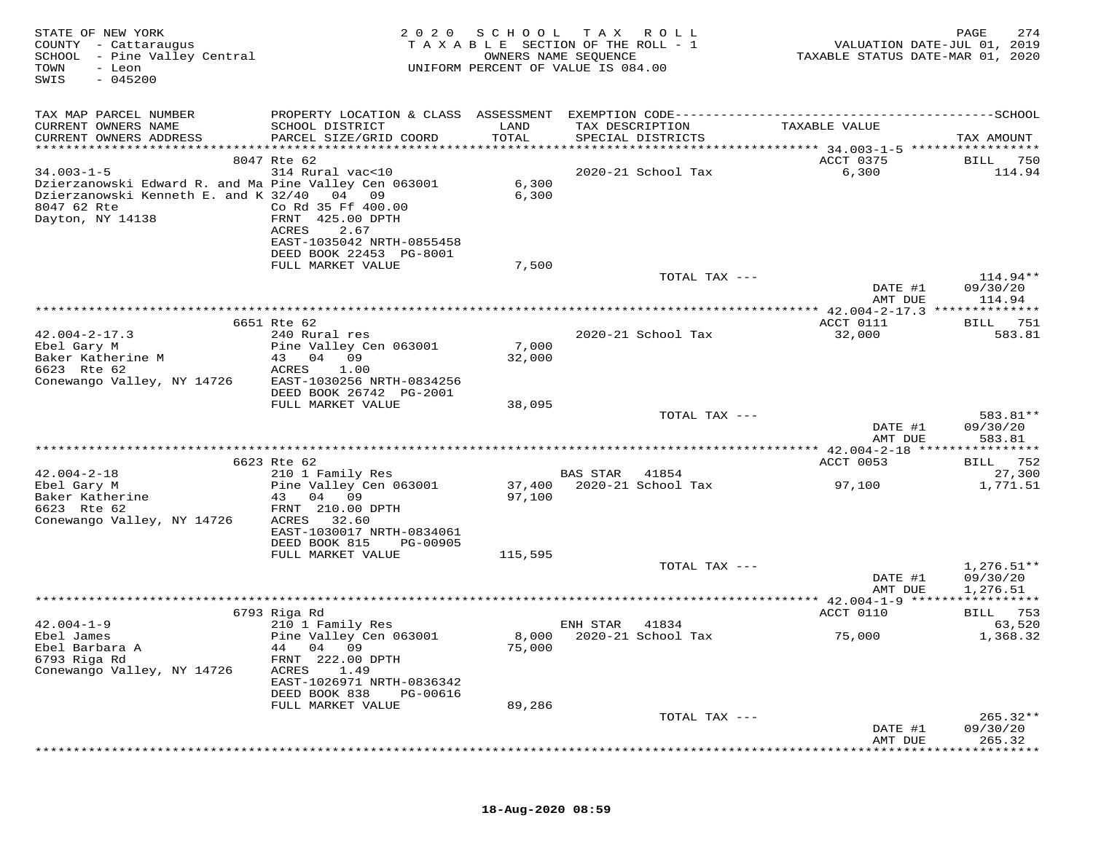| STATE OF NEW YORK<br>COUNTY - Cattaraugus<br>SCHOOL - Pine Valley Central<br>- Leon<br>TOWN<br>$-045200$<br>SWIS                 | 2020                                                            | SCHOOL<br>OWNERS NAME SEQUENCE | T A X<br>R O L L<br>T A X A B L E SECTION OF THE ROLL - 1<br>UNIFORM PERCENT OF VALUE IS 084.00 |                                    | 274<br>PAGE<br>VALUATION DATE-JUL 01, 2019<br>TAXABLE STATUS DATE-MAR 01, 2020 |
|----------------------------------------------------------------------------------------------------------------------------------|-----------------------------------------------------------------|--------------------------------|-------------------------------------------------------------------------------------------------|------------------------------------|--------------------------------------------------------------------------------|
| TAX MAP PARCEL NUMBER<br>CURRENT OWNERS NAME<br>CURRENT OWNERS ADDRESS                                                           | SCHOOL DISTRICT<br>PARCEL SIZE/GRID COORD                       | LAND<br>TOTAL                  | TAX DESCRIPTION<br>SPECIAL DISTRICTS                                                            | TAXABLE VALUE                      | TAX AMOUNT                                                                     |
| ************************                                                                                                         |                                                                 |                                |                                                                                                 |                                    |                                                                                |
|                                                                                                                                  | 8047 Rte 62                                                     |                                |                                                                                                 | ACCT 0375                          | BILL<br>750                                                                    |
| $34.003 - 1 - 5$<br>Dzierzanowski Edward R. and Ma Pine Valley Cen 063001<br>Dzierzanowski Kenneth E. and K 32/40<br>8047 62 Rte | 314 Rural vac<10<br>04<br>09<br>Co Rd 35 Ff 400.00              | 6,300<br>6,300                 | 2020-21 School Tax                                                                              | 6,300                              | 114.94                                                                         |
| Dayton, NY 14138                                                                                                                 | FRNT 425.00 DPTH<br>ACRES<br>2.67<br>EAST-1035042 NRTH-0855458  |                                |                                                                                                 |                                    |                                                                                |
|                                                                                                                                  | DEED BOOK 22453 PG-8001<br>FULL MARKET VALUE                    | 7,500                          |                                                                                                 |                                    |                                                                                |
|                                                                                                                                  |                                                                 |                                |                                                                                                 | TOTAL TAX ---<br>DATE #1           | 114.94**<br>09/30/20                                                           |
|                                                                                                                                  |                                                                 |                                |                                                                                                 | AMT DUE                            | 114.94                                                                         |
|                                                                                                                                  | 6651 Rte 62                                                     |                                |                                                                                                 | ACCT 0111                          | <b>BILL</b> 751                                                                |
| $42.004 - 2 - 17.3$                                                                                                              | 240 Rural res                                                   |                                | 2020-21 School Tax                                                                              | 32,000                             | 583.81                                                                         |
| Ebel Gary M                                                                                                                      | Pine Valley Cen 063001                                          | 7,000                          |                                                                                                 |                                    |                                                                                |
| Baker Katherine M<br>6623 Rte 62                                                                                                 | 43<br>04<br>09<br>1.00<br>ACRES                                 | 32,000                         |                                                                                                 |                                    |                                                                                |
| Conewango Valley, NY 14726                                                                                                       | EAST-1030256 NRTH-0834256                                       |                                |                                                                                                 |                                    |                                                                                |
|                                                                                                                                  | DEED BOOK 26742 PG-2001<br>FULL MARKET VALUE                    | 38,095                         |                                                                                                 |                                    |                                                                                |
|                                                                                                                                  |                                                                 |                                |                                                                                                 | TOTAL TAX ---                      | 583.81**                                                                       |
|                                                                                                                                  |                                                                 |                                |                                                                                                 | DATE #1<br>AMT DUE                 | 09/30/20<br>583.81                                                             |
|                                                                                                                                  |                                                                 |                                |                                                                                                 | **************** 42.004-2-18 ***** | ********                                                                       |
| $42.004 - 2 - 18$                                                                                                                | 6623 Rte 62<br>210 1 Family Res                                 |                                | <b>BAS STAR</b><br>41854                                                                        | ACCT 0053                          | 752<br>BILL<br>27,300                                                          |
| Ebel Gary M<br>Baker Katherine                                                                                                   | Pine Valley Cen 063001<br>04 09<br>43                           | 37,400<br>97,100               | 2020-21 School Tax                                                                              | 97,100                             | 1,771.51                                                                       |
| 6623 Rte 62<br>Conewango Valley, NY 14726                                                                                        | FRNT 210.00 DPTH<br>ACRES<br>32.60<br>EAST-1030017 NRTH-0834061 |                                |                                                                                                 |                                    |                                                                                |
|                                                                                                                                  | DEED BOOK 815<br>PG-00905<br>FULL MARKET VALUE                  | 115,595                        |                                                                                                 |                                    |                                                                                |
|                                                                                                                                  |                                                                 |                                |                                                                                                 | TOTAL TAX ---                      | $1,276.51**$                                                                   |
|                                                                                                                                  |                                                                 |                                |                                                                                                 | DATE #1<br>AMT DUE                 | 09/30/20<br>1,276.51                                                           |
|                                                                                                                                  |                                                                 |                                |                                                                                                 |                                    |                                                                                |
| $42.004 - 1 - 9$                                                                                                                 | 6793 Riga Rd<br>210 1 Family Res                                |                                | ENH STAR<br>41834                                                                               | ACCT 0110                          | BILL 753<br>63,520                                                             |
| Ebel James<br>Ebel Barbara A                                                                                                     | Pine Valley Cen 063001<br>04 09<br>44                           | 8,000<br>75,000                | 2020-21 School Tax                                                                              | 75,000                             | 1,368.32                                                                       |
| 6793 Riga Rd<br>Conewango Valley, NY 14726                                                                                       | FRNT 222.00 DPTH<br>ACRES<br>1.49<br>EAST-1026971 NRTH-0836342  |                                |                                                                                                 |                                    |                                                                                |
|                                                                                                                                  | DEED BOOK 838<br>PG-00616<br>FULL MARKET VALUE                  | 89,286                         |                                                                                                 |                                    |                                                                                |
|                                                                                                                                  |                                                                 |                                |                                                                                                 | TOTAL TAX ---                      | $265.32**$                                                                     |
|                                                                                                                                  |                                                                 |                                |                                                                                                 | DATE #1<br>AMT DUE                 | 09/30/20<br>265.32                                                             |
|                                                                                                                                  |                                                                 |                                |                                                                                                 |                                    |                                                                                |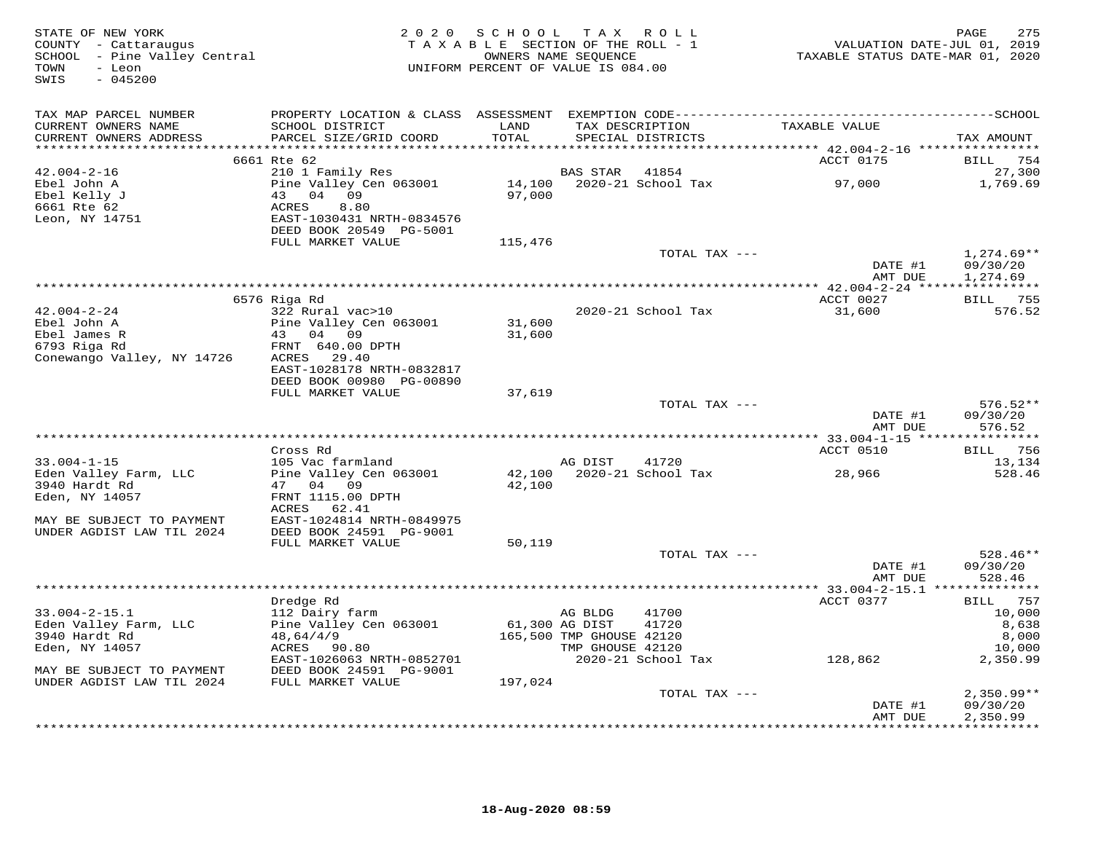| STATE OF NEW YORK<br>COUNTY - Cattaraugus<br>SCHOOL - Pine Valley Central<br>TOWN<br>- Leon<br>$-045200$<br>SWIS | 2 0 2 0                                                                                              | TAXABLE SECTION OF THE ROLL - 1<br>UNIFORM PERCENT OF VALUE IS 084.00 | SCHOOL TAX ROLL<br>OWNERS NAME SEQUENCE                 |                                    | VALUATION DATE-JUL 01, 2019<br>TAXABLE STATUS DATE-MAR 01, 2020 | 275<br>PAGE                                    |
|------------------------------------------------------------------------------------------------------------------|------------------------------------------------------------------------------------------------------|-----------------------------------------------------------------------|---------------------------------------------------------|------------------------------------|-----------------------------------------------------------------|------------------------------------------------|
| TAX MAP PARCEL NUMBER<br>CURRENT OWNERS NAME<br>CURRENT OWNERS ADDRESS<br>***********************                | SCHOOL DISTRICT<br>PARCEL SIZE/GRID COORD                                                            | LAND<br>TOTAL                                                         | TAX DESCRIPTION                                         | SPECIAL DISTRICTS                  | TAXABLE VALUE                                                   | TAX AMOUNT                                     |
|                                                                                                                  | 6661 Rte 62                                                                                          |                                                                       |                                                         |                                    | ACCT 0175                                                       | BILL 754                                       |
| $42.004 - 2 - 16$<br>Ebel John A<br>Ebel Kelly J<br>6661 Rte 62<br>Leon, NY 14751                                | 210 1 Family Res<br>Pine Valley Cen 063001<br>43 04 09<br>ACRES<br>8.80<br>EAST-1030431 NRTH-0834576 | 97,000                                                                | BAS STAR                                                | 41854<br>14,100 2020-21 School Tax | 97,000                                                          | 27,300<br>1,769.69                             |
|                                                                                                                  | DEED BOOK 20549 PG-5001                                                                              |                                                                       |                                                         |                                    |                                                                 |                                                |
|                                                                                                                  | FULL MARKET VALUE                                                                                    | 115,476                                                               |                                                         |                                    |                                                                 |                                                |
|                                                                                                                  |                                                                                                      |                                                                       |                                                         | TOTAL TAX ---                      | DATE #1                                                         | $1,274.69**$<br>09/30/20                       |
|                                                                                                                  |                                                                                                      |                                                                       |                                                         |                                    | AMT DUE                                                         | 1,274.69                                       |
|                                                                                                                  | 6576 Riga Rd                                                                                         |                                                                       |                                                         |                                    | ACCT 0027                                                       | BILL 755                                       |
| 42.004-2-24<br>Ebel John A<br>Ebel James R<br>6793 Riga Rd<br>Conewango Valley, NY 14726                         | 322 Rural vac>10<br>Pine Valley Cen 063001<br>43 04 09<br>FRNT 640.00 DPTH<br>ACRES<br>29.40         | 31,600<br>31,600                                                      |                                                         | 2020-21 School Tax                 | 31,600                                                          | 576.52                                         |
|                                                                                                                  | EAST-1028178 NRTH-0832817<br>DEED BOOK 00980 PG-00890                                                |                                                                       |                                                         |                                    |                                                                 |                                                |
|                                                                                                                  | FULL MARKET VALUE                                                                                    | 37,619                                                                |                                                         |                                    |                                                                 |                                                |
|                                                                                                                  |                                                                                                      |                                                                       |                                                         | TOTAL TAX ---                      | DATE #1<br>AMT DUE                                              | $576.52**$<br>09/30/20<br>576.52               |
|                                                                                                                  |                                                                                                      |                                                                       |                                                         |                                    |                                                                 |                                                |
| $33.004 - 1 - 15$                                                                                                | Cross Rd<br>105 Vac farmland                                                                         |                                                                       | AG DIST                                                 | 41720                              | ACCT 0510                                                       | BILL 756<br>13,134                             |
| Eden Valley Farm, LLC<br>3940 Hardt Rd<br>Eden, NY 14057                                                         | Pine Valley Cen 063001<br>47 04 09<br>FRNT 1115.00 DPTH                                              | 42,100<br>42,100                                                      |                                                         | 2020-21 School Tax                 | 28,966                                                          | 528.46                                         |
| MAY BE SUBJECT TO PAYMENT<br>UNDER AGDIST LAW TIL 2024                                                           | ACRES 62.41<br>EAST-1024814 NRTH-0849975<br>DEED BOOK 24591 PG-9001<br>FULL MARKET VALUE             | 50,119                                                                |                                                         |                                    |                                                                 |                                                |
|                                                                                                                  |                                                                                                      |                                                                       |                                                         | TOTAL TAX ---                      | DATE #1<br>AMT DUE                                              | $528.46**$<br>09/30/20<br>528.46               |
|                                                                                                                  |                                                                                                      |                                                                       |                                                         |                                    |                                                                 |                                                |
| $33.004 - 2 - 15.1$<br>Eden Valley Farm, LLC<br>3940 Hardt Rd<br>Eden, NY 14057                                  | Dredge Rd<br>112 Dairy farm<br>Pine Valley Cen 063001<br>48,64/4/9<br>ACRES 90.80                    | 61,300 AG DIST                                                        | AG BLDG<br>165,500 TMP GHOUSE 42120<br>TMP GHOUSE 42120 | 41700<br>41720                     | ACCT 0377                                                       | BILL 757<br>10,000<br>8,638<br>8,000<br>10,000 |
| MAY BE SUBJECT TO PAYMENT                                                                                        | EAST-1026063 NRTH-0852701<br>DEED BOOK 24591 PG-9001                                                 |                                                                       |                                                         | 2020-21 School Tax                 | 128,862                                                         | 2,350.99                                       |
| UNDER AGDIST LAW TIL 2024                                                                                        | FULL MARKET VALUE                                                                                    | 197,024                                                               |                                                         |                                    |                                                                 |                                                |
|                                                                                                                  |                                                                                                      |                                                                       |                                                         | TOTAL TAX ---                      | DATE #1                                                         | $2,350.99**$<br>09/30/20                       |
|                                                                                                                  |                                                                                                      |                                                                       |                                                         |                                    | AMT DUE                                                         | 2,350.99<br><b>++++++++++</b>                  |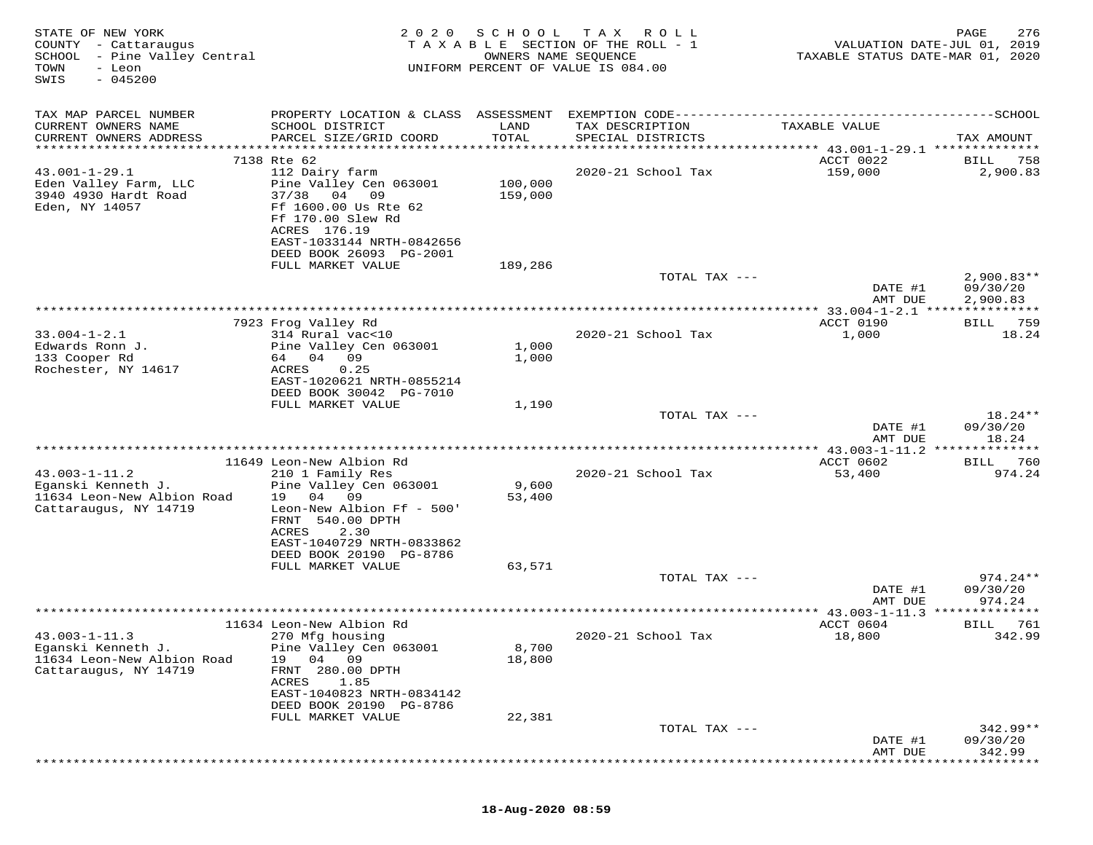| STATE OF NEW YORK<br>COUNTY - Cattaraugus<br>SCHOOL - Pine Valley Central<br>TOWN<br>- Leon<br>$-045200$<br>SWIS | 2 0 2 0                                                                                                                            | SCHOOL<br>OWNERS NAME SEQUENCE | T A X<br>R O L L<br>TAXABLE SECTION OF THE ROLL - 1<br>UNIFORM PERCENT OF VALUE IS 084.00 | TAXABLE STATUS DATE-MAR 01, 2020     | 276<br>PAGE<br>VALUATION DATE-JUL 01, 2019 |
|------------------------------------------------------------------------------------------------------------------|------------------------------------------------------------------------------------------------------------------------------------|--------------------------------|-------------------------------------------------------------------------------------------|--------------------------------------|--------------------------------------------|
| TAX MAP PARCEL NUMBER                                                                                            | PROPERTY LOCATION & CLASS ASSESSMENT                                                                                               |                                | EXEMPTION CODE------------                                                                | ------------                         | $------SCHOOL$                             |
| CURRENT OWNERS NAME<br>CURRENT OWNERS ADDRESS                                                                    | SCHOOL DISTRICT<br>PARCEL SIZE/GRID COORD                                                                                          | LAND<br>TOTAL                  | TAX DESCRIPTION<br>SPECIAL DISTRICTS                                                      | TAXABLE VALUE                        | TAX AMOUNT                                 |
| *******************                                                                                              |                                                                                                                                    | *******                        | *************                                                                             | ******* 43.001-1-29.1 ************** |                                            |
| $43.001 - 1 - 29.1$                                                                                              | 7138 Rte 62<br>112 Dairy farm                                                                                                      |                                | 2020-21 School Tax                                                                        | ACCT 0022<br>159,000                 | 758<br>BILL<br>2,900.83                    |
| Eden Valley Farm, LLC<br>3940 4930 Hardt Road<br>Eden, NY 14057                                                  | Pine Valley Cen 063001<br>37/38<br>04 09<br>Ff 1600.00 Us Rte 62<br>Ff 170.00 Slew Rd<br>ACRES 176.19<br>EAST-1033144 NRTH-0842656 | 100,000<br>159,000             |                                                                                           |                                      |                                            |
|                                                                                                                  | DEED BOOK 26093 PG-2001                                                                                                            |                                |                                                                                           |                                      |                                            |
|                                                                                                                  | FULL MARKET VALUE                                                                                                                  | 189,286                        |                                                                                           |                                      |                                            |
|                                                                                                                  |                                                                                                                                    |                                | TOTAL TAX ---                                                                             |                                      | $2,900.83**$                               |
|                                                                                                                  |                                                                                                                                    |                                |                                                                                           | DATE #1<br>AMT DUE                   | 09/30/20<br>2,900.83                       |
|                                                                                                                  |                                                                                                                                    |                                |                                                                                           | **** 33.004-1-2.1 ***                |                                            |
|                                                                                                                  | 7923 Frog Valley Rd                                                                                                                |                                |                                                                                           | ACCT 0190                            | 759<br>BILL                                |
| $33.004 - 1 - 2.1$                                                                                               | 314 Rural vac<10<br>Pine Valley Cen 063001                                                                                         |                                | 2020-21 School Tax                                                                        | 1,000                                | 18.24                                      |
| Edwards Ronn J.<br>133 Cooper Rd                                                                                 | 09<br>04<br>64                                                                                                                     | 1,000<br>1,000                 |                                                                                           |                                      |                                            |
| Rochester, NY 14617                                                                                              | ACRES<br>0.25                                                                                                                      |                                |                                                                                           |                                      |                                            |
|                                                                                                                  | EAST-1020621 NRTH-0855214                                                                                                          |                                |                                                                                           |                                      |                                            |
|                                                                                                                  | DEED BOOK 30042 PG-7010                                                                                                            |                                |                                                                                           |                                      |                                            |
|                                                                                                                  | FULL MARKET VALUE                                                                                                                  | 1,190                          | TOTAL TAX ---                                                                             |                                      | $18.24**$                                  |
|                                                                                                                  |                                                                                                                                    |                                |                                                                                           | DATE #1                              | 09/30/20                                   |
|                                                                                                                  |                                                                                                                                    |                                |                                                                                           | AMT DUE                              | 18.24                                      |
|                                                                                                                  |                                                                                                                                    |                                |                                                                                           |                                      | * * * * * * * *                            |
| $43.003 - 1 - 11.2$                                                                                              | 11649 Leon-New Albion Rd                                                                                                           |                                | 2020-21 School Tax                                                                        | ACCT 0602                            | 760<br>BILL<br>974.24                      |
| Eganski Kenneth J.                                                                                               | 210 1 Family Res<br>Pine Valley Cen 063001                                                                                         | 9,600                          |                                                                                           | 53,400                               |                                            |
| 11634 Leon-New Albion Road                                                                                       | 04<br>19<br>09                                                                                                                     | 53,400                         |                                                                                           |                                      |                                            |
| Cattaraugus, NY 14719                                                                                            | Leon-New Albion Ff - 500'<br>FRNT 540.00 DPTH                                                                                      |                                |                                                                                           |                                      |                                            |
|                                                                                                                  | 2.30<br>ACRES<br>EAST-1040729 NRTH-0833862<br>DEED BOOK 20190 PG-8786                                                              |                                |                                                                                           |                                      |                                            |
|                                                                                                                  | FULL MARKET VALUE                                                                                                                  | 63,571                         |                                                                                           |                                      |                                            |
|                                                                                                                  |                                                                                                                                    |                                | TOTAL TAX ---                                                                             |                                      | $974.24**$                                 |
|                                                                                                                  |                                                                                                                                    |                                |                                                                                           | DATE #1<br>AMT DUE                   | 09/30/20<br>974.24                         |
|                                                                                                                  |                                                                                                                                    |                                |                                                                                           | $*$ 43.003-1-11.3                    |                                            |
|                                                                                                                  | 11634 Leon-New Albion Rd                                                                                                           |                                |                                                                                           | ACCT 0604                            | BILL<br>761                                |
| $43.003 - 1 - 11.3$                                                                                              | 270 Mfg housing                                                                                                                    |                                | 2020-21 School Tax                                                                        | 18,800                               | 342.99                                     |
| Eganski Kenneth J.<br>11634 Leon-New Albion Road                                                                 | Pine Valley Cen 063001<br>04<br>19<br>09                                                                                           | 8,700<br>18,800                |                                                                                           |                                      |                                            |
| Cattaraugus, NY 14719                                                                                            | 280.00 DPTH<br>FRNT                                                                                                                |                                |                                                                                           |                                      |                                            |
|                                                                                                                  | 1.85<br>ACRES                                                                                                                      |                                |                                                                                           |                                      |                                            |
|                                                                                                                  | EAST-1040823 NRTH-0834142                                                                                                          |                                |                                                                                           |                                      |                                            |
|                                                                                                                  | DEED BOOK 20190 PG-8786<br>FULL MARKET VALUE                                                                                       | 22,381                         |                                                                                           |                                      |                                            |
|                                                                                                                  |                                                                                                                                    |                                | TOTAL TAX ---                                                                             |                                      | $342.99**$                                 |
|                                                                                                                  |                                                                                                                                    |                                |                                                                                           | DATE #1                              | 09/30/20                                   |
|                                                                                                                  |                                                                                                                                    |                                |                                                                                           | AMT DUE                              | 342.99                                     |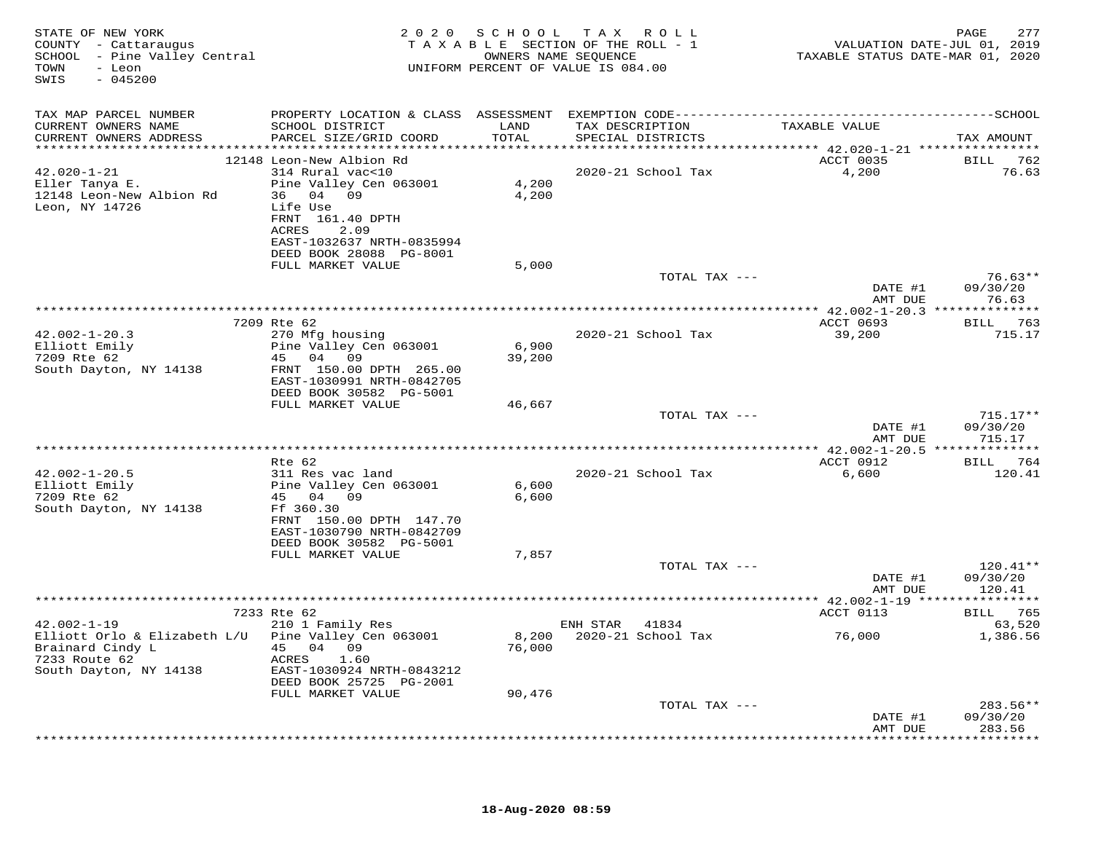| STATE OF NEW YORK<br>COUNTY - Cattaraugus<br>SCHOOL - Pine Valley Central<br>- Leon<br>TOWN<br>$-045200$<br>SWIS |                                                                                             |                | 2020 SCHOOL TAX ROLL<br>TAXABLE SECTION OF THE ROLL - 1<br>OWNERS NAME SEQUENCE<br>UNIFORM PERCENT OF VALUE IS 084.00 | VALUATION DATE-JUL 01, 2019<br>TAXABLE STATUS DATE-MAR 01, 2020 | 277<br>PAGE                      |
|------------------------------------------------------------------------------------------------------------------|---------------------------------------------------------------------------------------------|----------------|-----------------------------------------------------------------------------------------------------------------------|-----------------------------------------------------------------|----------------------------------|
| TAX MAP PARCEL NUMBER                                                                                            |                                                                                             |                |                                                                                                                       |                                                                 |                                  |
| CURRENT OWNERS NAME<br>CURRENT OWNERS ADDRESS                                                                    | SCHOOL DISTRICT<br>PARCEL SIZE/GRID COORD                                                   | LAND<br>TOTAL  | TAX DESCRIPTION<br>SPECIAL DISTRICTS                                                                                  | TAXABLE VALUE                                                   | TAX AMOUNT                       |
| $42.020 - 1 - 21$                                                                                                | 12148 Leon-New Albion Rd<br>314 Rural vac<10                                                |                | 2020-21 School Tax                                                                                                    | <b>ACCT 0035</b><br>4,200                                       | BILL 762<br>76.63                |
| Eller Tanya E.<br>12148 Leon-New Albion Rd<br>Leon, NY 14726                                                     | Pine Valley Cen 063001<br>36 04 09<br>Life Use<br>FRNT 161.40 DPTH<br>ACRES<br>2.09         | 4,200<br>4,200 |                                                                                                                       |                                                                 |                                  |
|                                                                                                                  | EAST-1032637 NRTH-0835994<br>DEED BOOK 28088 PG-8001                                        |                |                                                                                                                       |                                                                 |                                  |
|                                                                                                                  | FULL MARKET VALUE                                                                           | 5,000          | TOTAL TAX ---                                                                                                         | DATE #1                                                         | $76.63**$<br>09/30/20            |
|                                                                                                                  |                                                                                             |                |                                                                                                                       | AMT DUE                                                         | 76.63                            |
|                                                                                                                  | 7209 Rte 62                                                                                 |                |                                                                                                                       | ACCT 0693                                                       | BILL 763                         |
| $42.002 - 1 - 20.3$<br>Elliott Emily                                                                             | 270 Mfg housing<br>Pine Valley Cen 063001                                                   | 6,900          | 2020-21 School Tax                                                                                                    | 39,200                                                          | 715.17                           |
| 7209 Rte 62<br>South Dayton, NY 14138                                                                            | 45 04 09<br>FRNT 150.00 DPTH 265.00<br>EAST-1030991 NRTH-0842705<br>DEED BOOK 30582 PG-5001 | 39,200         |                                                                                                                       |                                                                 |                                  |
|                                                                                                                  | FULL MARKET VALUE                                                                           | 46,667         | TOTAL TAX ---                                                                                                         |                                                                 | $715.17**$                       |
|                                                                                                                  |                                                                                             |                |                                                                                                                       | DATE #1<br>AMT DUE                                              | 09/30/20<br>715.17               |
|                                                                                                                  |                                                                                             |                |                                                                                                                       |                                                                 |                                  |
|                                                                                                                  | Rte 62                                                                                      |                |                                                                                                                       | ACCT 0912                                                       | BILL 764                         |
| $42.002 - 1 - 20.5$<br>Elliott Emily<br>7209 Rte 62                                                              | 311 Res vac land<br>Pine Valley Cen 063001<br>45 04 09                                      | 6,600<br>6,600 | 2020-21 School Tax                                                                                                    | 6,600                                                           | 120.41                           |
| South Dayton, NY 14138                                                                                           | Ff 360.30<br>FRNT 150.00 DPTH 147.70<br>EAST-1030790 NRTH-0842709                           |                |                                                                                                                       |                                                                 |                                  |
|                                                                                                                  | DEED BOOK 30582 PG-5001<br>FULL MARKET VALUE                                                | 7,857          |                                                                                                                       |                                                                 |                                  |
|                                                                                                                  |                                                                                             |                | TOTAL TAX ---                                                                                                         | DATE #1<br>AMT DUE                                              | $120.41**$<br>09/30/20<br>120.41 |
|                                                                                                                  |                                                                                             |                |                                                                                                                       |                                                                 |                                  |
|                                                                                                                  | 7233 Rte 62                                                                                 |                |                                                                                                                       | ACCT 0113                                                       | BILL 765                         |
| $42.002 - 1 - 19$<br>Elliott Orlo & Elizabeth L/U Pine Valley Cen 063001                                         | 210 1 Family Res                                                                            |                | ENH STAR 41834<br>8,200 2020-21 School Tax                                                                            | 76,000                                                          | 63,520<br>1,386.56               |
| Brainard Cindy L<br>7233 Route 62<br>South Dayton, NY 14138                                                      | 45 04 09<br>ACRES<br>1.60<br>EAST-1030924 NRTH-0843212                                      | 76,000         |                                                                                                                       |                                                                 |                                  |
|                                                                                                                  | DEED BOOK 25725 PG-2001<br>FULL MARKET VALUE                                                | 90,476         |                                                                                                                       |                                                                 |                                  |
|                                                                                                                  |                                                                                             |                | TOTAL TAX ---                                                                                                         |                                                                 | $283.56**$                       |
|                                                                                                                  |                                                                                             |                |                                                                                                                       | DATE #1<br>AMT DUE                                              | 09/30/20<br>283.56               |
|                                                                                                                  |                                                                                             |                |                                                                                                                       | *************                                                   | * * * * * * * * * ·              |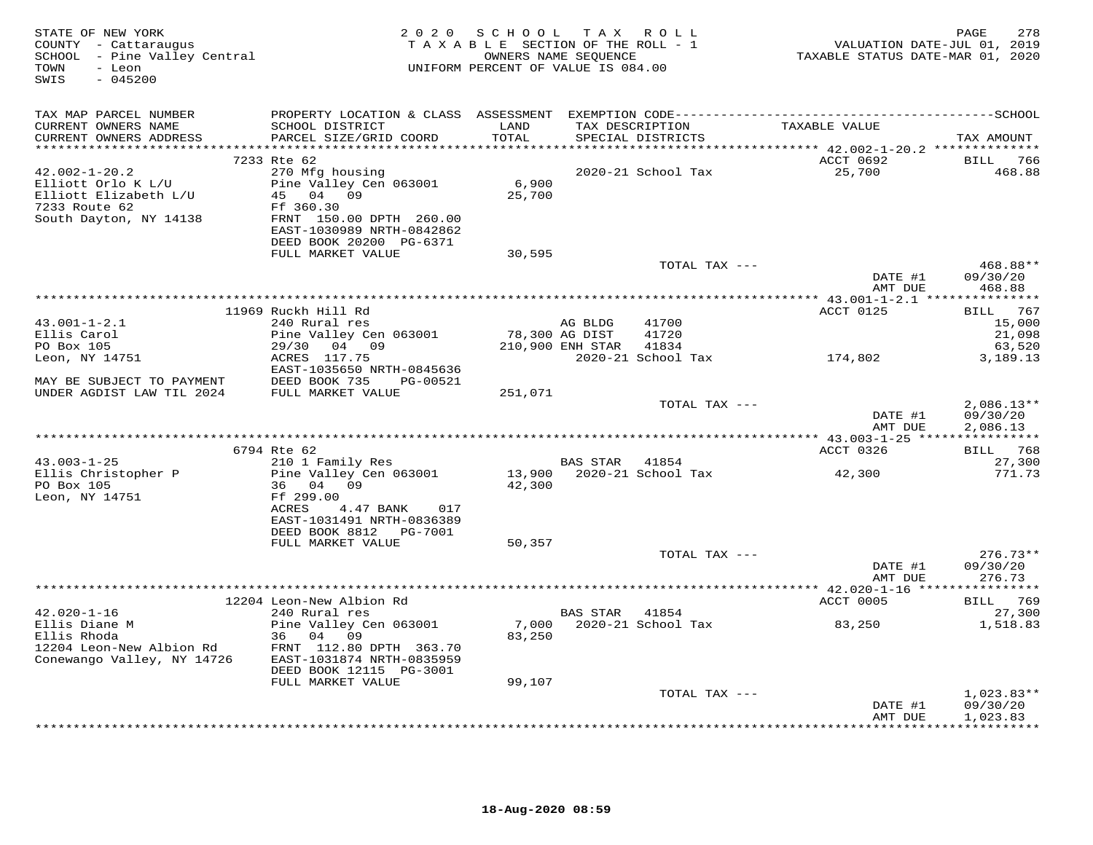| - GITATE OF NEW YORK<br>COUNTY - Cattaraugus<br>SCHOOL - Pine Valley Central Maritimes (SCHOOL - Pine Valley Central Maritimes (SCHOOL - Pine Valley Central<br>MIFORM PERCENT OF VALUE IS 084.00 |                                                                                                                                           | 2020 SCHOOL TAX ROLL |         | T A X A B L E SECTION OF THE ROLL - 1<br>OWNERS NAME SEQUENCE | 278 - PAGE<br>2019 ,010 VALUATION DATE-JUL<br>2020 ,011 TAXABLE STATUS DATE-MAR | PAGE<br>278                          |
|---------------------------------------------------------------------------------------------------------------------------------------------------------------------------------------------------|-------------------------------------------------------------------------------------------------------------------------------------------|----------------------|---------|---------------------------------------------------------------|---------------------------------------------------------------------------------|--------------------------------------|
| TAX MAP PARCEL NUMBER                                                                                                                                                                             |                                                                                                                                           |                      |         |                                                               |                                                                                 |                                      |
| CURRENT OWNERS NAME<br>CURRENT OWNERS ADDRESS                                                                                                                                                     | SCHOOL DISTRICT<br>PARCEL SIZE/GRID COORD                                                                                                 | LAND<br>TOTAL        |         | TAX DESCRIPTION<br>SPECIAL DISTRICTS                          | TAXABLE VALUE                                                                   | TAX AMOUNT                           |
| ***********************                                                                                                                                                                           |                                                                                                                                           |                      |         |                                                               |                                                                                 |                                      |
| $42.002 - 1 - 20.2$<br>Elliott Orlo K L/U<br>Elliott Elizabeth L/U<br>7233 Route 62<br>South Dayton, NY 14138                                                                                     | 7233 Rte 62<br>270 Mfg housing<br>Pine Valley Cen 063001<br>45 04 09<br>Ff 360.30<br>FRNT 150.00 DPTH 260.00<br>EAST-1030989 NRTH-0842862 | 6,900<br>25,700      |         | 2020-21 School Tax                                            | ACCT 0692<br>25,700                                                             | BILL 766<br>468.88                   |
|                                                                                                                                                                                                   | DEED BOOK 20200 PG-6371                                                                                                                   |                      |         |                                                               |                                                                                 |                                      |
|                                                                                                                                                                                                   | FULL MARKET VALUE                                                                                                                         | 30,595               |         |                                                               |                                                                                 |                                      |
|                                                                                                                                                                                                   |                                                                                                                                           |                      |         | TOTAL TAX ---                                                 | DATE #1                                                                         | 468.88**<br>09/30/20                 |
|                                                                                                                                                                                                   |                                                                                                                                           |                      |         |                                                               | AMT DUE                                                                         | 468.88                               |
|                                                                                                                                                                                                   |                                                                                                                                           |                      |         |                                                               |                                                                                 |                                      |
|                                                                                                                                                                                                   | 11969 Ruckh Hill Rd                                                                                                                       |                      |         |                                                               | ACCT 0125                                                                       | BILL 767                             |
| $43.001 - 1 - 2.1$<br>Ellis Carol                                                                                                                                                                 | 240 Rural res<br>Pine Valley Cen 063001                                                                                                   | 78,300 AG DIST       | AG BLDG | 41700<br>41720                                                |                                                                                 | 15,000<br>21,098                     |
| PO Box 105                                                                                                                                                                                        | 29/30 04 09 210,900 ENH STAR 41834                                                                                                        |                      |         |                                                               |                                                                                 | 63,520                               |
| Leon, NY 14751                                                                                                                                                                                    | ACRES 117.75<br>EAST-1035650 NRTH-0845636                                                                                                 |                      |         |                                                               | 2020-21 School Tax 174,802                                                      | 3,189.13                             |
| MAY BE SUBJECT TO PAYMENT DEED BOOK 735 PG-00521 UNDER AGDIST LAW TIL 2024 FULL MARKET VALUE 251,071                                                                                              |                                                                                                                                           |                      |         |                                                               |                                                                                 |                                      |
|                                                                                                                                                                                                   |                                                                                                                                           |                      |         | TOTAL TAX ---                                                 | DATE #1<br>AMT DUE                                                              | $2,086.13**$<br>09/30/20<br>2,086.13 |
|                                                                                                                                                                                                   |                                                                                                                                           |                      |         |                                                               |                                                                                 |                                      |
|                                                                                                                                                                                                   | 6794 Rte 62                                                                                                                               |                      |         |                                                               | ACCT 0326                                                                       | BILL 768                             |
| $43.003 - 1 - 25$                                                                                                                                                                                 | 210 1 Family Res                                                                                                                          |                      |         | BAS STAR 41854<br>13,900 2020-21 School Tax                   |                                                                                 | 27,300                               |
| Ellis Christopher P<br>PO Box 105<br>Leon, NY 14751                                                                                                                                               | Pine Valley Cen 063001<br>36 04 09<br>Ff 299.00<br>ACRES<br>4.47 BANK 017<br>EAST-1031491 NRTH-0836389<br>DEED BOOK 8812    PG-7001       | 42,300               |         |                                                               | 42,300                                                                          | 771.73                               |
|                                                                                                                                                                                                   | FULL MARKET VALUE                                                                                                                         | 50,357               |         |                                                               |                                                                                 |                                      |
|                                                                                                                                                                                                   |                                                                                                                                           |                      |         | TOTAL TAX ---                                                 | DATE #1<br>AMT DUE                                                              | $276.73**$<br>09/30/20<br>276.73     |
|                                                                                                                                                                                                   |                                                                                                                                           |                      |         |                                                               |                                                                                 |                                      |
|                                                                                                                                                                                                   | 12204 Leon-New Albion Rd                                                                                                                  |                      |         |                                                               | <b>ACCT 0005</b>                                                                | BILL 769                             |
| $42.020 - 1 - 16$<br>Ellis Diane M<br>Ellis Rhoda<br>12204 Leon-New Albion Rd<br>Conewango Valley, NY 14726                                                                                       | 240 Rural res<br>Pine Valley Cen 063001<br>36 04 09<br>FRNT 112.80 DPTH 363.70<br>EAST-1031874 NRTH-0835959<br>DEED BOOK 12115 PG-3001    | 83,250               |         | BAS STAR 41854                                                |                                                                                 | 27,300<br>1,518.83                   |
|                                                                                                                                                                                                   | FULL MARKET VALUE                                                                                                                         | 99,107               |         |                                                               |                                                                                 |                                      |
|                                                                                                                                                                                                   |                                                                                                                                           |                      |         | TOTAL TAX ---                                                 | DATE #1<br>AMT DUE                                                              | $1,023.83**$<br>09/30/20<br>1,023.83 |
|                                                                                                                                                                                                   |                                                                                                                                           |                      |         |                                                               |                                                                                 | <b>++++++++++++</b>                  |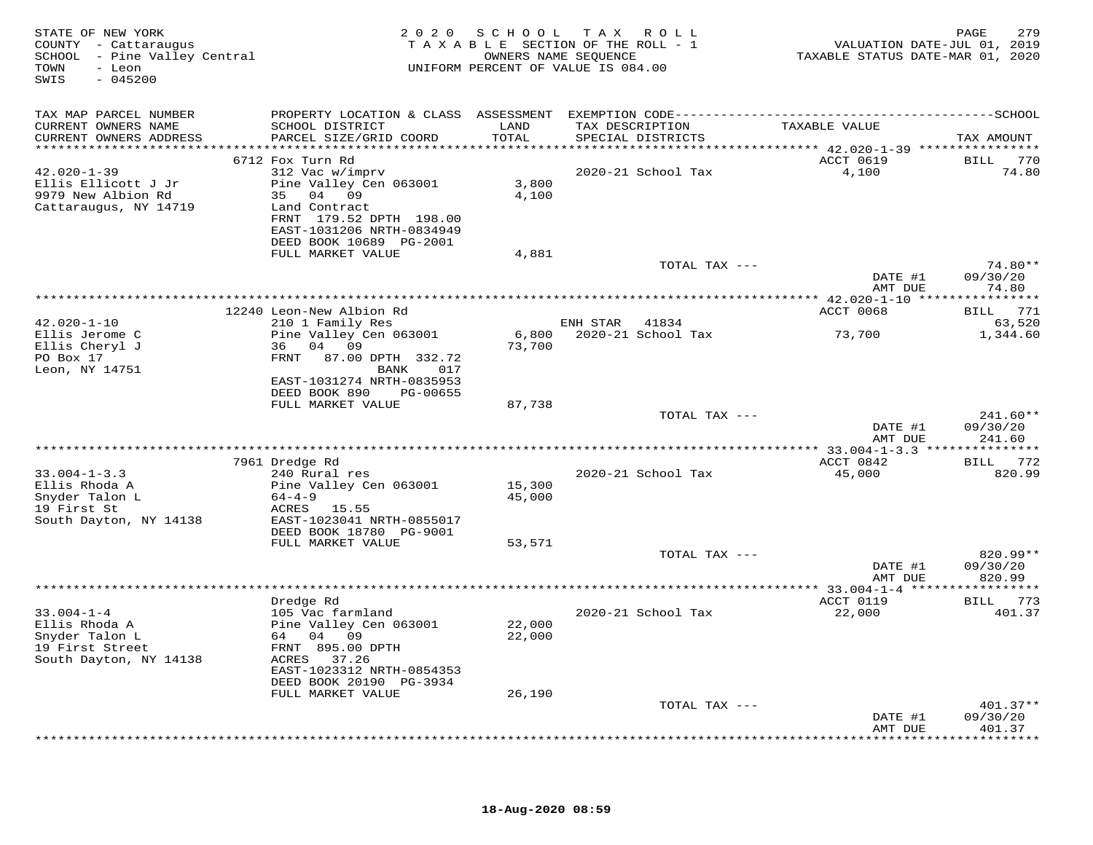| STATE OF NEW YORK<br>COUNTY - Cattaraugus<br>SCHOOL - Pine Valley Central<br>- Leon<br>TOWN<br>$-045200$<br>SWIS | 2 0 2 0<br>TAXABLE SECTION OF THE ROLL - 1<br>UNIFORM PERCENT OF VALUE IS 084.00                                                                          | PAGE<br>VALUATION DATE-JUL 01, 2019<br>TAXABLE STATUS DATE-MAR 01, 2020 |                                      |                     |                                           |
|------------------------------------------------------------------------------------------------------------------|-----------------------------------------------------------------------------------------------------------------------------------------------------------|-------------------------------------------------------------------------|--------------------------------------|---------------------|-------------------------------------------|
| TAX MAP PARCEL NUMBER<br>CURRENT OWNERS NAME                                                                     | SCHOOL DISTRICT                                                                                                                                           | LAND                                                                    | TAX DESCRIPTION                      | TAXABLE VALUE       |                                           |
| CURRENT OWNERS ADDRESS                                                                                           | PARCEL SIZE/GRID COORD                                                                                                                                    | TOTAL                                                                   | SPECIAL DISTRICTS                    |                     | TAX AMOUNT                                |
|                                                                                                                  | 6712 Fox Turn Rd                                                                                                                                          |                                                                         |                                      | ACCT 0619           | BILL 770                                  |
| $42.020 - 1 - 39$<br>Ellis Ellicott J Jr<br>9979 New Albion Rd<br>Cattaraugus, NY 14719                          | 312 Vac w/imprv<br>Pine Valley Cen 063001<br>35 04 09<br>Land Contract<br>FRNT 179.52 DPTH 198.00<br>EAST-1031206 NRTH-0834949<br>DEED BOOK 10689 PG-2001 | 3,800<br>4,100                                                          | 2020-21 School Tax                   | 4,100               | 74.80                                     |
|                                                                                                                  | FULL MARKET VALUE                                                                                                                                         | 4,881                                                                   |                                      |                     |                                           |
|                                                                                                                  |                                                                                                                                                           |                                                                         | TOTAL TAX ---                        | DATE #1<br>AMT DUE  | 74.80**<br>09/30/20<br>74.80              |
|                                                                                                                  | 12240 Leon-New Albion Rd                                                                                                                                  |                                                                         |                                      | ACCT 0068           | BILL 771                                  |
| $42.020 - 1 - 10$<br>Ellis Jerome C                                                                              | 210 1 Family Res<br>Pine Valley Cen 063001                                                                                                                | 6,800                                                                   | ENH STAR 41834<br>2020-21 School Tax | 73,700              | 63,520<br>1,344.60                        |
| Ellis Cheryl J<br>PO Box 17<br>Leon, NY 14751                                                                    | 36 04 09<br>87.00 DPTH 332.72<br>FRNT<br>017<br>BANK<br>EAST-1031274 NRTH-0835953<br>DEED BOOK 890<br>PG-00655                                            | 73,700                                                                  |                                      |                     |                                           |
|                                                                                                                  | FULL MARKET VALUE                                                                                                                                         | 87,738                                                                  |                                      |                     |                                           |
|                                                                                                                  |                                                                                                                                                           |                                                                         | TOTAL TAX ---                        | DATE #1<br>AMT DUE  | $241.60**$<br>09/30/20<br>241.60          |
|                                                                                                                  |                                                                                                                                                           |                                                                         |                                      |                     |                                           |
| $33.004 - 1 - 3.3$<br>Ellis Rhoda A<br>Snyder Talon L                                                            | 7961 Dredge Rd<br>240 Rural res<br>Pine Valley Cen 063001<br>$64 - 4 - 9$                                                                                 | 15,300<br>45,000                                                        | 2020-21 School Tax                   | ACCT 0842<br>45,000 | BILL 772<br>820.99                        |
| 19 First St<br>South Dayton, NY 14138                                                                            | ACRES 15.55<br>EAST-1023041 NRTH-0855017<br>DEED BOOK 18780 PG-9001                                                                                       |                                                                         |                                      |                     |                                           |
|                                                                                                                  | FULL MARKET VALUE                                                                                                                                         | 53,571                                                                  |                                      |                     |                                           |
|                                                                                                                  |                                                                                                                                                           |                                                                         | TOTAL TAX ---                        | DATE #1<br>AMT DUE  | 820.99**<br>09/30/20<br>820.99            |
|                                                                                                                  |                                                                                                                                                           |                                                                         |                                      | ACCT 0119           |                                           |
| $33.004 - 1 - 4$<br>Ellis Rhoda A<br>Snyder Talon L<br>19 First Street<br>South Dayton, NY 14138                 | Dredge Rd<br>105 Vac farmland<br>Pine Valley Cen 063001<br>64 04 09<br>FRNT 895.00 DPTH<br>ACRES 37.26                                                    | 22,000<br>22,000                                                        | 2020-21 School Tax                   | 22,000              | BILL 773<br>401.37                        |
|                                                                                                                  | EAST-1023312 NRTH-0854353<br>DEED BOOK 20190 PG-3934<br>FULL MARKET VALUE                                                                                 | 26,190                                                                  |                                      |                     |                                           |
|                                                                                                                  |                                                                                                                                                           |                                                                         | TOTAL TAX ---                        |                     | $401.37**$                                |
|                                                                                                                  |                                                                                                                                                           |                                                                         |                                      | DATE #1<br>AMT DUE  | 09/30/20<br>401.37<br>* * * * * * * * * * |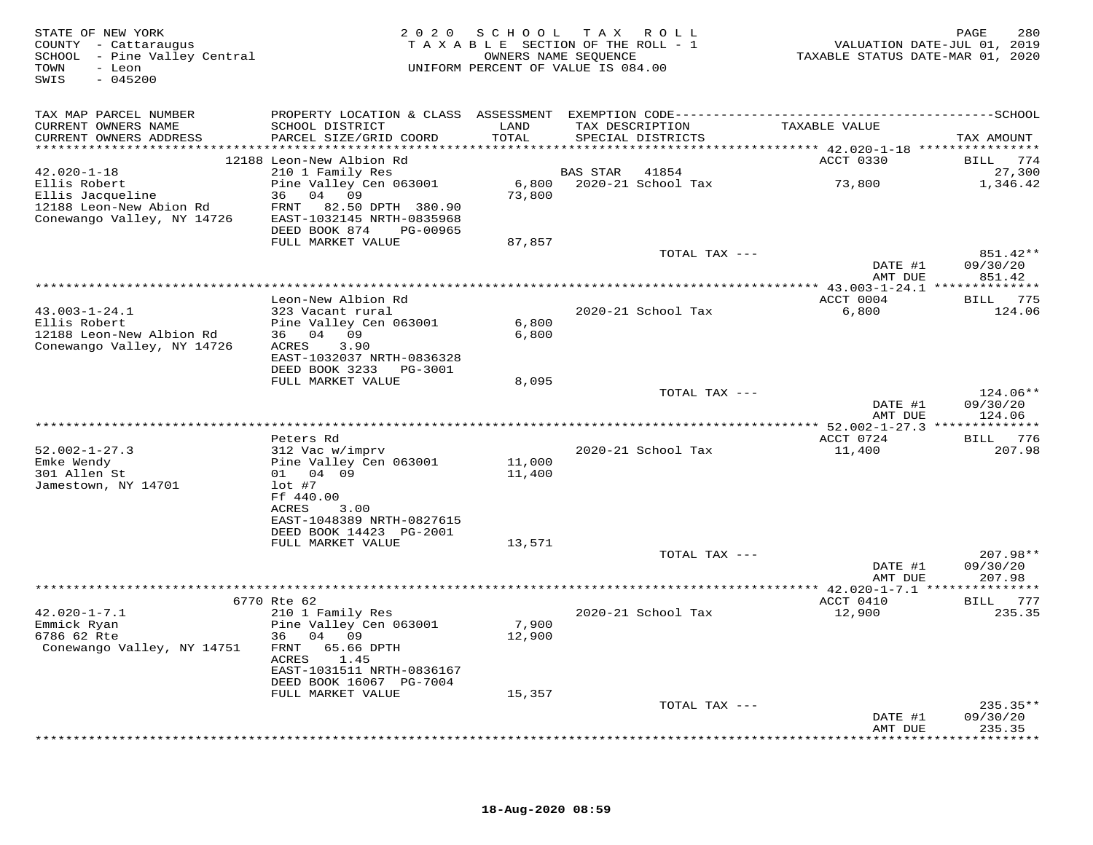| STATE OF NEW YORK<br>COUNTY - Cattaraugus<br>SCHOOL - Pine Valley Central<br>TOWN<br>- Leon<br>$-045200$<br>SWIS |                                                                                              |                  | 2020 SCHOOL TAX ROLL<br>TAXABLE SECTION OF THE ROLL - 1<br>OWNERS NAME SEQUENCE<br>UNIFORM PERCENT OF VALUE IS 084.00 | VALUATION DATE-JUL 01, 2019<br>TAXABLE STATUS DATE-MAR 01, 2020 | 280<br>PAGE                    |
|------------------------------------------------------------------------------------------------------------------|----------------------------------------------------------------------------------------------|------------------|-----------------------------------------------------------------------------------------------------------------------|-----------------------------------------------------------------|--------------------------------|
| TAX MAP PARCEL NUMBER                                                                                            | PROPERTY LOCATION & CLASS ASSESSMENT EXEMPTION CODE-----------------------------------SCHOOL |                  |                                                                                                                       |                                                                 |                                |
| CURRENT OWNERS NAME<br>CURRENT OWNERS ADDRESS                                                                    | SCHOOL DISTRICT<br>PARCEL SIZE/GRID COORD                                                    | LAND<br>TOTAL    | TAX DESCRIPTION<br>SPECIAL DISTRICTS                                                                                  | TAXABLE VALUE                                                   | TAX AMOUNT                     |
|                                                                                                                  | 12188 Leon-New Albion Rd                                                                     |                  |                                                                                                                       | ACCT 0330                                                       | BILL 774                       |
| $42.020 - 1 - 18$                                                                                                | 210 1 Family Res                                                                             |                  | BAS STAR<br>41854                                                                                                     |                                                                 | 27,300                         |
| Ellis Robert<br>Ellis Jacqueline<br>12188 Leon-New Abion Rd                                                      | Pine Valley Cen 063001<br>36 04 09<br>FRNT 82.50 DPTH 380.90                                 | 6,800<br>73,800  | 2020-21 School Tax                                                                                                    | 73,800                                                          | 1,346.42                       |
| Conewango Valley, NY 14726                                                                                       | EAST-1032145 NRTH-0835968<br>DEED BOOK 874<br>PG-00965                                       |                  |                                                                                                                       |                                                                 |                                |
|                                                                                                                  | FULL MARKET VALUE                                                                            | 87,857           | TOTAL TAX ---                                                                                                         |                                                                 | 851.42**                       |
|                                                                                                                  |                                                                                              |                  |                                                                                                                       | DATE #1<br>AMT DUE                                              | 09/30/20<br>851.42             |
|                                                                                                                  |                                                                                              |                  |                                                                                                                       |                                                                 |                                |
|                                                                                                                  | Leon-New Albion Rd                                                                           |                  |                                                                                                                       | ACCT 0004                                                       | BILL 775                       |
| $43.003 - 1 - 24.1$<br>Ellis Robert<br>12188 Leon-New Albion Rd<br>Conewango Valley, NY 14726                    | 323 Vacant rural<br>Pine Valley Cen 063001<br>36 04 09<br>3.90<br>ACRES                      | 6,800<br>6,800   | 2020-21 School Tax                                                                                                    | 6,800                                                           | 124.06                         |
|                                                                                                                  | EAST-1032037 NRTH-0836328<br>DEED BOOK 3233 PG-3001                                          |                  |                                                                                                                       |                                                                 |                                |
|                                                                                                                  | FULL MARKET VALUE                                                                            | 8,095            |                                                                                                                       |                                                                 |                                |
|                                                                                                                  |                                                                                              |                  | TOTAL TAX ---                                                                                                         | DATE #1<br>AMT DUE                                              | 124.06**<br>09/30/20<br>124.06 |
|                                                                                                                  |                                                                                              |                  |                                                                                                                       |                                                                 |                                |
|                                                                                                                  | Peters Rd                                                                                    |                  |                                                                                                                       | ACCT 0724                                                       | BILL 776                       |
| $52.002 - 1 - 27.3$<br>Emke Wendy<br>301 Allen St                                                                | 312 Vac w/imprv<br>Pine Valley Cen 063001<br>01 04 09                                        | 11,000<br>11,400 | 2020-21 School Tax                                                                                                    | 11,400                                                          | 207.98                         |
| Jamestown, NY 14701                                                                                              | $lot$ #7<br>Ff 440.00                                                                        |                  |                                                                                                                       |                                                                 |                                |
|                                                                                                                  | ACRES<br>3.00<br>EAST-1048389 NRTH-0827615                                                   |                  |                                                                                                                       |                                                                 |                                |
|                                                                                                                  | DEED BOOK 14423 PG-2001<br>FULL MARKET VALUE                                                 | 13,571           |                                                                                                                       |                                                                 |                                |
|                                                                                                                  |                                                                                              |                  | TOTAL TAX ---                                                                                                         |                                                                 | 207.98**                       |
|                                                                                                                  |                                                                                              |                  |                                                                                                                       | DATE #1<br>AMT DUE                                              | 09/30/20<br>207.98             |
|                                                                                                                  |                                                                                              |                  |                                                                                                                       |                                                                 |                                |
| $42.020 - 1 - 7.1$                                                                                               | 6770 Rte 62<br>210 1 Family Res                                                              |                  | 2020-21 School Tax                                                                                                    | ACCT 0410<br>12,900                                             | BILL 777<br>235.35             |
| Emmick Ryan<br>6786 62 Rte                                                                                       | Pine Valley Cen 063001<br>36 04 09                                                           | 7,900<br>12,900  |                                                                                                                       |                                                                 |                                |
| Conewango Valley, NY 14751                                                                                       | FRNT 65.66 DPTH<br>ACRES<br>1.45                                                             |                  |                                                                                                                       |                                                                 |                                |
|                                                                                                                  | EAST-1031511 NRTH-0836167<br>DEED BOOK 16067 PG-7004<br>FULL MARKET VALUE                    | 15,357           |                                                                                                                       |                                                                 |                                |
|                                                                                                                  |                                                                                              |                  | TOTAL TAX ---                                                                                                         |                                                                 | $235.35**$                     |
|                                                                                                                  |                                                                                              |                  |                                                                                                                       | DATE #1<br>AMT DUE                                              | 09/30/20<br>235.35             |
|                                                                                                                  |                                                                                              |                  |                                                                                                                       |                                                                 | ***********                    |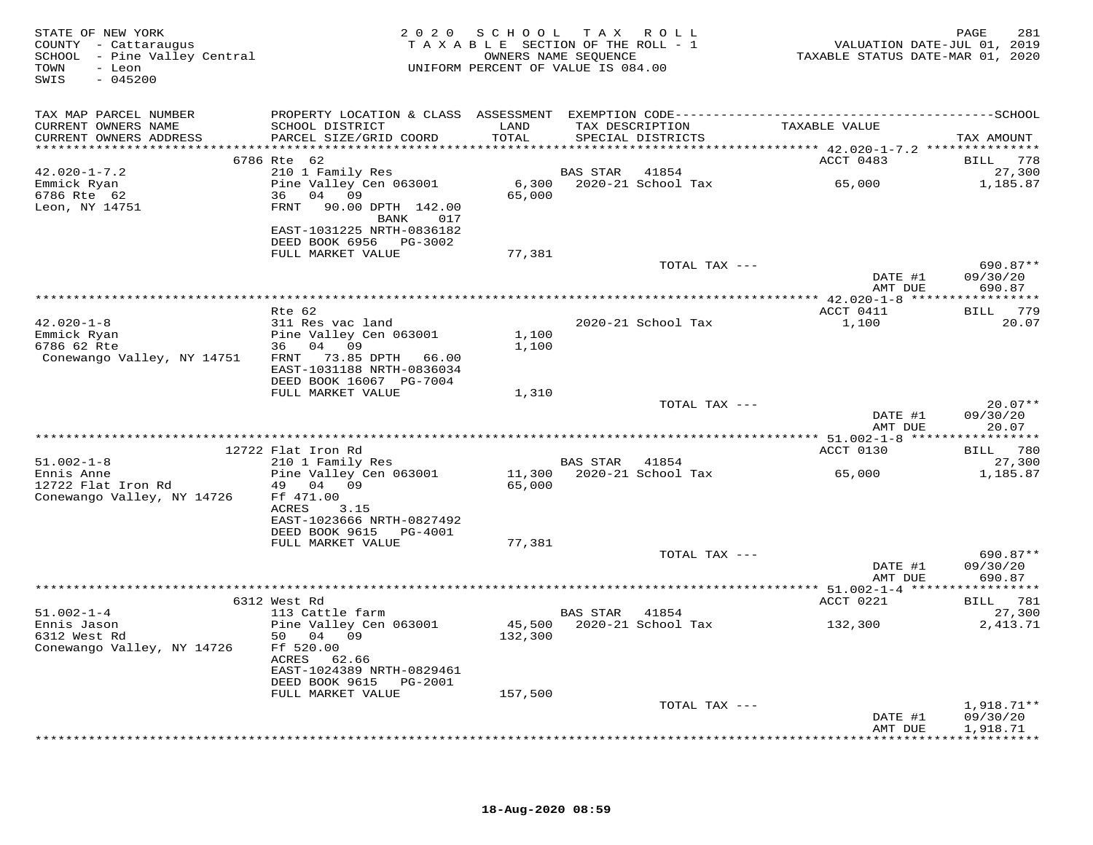| STATE OF NEW YORK<br>COUNTY - Cattaraugus<br>SCHOOL - Pine Valley Central<br>TOWN<br>- Leon<br>$-045200$<br>SWIS |                                                                 |                | 2020 SCHOOL TAX ROLL<br>TAXABLE SECTION OF THE ROLL - 1<br>OWNERS NAME SEQUENCE<br>UNIFORM PERCENT OF VALUE IS 084.00 | VALUATION DATE-JUL 01, 2019<br>TAXABLE STATUS DATE-MAR 01, 2020 | 281<br>PAGE                    |
|------------------------------------------------------------------------------------------------------------------|-----------------------------------------------------------------|----------------|-----------------------------------------------------------------------------------------------------------------------|-----------------------------------------------------------------|--------------------------------|
| TAX MAP PARCEL NUMBER<br>CURRENT OWNERS NAME<br>CURRENT OWNERS ADDRESS                                           | SCHOOL DISTRICT<br>PARCEL SIZE/GRID COORD                       | LAND<br>TOTAL  | TAX DESCRIPTION<br>SPECIAL DISTRICTS                                                                                  | TAXABLE VALUE                                                   | TAX AMOUNT                     |
|                                                                                                                  |                                                                 |                |                                                                                                                       |                                                                 |                                |
|                                                                                                                  | 6786 Rte 62                                                     |                |                                                                                                                       | ACCT 0483                                                       | BILL 778                       |
| $42.020 - 1 - 7.2$                                                                                               | 210 1 Family Res                                                |                | BAS STAR 41854                                                                                                        |                                                                 | 27,300                         |
| Emmick Ryan<br>6786 Rte 62<br>Leon, NY 14751                                                                     | Pine Valley Cen 063001<br>36 04 09<br>FRNT 90.00 DPTH 142.00    | 65,000         |                                                                                                                       |                                                                 | 1,185.87                       |
|                                                                                                                  | BANK 017<br>EAST-1031225 NRTH-0836182<br>DEED BOOK 6956 PG-3002 |                |                                                                                                                       |                                                                 |                                |
|                                                                                                                  | FULL MARKET VALUE                                               | 77,381         |                                                                                                                       |                                                                 |                                |
|                                                                                                                  |                                                                 |                | TOTAL TAX ---                                                                                                         | DATE #1<br>AMT DUE                                              | 690.87**<br>09/30/20<br>690.87 |
|                                                                                                                  |                                                                 |                |                                                                                                                       |                                                                 |                                |
|                                                                                                                  | Rte 62                                                          |                |                                                                                                                       | ACCT 0411                                                       | BILL 779                       |
| $42.020 - 1 - 8$                                                                                                 | 311 Res vac land                                                |                | 2020-21 School Tax                                                                                                    | 1,100                                                           | 20.07                          |
| Emmick Ryan<br>6786 62 Rte                                                                                       | Pine Valley Cen 063001<br>36 04 09                              | 1,100<br>1,100 |                                                                                                                       |                                                                 |                                |
| Conewango Valley, NY 14751                                                                                       | FRNT 73.85 DPTH 66.00                                           |                |                                                                                                                       |                                                                 |                                |
|                                                                                                                  | EAST-1031188 NRTH-0836034                                       |                |                                                                                                                       |                                                                 |                                |
|                                                                                                                  | DEED BOOK 16067 PG-7004                                         |                |                                                                                                                       |                                                                 |                                |
|                                                                                                                  | FULL MARKET VALUE                                               | 1,310          | TOTAL TAX ---                                                                                                         |                                                                 | $20.07**$                      |
|                                                                                                                  |                                                                 |                |                                                                                                                       | DATE #1                                                         | 09/30/20                       |
|                                                                                                                  |                                                                 |                |                                                                                                                       | AMT DUE                                                         | 20.07                          |
|                                                                                                                  |                                                                 |                |                                                                                                                       |                                                                 |                                |
|                                                                                                                  | 12722 Flat Iron Rd                                              |                |                                                                                                                       | ACCT 0130                                                       | BILL 780                       |
| $51.002 - 1 - 8$<br>Ennis Anne                                                                                   | 210 1 Family Res<br>Pine Valley Cen 063001                      |                | BAS STAR 41854<br>11,300 2020-21 School Tax                                                                           | 65,000                                                          | 27,300<br>1,185.87             |
| 12722 Flat Iron Rd                                                                                               | 49 04 09                                                        | 65,000         |                                                                                                                       |                                                                 |                                |
| Conewango Valley, NY 14726                                                                                       | Ff 471.00                                                       |                |                                                                                                                       |                                                                 |                                |
|                                                                                                                  | 3.15<br>ACRES                                                   |                |                                                                                                                       |                                                                 |                                |
|                                                                                                                  | EAST-1023666 NRTH-0827492<br>DEED BOOK 9615 PG-4001             |                |                                                                                                                       |                                                                 |                                |
|                                                                                                                  | FULL MARKET VALUE                                               | 77,381         |                                                                                                                       |                                                                 |                                |
|                                                                                                                  |                                                                 |                | TOTAL TAX ---                                                                                                         |                                                                 | 690.87**                       |
|                                                                                                                  |                                                                 |                |                                                                                                                       | DATE #1                                                         | 09/30/20                       |
|                                                                                                                  |                                                                 |                |                                                                                                                       | AMT DUE                                                         | 690.87                         |
|                                                                                                                  | 6312 West Rd                                                    |                |                                                                                                                       | ACCT 0221                                                       | BILL 781                       |
| $51.002 - 1 - 4$                                                                                                 | 113 Cattle farm                                                 |                | BAS STAR 41854                                                                                                        |                                                                 | 27,300                         |
| Ennis Jason                                                                                                      | Pine Valley Cen 063001                                          |                | 45,500 2020-21 School Tax                                                                                             | 132,300                                                         | 2, 413.71                      |
| 6312 West Rd                                                                                                     | 50 04 09                                                        | 132,300        |                                                                                                                       |                                                                 |                                |
| Conewango Valley, NY 14726                                                                                       | Ff 520.00<br>ACRES 62.66<br>EAST-1024389 NRTH-0829461           |                |                                                                                                                       |                                                                 |                                |
|                                                                                                                  | DEED BOOK 9615 PG-2001                                          |                |                                                                                                                       |                                                                 |                                |
|                                                                                                                  | FULL MARKET VALUE                                               | 157,500        |                                                                                                                       |                                                                 |                                |
|                                                                                                                  |                                                                 |                | TOTAL TAX ---                                                                                                         |                                                                 | $1,918.71**$                   |
|                                                                                                                  |                                                                 |                |                                                                                                                       | DATE #1<br>AMT DUE                                              | 09/30/20<br>1,918.71           |
|                                                                                                                  |                                                                 |                | *********************************                                                                                     | ************************                                        |                                |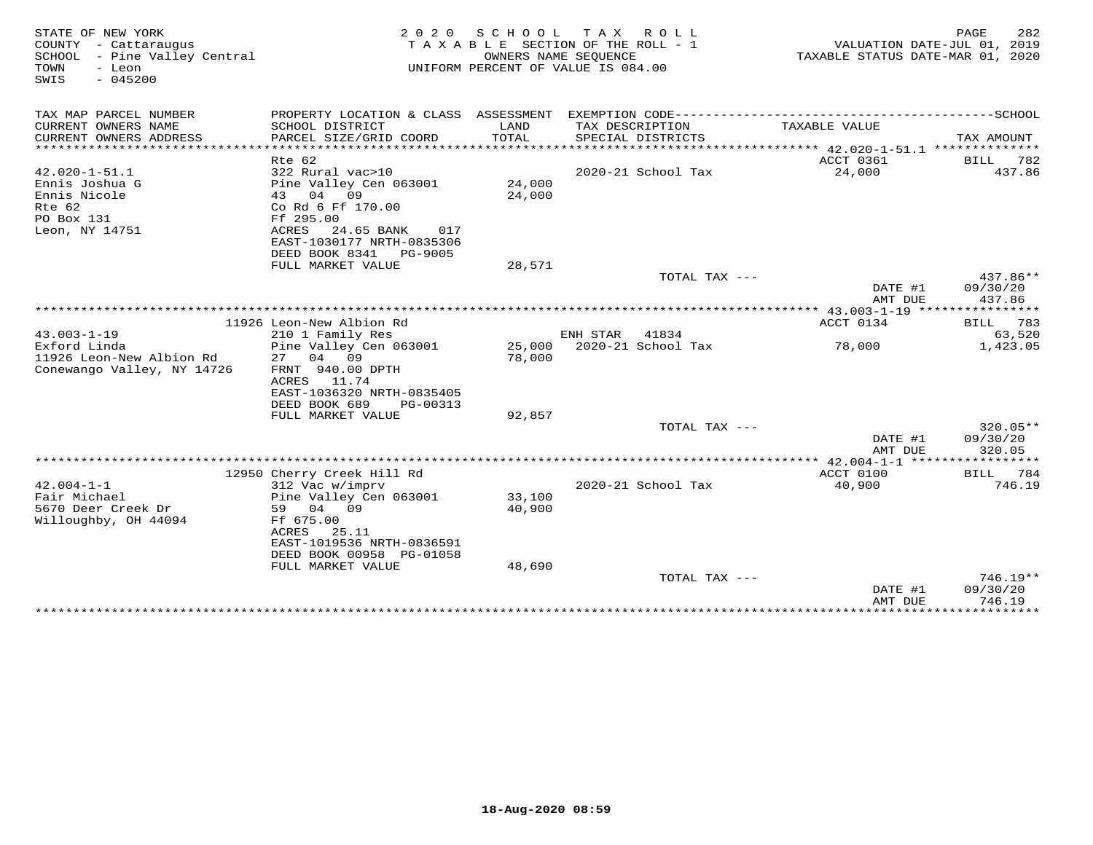| STATE OF NEW YORK<br>COUNTY - Cattaraugus<br>- Pine Valley Central<br>SCHOOL<br>TOWN<br>- Leon<br>$-045200$<br>SWIS | 2 0 2 0                                                                              | SCHOOL<br>OWNERS NAME SEQUENCE | T A X<br>R O L L<br>TAXABLE SECTION OF THE ROLL - 1<br>UNIFORM PERCENT OF VALUE IS 084.00 | VALUATION DATE-JUL 01, 2019<br>TAXABLE STATUS DATE-MAR 01, 2020 | 282<br>PAGE                    |
|---------------------------------------------------------------------------------------------------------------------|--------------------------------------------------------------------------------------|--------------------------------|-------------------------------------------------------------------------------------------|-----------------------------------------------------------------|--------------------------------|
| TAX MAP PARCEL NUMBER                                                                                               |                                                                                      |                                |                                                                                           |                                                                 |                                |
| CURRENT OWNERS NAME<br>CURRENT OWNERS ADDRESS<br>*******************                                                | SCHOOL DISTRICT<br>PARCEL SIZE/GRID COORD                                            | LAND<br>TOTAL                  | TAX DESCRIPTION<br>SPECIAL DISTRICTS<br>****************************                      | TAXABLE VALUE                                                   | TAX AMOUNT                     |
|                                                                                                                     | Rte 62                                                                               |                                |                                                                                           | ****************** 42.020-1-51.1 ***************<br>ACCT 0361   | BILL<br>782                    |
| $42.020 - 1 - 51.1$<br>Ennis Joshua G                                                                               | 322 Rural vac>10<br>Pine Valley Cen 063001                                           | 24,000                         | 2020-21 School Tax                                                                        | 24,000                                                          | 437.86                         |
| Ennis Nicole<br>Rte 62<br>PO Box 131                                                                                | 04<br>43<br>09<br>Co Rd 6 Ff 170.00<br>Ff 295.00                                     | 24,000                         |                                                                                           |                                                                 |                                |
| Leon, NY 14751                                                                                                      | ACRES<br>24.65 BANK<br>017<br>EAST-1030177 NRTH-0835306<br>DEED BOOK 8341<br>PG-9005 |                                |                                                                                           |                                                                 |                                |
|                                                                                                                     | FULL MARKET VALUE                                                                    | 28,571                         |                                                                                           |                                                                 |                                |
|                                                                                                                     |                                                                                      |                                | TOTAL TAX ---                                                                             | DATE #1<br>AMT DUE                                              | 437.86**<br>09/30/20<br>437.86 |
|                                                                                                                     |                                                                                      |                                |                                                                                           |                                                                 |                                |
|                                                                                                                     | 11926 Leon-New Albion Rd                                                             |                                |                                                                                           | ACCT 0134                                                       | 783<br>BILL                    |
| $43.003 - 1 - 19$                                                                                                   | 210 1 Family Res                                                                     |                                | ENH STAR<br>41834                                                                         |                                                                 | 63,520                         |
| Exford Linda                                                                                                        | Pine Valley Cen 063001                                                               |                                | 25,000 2020-21 School Tax                                                                 | 78,000                                                          | 1,423.05                       |
| 11926 Leon-New Albion Rd                                                                                            | 27<br>04<br>09                                                                       | 78,000                         |                                                                                           |                                                                 |                                |
| Conewango Valley, NY 14726                                                                                          | FRNT 940.00 DPTH                                                                     |                                |                                                                                           |                                                                 |                                |
|                                                                                                                     | ACRES<br>11.74<br>EAST-1036320 NRTH-0835405                                          |                                |                                                                                           |                                                                 |                                |
|                                                                                                                     | DEED BOOK 689<br>PG-00313                                                            |                                |                                                                                           |                                                                 |                                |
|                                                                                                                     | FULL MARKET VALUE                                                                    | 92,857                         |                                                                                           |                                                                 |                                |
|                                                                                                                     |                                                                                      |                                | TOTAL TAX ---                                                                             |                                                                 | 320.05**                       |
|                                                                                                                     |                                                                                      |                                |                                                                                           | DATE #1<br>AMT DUE                                              | 09/30/20<br>320.05             |
|                                                                                                                     |                                                                                      |                                |                                                                                           |                                                                 | ********                       |
| $42.004 - 1 - 1$                                                                                                    | 12950 Cherry Creek Hill Rd<br>312 Vac w/imprv                                        |                                | 2020-21 School Tax                                                                        | ACCT 0100<br>40,900                                             | BILL 784<br>746.19             |
| Fair Michael                                                                                                        | Pine Valley Cen 063001                                                               | 33,100                         |                                                                                           |                                                                 |                                |
| 5670 Deer Creek Dr                                                                                                  | 59<br>04 09                                                                          | 40,900                         |                                                                                           |                                                                 |                                |
| Willoughby, OH 44094                                                                                                | Ff 675.00                                                                            |                                |                                                                                           |                                                                 |                                |
|                                                                                                                     | ACRES<br>25.11                                                                       |                                |                                                                                           |                                                                 |                                |
|                                                                                                                     | EAST-1019536 NRTH-0836591                                                            |                                |                                                                                           |                                                                 |                                |
|                                                                                                                     | DEED BOOK 00958 PG-01058                                                             |                                |                                                                                           |                                                                 |                                |
|                                                                                                                     | FULL MARKET VALUE                                                                    | 48,690                         |                                                                                           |                                                                 |                                |
|                                                                                                                     |                                                                                      |                                | TOTAL TAX ---                                                                             | DATE #1                                                         | $746.19**$<br>09/30/20         |
|                                                                                                                     |                                                                                      |                                |                                                                                           | AMT DUE                                                         | 746.19                         |
|                                                                                                                     | *******************************                                                      |                                | **********************                                                                    | ***************                                                 | ************                   |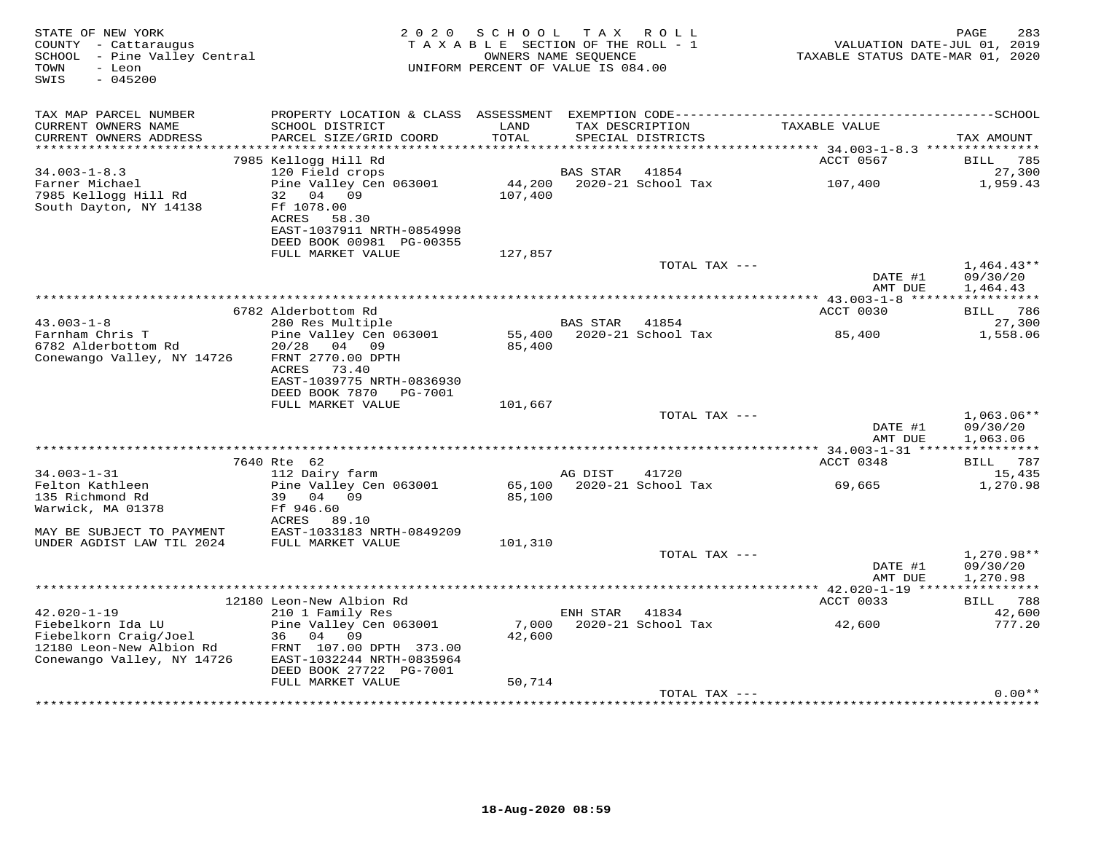| STATE OF NEW YORK<br>COUNTY - Cattaraugus<br>SCHOOL - Pine Valley Central<br>- Leon<br>TOWN<br>SWIS<br>$-045200$          | 2 0 2 0                                                                                                                                           | S C H O O L<br>TAXABLE SECTION OF THE ROLL - 1<br>OWNERS NAME SEQUENCE<br>UNIFORM PERCENT OF VALUE IS 084.00 | T A X           | R O L L                     | VALUATION DATE-JUL 01, 2019<br>TAXABLE STATUS DATE-MAR 01, 2020 | PAGE<br>283                          |
|---------------------------------------------------------------------------------------------------------------------------|---------------------------------------------------------------------------------------------------------------------------------------------------|--------------------------------------------------------------------------------------------------------------|-----------------|-----------------------------|-----------------------------------------------------------------|--------------------------------------|
| TAX MAP PARCEL NUMBER<br>CURRENT OWNERS NAME                                                                              | SCHOOL DISTRICT                                                                                                                                   | LAND                                                                                                         |                 | TAX DESCRIPTION             | TAXABLE VALUE                                                   |                                      |
| CURRENT OWNERS ADDRESS                                                                                                    | PARCEL SIZE/GRID COORD                                                                                                                            | TOTAL                                                                                                        |                 | SPECIAL DISTRICTS           |                                                                 | TAX AMOUNT                           |
|                                                                                                                           | 7985 Kellogg Hill Rd                                                                                                                              |                                                                                                              |                 |                             | ACCT 0567                                                       | 785<br>BILL                          |
| $34.003 - 1 - 8.3$                                                                                                        | 120 Field crops                                                                                                                                   |                                                                                                              | <b>BAS STAR</b> | 41854                       |                                                                 | 27,300                               |
| Farner Michael<br>7985 Kellogg Hill Rd<br>South Dayton, NY 14138                                                          | Pine Valley Cen 063001<br>32<br>04<br>09<br>Ff 1078.00<br>ACRES<br>58.30<br>EAST-1037911 NRTH-0854998<br>DEED BOOK 00981 PG-00355                 | 44,200<br>107,400                                                                                            |                 | 2020-21 School Tax          | 107,400                                                         | 1,959.43                             |
|                                                                                                                           | FULL MARKET VALUE                                                                                                                                 | 127,857                                                                                                      |                 |                             |                                                                 |                                      |
|                                                                                                                           |                                                                                                                                                   |                                                                                                              |                 | TOTAL TAX ---               | DATE #1<br>AMT DUE                                              | $1,464.43**$<br>09/30/20<br>1,464.43 |
|                                                                                                                           |                                                                                                                                                   |                                                                                                              |                 |                             |                                                                 |                                      |
|                                                                                                                           | 6782 Alderbottom Rd                                                                                                                               |                                                                                                              |                 |                             | ACCT 0030                                                       | BILL 786                             |
| $43.003 - 1 - 8$<br>Farnham Chris T<br>6782 Alderbottom Rd<br>Conewango Valley, NY 14726                                  | 280 Res Multiple<br>Pine Valley Cen 063001<br>20/28<br>04 09<br>FRNT 2770.00 DPTH<br>ACRES<br>73.40                                               | 55,400<br>85,400                                                                                             | BAS STAR        | 41854<br>2020-21 School Tax | 85,400                                                          | 27,300<br>1,558.06                   |
|                                                                                                                           | EAST-1039775 NRTH-0836930<br>DEED BOOK 7870                                                                                                       |                                                                                                              |                 |                             |                                                                 |                                      |
|                                                                                                                           | PG-7001<br>FULL MARKET VALUE                                                                                                                      | 101,667                                                                                                      |                 |                             |                                                                 |                                      |
|                                                                                                                           |                                                                                                                                                   |                                                                                                              |                 | TOTAL TAX ---               |                                                                 | $1,063.06**$                         |
|                                                                                                                           |                                                                                                                                                   |                                                                                                              |                 |                             | DATE #1<br>AMT DUE                                              | 09/30/20<br>1,063.06                 |
|                                                                                                                           | 7640 Rte 62                                                                                                                                       |                                                                                                              |                 |                             | ACCT 0348                                                       | BILL 787                             |
| $34.003 - 1 - 31$                                                                                                         | 112 Dairy farm                                                                                                                                    |                                                                                                              | AG DIST         | 41720                       |                                                                 | 15,435                               |
| Felton Kathleen<br>135 Richmond Rd<br>Warwick, MA 01378                                                                   | Pine Valley Cen 063001<br>39<br>04<br>09<br>Ff 946.60                                                                                             | 65,100<br>85,100                                                                                             |                 | 2020-21 School Tax          | 69,665                                                          | 1,270.98                             |
| MAY BE SUBJECT TO PAYMENT<br>UNDER AGDIST LAW TIL 2024                                                                    | ACRES<br>89.10<br>EAST-1033183 NRTH-0849209<br>FULL MARKET VALUE                                                                                  | 101,310                                                                                                      |                 |                             |                                                                 |                                      |
|                                                                                                                           |                                                                                                                                                   |                                                                                                              |                 | TOTAL TAX ---               | DATE #1<br>AMT DUE                                              | $1,270.98**$<br>09/30/20<br>1,270.98 |
|                                                                                                                           |                                                                                                                                                   |                                                                                                              |                 |                             | *********** 42.020-1-19 *****************                       |                                      |
|                                                                                                                           | 12180 Leon-New Albion Rd                                                                                                                          |                                                                                                              |                 |                             | ACCT 0033                                                       | BILL 788                             |
| $42.020 - 1 - 19$<br>Fiebelkorn Ida LU<br>Fiebelkorn Craig/Joel<br>12180 Leon-New Albion Rd<br>Conewango Valley, NY 14726 | 210 1 Family Res<br>Pine Valley Cen 063001<br>36<br>04<br>- 09<br>FRNT 107.00 DPTH 373.00<br>EAST-1032244 NRTH-0835964<br>DEED BOOK 27722 PG-7001 | 7,000<br>42,600                                                                                              | ENH STAR        | 41834<br>2020-21 School Tax | 42,600                                                          | 42,600<br>777.20                     |
|                                                                                                                           | FULL MARKET VALUE                                                                                                                                 | 50,714                                                                                                       |                 |                             |                                                                 |                                      |
|                                                                                                                           |                                                                                                                                                   |                                                                                                              |                 | TOTAL TAX ---               |                                                                 | $0.00**$                             |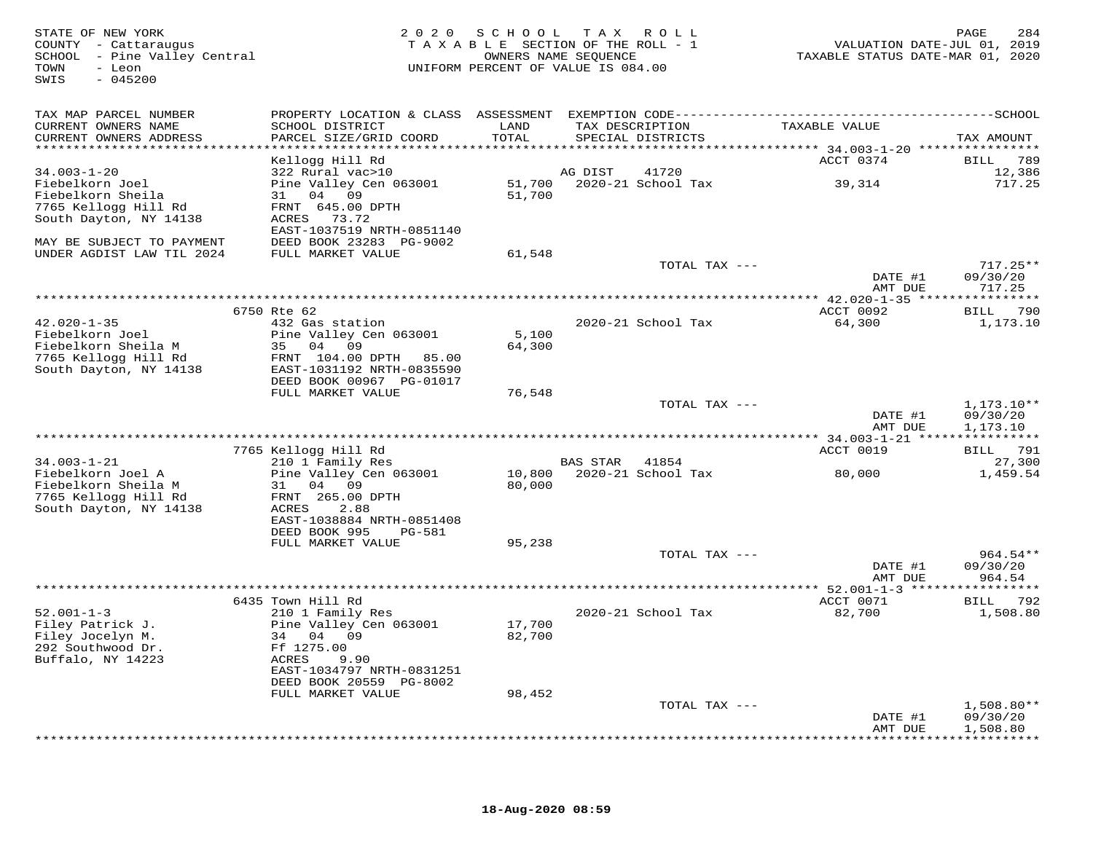| STATE OF NEW YORK<br>COUNTY - Cattaraugus<br>SCHOOL - Pine Valley Central<br>TOWN<br>- Leon<br>SWIS<br>$-045200$ |                                                     | 2020 SCHOOL   | T A X<br>R O L L<br>TAXABLE SECTION OF THE ROLL - 1<br>OWNERS NAME SEQUENCE<br>UNIFORM PERCENT OF VALUE IS 084.00 | VALUATION DATE-JUL 01, 2019<br>TAXABLE STATUS DATE-MAR 01, 2020 | PAGE<br>284          |
|------------------------------------------------------------------------------------------------------------------|-----------------------------------------------------|---------------|-------------------------------------------------------------------------------------------------------------------|-----------------------------------------------------------------|----------------------|
| TAX MAP PARCEL NUMBER                                                                                            |                                                     |               |                                                                                                                   |                                                                 |                      |
| CURRENT OWNERS NAME<br>CURRENT OWNERS ADDRESS<br>******************************                                  | SCHOOL DISTRICT<br>PARCEL SIZE/GRID COORD           | LAND<br>TOTAL | TAX DESCRIPTION<br>SPECIAL DISTRICTS                                                                              | TAXABLE VALUE                                                   | TAX AMOUNT           |
|                                                                                                                  | Kellogg Hill Rd                                     |               |                                                                                                                   | ACCT 0374                                                       | 789<br>BILL          |
| $34.003 - 1 - 20$                                                                                                | 322 Rural vac>10                                    |               | 41720<br>AG DIST                                                                                                  |                                                                 | 12,386               |
| Fiebelkorn Joel                                                                                                  | Pine Valley Cen 063001                              | 51,700        | 2020-21 School Tax                                                                                                | 39,314                                                          | 717.25               |
| Fiebelkorn Sheila                                                                                                | 31 04 09                                            | 51,700        |                                                                                                                   |                                                                 |                      |
| 7765 Kellogg Hill Rd<br>South Dayton, NY 14138                                                                   | FRNT 645.00 DPTH<br>ACRES 73.72                     |               |                                                                                                                   |                                                                 |                      |
|                                                                                                                  | EAST-1037519 NRTH-0851140                           |               |                                                                                                                   |                                                                 |                      |
| MAY BE SUBJECT TO PAYMENT                                                                                        | DEED BOOK 23283 PG-9002                             |               |                                                                                                                   |                                                                 |                      |
| UNDER AGDIST LAW TIL 2024                                                                                        | FULL MARKET VALUE                                   | 61,548        |                                                                                                                   |                                                                 |                      |
|                                                                                                                  |                                                     |               | TOTAL TAX ---                                                                                                     |                                                                 | $717.25**$           |
|                                                                                                                  |                                                     |               |                                                                                                                   | DATE #1                                                         | 09/30/20             |
|                                                                                                                  |                                                     |               |                                                                                                                   | AMT DUE                                                         | 717.25               |
|                                                                                                                  | 6750 Rte 62                                         |               |                                                                                                                   | ACCT 0092                                                       | BILL 790             |
| $42.020 - 1 - 35$                                                                                                | 432 Gas station                                     |               | 2020-21 School Tax                                                                                                | 64,300                                                          | 1,173.10             |
| Fiebelkorn Joel                                                                                                  | Pine Valley Cen 063001                              | 5,100         |                                                                                                                   |                                                                 |                      |
| Fiebelkorn Sheila M                                                                                              | 35 04 09                                            | 64,300        |                                                                                                                   |                                                                 |                      |
| 7765 Kellogg Hill Rd<br>South Dayton, NY 14138                                                                   | FRNT 104.00 DPTH 85.00<br>EAST-1031192 NRTH-0835590 |               |                                                                                                                   |                                                                 |                      |
|                                                                                                                  | DEED BOOK 00967 PG-01017                            |               |                                                                                                                   |                                                                 |                      |
|                                                                                                                  | FULL MARKET VALUE                                   | 76,548        |                                                                                                                   |                                                                 |                      |
|                                                                                                                  |                                                     |               | TOTAL TAX ---                                                                                                     |                                                                 | $1,173.10**$         |
|                                                                                                                  |                                                     |               |                                                                                                                   | DATE #1                                                         | 09/30/20             |
|                                                                                                                  |                                                     |               |                                                                                                                   | AMT DUE                                                         | 1,173.10             |
|                                                                                                                  | 7765 Kellogg Hill Rd                                |               |                                                                                                                   | ACCT 0019                                                       | BILL 791             |
| $34.003 - 1 - 21$                                                                                                | 210 1 Family Res                                    |               | BAS STAR<br>41854                                                                                                 |                                                                 | 27,300               |
| Fiebelkorn Joel A                                                                                                | Pine Valley Cen 063001                              | 10,800        | 2020-21 School Tax                                                                                                | 80,000                                                          | 1,459.54             |
| Fiebelkorn Sheila M                                                                                              | 31<br>04<br>09                                      | 80,000        |                                                                                                                   |                                                                 |                      |
| 7765 Kellogg Hill Rd<br>South Dayton, NY 14138                                                                   | FRNT 265.00 DPTH<br>ACRES<br>2.88                   |               |                                                                                                                   |                                                                 |                      |
|                                                                                                                  | EAST-1038884 NRTH-0851408                           |               |                                                                                                                   |                                                                 |                      |
|                                                                                                                  | DEED BOOK 995<br>PG-581                             |               |                                                                                                                   |                                                                 |                      |
|                                                                                                                  | FULL MARKET VALUE                                   | 95,238        |                                                                                                                   |                                                                 |                      |
|                                                                                                                  |                                                     |               | TOTAL TAX ---                                                                                                     |                                                                 | $964.54**$           |
|                                                                                                                  |                                                     |               |                                                                                                                   | DATE #1<br>AMT DUE                                              | 09/30/20<br>964.54   |
|                                                                                                                  |                                                     |               |                                                                                                                   |                                                                 |                      |
|                                                                                                                  | 6435 Town Hill Rd                                   |               |                                                                                                                   | ACCT 0071                                                       | 792<br>BILL          |
| $52.001 - 1 - 3$                                                                                                 | 210 1 Family Res                                    |               | 2020-21 School Tax                                                                                                | 82,700                                                          | 1,508.80             |
| Filey Patrick J.                                                                                                 | Pine Valley Cen 063001                              | 17,700        |                                                                                                                   |                                                                 |                      |
| Filey Jocelyn M.<br>292 Southwood Dr.                                                                            | 34 04 09                                            | 82,700        |                                                                                                                   |                                                                 |                      |
| Buffalo, NY 14223                                                                                                | Ff 1275.00<br>ACRES<br>9.90                         |               |                                                                                                                   |                                                                 |                      |
|                                                                                                                  | EAST-1034797 NRTH-0831251                           |               |                                                                                                                   |                                                                 |                      |
|                                                                                                                  | DEED BOOK 20559 PG-8002                             |               |                                                                                                                   |                                                                 |                      |
|                                                                                                                  | FULL MARKET VALUE                                   | 98,452        |                                                                                                                   |                                                                 |                      |
|                                                                                                                  |                                                     |               | TOTAL TAX ---                                                                                                     |                                                                 | $1,508.80**$         |
|                                                                                                                  |                                                     |               |                                                                                                                   | DATE #1<br>AMT DUE                                              | 09/30/20<br>1,508.80 |
|                                                                                                                  |                                                     |               |                                                                                                                   |                                                                 | * * * * * * * * * ·  |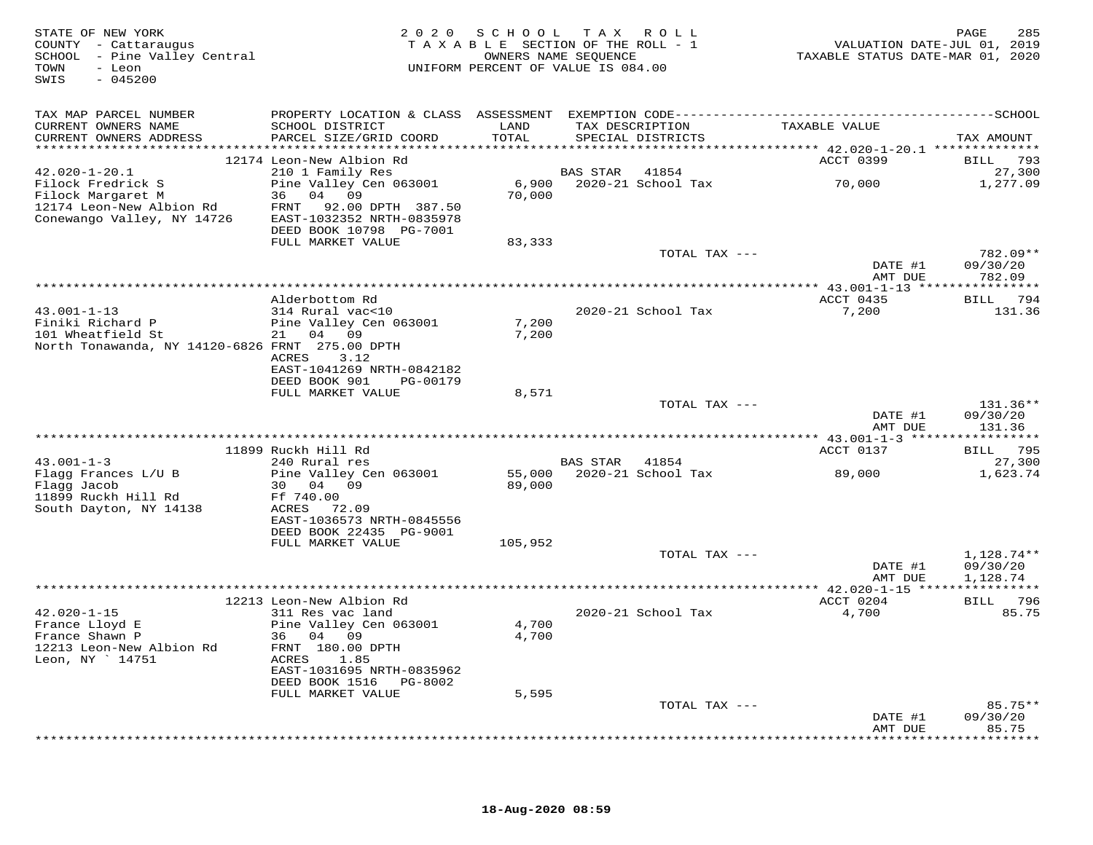| STATE OF NEW YORK<br>COUNTY - Cattaraugus<br>SCHOOL - Pine Valley Central<br>TOWN<br>- Leon<br>SWIS<br>$-045200$ |                                                                                | 2020 SCHOOL TAX ROLL<br>TAXABLE SECTION OF THE ROLL - 1<br>OWNERS NAME SEQUENCE<br>UNIFORM PERCENT OF VALUE IS 084.00 |                |                                      | VALUATION DATE-JUL 01, 2019<br>TAXABLE STATUS DATE-MAR 01, 2020 | 285<br>PAGE          |
|------------------------------------------------------------------------------------------------------------------|--------------------------------------------------------------------------------|-----------------------------------------------------------------------------------------------------------------------|----------------|--------------------------------------|-----------------------------------------------------------------|----------------------|
| TAX MAP PARCEL NUMBER                                                                                            |                                                                                |                                                                                                                       |                |                                      |                                                                 |                      |
| CURRENT OWNERS NAME<br>CURRENT OWNERS ADDRESS                                                                    | SCHOOL DISTRICT<br>PARCEL SIZE/GRID COORD                                      | LAND<br>TOTAL                                                                                                         |                | TAX DESCRIPTION<br>SPECIAL DISTRICTS | TAXABLE VALUE                                                   | TAX AMOUNT           |
|                                                                                                                  |                                                                                |                                                                                                                       |                |                                      |                                                                 |                      |
| $42.020 - 1 - 20.1$                                                                                              | 12174 Leon-New Albion Rd<br>210 1 Family Res                                   |                                                                                                                       | BAS STAR 41854 |                                      | <b>ACCT 0399</b>                                                | BILL 793<br>27,300   |
| Filock Fredrick S                                                                                                | Pine Valley Cen 063001                                                         |                                                                                                                       |                | 6,900 2020-21 School Tax             | 70,000                                                          | 1,277.09             |
| Filock Margaret M                                                                                                | 36 04 09                                                                       | 70,000                                                                                                                |                |                                      |                                                                 |                      |
| 12174 Leon-New Albion Rd<br>Conewango Valley, NY 14726                                                           | FRNT 92.00 DPTH 387.50<br>EAST-1032352 NRTH-0835978<br>DEED BOOK 10798 PG-7001 |                                                                                                                       |                |                                      |                                                                 |                      |
|                                                                                                                  | FULL MARKET VALUE                                                              | 83,333                                                                                                                |                |                                      |                                                                 |                      |
|                                                                                                                  |                                                                                |                                                                                                                       |                | TOTAL TAX ---                        | DATE #1                                                         | 782.09**<br>09/30/20 |
|                                                                                                                  |                                                                                |                                                                                                                       |                |                                      | AMT DUE                                                         | 782.09               |
|                                                                                                                  | Alderbottom Rd                                                                 |                                                                                                                       |                |                                      | ACCT 0435                                                       | BILL 794             |
| $43.001 - 1 - 13$                                                                                                | 314 Rural vac<10                                                               |                                                                                                                       |                | 2020-21 School Tax                   | 7,200                                                           | 131.36               |
| Finiki Richard P                                                                                                 | Pine Valley Cen 063001                                                         | 7,200                                                                                                                 |                |                                      |                                                                 |                      |
| 101 Wheatfield St                                                                                                | 21 04 09                                                                       | 7,200                                                                                                                 |                |                                      |                                                                 |                      |
| North Tonawanda, NY 14120-6826 FRNT 275.00 DPTH                                                                  |                                                                                |                                                                                                                       |                |                                      |                                                                 |                      |
|                                                                                                                  | ACRES 3.12<br>EAST-1041269 NRTH-0842182                                        |                                                                                                                       |                |                                      |                                                                 |                      |
|                                                                                                                  | DEED BOOK 901 PG-00179                                                         |                                                                                                                       |                |                                      |                                                                 |                      |
|                                                                                                                  | FULL MARKET VALUE                                                              | 8,571                                                                                                                 |                |                                      |                                                                 |                      |
|                                                                                                                  |                                                                                |                                                                                                                       |                | TOTAL TAX ---                        |                                                                 | 131.36**             |
|                                                                                                                  |                                                                                |                                                                                                                       |                |                                      | DATE #1<br>AMT DUE                                              | 09/30/20<br>131.36   |
|                                                                                                                  |                                                                                |                                                                                                                       |                |                                      |                                                                 | BILL 795             |
| $43.001 - 1 - 3$                                                                                                 | 11899 Ruckh Hill Rd<br>240 Rural res                                           |                                                                                                                       | BAS STAR 41854 |                                      | ACCT 0137                                                       | 27,300               |
| Flagg Frances L/U B                                                                                              | Pine Valley Cen 063001                                                         |                                                                                                                       |                | 55,000 2020-21 School Tax            | 89,000                                                          | 1,623.74             |
| Flagg Jacob                                                                                                      | 30 04 09                                                                       | 89,000                                                                                                                |                |                                      |                                                                 |                      |
| 11899 Ruckh Hill Rd                                                                                              | Ff 740.00                                                                      |                                                                                                                       |                |                                      |                                                                 |                      |
| South Dayton, NY 14138                                                                                           | ACRES 72.09<br>EAST-1036573 NRTH-0845556                                       |                                                                                                                       |                |                                      |                                                                 |                      |
|                                                                                                                  | DEED BOOK 22435 PG-9001                                                        |                                                                                                                       |                |                                      |                                                                 |                      |
|                                                                                                                  | FULL MARKET VALUE                                                              | 105,952                                                                                                               |                |                                      |                                                                 |                      |
|                                                                                                                  |                                                                                |                                                                                                                       |                | TOTAL TAX ---                        |                                                                 | 1,128.74**           |
|                                                                                                                  |                                                                                |                                                                                                                       |                |                                      | DATE #1                                                         | 09/30/20             |
|                                                                                                                  |                                                                                |                                                                                                                       |                |                                      | AMT DUE                                                         | 1,128.74             |
|                                                                                                                  | 12213 Leon-New Albion Rd                                                       |                                                                                                                       |                |                                      | ACCT 0204                                                       | BILL 796             |
| $42.020 - 1 - 15$                                                                                                | 311 Res vac land                                                               |                                                                                                                       |                | 2020-21 School Tax                   | 4,700                                                           | 85.75                |
| $42.020 - 1 - 1$<br>France Lloyd E<br>$\frac{6 \text{ h} - 1}{2}$                                                | Pine Valley Cen 063001                                                         | 4,700                                                                                                                 |                |                                      |                                                                 |                      |
|                                                                                                                  | 36 04 09                                                                       | 4,700                                                                                                                 |                |                                      |                                                                 |                      |
| 12213 Leon-New Albion Rd<br>Leon, NY ` 14751                                                                     | FRNT 180.00 DPTH<br>ACRES 1.85                                                 |                                                                                                                       |                |                                      |                                                                 |                      |
|                                                                                                                  | EAST-1031695 NRTH-0835962                                                      |                                                                                                                       |                |                                      |                                                                 |                      |
|                                                                                                                  | DEED BOOK 1516 PG-8002                                                         |                                                                                                                       |                |                                      |                                                                 |                      |
|                                                                                                                  | FULL MARKET VALUE                                                              | 5,595                                                                                                                 |                |                                      |                                                                 |                      |
|                                                                                                                  |                                                                                |                                                                                                                       |                | TOTAL TAX ---                        |                                                                 | $85.75**$            |
|                                                                                                                  |                                                                                |                                                                                                                       |                |                                      | DATE #1<br>AMT DUE                                              | 09/30/20<br>85.75    |
|                                                                                                                  |                                                                                |                                                                                                                       |                |                                      |                                                                 | *******              |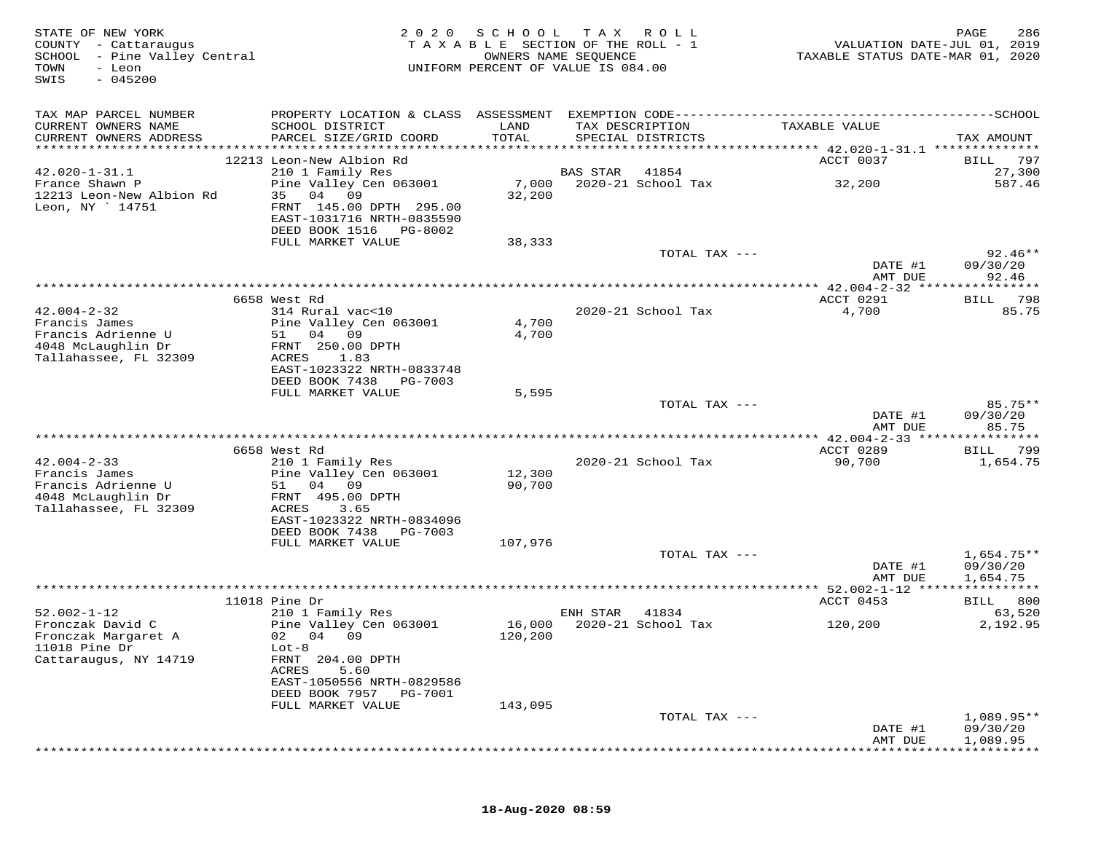| STATE OF NEW YORK<br>COUNTY - Cattaraugus<br>SCHOOL - Pine Valley Central<br>TOWN<br>- Leon<br>$-045200$<br>SWIS | 2 0 2 0                                                          | SCHOOL        | T A X<br>R O L L<br>TAXABLE SECTION OF THE ROLL - 1<br>OWNERS NAME SEQUENCE<br>UNIFORM PERCENT OF VALUE IS 084.00 | VALUATION DATE-JUL 01, 2019<br>TAXABLE STATUS DATE-MAR 01, 2020 | PAGE<br>286        |
|------------------------------------------------------------------------------------------------------------------|------------------------------------------------------------------|---------------|-------------------------------------------------------------------------------------------------------------------|-----------------------------------------------------------------|--------------------|
| TAX MAP PARCEL NUMBER                                                                                            |                                                                  |               |                                                                                                                   |                                                                 |                    |
| CURRENT OWNERS NAME<br>CURRENT OWNERS ADDRESS                                                                    | SCHOOL DISTRICT<br>PARCEL SIZE/GRID COORD                        | LAND<br>TOTAL | TAX DESCRIPTION<br>SPECIAL DISTRICTS                                                                              | TAXABLE VALUE                                                   | TAX AMOUNT         |
| ***********************                                                                                          |                                                                  |               |                                                                                                                   |                                                                 |                    |
| $42.020 - 1 - 31.1$                                                                                              | 12213 Leon-New Albion Rd<br>210 1 Family Res                     |               | <b>BAS STAR</b><br>41854                                                                                          | ACCT 0037                                                       | BILL 797<br>27,300 |
| France Shawn P                                                                                                   | Pine Valley Cen 063001                                           | 7,000         | 2020-21 School Tax                                                                                                | 32,200                                                          | 587.46             |
| 12213 Leon-New Albion Rd<br>Leon, NY 14751                                                                       | 35 04 09<br>FRNT 145.00 DPTH 295.00<br>EAST-1031716 NRTH-0835590 | 32,200        |                                                                                                                   |                                                                 |                    |
|                                                                                                                  | DEED BOOK 1516 PG-8002                                           |               |                                                                                                                   |                                                                 |                    |
|                                                                                                                  | FULL MARKET VALUE                                                | 38,333        | TOTAL TAX ---                                                                                                     |                                                                 | $92.46**$          |
|                                                                                                                  |                                                                  |               |                                                                                                                   | DATE #1<br>AMT DUE                                              | 09/30/20<br>92.46  |
|                                                                                                                  |                                                                  |               |                                                                                                                   | **** 42.004-2-32 *****************                              |                    |
|                                                                                                                  | 6658 West Rd                                                     |               |                                                                                                                   | ACCT 0291                                                       | 798<br>BILL        |
| $42.004 - 2 - 32$                                                                                                | 314 Rural vac<10                                                 |               | 2020-21 School Tax                                                                                                | 4,700                                                           | 85.75              |
| Francis James                                                                                                    | Pine Valley Cen 063001                                           | 4,700         |                                                                                                                   |                                                                 |                    |
| Francis Adrienne U<br>4048 McLaughlin Dr                                                                         | 51 04 09                                                         | 4,700         |                                                                                                                   |                                                                 |                    |
| Tallahassee, FL 32309                                                                                            | FRNT 250.00 DPTH<br>ACRES<br>1.83                                |               |                                                                                                                   |                                                                 |                    |
|                                                                                                                  | EAST-1023322 NRTH-0833748                                        |               |                                                                                                                   |                                                                 |                    |
|                                                                                                                  | DEED BOOK 7438<br>PG-7003                                        |               |                                                                                                                   |                                                                 |                    |
|                                                                                                                  | FULL MARKET VALUE                                                | 5,595         |                                                                                                                   |                                                                 |                    |
|                                                                                                                  |                                                                  |               | TOTAL TAX ---                                                                                                     |                                                                 | $85.75**$          |
|                                                                                                                  |                                                                  |               |                                                                                                                   | DATE #1                                                         | 09/30/20           |
|                                                                                                                  |                                                                  |               |                                                                                                                   | AMT DUE                                                         | 85.75              |
|                                                                                                                  | 6658 West Rd                                                     |               |                                                                                                                   | ACCT 0289                                                       | BILL<br>799        |
| $42.004 - 2 - 33$                                                                                                | 210 1 Family Res                                                 |               | 2020-21 School Tax                                                                                                | 90,700                                                          | 1,654.75           |
| Francis James                                                                                                    | Pine Valley Cen 063001                                           | 12,300        |                                                                                                                   |                                                                 |                    |
| Francis Adrienne U                                                                                               | 51<br>04 09                                                      | 90,700        |                                                                                                                   |                                                                 |                    |
| 4048 McLaughlin Dr<br>Tallahassee, FL 32309                                                                      | FRNT 495.00 DPTH<br>3.65                                         |               |                                                                                                                   |                                                                 |                    |
|                                                                                                                  | ACRES<br>EAST-1023322 NRTH-0834096                               |               |                                                                                                                   |                                                                 |                    |
|                                                                                                                  | DEED BOOK 7438<br>PG-7003                                        |               |                                                                                                                   |                                                                 |                    |
|                                                                                                                  | FULL MARKET VALUE                                                | 107,976       |                                                                                                                   |                                                                 |                    |
|                                                                                                                  |                                                                  |               | TOTAL TAX ---                                                                                                     |                                                                 | $1,654.75**$       |
|                                                                                                                  |                                                                  |               |                                                                                                                   | DATE #1                                                         | 09/30/20           |
|                                                                                                                  |                                                                  |               | *************************************                                                                             | AMT DUE<br>******* 52.002-1-12 ****************                 | 1,654.75           |
|                                                                                                                  | $11018$ Pine Dr                                                  |               |                                                                                                                   | ACCT 0453                                                       | BILL 800           |
| $52.002 - 1 - 12$                                                                                                | 210 1 Family Res                                                 |               | 41834<br>ENH STAR                                                                                                 |                                                                 | 63,520             |
| Fronczak David C                                                                                                 | Pine Valley Cen 063001                                           | 16,000        | 2020-21 School Tax                                                                                                | 120,200                                                         | 2,192.95           |
| Fronczak Margaret A                                                                                              | 02 04 09                                                         | 120,200       |                                                                                                                   |                                                                 |                    |
| $11018$ Pine Dr                                                                                                  | $Lot-8$                                                          |               |                                                                                                                   |                                                                 |                    |
| Cattaraugus, NY 14719                                                                                            | FRNT 204.00 DPTH<br>ACRES<br>5.60                                |               |                                                                                                                   |                                                                 |                    |
|                                                                                                                  | EAST-1050556 NRTH-0829586                                        |               |                                                                                                                   |                                                                 |                    |
|                                                                                                                  | DEED BOOK 7957<br>PG-7001                                        |               |                                                                                                                   |                                                                 |                    |
|                                                                                                                  | FULL MARKET VALUE                                                | 143,095       |                                                                                                                   |                                                                 |                    |
|                                                                                                                  |                                                                  |               | TOTAL TAX ---                                                                                                     |                                                                 | $1,089.95**$       |
|                                                                                                                  |                                                                  |               |                                                                                                                   | DATE #1                                                         | 09/30/20           |
|                                                                                                                  |                                                                  |               |                                                                                                                   | AMT DUE                                                         | 1,089.95           |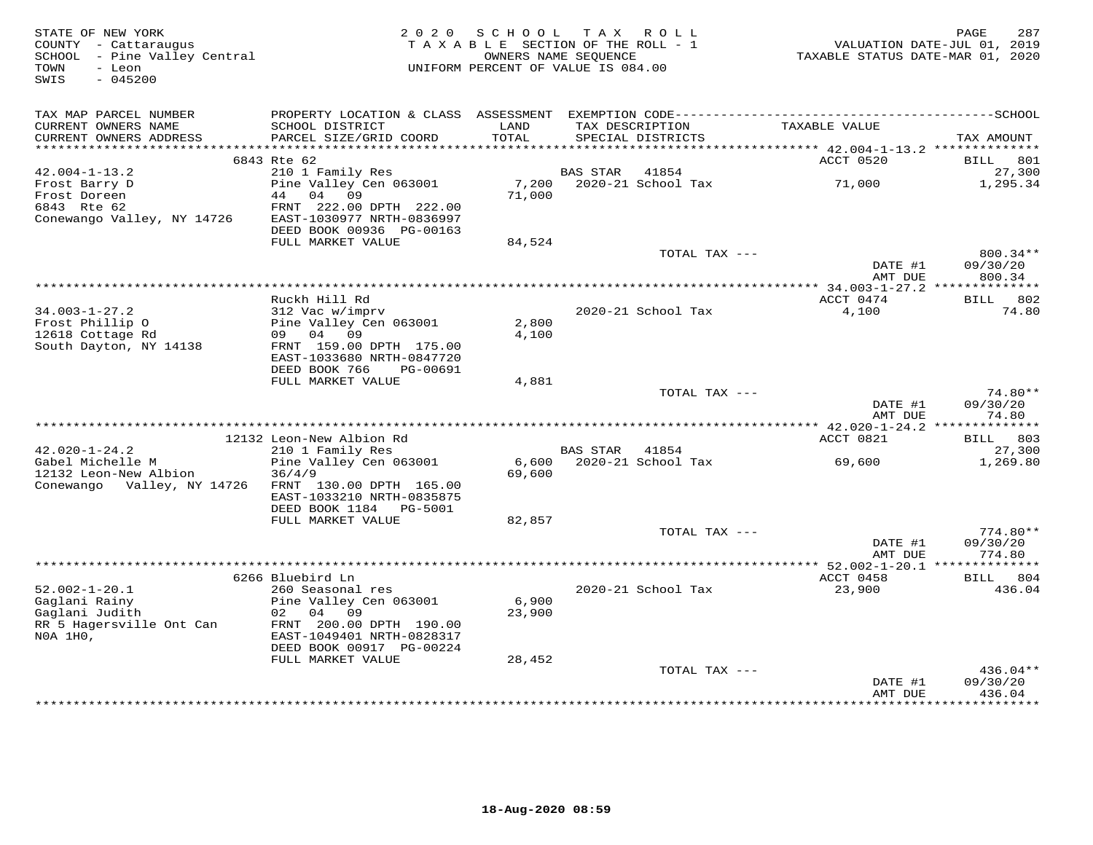| STATE OF NEW YORK<br>COUNTY - Cattaraugus<br>SCHOOL - Pine Valley Central<br>- Leon<br>TOWN<br>$-045200$<br>SWIS |                                                                                              | 2020 SCHOOL TAX ROLL<br>TAXABLE SECTION OF THE ROLL - 1<br>OWNERS NAME SEOUENCE<br>UNIFORM PERCENT OF VALUE IS 084.00 |                 |                                      | TAXABLE STATUS DATE-MAR 01, 2020             | PAGE<br>287<br>VALUATION DATE-JUL 01, 2019 |
|------------------------------------------------------------------------------------------------------------------|----------------------------------------------------------------------------------------------|-----------------------------------------------------------------------------------------------------------------------|-----------------|--------------------------------------|----------------------------------------------|--------------------------------------------|
|                                                                                                                  |                                                                                              |                                                                                                                       |                 |                                      |                                              |                                            |
| TAX MAP PARCEL NUMBER                                                                                            | PROPERTY LOCATION & CLASS ASSESSMENT EXEMPTION CODE-----------------------------------SCHOOL |                                                                                                                       |                 |                                      |                                              |                                            |
| CURRENT OWNERS NAME<br>CURRENT OWNERS ADDRESS                                                                    | SCHOOL DISTRICT<br>PARCEL SIZE/GRID COORD                                                    | LAND<br>TOTAL                                                                                                         |                 | TAX DESCRIPTION<br>SPECIAL DISTRICTS | TAXABLE VALUE                                | TAX AMOUNT                                 |
|                                                                                                                  |                                                                                              |                                                                                                                       |                 |                                      |                                              |                                            |
| $42.004 - 1 - 13.2$                                                                                              | 6843 Rte 62<br>210 1 Family Res                                                              |                                                                                                                       | <b>BAS STAR</b> | 41854                                | ACCT 0520                                    | 801<br>BILL<br>27,300                      |
| Frost Barry D                                                                                                    | Pine Valley Cen 063001                                                                       | 7,200                                                                                                                 |                 | 2020-21 School Tax                   | 71,000                                       | 1,295.34                                   |
| Frost Doreen                                                                                                     | 44 04 09                                                                                     | 71,000                                                                                                                |                 |                                      |                                              |                                            |
| 6843 Rte 62                                                                                                      | FRNT 222.00 DPTH 222.00                                                                      |                                                                                                                       |                 |                                      |                                              |                                            |
| Conewango Valley, NY 14726                                                                                       | EAST-1030977 NRTH-0836997                                                                    |                                                                                                                       |                 |                                      |                                              |                                            |
|                                                                                                                  | DEED BOOK 00936 PG-00163<br>FULL MARKET VALUE                                                | 84,524                                                                                                                |                 |                                      |                                              |                                            |
|                                                                                                                  |                                                                                              |                                                                                                                       |                 | TOTAL TAX ---                        |                                              | 800.34**                                   |
|                                                                                                                  |                                                                                              |                                                                                                                       |                 |                                      | DATE #1                                      | 09/30/20                                   |
|                                                                                                                  |                                                                                              |                                                                                                                       |                 |                                      | AMT DUE                                      | 800.34                                     |
|                                                                                                                  |                                                                                              |                                                                                                                       |                 |                                      | ************** 34.003-1-27.2 *************** |                                            |
| $34.003 - 1 - 27.2$                                                                                              | Ruckh Hill Rd<br>312 Vac w/imprv                                                             |                                                                                                                       |                 | 2020-21 School Tax                   | ACCT 0474<br>4,100                           | BILL 802<br>74.80                          |
| Frost Phillip 0                                                                                                  | Pine Valley Cen 063001                                                                       | 2,800                                                                                                                 |                 |                                      |                                              |                                            |
| 12618 Cottage Rd                                                                                                 | 09 04 09                                                                                     | 4,100                                                                                                                 |                 |                                      |                                              |                                            |
| South Dayton, NY 14138                                                                                           | FRNT 159.00 DPTH 175.00                                                                      |                                                                                                                       |                 |                                      |                                              |                                            |
|                                                                                                                  | EAST-1033680 NRTH-0847720<br>DEED BOOK 766<br>PG-00691                                       |                                                                                                                       |                 |                                      |                                              |                                            |
|                                                                                                                  | FULL MARKET VALUE                                                                            | 4,881                                                                                                                 |                 |                                      |                                              |                                            |
|                                                                                                                  |                                                                                              |                                                                                                                       |                 | TOTAL TAX ---                        |                                              | $74.80**$                                  |
|                                                                                                                  |                                                                                              |                                                                                                                       |                 |                                      | DATE #1                                      | 09/30/20                                   |
|                                                                                                                  |                                                                                              |                                                                                                                       |                 |                                      | AMT DUE                                      | 74.80                                      |
|                                                                                                                  | 12132 Leon-New Albion Rd                                                                     |                                                                                                                       |                 |                                      | ACCT 0821                                    | BILL 803                                   |
| $42.020 - 1 - 24.2$                                                                                              | 210 1 Family Res                                                                             |                                                                                                                       | BAS STAR 41854  |                                      |                                              | 27,300                                     |
| Gabel Michelle M                                                                                                 | Pine Valley Cen 063001                                                                       |                                                                                                                       |                 | 6,600 2020-21 School Tax             | 69,600                                       | 1,269.80                                   |
| 12132 Leon-New Albion                                                                                            | 36/4/9                                                                                       | 69,600                                                                                                                |                 |                                      |                                              |                                            |
| Conewango Valley, NY 14726                                                                                       | FRNT 130.00 DPTH 165.00                                                                      |                                                                                                                       |                 |                                      |                                              |                                            |
|                                                                                                                  | EAST-1033210 NRTH-0835875<br>DEED BOOK 1184    PG-5001                                       |                                                                                                                       |                 |                                      |                                              |                                            |
|                                                                                                                  | FULL MARKET VALUE                                                                            | 82,857                                                                                                                |                 |                                      |                                              |                                            |
|                                                                                                                  |                                                                                              |                                                                                                                       |                 | TOTAL TAX ---                        |                                              | $774.80**$                                 |
|                                                                                                                  |                                                                                              |                                                                                                                       |                 |                                      | DATE #1                                      | 09/30/20                                   |
|                                                                                                                  |                                                                                              |                                                                                                                       |                 |                                      | AMT DUE                                      | 774.80                                     |
|                                                                                                                  | 6266 Bluebird Ln                                                                             |                                                                                                                       |                 |                                      | ACCT 0458                                    | BILL 804                                   |
| $52.002 - 1 - 20.1$                                                                                              | 260 Seasonal res                                                                             |                                                                                                                       |                 | 2020-21 School Tax                   | 23,900                                       | 436.04                                     |
| Gaglani Rainy                                                                                                    | Pine Valley Cen 063001                                                                       | 6,900                                                                                                                 |                 |                                      |                                              |                                            |
| Gaglani Judith                                                                                                   | 02 04 09                                                                                     | 23,900                                                                                                                |                 |                                      |                                              |                                            |
| RR 5 Hagersville Ont Can                                                                                         | FRNT 200.00 DPTH 190.00                                                                      |                                                                                                                       |                 |                                      |                                              |                                            |
| NOA 1HO,                                                                                                         | EAST-1049401 NRTH-0828317<br>DEED BOOK 00917 PG-00224                                        |                                                                                                                       |                 |                                      |                                              |                                            |
|                                                                                                                  | FULL MARKET VALUE                                                                            | 28,452                                                                                                                |                 |                                      |                                              |                                            |
|                                                                                                                  |                                                                                              |                                                                                                                       |                 | TOTAL TAX ---                        |                                              | 436.04**                                   |
|                                                                                                                  |                                                                                              |                                                                                                                       |                 |                                      | DATE #1                                      | 09/30/20                                   |
|                                                                                                                  |                                                                                              |                                                                                                                       |                 |                                      | AMT DUE<br>****************                  | 436.04<br>**********                       |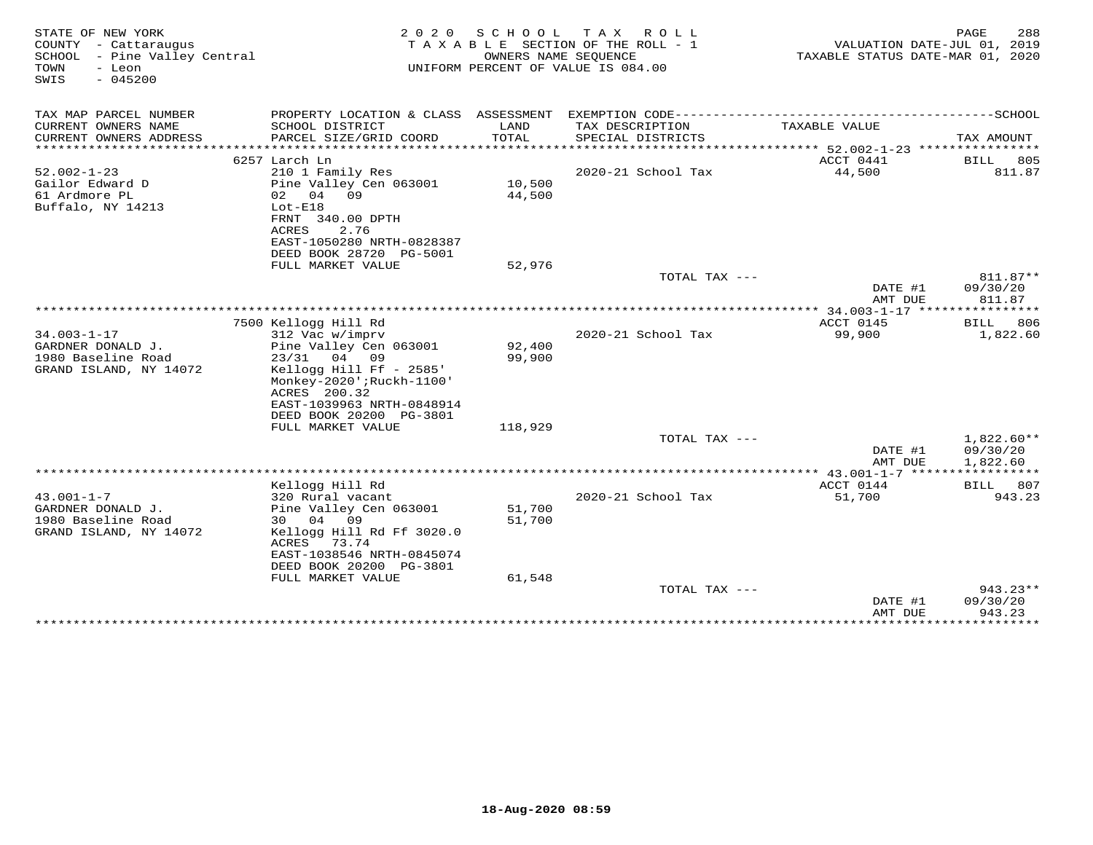| STATE OF NEW YORK<br>COUNTY - Cattaraugus<br>SCHOOL - Pine Valley Central<br>TOWN<br>- Leon<br>SWIS<br>$-045200$ | 2 0 2 0                                    | SCHOOL TAX       | R O L L<br>TAXABLE SECTION OF THE ROLL - 1<br>OWNERS NAME SEOUENCE<br>UNIFORM PERCENT OF VALUE IS 084.00 | VALUATION DATE-JUL 01, 2019<br>TAXABLE STATUS DATE-MAR 01, 2020 | 288<br>PAGE          |
|------------------------------------------------------------------------------------------------------------------|--------------------------------------------|------------------|----------------------------------------------------------------------------------------------------------|-----------------------------------------------------------------|----------------------|
| TAX MAP PARCEL NUMBER                                                                                            |                                            |                  |                                                                                                          |                                                                 |                      |
| CURRENT OWNERS NAME<br>CURRENT OWNERS ADDRESS                                                                    | SCHOOL DISTRICT<br>PARCEL SIZE/GRID COORD  | LAND<br>TOTAL    | TAX DESCRIPTION<br>SPECIAL DISTRICTS                                                                     | TAXABLE VALUE                                                   | TAX AMOUNT           |
|                                                                                                                  |                                            |                  |                                                                                                          |                                                                 |                      |
|                                                                                                                  | 6257 Larch Ln                              |                  |                                                                                                          | ACCT 0441                                                       | BILL<br>805          |
| $52.002 - 1 - 23$                                                                                                | 210 1 Family Res                           |                  | 2020-21 School Tax                                                                                       | 44,500                                                          | 811.87               |
| Gailor Edward D                                                                                                  | Pine Valley Cen 063001                     | 10,500           |                                                                                                          |                                                                 |                      |
| 61 Ardmore PL                                                                                                    | 02 04<br>09                                | 44,500           |                                                                                                          |                                                                 |                      |
| Buffalo, NY 14213                                                                                                | $Lot-E18$<br>FRNT 340.00 DPTH              |                  |                                                                                                          |                                                                 |                      |
|                                                                                                                  | ACRES<br>2.76                              |                  |                                                                                                          |                                                                 |                      |
|                                                                                                                  | EAST-1050280 NRTH-0828387                  |                  |                                                                                                          |                                                                 |                      |
|                                                                                                                  | DEED BOOK 28720 PG-5001                    |                  |                                                                                                          |                                                                 |                      |
|                                                                                                                  | FULL MARKET VALUE                          | 52,976           |                                                                                                          |                                                                 |                      |
|                                                                                                                  |                                            |                  | TOTAL TAX ---                                                                                            | DATE #1                                                         | 811.87**<br>09/30/20 |
|                                                                                                                  |                                            |                  |                                                                                                          | AMT DUE                                                         | 811.87               |
|                                                                                                                  |                                            |                  |                                                                                                          |                                                                 |                      |
|                                                                                                                  | 7500 Kellogg Hill Rd                       |                  |                                                                                                          | ACCT 0145                                                       | 806<br><b>BILL</b>   |
| $34.003 - 1 - 17$                                                                                                | 312 Vac w/imprv                            |                  | 2020-21 School Tax                                                                                       | 99,900                                                          | 1,822.60             |
| GARDNER DONALD J.<br>1980 Baseline Road                                                                          | Pine Valley Cen 063001<br>23/31 04 09      | 92,400<br>99,900 |                                                                                                          |                                                                 |                      |
| GRAND ISLAND, NY 14072                                                                                           | Kellogg Hill Ff - 2585'                    |                  |                                                                                                          |                                                                 |                      |
|                                                                                                                  | Monkey-2020';Ruckh-1100'                   |                  |                                                                                                          |                                                                 |                      |
|                                                                                                                  | ACRES 200.32                               |                  |                                                                                                          |                                                                 |                      |
|                                                                                                                  | EAST-1039963 NRTH-0848914                  |                  |                                                                                                          |                                                                 |                      |
|                                                                                                                  | DEED BOOK 20200 PG-3801                    |                  |                                                                                                          |                                                                 |                      |
|                                                                                                                  | FULL MARKET VALUE                          | 118,929          | TOTAL TAX ---                                                                                            |                                                                 | $1,822.60**$         |
|                                                                                                                  |                                            |                  |                                                                                                          | DATE #1                                                         | 09/30/20             |
|                                                                                                                  |                                            |                  |                                                                                                          | AMT DUE                                                         | 1,822.60             |
|                                                                                                                  |                                            |                  |                                                                                                          |                                                                 |                      |
|                                                                                                                  | Kellogg Hill Rd                            |                  |                                                                                                          | ACCT 0144                                                       | BILL 807             |
| $43.001 - 1 - 7$<br>GARDNER DONALD J.                                                                            | 320 Rural vacant<br>Pine Valley Cen 063001 | 51,700           | 2020-21 School Tax                                                                                       | 51,700                                                          | 943.23               |
| 1980 Baseline Road                                                                                               | 30 04 09                                   | 51,700           |                                                                                                          |                                                                 |                      |
| GRAND ISLAND, NY 14072                                                                                           | Kellogg Hill Rd Ff 3020.0                  |                  |                                                                                                          |                                                                 |                      |
|                                                                                                                  | ACRES<br>73.74                             |                  |                                                                                                          |                                                                 |                      |
|                                                                                                                  | EAST-1038546 NRTH-0845074                  |                  |                                                                                                          |                                                                 |                      |
|                                                                                                                  | DEED BOOK 20200 PG-3801                    |                  |                                                                                                          |                                                                 |                      |
|                                                                                                                  | FULL MARKET VALUE                          | 61,548           | TOTAL TAX $---$                                                                                          |                                                                 | $943.23**$           |
|                                                                                                                  |                                            |                  |                                                                                                          | DATE #1                                                         | 09/30/20             |
|                                                                                                                  |                                            |                  |                                                                                                          | AMT DUE                                                         | 943.23               |
|                                                                                                                  |                                            |                  |                                                                                                          | ****************************                                    |                      |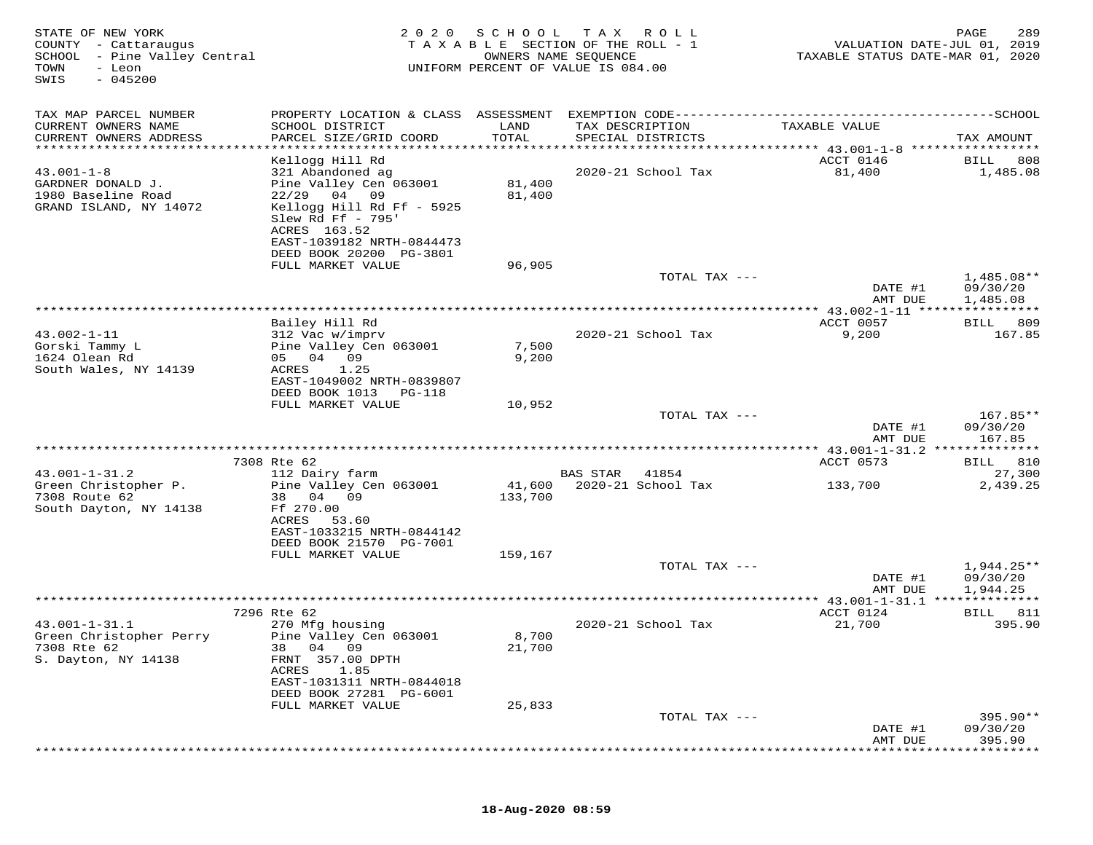| STATE OF NEW YORK<br>COUNTY - Cattaraugus<br>SCHOOL - Pine Valley Central<br>TOWN<br>- Leon<br>$-045200$<br>SWIS | 2 0 2 0                                                                                                     | SCHOOL            | T A X<br>R O L L<br>TAXABLE SECTION OF THE ROLL - 1<br>OWNERS NAME SEQUENCE<br>UNIFORM PERCENT OF VALUE IS 084.00 | VALUATION DATE-JUL 01, 2019<br>TAXABLE STATUS DATE-MAR 01, 2020 | PAGE<br>289                        |
|------------------------------------------------------------------------------------------------------------------|-------------------------------------------------------------------------------------------------------------|-------------------|-------------------------------------------------------------------------------------------------------------------|-----------------------------------------------------------------|------------------------------------|
| TAX MAP PARCEL NUMBER                                                                                            | PROPERTY LOCATION & CLASS ASSESSMENT                                                                        |                   |                                                                                                                   |                                                                 | -------------SCHOOL                |
| CURRENT OWNERS NAME<br>CURRENT OWNERS ADDRESS                                                                    | SCHOOL DISTRICT<br>PARCEL SIZE/GRID COORD                                                                   | LAND<br>TOTAL     | TAX DESCRIPTION<br>SPECIAL DISTRICTS                                                                              | TAXABLE VALUE                                                   | TAX AMOUNT                         |
| *********************                                                                                            |                                                                                                             |                   |                                                                                                                   |                                                                 |                                    |
| $43.001 - 1 - 8$<br>GARDNER DONALD J.<br>1980 Baseline Road<br>GRAND ISLAND, NY 14072                            | Kellogg Hill Rd<br>321 Abandoned ag<br>Pine Valley Cen 063001<br>$22/29$ 04 09<br>Kellogg Hill Rd Ff - 5925 | 81,400<br>81,400  | 2020-21 School Tax                                                                                                | ACCT 0146<br>81,400                                             | 808<br>BILL<br>1,485.08            |
|                                                                                                                  | Slew Rd Ff - 795'<br>ACRES 163.52<br>EAST-1039182 NRTH-0844473<br>DEED BOOK 20200 PG-3801                   |                   |                                                                                                                   |                                                                 |                                    |
|                                                                                                                  | FULL MARKET VALUE                                                                                           | 96,905            |                                                                                                                   |                                                                 |                                    |
|                                                                                                                  |                                                                                                             |                   | TOTAL TAX ---                                                                                                     | DATE #1<br>AMT DUE                                              | 1,485.08**<br>09/30/20<br>1,485.08 |
|                                                                                                                  | *******************                                                                                         |                   | ******************************                                                                                    | *********** 43.002-1-11 *****************                       |                                    |
|                                                                                                                  | Bailey Hill Rd                                                                                              |                   |                                                                                                                   | ACCT 0057                                                       | BILL 809                           |
| $43.002 - 1 - 11$<br>Gorski Tammy L<br>1624 Olean Rd<br>South Wales, NY 14139                                    | 312 Vac w/imprv<br>Pine Valley Cen 063001<br>05 04 09<br>ACRES<br>1.25                                      | 7,500<br>9,200    | 2020-21 School Tax                                                                                                | 9,200                                                           | 167.85                             |
|                                                                                                                  | EAST-1049002 NRTH-0839807<br>DEED BOOK 1013<br><b>PG-118</b><br>FULL MARKET VALUE                           | 10,952            |                                                                                                                   |                                                                 |                                    |
|                                                                                                                  |                                                                                                             |                   | TOTAL TAX ---                                                                                                     | DATE #1                                                         | $167.85**$<br>09/30/20             |
|                                                                                                                  |                                                                                                             |                   |                                                                                                                   | AMT DUE                                                         | 167.85                             |
|                                                                                                                  | 7308 Rte 62                                                                                                 |                   |                                                                                                                   | ACCT 0573                                                       | BILL 810                           |
| $43.001 - 1 - 31.2$<br>Green Christopher P.                                                                      | 112 Dairy farm                                                                                              |                   | BAS STAR<br>41854<br>2020-21 School Tax                                                                           |                                                                 | 27,300<br>2,439.25                 |
| 7308 Route 62<br>South Dayton, NY 14138                                                                          | Pine Valley Cen 063001<br>38 04 09<br>Ff 270.00                                                             | 41,600<br>133,700 |                                                                                                                   | 133,700                                                         |                                    |
|                                                                                                                  | ACRES<br>53.60<br>EAST-1033215 NRTH-0844142<br>DEED BOOK 21570 PG-7001                                      |                   |                                                                                                                   |                                                                 |                                    |
|                                                                                                                  | FULL MARKET VALUE                                                                                           | 159,167           |                                                                                                                   |                                                                 |                                    |
|                                                                                                                  |                                                                                                             |                   | TOTAL TAX ---                                                                                                     |                                                                 | $1,944.25**$                       |
|                                                                                                                  |                                                                                                             |                   |                                                                                                                   | DATE #1<br>AMT DUE                                              | 09/30/20<br>1,944.25               |
|                                                                                                                  |                                                                                                             |                   | ***********************************                                                                               | *** 43.001-1-31.1 **************                                |                                    |
| $43.001 - 1 - 31.1$                                                                                              | 7296 Rte 62<br>270 Mfg housing                                                                              |                   | 2020-21 School Tax                                                                                                | ACCT 0124<br>21,700                                             | BILL 811<br>395.90                 |
| Green Christopher Perry<br>7308 Rte 62<br>S. Dayton, NY 14138                                                    | Pine Valley Cen 063001<br>04 09<br>38<br>FRNT 357.00 DPTH<br>ACRES<br>1.85                                  | 8,700<br>21,700   |                                                                                                                   |                                                                 |                                    |
|                                                                                                                  | EAST-1031311 NRTH-0844018<br>DEED BOOK 27281 PG-6001                                                        |                   |                                                                                                                   |                                                                 |                                    |
|                                                                                                                  | FULL MARKET VALUE                                                                                           | 25,833            |                                                                                                                   |                                                                 |                                    |
|                                                                                                                  |                                                                                                             |                   | TOTAL TAX ---                                                                                                     | DATE #1                                                         | $395.90**$<br>09/30/20             |
|                                                                                                                  |                                                                                                             |                   |                                                                                                                   | AMT DUE<br>********                                             | 395.90<br>* * * * * * * *          |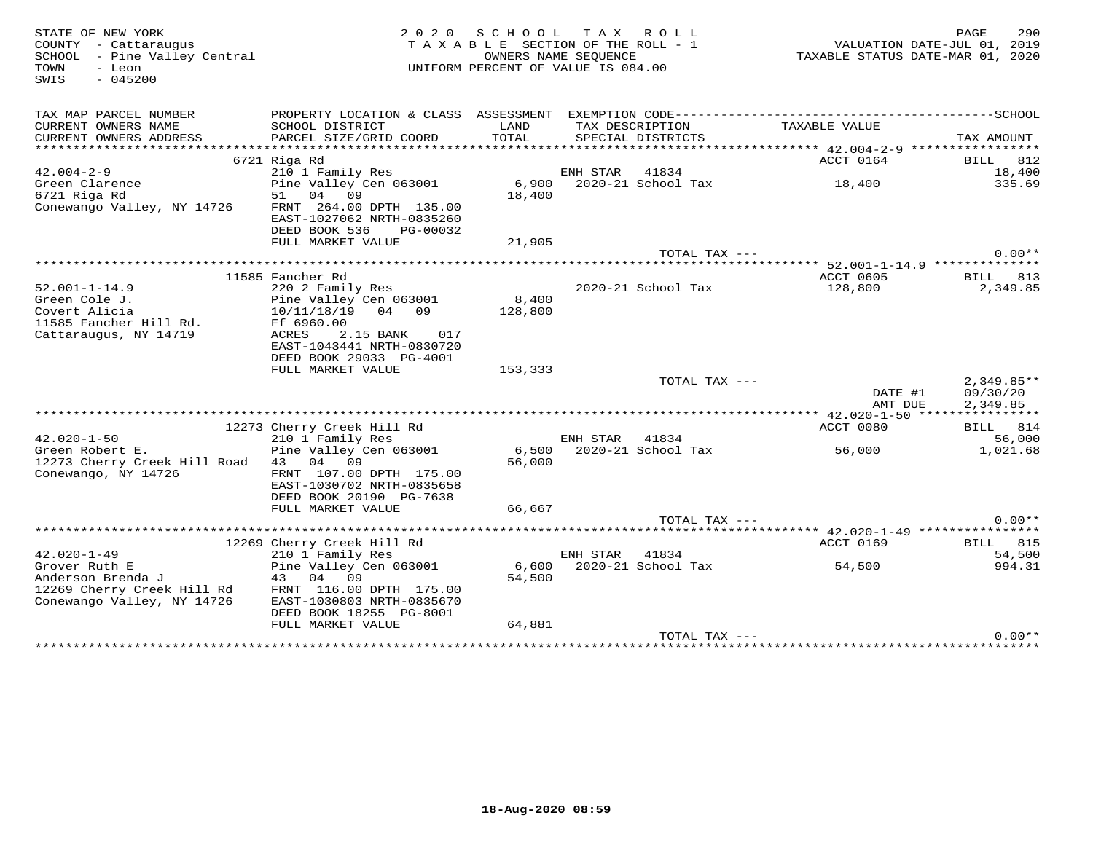| STATE OF NEW YORK<br>COUNTY - Cattaraugus<br>SCHOOL - Pine Valley Central<br>- Leon<br>TOWN<br>$-045200$<br>SWIS | 2 0 2 0                                              | SCHOOL TAX ROLL<br>TAXABLE SECTION OF THE ROLL - 1<br>OWNERS NAME SEQUENCE<br>UNIFORM PERCENT OF VALUE IS 084.00 |          |                                      | VALUATION DATE-JUL 01, 2019<br>TAXABLE STATUS DATE-MAR 01, 2020 | PAGE<br>290     |
|------------------------------------------------------------------------------------------------------------------|------------------------------------------------------|------------------------------------------------------------------------------------------------------------------|----------|--------------------------------------|-----------------------------------------------------------------|-----------------|
| TAX MAP PARCEL NUMBER                                                                                            |                                                      |                                                                                                                  |          |                                      |                                                                 |                 |
| CURRENT OWNERS NAME<br>CURRENT OWNERS ADDRESS                                                                    | SCHOOL DISTRICT<br>PARCEL SIZE/GRID COORD            | LAND<br>TOTAL                                                                                                    |          | TAX DESCRIPTION<br>SPECIAL DISTRICTS | TAXABLE VALUE                                                   | TAX AMOUNT      |
|                                                                                                                  |                                                      |                                                                                                                  |          |                                      |                                                                 |                 |
|                                                                                                                  | 6721 Riga Rd                                         |                                                                                                                  |          |                                      | ACCT 0164                                                       | <b>BILL</b> 812 |
| $42.004 - 2 - 9$                                                                                                 | 210 1 Family Res                                     |                                                                                                                  | ENH STAR | 41834                                |                                                                 | 18,400          |
| Green Clarence<br>6721 Riga Rd                                                                                   | Pine Valley Cen 063001                               |                                                                                                                  |          |                                      | 6,900 2020-21 School Tax 18,400                                 | 335.69          |
|                                                                                                                  | 51 04 09<br>FRNT 264.00 DPTH 135.00                  | 18,400                                                                                                           |          |                                      |                                                                 |                 |
| Conewango Valley, NY 14726                                                                                       | EAST-1027062 NRTH-0835260                            |                                                                                                                  |          |                                      |                                                                 |                 |
|                                                                                                                  | DEED BOOK 536<br>PG-00032                            |                                                                                                                  |          |                                      |                                                                 |                 |
|                                                                                                                  | FULL MARKET VALUE                                    | 21,905                                                                                                           |          |                                      |                                                                 |                 |
|                                                                                                                  |                                                      |                                                                                                                  |          | TOTAL TAX ---                        |                                                                 | $0.00**$        |
|                                                                                                                  | 11585 Fancher Rd                                     |                                                                                                                  |          |                                      | ********* 52.001-1-14.9 *************<br>ACCT 0605              | BILL 813        |
| $52.001 - 1 - 14.9$                                                                                              | 220 2 Family Res                                     |                                                                                                                  |          | 2020-21 School Tax                   | 128,800                                                         | 2,349.85        |
| Green Cole J.                                                                                                    | Pine Valley Cen 063001                               | 8,400                                                                                                            |          |                                      |                                                                 |                 |
| Covert Alicia                                                                                                    | 10/11/18/19 04 09                                    | 128,800                                                                                                          |          |                                      |                                                                 |                 |
| 11585 Fancher Hill Rd.                                                                                           | Ff 6960.00                                           |                                                                                                                  |          |                                      |                                                                 |                 |
| Cattaraugus, NY 14719                                                                                            | ACRES<br>2.15 BANK 017                               |                                                                                                                  |          |                                      |                                                                 |                 |
|                                                                                                                  | EAST-1043441 NRTH-0830720<br>DEED BOOK 29033 PG-4001 |                                                                                                                  |          |                                      |                                                                 |                 |
|                                                                                                                  | FULL MARKET VALUE                                    | 153,333                                                                                                          |          |                                      |                                                                 |                 |
|                                                                                                                  |                                                      |                                                                                                                  |          | TOTAL TAX ---                        |                                                                 | $2,349.85**$    |
|                                                                                                                  |                                                      |                                                                                                                  |          |                                      | DATE #1                                                         | 09/30/20        |
|                                                                                                                  |                                                      |                                                                                                                  |          |                                      | AMT DUE                                                         | 2,349.85        |
|                                                                                                                  | 12273 Cherry Creek Hill Rd                           |                                                                                                                  |          |                                      | ACCT 0080                                                       | BILL 814        |
| $42.020 - 1 - 50$                                                                                                | 210 1 Family Res                                     |                                                                                                                  | ENH STAR | 41834                                |                                                                 | 56,000          |
| Green Robert E.                                                                                                  | Pine Valley Cen 063001                               |                                                                                                                  |          | 6,500 2020-21 School Tax             | 56,000                                                          | 1,021.68        |
| 12273 Cherry Creek Hill Road 43 04 09                                                                            |                                                      | 56,000                                                                                                           |          |                                      |                                                                 |                 |
| Conewango, NY 14726                                                                                              | FRNT 107.00 DPTH 175.00                              |                                                                                                                  |          |                                      |                                                                 |                 |
|                                                                                                                  | EAST-1030702 NRTH-0835658                            |                                                                                                                  |          |                                      |                                                                 |                 |
|                                                                                                                  | DEED BOOK 20190 PG-7638<br>FULL MARKET VALUE         | 66,667                                                                                                           |          |                                      |                                                                 |                 |
|                                                                                                                  |                                                      |                                                                                                                  |          | TOTAL TAX ---                        |                                                                 | $0.00**$        |
|                                                                                                                  |                                                      |                                                                                                                  |          |                                      |                                                                 |                 |
|                                                                                                                  | 12269 Cherry Creek Hill Rd                           |                                                                                                                  |          |                                      | ACCT 0169                                                       | <b>BILL</b> 815 |
| $42.020 - 1 - 49$                                                                                                | 210 1 Family Res                                     |                                                                                                                  | ENH STAR | 41834                                |                                                                 | 54,500          |
| Grover Ruth E                                                                                                    | Pine Valley Cen 063001                               | 54,500                                                                                                           |          | 6,600 2020-21 School Tax             | 54,500                                                          | 994.31          |
| 12269 Cherry Creek Hill Rd                                                                                       | FRNT 116.00 DPTH 175.00                              |                                                                                                                  |          |                                      |                                                                 |                 |
| Conewango Valley, NY 14726                                                                                       | EAST-1030803 NRTH-0835670                            |                                                                                                                  |          |                                      |                                                                 |                 |
|                                                                                                                  | DEED BOOK 18255 PG-8001                              |                                                                                                                  |          |                                      |                                                                 |                 |
|                                                                                                                  | FULL MARKET VALUE                                    | 64,881                                                                                                           |          |                                      |                                                                 |                 |
|                                                                                                                  |                                                      |                                                                                                                  |          | TOTAL TAX ---                        |                                                                 | $0.00**$        |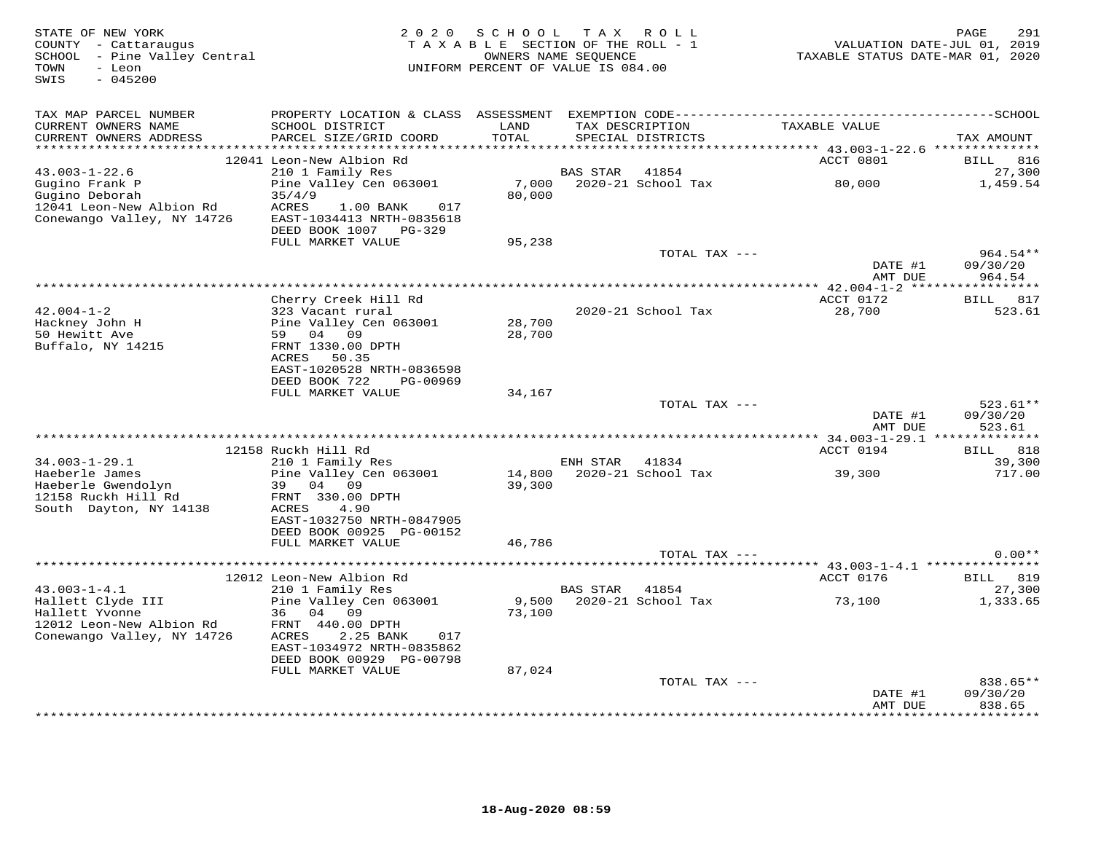| STATE OF NEW YORK<br>COUNTY - Cattaraugus<br>SCHOOL - Pine Valley Central<br>TOWN<br>- Leon<br>SWIS<br>$-045200$ | 2 0 2 0                                               | SCHOOL<br>TAXABLE SECTION OF THE ROLL - 1<br>OWNERS NAME SEQUENCE<br>UNIFORM PERCENT OF VALUE IS 084.00 |                 | TAX ROLL           | VALUATION DATE-JUL 01, 2019<br>TAXABLE STATUS DATE-MAR 01, 2020 | 291<br>PAGE                  |
|------------------------------------------------------------------------------------------------------------------|-------------------------------------------------------|---------------------------------------------------------------------------------------------------------|-----------------|--------------------|-----------------------------------------------------------------|------------------------------|
| TAX MAP PARCEL NUMBER<br>CURRENT OWNERS NAME                                                                     | SCHOOL DISTRICT                                       | LAND                                                                                                    |                 | TAX DESCRIPTION    | TAXABLE VALUE                                                   |                              |
| CURRENT OWNERS ADDRESS                                                                                           | PARCEL SIZE/GRID COORD                                | TOTAL                                                                                                   |                 | SPECIAL DISTRICTS  |                                                                 | TAX AMOUNT                   |
| ***********************                                                                                          | 12041 Leon-New Albion Rd                              |                                                                                                         |                 |                    | ACCT 0801                                                       | <b>BILL</b><br>816           |
| $43.003 - 1 - 22.6$                                                                                              | 210 1 Family Res                                      |                                                                                                         | <b>BAS STAR</b> | 41854              |                                                                 | 27,300                       |
| Gugino Frank P                                                                                                   | Pine Valley Cen 063001                                | 7,000                                                                                                   |                 | 2020-21 School Tax | 80,000                                                          | 1,459.54                     |
| Gugino Deborah                                                                                                   | 35/4/9                                                | 80,000                                                                                                  |                 |                    |                                                                 |                              |
| 12041 Leon-New Albion Rd                                                                                         | ACRES<br>1.00 BANK<br>017                             |                                                                                                         |                 |                    |                                                                 |                              |
| Conewango Valley, NY 14726                                                                                       | EAST-1034413 NRTH-0835618<br>DEED BOOK 1007 PG-329    |                                                                                                         |                 |                    |                                                                 |                              |
|                                                                                                                  | FULL MARKET VALUE                                     | 95,238                                                                                                  |                 |                    |                                                                 |                              |
|                                                                                                                  |                                                       |                                                                                                         |                 | TOTAL TAX ---      |                                                                 | $964.54**$                   |
|                                                                                                                  |                                                       |                                                                                                         |                 |                    | DATE #1                                                         | 09/30/20                     |
|                                                                                                                  |                                                       |                                                                                                         |                 |                    | AMT DUE                                                         | 964.54                       |
|                                                                                                                  | Cherry Creek Hill Rd                                  |                                                                                                         |                 |                    | ACCT 0172                                                       | BILL 817                     |
| $42.004 - 1 - 2$                                                                                                 | 323 Vacant rural                                      |                                                                                                         |                 | 2020-21 School Tax | 28,700                                                          | 523.61                       |
| Hackney John H                                                                                                   | Pine Valley Cen 063001                                | 28,700                                                                                                  |                 |                    |                                                                 |                              |
| 50 Hewitt Ave                                                                                                    | 59 04 09                                              | 28,700                                                                                                  |                 |                    |                                                                 |                              |
| Buffalo, NY 14215                                                                                                | FRNT 1330.00 DPTH<br>ACRES<br>50.35                   |                                                                                                         |                 |                    |                                                                 |                              |
|                                                                                                                  | EAST-1020528 NRTH-0836598                             |                                                                                                         |                 |                    |                                                                 |                              |
|                                                                                                                  | DEED BOOK 722<br>PG-00969                             |                                                                                                         |                 |                    |                                                                 |                              |
|                                                                                                                  | FULL MARKET VALUE                                     | 34,167                                                                                                  |                 |                    |                                                                 |                              |
|                                                                                                                  |                                                       |                                                                                                         |                 | TOTAL TAX ---      | DATE #1                                                         | $523.61**$<br>09/30/20       |
|                                                                                                                  |                                                       |                                                                                                         |                 |                    | AMT DUE                                                         | 523.61                       |
|                                                                                                                  |                                                       |                                                                                                         |                 |                    |                                                                 |                              |
| $34.003 - 1 - 29.1$                                                                                              | 12158 Ruckh Hill Rd<br>210 1 Family Res               |                                                                                                         | ENH STAR        | 41834              | ACCT 0194                                                       | <b>BILL</b><br>818<br>39,300 |
| Haeberle James                                                                                                   | Pine Valley Cen 063001                                | 14,800                                                                                                  |                 | 2020-21 School Tax | 39,300                                                          | 717.00                       |
| Haeberle Gwendolyn                                                                                               | 39 04 09                                              | 39,300                                                                                                  |                 |                    |                                                                 |                              |
| 12158 Ruckh Hill Rd                                                                                              | FRNT 330.00 DPTH                                      |                                                                                                         |                 |                    |                                                                 |                              |
| South Dayton, NY 14138                                                                                           | ACRES<br>4.90<br>EAST-1032750 NRTH-0847905            |                                                                                                         |                 |                    |                                                                 |                              |
|                                                                                                                  | DEED BOOK 00925 PG-00152                              |                                                                                                         |                 |                    |                                                                 |                              |
|                                                                                                                  | FULL MARKET VALUE                                     | 46,786                                                                                                  |                 |                    |                                                                 |                              |
|                                                                                                                  |                                                       |                                                                                                         |                 | TOTAL TAX ---      |                                                                 | $0.00**$                     |
|                                                                                                                  |                                                       |                                                                                                         |                 |                    |                                                                 |                              |
| $43.003 - 1 - 4.1$                                                                                               | 12012 Leon-New Albion Rd<br>210 1 Family Res          |                                                                                                         | BAS STAR 41854  |                    | ACCT 0176                                                       | BILL 819<br>27,300           |
| Hallett Clyde III                                                                                                | Pine Valley Cen 063001                                | 9,500                                                                                                   |                 | 2020-21 School Tax | 73,100                                                          | 1,333.65                     |
| Hallett Yvonne                                                                                                   | 04 09<br>36                                           | 73,100                                                                                                  |                 |                    |                                                                 |                              |
| 12012 Leon-New Albion Rd                                                                                         | FRNT 440.00 DPTH                                      |                                                                                                         |                 |                    |                                                                 |                              |
| Conewango Valley, NY 14726                                                                                       | ACRES<br>2.25 BANK<br>017                             |                                                                                                         |                 |                    |                                                                 |                              |
|                                                                                                                  | EAST-1034972 NRTH-0835862<br>DEED BOOK 00929 PG-00798 |                                                                                                         |                 |                    |                                                                 |                              |
|                                                                                                                  | FULL MARKET VALUE                                     | 87,024                                                                                                  |                 |                    |                                                                 |                              |
|                                                                                                                  |                                                       |                                                                                                         |                 | TOTAL TAX ---      |                                                                 | 838.65**                     |
|                                                                                                                  |                                                       |                                                                                                         |                 |                    | DATE #1                                                         | 09/30/20                     |
|                                                                                                                  |                                                       |                                                                                                         |                 |                    | AMT DUE                                                         | 838.65<br>* * * * * * * *    |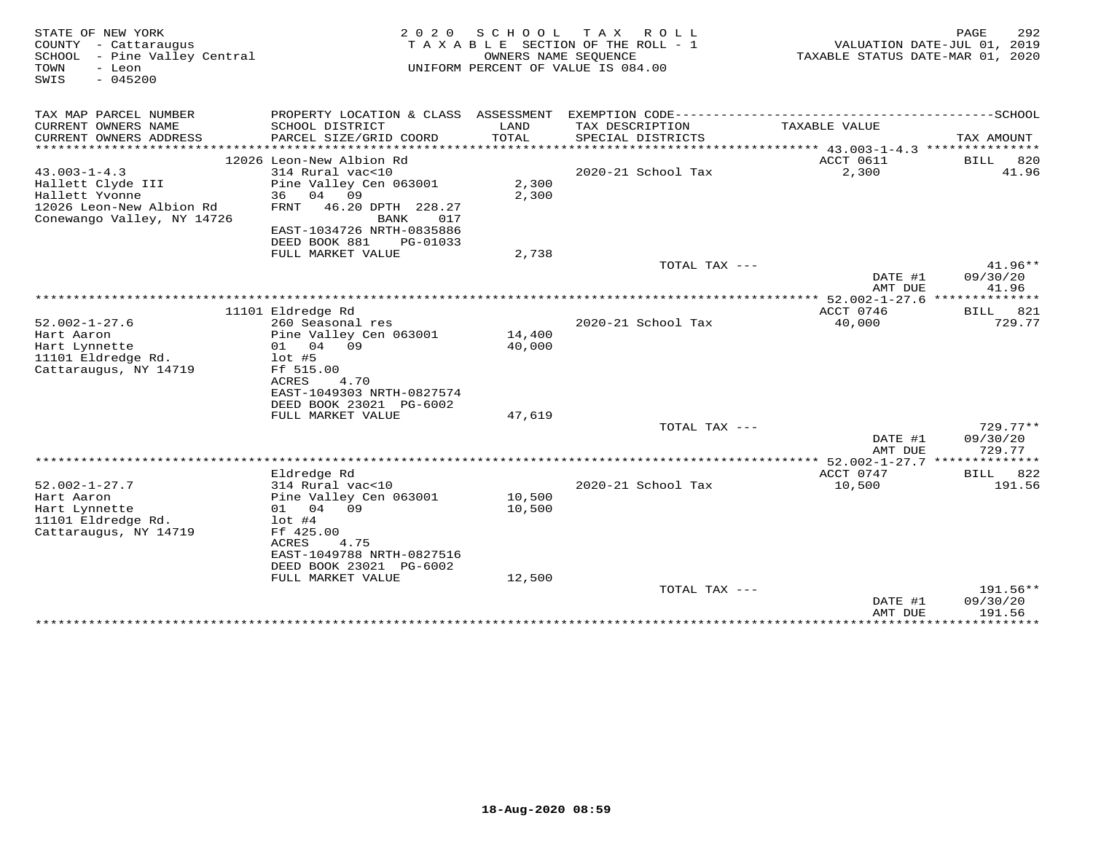| STATE OF NEW YORK<br>COUNTY<br>- Cattaraugus<br>SCHOOL<br>- Pine Valley Central<br>TOWN<br>- Leon<br>$-045200$<br>SWIS | 2 0 2 0<br>TAXABLE                                   | S C H O O L<br>OWNERS NAME SEOUENCE | T A X<br>ROLL<br>SECTION OF THE ROLL - 1<br>UNIFORM PERCENT OF VALUE IS 084.00 | TAXABLE STATUS DATE-MAR 01, 2020 | PAGE<br>292<br>VALUATION DATE-JUL 01, 2019 |
|------------------------------------------------------------------------------------------------------------------------|------------------------------------------------------|-------------------------------------|--------------------------------------------------------------------------------|----------------------------------|--------------------------------------------|
| TAX MAP PARCEL NUMBER                                                                                                  | PROPERTY LOCATION & CLASS ASSESSMENT                 |                                     |                                                                                |                                  |                                            |
| CURRENT OWNERS NAME<br>CURRENT OWNERS ADDRESS<br>***********************                                               | SCHOOL DISTRICT<br>PARCEL SIZE/GRID COORD            | LAND<br>TOTAL                       | TAX DESCRIPTION<br>SPECIAL DISTRICTS                                           | TAXABLE VALUE                    | TAX AMOUNT                                 |
|                                                                                                                        | 12026 Leon-New Albion Rd                             |                                     |                                                                                | ACCT 0611                        | <b>BILL</b><br>820                         |
| $43.003 - 1 - 4.3$                                                                                                     | 314 Rural vac<10                                     |                                     | 2020-21 School Tax                                                             | 2,300                            | 41.96                                      |
| Hallett Clyde III                                                                                                      | Pine Valley Cen 063001                               | 2,300                               |                                                                                |                                  |                                            |
| Hallett Yvonne                                                                                                         | 36<br>04<br>09                                       | 2,300                               |                                                                                |                                  |                                            |
| 12026 Leon-New Albion Rd<br>Conewango Valley, NY 14726                                                                 | 46.20 DPTH 228.27<br><b>FRNT</b><br>017<br>BANK      |                                     |                                                                                |                                  |                                            |
|                                                                                                                        | EAST-1034726 NRTH-0835886                            |                                     |                                                                                |                                  |                                            |
|                                                                                                                        | DEED BOOK 881<br>PG-01033                            |                                     |                                                                                |                                  |                                            |
|                                                                                                                        | FULL MARKET VALUE                                    | 2,738                               |                                                                                |                                  |                                            |
|                                                                                                                        |                                                      |                                     | TOTAL TAX ---                                                                  | DATE #1                          | $41.96**$<br>09/30/20                      |
|                                                                                                                        |                                                      |                                     |                                                                                | AMT DUE                          | 41.96                                      |
|                                                                                                                        |                                                      |                                     | ************************                                                       | ******* 52.002-1-27.6            | * * * * * * * *                            |
|                                                                                                                        | 11101 Eldredge Rd                                    |                                     |                                                                                | ACCT 0746                        | 821<br>BILL                                |
| $52.002 - 1 - 27.6$                                                                                                    | 260 Seasonal res                                     |                                     | 2020-21 School Tax                                                             | 40,000                           | 729.77                                     |
| Hart Aaron                                                                                                             | Pine Valley Cen 063001                               | 14,400                              |                                                                                |                                  |                                            |
| Hart Lynnette                                                                                                          | 04 09<br>01                                          | 40,000                              |                                                                                |                                  |                                            |
| 11101 Eldredge Rd.                                                                                                     | $1$ ot #5                                            |                                     |                                                                                |                                  |                                            |
| Cattaraugus, NY 14719                                                                                                  | Ff 515.00                                            |                                     |                                                                                |                                  |                                            |
|                                                                                                                        | <b>ACRES</b><br>4.70                                 |                                     |                                                                                |                                  |                                            |
|                                                                                                                        | EAST-1049303 NRTH-0827574<br>DEED BOOK 23021 PG-6002 |                                     |                                                                                |                                  |                                            |
|                                                                                                                        | FULL MARKET VALUE                                    | 47,619                              |                                                                                |                                  |                                            |
|                                                                                                                        |                                                      |                                     | TOTAL TAX ---                                                                  |                                  | $729.77**$                                 |
|                                                                                                                        |                                                      |                                     |                                                                                | DATE #1                          | 09/30/20                                   |
|                                                                                                                        |                                                      |                                     |                                                                                | AMT DUE                          | 729.77                                     |
|                                                                                                                        |                                                      |                                     |                                                                                | ** 52.002-1-27.7 **************  |                                            |
|                                                                                                                        | Eldredge Rd                                          |                                     |                                                                                | ACCT 0747                        | 822<br>BILL                                |
| $52.002 - 1 - 27.7$                                                                                                    | 314 Rural vac<10                                     |                                     | 2020-21 School Tax                                                             | 10,500                           | 191.56                                     |
| Hart Aaron                                                                                                             | Pine Valley Cen 063001                               | 10,500                              |                                                                                |                                  |                                            |
| Hart Lynnette                                                                                                          | 04<br>09<br>01                                       | 10,500                              |                                                                                |                                  |                                            |
| 11101 Eldredge Rd.                                                                                                     | $1$ ot #4                                            |                                     |                                                                                |                                  |                                            |
| Cattaraugus, NY 14719                                                                                                  | Ff 425.00<br><b>ACRES</b><br>4.75                    |                                     |                                                                                |                                  |                                            |
|                                                                                                                        | EAST-1049788 NRTH-0827516                            |                                     |                                                                                |                                  |                                            |
|                                                                                                                        | DEED BOOK 23021 PG-6002                              |                                     |                                                                                |                                  |                                            |
|                                                                                                                        | FULL MARKET VALUE                                    | 12,500                              |                                                                                |                                  |                                            |
|                                                                                                                        |                                                      |                                     | TOTAL TAX ---                                                                  |                                  | 191.56**                                   |
|                                                                                                                        |                                                      |                                     |                                                                                | DATE #1                          | 09/30/20                                   |
|                                                                                                                        |                                                      |                                     |                                                                                | AMT DUE                          | 191.56                                     |
|                                                                                                                        |                                                      |                                     |                                                                                | ************                     | **********                                 |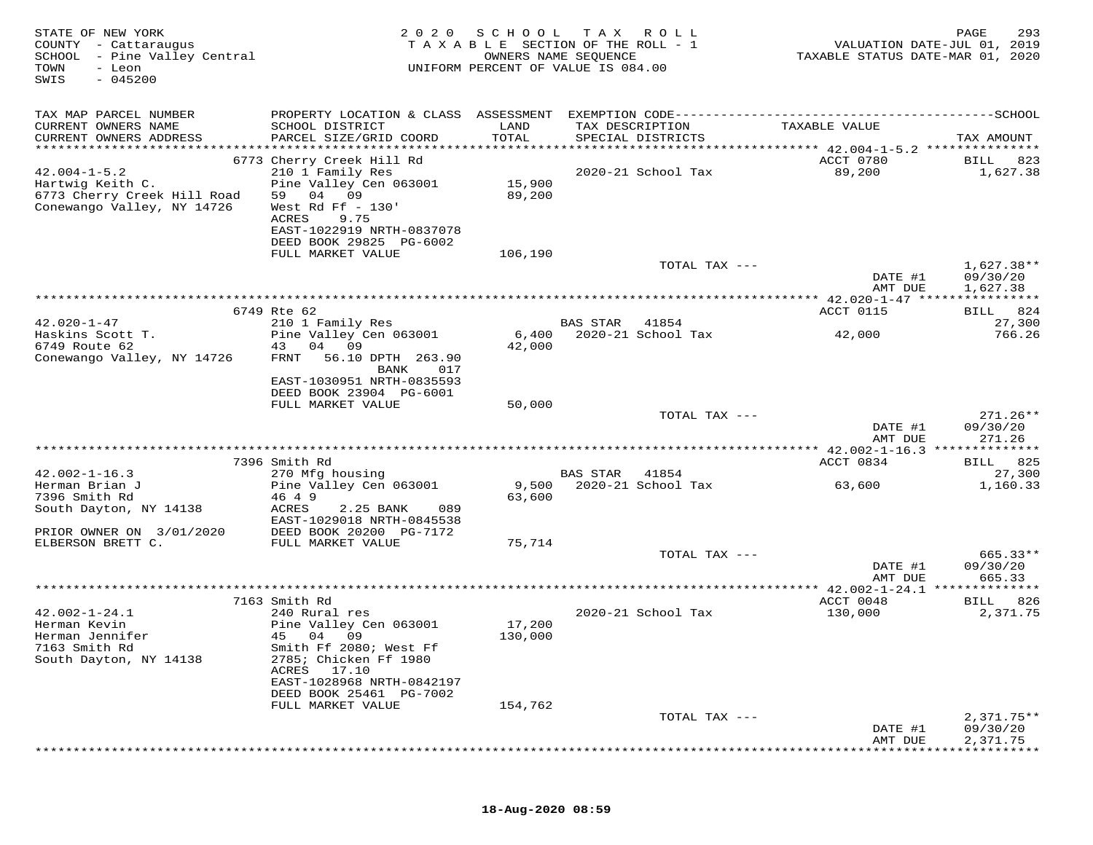| STATE OF NEW YORK<br>COUNTY - Cattaraugus<br>SCHOOL<br>- Pine Valley Central<br>TOWN<br>- Leon<br>$-045200$<br>SWIS | 2020                                                                            | S C H O O L<br>TAXABLE SECTION OF THE ROLL - 1<br>OWNERS NAME SEQUENCE<br>UNIFORM PERCENT OF VALUE IS 084.00 | T A X           | R O L L                     | VALUATION DATE-JUL 01, 2019<br>TAXABLE STATUS DATE-MAR 01, 2020 | 293<br>PAGE                 |
|---------------------------------------------------------------------------------------------------------------------|---------------------------------------------------------------------------------|--------------------------------------------------------------------------------------------------------------|-----------------|-----------------------------|-----------------------------------------------------------------|-----------------------------|
| TAX MAP PARCEL NUMBER<br>CURRENT OWNERS NAME                                                                        | SCHOOL DISTRICT                                                                 | LAND                                                                                                         |                 | TAX DESCRIPTION             | TAXABLE VALUE                                                   |                             |
| CURRENT OWNERS ADDRESS<br>***********************                                                                   | PARCEL SIZE/GRID COORD                                                          | TOTAL                                                                                                        |                 | SPECIAL DISTRICTS           |                                                                 | TAX AMOUNT                  |
|                                                                                                                     | 6773 Cherry Creek Hill Rd                                                       |                                                                                                              |                 |                             | ACCT 0780                                                       | 823<br>BILL                 |
| $42.004 - 1 - 5.2$                                                                                                  | 210 1 Family Res                                                                |                                                                                                              |                 | 2020-21 School Tax          | 89,200                                                          | 1,627.38                    |
| Hartwig Keith C.<br>6773 Cherry Creek Hill Road<br>Conewango Valley, NY 14726                                       | Pine Valley Cen 063001<br>59<br>04<br>09<br>West Rd Ff $-130'$<br>ACRES<br>9.75 | 15,900<br>89,200                                                                                             |                 |                             |                                                                 |                             |
|                                                                                                                     | EAST-1022919 NRTH-0837078<br>DEED BOOK 29825 PG-6002                            |                                                                                                              |                 |                             |                                                                 |                             |
|                                                                                                                     | FULL MARKET VALUE                                                               | 106,190                                                                                                      |                 | TOTAL TAX ---               |                                                                 | $1,627.38**$                |
|                                                                                                                     |                                                                                 |                                                                                                              |                 |                             | DATE #1<br>AMT DUE                                              | 09/30/20<br>1,627.38        |
|                                                                                                                     | *************************************                                           |                                                                                                              |                 |                             | *********** 42.020-1-47 *****************                       |                             |
| $42.020 - 1 - 47$                                                                                                   | 6749 Rte 62                                                                     |                                                                                                              |                 |                             | ACCT 0115                                                       | 824<br>BILL                 |
| Haskins Scott T.                                                                                                    | 210 1 Family Res<br>Pine Valley Cen 063001                                      | 6,400                                                                                                        | <b>BAS STAR</b> | 41854<br>2020-21 School Tax | 42,000                                                          | 27,300<br>766.26            |
| 6749 Route 62                                                                                                       | 04 09<br>43                                                                     | 42,000                                                                                                       |                 |                             |                                                                 |                             |
| Conewango Valley, NY 14726                                                                                          | FRNT<br>56.10 DPTH 263.90                                                       |                                                                                                              |                 |                             |                                                                 |                             |
|                                                                                                                     | BANK<br>017<br>EAST-1030951 NRTH-0835593                                        |                                                                                                              |                 |                             |                                                                 |                             |
|                                                                                                                     | DEED BOOK 23904 PG-6001                                                         |                                                                                                              |                 |                             |                                                                 |                             |
|                                                                                                                     | FULL MARKET VALUE                                                               | 50,000                                                                                                       |                 |                             |                                                                 |                             |
|                                                                                                                     |                                                                                 |                                                                                                              |                 | TOTAL TAX ---               | DATE #1                                                         | $271.26**$<br>09/30/20      |
|                                                                                                                     |                                                                                 |                                                                                                              |                 |                             | AMT DUE<br>************ 42.002-1-16.3 *****                     | 271.26<br>: * * * * * * * * |
|                                                                                                                     | 7396 Smith Rd                                                                   |                                                                                                              |                 |                             | ACCT 0834                                                       | 825<br>BILL                 |
| $42.002 - 1 - 16.3$                                                                                                 | 270 Mfg housing                                                                 |                                                                                                              | <b>BAS STAR</b> | 41854                       |                                                                 | 27,300                      |
| Herman Brian J<br>7396 Smith Rd                                                                                     | Pine Valley Cen 063001<br>46 4 9                                                | 9,500<br>63,600                                                                                              |                 | 2020-21 School Tax          | 63,600                                                          | 1,160.33                    |
| South Dayton, NY 14138                                                                                              | ACRES<br>2.25 BANK<br>089                                                       |                                                                                                              |                 |                             |                                                                 |                             |
|                                                                                                                     | EAST-1029018 NRTH-0845538                                                       |                                                                                                              |                 |                             |                                                                 |                             |
| PRIOR OWNER ON 3/01/2020<br>ELBERSON BRETT C.                                                                       | DEED BOOK 20200 PG-7172<br>FULL MARKET VALUE                                    |                                                                                                              |                 |                             |                                                                 |                             |
|                                                                                                                     |                                                                                 | 75,714                                                                                                       |                 | TOTAL TAX ---               |                                                                 | 665.33**                    |
|                                                                                                                     |                                                                                 |                                                                                                              |                 |                             | DATE #1<br>AMT DUE                                              | 09/30/20<br>665.33          |
|                                                                                                                     |                                                                                 | ********************************                                                                             |                 |                             | ** 42.002-1-24.1                                                | ********                    |
| $42.002 - 1 - 24.1$                                                                                                 | 7163 Smith Rd<br>240 Rural res                                                  |                                                                                                              |                 | 2020-21 School Tax          | ACCT 0048<br>130,000                                            | 826<br>BILL<br>2,371.75     |
| Herman Kevin                                                                                                        | Pine Valley Cen 063001                                                          | 17,200                                                                                                       |                 |                             |                                                                 |                             |
| Herman Jennifer                                                                                                     | 45 04 09                                                                        | 130,000                                                                                                      |                 |                             |                                                                 |                             |
| 7163 Smith Rd                                                                                                       | Smith Ff 2080; West Ff<br>2785; Chicken Ff 1980                                 |                                                                                                              |                 |                             |                                                                 |                             |
| South Dayton, NY 14138                                                                                              | 17.10<br>ACRES                                                                  |                                                                                                              |                 |                             |                                                                 |                             |
|                                                                                                                     | EAST-1028968 NRTH-0842197                                                       |                                                                                                              |                 |                             |                                                                 |                             |
|                                                                                                                     | DEED BOOK 25461 PG-7002                                                         |                                                                                                              |                 |                             |                                                                 |                             |
|                                                                                                                     | FULL MARKET VALUE                                                               | 154,762                                                                                                      |                 | TOTAL TAX ---               |                                                                 | $2,371.75**$                |
|                                                                                                                     |                                                                                 |                                                                                                              |                 |                             | DATE #1                                                         | 09/30/20                    |
|                                                                                                                     |                                                                                 |                                                                                                              |                 |                             | AMT DUE                                                         | 2,371.75                    |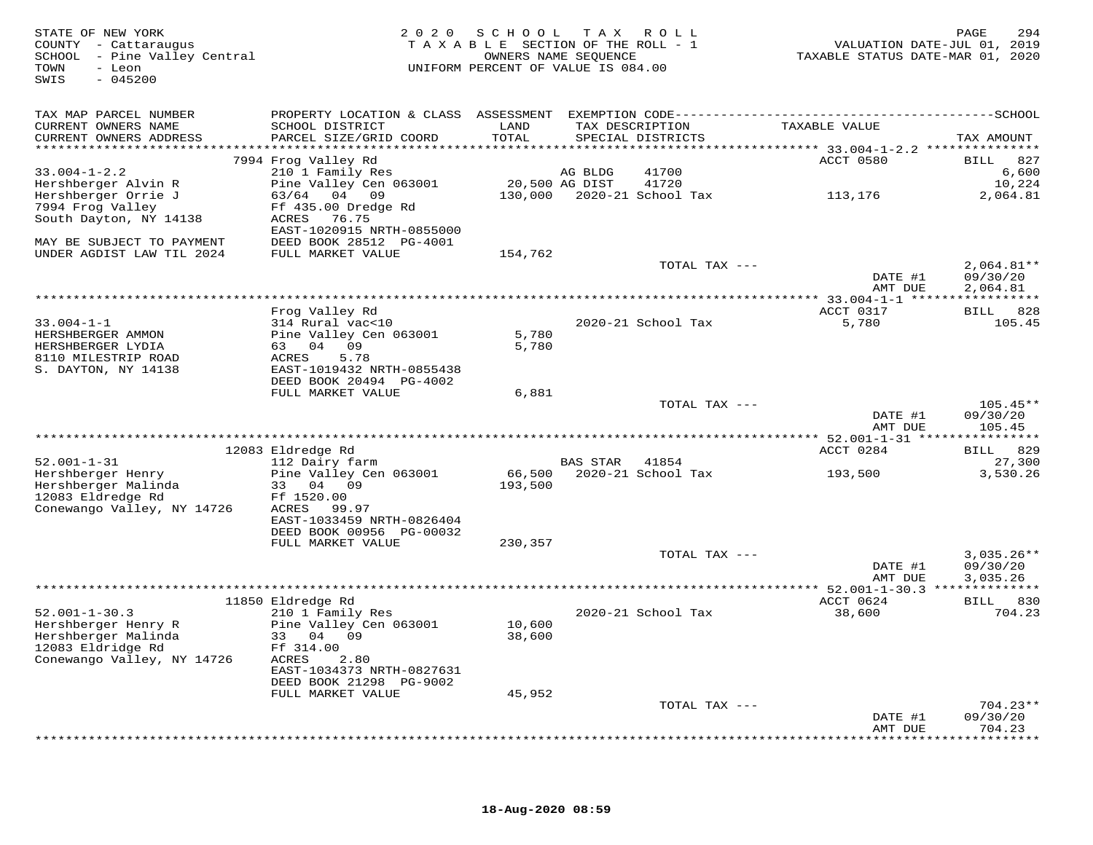| STATE OF NEW YORK<br>COUNTY - Cattaraugus<br>SCHOOL - Pine Valley Central<br>TOWN<br>$-$ Leon<br>$-045200$<br>SWIS | 2 0 2 0                                      | SCHOOL         | TAX ROLL<br>TAXABLE SECTION OF THE ROLL - 1<br>OWNERS NAME SEQUENCE<br>UNIFORM PERCENT OF VALUE IS 084.00 |               | TAXABLE STATUS DATE-MAR 01, 2020      | PAGE<br>294<br>VALUATION DATE-JUL 01, 2019 |
|--------------------------------------------------------------------------------------------------------------------|----------------------------------------------|----------------|-----------------------------------------------------------------------------------------------------------|---------------|---------------------------------------|--------------------------------------------|
| TAX MAP PARCEL NUMBER                                                                                              |                                              |                |                                                                                                           |               |                                       |                                            |
| CURRENT OWNERS NAME                                                                                                | SCHOOL DISTRICT                              | LAND           | TAX DESCRIPTION                                                                                           |               | TAXABLE VALUE                         |                                            |
| CURRENT OWNERS ADDRESS                                                                                             | PARCEL SIZE/GRID COORD                       | TOTAL          | SPECIAL DISTRICTS                                                                                         |               |                                       | TAX AMOUNT                                 |
|                                                                                                                    | 7994 Frog Valley Rd                          |                |                                                                                                           |               | ACCT 0580                             | 827<br><b>BILL</b>                         |
| $33.004 - 1 - 2.2$                                                                                                 | 210 1 Family Res                             |                | AG BLDG                                                                                                   | 41700         |                                       | 6,600                                      |
| Hershberger Alvin R                                                                                                | Pine Valley Cen 063001                       | 20,500 AG DIST |                                                                                                           | 41720         |                                       | 10,224                                     |
| Hershberger Orrie J                                                                                                | 63/64 04 09                                  |                | 130,000 2020-21 School Tax                                                                                |               | 113,176                               | 2,064.81                                   |
| 7994 Frog Valley                                                                                                   | Ff 435.00 Dredge Rd                          |                |                                                                                                           |               |                                       |                                            |
| South Dayton, NY 14138                                                                                             | ACRES<br>76.75                               |                |                                                                                                           |               |                                       |                                            |
|                                                                                                                    | EAST-1020915 NRTH-0855000                    |                |                                                                                                           |               |                                       |                                            |
| MAY BE SUBJECT TO PAYMENT<br>UNDER AGDIST LAW TIL 2024                                                             | DEED BOOK 28512 PG-4001<br>FULL MARKET VALUE | 154,762        |                                                                                                           |               |                                       |                                            |
|                                                                                                                    |                                              |                |                                                                                                           | TOTAL TAX --- |                                       | $2,064.81**$                               |
|                                                                                                                    |                                              |                |                                                                                                           |               | DATE #1                               | 09/30/20                                   |
|                                                                                                                    |                                              |                |                                                                                                           |               | AMT DUE                               | 2,064.81                                   |
|                                                                                                                    |                                              |                |                                                                                                           |               |                                       |                                            |
|                                                                                                                    | Frog Valley Rd                               |                |                                                                                                           |               | ACCT 0317                             | BILL 828                                   |
| $33.004 - 1 - 1$                                                                                                   | 314 Rural vac<10                             |                | 2020-21 School Tax                                                                                        |               | 5,780                                 | 105.45                                     |
| HERSHBERGER AMMON<br>HERSHBERGER LYDIA                                                                             | Pine Valley Cen 063001<br>63 04 09           | 5,780<br>5,780 |                                                                                                           |               |                                       |                                            |
| 8110 MILESTRIP ROAD                                                                                                | ACRES<br>5.78                                |                |                                                                                                           |               |                                       |                                            |
| S. DAYTON, NY 14138                                                                                                | EAST-1019432 NRTH-0855438                    |                |                                                                                                           |               |                                       |                                            |
|                                                                                                                    | DEED BOOK 20494 PG-4002                      |                |                                                                                                           |               |                                       |                                            |
|                                                                                                                    | FULL MARKET VALUE                            | 6,881          |                                                                                                           |               |                                       |                                            |
|                                                                                                                    |                                              |                |                                                                                                           | TOTAL TAX --- |                                       | $105.45**$                                 |
|                                                                                                                    |                                              |                |                                                                                                           |               | DATE #1                               | 09/30/20<br>105.45                         |
|                                                                                                                    | *******************************              |                |                                                                                                           |               | AMT DUE<br>******** 52.001-1-31 ***** | ***********                                |
|                                                                                                                    | 12083 Eldredge Rd                            |                |                                                                                                           |               | ACCT 0284                             | 829<br><b>BILL</b>                         |
| $52.001 - 1 - 31$                                                                                                  | 112 Dairy farm                               |                | BAS STAR 41854                                                                                            |               |                                       | 27,300                                     |
| Hershberger Henry                                                                                                  | Pine Valley Cen 063001                       |                | 66,500 2020-21 School Tax                                                                                 |               | 193,500                               | 3,530.26                                   |
| Hershberger Malinda                                                                                                | 33 04 09                                     | 193,500        |                                                                                                           |               |                                       |                                            |
| 12083 Eldredge Rd                                                                                                  | Ff 1520.00                                   |                |                                                                                                           |               |                                       |                                            |
| Conewango Valley, NY 14726                                                                                         | ACRES 99.97<br>EAST-1033459 NRTH-0826404     |                |                                                                                                           |               |                                       |                                            |
|                                                                                                                    | DEED BOOK 00956 PG-00032                     |                |                                                                                                           |               |                                       |                                            |
|                                                                                                                    | FULL MARKET VALUE                            | 230,357        |                                                                                                           |               |                                       |                                            |
|                                                                                                                    |                                              |                |                                                                                                           | TOTAL TAX --- |                                       | $3,035.26**$                               |
|                                                                                                                    |                                              |                |                                                                                                           |               | DATE #1                               | 09/30/20                                   |
|                                                                                                                    |                                              |                |                                                                                                           |               | AMT DUE                               | 3,035.26                                   |
|                                                                                                                    |                                              |                |                                                                                                           |               |                                       |                                            |
| $52.001 - 1 - 30.3$                                                                                                | 11850 Eldredge Rd<br>210 1 Family Res        |                | 2020-21 School Tax                                                                                        |               | ACCT 0624<br>38,600                   | BILL 830<br>704.23                         |
| Hershberger Henry R                                                                                                | Pine Valley Cen 063001                       | 10,600         |                                                                                                           |               |                                       |                                            |
| Hershberger Malinda                                                                                                | 33 04 09                                     | 38,600         |                                                                                                           |               |                                       |                                            |
| 12083 Eldridge Rd                                                                                                  | Ff 314.00                                    |                |                                                                                                           |               |                                       |                                            |
| Conewango Valley, NY 14726                                                                                         | ACRES<br>2.80                                |                |                                                                                                           |               |                                       |                                            |
|                                                                                                                    | EAST-1034373 NRTH-0827631                    |                |                                                                                                           |               |                                       |                                            |
|                                                                                                                    | DEED BOOK 21298 PG-9002                      |                |                                                                                                           |               |                                       |                                            |
|                                                                                                                    | FULL MARKET VALUE                            | 45,952         |                                                                                                           | TOTAL TAX --- |                                       | $704.23**$                                 |
|                                                                                                                    |                                              |                |                                                                                                           |               | DATE #1                               | 09/30/20                                   |
|                                                                                                                    |                                              |                |                                                                                                           |               | AMT DUE                               | 704.23                                     |
|                                                                                                                    |                                              |                |                                                                                                           |               |                                       | ********                                   |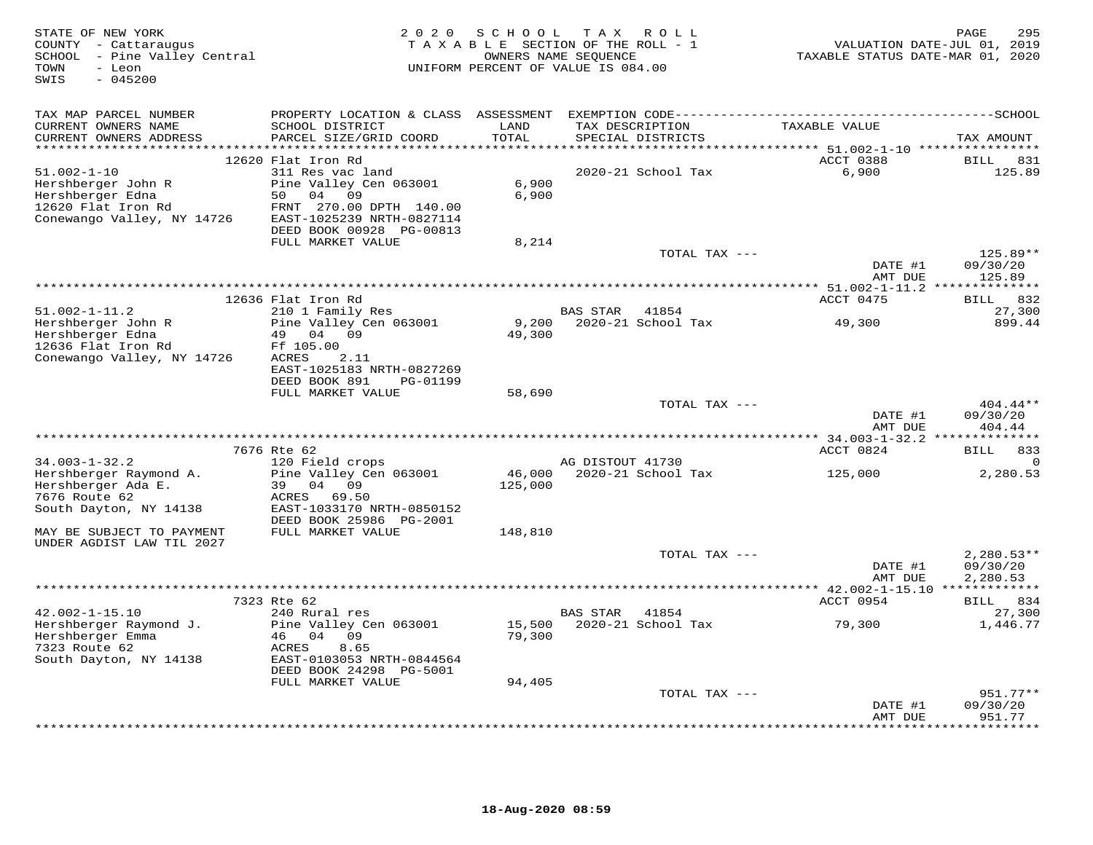| STATE OF NEW YORK<br>COUNTY - Cattaraugus<br>SCHOOL - Pine Valley Central<br>TOWN<br>- Leon<br>$-045200$<br>SWIS | 2 0 2 0                                                                                                                                          | S C H O O L                | T A X<br>R O L L<br>TAXABLE SECTION OF THE ROLL - 1<br>OWNERS NAME SEQUENCE<br>UNIFORM PERCENT OF VALUE IS 084.00 | VALUATION DATE-JUL 01, 2019<br>TAXABLE STATUS DATE-MAR 01, 2020 | 295<br>PAGE                          |
|------------------------------------------------------------------------------------------------------------------|--------------------------------------------------------------------------------------------------------------------------------------------------|----------------------------|-------------------------------------------------------------------------------------------------------------------|-----------------------------------------------------------------|--------------------------------------|
| TAX MAP PARCEL NUMBER                                                                                            |                                                                                                                                                  |                            |                                                                                                                   |                                                                 |                                      |
| CURRENT OWNERS NAME<br>CURRENT OWNERS ADDRESS<br>********************                                            | SCHOOL DISTRICT<br>PARCEL SIZE/GRID COORD                                                                                                        | LAND<br>TOTAL<br>******    | TAX DESCRIPTION<br>SPECIAL DISTRICTS                                                                              | TAXABLE VALUE                                                   | TAX AMOUNT                           |
|                                                                                                                  | 12620 Flat Iron Rd                                                                                                                               |                            |                                                                                                                   | ******* 51.002-1-10 ****************<br>ACCT 0388               | <b>BILL</b><br>831                   |
| $51.002 - 1 - 10$<br>Hershberger John R<br>Hershberger Edna<br>12620 Flat Iron Rd<br>Conewango Valley, NY 14726  | 311 Res vac land<br>Pine Valley Cen 063001<br>50<br>04<br>09<br>FRNT 270.00 DPTH 140.00<br>EAST-1025239 NRTH-0827114<br>DEED BOOK 00928 PG-00813 | 6,900<br>6,900             | 2020-21 School Tax                                                                                                | 6,900                                                           | 125.89                               |
|                                                                                                                  | FULL MARKET VALUE                                                                                                                                | 8,214                      |                                                                                                                   |                                                                 |                                      |
|                                                                                                                  |                                                                                                                                                  |                            | TOTAL TAX ---                                                                                                     | DATE #1<br>AMT DUE                                              | 125.89**<br>09/30/20<br>125.89       |
|                                                                                                                  |                                                                                                                                                  |                            |                                                                                                                   |                                                                 | * * * * * * * * *                    |
|                                                                                                                  | 12636 Flat Iron Rd                                                                                                                               |                            |                                                                                                                   | ACCT 0475                                                       | 832<br>BILL                          |
| $51.002 - 1 - 11.2$                                                                                              | 210 1 Family Res                                                                                                                                 |                            | <b>BAS STAR</b><br>41854                                                                                          |                                                                 | 27,300                               |
| Hershberger John R<br>Hershberger Edna<br>12636 Flat Iron Rd<br>Conewango Valley, NY 14726                       | Pine Valley Cen 063001<br>49<br>04<br>09<br>Ff 105.00<br>ACRES<br>2.11<br>EAST-1025183 NRTH-0827269<br>DEED BOOK 891<br>PG-01199                 | 9,200<br>49,300            | 2020-21 School Tax                                                                                                | 49,300                                                          | 899.44                               |
|                                                                                                                  | FULL MARKET VALUE                                                                                                                                | 58,690                     |                                                                                                                   |                                                                 |                                      |
|                                                                                                                  |                                                                                                                                                  |                            | TOTAL TAX ---                                                                                                     | DATE #1<br>AMT DUE                                              | $404.44**$<br>09/30/20<br>404.44     |
|                                                                                                                  |                                                                                                                                                  |                            |                                                                                                                   |                                                                 | *********                            |
| $34.003 - 1 - 32.2$                                                                                              | 7676 Rte 62<br>120 Field crops                                                                                                                   |                            | AG DISTOUT 41730                                                                                                  | ACCT 0824                                                       | 833<br>BILL                          |
| Hershberger Raymond A.<br>Hershberger Ada E.<br>7676 Route 62<br>South Dayton, NY 14138                          | Pine Valley Cen 063001<br>39<br>04<br>09<br>69.50<br>ACRES<br>EAST-1033170 NRTH-0850152                                                          | 46,000<br>125,000          | 2020-21 School Tax                                                                                                | 125,000                                                         | 2,280.53                             |
|                                                                                                                  | DEED BOOK 25986 PG-2001                                                                                                                          |                            |                                                                                                                   |                                                                 |                                      |
| MAY BE SUBJECT TO PAYMENT<br>UNDER AGDIST LAW TIL 2027                                                           | FULL MARKET VALUE                                                                                                                                | 148,810                    |                                                                                                                   |                                                                 |                                      |
|                                                                                                                  |                                                                                                                                                  |                            | TOTAL TAX ---                                                                                                     | DATE #1<br>AMT DUE                                              | $2,280.53**$<br>09/30/20<br>2,280.53 |
|                                                                                                                  |                                                                                                                                                  |                            |                                                                                                                   |                                                                 |                                      |
| $42.002 - 1 - 15.10$                                                                                             | 7323 Rte 62<br>240 Rural res                                                                                                                     |                            | 41854<br>BAS STAR                                                                                                 | ACCT 0954                                                       | BILL 834<br>27,300                   |
| Hershberger Raymond J.<br>Hershberger Emma<br>7323 Route 62<br>South Dayton, NY 14138                            | Pine Valley Cen 063001<br>46<br>04<br>09<br>ACRES<br>8.65<br>EAST-0103053 NRTH-0844564<br>DEED BOOK 24298 PG-5001<br>FULL MARKET VALUE           | 15,500<br>79,300<br>94,405 | 2020-21 School Tax                                                                                                | 79,300                                                          | 1,446.77                             |
|                                                                                                                  |                                                                                                                                                  |                            | TOTAL TAX ---                                                                                                     |                                                                 | $951.77**$                           |
|                                                                                                                  |                                                                                                                                                  |                            |                                                                                                                   | DATE #1<br>AMT DUE                                              | 09/30/20<br>951.77                   |
|                                                                                                                  |                                                                                                                                                  |                            |                                                                                                                   |                                                                 | .                                    |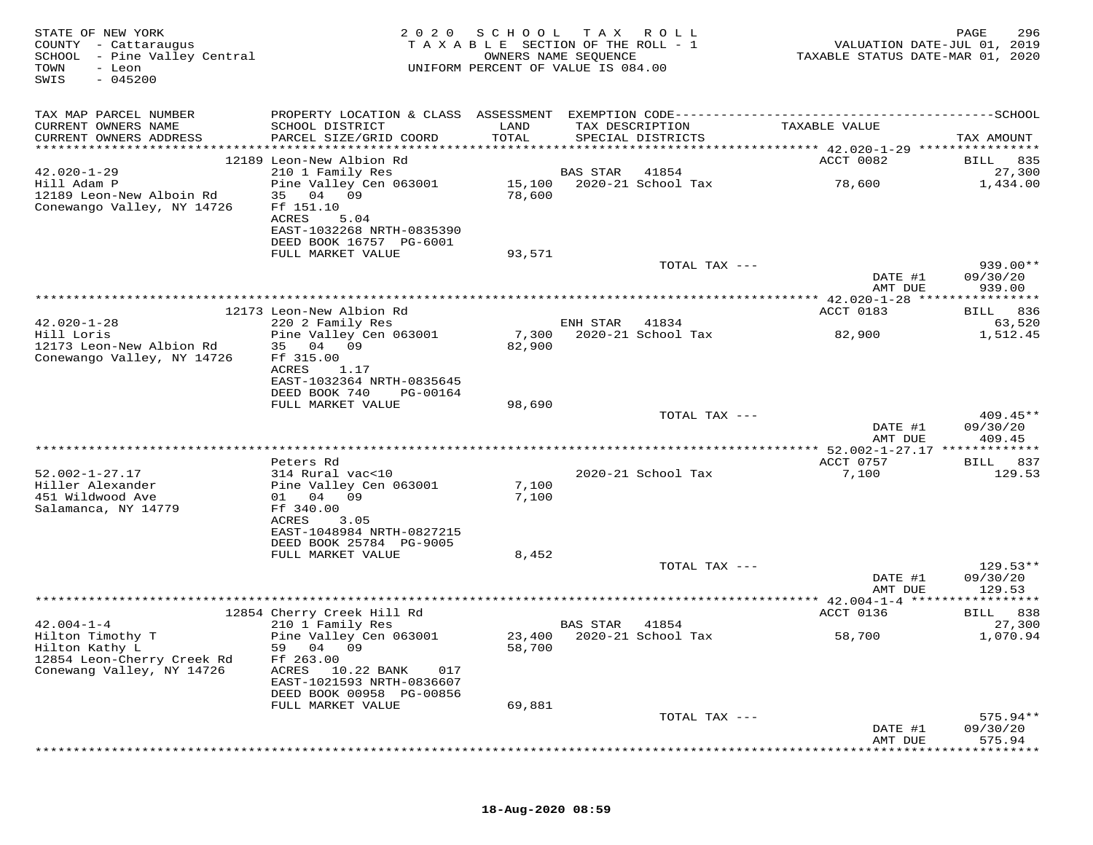| STATE OF NEW YORK<br>COUNTY - Cattaraugus<br>SCHOOL - Pine Valley Central<br>- Leon<br>TOWN<br>$-045200$<br>SWIS | 2020                                                    | SCHOOL<br>TAXABLE SECTION OF THE ROLL - 1<br>OWNERS NAME SEQUENCE<br>UNIFORM PERCENT OF VALUE IS 084.00 | T A X           | R O L L                   | VALUATION DATE-JUL 01, 2019<br>TAXABLE STATUS DATE-MAR 01, 2020 | PAGE<br>296           |
|------------------------------------------------------------------------------------------------------------------|---------------------------------------------------------|---------------------------------------------------------------------------------------------------------|-----------------|---------------------------|-----------------------------------------------------------------|-----------------------|
| TAX MAP PARCEL NUMBER                                                                                            |                                                         |                                                                                                         |                 |                           |                                                                 |                       |
| CURRENT OWNERS NAME<br>CURRENT OWNERS ADDRESS                                                                    | SCHOOL DISTRICT<br>PARCEL SIZE/GRID COORD               | LAND<br>TOTAL                                                                                           | TAX DESCRIPTION | SPECIAL DISTRICTS         | TAXABLE VALUE                                                   | TAX AMOUNT            |
|                                                                                                                  |                                                         |                                                                                                         |                 |                           |                                                                 |                       |
|                                                                                                                  | 12189 Leon-New Albion Rd                                |                                                                                                         |                 |                           | ACCT 0082                                                       | BILL 835              |
| $42.020 - 1 - 29$                                                                                                | 210 1 Family Res                                        |                                                                                                         | <b>BAS STAR</b> | 41854                     |                                                                 | 27,300                |
| Hill Adam P<br>12189 Leon-New Alboin Rd                                                                          | Pine Valley Cen 063001<br>35 04 09                      | 15,100<br>78,600                                                                                        |                 | 2020-21 School Tax        | 78,600                                                          | 1,434.00              |
| Conewango Valley, NY 14726                                                                                       | Ff 151.10                                               |                                                                                                         |                 |                           |                                                                 |                       |
|                                                                                                                  | ACRES<br>5.04                                           |                                                                                                         |                 |                           |                                                                 |                       |
|                                                                                                                  | EAST-1032268 NRTH-0835390                               |                                                                                                         |                 |                           |                                                                 |                       |
|                                                                                                                  | DEED BOOK 16757 PG-6001<br>FULL MARKET VALUE            | 93,571                                                                                                  |                 |                           |                                                                 |                       |
|                                                                                                                  |                                                         |                                                                                                         |                 | TOTAL TAX ---             |                                                                 | 939.00**              |
|                                                                                                                  |                                                         |                                                                                                         |                 |                           | DATE #1                                                         | 09/30/20              |
|                                                                                                                  |                                                         |                                                                                                         |                 |                           | AMT DUE                                                         | 939.00                |
|                                                                                                                  |                                                         |                                                                                                         |                 |                           | ACCT 0183                                                       |                       |
| $42.020 - 1 - 28$                                                                                                | 12173 Leon-New Albion Rd<br>220 2 Family Res            |                                                                                                         | ENH STAR        | 41834                     |                                                                 | 836<br>BILL<br>63,520 |
| Hill Loris                                                                                                       | Pine Valley Cen 063001                                  | 7,300                                                                                                   |                 | 2020-21 School Tax        | 82,900                                                          | 1,512.45              |
| 12173 Leon-New Albion Rd                                                                                         | 35 04 09                                                | 82,900                                                                                                  |                 |                           |                                                                 |                       |
| Conewango Valley, NY 14726                                                                                       | Ff 315.00                                               |                                                                                                         |                 |                           |                                                                 |                       |
|                                                                                                                  | ACRES<br>1.17<br>EAST-1032364 NRTH-0835645              |                                                                                                         |                 |                           |                                                                 |                       |
|                                                                                                                  | DEED BOOK 740<br>PG-00164                               |                                                                                                         |                 |                           |                                                                 |                       |
|                                                                                                                  | FULL MARKET VALUE                                       | 98,690                                                                                                  |                 |                           |                                                                 |                       |
|                                                                                                                  |                                                         |                                                                                                         |                 | TOTAL TAX ---             |                                                                 | 409.45**              |
|                                                                                                                  |                                                         |                                                                                                         |                 |                           | DATE #1<br>AMT DUE                                              | 09/30/20<br>409.45    |
|                                                                                                                  |                                                         |                                                                                                         |                 |                           |                                                                 |                       |
|                                                                                                                  | Peters Rd                                               |                                                                                                         |                 |                           | ACCT 0757                                                       | 837<br>BILL           |
| $52.002 - 1 - 27.17$                                                                                             | 314 Rural vac<10                                        |                                                                                                         |                 | 2020-21 School Tax        | 7,100                                                           | 129.53                |
| Hiller Alexander<br>451 Wildwood Ave                                                                             | Pine Valley Cen 063001<br>01 04<br>09                   | 7,100                                                                                                   |                 |                           |                                                                 |                       |
| Salamanca, NY 14779                                                                                              | Ff 340.00                                               | 7,100                                                                                                   |                 |                           |                                                                 |                       |
|                                                                                                                  | ACRES<br>3.05                                           |                                                                                                         |                 |                           |                                                                 |                       |
|                                                                                                                  | EAST-1048984 NRTH-0827215                               |                                                                                                         |                 |                           |                                                                 |                       |
|                                                                                                                  | DEED BOOK 25784 PG-9005                                 |                                                                                                         |                 |                           |                                                                 |                       |
|                                                                                                                  | FULL MARKET VALUE                                       | 8,452                                                                                                   |                 | TOTAL TAX ---             |                                                                 | $129.53**$            |
|                                                                                                                  |                                                         |                                                                                                         |                 |                           | DATE #1                                                         | 09/30/20              |
|                                                                                                                  |                                                         |                                                                                                         |                 |                           | AMT DUE                                                         | 129.53                |
|                                                                                                                  |                                                         |                                                                                                         |                 |                           |                                                                 |                       |
| $42.004 - 1 - 4$                                                                                                 | 12854 Cherry Creek Hill Rd<br>210 1 Family Res          |                                                                                                         | BAS STAR        | 41854                     | ACCT 0136                                                       | BILL 838<br>27,300    |
| Hilton Timothy T                                                                                                 | Pine Valley Cen 063001                                  |                                                                                                         |                 | 23,400 2020-21 School Tax | 58,700                                                          | 1,070.94              |
| Hilton Kathy L                                                                                                   | 59<br>04 09                                             | 58,700                                                                                                  |                 |                           |                                                                 |                       |
| 12854 Leon-Cherry Creek Rd                                                                                       | Ff 263.00                                               |                                                                                                         |                 |                           |                                                                 |                       |
| Conewang Valley, NY 14726                                                                                        | ACRES<br>10.22 BANK<br>017<br>EAST-1021593 NRTH-0836607 |                                                                                                         |                 |                           |                                                                 |                       |
|                                                                                                                  | DEED BOOK 00958 PG-00856                                |                                                                                                         |                 |                           |                                                                 |                       |
|                                                                                                                  | FULL MARKET VALUE                                       | 69,881                                                                                                  |                 |                           |                                                                 |                       |
|                                                                                                                  |                                                         |                                                                                                         |                 | TOTAL TAX ---             |                                                                 | 575.94**              |
|                                                                                                                  |                                                         |                                                                                                         |                 |                           | DATE #1<br>AMT DUE                                              | 09/30/20<br>575.94    |
|                                                                                                                  |                                                         |                                                                                                         |                 |                           |                                                                 |                       |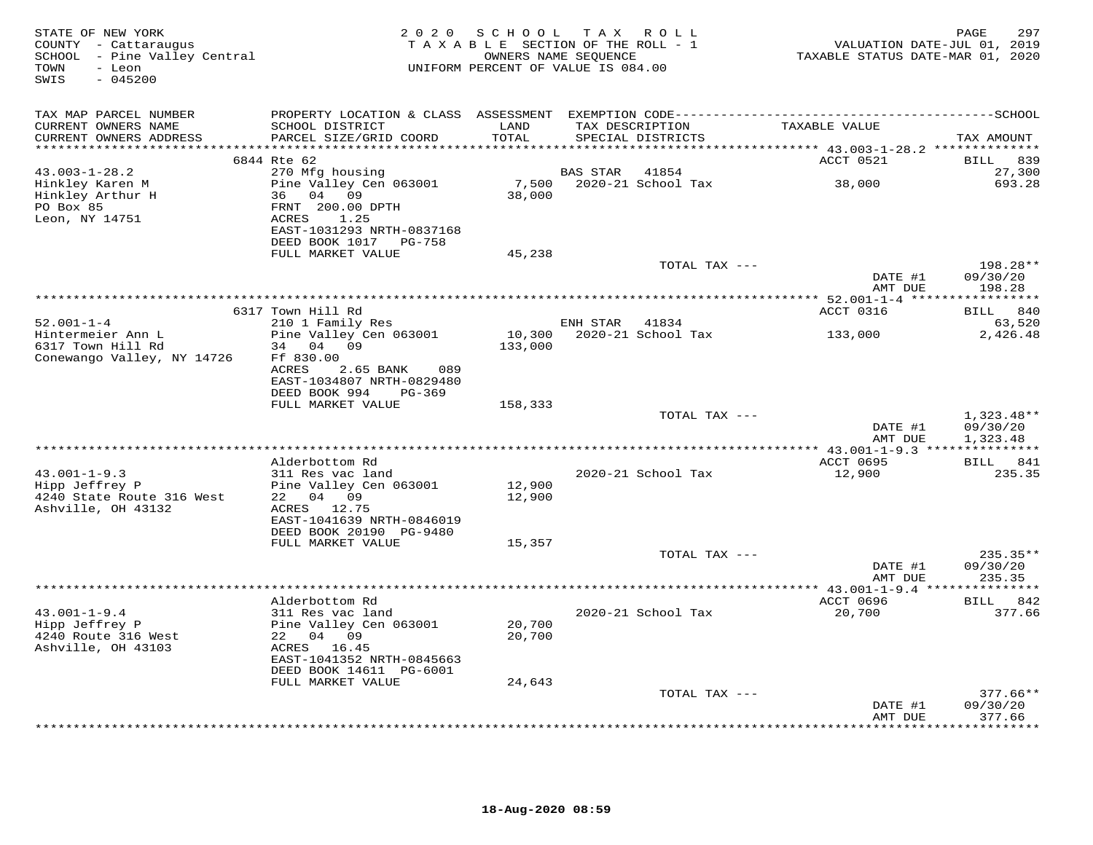| STATE OF NEW YORK<br>COUNTY - Cattaraugus<br>SCHOOL - Pine Valley Central<br>- Leon<br>TOWN<br>$-045200$<br>SWIS |                                                                  | 2020 SCHOOL TAX ROLL<br>TAXABLE SECTION OF THE ROLL - 1<br>UNIFORM PERCENT OF VALUE IS 084.00 |                | OWNERS NAME SEQUENCE                 | VALUATION DATE-JUL 01, 2019<br>TAXABLE STATUS DATE-MAR 01, 2020 | PAGE<br>297                      |
|------------------------------------------------------------------------------------------------------------------|------------------------------------------------------------------|-----------------------------------------------------------------------------------------------|----------------|--------------------------------------|-----------------------------------------------------------------|----------------------------------|
| TAX MAP PARCEL NUMBER                                                                                            |                                                                  |                                                                                               |                |                                      |                                                                 |                                  |
| CURRENT OWNERS NAME<br>CURRENT OWNERS ADDRESS                                                                    | SCHOOL DISTRICT<br>PARCEL SIZE/GRID COORD                        | LAND<br>TOTAL                                                                                 |                | TAX DESCRIPTION<br>SPECIAL DISTRICTS | TAXABLE VALUE                                                   | TAX AMOUNT                       |
| **********************                                                                                           |                                                                  | ****************                                                                              |                |                                      | **************************** 43.003-1-28.2 **************       |                                  |
| $43.003 - 1 - 28.2$                                                                                              | 6844 Rte 62<br>270 Mfg housing                                   |                                                                                               | BAS STAR       | 41854                                | ACCT 0521                                                       | BILL 839<br>27,300               |
| Hinkley Karen M<br>Hinkley Arthur H<br>PO Box 85                                                                 | Pine Valley Cen 063001<br>36 04 09<br>FRNT 200.00 DPTH           | 38,000                                                                                        |                | 7,500 2020-21 School Tax             | 38,000                                                          | 693.28                           |
| Leon, NY 14751                                                                                                   | ACRES 1.25<br>EAST-1031293 NRTH-0837168<br>DEED BOOK 1017 PG-758 |                                                                                               |                |                                      |                                                                 |                                  |
|                                                                                                                  | FULL MARKET VALUE                                                | 45,238                                                                                        |                |                                      |                                                                 |                                  |
|                                                                                                                  |                                                                  |                                                                                               |                | TOTAL TAX ---                        |                                                                 | 198.28**                         |
|                                                                                                                  |                                                                  |                                                                                               |                |                                      | DATE #1<br>AMT DUE                                              | 09/30/20<br>198.28               |
|                                                                                                                  |                                                                  |                                                                                               |                |                                      | ****************** 52.001-1-4 ******************                |                                  |
| $52.001 - 1 - 4$                                                                                                 | 6317 Town Hill Rd<br>210 1 Family Res                            |                                                                                               | ENH STAR 41834 |                                      | ACCT 0316                                                       | BILL 840<br>63,520               |
| Hintermeier Ann L                                                                                                | Pine Valley Cen 063001                                           |                                                                                               |                | 10,300 2020-21 School Tax            | 133,000                                                         | 2,426.48                         |
| 6317 Town Hill Rd                                                                                                | 34 04 09                                                         | 133,000                                                                                       |                |                                      |                                                                 |                                  |
| Conewango Valley, NY 14726                                                                                       | Ff 830.00                                                        |                                                                                               |                |                                      |                                                                 |                                  |
|                                                                                                                  | ACRES<br>2.65 BANK<br>089                                        |                                                                                               |                |                                      |                                                                 |                                  |
|                                                                                                                  | EAST-1034807 NRTH-0829480<br>DEED BOOK 994<br>PG-369             |                                                                                               |                |                                      |                                                                 |                                  |
|                                                                                                                  | FULL MARKET VALUE                                                | 158,333                                                                                       |                |                                      |                                                                 |                                  |
|                                                                                                                  |                                                                  |                                                                                               |                | TOTAL TAX ---                        |                                                                 | $1,323.48**$                     |
|                                                                                                                  |                                                                  |                                                                                               |                |                                      | DATE #1                                                         | 09/30/20                         |
| ******************************                                                                                   |                                                                  |                                                                                               |                |                                      | AMT DUE                                                         | 1,323.48                         |
|                                                                                                                  | Alderbottom Rd                                                   |                                                                                               |                |                                      | ACCT 0695                                                       | BILL 841                         |
| $43.001 - 1 - 9.3$                                                                                               | 311 Res vac land                                                 |                                                                                               |                | 2020-21 School Tax                   | 12,900                                                          | 235.35                           |
| Hipp Jeffrey P                                                                                                   | Pine Valley Cen 063001                                           | 12,900                                                                                        |                |                                      |                                                                 |                                  |
| 4240 State Route 316 West                                                                                        | 22 04 09                                                         | 12,900                                                                                        |                |                                      |                                                                 |                                  |
| Ashville, OH 43132                                                                                               | ACRES 12.75<br>EAST-1041639 NRTH-0846019                         |                                                                                               |                |                                      |                                                                 |                                  |
|                                                                                                                  | DEED BOOK 20190 PG-9480                                          |                                                                                               |                |                                      |                                                                 |                                  |
|                                                                                                                  | FULL MARKET VALUE                                                | 15,357                                                                                        |                |                                      |                                                                 |                                  |
|                                                                                                                  |                                                                  |                                                                                               |                | TOTAL TAX ---                        | DATE #1<br>AMT DUE                                              | $235.35**$<br>09/30/20<br>235.35 |
|                                                                                                                  |                                                                  |                                                                                               |                |                                      |                                                                 |                                  |
|                                                                                                                  | Alderbottom Rd                                                   |                                                                                               |                |                                      | ACCT 0696                                                       | BILL 842                         |
| $43.001 - 1 - 9.4$<br>Hipp Jeffrey P                                                                             | 311 Res vac land<br>Pine Valley Cen 063001                       | 20,700                                                                                        |                | 2020-21 School Tax                   | 20,700                                                          | 377.66                           |
| 4240 Route 316 West                                                                                              | 22 04 09                                                         | 20,700                                                                                        |                |                                      |                                                                 |                                  |
| Ashville, OH 43103                                                                                               | ACRES 16.45                                                      |                                                                                               |                |                                      |                                                                 |                                  |
|                                                                                                                  | EAST-1041352 NRTH-0845663                                        |                                                                                               |                |                                      |                                                                 |                                  |
|                                                                                                                  | DEED BOOK 14611 PG-6001                                          |                                                                                               |                |                                      |                                                                 |                                  |
|                                                                                                                  | FULL MARKET VALUE                                                | 24,643                                                                                        |                | TOTAL TAX ---                        |                                                                 | $377.66**$                       |
|                                                                                                                  |                                                                  |                                                                                               |                |                                      | DATE #1                                                         | 09/30/20                         |
|                                                                                                                  |                                                                  |                                                                                               |                |                                      | AMT DUE                                                         | 377.66                           |
|                                                                                                                  |                                                                  |                                                                                               |                |                                      |                                                                 | ********                         |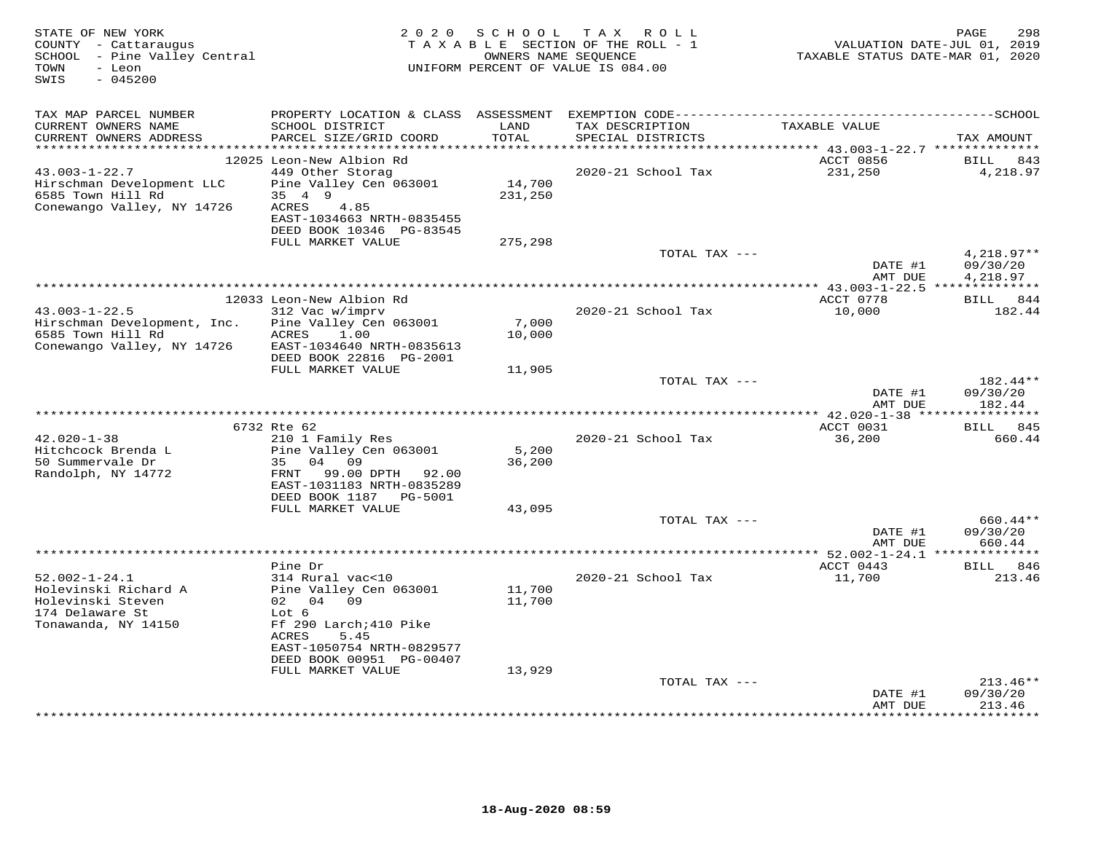| STATE OF NEW YORK<br>COUNTY - Cattaraugus<br>SCHOOL - Pine Valley Central<br>TOWN<br>- Leon<br>$-045200$<br>SWIS | 2 0 2 0                                                                                      | S C H O O L      | TAX ROLL<br>TAXABLE SECTION OF THE ROLL - 1<br>OWNERS NAME SEQUENCE<br>UNIFORM PERCENT OF VALUE IS 084.00 | VALUATION DATE-JUL 01, 2019<br>TAXABLE STATUS DATE-MAR 01, 2020 | PAGE<br>298                    |
|------------------------------------------------------------------------------------------------------------------|----------------------------------------------------------------------------------------------|------------------|-----------------------------------------------------------------------------------------------------------|-----------------------------------------------------------------|--------------------------------|
| TAX MAP PARCEL NUMBER                                                                                            | PROPERTY LOCATION & CLASS ASSESSMENT EXEMPTION CODE-----------------------------------SCHOOL |                  |                                                                                                           |                                                                 |                                |
| CURRENT OWNERS NAME<br>CURRENT OWNERS ADDRESS<br>***********************                                         | SCHOOL DISTRICT<br>PARCEL SIZE/GRID COORD                                                    | LAND<br>TOTAL    | TAX DESCRIPTION<br>SPECIAL DISTRICTS                                                                      | TAXABLE VALUE                                                   | TAX AMOUNT                     |
|                                                                                                                  | 12025 Leon-New Albion Rd                                                                     |                  |                                                                                                           | ACCT 0856                                                       | 843<br>BILL                    |
| $43.003 - 1 - 22.7$                                                                                              | 449 Other Storag                                                                             |                  | 2020-21 School Tax                                                                                        | 231,250                                                         | 4,218.97                       |
| Hirschman Development LLC                                                                                        | Pine Valley Cen 063001                                                                       | 14,700           |                                                                                                           |                                                                 |                                |
| 6585 Town Hill Rd                                                                                                | 35 4 9                                                                                       | 231,250          |                                                                                                           |                                                                 |                                |
| Conewango Valley, NY 14726                                                                                       | ACRES<br>4.85                                                                                |                  |                                                                                                           |                                                                 |                                |
|                                                                                                                  | EAST-1034663 NRTH-0835455                                                                    |                  |                                                                                                           |                                                                 |                                |
|                                                                                                                  | DEED BOOK 10346 PG-83545<br>FULL MARKET VALUE                                                | 275,298          |                                                                                                           |                                                                 |                                |
|                                                                                                                  |                                                                                              |                  | TOTAL TAX ---                                                                                             |                                                                 | $4,218.97**$                   |
|                                                                                                                  |                                                                                              |                  |                                                                                                           | DATE #1                                                         | 09/30/20                       |
|                                                                                                                  |                                                                                              |                  |                                                                                                           | AMT DUE                                                         | 4,218.97                       |
|                                                                                                                  |                                                                                              |                  |                                                                                                           |                                                                 |                                |
| $43.003 - 1 - 22.5$                                                                                              | 12033 Leon-New Albion Rd<br>312 Vac w/imprv                                                  |                  | 2020-21 School Tax                                                                                        | ACCT 0778<br>10,000                                             | BILL 844<br>182.44             |
| Hirschman Development, Inc.                                                                                      | Pine Valley Cen 063001                                                                       | 7,000            |                                                                                                           |                                                                 |                                |
| 6585 Town Hill Rd                                                                                                | 1.00<br>ACRES                                                                                | 10,000           |                                                                                                           |                                                                 |                                |
| Conewango Valley, NY 14726                                                                                       | EAST-1034640 NRTH-0835613                                                                    |                  |                                                                                                           |                                                                 |                                |
|                                                                                                                  | DEED BOOK 22816 PG-2001                                                                      |                  |                                                                                                           |                                                                 |                                |
|                                                                                                                  | FULL MARKET VALUE                                                                            | 11,905           |                                                                                                           |                                                                 |                                |
|                                                                                                                  |                                                                                              |                  | TOTAL TAX ---                                                                                             | DATE #1<br>AMT DUE                                              | 182.44**<br>09/30/20<br>182.44 |
|                                                                                                                  |                                                                                              |                  |                                                                                                           | *** 42.020-1-38 *****************                               |                                |
|                                                                                                                  | 6732 Rte 62                                                                                  |                  |                                                                                                           | ACCT 0031                                                       | <b>BILL</b><br>845             |
| $42.020 - 1 - 38$                                                                                                | 210 1 Family Res                                                                             |                  | 2020-21 School Tax                                                                                        | 36,200                                                          | 660.44                         |
| Hitchcock Brenda L<br>50 Summervale Dr                                                                           | Pine Valley Cen 063001<br>35<br>04<br>09                                                     | 5,200<br>36,200  |                                                                                                           |                                                                 |                                |
| Randolph, NY 14772                                                                                               | 99.00 DPTH 92.00<br>FRNT                                                                     |                  |                                                                                                           |                                                                 |                                |
|                                                                                                                  | EAST-1031183 NRTH-0835289                                                                    |                  |                                                                                                           |                                                                 |                                |
|                                                                                                                  | DEED BOOK 1187    PG-5001                                                                    |                  |                                                                                                           |                                                                 |                                |
|                                                                                                                  | FULL MARKET VALUE                                                                            | 43,095           | TOTAL TAX ---                                                                                             |                                                                 | 660.44**                       |
|                                                                                                                  |                                                                                              |                  |                                                                                                           | DATE #1                                                         | 09/30/20                       |
|                                                                                                                  |                                                                                              |                  |                                                                                                           | AMT DUE                                                         | 660.44                         |
|                                                                                                                  |                                                                                              |                  |                                                                                                           | ******* 52.002-1-24.1 **                                        | ***********                    |
|                                                                                                                  | Pine Dr                                                                                      |                  |                                                                                                           | ACCT 0443                                                       | <b>BILL</b><br>846             |
| $52.002 - 1 - 24.1$                                                                                              | 314 Rural vac<10                                                                             |                  | 2020-21 School Tax                                                                                        | 11,700                                                          | 213.46                         |
| Holevinski Richard A<br>Holevinski Steven                                                                        | Pine Valley Cen 063001<br>02 04 09                                                           | 11,700<br>11,700 |                                                                                                           |                                                                 |                                |
| 174 Delaware St                                                                                                  | Lot 6                                                                                        |                  |                                                                                                           |                                                                 |                                |
| Tonawanda, NY 14150                                                                                              | Ff 290 Larch; 410 Pike                                                                       |                  |                                                                                                           |                                                                 |                                |
|                                                                                                                  | ACRES<br>5.45                                                                                |                  |                                                                                                           |                                                                 |                                |
|                                                                                                                  | EAST-1050754 NRTH-0829577                                                                    |                  |                                                                                                           |                                                                 |                                |
|                                                                                                                  | DEED BOOK 00951 PG-00407<br>FULL MARKET VALUE                                                | 13,929           |                                                                                                           |                                                                 |                                |
|                                                                                                                  |                                                                                              |                  | TOTAL TAX ---                                                                                             |                                                                 | $213.46**$                     |
|                                                                                                                  |                                                                                              |                  |                                                                                                           | DATE #1                                                         | 09/30/20                       |
|                                                                                                                  |                                                                                              |                  |                                                                                                           | AMT DUE                                                         | 213.46<br>* * * * * * * *      |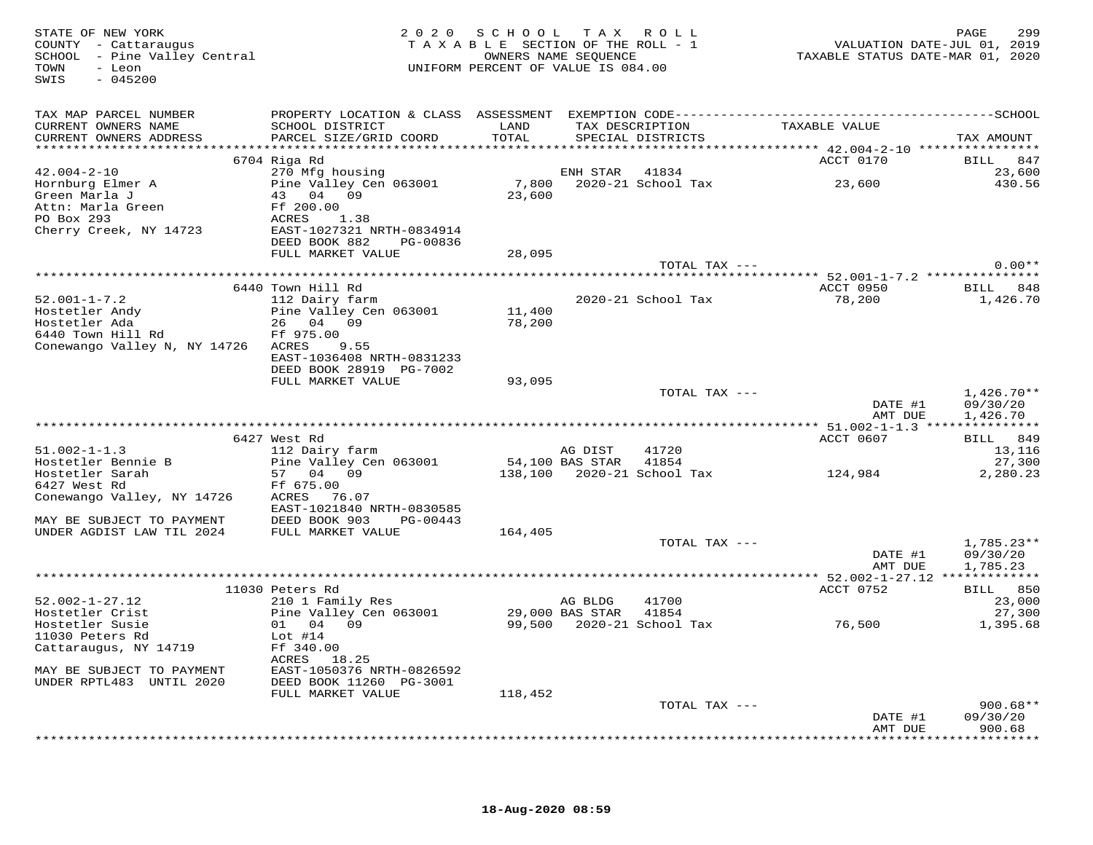| STATE OF NEW YORK<br>STATE OF NEW YORA<br>COUNTY - Cattaraugus<br>SCHOOL - Pine Valley Central<br>TOWN<br>- Leon<br>$-045200$<br>SWIS | 2 0 2 0                                         | SCHOOL TAX ROLL<br>TAXABLE SECTION OF THE ROLL - 1<br>OWNERS NAME SEOUENCE<br>UNIFORM PERCENT OF VALUE IS 084.00 |         | ROLL – 1           | 299<br>701, VALUATION DATE-JUL 01, 2019<br>7020, TAXABLE STATUS DATE-MAR 01 | 299<br>PAGE              |
|---------------------------------------------------------------------------------------------------------------------------------------|-------------------------------------------------|------------------------------------------------------------------------------------------------------------------|---------|--------------------|-----------------------------------------------------------------------------|--------------------------|
| TAX MAP PARCEL NUMBER                                                                                                                 |                                                 |                                                                                                                  |         |                    |                                                                             |                          |
| CURRENT OWNERS NAME                                                                                                                   | SCHOOL DISTRICT                                 | LAND                                                                                                             |         |                    |                                                                             |                          |
| CURRENT OWNERS ADDRESS                                                                                                                | PARCEL SIZE/GRID COORD                          | TOTAL                                                                                                            |         | SPECIAL DISTRICTS  |                                                                             | TAX AMOUNT               |
|                                                                                                                                       | 6704 Riga Rd                                    |                                                                                                                  |         |                    | ACCT 0170                                                                   | BILL 847                 |
| $42.004 - 2 - 10$                                                                                                                     | 270 Mfg housing                                 |                                                                                                                  |         | ENH STAR 41834     |                                                                             | 23,600                   |
| Hornburg Elmer A<br>Green Marla J                                                                                                     | Pine Valley Cen 063001                          |                                                                                                                  |         |                    | 7,800 2020-21 School Tax 23,600                                             | 430.56                   |
|                                                                                                                                       | 43 04 09                                        | 23,600                                                                                                           |         |                    |                                                                             |                          |
| Attn: Marla Green<br>PC Box 293<br>Cherry Creek, NY 14723<br>Cherry Creek, NY 14723<br>EAST-1027321 NRTH-0834914                      |                                                 |                                                                                                                  |         |                    |                                                                             |                          |
|                                                                                                                                       |                                                 |                                                                                                                  |         |                    |                                                                             |                          |
|                                                                                                                                       | DEED BOOK 882<br>PG-00836                       |                                                                                                                  |         |                    |                                                                             |                          |
|                                                                                                                                       | FULL MARKET VALUE                               | 28,095                                                                                                           |         |                    |                                                                             |                          |
|                                                                                                                                       |                                                 |                                                                                                                  |         | TOTAL TAX ---      |                                                                             | $0.00**$                 |
|                                                                                                                                       |                                                 |                                                                                                                  |         |                    |                                                                             |                          |
|                                                                                                                                       | 6440 Town Hill Rd                               |                                                                                                                  |         |                    | ACCT 0950 BILL 848                                                          |                          |
| $52.001 - 1 - 7.2$                                                                                                                    | 112 Dairy farm<br>Pine Valley Cen 063001 11,400 |                                                                                                                  |         | 2020-21 School Tax | 78,200                                                                      | 1,426.70                 |
| Hostetler Andy<br>Hostetler Ada<br>6440 Town Hill Rd                                                                                  | 26 04 09                                        | 78,200                                                                                                           |         |                    |                                                                             |                          |
|                                                                                                                                       | Ff 975.00                                       |                                                                                                                  |         |                    |                                                                             |                          |
| Conewango Valley N, NY 14726 ACRES                                                                                                    | 9.55                                            |                                                                                                                  |         |                    |                                                                             |                          |
|                                                                                                                                       | EAST-1036408 NRTH-0831233                       |                                                                                                                  |         |                    |                                                                             |                          |
|                                                                                                                                       | DEED BOOK 28919 PG-7002                         |                                                                                                                  |         |                    |                                                                             |                          |
|                                                                                                                                       | FULL MARKET VALUE                               | 93,095                                                                                                           |         |                    |                                                                             |                          |
|                                                                                                                                       |                                                 |                                                                                                                  |         | TOTAL TAX ---      | DATE #1                                                                     | $1.426.70**$<br>09/30/20 |
|                                                                                                                                       |                                                 |                                                                                                                  |         |                    | AMT DUE                                                                     | 1,426.70                 |
|                                                                                                                                       |                                                 |                                                                                                                  |         |                    |                                                                             |                          |
|                                                                                                                                       | 6427 West Rd                                    |                                                                                                                  |         |                    | ACCT 0607                                                                   | BILL 849                 |
| $51.002 - 1 - 1.3$                                                                                                                    | 112 Dairy farm                                  |                                                                                                                  | AG DIST | 41720              |                                                                             | 13,116                   |
| Hostetler Bennie B                                                                                                                    | Pine Valley Cen 063001 54,100 BAS STAR          |                                                                                                                  |         | 41854              |                                                                             | 27,300                   |
| Hosteller Sarah<br>Tior Most Rd                                                                                                       | 57 04 09                                        |                                                                                                                  |         |                    | 138,100  2020-21  School Tax  124,984                                       | 2,280.23                 |
| Conewango Valley, NY 14726                                                                                                            | Ff 675.00<br>ACRES 76.07                        |                                                                                                                  |         |                    |                                                                             |                          |
|                                                                                                                                       | EAST-1021840 NRTH-0830585                       |                                                                                                                  |         |                    |                                                                             |                          |
| MAY BE SUBJECT TO PAYMENT                                                                                                             | DEED BOOK 903<br>PG-00443                       |                                                                                                                  |         |                    |                                                                             |                          |
| UNDER AGDIST LAW TIL 2024                                                                                                             | FULL MARKET VALUE                               | 164,405                                                                                                          |         |                    |                                                                             |                          |
|                                                                                                                                       |                                                 |                                                                                                                  |         | TOTAL TAX ---      |                                                                             | $1,785.23**$             |
|                                                                                                                                       |                                                 |                                                                                                                  |         |                    | DATE #1                                                                     | 09/30/20                 |
|                                                                                                                                       |                                                 |                                                                                                                  |         |                    | AMT DUE                                                                     | 1,785.23                 |
|                                                                                                                                       | 11030 Peters Rd                                 |                                                                                                                  |         |                    | ACCT 0752                                                                   | BILL 850                 |
| $52.002 - 1 - 27.12$                                                                                                                  | 210 1 Family Res                                |                                                                                                                  | AG BLDG | 41700              |                                                                             | 23,000                   |
| Hostetler Crist                                                                                                                       | Pine Valley Cen 063001 29,000 BAS STAR 41854    |                                                                                                                  |         |                    |                                                                             | 27,300                   |
| Hostetler Susie                                                                                                                       | 01 04 09                                        |                                                                                                                  |         |                    | 99,500 2020-21 School Tax 76,500                                            | 1,395.68                 |
| 11030 Peters Rd                                                                                                                       | Lot $#14$                                       |                                                                                                                  |         |                    |                                                                             |                          |
| Cattaraugus, NY 14719                                                                                                                 | Ff 340.00                                       |                                                                                                                  |         |                    |                                                                             |                          |
| MAY BE SUBJECT TO PAYMENT                                                                                                             | ACRES 18.25<br>EAST-1050376 NRTH-0826592        |                                                                                                                  |         |                    |                                                                             |                          |
| UNDER RPTL483 UNTIL 2020                                                                                                              | DEED BOOK 11260 PG-3001                         |                                                                                                                  |         |                    |                                                                             |                          |
|                                                                                                                                       | FULL MARKET VALUE                               | 118,452                                                                                                          |         |                    |                                                                             |                          |
|                                                                                                                                       |                                                 |                                                                                                                  |         | TOTAL TAX ---      |                                                                             | $900.68**$               |
|                                                                                                                                       |                                                 |                                                                                                                  |         |                    | DATE #1                                                                     | 09/30/20                 |
|                                                                                                                                       |                                                 |                                                                                                                  |         |                    | AMT DUE                                                                     | 900.68<br>*********      |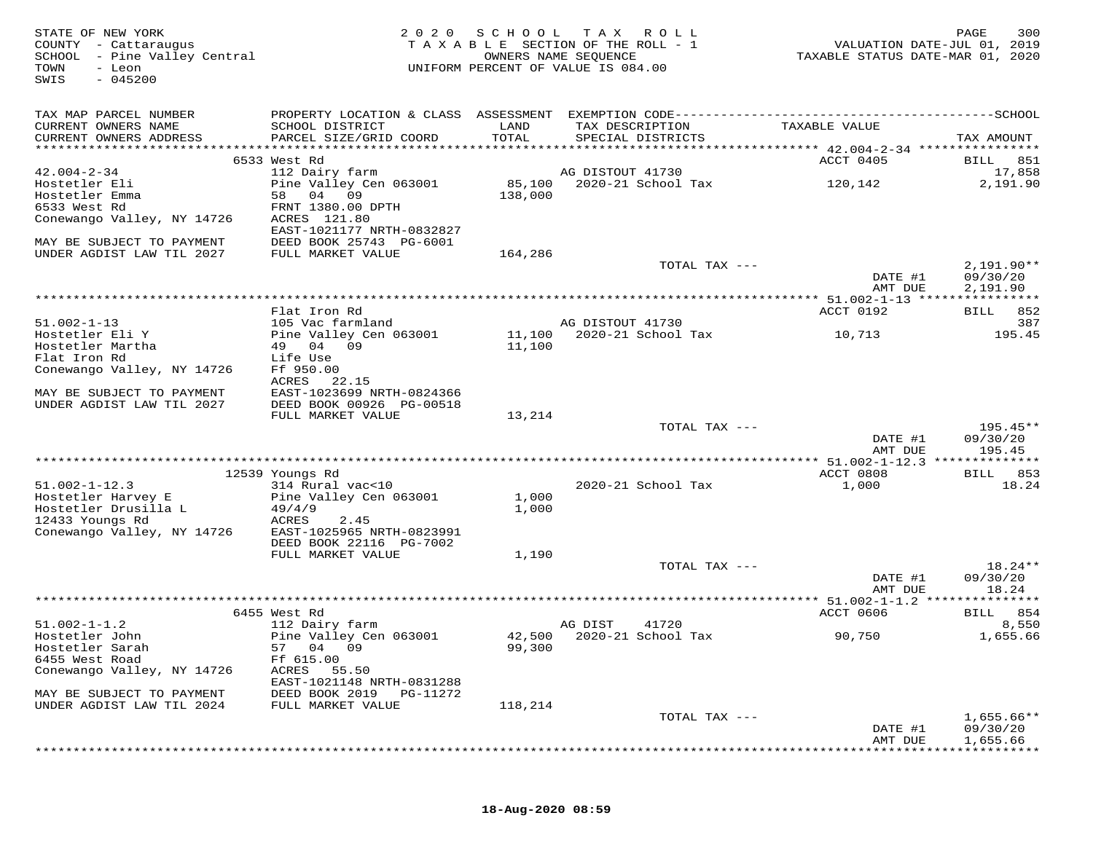| STATE OF NEW YORK<br>COUNTY - Cattaraugus<br>SCHOOL - Pine Valley Central<br>TOWN<br>- Leon<br>$-045200$<br>SWIS | 2 0 2 0                                        | SCHOOL         | TAX ROLL<br>TAXABLE SECTION OF THE ROLL - 1<br>OWNERS NAME SEQUENCE<br>UNIFORM PERCENT OF VALUE IS 084.00 | VALUATION DATE-JUL 01, 2019<br>TAXABLE STATUS DATE-MAR 01, 2020 | 300<br>PAGE          |
|------------------------------------------------------------------------------------------------------------------|------------------------------------------------|----------------|-----------------------------------------------------------------------------------------------------------|-----------------------------------------------------------------|----------------------|
| TAX MAP PARCEL NUMBER                                                                                            |                                                |                |                                                                                                           |                                                                 |                      |
| CURRENT OWNERS NAME<br>CURRENT OWNERS ADDRESS                                                                    | SCHOOL DISTRICT<br>PARCEL SIZE/GRID COORD      | LAND<br>TOTAL  | TAX DESCRIPTION<br>SPECIAL DISTRICTS                                                                      | TAXABLE VALUE                                                   | TAX AMOUNT           |
|                                                                                                                  |                                                |                |                                                                                                           |                                                                 |                      |
|                                                                                                                  | 6533 West Rd                                   |                |                                                                                                           | ACCT 0405                                                       | BILL 851             |
| $42.004 - 2 - 34$<br>Hostetler Eli                                                                               | 112 Dairy farm<br>Pine Valley Cen 063001       |                | AG DISTOUT 41730                                                                                          | 120,142                                                         | 17,858<br>2,191.90   |
| Hostetler Emma                                                                                                   | 58 04 09                                       | 138,000        |                                                                                                           |                                                                 |                      |
| 6533 West Rd                                                                                                     | FRNT 1380.00 DPTH                              |                |                                                                                                           |                                                                 |                      |
| Conewango Valley, NY 14726                                                                                       | ACRES 121.80<br>EAST-1021177 NRTH-0832827      |                |                                                                                                           |                                                                 |                      |
| MAY BE SUBJECT TO PAYMENT<br>UNDER AGDIST LAW TIL 2027                                                           | DEED BOOK 25743 PG-6001<br>FULL MARKET VALUE   | 164,286        |                                                                                                           |                                                                 |                      |
|                                                                                                                  |                                                |                | TOTAL TAX ---                                                                                             |                                                                 | $2,191.90**$         |
|                                                                                                                  |                                                |                |                                                                                                           | DATE #1<br>AMT DUE                                              | 09/30/20<br>2,191.90 |
|                                                                                                                  |                                                |                |                                                                                                           |                                                                 |                      |
|                                                                                                                  | Flat Iron Rd                                   |                |                                                                                                           | ACCT 0192                                                       | BILL 852             |
| $51.002 - 1 - 13$                                                                                                | 105 Vac farmland                               |                | AG DISTOUT 41730                                                                                          |                                                                 | 387                  |
| Hostetler Eli Y<br>Hostetler Martha                                                                              | Pine Valley Cen 063001<br>49 04 09             | 11,100         | 11,100 2020-21 School Tax                                                                                 | 10,713                                                          | 195.45               |
| Flat Iron Rd                                                                                                     | Life Use                                       |                |                                                                                                           |                                                                 |                      |
| Conewango Valley, NY 14726                                                                                       | Ff 950.00                                      |                |                                                                                                           |                                                                 |                      |
|                                                                                                                  | ACRES 22.15                                    |                |                                                                                                           |                                                                 |                      |
| MAY BE SUBJECT TO PAYMENT                                                                                        | EAST-1023699 NRTH-0824366                      |                |                                                                                                           |                                                                 |                      |
| UNDER AGDIST LAW TIL 2027                                                                                        | DEED BOOK 00926 PG-00518                       |                |                                                                                                           |                                                                 |                      |
|                                                                                                                  | FULL MARKET VALUE                              | 13,214         |                                                                                                           |                                                                 | $195.45**$           |
|                                                                                                                  |                                                |                | TOTAL TAX ---                                                                                             | DATE #1                                                         | 09/30/20             |
|                                                                                                                  |                                                |                |                                                                                                           | AMT DUE                                                         | 195.45               |
|                                                                                                                  |                                                |                |                                                                                                           |                                                                 |                      |
|                                                                                                                  | 12539 Youngs Rd                                |                |                                                                                                           | ACCT 0808                                                       | BILL 853             |
| $51.002 - 1 - 12.3$                                                                                              | 314 Rural vac<10                               |                | 2020-21 School Tax                                                                                        | 1,000                                                           | 18.24                |
| Hostetler Harvey E<br>Hostetler Drusilla L                                                                       | Pine Valley Cen 063001<br>49/4/9               | 1,000<br>1,000 |                                                                                                           |                                                                 |                      |
| 12433 Youngs Rd                                                                                                  | ACRES<br>2.45                                  |                |                                                                                                           |                                                                 |                      |
| Conewango Valley, NY 14726                                                                                       | EAST-1025965 NRTH-0823991                      |                |                                                                                                           |                                                                 |                      |
|                                                                                                                  | DEED BOOK 22116 PG-7002                        |                |                                                                                                           |                                                                 |                      |
|                                                                                                                  | FULL MARKET VALUE                              | 1,190          |                                                                                                           |                                                                 |                      |
|                                                                                                                  |                                                |                | TOTAL TAX ---                                                                                             |                                                                 | $18.24**$            |
|                                                                                                                  |                                                |                |                                                                                                           | DATE #1<br>AMT DUE                                              | 09/30/20<br>18.24    |
|                                                                                                                  |                                                |                |                                                                                                           |                                                                 |                      |
|                                                                                                                  | 6455 West Rd                                   |                |                                                                                                           | ACCT 0606                                                       | BILL 854             |
| $51.002 - 1 - 1.2$                                                                                               | 112 Dairy farm                                 |                | AG DIST<br>41720                                                                                          |                                                                 | 8,550                |
| Hostetler John                                                                                                   | Pine Valley Cen 063001                         |                | 42,500 2020-21 School Tax                                                                                 | 90,750                                                          | 1,655.66             |
| Hostetler Sarah                                                                                                  | 57 04 09                                       | 99,300         |                                                                                                           |                                                                 |                      |
| 6455 West Road                                                                                                   | Ff 615.00<br>ACRES                             |                |                                                                                                           |                                                                 |                      |
| Conewango Valley, NY 14726<br>MAY BE SUBJECT TO PAYMENT                                                          | 55.50<br>EAST-1021148 NRTH-0831288<br>PG-11272 |                |                                                                                                           |                                                                 |                      |
| UNDER AGDIST LAW TIL 2024                                                                                        | DEED BOOK 2019<br>FULL MARKET VALUE            | 118,214        |                                                                                                           |                                                                 |                      |
|                                                                                                                  |                                                |                | TOTAL TAX ---                                                                                             |                                                                 | $1,655.66**$         |
|                                                                                                                  |                                                |                |                                                                                                           | DATE #1<br>AMT DUE                                              | 09/30/20<br>1,655.66 |
|                                                                                                                  |                                                |                |                                                                                                           |                                                                 |                      |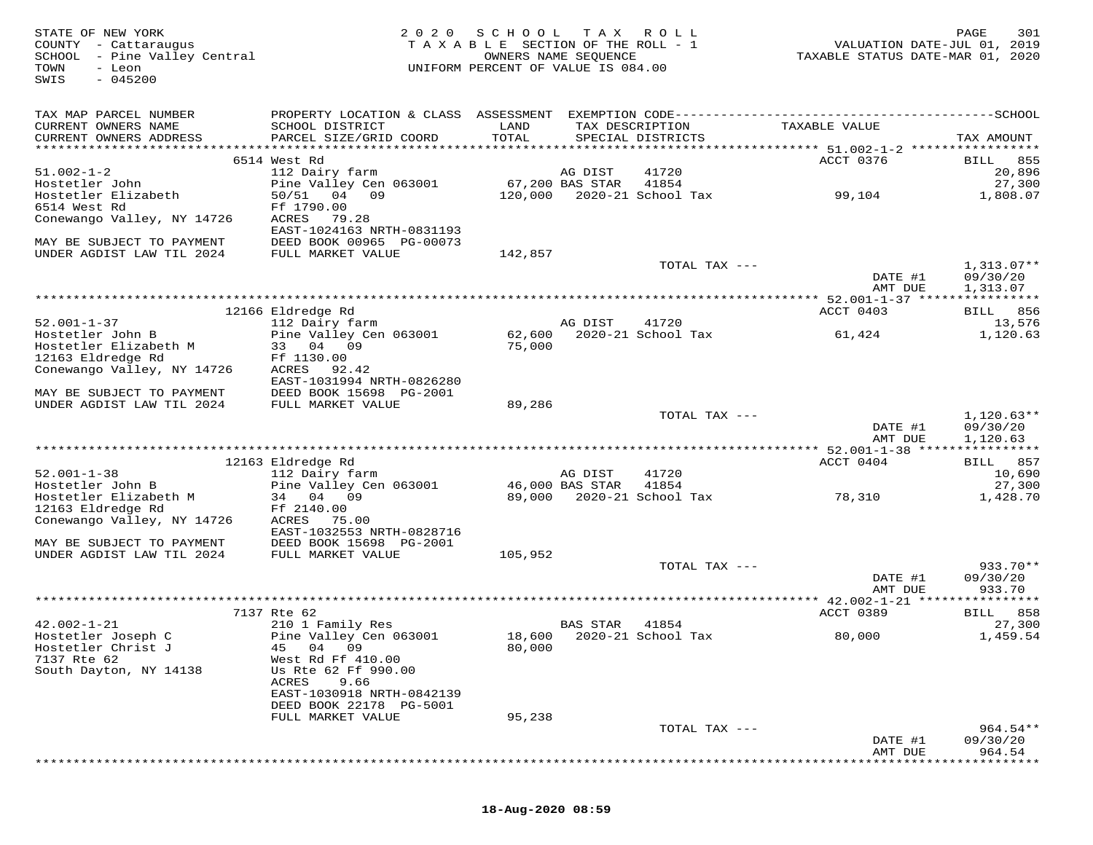| STATE OF NEW YORK<br>COUNTY - Cattaraugus<br>SCHOOL - Pine Valley Central<br>- Leon<br>TOWN<br>$-045200$<br>SWIS | 2 0 2 0                                      | SCHOOL<br>TAXABLE SECTION OF THE ROLL - 1<br>UNIFORM PERCENT OF VALUE IS 084.00 | T A X<br>OWNERS NAME SEQUENCE | R O L L                              | TAXABLE STATUS DATE-MAR 01, 2020 | PAGE<br>301<br>VALUATION DATE-JUL 01, 2019 |
|------------------------------------------------------------------------------------------------------------------|----------------------------------------------|---------------------------------------------------------------------------------|-------------------------------|--------------------------------------|----------------------------------|--------------------------------------------|
| TAX MAP PARCEL NUMBER                                                                                            |                                              |                                                                                 |                               |                                      |                                  |                                            |
| CURRENT OWNERS NAME<br>CURRENT OWNERS ADDRESS                                                                    | SCHOOL DISTRICT<br>PARCEL SIZE/GRID COORD    | LAND<br>TOTAL                                                                   |                               | TAX DESCRIPTION<br>SPECIAL DISTRICTS | TAXABLE VALUE                    | TAX AMOUNT                                 |
|                                                                                                                  | 6514 West Rd                                 |                                                                                 |                               |                                      | ACCT 0376                        | BILL 855                                   |
| $51.002 - 1 - 2$                                                                                                 | 112 Dairy farm                               |                                                                                 | AG DIST                       | 41720                                |                                  | 20,896                                     |
| Hostetler John                                                                                                   | Pine Valley Cen 063001                       |                                                                                 | 67,200 BAS STAR               | 41854                                |                                  | 27,300                                     |
| Hostetler Elizabeth                                                                                              | 50/51<br>04 09                               |                                                                                 |                               | 120,000 2020-21 School Tax           | 99,104                           | 1,808.07                                   |
| 6514 West Rd                                                                                                     | Ff 1790.00                                   |                                                                                 |                               |                                      |                                  |                                            |
| Conewango Valley, NY 14726                                                                                       | ACRES<br>79.28<br>EAST-1024163 NRTH-0831193  |                                                                                 |                               |                                      |                                  |                                            |
| MAY BE SUBJECT TO PAYMENT                                                                                        | DEED BOOK 00965 PG-00073                     |                                                                                 |                               |                                      |                                  |                                            |
| UNDER AGDIST LAW TIL 2024                                                                                        | FULL MARKET VALUE                            | 142,857                                                                         |                               |                                      |                                  |                                            |
|                                                                                                                  |                                              |                                                                                 |                               | TOTAL TAX ---                        |                                  | $1,313.07**$                               |
|                                                                                                                  |                                              |                                                                                 |                               |                                      | DATE #1                          | 09/30/20                                   |
|                                                                                                                  |                                              |                                                                                 |                               |                                      | AMT DUE                          | 1,313.07                                   |
|                                                                                                                  | 12166 Eldredge Rd                            |                                                                                 |                               |                                      | ACCT 0403                        | BILL 856                                   |
| $52.001 - 1 - 37$                                                                                                | 112 Dairy farm                               |                                                                                 | AG DIST                       | 41720                                |                                  | 13,576                                     |
| Hostetler John B                                                                                                 | Pine Valley Cen 063001                       | 62,600                                                                          |                               | 2020-21 School Tax                   | 61,424                           | 1,120.63                                   |
| Hostetler Elizabeth M<br>12163 Eldredge Rd                                                                       | 33 04 09<br>Ff 1130.00                       | 75,000                                                                          |                               |                                      |                                  |                                            |
| Conewango Valley, NY 14726                                                                                       | ACRES<br>92.42                               |                                                                                 |                               |                                      |                                  |                                            |
|                                                                                                                  | EAST-1031994 NRTH-0826280                    |                                                                                 |                               |                                      |                                  |                                            |
| MAY BE SUBJECT TO PAYMENT                                                                                        | DEED BOOK 15698 PG-2001                      |                                                                                 |                               |                                      |                                  |                                            |
| UNDER AGDIST LAW TIL 2024                                                                                        | FULL MARKET VALUE                            | 89,286                                                                          |                               |                                      |                                  |                                            |
|                                                                                                                  |                                              |                                                                                 |                               | TOTAL TAX ---                        | DATE #1                          | $1,120.63**$<br>09/30/20                   |
|                                                                                                                  |                                              |                                                                                 |                               |                                      | AMT DUE                          | 1,120.63                                   |
|                                                                                                                  |                                              |                                                                                 |                               |                                      |                                  |                                            |
|                                                                                                                  | 12163 Eldredge Rd                            |                                                                                 |                               |                                      | ACCT 0404                        | BILL 857                                   |
| $52.001 - 1 - 38$                                                                                                | 112 Dairy farm                               |                                                                                 | AG DIST                       | 41720                                |                                  | 10,690                                     |
| Hostetler John B<br>Hostetler Elizabeth M                                                                        | Pine Valley Cen 063001<br>34 04 09           |                                                                                 | 46,000 BAS STAR               | 41854<br>89,000 2020-21 School Tax   | 78,310                           | 27,300<br>1,428.70                         |
| 12163 Eldredge Rd                                                                                                | Ff 2140.00                                   |                                                                                 |                               |                                      |                                  |                                            |
| Conewango Valley, NY 14726                                                                                       | ACRES<br>75.00                               |                                                                                 |                               |                                      |                                  |                                            |
|                                                                                                                  | EAST-1032553 NRTH-0828716                    |                                                                                 |                               |                                      |                                  |                                            |
| MAY BE SUBJECT TO PAYMENT<br>UNDER AGDIST LAW TIL 2024                                                           | DEED BOOK 15698 PG-2001<br>FULL MARKET VALUE | 105,952                                                                         |                               |                                      |                                  |                                            |
|                                                                                                                  |                                              |                                                                                 |                               | TOTAL TAX ---                        |                                  | 933.70**                                   |
|                                                                                                                  |                                              |                                                                                 |                               |                                      | DATE #1                          | 09/30/20                                   |
|                                                                                                                  |                                              |                                                                                 |                               |                                      | AMT DUE                          | 933.70                                     |
|                                                                                                                  |                                              |                                                                                 |                               |                                      |                                  |                                            |
| $42.002 - 1 - 21$                                                                                                | 7137 Rte 62<br>210 1 Family Res              |                                                                                 | BAS STAR                      | 41854                                | ACCT 0389                        | BILL 858<br>27,300                         |
| Hostetler Joseph C                                                                                               | Pine Valley Cen 063001                       |                                                                                 |                               | 18,600 2020-21 School Tax            | 80,000                           | 1,459.54                                   |
| Hostetler Christ J                                                                                               | 45 04 09                                     | 80,000                                                                          |                               |                                      |                                  |                                            |
| 7137 Rte 62                                                                                                      | West Rd Ff 410.00                            |                                                                                 |                               |                                      |                                  |                                            |
| South Dayton, NY 14138                                                                                           | Us Rte 62 Ff 990.00                          |                                                                                 |                               |                                      |                                  |                                            |
|                                                                                                                  | ACRES<br>9.66<br>EAST-1030918 NRTH-0842139   |                                                                                 |                               |                                      |                                  |                                            |
|                                                                                                                  | DEED BOOK 22178 PG-5001                      |                                                                                 |                               |                                      |                                  |                                            |
|                                                                                                                  | FULL MARKET VALUE                            | 95,238                                                                          |                               |                                      |                                  |                                            |
|                                                                                                                  |                                              |                                                                                 |                               | TOTAL TAX ---                        |                                  | 964.54**                                   |
|                                                                                                                  |                                              |                                                                                 |                               |                                      | DATE #1<br>AMT DUE               | 09/30/20<br>964.54                         |
|                                                                                                                  |                                              |                                                                                 |                               |                                      |                                  |                                            |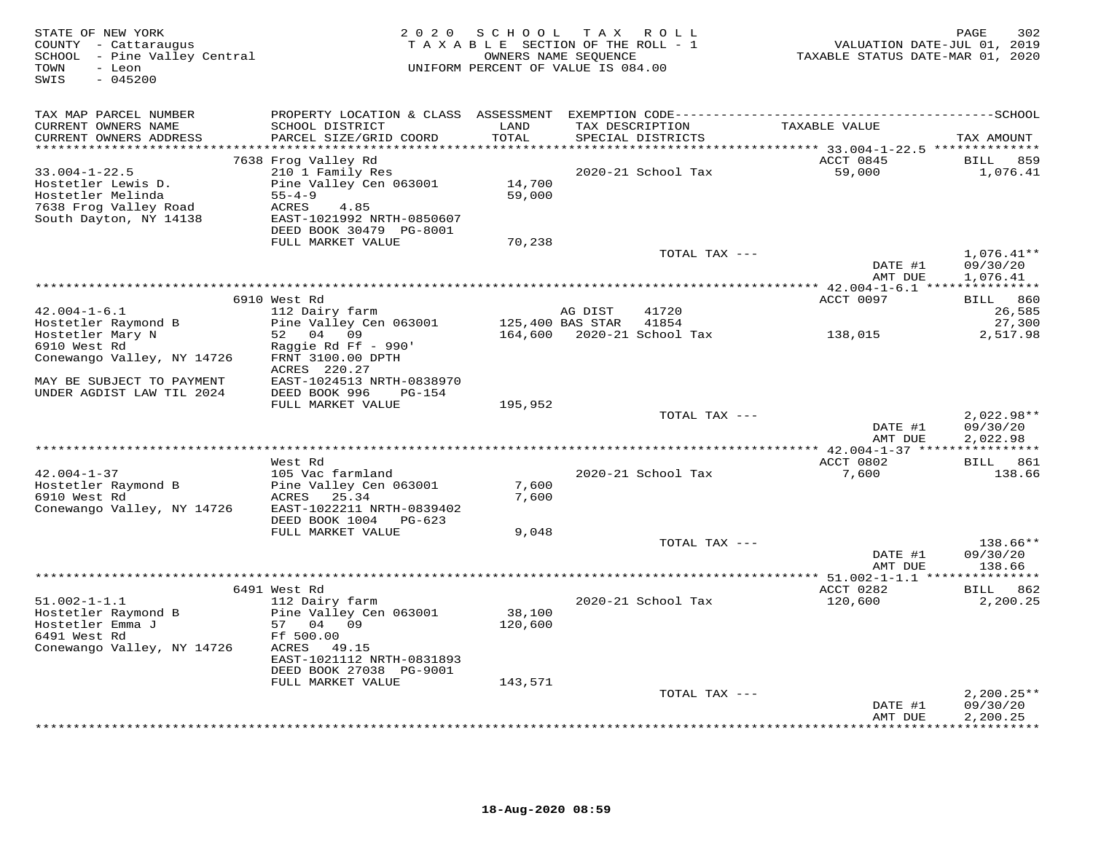| STATE OF NEW YORK<br>COUNTY - Cattaraugus<br>SCHOOL - Pine Valley Central<br>- Leon<br>TOWN<br>$-045200$<br>SWIS | 2 0 2 0                                                                                    | SCHOOL<br>TAXABLE SECTION OF THE ROLL - 1<br>OWNERS NAME SEQUENCE<br>UNIFORM PERCENT OF VALUE IS 084.00 |         | TAX ROLL                   | VALUATION DATE-JUL 01, 2019<br>TAXABLE STATUS DATE-MAR 01, 2020 | PAGE<br>302                     |
|------------------------------------------------------------------------------------------------------------------|--------------------------------------------------------------------------------------------|---------------------------------------------------------------------------------------------------------|---------|----------------------------|-----------------------------------------------------------------|---------------------------------|
| TAX MAP PARCEL NUMBER<br>CURRENT OWNERS NAME                                                                     | SCHOOL DISTRICT                                                                            | LAND                                                                                                    |         | TAX DESCRIPTION            | TAXABLE VALUE                                                   |                                 |
| CURRENT OWNERS ADDRESS                                                                                           | PARCEL SIZE/GRID COORD                                                                     | TOTAL                                                                                                   |         | SPECIAL DISTRICTS          |                                                                 | TAX AMOUNT                      |
| **********************                                                                                           |                                                                                            |                                                                                                         |         |                            |                                                                 |                                 |
| $33.004 - 1 - 22.5$<br>Hostetler Lewis D.<br>Hostetler Melinda                                                   | 7638 Frog Valley Rd<br>210 1 Family Res<br>Pine Valley Cen 063001<br>$55 - 4 - 9$          | 14,700<br>59,000                                                                                        |         | 2020-21 School Tax         | ACCT 0845<br>59,000                                             | BILL<br>859<br>1,076.41         |
| 7638 Frog Valley Road<br>South Dayton, NY 14138                                                                  | ACRES<br>4.85<br>EAST-1021992 NRTH-0850607<br>DEED BOOK 30479 PG-8001<br>FULL MARKET VALUE | 70,238                                                                                                  |         |                            |                                                                 |                                 |
|                                                                                                                  |                                                                                            |                                                                                                         |         | TOTAL TAX ---              |                                                                 | $1,076.41**$                    |
|                                                                                                                  |                                                                                            |                                                                                                         |         |                            | DATE #1<br>AMT DUE                                              | 09/30/20<br>1,076.41            |
|                                                                                                                  |                                                                                            |                                                                                                         |         |                            |                                                                 |                                 |
|                                                                                                                  | 6910 West Rd                                                                               |                                                                                                         |         |                            | ACCT 0097                                                       | BILL 860                        |
| $42.004 - 1 - 6.1$                                                                                               | 112 Dairy farm                                                                             |                                                                                                         | AG DIST | 41720                      |                                                                 | 26,585                          |
| Hostetler Raymond B                                                                                              | Pine Valley Cen 063001                                                                     | 125,400 BAS STAR                                                                                        |         | 41854                      |                                                                 | 27,300                          |
| Hostetler Mary N                                                                                                 | 52 04 09                                                                                   |                                                                                                         |         | 164,600 2020-21 School Tax | 138,015                                                         | 2,517.98                        |
| 6910 West Rd                                                                                                     | Raggie Rd Ff - 990'                                                                        |                                                                                                         |         |                            |                                                                 |                                 |
| Conewango Valley, NY 14726                                                                                       | FRNT 3100.00 DPTH<br>ACRES 220.27                                                          |                                                                                                         |         |                            |                                                                 |                                 |
| MAY BE SUBJECT TO PAYMENT<br>UNDER AGDIST LAW TIL 2024                                                           | EAST-1024513 NRTH-0838970<br>DEED BOOK 996<br>PG-154                                       |                                                                                                         |         |                            |                                                                 |                                 |
|                                                                                                                  | FULL MARKET VALUE                                                                          | 195,952                                                                                                 |         |                            |                                                                 |                                 |
|                                                                                                                  |                                                                                            |                                                                                                         |         | TOTAL TAX ---              |                                                                 | $2,022.98**$                    |
|                                                                                                                  |                                                                                            |                                                                                                         |         |                            | DATE #1                                                         | 09/30/20                        |
| *****************************                                                                                    |                                                                                            |                                                                                                         |         |                            | AMT DUE                                                         | 2,022.98                        |
|                                                                                                                  | West Rd                                                                                    |                                                                                                         |         |                            | ***************** 42.004-1-37 *****************<br>ACCT 0802    | BILL 861                        |
| $42.004 - 1 - 37$                                                                                                | 105 Vac farmland                                                                           |                                                                                                         |         | 2020-21 School Tax         | 7,600                                                           | 138.66                          |
| Hostetler Raymond B                                                                                              | Pine Valley Cen 063001                                                                     | 7,600                                                                                                   |         |                            |                                                                 |                                 |
| 6910 West Rd                                                                                                     | ACRES 25.34                                                                                | 7,600                                                                                                   |         |                            |                                                                 |                                 |
| Conewango Valley, NY 14726                                                                                       | EAST-1022211 NRTH-0839402<br>DEED BOOK 1004 PG-623                                         |                                                                                                         |         |                            |                                                                 |                                 |
|                                                                                                                  | FULL MARKET VALUE                                                                          | 9,048                                                                                                   |         |                            |                                                                 |                                 |
|                                                                                                                  |                                                                                            |                                                                                                         |         | TOTAL TAX ---              |                                                                 | $138.66**$                      |
|                                                                                                                  |                                                                                            |                                                                                                         |         |                            | DATE #1                                                         | 09/30/20                        |
|                                                                                                                  |                                                                                            |                                                                                                         |         |                            | AMT DUE                                                         | 138.66                          |
|                                                                                                                  |                                                                                            |                                                                                                         |         |                            |                                                                 |                                 |
|                                                                                                                  | 6491 West Rd                                                                               |                                                                                                         |         |                            | ACCT 0282                                                       | BILL 862                        |
| $51.002 - 1 - 1.1$                                                                                               | 112 Dairy farm                                                                             |                                                                                                         |         | 2020-21 School Tax         | 120,600                                                         | 2,200.25                        |
| Hostetler Raymond B<br>Hostetler Emma J                                                                          | Pine Valley Cen 063001<br>57 04 09                                                         | 38,100<br>120,600                                                                                       |         |                            |                                                                 |                                 |
| 6491 West Rd                                                                                                     | Ff 500.00                                                                                  |                                                                                                         |         |                            |                                                                 |                                 |
| Conewango Valley, NY 14726                                                                                       | ACRES 49.15                                                                                |                                                                                                         |         |                            |                                                                 |                                 |
|                                                                                                                  | EAST-1021112 NRTH-0831893                                                                  |                                                                                                         |         |                            |                                                                 |                                 |
|                                                                                                                  | DEED BOOK 27038 PG-9001                                                                    |                                                                                                         |         |                            |                                                                 |                                 |
|                                                                                                                  | FULL MARKET VALUE                                                                          | 143,571                                                                                                 |         |                            |                                                                 |                                 |
|                                                                                                                  |                                                                                            |                                                                                                         |         | TOTAL TAX ---              |                                                                 | $2,200.25**$                    |
|                                                                                                                  |                                                                                            |                                                                                                         |         |                            | DATE #1                                                         | 09/30/20                        |
|                                                                                                                  |                                                                                            |                                                                                                         |         |                            | AMT DUE                                                         | 2,200.25<br><b>++++++++++++</b> |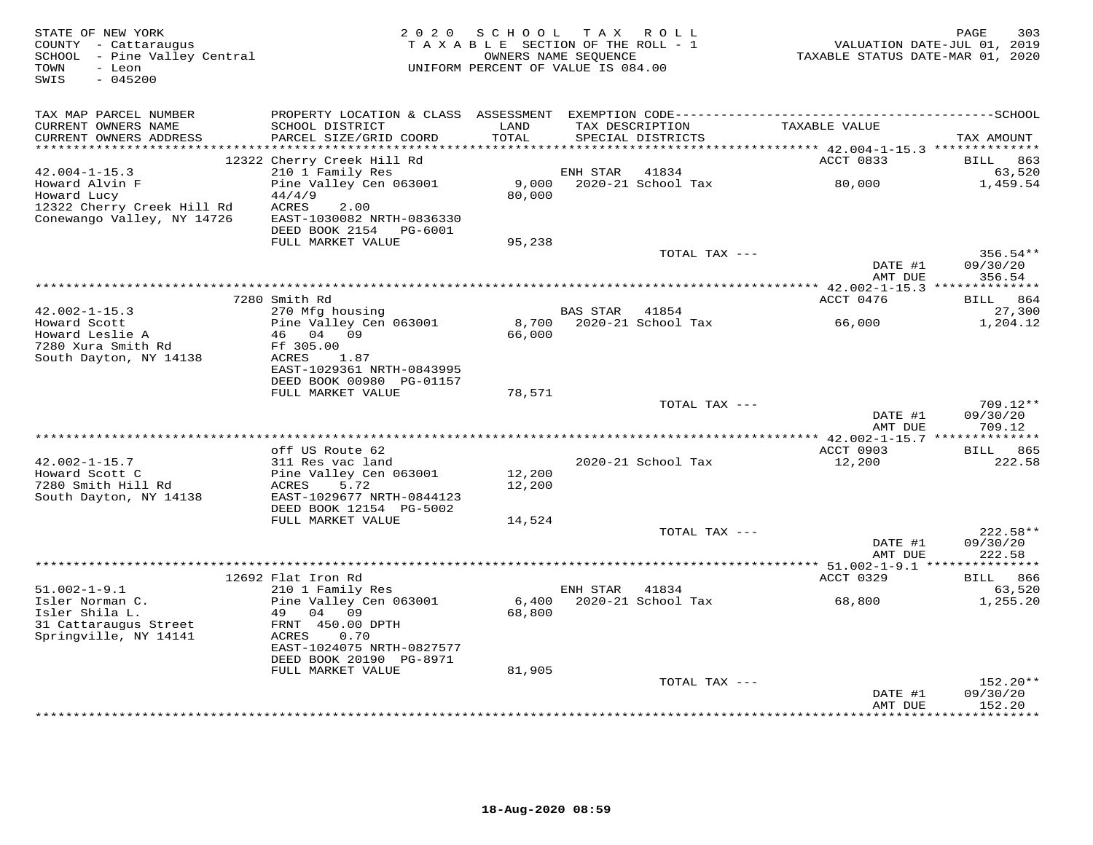| STATE OF NEW YORK<br>COUNTY - Cattaraugus<br>SCHOOL - Pine Valley Central<br>TOWN<br>- Leon<br>SWIS<br>$-045200$ |                                                | 2020 SCHOOL TAX ROLL<br>TAXABLE SECTION OF THE ROLL - 1<br>OWNERS NAME SEQUENCE<br>UNIFORM PERCENT OF VALUE IS 084.00 |                |                                        | TAXABLE STATUS DATE-MAR 01, 2020 | 303<br>PAGE<br>VALUATION DATE-JUL 01, 2019 |
|------------------------------------------------------------------------------------------------------------------|------------------------------------------------|-----------------------------------------------------------------------------------------------------------------------|----------------|----------------------------------------|----------------------------------|--------------------------------------------|
| TAX MAP PARCEL NUMBER                                                                                            |                                                |                                                                                                                       |                |                                        |                                  |                                            |
| CURRENT OWNERS NAME<br>CURRENT OWNERS ADDRESS                                                                    | SCHOOL DISTRICT<br>PARCEL SIZE/GRID COORD      | LAND<br>TOTAL                                                                                                         |                | TAX DESCRIPTION<br>SPECIAL DISTRICTS   | TAXABLE VALUE                    | TAX AMOUNT                                 |
| ***********************                                                                                          |                                                |                                                                                                                       |                |                                        |                                  |                                            |
| $42.004 - 1 - 15.3$                                                                                              | 12322 Cherry Creek Hill Rd<br>210 1 Family Res |                                                                                                                       | ENH STAR       | 41834                                  | ACCT 0833                        | BILL<br>863<br>63,520                      |
| Howard Alvin F                                                                                                   | Pine Valley Cen 063001                         | 9,000                                                                                                                 |                | 2020-21 School Tax                     | 80,000                           | 1,459.54                                   |
| Howard Lucy                                                                                                      | 44/4/9                                         | 80,000                                                                                                                |                |                                        |                                  |                                            |
| 12322 Cherry Creek Hill Rd                                                                                       | ACRES<br>2.00                                  |                                                                                                                       |                |                                        |                                  |                                            |
| Conewango Valley, NY 14726                                                                                       | EAST-1030082 NRTH-0836330                      |                                                                                                                       |                |                                        |                                  |                                            |
|                                                                                                                  | DEED BOOK 2154 PG-6001<br>FULL MARKET VALUE    | 95,238                                                                                                                |                |                                        |                                  |                                            |
|                                                                                                                  |                                                |                                                                                                                       |                | TOTAL TAX ---                          |                                  | $356.54**$                                 |
|                                                                                                                  |                                                |                                                                                                                       |                |                                        | DATE #1                          | 09/30/20                                   |
|                                                                                                                  |                                                |                                                                                                                       |                |                                        | AMT DUE                          | 356.54                                     |
|                                                                                                                  |                                                |                                                                                                                       |                |                                        |                                  |                                            |
| $42.002 - 1 - 15.3$                                                                                              | 7280 Smith Rd<br>270 Mfg housing               |                                                                                                                       | BAS STAR 41854 |                                        | ACCT 0476                        | BILL 864<br>27,300                         |
| Howard Scott                                                                                                     | Pine Valley Cen 063001                         | 8,700                                                                                                                 |                | 2020-21 School Tax                     | 66,000                           | 1,204.12                                   |
| Howard Leslie A                                                                                                  | 46 04 09                                       | 66,000                                                                                                                |                |                                        |                                  |                                            |
| 7280 Xura Smith Rd                                                                                               | Ff 305.00                                      |                                                                                                                       |                |                                        |                                  |                                            |
| South Dayton, NY 14138                                                                                           | ACRES<br>1.87                                  |                                                                                                                       |                |                                        |                                  |                                            |
|                                                                                                                  | EAST-1029361 NRTH-0843995                      |                                                                                                                       |                |                                        |                                  |                                            |
|                                                                                                                  | DEED BOOK 00980 PG-01157<br>FULL MARKET VALUE  | 78,571                                                                                                                |                |                                        |                                  |                                            |
|                                                                                                                  |                                                |                                                                                                                       |                | TOTAL TAX ---                          |                                  | $709.12**$                                 |
|                                                                                                                  |                                                |                                                                                                                       |                |                                        | DATE #1                          | 09/30/20                                   |
|                                                                                                                  |                                                |                                                                                                                       |                |                                        | AMT DUE                          | 709.12                                     |
|                                                                                                                  |                                                |                                                                                                                       |                |                                        |                                  |                                            |
| $42.002 - 1 - 15.7$                                                                                              | off US Route 62<br>311 Res vac land            |                                                                                                                       |                | 2020-21 School Tax                     | ACCT 0903<br>12,200              | <b>BILL</b> 865<br>222.58                  |
| Howard Scott C                                                                                                   | Pine Valley Cen 063001                         | 12,200                                                                                                                |                |                                        |                                  |                                            |
| 7280 Smith Hill Rd                                                                                               | ACRES<br>5.72                                  | 12,200                                                                                                                |                |                                        |                                  |                                            |
| South Dayton, NY 14138                                                                                           | EAST-1029677 NRTH-0844123                      |                                                                                                                       |                |                                        |                                  |                                            |
|                                                                                                                  | DEED BOOK 12154 PG-5002                        |                                                                                                                       |                |                                        |                                  |                                            |
|                                                                                                                  | FULL MARKET VALUE                              | 14,524                                                                                                                |                |                                        |                                  |                                            |
|                                                                                                                  |                                                |                                                                                                                       |                | TOTAL TAX ---                          | DATE #1                          | 222.58**<br>09/30/20                       |
|                                                                                                                  |                                                |                                                                                                                       |                |                                        | AMT DUE                          | 222.58                                     |
|                                                                                                                  |                                                |                                                                                                                       |                |                                        |                                  |                                            |
|                                                                                                                  | 12692 Flat Iron Rd                             |                                                                                                                       |                |                                        | ACCT 0329                        | BILL 866                                   |
| $51.002 - 1 - 9.1$                                                                                               | 210 1 Family Res                               |                                                                                                                       | ENH STAR 41834 |                                        |                                  | 63,520                                     |
| Isler Norman C.<br>Isler Shila L.                                                                                | Pine Valley Cen 063001<br>49<br>04<br>09       | 6,400<br>68,800                                                                                                       |                | 2020-21 School Tax                     | 68,800                           | 1,255.20                                   |
| 31 Cattaraugus Street                                                                                            | FRNT 450.00 DPTH                               |                                                                                                                       |                |                                        |                                  |                                            |
| Springville, NY 14141                                                                                            | ACRES<br>0.70                                  |                                                                                                                       |                |                                        |                                  |                                            |
|                                                                                                                  | EAST-1024075 NRTH-0827577                      |                                                                                                                       |                |                                        |                                  |                                            |
|                                                                                                                  | DEED BOOK 20190 PG-8971                        |                                                                                                                       |                |                                        |                                  |                                            |
|                                                                                                                  | FULL MARKET VALUE                              | 81,905                                                                                                                |                |                                        |                                  | $152.20**$                                 |
|                                                                                                                  |                                                |                                                                                                                       |                | TOTAL TAX ---                          | DATE #1                          | 09/30/20                                   |
|                                                                                                                  |                                                |                                                                                                                       |                |                                        | AMT DUE                          | 152.20                                     |
|                                                                                                                  |                                                |                                                                                                                       |                | ************************************** | · * * * * * * * * * * * * *      | ********                                   |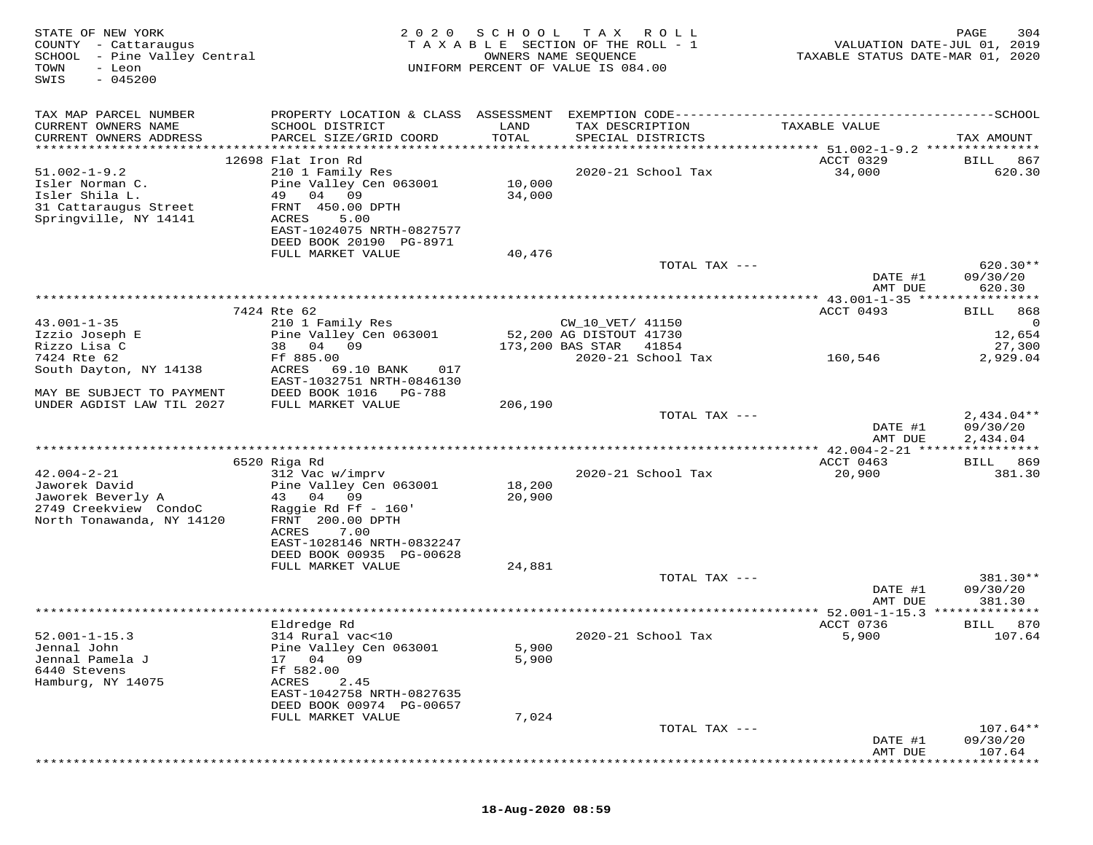| TAX MAP PARCEL NUMBER<br>CURRENT OWNERS NAME<br>SCHOOL DISTRICT<br>LAND<br>TAX DESCRIPTION<br>TAXABLE VALUE<br>PARCEL SIZE/GRID COORD<br>TOTAL<br>CURRENT OWNERS ADDRESS<br>SPECIAL DISTRICTS<br>TAX AMOUNT<br>12698 Flat Iron Rd<br>ACCT 0329<br><b>BILL</b><br>867<br>$51.002 - 1 - 9.2$<br>210 1 Family Res<br>2020-21 School Tax<br>34,000<br>620.30<br>Isler Norman C.<br>Pine Valley Cen 063001<br>10,000<br>Isler Shila L.<br>49<br>34,000<br>04 09<br>31 Cattaraugus Street<br>FRNT 450.00 DPTH<br>Springville, NY 14141<br>ACRES<br>5.00<br>EAST-1024075 NRTH-0827577<br>DEED BOOK 20190 PG-8971<br>FULL MARKET VALUE<br>40,476<br>$620.30**$<br>TOTAL TAX ---<br>DATE #1<br>09/30/20<br>620.30<br>AMT DUE<br>************* 43.001-1-35 ****<br>* * * * * * * * * *<br>7424 Rte 62<br>ACCT 0493<br>BILL<br>868<br>$43.001 - 1 - 35$<br>210 1 Family Res<br>CW_10_VET/ 41150<br>0<br>Izzio Joseph E<br>Pine Valley Cen 063001<br>52,200 AG DISTOUT 41730<br>12,654<br>38 04 09<br>173,200 BAS STAR<br>Rizzo Lisa C<br>41854<br>27,300<br>7424 Rte 62<br>Ff 885.00<br>2020-21 School Tax<br>160,546<br>2,929.04<br>017<br>South Dayton, NY 14138<br>ACRES<br>69.10 BANK<br>EAST-1032751 NRTH-0846130<br>MAY BE SUBJECT TO PAYMENT<br>DEED BOOK 1016<br>PG-788<br>UNDER AGDIST LAW TIL 2027<br>FULL MARKET VALUE<br>206,190<br>$2,434.04**$<br>TOTAL TAX ---<br>DATE #1<br>09/30/20<br>2,434.04<br>AMT DUE<br>6520 Riga Rd<br>ACCT 0463<br>BILL 869<br>$42.004 - 2 - 21$<br>312 Vac w/imprv<br>2020-21 School Tax<br>20,900<br>381.30<br>Jaworek David<br>Pine Valley Cen 063001<br>18,200<br>43 04<br>Jaworek Beverly A<br>09<br>20,900<br>2749 Creekview CondoC<br>Raggie Rd Ff $-160'$<br>North Tonawanda, NY 14120<br>FRNT 200.00 DPTH<br>ACRES<br>7.00<br>EAST-1028146 NRTH-0832247<br>DEED BOOK 00935 PG-00628<br>FULL MARKET VALUE<br>24,881<br>$381.30**$<br>TOTAL TAX ---<br>DATE #1<br>09/30/20<br>AMT DUE<br>381.30<br>ACCT 0736<br>870<br>Eldredge Rd<br>BILL<br>$52.001 - 1 - 15.3$<br>314 Rural vac<10<br>2020-21 School Tax<br>5,900<br>107.64<br>Jennal John<br>Pine Valley Cen 063001<br>5,900<br>Jennal Pamela J<br>17<br>04 09<br>5,900<br>6440 Stevens<br>Ff 582.00<br>Hamburg, NY 14075<br>2.45<br>ACRES<br>EAST-1042758 NRTH-0827635<br>DEED BOOK 00974 PG-00657<br>7,024<br>FULL MARKET VALUE<br>$107.64**$<br>TOTAL TAX ---<br>DATE #1<br>09/30/20<br>107.64<br>AMT DUE | STATE OF NEW YORK<br>COUNTY - Cattaraugus<br>SCHOOL - Pine Valley Central<br>TOWN<br>- Leon<br>$-045200$<br>SWIS | 2020 | SCHOOL | T A X<br>R O L L<br>T A X A B L E SECTION OF THE ROLL - 1<br>OWNERS NAME SEQUENCE<br>UNIFORM PERCENT OF VALUE IS 084.00 | TAXABLE STATUS DATE-MAR 01, 2020 | 304<br>PAGE<br>VALUATION DATE-JUL 01, 2019 |
|-------------------------------------------------------------------------------------------------------------------------------------------------------------------------------------------------------------------------------------------------------------------------------------------------------------------------------------------------------------------------------------------------------------------------------------------------------------------------------------------------------------------------------------------------------------------------------------------------------------------------------------------------------------------------------------------------------------------------------------------------------------------------------------------------------------------------------------------------------------------------------------------------------------------------------------------------------------------------------------------------------------------------------------------------------------------------------------------------------------------------------------------------------------------------------------------------------------------------------------------------------------------------------------------------------------------------------------------------------------------------------------------------------------------------------------------------------------------------------------------------------------------------------------------------------------------------------------------------------------------------------------------------------------------------------------------------------------------------------------------------------------------------------------------------------------------------------------------------------------------------------------------------------------------------------------------------------------------------------------------------------------------------------------------------------------------------------------------------------------------------------------------------------------------------------------------------------------------------------------------------------------------------------------------------------------------------------------------------------------------------------------------------------|------------------------------------------------------------------------------------------------------------------|------|--------|-------------------------------------------------------------------------------------------------------------------------|----------------------------------|--------------------------------------------|
|                                                                                                                                                                                                                                                                                                                                                                                                                                                                                                                                                                                                                                                                                                                                                                                                                                                                                                                                                                                                                                                                                                                                                                                                                                                                                                                                                                                                                                                                                                                                                                                                                                                                                                                                                                                                                                                                                                                                                                                                                                                                                                                                                                                                                                                                                                                                                                                                       |                                                                                                                  |      |        |                                                                                                                         |                                  |                                            |
|                                                                                                                                                                                                                                                                                                                                                                                                                                                                                                                                                                                                                                                                                                                                                                                                                                                                                                                                                                                                                                                                                                                                                                                                                                                                                                                                                                                                                                                                                                                                                                                                                                                                                                                                                                                                                                                                                                                                                                                                                                                                                                                                                                                                                                                                                                                                                                                                       |                                                                                                                  |      |        |                                                                                                                         |                                  |                                            |
|                                                                                                                                                                                                                                                                                                                                                                                                                                                                                                                                                                                                                                                                                                                                                                                                                                                                                                                                                                                                                                                                                                                                                                                                                                                                                                                                                                                                                                                                                                                                                                                                                                                                                                                                                                                                                                                                                                                                                                                                                                                                                                                                                                                                                                                                                                                                                                                                       |                                                                                                                  |      |        |                                                                                                                         |                                  |                                            |
|                                                                                                                                                                                                                                                                                                                                                                                                                                                                                                                                                                                                                                                                                                                                                                                                                                                                                                                                                                                                                                                                                                                                                                                                                                                                                                                                                                                                                                                                                                                                                                                                                                                                                                                                                                                                                                                                                                                                                                                                                                                                                                                                                                                                                                                                                                                                                                                                       |                                                                                                                  |      |        |                                                                                                                         |                                  |                                            |
|                                                                                                                                                                                                                                                                                                                                                                                                                                                                                                                                                                                                                                                                                                                                                                                                                                                                                                                                                                                                                                                                                                                                                                                                                                                                                                                                                                                                                                                                                                                                                                                                                                                                                                                                                                                                                                                                                                                                                                                                                                                                                                                                                                                                                                                                                                                                                                                                       |                                                                                                                  |      |        |                                                                                                                         |                                  |                                            |
|                                                                                                                                                                                                                                                                                                                                                                                                                                                                                                                                                                                                                                                                                                                                                                                                                                                                                                                                                                                                                                                                                                                                                                                                                                                                                                                                                                                                                                                                                                                                                                                                                                                                                                                                                                                                                                                                                                                                                                                                                                                                                                                                                                                                                                                                                                                                                                                                       |                                                                                                                  |      |        |                                                                                                                         |                                  |                                            |
|                                                                                                                                                                                                                                                                                                                                                                                                                                                                                                                                                                                                                                                                                                                                                                                                                                                                                                                                                                                                                                                                                                                                                                                                                                                                                                                                                                                                                                                                                                                                                                                                                                                                                                                                                                                                                                                                                                                                                                                                                                                                                                                                                                                                                                                                                                                                                                                                       |                                                                                                                  |      |        |                                                                                                                         |                                  |                                            |
|                                                                                                                                                                                                                                                                                                                                                                                                                                                                                                                                                                                                                                                                                                                                                                                                                                                                                                                                                                                                                                                                                                                                                                                                                                                                                                                                                                                                                                                                                                                                                                                                                                                                                                                                                                                                                                                                                                                                                                                                                                                                                                                                                                                                                                                                                                                                                                                                       |                                                                                                                  |      |        |                                                                                                                         |                                  |                                            |
|                                                                                                                                                                                                                                                                                                                                                                                                                                                                                                                                                                                                                                                                                                                                                                                                                                                                                                                                                                                                                                                                                                                                                                                                                                                                                                                                                                                                                                                                                                                                                                                                                                                                                                                                                                                                                                                                                                                                                                                                                                                                                                                                                                                                                                                                                                                                                                                                       |                                                                                                                  |      |        |                                                                                                                         |                                  |                                            |
|                                                                                                                                                                                                                                                                                                                                                                                                                                                                                                                                                                                                                                                                                                                                                                                                                                                                                                                                                                                                                                                                                                                                                                                                                                                                                                                                                                                                                                                                                                                                                                                                                                                                                                                                                                                                                                                                                                                                                                                                                                                                                                                                                                                                                                                                                                                                                                                                       |                                                                                                                  |      |        |                                                                                                                         |                                  |                                            |
|                                                                                                                                                                                                                                                                                                                                                                                                                                                                                                                                                                                                                                                                                                                                                                                                                                                                                                                                                                                                                                                                                                                                                                                                                                                                                                                                                                                                                                                                                                                                                                                                                                                                                                                                                                                                                                                                                                                                                                                                                                                                                                                                                                                                                                                                                                                                                                                                       |                                                                                                                  |      |        |                                                                                                                         |                                  |                                            |
|                                                                                                                                                                                                                                                                                                                                                                                                                                                                                                                                                                                                                                                                                                                                                                                                                                                                                                                                                                                                                                                                                                                                                                                                                                                                                                                                                                                                                                                                                                                                                                                                                                                                                                                                                                                                                                                                                                                                                                                                                                                                                                                                                                                                                                                                                                                                                                                                       |                                                                                                                  |      |        |                                                                                                                         |                                  |                                            |
|                                                                                                                                                                                                                                                                                                                                                                                                                                                                                                                                                                                                                                                                                                                                                                                                                                                                                                                                                                                                                                                                                                                                                                                                                                                                                                                                                                                                                                                                                                                                                                                                                                                                                                                                                                                                                                                                                                                                                                                                                                                                                                                                                                                                                                                                                                                                                                                                       |                                                                                                                  |      |        |                                                                                                                         |                                  |                                            |
|                                                                                                                                                                                                                                                                                                                                                                                                                                                                                                                                                                                                                                                                                                                                                                                                                                                                                                                                                                                                                                                                                                                                                                                                                                                                                                                                                                                                                                                                                                                                                                                                                                                                                                                                                                                                                                                                                                                                                                                                                                                                                                                                                                                                                                                                                                                                                                                                       |                                                                                                                  |      |        |                                                                                                                         |                                  |                                            |
|                                                                                                                                                                                                                                                                                                                                                                                                                                                                                                                                                                                                                                                                                                                                                                                                                                                                                                                                                                                                                                                                                                                                                                                                                                                                                                                                                                                                                                                                                                                                                                                                                                                                                                                                                                                                                                                                                                                                                                                                                                                                                                                                                                                                                                                                                                                                                                                                       |                                                                                                                  |      |        |                                                                                                                         |                                  |                                            |
|                                                                                                                                                                                                                                                                                                                                                                                                                                                                                                                                                                                                                                                                                                                                                                                                                                                                                                                                                                                                                                                                                                                                                                                                                                                                                                                                                                                                                                                                                                                                                                                                                                                                                                                                                                                                                                                                                                                                                                                                                                                                                                                                                                                                                                                                                                                                                                                                       |                                                                                                                  |      |        |                                                                                                                         |                                  |                                            |
|                                                                                                                                                                                                                                                                                                                                                                                                                                                                                                                                                                                                                                                                                                                                                                                                                                                                                                                                                                                                                                                                                                                                                                                                                                                                                                                                                                                                                                                                                                                                                                                                                                                                                                                                                                                                                                                                                                                                                                                                                                                                                                                                                                                                                                                                                                                                                                                                       |                                                                                                                  |      |        |                                                                                                                         |                                  |                                            |
|                                                                                                                                                                                                                                                                                                                                                                                                                                                                                                                                                                                                                                                                                                                                                                                                                                                                                                                                                                                                                                                                                                                                                                                                                                                                                                                                                                                                                                                                                                                                                                                                                                                                                                                                                                                                                                                                                                                                                                                                                                                                                                                                                                                                                                                                                                                                                                                                       |                                                                                                                  |      |        |                                                                                                                         |                                  |                                            |
|                                                                                                                                                                                                                                                                                                                                                                                                                                                                                                                                                                                                                                                                                                                                                                                                                                                                                                                                                                                                                                                                                                                                                                                                                                                                                                                                                                                                                                                                                                                                                                                                                                                                                                                                                                                                                                                                                                                                                                                                                                                                                                                                                                                                                                                                                                                                                                                                       |                                                                                                                  |      |        |                                                                                                                         |                                  |                                            |
|                                                                                                                                                                                                                                                                                                                                                                                                                                                                                                                                                                                                                                                                                                                                                                                                                                                                                                                                                                                                                                                                                                                                                                                                                                                                                                                                                                                                                                                                                                                                                                                                                                                                                                                                                                                                                                                                                                                                                                                                                                                                                                                                                                                                                                                                                                                                                                                                       |                                                                                                                  |      |        |                                                                                                                         |                                  |                                            |
|                                                                                                                                                                                                                                                                                                                                                                                                                                                                                                                                                                                                                                                                                                                                                                                                                                                                                                                                                                                                                                                                                                                                                                                                                                                                                                                                                                                                                                                                                                                                                                                                                                                                                                                                                                                                                                                                                                                                                                                                                                                                                                                                                                                                                                                                                                                                                                                                       |                                                                                                                  |      |        |                                                                                                                         |                                  |                                            |
|                                                                                                                                                                                                                                                                                                                                                                                                                                                                                                                                                                                                                                                                                                                                                                                                                                                                                                                                                                                                                                                                                                                                                                                                                                                                                                                                                                                                                                                                                                                                                                                                                                                                                                                                                                                                                                                                                                                                                                                                                                                                                                                                                                                                                                                                                                                                                                                                       |                                                                                                                  |      |        |                                                                                                                         |                                  |                                            |
|                                                                                                                                                                                                                                                                                                                                                                                                                                                                                                                                                                                                                                                                                                                                                                                                                                                                                                                                                                                                                                                                                                                                                                                                                                                                                                                                                                                                                                                                                                                                                                                                                                                                                                                                                                                                                                                                                                                                                                                                                                                                                                                                                                                                                                                                                                                                                                                                       |                                                                                                                  |      |        |                                                                                                                         |                                  |                                            |
|                                                                                                                                                                                                                                                                                                                                                                                                                                                                                                                                                                                                                                                                                                                                                                                                                                                                                                                                                                                                                                                                                                                                                                                                                                                                                                                                                                                                                                                                                                                                                                                                                                                                                                                                                                                                                                                                                                                                                                                                                                                                                                                                                                                                                                                                                                                                                                                                       |                                                                                                                  |      |        |                                                                                                                         |                                  |                                            |
|                                                                                                                                                                                                                                                                                                                                                                                                                                                                                                                                                                                                                                                                                                                                                                                                                                                                                                                                                                                                                                                                                                                                                                                                                                                                                                                                                                                                                                                                                                                                                                                                                                                                                                                                                                                                                                                                                                                                                                                                                                                                                                                                                                                                                                                                                                                                                                                                       |                                                                                                                  |      |        |                                                                                                                         |                                  |                                            |
|                                                                                                                                                                                                                                                                                                                                                                                                                                                                                                                                                                                                                                                                                                                                                                                                                                                                                                                                                                                                                                                                                                                                                                                                                                                                                                                                                                                                                                                                                                                                                                                                                                                                                                                                                                                                                                                                                                                                                                                                                                                                                                                                                                                                                                                                                                                                                                                                       |                                                                                                                  |      |        |                                                                                                                         |                                  |                                            |
|                                                                                                                                                                                                                                                                                                                                                                                                                                                                                                                                                                                                                                                                                                                                                                                                                                                                                                                                                                                                                                                                                                                                                                                                                                                                                                                                                                                                                                                                                                                                                                                                                                                                                                                                                                                                                                                                                                                                                                                                                                                                                                                                                                                                                                                                                                                                                                                                       |                                                                                                                  |      |        |                                                                                                                         |                                  |                                            |
|                                                                                                                                                                                                                                                                                                                                                                                                                                                                                                                                                                                                                                                                                                                                                                                                                                                                                                                                                                                                                                                                                                                                                                                                                                                                                                                                                                                                                                                                                                                                                                                                                                                                                                                                                                                                                                                                                                                                                                                                                                                                                                                                                                                                                                                                                                                                                                                                       |                                                                                                                  |      |        |                                                                                                                         |                                  |                                            |
|                                                                                                                                                                                                                                                                                                                                                                                                                                                                                                                                                                                                                                                                                                                                                                                                                                                                                                                                                                                                                                                                                                                                                                                                                                                                                                                                                                                                                                                                                                                                                                                                                                                                                                                                                                                                                                                                                                                                                                                                                                                                                                                                                                                                                                                                                                                                                                                                       |                                                                                                                  |      |        |                                                                                                                         |                                  |                                            |
|                                                                                                                                                                                                                                                                                                                                                                                                                                                                                                                                                                                                                                                                                                                                                                                                                                                                                                                                                                                                                                                                                                                                                                                                                                                                                                                                                                                                                                                                                                                                                                                                                                                                                                                                                                                                                                                                                                                                                                                                                                                                                                                                                                                                                                                                                                                                                                                                       |                                                                                                                  |      |        |                                                                                                                         |                                  |                                            |
|                                                                                                                                                                                                                                                                                                                                                                                                                                                                                                                                                                                                                                                                                                                                                                                                                                                                                                                                                                                                                                                                                                                                                                                                                                                                                                                                                                                                                                                                                                                                                                                                                                                                                                                                                                                                                                                                                                                                                                                                                                                                                                                                                                                                                                                                                                                                                                                                       |                                                                                                                  |      |        |                                                                                                                         |                                  |                                            |
|                                                                                                                                                                                                                                                                                                                                                                                                                                                                                                                                                                                                                                                                                                                                                                                                                                                                                                                                                                                                                                                                                                                                                                                                                                                                                                                                                                                                                                                                                                                                                                                                                                                                                                                                                                                                                                                                                                                                                                                                                                                                                                                                                                                                                                                                                                                                                                                                       |                                                                                                                  |      |        |                                                                                                                         |                                  |                                            |
|                                                                                                                                                                                                                                                                                                                                                                                                                                                                                                                                                                                                                                                                                                                                                                                                                                                                                                                                                                                                                                                                                                                                                                                                                                                                                                                                                                                                                                                                                                                                                                                                                                                                                                                                                                                                                                                                                                                                                                                                                                                                                                                                                                                                                                                                                                                                                                                                       |                                                                                                                  |      |        |                                                                                                                         |                                  |                                            |
|                                                                                                                                                                                                                                                                                                                                                                                                                                                                                                                                                                                                                                                                                                                                                                                                                                                                                                                                                                                                                                                                                                                                                                                                                                                                                                                                                                                                                                                                                                                                                                                                                                                                                                                                                                                                                                                                                                                                                                                                                                                                                                                                                                                                                                                                                                                                                                                                       |                                                                                                                  |      |        |                                                                                                                         |                                  |                                            |
|                                                                                                                                                                                                                                                                                                                                                                                                                                                                                                                                                                                                                                                                                                                                                                                                                                                                                                                                                                                                                                                                                                                                                                                                                                                                                                                                                                                                                                                                                                                                                                                                                                                                                                                                                                                                                                                                                                                                                                                                                                                                                                                                                                                                                                                                                                                                                                                                       |                                                                                                                  |      |        |                                                                                                                         |                                  |                                            |
|                                                                                                                                                                                                                                                                                                                                                                                                                                                                                                                                                                                                                                                                                                                                                                                                                                                                                                                                                                                                                                                                                                                                                                                                                                                                                                                                                                                                                                                                                                                                                                                                                                                                                                                                                                                                                                                                                                                                                                                                                                                                                                                                                                                                                                                                                                                                                                                                       |                                                                                                                  |      |        |                                                                                                                         |                                  |                                            |
|                                                                                                                                                                                                                                                                                                                                                                                                                                                                                                                                                                                                                                                                                                                                                                                                                                                                                                                                                                                                                                                                                                                                                                                                                                                                                                                                                                                                                                                                                                                                                                                                                                                                                                                                                                                                                                                                                                                                                                                                                                                                                                                                                                                                                                                                                                                                                                                                       |                                                                                                                  |      |        |                                                                                                                         |                                  |                                            |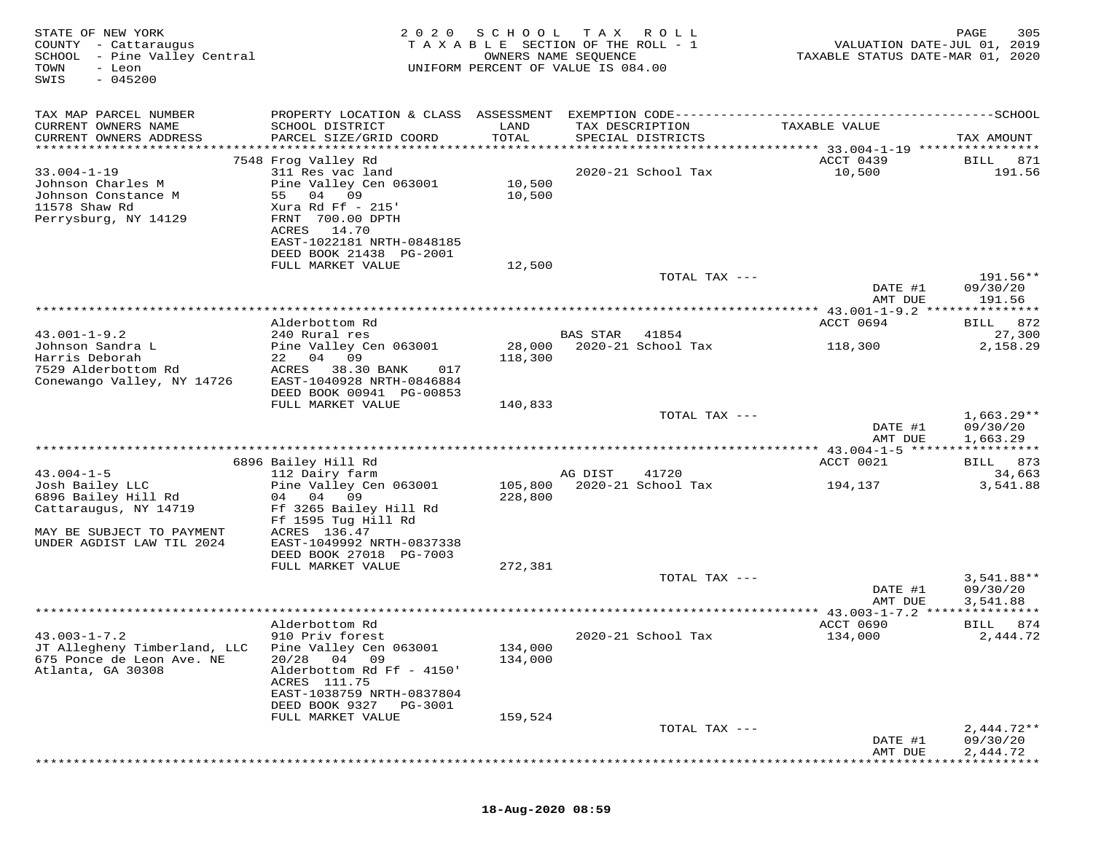| STATE OF NEW YORK<br>COUNTY - Cattaraugus<br>SCHOOL - Pine Valley Central<br>TOWN<br>- Leon<br>$-045200$<br>SWIS | 2020                                                                                                                                                                            | SCHOOL             | T A X<br>ROLL ROLL<br>TAXABLE SECTION OF THE ROLL - 1<br>OWNERS NAME SEQUENCE<br>UNIFORM PERCENT OF VALUE IS 084.00 | VALUATION DATE-JUL 01, 2019<br>TAXABLE STATUS DATE-MAR 01, 2020 | PAGE<br>305                          |
|------------------------------------------------------------------------------------------------------------------|---------------------------------------------------------------------------------------------------------------------------------------------------------------------------------|--------------------|---------------------------------------------------------------------------------------------------------------------|-----------------------------------------------------------------|--------------------------------------|
| TAX MAP PARCEL NUMBER<br>CURRENT OWNERS NAME<br>CURRENT OWNERS ADDRESS<br>**********************                 | PROPERTY LOCATION & CLASS ASSESSMENT<br>SCHOOL DISTRICT<br>PARCEL SIZE/GRID COORD                                                                                               | LAND<br>TOTAL      | TAX DESCRIPTION<br>SPECIAL DISTRICTS                                                                                | TAXABLE VALUE                                                   | TAX AMOUNT                           |
|                                                                                                                  | 7548 Frog Valley Rd                                                                                                                                                             |                    |                                                                                                                     | ACCT 0439                                                       | BILL<br>871                          |
| $33.004 - 1 - 19$<br>Johnson Charles M<br>Johnson Constance M<br>11578 Shaw Rd<br>Perrysburg, NY 14129           | 311 Res vac land<br>Pine Valley Cen 063001<br>09<br>55<br>04<br>Xura Rd Ff $-215$<br>FRNT 700.00 DPTH<br>ACRES<br>14.70<br>EAST-1022181 NRTH-0848185<br>DEED BOOK 21438 PG-2001 | 10,500<br>10,500   | 2020-21 School Tax                                                                                                  | 10,500                                                          | 191.56                               |
|                                                                                                                  | FULL MARKET VALUE                                                                                                                                                               | 12,500             |                                                                                                                     |                                                                 |                                      |
|                                                                                                                  |                                                                                                                                                                                 |                    | TOTAL TAX ---                                                                                                       | DATE #1<br>AMT DUE                                              | 191.56**<br>09/30/20<br>191.56       |
|                                                                                                                  |                                                                                                                                                                                 |                    |                                                                                                                     |                                                                 |                                      |
| $43.001 - 1 - 9.2$                                                                                               | Alderbottom Rd<br>240 Rural res                                                                                                                                                 |                    | <b>BAS STAR</b><br>41854                                                                                            | ACCT 0694                                                       | 872<br>BILL<br>27,300                |
| Johnson Sandra L<br>Harris Deborah<br>7529 Alderbottom Rd<br>Conewango Valley, NY 14726                          | Pine Valley Cen 063001<br>22 04 09<br>ACRES<br>38.30 BANK<br>017<br>EAST-1040928 NRTH-0846884                                                                                   | 28,000<br>118,300  | 2020-21 School Tax                                                                                                  | 118,300                                                         | 2,158.29                             |
|                                                                                                                  | DEED BOOK 00941 PG-00853<br>FULL MARKET VALUE                                                                                                                                   | 140,833            |                                                                                                                     |                                                                 |                                      |
|                                                                                                                  |                                                                                                                                                                                 |                    | TOTAL TAX ---                                                                                                       | DATE #1<br>AMT DUE                                              | $1,663.29**$<br>09/30/20<br>1,663.29 |
|                                                                                                                  |                                                                                                                                                                                 |                    |                                                                                                                     | ****************** 43.004-1-5 ******                            | ***********                          |
|                                                                                                                  | 6896 Bailey Hill Rd                                                                                                                                                             |                    |                                                                                                                     | ACCT 0021                                                       | 873<br>BILL                          |
| $43.004 - 1 - 5$<br>Josh Bailey LLC<br>6896 Bailey Hill Rd<br>Cattaraugus, NY 14719<br>MAY BE SUBJECT TO PAYMENT | 112 Dairy farm<br>Pine Valley Cen 063001<br>04 04<br>09<br>Ff 3265 Bailey Hill Rd<br>Ff 1595 Tug Hill Rd<br>ACRES 136.47                                                        | 105,800<br>228,800 | AG DIST<br>41720<br>2020-21 School Tax                                                                              | 194,137                                                         | 34,663<br>3,541.88                   |
| UNDER AGDIST LAW TIL 2024                                                                                        | EAST-1049992 NRTH-0837338<br>DEED BOOK 27018 PG-7003                                                                                                                            |                    |                                                                                                                     |                                                                 |                                      |
|                                                                                                                  | FULL MARKET VALUE                                                                                                                                                               | 272,381            | TOTAL TAX ---                                                                                                       |                                                                 | 3,541.88**                           |
|                                                                                                                  |                                                                                                                                                                                 |                    |                                                                                                                     | DATE #1<br>AMT DUE                                              | 09/30/20<br>3,541.88                 |
|                                                                                                                  |                                                                                                                                                                                 |                    |                                                                                                                     | ************** 43.003-1-7.2 ****                                | ***********                          |
| $43.003 - 1 - 7.2$<br>JT Allegheny Timberland, LLC<br>675 Ponce de Leon Ave. NE<br>Atlanta, GA 30308             | Alderbottom Rd<br>910 Priv forest<br>Pine Valley Cen 063001<br>20/28<br>04<br>09<br>Alderbottom Rd Ff - 4150'<br>ACRES 111.75<br>EAST-1038759 NRTH-0837804                      | 134,000<br>134,000 | 2020-21 School Tax                                                                                                  | ACCT 0690<br>134,000                                            | BILL<br>874<br>2,444.72              |
|                                                                                                                  | DEED BOOK 9327<br>PG-3001                                                                                                                                                       |                    |                                                                                                                     |                                                                 |                                      |
|                                                                                                                  | FULL MARKET VALUE                                                                                                                                                               | 159,524            |                                                                                                                     |                                                                 |                                      |
|                                                                                                                  |                                                                                                                                                                                 |                    | TOTAL TAX ---                                                                                                       | DATE #1<br>AMT DUE                                              | $2,444.72**$<br>09/30/20<br>2,444.72 |
|                                                                                                                  |                                                                                                                                                                                 |                    |                                                                                                                     |                                                                 |                                      |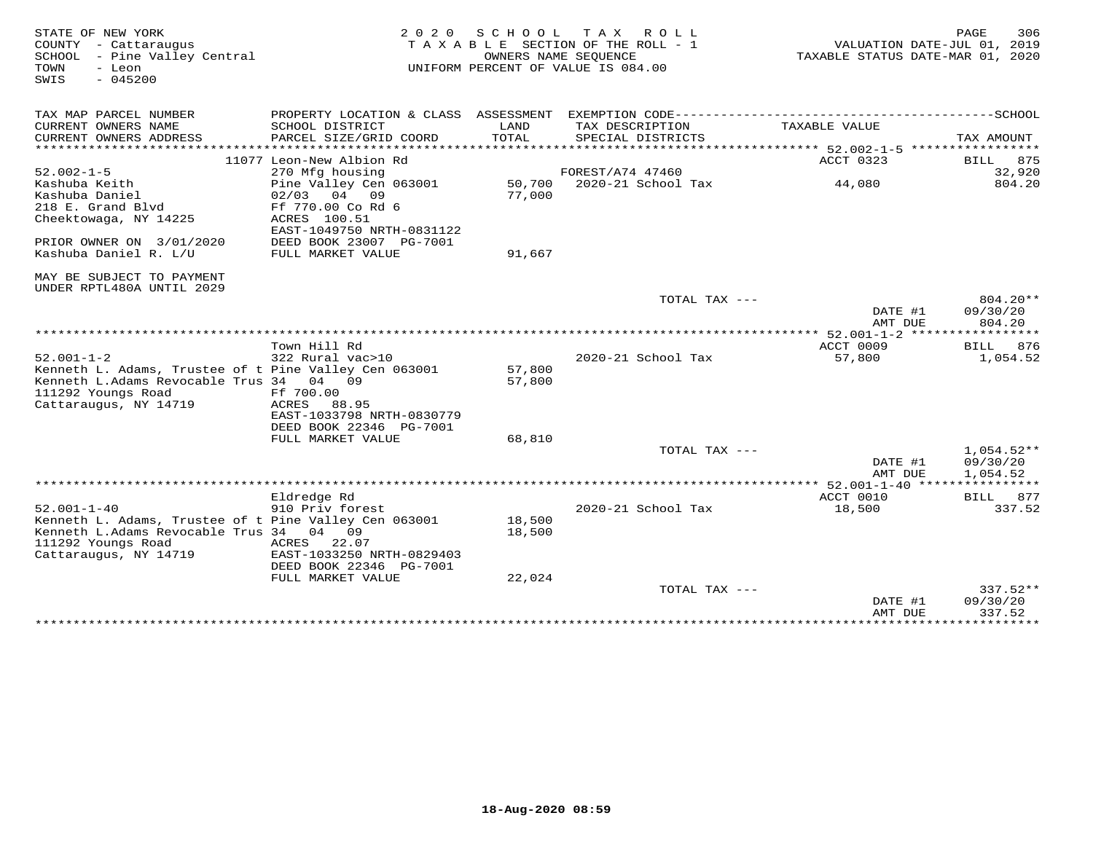| STATE OF NEW YORK<br>COUNTY - Cattaraugus<br>SCHOOL - Pine Valley Central<br>TOWN<br>- Leon<br>$-045200$<br>SWIS                                                     |                                                                                                             | 2020 SCHOOL                  | TAX ROLL<br>TAXABLE SECTION OF THE ROLL - 1<br>OWNERS NAME SEOUENCE<br>UNIFORM PERCENT OF VALUE IS 084.00 | VALUATION DATE-JUL 01, 2019<br>TAXABLE STATUS DATE-MAR 01, 2020 | 306<br>PAGE                          |
|----------------------------------------------------------------------------------------------------------------------------------------------------------------------|-------------------------------------------------------------------------------------------------------------|------------------------------|-----------------------------------------------------------------------------------------------------------|-----------------------------------------------------------------|--------------------------------------|
| TAX MAP PARCEL NUMBER                                                                                                                                                |                                                                                                             |                              |                                                                                                           |                                                                 |                                      |
| CURRENT OWNERS NAME<br>CURRENT OWNERS ADDRESS<br>******************                                                                                                  | SCHOOL DISTRICT<br>PARCEL SIZE/GRID COORD<br>* * * * * * * * * * * * * * *                                  | LAND<br>TOTAL<br>*********** | TAX DESCRIPTION<br>SPECIAL DISTRICTS                                                                      | TAXABLE VALUE                                                   | TAX AMOUNT                           |
|                                                                                                                                                                      | 11077 Leon-New Albion Rd                                                                                    |                              |                                                                                                           | *********** 52.002-1-5 ***********<br>ACCT 0323                 | 875<br>BILL                          |
| $52.002 - 1 - 5$                                                                                                                                                     | 270 Mfg housing                                                                                             |                              | FOREST/A74 47460                                                                                          |                                                                 | 32,920                               |
| Kashuba Keith<br>Kashuba Daniel<br>218 E. Grand Blvd<br>Cheektowaga, NY 14225                                                                                        | Pine Valley Cen 063001<br>$02/03$ 04 09<br>Ff 770.00 Co Rd 6<br>ACRES 100.51<br>EAST-1049750 NRTH-0831122   | 77,000                       | 50,700 2020-21 School Tax                                                                                 | 44,080                                                          | 804.20                               |
| PRIOR OWNER ON 3/01/2020<br>Kashuba Daniel R. L/U                                                                                                                    | DEED BOOK 23007 PG-7001<br>FULL MARKET VALUE                                                                | 91,667                       |                                                                                                           |                                                                 |                                      |
| MAY BE SUBJECT TO PAYMENT<br>UNDER RPTL480A UNTIL 2029                                                                                                               |                                                                                                             |                              |                                                                                                           |                                                                 |                                      |
|                                                                                                                                                                      |                                                                                                             |                              | TOTAL TAX ---                                                                                             | DATE #1<br>AMT DUE                                              | 804.20**<br>09/30/20<br>804.20       |
|                                                                                                                                                                      |                                                                                                             |                              |                                                                                                           | ****** 52.001-1-2 *****************                             |                                      |
|                                                                                                                                                                      | Town Hill Rd                                                                                                |                              |                                                                                                           | ACCT 0009                                                       | 876<br>BILL                          |
| $52.001 - 1 - 2$<br>Kenneth L. Adams, Trustee of t Pine Valley Cen 063001<br>Kenneth L.Adams Revocable Trus 34 04 09<br>111292 Youngs Road<br>Cattaraugus, NY 14719  | 322 Rural vac>10<br>Ff 700.00<br>ACRES 88.95<br>EAST-1033798 NRTH-0830779<br>DEED BOOK 22346 PG-7001        | 57,800<br>57,800             | 2020-21 School Tax                                                                                        | 57,800                                                          | 1,054.52                             |
|                                                                                                                                                                      | FULL MARKET VALUE                                                                                           | 68,810                       |                                                                                                           |                                                                 |                                      |
|                                                                                                                                                                      |                                                                                                             |                              | TOTAL TAX ---                                                                                             | DATE #1<br>AMT DUE                                              | $1,054.52**$<br>09/30/20<br>1,054.52 |
|                                                                                                                                                                      |                                                                                                             |                              |                                                                                                           | **************** 52.001-1-40 ********                           |                                      |
|                                                                                                                                                                      | Eldredge Rd                                                                                                 |                              |                                                                                                           | ACCT 0010                                                       | BILL<br>877                          |
| $52.001 - 1 - 40$<br>Kenneth L. Adams, Trustee of t Pine Valley Cen 063001<br>Kenneth L.Adams Revocable Trus 34 04 09<br>111292 Youngs Road<br>Cattaraugus, NY 14719 | 910 Priv forest<br>ACRES 22.07<br>EAST-1033250 NRTH-0829403<br>DEED BOOK 22346 PG-7001<br>FULL MARKET VALUE | 18,500<br>18,500<br>22,024   | 2020-21 School Tax                                                                                        | 18,500                                                          | 337.52                               |
|                                                                                                                                                                      |                                                                                                             |                              | TOTAL TAX ---                                                                                             |                                                                 | $337.52**$                           |
|                                                                                                                                                                      |                                                                                                             |                              |                                                                                                           | DATE #1<br>AMT DUE<br>**************                            | 09/30/20<br>337.52<br>**********     |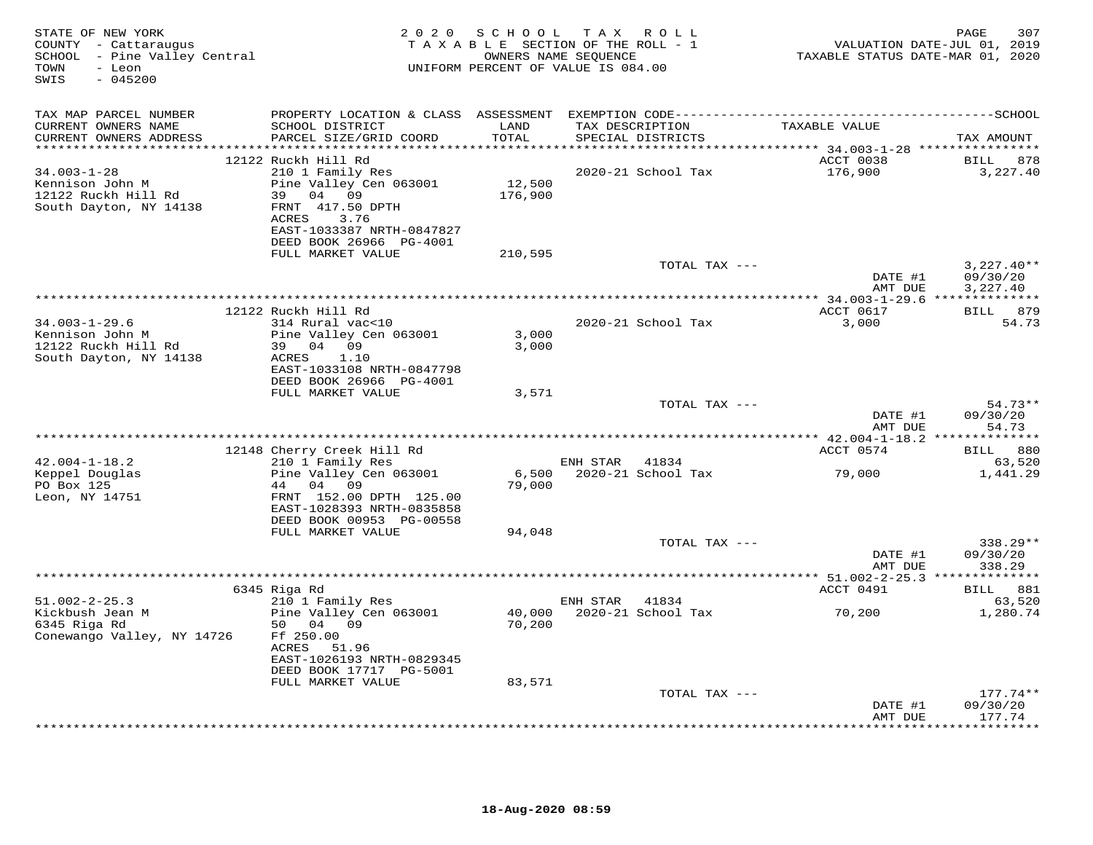| STATE OF NEW YORK<br>COUNTY - Cattaraugus<br>SCHOOL - Pine Valley Central<br>- Leon<br>TOWN<br>$-045200$<br>SWIS | 2 0 2 0                                                                                                                                                                       | SCHOOL            | T A X<br>R O L L<br>TAXABLE SECTION OF THE ROLL - 1<br>OWNERS NAME SEQUENCE<br>UNIFORM PERCENT OF VALUE IS 084.00 | TAXABLE STATUS DATE-MAR 01, 2020 | 307<br>PAGE<br>VALUATION DATE-JUL 01, 2019 |
|------------------------------------------------------------------------------------------------------------------|-------------------------------------------------------------------------------------------------------------------------------------------------------------------------------|-------------------|-------------------------------------------------------------------------------------------------------------------|----------------------------------|--------------------------------------------|
| TAX MAP PARCEL NUMBER<br>CURRENT OWNERS NAME<br>CURRENT OWNERS ADDRESS                                           | PROPERTY LOCATION & CLASS ASSESSMENT<br>SCHOOL DISTRICT<br>PARCEL SIZE/GRID COORD                                                                                             | LAND<br>TOTAL     | TAX DESCRIPTION<br>SPECIAL DISTRICTS                                                                              | TAXABLE VALUE                    | TAX AMOUNT                                 |
| $34.003 - 1 - 28$<br>Kennison John M<br>12122 Ruckh Hill Rd<br>South Dayton, NY 14138                            | 12122 Ruckh Hill Rd<br>210 1 Family Res<br>Pine Valley Cen 063001<br>04 09<br>39<br>FRNT 417.50 DPTH<br>3.76<br>ACRES<br>EAST-1033387 NRTH-0847827<br>DEED BOOK 26966 PG-4001 | 12,500<br>176,900 | 2020-21 School Tax                                                                                                | ACCT 0038<br>176,900             | 878<br>BILL<br>3,227.40                    |
|                                                                                                                  | FULL MARKET VALUE                                                                                                                                                             | 210,595           | TOTAL TAX ---                                                                                                     | DATE #1                          | $3,227.40**$<br>09/30/20                   |
|                                                                                                                  | 12122 Ruckh Hill Rd                                                                                                                                                           |                   |                                                                                                                   | AMT DUE<br>ACCT 0617             | 3,227.40<br><b>BILL</b><br>879             |
| $34.003 - 1 - 29.6$<br>Kennison John M<br>12122 Ruckh Hill Rd<br>South Dayton, NY 14138                          | 314 Rural vac<10<br>Pine Valley Cen 063001<br>04 09<br>39<br>ACRES<br>1.10<br>EAST-1033108 NRTH-0847798<br>DEED BOOK 26966 PG-4001                                            | 3,000<br>3,000    | 2020-21 School Tax                                                                                                | 3,000                            | 54.73                                      |
|                                                                                                                  | FULL MARKET VALUE                                                                                                                                                             | 3,571             | TOTAL TAX ---                                                                                                     | DATE #1                          | 54.73**<br>09/30/20                        |
|                                                                                                                  |                                                                                                                                                                               |                   |                                                                                                                   | AMT DUE                          | 54.73                                      |
| $42.004 - 1 - 18.2$                                                                                              | 12148 Cherry Creek Hill Rd                                                                                                                                                    |                   | ENH STAR 41834                                                                                                    | ACCT 0574                        | BILL 880                                   |
| Keppel Douglas<br>PO Box 125<br>Leon, NY 14751                                                                   | 210 1 Family Res<br>Pine Valley Cen 063001<br>44<br>04<br>09<br>FRNT 152.00 DPTH 125.00<br>EAST-1028393 NRTH-0835858                                                          | 6,500<br>79,000   | 2020-21 School Tax                                                                                                | 79,000                           | 63,520<br>1,441.29                         |
|                                                                                                                  | DEED BOOK 00953 PG-00558<br>FULL MARKET VALUE                                                                                                                                 | 94,048            | TOTAL TAX ---                                                                                                     |                                  | 338.29**                                   |
|                                                                                                                  |                                                                                                                                                                               |                   |                                                                                                                   | DATE #1<br>AMT DUE               | 09/30/20<br>338.29                         |
|                                                                                                                  | 6345 Riga Rd                                                                                                                                                                  |                   |                                                                                                                   | ACCT 0491                        | BILL 881                                   |
| $51.002 - 2 - 25.3$<br>Kickbush Jean M<br>6345 Riga Rd<br>Conewango Valley, NY 14726                             | 210 1 Family Res<br>Pine Valley Cen 063001<br>50 04 09<br>Ff 250.00<br>ACRES<br>51.96<br>EAST-1026193 NRTH-0829345                                                            | 40,000<br>70,200  | ENH STAR<br>41834<br>2020-21 School Tax                                                                           | 70,200                           | 63,520<br>1,280.74                         |
|                                                                                                                  | DEED BOOK 17717 PG-5001<br>FULL MARKET VALUE                                                                                                                                  | 83,571            | TOTAL TAX ---                                                                                                     |                                  | $177.74**$                                 |
|                                                                                                                  |                                                                                                                                                                               |                   |                                                                                                                   | DATE #1<br>AMT DUE               | 09/30/20<br>177.74                         |
|                                                                                                                  |                                                                                                                                                                               |                   |                                                                                                                   |                                  | * * * * * * * *                            |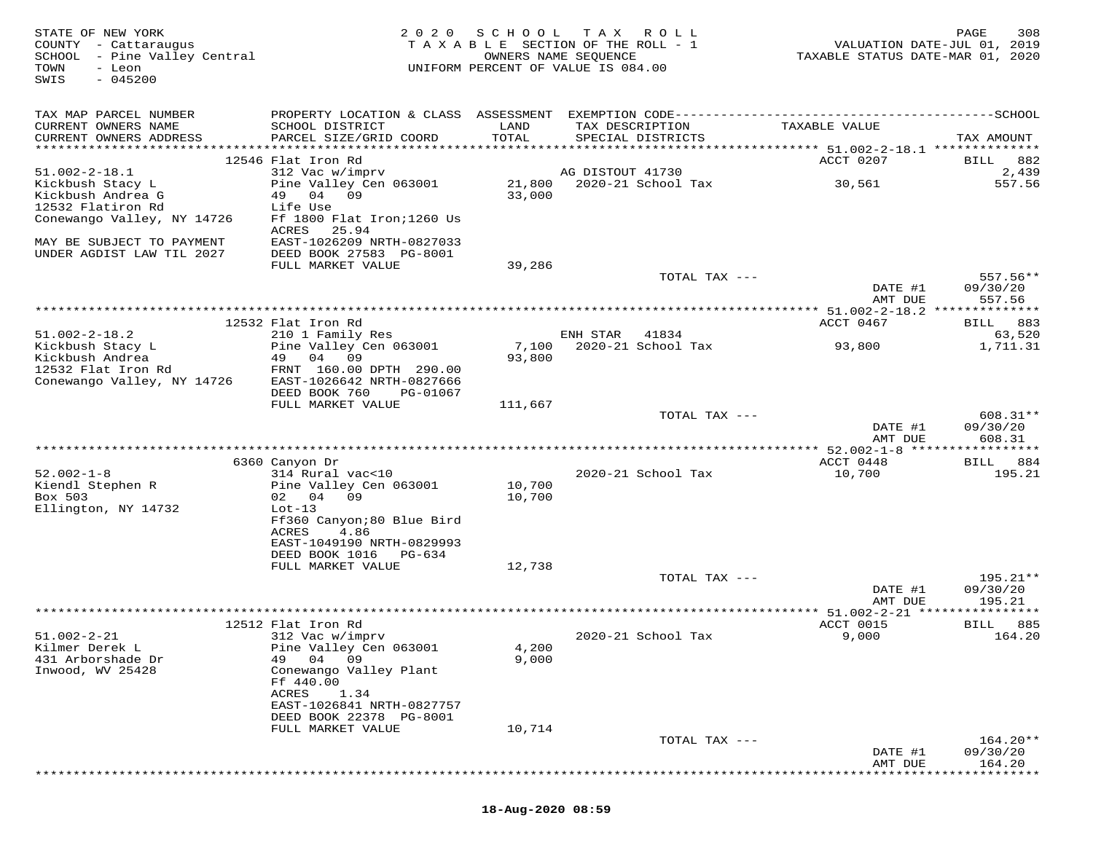| STATE OF NEW YORK<br>COUNTY - Cattaraugus<br>SCHOOL - Pine Valley Central<br>TOWN<br>- Leon<br>SWIS<br>$-045200$ | 2 0 2 0                                            | S C H O O L      | T A X<br>R O L L<br>TAXABLE SECTION OF THE ROLL - 1<br>OWNERS NAME SEQUENCE<br>UNIFORM PERCENT OF VALUE IS 084.00 | VALUATION DATE-JUL 01, 2019<br>TAXABLE STATUS DATE-MAR 01, 2020 | PAGE<br>308        |
|------------------------------------------------------------------------------------------------------------------|----------------------------------------------------|------------------|-------------------------------------------------------------------------------------------------------------------|-----------------------------------------------------------------|--------------------|
| TAX MAP PARCEL NUMBER                                                                                            |                                                    |                  |                                                                                                                   |                                                                 |                    |
| CURRENT OWNERS NAME<br>CURRENT OWNERS ADDRESS                                                                    | SCHOOL DISTRICT<br>PARCEL SIZE/GRID COORD          | LAND<br>TOTAL    | TAX DESCRIPTION<br>SPECIAL DISTRICTS                                                                              | TAXABLE VALUE                                                   | TAX AMOUNT         |
|                                                                                                                  |                                                    |                  |                                                                                                                   |                                                                 |                    |
|                                                                                                                  | 12546 Flat Iron Rd                                 |                  |                                                                                                                   | ACCT 0207                                                       | BILL 882           |
| $51.002 - 2 - 18.1$<br>Kickbush Stacy L                                                                          | 312 Vac w/imprv<br>Pine Valley Cen 063001          |                  | AG DISTOUT 41730                                                                                                  | 30,561                                                          | 2,439<br>557.56    |
| Kickbush Andrea G                                                                                                | 49 04 09                                           | 33,000           | 21,800 2020-21 School Tax                                                                                         |                                                                 |                    |
| 12532 Flatiron Rd                                                                                                | Life Use                                           |                  |                                                                                                                   |                                                                 |                    |
| Conewango Valley, NY 14726                                                                                       | Ff 1800 Flat Iron; 1260 Us                         |                  |                                                                                                                   |                                                                 |                    |
| MAY BE SUBJECT TO PAYMENT                                                                                        | ACRES<br>25.94<br>EAST-1026209 NRTH-0827033        |                  |                                                                                                                   |                                                                 |                    |
| UNDER AGDIST LAW TIL 2027                                                                                        | DEED BOOK 27583 PG-8001                            |                  |                                                                                                                   |                                                                 |                    |
|                                                                                                                  | FULL MARKET VALUE                                  | 39,286           |                                                                                                                   |                                                                 |                    |
|                                                                                                                  |                                                    |                  | TOTAL TAX ---                                                                                                     |                                                                 | $557.56**$         |
|                                                                                                                  |                                                    |                  |                                                                                                                   | DATE #1                                                         | 09/30/20           |
|                                                                                                                  |                                                    |                  |                                                                                                                   | AMT DUE                                                         | 557.56             |
|                                                                                                                  | 12532 Flat Iron Rd                                 |                  |                                                                                                                   | ACCT 0467                                                       | BILL 883           |
| $51.002 - 2 - 18.2$                                                                                              | 210 1 Family Res                                   |                  | ENH STAR<br>41834                                                                                                 |                                                                 | 63,520             |
| Kickbush Stacy L                                                                                                 | Pine Valley Cen 063001                             | 7,100            | 2020-21 School Tax                                                                                                | 93,800                                                          | 1,711.31           |
| Kickbush Andrea<br>12532 Flat Iron Rd                                                                            | 49<br>04 09<br>FRNT 160.00 DPTH 290.00             | 93,800           |                                                                                                                   |                                                                 |                    |
| Conewango Valley, NY 14726                                                                                       | EAST-1026642 NRTH-0827666                          |                  |                                                                                                                   |                                                                 |                    |
|                                                                                                                  | DEED BOOK 760<br>PG-01067                          |                  |                                                                                                                   |                                                                 |                    |
|                                                                                                                  | FULL MARKET VALUE                                  | 111,667          | TOTAL TAX ---                                                                                                     |                                                                 | $608.31**$         |
|                                                                                                                  |                                                    |                  |                                                                                                                   | DATE #1<br>AMT DUE                                              | 09/30/20<br>608.31 |
|                                                                                                                  |                                                    |                  |                                                                                                                   |                                                                 |                    |
|                                                                                                                  | 6360 Canyon Dr                                     |                  |                                                                                                                   | ACCT 0448                                                       | BILL<br>884        |
| $52.002 - 1 - 8$                                                                                                 | 314 Rural vac<10                                   |                  | 2020-21 School Tax                                                                                                | 10,700                                                          | 195.21             |
| Kiendl Stephen R<br>Box 503                                                                                      | Pine Valley Cen 063001<br>02 04 09                 | 10,700<br>10,700 |                                                                                                                   |                                                                 |                    |
| Ellington, NY 14732                                                                                              | $Lot-13$                                           |                  |                                                                                                                   |                                                                 |                    |
|                                                                                                                  | Ff360 Canyon;80 Blue Bird                          |                  |                                                                                                                   |                                                                 |                    |
|                                                                                                                  | ACRES<br>4.86                                      |                  |                                                                                                                   |                                                                 |                    |
|                                                                                                                  | EAST-1049190 NRTH-0829993<br>DEED BOOK 1016 PG-634 |                  |                                                                                                                   |                                                                 |                    |
|                                                                                                                  | FULL MARKET VALUE                                  | 12,738           |                                                                                                                   |                                                                 |                    |
|                                                                                                                  |                                                    |                  | TOTAL TAX ---                                                                                                     |                                                                 | 195.21**           |
|                                                                                                                  |                                                    |                  |                                                                                                                   | DATE #1                                                         | 09/30/20           |
|                                                                                                                  |                                                    |                  |                                                                                                                   | AMT DUE                                                         | 195.21             |
|                                                                                                                  | 12512 Flat Iron Rd                                 |                  |                                                                                                                   | ACCT 0015                                                       | BILL<br>885        |
| $51.002 - 2 - 21$                                                                                                | 312 Vac w/imprv                                    |                  | 2020-21 School Tax                                                                                                | 9,000                                                           | 164.20             |
| Kilmer Derek L                                                                                                   | Pine Valley Cen 063001                             | 4,200            |                                                                                                                   |                                                                 |                    |
| 431 Arborshade Dr<br>Inwood, WV 25428                                                                            | 49 04<br>09<br>Conewango Valley Plant              | 9,000            |                                                                                                                   |                                                                 |                    |
|                                                                                                                  | Ff 440.00                                          |                  |                                                                                                                   |                                                                 |                    |
|                                                                                                                  | ACRES<br>1.34                                      |                  |                                                                                                                   |                                                                 |                    |
|                                                                                                                  | EAST-1026841 NRTH-0827757                          |                  |                                                                                                                   |                                                                 |                    |
|                                                                                                                  | DEED BOOK 22378 PG-8001<br>FULL MARKET VALUE       | 10,714           |                                                                                                                   |                                                                 |                    |
|                                                                                                                  |                                                    |                  | TOTAL TAX ---                                                                                                     |                                                                 | $164.20**$         |
|                                                                                                                  |                                                    |                  |                                                                                                                   | DATE #1                                                         | 09/30/20           |
|                                                                                                                  |                                                    |                  |                                                                                                                   | AMT DUE                                                         | 164.20             |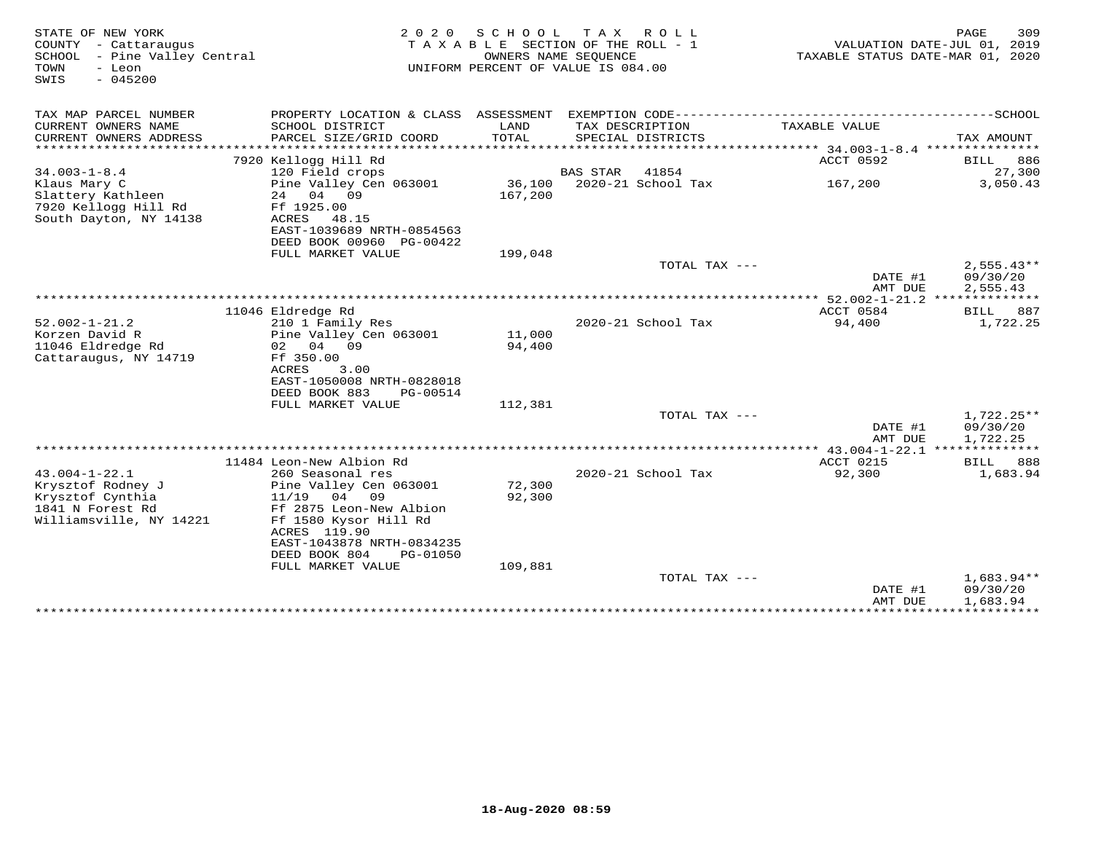| STATE OF NEW YORK<br>COUNTY - Cattaraugus<br>SCHOOL - Pine Valley Central<br>TOWN<br>- Leon<br>$-045200$<br>SWIS | 2 0 2 0                                                               | SCHOOL           | TAX ROLL<br>TAXABLE SECTION OF THE ROLL - 1<br>OWNERS NAME SEQUENCE<br>UNIFORM PERCENT OF VALUE IS 084.00 | TAXABLE STATUS DATE-MAR 01, 2020 | PAGE<br>309<br>VALUATION DATE-JUL 01, 2019 |
|------------------------------------------------------------------------------------------------------------------|-----------------------------------------------------------------------|------------------|-----------------------------------------------------------------------------------------------------------|----------------------------------|--------------------------------------------|
| TAX MAP PARCEL NUMBER                                                                                            |                                                                       |                  |                                                                                                           |                                  |                                            |
| CURRENT OWNERS NAME<br>CURRENT OWNERS ADDRESS                                                                    | SCHOOL DISTRICT<br>PARCEL SIZE/GRID COORD                             | LAND<br>TOTAL    | TAX DESCRIPTION<br>SPECIAL DISTRICTS                                                                      | TAXABLE VALUE                    | TAX AMOUNT                                 |
|                                                                                                                  | 7920 Kellogg Hill Rd                                                  |                  |                                                                                                           | ACCT 0592                        | 886<br>BILL                                |
| $34.003 - 1 - 8.4$                                                                                               | 120 Field crops                                                       |                  | 41854<br>BAS STAR                                                                                         |                                  | 27,300                                     |
| Klaus Mary C                                                                                                     | Pine Valley Cen 063001                                                | 36,100           | 2020-21 School Tax                                                                                        | 167,200                          | 3,050.43                                   |
| Slattery Kathleen<br>7920 Kellogg Hill Rd<br>South Dayton, NY 14138                                              | 24 04 09<br>Ff 1925.00<br>ACRES<br>48.15<br>EAST-1039689 NRTH-0854563 | 167,200          |                                                                                                           |                                  |                                            |
|                                                                                                                  |                                                                       |                  |                                                                                                           |                                  |                                            |
|                                                                                                                  | DEED BOOK 00960 PG-00422<br>FULL MARKET VALUE                         | 199,048          |                                                                                                           |                                  |                                            |
|                                                                                                                  |                                                                       |                  | TOTAL TAX ---                                                                                             |                                  | $2,555.43**$                               |
|                                                                                                                  |                                                                       |                  |                                                                                                           | DATE #1<br>AMT DUE               | 09/30/20<br>2,555.43                       |
|                                                                                                                  |                                                                       |                  |                                                                                                           |                                  |                                            |
|                                                                                                                  | 11046 Eldredge Rd                                                     |                  |                                                                                                           | ACCT 0584                        | 887<br>BILL                                |
| $52.002 - 1 - 21.2$                                                                                              | 210 1 Family Res                                                      |                  | 2020-21 School Tax                                                                                        | 94,400                           | 1,722.25                                   |
| Korzen David R<br>11046 Eldredge Rd                                                                              | Pine Valley Cen 063001<br>02 04 09                                    | 11,000<br>94,400 |                                                                                                           |                                  |                                            |
| Cattaraugus, NY 14719                                                                                            | Ff 350.00                                                             |                  |                                                                                                           |                                  |                                            |
|                                                                                                                  | ACRES<br>3.00                                                         |                  |                                                                                                           |                                  |                                            |
|                                                                                                                  | EAST-1050008 NRTH-0828018                                             |                  |                                                                                                           |                                  |                                            |
|                                                                                                                  | DEED BOOK 883<br>PG-00514                                             |                  |                                                                                                           |                                  |                                            |
|                                                                                                                  | FULL MARKET VALUE                                                     | 112,381          |                                                                                                           |                                  |                                            |
|                                                                                                                  |                                                                       |                  | TOTAL TAX ---                                                                                             |                                  | $1,722.25**$                               |
|                                                                                                                  |                                                                       |                  |                                                                                                           | DATE #1<br>AMT DUE               | 09/30/20<br>1,722.25                       |
|                                                                                                                  |                                                                       |                  |                                                                                                           |                                  |                                            |
|                                                                                                                  | 11484 Leon-New Albion Rd                                              |                  |                                                                                                           | ACCT 0215                        | 888<br>BILL                                |
| $43.004 - 1 - 22.1$                                                                                              | 260 Seasonal res                                                      |                  | 2020-21 School Tax                                                                                        | 92,300                           | 1,683.94                                   |
| Krysztof Rodney J                                                                                                | Pine Valley Cen 063001                                                | 72,300           |                                                                                                           |                                  |                                            |
| Krysztof Cynthia                                                                                                 | 11/19 04 09                                                           | 92,300           |                                                                                                           |                                  |                                            |
| 1841 N Forest Rd                                                                                                 | Ff 2875 Leon-New Albion                                               |                  |                                                                                                           |                                  |                                            |
| Williamsville, NY 14221                                                                                          | Ff 1580 Kysor Hill Rd                                                 |                  |                                                                                                           |                                  |                                            |
|                                                                                                                  | ACRES 119.90                                                          |                  |                                                                                                           |                                  |                                            |
|                                                                                                                  | EAST-1043878 NRTH-0834235                                             |                  |                                                                                                           |                                  |                                            |
|                                                                                                                  | DEED BOOK 804<br>PG-01050                                             |                  |                                                                                                           |                                  |                                            |
|                                                                                                                  | FULL MARKET VALUE                                                     | 109,881          | TOTAL TAX ---                                                                                             |                                  | 1,683.94**                                 |
|                                                                                                                  |                                                                       |                  |                                                                                                           | DATE #1                          | 09/30/20                                   |
|                                                                                                                  |                                                                       |                  |                                                                                                           | AMT DUE                          | 1,683.94                                   |
|                                                                                                                  |                                                                       |                  |                                                                                                           |                                  | ***************************                |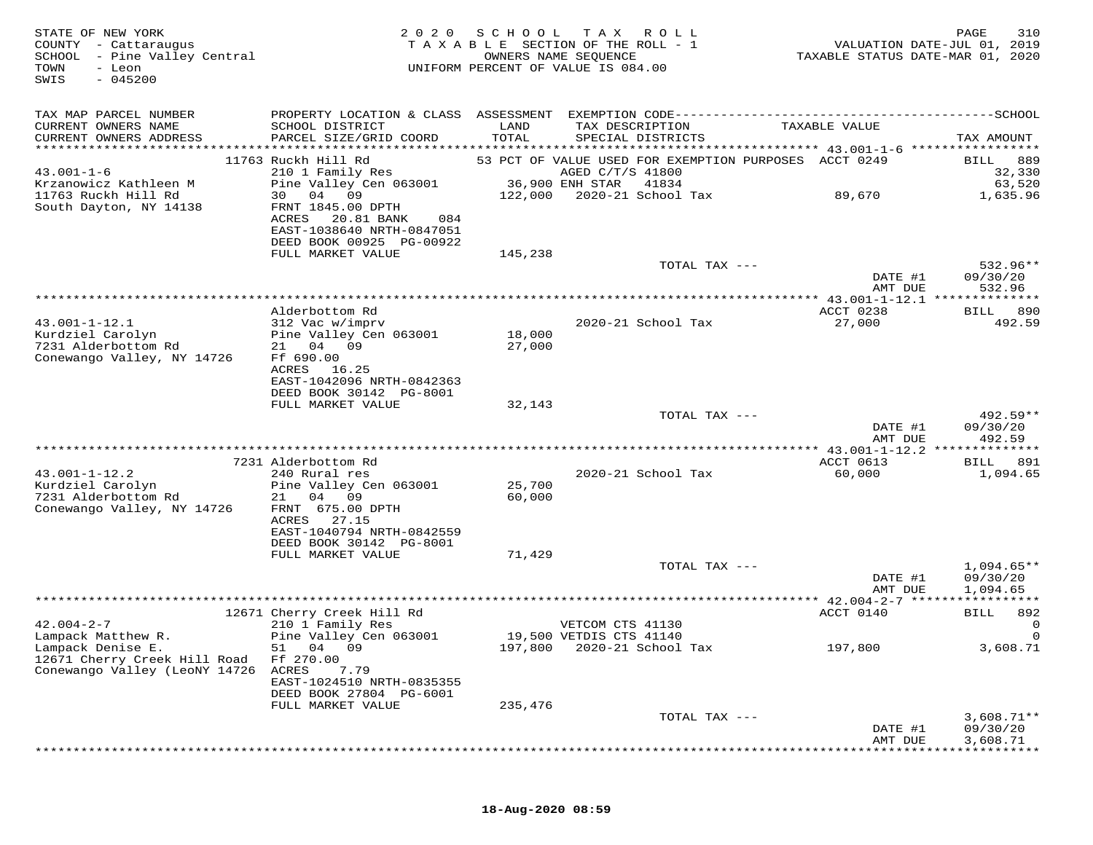| STATE OF NEW YORK<br>COUNTY - Cattaraugus<br>SCHOOL - Pine Valley Central<br>TOWN<br>- Leon<br>$-045200$<br>SWIS | 2 0 2 0                                                                                                                                   |         | SCHOOL TAX ROLL<br>TAXABLE SECTION OF THE ROLL - 1<br>OWNERS NAME SEQUENCE<br>UNIFORM PERCENT OF VALUE IS 084.00 | TAXABLE STATUS DATE-MAR 01, 2020 | PAGE<br>310<br>VALUATION DATE-JUL 01, 2019 |
|------------------------------------------------------------------------------------------------------------------|-------------------------------------------------------------------------------------------------------------------------------------------|---------|------------------------------------------------------------------------------------------------------------------|----------------------------------|--------------------------------------------|
| TAX MAP PARCEL NUMBER<br>CURRENT OWNERS NAME                                                                     | SCHOOL DISTRICT                                                                                                                           | LAND    | TAX DESCRIPTION                                                                                                  | TAXABLE VALUE                    |                                            |
| CURRENT OWNERS ADDRESS                                                                                           | PARCEL SIZE/GRID COORD                                                                                                                    | TOTAL   | SPECIAL DISTRICTS                                                                                                |                                  | TAX AMOUNT                                 |
|                                                                                                                  | 11763 Ruckh Hill Rd                                                                                                                       |         | 53 PCT OF VALUE USED FOR EXEMPTION PURPOSES ACCT 0249                                                            |                                  | BILL 889                                   |
| $43.001 - 1 - 6$                                                                                                 | 210 1 Family Res                                                                                                                          |         | AGED C/T/S 41800                                                                                                 |                                  | 32,330                                     |
| Krzanowicz Kathleen M                                                                                            | Pine Valley Cen 063001 36,900 ENH STAR 41834                                                                                              |         |                                                                                                                  |                                  | 63,520                                     |
| 11763 Ruckh Hill Rd<br>South Dayton, NY 14138                                                                    | 30 04 09<br>FRNT 1845.00 DPTH<br>20.81 BANK<br>ACRES<br>084<br>EAST-1038640 NRTH-0847051<br>DEED BOOK 00925 PG-00922<br>FULL MARKET VALUE | 145,238 |                                                                                                                  |                                  | 1,635.96                                   |
|                                                                                                                  |                                                                                                                                           |         | TOTAL TAX ---                                                                                                    |                                  | $532.96**$                                 |
|                                                                                                                  |                                                                                                                                           |         |                                                                                                                  | DATE #1                          | 09/30/20                                   |
|                                                                                                                  |                                                                                                                                           |         |                                                                                                                  | AMT DUE                          | 532.96                                     |
|                                                                                                                  | Alderbottom Rd                                                                                                                            |         |                                                                                                                  | ACCT 0238                        | BILL 890                                   |
| $43.001 - 1 - 12.1$                                                                                              | 312 Vac w/imprv                                                                                                                           |         | 2020-21 School Tax                                                                                               | 27,000                           | 492.59                                     |
| Kurdziel Carolyn                                                                                                 | Pine Valley Cen 063001                                                                                                                    | 18,000  |                                                                                                                  |                                  |                                            |
| 7231 Alderbottom Rd<br>Conewango Valley, NY 14726                                                                | 21 04 09<br>Ff 690.00                                                                                                                     | 27,000  |                                                                                                                  |                                  |                                            |
|                                                                                                                  | ACRES 16.25                                                                                                                               |         |                                                                                                                  |                                  |                                            |
|                                                                                                                  | EAST-1042096 NRTH-0842363                                                                                                                 |         |                                                                                                                  |                                  |                                            |
|                                                                                                                  | DEED BOOK 30142 PG-8001<br>FULL MARKET VALUE                                                                                              | 32,143  |                                                                                                                  |                                  |                                            |
|                                                                                                                  |                                                                                                                                           |         | TOTAL TAX ---                                                                                                    |                                  | 492.59**                                   |
|                                                                                                                  |                                                                                                                                           |         |                                                                                                                  | DATE #1                          | 09/30/20                                   |
|                                                                                                                  |                                                                                                                                           |         |                                                                                                                  | AMT DUE                          | 492.59                                     |
|                                                                                                                  | 7231 Alderbottom Rd                                                                                                                       |         |                                                                                                                  | ACCT 0613                        | 891<br>BILL                                |
| $43.001 - 1 - 12.2$                                                                                              | 240 Rural res                                                                                                                             |         | 2020-21 School Tax                                                                                               | 60,000                           | 1,094.65                                   |
| Kurdziel Carolyn                                                                                                 | Pine Valley Cen 063001                                                                                                                    | 25,700  |                                                                                                                  |                                  |                                            |
| 7231 Alderbottom Rd<br>Conewango Valley, NY 14726                                                                | 21 04 09<br>FRNT 675.00 DPTH                                                                                                              | 60,000  |                                                                                                                  |                                  |                                            |
|                                                                                                                  | ACRES<br>27.15                                                                                                                            |         |                                                                                                                  |                                  |                                            |
|                                                                                                                  | EAST-1040794 NRTH-0842559                                                                                                                 |         |                                                                                                                  |                                  |                                            |
|                                                                                                                  | DEED BOOK 30142 PG-8001<br>FULL MARKET VALUE                                                                                              | 71,429  |                                                                                                                  |                                  |                                            |
|                                                                                                                  |                                                                                                                                           |         | TOTAL TAX ---                                                                                                    |                                  | $1,094.65**$                               |
|                                                                                                                  |                                                                                                                                           |         |                                                                                                                  | DATE #1                          | 09/30/20                                   |
|                                                                                                                  |                                                                                                                                           |         |                                                                                                                  | AMT DUE                          | 1,094.65                                   |
|                                                                                                                  | 12671 Cherry Creek Hill Rd                                                                                                                |         |                                                                                                                  | ACCT 0140                        | BILL 892                                   |
| $42.004 - 2 - 7$                                                                                                 | 210 1 Family Res                                                                                                                          |         | VETCOM CTS 41130                                                                                                 |                                  |                                            |
| Lampack Matthew R.                                                                                               | Pine Valley Cen 063001 19,500 VETDIS CTS 41140                                                                                            |         |                                                                                                                  |                                  |                                            |
| Lampack Denise E.                                                                                                | 51 04 09                                                                                                                                  |         | 197,800 2020-21 School Tax                                                                                       | 197,800                          | 3,608.71                                   |
| 12671 Cherry Creek Hill Road<br>Conewango Valley (LeoNY 14726                                                    | Ff 270.00<br>ACRES<br>7.79                                                                                                                |         |                                                                                                                  |                                  |                                            |
|                                                                                                                  | EAST-1024510 NRTH-0835355                                                                                                                 |         |                                                                                                                  |                                  |                                            |
|                                                                                                                  | DEED BOOK 27804 PG-6001                                                                                                                   |         |                                                                                                                  |                                  |                                            |
|                                                                                                                  | FULL MARKET VALUE                                                                                                                         | 235,476 | TOTAL TAX ---                                                                                                    |                                  | $3,608.71**$                               |
|                                                                                                                  |                                                                                                                                           |         |                                                                                                                  | DATE #1                          | 09/30/20                                   |
|                                                                                                                  |                                                                                                                                           |         |                                                                                                                  | AMT DUE                          | 3,608.71                                   |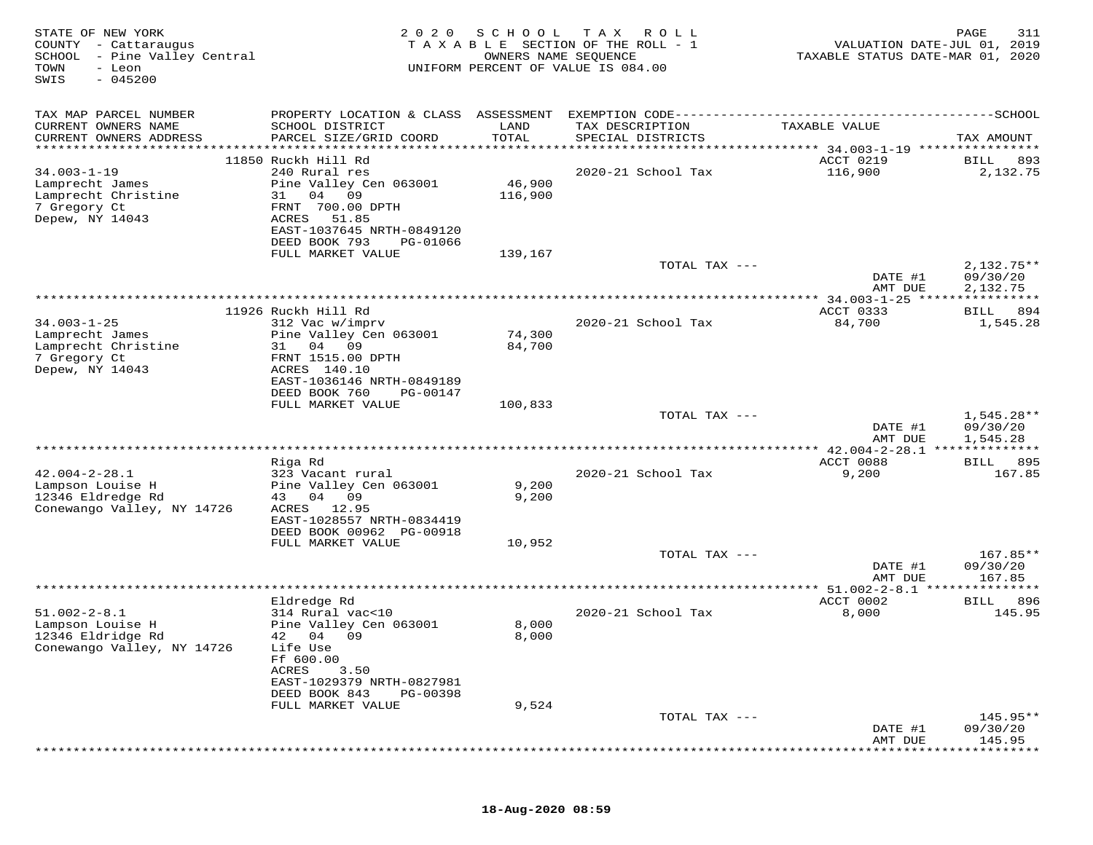| STATE OF NEW YORK<br>COUNTY - Cattaraugus<br>SCHOOL - Pine Valley Central<br>TOWN<br>- Leon<br>$-045200$<br>SWIS | 2 0 2 0                                                                                                                                                                       | SCHOOL<br>OWNERS NAME SEQUENCE | T A X<br>ROLL<br>T A X A B L E SECTION OF THE ROLL - 1<br>UNIFORM PERCENT OF VALUE IS 084.00 | VALUATION DATE-JUL 01, 2019<br>TAXABLE STATUS DATE-MAR 01, 2020 | PAGE<br>311                          |
|------------------------------------------------------------------------------------------------------------------|-------------------------------------------------------------------------------------------------------------------------------------------------------------------------------|--------------------------------|----------------------------------------------------------------------------------------------|-----------------------------------------------------------------|--------------------------------------|
| TAX MAP PARCEL NUMBER<br>CURRENT OWNERS NAME<br>CURRENT OWNERS ADDRESS<br>******************                     | PROPERTY LOCATION & CLASS ASSESSMENT<br>SCHOOL DISTRICT<br>PARCEL SIZE/GRID COORD                                                                                             | LAND<br>TOTAL<br>******        | TAX DESCRIPTION<br>SPECIAL DISTRICTS<br>***************                                      | TAXABLE VALUE<br>******* 34.003-1-19 ****************           | TAX AMOUNT                           |
| $34.003 - 1 - 19$<br>Lamprecht James<br>Lamprecht Christine<br>7 Gregory Ct<br>Depew, NY 14043                   | 11850 Ruckh Hill Rd<br>240 Rural res<br>Pine Valley Cen 063001<br>04 09<br>31<br>FRNT 700.00 DPTH<br>ACRES<br>51.85<br>EAST-1037645 NRTH-0849120<br>DEED BOOK 793<br>PG-01066 | 46,900<br>116,900              | 2020-21 School Tax                                                                           | ACCT 0219<br>116,900                                            | BILL<br>893<br>2,132.75              |
|                                                                                                                  | FULL MARKET VALUE                                                                                                                                                             | 139,167                        | TOTAL TAX ---                                                                                | DATE #1<br>AMT DUE                                              | $2,132.75**$<br>09/30/20<br>2,132.75 |
|                                                                                                                  |                                                                                                                                                                               |                                |                                                                                              | *************** 34.003-1-25 *****************                   |                                      |
| $34.003 - 1 - 25$<br>Lamprecht James<br>Lamprecht Christine<br>7 Gregory Ct<br>Depew, NY 14043                   | 11926 Ruckh Hill Rd<br>312 Vac w/imprv<br>Pine Valley Cen 063001<br>31 04<br>09<br>FRNT 1515.00 DPTH<br>ACRES 140.10                                                          | 74,300<br>84,700               | 2020-21 School Tax                                                                           | ACCT 0333<br>84,700                                             | 894<br>BILL<br>1,545.28              |
|                                                                                                                  | EAST-1036146 NRTH-0849189<br>DEED BOOK 760<br>PG-00147<br>FULL MARKET VALUE                                                                                                   | 100,833                        |                                                                                              |                                                                 |                                      |
|                                                                                                                  |                                                                                                                                                                               |                                | TOTAL TAX ---                                                                                | DATE #1<br>AMT DUE                                              | $1,545.28**$<br>09/30/20<br>1,545.28 |
|                                                                                                                  |                                                                                                                                                                               |                                |                                                                                              |                                                                 |                                      |
| $42.004 - 2 - 28.1$<br>Lampson Louise H<br>12346 Eldredge Rd<br>Conewango Valley, NY 14726                       | Riga Rd<br>323 Vacant rural<br>Pine Valley Cen 063001<br>04 09<br>43<br>12.95<br>ACRES                                                                                        | 9,200<br>9,200                 | 2020-21 School Tax                                                                           | ACCT 0088<br>9,200                                              | 895<br><b>BILL</b><br>167.85         |
|                                                                                                                  | EAST-1028557 NRTH-0834419<br>DEED BOOK 00962 PG-00918<br>FULL MARKET VALUE                                                                                                    | 10,952                         | TOTAL TAX ---                                                                                |                                                                 | 167.85**                             |
|                                                                                                                  |                                                                                                                                                                               |                                |                                                                                              | DATE #1<br>AMT DUE                                              | 09/30/20<br>167.85                   |
|                                                                                                                  | Eldredge Rd                                                                                                                                                                   |                                |                                                                                              | ******* 51.002-2-8.1 ***************<br>ACCT 0002               | 896<br>BILL                          |
| $51.002 - 2 - 8.1$<br>Lampson Louise H<br>12346 Eldridge Rd<br>Conewango Valley, NY 14726                        | 314 Rural vac<10<br>Pine Valley Cen 063001<br>42 04 09<br>Life Use<br>Ff 600.00                                                                                               | 8,000<br>8,000                 | 2020-21 School Tax                                                                           | 8,000                                                           | 145.95                               |
|                                                                                                                  | ACRES<br>3.50<br>EAST-1029379 NRTH-0827981<br>DEED BOOK 843<br>PG-00398<br>FULL MARKET VALUE                                                                                  | 9,524                          |                                                                                              |                                                                 |                                      |
|                                                                                                                  |                                                                                                                                                                               |                                | TOTAL TAX ---                                                                                | DATE #1                                                         | 145.95**<br>09/30/20                 |
|                                                                                                                  |                                                                                                                                                                               |                                |                                                                                              | AMT DUE                                                         | 145.95                               |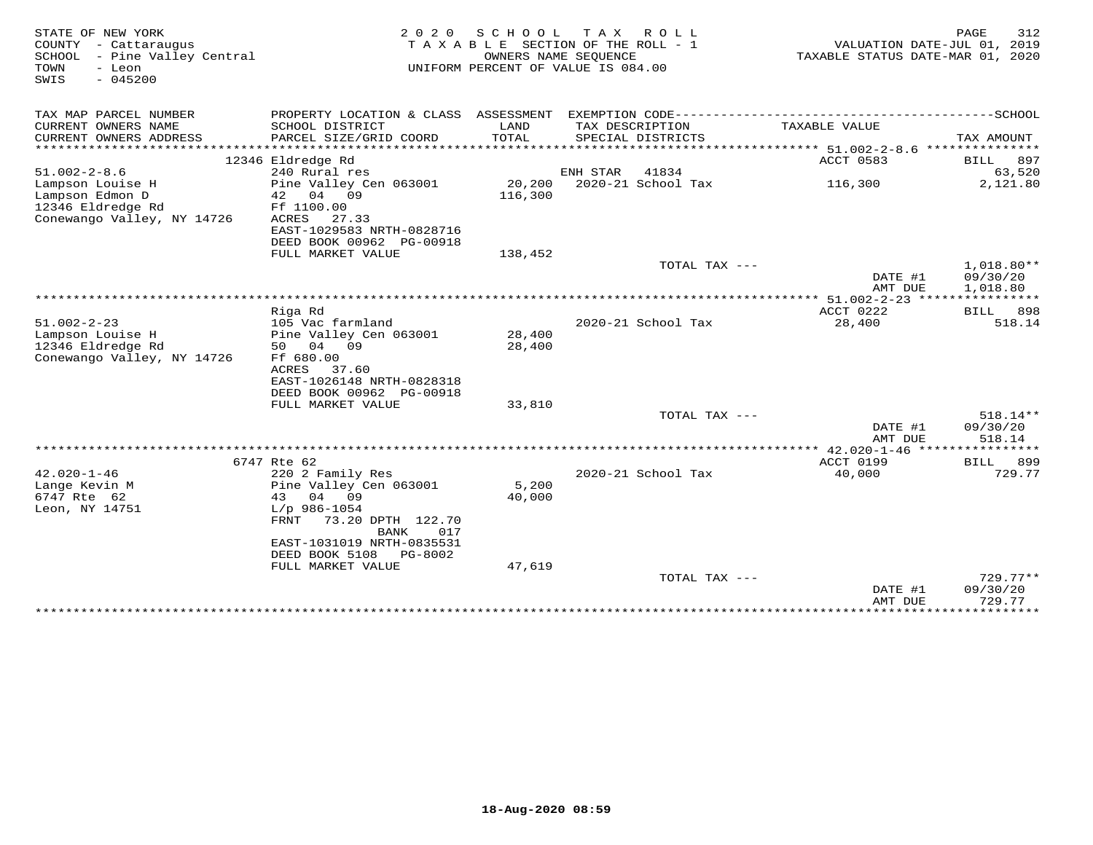| STATE OF NEW YORK<br>COUNTY - Cattaraugus<br>SCHOOL - Pine Valley Central<br>- Leon<br>TOWN<br>$-045200$<br>SWIS | 2 0 2 0                                        | S C H O O L                 | TAX ROLL<br>TAXABLE SECTION OF THE ROLL - 1<br>OWNERS NAME SEQUENCE<br>UNIFORM PERCENT OF VALUE IS 084.00 |                                                               | PAGE<br>312<br>VALUATION DATE-JUL 01, 2019<br>TAXABLE STATUS DATE-MAR 01, 2020 |
|------------------------------------------------------------------------------------------------------------------|------------------------------------------------|-----------------------------|-----------------------------------------------------------------------------------------------------------|---------------------------------------------------------------|--------------------------------------------------------------------------------|
| TAX MAP PARCEL NUMBER                                                                                            | PROPERTY LOCATION & CLASS ASSESSMENT           |                             |                                                                                                           | EXEMPTION CODE----------------------------                    | -------------SCHOOL                                                            |
| CURRENT OWNERS NAME                                                                                              | SCHOOL DISTRICT                                | LAND                        | TAX DESCRIPTION                                                                                           | TAXABLE VALUE                                                 |                                                                                |
| CURRENT OWNERS ADDRESS<br>***********************                                                                | PARCEL SIZE/GRID COORD                         | TOTAL                       | SPECIAL DISTRICTS                                                                                         |                                                               | TAX AMOUNT                                                                     |
|                                                                                                                  | 12346 Eldredge Rd                              |                             |                                                                                                           | ACCT 0583                                                     |                                                                                |
| $51.002 - 2 - 8.6$                                                                                               | 240 Rural res                                  |                             | ENH STAR<br>41834                                                                                         |                                                               | 897<br>BILL<br>63,520                                                          |
| Lampson Louise H                                                                                                 | Pine Valley Cen 063001                         |                             | 20,200 2020-21 School Tax                                                                                 | 116,300                                                       | 2,121.80                                                                       |
| Lampson Edmon D                                                                                                  | 42 04 09                                       | 116,300                     |                                                                                                           |                                                               |                                                                                |
| 12346 Eldredge Rd                                                                                                | Ff 1100.00                                     |                             |                                                                                                           |                                                               |                                                                                |
| Conewango Valley, NY 14726                                                                                       | ACRES<br>27.33                                 |                             |                                                                                                           |                                                               |                                                                                |
|                                                                                                                  | EAST-1029583 NRTH-0828716                      |                             |                                                                                                           |                                                               |                                                                                |
|                                                                                                                  | DEED BOOK 00962 PG-00918                       |                             |                                                                                                           |                                                               |                                                                                |
|                                                                                                                  | FULL MARKET VALUE                              | 138,452                     | TOTAL TAX ---                                                                                             |                                                               | $1,018.80**$                                                                   |
|                                                                                                                  |                                                |                             |                                                                                                           | DATE #1                                                       | 09/30/20                                                                       |
|                                                                                                                  |                                                |                             |                                                                                                           | AMT DUE                                                       | 1,018.80                                                                       |
|                                                                                                                  | ***************                                | *************************** |                                                                                                           | ********* 51.002-2-23 ****************                        |                                                                                |
|                                                                                                                  | Riga Rd                                        |                             |                                                                                                           | ACCT 0222                                                     | BILL<br>898                                                                    |
| $51.002 - 2 - 23$                                                                                                | 105 Vac farmland                               |                             | 2020-21 School Tax                                                                                        | 28,400                                                        | 518.14                                                                         |
| Lampson Louise H                                                                                                 | Pine Valley Cen 063001                         | 28,400                      |                                                                                                           |                                                               |                                                                                |
| 12346 Eldredge Rd<br>Conewango Valley, NY 14726                                                                  | 50 04 09<br>Ff 680.00                          | 28,400                      |                                                                                                           |                                                               |                                                                                |
|                                                                                                                  | ACRES<br>37.60                                 |                             |                                                                                                           |                                                               |                                                                                |
|                                                                                                                  | EAST-1026148 NRTH-0828318                      |                             |                                                                                                           |                                                               |                                                                                |
|                                                                                                                  | DEED BOOK 00962 PG-00918                       |                             |                                                                                                           |                                                               |                                                                                |
|                                                                                                                  | FULL MARKET VALUE                              | 33,810                      |                                                                                                           |                                                               |                                                                                |
|                                                                                                                  |                                                |                             | TOTAL TAX ---                                                                                             |                                                               | 518.14**                                                                       |
|                                                                                                                  |                                                |                             |                                                                                                           | DATE #1                                                       | 09/30/20                                                                       |
|                                                                                                                  |                                                |                             |                                                                                                           | AMT DUE                                                       | 518.14                                                                         |
|                                                                                                                  | 6747 Rte 62                                    |                             |                                                                                                           | *********** 42.020-1-46 *****************<br><b>ACCT 0199</b> | 899<br>BILL                                                                    |
| $42.020 - 1 - 46$                                                                                                | 220 2 Family Res                               |                             | 2020-21 School Tax                                                                                        | 40,000                                                        | 729.77                                                                         |
| Lange Kevin M                                                                                                    | Pine Valley Cen 063001                         | 5,200                       |                                                                                                           |                                                               |                                                                                |
| 6747 Rte 62                                                                                                      | 43 04 09                                       | 40,000                      |                                                                                                           |                                                               |                                                                                |
| Leon, NY 14751                                                                                                   | $L/p$ 986-1054                                 |                             |                                                                                                           |                                                               |                                                                                |
|                                                                                                                  | 73.20 DPTH 122.70<br>FRNT                      |                             |                                                                                                           |                                                               |                                                                                |
|                                                                                                                  | 017<br>BANK                                    |                             |                                                                                                           |                                                               |                                                                                |
|                                                                                                                  | EAST-1031019 NRTH-0835531                      |                             |                                                                                                           |                                                               |                                                                                |
|                                                                                                                  | DEED BOOK 5108<br>PG-8002<br>FULL MARKET VALUE | 47,619                      |                                                                                                           |                                                               |                                                                                |
|                                                                                                                  |                                                |                             |                                                                                                           | TOTAL TAX $---$                                               | $729.77**$                                                                     |
|                                                                                                                  |                                                |                             |                                                                                                           | DATE #1                                                       | 09/30/20                                                                       |
|                                                                                                                  |                                                |                             |                                                                                                           | AMT DUE                                                       | 729.77                                                                         |
|                                                                                                                  | ******************************                 |                             |                                                                                                           | *************                                                 | ***********                                                                    |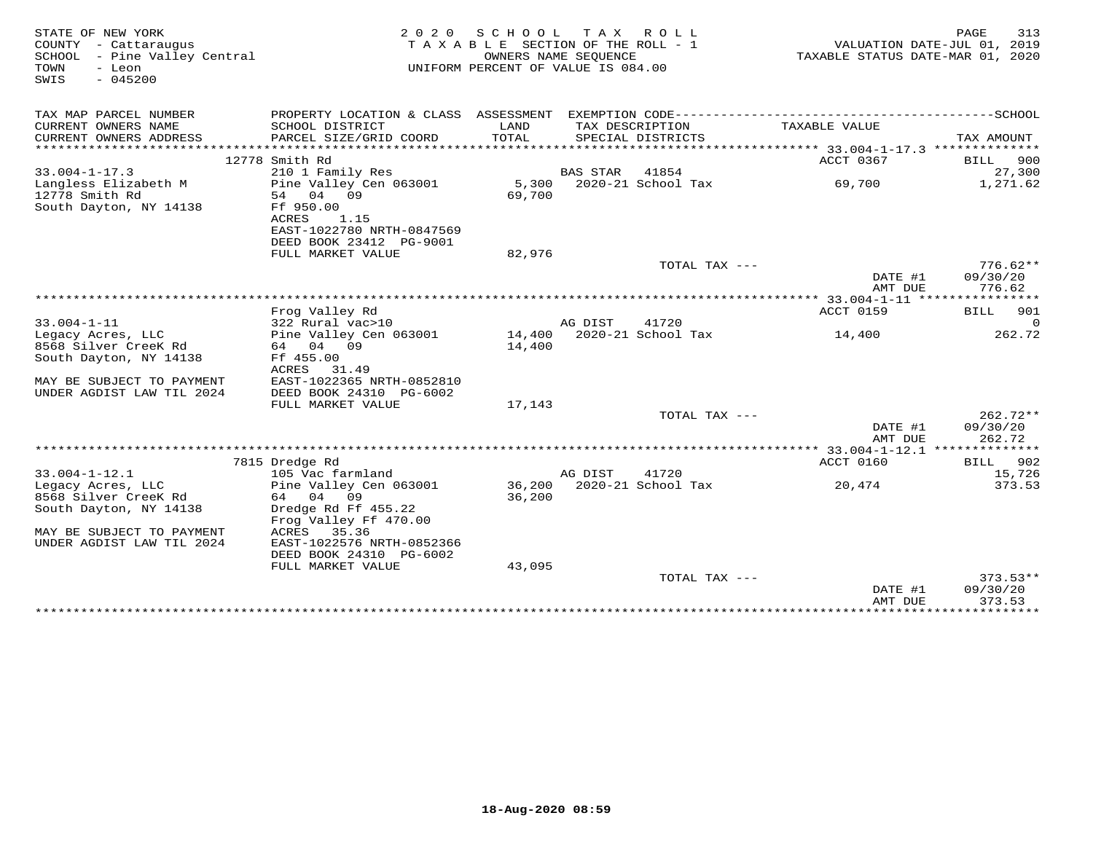| STATE OF NEW YORK<br>COUNTY - Cattaraugus<br>SCHOOL - Pine Valley Central<br>TOWN<br>- Leon<br>$-045200$<br>SWIS | 2 0 2 0                                    | SCHOOL<br>TAXABLE SECTION OF THE ROLL - 1<br>OWNERS NAME SEQUENCE<br>UNIFORM PERCENT OF VALUE IS 084.00 | T A X           | ROLL                                 | TAXABLE STATUS DATE-MAR 01, 2020 | 313<br>PAGE<br>VALUATION DATE-JUL 01, 2019 |
|------------------------------------------------------------------------------------------------------------------|--------------------------------------------|---------------------------------------------------------------------------------------------------------|-----------------|--------------------------------------|----------------------------------|--------------------------------------------|
| TAX MAP PARCEL NUMBER                                                                                            | PROPERTY LOCATION & CLASS ASSESSMENT       |                                                                                                         |                 |                                      |                                  |                                            |
| CURRENT OWNERS NAME<br>CURRENT OWNERS ADDRESS                                                                    | SCHOOL DISTRICT<br>PARCEL SIZE/GRID COORD  | LAND<br>TOTAL                                                                                           |                 | TAX DESCRIPTION<br>SPECIAL DISTRICTS | TAXABLE VALUE                    | TAX AMOUNT                                 |
|                                                                                                                  |                                            |                                                                                                         |                 |                                      |                                  |                                            |
|                                                                                                                  | 12778 Smith Rd                             |                                                                                                         |                 |                                      | ACCT 0367                        | 900<br>BILL                                |
| $33.004 - 1 - 17.3$                                                                                              | 210 1 Family Res                           |                                                                                                         | <b>BAS STAR</b> | 41854                                |                                  | 27,300                                     |
| Langless Elizabeth M<br>12778 Smith Rd                                                                           | Pine Valley Cen 063001<br>04 09<br>54      | 5,300<br>69,700                                                                                         |                 | 2020-21 School Tax                   | 69,700                           | 1,271.62                                   |
| South Dayton, NY 14138                                                                                           | Ff 950.00                                  |                                                                                                         |                 |                                      |                                  |                                            |
|                                                                                                                  | ACRES<br>1.15<br>EAST-1022780 NRTH-0847569 |                                                                                                         |                 |                                      |                                  |                                            |
|                                                                                                                  | DEED BOOK 23412 PG-9001                    |                                                                                                         |                 |                                      |                                  |                                            |
|                                                                                                                  | FULL MARKET VALUE                          | 82,976                                                                                                  |                 |                                      |                                  |                                            |
|                                                                                                                  |                                            |                                                                                                         |                 | TOTAL TAX ---                        |                                  | $776.62**$                                 |
|                                                                                                                  |                                            |                                                                                                         |                 |                                      | DATE #1                          | 09/30/20                                   |
|                                                                                                                  |                                            |                                                                                                         |                 |                                      | AMT DUE                          | 776.62                                     |
|                                                                                                                  |                                            |                                                                                                         |                 |                                      |                                  |                                            |
|                                                                                                                  | Frog Valley Rd                             |                                                                                                         |                 |                                      | ACCT 0159                        | <b>BILL</b><br>901                         |
| $33.004 - 1 - 11$                                                                                                | 322 Rural vac>10                           | 14,400                                                                                                  | AG DIST         | 41720<br>2020-21 School Tax          |                                  | $\Omega$<br>262.72                         |
| Legacy Acres, LLC<br>8568 Silver CreeK Rd                                                                        | Pine Valley Cen 063001<br>64 04<br>09      | 14,400                                                                                                  |                 |                                      | 14,400                           |                                            |
| South Dayton, NY 14138                                                                                           | Ff 455.00                                  |                                                                                                         |                 |                                      |                                  |                                            |
|                                                                                                                  | ACRES<br>31.49                             |                                                                                                         |                 |                                      |                                  |                                            |
| MAY BE SUBJECT TO PAYMENT                                                                                        | EAST-1022365 NRTH-0852810                  |                                                                                                         |                 |                                      |                                  |                                            |
| UNDER AGDIST LAW TIL 2024                                                                                        | DEED BOOK 24310 PG-6002                    |                                                                                                         |                 |                                      |                                  |                                            |
|                                                                                                                  | FULL MARKET VALUE                          | 17,143                                                                                                  |                 |                                      |                                  |                                            |
|                                                                                                                  |                                            |                                                                                                         |                 | TOTAL TAX ---                        |                                  | $262.72**$                                 |
|                                                                                                                  |                                            |                                                                                                         |                 |                                      | DATE #1<br>AMT DUE               | 09/30/20<br>262.72                         |
|                                                                                                                  |                                            |                                                                                                         |                 |                                      |                                  |                                            |
|                                                                                                                  | 7815 Dredge Rd                             |                                                                                                         |                 |                                      | ACCT 0160                        | BILL<br>902                                |
| $33.004 - 1 - 12.1$<br>Legacy Acres, LLC                                                                         | 105 Vac farmland<br>Pine Valley Cen 063001 | 36,200                                                                                                  | AG DIST         | 41720<br>2020-21 School Tax          | 20,474                           | 15,726<br>373.53                           |
| 8568 Silver CreeK Rd                                                                                             | 64 04 09                                   | 36,200                                                                                                  |                 |                                      |                                  |                                            |
| South Dayton, NY 14138                                                                                           | Dredge Rd Ff 455.22                        |                                                                                                         |                 |                                      |                                  |                                            |
|                                                                                                                  | Frog Valley Ff 470.00                      |                                                                                                         |                 |                                      |                                  |                                            |
| MAY BE SUBJECT TO PAYMENT                                                                                        | ACRES<br>35.36                             |                                                                                                         |                 |                                      |                                  |                                            |
| UNDER AGDIST LAW TIL 2024                                                                                        | EAST-1022576 NRTH-0852366                  |                                                                                                         |                 |                                      |                                  |                                            |
|                                                                                                                  | DEED BOOK 24310 PG-6002                    |                                                                                                         |                 |                                      |                                  |                                            |
|                                                                                                                  | FULL MARKET VALUE                          | 43,095                                                                                                  |                 |                                      |                                  |                                            |
|                                                                                                                  |                                            |                                                                                                         |                 | TOTAL TAX ---                        |                                  | $373.53**$                                 |
|                                                                                                                  |                                            |                                                                                                         |                 |                                      | DATE #1<br>AMT DUE               | 09/30/20<br>373.53                         |
|                                                                                                                  |                                            |                                                                                                         |                 |                                      | ***************                  | ************                               |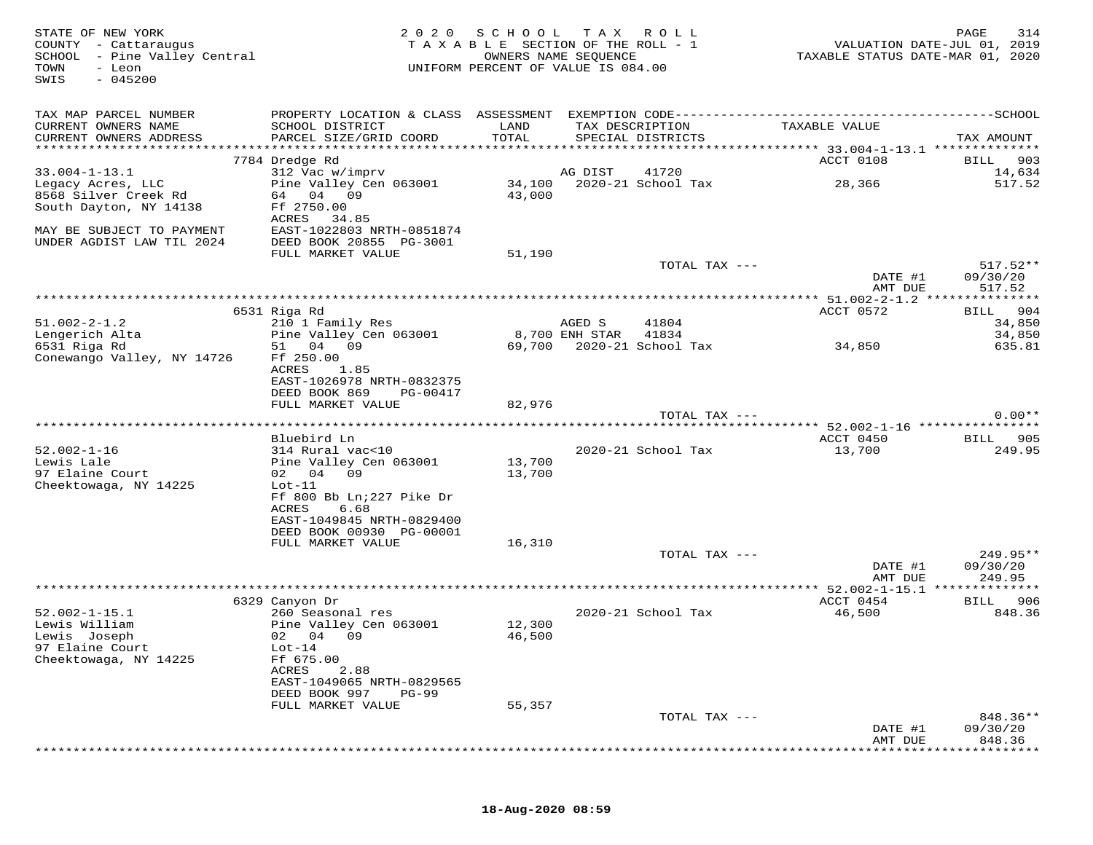| STATE OF NEW YORK<br>COUNTY - Cattaraugus<br>SCHOOL - Pine Valley Central<br>TOWN<br>- Leon<br>$-045200$<br>SWIS |                                                                                                                                               | 2020 SCHOOL TAX ROLL<br>TAXABLE SECTION OF THE ROLL - 1<br>UNIFORM PERCENT OF VALUE IS 084.00 | OWNERS NAME SEQUENCE     |                                      | VALUATION DATE-JUL 01, 2019<br>TAXABLE STATUS DATE-MAR 01, 2020 | 314<br>PAGE                      |
|------------------------------------------------------------------------------------------------------------------|-----------------------------------------------------------------------------------------------------------------------------------------------|-----------------------------------------------------------------------------------------------|--------------------------|--------------------------------------|-----------------------------------------------------------------|----------------------------------|
| TAX MAP PARCEL NUMBER<br>CURRENT OWNERS NAME<br>CURRENT OWNERS ADDRESS                                           | SCHOOL DISTRICT<br>PARCEL SIZE/GRID COORD                                                                                                     | LAND<br>TOTAL                                                                                 |                          | TAX DESCRIPTION<br>SPECIAL DISTRICTS | TAXABLE VALUE                                                   | TAX AMOUNT                       |
|                                                                                                                  | 7784 Dredge Rd                                                                                                                                |                                                                                               |                          |                                      | ACCT 0108                                                       | 903<br>BILL                      |
| $33.004 - 1 - 13.1$<br>Legacy Acres, LLC<br>8568 Silver Creek Rd<br>South Dayton, NY 14138                       | 312 Vac w/imprv<br>Pine Valley Cen 063001<br>64 04 09<br>Ff 2750.00<br>ACRES 34.85                                                            | 43,000                                                                                        | AG DIST                  | 41720                                | 28,366                                                          | 14,634<br>517.52                 |
| MAY BE SUBJECT TO PAYMENT<br>UNDER AGDIST LAW TIL 2024                                                           | EAST-1022803 NRTH-0851874<br>DEED BOOK 20855 PG-3001<br>FULL MARKET VALUE                                                                     | 51,190                                                                                        |                          |                                      |                                                                 |                                  |
|                                                                                                                  |                                                                                                                                               |                                                                                               |                          | TOTAL TAX ---                        | DATE #1<br>AMT DUE                                              | $517.52**$<br>09/30/20<br>517.52 |
|                                                                                                                  |                                                                                                                                               |                                                                                               |                          |                                      |                                                                 |                                  |
| $51.002 - 2 - 1.2$                                                                                               | 6531 Riga Rd<br>210 1 Family Res                                                                                                              |                                                                                               | AGED S<br>8,700 ENH STAR | 41804<br>41834                       | ACCT 0572                                                       | BILL 904<br>34,850               |
| Lengerich Alta<br>6531 Riga Rd<br>Conewango Valley, NY 14726                                                     | Pine Valley Cen 063001<br>51 04 09<br>Ff 250.00<br>ACRES<br>1.85<br>EAST-1026978 NRTH-0832375<br>DEED BOOK 869<br>PG-00417                    |                                                                                               |                          | 69,700 2020-21 School Tax            | 34,850                                                          | 34,850<br>635.81                 |
|                                                                                                                  | FULL MARKET VALUE                                                                                                                             | 82,976                                                                                        |                          |                                      |                                                                 |                                  |
|                                                                                                                  |                                                                                                                                               |                                                                                               |                          | TOTAL TAX ---                        |                                                                 | $0.00**$                         |
|                                                                                                                  | Bluebird Ln                                                                                                                                   |                                                                                               |                          |                                      | ACCT 0450                                                       | BILL 905                         |
| $52.002 - 1 - 16$<br>Lewis Lale<br>97 Elaine Court<br>Cheektowaga, NY 14225                                      | 314 Rural vac<10<br>Pine Valley Cen 063001<br>02 04 09<br>$Lot-11$<br>Ff 800 Bb Ln; 227 Pike Dr<br>ACRES<br>6.68<br>EAST-1049845 NRTH-0829400 | 13,700<br>13,700                                                                              |                          | 2020-21 School Tax                   | 13,700                                                          | 249.95                           |
|                                                                                                                  | DEED BOOK 00930 PG-00001<br>FULL MARKET VALUE                                                                                                 | 16,310                                                                                        |                          |                                      |                                                                 |                                  |
|                                                                                                                  |                                                                                                                                               |                                                                                               |                          | TOTAL TAX ---                        | DATE #1<br>AMT DUE                                              | 249.95**<br>09/30/20<br>249.95   |
|                                                                                                                  |                                                                                                                                               |                                                                                               |                          |                                      |                                                                 |                                  |
|                                                                                                                  | 6329 Canyon Dr                                                                                                                                |                                                                                               |                          |                                      | ACCT 0454                                                       | BILL 906                         |
| $52.002 - 1 - 15.1$<br>Lewis William<br>Lewis Joseph<br>97 Elaine Court<br>Cheektowaga, NY 14225                 | 260 Seasonal res<br>Pine Valley Cen 063001<br>02 04 09<br>$Lot-14$<br>Ff 675.00<br>2.88<br>ACRES<br>EAST-1049065 NRTH-0829565                 | 12,300<br>46,500                                                                              |                          | 2020-21 School Tax                   | 46,500                                                          | 848.36                           |
|                                                                                                                  | DEED BOOK 997<br>$PG-99$                                                                                                                      |                                                                                               |                          |                                      |                                                                 |                                  |
|                                                                                                                  | FULL MARKET VALUE                                                                                                                             | 55,357                                                                                        |                          | TOTAL TAX ---                        | DATE #1                                                         | 848.36**<br>09/30/20             |
|                                                                                                                  |                                                                                                                                               |                                                                                               |                          |                                      | AMT DUE                                                         | 848.36                           |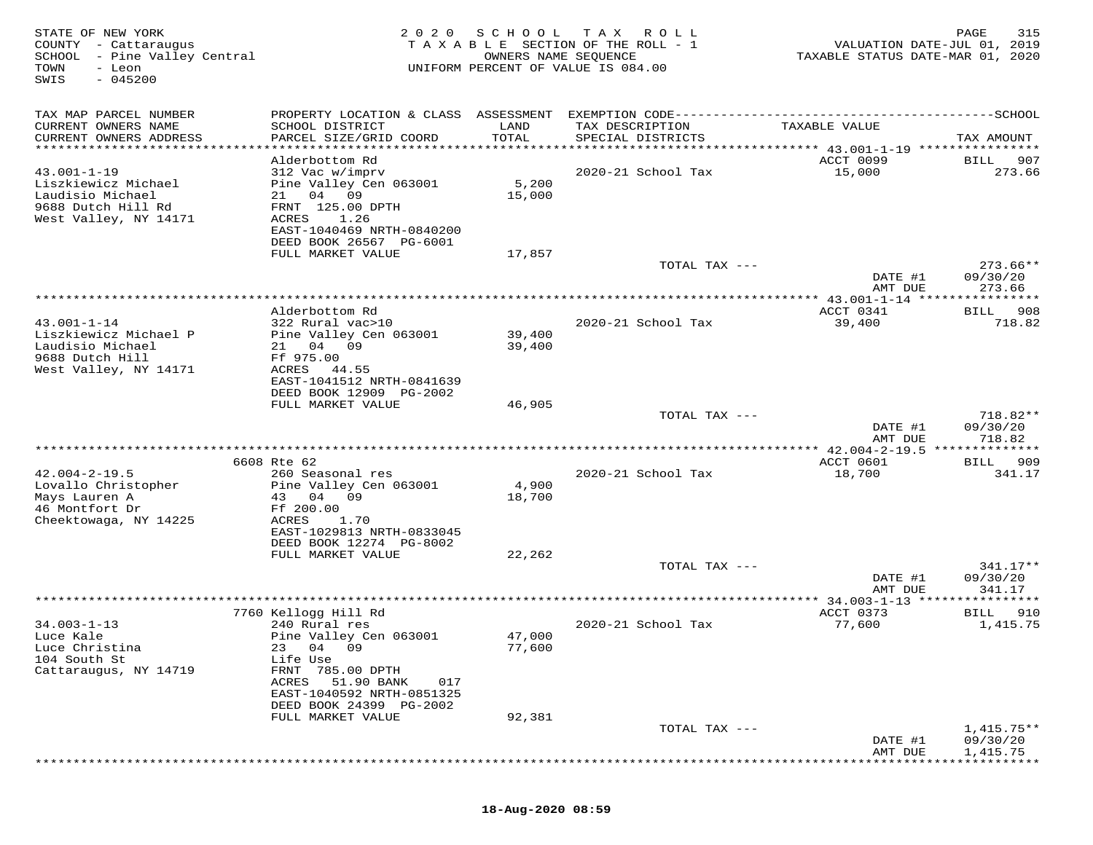| STATE OF NEW YORK<br>COUNTY - Cattaraugus<br>SCHOOL - Pine Valley Central<br>TOWN<br>- Leon<br>$-045200$<br>SWIS | 2 0 2 0                                                                                                                                                                                                                      | SCHOOL<br>OWNERS NAME SEQUENCE | T A X<br>R O L L<br>TAXABLE SECTION OF THE ROLL - 1<br>UNIFORM PERCENT OF VALUE IS 084.00 | VALUATION DATE-JUL 01, 2019<br>TAXABLE STATUS DATE-MAR 01, 2020 | PAGE<br>315                                |
|------------------------------------------------------------------------------------------------------------------|------------------------------------------------------------------------------------------------------------------------------------------------------------------------------------------------------------------------------|--------------------------------|-------------------------------------------------------------------------------------------|-----------------------------------------------------------------|--------------------------------------------|
| TAX MAP PARCEL NUMBER<br>CURRENT OWNERS NAME<br>CURRENT OWNERS ADDRESS<br>*******************                    | PROPERTY LOCATION & CLASS ASSESSMENT<br>SCHOOL DISTRICT<br>PARCEL SIZE/GRID COORD                                                                                                                                            | LAND<br>TOTAL<br>***********   | EXEMPTION CODE------------------------<br>TAX DESCRIPTION<br>SPECIAL DISTRICTS            | TAXABLE VALUE                                                   | ---------SCHOOL<br>TAX AMOUNT              |
| $43.001 - 1 - 19$<br>Liszkiewicz Michael<br>Laudisio Michael<br>9688 Dutch Hill Rd<br>West Valley, NY 14171      | Alderbottom Rd<br>312 Vac w/imprv<br>Pine Valley Cen 063001<br>21 04 09<br>FRNT 125.00 DPTH<br>1.26<br>ACRES<br>EAST-1040469 NRTH-0840200<br>DEED BOOK 26567 PG-6001<br>FULL MARKET VALUE                                    | 5,200<br>15,000<br>17,857      | 2020-21 School Tax                                                                        | ******** 43.001-1-19 ****************<br>ACCT 0099<br>15,000    | 907<br>BILL<br>273.66                      |
|                                                                                                                  |                                                                                                                                                                                                                              |                                | TOTAL TAX ---                                                                             | DATE #1<br>AMT DUE                                              | $273.66**$<br>09/30/20<br>273.66           |
| $43.001 - 1 - 14$<br>Liszkiewicz Michael P<br>Laudisio Michael<br>9688 Dutch Hill<br>West Valley, NY 14171       | Alderbottom Rd<br>322 Rural vac>10<br>Pine Valley Cen 063001<br>21 04 09<br>Ff 975.00<br>ACRES<br>44.55                                                                                                                      | 39,400<br>39,400               | 2020-21 School Tax                                                                        | ACCT 0341<br>39,400                                             | * * * * * * * * *<br>908<br>BILL<br>718.82 |
|                                                                                                                  | EAST-1041512 NRTH-0841639<br>DEED BOOK 12909 PG-2002<br>FULL MARKET VALUE                                                                                                                                                    | 46,905                         | TOTAL TAX ---                                                                             | DATE #1<br>AMT DUE                                              | $718.82**$<br>09/30/20<br>718.82           |
|                                                                                                                  |                                                                                                                                                                                                                              |                                |                                                                                           |                                                                 |                                            |
| $42.004 - 2 - 19.5$<br>Lovallo Christopher<br>Mays Lauren A<br>46 Montfort Dr<br>Cheektowaga, NY 14225           | 6608 Rte 62<br>260 Seasonal res<br>Pine Valley Cen 063001<br>43 04 09<br>Ff 200.00<br>ACRES<br>1.70<br>EAST-1029813 NRTH-0833045<br>DEED BOOK 12274 PG-8002<br>FULL MARKET VALUE                                             | 4,900<br>18,700<br>22,262      | 2020-21 School Tax                                                                        | ACCT 0601<br>18,700                                             | 909<br>BILL<br>341.17                      |
|                                                                                                                  |                                                                                                                                                                                                                              |                                | TOTAL TAX ---                                                                             | DATE #1<br>AMT DUE                                              | $341.17**$<br>09/30/20<br>341.17           |
|                                                                                                                  |                                                                                                                                                                                                                              |                                |                                                                                           | $* 34.003 - 1 - 13$ **                                          |                                            |
| $34.003 - 1 - 13$<br>Luce Kale<br>Luce Christina<br>104 South St<br>Cattaraugus, NY 14719                        | 7760 Kellogg Hill Rd<br>240 Rural res<br>Pine Valley Cen 063001<br>04<br>09<br>23<br>Life Use<br>FRNT 785.00 DPTH<br>51.90 BANK<br>ACRES<br>017<br>EAST-1040592 NRTH-0851325<br>DEED BOOK 24399 PG-2002<br>FULL MARKET VALUE | 47,000<br>77,600<br>92,381     | 2020-21 School Tax                                                                        | ACCT 0373<br>77,600                                             | BILL<br>910<br>1,415.75                    |
|                                                                                                                  |                                                                                                                                                                                                                              |                                | TOTAL TAX ---                                                                             | DATE #1<br>AMT DUE                                              | $1,415.75**$<br>09/30/20<br>1,415.75       |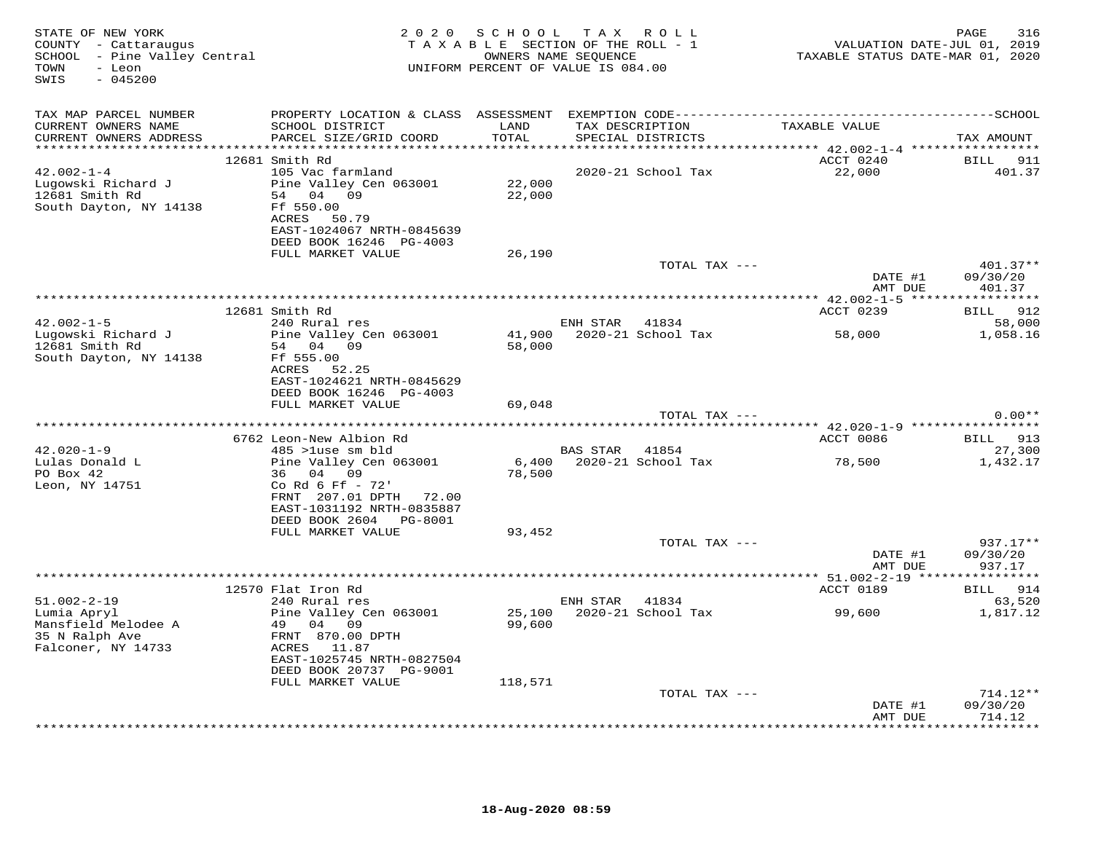| STATE OF NEW YORK<br>COUNTY - Cattaraugus<br>SCHOOL - Pine Valley Central<br>- Leon<br>TOWN<br>$-045200$<br>SWIS |                                                                                                                                                             |                   | 2020 SCHOOL TAX ROLL<br>TAXABLE SECTION OF THE ROLL - 1<br>OWNERS NAME SEQUENCE<br>UNIFORM PERCENT OF VALUE IS 084.00 | VALUATION DATE-JUL 01, 2019<br>TAXABLE STATUS DATE-MAR 01, 2020 | 316<br>PAGE            |
|------------------------------------------------------------------------------------------------------------------|-------------------------------------------------------------------------------------------------------------------------------------------------------------|-------------------|-----------------------------------------------------------------------------------------------------------------------|-----------------------------------------------------------------|------------------------|
| TAX MAP PARCEL NUMBER                                                                                            |                                                                                                                                                             |                   |                                                                                                                       |                                                                 |                        |
| CURRENT OWNERS NAME<br>CURRENT OWNERS ADDRESS                                                                    | SCHOOL DISTRICT<br>PARCEL SIZE/GRID COORD                                                                                                                   | LAND<br>TOTAL     | TAX DESCRIPTION<br>SPECIAL DISTRICTS                                                                                  | TAXABLE VALUE                                                   | TAX AMOUNT             |
|                                                                                                                  | 12681 Smith Rd                                                                                                                                              |                   | *********************************                                                                                     | *********** 42.002-1-4 ******************<br>ACCT 0240          | BILL 911               |
| $42.002 - 1 - 4$<br>Lugowski Richard J<br>12681 Smith Rd<br>South Dayton, NY 14138                               | 105 Vac farmland<br>Pine Valley Cen 063001<br>54 04 09<br>Ff 550.00<br>ACRES 50.79<br>EAST-1024067 NRTH-0845639                                             | 22,000<br>22,000  | 2020-21 School Tax                                                                                                    | 22,000                                                          | 401.37                 |
|                                                                                                                  | DEED BOOK 16246 PG-4003<br>FULL MARKET VALUE                                                                                                                | 26,190            |                                                                                                                       |                                                                 |                        |
|                                                                                                                  |                                                                                                                                                             |                   | TOTAL TAX ---                                                                                                         | DATE #1                                                         | 401.37**<br>09/30/20   |
|                                                                                                                  |                                                                                                                                                             |                   |                                                                                                                       | AMT DUE                                                         | 401.37                 |
|                                                                                                                  | ***********************************                                                                                                                         |                   |                                                                                                                       | *********** 42.002-1-5 ******************                       |                        |
| $42.002 - 1 - 5$                                                                                                 | 12681 Smith Rd<br>240 Rural res                                                                                                                             |                   | ENH STAR 41834                                                                                                        | ACCT 0239                                                       | BILL 912<br>58,000     |
| Lugowski Richard J<br>12681 Smith Rd<br>South Dayton, NY 14138                                                   | Pine Valley Cen 063001<br>54 04 09<br>Ff 555.00<br>ACRES 52.25                                                                                              | 58,000            | 41,900 2020-21 School Tax                                                                                             | 58,000                                                          | 1,058.16               |
|                                                                                                                  | EAST-1024621 NRTH-0845629<br>DEED BOOK 16246 PG-4003<br>FULL MARKET VALUE                                                                                   | 69,048            |                                                                                                                       |                                                                 |                        |
|                                                                                                                  |                                                                                                                                                             |                   | TOTAL TAX ---                                                                                                         |                                                                 | $0.00**$               |
|                                                                                                                  | ******************************<br>****************                                                                                                          |                   |                                                                                                                       | ************************************9200-1-9 ****************** |                        |
|                                                                                                                  | 6762 Leon-New Albion Rd                                                                                                                                     |                   |                                                                                                                       | ACCT 0086                                                       | BILL 913               |
| $42.020 - 1 - 9$<br>Lulas Donald L<br>PO Box 42<br>Leon, NY 14751                                                | 485 >luse sm bld<br>Pine Valley Cen 063001<br>36 04 09<br>Co Rd 6 Ff - 72'<br>FRNT 207.01 DPTH 72.00<br>EAST-1031192 NRTH-0835887<br>DEED BOOK 2604 PG-8001 | 78,500            | BAS STAR 41854<br>6,400 2020-21 School Tax                                                                            | 78,500                                                          | 27,300<br>1,432.17     |
|                                                                                                                  | FULL MARKET VALUE                                                                                                                                           | 93,452            |                                                                                                                       |                                                                 |                        |
|                                                                                                                  |                                                                                                                                                             |                   | TOTAL TAX ---                                                                                                         | DATE #1                                                         | $937.17**$<br>09/30/20 |
|                                                                                                                  |                                                                                                                                                             |                   |                                                                                                                       | AMT DUE                                                         | 937.17                 |
|                                                                                                                  | 12570 Flat Iron Rd                                                                                                                                          |                   |                                                                                                                       | ACCT 0189                                                       | BILL 914               |
| $51.002 - 2 - 19$                                                                                                | 240 Rural res                                                                                                                                               |                   | ENH STAR 41834                                                                                                        |                                                                 | 63,520                 |
| Lumia Apryl<br>Mansfield Melodee A<br>35 N Ralph Ave<br>Falconer, NY 14733                                       | Pine Valley Cen 063001<br>49 04 09<br>FRNT 870.00 DPTH<br>ACRES 11.87<br>EAST-1025745 NRTH-0827504<br>DEED BOOK 20737 PG-9001<br>FULL MARKET VALUE          | 99,600<br>118,571 | 25,100 2020-21 School Tax                                                                                             | 99,600                                                          | 1,817.12               |
|                                                                                                                  |                                                                                                                                                             |                   | TOTAL TAX ---                                                                                                         |                                                                 | $714.12**$             |
|                                                                                                                  |                                                                                                                                                             |                   |                                                                                                                       | DATE #1<br>AMT DUE                                              | 09/30/20<br>714.12     |
|                                                                                                                  |                                                                                                                                                             |                   |                                                                                                                       |                                                                 | .                      |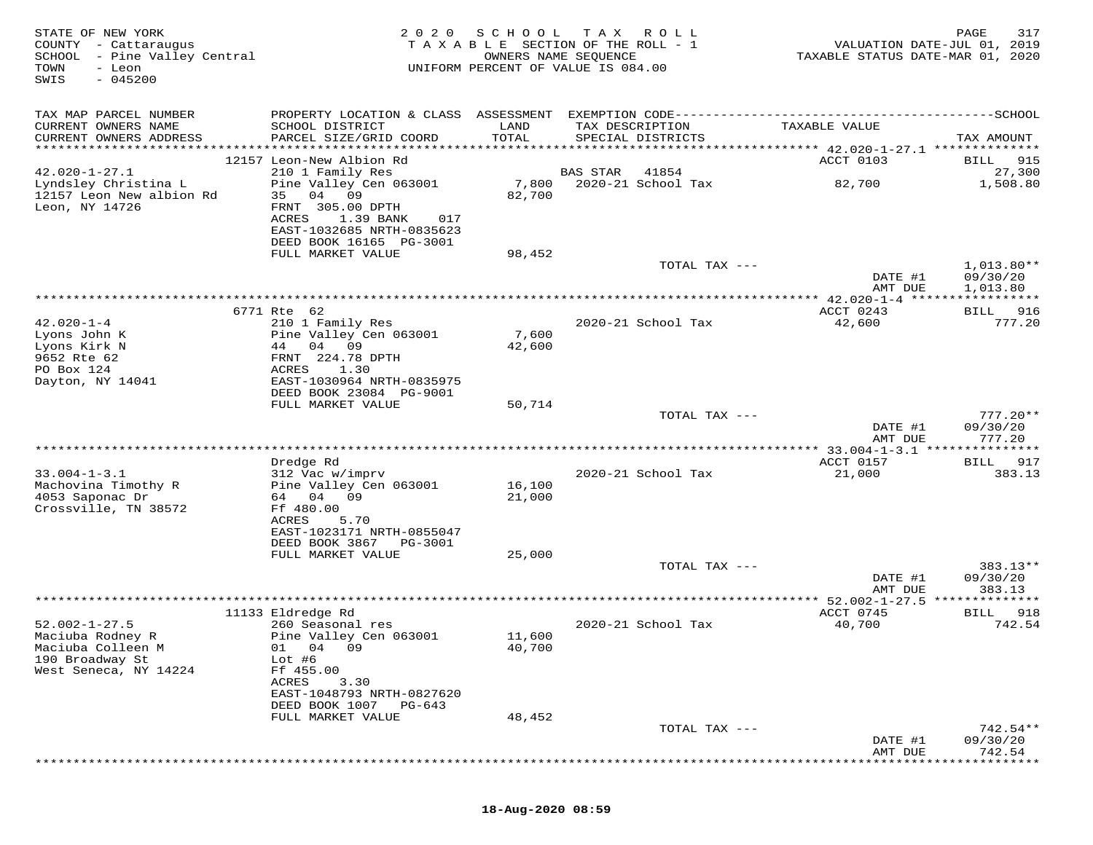| STATE OF NEW YORK<br>COUNTY - Cattaraugus<br>SCHOOL - Pine Valley Central<br>TOWN<br>- Leon<br>SWIS<br>$-045200$ | 2 0 2 0                                                                                                                                                         | SCHOOL           | T A X<br>R O L L<br>TAXABLE SECTION OF THE ROLL - 1<br>OWNERS NAME SEQUENCE<br>UNIFORM PERCENT OF VALUE IS 084.00 | VALUATION DATE-JUL 01, 2019<br>TAXABLE STATUS DATE-MAR 01, 2020 | 317<br>PAGE                          |
|------------------------------------------------------------------------------------------------------------------|-----------------------------------------------------------------------------------------------------------------------------------------------------------------|------------------|-------------------------------------------------------------------------------------------------------------------|-----------------------------------------------------------------|--------------------------------------|
| TAX MAP PARCEL NUMBER<br>CURRENT OWNERS NAME<br>CURRENT OWNERS ADDRESS                                           | SCHOOL DISTRICT<br>PARCEL SIZE/GRID COORD                                                                                                                       | LAND<br>TOTAL    | TAX DESCRIPTION<br>SPECIAL DISTRICTS                                                                              | TAXABLE VALUE                                                   | TAX AMOUNT                           |
|                                                                                                                  | 12157 Leon-New Albion Rd                                                                                                                                        |                  |                                                                                                                   | ACCT 0103                                                       | <b>BILL</b> 915                      |
| $42.020 - 1 - 27.1$<br>Lyndsley Christina L<br>12157 Leon New albion Rd<br>Leon, NY 14726                        | 210 1 Family Res<br>Pine Valley Cen 063001<br>35 04 09<br>FRNT 305.00 DPTH<br>ACRES<br>1.39 BANK<br>017<br>EAST-1032685 NRTH-0835623<br>DEED BOOK 16165 PG-3001 | 7,800<br>82,700  | BAS STAR<br>41854<br>2020-21 School Tax                                                                           | 82,700                                                          | 27,300<br>1,508.80                   |
|                                                                                                                  | FULL MARKET VALUE                                                                                                                                               | 98,452           |                                                                                                                   |                                                                 |                                      |
|                                                                                                                  |                                                                                                                                                                 |                  | TOTAL TAX ---                                                                                                     | DATE #1<br>AMT DUE                                              | $1,013.80**$<br>09/30/20<br>1,013.80 |
|                                                                                                                  |                                                                                                                                                                 |                  |                                                                                                                   |                                                                 |                                      |
|                                                                                                                  | 6771 Rte 62                                                                                                                                                     |                  |                                                                                                                   | ACCT 0243                                                       | 916<br>BILL                          |
| $42.020 - 1 - 4$<br>Lyons John K<br>Lyons Kirk N<br>9652 Rte 62<br>PO Box 124                                    | 210 1 Family Res<br>Pine Valley Cen 063001<br>44 04 09<br>FRNT 224.78 DPTH<br>ACRES<br>1.30                                                                     | 7,600<br>42,600  | 2020-21 School Tax                                                                                                | 42,600                                                          | 777.20                               |
| Dayton, NY 14041                                                                                                 | EAST-1030964 NRTH-0835975<br>DEED BOOK 23084 PG-9001<br>FULL MARKET VALUE                                                                                       | 50,714           |                                                                                                                   |                                                                 |                                      |
|                                                                                                                  |                                                                                                                                                                 |                  | TOTAL TAX ---                                                                                                     | DATE #1<br>AMT DUE                                              | $777.20**$<br>09/30/20<br>777.20     |
|                                                                                                                  |                                                                                                                                                                 |                  |                                                                                                                   |                                                                 | * * * * * * * * *                    |
| $33.004 - 1 - 3.1$<br>Machovina Timothy R<br>4053 Saponac Dr                                                     | Dredge Rd<br>312 Vac w/imprv<br>Pine Valley Cen 063001<br>64 04 09                                                                                              | 16,100<br>21,000 | 2020-21 School Tax                                                                                                | ACCT 0157<br>21,000                                             | 917<br>BILL<br>383.13                |
| Crossville, TN 38572                                                                                             | Ff 480.00<br>ACRES<br>5.70<br>EAST-1023171 NRTH-0855047<br>DEED BOOK 3867<br>PG-3001                                                                            |                  |                                                                                                                   |                                                                 |                                      |
|                                                                                                                  | FULL MARKET VALUE                                                                                                                                               | 25,000           |                                                                                                                   |                                                                 |                                      |
|                                                                                                                  |                                                                                                                                                                 |                  | TOTAL TAX ---                                                                                                     | DATE #1<br>AMT DUE                                              | 383.13**<br>09/30/20<br>383.13       |
|                                                                                                                  |                                                                                                                                                                 |                  |                                                                                                                   | ********* 52.002-1-27.5 ***                                     | ******                               |
| $52.002 - 1 - 27.5$<br>Maciuba Rodney R                                                                          | 11133 Eldredge Rd<br>260 Seasonal res<br>Pine Valley Cen 063001                                                                                                 | 11,600           | 2020-21 School Tax                                                                                                | ACCT 0745<br>40,700                                             | 918<br>BILL<br>742.54                |
| Maciuba Colleen M<br>190 Broadway St<br>West Seneca, NY 14224                                                    | 01 04<br>09<br>Lot #6<br>Ff 455.00<br>3.30<br>ACRES<br>EAST-1048793 NRTH-0827620<br>DEED BOOK 1007<br>PG-643                                                    | 40,700           |                                                                                                                   |                                                                 |                                      |
|                                                                                                                  | FULL MARKET VALUE                                                                                                                                               | 48,452           | TOTAL TAX ---                                                                                                     |                                                                 | 742.54**                             |
|                                                                                                                  |                                                                                                                                                                 |                  |                                                                                                                   | DATE #1<br>AMT DUE                                              | 09/30/20<br>742.54                   |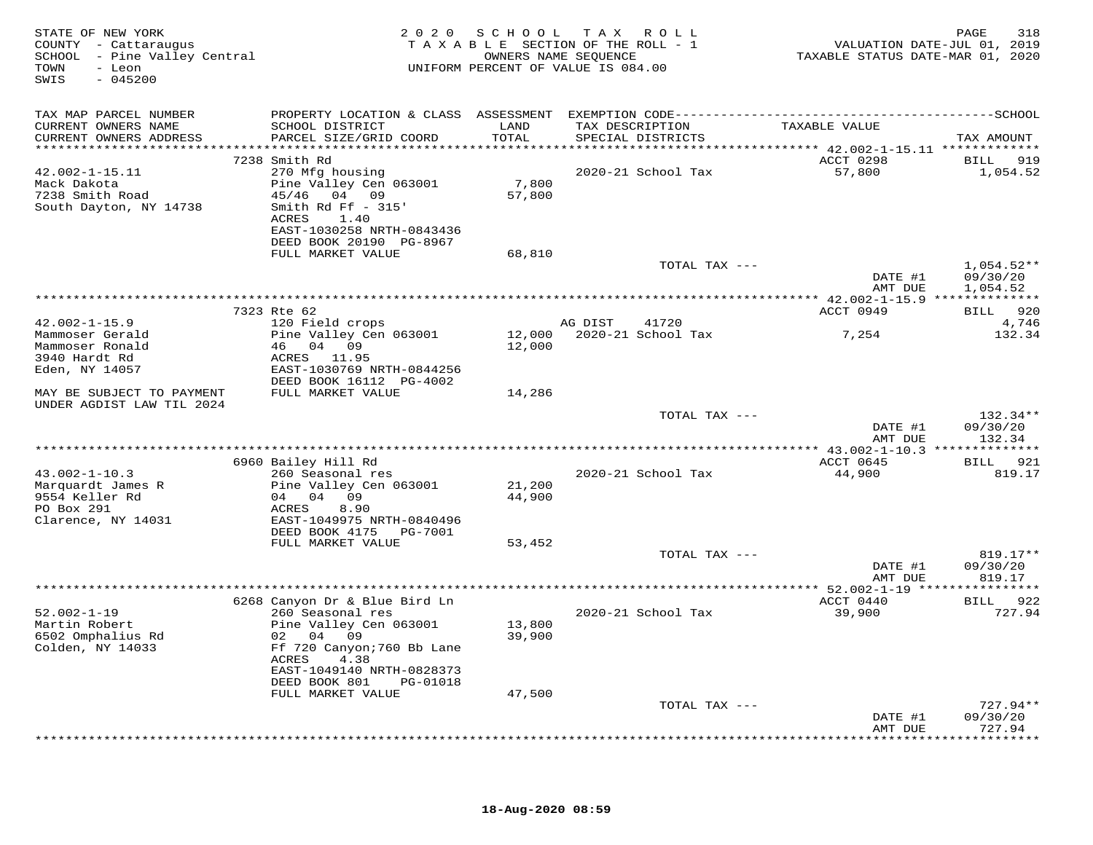| STATE OF NEW YORK<br>COUNTY - Cattaraugus<br>SCHOOL - Pine Valley Central<br>TOWN<br>- Leon<br>$-045200$<br>SWIS |                                                                                              |               | 2020 SCHOOL TAX ROLL<br>TAXABLE SECTION OF THE ROLL - 1<br>OWNERS NAME SEQUENCE<br>UNIFORM PERCENT OF VALUE IS 084.00 | VALUATION DATE-JUL 01, 2019<br>TAXABLE STATUS DATE-MAR 01, 2020 | 318<br>PAGE          |
|------------------------------------------------------------------------------------------------------------------|----------------------------------------------------------------------------------------------|---------------|-----------------------------------------------------------------------------------------------------------------------|-----------------------------------------------------------------|----------------------|
| TAX MAP PARCEL NUMBER                                                                                            | PROPERTY LOCATION & CLASS ASSESSMENT EXEMPTION CODE-----------------------------------SCHOOL |               |                                                                                                                       |                                                                 |                      |
| CURRENT OWNERS NAME<br>CURRENT OWNERS ADDRESS                                                                    | SCHOOL DISTRICT<br>PARCEL SIZE/GRID COORD                                                    | LAND<br>TOTAL | TAX DESCRIPTION<br>SPECIAL DISTRICTS                                                                                  | TAXABLE VALUE                                                   | TAX AMOUNT           |
| ***********************                                                                                          | 7238 Smith Rd                                                                                |               |                                                                                                                       | ACCT 0298                                                       | BILL 919             |
| $42.002 - 1 - 15.11$                                                                                             | 270 Mfg housing                                                                              |               | 2020-21 School Tax                                                                                                    | 57,800                                                          | 1,054.52             |
| Mack Dakota                                                                                                      | Pine Valley Cen 063001                                                                       | 7,800         |                                                                                                                       |                                                                 |                      |
| 7238 Smith Road                                                                                                  | 45/46 04 09                                                                                  | 57,800        |                                                                                                                       |                                                                 |                      |
| South Dayton, NY 14738                                                                                           | Smith Rd Ff $-315'$<br>ACRES<br>1.40                                                         |               |                                                                                                                       |                                                                 |                      |
|                                                                                                                  | EAST-1030258 NRTH-0843436                                                                    |               |                                                                                                                       |                                                                 |                      |
|                                                                                                                  | DEED BOOK 20190 PG-8967                                                                      |               |                                                                                                                       |                                                                 |                      |
|                                                                                                                  | FULL MARKET VALUE                                                                            | 68,810        |                                                                                                                       |                                                                 |                      |
|                                                                                                                  |                                                                                              |               | TOTAL TAX ---                                                                                                         |                                                                 | $1,054.52**$         |
|                                                                                                                  |                                                                                              |               |                                                                                                                       | DATE #1<br>AMT DUE                                              | 09/30/20<br>1,054.52 |
|                                                                                                                  | **********************                                                                       |               |                                                                                                                       |                                                                 |                      |
|                                                                                                                  | 7323 Rte 62                                                                                  |               |                                                                                                                       | ACCT 0949                                                       | BILL 920             |
| $42.002 - 1 - 15.9$                                                                                              | 120 Field crops                                                                              |               | AG DIST<br>41720                                                                                                      |                                                                 | 4,746                |
| Mammoser Gerald<br>Mammoser Ronald                                                                               | Pine Valley Cen 063001<br>46 04 09                                                           | 12,000        | 12,000 2020-21 School Tax                                                                                             | 7,254                                                           | 132.34               |
| 3940 Hardt Rd                                                                                                    | ACRES 11.95                                                                                  |               |                                                                                                                       |                                                                 |                      |
| Eden, NY 14057                                                                                                   | EAST-1030769 NRTH-0844256                                                                    |               |                                                                                                                       |                                                                 |                      |
|                                                                                                                  | DEED BOOK 16112 PG-4002                                                                      |               |                                                                                                                       |                                                                 |                      |
| MAY BE SUBJECT TO PAYMENT<br>UNDER AGDIST LAW TIL 2024                                                           | FULL MARKET VALUE                                                                            | 14,286        |                                                                                                                       |                                                                 |                      |
|                                                                                                                  |                                                                                              |               | TOTAL TAX ---                                                                                                         |                                                                 | 132.34**             |
|                                                                                                                  |                                                                                              |               |                                                                                                                       | DATE #1                                                         | 09/30/20             |
|                                                                                                                  |                                                                                              |               |                                                                                                                       | AMT DUE                                                         | 132.34               |
|                                                                                                                  |                                                                                              |               |                                                                                                                       |                                                                 |                      |
| $43.002 - 1 - 10.3$                                                                                              | 6960 Bailey Hill Rd<br>260 Seasonal res                                                      |               | 2020-21 School Tax                                                                                                    | ACCT 0645<br>44,900                                             | BILL 921<br>819.17   |
| Marquardt James R                                                                                                | Pine Valley Cen 063001                                                                       | 21,200        |                                                                                                                       |                                                                 |                      |
| 9554 Keller Rd                                                                                                   | 04 04 09                                                                                     | 44,900        |                                                                                                                       |                                                                 |                      |
| PO Box 291                                                                                                       | ACRES<br>8.90                                                                                |               |                                                                                                                       |                                                                 |                      |
| Clarence, NY 14031                                                                                               | EAST-1049975 NRTH-0840496                                                                    |               |                                                                                                                       |                                                                 |                      |
|                                                                                                                  | DEED BOOK 4175 PG-7001<br>FULL MARKET VALUE                                                  | 53,452        |                                                                                                                       |                                                                 |                      |
|                                                                                                                  |                                                                                              |               | TOTAL TAX ---                                                                                                         |                                                                 | $819.17**$           |
|                                                                                                                  |                                                                                              |               |                                                                                                                       | DATE #1                                                         | 09/30/20             |
|                                                                                                                  |                                                                                              |               |                                                                                                                       | AMT DUE                                                         | 819.17               |
|                                                                                                                  | 6268 Canyon Dr & Blue Bird Ln                                                                |               |                                                                                                                       | ACCT 0440                                                       | BILL 922             |
| $52.002 - 1 - 19$                                                                                                | 260 Seasonal res                                                                             |               | 2020-21 School Tax                                                                                                    | 39,900                                                          | 727.94               |
| Martin Robert                                                                                                    | Pine Valley Cen 063001                                                                       | 13,800        |                                                                                                                       |                                                                 |                      |
| 6502 Omphalius Rd                                                                                                | 02 04 09                                                                                     | 39,900        |                                                                                                                       |                                                                 |                      |
| Colden, NY 14033                                                                                                 | Ff 720 Canyon; 760 Bb Lane                                                                   |               |                                                                                                                       |                                                                 |                      |
|                                                                                                                  | ACRES<br>4.38<br>EAST-1049140 NRTH-0828373                                                   |               |                                                                                                                       |                                                                 |                      |
|                                                                                                                  | DEED BOOK 801 PG-01018                                                                       |               |                                                                                                                       |                                                                 |                      |
|                                                                                                                  | FULL MARKET VALUE                                                                            | 47,500        |                                                                                                                       |                                                                 |                      |
|                                                                                                                  |                                                                                              |               | TOTAL TAX ---                                                                                                         |                                                                 | 727.94**             |
|                                                                                                                  |                                                                                              |               |                                                                                                                       | DATE #1                                                         | 09/30/20             |
|                                                                                                                  |                                                                                              |               |                                                                                                                       | AMT DUE                                                         | 727.94               |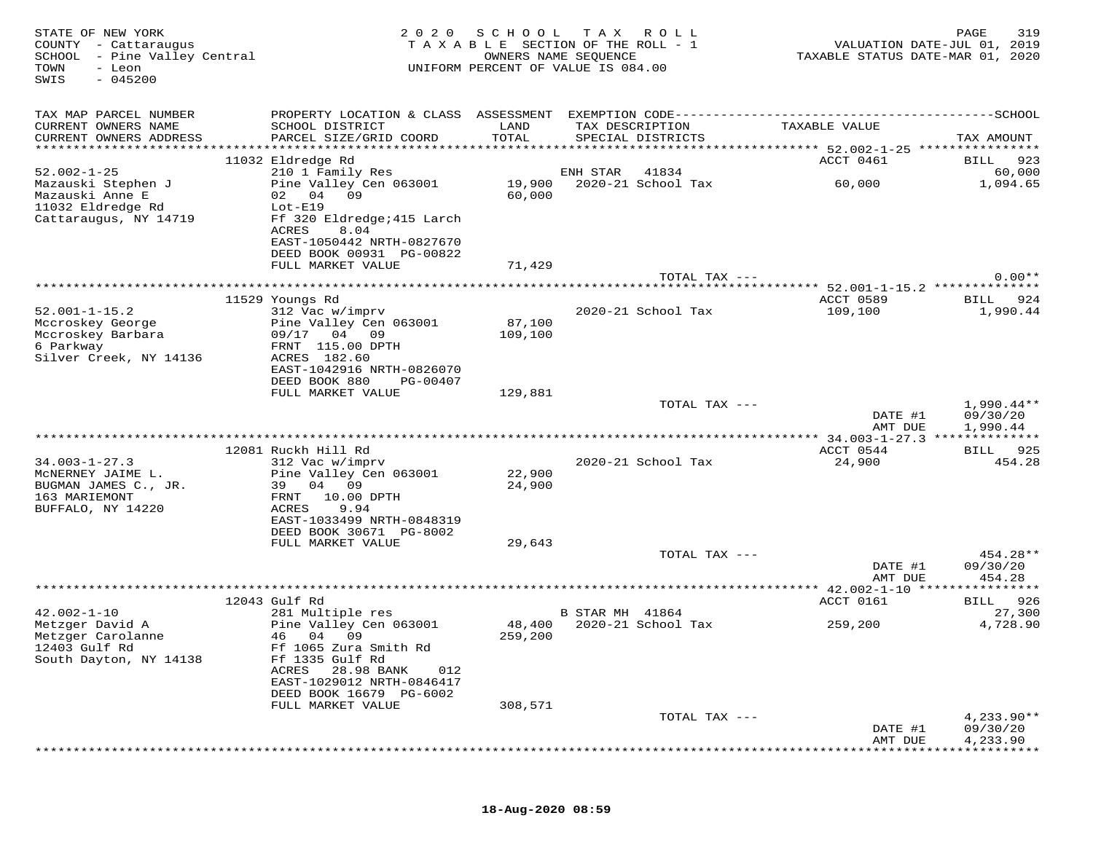| STATE OF NEW YORK<br>COUNTY - Cattaraugus<br>SCHOOL - Pine Valley Central<br>TOWN<br>- Leon<br>$-045200$<br>SWIS | 2 0 2 0                                               | SCHOOL<br>OWNERS NAME SEQUENCE | T A X<br>R O L L<br>TAXABLE SECTION OF THE ROLL - 1<br>UNIFORM PERCENT OF VALUE IS 084.00 | VALUATION DATE-JUL 01, 2019<br>TAXABLE STATUS DATE-MAR 01, 2020 | 319<br>PAGE              |
|------------------------------------------------------------------------------------------------------------------|-------------------------------------------------------|--------------------------------|-------------------------------------------------------------------------------------------|-----------------------------------------------------------------|--------------------------|
| TAX MAP PARCEL NUMBER                                                                                            |                                                       |                                |                                                                                           |                                                                 |                          |
| CURRENT OWNERS NAME<br>CURRENT OWNERS ADDRESS                                                                    | SCHOOL DISTRICT<br>PARCEL SIZE/GRID COORD             | LAND<br>TOTAL                  | TAX DESCRIPTION<br>SPECIAL DISTRICTS                                                      | TAXABLE VALUE                                                   | TAX AMOUNT               |
|                                                                                                                  |                                                       |                                |                                                                                           |                                                                 |                          |
| $52.002 - 1 - 25$                                                                                                | 11032 Eldredge Rd<br>210 1 Family Res                 |                                | ENH STAR<br>41834                                                                         | ACCT 0461                                                       | 923<br>BILL<br>60,000    |
| Mazauski Stephen J                                                                                               | Pine Valley Cen 063001                                | 19,900                         | 2020-21 School Tax                                                                        | 60,000                                                          | 1,094.65                 |
| Mazauski Anne E                                                                                                  | 09<br>02 04                                           | 60,000                         |                                                                                           |                                                                 |                          |
| 11032 Eldredge Rd                                                                                                | $Lot-E19$                                             |                                |                                                                                           |                                                                 |                          |
| Cattaraugus, NY 14719                                                                                            | Ff 320 Eldredge; 415 Larch                            |                                |                                                                                           |                                                                 |                          |
|                                                                                                                  | ACRES<br>8.04                                         |                                |                                                                                           |                                                                 |                          |
|                                                                                                                  | EAST-1050442 NRTH-0827670<br>DEED BOOK 00931 PG-00822 |                                |                                                                                           |                                                                 |                          |
|                                                                                                                  | FULL MARKET VALUE                                     | 71,429                         |                                                                                           |                                                                 |                          |
|                                                                                                                  |                                                       |                                | TOTAL TAX ---                                                                             |                                                                 | $0.00**$                 |
|                                                                                                                  |                                                       |                                |                                                                                           |                                                                 |                          |
|                                                                                                                  | 11529 Youngs Rd                                       |                                |                                                                                           | ACCT 0589                                                       | BILL 924                 |
| $52.001 - 1 - 15.2$                                                                                              | 312 Vac w/imprv                                       |                                | 2020-21 School Tax                                                                        | 109,100                                                         | 1,990.44                 |
| Mccroskey George<br>Mccroskey Barbara                                                                            | Pine Valley Cen 063001<br>09/17 04 09                 | 87,100<br>109,100              |                                                                                           |                                                                 |                          |
| 6 Parkway                                                                                                        | FRNT 115.00 DPTH                                      |                                |                                                                                           |                                                                 |                          |
| Silver Creek, NY 14136                                                                                           | ACRES 182.60                                          |                                |                                                                                           |                                                                 |                          |
|                                                                                                                  | EAST-1042916 NRTH-0826070                             |                                |                                                                                           |                                                                 |                          |
|                                                                                                                  | DEED BOOK 880<br>PG-00407                             |                                |                                                                                           |                                                                 |                          |
|                                                                                                                  | FULL MARKET VALUE                                     | 129,881                        |                                                                                           |                                                                 |                          |
|                                                                                                                  |                                                       |                                | TOTAL TAX ---                                                                             | DATE #1                                                         | $1,990.44**$<br>09/30/20 |
|                                                                                                                  |                                                       |                                |                                                                                           | AMT DUE                                                         | 1,990.44                 |
|                                                                                                                  |                                                       |                                |                                                                                           |                                                                 |                          |
|                                                                                                                  | 12081 Ruckh Hill Rd                                   |                                |                                                                                           | ACCT 0544                                                       | BILL 925                 |
| $34.003 - 1 - 27.3$                                                                                              | 312 Vac w/imprv                                       |                                | 2020-21 School Tax                                                                        | 24,900                                                          | 454.28                   |
| MCNERNEY JAIME L.                                                                                                | Pine Valley Cen 063001                                | 22,900                         |                                                                                           |                                                                 |                          |
| BUGMAN JAMES C., JR.<br>163 MARIEMONT                                                                            | 04 09<br>39<br>FRNT<br>10.00 DPTH                     | 24,900                         |                                                                                           |                                                                 |                          |
| BUFFALO, NY 14220                                                                                                | ACRES<br>9.94                                         |                                |                                                                                           |                                                                 |                          |
|                                                                                                                  | EAST-1033499 NRTH-0848319                             |                                |                                                                                           |                                                                 |                          |
|                                                                                                                  | DEED BOOK 30671 PG-8002                               |                                |                                                                                           |                                                                 |                          |
|                                                                                                                  | FULL MARKET VALUE                                     | 29,643                         |                                                                                           |                                                                 |                          |
|                                                                                                                  |                                                       |                                | TOTAL TAX ---                                                                             |                                                                 | 454.28**                 |
|                                                                                                                  |                                                       |                                |                                                                                           | DATE #1<br>AMT DUE                                              | 09/30/20<br>454.28       |
|                                                                                                                  |                                                       |                                |                                                                                           |                                                                 |                          |
|                                                                                                                  | 12043 Gulf Rd                                         |                                |                                                                                           | ACCT 0161                                                       | BILL 926                 |
| $42.002 - 1 - 10$                                                                                                | 281 Multiple res                                      |                                | B STAR MH 41864                                                                           |                                                                 | 27,300                   |
| Metzger David A                                                                                                  | Pine Valley Cen 063001                                | 48,400                         | 2020-21 School Tax                                                                        | 259,200                                                         | 4,728.90                 |
| Metzger Carolanne                                                                                                | 46 04 09                                              | 259,200                        |                                                                                           |                                                                 |                          |
| 12403 Gulf Rd                                                                                                    | Ff 1065 Zura Smith Rd                                 |                                |                                                                                           |                                                                 |                          |
| South Dayton, NY 14138                                                                                           | Ff 1335 Gulf Rd<br>28.98 BANK<br>ACRES<br>012         |                                |                                                                                           |                                                                 |                          |
|                                                                                                                  | EAST-1029012 NRTH-0846417                             |                                |                                                                                           |                                                                 |                          |
|                                                                                                                  | DEED BOOK 16679 PG-6002                               |                                |                                                                                           |                                                                 |                          |
|                                                                                                                  | FULL MARKET VALUE                                     | 308,571                        |                                                                                           |                                                                 |                          |
|                                                                                                                  |                                                       |                                | TOTAL TAX ---                                                                             |                                                                 | $4,233.90**$             |
|                                                                                                                  |                                                       |                                |                                                                                           | DATE #1                                                         | 09/30/20                 |
|                                                                                                                  |                                                       |                                |                                                                                           | AMT DUE                                                         | 4,233.90                 |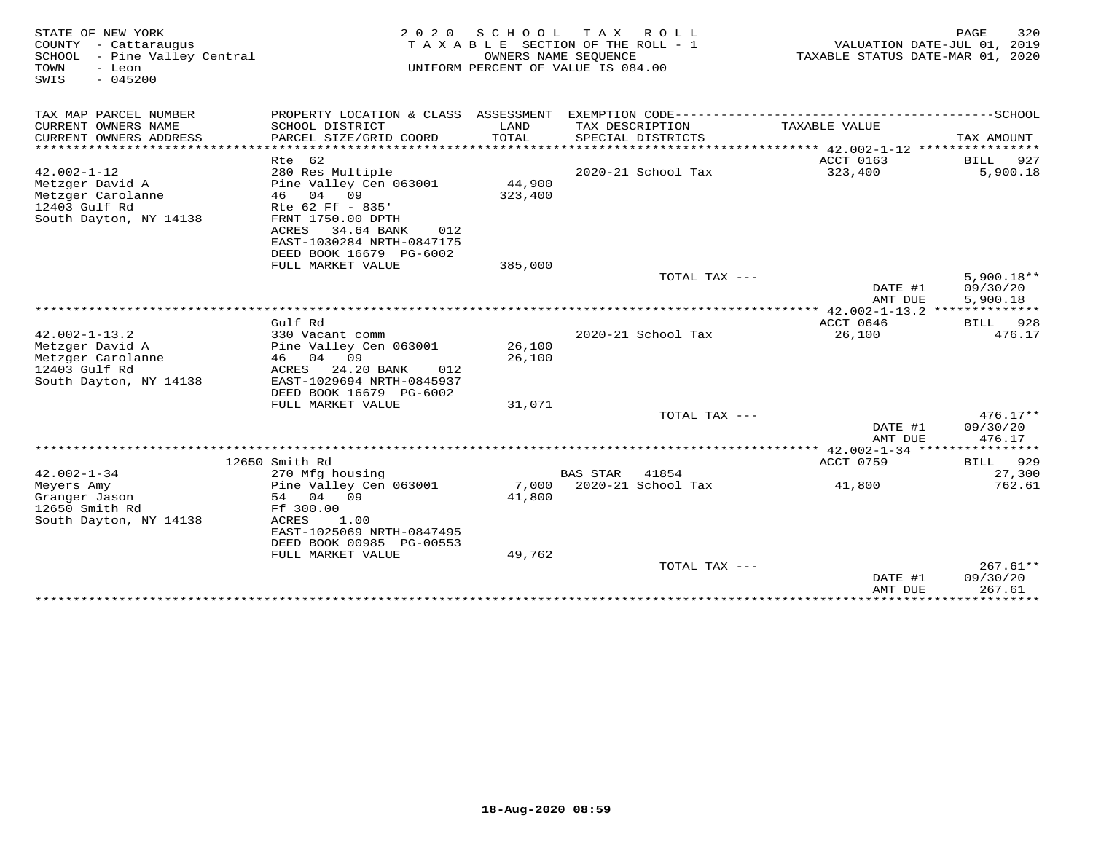| STATE OF NEW YORK<br>COUNTY - Cattaraugus<br>SCHOOL<br>- Pine Valley Central<br>TOWN<br>- Leon<br>$-045200$<br>SWIS | 2 0 2 0                                                                                                                                                                               | S C H O O L       | T A X<br>R O L L<br>TAXABLE SECTION OF THE ROLL - 1<br>OWNERS NAME SEOUENCE<br>UNIFORM PERCENT OF VALUE IS 084.00 | VALUATION DATE-JUL 01, 2019<br>TAXABLE STATUS DATE-MAR 01, 2020 | PAGE<br>320                          |
|---------------------------------------------------------------------------------------------------------------------|---------------------------------------------------------------------------------------------------------------------------------------------------------------------------------------|-------------------|-------------------------------------------------------------------------------------------------------------------|-----------------------------------------------------------------|--------------------------------------|
| TAX MAP PARCEL NUMBER                                                                                               |                                                                                                                                                                                       |                   |                                                                                                                   |                                                                 |                                      |
| CURRENT OWNERS NAME<br>CURRENT OWNERS ADDRESS<br>************************                                           | SCHOOL DISTRICT<br>PARCEL SIZE/GRID COORD                                                                                                                                             | LAND<br>TOTAL     | TAX DESCRIPTION<br>SPECIAL DISTRICTS                                                                              | TAXABLE VALUE                                                   | TAX AMOUNT                           |
|                                                                                                                     | Rte 62                                                                                                                                                                                |                   |                                                                                                                   | ACCT 0163                                                       | BILL<br>927                          |
| $42.002 - 1 - 12$<br>Metzger David A<br>Metzger Carolanne<br>12403 Gulf Rd<br>South Dayton, NY 14138                | 280 Res Multiple<br>Pine Valley Cen 063001<br>46 04 09<br>Rte 62 Ff - 835'<br>FRNT 1750.00 DPTH<br>34.64 BANK<br>ACRES<br>012<br>EAST-1030284 NRTH-0847175<br>DEED BOOK 16679 PG-6002 | 44,900<br>323,400 | 2020-21 School Tax                                                                                                | 323,400                                                         | 5,900.18                             |
|                                                                                                                     | FULL MARKET VALUE                                                                                                                                                                     | 385,000           |                                                                                                                   |                                                                 |                                      |
|                                                                                                                     |                                                                                                                                                                                       |                   | TOTAL TAX ---                                                                                                     | DATE #1<br>AMT DUE                                              | $5.900.18**$<br>09/30/20<br>5,900.18 |
|                                                                                                                     |                                                                                                                                                                                       |                   |                                                                                                                   |                                                                 |                                      |
| $42.002 - 1 - 13.2$<br>Metzger David A                                                                              | Gulf Rd<br>330 Vacant comm<br>Pine Valley Cen 063001                                                                                                                                  | 26,100            | 2020-21 School Tax                                                                                                | ACCT 0646<br>26,100                                             | 928<br>BILL<br>476.17                |
| Metzger Carolanne<br>12403 Gulf Rd<br>South Dayton, NY 14138                                                        | 46 04 09<br>24.20 BANK<br>ACRES<br>012<br>EAST-1029694 NRTH-0845937<br>DEED BOOK 16679 PG-6002                                                                                        | 26,100            |                                                                                                                   |                                                                 |                                      |
|                                                                                                                     | FULL MARKET VALUE                                                                                                                                                                     | 31,071            |                                                                                                                   |                                                                 |                                      |
|                                                                                                                     |                                                                                                                                                                                       |                   | TOTAL TAX ---                                                                                                     | DATE #1<br>AMT DUE                                              | $476.17**$<br>09/30/20<br>476.17     |
|                                                                                                                     |                                                                                                                                                                                       |                   |                                                                                                                   |                                                                 |                                      |
|                                                                                                                     | 12650 Smith Rd                                                                                                                                                                        |                   |                                                                                                                   | ACCT 0759                                                       | 929<br>BILL                          |
| $42.002 - 1 - 34$<br>Meyers Amy<br>Granger Jason<br>12650 Smith Rd<br>South Dayton, NY 14138                        | 270 Mfg housing<br>Pine Valley Cen 063001<br>54 04 09<br>Ff 300.00<br>1.00<br>ACRES<br>EAST-1025069 NRTH-0847495<br>DEED BOOK 00985 PG-00553                                          | 7,000<br>41,800   | <b>BAS STAR</b><br>41854<br>2020-21 School Tax                                                                    | 41,800                                                          | 27,300<br>762.61                     |
|                                                                                                                     | FULL MARKET VALUE                                                                                                                                                                     | 49,762            | TOTAL TAX ---                                                                                                     | DATE #1<br>AMT DUE                                              | $267.61**$<br>09/30/20<br>267.61     |
|                                                                                                                     |                                                                                                                                                                                       |                   |                                                                                                                   |                                                                 |                                      |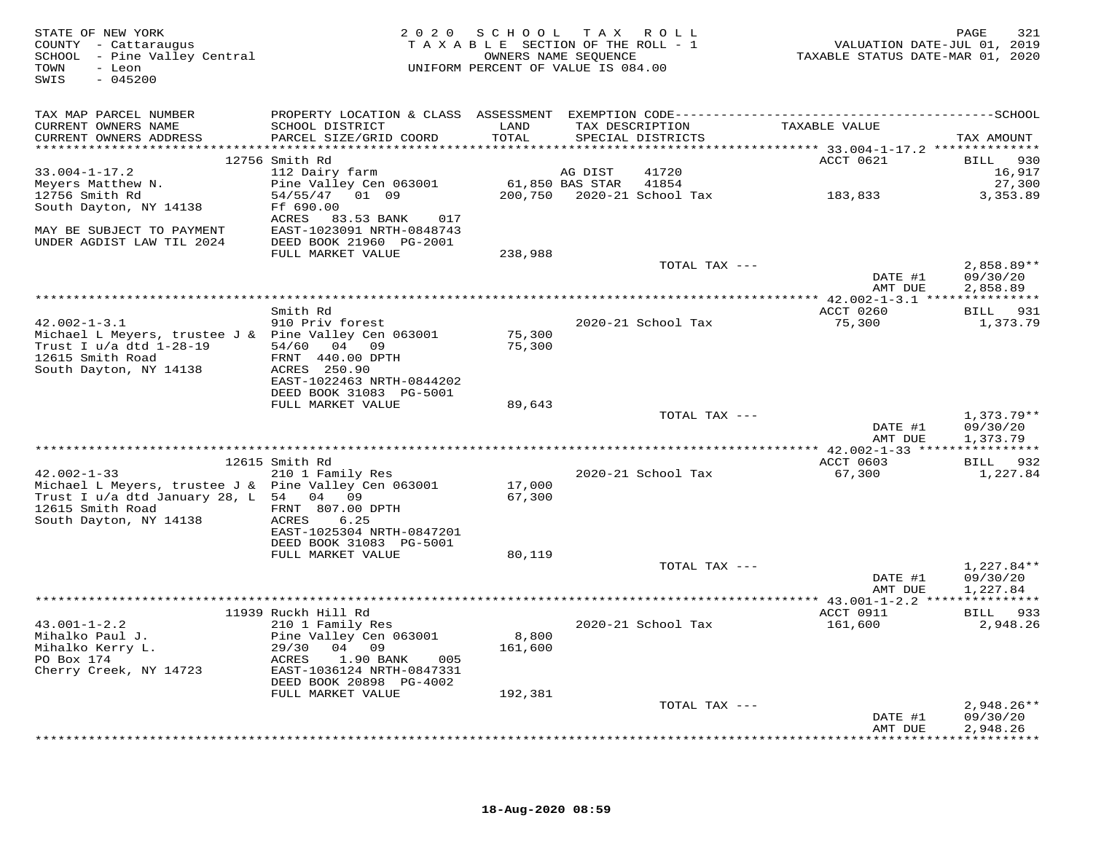| STATE OF NEW YORK<br>COUNTY - Cattaraugus<br>SCHOOL - Pine Valley Central<br>TOWN<br>- Leon<br>$-045200$<br>SWIS |                                                                                 | 2020 SCHOOL TAX ROLL<br>TAXABLE SECTION OF THE ROLL - 1<br>UNIFORM PERCENT OF VALUE IS 084.00 |                 | OWNERS NAME SEOUENCE | TAXABLE STATUS DATE-MAR 01, 2020 | VALUATION DATE-JUL 01, 2019 | PAGE                 | 321          |
|------------------------------------------------------------------------------------------------------------------|---------------------------------------------------------------------------------|-----------------------------------------------------------------------------------------------|-----------------|----------------------|----------------------------------|-----------------------------|----------------------|--------------|
| TAX MAP PARCEL NUMBER                                                                                            |                                                                                 |                                                                                               |                 |                      |                                  |                             |                      |              |
| CURRENT OWNERS NAME<br>CURRENT OWNERS ADDRESS                                                                    | SCHOOL DISTRICT<br>PARCEL SIZE/GRID COORD                                       | LAND<br>TOTAL                                                                                 | TAX DESCRIPTION | SPECIAL DISTRICTS    | TAXABLE VALUE                    |                             | TAX AMOUNT           |              |
|                                                                                                                  | 12756 Smith Rd                                                                  |                                                                                               |                 |                      | ACCT 0621                        |                             | BILL 930             |              |
| $33.004 - 1 - 17.2$                                                                                              | 112 Dairy farm                                                                  |                                                                                               | AG DIST         | 41720                |                                  |                             |                      | 16,917       |
| Meyers Matthew N.                                                                                                | Pine Valley Cen 063001 61,850 BAS STAR 41854                                    |                                                                                               |                 |                      |                                  |                             |                      | 27,300       |
| 12756 Smith Rd                                                                                                   | 54/55/47 01 09                                                                  |                                                                                               |                 |                      | 183,833                          |                             |                      | 3,353.89     |
| South Dayton, NY 14138                                                                                           | Ff 690.00                                                                       |                                                                                               |                 |                      |                                  |                             |                      |              |
| MAY BE SUBJECT TO PAYMENT<br>UNDER AGDIST LAW TIL 2024                                                           | ACRES 83.53 BANK<br>017<br>EAST-1023091 NRTH-0848743<br>DEED BOOK 21960 PG-2001 |                                                                                               |                 |                      |                                  |                             |                      |              |
|                                                                                                                  | FULL MARKET VALUE                                                               | 238,988                                                                                       |                 |                      |                                  |                             |                      |              |
|                                                                                                                  |                                                                                 |                                                                                               |                 | TOTAL TAX ---        |                                  |                             | $2,858.89**$         |              |
|                                                                                                                  |                                                                                 |                                                                                               |                 |                      |                                  | DATE #1                     | 09/30/20             |              |
|                                                                                                                  |                                                                                 |                                                                                               |                 |                      |                                  | AMT DUE                     | 2,858.89             |              |
|                                                                                                                  | Smith Rd                                                                        |                                                                                               |                 |                      | ACCT 0260                        |                             | BILL 931             |              |
| $42.002 - 1 - 3.1$                                                                                               | 910 Priv forest                                                                 |                                                                                               |                 | 2020-21 School Tax   | 75,300                           |                             |                      | 1,373.79     |
| Michael L Meyers, trustee J & Pine Valley Cen 063001                                                             |                                                                                 | 75,300                                                                                        |                 |                      |                                  |                             |                      |              |
| Trust I u/a dtd 1-28-19                                                                                          | 54/60 04 09                                                                     | 75,300                                                                                        |                 |                      |                                  |                             |                      |              |
| 12615 Smith Road                                                                                                 | FRNT 440.00 DPTH                                                                |                                                                                               |                 |                      |                                  |                             |                      |              |
| South Dayton, NY 14138                                                                                           | ACRES 250.90<br>EAST-1022463 NRTH-0844202                                       |                                                                                               |                 |                      |                                  |                             |                      |              |
|                                                                                                                  | DEED BOOK 31083 PG-5001                                                         |                                                                                               |                 |                      |                                  |                             |                      |              |
|                                                                                                                  | FULL MARKET VALUE                                                               | 89,643                                                                                        |                 |                      |                                  |                             |                      |              |
|                                                                                                                  |                                                                                 |                                                                                               |                 | TOTAL TAX ---        |                                  |                             | $1,373.79**$         |              |
|                                                                                                                  |                                                                                 |                                                                                               |                 |                      |                                  | DATE #1                     | 09/30/20             |              |
|                                                                                                                  |                                                                                 |                                                                                               |                 |                      |                                  | AMT DUE                     | 1,373.79             |              |
|                                                                                                                  | 12615 Smith Rd                                                                  |                                                                                               |                 |                      | ACCT 0603                        |                             | BILL 932             |              |
| $42.002 - 1 - 33$                                                                                                | 210 1 Family Res                                                                |                                                                                               |                 | 2020-21 School Tax   | 67,300                           |                             |                      | 1,227.84     |
| Michael L Meyers, trustee J & Pine Valley Cen 063001                                                             |                                                                                 | 17,000                                                                                        |                 |                      |                                  |                             |                      |              |
| Trust I u/a dtd January 28, L 54 04 09                                                                           |                                                                                 | 67,300                                                                                        |                 |                      |                                  |                             |                      |              |
| 12615 Smith Road<br>South Dayton, NY 14138                                                                       | FRNT 807.00 DPTH<br>ACRES<br>6.25                                               |                                                                                               |                 |                      |                                  |                             |                      |              |
|                                                                                                                  | EAST-1025304 NRTH-0847201                                                       |                                                                                               |                 |                      |                                  |                             |                      |              |
|                                                                                                                  | DEED BOOK 31083 PG-5001                                                         |                                                                                               |                 |                      |                                  |                             |                      |              |
|                                                                                                                  | FULL MARKET VALUE                                                               | 80,119                                                                                        |                 |                      |                                  |                             |                      |              |
|                                                                                                                  |                                                                                 |                                                                                               |                 | TOTAL TAX ---        |                                  |                             | $1,227.84**$         |              |
|                                                                                                                  |                                                                                 |                                                                                               |                 |                      |                                  | DATE #1<br>AMT DUE          | 09/30/20<br>1,227.84 |              |
|                                                                                                                  |                                                                                 |                                                                                               |                 |                      |                                  |                             |                      |              |
|                                                                                                                  | 11939 Ruckh Hill Rd                                                             |                                                                                               |                 |                      | ACCT 0911                        |                             | BILL 933             |              |
| $43.001 - 1 - 2.2$                                                                                               | 210 1 Family Res                                                                |                                                                                               |                 | 2020-21 School Tax   | 161,600                          |                             |                      | 2,948.26     |
| Mihalko Paul J.                                                                                                  | Pine Valley Cen 063001                                                          | 8,800                                                                                         |                 |                      |                                  |                             |                      |              |
| Mihalko Kerry L.<br>PO Box 174                                                                                   | 29/30 04 09<br>ACRES<br>1.90 BANK 005                                           | 161,600                                                                                       |                 |                      |                                  |                             |                      |              |
| Cherry Creek, NY 14723                                                                                           | EAST-1036124 NRTH-0847331                                                       |                                                                                               |                 |                      |                                  |                             |                      |              |
|                                                                                                                  | DEED BOOK 20898 PG-4002                                                         |                                                                                               |                 |                      |                                  |                             |                      |              |
|                                                                                                                  | FULL MARKET VALUE                                                               | 192,381                                                                                       |                 |                      |                                  |                             |                      |              |
|                                                                                                                  |                                                                                 |                                                                                               |                 | TOTAL TAX ---        |                                  |                             |                      | $2,948.26**$ |
|                                                                                                                  |                                                                                 |                                                                                               |                 |                      |                                  | DATE #1<br>AMT DUE          | 09/30/20<br>2,948.26 |              |
|                                                                                                                  |                                                                                 |                                                                                               |                 |                      |                                  |                             |                      |              |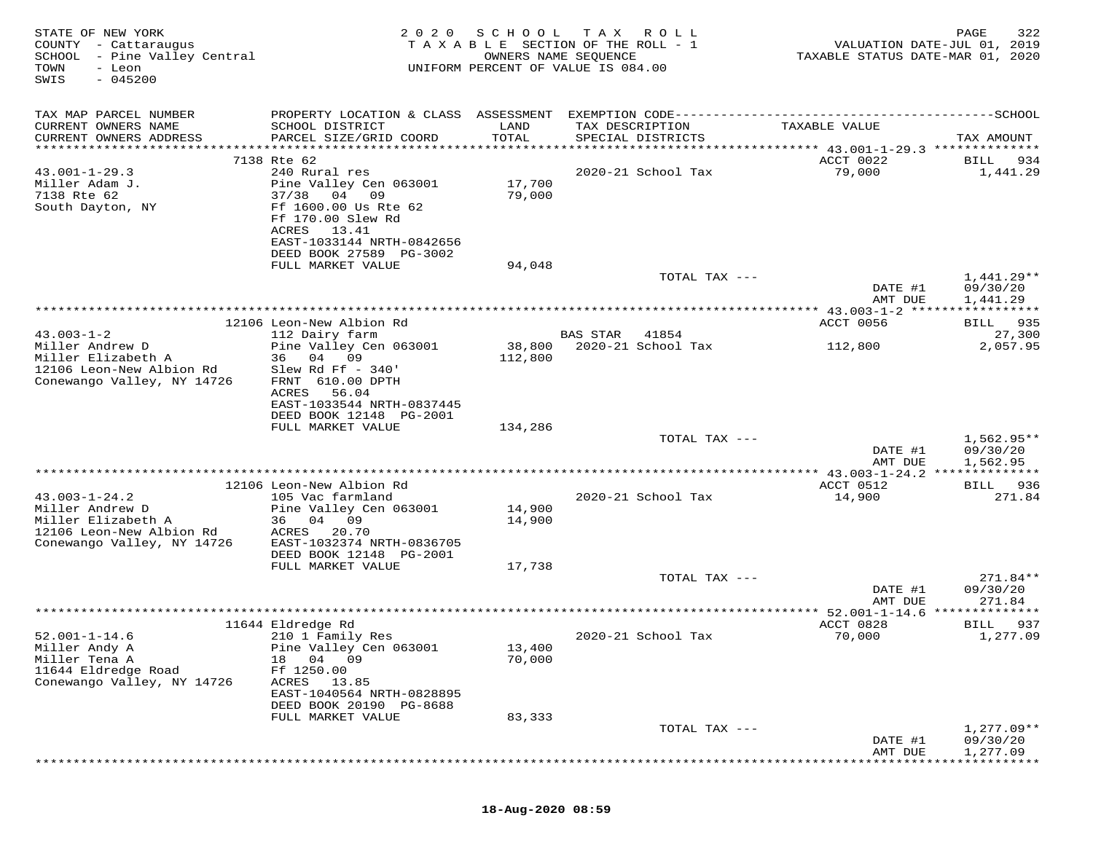| STATE OF NEW YORK<br>COUNTY - Cattaraugus<br>- Pine Valley Central<br>SCHOOL<br>TOWN<br>- Leon<br>$-045200$<br>SWIS | 2020                                                                                                                                                                 | SCHOOL            | T A X<br>R O L L<br>TAXABLE SECTION OF THE ROLL - 1<br>OWNERS NAME SEQUENCE<br>UNIFORM PERCENT OF VALUE IS 084.00 | TAXABLE STATUS DATE-MAR 01, 2020      | PAGE<br>322<br>VALUATION DATE-JUL 01, 2019 |
|---------------------------------------------------------------------------------------------------------------------|----------------------------------------------------------------------------------------------------------------------------------------------------------------------|-------------------|-------------------------------------------------------------------------------------------------------------------|---------------------------------------|--------------------------------------------|
| TAX MAP PARCEL NUMBER<br>CURRENT OWNERS NAME<br>CURRENT OWNERS ADDRESS                                              | PROPERTY LOCATION & CLASS ASSESSMENT<br>SCHOOL DISTRICT<br>PARCEL SIZE/GRID COORD                                                                                    | LAND<br>TOTAL     | TAX DESCRIPTION<br>SPECIAL DISTRICTS                                                                              | TAXABLE VALUE                         | TAX AMOUNT                                 |
| *******************                                                                                                 | ***********************                                                                                                                                              | *******           |                                                                                                                   | ******** 43.001-1-29.3 ************** |                                            |
| $43.001 - 1 - 29.3$<br>Miller Adam J.<br>7138 Rte 62<br>South Dayton, NY                                            | 7138 Rte 62<br>240 Rural res<br>Pine Valley Cen 063001<br>37/38<br>04 09<br>Ff 1600.00 Us Rte 62<br>Ff 170.00 Slew Rd<br>ACRES<br>13.41<br>EAST-1033144 NRTH-0842656 | 17,700<br>79,000  | 2020-21 School Tax                                                                                                | ACCT 0022<br>79,000                   | 934<br>BILL<br>1,441.29                    |
|                                                                                                                     | DEED BOOK 27589 PG-3002                                                                                                                                              |                   |                                                                                                                   |                                       |                                            |
|                                                                                                                     | FULL MARKET VALUE                                                                                                                                                    | 94,048            | TOTAL TAX ---                                                                                                     | DATE #1                               | $1,441.29**$<br>09/30/20                   |
|                                                                                                                     |                                                                                                                                                                      |                   |                                                                                                                   | AMT DUE                               | 1,441.29                                   |
|                                                                                                                     | 12106 Leon-New Albion Rd                                                                                                                                             |                   |                                                                                                                   | ACCT 0056                             | BILL 935                                   |
| $43.003 - 1 - 2$                                                                                                    | 112 Dairy farm                                                                                                                                                       |                   | <b>BAS STAR</b><br>41854                                                                                          |                                       | 27,300                                     |
| Miller Andrew D<br>Miller Elizabeth A<br>12106 Leon-New Albion Rd<br>Conewango Valley, NY 14726                     | Pine Valley Cen 063001<br>36 04<br>09<br>Slew Rd Ff $-340'$<br>FRNT 610.00 DPTH<br>56.04<br>ACRES                                                                    | 38,800<br>112,800 | 2020-21 School Tax                                                                                                | 112,800                               | 2,057.95                                   |
|                                                                                                                     | EAST-1033544 NRTH-0837445<br>DEED BOOK 12148 PG-2001                                                                                                                 |                   |                                                                                                                   |                                       |                                            |
|                                                                                                                     | FULL MARKET VALUE                                                                                                                                                    | 134,286           |                                                                                                                   |                                       |                                            |
|                                                                                                                     |                                                                                                                                                                      |                   | TOTAL TAX ---                                                                                                     | DATE #1<br>AMT DUE                    | $1,562.95**$<br>09/30/20<br>1,562.95       |
|                                                                                                                     |                                                                                                                                                                      |                   |                                                                                                                   | ***** 43.003-1-24.2 **************    |                                            |
| $43.003 - 1 - 24.2$<br>Miller Andrew D                                                                              | 12106 Leon-New Albion Rd<br>105 Vac farmland<br>Pine Valley Cen 063001                                                                                               | 14,900            | 2020-21 School Tax                                                                                                | ACCT 0512<br>14,900                   | BILL 936<br>271.84                         |
| Miller Elizabeth A<br>12106 Leon-New Albion Rd<br>Conewango Valley, NY 14726                                        | 36 04 09<br>ACRES<br>20.70<br>EAST-1032374 NRTH-0836705<br>DEED BOOK 12148 PG-2001                                                                                   | 14,900            |                                                                                                                   |                                       |                                            |
|                                                                                                                     | FULL MARKET VALUE                                                                                                                                                    | 17,738            |                                                                                                                   |                                       |                                            |
|                                                                                                                     |                                                                                                                                                                      |                   | TOTAL TAX ---                                                                                                     | DATE #1<br>AMT DUE                    | 271.84**<br>09/30/20<br>271.84             |
|                                                                                                                     |                                                                                                                                                                      |                   |                                                                                                                   | $*$ 52.001-1-14.6                     |                                            |
| $52.001 - 1 - 14.6$                                                                                                 | 11644 Eldredge Rd<br>210 1 Family Res                                                                                                                                | 13,400            | 2020-21 School Tax                                                                                                | ACCT 0828<br>70,000                   | 937<br>BILL<br>1,277.09                    |
| Miller Andy A<br>Miller Tena A<br>11644 Eldredge Road<br>Conewango Valley, NY 14726                                 | Pine Valley Cen 063001<br>04 09<br>18<br>Ff 1250.00<br>ACRES<br>13.85<br>EAST-1040564 NRTH-0828895<br>DEED BOOK 20190 PG-8688<br>FULL MARKET VALUE                   | 70,000<br>83,333  |                                                                                                                   |                                       |                                            |
|                                                                                                                     |                                                                                                                                                                      |                   | TOTAL TAX ---                                                                                                     |                                       | $1,277.09**$                               |
|                                                                                                                     |                                                                                                                                                                      |                   |                                                                                                                   | DATE #1<br>AMT DUE                    | 09/30/20<br>1,277.09                       |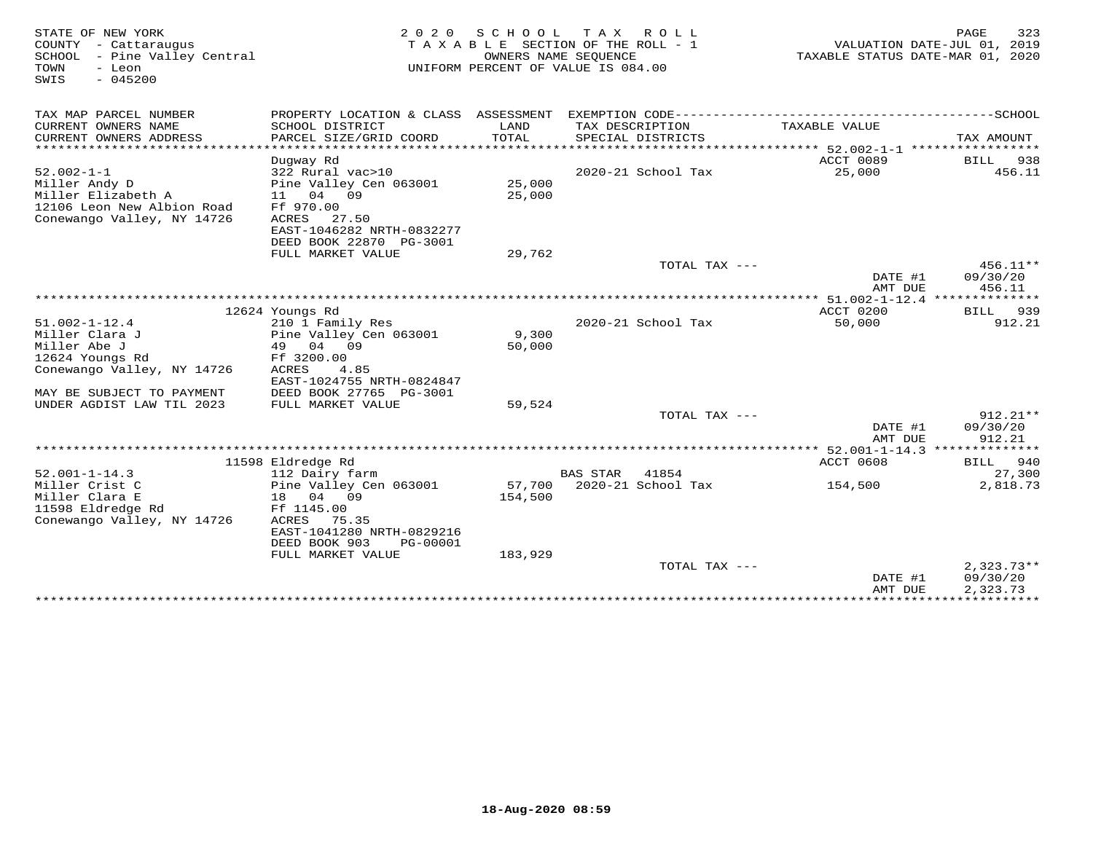| STATE OF NEW YORK<br>COUNTY - Cattaraugus<br>SCHOOL - Pine Valley Central<br>- Leon<br>TOWN<br>$-045200$<br>SWIS |                                                      |         | 2020 SCHOOL TAX ROLL<br>TAXABLE SECTION OF THE ROLL - 1<br>OWNERS NAME SEOUENCE<br>UNIFORM PERCENT OF VALUE IS 084.00 | VALUATION DATE-JUL 01, 2019<br>TAXABLE STATUS DATE-MAR 01, 2020 | PAGE<br>323          |
|------------------------------------------------------------------------------------------------------------------|------------------------------------------------------|---------|-----------------------------------------------------------------------------------------------------------------------|-----------------------------------------------------------------|----------------------|
| TAX MAP PARCEL NUMBER                                                                                            |                                                      |         |                                                                                                                       |                                                                 |                      |
| CURRENT OWNERS NAME                                                                                              | SCHOOL DISTRICT                                      | LAND    | TAX DESCRIPTION                                                                                                       | TAXABLE VALUE                                                   |                      |
| CURRENT OWNERS ADDRESS                                                                                           | PARCEL SIZE/GRID COORD                               | TOTAL   | SPECIAL DISTRICTS                                                                                                     |                                                                 | TAX AMOUNT           |
| *************************                                                                                        |                                                      |         |                                                                                                                       |                                                                 |                      |
|                                                                                                                  | Duqway Rd                                            |         |                                                                                                                       | ACCT 0089<br>25,000                                             | BILL<br>938          |
| $52.002 - 1 - 1$                                                                                                 | 322 Rural vac>10                                     | 25,000  | 2020-21 School Tax                                                                                                    |                                                                 | 456.11               |
| Miller Andy D<br>Miller Elizabeth A                                                                              | Pine Valley Cen 063001<br>11 04 09                   | 25,000  |                                                                                                                       |                                                                 |                      |
| 12106 Leon New Albion Road                                                                                       | Ff 970.00                                            |         |                                                                                                                       |                                                                 |                      |
| Conewango Valley, NY 14726                                                                                       | ACRES 27.50                                          |         |                                                                                                                       |                                                                 |                      |
|                                                                                                                  | EAST-1046282 NRTH-0832277                            |         |                                                                                                                       |                                                                 |                      |
|                                                                                                                  | DEED BOOK 22870 PG-3001                              |         |                                                                                                                       |                                                                 |                      |
|                                                                                                                  | FULL MARKET VALUE                                    | 29,762  |                                                                                                                       |                                                                 |                      |
|                                                                                                                  |                                                      |         | TOTAL TAX ---                                                                                                         |                                                                 | $456.11**$           |
|                                                                                                                  |                                                      |         |                                                                                                                       | DATE #1<br>AMT DUE                                              | 09/30/20<br>456.11   |
|                                                                                                                  |                                                      |         |                                                                                                                       |                                                                 |                      |
|                                                                                                                  | 12624 Youngs Rd                                      |         |                                                                                                                       | ACCT 0200                                                       | 939<br><b>BILL</b>   |
| $51.002 - 1 - 12.4$                                                                                              | 210 1 Family Res                                     |         | 2020-21 School Tax                                                                                                    | 50,000                                                          | 912.21               |
| Miller Clara J                                                                                                   | Pine Valley Cen 063001                               | 9,300   |                                                                                                                       |                                                                 |                      |
| Miller Abe J                                                                                                     | 49 04 09                                             | 50,000  |                                                                                                                       |                                                                 |                      |
| 12624 Youngs Rd                                                                                                  | Ff 3200.00                                           |         |                                                                                                                       |                                                                 |                      |
| Conewango Valley, NY 14726                                                                                       | ACRES<br>4.85                                        |         |                                                                                                                       |                                                                 |                      |
| MAY BE SUBJECT TO PAYMENT                                                                                        | EAST-1024755 NRTH-0824847<br>DEED BOOK 27765 PG-3001 |         |                                                                                                                       |                                                                 |                      |
| UNDER AGDIST LAW TIL 2023                                                                                        | FULL MARKET VALUE                                    | 59,524  |                                                                                                                       |                                                                 |                      |
|                                                                                                                  |                                                      |         | TOTAL TAX ---                                                                                                         |                                                                 | $912.21**$           |
|                                                                                                                  |                                                      |         |                                                                                                                       | DATE #1                                                         | 09/30/20             |
|                                                                                                                  |                                                      |         |                                                                                                                       | AMT DUE                                                         | 912.21               |
|                                                                                                                  |                                                      |         |                                                                                                                       | ************* 52.001-1-14.3 **************                      |                      |
|                                                                                                                  | 11598 Eldredge Rd                                    |         |                                                                                                                       | ACCT 0608                                                       | BILL 940             |
| $52.001 - 1 - 14.3$                                                                                              | 112 Dairy farm                                       |         | <b>BAS STAR</b><br>41854                                                                                              |                                                                 | 27,300               |
| Miller Crist C                                                                                                   | Pine Valley Cen 063001                               | 57,700  | $2020 - 21$ School Tax                                                                                                | 154,500                                                         | 2,818.73             |
| Miller Clara E                                                                                                   | 18 04 09                                             | 154,500 |                                                                                                                       |                                                                 |                      |
| 11598 Eldredge Rd                                                                                                | Ff 1145.00                                           |         |                                                                                                                       |                                                                 |                      |
| Conewango Valley, NY 14726                                                                                       | ACRES 75.35                                          |         |                                                                                                                       |                                                                 |                      |
|                                                                                                                  | EAST-1041280 NRTH-0829216                            |         |                                                                                                                       |                                                                 |                      |
|                                                                                                                  | DEED BOOK 903<br>PG-00001                            |         |                                                                                                                       |                                                                 |                      |
|                                                                                                                  | FULL MARKET VALUE                                    | 183,929 |                                                                                                                       |                                                                 |                      |
|                                                                                                                  |                                                      |         | TOTAL TAX ---                                                                                                         |                                                                 | $2,323.73**$         |
|                                                                                                                  |                                                      |         |                                                                                                                       | DATE #1<br>AMT DUE                                              | 09/30/20<br>2,323.73 |
|                                                                                                                  |                                                      |         |                                                                                                                       |                                                                 |                      |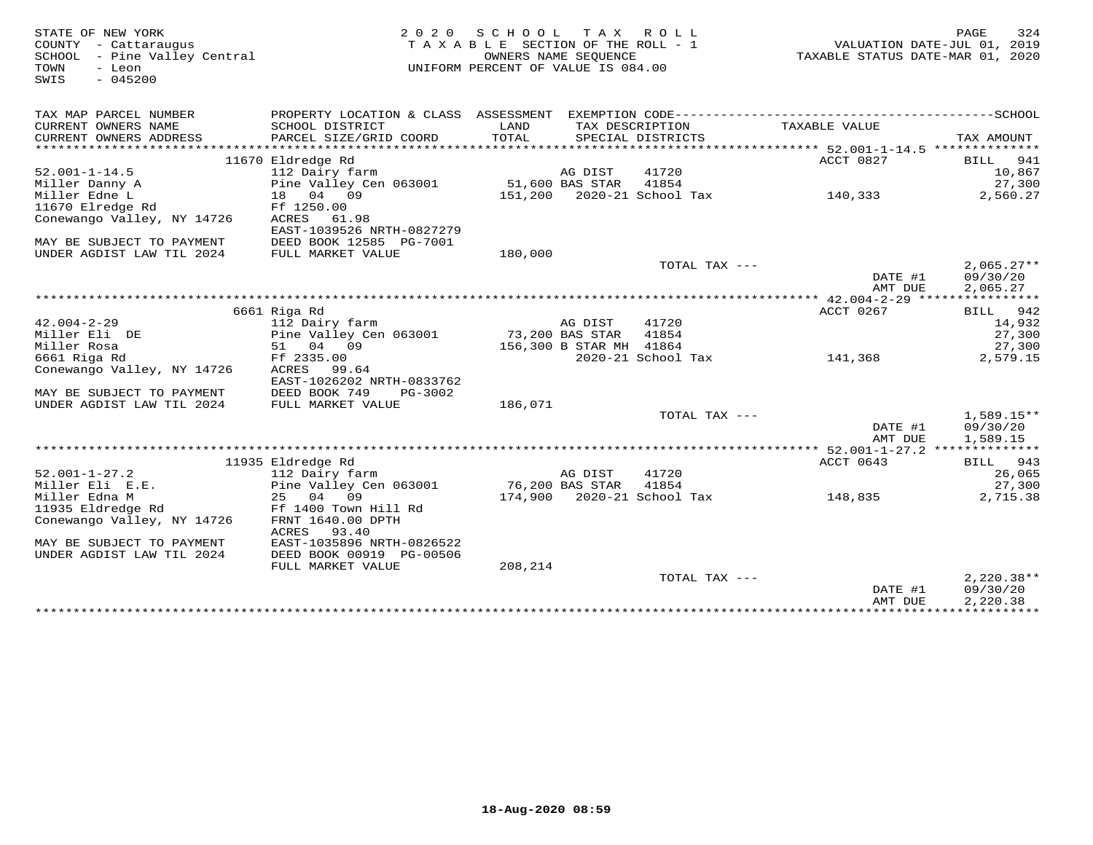| STATE OF NEW YORK<br>COUNTY - Cattaraugus<br>SCHOOL - Pine Valley Central<br>TOWN<br>- Leon | 2 0 2 0                                                                        | SCHOOL<br>TAXABLE SECTION OF THE ROLL - 1<br>UNIFORM PERCENT OF VALUE IS 084.00 | T A X<br>OWNERS NAME SEQUENCE | R O L L                    | TAXABLE STATUS DATE-MAR 01, 2020 | PAGE<br>VALUATION DATE-JUL 01, 2019 | 324           |
|---------------------------------------------------------------------------------------------|--------------------------------------------------------------------------------|---------------------------------------------------------------------------------|-------------------------------|----------------------------|----------------------------------|-------------------------------------|---------------|
| $-045200$<br>SWIS                                                                           |                                                                                |                                                                                 |                               |                            |                                  |                                     |               |
| TAX MAP PARCEL NUMBER                                                                       | PROPERTY LOCATION & CLASS ASSESSMENT EXEMPTION CODE--------------------------- |                                                                                 |                               |                            |                                  | -------------SCHOOL                 |               |
| CURRENT OWNERS NAME                                                                         | SCHOOL DISTRICT                                                                | LAND                                                                            |                               | TAX DESCRIPTION            | TAXABLE VALUE                    |                                     |               |
| CURRENT OWNERS ADDRESS                                                                      | PARCEL SIZE/GRID COORD                                                         | TOTAL                                                                           |                               | SPECIAL DISTRICTS          |                                  | TAX AMOUNT                          |               |
|                                                                                             |                                                                                |                                                                                 |                               |                            | ACCT 0827                        |                                     |               |
| $52.001 - 1 - 14.5$                                                                         | 11670 Eldredge Rd<br>112 Dairy farm                                            |                                                                                 | AG DIST                       | 41720                      |                                  | BILL                                | 941<br>10,867 |
| Miller Danny A                                                                              | Pine Valley Cen 063001                                                         |                                                                                 | 51,600 BAS STAR               | 41854                      |                                  |                                     | 27,300        |
| Miller Edne L                                                                               | 18 04 09                                                                       |                                                                                 |                               | 151,200 2020-21 School Tax | 140,333                          |                                     | 2,560.27      |
| 11670 Elredge Rd                                                                            | Ff 1250.00                                                                     |                                                                                 |                               |                            |                                  |                                     |               |
| Conewango Valley, NY 14726                                                                  | ACRES<br>61.98                                                                 |                                                                                 |                               |                            |                                  |                                     |               |
|                                                                                             | EAST-1039526 NRTH-0827279                                                      |                                                                                 |                               |                            |                                  |                                     |               |
| MAY BE SUBJECT TO PAYMENT                                                                   | DEED BOOK 12585 PG-7001                                                        |                                                                                 |                               |                            |                                  |                                     |               |
| UNDER AGDIST LAW TIL 2024                                                                   | FULL MARKET VALUE                                                              | 180,000                                                                         |                               |                            |                                  |                                     |               |
|                                                                                             |                                                                                |                                                                                 |                               | TOTAL TAX ---              |                                  |                                     | $2,065.27**$  |
|                                                                                             |                                                                                |                                                                                 |                               |                            | DATE #1                          |                                     | 09/30/20      |
|                                                                                             |                                                                                |                                                                                 |                               |                            | AMT DUE                          |                                     | 2,065.27      |
|                                                                                             |                                                                                |                                                                                 |                               |                            |                                  |                                     |               |
|                                                                                             | 6661 Riga Rd                                                                   |                                                                                 |                               |                            | ACCT 0267                        | BILL                                | 942           |
| $42.004 - 2 - 29$                                                                           | 112 Dairy farm                                                                 |                                                                                 | AG DIST                       | 41720                      |                                  |                                     | 14,932        |
| Miller Eli DE                                                                               | Pine Valley Cen 063001                                                         |                                                                                 | 73,200 BAS STAR               | 41854                      |                                  |                                     | 27,300        |
| Miller Rosa                                                                                 | 51 04 09                                                                       |                                                                                 | 156,300 B STAR MH 41864       |                            |                                  |                                     | 27,300        |
| 6661 Riga Rd                                                                                | Ff 2335.00                                                                     |                                                                                 |                               | 2020-21 School Tax         | 141,368                          |                                     | 2,579.15      |
| Conewango Valley, NY 14726                                                                  | ACRES 99.64                                                                    |                                                                                 |                               |                            |                                  |                                     |               |
|                                                                                             | EAST-1026202 NRTH-0833762                                                      |                                                                                 |                               |                            |                                  |                                     |               |
| MAY BE SUBJECT TO PAYMENT                                                                   | DEED BOOK 749<br>PG-3002                                                       |                                                                                 |                               |                            |                                  |                                     |               |
| UNDER AGDIST LAW TIL 2024                                                                   | FULL MARKET VALUE                                                              | 186,071                                                                         |                               |                            |                                  |                                     |               |
|                                                                                             |                                                                                |                                                                                 |                               | TOTAL TAX ---              |                                  |                                     | $1,589.15**$  |
|                                                                                             |                                                                                |                                                                                 |                               |                            | DATE #1                          |                                     | 09/30/20      |
|                                                                                             |                                                                                |                                                                                 |                               |                            | AMT DUE                          |                                     | 1,589.15      |
|                                                                                             | 11935 Eldredge Rd                                                              |                                                                                 |                               |                            | ACCT 0643                        |                                     | BILL 943      |
| $52.001 - 1 - 27.2$                                                                         | 112 Dairy farm                                                                 |                                                                                 | AG DIST                       | 41720                      |                                  |                                     | 26,065        |
| Miller Eli E.E.                                                                             | Pine Valley Cen 063001                                                         |                                                                                 | 76,200 BAS STAR               | 41854                      |                                  |                                     | 27,300        |
| Miller Edna M                                                                               | 25 04 09                                                                       |                                                                                 |                               | 174,900 2020-21 School Tax | 148,835                          |                                     | 2,715.38      |
| 11935 Eldredge Rd                                                                           | Ff 1400 Town Hill Rd                                                           |                                                                                 |                               |                            |                                  |                                     |               |
| Conewango Valley, NY 14726                                                                  | FRNT 1640.00 DPTH                                                              |                                                                                 |                               |                            |                                  |                                     |               |
|                                                                                             | ACRES<br>93.40                                                                 |                                                                                 |                               |                            |                                  |                                     |               |
| MAY BE SUBJECT TO PAYMENT                                                                   | EAST-1035896 NRTH-0826522                                                      |                                                                                 |                               |                            |                                  |                                     |               |
| UNDER AGDIST LAW TIL 2024                                                                   | DEED BOOK 00919 PG-00506                                                       |                                                                                 |                               |                            |                                  |                                     |               |
|                                                                                             | FULL MARKET VALUE                                                              | 208,214                                                                         |                               |                            |                                  |                                     |               |
|                                                                                             |                                                                                |                                                                                 |                               | TOTAL TAX ---              |                                  |                                     | $2,220.38**$  |
|                                                                                             |                                                                                |                                                                                 |                               |                            | DATE #1                          |                                     | 09/30/20      |
|                                                                                             |                                                                                |                                                                                 |                               |                            | AMT DUE                          | 2,220.38                            |               |
|                                                                                             |                                                                                |                                                                                 |                               |                            | ******************************   |                                     |               |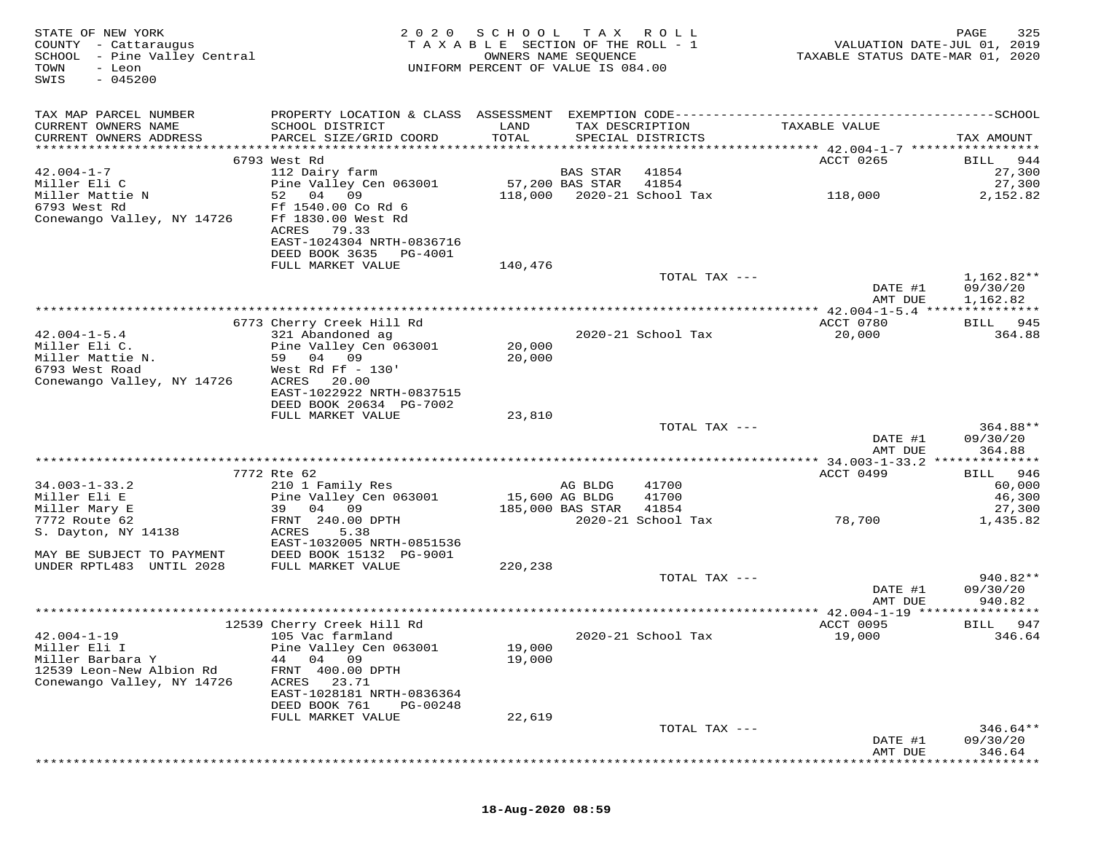| STATE OF NEW YORK<br>COUNTY - Cattaraugus<br>SCHOOL - Pine Valley Central<br>TOWN<br>- Leon<br>$-045200$<br>SWIS | 2020                                                                                    | SCHOOL<br>TAXABLE SECTION OF THE ROLL - 1<br>UNIFORM PERCENT OF VALUE IS 084.00 | T A X<br>OWNERS NAME SEQUENCE | R O L L                              |                                                    | 325<br>PAGE<br>VALUATION DATE-JUL 01, 2019<br>TAXABLE STATUS DATE-MAR 01, 2020 |
|------------------------------------------------------------------------------------------------------------------|-----------------------------------------------------------------------------------------|---------------------------------------------------------------------------------|-------------------------------|--------------------------------------|----------------------------------------------------|--------------------------------------------------------------------------------|
| TAX MAP PARCEL NUMBER                                                                                            |                                                                                         |                                                                                 |                               |                                      |                                                    |                                                                                |
| CURRENT OWNERS NAME<br>CURRENT OWNERS ADDRESS                                                                    | SCHOOL DISTRICT<br>PARCEL SIZE/GRID COORD                                               | LAND<br>TOTAL                                                                   |                               | TAX DESCRIPTION<br>SPECIAL DISTRICTS | TAXABLE VALUE                                      | TAX AMOUNT                                                                     |
|                                                                                                                  |                                                                                         |                                                                                 |                               |                                      |                                                    |                                                                                |
| $42.004 - 1 - 7$                                                                                                 | 6793 West Rd<br>112 Dairy farm                                                          |                                                                                 | BAS STAR                      | 41854                                | ACCT 0265                                          | 944<br>BILL<br>27,300                                                          |
| Miller Eli C                                                                                                     | Pine Valley Cen 063001                                                                  |                                                                                 | 57,200 BAS STAR               | 41854                                |                                                    | 27,300                                                                         |
| Miller Mattie N                                                                                                  | 52<br>04<br>09                                                                          | 118,000                                                                         |                               | 2020-21 School Tax                   | 118,000                                            | 2,152.82                                                                       |
| 6793 West Rd<br>Conewango Valley, NY 14726                                                                       | Ff 1540.00 Co Rd 6<br>Ff 1830.00 West Rd<br>ACRES<br>79.33<br>EAST-1024304 NRTH-0836716 |                                                                                 |                               |                                      |                                                    |                                                                                |
|                                                                                                                  | DEED BOOK 3635<br>PG-4001                                                               |                                                                                 |                               |                                      |                                                    |                                                                                |
|                                                                                                                  | FULL MARKET VALUE                                                                       | 140,476                                                                         |                               |                                      |                                                    |                                                                                |
|                                                                                                                  |                                                                                         |                                                                                 |                               | TOTAL TAX ---                        | DATE #1                                            | 1,162.82**<br>09/30/20                                                         |
|                                                                                                                  |                                                                                         |                                                                                 |                               |                                      | AMT DUE                                            | 1,162.82                                                                       |
|                                                                                                                  | 6773 Cherry Creek Hill Rd                                                               |                                                                                 |                               |                                      | ACCT 0780                                          | BILL 945                                                                       |
| $42.004 - 1 - 5.4$                                                                                               | 321 Abandoned ag                                                                        |                                                                                 |                               | 2020-21 School Tax                   | 20,000                                             | 364.88                                                                         |
| Miller Eli C.                                                                                                    | Pine Valley Cen 063001                                                                  | 20,000                                                                          |                               |                                      |                                                    |                                                                                |
| Miller Mattie N.                                                                                                 | 59 04 09                                                                                | 20,000                                                                          |                               |                                      |                                                    |                                                                                |
| 6793 West Road                                                                                                   | West Rd Ff $-130'$                                                                      |                                                                                 |                               |                                      |                                                    |                                                                                |
| Conewango Valley, NY 14726                                                                                       | ACRES<br>20.00<br>EAST-1022922 NRTH-0837515                                             |                                                                                 |                               |                                      |                                                    |                                                                                |
|                                                                                                                  | DEED BOOK 20634 PG-7002                                                                 |                                                                                 |                               |                                      |                                                    |                                                                                |
|                                                                                                                  | FULL MARKET VALUE                                                                       | 23,810                                                                          |                               |                                      |                                                    |                                                                                |
|                                                                                                                  |                                                                                         |                                                                                 |                               | TOTAL TAX ---                        |                                                    | 364.88**                                                                       |
|                                                                                                                  |                                                                                         |                                                                                 |                               |                                      | DATE #1                                            | 09/30/20                                                                       |
|                                                                                                                  |                                                                                         |                                                                                 |                               |                                      | AMT DUE<br>********** 34.003-1-33.2 ************** | 364.88                                                                         |
|                                                                                                                  | 7772 Rte 62                                                                             |                                                                                 |                               |                                      | ACCT 0499                                          | 946<br>BILL                                                                    |
| $34.003 - 1 - 33.2$                                                                                              | 210 1 Family Res                                                                        |                                                                                 | AG BLDG                       | 41700                                |                                                    | 60,000                                                                         |
| Miller Eli E                                                                                                     | Pine Valley Cen 063001                                                                  |                                                                                 | 15,600 AG BLDG                | 41700                                |                                                    | 46,300                                                                         |
| Miller Mary E                                                                                                    | 04<br>09<br>39                                                                          |                                                                                 | 185,000 BAS STAR              | 41854                                |                                                    | 27,300                                                                         |
| 7772 Route 62                                                                                                    | FRNT 240.00 DPTH                                                                        |                                                                                 |                               | 2020-21 School Tax                   | 78,700                                             | 1,435.82                                                                       |
| S. Dayton, NY 14138                                                                                              | ACRES<br>5.38<br>EAST-1032005 NRTH-0851536                                              |                                                                                 |                               |                                      |                                                    |                                                                                |
| MAY BE SUBJECT TO PAYMENT                                                                                        | DEED BOOK 15132 PG-9001                                                                 |                                                                                 |                               |                                      |                                                    |                                                                                |
| UNDER RPTL483 UNTIL 2028                                                                                         | FULL MARKET VALUE                                                                       | 220,238                                                                         |                               |                                      |                                                    |                                                                                |
|                                                                                                                  |                                                                                         |                                                                                 |                               | TOTAL TAX ---                        |                                                    | 940.82**                                                                       |
|                                                                                                                  |                                                                                         |                                                                                 |                               |                                      | DATE #1                                            | 09/30/20                                                                       |
|                                                                                                                  |                                                                                         |                                                                                 |                               |                                      | AMT DUE                                            | 940.82                                                                         |
|                                                                                                                  |                                                                                         |                                                                                 |                               |                                      | ************* 42.004-1-19 *****************        |                                                                                |
| $42.004 - 1 - 19$                                                                                                | 12539 Cherry Creek Hill Rd                                                              |                                                                                 |                               | 2020-21 School Tax                   | ACCT 0095                                          | 947<br>BILL<br>346.64                                                          |
| Miller Eli I                                                                                                     | 105 Vac farmland<br>Pine Valley Cen 063001                                              | 19,000                                                                          |                               |                                      | 19,000                                             |                                                                                |
| Miller Barbara Y                                                                                                 | 04 09<br>44                                                                             | 19,000                                                                          |                               |                                      |                                                    |                                                                                |
| 12539 Leon-New Albion Rd                                                                                         | 400.00 DPTH<br>FRNT                                                                     |                                                                                 |                               |                                      |                                                    |                                                                                |
| Conewango Valley, NY 14726                                                                                       | ACRES<br>23.71                                                                          |                                                                                 |                               |                                      |                                                    |                                                                                |
|                                                                                                                  | EAST-1028181 NRTH-0836364                                                               |                                                                                 |                               |                                      |                                                    |                                                                                |
|                                                                                                                  | DEED BOOK 761<br>PG-00248                                                               |                                                                                 |                               |                                      |                                                    |                                                                                |
|                                                                                                                  | FULL MARKET VALUE                                                                       | 22,619                                                                          |                               |                                      |                                                    |                                                                                |
|                                                                                                                  |                                                                                         |                                                                                 |                               | TOTAL TAX ---                        | DATE #1                                            | $346.64**$<br>09/30/20                                                         |
|                                                                                                                  |                                                                                         |                                                                                 |                               |                                      | AMT DUE                                            | 346.64                                                                         |
|                                                                                                                  |                                                                                         |                                                                                 |                               |                                      |                                                    |                                                                                |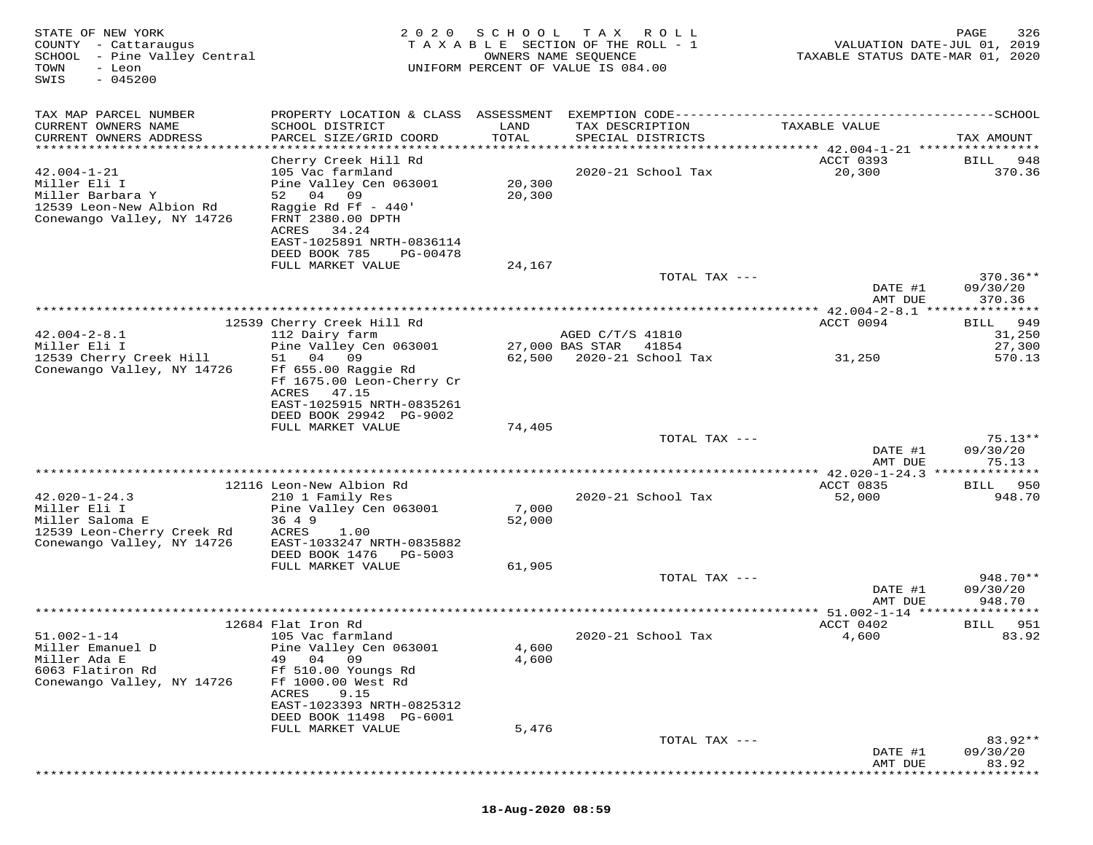| STATE OF NEW YORK<br>COUNTY - Cattaraugus<br>SCHOOL - Pine Valley Central<br>TOWN<br>- Leon<br>$-045200$<br>SWIS | 2 0 2 0                                                                                                                                                                                                 | S C H O O L                      | T A X<br>ROLL<br>TAXABLE SECTION OF THE ROLL - 1<br>OWNERS NAME SEQUENCE<br>UNIFORM PERCENT OF VALUE IS 084.00 | VALUATION DATE-JUL 01, 2019<br>TAXABLE STATUS DATE-MAR 01, 2020 | PAGE<br>326                    |
|------------------------------------------------------------------------------------------------------------------|---------------------------------------------------------------------------------------------------------------------------------------------------------------------------------------------------------|----------------------------------|----------------------------------------------------------------------------------------------------------------|-----------------------------------------------------------------|--------------------------------|
| TAX MAP PARCEL NUMBER<br>CURRENT OWNERS NAME<br>CURRENT OWNERS ADDRESS<br>*********************                  | PROPERTY LOCATION & CLASS ASSESSMENT<br>SCHOOL DISTRICT<br>PARCEL SIZE/GRID COORD                                                                                                                       | LAND<br>TOTAL<br>*************** | TAX DESCRIPTION<br>SPECIAL DISTRICTS<br>***************                                                        | TAXABLE VALUE<br>******** 42.004-1-21 *****************         | TAX AMOUNT                     |
| $42.004 - 1 - 21$<br>Miller Eli I<br>Miller Barbara Y<br>12539 Leon-New Albion Rd<br>Conewango Valley, NY 14726  | Cherry Creek Hill Rd<br>105 Vac farmland<br>Pine Valley Cen 063001<br>52 04 09<br>Raggie Rd Ff $-440'$<br>FRNT 2380.00 DPTH<br>ACRES<br>34.24<br>EAST-1025891 NRTH-0836114<br>DEED BOOK 785<br>PG-00478 | 20,300<br>20,300                 | 2020-21 School Tax                                                                                             | ACCT 0393<br>20,300                                             | BILL<br>948<br>370.36          |
|                                                                                                                  | FULL MARKET VALUE                                                                                                                                                                                       | 24,167                           | TOTAL TAX ---                                                                                                  |                                                                 | $370.36**$                     |
|                                                                                                                  |                                                                                                                                                                                                         |                                  |                                                                                                                | DATE #1<br>AMT DUE                                              | 09/30/20<br>370.36             |
|                                                                                                                  | 12539 Cherry Creek Hill Rd                                                                                                                                                                              |                                  |                                                                                                                | ACCT 0094                                                       | 949<br>BILL                    |
| $42.004 - 2 - 8.1$                                                                                               | 112 Dairy farm                                                                                                                                                                                          |                                  | AGED C/T/S 41810                                                                                               |                                                                 | 31,250                         |
| Miller Eli I<br>12539 Cherry Creek Hill                                                                          | Pine Valley Cen 063001<br>04<br>09<br>51                                                                                                                                                                | 62,500                           | 27,000 BAS STAR<br>41854<br>2020-21 School Tax                                                                 | 31,250                                                          | 27,300<br>570.13               |
| Conewango Valley, NY 14726                                                                                       | Ff 655.00 Raggie Rd<br>Ff 1675.00 Leon-Cherry Cr<br>ACRES<br>47.15<br>EAST-1025915 NRTH-0835261<br>DEED BOOK 29942 PG-9002<br>FULL MARKET VALUE                                                         | 74,405                           |                                                                                                                |                                                                 |                                |
|                                                                                                                  |                                                                                                                                                                                                         |                                  | TOTAL TAX ---                                                                                                  |                                                                 | $75.13**$                      |
|                                                                                                                  |                                                                                                                                                                                                         |                                  |                                                                                                                | DATE #1<br>AMT DUE                                              | 09/30/20<br>75.13              |
|                                                                                                                  | 12116 Leon-New Albion Rd                                                                                                                                                                                |                                  |                                                                                                                | ********* 42.020-1-24.3 **************<br>ACCT 0835             | 950<br>BILL                    |
| $42.020 - 1 - 24.3$<br>Miller Eli I<br>Miller Saloma E<br>12539 Leon-Cherry Creek Rd                             | 210 1 Family Res<br>Pine Valley Cen 063001<br>36 4 9<br>ACRES<br>1.00                                                                                                                                   | 7,000<br>52,000                  | 2020-21 School Tax                                                                                             | 52,000                                                          | 948.70                         |
| Conewango Valley, NY 14726                                                                                       | EAST-1033247 NRTH-0835882<br>DEED BOOK 1476 PG-5003<br>FULL MARKET VALUE                                                                                                                                | 61,905                           |                                                                                                                |                                                                 |                                |
|                                                                                                                  |                                                                                                                                                                                                         |                                  | TOTAL TAX ---                                                                                                  | DATE #1<br>AMT DUE                                              | 948.70**<br>09/30/20<br>948.70 |
|                                                                                                                  |                                                                                                                                                                                                         |                                  |                                                                                                                | ** 51.002-1-14 ***                                              |                                |
|                                                                                                                  | 12684 Flat Iron Rd                                                                                                                                                                                      |                                  |                                                                                                                | ACCT 0402                                                       | 951<br>BILL                    |
| $51.002 - 1 - 14$<br>Miller Emanuel D<br>Miller Ada E<br>6063 Flatiron Rd                                        | 105 Vac farmland<br>Pine Valley Cen 063001<br>49<br>04<br>-09<br>Ff 510.00 Youngs Rd                                                                                                                    | 4,600<br>4,600                   | 2020-21 School Tax                                                                                             | 4,600                                                           | 83.92                          |
| Conewango Valley, NY 14726                                                                                       | Ff 1000.00 West Rd<br>ACRES<br>9.15<br>EAST-1023393 NRTH-0825312<br>DEED BOOK 11498 PG-6001                                                                                                             |                                  |                                                                                                                |                                                                 |                                |
|                                                                                                                  | FULL MARKET VALUE                                                                                                                                                                                       | 5,476                            |                                                                                                                |                                                                 |                                |
|                                                                                                                  |                                                                                                                                                                                                         |                                  | TOTAL TAX ---                                                                                                  | DATE #1<br>AMT DUE                                              | $83.92**$<br>09/30/20<br>83.92 |
|                                                                                                                  |                                                                                                                                                                                                         |                                  |                                                                                                                | * * * * * * * * *                                               | * * * * * * *                  |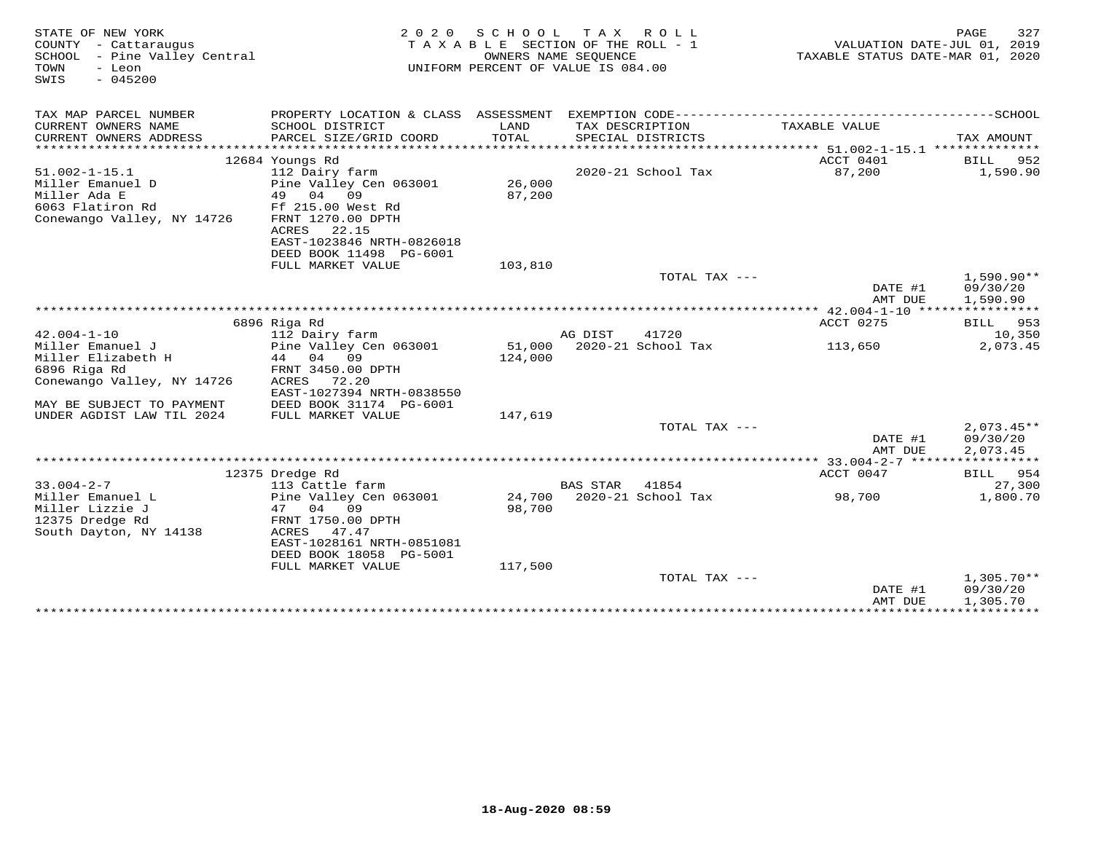| STATE OF NEW YORK<br>COUNTY - Cattaraugus<br>SCHOOL - Pine Valley Central<br>TOWN<br>- Leon<br>$-045200$<br>SWIS | 2 0 2 0                                  | S C H O O L | T A X<br>R O L L<br>TAXABLE SECTION OF THE ROLL - 1<br>OWNERS NAME SEQUENCE<br>UNIFORM PERCENT OF VALUE IS 084.00 | TAXABLE STATUS DATE-MAR 01, 2020 | 327<br>PAGE<br>VALUATION DATE-JUL 01, 2019 |
|------------------------------------------------------------------------------------------------------------------|------------------------------------------|-------------|-------------------------------------------------------------------------------------------------------------------|----------------------------------|--------------------------------------------|
| TAX MAP PARCEL NUMBER                                                                                            |                                          |             |                                                                                                                   |                                  |                                            |
| CURRENT OWNERS NAME                                                                                              | SCHOOL DISTRICT                          | LAND        | TAX DESCRIPTION                                                                                                   | TAXABLE VALUE                    |                                            |
| CURRENT OWNERS ADDRESS                                                                                           | PARCEL SIZE/GRID COORD                   | TOTAL       | SPECIAL DISTRICTS                                                                                                 |                                  | TAX AMOUNT                                 |
|                                                                                                                  |                                          |             |                                                                                                                   |                                  |                                            |
| $51.002 - 1 - 15.1$                                                                                              | 12684 Youngs Rd<br>112 Dairy farm        |             | 2020-21 School Tax                                                                                                | ACCT 0401<br>87,200              | BILL<br>952<br>1,590.90                    |
| Miller Emanuel D                                                                                                 | Pine Valley Cen 063001                   | 26,000      |                                                                                                                   |                                  |                                            |
| Miller Ada E                                                                                                     | 49 04<br>09                              | 87,200      |                                                                                                                   |                                  |                                            |
| 6063 Flatiron Rd                                                                                                 | Ff 215.00 West Rd                        |             |                                                                                                                   |                                  |                                            |
| Conewango Valley, NY 14726                                                                                       | FRNT 1270.00 DPTH                        |             |                                                                                                                   |                                  |                                            |
|                                                                                                                  | ACRES<br>22.15                           |             |                                                                                                                   |                                  |                                            |
|                                                                                                                  | EAST-1023846 NRTH-0826018                |             |                                                                                                                   |                                  |                                            |
|                                                                                                                  | DEED BOOK 11498 PG-6001                  |             |                                                                                                                   |                                  |                                            |
|                                                                                                                  | FULL MARKET VALUE                        | 103,810     |                                                                                                                   |                                  |                                            |
|                                                                                                                  |                                          |             | TOTAL TAX ---                                                                                                     |                                  | $1,590.90**$                               |
|                                                                                                                  |                                          |             |                                                                                                                   | DATE #1                          | 09/30/20                                   |
|                                                                                                                  |                                          |             |                                                                                                                   | AMT DUE                          | 1,590.90                                   |
|                                                                                                                  |                                          |             |                                                                                                                   |                                  |                                            |
| $42.004 - 1 - 10$                                                                                                | 6896 Riga Rd                             |             | AG DIST<br>41720                                                                                                  | ACCT 0275                        | BILL 953<br>10,350                         |
| Miller Emanuel J                                                                                                 | 112 Dairy farm<br>Pine Valley Cen 063001 |             | 51,000 2020-21 School Tax                                                                                         | 113,650                          | 2,073.45                                   |
| Miller Elizabeth H                                                                                               | 44 04<br>09                              | 124,000     |                                                                                                                   |                                  |                                            |
| 6896 Riga Rd                                                                                                     | FRNT 3450.00 DPTH                        |             |                                                                                                                   |                                  |                                            |
| Conewango Valley, NY 14726                                                                                       | ACRES<br>72.20                           |             |                                                                                                                   |                                  |                                            |
|                                                                                                                  | EAST-1027394 NRTH-0838550                |             |                                                                                                                   |                                  |                                            |
| MAY BE SUBJECT TO PAYMENT                                                                                        | DEED BOOK 31174 PG-6001                  |             |                                                                                                                   |                                  |                                            |
| UNDER AGDIST LAW TIL 2024                                                                                        | FULL MARKET VALUE                        | 147,619     |                                                                                                                   |                                  |                                            |
|                                                                                                                  |                                          |             | TOTAL TAX ---                                                                                                     |                                  | $2,073.45**$                               |
|                                                                                                                  |                                          |             |                                                                                                                   | DATE #1                          | 09/30/20                                   |
|                                                                                                                  |                                          |             |                                                                                                                   | AMT DUE                          | 2,073.45                                   |
|                                                                                                                  |                                          |             |                                                                                                                   |                                  |                                            |
|                                                                                                                  | 12375 Dredge Rd                          |             |                                                                                                                   | ACCT 0047                        | BILL 954                                   |
| $33.004 - 2 - 7$                                                                                                 | 113 Cattle farm                          |             | <b>BAS STAR</b><br>41854                                                                                          |                                  | 27,300                                     |
| Miller Emanuel L                                                                                                 | Pine Valley Cen 063001                   | 24,700      | 2020-21 School Tax                                                                                                | 98,700                           | 1,800.70                                   |
| Miller Lizzie J<br>12375 Dredge Rd                                                                               | 04 09<br>47<br>FRNT 1750.00 DPTH         | 98,700      |                                                                                                                   |                                  |                                            |
| South Dayton, NY 14138                                                                                           | ACRES<br>47.47                           |             |                                                                                                                   |                                  |                                            |
|                                                                                                                  | EAST-1028161 NRTH-0851081                |             |                                                                                                                   |                                  |                                            |
|                                                                                                                  | DEED BOOK 18058 PG-5001                  |             |                                                                                                                   |                                  |                                            |
|                                                                                                                  | FULL MARKET VALUE                        | 117,500     |                                                                                                                   |                                  |                                            |
|                                                                                                                  |                                          |             | TOTAL TAX $---$                                                                                                   |                                  | $1,305.70**$                               |
|                                                                                                                  |                                          |             |                                                                                                                   | DATE #1                          | 09/30/20                                   |
|                                                                                                                  |                                          |             |                                                                                                                   | AMT DUE                          | 1,305.70                                   |
|                                                                                                                  |                                          |             |                                                                                                                   | ****************************     |                                            |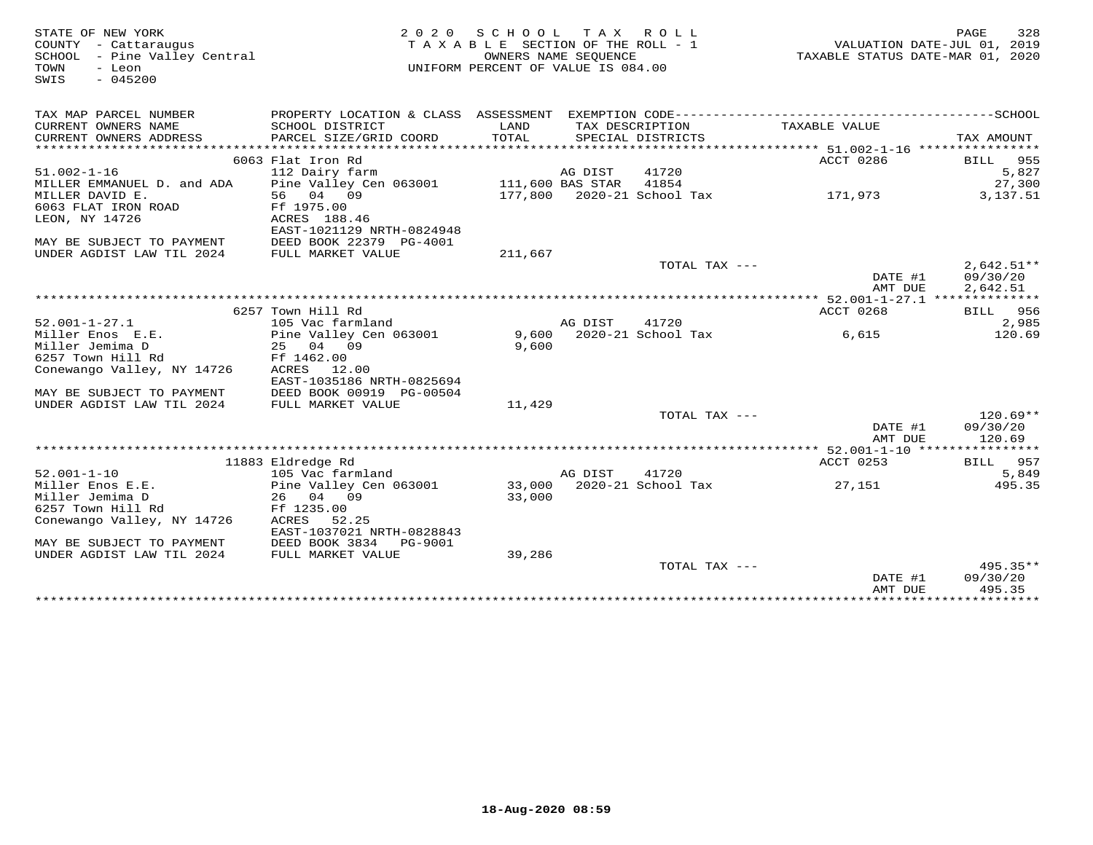| STATE OF NEW YORK<br>COUNTY - Cattaraugus<br>SCHOOL - Pine Valley Central<br>- Leon<br>TOWN |                                         | 2020 SCHOOL TAX ROLL<br>TAXABLE SECTION OF THE ROLL - 1<br>UNIFORM PERCENT OF VALUE IS 084.00 | OWNERS NAME SEQUENCE |                            | VALUATION DATE-JUL 01, 2019<br>TAXABLE STATUS DATE-MAR 01, 2020 | PAGE<br>328              |
|---------------------------------------------------------------------------------------------|-----------------------------------------|-----------------------------------------------------------------------------------------------|----------------------|----------------------------|-----------------------------------------------------------------|--------------------------|
| $-045200$<br>SWIS                                                                           |                                         |                                                                                               |                      |                            |                                                                 |                          |
| TAX MAP PARCEL NUMBER                                                                       |                                         |                                                                                               |                      |                            |                                                                 |                          |
| CURRENT OWNERS NAME                                                                         | SCHOOL DISTRICT                         | LAND                                                                                          |                      | TAX DESCRIPTION            | TAXABLE VALUE                                                   |                          |
| CURRENT OWNERS ADDRESS                                                                      | PARCEL SIZE/GRID COORD                  | TOTAL                                                                                         |                      | SPECIAL DISTRICTS          |                                                                 | TAX AMOUNT               |
|                                                                                             |                                         |                                                                                               |                      |                            |                                                                 |                          |
|                                                                                             | 6063 Flat Iron Rd                       |                                                                                               |                      |                            | ACCT 0286                                                       | <b>BILL</b> 955          |
| $51.002 - 1 - 16$                                                                           | 112 Dairy farm                          |                                                                                               | AG DIST              | 41720                      |                                                                 | 5,827                    |
| MILLER EMMANUEL D. and ADA                                                                  | Pine Valley Cen 063001 111,600 BAS STAR |                                                                                               |                      | 41854                      |                                                                 | 27,300                   |
| MILLER DAVID E.                                                                             | 56 04 09                                |                                                                                               |                      | 177,800 2020-21 School Tax | 171,973                                                         | 3,137.51                 |
| 6063 FLAT IRON ROAD                                                                         | Ff 1975.00                              |                                                                                               |                      |                            |                                                                 |                          |
| LEON, NY 14726                                                                              | ACRES 188.46                            |                                                                                               |                      |                            |                                                                 |                          |
|                                                                                             | EAST-1021129 NRTH-0824948               |                                                                                               |                      |                            |                                                                 |                          |
| MAY BE SUBJECT TO PAYMENT                                                                   | DEED BOOK 22379 PG-4001                 |                                                                                               |                      |                            |                                                                 |                          |
| UNDER AGDIST LAW TIL 2024                                                                   | FULL MARKET VALUE                       | 211,667                                                                                       |                      | TOTAL TAX ---              |                                                                 |                          |
|                                                                                             |                                         |                                                                                               |                      |                            | DATE #1                                                         | $2,642.51**$<br>09/30/20 |
|                                                                                             |                                         |                                                                                               |                      |                            | AMT DUE                                                         | 2,642.51                 |
|                                                                                             |                                         |                                                                                               |                      |                            |                                                                 |                          |
|                                                                                             | 6257 Town Hill Rd                       |                                                                                               |                      |                            | ACCT 0268                                                       | <b>BILL</b> 956          |
| $52.001 - 1 - 27.1$                                                                         | 105 Vac farmland                        |                                                                                               | AG DIST              | 41720                      |                                                                 | 2,985                    |
| Miller Enos E.E.                                                                            | Pine Valley Cen 063001                  |                                                                                               |                      | 9,600 2020-21 School Tax   | 6,615                                                           | 120.69                   |
| Miller Jemima D                                                                             | 25 04 09                                | 9,600                                                                                         |                      |                            |                                                                 |                          |
| 6257 Town Hill Rd                                                                           | Ff 1462.00                              |                                                                                               |                      |                            |                                                                 |                          |
| Conewango Valley, NY 14726                                                                  | ACRES 12.00                             |                                                                                               |                      |                            |                                                                 |                          |
|                                                                                             | EAST-1035186 NRTH-0825694               |                                                                                               |                      |                            |                                                                 |                          |
| MAY BE SUBJECT TO PAYMENT                                                                   | DEED BOOK 00919 PG-00504                |                                                                                               |                      |                            |                                                                 |                          |
| UNDER AGDIST LAW TIL 2024                                                                   | FULL MARKET VALUE                       | 11,429                                                                                        |                      |                            |                                                                 |                          |
|                                                                                             |                                         |                                                                                               |                      | TOTAL TAX ---              |                                                                 | $120.69**$               |
|                                                                                             |                                         |                                                                                               |                      |                            | DATE #1                                                         | 09/30/20                 |
|                                                                                             |                                         |                                                                                               |                      |                            | AMT DUE                                                         | 120.69                   |
|                                                                                             |                                         |                                                                                               |                      |                            |                                                                 |                          |
|                                                                                             | 11883 Eldredge Rd                       |                                                                                               |                      |                            | ACCT 0253                                                       | BILL 957                 |
| $52.001 - 1 - 10$                                                                           | 105 Vac farmland                        |                                                                                               | AG DIST              | 41720                      |                                                                 | 5,849                    |
| Miller Enos E.E.                                                                            | Pine Valley Cen 063001                  | 33,000                                                                                        |                      | 2020-21 School Tax         | 27,151                                                          | 495.35                   |
| Miller Jemima D                                                                             | 26 04 09                                | 33,000                                                                                        |                      |                            |                                                                 |                          |
| 6257 Town Hill Rd                                                                           | Ff 1235.00                              |                                                                                               |                      |                            |                                                                 |                          |
| Conewango Valley, NY 14726                                                                  | ACRES 52.25                             |                                                                                               |                      |                            |                                                                 |                          |
|                                                                                             | EAST-1037021 NRTH-0828843               |                                                                                               |                      |                            |                                                                 |                          |
| MAY BE SUBJECT TO PAYMENT                                                                   | DEED BOOK 3834 PG-9001                  |                                                                                               |                      |                            |                                                                 |                          |
| UNDER AGDIST LAW TIL 2024                                                                   | FULL MARKET VALUE                       | 39,286                                                                                        |                      |                            |                                                                 |                          |
|                                                                                             |                                         |                                                                                               |                      | TOTAL TAX ---              |                                                                 | $495.35**$               |
|                                                                                             |                                         |                                                                                               |                      |                            | DATE #1                                                         | 09/30/20                 |
|                                                                                             |                                         |                                                                                               |                      |                            | AMT DUE                                                         | 495.35<br>***********    |
|                                                                                             |                                         |                                                                                               |                      |                            |                                                                 |                          |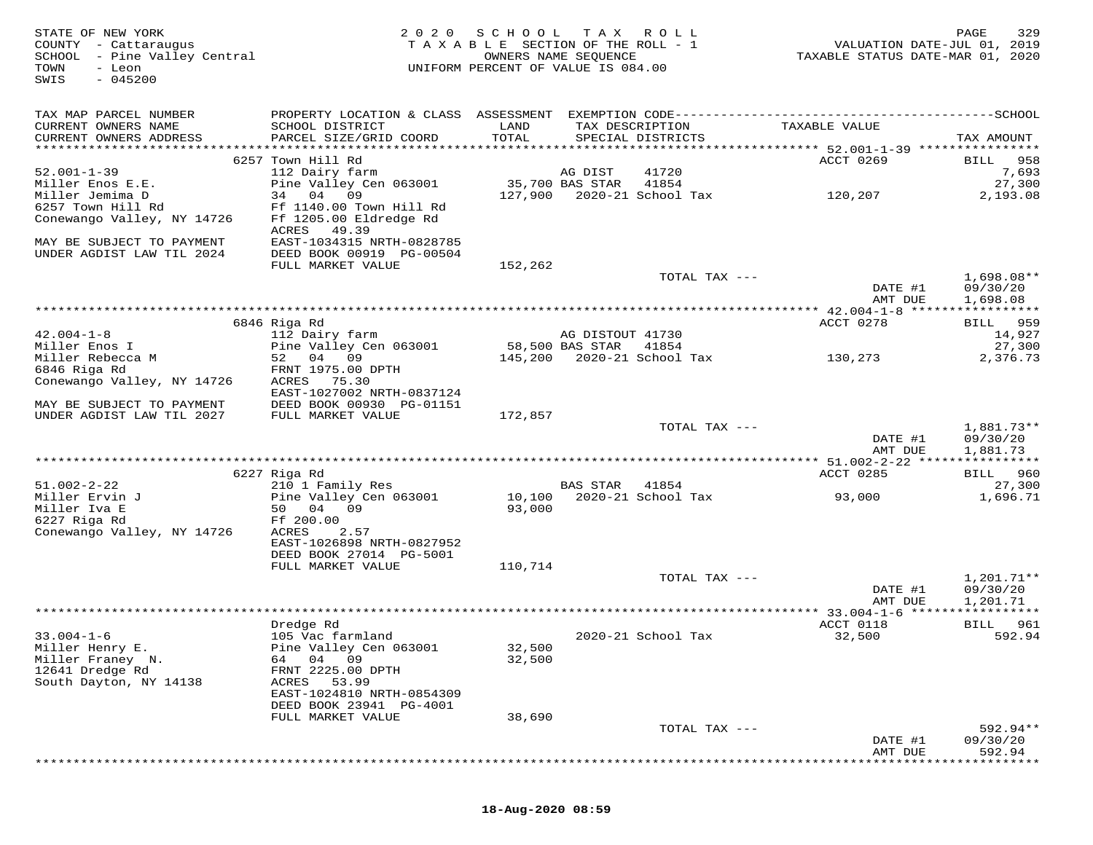| STATE OF NEW YORK<br>COUNTY - Cattaraugus<br>SCHOOL - Pine Valley Central<br>- Leon<br>TOWN<br>$-045200$<br>SWIS | 2020                                         | SCHOOL<br>TAXABLE SECTION OF THE ROLL - 1<br>UNIFORM PERCENT OF VALUE IS 084.00 | T A X<br>OWNERS NAME SEQUENCE | R O L L            | TAXABLE STATUS DATE-MAR 01, 2020              | 329<br>PAGE<br>VALUATION DATE-JUL 01, 2019 |
|------------------------------------------------------------------------------------------------------------------|----------------------------------------------|---------------------------------------------------------------------------------|-------------------------------|--------------------|-----------------------------------------------|--------------------------------------------|
| TAX MAP PARCEL NUMBER                                                                                            |                                              |                                                                                 |                               |                    |                                               |                                            |
| CURRENT OWNERS NAME<br>CURRENT OWNERS ADDRESS                                                                    | SCHOOL DISTRICT<br>PARCEL SIZE/GRID COORD    | LAND<br>TOTAL                                                                   | TAX DESCRIPTION               | SPECIAL DISTRICTS  | TAXABLE VALUE                                 | TAX AMOUNT                                 |
|                                                                                                                  | 6257 Town Hill Rd                            |                                                                                 |                               |                    | ACCT 0269                                     | 958<br>BILL                                |
| $52.001 - 1 - 39$                                                                                                | 112 Dairy farm                               |                                                                                 | AG DIST                       | 41720              |                                               | 7,693                                      |
| Miller Enos E.E.                                                                                                 | Pine Valley Cen 063001                       |                                                                                 | 35,700 BAS STAR               | 41854              |                                               | 27,300                                     |
| Miller Jemima D                                                                                                  | 34 04<br>09                                  | 127,900                                                                         |                               | 2020-21 School Tax | 120,207                                       | 2,193.08                                   |
| 6257 Town Hill Rd                                                                                                | Ff 1140.00 Town Hill Rd                      |                                                                                 |                               |                    |                                               |                                            |
| Conewango Valley, NY 14726                                                                                       | Ff 1205.00 Eldredge Rd<br>ACRES<br>49.39     |                                                                                 |                               |                    |                                               |                                            |
| MAY BE SUBJECT TO PAYMENT                                                                                        | EAST-1034315 NRTH-0828785                    |                                                                                 |                               |                    |                                               |                                            |
| UNDER AGDIST LAW TIL 2024                                                                                        | DEED BOOK 00919 PG-00504                     |                                                                                 |                               |                    |                                               |                                            |
|                                                                                                                  | FULL MARKET VALUE                            | 152,262                                                                         |                               |                    |                                               |                                            |
|                                                                                                                  |                                              |                                                                                 |                               | TOTAL TAX ---      |                                               | $1,698.08**$                               |
|                                                                                                                  |                                              |                                                                                 |                               |                    | DATE #1<br>AMT DUE                            | 09/30/20<br>1,698.08                       |
|                                                                                                                  |                                              |                                                                                 |                               |                    |                                               |                                            |
|                                                                                                                  | 6846 Riga Rd                                 |                                                                                 |                               |                    | ACCT 0278                                     | 959<br>BILL                                |
| $42.004 - 1 - 8$                                                                                                 | 112 Dairy farm                               |                                                                                 | AG DISTOUT 41730              |                    |                                               | 14,927                                     |
| Miller Enos I                                                                                                    | Pine Valley Cen 063001                       |                                                                                 | 58,500 BAS STAR               | 41854              |                                               | 27,300                                     |
| Miller Rebecca M<br>6846 Riga Rd                                                                                 | 52<br>04 09<br>FRNT 1975.00 DPTH             | 145,200                                                                         |                               | 2020-21 School Tax | 130,273                                       | 2,376.73                                   |
| Conewango Valley, NY 14726                                                                                       | ACRES<br>75.30                               |                                                                                 |                               |                    |                                               |                                            |
|                                                                                                                  | EAST-1027002 NRTH-0837124                    |                                                                                 |                               |                    |                                               |                                            |
| MAY BE SUBJECT TO PAYMENT                                                                                        | DEED BOOK 00930 PG-01151                     |                                                                                 |                               |                    |                                               |                                            |
| UNDER AGDIST LAW TIL 2027                                                                                        | FULL MARKET VALUE                            | 172,857                                                                         |                               |                    |                                               |                                            |
|                                                                                                                  |                                              |                                                                                 |                               | TOTAL TAX ---      | DATE #1                                       | 1,881.73**<br>09/30/20                     |
|                                                                                                                  |                                              |                                                                                 |                               |                    | AMT DUE                                       | 1,881.73                                   |
|                                                                                                                  |                                              |                                                                                 |                               |                    | ************ 51.002-2-22 ****************     |                                            |
|                                                                                                                  | 6227 Riga Rd                                 |                                                                                 |                               |                    | ACCT 0285                                     | BILL 960                                   |
| $51.002 - 2 - 22$                                                                                                | 210 1 Family Res                             |                                                                                 | <b>BAS STAR</b>               | 41854              |                                               | 27,300                                     |
| Miller Ervin J<br>Miller Iva E                                                                                   | Pine Valley Cen 063001<br>04<br>09<br>50     | 10,100<br>93,000                                                                |                               | 2020-21 School Tax | 93,000                                        | 1,696.71                                   |
| 6227 Riga Rd                                                                                                     | Ff 200.00                                    |                                                                                 |                               |                    |                                               |                                            |
| Conewango Valley, NY 14726                                                                                       | ACRES<br>2.57                                |                                                                                 |                               |                    |                                               |                                            |
|                                                                                                                  | EAST-1026898 NRTH-0827952                    |                                                                                 |                               |                    |                                               |                                            |
|                                                                                                                  | DEED BOOK 27014 PG-5001                      |                                                                                 |                               |                    |                                               |                                            |
|                                                                                                                  | FULL MARKET VALUE                            | 110,714                                                                         |                               | TOTAL TAX ---      |                                               | 1,201.71**                                 |
|                                                                                                                  |                                              |                                                                                 |                               |                    | DATE #1                                       | 09/30/20                                   |
|                                                                                                                  |                                              |                                                                                 |                               |                    | AMT DUE                                       | 1,201.71                                   |
|                                                                                                                  |                                              |                                                                                 |                               |                    | *************** 33.004-1-6 ****************** |                                            |
| $33.004 - 1 - 6$                                                                                                 | Dredge Rd<br>105 Vac farmland                |                                                                                 |                               | 2020-21 School Tax | ACCT 0118<br>32,500                           | BILL<br>961<br>592.94                      |
| Miller Henry E.                                                                                                  | Pine Valley Cen 063001                       | 32,500                                                                          |                               |                    |                                               |                                            |
| Miller Franey N.                                                                                                 | 04 09<br>64                                  | 32,500                                                                          |                               |                    |                                               |                                            |
| 12641 Dredge Rd                                                                                                  | FRNT 2225.00 DPTH                            |                                                                                 |                               |                    |                                               |                                            |
| South Dayton, NY 14138                                                                                           | ACRES<br>53.99                               |                                                                                 |                               |                    |                                               |                                            |
|                                                                                                                  | EAST-1024810 NRTH-0854309                    |                                                                                 |                               |                    |                                               |                                            |
|                                                                                                                  | DEED BOOK 23941 PG-4001<br>FULL MARKET VALUE | 38,690                                                                          |                               |                    |                                               |                                            |
|                                                                                                                  |                                              |                                                                                 |                               | TOTAL TAX ---      |                                               | $592.94**$                                 |
|                                                                                                                  |                                              |                                                                                 |                               |                    | DATE #1                                       | 09/30/20                                   |
|                                                                                                                  |                                              |                                                                                 |                               |                    | AMT DUE                                       | 592.94                                     |
|                                                                                                                  |                                              |                                                                                 |                               |                    |                                               |                                            |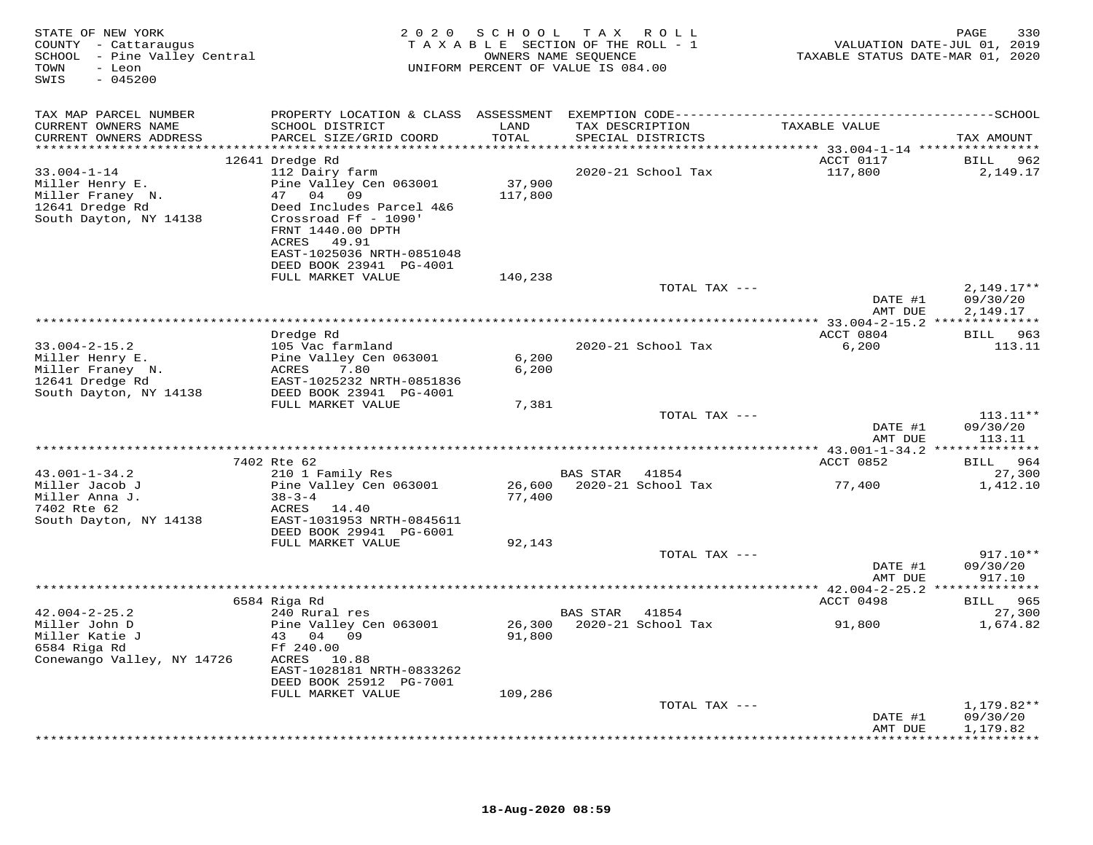| STATE OF NEW YORK<br>COUNTY - Cattaraugus<br>SCHOOL - Pine Valley Central<br>- Leon<br>TOWN<br>$-045200$<br>SWIS |                                                                                      |         | 2020 SCHOOL TAX ROLL<br>TAXABLE SECTION OF THE ROLL - 1<br>OWNERS NAME SEQUENCE<br>UNIFORM PERCENT OF VALUE IS 084.00 | TAXABLE STATUS DATE-MAR 01, 2020 | PAGE<br>330<br>VALUATION DATE-JUL 01, 2019 |
|------------------------------------------------------------------------------------------------------------------|--------------------------------------------------------------------------------------|---------|-----------------------------------------------------------------------------------------------------------------------|----------------------------------|--------------------------------------------|
| TAX MAP PARCEL NUMBER                                                                                            |                                                                                      |         |                                                                                                                       |                                  |                                            |
| CURRENT OWNERS NAME                                                                                              | SCHOOL DISTRICT                                                                      | LAND    | TAX DESCRIPTION                                                                                                       | TAXABLE VALUE                    |                                            |
| CURRENT OWNERS ADDRESS                                                                                           | PARCEL SIZE/GRID COORD                                                               | TOTAL   | SPECIAL DISTRICTS                                                                                                     |                                  | TAX AMOUNT                                 |
|                                                                                                                  | 12641 Dredge Rd                                                                      |         |                                                                                                                       | ACCT 0117                        | 962<br>BILL                                |
| $33.004 - 1 - 14$                                                                                                | 112 Dairy farm                                                                       |         | 2020-21 School Tax                                                                                                    | 117,800                          | 2,149.17                                   |
| Miller Henry E.                                                                                                  | Pine Valley Cen 063001                                                               | 37,900  |                                                                                                                       |                                  |                                            |
| Miller Franey N.                                                                                                 | 47 04 09                                                                             | 117,800 |                                                                                                                       |                                  |                                            |
| 12641 Dredge Rd<br>South Dayton, NY 14138                                                                        | Deed Includes Parcel 4&6<br>Crossroad Ff - 1090'<br>FRNT 1440.00 DPTH<br>ACRES 49.91 |         |                                                                                                                       |                                  |                                            |
|                                                                                                                  | EAST-1025036 NRTH-0851048<br>DEED BOOK 23941 PG-4001                                 |         |                                                                                                                       |                                  |                                            |
|                                                                                                                  | FULL MARKET VALUE                                                                    | 140,238 |                                                                                                                       |                                  |                                            |
|                                                                                                                  |                                                                                      |         | TOTAL TAX ---                                                                                                         |                                  | $2,149.17**$                               |
|                                                                                                                  |                                                                                      |         |                                                                                                                       | DATE #1                          | 09/30/20                                   |
|                                                                                                                  |                                                                                      |         |                                                                                                                       | AMT DUE                          | 2,149.17                                   |
|                                                                                                                  | Dredge Rd                                                                            |         |                                                                                                                       | ACCT 0804                        | BILL 963                                   |
| $33.004 - 2 - 15.2$                                                                                              | 105 Vac farmland                                                                     |         | 2020-21 School Tax                                                                                                    | 6,200                            | 113.11                                     |
| Miller Henry E.                                                                                                  | Pine Valley Cen 063001<br>7.80                                                       | 6,200   |                                                                                                                       |                                  |                                            |
| Miller Franey N.<br>12641 Dredge Rd                                                                              | ACRES<br>EAST-1025232 NRTH-0851836                                                   | 6,200   |                                                                                                                       |                                  |                                            |
| South Dayton, NY 14138                                                                                           | DEED BOOK 23941 PG-4001                                                              |         |                                                                                                                       |                                  |                                            |
|                                                                                                                  | FULL MARKET VALUE                                                                    | 7,381   |                                                                                                                       |                                  |                                            |
|                                                                                                                  |                                                                                      |         | TOTAL TAX ---                                                                                                         | DATE #1                          | $113.11**$<br>09/30/20                     |
|                                                                                                                  |                                                                                      |         |                                                                                                                       | AMT DUE                          | 113.11                                     |
|                                                                                                                  |                                                                                      |         |                                                                                                                       |                                  |                                            |
|                                                                                                                  | 7402 Rte 62                                                                          |         |                                                                                                                       | ACCT 0852                        | BILL 964                                   |
| $43.001 - 1 - 34.2$<br>Miller Jacob J                                                                            | 210 1 Family Res<br>Pine Valley Cen 063001                                           | 26,600  | BAS STAR 41854<br>2020-21 School Tax                                                                                  | 77,400                           | 27,300<br>1,412.10                         |
| Miller Anna J.                                                                                                   | $38 - 3 - 4$                                                                         | 77,400  |                                                                                                                       |                                  |                                            |
| 7402 Rte 62                                                                                                      | ACRES 14.40                                                                          |         |                                                                                                                       |                                  |                                            |
| South Dayton, NY 14138                                                                                           | EAST-1031953 NRTH-0845611                                                            |         |                                                                                                                       |                                  |                                            |
|                                                                                                                  | DEED BOOK 29941 PG-6001<br>FULL MARKET VALUE                                         | 92,143  |                                                                                                                       |                                  |                                            |
|                                                                                                                  |                                                                                      |         | TOTAL TAX ---                                                                                                         |                                  | $917.10**$                                 |
|                                                                                                                  |                                                                                      |         |                                                                                                                       | DATE #1                          | 09/30/20                                   |
|                                                                                                                  |                                                                                      |         |                                                                                                                       | AMT DUE                          | 917.10                                     |
|                                                                                                                  | 6584 Riga Rd                                                                         |         |                                                                                                                       | ACCT 0498                        | BILL 965                                   |
| $42.004 - 2 - 25.2$                                                                                              | 240 Rural res                                                                        |         | BAS STAR<br>41854                                                                                                     |                                  | 27,300                                     |
| Miller John D                                                                                                    | Pine Valley Cen 063001                                                               |         | 26,300 2020-21 School Tax                                                                                             | 91,800                           | 1,674.82                                   |
| Miller Katie J                                                                                                   | 43 04 09                                                                             | 91,800  |                                                                                                                       |                                  |                                            |
| 6584 Riga Rd<br>Conewango Valley, NY 14726                                                                       | Ff 240.00<br>ACRES 10.88                                                             |         |                                                                                                                       |                                  |                                            |
|                                                                                                                  | EAST-1028181 NRTH-0833262                                                            |         |                                                                                                                       |                                  |                                            |
|                                                                                                                  | DEED BOOK 25912 PG-7001                                                              |         |                                                                                                                       |                                  |                                            |
|                                                                                                                  | FULL MARKET VALUE                                                                    | 109,286 |                                                                                                                       |                                  |                                            |
|                                                                                                                  |                                                                                      |         | TOTAL TAX ---                                                                                                         | DATE #1                          | $1,179.82**$<br>09/30/20                   |
|                                                                                                                  |                                                                                      |         |                                                                                                                       | AMT DUE                          | 1,179.82                                   |
|                                                                                                                  |                                                                                      |         |                                                                                                                       |                                  |                                            |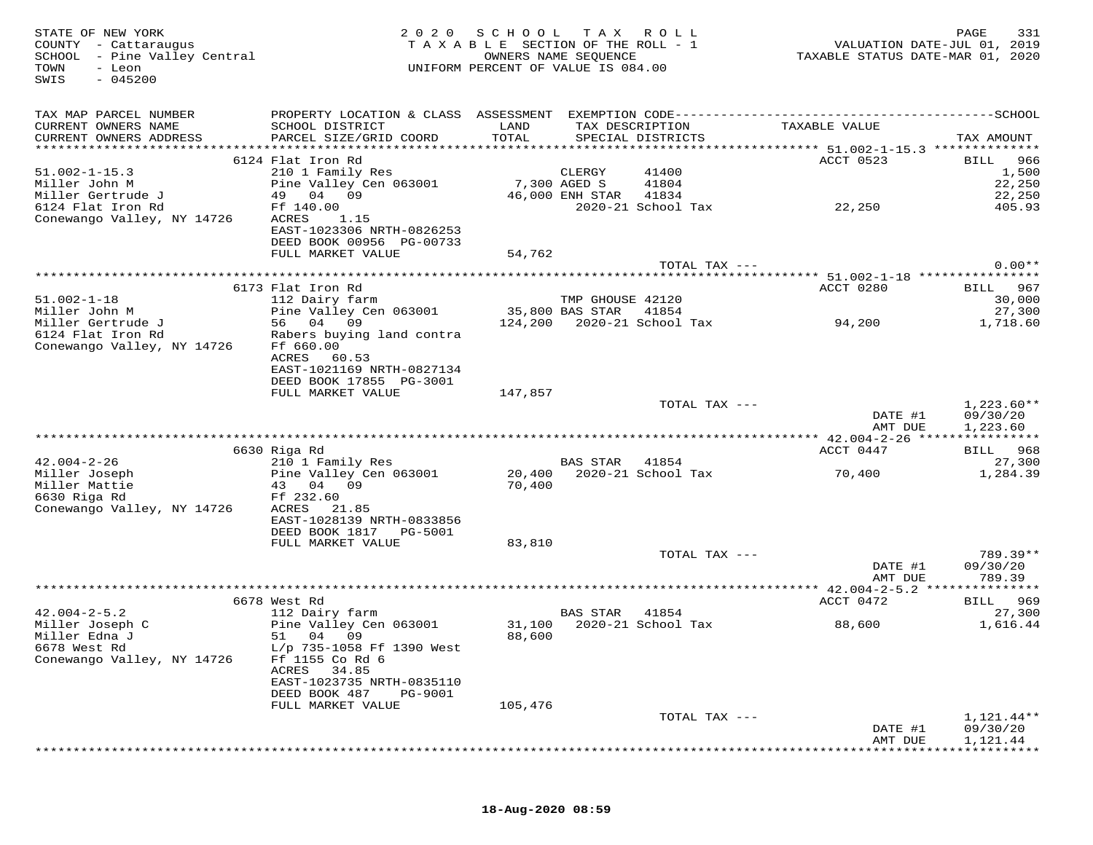| STATE OF NEW YORK<br>COUNTY - Cattaraugus<br>SCHOOL - Pine Valley Central<br>TOWN<br>- Leon<br>$-045200$<br>SWIS | 2020                                                                                                                                      | SCHOOL TAX<br>TAXABLE SECTION OF THE ROLL - 1<br>UNIFORM PERCENT OF VALUE IS 084.00 | OWNERS NAME SEQUENCE  | ROLL ROLL                            | VALUATION DATE-JUL 01, 2019<br>TAXABLE STATUS DATE-MAR 01, 2020 | 331<br>PAGE          |
|------------------------------------------------------------------------------------------------------------------|-------------------------------------------------------------------------------------------------------------------------------------------|-------------------------------------------------------------------------------------|-----------------------|--------------------------------------|-----------------------------------------------------------------|----------------------|
| TAX MAP PARCEL NUMBER<br>CURRENT OWNERS NAME<br>CURRENT OWNERS ADDRESS                                           | PROPERTY LOCATION & CLASS ASSESSMENT EXEMPTION CODE-----------------------------------SCHOOL<br>SCHOOL DISTRICT<br>PARCEL SIZE/GRID COORD | LAND<br>TOTAL                                                                       |                       | TAX DESCRIPTION<br>SPECIAL DISTRICTS | TAXABLE VALUE                                                   | TAX AMOUNT           |
|                                                                                                                  |                                                                                                                                           |                                                                                     |                       |                                      |                                                                 |                      |
|                                                                                                                  | 6124 Flat Iron Rd                                                                                                                         |                                                                                     |                       |                                      | ACCT 0523                                                       | BILL<br>966          |
| $51.002 - 1 - 15.3$                                                                                              | 210 1 Family Res                                                                                                                          |                                                                                     | CLERGY                | 41400                                |                                                                 | 1,500                |
| Miller John M<br>Miller Gertrude J                                                                               | Pine Valley Cen 063001<br>49 04 09                                                                                                        | 7,300 AGED S                                                                        | 46,000 ENH STAR 41834 | 41804                                |                                                                 | 22,250<br>22,250     |
| 6124 Flat Iron Rd                                                                                                | Ff 140.00                                                                                                                                 |                                                                                     |                       | 2020-21 School Tax                   | 22,250                                                          | 405.93               |
| Conewango Valley, NY 14726                                                                                       | 1.15<br>ACRES                                                                                                                             |                                                                                     |                       |                                      |                                                                 |                      |
|                                                                                                                  | EAST-1023306 NRTH-0826253                                                                                                                 |                                                                                     |                       |                                      |                                                                 |                      |
|                                                                                                                  | DEED BOOK 00956 PG-00733                                                                                                                  |                                                                                     |                       |                                      |                                                                 |                      |
|                                                                                                                  | FULL MARKET VALUE                                                                                                                         | 54,762                                                                              |                       | TOTAL TAX ---                        |                                                                 | $0.00**$             |
|                                                                                                                  |                                                                                                                                           |                                                                                     |                       |                                      |                                                                 |                      |
|                                                                                                                  | 6173 Flat Iron Rd                                                                                                                         |                                                                                     |                       |                                      | ACCT 0280                                                       | BILL 967             |
| $51.002 - 1 - 18$                                                                                                | 112 Dairy farm                                                                                                                            |                                                                                     | TMP GHOUSE 42120      |                                      |                                                                 | 30,000               |
| Miller John M                                                                                                    | Pine Valley Cen 063001                                                                                                                    | 35,800 BAS STAR                                                                     |                       | 41854                                |                                                                 | 27,300               |
| Miller Gertrude J<br>6124 Flat Iron Rd                                                                           | 56 04 09<br>Rabers buying land contra                                                                                                     |                                                                                     |                       |                                      | 94,200                                                          | 1,718.60             |
| Conewango Valley, NY 14726                                                                                       | Ff 660.00                                                                                                                                 |                                                                                     |                       |                                      |                                                                 |                      |
|                                                                                                                  | ACRES<br>60.53                                                                                                                            |                                                                                     |                       |                                      |                                                                 |                      |
|                                                                                                                  | EAST-1021169 NRTH-0827134                                                                                                                 |                                                                                     |                       |                                      |                                                                 |                      |
|                                                                                                                  | DEED BOOK 17855 PG-3001<br>FULL MARKET VALUE                                                                                              | 147,857                                                                             |                       |                                      |                                                                 |                      |
|                                                                                                                  |                                                                                                                                           |                                                                                     |                       | TOTAL TAX ---                        |                                                                 | $1,223.60**$         |
|                                                                                                                  |                                                                                                                                           |                                                                                     |                       |                                      | DATE #1<br>AMT DUE                                              | 09/30/20<br>1,223.60 |
|                                                                                                                  |                                                                                                                                           |                                                                                     |                       |                                      |                                                                 |                      |
|                                                                                                                  | 6630 Riga Rd                                                                                                                              |                                                                                     |                       |                                      | ACCT 0447                                                       | BILL 968             |
| $42.004 - 2 - 26$                                                                                                | 210 1 Family Res                                                                                                                          |                                                                                     | BAS STAR 41854        | 20,400 2020-21 School Tax            |                                                                 | 27,300               |
| Miller Joseph<br>Miller Mattie                                                                                   | Pine Valley Cen 063001<br>43 04 09                                                                                                        | 70,400                                                                              |                       |                                      | 70,400                                                          | 1,284.39             |
| 6630 Riga Rd                                                                                                     | Ff 232.60                                                                                                                                 |                                                                                     |                       |                                      |                                                                 |                      |
| Conewango Valley, NY 14726                                                                                       | ACRES<br>21.85                                                                                                                            |                                                                                     |                       |                                      |                                                                 |                      |
|                                                                                                                  | EAST-1028139 NRTH-0833856                                                                                                                 |                                                                                     |                       |                                      |                                                                 |                      |
|                                                                                                                  | DEED BOOK 1817 PG-5001<br>FULL MARKET VALUE                                                                                               | 83,810                                                                              |                       |                                      |                                                                 |                      |
|                                                                                                                  |                                                                                                                                           |                                                                                     |                       | TOTAL TAX ---                        |                                                                 | 789.39**             |
|                                                                                                                  |                                                                                                                                           |                                                                                     |                       |                                      | DATE #1                                                         | 09/30/20             |
|                                                                                                                  |                                                                                                                                           |                                                                                     |                       |                                      | AMT DUE                                                         | 789.39               |
|                                                                                                                  |                                                                                                                                           |                                                                                     |                       |                                      | *********** $42.004-2-5.2$                                      | ***************      |
| $42.004 - 2 - 5.2$                                                                                               | 6678 West Rd<br>112 Dairy farm                                                                                                            |                                                                                     | BAS STAR              | 41854                                | ACCT 0472                                                       | BILL 969<br>27,300   |
| Miller Joseph C                                                                                                  | Pine Valley Cen 063001                                                                                                                    | 31,100                                                                              |                       | 2020-21 School Tax                   | 88,600                                                          | 1,616.44             |
| Miller Edna J                                                                                                    | 51 04 09                                                                                                                                  | 88,600                                                                              |                       |                                      |                                                                 |                      |
| 6678 West Rd                                                                                                     | L/p 735-1058 Ff 1390 West                                                                                                                 |                                                                                     |                       |                                      |                                                                 |                      |
| Conewango Valley, NY 14726                                                                                       | Ff 1155 Co Rd 6                                                                                                                           |                                                                                     |                       |                                      |                                                                 |                      |
|                                                                                                                  | ACRES<br>34.85<br>EAST-1023735 NRTH-0835110                                                                                               |                                                                                     |                       |                                      |                                                                 |                      |
|                                                                                                                  | DEED BOOK 487<br>PG-9001                                                                                                                  |                                                                                     |                       |                                      |                                                                 |                      |
|                                                                                                                  | FULL MARKET VALUE                                                                                                                         | 105,476                                                                             |                       |                                      |                                                                 |                      |
|                                                                                                                  |                                                                                                                                           |                                                                                     |                       | TOTAL TAX ---                        |                                                                 | $1,121.44**$         |
|                                                                                                                  |                                                                                                                                           |                                                                                     |                       |                                      | DATE #1                                                         | 09/30/20             |
|                                                                                                                  |                                                                                                                                           |                                                                                     |                       |                                      | AMT DUE                                                         | 1,121.44             |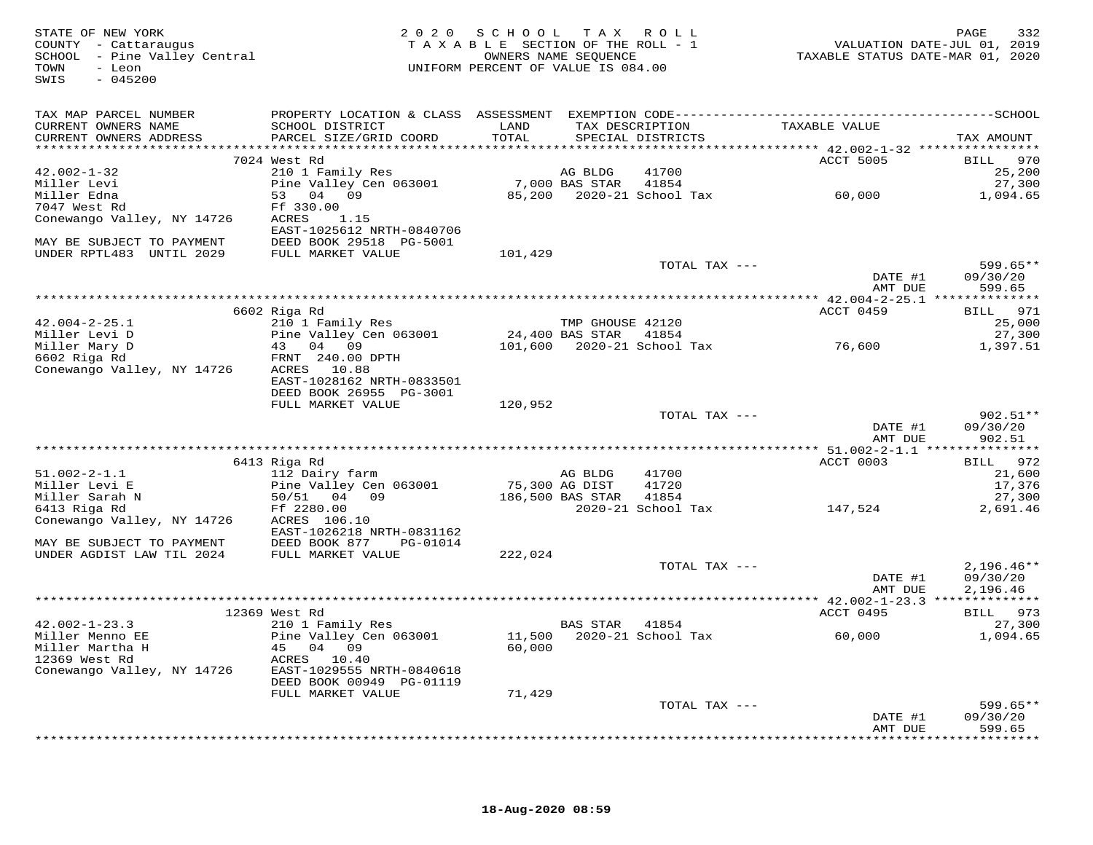| STATE OF NEW YORK<br>COUNTY - Cattaraugus<br>SCHOOL - Pine Valley Central<br>And The Valley Central<br>$-045200$<br>SWIS |                                                                       | 2020 SCHOOL TAX ROLL |                | OWNERS NAME SEQUENCE<br>UNIFORM PERCENT OF VALUE IS 084.00 | rAGE 532<br>VALUATION DATE-JUL 01, 2019<br>TAXABLE STATUS DATE-MAR 01, 2020 | PAGE<br>332            |
|--------------------------------------------------------------------------------------------------------------------------|-----------------------------------------------------------------------|----------------------|----------------|------------------------------------------------------------|-----------------------------------------------------------------------------|------------------------|
| TAX MAP PARCEL NUMBER                                                                                                    |                                                                       |                      |                |                                                            |                                                                             |                        |
| CURRENT OWNERS NAME                                                                                                      | SCHOOL DISTRICT                                                       | LAND                 |                | TAX DESCRIPTION                                            | TAXABLE VALUE                                                               |                        |
| CURRENT OWNERS ADDRESS                                                                                                   | PARCEL SIZE/GRID COORD                                                | TOTAL                |                | SPECIAL DISTRICTS                                          |                                                                             | TAX AMOUNT             |
|                                                                                                                          | 7024 West Rd                                                          |                      |                |                                                            | ACCT 5005                                                                   | BILL 970               |
| $42.002 - 1 - 32$                                                                                                        | 210 1 Family Res                                                      |                      | AG BLDG        | 41700                                                      |                                                                             | 25,200                 |
| Miller Levi<br>Miller Edna<br>7047 West Rd                                                                               | Pine Valley Cen 063001                                                |                      |                | 7,000 BAS STAR 41854                                       |                                                                             | 27,300                 |
|                                                                                                                          | 53 04 09                                                              |                      |                |                                                            |                                                                             | 1,094.65               |
| 7047 West Rd                                                                                                             | Ff 330.00                                                             |                      |                |                                                            |                                                                             |                        |
| Conewango Valley, NY 14726                                                                                               | ACRES<br>1.15                                                         |                      |                |                                                            |                                                                             |                        |
| MAY BE SUBJECT TO PAYMENT                                                                                                | EAST-1025612 NRTH-0840706<br>DEED BOOK 29518 PG-5001                  |                      |                |                                                            |                                                                             |                        |
| UNDER RPTL483 UNTIL 2029                                                                                                 | FULL MARKET VALUE                                                     | 101,429              |                |                                                            |                                                                             |                        |
|                                                                                                                          |                                                                       |                      |                | TOTAL TAX ---                                              |                                                                             | $599.65**$             |
|                                                                                                                          |                                                                       |                      |                |                                                            | DATE #1                                                                     | 09/30/20               |
|                                                                                                                          |                                                                       |                      |                |                                                            | AMT DUE                                                                     | 599.65                 |
|                                                                                                                          |                                                                       |                      |                |                                                            |                                                                             |                        |
|                                                                                                                          | 6602 Riga Rd                                                          |                      |                |                                                            | ACCT 0459                                                                   | BILL 971               |
| $42.004 - 2 - 25.1$                                                                                                      | 210 1 Family Res<br>24,400 BAS STAR 41854<br>Pine Valley Cen 063001   |                      |                |                                                            |                                                                             | 25,000<br>27,300       |
|                                                                                                                          | 43 04 09                                                              |                      |                |                                                            | 101,600 2020-21 School Tax 76,600                                           | 1,397.51               |
| Miller Levi D<br>Miller Mary D<br>6602 Riga Rd<br>6602 Riga Rd                                                           | FRNT 240.00 DPTH                                                      |                      |                |                                                            |                                                                             |                        |
| Conewango Valley, NY 14726                                                                                               | ACRES 10.88                                                           |                      |                |                                                            |                                                                             |                        |
|                                                                                                                          | EAST-1028162 NRTH-0833501                                             |                      |                |                                                            |                                                                             |                        |
|                                                                                                                          | DEED BOOK 26955 PG-3001                                               |                      |                |                                                            |                                                                             |                        |
|                                                                                                                          | FULL MARKET VALUE                                                     | 120,952              |                |                                                            |                                                                             |                        |
|                                                                                                                          |                                                                       |                      |                | TOTAL TAX ---                                              | DATE #1                                                                     | $902.51**$<br>09/30/20 |
|                                                                                                                          |                                                                       |                      |                |                                                            | AMT DUE                                                                     | 902.51                 |
|                                                                                                                          |                                                                       |                      |                |                                                            |                                                                             |                        |
|                                                                                                                          | 6413 Riga Rd                                                          |                      |                |                                                            | ACCT 0003                                                                   | BILL 972               |
| $51.002 - 2 - 1.1$                                                                                                       | 112 Dairy farm                                                        |                      | AG BLDG        | 41700                                                      |                                                                             | 21,600                 |
| Miller Levi E                                                                                                            | Pine Valley Cen 063001 75,300 AG DIST<br>50/51 04 09 186,500 BAS STAR |                      |                | 41720                                                      |                                                                             | 17,376                 |
| Miller Sarah N<br>6413 Riga Rd                                                                                           | Ff 2280.00                                                            |                      |                | 41854                                                      | 2020-21 School Tax 147,524                                                  | 27,300<br>2,691.46     |
| Conewango Valley, NY 14726                                                                                               | ACRES 106.10                                                          |                      |                |                                                            |                                                                             |                        |
|                                                                                                                          | EAST-1026218 NRTH-0831162                                             |                      |                |                                                            |                                                                             |                        |
| MAY BE SUBJECT TO PAYMENT                                                                                                | DEED BOOK 877<br>PG-01014                                             |                      |                |                                                            |                                                                             |                        |
| UNDER AGDIST LAW TIL 2024                                                                                                | FULL MARKET VALUE                                                     | 222,024              |                |                                                            |                                                                             |                        |
|                                                                                                                          |                                                                       |                      |                | TOTAL TAX ---                                              |                                                                             | $2,196.46**$           |
|                                                                                                                          |                                                                       |                      |                |                                                            | DATE #1                                                                     | 09/30/20               |
|                                                                                                                          |                                                                       |                      |                |                                                            | AMT DUE                                                                     | 2,196.46               |
|                                                                                                                          | 12369 West Rd                                                         |                      |                |                                                            | ACCT 0495                                                                   | BILL 973               |
| $42.002 - 1 - 23.3$                                                                                                      | 210 1 Family Res                                                      |                      | BAS STAR 41854 |                                                            |                                                                             | 27,300                 |
|                                                                                                                          | Pine Valley Cen $063001$ 11,500 2020-21 School Tax                    |                      |                |                                                            | 60,000                                                                      | 1,094.65               |
| Miller Menno EE<br>Miller Martha H<br>12369 West Rd                                                                      | 45 04 09                                                              | 60,000               |                |                                                            |                                                                             |                        |
|                                                                                                                          | ACRES 10.40                                                           |                      |                |                                                            |                                                                             |                        |
| Conewango Valley, NY 14726 EAST-1029555 NRTH-0840618                                                                     |                                                                       |                      |                |                                                            |                                                                             |                        |
|                                                                                                                          | DEED BOOK 00949 PG-01119<br>FULL MARKET VALUE                         | 71,429               |                |                                                            |                                                                             |                        |
|                                                                                                                          |                                                                       |                      |                | TOTAL TAX ---                                              |                                                                             | $599.65**$             |
|                                                                                                                          |                                                                       |                      |                |                                                            | DATE #1                                                                     | 09/30/20               |
|                                                                                                                          |                                                                       |                      |                |                                                            | AMT DUE                                                                     | 599.65                 |
|                                                                                                                          |                                                                       |                      |                |                                                            |                                                                             | **********             |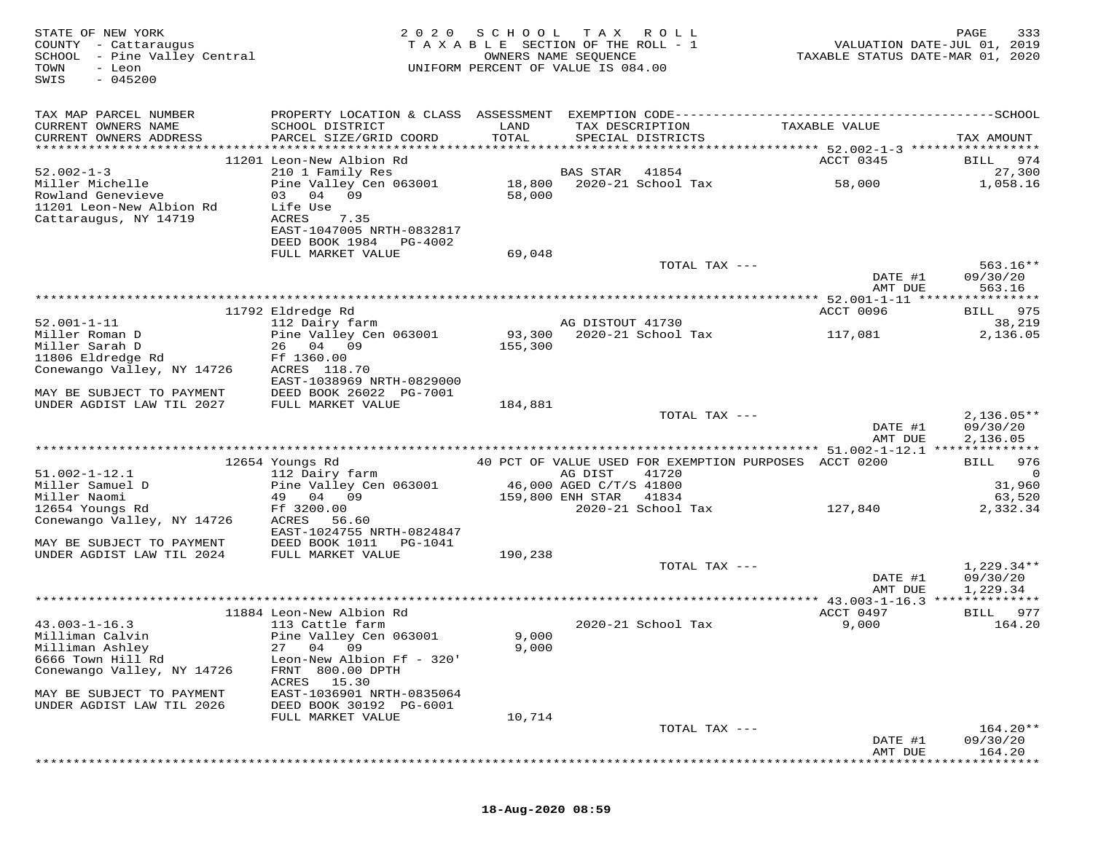| STATE OF NEW YORK<br>COUNTY - Cattaraugus<br>SCHOOL - Pine Valley Central<br>- Leon<br>TOWN<br>$-045200$<br>SWIS | 2 0 2 0                                                         | SCHOOL TAX<br>TAXABLE SECTION OF THE ROLL - 1<br>OWNERS NAME SEQUENCE<br>UNIFORM PERCENT OF VALUE IS 084.00 |                  | R O L L            | TAXABLE STATUS DATE-MAR 01, 2020                      | PAGE<br>333<br>VALUATION DATE-JUL 01, 2019 |
|------------------------------------------------------------------------------------------------------------------|-----------------------------------------------------------------|-------------------------------------------------------------------------------------------------------------|------------------|--------------------|-------------------------------------------------------|--------------------------------------------|
| TAX MAP PARCEL NUMBER                                                                                            |                                                                 |                                                                                                             |                  |                    |                                                       |                                            |
| CURRENT OWNERS NAME<br>CURRENT OWNERS ADDRESS                                                                    | SCHOOL DISTRICT<br>PARCEL SIZE/GRID COORD                       | LAND<br>TOTAL                                                                                               | TAX DESCRIPTION  | SPECIAL DISTRICTS  | TAXABLE VALUE                                         | TAX AMOUNT                                 |
|                                                                                                                  | 11201 Leon-New Albion Rd                                        |                                                                                                             |                  |                    | ACCT 0345                                             | BILL 974                                   |
| $52.002 - 1 - 3$                                                                                                 | 210 1 Family Res                                                |                                                                                                             | BAS STAR         | 41854              |                                                       | 27,300                                     |
| Miller Michelle<br>Rowland Genevieve<br>11201 Leon-New Albion Rd<br>Cattaraugus, NY 14719                        | Pine Valley Cen 063001<br>03 04 09<br>Life Use<br>ACRES<br>7.35 | 18,800<br>58,000                                                                                            |                  | 2020-21 School Tax | 58,000                                                | 1,058.16                                   |
|                                                                                                                  | EAST-1047005 NRTH-0832817<br>DEED BOOK 1984<br>PG-4002          |                                                                                                             |                  |                    |                                                       |                                            |
|                                                                                                                  | FULL MARKET VALUE                                               | 69,048                                                                                                      |                  | TOTAL TAX ---      |                                                       | $563.16**$                                 |
|                                                                                                                  |                                                                 |                                                                                                             |                  |                    | DATE #1<br>AMT DUE                                    | 09/30/20<br>563.16                         |
|                                                                                                                  |                                                                 |                                                                                                             |                  |                    |                                                       |                                            |
|                                                                                                                  | 11792 Eldredge Rd                                               |                                                                                                             |                  |                    | ACCT 0096                                             | 975<br>BILL                                |
| $52.001 - 1 - 11$                                                                                                | 112 Dairy farm                                                  |                                                                                                             | AG DISTOUT 41730 | 2020-21 School Tax |                                                       | 38,219                                     |
| Miller Roman D<br>Miller Sarah D                                                                                 | Pine Valley Cen 063001<br>26 04 09                              | 93,300<br>155,300                                                                                           |                  |                    | 117,081                                               | 2,136.05                                   |
| 11806 Eldredge Rd                                                                                                | Ff 1360.00                                                      |                                                                                                             |                  |                    |                                                       |                                            |
| Conewango Valley, NY 14726                                                                                       | ACRES 118.70                                                    |                                                                                                             |                  |                    |                                                       |                                            |
|                                                                                                                  | EAST-1038969 NRTH-0829000                                       |                                                                                                             |                  |                    |                                                       |                                            |
| MAY BE SUBJECT TO PAYMENT<br>UNDER AGDIST LAW TIL 2027                                                           | DEED BOOK 26022 PG-7001<br>FULL MARKET VALUE                    | 184,881                                                                                                     |                  |                    |                                                       |                                            |
|                                                                                                                  |                                                                 |                                                                                                             |                  | TOTAL TAX ---      |                                                       | $2,136.05**$                               |
|                                                                                                                  |                                                                 |                                                                                                             |                  |                    | DATE #1<br>AMT DUE                                    | 09/30/20<br>2,136.05                       |
|                                                                                                                  |                                                                 |                                                                                                             |                  |                    |                                                       |                                            |
|                                                                                                                  | 12654 Youngs Rd                                                 |                                                                                                             |                  |                    | 40 PCT OF VALUE USED FOR EXEMPTION PURPOSES ACCT 0200 | 976<br>BILL                                |
| $51.002 - 1 - 12.1$<br>Miller Samuel D                                                                           | 112 Dairy farm<br>Pine Valley Cen 063001                        | 46,000 AGED C/T/S 41800                                                                                     | AG DIST          | 41720              |                                                       | 0<br>31,960                                |
| Miller Naomi                                                                                                     | 49 04 09                                                        |                                                                                                             | 159,800 ENH STAR | 41834              |                                                       | 63,520                                     |
| 12654 Youngs Rd                                                                                                  | Ff 3200.00                                                      |                                                                                                             |                  | 2020-21 School Tax | 127,840                                               | 2,332.34                                   |
| Conewango Valley, NY 14726                                                                                       | ACRES<br>56.60<br>EAST-1024755 NRTH-0824847                     |                                                                                                             |                  |                    |                                                       |                                            |
| MAY BE SUBJECT TO PAYMENT                                                                                        | DEED BOOK 1011<br>PG-1041                                       |                                                                                                             |                  |                    |                                                       |                                            |
| UNDER AGDIST LAW TIL 2024                                                                                        | FULL MARKET VALUE                                               | 190,238                                                                                                     |                  |                    |                                                       |                                            |
|                                                                                                                  |                                                                 |                                                                                                             |                  | TOTAL TAX ---      |                                                       | $1,229.34**$                               |
|                                                                                                                  |                                                                 |                                                                                                             |                  |                    | DATE #1                                               | 09/30/20                                   |
|                                                                                                                  |                                                                 |                                                                                                             |                  |                    | AMT DUE                                               | 1,229.34                                   |
|                                                                                                                  | 11884 Leon-New Albion Rd                                        |                                                                                                             |                  |                    | ACCT 0497                                             | BILL 977                                   |
| $43.003 - 1 - 16.3$                                                                                              | 113 Cattle farm                                                 |                                                                                                             |                  | 2020-21 School Tax | 9,000                                                 | 164.20                                     |
| Milliman Calvin                                                                                                  | Pine Valley Cen 063001                                          | 9,000                                                                                                       |                  |                    |                                                       |                                            |
| Milliman Ashley<br>6666 Town Hill Rd                                                                             | 27 04 09<br>Leon-New Albion Ff - 320'                           | 9,000                                                                                                       |                  |                    |                                                       |                                            |
| Conewango Valley, NY 14726                                                                                       | FRNT 800.00 DPTH                                                |                                                                                                             |                  |                    |                                                       |                                            |
|                                                                                                                  | ACRES 15.30                                                     |                                                                                                             |                  |                    |                                                       |                                            |
| MAY BE SUBJECT TO PAYMENT                                                                                        | EAST-1036901 NRTH-0835064                                       |                                                                                                             |                  |                    |                                                       |                                            |
| UNDER AGDIST LAW TIL 2026                                                                                        | DEED BOOK 30192 PG-6001<br>FULL MARKET VALUE                    | 10,714                                                                                                      |                  |                    |                                                       |                                            |
|                                                                                                                  |                                                                 |                                                                                                             |                  | TOTAL TAX $---$    |                                                       | $164.20**$                                 |
|                                                                                                                  |                                                                 |                                                                                                             |                  |                    | DATE #1                                               | 09/30/20                                   |
|                                                                                                                  |                                                                 |                                                                                                             |                  |                    | AMT DUE                                               | 164.20                                     |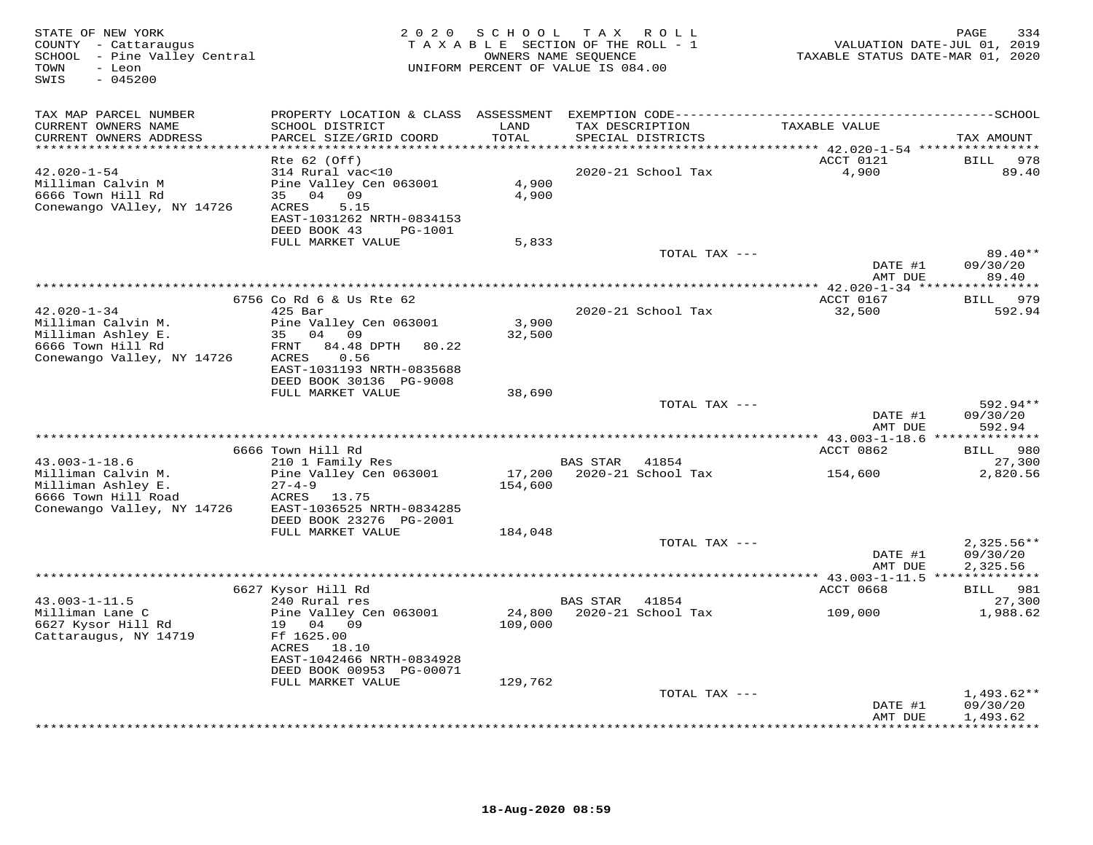| STATE OF NEW YORK<br>COUNTY - Cattaraugus<br>SCHOOL - Pine Valley Central<br>TOWN<br>- Leon<br>$-045200$<br>SWIS | 2 0 2 0                                      |               | SCHOOL TAX ROLL<br>TAXABLE SECTION OF THE ROLL - 1<br>OWNERS NAME SEQUENCE<br>UNIFORM PERCENT OF VALUE IS 084.00 | VALUATION DATE-JUL 01, 2019<br>TAXABLE STATUS DATE-MAR 01, 2020 | 334<br>PAGE                     |
|------------------------------------------------------------------------------------------------------------------|----------------------------------------------|---------------|------------------------------------------------------------------------------------------------------------------|-----------------------------------------------------------------|---------------------------------|
| TAX MAP PARCEL NUMBER                                                                                            |                                              |               |                                                                                                                  |                                                                 |                                 |
| CURRENT OWNERS NAME<br>CURRENT OWNERS ADDRESS                                                                    | SCHOOL DISTRICT<br>PARCEL SIZE/GRID COORD    | LAND<br>TOTAL | TAX DESCRIPTION<br>SPECIAL DISTRICTS                                                                             | TAXABLE VALUE                                                   | TAX AMOUNT                      |
| ******************                                                                                               |                                              | ***********   |                                                                                                                  | *********** 42.020-1-54 *****************                       |                                 |
|                                                                                                                  | $Rte$ 62 (Off)                               |               |                                                                                                                  | ACCT 0121                                                       | <b>BILL</b><br>978              |
| $42.020 - 1 - 54$                                                                                                | 314 Rural vac<10                             |               | 2020-21 School Tax                                                                                               | 4,900                                                           | 89.40                           |
| Milliman Calvin M                                                                                                | Pine Valley Cen 063001                       | 4,900         |                                                                                                                  |                                                                 |                                 |
| 6666 Town Hill Rd                                                                                                | 35 04 09                                     | 4,900         |                                                                                                                  |                                                                 |                                 |
| Conewango VAlley, NY 14726                                                                                       | 5.15<br>ACRES<br>EAST-1031262 NRTH-0834153   |               |                                                                                                                  |                                                                 |                                 |
|                                                                                                                  | DEED BOOK 43<br>PG-1001                      |               |                                                                                                                  |                                                                 |                                 |
|                                                                                                                  | FULL MARKET VALUE                            | 5,833         |                                                                                                                  |                                                                 |                                 |
|                                                                                                                  |                                              |               | TOTAL TAX ---                                                                                                    |                                                                 | $89.40**$                       |
|                                                                                                                  |                                              |               |                                                                                                                  | DATE #1                                                         | 09/30/20                        |
|                                                                                                                  |                                              |               |                                                                                                                  | AMT DUE                                                         | 89.40                           |
|                                                                                                                  |                                              |               |                                                                                                                  |                                                                 |                                 |
| $42.020 - 1 - 34$                                                                                                | 6756 Co Rd 6 & Us Rte 62<br>425 Bar          |               | 2020-21 School Tax                                                                                               | ACCT 0167<br>32,500                                             | 979<br>BILL<br>592.94           |
| Milliman Calvin M.                                                                                               | Pine Valley Cen 063001                       | 3,900         |                                                                                                                  |                                                                 |                                 |
| Milliman Ashley E.                                                                                               | 35 04 09                                     | 32,500        |                                                                                                                  |                                                                 |                                 |
| 6666 Town Hill Rd                                                                                                | FRNT<br>84.48 DPTH<br>80.22                  |               |                                                                                                                  |                                                                 |                                 |
| Conewango Valley, NY 14726                                                                                       | 0.56<br>ACRES                                |               |                                                                                                                  |                                                                 |                                 |
|                                                                                                                  | EAST-1031193 NRTH-0835688                    |               |                                                                                                                  |                                                                 |                                 |
|                                                                                                                  | DEED BOOK 30136 PG-9008<br>FULL MARKET VALUE | 38,690        |                                                                                                                  |                                                                 |                                 |
|                                                                                                                  |                                              |               | TOTAL TAX ---                                                                                                    |                                                                 | 592.94**                        |
|                                                                                                                  |                                              |               |                                                                                                                  | DATE #1                                                         | 09/30/20                        |
|                                                                                                                  |                                              |               |                                                                                                                  | AMT DUE                                                         | 592.94                          |
|                                                                                                                  |                                              |               |                                                                                                                  |                                                                 |                                 |
|                                                                                                                  | 6666 Town Hill Rd                            |               |                                                                                                                  | ACCT 0862                                                       | 980<br><b>BILL</b>              |
| $43.003 - 1 - 18.6$<br>Milliman Calvin M.                                                                        | 210 1 Family Res                             | 17,200        | BAS STAR 41854<br>2020-21 School Tax                                                                             |                                                                 | 27,300<br>2,820.56              |
| Milliman Ashley E.                                                                                               | Pine Valley Cen 063001<br>$27 - 4 - 9$       | 154,600       |                                                                                                                  | 154,600                                                         |                                 |
| 6666 Town Hill Road                                                                                              | ACRES 13.75                                  |               |                                                                                                                  |                                                                 |                                 |
| Conewango Valley, NY 14726                                                                                       | EAST-1036525 NRTH-0834285                    |               |                                                                                                                  |                                                                 |                                 |
|                                                                                                                  | DEED BOOK 23276 PG-2001                      |               |                                                                                                                  |                                                                 |                                 |
|                                                                                                                  | FULL MARKET VALUE                            | 184,048       |                                                                                                                  |                                                                 |                                 |
|                                                                                                                  |                                              |               | TOTAL TAX ---                                                                                                    |                                                                 | $2,325.56**$<br>09/30/20        |
|                                                                                                                  |                                              |               |                                                                                                                  | DATE #1<br>AMT DUE                                              | 2,325.56                        |
|                                                                                                                  |                                              |               |                                                                                                                  |                                                                 |                                 |
|                                                                                                                  | 6627 Kysor Hill Rd                           |               |                                                                                                                  | ACCT 0668                                                       | BILL 981                        |
| $43.003 - 1 - 11.5$                                                                                              | 240 Rural res                                |               | BAS STAR<br>41854                                                                                                |                                                                 | 27,300                          |
| Milliman Lane C                                                                                                  | Pine Valley Cen 063001                       | 24,800        | 2020-21 School Tax                                                                                               | 109,000                                                         | 1,988.62                        |
| 6627 Kysor Hill Rd                                                                                               | 19 04 09                                     | 109,000       |                                                                                                                  |                                                                 |                                 |
| Cattaraugus, NY 14719                                                                                            | Ff 1625.00<br>ACRES 18.10                    |               |                                                                                                                  |                                                                 |                                 |
|                                                                                                                  | EAST-1042466 NRTH-0834928                    |               |                                                                                                                  |                                                                 |                                 |
|                                                                                                                  | DEED BOOK 00953 PG-00071                     |               |                                                                                                                  |                                                                 |                                 |
|                                                                                                                  | FULL MARKET VALUE                            | 129,762       |                                                                                                                  |                                                                 |                                 |
|                                                                                                                  |                                              |               | TOTAL TAX ---                                                                                                    |                                                                 | $1,493.62**$                    |
|                                                                                                                  |                                              |               |                                                                                                                  | DATE #1                                                         | 09/30/20                        |
|                                                                                                                  |                                              |               |                                                                                                                  | AMT DUE                                                         | 1,493.62<br>+ + + + + + + + + + |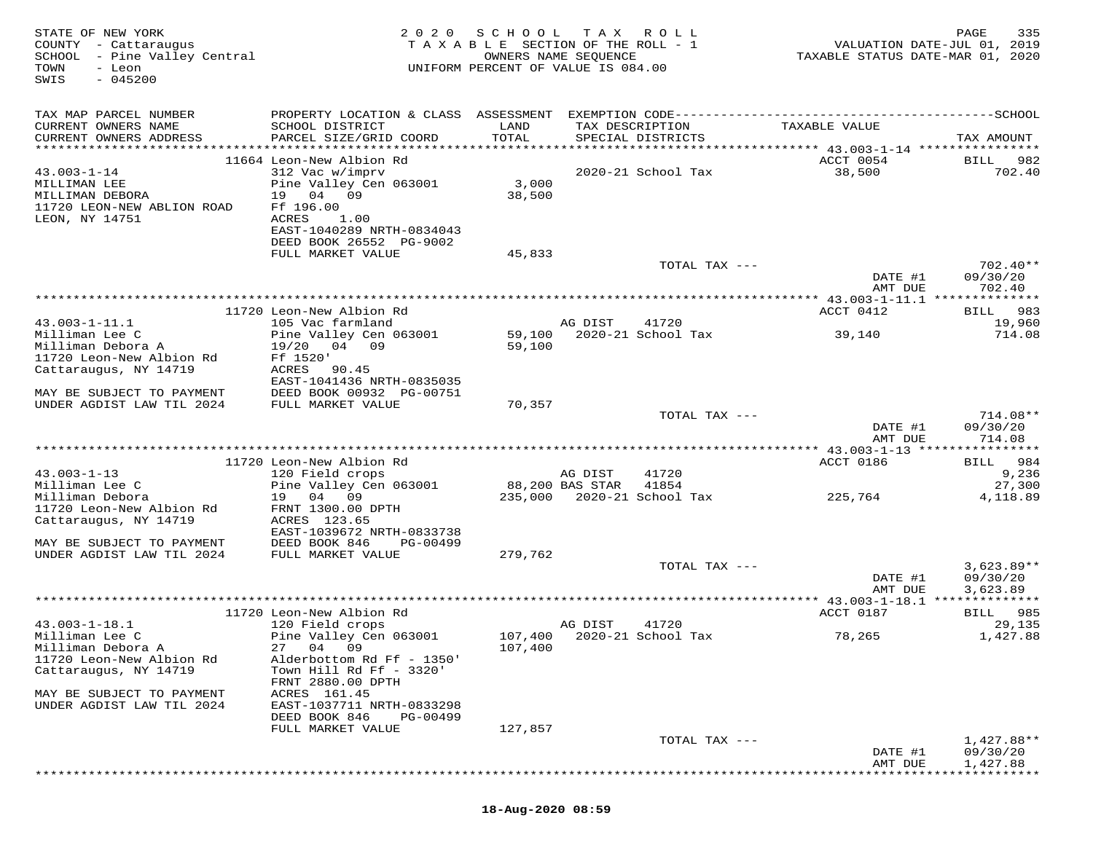| STATE OF NEW YORK<br>COUNTY - Cattaraugus<br>SCHOOL - Pine Valley Central<br>TOWN<br>- Leon<br>$-045200$<br>SWIS | 2 0 2 0                                                                                                             | SCHOOL<br>TAXABLE SECTION OF THE ROLL - 1<br>UNIFORM PERCENT OF VALUE IS 084.00 | T A X<br>OWNERS NAME SEQUENCE | ROLL                                 | VALUATION DATE-JUL 01, 2019<br>TAXABLE STATUS DATE-MAR 01, 2020 | 335<br>PAGE                          |
|------------------------------------------------------------------------------------------------------------------|---------------------------------------------------------------------------------------------------------------------|---------------------------------------------------------------------------------|-------------------------------|--------------------------------------|-----------------------------------------------------------------|--------------------------------------|
| TAX MAP PARCEL NUMBER                                                                                            |                                                                                                                     |                                                                                 |                               |                                      |                                                                 |                                      |
| CURRENT OWNERS NAME<br>CURRENT OWNERS ADDRESS                                                                    | SCHOOL DISTRICT<br>PARCEL SIZE/GRID COORD                                                                           | LAND<br>TOTAL                                                                   |                               | TAX DESCRIPTION<br>SPECIAL DISTRICTS | TAXABLE VALUE                                                   | TAX AMOUNT                           |
|                                                                                                                  | 11664 Leon-New Albion Rd                                                                                            |                                                                                 |                               |                                      | ACCT 0054                                                       | BILL 982                             |
| $43.003 - 1 - 14$<br>MILLIMAN LEE<br>MILLIMAN DEBORA<br>11720 LEON-NEW ABLION ROAD<br>LEON, NY 14751             | 312 Vac w/imprv<br>Pine Valley Cen 063001<br>19 04<br>09<br>Ff 196.00<br>ACRES<br>1.00<br>EAST-1040289 NRTH-0834043 | 3,000<br>38,500                                                                 |                               | 2020-21 School Tax                   | 38,500                                                          | 702.40                               |
|                                                                                                                  | DEED BOOK 26552 PG-9002<br>FULL MARKET VALUE                                                                        | 45,833                                                                          |                               |                                      |                                                                 |                                      |
|                                                                                                                  |                                                                                                                     |                                                                                 |                               | TOTAL TAX ---                        | DATE #1                                                         | $702.40**$<br>09/30/20               |
|                                                                                                                  |                                                                                                                     |                                                                                 |                               |                                      | AMT DUE                                                         | 702.40                               |
|                                                                                                                  | 11720 Leon-New Albion Rd                                                                                            |                                                                                 |                               |                                      | ACCT 0412                                                       | 983<br>BILL                          |
| $43.003 - 1 - 11.1$                                                                                              | 105 Vac farmland                                                                                                    |                                                                                 | AG DIST                       | 41720                                |                                                                 | 19,960                               |
| Milliman Lee C                                                                                                   | Pine Valley Cen 063001                                                                                              | 59,100                                                                          |                               | 2020-21 School Tax                   | 39,140                                                          | 714.08                               |
| Milliman Debora A<br>11720 Leon-New Albion Rd                                                                    | 19/20<br>04 09<br>Ff 1520'                                                                                          | 59,100                                                                          |                               |                                      |                                                                 |                                      |
| Cattaraugus, NY 14719                                                                                            | ACRES<br>90.45                                                                                                      |                                                                                 |                               |                                      |                                                                 |                                      |
| MAY BE SUBJECT TO PAYMENT                                                                                        | EAST-1041436 NRTH-0835035<br>DEED BOOK 00932 PG-00751                                                               |                                                                                 |                               |                                      |                                                                 |                                      |
| UNDER AGDIST LAW TIL 2024                                                                                        | FULL MARKET VALUE                                                                                                   | 70,357                                                                          |                               |                                      |                                                                 |                                      |
|                                                                                                                  |                                                                                                                     |                                                                                 |                               | TOTAL TAX ---                        | DATE #1<br>AMT DUE                                              | 714.08**<br>09/30/20<br>714.08       |
|                                                                                                                  |                                                                                                                     |                                                                                 |                               |                                      |                                                                 |                                      |
|                                                                                                                  | 11720 Leon-New Albion Rd                                                                                            |                                                                                 |                               |                                      | ACCT 0186                                                       | BILL 984                             |
| $43.003 - 1 - 13$<br>Milliman Lee C                                                                              | 120 Field crops<br>Pine Valley Cen 063001                                                                           |                                                                                 | AG DIST<br>88,200 BAS STAR    | 41720<br>41854                       |                                                                 | 9,236<br>27,300                      |
| Milliman Debora<br>11720 Leon-New Albion Rd<br>Cattaraugus, NY 14719                                             | 19 04 09<br>FRNT 1300.00 DPTH<br>ACRES 123.65                                                                       |                                                                                 |                               | 235,000 2020-21 School Tax           | 225,764                                                         | 4,118.89                             |
| MAY BE SUBJECT TO PAYMENT                                                                                        | EAST-1039672 NRTH-0833738<br>DEED BOOK 846<br>PG-00499                                                              |                                                                                 |                               |                                      |                                                                 |                                      |
| UNDER AGDIST LAW TIL 2024                                                                                        | FULL MARKET VALUE                                                                                                   | 279,762                                                                         |                               |                                      |                                                                 |                                      |
|                                                                                                                  |                                                                                                                     |                                                                                 |                               | TOTAL TAX ---                        | DATE #1<br>AMT DUE                                              | $3,623.89**$<br>09/30/20<br>3,623.89 |
|                                                                                                                  |                                                                                                                     |                                                                                 |                               |                                      |                                                                 |                                      |
|                                                                                                                  | 11720 Leon-New Albion Rd                                                                                            |                                                                                 |                               |                                      | ACCT 0187                                                       | BILL 985                             |
| $43.003 - 1 - 18.1$<br>Milliman Lee C                                                                            | 120 Field crops<br>Pine Valley Cen 063001                                                                           |                                                                                 | AG DIST                       | 41720<br>107,400 2020-21 School Tax  | 78,265                                                          | 29,135<br>1,427.88                   |
| Milliman Debora A                                                                                                | 27 04 09                                                                                                            | 107,400                                                                         |                               |                                      |                                                                 |                                      |
| 11720 Leon-New Albion Rd<br>Cattaraugus, NY 14719                                                                | Alderbottom Rd Ff - 1350'<br>Town Hill Rd Ff $-$ 3320'<br>FRNT 2880.00 DPTH                                         |                                                                                 |                               |                                      |                                                                 |                                      |
| MAY BE SUBJECT TO PAYMENT<br>UNDER AGDIST LAW TIL 2024                                                           | ACRES 161.45<br>EAST-1037711 NRTH-0833298                                                                           |                                                                                 |                               |                                      |                                                                 |                                      |
|                                                                                                                  | DEED BOOK 846<br>PG-00499                                                                                           |                                                                                 |                               |                                      |                                                                 |                                      |
|                                                                                                                  | FULL MARKET VALUE                                                                                                   | 127,857                                                                         |                               |                                      |                                                                 |                                      |
|                                                                                                                  |                                                                                                                     |                                                                                 |                               | TOTAL TAX ---                        | DATE #1                                                         | 1,427.88**<br>09/30/20               |
|                                                                                                                  |                                                                                                                     |                                                                                 |                               |                                      | AMT DUE                                                         | 1,427.88                             |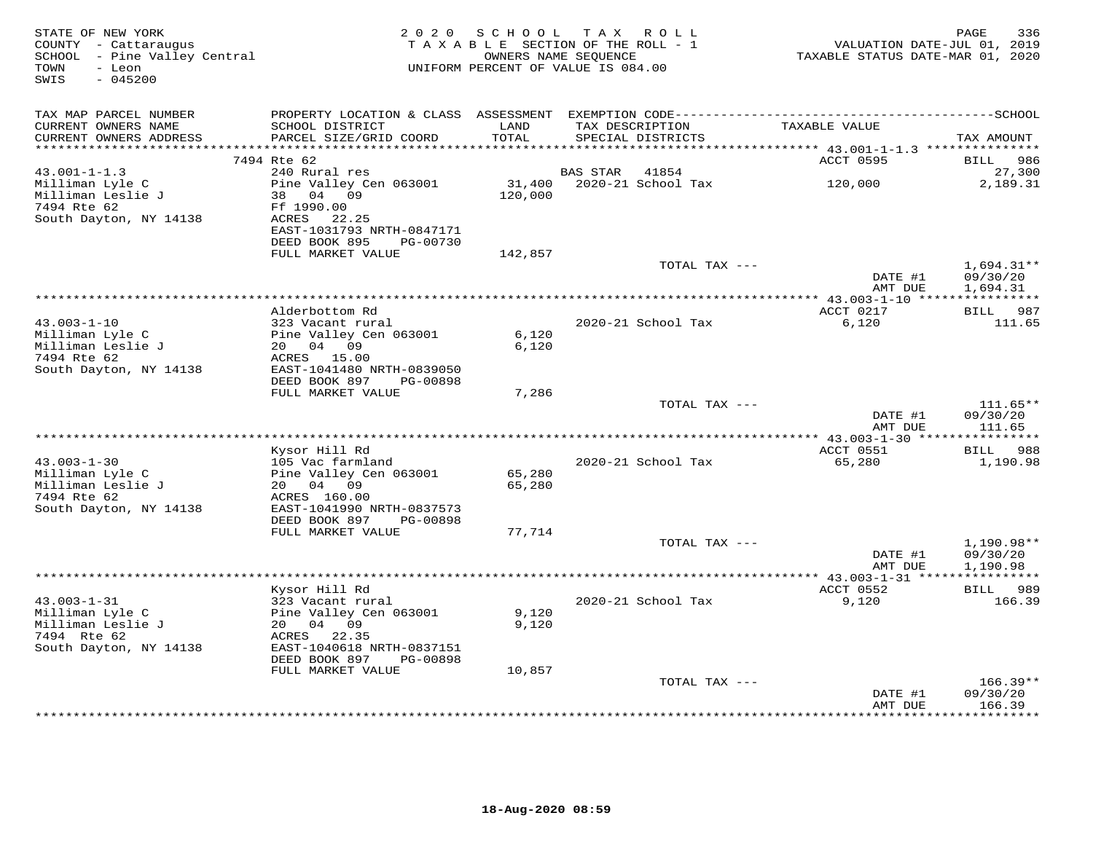| STATE OF NEW YORK<br>COUNTY - Cattaraugus<br>SCHOOL - Pine Valley Central<br>- Leon<br>TOWN<br>$-045200$<br>SWIS | 2 0 2 0                                                   | SCHOOL TAX<br>TAXABLE SECTION OF THE ROLL - 1<br>OWNERS NAME SEQUENCE<br>UNIFORM PERCENT OF VALUE IS 084.00 |                 | R O L L                              | VALUATION DATE-JUL 01, 2019<br>TAXABLE STATUS DATE-MAR 01, 2020  | PAGE<br>336              |
|------------------------------------------------------------------------------------------------------------------|-----------------------------------------------------------|-------------------------------------------------------------------------------------------------------------|-----------------|--------------------------------------|------------------------------------------------------------------|--------------------------|
| TAX MAP PARCEL NUMBER                                                                                            |                                                           |                                                                                                             |                 |                                      |                                                                  |                          |
| CURRENT OWNERS NAME<br>CURRENT OWNERS ADDRESS                                                                    | SCHOOL DISTRICT<br>PARCEL SIZE/GRID COORD                 | LAND<br>TOTAL                                                                                               |                 | TAX DESCRIPTION<br>SPECIAL DISTRICTS | TAXABLE VALUE                                                    | TAX AMOUNT               |
| **********************                                                                                           |                                                           |                                                                                                             |                 |                                      | *********************************** 43.001-1-1.3 *************** |                          |
| $43.001 - 1 - 1.3$                                                                                               | 7494 Rte 62<br>240 Rural res                              |                                                                                                             | <b>BAS STAR</b> | 41854                                | ACCT 0595                                                        | BILL<br>986<br>27,300    |
| Milliman Lyle C<br>Milliman Leslie J                                                                             | Pine Valley Cen 063001<br>38 04 09                        | 31,400<br>120,000                                                                                           |                 | 2020-21 School Tax                   | 120,000                                                          | 2,189.31                 |
| 7494 Rte 62<br>South Dayton, NY 14138                                                                            | Ff 1990.00<br>ACRES<br>22.25<br>EAST-1031793 NRTH-0847171 |                                                                                                             |                 |                                      |                                                                  |                          |
|                                                                                                                  | DEED BOOK 895<br>PG-00730<br>FULL MARKET VALUE            | 142,857                                                                                                     |                 |                                      |                                                                  |                          |
|                                                                                                                  |                                                           |                                                                                                             |                 | TOTAL TAX ---                        | DATE #1                                                          | $1,694.31**$<br>09/30/20 |
|                                                                                                                  |                                                           |                                                                                                             |                 |                                      | AMT DUE                                                          | 1,694.31                 |
|                                                                                                                  |                                                           |                                                                                                             |                 |                                      |                                                                  |                          |
| $43.003 - 1 - 10$                                                                                                | Alderbottom Rd<br>323 Vacant rural                        |                                                                                                             |                 | 2020-21 School Tax                   | ACCT 0217<br>6,120                                               | BILL 987<br>111.65       |
| Milliman Lyle C                                                                                                  | Pine Valley Cen 063001                                    | 6,120                                                                                                       |                 |                                      |                                                                  |                          |
| Milliman Leslie J                                                                                                | 20 04 09                                                  | 6,120                                                                                                       |                 |                                      |                                                                  |                          |
| 7494 Rte 62                                                                                                      | ACRES 15.00                                               |                                                                                                             |                 |                                      |                                                                  |                          |
| South Dayton, NY 14138                                                                                           | EAST-1041480 NRTH-0839050                                 |                                                                                                             |                 |                                      |                                                                  |                          |
|                                                                                                                  | DEED BOOK 897<br>PG-00898                                 |                                                                                                             |                 |                                      |                                                                  |                          |
|                                                                                                                  | FULL MARKET VALUE                                         | 7,286                                                                                                       |                 |                                      |                                                                  | $111.65**$               |
|                                                                                                                  |                                                           |                                                                                                             |                 | TOTAL TAX ---                        | DATE #1                                                          | 09/30/20                 |
|                                                                                                                  |                                                           |                                                                                                             |                 |                                      | AMT DUE                                                          | 111.65                   |
|                                                                                                                  |                                                           | **************************************                                                                      |                 |                                      | ***** 43.003-1-30 ****************                               |                          |
|                                                                                                                  | Kysor Hill Rd                                             |                                                                                                             |                 |                                      | ACCT 0551                                                        | BILL 988                 |
| $43.003 - 1 - 30$                                                                                                | 105 Vac farmland                                          |                                                                                                             |                 | 2020-21 School Tax                   | 65,280                                                           | 1,190.98                 |
| Milliman Lyle C                                                                                                  | Pine Valley Cen 063001                                    | 65,280                                                                                                      |                 |                                      |                                                                  |                          |
| Milliman Leslie J<br>7494 Rte 62                                                                                 | 20 04 09<br>ACRES 160.00                                  | 65,280                                                                                                      |                 |                                      |                                                                  |                          |
| South Dayton, NY 14138                                                                                           | EAST-1041990 NRTH-0837573                                 |                                                                                                             |                 |                                      |                                                                  |                          |
|                                                                                                                  | DEED BOOK 897<br>PG-00898                                 |                                                                                                             |                 |                                      |                                                                  |                          |
|                                                                                                                  | FULL MARKET VALUE                                         | 77,714                                                                                                      |                 |                                      |                                                                  |                          |
|                                                                                                                  |                                                           |                                                                                                             |                 | TOTAL TAX ---                        |                                                                  | 1,190.98**               |
|                                                                                                                  |                                                           |                                                                                                             |                 |                                      | DATE #1                                                          | 09/30/20                 |
|                                                                                                                  |                                                           |                                                                                                             |                 |                                      | AMT DUE                                                          | 1,190.98                 |
|                                                                                                                  | Kysor Hill Rd                                             |                                                                                                             |                 |                                      | ACCT 0552                                                        | BILL 989                 |
| $43.003 - 1 - 31$                                                                                                | 323 Vacant rural                                          |                                                                                                             |                 | 2020-21 School Tax                   | 9,120                                                            | 166.39                   |
| Milliman Lyle C                                                                                                  | Pine Valley Cen 063001                                    | 9,120                                                                                                       |                 |                                      |                                                                  |                          |
| Milliman Leslie J                                                                                                | 20  04  09                                                | 9,120                                                                                                       |                 |                                      |                                                                  |                          |
| 7494 Rte 62                                                                                                      | ACRES 22.35                                               |                                                                                                             |                 |                                      |                                                                  |                          |
| South Dayton, NY 14138                                                                                           | EAST-1040618 NRTH-0837151<br>DEED BOOK 897<br>PG-00898    |                                                                                                             |                 |                                      |                                                                  |                          |
|                                                                                                                  | FULL MARKET VALUE                                         | 10,857                                                                                                      |                 |                                      |                                                                  |                          |
|                                                                                                                  |                                                           |                                                                                                             |                 | TOTAL TAX ---                        |                                                                  | $166.39**$               |
|                                                                                                                  |                                                           |                                                                                                             |                 |                                      | DATE #1<br>AMT DUE                                               | 09/30/20<br>166.39       |
|                                                                                                                  |                                                           |                                                                                                             |                 |                                      |                                                                  | *********                |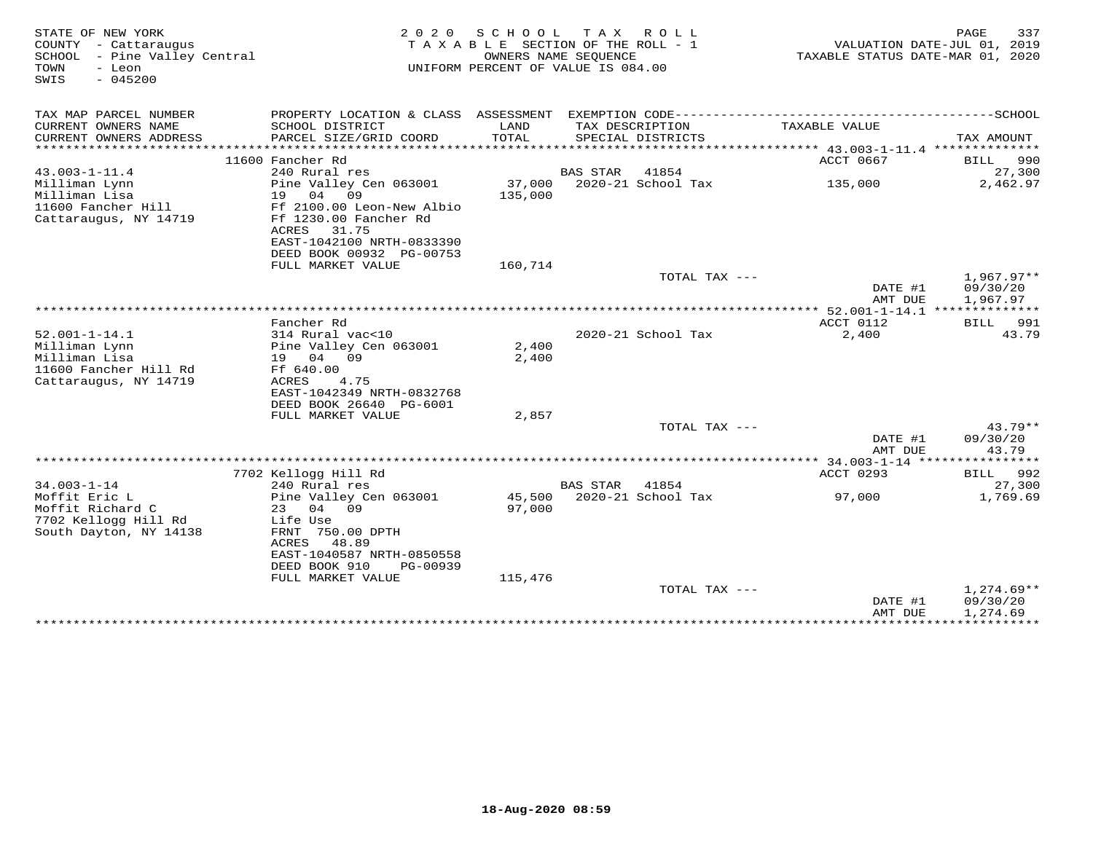| STATE OF NEW YORK<br>COUNTY - Cattaraugus<br>SCHOOL - Pine Valley Central<br>- Leon<br>TOWN<br>$-045200$<br>SWIS | 2 0 2 0                                                                                                                                      | SCHOOL<br>TAXABLE SECTION OF THE ROLL - 1<br>OWNERS NAME SEQUENCE<br>UNIFORM PERCENT OF VALUE IS 084.00 | T A X           | ROLL                                 | VALUATION DATE-JUL 01, 2019<br>TAXABLE STATUS DATE-MAR 01, 2020 | PAGE<br>337                          |
|------------------------------------------------------------------------------------------------------------------|----------------------------------------------------------------------------------------------------------------------------------------------|---------------------------------------------------------------------------------------------------------|-----------------|--------------------------------------|-----------------------------------------------------------------|--------------------------------------|
| TAX MAP PARCEL NUMBER                                                                                            | PROPERTY LOCATION & CLASS ASSESSMENT EXEMPTION CODE-----------------------------------SCHOOL                                                 |                                                                                                         |                 |                                      |                                                                 |                                      |
| CURRENT OWNERS NAME<br>CURRENT OWNERS ADDRESS<br>********************                                            | SCHOOL DISTRICT<br>PARCEL SIZE/GRID COORD                                                                                                    | LAND<br>TOTAL                                                                                           |                 | TAX DESCRIPTION<br>SPECIAL DISTRICTS | TAXABLE VALUE                                                   | TAX AMOUNT                           |
|                                                                                                                  |                                                                                                                                              |                                                                                                         |                 |                                      |                                                                 |                                      |
| $43.003 - 1 - 11.4$                                                                                              | 11600 Fancher Rd<br>240 Rural res                                                                                                            |                                                                                                         | <b>BAS STAR</b> | 41854                                | ACCT 0667                                                       | 990<br>BILL<br>27,300                |
| Milliman Lynn<br>Milliman Lisa<br>11600 Fancher Hill<br>Cattaraugus, NY 14719                                    | Pine Valley Cen 063001<br>19 04<br>09<br>Ff 2100.00 Leon-New Albio<br>Ff 1230.00 Fancher Rd<br>31.75<br>ACRES                                | 37,000<br>135,000                                                                                       |                 | 2020-21 School Tax                   | 135,000                                                         | 2,462.97                             |
|                                                                                                                  | EAST-1042100 NRTH-0833390<br>DEED BOOK 00932 PG-00753                                                                                        |                                                                                                         |                 |                                      |                                                                 |                                      |
|                                                                                                                  | FULL MARKET VALUE                                                                                                                            | 160,714                                                                                                 |                 |                                      |                                                                 |                                      |
|                                                                                                                  |                                                                                                                                              |                                                                                                         |                 | TOTAL TAX ---                        | DATE #1<br>AMT DUE                                              | $1,967.97**$<br>09/30/20<br>1,967.97 |
|                                                                                                                  |                                                                                                                                              |                                                                                                         |                 |                                      |                                                                 |                                      |
|                                                                                                                  | Fancher Rd                                                                                                                                   |                                                                                                         |                 |                                      | ACCT 0112                                                       | BILL 991                             |
| $52.001 - 1 - 14.1$<br>Milliman Lynn<br>Milliman Lisa<br>11600 Fancher Hill Rd<br>Cattaraugus, NY 14719          | 314 Rural vac<10<br>Pine Valley Cen 063001<br>19 04 09<br>Ff 640.00<br>ACRES<br>4.75<br>EAST-1042349 NRTH-0832768<br>DEED BOOK 26640 PG-6001 | 2,400<br>2,400                                                                                          |                 | 2020-21 School Tax                   | 2,400                                                           | 43.79                                |
|                                                                                                                  | FULL MARKET VALUE                                                                                                                            | 2,857                                                                                                   |                 |                                      |                                                                 |                                      |
|                                                                                                                  |                                                                                                                                              |                                                                                                         |                 | TOTAL TAX $---$                      |                                                                 | $43.79**$                            |
|                                                                                                                  |                                                                                                                                              |                                                                                                         |                 |                                      | DATE #1<br>AMT DUE                                              | 09/30/20<br>43.79                    |
|                                                                                                                  |                                                                                                                                              |                                                                                                         |                 |                                      |                                                                 |                                      |
|                                                                                                                  | 7702 Kellogg Hill Rd                                                                                                                         |                                                                                                         |                 |                                      | ACCT 0293                                                       | BILL 992                             |
| $34.003 - 1 - 14$<br>Moffit Eric L<br>Moffit Richard C<br>7702 Kellogg Hill Rd                                   | 240 Rural res<br>Pine Valley Cen 063001<br>23<br>04 09<br>Life Use                                                                           | 97,000                                                                                                  | <b>BAS STAR</b> | 41854<br>45,500 2020-21 School Tax   | 97,000                                                          | 27,300<br>1,769.69                   |
| South Dayton, NY 14138                                                                                           | FRNT 750.00 DPTH<br>ACRES<br>48.89<br>EAST-1040587 NRTH-0850558<br>DEED BOOK 910<br>PG-00939<br>FULL MARKET VALUE                            | 115,476                                                                                                 |                 |                                      |                                                                 |                                      |
|                                                                                                                  |                                                                                                                                              |                                                                                                         |                 | TOTAL TAX ---                        |                                                                 | $1,274.69**$                         |
|                                                                                                                  |                                                                                                                                              |                                                                                                         |                 |                                      | DATE #1<br>AMT DUE<br>******************************            | 09/30/20<br>1,274.69                 |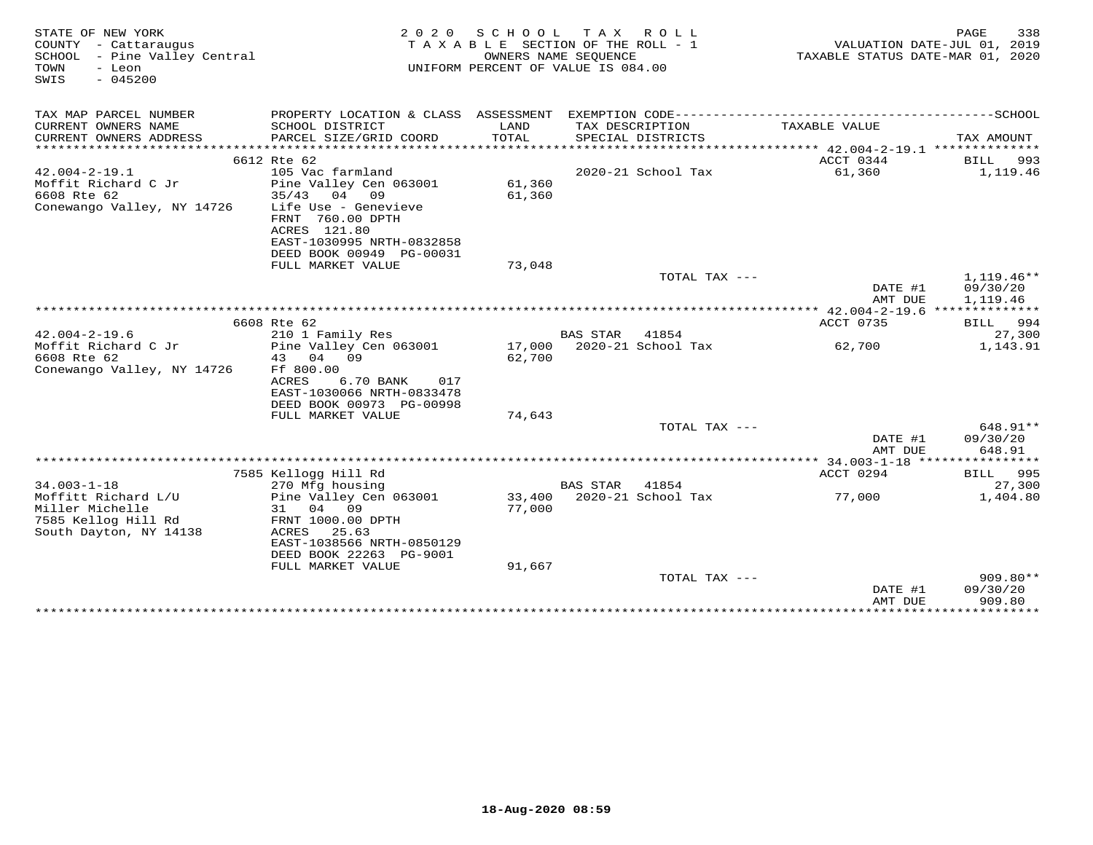| STATE OF NEW YORK<br>COUNTY - Cattaraugus<br>SCHOOL - Pine Valley Central<br>TOWN<br>- Leon<br>$-045200$<br>SWIS | 2 0 2 0                                       | SCHOOL<br>TAXABLE SECTION OF THE ROLL - 1<br>OWNERS NAME SEQUENCE<br>UNIFORM PERCENT OF VALUE IS 084.00 | TAX ROLL        |                            | TAXABLE STATUS DATE-MAR 01, 2020 | 338<br>PAGE<br>VALUATION DATE-JUL 01, 2019 |
|------------------------------------------------------------------------------------------------------------------|-----------------------------------------------|---------------------------------------------------------------------------------------------------------|-----------------|----------------------------|----------------------------------|--------------------------------------------|
| TAX MAP PARCEL NUMBER                                                                                            |                                               |                                                                                                         |                 |                            |                                  |                                            |
| CURRENT OWNERS NAME                                                                                              | SCHOOL DISTRICT                               | LAND                                                                                                    | TAX DESCRIPTION |                            | TAXABLE VALUE                    |                                            |
| CURRENT OWNERS ADDRESS                                                                                           | PARCEL SIZE/GRID COORD                        | TOTAL                                                                                                   |                 | SPECIAL DISTRICTS          |                                  | TAX AMOUNT                                 |
|                                                                                                                  | 6612 Rte 62                                   |                                                                                                         |                 |                            | ACCT 0344                        | BILL 993                                   |
| $42.004 - 2 - 19.1$                                                                                              | 105 Vac farmland                              |                                                                                                         |                 | 2020-21 School Tax         | 61,360                           | 1,119.46                                   |
| Moffit Richard C Jr                                                                                              | Pine Valley Cen 063001                        | 61,360                                                                                                  |                 |                            |                                  |                                            |
| 6608 Rte 62                                                                                                      | $35/43$ 04 09                                 | 61,360                                                                                                  |                 |                            |                                  |                                            |
| Conewango Valley, NY 14726                                                                                       | Life Use - Genevieve                          |                                                                                                         |                 |                            |                                  |                                            |
|                                                                                                                  | FRNT 760.00 DPTH                              |                                                                                                         |                 |                            |                                  |                                            |
|                                                                                                                  | ACRES 121.80                                  |                                                                                                         |                 |                            |                                  |                                            |
|                                                                                                                  | EAST-1030995 NRTH-0832858                     |                                                                                                         |                 |                            |                                  |                                            |
|                                                                                                                  | DEED BOOK 00949 PG-00031<br>FULL MARKET VALUE | 73,048                                                                                                  |                 |                            |                                  |                                            |
|                                                                                                                  |                                               |                                                                                                         |                 | TOTAL TAX ---              |                                  | $1,119.46**$                               |
|                                                                                                                  |                                               |                                                                                                         |                 |                            | DATE #1                          | 09/30/20                                   |
|                                                                                                                  |                                               |                                                                                                         |                 |                            | AMT DUE                          | 1,119.46                                   |
|                                                                                                                  |                                               |                                                                                                         |                 |                            |                                  |                                            |
|                                                                                                                  | 6608 Rte 62                                   |                                                                                                         |                 |                            | ACCT 0735                        | BILL 994                                   |
| $42.004 - 2 - 19.6$                                                                                              | 210 1 Family Res                              |                                                                                                         | <b>BAS STAR</b> | 41854                      |                                  | 27,300                                     |
| Moffit Richard C Jr<br>6608 Rte 62                                                                               | Pine Valley Cen 063001<br>04<br>43<br>09      | 62,700                                                                                                  |                 | 17,000 2020-21 School Tax  | 62,700                           | 1,143.91                                   |
| Conewango Valley, NY 14726                                                                                       | Ff 800.00                                     |                                                                                                         |                 |                            |                                  |                                            |
|                                                                                                                  | <b>ACRES</b><br>6.70 BANK<br>017              |                                                                                                         |                 |                            |                                  |                                            |
|                                                                                                                  | EAST-1030066 NRTH-0833478                     |                                                                                                         |                 |                            |                                  |                                            |
|                                                                                                                  | DEED BOOK 00973 PG-00998                      |                                                                                                         |                 |                            |                                  |                                            |
|                                                                                                                  | FULL MARKET VALUE                             | 74,643                                                                                                  |                 |                            |                                  |                                            |
|                                                                                                                  |                                               |                                                                                                         |                 | TOTAL TAX ---              |                                  | 648.91**                                   |
|                                                                                                                  |                                               |                                                                                                         |                 |                            | DATE #1                          | 09/30/20                                   |
|                                                                                                                  |                                               |                                                                                                         |                 |                            | AMT DUE                          | 648.91                                     |
|                                                                                                                  | 7585 Kellogg Hill Rd                          |                                                                                                         |                 |                            | ACCT 0294                        | <b>BILL</b> 995                            |
| $34.003 - 1 - 18$                                                                                                | 270 Mfg housing                               |                                                                                                         | BAS STAR        | 41854                      |                                  | 27,300                                     |
| Moffitt Richard L/U                                                                                              | Pine Valley Cen 063001                        |                                                                                                         |                 | 33,400 2020-21 School Tax  | 77,000                           | 1,404.80                                   |
| Miller Michelle                                                                                                  | 04 09<br>31                                   | 77,000                                                                                                  |                 |                            |                                  |                                            |
| 7585 Kellog Hill Rd                                                                                              | FRNT 1000.00 DPTH                             |                                                                                                         |                 |                            |                                  |                                            |
| South Dayton, NY 14138                                                                                           | ACRES<br>25.63                                |                                                                                                         |                 |                            |                                  |                                            |
|                                                                                                                  | EAST-1038566 NRTH-0850129                     |                                                                                                         |                 |                            |                                  |                                            |
|                                                                                                                  | DEED BOOK 22263 PG-9001<br>FULL MARKET VALUE  | 91,667                                                                                                  |                 |                            |                                  |                                            |
|                                                                                                                  |                                               |                                                                                                         |                 | TOTAL TAX ---              |                                  | $909.80**$                                 |
|                                                                                                                  |                                               |                                                                                                         |                 |                            | DATE #1                          | 09/30/20                                   |
|                                                                                                                  |                                               |                                                                                                         |                 |                            | AMT DUE                          | 909.80                                     |
|                                                                                                                  |                                               |                                                                                                         |                 | ************************** | * * * * * * * * * * * * * * * *  | ************                               |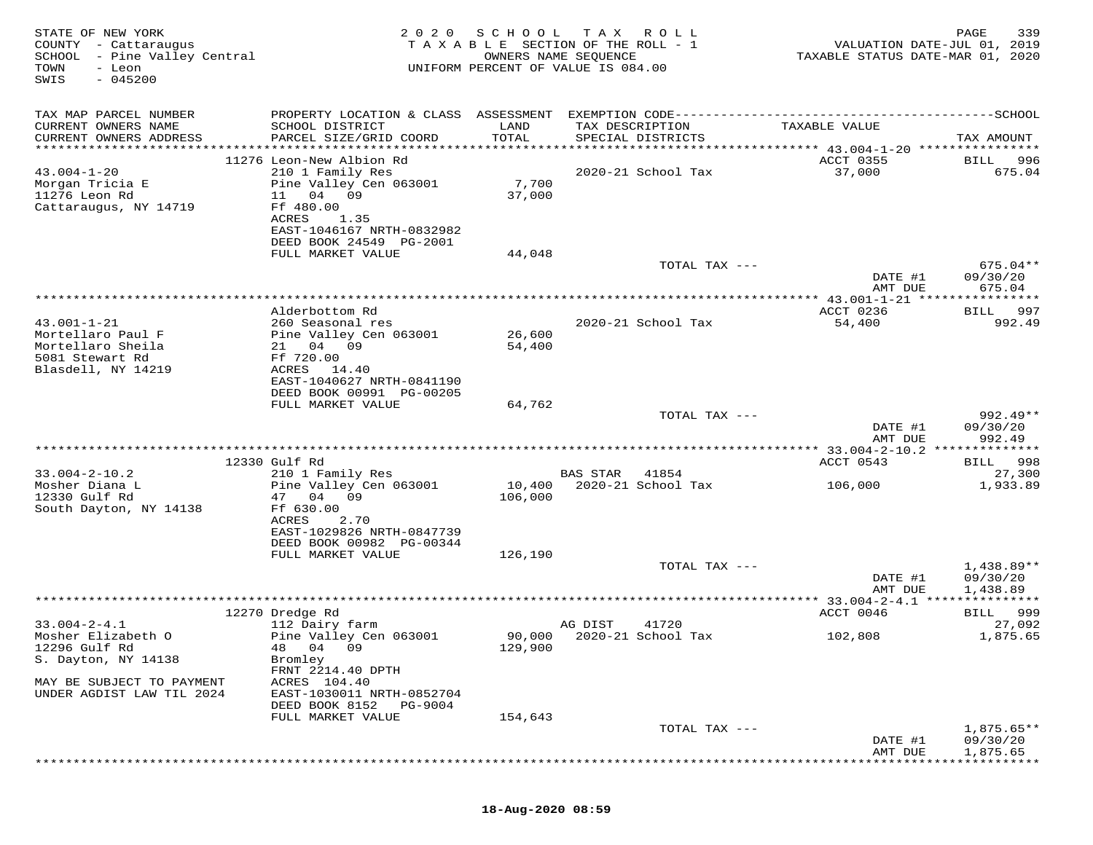| STATE OF NEW YORK<br>COUNTY - Cattaraugus<br>SCHOOL - Pine Valley Central<br>TOWN<br>- Leon<br>$-045200$<br>SWIS | 2 0 2 0                                                                                                                                                                                             | SCHOOL                    | T A X<br>R O L L<br>TAXABLE SECTION OF THE ROLL - 1<br>OWNERS NAME SEQUENCE<br>UNIFORM PERCENT OF VALUE IS 084.00 | VALUATION DATE-JUL 01, 2019<br>TAXABLE STATUS DATE-MAR 01, 2020 | 339<br>PAGE                                |
|------------------------------------------------------------------------------------------------------------------|-----------------------------------------------------------------------------------------------------------------------------------------------------------------------------------------------------|---------------------------|-------------------------------------------------------------------------------------------------------------------|-----------------------------------------------------------------|--------------------------------------------|
| TAX MAP PARCEL NUMBER<br>CURRENT OWNERS NAME<br>CURRENT OWNERS ADDRESS                                           | SCHOOL DISTRICT<br>PARCEL SIZE/GRID COORD                                                                                                                                                           | LAND<br>TOTAL             | TAX DESCRIPTION<br>SPECIAL DISTRICTS                                                                              | TAXABLE VALUE                                                   | TAX AMOUNT                                 |
| $43.004 - 1 - 20$<br>Morgan Tricia E<br>11276 Leon Rd<br>Cattaraugus, NY 14719                                   | 11276 Leon-New Albion Rd<br>210 1 Family Res<br>Pine Valley Cen 063001<br>11<br>04<br>09<br>Ff 480.00<br>ACRES<br>1.35<br>EAST-1046167 NRTH-0832982<br>DEED BOOK 24549 PG-2001<br>FULL MARKET VALUE | 7,700<br>37,000<br>44,048 | 2020-21 School Tax                                                                                                | ACCT 0355<br>37,000                                             | 996<br>BILL<br>675.04                      |
|                                                                                                                  |                                                                                                                                                                                                     |                           | TOTAL TAX ---                                                                                                     | DATE #1<br>AMT DUE                                              | $675.04**$<br>09/30/20<br>675.04           |
| $43.001 - 1 - 21$<br>Mortellaro Paul F<br>Mortellaro Sheila<br>5081 Stewart Rd<br>Blasdell, NY 14219             | Alderbottom Rd<br>260 Seasonal res<br>Pine Valley Cen 063001<br>21 04 09<br>Ff 720.00<br>ACRES<br>14.40                                                                                             | 26,600<br>54,400          | 2020-21 School Tax                                                                                                | *********** 43.001-1-21 *****<br>ACCT 0236<br>54,400            | * * * * * * * * *<br>997<br>BILL<br>992.49 |
|                                                                                                                  | EAST-1040627 NRTH-0841190<br>DEED BOOK 00991 PG-00205<br>FULL MARKET VALUE                                                                                                                          | 64,762                    | TOTAL TAX ---                                                                                                     | DATE #1<br>AMT DUE                                              | 992.49**<br>09/30/20<br>992.49             |
|                                                                                                                  |                                                                                                                                                                                                     |                           |                                                                                                                   |                                                                 |                                            |
| $33.004 - 2 - 10.2$<br>Mosher Diana L<br>12330 Gulf Rd<br>South Dayton, NY 14138                                 | 12330 Gulf Rd<br>210 1 Family Res<br>Pine Valley Cen 063001<br>47 04<br>09<br>Ff 630.00<br>ACRES<br>2.70<br>EAST-1029826 NRTH-0847739<br>DEED BOOK 00982 PG-00344                                   | 10,400<br>106,000         | <b>BAS STAR</b><br>41854<br>2020-21 School Tax                                                                    | ACCT 0543<br>106,000                                            | 998<br>BILL<br>27,300<br>1,933.89          |
|                                                                                                                  | FULL MARKET VALUE                                                                                                                                                                                   | 126,190                   | TOTAL TAX ---                                                                                                     | DATE #1                                                         | $1,438.89**$<br>09/30/20                   |
|                                                                                                                  |                                                                                                                                                                                                     |                           |                                                                                                                   | AMT DUE<br>********* 33.004-2-4.1 ***                           | 1,438.89<br>* * * * * * * * * * *          |
|                                                                                                                  | 12270 Dredge Rd                                                                                                                                                                                     |                           |                                                                                                                   | ACCT 0046                                                       | 999<br><b>BILL</b>                         |
| $33.004 - 2 - 4.1$<br>Mosher Elizabeth O<br>12296 Gulf Rd<br>S. Dayton, NY 14138                                 | 112 Dairy farm<br>Pine Valley Cen 063001<br>48<br>04<br>09<br>Bromley<br>FRNT 2214.40 DPTH                                                                                                          | 90,000<br>129,900         | AG DIST<br>41720<br>2020-21 School Tax                                                                            | 102,808                                                         | 27,092<br>1,875.65                         |
| MAY BE SUBJECT TO PAYMENT<br>UNDER AGDIST LAW TIL 2024                                                           | ACRES 104.40<br>EAST-1030011 NRTH-0852704<br>DEED BOOK 8152<br>PG-9004<br>FULL MARKET VALUE                                                                                                         | 154,643                   |                                                                                                                   |                                                                 |                                            |
|                                                                                                                  |                                                                                                                                                                                                     |                           | TOTAL TAX ---                                                                                                     | DATE #1<br>AMT DUE                                              | $1,875.65**$<br>09/30/20<br>1,875.65       |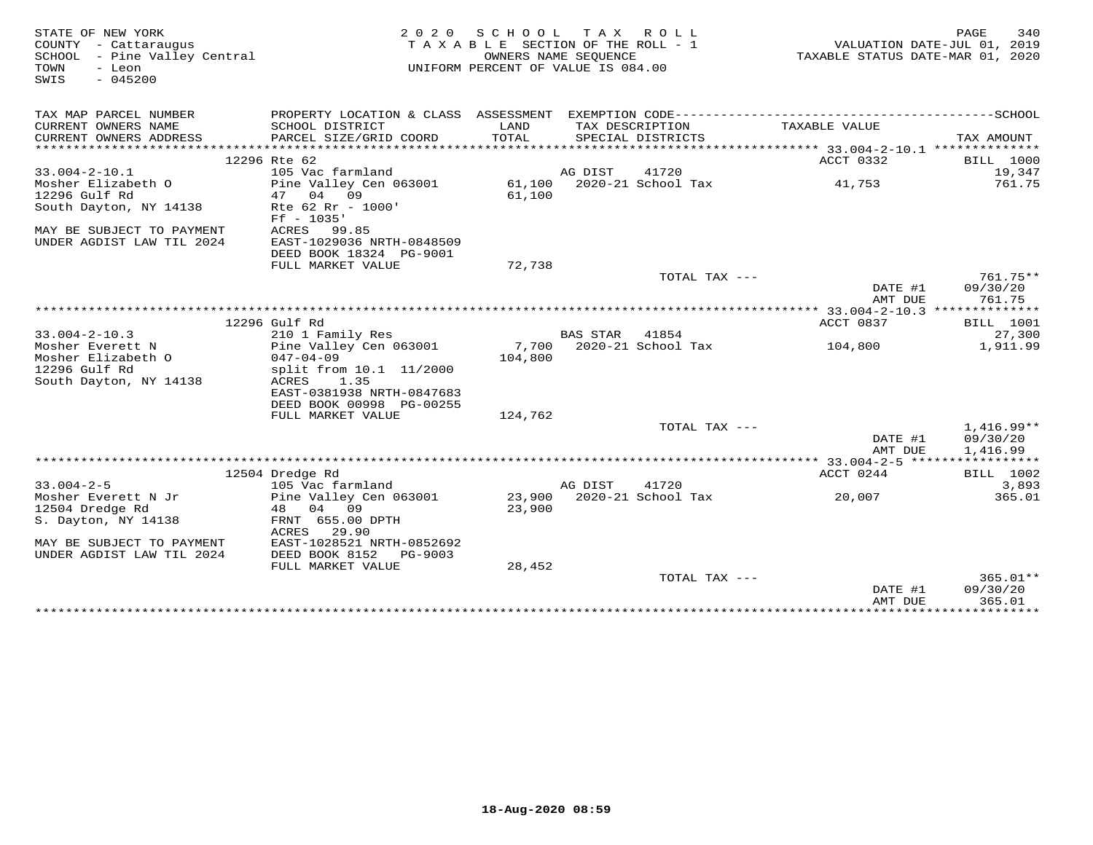| STATE OF NEW YORK<br>COUNTY - Cattaraugus<br>SCHOOL - Pine Valley Central<br>TOWN<br>- Leon<br>$-045200$<br>SWIS |                                            | 2020 SCHOOL TAX ROLL<br>TAXABLE SECTION OF THE ROLL - 1<br>OWNERS NAME SEQUENCE<br>UNIFORM PERCENT OF VALUE IS 084.00 |          |                                   | TAXABLE STATUS DATE-MAR 01, 2020 | PAGE<br>340<br>VALUATION DATE-JUL 01, 2019 |
|------------------------------------------------------------------------------------------------------------------|--------------------------------------------|-----------------------------------------------------------------------------------------------------------------------|----------|-----------------------------------|----------------------------------|--------------------------------------------|
| TAX MAP PARCEL NUMBER                                                                                            |                                            |                                                                                                                       |          |                                   |                                  |                                            |
| CURRENT OWNERS NAME<br>CURRENT OWNERS ADDRESS                                                                    | SCHOOL DISTRICT                            | LAND<br>TOTAL                                                                                                         |          | TAX DESCRIPTION                   | TAXABLE VALUE                    |                                            |
|                                                                                                                  | PARCEL SIZE/GRID COORD                     |                                                                                                                       |          | SPECIAL DISTRICTS                 |                                  | TAX AMOUNT                                 |
|                                                                                                                  | 12296 Rte 62                               |                                                                                                                       |          |                                   | ACCT 0332                        | <b>BILL</b> 1000                           |
| $33.004 - 2 - 10.1$                                                                                              | 105 Vac farmland                           |                                                                                                                       | AG DIST  | 41720                             |                                  | 19,347                                     |
| Mosher Elizabeth O                                                                                               | Pine Valley Cen 063001                     |                                                                                                                       |          | 61,100 2020-21 School Tax         | 41,753                           | 761.75                                     |
| 12296 Gulf Rd                                                                                                    | 04<br>09<br>47                             | 61,100                                                                                                                |          |                                   |                                  |                                            |
| South Dayton, NY 14138                                                                                           | Rte 62 Rr - 1000'<br>$Ff - 1035'$          |                                                                                                                       |          |                                   |                                  |                                            |
| MAY BE SUBJECT TO PAYMENT<br>UNDER AGDIST LAW TIL 2024                                                           | ACRES 99.85<br>EAST-1029036 NRTH-0848509   |                                                                                                                       |          |                                   |                                  |                                            |
|                                                                                                                  | DEED BOOK 18324 PG-9001                    |                                                                                                                       |          |                                   |                                  |                                            |
|                                                                                                                  | FULL MARKET VALUE                          | 72,738                                                                                                                |          |                                   |                                  |                                            |
|                                                                                                                  |                                            |                                                                                                                       |          | TOTAL TAX ---                     |                                  | 761.75**                                   |
|                                                                                                                  |                                            |                                                                                                                       |          |                                   | DATE #1                          | 09/30/20                                   |
|                                                                                                                  |                                            |                                                                                                                       |          |                                   | AMT DUE                          | 761.75                                     |
|                                                                                                                  |                                            |                                                                                                                       |          |                                   |                                  |                                            |
|                                                                                                                  | 12296 Gulf Rd                              |                                                                                                                       |          |                                   | ACCT 0837                        | <b>BILL</b> 1001                           |
| $33.004 - 2 - 10.3$<br>Mosher Everett N                                                                          | 210 1 Family Res<br>Pine Valley Cen 063001 |                                                                                                                       | BAS STAR | 41854<br>7,700 2020-21 School Tax |                                  | 27,300<br>1,911.99                         |
| Mosher Elizabeth O                                                                                               | $047 - 04 - 09$                            | 104,800                                                                                                               |          |                                   | 104,800                          |                                            |
| 12296 Gulf Rd                                                                                                    | split from 10.1 11/2000                    |                                                                                                                       |          |                                   |                                  |                                            |
| South Dayton, NY 14138                                                                                           | ACRES<br>1.35                              |                                                                                                                       |          |                                   |                                  |                                            |
|                                                                                                                  | EAST-0381938 NRTH-0847683                  |                                                                                                                       |          |                                   |                                  |                                            |
|                                                                                                                  | DEED BOOK 00998 PG-00255                   |                                                                                                                       |          |                                   |                                  |                                            |
|                                                                                                                  | FULL MARKET VALUE                          | 124,762                                                                                                               |          |                                   |                                  |                                            |
|                                                                                                                  |                                            |                                                                                                                       |          | TOTAL TAX ---                     |                                  | $1,416.99**$                               |
|                                                                                                                  |                                            |                                                                                                                       |          |                                   | DATE #1                          | 09/30/20                                   |
|                                                                                                                  |                                            |                                                                                                                       |          |                                   | AMT DUE                          | 1,416.99                                   |
|                                                                                                                  |                                            |                                                                                                                       |          |                                   |                                  |                                            |
|                                                                                                                  | 12504 Dredge Rd                            |                                                                                                                       |          |                                   | ACCT 0244                        | <b>BILL</b> 1002                           |
| $33.004 - 2 - 5$                                                                                                 | 105 Vac farmland                           |                                                                                                                       | AG DIST  | 41720                             |                                  | 3,893                                      |
| Mosher Everett N Jr                                                                                              | Pine Valley Cen 063001                     |                                                                                                                       |          | 23,900 2020-21 School Tax         | 20,007                           | 365.01                                     |
| 12504 Dredge Rd                                                                                                  | 48 04 09                                   | 23,900                                                                                                                |          |                                   |                                  |                                            |
| S. Dayton, NY 14138                                                                                              | FRNT 655.00 DPTH<br>29.90<br>ACRES         |                                                                                                                       |          |                                   |                                  |                                            |
| MAY BE SUBJECT TO PAYMENT                                                                                        | EAST-1028521 NRTH-0852692                  |                                                                                                                       |          |                                   |                                  |                                            |
| UNDER AGDIST LAW TIL 2024                                                                                        | DEED BOOK 8152<br>PG-9003                  |                                                                                                                       |          |                                   |                                  |                                            |
|                                                                                                                  | FULL MARKET VALUE                          | 28,452                                                                                                                |          |                                   |                                  |                                            |
|                                                                                                                  |                                            |                                                                                                                       |          | TOTAL TAX $---$                   |                                  | $365.01**$                                 |
|                                                                                                                  |                                            |                                                                                                                       |          |                                   | DATE #1                          | 09/30/20                                   |
|                                                                                                                  |                                            |                                                                                                                       |          |                                   | AMT DUE                          | 365.01                                     |
|                                                                                                                  |                                            |                                                                                                                       |          |                                   |                                  |                                            |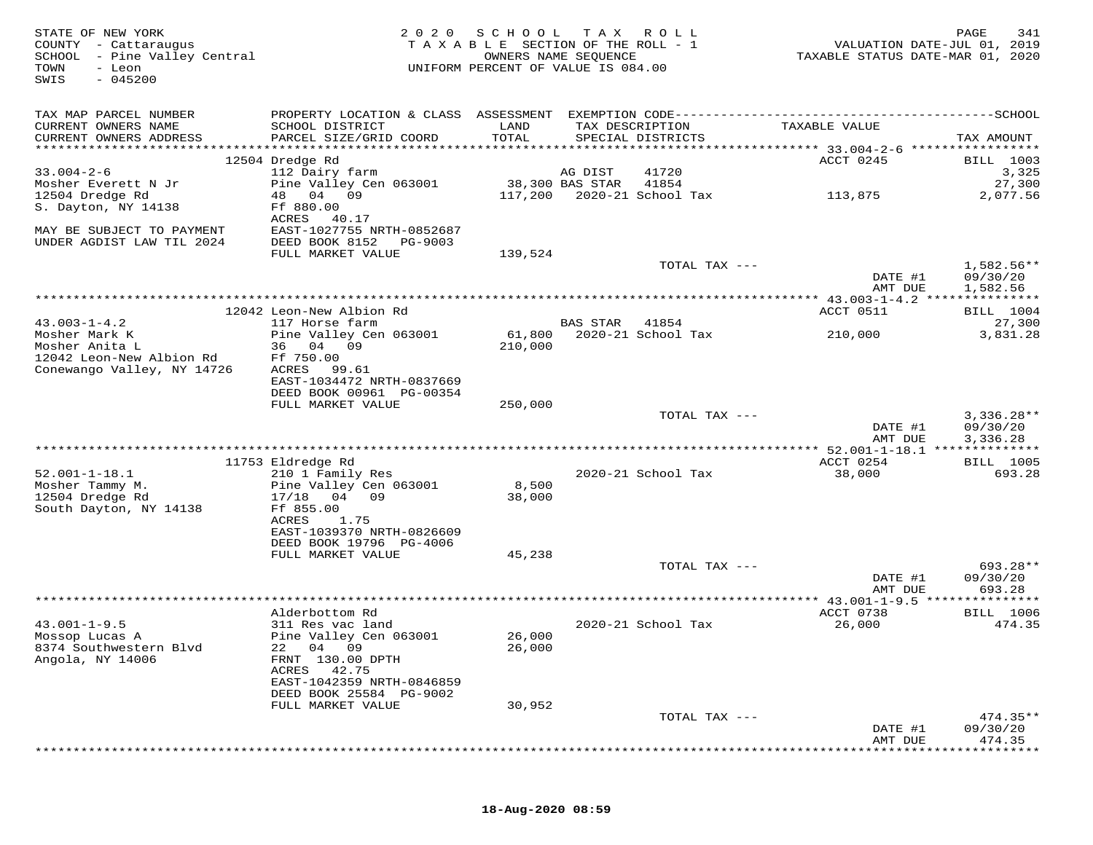| STATE OF NEW YORK<br>COUNTY - Cattaraugus<br>SCHOOL - Pine Valley Central<br>TOWN<br>- Leon<br>$-045200$<br>SWIS | 2 0 2 0                                     | SCHOOL<br>TAXABLE SECTION OF THE ROLL - 1<br>OWNERS NAME SEQUENCE<br>UNIFORM PERCENT OF VALUE IS 084.00 | T A X    | ROLL                                 | TAXABLE STATUS DATE-MAR 01, 2020 | PAGE<br>341<br>VALUATION DATE-JUL 01, 2019 |
|------------------------------------------------------------------------------------------------------------------|---------------------------------------------|---------------------------------------------------------------------------------------------------------|----------|--------------------------------------|----------------------------------|--------------------------------------------|
| TAX MAP PARCEL NUMBER                                                                                            |                                             |                                                                                                         |          |                                      |                                  |                                            |
| CURRENT OWNERS NAME<br>CURRENT OWNERS ADDRESS                                                                    | SCHOOL DISTRICT<br>PARCEL SIZE/GRID COORD   | LAND<br>TOTAL                                                                                           |          | TAX DESCRIPTION<br>SPECIAL DISTRICTS | TAXABLE VALUE                    | TAX AMOUNT                                 |
|                                                                                                                  | 12504 Dredge Rd                             |                                                                                                         |          |                                      | ACCT 0245                        | BILL 1003                                  |
| $33.004 - 2 - 6$                                                                                                 | 112 Dairy farm                              |                                                                                                         | AG DIST  | 41720                                |                                  | 3,325                                      |
| Mosher Everett N Jr                                                                                              | Pine Valley Cen 063001                      | 38,300 BAS STAR                                                                                         |          | 41854                                |                                  | 27,300                                     |
| 12504 Dredge Rd                                                                                                  | 48 04 09                                    | 117,200                                                                                                 |          | 2020-21 School Tax                   | 113,875                          | 2,077.56                                   |
| S. Dayton, NY 14138                                                                                              | Ff 880.00                                   |                                                                                                         |          |                                      |                                  |                                            |
| MAY BE SUBJECT TO PAYMENT                                                                                        | ACRES<br>40.17<br>EAST-1027755 NRTH-0852687 |                                                                                                         |          |                                      |                                  |                                            |
| UNDER AGDIST LAW TIL 2024                                                                                        | DEED BOOK 8152<br>PG-9003                   |                                                                                                         |          |                                      |                                  |                                            |
|                                                                                                                  | FULL MARKET VALUE                           | 139,524                                                                                                 |          |                                      |                                  |                                            |
|                                                                                                                  |                                             |                                                                                                         |          | TOTAL TAX ---                        |                                  | 1,582.56**                                 |
|                                                                                                                  |                                             |                                                                                                         |          |                                      | DATE #1                          | 09/30/20                                   |
|                                                                                                                  |                                             |                                                                                                         |          |                                      | AMT DUE                          | 1,582.56                                   |
|                                                                                                                  | 12042 Leon-New Albion Rd                    |                                                                                                         |          |                                      | ACCT 0511                        | <b>BILL</b> 1004                           |
| $43.003 - 1 - 4.2$                                                                                               | 117 Horse farm                              |                                                                                                         | BAS STAR | 41854                                |                                  | 27,300                                     |
| Mosher Mark K                                                                                                    | Pine Valley Cen 063001                      | 61,800                                                                                                  |          | 2020-21 School Tax                   | 210,000                          | 3,831.28                                   |
| Mosher Anita L                                                                                                   | 36 04 09                                    | 210,000                                                                                                 |          |                                      |                                  |                                            |
| 12042 Leon-New Albion Rd<br>Conewango Valley, NY 14726                                                           | Ff 750.00<br>ACRES<br>99.61                 |                                                                                                         |          |                                      |                                  |                                            |
|                                                                                                                  | EAST-1034472 NRTH-0837669                   |                                                                                                         |          |                                      |                                  |                                            |
|                                                                                                                  | DEED BOOK 00961 PG-00354                    |                                                                                                         |          |                                      |                                  |                                            |
|                                                                                                                  | FULL MARKET VALUE                           | 250,000                                                                                                 |          |                                      |                                  |                                            |
|                                                                                                                  |                                             |                                                                                                         |          | TOTAL TAX ---                        |                                  | $3,336.28**$                               |
|                                                                                                                  |                                             |                                                                                                         |          |                                      | DATE #1                          | 09/30/20                                   |
|                                                                                                                  |                                             |                                                                                                         |          |                                      | AMT DUE                          | 3,336.28                                   |
|                                                                                                                  | 11753 Eldredge Rd                           |                                                                                                         |          |                                      | ACCT 0254                        | <b>BILL</b> 1005                           |
| $52.001 - 1 - 18.1$                                                                                              | 210 1 Family Res                            |                                                                                                         |          | 2020-21 School Tax                   | 38,000                           | 693.28                                     |
| Mosher Tammy M.                                                                                                  | Pine Valley Cen 063001                      | 8,500                                                                                                   |          |                                      |                                  |                                            |
| 12504 Dredge Rd                                                                                                  | 17/18 04 09                                 | 38,000                                                                                                  |          |                                      |                                  |                                            |
| South Dayton, NY 14138                                                                                           | Ff 855.00<br>ACRES<br>1.75                  |                                                                                                         |          |                                      |                                  |                                            |
|                                                                                                                  | EAST-1039370 NRTH-0826609                   |                                                                                                         |          |                                      |                                  |                                            |
|                                                                                                                  | DEED BOOK 19796 PG-4006                     |                                                                                                         |          |                                      |                                  |                                            |
|                                                                                                                  | FULL MARKET VALUE                           | 45,238                                                                                                  |          |                                      |                                  |                                            |
|                                                                                                                  |                                             |                                                                                                         |          | TOTAL TAX ---                        |                                  | 693.28**                                   |
|                                                                                                                  |                                             |                                                                                                         |          |                                      | DATE #1<br>AMT DUE               | 09/30/20<br>693.28                         |
|                                                                                                                  |                                             |                                                                                                         |          |                                      |                                  |                                            |
|                                                                                                                  | Alderbottom Rd                              |                                                                                                         |          |                                      | ACCT 0738                        | <b>BILL</b> 1006                           |
| $43.001 - 1 - 9.5$                                                                                               | 311 Res vac land                            |                                                                                                         |          | 2020-21 School Tax                   | 26,000                           | 474.35                                     |
| Mossop Lucas A                                                                                                   | Pine Valley Cen 063001                      | 26,000                                                                                                  |          |                                      |                                  |                                            |
| 8374 Southwestern Blvd<br>Angola, NY 14006                                                                       | 22 04 09<br>FRNT 130.00 DPTH                | 26,000                                                                                                  |          |                                      |                                  |                                            |
|                                                                                                                  | ACRES<br>42.75                              |                                                                                                         |          |                                      |                                  |                                            |
|                                                                                                                  | EAST-1042359 NRTH-0846859                   |                                                                                                         |          |                                      |                                  |                                            |
|                                                                                                                  | DEED BOOK 25584 PG-9002                     |                                                                                                         |          |                                      |                                  |                                            |
|                                                                                                                  | FULL MARKET VALUE                           | 30,952                                                                                                  |          |                                      |                                  |                                            |
|                                                                                                                  |                                             |                                                                                                         |          | TOTAL TAX ---                        |                                  | $474.35**$                                 |
|                                                                                                                  |                                             |                                                                                                         |          |                                      | DATE #1<br>AMT DUE               | 09/30/20<br>474.35                         |
|                                                                                                                  |                                             |                                                                                                         |          |                                      |                                  |                                            |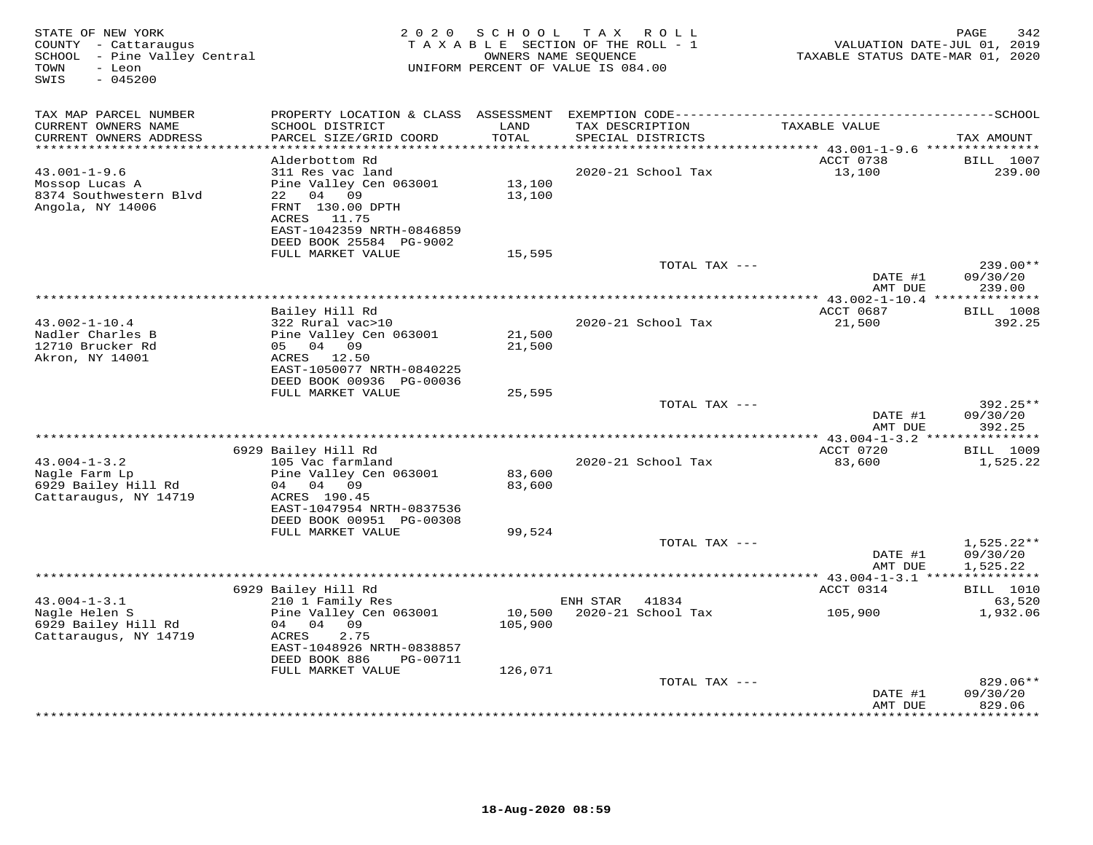| STATE OF NEW YORK<br>COUNTY - Cattaraugus<br>SCHOOL - Pine Valley Central<br>TOWN<br>- Leon<br>$-045200$<br>SWIS | 2 0 2 0                                                                                                                                                             | S C H O O L<br>TAXABLE SECTION OF THE ROLL - 1<br>OWNERS NAME SEQUENCE<br>UNIFORM PERCENT OF VALUE IS 084.00 | T A X    | ROLL ROLL                            | VALUATION DATE-JUL 01, 2019<br>TAXABLE STATUS DATE-MAR 01, 2020 | PAGE<br>342                                                     |
|------------------------------------------------------------------------------------------------------------------|---------------------------------------------------------------------------------------------------------------------------------------------------------------------|--------------------------------------------------------------------------------------------------------------|----------|--------------------------------------|-----------------------------------------------------------------|-----------------------------------------------------------------|
| TAX MAP PARCEL NUMBER<br>CURRENT OWNERS NAME<br>CURRENT OWNERS ADDRESS                                           | SCHOOL DISTRICT<br>PARCEL SIZE/GRID COORD                                                                                                                           | LAND<br>TOTAL                                                                                                |          | TAX DESCRIPTION<br>SPECIAL DISTRICTS | TAXABLE VALUE                                                   | TAX AMOUNT                                                      |
| ***********************                                                                                          |                                                                                                                                                                     |                                                                                                              |          |                                      |                                                                 |                                                                 |
| $43.001 - 1 - 9.6$<br>Mossop Lucas A<br>8374 Southwestern Blvd<br>Angola, NY 14006                               | Alderbottom Rd<br>311 Res vac land<br>Pine Valley Cen 063001<br>22 04 09<br>FRNT 130.00 DPTH<br>ACRES 11.75<br>EAST-1042359 NRTH-0846859<br>DEED BOOK 25584 PG-9002 | 13,100<br>13,100                                                                                             |          | 2020-21 School Tax                   | ACCT 0738<br>13,100                                             | <b>BILL</b> 1007<br>239.00                                      |
|                                                                                                                  | FULL MARKET VALUE                                                                                                                                                   | 15,595                                                                                                       |          |                                      |                                                                 |                                                                 |
|                                                                                                                  |                                                                                                                                                                     |                                                                                                              |          | TOTAL TAX ---                        | DATE #1<br>AMT DUE                                              | 239.00**<br>09/30/20<br>239.00                                  |
|                                                                                                                  |                                                                                                                                                                     |                                                                                                              |          |                                      |                                                                 |                                                                 |
| $43.002 - 1 - 10.4$<br>Nadler Charles B<br>12710 Brucker Rd                                                      | Bailey Hill Rd<br>322 Rural vac>10<br>Pine Valley Cen 063001<br>05 04 09                                                                                            | 21,500<br>21,500                                                                                             |          | 2020-21 School Tax                   | ACCT 0687<br>21,500                                             | <b>BILL</b> 1008<br>392.25                                      |
| Akron, NY 14001                                                                                                  | ACRES 12.50<br>EAST-1050077 NRTH-0840225<br>DEED BOOK 00936 PG-00036<br>FULL MARKET VALUE                                                                           | 25,595                                                                                                       |          |                                      |                                                                 |                                                                 |
|                                                                                                                  |                                                                                                                                                                     |                                                                                                              |          | TOTAL TAX ---                        | DATE #1                                                         | 392.25**<br>09/30/20                                            |
|                                                                                                                  |                                                                                                                                                                     |                                                                                                              |          |                                      | AMT DUE<br>*** 43.004-1-3.2 ***************                     | 392.25                                                          |
|                                                                                                                  | 6929 Bailey Hill Rd                                                                                                                                                 |                                                                                                              |          |                                      | ACCT 0720                                                       | <b>BILL</b> 1009                                                |
| $43.004 - 1 - 3.2$<br>Nagle Farm Lp<br>6929 Bailey Hill Rd<br>Cattaraugus, NY 14719                              | 105 Vac farmland<br>Pine Valley Cen 063001<br>04 04 09<br>ACRES 190.45<br>EAST-1047954 NRTH-0837536<br>DEED BOOK 00951 PG-00308                                     | 83,600<br>83,600                                                                                             |          | 2020-21 School Tax                   | 83,600                                                          | 1,525.22                                                        |
|                                                                                                                  | FULL MARKET VALUE                                                                                                                                                   | 99,524                                                                                                       |          |                                      |                                                                 |                                                                 |
|                                                                                                                  |                                                                                                                                                                     |                                                                                                              |          | TOTAL TAX ---                        | DATE #1<br>AMT DUE                                              | $1,525.22**$<br>09/30/20<br>1,525.22<br>* * * * * * * * * * * * |
|                                                                                                                  | 6929 Bailey Hill Rd                                                                                                                                                 |                                                                                                              |          |                                      | **** $43.004 - 1 - 3.1$ ***<br>ACCT 0314                        | BILL 1010                                                       |
| $43.004 - 1 - 3.1$                                                                                               | 210 1 Family Res                                                                                                                                                    |                                                                                                              | ENH STAR | 41834                                |                                                                 | 63,520                                                          |
| Nagle Helen S<br>6929 Bailey Hill Rd<br>Cattaraugus, NY 14719                                                    | Pine Valley Cen 063001<br>04 04 09<br>2.75<br>ACRES<br>EAST-1048926 NRTH-0838857<br>DEED BOOK 886<br>PG-00711                                                       | 10,500<br>105,900                                                                                            |          | 2020-21 School Tax                   | 105,900                                                         | 1,932.06                                                        |
|                                                                                                                  | FULL MARKET VALUE                                                                                                                                                   | 126,071                                                                                                      |          | TOTAL TAX ---                        |                                                                 | 829.06**                                                        |
|                                                                                                                  |                                                                                                                                                                     |                                                                                                              |          | ***********************              | DATE #1<br>AMT DUE<br>*********                                 | 09/30/20<br>829.06<br>*********                                 |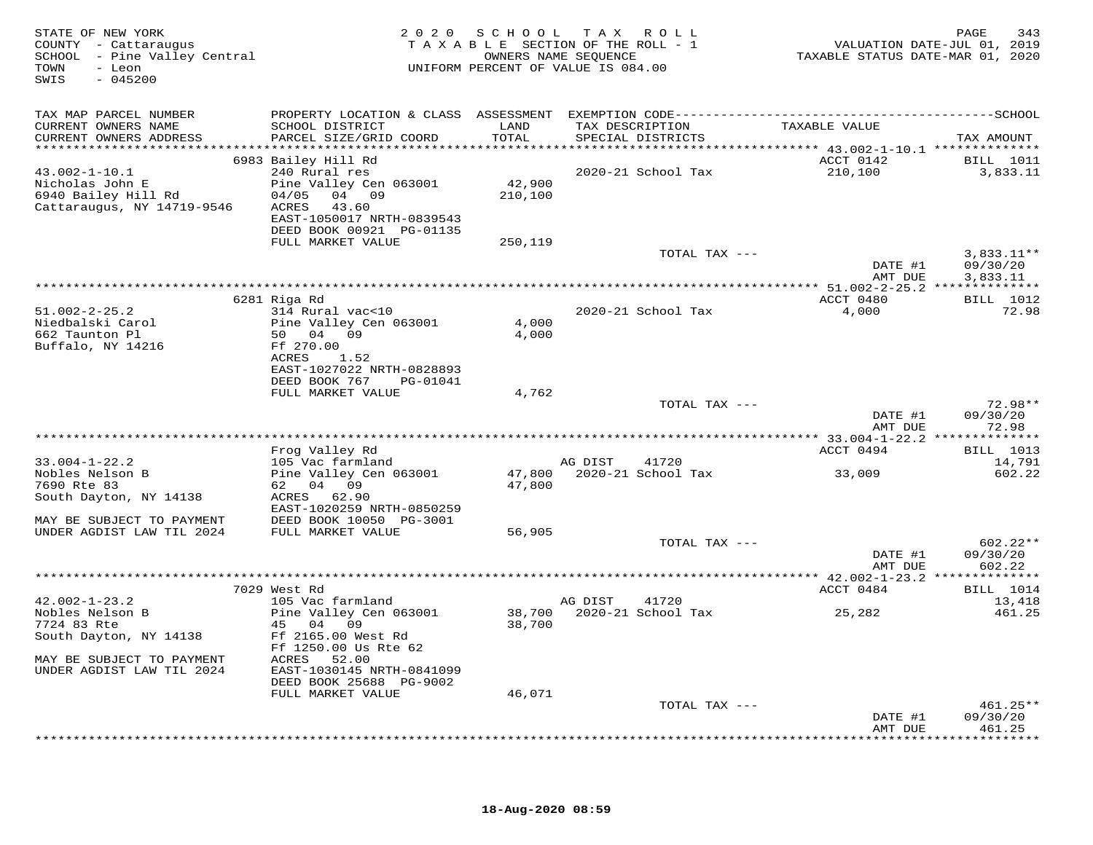| TAX MAP PARCEL NUMBER<br>TAXABLE VALUE<br>CURRENT OWNERS NAME<br>SCHOOL DISTRICT<br>LAND<br>TAX DESCRIPTION<br>PARCEL SIZE/GRID COORD<br>TOTAL<br>CURRENT OWNERS ADDRESS<br>SPECIAL DISTRICTS<br>TAX AMOUNT<br>************************<br>6983 Bailey Hill Rd<br>ACCT 0142<br><b>BILL</b> 1011<br>240 Rural res<br>210,100<br>$43.002 - 1 - 10.1$<br>2020-21 School Tax<br>3,833.11<br>Nicholas John E<br>Pine Valley Cen 063001<br>42,900<br>6940 Bailey Hill Rd<br>04 09<br>04/05<br>210,100<br>Cattaraugus, NY 14719-9546<br>ACRES<br>43.60<br>EAST-1050017 NRTH-0839543<br>DEED BOOK 00921 PG-01135<br>FULL MARKET VALUE<br>250,119<br>TOTAL TAX ---<br>$3,833.11**$<br>DATE #1<br>09/30/20<br>AMT DUE<br>3,833.11<br>6281 Riga Rd<br>ACCT 0480<br>BILL 1012<br>$51.002 - 2 - 25.2$<br>2020-21 School Tax<br>4,000<br>314 Rural vac<10<br>72.98<br>Niedbalski Carol<br>Pine Valley Cen 063001<br>4,000<br>662 Taunton Pl<br>50 04 09<br>4,000<br>Buffalo, NY 14216<br>Ff 270.00<br>ACRES<br>1.52<br>EAST-1027022 NRTH-0828893<br>DEED BOOK 767<br>PG-01041<br>FULL MARKET VALUE<br>4,762<br>72.98**<br>TOTAL TAX ---<br>DATE #1<br>09/30/20<br>AMT DUE<br>72.98<br>**********************************<br>********** 33.004-1-22.2 **<br>* * * * * * * * * * *<br>Frog Valley Rd<br>ACCT 0494<br>BILL 1013<br>$33.004 - 1 - 22.2$<br>105 Vac farmland<br>AG DIST<br>41720<br>14,791<br>Nobles Nelson B<br>Pine Valley Cen 063001<br>47,800 2020-21 School Tax<br>33,009<br>602.22<br>62 04 09<br>7690 Rte 83<br>47,800<br>South Dayton, NY 14138<br>ACRES 62.90<br>EAST-1020259 NRTH-0850259<br>MAY BE SUBJECT TO PAYMENT<br>DEED BOOK 10050 PG-3001<br>UNDER AGDIST LAW TIL 2024<br>FULL MARKET VALUE<br>56,905<br>TOTAL TAX ---<br>$602.22**$<br>DATE #1<br>09/30/20<br>AMT DUE<br>602.22<br>************ 42.002-1-23.2 **************<br>ACCT 0484<br>7029 West Rd<br>BILL 1014<br>$42.002 - 1 - 23.2$<br>105 Vac farmland<br>AG DIST<br>41720<br>13,418<br>Nobles Nelson B<br>Pine Valley Cen 063001<br>38,700<br>2020-21 School Tax<br>25,282<br>461.25<br>7724 83 Rte<br>45 04 09<br>38,700<br>South Dayton, NY 14138<br>Ff 2165.00 West Rd<br>Ff 1250.00 Us Rte 62<br>MAY BE SUBJECT TO PAYMENT<br>ACRES<br>52.00<br>UNDER AGDIST LAW TIL 2024<br>EAST-1030145 NRTH-0841099<br>DEED BOOK 25688 PG-9002<br>FULL MARKET VALUE<br>46,071<br>TOTAL TAX ---<br>461.25**<br>DATE #1<br>09/30/20<br>AMT DUE<br>461.25<br>******** | STATE OF NEW YORK<br>COUNTY - Cattaraugus<br>SCHOOL - Pine Valley Central<br>- Leon<br>TOWN<br>$-045200$<br>SWIS |  | 2020 SCHOOL TAX ROLL<br>TAXABLE SECTION OF THE ROLL - 1<br>OWNERS NAME SEQUENCE<br>UNIFORM PERCENT OF VALUE IS 084.00 | TAXABLE STATUS DATE-MAR 01, 2020 | 343<br>PAGE<br>VALUATION DATE-JUL 01, 2019 |
|---------------------------------------------------------------------------------------------------------------------------------------------------------------------------------------------------------------------------------------------------------------------------------------------------------------------------------------------------------------------------------------------------------------------------------------------------------------------------------------------------------------------------------------------------------------------------------------------------------------------------------------------------------------------------------------------------------------------------------------------------------------------------------------------------------------------------------------------------------------------------------------------------------------------------------------------------------------------------------------------------------------------------------------------------------------------------------------------------------------------------------------------------------------------------------------------------------------------------------------------------------------------------------------------------------------------------------------------------------------------------------------------------------------------------------------------------------------------------------------------------------------------------------------------------------------------------------------------------------------------------------------------------------------------------------------------------------------------------------------------------------------------------------------------------------------------------------------------------------------------------------------------------------------------------------------------------------------------------------------------------------------------------------------------------------------------------------------------------------------------------------------------------------------------------------------------------------------------------------------------------------------------------------------------------------------------------------------------------------------------------------------------------------------------------------------|------------------------------------------------------------------------------------------------------------------|--|-----------------------------------------------------------------------------------------------------------------------|----------------------------------|--------------------------------------------|
|                                                                                                                                                                                                                                                                                                                                                                                                                                                                                                                                                                                                                                                                                                                                                                                                                                                                                                                                                                                                                                                                                                                                                                                                                                                                                                                                                                                                                                                                                                                                                                                                                                                                                                                                                                                                                                                                                                                                                                                                                                                                                                                                                                                                                                                                                                                                                                                                                                       |                                                                                                                  |  |                                                                                                                       |                                  |                                            |
|                                                                                                                                                                                                                                                                                                                                                                                                                                                                                                                                                                                                                                                                                                                                                                                                                                                                                                                                                                                                                                                                                                                                                                                                                                                                                                                                                                                                                                                                                                                                                                                                                                                                                                                                                                                                                                                                                                                                                                                                                                                                                                                                                                                                                                                                                                                                                                                                                                       |                                                                                                                  |  |                                                                                                                       |                                  |                                            |
|                                                                                                                                                                                                                                                                                                                                                                                                                                                                                                                                                                                                                                                                                                                                                                                                                                                                                                                                                                                                                                                                                                                                                                                                                                                                                                                                                                                                                                                                                                                                                                                                                                                                                                                                                                                                                                                                                                                                                                                                                                                                                                                                                                                                                                                                                                                                                                                                                                       |                                                                                                                  |  |                                                                                                                       |                                  |                                            |
|                                                                                                                                                                                                                                                                                                                                                                                                                                                                                                                                                                                                                                                                                                                                                                                                                                                                                                                                                                                                                                                                                                                                                                                                                                                                                                                                                                                                                                                                                                                                                                                                                                                                                                                                                                                                                                                                                                                                                                                                                                                                                                                                                                                                                                                                                                                                                                                                                                       |                                                                                                                  |  |                                                                                                                       |                                  |                                            |
|                                                                                                                                                                                                                                                                                                                                                                                                                                                                                                                                                                                                                                                                                                                                                                                                                                                                                                                                                                                                                                                                                                                                                                                                                                                                                                                                                                                                                                                                                                                                                                                                                                                                                                                                                                                                                                                                                                                                                                                                                                                                                                                                                                                                                                                                                                                                                                                                                                       |                                                                                                                  |  |                                                                                                                       |                                  |                                            |
|                                                                                                                                                                                                                                                                                                                                                                                                                                                                                                                                                                                                                                                                                                                                                                                                                                                                                                                                                                                                                                                                                                                                                                                                                                                                                                                                                                                                                                                                                                                                                                                                                                                                                                                                                                                                                                                                                                                                                                                                                                                                                                                                                                                                                                                                                                                                                                                                                                       |                                                                                                                  |  |                                                                                                                       |                                  |                                            |
|                                                                                                                                                                                                                                                                                                                                                                                                                                                                                                                                                                                                                                                                                                                                                                                                                                                                                                                                                                                                                                                                                                                                                                                                                                                                                                                                                                                                                                                                                                                                                                                                                                                                                                                                                                                                                                                                                                                                                                                                                                                                                                                                                                                                                                                                                                                                                                                                                                       |                                                                                                                  |  |                                                                                                                       |                                  |                                            |
|                                                                                                                                                                                                                                                                                                                                                                                                                                                                                                                                                                                                                                                                                                                                                                                                                                                                                                                                                                                                                                                                                                                                                                                                                                                                                                                                                                                                                                                                                                                                                                                                                                                                                                                                                                                                                                                                                                                                                                                                                                                                                                                                                                                                                                                                                                                                                                                                                                       |                                                                                                                  |  |                                                                                                                       |                                  |                                            |
|                                                                                                                                                                                                                                                                                                                                                                                                                                                                                                                                                                                                                                                                                                                                                                                                                                                                                                                                                                                                                                                                                                                                                                                                                                                                                                                                                                                                                                                                                                                                                                                                                                                                                                                                                                                                                                                                                                                                                                                                                                                                                                                                                                                                                                                                                                                                                                                                                                       |                                                                                                                  |  |                                                                                                                       |                                  |                                            |
|                                                                                                                                                                                                                                                                                                                                                                                                                                                                                                                                                                                                                                                                                                                                                                                                                                                                                                                                                                                                                                                                                                                                                                                                                                                                                                                                                                                                                                                                                                                                                                                                                                                                                                                                                                                                                                                                                                                                                                                                                                                                                                                                                                                                                                                                                                                                                                                                                                       |                                                                                                                  |  |                                                                                                                       |                                  |                                            |
|                                                                                                                                                                                                                                                                                                                                                                                                                                                                                                                                                                                                                                                                                                                                                                                                                                                                                                                                                                                                                                                                                                                                                                                                                                                                                                                                                                                                                                                                                                                                                                                                                                                                                                                                                                                                                                                                                                                                                                                                                                                                                                                                                                                                                                                                                                                                                                                                                                       |                                                                                                                  |  |                                                                                                                       |                                  |                                            |
|                                                                                                                                                                                                                                                                                                                                                                                                                                                                                                                                                                                                                                                                                                                                                                                                                                                                                                                                                                                                                                                                                                                                                                                                                                                                                                                                                                                                                                                                                                                                                                                                                                                                                                                                                                                                                                                                                                                                                                                                                                                                                                                                                                                                                                                                                                                                                                                                                                       |                                                                                                                  |  |                                                                                                                       |                                  |                                            |
|                                                                                                                                                                                                                                                                                                                                                                                                                                                                                                                                                                                                                                                                                                                                                                                                                                                                                                                                                                                                                                                                                                                                                                                                                                                                                                                                                                                                                                                                                                                                                                                                                                                                                                                                                                                                                                                                                                                                                                                                                                                                                                                                                                                                                                                                                                                                                                                                                                       |                                                                                                                  |  |                                                                                                                       |                                  |                                            |
|                                                                                                                                                                                                                                                                                                                                                                                                                                                                                                                                                                                                                                                                                                                                                                                                                                                                                                                                                                                                                                                                                                                                                                                                                                                                                                                                                                                                                                                                                                                                                                                                                                                                                                                                                                                                                                                                                                                                                                                                                                                                                                                                                                                                                                                                                                                                                                                                                                       |                                                                                                                  |  |                                                                                                                       |                                  |                                            |
|                                                                                                                                                                                                                                                                                                                                                                                                                                                                                                                                                                                                                                                                                                                                                                                                                                                                                                                                                                                                                                                                                                                                                                                                                                                                                                                                                                                                                                                                                                                                                                                                                                                                                                                                                                                                                                                                                                                                                                                                                                                                                                                                                                                                                                                                                                                                                                                                                                       |                                                                                                                  |  |                                                                                                                       |                                  |                                            |
|                                                                                                                                                                                                                                                                                                                                                                                                                                                                                                                                                                                                                                                                                                                                                                                                                                                                                                                                                                                                                                                                                                                                                                                                                                                                                                                                                                                                                                                                                                                                                                                                                                                                                                                                                                                                                                                                                                                                                                                                                                                                                                                                                                                                                                                                                                                                                                                                                                       |                                                                                                                  |  |                                                                                                                       |                                  |                                            |
|                                                                                                                                                                                                                                                                                                                                                                                                                                                                                                                                                                                                                                                                                                                                                                                                                                                                                                                                                                                                                                                                                                                                                                                                                                                                                                                                                                                                                                                                                                                                                                                                                                                                                                                                                                                                                                                                                                                                                                                                                                                                                                                                                                                                                                                                                                                                                                                                                                       |                                                                                                                  |  |                                                                                                                       |                                  |                                            |
|                                                                                                                                                                                                                                                                                                                                                                                                                                                                                                                                                                                                                                                                                                                                                                                                                                                                                                                                                                                                                                                                                                                                                                                                                                                                                                                                                                                                                                                                                                                                                                                                                                                                                                                                                                                                                                                                                                                                                                                                                                                                                                                                                                                                                                                                                                                                                                                                                                       |                                                                                                                  |  |                                                                                                                       |                                  |                                            |
|                                                                                                                                                                                                                                                                                                                                                                                                                                                                                                                                                                                                                                                                                                                                                                                                                                                                                                                                                                                                                                                                                                                                                                                                                                                                                                                                                                                                                                                                                                                                                                                                                                                                                                                                                                                                                                                                                                                                                                                                                                                                                                                                                                                                                                                                                                                                                                                                                                       |                                                                                                                  |  |                                                                                                                       |                                  |                                            |
|                                                                                                                                                                                                                                                                                                                                                                                                                                                                                                                                                                                                                                                                                                                                                                                                                                                                                                                                                                                                                                                                                                                                                                                                                                                                                                                                                                                                                                                                                                                                                                                                                                                                                                                                                                                                                                                                                                                                                                                                                                                                                                                                                                                                                                                                                                                                                                                                                                       |                                                                                                                  |  |                                                                                                                       |                                  |                                            |
|                                                                                                                                                                                                                                                                                                                                                                                                                                                                                                                                                                                                                                                                                                                                                                                                                                                                                                                                                                                                                                                                                                                                                                                                                                                                                                                                                                                                                                                                                                                                                                                                                                                                                                                                                                                                                                                                                                                                                                                                                                                                                                                                                                                                                                                                                                                                                                                                                                       |                                                                                                                  |  |                                                                                                                       |                                  |                                            |
|                                                                                                                                                                                                                                                                                                                                                                                                                                                                                                                                                                                                                                                                                                                                                                                                                                                                                                                                                                                                                                                                                                                                                                                                                                                                                                                                                                                                                                                                                                                                                                                                                                                                                                                                                                                                                                                                                                                                                                                                                                                                                                                                                                                                                                                                                                                                                                                                                                       |                                                                                                                  |  |                                                                                                                       |                                  |                                            |
|                                                                                                                                                                                                                                                                                                                                                                                                                                                                                                                                                                                                                                                                                                                                                                                                                                                                                                                                                                                                                                                                                                                                                                                                                                                                                                                                                                                                                                                                                                                                                                                                                                                                                                                                                                                                                                                                                                                                                                                                                                                                                                                                                                                                                                                                                                                                                                                                                                       |                                                                                                                  |  |                                                                                                                       |                                  |                                            |
|                                                                                                                                                                                                                                                                                                                                                                                                                                                                                                                                                                                                                                                                                                                                                                                                                                                                                                                                                                                                                                                                                                                                                                                                                                                                                                                                                                                                                                                                                                                                                                                                                                                                                                                                                                                                                                                                                                                                                                                                                                                                                                                                                                                                                                                                                                                                                                                                                                       |                                                                                                                  |  |                                                                                                                       |                                  |                                            |
|                                                                                                                                                                                                                                                                                                                                                                                                                                                                                                                                                                                                                                                                                                                                                                                                                                                                                                                                                                                                                                                                                                                                                                                                                                                                                                                                                                                                                                                                                                                                                                                                                                                                                                                                                                                                                                                                                                                                                                                                                                                                                                                                                                                                                                                                                                                                                                                                                                       |                                                                                                                  |  |                                                                                                                       |                                  |                                            |
|                                                                                                                                                                                                                                                                                                                                                                                                                                                                                                                                                                                                                                                                                                                                                                                                                                                                                                                                                                                                                                                                                                                                                                                                                                                                                                                                                                                                                                                                                                                                                                                                                                                                                                                                                                                                                                                                                                                                                                                                                                                                                                                                                                                                                                                                                                                                                                                                                                       |                                                                                                                  |  |                                                                                                                       |                                  |                                            |
|                                                                                                                                                                                                                                                                                                                                                                                                                                                                                                                                                                                                                                                                                                                                                                                                                                                                                                                                                                                                                                                                                                                                                                                                                                                                                                                                                                                                                                                                                                                                                                                                                                                                                                                                                                                                                                                                                                                                                                                                                                                                                                                                                                                                                                                                                                                                                                                                                                       |                                                                                                                  |  |                                                                                                                       |                                  |                                            |
|                                                                                                                                                                                                                                                                                                                                                                                                                                                                                                                                                                                                                                                                                                                                                                                                                                                                                                                                                                                                                                                                                                                                                                                                                                                                                                                                                                                                                                                                                                                                                                                                                                                                                                                                                                                                                                                                                                                                                                                                                                                                                                                                                                                                                                                                                                                                                                                                                                       |                                                                                                                  |  |                                                                                                                       |                                  |                                            |
|                                                                                                                                                                                                                                                                                                                                                                                                                                                                                                                                                                                                                                                                                                                                                                                                                                                                                                                                                                                                                                                                                                                                                                                                                                                                                                                                                                                                                                                                                                                                                                                                                                                                                                                                                                                                                                                                                                                                                                                                                                                                                                                                                                                                                                                                                                                                                                                                                                       |                                                                                                                  |  |                                                                                                                       |                                  |                                            |
|                                                                                                                                                                                                                                                                                                                                                                                                                                                                                                                                                                                                                                                                                                                                                                                                                                                                                                                                                                                                                                                                                                                                                                                                                                                                                                                                                                                                                                                                                                                                                                                                                                                                                                                                                                                                                                                                                                                                                                                                                                                                                                                                                                                                                                                                                                                                                                                                                                       |                                                                                                                  |  |                                                                                                                       |                                  |                                            |
|                                                                                                                                                                                                                                                                                                                                                                                                                                                                                                                                                                                                                                                                                                                                                                                                                                                                                                                                                                                                                                                                                                                                                                                                                                                                                                                                                                                                                                                                                                                                                                                                                                                                                                                                                                                                                                                                                                                                                                                                                                                                                                                                                                                                                                                                                                                                                                                                                                       |                                                                                                                  |  |                                                                                                                       |                                  |                                            |
|                                                                                                                                                                                                                                                                                                                                                                                                                                                                                                                                                                                                                                                                                                                                                                                                                                                                                                                                                                                                                                                                                                                                                                                                                                                                                                                                                                                                                                                                                                                                                                                                                                                                                                                                                                                                                                                                                                                                                                                                                                                                                                                                                                                                                                                                                                                                                                                                                                       |                                                                                                                  |  |                                                                                                                       |                                  |                                            |
|                                                                                                                                                                                                                                                                                                                                                                                                                                                                                                                                                                                                                                                                                                                                                                                                                                                                                                                                                                                                                                                                                                                                                                                                                                                                                                                                                                                                                                                                                                                                                                                                                                                                                                                                                                                                                                                                                                                                                                                                                                                                                                                                                                                                                                                                                                                                                                                                                                       |                                                                                                                  |  |                                                                                                                       |                                  |                                            |
|                                                                                                                                                                                                                                                                                                                                                                                                                                                                                                                                                                                                                                                                                                                                                                                                                                                                                                                                                                                                                                                                                                                                                                                                                                                                                                                                                                                                                                                                                                                                                                                                                                                                                                                                                                                                                                                                                                                                                                                                                                                                                                                                                                                                                                                                                                                                                                                                                                       |                                                                                                                  |  |                                                                                                                       |                                  |                                            |
|                                                                                                                                                                                                                                                                                                                                                                                                                                                                                                                                                                                                                                                                                                                                                                                                                                                                                                                                                                                                                                                                                                                                                                                                                                                                                                                                                                                                                                                                                                                                                                                                                                                                                                                                                                                                                                                                                                                                                                                                                                                                                                                                                                                                                                                                                                                                                                                                                                       |                                                                                                                  |  |                                                                                                                       |                                  |                                            |
|                                                                                                                                                                                                                                                                                                                                                                                                                                                                                                                                                                                                                                                                                                                                                                                                                                                                                                                                                                                                                                                                                                                                                                                                                                                                                                                                                                                                                                                                                                                                                                                                                                                                                                                                                                                                                                                                                                                                                                                                                                                                                                                                                                                                                                                                                                                                                                                                                                       |                                                                                                                  |  |                                                                                                                       |                                  |                                            |
|                                                                                                                                                                                                                                                                                                                                                                                                                                                                                                                                                                                                                                                                                                                                                                                                                                                                                                                                                                                                                                                                                                                                                                                                                                                                                                                                                                                                                                                                                                                                                                                                                                                                                                                                                                                                                                                                                                                                                                                                                                                                                                                                                                                                                                                                                                                                                                                                                                       |                                                                                                                  |  |                                                                                                                       |                                  |                                            |
|                                                                                                                                                                                                                                                                                                                                                                                                                                                                                                                                                                                                                                                                                                                                                                                                                                                                                                                                                                                                                                                                                                                                                                                                                                                                                                                                                                                                                                                                                                                                                                                                                                                                                                                                                                                                                                                                                                                                                                                                                                                                                                                                                                                                                                                                                                                                                                                                                                       |                                                                                                                  |  |                                                                                                                       |                                  |                                            |
|                                                                                                                                                                                                                                                                                                                                                                                                                                                                                                                                                                                                                                                                                                                                                                                                                                                                                                                                                                                                                                                                                                                                                                                                                                                                                                                                                                                                                                                                                                                                                                                                                                                                                                                                                                                                                                                                                                                                                                                                                                                                                                                                                                                                                                                                                                                                                                                                                                       |                                                                                                                  |  |                                                                                                                       |                                  |                                            |
|                                                                                                                                                                                                                                                                                                                                                                                                                                                                                                                                                                                                                                                                                                                                                                                                                                                                                                                                                                                                                                                                                                                                                                                                                                                                                                                                                                                                                                                                                                                                                                                                                                                                                                                                                                                                                                                                                                                                                                                                                                                                                                                                                                                                                                                                                                                                                                                                                                       |                                                                                                                  |  |                                                                                                                       |                                  |                                            |
|                                                                                                                                                                                                                                                                                                                                                                                                                                                                                                                                                                                                                                                                                                                                                                                                                                                                                                                                                                                                                                                                                                                                                                                                                                                                                                                                                                                                                                                                                                                                                                                                                                                                                                                                                                                                                                                                                                                                                                                                                                                                                                                                                                                                                                                                                                                                                                                                                                       |                                                                                                                  |  |                                                                                                                       |                                  |                                            |
|                                                                                                                                                                                                                                                                                                                                                                                                                                                                                                                                                                                                                                                                                                                                                                                                                                                                                                                                                                                                                                                                                                                                                                                                                                                                                                                                                                                                                                                                                                                                                                                                                                                                                                                                                                                                                                                                                                                                                                                                                                                                                                                                                                                                                                                                                                                                                                                                                                       |                                                                                                                  |  |                                                                                                                       |                                  |                                            |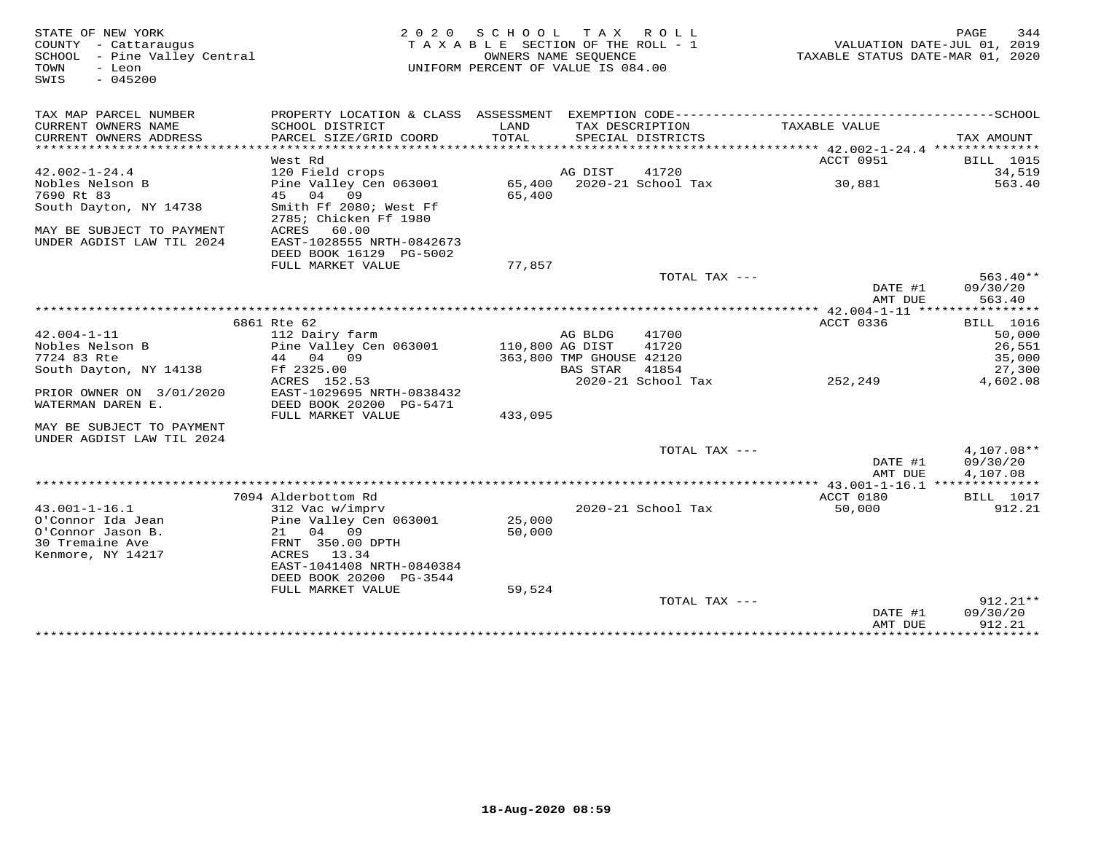| STATE OF NEW YORK<br>COUNTY - Cattaraugus<br>SCHOOL - Pine Valley Central<br>- Leon<br>TOWN<br>$-045200$<br>SWIS | 2 0 2 0                                                           | SCHOOL<br>TAXABLE SECTION OF THE ROLL - 1<br>UNIFORM PERCENT OF VALUE IS 084.00 | T A X<br>OWNERS NAME SEOUENCE | ROLL                               | TAXABLE STATUS DATE-MAR 01, 2020      | PAGE<br>344<br>VALUATION DATE-JUL 01, 2019 |
|------------------------------------------------------------------------------------------------------------------|-------------------------------------------------------------------|---------------------------------------------------------------------------------|-------------------------------|------------------------------------|---------------------------------------|--------------------------------------------|
| TAX MAP PARCEL NUMBER                                                                                            |                                                                   |                                                                                 |                               |                                    |                                       |                                            |
| CURRENT OWNERS NAME<br>CURRENT OWNERS ADDRESS<br>***********************                                         | SCHOOL DISTRICT<br>PARCEL SIZE/GRID COORD                         | LAND<br>TOTAL                                                                   | TAX DESCRIPTION               | SPECIAL DISTRICTS                  | TAXABLE VALUE                         | TAX AMOUNT                                 |
|                                                                                                                  | West Rd                                                           |                                                                                 |                               |                                    | ACCT 0951                             | <b>BILL</b> 1015                           |
| $42.002 - 1 - 24.4$                                                                                              | 120 Field crops                                                   |                                                                                 | AG DIST                       | 41720                              |                                       | 34,519                                     |
| Nobles Nelson B<br>7690 Rt 83                                                                                    | Pine Valley Cen 063001<br>45 04<br>09                             | 65,400<br>65,400                                                                |                               | 2020-21 School Tax                 | 30,881                                | 563.40                                     |
| South Dayton, NY 14738<br>MAY BE SUBJECT TO PAYMENT                                                              | Smith Ff 2080; West Ff<br>2785; Chicken Ff 1980<br>ACRES<br>60.00 |                                                                                 |                               |                                    |                                       |                                            |
| UNDER AGDIST LAW TIL 2024                                                                                        | EAST-1028555 NRTH-0842673<br>DEED BOOK 16129 PG-5002              |                                                                                 |                               |                                    |                                       |                                            |
|                                                                                                                  | FULL MARKET VALUE                                                 | 77,857                                                                          |                               |                                    |                                       |                                            |
|                                                                                                                  |                                                                   |                                                                                 |                               | TOTAL TAX ---                      |                                       | $563.40**$                                 |
|                                                                                                                  |                                                                   |                                                                                 |                               |                                    | DATE #1                               | 09/30/20                                   |
|                                                                                                                  |                                                                   |                                                                                 |                               |                                    | AMT DUE                               | 563.40                                     |
|                                                                                                                  | 6861 Rte 62                                                       |                                                                                 |                               |                                    | ACCT 0336                             | <b>BILL</b> 1016                           |
| $42.004 - 1 - 11$                                                                                                | 112 Dairy farm                                                    |                                                                                 | AG BLDG                       | 41700                              |                                       | 50,000                                     |
| Nobles Nelson B                                                                                                  | Pine Valley Cen 063001                                            | 110,800 AG DIST                                                                 |                               | 41720                              |                                       | 26,551                                     |
| 7724 83 Rte                                                                                                      | 44 04 09                                                          |                                                                                 | 363,800 TMP GHOUSE 42120      |                                    |                                       | 35,000                                     |
| South Dayton, NY 14138                                                                                           | Ff 2325.00<br>ACRES 152.53                                        |                                                                                 | <b>BAS STAR</b>               | 41854<br>2020-21 School Tax        | 252,249                               | 27,300<br>4,602.08                         |
| PRIOR OWNER ON 3/01/2020<br>WATERMAN DAREN E.                                                                    | EAST-1029695 NRTH-0838432<br>DEED BOOK 20200 PG-5471              |                                                                                 |                               |                                    |                                       |                                            |
|                                                                                                                  | FULL MARKET VALUE                                                 | 433,095                                                                         |                               |                                    |                                       |                                            |
| MAY BE SUBJECT TO PAYMENT<br>UNDER AGDIST LAW TIL 2024                                                           |                                                                   |                                                                                 |                               |                                    |                                       |                                            |
|                                                                                                                  |                                                                   |                                                                                 |                               | TOTAL TAX ---                      |                                       | 4,107.08**                                 |
|                                                                                                                  |                                                                   |                                                                                 |                               |                                    | DATE #1<br>AMT DUE                    | 09/30/20<br>4,107.08                       |
|                                                                                                                  |                                                                   |                                                                                 |                               |                                    | ******** 43.001-1-16.1 ************** |                                            |
|                                                                                                                  | 7094 Alderbottom Rd                                               |                                                                                 |                               |                                    | ACCT 0180                             | <b>BILL</b> 1017                           |
| $43.001 - 1 - 16.1$                                                                                              | 312 Vac w/imprv                                                   |                                                                                 |                               | 2020-21 School Tax                 | 50,000                                | 912.21                                     |
| O'Connor Ida Jean                                                                                                | Pine Valley Cen 063001                                            | 25,000                                                                          |                               |                                    |                                       |                                            |
| O'Connor Jason B.                                                                                                | 21<br>04 09                                                       | 50,000                                                                          |                               |                                    |                                       |                                            |
| 30 Tremaine Ave<br>Kenmore, NY 14217                                                                             | FRNT 350.00 DPTH<br>ACRES 13.34                                   |                                                                                 |                               |                                    |                                       |                                            |
|                                                                                                                  | EAST-1041408 NRTH-0840384                                         |                                                                                 |                               |                                    |                                       |                                            |
|                                                                                                                  | DEED BOOK 20200 PG-3544                                           |                                                                                 |                               |                                    |                                       |                                            |
|                                                                                                                  | FULL MARKET VALUE                                                 | 59,524                                                                          |                               |                                    |                                       |                                            |
|                                                                                                                  |                                                                   |                                                                                 |                               | TOTAL TAX ---                      |                                       | $912.21**$                                 |
|                                                                                                                  |                                                                   |                                                                                 |                               |                                    | DATE #1                               | 09/30/20                                   |
|                                                                                                                  |                                                                   |                                                                                 |                               | ********************************** | AMT DUE<br>****************           | 912.21<br>***********                      |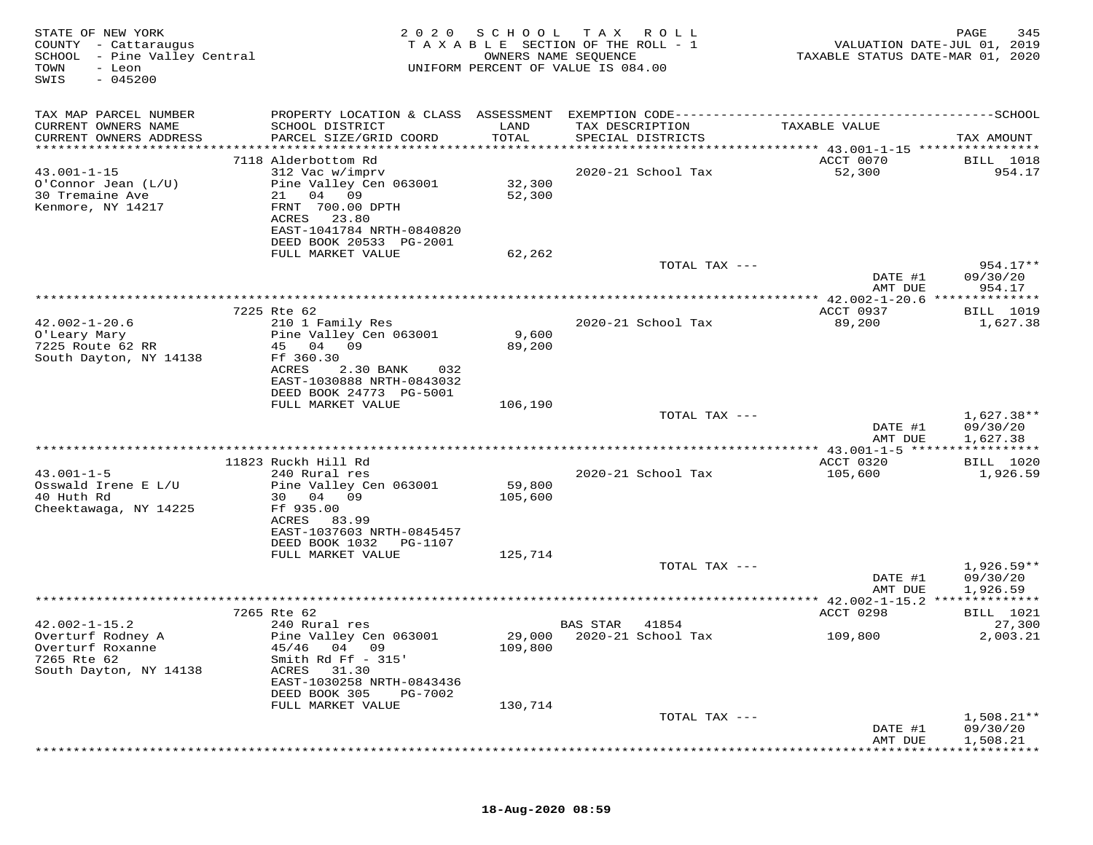| STATE OF NEW YORK<br>COUNTY - Cattaraugus<br>SCHOOL - Pine Valley Central<br>TOWN<br>- Leon<br>$-045200$<br>SWIS | 2 0 2 0                                      | SCHOOL        | T A X<br>ROLL ROLL<br>T A X A B L E SECTION OF THE ROLL - 1<br>OWNERS NAME SEQUENCE<br>UNIFORM PERCENT OF VALUE IS 084.00 | VALUATION DATE-JUL 01, 2019<br>TAXABLE STATUS DATE-MAR 01, 2020 | 345<br>PAGE                     |
|------------------------------------------------------------------------------------------------------------------|----------------------------------------------|---------------|---------------------------------------------------------------------------------------------------------------------------|-----------------------------------------------------------------|---------------------------------|
| TAX MAP PARCEL NUMBER                                                                                            | PROPERTY LOCATION & CLASS ASSESSMENT         |               |                                                                                                                           |                                                                 |                                 |
| CURRENT OWNERS NAME<br>CURRENT OWNERS ADDRESS                                                                    | SCHOOL DISTRICT<br>PARCEL SIZE/GRID COORD    | LAND<br>TOTAL | TAX DESCRIPTION<br>SPECIAL DISTRICTS                                                                                      | TAXABLE VALUE                                                   | TAX AMOUNT                      |
| **********************                                                                                           |                                              |               |                                                                                                                           |                                                                 |                                 |
|                                                                                                                  | 7118 Alderbottom Rd                          |               |                                                                                                                           | ACCT 0070                                                       | BILL 1018                       |
| $43.001 - 1 - 15$                                                                                                | 312 Vac w/imprv                              |               | 2020-21 School Tax                                                                                                        | 52,300                                                          | 954.17                          |
| $O'Connor$ Jean $(L/U)$                                                                                          | Pine Valley Cen 063001                       | 32,300        |                                                                                                                           |                                                                 |                                 |
| 30 Tremaine Ave<br>Kenmore, NY 14217                                                                             | 04 09<br>21<br>FRNT 700.00 DPTH              | 52,300        |                                                                                                                           |                                                                 |                                 |
|                                                                                                                  | 23.80<br>ACRES                               |               |                                                                                                                           |                                                                 |                                 |
|                                                                                                                  | EAST-1041784 NRTH-0840820                    |               |                                                                                                                           |                                                                 |                                 |
|                                                                                                                  | DEED BOOK 20533 PG-2001                      |               |                                                                                                                           |                                                                 |                                 |
|                                                                                                                  | FULL MARKET VALUE                            | 62,262        |                                                                                                                           |                                                                 |                                 |
|                                                                                                                  |                                              |               | TOTAL TAX ---                                                                                                             | DATE #1                                                         | 954.17**<br>09/30/20            |
|                                                                                                                  |                                              |               |                                                                                                                           | AMT DUE                                                         | 954.17                          |
|                                                                                                                  |                                              |               |                                                                                                                           |                                                                 |                                 |
|                                                                                                                  | 7225 Rte 62                                  |               |                                                                                                                           | ACCT 0937                                                       | <b>BILL</b> 1019                |
| $42.002 - 1 - 20.6$<br>O'Leary Mary                                                                              | 210 1 Family Res<br>Pine Valley Cen 063001   | 9,600         | 2020-21 School Tax                                                                                                        | 89,200                                                          | 1,627.38                        |
| 7225 Route 62 RR                                                                                                 | 45<br>04<br>09                               | 89,200        |                                                                                                                           |                                                                 |                                 |
| South Dayton, NY 14138                                                                                           | Ff 360.30                                    |               |                                                                                                                           |                                                                 |                                 |
|                                                                                                                  | ACRES<br>2.30 BANK<br>032                    |               |                                                                                                                           |                                                                 |                                 |
|                                                                                                                  | EAST-1030888 NRTH-0843032                    |               |                                                                                                                           |                                                                 |                                 |
|                                                                                                                  | DEED BOOK 24773 PG-5001<br>FULL MARKET VALUE | 106,190       |                                                                                                                           |                                                                 |                                 |
|                                                                                                                  |                                              |               | TOTAL TAX ---                                                                                                             |                                                                 | $1,627.38**$                    |
|                                                                                                                  |                                              |               |                                                                                                                           | DATE #1                                                         | 09/30/20                        |
|                                                                                                                  |                                              |               |                                                                                                                           | AMT DUE                                                         | 1,627.38                        |
|                                                                                                                  | 11823 Ruckh Hill Rd                          |               |                                                                                                                           | *** 43.001-1-5 *****<br>ACCT 0320                               | ***********<br><b>BILL</b> 1020 |
| $43.001 - 1 - 5$                                                                                                 | 240 Rural res                                |               | 2020-21 School Tax                                                                                                        | 105,600                                                         | 1,926.59                        |
| Osswald Irene E L/U                                                                                              | Pine Valley Cen 063001                       | 59,800        |                                                                                                                           |                                                                 |                                 |
| 40 Huth Rd                                                                                                       | 30 04 09                                     | 105,600       |                                                                                                                           |                                                                 |                                 |
| Cheektawaga, NY 14225                                                                                            | Ff 935.00                                    |               |                                                                                                                           |                                                                 |                                 |
|                                                                                                                  | ACRES<br>83.99<br>EAST-1037603 NRTH-0845457  |               |                                                                                                                           |                                                                 |                                 |
|                                                                                                                  | DEED BOOK 1032<br>PG-1107                    |               |                                                                                                                           |                                                                 |                                 |
|                                                                                                                  | FULL MARKET VALUE                            | 125,714       |                                                                                                                           |                                                                 |                                 |
|                                                                                                                  |                                              |               | TOTAL TAX ---                                                                                                             |                                                                 | $1,926.59**$                    |
|                                                                                                                  |                                              |               |                                                                                                                           | DATE #1                                                         | 09/30/20                        |
|                                                                                                                  |                                              |               |                                                                                                                           | AMT DUE                                                         | 1,926.59<br>**************      |
|                                                                                                                  | 7265 Rte 62                                  |               |                                                                                                                           | ACCT 0298                                                       | BILL 1021                       |
| $42.002 - 1 - 15.2$                                                                                              | 240 Rural res                                |               | BAS STAR<br>41854                                                                                                         |                                                                 | 27,300                          |
| Overturf Rodney A                                                                                                | Pine Valley Cen 063001                       | 29,000        | 2020-21 School Tax                                                                                                        | 109,800                                                         | 2,003.21                        |
| Overturf Roxanne                                                                                                 | 04 09<br>45/46                               | 109,800       |                                                                                                                           |                                                                 |                                 |
| 7265 Rte 62<br>South Dayton, NY 14138                                                                            | Smith Rd $Ff - 315'$<br>ACRES<br>31.30       |               |                                                                                                                           |                                                                 |                                 |
|                                                                                                                  | EAST-1030258 NRTH-0843436                    |               |                                                                                                                           |                                                                 |                                 |
|                                                                                                                  | DEED BOOK 305<br>PG-7002                     |               |                                                                                                                           |                                                                 |                                 |
|                                                                                                                  | FULL MARKET VALUE                            | 130,714       |                                                                                                                           |                                                                 |                                 |
|                                                                                                                  |                                              |               | TOTAL TAX ---                                                                                                             |                                                                 | $1,508.21**$                    |
|                                                                                                                  |                                              |               |                                                                                                                           | DATE #1<br>AMT DUE                                              | 09/30/20<br>1,508.21            |
|                                                                                                                  |                                              |               |                                                                                                                           |                                                                 |                                 |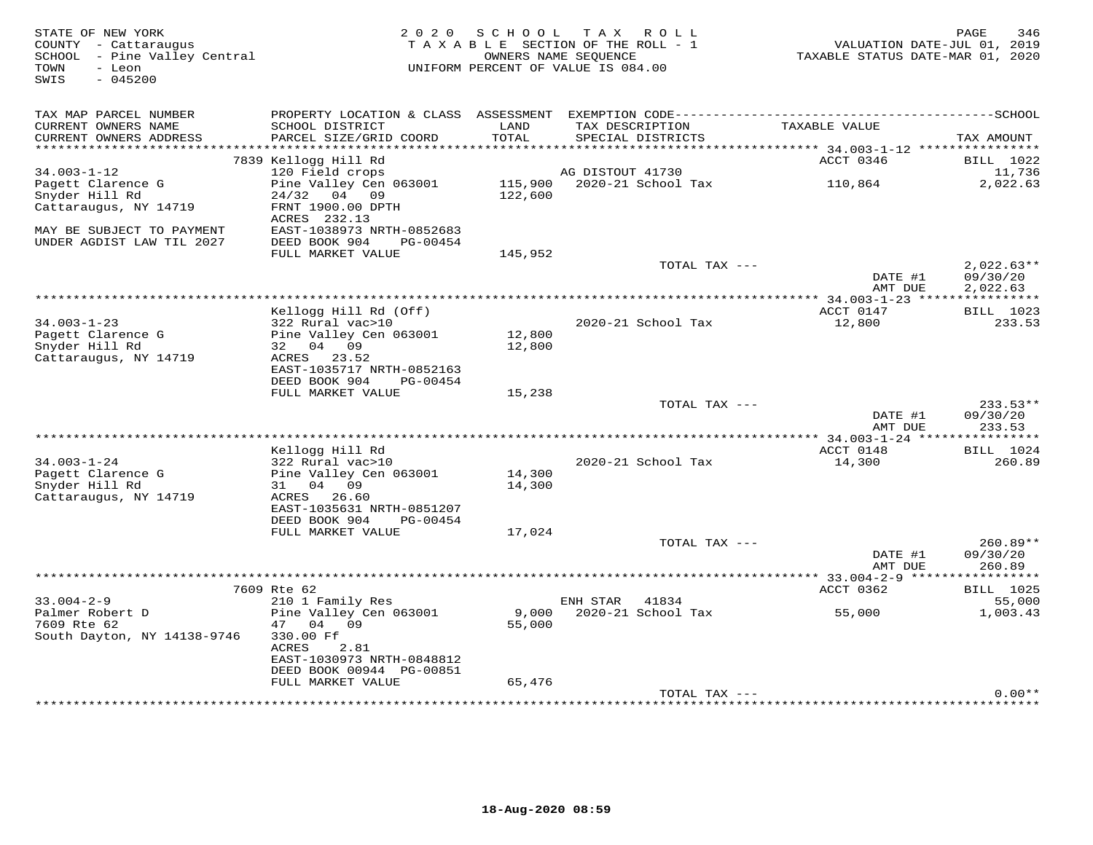| STATE OF NEW YORK<br>COUNTY - Cattaraugus<br>SCHOOL - Pine Valley Central<br>TOWN<br>- Leon<br>SWIS<br>$-045200$ | 2 0 2 0                                                | SCHOOL             | TAX ROLL<br>TAXABLE SECTION OF THE ROLL - 1<br>OWNERS NAME SEOUENCE<br>UNIFORM PERCENT OF VALUE IS 084.00 | VALUATION DATE-JUL 01, 2019<br>TAXABLE STATUS DATE-MAR 01, 2020 | PAGE<br>346          |
|------------------------------------------------------------------------------------------------------------------|--------------------------------------------------------|--------------------|-----------------------------------------------------------------------------------------------------------|-----------------------------------------------------------------|----------------------|
| TAX MAP PARCEL NUMBER                                                                                            |                                                        |                    |                                                                                                           |                                                                 |                      |
| CURRENT OWNERS NAME<br>CURRENT OWNERS ADDRESS                                                                    | SCHOOL DISTRICT<br>PARCEL SIZE/GRID COORD              | LAND<br>TOTAL      | TAX DESCRIPTION<br>SPECIAL DISTRICTS                                                                      | TAXABLE VALUE                                                   | TAX AMOUNT           |
|                                                                                                                  | 7839 Kellogg Hill Rd                                   |                    |                                                                                                           | ACCT 0346                                                       | <b>BILL</b> 1022     |
| $34.003 - 1 - 12$                                                                                                | 120 Field crops                                        |                    | AG DISTOUT 41730                                                                                          |                                                                 | 11,736               |
| Pagett Clarence G<br>Snyder Hill Rd                                                                              | Pine Valley Cen 063001<br>24/32<br>04 09               | 115,900<br>122,600 | 2020-21 School Tax                                                                                        | 110,864                                                         | 2,022.63             |
| Cattaraugus, NY 14719                                                                                            | FRNT 1900.00 DPTH<br>ACRES 232.13                      |                    |                                                                                                           |                                                                 |                      |
| MAY BE SUBJECT TO PAYMENT<br>UNDER AGDIST LAW TIL 2027                                                           | EAST-1038973 NRTH-0852683<br>DEED BOOK 904<br>PG-00454 |                    |                                                                                                           |                                                                 |                      |
|                                                                                                                  | FULL MARKET VALUE                                      | 145,952            | TOTAL TAX ---                                                                                             |                                                                 | $2,022.63**$         |
|                                                                                                                  |                                                        |                    |                                                                                                           | DATE #1<br>AMT DUE                                              | 09/30/20<br>2,022.63 |
|                                                                                                                  |                                                        |                    |                                                                                                           |                                                                 |                      |
|                                                                                                                  | Kellogg Hill Rd (Off)                                  |                    |                                                                                                           | ACCT 0147                                                       | BILL 1023            |
| $34.003 - 1 - 23$<br>Pagett Clarence G                                                                           | 322 Rural vac>10<br>Pine Valley Cen 063001             | 12,800             | 2020-21 School Tax                                                                                        | 12,800                                                          | 233.53               |
| Snyder Hill Rd                                                                                                   | 32 04 09                                               | 12,800             |                                                                                                           |                                                                 |                      |
| Cattaraugus, NY 14719                                                                                            | 23.52<br>ACRES                                         |                    |                                                                                                           |                                                                 |                      |
|                                                                                                                  | EAST-1035717 NRTH-0852163<br>DEED BOOK 904<br>PG-00454 |                    |                                                                                                           |                                                                 |                      |
|                                                                                                                  | FULL MARKET VALUE                                      | 15,238             |                                                                                                           |                                                                 |                      |
|                                                                                                                  |                                                        |                    | TOTAL TAX ---                                                                                             |                                                                 | $233.53**$           |
|                                                                                                                  |                                                        |                    |                                                                                                           | DATE #1<br>AMT DUE                                              | 09/30/20<br>233.53   |
|                                                                                                                  |                                                        |                    |                                                                                                           |                                                                 |                      |
|                                                                                                                  | Kellogg Hill Rd                                        |                    |                                                                                                           | ACCT 0148                                                       | <b>BILL</b> 1024     |
| $34.003 - 1 - 24$                                                                                                | 322 Rural vac>10                                       |                    | 2020-21 School Tax                                                                                        | 14,300                                                          | 260.89               |
| Pagett Clarence G<br>Snyder Hill Rd                                                                              | Pine Valley Cen 063001<br>31<br>04 09                  | 14,300<br>14,300   |                                                                                                           |                                                                 |                      |
| Cattaraugus, NY 14719                                                                                            | ACRES<br>26.60                                         |                    |                                                                                                           |                                                                 |                      |
|                                                                                                                  | EAST-1035631 NRTH-0851207                              |                    |                                                                                                           |                                                                 |                      |
|                                                                                                                  | DEED BOOK 904<br>PG-00454                              |                    |                                                                                                           |                                                                 |                      |
|                                                                                                                  | FULL MARKET VALUE                                      | 17,024             | TOTAL TAX ---                                                                                             |                                                                 | $260.89**$           |
|                                                                                                                  |                                                        |                    |                                                                                                           | DATE #1<br>AMT DUE                                              | 09/30/20<br>260.89   |
|                                                                                                                  | ***************                                        |                    | *************************************                                                                     | ********** 33.004-2-9 *****                                     | **********           |
|                                                                                                                  | 7609 Rte 62                                            |                    |                                                                                                           | ACCT 0362                                                       | <b>BILL</b> 1025     |
| $33.004 - 2 - 9$<br>Palmer Robert D                                                                              | 210 1 Family Res<br>Pine Valley Cen 063001             | 9,000              | ENH STAR<br>41834<br>2020-21 School Tax                                                                   | 55,000                                                          | 55,000<br>1,003.43   |
| 7609 Rte 62                                                                                                      | 47 04<br>09                                            | 55,000             |                                                                                                           |                                                                 |                      |
| South Dayton, NY 14138-9746                                                                                      | 330.00 Ff                                              |                    |                                                                                                           |                                                                 |                      |
|                                                                                                                  | ACRES<br>2.81                                          |                    |                                                                                                           |                                                                 |                      |
|                                                                                                                  | EAST-1030973 NRTH-0848812                              |                    |                                                                                                           |                                                                 |                      |
|                                                                                                                  | DEED BOOK 00944 PG-00851<br>FULL MARKET VALUE          | 65,476             |                                                                                                           |                                                                 |                      |
|                                                                                                                  |                                                        |                    | TOTAL TAX ---                                                                                             |                                                                 | $0.00**$             |
|                                                                                                                  |                                                        |                    |                                                                                                           |                                                                 |                      |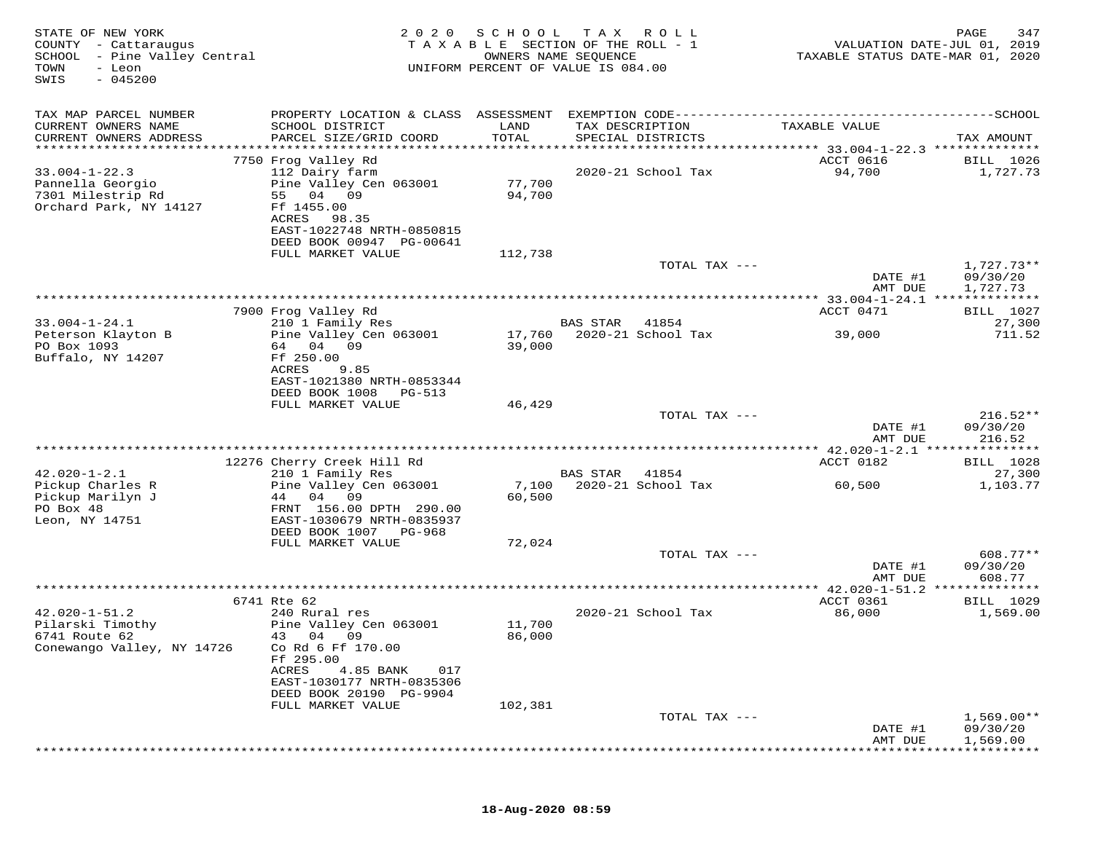| STATE OF NEW YORK<br>COUNTY - Cattaraugus<br>SCHOOL - Pine Valley Central<br>TOWN<br>- Leon<br>SWIS<br>$-045200$ | 2 0 2 0                                                                                           | SCHOOL  | T A X<br>R O L L<br>TAXABLE SECTION OF THE ROLL - 1<br>OWNERS NAME SEQUENCE<br>UNIFORM PERCENT OF VALUE IS 084.00 | VALUATION DATE-JUL 01, 2019<br>TAXABLE STATUS DATE-MAR 01, 2020 | 347<br>PAGE            |
|------------------------------------------------------------------------------------------------------------------|---------------------------------------------------------------------------------------------------|---------|-------------------------------------------------------------------------------------------------------------------|-----------------------------------------------------------------|------------------------|
| TAX MAP PARCEL NUMBER<br>CURRENT OWNERS NAME                                                                     | PROPERTY LOCATION & CLASS ASSESSMENT EXEMPTION CODE---------------------------<br>SCHOOL DISTRICT | LAND    | TAX DESCRIPTION                                                                                                   | TAXABLE VALUE                                                   | --------------SCHOOL   |
| CURRENT OWNERS ADDRESS<br>**********************                                                                 | PARCEL SIZE/GRID COORD                                                                            | TOTAL   | SPECIAL DISTRICTS                                                                                                 |                                                                 | TAX AMOUNT             |
|                                                                                                                  | 7750 Frog Valley Rd                                                                               |         |                                                                                                                   | ACCT 0616                                                       | BILL 1026              |
| $33.004 - 1 - 22.3$                                                                                              | 112 Dairy farm                                                                                    |         | 2020-21 School Tax                                                                                                | 94,700                                                          | 1,727.73               |
| Pannella Georgio                                                                                                 | Pine Valley Cen 063001                                                                            | 77,700  |                                                                                                                   |                                                                 |                        |
| 7301 Milestrip Rd<br>Orchard Park, NY 14127                                                                      | 55 04<br>09<br>Ff 1455.00                                                                         | 94,700  |                                                                                                                   |                                                                 |                        |
|                                                                                                                  | ACRES<br>98.35                                                                                    |         |                                                                                                                   |                                                                 |                        |
|                                                                                                                  | EAST-1022748 NRTH-0850815                                                                         |         |                                                                                                                   |                                                                 |                        |
|                                                                                                                  | DEED BOOK 00947 PG-00641                                                                          |         |                                                                                                                   |                                                                 |                        |
|                                                                                                                  | FULL MARKET VALUE                                                                                 | 112,738 | TOTAL TAX ---                                                                                                     |                                                                 | $1,727.73**$           |
|                                                                                                                  |                                                                                                   |         |                                                                                                                   | DATE #1                                                         | 09/30/20               |
|                                                                                                                  |                                                                                                   |         |                                                                                                                   | AMT DUE                                                         | 1,727.73               |
|                                                                                                                  | 7900 Frog Valley Rd                                                                               |         |                                                                                                                   | ACCT 0471                                                       | <b>BILL</b> 1027       |
| $33.004 - 1 - 24.1$                                                                                              | 210 1 Family Res                                                                                  |         | <b>BAS STAR</b><br>41854                                                                                          |                                                                 | 27,300                 |
| Peterson Klayton B                                                                                               | Pine Valley Cen 063001                                                                            | 17,760  | 2020-21 School Tax                                                                                                | 39,000                                                          | 711.52                 |
| PO Box 1093                                                                                                      | 64 04 09                                                                                          | 39,000  |                                                                                                                   |                                                                 |                        |
| Buffalo, NY 14207                                                                                                | Ff 250.00<br>ACRES<br>9.85                                                                        |         |                                                                                                                   |                                                                 |                        |
|                                                                                                                  | EAST-1021380 NRTH-0853344                                                                         |         |                                                                                                                   |                                                                 |                        |
|                                                                                                                  | DEED BOOK 1008<br>PG-513                                                                          |         |                                                                                                                   |                                                                 |                        |
|                                                                                                                  | FULL MARKET VALUE                                                                                 | 46,429  | TOTAL TAX ---                                                                                                     |                                                                 | $216.52**$             |
|                                                                                                                  |                                                                                                   |         |                                                                                                                   | DATE #1                                                         | 09/30/20               |
|                                                                                                                  |                                                                                                   |         |                                                                                                                   | AMT DUE                                                         | 216.52                 |
|                                                                                                                  | 12276 Cherry Creek Hill Rd                                                                        |         |                                                                                                                   | ********** 42.020-1-2.1 ***************<br>ACCT 0182            | BILL 1028              |
| $42.020 - 1 - 2.1$                                                                                               | 210 1 Family Res                                                                                  |         | BAS STAR<br>41854                                                                                                 |                                                                 | 27,300                 |
| Pickup Charles R                                                                                                 | Pine Valley Cen 063001                                                                            | 7,100   | 2020-21 School Tax                                                                                                | 60,500                                                          | 1,103.77               |
| Pickup Marilyn J                                                                                                 | 09<br>04<br>44                                                                                    | 60,500  |                                                                                                                   |                                                                 |                        |
| PO Box 48<br>Leon, NY 14751                                                                                      | FRNT 156.00 DPTH 290.00<br>EAST-1030679 NRTH-0835937                                              |         |                                                                                                                   |                                                                 |                        |
|                                                                                                                  | DEED BOOK 1007<br>PG-968                                                                          |         |                                                                                                                   |                                                                 |                        |
|                                                                                                                  | FULL MARKET VALUE                                                                                 | 72,024  |                                                                                                                   |                                                                 |                        |
|                                                                                                                  |                                                                                                   |         | TOTAL TAX ---                                                                                                     | DATE #1                                                         | $608.77**$<br>09/30/20 |
|                                                                                                                  |                                                                                                   |         |                                                                                                                   | AMT DUE                                                         | 608.77                 |
|                                                                                                                  |                                                                                                   |         |                                                                                                                   |                                                                 |                        |
| $42.020 - 1 - 51.2$                                                                                              | 6741 Rte 62<br>240 Rural res                                                                      |         | 2020-21 School Tax                                                                                                | ACCT 0361<br>86,000                                             | BILL 1029<br>1,569.00  |
| Pilarski Timothy                                                                                                 | Pine Valley Cen 063001                                                                            | 11,700  |                                                                                                                   |                                                                 |                        |
| 6741 Route 62                                                                                                    | 43 04<br>09                                                                                       | 86,000  |                                                                                                                   |                                                                 |                        |
| Conewango Valley, NY 14726                                                                                       | Co Rd 6 Ff 170.00                                                                                 |         |                                                                                                                   |                                                                 |                        |
|                                                                                                                  | Ff 295.00<br>ACRES<br>4.85 BANK<br>017                                                            |         |                                                                                                                   |                                                                 |                        |
|                                                                                                                  | EAST-1030177 NRTH-0835306                                                                         |         |                                                                                                                   |                                                                 |                        |
|                                                                                                                  | DEED BOOK 20190 PG-9904                                                                           |         |                                                                                                                   |                                                                 |                        |
|                                                                                                                  | FULL MARKET VALUE                                                                                 | 102,381 | TOTAL TAX ---                                                                                                     |                                                                 | $1,569.00**$           |
|                                                                                                                  |                                                                                                   |         |                                                                                                                   | DATE #1                                                         | 09/30/20               |
|                                                                                                                  |                                                                                                   |         |                                                                                                                   | AMT DUE                                                         | 1,569.00               |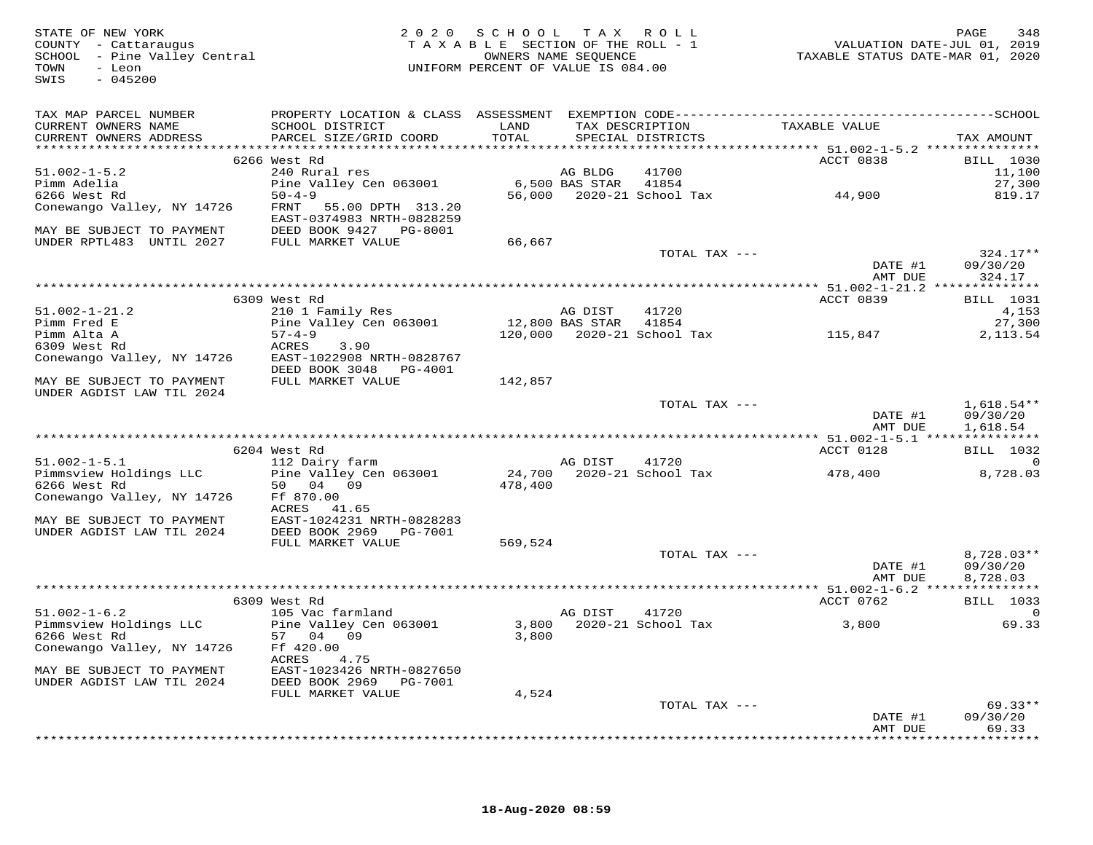| STATE OF NEW YORK<br>COUNTY - Cattaraugus<br>COUNTY - Cattaraugus<br>SCHOOL - Pine Valley Central<br>TOWN<br>- Leon<br>$-045200$<br>SWIS |                                                                             | 2020 SCHOOL TAX ROLL<br>UNIFORM PERCENT OF VALUE IS 084.00 |                      | T A X A B L E SECTION OF THE ROLL - 1<br>OWNERS NAME SEQUENCE | 7102<br>7019 , VALUATION DATE-JUL<br>7019 TAXABLE STATUS DATE-MAR | PAGE<br>348          |
|------------------------------------------------------------------------------------------------------------------------------------------|-----------------------------------------------------------------------------|------------------------------------------------------------|----------------------|---------------------------------------------------------------|-------------------------------------------------------------------|----------------------|
| TAX MAP PARCEL NUMBER<br>CURRENT OWNERS NAME<br>CURRENT OWNERS ADDRESS                                                                   | SCHOOL DISTRICT LAND<br>PARCEL SIZE/GRID COORD                              | TOTAL                                                      |                      | SPECIAL DISTRICTS                                             | TAX DESCRIPTION TAXABLE VALUE                                     | TAX AMOUNT           |
|                                                                                                                                          | 6266 West Rd                                                                |                                                            |                      |                                                               | ACCT 0838                                                         | BILL 1030            |
| $51.002 - 1 - 5.2$                                                                                                                       | 240 Rural res                                                               |                                                            | AG BLDG              | 41700                                                         |                                                                   | 11,100               |
| Pimm Adelia                                                                                                                              | Pine Valley Cen 063001                                                      |                                                            | 6,500 BAS STAR 41854 |                                                               |                                                                   | 27,300               |
| 6266 West Rd                                                                                                                             | $50 - 4 - 9$                                                                |                                                            |                      |                                                               | 56,000 2020-21 School Tax 44,900                                  | 819.17               |
| Conewango Valley, NY 14726                                                                                                               | FRNT<br>55.00 DPTH 313.20<br>EAST-0374983 NRTH-0828259                      |                                                            |                      |                                                               |                                                                   |                      |
| MAY BE SUBJECT TO PAYMENT                                                                                                                | DEED BOOK 9427 PG-8001                                                      |                                                            |                      |                                                               |                                                                   |                      |
| UNDER RPTL483 UNTIL 2027                                                                                                                 | FULL MARKET VALUE                                                           | 66,667                                                     |                      | TOTAL TAX ---                                                 |                                                                   | $324.17**$           |
|                                                                                                                                          |                                                                             |                                                            |                      |                                                               | DATE #1                                                           | 09/30/20             |
|                                                                                                                                          |                                                                             |                                                            |                      |                                                               | AMT DUE                                                           | 324.17               |
|                                                                                                                                          |                                                                             |                                                            |                      |                                                               |                                                                   |                      |
|                                                                                                                                          | 6309 West Rd                                                                |                                                            |                      |                                                               | ACCT 0839                                                         | <b>BILL</b> 1031     |
| $51.002 - 1 - 21.2$                                                                                                                      | 210 1 Family Res                                                            |                                                            | AG DIST              | 41720                                                         |                                                                   | 4,153                |
| Pimm Fred E                                                                                                                              | Pine Valley Cen 063001                                                      | 12,800 BAS STAR 41854                                      |                      |                                                               |                                                                   | 27,300               |
| Pimm Alta A                                                                                                                              | $57 - 4 - 9$                                                                |                                                            |                      |                                                               | $120,000$ 2020-21 School Tax $115,847$                            | 2,113.54             |
| 6309 West Rd                                                                                                                             | 3.90<br>ACRES                                                               |                                                            |                      |                                                               |                                                                   |                      |
| Conewango Valley, NY 14726                                                                                                               | EAST-1022908 NRTH-0828767<br>DEED BOOK 3048 PG-4001                         |                                                            |                      |                                                               |                                                                   |                      |
| MAY BE SUBJECT TO PAYMENT<br>UNDER AGDIST LAW TIL 2024                                                                                   | FULL MARKET VALUE                                                           | 142,857                                                    |                      |                                                               |                                                                   |                      |
|                                                                                                                                          |                                                                             |                                                            |                      | TOTAL TAX ---                                                 |                                                                   | $1,618.54**$         |
|                                                                                                                                          |                                                                             |                                                            |                      |                                                               | DATE #1<br>AMT DUE                                                | 09/30/20<br>1,618.54 |
|                                                                                                                                          |                                                                             |                                                            |                      |                                                               |                                                                   |                      |
|                                                                                                                                          | 6204 West Rd                                                                |                                                            |                      |                                                               | ACCT 0128                                                         | BILL 1032            |
| $51.002 - 1 - 5.1$                                                                                                                       | 112 Dairy farm                                                              |                                                            | AG DIST              | 41720                                                         |                                                                   | $\overline{0}$       |
| Pimmsview Holdings LLC<br>6266 West Rd                                                                                                   | Pine Valley Cen 063001<br>50 04 09                                          | 478,400                                                    |                      | 24,700 2020-21 School Tax                                     | 478,400                                                           | 8,728.03             |
| Conewango Valley, NY 14726                                                                                                               | Ff 870.00<br>ACRES 41.65                                                    |                                                            |                      |                                                               |                                                                   |                      |
| MAY BE SUBJECT TO PAYMENT<br>UNDER AGDIST LAW TIL 2024                                                                                   | EAST-1024231 NRTH-0828283<br>DEED BOOK 2969    PG-7001<br>FULL MARKET VALUE | 569,524                                                    |                      |                                                               |                                                                   |                      |
|                                                                                                                                          |                                                                             |                                                            |                      | TOTAL TAX ---                                                 |                                                                   | 8,728.03**           |
|                                                                                                                                          |                                                                             |                                                            |                      |                                                               | DATE #1<br>AMT DUE                                                | 09/30/20<br>8,728.03 |
|                                                                                                                                          |                                                                             |                                                            |                      |                                                               |                                                                   |                      |
|                                                                                                                                          | 6309 West Rd                                                                |                                                            |                      |                                                               | ACCT 0762                                                         | <b>BILL</b> 1033     |
| $51.002 - 1 - 6.2$                                                                                                                       | 105 Vac farmland                                                            |                                                            | AG DIST              | 41720                                                         |                                                                   | 0                    |
| Pimmsview Holdings LLC<br>6266 West Rd                                                                                                   | Pine Valley Cen 063001<br>57 04 09                                          | 3,800                                                      |                      | 3,800 2020-21 School Tax                                      | 3,800                                                             | 69.33                |
| Conewango Valley, NY 14726                                                                                                               | Ff 420.00<br>ACRES<br>4.75                                                  |                                                            |                      |                                                               |                                                                   |                      |
| MAY BE SUBJECT TO PAYMENT<br>UNDER AGDIST LAW TIL 2024                                                                                   | EAST-1023426 NRTH-0827650<br>DEED BOOK 2969    PG-7001                      |                                                            |                      |                                                               |                                                                   |                      |
|                                                                                                                                          | FULL MARKET VALUE                                                           | 4,524                                                      |                      | TOTAL TAX ---                                                 |                                                                   | $69.33**$            |
|                                                                                                                                          |                                                                             |                                                            |                      |                                                               | DATE #1<br>AMT DUE                                                | 09/30/20<br>69.33    |
|                                                                                                                                          |                                                                             |                                                            |                      |                                                               |                                                                   | *********            |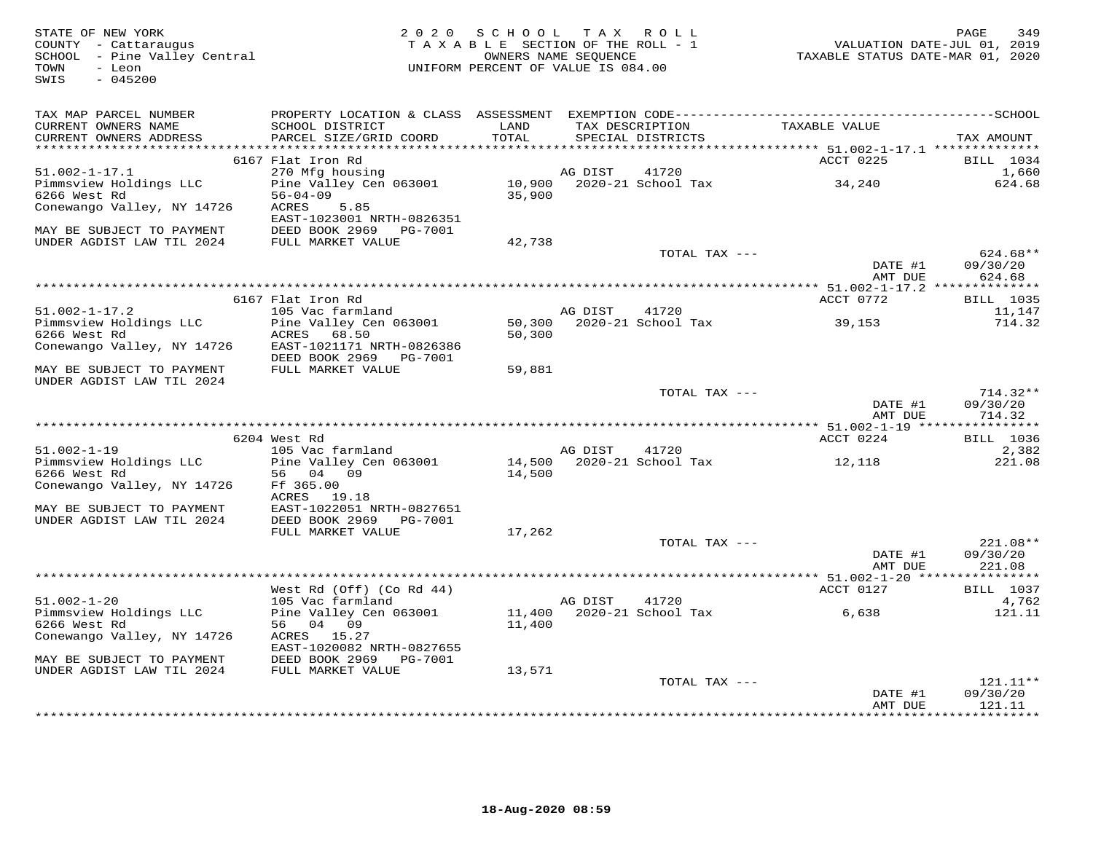| STATE OF NEW YORK<br>COUNTY - Cattaraugus<br>SCHOOL - Pine Valley Central<br>TOWN<br>- Leon<br>SWIS<br>$-045200$ |                                            | 2020 SCHOOL TAX ROLL<br>TAXABLE SECTION OF THE ROLL - 1<br>OWNERS NAME SEQUENCE<br>UNIFORM PERCENT OF VALUE IS 084.00 |               |                                      | TAXABLE STATUS DATE-MAR 01, 2020 | 349<br>PAGE<br>VALUATION DATE-JUL 01, 2019 |
|------------------------------------------------------------------------------------------------------------------|--------------------------------------------|-----------------------------------------------------------------------------------------------------------------------|---------------|--------------------------------------|----------------------------------|--------------------------------------------|
| TAX MAP PARCEL NUMBER                                                                                            |                                            |                                                                                                                       |               |                                      |                                  |                                            |
| CURRENT OWNERS NAME<br>CURRENT OWNERS ADDRESS                                                                    | SCHOOL DISTRICT<br>PARCEL SIZE/GRID COORD  | LAND<br>TOTAL                                                                                                         |               | TAX DESCRIPTION<br>SPECIAL DISTRICTS | TAXABLE VALUE                    | TAX AMOUNT                                 |
|                                                                                                                  | 6167 Flat Iron Rd                          |                                                                                                                       |               |                                      | ACCT 0225                        | <b>BILL</b> 1034                           |
| $51.002 - 1 - 17.1$                                                                                              | 270 Mfg housing                            |                                                                                                                       | AG DIST       | 41720                                |                                  | 1,660                                      |
| Pimmsview Holdings LLC<br>6266 West Rd                                                                           | Pine Valley Cen 063001<br>$56 - 04 - 09$   | 35,900                                                                                                                |               | 10,900 2020-21 School Tax            | 34,240                           | 624.68                                     |
| Conewango Valley, NY 14726                                                                                       | 5.85<br>ACRES<br>EAST-1023001 NRTH-0826351 |                                                                                                                       |               |                                      |                                  |                                            |
| MAY BE SUBJECT TO PAYMENT                                                                                        | DEED BOOK 2969 PG-7001                     |                                                                                                                       |               |                                      |                                  |                                            |
| UNDER AGDIST LAW TIL 2024                                                                                        | FULL MARKET VALUE                          | 42,738                                                                                                                |               |                                      |                                  |                                            |
|                                                                                                                  |                                            |                                                                                                                       |               | TOTAL TAX ---                        | DATE #1<br>AMT DUE               | $624.68**$<br>09/30/20<br>624.68           |
|                                                                                                                  |                                            |                                                                                                                       |               |                                      |                                  |                                            |
|                                                                                                                  | 6167 Flat Iron Rd                          |                                                                                                                       |               |                                      | ACCT 0772                        | <b>BILL</b> 1035                           |
| $51.002 - 1 - 17.2$                                                                                              | 105 Vac farmland                           |                                                                                                                       | AG DIST 41720 |                                      |                                  | 11,147                                     |
| Pimmsview Holdings LLC                                                                                           | Pine Valley Cen 063001                     | 50,300                                                                                                                |               | 2020-21 School Tax                   | 39,153                           | 714.32                                     |
| 6266 West Rd<br>Conewango Valley, NY 14726                                                                       | ACRES 68.50<br>EAST-1021171 NRTH-0826386   | 50,300                                                                                                                |               |                                      |                                  |                                            |
|                                                                                                                  | DEED BOOK 2969    PG-7001                  |                                                                                                                       |               |                                      |                                  |                                            |
| MAY BE SUBJECT TO PAYMENT<br>UNDER AGDIST LAW TIL 2024                                                           | FULL MARKET VALUE                          | 59,881                                                                                                                |               |                                      |                                  |                                            |
|                                                                                                                  |                                            |                                                                                                                       |               | TOTAL TAX ---                        |                                  | $714.32**$                                 |
|                                                                                                                  |                                            |                                                                                                                       |               |                                      | DATE #1<br>AMT DUE               | 09/30/20<br>714.32                         |
|                                                                                                                  | 6204 West Rd                               |                                                                                                                       |               |                                      | ACCT 0224                        | <b>BILL</b> 1036                           |
| $51.002 - 1 - 19$                                                                                                | 105 Vac farmland                           |                                                                                                                       | AG DIST       | 41720                                |                                  | 2,382                                      |
| Pimmsview Holdings LLC                                                                                           | Pine Valley Cen 063001                     |                                                                                                                       |               | 14,500    2020-21    School Tax      | 12,118                           | 221.08                                     |
| 6266 West Rd                                                                                                     | 56 04 09                                   | 14,500                                                                                                                |               |                                      |                                  |                                            |
| Conewango Valley, NY 14726                                                                                       | Ff 365.00                                  |                                                                                                                       |               |                                      |                                  |                                            |
| MAY BE SUBJECT TO PAYMENT                                                                                        | ACRES 19.18<br>EAST-1022051 NRTH-0827651   |                                                                                                                       |               |                                      |                                  |                                            |
| UNDER AGDIST LAW TIL 2024                                                                                        | DEED BOOK 2969<br>PG-7001                  |                                                                                                                       |               |                                      |                                  |                                            |
|                                                                                                                  | FULL MARKET VALUE                          | 17,262                                                                                                                |               |                                      |                                  |                                            |
|                                                                                                                  |                                            |                                                                                                                       |               | TOTAL TAX ---                        |                                  | 221.08**                                   |
|                                                                                                                  |                                            |                                                                                                                       |               |                                      | DATE #1                          | 09/30/20                                   |
|                                                                                                                  |                                            |                                                                                                                       |               |                                      | AMT DUE                          | 221.08                                     |
|                                                                                                                  | West Rd (Off) (Co Rd 44)                   |                                                                                                                       |               |                                      | ACCT 0127                        | <b>BILL</b> 1037                           |
| $51.002 - 1 - 20$                                                                                                | 105 Vac farmland                           |                                                                                                                       | AG DIST       | 41720                                |                                  | 4,762                                      |
| Pimmsview Holdings LLC                                                                                           | Pine Valley Cen 063001                     |                                                                                                                       |               | 11,400 2020-21 School Tax            | 6,638                            | 121.11                                     |
| 6266 West Rd                                                                                                     | 56 04 09                                   | 11,400                                                                                                                |               |                                      |                                  |                                            |
| Conewango Valley, NY 14726                                                                                       | ACRES 15.27<br>EAST-1020082 NRTH-0827655   |                                                                                                                       |               |                                      |                                  |                                            |
| MAY BE SUBJECT TO PAYMENT                                                                                        | DEED BOOK 2969 PG-7001                     |                                                                                                                       |               |                                      |                                  |                                            |
| UNDER AGDIST LAW TIL 2024                                                                                        | FULL MARKET VALUE                          | 13,571                                                                                                                |               |                                      |                                  |                                            |
|                                                                                                                  |                                            |                                                                                                                       |               | TOTAL TAX ---                        |                                  | $121.11**$                                 |
|                                                                                                                  |                                            |                                                                                                                       |               |                                      | DATE #1                          | 09/30/20                                   |
|                                                                                                                  |                                            |                                                                                                                       |               |                                      | AMT DUE                          | 121.11<br>* * * * * * * * * *              |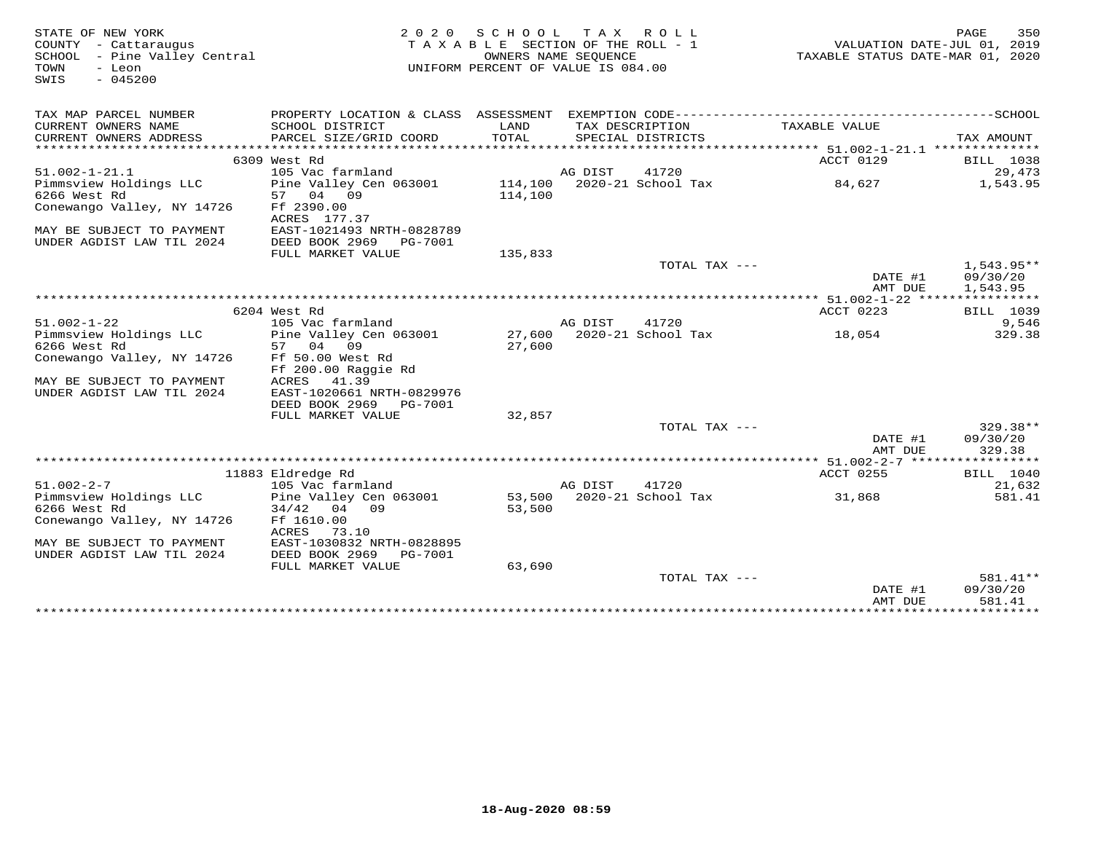| STATE OF NEW YORK<br>COUNTY - Cattaraugus<br>SCHOOL<br>- Pine Valley Central<br>- Leon<br>TOWN<br>$-045200$<br>SWIS |                                                                                              | 2020 SCHOOL TAX ROLL<br>TAXABLE SECTION OF THE ROLL - 1<br>OWNERS NAME SEQUENCE<br>UNIFORM PERCENT OF VALUE IS 084.00 |         |                                      | VALUATION DATE-JUL 01, 2019<br>TAXABLE STATUS DATE-MAR 01, 2020 | 350<br>PAGE        |
|---------------------------------------------------------------------------------------------------------------------|----------------------------------------------------------------------------------------------|-----------------------------------------------------------------------------------------------------------------------|---------|--------------------------------------|-----------------------------------------------------------------|--------------------|
| TAX MAP PARCEL NUMBER                                                                                               | PROPERTY LOCATION & CLASS ASSESSMENT EXEMPTION CODE-----------------------------------SCHOOL |                                                                                                                       |         |                                      |                                                                 |                    |
| CURRENT OWNERS NAME<br>CURRENT OWNERS ADDRESS                                                                       | SCHOOL DISTRICT<br>PARCEL SIZE/GRID COORD                                                    | LAND<br>TOTAL                                                                                                         |         | TAX DESCRIPTION<br>SPECIAL DISTRICTS | TAXABLE VALUE                                                   | TAX AMOUNT         |
|                                                                                                                     |                                                                                              |                                                                                                                       |         |                                      |                                                                 |                    |
|                                                                                                                     | 6309 West Rd                                                                                 |                                                                                                                       |         |                                      | ACCT 0129                                                       | <b>BILL</b> 1038   |
| $51.002 - 1 - 21.1$                                                                                                 | 105 Vac farmland                                                                             |                                                                                                                       | AG DIST | 41720                                |                                                                 | 29,473             |
| Pimmsview Holdings LLC<br>6266 West Rd                                                                              | Pine Valley Cen 063001<br>57 04<br>09                                                        | 114,100                                                                                                               |         | 114,100 2020-21 School Tax           | 84,627                                                          | 1,543.95           |
| Conewango Valley, NY 14726                                                                                          | Ff 2390.00<br>ACRES 177.37                                                                   |                                                                                                                       |         |                                      |                                                                 |                    |
| MAY BE SUBJECT TO PAYMENT<br>UNDER AGDIST LAW TIL 2024                                                              | EAST-1021493 NRTH-0828789<br>DEED BOOK 2969<br>PG-7001                                       |                                                                                                                       |         |                                      |                                                                 |                    |
|                                                                                                                     | FULL MARKET VALUE                                                                            | 135,833                                                                                                               |         |                                      |                                                                 |                    |
|                                                                                                                     |                                                                                              |                                                                                                                       |         | TOTAL TAX ---                        |                                                                 | $1.543.95**$       |
|                                                                                                                     |                                                                                              |                                                                                                                       |         |                                      | DATE #1                                                         | 09/30/20           |
|                                                                                                                     |                                                                                              |                                                                                                                       |         |                                      | AMT DUE                                                         | 1,543.95           |
|                                                                                                                     |                                                                                              |                                                                                                                       |         |                                      |                                                                 |                    |
| $51.002 - 1 - 22$                                                                                                   | 6204 West Rd<br>105 Vac farmland                                                             |                                                                                                                       | AG DIST | 41720                                | ACCT 0223                                                       | BILL 1039<br>9,546 |
| Pimmsview Holdings LLC                                                                                              | Pine Valley Cen 063001                                                                       | 27,600                                                                                                                |         | 2020-21 School Tax                   | 18,054                                                          | 329.38             |
| 6266 West Rd                                                                                                        | 57 04<br>09                                                                                  | 27,600                                                                                                                |         |                                      |                                                                 |                    |
| Conewango Valley, NY 14726                                                                                          | Ff 50.00 West Rd                                                                             |                                                                                                                       |         |                                      |                                                                 |                    |
|                                                                                                                     | Ff 200.00 Raggie Rd                                                                          |                                                                                                                       |         |                                      |                                                                 |                    |
| MAY BE SUBJECT TO PAYMENT                                                                                           | ACRES<br>41.39                                                                               |                                                                                                                       |         |                                      |                                                                 |                    |
| UNDER AGDIST LAW TIL 2024                                                                                           | EAST-1020661 NRTH-0829976                                                                    |                                                                                                                       |         |                                      |                                                                 |                    |
|                                                                                                                     | DEED BOOK 2969 PG-7001                                                                       |                                                                                                                       |         |                                      |                                                                 |                    |
|                                                                                                                     | FULL MARKET VALUE                                                                            | 32,857                                                                                                                |         |                                      |                                                                 |                    |
|                                                                                                                     |                                                                                              |                                                                                                                       |         | TOTAL TAX ---                        |                                                                 | $329.38**$         |
|                                                                                                                     |                                                                                              |                                                                                                                       |         |                                      | DATE #1<br>AMT DUE                                              | 09/30/20<br>329.38 |
|                                                                                                                     |                                                                                              |                                                                                                                       |         |                                      |                                                                 |                    |
|                                                                                                                     | 11883 Eldredge Rd                                                                            |                                                                                                                       |         |                                      | <b>ACCT 0255</b>                                                | BILL 1040          |
| $51.002 - 2 - 7$                                                                                                    | 105 Vac farmland                                                                             |                                                                                                                       | AG DIST | 41720                                |                                                                 | 21,632             |
| Pimmsview Holdings LLC                                                                                              | Pine Valley Cen 063001                                                                       |                                                                                                                       |         | 53,500 2020-21 School Tax            | 31,868                                                          | 581.41             |
| 6266 West Rd                                                                                                        | 04 09<br>34/42                                                                               | 53,500                                                                                                                |         |                                      |                                                                 |                    |
| Conewango Valley, NY 14726                                                                                          | Ff 1610.00                                                                                   |                                                                                                                       |         |                                      |                                                                 |                    |
|                                                                                                                     | ACRES<br>73.10                                                                               |                                                                                                                       |         |                                      |                                                                 |                    |
| MAY BE SUBJECT TO PAYMENT                                                                                           | EAST-1030832 NRTH-0828895                                                                    |                                                                                                                       |         |                                      |                                                                 |                    |
| UNDER AGDIST LAW TIL 2024                                                                                           | DEED BOOK 2969<br>PG-7001                                                                    |                                                                                                                       |         |                                      |                                                                 |                    |
|                                                                                                                     | FULL MARKET VALUE                                                                            | 63,690                                                                                                                |         | TOTAL TAX ---                        |                                                                 | 581.41**           |
|                                                                                                                     |                                                                                              |                                                                                                                       |         |                                      | DATE #1                                                         | 09/30/20           |
|                                                                                                                     |                                                                                              |                                                                                                                       |         |                                      | AMT DUE                                                         | 581.41             |
|                                                                                                                     |                                                                                              |                                                                                                                       |         |                                      |                                                                 |                    |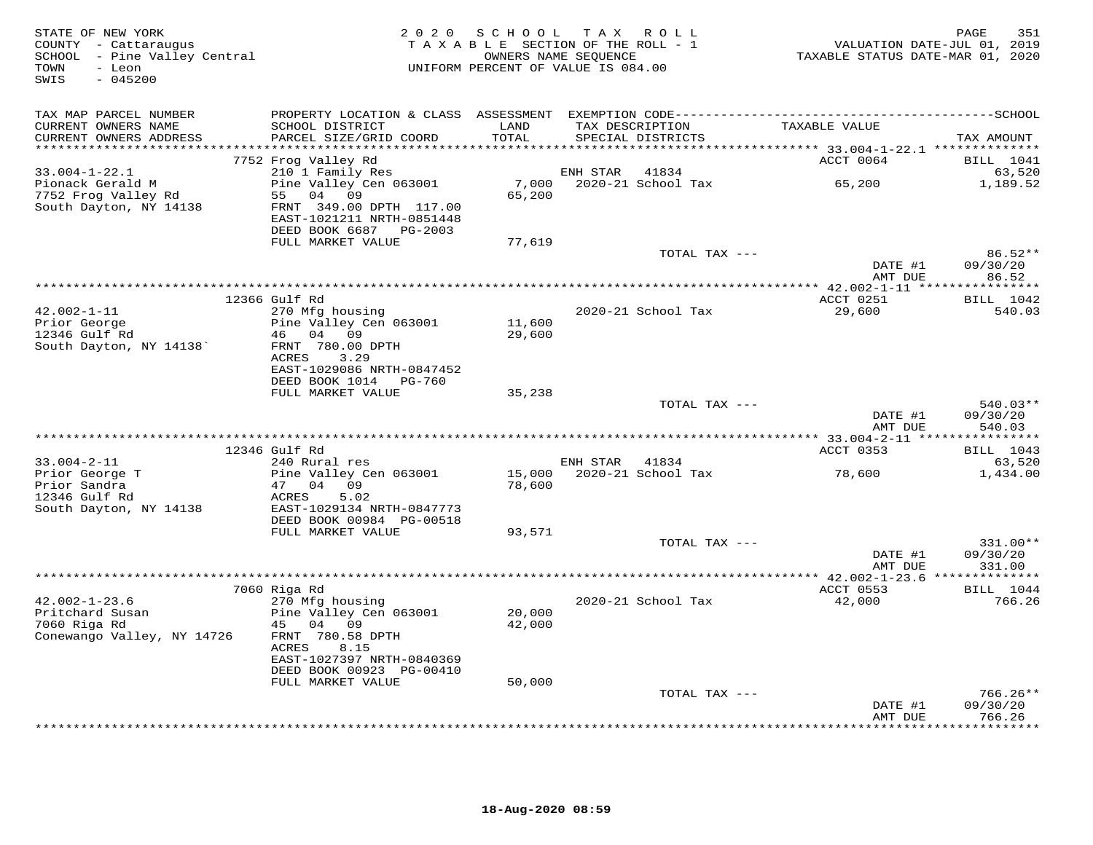| STATE OF NEW YORK<br>COUNTY - Cattaraugus<br>SCHOOL - Pine Valley Central<br>- Leon<br>TOWN<br>$-045200$<br>SWIS | 2 0 2 0                                                                                                              | SCHOOL TAX ROLL<br>TAXABLE SECTION OF THE ROLL - 1<br>OWNERS NAME SEQUENCE<br>UNIFORM PERCENT OF VALUE IS 084.00 |                |                                      | VALUATION DATE-JUL 01, 2019<br>TAXABLE STATUS DATE-MAR 01, 2020 | 351<br>PAGE                      |
|------------------------------------------------------------------------------------------------------------------|----------------------------------------------------------------------------------------------------------------------|------------------------------------------------------------------------------------------------------------------|----------------|--------------------------------------|-----------------------------------------------------------------|----------------------------------|
| TAX MAP PARCEL NUMBER                                                                                            |                                                                                                                      |                                                                                                                  |                |                                      |                                                                 |                                  |
| CURRENT OWNERS NAME<br>CURRENT OWNERS ADDRESS                                                                    | SCHOOL DISTRICT<br>PARCEL SIZE/GRID COORD                                                                            | LAND<br>TOTAL                                                                                                    |                | TAX DESCRIPTION<br>SPECIAL DISTRICTS | TAXABLE VALUE                                                   | TAX AMOUNT                       |
| **********************                                                                                           |                                                                                                                      |                                                                                                                  |                |                                      |                                                                 |                                  |
|                                                                                                                  | 7752 Frog Valley Rd                                                                                                  |                                                                                                                  |                |                                      | ACCT 0064                                                       | <b>BILL</b> 1041                 |
| 33.004-1-22.1                                                                                                    | 210 1 Family Res                                                                                                     |                                                                                                                  | ENH STAR       | 41834                                | 65,200                                                          | 63,520                           |
| Pionack Gerald M<br>7752 Frog Valley Rd<br>South Dayton, NY 14138                                                | Pine Valley Cen 063001<br>55 04 09<br>FRNT 349.00 DPTH 117.00<br>EAST-1021211 NRTH-0851448<br>DEED BOOK 6687 PG-2003 | 7,000<br>65,200                                                                                                  |                | 2020-21 School Tax                   |                                                                 | 1,189.52                         |
|                                                                                                                  | FULL MARKET VALUE                                                                                                    | 77,619                                                                                                           |                |                                      |                                                                 |                                  |
|                                                                                                                  |                                                                                                                      |                                                                                                                  |                | TOTAL TAX ---                        |                                                                 | $86.52**$                        |
|                                                                                                                  |                                                                                                                      |                                                                                                                  |                |                                      | DATE #1                                                         | 09/30/20                         |
|                                                                                                                  |                                                                                                                      |                                                                                                                  |                |                                      | AMT DUE                                                         | 86.52                            |
|                                                                                                                  | 12366 Gulf Rd                                                                                                        |                                                                                                                  |                |                                      | ACCT 0251                                                       | <b>BILL</b> 1042                 |
| $42.002 - 1 - 11$                                                                                                | 270 Mfg housing                                                                                                      |                                                                                                                  |                | 2020-21 School Tax                   | 29,600                                                          | 540.03                           |
| Prior George<br>12346 Gulf Rd                                                                                    | Pine Valley Cen 063001<br>46 04 09                                                                                   | 11,600<br>29,600                                                                                                 |                |                                      |                                                                 |                                  |
| South Dayton, NY 14138'                                                                                          | FRNT 780.00 DPTH<br>3.29<br>ACRES<br>EAST-1029086 NRTH-0847452                                                       |                                                                                                                  |                |                                      |                                                                 |                                  |
|                                                                                                                  | DEED BOOK 1014 PG-760                                                                                                |                                                                                                                  |                |                                      |                                                                 |                                  |
|                                                                                                                  | FULL MARKET VALUE                                                                                                    | 35,238                                                                                                           |                | TOTAL TAX ---                        |                                                                 | $540.03**$                       |
|                                                                                                                  |                                                                                                                      |                                                                                                                  |                |                                      | DATE #1<br>AMT DUE                                              | 09/30/20<br>540.03               |
|                                                                                                                  |                                                                                                                      |                                                                                                                  |                |                                      |                                                                 |                                  |
|                                                                                                                  | 12346 Gulf Rd<br>240 Rural res                                                                                       |                                                                                                                  |                |                                      | ACCT 0353                                                       | <b>BILL</b> 1043                 |
| $33.004 - 2 - 11$<br>Prior George T                                                                              | Pine Valley Cen 063001                                                                                               | 15,000                                                                                                           | ENH STAR 41834 | 2020-21 School Tax                   | 78,600                                                          | 63,520<br>1,434.00               |
| Prior Sandra<br>12346 Gulf Rd                                                                                    | 47 04 09<br>ACRES<br>5.02                                                                                            | 78,600                                                                                                           |                |                                      |                                                                 |                                  |
| South Dayton, NY 14138                                                                                           | EAST-1029134 NRTH-0847773<br>DEED BOOK 00984 PG-00518                                                                |                                                                                                                  |                |                                      |                                                                 |                                  |
|                                                                                                                  | FULL MARKET VALUE                                                                                                    | 93,571                                                                                                           |                |                                      |                                                                 |                                  |
|                                                                                                                  |                                                                                                                      |                                                                                                                  |                | TOTAL TAX ---                        | DATE #1<br>AMT DUE                                              | $331.00**$<br>09/30/20<br>331.00 |
|                                                                                                                  |                                                                                                                      |                                                                                                                  |                |                                      |                                                                 |                                  |
|                                                                                                                  | 7060 Riga Rd                                                                                                         |                                                                                                                  |                |                                      | ACCT 0553                                                       | <b>BILL</b> 1044                 |
| $42.002 - 1 - 23.6$<br>Pritchard Susan<br>7060 Riga Rd                                                           | 270 Mfg housing<br>Pine Valley Cen 063001<br>45 04 09                                                                | 20,000<br>42,000                                                                                                 |                | 2020-21 School Tax                   | 42,000                                                          | 766.26                           |
| Conewango Valley, NY 14726                                                                                       | FRNT 780.58 DPTH<br>ACRES<br>8.15                                                                                    |                                                                                                                  |                |                                      |                                                                 |                                  |
|                                                                                                                  | EAST-1027397 NRTH-0840369<br>DEED BOOK 00923 PG-00410<br>FULL MARKET VALUE                                           | 50,000                                                                                                           |                |                                      |                                                                 |                                  |
|                                                                                                                  |                                                                                                                      |                                                                                                                  |                | TOTAL TAX ---                        |                                                                 | $766.26**$                       |
|                                                                                                                  |                                                                                                                      |                                                                                                                  |                |                                      | DATE #1<br>AMT DUE                                              | 09/30/20<br>766.26               |
|                                                                                                                  |                                                                                                                      |                                                                                                                  |                |                                      |                                                                 | .                                |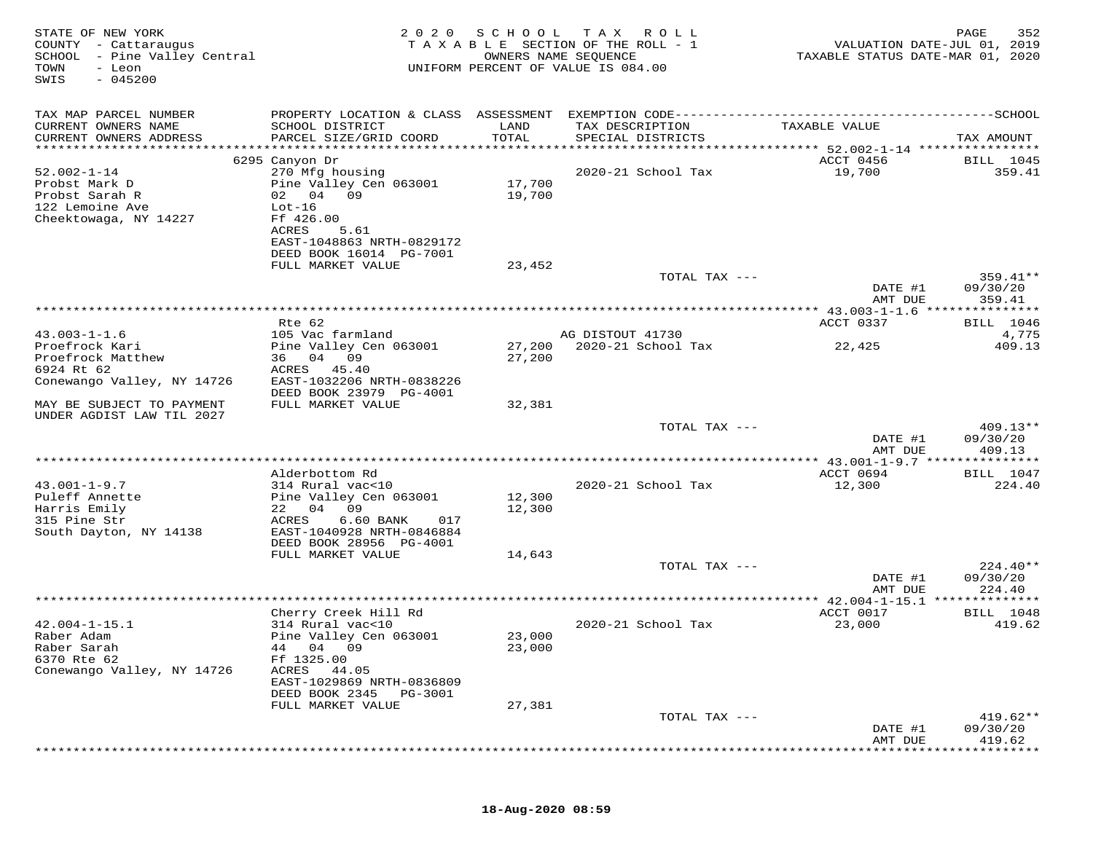| STATE OF NEW YORK<br>COUNTY - Cattaraugus<br>SCHOOL - Pine Valley Central<br>TOWN<br>- Leon<br>$-045200$<br>SWIS | 2020                                                    | SCHOOL           | T A X<br>R O L L<br>TAXABLE SECTION OF THE ROLL - 1<br>OWNERS NAME SEQUENCE<br>UNIFORM PERCENT OF VALUE IS 084.00 | VALUATION DATE-JUL 01, 2019<br>TAXABLE STATUS DATE-MAR 01, 2020 | PAGE<br>352                    |
|------------------------------------------------------------------------------------------------------------------|---------------------------------------------------------|------------------|-------------------------------------------------------------------------------------------------------------------|-----------------------------------------------------------------|--------------------------------|
| TAX MAP PARCEL NUMBER<br>CURRENT OWNERS NAME                                                                     | PROPERTY LOCATION & CLASS ASSESSMENT<br>SCHOOL DISTRICT | LAND             | TAX DESCRIPTION                                                                                                   | TAXABLE VALUE                                                   |                                |
| CURRENT OWNERS ADDRESS<br>***********************                                                                | PARCEL SIZE/GRID COORD                                  | TOTAL            | SPECIAL DISTRICTS                                                                                                 |                                                                 | TAX AMOUNT                     |
|                                                                                                                  | 6295 Canyon Dr                                          |                  |                                                                                                                   | ACCT 0456                                                       | <b>BILL</b> 1045               |
| $52.002 - 1 - 14$                                                                                                | 270 Mfg housing                                         |                  | 2020-21 School Tax                                                                                                | 19,700                                                          | 359.41                         |
| Probst Mark D<br>Probst Sarah R<br>122 Lemoine Ave                                                               | Pine Valley Cen 063001<br>02 04 09<br>$Lot-16$          | 17,700<br>19,700 |                                                                                                                   |                                                                 |                                |
| Cheektowaga, NY 14227                                                                                            | Ff 426.00<br>ACRES<br>5.61<br>EAST-1048863 NRTH-0829172 |                  |                                                                                                                   |                                                                 |                                |
|                                                                                                                  | DEED BOOK 16014 PG-7001                                 |                  |                                                                                                                   |                                                                 |                                |
|                                                                                                                  | FULL MARKET VALUE                                       | 23,452           |                                                                                                                   |                                                                 |                                |
|                                                                                                                  |                                                         |                  | TOTAL TAX ---                                                                                                     | DATE #1<br>AMT DUE                                              | 359.41**<br>09/30/20<br>359.41 |
|                                                                                                                  |                                                         |                  |                                                                                                                   |                                                                 |                                |
|                                                                                                                  | Rte 62                                                  |                  |                                                                                                                   | ACCT 0337                                                       | <b>BILL</b> 1046               |
| $43.003 - 1 - 1.6$<br>Proefrock Kari                                                                             | 105 Vac farmland                                        |                  | AG DISTOUT 41730<br>2020-21 School Tax                                                                            |                                                                 | 4,775<br>409.13                |
| Proefrock Matthew                                                                                                | Pine Valley Cen 063001<br>36 04 09                      | 27,200<br>27,200 |                                                                                                                   | 22,425                                                          |                                |
| 6924 Rt 62                                                                                                       | ACRES<br>45.40                                          |                  |                                                                                                                   |                                                                 |                                |
| Conewango Valley, NY 14726                                                                                       | EAST-1032206 NRTH-0838226                               |                  |                                                                                                                   |                                                                 |                                |
|                                                                                                                  | DEED BOOK 23979 PG-4001                                 |                  |                                                                                                                   |                                                                 |                                |
| MAY BE SUBJECT TO PAYMENT<br>UNDER AGDIST LAW TIL 2027                                                           | FULL MARKET VALUE                                       | 32,381           |                                                                                                                   |                                                                 |                                |
|                                                                                                                  |                                                         |                  | TOTAL TAX ---                                                                                                     |                                                                 | $409.13**$                     |
|                                                                                                                  |                                                         |                  |                                                                                                                   | DATE #1                                                         | 09/30/20                       |
|                                                                                                                  |                                                         |                  | ****************************                                                                                      | AMT DUE                                                         | 409.13                         |
|                                                                                                                  | Alderbottom Rd                                          |                  |                                                                                                                   | ********* 43.001-1-9.7 ***************<br>ACCT 0694             | <b>BILL</b> 1047               |
| $43.001 - 1 - 9.7$                                                                                               | 314 Rural vac<10                                        |                  | 2020-21 School Tax                                                                                                | 12,300                                                          | 224.40                         |
| Puleff Annette                                                                                                   | Pine Valley Cen 063001                                  | 12,300           |                                                                                                                   |                                                                 |                                |
| Harris Emily                                                                                                     | 09<br>22 04                                             | 12,300           |                                                                                                                   |                                                                 |                                |
| 315 Pine Str<br>South Dayton, NY 14138                                                                           | ACRES<br>6.60 BANK<br>017<br>EAST-1040928 NRTH-0846884  |                  |                                                                                                                   |                                                                 |                                |
|                                                                                                                  | DEED BOOK 28956 PG-4001                                 |                  |                                                                                                                   |                                                                 |                                |
|                                                                                                                  | FULL MARKET VALUE                                       | 14,643           |                                                                                                                   |                                                                 |                                |
|                                                                                                                  |                                                         |                  | TOTAL TAX ---                                                                                                     |                                                                 | $224.40**$                     |
|                                                                                                                  |                                                         |                  |                                                                                                                   | DATE #1                                                         | 09/30/20                       |
|                                                                                                                  |                                                         |                  |                                                                                                                   | AMT DUE                                                         | 224.40                         |
|                                                                                                                  | Cherry Creek Hill Rd                                    |                  |                                                                                                                   | ACCT 0017                                                       | <b>BILL</b> 1048               |
| $42.004 - 1 - 15.1$                                                                                              | 314 Rural vac<10                                        |                  | 2020-21 School Tax                                                                                                | 23,000                                                          | 419.62                         |
| Raber Adam                                                                                                       | Pine Valley Cen 063001                                  | 23,000           |                                                                                                                   |                                                                 |                                |
| Raber Sarah                                                                                                      | 04 09<br>44                                             | 23,000           |                                                                                                                   |                                                                 |                                |
| 6370 Rte 62<br>Conewango Valley, NY 14726                                                                        | Ff 1325.00<br>ACRES<br>44.05                            |                  |                                                                                                                   |                                                                 |                                |
|                                                                                                                  | EAST-1029869 NRTH-0836809                               |                  |                                                                                                                   |                                                                 |                                |
|                                                                                                                  | DEED BOOK 2345<br>PG-3001                               |                  |                                                                                                                   |                                                                 |                                |
|                                                                                                                  | FULL MARKET VALUE                                       | 27,381           |                                                                                                                   |                                                                 |                                |
|                                                                                                                  |                                                         |                  | TOTAL TAX ---                                                                                                     |                                                                 | $419.62**$                     |
|                                                                                                                  |                                                         |                  |                                                                                                                   | DATE #1<br>AMT DUE                                              | 09/30/20<br>419.62             |
|                                                                                                                  |                                                         |                  |                                                                                                                   |                                                                 |                                |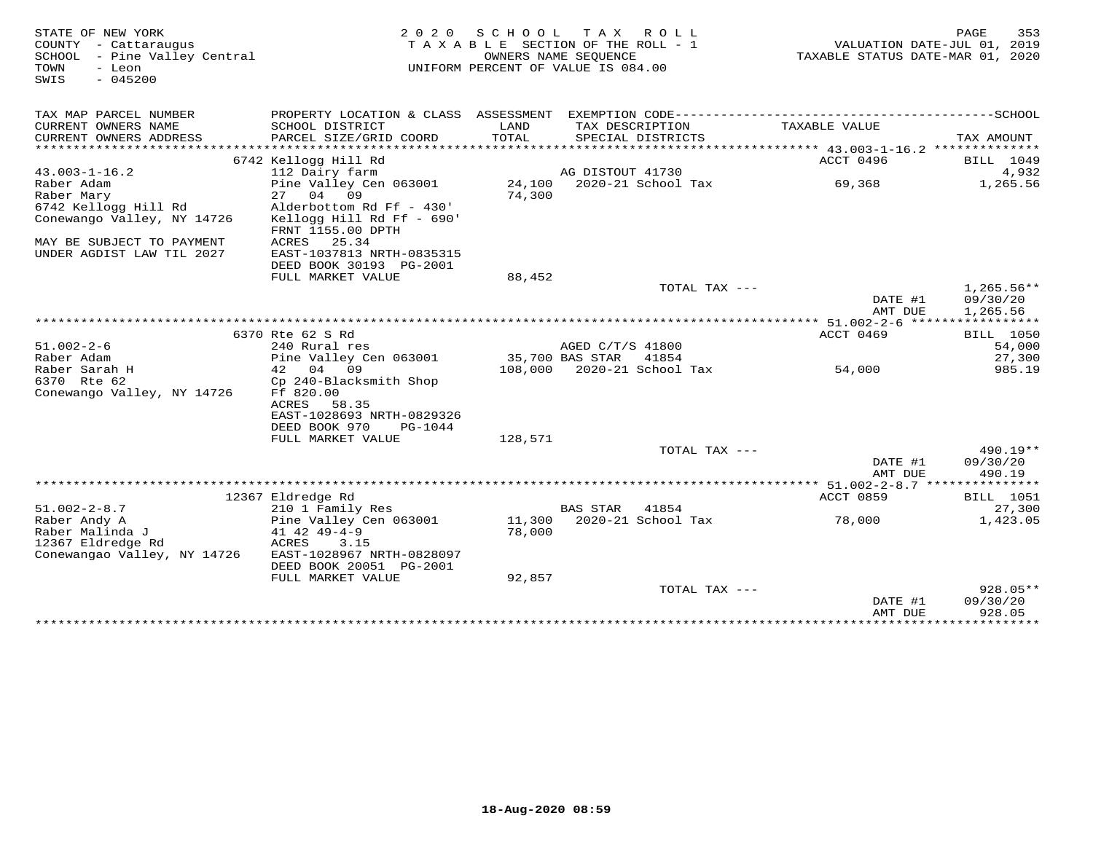| STATE OF NEW YORK<br>COUNTY - Cattaraugus<br>SCHOOL - Pine Valley Central<br>TOWN<br>- Leon<br>$-045200$<br>SWIS | 2 0 2 0                                                                    |                 | SCHOOL TAX ROLL<br>TAXABLE SECTION OF THE ROLL - 1<br>OWNERS NAME SEQUENCE<br>UNIFORM PERCENT OF VALUE IS 084.00 | VALUATION DATE-JUL 01, 2019<br>TAXABLE STATUS DATE-MAR 01, 2020 | PAGE<br>353                          |
|------------------------------------------------------------------------------------------------------------------|----------------------------------------------------------------------------|-----------------|------------------------------------------------------------------------------------------------------------------|-----------------------------------------------------------------|--------------------------------------|
| TAX MAP PARCEL NUMBER                                                                                            |                                                                            |                 |                                                                                                                  |                                                                 |                                      |
| CURRENT OWNERS NAME<br>CURRENT OWNERS ADDRESS                                                                    | SCHOOL DISTRICT<br>PARCEL SIZE/GRID COORD                                  | LAND<br>TOTAL   | TAX DESCRIPTION<br>SPECIAL DISTRICTS                                                                             | TAXABLE VALUE                                                   | TAX AMOUNT                           |
|                                                                                                                  |                                                                            |                 |                                                                                                                  |                                                                 |                                      |
|                                                                                                                  | 6742 Kellogg Hill Rd                                                       |                 |                                                                                                                  | ACCT 0496                                                       | BILL 1049                            |
| $43.003 - 1 - 16.2$                                                                                              | 112 Dairy farm                                                             |                 | AG DISTOUT 41730                                                                                                 |                                                                 | 4,932                                |
| Raber Adam                                                                                                       | Pine Valley Cen 063001                                                     |                 | 24,100 2020-21 School Tax                                                                                        | 69,368                                                          | 1,265.56                             |
| Raber Mary                                                                                                       | 27 04 09                                                                   | 74,300          |                                                                                                                  |                                                                 |                                      |
| 6742 Kellogg Hill Rd<br>Conewango Valley, NY 14726                                                               | Alderbottom Rd Ff - 430'<br>Kellogg Hill Rd Ff - 690'<br>FRNT 1155.00 DPTH |                 |                                                                                                                  |                                                                 |                                      |
| MAY BE SUBJECT TO PAYMENT<br>UNDER AGDIST LAW TIL 2027                                                           | ACRES<br>25.34<br>EAST-1037813 NRTH-0835315<br>DEED BOOK 30193 PG-2001     |                 |                                                                                                                  |                                                                 |                                      |
|                                                                                                                  | FULL MARKET VALUE                                                          | 88,452          |                                                                                                                  |                                                                 |                                      |
|                                                                                                                  |                                                                            |                 | TOTAL TAX ---                                                                                                    | DATE #1<br>AMT DUE                                              | $1,265.56**$<br>09/30/20<br>1,265.56 |
|                                                                                                                  |                                                                            |                 |                                                                                                                  |                                                                 |                                      |
|                                                                                                                  | 6370 Rte 62 S Rd                                                           |                 |                                                                                                                  | ACCT 0469                                                       | <b>BILL</b> 1050                     |
| $51.002 - 2 - 6$                                                                                                 | 240 Rural res                                                              |                 | AGED C/T/S 41800                                                                                                 |                                                                 | 54,000                               |
| Raber Adam                                                                                                       | Pine Valley Cen 063001                                                     | 35,700 BAS STAR | 41854                                                                                                            |                                                                 | 27,300                               |
| Raber Sarah H                                                                                                    | 42 04 09                                                                   |                 | 108,000 2020-21 School Tax                                                                                       | 54,000                                                          | 985.19                               |
| 6370 Rte 62                                                                                                      | Cp 240-Blacksmith Shop                                                     |                 |                                                                                                                  |                                                                 |                                      |
| Conewango Valley, NY 14726                                                                                       | Ff 820.00<br>ACRES<br>58.35<br>EAST-1028693 NRTH-0829326                   |                 |                                                                                                                  |                                                                 |                                      |
|                                                                                                                  | DEED BOOK 970<br>PG-1044                                                   |                 |                                                                                                                  |                                                                 |                                      |
|                                                                                                                  | FULL MARKET VALUE                                                          | 128,571         |                                                                                                                  |                                                                 |                                      |
|                                                                                                                  |                                                                            |                 | TOTAL TAX ---                                                                                                    |                                                                 | $490.19**$                           |
|                                                                                                                  |                                                                            |                 |                                                                                                                  | DATE #1<br>AMT DUE                                              | 09/30/20<br>490.19                   |
|                                                                                                                  |                                                                            |                 |                                                                                                                  |                                                                 |                                      |
|                                                                                                                  | 12367 Eldredge Rd                                                          |                 |                                                                                                                  | ACCT 0859                                                       | BILL 1051                            |
| $51.002 - 2 - 8.7$                                                                                               | 210 1 Family Res                                                           |                 | <b>BAS STAR</b><br>41854                                                                                         |                                                                 | 27,300                               |
| Raber Andy A                                                                                                     | Pine Valley Cen 063001                                                     |                 | 11,300 2020-21 School Tax                                                                                        | 78,000                                                          | 1,423.05                             |
| Raber Malinda J                                                                                                  | $41$ $42$ $49 - 4 - 9$                                                     | 78,000          |                                                                                                                  |                                                                 |                                      |
| 12367 Eldredge Rd                                                                                                | ACRES<br>3.15                                                              |                 |                                                                                                                  |                                                                 |                                      |
| Conewangao Valley, NY 14726                                                                                      | EAST-1028967 NRTH-0828097                                                  |                 |                                                                                                                  |                                                                 |                                      |
|                                                                                                                  | DEED BOOK 20051 PG-2001                                                    |                 |                                                                                                                  |                                                                 |                                      |
|                                                                                                                  | FULL MARKET VALUE                                                          | 92,857          |                                                                                                                  |                                                                 |                                      |
|                                                                                                                  |                                                                            |                 | TOTAL TAX $---$                                                                                                  |                                                                 | $928.05**$                           |
|                                                                                                                  |                                                                            |                 |                                                                                                                  | DATE #1                                                         | 09/30/20                             |
|                                                                                                                  |                                                                            |                 |                                                                                                                  | AMT DUE<br>*****************************                        | 928.05                               |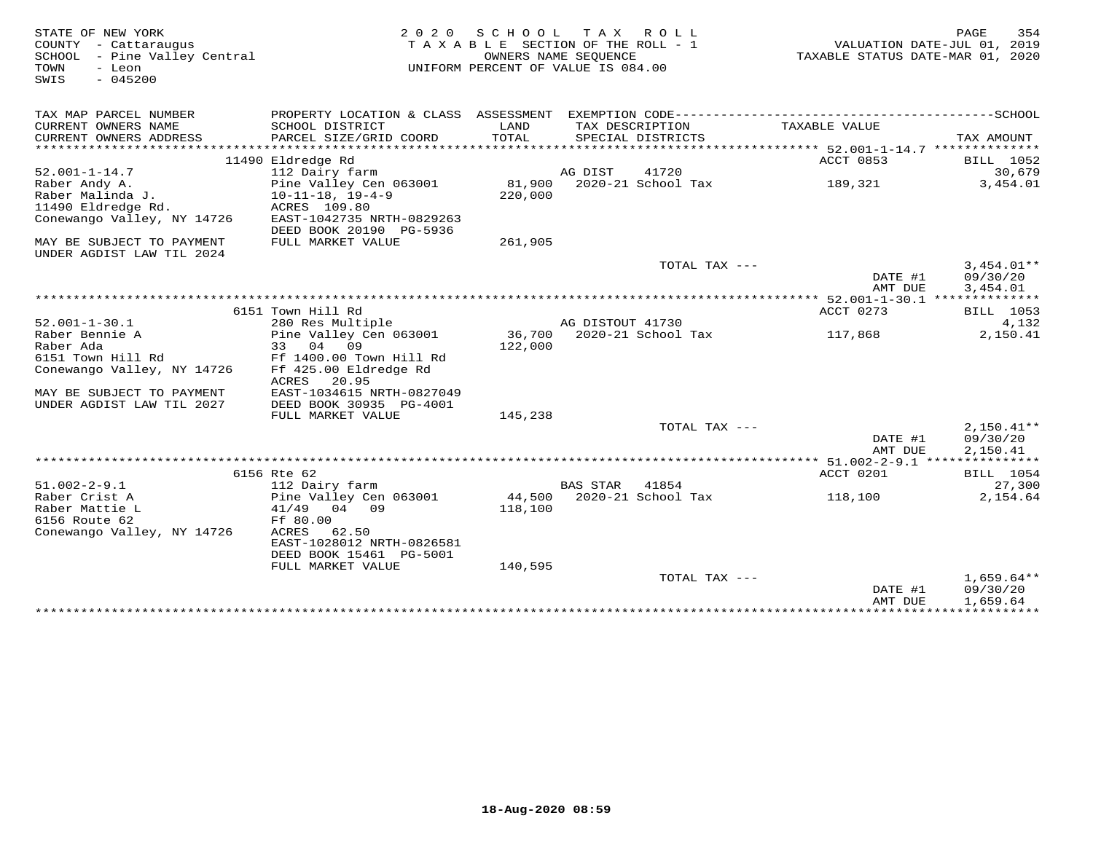| TAX MAP PARCEL NUMBER<br>PROPERTY LOCATION & CLASS ASSESSMENT<br>CURRENT OWNERS NAME<br>SCHOOL DISTRICT<br>LAND<br>TAX DESCRIPTION<br>TAXABLE VALUE<br>CURRENT OWNERS ADDRESS<br>PARCEL SIZE/GRID COORD<br>TOTAL<br>SPECIAL DISTRICTS<br>TAX AMOUNT<br>***********************<br>11490 Eldredge Rd<br>ACCT 0853<br><b>BILL</b> 1052<br>112 Dairy farm<br>AG DIST<br>41720<br>30,679<br>$52.001 - 1 - 14.7$<br>Pine Valley Cen 063001<br>81,900 2020-21 School Tax<br>3,454.01<br>Raber Andy A.<br>189,321<br>Raber Malinda J.<br>$10 - 11 - 18$ , $19 - 4 - 9$<br>220,000<br>11490 Eldredge Rd.<br>ACRES 109.80<br>Conewango Valley, NY 14726<br>EAST-1042735 NRTH-0829263<br>DEED BOOK 20190 PG-5936<br>MAY BE SUBJECT TO PAYMENT<br>FULL MARKET VALUE<br>261,905<br>UNDER AGDIST LAW TIL 2024<br>$3.454.01**$<br>TOTAL TAX $---$<br>DATE #1<br>09/30/20<br>AMT DUE<br>3,454.01<br>********** 52.001-1-30.1 **************<br>6151 Town Hill Rd<br>ACCT 0273<br><b>BILL</b> 1053<br>$52.001 - 1 - 30.1$<br>280 Res Multiple<br>AG DISTOUT 41730<br>4,132<br>36,700<br>Raber Bennie A<br>Pine Valley Cen 063001<br>2020-21 School Tax<br>2,150.41<br>117,868<br>Raber Ada<br>33 04 09<br>122,000<br>6151 Town Hill Rd<br>Ff 1400.00 Town Hill Rd<br>Conewango Valley, NY 14726<br>Ff 425.00 Eldredge Rd<br>ACRES<br>20.95<br>EAST-1034615 NRTH-0827049<br>MAY BE SUBJECT TO PAYMENT<br>UNDER AGDIST LAW TIL 2027<br>DEED BOOK 30935 PG-4001<br>145,238<br>FULL MARKET VALUE<br>TOTAL TAX ---<br>$2,150.41**$<br>DATE #1<br>09/30/20<br>2,150.41<br>AMT DUE<br>6156 Rte 62<br>ACCT 0201<br><b>BILL</b> 1054<br>$51.002 - 2 - 9.1$<br><b>BAS STAR</b><br>27,300<br>112 Dairy farm<br>41854<br>Raber Crist A<br>Pine Valley Cen 063001<br>44,500 2020-21 School Tax<br>2,154.64<br>118,100<br>Raber Mattie L<br>41/49 04 09<br>118,100<br>6156 Route 62<br>Ff 80.00<br>Conewango Valley, NY 14726<br>ACRES<br>62.50<br>EAST-1028012 NRTH-0826581<br>DEED BOOK 15461 PG-5001<br>FULL MARKET VALUE<br>140,595<br>TOTAL TAX ---<br>$1,659.64**$<br>DATE #1<br>09/30/20<br>AMT DUE<br>1,659.64 | STATE OF NEW YORK<br>COUNTY - Cattaraugus<br>SCHOOL - Pine Valley Central<br>- Leon<br>TOWN<br>$-045200$<br>SWIS | 2 0 2 0 | SCHOOL TAX ROLL<br>TAXABLE SECTION OF THE ROLL - 1<br>OWNERS NAME SEQUENCE<br>UNIFORM PERCENT OF VALUE IS 084.00 |  | TAXABLE STATUS DATE-MAR 01, 2020 | 354<br>PAGE<br>VALUATION DATE-JUL 01, 2019 |
|------------------------------------------------------------------------------------------------------------------------------------------------------------------------------------------------------------------------------------------------------------------------------------------------------------------------------------------------------------------------------------------------------------------------------------------------------------------------------------------------------------------------------------------------------------------------------------------------------------------------------------------------------------------------------------------------------------------------------------------------------------------------------------------------------------------------------------------------------------------------------------------------------------------------------------------------------------------------------------------------------------------------------------------------------------------------------------------------------------------------------------------------------------------------------------------------------------------------------------------------------------------------------------------------------------------------------------------------------------------------------------------------------------------------------------------------------------------------------------------------------------------------------------------------------------------------------------------------------------------------------------------------------------------------------------------------------------------------------------------------------------------------------------------------------------------------------------------------------------------------------------------------------------------------------------------------------------------------------------------------------------------------------------------------------------------------------------------|------------------------------------------------------------------------------------------------------------------|---------|------------------------------------------------------------------------------------------------------------------|--|----------------------------------|--------------------------------------------|
|                                                                                                                                                                                                                                                                                                                                                                                                                                                                                                                                                                                                                                                                                                                                                                                                                                                                                                                                                                                                                                                                                                                                                                                                                                                                                                                                                                                                                                                                                                                                                                                                                                                                                                                                                                                                                                                                                                                                                                                                                                                                                          |                                                                                                                  |         |                                                                                                                  |  |                                  |                                            |
|                                                                                                                                                                                                                                                                                                                                                                                                                                                                                                                                                                                                                                                                                                                                                                                                                                                                                                                                                                                                                                                                                                                                                                                                                                                                                                                                                                                                                                                                                                                                                                                                                                                                                                                                                                                                                                                                                                                                                                                                                                                                                          |                                                                                                                  |         |                                                                                                                  |  |                                  |                                            |
|                                                                                                                                                                                                                                                                                                                                                                                                                                                                                                                                                                                                                                                                                                                                                                                                                                                                                                                                                                                                                                                                                                                                                                                                                                                                                                                                                                                                                                                                                                                                                                                                                                                                                                                                                                                                                                                                                                                                                                                                                                                                                          |                                                                                                                  |         |                                                                                                                  |  |                                  |                                            |
|                                                                                                                                                                                                                                                                                                                                                                                                                                                                                                                                                                                                                                                                                                                                                                                                                                                                                                                                                                                                                                                                                                                                                                                                                                                                                                                                                                                                                                                                                                                                                                                                                                                                                                                                                                                                                                                                                                                                                                                                                                                                                          |                                                                                                                  |         |                                                                                                                  |  |                                  |                                            |
|                                                                                                                                                                                                                                                                                                                                                                                                                                                                                                                                                                                                                                                                                                                                                                                                                                                                                                                                                                                                                                                                                                                                                                                                                                                                                                                                                                                                                                                                                                                                                                                                                                                                                                                                                                                                                                                                                                                                                                                                                                                                                          |                                                                                                                  |         |                                                                                                                  |  |                                  |                                            |
|                                                                                                                                                                                                                                                                                                                                                                                                                                                                                                                                                                                                                                                                                                                                                                                                                                                                                                                                                                                                                                                                                                                                                                                                                                                                                                                                                                                                                                                                                                                                                                                                                                                                                                                                                                                                                                                                                                                                                                                                                                                                                          |                                                                                                                  |         |                                                                                                                  |  |                                  |                                            |
|                                                                                                                                                                                                                                                                                                                                                                                                                                                                                                                                                                                                                                                                                                                                                                                                                                                                                                                                                                                                                                                                                                                                                                                                                                                                                                                                                                                                                                                                                                                                                                                                                                                                                                                                                                                                                                                                                                                                                                                                                                                                                          |                                                                                                                  |         |                                                                                                                  |  |                                  |                                            |
|                                                                                                                                                                                                                                                                                                                                                                                                                                                                                                                                                                                                                                                                                                                                                                                                                                                                                                                                                                                                                                                                                                                                                                                                                                                                                                                                                                                                                                                                                                                                                                                                                                                                                                                                                                                                                                                                                                                                                                                                                                                                                          |                                                                                                                  |         |                                                                                                                  |  |                                  |                                            |
|                                                                                                                                                                                                                                                                                                                                                                                                                                                                                                                                                                                                                                                                                                                                                                                                                                                                                                                                                                                                                                                                                                                                                                                                                                                                                                                                                                                                                                                                                                                                                                                                                                                                                                                                                                                                                                                                                                                                                                                                                                                                                          |                                                                                                                  |         |                                                                                                                  |  |                                  |                                            |
|                                                                                                                                                                                                                                                                                                                                                                                                                                                                                                                                                                                                                                                                                                                                                                                                                                                                                                                                                                                                                                                                                                                                                                                                                                                                                                                                                                                                                                                                                                                                                                                                                                                                                                                                                                                                                                                                                                                                                                                                                                                                                          |                                                                                                                  |         |                                                                                                                  |  |                                  |                                            |
|                                                                                                                                                                                                                                                                                                                                                                                                                                                                                                                                                                                                                                                                                                                                                                                                                                                                                                                                                                                                                                                                                                                                                                                                                                                                                                                                                                                                                                                                                                                                                                                                                                                                                                                                                                                                                                                                                                                                                                                                                                                                                          |                                                                                                                  |         |                                                                                                                  |  |                                  |                                            |
|                                                                                                                                                                                                                                                                                                                                                                                                                                                                                                                                                                                                                                                                                                                                                                                                                                                                                                                                                                                                                                                                                                                                                                                                                                                                                                                                                                                                                                                                                                                                                                                                                                                                                                                                                                                                                                                                                                                                                                                                                                                                                          |                                                                                                                  |         |                                                                                                                  |  |                                  |                                            |
|                                                                                                                                                                                                                                                                                                                                                                                                                                                                                                                                                                                                                                                                                                                                                                                                                                                                                                                                                                                                                                                                                                                                                                                                                                                                                                                                                                                                                                                                                                                                                                                                                                                                                                                                                                                                                                                                                                                                                                                                                                                                                          |                                                                                                                  |         |                                                                                                                  |  |                                  |                                            |
|                                                                                                                                                                                                                                                                                                                                                                                                                                                                                                                                                                                                                                                                                                                                                                                                                                                                                                                                                                                                                                                                                                                                                                                                                                                                                                                                                                                                                                                                                                                                                                                                                                                                                                                                                                                                                                                                                                                                                                                                                                                                                          |                                                                                                                  |         |                                                                                                                  |  |                                  |                                            |
|                                                                                                                                                                                                                                                                                                                                                                                                                                                                                                                                                                                                                                                                                                                                                                                                                                                                                                                                                                                                                                                                                                                                                                                                                                                                                                                                                                                                                                                                                                                                                                                                                                                                                                                                                                                                                                                                                                                                                                                                                                                                                          |                                                                                                                  |         |                                                                                                                  |  |                                  |                                            |
|                                                                                                                                                                                                                                                                                                                                                                                                                                                                                                                                                                                                                                                                                                                                                                                                                                                                                                                                                                                                                                                                                                                                                                                                                                                                                                                                                                                                                                                                                                                                                                                                                                                                                                                                                                                                                                                                                                                                                                                                                                                                                          |                                                                                                                  |         |                                                                                                                  |  |                                  |                                            |
|                                                                                                                                                                                                                                                                                                                                                                                                                                                                                                                                                                                                                                                                                                                                                                                                                                                                                                                                                                                                                                                                                                                                                                                                                                                                                                                                                                                                                                                                                                                                                                                                                                                                                                                                                                                                                                                                                                                                                                                                                                                                                          |                                                                                                                  |         |                                                                                                                  |  |                                  |                                            |
|                                                                                                                                                                                                                                                                                                                                                                                                                                                                                                                                                                                                                                                                                                                                                                                                                                                                                                                                                                                                                                                                                                                                                                                                                                                                                                                                                                                                                                                                                                                                                                                                                                                                                                                                                                                                                                                                                                                                                                                                                                                                                          |                                                                                                                  |         |                                                                                                                  |  |                                  |                                            |
|                                                                                                                                                                                                                                                                                                                                                                                                                                                                                                                                                                                                                                                                                                                                                                                                                                                                                                                                                                                                                                                                                                                                                                                                                                                                                                                                                                                                                                                                                                                                                                                                                                                                                                                                                                                                                                                                                                                                                                                                                                                                                          |                                                                                                                  |         |                                                                                                                  |  |                                  |                                            |
|                                                                                                                                                                                                                                                                                                                                                                                                                                                                                                                                                                                                                                                                                                                                                                                                                                                                                                                                                                                                                                                                                                                                                                                                                                                                                                                                                                                                                                                                                                                                                                                                                                                                                                                                                                                                                                                                                                                                                                                                                                                                                          |                                                                                                                  |         |                                                                                                                  |  |                                  |                                            |
|                                                                                                                                                                                                                                                                                                                                                                                                                                                                                                                                                                                                                                                                                                                                                                                                                                                                                                                                                                                                                                                                                                                                                                                                                                                                                                                                                                                                                                                                                                                                                                                                                                                                                                                                                                                                                                                                                                                                                                                                                                                                                          |                                                                                                                  |         |                                                                                                                  |  |                                  |                                            |
|                                                                                                                                                                                                                                                                                                                                                                                                                                                                                                                                                                                                                                                                                                                                                                                                                                                                                                                                                                                                                                                                                                                                                                                                                                                                                                                                                                                                                                                                                                                                                                                                                                                                                                                                                                                                                                                                                                                                                                                                                                                                                          |                                                                                                                  |         |                                                                                                                  |  |                                  |                                            |
|                                                                                                                                                                                                                                                                                                                                                                                                                                                                                                                                                                                                                                                                                                                                                                                                                                                                                                                                                                                                                                                                                                                                                                                                                                                                                                                                                                                                                                                                                                                                                                                                                                                                                                                                                                                                                                                                                                                                                                                                                                                                                          |                                                                                                                  |         |                                                                                                                  |  |                                  |                                            |
|                                                                                                                                                                                                                                                                                                                                                                                                                                                                                                                                                                                                                                                                                                                                                                                                                                                                                                                                                                                                                                                                                                                                                                                                                                                                                                                                                                                                                                                                                                                                                                                                                                                                                                                                                                                                                                                                                                                                                                                                                                                                                          |                                                                                                                  |         |                                                                                                                  |  |                                  |                                            |
|                                                                                                                                                                                                                                                                                                                                                                                                                                                                                                                                                                                                                                                                                                                                                                                                                                                                                                                                                                                                                                                                                                                                                                                                                                                                                                                                                                                                                                                                                                                                                                                                                                                                                                                                                                                                                                                                                                                                                                                                                                                                                          |                                                                                                                  |         |                                                                                                                  |  |                                  |                                            |
|                                                                                                                                                                                                                                                                                                                                                                                                                                                                                                                                                                                                                                                                                                                                                                                                                                                                                                                                                                                                                                                                                                                                                                                                                                                                                                                                                                                                                                                                                                                                                                                                                                                                                                                                                                                                                                                                                                                                                                                                                                                                                          |                                                                                                                  |         |                                                                                                                  |  |                                  |                                            |
|                                                                                                                                                                                                                                                                                                                                                                                                                                                                                                                                                                                                                                                                                                                                                                                                                                                                                                                                                                                                                                                                                                                                                                                                                                                                                                                                                                                                                                                                                                                                                                                                                                                                                                                                                                                                                                                                                                                                                                                                                                                                                          |                                                                                                                  |         |                                                                                                                  |  |                                  |                                            |
|                                                                                                                                                                                                                                                                                                                                                                                                                                                                                                                                                                                                                                                                                                                                                                                                                                                                                                                                                                                                                                                                                                                                                                                                                                                                                                                                                                                                                                                                                                                                                                                                                                                                                                                                                                                                                                                                                                                                                                                                                                                                                          |                                                                                                                  |         |                                                                                                                  |  |                                  |                                            |
|                                                                                                                                                                                                                                                                                                                                                                                                                                                                                                                                                                                                                                                                                                                                                                                                                                                                                                                                                                                                                                                                                                                                                                                                                                                                                                                                                                                                                                                                                                                                                                                                                                                                                                                                                                                                                                                                                                                                                                                                                                                                                          |                                                                                                                  |         |                                                                                                                  |  |                                  |                                            |
|                                                                                                                                                                                                                                                                                                                                                                                                                                                                                                                                                                                                                                                                                                                                                                                                                                                                                                                                                                                                                                                                                                                                                                                                                                                                                                                                                                                                                                                                                                                                                                                                                                                                                                                                                                                                                                                                                                                                                                                                                                                                                          |                                                                                                                  |         |                                                                                                                  |  |                                  |                                            |
|                                                                                                                                                                                                                                                                                                                                                                                                                                                                                                                                                                                                                                                                                                                                                                                                                                                                                                                                                                                                                                                                                                                                                                                                                                                                                                                                                                                                                                                                                                                                                                                                                                                                                                                                                                                                                                                                                                                                                                                                                                                                                          |                                                                                                                  |         |                                                                                                                  |  |                                  |                                            |
|                                                                                                                                                                                                                                                                                                                                                                                                                                                                                                                                                                                                                                                                                                                                                                                                                                                                                                                                                                                                                                                                                                                                                                                                                                                                                                                                                                                                                                                                                                                                                                                                                                                                                                                                                                                                                                                                                                                                                                                                                                                                                          |                                                                                                                  |         |                                                                                                                  |  |                                  |                                            |
|                                                                                                                                                                                                                                                                                                                                                                                                                                                                                                                                                                                                                                                                                                                                                                                                                                                                                                                                                                                                                                                                                                                                                                                                                                                                                                                                                                                                                                                                                                                                                                                                                                                                                                                                                                                                                                                                                                                                                                                                                                                                                          |                                                                                                                  |         |                                                                                                                  |  |                                  |                                            |
|                                                                                                                                                                                                                                                                                                                                                                                                                                                                                                                                                                                                                                                                                                                                                                                                                                                                                                                                                                                                                                                                                                                                                                                                                                                                                                                                                                                                                                                                                                                                                                                                                                                                                                                                                                                                                                                                                                                                                                                                                                                                                          |                                                                                                                  |         |                                                                                                                  |  |                                  |                                            |
|                                                                                                                                                                                                                                                                                                                                                                                                                                                                                                                                                                                                                                                                                                                                                                                                                                                                                                                                                                                                                                                                                                                                                                                                                                                                                                                                                                                                                                                                                                                                                                                                                                                                                                                                                                                                                                                                                                                                                                                                                                                                                          |                                                                                                                  |         |                                                                                                                  |  |                                  |                                            |
|                                                                                                                                                                                                                                                                                                                                                                                                                                                                                                                                                                                                                                                                                                                                                                                                                                                                                                                                                                                                                                                                                                                                                                                                                                                                                                                                                                                                                                                                                                                                                                                                                                                                                                                                                                                                                                                                                                                                                                                                                                                                                          |                                                                                                                  |         |                                                                                                                  |  |                                  |                                            |
|                                                                                                                                                                                                                                                                                                                                                                                                                                                                                                                                                                                                                                                                                                                                                                                                                                                                                                                                                                                                                                                                                                                                                                                                                                                                                                                                                                                                                                                                                                                                                                                                                                                                                                                                                                                                                                                                                                                                                                                                                                                                                          |                                                                                                                  |         |                                                                                                                  |  |                                  |                                            |
|                                                                                                                                                                                                                                                                                                                                                                                                                                                                                                                                                                                                                                                                                                                                                                                                                                                                                                                                                                                                                                                                                                                                                                                                                                                                                                                                                                                                                                                                                                                                                                                                                                                                                                                                                                                                                                                                                                                                                                                                                                                                                          |                                                                                                                  |         |                                                                                                                  |  |                                  |                                            |
|                                                                                                                                                                                                                                                                                                                                                                                                                                                                                                                                                                                                                                                                                                                                                                                                                                                                                                                                                                                                                                                                                                                                                                                                                                                                                                                                                                                                                                                                                                                                                                                                                                                                                                                                                                                                                                                                                                                                                                                                                                                                                          |                                                                                                                  |         |                                                                                                                  |  |                                  |                                            |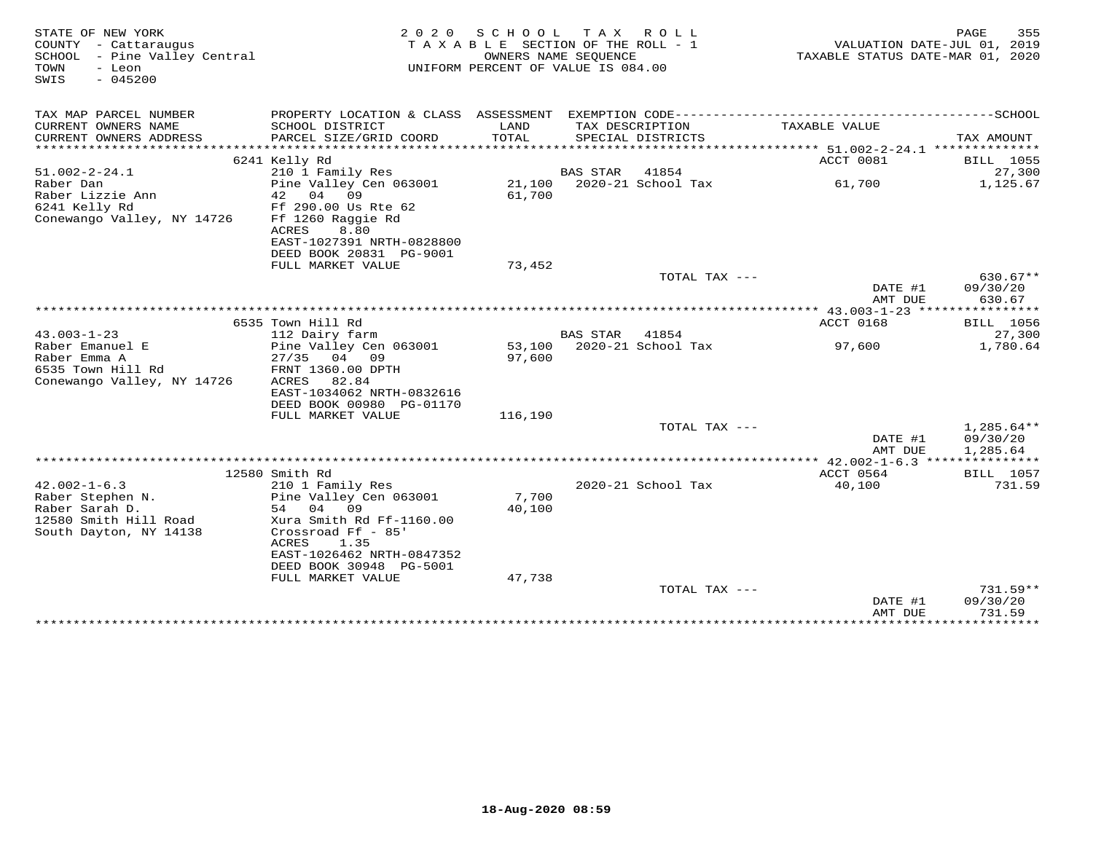| STATE OF NEW YORK<br>COUNTY - Cattaraugus<br>SCHOOL - Pine Valley Central<br>TOWN<br>- Leon<br>$-045200$<br>SWIS |                                                                                   | 2020 SCHOOL TAX ROLL<br>TAXABLE SECTION OF THE ROLL - 1<br>OWNERS NAME SEOUENCE<br>UNIFORM PERCENT OF VALUE IS 084.00 |          |                                      | TAXABLE STATUS DATE-MAR 01, 2020 | 355<br>PAGE<br>VALUATION DATE-JUL 01, 2019 |
|------------------------------------------------------------------------------------------------------------------|-----------------------------------------------------------------------------------|-----------------------------------------------------------------------------------------------------------------------|----------|--------------------------------------|----------------------------------|--------------------------------------------|
| TAX MAP PARCEL NUMBER                                                                                            |                                                                                   |                                                                                                                       |          |                                      |                                  |                                            |
| CURRENT OWNERS NAME<br>CURRENT OWNERS ADDRESS<br>***********************                                         | SCHOOL DISTRICT<br>PARCEL SIZE/GRID COORD                                         | LAND<br>TOTAL                                                                                                         |          | TAX DESCRIPTION<br>SPECIAL DISTRICTS | TAXABLE VALUE                    | TAX AMOUNT                                 |
|                                                                                                                  | 6241 Kelly Rd                                                                     |                                                                                                                       |          |                                      | ACCT 0081                        | BILL 1055                                  |
| $51.002 - 2 - 24.1$                                                                                              | 210 1 Family Res                                                                  |                                                                                                                       | BAS STAR | 41854                                |                                  | 27,300                                     |
| Raber Dan<br>Raber Lizzie Ann<br>6241 Kelly Rd<br>Conewango Valley, NY 14726                                     | Pine Valley Cen 063001<br>42 04<br>09<br>Ff 290.00 Us Rte 62<br>Ff 1260 Raggie Rd | 61,700                                                                                                                |          | 21,100 2020-21 School Tax            | 61,700                           | 1,125.67                                   |
|                                                                                                                  | 8.80<br>ACRES<br>EAST-1027391 NRTH-0828800<br>DEED BOOK 20831 PG-9001             |                                                                                                                       |          |                                      |                                  |                                            |
|                                                                                                                  | FULL MARKET VALUE                                                                 | 73,452                                                                                                                |          |                                      |                                  |                                            |
|                                                                                                                  |                                                                                   |                                                                                                                       |          | TOTAL TAX ---                        | DATE #1<br>AMT DUE               | $630.67**$<br>09/30/20<br>630.67           |
|                                                                                                                  |                                                                                   |                                                                                                                       |          |                                      |                                  |                                            |
|                                                                                                                  | 6535 Town Hill Rd                                                                 |                                                                                                                       |          |                                      | <b>ACCT 0168</b>                 | <b>BILL</b> 1056                           |
| $43.003 - 1 - 23$<br>Raber Emanuel E                                                                             | 112 Dairy farm<br>Pine Valley Cen 063001                                          |                                                                                                                       | BAS STAR | 41854<br>53,100 2020-21 School Tax   | 97,600                           | 27,300<br>1,780.64                         |
| Raber Emma A                                                                                                     | 27/35<br>04 09                                                                    | 97,600                                                                                                                |          |                                      |                                  |                                            |
| 6535 Town Hill Rd                                                                                                | FRNT 1360.00 DPTH                                                                 |                                                                                                                       |          |                                      |                                  |                                            |
| Conewango Valley, NY 14726                                                                                       | ACRES<br>82.84                                                                    |                                                                                                                       |          |                                      |                                  |                                            |
|                                                                                                                  | EAST-1034062 NRTH-0832616                                                         |                                                                                                                       |          |                                      |                                  |                                            |
|                                                                                                                  | DEED BOOK 00980 PG-01170                                                          |                                                                                                                       |          |                                      |                                  |                                            |
|                                                                                                                  | FULL MARKET VALUE                                                                 | 116,190                                                                                                               |          |                                      |                                  |                                            |
|                                                                                                                  |                                                                                   |                                                                                                                       |          | TOTAL TAX ---                        |                                  | $1,285.64**$                               |
|                                                                                                                  |                                                                                   |                                                                                                                       |          |                                      | DATE #1<br>AMT DUE               | 09/30/20<br>1,285.64                       |
|                                                                                                                  |                                                                                   |                                                                                                                       |          |                                      |                                  |                                            |
|                                                                                                                  | 12580 Smith Rd                                                                    |                                                                                                                       |          |                                      | ACCT 0564                        | <b>BILL</b> 1057                           |
| $42.002 - 1 - 6.3$                                                                                               | 210 1 Family Res                                                                  |                                                                                                                       |          | 2020-21 School Tax                   | 40,100                           | 731.59                                     |
| Raber Stephen N.                                                                                                 | Pine Valley Cen 063001                                                            | 7,700                                                                                                                 |          |                                      |                                  |                                            |
| Raber Sarah D.                                                                                                   | 54 04<br>09                                                                       | 40,100                                                                                                                |          |                                      |                                  |                                            |
| 12580 Smith Hill Road<br>South Dayton, NY 14138                                                                  | Xura Smith Rd Ff-1160.00<br>Crossroad Ff - 85'                                    |                                                                                                                       |          |                                      |                                  |                                            |
|                                                                                                                  | ACRES<br>1.35<br>EAST-1026462 NRTH-0847352                                        |                                                                                                                       |          |                                      |                                  |                                            |
|                                                                                                                  | DEED BOOK 30948 PG-5001                                                           |                                                                                                                       |          |                                      |                                  |                                            |
|                                                                                                                  | FULL MARKET VALUE                                                                 | 47,738                                                                                                                |          |                                      |                                  |                                            |
|                                                                                                                  |                                                                                   |                                                                                                                       |          | TOTAL TAX ---                        |                                  | $731.59**$                                 |
|                                                                                                                  |                                                                                   |                                                                                                                       |          |                                      | DATE #1                          | 09/30/20                                   |
|                                                                                                                  |                                                                                   |                                                                                                                       |          |                                      | AMT DUE                          | 731.59                                     |
|                                                                                                                  |                                                                                   |                                                                                                                       |          |                                      |                                  |                                            |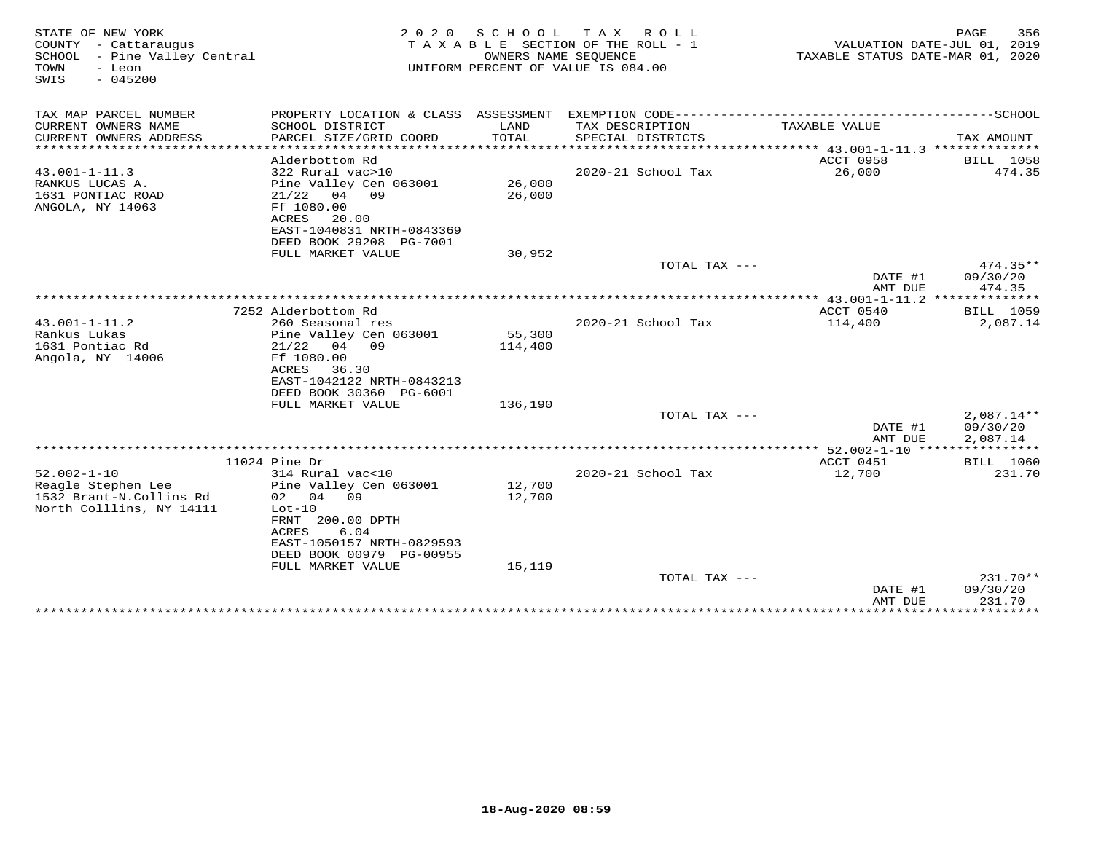| STATE OF NEW YORK<br>COUNTY - Cattaraugus<br>SCHOOL - Pine Valley Central<br>- Leon<br>TOWN<br>$-045200$<br>SWIS | 2 0 2 0                                                                                                                                                          | SCHOOL            | T A X<br>ROLL ROLL<br>TAXABLE SECTION OF THE ROLL - 1<br>OWNERS NAME SEQUENCE<br>UNIFORM PERCENT OF VALUE IS 084.00 | VALUATION DATE-JUL 01, 2019<br>TAXABLE STATUS DATE-MAR 01, 2020 | PAGE<br>356                          |
|------------------------------------------------------------------------------------------------------------------|------------------------------------------------------------------------------------------------------------------------------------------------------------------|-------------------|---------------------------------------------------------------------------------------------------------------------|-----------------------------------------------------------------|--------------------------------------|
| TAX MAP PARCEL NUMBER                                                                                            |                                                                                                                                                                  |                   |                                                                                                                     |                                                                 |                                      |
| CURRENT OWNERS NAME<br>CURRENT OWNERS ADDRESS<br>***********************                                         | SCHOOL DISTRICT<br>PARCEL SIZE/GRID COORD                                                                                                                        | LAND<br>TOTAL     | TAX DESCRIPTION<br>SPECIAL DISTRICTS                                                                                | TAXABLE VALUE                                                   | TAX AMOUNT                           |
|                                                                                                                  | Alderbottom Rd                                                                                                                                                   |                   |                                                                                                                     | ACCT 0958                                                       | BILL 1058                            |
| $43.001 - 1 - 11.3$<br>RANKUS LUCAS A.<br>1631 PONTIAC ROAD<br>ANGOLA, NY 14063                                  | 322 Rural vac>10<br>Pine Valley Cen 063001<br>$21/22$ 04 09<br>Ff 1080.00                                                                                        | 26,000<br>26,000  | 2020-21 School Tax                                                                                                  | 26,000                                                          | 474.35                               |
|                                                                                                                  | ACRES<br>20.00<br>EAST-1040831 NRTH-0843369<br>DEED BOOK 29208 PG-7001                                                                                           |                   |                                                                                                                     |                                                                 |                                      |
|                                                                                                                  | FULL MARKET VALUE                                                                                                                                                | 30,952            |                                                                                                                     |                                                                 |                                      |
|                                                                                                                  |                                                                                                                                                                  |                   | TOTAL TAX ---                                                                                                       | DATE #1<br>AMT DUE                                              | $474.35**$<br>09/30/20<br>474.35     |
|                                                                                                                  |                                                                                                                                                                  |                   |                                                                                                                     |                                                                 |                                      |
|                                                                                                                  | 7252 Alderbottom Rd                                                                                                                                              |                   |                                                                                                                     | ACCT 0540                                                       | BILL 1059                            |
| $43.001 - 1 - 11.2$<br>Rankus Lukas<br>1631 Pontiac Rd<br>Angola, NY 14006                                       | 260 Seasonal res<br>Pine Valley Cen 063001<br>$21/22$ 04 09<br>Ff 1080.00<br>ACRES<br>36.30<br>EAST-1042122 NRTH-0843213<br>DEED BOOK 30360 PG-6001              | 55,300<br>114,400 | 2020-21 School Tax                                                                                                  | 114,400                                                         | 2,087.14                             |
|                                                                                                                  | FULL MARKET VALUE                                                                                                                                                | 136,190           |                                                                                                                     |                                                                 |                                      |
|                                                                                                                  |                                                                                                                                                                  |                   | TOTAL TAX ---                                                                                                       | DATE #1<br>AMT DUE                                              | $2,087.14**$<br>09/30/20<br>2,087.14 |
|                                                                                                                  |                                                                                                                                                                  |                   |                                                                                                                     |                                                                 |                                      |
|                                                                                                                  | 11024 Pine Dr                                                                                                                                                    |                   |                                                                                                                     | ACCT 0451                                                       | BILL 1060                            |
| $52.002 - 1 - 10$<br>Reagle Stephen Lee<br>1532 Brant-N.Collins Rd<br>North Colllins, NY 14111                   | 314 Rural vac<10<br>Pine Valley Cen 063001<br>02 04 09<br>$Lot-10$<br>FRNT 200.00 DPTH<br>ACRES<br>6.04<br>EAST-1050157 NRTH-0829593<br>DEED BOOK 00979 PG-00955 | 12,700<br>12,700  | 2020-21 School Tax                                                                                                  | 12,700                                                          | 231.70                               |
|                                                                                                                  | FULL MARKET VALUE                                                                                                                                                | 15,119            | TOTAL TAX ---                                                                                                       | DATE #1                                                         | 231.70**<br>09/30/20                 |
|                                                                                                                  | ********************************                                                                                                                                 |                   |                                                                                                                     | AMT DUE<br>****************                                     | 231.70<br>**************             |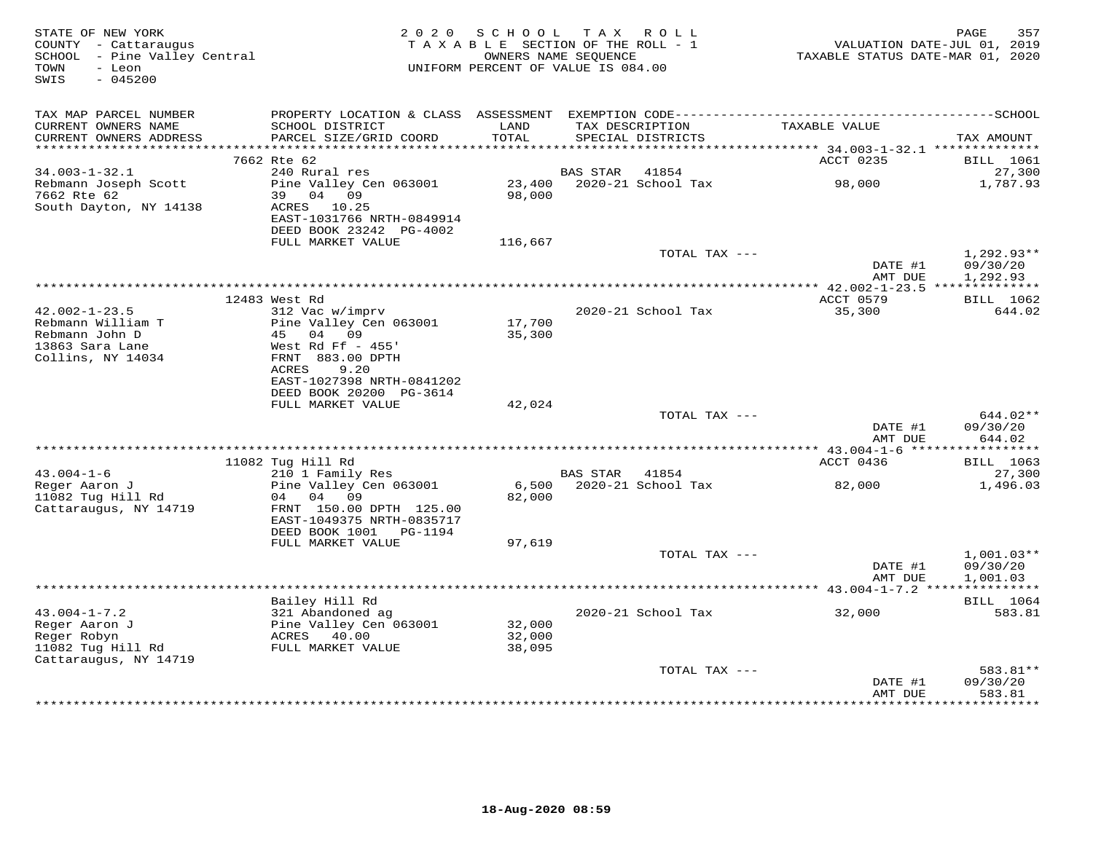| STATE OF NEW YORK<br>COUNTY - Cattaraugus<br>SCHOOL - Pine Valley Central<br>- Leon<br>TOWN<br>SWIS<br>$-045200$ |                                                                                                                                    | 2020 SCHOOL<br>TAXABLE SECTION OF THE ROLL - 1<br>UNIFORM PERCENT OF VALUE IS 084.00 | OWNERS NAME SEQUENCE | TAX ROLL                             | VALUATION DATE-JUL 01, 2019<br>TAXABLE STATUS DATE-MAR 01, 2020 | 357<br>PAGE                          |
|------------------------------------------------------------------------------------------------------------------|------------------------------------------------------------------------------------------------------------------------------------|--------------------------------------------------------------------------------------|----------------------|--------------------------------------|-----------------------------------------------------------------|--------------------------------------|
| TAX MAP PARCEL NUMBER<br>CURRENT OWNERS NAME<br>CURRENT OWNERS ADDRESS                                           | SCHOOL DISTRICT<br>PARCEL SIZE/GRID COORD                                                                                          | LAND<br>TOTAL                                                                        |                      | TAX DESCRIPTION<br>SPECIAL DISTRICTS | TAXABLE VALUE                                                   | TAX AMOUNT                           |
|                                                                                                                  |                                                                                                                                    |                                                                                      |                      |                                      |                                                                 |                                      |
|                                                                                                                  | 7662 Rte 62                                                                                                                        |                                                                                      |                      |                                      | ACCT 0235                                                       | <b>BILL</b> 1061                     |
| $34.003 - 1 - 32.1$                                                                                              | 240 Rural res                                                                                                                      |                                                                                      | BAS STAR             | 41854                                |                                                                 | 27,300                               |
| Rebmann Joseph Scott<br>7662 Rte 62<br>South Dayton, NY 14138                                                    | Pine Valley Cen 063001<br>39 04 09<br>ACRES 10.25<br>EAST-1031766 NRTH-0849914                                                     | 23,400<br>98,000                                                                     |                      | 2020-21 School Tax                   | 98,000                                                          | 1,787.93                             |
|                                                                                                                  | DEED BOOK 23242 PG-4002<br>FULL MARKET VALUE                                                                                       | 116,667                                                                              |                      |                                      |                                                                 |                                      |
|                                                                                                                  |                                                                                                                                    |                                                                                      |                      | TOTAL TAX ---                        | DATE #1<br>AMT DUE                                              | $1,292.93**$<br>09/30/20<br>1,292.93 |
|                                                                                                                  |                                                                                                                                    |                                                                                      |                      |                                      |                                                                 |                                      |
| $42.002 - 1 - 23.5$<br>Rebmann William T<br>Rebmann John D<br>13863 Sara Lane<br>Collins, NY 14034               | 12483 West Rd<br>312 Vac w/imprv<br>Pine Valley Cen 063001<br>45 04 09<br>West Rd Ff $-455$ '<br>FRNT 883.00 DPTH<br>ACRES<br>9.20 | 17,700<br>35,300                                                                     |                      | 2020-21 School Tax                   | ACCT 0579<br>35,300                                             | BILL 1062<br>644.02                  |
|                                                                                                                  | EAST-1027398 NRTH-0841202<br>DEED BOOK 20200 PG-3614<br>FULL MARKET VALUE                                                          | 42,024                                                                               |                      |                                      |                                                                 |                                      |
|                                                                                                                  |                                                                                                                                    |                                                                                      |                      | TOTAL TAX ---                        | DATE #1<br>AMT DUE                                              | 644.02**<br>09/30/20<br>644.02       |
|                                                                                                                  |                                                                                                                                    |                                                                                      |                      |                                      |                                                                 |                                      |
|                                                                                                                  | 11082 Tug Hill Rd                                                                                                                  |                                                                                      |                      |                                      | ACCT 0436                                                       | BILL 1063                            |
| $43.004 - 1 - 6$<br>Reger Aaron J<br>11082 Tug Hill Rd<br>Cattaraugus, NY 14719                                  | 210 1 Family Res<br>Pine Valley Cen 063001<br>04 04 09<br>FRNT 150.00 DPTH 125.00<br>EAST-1049375 NRTH-0835717                     | 6,500<br>82,000                                                                      | BAS STAR 41854       | 2020-21 School Tax                   | 82,000                                                          | 27,300<br>1,496.03                   |
|                                                                                                                  | DEED BOOK 1001 PG-1194<br>FULL MARKET VALUE                                                                                        | 97,619                                                                               |                      |                                      |                                                                 |                                      |
|                                                                                                                  |                                                                                                                                    |                                                                                      |                      | TOTAL TAX ---                        | DATE #1<br>AMT DUE                                              | $1,001.03**$<br>09/30/20<br>1,001.03 |
|                                                                                                                  |                                                                                                                                    |                                                                                      |                      |                                      |                                                                 |                                      |
| $43.004 - 1 - 7.2$<br>Reger Aaron J<br>Reger Robyn<br>11082 Tug Hill Rd<br>Cattaraugus, NY 14719                 | Bailey Hill Rd<br>321 Abandoned ag<br>Pine Valley Cen 063001<br>ACRES 40.00<br>FULL MARKET VALUE                                   | 32,000<br>32,000<br>38,095                                                           |                      | 2020-21 School Tax                   | 32,000                                                          | BILL 1064<br>583.81                  |
|                                                                                                                  |                                                                                                                                    |                                                                                      |                      | TOTAL TAX ---                        | DATE #1<br>AMT DUE                                              | 583.81**<br>09/30/20<br>583.81       |
|                                                                                                                  |                                                                                                                                    |                                                                                      |                      |                                      |                                                                 | ********                             |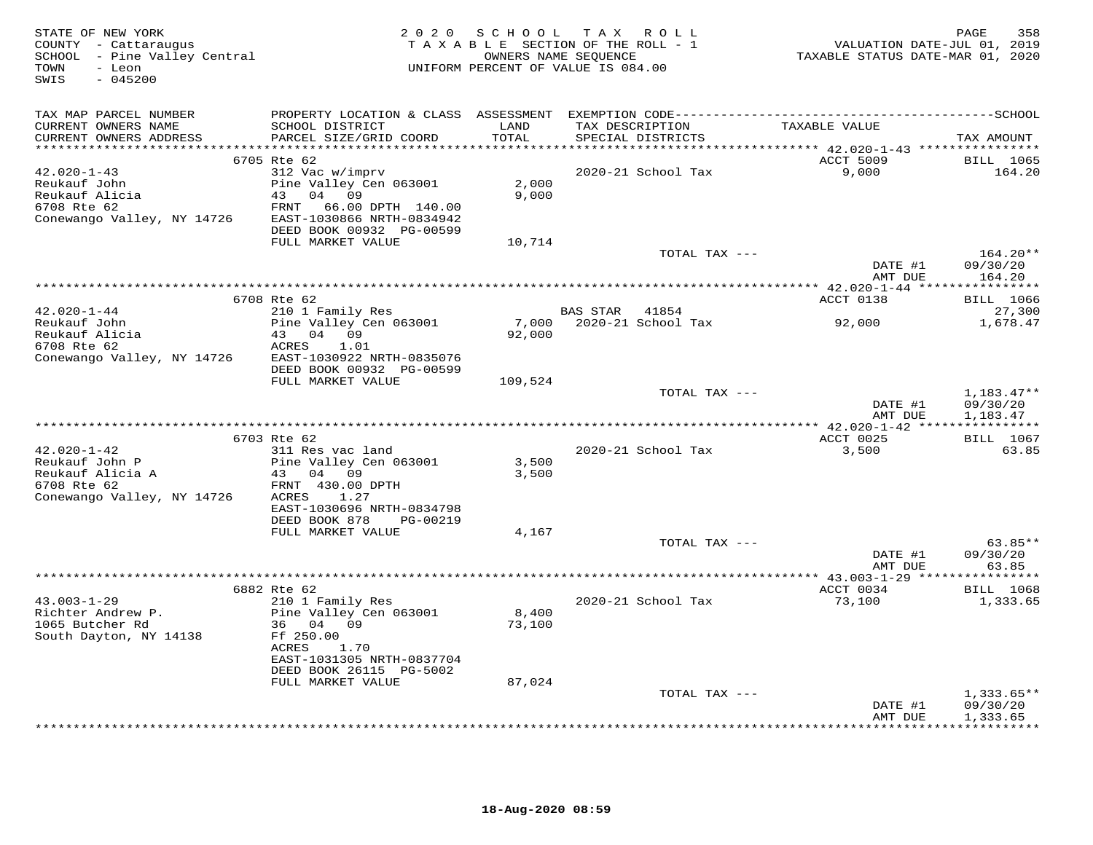| STATE OF NEW YORK<br>COUNTY - Cattaraugus<br>SCHOOL - Pine Valley Central<br>TOWN<br>- Leon<br>$-045200$<br>SWIS |                                                                                                                                              |                 | 2020 SCHOOL TAX ROLL<br>TAXABLE SECTION OF THE ROLL - 1<br>OWNERS NAME SEQUENCE<br>UNIFORM PERCENT OF VALUE IS 084.00 | VALUATION DATE-JUL 01, 2019<br>TAXABLE STATUS DATE-MAR 01, 2020 | 358<br>PAGE                          |
|------------------------------------------------------------------------------------------------------------------|----------------------------------------------------------------------------------------------------------------------------------------------|-----------------|-----------------------------------------------------------------------------------------------------------------------|-----------------------------------------------------------------|--------------------------------------|
| TAX MAP PARCEL NUMBER<br>CURRENT OWNERS NAME<br>CURRENT OWNERS ADDRESS                                           | SCHOOL DISTRICT<br>PARCEL SIZE/GRID COORD                                                                                                    | LAND<br>TOTAL   | TAX DESCRIPTION<br>SPECIAL DISTRICTS                                                                                  | TAXABLE VALUE                                                   | TAX AMOUNT                           |
|                                                                                                                  | 6705 Rte 62                                                                                                                                  |                 |                                                                                                                       | ACCT 5009                                                       | <b>BILL</b> 1065                     |
| 42.020-1-43<br>Reukauf John<br>Reukauf Alicia<br>6708 Rte 62<br>Conewango Valley, NY 14726                       | 312 Vac w/imprv<br>Pine Valley Cen 063001<br>43 04 09<br>FRNT<br>66.00 DPTH 140.00<br>EAST-1030866 NRTH-0834942<br>DEED BOOK 00932 PG-00599  | 2,000<br>9,000  | 2020-21 School Tax                                                                                                    | 9,000                                                           | 164.20                               |
|                                                                                                                  | FULL MARKET VALUE                                                                                                                            | 10,714          | TOTAL TAX ---                                                                                                         |                                                                 | $164.20**$                           |
|                                                                                                                  |                                                                                                                                              |                 |                                                                                                                       | DATE #1<br>AMT DUE                                              | 09/30/20<br>164.20                   |
|                                                                                                                  |                                                                                                                                              |                 |                                                                                                                       |                                                                 |                                      |
|                                                                                                                  | 6708 Rte 62                                                                                                                                  |                 |                                                                                                                       | ACCT 0138                                                       | <b>BILL</b> 1066                     |
| $42.020 - 1 - 44$<br>Reukauf John<br>Reukauf Alicia<br>Reukauf Alicia                                            | 210 1 Family Res<br>Pine Valley Cen 063001<br>43 04 09<br>ACRES<br>1.01                                                                      | 92,000          | BAS STAR 41854<br>7,000 2020-21 School Tax                                                                            | 92,000                                                          | 27,300<br>1,678.47                   |
| Conewango Valley, NY 14726                                                                                       | EAST-1030922 NRTH-0835076<br>DEED BOOK 00932 PG-00599<br>FULL MARKET VALUE                                                                   | 109,524         |                                                                                                                       |                                                                 |                                      |
|                                                                                                                  |                                                                                                                                              |                 | TOTAL TAX ---                                                                                                         | DATE #1<br>AMT DUE                                              | $1,183.47**$<br>09/30/20<br>1,183.47 |
|                                                                                                                  |                                                                                                                                              |                 |                                                                                                                       |                                                                 |                                      |
| $42.020 - 1 - 42$<br>Reukauf John P<br>Reukauf Alicia A<br>6708 Rte 62<br>Conewango Valley, NY 14726             | 6703 Rte 62<br>311 Res vac land<br>Pine Valley Cen 063001<br>43 04 09<br>FRNT 430.00 DPTH<br>ACRES<br>1.27                                   | 3,500<br>3,500  | 2020-21 School Tax                                                                                                    | ACCT 0025<br>3,500                                              | BILL 1067<br>63.85                   |
|                                                                                                                  | EAST-1030696 NRTH-0834798<br>DEED BOOK 878<br>PG-00219<br>FULL MARKET VALUE                                                                  | 4,167           |                                                                                                                       |                                                                 |                                      |
|                                                                                                                  |                                                                                                                                              |                 | TOTAL TAX ---                                                                                                         | DATE #1                                                         | $63.85**$<br>09/30/20                |
|                                                                                                                  |                                                                                                                                              |                 |                                                                                                                       | AMT DUE                                                         | 63.85                                |
|                                                                                                                  | 6882 Rte 62                                                                                                                                  |                 |                                                                                                                       | ACCT 0034                                                       | <b>BILL</b> 1068                     |
| $43.003 - 1 - 29$<br>Richter Andrew P.<br>1065 Butcher Rd<br>1065 Butcher Rd<br>South Dayton, NY 14138           | 210 1 Family Res<br>Pine Valley Cen 063001<br>36 04 09<br>Ff 250.00<br>ACRES<br>1.70<br>EAST-1031305 NRTH-0837704<br>DEED BOOK 26115 PG-5002 | 8,400<br>73,100 | 2020-21 School Tax                                                                                                    | 73,100                                                          | 1,333.65                             |
|                                                                                                                  | FULL MARKET VALUE                                                                                                                            | 87,024          |                                                                                                                       |                                                                 |                                      |
|                                                                                                                  |                                                                                                                                              |                 | TOTAL TAX ---                                                                                                         | DATE #1<br>AMT DUE                                              | $1,333.65**$<br>09/30/20<br>1,333.65 |
|                                                                                                                  |                                                                                                                                              |                 |                                                                                                                       |                                                                 | + + + + + + + + + + + + +            |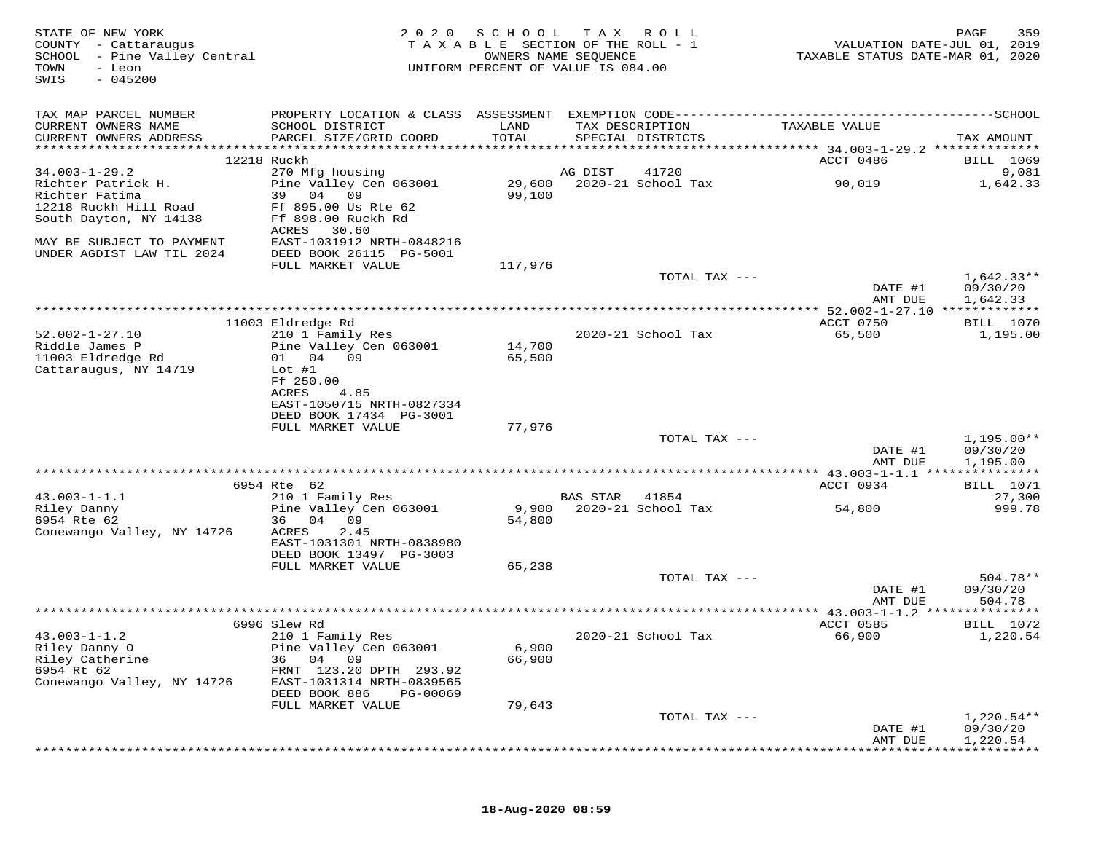| STATE OF NEW YORK<br>COUNTY - Cattaraugus<br>SCHOOL - Pine Valley Central<br>TOWN<br>- Leon<br>$-045200$<br>SWIS | 2 0 2 0                                    | S C H O O L<br>TAXABLE SECTION OF THE ROLL - 1<br>UNIFORM PERCENT OF VALUE IS 084.00 | T A X<br>OWNERS NAME SEQUENCE | R O L L                              | VALUATION DATE-JUL 01, 2019<br>TAXABLE STATUS DATE-MAR 01, 2020 | 359<br>PAGE              |
|------------------------------------------------------------------------------------------------------------------|--------------------------------------------|--------------------------------------------------------------------------------------|-------------------------------|--------------------------------------|-----------------------------------------------------------------|--------------------------|
| TAX MAP PARCEL NUMBER                                                                                            |                                            |                                                                                      |                               |                                      |                                                                 |                          |
| CURRENT OWNERS NAME<br>CURRENT OWNERS ADDRESS                                                                    | SCHOOL DISTRICT<br>PARCEL SIZE/GRID COORD  | LAND<br>TOTAL                                                                        |                               | TAX DESCRIPTION<br>SPECIAL DISTRICTS | TAXABLE VALUE                                                   | TAX AMOUNT               |
|                                                                                                                  |                                            |                                                                                      |                               |                                      |                                                                 |                          |
|                                                                                                                  | 12218 Ruckh                                |                                                                                      |                               |                                      | ACCT 0486                                                       | <b>BILL</b> 1069         |
| $34.003 - 1 - 29.2$                                                                                              | 270 Mfg housing                            |                                                                                      | AG DIST                       | 41720                                |                                                                 | 9,081                    |
| Richter Patrick H.                                                                                               | Pine Valley Cen 063001                     | 29,600                                                                               |                               | 2020-21 School Tax                   | 90,019                                                          | 1,642.33                 |
| Richter Fatima                                                                                                   | 39<br>04<br>09                             | 99,100                                                                               |                               |                                      |                                                                 |                          |
| 12218 Ruckh Hill Road                                                                                            | Ff 895.00 Us Rte 62                        |                                                                                      |                               |                                      |                                                                 |                          |
| South Dayton, NY 14138                                                                                           | Ff 898.00 Ruckh Rd<br>ACRES                |                                                                                      |                               |                                      |                                                                 |                          |
| MAY BE SUBJECT TO PAYMENT                                                                                        | 30.60<br>EAST-1031912 NRTH-0848216         |                                                                                      |                               |                                      |                                                                 |                          |
| UNDER AGDIST LAW TIL 2024                                                                                        | DEED BOOK 26115 PG-5001                    |                                                                                      |                               |                                      |                                                                 |                          |
|                                                                                                                  | FULL MARKET VALUE                          | 117,976                                                                              |                               |                                      |                                                                 |                          |
|                                                                                                                  |                                            |                                                                                      |                               | TOTAL TAX ---                        |                                                                 | $1,642.33**$             |
|                                                                                                                  |                                            |                                                                                      |                               |                                      | DATE #1                                                         | 09/30/20                 |
|                                                                                                                  |                                            |                                                                                      |                               |                                      | AMT DUE                                                         | 1,642.33                 |
|                                                                                                                  |                                            |                                                                                      |                               |                                      | *********** 52.002-1-27.10 *************                        |                          |
| $52.002 - 1 - 27.10$                                                                                             | 11003 Eldredge Rd                          |                                                                                      |                               | 2020-21 School Tax                   | ACCT 0750                                                       | BILL 1070                |
| Riddle James P                                                                                                   | 210 1 Family Res<br>Pine Valley Cen 063001 | 14,700                                                                               |                               |                                      | 65,500                                                          | 1,195.00                 |
| 11003 Eldredge Rd                                                                                                | 04 09<br>01 —                              | 65,500                                                                               |                               |                                      |                                                                 |                          |
| Cattaraugus, NY 14719                                                                                            | $Lot$ #1                                   |                                                                                      |                               |                                      |                                                                 |                          |
|                                                                                                                  | Ff 250.00                                  |                                                                                      |                               |                                      |                                                                 |                          |
|                                                                                                                  | ACRES<br>4.85                              |                                                                                      |                               |                                      |                                                                 |                          |
|                                                                                                                  | EAST-1050715 NRTH-0827334                  |                                                                                      |                               |                                      |                                                                 |                          |
|                                                                                                                  | DEED BOOK 17434 PG-3001                    |                                                                                      |                               |                                      |                                                                 |                          |
|                                                                                                                  | FULL MARKET VALUE                          | 77,976                                                                               |                               |                                      |                                                                 |                          |
|                                                                                                                  |                                            |                                                                                      |                               | TOTAL TAX ---                        |                                                                 | $1,195.00**$             |
|                                                                                                                  |                                            |                                                                                      |                               |                                      | DATE #1                                                         | 09/30/20                 |
|                                                                                                                  |                                            |                                                                                      |                               |                                      | AMT DUE                                                         | 1,195.00                 |
|                                                                                                                  |                                            |                                                                                      |                               |                                      | *********** 43.003-1-1.1 ****************                       |                          |
|                                                                                                                  | 6954 Rte 62                                |                                                                                      |                               |                                      | ACCT 0934                                                       | <b>BILL</b> 1071         |
| $43.003 - 1 - 1.1$                                                                                               | 210 1 Family Res                           |                                                                                      | BAS STAR                      | 41854                                |                                                                 | 27,300                   |
| Riley Danny<br>6954 Rte 62                                                                                       | Pine Valley Cen 063001<br>36 04<br>09      | 9,900                                                                                |                               | 2020-21 School Tax                   | 54,800                                                          | 999.78                   |
| Conewango Valley, NY 14726                                                                                       | 2.45<br>ACRES                              | 54,800                                                                               |                               |                                      |                                                                 |                          |
|                                                                                                                  | EAST-1031301 NRTH-0838980                  |                                                                                      |                               |                                      |                                                                 |                          |
|                                                                                                                  | DEED BOOK 13497 PG-3003                    |                                                                                      |                               |                                      |                                                                 |                          |
|                                                                                                                  | FULL MARKET VALUE                          | 65,238                                                                               |                               |                                      |                                                                 |                          |
|                                                                                                                  |                                            |                                                                                      |                               | TOTAL TAX ---                        |                                                                 | 504.78**                 |
|                                                                                                                  |                                            |                                                                                      |                               |                                      | DATE #1                                                         | 09/30/20                 |
|                                                                                                                  |                                            |                                                                                      |                               |                                      | AMT DUE                                                         | 504.78                   |
|                                                                                                                  |                                            |                                                                                      |                               |                                      | *************** 43.003-1-1.2 ****************                   |                          |
|                                                                                                                  | 6996 Slew Rd                               |                                                                                      |                               |                                      | ACCT 0585                                                       | BILL 1072                |
| $43.003 - 1 - 1.2$                                                                                               | 210 1 Family Res                           |                                                                                      |                               | 2020-21 School Tax                   | 66,900                                                          | 1,220.54                 |
| Riley Danny O                                                                                                    | Pine Valley Cen 063001                     | 6,900                                                                                |                               |                                      |                                                                 |                          |
| Riley Catherine                                                                                                  | 04 09<br>36                                | 66,900                                                                               |                               |                                      |                                                                 |                          |
| 6954 Rt 62                                                                                                       | FRNT 123.20 DPTH 293.92                    |                                                                                      |                               |                                      |                                                                 |                          |
| Conewango Valley, NY 14726                                                                                       | EAST-1031314 NRTH-0839565                  |                                                                                      |                               |                                      |                                                                 |                          |
|                                                                                                                  | DEED BOOK 886<br>PG-00069                  |                                                                                      |                               |                                      |                                                                 |                          |
|                                                                                                                  | FULL MARKET VALUE                          | 79,643                                                                               |                               |                                      |                                                                 |                          |
|                                                                                                                  |                                            |                                                                                      |                               | TOTAL TAX ---                        | DATE #1                                                         | $1,220.54**$<br>09/30/20 |
|                                                                                                                  |                                            |                                                                                      |                               |                                      | AMT DUE                                                         | 1,220.54                 |
|                                                                                                                  |                                            |                                                                                      |                               |                                      |                                                                 |                          |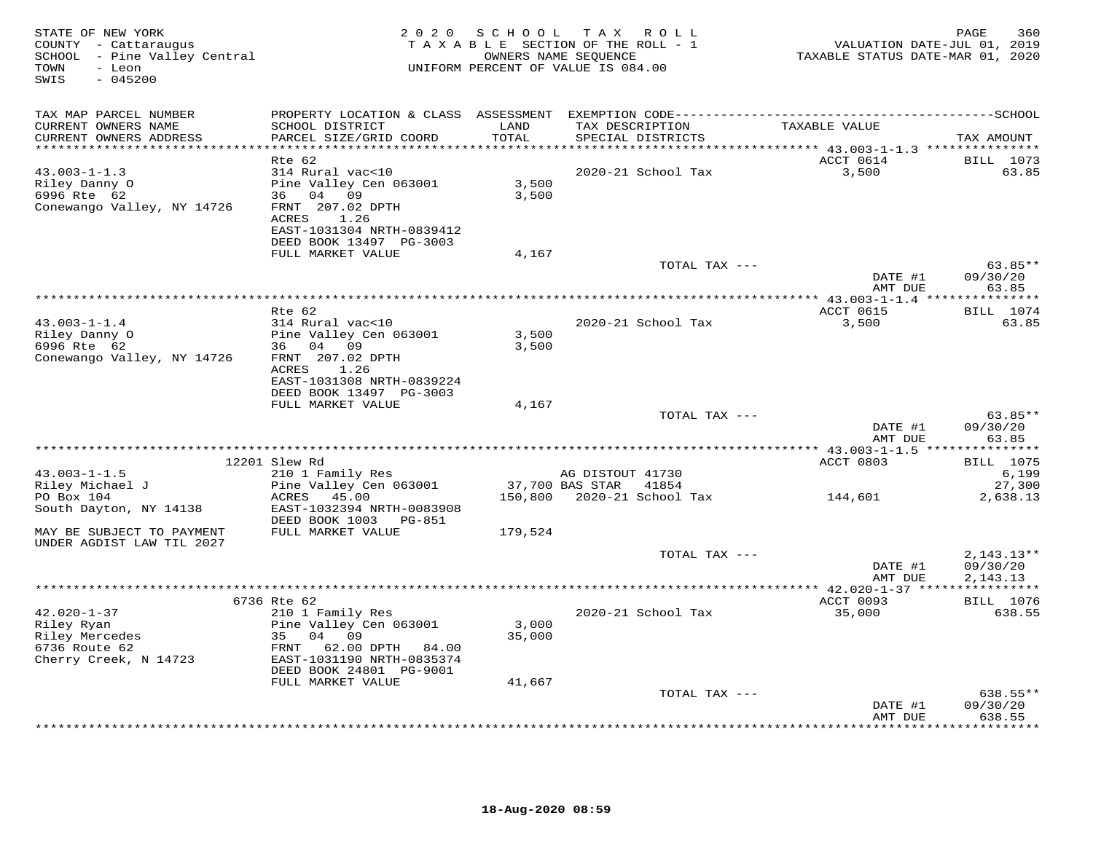| STATE OF NEW YORK<br>COUNTY - Cattaraugus<br>SCHOOL - Pine Valley Central<br>- Leon<br>TOWN<br>$-045200$<br>SWIS | 2 0 2 0                                                                                                                                                       | S C H O O L     | TAX ROLL<br>TAXABLE SECTION OF THE ROLL - 1<br>OWNERS NAME SEQUENCE<br>UNIFORM PERCENT OF VALUE IS 084.00 | VALUATION DATE-JUL 01, 2019<br>TAXABLE STATUS DATE-MAR 01, 2020 | PAGE<br>360                          |
|------------------------------------------------------------------------------------------------------------------|---------------------------------------------------------------------------------------------------------------------------------------------------------------|-----------------|-----------------------------------------------------------------------------------------------------------|-----------------------------------------------------------------|--------------------------------------|
| TAX MAP PARCEL NUMBER                                                                                            |                                                                                                                                                               |                 |                                                                                                           |                                                                 |                                      |
| CURRENT OWNERS NAME<br>CURRENT OWNERS ADDRESS                                                                    | SCHOOL DISTRICT<br>PARCEL SIZE/GRID COORD                                                                                                                     | LAND<br>TOTAL   | TAX DESCRIPTION<br>SPECIAL DISTRICTS                                                                      | TAXABLE VALUE                                                   | TAX AMOUNT                           |
| **********************                                                                                           |                                                                                                                                                               | *********       |                                                                                                           | ********** 43.003-1-1.3 ***************                         |                                      |
| $43.003 - 1 - 1.3$<br>Riley Danny O<br>6996 Rte 62<br>Conewango Valley, NY 14726                                 | Rte 62<br>314 Rural vac<10<br>Pine Valley Cen 063001<br>36 04 09<br>FRNT 207.02 DPTH<br>1.26<br>ACRES<br>EAST-1031304 NRTH-0839412<br>DEED BOOK 13497 PG-3003 | 3,500<br>3,500  | 2020-21 School Tax                                                                                        | ACCT 0614<br>3,500                                              | BILL 1073<br>63.85                   |
|                                                                                                                  | FULL MARKET VALUE                                                                                                                                             | 4,167           |                                                                                                           |                                                                 |                                      |
|                                                                                                                  |                                                                                                                                                               |                 | TOTAL TAX ---                                                                                             |                                                                 | $63.85**$                            |
|                                                                                                                  |                                                                                                                                                               |                 |                                                                                                           | DATE #1<br>AMT DUE                                              | 09/30/20<br>63.85                    |
|                                                                                                                  |                                                                                                                                                               |                 |                                                                                                           | ************ 43.003-1-1.4 ****                                  | ***********                          |
| $43.003 - 1 - 1.4$                                                                                               | Rte 62<br>314 Rural vac<10                                                                                                                                    |                 | 2020-21 School Tax                                                                                        | ACCT 0615<br>3,500                                              | <b>BILL</b> 1074<br>63.85            |
| Riley Danny O<br>6996 Rte 62<br>Conewango Valley, NY 14726                                                       | Pine Valley Cen 063001<br>36 04 09<br>FRNT 207.02 DPTH                                                                                                        | 3,500<br>3,500  |                                                                                                           |                                                                 |                                      |
|                                                                                                                  | 1.26<br>ACRES<br>EAST-1031308 NRTH-0839224<br>DEED BOOK 13497 PG-3003                                                                                         |                 |                                                                                                           |                                                                 |                                      |
|                                                                                                                  | FULL MARKET VALUE                                                                                                                                             | 4,167           |                                                                                                           |                                                                 |                                      |
|                                                                                                                  |                                                                                                                                                               |                 | TOTAL TAX ---                                                                                             | DATE #1                                                         | $63.85**$<br>09/30/20                |
|                                                                                                                  |                                                                                                                                                               |                 |                                                                                                           | AMT DUE                                                         | 63.85                                |
|                                                                                                                  |                                                                                                                                                               |                 |                                                                                                           | ************ 43.003-1-1.5 ****                                  | * * * * * * * * * * *                |
| $43.003 - 1 - 1.5$                                                                                               | 12201 Slew Rd<br>210 1 Family Res                                                                                                                             |                 | AG DISTOUT 41730                                                                                          | ACCT 0803                                                       | <b>BILL</b> 1075<br>6,199            |
| Riley Michael J                                                                                                  | Pine Valley Cen 063001                                                                                                                                        |                 | 37,700 BAS STAR 41854                                                                                     |                                                                 | 27,300                               |
| PO Box 104<br>South Dayton, NY 14138                                                                             | ACRES 45.00<br>EAST-1032394 NRTH-0083908<br>DEED BOOK 1003 PG-851                                                                                             | 150,800         | 2020-21 School Tax                                                                                        | 144,601                                                         | 2,638.13                             |
| MAY BE SUBJECT TO PAYMENT<br>UNDER AGDIST LAW TIL 2027                                                           | FULL MARKET VALUE                                                                                                                                             | 179,524         |                                                                                                           |                                                                 |                                      |
|                                                                                                                  |                                                                                                                                                               |                 | TOTAL TAX ---                                                                                             | DATE #1<br>AMT DUE                                              | $2,143.13**$<br>09/30/20<br>2,143.13 |
|                                                                                                                  |                                                                                                                                                               |                 |                                                                                                           |                                                                 |                                      |
|                                                                                                                  | 6736 Rte 62                                                                                                                                                   |                 |                                                                                                           | ACCT 0093                                                       | <b>BILL</b> 1076                     |
| $42.020 - 1 - 37$<br>Riley Ryan<br>Riley Mercedes<br>6736 Route 62                                               | 210 1 Family Res<br>Pine Valley Cen 063001<br>35 04<br>09<br>62.00 DPTH 84.00<br>FRNT                                                                         | 3,000<br>35,000 | 2020-21 School Tax                                                                                        | 35,000                                                          | 638.55                               |
| Cherry Creek, N 14723                                                                                            | EAST-1031190 NRTH-0835374<br>DEED BOOK 24801 PG-9001                                                                                                          |                 |                                                                                                           |                                                                 |                                      |
|                                                                                                                  | FULL MARKET VALUE                                                                                                                                             | 41,667          | TOTAL TAX ---                                                                                             |                                                                 | $638.55**$                           |
|                                                                                                                  |                                                                                                                                                               |                 |                                                                                                           | DATE #1<br>AMT DUE                                              | 09/30/20<br>638.55                   |
|                                                                                                                  |                                                                                                                                                               |                 |                                                                                                           |                                                                 | * * * * * * * *                      |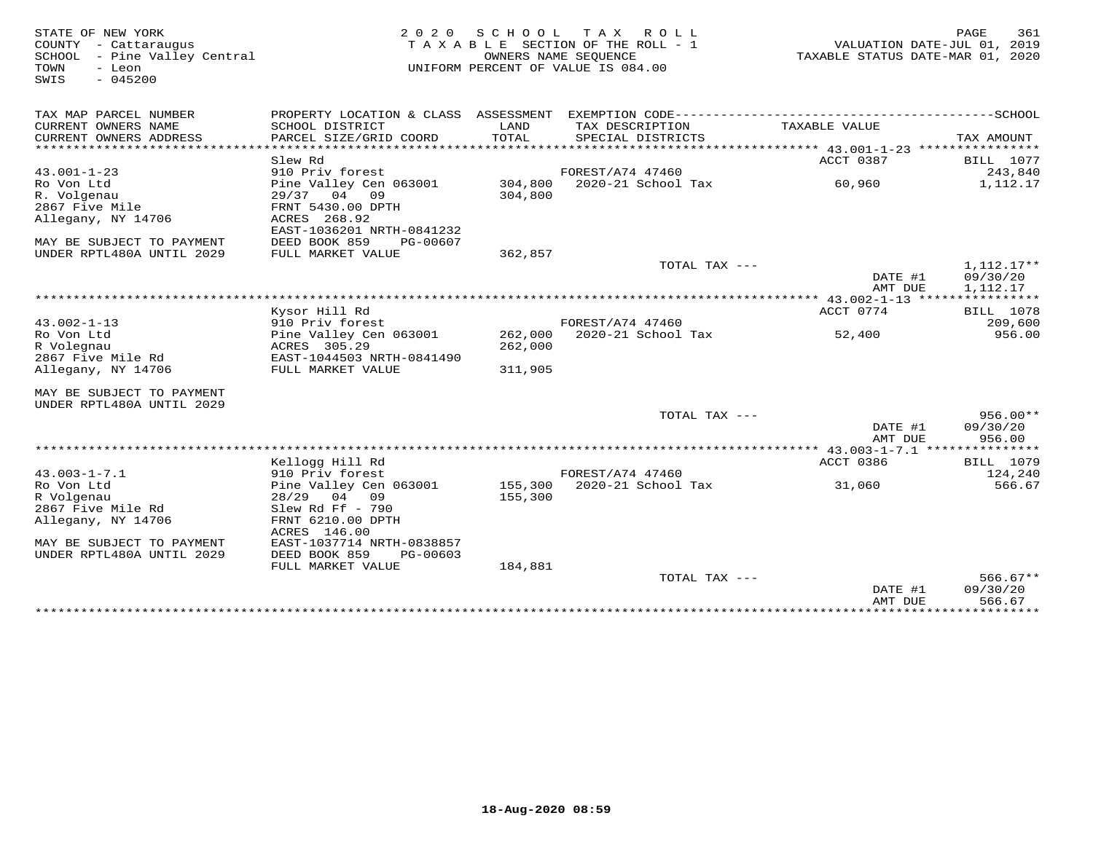| STATE OF NEW YORK<br>COUNTY - Cattaraugus<br>SCHOOL - Pine Valley Central<br>- Leon<br>TOWN<br>$-045200$<br>SWIS | 2 0 2 0<br>TAXABLE SECTION OF THE ROLL - 1<br>UNIFORM PERCENT OF VALUE IS 084.00 | VALUATION DATE-JUL 01, 2019<br>TAXABLE STATUS DATE-MAR 01, 2020 | PAGE<br>361                            |               |                             |
|------------------------------------------------------------------------------------------------------------------|----------------------------------------------------------------------------------|-----------------------------------------------------------------|----------------------------------------|---------------|-----------------------------|
| TAX MAP PARCEL NUMBER                                                                                            | PROPERTY LOCATION & CLASS ASSESSMENT                                             |                                                                 |                                        |               |                             |
| CURRENT OWNERS NAME                                                                                              | SCHOOL DISTRICT                                                                  | LAND                                                            | TAX DESCRIPTION                        | TAXABLE VALUE |                             |
| CURRENT OWNERS ADDRESS                                                                                           | PARCEL SIZE/GRID COORD                                                           | TOTAL                                                           | SPECIAL DISTRICTS                      |               | TAX AMOUNT                  |
| ********************                                                                                             |                                                                                  |                                                                 |                                        |               | *****                       |
| $43.001 - 1 - 23$                                                                                                | Slew Rd<br>910 Priv forest                                                       |                                                                 | FOREST/A74 47460                       | ACCT 0387     | <b>BILL</b> 1077<br>243,840 |
| Ro Von Ltd                                                                                                       | Pine Valley Cen 063001                                                           | 304,800                                                         | 2020-21 School Tax                     | 60,960        | 1,112.17                    |
| R. Volgenau                                                                                                      | 29/37 04<br>09                                                                   | 304,800                                                         |                                        |               |                             |
| 2867 Five Mile                                                                                                   | FRNT 5430.00 DPTH                                                                |                                                                 |                                        |               |                             |
| Allegany, NY 14706                                                                                               | ACRES 268.92                                                                     |                                                                 |                                        |               |                             |
|                                                                                                                  | EAST-1036201 NRTH-0841232                                                        |                                                                 |                                        |               |                             |
| MAY BE SUBJECT TO PAYMENT                                                                                        | DEED BOOK 859<br>PG-00607                                                        |                                                                 |                                        |               |                             |
| UNDER RPTL480A UNTIL 2029                                                                                        | FULL MARKET VALUE                                                                | 362,857                                                         |                                        |               |                             |
|                                                                                                                  |                                                                                  |                                                                 | TOTAL TAX ---                          |               | 1,112.17**                  |
|                                                                                                                  |                                                                                  |                                                                 |                                        | DATE #1       | 09/30/20                    |
|                                                                                                                  |                                                                                  |                                                                 |                                        | AMT DUE       | 1,112.17                    |
|                                                                                                                  | Kysor Hill Rd                                                                    |                                                                 |                                        | ACCT 0774     | <b>BILL</b> 1078            |
| $43.002 - 1 - 13$                                                                                                | 910 Priv forest                                                                  |                                                                 | FOREST/A74 47460                       |               | 209,600                     |
| Ro Von Ltd                                                                                                       | Pine Valley Cen 063001                                                           | 262,000                                                         | 2020-21 School Tax                     | 52,400        | 956.00                      |
| R Volegnau                                                                                                       | ACRES 305.29                                                                     | 262,000                                                         |                                        |               |                             |
| 2867 Five Mile Rd                                                                                                | EAST-1044503 NRTH-0841490                                                        |                                                                 |                                        |               |                             |
| Allegany, NY 14706                                                                                               | FULL MARKET VALUE                                                                | 311,905                                                         |                                        |               |                             |
| MAY BE SUBJECT TO PAYMENT                                                                                        |                                                                                  |                                                                 |                                        |               |                             |
| UNDER RPTL480A UNTIL 2029                                                                                        |                                                                                  |                                                                 |                                        |               |                             |
|                                                                                                                  |                                                                                  |                                                                 | TOTAL TAX ---                          |               | $956.00**$                  |
|                                                                                                                  |                                                                                  |                                                                 |                                        | DATE #1       | 09/30/20                    |
|                                                                                                                  |                                                                                  |                                                                 |                                        | AMT DUE       | 956.00                      |
| ******************************                                                                                   |                                                                                  |                                                                 |                                        |               |                             |
|                                                                                                                  | Kellogg Hill Rd                                                                  |                                                                 |                                        | ACCT 0386     | <b>BILL</b> 1079            |
| $43.003 - 1 - 7.1$<br>Ro Von Ltd                                                                                 | 910 Priv forest<br>Pine Valley Cen 063001                                        | 155,300                                                         | FOREST/A74 47460<br>2020-21 School Tax | 31,060        | 124,240<br>566.67           |
| R Volgenau                                                                                                       | 28/29 04 09                                                                      | 155,300                                                         |                                        |               |                             |
| 2867 Five Mile Rd                                                                                                | Slew Rd Ff $-790$                                                                |                                                                 |                                        |               |                             |
| Allegany, NY 14706                                                                                               | FRNT 6210.00 DPTH                                                                |                                                                 |                                        |               |                             |
|                                                                                                                  | ACRES 146.00                                                                     |                                                                 |                                        |               |                             |
| MAY BE SUBJECT TO PAYMENT                                                                                        | EAST-1037714 NRTH-0838857                                                        |                                                                 |                                        |               |                             |
| UNDER RPTL480A UNTIL 2029                                                                                        | DEED BOOK 859<br>PG-00603                                                        |                                                                 |                                        |               |                             |
|                                                                                                                  | FULL MARKET VALUE                                                                | 184,881                                                         |                                        |               |                             |
|                                                                                                                  |                                                                                  |                                                                 | TOTAL TAX $---$                        |               | $566.67**$                  |
|                                                                                                                  |                                                                                  |                                                                 |                                        | DATE #1       | 09/30/20                    |
|                                                                                                                  |                                                                                  |                                                                 |                                        | AMT DUE       | 566.67                      |
|                                                                                                                  |                                                                                  |                                                                 |                                        |               |                             |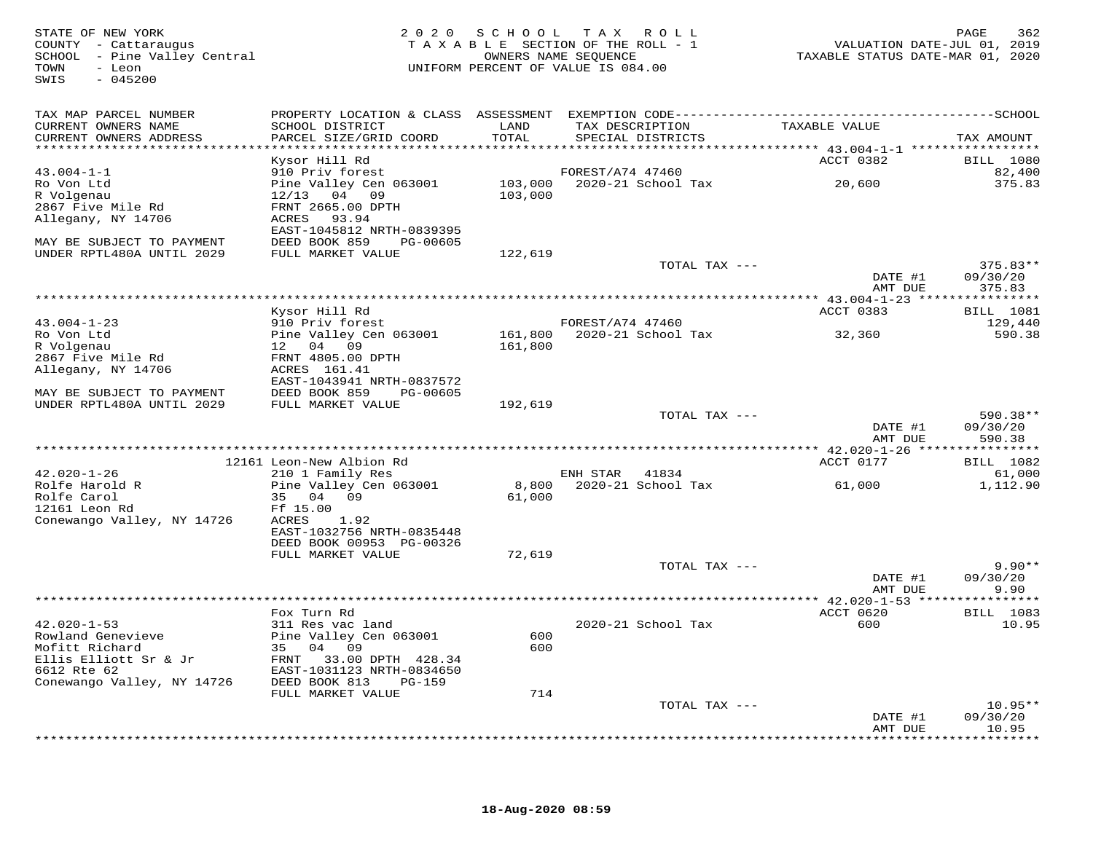| TAX MAP PARCEL NUMBER<br>TAXABLE VALUE<br>CURRENT OWNERS NAME<br>SCHOOL DISTRICT<br>LAND<br>TAX DESCRIPTION<br>TOTAL<br>CURRENT OWNERS ADDRESS<br>PARCEL SIZE/GRID COORD<br>SPECIAL DISTRICTS<br>TAX AMOUNT<br>*****************************<br>ACCT 0382<br>Kysor Hill Rd<br><b>BILL</b> 1080<br>$43.004 - 1 - 1$<br>910 Priv forest<br>FOREST/A74 47460<br>82,400<br>20,600<br>103,000 2020-21 School Tax<br>Pine Valley Cen 063001<br>Ro Von Ltd<br>375.83<br>R Volgenau<br>12/13 04 09<br>103,000<br>2867 Five Mile Rd<br>FRNT 2665.00 DPTH<br>Allegany, NY 14706<br>ACRES 93.94<br>EAST-1045812 NRTH-0839395<br>DEED BOOK 859 PG-00605<br>MAY BE SUBJECT TO PAYMENT<br>FULL MARKET VALUE<br>UNDER RPTL480A UNTIL 2029<br>122,619<br>TOTAL TAX ---<br>$375.83**$<br>DATE #1<br>09/30/20<br>AMT DUE<br>375.83<br>BILL 1081<br>ACCT 0383<br>Kysor Hill Rd<br>910 Priv forest<br>$43.004 - 1 - 23$<br>FOREST/A74 47460<br>129,440<br>Pine Valley Cen 063001 161,800 2020-21 School Tax 32,360<br>Ro Von Ltd<br>590.38<br>R Volgenau<br>12 04 09<br>161,800<br>2867 Five Mile Rd<br>FRNT 4805.00 DPTH<br>Allegany, NY 14706<br>ACRES 161.41<br>EAST-1043941 NRTH-0837572<br>DEED BOOK 859 PG-00605<br>MAY BE SUBJECT TO PAYMENT<br>UNDER RPTL480A UNTIL 2029<br>FULL MARKET VALUE<br>192,619<br>TOTAL TAX ---<br>590.38**<br>DATE #1<br>09/30/20<br>AMT DUE<br>590.38<br>ACCT 0177<br><b>BILL</b> 1082<br>12161 Leon-New Albion Rd<br>$42.020 - 1 - 26$<br>210 1 Family Res<br>ENH STAR 41834<br>61,000<br>8,800 2020-21 School Tax<br>Rolfe Harold R<br>Pine Valley Cen 063001<br>1,112.90<br>61,000<br>Rolfe Carol<br>35 04 09<br>61,000<br>12161 Leon Rd<br>Ff 15.00<br>Conewango Valley, NY 14726<br>ACRES 1.92<br>EAST-1032756 NRTH-0835448<br>DEED BOOK 00953 PG-00326<br>FULL MARKET VALUE<br>72,619<br>$9.90**$<br>TOTAL TAX ---<br>DATE #1<br>09/30/20<br>AMT DUE<br>9.90<br>*******************<br>ACCT 0620<br><b>BILL</b> 1083<br>Fox Turn Rd<br>$42.020 - 1 - 53$<br>311 Res vac land<br>2020-21 School Tax<br>600<br>10.95<br>Pine Valley Cen 063001<br>600<br>Rowland Genevieve<br>Mofitt Richard<br>35 04 09<br>600<br>Ellis Elliott Sr & Jr<br>Ellis Elliott Sr & Jr<br>Ellis Elliott Sr & Jr<br>ENT 1931100 NPTH 2024650<br>6612 Rte 62<br>EAST-1031123 NRTH-0834650<br>Conewango Valley, NY 14726<br>DEED BOOK 813<br>PG-159<br>714<br>FULL MARKET VALUE<br>TOTAL TAX ---<br>$10.95**$<br>09/30/20<br>DATE #1<br>10.95<br>AMT DUE | STATE OF NEW YORK<br>COUNTY - Cattaraugus<br>SCHOOL - Pine Valley Central<br>TOWN<br>- Leon<br>$-045200$<br>SWIS |  | 2020 SCHOOL TAX ROLL<br>TAXABLE SECTION OF THE ROLL - 1<br>OWNERS NAME SEQUENCE<br>UNIFORM PERCENT OF VALUE IS 084.00 | VALUATION DATE-JUL 01, 2019<br>TAXABLE STATUS DATE-MAR 01, 2020 | PAGE<br>362         |
|------------------------------------------------------------------------------------------------------------------------------------------------------------------------------------------------------------------------------------------------------------------------------------------------------------------------------------------------------------------------------------------------------------------------------------------------------------------------------------------------------------------------------------------------------------------------------------------------------------------------------------------------------------------------------------------------------------------------------------------------------------------------------------------------------------------------------------------------------------------------------------------------------------------------------------------------------------------------------------------------------------------------------------------------------------------------------------------------------------------------------------------------------------------------------------------------------------------------------------------------------------------------------------------------------------------------------------------------------------------------------------------------------------------------------------------------------------------------------------------------------------------------------------------------------------------------------------------------------------------------------------------------------------------------------------------------------------------------------------------------------------------------------------------------------------------------------------------------------------------------------------------------------------------------------------------------------------------------------------------------------------------------------------------------------------------------------------------------------------------------------------------------------------------------------------------------------------------------------------------------------------------------------------------------------------------------------------------------------------------------------------------------------------------------------------------------------|------------------------------------------------------------------------------------------------------------------|--|-----------------------------------------------------------------------------------------------------------------------|-----------------------------------------------------------------|---------------------|
|                                                                                                                                                                                                                                                                                                                                                                                                                                                                                                                                                                                                                                                                                                                                                                                                                                                                                                                                                                                                                                                                                                                                                                                                                                                                                                                                                                                                                                                                                                                                                                                                                                                                                                                                                                                                                                                                                                                                                                                                                                                                                                                                                                                                                                                                                                                                                                                                                                                      |                                                                                                                  |  |                                                                                                                       |                                                                 |                     |
|                                                                                                                                                                                                                                                                                                                                                                                                                                                                                                                                                                                                                                                                                                                                                                                                                                                                                                                                                                                                                                                                                                                                                                                                                                                                                                                                                                                                                                                                                                                                                                                                                                                                                                                                                                                                                                                                                                                                                                                                                                                                                                                                                                                                                                                                                                                                                                                                                                                      |                                                                                                                  |  |                                                                                                                       |                                                                 |                     |
|                                                                                                                                                                                                                                                                                                                                                                                                                                                                                                                                                                                                                                                                                                                                                                                                                                                                                                                                                                                                                                                                                                                                                                                                                                                                                                                                                                                                                                                                                                                                                                                                                                                                                                                                                                                                                                                                                                                                                                                                                                                                                                                                                                                                                                                                                                                                                                                                                                                      |                                                                                                                  |  |                                                                                                                       |                                                                 |                     |
|                                                                                                                                                                                                                                                                                                                                                                                                                                                                                                                                                                                                                                                                                                                                                                                                                                                                                                                                                                                                                                                                                                                                                                                                                                                                                                                                                                                                                                                                                                                                                                                                                                                                                                                                                                                                                                                                                                                                                                                                                                                                                                                                                                                                                                                                                                                                                                                                                                                      |                                                                                                                  |  |                                                                                                                       |                                                                 |                     |
|                                                                                                                                                                                                                                                                                                                                                                                                                                                                                                                                                                                                                                                                                                                                                                                                                                                                                                                                                                                                                                                                                                                                                                                                                                                                                                                                                                                                                                                                                                                                                                                                                                                                                                                                                                                                                                                                                                                                                                                                                                                                                                                                                                                                                                                                                                                                                                                                                                                      |                                                                                                                  |  |                                                                                                                       |                                                                 |                     |
|                                                                                                                                                                                                                                                                                                                                                                                                                                                                                                                                                                                                                                                                                                                                                                                                                                                                                                                                                                                                                                                                                                                                                                                                                                                                                                                                                                                                                                                                                                                                                                                                                                                                                                                                                                                                                                                                                                                                                                                                                                                                                                                                                                                                                                                                                                                                                                                                                                                      |                                                                                                                  |  |                                                                                                                       |                                                                 |                     |
|                                                                                                                                                                                                                                                                                                                                                                                                                                                                                                                                                                                                                                                                                                                                                                                                                                                                                                                                                                                                                                                                                                                                                                                                                                                                                                                                                                                                                                                                                                                                                                                                                                                                                                                                                                                                                                                                                                                                                                                                                                                                                                                                                                                                                                                                                                                                                                                                                                                      |                                                                                                                  |  |                                                                                                                       |                                                                 |                     |
|                                                                                                                                                                                                                                                                                                                                                                                                                                                                                                                                                                                                                                                                                                                                                                                                                                                                                                                                                                                                                                                                                                                                                                                                                                                                                                                                                                                                                                                                                                                                                                                                                                                                                                                                                                                                                                                                                                                                                                                                                                                                                                                                                                                                                                                                                                                                                                                                                                                      |                                                                                                                  |  |                                                                                                                       |                                                                 |                     |
|                                                                                                                                                                                                                                                                                                                                                                                                                                                                                                                                                                                                                                                                                                                                                                                                                                                                                                                                                                                                                                                                                                                                                                                                                                                                                                                                                                                                                                                                                                                                                                                                                                                                                                                                                                                                                                                                                                                                                                                                                                                                                                                                                                                                                                                                                                                                                                                                                                                      |                                                                                                                  |  |                                                                                                                       |                                                                 |                     |
|                                                                                                                                                                                                                                                                                                                                                                                                                                                                                                                                                                                                                                                                                                                                                                                                                                                                                                                                                                                                                                                                                                                                                                                                                                                                                                                                                                                                                                                                                                                                                                                                                                                                                                                                                                                                                                                                                                                                                                                                                                                                                                                                                                                                                                                                                                                                                                                                                                                      |                                                                                                                  |  |                                                                                                                       |                                                                 |                     |
|                                                                                                                                                                                                                                                                                                                                                                                                                                                                                                                                                                                                                                                                                                                                                                                                                                                                                                                                                                                                                                                                                                                                                                                                                                                                                                                                                                                                                                                                                                                                                                                                                                                                                                                                                                                                                                                                                                                                                                                                                                                                                                                                                                                                                                                                                                                                                                                                                                                      |                                                                                                                  |  |                                                                                                                       |                                                                 |                     |
|                                                                                                                                                                                                                                                                                                                                                                                                                                                                                                                                                                                                                                                                                                                                                                                                                                                                                                                                                                                                                                                                                                                                                                                                                                                                                                                                                                                                                                                                                                                                                                                                                                                                                                                                                                                                                                                                                                                                                                                                                                                                                                                                                                                                                                                                                                                                                                                                                                                      |                                                                                                                  |  |                                                                                                                       |                                                                 |                     |
|                                                                                                                                                                                                                                                                                                                                                                                                                                                                                                                                                                                                                                                                                                                                                                                                                                                                                                                                                                                                                                                                                                                                                                                                                                                                                                                                                                                                                                                                                                                                                                                                                                                                                                                                                                                                                                                                                                                                                                                                                                                                                                                                                                                                                                                                                                                                                                                                                                                      |                                                                                                                  |  |                                                                                                                       |                                                                 |                     |
|                                                                                                                                                                                                                                                                                                                                                                                                                                                                                                                                                                                                                                                                                                                                                                                                                                                                                                                                                                                                                                                                                                                                                                                                                                                                                                                                                                                                                                                                                                                                                                                                                                                                                                                                                                                                                                                                                                                                                                                                                                                                                                                                                                                                                                                                                                                                                                                                                                                      |                                                                                                                  |  |                                                                                                                       |                                                                 |                     |
|                                                                                                                                                                                                                                                                                                                                                                                                                                                                                                                                                                                                                                                                                                                                                                                                                                                                                                                                                                                                                                                                                                                                                                                                                                                                                                                                                                                                                                                                                                                                                                                                                                                                                                                                                                                                                                                                                                                                                                                                                                                                                                                                                                                                                                                                                                                                                                                                                                                      |                                                                                                                  |  |                                                                                                                       |                                                                 |                     |
|                                                                                                                                                                                                                                                                                                                                                                                                                                                                                                                                                                                                                                                                                                                                                                                                                                                                                                                                                                                                                                                                                                                                                                                                                                                                                                                                                                                                                                                                                                                                                                                                                                                                                                                                                                                                                                                                                                                                                                                                                                                                                                                                                                                                                                                                                                                                                                                                                                                      |                                                                                                                  |  |                                                                                                                       |                                                                 |                     |
|                                                                                                                                                                                                                                                                                                                                                                                                                                                                                                                                                                                                                                                                                                                                                                                                                                                                                                                                                                                                                                                                                                                                                                                                                                                                                                                                                                                                                                                                                                                                                                                                                                                                                                                                                                                                                                                                                                                                                                                                                                                                                                                                                                                                                                                                                                                                                                                                                                                      |                                                                                                                  |  |                                                                                                                       |                                                                 |                     |
|                                                                                                                                                                                                                                                                                                                                                                                                                                                                                                                                                                                                                                                                                                                                                                                                                                                                                                                                                                                                                                                                                                                                                                                                                                                                                                                                                                                                                                                                                                                                                                                                                                                                                                                                                                                                                                                                                                                                                                                                                                                                                                                                                                                                                                                                                                                                                                                                                                                      |                                                                                                                  |  |                                                                                                                       |                                                                 |                     |
|                                                                                                                                                                                                                                                                                                                                                                                                                                                                                                                                                                                                                                                                                                                                                                                                                                                                                                                                                                                                                                                                                                                                                                                                                                                                                                                                                                                                                                                                                                                                                                                                                                                                                                                                                                                                                                                                                                                                                                                                                                                                                                                                                                                                                                                                                                                                                                                                                                                      |                                                                                                                  |  |                                                                                                                       |                                                                 |                     |
|                                                                                                                                                                                                                                                                                                                                                                                                                                                                                                                                                                                                                                                                                                                                                                                                                                                                                                                                                                                                                                                                                                                                                                                                                                                                                                                                                                                                                                                                                                                                                                                                                                                                                                                                                                                                                                                                                                                                                                                                                                                                                                                                                                                                                                                                                                                                                                                                                                                      |                                                                                                                  |  |                                                                                                                       |                                                                 |                     |
|                                                                                                                                                                                                                                                                                                                                                                                                                                                                                                                                                                                                                                                                                                                                                                                                                                                                                                                                                                                                                                                                                                                                                                                                                                                                                                                                                                                                                                                                                                                                                                                                                                                                                                                                                                                                                                                                                                                                                                                                                                                                                                                                                                                                                                                                                                                                                                                                                                                      |                                                                                                                  |  |                                                                                                                       |                                                                 |                     |
|                                                                                                                                                                                                                                                                                                                                                                                                                                                                                                                                                                                                                                                                                                                                                                                                                                                                                                                                                                                                                                                                                                                                                                                                                                                                                                                                                                                                                                                                                                                                                                                                                                                                                                                                                                                                                                                                                                                                                                                                                                                                                                                                                                                                                                                                                                                                                                                                                                                      |                                                                                                                  |  |                                                                                                                       |                                                                 |                     |
|                                                                                                                                                                                                                                                                                                                                                                                                                                                                                                                                                                                                                                                                                                                                                                                                                                                                                                                                                                                                                                                                                                                                                                                                                                                                                                                                                                                                                                                                                                                                                                                                                                                                                                                                                                                                                                                                                                                                                                                                                                                                                                                                                                                                                                                                                                                                                                                                                                                      |                                                                                                                  |  |                                                                                                                       |                                                                 |                     |
|                                                                                                                                                                                                                                                                                                                                                                                                                                                                                                                                                                                                                                                                                                                                                                                                                                                                                                                                                                                                                                                                                                                                                                                                                                                                                                                                                                                                                                                                                                                                                                                                                                                                                                                                                                                                                                                                                                                                                                                                                                                                                                                                                                                                                                                                                                                                                                                                                                                      |                                                                                                                  |  |                                                                                                                       |                                                                 |                     |
|                                                                                                                                                                                                                                                                                                                                                                                                                                                                                                                                                                                                                                                                                                                                                                                                                                                                                                                                                                                                                                                                                                                                                                                                                                                                                                                                                                                                                                                                                                                                                                                                                                                                                                                                                                                                                                                                                                                                                                                                                                                                                                                                                                                                                                                                                                                                                                                                                                                      |                                                                                                                  |  |                                                                                                                       |                                                                 |                     |
|                                                                                                                                                                                                                                                                                                                                                                                                                                                                                                                                                                                                                                                                                                                                                                                                                                                                                                                                                                                                                                                                                                                                                                                                                                                                                                                                                                                                                                                                                                                                                                                                                                                                                                                                                                                                                                                                                                                                                                                                                                                                                                                                                                                                                                                                                                                                                                                                                                                      |                                                                                                                  |  |                                                                                                                       |                                                                 |                     |
|                                                                                                                                                                                                                                                                                                                                                                                                                                                                                                                                                                                                                                                                                                                                                                                                                                                                                                                                                                                                                                                                                                                                                                                                                                                                                                                                                                                                                                                                                                                                                                                                                                                                                                                                                                                                                                                                                                                                                                                                                                                                                                                                                                                                                                                                                                                                                                                                                                                      |                                                                                                                  |  |                                                                                                                       |                                                                 |                     |
|                                                                                                                                                                                                                                                                                                                                                                                                                                                                                                                                                                                                                                                                                                                                                                                                                                                                                                                                                                                                                                                                                                                                                                                                                                                                                                                                                                                                                                                                                                                                                                                                                                                                                                                                                                                                                                                                                                                                                                                                                                                                                                                                                                                                                                                                                                                                                                                                                                                      |                                                                                                                  |  |                                                                                                                       |                                                                 |                     |
|                                                                                                                                                                                                                                                                                                                                                                                                                                                                                                                                                                                                                                                                                                                                                                                                                                                                                                                                                                                                                                                                                                                                                                                                                                                                                                                                                                                                                                                                                                                                                                                                                                                                                                                                                                                                                                                                                                                                                                                                                                                                                                                                                                                                                                                                                                                                                                                                                                                      |                                                                                                                  |  |                                                                                                                       |                                                                 |                     |
|                                                                                                                                                                                                                                                                                                                                                                                                                                                                                                                                                                                                                                                                                                                                                                                                                                                                                                                                                                                                                                                                                                                                                                                                                                                                                                                                                                                                                                                                                                                                                                                                                                                                                                                                                                                                                                                                                                                                                                                                                                                                                                                                                                                                                                                                                                                                                                                                                                                      |                                                                                                                  |  |                                                                                                                       |                                                                 |                     |
|                                                                                                                                                                                                                                                                                                                                                                                                                                                                                                                                                                                                                                                                                                                                                                                                                                                                                                                                                                                                                                                                                                                                                                                                                                                                                                                                                                                                                                                                                                                                                                                                                                                                                                                                                                                                                                                                                                                                                                                                                                                                                                                                                                                                                                                                                                                                                                                                                                                      |                                                                                                                  |  |                                                                                                                       |                                                                 |                     |
|                                                                                                                                                                                                                                                                                                                                                                                                                                                                                                                                                                                                                                                                                                                                                                                                                                                                                                                                                                                                                                                                                                                                                                                                                                                                                                                                                                                                                                                                                                                                                                                                                                                                                                                                                                                                                                                                                                                                                                                                                                                                                                                                                                                                                                                                                                                                                                                                                                                      |                                                                                                                  |  |                                                                                                                       |                                                                 |                     |
|                                                                                                                                                                                                                                                                                                                                                                                                                                                                                                                                                                                                                                                                                                                                                                                                                                                                                                                                                                                                                                                                                                                                                                                                                                                                                                                                                                                                                                                                                                                                                                                                                                                                                                                                                                                                                                                                                                                                                                                                                                                                                                                                                                                                                                                                                                                                                                                                                                                      |                                                                                                                  |  |                                                                                                                       |                                                                 |                     |
|                                                                                                                                                                                                                                                                                                                                                                                                                                                                                                                                                                                                                                                                                                                                                                                                                                                                                                                                                                                                                                                                                                                                                                                                                                                                                                                                                                                                                                                                                                                                                                                                                                                                                                                                                                                                                                                                                                                                                                                                                                                                                                                                                                                                                                                                                                                                                                                                                                                      |                                                                                                                  |  |                                                                                                                       |                                                                 |                     |
|                                                                                                                                                                                                                                                                                                                                                                                                                                                                                                                                                                                                                                                                                                                                                                                                                                                                                                                                                                                                                                                                                                                                                                                                                                                                                                                                                                                                                                                                                                                                                                                                                                                                                                                                                                                                                                                                                                                                                                                                                                                                                                                                                                                                                                                                                                                                                                                                                                                      |                                                                                                                  |  |                                                                                                                       |                                                                 |                     |
|                                                                                                                                                                                                                                                                                                                                                                                                                                                                                                                                                                                                                                                                                                                                                                                                                                                                                                                                                                                                                                                                                                                                                                                                                                                                                                                                                                                                                                                                                                                                                                                                                                                                                                                                                                                                                                                                                                                                                                                                                                                                                                                                                                                                                                                                                                                                                                                                                                                      |                                                                                                                  |  |                                                                                                                       |                                                                 |                     |
|                                                                                                                                                                                                                                                                                                                                                                                                                                                                                                                                                                                                                                                                                                                                                                                                                                                                                                                                                                                                                                                                                                                                                                                                                                                                                                                                                                                                                                                                                                                                                                                                                                                                                                                                                                                                                                                                                                                                                                                                                                                                                                                                                                                                                                                                                                                                                                                                                                                      |                                                                                                                  |  |                                                                                                                       |                                                                 |                     |
|                                                                                                                                                                                                                                                                                                                                                                                                                                                                                                                                                                                                                                                                                                                                                                                                                                                                                                                                                                                                                                                                                                                                                                                                                                                                                                                                                                                                                                                                                                                                                                                                                                                                                                                                                                                                                                                                                                                                                                                                                                                                                                                                                                                                                                                                                                                                                                                                                                                      |                                                                                                                  |  |                                                                                                                       |                                                                 |                     |
|                                                                                                                                                                                                                                                                                                                                                                                                                                                                                                                                                                                                                                                                                                                                                                                                                                                                                                                                                                                                                                                                                                                                                                                                                                                                                                                                                                                                                                                                                                                                                                                                                                                                                                                                                                                                                                                                                                                                                                                                                                                                                                                                                                                                                                                                                                                                                                                                                                                      |                                                                                                                  |  |                                                                                                                       |                                                                 | * * * * * * * * * * |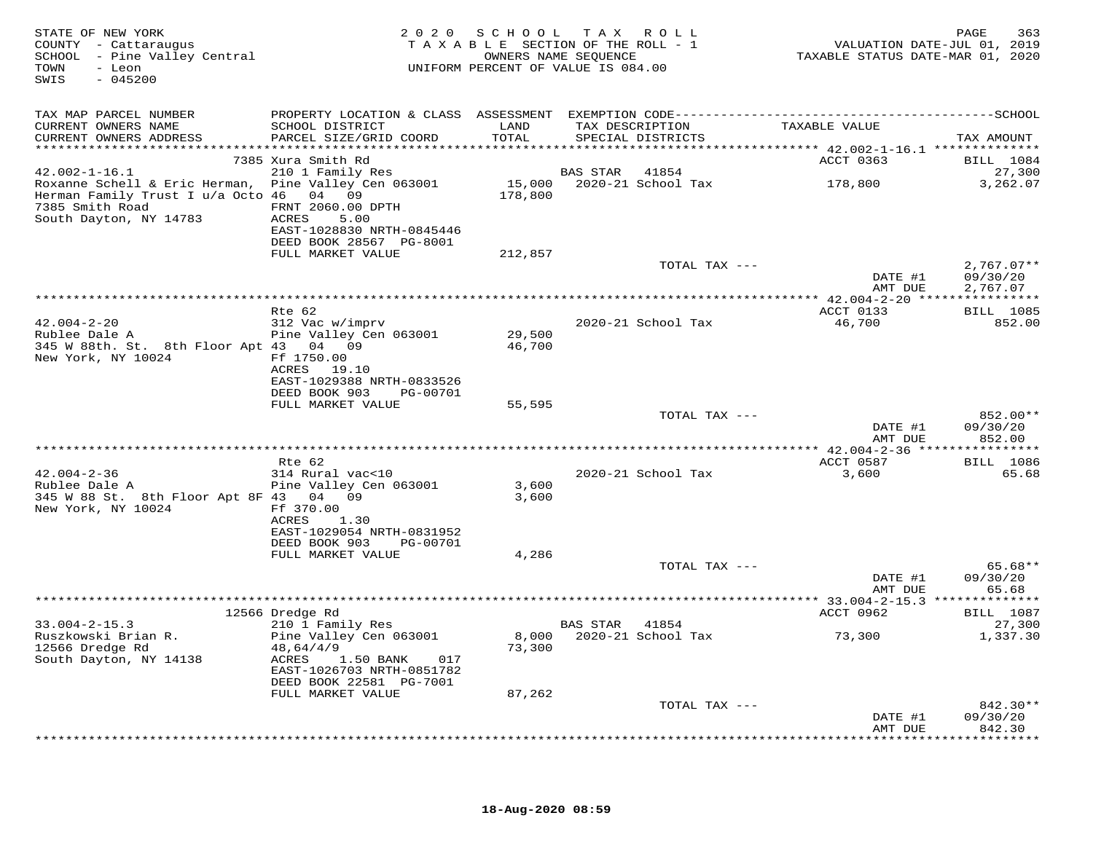| STATE OF NEW YORK<br>COUNTY - Cattaraugus<br>SCHOOL - Pine Valley Central<br>TOWN<br>- Leon<br>$-045200$<br>SWIS                             |                                                                                                                                           |                  | 2020 SCHOOL TAX ROLL<br>TAXABLE SECTION OF THE ROLL - 1<br>OWNERS NAME SEQUENCE<br>UNIFORM PERCENT OF VALUE IS 084.00 | VALUATION DATE-JUL 01, 2019<br>TAXABLE STATUS DATE-MAR 01, 2020 | PAGE<br>363                                   |
|----------------------------------------------------------------------------------------------------------------------------------------------|-------------------------------------------------------------------------------------------------------------------------------------------|------------------|-----------------------------------------------------------------------------------------------------------------------|-----------------------------------------------------------------|-----------------------------------------------|
| TAX MAP PARCEL NUMBER                                                                                                                        |                                                                                                                                           |                  |                                                                                                                       |                                                                 |                                               |
| CURRENT OWNERS NAME<br>CURRENT OWNERS ADDRESS                                                                                                | SCHOOL DISTRICT<br>PARCEL SIZE/GRID COORD                                                                                                 | LAND<br>TOTAL    | TAX DESCRIPTION<br>SPECIAL DISTRICTS                                                                                  | TAXABLE VALUE                                                   | TAX AMOUNT                                    |
|                                                                                                                                              | 7385 Xura Smith Rd                                                                                                                        |                  |                                                                                                                       | ACCT 0363                                                       | BILL 1084                                     |
| $42.002 - 1 - 16.1$                                                                                                                          | 210 1 Family Res                                                                                                                          |                  | BAS STAR 41854                                                                                                        |                                                                 | 27,300                                        |
| Roxanne Schell & Eric Herman, Pine Valley Cen 063001<br>Herman Family Trust I u/a Octo 46 04 09<br>7385 Smith Road<br>South Dayton, NY 14783 | FRNT 2060.00 DPTH<br>ACRES<br>5.00<br>EAST-1028830 NRTH-0845446<br>DEED BOOK 28567 PG-8001                                                | 178,800          | 15,000 2020-21 School Tax                                                                                             | 178,800                                                         | 3,262.07                                      |
|                                                                                                                                              | FULL MARKET VALUE                                                                                                                         | 212,857          |                                                                                                                       |                                                                 |                                               |
|                                                                                                                                              |                                                                                                                                           |                  | TOTAL TAX ---                                                                                                         | DATE #1<br>AMT DUE                                              | $2,767.07**$<br>09/30/20<br>2,767.07          |
|                                                                                                                                              |                                                                                                                                           |                  |                                                                                                                       |                                                                 |                                               |
|                                                                                                                                              | Rte 62                                                                                                                                    |                  |                                                                                                                       | ACCT 0133                                                       | <b>BILL</b> 1085                              |
| $42.004 - 2 - 20$<br>Rublee Dale A<br>345 W 88th. St. 8th Floor Apt 43 04 09<br>New York, NY 10024                                           | 312 Vac w/imprv<br>Pine Valley Cen 063001<br>Ff 1750.00                                                                                   | 29,500<br>46,700 | 2020-21 School Tax                                                                                                    | 46,700                                                          | 852.00                                        |
|                                                                                                                                              | ACRES 19.10<br>EAST-1029388 NRTH-0833526<br>DEED BOOK 903<br>PG-00701                                                                     |                  |                                                                                                                       |                                                                 |                                               |
|                                                                                                                                              | FULL MARKET VALUE                                                                                                                         | 55,595           | TOTAL TAX ---                                                                                                         |                                                                 | 852.00**                                      |
|                                                                                                                                              |                                                                                                                                           |                  |                                                                                                                       | DATE #1<br>AMT DUE                                              | 09/30/20<br>852.00                            |
|                                                                                                                                              |                                                                                                                                           |                  |                                                                                                                       |                                                                 |                                               |
|                                                                                                                                              | Rte 62                                                                                                                                    |                  |                                                                                                                       | ACCT 0587                                                       | <b>BILL</b> 1086                              |
| $42.004 - 2 - 36$<br>Rublee Dale A<br>345 W 88 St. 8th Floor Apt 8F 43 04 09<br>New York, NY 10024                                           | 314 Rural vac<10<br>Pine Valley Cen 063001<br>Ff 370.00<br>ACRES<br>1.30                                                                  | 3,600<br>3,600   | 2020-21 School Tax                                                                                                    | 3,600                                                           | 65.68                                         |
|                                                                                                                                              | EAST-1029054 NRTH-0831952                                                                                                                 |                  |                                                                                                                       |                                                                 |                                               |
|                                                                                                                                              | DEED BOOK 903<br>PG-00701<br>FULL MARKET VALUE                                                                                            | 4,286            |                                                                                                                       |                                                                 |                                               |
|                                                                                                                                              |                                                                                                                                           |                  | TOTAL TAX ---                                                                                                         | DATE #1<br>AMT DUE                                              | $65.68**$<br>09/30/20<br>65.68                |
|                                                                                                                                              |                                                                                                                                           |                  |                                                                                                                       |                                                                 |                                               |
|                                                                                                                                              | 12566 Dredge Rd                                                                                                                           |                  |                                                                                                                       | ACCT 0962                                                       | <b>BILL</b> 1087                              |
| $33.004 - 2 - 15.3$<br>Ruszkowski Brian R.<br>12566 Dredge Rd<br>South Dayton, NY 14138                                                      | 210 1 Family Res<br>Pine Valley Cen 063001<br>48,64/4/9<br>ACRES<br>1.50 BANK 017<br>EAST-1026703 NRTH-0851782<br>DEED BOOK 22581 PG-7001 | 73,300           | BAS STAR 41854<br>8,000 2020-21 School Tax                                                                            | 73,300                                                          | 27,300<br>1,337.30                            |
|                                                                                                                                              | FULL MARKET VALUE                                                                                                                         | 87,262           |                                                                                                                       |                                                                 |                                               |
|                                                                                                                                              |                                                                                                                                           |                  | TOTAL TAX ---                                                                                                         | DATE #1<br>AMT DUE                                              | 842.30**<br>09/30/20<br>842.30<br>*********** |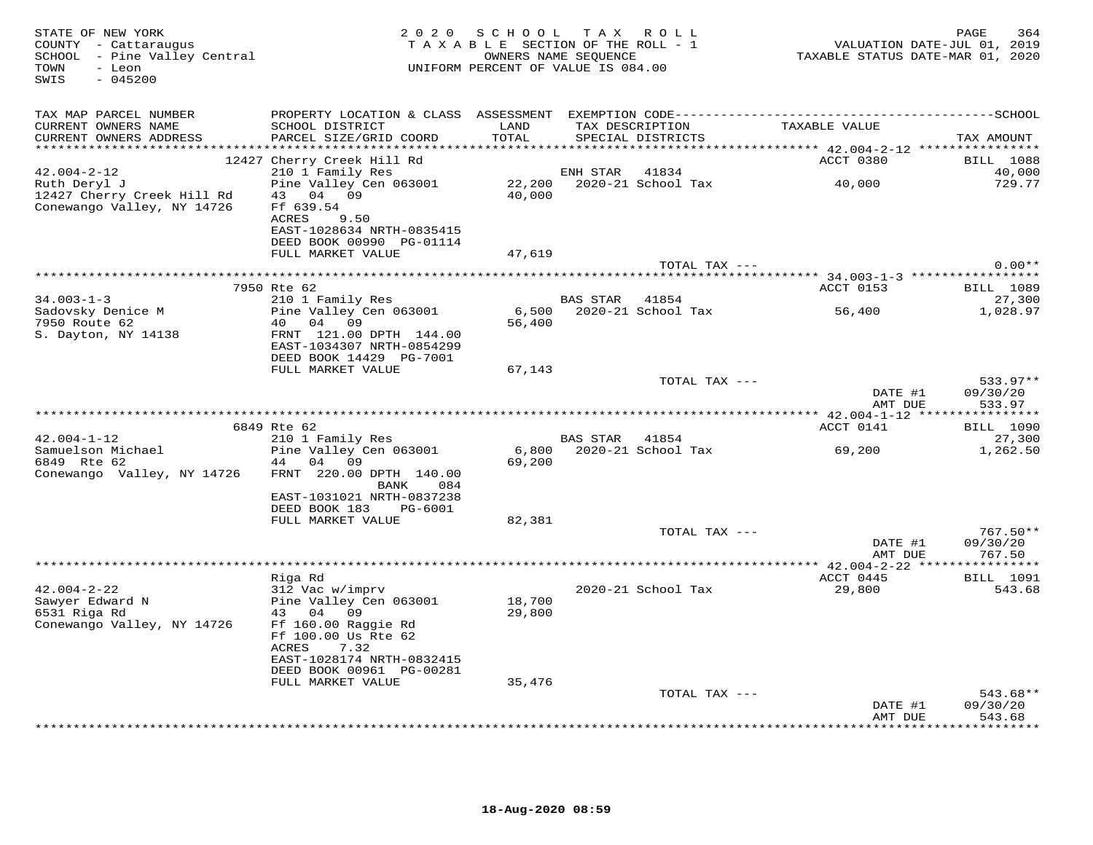| STATE OF NEW YORK<br>COUNTY - Cattaraugus<br>SCHOOL - Pine Valley Central<br>TOWN<br>- Leon<br>$-045200$<br>SWIS |                                                                                                                                                               | 2020 SCHOOL TAX ROLL<br>TAXABLE SECTION OF THE ROLL - 1<br>UNIFORM PERCENT OF VALUE IS 084.00 | OWNERS NAME SEOUENCE |                                      | TAXABLE STATUS DATE-MAR 01, 2020 | PAGE<br>364<br>VALUATION DATE-JUL 01, 2019 |
|------------------------------------------------------------------------------------------------------------------|---------------------------------------------------------------------------------------------------------------------------------------------------------------|-----------------------------------------------------------------------------------------------|----------------------|--------------------------------------|----------------------------------|--------------------------------------------|
| TAX MAP PARCEL NUMBER                                                                                            |                                                                                                                                                               |                                                                                               |                      |                                      |                                  |                                            |
| CURRENT OWNERS NAME<br>CURRENT OWNERS ADDRESS                                                                    | SCHOOL DISTRICT<br>PARCEL SIZE/GRID COORD                                                                                                                     | LAND<br>TOTAL                                                                                 |                      | TAX DESCRIPTION<br>SPECIAL DISTRICTS | TAXABLE VALUE                    | TAX AMOUNT                                 |
|                                                                                                                  |                                                                                                                                                               |                                                                                               |                      |                                      |                                  |                                            |
| $42.004 - 2 - 12$                                                                                                | 12427 Cherry Creek Hill Rd                                                                                                                                    |                                                                                               | ENH STAR             | 41834                                | ACCT 0380                        | <b>BILL</b> 1088<br>40,000                 |
| Ruth Deryl J                                                                                                     | 210 1 Family Res<br>Pine Valley Cen 063001                                                                                                                    |                                                                                               |                      | 22,200 2020-21 School Tax            | 40,000                           | 729.77                                     |
| 12427 Cherry Creek Hill Rd<br>Conewango Valley, NY 14726                                                         | 43 04 09<br>Ff 639.54<br>ACRES<br>9.50<br>EAST-1028634 NRTH-0835415<br>DEED BOOK 00990 PG-01114                                                               | 40,000                                                                                        |                      |                                      |                                  |                                            |
|                                                                                                                  | FULL MARKET VALUE                                                                                                                                             | 47,619                                                                                        |                      |                                      |                                  |                                            |
|                                                                                                                  |                                                                                                                                                               |                                                                                               |                      | TOTAL TAX ---                        |                                  | $0.00**$                                   |
|                                                                                                                  |                                                                                                                                                               |                                                                                               |                      |                                      |                                  |                                            |
|                                                                                                                  | 7950 Rte 62                                                                                                                                                   |                                                                                               |                      |                                      | ACCT 0153                        | <b>BILL</b> 1089                           |
| $34.003 - 1 - 3$<br>Sadovsky Denice M                                                                            | 210 1 Family Res<br>Pine Valley Cen 063001                                                                                                                    | 6,500                                                                                         | BAS STAR 41854       | 2020-21 School Tax                   | 56,400                           | 27,300<br>1,028.97                         |
| 7950 Route 62                                                                                                    | 40 04 09                                                                                                                                                      | 56,400                                                                                        |                      |                                      |                                  |                                            |
| S. Dayton, NY 14138                                                                                              | FRNT 121.00 DPTH 144.00<br>EAST-1034307 NRTH-0854299<br>DEED BOOK 14429 PG-7001                                                                               |                                                                                               |                      |                                      |                                  |                                            |
|                                                                                                                  | FULL MARKET VALUE                                                                                                                                             | 67,143                                                                                        |                      | TOTAL TAX ---                        |                                  | 533.97**                                   |
|                                                                                                                  |                                                                                                                                                               |                                                                                               |                      |                                      | DATE #1<br>AMT DUE               | 09/30/20<br>533.97                         |
|                                                                                                                  |                                                                                                                                                               |                                                                                               |                      |                                      |                                  |                                            |
|                                                                                                                  | 6849 Rte 62                                                                                                                                                   |                                                                                               |                      |                                      | ACCT 0141                        | <b>BILL</b> 1090                           |
| $42.004 - 1 - 12$                                                                                                | 210 1 Family Res                                                                                                                                              |                                                                                               | BAS STAR             | 41854                                |                                  | 27,300                                     |
| Samuelson Michael<br>6849 Rte 62                                                                                 | Pine Valley Cen 063001<br>44 04 09                                                                                                                            | 69,200                                                                                        |                      | 6,800 2020-21 School Tax             | 69,200                           | 1,262.50                                   |
| Conewango Valley, NY 14726                                                                                       | FRNT 220.00 DPTH 140.00<br>084<br>BANK<br>EAST-1031021 NRTH-0837238                                                                                           |                                                                                               |                      |                                      |                                  |                                            |
|                                                                                                                  | DEED BOOK 183<br>PG-6001                                                                                                                                      |                                                                                               |                      |                                      |                                  |                                            |
|                                                                                                                  | FULL MARKET VALUE                                                                                                                                             | 82,381                                                                                        |                      |                                      |                                  |                                            |
|                                                                                                                  |                                                                                                                                                               |                                                                                               |                      | TOTAL TAX ---                        |                                  | 767.50**                                   |
|                                                                                                                  |                                                                                                                                                               |                                                                                               |                      |                                      | DATE #1<br>AMT DUE               | 09/30/20<br>767.50                         |
|                                                                                                                  | Riga Rd                                                                                                                                                       |                                                                                               |                      |                                      | ACCT 0445                        | <b>BILL</b> 1091                           |
| $42.004 - 2 - 22$                                                                                                | 312 Vac w/imprv                                                                                                                                               |                                                                                               |                      | 2020-21 School Tax                   | 29,800                           | 543.68                                     |
| Sawyer Edward N<br>6531 Riga Rd<br>Conewango Valley, NY 14726                                                    | Pine Valley Cen 063001<br>43 04<br>09<br>Ff 160.00 Raggie Rd<br>Ff 100.00 Us Rte 62<br>ACRES<br>7.32<br>EAST-1028174 NRTH-0832415<br>DEED BOOK 00961 PG-00281 | 18,700<br>29,800                                                                              |                      |                                      |                                  |                                            |
|                                                                                                                  | FULL MARKET VALUE                                                                                                                                             | 35,476                                                                                        |                      |                                      |                                  |                                            |
|                                                                                                                  |                                                                                                                                                               |                                                                                               |                      | TOTAL TAX ---                        |                                  | 543.68**                                   |
|                                                                                                                  |                                                                                                                                                               |                                                                                               |                      |                                      | DATE #1<br>AMT DUE               | 09/30/20<br>543.68                         |
|                                                                                                                  |                                                                                                                                                               |                                                                                               |                      |                                      |                                  | ********                                   |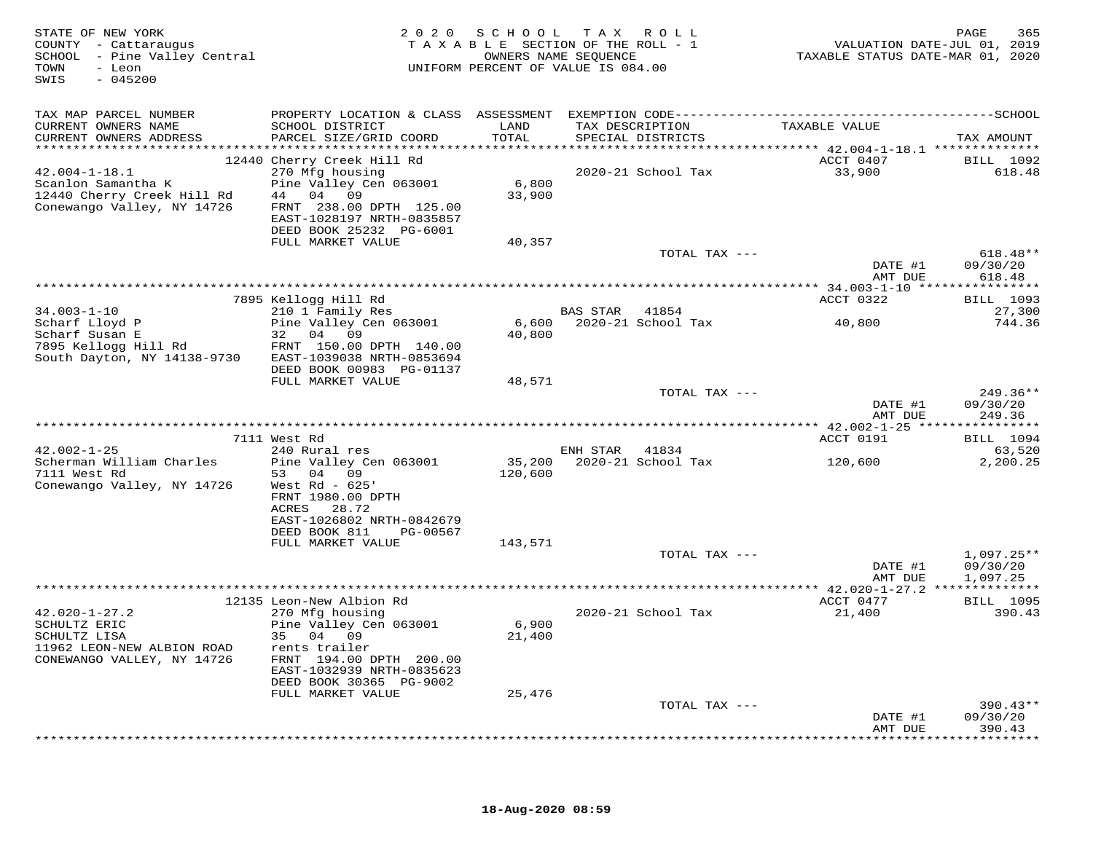| STATE OF NEW YORK<br>COUNTY - Cattaraugus<br>SCHOOL - Pine Valley Central<br>TOWN<br>- Leon<br>$-045200$<br>SWIS |                                                                                                                | 2020 SCHOOL TAX ROLL<br>TAXABLE SECTION OF THE ROLL - 1<br>OWNERS NAME SEQUENCE<br>UNIFORM PERCENT OF VALUE IS 084.00 |                |                                      | VALUATION DATE-JUL 01, 2019<br>TAXABLE STATUS DATE-MAR 01, 2020 | 365<br>PAGE                                   |
|------------------------------------------------------------------------------------------------------------------|----------------------------------------------------------------------------------------------------------------|-----------------------------------------------------------------------------------------------------------------------|----------------|--------------------------------------|-----------------------------------------------------------------|-----------------------------------------------|
| TAX MAP PARCEL NUMBER                                                                                            |                                                                                                                |                                                                                                                       |                |                                      |                                                                 |                                               |
| CURRENT OWNERS NAME<br>CURRENT OWNERS ADDRESS                                                                    | SCHOOL DISTRICT<br>PARCEL SIZE/GRID COORD                                                                      | LAND<br>TOTAL                                                                                                         |                | TAX DESCRIPTION<br>SPECIAL DISTRICTS | TAXABLE VALUE                                                   | TAX AMOUNT                                    |
| $42.004 - 1 - 18.1$<br>Scanlon Samantha K<br>12440 Cherry Creek Hill Rd<br>Conewango Valley, NY 14726            | 12440 Cherry Creek Hill Rd<br>270 Mfg housing<br>Pine Valley Cen 063001<br>44 04 09<br>FRNT 238.00 DPTH 125.00 | 6,800<br>33,900                                                                                                       |                | 2020-21 School Tax                   | ACCT 0407<br>33,900                                             | <b>BILL</b> 1092<br>618.48                    |
|                                                                                                                  | EAST-1028197 NRTH-0835857<br>DEED BOOK 25232 PG-6001<br>FULL MARKET VALUE                                      | 40,357                                                                                                                |                |                                      |                                                                 |                                               |
|                                                                                                                  |                                                                                                                |                                                                                                                       |                | TOTAL TAX ---                        | DATE #1                                                         | $618.48**$<br>09/30/20                        |
|                                                                                                                  |                                                                                                                |                                                                                                                       |                |                                      | AMT DUE                                                         | 618.48                                        |
|                                                                                                                  | 7895 Kellogg Hill Rd                                                                                           |                                                                                                                       |                |                                      | ACCT 0322                                                       | <b>BILL</b> 1093                              |
| $34.003 - 1 - 10$<br>Scharf Lloyd P<br>Scharf Susan E                                                            | 210 1 Family Res<br>Pine Valley Cen 063001<br>32 04 09                                                         | 6,600<br>40,800                                                                                                       | BAS STAR 41854 | 2020-21 School Tax                   | 40,800                                                          | 27,300<br>744.36                              |
| 7895 Kellogg Hill Rd<br>South Dayton, NY 14138-9730                                                              | FRNT 150.00 DPTH 140.00<br>EAST-1039038 NRTH-0853694<br>DEED BOOK 00983 PG-01137                               |                                                                                                                       |                |                                      |                                                                 |                                               |
|                                                                                                                  | FULL MARKET VALUE                                                                                              | 48,571                                                                                                                |                | TOTAL TAX ---                        | DATE #1                                                         | $249.36**$<br>09/30/20                        |
|                                                                                                                  |                                                                                                                |                                                                                                                       |                |                                      | AMT DUE                                                         | 249.36                                        |
|                                                                                                                  | 7111 West Rd                                                                                                   |                                                                                                                       |                |                                      | ACCT 0191                                                       | <b>BILL</b> 1094                              |
| $42.002 - 1 - 25$                                                                                                | 240 Rural res                                                                                                  |                                                                                                                       | ENH STAR 41834 |                                      |                                                                 | 63,520                                        |
| Scherman William Charles<br>7111 West Rd<br>Conewango Valley, NY 14726                                           | Pine Valley Cen 063001<br>53 04 09<br>West $Rd - 625'$<br>FRNT 1980.00 DPTH<br>ACRES<br>28.72                  | 35,200<br>120,600                                                                                                     |                | 2020-21 School Tax                   | 120,600                                                         | 2,200.25                                      |
|                                                                                                                  | EAST-1026802 NRTH-0842679<br>DEED BOOK 811<br>PG-00567<br>FULL MARKET VALUE                                    | 143,571                                                                                                               |                |                                      |                                                                 |                                               |
|                                                                                                                  |                                                                                                                |                                                                                                                       |                | TOTAL TAX ---                        |                                                                 | $1,097.25**$                                  |
|                                                                                                                  |                                                                                                                |                                                                                                                       |                |                                      | DATE #1<br>AMT DUE                                              | 09/30/20<br>1,097.25                          |
|                                                                                                                  | 12135 Leon-New Albion Rd                                                                                       |                                                                                                                       |                |                                      | ACCT 0477                                                       | <b>BILL</b> 1095                              |
| $42.020 - 1 - 27.2$<br>SCHULTZ ERIC<br>SCHULTZ LISA<br>11962 LEON-NEW ALBION ROAD                                | 270 Mfg housing<br>Pine Valley Cen 063001<br>35 04 09                                                          | 6,900<br>21,400                                                                                                       |                | 2020-21 School Tax                   | 21,400                                                          | 390.43                                        |
| CONEWANGO VALLEY, NY 14726                                                                                       | rents trailer<br>FRNT 194.00 DPTH 200.00<br>EAST-1032939 NRTH-0835623<br>DEED BOOK 30365 PG-9002               |                                                                                                                       |                |                                      |                                                                 |                                               |
|                                                                                                                  | FULL MARKET VALUE                                                                                              | 25,476                                                                                                                |                |                                      |                                                                 |                                               |
|                                                                                                                  |                                                                                                                |                                                                                                                       |                | TOTAL TAX ---                        | DATE #1<br>AMT DUE                                              | $390.43**$<br>09/30/20<br>390.43<br>********* |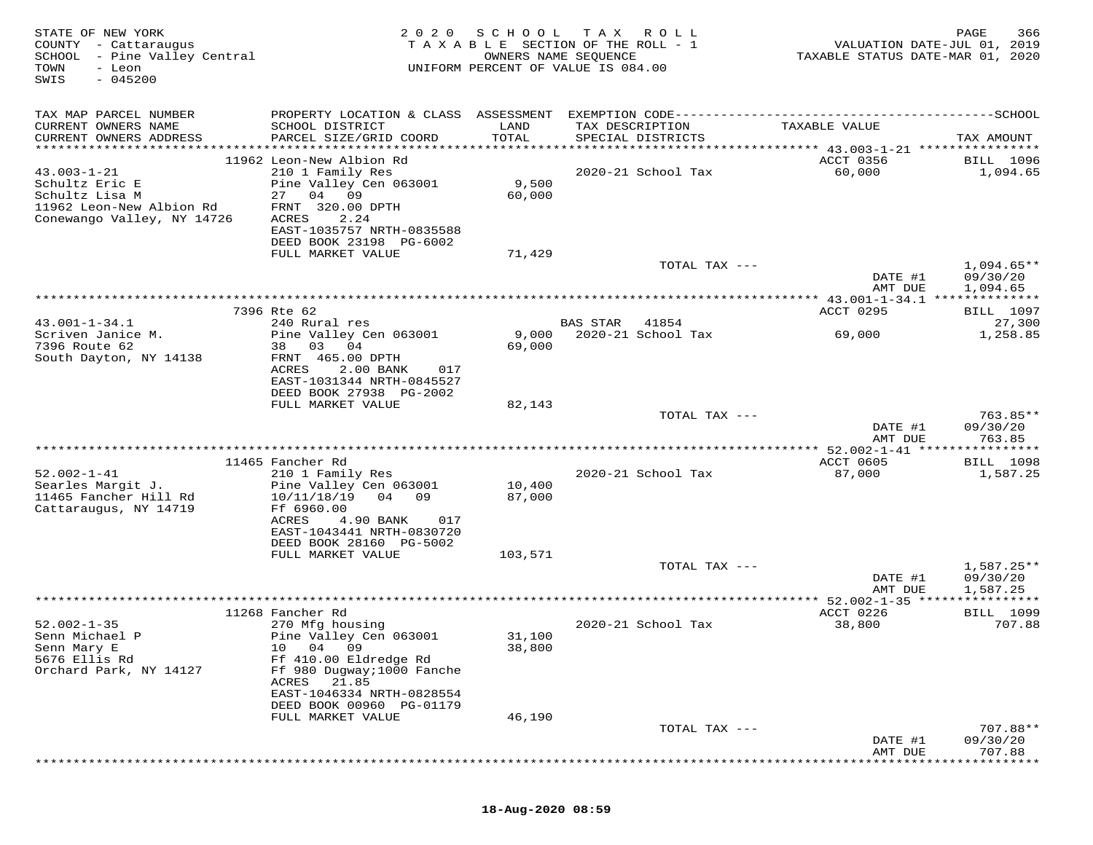| STATE OF NEW YORK<br>COUNTY - Cattaraugus<br>- Pine Valley Central<br>SCHOOL<br>TOWN<br>- Leon<br>$-045200$<br>SWIS | 2 0 2 0                                                                                                                                                                            | SCHOOL<br>TAXABLE SECTION OF THE ROLL - 1<br>UNIFORM PERCENT OF VALUE IS 084.00 | T A X<br>OWNERS NAME SEQUENCE        | R O L L                     | VALUATION DATE-JUL 01, 2019<br>TAXABLE STATUS DATE-MAR 01, 2020 | PAGE<br>366                    |
|---------------------------------------------------------------------------------------------------------------------|------------------------------------------------------------------------------------------------------------------------------------------------------------------------------------|---------------------------------------------------------------------------------|--------------------------------------|-----------------------------|-----------------------------------------------------------------|--------------------------------|
| TAX MAP PARCEL NUMBER<br>CURRENT OWNERS NAME<br>CURRENT OWNERS ADDRESS                                              | PROPERTY LOCATION & CLASS ASSESSMENT EXEMPTION CODE-----------------------------------SCHOOL<br>SCHOOL DISTRICT<br>PARCEL SIZE/GRID COORD                                          | LAND<br>TOTAL                                                                   | TAX DESCRIPTION<br>SPECIAL DISTRICTS |                             | TAXABLE VALUE                                                   | TAX AMOUNT                     |
|                                                                                                                     |                                                                                                                                                                                    |                                                                                 |                                      |                             |                                                                 |                                |
| $43.003 - 1 - 21$<br>Schultz Eric E<br>Schultz Lisa M<br>11962 Leon-New Albion Rd<br>Conewango Valley, NY 14726     | 11962 Leon-New Albion Rd<br>210 1 Family Res<br>Pine Valley Cen 063001<br>27 04<br>09<br>FRNT 320.00 DPTH<br>ACRES<br>2.24<br>EAST-1035757 NRTH-0835588<br>DEED BOOK 23198 PG-6002 | 9,500<br>60,000                                                                 |                                      | 2020-21 School Tax          | ACCT 0356<br>60,000                                             | <b>BILL</b> 1096<br>1,094.65   |
|                                                                                                                     | FULL MARKET VALUE                                                                                                                                                                  | 71,429                                                                          |                                      |                             |                                                                 |                                |
|                                                                                                                     |                                                                                                                                                                                    |                                                                                 |                                      | TOTAL TAX ---               | DATE #1<br>AMT DUE                                              | $1,094.65**$<br>09/30/20       |
|                                                                                                                     |                                                                                                                                                                                    |                                                                                 |                                      |                             |                                                                 | 1,094.65                       |
|                                                                                                                     | 7396 Rte 62                                                                                                                                                                        |                                                                                 |                                      |                             | ACCT 0295                                                       | <b>BILL</b> 1097               |
| $43.001 - 1 - 34.1$<br>Scriven Janice M.<br>7396 Route 62                                                           | 240 Rural res<br>Pine Valley Cen 063001<br>03<br>04<br>38                                                                                                                          | 9,000<br>69,000                                                                 | <b>BAS STAR</b>                      | 41854<br>2020-21 School Tax | 69,000                                                          | 27,300<br>1,258.85             |
| South Dayton, NY 14138                                                                                              | FRNT 465.00 DPTH<br>ACRES<br>2.00 BANK<br>017<br>EAST-1031344 NRTH-0845527<br>DEED BOOK 27938 PG-2002<br>FULL MARKET VALUE                                                         | 82,143                                                                          |                                      |                             |                                                                 |                                |
|                                                                                                                     |                                                                                                                                                                                    |                                                                                 |                                      | TOTAL TAX ---               |                                                                 | $763.85**$                     |
|                                                                                                                     |                                                                                                                                                                                    |                                                                                 |                                      |                             | DATE #1<br>AMT DUE                                              | 09/30/20<br>763.85             |
|                                                                                                                     |                                                                                                                                                                                    |                                                                                 |                                      |                             |                                                                 | * * * * * * * *                |
| $52.002 - 1 - 41$                                                                                                   | 11465 Fancher Rd                                                                                                                                                                   |                                                                                 |                                      |                             | ACCT 0605                                                       | <b>BILL</b> 1098               |
| Searles Margit J.<br>11465 Fancher Hill Rd                                                                          | 210 1 Family Res<br>Pine Valley Cen 063001<br>04<br>10/11/18/19<br>09                                                                                                              | 10,400<br>87,000                                                                |                                      | 2020-21 School Tax          | 87,000                                                          | 1,587.25                       |
| Cattaraugus, NY 14719                                                                                               | Ff 6960.00<br>ACRES<br>4.90 BANK<br>017                                                                                                                                            |                                                                                 |                                      |                             |                                                                 |                                |
|                                                                                                                     | EAST-1043441 NRTH-0830720<br>DEED BOOK 28160 PG-5002                                                                                                                               |                                                                                 |                                      |                             |                                                                 |                                |
|                                                                                                                     | FULL MARKET VALUE                                                                                                                                                                  | 103,571                                                                         |                                      | TOTAL TAX ---               | DATE #1                                                         | $1,587.25**$<br>09/30/20       |
|                                                                                                                     |                                                                                                                                                                                    |                                                                                 |                                      |                             | AMT DUE                                                         | 1,587.25                       |
|                                                                                                                     |                                                                                                                                                                                    |                                                                                 |                                      |                             | ** 52.002-1-35                                                  |                                |
| $52.002 - 1 - 35$                                                                                                   | 11268 Fancher Rd<br>270 Mfg housing                                                                                                                                                |                                                                                 |                                      | 2020-21 School Tax          | ACCT 0226<br>38,800                                             | <b>BILL</b> 1099<br>707.88     |
| Senn Michael P                                                                                                      | Pine Valley Cen 063001                                                                                                                                                             | 31,100                                                                          |                                      |                             |                                                                 |                                |
| Senn Mary E<br>5676 Ellis Rd<br>Orchard Park, NY 14127                                                              | 04<br>09<br>10<br>Ff 410.00 Eldredge Rd<br>Ff 980 Dugway; 1000 Fanche                                                                                                              | 38,800                                                                          |                                      |                             |                                                                 |                                |
|                                                                                                                     | 21.85<br>ACRES<br>EAST-1046334 NRTH-0828554<br>DEED BOOK 00960 PG-01179                                                                                                            |                                                                                 |                                      |                             |                                                                 |                                |
|                                                                                                                     | FULL MARKET VALUE                                                                                                                                                                  | 46,190                                                                          |                                      |                             |                                                                 |                                |
|                                                                                                                     |                                                                                                                                                                                    |                                                                                 |                                      | TOTAL TAX ---               | DATE #1<br>AMT DUE                                              | 707.88**<br>09/30/20<br>707.88 |
|                                                                                                                     |                                                                                                                                                                                    |                                                                                 |                                      |                             |                                                                 |                                |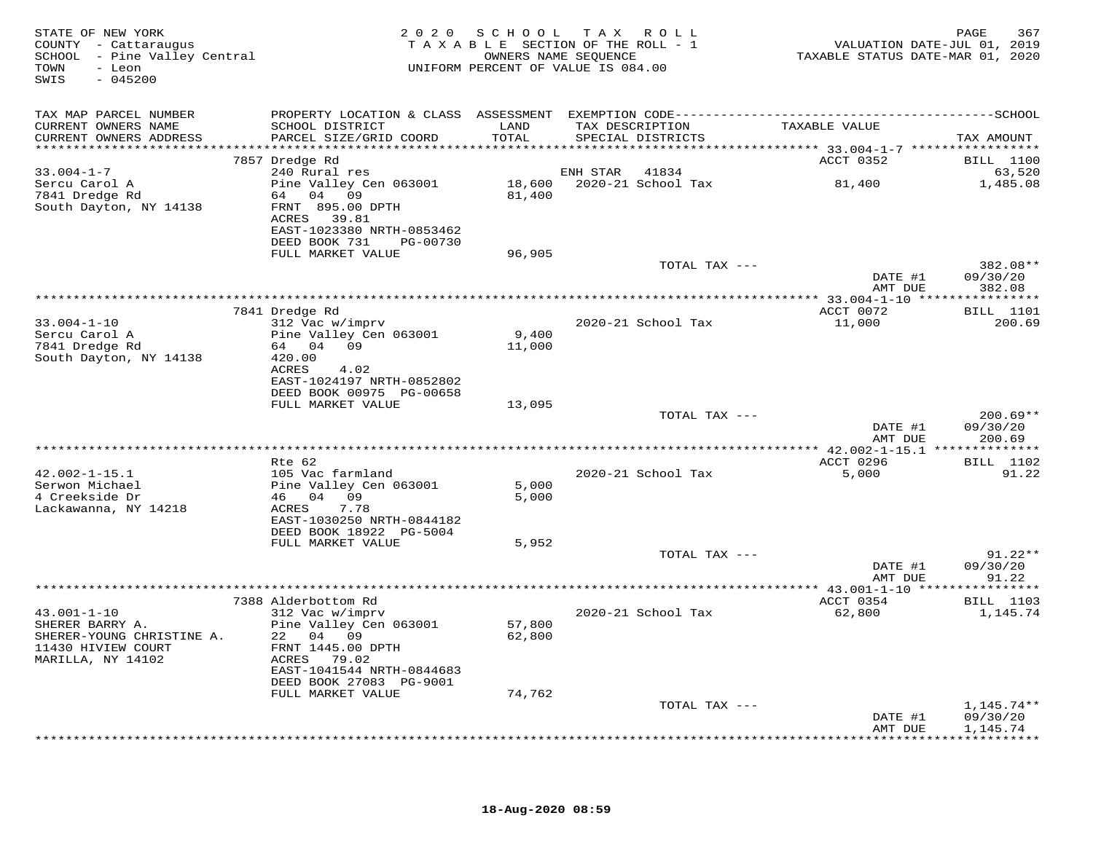| STATE OF NEW YORK<br>COUNTY - Cattaraugus<br>SCHOOL - Pine Valley Central<br>- Leon<br>TOWN<br>$-045200$<br>SWIS |                                              | 2020 SCHOOL TAX ROLL<br>TAXABLE SECTION OF THE ROLL - 1<br>OWNERS NAME SEQUENCE<br>UNIFORM PERCENT OF VALUE IS 084.00 |                 |                    | VALUATION DATE-JUL 01, 2019<br>TAXABLE STATUS DATE-MAR 01, 2020 | 367<br>PAGE                |
|------------------------------------------------------------------------------------------------------------------|----------------------------------------------|-----------------------------------------------------------------------------------------------------------------------|-----------------|--------------------|-----------------------------------------------------------------|----------------------------|
| TAX MAP PARCEL NUMBER                                                                                            |                                              |                                                                                                                       |                 |                    |                                                                 |                            |
| CURRENT OWNERS NAME                                                                                              | SCHOOL DISTRICT                              | LAND                                                                                                                  | TAX DESCRIPTION |                    | TAXABLE VALUE                                                   |                            |
| CURRENT OWNERS ADDRESS                                                                                           | PARCEL SIZE/GRID COORD                       | TOTAL                                                                                                                 |                 | SPECIAL DISTRICTS  |                                                                 | TAX AMOUNT                 |
|                                                                                                                  | 7857 Dredge Rd                               |                                                                                                                       |                 |                    | ACCT 0352                                                       | <b>BILL</b> 1100           |
| $33.004 - 1 - 7$                                                                                                 | 240 Rural res                                |                                                                                                                       | ENH STAR 41834  |                    |                                                                 | 63,520                     |
| Sercu Carol A                                                                                                    | Pine Valley Cen 063001                       |                                                                                                                       |                 |                    |                                                                 | 1,485.08                   |
| 7841 Dredge Rd                                                                                                   | 64 04 09                                     | 81,400                                                                                                                |                 |                    |                                                                 |                            |
| South Dayton, NY 14138                                                                                           | FRNT 895.00 DPTH<br>ACRES 39.81              |                                                                                                                       |                 |                    |                                                                 |                            |
|                                                                                                                  | EAST-1023380 NRTH-0853462                    |                                                                                                                       |                 |                    |                                                                 |                            |
|                                                                                                                  | DEED BOOK 731 PG-00730                       |                                                                                                                       |                 |                    |                                                                 |                            |
|                                                                                                                  | FULL MARKET VALUE                            | 96,905                                                                                                                |                 | TOTAL TAX ---      |                                                                 | 382.08**                   |
|                                                                                                                  |                                              |                                                                                                                       |                 |                    | DATE #1                                                         | 09/30/20                   |
|                                                                                                                  |                                              |                                                                                                                       |                 |                    | AMT DUE                                                         | 382.08                     |
|                                                                                                                  |                                              |                                                                                                                       |                 |                    |                                                                 |                            |
| $33.004 - 1 - 10$                                                                                                | 7841 Dredge Rd<br>312 Vac w/imprv            |                                                                                                                       |                 | 2020-21 School Tax | ACCT 0072<br>11,000                                             | <b>BILL</b> 1101<br>200.69 |
| Sercu Carol A                                                                                                    | Pine Valley Cen 063001                       | 9,400                                                                                                                 |                 |                    |                                                                 |                            |
| 7841 Dredge Rd                                                                                                   | 64 04 09                                     | 11,000                                                                                                                |                 |                    |                                                                 |                            |
| South Dayton, NY 14138                                                                                           | 420.00                                       |                                                                                                                       |                 |                    |                                                                 |                            |
|                                                                                                                  | ACRES<br>4.02<br>EAST-1024197 NRTH-0852802   |                                                                                                                       |                 |                    |                                                                 |                            |
|                                                                                                                  | DEED BOOK 00975 PG-00658                     |                                                                                                                       |                 |                    |                                                                 |                            |
|                                                                                                                  | FULL MARKET VALUE                            | 13,095                                                                                                                |                 |                    |                                                                 |                            |
|                                                                                                                  |                                              |                                                                                                                       |                 | TOTAL TAX ---      |                                                                 | $200.69**$                 |
|                                                                                                                  |                                              |                                                                                                                       |                 |                    | DATE #1<br>AMT DUE                                              | 09/30/20<br>200.69         |
|                                                                                                                  |                                              |                                                                                                                       |                 |                    |                                                                 |                            |
|                                                                                                                  | Rte 62                                       |                                                                                                                       |                 |                    | ACCT 0296                                                       | <b>BILL</b> 1102           |
| $42.002 - 1 - 15.1$<br>Serwon Michael                                                                            | 105 Vac farmland<br>Pine Valley Cen 063001   | 5,000                                                                                                                 |                 | 2020-21 School Tax | 5,000                                                           | 91.22                      |
| 4 Creekside Dr                                                                                                   | 46 04 09                                     | 5,000                                                                                                                 |                 |                    |                                                                 |                            |
| Lackawanna, NY 14218                                                                                             | 7.78<br>ACRES                                |                                                                                                                       |                 |                    |                                                                 |                            |
|                                                                                                                  | EAST-1030250 NRTH-0844182                    |                                                                                                                       |                 |                    |                                                                 |                            |
|                                                                                                                  | DEED BOOK 18922 PG-5004<br>FULL MARKET VALUE | 5,952                                                                                                                 |                 |                    |                                                                 |                            |
|                                                                                                                  |                                              |                                                                                                                       |                 | TOTAL TAX ---      |                                                                 | $91.22**$                  |
|                                                                                                                  |                                              |                                                                                                                       |                 |                    | DATE #1                                                         | 09/30/20                   |
|                                                                                                                  |                                              |                                                                                                                       |                 |                    | AMT DUE                                                         | 91.22                      |
|                                                                                                                  | 7388 Alderbottom Rd                          |                                                                                                                       |                 |                    | ACCT 0354                                                       | <b>BILL</b> 1103           |
| $43.001 - 1 - 10$                                                                                                | 312 Vac w/imprv                              |                                                                                                                       |                 | 2020-21 School Tax | 62,800                                                          | 1,145.74                   |
| SHERER BARRY A.                                                                                                  | Pine Valley Cen 063001                       | 57,800                                                                                                                |                 |                    |                                                                 |                            |
| SHERER-YOUNG CHRISTINE A.                                                                                        | 22 04 09                                     | 62,800                                                                                                                |                 |                    |                                                                 |                            |
| 11430 HIVIEW COURT<br>MARILLA, NY 14102                                                                          | FRNT 1445.00 DPTH<br>ACRES 79.02             |                                                                                                                       |                 |                    |                                                                 |                            |
|                                                                                                                  | EAST-1041544 NRTH-0844683                    |                                                                                                                       |                 |                    |                                                                 |                            |
|                                                                                                                  | DEED BOOK 27083 PG-9001                      |                                                                                                                       |                 |                    |                                                                 |                            |
|                                                                                                                  | FULL MARKET VALUE                            | 74,762                                                                                                                |                 |                    |                                                                 |                            |
|                                                                                                                  |                                              |                                                                                                                       |                 | TOTAL TAX ---      | DATE #1                                                         | $1,145.74**$<br>09/30/20   |
|                                                                                                                  |                                              |                                                                                                                       |                 |                    | AMT DUE                                                         | 1,145.74                   |
|                                                                                                                  |                                              |                                                                                                                       |                 |                    |                                                                 |                            |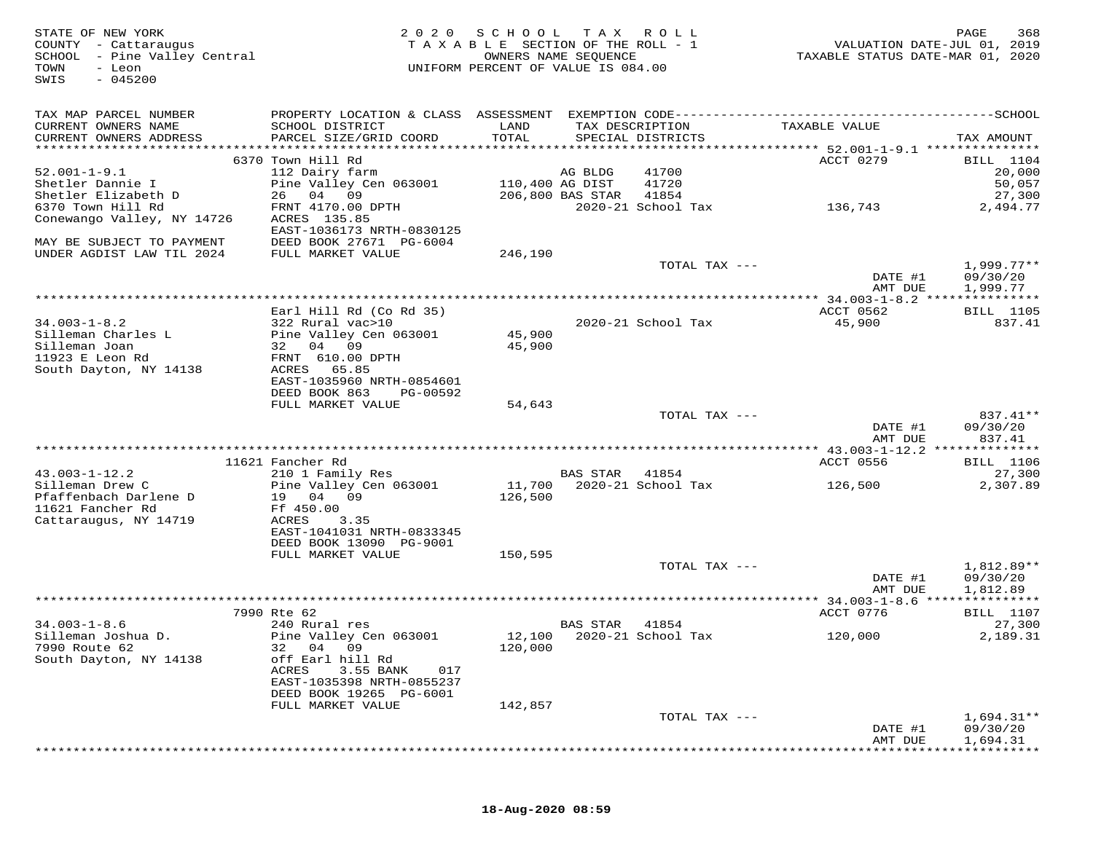| TAX MAP PARCEL NUMBER<br>CURRENT OWNERS NAME<br>SCHOOL DISTRICT<br>LAND<br>TAX DESCRIPTION<br>TAXABLE VALUE<br>TOTAL<br>CURRENT OWNERS ADDRESS<br>PARCEL SIZE/GRID COORD<br>SPECIAL DISTRICTS<br>6370 Town Hill Rd<br>ACCT 0279<br>$52.001 - 1 - 9.1$<br>112 Dairy farm<br>AG BLDG<br>41700<br>Pine Valley Cen 063001<br>Shetler Dannie I<br>110,400 AG DIST<br>41720<br>Shetler Elizabeth D<br>26 04 09<br>206,800 BAS STAR<br>41854<br>6370 Town Hill Rd<br>FRNT 4170.00 DPTH<br>2020-21 School Tax<br>136,743<br>2,494.77<br>Conewango Valley, NY 14726<br>ACRES 135.85<br>EAST-1036173 NRTH-0830125<br>MAY BE SUBJECT TO PAYMENT<br>DEED BOOK 27671 PG-6004<br>UNDER AGDIST LAW TIL 2024<br>246,190<br>FULL MARKET VALUE<br>$1,999.77**$<br>TOTAL TAX ---<br>DATE #1<br>AMT DUE<br>Earl Hill Rd (Co Rd 35)<br>ACCT 0562<br>$34.003 - 1 - 8.2$<br>45,900<br>322 Rural vac>10<br>2020-21 School Tax<br>Silleman Charles L<br>Pine Valley Cen 063001<br>45,900<br>45,900<br>Silleman Joan<br>32 04 09<br>FRNT 610.00 DPTH<br>11923 E Leon Rd<br>South Dayton, NY 14138<br>65.85<br>ACRES<br>EAST-1035960 NRTH-0854601<br>DEED BOOK 863<br>PG-00592<br>FULL MARKET VALUE<br>54,643<br>TOTAL TAX ---<br>DATE #1<br>09/30/20<br>AMT DUE<br>ACCT 0556<br>11621 Fancher Rd<br>$43.003 - 1 - 12.2$<br>210 1 Family Res<br><b>BAS STAR</b><br>41854<br>11,700<br>126,500<br>Silleman Drew C<br>Pine Valley Cen 063001<br>2020-21 School Tax<br>2,307.89<br>Pfaffenbach Darlene D<br>19 04 09<br>126,500<br>11621 Fancher Rd<br>Ff 450.00<br>Cattaraugus, NY 14719<br>ACRES<br>3.35<br>EAST-1041031 NRTH-0833345<br>DEED BOOK 13090 PG-9001<br>FULL MARKET VALUE<br>150,595<br>TOTAL TAX ---<br>DATE #1<br>AMT DUE<br>ACCT 0776<br>7990 Rte 62<br>$34.003 - 1 - 8.6$<br>240 Rural res<br>BAS STAR<br>41854<br>12,100 2020-21 School Tax<br>Silleman Joshua D.<br>Pine Valley Cen 063001<br>120,000<br>7990 Route 62<br>32<br>04 09<br>120,000<br>South Dayton, NY 14138<br>off Earl hill Rd<br>3.55 BANK<br>ACRES<br>017<br>EAST-1035398 NRTH-0855237<br>DEED BOOK 19265 PG-6001<br>FULL MARKET VALUE<br>142,857<br>TOTAL TAX --- | STATE OF NEW YORK<br>COUNTY - Cattaraugus<br>SCHOOL - Pine Valley Central<br>TOWN<br>- Leon<br>$-045200$<br>SWIS | 2020 SCHOOL<br>TAXABLE SECTION OF THE ROLL - 1<br>UNIFORM PERCENT OF VALUE IS 084.00 | T A X<br>OWNERS NAME SEQUENCE | R O L L | TAXABLE STATUS DATE-MAR 01, 2020 | PAGE<br>368<br>VALUATION DATE-JUL 01, 2019 |
|----------------------------------------------------------------------------------------------------------------------------------------------------------------------------------------------------------------------------------------------------------------------------------------------------------------------------------------------------------------------------------------------------------------------------------------------------------------------------------------------------------------------------------------------------------------------------------------------------------------------------------------------------------------------------------------------------------------------------------------------------------------------------------------------------------------------------------------------------------------------------------------------------------------------------------------------------------------------------------------------------------------------------------------------------------------------------------------------------------------------------------------------------------------------------------------------------------------------------------------------------------------------------------------------------------------------------------------------------------------------------------------------------------------------------------------------------------------------------------------------------------------------------------------------------------------------------------------------------------------------------------------------------------------------------------------------------------------------------------------------------------------------------------------------------------------------------------------------------------------------------------------------------------------------------------------------------------------------------------------------------------------------------------------------------------------------------------------------------------------------------|------------------------------------------------------------------------------------------------------------------|--------------------------------------------------------------------------------------|-------------------------------|---------|----------------------------------|--------------------------------------------|
|                                                                                                                                                                                                                                                                                                                                                                                                                                                                                                                                                                                                                                                                                                                                                                                                                                                                                                                                                                                                                                                                                                                                                                                                                                                                                                                                                                                                                                                                                                                                                                                                                                                                                                                                                                                                                                                                                                                                                                                                                                                                                                                            |                                                                                                                  |                                                                                      |                               |         |                                  |                                            |
|                                                                                                                                                                                                                                                                                                                                                                                                                                                                                                                                                                                                                                                                                                                                                                                                                                                                                                                                                                                                                                                                                                                                                                                                                                                                                                                                                                                                                                                                                                                                                                                                                                                                                                                                                                                                                                                                                                                                                                                                                                                                                                                            |                                                                                                                  |                                                                                      |                               |         |                                  |                                            |
|                                                                                                                                                                                                                                                                                                                                                                                                                                                                                                                                                                                                                                                                                                                                                                                                                                                                                                                                                                                                                                                                                                                                                                                                                                                                                                                                                                                                                                                                                                                                                                                                                                                                                                                                                                                                                                                                                                                                                                                                                                                                                                                            |                                                                                                                  |                                                                                      |                               |         |                                  | TAX AMOUNT                                 |
|                                                                                                                                                                                                                                                                                                                                                                                                                                                                                                                                                                                                                                                                                                                                                                                                                                                                                                                                                                                                                                                                                                                                                                                                                                                                                                                                                                                                                                                                                                                                                                                                                                                                                                                                                                                                                                                                                                                                                                                                                                                                                                                            |                                                                                                                  |                                                                                      |                               |         |                                  | <b>BILL</b> 1104                           |
|                                                                                                                                                                                                                                                                                                                                                                                                                                                                                                                                                                                                                                                                                                                                                                                                                                                                                                                                                                                                                                                                                                                                                                                                                                                                                                                                                                                                                                                                                                                                                                                                                                                                                                                                                                                                                                                                                                                                                                                                                                                                                                                            |                                                                                                                  |                                                                                      |                               |         |                                  | 20,000                                     |
|                                                                                                                                                                                                                                                                                                                                                                                                                                                                                                                                                                                                                                                                                                                                                                                                                                                                                                                                                                                                                                                                                                                                                                                                                                                                                                                                                                                                                                                                                                                                                                                                                                                                                                                                                                                                                                                                                                                                                                                                                                                                                                                            |                                                                                                                  |                                                                                      |                               |         |                                  | 50,057                                     |
|                                                                                                                                                                                                                                                                                                                                                                                                                                                                                                                                                                                                                                                                                                                                                                                                                                                                                                                                                                                                                                                                                                                                                                                                                                                                                                                                                                                                                                                                                                                                                                                                                                                                                                                                                                                                                                                                                                                                                                                                                                                                                                                            |                                                                                                                  |                                                                                      |                               |         |                                  | 27,300                                     |
|                                                                                                                                                                                                                                                                                                                                                                                                                                                                                                                                                                                                                                                                                                                                                                                                                                                                                                                                                                                                                                                                                                                                                                                                                                                                                                                                                                                                                                                                                                                                                                                                                                                                                                                                                                                                                                                                                                                                                                                                                                                                                                                            |                                                                                                                  |                                                                                      |                               |         |                                  |                                            |
|                                                                                                                                                                                                                                                                                                                                                                                                                                                                                                                                                                                                                                                                                                                                                                                                                                                                                                                                                                                                                                                                                                                                                                                                                                                                                                                                                                                                                                                                                                                                                                                                                                                                                                                                                                                                                                                                                                                                                                                                                                                                                                                            |                                                                                                                  |                                                                                      |                               |         |                                  |                                            |
|                                                                                                                                                                                                                                                                                                                                                                                                                                                                                                                                                                                                                                                                                                                                                                                                                                                                                                                                                                                                                                                                                                                                                                                                                                                                                                                                                                                                                                                                                                                                                                                                                                                                                                                                                                                                                                                                                                                                                                                                                                                                                                                            |                                                                                                                  |                                                                                      |                               |         |                                  |                                            |
|                                                                                                                                                                                                                                                                                                                                                                                                                                                                                                                                                                                                                                                                                                                                                                                                                                                                                                                                                                                                                                                                                                                                                                                                                                                                                                                                                                                                                                                                                                                                                                                                                                                                                                                                                                                                                                                                                                                                                                                                                                                                                                                            |                                                                                                                  |                                                                                      |                               |         |                                  |                                            |
|                                                                                                                                                                                                                                                                                                                                                                                                                                                                                                                                                                                                                                                                                                                                                                                                                                                                                                                                                                                                                                                                                                                                                                                                                                                                                                                                                                                                                                                                                                                                                                                                                                                                                                                                                                                                                                                                                                                                                                                                                                                                                                                            |                                                                                                                  |                                                                                      |                               |         |                                  | 09/30/20                                   |
|                                                                                                                                                                                                                                                                                                                                                                                                                                                                                                                                                                                                                                                                                                                                                                                                                                                                                                                                                                                                                                                                                                                                                                                                                                                                                                                                                                                                                                                                                                                                                                                                                                                                                                                                                                                                                                                                                                                                                                                                                                                                                                                            |                                                                                                                  |                                                                                      |                               |         |                                  | 1,999.77                                   |
|                                                                                                                                                                                                                                                                                                                                                                                                                                                                                                                                                                                                                                                                                                                                                                                                                                                                                                                                                                                                                                                                                                                                                                                                                                                                                                                                                                                                                                                                                                                                                                                                                                                                                                                                                                                                                                                                                                                                                                                                                                                                                                                            |                                                                                                                  |                                                                                      |                               |         |                                  |                                            |
|                                                                                                                                                                                                                                                                                                                                                                                                                                                                                                                                                                                                                                                                                                                                                                                                                                                                                                                                                                                                                                                                                                                                                                                                                                                                                                                                                                                                                                                                                                                                                                                                                                                                                                                                                                                                                                                                                                                                                                                                                                                                                                                            |                                                                                                                  |                                                                                      |                               |         |                                  | <b>BILL</b> 1105<br>837.41                 |
|                                                                                                                                                                                                                                                                                                                                                                                                                                                                                                                                                                                                                                                                                                                                                                                                                                                                                                                                                                                                                                                                                                                                                                                                                                                                                                                                                                                                                                                                                                                                                                                                                                                                                                                                                                                                                                                                                                                                                                                                                                                                                                                            |                                                                                                                  |                                                                                      |                               |         |                                  |                                            |
|                                                                                                                                                                                                                                                                                                                                                                                                                                                                                                                                                                                                                                                                                                                                                                                                                                                                                                                                                                                                                                                                                                                                                                                                                                                                                                                                                                                                                                                                                                                                                                                                                                                                                                                                                                                                                                                                                                                                                                                                                                                                                                                            |                                                                                                                  |                                                                                      |                               |         |                                  |                                            |
|                                                                                                                                                                                                                                                                                                                                                                                                                                                                                                                                                                                                                                                                                                                                                                                                                                                                                                                                                                                                                                                                                                                                                                                                                                                                                                                                                                                                                                                                                                                                                                                                                                                                                                                                                                                                                                                                                                                                                                                                                                                                                                                            |                                                                                                                  |                                                                                      |                               |         |                                  |                                            |
|                                                                                                                                                                                                                                                                                                                                                                                                                                                                                                                                                                                                                                                                                                                                                                                                                                                                                                                                                                                                                                                                                                                                                                                                                                                                                                                                                                                                                                                                                                                                                                                                                                                                                                                                                                                                                                                                                                                                                                                                                                                                                                                            |                                                                                                                  |                                                                                      |                               |         |                                  |                                            |
|                                                                                                                                                                                                                                                                                                                                                                                                                                                                                                                                                                                                                                                                                                                                                                                                                                                                                                                                                                                                                                                                                                                                                                                                                                                                                                                                                                                                                                                                                                                                                                                                                                                                                                                                                                                                                                                                                                                                                                                                                                                                                                                            |                                                                                                                  |                                                                                      |                               |         |                                  |                                            |
|                                                                                                                                                                                                                                                                                                                                                                                                                                                                                                                                                                                                                                                                                                                                                                                                                                                                                                                                                                                                                                                                                                                                                                                                                                                                                                                                                                                                                                                                                                                                                                                                                                                                                                                                                                                                                                                                                                                                                                                                                                                                                                                            |                                                                                                                  |                                                                                      |                               |         |                                  |                                            |
|                                                                                                                                                                                                                                                                                                                                                                                                                                                                                                                                                                                                                                                                                                                                                                                                                                                                                                                                                                                                                                                                                                                                                                                                                                                                                                                                                                                                                                                                                                                                                                                                                                                                                                                                                                                                                                                                                                                                                                                                                                                                                                                            |                                                                                                                  |                                                                                      |                               |         |                                  | 837.41**                                   |
|                                                                                                                                                                                                                                                                                                                                                                                                                                                                                                                                                                                                                                                                                                                                                                                                                                                                                                                                                                                                                                                                                                                                                                                                                                                                                                                                                                                                                                                                                                                                                                                                                                                                                                                                                                                                                                                                                                                                                                                                                                                                                                                            |                                                                                                                  |                                                                                      |                               |         |                                  | 837.41                                     |
|                                                                                                                                                                                                                                                                                                                                                                                                                                                                                                                                                                                                                                                                                                                                                                                                                                                                                                                                                                                                                                                                                                                                                                                                                                                                                                                                                                                                                                                                                                                                                                                                                                                                                                                                                                                                                                                                                                                                                                                                                                                                                                                            |                                                                                                                  |                                                                                      |                               |         |                                  |                                            |
|                                                                                                                                                                                                                                                                                                                                                                                                                                                                                                                                                                                                                                                                                                                                                                                                                                                                                                                                                                                                                                                                                                                                                                                                                                                                                                                                                                                                                                                                                                                                                                                                                                                                                                                                                                                                                                                                                                                                                                                                                                                                                                                            |                                                                                                                  |                                                                                      |                               |         |                                  | <b>BILL</b> 1106                           |
|                                                                                                                                                                                                                                                                                                                                                                                                                                                                                                                                                                                                                                                                                                                                                                                                                                                                                                                                                                                                                                                                                                                                                                                                                                                                                                                                                                                                                                                                                                                                                                                                                                                                                                                                                                                                                                                                                                                                                                                                                                                                                                                            |                                                                                                                  |                                                                                      |                               |         |                                  | 27,300                                     |
|                                                                                                                                                                                                                                                                                                                                                                                                                                                                                                                                                                                                                                                                                                                                                                                                                                                                                                                                                                                                                                                                                                                                                                                                                                                                                                                                                                                                                                                                                                                                                                                                                                                                                                                                                                                                                                                                                                                                                                                                                                                                                                                            |                                                                                                                  |                                                                                      |                               |         |                                  |                                            |
|                                                                                                                                                                                                                                                                                                                                                                                                                                                                                                                                                                                                                                                                                                                                                                                                                                                                                                                                                                                                                                                                                                                                                                                                                                                                                                                                                                                                                                                                                                                                                                                                                                                                                                                                                                                                                                                                                                                                                                                                                                                                                                                            |                                                                                                                  |                                                                                      |                               |         |                                  |                                            |
|                                                                                                                                                                                                                                                                                                                                                                                                                                                                                                                                                                                                                                                                                                                                                                                                                                                                                                                                                                                                                                                                                                                                                                                                                                                                                                                                                                                                                                                                                                                                                                                                                                                                                                                                                                                                                                                                                                                                                                                                                                                                                                                            |                                                                                                                  |                                                                                      |                               |         |                                  |                                            |
|                                                                                                                                                                                                                                                                                                                                                                                                                                                                                                                                                                                                                                                                                                                                                                                                                                                                                                                                                                                                                                                                                                                                                                                                                                                                                                                                                                                                                                                                                                                                                                                                                                                                                                                                                                                                                                                                                                                                                                                                                                                                                                                            |                                                                                                                  |                                                                                      |                               |         |                                  |                                            |
|                                                                                                                                                                                                                                                                                                                                                                                                                                                                                                                                                                                                                                                                                                                                                                                                                                                                                                                                                                                                                                                                                                                                                                                                                                                                                                                                                                                                                                                                                                                                                                                                                                                                                                                                                                                                                                                                                                                                                                                                                                                                                                                            |                                                                                                                  |                                                                                      |                               |         |                                  |                                            |
|                                                                                                                                                                                                                                                                                                                                                                                                                                                                                                                                                                                                                                                                                                                                                                                                                                                                                                                                                                                                                                                                                                                                                                                                                                                                                                                                                                                                                                                                                                                                                                                                                                                                                                                                                                                                                                                                                                                                                                                                                                                                                                                            |                                                                                                                  |                                                                                      |                               |         |                                  | 1,812.89**                                 |
|                                                                                                                                                                                                                                                                                                                                                                                                                                                                                                                                                                                                                                                                                                                                                                                                                                                                                                                                                                                                                                                                                                                                                                                                                                                                                                                                                                                                                                                                                                                                                                                                                                                                                                                                                                                                                                                                                                                                                                                                                                                                                                                            |                                                                                                                  |                                                                                      |                               |         |                                  | 09/30/20                                   |
|                                                                                                                                                                                                                                                                                                                                                                                                                                                                                                                                                                                                                                                                                                                                                                                                                                                                                                                                                                                                                                                                                                                                                                                                                                                                                                                                                                                                                                                                                                                                                                                                                                                                                                                                                                                                                                                                                                                                                                                                                                                                                                                            |                                                                                                                  |                                                                                      |                               |         |                                  | 1,812.89                                   |
|                                                                                                                                                                                                                                                                                                                                                                                                                                                                                                                                                                                                                                                                                                                                                                                                                                                                                                                                                                                                                                                                                                                                                                                                                                                                                                                                                                                                                                                                                                                                                                                                                                                                                                                                                                                                                                                                                                                                                                                                                                                                                                                            |                                                                                                                  |                                                                                      |                               |         |                                  | <b>BILL</b> 1107                           |
|                                                                                                                                                                                                                                                                                                                                                                                                                                                                                                                                                                                                                                                                                                                                                                                                                                                                                                                                                                                                                                                                                                                                                                                                                                                                                                                                                                                                                                                                                                                                                                                                                                                                                                                                                                                                                                                                                                                                                                                                                                                                                                                            |                                                                                                                  |                                                                                      |                               |         |                                  | 27,300                                     |
|                                                                                                                                                                                                                                                                                                                                                                                                                                                                                                                                                                                                                                                                                                                                                                                                                                                                                                                                                                                                                                                                                                                                                                                                                                                                                                                                                                                                                                                                                                                                                                                                                                                                                                                                                                                                                                                                                                                                                                                                                                                                                                                            |                                                                                                                  |                                                                                      |                               |         |                                  | 2,189.31                                   |
|                                                                                                                                                                                                                                                                                                                                                                                                                                                                                                                                                                                                                                                                                                                                                                                                                                                                                                                                                                                                                                                                                                                                                                                                                                                                                                                                                                                                                                                                                                                                                                                                                                                                                                                                                                                                                                                                                                                                                                                                                                                                                                                            |                                                                                                                  |                                                                                      |                               |         |                                  |                                            |
|                                                                                                                                                                                                                                                                                                                                                                                                                                                                                                                                                                                                                                                                                                                                                                                                                                                                                                                                                                                                                                                                                                                                                                                                                                                                                                                                                                                                                                                                                                                                                                                                                                                                                                                                                                                                                                                                                                                                                                                                                                                                                                                            |                                                                                                                  |                                                                                      |                               |         |                                  |                                            |
|                                                                                                                                                                                                                                                                                                                                                                                                                                                                                                                                                                                                                                                                                                                                                                                                                                                                                                                                                                                                                                                                                                                                                                                                                                                                                                                                                                                                                                                                                                                                                                                                                                                                                                                                                                                                                                                                                                                                                                                                                                                                                                                            |                                                                                                                  |                                                                                      |                               |         |                                  |                                            |
|                                                                                                                                                                                                                                                                                                                                                                                                                                                                                                                                                                                                                                                                                                                                                                                                                                                                                                                                                                                                                                                                                                                                                                                                                                                                                                                                                                                                                                                                                                                                                                                                                                                                                                                                                                                                                                                                                                                                                                                                                                                                                                                            |                                                                                                                  |                                                                                      |                               |         |                                  |                                            |
|                                                                                                                                                                                                                                                                                                                                                                                                                                                                                                                                                                                                                                                                                                                                                                                                                                                                                                                                                                                                                                                                                                                                                                                                                                                                                                                                                                                                                                                                                                                                                                                                                                                                                                                                                                                                                                                                                                                                                                                                                                                                                                                            |                                                                                                                  |                                                                                      |                               |         |                                  | $1,694.31**$                               |
| DATE #1                                                                                                                                                                                                                                                                                                                                                                                                                                                                                                                                                                                                                                                                                                                                                                                                                                                                                                                                                                                                                                                                                                                                                                                                                                                                                                                                                                                                                                                                                                                                                                                                                                                                                                                                                                                                                                                                                                                                                                                                                                                                                                                    |                                                                                                                  |                                                                                      |                               |         |                                  | 09/30/20                                   |
| AMT DUE                                                                                                                                                                                                                                                                                                                                                                                                                                                                                                                                                                                                                                                                                                                                                                                                                                                                                                                                                                                                                                                                                                                                                                                                                                                                                                                                                                                                                                                                                                                                                                                                                                                                                                                                                                                                                                                                                                                                                                                                                                                                                                                    |                                                                                                                  |                                                                                      |                               |         |                                  | 1,694.31                                   |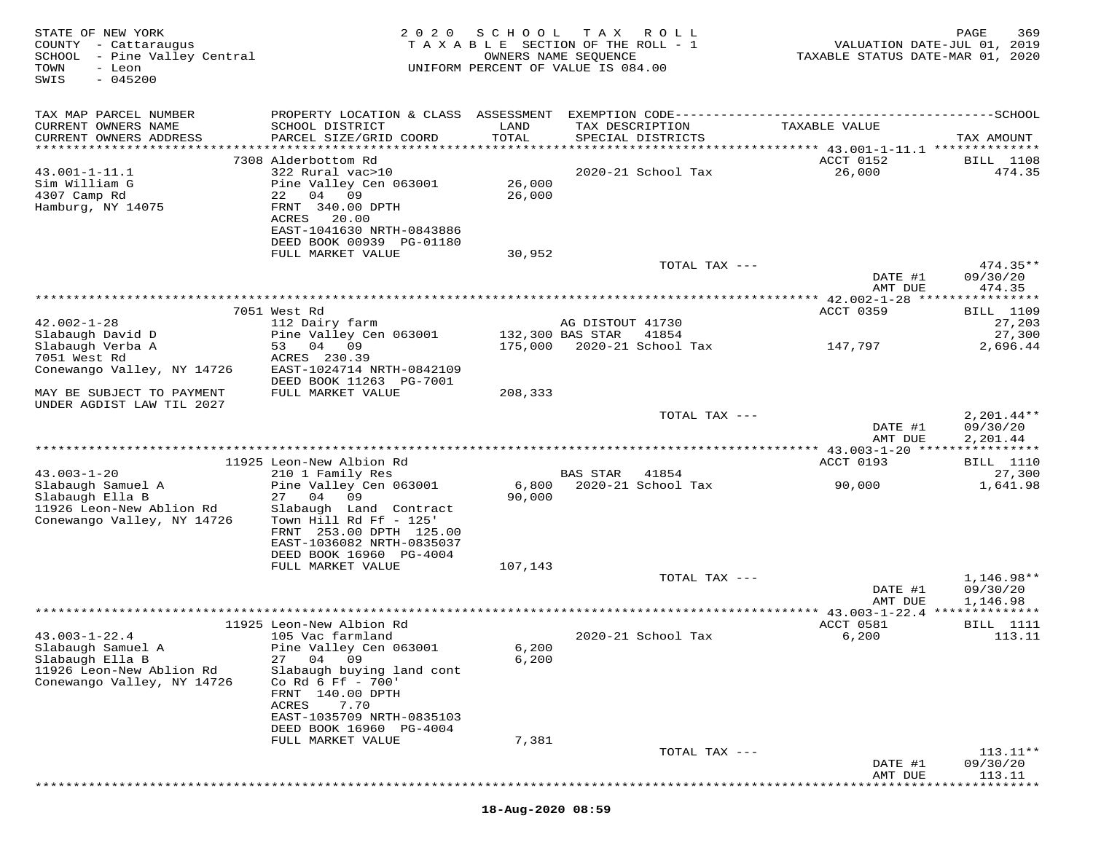| STATE OF NEW YORK<br>COUNTY - Cattaraugus<br>SCHOOL - Pine Valley Central<br>TOWN<br>- Leon<br>$-045200$<br>SWIS | 2 0 2 0                                              | SCHOOL        | T A X<br>ROLL<br>TAXABLE SECTION OF THE ROLL - 1<br>OWNERS NAME SEQUENCE<br>UNIFORM PERCENT OF VALUE IS 084.00 | VALUATION DATE-JUL 01, 2019<br>TAXABLE STATUS DATE-MAR 01, 2020 | PAGE<br>369                |
|------------------------------------------------------------------------------------------------------------------|------------------------------------------------------|---------------|----------------------------------------------------------------------------------------------------------------|-----------------------------------------------------------------|----------------------------|
| TAX MAP PARCEL NUMBER                                                                                            |                                                      |               |                                                                                                                |                                                                 |                            |
| CURRENT OWNERS NAME<br>CURRENT OWNERS ADDRESS                                                                    | SCHOOL DISTRICT<br>PARCEL SIZE/GRID COORD            | LAND<br>TOTAL | TAX DESCRIPTION<br>SPECIAL DISTRICTS                                                                           | TAXABLE VALUE                                                   | TAX AMOUNT                 |
| **********************                                                                                           |                                                      |               |                                                                                                                |                                                                 |                            |
| $43.001 - 1 - 11.1$                                                                                              | 7308 Alderbottom Rd<br>322 Rural vac>10              |               | 2020-21 School Tax                                                                                             | ACCT 0152<br>26,000                                             | <b>BILL</b> 1108<br>474.35 |
| Sim William G                                                                                                    | Pine Valley Cen 063001                               | 26,000        |                                                                                                                |                                                                 |                            |
| 4307 Camp Rd                                                                                                     | 22<br>04 09                                          | 26,000        |                                                                                                                |                                                                 |                            |
| Hamburg, NY 14075                                                                                                | FRNT 340.00 DPTH<br>ACRES<br>20.00                   |               |                                                                                                                |                                                                 |                            |
|                                                                                                                  | EAST-1041630 NRTH-0843886                            |               |                                                                                                                |                                                                 |                            |
|                                                                                                                  | DEED BOOK 00939 PG-01180                             |               |                                                                                                                |                                                                 |                            |
|                                                                                                                  | FULL MARKET VALUE                                    | 30,952        |                                                                                                                |                                                                 |                            |
|                                                                                                                  |                                                      |               | TOTAL TAX ---                                                                                                  | DATE #1                                                         | $474.35**$<br>09/30/20     |
|                                                                                                                  |                                                      |               |                                                                                                                | AMT DUE                                                         | 474.35                     |
|                                                                                                                  |                                                      |               |                                                                                                                |                                                                 |                            |
|                                                                                                                  | 7051 West Rd                                         |               |                                                                                                                | ACCT 0359                                                       | <b>BILL</b> 1109           |
| $42.002 - 1 - 28$<br>Slabaugh David D                                                                            | 112 Dairy farm<br>Pine Valley Cen 063001             |               | AG DISTOUT 41730<br>132,300 BAS STAR<br>41854                                                                  |                                                                 | 27,203<br>27,300           |
| Slabaugh Verba A                                                                                                 | 53 04 09                                             |               | 175,000 2020-21 School Tax                                                                                     | 147,797                                                         | 2,696.44                   |
| 7051 West Rd                                                                                                     | ACRES 230.39                                         |               |                                                                                                                |                                                                 |                            |
| Conewango Valley, NY 14726                                                                                       | EAST-1024714 NRTH-0842109<br>DEED BOOK 11263 PG-7001 |               |                                                                                                                |                                                                 |                            |
| MAY BE SUBJECT TO PAYMENT<br>UNDER AGDIST LAW TIL 2027                                                           | FULL MARKET VALUE                                    | 208,333       |                                                                                                                |                                                                 |                            |
|                                                                                                                  |                                                      |               | TOTAL TAX ---                                                                                                  |                                                                 | $2,201.44**$               |
|                                                                                                                  |                                                      |               |                                                                                                                | DATE #1<br>AMT DUE                                              | 09/30/20<br>2,201.44       |
|                                                                                                                  | 11925 Leon-New Albion Rd                             |               |                                                                                                                | ACCT 0193                                                       | BILL 1110                  |
| $43.003 - 1 - 20$                                                                                                | 210 1 Family Res                                     |               | <b>BAS STAR</b><br>41854                                                                                       |                                                                 | 27,300                     |
| Slabaugh Samuel A                                                                                                | Pine Valley Cen 063001                               | 6,800         | 2020-21 School Tax                                                                                             | 90,000                                                          | 1,641.98                   |
| Slabaugh Ella B                                                                                                  | 04<br>09<br>27                                       | 90,000        |                                                                                                                |                                                                 |                            |
| 11926 Leon-New Ablion Rd<br>Conewango Valley, NY 14726                                                           | Slabaugh Land Contract<br>Town Hill Rd Ff - 125'     |               |                                                                                                                |                                                                 |                            |
|                                                                                                                  | FRNT 253.00 DPTH 125.00                              |               |                                                                                                                |                                                                 |                            |
|                                                                                                                  | EAST-1036082 NRTH-0835037                            |               |                                                                                                                |                                                                 |                            |
|                                                                                                                  | DEED BOOK 16960 PG-4004<br>FULL MARKET VALUE         | 107,143       |                                                                                                                |                                                                 |                            |
|                                                                                                                  |                                                      |               | TOTAL TAX ---                                                                                                  |                                                                 | 1,146.98**                 |
|                                                                                                                  |                                                      |               |                                                                                                                | DATE #1<br>AMT DUE                                              | 09/30/20<br>1,146.98       |
|                                                                                                                  | 11925 Leon-New Albion Rd                             |               |                                                                                                                | ACCT 0581                                                       | <b>BILL</b> 1111           |
| $43.003 - 1 - 22.4$                                                                                              | 105 Vac farmland                                     |               | 2020-21 School Tax                                                                                             | 6,200                                                           | 113.11                     |
| Slabaugh Samuel A                                                                                                | Pine Valley Cen 063001                               | 6,200         |                                                                                                                |                                                                 |                            |
| Slabaugh Ella B                                                                                                  | 27<br>04<br>09                                       | 6,200         |                                                                                                                |                                                                 |                            |
| 11926 Leon-New Ablion Rd<br>Conewango Valley, NY 14726                                                           | Slabaugh buying land cont<br>Co Rd 6 Ff - 700'       |               |                                                                                                                |                                                                 |                            |
|                                                                                                                  | FRNT 140.00 DPTH                                     |               |                                                                                                                |                                                                 |                            |
|                                                                                                                  | ACRES<br>7.70                                        |               |                                                                                                                |                                                                 |                            |
|                                                                                                                  | EAST-1035709 NRTH-0835103<br>DEED BOOK 16960 PG-4004 |               |                                                                                                                |                                                                 |                            |
|                                                                                                                  |                                                      |               |                                                                                                                |                                                                 |                            |
|                                                                                                                  | FULL MARKET VALUE                                    | 7,381         |                                                                                                                |                                                                 |                            |
|                                                                                                                  |                                                      |               | TOTAL TAX ---                                                                                                  |                                                                 | $113.11**$                 |
|                                                                                                                  |                                                      |               |                                                                                                                | DATE #1<br>AMT DUE                                              | 09/30/20<br>113.11         |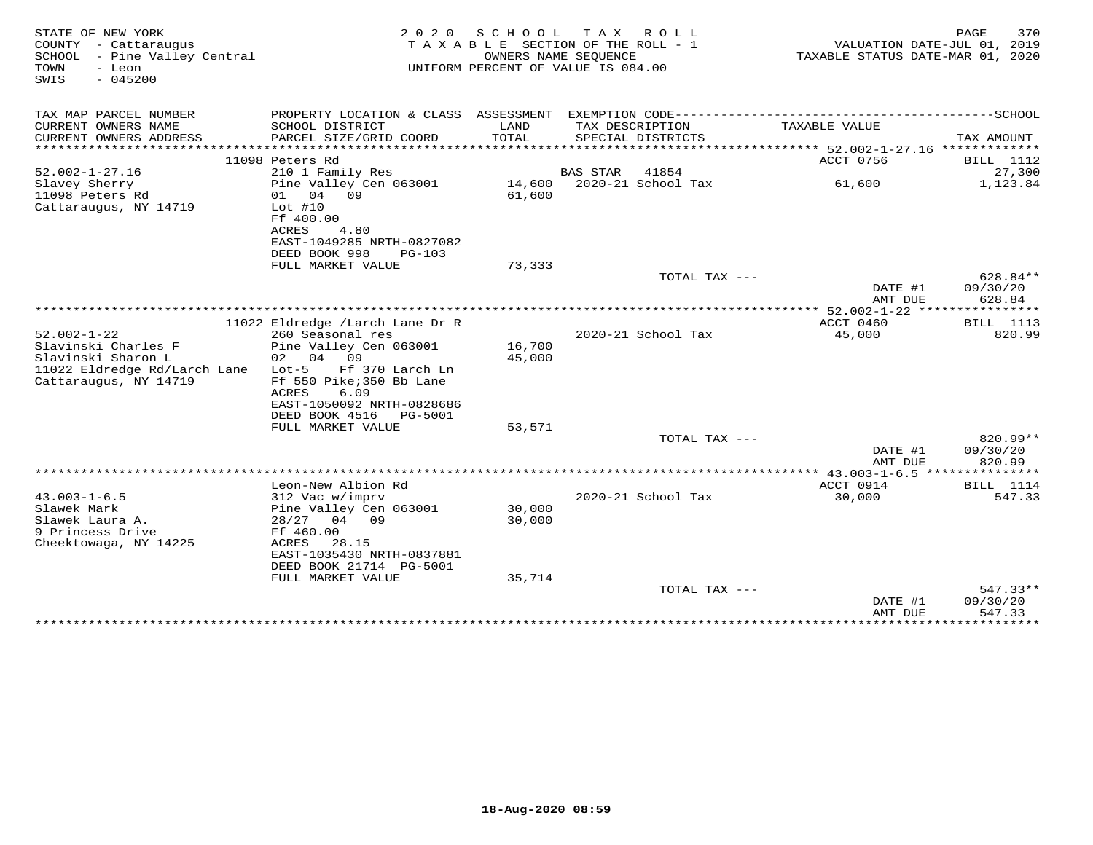| STATE OF NEW YORK<br>COUNTY - Cattaraugus<br>SCHOOL - Pine Valley Central<br>TOWN<br>- Leon<br>$-045200$<br>SWIS        | 2 0 2 0                                                                                                                                                                  | S C H O O L<br>TAXABLE SECTION OF THE ROLL - 1<br>OWNERS NAME SEOUENCE<br>UNIFORM PERCENT OF VALUE IS 084.00 | T A X           | ROLL                                       | TAXABLE STATUS DATE-MAR 01, 2020     | PAGE<br>VALUATION DATE-JUL 01, 2019 | 370                                   |
|-------------------------------------------------------------------------------------------------------------------------|--------------------------------------------------------------------------------------------------------------------------------------------------------------------------|--------------------------------------------------------------------------------------------------------------|-----------------|--------------------------------------------|--------------------------------------|-------------------------------------|---------------------------------------|
| TAX MAP PARCEL NUMBER                                                                                                   | PROPERTY LOCATION & CLASS ASSESSMENT                                                                                                                                     |                                                                                                              |                 | EXEMPTION CODE---------------------------- |                                      | --------------SCHOOL                |                                       |
| CURRENT OWNERS NAME<br>CURRENT OWNERS ADDRESS<br>***********************                                                | SCHOOL DISTRICT<br>PARCEL SIZE/GRID COORD                                                                                                                                | LAND<br>TOTAL                                                                                                |                 | TAX DESCRIPTION<br>SPECIAL DISTRICTS       | TAXABLE VALUE                        |                                     | TAX AMOUNT                            |
|                                                                                                                         | 11098 Peters Rd                                                                                                                                                          |                                                                                                              |                 |                                            | ACCT 0756                            |                                     | BILL 1112                             |
| $52.002 - 1 - 27.16$                                                                                                    | 210 1 Family Res                                                                                                                                                         |                                                                                                              | <b>BAS STAR</b> | 41854                                      |                                      |                                     | 27,300                                |
| Slavey Sherry<br>11098 Peters Rd<br>Cattaraugus, NY 14719                                                               | Pine Valley Cen 063001<br>04<br>09<br>01<br>Lot $#10$<br>Ff 400.00<br>ACRES<br>4.80<br>EAST-1049285 NRTH-0827082                                                         | 14,600<br>61,600                                                                                             |                 | 2020-21 School Tax                         | 61,600                               |                                     | 1,123.84                              |
|                                                                                                                         | DEED BOOK 998<br>$PG-103$                                                                                                                                                |                                                                                                              |                 |                                            |                                      |                                     |                                       |
|                                                                                                                         | FULL MARKET VALUE                                                                                                                                                        | 73,333                                                                                                       |                 |                                            |                                      |                                     |                                       |
|                                                                                                                         |                                                                                                                                                                          |                                                                                                              |                 | TOTAL TAX ---                              | DATE #1                              |                                     | 628.84**<br>09/30/20                  |
|                                                                                                                         |                                                                                                                                                                          |                                                                                                              |                 |                                            | AMT DUE<br>** $52.002 - 1 - 22$ **** |                                     | 628.84<br>********                    |
|                                                                                                                         | 11022 Eldredge /Larch Lane Dr R                                                                                                                                          |                                                                                                              |                 |                                            | ACCT 0460                            |                                     | <b>BILL</b> 1113                      |
| $52.002 - 1 - 22$<br>Slavinski Charles F<br>Slavinski Sharon L<br>11022 Eldredge Rd/Larch Lane<br>Cattaraugus, NY 14719 | 260 Seasonal res<br>Pine Valley Cen 063001<br>02 04<br>09<br>$Lot-5$<br>Ff 370 Larch Ln<br>Ff 550 Pike; 350 Bb Lane<br><b>ACRES</b><br>6.09<br>EAST-1050092 NRTH-0828686 | 16,700<br>45,000                                                                                             |                 | 2020-21 School Tax                         | 45,000                               |                                     | 820.99                                |
|                                                                                                                         | DEED BOOK 4516<br>PG-5001<br>FULL MARKET VALUE                                                                                                                           | 53,571                                                                                                       |                 |                                            |                                      |                                     |                                       |
|                                                                                                                         |                                                                                                                                                                          |                                                                                                              |                 | TOTAL TAX ---                              | DATE #1                              |                                     | 820.99**<br>09/30/20                  |
|                                                                                                                         |                                                                                                                                                                          |                                                                                                              |                 |                                            | AMT DUE                              |                                     | 820.99                                |
|                                                                                                                         | Leon-New Albion Rd                                                                                                                                                       |                                                                                                              |                 |                                            | ** $43.003 - 1 - 6.5$<br>ACCT 0914   |                                     | * * * * * * * * *<br><b>BILL</b> 1114 |
| $43.003 - 1 - 6.5$<br>Slawek Mark<br>Slawek Laura A.<br>9 Princess Drive<br>Cheektowaga, NY 14225                       | 312 Vac w/imprv<br>Pine Valley Cen 063001<br>28/27<br>04 09<br>Ff 460.00<br>ACRES<br>28.15<br>EAST-1035430 NRTH-0837881<br>DEED BOOK 21714 PG-5001                       | 30,000<br>30,000                                                                                             |                 | 2020-21 School Tax                         | 30,000                               |                                     | 547.33                                |
|                                                                                                                         | FULL MARKET VALUE                                                                                                                                                        | 35,714                                                                                                       |                 |                                            |                                      |                                     |                                       |
|                                                                                                                         |                                                                                                                                                                          |                                                                                                              |                 | TOTAL TAX ---                              | DATE #1<br>AMT DUE                   |                                     | 547.33**<br>09/30/20<br>547.33        |
|                                                                                                                         |                                                                                                                                                                          |                                                                                                              |                 |                                            | *************                        |                                     | *********                             |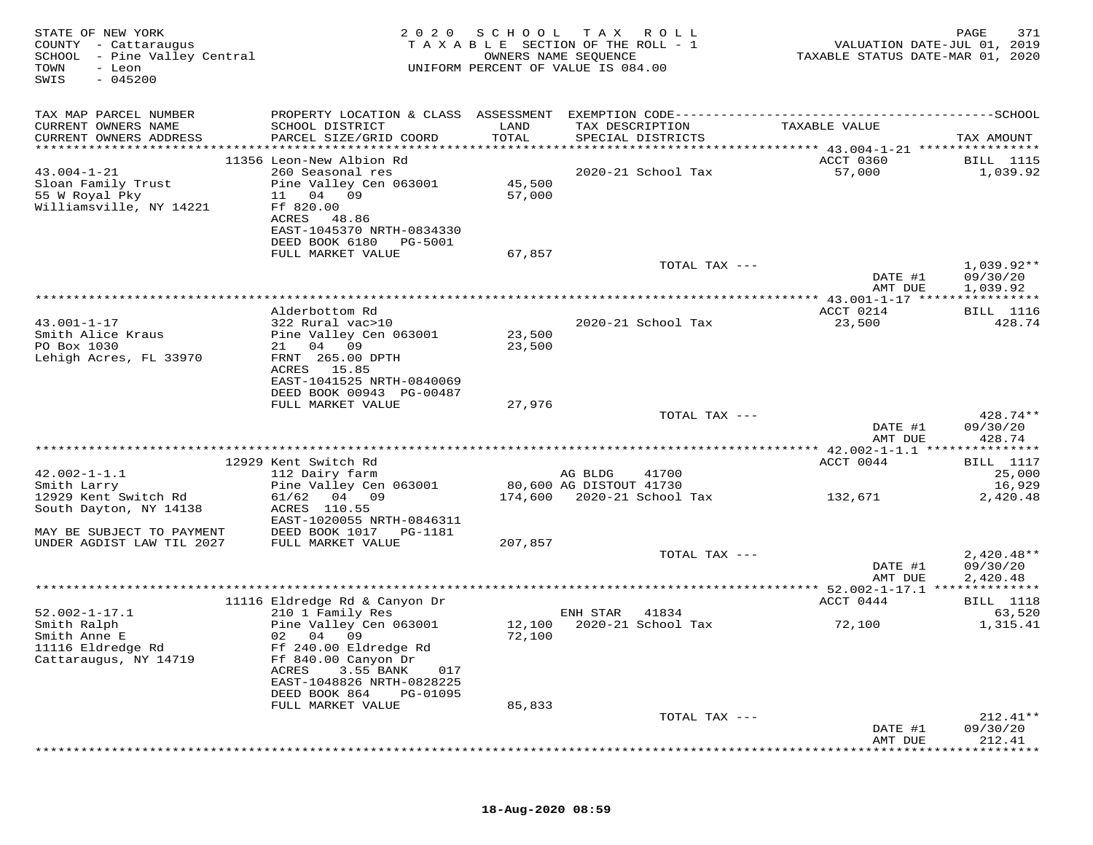| STATE OF NEW YORK<br>COUNTY - Cattaraugus<br>SCHOOL - Pine Valley Central<br>TOWN<br>- Leon<br>SWIS<br>$-045200$ | 2 0 2 0                                             | SCHOOL           | T A X<br>R O L L<br>TAXABLE SECTION OF THE ROLL - 1<br>OWNERS NAME SEQUENCE<br>UNIFORM PERCENT OF VALUE IS 084.00 | VALUATION DATE-JUL 01, 2019<br>TAXABLE STATUS DATE-MAR 01, 2020 | 371<br>PAGE              |
|------------------------------------------------------------------------------------------------------------------|-----------------------------------------------------|------------------|-------------------------------------------------------------------------------------------------------------------|-----------------------------------------------------------------|--------------------------|
| TAX MAP PARCEL NUMBER                                                                                            |                                                     |                  |                                                                                                                   |                                                                 |                          |
| CURRENT OWNERS NAME                                                                                              | SCHOOL DISTRICT                                     | LAND<br>TOTAL    | TAX DESCRIPTION                                                                                                   | TAXABLE VALUE                                                   |                          |
| CURRENT OWNERS ADDRESS                                                                                           | PARCEL SIZE/GRID COORD                              |                  | SPECIAL DISTRICTS                                                                                                 |                                                                 | TAX AMOUNT               |
|                                                                                                                  | 11356 Leon-New Albion Rd                            |                  |                                                                                                                   | ACCT 0360                                                       | <b>BILL</b> 1115         |
| $43.004 - 1 - 21$                                                                                                | 260 Seasonal res                                    |                  | 2020-21 School Tax                                                                                                | 57,000                                                          | 1,039.92                 |
| Sloan Family Trust                                                                                               | Pine Valley Cen 063001                              | 45,500           |                                                                                                                   |                                                                 |                          |
| 55 W Royal Pky                                                                                                   | 11 04 09                                            | 57,000           |                                                                                                                   |                                                                 |                          |
| Williamsville, NY 14221                                                                                          | Ff 820.00<br>ACRES<br>48.86                         |                  |                                                                                                                   |                                                                 |                          |
|                                                                                                                  | EAST-1045370 NRTH-0834330                           |                  |                                                                                                                   |                                                                 |                          |
|                                                                                                                  | DEED BOOK 6180<br>PG-5001                           |                  |                                                                                                                   |                                                                 |                          |
|                                                                                                                  | FULL MARKET VALUE                                   | 67,857           |                                                                                                                   |                                                                 |                          |
|                                                                                                                  |                                                     |                  | TOTAL TAX ---                                                                                                     | DATE #1                                                         | $1,039.92**$<br>09/30/20 |
|                                                                                                                  |                                                     |                  |                                                                                                                   | AMT DUE                                                         | 1,039.92                 |
|                                                                                                                  |                                                     |                  |                                                                                                                   |                                                                 |                          |
|                                                                                                                  | Alderbottom Rd                                      |                  |                                                                                                                   | ACCT 0214                                                       | <b>BILL</b> 1116         |
| $43.001 - 1 - 17$                                                                                                | 322 Rural vac>10                                    |                  | 2020-21 School Tax                                                                                                | 23,500                                                          | 428.74                   |
| Smith Alice Kraus<br>PO Box 1030                                                                                 | Pine Valley Cen 063001<br>21 04 09                  | 23,500<br>23,500 |                                                                                                                   |                                                                 |                          |
| Lehigh Acres, FL 33970                                                                                           | FRNT 265.00 DPTH                                    |                  |                                                                                                                   |                                                                 |                          |
|                                                                                                                  | ACRES 15.85                                         |                  |                                                                                                                   |                                                                 |                          |
|                                                                                                                  | EAST-1041525 NRTH-0840069                           |                  |                                                                                                                   |                                                                 |                          |
|                                                                                                                  | DEED BOOK 00943 PG-00487<br>FULL MARKET VALUE       | 27,976           |                                                                                                                   |                                                                 |                          |
|                                                                                                                  |                                                     |                  | TOTAL TAX ---                                                                                                     |                                                                 | 428.74**                 |
|                                                                                                                  |                                                     |                  |                                                                                                                   | DATE #1                                                         | 09/30/20                 |
|                                                                                                                  |                                                     |                  |                                                                                                                   | AMT DUE                                                         | 428.74                   |
|                                                                                                                  | 12929 Kent Switch Rd                                |                  |                                                                                                                   | ACCT 0044                                                       | <b>BILL</b> 1117         |
| $42.002 - 1 - 1.1$                                                                                               | 112 Dairy farm                                      |                  | AG BLDG<br>41700                                                                                                  |                                                                 | 25,000                   |
| Smith Larry                                                                                                      | Pine Valley Cen 063001                              |                  | 80,600 AG DISTOUT 41730                                                                                           |                                                                 | 16,929                   |
| 12929 Kent Switch Rd                                                                                             | 61/62<br>04 09                                      |                  | 174,600 2020-21 School Tax                                                                                        | 132,671                                                         | 2,420.48                 |
| South Dayton, NY 14138                                                                                           | ACRES 110.55                                        |                  |                                                                                                                   |                                                                 |                          |
| MAY BE SUBJECT TO PAYMENT                                                                                        | EAST-1020055 NRTH-0846311<br>DEED BOOK 1017 PG-1181 |                  |                                                                                                                   |                                                                 |                          |
| UNDER AGDIST LAW TIL 2027                                                                                        | FULL MARKET VALUE                                   | 207,857          |                                                                                                                   |                                                                 |                          |
|                                                                                                                  |                                                     |                  | TOTAL TAX ---                                                                                                     |                                                                 | $2,420.48**$             |
|                                                                                                                  |                                                     |                  |                                                                                                                   | DATE #1                                                         | 09/30/20                 |
|                                                                                                                  |                                                     |                  |                                                                                                                   | AMT DUE                                                         | 2,420.48                 |
|                                                                                                                  | 11116 Eldredge Rd & Canyon Dr                       |                  |                                                                                                                   | ACCT 0444                                                       | BILL 1118                |
| $52.002 - 1 - 17.1$                                                                                              | 210 1 Family Res                                    |                  | 41834<br>ENH STAR                                                                                                 |                                                                 | 63,520                   |
| Smith Ralph                                                                                                      | Pine Valley Cen 063001                              | 12,100           | 2020-21 School Tax                                                                                                | 72,100                                                          | 1,315.41                 |
| Smith Anne E                                                                                                     | 02 04 09                                            | 72,100           |                                                                                                                   |                                                                 |                          |
| 11116 Eldredge Rd                                                                                                | Ff 240.00 Eldredge Rd                               |                  |                                                                                                                   |                                                                 |                          |
| Cattaraugus, NY 14719                                                                                            | Ff 840.00 Canyon Dr<br>3.55 BANK<br>ACRES<br>017    |                  |                                                                                                                   |                                                                 |                          |
|                                                                                                                  | EAST-1048826 NRTH-0828225                           |                  |                                                                                                                   |                                                                 |                          |
|                                                                                                                  | DEED BOOK 864<br>PG-01095                           |                  |                                                                                                                   |                                                                 |                          |
|                                                                                                                  | FULL MARKET VALUE                                   | 85,833           |                                                                                                                   |                                                                 |                          |
|                                                                                                                  |                                                     |                  | TOTAL TAX ---                                                                                                     | DATE #1                                                         | $212.41**$<br>09/30/20   |
|                                                                                                                  |                                                     |                  |                                                                                                                   | AMT DUE                                                         | 212.41                   |
|                                                                                                                  |                                                     |                  |                                                                                                                   |                                                                 |                          |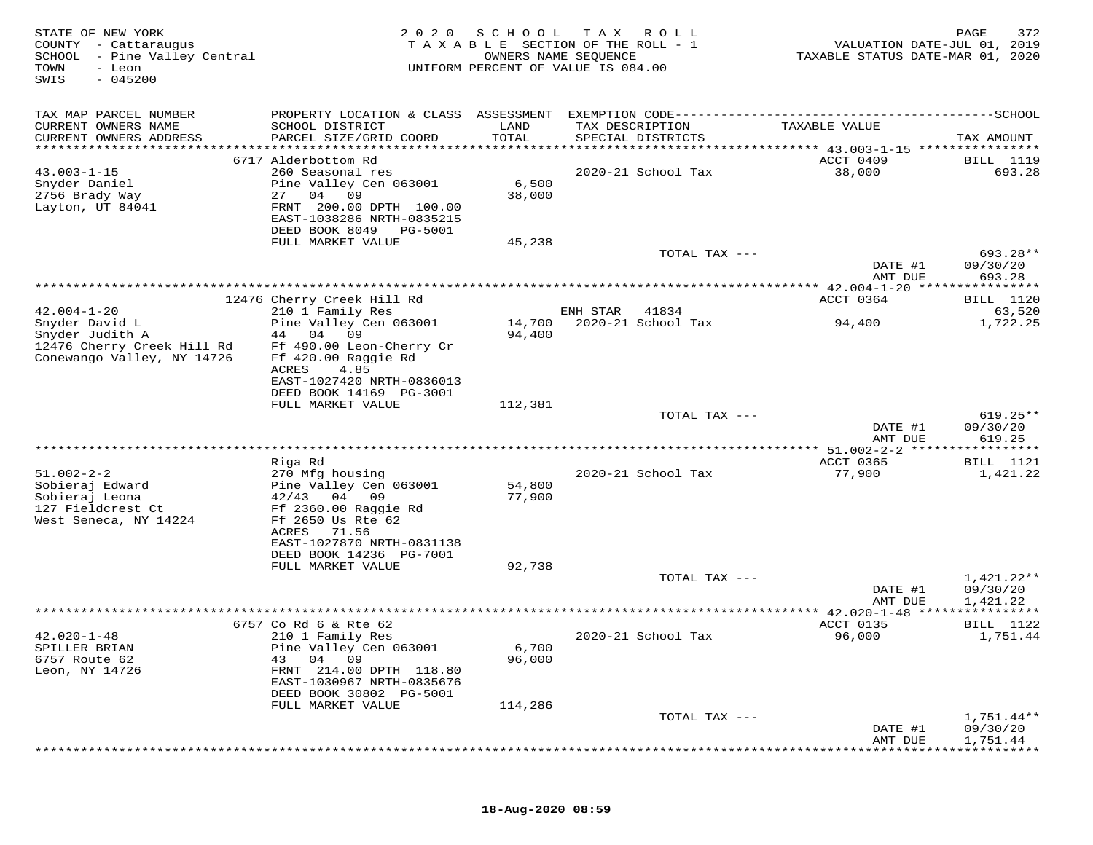| STATE OF NEW YORK<br>COUNTY - Cattaraugus<br>SCHOOL - Pine Valley Central<br>- Leon<br>TOWN<br>$-045200$<br>SWIS | 2 0 2 0                                                                                                                                                                                       | SCHOOL                     | T A X<br>R O L L<br>TAXABLE SECTION OF THE ROLL - 1<br>OWNERS NAME SEQUENCE<br>UNIFORM PERCENT OF VALUE IS 084.00 | VALUATION DATE-JUL 01, 2019<br>TAXABLE STATUS DATE-MAR 01, 2020                  | 372<br>PAGE                        |
|------------------------------------------------------------------------------------------------------------------|-----------------------------------------------------------------------------------------------------------------------------------------------------------------------------------------------|----------------------------|-------------------------------------------------------------------------------------------------------------------|----------------------------------------------------------------------------------|------------------------------------|
| TAX MAP PARCEL NUMBER<br>CURRENT OWNERS NAME<br>CURRENT OWNERS ADDRESS<br>********************                   | PROPERTY LOCATION & CLASS ASSESSMENT<br>SCHOOL DISTRICT<br>PARCEL SIZE/GRID COORD                                                                                                             | LAND<br>TOTAL<br>********* | TAX DESCRIPTION<br>SPECIAL DISTRICTS                                                                              | TAXABLE VALUE<br>********************************* 43.003-1-15 ***************** | TAX AMOUNT                         |
| $43.003 - 1 - 15$<br>Snyder Daniel<br>2756 Brady Way<br>Layton, UT 84041                                         | 6717 Alderbottom Rd<br>260 Seasonal res<br>Pine Valley Cen 063001<br>27<br>04<br>09<br>FRNT 200.00 DPTH 100.00<br>EAST-1038286 NRTH-0835215<br>DEED BOOK 8049<br>PG-5001<br>FULL MARKET VALUE | 6,500<br>38,000<br>45,238  | 2020-21 School Tax<br>TOTAL TAX ---                                                                               | ACCT 0409<br>38,000                                                              | BILL 1119<br>693.28<br>693.28**    |
|                                                                                                                  |                                                                                                                                                                                               |                            |                                                                                                                   | DATE #1<br>AMT DUE                                                               | 09/30/20<br>693.28                 |
|                                                                                                                  |                                                                                                                                                                                               |                            |                                                                                                                   |                                                                                  |                                    |
| $42.004 - 1 - 20$<br>Snyder David L<br>Snyder Judith A                                                           | 12476 Cherry Creek Hill Rd<br>210 1 Family Res<br>Pine Valley Cen 063001<br>44<br>04<br>09                                                                                                    | 14,700<br>94,400           | ENH STAR<br>41834<br>2020-21 School Tax                                                                           | ACCT 0364<br>94,400                                                              | BILL 1120<br>63,520<br>1,722.25    |
| 12476 Cherry Creek Hill Rd<br>Conewango Valley, NY 14726                                                         | Ff 490.00 Leon-Cherry Cr<br>Ff 420.00 Raggie Rd<br>ACRES<br>4.85<br>EAST-1027420 NRTH-0836013<br>DEED BOOK 14169 PG-3001<br>FULL MARKET VALUE                                                 | 112,381                    |                                                                                                                   |                                                                                  |                                    |
|                                                                                                                  |                                                                                                                                                                                               |                            | TOTAL TAX ---                                                                                                     |                                                                                  | $619.25**$                         |
|                                                                                                                  |                                                                                                                                                                                               |                            |                                                                                                                   | DATE #1<br>AMT DUE                                                               | 09/30/20<br>619.25                 |
|                                                                                                                  | Riga Rd                                                                                                                                                                                       |                            |                                                                                                                   | ACCT 0365                                                                        | BILL 1121                          |
| $51.002 - 2 - 2$<br>Sobieraj Edward<br>Sobieraj Leona<br>127 Fieldcrest Ct<br>West Seneca, NY 14224              | 270 Mfg housing<br>Pine Valley Cen 063001<br>42/43<br>04<br>09<br>Ff 2360.00 Raggie Rd<br>Ff 2650 Us Rte 62<br>71.56<br>ACRES<br>EAST-1027870 NRTH-0831138                                    | 54,800<br>77,900           | 2020-21 School Tax                                                                                                | 77,900                                                                           | 1,421.22                           |
|                                                                                                                  | DEED BOOK 14236 PG-7001<br>FULL MARKET VALUE                                                                                                                                                  | 92,738                     |                                                                                                                   |                                                                                  |                                    |
|                                                                                                                  |                                                                                                                                                                                               |                            | TOTAL TAX ---                                                                                                     | DATE #1<br>AMT DUE                                                               | 1,421.22**<br>09/30/20<br>1,421.22 |
|                                                                                                                  |                                                                                                                                                                                               |                            |                                                                                                                   | ** 42.020-1-48 ***                                                               | *********                          |
| $42.020 - 1 - 48$<br>SPILLER BRIAN<br>6757 Route 62<br>Leon, NY 14726                                            | 6757 Co Rd 6 & Rte 62<br>210 1 Family Res<br>Pine Valley Cen 063001<br>04<br>09<br>43<br>FRNT 214.00 DPTH 118.80<br>EAST-1030967 NRTH-0835676<br>DEED BOOK 30802 PG-5001<br>FULL MARKET VALUE | 6,700<br>96,000<br>114,286 | 2020-21 School Tax                                                                                                | ACCT 0135<br>96,000                                                              | BILL 1122<br>1,751.44              |
|                                                                                                                  |                                                                                                                                                                                               |                            | TOTAL TAX ---                                                                                                     |                                                                                  | $1,751.44**$                       |
|                                                                                                                  |                                                                                                                                                                                               |                            |                                                                                                                   | DATE #1<br>AMT DUE                                                               | 09/30/20<br>1,751.44               |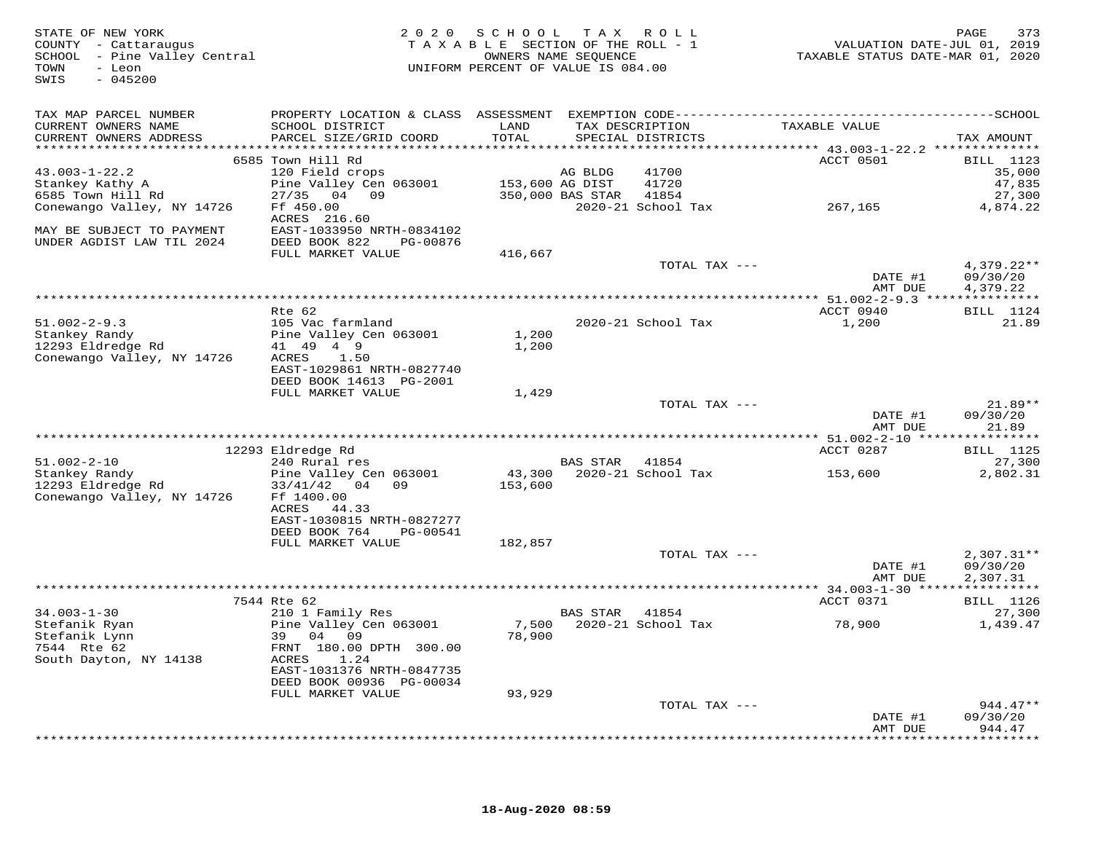| STATE OF NEW YORK<br>COUNTY - Cattaraugus<br>SCHOOL - Pine Valley Central<br>- Leon<br>TOWN<br>$-045200$<br>SWIS |                                           | 2020 SCHOOL TAX ROLL<br>TAXABLE SECTION OF THE ROLL - 1<br>UNIFORM PERCENT OF VALUE IS 084.00 | OWNERS NAME SEQUENCE |                                      | VALUATION DATE-JUL 01, 2019<br>TAXABLE STATUS DATE-MAR 01, 2020 | PAGE<br>373         |
|------------------------------------------------------------------------------------------------------------------|-------------------------------------------|-----------------------------------------------------------------------------------------------|----------------------|--------------------------------------|-----------------------------------------------------------------|---------------------|
| TAX MAP PARCEL NUMBER                                                                                            |                                           |                                                                                               |                      |                                      |                                                                 |                     |
| CURRENT OWNERS NAME<br>CURRENT OWNERS ADDRESS                                                                    | SCHOOL DISTRICT<br>PARCEL SIZE/GRID COORD | LAND<br>TOTAL                                                                                 |                      | TAX DESCRIPTION<br>SPECIAL DISTRICTS | TAXABLE VALUE                                                   | TAX AMOUNT          |
|                                                                                                                  |                                           |                                                                                               |                      |                                      |                                                                 |                     |
| $43.003 - 1 - 22.2$                                                                                              | 6585 Town Hill Rd<br>120 Field crops      |                                                                                               | AG BLDG              | 41700                                | ACCT 0501                                                       | BILL 1123<br>35,000 |
| Stankey Kathy A                                                                                                  | Pine Valley Cen 063001 153,600 AG DIST    |                                                                                               |                      | 41720                                |                                                                 | 47,835              |
| 6585 Town Hill Rd                                                                                                | 27/35 04 09                               |                                                                                               | 350,000 BAS STAR     | 41854                                |                                                                 | 27,300              |
| Conewango Valley, NY 14726                                                                                       | Ff 450.00                                 |                                                                                               |                      | 2020-21 School Tax                   | 267,165                                                         | 4,874.22            |
|                                                                                                                  | ACRES 216.60                              |                                                                                               |                      |                                      |                                                                 |                     |
| MAY BE SUBJECT TO PAYMENT                                                                                        | EAST-1033950 NRTH-0834102                 |                                                                                               |                      |                                      |                                                                 |                     |
| UNDER AGDIST LAW TIL 2024                                                                                        | DEED BOOK 822<br>PG-00876                 |                                                                                               |                      |                                      |                                                                 |                     |
|                                                                                                                  | FULL MARKET VALUE                         | 416,667                                                                                       |                      |                                      |                                                                 |                     |
|                                                                                                                  |                                           |                                                                                               |                      | TOTAL TAX ---                        |                                                                 | $4,379.22**$        |
|                                                                                                                  |                                           |                                                                                               |                      |                                      | DATE #1                                                         | 09/30/20            |
|                                                                                                                  |                                           |                                                                                               |                      |                                      | AMT DUE                                                         | 4,379.22            |
|                                                                                                                  |                                           |                                                                                               |                      |                                      |                                                                 |                     |
|                                                                                                                  | Rte 62                                    |                                                                                               |                      |                                      | ACCT 0940                                                       | <b>BILL</b> 1124    |
| $51.002 - 2 - 9.3$                                                                                               | 105 Vac farmland                          |                                                                                               |                      | 2020-21 School Tax                   | 1,200                                                           | 21.89               |
| Stankey Randy<br>12293 Eldredge Rd                                                                               | Pine Valley Cen 063001<br>41 49 4 9       | 1,200<br>1,200                                                                                |                      |                                      |                                                                 |                     |
| Conewango Valley, NY 14726                                                                                       | ACRES<br>1.50                             |                                                                                               |                      |                                      |                                                                 |                     |
|                                                                                                                  | EAST-1029861 NRTH-0827740                 |                                                                                               |                      |                                      |                                                                 |                     |
|                                                                                                                  | DEED BOOK 14613 PG-2001                   |                                                                                               |                      |                                      |                                                                 |                     |
|                                                                                                                  | FULL MARKET VALUE                         | 1,429                                                                                         |                      |                                      |                                                                 |                     |
|                                                                                                                  |                                           |                                                                                               |                      | TOTAL TAX ---                        |                                                                 | $21.89**$           |
|                                                                                                                  |                                           |                                                                                               |                      |                                      | DATE #1                                                         | 09/30/20            |
|                                                                                                                  |                                           |                                                                                               |                      |                                      | AMT DUE                                                         | 21.89               |
|                                                                                                                  |                                           |                                                                                               |                      |                                      |                                                                 |                     |
|                                                                                                                  | 12293 Eldredge Rd                         |                                                                                               |                      |                                      | ACCT 0287                                                       | <b>BILL</b> 1125    |
| $51.002 - 2 - 10$                                                                                                | 240 Rural res                             |                                                                                               | <b>BAS STAR</b>      | 41854                                |                                                                 | 27,300              |
| Stankey Randy                                                                                                    | Pine Valley Cen 063001                    |                                                                                               |                      | 43,300 2020-21 School Tax            | 153,600                                                         | 2,802.31            |
| 12293 Eldredge Rd<br>Conewango Valley, NY 14726                                                                  | 33/41/42 04 09<br>Ff 1400.00              | 153,600                                                                                       |                      |                                      |                                                                 |                     |
|                                                                                                                  | ACRES<br>44.33                            |                                                                                               |                      |                                      |                                                                 |                     |
|                                                                                                                  | EAST-1030815 NRTH-0827277                 |                                                                                               |                      |                                      |                                                                 |                     |
|                                                                                                                  | DEED BOOK 764<br>PG-00541                 |                                                                                               |                      |                                      |                                                                 |                     |
|                                                                                                                  | FULL MARKET VALUE                         | 182,857                                                                                       |                      |                                      |                                                                 |                     |
|                                                                                                                  |                                           |                                                                                               |                      | TOTAL TAX ---                        |                                                                 | $2,307.31**$        |
|                                                                                                                  |                                           |                                                                                               |                      |                                      | DATE #1                                                         | 09/30/20            |
|                                                                                                                  |                                           |                                                                                               |                      |                                      | AMT DUE                                                         | 2,307.31            |
|                                                                                                                  |                                           |                                                                                               |                      |                                      |                                                                 |                     |
|                                                                                                                  | 7544 Rte 62                               |                                                                                               |                      |                                      | ACCT 0371                                                       | <b>BILL</b> 1126    |
| $34.003 - 1 - 30$                                                                                                | 210 1 Family Res                          |                                                                                               | BAS STAR             | 41854                                |                                                                 | 27,300              |
| Stefanik Ryan                                                                                                    | Pine Valley Cen 063001                    | 7,500                                                                                         |                      | 2020-21 School Tax                   | 78,900                                                          | 1,439.47            |
| Stefanik Lynn<br>7544 Rte 62                                                                                     | 39 04 09                                  | 78,900                                                                                        |                      |                                      |                                                                 |                     |
| South Dayton, NY 14138                                                                                           | FRNT 180.00 DPTH 300.00<br>ACRES<br>1.24  |                                                                                               |                      |                                      |                                                                 |                     |
|                                                                                                                  | EAST-1031376 NRTH-0847735                 |                                                                                               |                      |                                      |                                                                 |                     |
|                                                                                                                  | DEED BOOK 00936 PG-00034                  |                                                                                               |                      |                                      |                                                                 |                     |
|                                                                                                                  | FULL MARKET VALUE                         | 93,929                                                                                        |                      |                                      |                                                                 |                     |
|                                                                                                                  |                                           |                                                                                               |                      | TOTAL TAX ---                        |                                                                 | $944.47**$          |
|                                                                                                                  |                                           |                                                                                               |                      |                                      | DATE #1                                                         | 09/30/20            |
|                                                                                                                  |                                           |                                                                                               |                      |                                      | AMT DUE                                                         | 944.47              |
|                                                                                                                  |                                           |                                                                                               |                      |                                      |                                                                 |                     |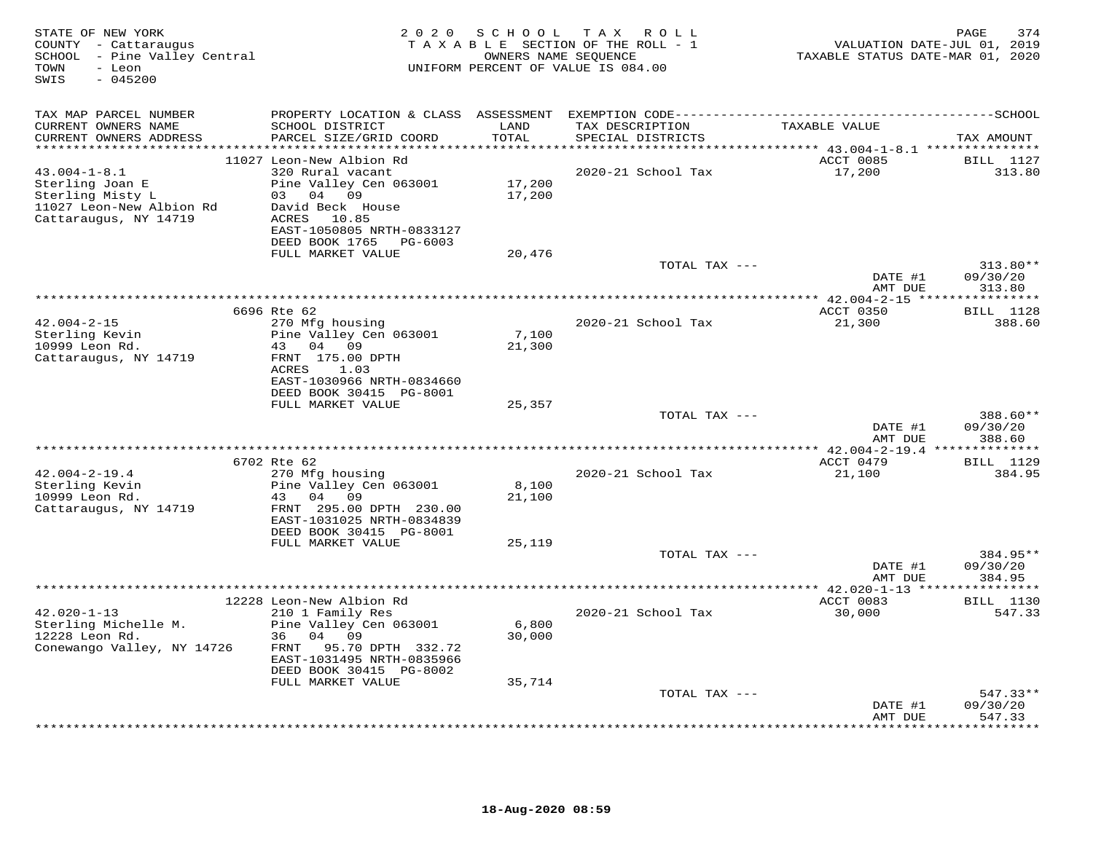| STATE OF NEW YORK<br>COUNTY - Cattaraugus<br>SCHOOL - Pine Valley Central<br>- Leon<br>TOWN<br>$-045200$<br>SWIS | 2 0 2 0                                                                                                                                            | SCHOOL           | T A X<br>R O L L<br>TAXABLE SECTION OF THE ROLL - 1<br>OWNERS NAME SEQUENCE<br>UNIFORM PERCENT OF VALUE IS 084.00 | PAGE<br>VALUATION DATE-JUL 01, 2019<br>TAXABLE STATUS DATE-MAR 01, 2020 |                                  |  |
|------------------------------------------------------------------------------------------------------------------|----------------------------------------------------------------------------------------------------------------------------------------------------|------------------|-------------------------------------------------------------------------------------------------------------------|-------------------------------------------------------------------------|----------------------------------|--|
| TAX MAP PARCEL NUMBER                                                                                            | PROPERTY LOCATION & CLASS ASSESSMENT                                                                                                               |                  |                                                                                                                   |                                                                         |                                  |  |
| CURRENT OWNERS NAME<br>CURRENT OWNERS ADDRESS                                                                    | SCHOOL DISTRICT<br>PARCEL SIZE/GRID COORD                                                                                                          | LAND<br>TOTAL    | TAX DESCRIPTION<br>SPECIAL DISTRICTS                                                                              | TAXABLE VALUE                                                           | TAX AMOUNT                       |  |
| **********************                                                                                           | 11027 Leon-New Albion Rd                                                                                                                           | **********       |                                                                                                                   | ACCT 0085                                                               | BILL 1127                        |  |
| $43.004 - 1 - 8.1$<br>Sterling Joan E<br>Sterling Misty L<br>11027 Leon-New Albion Rd<br>Cattaraugus, NY 14719   | 320 Rural vacant<br>Pine Valley Cen 063001<br>03 04 09<br>David Beck House<br>ACRES 10.85<br>EAST-1050805 NRTH-0833127                             | 17,200<br>17,200 | 2020-21 School Tax                                                                                                | 17,200                                                                  | 313.80                           |  |
|                                                                                                                  | DEED BOOK 1765<br>PG-6003                                                                                                                          |                  |                                                                                                                   |                                                                         |                                  |  |
|                                                                                                                  | FULL MARKET VALUE                                                                                                                                  | 20,476           |                                                                                                                   |                                                                         |                                  |  |
|                                                                                                                  |                                                                                                                                                    |                  | TOTAL TAX ---                                                                                                     | DATE #1<br>AMT DUE                                                      | $313.80**$<br>09/30/20<br>313.80 |  |
|                                                                                                                  |                                                                                                                                                    |                  |                                                                                                                   |                                                                         |                                  |  |
|                                                                                                                  | 6696 Rte 62                                                                                                                                        |                  |                                                                                                                   | ACCT 0350                                                               | <b>BILL</b> 1128                 |  |
| $42.004 - 2 - 15$<br>Sterling Kevin<br>10999 Leon Rd.<br>Cattaraugus, NY 14719                                   | 270 Mfg housing<br>Pine Valley Cen 063001<br>43<br>04 09<br>FRNT 175.00 DPTH                                                                       | 7,100<br>21,300  | 2020-21 School Tax                                                                                                | 21,300                                                                  | 388.60                           |  |
|                                                                                                                  | ACRES<br>1.03<br>EAST-1030966 NRTH-0834660<br>DEED BOOK 30415 PG-8001<br>FULL MARKET VALUE                                                         | 25,357           |                                                                                                                   |                                                                         |                                  |  |
|                                                                                                                  |                                                                                                                                                    |                  | TOTAL TAX $---$                                                                                                   |                                                                         | $388.60**$                       |  |
|                                                                                                                  |                                                                                                                                                    |                  |                                                                                                                   | DATE #1<br>AMT DUE                                                      | 09/30/20<br>388.60               |  |
|                                                                                                                  | 6702 Rte 62                                                                                                                                        |                  |                                                                                                                   | ***************** 42.004-2-19.4 ***************<br>ACCT 0479            | <b>BILL</b> 1129                 |  |
| $42.004 - 2 - 19.4$<br>Sterling Kevin                                                                            | 270 Mfg housing<br>Pine Valley Cen 063001                                                                                                          | 8,100            | 2020-21 School Tax                                                                                                | 21,100                                                                  | 384.95                           |  |
| 10999 Leon Rd.<br>Cattaraugus, NY 14719                                                                          | 43 04 09<br>FRNT 295.00 DPTH 230.00<br>EAST-1031025 NRTH-0834839<br>DEED BOOK 30415 PG-8001                                                        | 21,100           |                                                                                                                   |                                                                         |                                  |  |
|                                                                                                                  | FULL MARKET VALUE                                                                                                                                  | 25,119           |                                                                                                                   |                                                                         |                                  |  |
|                                                                                                                  |                                                                                                                                                    |                  | TOTAL TAX ---                                                                                                     | DATE #1<br>AMT DUE                                                      | 384.95**<br>09/30/20<br>384.95   |  |
|                                                                                                                  |                                                                                                                                                    |                  |                                                                                                                   |                                                                         |                                  |  |
| $42.020 - 1 - 13$<br>Sterling Michelle M.<br>12228 Leon Rd.<br>Conewango Valley, NY 14726                        | 12228 Leon-New Albion Rd<br>210 1 Family Res<br>Pine Valley Cen 063001<br>04<br>36<br>09<br>FRNT<br>95.70 DPTH 332.72<br>EAST-1031495 NRTH-0835966 | 6,800<br>30,000  | 2020-21 School Tax                                                                                                | ACCT 0083<br>30,000                                                     | <b>BILL</b> 1130<br>547.33       |  |
|                                                                                                                  | DEED BOOK 30415 PG-8002                                                                                                                            |                  |                                                                                                                   |                                                                         |                                  |  |
|                                                                                                                  | FULL MARKET VALUE                                                                                                                                  | 35,714           | TOTAL TAX ---                                                                                                     | DATE #1                                                                 | $547.33**$<br>09/30/20           |  |
|                                                                                                                  |                                                                                                                                                    |                  |                                                                                                                   | AMT DUE                                                                 | 547.33<br>* * * * * * * *        |  |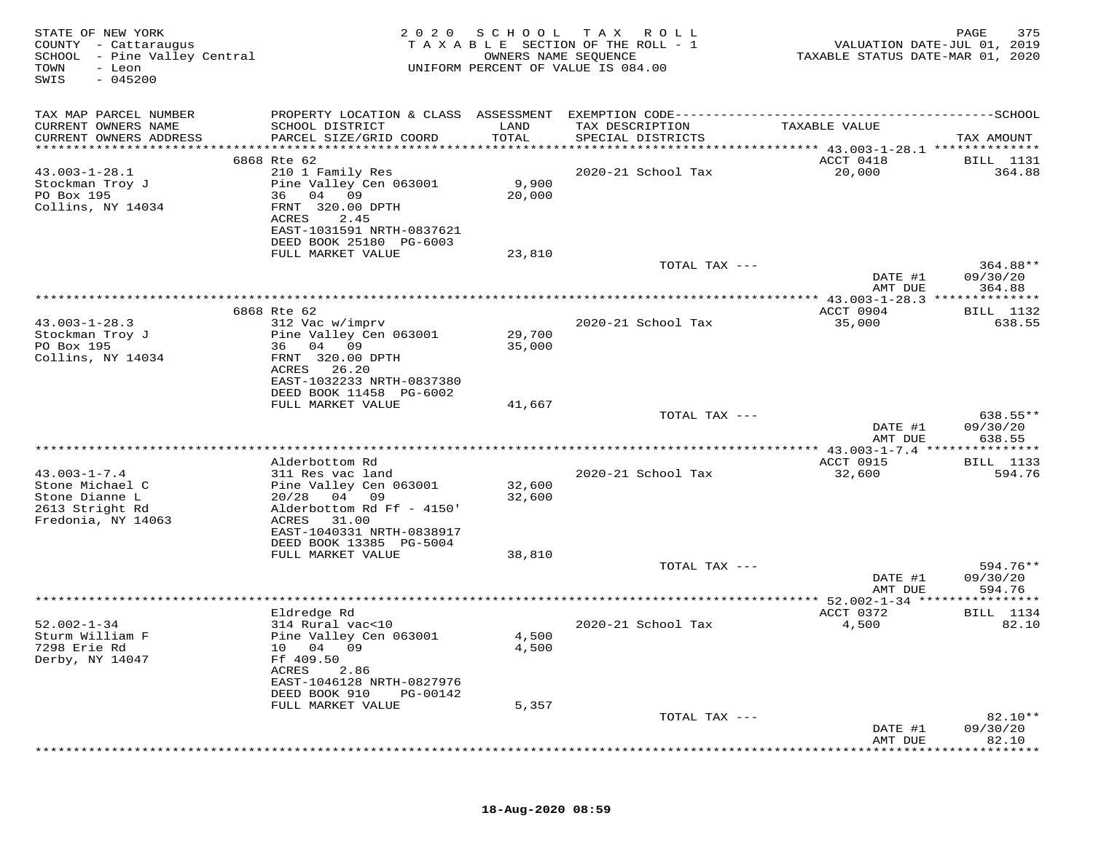|                                                                                                                                                                      | ------------SCHOOL<br>TAX AMOUNT |
|----------------------------------------------------------------------------------------------------------------------------------------------------------------------|----------------------------------|
| TAX MAP PARCEL NUMBER<br>PROPERTY LOCATION & CLASS ASSESSMENT<br>EXEMPTION CODE----------------------------                                                          |                                  |
| CURRENT OWNERS NAME<br>SCHOOL DISTRICT<br>LAND<br>TAX DESCRIPTION<br>TAXABLE VALUE<br>TOTAL<br>CURRENT OWNERS ADDRESS<br>PARCEL SIZE/GRID COORD<br>SPECIAL DISTRICTS |                                  |
| *********************<br>***********************<br>********************************<br>******** 43.003-1-28.1 **************<br>6868 Rte 62                         |                                  |
| ACCT 0418<br>$43.003 - 1 - 28.1$<br>210 1 Family Res<br>2020-21 School Tax<br>20,000                                                                                 | <b>BILL</b> 1131<br>364.88       |
| 9,900<br>Stockman Troy J<br>Pine Valley Cen 063001                                                                                                                   |                                  |
| 36 04 09<br>20,000<br>PO Box 195                                                                                                                                     |                                  |
| Collins, NY 14034<br>FRNT 320.00 DPTH                                                                                                                                |                                  |
| ACRES<br>2.45                                                                                                                                                        |                                  |
| EAST-1031591 NRTH-0837621<br>DEED BOOK 25180 PG-6003                                                                                                                 |                                  |
| FULL MARKET VALUE<br>23,810                                                                                                                                          |                                  |
| TOTAL TAX ---                                                                                                                                                        | 364.88**                         |
| DATE #1                                                                                                                                                              | 09/30/20                         |
| AMT DUE                                                                                                                                                              | 364.88                           |
| 6868 Rte 62<br>ACCT 0904                                                                                                                                             | <b>BILL</b> 1132                 |
| $43.003 - 1 - 28.3$<br>312 Vac w/imprv<br>2020-21 School Tax<br>35,000                                                                                               | 638.55                           |
| 29,700<br>Stockman Troy J<br>Pine Valley Cen 063001                                                                                                                  |                                  |
| 04 09<br>PO Box 195<br>36<br>35,000                                                                                                                                  |                                  |
| Collins, NY 14034<br>FRNT 320.00 DPTH                                                                                                                                |                                  |
| ACRES<br>26.20<br>EAST-1032233 NRTH-0837380                                                                                                                          |                                  |
| DEED BOOK 11458 PG-6002                                                                                                                                              |                                  |
| FULL MARKET VALUE<br>41,667                                                                                                                                          |                                  |
| TOTAL TAX ---                                                                                                                                                        | 638.55**                         |
| DATE #1<br>AMT DUE                                                                                                                                                   | 09/30/20<br>638.55               |
|                                                                                                                                                                      |                                  |
| ACCT 0915<br>Alderbottom Rd                                                                                                                                          | <b>BILL</b> 1133                 |
| $43.003 - 1 - 7.4$<br>32,600<br>311 Res vac land<br>2020-21 School Tax                                                                                               | 594.76                           |
| Stone Michael C<br>Pine Valley Cen 063001<br>32,600                                                                                                                  |                                  |
| Stone Dianne L<br>20/28<br>04<br>09<br>32,600<br>2613 Stright Rd<br>Alderbottom Rd Ff - 4150'                                                                        |                                  |
| Fredonia, NY 14063<br>ACRES<br>31.00                                                                                                                                 |                                  |
| EAST-1040331 NRTH-0838917                                                                                                                                            |                                  |
| DEED BOOK 13385 PG-5004                                                                                                                                              |                                  |
| FULL MARKET VALUE<br>38,810                                                                                                                                          |                                  |
| TOTAL TAX ---<br>DATE #1                                                                                                                                             | 594.76**<br>09/30/20             |
| AMT DUE                                                                                                                                                              | 594.76                           |
| $* 52.002 - 1 - 34$ ***                                                                                                                                              |                                  |
| Eldredge Rd<br>ACCT 0372                                                                                                                                             | BILL 1134                        |
| $52.002 - 1 - 34$<br>314 Rural vac<10<br>2020-21 School Tax<br>4,500<br>Sturm William F<br>Pine Valley Cen 063001<br>4,500                                           | 82.10                            |
| 7298 Erie Rd<br>4,500<br>10 04<br>09                                                                                                                                 |                                  |
| Derby, NY 14047<br>Ff 409.50                                                                                                                                         |                                  |
| ACRES<br>2.86                                                                                                                                                        |                                  |
| EAST-1046128 NRTH-0827976                                                                                                                                            |                                  |
| DEED BOOK 910<br>PG-00142<br>5,357<br>FULL MARKET VALUE                                                                                                              |                                  |
| TOTAL TAX ---                                                                                                                                                        | $82.10**$                        |
| DATE #1                                                                                                                                                              | 09/30/20                         |
| AMT DUE                                                                                                                                                              | 82.10                            |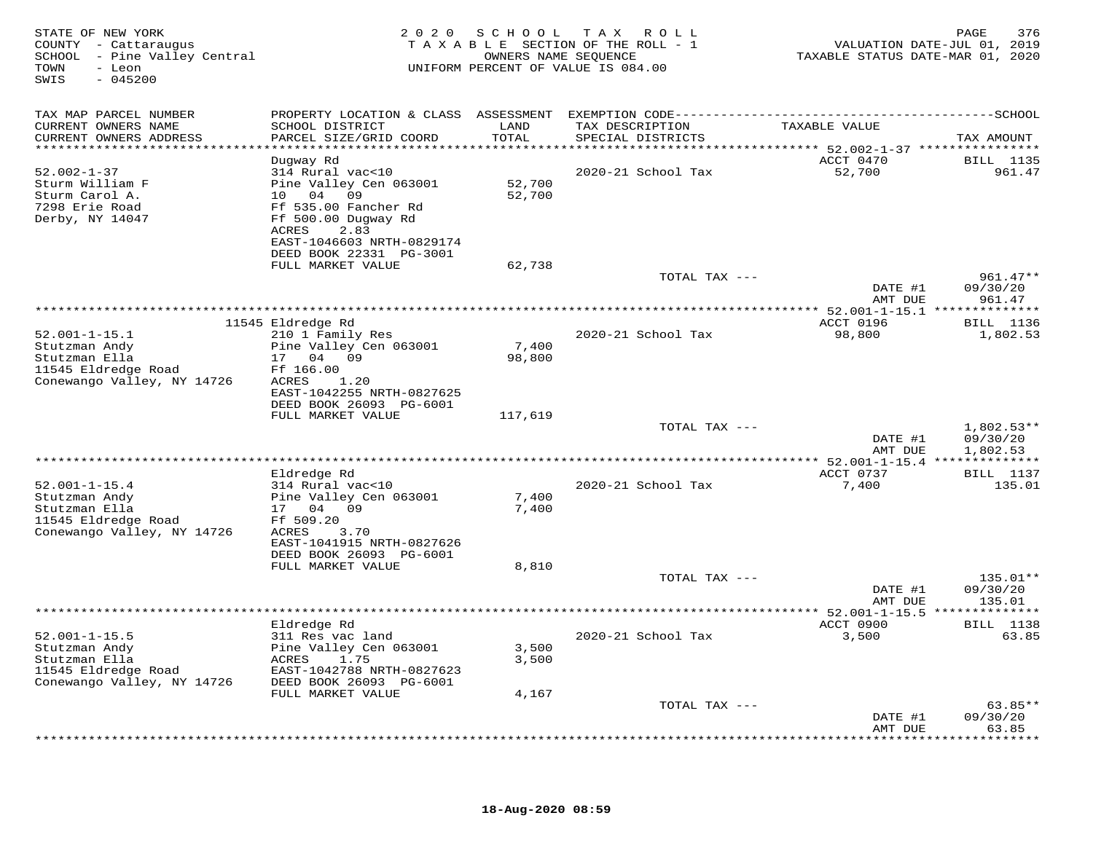| STATE OF NEW YORK<br>COUNTY - Cattaraugus<br>SCHOOL - Pine Valley Central<br>- Leon<br>TOWN<br>SWIS<br>$-045200$ | 2 0 2 0                                                                                                     | SCHOOL<br>OWNERS NAME SEQUENCE | T A X<br>R O L L<br>TAXABLE SECTION OF THE ROLL - 1<br>UNIFORM PERCENT OF VALUE IS 084.00 | TAXABLE STATUS DATE-MAR 01, 2020        | 376<br>PAGE<br>VALUATION DATE-JUL 01, 2019 |
|------------------------------------------------------------------------------------------------------------------|-------------------------------------------------------------------------------------------------------------|--------------------------------|-------------------------------------------------------------------------------------------|-----------------------------------------|--------------------------------------------|
| TAX MAP PARCEL NUMBER                                                                                            | PROPERTY LOCATION & CLASS ASSESSMENT EXEMPTION CODE----------------------------                             |                                |                                                                                           |                                         | ------------SCHOOL                         |
| CURRENT OWNERS NAME<br>CURRENT OWNERS ADDRESS<br>***********************                                         | SCHOOL DISTRICT<br>PARCEL SIZE/GRID COORD                                                                   | LAND<br>TOTAL                  | TAX DESCRIPTION<br>SPECIAL DISTRICTS                                                      | TAXABLE VALUE                           | TAX AMOUNT                                 |
|                                                                                                                  | Dugway Rd                                                                                                   |                                |                                                                                           | ACCT 0470                               | <b>BILL</b> 1135                           |
| $52.002 - 1 - 37$<br>Sturm William F<br>Sturm Carol A.<br>7298 Erie Road<br>Derby, NY 14047                      | 314 Rural vac<10<br>Pine Valley Cen 063001<br>04<br>09<br>10<br>Ff 535.00 Fancher Rd<br>Ff 500.00 Dugway Rd | 52,700<br>52,700               | 2020-21 School Tax                                                                        | 52,700                                  | 961.47                                     |
|                                                                                                                  | 2.83<br>ACRES<br>EAST-1046603 NRTH-0829174<br>DEED BOOK 22331 PG-3001                                       |                                |                                                                                           |                                         |                                            |
|                                                                                                                  | FULL MARKET VALUE                                                                                           | 62,738                         | TOTAL TAX ---                                                                             |                                         | $961.47**$                                 |
|                                                                                                                  |                                                                                                             |                                |                                                                                           | DATE #1<br>AMT DUE                      | 09/30/20<br>961.47                         |
|                                                                                                                  |                                                                                                             |                                |                                                                                           |                                         | * * * * * * * * *                          |
| $52.001 - 1 - 15.1$<br>Stutzman Andy<br>Stutzman Ella<br>11545 Eldredge Road                                     | 11545 Eldredge Rd<br>210 1 Family Res<br>Pine Valley Cen 063001<br>17 04 09<br>Ff 166.00                    | 7,400<br>98,800                | 2020-21 School Tax                                                                        | ACCT 0196<br>98,800                     | BILL 1136<br>1,802.53                      |
| Conewango Valley, NY 14726                                                                                       | ACRES<br>1.20<br>EAST-1042255 NRTH-0827625<br>DEED BOOK 26093 PG-6001<br>FULL MARKET VALUE                  | 117,619                        |                                                                                           |                                         |                                            |
|                                                                                                                  |                                                                                                             |                                | TOTAL TAX ---                                                                             |                                         | $1,802.53**$                               |
|                                                                                                                  |                                                                                                             |                                |                                                                                           | DATE #1<br>AMT DUE                      | 09/30/20<br>1,802.53                       |
|                                                                                                                  | Eldredge Rd                                                                                                 |                                |                                                                                           | ACCT 0737                               | <b>BILL</b> 1137                           |
| $52.001 - 1 - 15.4$<br>Stutzman Andy<br>Stutzman Ella<br>11545 Eldredge Road<br>Conewango Valley, NY 14726       | 314 Rural vac<10<br>Pine Valley Cen 063001<br>17 04 09<br>Ff 509.20<br>ACRES<br>3.70                        | 7,400<br>7,400                 | 2020-21 School Tax                                                                        | 7,400                                   | 135.01                                     |
|                                                                                                                  | EAST-1041915 NRTH-0827626<br>DEED BOOK 26093 PG-6001<br>FULL MARKET VALUE                                   | 8,810                          | TOTAL TAX ---                                                                             |                                         | 135.01**                                   |
|                                                                                                                  |                                                                                                             |                                |                                                                                           | DATE #1                                 | 09/30/20                                   |
|                                                                                                                  |                                                                                                             |                                |                                                                                           | AMT DUE<br>**** $52.001 - 1 - 15.5$ *** | 135.01<br>***********                      |
| $52.001 - 1 - 15.5$                                                                                              | Eldredge Rd<br>311 Res vac land                                                                             |                                | 2020-21 School Tax                                                                        | ACCT 0900<br>3,500                      | <b>BILL</b> 1138<br>63.85                  |
| Stutzman Andy<br>Stutzman Ella<br>11545 Eldredge Road<br>Conewango Valley, NY 14726                              | Pine Valley Cen 063001<br>1.75<br>ACRES<br>EAST-1042788 NRTH-0827623<br>DEED BOOK 26093 PG-6001             | 3,500<br>3,500                 |                                                                                           |                                         |                                            |
|                                                                                                                  | FULL MARKET VALUE                                                                                           | 4,167                          |                                                                                           |                                         |                                            |
|                                                                                                                  |                                                                                                             |                                | TOTAL TAX ---                                                                             | DATE #1<br>AMT DUE                      | $63.85**$<br>09/30/20<br>63.85             |
|                                                                                                                  |                                                                                                             |                                |                                                                                           |                                         | * * * * * * * *                            |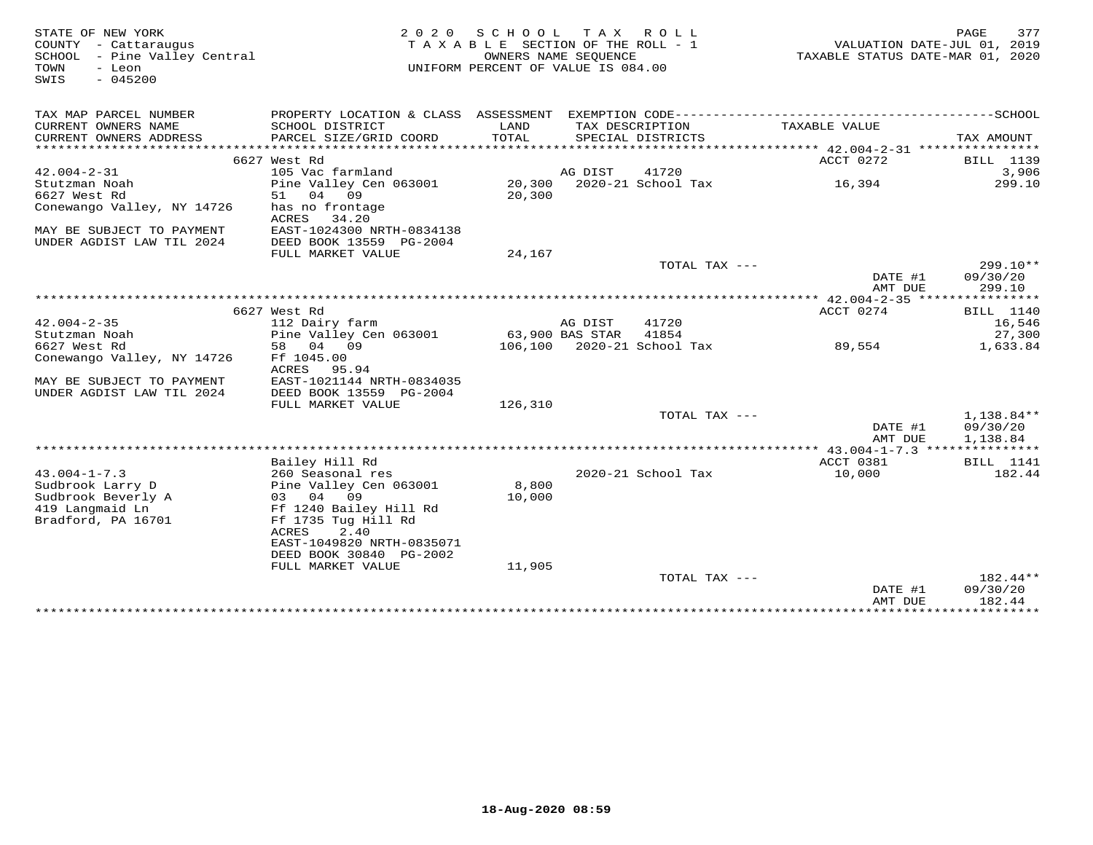| STATE OF NEW YORK<br>COUNTY - Cattaraugus<br>SCHOOL<br>- Pine Valley Central<br>- Leon<br>TOWN<br>$-045200$<br>SWIS | 2 0 2 0                                                                                      | S C H O O L<br>TAXABLE SECTION OF THE ROLL - 1<br>OWNERS NAME SEQUENCE<br>UNIFORM PERCENT OF VALUE IS 084.00 |                 | TAX ROLL                              | VALUATION DATE-JUL 01, 2019<br>TAXABLE STATUS DATE-MAR 01, 2020 | 377<br>PAGE        |
|---------------------------------------------------------------------------------------------------------------------|----------------------------------------------------------------------------------------------|--------------------------------------------------------------------------------------------------------------|-----------------|---------------------------------------|-----------------------------------------------------------------|--------------------|
| TAX MAP PARCEL NUMBER                                                                                               | PROPERTY LOCATION & CLASS ASSESSMENT EXEMPTION CODE-----------------------------------SCHOOL |                                                                                                              |                 |                                       |                                                                 |                    |
| CURRENT OWNERS NAME<br>CURRENT OWNERS ADDRESS<br>*************************                                          | SCHOOL DISTRICT<br>PARCEL SIZE/GRID COORD                                                    | LAND<br>TOTAL                                                                                                |                 | TAX DESCRIPTION<br>SPECIAL DISTRICTS  | TAXABLE VALUE                                                   | TAX AMOUNT         |
|                                                                                                                     |                                                                                              |                                                                                                              |                 |                                       |                                                                 |                    |
| $42.004 - 2 - 31$                                                                                                   | 6627 West Rd<br>105 Vac farmland                                                             |                                                                                                              | AG DIST         | 41720                                 | ACCT 0272                                                       | BILL 1139<br>3,906 |
| Stutzman Noah                                                                                                       | Pine Valley Cen 063001                                                                       | 20,300                                                                                                       |                 | 2020-21 School Tax                    | 16,394                                                          | 299.10             |
| 6627 West Rd                                                                                                        | 04<br>09<br>51                                                                               | 20,300                                                                                                       |                 |                                       |                                                                 |                    |
| Conewango Valley, NY 14726                                                                                          | has no frontage<br>ACRES<br>34.20                                                            |                                                                                                              |                 |                                       |                                                                 |                    |
| MAY BE SUBJECT TO PAYMENT<br>UNDER AGDIST LAW TIL 2024                                                              | EAST-1024300 NRTH-0834138<br>DEED BOOK 13559 PG-2004                                         |                                                                                                              |                 |                                       |                                                                 |                    |
|                                                                                                                     | FULL MARKET VALUE                                                                            | 24,167                                                                                                       |                 |                                       |                                                                 |                    |
|                                                                                                                     |                                                                                              |                                                                                                              |                 | TOTAL TAX ---                         |                                                                 | $299.10**$         |
|                                                                                                                     |                                                                                              |                                                                                                              |                 |                                       | DATE #1                                                         | 09/30/20           |
|                                                                                                                     |                                                                                              |                                                                                                              |                 |                                       | AMT DUE                                                         | 299.10             |
|                                                                                                                     |                                                                                              | ***************************                                                                                  |                 |                                       | ****** 42.004-2-35 ****************                             |                    |
|                                                                                                                     | 6627 West Rd                                                                                 |                                                                                                              |                 |                                       | ACCT 0274                                                       | BILL 1140          |
| $42.004 - 2 - 35$                                                                                                   | 112 Dairy farm                                                                               |                                                                                                              | AG DIST         | 41720                                 |                                                                 | 16,546             |
| Stutzman Noah<br>6627 West Rd                                                                                       | Pine Valley Cen 063001<br>58<br>04<br>09                                                     |                                                                                                              | 63,900 BAS STAR | 41854<br>106,100 2020-21 School Tax   | 89,554                                                          | 27,300<br>1,633.84 |
| Conewango Valley, NY 14726                                                                                          | Ff 1045.00                                                                                   |                                                                                                              |                 |                                       |                                                                 |                    |
|                                                                                                                     | ACRES<br>95.94                                                                               |                                                                                                              |                 |                                       |                                                                 |                    |
| MAY BE SUBJECT TO PAYMENT                                                                                           | EAST-1021144 NRTH-0834035                                                                    |                                                                                                              |                 |                                       |                                                                 |                    |
| UNDER AGDIST LAW TIL 2024                                                                                           | DEED BOOK 13559 PG-2004                                                                      |                                                                                                              |                 |                                       |                                                                 |                    |
|                                                                                                                     | FULL MARKET VALUE                                                                            | 126,310                                                                                                      |                 |                                       |                                                                 |                    |
|                                                                                                                     |                                                                                              |                                                                                                              |                 | TOTAL TAX ---                         |                                                                 | 1,138.84**         |
|                                                                                                                     |                                                                                              |                                                                                                              |                 |                                       | DATE #1                                                         | 09/30/20           |
|                                                                                                                     |                                                                                              |                                                                                                              |                 |                                       | AMT DUE                                                         | 1,138.84           |
|                                                                                                                     |                                                                                              |                                                                                                              |                 |                                       | ** 43.004-1-7.3 ****************                                |                    |
|                                                                                                                     | Bailey Hill Rd                                                                               |                                                                                                              |                 |                                       | ACCT 0381                                                       | <b>BILL</b> 1141   |
| $43.004 - 1 - 7.3$                                                                                                  | 260 Seasonal res                                                                             |                                                                                                              |                 | 2020-21 School Tax                    | 10,000                                                          | 182.44             |
| Sudbrook Larry D                                                                                                    | Pine Valley Cen 063001                                                                       | 8,800                                                                                                        |                 |                                       |                                                                 |                    |
| Sudbrook Beverly A                                                                                                  | 03 04 09                                                                                     | 10,000                                                                                                       |                 |                                       |                                                                 |                    |
| 419 Langmaid Ln                                                                                                     | Ff 1240 Bailey Hill Rd                                                                       |                                                                                                              |                 |                                       |                                                                 |                    |
| Bradford, PA 16701                                                                                                  | Ff 1735 Tug Hill Rd                                                                          |                                                                                                              |                 |                                       |                                                                 |                    |
|                                                                                                                     | 2.40<br>ACRES                                                                                |                                                                                                              |                 |                                       |                                                                 |                    |
|                                                                                                                     | EAST-1049820 NRTH-0835071                                                                    |                                                                                                              |                 |                                       |                                                                 |                    |
|                                                                                                                     | DEED BOOK 30840 PG-2002                                                                      |                                                                                                              |                 |                                       |                                                                 |                    |
|                                                                                                                     | FULL MARKET VALUE                                                                            | 11,905                                                                                                       |                 | TOTAL TAX ---                         |                                                                 | 182.44**           |
|                                                                                                                     |                                                                                              |                                                                                                              |                 |                                       | DATE #1                                                         | 09/30/20           |
|                                                                                                                     |                                                                                              |                                                                                                              |                 |                                       | AMT DUE                                                         | 182.44             |
|                                                                                                                     |                                                                                              |                                                                                                              |                 | * * * * * * * * * * * * * * * * * * * | ***************                                                 | *************      |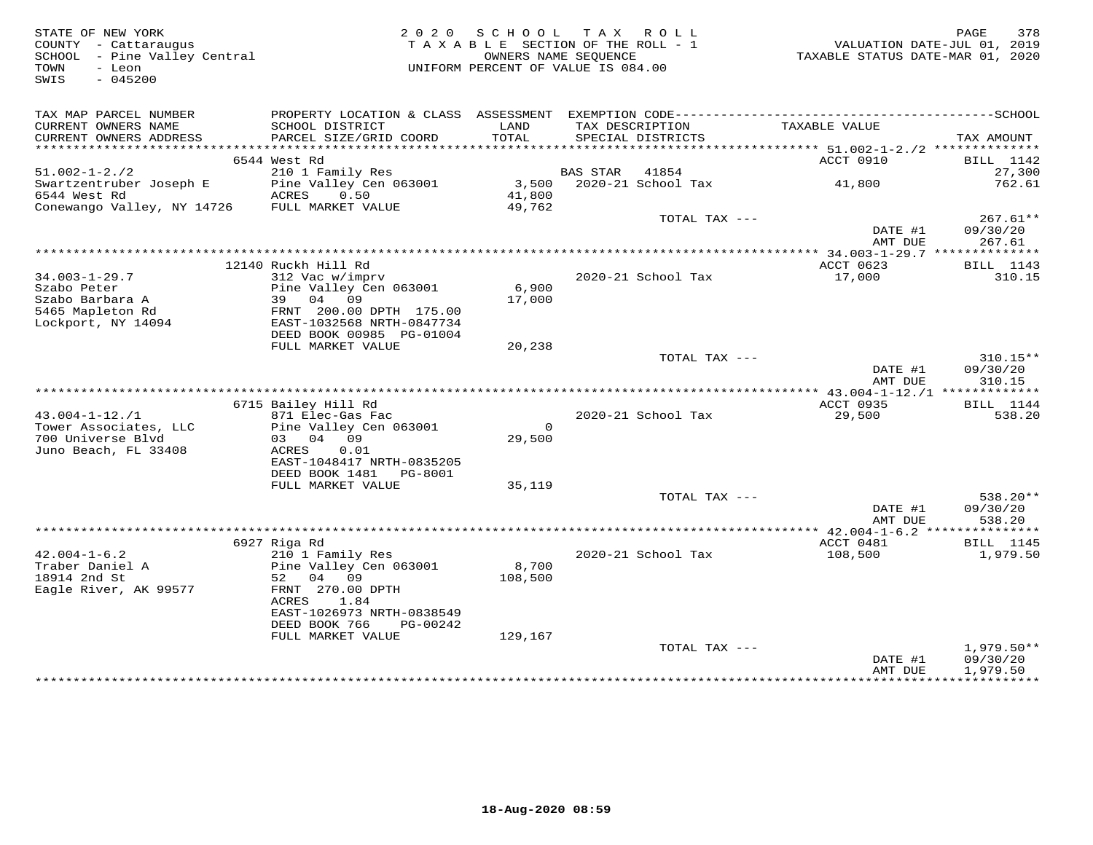| STATE OF NEW YORK<br>COUNTY - Cattaraugus<br>SCHOOL - Pine Valley Central<br>- Leon<br>TOWN<br>SWIS<br>$-045200$ |                                                                  | 2020 SCHOOL<br>TAXABLE SECTION OF THE ROLL - 1<br>OWNERS NAME SEOUENCE<br>UNIFORM PERCENT OF VALUE IS 084.00 |                | TAX ROLL                 | TAXABLE STATUS DATE-MAR 01, 2020 | 378<br>PAGE<br>VALUATION DATE-JUL 01, 2019 |
|------------------------------------------------------------------------------------------------------------------|------------------------------------------------------------------|--------------------------------------------------------------------------------------------------------------|----------------|--------------------------|----------------------------------|--------------------------------------------|
| TAX MAP PARCEL NUMBER<br>CURRENT OWNERS NAME                                                                     | SCHOOL DISTRICT                                                  | LAND                                                                                                         |                | TAX DESCRIPTION          | TAXABLE VALUE                    |                                            |
| CURRENT OWNERS ADDRESS                                                                                           | PARCEL SIZE/GRID COORD                                           | TOTAL                                                                                                        |                | SPECIAL DISTRICTS        |                                  | TAX AMOUNT                                 |
|                                                                                                                  | 6544 West Rd                                                     |                                                                                                              |                |                          | ACCT 0910                        | <b>BILL</b> 1142                           |
| $51.002 - 1 - 2.72$                                                                                              | 210 1 Family Res                                                 |                                                                                                              | BAS STAR 41854 |                          |                                  | 27,300                                     |
| Swartzentruber Joseph E<br>6544 West Rd<br>Conewango Valley, NY 14726                                            | Pine Valley Cen 063001<br>ACRES<br>0.50<br>FULL MARKET VALUE     | 41,800<br>49,762                                                                                             |                | 3,500 2020-21 School Tax | 41,800                           | 762.61                                     |
|                                                                                                                  |                                                                  |                                                                                                              |                | TOTAL TAX ---            | DATE #1<br>AMT DUE               | $267.61**$<br>09/30/20<br>267.61           |
|                                                                                                                  |                                                                  |                                                                                                              |                |                          |                                  |                                            |
| $34.003 - 1 - 29.7$<br>Szabo Peter                                                                               | 12140 Ruckh Hill Rd<br>312 Vac w/imprv<br>Pine Valley Cen 063001 | 6,900                                                                                                        |                | 2020-21 School Tax       | ACCT 0623<br>17,000              | <b>BILL</b> 1143<br>310.15                 |
| Szabo Barbara A<br>5465 Mapleton Rd<br>Lockport, NY 14094                                                        | 39 04 09<br>FRNT 200.00 DPTH 175.00<br>EAST-1032568 NRTH-0847734 | 17,000                                                                                                       |                |                          |                                  |                                            |
|                                                                                                                  | DEED BOOK 00985 PG-01004<br>FULL MARKET VALUE                    | 20,238                                                                                                       |                |                          |                                  |                                            |
|                                                                                                                  |                                                                  |                                                                                                              |                | TOTAL TAX ---            | DATE #1                          | $310.15**$<br>09/30/20                     |
|                                                                                                                  |                                                                  |                                                                                                              |                |                          | AMT DUE                          | 310.15                                     |
|                                                                                                                  | 6715 Bailey Hill Rd                                              |                                                                                                              |                |                          | ACCT 0935                        | BILL 1144                                  |
| $43.004 - 1 - 12.71$                                                                                             | 871 Elec-Gas Fac                                                 |                                                                                                              |                | 2020-21 School Tax       | 29,500                           | 538.20                                     |
| Tower Associates, LLC<br>700 Universe Blyd<br>Juno Beach, FL 33408                                               | Pine Valley Cen 063001<br>03 04 09<br>ACRES<br>0.01              | $\overline{0}$<br>29,500                                                                                     |                |                          |                                  |                                            |
|                                                                                                                  | EAST-1048417 NRTH-0835205<br>DEED BOOK 1481    PG-8001           |                                                                                                              |                |                          |                                  |                                            |
|                                                                                                                  | FULL MARKET VALUE                                                | 35,119                                                                                                       |                | TOTAL TAX ---            |                                  | 538.20**                                   |
|                                                                                                                  |                                                                  |                                                                                                              |                |                          | DATE #1<br>AMT DUE               | 09/30/20<br>538.20                         |
|                                                                                                                  |                                                                  |                                                                                                              |                |                          |                                  |                                            |
| $42.004 - 1 - 6.2$<br>Traber Daniel A                                                                            | 6927 Riga Rd<br>210 1 Family Res<br>Pine Valley Cen 063001       | 8,700                                                                                                        |                | 2020-21 School Tax       | ACCT 0481<br>108,500             | <b>BILL</b> 1145<br>1,979.50               |
| 18914 2nd St<br>Eagle River, AK 99577                                                                            | 04 09<br>52<br>FRNT 270.00 DPTH<br>ACRES<br>1.84                 | 108,500                                                                                                      |                |                          |                                  |                                            |
|                                                                                                                  | EAST-1026973 NRTH-0838549<br>DEED BOOK 766<br>PG-00242           |                                                                                                              |                |                          |                                  |                                            |
|                                                                                                                  | FULL MARKET VALUE                                                | 129,167                                                                                                      |                | TOTAL TAX ---            | DATE #1                          | $1,979.50**$<br>09/30/20                   |
|                                                                                                                  |                                                                  |                                                                                                              |                |                          | AMT DUE                          | 1,979.50<br>****************************   |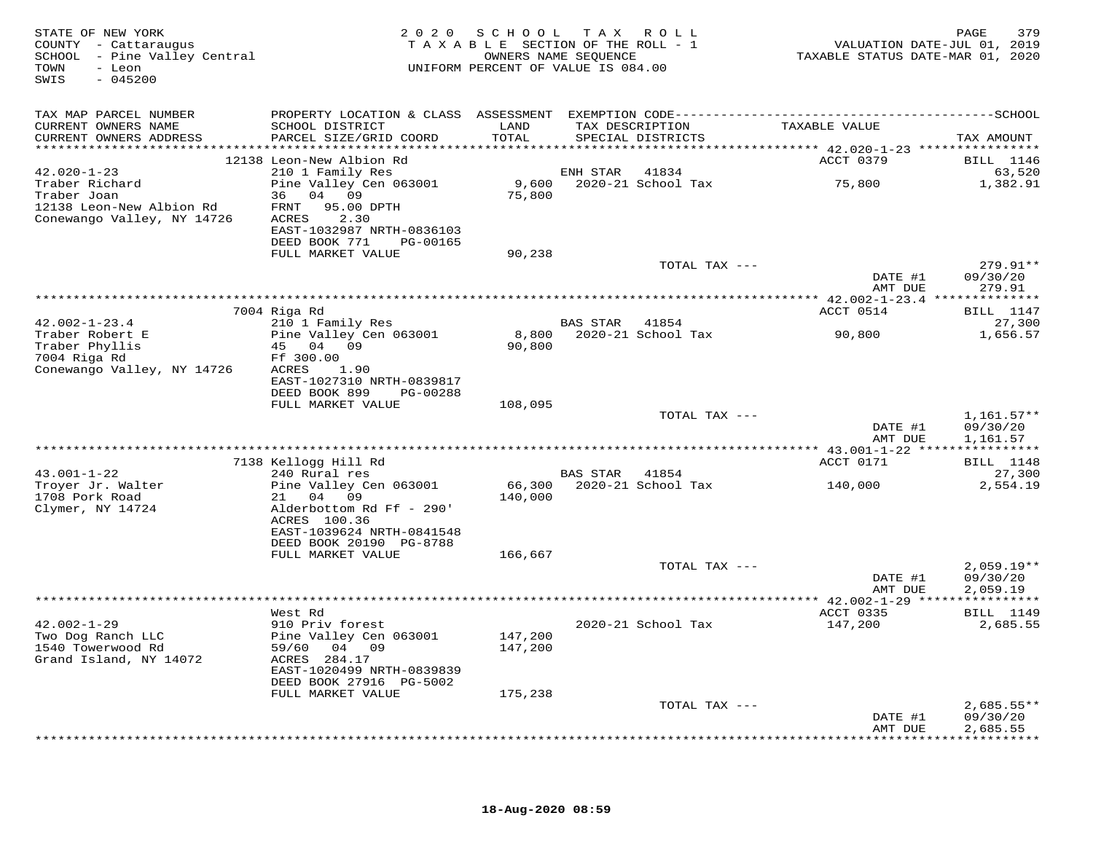| TAX MAP PARCEL NUMBER<br>TAXABLE VALUE<br>CURRENT OWNERS NAME<br>SCHOOL DISTRICT<br>LAND<br>TAX DESCRIPTION<br>PARCEL SIZE/GRID COORD<br>TOTAL<br>CURRENT OWNERS ADDRESS<br>SPECIAL DISTRICTS<br>TAX AMOUNT<br>ACCT 0379<br>12138 Leon-New Albion Rd<br><b>BILL</b> 1146<br>$42.020 - 1 - 23$<br>63,520<br>210 1 Family Res<br>ENH STAR<br>41834<br>9,600<br>75,800<br>Traber Richard<br>Pine Valley Cen 063001<br>2020-21 School Tax<br>1,382.91<br>Traber Joan<br>75,800<br>36 04 09<br>12138 Leon-New Albion Rd<br>FRNT 95.00 DPTH<br>Conewango Valley, NY 14726<br>ACRES<br>2.30<br>EAST-1032987 NRTH-0836103<br>DEED BOOK 771<br>PG-00165<br>FULL MARKET VALUE<br>90,238<br>TOTAL TAX ---<br>$279.91**$<br>DATE #1<br>09/30/20<br>279.91<br>AMT DUE<br>7004 Riga Rd<br>ACCT 0514<br><b>BILL</b> 1147<br>210 1 Family Res<br>$42.002 - 1 - 23.4$<br>27,300<br>BAS STAR 41854<br>8,800 2020-21 School Tax<br>Traber Robert E<br>Pine Valley Cen 063001<br>90,800<br>1,656.57<br>Traber Phyllis<br>45 04 09<br>90,800<br>7004 Riga Rd<br>Ff 300.00<br>Conewango Valley, NY 14726<br>ACRES<br>1.90<br>EAST-1027310 NRTH-0839817<br>DEED BOOK 899<br>PG-00288<br>FULL MARKET VALUE<br>108,095<br>TOTAL TAX ---<br>$1,161.57**$<br>DATE #1<br>09/30/20<br>AMT DUE<br>1,161.57<br><b>BILL</b> 1148<br>7138 Kellogg Hill Rd<br>ACCT 0171<br>$43.001 - 1 - 22$<br>240 Rural res<br>BAS STAR 41854<br>27,300<br>66,300 2020-21 School Tax<br>Troyer Jr. Walter<br>Pine Valley Cen 063001<br>2,554.19<br>140,000<br>1708 Pork Road<br>21 04 09<br>140,000<br>Alderbottom Rd Ff - 290'<br>Clymer, NY 14724<br>ACRES 100.36<br>EAST-1039624 NRTH-0841548<br>DEED BOOK 20190 PG-8788<br>FULL MARKET VALUE<br>166,667<br>$2,059.19**$<br>TOTAL TAX ---<br>DATE #1<br>09/30/20<br>AMT DUE<br>2,059.19<br>ACCT 0335<br><b>BILL</b> 1149<br>West Rd<br>$42.002 - 1 - 29$<br>910 Priv forest<br>2020-21 School Tax<br>147,200<br>2,685.55<br>Two Dog Ranch LLC<br>Pine Valley Cen 063001<br>147,200<br>1540 Towerwood Rd<br>59/60 04 09<br>147,200<br>Grand Island, NY 14072<br>ACRES 284.17<br>EAST-1020499 NRTH-0839839<br>DEED BOOK 27916 PG-5002<br>FULL MARKET VALUE<br>175,238<br>TOTAL TAX ---<br>$2,685.55**$<br>DATE #1<br>09/30/20<br>2,685.55<br>AMT DUE | STATE OF NEW YORK<br>COUNTY - Cattaraugus<br>SCHOOL - Pine Valley Central<br>TOWN<br>- Leon<br>$-045200$<br>SWIS | 2020 SCHOOL TAX ROLL<br>TAXABLE SECTION OF THE ROLL - 1<br>UNIFORM PERCENT OF VALUE IS 084.00 | OWNERS NAME SEQUENCE | TAXABLE STATUS DATE-MAR 01, 2020 | 379<br>PAGE<br>VALUATION DATE-JUL 01, 2019 |
|-------------------------------------------------------------------------------------------------------------------------------------------------------------------------------------------------------------------------------------------------------------------------------------------------------------------------------------------------------------------------------------------------------------------------------------------------------------------------------------------------------------------------------------------------------------------------------------------------------------------------------------------------------------------------------------------------------------------------------------------------------------------------------------------------------------------------------------------------------------------------------------------------------------------------------------------------------------------------------------------------------------------------------------------------------------------------------------------------------------------------------------------------------------------------------------------------------------------------------------------------------------------------------------------------------------------------------------------------------------------------------------------------------------------------------------------------------------------------------------------------------------------------------------------------------------------------------------------------------------------------------------------------------------------------------------------------------------------------------------------------------------------------------------------------------------------------------------------------------------------------------------------------------------------------------------------------------------------------------------------------------------------------------------------------------------------------------------------------------------------------------------------------------------------------------------------------------------------------------------------------------|------------------------------------------------------------------------------------------------------------------|-----------------------------------------------------------------------------------------------|----------------------|----------------------------------|--------------------------------------------|
|                                                                                                                                                                                                                                                                                                                                                                                                                                                                                                                                                                                                                                                                                                                                                                                                                                                                                                                                                                                                                                                                                                                                                                                                                                                                                                                                                                                                                                                                                                                                                                                                                                                                                                                                                                                                                                                                                                                                                                                                                                                                                                                                                                                                                                                       |                                                                                                                  |                                                                                               |                      |                                  |                                            |
|                                                                                                                                                                                                                                                                                                                                                                                                                                                                                                                                                                                                                                                                                                                                                                                                                                                                                                                                                                                                                                                                                                                                                                                                                                                                                                                                                                                                                                                                                                                                                                                                                                                                                                                                                                                                                                                                                                                                                                                                                                                                                                                                                                                                                                                       |                                                                                                                  |                                                                                               |                      |                                  |                                            |
|                                                                                                                                                                                                                                                                                                                                                                                                                                                                                                                                                                                                                                                                                                                                                                                                                                                                                                                                                                                                                                                                                                                                                                                                                                                                                                                                                                                                                                                                                                                                                                                                                                                                                                                                                                                                                                                                                                                                                                                                                                                                                                                                                                                                                                                       |                                                                                                                  |                                                                                               |                      |                                  |                                            |
|                                                                                                                                                                                                                                                                                                                                                                                                                                                                                                                                                                                                                                                                                                                                                                                                                                                                                                                                                                                                                                                                                                                                                                                                                                                                                                                                                                                                                                                                                                                                                                                                                                                                                                                                                                                                                                                                                                                                                                                                                                                                                                                                                                                                                                                       |                                                                                                                  |                                                                                               |                      |                                  |                                            |
|                                                                                                                                                                                                                                                                                                                                                                                                                                                                                                                                                                                                                                                                                                                                                                                                                                                                                                                                                                                                                                                                                                                                                                                                                                                                                                                                                                                                                                                                                                                                                                                                                                                                                                                                                                                                                                                                                                                                                                                                                                                                                                                                                                                                                                                       |                                                                                                                  |                                                                                               |                      |                                  |                                            |
|                                                                                                                                                                                                                                                                                                                                                                                                                                                                                                                                                                                                                                                                                                                                                                                                                                                                                                                                                                                                                                                                                                                                                                                                                                                                                                                                                                                                                                                                                                                                                                                                                                                                                                                                                                                                                                                                                                                                                                                                                                                                                                                                                                                                                                                       |                                                                                                                  |                                                                                               |                      |                                  |                                            |
|                                                                                                                                                                                                                                                                                                                                                                                                                                                                                                                                                                                                                                                                                                                                                                                                                                                                                                                                                                                                                                                                                                                                                                                                                                                                                                                                                                                                                                                                                                                                                                                                                                                                                                                                                                                                                                                                                                                                                                                                                                                                                                                                                                                                                                                       |                                                                                                                  |                                                                                               |                      |                                  |                                            |
|                                                                                                                                                                                                                                                                                                                                                                                                                                                                                                                                                                                                                                                                                                                                                                                                                                                                                                                                                                                                                                                                                                                                                                                                                                                                                                                                                                                                                                                                                                                                                                                                                                                                                                                                                                                                                                                                                                                                                                                                                                                                                                                                                                                                                                                       |                                                                                                                  |                                                                                               |                      |                                  |                                            |
|                                                                                                                                                                                                                                                                                                                                                                                                                                                                                                                                                                                                                                                                                                                                                                                                                                                                                                                                                                                                                                                                                                                                                                                                                                                                                                                                                                                                                                                                                                                                                                                                                                                                                                                                                                                                                                                                                                                                                                                                                                                                                                                                                                                                                                                       |                                                                                                                  |                                                                                               |                      |                                  |                                            |
|                                                                                                                                                                                                                                                                                                                                                                                                                                                                                                                                                                                                                                                                                                                                                                                                                                                                                                                                                                                                                                                                                                                                                                                                                                                                                                                                                                                                                                                                                                                                                                                                                                                                                                                                                                                                                                                                                                                                                                                                                                                                                                                                                                                                                                                       |                                                                                                                  |                                                                                               |                      |                                  |                                            |
|                                                                                                                                                                                                                                                                                                                                                                                                                                                                                                                                                                                                                                                                                                                                                                                                                                                                                                                                                                                                                                                                                                                                                                                                                                                                                                                                                                                                                                                                                                                                                                                                                                                                                                                                                                                                                                                                                                                                                                                                                                                                                                                                                                                                                                                       |                                                                                                                  |                                                                                               |                      |                                  |                                            |
|                                                                                                                                                                                                                                                                                                                                                                                                                                                                                                                                                                                                                                                                                                                                                                                                                                                                                                                                                                                                                                                                                                                                                                                                                                                                                                                                                                                                                                                                                                                                                                                                                                                                                                                                                                                                                                                                                                                                                                                                                                                                                                                                                                                                                                                       |                                                                                                                  |                                                                                               |                      |                                  |                                            |
|                                                                                                                                                                                                                                                                                                                                                                                                                                                                                                                                                                                                                                                                                                                                                                                                                                                                                                                                                                                                                                                                                                                                                                                                                                                                                                                                                                                                                                                                                                                                                                                                                                                                                                                                                                                                                                                                                                                                                                                                                                                                                                                                                                                                                                                       |                                                                                                                  |                                                                                               |                      |                                  |                                            |
|                                                                                                                                                                                                                                                                                                                                                                                                                                                                                                                                                                                                                                                                                                                                                                                                                                                                                                                                                                                                                                                                                                                                                                                                                                                                                                                                                                                                                                                                                                                                                                                                                                                                                                                                                                                                                                                                                                                                                                                                                                                                                                                                                                                                                                                       |                                                                                                                  |                                                                                               |                      |                                  |                                            |
|                                                                                                                                                                                                                                                                                                                                                                                                                                                                                                                                                                                                                                                                                                                                                                                                                                                                                                                                                                                                                                                                                                                                                                                                                                                                                                                                                                                                                                                                                                                                                                                                                                                                                                                                                                                                                                                                                                                                                                                                                                                                                                                                                                                                                                                       |                                                                                                                  |                                                                                               |                      |                                  |                                            |
|                                                                                                                                                                                                                                                                                                                                                                                                                                                                                                                                                                                                                                                                                                                                                                                                                                                                                                                                                                                                                                                                                                                                                                                                                                                                                                                                                                                                                                                                                                                                                                                                                                                                                                                                                                                                                                                                                                                                                                                                                                                                                                                                                                                                                                                       |                                                                                                                  |                                                                                               |                      |                                  |                                            |
|                                                                                                                                                                                                                                                                                                                                                                                                                                                                                                                                                                                                                                                                                                                                                                                                                                                                                                                                                                                                                                                                                                                                                                                                                                                                                                                                                                                                                                                                                                                                                                                                                                                                                                                                                                                                                                                                                                                                                                                                                                                                                                                                                                                                                                                       |                                                                                                                  |                                                                                               |                      |                                  |                                            |
|                                                                                                                                                                                                                                                                                                                                                                                                                                                                                                                                                                                                                                                                                                                                                                                                                                                                                                                                                                                                                                                                                                                                                                                                                                                                                                                                                                                                                                                                                                                                                                                                                                                                                                                                                                                                                                                                                                                                                                                                                                                                                                                                                                                                                                                       |                                                                                                                  |                                                                                               |                      |                                  |                                            |
|                                                                                                                                                                                                                                                                                                                                                                                                                                                                                                                                                                                                                                                                                                                                                                                                                                                                                                                                                                                                                                                                                                                                                                                                                                                                                                                                                                                                                                                                                                                                                                                                                                                                                                                                                                                                                                                                                                                                                                                                                                                                                                                                                                                                                                                       |                                                                                                                  |                                                                                               |                      |                                  |                                            |
|                                                                                                                                                                                                                                                                                                                                                                                                                                                                                                                                                                                                                                                                                                                                                                                                                                                                                                                                                                                                                                                                                                                                                                                                                                                                                                                                                                                                                                                                                                                                                                                                                                                                                                                                                                                                                                                                                                                                                                                                                                                                                                                                                                                                                                                       |                                                                                                                  |                                                                                               |                      |                                  |                                            |
|                                                                                                                                                                                                                                                                                                                                                                                                                                                                                                                                                                                                                                                                                                                                                                                                                                                                                                                                                                                                                                                                                                                                                                                                                                                                                                                                                                                                                                                                                                                                                                                                                                                                                                                                                                                                                                                                                                                                                                                                                                                                                                                                                                                                                                                       |                                                                                                                  |                                                                                               |                      |                                  |                                            |
|                                                                                                                                                                                                                                                                                                                                                                                                                                                                                                                                                                                                                                                                                                                                                                                                                                                                                                                                                                                                                                                                                                                                                                                                                                                                                                                                                                                                                                                                                                                                                                                                                                                                                                                                                                                                                                                                                                                                                                                                                                                                                                                                                                                                                                                       |                                                                                                                  |                                                                                               |                      |                                  |                                            |
|                                                                                                                                                                                                                                                                                                                                                                                                                                                                                                                                                                                                                                                                                                                                                                                                                                                                                                                                                                                                                                                                                                                                                                                                                                                                                                                                                                                                                                                                                                                                                                                                                                                                                                                                                                                                                                                                                                                                                                                                                                                                                                                                                                                                                                                       |                                                                                                                  |                                                                                               |                      |                                  |                                            |
|                                                                                                                                                                                                                                                                                                                                                                                                                                                                                                                                                                                                                                                                                                                                                                                                                                                                                                                                                                                                                                                                                                                                                                                                                                                                                                                                                                                                                                                                                                                                                                                                                                                                                                                                                                                                                                                                                                                                                                                                                                                                                                                                                                                                                                                       |                                                                                                                  |                                                                                               |                      |                                  |                                            |
|                                                                                                                                                                                                                                                                                                                                                                                                                                                                                                                                                                                                                                                                                                                                                                                                                                                                                                                                                                                                                                                                                                                                                                                                                                                                                                                                                                                                                                                                                                                                                                                                                                                                                                                                                                                                                                                                                                                                                                                                                                                                                                                                                                                                                                                       |                                                                                                                  |                                                                                               |                      |                                  |                                            |
|                                                                                                                                                                                                                                                                                                                                                                                                                                                                                                                                                                                                                                                                                                                                                                                                                                                                                                                                                                                                                                                                                                                                                                                                                                                                                                                                                                                                                                                                                                                                                                                                                                                                                                                                                                                                                                                                                                                                                                                                                                                                                                                                                                                                                                                       |                                                                                                                  |                                                                                               |                      |                                  |                                            |
|                                                                                                                                                                                                                                                                                                                                                                                                                                                                                                                                                                                                                                                                                                                                                                                                                                                                                                                                                                                                                                                                                                                                                                                                                                                                                                                                                                                                                                                                                                                                                                                                                                                                                                                                                                                                                                                                                                                                                                                                                                                                                                                                                                                                                                                       |                                                                                                                  |                                                                                               |                      |                                  |                                            |
|                                                                                                                                                                                                                                                                                                                                                                                                                                                                                                                                                                                                                                                                                                                                                                                                                                                                                                                                                                                                                                                                                                                                                                                                                                                                                                                                                                                                                                                                                                                                                                                                                                                                                                                                                                                                                                                                                                                                                                                                                                                                                                                                                                                                                                                       |                                                                                                                  |                                                                                               |                      |                                  |                                            |
|                                                                                                                                                                                                                                                                                                                                                                                                                                                                                                                                                                                                                                                                                                                                                                                                                                                                                                                                                                                                                                                                                                                                                                                                                                                                                                                                                                                                                                                                                                                                                                                                                                                                                                                                                                                                                                                                                                                                                                                                                                                                                                                                                                                                                                                       |                                                                                                                  |                                                                                               |                      |                                  |                                            |
|                                                                                                                                                                                                                                                                                                                                                                                                                                                                                                                                                                                                                                                                                                                                                                                                                                                                                                                                                                                                                                                                                                                                                                                                                                                                                                                                                                                                                                                                                                                                                                                                                                                                                                                                                                                                                                                                                                                                                                                                                                                                                                                                                                                                                                                       |                                                                                                                  |                                                                                               |                      |                                  |                                            |
|                                                                                                                                                                                                                                                                                                                                                                                                                                                                                                                                                                                                                                                                                                                                                                                                                                                                                                                                                                                                                                                                                                                                                                                                                                                                                                                                                                                                                                                                                                                                                                                                                                                                                                                                                                                                                                                                                                                                                                                                                                                                                                                                                                                                                                                       |                                                                                                                  |                                                                                               |                      |                                  |                                            |
|                                                                                                                                                                                                                                                                                                                                                                                                                                                                                                                                                                                                                                                                                                                                                                                                                                                                                                                                                                                                                                                                                                                                                                                                                                                                                                                                                                                                                                                                                                                                                                                                                                                                                                                                                                                                                                                                                                                                                                                                                                                                                                                                                                                                                                                       |                                                                                                                  |                                                                                               |                      |                                  |                                            |
|                                                                                                                                                                                                                                                                                                                                                                                                                                                                                                                                                                                                                                                                                                                                                                                                                                                                                                                                                                                                                                                                                                                                                                                                                                                                                                                                                                                                                                                                                                                                                                                                                                                                                                                                                                                                                                                                                                                                                                                                                                                                                                                                                                                                                                                       |                                                                                                                  |                                                                                               |                      |                                  |                                            |
|                                                                                                                                                                                                                                                                                                                                                                                                                                                                                                                                                                                                                                                                                                                                                                                                                                                                                                                                                                                                                                                                                                                                                                                                                                                                                                                                                                                                                                                                                                                                                                                                                                                                                                                                                                                                                                                                                                                                                                                                                                                                                                                                                                                                                                                       |                                                                                                                  |                                                                                               |                      |                                  |                                            |
|                                                                                                                                                                                                                                                                                                                                                                                                                                                                                                                                                                                                                                                                                                                                                                                                                                                                                                                                                                                                                                                                                                                                                                                                                                                                                                                                                                                                                                                                                                                                                                                                                                                                                                                                                                                                                                                                                                                                                                                                                                                                                                                                                                                                                                                       |                                                                                                                  |                                                                                               |                      |                                  |                                            |
|                                                                                                                                                                                                                                                                                                                                                                                                                                                                                                                                                                                                                                                                                                                                                                                                                                                                                                                                                                                                                                                                                                                                                                                                                                                                                                                                                                                                                                                                                                                                                                                                                                                                                                                                                                                                                                                                                                                                                                                                                                                                                                                                                                                                                                                       |                                                                                                                  |                                                                                               |                      |                                  |                                            |
|                                                                                                                                                                                                                                                                                                                                                                                                                                                                                                                                                                                                                                                                                                                                                                                                                                                                                                                                                                                                                                                                                                                                                                                                                                                                                                                                                                                                                                                                                                                                                                                                                                                                                                                                                                                                                                                                                                                                                                                                                                                                                                                                                                                                                                                       |                                                                                                                  |                                                                                               |                      |                                  |                                            |
|                                                                                                                                                                                                                                                                                                                                                                                                                                                                                                                                                                                                                                                                                                                                                                                                                                                                                                                                                                                                                                                                                                                                                                                                                                                                                                                                                                                                                                                                                                                                                                                                                                                                                                                                                                                                                                                                                                                                                                                                                                                                                                                                                                                                                                                       |                                                                                                                  |                                                                                               |                      |                                  |                                            |
|                                                                                                                                                                                                                                                                                                                                                                                                                                                                                                                                                                                                                                                                                                                                                                                                                                                                                                                                                                                                                                                                                                                                                                                                                                                                                                                                                                                                                                                                                                                                                                                                                                                                                                                                                                                                                                                                                                                                                                                                                                                                                                                                                                                                                                                       |                                                                                                                  |                                                                                               |                      |                                  |                                            |
|                                                                                                                                                                                                                                                                                                                                                                                                                                                                                                                                                                                                                                                                                                                                                                                                                                                                                                                                                                                                                                                                                                                                                                                                                                                                                                                                                                                                                                                                                                                                                                                                                                                                                                                                                                                                                                                                                                                                                                                                                                                                                                                                                                                                                                                       |                                                                                                                  |                                                                                               |                      |                                  |                                            |
|                                                                                                                                                                                                                                                                                                                                                                                                                                                                                                                                                                                                                                                                                                                                                                                                                                                                                                                                                                                                                                                                                                                                                                                                                                                                                                                                                                                                                                                                                                                                                                                                                                                                                                                                                                                                                                                                                                                                                                                                                                                                                                                                                                                                                                                       |                                                                                                                  |                                                                                               |                      |                                  |                                            |
|                                                                                                                                                                                                                                                                                                                                                                                                                                                                                                                                                                                                                                                                                                                                                                                                                                                                                                                                                                                                                                                                                                                                                                                                                                                                                                                                                                                                                                                                                                                                                                                                                                                                                                                                                                                                                                                                                                                                                                                                                                                                                                                                                                                                                                                       |                                                                                                                  |                                                                                               |                      |                                  |                                            |
|                                                                                                                                                                                                                                                                                                                                                                                                                                                                                                                                                                                                                                                                                                                                                                                                                                                                                                                                                                                                                                                                                                                                                                                                                                                                                                                                                                                                                                                                                                                                                                                                                                                                                                                                                                                                                                                                                                                                                                                                                                                                                                                                                                                                                                                       |                                                                                                                  |                                                                                               |                      |                                  |                                            |
|                                                                                                                                                                                                                                                                                                                                                                                                                                                                                                                                                                                                                                                                                                                                                                                                                                                                                                                                                                                                                                                                                                                                                                                                                                                                                                                                                                                                                                                                                                                                                                                                                                                                                                                                                                                                                                                                                                                                                                                                                                                                                                                                                                                                                                                       |                                                                                                                  |                                                                                               |                      |                                  |                                            |
|                                                                                                                                                                                                                                                                                                                                                                                                                                                                                                                                                                                                                                                                                                                                                                                                                                                                                                                                                                                                                                                                                                                                                                                                                                                                                                                                                                                                                                                                                                                                                                                                                                                                                                                                                                                                                                                                                                                                                                                                                                                                                                                                                                                                                                                       |                                                                                                                  |                                                                                               |                      |                                  |                                            |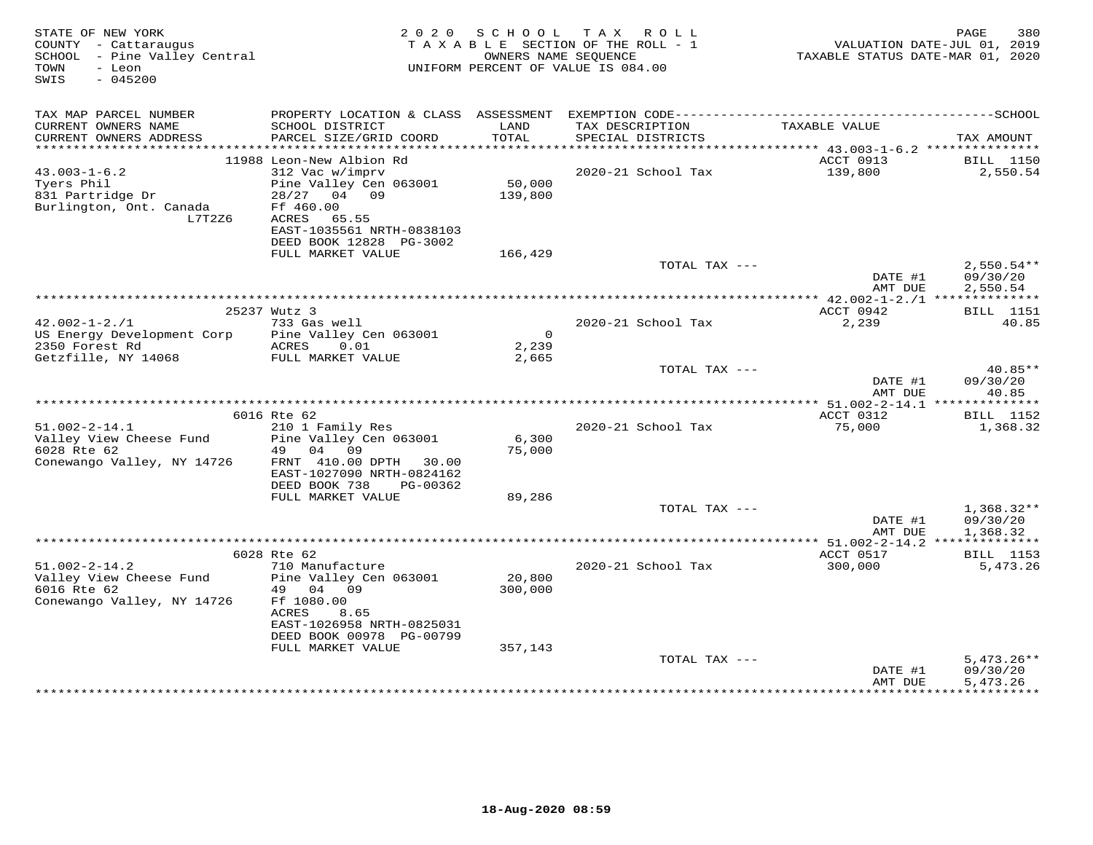| STATE OF NEW YORK<br>COUNTY - Cattaraugus<br>SCHOOL - Pine Valley Central<br>- Leon<br>TOWN<br>$-045200$<br>SWIS | 2020 SCHOOL TAX ROLL<br>TAXABLE SECTION OF THE ROLL - 1<br>UNIFORM PERCENT OF VALUE IS 084.00                                                   | TAXABLE STATUS DATE-MAR 01, 2020 | 380<br>PAGE<br>VALUATION DATE-JUL 01, 2019 |                      |                                      |
|------------------------------------------------------------------------------------------------------------------|-------------------------------------------------------------------------------------------------------------------------------------------------|----------------------------------|--------------------------------------------|----------------------|--------------------------------------|
| TAX MAP PARCEL NUMBER                                                                                            |                                                                                                                                                 |                                  |                                            |                      |                                      |
| CURRENT OWNERS NAME<br>CURRENT OWNERS ADDRESS                                                                    | SCHOOL DISTRICT<br>PARCEL SIZE/GRID COORD                                                                                                       | LAND<br>TOTAL                    | TAX DESCRIPTION<br>SPECIAL DISTRICTS       | TAXABLE VALUE        | TAX AMOUNT                           |
|                                                                                                                  | 11988 Leon-New Albion Rd                                                                                                                        |                                  |                                            | ACCT 0913            | <b>BILL</b> 1150                     |
| $43.003 - 1 - 6.2$                                                                                               | 312 Vac w/imprv                                                                                                                                 |                                  | 2020-21 School Tax                         | 139,800              | 2,550.54                             |
| Tyers Phil<br>831 Partridge Dr<br>Burlington, Ont. Canada<br>L7T2Z6                                              | Pine Valley Cen 063001<br>28/27 04 09<br>Ff 460.00<br>65.55<br>ACRES<br>EAST-1035561 NRTH-0838103<br>DEED BOOK 12828 PG-3002                    | 50,000<br>139,800                |                                            |                      |                                      |
|                                                                                                                  | FULL MARKET VALUE                                                                                                                               | 166,429                          |                                            |                      |                                      |
|                                                                                                                  |                                                                                                                                                 |                                  | TOTAL TAX ---                              | DATE #1<br>AMT DUE   | $2,550.54**$<br>09/30/20<br>2,550.54 |
|                                                                                                                  |                                                                                                                                                 |                                  |                                            |                      |                                      |
|                                                                                                                  | 25237 Wutz 3                                                                                                                                    |                                  |                                            | ACCT 0942            | <b>BILL</b> 1151                     |
| $42.002 - 1 - 2.71$<br>US Energy Development Corp                                                                | 733 Gas well<br>Pine Valley Cen 063001                                                                                                          | $\overline{0}$                   | 2020-21 School Tax                         | 2,239                | 40.85                                |
| 2350 Forest Rd                                                                                                   | ACRES<br>0.01                                                                                                                                   | 2,239                            |                                            |                      |                                      |
| Getzfille, NY 14068                                                                                              | FULL MARKET VALUE                                                                                                                               | 2,665                            |                                            |                      |                                      |
|                                                                                                                  |                                                                                                                                                 |                                  | TOTAL TAX ---                              | DATE #1<br>AMT DUE   | 40.85**<br>09/30/20<br>40.85         |
|                                                                                                                  |                                                                                                                                                 |                                  |                                            |                      |                                      |
|                                                                                                                  | 6016 Rte 62                                                                                                                                     |                                  |                                            | ACCT 0312            | <b>BILL</b> 1152                     |
| $51.002 - 2 - 14.1$                                                                                              | 210 1 Family Res                                                                                                                                |                                  | 2020-21 School Tax                         | 75,000               | 1,368.32                             |
| Valley View Cheese Fund<br>6028 Rte 62<br>Conewango Valley, NY 14726                                             | Pine Valley Cen 063001<br>04 09<br>49<br>FRNT 410.00 DPTH 30.00<br>EAST-1027090 NRTH-0824162                                                    | 6,300<br>75,000                  |                                            |                      |                                      |
|                                                                                                                  | DEED BOOK 738<br>PG-00362<br>FULL MARKET VALUE                                                                                                  | 89,286                           |                                            |                      |                                      |
|                                                                                                                  |                                                                                                                                                 |                                  | TOTAL TAX ---                              |                      | $1,368.32**$                         |
|                                                                                                                  |                                                                                                                                                 |                                  |                                            | DATE #1<br>AMT DUE   | 09/30/20<br>1,368.32                 |
|                                                                                                                  |                                                                                                                                                 |                                  |                                            |                      |                                      |
| $51.002 - 2 - 14.2$                                                                                              | 6028 Rte 62<br>710 Manufacture                                                                                                                  |                                  | 2020-21 School Tax                         | ACCT 0517<br>300,000 | <b>BILL</b> 1153<br>5,473.26         |
| Valley View Cheese Fund<br>6016 Rte 62<br>Conewango Valley, NY 14726                                             | Pine Valley Cen 063001<br>49 04 09<br>Ff 1080.00<br>8.65<br>ACRES<br>EAST-1026958 NRTH-0825031<br>DEED BOOK 00978 PG-00799<br>FULL MARKET VALUE | 20,800<br>300,000<br>357,143     |                                            |                      |                                      |
|                                                                                                                  |                                                                                                                                                 |                                  | TOTAL TAX ---                              |                      | $5,473.26**$                         |
|                                                                                                                  |                                                                                                                                                 |                                  |                                            | DATE #1<br>AMT DUE   | 09/30/20<br>5,473.26                 |
|                                                                                                                  |                                                                                                                                                 |                                  |                                            |                      |                                      |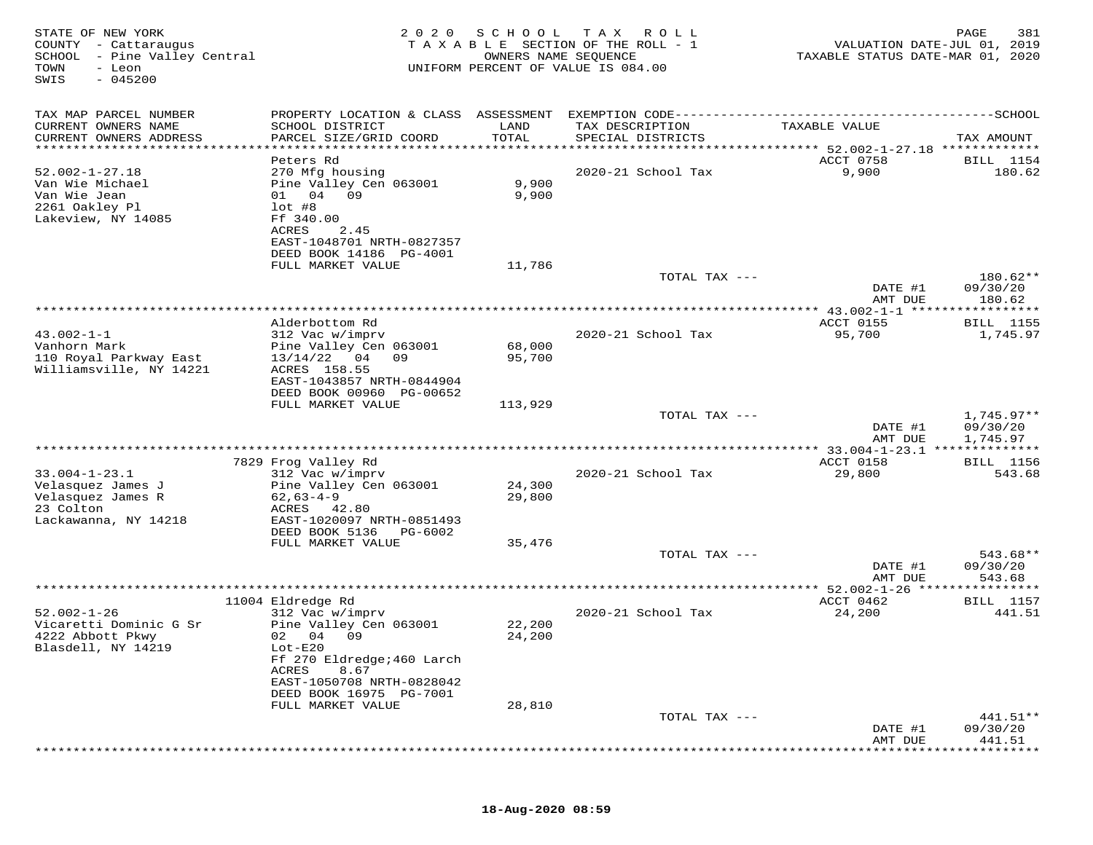| STATE OF NEW YORK<br>COUNTY - Cattaraugus<br>SCHOOL - Pine Valley Central<br>TOWN<br>- Leon<br>$-045200$<br>SWIS | 2020                                                 | SCHOOL<br>OWNERS NAME SEQUENCE | T A X<br>R O L L<br>TAXABLE SECTION OF THE ROLL - 1<br>UNIFORM PERCENT OF VALUE IS 084.00 | VALUATION DATE-JUL 01, 2019<br>TAXABLE STATUS DATE-MAR 01, 2020 | 381<br>PAGE                        |
|------------------------------------------------------------------------------------------------------------------|------------------------------------------------------|--------------------------------|-------------------------------------------------------------------------------------------|-----------------------------------------------------------------|------------------------------------|
| TAX MAP PARCEL NUMBER                                                                                            |                                                      |                                |                                                                                           |                                                                 |                                    |
| CURRENT OWNERS NAME<br>CURRENT OWNERS ADDRESS                                                                    | SCHOOL DISTRICT<br>PARCEL SIZE/GRID COORD            | LAND<br>TOTAL                  | TAX DESCRIPTION<br>SPECIAL DISTRICTS                                                      | TAXABLE VALUE                                                   | TAX AMOUNT                         |
| ***********************                                                                                          |                                                      |                                |                                                                                           |                                                                 |                                    |
| $52.002 - 1 - 27.18$                                                                                             | Peters Rd<br>270 Mfg housing                         |                                | 2020-21 School Tax                                                                        | ACCT 0758<br>9,900                                              | <b>BILL</b> 1154<br>180.62         |
| Van Wie Michael                                                                                                  | Pine Valley Cen 063001                               | 9,900                          |                                                                                           |                                                                 |                                    |
| Van Wie Jean                                                                                                     | 01 04 09                                             | 9,900                          |                                                                                           |                                                                 |                                    |
| 2261 Oakley Pl                                                                                                   | $1$ ot #8                                            |                                |                                                                                           |                                                                 |                                    |
| Lakeview, NY 14085                                                                                               | Ff 340.00                                            |                                |                                                                                           |                                                                 |                                    |
|                                                                                                                  | ACRES<br>2.45                                        |                                |                                                                                           |                                                                 |                                    |
|                                                                                                                  | EAST-1048701 NRTH-0827357<br>DEED BOOK 14186 PG-4001 |                                |                                                                                           |                                                                 |                                    |
|                                                                                                                  | FULL MARKET VALUE                                    | 11,786                         |                                                                                           |                                                                 |                                    |
|                                                                                                                  |                                                      |                                | TOTAL TAX ---                                                                             |                                                                 | 180.62**                           |
|                                                                                                                  |                                                      |                                |                                                                                           | DATE #1<br>AMT DUE                                              | 09/30/20<br>180.62                 |
|                                                                                                                  |                                                      |                                |                                                                                           | ** $43.002 - 1 - 1$ *****                                       | * * * * * * * * *                  |
|                                                                                                                  | Alderbottom Rd                                       |                                |                                                                                           | ACCT 0155                                                       | <b>BILL</b> 1155                   |
| $43.002 - 1 - 1$                                                                                                 | 312 Vac w/imprv                                      |                                | 2020-21 School Tax                                                                        | 95,700                                                          | 1,745.97                           |
| Vanhorn Mark                                                                                                     | Pine Valley Cen 063001                               | 68,000                         |                                                                                           |                                                                 |                                    |
| 110 Royal Parkway East<br>Williamsville, NY 14221                                                                | 13/14/22<br>04<br>09<br>ACRES 158.55                 | 95,700                         |                                                                                           |                                                                 |                                    |
|                                                                                                                  | EAST-1043857 NRTH-0844904                            |                                |                                                                                           |                                                                 |                                    |
|                                                                                                                  | DEED BOOK 00960 PG-00652                             |                                |                                                                                           |                                                                 |                                    |
|                                                                                                                  | FULL MARKET VALUE                                    | 113,929                        |                                                                                           |                                                                 |                                    |
|                                                                                                                  |                                                      |                                | TOTAL TAX ---                                                                             |                                                                 | $1,745.97**$                       |
|                                                                                                                  |                                                      |                                |                                                                                           | DATE #1<br>AMT DUE                                              | 09/30/20<br>1,745.97               |
|                                                                                                                  |                                                      |                                |                                                                                           |                                                                 | * * * * * * *                      |
|                                                                                                                  | 7829 Frog Valley Rd                                  |                                |                                                                                           | ACCT 0158                                                       | BILL 1156                          |
| $33.004 - 1 - 23.1$                                                                                              | 312 Vac w/imprv                                      |                                | 2020-21 School Tax                                                                        | 29,800                                                          | 543.68                             |
| Velasquez James J                                                                                                | Pine Valley Cen 063001                               | 24,300                         |                                                                                           |                                                                 |                                    |
| Velasquez James R                                                                                                | $62,63-4-9$                                          | 29,800                         |                                                                                           |                                                                 |                                    |
| 23 Colton<br>Lackawanna, NY 14218                                                                                | ACRES<br>42.80<br>EAST-1020097 NRTH-0851493          |                                |                                                                                           |                                                                 |                                    |
|                                                                                                                  | DEED BOOK 5136<br>PG-6002                            |                                |                                                                                           |                                                                 |                                    |
|                                                                                                                  | FULL MARKET VALUE                                    | 35,476                         |                                                                                           |                                                                 |                                    |
|                                                                                                                  |                                                      |                                | TOTAL TAX ---                                                                             |                                                                 | 543.68**                           |
|                                                                                                                  |                                                      |                                |                                                                                           | DATE #1                                                         | 09/30/20                           |
|                                                                                                                  |                                                      |                                | **********************                                                                    | AMT DUE                                                         | 543.68                             |
|                                                                                                                  | 11004 Eldredge Rd                                    |                                |                                                                                           | ***** 52.002-1-26 ****<br>ACCT 0462                             | * * * * * * * * * * *<br>BILL 1157 |
| $52.002 - 1 - 26$                                                                                                | 312 Vac w/imprv                                      |                                | 2020-21 School Tax                                                                        | 24,200                                                          | 441.51                             |
| Vicaretti Dominic G Sr                                                                                           | Pine Valley Cen 063001                               | 22,200                         |                                                                                           |                                                                 |                                    |
| 4222 Abbott Pkwy                                                                                                 | 02 04 09                                             | 24,200                         |                                                                                           |                                                                 |                                    |
| Blasdell, NY 14219                                                                                               | $Lot-E20$                                            |                                |                                                                                           |                                                                 |                                    |
|                                                                                                                  | Ff 270 Eldredge; 460 Larch                           |                                |                                                                                           |                                                                 |                                    |
|                                                                                                                  | 8.67<br>ACRES<br>EAST-1050708 NRTH-0828042           |                                |                                                                                           |                                                                 |                                    |
|                                                                                                                  | DEED BOOK 16975 PG-7001                              |                                |                                                                                           |                                                                 |                                    |
|                                                                                                                  | FULL MARKET VALUE                                    | 28,810                         |                                                                                           |                                                                 |                                    |
|                                                                                                                  |                                                      |                                | TOTAL TAX ---                                                                             |                                                                 | 441.51**                           |
|                                                                                                                  |                                                      |                                |                                                                                           | DATE #1                                                         | 09/30/20                           |
|                                                                                                                  |                                                      |                                |                                                                                           | AMT DUE                                                         | 441.51                             |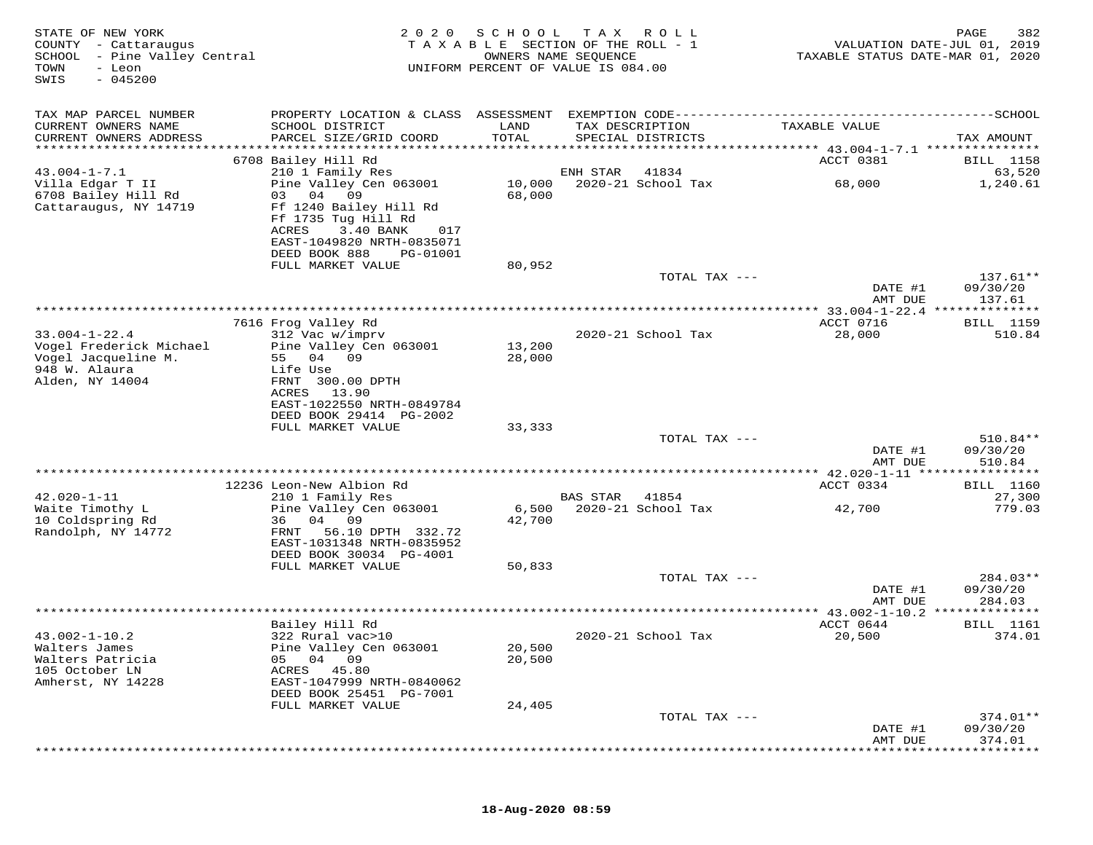| STATE OF NEW YORK<br>COUNTY - Cattaraugus<br>SCHOOL<br>- Pine Valley Central<br>- Leon<br>TOWN<br>$-045200$<br>SWIS | 2020                                                                                                                                                   | SCHOOL<br>TAXABLE SECTION OF THE ROLL - 1<br>UNIFORM PERCENT OF VALUE IS 084.00 | T A X<br>OWNERS NAME SEQUENCE | R O L L                     | TAXABLE STATUS DATE-MAR 01, 2020                       | 382<br>PAGE<br>VALUATION DATE-JUL 01, 2019 |
|---------------------------------------------------------------------------------------------------------------------|--------------------------------------------------------------------------------------------------------------------------------------------------------|---------------------------------------------------------------------------------|-------------------------------|-----------------------------|--------------------------------------------------------|--------------------------------------------|
| TAX MAP PARCEL NUMBER<br>CURRENT OWNERS NAME<br>CURRENT OWNERS ADDRESS                                              | SCHOOL DISTRICT<br>PARCEL SIZE/GRID COORD                                                                                                              | LAND<br>TOTAL                                                                   | TAX DESCRIPTION               | SPECIAL DISTRICTS           | TAXABLE VALUE                                          | TAX AMOUNT                                 |
| ***********************                                                                                             |                                                                                                                                                        |                                                                                 |                               |                             |                                                        |                                            |
|                                                                                                                     | 6708 Bailey Hill Rd                                                                                                                                    |                                                                                 |                               |                             | ACCT 0381                                              | BILL 1158                                  |
| $43.004 - 1 - 7.1$<br>Villa Edgar T II                                                                              | 210 1 Family Res<br>Pine Valley Cen 063001                                                                                                             | 10,000                                                                          | ENH STAR                      | 41834<br>2020-21 School Tax | 68,000                                                 | 63,520<br>1,240.61                         |
| 6708 Bailey Hill Rd<br>Cattaraugus, NY 14719                                                                        | 04<br>09<br>03<br>Ff 1240 Bailey Hill Rd<br>Ff 1735 Tug Hill Rd<br>ACRES<br>3.40 BANK<br>017<br>EAST-1049820 NRTH-0835071<br>DEED BOOK 888<br>PG-01001 | 68,000                                                                          |                               |                             |                                                        |                                            |
|                                                                                                                     | FULL MARKET VALUE                                                                                                                                      | 80,952                                                                          |                               |                             |                                                        |                                            |
|                                                                                                                     |                                                                                                                                                        |                                                                                 |                               | TOTAL TAX ---               | DATE #1                                                | $137.61**$<br>09/30/20                     |
|                                                                                                                     |                                                                                                                                                        |                                                                                 |                               |                             | AMT DUE                                                | 137.61                                     |
|                                                                                                                     | 7616 Frog Valley Rd                                                                                                                                    |                                                                                 |                               |                             | ACCT 0716                                              | <b>BILL</b> 1159                           |
| $33.004 - 1 - 22.4$                                                                                                 | 312 Vac w/imprv                                                                                                                                        |                                                                                 |                               | 2020-21 School Tax          | 28,000                                                 | 510.84                                     |
| Vogel Frederick Michael<br>Vogel Jacqueline M.<br>948 W. Alaura<br>Alden, NY 14004                                  | Pine Valley Cen 063001<br>55<br>04<br>09<br>Life Use<br>FRNT 300.00 DPTH                                                                               | 13,200<br>28,000                                                                |                               |                             |                                                        |                                            |
|                                                                                                                     | ACRES<br>13.90<br>EAST-1022550 NRTH-0849784<br>DEED BOOK 29414 PG-2002<br>FULL MARKET VALUE                                                            | 33,333                                                                          |                               |                             |                                                        |                                            |
|                                                                                                                     |                                                                                                                                                        |                                                                                 |                               | TOTAL TAX ---               | DATE #1                                                | 510.84**<br>09/30/20                       |
|                                                                                                                     |                                                                                                                                                        |                                                                                 |                               |                             | AMT DUE                                                | 510.84                                     |
|                                                                                                                     | 12236 Leon-New Albion Rd                                                                                                                               |                                                                                 |                               |                             | ********* 42.020-1-11 *****************<br>ACCT 0334   | <b>BILL</b> 1160                           |
| $42.020 - 1 - 11$                                                                                                   | 210 1 Family Res                                                                                                                                       |                                                                                 | <b>BAS STAR</b>               | 41854                       |                                                        | 27,300                                     |
| Waite Timothy L<br>10 Coldspring Rd<br>Randolph, NY 14772                                                           | Pine Valley Cen 063001<br>04 09<br>36<br>56.10 DPTH 332.72<br>FRNT                                                                                     | 6,500<br>42,700                                                                 |                               | 2020-21 School Tax          | 42,700                                                 | 779.03                                     |
|                                                                                                                     | EAST-1031348 NRTH-0835952<br>DEED BOOK 30034 PG-4001                                                                                                   |                                                                                 |                               |                             |                                                        |                                            |
|                                                                                                                     | FULL MARKET VALUE                                                                                                                                      | 50,833                                                                          |                               | TOTAL TAX ---               |                                                        | $284.03**$                                 |
|                                                                                                                     |                                                                                                                                                        |                                                                                 |                               |                             | DATE #1<br>AMT DUE                                     | 09/30/20<br>284.03                         |
|                                                                                                                     | Bailey Hill Rd                                                                                                                                         |                                                                                 |                               |                             | ************ 43.002-1-10.2 **************<br>ACCT 0644 | BILL 1161                                  |
| $43.002 - 1 - 10.2$<br>Walters James<br>Walters Patricia<br>105 October LN<br>Amherst, NY 14228                     | 322 Rural vac>10<br>Pine Valley Cen 063001<br>04 09<br>05<br>ACRES<br>45.80<br>EAST-1047999 NRTH-0840062                                               | 20,500<br>20,500                                                                |                               | 2020-21 School Tax          | 20,500                                                 | 374.01                                     |
|                                                                                                                     | DEED BOOK 25451 PG-7001<br>FULL MARKET VALUE                                                                                                           | 24,405                                                                          |                               |                             |                                                        |                                            |
|                                                                                                                     |                                                                                                                                                        |                                                                                 |                               | TOTAL TAX ---               |                                                        | $374.01**$                                 |
|                                                                                                                     |                                                                                                                                                        |                                                                                 |                               |                             | DATE #1<br>AMT DUE                                     | 09/30/20<br>374.01                         |
|                                                                                                                     |                                                                                                                                                        |                                                                                 |                               |                             |                                                        |                                            |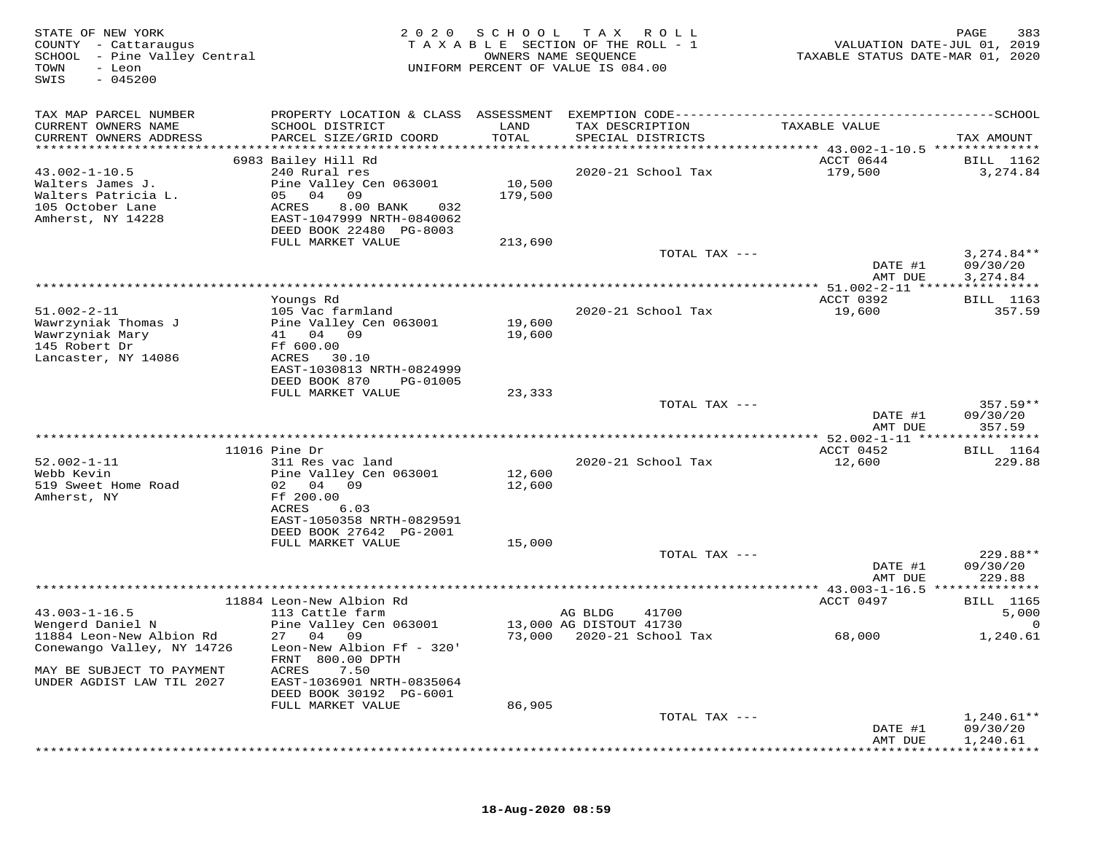| STATE OF NEW YORK<br>COUNTY - Cattaraugus<br>SCHOOL - Pine Valley Central<br>TOWN<br>- Leon<br>$-045200$<br>SWIS | 2 0 2 0                                              | S C H O O L<br>OWNERS NAME SEQUENCE | T A X<br>R O L L<br>TAXABLE SECTION OF THE ROLL - 1<br>UNIFORM PERCENT OF VALUE IS 084.00 | VALUATION DATE-JUL 01, 2019<br>TAXABLE STATUS DATE-MAR 01, 2020 | 383<br>PAGE              |
|------------------------------------------------------------------------------------------------------------------|------------------------------------------------------|-------------------------------------|-------------------------------------------------------------------------------------------|-----------------------------------------------------------------|--------------------------|
| TAX MAP PARCEL NUMBER                                                                                            |                                                      |                                     |                                                                                           |                                                                 |                          |
| CURRENT OWNERS NAME<br>CURRENT OWNERS ADDRESS<br>***********************                                         | SCHOOL DISTRICT<br>PARCEL SIZE/GRID COORD            | LAND<br>TOTAL                       | TAX DESCRIPTION<br>SPECIAL DISTRICTS                                                      | TAXABLE VALUE                                                   | TAX AMOUNT               |
|                                                                                                                  | 6983 Bailey Hill Rd                                  |                                     |                                                                                           | ACCT 0644                                                       | BILL 1162                |
| $43.002 - 1 - 10.5$                                                                                              | 240 Rural res                                        |                                     | 2020-21 School Tax                                                                        | 179,500                                                         | 3,274.84                 |
| Walters James J.                                                                                                 | Pine Valley Cen 063001                               | 10,500                              |                                                                                           |                                                                 |                          |
| Walters Patricia L.                                                                                              | 05 04<br>09                                          | 179,500                             |                                                                                           |                                                                 |                          |
| 105 October Lane                                                                                                 | ACRES<br>8.00 BANK<br>032                            |                                     |                                                                                           |                                                                 |                          |
| Amherst, NY 14228                                                                                                | EAST-1047999 NRTH-0840062                            |                                     |                                                                                           |                                                                 |                          |
|                                                                                                                  | DEED BOOK 22480 PG-8003                              |                                     |                                                                                           |                                                                 |                          |
|                                                                                                                  | FULL MARKET VALUE                                    | 213,690                             | TOTAL TAX ---                                                                             |                                                                 | $3,274.84**$             |
|                                                                                                                  |                                                      |                                     |                                                                                           | DATE #1                                                         | 09/30/20                 |
|                                                                                                                  |                                                      |                                     |                                                                                           | AMT DUE                                                         | 3,274.84                 |
|                                                                                                                  |                                                      |                                     |                                                                                           | *********** 51.002-2-11 *****************                       |                          |
|                                                                                                                  | Youngs Rd                                            |                                     |                                                                                           | ACCT 0392                                                       | BILL 1163                |
| $51.002 - 2 - 11$                                                                                                | 105 Vac farmland                                     |                                     | 2020-21 School Tax                                                                        | 19,600                                                          | 357.59                   |
| Wawrzyniak Thomas J                                                                                              | Pine Valley Cen 063001                               | 19,600                              |                                                                                           |                                                                 |                          |
| Wawrzyniak Mary<br>145 Robert Dr                                                                                 | 41 04 09<br>Ff 600.00                                | 19,600                              |                                                                                           |                                                                 |                          |
| Lancaster, NY 14086                                                                                              | ACRES<br>30.10                                       |                                     |                                                                                           |                                                                 |                          |
|                                                                                                                  | EAST-1030813 NRTH-0824999                            |                                     |                                                                                           |                                                                 |                          |
|                                                                                                                  | DEED BOOK 870<br>PG-01005                            |                                     |                                                                                           |                                                                 |                          |
|                                                                                                                  | FULL MARKET VALUE                                    | 23,333                              |                                                                                           |                                                                 |                          |
|                                                                                                                  |                                                      |                                     | TOTAL TAX ---                                                                             |                                                                 | $357.59**$               |
|                                                                                                                  |                                                      |                                     |                                                                                           | DATE #1                                                         | 09/30/20                 |
|                                                                                                                  |                                                      |                                     |                                                                                           | AMT DUE                                                         | 357.59                   |
|                                                                                                                  | $11016$ Pine Dr                                      |                                     |                                                                                           | ACCT 0452                                                       | <b>BILL</b> 1164         |
| $52.002 - 1 - 11$                                                                                                | 311 Res vac land                                     |                                     | 2020-21 School Tax                                                                        | 12,600                                                          | 229.88                   |
| Webb Kevin                                                                                                       | Pine Valley Cen 063001                               | 12,600                              |                                                                                           |                                                                 |                          |
| 519 Sweet Home Road                                                                                              | 02<br>04<br>09                                       | 12,600                              |                                                                                           |                                                                 |                          |
| Amherst, NY                                                                                                      | Ff 200.00                                            |                                     |                                                                                           |                                                                 |                          |
|                                                                                                                  | 6.03<br>ACRES                                        |                                     |                                                                                           |                                                                 |                          |
|                                                                                                                  | EAST-1050358 NRTH-0829591<br>DEED BOOK 27642 PG-2001 |                                     |                                                                                           |                                                                 |                          |
|                                                                                                                  | FULL MARKET VALUE                                    | 15,000                              |                                                                                           |                                                                 |                          |
|                                                                                                                  |                                                      |                                     | TOTAL TAX ---                                                                             |                                                                 | 229.88**                 |
|                                                                                                                  |                                                      |                                     |                                                                                           | DATE #1                                                         | 09/30/20                 |
|                                                                                                                  |                                                      |                                     |                                                                                           | AMT DUE                                                         | 229.88                   |
|                                                                                                                  |                                                      |                                     | **********************                                                                    | ******* $43.003 - 1 - 16.5$                                     | *********                |
|                                                                                                                  | 11884 Leon-New Albion Rd                             |                                     |                                                                                           | ACCT 0497                                                       | <b>BILL</b> 1165         |
| $43.003 - 1 - 16.5$<br>Wengerd Daniel N                                                                          | 113 Cattle farm<br>Pine Valley Cen 063001            |                                     | 41700<br>AG BLDG<br>13,000 AG DISTOUT 41730                                               |                                                                 | 5,000<br>$\Omega$        |
| 11884 Leon-New Albion Rd                                                                                         | 27 04 09                                             | 73,000                              | 2020-21 School Tax                                                                        | 68,000                                                          | 1,240.61                 |
| Conewango Valley, NY 14726                                                                                       | Leon-New Albion Ff - 320'                            |                                     |                                                                                           |                                                                 |                          |
|                                                                                                                  | FRNT 800.00 DPTH                                     |                                     |                                                                                           |                                                                 |                          |
| MAY BE SUBJECT TO PAYMENT                                                                                        | ACRES<br>7.50                                        |                                     |                                                                                           |                                                                 |                          |
| UNDER AGDIST LAW TIL 2027                                                                                        | EAST-1036901 NRTH-0835064                            |                                     |                                                                                           |                                                                 |                          |
|                                                                                                                  | DEED BOOK 30192 PG-6001                              |                                     |                                                                                           |                                                                 |                          |
|                                                                                                                  | FULL MARKET VALUE                                    | 86,905                              |                                                                                           |                                                                 |                          |
|                                                                                                                  |                                                      |                                     | TOTAL TAX ---                                                                             | DATE #1                                                         | $1,240.61**$<br>09/30/20 |
|                                                                                                                  |                                                      |                                     |                                                                                           | AMT DUE                                                         | 1,240.61                 |
|                                                                                                                  |                                                      |                                     |                                                                                           |                                                                 |                          |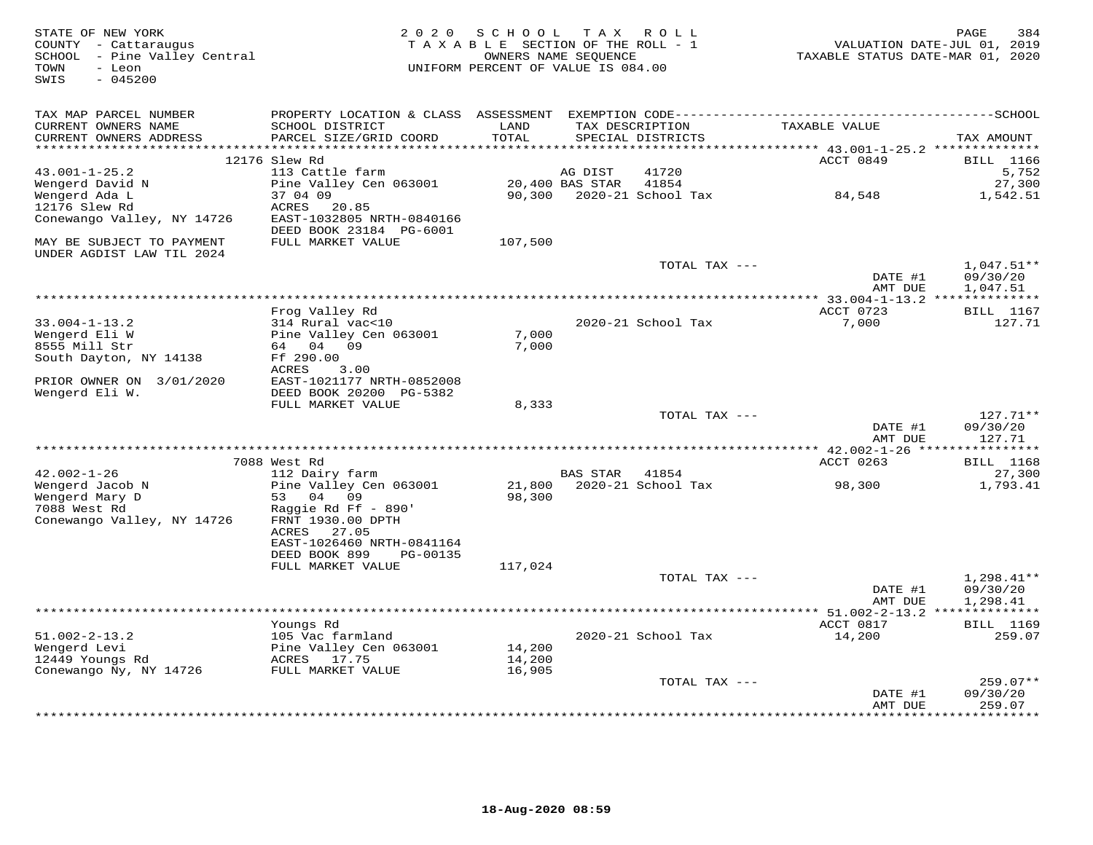| STATE OF NEW YORK<br>COUNTY - Cattaraugus<br>SCHOOL - Pine Valley Central<br>- Leon<br>TOWN<br>SWIS<br>$-045200$ |                                                      | 2020 SCHOOL TAX ROLL<br>TAXABLE SECTION OF THE ROLL - 1<br>UNIFORM PERCENT OF VALUE IS 084.00 | OWNERS NAME SEQUENCE |                           | TAXABLE STATUS DATE-MAR 01, 2020                             | PAGE<br>384<br>VALUATION DATE-JUL 01, 2019 |
|------------------------------------------------------------------------------------------------------------------|------------------------------------------------------|-----------------------------------------------------------------------------------------------|----------------------|---------------------------|--------------------------------------------------------------|--------------------------------------------|
| TAX MAP PARCEL NUMBER<br>CURRENT OWNERS NAME                                                                     | SCHOOL DISTRICT                                      | LAND                                                                                          |                      | TAX DESCRIPTION           | TAXABLE VALUE                                                |                                            |
| CURRENT OWNERS ADDRESS                                                                                           | PARCEL SIZE/GRID COORD                               | TOTAL                                                                                         |                      | SPECIAL DISTRICTS         |                                                              | TAX AMOUNT                                 |
| **********************                                                                                           | ****************************<br>12176 Slew Rd        | ****************                                                                              |                      |                           | ACCT 0849                                                    | <b>BILL</b> 1166                           |
| $43.001 - 1 - 25.2$                                                                                              | 113 Cattle farm                                      |                                                                                               | AG DIST              | 41720                     |                                                              | 5,752                                      |
| Wengerd David N                                                                                                  | Pine Valley Cen 063001                               |                                                                                               | 20,400 BAS STAR      | 41854                     |                                                              | 27,300                                     |
| Wengerd Ada L                                                                                                    | 37 04 09                                             |                                                                                               |                      | 90,300 2020-21 School Tax | 84,548                                                       | 1,542.51                                   |
| 12176 Slew Rd<br>Conewango Valley, NY 14726                                                                      | 20.85<br>ACRES<br>EAST-1032805 NRTH-0840166          |                                                                                               |                      |                           |                                                              |                                            |
|                                                                                                                  | DEED BOOK 23184 PG-6001                              |                                                                                               |                      |                           |                                                              |                                            |
| MAY BE SUBJECT TO PAYMENT<br>UNDER AGDIST LAW TIL 2024                                                           | FULL MARKET VALUE                                    | 107,500                                                                                       |                      |                           |                                                              |                                            |
|                                                                                                                  |                                                      |                                                                                               |                      | TOTAL TAX ---             |                                                              | $1,047.51**$                               |
|                                                                                                                  |                                                      |                                                                                               |                      |                           | DATE #1<br>AMT DUE                                           | 09/30/20<br>1,047.51                       |
|                                                                                                                  |                                                      |                                                                                               |                      |                           |                                                              |                                            |
| $33.004 - 1 - 13.2$                                                                                              | Frog Valley Rd<br>314 Rural vac<10                   |                                                                                               |                      | 2020-21 School Tax        | ACCT 0723<br>7,000                                           | <b>BILL</b> 1167<br>127.71                 |
| Wengerd Eli W                                                                                                    | Pine Valley Cen 063001                               | 7,000                                                                                         |                      |                           |                                                              |                                            |
| 8555 Mill Str                                                                                                    | 64 04 09                                             | 7,000                                                                                         |                      |                           |                                                              |                                            |
| South Dayton, NY 14138                                                                                           | Ff 290.00<br>ACRES<br>3.00                           |                                                                                               |                      |                           |                                                              |                                            |
| PRIOR OWNER ON 3/01/2020<br>Wengerd Eli W.                                                                       | EAST-1021177 NRTH-0852008<br>DEED BOOK 20200 PG-5382 |                                                                                               |                      |                           |                                                              |                                            |
|                                                                                                                  | FULL MARKET VALUE                                    | 8,333                                                                                         |                      |                           |                                                              |                                            |
|                                                                                                                  |                                                      |                                                                                               |                      | TOTAL TAX ---             |                                                              | $127.71**$                                 |
|                                                                                                                  |                                                      |                                                                                               |                      |                           | DATE #1<br>AMT DUE                                           | 09/30/20<br>127.71                         |
|                                                                                                                  |                                                      |                                                                                               |                      |                           |                                                              | **********                                 |
|                                                                                                                  | 7088 West Rd                                         |                                                                                               |                      |                           | ACCT 0263                                                    | <b>BILL</b> 1168                           |
| $42.002 - 1 - 26$                                                                                                | 112 Dairy farm                                       |                                                                                               | <b>BAS STAR</b>      | 41854                     |                                                              | 27,300                                     |
| Wengerd Jacob N<br>Wengerd Mary D                                                                                | Pine Valley Cen 063001<br>53 04 09                   | 21,800<br>98,300                                                                              |                      | 2020-21 School Tax        | 98,300                                                       | 1,793.41                                   |
| 7088 West Rd                                                                                                     | Raggie Rd Ff - 890'                                  |                                                                                               |                      |                           |                                                              |                                            |
| Conewango Valley, NY 14726                                                                                       | FRNT 1930.00 DPTH                                    |                                                                                               |                      |                           |                                                              |                                            |
|                                                                                                                  | ACRES<br>27.05                                       |                                                                                               |                      |                           |                                                              |                                            |
|                                                                                                                  | EAST-1026460 NRTH-0841164                            |                                                                                               |                      |                           |                                                              |                                            |
|                                                                                                                  | DEED BOOK 899<br>PG-00135<br>FULL MARKET VALUE       | 117,024                                                                                       |                      |                           |                                                              |                                            |
|                                                                                                                  |                                                      |                                                                                               |                      | TOTAL TAX ---             |                                                              | $1,298.41**$                               |
|                                                                                                                  |                                                      |                                                                                               |                      |                           | DATE #1                                                      | 09/30/20                                   |
|                                                                                                                  |                                                      |                                                                                               |                      |                           | AMT DUE                                                      | 1,298.41                                   |
|                                                                                                                  | Youngs Rd                                            |                                                                                               |                      |                           | ***************** 51.002-2-13.2 ***************<br>ACCT 0817 | <b>BILL</b> 1169                           |
| $51.002 - 2 - 13.2$                                                                                              | 105 Vac farmland                                     |                                                                                               |                      | 2020-21 School Tax        | 14,200                                                       | 259.07                                     |
| Wengerd Levi                                                                                                     | Pine Valley Cen 063001                               | 14,200                                                                                        |                      |                           |                                                              |                                            |
| 12449 Youngs Rd                                                                                                  | ACRES 17.75                                          | 14,200                                                                                        |                      |                           |                                                              |                                            |
| Conewango Ny, NY 14726                                                                                           | FULL MARKET VALUE                                    | 16,905                                                                                        |                      |                           |                                                              |                                            |
|                                                                                                                  |                                                      |                                                                                               |                      | TOTAL TAX ---             | DATE #1                                                      | $259.07**$<br>09/30/20                     |
|                                                                                                                  |                                                      |                                                                                               |                      |                           | AMT DUE                                                      | 259.07                                     |
|                                                                                                                  |                                                      |                                                                                               |                      |                           |                                                              |                                            |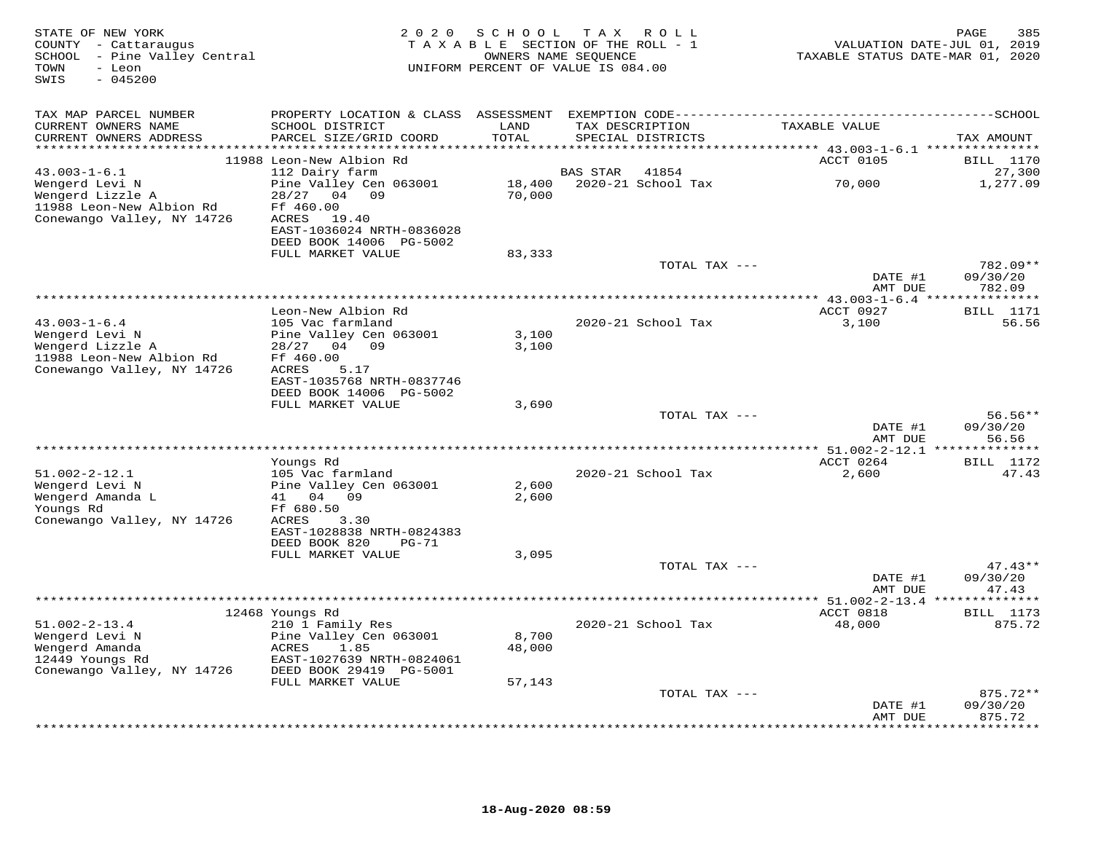| STATE OF NEW YORK<br>COUNTY - Cattaraugus<br>SCHOOL - Pine Valley Central<br>TOWN<br>- Leon<br>$-045200$<br>SWIS | 2 0 2 0                                                                    | S C H O O L            | T A X<br>R O L L<br>TAXABLE SECTION OF THE ROLL - 1<br>OWNERS NAME SEQUENCE<br>UNIFORM PERCENT OF VALUE IS 084.00 | VALUATION DATE-JUL 01, 2019<br>TAXABLE STATUS DATE-MAR 01, 2020 | PAGE<br>385                    |
|------------------------------------------------------------------------------------------------------------------|----------------------------------------------------------------------------|------------------------|-------------------------------------------------------------------------------------------------------------------|-----------------------------------------------------------------|--------------------------------|
| TAX MAP PARCEL NUMBER                                                                                            |                                                                            |                        |                                                                                                                   |                                                                 |                                |
| CURRENT OWNERS NAME<br>CURRENT OWNERS ADDRESS                                                                    | SCHOOL DISTRICT<br>PARCEL SIZE/GRID COORD                                  | LAND<br>TOTAL          | TAX DESCRIPTION<br>SPECIAL DISTRICTS                                                                              | TAXABLE VALUE                                                   | TAX AMOUNT                     |
|                                                                                                                  |                                                                            |                        |                                                                                                                   |                                                                 |                                |
| $43.003 - 1 - 6.1$                                                                                               | 11988 Leon-New Albion Rd<br>112 Dairy farm                                 |                        | 41854<br><b>BAS STAR</b>                                                                                          | ACCT 0105                                                       | BILL 1170<br>27,300            |
| Wengerd Levi N                                                                                                   | Pine Valley Cen 063001                                                     | 18,400                 | 2020-21 School Tax                                                                                                | 70,000                                                          | 1,277.09                       |
| Wengerd Lizzle A<br>11988 Leon-New Albion Rd<br>Conewango Valley, NY 14726                                       | 04 09<br>28/27<br>Ff 460.00<br>19.40<br>ACRES<br>EAST-1036024 NRTH-0836028 | 70,000                 |                                                                                                                   |                                                                 |                                |
|                                                                                                                  | DEED BOOK 14006 PG-5002                                                    |                        |                                                                                                                   |                                                                 |                                |
|                                                                                                                  | FULL MARKET VALUE                                                          | 83,333                 |                                                                                                                   |                                                                 |                                |
|                                                                                                                  |                                                                            |                        | TOTAL TAX ---                                                                                                     | DATE #1                                                         | 782.09**<br>09/30/20           |
|                                                                                                                  |                                                                            |                        |                                                                                                                   | AMT DUE                                                         | 782.09                         |
|                                                                                                                  | Leon-New Albion Rd                                                         |                        |                                                                                                                   | ACCT 0927                                                       | <b>BILL</b> 1171               |
| $43.003 - 1 - 6.4$                                                                                               | 105 Vac farmland                                                           |                        | 2020-21 School Tax                                                                                                | 3,100                                                           | 56.56                          |
| Wengerd Levi N<br>Wengerd Lizzle A<br>11988 Leon-New Albion Rd<br>Conewango Valley, NY 14726                     | Pine Valley Cen 063001<br>28/27<br>04 09<br>Ff 460.00<br>5.17<br>ACRES     | 3,100<br>3,100         |                                                                                                                   |                                                                 |                                |
|                                                                                                                  | EAST-1035768 NRTH-0837746<br>DEED BOOK 14006 PG-5002                       |                        |                                                                                                                   |                                                                 |                                |
|                                                                                                                  | FULL MARKET VALUE                                                          | 3,690                  |                                                                                                                   |                                                                 |                                |
|                                                                                                                  |                                                                            |                        | TOTAL TAX ---                                                                                                     | DATE #1<br>AMT DUE                                              | $56.56**$<br>09/30/20<br>56.56 |
|                                                                                                                  |                                                                            | ********************** |                                                                                                                   | *** $51.002 - 2 - 12.1$ *                                       | * * * * * * * *                |
| $51.002 - 2 - 12.1$                                                                                              | Youngs Rd<br>105 Vac farmland                                              |                        | 2020-21 School Tax                                                                                                | ACCT 0264                                                       | <b>BILL</b> 1172               |
| Wengerd Levi N                                                                                                   | Pine Valley Cen 063001                                                     | 2,600                  |                                                                                                                   | 2,600                                                           | 47.43                          |
| Wengerd Amanda L<br>Youngs Rd<br>Conewango Valley, NY 14726                                                      | 41<br>04<br>09<br>Ff 680.50<br>ACRES<br>3.30                               | 2,600                  |                                                                                                                   |                                                                 |                                |
|                                                                                                                  | EAST-1028838 NRTH-0824383<br>DEED BOOK 820<br>PG-71                        |                        |                                                                                                                   |                                                                 |                                |
|                                                                                                                  | FULL MARKET VALUE                                                          | 3,095                  | TOTAL TAX ---                                                                                                     |                                                                 | $47.43**$                      |
|                                                                                                                  |                                                                            |                        |                                                                                                                   | DATE #1<br>AMT DUE                                              | 09/30/20<br>47.43              |
|                                                                                                                  |                                                                            |                        |                                                                                                                   | ** $51.002 - 2 - 13.4$ **                                       | * * * * * * * *                |
|                                                                                                                  | 12468 Youngs Rd                                                            |                        |                                                                                                                   | ACCT 0818                                                       | <b>BILL</b> 1173               |
| $51.002 - 2 - 13.4$<br>Wengerd Levi N<br>Wengerd Amanda                                                          | 210 1 Family Res<br>Pine Valley Cen 063001<br>ACRES<br>1.85                | 8,700<br>48,000        | 2020-21 School Tax                                                                                                | 48,000                                                          | 875.72                         |
| 12449 Youngs Rd<br>Conewango Valley, NY 14726                                                                    | EAST-1027639 NRTH-0824061<br>DEED BOOK 29419 PG-5001                       |                        |                                                                                                                   |                                                                 |                                |
|                                                                                                                  | FULL MARKET VALUE                                                          | 57,143                 |                                                                                                                   |                                                                 |                                |
|                                                                                                                  |                                                                            |                        | TOTAL TAX ---                                                                                                     |                                                                 | $875.72**$                     |
|                                                                                                                  |                                                                            |                        |                                                                                                                   | DATE #1<br>AMT DUE                                              | 09/30/20<br>875.72             |
|                                                                                                                  |                                                                            |                        |                                                                                                                   |                                                                 | .                              |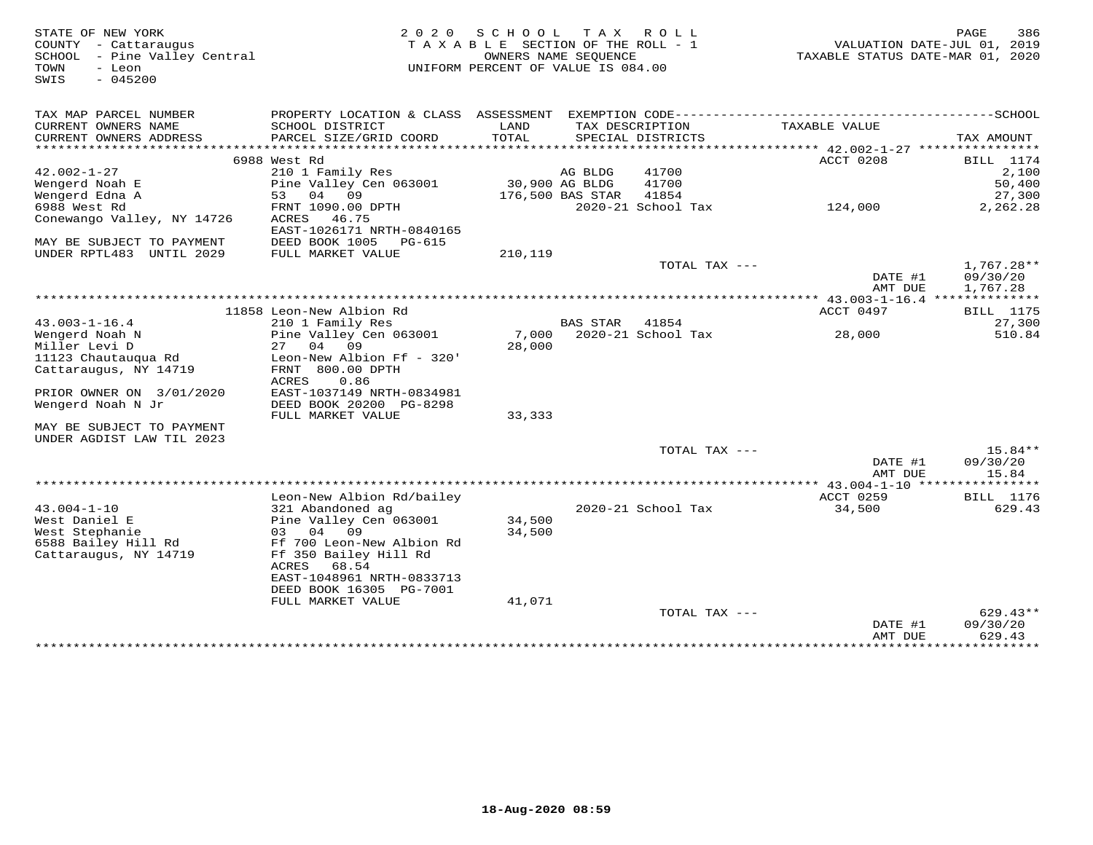| STATE OF NEW YORK<br>COUNTY - Cattaraugus<br>SCHOOL - Pine Valley Central<br>TOWN<br>- Leon<br>$-045200$<br>SWIS | 2 0 2 0                                                                                      | S C H O O L<br>TAXABLE SECTION OF THE ROLL - 1<br>UNIFORM PERCENT OF VALUE IS 084.00 | OWNERS NAME SEQUENCE | TAX ROLL                             | VALUATION DATE-JUL 01, 2019<br>TAXABLE STATUS DATE-MAR 01, 2020 | PAGE<br>386               |
|------------------------------------------------------------------------------------------------------------------|----------------------------------------------------------------------------------------------|--------------------------------------------------------------------------------------|----------------------|--------------------------------------|-----------------------------------------------------------------|---------------------------|
| TAX MAP PARCEL NUMBER                                                                                            | PROPERTY LOCATION & CLASS ASSESSMENT EXEMPTION CODE-----------------------------------SCHOOL |                                                                                      |                      |                                      |                                                                 |                           |
| CURRENT OWNERS NAME<br>CURRENT OWNERS ADDRESS                                                                    | SCHOOL DISTRICT<br>PARCEL SIZE/GRID COORD                                                    | LAND<br>TOTAL                                                                        |                      | TAX DESCRIPTION<br>SPECIAL DISTRICTS | TAXABLE VALUE                                                   | TAX AMOUNT                |
|                                                                                                                  | 6988 West Rd                                                                                 |                                                                                      |                      |                                      | ACCT 0208                                                       | BILL 1174                 |
| $42.002 - 1 - 27$                                                                                                | 210 1 Family Res                                                                             |                                                                                      | AG BLDG              | 41700                                |                                                                 | 2,100                     |
| Wengerd Noah E                                                                                                   | Pine Valley Cen 063001                                                                       | 30,900 AG BLDG                                                                       |                      | 41700                                |                                                                 | 50,400                    |
| Wengerd Edna A                                                                                                   | 53 04 09                                                                                     |                                                                                      | 176,500 BAS STAR     | 41854                                |                                                                 | 27,300                    |
| 6988 West Rd                                                                                                     | FRNT 1090.00 DPTH                                                                            |                                                                                      |                      | 2020-21 School Tax                   | 124,000                                                         | 2,262.28                  |
| Conewango Valley, NY 14726                                                                                       | ACRES 46.75<br>EAST-1026171 NRTH-0840165                                                     |                                                                                      |                      |                                      |                                                                 |                           |
| MAY BE SUBJECT TO PAYMENT                                                                                        | DEED BOOK 1005<br>PG-615                                                                     |                                                                                      |                      |                                      |                                                                 |                           |
| UNDER RPTL483 UNTIL 2029                                                                                         | FULL MARKET VALUE                                                                            | 210,119                                                                              |                      |                                      |                                                                 |                           |
|                                                                                                                  |                                                                                              |                                                                                      |                      | TOTAL TAX ---                        |                                                                 | $1,767.28**$              |
|                                                                                                                  |                                                                                              |                                                                                      |                      |                                      | DATE #1                                                         | 09/30/20                  |
|                                                                                                                  |                                                                                              |                                                                                      |                      |                                      | AMT DUE                                                         | 1,767.28                  |
|                                                                                                                  |                                                                                              |                                                                                      |                      |                                      |                                                                 |                           |
|                                                                                                                  | 11858 Leon-New Albion Rd                                                                     |                                                                                      |                      |                                      | ACCT 0497                                                       | <b>BILL</b> 1175          |
| $43.003 - 1 - 16.4$                                                                                              | 210 1 Family Res                                                                             |                                                                                      | BAS STAR             | 41854                                |                                                                 | 27,300                    |
| Wengerd Noah N<br>Miller Levi D                                                                                  | Pine Valley Cen 063001<br>27 04 09                                                           | 7,000<br>28,000                                                                      |                      | 2020-21 School Tax                   | 28,000                                                          | 510.84                    |
|                                                                                                                  | Leon-New Albion Ff - 320'                                                                    |                                                                                      |                      |                                      |                                                                 |                           |
| 11123 Chautauqua Rd<br>Cattaraugus, NY 14719                                                                     | FRNT 800.00 DPTH<br>ACRES<br>0.86                                                            |                                                                                      |                      |                                      |                                                                 |                           |
| PRIOR OWNER ON 3/01/2020                                                                                         | EAST-1037149 NRTH-0834981                                                                    |                                                                                      |                      |                                      |                                                                 |                           |
| Wengerd Noah N Jr                                                                                                | DEED BOOK 20200 PG-8298<br>FULL MARKET VALUE                                                 | 33,333                                                                               |                      |                                      |                                                                 |                           |
| MAY BE SUBJECT TO PAYMENT                                                                                        |                                                                                              |                                                                                      |                      |                                      |                                                                 |                           |
| UNDER AGDIST LAW TIL 2023                                                                                        |                                                                                              |                                                                                      |                      |                                      |                                                                 |                           |
|                                                                                                                  |                                                                                              |                                                                                      |                      | TOTAL TAX ---                        | DATE #1                                                         | 15.84**<br>09/30/20       |
|                                                                                                                  |                                                                                              |                                                                                      |                      |                                      | AMT DUE                                                         | 15.84                     |
|                                                                                                                  |                                                                                              |                                                                                      |                      |                                      | *************** 43.004-1-10 *******                             | ********                  |
|                                                                                                                  | Leon-New Albion Rd/bailey                                                                    |                                                                                      |                      |                                      | ACCT 0259                                                       | BILL 1176                 |
| $43.004 - 1 - 10$                                                                                                | 321 Abandoned ag                                                                             |                                                                                      |                      | 2020-21 School Tax                   | 34,500                                                          | 629.43                    |
| West Daniel E<br>West Stephanie                                                                                  | Pine Valley Cen 063001<br>03 04 09                                                           | 34,500<br>34,500                                                                     |                      |                                      |                                                                 |                           |
| 6588 Bailey Hill Rd                                                                                              | Ff 700 Leon-New Albion Rd                                                                    |                                                                                      |                      |                                      |                                                                 |                           |
| Cattaraugus, NY 14719                                                                                            | Ff 350 Bailey Hill Rd                                                                        |                                                                                      |                      |                                      |                                                                 |                           |
|                                                                                                                  | ACRES 68.54                                                                                  |                                                                                      |                      |                                      |                                                                 |                           |
|                                                                                                                  | EAST-1048961 NRTH-0833713                                                                    |                                                                                      |                      |                                      |                                                                 |                           |
|                                                                                                                  | DEED BOOK 16305 PG-7001                                                                      |                                                                                      |                      |                                      |                                                                 |                           |
|                                                                                                                  | FULL MARKET VALUE                                                                            | 41,071                                                                               |                      |                                      |                                                                 |                           |
|                                                                                                                  |                                                                                              |                                                                                      |                      | TOTAL TAX ---                        |                                                                 | $629.43**$                |
|                                                                                                                  |                                                                                              |                                                                                      |                      |                                      | DATE #1                                                         | 09/30/20                  |
|                                                                                                                  |                                                                                              |                                                                                      |                      |                                      | AMT DUE                                                         | 629.43                    |
|                                                                                                                  |                                                                                              |                                                                                      |                      |                                      | <b>++++++++++++++++</b>                                         | * * * * * * * * * * * * * |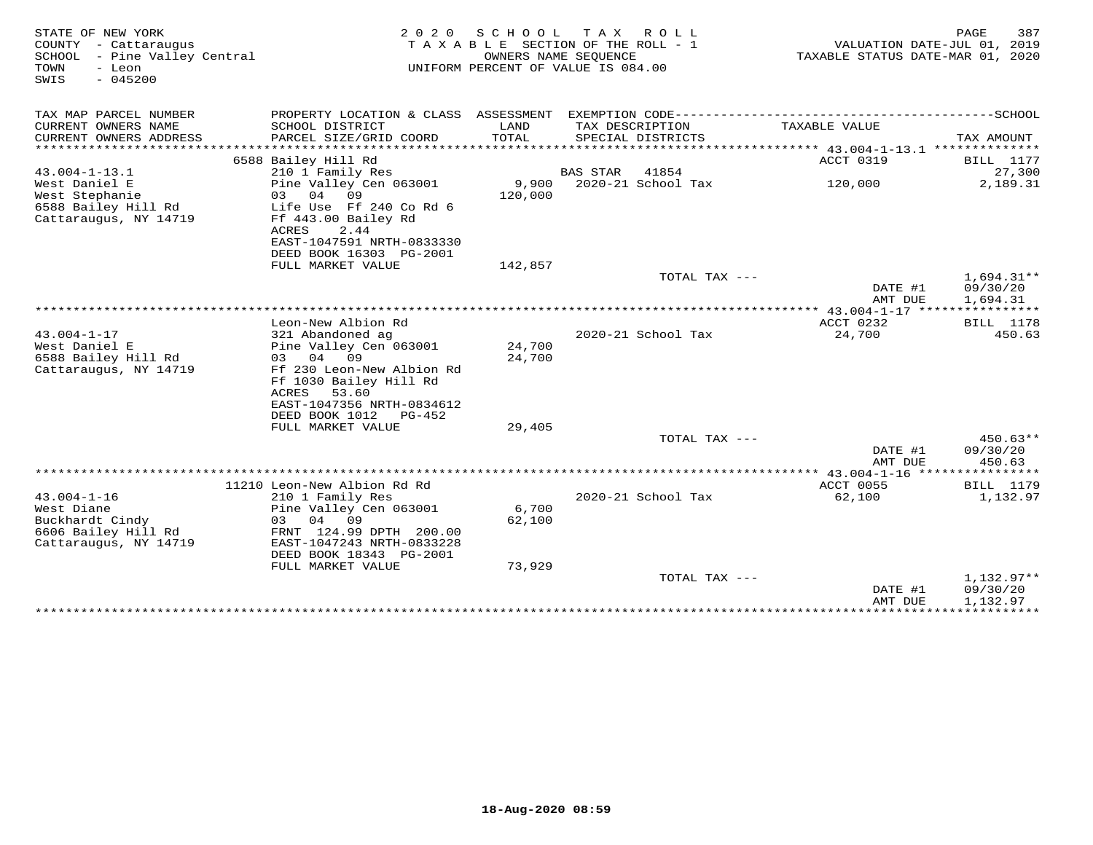| STATE OF NEW YORK<br>COUNTY - Cattaraugus<br>SCHOOL<br>- Pine Valley Central<br>TOWN<br>- Leon<br>$-045200$<br>SWIS | 2 0 2 0<br>S C H O O L<br>T A X<br>ROLL<br>TAXABLE SECTION OF THE ROLL - 1<br>OWNERS NAME SEQUENCE<br>UNIFORM PERCENT OF VALUE IS 084.00                                       |                  |                 |                                      | TAXABLE STATUS DATE-MAR 01, 2020     | 387<br>PAGE<br>VALUATION DATE-JUL 01, 2019                          |
|---------------------------------------------------------------------------------------------------------------------|--------------------------------------------------------------------------------------------------------------------------------------------------------------------------------|------------------|-----------------|--------------------------------------|--------------------------------------|---------------------------------------------------------------------|
| TAX MAP PARCEL NUMBER                                                                                               | PROPERTY LOCATION & CLASS ASSESSMENT                                                                                                                                           |                  |                 |                                      |                                      |                                                                     |
| CURRENT OWNERS NAME<br>CURRENT OWNERS ADDRESS<br>*********************                                              | SCHOOL DISTRICT<br>PARCEL SIZE/GRID COORD                                                                                                                                      | LAND<br>TOTAL    |                 | TAX DESCRIPTION<br>SPECIAL DISTRICTS | TAXABLE VALUE                        | TAX AMOUNT                                                          |
|                                                                                                                     | 6588 Bailey Hill Rd                                                                                                                                                            |                  |                 |                                      | ACCT 0319                            | BILL 1177                                                           |
| $43.004 - 1 - 13.1$                                                                                                 | 210 1 Family Res                                                                                                                                                               |                  | <b>BAS STAR</b> | 41854                                |                                      | 27,300                                                              |
| West Daniel E<br>West Stephanie<br>6588 Bailey Hill Rd                                                              | Pine Valley Cen 063001<br>03<br>04<br>09<br>Life Use Ff 240 Co Rd 6                                                                                                            | 9,900<br>120,000 |                 | 2020-21 School Tax                   | 120,000                              | 2,189.31                                                            |
| Cattaraugus, NY 14719                                                                                               | Ff 443.00 Bailey Rd<br>ACRES<br>2.44<br>EAST-1047591 NRTH-0833330<br>DEED BOOK 16303 PG-2001                                                                                   |                  |                 |                                      |                                      |                                                                     |
|                                                                                                                     | FULL MARKET VALUE                                                                                                                                                              | 142,857          |                 |                                      |                                      |                                                                     |
|                                                                                                                     |                                                                                                                                                                                |                  |                 | TOTAL TAX ---                        |                                      | $1,694.31**$                                                        |
|                                                                                                                     |                                                                                                                                                                                |                  |                 |                                      | DATE #1<br>AMT DUE                   | 09/30/20<br>1,694.31                                                |
|                                                                                                                     |                                                                                                                                                                                |                  |                 |                                      | ******* 43.004-1-17 **************** |                                                                     |
| $43.004 - 1 - 17$<br>West Daniel E<br>6588 Bailey Hill Rd<br>Cattaraugus, NY 14719                                  | Leon-New Albion Rd<br>321 Abandoned ag<br>Pine Valley Cen 063001<br>04 09<br>03<br>Ff 230 Leon-New Albion Rd<br>Ff 1030 Bailey Hill Rd<br>ACRES<br>53.60                       | 24,700<br>24,700 |                 | 2020-21 School Tax                   | ACCT 0232<br>24,700                  | BILL 1178<br>450.63                                                 |
|                                                                                                                     | EAST-1047356 NRTH-0834612<br>DEED BOOK 1012<br>PG-452<br>FULL MARKET VALUE                                                                                                     | 29,405           |                 |                                      |                                      |                                                                     |
|                                                                                                                     |                                                                                                                                                                                |                  |                 | TOTAL TAX ---                        | DATE #1<br>AMT DUE                   | $450.63**$<br>09/30/20<br>450.63                                    |
|                                                                                                                     |                                                                                                                                                                                |                  |                 |                                      |                                      |                                                                     |
| $43.004 - 1 - 16$<br>West Diane<br>Buckhardt Cindy<br>6606 Bailey Hill Rd<br>Cattaraugus, NY 14719                  | 11210 Leon-New Albion Rd Rd<br>210 1 Family Res<br>Pine Valley Cen 063001<br>04<br>09<br>03<br>FRNT 124.99 DPTH 200.00<br>EAST-1047243 NRTH-0833228<br>DEED BOOK 18343 PG-2001 | 6,700<br>62,100  |                 | 2020-21 School Tax                   | ACCT 0055<br>62,100                  | BILL 1179<br>1,132.97                                               |
|                                                                                                                     | FULL MARKET VALUE                                                                                                                                                              | 73,929           |                 | TOTAL TAX ---                        | DATE #1<br>AMT DUE                   | $1,132.97**$<br>09/30/20<br>1,132.97<br>*************************** |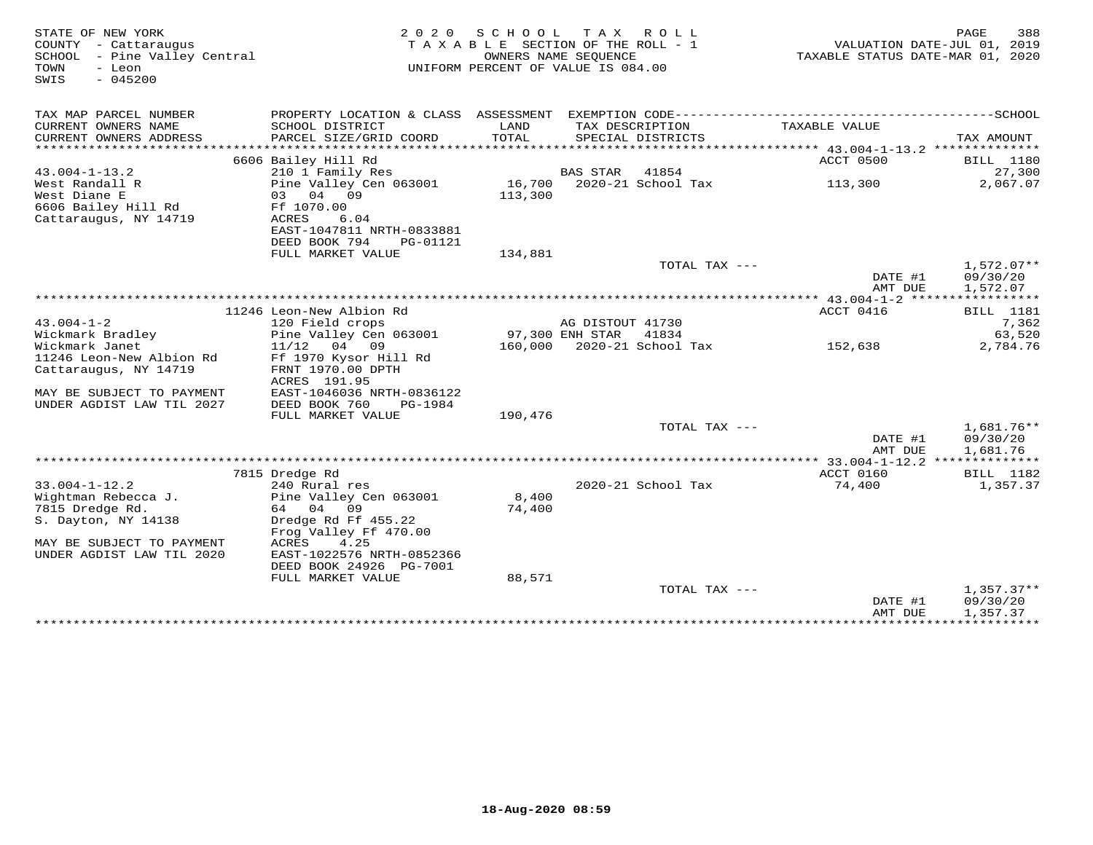| STATE OF NEW YORK<br>COUNTY - Cattaraugus<br>SCHOOL - Pine Valley Central<br>TOWN<br>- Leon<br>$-045200$<br>SWIS | 2 0 2 0                                                                 | SCHOOL        | T A X<br>R O L L<br>TAXABLE SECTION OF THE ROLL - 1<br>OWNERS NAME SEOUENCE<br>UNIFORM PERCENT OF VALUE IS 084.00 | VALUATION DATE-JUL 01, 2019<br>TAXABLE STATUS DATE-MAR 01, 2020 | 388<br>PAGE                          |
|------------------------------------------------------------------------------------------------------------------|-------------------------------------------------------------------------|---------------|-------------------------------------------------------------------------------------------------------------------|-----------------------------------------------------------------|--------------------------------------|
| TAX MAP PARCEL NUMBER                                                                                            |                                                                         |               |                                                                                                                   |                                                                 |                                      |
| CURRENT OWNERS NAME<br>CURRENT OWNERS ADDRESS                                                                    | SCHOOL DISTRICT<br>PARCEL SIZE/GRID COORD                               | LAND<br>TOTAL | TAX DESCRIPTION<br>SPECIAL DISTRICTS                                                                              | TAXABLE VALUE                                                   | TAX AMOUNT                           |
| ************************                                                                                         |                                                                         |               |                                                                                                                   |                                                                 |                                      |
| $43.004 - 1 - 13.2$                                                                                              | 6606 Bailey Hill Rd<br>210 1 Family Res                                 |               | BAS STAR<br>41854                                                                                                 | ACCT 0500                                                       | <b>BILL</b> 1180<br>27,300           |
| West Randall R<br>West Diane E<br>6606 Bailey Hill Rd                                                            | Pine Valley Cen 063001<br>03 04 09<br>Ff 1070.00                        | 113,300       | 16,700 2020-21 School Tax                                                                                         | 113,300                                                         | 2,067.07                             |
| Cattaraugus, NY 14719                                                                                            | ACRES<br>6.04<br>EAST-1047811 NRTH-0833881<br>DEED BOOK 794<br>PG-01121 |               |                                                                                                                   |                                                                 |                                      |
|                                                                                                                  | FULL MARKET VALUE                                                       | 134,881       |                                                                                                                   |                                                                 |                                      |
|                                                                                                                  |                                                                         |               | TOTAL TAX ---                                                                                                     | DATE #1<br>AMT DUE                                              | $1,572.07**$<br>09/30/20<br>1,572.07 |
|                                                                                                                  |                                                                         |               |                                                                                                                   | ******* 43.004-1-2 ******                                       | ***********                          |
|                                                                                                                  | 11246 Leon-New Albion Rd                                                |               |                                                                                                                   | ACCT 0416                                                       | BILL 1181                            |
| $43.004 - 1 - 2$                                                                                                 | 120 Field crops                                                         |               | AG DISTOUT 41730                                                                                                  |                                                                 | 7,362                                |
| Wickmark Bradley                                                                                                 | Pine Valley Cen 063001                                                  |               | 97,300 ENH STAR<br>41834                                                                                          |                                                                 | 63,520                               |
| Wickmark Janet                                                                                                   | $11/12$ 04 09                                                           |               | 160,000 2020-21 School Tax                                                                                        | 152,638                                                         | 2,784.76                             |
| 11246 Leon-New Albion Rd                                                                                         | Ff 1970 Kysor Hill Rd                                                   |               |                                                                                                                   |                                                                 |                                      |
| Cattaraugus, NY 14719                                                                                            | FRNT 1970.00 DPTH                                                       |               |                                                                                                                   |                                                                 |                                      |
|                                                                                                                  | ACRES 191.95                                                            |               |                                                                                                                   |                                                                 |                                      |
| MAY BE SUBJECT TO PAYMENT<br>UNDER AGDIST LAW TIL 2027                                                           | EAST-1046036 NRTH-0836122<br>DEED BOOK 760<br>PG-1984                   |               |                                                                                                                   |                                                                 |                                      |
|                                                                                                                  | FULL MARKET VALUE                                                       | 190,476       |                                                                                                                   |                                                                 |                                      |
|                                                                                                                  |                                                                         |               | TOTAL TAX ---                                                                                                     |                                                                 | 1,681.76**                           |
|                                                                                                                  |                                                                         |               |                                                                                                                   | DATE #1                                                         | 09/30/20                             |
|                                                                                                                  |                                                                         |               |                                                                                                                   | AMT DUE                                                         | 1,681.76                             |
|                                                                                                                  |                                                                         |               |                                                                                                                   | *********** 33.004-1-12.2 **************                        |                                      |
|                                                                                                                  | 7815 Dredge Rd                                                          |               |                                                                                                                   | ACCT 0160                                                       | BILL 1182                            |
| $33.004 - 1 - 12.2$                                                                                              | 240 Rural res                                                           |               | 2020-21 School Tax                                                                                                | 74,400                                                          | 1,357.37                             |
| Wightman Rebecca J.                                                                                              | Pine Valley Cen 063001                                                  | 8,400         |                                                                                                                   |                                                                 |                                      |
| 7815 Dredge Rd.                                                                                                  | 64 04 09                                                                | 74,400        |                                                                                                                   |                                                                 |                                      |
| S. Dayton, NY 14138                                                                                              | Dredge Rd Ff 455.22                                                     |               |                                                                                                                   |                                                                 |                                      |
|                                                                                                                  | Frog Valley Ff 470.00                                                   |               |                                                                                                                   |                                                                 |                                      |
| MAY BE SUBJECT TO PAYMENT<br>UNDER AGDIST LAW TIL 2020                                                           | ACRES<br>4.25<br>EAST-1022576 NRTH-0852366                              |               |                                                                                                                   |                                                                 |                                      |
|                                                                                                                  | DEED BOOK 24926 PG-7001                                                 |               |                                                                                                                   |                                                                 |                                      |
|                                                                                                                  | FULL MARKET VALUE                                                       | 88,571        |                                                                                                                   |                                                                 |                                      |
|                                                                                                                  |                                                                         |               | TOTAL TAX ---                                                                                                     |                                                                 | $1,357.37**$                         |
|                                                                                                                  |                                                                         |               |                                                                                                                   | DATE #1<br>AMT DUE                                              | 09/30/20<br>1,357.37                 |
|                                                                                                                  |                                                                         |               |                                                                                                                   | *****************************                                   |                                      |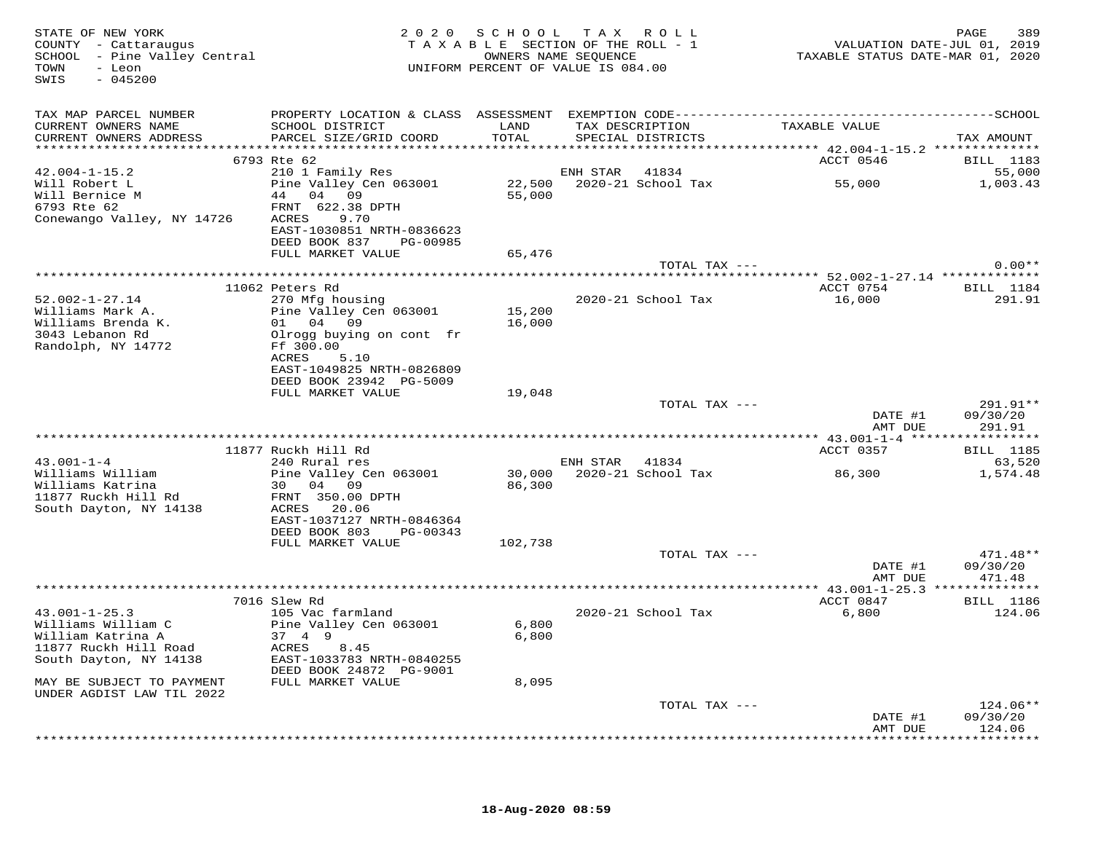| STATE OF NEW YORK<br>COUNTY - Cattaraugus<br>SCHOOL - Pine Valley Central<br>- Leon<br>TOWN<br>$-045200$<br>SWIS |                                              |                | 2020 SCHOOL TAX ROLL<br>TAXABLE SECTION OF THE ROLL - 1<br>OWNERS NAME SEQUENCE<br>UNIFORM PERCENT OF VALUE IS 084.00 |               | TAXABLE STATUS DATE-MAR 01, 2020 | PAGE<br>VALUATION DATE-JUL 01, 2019 | 389        |
|------------------------------------------------------------------------------------------------------------------|----------------------------------------------|----------------|-----------------------------------------------------------------------------------------------------------------------|---------------|----------------------------------|-------------------------------------|------------|
| TAX MAP PARCEL NUMBER                                                                                            |                                              |                |                                                                                                                       |               |                                  |                                     |            |
| CURRENT OWNERS NAME<br>CURRENT OWNERS ADDRESS                                                                    | SCHOOL DISTRICT<br>PARCEL SIZE/GRID COORD    | LAND<br>TOTAL  | TAX DESCRIPTION<br>SPECIAL DISTRICTS                                                                                  |               | TAXABLE VALUE                    | TAX AMOUNT                          |            |
|                                                                                                                  | 6793 Rte 62                                  |                |                                                                                                                       |               | ACCT 0546                        | BILL 1183                           |            |
| $42.004 - 1 - 15.2$                                                                                              | 210 1 Family Res                             |                | ENH STAR 41834                                                                                                        |               |                                  |                                     | 55,000     |
| Will Robert L                                                                                                    | Pine Valley Cen 063001                       |                |                                                                                                                       |               | 55,000                           | 1,003.43                            |            |
| Will Bernice M<br>111 Bernice M                                                                                  | 44 04 09                                     | 55,000         |                                                                                                                       |               |                                  |                                     |            |
|                                                                                                                  | FRNT 622.38 DPTH                             |                |                                                                                                                       |               |                                  |                                     |            |
| Conewango Valley, NY 14726 ACRES 9.70                                                                            | EAST-1030851 NRTH-0836623                    |                |                                                                                                                       |               |                                  |                                     |            |
|                                                                                                                  | DEED BOOK 837 PG-00985                       |                |                                                                                                                       |               |                                  |                                     |            |
|                                                                                                                  | FULL MARKET VALUE                            | 65,476         |                                                                                                                       |               |                                  |                                     |            |
|                                                                                                                  |                                              |                |                                                                                                                       | TOTAL TAX --- |                                  |                                     | $0.00**$   |
|                                                                                                                  |                                              |                |                                                                                                                       |               |                                  |                                     |            |
|                                                                                                                  | 11062 Peters Rd                              |                |                                                                                                                       |               | ACCT 0754 BILL 1184              |                                     |            |
| $52.002 - 1 - 27.14$<br>Williams Mark A.                                                                         | 270 Mfg housing<br>Pine Valley Cen 063001    | 15,200         | 2020-21 School Tax                                                                                                    |               | 16,000                           |                                     | 291.91     |
| Williams Brenda K.                                                                                               | 01 04 09                                     | 16,000         |                                                                                                                       |               |                                  |                                     |            |
| 3043 Lebanon Rd                                                                                                  | Olrogg buying on cont fr                     |                |                                                                                                                       |               |                                  |                                     |            |
| Randolph, NY 14772                                                                                               | Ff 300.00                                    |                |                                                                                                                       |               |                                  |                                     |            |
|                                                                                                                  | ACRES 5.10                                   |                |                                                                                                                       |               |                                  |                                     |            |
|                                                                                                                  | EAST-1049825 NRTH-0826809                    |                |                                                                                                                       |               |                                  |                                     |            |
|                                                                                                                  | DEED BOOK 23942 PG-5009<br>FULL MARKET VALUE |                |                                                                                                                       |               |                                  |                                     |            |
|                                                                                                                  |                                              | 19,048         |                                                                                                                       | TOTAL TAX --- |                                  |                                     | 291.91**   |
|                                                                                                                  |                                              |                |                                                                                                                       |               | DATE #1                          | 09/30/20                            |            |
|                                                                                                                  |                                              |                |                                                                                                                       |               | AMT DUE                          |                                     | 291.91     |
|                                                                                                                  |                                              |                |                                                                                                                       |               |                                  |                                     |            |
|                                                                                                                  | 11877 Ruckh Hill Rd                          |                |                                                                                                                       |               | ACCT 0357                        | <b>BILL</b> 1185                    |            |
| $43.001 - 1 - 4$                                                                                                 | 240 Rural res                                |                | ENH STAR 41834<br>30,000 2020-21 School Tax                                                                           |               |                                  |                                     | 63,520     |
| Williams William<br>Williams Katrina                                                                             | Pine Valley Cen 063001<br>30 04 09           | 86,300         |                                                                                                                       |               | 86,300                           |                                     | 1,574.48   |
| 11877 Ruckh Hill Rd                                                                                              | FRNT 350.00 DPTH                             |                |                                                                                                                       |               |                                  |                                     |            |
| South Dayton, NY 14138                                                                                           | ACRES 20.06                                  |                |                                                                                                                       |               |                                  |                                     |            |
|                                                                                                                  | EAST-1037127 NRTH-0846364                    |                |                                                                                                                       |               |                                  |                                     |            |
|                                                                                                                  | DEED BOOK 803 PG-00343                       |                |                                                                                                                       |               |                                  |                                     |            |
|                                                                                                                  | FULL MARKET VALUE                            | 102,738        |                                                                                                                       |               |                                  |                                     | $471.48**$ |
|                                                                                                                  |                                              |                |                                                                                                                       | TOTAL TAX --- | DATE #1                          | 09/30/20                            |            |
|                                                                                                                  |                                              |                |                                                                                                                       |               | AMT DUE                          |                                     | 471.48     |
|                                                                                                                  |                                              |                |                                                                                                                       |               |                                  |                                     |            |
|                                                                                                                  | 7016 Slew Rd                                 |                |                                                                                                                       |               | ACCT 0847                        | <b>BILL</b> 1186                    |            |
| $43.001 - 1 - 25.3$                                                                                              | 105 Vac farmland                             |                | 2020-21 School Tax                                                                                                    |               | 6,800                            |                                     | 124.06     |
| Williams William C<br>William Katrina A                                                                          | Pine Valley Cen 063001<br>37 4 9             | 6,800<br>6,800 |                                                                                                                       |               |                                  |                                     |            |
| 11877 Ruckh Hill Road                                                                                            | ACRES 8.45                                   |                |                                                                                                                       |               |                                  |                                     |            |
| South Dayton, NY 14138                                                                                           | EAST-1033783 NRTH-0840255                    |                |                                                                                                                       |               |                                  |                                     |            |
|                                                                                                                  | DEED BOOK 24872 PG-9001                      |                |                                                                                                                       |               |                                  |                                     |            |
| MAY BE SUBJECT TO PAYMENT                                                                                        | FULL MARKET VALUE                            | 8,095          |                                                                                                                       |               |                                  |                                     |            |
| UNDER AGDIST LAW TIL 2022                                                                                        |                                              |                |                                                                                                                       |               |                                  |                                     |            |
|                                                                                                                  |                                              |                |                                                                                                                       | TOTAL TAX --- |                                  |                                     | $124.06**$ |
|                                                                                                                  |                                              |                |                                                                                                                       |               | DATE #1<br>AMT DUE               | 09/30/20<br>124.06                  |            |
|                                                                                                                  |                                              |                |                                                                                                                       |               |                                  | **********                          |            |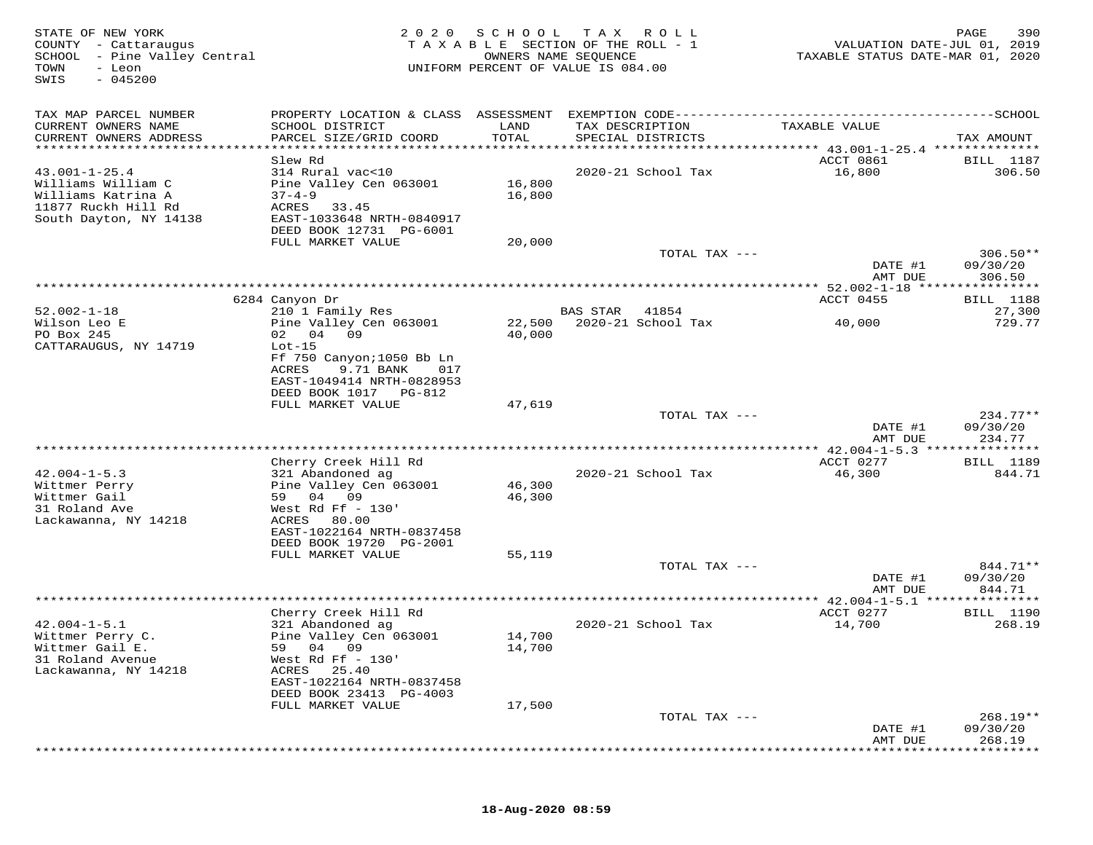| STATE OF NEW YORK<br>COUNTY - Cattaraugus<br>SCHOOL - Pine Valley Central<br>TOWN<br>- Leon<br>$-045200$<br>SWIS |                                                                                                                      | 2020 SCHOOL      | T A X<br>R O L L<br>TAXABLE SECTION OF THE ROLL - 1<br>OWNERS NAME SEQUENCE<br>UNIFORM PERCENT OF VALUE IS 084.00 | VALUATION DATE-JUL 01, 2019<br>TAXABLE STATUS DATE-MAR 01, 2020 | 390<br>PAGE                |
|------------------------------------------------------------------------------------------------------------------|----------------------------------------------------------------------------------------------------------------------|------------------|-------------------------------------------------------------------------------------------------------------------|-----------------------------------------------------------------|----------------------------|
| TAX MAP PARCEL NUMBER                                                                                            |                                                                                                                      |                  | PROPERTY LOCATION & CLASS ASSESSMENT EXEMPTION CODE-----------------------------------SCHOOL                      |                                                                 |                            |
| CURRENT OWNERS NAME<br>CURRENT OWNERS ADDRESS                                                                    | SCHOOL DISTRICT<br>PARCEL SIZE/GRID COORD                                                                            | LAND<br>TOTAL    | TAX DESCRIPTION<br>SPECIAL DISTRICTS                                                                              | TAXABLE VALUE                                                   | TAX AMOUNT                 |
| *************************                                                                                        |                                                                                                                      |                  |                                                                                                                   |                                                                 |                            |
| $43.001 - 1 - 25.4$<br>Williams William C<br>Williams Katrina A<br>11877 Ruckh Hill Rd<br>South Dayton, NY 14138 | Slew Rd<br>314 Rural vac<10<br>Pine Valley Cen 063001<br>$37 - 4 - 9$<br>ACRES<br>33.45<br>EAST-1033648 NRTH-0840917 | 16,800<br>16,800 | 2020-21 School Tax                                                                                                | ACCT 0861<br>16,800                                             | <b>BILL</b> 1187<br>306.50 |
|                                                                                                                  | DEED BOOK 12731 PG-6001                                                                                              |                  |                                                                                                                   |                                                                 |                            |
|                                                                                                                  | FULL MARKET VALUE                                                                                                    | 20,000           | TOTAL TAX ---                                                                                                     |                                                                 | $306.50**$                 |
|                                                                                                                  |                                                                                                                      |                  |                                                                                                                   | DATE #1<br>AMT DUE                                              | 09/30/20<br>306.50         |
|                                                                                                                  |                                                                                                                      |                  |                                                                                                                   |                                                                 |                            |
|                                                                                                                  | 6284 Canyon Dr                                                                                                       |                  |                                                                                                                   | ACCT 0455                                                       | <b>BILL</b> 1188           |
| $52.002 - 1 - 18$                                                                                                | 210 1 Family Res                                                                                                     |                  | <b>BAS STAR</b><br>41854                                                                                          |                                                                 | 27,300                     |
| Wilson Leo E                                                                                                     | Pine Valley Cen 063001                                                                                               | 22,500           | 2020-21 School Tax                                                                                                | 40,000                                                          | 729.77                     |
| PO Box 245<br>CATTARAUGUS, NY 14719                                                                              | 02 04 09<br>$Lot-15$                                                                                                 | 40,000           |                                                                                                                   |                                                                 |                            |
|                                                                                                                  | Ff 750 Canyon; 1050 Bb Ln                                                                                            |                  |                                                                                                                   |                                                                 |                            |
|                                                                                                                  | ACRES<br>9.71 BANK<br>017                                                                                            |                  |                                                                                                                   |                                                                 |                            |
|                                                                                                                  | EAST-1049414 NRTH-0828953                                                                                            |                  |                                                                                                                   |                                                                 |                            |
|                                                                                                                  | DEED BOOK 1017 PG-812                                                                                                |                  |                                                                                                                   |                                                                 |                            |
|                                                                                                                  | FULL MARKET VALUE                                                                                                    | 47,619           | TOTAL TAX ---                                                                                                     |                                                                 | $234.77**$                 |
|                                                                                                                  |                                                                                                                      |                  |                                                                                                                   | DATE #1                                                         | 09/30/20                   |
|                                                                                                                  |                                                                                                                      |                  |                                                                                                                   | AMT DUE                                                         | 234.77                     |
|                                                                                                                  |                                                                                                                      |                  |                                                                                                                   |                                                                 | * * * * * * * *            |
| $42.004 - 1 - 5.3$                                                                                               | Cherry Creek Hill Rd<br>321 Abandoned ag                                                                             |                  | 2020-21 School Tax                                                                                                | ACCT 0277<br>46,300                                             | BILL 1189<br>844.71        |
| Wittmer Perry                                                                                                    | Pine Valley Cen 063001                                                                                               | 46,300           |                                                                                                                   |                                                                 |                            |
| Wittmer Gail                                                                                                     | 59<br>04 09                                                                                                          | 46,300           |                                                                                                                   |                                                                 |                            |
| 31 Roland Ave                                                                                                    | West Rd Ff $-130'$                                                                                                   |                  |                                                                                                                   |                                                                 |                            |
| Lackawanna, NY 14218                                                                                             | 80.00<br>ACRES                                                                                                       |                  |                                                                                                                   |                                                                 |                            |
|                                                                                                                  | EAST-1022164 NRTH-0837458<br>DEED BOOK 19720 PG-2001                                                                 |                  |                                                                                                                   |                                                                 |                            |
|                                                                                                                  | FULL MARKET VALUE                                                                                                    | 55,119           |                                                                                                                   |                                                                 |                            |
|                                                                                                                  |                                                                                                                      |                  | TOTAL TAX ---                                                                                                     |                                                                 | 844.71**                   |
|                                                                                                                  |                                                                                                                      |                  |                                                                                                                   | DATE #1                                                         | 09/30/20                   |
|                                                                                                                  |                                                                                                                      |                  | ***********************************                                                                               | AMT DUE<br>** 42.004-1-5.1                                      | 844.71                     |
|                                                                                                                  | Cherry Creek Hill Rd                                                                                                 |                  |                                                                                                                   | ACCT 0277                                                       | <b>BILL</b> 1190           |
| $42.004 - 1 - 5.1$                                                                                               | 321 Abandoned ag                                                                                                     |                  | 2020-21 School Tax                                                                                                | 14,700                                                          | 268.19                     |
| Wittmer Perry C.                                                                                                 | Pine Valley Cen 063001                                                                                               | 14,700           |                                                                                                                   |                                                                 |                            |
| Wittmer Gail E.<br>31 Roland Avenue                                                                              | 04 09<br>59<br>West Rd Ff - 130'                                                                                     | 14,700           |                                                                                                                   |                                                                 |                            |
| Lackawanna, NY 14218                                                                                             | ACRES<br>25.40                                                                                                       |                  |                                                                                                                   |                                                                 |                            |
|                                                                                                                  | EAST-1022164 NRTH-0837458                                                                                            |                  |                                                                                                                   |                                                                 |                            |
|                                                                                                                  | DEED BOOK 23413 PG-4003                                                                                              |                  |                                                                                                                   |                                                                 |                            |
|                                                                                                                  | FULL MARKET VALUE                                                                                                    | 17,500           |                                                                                                                   |                                                                 |                            |
|                                                                                                                  |                                                                                                                      |                  | TOTAL TAX ---                                                                                                     | DATE #1                                                         | $268.19**$<br>09/30/20     |
|                                                                                                                  |                                                                                                                      |                  |                                                                                                                   | AMT DUE                                                         | 268.19                     |
|                                                                                                                  |                                                                                                                      |                  |                                                                                                                   |                                                                 |                            |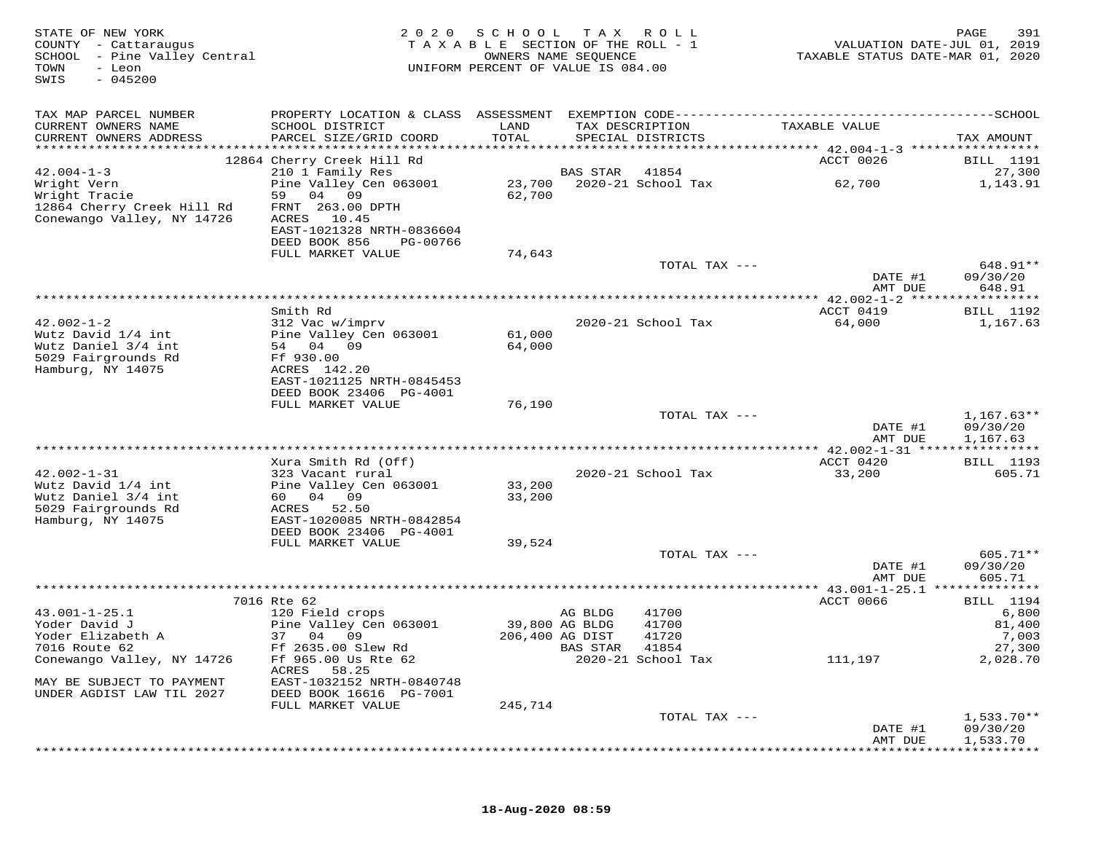| STATE OF NEW YORK<br>COUNTY - Cattaraugus<br>SCHOOL - Pine Valley Central<br>TOWN<br>- Leon<br>$-045200$<br>SWIS | 2 0 2 0                                     | SCHOOL<br>TAXABLE SECTION OF THE ROLL - 1<br>OWNERS NAME SEQUENCE<br>UNIFORM PERCENT OF VALUE IS 084.00 | TAX ROLL        |                    | TAXABLE STATUS DATE-MAR 01, 2020 | PAGE<br>391<br>VALUATION DATE-JUL 01, 2019 |
|------------------------------------------------------------------------------------------------------------------|---------------------------------------------|---------------------------------------------------------------------------------------------------------|-----------------|--------------------|----------------------------------|--------------------------------------------|
| TAX MAP PARCEL NUMBER                                                                                            |                                             |                                                                                                         |                 |                    |                                  |                                            |
| CURRENT OWNERS NAME                                                                                              | SCHOOL DISTRICT                             | LAND                                                                                                    | TAX DESCRIPTION |                    | TAXABLE VALUE                    |                                            |
| CURRENT OWNERS ADDRESS                                                                                           | PARCEL SIZE/GRID COORD                      | TOTAL                                                                                                   |                 | SPECIAL DISTRICTS  |                                  | TAX AMOUNT                                 |
|                                                                                                                  | 12864 Cherry Creek Hill Rd                  |                                                                                                         |                 |                    | ACCT 0026                        | BILL 1191                                  |
| $42.004 - 1 - 3$                                                                                                 | 210 1 Family Res                            |                                                                                                         | BAS STAR        | 41854              |                                  | 27,300                                     |
| Wright Vern                                                                                                      | Pine Valley Cen 063001                      | 23,700                                                                                                  |                 | 2020-21 School Tax | 62,700                           | 1,143.91                                   |
| Wright Tracie<br>12864 Cherry Creek Hill Rd                                                                      | 59 04 09<br>FRNT 263.00 DPTH                | 62,700                                                                                                  |                 |                    |                                  |                                            |
| Conewango Valley, NY 14726                                                                                       | ACRES 10.45                                 |                                                                                                         |                 |                    |                                  |                                            |
|                                                                                                                  | EAST-1021328 NRTH-0836604                   |                                                                                                         |                 |                    |                                  |                                            |
|                                                                                                                  | DEED BOOK 856<br>PG-00766                   |                                                                                                         |                 |                    |                                  |                                            |
|                                                                                                                  | FULL MARKET VALUE                           | 74,643                                                                                                  |                 | TOTAL TAX ---      |                                  | 648.91**                                   |
|                                                                                                                  |                                             |                                                                                                         |                 |                    | DATE #1                          | 09/30/20                                   |
|                                                                                                                  |                                             |                                                                                                         |                 |                    | AMT DUE                          | 648.91                                     |
|                                                                                                                  | Smith Rd                                    |                                                                                                         |                 |                    | ACCT 0419                        | <b>BILL</b> 1192                           |
| $42.002 - 1 - 2$                                                                                                 | 312 Vac w/imprv                             |                                                                                                         |                 | 2020-21 School Tax | 64,000                           | 1,167.63                                   |
| Wutz David 1/4 int                                                                                               | Pine Valley Cen 063001                      | 61,000                                                                                                  |                 |                    |                                  |                                            |
| Wutz Daniel 3/4 int                                                                                              | 54 04 09                                    | 64,000                                                                                                  |                 |                    |                                  |                                            |
| 5029 Fairgrounds Rd<br>Hamburg, NY 14075                                                                         | Ff 930.00<br>ACRES 142.20                   |                                                                                                         |                 |                    |                                  |                                            |
|                                                                                                                  | EAST-1021125 NRTH-0845453                   |                                                                                                         |                 |                    |                                  |                                            |
|                                                                                                                  | DEED BOOK 23406 PG-4001                     |                                                                                                         |                 |                    |                                  |                                            |
|                                                                                                                  | FULL MARKET VALUE                           | 76,190                                                                                                  |                 | TOTAL TAX ---      |                                  | $1,167.63**$                               |
|                                                                                                                  |                                             |                                                                                                         |                 |                    | DATE #1                          | 09/30/20                                   |
|                                                                                                                  |                                             |                                                                                                         |                 |                    | AMT DUE                          | 1,167.63                                   |
|                                                                                                                  |                                             |                                                                                                         |                 |                    |                                  |                                            |
| $42.002 - 1 - 31$                                                                                                | Xura Smith Rd (Off)<br>323 Vacant rural     |                                                                                                         |                 | 2020-21 School Tax | ACCT 0420<br>33,200              | <b>BILL</b> 1193<br>605.71                 |
| Wutz David 1/4 int                                                                                               | Pine Valley Cen 063001                      | 33,200                                                                                                  |                 |                    |                                  |                                            |
| Wutz Daniel 3/4 int                                                                                              | 60 04 09                                    | 33,200                                                                                                  |                 |                    |                                  |                                            |
| 5029 Fairgrounds Rd<br>Hamburg, NY 14075                                                                         | ACRES 52.50<br>EAST-1020085 NRTH-0842854    |                                                                                                         |                 |                    |                                  |                                            |
|                                                                                                                  | DEED BOOK 23406 PG-4001                     |                                                                                                         |                 |                    |                                  |                                            |
|                                                                                                                  | FULL MARKET VALUE                           | 39,524                                                                                                  |                 |                    |                                  |                                            |
|                                                                                                                  |                                             |                                                                                                         |                 | TOTAL TAX ---      |                                  | 605.71**                                   |
|                                                                                                                  |                                             |                                                                                                         |                 |                    | DATE #1<br>AMT DUE               | 09/30/20<br>605.71                         |
|                                                                                                                  |                                             |                                                                                                         |                 |                    |                                  |                                            |
|                                                                                                                  | 7016 Rte 62                                 |                                                                                                         |                 |                    | ACCT 0066                        | <b>BILL</b> 1194                           |
| $43.001 - 1 - 25.1$<br>Yoder David J                                                                             | 120 Field crops<br>Pine Valley Cen 063001   | 39,800 AG BLDG                                                                                          | AG BLDG         | 41700<br>41700     |                                  | 6,800<br>81,400                            |
| Yoder Elizabeth A                                                                                                | 37 04 09                                    | 206,400 AG DIST                                                                                         |                 | 41720              |                                  | 7,003                                      |
| 7016 Route 62                                                                                                    | Ff 2635.00 Slew Rd                          |                                                                                                         | BAS STAR 41854  |                    |                                  | 27,300                                     |
| Conewango Valley, NY 14726                                                                                       | Ff 965.00 Us Rte 62                         |                                                                                                         |                 | 2020-21 School Tax | 111,197                          | 2,028.70                                   |
| MAY BE SUBJECT TO PAYMENT                                                                                        | 58.25<br>ACRES<br>EAST-1032152 NRTH-0840748 |                                                                                                         |                 |                    |                                  |                                            |
| UNDER AGDIST LAW TIL 2027                                                                                        | DEED BOOK 16616 PG-7001                     |                                                                                                         |                 |                    |                                  |                                            |
|                                                                                                                  | FULL MARKET VALUE                           | 245,714                                                                                                 |                 |                    |                                  |                                            |
|                                                                                                                  |                                             |                                                                                                         |                 | TOTAL TAX ---      |                                  | $1,533.70**$                               |
|                                                                                                                  |                                             |                                                                                                         |                 |                    | DATE #1<br>AMT DUE               | 09/30/20<br>1,533.70                       |
|                                                                                                                  |                                             |                                                                                                         |                 |                    |                                  |                                            |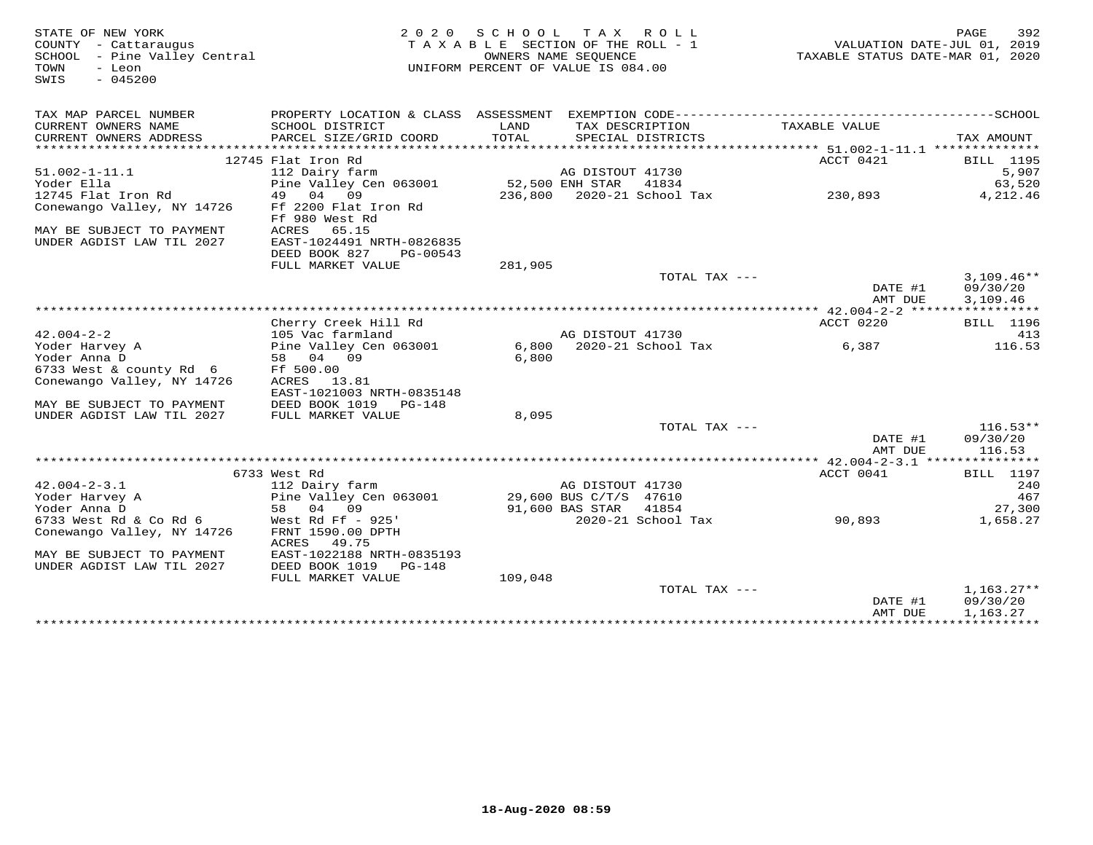| STATE OF NEW YORK<br>COUNTY - Cattaraugus<br>SCHOOL - Pine Valley Central<br>TOWN<br>- Leon<br>SWIS<br>$-045200$ |                                                                          | 2020 SCHOOL TAX ROLL<br>TAXABLE SECTION OF THE ROLL - 1<br>UNIFORM PERCENT OF VALUE IS 084.00 | OWNERS NAME SEOUENCE                            |                    | VALUATION DATE-JUL 01, 2019<br>TAXABLE STATUS DATE-MAR 01, 2020 | 392<br>PAGE                          |
|------------------------------------------------------------------------------------------------------------------|--------------------------------------------------------------------------|-----------------------------------------------------------------------------------------------|-------------------------------------------------|--------------------|-----------------------------------------------------------------|--------------------------------------|
| TAX MAP PARCEL NUMBER                                                                                            |                                                                          |                                                                                               |                                                 |                    |                                                                 |                                      |
| CURRENT OWNERS NAME<br>CURRENT OWNERS ADDRESS                                                                    | SCHOOL DISTRICT<br>PARCEL SIZE/GRID COORD                                | LAND<br>TOTAL                                                                                 | TAX DESCRIPTION                                 | SPECIAL DISTRICTS  | TAXABLE VALUE                                                   | TAX AMOUNT                           |
| ***********************                                                                                          |                                                                          |                                                                                               |                                                 |                    |                                                                 |                                      |
|                                                                                                                  | 12745 Flat Iron Rd                                                       |                                                                                               |                                                 |                    | ACCT 0421                                                       | <b>BILL</b> 1195                     |
| $51.002 - 1 - 11.1$                                                                                              | 112 Dairy farm                                                           |                                                                                               | AG DISTOUT 41730                                |                    |                                                                 | 5,907                                |
| Yoder Ella                                                                                                       | Pine Valley Cen 063001                                                   | 52,500 ENH STAR                                                                               |                                                 | 41834              |                                                                 | 63,520                               |
| 12745 Flat Iron Rd<br>Conewango Valley, NY 14726                                                                 | 49 04<br>09<br>Ff 2200 Flat Iron Rd<br>Ff 980 West Rd                    |                                                                                               |                                                 |                    | 230,893                                                         | 4,212.46                             |
| MAY BE SUBJECT TO PAYMENT<br>UNDER AGDIST LAW TIL 2027                                                           | 65.15<br>ACRES<br>EAST-1024491 NRTH-0826835<br>DEED BOOK 827<br>PG-00543 |                                                                                               |                                                 |                    |                                                                 |                                      |
|                                                                                                                  | FULL MARKET VALUE                                                        | 281,905                                                                                       |                                                 |                    |                                                                 |                                      |
|                                                                                                                  |                                                                          |                                                                                               |                                                 | TOTAL TAX ---      | DATE #1<br>AMT DUE                                              | $3,109.46**$<br>09/30/20<br>3,109.46 |
|                                                                                                                  |                                                                          |                                                                                               |                                                 |                    |                                                                 |                                      |
|                                                                                                                  | Cherry Creek Hill Rd                                                     |                                                                                               |                                                 |                    | ACCT 0220                                                       | <b>BILL</b> 1196                     |
| $42.004 - 2 - 2$                                                                                                 | 105 Vac farmland                                                         |                                                                                               | AG DISTOUT 41730                                |                    |                                                                 | 413                                  |
| Yoder Harvey A                                                                                                   | Pine Valley Cen 063001                                                   |                                                                                               | 6,800 2020-21 School Tax                        |                    | 6,387                                                           | 116.53                               |
| Yoder Anna D<br>6733 West & county Rd 6                                                                          | 58 04 09<br>Ff 500.00                                                    | 6.800                                                                                         |                                                 |                    |                                                                 |                                      |
| Conewango Valley, NY 14726                                                                                       | ACRES 13.81<br>EAST-1021003 NRTH-0835148                                 |                                                                                               |                                                 |                    |                                                                 |                                      |
| MAY BE SUBJECT TO PAYMENT                                                                                        | DEED BOOK 1019 PG-148                                                    |                                                                                               |                                                 |                    |                                                                 |                                      |
| UNDER AGDIST LAW TIL 2027                                                                                        | FULL MARKET VALUE                                                        | 8,095                                                                                         |                                                 |                    |                                                                 |                                      |
|                                                                                                                  |                                                                          |                                                                                               |                                                 | TOTAL TAX ---      | DATE #1                                                         | $116.53**$<br>09/30/20               |
|                                                                                                                  |                                                                          |                                                                                               |                                                 |                    | AMT DUE                                                         | 116.53                               |
|                                                                                                                  |                                                                          |                                                                                               |                                                 |                    |                                                                 |                                      |
|                                                                                                                  | 6733 West Rd                                                             |                                                                                               |                                                 |                    | ACCT 0041                                                       | <b>BILL</b> 1197                     |
| $42.004 - 2 - 3.1$                                                                                               | 112 Dairy farm                                                           |                                                                                               | AG DISTOUT 41730                                |                    |                                                                 | 240                                  |
| Yoder Harvey A<br>Yoder Anna D                                                                                   | Pine Valley Cen 063001<br>58 04 09                                       |                                                                                               | 29,600 BUS C/T/S 47610<br>91,600 BAS STAR 41854 |                    |                                                                 | 467<br>27,300                        |
| 6733 West Rd & Co Rd 6                                                                                           | West Rd Ff - 925'                                                        |                                                                                               |                                                 | 2020-21 School Tax | 90,893                                                          | 1,658.27                             |
| Conewango Valley, NY 14726                                                                                       | FRNT 1590.00 DPTH<br>ACRES<br>49.75                                      |                                                                                               |                                                 |                    |                                                                 |                                      |
| MAY BE SUBJECT TO PAYMENT<br>UNDER AGDIST LAW TIL 2027                                                           | EAST-1022188 NRTH-0835193<br>DEED BOOK 1019 PG-148                       |                                                                                               |                                                 |                    |                                                                 |                                      |
|                                                                                                                  | FULL MARKET VALUE                                                        | 109,048                                                                                       |                                                 |                    |                                                                 |                                      |
|                                                                                                                  |                                                                          |                                                                                               |                                                 | TOTAL TAX ---      | DATE #1<br>AMT DUE                                              | $1,163.27**$<br>09/30/20<br>1,163.27 |
|                                                                                                                  |                                                                          |                                                                                               |                                                 |                    |                                                                 |                                      |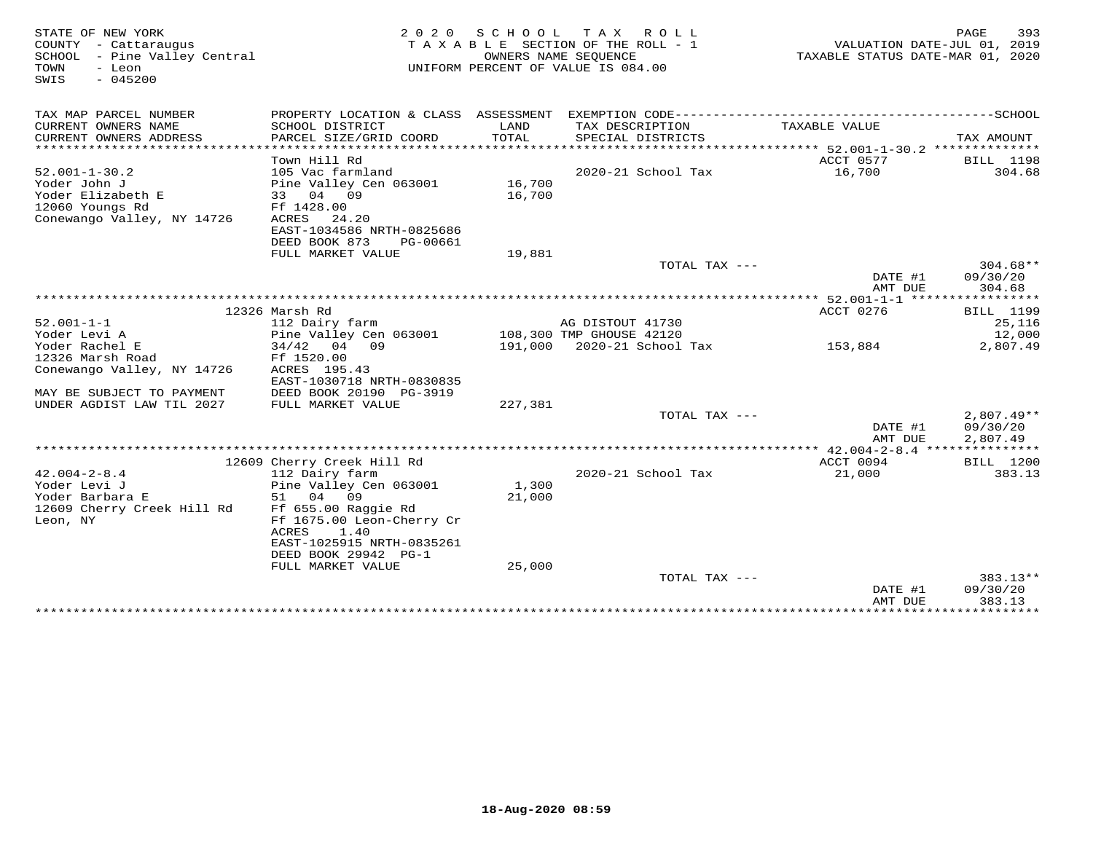| STATE OF NEW YORK<br>COUNTY - Cattaraugus<br>SCHOOL - Pine Valley Central<br>TOWN<br>- Leon<br>$-045200$<br>SWIS | 2 0 2 0<br>TAXABLE SECTION OF THE ROLL - 1<br>UNIFORM PERCENT OF VALUE IS 084.00 | TAXABLE STATUS DATE-MAR 01, 2020 | 393<br>PAGE<br>VALUATION DATE-JUL 01, 2019   |                                             |                                     |
|------------------------------------------------------------------------------------------------------------------|----------------------------------------------------------------------------------|----------------------------------|----------------------------------------------|---------------------------------------------|-------------------------------------|
| TAX MAP PARCEL NUMBER                                                                                            |                                                                                  |                                  |                                              |                                             |                                     |
| CURRENT OWNERS NAME                                                                                              | SCHOOL DISTRICT                                                                  | LAND                             | TAX DESCRIPTION                              | TAXABLE VALUE                               |                                     |
| CURRENT OWNERS ADDRESS                                                                                           | PARCEL SIZE/GRID COORD                                                           | TOTAL                            | SPECIAL DISTRICTS                            |                                             | TAX AMOUNT                          |
| *************************                                                                                        |                                                                                  |                                  |                                              |                                             |                                     |
|                                                                                                                  | Town Hill Rd                                                                     |                                  |                                              | ACCT 0577                                   | <b>BILL</b> 1198                    |
| $52.001 - 1 - 30.2$                                                                                              | 105 Vac farmland                                                                 |                                  | 2020-21 School Tax                           | 16,700                                      | 304.68                              |
| Yoder John J<br>Yoder Elizabeth E                                                                                | Pine Valley Cen 063001<br>33 04 09                                               | 16,700<br>16,700                 |                                              |                                             |                                     |
| 12060 Youngs Rd                                                                                                  | Ff 1428.00                                                                       |                                  |                                              |                                             |                                     |
| Conewango Valley, NY 14726                                                                                       | ACRES<br>24.20                                                                   |                                  |                                              |                                             |                                     |
|                                                                                                                  | EAST-1034586 NRTH-0825686                                                        |                                  |                                              |                                             |                                     |
|                                                                                                                  | DEED BOOK 873<br>PG-00661                                                        |                                  |                                              |                                             |                                     |
|                                                                                                                  | FULL MARKET VALUE                                                                | 19,881                           |                                              |                                             |                                     |
|                                                                                                                  |                                                                                  |                                  | TOTAL TAX $---$                              |                                             | $304.68**$                          |
|                                                                                                                  |                                                                                  |                                  |                                              | DATE #1                                     | 09/30/20                            |
|                                                                                                                  |                                                                                  |                                  |                                              | AMT DUE                                     | 304.68                              |
|                                                                                                                  |                                                                                  |                                  |                                              | ************* 52.001-1-1 ****************** |                                     |
|                                                                                                                  | 12326 Marsh Rd                                                                   |                                  |                                              | ACCT 0276                                   | <b>BILL</b> 1199                    |
| $52.001 - 1 - 1$<br>Yoder Levi A                                                                                 | 112 Dairy farm<br>Pine Valley Cen 063001                                         |                                  | AG DISTOUT 41730<br>108,300 TMP GHOUSE 42120 |                                             | 25,116<br>12,000                    |
| Yoder Rachel E                                                                                                   | $34/42$ 04 09                                                                    |                                  | 191,000 2020-21 School Tax                   | 153,884                                     | 2,807.49                            |
| 12326 Marsh Road                                                                                                 | Ff 1520.00                                                                       |                                  |                                              |                                             |                                     |
| Conewango Valley, NY 14726                                                                                       | ACRES 195.43                                                                     |                                  |                                              |                                             |                                     |
|                                                                                                                  | EAST-1030718 NRTH-0830835                                                        |                                  |                                              |                                             |                                     |
| MAY BE SUBJECT TO PAYMENT                                                                                        | DEED BOOK 20190 PG-3919                                                          |                                  |                                              |                                             |                                     |
| UNDER AGDIST LAW TIL 2027                                                                                        | FULL MARKET VALUE                                                                | 227,381                          |                                              |                                             |                                     |
|                                                                                                                  |                                                                                  |                                  | TOTAL TAX ---                                |                                             | $2,807.49**$                        |
|                                                                                                                  |                                                                                  |                                  |                                              | DATE #1                                     | 09/30/20                            |
|                                                                                                                  |                                                                                  |                                  |                                              | AMT DUE                                     | 2,807.49                            |
|                                                                                                                  |                                                                                  |                                  |                                              | ACCT 0094                                   |                                     |
| $42.004 - 2 - 8.4$                                                                                               | 12609 Cherry Creek Hill Rd<br>112 Dairy farm                                     |                                  | 2020-21 School Tax                           | 21,000                                      | <b>BILL</b> 1200<br>383.13          |
| Yoder Levi J                                                                                                     | Pine Valley Cen 063001                                                           | 1,300                            |                                              |                                             |                                     |
| Yoder Barbara E                                                                                                  | 04<br>09<br>51                                                                   | 21,000                           |                                              |                                             |                                     |
| 12609 Cherry Creek Hill Rd                                                                                       | Ff 655.00 Raggie Rd                                                              |                                  |                                              |                                             |                                     |
| Leon, NY                                                                                                         | Ff 1675.00 Leon-Cherry Cr                                                        |                                  |                                              |                                             |                                     |
|                                                                                                                  | ACRES<br>1.40                                                                    |                                  |                                              |                                             |                                     |
|                                                                                                                  | EAST-1025915 NRTH-0835261                                                        |                                  |                                              |                                             |                                     |
|                                                                                                                  | DEED BOOK 29942 PG-1                                                             |                                  |                                              |                                             |                                     |
|                                                                                                                  | FULL MARKET VALUE                                                                | 25,000                           |                                              |                                             |                                     |
|                                                                                                                  |                                                                                  |                                  | TOTAL TAX ---                                |                                             | 383.13**                            |
|                                                                                                                  |                                                                                  |                                  |                                              | DATE #1                                     | 09/30/20                            |
|                                                                                                                  |                                                                                  |                                  |                                              | AMT DUE<br>**************                   | 383.13<br>* * * * * * * * * * * * * |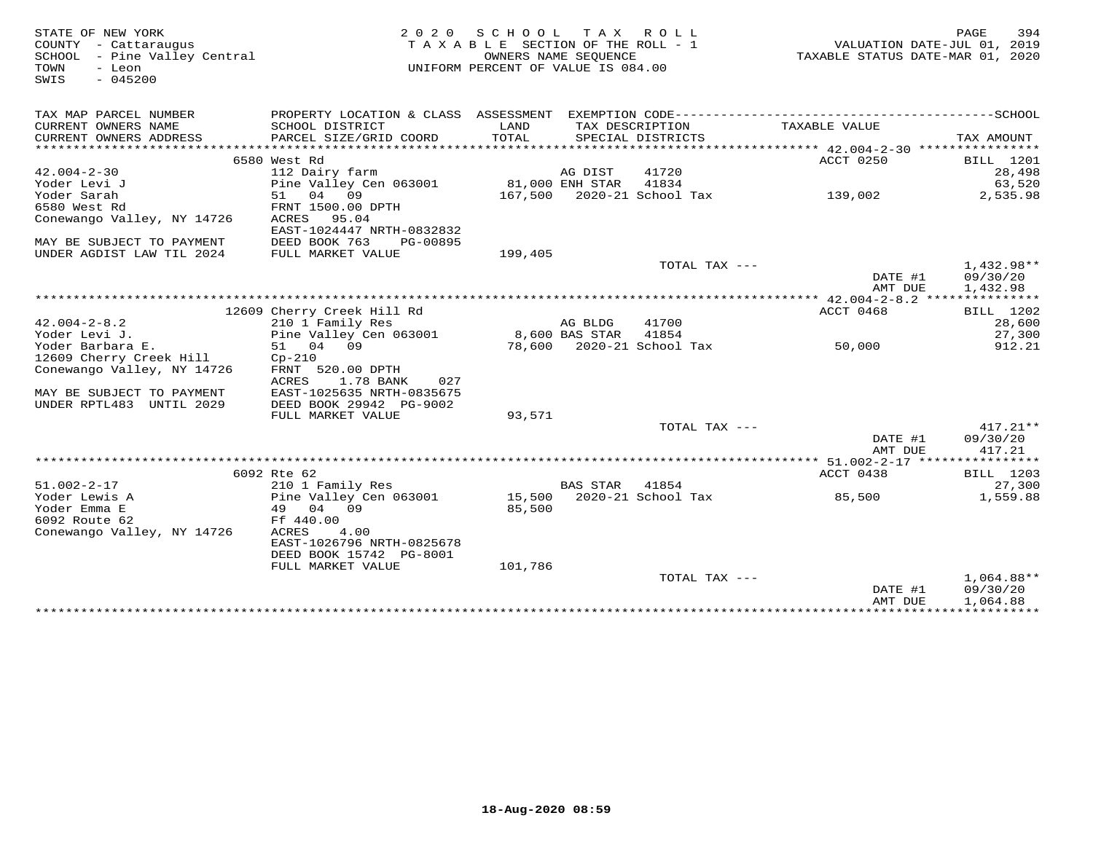| STATE OF NEW YORK<br>COUNTY - Cattaraugus<br>SCHOOL - Pine Valley Central<br>TOWN<br>- Leon<br>$-045200$<br>SWIS | 2 0 2 0                                                                                      | SCHOOL<br>TAXABLE SECTION OF THE ROLL - 1<br>UNIFORM PERCENT OF VALUE IS 084.00 | OWNERS NAME SEQUENCE | TAX ROLL                             | VALUATION DATE-JUL 01, 2019<br>TAXABLE STATUS DATE-MAR 01, 2020 | 394<br>PAGE        |
|------------------------------------------------------------------------------------------------------------------|----------------------------------------------------------------------------------------------|---------------------------------------------------------------------------------|----------------------|--------------------------------------|-----------------------------------------------------------------|--------------------|
| TAX MAP PARCEL NUMBER                                                                                            | PROPERTY LOCATION & CLASS ASSESSMENT EXEMPTION CODE-----------------------------------SCHOOL |                                                                                 |                      |                                      |                                                                 |                    |
| CURRENT OWNERS NAME<br>CURRENT OWNERS ADDRESS                                                                    | SCHOOL DISTRICT<br>PARCEL SIZE/GRID COORD                                                    | LAND<br>TOTAL                                                                   |                      | TAX DESCRIPTION<br>SPECIAL DISTRICTS | TAXABLE VALUE                                                   | TAX AMOUNT         |
|                                                                                                                  |                                                                                              |                                                                                 |                      |                                      |                                                                 |                    |
|                                                                                                                  | 6580 West Rd                                                                                 |                                                                                 |                      |                                      | ACCT 0250                                                       | BILL 1201          |
| $42.004 - 2 - 30$                                                                                                | 112 Dairy farm                                                                               |                                                                                 | AG DIST              | 41720                                |                                                                 | 28,498             |
| Yoder Levi J                                                                                                     | Pine Valley Cen 063001                                                                       |                                                                                 | 81,000 ENH STAR      | 41834                                |                                                                 | 63,520             |
| Yoder Sarah                                                                                                      | 51 04 09                                                                                     |                                                                                 |                      | 167,500 2020-21 School Tax           | 139,002                                                         | 2,535.98           |
| 6580 West Rd                                                                                                     | FRNT 1500.00 DPTH                                                                            |                                                                                 |                      |                                      |                                                                 |                    |
| Conewango Valley, NY 14726                                                                                       | ACRES<br>95.04                                                                               |                                                                                 |                      |                                      |                                                                 |                    |
|                                                                                                                  | EAST-1024447 NRTH-0832832                                                                    |                                                                                 |                      |                                      |                                                                 |                    |
| MAY BE SUBJECT TO PAYMENT<br>UNDER AGDIST LAW TIL 2024                                                           | DEED BOOK 763<br>PG-00895<br>FULL MARKET VALUE                                               | 199,405                                                                         |                      |                                      |                                                                 |                    |
|                                                                                                                  |                                                                                              |                                                                                 |                      | TOTAL TAX ---                        |                                                                 | $1,432.98**$       |
|                                                                                                                  |                                                                                              |                                                                                 |                      |                                      | DATE #1                                                         | 09/30/20           |
|                                                                                                                  |                                                                                              |                                                                                 |                      |                                      | AMT DUE                                                         | 1,432.98           |
|                                                                                                                  |                                                                                              |                                                                                 |                      |                                      |                                                                 |                    |
|                                                                                                                  | 12609 Cherry Creek Hill Rd                                                                   |                                                                                 |                      |                                      | ACCT 0468                                                       | BILL 1202          |
| $42.004 - 2 - 8.2$                                                                                               | 210 1 Family Res                                                                             |                                                                                 | AG BLDG              | 41700                                |                                                                 | 28,600             |
| Yoder Levi J.                                                                                                    | Pine Valley Cen 063001                                                                       |                                                                                 | 8,600 BAS STAR       | 41854                                |                                                                 | 27,300             |
| Yoder Barbara E.                                                                                                 | 51 04 09                                                                                     |                                                                                 |                      | 78,600 2020-21 School Tax            | 50,000                                                          | 912.21             |
| 12609 Cherry Creek Hill                                                                                          | $Cp-210$                                                                                     |                                                                                 |                      |                                      |                                                                 |                    |
| Conewango Valley, NY 14726                                                                                       | FRNT 520.00 DPTH                                                                             |                                                                                 |                      |                                      |                                                                 |                    |
|                                                                                                                  | ACRES<br>1.78 BANK<br>027                                                                    |                                                                                 |                      |                                      |                                                                 |                    |
| MAY BE SUBJECT TO PAYMENT<br>UNDER RPTL483 UNTIL 2029                                                            | EAST-1025635 NRTH-0835675                                                                    |                                                                                 |                      |                                      |                                                                 |                    |
|                                                                                                                  | DEED BOOK 29942 PG-9002<br>FULL MARKET VALUE                                                 | 93,571                                                                          |                      |                                      |                                                                 |                    |
|                                                                                                                  |                                                                                              |                                                                                 |                      | TOTAL TAX ---                        |                                                                 | $417.21**$         |
|                                                                                                                  |                                                                                              |                                                                                 |                      |                                      | DATE #1<br>AMT DUE                                              | 09/30/20<br>417.21 |
|                                                                                                                  |                                                                                              |                                                                                 |                      |                                      |                                                                 |                    |
|                                                                                                                  | 6092 Rte 62                                                                                  |                                                                                 |                      |                                      | ACCT 0438                                                       | BILL 1203          |
| $51.002 - 2 - 17$                                                                                                | 210 1 Family Res                                                                             |                                                                                 | <b>BAS STAR</b>      | 41854                                |                                                                 | 27,300             |
| Yoder Lewis A                                                                                                    | Pine Valley Cen 063001                                                                       |                                                                                 |                      | 15,500 2020-21 School Tax            | 85,500                                                          | 1,559.88           |
| Yoder Emma E                                                                                                     | 49 04 09                                                                                     | 85,500                                                                          |                      |                                      |                                                                 |                    |
| 6092 Route 62                                                                                                    | Ff 440.00                                                                                    |                                                                                 |                      |                                      |                                                                 |                    |
| Conewango Valley, NY 14726                                                                                       | ACRES<br>4.00                                                                                |                                                                                 |                      |                                      |                                                                 |                    |
|                                                                                                                  | EAST-1026796 NRTH-0825678                                                                    |                                                                                 |                      |                                      |                                                                 |                    |
|                                                                                                                  | DEED BOOK 15742 PG-8001<br>FULL MARKET VALUE                                                 | 101,786                                                                         |                      |                                      |                                                                 |                    |
|                                                                                                                  |                                                                                              |                                                                                 |                      | TOTAL TAX ---                        |                                                                 | $1,064.88**$       |
|                                                                                                                  |                                                                                              |                                                                                 |                      |                                      | DATE #1                                                         | 09/30/20           |
|                                                                                                                  |                                                                                              |                                                                                 |                      |                                      | AMT DUE                                                         | 1,064.88           |
|                                                                                                                  |                                                                                              |                                                                                 |                      | *******************************      |                                                                 |                    |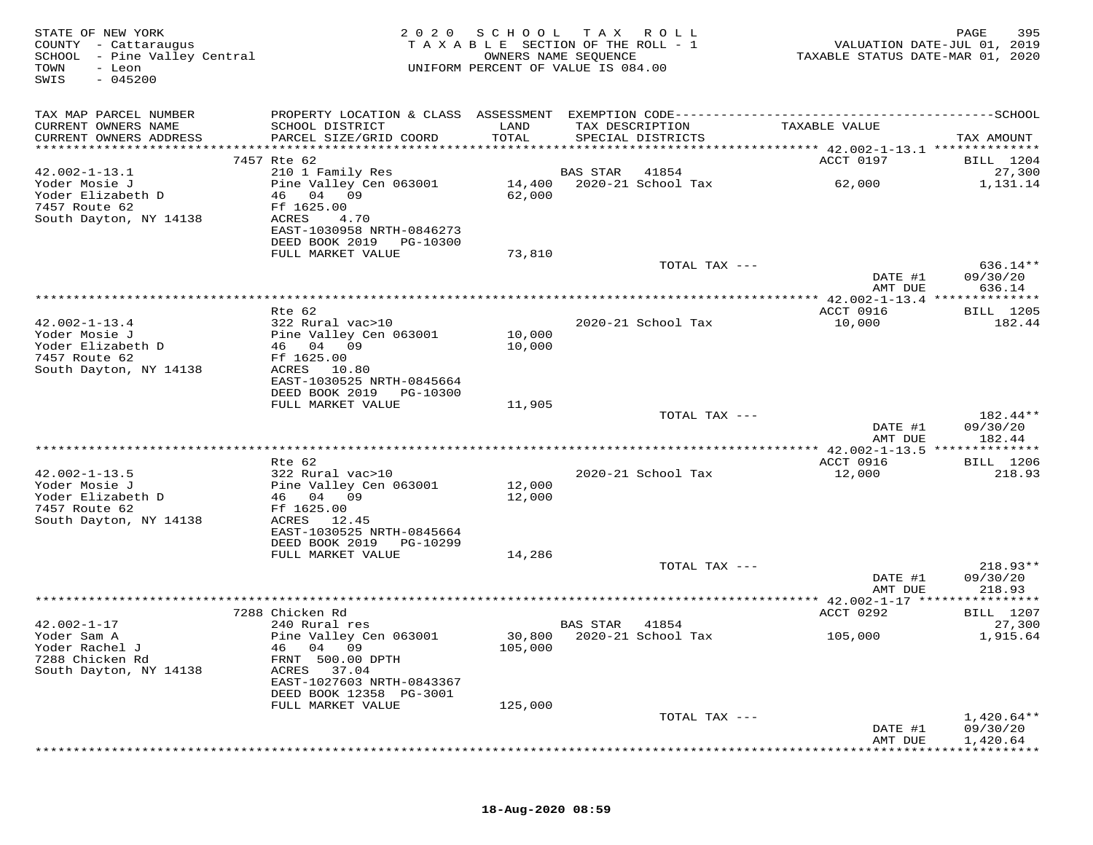| STATE OF NEW YORK<br>COUNTY - Cattaraugus<br>SCHOOL - Pine Valley Central<br>TOWN<br>- Leon<br>$-045200$<br>SWIS | 2 0 2 0                                                  |               | SCHOOL TAX ROLL<br>TAXABLE SECTION OF THE ROLL - 1<br>OWNERS NAME SEQUENCE<br>UNIFORM PERCENT OF VALUE IS 084.00 | VALUATION DATE-JUL 01, 2019<br>TAXABLE STATUS DATE-MAR 01, 2020 | PAGE<br>395            |
|------------------------------------------------------------------------------------------------------------------|----------------------------------------------------------|---------------|------------------------------------------------------------------------------------------------------------------|-----------------------------------------------------------------|------------------------|
| TAX MAP PARCEL NUMBER                                                                                            |                                                          |               |                                                                                                                  |                                                                 |                        |
| CURRENT OWNERS NAME<br>CURRENT OWNERS ADDRESS                                                                    | SCHOOL DISTRICT<br>PARCEL SIZE/GRID COORD                | LAND<br>TOTAL | TAX DESCRIPTION<br>SPECIAL DISTRICTS                                                                             | TAXABLE VALUE                                                   | TAX AMOUNT             |
|                                                                                                                  | 7457 Rte 62                                              |               |                                                                                                                  | ACCT 0197                                                       | BILL 1204              |
| $42.002 - 1 - 13.1$                                                                                              | 210 1 Family Res                                         |               | BAS STAR<br>41854                                                                                                |                                                                 | 27,300                 |
| Yoder Mosie J<br>Yoder Elizabeth D                                                                               | Pine Valley Cen 063001<br>46 04 09                       | 62,000        | 14,400 2020-21 School Tax                                                                                        | 62,000                                                          | 1,131.14               |
| 7457 Route 62<br>South Dayton, NY 14138                                                                          | Ff 1625.00<br>ACRES<br>4.70<br>EAST-1030958 NRTH-0846273 |               |                                                                                                                  |                                                                 |                        |
|                                                                                                                  | DEED BOOK 2019 PG-10300<br>FULL MARKET VALUE             | 73,810        |                                                                                                                  |                                                                 |                        |
|                                                                                                                  |                                                          |               | TOTAL TAX ---                                                                                                    |                                                                 | 636.14**               |
|                                                                                                                  |                                                          |               |                                                                                                                  | DATE #1<br>AMT DUE                                              | 09/30/20<br>636.14     |
|                                                                                                                  | Rte 62                                                   |               |                                                                                                                  | ACCT 0916                                                       | BILL 1205              |
| $42.002 - 1 - 13.4$                                                                                              | 322 Rural vac>10                                         |               | 2020-21 School Tax                                                                                               | 10,000                                                          | 182.44                 |
| Yoder Mosie J                                                                                                    | Pine Valley Cen 063001                                   | 10,000        |                                                                                                                  |                                                                 |                        |
| Yoder Elizabeth D                                                                                                | 46 04 09                                                 | 10,000        |                                                                                                                  |                                                                 |                        |
| 7457 Route 62<br>South Dayton, NY 14138                                                                          | Ff 1625.00<br>ACRES 10.80                                |               |                                                                                                                  |                                                                 |                        |
|                                                                                                                  | EAST-1030525 NRTH-0845664                                |               |                                                                                                                  |                                                                 |                        |
|                                                                                                                  | DEED BOOK 2019<br>PG-10300                               |               |                                                                                                                  |                                                                 |                        |
|                                                                                                                  | FULL MARKET VALUE                                        | 11,905        |                                                                                                                  |                                                                 |                        |
|                                                                                                                  |                                                          |               | TOTAL TAX ---                                                                                                    | DATE #1                                                         | $182.44**$<br>09/30/20 |
|                                                                                                                  |                                                          |               |                                                                                                                  | AMT DUE                                                         | 182.44                 |
|                                                                                                                  |                                                          |               |                                                                                                                  |                                                                 |                        |
|                                                                                                                  | Rte 62                                                   |               |                                                                                                                  | ACCT 0916                                                       | <b>BILL</b> 1206       |
| $42.002 - 1 - 13.5$<br>Yoder Mosie J                                                                             | 322 Rural vac>10<br>Pine Valley Cen 063001               | 12,000        | 2020-21 School Tax                                                                                               | 12,000                                                          | 218.93                 |
| Yoder Elizabeth D                                                                                                | 46 04 09                                                 | 12,000        |                                                                                                                  |                                                                 |                        |
| 7457 Route 62                                                                                                    | Ff 1625.00                                               |               |                                                                                                                  |                                                                 |                        |
| South Dayton, NY 14138                                                                                           | ACRES 12.45                                              |               |                                                                                                                  |                                                                 |                        |
|                                                                                                                  | EAST-1030525 NRTH-0845664<br>DEED BOOK 2019<br>PG-10299  |               |                                                                                                                  |                                                                 |                        |
|                                                                                                                  | FULL MARKET VALUE                                        | 14,286        |                                                                                                                  |                                                                 |                        |
|                                                                                                                  |                                                          |               | TOTAL TAX ---                                                                                                    |                                                                 | $218.93**$             |
|                                                                                                                  |                                                          |               |                                                                                                                  | DATE #1                                                         | 09/30/20               |
|                                                                                                                  |                                                          |               |                                                                                                                  | AMT DUE                                                         | 218.93                 |
|                                                                                                                  | 7288 Chicken Rd                                          |               |                                                                                                                  | ACCT 0292                                                       | <b>BILL</b> 1207       |
| $42.002 - 1 - 17$                                                                                                | 240 Rural res                                            |               | BAS STAR<br>41854                                                                                                |                                                                 | 27,300                 |
| Yoder Sam A                                                                                                      | Pine Valley Cen 063001                                   |               | 30,800 2020-21 School Tax                                                                                        | 105,000                                                         | 1,915.64               |
| Yoder Rachel J<br>7288 Chicken Rd                                                                                | 46 04 09<br>FRNT 500.00 DPTH                             | 105,000       |                                                                                                                  |                                                                 |                        |
| South Dayton, NY 14138                                                                                           | ACRES<br>37.04                                           |               |                                                                                                                  |                                                                 |                        |
|                                                                                                                  | EAST-1027603 NRTH-0843367                                |               |                                                                                                                  |                                                                 |                        |
|                                                                                                                  | DEED BOOK 12358 PG-3001                                  |               |                                                                                                                  |                                                                 |                        |
|                                                                                                                  | FULL MARKET VALUE                                        | 125,000       | TOTAL TAX ---                                                                                                    |                                                                 | $1,420.64**$           |
|                                                                                                                  |                                                          |               |                                                                                                                  | DATE #1                                                         | 09/30/20               |
|                                                                                                                  |                                                          |               |                                                                                                                  | AMT DUE                                                         | 1,420.64               |
|                                                                                                                  |                                                          |               |                                                                                                                  |                                                                 |                        |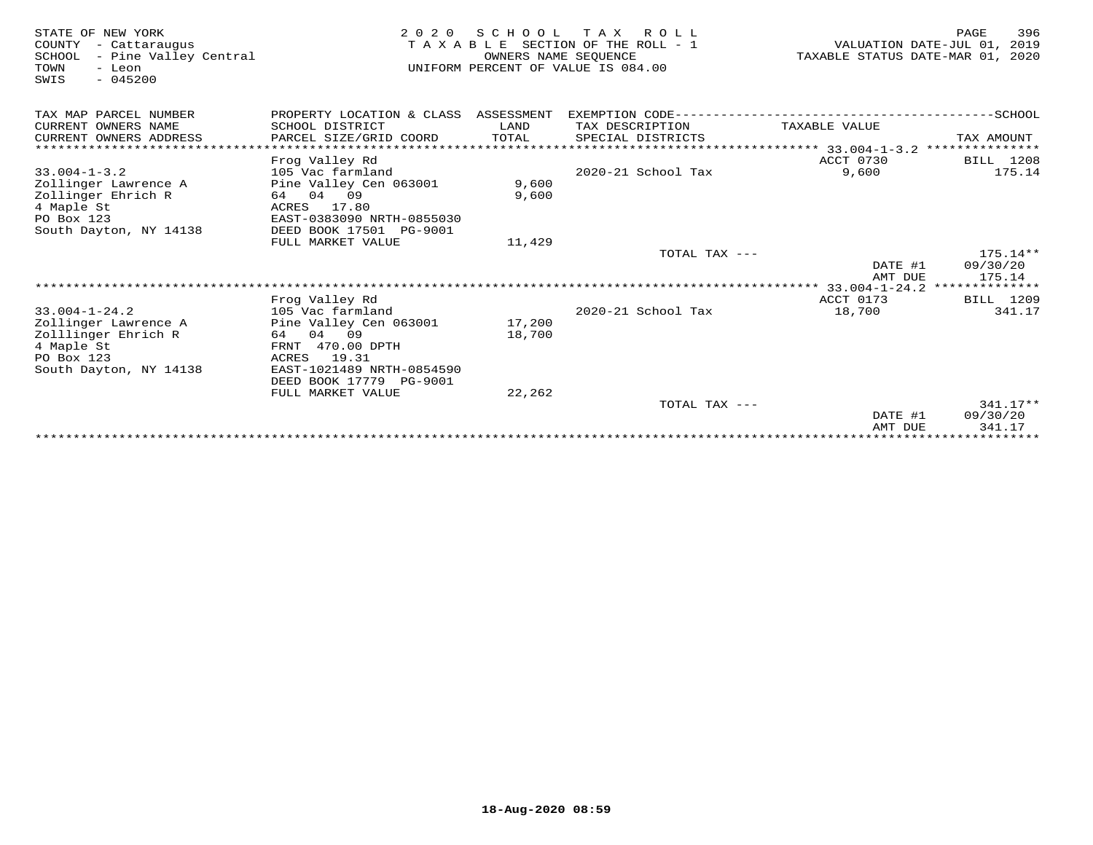| STATE OF NEW YORK<br>- Cattaraugus<br>COUNTY<br>- Pine Valley Central<br>SCHOOL<br>TOWN<br>- Leon<br>$-045200$<br>SWIS | 2 0 2 0                              | SCHOOL<br>OWNERS NAME SEOUENCE | T A X<br>R O L L<br>TAXABLE SECTION OF THE ROLL - 1<br>UNIFORM PERCENT OF VALUE IS 084.00 | VALUATION DATE-JUL 01,<br>TAXABLE STATUS DATE-MAR 01, | 396<br>PAGE<br>2019<br>2020 |
|------------------------------------------------------------------------------------------------------------------------|--------------------------------------|--------------------------------|-------------------------------------------------------------------------------------------|-------------------------------------------------------|-----------------------------|
| TAX MAP PARCEL NUMBER                                                                                                  | PROPERTY LOCATION & CLASS ASSESSMENT |                                |                                                                                           |                                                       |                             |
| CURRENT OWNERS NAME                                                                                                    | SCHOOL DISTRICT                      | LAND                           | TAX DESCRIPTION                                                                           | TAXABLE VALUE                                         |                             |
| CURRENT OWNERS ADDRESS                                                                                                 | PARCEL SIZE/GRID COORD               | TOTAL                          | SPECIAL DISTRICTS                                                                         |                                                       | TAX AMOUNT                  |
| ******************************                                                                                         |                                      |                                |                                                                                           |                                                       |                             |
|                                                                                                                        | Frog Valley Rd                       |                                |                                                                                           | ACCT 0730                                             | BILL 1208                   |
| $33.004 - 1 - 3.2$                                                                                                     | 105 Vac farmland                     |                                | 2020-21 School Tax                                                                        | 9,600                                                 | 175.14                      |
| Zollinger Lawrence A                                                                                                   | Pine Valley Cen 063001<br>64 04 09   | 9,600<br>9,600                 |                                                                                           |                                                       |                             |
| Zollinger Ehrich R<br>4 Maple St                                                                                       | 17.80<br>ACRES                       |                                |                                                                                           |                                                       |                             |
| PO Box 123                                                                                                             | EAST-0383090 NRTH-0855030            |                                |                                                                                           |                                                       |                             |
| South Dayton, NY 14138                                                                                                 | DEED BOOK 17501 PG-9001              |                                |                                                                                           |                                                       |                             |
|                                                                                                                        | FULL MARKET VALUE                    | 11,429                         |                                                                                           |                                                       |                             |
|                                                                                                                        |                                      |                                | TOTAL TAX ---                                                                             |                                                       | $175.14**$                  |
|                                                                                                                        |                                      |                                |                                                                                           | DATE #1<br>AMT DUE                                    | 09/30/20<br>175.14          |
|                                                                                                                        |                                      |                                |                                                                                           |                                                       |                             |
|                                                                                                                        | Frog Valley Rd                       |                                |                                                                                           | ACCT 0173                                             | BILL 1209                   |
| $33.004 - 1 - 24.2$                                                                                                    | 105 Vac farmland                     |                                | 2020-21 School Tax                                                                        | 18,700                                                | 341.17                      |
| Zollinger Lawrence A                                                                                                   | Pine Valley Cen 063001               | 17,200                         |                                                                                           |                                                       |                             |
| Zolllinger Ehrich R<br>4 Maple St                                                                                      | 64 04 09<br>FRNT 470.00 DPTH         | 18,700                         |                                                                                           |                                                       |                             |
| PO Box 123                                                                                                             | 19.31<br>ACRES                       |                                |                                                                                           |                                                       |                             |
| South Dayton, NY 14138                                                                                                 | EAST-1021489 NRTH-0854590            |                                |                                                                                           |                                                       |                             |
|                                                                                                                        | DEED BOOK 17779 PG-9001              |                                |                                                                                           |                                                       |                             |
|                                                                                                                        | FULL MARKET VALUE                    | 22,262                         |                                                                                           |                                                       |                             |
|                                                                                                                        |                                      |                                | TOTAL TAX ---                                                                             |                                                       | $341.17**$                  |
|                                                                                                                        |                                      |                                |                                                                                           | DATE #1<br>AMT DUE                                    | 09/30/20<br>341.17          |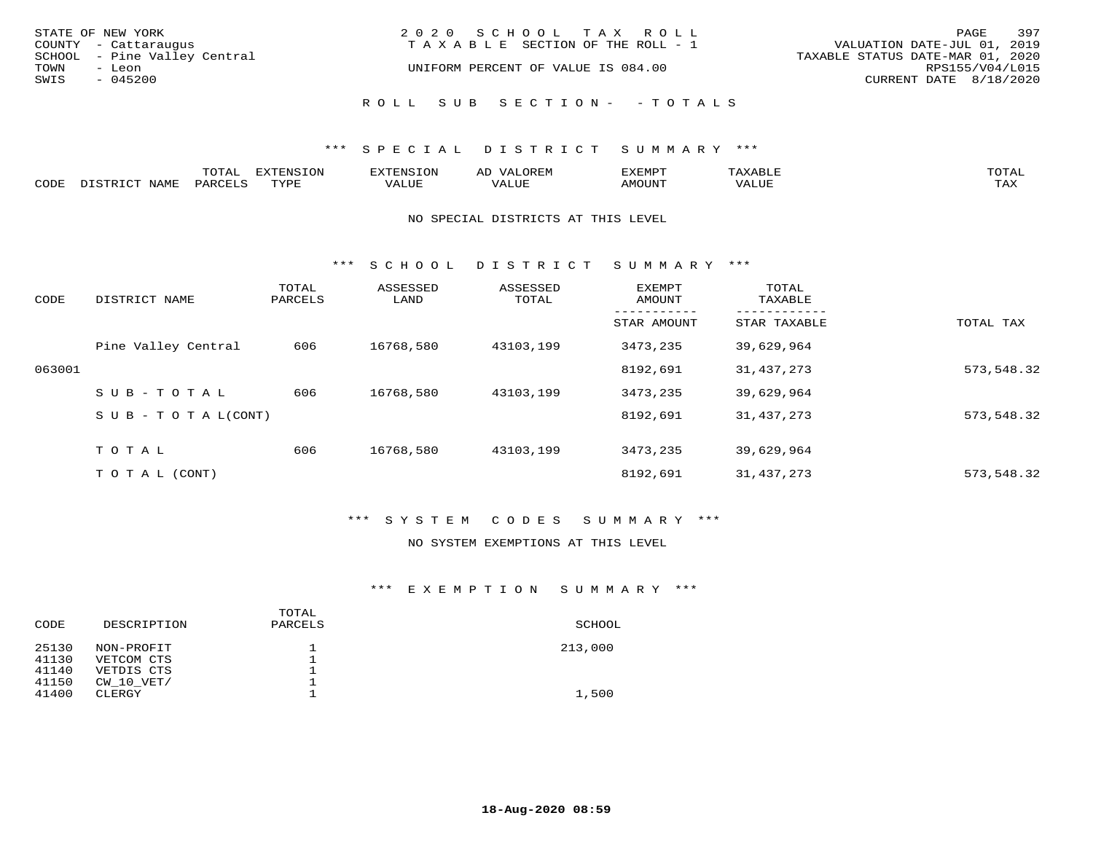| STATE OF NEW YORK<br>COUNTY - Cattaraugus      | 2020 SCHOOL TAX ROLL<br>T A X A B L E SECTION OF THE ROLL - 1 | 397<br>PAGE<br>VALUATION DATE-JUL 01, 2019          |
|------------------------------------------------|---------------------------------------------------------------|-----------------------------------------------------|
| SCHOOL - Pine Valley Central<br>TOWN<br>- Leon | UNIFORM PERCENT OF VALUE IS 084.00                            | TAXABLE STATUS DATE-MAR 01, 2020<br>RPS155/V04/L015 |
| SWIS<br>$-045200$                              |                                                               | CURRENT DATE 8/18/2020                              |
|                                                | ROLL SUB SECTION- - TOTALS                                    |                                                     |

|      |                               | mom n<br><b>⊥∪⊥</b> ⊥ | <b>DIZPOIATO TOM</b><br>∟UĿ | AD<br>URPIN | ,,, <del>,</del> ,,, <del>,</del> ,<br>ֿ ש<br>. ۱٬۱۳۰٬۰۰۰ |                         | $m \wedge m \wedge n$ |
|------|-------------------------------|-----------------------|-----------------------------|-------------|-----------------------------------------------------------|-------------------------|-----------------------|
| CODE | NTAM <sup>7</sup><br>- ∖∽- 11 | PAR(                  | TVDF                        | கபப         | <b>MOTTNT</b>                                             | $- - - -$<br>$\sqrt{2}$ | $m \times r$<br>- −-  |

#### NO SPECIAL DISTRICTS AT THIS LEVEL

\*\*\* S C H O O L D I S T R I C T S U M M A R Y \*\*\*

| CODE   | DISTRICT NAME                    | TOTAL<br>PARCELS | ASSESSED<br>LAND | ASSESSED<br>TOTAL | EXEMPT<br>AMOUNT | TOTAL<br>TAXABLE |            |
|--------|----------------------------------|------------------|------------------|-------------------|------------------|------------------|------------|
|        |                                  |                  |                  |                   | STAR AMOUNT      | STAR TAXABLE     | TOTAL TAX  |
|        | Pine Valley Central              | 606              | 16768,580        | 43103,199         | 3473,235         | 39,629,964       |            |
| 063001 |                                  |                  |                  |                   | 8192,691         | 31, 437, 273     | 573,548.32 |
|        | $SUB - TO TAL$                   | 606              | 16768,580        | 43103,199         | 3473,235         | 39,629,964       |            |
|        | $S \cup B - T \cup T A L (CONT)$ |                  |                  |                   | 8192,691         | 31, 437, 273     | 573,548.32 |
|        | TOTAL                            | 606              | 16768,580        | 43103,199         | 3473,235         | 39,629,964       |            |
|        | T O T A L (CONT)                 |                  |                  |                   | 8192,691         | 31,437,273       | 573,548.32 |

## \*\*\* S Y S T E M C O D E S S U M M A R Y \*\*\*

#### NO SYSTEM EXEMPTIONS AT THIS LEVEL

## \*\*\* E X E M P T I O N S U M M A R Y \*\*\*

| TOTAL<br>DESCRIPTION<br>PARCELS<br>CODE | SCHOOL  |
|-----------------------------------------|---------|
| 25130<br>NON-PROFIT                     | 213,000 |
| 41130<br>VETCOM CTS                     |         |
| 41140<br>VETDIS CTS                     |         |
| 41150<br>$CW$ 10 $VET/$                 |         |
| 41400<br>CLERGY                         | 1,500   |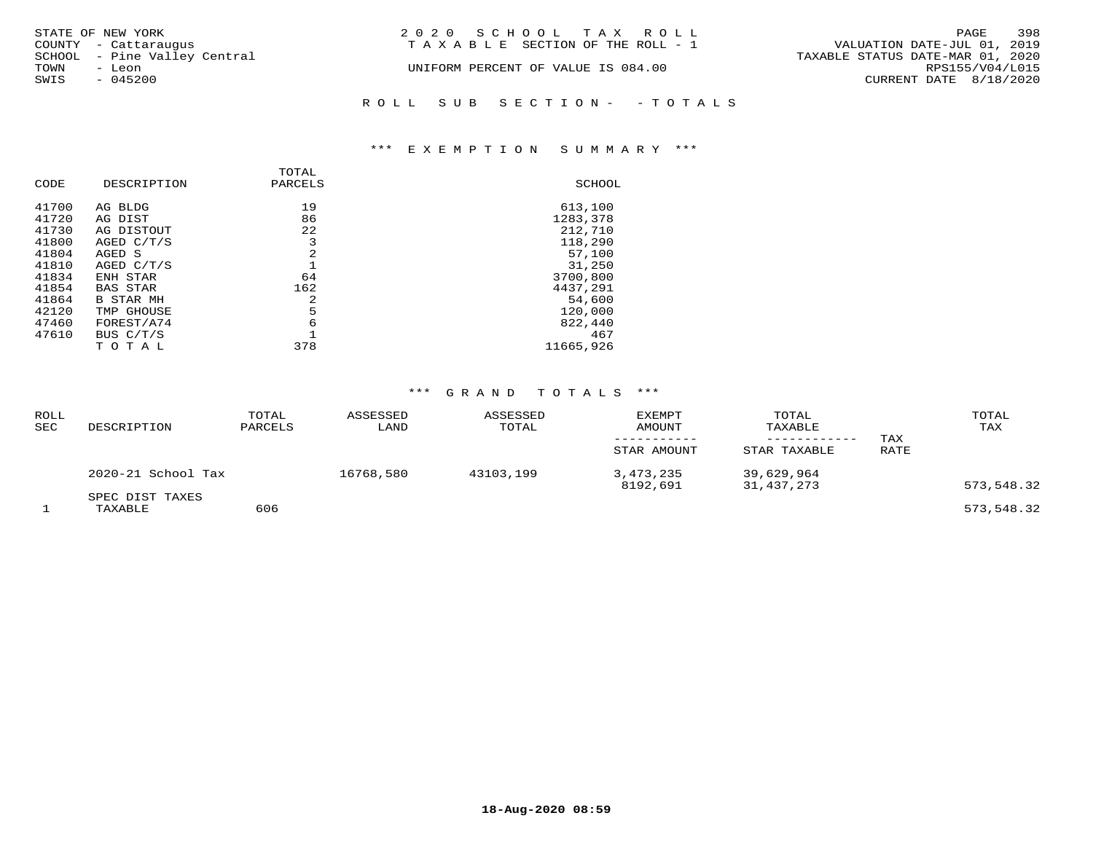| STATE OF NEW YORK<br>COUNTY - Cattaraugus      | 2020 SCHOOL TAX ROLL<br>TAXABLE SECTION OF THE ROLL - 1 | 398<br>PAGE<br>VALUATION DATE-JUL 01, 2019          |
|------------------------------------------------|---------------------------------------------------------|-----------------------------------------------------|
| SCHOOL - Pine Valley Central<br>TOWN<br>- Leon | UNIFORM PERCENT OF VALUE IS 084.00                      | TAXABLE STATUS DATE-MAR 01, 2020<br>RPS155/V04/L015 |
| SWIS<br>$-045200$                              |                                                         | CURRENT DATE 8/18/2020                              |
|                                                | ROLL SUB SECTION- - TOTALS                              |                                                     |

## \*\*\* E X E M P T I O N S U M M A R Y \*\*\*

| CODE           | DESCRIPTION           | TOTAL<br>PARCELS | SCHOOL              |
|----------------|-----------------------|------------------|---------------------|
| 41700          | AG BLDG               | 19               | 613,100             |
| 41720<br>41730 | AG DIST<br>AG DISTOUT | 86<br>22         | 1283,378<br>212,710 |
| 41800          | AGED C/T/S            | 3                | 118,290             |
| 41804          | AGED S                | 2                | 57,100              |
| 41810          | AGED C/T/S            |                  | 31,250              |
| 41834          | ENH STAR              | 64               | 3700,800            |
| 41854          | <b>BAS STAR</b>       | 162              | 4437,291            |
| 41864          | B STAR MH             | 2                | 54,600              |
| 42120          | TMP GHOUSE            | 5                | 120,000             |
| 47460          | FOREST/A74            | 6                | 822,440             |
| 47610          | BUS C/T/S             |                  | 467                 |
|                | TOTAL                 | 378              | 11665,926           |

| <b>ROLL</b><br>SEC | DESCRIPTION                | TOTAL<br>PARCELS | ASSESSED<br>LAND | ASSESSED<br>TOTAL | <b>EXEMPT</b><br>AMOUNT<br>STAR AMOUNT | TOTAL<br>TAXABLE<br>STAR TAXABLE | TAX<br>RATE | TOTAL<br>TAX |
|--------------------|----------------------------|------------------|------------------|-------------------|----------------------------------------|----------------------------------|-------------|--------------|
|                    | 2020-21 School Tax         |                  | 16768,580        | 43103,199         | 3,473,235<br>8192,691                  | 39,629,964<br>31,437,273         |             | 573,548.32   |
|                    | SPEC DIST TAXES<br>TAXABLE | 606              |                  |                   |                                        |                                  |             | 573,548.32   |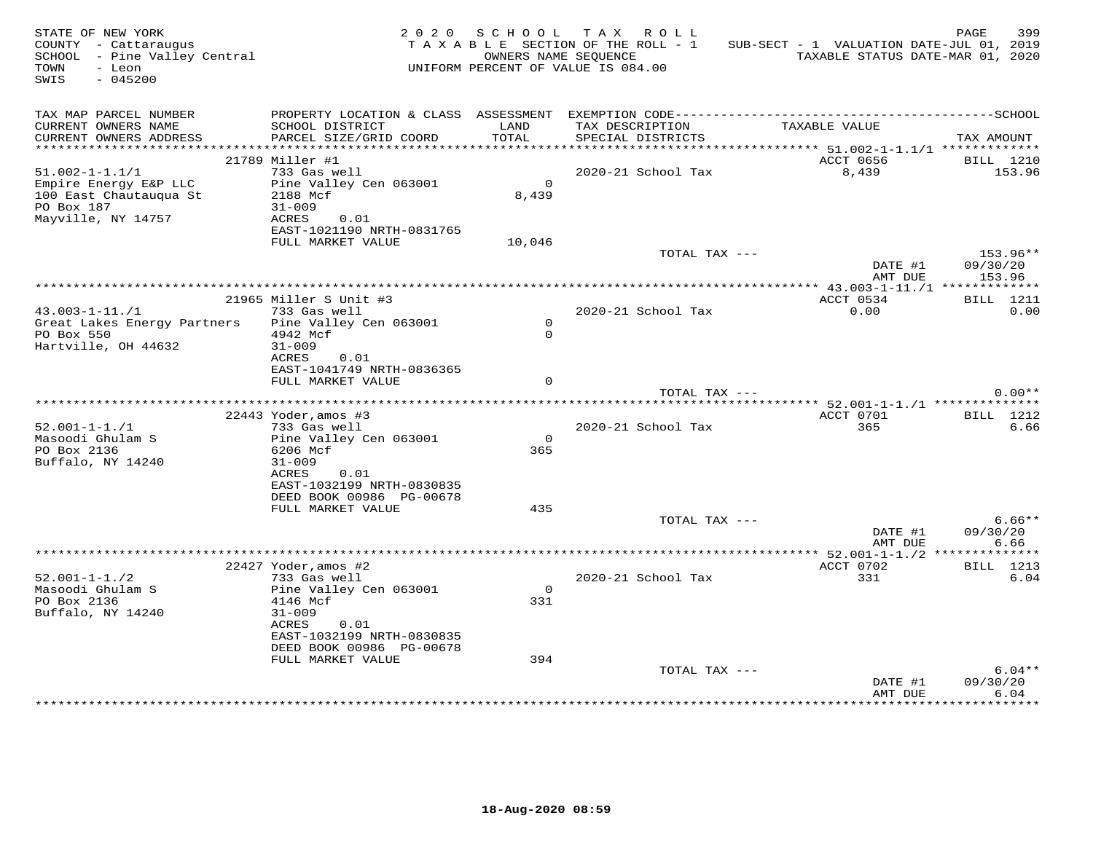| STATE OF NEW YORK<br>COUNTY - Cattaraugus<br>SCHOOL - Pine Valley Central<br>TOWN<br>- Leon<br>SWIS<br>$-045200$ |                                                                   |                         | 2020 SCHOOL TAX ROLL<br>TAXABLE SECTION OF THE ROLL - 1<br>OWNERS NAME SEOUENCE<br>UNIFORM PERCENT OF VALUE IS 084.00 | SUB-SECT - 1 VALUATION DATE-JUL 01, 2019<br>TAXABLE STATUS DATE-MAR 01, 2020 | 399<br>PAGE                    |
|------------------------------------------------------------------------------------------------------------------|-------------------------------------------------------------------|-------------------------|-----------------------------------------------------------------------------------------------------------------------|------------------------------------------------------------------------------|--------------------------------|
| TAX MAP PARCEL NUMBER<br>CURRENT OWNERS NAME<br>CURRENT OWNERS ADDRESS                                           | SCHOOL DISTRICT<br>PARCEL SIZE/GRID COORD                         | LAND<br>TOTAL           | TAX DESCRIPTION<br>SPECIAL DISTRICTS                                                                                  | TAXABLE VALUE                                                                | TAX AMOUNT                     |
|                                                                                                                  |                                                                   |                         |                                                                                                                       |                                                                              |                                |
| $51.002 - 1 - 1.1/1$                                                                                             | 21789 Miller #1<br>733 Gas well                                   |                         | 2020-21 School Tax                                                                                                    | ACCT 0656<br>8,439                                                           | <b>BILL</b> 1210<br>153.96     |
| Empire Energy E&P LLC<br>100 East Chautauqua St<br>PO Box 187                                                    | Pine Valley Cen 063001<br>2188 Mcf<br>$31 - 009$                  | $\overline{0}$<br>8,439 |                                                                                                                       |                                                                              |                                |
| Mayville, NY 14757                                                                                               | ACRES<br>0.01<br>EAST-1021190 NRTH-0831765<br>FULL MARKET VALUE   | 10,046                  |                                                                                                                       |                                                                              |                                |
|                                                                                                                  |                                                                   |                         | TOTAL TAX ---                                                                                                         | DATE #1<br>AMT DUE                                                           | 153.96**<br>09/30/20<br>153.96 |
|                                                                                                                  |                                                                   |                         |                                                                                                                       |                                                                              |                                |
|                                                                                                                  | 21965 Miller S Unit #3                                            |                         |                                                                                                                       | ACCT 0534                                                                    | BILL 1211                      |
| $43.003 - 1 - 11./1$                                                                                             | 733 Gas well                                                      | $\Omega$                | 2020-21 School Tax                                                                                                    | 0.00                                                                         | 0.00                           |
| Great Lakes Energy Partners<br>PO Box 550<br>Hartville, OH 44632                                                 | Pine Valley Cen 063001<br>4942 Mcf<br>$31 - 009$<br>0.01<br>ACRES | $\Omega$                |                                                                                                                       |                                                                              |                                |
|                                                                                                                  | EAST-1041749 NRTH-0836365                                         |                         |                                                                                                                       |                                                                              |                                |
|                                                                                                                  | FULL MARKET VALUE                                                 | $\Omega$                |                                                                                                                       |                                                                              |                                |
|                                                                                                                  |                                                                   |                         | TOTAL TAX ---                                                                                                         |                                                                              | $0.00**$                       |
|                                                                                                                  | $22443$ Yoder, amos #3                                            |                         |                                                                                                                       | ACCT 0701                                                                    | BILL 1212                      |
| $52.001 - 1 - 1.71$                                                                                              | 733 Gas well                                                      |                         | 2020-21 School Tax                                                                                                    | 365                                                                          | 6.66                           |
| Masoodi Ghulam S                                                                                                 | Pine Valley Cen 063001                                            | $\circ$                 |                                                                                                                       |                                                                              |                                |
| PO Box 2136                                                                                                      | 6206 Mcf                                                          | 365                     |                                                                                                                       |                                                                              |                                |
| Buffalo, NY 14240                                                                                                | $31 - 009$<br>ACRES<br>0.01                                       |                         |                                                                                                                       |                                                                              |                                |
|                                                                                                                  | EAST-1032199 NRTH-0830835                                         |                         |                                                                                                                       |                                                                              |                                |
|                                                                                                                  | DEED BOOK 00986 PG-00678                                          |                         |                                                                                                                       |                                                                              |                                |
|                                                                                                                  | FULL MARKET VALUE                                                 | 435                     |                                                                                                                       |                                                                              |                                |
|                                                                                                                  |                                                                   |                         | TOTAL TAX ---                                                                                                         | DATE #1<br>AMT DUE                                                           | $6.66**$<br>09/30/20<br>6.66   |
|                                                                                                                  |                                                                   |                         |                                                                                                                       |                                                                              |                                |
|                                                                                                                  | 22427 Yoder, amos #2                                              |                         |                                                                                                                       | ACCT 0702                                                                    | <b>BILL</b> 1213               |
| $52.001 - 1 - 1.72$<br>Masoodi Ghulam S                                                                          | 733 Gas well<br>Pine Valley Cen 063001                            | $\Omega$                | 2020-21 School Tax                                                                                                    | 331                                                                          | 6.04                           |
| PO Box 2136                                                                                                      | 4146 Mcf                                                          | 331                     |                                                                                                                       |                                                                              |                                |
| Buffalo, NY 14240                                                                                                | $31 - 009$<br>ACRES<br>0.01<br>EAST-1032199 NRTH-0830835          |                         |                                                                                                                       |                                                                              |                                |
|                                                                                                                  | DEED BOOK 00986 PG-00678<br>FULL MARKET VALUE                     | 394                     |                                                                                                                       |                                                                              |                                |
|                                                                                                                  |                                                                   |                         | TOTAL TAX ---                                                                                                         | DATE #1                                                                      | $6.04**$<br>09/30/20           |
|                                                                                                                  |                                                                   |                         |                                                                                                                       | AMT DUE                                                                      | 6.04                           |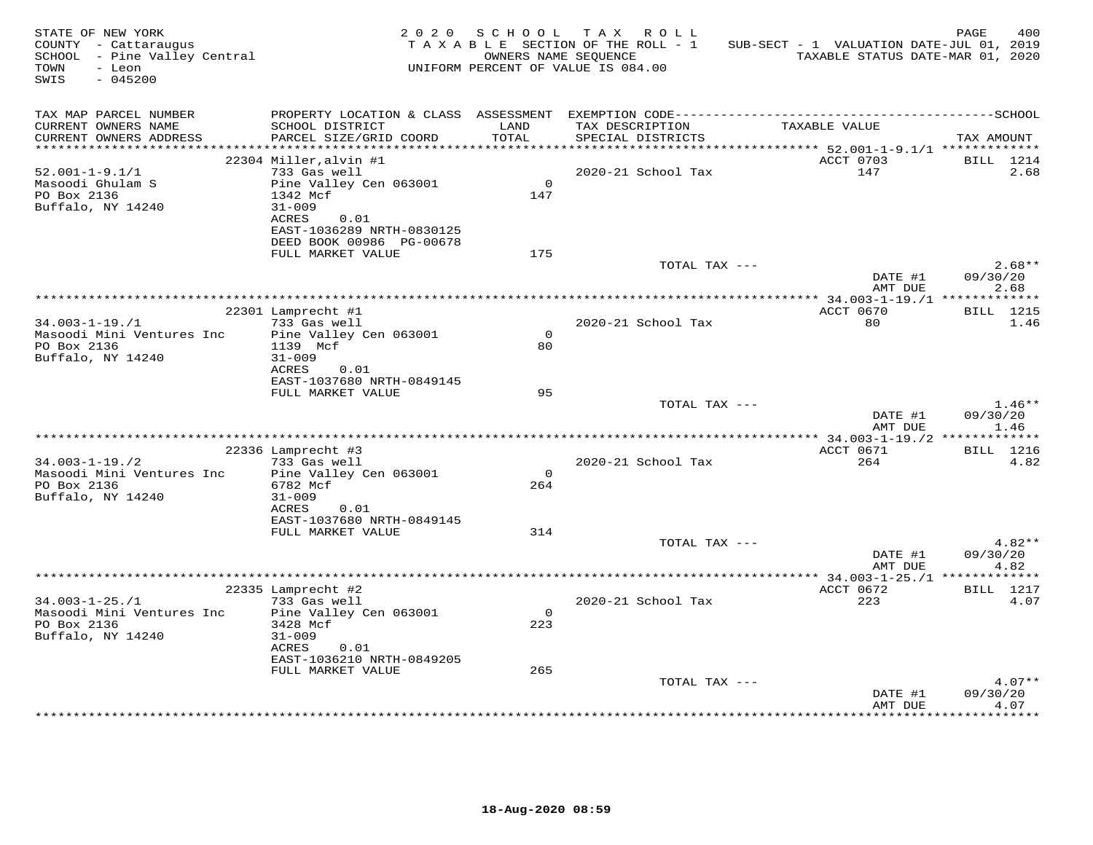| STATE OF NEW YORK<br>COUNTY - Cattaraugus<br>SCHOOL - Pine Valley Central<br>TOWN<br>- Leon<br>SWIS<br>$-045200$ |                                                                                                                                          |                | 2020 SCHOOL TAX ROLL<br>T A X A B L E SECTION OF THE ROLL - 1<br>OWNERS NAME SEQUENCE<br>UNIFORM PERCENT OF VALUE IS 084.00 | SUB-SECT - 1 VALUATION DATE-JUL 01, 2019<br>TAXABLE STATUS DATE-MAR 01, 2020 | 400<br>PAGE                  |
|------------------------------------------------------------------------------------------------------------------|------------------------------------------------------------------------------------------------------------------------------------------|----------------|-----------------------------------------------------------------------------------------------------------------------------|------------------------------------------------------------------------------|------------------------------|
| TAX MAP PARCEL NUMBER<br>CURRENT OWNERS NAME<br>CURRENT OWNERS ADDRESS                                           | SCHOOL DISTRICT<br>PARCEL SIZE/GRID COORD                                                                                                | LAND<br>TOTAL  | TAX DESCRIPTION<br>SPECIAL DISTRICTS                                                                                        | TAXABLE VALUE                                                                | TAX AMOUNT                   |
|                                                                                                                  |                                                                                                                                          |                |                                                                                                                             |                                                                              |                              |
| $52.001 - 1 - 9.1/1$<br>Masoodi Ghulam S<br>PO Box 2136<br>Buffalo, NY 14240                                     | 22304 Miller, alvin #1<br>733 Gas well<br>Pine Valley Cen 063001<br>1342 Mcf<br>$31 - 009$<br>ACRES<br>0.01<br>EAST-1036289 NRTH-0830125 | $\circ$<br>147 | 2020-21 School Tax                                                                                                          | ACCT 0703<br>147                                                             | BILL 1214<br>2.68            |
|                                                                                                                  | DEED BOOK 00986 PG-00678<br>FULL MARKET VALUE                                                                                            |                |                                                                                                                             |                                                                              |                              |
|                                                                                                                  |                                                                                                                                          | 175            | TOTAL TAX ---                                                                                                               | DATE #1                                                                      | $2.68**$<br>09/30/20         |
|                                                                                                                  |                                                                                                                                          |                |                                                                                                                             | AMT DUE                                                                      | 2.68                         |
|                                                                                                                  | 22301 Lamprecht #1                                                                                                                       |                |                                                                                                                             | ACCT 0670                                                                    | <b>BILL</b> 1215             |
| $34.003 - 1 - 19.71$<br>Masoodi Mini Ventures Inc<br>PO Box 2136<br>Buffalo, NY 14240                            | 733 Gas well<br>Pine Valley Cen 063001<br>1139 Mcf<br>$31 - 009$                                                                         | $\Omega$<br>80 | 2020-21 School Tax                                                                                                          | 80                                                                           | 1.46                         |
|                                                                                                                  | ACRES<br>0.01<br>EAST-1037680 NRTH-0849145<br>FULL MARKET VALUE                                                                          | 95             | TOTAL TAX ---                                                                                                               |                                                                              | $1.46**$                     |
|                                                                                                                  |                                                                                                                                          |                |                                                                                                                             | DATE #1<br>AMT DUE                                                           | 09/30/20<br>1.46             |
|                                                                                                                  |                                                                                                                                          |                |                                                                                                                             |                                                                              |                              |
|                                                                                                                  | 22336 Lamprecht #3                                                                                                                       |                |                                                                                                                             | ACCT 0671                                                                    | <b>BILL</b> 1216             |
| $34.003 - 1 - 19.72$<br>Masoodi Mini Ventures Inc<br>PO Box 2136<br>Buffalo, NY 14240                            | 733 Gas well<br>Pine Valley Cen 063001<br>6782 Mcf<br>$31 - 009$<br>ACRES<br>0.01                                                        | $\circ$<br>264 | 2020-21 School Tax                                                                                                          | 264                                                                          | 4.82                         |
|                                                                                                                  | EAST-1037680 NRTH-0849145<br>FULL MARKET VALUE                                                                                           | 314            |                                                                                                                             |                                                                              |                              |
|                                                                                                                  |                                                                                                                                          |                | TOTAL TAX ---                                                                                                               | DATE #1<br>AMT DUE                                                           | $4.82**$<br>09/30/20<br>4.82 |
|                                                                                                                  | * * * * * * * * * *                                                                                                                      |                |                                                                                                                             | ************ 34.003-1-25./1 **************                                   |                              |
| $34.003 - 1 - 25. / 1$                                                                                           | 22335 Lamprecht #2<br>733 Gas well                                                                                                       |                | 2020-21 School Tax                                                                                                          | ACCT 0672<br>223                                                             | BILL 1217<br>4.07            |
| Masoodi Mini Ventures Inc<br>PO Box 2136<br>Buffalo, NY 14240                                                    | Pine Valley Cen 063001<br>3428 Mcf<br>$31 - 009$<br>ACRES<br>0.01<br>EAST-1036210 NRTH-0849205                                           | $\circ$<br>223 |                                                                                                                             |                                                                              |                              |
|                                                                                                                  | FULL MARKET VALUE                                                                                                                        | 265            | TOTAL TAX ---                                                                                                               |                                                                              | $4.07**$                     |
|                                                                                                                  |                                                                                                                                          |                |                                                                                                                             | DATE #1<br>AMT DUE                                                           | 09/30/20<br>4.07<br>******** |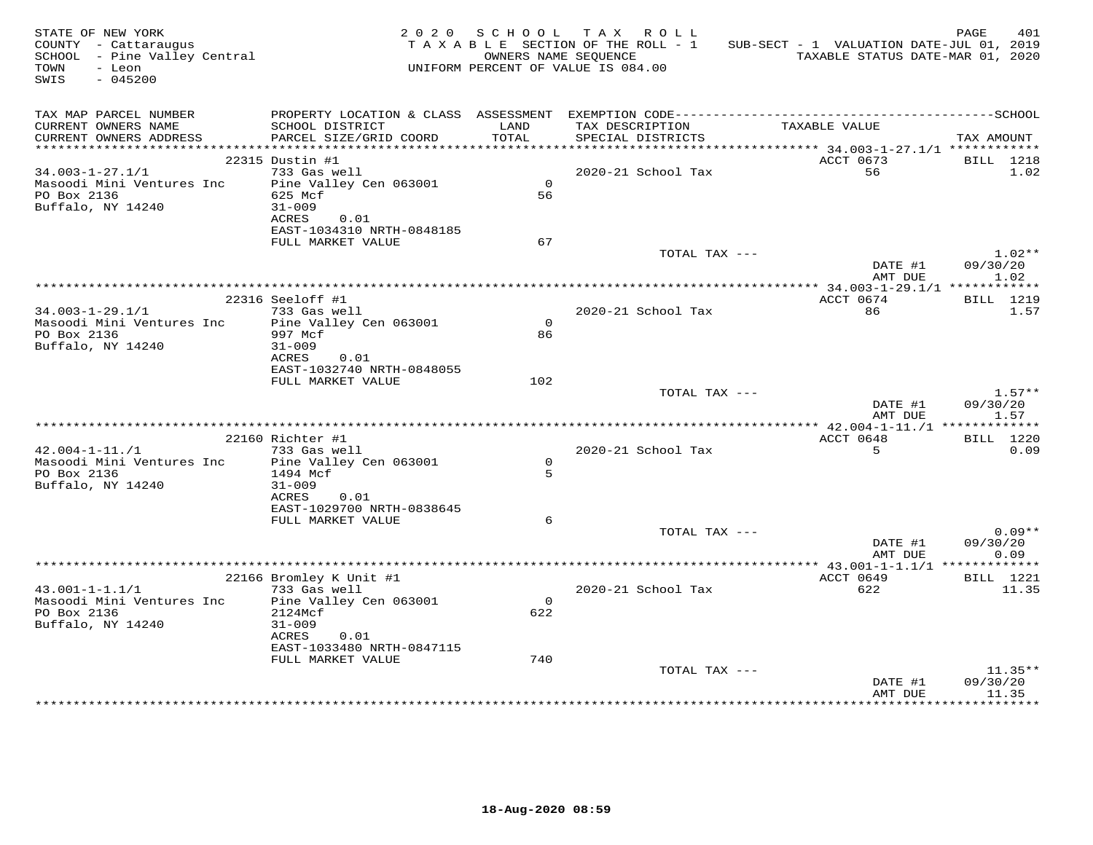| STATE OF NEW YORK<br>COUNTY - Cattaraugus<br>SCHOOL - Pine Valley Central<br>TOWN<br>- Leon<br>$-045200$<br>SWIS |                                            |                | 2020 SCHOOL TAX ROLL<br>TAXABLE SECTION OF THE ROLL - 1<br>OWNERS NAME SEQUENCE<br>UNIFORM PERCENT OF VALUE IS 084.00 | SUB-SECT - 1 VALUATION DATE-JUL 01, 2019<br>TAXABLE STATUS DATE-MAR 01, 2020 | PAGE<br>401              |
|------------------------------------------------------------------------------------------------------------------|--------------------------------------------|----------------|-----------------------------------------------------------------------------------------------------------------------|------------------------------------------------------------------------------|--------------------------|
| TAX MAP PARCEL NUMBER<br>CURRENT OWNERS NAME<br>CURRENT OWNERS ADDRESS                                           | SCHOOL DISTRICT<br>PARCEL SIZE/GRID COORD  | LAND<br>TOTAL  | TAX DESCRIPTION<br>SPECIAL DISTRICTS                                                                                  | TAXABLE VALUE                                                                | TAX AMOUNT               |
|                                                                                                                  |                                            |                |                                                                                                                       |                                                                              |                          |
| $34.003 - 1 - 27.1/1$                                                                                            | 22315 Dustin #1<br>733 Gas well            |                | 2020-21 School Tax                                                                                                    | ACCT 0673<br>56                                                              | <b>BILL</b> 1218<br>1.02 |
| Masoodi Mini Ventures Inc                                                                                        | Pine Valley Cen 063001                     | $\overline{0}$ |                                                                                                                       |                                                                              |                          |
| PO Box 2136                                                                                                      | 625 Mcf                                    | 56             |                                                                                                                       |                                                                              |                          |
| Buffalo, NY 14240                                                                                                | $31 - 009$<br>ACRES<br>0.01                |                |                                                                                                                       |                                                                              |                          |
|                                                                                                                  | EAST-1034310 NRTH-0848185                  |                |                                                                                                                       |                                                                              |                          |
|                                                                                                                  | FULL MARKET VALUE                          | 67             |                                                                                                                       |                                                                              |                          |
|                                                                                                                  |                                            |                | TOTAL TAX ---                                                                                                         |                                                                              | $1.02**$                 |
|                                                                                                                  |                                            |                |                                                                                                                       | DATE #1<br>AMT DUE                                                           | 09/30/20<br>1.02         |
|                                                                                                                  | 22316 Seeloff #1                           |                |                                                                                                                       | ACCT 0674                                                                    | <b>BILL</b> 1219         |
| $34.003 - 1 - 29.1/1$                                                                                            | 733 Gas well                               |                | 2020-21 School Tax                                                                                                    | 86                                                                           | 1.57                     |
| Masoodi Mini Ventures Inc                                                                                        | Pine Valley Cen 063001                     | $\Omega$       |                                                                                                                       |                                                                              |                          |
| PO Box 2136                                                                                                      | 997 Mcf                                    | 86             |                                                                                                                       |                                                                              |                          |
| Buffalo, NY 14240                                                                                                | $31 - 009$                                 |                |                                                                                                                       |                                                                              |                          |
|                                                                                                                  | ACRES<br>0.01<br>EAST-1032740 NRTH-0848055 |                |                                                                                                                       |                                                                              |                          |
|                                                                                                                  | FULL MARKET VALUE                          | 102            |                                                                                                                       |                                                                              |                          |
|                                                                                                                  |                                            |                | TOTAL TAX ---                                                                                                         |                                                                              | $1.57**$                 |
|                                                                                                                  |                                            |                |                                                                                                                       | DATE #1<br>AMT DUE                                                           | 09/30/20<br>1.57         |
|                                                                                                                  |                                            |                |                                                                                                                       |                                                                              |                          |
| $42.004 - 1 - 11./1$                                                                                             | 22160 Richter #1<br>733 Gas well           |                | 2020-21 School Tax                                                                                                    | ACCT 0648<br>5 <sup>5</sup>                                                  | <b>BILL</b> 1220<br>0.09 |
| Masoodi Mini Ventures Inc                                                                                        | Pine Valley Cen 063001                     | $\circ$        |                                                                                                                       |                                                                              |                          |
| PO Box 2136                                                                                                      | 1494 Mcf                                   | 5              |                                                                                                                       |                                                                              |                          |
| Buffalo, NY 14240                                                                                                | $31 - 009$                                 |                |                                                                                                                       |                                                                              |                          |
|                                                                                                                  | ACRES<br>0.01<br>EAST-1029700 NRTH-0838645 |                |                                                                                                                       |                                                                              |                          |
|                                                                                                                  | FULL MARKET VALUE                          | 6              |                                                                                                                       |                                                                              |                          |
|                                                                                                                  |                                            |                | TOTAL TAX ---                                                                                                         |                                                                              | $0.09**$                 |
|                                                                                                                  |                                            |                |                                                                                                                       | DATE #1                                                                      | 09/30/20                 |
|                                                                                                                  |                                            |                |                                                                                                                       | AMT DUE                                                                      | 0.09                     |
|                                                                                                                  | 22166 Bromley K Unit #1                    |                |                                                                                                                       | ********** 43.001-1-1.1/1 **************<br>ACCT 0649                        | <b>BILL</b> 1221         |
| $43.001 - 1 - 1.1/1$                                                                                             | 733 Gas well                               |                | 2020-21 School Tax                                                                                                    | 622                                                                          | 11.35                    |
| Masoodi Mini Ventures Inc                                                                                        | Pine Valley Cen 063001                     | $\Omega$       |                                                                                                                       |                                                                              |                          |
| PO Box 2136                                                                                                      | 2124Mcf                                    | 622            |                                                                                                                       |                                                                              |                          |
| Buffalo, NY 14240                                                                                                | $31 - 009$<br>ACRES 0.01                   |                |                                                                                                                       |                                                                              |                          |
|                                                                                                                  | EAST-1033480 NRTH-0847115                  |                |                                                                                                                       |                                                                              |                          |
|                                                                                                                  | FULL MARKET VALUE                          | 740            |                                                                                                                       |                                                                              |                          |
|                                                                                                                  |                                            |                | TOTAL TAX ---                                                                                                         |                                                                              | $11.35**$                |
|                                                                                                                  |                                            |                |                                                                                                                       | DATE #1                                                                      | 09/30/20                 |
|                                                                                                                  |                                            |                |                                                                                                                       | AMT DUE                                                                      | 11.35                    |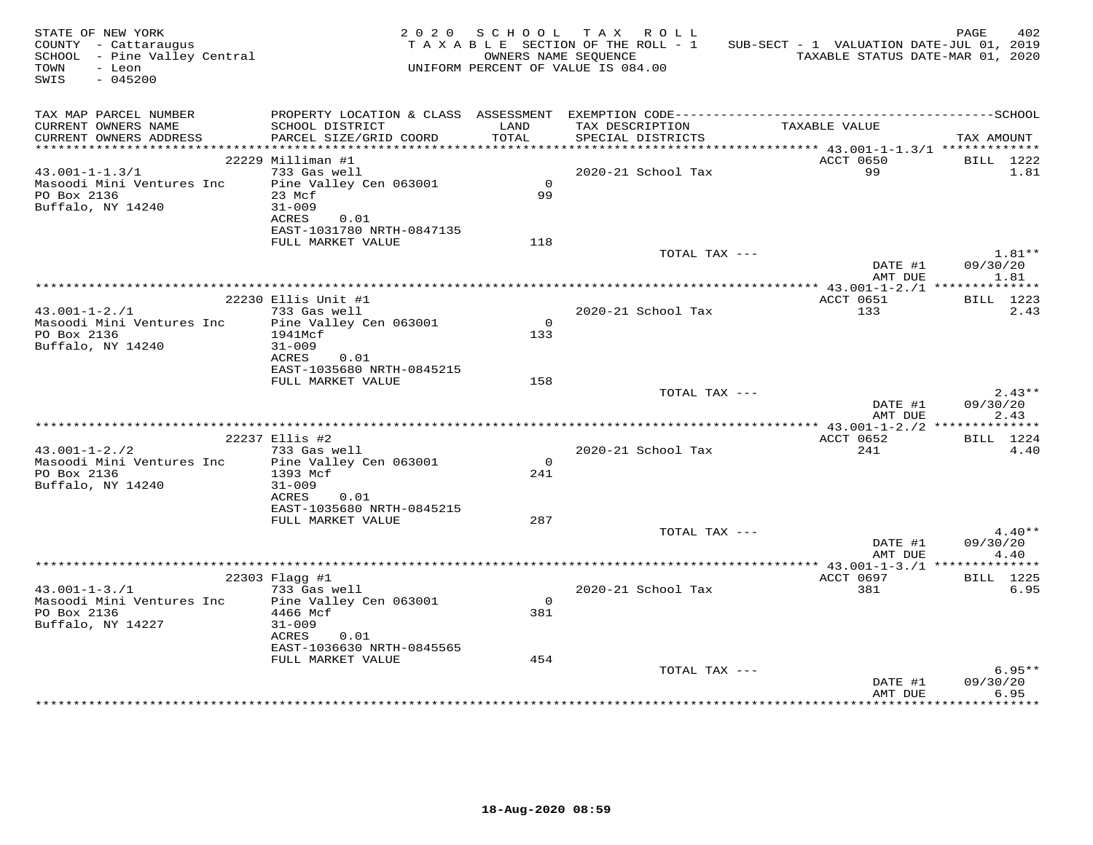| STATE OF NEW YORK<br>COUNTY - Cattaraugus<br>SCHOOL - Pine Valley Central<br>TOWN<br>- Leon<br>SWIS<br>$-045200$ |                                           |                | 2020 SCHOOL TAX ROLL<br>TAXABLE SECTION OF THE ROLL - 1<br>OWNERS NAME SEOUENCE<br>UNIFORM PERCENT OF VALUE IS 084.00 | SUB-SECT - 1 VALUATION DATE-JUL 01, 2019<br>TAXABLE STATUS DATE-MAR 01, 2020 | 402<br>PAGE          |
|------------------------------------------------------------------------------------------------------------------|-------------------------------------------|----------------|-----------------------------------------------------------------------------------------------------------------------|------------------------------------------------------------------------------|----------------------|
| TAX MAP PARCEL NUMBER<br>CURRENT OWNERS NAME<br>CURRENT OWNERS ADDRESS                                           | SCHOOL DISTRICT<br>PARCEL SIZE/GRID COORD | LAND<br>TOTAL  | TAX DESCRIPTION<br>SPECIAL DISTRICTS                                                                                  | TAXABLE VALUE                                                                | TAX AMOUNT           |
|                                                                                                                  |                                           |                |                                                                                                                       |                                                                              |                      |
|                                                                                                                  | 22229 Milliman #1                         |                |                                                                                                                       | ACCT 0650                                                                    | BILL 1222            |
| $43.001 - 1 - 1.3/1$                                                                                             | 733 Gas well                              | $\overline{0}$ | 2020-21 School Tax                                                                                                    | 99                                                                           | 1.81                 |
| Masoodi Mini Ventures Inc<br>PO Box 2136                                                                         | Pine Valley Cen 063001<br>23 Mcf          | 99             |                                                                                                                       |                                                                              |                      |
| Buffalo, NY 14240                                                                                                | $31 - 009$                                |                |                                                                                                                       |                                                                              |                      |
|                                                                                                                  | ACRES<br>0.01                             |                |                                                                                                                       |                                                                              |                      |
|                                                                                                                  | EAST-1031780 NRTH-0847135                 |                |                                                                                                                       |                                                                              |                      |
|                                                                                                                  | FULL MARKET VALUE                         | 118            |                                                                                                                       |                                                                              |                      |
|                                                                                                                  |                                           |                | TOTAL TAX ---                                                                                                         | DATE #1                                                                      | $1.81**$<br>09/30/20 |
|                                                                                                                  |                                           |                |                                                                                                                       | AMT DUE                                                                      | 1.81                 |
|                                                                                                                  |                                           |                |                                                                                                                       |                                                                              |                      |
|                                                                                                                  | 22230 Ellis Unit #1                       |                |                                                                                                                       | ACCT 0651                                                                    | BILL 1223            |
| $43.001 - 1 - 2.71$                                                                                              | 733 Gas well                              |                | 2020-21 School Tax                                                                                                    | 133                                                                          | 2.43                 |
| Masoodi Mini Ventures Inc                                                                                        | Pine Valley Cen 063001                    | $\Omega$       |                                                                                                                       |                                                                              |                      |
| PO Box 2136<br>Buffalo, NY 14240                                                                                 | 1941Mcf<br>$31 - 009$                     | 133            |                                                                                                                       |                                                                              |                      |
|                                                                                                                  | 0.01<br>ACRES                             |                |                                                                                                                       |                                                                              |                      |
|                                                                                                                  | EAST-1035680 NRTH-0845215                 |                |                                                                                                                       |                                                                              |                      |
|                                                                                                                  | FULL MARKET VALUE                         | 158            |                                                                                                                       |                                                                              |                      |
|                                                                                                                  |                                           |                | TOTAL TAX ---                                                                                                         |                                                                              | $2.43**$             |
|                                                                                                                  |                                           |                |                                                                                                                       | DATE #1<br>AMT DUE                                                           | 09/30/20<br>2.43     |
|                                                                                                                  |                                           |                |                                                                                                                       |                                                                              |                      |
|                                                                                                                  | 22237 Ellis #2                            |                |                                                                                                                       | ACCT 0652                                                                    | <b>BILL</b> 1224     |
| $43.001 - 1 - 2.72$                                                                                              | 733 Gas well                              |                | 2020-21 School Tax                                                                                                    | 241                                                                          | 4.40                 |
| Masoodi Mini Ventures Inc                                                                                        | Pine Valley Cen 063001                    | $\circ$        |                                                                                                                       |                                                                              |                      |
| PO Box 2136                                                                                                      | 1393 Mcf                                  | 241            |                                                                                                                       |                                                                              |                      |
| Buffalo, NY 14240                                                                                                | $31 - 009$<br>ACRES<br>0.01               |                |                                                                                                                       |                                                                              |                      |
|                                                                                                                  | EAST-1035680 NRTH-0845215                 |                |                                                                                                                       |                                                                              |                      |
|                                                                                                                  | FULL MARKET VALUE                         | 287            |                                                                                                                       |                                                                              |                      |
|                                                                                                                  |                                           |                | TOTAL TAX ---                                                                                                         |                                                                              | $4.40**$             |
|                                                                                                                  |                                           |                |                                                                                                                       | DATE #1                                                                      | 09/30/20             |
|                                                                                                                  |                                           |                |                                                                                                                       | AMT DUE                                                                      | 4.40                 |
|                                                                                                                  | 22303 Flagg #1                            |                |                                                                                                                       | ACCT 0697                                                                    | <b>BILL</b> 1225     |
| $43.001 - 1 - 3.71$                                                                                              | 733 Gas well                              |                | 2020-21 School Tax                                                                                                    | 381                                                                          | 6.95                 |
| Masoodi Mini Ventures Inc                                                                                        | Pine Valley Cen 063001                    | $\Omega$       |                                                                                                                       |                                                                              |                      |
| PO Box 2136                                                                                                      | 4466 Mcf                                  | 381            |                                                                                                                       |                                                                              |                      |
| Buffalo, NY 14227                                                                                                | $31 - 009$<br>ACRES<br>0.01               |                |                                                                                                                       |                                                                              |                      |
|                                                                                                                  | EAST-1036630 NRTH-0845565                 |                |                                                                                                                       |                                                                              |                      |
|                                                                                                                  | FULL MARKET VALUE                         | 454            |                                                                                                                       |                                                                              |                      |
|                                                                                                                  |                                           |                | TOTAL TAX ---                                                                                                         |                                                                              | $6.95**$             |
|                                                                                                                  |                                           |                |                                                                                                                       | DATE #1                                                                      | 09/30/20             |
|                                                                                                                  |                                           |                |                                                                                                                       | AMT DUE                                                                      | 6.95                 |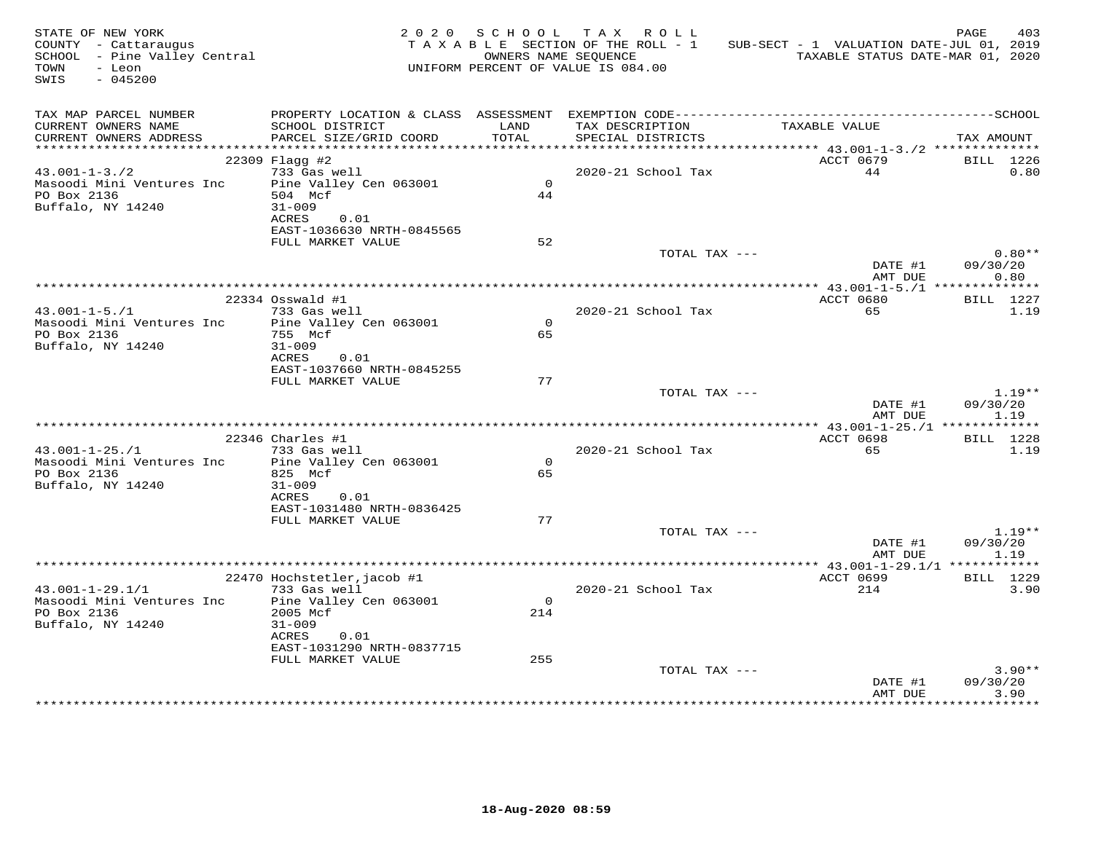| STATE OF NEW YORK<br>SIAIE OF NEW IONN<br>COUNTY - Cattaraugus<br>SCHOOL - Pine Valley Central<br>TOWN<br>- Leon<br>SWIS<br>$-045200$ |                                                                     |                | 2020 SCHOOL TAX ROLL<br>TAXABLE SECTION OF THE ROLL - 1<br>OWNERS NAME SEQUENCE<br>UNIFORM PERCENT OF VALUE IS 084.00 | SUB-SECT - 1 VALUATION DATE-JUL 01, 2019<br>TAXABLE STATUS DATE-MAR 01, 2020 | PAGE<br>403                  |
|---------------------------------------------------------------------------------------------------------------------------------------|---------------------------------------------------------------------|----------------|-----------------------------------------------------------------------------------------------------------------------|------------------------------------------------------------------------------|------------------------------|
| TAX MAP PARCEL NUMBER<br>CURRENT OWNERS NAME<br>CURRENT OWNERS ADDRESS                                                                | SCHOOL DISTRICT<br>PARCEL SIZE/GRID COORD                           | LAND<br>TOTAL  | TAX DESCRIPTION<br>SPECIAL DISTRICTS                                                                                  | TAXABLE VALUE                                                                | TAX AMOUNT                   |
|                                                                                                                                       |                                                                     |                |                                                                                                                       |                                                                              |                              |
| $43.001 - 1 - 3.72$                                                                                                                   | 22309 Flagg #2<br>733 Gas well                                      |                | 2020-21 School Tax                                                                                                    | ACCT 0679<br>44                                                              | BILL 1226<br>0.80            |
| Masoodi Mini Ventures Inc<br>PO Box 2136<br>Buffalo, NY 14240                                                                         | Pine Valley Cen 063001<br>504 Mcf<br>$31 - 009$<br>ACRES<br>0.01    | $\Omega$<br>44 |                                                                                                                       |                                                                              |                              |
|                                                                                                                                       | EAST-1036630 NRTH-0845565                                           |                |                                                                                                                       |                                                                              |                              |
|                                                                                                                                       | FULL MARKET VALUE                                                   | 52             | TOTAL TAX ---                                                                                                         |                                                                              | $0.80**$                     |
|                                                                                                                                       |                                                                     |                |                                                                                                                       | DATE #1<br>AMT DUE                                                           | 09/30/20<br>0.80             |
|                                                                                                                                       |                                                                     |                |                                                                                                                       | ACCT 0680                                                                    |                              |
| $43.001 - 1 - 5.71$<br>Masoodi Mini Ventures Inc                                                                                      | $22334$ Osswald #1<br>733 Gas well<br>Pine Valley Cen 063001        | $\Omega$       | 2020-21 School Tax                                                                                                    | 65                                                                           | <b>BILL</b> 1227<br>1.19     |
| PO Box 2136<br>Buffalo, NY 14240                                                                                                      | 755 Mcf<br>$31 - 009$<br>ACRES<br>0.01<br>EAST-1037660 NRTH-0845255 | 65             |                                                                                                                       |                                                                              |                              |
|                                                                                                                                       | FULL MARKET VALUE                                                   | 77             |                                                                                                                       |                                                                              |                              |
|                                                                                                                                       |                                                                     |                | TOTAL TAX ---                                                                                                         | DATE #1<br>AMT DUE                                                           | $1.19**$<br>09/30/20<br>1.19 |
|                                                                                                                                       |                                                                     |                |                                                                                                                       |                                                                              |                              |
|                                                                                                                                       | $22346$ Charles #1                                                  |                |                                                                                                                       | ACCT 0698                                                                    | <b>BILL</b> 1228             |
| $43.001 - 1 - 25.71$<br>Masoodi Mini Ventures Inc Pine Valley Cen 063001                                                              | 733 Gas well                                                        | $\circ$        | 2020-21 School Tax                                                                                                    | 65                                                                           | 1.19                         |
| PO Box 2136<br>Buffalo, NY 14240                                                                                                      | 825 Mcf<br>$31 - 009$                                               | 65             |                                                                                                                       |                                                                              |                              |
|                                                                                                                                       | ACRES<br>0.01<br>EAST-1031480 NRTH-0836425<br>FULL MARKET VALUE     | 77             |                                                                                                                       |                                                                              |                              |
|                                                                                                                                       |                                                                     |                | TOTAL TAX ---                                                                                                         | DATE #1<br>AMT DUE                                                           | $1.19**$<br>09/30/20<br>1.19 |
|                                                                                                                                       |                                                                     |                |                                                                                                                       |                                                                              |                              |
|                                                                                                                                       | 22470 Hochstetler, jacob #1                                         |                |                                                                                                                       | ACCT 0699                                                                    | BILL 1229                    |
| $43.001 - 1 - 29.1/1$<br>Masoodi Mini Ventures Inc Pine Valley Cen 063001                                                             | 733 Gas well                                                        | $\Omega$       | 2020-21 School Tax                                                                                                    | 214                                                                          | 3.90                         |
| PO Box 2136<br>Buffalo, NY 14240                                                                                                      | 2005 Mcf<br>$31 - 009$<br>ACRES 0.01<br>EAST-1031290 NRTH-0837715   | 214            |                                                                                                                       |                                                                              |                              |
|                                                                                                                                       | FULL MARKET VALUE                                                   | 255            |                                                                                                                       |                                                                              |                              |
|                                                                                                                                       |                                                                     |                | TOTAL TAX ---                                                                                                         | DATE #1<br>AMT DUE                                                           | $3.90**$<br>09/30/20<br>3.90 |
|                                                                                                                                       |                                                                     |                |                                                                                                                       |                                                                              | ******                       |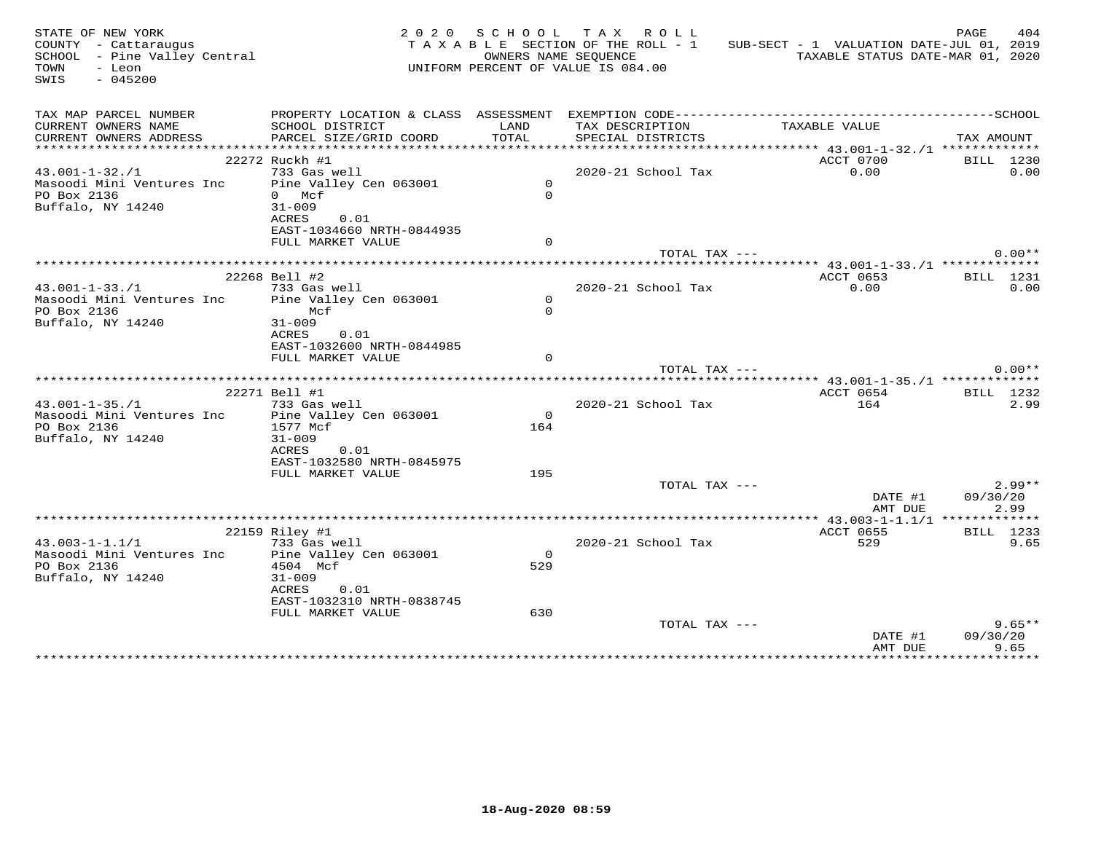| STATE OF NEW YORK<br>COUNTY - Cattaraugus<br>SCHOOL - Pine Valley Central<br>TOWN<br>- Leon<br>SWIS<br>$-045200$ |                           |                | 2020 SCHOOL TAX ROLL<br>TAXABLE SECTION OF THE ROLL - 1<br>OWNERS NAME SEOUENCE<br>UNIFORM PERCENT OF VALUE IS 084.00 | SUB-SECT - 1 VALUATION DATE-JUL 01, 2019 | PAGE<br>404<br>TAXABLE STATUS DATE-MAR 01, 2020 |
|------------------------------------------------------------------------------------------------------------------|---------------------------|----------------|-----------------------------------------------------------------------------------------------------------------------|------------------------------------------|-------------------------------------------------|
| TAX MAP PARCEL NUMBER                                                                                            |                           |                |                                                                                                                       |                                          |                                                 |
| CURRENT OWNERS NAME                                                                                              | SCHOOL DISTRICT           | LAND           | TAX DESCRIPTION                                                                                                       | TAXABLE VALUE                            |                                                 |
| CURRENT OWNERS ADDRESS                                                                                           | PARCEL SIZE/GRID COORD    | TOTAL          | SPECIAL DISTRICTS                                                                                                     |                                          | TAX AMOUNT                                      |
|                                                                                                                  | 22272 Ruckh #1            |                |                                                                                                                       | ACCT 0700                                | BILL 1230                                       |
| $43.001 - 1 - 32.71$                                                                                             | 733 Gas well              |                | 2020-21 School Tax                                                                                                    | 0.00                                     | 0.00                                            |
| Masoodi Mini Ventures Inc                                                                                        | Pine Valley Cen 063001    | $\overline{0}$ |                                                                                                                       |                                          |                                                 |
| PO Box 2136                                                                                                      | 0 Mcf                     | $\Omega$       |                                                                                                                       |                                          |                                                 |
| Buffalo, NY 14240                                                                                                | $31 - 009$                |                |                                                                                                                       |                                          |                                                 |
|                                                                                                                  | ACRES<br>0.01             |                |                                                                                                                       |                                          |                                                 |
|                                                                                                                  | EAST-1034660 NRTH-0844935 |                |                                                                                                                       |                                          |                                                 |
|                                                                                                                  | FULL MARKET VALUE         | $\Omega$       |                                                                                                                       |                                          |                                                 |
|                                                                                                                  |                           |                | TOTAL TAX ---                                                                                                         |                                          | $0.00**$                                        |
|                                                                                                                  | 22268 Bell #2             |                |                                                                                                                       | ACCT 0653                                | BILL 1231                                       |
| $43.001 - 1 - 33.71$                                                                                             | 733 Gas well              |                | 2020-21 School Tax                                                                                                    | 0.00                                     | 0.00                                            |
| Masoodi Mini Ventures Inc                                                                                        | Pine Valley Cen 063001    | $\circ$        |                                                                                                                       |                                          |                                                 |
| PO Box 2136                                                                                                      | Mcf                       | $\Omega$       |                                                                                                                       |                                          |                                                 |
| Buffalo, NY 14240                                                                                                | $31 - 009$                |                |                                                                                                                       |                                          |                                                 |
|                                                                                                                  | ACRES<br>0.01             |                |                                                                                                                       |                                          |                                                 |
|                                                                                                                  | EAST-1032600 NRTH-0844985 |                |                                                                                                                       |                                          |                                                 |
|                                                                                                                  | FULL MARKET VALUE         | $\Omega$       |                                                                                                                       |                                          |                                                 |
|                                                                                                                  |                           |                | TOTAL TAX ---                                                                                                         |                                          | $0.00**$                                        |
|                                                                                                                  | 22271 Bell #1             |                |                                                                                                                       | ACCT 0654                                | BILL 1232                                       |
| $43.001 - 1 - 35.71$                                                                                             | 733 Gas well              |                | 2020-21 School Tax                                                                                                    | 164                                      | 2.99                                            |
| Masoodi Mini Ventures Inc                                                                                        | Pine Valley Cen 063001    | $\Omega$       |                                                                                                                       |                                          |                                                 |
| PO Box 2136                                                                                                      | 1577 Mcf                  | 164            |                                                                                                                       |                                          |                                                 |
| Buffalo, NY 14240                                                                                                | $31 - 009$                |                |                                                                                                                       |                                          |                                                 |
|                                                                                                                  | ACRES<br>0.01             |                |                                                                                                                       |                                          |                                                 |
|                                                                                                                  | EAST-1032580 NRTH-0845975 |                |                                                                                                                       |                                          |                                                 |
|                                                                                                                  | FULL MARKET VALUE         | 195            |                                                                                                                       |                                          | $2.99**$                                        |
|                                                                                                                  |                           |                | TOTAL TAX ---                                                                                                         | DATE #1                                  | 09/30/20                                        |
|                                                                                                                  |                           |                |                                                                                                                       | AMT DUE                                  | 2.99                                            |
|                                                                                                                  |                           |                |                                                                                                                       |                                          |                                                 |
|                                                                                                                  | 22159 Riley #1            |                |                                                                                                                       | ACCT 0655                                | BILL 1233                                       |
| $43.003 - 1 - 1.1/1$                                                                                             | 733 Gas well              |                | 2020-21 School Tax                                                                                                    | 529                                      | 9.65                                            |
| Masoodi Mini Ventures Inc                                                                                        | Pine Valley Cen 063001    | $\circ$        |                                                                                                                       |                                          |                                                 |
| PO Box 2136                                                                                                      | 4504 Mcf                  | 529            |                                                                                                                       |                                          |                                                 |
| Buffalo, NY 14240                                                                                                | $31 - 009$                |                |                                                                                                                       |                                          |                                                 |
|                                                                                                                  | ACRES<br>0.01             |                |                                                                                                                       |                                          |                                                 |
|                                                                                                                  | EAST-1032310 NRTH-0838745 | 630            |                                                                                                                       |                                          |                                                 |
|                                                                                                                  | FULL MARKET VALUE         |                | TOTAL TAX ---                                                                                                         |                                          | $9.65**$                                        |
|                                                                                                                  |                           |                |                                                                                                                       | DATE #1                                  | 09/30/20                                        |
|                                                                                                                  |                           |                |                                                                                                                       | AMT DUE                                  | 9.65                                            |
|                                                                                                                  |                           |                |                                                                                                                       |                                          |                                                 |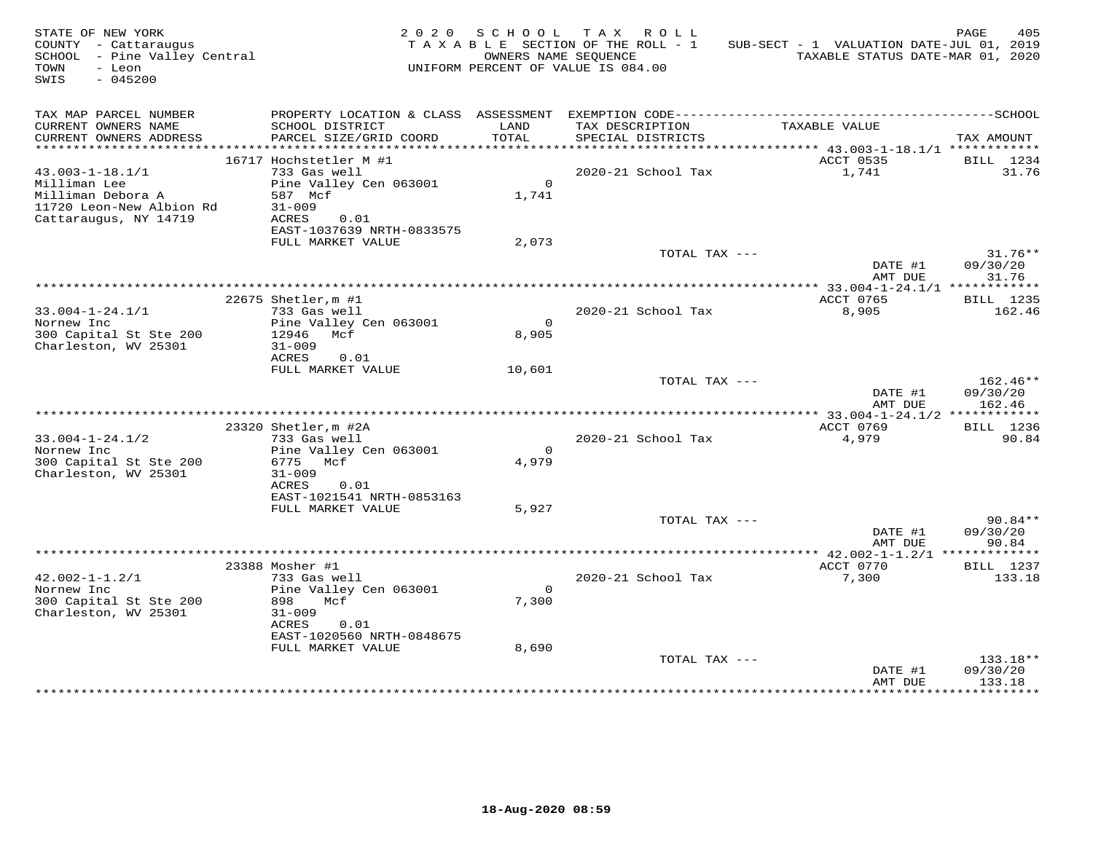| STATE OF NEW YORK<br>COUNTY - Cattaraugus<br>SCHOOL - Pine Valley Central<br>TOWN<br>- Leon<br>$-045200$<br>SWIS |                                                                                                                                     | OWNERS NAME SEQUENCE    | 2020 SCHOOL TAX ROLL<br>TAXABLE SECTION OF THE ROLL - 1<br>UNIFORM PERCENT OF VALUE IS 084.00 | SUB-SECT - 1 VALUATION DATE-JUL 01, 2019<br>TAXABLE STATUS DATE-MAR 01, 2020 | PAGE<br>405                    |
|------------------------------------------------------------------------------------------------------------------|-------------------------------------------------------------------------------------------------------------------------------------|-------------------------|-----------------------------------------------------------------------------------------------|------------------------------------------------------------------------------|--------------------------------|
| TAX MAP PARCEL NUMBER<br>CURRENT OWNERS NAME<br>CURRENT OWNERS ADDRESS                                           | SCHOOL DISTRICT<br>PARCEL SIZE/GRID COORD                                                                                           | LAND<br><b>TOTAL</b>    | TAX DESCRIPTION<br>SPECIAL DISTRICTS                                                          | TAXABLE VALUE                                                                | TAX AMOUNT                     |
| ***********************                                                                                          |                                                                                                                                     |                         |                                                                                               |                                                                              |                                |
| $43.003 - 1 - 18.1/1$<br>Milliman Lee<br>Milliman Debora A<br>11720 Leon-New Albion Rd<br>Cattaraugus, NY 14719  | 16717 Hochstetler M #1<br>733 Gas well<br>Pine Valley Cen 063001<br>587 Mcf<br>$31 - 009$<br>ACRES<br>0.01                          | $\overline{0}$<br>1,741 | 2020-21 School Tax                                                                            | ACCT 0535<br>1,741                                                           | BILL 1234<br>31.76             |
|                                                                                                                  | EAST-1037639 NRTH-0833575<br>FULL MARKET VALUE                                                                                      | 2,073                   |                                                                                               |                                                                              |                                |
|                                                                                                                  |                                                                                                                                     |                         | TOTAL TAX ---                                                                                 | DATE #1<br>AMT DUE                                                           | $31.76**$<br>09/30/20<br>31.76 |
|                                                                                                                  |                                                                                                                                     |                         |                                                                                               |                                                                              |                                |
|                                                                                                                  | 22675 Shetler, m #1                                                                                                                 |                         |                                                                                               | ACCT 0765                                                                    | BILL 1235                      |
| $33.004 - 1 - 24.1/1$<br>Nornew Inc<br>300 Capital St Ste 200<br>Charleston, WV 25301                            | 733 Gas well<br>Pine Valley Cen 063001<br>12946 Mcf<br>$31 - 009$<br>ACRES<br>0.01                                                  | $\Omega$<br>8,905       | 2020-21 School Tax                                                                            | 8,905                                                                        | 162.46                         |
|                                                                                                                  | FULL MARKET VALUE                                                                                                                   | 10,601                  | TOTAL TAX ---                                                                                 | DATE #1                                                                      | 162.46**<br>09/30/20           |
|                                                                                                                  |                                                                                                                                     |                         |                                                                                               | AMT DUE                                                                      | 162.46                         |
|                                                                                                                  | 23320 Shetler, m #2A                                                                                                                |                         |                                                                                               | ACCT 0769                                                                    | BILL 1236                      |
| $33.004 - 1 - 24.1/2$<br>Nornew Inc<br>300 Capital St Ste 200<br>Charleston, WV 25301                            | 733 Gas well<br>Pine Valley Cen 063001<br>6775 Mcf<br>$31 - 009$<br>ACRES<br>0.01                                                   | $\Omega$<br>4,979       | 2020-21 School Tax                                                                            | 4,979                                                                        | 90.84                          |
|                                                                                                                  | EAST-1021541 NRTH-0853163<br>FULL MARKET VALUE                                                                                      | 5,927                   |                                                                                               |                                                                              |                                |
|                                                                                                                  |                                                                                                                                     |                         | TOTAL TAX ---                                                                                 | DATE #1<br>AMT DUE                                                           | $90.84**$<br>09/30/20<br>90.84 |
|                                                                                                                  |                                                                                                                                     |                         |                                                                                               | ************* 42.002-1-1.2/1 *************                                   |                                |
| $42.002 - 1 - 1.2/1$<br>Nornew Inc<br>300 Capital St Ste 200<br>Charleston, WV 25301                             | 23388 Mosher #1<br>733 Gas well<br>Pine Valley Cen 063001<br>898<br>Mcf<br>$31 - 009$<br>ACRES<br>0.01<br>EAST-1020560 NRTH-0848675 | $\overline{0}$<br>7,300 | 2020-21 School Tax                                                                            | ACCT 0770<br>7,300                                                           | <b>BILL</b> 1237<br>133.18     |
|                                                                                                                  | FULL MARKET VALUE                                                                                                                   | 8,690                   | TOTAL TAX ---                                                                                 | DATE #1<br>AMT DUE                                                           | 133.18**<br>09/30/20<br>133.18 |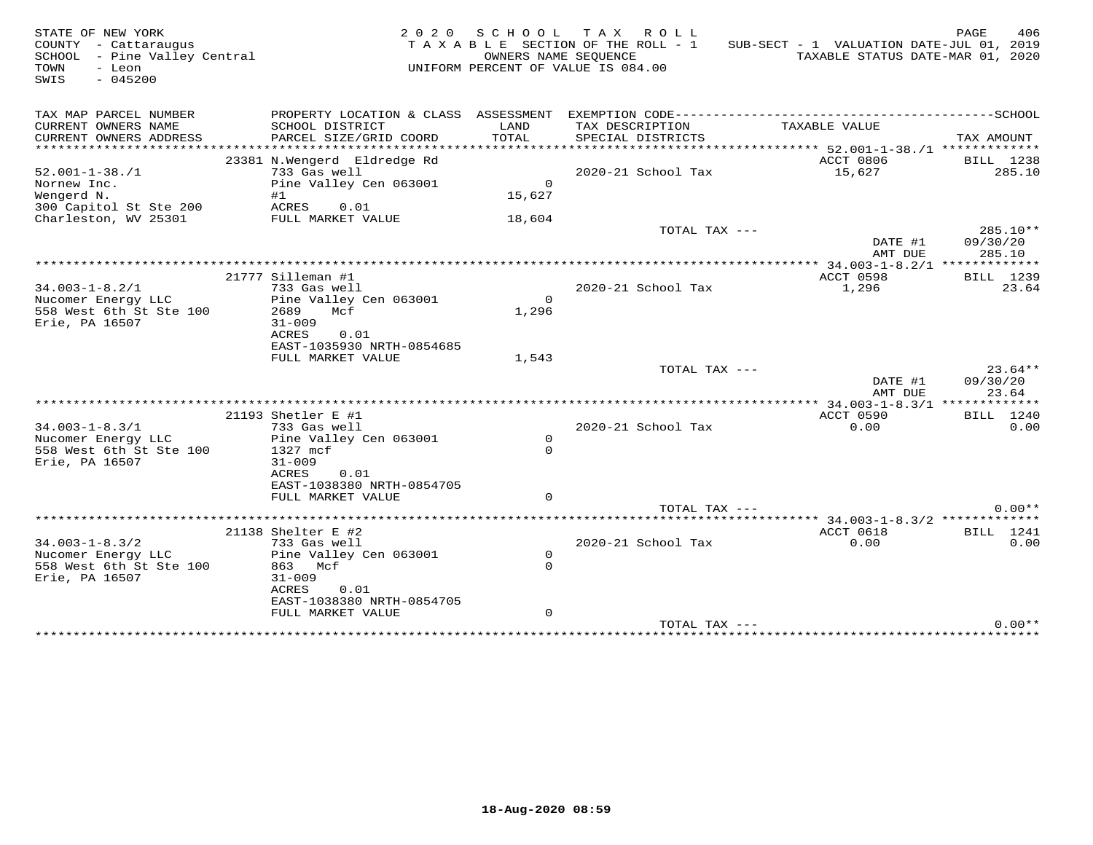| STATE OF NEW YORK<br>COUNTY - Cattaraugus<br>SCHOOL - Pine Valley Central<br>TOWN<br>- Leon<br>SWIS<br>$-045200$ |                                                                                                                                                           | OWNERS NAME SEQUENCE                | 2020 SCHOOL TAX ROLL<br>TAXABLE SECTION OF THE ROLL - 1<br>UNIFORM PERCENT OF VALUE IS 084.00 | SUB-SECT - 1 VALUATION DATE-JUL 01, 2019<br>TAXABLE STATUS DATE-MAR 01, 2020 | PAGE<br>406                    |
|------------------------------------------------------------------------------------------------------------------|-----------------------------------------------------------------------------------------------------------------------------------------------------------|-------------------------------------|-----------------------------------------------------------------------------------------------|------------------------------------------------------------------------------|--------------------------------|
| TAX MAP PARCEL NUMBER<br>CURRENT OWNERS NAME<br>CURRENT OWNERS ADDRESS                                           | PROPERTY LOCATION & CLASS ASSESSMENT<br>SCHOOL DISTRICT<br>PARCEL SIZE/GRID COORD                                                                         | LAND<br>TOTAL                       | TAX DESCRIPTION<br>SPECIAL DISTRICTS                                                          | TAXABLE VALUE                                                                | TAX AMOUNT                     |
| ***********************<br>$52.001 - 1 - 38. / 1$<br>Nornew Inc.<br>Wengerd N.<br>300 Capitol St Ste 200         | *****************************<br>23381 N.Wengerd Eldredge Rd<br>733 Gas well<br>Pine Valley Cen 063001<br>#1<br>ACRES<br>0.01                             | $\Omega$<br>15,627                  | 2020-21 School Tax                                                                            | ACCT 0806<br>15,627                                                          | BILL 1238<br>285.10            |
| Charleston, WV 25301                                                                                             | FULL MARKET VALUE                                                                                                                                         | 18,604                              | TOTAL TAX ---                                                                                 | DATE #1<br>AMT DUE                                                           | 285.10**<br>09/30/20<br>285.10 |
| $34.003 - 1 - 8.2/1$<br>Nucomer Energy LLC<br>558 West 6th St Ste 100<br>Erie, PA 16507                          | 21777 Silleman #1<br>733 Gas well<br>Pine Valley Cen 063001<br>2689<br>Mcf<br>$31 - 009$<br>ACRES<br>0.01<br>EAST-1035930 NRTH-0854685                    | $\Omega$<br>1,296                   | 2020-21 School Tax                                                                            | ACCT 0598<br>1,296                                                           | BILL 1239<br>23.64             |
|                                                                                                                  | FULL MARKET VALUE                                                                                                                                         | 1,543                               | TOTAL TAX ---                                                                                 | DATE #1<br>AMT DUE                                                           | $23.64**$<br>09/30/20<br>23.64 |
|                                                                                                                  |                                                                                                                                                           |                                     |                                                                                               |                                                                              |                                |
| $34.003 - 1 - 8.3/1$<br>Nucomer Energy LLC<br>558 West 6th St Ste 100<br>Erie, PA 16507                          | 21193 Shetler E #1<br>733 Gas well<br>Pine Valley Cen 063001<br>1327 mcf<br>$31 - 009$<br>ACRES<br>0.01<br>EAST-1038380 NRTH-0854705<br>FULL MARKET VALUE | $\mathbf 0$<br>$\Omega$<br>$\Omega$ | 2020-21 School Tax                                                                            | ACCT 0590<br>0.00                                                            | <b>BILL</b> 1240<br>0.00       |
|                                                                                                                  |                                                                                                                                                           |                                     | TOTAL TAX ---                                                                                 |                                                                              | $0.00**$                       |
| $34.003 - 1 - 8.3/2$<br>Nucomer Energy LLC<br>558 West 6th St Ste 100<br>Erie, PA 16507                          | 21138 Shelter E #2<br>733 Gas well<br>Pine Valley Cen 063001<br>863 Mcf<br>$31 - 009$<br>ACRES<br>0.01<br>EAST-1038380 NRTH-0854705<br>FULL MARKET VALUE  | $\circ$<br>$\Omega$<br>$\mathbf{0}$ | 2020-21 School Tax                                                                            | ACCT 0618<br>0.00                                                            | BILL 1241<br>0.00              |
|                                                                                                                  |                                                                                                                                                           |                                     | TOTAL TAX ---                                                                                 |                                                                              | $0.00**$                       |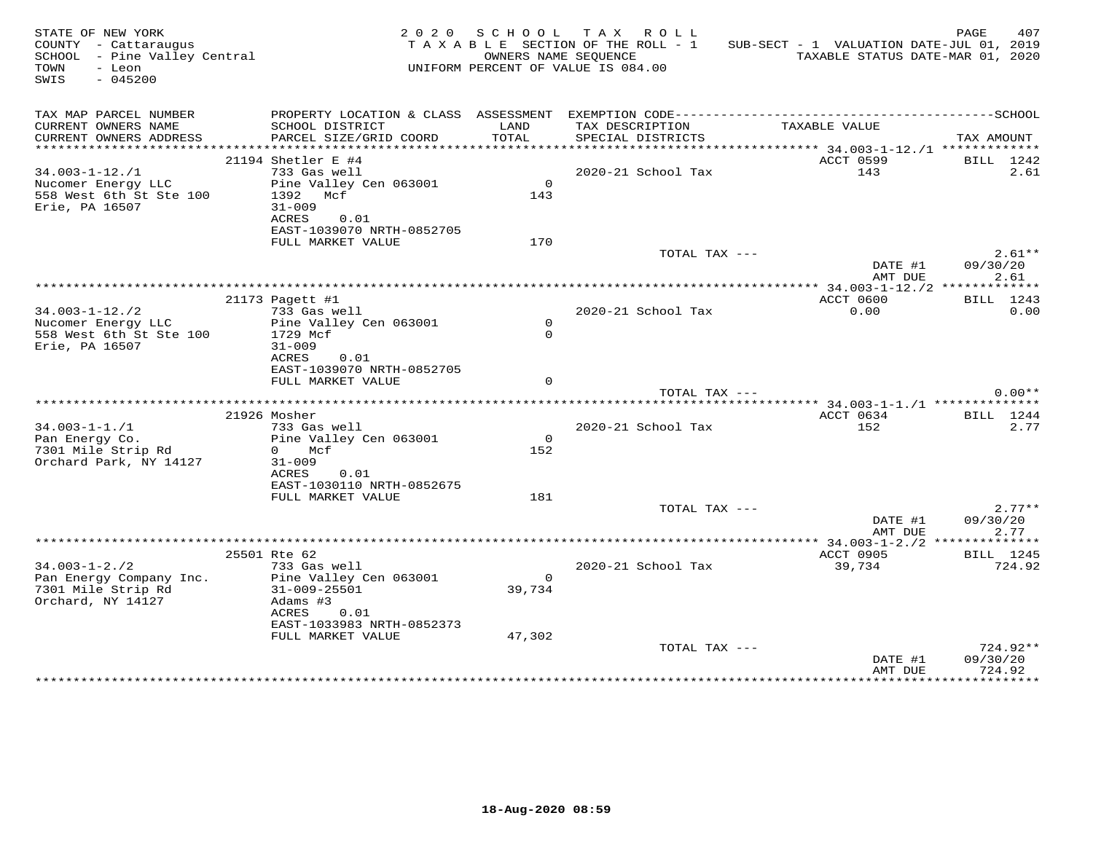| STATE OF NEW YORK<br>COUNTY - Cattaraugus<br>SCHOOL - Pine Valley Central<br>TOWN<br>- Leon<br>$-045200$<br>SWIS |                                                                                  |                          | 2020 SCHOOL TAX ROLL<br>TAXABLE SECTION OF THE ROLL - 1<br>OWNERS NAME SEQUENCE<br>UNIFORM PERCENT OF VALUE IS 084.00 | SUB-SECT - 1 VALUATION DATE-JUL 01, 2019<br>TAXABLE STATUS DATE-MAR 01, 2020 | PAGE<br>407                    |
|------------------------------------------------------------------------------------------------------------------|----------------------------------------------------------------------------------|--------------------------|-----------------------------------------------------------------------------------------------------------------------|------------------------------------------------------------------------------|--------------------------------|
| TAX MAP PARCEL NUMBER<br>CURRENT OWNERS NAME                                                                     | SCHOOL DISTRICT                                                                  | LAND                     | TAX DESCRIPTION                                                                                                       | TAXABLE VALUE                                                                |                                |
| CURRENT OWNERS ADDRESS                                                                                           | PARCEL SIZE/GRID COORD                                                           | TOTAL                    | SPECIAL DISTRICTS                                                                                                     |                                                                              | TAX AMOUNT                     |
|                                                                                                                  | 21194 Shetler E #4                                                               |                          |                                                                                                                       | ACCT 0599                                                                    | BILL 1242                      |
| $34.003 - 1 - 12$ ./1                                                                                            | 733 Gas well                                                                     |                          | 2020-21 School Tax                                                                                                    | 143                                                                          | 2.61                           |
| Nucomer Energy LLC<br>558 West 6th St Ste 100<br>Erie, PA 16507                                                  | Pine Valley Cen 063001<br>1392 Mcf<br>$31 - 009$<br>ACRES<br>0.01                | $\Omega$<br>143          |                                                                                                                       |                                                                              |                                |
|                                                                                                                  | EAST-1039070 NRTH-0852705<br>FULL MARKET VALUE                                   | 170                      |                                                                                                                       |                                                                              |                                |
|                                                                                                                  |                                                                                  |                          | TOTAL TAX ---                                                                                                         | DATE #1                                                                      | $2.61**$<br>09/30/20           |
|                                                                                                                  |                                                                                  |                          |                                                                                                                       | AMT DUE                                                                      | 2.61                           |
|                                                                                                                  | 21173 Pagett #1                                                                  |                          |                                                                                                                       | ACCT 0600                                                                    | BILL 1243                      |
| $34.003 - 1 - 12.72$                                                                                             | 733 Gas well                                                                     |                          | 2020-21 School Tax                                                                                                    | 0.00                                                                         | 0.00                           |
| Nucomer Energy LLC<br>558 West 6th St Ste 100<br>Erie, PA 16507                                                  | Pine Valley Cen 063001<br>1729 Mcf<br>$31 - 009$<br>ACRES<br>0.01                | $\mathbf{0}$<br>$\Omega$ |                                                                                                                       |                                                                              |                                |
|                                                                                                                  | EAST-1039070 NRTH-0852705<br>FULL MARKET VALUE                                   | $\Omega$                 |                                                                                                                       |                                                                              |                                |
|                                                                                                                  |                                                                                  |                          | TOTAL TAX ---                                                                                                         |                                                                              | $0.00**$                       |
|                                                                                                                  | 21926 Mosher                                                                     |                          |                                                                                                                       | ACCT 0634                                                                    | BILL 1244                      |
| $34.003 - 1 - 1.71$                                                                                              | 733 Gas well                                                                     |                          | 2020-21 School Tax                                                                                                    | 152                                                                          | 2.77                           |
| Pan Energy Co.<br>7301 Mile Strip Rd<br>Orchard Park, NY 14127                                                   | Pine Valley Cen 063001<br>0 Mcf<br>$31 - 009$                                    | $\overline{0}$<br>152    |                                                                                                                       |                                                                              |                                |
|                                                                                                                  | ACRES<br>0.01<br>EAST-1030110 NRTH-0852675<br>FULL MARKET VALUE                  | 181                      |                                                                                                                       |                                                                              |                                |
|                                                                                                                  |                                                                                  |                          | TOTAL TAX ---                                                                                                         | DATE #1<br>AMT DUE                                                           | $2.77**$<br>09/30/20<br>2.77   |
|                                                                                                                  |                                                                                  |                          |                                                                                                                       |                                                                              |                                |
|                                                                                                                  | 25501 Rte 62                                                                     |                          |                                                                                                                       | ACCT 0905                                                                    | BILL 1245                      |
| $34.003 - 1 - 2.72$<br>Pan Energy Company Inc.<br>7301 Mile Strip Rd<br>Orchard, NY 14127                        | 733 Gas well<br>Pine Valley Cen 063001<br>31-009-25501<br>Adams #3<br>ACRES 0.01 | $\overline{0}$<br>39,734 | 2020-21 School Tax                                                                                                    | 39,734                                                                       | 724.92                         |
|                                                                                                                  | EAST-1033983 NRTH-0852373<br>FULL MARKET VALUE                                   | 47,302                   |                                                                                                                       |                                                                              |                                |
|                                                                                                                  |                                                                                  |                          | TOTAL TAX ---                                                                                                         | DATE #1<br>AMT DUE                                                           | 724.92**<br>09/30/20<br>724.92 |
|                                                                                                                  |                                                                                  |                          |                                                                                                                       |                                                                              |                                |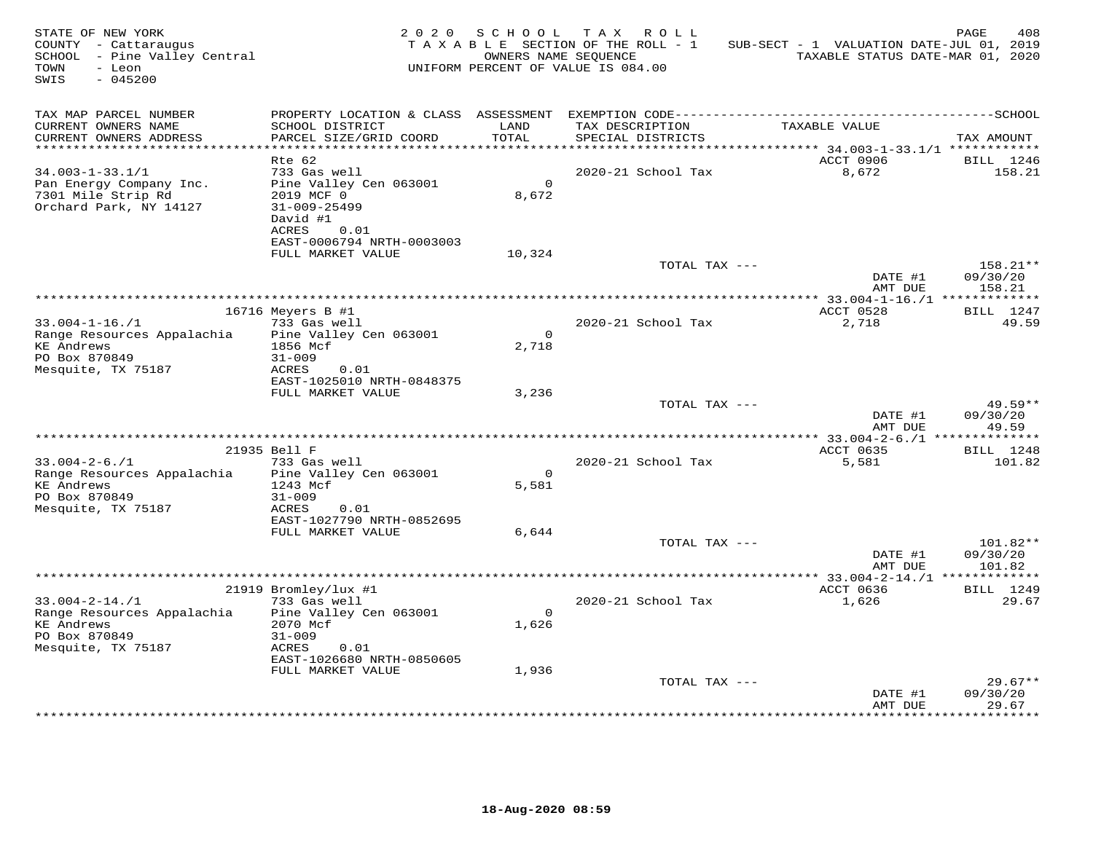| STATE OF NEW YORK<br>COUNTY - Cattaraugus<br>SCHOOL - Pine Valley Central<br>TOWN<br>- Leon<br>SWIS<br>$-045200$ | 2 0 2 0                                                                                                        | S C H O O L<br>OWNERS NAME SEQUENCE | TAX ROLL<br>TAXABLE SECTION OF THE ROLL - 1<br>UNIFORM PERCENT OF VALUE IS 084.00 | SUB-SECT - 1 VALUATION DATE-JUL 01, 2019<br>TAXABLE STATUS DATE-MAR 01, 2020 | PAGE<br>408                    |
|------------------------------------------------------------------------------------------------------------------|----------------------------------------------------------------------------------------------------------------|-------------------------------------|-----------------------------------------------------------------------------------|------------------------------------------------------------------------------|--------------------------------|
| TAX MAP PARCEL NUMBER<br>CURRENT OWNERS NAME<br>CURRENT OWNERS ADDRESS                                           | SCHOOL DISTRICT<br>PARCEL SIZE/GRID COORD                                                                      | LAND<br>TOTAL                       | TAX DESCRIPTION<br>SPECIAL DISTRICTS                                              | TAXABLE VALUE                                                                | TAX AMOUNT                     |
|                                                                                                                  |                                                                                                                |                                     |                                                                                   |                                                                              |                                |
| $34.003 - 1 - 33.1/1$<br>Pan Energy Company Inc.<br>7301 Mile Strip Rd<br>Orchard Park, NY 14127                 | $Rte$ 62<br>733 Gas well<br>Pine Valley Cen 063001<br>2019 MCF 0<br>$31 - 009 - 25499$<br>David #1             | $\Omega$<br>8,672                   | 2020-21 School Tax                                                                | ACCT 0906<br>8,672                                                           | BILL 1246<br>158.21            |
|                                                                                                                  | <b>ACRES</b><br>0.01<br>EAST-0006794 NRTH-0003003                                                              |                                     |                                                                                   |                                                                              |                                |
|                                                                                                                  | FULL MARKET VALUE                                                                                              | 10,324                              | TOTAL TAX ---                                                                     |                                                                              | $158.21**$                     |
|                                                                                                                  |                                                                                                                |                                     |                                                                                   | DATE #1<br>AMT DUE                                                           | 09/30/20<br>158.21             |
|                                                                                                                  |                                                                                                                |                                     |                                                                                   |                                                                              |                                |
|                                                                                                                  | 16716 Meyers B #1                                                                                              |                                     |                                                                                   | ACCT 0528                                                                    | BILL 1247                      |
| $33.004 - 1 - 16. / 1$<br>Range Resources Appalachia<br><b>KE Andrews</b><br>PO Box 870849<br>Mesquite, TX 75187 | 733 Gas well<br>Pine Valley Cen 063001<br>1856 Mcf<br>$31 - 009$<br>ACRES<br>0.01                              | $\circ$<br>2,718                    | 2020-21 School Tax                                                                | 2,718                                                                        | 49.59                          |
|                                                                                                                  | EAST-1025010 NRTH-0848375<br>FULL MARKET VALUE                                                                 | 3,236                               |                                                                                   |                                                                              |                                |
|                                                                                                                  |                                                                                                                |                                     | TOTAL TAX ---                                                                     | DATE #1<br>AMT DUE                                                           | 49.59**<br>09/30/20<br>49.59   |
|                                                                                                                  |                                                                                                                |                                     |                                                                                   | ******** 33.004-2-6./1 **************                                        |                                |
|                                                                                                                  | 21935 Bell F                                                                                                   |                                     |                                                                                   | ACCT 0635                                                                    | <b>BILL</b> 1248               |
| $33.004 - 2 - 6.71$<br>Range Resources Appalachia<br><b>KE</b> Andrews<br>PO Box 870849<br>Mesquite, TX 75187    | 733 Gas well<br>Pine Valley Cen 063001<br>1243 Mcf<br>$31 - 009$<br>ACRES<br>0.01<br>EAST-1027790 NRTH-0852695 | $\overline{0}$<br>5,581             | 2020-21 School Tax                                                                | 5,581                                                                        | 101.82                         |
|                                                                                                                  | FULL MARKET VALUE                                                                                              | 6,644                               |                                                                                   |                                                                              |                                |
|                                                                                                                  |                                                                                                                |                                     | TOTAL TAX ---                                                                     | DATE #1<br>AMT DUE                                                           | 101.82**<br>09/30/20<br>101.82 |
|                                                                                                                  | 21919 Bromley/lux #1                                                                                           |                                     |                                                                                   | ACCT 0636                                                                    | BILL 1249                      |
| $33.004 - 2 - 14.71$                                                                                             | 733 Gas well                                                                                                   |                                     | 2020-21 School Tax                                                                | 1,626                                                                        | 29.67                          |
| Range Resources Appalachia<br><b>KE Andrews</b><br>PO Box 870849                                                 | Pine Valley Cen 063001<br>2070 Mcf<br>$31 - 009$                                                               | $\Omega$<br>1,626                   |                                                                                   |                                                                              |                                |
| Mesquite, TX 75187                                                                                               | ACRES<br>0.01<br>EAST-1026680 NRTH-0850605                                                                     |                                     |                                                                                   |                                                                              |                                |
|                                                                                                                  | FULL MARKET VALUE                                                                                              | 1,936                               |                                                                                   |                                                                              |                                |
|                                                                                                                  |                                                                                                                |                                     | TOTAL TAX ---                                                                     | DATE #1<br>AMT DUE                                                           | $29.67**$<br>09/30/20<br>29.67 |
|                                                                                                                  |                                                                                                                |                                     |                                                                                   | ****************                                                             | ***********                    |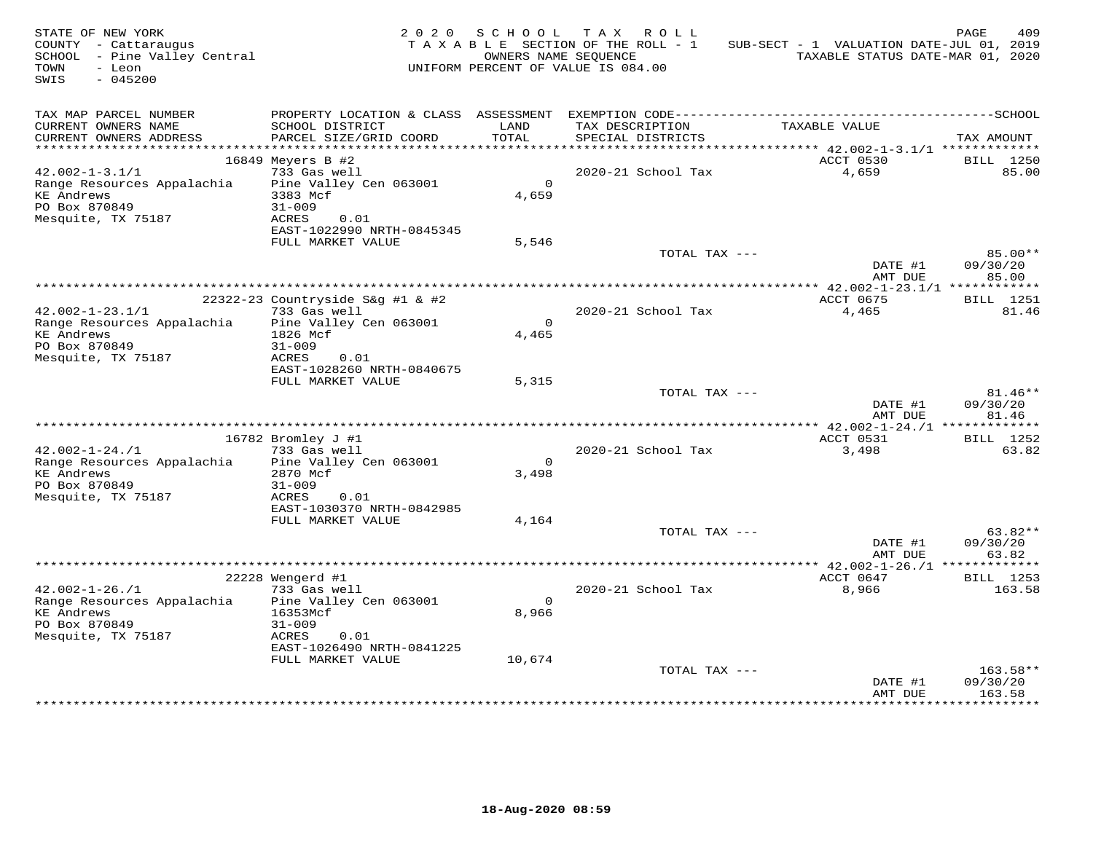| STATE OF NEW YORK<br>COUNTY - Cattaraugus<br>SCHOOL - Pine Valley Central<br>TOWN<br>- Leon<br>$-045200$<br>SWIS |                                                | 2020 SCHOOL      | TAX ROLL<br>TAXABLE SECTION OF THE ROLL - 1<br>OWNERS NAME SEOUENCE<br>UNIFORM PERCENT OF VALUE IS 084.00 | SUB-SECT - 1 VALUATION DATE-JUL 01, 2019<br>TAXABLE STATUS DATE-MAR 01, 2020 | 409<br>PAGE        |
|------------------------------------------------------------------------------------------------------------------|------------------------------------------------|------------------|-----------------------------------------------------------------------------------------------------------|------------------------------------------------------------------------------|--------------------|
| TAX MAP PARCEL NUMBER<br>CURRENT OWNERS NAME<br>CURRENT OWNERS ADDRESS                                           | SCHOOL DISTRICT<br>PARCEL SIZE/GRID COORD      | LAND<br>TOTAL    | TAX DESCRIPTION<br>SPECIAL DISTRICTS                                                                      | TAXABLE VALUE                                                                | TAX AMOUNT         |
| **********************                                                                                           |                                                |                  |                                                                                                           |                                                                              |                    |
|                                                                                                                  | 16849 Meyers B #2                              |                  |                                                                                                           | ACCT 0530                                                                    | <b>BILL</b> 1250   |
| $42.002 - 1 - 3.1/1$                                                                                             | 733 Gas well                                   |                  | 2020-21 School Tax                                                                                        | 4,659                                                                        | 85.00              |
| Range Resources Appalachia<br><b>KE</b> Andrews                                                                  | Pine Valley Cen 063001<br>3383 Mcf             | $\circ$<br>4,659 |                                                                                                           |                                                                              |                    |
| PO Box 870849                                                                                                    | $31 - 009$                                     |                  |                                                                                                           |                                                                              |                    |
| Mesquite, TX 75187                                                                                               | ACRES<br>0.01                                  |                  |                                                                                                           |                                                                              |                    |
|                                                                                                                  | EAST-1022990 NRTH-0845345                      |                  |                                                                                                           |                                                                              |                    |
|                                                                                                                  | FULL MARKET VALUE                              | 5,546            |                                                                                                           |                                                                              |                    |
|                                                                                                                  |                                                |                  | TOTAL TAX ---                                                                                             |                                                                              | $85.00**$          |
|                                                                                                                  |                                                |                  |                                                                                                           | DATE #1<br>AMT DUE                                                           | 09/30/20<br>85.00  |
|                                                                                                                  |                                                |                  |                                                                                                           |                                                                              |                    |
|                                                                                                                  | 22322-23 Countryside S&q #1 & #2               |                  |                                                                                                           | ACCT 0675                                                                    | <b>BILL</b> 1251   |
| $42.002 - 1 - 23.1/1$                                                                                            | 733 Gas well                                   |                  | 2020-21 School Tax                                                                                        | 4,465                                                                        | 81.46              |
| Range Resources Appalachia                                                                                       | Pine Valley Cen 063001                         | $\Omega$         |                                                                                                           |                                                                              |                    |
| <b>KE Andrews</b>                                                                                                | 1826 Mcf                                       | 4,465            |                                                                                                           |                                                                              |                    |
| PO Box 870849                                                                                                    | $31 - 009$<br>ACRES                            |                  |                                                                                                           |                                                                              |                    |
| Mesquite, TX 75187                                                                                               | 0.01<br>EAST-1028260 NRTH-0840675              |                  |                                                                                                           |                                                                              |                    |
|                                                                                                                  | FULL MARKET VALUE                              | 5,315            |                                                                                                           |                                                                              |                    |
|                                                                                                                  |                                                |                  | TOTAL TAX ---                                                                                             |                                                                              | $81.46**$          |
|                                                                                                                  |                                                |                  |                                                                                                           | DATE #1                                                                      | 09/30/20           |
|                                                                                                                  |                                                |                  |                                                                                                           | AMT DUE                                                                      | 81.46              |
|                                                                                                                  |                                                |                  |                                                                                                           | ACCT 0531                                                                    | BILL 1252          |
| $42.002 - 1 - 24.71$                                                                                             | 16782 Bromley J #1<br>733 Gas well             |                  | 2020-21 School Tax                                                                                        | 3,498                                                                        | 63.82              |
| Range Resources Appalachia                                                                                       | Pine Valley Cen 063001                         | $\circ$          |                                                                                                           |                                                                              |                    |
| <b>KE Andrews</b>                                                                                                | 2870 Mcf                                       | 3,498            |                                                                                                           |                                                                              |                    |
| PO Box 870849                                                                                                    | $31 - 009$                                     |                  |                                                                                                           |                                                                              |                    |
| Mesquite, TX 75187                                                                                               | ACRES<br>0.01                                  |                  |                                                                                                           |                                                                              |                    |
|                                                                                                                  | EAST-1030370 NRTH-0842985<br>FULL MARKET VALUE | 4,164            |                                                                                                           |                                                                              |                    |
|                                                                                                                  |                                                |                  | TOTAL TAX ---                                                                                             |                                                                              | 63.82**            |
|                                                                                                                  |                                                |                  |                                                                                                           | DATE #1                                                                      | 09/30/20           |
|                                                                                                                  |                                                |                  |                                                                                                           | AMT DUE                                                                      | 63.82              |
|                                                                                                                  |                                                |                  |                                                                                                           | ************** 42.002-1-26./1 **************                                 |                    |
|                                                                                                                  | 22228 Wengerd #1                               |                  |                                                                                                           | ACCT 0647                                                                    | BILL 1253          |
| $42.002 - 1 - 26. / 1$                                                                                           | 733 Gas well                                   | $\Omega$         | 2020-21 School Tax                                                                                        | 8,966                                                                        | 163.58             |
| Range Resources Appalachia<br><b>KE Andrews</b>                                                                  | Pine Valley Cen 063001<br>16353Mcf             | 8,966            |                                                                                                           |                                                                              |                    |
| PO Box 870849                                                                                                    | $31 - 009$                                     |                  |                                                                                                           |                                                                              |                    |
| Mesquite, TX 75187                                                                                               | 0.01<br>ACRES                                  |                  |                                                                                                           |                                                                              |                    |
|                                                                                                                  | EAST-1026490 NRTH-0841225                      |                  |                                                                                                           |                                                                              |                    |
|                                                                                                                  | FULL MARKET VALUE                              | 10,674           |                                                                                                           |                                                                              |                    |
|                                                                                                                  |                                                |                  | TOTAL TAX ---                                                                                             |                                                                              | 163.58**           |
|                                                                                                                  |                                                |                  |                                                                                                           | DATE #1<br>AMT DUE                                                           | 09/30/20<br>163.58 |
|                                                                                                                  |                                                |                  |                                                                                                           |                                                                              |                    |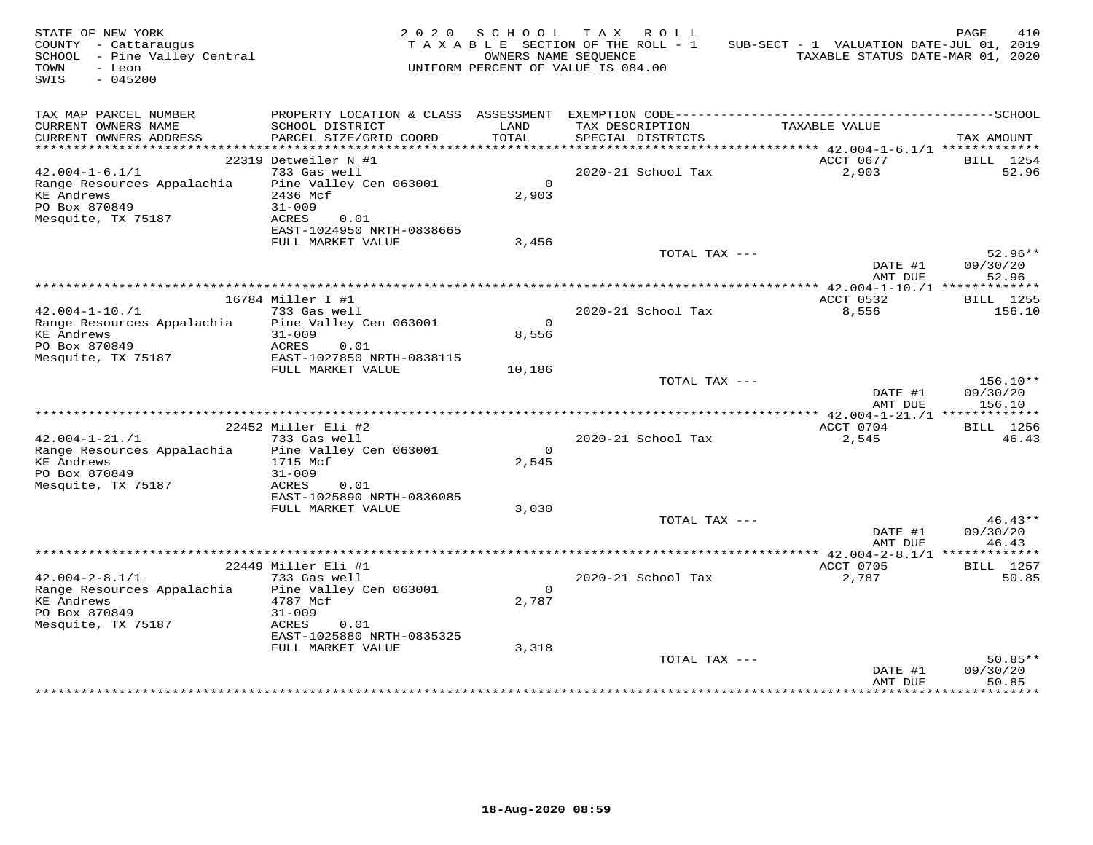| STATE OF NEW YORK<br>COUNTY - Cattaraugus<br>SCHOOL - Pine Valley Central<br>TOWN<br>- Leon<br>SWIS<br>$-045200$ |                                                                                                                                       | 2020 SCHOOL<br>OWNERS NAME SEOUENCE | TAX ROLL<br>TAXABLE SECTION OF THE ROLL - 1<br>UNIFORM PERCENT OF VALUE IS 084.00 | SUB-SECT - 1 VALUATION DATE-JUL 01, 2019<br>TAXABLE STATUS DATE-MAR 01, 2020 | PAGE<br>410                    |
|------------------------------------------------------------------------------------------------------------------|---------------------------------------------------------------------------------------------------------------------------------------|-------------------------------------|-----------------------------------------------------------------------------------|------------------------------------------------------------------------------|--------------------------------|
| TAX MAP PARCEL NUMBER<br>CURRENT OWNERS NAME<br>CURRENT OWNERS ADDRESS                                           | SCHOOL DISTRICT<br>PARCEL SIZE/GRID COORD                                                                                             | LAND<br>TOTAL                       | TAX DESCRIPTION<br>SPECIAL DISTRICTS                                              | TAXABLE VALUE                                                                | TAX AMOUNT                     |
|                                                                                                                  | 22319 Detweiler N #1                                                                                                                  |                                     |                                                                                   | ACCT 0677                                                                    | BILL 1254                      |
| $42.004 - 1 - 6.1/1$<br>Range Resources Appalachia<br>KE Andrews<br>PO Box 870849<br>Mesquite, TX 75187          | 733 Gas well<br>Pine Valley Cen 063001<br>2436 Mcf<br>$31 - 009$<br>0.01<br>ACRES<br>EAST-1024950 NRTH-0838665                        | $\Omega$<br>2,903                   | 2020-21 School Tax                                                                | 2,903                                                                        | 52.96                          |
|                                                                                                                  | FULL MARKET VALUE                                                                                                                     | 3,456                               | TOTAL TAX ---                                                                     | DATE #1                                                                      | $52.96**$<br>09/30/20          |
|                                                                                                                  |                                                                                                                                       |                                     |                                                                                   | AMT DUE                                                                      | 52.96                          |
|                                                                                                                  | 16784 Miller I #1                                                                                                                     |                                     |                                                                                   | ************* 42.004-1-10./1 **************<br>ACCT 0532                     | <b>BILL</b> 1255               |
| $42.004 - 1 - 10.71$<br>Range Resources Appalachia<br><b>KE Andrews</b><br>PO Box 870849                         | 733 Gas well<br>Pine Valley Cen 063001<br>$31 - 009$<br>ACRES<br>0.01                                                                 | $\Omega$<br>8,556                   | 2020-21 School Tax                                                                | 8,556                                                                        | 156.10                         |
| Mesquite, TX 75187                                                                                               | EAST-1027850 NRTH-0838115<br>FULL MARKET VALUE                                                                                        | 10,186                              | TOTAL TAX ---                                                                     |                                                                              | 156.10**                       |
|                                                                                                                  |                                                                                                                                       |                                     |                                                                                   | DATE #1<br>AMT DUE                                                           | 09/30/20<br>156.10             |
|                                                                                                                  |                                                                                                                                       |                                     |                                                                                   |                                                                              |                                |
|                                                                                                                  | 22452 Miller Eli #2                                                                                                                   |                                     |                                                                                   | ACCT 0704                                                                    | BILL 1256                      |
| $42.004 - 1 - 21. / 1$<br>Range Resources Appalachia<br><b>KE Andrews</b><br>PO Box 870849<br>Mesquite, TX 75187 | 733 Gas well<br>Pine Valley Cen 063001<br>1715 Mcf<br>$31 - 009$<br>ACRES<br>0.01                                                     | $\Omega$<br>2,545                   | 2020-21 School Tax                                                                | 2,545                                                                        | 46.43                          |
|                                                                                                                  | EAST-1025890 NRTH-0836085<br>FULL MARKET VALUE                                                                                        | 3,030                               |                                                                                   |                                                                              |                                |
|                                                                                                                  |                                                                                                                                       |                                     | TOTAL TAX ---                                                                     | DATE #1<br>AMT DUE                                                           | $46.43**$<br>09/30/20<br>46.43 |
|                                                                                                                  |                                                                                                                                       |                                     |                                                                                   |                                                                              |                                |
| $42.004 - 2 - 8.1/1$<br>Range Resources Appalachia<br>KE Andrews<br>PO Box 870849<br>Mesquite, TX 75187          | 22449 Miller Eli #1<br>733 Gas well<br>Pine Valley Cen 063001<br>4787 Mcf<br>$31 - 009$<br>ACRES<br>0.01<br>EAST-1025880 NRTH-0835325 | $\overline{0}$<br>2,787             | 2020-21 School Tax                                                                | ACCT 0705<br>2,787                                                           | <b>BILL</b> 1257<br>50.85      |
|                                                                                                                  | FULL MARKET VALUE                                                                                                                     | 3,318                               | TOTAL TAX ---                                                                     | DATE #1<br>AMT DUE                                                           | $50.85**$<br>09/30/20<br>50.85 |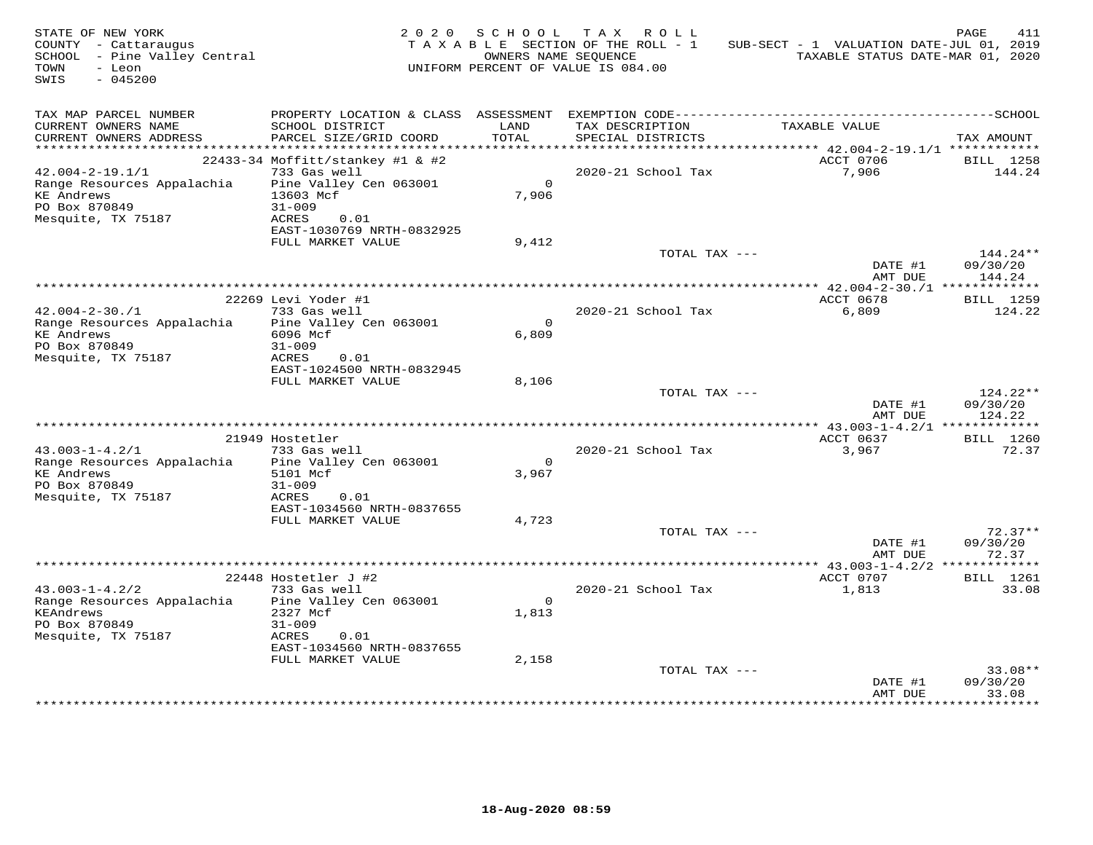| STATE OF NEW YORK<br>COUNTY - Cattaraugus<br>SCHOOL - Pine Valley Central<br>TOWN<br>- Leon<br>$-045200$<br>SWIS |                                            | 2020 SCHOOL   | TAX ROLL<br>TAXABLE SECTION OF THE ROLL - 1<br>OWNERS NAME SEQUENCE<br>UNIFORM PERCENT OF VALUE IS 084.00 | SUB-SECT - 1 VALUATION DATE-JUL 01, 2019<br>TAXABLE STATUS DATE-MAR 01, 2020 | PAGE<br>411         |
|------------------------------------------------------------------------------------------------------------------|--------------------------------------------|---------------|-----------------------------------------------------------------------------------------------------------|------------------------------------------------------------------------------|---------------------|
| TAX MAP PARCEL NUMBER<br>CURRENT OWNERS NAME<br>CURRENT OWNERS ADDRESS                                           | SCHOOL DISTRICT<br>PARCEL SIZE/GRID COORD  | LAND<br>TOTAL | TAX DESCRIPTION<br>SPECIAL DISTRICTS                                                                      | TAXABLE VALUE                                                                | TAX AMOUNT          |
|                                                                                                                  |                                            |               |                                                                                                           |                                                                              |                     |
|                                                                                                                  | 22433-34 Moffitt/stankey #1 & #2           |               |                                                                                                           | ACCT 0706                                                                    | BILL 1258           |
| $42.004 - 2 - 19.1/1$<br>Range Resources Appalachia                                                              | 733 Gas well<br>Pine Valley Cen 063001     | $\Omega$      | 2020-21 School Tax                                                                                        | 7,906                                                                        | 144.24              |
| <b>KE</b> Andrews                                                                                                | 13603 Mcf                                  | 7,906         |                                                                                                           |                                                                              |                     |
| PO Box 870849                                                                                                    | $31 - 009$                                 |               |                                                                                                           |                                                                              |                     |
| Mesquite, TX 75187                                                                                               | ACRES<br>0.01                              |               |                                                                                                           |                                                                              |                     |
|                                                                                                                  | EAST-1030769 NRTH-0832925                  |               |                                                                                                           |                                                                              |                     |
|                                                                                                                  | FULL MARKET VALUE                          | 9,412         | TOTAL TAX ---                                                                                             |                                                                              | 144.24**            |
|                                                                                                                  |                                            |               |                                                                                                           | DATE #1<br>AMT DUE                                                           | 09/30/20<br>144.24  |
|                                                                                                                  |                                            |               |                                                                                                           | *************** 42.004-2-30./1 *************                                 |                     |
| $42.004 - 2 - 30.71$                                                                                             | 22269 Levi Yoder #1<br>733 Gas well        |               | 2020-21 School Tax                                                                                        | ACCT 0678<br>6,809                                                           | BILL 1259<br>124.22 |
| Range Resources Appalachia                                                                                       | Pine Valley Cen 063001                     | $\Omega$      |                                                                                                           |                                                                              |                     |
| <b>KE</b> Andrews                                                                                                | 6096 Mcf                                   | 6,809         |                                                                                                           |                                                                              |                     |
| PO Box 870849                                                                                                    | $31 - 009$                                 |               |                                                                                                           |                                                                              |                     |
| Mesquite, TX 75187                                                                                               | ACRES<br>0.01<br>EAST-1024500 NRTH-0832945 |               |                                                                                                           |                                                                              |                     |
|                                                                                                                  | FULL MARKET VALUE                          | 8,106         |                                                                                                           |                                                                              |                     |
|                                                                                                                  |                                            |               | TOTAL TAX ---                                                                                             |                                                                              | 124.22**            |
|                                                                                                                  |                                            |               |                                                                                                           | DATE #1                                                                      | 09/30/20            |
|                                                                                                                  |                                            |               |                                                                                                           | AMT DUE                                                                      | 124.22              |
|                                                                                                                  | 21949 Hostetler                            |               |                                                                                                           | ACCT 0637                                                                    | BILL 1260           |
| $43.003 - 1 - 4.2/1$                                                                                             | 733 Gas well                               |               | 2020-21 School Tax                                                                                        | 3,967                                                                        | 72.37               |
| Range Resources Appalachia                                                                                       | Pine Valley Cen 063001                     | $\Omega$      |                                                                                                           |                                                                              |                     |
| <b>KE Andrews</b>                                                                                                | 5101 Mcf                                   | 3,967         |                                                                                                           |                                                                              |                     |
| PO Box 870849<br>Mesquite, TX 75187                                                                              | $31 - 009$<br>ACRES<br>0.01                |               |                                                                                                           |                                                                              |                     |
|                                                                                                                  | EAST-1034560 NRTH-0837655                  |               |                                                                                                           |                                                                              |                     |
|                                                                                                                  | FULL MARKET VALUE                          | 4,723         |                                                                                                           |                                                                              |                     |
|                                                                                                                  |                                            |               | TOTAL TAX ---                                                                                             |                                                                              | $72.37**$           |
|                                                                                                                  |                                            |               |                                                                                                           | DATE #1                                                                      | 09/30/20            |
|                                                                                                                  |                                            |               |                                                                                                           | AMT DUE                                                                      | 72.37               |
|                                                                                                                  | 22448 Hostetler J #2                       |               |                                                                                                           | ACCT 0707                                                                    | BILL 1261           |
| $43.003 - 1 - 4.2/2$                                                                                             | 733 Gas well                               |               | 2020-21 School Tax                                                                                        | 1,813                                                                        | 33.08               |
| Range Resources Appalachia                                                                                       | Pine Valley Cen 063001                     | $\Omega$      |                                                                                                           |                                                                              |                     |
| KEAndrews                                                                                                        | 2327 Mcf                                   | 1,813         |                                                                                                           |                                                                              |                     |
| PO Box 870849<br>Mesquite, TX 75187                                                                              | $31 - 009$<br>ACRES<br>0.01                |               |                                                                                                           |                                                                              |                     |
|                                                                                                                  | EAST-1034560 NRTH-0837655                  |               |                                                                                                           |                                                                              |                     |
|                                                                                                                  | FULL MARKET VALUE                          | 2,158         |                                                                                                           |                                                                              |                     |
|                                                                                                                  |                                            |               | TOTAL TAX ---                                                                                             |                                                                              | $33.08**$           |
|                                                                                                                  |                                            |               |                                                                                                           | DATE #1<br>AMT DUE                                                           | 09/30/20<br>33.08   |
|                                                                                                                  |                                            |               |                                                                                                           | * * * * * * * * * * * * * * * * * *                                          | **********          |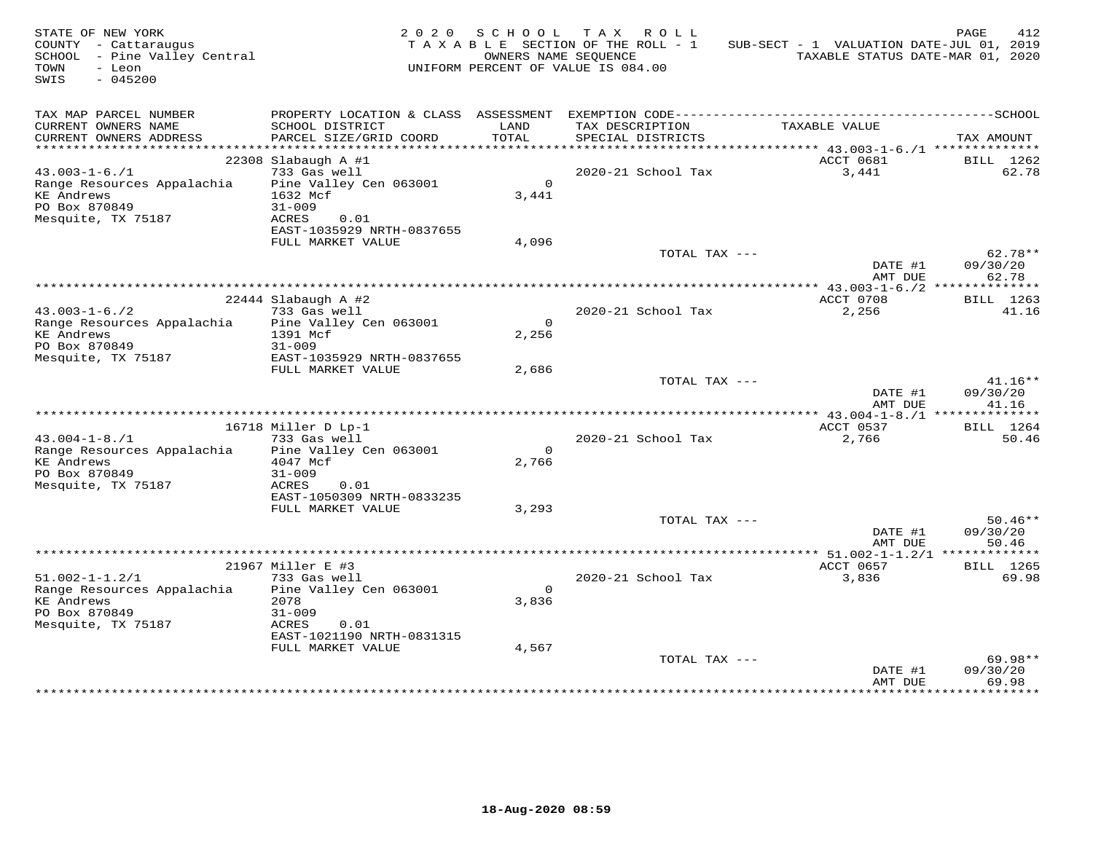| STATE OF NEW YORK<br>COUNTY - Cattaraugus<br>SCHOOL - Pine Valley Central<br>- Leon<br>TOWN<br>$-045200$<br>SWIS |                                                                                                            | OWNERS NAME SEOUENCE    | 2020 SCHOOL TAX ROLL<br>TAXABLE SECTION OF THE ROLL - 1<br>UNIFORM PERCENT OF VALUE IS 084.00 | SUB-SECT - 1 VALUATION DATE-JUL 01, 2019               | PAGE<br>412<br>TAXABLE STATUS DATE-MAR 01, 2020 |
|------------------------------------------------------------------------------------------------------------------|------------------------------------------------------------------------------------------------------------|-------------------------|-----------------------------------------------------------------------------------------------|--------------------------------------------------------|-------------------------------------------------|
| TAX MAP PARCEL NUMBER<br>CURRENT OWNERS NAME<br>CURRENT OWNERS ADDRESS                                           | SCHOOL DISTRICT<br>PARCEL SIZE/GRID COORD                                                                  | LAND<br>TOTAL           | TAX DESCRIPTION<br>SPECIAL DISTRICTS                                                          | TAXABLE VALUE                                          | TAX AMOUNT                                      |
| ***********************                                                                                          |                                                                                                            |                         |                                                                                               |                                                        |                                                 |
| $43.003 - 1 - 6.71$<br>Range Resources Appalachia<br><b>KE</b> Andrews<br>PO Box 870849<br>Mesquite, TX 75187    | $22308$ Slabaugh A #1<br>733 Gas well<br>Pine Valley Cen 063001<br>1632 Mcf<br>$31 - 009$<br>ACRES<br>0.01 | $\overline{0}$<br>3,441 | 2020-21 School Tax                                                                            | ACCT 0681<br>3,441                                     | BILL 1262<br>62.78                              |
|                                                                                                                  | EAST-1035929 NRTH-0837655<br>FULL MARKET VALUE                                                             | 4,096                   |                                                                                               |                                                        |                                                 |
|                                                                                                                  |                                                                                                            |                         | TOTAL TAX ---                                                                                 | DATE #1                                                | $62.78**$<br>09/30/20                           |
|                                                                                                                  |                                                                                                            |                         |                                                                                               | AMT DUE<br>************* 43.003-1-6./2 *************** | 62.78                                           |
|                                                                                                                  | 22444 Slabaugh A #2                                                                                        |                         |                                                                                               | ACCT 0708                                              | BILL 1263                                       |
| $43.003 - 1 - 6.72$<br>Range Resources Appalachia<br><b>KE</b> Andrews                                           | 733 Gas well<br>Pine Valley Cen 063001<br>1391 Mcf                                                         | $\Omega$<br>2,256       | 2020-21 School Tax                                                                            | 2,256                                                  | 41.16                                           |
| PO Box 870849<br>Mesquite, TX 75187                                                                              | $31 - 009$<br>EAST-1035929 NRTH-0837655<br>FULL MARKET VALUE                                               |                         |                                                                                               |                                                        |                                                 |
|                                                                                                                  |                                                                                                            | 2,686                   | TOTAL TAX ---                                                                                 | DATE #1<br>AMT DUE                                     | $41.16**$<br>09/30/20<br>41.16                  |
|                                                                                                                  |                                                                                                            |                         |                                                                                               |                                                        |                                                 |
|                                                                                                                  | 16718 Miller D Lp-1                                                                                        |                         |                                                                                               | ACCT 0537                                              | BILL 1264                                       |
| $43.004 - 1 - 8.71$<br>Range Resources Appalachia<br><b>KE</b> Andrews<br>PO Box 870849<br>Mesquite, TX 75187    | 733 Gas well<br>Pine Valley Cen 063001<br>4047 Mcf<br>$31 - 009$<br>ACRES<br>0.01                          | $\Omega$<br>2,766       | 2020-21 School Tax                                                                            | 2,766                                                  | 50.46                                           |
|                                                                                                                  | EAST-1050309 NRTH-0833235<br>FULL MARKET VALUE                                                             | 3,293                   |                                                                                               |                                                        |                                                 |
|                                                                                                                  |                                                                                                            |                         | TOTAL TAX ---                                                                                 | DATE #1<br>AMT DUE                                     | $50.46**$<br>09/30/20<br>50.46                  |
|                                                                                                                  |                                                                                                            |                         |                                                                                               | ************** 51.002-1-1.2/1 **************           |                                                 |
|                                                                                                                  | 21967 Miller E #3                                                                                          |                         |                                                                                               | ACCT 0657                                              | BILL 1265                                       |
| $51.002 - 1 - 1.2/1$<br>Range Resources Appalachia<br><b>KE</b> Andrews<br>PO Box 870849<br>Mesquite, TX 75187   | 733 Gas well<br>Pine Valley Cen 063001<br>2078<br>$31 - 009$<br>ACRES<br>0.01                              | $\overline{0}$<br>3,836 | 2020-21 School Tax                                                                            | 3,836                                                  | 69.98                                           |
|                                                                                                                  | EAST-1021190 NRTH-0831315<br>FULL MARKET VALUE                                                             | 4,567                   |                                                                                               |                                                        |                                                 |
|                                                                                                                  |                                                                                                            |                         | TOTAL TAX ---                                                                                 | DATE #1<br>AMT DUE                                     | $69.98**$<br>09/30/20<br>69.98                  |
|                                                                                                                  |                                                                                                            |                         |                                                                                               |                                                        |                                                 |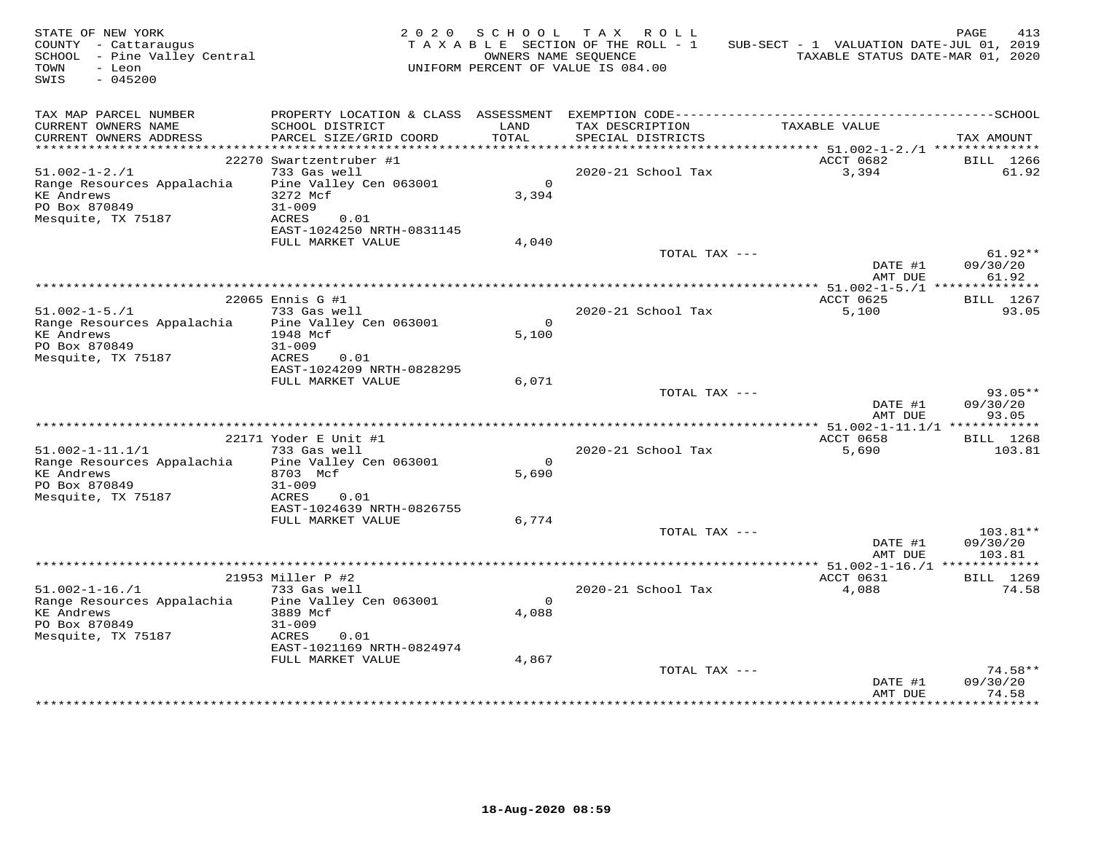| STATE OF NEW YORK<br>COUNTY - Cattaraugus<br>SCHOOL - Pine Valley Central<br>TOWN<br>- Leon<br>SWIS<br>$-045200$ |                                                                                                                                           | 2020 SCHOOL             | TAX ROLL<br>TAXABLE SECTION OF THE ROLL - 1<br>OWNERS NAME SEQUENCE<br>UNIFORM PERCENT OF VALUE IS 084.00 | SUB-SECT - 1 VALUATION DATE-JUL 01, 2019        | PAGE<br>413<br>TAXABLE STATUS DATE-MAR 01, 2020 |
|------------------------------------------------------------------------------------------------------------------|-------------------------------------------------------------------------------------------------------------------------------------------|-------------------------|-----------------------------------------------------------------------------------------------------------|-------------------------------------------------|-------------------------------------------------|
| TAX MAP PARCEL NUMBER<br>CURRENT OWNERS NAME<br>CURRENT OWNERS ADDRESS                                           | SCHOOL DISTRICT<br>PARCEL SIZE/GRID COORD                                                                                                 | LAND<br>TOTAL           | TAX DESCRIPTION<br>SPECIAL DISTRICTS                                                                      | TAXABLE VALUE                                   | TAX AMOUNT                                      |
|                                                                                                                  |                                                                                                                                           |                         |                                                                                                           |                                                 |                                                 |
| $51.002 - 1 - 2.71$<br>Range Resources Appalachia<br><b>KE Andrews</b><br>PO Box 870849<br>Mesquite, TX 75187    | 22270 Swartzentruber #1<br>733 Gas well<br>Pine Valley Cen 063001<br>3272 Mcf<br>$31 - 009$<br>ACRES<br>0.01<br>EAST-1024250 NRTH-0831145 | $\Omega$<br>3,394       | 2020-21 School Tax                                                                                        | ACCT 0682<br>3,394                              | BILL 1266<br>61.92                              |
|                                                                                                                  | FULL MARKET VALUE                                                                                                                         | 4,040                   |                                                                                                           |                                                 |                                                 |
|                                                                                                                  |                                                                                                                                           |                         | TOTAL TAX ---                                                                                             | DATE #1<br>AMT DUE                              | $61.92**$<br>09/30/20<br>61.92                  |
|                                                                                                                  |                                                                                                                                           |                         |                                                                                                           |                                                 |                                                 |
| $51.002 - 1 - 5.71$<br>Range Resources Appalachia<br><b>KE Andrews</b><br>PO Box 870849                          | 22065 Ennis G #1<br>733 Gas well<br>Pine Valley Cen 063001<br>1948 Mcf<br>$31 - 009$                                                      | $\overline{0}$<br>5,100 | 2020-21 School Tax                                                                                        | ACCT 0625<br>5,100                              | BILL 1267<br>93.05                              |
| Mesquite, TX 75187                                                                                               | ACRES<br>0.01<br>EAST-1024209 NRTH-0828295<br>FULL MARKET VALUE                                                                           | 6,071                   |                                                                                                           |                                                 |                                                 |
|                                                                                                                  |                                                                                                                                           |                         | TOTAL TAX ---                                                                                             | DATE #1<br>AMT DUE                              | $93.05**$<br>09/30/20<br>93.05                  |
|                                                                                                                  | 22171 Yoder E Unit #1                                                                                                                     |                         |                                                                                                           | ACCT 0658                                       | BILL 1268                                       |
| $51.002 - 1 - 11.1/1$<br>Range Resources Appalachia<br><b>KE Andrews</b><br>PO Box 870849                        | 733 Gas well<br>Pine Valley Cen 063001<br>8703 Mcf<br>$31 - 009$                                                                          | $\Omega$<br>5,690       | 2020-21 School Tax                                                                                        | 5,690                                           | 103.81                                          |
| Mesquite, TX 75187                                                                                               | ACRES<br>0.01<br>EAST-1024639 NRTH-0826755<br>FULL MARKET VALUE                                                                           | 6,774                   |                                                                                                           |                                                 |                                                 |
|                                                                                                                  |                                                                                                                                           |                         | TOTAL TAX ---                                                                                             | DATE #1<br>AMT DUE                              | $103.81**$<br>09/30/20<br>103.81                |
|                                                                                                                  |                                                                                                                                           |                         |                                                                                                           | ***************** 51.002-1-16./1 ************** |                                                 |
| $51.002 - 1 - 16. / 1$<br>Range Resources Appalachia<br><b>KE Andrews</b><br>PO Box 870849<br>Mesquite, TX 75187 | 21953 Miller P #2<br>733 Gas well<br>Pine Valley Cen 063001<br>3889 Mcf<br>$31 - 009$<br>ACRES<br>0.01<br>EAST-1021169 NRTH-0824974       | $\Omega$<br>4,088       | 2020-21 School Tax                                                                                        | ACCT 0631<br>4,088                              | BILL 1269<br>74.58                              |
|                                                                                                                  | FULL MARKET VALUE                                                                                                                         | 4,867                   | TOTAL TAX ---                                                                                             | DATE #1<br>AMT DUE                              | $74.58**$<br>09/30/20<br>74.58                  |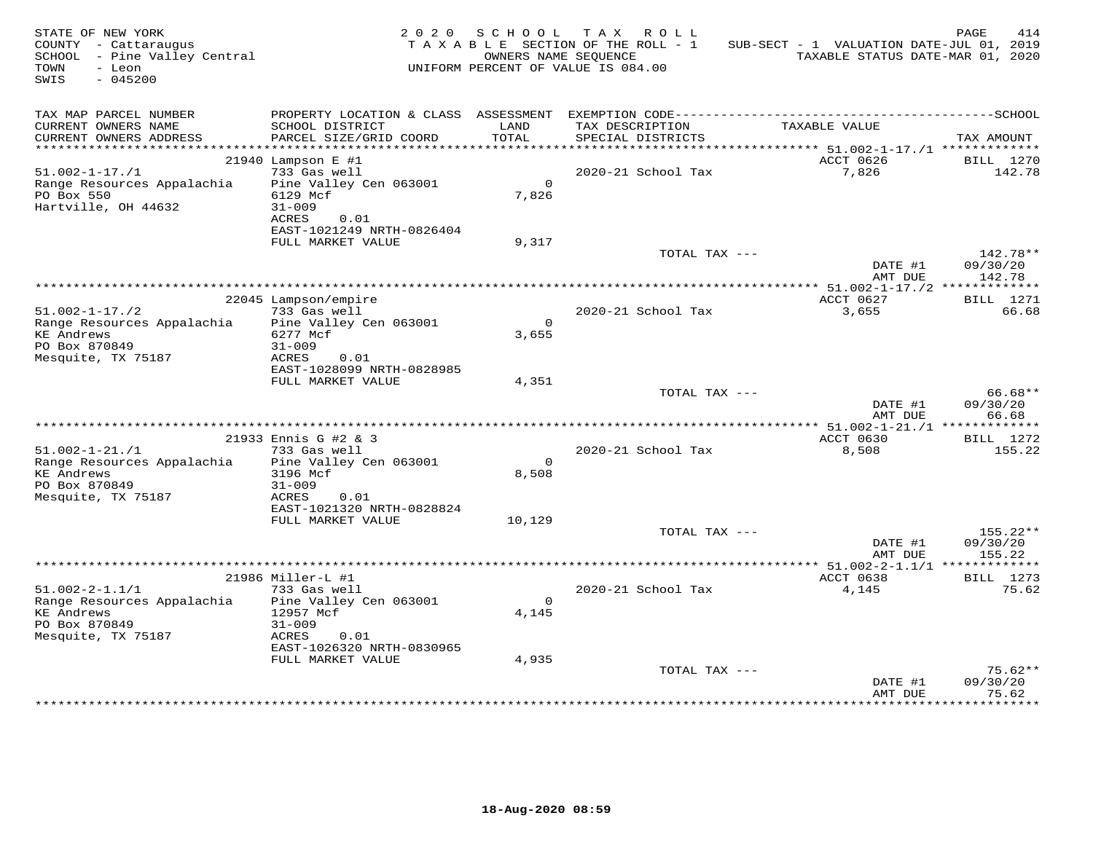| STATE OF NEW YORK<br>COUNTY - Cattaraugus<br>SCHOOL - Pine Valley Central<br>- Leon<br>TOWN<br>SWIS<br>$-045200$ |                                                          | 2020 SCHOOL       | TAX ROLL<br>TAXABLE SECTION OF THE ROLL - 1<br>OWNERS NAME SEOUENCE<br>UNIFORM PERCENT OF VALUE IS 084.00 | SUB-SECT - 1 VALUATION DATE-JUL 01, 2019<br>TAXABLE STATUS DATE-MAR 01, 2020                                  | PAGE<br>414                |
|------------------------------------------------------------------------------------------------------------------|----------------------------------------------------------|-------------------|-----------------------------------------------------------------------------------------------------------|---------------------------------------------------------------------------------------------------------------|----------------------------|
| TAX MAP PARCEL NUMBER<br>CURRENT OWNERS NAME                                                                     | SCHOOL DISTRICT                                          | LAND              | TAX DESCRIPTION                                                                                           | PROPERTY LOCATION & CLASS ASSESSMENT EXEMPTION CODE-----------------------------------SCHOOL<br>TAXABLE VALUE |                            |
| CURRENT OWNERS ADDRESS                                                                                           | PARCEL SIZE/GRID COORD                                   | TOTAL             | SPECIAL DISTRICTS                                                                                         |                                                                                                               | TAX AMOUNT                 |
| *********************                                                                                            |                                                          |                   |                                                                                                           |                                                                                                               |                            |
| $51.002 - 1 - 17. / 1$                                                                                           | 21940 Lampson E #1<br>733 Gas well                       |                   | 2020-21 School Tax                                                                                        | ACCT 0626<br>7,826                                                                                            | <b>BILL</b> 1270<br>142.78 |
| Range Resources Appalachia<br>PO Box 550                                                                         | Pine Valley Cen 063001<br>6129 Mcf                       | $\circ$<br>7,826  |                                                                                                           |                                                                                                               |                            |
| Hartville, OH 44632                                                                                              | $31 - 009$<br>ACRES<br>0.01<br>EAST-1021249 NRTH-0826404 |                   |                                                                                                           |                                                                                                               |                            |
|                                                                                                                  | FULL MARKET VALUE                                        | 9,317             |                                                                                                           |                                                                                                               |                            |
|                                                                                                                  |                                                          |                   | TOTAL TAX ---                                                                                             | DATE #1                                                                                                       | 142.78**<br>09/30/20       |
|                                                                                                                  |                                                          |                   |                                                                                                           | AMT DUE                                                                                                       | 142.78                     |
|                                                                                                                  |                                                          |                   |                                                                                                           | ACCT 0627                                                                                                     | <b>BILL</b> 1271           |
| $51.002 - 1 - 17.72$                                                                                             | 22045 Lampson/empire<br>733 Gas well                     |                   | 2020-21 School Tax                                                                                        | 3,655                                                                                                         | 66.68                      |
| Range Resources Appalachia                                                                                       | Pine Valley Cen 063001                                   | $\Omega$          |                                                                                                           |                                                                                                               |                            |
| <b>KE Andrews</b>                                                                                                | 6277 Mcf                                                 | 3,655             |                                                                                                           |                                                                                                               |                            |
| PO Box 870849                                                                                                    | $31 - 009$                                               |                   |                                                                                                           |                                                                                                               |                            |
| Mesquite, TX 75187                                                                                               | ACRES<br>0.01<br>EAST-1028099 NRTH-0828985               |                   |                                                                                                           |                                                                                                               |                            |
|                                                                                                                  | FULL MARKET VALUE                                        | 4,351             |                                                                                                           |                                                                                                               |                            |
|                                                                                                                  |                                                          |                   | TOTAL TAX ---                                                                                             |                                                                                                               | $66.68**$                  |
|                                                                                                                  |                                                          |                   |                                                                                                           | DATE #1                                                                                                       | 09/30/20                   |
|                                                                                                                  |                                                          |                   |                                                                                                           | AMT DUE                                                                                                       | 66.68                      |
|                                                                                                                  | 21933 Ennis G #2 & 3                                     |                   |                                                                                                           | ACCT 0630                                                                                                     | BILL 1272                  |
| $51.002 - 1 - 21. / 1$                                                                                           | 733 Gas well                                             |                   | 2020-21 School Tax                                                                                        | 8,508                                                                                                         | 155.22                     |
| Range Resources Appalachia                                                                                       | Pine Valley Cen 063001                                   | $\circ$           |                                                                                                           |                                                                                                               |                            |
| <b>KE Andrews</b><br>PO Box 870849                                                                               | 3196 Mcf<br>$31 - 009$                                   | 8,508             |                                                                                                           |                                                                                                               |                            |
| Mesquite, TX 75187                                                                                               | ACRES<br>0.01                                            |                   |                                                                                                           |                                                                                                               |                            |
|                                                                                                                  | EAST-1021320 NRTH-0828824                                |                   |                                                                                                           |                                                                                                               |                            |
|                                                                                                                  | FULL MARKET VALUE                                        | 10,129            |                                                                                                           |                                                                                                               |                            |
|                                                                                                                  |                                                          |                   | TOTAL TAX ---                                                                                             | DATE #1                                                                                                       | 155.22**                   |
|                                                                                                                  |                                                          |                   |                                                                                                           | AMT DUE                                                                                                       | 09/30/20<br>155.22         |
|                                                                                                                  |                                                          |                   |                                                                                                           | *************** 51.002-2-1.1/1 **************                                                                 |                            |
|                                                                                                                  | 21986 Miller-L #1                                        |                   |                                                                                                           | ACCT 0638                                                                                                     | BILL 1273                  |
| $51.002 - 2 - 1.1/1$                                                                                             | 733 Gas well                                             |                   | 2020-21 School Tax                                                                                        | 4,145                                                                                                         | 75.62                      |
| Range Resources Appalachia<br><b>KE Andrews</b>                                                                  | Pine Valley Cen 063001<br>12957 Mcf                      | $\Omega$<br>4,145 |                                                                                                           |                                                                                                               |                            |
| PO Box 870849                                                                                                    | $31 - 009$                                               |                   |                                                                                                           |                                                                                                               |                            |
| Mesquite, TX 75187                                                                                               | 0.01<br>ACRES                                            |                   |                                                                                                           |                                                                                                               |                            |
|                                                                                                                  | EAST-1026320 NRTH-0830965                                |                   |                                                                                                           |                                                                                                               |                            |
|                                                                                                                  | FULL MARKET VALUE                                        | 4,935             |                                                                                                           |                                                                                                               | $75.62**$                  |
|                                                                                                                  |                                                          |                   | TOTAL TAX ---                                                                                             | DATE #1                                                                                                       | 09/30/20                   |
|                                                                                                                  |                                                          |                   |                                                                                                           | AMT DUE                                                                                                       | 75.62                      |
|                                                                                                                  |                                                          |                   |                                                                                                           |                                                                                                               |                            |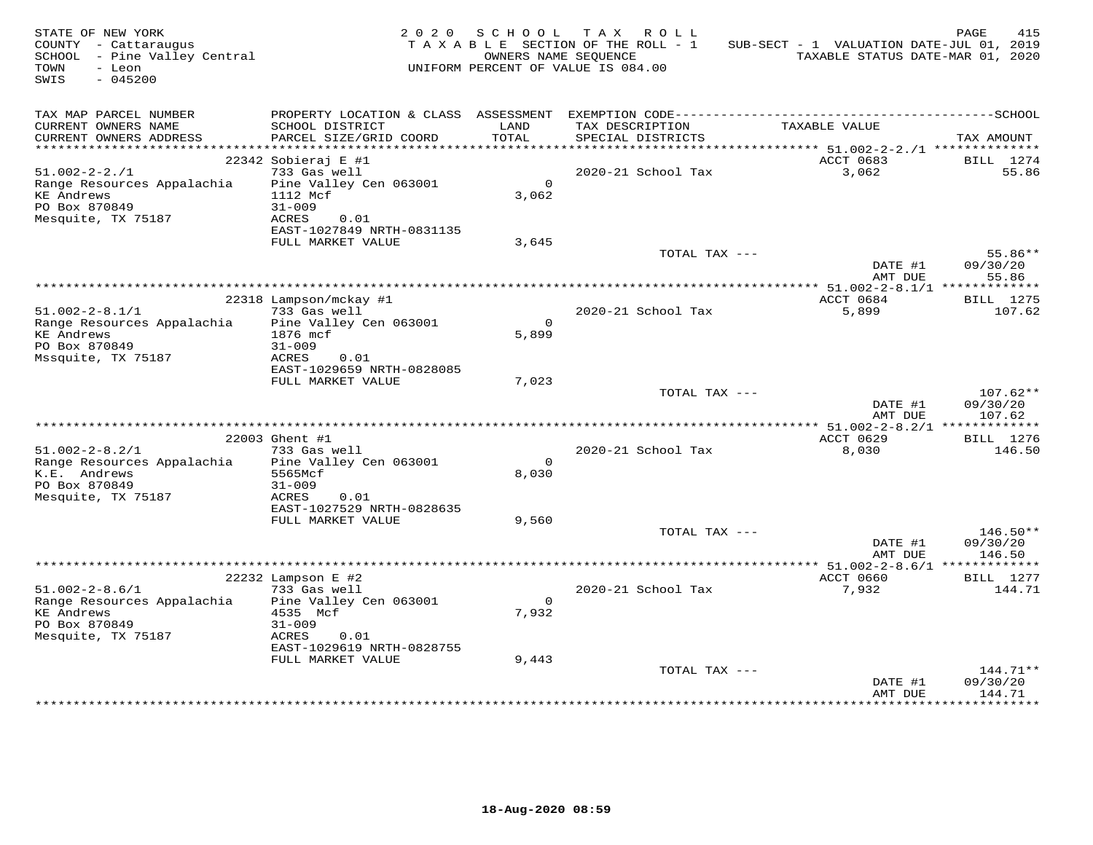| STATE OF NEW YORK<br>COUNTY - Cattaraugus<br>SCHOOL - Pine Valley Central<br>TOWN<br>- Leon<br>$-045200$<br>SWIS |                                    | 2020 SCHOOL       | TAX ROLL<br>TAXABLE SECTION OF THE ROLL - 1<br>OWNERS NAME SEOUENCE<br>UNIFORM PERCENT OF VALUE IS 084.00 | SUB-SECT - 1 VALUATION DATE-JUL 01, 2019<br>TAXABLE STATUS DATE-MAR 01, 2020 | PAGE<br>415           |
|------------------------------------------------------------------------------------------------------------------|------------------------------------|-------------------|-----------------------------------------------------------------------------------------------------------|------------------------------------------------------------------------------|-----------------------|
| TAX MAP PARCEL NUMBER<br>CURRENT OWNERS NAME                                                                     | SCHOOL DISTRICT                    | LAND              | TAX DESCRIPTION                                                                                           | TAXABLE VALUE                                                                |                       |
| CURRENT OWNERS ADDRESS                                                                                           | PARCEL SIZE/GRID COORD             | TOTAL             | SPECIAL DISTRICTS                                                                                         |                                                                              | TAX AMOUNT            |
| ***********************                                                                                          |                                    |                   |                                                                                                           |                                                                              |                       |
|                                                                                                                  | 22342 Sobieraj E #1                |                   |                                                                                                           | ACCT 0683                                                                    | BILL 1274             |
| $51.002 - 2 - 2.71$                                                                                              | 733 Gas well                       |                   | 2020-21 School Tax                                                                                        | 3,062                                                                        | 55.86                 |
| Range Resources Appalachia<br><b>KE Andrews</b>                                                                  | Pine Valley Cen 063001<br>1112 Mcf | $\circ$<br>3,062  |                                                                                                           |                                                                              |                       |
| PO Box 870849                                                                                                    | $31 - 009$                         |                   |                                                                                                           |                                                                              |                       |
| Mesquite, TX 75187                                                                                               | ACRES<br>0.01                      |                   |                                                                                                           |                                                                              |                       |
|                                                                                                                  | EAST-1027849 NRTH-0831135          |                   |                                                                                                           |                                                                              |                       |
|                                                                                                                  | FULL MARKET VALUE                  | 3,645             |                                                                                                           |                                                                              |                       |
|                                                                                                                  |                                    |                   | TOTAL TAX ---                                                                                             | DATE #1                                                                      | $55.86**$<br>09/30/20 |
|                                                                                                                  |                                    |                   |                                                                                                           | AMT DUE                                                                      | 55.86                 |
|                                                                                                                  |                                    |                   |                                                                                                           |                                                                              |                       |
|                                                                                                                  | 22318 Lampson/mckay #1             |                   |                                                                                                           | ACCT 0684                                                                    | BILL 1275             |
| $51.002 - 2 - 8.1/1$                                                                                             | 733 Gas well                       |                   | 2020-21 School Tax                                                                                        | 5,899                                                                        | 107.62                |
| Range Resources Appalachia<br><b>KE Andrews</b>                                                                  | Pine Valley Cen 063001             | $\Omega$<br>5,899 |                                                                                                           |                                                                              |                       |
| PO Box 870849                                                                                                    | 1876 mcf<br>$31 - 009$             |                   |                                                                                                           |                                                                              |                       |
| Mssquite, TX 75187                                                                                               | ACRES<br>0.01                      |                   |                                                                                                           |                                                                              |                       |
|                                                                                                                  | EAST-1029659 NRTH-0828085          |                   |                                                                                                           |                                                                              |                       |
|                                                                                                                  | FULL MARKET VALUE                  | 7,023             |                                                                                                           |                                                                              |                       |
|                                                                                                                  |                                    |                   | TOTAL TAX ---                                                                                             |                                                                              | $107.62**$            |
|                                                                                                                  |                                    |                   |                                                                                                           | DATE #1<br>AMT DUE                                                           | 09/30/20<br>107.62    |
|                                                                                                                  |                                    |                   |                                                                                                           |                                                                              |                       |
|                                                                                                                  | 22003 Ghent #1                     |                   |                                                                                                           | ACCT 0629                                                                    | <b>BILL</b> 1276      |
| $51.002 - 2 - 8.2/1$                                                                                             | 733 Gas well                       |                   | 2020-21 School Tax                                                                                        | 8,030                                                                        | 146.50                |
| Range Resources Appalachia                                                                                       | Pine Valley Cen 063001             | $\circ$           |                                                                                                           |                                                                              |                       |
| K.E. Andrews<br>PO Box 870849                                                                                    | 5565Mcf<br>$31 - 009$              | 8,030             |                                                                                                           |                                                                              |                       |
| Mesquite, TX 75187                                                                                               | ACRES<br>0.01                      |                   |                                                                                                           |                                                                              |                       |
|                                                                                                                  | EAST-1027529 NRTH-0828635          |                   |                                                                                                           |                                                                              |                       |
|                                                                                                                  | FULL MARKET VALUE                  | 9,560             |                                                                                                           |                                                                              |                       |
|                                                                                                                  |                                    |                   | TOTAL TAX ---                                                                                             |                                                                              | $146.50**$            |
|                                                                                                                  |                                    |                   |                                                                                                           | DATE #1<br>AMT DUE                                                           | 09/30/20<br>146.50    |
|                                                                                                                  |                                    |                   |                                                                                                           | ************* 51.002-2-8.6/1 **************                                  |                       |
|                                                                                                                  | 22232 Lampson E #2                 |                   |                                                                                                           | ACCT 0660                                                                    | <b>BILL</b> 1277      |
| $51.002 - 2 - 8.6/1$                                                                                             | 733 Gas well                       |                   | 2020-21 School Tax                                                                                        | 7,932                                                                        | 144.71                |
| Range Resources Appalachia                                                                                       | Pine Valley Cen 063001             | $\Omega$          |                                                                                                           |                                                                              |                       |
| <b>KE</b> Andrews<br>PO Box 870849                                                                               | 4535 Mcf                           | 7,932             |                                                                                                           |                                                                              |                       |
| Mesquite, TX 75187                                                                                               | $31 - 009$<br>ACRES<br>0.01        |                   |                                                                                                           |                                                                              |                       |
|                                                                                                                  | EAST-1029619 NRTH-0828755          |                   |                                                                                                           |                                                                              |                       |
|                                                                                                                  | FULL MARKET VALUE                  | 9,443             |                                                                                                           |                                                                              |                       |
|                                                                                                                  |                                    |                   | TOTAL TAX ---                                                                                             |                                                                              | $144.71**$            |
|                                                                                                                  |                                    |                   |                                                                                                           | DATE #1<br>AMT DUE                                                           | 09/30/20<br>144.71    |
|                                                                                                                  |                                    |                   |                                                                                                           |                                                                              |                       |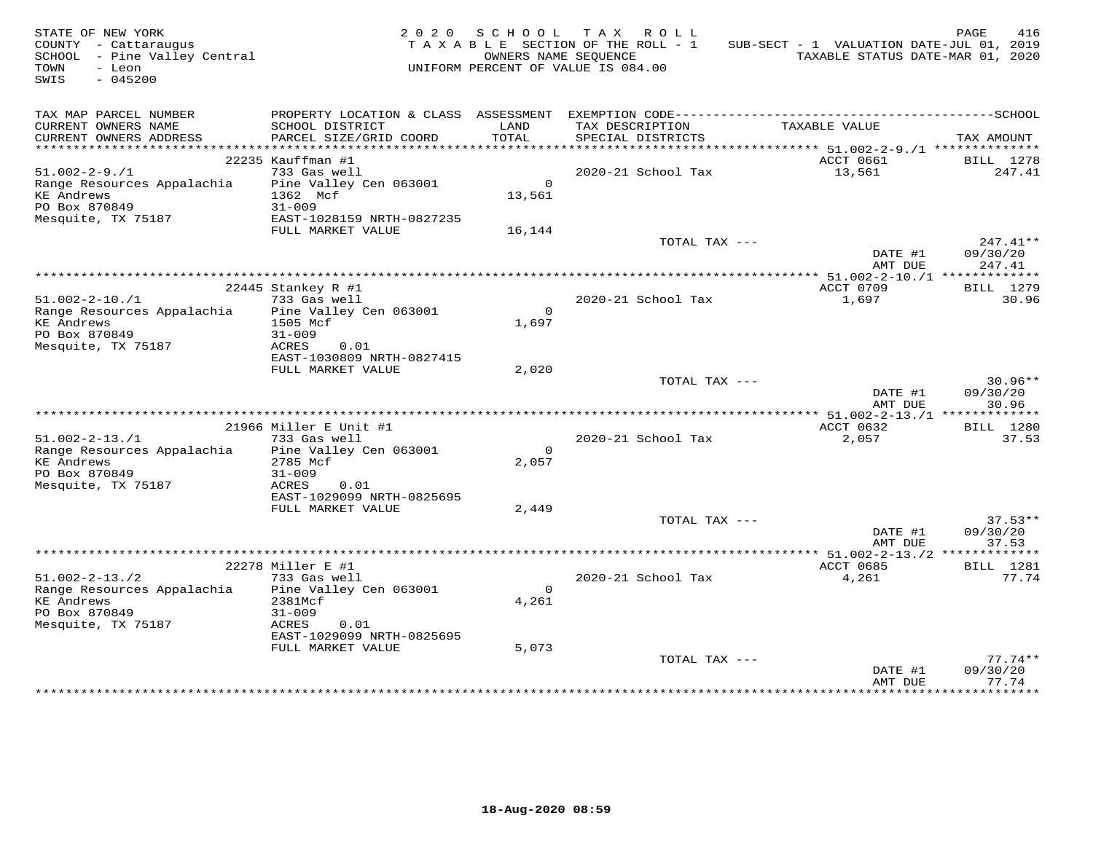| STATE OF NEW YORK<br>COUNTY - Cattaraugus<br>SCHOOL - Pine Valley Central<br>TOWN<br>- Leon<br>$-045200$<br>SWIS |                                                                         | OWNERS NAME SEQUENCE   | 2020 SCHOOL TAX ROLL<br>TAXABLE SECTION OF THE ROLL - 1<br>UNIFORM PERCENT OF VALUE IS 084.00 | SUB-SECT - 1 VALUATION DATE-JUL 01, 2019<br>TAXABLE STATUS DATE-MAR 01, 2020 | PAGE<br>416                      |
|------------------------------------------------------------------------------------------------------------------|-------------------------------------------------------------------------|------------------------|-----------------------------------------------------------------------------------------------|------------------------------------------------------------------------------|----------------------------------|
| TAX MAP PARCEL NUMBER<br>CURRENT OWNERS NAME<br>CURRENT OWNERS ADDRESS                                           | SCHOOL DISTRICT<br>PARCEL SIZE/GRID COORD                               | LAND<br>TOTAL          | TAX DESCRIPTION<br>SPECIAL DISTRICTS                                                          | TAXABLE VALUE                                                                | TAX AMOUNT                       |
| ***********************                                                                                          |                                                                         |                        |                                                                                               |                                                                              |                                  |
| $51.002 - 2 - 9.71$<br>Range Resources Appalachia<br><b>KE</b> Andrews                                           | 22235 Kauffman #1<br>733 Gas well<br>Pine Valley Cen 063001<br>1362 Mcf | $\mathbf{0}$<br>13,561 | 2020-21 School Tax                                                                            | ACCT 0661<br>13,561                                                          | BILL 1278<br>247.41              |
| PO Box 870849                                                                                                    | $31 - 009$                                                              |                        |                                                                                               |                                                                              |                                  |
| Mesquite, TX 75187                                                                                               | EAST-1028159 NRTH-0827235<br>FULL MARKET VALUE                          | 16,144                 |                                                                                               |                                                                              |                                  |
|                                                                                                                  |                                                                         |                        | TOTAL TAX ---                                                                                 | DATE #1<br>AMT DUE                                                           | $247.41**$<br>09/30/20<br>247.41 |
|                                                                                                                  |                                                                         |                        |                                                                                               |                                                                              |                                  |
|                                                                                                                  | 22445 Stankey R #1                                                      |                        |                                                                                               | ACCT 0709                                                                    | BILL 1279                        |
| $51.002 - 2 - 10.71$                                                                                             | 733 Gas well                                                            |                        | 2020-21 School Tax                                                                            | 1,697                                                                        | 30.96                            |
| Range Resources Appalachia                                                                                       | Pine Valley Cen 063001                                                  | $\Omega$               |                                                                                               |                                                                              |                                  |
| <b>KE Andrews</b><br>PO Box 870849                                                                               | 1505 Mcf<br>$31 - 009$                                                  | 1,697                  |                                                                                               |                                                                              |                                  |
| Mesquite, TX 75187                                                                                               | ACRES<br>0.01                                                           |                        |                                                                                               |                                                                              |                                  |
|                                                                                                                  | EAST-1030809 NRTH-0827415                                               |                        |                                                                                               |                                                                              |                                  |
|                                                                                                                  | FULL MARKET VALUE                                                       | 2,020                  |                                                                                               |                                                                              |                                  |
|                                                                                                                  |                                                                         |                        | TOTAL TAX ---                                                                                 |                                                                              | $30.96**$                        |
|                                                                                                                  |                                                                         |                        |                                                                                               | DATE #1                                                                      | 09/30/20                         |
|                                                                                                                  |                                                                         |                        |                                                                                               | AMT DUE<br>*************** 51.002-2-13./1 *************                      | 30.96                            |
|                                                                                                                  | 21966 Miller E Unit #1                                                  |                        |                                                                                               | ACCT 0632                                                                    | <b>BILL</b> 1280                 |
| $51.002 - 2 - 13.71$                                                                                             | 733 Gas well                                                            |                        | 2020-21 School Tax                                                                            | 2,057                                                                        | 37.53                            |
| Range Resources Appalachia                                                                                       | Pine Valley Cen 063001                                                  | $\Omega$               |                                                                                               |                                                                              |                                  |
| <b>KE Andrews</b>                                                                                                | 2785 Mcf                                                                | 2,057                  |                                                                                               |                                                                              |                                  |
| PO Box 870849                                                                                                    | $31 - 009$                                                              |                        |                                                                                               |                                                                              |                                  |
| Mesquite, TX 75187                                                                                               | ACRES<br>0.01<br>EAST-1029099 NRTH-0825695                              |                        |                                                                                               |                                                                              |                                  |
|                                                                                                                  | FULL MARKET VALUE                                                       | 2,449                  |                                                                                               |                                                                              |                                  |
|                                                                                                                  |                                                                         |                        | TOTAL TAX ---                                                                                 |                                                                              | $37.53**$                        |
|                                                                                                                  |                                                                         |                        |                                                                                               | DATE #1                                                                      | 09/30/20                         |
|                                                                                                                  |                                                                         |                        |                                                                                               | AMT DUE                                                                      | 37.53                            |
|                                                                                                                  | 22278 Miller E #1                                                       |                        |                                                                                               | ACCT 0685                                                                    | BILL 1281                        |
| $51.002 - 2 - 13.72$                                                                                             | 733 Gas well                                                            |                        | 2020-21 School Tax                                                                            | 4,261                                                                        | 77.74                            |
| Range Resources Appalachia                                                                                       | Pine Valley Cen 063001                                                  | $\overline{0}$         |                                                                                               |                                                                              |                                  |
| <b>KE Andrews</b>                                                                                                | 2381Mcf                                                                 | 4,261                  |                                                                                               |                                                                              |                                  |
| PO Box 870849                                                                                                    | $31 - 009$                                                              |                        |                                                                                               |                                                                              |                                  |
| Mesquite, TX 75187                                                                                               | ACRES<br>0.01                                                           |                        |                                                                                               |                                                                              |                                  |
|                                                                                                                  | EAST-1029099 NRTH-0825695<br>FULL MARKET VALUE                          | 5,073                  |                                                                                               |                                                                              |                                  |
|                                                                                                                  |                                                                         |                        | TOTAL TAX ---                                                                                 |                                                                              | $77.74**$                        |
|                                                                                                                  |                                                                         |                        |                                                                                               | DATE #1<br>AMT DUE                                                           | 09/30/20<br>77.74                |
|                                                                                                                  |                                                                         |                        |                                                                                               |                                                                              |                                  |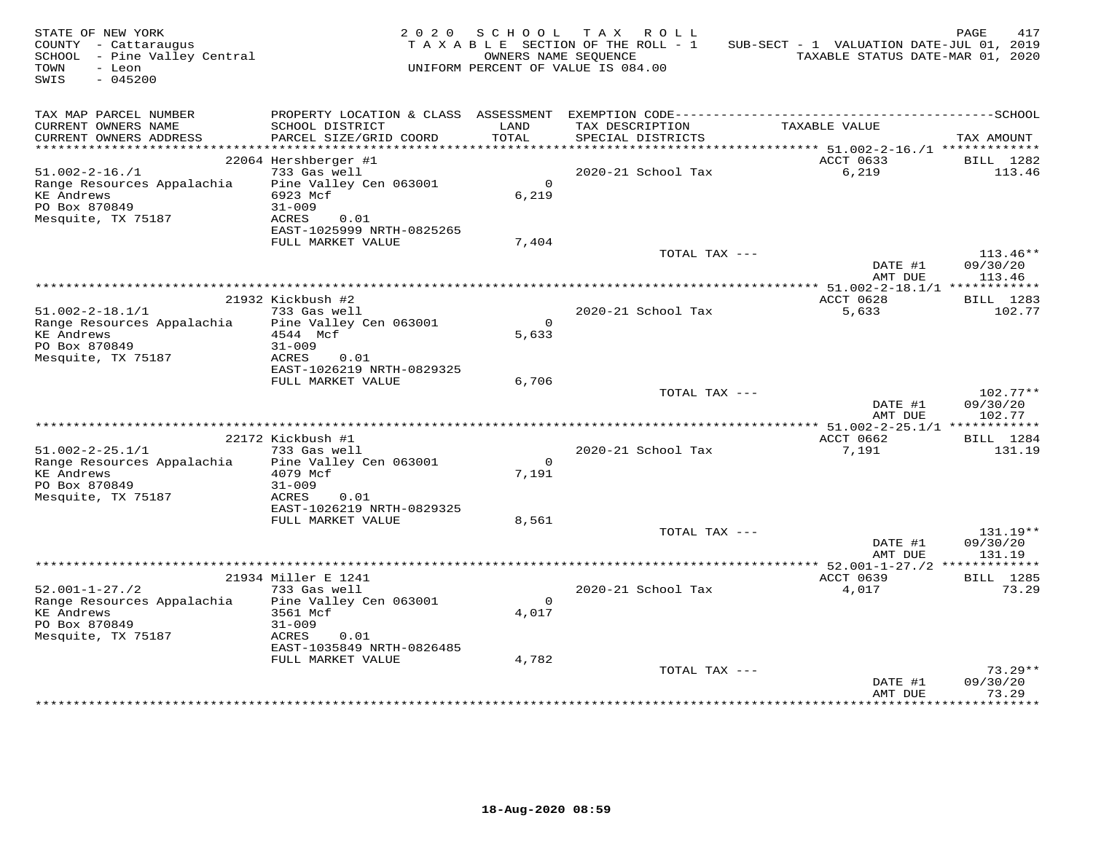| STATE OF NEW YORK<br>COUNTY - Cattaraugus<br>SCHOOL - Pine Valley Central<br>TOWN<br>- Leon<br>SWIS<br>$-045200$ |                                                | 2020 SCHOOL<br>OWNERS NAME SEOUENCE | TAX ROLL<br>TAXABLE SECTION OF THE ROLL - 1<br>UNIFORM PERCENT OF VALUE IS 084.00 | SUB-SECT - 1 VALUATION DATE-JUL 01, 2019<br>TAXABLE STATUS DATE-MAR 01, 2020 | PAGE<br>417           |
|------------------------------------------------------------------------------------------------------------------|------------------------------------------------|-------------------------------------|-----------------------------------------------------------------------------------|------------------------------------------------------------------------------|-----------------------|
| TAX MAP PARCEL NUMBER<br>CURRENT OWNERS NAME<br>CURRENT OWNERS ADDRESS                                           | SCHOOL DISTRICT<br>PARCEL SIZE/GRID COORD      | LAND<br>TOTAL                       | TAX DESCRIPTION<br>SPECIAL DISTRICTS                                              | TAXABLE VALUE                                                                | TAX AMOUNT            |
| ***********************                                                                                          |                                                |                                     |                                                                                   |                                                                              |                       |
|                                                                                                                  | 22064 Hershberger #1                           |                                     |                                                                                   | ACCT 0633                                                                    | BILL 1282             |
| $51.002 - 2 - 16.71$                                                                                             | 733 Gas well                                   |                                     | 2020-21 School Tax                                                                | 6,219                                                                        | 113.46                |
| Range Resources Appalachia<br><b>KE Andrews</b>                                                                  | Pine Valley Cen 063001<br>6923 Mcf             | $\Omega$<br>6,219                   |                                                                                   |                                                                              |                       |
| PO Box 870849                                                                                                    | $31 - 009$                                     |                                     |                                                                                   |                                                                              |                       |
| Mesquite, TX 75187                                                                                               | ACRES<br>0.01                                  |                                     |                                                                                   |                                                                              |                       |
|                                                                                                                  | EAST-1025999 NRTH-0825265                      |                                     |                                                                                   |                                                                              |                       |
|                                                                                                                  | FULL MARKET VALUE                              | 7,404                               |                                                                                   |                                                                              |                       |
|                                                                                                                  |                                                |                                     | TOTAL TAX ---                                                                     |                                                                              | $113.46**$            |
|                                                                                                                  |                                                |                                     |                                                                                   | DATE #1<br>AMT DUE                                                           | 09/30/20<br>113.46    |
|                                                                                                                  |                                                |                                     |                                                                                   |                                                                              |                       |
|                                                                                                                  | 21932 Kickbush #2                              |                                     |                                                                                   | ACCT 0628                                                                    | BILL 1283             |
| $51.002 - 2 - 18.1/1$                                                                                            | 733 Gas well                                   |                                     | 2020-21 School Tax                                                                | 5,633                                                                        | 102.77                |
| Range Resources Appalachia                                                                                       | Pine Valley Cen 063001                         | $\Omega$                            |                                                                                   |                                                                              |                       |
| <b>KE Andrews</b>                                                                                                | 4544 Mcf                                       | 5,633                               |                                                                                   |                                                                              |                       |
| PO Box 870849                                                                                                    | $31 - 009$<br>ACRES                            |                                     |                                                                                   |                                                                              |                       |
| Mesquite, TX 75187                                                                                               | 0.01<br>EAST-1026219 NRTH-0829325              |                                     |                                                                                   |                                                                              |                       |
|                                                                                                                  | FULL MARKET VALUE                              | 6,706                               |                                                                                   |                                                                              |                       |
|                                                                                                                  |                                                |                                     | TOTAL TAX ---                                                                     |                                                                              | $102.77**$            |
|                                                                                                                  |                                                |                                     |                                                                                   | DATE #1                                                                      | 09/30/20              |
|                                                                                                                  |                                                |                                     |                                                                                   | AMT DUE                                                                      | 102.77                |
|                                                                                                                  |                                                |                                     |                                                                                   | ACCT 0662                                                                    |                       |
| $51.002 - 2 - 25.1/1$                                                                                            | 22172 Kickbush #1<br>733 Gas well              |                                     | 2020-21 School Tax                                                                | 7,191                                                                        | BILL 1284<br>131.19   |
| Range Resources Appalachia                                                                                       | Pine Valley Cen 063001                         | $\circ$                             |                                                                                   |                                                                              |                       |
| <b>KE Andrews</b>                                                                                                | 4079 Mcf                                       | 7,191                               |                                                                                   |                                                                              |                       |
| PO Box 870849                                                                                                    | $31 - 009$                                     |                                     |                                                                                   |                                                                              |                       |
| Mesquite, TX 75187                                                                                               | ACRES<br>0.01                                  |                                     |                                                                                   |                                                                              |                       |
|                                                                                                                  | EAST-1026219 NRTH-0829325<br>FULL MARKET VALUE | 8,561                               |                                                                                   |                                                                              |                       |
|                                                                                                                  |                                                |                                     | TOTAL TAX ---                                                                     |                                                                              | 131.19**              |
|                                                                                                                  |                                                |                                     |                                                                                   | DATE #1                                                                      | 09/30/20              |
|                                                                                                                  |                                                |                                     |                                                                                   | AMT DUE                                                                      | 131.19                |
|                                                                                                                  |                                                |                                     |                                                                                   | ************* 52.001-1-27./2 **************                                  |                       |
|                                                                                                                  | 21934 Miller E 1241                            |                                     |                                                                                   | ACCT 0639                                                                    | <b>BILL</b> 1285      |
| $52.001 - 1 - 27.72$                                                                                             | 733 Gas well<br>Pine Valley Cen 063001         | $\Omega$                            | 2020-21 School Tax                                                                | 4,017                                                                        | 73.29                 |
| Range Resources Appalachia<br><b>KE Andrews</b>                                                                  | 3561 Mcf                                       | 4,017                               |                                                                                   |                                                                              |                       |
| PO Box 870849                                                                                                    | $31 - 009$                                     |                                     |                                                                                   |                                                                              |                       |
| Mesquite, TX 75187                                                                                               | ACRES<br>0.01                                  |                                     |                                                                                   |                                                                              |                       |
|                                                                                                                  | EAST-1035849 NRTH-0826485                      |                                     |                                                                                   |                                                                              |                       |
|                                                                                                                  | FULL MARKET VALUE                              | 4,782                               |                                                                                   |                                                                              |                       |
|                                                                                                                  |                                                |                                     | TOTAL TAX ---                                                                     | DATE #1                                                                      | $73.29**$<br>09/30/20 |
|                                                                                                                  |                                                |                                     |                                                                                   | AMT DUE                                                                      | 73.29                 |
|                                                                                                                  |                                                |                                     |                                                                                   |                                                                              |                       |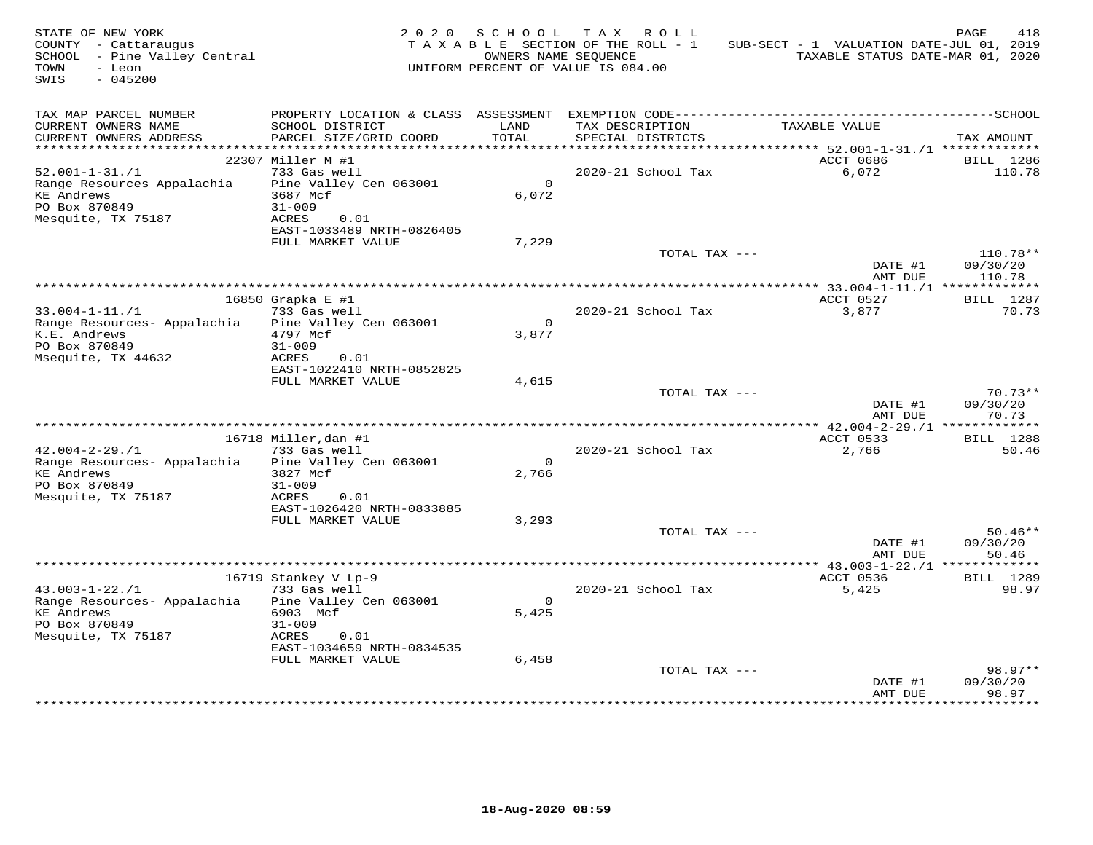| STATE OF NEW YORK<br>COUNTY - Cattaraugus<br>SCHOOL - Pine Valley Central<br>TOWN<br>- Leon<br>SWIS<br>$-045200$ |                                                                   | 2020 SCHOOL      | TAX ROLL<br>TAXABLE SECTION OF THE ROLL - 1<br>OWNERS NAME SEOUENCE<br>UNIFORM PERCENT OF VALUE IS 084.00 | SUB-SECT - 1 VALUATION DATE-JUL 01, 2019<br>TAXABLE STATUS DATE-MAR 01, 2020 | PAGE<br>418                    |
|------------------------------------------------------------------------------------------------------------------|-------------------------------------------------------------------|------------------|-----------------------------------------------------------------------------------------------------------|------------------------------------------------------------------------------|--------------------------------|
| TAX MAP PARCEL NUMBER<br>CURRENT OWNERS NAME                                                                     | SCHOOL DISTRICT                                                   | LAND<br>TOTAL    | TAX DESCRIPTION                                                                                           | TAXABLE VALUE                                                                |                                |
| CURRENT OWNERS ADDRESS<br>**********************                                                                 | PARCEL SIZE/GRID COORD                                            |                  | SPECIAL DISTRICTS                                                                                         |                                                                              | TAX AMOUNT                     |
|                                                                                                                  | 22307 Miller M #1                                                 |                  |                                                                                                           | ACCT 0686                                                                    | BILL 1286                      |
| $52.001 - 1 - 31. / 1$                                                                                           | 733 Gas well                                                      |                  | 2020-21 School Tax                                                                                        | 6,072                                                                        | 110.78                         |
| Range Resources Appalachia<br><b>KE</b> Andrews<br>PO Box 870849                                                 | Pine Valley Cen 063001<br>3687 Mcf<br>$31 - 009$                  | $\circ$<br>6,072 |                                                                                                           |                                                                              |                                |
| Mesquite, TX 75187                                                                                               | ACRES<br>0.01<br>EAST-1033489 NRTH-0826405<br>FULL MARKET VALUE   | 7,229            |                                                                                                           |                                                                              |                                |
|                                                                                                                  |                                                                   |                  | TOTAL TAX ---                                                                                             | DATE #1<br>AMT DUE                                                           | 110.78**<br>09/30/20<br>110.78 |
|                                                                                                                  |                                                                   |                  |                                                                                                           |                                                                              |                                |
| $33.004 - 1 - 11. / 1$                                                                                           | 16850 Grapka E #1<br>733 Gas well                                 | $\Omega$         | 2020-21 School Tax                                                                                        | ACCT 0527<br>3,877                                                           | <b>BILL</b> 1287<br>70.73      |
| Range Resources- Appalachia<br>K.E. Andrews<br>PO Box 870849<br>Msequite, TX 44632                               | Pine Valley Cen 063001<br>4797 Mcf<br>$31 - 009$<br>ACRES<br>0.01 | 3,877            |                                                                                                           |                                                                              |                                |
|                                                                                                                  | EAST-1022410 NRTH-0852825                                         |                  |                                                                                                           |                                                                              |                                |
|                                                                                                                  | FULL MARKET VALUE                                                 | 4,615            | TOTAL TAX ---                                                                                             | DATE #1                                                                      | $70.73**$<br>09/30/20          |
|                                                                                                                  |                                                                   |                  |                                                                                                           | AMT DUE                                                                      | 70.73                          |
|                                                                                                                  | 16718 Miller, dan #1                                              |                  |                                                                                                           | ACCT 0533                                                                    | <b>BILL</b> 1288               |
| $42.004 - 2 - 29.71$                                                                                             | 733 Gas well                                                      |                  | 2020-21 School Tax                                                                                        | 2,766                                                                        | 50.46                          |
| Range Resources- Appalachia                                                                                      | Pine Valley Cen 063001                                            | $\circ$          |                                                                                                           |                                                                              |                                |
| <b>KE Andrews</b><br>PO Box 870849<br>Mesquite, TX 75187                                                         | 3827 Mcf<br>$31 - 009$<br>ACRES<br>0.01                           | 2,766            |                                                                                                           |                                                                              |                                |
|                                                                                                                  | EAST-1026420 NRTH-0833885<br>FULL MARKET VALUE                    | 3,293            |                                                                                                           |                                                                              |                                |
|                                                                                                                  |                                                                   |                  | TOTAL TAX ---                                                                                             | DATE #1<br>AMT DUE                                                           | $50.46**$<br>09/30/20<br>50.46 |
|                                                                                                                  |                                                                   |                  |                                                                                                           | *************** 43.003-1-22./1 *****                                         | * * * * * * * *                |
|                                                                                                                  | 16719 Stankey V Lp-9                                              |                  |                                                                                                           | ACCT 0536                                                                    | BILL 1289                      |
| $43.003 - 1 - 22.71$<br>Range Resources- Appalachia                                                              | 733 Gas well<br>Pine Valley Cen 063001                            | $\Omega$         | 2020-21 School Tax                                                                                        | 5,425                                                                        | 98.97                          |
| <b>KE Andrews</b><br>PO Box 870849<br>Mesquite, TX 75187                                                         | 6903 Mcf<br>$31 - 009$<br>ACRES<br>0.01                           | 5,425            |                                                                                                           |                                                                              |                                |
|                                                                                                                  | EAST-1034659 NRTH-0834535<br>FULL MARKET VALUE                    | 6,458            |                                                                                                           |                                                                              |                                |
|                                                                                                                  |                                                                   |                  | TOTAL TAX ---                                                                                             | DATE #1<br>AMT DUE                                                           | 98.97**<br>09/30/20<br>98.97   |
|                                                                                                                  |                                                                   |                  |                                                                                                           |                                                                              |                                |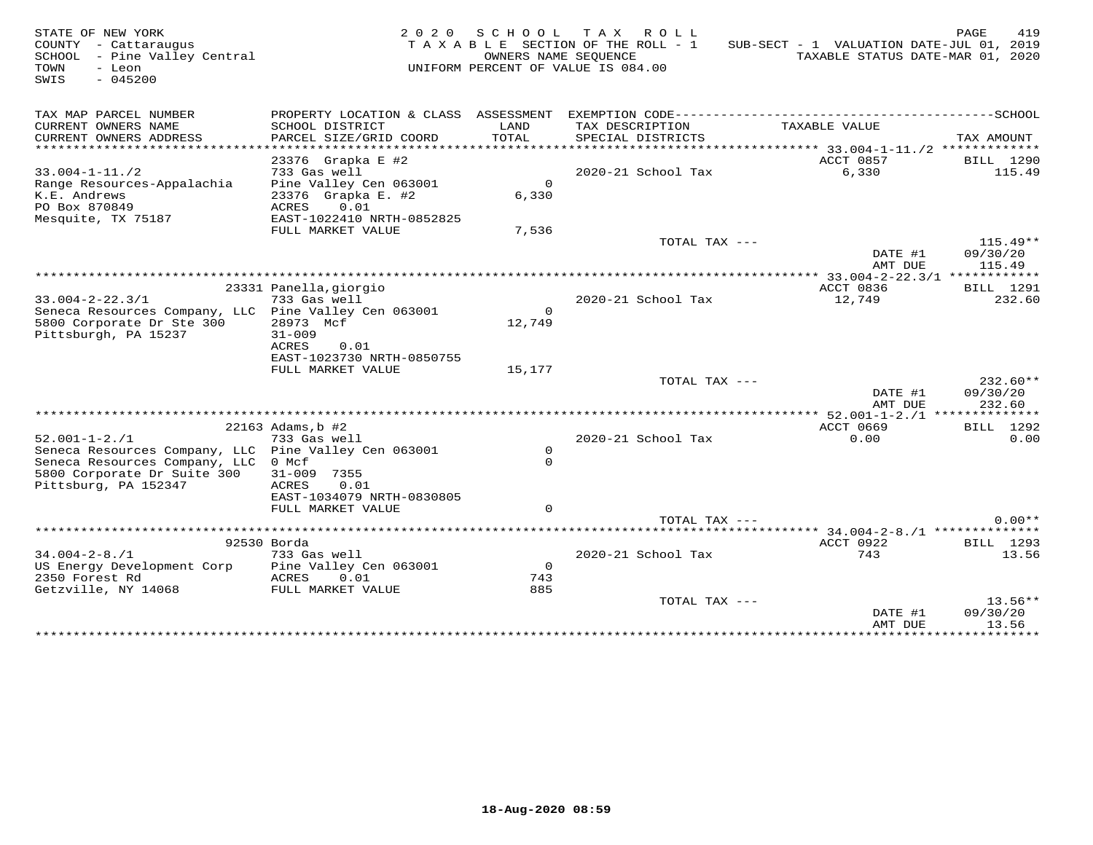| STATE OF NEW YORK<br>COUNTY - Cattaraugus<br>SCHOOL - Pine Valley Central<br>TOWN<br>- Leon<br>$-045200$<br>SWIS                             | 2 0 2 0                                                                           | OWNERS NAME SEQUENCE         | SCHOOL TAX ROLL<br>TAXABLE SECTION OF THE ROLL - 1<br>UNIFORM PERCENT OF VALUE IS 084.00 | SUB-SECT - 1 VALUATION DATE-JUL 01, 2019<br>TAXABLE STATUS DATE-MAR 01, 2020 | PAGE<br>419                        |
|----------------------------------------------------------------------------------------------------------------------------------------------|-----------------------------------------------------------------------------------|------------------------------|------------------------------------------------------------------------------------------|------------------------------------------------------------------------------|------------------------------------|
| TAX MAP PARCEL NUMBER<br>CURRENT OWNERS NAME<br>CURRENT OWNERS ADDRESS                                                                       | PROPERTY LOCATION & CLASS ASSESSMENT<br>SCHOOL DISTRICT<br>PARCEL SIZE/GRID COORD | LAND<br>TOTAL                | TAX DESCRIPTION<br>SPECIAL DISTRICTS                                                     | EXEMPTION CODE---------------------------<br>TAXABLE VALUE                   | --------------SCHOOL<br>TAX AMOUNT |
| *********************                                                                                                                        |                                                                                   |                              |                                                                                          |                                                                              |                                    |
| $33.004 - 1 - 11.72$<br>Range Resources-Appalachia<br>K.E. Andrews                                                                           | 23376 Grapka E #2<br>733 Gas well<br>Pine Valley Cen 063001<br>23376 Grapka E. #2 | $\Omega$<br>6,330            | 2020-21 School Tax                                                                       | ACCT 0857<br>6,330                                                           | BILL 1290<br>115.49                |
| PO Box 870849<br>Mesquite, TX 75187                                                                                                          | 0.01<br>ACRES<br>EAST-1022410 NRTH-0852825<br>FULL MARKET VALUE                   | 7,536                        |                                                                                          |                                                                              |                                    |
|                                                                                                                                              |                                                                                   |                              | TOTAL TAX ---                                                                            | DATE #1<br>AMT DUE                                                           | $115.49**$<br>09/30/20<br>115.49   |
|                                                                                                                                              |                                                                                   |                              |                                                                                          |                                                                              |                                    |
| $33.004 - 2 - 22.3/1$<br>Seneca Resources Company, LLC Pine Valley Cen 063001                                                                | 23331 Panella, giorgio<br>733 Gas well                                            | $\circ$                      | 2020-21 School Tax                                                                       | ACCT 0836<br>12,749                                                          | <b>BILL</b> 1291<br>232.60         |
| 5800 Corporate Dr Ste 300<br>Pittsburgh, PA 15237                                                                                            | 28973 Mcf<br>$31 - 009$<br>ACRES<br>0.01<br>EAST-1023730 NRTH-0850755             | 12,749                       |                                                                                          |                                                                              |                                    |
|                                                                                                                                              | FULL MARKET VALUE                                                                 | 15,177                       |                                                                                          |                                                                              |                                    |
|                                                                                                                                              |                                                                                   |                              | TOTAL TAX ---                                                                            | DATE #1<br>AMT DUE                                                           | $232.60**$<br>09/30/20<br>232.60   |
|                                                                                                                                              |                                                                                   |                              |                                                                                          |                                                                              |                                    |
| $52.001 - 1 - 2.71$                                                                                                                          | 22163 Adams, b #2<br>733 Gas well                                                 |                              | 2020-21 School Tax                                                                       | ACCT 0669<br>0.00                                                            | BILL 1292<br>0.00                  |
| Seneca Resources Company, LLC Pine Valley Cen 063001<br>Seneca Resources Company, LLC<br>5800 Corporate Dr Suite 300<br>Pittsburg, PA 152347 | 0 Mcf<br>31-009 7355<br>0.01<br>ACRES<br>EAST-1034079 NRTH-0830805                | $\circ$<br>$\Omega$          |                                                                                          |                                                                              |                                    |
|                                                                                                                                              | FULL MARKET VALUE                                                                 | $\Omega$                     |                                                                                          |                                                                              |                                    |
|                                                                                                                                              |                                                                                   |                              | TOTAL TAX ---                                                                            |                                                                              | $0.00**$                           |
|                                                                                                                                              |                                                                                   |                              |                                                                                          |                                                                              |                                    |
|                                                                                                                                              | 92530 Borda                                                                       |                              |                                                                                          | ACCT 0922                                                                    | BILL 1293                          |
| $34.004 - 2 - 8.71$<br>US Energy Development Corp<br>2350 Forest Rd<br>Getzville, NY 14068                                                   | 733 Gas well<br>Pine Valley Cen 063001<br>ACRES<br>0.01<br>FULL MARKET VALUE      | $\overline{0}$<br>743<br>885 | 2020-21 School Tax                                                                       | 743                                                                          | 13.56                              |
|                                                                                                                                              |                                                                                   |                              | TOTAL TAX ---                                                                            |                                                                              | $13.56**$                          |
|                                                                                                                                              |                                                                                   |                              |                                                                                          | DATE #1<br>AMT DUE<br>*****************                                      | 09/30/20<br>13.56<br>***********   |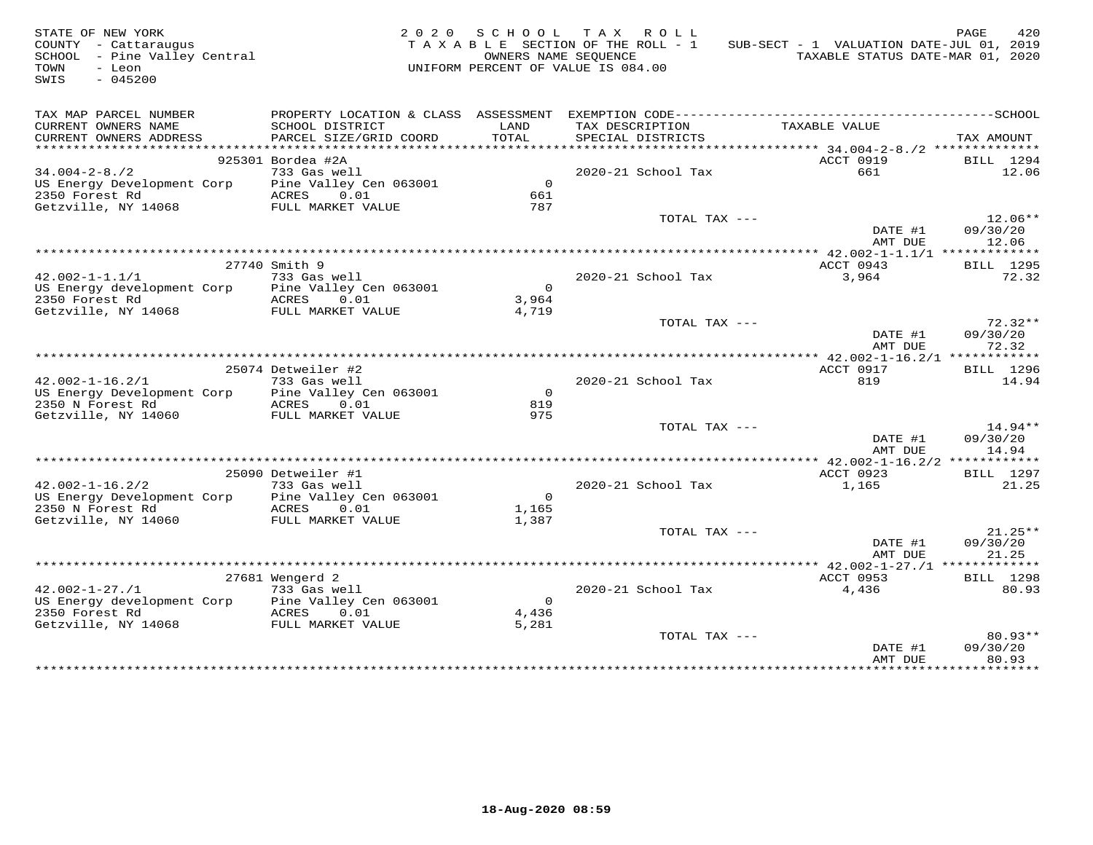| STATE OF NEW YORK<br>COUNTY - Cattaraugus<br>SCHOOL - Pine Valley Central<br>TOWN<br>- Leon<br>$-045200$<br>SWIS |                                 | UNIFORM PERCENT OF VALUE IS 084.00 | 2020 SCHOOL TAX ROLL<br>TAXABLE SECTION OF THE ROLL - 1<br>OWNERS NAME SEOUENCE | SUB-SECT - 1 VALUATION DATE-JUL 01, 2019<br>TAXABLE STATUS DATE-MAR 01, 2020 | PAGE<br>420        |
|------------------------------------------------------------------------------------------------------------------|---------------------------------|------------------------------------|---------------------------------------------------------------------------------|------------------------------------------------------------------------------|--------------------|
| TAX MAP PARCEL NUMBER                                                                                            |                                 |                                    |                                                                                 |                                                                              |                    |
| CURRENT OWNERS NAME                                                                                              | SCHOOL DISTRICT                 | LAND                               | TAX DESCRIPTION                                                                 | TAXABLE VALUE                                                                |                    |
| CURRENT OWNERS ADDRESS<br>***********************                                                                | PARCEL SIZE/GRID COORD          | TOTAL                              | SPECIAL DISTRICTS                                                               |                                                                              | TAX AMOUNT         |
|                                                                                                                  | 925301 Bordea #2A               |                                    |                                                                                 | ACCT 0919                                                                    | BILL 1294          |
| $34.004 - 2 - 8.72$                                                                                              | 733 Gas well                    |                                    | 2020-21 School Tax                                                              | 661                                                                          | 12.06              |
| US Energy Development Corp Pine Valley Cen 063001                                                                |                                 | $\overline{0}$                     |                                                                                 |                                                                              |                    |
| 2350 Forest Rd                                                                                                   | ACRES 0.01                      | 661                                |                                                                                 |                                                                              |                    |
| Getzville, NY 14068                                                                                              | FULL MARKET VALUE               | 787                                |                                                                                 |                                                                              |                    |
|                                                                                                                  |                                 |                                    | TOTAL TAX ---                                                                   |                                                                              | $12.06**$          |
|                                                                                                                  |                                 |                                    |                                                                                 | DATE #1                                                                      | 09/30/20           |
|                                                                                                                  |                                 |                                    |                                                                                 | AMT DUE                                                                      | 12.06              |
|                                                                                                                  |                                 |                                    |                                                                                 |                                                                              |                    |
| $42.002 - 1 - 1.1/1$                                                                                             | 27740 Smith 9                   |                                    |                                                                                 | ACCT 0943                                                                    | BILL 1295<br>72.32 |
| US Energy development Corp Pine Valley Cen 063001                                                                | 733 Gas well                    | $\overline{0}$                     | 2020-21 School Tax                                                              | 3,964                                                                        |                    |
| 2350 Forest Rd                                                                                                   | ACRES 0.01                      | 3,964                              |                                                                                 |                                                                              |                    |
| Getzville, NY 14068 FULL MARKET VALUE                                                                            |                                 | 4,719                              |                                                                                 |                                                                              |                    |
|                                                                                                                  |                                 |                                    | TOTAL TAX ---                                                                   |                                                                              | $72.32**$          |
|                                                                                                                  |                                 |                                    |                                                                                 | DATE #1<br>AMT DUE                                                           | 09/30/20<br>72.32  |
|                                                                                                                  |                                 |                                    |                                                                                 |                                                                              |                    |
|                                                                                                                  | 25074 Detweiler #2              |                                    |                                                                                 | ACCT 0917                                                                    | <b>BILL</b> 1296   |
| $42.002 - 1 - 16.2/1$                                                                                            | 733 Gas well                    |                                    | 2020-21 School Tax                                                              | 819                                                                          | 14.94              |
| US Energy Development Corp Pine Valley Cen 063001<br>2350 N Forest Rd                                            | ACRES 0.01                      | $\overline{0}$<br>819              |                                                                                 |                                                                              |                    |
| Getzville, NY 14060                                                                                              | FULL MARKET VALUE               | 975                                |                                                                                 |                                                                              |                    |
|                                                                                                                  |                                 |                                    | TOTAL TAX ---                                                                   |                                                                              | $14.94**$          |
|                                                                                                                  |                                 |                                    |                                                                                 | DATE #1                                                                      | 09/30/20           |
|                                                                                                                  |                                 |                                    |                                                                                 | AMT DUE                                                                      | 14.94              |
|                                                                                                                  |                                 |                                    |                                                                                 |                                                                              |                    |
|                                                                                                                  | 25090 Detweiler #1              |                                    |                                                                                 | ACCT 0923                                                                    | <b>BILL</b> 1297   |
| $42.002 - 1 - 16.2/2$                                                                                            | 733 Gas well                    |                                    | 2020-21 School Tax                                                              | 1,165                                                                        | 21.25              |
| US Energy Development Corp                                                                                       | Pine Valley Cen 063001          | $\overline{0}$                     |                                                                                 |                                                                              |                    |
| 2350 N Forest Rd<br>Getzville, NY 14060                                                                          | ACRES 0.01<br>FULL MARKET VALUE | 1,165<br>1,387                     |                                                                                 |                                                                              |                    |
|                                                                                                                  |                                 |                                    | TOTAL TAX ---                                                                   |                                                                              | $21.25**$          |
|                                                                                                                  |                                 |                                    |                                                                                 | DATE #1                                                                      | 09/30/20           |
|                                                                                                                  |                                 |                                    |                                                                                 | AMT DUE                                                                      | 21.25              |
|                                                                                                                  |                                 |                                    |                                                                                 |                                                                              |                    |
|                                                                                                                  | 27681 Wengerd 2                 |                                    |                                                                                 | ACCT 0953                                                                    | <b>BILL</b> 1298   |
| $42.002 - 1 - 27.71$                                                                                             | 733 Gas well                    |                                    | 2020-21 School Tax                                                              | 4,436                                                                        | 80.93              |
| US Energy development Corp Pine Valley Cen 063001                                                                |                                 | $\overline{0}$                     |                                                                                 |                                                                              |                    |
| 2350 Forest Rd                                                                                                   | ACRES 0.01                      | 4,436                              |                                                                                 |                                                                              |                    |
| Getzville, NY 14068                                                                                              | FULL MARKET VALUE               | 5,281                              | TOTAL TAX ---                                                                   |                                                                              | $80.93**$          |
|                                                                                                                  |                                 |                                    |                                                                                 | DATE #1                                                                      | 09/30/20           |
|                                                                                                                  |                                 |                                    |                                                                                 | AMT DUE                                                                      | 80.93              |
|                                                                                                                  |                                 |                                    |                                                                                 | + + + + + + + + + + + + + + +                                                | .                  |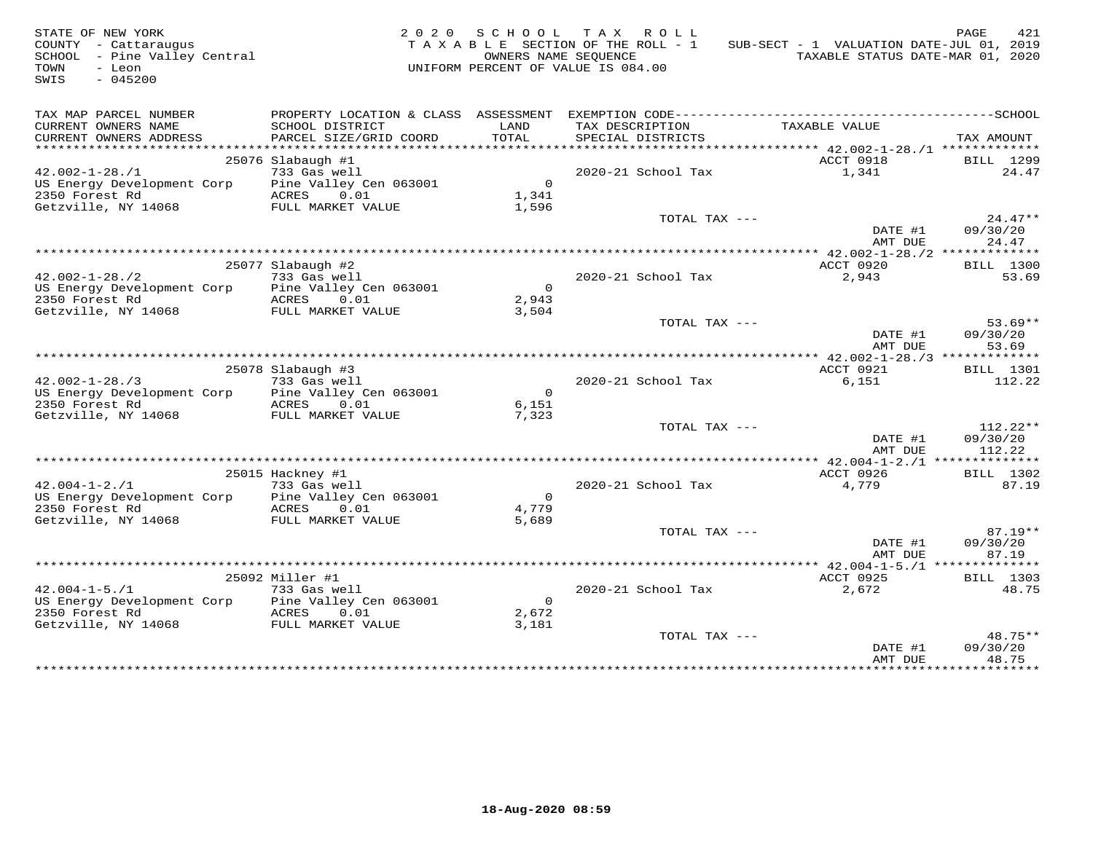| STATE OF NEW YORK<br>COUNTY - Cattaraugus<br>SCHOOL - Pine Valley Central<br>$-Lean$<br>TOWN<br>SWIS<br>$-045200$ |                                           | OWNERS NAME SEQUENCE | 2020 SCHOOL TAX ROLL<br>TAXABLE SECTION OF THE ROLL - 1<br>UNIFORM PERCENT OF VALUE IS 084.00 | SUB-SECT - 1 VALUATION DATE-JUL 01, 2019<br>TAXABLE STATUS DATE-MAR 01, 2020 | 421<br>PAGE           |
|-------------------------------------------------------------------------------------------------------------------|-------------------------------------------|----------------------|-----------------------------------------------------------------------------------------------|------------------------------------------------------------------------------|-----------------------|
| TAX MAP PARCEL NUMBER                                                                                             |                                           |                      |                                                                                               |                                                                              |                       |
| CURRENT OWNERS NAME<br>CURRENT OWNERS ADDRESS                                                                     | SCHOOL DISTRICT<br>PARCEL SIZE/GRID COORD | LAND<br>TOTAL        | TAX DESCRIPTION<br>SPECIAL DISTRICTS                                                          | TAXABLE VALUE                                                                | TAX AMOUNT            |
| **********************                                                                                            |                                           |                      |                                                                                               | ****************** 42.002-1-28./1 **************                             |                       |
|                                                                                                                   | 25076 Slabaugh #1                         |                      |                                                                                               | ACCT 0918                                                                    | BILL 1299             |
| $42.002 - 1 - 28.71$                                                                                              | 733 Gas well                              |                      | 2020-21 School Tax                                                                            | 1,341                                                                        | 24.47                 |
| US Energy Development Corp<br>2350 Forest Rd                                                                      | Pine Valley Cen 063001<br>ACRES 0.01      | $\overline{0}$       |                                                                                               |                                                                              |                       |
| Getzville, NY 14068                                                                                               | FULL MARKET VALUE                         | 1,341                |                                                                                               |                                                                              |                       |
|                                                                                                                   |                                           | 1,596                | TOTAL TAX ---                                                                                 |                                                                              | $24.47**$             |
|                                                                                                                   |                                           |                      |                                                                                               | DATE #1                                                                      | 09/30/20              |
|                                                                                                                   |                                           |                      |                                                                                               | AMT DUE                                                                      | 24.47                 |
|                                                                                                                   |                                           |                      |                                                                                               |                                                                              |                       |
|                                                                                                                   | 25077 Slabaugh #2                         |                      |                                                                                               | ACCT 0920                                                                    | <b>BILL</b> 1300      |
| $42.002 - 1 - 28.72$                                                                                              | 733 Gas well                              |                      | 2020-21 School Tax                                                                            | 2,943                                                                        | 53.69                 |
| US Energy Development Corp                                                                                        | Pine Valley Cen 063001                    | $\overline{0}$       |                                                                                               |                                                                              |                       |
| 2350 Forest Rd                                                                                                    | ACRES 0.01                                | 2,943                |                                                                                               |                                                                              |                       |
| Getzville, NY 14068                                                                                               | FULL MARKET VALUE                         | 3,504                |                                                                                               |                                                                              |                       |
|                                                                                                                   |                                           |                      | TOTAL TAX ---                                                                                 | DATE #1                                                                      | $53.69**$<br>09/30/20 |
|                                                                                                                   |                                           |                      |                                                                                               | AMT DUE                                                                      | 53.69                 |
|                                                                                                                   |                                           |                      |                                                                                               |                                                                              |                       |
|                                                                                                                   | 25078 Slabaugh #3                         |                      |                                                                                               | ACCT 0921                                                                    | <b>BILL</b> 1301      |
| $42.002 - 1 - 28.73$                                                                                              | 733 Gas well                              |                      | 2020-21 School Tax                                                                            | 6,151                                                                        | 112.22                |
| US Energy Development Corp                                                                                        | Pine Valley Cen 063001                    | $\overline{0}$       |                                                                                               |                                                                              |                       |
| 2350 Forest Rd                                                                                                    | ACRES 0.01                                | 6,151                |                                                                                               |                                                                              |                       |
| Getzville, NY 14068                                                                                               | FULL MARKET VALUE                         | 7,323                |                                                                                               |                                                                              |                       |
|                                                                                                                   |                                           |                      | TOTAL TAX ---                                                                                 |                                                                              | $112.22**$            |
|                                                                                                                   |                                           |                      |                                                                                               | DATE #1<br>AMT DUE                                                           | 09/30/20<br>112.22    |
|                                                                                                                   |                                           |                      |                                                                                               |                                                                              |                       |
|                                                                                                                   | 25015 Hackney #1                          |                      |                                                                                               | ACCT 0926                                                                    | BILL 1302             |
| $42.004 - 1 - 2.71$                                                                                               | 733 Gas well                              |                      | 2020-21 School Tax                                                                            | 4,779                                                                        | 87.19                 |
| US Energy Development Corp                                                                                        | Pine Valley Cen 063001                    | $\overline{0}$       |                                                                                               |                                                                              |                       |
| 2350 Forest Rd                                                                                                    | ACRES 0.01                                | 4,779                |                                                                                               |                                                                              |                       |
| Getzville, NY 14068                                                                                               | FULL MARKET VALUE                         | 5,689                |                                                                                               |                                                                              |                       |
|                                                                                                                   |                                           |                      | TOTAL TAX ---                                                                                 |                                                                              | $87.19**$             |
|                                                                                                                   |                                           |                      |                                                                                               | DATE #1                                                                      | 09/30/20              |
|                                                                                                                   |                                           |                      |                                                                                               | AMT DUE                                                                      | 87.19                 |
|                                                                                                                   | 25092 Miller #1                           |                      |                                                                                               | ********* 42.004-1-5./1 ***************                                      |                       |
| $42.004 - 1 - 5.71$                                                                                               | 733 Gas well                              |                      | 2020-21 School Tax                                                                            | ACCT 0925<br>2,672                                                           | BILL 1303<br>48.75    |
| US Energy Development Corp                                                                                        | Pine Valley Cen 063001                    | $\overline{0}$       |                                                                                               |                                                                              |                       |
| 2350 Forest Rd                                                                                                    | ACRES 0.01                                | 2,672                |                                                                                               |                                                                              |                       |
| Getzville, NY 14068                                                                                               | FULL MARKET VALUE                         | 3,181                |                                                                                               |                                                                              |                       |
|                                                                                                                   |                                           |                      | TOTAL TAX ---                                                                                 |                                                                              | 48.75**               |
|                                                                                                                   |                                           |                      |                                                                                               | DATE #1                                                                      | 09/30/20              |
|                                                                                                                   |                                           |                      |                                                                                               | AMT DUE                                                                      | 48.75                 |
|                                                                                                                   |                                           |                      |                                                                                               | * * * * * * * * * * * * * *                                                  | <b>+++++++++</b>      |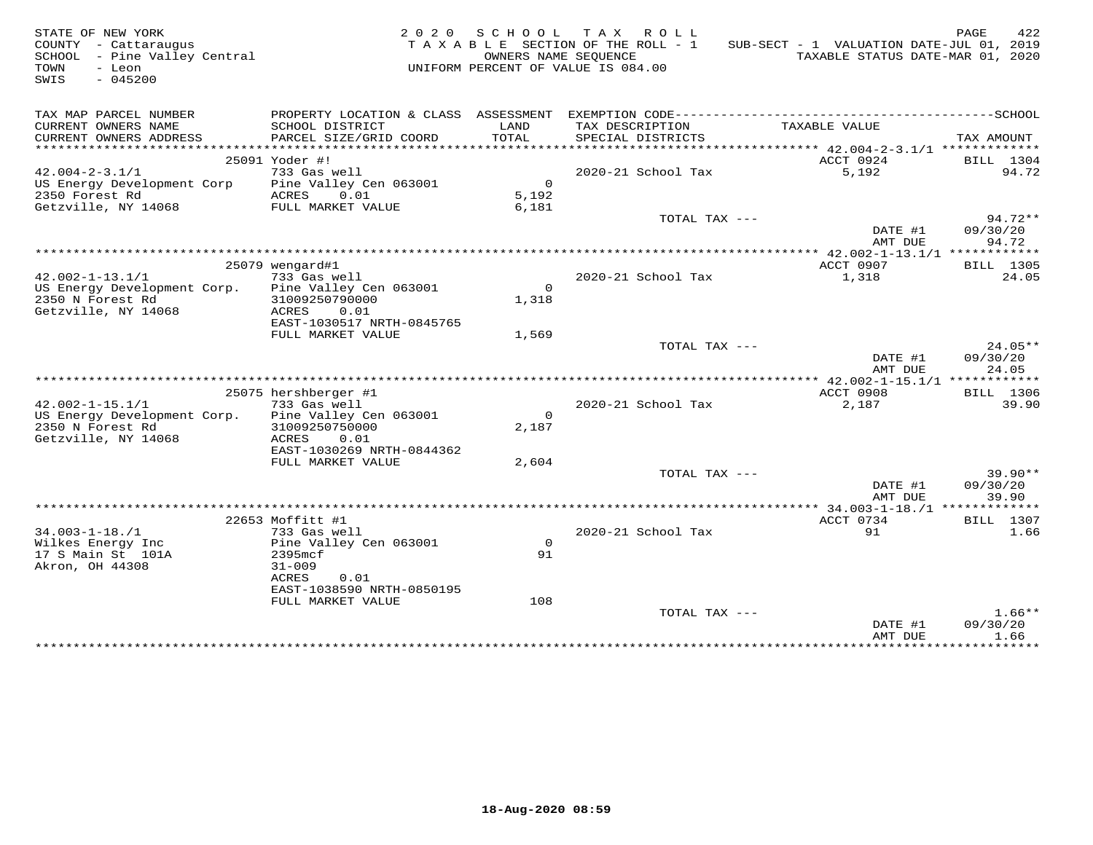| STATE OF NEW YORK<br>COUNTY - Cattaraugus<br>SCHOOL - Pine Valley Central<br>- Leon<br>TOWN<br>SWIS<br>$-045200$ | 2 0 2 0                                        | SCHOOL TAX        | ROLL ROLL<br>TAXABLE SECTION OF THE ROLL - 1<br>OWNERS NAME SEQUENCE<br>UNIFORM PERCENT OF VALUE IS 084.00 | SUB-SECT - 1 VALUATION DATE-JUL 01, 2019<br>TAXABLE STATUS DATE-MAR 01, 2020 | PAGE<br>422                    |
|------------------------------------------------------------------------------------------------------------------|------------------------------------------------|-------------------|------------------------------------------------------------------------------------------------------------|------------------------------------------------------------------------------|--------------------------------|
| TAX MAP PARCEL NUMBER                                                                                            |                                                |                   |                                                                                                            |                                                                              |                                |
| CURRENT OWNERS NAME<br>CURRENT OWNERS ADDRESS                                                                    | SCHOOL DISTRICT<br>PARCEL SIZE/GRID COORD      | LAND<br>TOTAL     | TAX DESCRIPTION<br>SPECIAL DISTRICTS                                                                       | TAXABLE VALUE                                                                | TAX AMOUNT                     |
|                                                                                                                  | 25091 Yoder #!                                 |                   |                                                                                                            | ACCT 0924                                                                    | BILL 1304                      |
| $42.004 - 2 - 3.1/1$                                                                                             | 733 Gas well                                   |                   | 2020-21 School Tax                                                                                         | 5,192                                                                        | 94.72                          |
| US Energy Development Corp<br>2350 Forest Rd                                                                     | Pine Valley Cen 063001<br>ACRES<br>0.01        | $\circ$<br>5,192  |                                                                                                            |                                                                              |                                |
| Getzville, NY 14068                                                                                              | FULL MARKET VALUE                              | 6,181             | TOTAL TAX ---                                                                                              | DATE #1<br>AMT DUE                                                           | $94.72**$<br>09/30/20<br>94.72 |
|                                                                                                                  |                                                |                   |                                                                                                            |                                                                              |                                |
|                                                                                                                  | 25079 wengard#1                                |                   |                                                                                                            | ACCT 0907                                                                    | BILL 1305                      |
| $42.002 - 1 - 13.1/1$                                                                                            | 733 Gas well                                   |                   | 2020-21 School Tax                                                                                         | 1,318                                                                        | 24.05                          |
| US Energy Development Corp.                                                                                      | Pine Valley Cen 063001                         | $\overline{0}$    |                                                                                                            |                                                                              |                                |
| 2350 N Forest Rd                                                                                                 | 31009250790000                                 | 1,318             |                                                                                                            |                                                                              |                                |
| Getzville, NY 14068                                                                                              | ACRES<br>0.01                                  |                   |                                                                                                            |                                                                              |                                |
|                                                                                                                  | EAST-1030517 NRTH-0845765                      |                   |                                                                                                            |                                                                              |                                |
|                                                                                                                  | FULL MARKET VALUE                              | 1,569             |                                                                                                            |                                                                              |                                |
|                                                                                                                  |                                                |                   | TOTAL TAX ---                                                                                              |                                                                              | 24.05**                        |
|                                                                                                                  |                                                |                   |                                                                                                            | DATE #1<br>AMT DUE                                                           | 09/30/20<br>24.05              |
|                                                                                                                  |                                                |                   |                                                                                                            |                                                                              |                                |
|                                                                                                                  | 25075 hershberger #1                           |                   |                                                                                                            | ACCT 0908                                                                    | BILL 1306                      |
| $42.002 - 1 - 15.1/1$                                                                                            | 733 Gas well                                   |                   | 2020-21 School Tax                                                                                         | 2,187                                                                        | 39.90                          |
| US Energy Development Corp.<br>2350 N Forest Rd                                                                  | Pine Valley Cen 063001<br>31009250750000       | $\Omega$<br>2,187 |                                                                                                            |                                                                              |                                |
| Getzville, NY 14068                                                                                              | ACRES<br>0.01                                  |                   |                                                                                                            |                                                                              |                                |
|                                                                                                                  | EAST-1030269 NRTH-0844362<br>FULL MARKET VALUE | 2,604             |                                                                                                            |                                                                              |                                |
|                                                                                                                  |                                                |                   | TOTAL TAX ---                                                                                              |                                                                              | $39.90**$                      |
|                                                                                                                  |                                                |                   |                                                                                                            | DATE #1<br>AMT DUE                                                           | 09/30/20<br>39.90              |
|                                                                                                                  |                                                |                   |                                                                                                            |                                                                              |                                |
|                                                                                                                  | 22653 Moffitt #1                               |                   |                                                                                                            | ACCT 0734                                                                    | <b>BILL 1307</b>               |
| $34.003 - 1 - 18. / 1$                                                                                           | 733 Gas well                                   |                   | 2020-21 School Tax                                                                                         | 91                                                                           | 1.66                           |
| Wilkes Energy Inc                                                                                                | Pine Valley Cen 063001                         | $\mathsf{O}$      |                                                                                                            |                                                                              |                                |
| 17 S Main St 101A                                                                                                | 2395mcf                                        | 91                |                                                                                                            |                                                                              |                                |
| Akron, OH 44308                                                                                                  | $31 - 009$                                     |                   |                                                                                                            |                                                                              |                                |
|                                                                                                                  | ACRES<br>0.01<br>EAST-1038590 NRTH-0850195     |                   |                                                                                                            |                                                                              |                                |
|                                                                                                                  | FULL MARKET VALUE                              | 108               |                                                                                                            |                                                                              |                                |
|                                                                                                                  |                                                |                   | TOTAL TAX ---                                                                                              |                                                                              | $1.66**$                       |
|                                                                                                                  |                                                |                   |                                                                                                            | DATE #1<br>AMT DUE                                                           | 09/30/20<br>1.66               |
|                                                                                                                  |                                                |                   |                                                                                                            | ******************                                                           | ***********                    |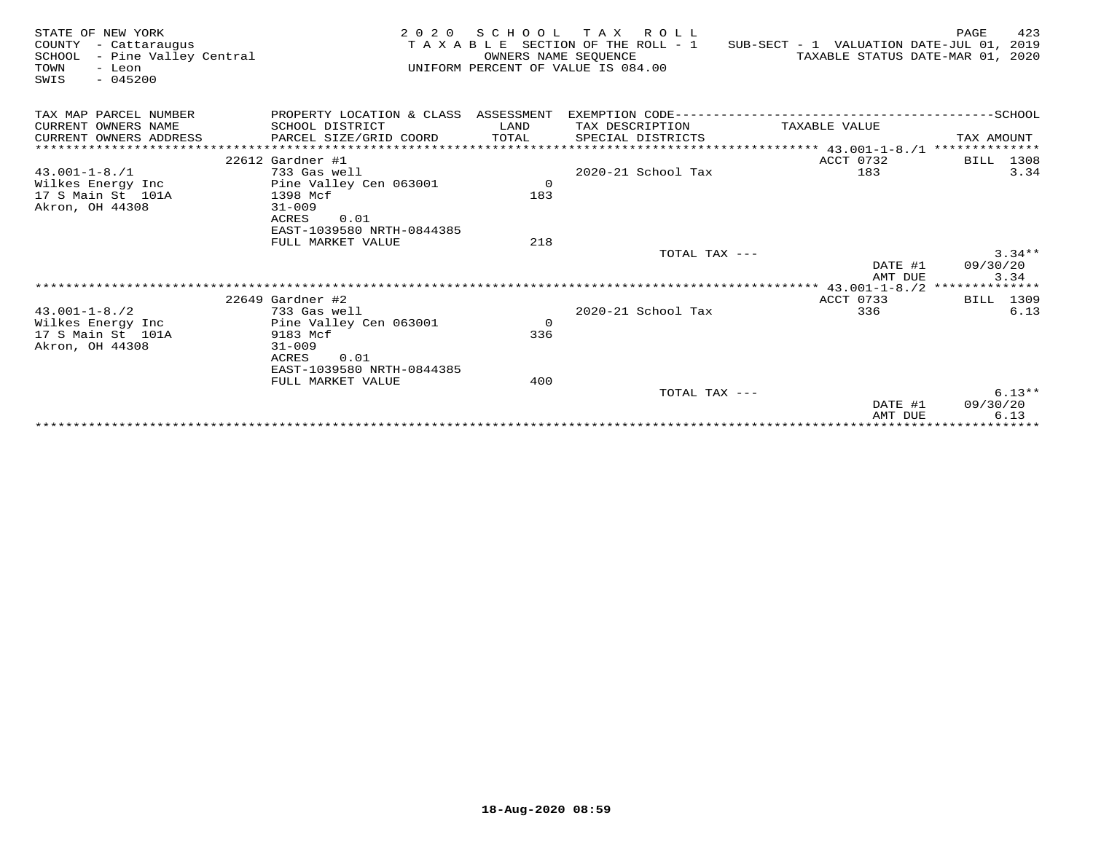| STATE OF NEW YORK<br>COUNTY<br>- Cattaraugus<br>- Pine Valley Central<br>SCHOOL<br>TOWN<br>- Leon<br>$-045200$<br>SWIS | 2020 SCHOOL TAX ROLL<br>TAXABLE SECTION OF THE ROLL - 1<br>SUB-SECT - 1 VALUATION DATE-JUL 01, 2019<br>OWNERS NAME SEQUENCE<br>UNIFORM PERCENT OF VALUE IS 084.00 |                |                        |                    | 423<br>PAGE<br>TAXABLE STATUS DATE-MAR 01, 2020 |
|------------------------------------------------------------------------------------------------------------------------|-------------------------------------------------------------------------------------------------------------------------------------------------------------------|----------------|------------------------|--------------------|-------------------------------------------------|
| TAX MAP PARCEL NUMBER                                                                                                  | PROPERTY LOCATION & CLASS ASSESSMENT                                                                                                                              |                |                        |                    |                                                 |
| CURRENT OWNERS NAME                                                                                                    | SCHOOL DISTRICT                                                                                                                                                   | LAND           | TAX DESCRIPTION        | TAXABLE VALUE      |                                                 |
| CURRENT OWNERS ADDRESS                                                                                                 | PARCEL SIZE/GRID COORD                                                                                                                                            | TOTAL          | SPECIAL DISTRICTS      |                    | TAX AMOUNT                                      |
| ************************                                                                                               |                                                                                                                                                                   |                |                        |                    |                                                 |
|                                                                                                                        | $22612$ Gardner #1                                                                                                                                                |                |                        | ACCT 0732          | BILL 1308                                       |
| $43.001 - 1 - 8.71$                                                                                                    | 733 Gas well                                                                                                                                                      |                | 2020-21 School Tax     | 183                | 3.34                                            |
| Wilkes Energy Inc                                                                                                      | Pine Valley Cen 063001                                                                                                                                            | $\overline{0}$ |                        |                    |                                                 |
| 17 S Main St 101A                                                                                                      | 1398 Mcf                                                                                                                                                          | 183            |                        |                    |                                                 |
| Akron, OH 44308                                                                                                        | $31 - 009$                                                                                                                                                        |                |                        |                    |                                                 |
|                                                                                                                        | ACRES<br>0.01                                                                                                                                                     |                |                        |                    |                                                 |
|                                                                                                                        | EAST-1039580 NRTH-0844385                                                                                                                                         |                |                        |                    |                                                 |
|                                                                                                                        | FULL MARKET VALUE                                                                                                                                                 | 218            |                        |                    |                                                 |
|                                                                                                                        |                                                                                                                                                                   |                | TOTAL TAX $---$        |                    | $3.34**$                                        |
|                                                                                                                        |                                                                                                                                                                   |                |                        | DATE #1<br>AMT DUE | 09/30/20<br>3.34                                |
|                                                                                                                        |                                                                                                                                                                   |                |                        |                    |                                                 |
|                                                                                                                        | $22649$ Gardner #2                                                                                                                                                |                |                        | ACCT 0733          | BILL 1309                                       |
| $43.001 - 1 - 8.72$                                                                                                    | 733 Gas well                                                                                                                                                      |                | $2020 - 21$ School Tax | 336                | 6.13                                            |
| Wilkes Energy Inc                                                                                                      | Pine Valley Cen 063001                                                                                                                                            | $\overline{0}$ |                        |                    |                                                 |
| 17 S Main St 101A                                                                                                      | 9183 Mcf                                                                                                                                                          | 336            |                        |                    |                                                 |
| Akron, OH 44308                                                                                                        | $31 - 009$                                                                                                                                                        |                |                        |                    |                                                 |
|                                                                                                                        | 0.01<br>ACRES                                                                                                                                                     |                |                        |                    |                                                 |
|                                                                                                                        | EAST-1039580 NRTH-0844385                                                                                                                                         |                |                        |                    |                                                 |
|                                                                                                                        | FULL MARKET VALUE                                                                                                                                                 | 400            |                        |                    |                                                 |
|                                                                                                                        |                                                                                                                                                                   |                | TOTAL TAX ---          |                    | $6.13**$                                        |
|                                                                                                                        |                                                                                                                                                                   |                |                        | DATE #1            | 09/30/20                                        |
|                                                                                                                        |                                                                                                                                                                   |                |                        | AMT DUE            | 6.13                                            |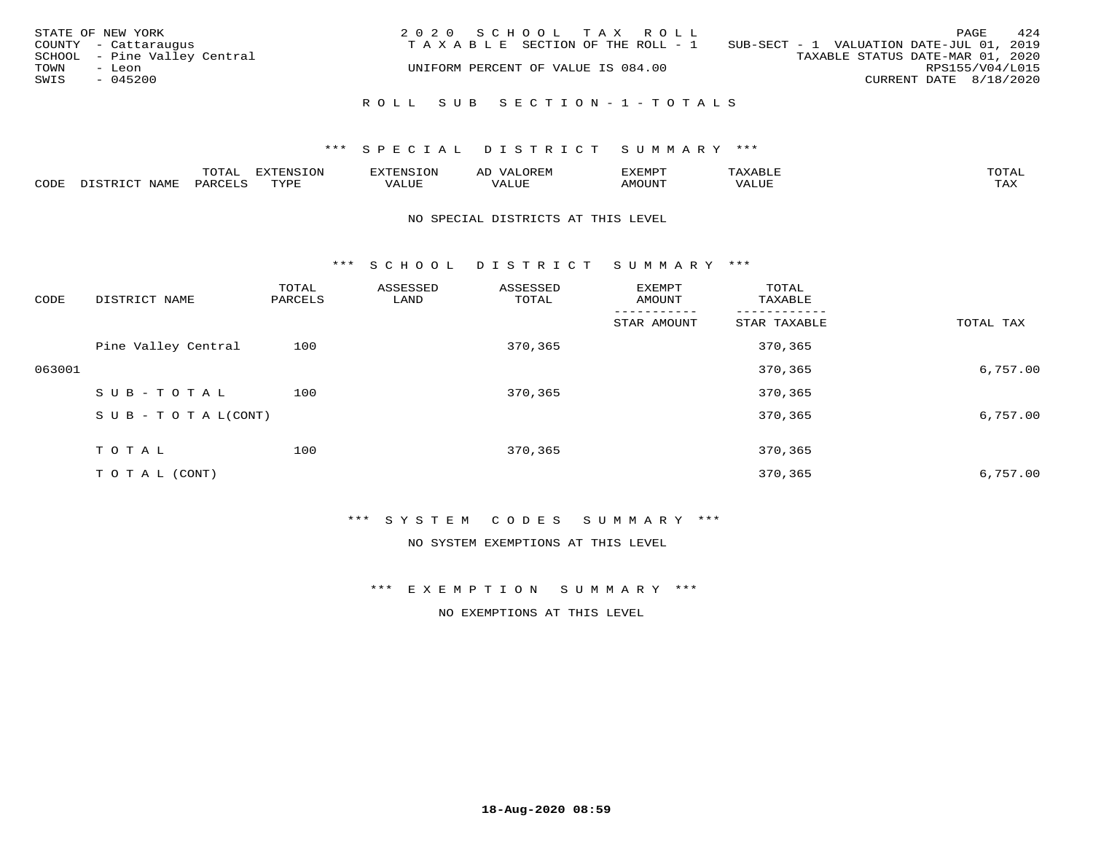| STATE OF NEW YORK<br>COUNTY - Cattaraugus<br>SCHOOL - Pine Valley Central<br>TOWN<br>- Leon | 2020 SCHOOL TAX ROLL<br>TAXABLE SECTION OF THE ROLL - 1<br>UNIFORM PERCENT OF VALUE IS 084.00 | 424<br>PAGE<br>SUB-SECT - 1 VALUATION DATE-JUL 01, 2019<br>TAXABLE STATUS DATE-MAR 01, 2020<br>RPS155/V04/L015 |
|---------------------------------------------------------------------------------------------|-----------------------------------------------------------------------------------------------|----------------------------------------------------------------------------------------------------------------|
| SWIS<br>$-045200$                                                                           | ROLL SUB SECTION-1-TOTALS                                                                     | CURRENT DATE 8/18/2020                                                                                         |

|      |             | $m \wedge m \wedge n$<br>$\cdots$<br>◡⊥▱ | ON   | ⊡∩⊤⊂      |      | AEMP'  | ⋻⊥    | $m \wedge m \wedge n$<br>$\overline{\phantom{a}}$ |
|------|-------------|------------------------------------------|------|-----------|------|--------|-------|---------------------------------------------------|
| CODE | <b>NAMF</b> | 'AR\                                     | TVDF | - تا ∪ىلد | ALUI | MOUN'. | VALUE | .<br>∸∽∸                                          |

#### NO SPECIAL DISTRICTS AT THIS LEVEL

\*\*\* S C H O O L D I S T R I C T S U M M A R Y \*\*\*

| TOTAL TAX |
|-----------|
|           |
| 6,757.00  |
|           |
| 6,757.00  |
|           |
| 6,757.00  |
|           |

\*\*\* S Y S T E M C O D E S S U M M A R Y \*\*\*

NO SYSTEM EXEMPTIONS AT THIS LEVEL

\*\*\* E X E M P T I O N S U M M A R Y \*\*\*

NO EXEMPTIONS AT THIS LEVEL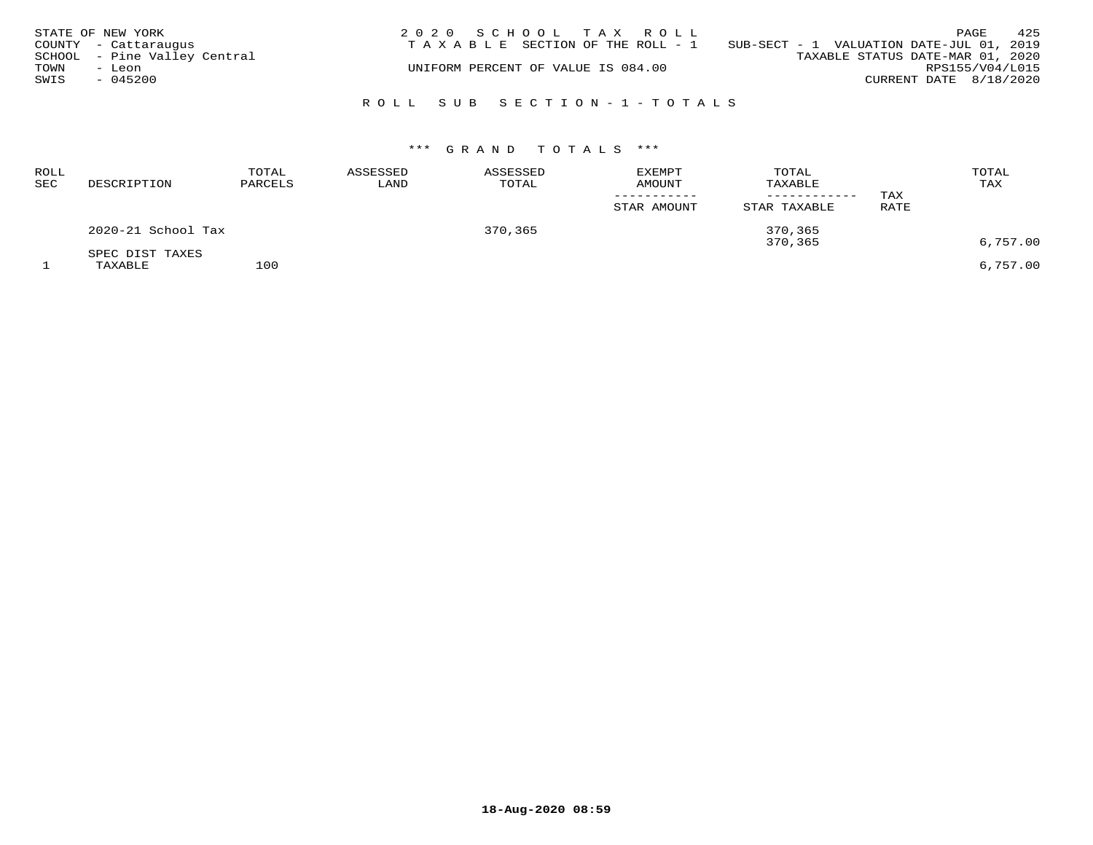|      | STATE OF NEW YORK            | 2020 SCHOOL TAX ROLL                                                        | PAGE                   | 425 |
|------|------------------------------|-----------------------------------------------------------------------------|------------------------|-----|
|      | COUNTY - Cattaraugus         | SUB-SECT - 1 VALUATION DATE-JUL 01, 2019<br>TAXABLE SECTION OF THE ROLL - 1 |                        |     |
|      | SCHOOL - Pine Valley Central | TAXABLE STATUS DATE-MAR 01, 2020                                            |                        |     |
| TOWN | - Leon                       | UNIFORM PERCENT OF VALUE IS 084.00                                          | RPS155/V04/L015        |     |
| SWIS | $-045200$                    |                                                                             | CURRENT DATE 8/18/2020 |     |
|      |                              |                                                                             |                        |     |
|      |                              | ROLL SUB SECTION-1-TOTALS                                                   |                        |     |

| <b>ROLL</b><br>SEC | DESCRIPTION                | TOTAL<br>PARCELS | ASSESSED<br>LAND | ASSESSED<br>TOTAL | <b>EXEMPT</b><br><b>AMOUNT</b><br>STAR AMOUNT | TOTAL<br>TAXABLE<br>------------<br>STAR TAXABLE | TAX<br>RATE | TOTAL<br>TAX |
|--------------------|----------------------------|------------------|------------------|-------------------|-----------------------------------------------|--------------------------------------------------|-------------|--------------|
|                    | 2020-21 School Tax         |                  |                  | 370,365           |                                               | 370,365<br>370,365                               |             | 6,757.00     |
|                    | SPEC DIST TAXES<br>TAXABLE | 100              |                  |                   |                                               |                                                  |             | 6,757.00     |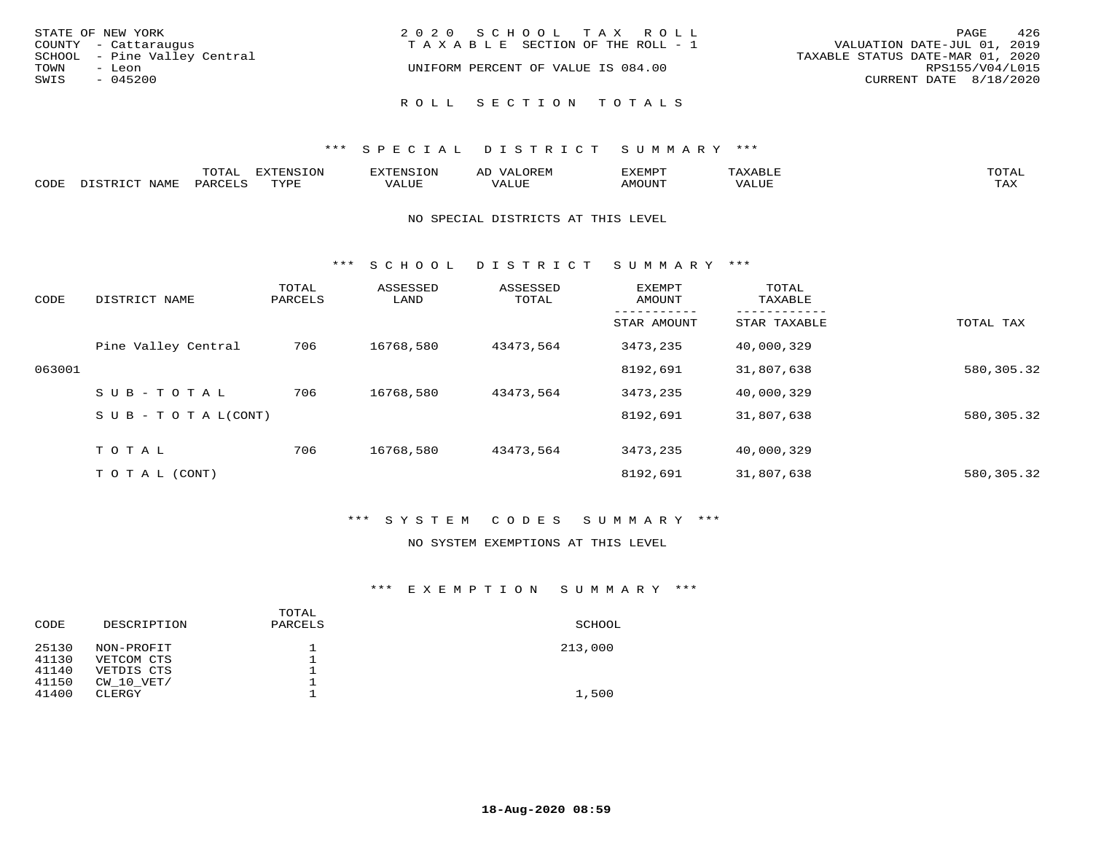| STATE OF NEW YORK<br>COUNTY - Cattaraugus      | 2020 SCHOOL TAX ROLL<br>T A X A B L E SECTION OF THE ROLL - 1 | - 426<br>PAGE<br>VALUATION DATE-JUL 01, 2019        |
|------------------------------------------------|---------------------------------------------------------------|-----------------------------------------------------|
| SCHOOL - Pine Valley Central<br>TOWN<br>- Leon | UNIFORM PERCENT OF VALUE IS 084.00                            | TAXABLE STATUS DATE-MAR 01, 2020<br>RPS155/V04/L015 |
| SWIS<br>$-045200$                              | ROLL SECTION TOTALS                                           | CURRENT DATE 8/18/2020                              |

|             | $\cup$ $\bot$ $\top$ | אדיה                       |          | ᅭ              | ≮FMPT<br>⊐ויוײַנצי |     | <b>TOTA1</b>              |
|-------------|----------------------|----------------------------|----------|----------------|--------------------|-----|---------------------------|
| <b>CODI</b> |                      | $\overline{x}\overline{r}$ | $\Delta$ | . <del>.</del> | M∩TTN™             | ⊡∪ב | $m \times r$<br>- - - - - |

#### NO SPECIAL DISTRICTS AT THIS LEVEL

\*\*\* S C H O O L D I S T R I C T S U M M A R Y \*\*\*

| CODE   | DISTRICT NAME                    | TOTAL<br>PARCELS | ASSESSED<br>LAND | ASSESSED<br>TOTAL | EXEMPT<br>AMOUNT | TOTAL<br>TAXABLE |            |
|--------|----------------------------------|------------------|------------------|-------------------|------------------|------------------|------------|
|        |                                  |                  |                  |                   | STAR AMOUNT      | STAR TAXABLE     | TOTAL TAX  |
|        | Pine Valley Central              | 706              | 16768,580        | 43473,564         | 3473,235         | 40,000,329       |            |
| 063001 |                                  |                  |                  |                   | 8192,691         | 31,807,638       | 580,305.32 |
|        | $SUB - TO TAL$                   | 706              | 16768,580        | 43473,564         | 3473,235         | 40,000,329       |            |
|        | $S \cup B - T \cup T A L (CONT)$ |                  |                  |                   | 8192,691         | 31,807,638       | 580,305.32 |
|        | TOTAL                            | 706              | 16768,580        | 43473,564         | 3473,235         | 40,000,329       |            |
|        | T O T A L (CONT)                 |                  |                  |                   | 8192,691         | 31,807,638       | 580,305.32 |

## \*\*\* S Y S T E M C O D E S S U M M A R Y \*\*\*

#### NO SYSTEM EXEMPTIONS AT THIS LEVEL

## \*\*\* E X E M P T I O N S U M M A R Y \*\*\*

| CODE  | DESCRIPTION    | TOTAL<br>PARCELS | SCHOOL  |
|-------|----------------|------------------|---------|
| 25130 | NON-PROFIT     |                  | 213,000 |
| 41130 | VETCOM CTS     |                  |         |
| 41140 | VETDIS CTS     |                  |         |
| 41150 | $CW$ 10 $VET/$ |                  |         |
| 41400 | CLERGY         |                  | 1,500   |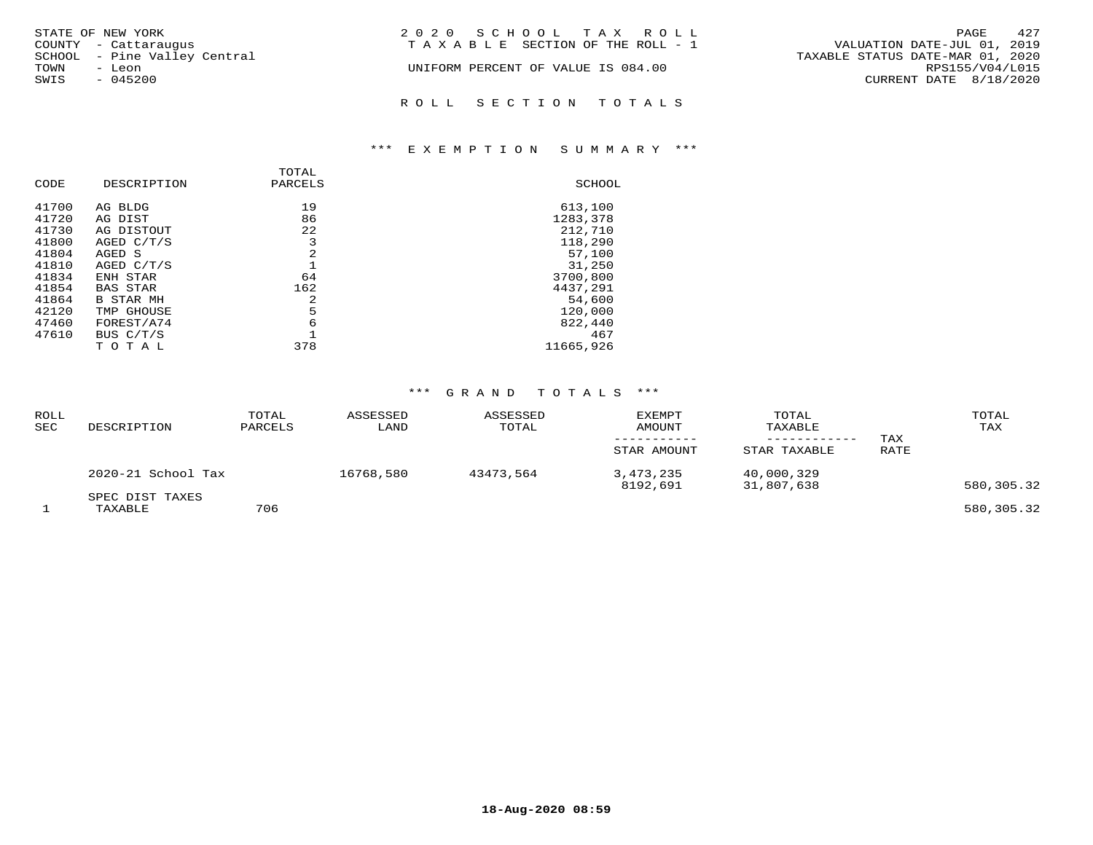| STATE OF NEW YORK            | 2020 SCHOOL TAX ROLL                  | 427<br>PAGE                      |
|------------------------------|---------------------------------------|----------------------------------|
| COUNTY - Cattaraugus         | T A X A B L E SECTION OF THE ROLL - 1 | VALUATION DATE-JUL 01, 2019      |
| SCHOOL - Pine Valley Central |                                       | TAXABLE STATUS DATE-MAR 01, 2020 |
| TOWN<br>- Leon               | UNIFORM PERCENT OF VALUE IS 084.00    | RPS155/V04/L015                  |
| SWIS<br>$-045200$            |                                       | CURRENT DATE 8/18/2020           |
|                              | ROLL SECTION TOTALS                   |                                  |

## \*\*\* E X E M P T I O N S U M M A R Y \*\*\*

| CODE                                                                          | DESCRIPTION                                                                                                               | TOTAL<br>PARCELS                           | SCHOOL                                                                                          |
|-------------------------------------------------------------------------------|---------------------------------------------------------------------------------------------------------------------------|--------------------------------------------|-------------------------------------------------------------------------------------------------|
| 41700<br>41720<br>41730<br>41800<br>41804<br>41810<br>41834<br>41854<br>41864 | AG BLDG<br>AG DIST<br>AG DISTOUT<br>AGED C/T/S<br>AGED S<br>AGED C/T/S<br>ENH STAR<br><b>BAS STAR</b><br><b>B STAR MH</b> | 19<br>86<br>22<br>3<br>2<br>64<br>162<br>2 | 613,100<br>1283,378<br>212,710<br>118,290<br>57,100<br>31,250<br>3700,800<br>4437,291<br>54,600 |
| 42120<br>47460<br>47610                                                       | TMP GHOUSE<br>FOREST/A74<br>BUS C/T/S                                                                                     | 5<br>6                                     | 120,000<br>822,440<br>467                                                                       |
|                                                                               | т о<br>T A L                                                                                                              | 378                                        | 11665,926                                                                                       |

| ROLL<br>SEC | DESCRIPTION                | TOTAL<br>PARCELS | ASSESSED<br>LAND | ASSESSED<br>TOTAL | <b>EXEMPT</b><br>AMOUNT<br>STAR AMOUNT | TOTAL<br>TAXABLE<br>STAR TAXABLE | TAX<br>RATE | TOTAL<br>TAX |
|-------------|----------------------------|------------------|------------------|-------------------|----------------------------------------|----------------------------------|-------------|--------------|
|             | 2020-21 School Tax         |                  | 16768,580        | 43473,564         | 3,473,235<br>8192,691                  | 40,000,329<br>31,807,638         |             | 580,305.32   |
|             | SPEC DIST TAXES<br>TAXABLE | 706              |                  |                   |                                        |                                  |             | 580,305.32   |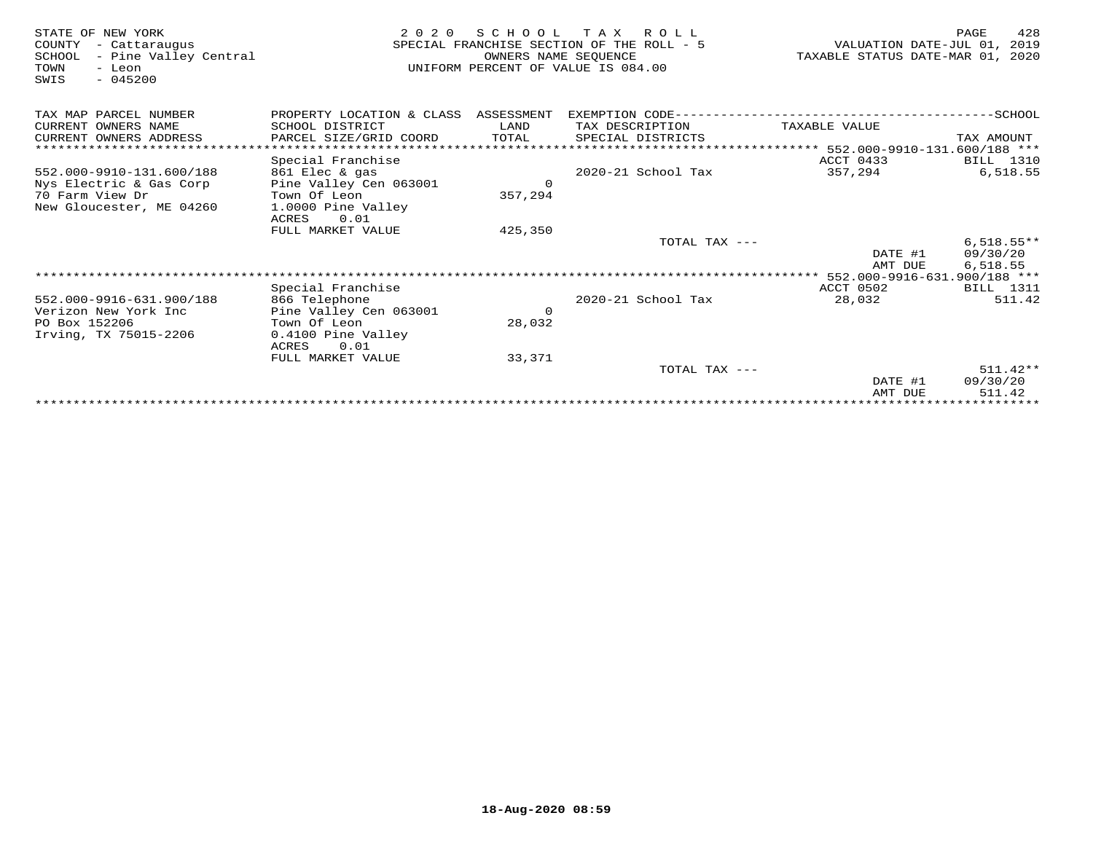| STATE OF NEW YORK<br>- Cattaraugus<br>COUNTY<br>- Pine Valley Central<br>SCHOOL<br>- Leon<br>TOWN<br>$-045200$<br>SWIS | 2 0 2 0<br>SPECIAL FRANCHISE SECTION OF THE ROLL - 5<br>UNIFORM PERCENT OF VALUE IS 084.00 | VALUATION DATE-JUL 01, 2019<br>TAXABLE STATUS DATE-MAR 01, 2020 | 428<br>PAGE                                                     |               |              |
|------------------------------------------------------------------------------------------------------------------------|--------------------------------------------------------------------------------------------|-----------------------------------------------------------------|-----------------------------------------------------------------|---------------|--------------|
| TAX MAP PARCEL NUMBER                                                                                                  | PROPERTY LOCATION & CLASS ASSESSMENT                                                       |                                                                 |                                                                 |               |              |
| CURRENT OWNERS NAME                                                                                                    | SCHOOL DISTRICT                                                                            | LAND                                                            | TAX DESCRIPTION                                                 | TAXABLE VALUE |              |
| CURRENT OWNERS ADDRESS                                                                                                 | PARCEL SIZE/GRID COORD                                                                     | TOTAL                                                           | SPECIAL DISTRICTS                                               |               | TAX AMOUNT   |
| *********************                                                                                                  |                                                                                            |                                                                 | ********************************** 552.000-9910-131.600/188 *** |               |              |
|                                                                                                                        | Special Franchise                                                                          |                                                                 |                                                                 | ACCT 0433     | BILL 1310    |
| 552.000-9910-131.600/188                                                                                               | 861 Elec & gas                                                                             |                                                                 | 2020-21 School Tax                                              | 357,294       | 6,518.55     |
| Nys Electric & Gas Corp                                                                                                | Pine Valley Cen 063001                                                                     | $\Omega$                                                        |                                                                 |               |              |
| 70 Farm View Dr                                                                                                        | Town Of Leon                                                                               | 357,294                                                         |                                                                 |               |              |
| New Gloucester, ME 04260                                                                                               | 1.0000 Pine Valley<br>0.01<br>ACRES                                                        |                                                                 |                                                                 |               |              |
|                                                                                                                        | FULL MARKET VALUE                                                                          | 425,350                                                         |                                                                 |               |              |
|                                                                                                                        |                                                                                            |                                                                 | TOTAL TAX ---                                                   |               | $6,518.55**$ |
|                                                                                                                        |                                                                                            |                                                                 |                                                                 | DATE #1       | 09/30/20     |
|                                                                                                                        |                                                                                            |                                                                 |                                                                 | AMT DUE       | 6,518.55     |
|                                                                                                                        |                                                                                            |                                                                 |                                                                 |               |              |
|                                                                                                                        | Special Franchise                                                                          |                                                                 |                                                                 | ACCT 0502     | BILL 1311    |
| 552.000-9916-631.900/188                                                                                               | 866 Telephone                                                                              |                                                                 | 2020-21 School Tax                                              | 28,032        | 511.42       |
| Verizon New York Inc                                                                                                   | Pine Valley Cen 063001                                                                     | $\Omega$                                                        |                                                                 |               |              |
| PO Box 152206                                                                                                          | Town Of Leon                                                                               | 28,032                                                          |                                                                 |               |              |
| Irving, TX 75015-2206                                                                                                  | 0.4100 Pine Valley<br>ACRES<br>0.01                                                        |                                                                 |                                                                 |               |              |
|                                                                                                                        | FULL MARKET VALUE                                                                          | 33,371                                                          |                                                                 |               |              |
|                                                                                                                        |                                                                                            |                                                                 | TOTAL TAX ---                                                   |               | $511.42**$   |
|                                                                                                                        |                                                                                            |                                                                 |                                                                 | DATE #1       | 09/30/20     |
|                                                                                                                        |                                                                                            |                                                                 |                                                                 | AMT DUE       | 511.42       |
|                                                                                                                        |                                                                                            |                                                                 |                                                                 |               |              |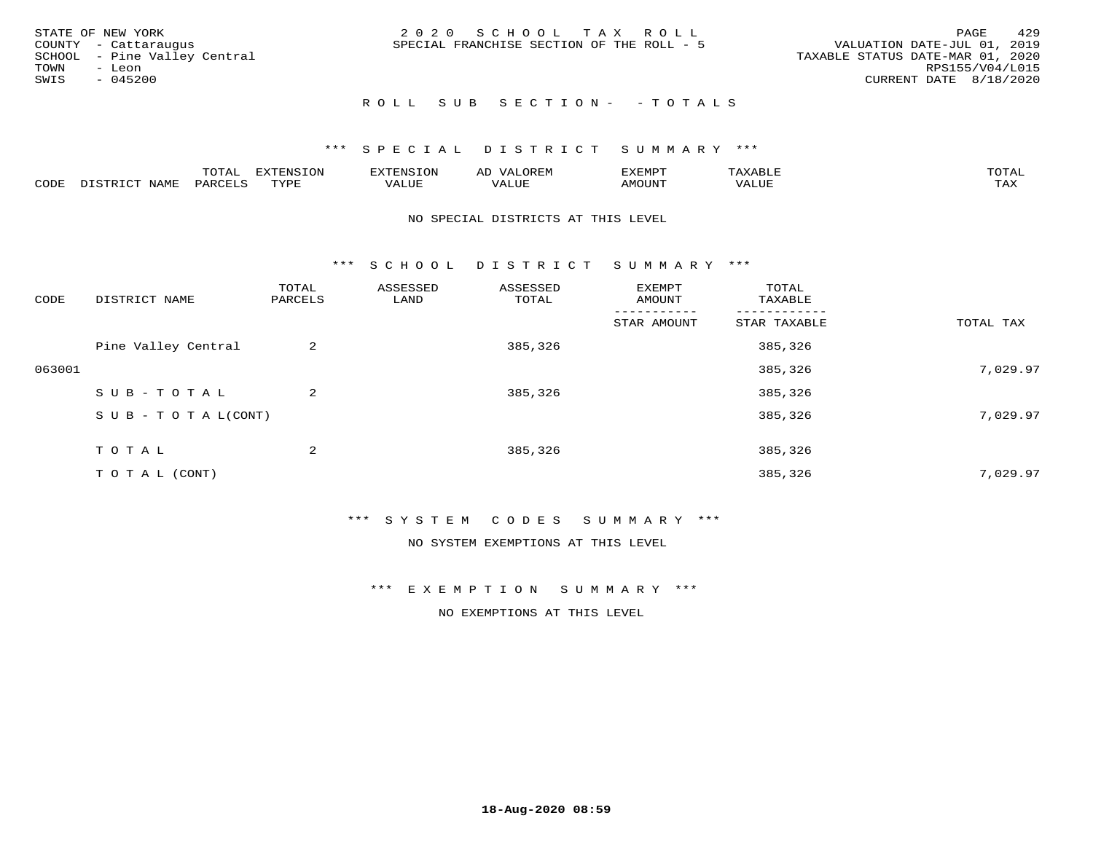| STATE OF NEW YORK<br>COUNTY - Cattaraugus<br>SCHOOL - Pine Valley Central<br>TOWN<br>- Leon<br>SWIS<br>$-045200$ | 2020 SCHOOL TAX ROLL<br>SPECIAL FRANCHISE SECTION OF THE ROLL - 5 | 429<br>PAGE<br>VALUATION DATE-JUL 01, 2019<br>TAXABLE STATUS DATE-MAR 01, 2020<br>RPS155/V04/L015<br>CURRENT DATE 8/18/2020 |
|------------------------------------------------------------------------------------------------------------------|-------------------------------------------------------------------|-----------------------------------------------------------------------------------------------------------------------------|
|                                                                                                                  | ROLL SUB SECTION- - TOTALS                                        |                                                                                                                             |

|      |                     | m∧m*<br>.       | <b>EVERICION</b><br>∸ | TENSION            | $\sim$ $\sim$ $\sim$ $\sim$<br>ΑD<br>JREIY | EXEMPT       | ABLIP                          | $m \wedge m \wedge r$<br>$\Delta$ |
|------|---------------------|-----------------|-----------------------|--------------------|--------------------------------------------|--------------|--------------------------------|-----------------------------------|
| CODE | $- - - - -$<br>NAMF | $\mathsf{PARL}$ | TVDF                  | $- - - -$<br>اللطح | $- - - - -$<br>ALUE                        | <b>MOUNT</b> | $\sqrt{2}$ $\sqrt{1}$<br>'ALUE | $m \times r$<br>∸∽∸               |

#### NO SPECIAL DISTRICTS AT THIS LEVEL

\*\*\* S C H O O L D I S T R I C T S U M M A R Y \*\*\*

| CODE   | DISTRICT NAME                    | TOTAL<br>PARCELS | ASSESSED<br>LAND | ASSESSED<br>TOTAL | EXEMPT<br>AMOUNT | TOTAL<br>TAXABLE |           |
|--------|----------------------------------|------------------|------------------|-------------------|------------------|------------------|-----------|
|        |                                  |                  |                  |                   | STAR AMOUNT      | STAR TAXABLE     | TOTAL TAX |
|        | Pine Valley Central              | 2                |                  | 385,326           |                  | 385,326          |           |
| 063001 |                                  |                  |                  |                   |                  | 385,326          | 7,029.97  |
|        | SUB-TOTAL                        | 2                |                  | 385,326           |                  | 385,326          |           |
|        | $S \cup B - T \cup T A L (CONT)$ |                  |                  |                   |                  | 385,326          | 7,029.97  |
|        | TOTAL                            | 2                |                  | 385,326           |                  | 385,326          |           |
|        | T O T A L (CONT)                 |                  |                  |                   |                  | 385,326          | 7,029.97  |

#### \*\*\* S Y S T E M C O D E S S U M M A R Y \*\*\*

NO SYSTEM EXEMPTIONS AT THIS LEVEL

\*\*\* E X E M P T I O N S U M M A R Y \*\*\*

NO EXEMPTIONS AT THIS LEVEL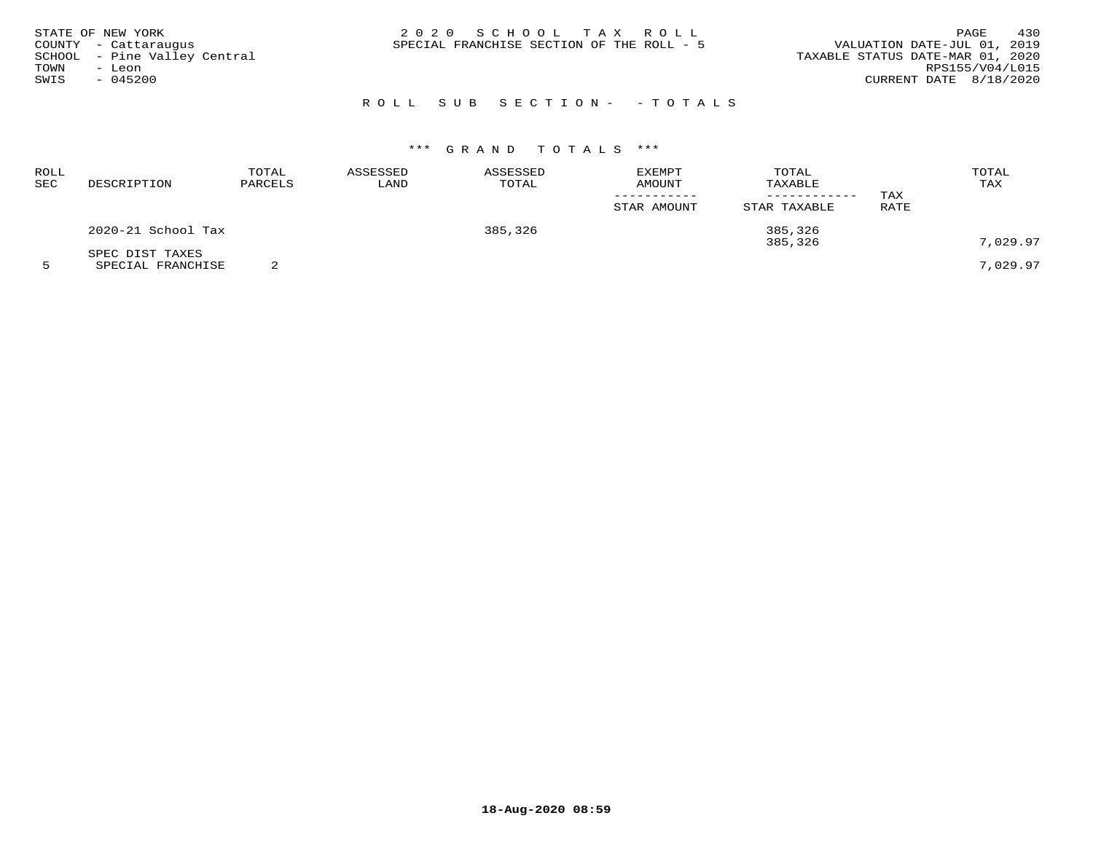| STATE OF NEW YORK<br>COUNTY - Cattaraugus<br>SCHOOL - Pine Valley Central<br>TOWN<br>– Leon<br>SWIS<br>$-045200$ | 2020 SCHOOL TAX ROLL<br>SPECIAL FRANCHISE SECTION OF THE ROLL - 5 | 430<br>PAGE<br>VALUATION DATE-JUL 01, 2019<br>TAXABLE STATUS DATE-MAR 01, 2020<br>RPS155/V04/L015<br>CURRENT DATE 8/18/2020 |
|------------------------------------------------------------------------------------------------------------------|-------------------------------------------------------------------|-----------------------------------------------------------------------------------------------------------------------------|
|                                                                                                                  | ROLL SUB SECTION- - TOTALS                                        |                                                                                                                             |

| ROLL<br>SEC | DESCRIPTION                          | TOTAL<br>PARCELS | ASSESSED<br>LAND | ASSESSED<br>TOTAL | <b>EXEMPT</b><br>AMOUNT<br>STAR AMOUNT | TOTAL<br>TAXABLE<br>STAR TAXABLE | TAX<br><b>RATE</b> | TOTAL<br>TAX |
|-------------|--------------------------------------|------------------|------------------|-------------------|----------------------------------------|----------------------------------|--------------------|--------------|
|             | 2020-21 School Tax                   |                  |                  | 385,326           |                                        | 385,326<br>385,326               |                    | 7,029.97     |
|             | SPEC DIST TAXES<br>SPECIAL FRANCHISE |                  |                  |                   |                                        |                                  |                    | 7,029.97     |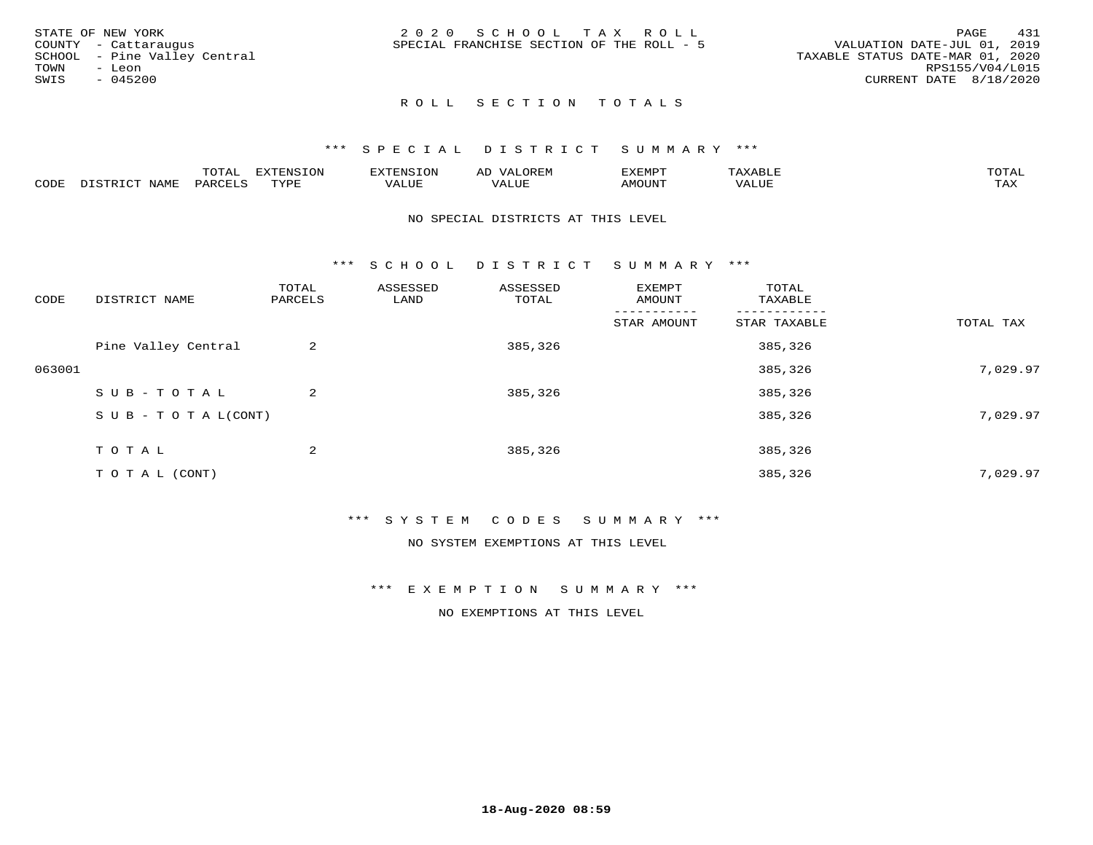|      | STATE OF NEW YORK            | 2020 SCHOOL TAX ROLL                      |  |  | 431<br>PAGE                      |
|------|------------------------------|-------------------------------------------|--|--|----------------------------------|
|      | COUNTY - Cattaraugus         | SPECIAL FRANCHISE SECTION OF THE ROLL - 5 |  |  | VALUATION DATE-JUL 01, 2019      |
|      | SCHOOL - Pine Valley Central |                                           |  |  | TAXABLE STATUS DATE-MAR 01, 2020 |
| TOWN | - Leon                       |                                           |  |  | RPS155/V04/L015                  |
| SWIS | $-045200$                    |                                           |  |  | CURRENT DATE 8/18/2020           |
|      |                              |                                           |  |  |                                  |

## ROLL SECTION TOTALS

#### \*\*\* S P E C I A L D I S T R I C T S U M M A R Y \*\*\*

|      |      | momm<br>LUIAL | $\blacksquare$<br>www<br>.UP | . N.S                | . JR P.IV     | המארד 17<br>ິ<br>⊐ויום∧נ |                |                    |
|------|------|---------------|------------------------------|----------------------|---------------|--------------------------|----------------|--------------------|
| CODE | NAME | . DAD'        | TVDI<br>.                    | 77\TTTT<br>الالالدين | T T T<br>ALUI | AMOUNT                   | T T T T<br>′ △ | $m \times r$<br>∸⊷ |

#### NO SPECIAL DISTRICTS AT THIS LEVEL

\*\*\* S C H O O L D I S T R I C T S U M M A R Y \*\*\*

| CODE   | DISTRICT NAME                    | TOTAL<br>PARCELS | ASSESSED<br>LAND | ASSESSED<br>TOTAL | EXEMPT<br>AMOUNT | TOTAL<br>TAXABLE |           |
|--------|----------------------------------|------------------|------------------|-------------------|------------------|------------------|-----------|
|        |                                  |                  |                  |                   | STAR AMOUNT      | STAR TAXABLE     | TOTAL TAX |
|        | Pine Valley Central              | 2                |                  | 385,326           |                  | 385,326          |           |
| 063001 |                                  |                  |                  |                   |                  | 385,326          | 7,029.97  |
|        | SUB-TOTAL                        | $\overline{a}$   |                  | 385,326           |                  | 385,326          |           |
|        | $S \cup B - T \cup T A L (CONT)$ |                  |                  |                   |                  | 385,326          | 7,029.97  |
|        | TOTAL                            | 2                |                  | 385,326           |                  | 385,326          |           |
|        | T O T A L (CONT)                 |                  |                  |                   |                  | 385,326          | 7,029.97  |

#### \*\*\* S Y S T E M C O D E S S U M M A R Y \*\*\*

NO SYSTEM EXEMPTIONS AT THIS LEVEL

\*\*\* E X E M P T I O N S U M M A R Y \*\*\*

NO EXEMPTIONS AT THIS LEVEL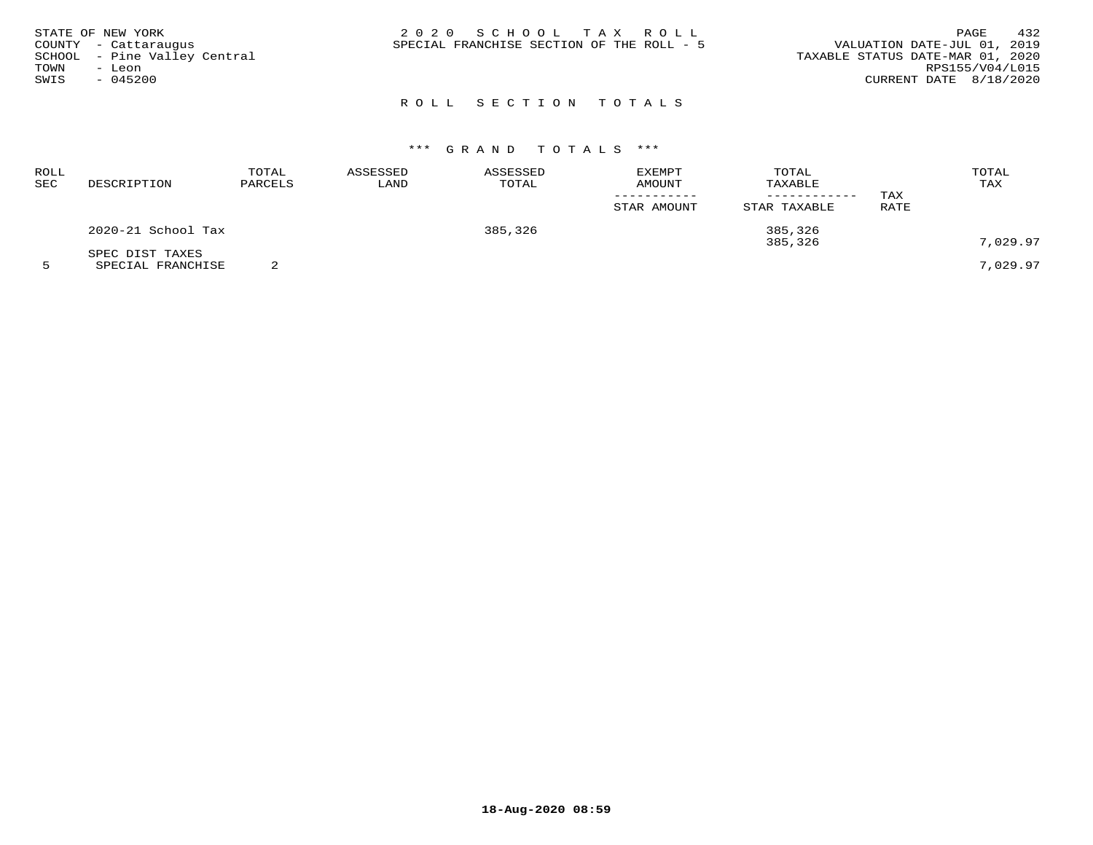| STATE OF NEW YORK<br>COUNTY - Cattaraugus<br>SCHOOL - Pine Valley Central<br>TOWN<br>- Leon<br>SWIS<br>$-045200$ | 2020 SCHOOL TAX ROLL<br>SPECIAL FRANCHISE SECTION OF THE ROLL - 5 | 432<br>PAGE<br>VALUATION DATE-JUL 01, 2019<br>TAXABLE STATUS DATE-MAR 01, 2020<br>RPS155/V04/L015<br>CURRENT DATE 8/18/2020 |
|------------------------------------------------------------------------------------------------------------------|-------------------------------------------------------------------|-----------------------------------------------------------------------------------------------------------------------------|
|                                                                                                                  |                                                                   |                                                                                                                             |

# ROLL SECTION TOTALS

# \*\*\* G R A N D T O T A L S \*\*\*

| ROLL<br>SEC | DESCRIPTION        | TOTAL<br>PARCELS | ASSESSED<br>LAND | ASSESSED<br>TOTAL | <b>EXEMPT</b><br><b>AMOUNT</b> | TOTAL<br>TAXABLE<br>------------ | TAX  | TOTAL<br>TAX |
|-------------|--------------------|------------------|------------------|-------------------|--------------------------------|----------------------------------|------|--------------|
|             |                    |                  |                  |                   | STAR AMOUNT                    | STAR TAXABLE                     | RATE |              |
|             | 2020-21 School Tax |                  |                  | 385,326           |                                | 385,326<br>385,326               |      | 7,029.97     |
|             | SPEC DIST TAXES    |                  |                  |                   |                                |                                  |      |              |
|             | SPECIAL FRANCHISE  |                  |                  |                   |                                |                                  |      | 7,029.97     |

**18-Aug-2020 08:59**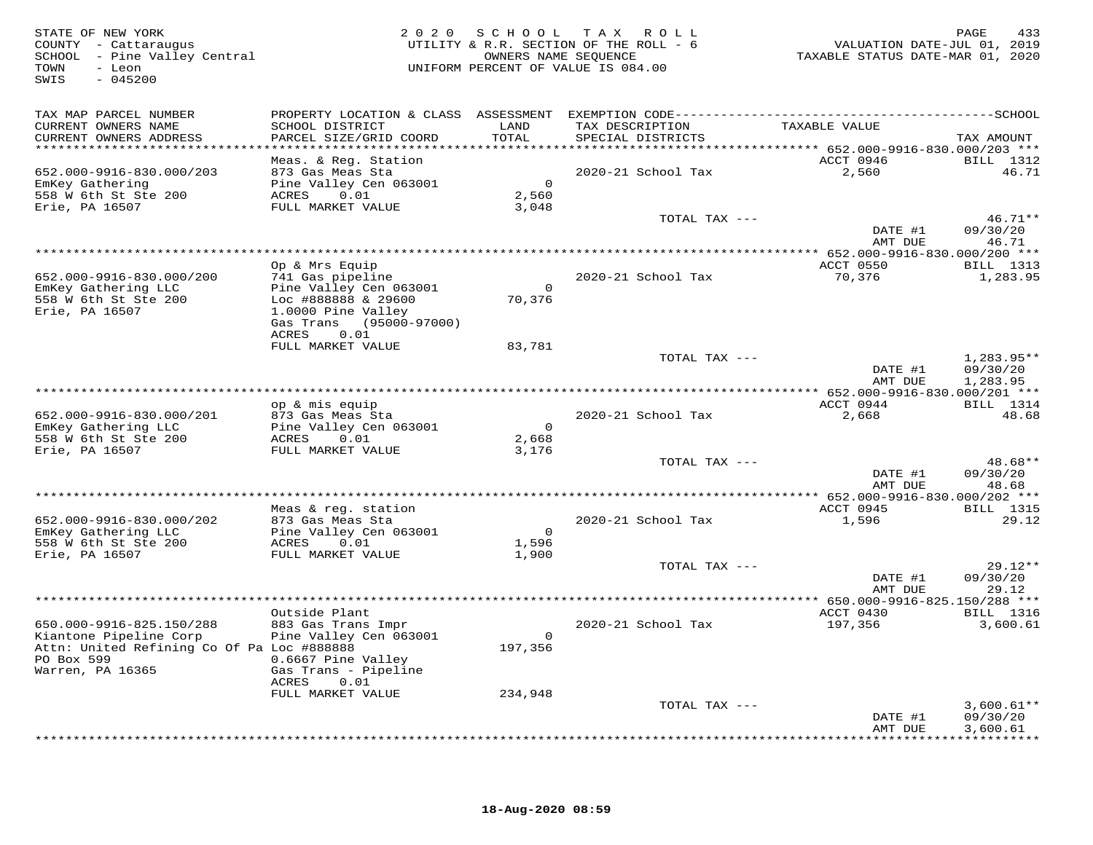| STATE OF NEW YORK<br>COUNTY - Cattaraugus<br>SCHOOL - Pine Valley Central<br>TOWN<br>- Leon<br>$-045200$<br>SWIS                   | 2020                                                                                                                                | OWNERS NAME SEQUENCE             | SCHOOL TAX ROLL<br>UTILITY & R.R. SECTION OF THE ROLL - 6<br>UNIFORM PERCENT OF VALUE IS 084.00 | VALUATION DATE-JUL 01, 2019<br>TAXABLE STATUS DATE-MAR 01, 2020 | PAGE<br>433                           |
|------------------------------------------------------------------------------------------------------------------------------------|-------------------------------------------------------------------------------------------------------------------------------------|----------------------------------|-------------------------------------------------------------------------------------------------|-----------------------------------------------------------------|---------------------------------------|
| TAX MAP PARCEL NUMBER<br>CURRENT OWNERS NAME<br>CURRENT OWNERS ADDRESS<br>******************************                           | SCHOOL DISTRICT<br>PARCEL SIZE/GRID COORD                                                                                           | LAND<br>TOTAL                    | TAX DESCRIPTION<br>SPECIAL DISTRICTS                                                            | TAXABLE VALUE                                                   | TAX AMOUNT                            |
| 652.000-9916-830.000/203<br>EmKey Gathering<br>558 W 6th St Ste 200<br>Erie, PA 16507                                              | Meas. & Reg. Station<br>873 Gas Meas Sta<br>Pine Valley Cen 063001<br>0.01<br>ACRES<br>FULL MARKET VALUE                            | $\overline{0}$<br>2,560<br>3,048 | 2020-21 School Tax<br>TOTAL TAX ---                                                             | ACCT 0946<br>2,560                                              | BILL 1312<br>46.71<br>$46.71**$       |
|                                                                                                                                    | Op & Mrs Equip                                                                                                                      |                                  |                                                                                                 | DATE #1<br>AMT DUE<br>ACCT 0550                                 | 09/30/20<br>46.71<br><b>BILL</b> 1313 |
| 652.000-9916-830.000/200<br>EmKey Gathering LLC<br>558 W 6th St Ste 200<br>Erie, PA 16507                                          | 741 Gas pipeline<br>Pine Valley Cen 063001<br>Loc #888888 & 29600<br>1.0000 Pine Valley<br>Gas Trans (95000-97000)<br>0.01<br>ACRES | $\overline{0}$<br>70,376         | 2020-21 School Tax                                                                              | 70,376                                                          | 1,283.95                              |
|                                                                                                                                    | FULL MARKET VALUE                                                                                                                   | 83,781                           | TOTAL TAX ---                                                                                   | DATE #1<br>AMT DUE                                              | $1,283.95**$<br>09/30/20<br>1,283.95  |
|                                                                                                                                    |                                                                                                                                     |                                  |                                                                                                 |                                                                 |                                       |
| 652.000-9916-830.000/201<br>EmKey Gathering LLC<br>558 W 6th St Ste 200<br>Erie, PA 16507                                          | op & mis equip<br>873 Gas Meas Sta<br>Pine Valley Cen 063001<br>0.01<br>ACRES<br>FULL MARKET VALUE                                  | $\bigcirc$<br>2,668<br>3,176     | 2020-21 School Tax                                                                              | ACCT 0944<br>2,668                                              | <b>BILL</b> 1314<br>48.68             |
|                                                                                                                                    |                                                                                                                                     |                                  | TOTAL TAX ---                                                                                   | DATE #1<br>AMT DUE                                              | 48.68**<br>09/30/20<br>48.68          |
|                                                                                                                                    |                                                                                                                                     |                                  |                                                                                                 | ACCT 0945                                                       |                                       |
| 652.000-9916-830.000/202<br>EmKey Gathering LLC<br>558 W 6th St Ste 200<br>Erie, PA 16507                                          | Meas & reg. station<br>873 Gas Meas Sta<br>Pine Valley Cen 063001<br>ACRES<br>0.01<br>FULL MARKET VALUE                             | $\overline{0}$<br>1,596<br>1,900 | 2020-21 School Tax                                                                              | 1,596                                                           | BILL 1315<br>29.12                    |
|                                                                                                                                    |                                                                                                                                     |                                  | TOTAL TAX ---                                                                                   | DATE #1<br>AMT DUE                                              | $29.12**$<br>09/30/20<br>29.12        |
|                                                                                                                                    | Outside Plant                                                                                                                       |                                  |                                                                                                 | ** 650.000-9916-825.150/288 ***<br>ACCT 0430                    | <b>BILL</b> 1316                      |
| 650.000-9916-825.150/288<br>Kiantone Pipeline Corp<br>Attn: United Refining Co Of Pa Loc #888888<br>PO Box 599<br>Warren, PA 16365 | 883 Gas Trans Impr<br>Pine Valley Cen 063001<br>0.6667 Pine Valley<br>Gas Trans - Pipeline<br>ACRES<br>0.01                         | $\overline{0}$<br>197,356        | 2020-21 School Tax                                                                              | 197,356                                                         | 3,600.61                              |
|                                                                                                                                    | FULL MARKET VALUE                                                                                                                   | 234,948                          | TOTAL TAX ---                                                                                   | DATE #1                                                         | $3,600.61**$<br>09/30/20              |
|                                                                                                                                    |                                                                                                                                     |                                  |                                                                                                 | AMT DUE                                                         | 3,600.61                              |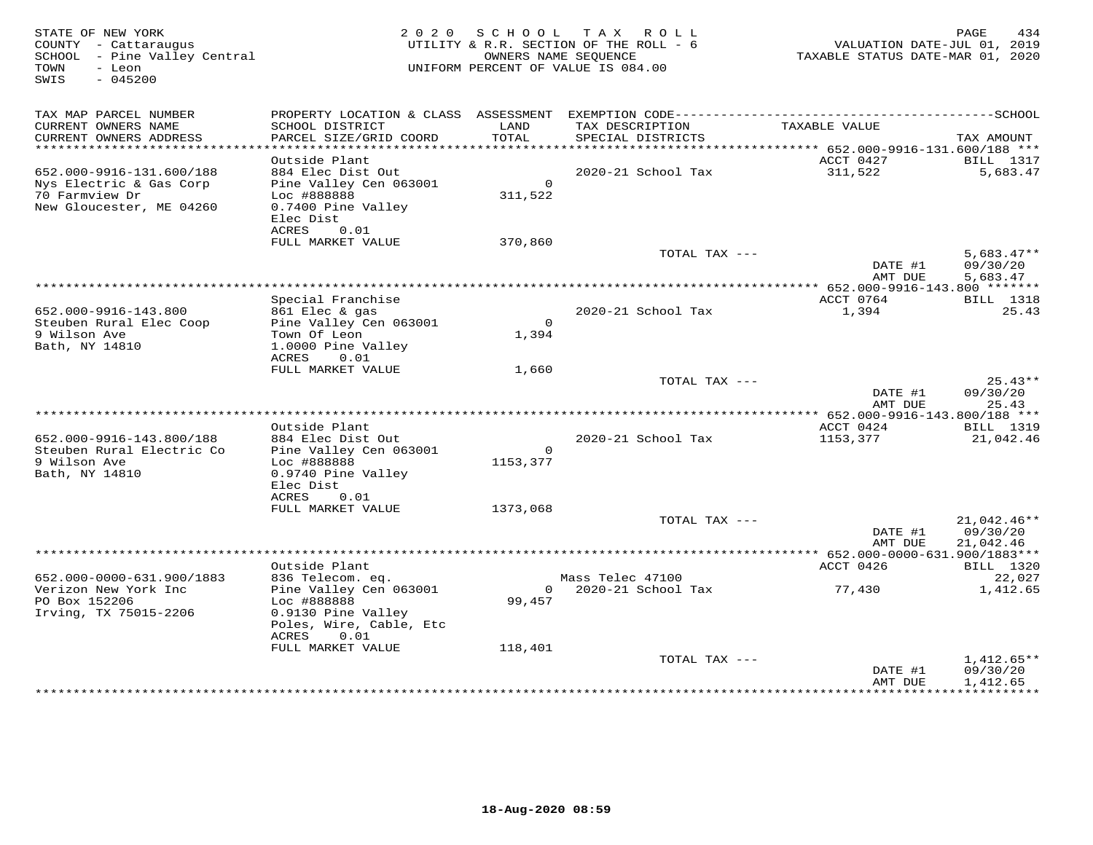| STATE OF NEW YORK<br>COUNTY - Cattaraugus<br>SCHOOL - Pine Valley Central<br>TOWN<br>- Leon<br>$-045200$<br>SWIS |                                                                                                                | 2020 SCHOOL               | TAX ROLL<br>UTILITY & R.R. SECTION OF THE ROLL - 6<br>OWNERS NAME SEQUENCE<br>UNIFORM PERCENT OF VALUE IS 084.00 | VALUATION DATE-JUL 01, 2019<br>TAXABLE STATUS DATE-MAR 01, 2020 | PAGE<br>434                          |
|------------------------------------------------------------------------------------------------------------------|----------------------------------------------------------------------------------------------------------------|---------------------------|------------------------------------------------------------------------------------------------------------------|-----------------------------------------------------------------|--------------------------------------|
| TAX MAP PARCEL NUMBER<br>CURRENT OWNERS NAME                                                                     | SCHOOL DISTRICT                                                                                                | LAND                      | TAX DESCRIPTION                                                                                                  | TAXABLE VALUE                                                   |                                      |
| CURRENT OWNERS ADDRESS<br>******************************                                                         | PARCEL SIZE/GRID COORD                                                                                         | TOTAL                     | SPECIAL DISTRICTS                                                                                                |                                                                 | TAX AMOUNT                           |
|                                                                                                                  | Outside Plant                                                                                                  |                           |                                                                                                                  | ACCT 0427                                                       | <b>BILL</b> 1317                     |
| 652.000-9916-131.600/188<br>Nys Electric & Gas Corp<br>70 Farmview Dr<br>New Gloucester, ME 04260                | 884 Elec Dist Out<br>Pine Valley Cen 063001<br>Loc #888888<br>0.7400 Pine Valley<br>Elec Dist<br>ACRES<br>0.01 | $\overline{0}$<br>311,522 | 2020-21 School Tax                                                                                               | 311,522                                                         | 5,683.47                             |
|                                                                                                                  | FULL MARKET VALUE                                                                                              | 370,860                   |                                                                                                                  |                                                                 |                                      |
|                                                                                                                  |                                                                                                                |                           | TOTAL TAX ---                                                                                                    | DATE #1<br>AMT DUE                                              | $5,683.47**$<br>09/30/20<br>5,683.47 |
|                                                                                                                  |                                                                                                                |                           |                                                                                                                  |                                                                 |                                      |
|                                                                                                                  | Special Franchise                                                                                              |                           |                                                                                                                  | ACCT 0764<br>1,394                                              | <b>BILL</b> 1318<br>25.43            |
| 652.000-9916-143.800<br>Steuben Rural Elec Coop<br>9 Wilson Ave<br>Bath, NY 14810                                | 861 Elec & gas<br>Pine Valley Cen 063001<br>Town Of Leon<br>1.0000 Pine Valley<br>ACRES<br>0.01                | $\circ$<br>1,394          | 2020-21 School Tax                                                                                               |                                                                 |                                      |
|                                                                                                                  | FULL MARKET VALUE                                                                                              | 1,660                     | TOTAL TAX ---                                                                                                    |                                                                 | $25.43**$                            |
|                                                                                                                  |                                                                                                                |                           |                                                                                                                  | DATE #1<br>AMT DUE                                              | 09/30/20<br>25.43                    |
|                                                                                                                  |                                                                                                                |                           |                                                                                                                  |                                                                 |                                      |
| 652.000-9916-143.800/188                                                                                         | Outside Plant<br>884 Elec Dist Out                                                                             |                           |                                                                                                                  | ACCT 0424                                                       | <b>BILL</b> 1319<br>21,042.46        |
| Steuben Rural Electric Co<br>9 Wilson Ave<br>Bath, NY 14810                                                      | Pine Valley Cen 063001<br>Loc #888888<br>0.9740 Pine Valley<br>Elec Dist<br>ACRES<br>0.01                      | $\circ$<br>1153,377       | 2020-21 School Tax                                                                                               | 1153,377                                                        |                                      |
|                                                                                                                  | FULL MARKET VALUE                                                                                              | 1373,068                  |                                                                                                                  |                                                                 |                                      |
|                                                                                                                  |                                                                                                                |                           | TOTAL TAX ---                                                                                                    | DATE #1<br>AMT DUE                                              | 21,042.46**<br>09/30/20<br>21,042.46 |
|                                                                                                                  |                                                                                                                |                           |                                                                                                                  |                                                                 |                                      |
|                                                                                                                  | Outside Plant                                                                                                  |                           |                                                                                                                  | ACCT 0426                                                       | <b>BILL</b> 1320                     |
| 652.000-0000-631.900/1883<br>Verizon New York Inc<br>PO Box 152206<br>Irving, TX 75015-2206                      | 836 Telecom. eq.<br>Pine Valley Cen 063001<br>Loc #888888<br>0.9130 Pine Valley<br>Poles, Wire, Cable, Etc     | 99,457                    | Mass Telec 47100<br>0 2020-21 School Tax                                                                         | 77,430                                                          | 22,027<br>1,412.65                   |
|                                                                                                                  | 0.01<br>ACRES                                                                                                  |                           |                                                                                                                  |                                                                 |                                      |
|                                                                                                                  | FULL MARKET VALUE                                                                                              | 118,401                   | TOTAL TAX ---                                                                                                    | DATE #1<br>AMT DUE                                              | $1,412.65**$<br>09/30/20<br>1,412.65 |
|                                                                                                                  |                                                                                                                |                           |                                                                                                                  |                                                                 |                                      |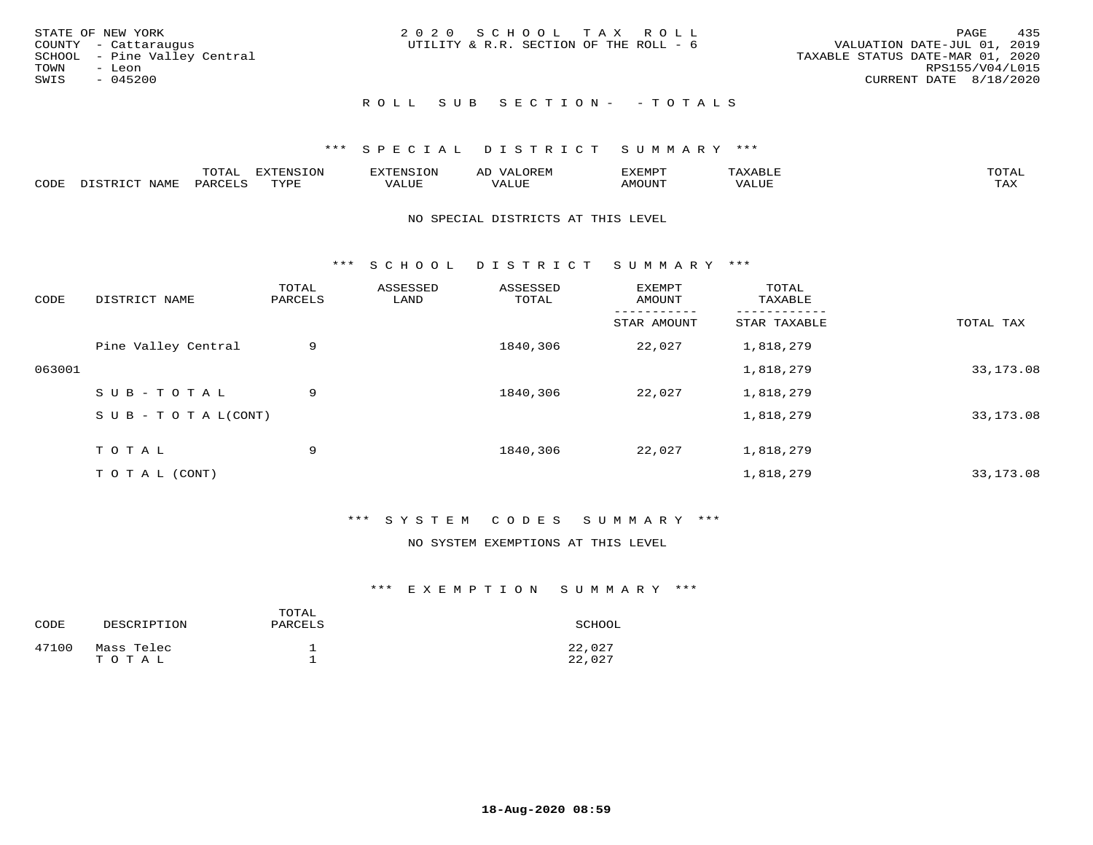| STATE OF NEW YORK            | 2020 SCHOOL TAX ROLL                   | 435<br>PAGE                      |
|------------------------------|----------------------------------------|----------------------------------|
| COUNTY - Cattaraugus         | UTILITY & R.R. SECTION OF THE ROLL - 6 | VALUATION DATE-JUL 01, 2019      |
| SCHOOL - Pine Valley Central |                                        | TAXABLE STATUS DATE-MAR 01, 2020 |
| TOWN<br>- Leon               |                                        | RPS155/V04/L015                  |
| SWIS<br>$-045200$            |                                        | CURRENT DATE 8/18/2020           |
|                              | ROLL SUB SECTION- - TOTALS             |                                  |

|      |      | momn.<br>.UIAL | <b>DIZODALO TOM</b><br><b>1115</b><br>LUP | ר את דר            | ΑL<br>$\cdots$       | EXEMPT        | 'ΔΧΔ<br>AAABLE | momn. |
|------|------|----------------|-------------------------------------------|--------------------|----------------------|---------------|----------------|-------|
| CODE | NAME | 'ARC           | TVDF<br><u>ی ہے</u>                       | <b>TTT</b><br>ALUM | <b>TTT</b><br>7ALUE. | <b>TNUOMA</b> | . ALUE         | TAX   |

#### NO SPECIAL DISTRICTS AT THIS LEVEL

\*\*\* S C H O O L D I S T R I C T S U M M A R Y \*\*\*

| CODE   | DISTRICT NAME                    | TOTAL<br>PARCELS | ASSESSED<br>LAND | ASSESSED<br>TOTAL | EXEMPT<br>AMOUNT | TOTAL<br>TAXABLE |            |
|--------|----------------------------------|------------------|------------------|-------------------|------------------|------------------|------------|
|        |                                  |                  |                  |                   | STAR AMOUNT      | STAR TAXABLE     | TOTAL TAX  |
|        | Pine Valley Central              | 9                |                  | 1840,306          | 22,027           | 1,818,279        |            |
| 063001 |                                  |                  |                  |                   |                  | 1,818,279        | 33,173.08  |
|        | SUB-TOTAL                        | 9                |                  | 1840,306          | 22,027           | 1,818,279        |            |
|        | $S \cup B - T \cup T A L (CONT)$ |                  |                  |                   |                  | 1,818,279        | 33, 173.08 |
|        | TOTAL                            | 9                |                  | 1840,306          | 22,027           | 1,818,279        |            |
|        | T O T A L (CONT)                 |                  |                  |                   |                  | 1,818,279        | 33, 173.08 |

#### \*\*\* S Y S T E M C O D E S S U M M A R Y \*\*\*

#### NO SYSTEM EXEMPTIONS AT THIS LEVEL

| CODE  | DESCRIPTION         | TOTAL<br>PARCELS | SCHOOL           |
|-------|---------------------|------------------|------------------|
| 47100 | Mass Telec<br>TOTAL |                  | 22,027<br>22,027 |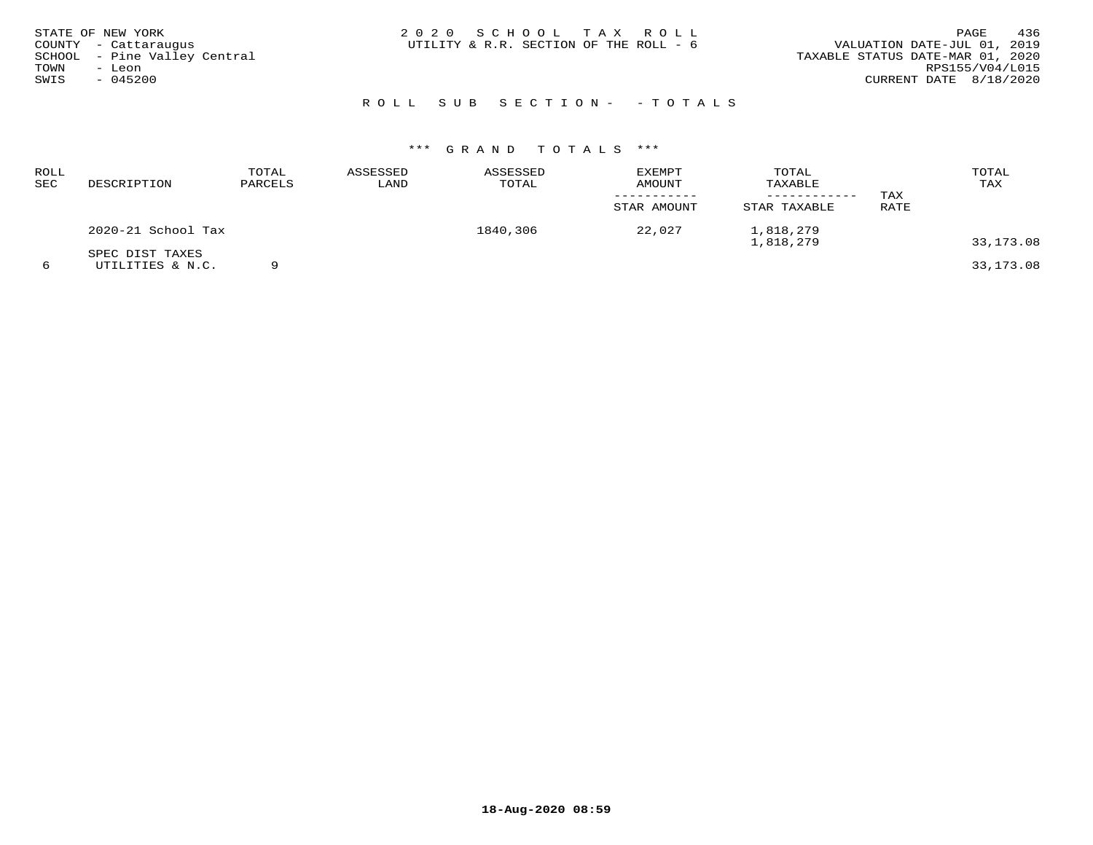| STATE OF NEW YORK<br>COUNTY - Cattaraugus<br>SCHOOL - Pine Valley Central<br>TOWN<br>- Leon<br>SWIS<br>$-045200$ | 2020 SCHOOL TAX ROLL<br>UTILITY & R.R. SECTION OF THE ROLL - 6 | 436<br>PAGE<br>VALUATION DATE-JUL 01, 2019<br>TAXABLE STATUS DATE-MAR 01, 2020<br>RPS155/V04/L015<br>CURRENT DATE 8/18/2020 |
|------------------------------------------------------------------------------------------------------------------|----------------------------------------------------------------|-----------------------------------------------------------------------------------------------------------------------------|
|                                                                                                                  | ROLL SUB SECTION- - TOTALS                                     |                                                                                                                             |

| ROLL<br><b>SEC</b> | DESCRIPTION                         | TOTAL<br>PARCELS | ASSESSED<br>LAND | ASSESSED<br>TOTAL | <b>EXEMPT</b><br>AMOUNT | TOTAL<br>TAXABLE       | TAX  | TOTAL<br>TAX |
|--------------------|-------------------------------------|------------------|------------------|-------------------|-------------------------|------------------------|------|--------------|
|                    |                                     |                  |                  |                   | STAR AMOUNT             | STAR TAXABLE           | RATE |              |
|                    | 2020-21 School Tax                  |                  |                  | 1840,306          | 22,027                  | 1,818,279<br>1,818,279 |      | 33,173.08    |
|                    | SPEC DIST TAXES<br>UTILITIES & N.C. |                  |                  |                   |                         |                        |      | 33,173.08    |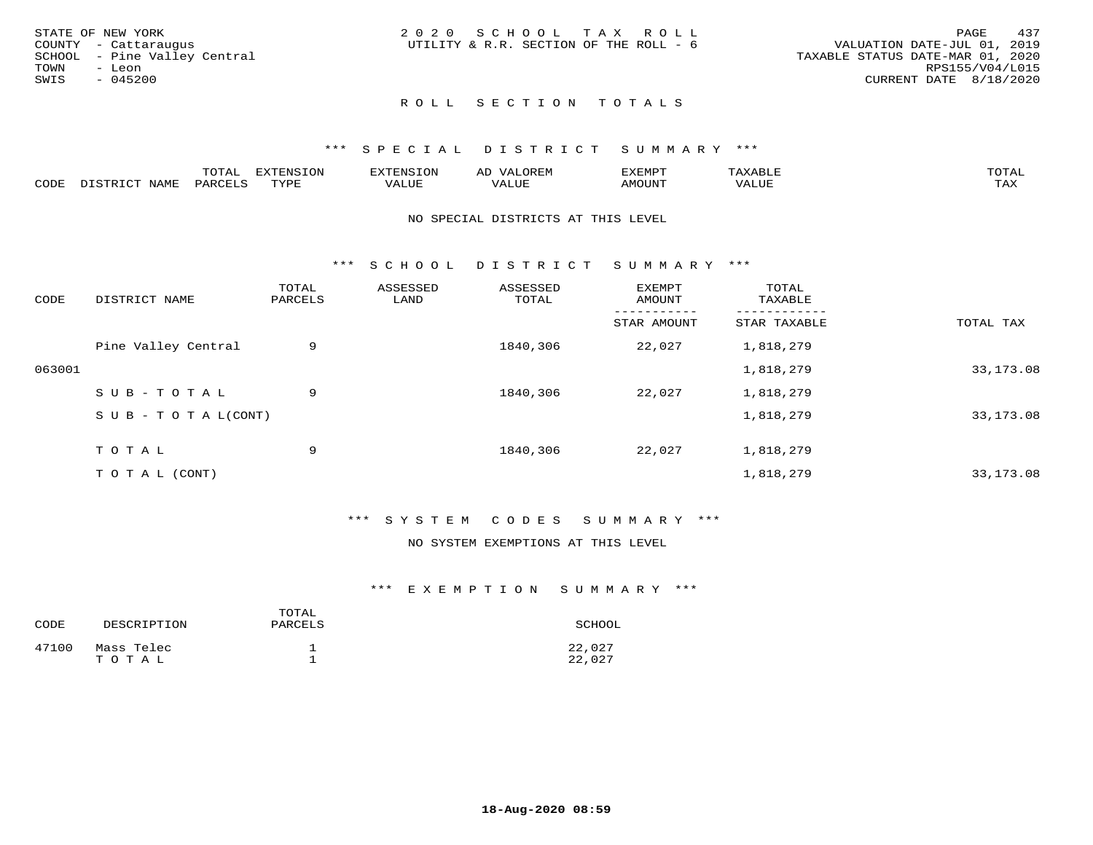| STATE OF NEW YORK    |                              | 2020 SCHOOL TAX ROLL                   |  |                                  |                        | PAGE | 437 |
|----------------------|------------------------------|----------------------------------------|--|----------------------------------|------------------------|------|-----|
| COUNTY - Cattaraugus |                              | UTILITY & R.R. SECTION OF THE ROLL - 6 |  | VALUATION DATE-JUL 01, 2019      |                        |      |     |
|                      | SCHOOL - Pine Valley Central |                                        |  | TAXABLE STATUS DATE-MAR 01, 2020 |                        |      |     |
| TOWN<br>- Leon       |                              |                                        |  |                                  | RPS155/V04/L015        |      |     |
| SWIS<br>- 045200     |                              |                                        |  |                                  | CURRENT DATE 8/18/2020 |      |     |
|                      |                              |                                        |  |                                  |                        |      |     |

#### ROLL SECTION TOTALS

#### \*\*\* S P E C I A L D I S T R I C T S U M M A R Y \*\*\*

|       |                  | m^m*<br>∸ ∪ ⊥ <del>⊓</del> | $T \cap N$<br>--- |                 | ىت | YFMDT   |        | $m \wedge m \wedge n$ |
|-------|------------------|----------------------------|-------------------|-----------------|----|---------|--------|-----------------------|
| JODE: | $M^{\mathsf{A}}$ |                            | $m \tau \tau n$   | $-$ - $-$ - $-$ |    | 1077777 | 1 U P. | $m \times r$<br>- ⊷∡  |

#### NO SPECIAL DISTRICTS AT THIS LEVEL

\*\*\* S C H O O L D I S T R I C T S U M M A R Y \*\*\*

| CODE   | DISTRICT NAME                    | TOTAL<br>PARCELS | ASSESSED<br>LAND | ASSESSED<br>TOTAL | EXEMPT<br>AMOUNT | TOTAL<br>TAXABLE |            |
|--------|----------------------------------|------------------|------------------|-------------------|------------------|------------------|------------|
|        |                                  |                  |                  |                   | STAR AMOUNT      | STAR TAXABLE     | TOTAL TAX  |
|        | Pine Valley Central              | 9                |                  | 1840,306          | 22,027           | 1,818,279        |            |
| 063001 |                                  |                  |                  |                   |                  | 1,818,279        | 33, 173.08 |
|        | SUB-TOTAL                        | 9                |                  | 1840,306          | 22,027           | 1,818,279        |            |
|        | $S \cup B - T \cup T A L (CONT)$ |                  |                  |                   |                  | 1,818,279        | 33, 173.08 |
|        | TOTAL                            | 9                |                  | 1840,306          | 22,027           | 1,818,279        |            |
|        |                                  |                  |                  |                   |                  |                  |            |
|        | T O T A L (CONT)                 |                  |                  |                   |                  | 1,818,279        | 33, 173.08 |

#### \*\*\* S Y S T E M C O D E S S U M M A R Y \*\*\*

#### NO SYSTEM EXEMPTIONS AT THIS LEVEL

| CODE  | DESCRIPTION         | TOTAL<br>PARCELS | SCHOOL           |
|-------|---------------------|------------------|------------------|
| 47100 | Mass Telec<br>TOTAL |                  | 22,027<br>22,027 |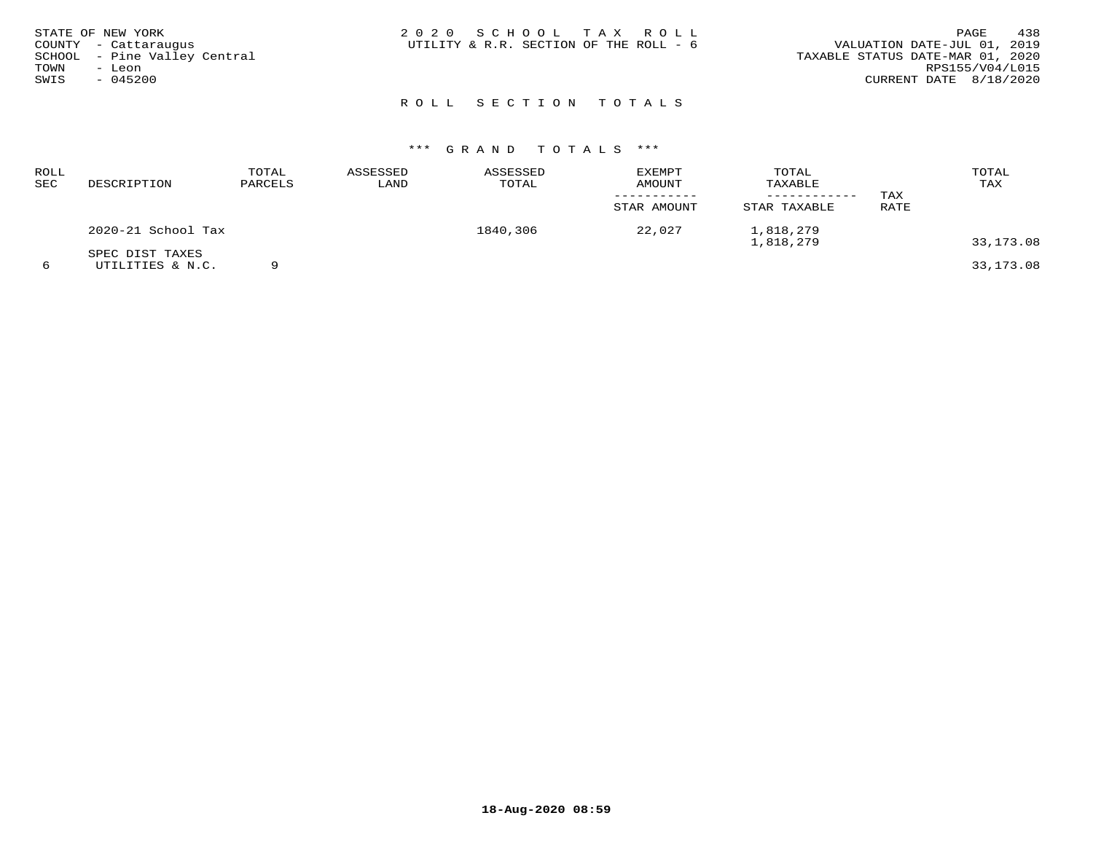| STATE OF NEW YORK<br>COUNTY - Cattaraugus<br>SCHOOL - Pine Valley Central<br>TOWN<br>- Leon<br>SWIS<br>$-045200$ | 2020 SCHOOL TAX ROLL<br>UTILITY & R.R. SECTION OF THE ROLL - 6 | 438<br>PAGE<br>VALUATION DATE-JUL 01, 2019<br>TAXABLE STATUS DATE-MAR 01, 2020<br>RPS155/V04/L015<br>CURRENT DATE 8/18/2020 |
|------------------------------------------------------------------------------------------------------------------|----------------------------------------------------------------|-----------------------------------------------------------------------------------------------------------------------------|
|                                                                                                                  | ROLL SECTION TOTALS                                            |                                                                                                                             |

| ROLL<br>SEC | DESCRIPTION                         | TOTAL<br>PARCELS | ASSESSED<br>LAND | ASSESSED<br>TOTAL | <b>EXEMPT</b><br>AMOUNT | TOTAL<br>TAXABLE<br>------------ | TAX  | TOTAL<br>TAX |
|-------------|-------------------------------------|------------------|------------------|-------------------|-------------------------|----------------------------------|------|--------------|
|             |                                     |                  |                  |                   | STAR AMOUNT             | STAR TAXABLE                     | RATE |              |
|             | 2020-21 School Tax                  |                  |                  | 1840,306          | 22,027                  | 1,818,279<br>1,818,279           |      | 33,173.08    |
|             | SPEC DIST TAXES<br>UTILITIES & N.C. |                  |                  |                   |                         |                                  |      | 33,173.08    |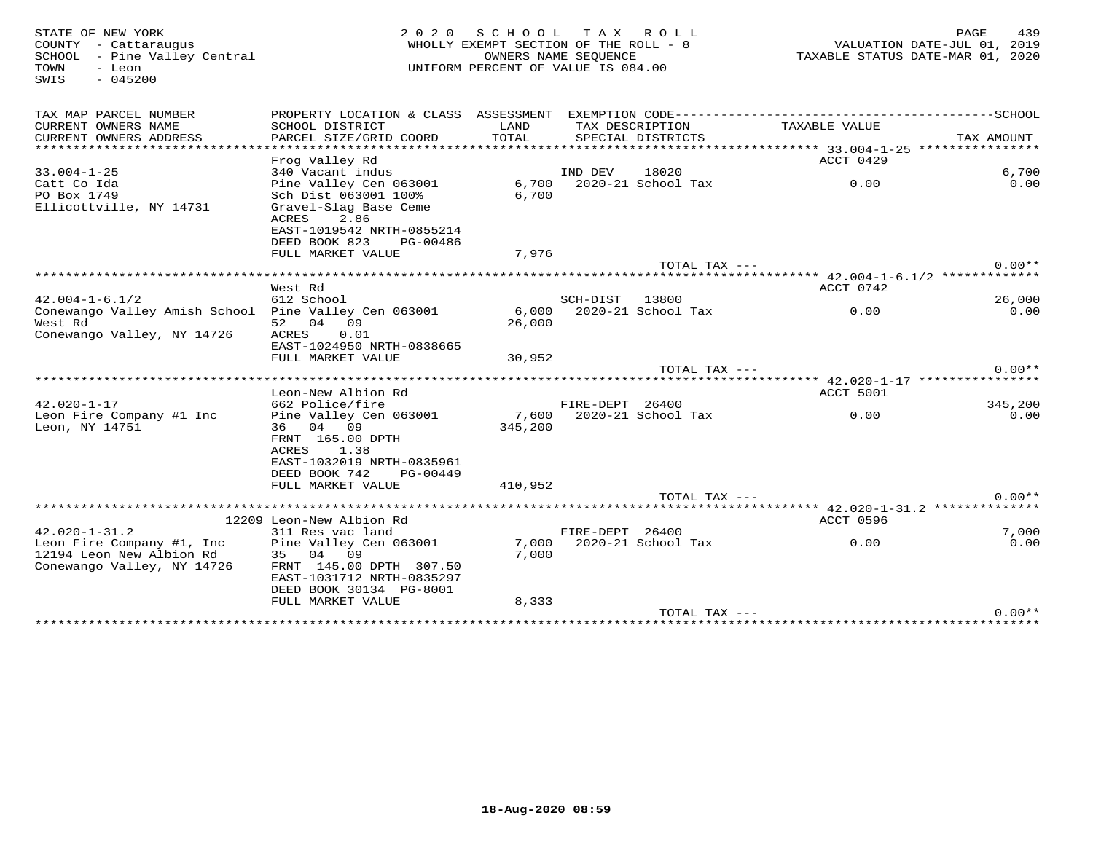SWIS - 045200

# STATE OF NEW YORK 2 0 2 0 S C H O O L T A X R O L L PAGE 439 COUNTY - Cattaraugus WHOLLY EXEMPT SECTION OF THE ROLL - 8 VALUATION DATE-JUL 01, 2019 SCHOOL - Pine Valley Central OWNERS NAME SEQUENCE TAXABLE STATUS DATE-MAR 01, 2020TOWN - Leon UNIFORM PERCENT OF VALUE IS 084.00

| TAX MAP PARCEL NUMBER<br>CURRENT OWNERS NAME         | PROPERTY LOCATION & CLASS ASSESSMENT<br>SCHOOL DISTRICT | LAND    |                 | TAX DESCRIPTION     | EXEMPTION CODE----------------------<br>TAXABLE VALUE               | -----------------SCHOOL |
|------------------------------------------------------|---------------------------------------------------------|---------|-----------------|---------------------|---------------------------------------------------------------------|-------------------------|
| CURRENT OWNERS ADDRESS                               | PARCEL SIZE/GRID COORD                                  | TOTAL   |                 | SPECIAL DISTRICTS   |                                                                     | TAX AMOUNT              |
|                                                      |                                                         |         |                 |                     | **************** 33.004-1-25 *****************                      |                         |
|                                                      | Frog Valley Rd                                          |         |                 |                     | ACCT 0429                                                           |                         |
| $33.004 - 1 - 25$                                    | 340 Vacant indus                                        |         | IND DEV         | 18020               |                                                                     | 6,700                   |
| Catt Co Ida                                          | Pine Valley Cen 063001                                  | 6,700   |                 | 2020-21 School Tax  | 0.00                                                                | 0.00                    |
| PO Box 1749                                          | Sch Dist 063001 100%                                    | 6,700   |                 |                     |                                                                     |                         |
| Ellicottville, NY 14731                              | Gravel-Slag Base Ceme<br>ACRES<br>2.86                  |         |                 |                     |                                                                     |                         |
|                                                      | EAST-1019542 NRTH-0855214                               |         |                 |                     |                                                                     |                         |
|                                                      | DEED BOOK 823<br>PG-00486                               |         |                 |                     |                                                                     |                         |
|                                                      | FULL MARKET VALUE                                       | 7,976   |                 |                     |                                                                     |                         |
|                                                      |                                                         |         |                 | TOTAL TAX ---       |                                                                     | $0.00**$                |
|                                                      |                                                         |         |                 |                     | ****** $42.004 - 1 - 6.1/2$ *************                           |                         |
|                                                      | West Rd                                                 |         |                 |                     | ACCT 0742                                                           |                         |
| $42.004 - 1 - 6.1/2$                                 | 612 School                                              |         | SCH-DIST        | 13800               |                                                                     | 26,000                  |
| Conewango Valley Amish School Pine Valley Cen 063001 |                                                         | 6,000   |                 | 2020-21 School Tax  | 0.00                                                                | 0.00                    |
| West Rd                                              | 52 04 09                                                | 26,000  |                 |                     |                                                                     |                         |
| Conewango Valley, NY 14726                           | ACRES<br>0.01<br>EAST-1024950 NRTH-0838665              |         |                 |                     |                                                                     |                         |
|                                                      | FULL MARKET VALUE                                       | 30,952  |                 |                     |                                                                     |                         |
|                                                      |                                                         |         |                 | $TOTAL$ $TAX$ $---$ |                                                                     | $0.00**$                |
|                                                      |                                                         |         |                 |                     |                                                                     |                         |
|                                                      | Leon-New Albion Rd                                      |         |                 |                     | ACCT 5001                                                           |                         |
| $42.020 - 1 - 17$                                    | 662 Police/fire                                         |         | FIRE-DEPT 26400 |                     |                                                                     | 345,200                 |
| Leon Fire Company #1 Inc                             | Pine Valley Cen 063001                                  | 7,600   |                 | 2020-21 School Tax  | 0.00                                                                | 0.00                    |
| Leon, NY 14751                                       | 36 04 09                                                | 345,200 |                 |                     |                                                                     |                         |
|                                                      | FRNT 165.00 DPTH                                        |         |                 |                     |                                                                     |                         |
|                                                      | ACRES<br>1.38                                           |         |                 |                     |                                                                     |                         |
|                                                      | EAST-1032019 NRTH-0835961<br>DEED BOOK 742              |         |                 |                     |                                                                     |                         |
|                                                      | PG-00449<br>FULL MARKET VALUE                           | 410,952 |                 |                     |                                                                     |                         |
|                                                      |                                                         |         |                 | $TOTAL$ $TAX$ $---$ |                                                                     | $0.00**$                |
|                                                      | ****************************                            |         |                 |                     | ************************************* 42.020-1-31.2 *************** |                         |
|                                                      | 12209 Leon-New Albion Rd                                |         |                 |                     | ACCT 0596                                                           |                         |
| $42.020 - 1 - 31.2$                                  | 311 Res vac land                                        |         | FIRE-DEPT 26400 |                     |                                                                     | 7,000                   |
| Leon Fire Company #1, Inc                            | Pine Valley Cen 063001                                  | 7,000   |                 | 2020-21 School Tax  | 0.00                                                                | 0.00                    |
| 12194 Leon New Albion Rd                             | 35 04 09                                                | 7,000   |                 |                     |                                                                     |                         |
| Conewango Valley, NY 14726                           | FRNT 145.00 DPTH 307.50                                 |         |                 |                     |                                                                     |                         |
|                                                      | EAST-1031712 NRTH-0835297<br>DEED BOOK 30134 PG-8001    |         |                 |                     |                                                                     |                         |
|                                                      | FULL MARKET VALUE                                       | 8,333   |                 |                     |                                                                     |                         |
|                                                      |                                                         |         |                 |                     |                                                                     |                         |
|                                                      |                                                         |         |                 | $TOTAL$ $TAX$ $---$ |                                                                     | $0.00**$                |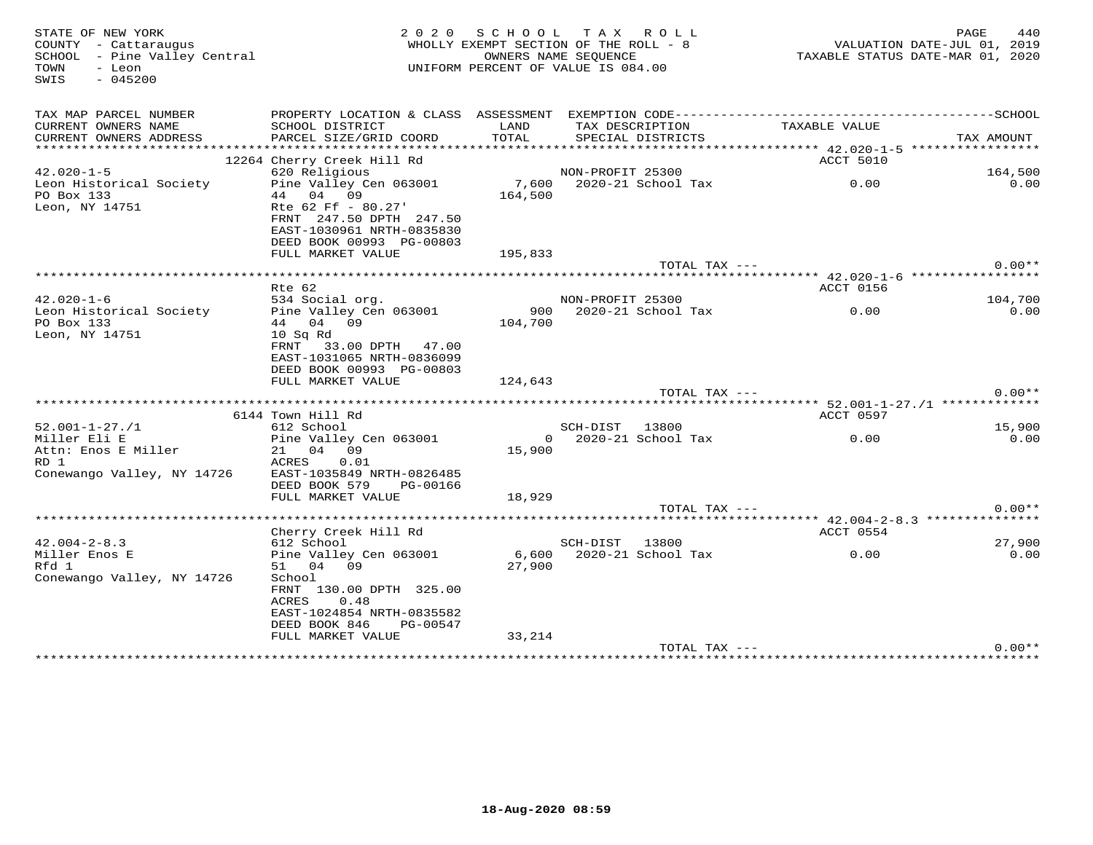| STATE OF NEW YORK<br>COUNTY - Cattaraugus<br>SCHOOL - Pine Valley Central<br>TOWN<br>- Leon<br>$-045200$<br>SWIS | 2 0 2 0                                                                                                           |         | SCHOOL TAX ROLL<br>WHOLLY EXEMPT SECTION OF THE ROLL - 8<br>OWNERS NAME SEQUENCE<br>UNIFORM PERCENT OF VALUE IS 084.00 |               | PAGE<br>440<br>VALUATION DATE-JUL 01, 2019<br>TAXABLE STATUS DATE-MAR 01, 2020 |
|------------------------------------------------------------------------------------------------------------------|-------------------------------------------------------------------------------------------------------------------|---------|------------------------------------------------------------------------------------------------------------------------|---------------|--------------------------------------------------------------------------------|
| TAX MAP PARCEL NUMBER                                                                                            | PROPERTY LOCATION & CLASS ASSESSMENT EXEMPTION CODE-----------------------------------SCHOOL                      |         |                                                                                                                        |               |                                                                                |
| CURRENT OWNERS NAME                                                                                              | SCHOOL DISTRICT                                                                                                   | LAND    | TAX DESCRIPTION                                                                                                        | TAXABLE VALUE |                                                                                |
| CURRENT OWNERS ADDRESS                                                                                           | PARCEL SIZE/GRID COORD                                                                                            | TOTAL   | SPECIAL DISTRICTS                                                                                                      |               | TAX AMOUNT                                                                     |
|                                                                                                                  | 12264 Cherry Creek Hill Rd                                                                                        |         |                                                                                                                        | ACCT 5010     |                                                                                |
| $42.020 - 1 - 5$                                                                                                 | 620 Religious                                                                                                     |         | NON-PROFIT 25300                                                                                                       |               | 164,500                                                                        |
| Leon Historical Society                                                                                          | Pine Valley Cen 063001                                                                                            |         |                                                                                                                        |               | 0.00                                                                           |
| PO Box 133                                                                                                       | 44 04 09                                                                                                          | 164,500 |                                                                                                                        |               |                                                                                |
| Leon, NY 14751                                                                                                   | Rte 62 Ff - 80.27'<br>FRNT 247.50 DPTH 247.50<br>EAST-1030961 NRTH-0835830<br>DEED BOOK 00993 PG-00803            |         |                                                                                                                        |               |                                                                                |
|                                                                                                                  | FULL MARKET VALUE                                                                                                 | 195,833 |                                                                                                                        |               |                                                                                |
|                                                                                                                  |                                                                                                                   |         | TOTAL TAX ---                                                                                                          |               | $0.00**$                                                                       |
|                                                                                                                  |                                                                                                                   |         |                                                                                                                        |               |                                                                                |
| $42.020 - 1 - 6$                                                                                                 | Rte 62<br>534 Social org.                                                                                         |         | NON-PROFIT 25300                                                                                                       | ACCT 0156     | 104,700                                                                        |
| Leon Historical Society                                                                                          | Pine Valley Cen 063001                                                                                            |         | 900 2020-21 School Tax                                                                                                 | 0.00          | 0.00                                                                           |
| PO Box 133                                                                                                       | 44 04 09                                                                                                          | 104,700 |                                                                                                                        |               |                                                                                |
| Leon, NY 14751                                                                                                   | $10$ Sq Rd<br>FRNT 33.00 DPTH 47.00<br>EAST-1031065 NRTH-0836099<br>DEED BOOK 00993 PG-00803<br>FULL MARKET VALUE | 124,643 |                                                                                                                        |               |                                                                                |
|                                                                                                                  |                                                                                                                   |         | TOTAL TAX ---                                                                                                          |               | $0.00**$                                                                       |
|                                                                                                                  |                                                                                                                   |         |                                                                                                                        |               |                                                                                |
|                                                                                                                  | 6144 Town Hill Rd                                                                                                 |         |                                                                                                                        | ACCT 0597     |                                                                                |
| $52.001 - 1 - 27.71$                                                                                             | 612 School                                                                                                        |         | SCH-DIST 13800                                                                                                         |               | 15,900                                                                         |
| Miller Eli E                                                                                                     | Pine Valley Cen 063001                                                                                            |         | $0$ 2020-21 School Tax                                                                                                 | 0.00          | 0.00                                                                           |
| Attn: Enos E Miller                                                                                              | 21 04 09                                                                                                          | 15,900  |                                                                                                                        |               |                                                                                |
| RD 1<br>Conewango Valley, NY 14726                                                                               | ACRES<br>0.01<br>EAST-1035849 NRTH-0826485<br>DEED BOOK 579<br>PG-00166                                           |         |                                                                                                                        |               |                                                                                |
|                                                                                                                  | FULL MARKET VALUE                                                                                                 | 18,929  |                                                                                                                        |               |                                                                                |
|                                                                                                                  |                                                                                                                   |         | TOTAL TAX ---                                                                                                          |               | $0.00**$                                                                       |
|                                                                                                                  |                                                                                                                   |         |                                                                                                                        |               |                                                                                |
| $42.004 - 2 - 8.3$                                                                                               | Cherry Creek Hill Rd                                                                                              |         |                                                                                                                        | ACCT 0554     |                                                                                |
| Miller Enos E                                                                                                    | 612 School<br>Pine Valley Cen 063001                                                                              |         | SCH-DIST 13800<br>6,600 2020-21 School Tax                                                                             | 0.00          | 27,900<br>0.00                                                                 |
| Rfd 1                                                                                                            | 51 04 09                                                                                                          | 27,900  |                                                                                                                        |               |                                                                                |
| Conewango Valley, NY 14726                                                                                       | School                                                                                                            |         |                                                                                                                        |               |                                                                                |
|                                                                                                                  | FRNT 130.00 DPTH 325.00<br>ACRES<br>0.48<br>EAST-1024854 NRTH-0835582<br>DEED BOOK 846<br>PG-00547                |         |                                                                                                                        |               |                                                                                |
|                                                                                                                  | FULL MARKET VALUE                                                                                                 | 33,214  |                                                                                                                        |               |                                                                                |
|                                                                                                                  |                                                                                                                   |         | TOTAL TAX ---                                                                                                          |               | $0.00**$                                                                       |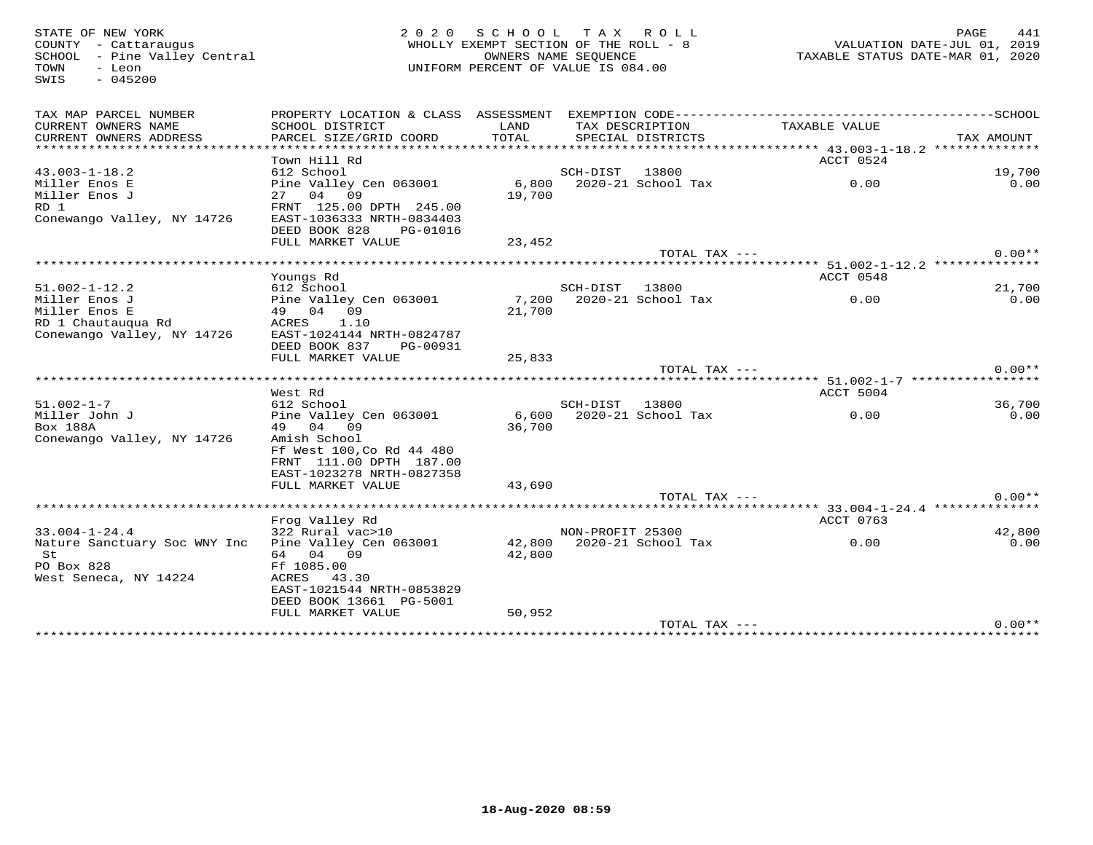SWIS - 045200

# STATE OF NEW YORK 2 0 2 0 S C H O O L T A X R O L L PAGE 441 COUNTY - Cattaraugus WHOLLY EXEMPT SECTION OF THE ROLL - 8 VALUATION DATE-JUL 01, 2019 SCHOOL - Pine Valley Central OWNERS NAME SEQUENCE TAXABLE STATUS DATE-MAR 01, 2020TOWN - Leon UNIFORM PERCENT OF VALUE IS 084.00

| TAX MAP PARCEL NUMBER<br>CURRENT OWNERS NAME<br>CURRENT OWNERS ADDRESS | PROPERTY LOCATION & CLASS ASSESSMENT<br>SCHOOL DISTRICT<br>PARCEL SIZE/GRID COORD | LAND<br>TOTAL   | TAX DESCRIPTION<br>SPECIAL DISTRICTS    | TAXABLE VALUE                                    | TAX AMOUNT     |
|------------------------------------------------------------------------|-----------------------------------------------------------------------------------|-----------------|-----------------------------------------|--------------------------------------------------|----------------|
| *****************                                                      |                                                                                   |                 |                                         |                                                  |                |
|                                                                        | Town Hill Rd                                                                      |                 |                                         | ACCT 0524                                        |                |
| $43.003 - 1 - 18.2$                                                    | 612 School                                                                        |                 | SCH-DIST<br>13800<br>2020-21 School Tax |                                                  | 19,700<br>0.00 |
| Miller Enos E<br>Miller Enos J                                         | Pine Valley Cen 063001<br>27 04 09                                                | 6,800<br>19,700 |                                         | 0.00                                             |                |
| RD 1                                                                   | FRNT 125.00 DPTH 245.00                                                           |                 |                                         |                                                  |                |
| Conewango Valley, NY 14726                                             | EAST-1036333 NRTH-0834403                                                         |                 |                                         |                                                  |                |
|                                                                        | DEED BOOK 828<br>PG-01016                                                         |                 |                                         |                                                  |                |
|                                                                        | FULL MARKET VALUE                                                                 | 23,452          |                                         |                                                  |                |
|                                                                        |                                                                                   |                 | TOTAL TAX $---$                         |                                                  | $0.00**$       |
|                                                                        | ******************************                                                    |                 |                                         | ******** 51.002-1-12.2 **************            |                |
|                                                                        | Youngs Rd                                                                         |                 |                                         | ACCT 0548                                        |                |
| $51.002 - 1 - 12.2$                                                    | 612 School                                                                        |                 | SCH-DIST<br>13800                       |                                                  | 21,700         |
| Miller Enos J                                                          | Pine Valley Cen 063001                                                            | 7,200           | 2020-21 School Tax                      | 0.00                                             | 0.00           |
| Miller Enos E                                                          | 49 04 09                                                                          | 21,700          |                                         |                                                  |                |
| RD 1 Chautauqua Rd                                                     | 1.10<br>ACRES                                                                     |                 |                                         |                                                  |                |
| Conewango Valley, NY 14726                                             | EAST-1024144 NRTH-0824787                                                         |                 |                                         |                                                  |                |
|                                                                        | DEED BOOK 837<br>PG-00931                                                         |                 |                                         |                                                  |                |
|                                                                        | FULL MARKET VALUE                                                                 | 25,833          | TOTAL TAX ---                           |                                                  | $0.00**$       |
|                                                                        |                                                                                   |                 |                                         |                                                  |                |
|                                                                        | West Rd                                                                           |                 |                                         | ACCT 5004                                        |                |
| $51.002 - 1 - 7$                                                       | 612 School                                                                        |                 | SCH-DIST<br>13800                       |                                                  | 36,700         |
| Miller John J                                                          | Pine Valley Cen 063001                                                            | 6,600           | 2020-21 School Tax                      | 0.00                                             | 0.00           |
| Box 188A                                                               | 49 04 09                                                                          | 36,700          |                                         |                                                  |                |
| Conewango Valley, NY 14726                                             | Amish School                                                                      |                 |                                         |                                                  |                |
|                                                                        | Ff West 100, Co Rd 44 480                                                         |                 |                                         |                                                  |                |
|                                                                        | FRNT 111.00 DPTH 187.00                                                           |                 |                                         |                                                  |                |
|                                                                        | EAST-1023278 NRTH-0827358                                                         |                 |                                         |                                                  |                |
|                                                                        | FULL MARKET VALUE                                                                 | 43,690          |                                         |                                                  |                |
|                                                                        | ******************************                                                    |                 | TOTAL TAX ---                           |                                                  | $0.00**$       |
|                                                                        | Frog Valley Rd                                                                    |                 |                                         | ****** 33.004-1-24.4 **************<br>ACCT 0763 |                |
| $33.004 - 1 - 24.4$                                                    | 322 Rural vac>10                                                                  |                 | NON-PROFIT 25300                        |                                                  | 42,800         |
| Nature Sanctuary Soc WNY Inc                                           | Pine Valley Cen 063001                                                            | 42,800          | 2020-21 School Tax                      | 0.00                                             | 0.00           |
| St                                                                     | 64 04 09                                                                          | 42,800          |                                         |                                                  |                |
| PO Box 828                                                             | Ff 1085.00                                                                        |                 |                                         |                                                  |                |
| West Seneca, NY 14224                                                  | ACRES<br>43.30                                                                    |                 |                                         |                                                  |                |
|                                                                        | EAST-1021544 NRTH-0853829                                                         |                 |                                         |                                                  |                |
|                                                                        | DEED BOOK 13661 PG-5001                                                           |                 |                                         |                                                  |                |
|                                                                        | FULL MARKET VALUE                                                                 | 50,952          |                                         |                                                  |                |
|                                                                        |                                                                                   |                 | TOTAL TAX ---                           |                                                  | $0.00**$       |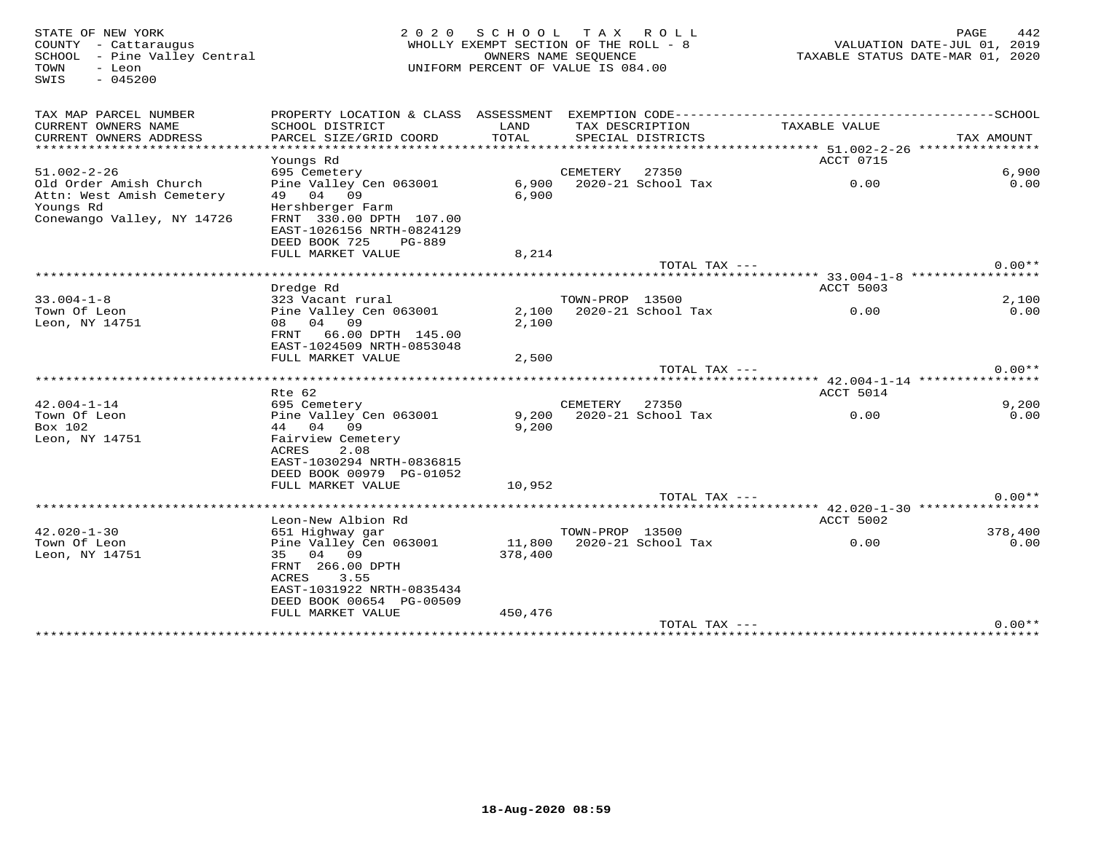| STATE OF NEW YORK<br>COUNTY - Cattaraugus<br>SCHOOL - Pine Valley Central<br>- Leon<br>TOWN<br>$-045200$<br>SWIS | 2 0 2 0<br>WHOLLY EXEMPT SECTION OF THE ROLL - 8<br>UNIFORM PERCENT OF VALUE IS 084.00                                                      | PAGE<br>VALUATION DATE-JUL 01, 2019<br>TAXABLE STATUS DATE-MAR 01, 2020 | 442             |                          |                                     |               |  |
|------------------------------------------------------------------------------------------------------------------|---------------------------------------------------------------------------------------------------------------------------------------------|-------------------------------------------------------------------------|-----------------|--------------------------|-------------------------------------|---------------|--|
| TAX MAP PARCEL NUMBER                                                                                            |                                                                                                                                             |                                                                         |                 |                          |                                     |               |  |
| CURRENT OWNERS NAME<br>CURRENT OWNERS ADDRESS                                                                    | SCHOOL DISTRICT<br>PARCEL SIZE/GRID COORD                                                                                                   | LAND<br>TOTAL                                                           | TAX DESCRIPTION | SPECIAL DISTRICTS        | TAXABLE VALUE                       | TAX AMOUNT    |  |
| ******************************                                                                                   | Youngs Rd                                                                                                                                   |                                                                         |                 |                          | ACCT 0715                           |               |  |
| $51.002 - 2 - 26$                                                                                                | 695 Cemetery                                                                                                                                |                                                                         | CEMETERY        | 27350                    |                                     | 6,900         |  |
| Old Order Amish Church<br>Attn: West Amish Cemetery<br>Youngs Rd<br>Conewango Valley, NY 14726                   | Pine Valley Cen 063001<br>49 04 09<br>Hershberger Farm<br>FRNT 330.00 DPTH 107.00<br>EAST-1026156 NRTH-0824129<br>DEED BOOK 725<br>$PG-889$ | 6,900<br>6,900                                                          |                 | 2020-21 School Tax       | 0.00                                | 0.00          |  |
|                                                                                                                  | FULL MARKET VALUE                                                                                                                           | 8,214                                                                   |                 |                          |                                     |               |  |
|                                                                                                                  |                                                                                                                                             |                                                                         |                 | TOTAL TAX ---            |                                     | $0.00**$      |  |
|                                                                                                                  |                                                                                                                                             |                                                                         |                 |                          | ****** 33.004-1-8 ***************** |               |  |
| $33.004 - 1 - 8$                                                                                                 | Dredge Rd                                                                                                                                   |                                                                         | TOWN-PROP 13500 |                          | ACCT 5003                           |               |  |
| Town Of Leon<br>Leon, NY 14751                                                                                   | 323 Vacant rural<br>Pine Valley Cen 063001<br>08 04 09<br>FRNT 66.00 DPTH 145.00                                                            | 2,100                                                                   |                 | 2,100 2020-21 School Tax | 0.00                                | 2,100<br>0.00 |  |
|                                                                                                                  | EAST-1024509 NRTH-0853048<br>FULL MARKET VALUE                                                                                              | 2,500                                                                   |                 |                          |                                     |               |  |
|                                                                                                                  |                                                                                                                                             |                                                                         |                 | TOTAL TAX $---$          |                                     | $0.00**$      |  |
|                                                                                                                  | Rte 62                                                                                                                                      |                                                                         |                 |                          | ACCT 5014                           |               |  |
| $42.004 - 1 - 14$                                                                                                | 695 Cemetery                                                                                                                                |                                                                         | CEMETERY        | 27350                    |                                     | 9,200         |  |
| Town Of Leon<br>Box 102                                                                                          | Pine Valley Cen 063001<br>44 04 09                                                                                                          | 9,200<br>9,200                                                          |                 | 2020-21 School Tax       | 0.00                                | 0.00          |  |
| Leon, NY 14751                                                                                                   | Fairview Cemetery<br>ACRES<br>2.08<br>EAST-1030294 NRTH-0836815<br>DEED BOOK 00979 PG-01052                                                 |                                                                         |                 |                          |                                     |               |  |
|                                                                                                                  | FULL MARKET VALUE                                                                                                                           | 10,952                                                                  |                 |                          |                                     |               |  |
|                                                                                                                  |                                                                                                                                             |                                                                         |                 | TOTAL TAX ---            |                                     | $0.00**$      |  |
|                                                                                                                  | Leon-New Albion Rd                                                                                                                          |                                                                         |                 |                          | ACCT 5002                           |               |  |
| $42.020 - 1 - 30$                                                                                                | 651 Highway gar                                                                                                                             |                                                                         | TOWN-PROP 13500 |                          |                                     | 378,400       |  |
| Town Of Leon<br>Leon, NY 14751                                                                                   | Pine Valley Cen 063001<br>04 09<br>35<br>FRNT 266.00 DPTH<br>ACRES<br>3.55<br>EAST-1031922 NRTH-0835434<br>DEED BOOK 00654 PG-00509         | 11,800<br>378,400                                                       |                 | 2020-21 School Tax       | 0.00                                | 0.00          |  |
|                                                                                                                  | FULL MARKET VALUE                                                                                                                           | 450,476                                                                 |                 |                          |                                     |               |  |
|                                                                                                                  |                                                                                                                                             |                                                                         |                 | TOTAL TAX ---            |                                     | $0.00**$      |  |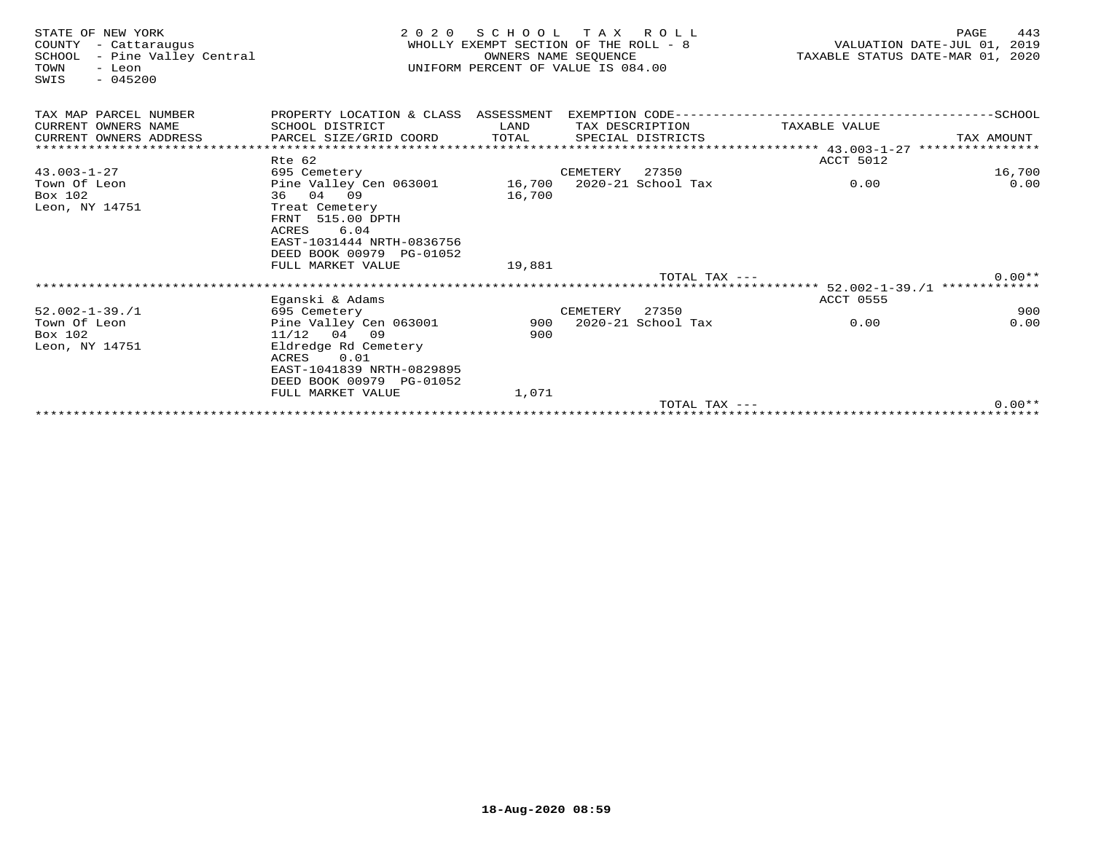| STATE OF NEW YORK<br>COUNTY<br>- Cattarauqus<br>- Pine Valley Central<br>SCHOOL<br>TOWN<br>- Leon<br>$-045200$<br>SWIS | 2 0 2 0                                                                                                             | SCHOOL<br>WHOLLY EXEMPT SECTION OF THE ROLL - 8<br>UNIFORM PERCENT OF VALUE IS 084.00 | TAX ROLL<br>OWNERS NAME SEOUENCE |                    |                 | TAXABLE STATUS DATE-MAR 01, 2020 | PAGE<br>VALUATION DATE-JUL 01, | 443<br>2019 |
|------------------------------------------------------------------------------------------------------------------------|---------------------------------------------------------------------------------------------------------------------|---------------------------------------------------------------------------------------|----------------------------------|--------------------|-----------------|----------------------------------|--------------------------------|-------------|
| TAX MAP PARCEL NUMBER                                                                                                  | PROPERTY LOCATION & CLASS ASSESSMENT                                                                                |                                                                                       |                                  |                    |                 |                                  |                                |             |
| CURRENT OWNERS NAME                                                                                                    | SCHOOL DISTRICT                                                                                                     | LAND                                                                                  |                                  | TAX DESCRIPTION    |                 | TAXABLE VALUE                    |                                |             |
| CURRENT OWNERS ADDRESS                                                                                                 | PARCEL SIZE/GRID COORD                                                                                              | TOTAL                                                                                 |                                  | SPECIAL DISTRICTS  |                 |                                  | TAX AMOUNT                     |             |
|                                                                                                                        |                                                                                                                     |                                                                                       |                                  |                    |                 |                                  |                                |             |
|                                                                                                                        | Rte 62                                                                                                              |                                                                                       |                                  |                    |                 | ACCT 5012                        |                                |             |
| $43.003 - 1 - 27$                                                                                                      | 695 Cemetery                                                                                                        |                                                                                       | CEMETERY                         | 27350              |                 |                                  |                                | 16,700      |
| Town Of Leon                                                                                                           | Pine Valley Cen 063001                                                                                              |                                                                                       | 16,700 2020-21 School Tax        |                    |                 | 0.00                             |                                | 0.00        |
| Box 102                                                                                                                | 36 04 09                                                                                                            | 16,700                                                                                |                                  |                    |                 |                                  |                                |             |
| Leon, NY 14751                                                                                                         | Treat Cemetery<br>FRNT 515.00 DPTH<br>6.04<br>ACRES<br>EAST-1031444 NRTH-0836756<br>DEED BOOK 00979 PG-01052        |                                                                                       |                                  |                    |                 |                                  |                                |             |
|                                                                                                                        | FULL MARKET VALUE                                                                                                   | 19,881                                                                                |                                  |                    |                 |                                  |                                |             |
|                                                                                                                        |                                                                                                                     |                                                                                       |                                  |                    | TOTAL TAX $---$ |                                  |                                | $0.00**$    |
|                                                                                                                        |                                                                                                                     |                                                                                       |                                  |                    |                 |                                  |                                |             |
|                                                                                                                        | Eganski & Adams                                                                                                     |                                                                                       |                                  |                    |                 | <b>ACCT 0555</b>                 |                                |             |
| $52.002 - 1 - 39.71$                                                                                                   | 695 Cemetery                                                                                                        |                                                                                       | CEMETERY                         | 27350              |                 |                                  |                                | 900         |
| Town Of Leon                                                                                                           | Pine Valley Cen 063001                                                                                              | 900                                                                                   |                                  | 2020-21 School Tax |                 | 0.00                             |                                | 0.00        |
| Box 102                                                                                                                | $11/12$ 04 09                                                                                                       | 900                                                                                   |                                  |                    |                 |                                  |                                |             |
| Leon, NY 14751                                                                                                         | Eldredge Rd Cemetery<br>0.01<br>ACRES<br>EAST-1041839 NRTH-0829895<br>DEED BOOK 00979 PG-01052<br>FULL MARKET VALUE | 1,071                                                                                 |                                  |                    |                 |                                  |                                |             |
|                                                                                                                        |                                                                                                                     |                                                                                       |                                  |                    | TOTAL TAX $---$ |                                  |                                | $0.00**$    |
|                                                                                                                        |                                                                                                                     |                                                                                       |                                  |                    |                 |                                  |                                |             |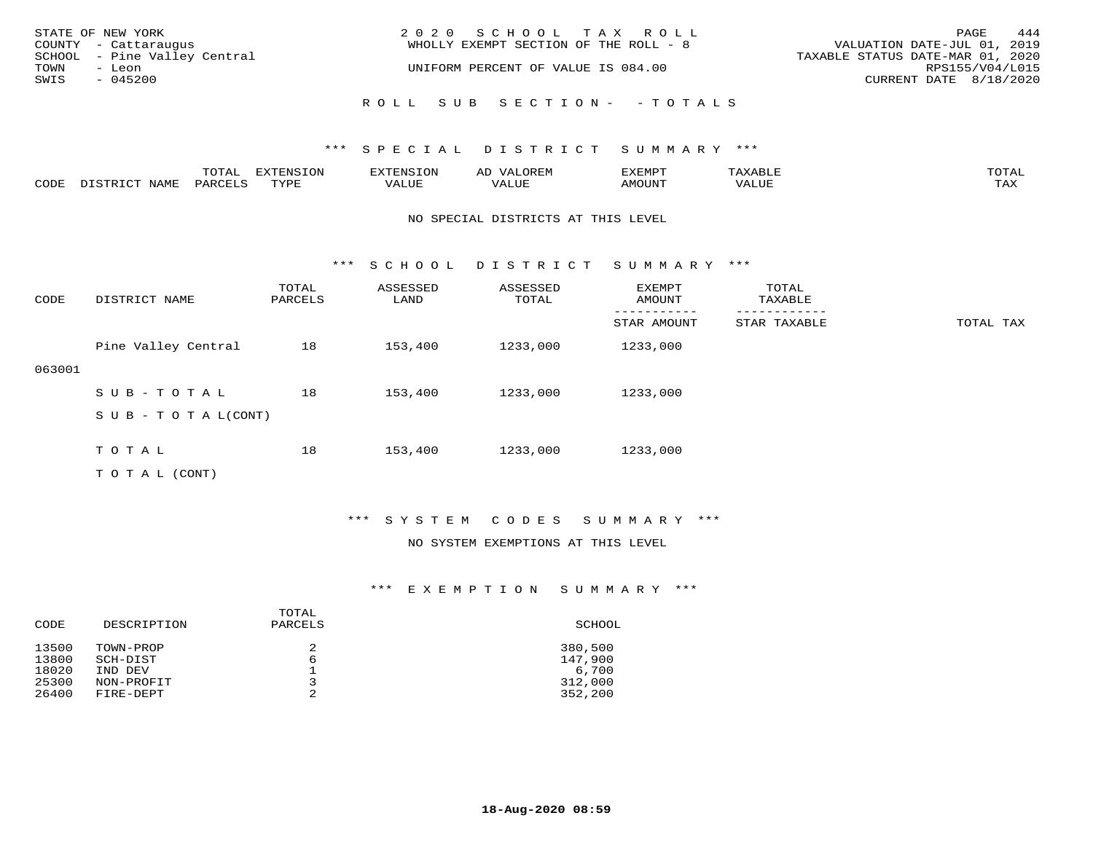|      | STATE OF NEW YORK<br>COUNTY - Cattaraugus | 2020 SCHOOL TAX ROLL<br>WHOLLY EXEMPT SECTION OF THE ROLL - 8 | PAGE<br>VALUATION DATE-JUL 01, 2019                 | 444 |
|------|-------------------------------------------|---------------------------------------------------------------|-----------------------------------------------------|-----|
| TOWN | SCHOOL - Pine Valley Central<br>– Leon    | UNIFORM PERCENT OF VALUE IS 084.00                            | TAXABLE STATUS DATE-MAR 01, 2020<br>RPS155/V04/L015 |     |
| SWIS | $-045200$                                 |                                                               | CURRENT DATE 8/18/2020                              |     |
|      |                                           | ROLL SUB SECTION- - TOTALS                                    |                                                     |     |

|      |      | $m \wedge m \wedge n$<br>$\sim$ 1<br>∸ ∪ ⊥ <del>⊓</del> ⊥⊥ | $T \cap N$<br>----<br>ᄗᄭ | . | ∼ | YFMDT<br>⊐∡⊾⊥⊥∙⊥⊥ |       | $m \wedge m \wedge$<br>$\cdot$ $\Delta$ |
|------|------|------------------------------------------------------------|--------------------------|---|---|-------------------|-------|-----------------------------------------|
| CODE | NAME | $PARTF^T$                                                  | $m \tau \tau n$          |   |   | <b>MOTTNTO</b>    | VALUE | ma v<br>⊥ ∠~∡∡                          |

#### NO SPECIAL DISTRICTS AT THIS LEVEL

\*\*\* S C H O O L D I S T R I C T S U M M A R Y \*\*\*

| CODE   | DISTRICT NAME              | TOTAL<br>PARCELS | ASSESSED<br>LAND | ASSESSED<br>TOTAL | EXEMPT<br>AMOUNT | TOTAL<br>TAXABLE |           |
|--------|----------------------------|------------------|------------------|-------------------|------------------|------------------|-----------|
|        |                            |                  |                  |                   | STAR AMOUNT      | STAR TAXABLE     | TOTAL TAX |
|        | Pine Valley Central        | 18               | 153,400          | 1233,000          | 1233,000         |                  |           |
| 063001 |                            |                  |                  |                   |                  |                  |           |
|        | SUB-TOTAL                  | 18               | 153,400          | 1233,000          | 1233,000         |                  |           |
|        | S U B - T O T A $L$ (CONT) |                  |                  |                   |                  |                  |           |
|        |                            |                  |                  |                   |                  |                  |           |
|        | TOTAL                      | 18               | 153,400          | 1233,000          | 1233,000         |                  |           |
|        | T O T A L (CONT)           |                  |                  |                   |                  |                  |           |

#### \*\*\* S Y S T E M C O D E S S U M M A R Y \*\*\*

#### NO SYSTEM EXEMPTIONS AT THIS LEVEL

| CODE                             | DESCRIPTION                                    | TOTAL<br>PARCELS | SCHOOL                                 |
|----------------------------------|------------------------------------------------|------------------|----------------------------------------|
| 13500<br>13800<br>18020<br>25300 | TOWN-PROP<br>SCH-DIST<br>IND DEV<br>NON-PROFIT | 2<br>6<br>っ      | 380,500<br>147,900<br>6,700<br>312,000 |
| 26400                            | FIRE-DEPT                                      | 2                | 352,200                                |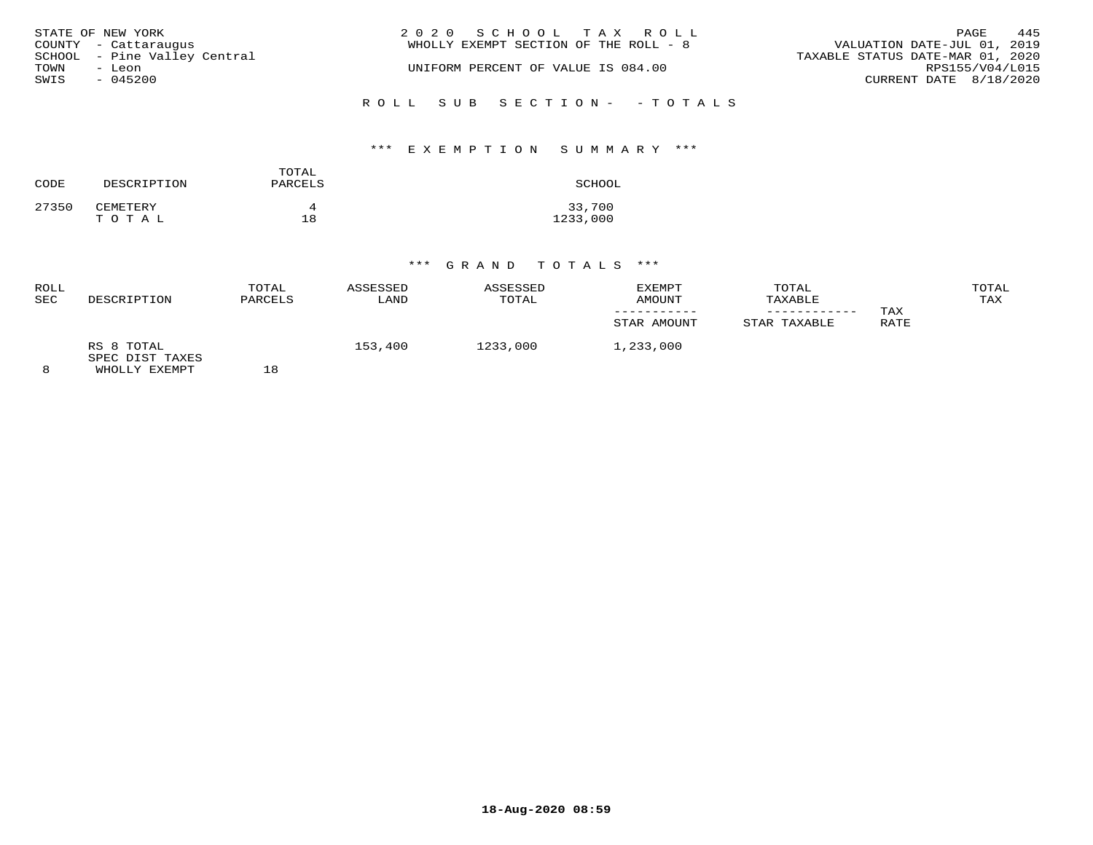|      | STATE OF NEW YORK            | 2020 SCHOOL TAX ROLL                  |                                  | PAGE | 445 |
|------|------------------------------|---------------------------------------|----------------------------------|------|-----|
|      | COUNTY - Cattaraugus         | WHOLLY EXEMPT SECTION OF THE ROLL - 8 | VALUATION DATE-JUL 01, 2019      |      |     |
|      | SCHOOL - Pine Valley Central |                                       | TAXABLE STATUS DATE-MAR 01, 2020 |      |     |
| TOWN | - Leon                       | UNIFORM PERCENT OF VALUE IS 084.00    | RPS155/V04/L015                  |      |     |
| SWIS | $-045200$                    |                                       | CURRENT DATE 8/18/2020           |      |     |
|      |                              |                                       |                                  |      |     |
|      |                              | ROLL SUB SECTION- - TOTALS            |                                  |      |     |

#### \*\*\* E X E M P T I O N S U M M A R Y \*\*\*

| CODE  | DESCRIPTION | TOTAL<br>PARCELS | SCHOOL   |
|-------|-------------|------------------|----------|
| 27350 | CEMETERY    | Δ                | 33,700   |
|       | TOTAL       | 18               | 1233,000 |

| ROLL<br><b>SEC</b> | DESCRIPTION                                    | TOTAL<br>PARCELS | ASSESSED<br>LAND | ASSESSED<br>TOTAL | EXEMPT<br>AMOUNT<br>STAR AMOUNT | TOTAL<br>TAXABLE<br>STAR TAXABLE | TAX<br>RATE | TOTAL<br>TAX |
|--------------------|------------------------------------------------|------------------|------------------|-------------------|---------------------------------|----------------------------------|-------------|--------------|
| 8                  | RS 8 TOTAL<br>SPEC DIST TAXES<br>WHOLLY EXEMPT | 18               | 153,400          | 1233,000          | 1,233,000                       |                                  |             |              |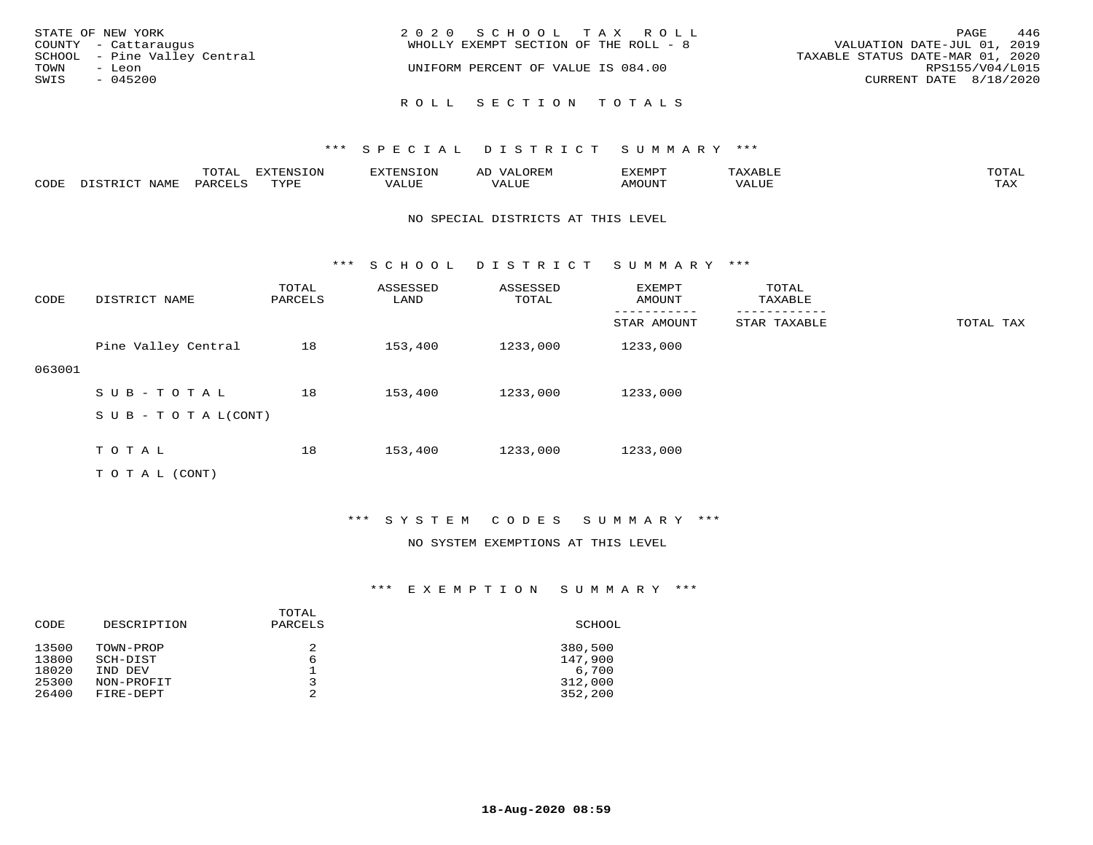| STATE OF NEW YORK<br>COUNTY - Cattaraugus<br>SCHOOL - Pine Valley Central<br>TOWN<br>- Leon<br>SWIS<br>$-045200$ | 2020 SCHOOL TAX ROLL<br>WHOLLY EXEMPT SECTION OF THE ROLL - 8<br>UNIFORM PERCENT OF VALUE IS 084.00 | 446<br>PAGE<br>VALUATION DATE-JUL 01, 2019<br>TAXABLE STATUS DATE-MAR 01, 2020<br>RPS155/V04/L015<br>CURRENT DATE 8/18/2020 |
|------------------------------------------------------------------------------------------------------------------|-----------------------------------------------------------------------------------------------------|-----------------------------------------------------------------------------------------------------------------------------|
|                                                                                                                  | ROLL SECTION TOTALS                                                                                 |                                                                                                                             |

|      |             | ----<br>TOTAT      | $TNTC TON^*$<br>-----<br>- UIV - | 8. IN 2                  | ∼     | דסאתי          |      | $m \wedge m \wedge$<br>$\overline{a}$ |
|------|-------------|--------------------|----------------------------------|--------------------------|-------|----------------|------|---------------------------------------|
| 70DE | <b>NAME</b> | PARCE <sup>-</sup> | $m \tau \tau n \tau$             | , <del>,</del> , , , , , | T T T | <b>MOTTNTH</b> | JJE. | $m \times r$<br>- ∠∡∡                 |

#### NO SPECIAL DISTRICTS AT THIS LEVEL

\*\*\* S C H O O L D I S T R I C T S U M M A R Y \*\*\*

| CODE   | DISTRICT NAME              | TOTAL<br>PARCELS | ASSESSED<br>LAND | ASSESSED<br>TOTAL | EXEMPT<br>AMOUNT | TOTAL<br>TAXABLE |           |
|--------|----------------------------|------------------|------------------|-------------------|------------------|------------------|-----------|
|        |                            |                  |                  |                   | STAR AMOUNT      | STAR TAXABLE     | TOTAL TAX |
|        | Pine Valley Central        | 18               | 153,400          | 1233,000          | 1233,000         |                  |           |
| 063001 |                            |                  |                  |                   |                  |                  |           |
|        | SUB-TOTAL                  | 18               | 153,400          | 1233,000          | 1233,000         |                  |           |
|        | S U B - T O T A $L$ (CONT) |                  |                  |                   |                  |                  |           |
|        |                            |                  |                  |                   |                  |                  |           |
|        | TOTAL                      | 18               | 153,400          | 1233,000          | 1233,000         |                  |           |
|        | T O T A L (CONT)           |                  |                  |                   |                  |                  |           |

### \*\*\* S Y S T E M C O D E S S U M M A R Y \*\*\*

#### NO SYSTEM EXEMPTIONS AT THIS LEVEL

| CODE                             | DESCRIPTION                                    | TOTAL<br>PARCELS | SCHOOL                                 |
|----------------------------------|------------------------------------------------|------------------|----------------------------------------|
| 13500<br>13800<br>18020<br>25300 | TOWN-PROP<br>SCH-DIST<br>IND DEV<br>NON-PROFIT | 2<br>6<br>っ      | 380,500<br>147,900<br>6,700<br>312,000 |
| 26400                            | FIRE-DEPT                                      | 2                | 352,200                                |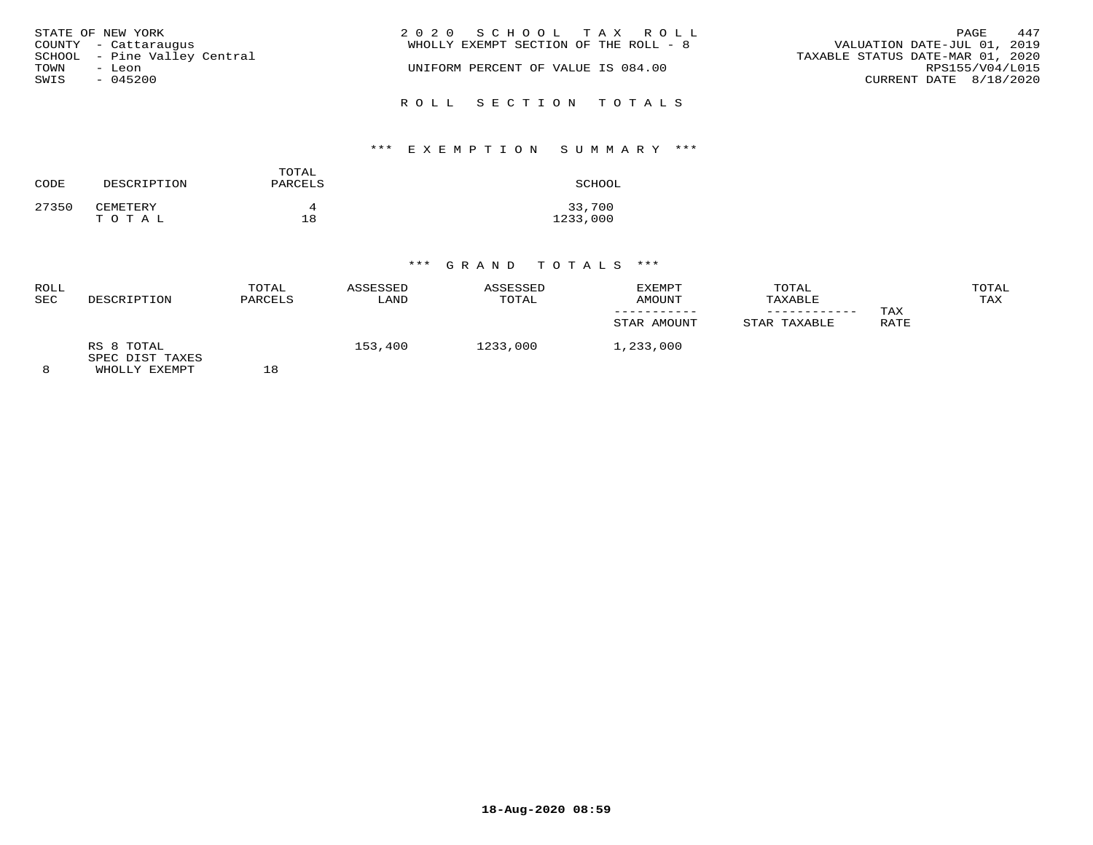| STATE OF NEW YORK            | 2020 SCHOOL TAX ROLL                  | 447<br>PAGE                      |
|------------------------------|---------------------------------------|----------------------------------|
|                              | WHOLLY EXEMPT SECTION OF THE ROLL - 8 | VALUATION DATE-JUL 01, 2019      |
| COUNTY - Cattaraugus         |                                       |                                  |
| SCHOOL - Pine Valley Central |                                       | TAXABLE STATUS DATE-MAR 01, 2020 |
| TOWN<br>- Leon               | UNIFORM PERCENT OF VALUE IS 084.00    | RPS155/V04/L015                  |
| SWIS<br>$-045200$            |                                       | CURRENT DATE 8/18/2020           |
|                              | ROLL SECTION TOTALS                   |                                  |

# \*\*\* E X E M P T I O N S U M M A R Y \*\*\*

| CODE  | DESCRIPTION       | TOTAL<br>PARCELS | SCHOOL             |
|-------|-------------------|------------------|--------------------|
| 27350 | CEMETERY<br>TOTAL | 18               | 33,700<br>1233,000 |

| ROLL<br><b>SEC</b> | DESCRIPTION                                    | TOTAL<br>PARCELS | ASSESSED<br>LAND | ASSESSED<br>TOTAL | EXEMPT<br>AMOUNT<br>STAR AMOUNT | TOTAL<br>TAXABLE<br>STAR TAXABLE | TAX<br>RATE | TOTAL<br>TAX |
|--------------------|------------------------------------------------|------------------|------------------|-------------------|---------------------------------|----------------------------------|-------------|--------------|
| 8                  | RS 8 TOTAL<br>SPEC DIST TAXES<br>WHOLLY EXEMPT | 18               | 153,400          | 1233,000          | 1,233,000                       |                                  |             |              |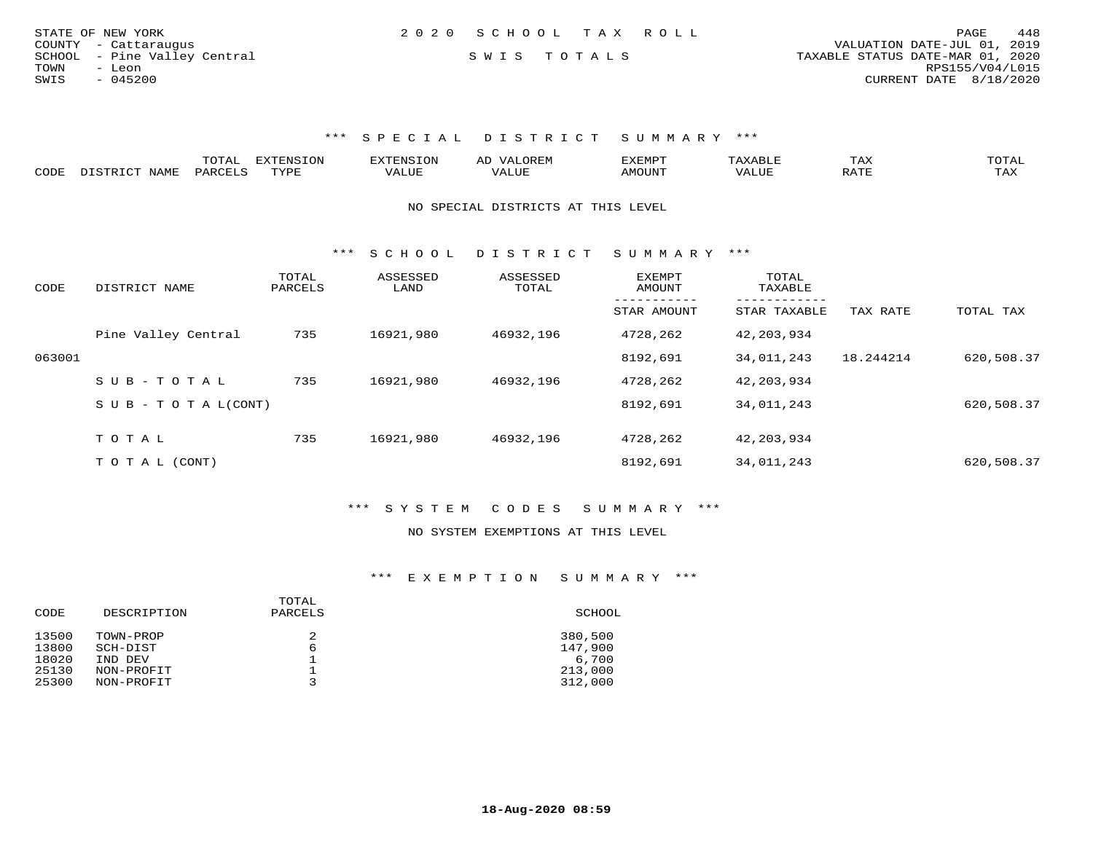| STATE OF NEW YORK            | 2020 SCHOOL TAX ROLL |                                  | 448<br>PAGE     |
|------------------------------|----------------------|----------------------------------|-----------------|
| COUNTY - Cattaraugus         |                      | VALUATION DATE-JUL 01, 2019      |                 |
| SCHOOL - Pine Valley Central | SWIS TOTALS          | TAXABLE STATUS DATE-MAR 01, 2020 |                 |
| TOWN<br>- Leon               |                      |                                  | RPS155/V04/L015 |
| $-045200$<br>SWIS            |                      | CURRENT DATE 8/18/2020           |                 |
|                              |                      |                                  |                 |

|      |                    | ገገጠል <sup>፡</sup> | <b>EXTENSION</b> | את דפודעי | ,,, <del>,</del> ,,,,, |       | L A A     | ◡⊥▱ |
|------|--------------------|-------------------|------------------|-----------|------------------------|-------|-----------|-----|
| CODE | NAME<br>דת פידי את | DARCELS           | TVDL<br>.        | 'ALUL     | <b>IMOUNT</b>          | 'ALUL | 17.7<br>ີ | TAX |

NO SPECIAL DISTRICTS AT THIS LEVEL

\*\*\* S C H O O L D I S T R I C T S U M M A R Y \*\*\*

| CODE   | DISTRICT NAME                    | TOTAL<br>PARCELS | ASSESSED<br>LAND | ASSESSED<br>TOTAL | <b>EXEMPT</b><br>AMOUNT | TOTAL<br>TAXABLE         |           |            |
|--------|----------------------------------|------------------|------------------|-------------------|-------------------------|--------------------------|-----------|------------|
|        |                                  |                  |                  |                   | STAR AMOUNT             | --------<br>STAR TAXABLE | TAX RATE  | TOTAL TAX  |
|        | Pine Valley Central              | 735              | 16921,980        | 46932,196         | 4728,262                | 42,203,934               |           |            |
| 063001 |                                  |                  |                  |                   | 8192,691                | 34,011,243               | 18.244214 | 620,508.37 |
|        | $SUB - TO TAL$                   | 735              | 16921,980        | 46932,196         | 4728,262                | 42,203,934               |           |            |
|        | $S \cup B - T \cup T A L (CONT)$ |                  |                  |                   | 8192,691                | 34,011,243               |           | 620,508.37 |
|        | TOTAL                            | 735              | 16921,980        | 46932,196         | 4728,262                | 42,203,934               |           |            |
|        |                                  |                  |                  |                   |                         |                          |           |            |
|        | T O T A L (CONT)                 |                  |                  |                   | 8192,691                | 34,011,243               |           | 620,508.37 |

\*\*\* S Y S T E M C O D E S S U M M A R Y \*\*\*

#### NO SYSTEM EXEMPTIONS AT THIS LEVEL

| SCHOOL  |
|---------|
| 380,500 |
| 147,900 |
| 6,700   |
| 213,000 |
| 312,000 |
|         |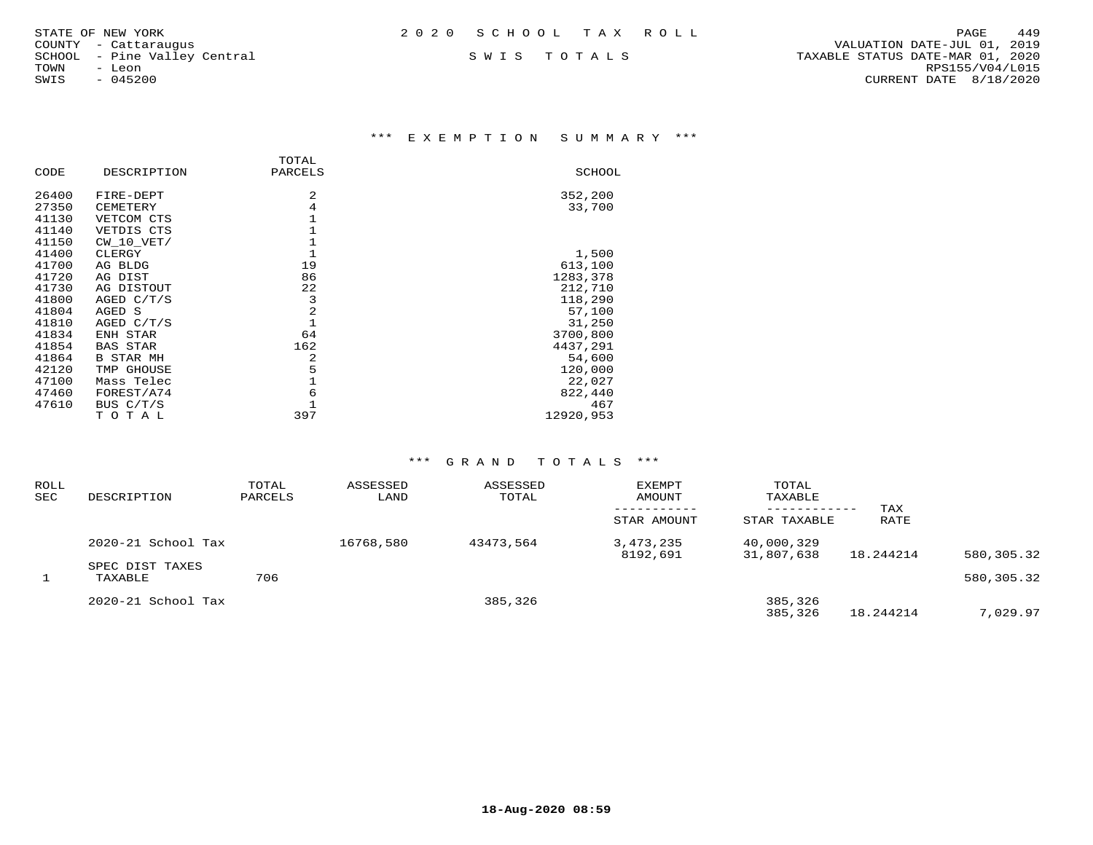\*\*\* E X E M P T I O N S U M M A R Y \*\*\*

|       |                  | TOTAL        |               |
|-------|------------------|--------------|---------------|
| CODE  | DESCRIPTION      | PARCELS      | <b>SCHOOL</b> |
| 26400 | FIRE-DEPT        | 2            | 352,200       |
| 27350 | CEMETERY         | 4            | 33,700        |
| 41130 | VETCOM CTS       | 1            |               |
| 41140 | VETDIS CTS       | 1            |               |
| 41150 | $CW$ 10 $VET/$   | 1            |               |
| 41400 | CLERGY           | $\mathbf{1}$ | 1,500         |
| 41700 | AG BLDG          | 19           | 613,100       |
| 41720 | AG DIST          | 86           | 1283,378      |
| 41730 | AG DISTOUT       | 22           | 212,710       |
| 41800 | AGED $C/T/S$     | 3            | 118,290       |
| 41804 | AGED S           | 2            | 57,100        |
| 41810 | AGED C/T/S       | $\mathbf{1}$ | 31,250        |
| 41834 | ENH STAR         | 64           | 3700,800      |
| 41854 | <b>BAS STAR</b>  | 162          | 4437,291      |
| 41864 | <b>B STAR MH</b> | 2            | 54,600        |
| 42120 | TMP GHOUSE       | 5            | 120,000       |
| 47100 | Mass Telec       | 1            | 22,027        |
| 47460 | FOREST/A74       | 6            | 822,440       |
| 47610 | BUS $C/T/S$      |              | 467           |
|       | тотаь            | 397          | 12920,953     |

| <b>ROLL</b><br>SEC | DESCRIPTION                | TOTAL<br>PARCELS | ASSESSED<br>LAND | ASSESSED<br>TOTAL | EXEMPT<br>AMOUNT      | TOTAL<br>TAXABLE<br>------------ | TAX       |            |
|--------------------|----------------------------|------------------|------------------|-------------------|-----------------------|----------------------------------|-----------|------------|
|                    |                            |                  |                  |                   | STAR AMOUNT           | STAR TAXABLE                     | RATE      |            |
|                    | 2020-21 School Tax         |                  | 16768,580        | 43473,564         | 3,473,235<br>8192,691 | 40,000,329<br>31,807,638         | 18.244214 | 580,305.32 |
|                    | SPEC DIST TAXES<br>TAXABLE | 706              |                  |                   |                       |                                  |           | 580,305.32 |
|                    | $2020 - 21$ School Tax     |                  |                  | 385,326           |                       | 385,326<br>385,326               | 18.244214 | 7,029.97   |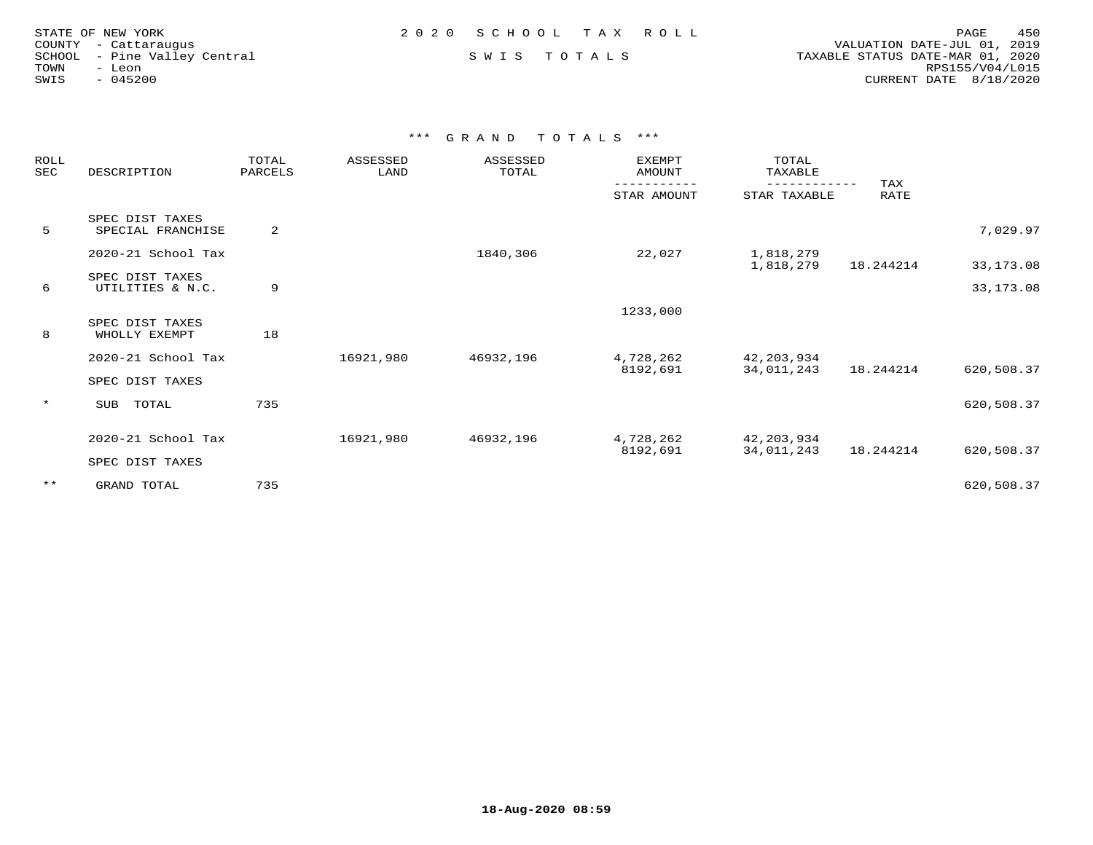| STATE OF NEW YORK<br>COUNTY - Cattaraugus      | 2020 SCHOOL TAX ROLL | 450<br>PAGE<br>VALUATION DATE-JUL 01, 2019          |
|------------------------------------------------|----------------------|-----------------------------------------------------|
| SCHOOL - Pine Valley Central<br>TOWN<br>- Leon | SWIS TOTALS          | TAXABLE STATUS DATE-MAR 01, 2020<br>RPS155/V04/L015 |
| SWIS<br>$-045200$                              |                      | CURRENT DATE 8/18/2020                              |
|                                                |                      |                                                     |

| ROLL<br>SEC | DESCRIPTION                          | TOTAL<br>PARCELS | ASSESSED<br>LAND | ASSESSED<br>TOTAL | EXEMPT<br>AMOUNT      | TOTAL<br>TAXABLE         |             |            |
|-------------|--------------------------------------|------------------|------------------|-------------------|-----------------------|--------------------------|-------------|------------|
|             |                                      |                  |                  |                   | STAR AMOUNT           | STAR TAXABLE             | TAX<br>RATE |            |
| 5           | SPEC DIST TAXES<br>SPECIAL FRANCHISE | 2                |                  |                   |                       |                          |             | 7,029.97   |
|             | 2020-21 School Tax                   |                  |                  | 1840,306          | 22,027                | 1,818,279<br>1,818,279   | 18.244214   | 33,173.08  |
| 6           | SPEC DIST TAXES<br>UTILITIES & N.C.  | 9                |                  |                   |                       |                          |             | 33,173.08  |
|             |                                      |                  |                  |                   | 1233,000              |                          |             |            |
| 8           | SPEC DIST TAXES<br>WHOLLY EXEMPT     | 18               |                  |                   |                       |                          |             |            |
|             | 2020-21 School Tax                   |                  | 16921,980        | 46932,196         | 4,728,262<br>8192,691 | 42,203,934<br>34,011,243 | 18.244214   | 620,508.37 |
|             | SPEC DIST TAXES                      |                  |                  |                   |                       |                          |             |            |
| $\star$     | SUB TOTAL                            | 735              |                  |                   |                       |                          |             | 620,508.37 |
|             | 2020-21 School Tax                   |                  | 16921,980        | 46932,196         | 4,728,262             | 42,203,934               |             |            |
|             | SPEC DIST TAXES                      |                  |                  |                   | 8192,691              | 34,011,243               | 18.244214   | 620,508.37 |
| $***$       | GRAND TOTAL                          | 735              |                  |                   |                       |                          |             | 620,508.37 |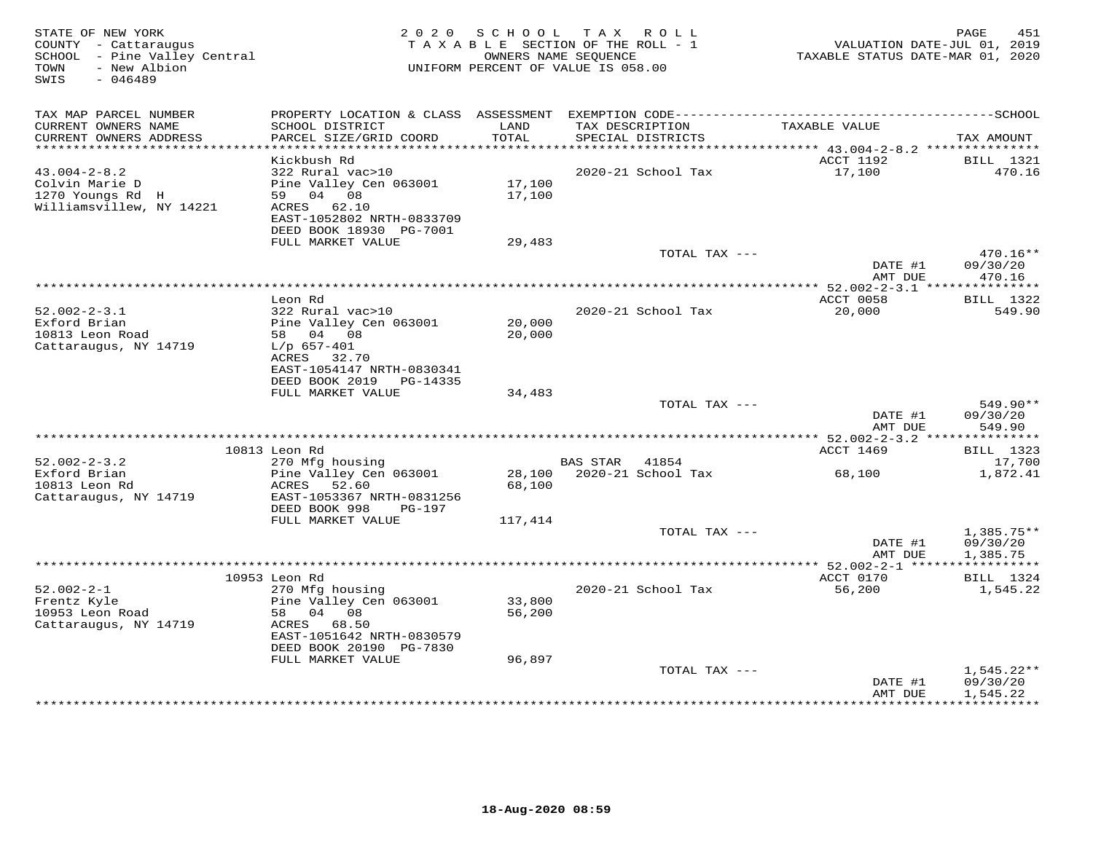| STATE OF NEW YORK<br>COUNTY - Cattaraugus<br>SCHOOL - Pine Valley Central<br>- New Albion<br>TOWN<br>SWIS<br>$-046489$ | 2 0 2 0                                                                                                                                                 | SCHOOL                     | TAX ROLL<br>TAXABLE SECTION OF THE ROLL - 1<br>OWNERS NAME SEQUENCE<br>UNIFORM PERCENT OF VALUE IS 058.00 | VALUATION DATE-JUL 01, 2019<br>TAXABLE STATUS DATE-MAR 01, 2020 | 451<br>PAGE                          |
|------------------------------------------------------------------------------------------------------------------------|---------------------------------------------------------------------------------------------------------------------------------------------------------|----------------------------|-----------------------------------------------------------------------------------------------------------|-----------------------------------------------------------------|--------------------------------------|
| TAX MAP PARCEL NUMBER                                                                                                  |                                                                                                                                                         |                            |                                                                                                           |                                                                 |                                      |
| CURRENT OWNERS NAME<br>CURRENT OWNERS ADDRESS                                                                          | SCHOOL DISTRICT<br>PARCEL SIZE/GRID COORD                                                                                                               | LAND<br><b>TOTAL</b>       | TAX DESCRIPTION<br>SPECIAL DISTRICTS                                                                      | TAXABLE VALUE                                                   | TAX AMOUNT                           |
| ************************                                                                                               | Kickbush Rd                                                                                                                                             |                            |                                                                                                           | ACCT 1192                                                       |                                      |
| $43.004 - 2 - 8.2$<br>Colvin Marie D<br>1270 Youngs Rd H<br>Williamsvillew, NY 14221                                   | 322 Rural vac>10<br>Pine Valley Cen 063001<br>59 04 08<br>ACRES 62.10<br>EAST-1052802 NRTH-0833709<br>DEED BOOK 18930 PG-7001                           | 17,100<br>17,100           | 2020-21 School Tax                                                                                        | 17,100                                                          | BILL 1321<br>470.16                  |
|                                                                                                                        | FULL MARKET VALUE                                                                                                                                       | 29,483                     |                                                                                                           |                                                                 |                                      |
|                                                                                                                        |                                                                                                                                                         |                            | TOTAL TAX ---                                                                                             | DATE #1<br>AMT DUE                                              | $470.16**$<br>09/30/20<br>470.16     |
|                                                                                                                        |                                                                                                                                                         |                            | **********************************                                                                        | ******* 52.002-2-3.1 ***************                            |                                      |
| $52.002 - 2 - 3.1$<br>Exford Brian<br>10813 Leon Road<br>Cattaraugus, NY 14719                                         | Leon Rd<br>322 Rural vac>10<br>Pine Valley Cen 063001<br>58 04 08<br>$L/p$ 657-401<br>ACRES 32.70<br>EAST-1054147 NRTH-0830341                          | 20,000<br>20,000           | 2020-21 School Tax                                                                                        | ACCT 0058<br>20,000                                             | BILL 1322<br>549.90                  |
|                                                                                                                        | DEED BOOK 2019 PG-14335                                                                                                                                 |                            |                                                                                                           |                                                                 |                                      |
|                                                                                                                        | FULL MARKET VALUE                                                                                                                                       | 34,483                     |                                                                                                           |                                                                 |                                      |
|                                                                                                                        |                                                                                                                                                         |                            | TOTAL TAX ---                                                                                             | DATE #1<br>AMT DUE                                              | 549.90**<br>09/30/20<br>549.90       |
|                                                                                                                        |                                                                                                                                                         |                            |                                                                                                           | ****************** 52.002-2-3.2 ***************                 |                                      |
|                                                                                                                        | 10813 Leon Rd                                                                                                                                           |                            |                                                                                                           | ACCT 1469                                                       | <b>BILL</b> 1323                     |
| $52.002 - 2 - 3.2$<br>Exford Brian<br>10813 Leon Rd<br>Cattaraugus, NY 14719                                           | 270 Mfg housing<br>Pine Valley Cen 063001<br>52.60<br>ACRES<br>EAST-1053367 NRTH-0831256                                                                | 28,100<br>68,100           | <b>BAS STAR</b><br>41854<br>2020-21 School Tax                                                            | 68,100                                                          | 17,700<br>1,872.41                   |
|                                                                                                                        | DEED BOOK 998<br><b>PG-197</b>                                                                                                                          |                            |                                                                                                           |                                                                 |                                      |
|                                                                                                                        | FULL MARKET VALUE                                                                                                                                       | 117,414                    |                                                                                                           |                                                                 |                                      |
|                                                                                                                        |                                                                                                                                                         |                            | TOTAL TAX ---                                                                                             | DATE #1<br>AMT DUE                                              | $1,385.75**$<br>09/30/20<br>1,385.75 |
|                                                                                                                        |                                                                                                                                                         |                            |                                                                                                           |                                                                 |                                      |
|                                                                                                                        | 10953 Leon Rd                                                                                                                                           |                            |                                                                                                           | ACCT 0170                                                       | BILL 1324                            |
| $52.002 - 2 - 1$<br>Frentz Kyle<br>10953 Leon Road<br>Cattaraugus, NY 14719                                            | 270 Mfg housing<br>Pine Valley Cen 063001<br>58<br>04 08<br>ACRES<br>68.50<br>EAST-1051642 NRTH-0830579<br>DEED BOOK 20190 PG-7830<br>FULL MARKET VALUE | 33,800<br>56,200<br>96,897 | 2020-21 School Tax                                                                                        | 56,200                                                          | 1,545.22                             |
|                                                                                                                        |                                                                                                                                                         |                            | TOTAL TAX ---                                                                                             |                                                                 | $1,545.22**$                         |
|                                                                                                                        |                                                                                                                                                         |                            |                                                                                                           | DATE #1<br>AMT DUE                                              | 09/30/20<br>1,545.22<br>***********  |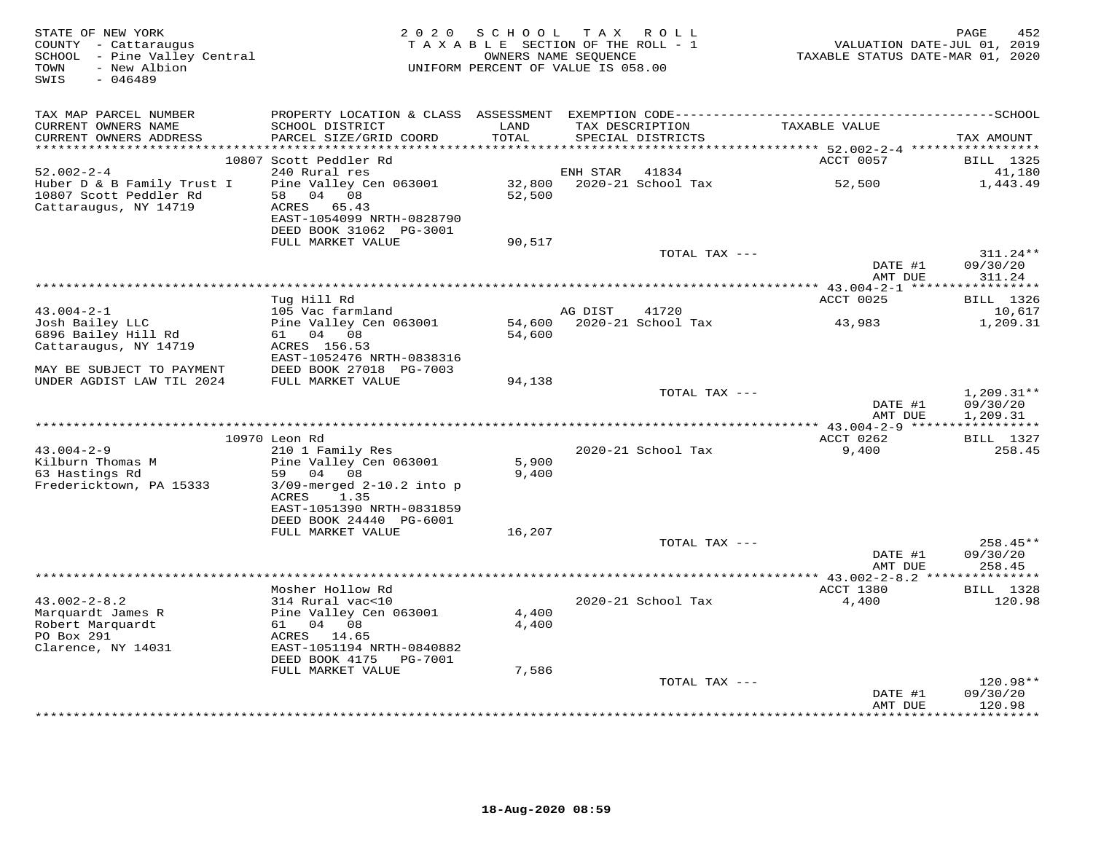| STATE OF NEW YORK<br>COUNTY - Cattaraugus<br>SCHOOL - Pine Valley Central<br>- New Albion<br>TOWN<br>$-046489$<br>SWIS | 2 0 2 0                                              | SCHOOL TAX ROLL<br>TAXABLE SECTION OF THE ROLL - 1<br>OWNERS NAME SEQUENCE<br>UNIFORM PERCENT OF VALUE IS 058.00 |          |                           | TAXABLE STATUS DATE-MAR 01, 2020 | PAGE<br>452<br>VALUATION DATE-JUL 01, 2019 |
|------------------------------------------------------------------------------------------------------------------------|------------------------------------------------------|------------------------------------------------------------------------------------------------------------------|----------|---------------------------|----------------------------------|--------------------------------------------|
| TAX MAP PARCEL NUMBER                                                                                                  |                                                      |                                                                                                                  |          |                           |                                  |                                            |
| CURRENT OWNERS NAME                                                                                                    | SCHOOL DISTRICT                                      | LAND                                                                                                             |          | TAX DESCRIPTION           | TAXABLE VALUE                    |                                            |
| CURRENT OWNERS ADDRESS                                                                                                 | PARCEL SIZE/GRID COORD                               | TOTAL                                                                                                            |          | SPECIAL DISTRICTS         |                                  | TAX AMOUNT                                 |
|                                                                                                                        | 10807 Scott Peddler Rd                               |                                                                                                                  |          |                           | ACCT 0057                        | <b>BILL</b> 1325                           |
| $52.002 - 2 - 4$                                                                                                       | 240 Rural res                                        |                                                                                                                  | ENH STAR | 41834                     |                                  | 41,180                                     |
| Huber D & B Family Trust I                                                                                             | Pine Valley Cen 063001                               | 32,800                                                                                                           |          | 2020-21 School Tax        | 52,500                           | 1,443.49                                   |
| 10807 Scott Peddler Rd                                                                                                 | 58 04 08                                             | 52,500                                                                                                           |          |                           |                                  |                                            |
| Cattaraugus, NY 14719                                                                                                  | ACRES 65.43                                          |                                                                                                                  |          |                           |                                  |                                            |
|                                                                                                                        | EAST-1054099 NRTH-0828790                            |                                                                                                                  |          |                           |                                  |                                            |
|                                                                                                                        | DEED BOOK 31062 PG-3001                              |                                                                                                                  |          |                           |                                  |                                            |
|                                                                                                                        | FULL MARKET VALUE                                    | 90,517                                                                                                           |          |                           |                                  | 311.24**                                   |
|                                                                                                                        |                                                      |                                                                                                                  |          | TOTAL TAX ---             | DATE #1                          | 09/30/20                                   |
|                                                                                                                        |                                                      |                                                                                                                  |          |                           | AMT DUE                          | 311.24                                     |
|                                                                                                                        |                                                      |                                                                                                                  |          |                           |                                  |                                            |
|                                                                                                                        | Tug Hill Rd                                          |                                                                                                                  |          |                           | ACCT 0025                        | <b>BILL</b> 1326                           |
| $43.004 - 2 - 1$                                                                                                       | 105 Vac farmland                                     |                                                                                                                  | AG DIST  | 41720                     |                                  | 10,617                                     |
| Josh Bailey LLC                                                                                                        | Pine Valley Cen 063001                               |                                                                                                                  |          | 54,600 2020-21 School Tax | 43,983                           | 1,209.31                                   |
| 6896 Bailey Hill Rd                                                                                                    | 61 04 08                                             | 54,600                                                                                                           |          |                           |                                  |                                            |
| Cattaraugus, NY 14719                                                                                                  | ACRES 156.53<br>EAST-1052476 NRTH-0838316            |                                                                                                                  |          |                           |                                  |                                            |
| MAY BE SUBJECT TO PAYMENT                                                                                              | DEED BOOK 27018 PG-7003                              |                                                                                                                  |          |                           |                                  |                                            |
| UNDER AGDIST LAW TIL 2024                                                                                              | FULL MARKET VALUE                                    | 94,138                                                                                                           |          |                           |                                  |                                            |
|                                                                                                                        |                                                      |                                                                                                                  |          | TOTAL TAX ---             |                                  | $1,209.31**$                               |
|                                                                                                                        |                                                      |                                                                                                                  |          |                           | DATE #1                          | 09/30/20                                   |
| **********************                                                                                                 |                                                      |                                                                                                                  |          |                           | AMT DUE                          | 1,209.31                                   |
|                                                                                                                        | 10970 Leon Rd                                        |                                                                                                                  |          |                           | ACCT 0262                        | <b>BILL</b> 1327                           |
| $43.004 - 2 - 9$                                                                                                       | 210 1 Family Res                                     |                                                                                                                  |          | 2020-21 School Tax        | 9,400                            | 258.45                                     |
| Kilburn Thomas M                                                                                                       | Pine Valley Cen 063001                               | 5,900                                                                                                            |          |                           |                                  |                                            |
| 63 Hastings Rd                                                                                                         | 04 08<br>59                                          | 9,400                                                                                                            |          |                           |                                  |                                            |
| Fredericktown, PA 15333                                                                                                | $3/09$ -merged $2-10.2$ into p                       |                                                                                                                  |          |                           |                                  |                                            |
|                                                                                                                        | 1.35<br>ACRES                                        |                                                                                                                  |          |                           |                                  |                                            |
|                                                                                                                        | EAST-1051390 NRTH-0831859<br>DEED BOOK 24440 PG-6001 |                                                                                                                  |          |                           |                                  |                                            |
|                                                                                                                        | FULL MARKET VALUE                                    | 16,207                                                                                                           |          |                           |                                  |                                            |
|                                                                                                                        |                                                      |                                                                                                                  |          | TOTAL TAX ---             |                                  | 258.45**                                   |
|                                                                                                                        |                                                      |                                                                                                                  |          |                           | DATE #1                          | 09/30/20                                   |
|                                                                                                                        |                                                      |                                                                                                                  |          |                           | AMT DUE                          | 258.45                                     |
|                                                                                                                        |                                                      |                                                                                                                  |          |                           |                                  | * * * * * * * * * * * *                    |
|                                                                                                                        | Mosher Hollow Rd                                     |                                                                                                                  |          |                           | ACCT 1380                        | <b>BILL</b> 1328                           |
| $43.002 - 2 - 8.2$<br>Marquardt James R                                                                                | 314 Rural vac<10                                     | 4,400                                                                                                            |          | 2020-21 School Tax        | 4,400                            | 120.98                                     |
| Robert Marquardt                                                                                                       | Pine Valley Cen 063001<br>61 04 08                   | 4,400                                                                                                            |          |                           |                                  |                                            |
| PO Box 291                                                                                                             | ACRES 14.65                                          |                                                                                                                  |          |                           |                                  |                                            |
| Clarence, NY 14031                                                                                                     | EAST-1051194 NRTH-0840882                            |                                                                                                                  |          |                           |                                  |                                            |
|                                                                                                                        | DEED BOOK 4175    PG-7001                            |                                                                                                                  |          |                           |                                  |                                            |
|                                                                                                                        | FULL MARKET VALUE                                    | 7,586                                                                                                            |          |                           |                                  |                                            |
|                                                                                                                        |                                                      |                                                                                                                  |          | TOTAL TAX ---             |                                  | $120.98**$                                 |
|                                                                                                                        |                                                      |                                                                                                                  |          |                           | DATE #1<br>AMT DUE               | 09/30/20<br>120.98                         |
|                                                                                                                        |                                                      |                                                                                                                  |          |                           |                                  | *********                                  |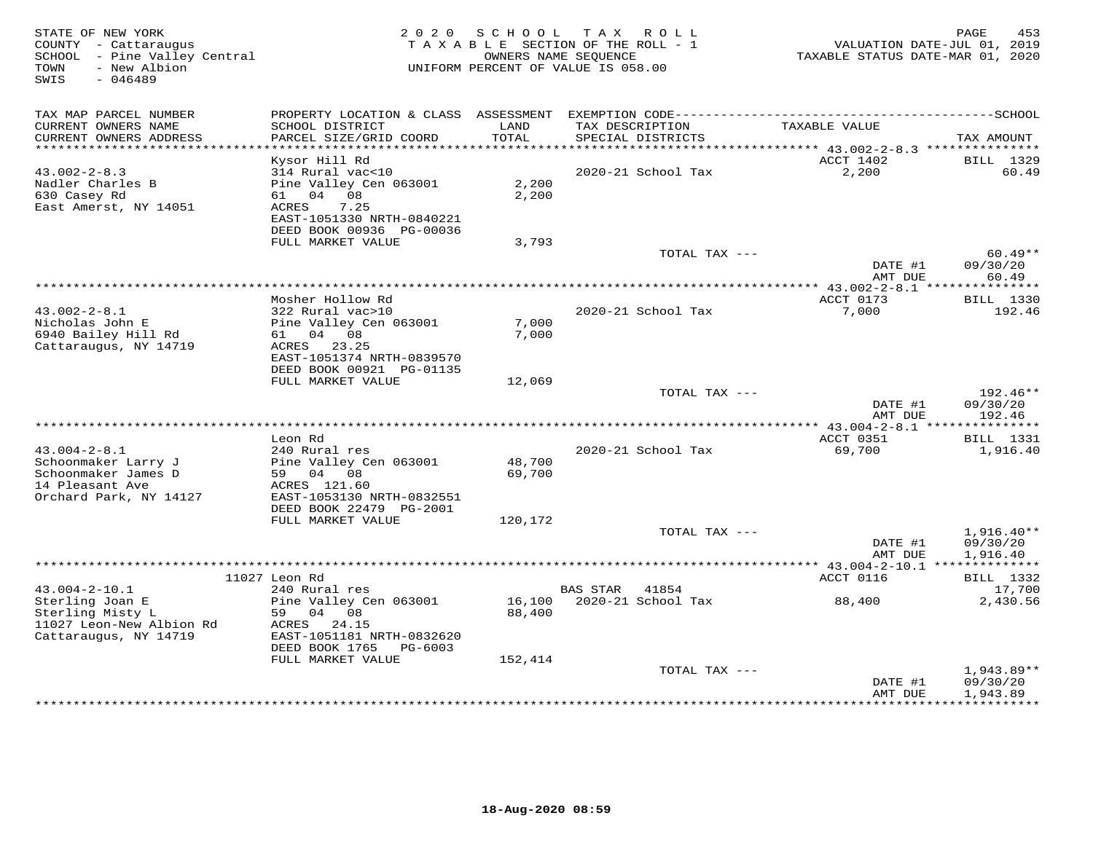| STATE OF NEW YORK<br>COUNTY - Cattaraugus<br>SCHOOL - Pine Valley Central<br>- New Albion<br>TOWN<br>SWIS<br>$-046489$ |                                                                                                                                  | 2020 SCHOOL      | T A X<br>R O L L<br>TAXABLE SECTION OF THE ROLL - 1<br>OWNERS NAME SEQUENCE<br>UNIFORM PERCENT OF VALUE IS 058.00 | TAXABLE STATUS DATE-MAR 01, 2020                         | PAGE<br>453<br>VALUATION DATE-JUL 01, 2019 |
|------------------------------------------------------------------------------------------------------------------------|----------------------------------------------------------------------------------------------------------------------------------|------------------|-------------------------------------------------------------------------------------------------------------------|----------------------------------------------------------|--------------------------------------------|
| TAX MAP PARCEL NUMBER                                                                                                  |                                                                                                                                  |                  |                                                                                                                   |                                                          |                                            |
| CURRENT OWNERS NAME<br>CURRENT OWNERS ADDRESS<br>***********************                                               | SCHOOL DISTRICT<br>PARCEL SIZE/GRID COORD                                                                                        | LAND<br>TOTAL    | TAX DESCRIPTION<br>SPECIAL DISTRICTS                                                                              | TAXABLE VALUE                                            | TAX AMOUNT                                 |
|                                                                                                                        | Kysor Hill Rd                                                                                                                    |                  |                                                                                                                   | ACCT 1402                                                | BILL 1329                                  |
| $43.002 - 2 - 8.3$<br>Nadler Charles B<br>630 Casey Rd<br>East Amerst, NY 14051                                        | 314 Rural vac<10<br>Pine Valley Cen 063001<br>61 04 08<br>7.25<br>ACRES<br>EAST-1051330 NRTH-0840221<br>DEED BOOK 00936 PG-00036 | 2,200<br>2,200   | 2020-21 School Tax                                                                                                | 2,200                                                    | 60.49                                      |
|                                                                                                                        | FULL MARKET VALUE                                                                                                                | 3,793            |                                                                                                                   |                                                          |                                            |
|                                                                                                                        |                                                                                                                                  |                  | TOTAL TAX ---                                                                                                     | DATE #1<br>AMT DUE                                       | $60.49**$<br>09/30/20<br>60.49             |
|                                                                                                                        |                                                                                                                                  |                  | *************************************                                                                             | ************ 43.002-2-8.1 ****************               |                                            |
| $43.002 - 2 - 8.1$<br>Nicholas John E<br>6940 Bailey Hill Rd                                                           | Mosher Hollow Rd<br>322 Rural vac>10<br>Pine Valley Cen 063001<br>61 04 08                                                       | 7,000<br>7,000   | 2020-21 School Tax                                                                                                | ACCT 0173<br>7,000                                       | BILL 1330<br>192.46                        |
| Cattaraugus, NY 14719                                                                                                  | ACRES 23.25<br>EAST-1051374 NRTH-0839570<br>DEED BOOK 00921 PG-01135                                                             |                  |                                                                                                                   |                                                          |                                            |
|                                                                                                                        | FULL MARKET VALUE                                                                                                                | 12,069           | TOTAL TAX ---                                                                                                     |                                                          | 192.46**                                   |
|                                                                                                                        |                                                                                                                                  |                  |                                                                                                                   | DATE #1<br>AMT DUE<br>**** 43.004-2-8.1 **************** | 09/30/20<br>192.46                         |
|                                                                                                                        | Leon Rd                                                                                                                          |                  |                                                                                                                   | ACCT 0351                                                | BILL 1331                                  |
| $43.004 - 2 - 8.1$<br>Schoonmaker Larry J<br>Schoonmaker James D<br>14 Pleasant Ave                                    | 240 Rural res<br>Pine Valley Cen 063001<br>59 04 08<br>ACRES 121.60                                                              | 48,700<br>69,700 | 2020-21 School Tax                                                                                                | 69,700                                                   | 1,916.40                                   |
| Orchard Park, NY 14127                                                                                                 | EAST-1053130 NRTH-0832551<br>DEED BOOK 22479 PG-2001                                                                             |                  |                                                                                                                   |                                                          |                                            |
|                                                                                                                        | FULL MARKET VALUE                                                                                                                | 120,172          | TOTAL TAX ---                                                                                                     |                                                          | $1,916.40**$                               |
|                                                                                                                        |                                                                                                                                  |                  |                                                                                                                   | DATE #1<br>AMT DUE                                       | 09/30/20<br>1,916.40                       |
|                                                                                                                        |                                                                                                                                  |                  |                                                                                                                   | ****************** 43.004-2-10.1 **************          |                                            |
|                                                                                                                        | 11027 Leon Rd                                                                                                                    |                  |                                                                                                                   | ACCT 0116                                                | BILL 1332                                  |
| $43.004 - 2 - 10.1$<br>Sterling Joan E<br>Sterling Misty L<br>11027 Leon-New Albion Rd<br>Cattaraugus, NY 14719        | 240 Rural res<br>Pine Valley Cen 063001<br>59<br>04 08<br>ACRES 24.15<br>EAST-1051181 NRTH-0832620<br>DEED BOOK 1765<br>PG-6003  | 16,100<br>88,400 | <b>BAS STAR</b><br>41854<br>2020-21 School Tax                                                                    | 88,400                                                   | 17,700<br>2,430.56                         |
|                                                                                                                        | FULL MARKET VALUE                                                                                                                | 152,414          |                                                                                                                   |                                                          |                                            |
|                                                                                                                        |                                                                                                                                  |                  | TOTAL TAX ---                                                                                                     | DATE #1<br>AMT DUE                                       | 1,943.89**<br>09/30/20<br>1,943.89         |
|                                                                                                                        |                                                                                                                                  |                  |                                                                                                                   |                                                          | <b>++++++++++</b>                          |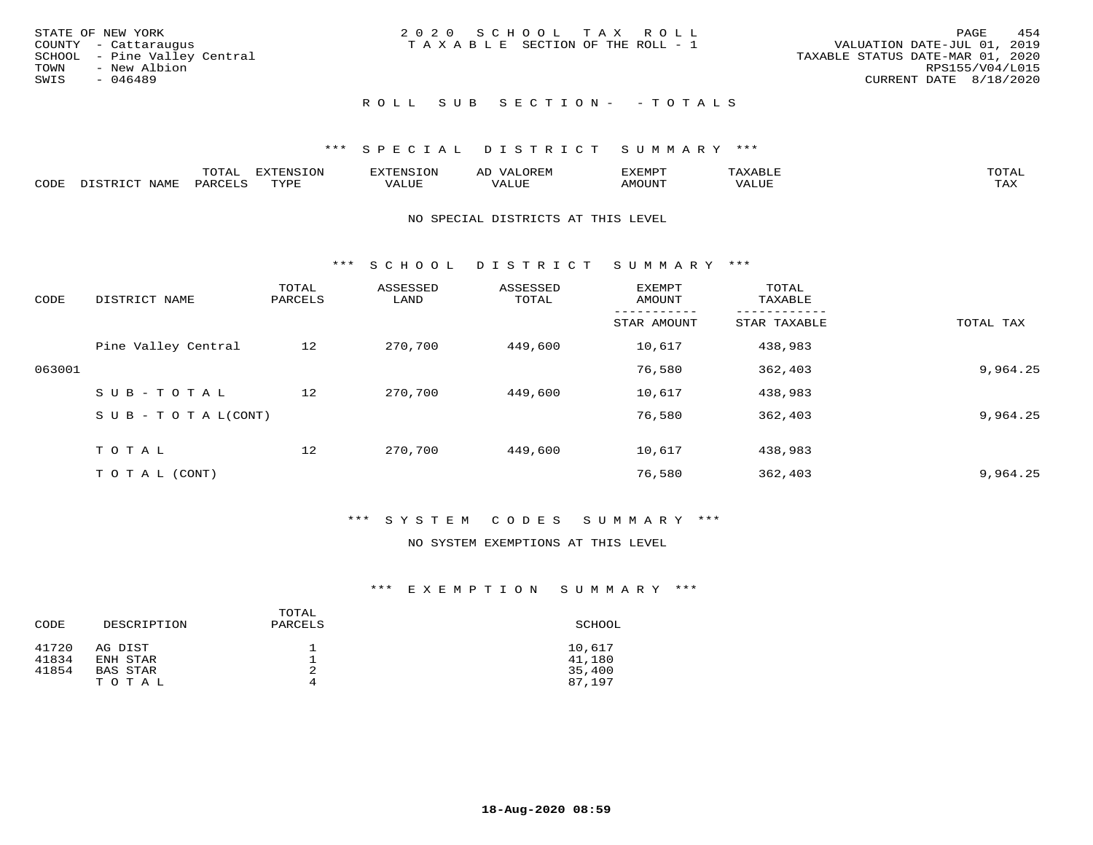| STATE OF NEW YORK<br>COUNTY - Cattaraugus<br>SCHOOL - Pine Valley Central<br>TOWN<br>- New Albion | 2020 SCHOOL TAX ROLL<br>T A X A B L E SECTION OF THE ROLL - 1 | 454<br>PAGE<br>VALUATION DATE-JUL 01, 2019<br>TAXABLE STATUS DATE-MAR 01, 2020<br>RPS155/V04/L015 |
|---------------------------------------------------------------------------------------------------|---------------------------------------------------------------|---------------------------------------------------------------------------------------------------|
| SWIS<br>- 046489                                                                                  |                                                               | CURRENT DATE 8/18/2020                                                                            |
|                                                                                                   | ROLL SUB SECTION- - TOTALS                                    |                                                                                                   |

|      |                      | ----<br><u>UIAI</u> | <b>FYTFNSION</b><br>- 75 | <b>FNC</b>     | ᅺᅜᄓ                      | SXEMPT | $\Delta$<br>.                  | $m \wedge m \wedge n$ |
|------|----------------------|---------------------|--------------------------|----------------|--------------------------|--------|--------------------------------|-----------------------|
| CODE | <b>NTAMT</b><br>⊥∙⊥⊥ | D.ODT.<br>PARL      | $m \tau \tau m$<br>.     | T T T<br>ALUF: | , <del>,</del> , , , , , | MOUN.  | , 77 T TT <del>D</del><br>ALUE | TAX                   |

#### NO SPECIAL DISTRICTS AT THIS LEVEL

\*\*\* S C H O O L D I S T R I C T S U M M A R Y \*\*\*

| CODE   | DISTRICT NAME                    | TOTAL<br>PARCELS | ASSESSED<br>LAND | ASSESSED<br>TOTAL | EXEMPT<br>AMOUNT | TOTAL<br>TAXABLE |           |
|--------|----------------------------------|------------------|------------------|-------------------|------------------|------------------|-----------|
|        |                                  |                  |                  |                   | STAR AMOUNT      | STAR TAXABLE     | TOTAL TAX |
|        | Pine Valley Central              | 12               | 270,700          | 449,600           | 10,617           | 438,983          |           |
| 063001 |                                  |                  |                  |                   | 76,580           | 362,403          | 9,964.25  |
|        | $SUB - TO TAL$                   | 12               | 270,700          | 449,600           | 10,617           | 438,983          |           |
|        | $S \cup B - T \cup T A L (CONT)$ |                  |                  |                   | 76,580           | 362,403          | 9,964.25  |
|        | TOTAL                            | 12               | 270,700          | 449,600           | 10,617           | 438,983          |           |
|        | T O T A L (CONT)                 |                  |                  |                   | 76,580           | 362,403          | 9,964.25  |

#### \*\*\* S Y S T E M C O D E S S U M M A R Y \*\*\*

#### NO SYSTEM EXEMPTIONS AT THIS LEVEL

| CODE  | DESCRIPTION | TOTAL<br>PARCELS | SCHOOL |
|-------|-------------|------------------|--------|
| 41720 | AG DIST     |                  | 10,617 |
| 41834 | ENH STAR    |                  | 41,180 |
| 41854 | BAS STAR    | 2                | 35,400 |
|       | TOTAL       | 4                | 87,197 |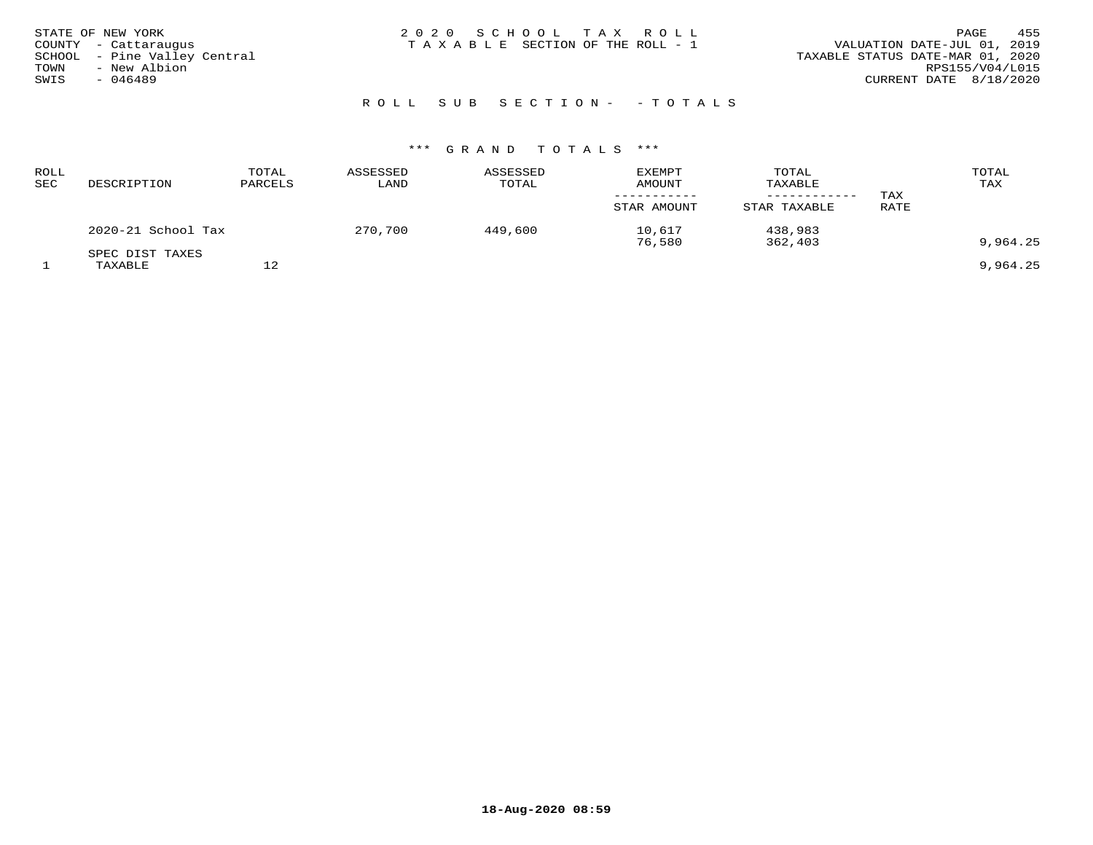| STATE OF NEW YORK<br>COUNTY - Cattaraugus<br>SCHOOL - Pine Valley Central<br>- New Albion<br>TOWN<br>SWIS<br>- 046489 | 2020 SCHOOL TAX ROLL<br>T A X A B L E SECTION OF THE ROLL - 1 | 455<br>PAGE<br>VALUATION DATE-JUL 01, 2019<br>TAXABLE STATUS DATE-MAR 01, 2020<br>RPS155/V04/L015<br>CURRENT DATE 8/18/2020 |
|-----------------------------------------------------------------------------------------------------------------------|---------------------------------------------------------------|-----------------------------------------------------------------------------------------------------------------------------|
|-----------------------------------------------------------------------------------------------------------------------|---------------------------------------------------------------|-----------------------------------------------------------------------------------------------------------------------------|

# ROLL SUB SECTION - - TOTALS

| ROLL<br>SEC | DESCRIPTION                | TOTAL<br>PARCELS | ASSESSED<br>LAND | ASSESSED<br>TOTAL | <b>EXEMPT</b><br><b>AMOUNT</b><br>STAR AMOUNT | TOTAL<br>TAXABLE<br>STAR TAXABLE | TAX<br>RATE | TOTAL<br>TAX |
|-------------|----------------------------|------------------|------------------|-------------------|-----------------------------------------------|----------------------------------|-------------|--------------|
|             | 2020-21 School Tax         |                  | 270,700          | 449,600           | 10,617<br>76,580                              | 438,983<br>362,403               |             | 9,964.25     |
|             | SPEC DIST TAXES<br>TAXABLE | 12               |                  |                   |                                               |                                  |             | 9,964.25     |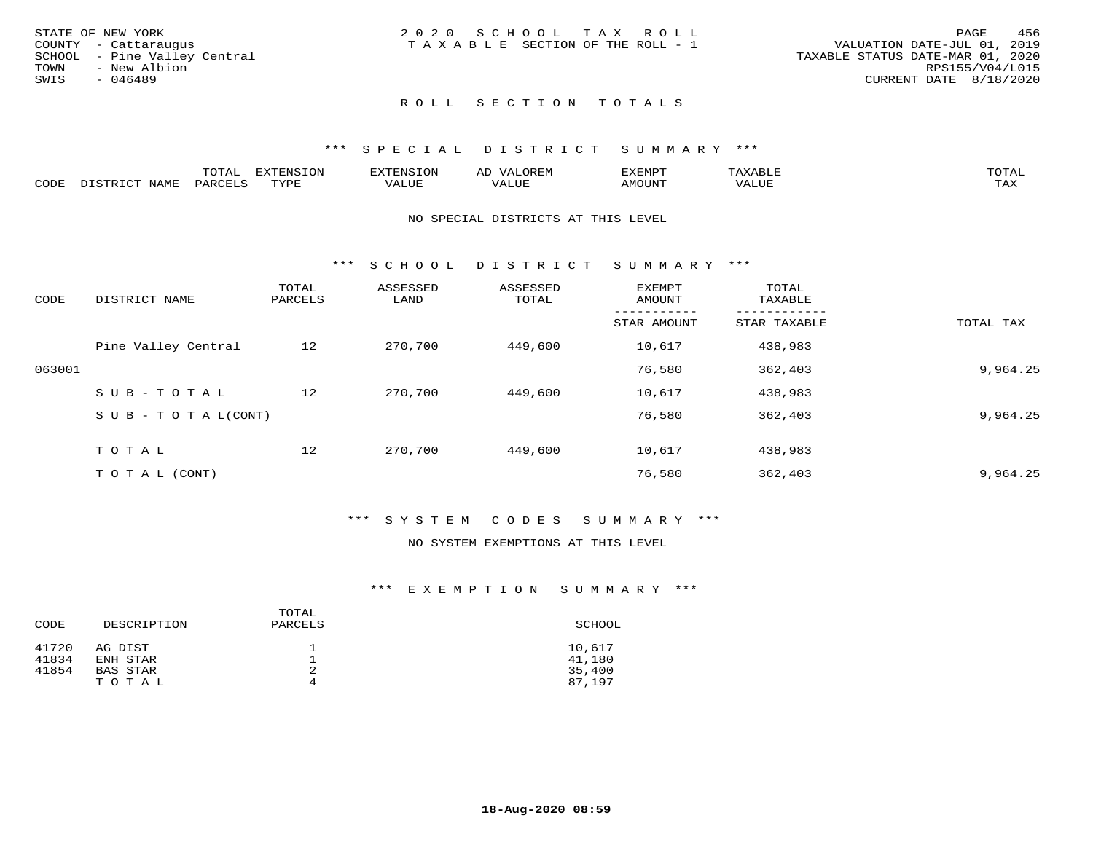|      | STATE OF NEW YORK            | 2020 SCHOOL TAX ROLL                  |  | PAGE                             | 456 |
|------|------------------------------|---------------------------------------|--|----------------------------------|-----|
|      | COUNTY - Cattaraugus         | T A X A B L E SECTION OF THE ROLL - 1 |  | VALUATION DATE-JUL 01, 2019      |     |
|      | SCHOOL - Pine Valley Central |                                       |  | TAXABLE STATUS DATE-MAR 01, 2020 |     |
| TOWN | - New Albion                 |                                       |  | RPS155/V04/L015                  |     |
| SWIS | $-046489$                    |                                       |  | CURRENT DATE 8/18/2020           |     |
|      |                              |                                       |  |                                  |     |

# ROLL SECTION TOTALS

#### \*\*\* S P E C I A L D I S T R I C T S U M M A R Y \*\*\*

|      |                          | momn.<br>LUIAL     | <b>EXTENSION</b> | $117$ mm $170707$<br>אי | ΑD<br>.JREN      | 33773850<br>ivi D'<br>ניומיום בי | $max$ and $max$ | $m \wedge m \wedge n$ |
|------|--------------------------|--------------------|------------------|-------------------------|------------------|----------------------------------|-----------------|-----------------------|
| CODE | <b>NAME</b><br>DISTO TOT | PARCE <sup>T</sup> | TVDF             | VALUE                   | -- - ---<br>ALUE | TUUOM4                           | VALUE           | <b>TAY</b><br>⊥⇔∆     |

#### NO SPECIAL DISTRICTS AT THIS LEVEL

\*\*\* S C H O O L D I S T R I C T S U M M A R Y \*\*\*

| CODE   | DISTRICT NAME                    | TOTAL<br>PARCELS | ASSESSED<br>LAND | ASSESSED<br>TOTAL | EXEMPT<br>AMOUNT | TOTAL<br>TAXABLE |           |
|--------|----------------------------------|------------------|------------------|-------------------|------------------|------------------|-----------|
|        |                                  |                  |                  |                   | STAR AMOUNT      | STAR TAXABLE     | TOTAL TAX |
|        | Pine Valley Central              | 12               | 270,700          | 449,600           | 10,617           | 438,983          |           |
| 063001 |                                  |                  |                  |                   | 76,580           | 362,403          | 9,964.25  |
|        | SUB-TOTAL                        | 12               | 270,700          | 449,600           | 10,617           | 438,983          |           |
|        | $S \cup B - T \cup T A L (CONT)$ |                  |                  |                   | 76,580           | 362,403          | 9,964.25  |
|        | TOTAL                            | 12               | 270,700          | 449,600           | 10,617           | 438,983          |           |
|        | T O T A L (CONT)                 |                  |                  |                   | 76,580           | 362,403          | 9,964.25  |

#### \*\*\* S Y S T E M C O D E S S U M M A R Y \*\*\*

### NO SYSTEM EXEMPTIONS AT THIS LEVEL

| CODE  | DESCRIPTION | TOTAL<br>PARCELS | SCHOOL |
|-------|-------------|------------------|--------|
| 41720 | AG DIST     |                  | 10,617 |
| 41834 | ENH STAR    |                  | 41,180 |
| 41854 | BAS STAR    | 2                | 35,400 |
|       | TOTAL       | 4                | 87,197 |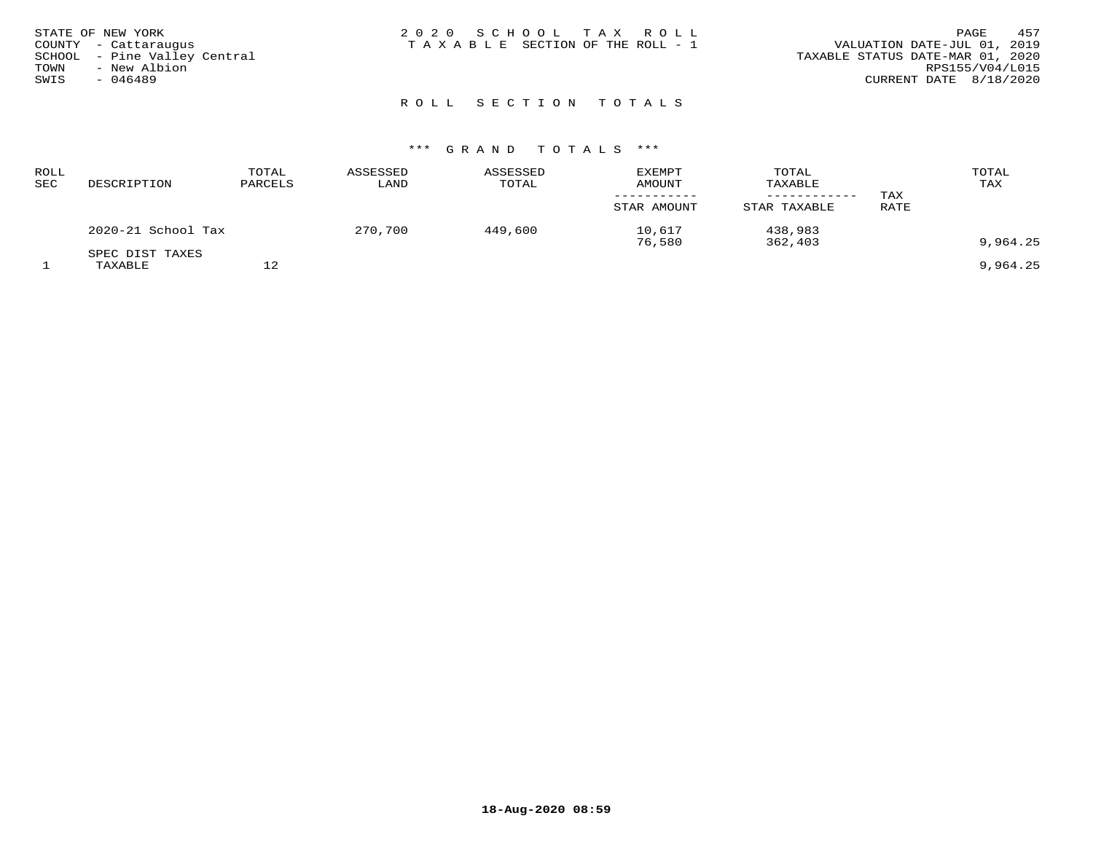| STATE OF NEW YORK |                              | 2020 SCHOOL TAX ROLL            |  | 457<br>PAGE                      |
|-------------------|------------------------------|---------------------------------|--|----------------------------------|
|                   | COUNTY - Cattaraugus         | TAXABLE SECTION OF THE ROLL - 1 |  | VALUATION DATE-JUL 01, 2019      |
|                   | SCHOOL - Pine Valley Central |                                 |  | TAXABLE STATUS DATE-MAR 01, 2020 |
| TOWN              | - New Albion                 |                                 |  | RPS155/V04/L015                  |
| SWIS              | $-046489$                    |                                 |  | CURRENT DATE 8/18/2020           |
|                   |                              |                                 |  |                                  |

# ROLL SECTION TOTALS

| ROLL<br>SEC | DESCRIPTION                | TOTAL<br>PARCELS | ASSESSED<br>LAND | ASSESSED<br>TOTAL | <b>EXEMPT</b><br><b>AMOUNT</b><br>STAR AMOUNT | TOTAL<br>TAXABLE<br>STAR TAXABLE | TAX<br>RATE | TOTAL<br>TAX |
|-------------|----------------------------|------------------|------------------|-------------------|-----------------------------------------------|----------------------------------|-------------|--------------|
|             | 2020-21 School Tax         |                  | 270,700          | 449,600           | 10,617<br>76,580                              | 438,983<br>362,403               |             | 9,964.25     |
|             | SPEC DIST TAXES<br>TAXABLE | 12               |                  |                   |                                               |                                  |             | 9,964.25     |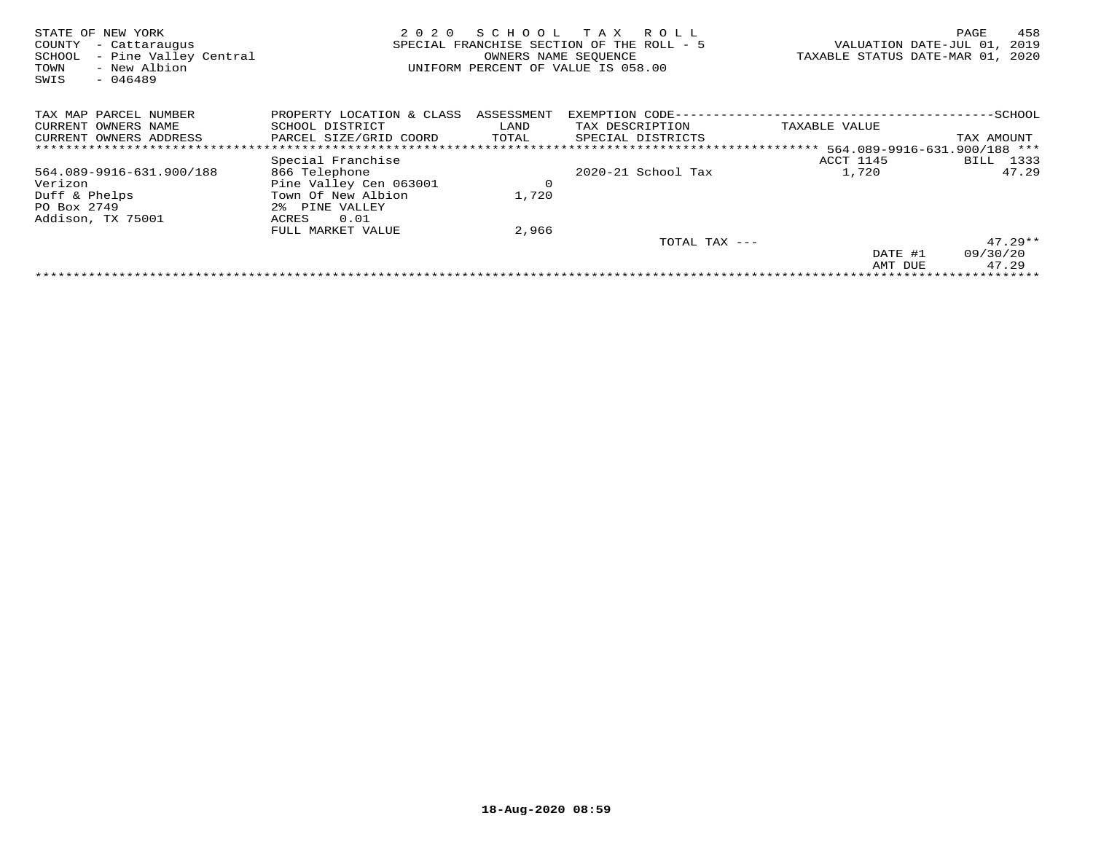| STATE OF NEW YORK<br>COUNTY<br>- Cattaraugus<br>- Pine Valley Central<br>SCHOOL<br>- New Albion<br>TOWN<br>$-046489$<br>SWIS | 2020<br>SPECIAL FRANCHISE SECTION OF THE ROLL - 5<br>UNIFORM PERCENT OF VALUE IS 058.00 |            | 458<br>PAGE<br>2019<br>VALUATION DATE-JUL 01,<br>TAXABLE STATUS DATE-MAR 01, 2020 |                     |                              |
|------------------------------------------------------------------------------------------------------------------------------|-----------------------------------------------------------------------------------------|------------|-----------------------------------------------------------------------------------|---------------------|------------------------------|
| TAX MAP PARCEL NUMBER                                                                                                        | PROPERTY LOCATION & CLASS                                                               | ASSESSMENT | EXEMPTION CODE-                                                                   |                     | -SCHOOL                      |
| CURRENT OWNERS NAME                                                                                                          | SCHOOL DISTRICT                                                                         | LAND       | TAX DESCRIPTION                                                                   | TAXABLE VALUE       |                              |
| CURRENT OWNERS ADDRESS                                                                                                       | PARCEL SIZE/GRID COORD                                                                  | TOTAL      | SPECIAL DISTRICTS                                                                 |                     | TAX AMOUNT                   |
|                                                                                                                              |                                                                                         |            |                                                                                   | * * * * * * * * * * | 564.089-9916-631.900/188 *** |
|                                                                                                                              | Special Franchise                                                                       |            |                                                                                   | ACCT 1145           | 1333<br>BILL                 |
| 564.089-9916-631.900/188                                                                                                     | 866 Telephone                                                                           |            | 2020-21 School Tax                                                                | 1,720               | 47.29                        |
| Verizon                                                                                                                      | Pine Valley Cen 063001                                                                  | 0          |                                                                                   |                     |                              |
| Duff & Phelps                                                                                                                | Town Of New Albion                                                                      | 1,720      |                                                                                   |                     |                              |
| PO Box 2749                                                                                                                  | 2% PINE VALLEY                                                                          |            |                                                                                   |                     |                              |
| Addison, TX 75001                                                                                                            | ACRES<br>0.01                                                                           |            |                                                                                   |                     |                              |
|                                                                                                                              | FULL MARKET VALUE                                                                       | 2,966      |                                                                                   |                     |                              |
|                                                                                                                              |                                                                                         |            | TOTAL TAX ---                                                                     |                     | $47.29**$                    |
|                                                                                                                              |                                                                                         |            |                                                                                   | DATE #1             | 09/30/20                     |
|                                                                                                                              |                                                                                         |            |                                                                                   | AMT DUE             | 47.29                        |
|                                                                                                                              |                                                                                         |            |                                                                                   |                     |                              |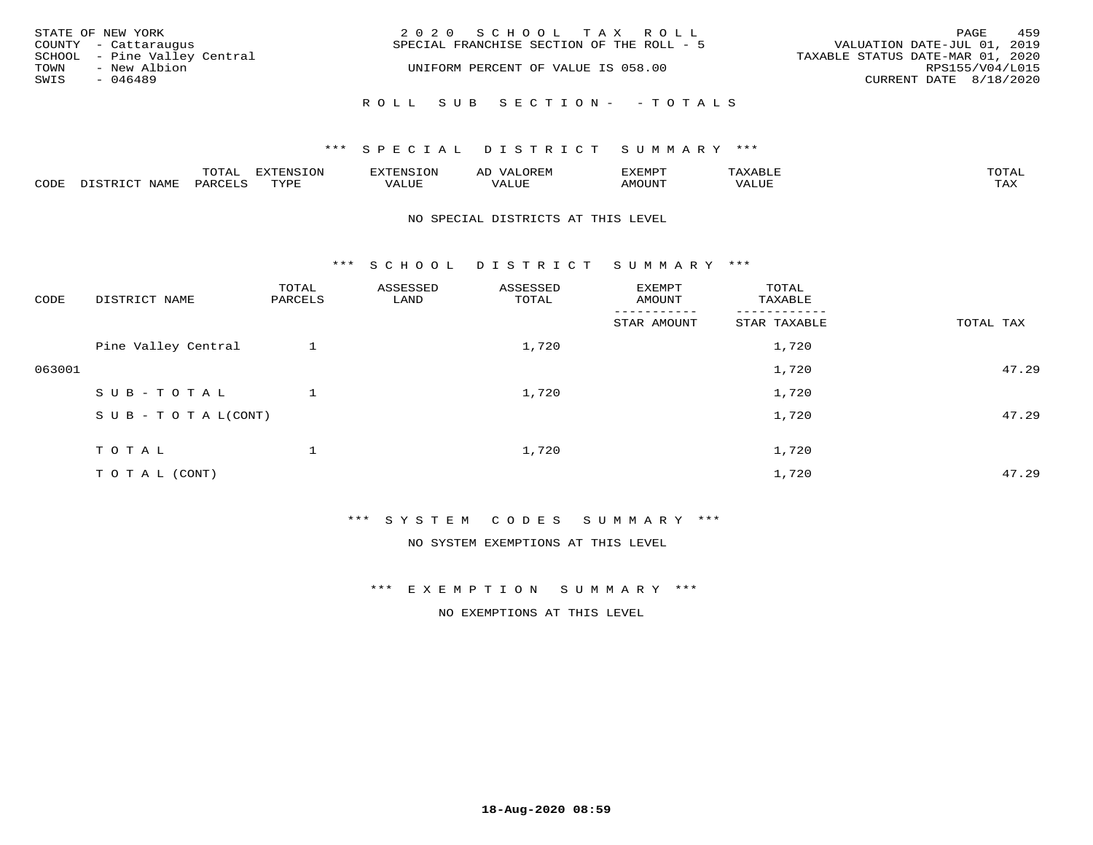| STATE OF NEW YORK<br>COUNTY - Cattaraugus |                                              |  | 2020 SCHOOL TAX ROLL<br>SPECIAL FRANCHISE SECTION OF THE ROLL - 5 |                            | VALUATION DATE-JUL 01, 2019      |                        | PAGE | 459 |
|-------------------------------------------|----------------------------------------------|--|-------------------------------------------------------------------|----------------------------|----------------------------------|------------------------|------|-----|
| TOWN                                      | SCHOOL - Pine Valley Central<br>- New Albion |  | UNIFORM PERCENT OF VALUE IS 058.00                                |                            | TAXABLE STATUS DATE-MAR 01, 2020 | RPS155/V04/L015        |      |     |
| SWIS<br>$-046489$                         |                                              |  |                                                                   |                            |                                  | CURRENT DATE 8/18/2020 |      |     |
|                                           |                                              |  |                                                                   | ROLL SUB SECTION- - TOTALS |                                  |                        |      |     |

#### \*\*\* SPECIAL DISTRICT SUMMARY \*\*\*

|      |      | $m \wedge m \wedge n$<br>◡∸ғ | TON                              | . HUNY              | AĽ                  | ے ا      |       | $m \wedge m \wedge n$ |
|------|------|------------------------------|----------------------------------|---------------------|---------------------|----------|-------|-----------------------|
| CODE | NAMF | 'AK                          | $m \times r \times r$<br>- - - - | T T T<br>اللالمستحم | - ---<br>اللالمستعم | 57077375 | VALUF | $m \times r$<br>- −-  |

#### NO SPECIAL DISTRICTS AT THIS LEVEL

\*\*\* S C H O O L D I S T R I C T S U M M A R Y \*\*\*

| CODE   | DISTRICT NAME                    | TOTAL<br>PARCELS | ASSESSED<br>LAND | ASSESSED<br>TOTAL | EXEMPT<br>AMOUNT     | TOTAL<br>TAXABLE         |           |
|--------|----------------------------------|------------------|------------------|-------------------|----------------------|--------------------------|-----------|
|        |                                  |                  |                  |                   | -----<br>STAR AMOUNT | --------<br>STAR TAXABLE | TOTAL TAX |
|        | Pine Valley Central              |                  |                  | 1,720             |                      | 1,720                    |           |
| 063001 |                                  |                  |                  |                   |                      | 1,720                    | 47.29     |
|        | SUB-TOTAL                        |                  |                  | 1,720             |                      | 1,720                    |           |
|        | $S \cup B - T \cup T A L (CONT)$ |                  |                  |                   |                      | 1,720                    | 47.29     |
|        | TOTAL                            |                  |                  | 1,720             |                      | 1,720                    |           |
|        | T O T A L (CONT)                 |                  |                  |                   |                      | 1,720                    | 47.29     |

\*\*\* S Y S T E M C O D E S S U M M A R Y \*\*\*

NO SYSTEM EXEMPTIONS AT THIS LEVEL

\*\*\* E X E M P T I O N S U M M A R Y \*\*\*

NO EXEMPTIONS AT THIS LEVEL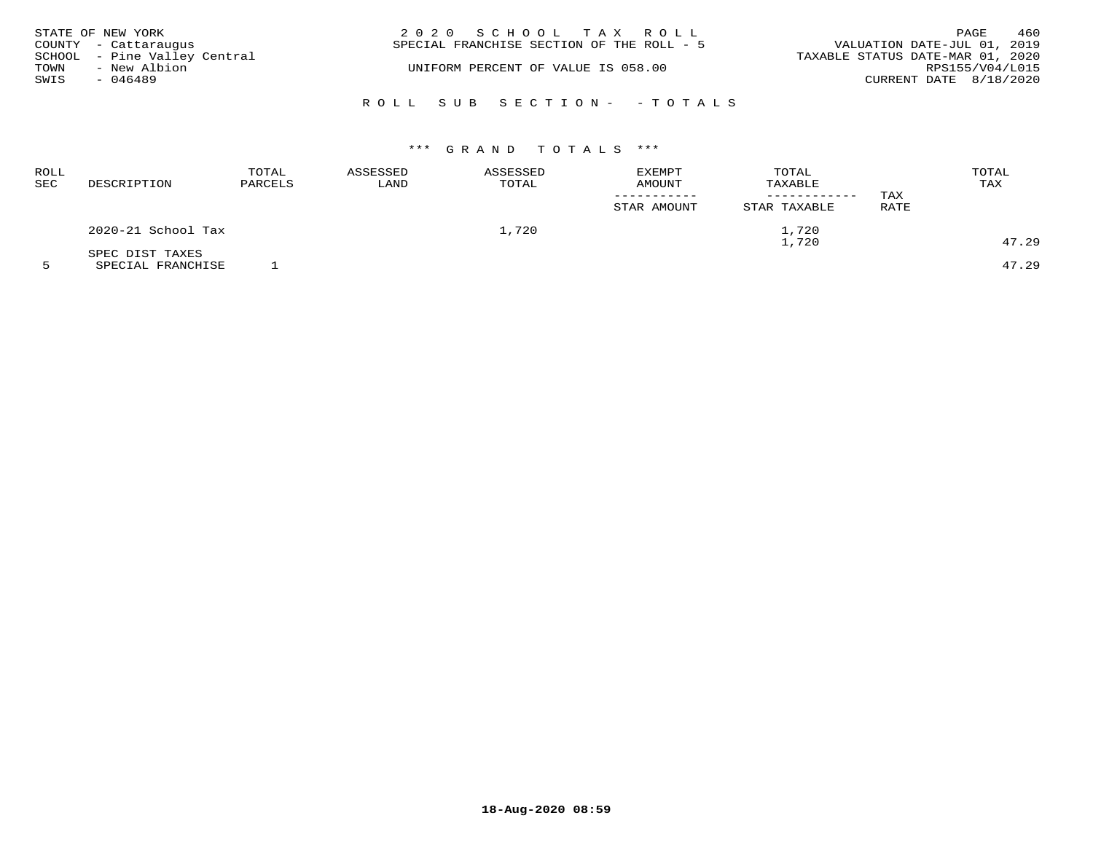| STATE OF NEW YORK                                    | 2020 SCHOOL TAX ROLL<br>SPECIAL FRANCHISE SECTION OF THE ROLL - 5 | 460<br>PAGE<br>VALUATION DATE-JUL 01, 2019 |
|------------------------------------------------------|-------------------------------------------------------------------|--------------------------------------------|
| COUNTY - Cattaraugus<br>SCHOOL - Pine Valley Central |                                                                   | TAXABLE STATUS DATE-MAR 01, 2020           |
| - New Albion<br>TOWN<br>SWIS<br>- 046489             | UNIFORM PERCENT OF VALUE IS 058.00                                | RPS155/V04/L015<br>CURRENT DATE 8/18/2020  |
|                                                      | ROLL SUB SECTION- - TOTALS                                        |                                            |

| ROLL<br><b>SEC</b> | DESCRIPTION        | TOTAL<br>PARCELS | ASSESSED<br>LAND | ASSESSED<br>TOTAL | EXEMPT<br>AMOUNT<br>STAR AMOUNT | TOTAL<br>TAXABLE<br>STAR TAXABLE | TAX<br><b>RATE</b> | TOTAL<br>TAX |
|--------------------|--------------------|------------------|------------------|-------------------|---------------------------------|----------------------------------|--------------------|--------------|
|                    | 2020-21 School Tax |                  |                  | 1,720             |                                 | ⊥,720                            |                    |              |
|                    | SPEC DIST TAXES    |                  |                  |                   | 1,720                           |                                  |                    | 47.29        |

5 SPECIAL FRANCHISE 1 47.29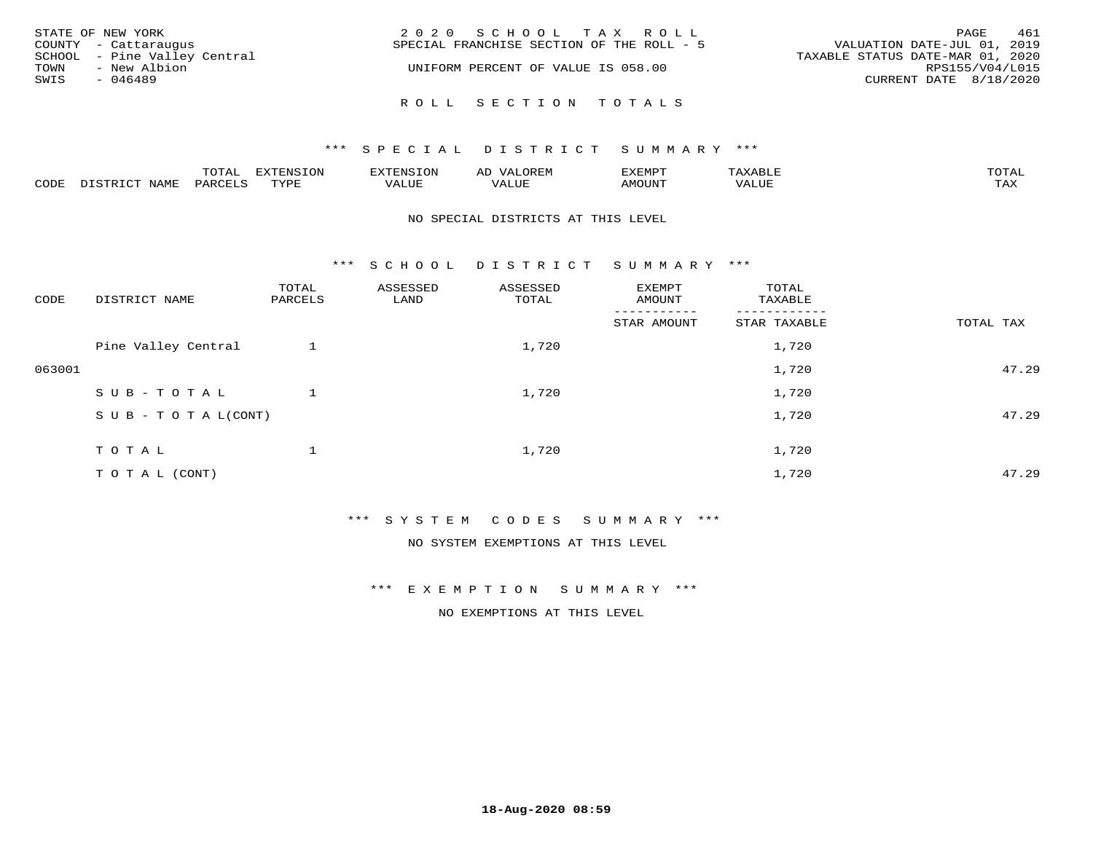| STATE OF NEW YORK<br>COUNTY - Cattaraugus                                 | 2020 SCHOOL TAX ROLL<br>SPECIAL FRANCHISE SECTION OF THE ROLL - 5 | 461<br>PAGE<br>VALUATION DATE-JUL 01, 2019                                    |
|---------------------------------------------------------------------------|-------------------------------------------------------------------|-------------------------------------------------------------------------------|
| SCHOOL - Pine Valley Central<br>- New Albion<br>TOWN<br>SWIS<br>$-046489$ | UNIFORM PERCENT OF VALUE IS 058.00                                | TAXABLE STATUS DATE-MAR 01, 2020<br>RPS155/V04/L015<br>CURRENT DATE 8/18/2020 |
|                                                                           | ROLL SECTION TOTALS                                               |                                                                               |

|      |      | $m \wedge m \wedge n$<br>◡∸ғ | TON                              | . HUNY              | AĽ                  | ے ا      |       | $m \wedge m \wedge n$ |
|------|------|------------------------------|----------------------------------|---------------------|---------------------|----------|-------|-----------------------|
| CODE | NAMF | 'AK                          | $m \times r \times r$<br>- - - - | T T T<br>اللالمستحم | - ---<br>اللالمستعم | 57077375 | VALUF | $m \times r$<br>- −-  |

#### NO SPECIAL DISTRICTS AT THIS LEVEL

\*\*\* S C H O O L D I S T R I C T S U M M A R Y \*\*\*

| CODE   | DISTRICT NAME                    | TOTAL<br>PARCELS | ASSESSED<br>LAND | ASSESSED<br>TOTAL | EXEMPT<br>AMOUNT     | TOTAL<br>TAXABLE         |           |
|--------|----------------------------------|------------------|------------------|-------------------|----------------------|--------------------------|-----------|
|        |                                  |                  |                  |                   | -----<br>STAR AMOUNT | --------<br>STAR TAXABLE | TOTAL TAX |
|        | Pine Valley Central              |                  |                  | 1,720             |                      | 1,720                    |           |
| 063001 |                                  |                  |                  |                   |                      | 1,720                    | 47.29     |
|        | SUB-TOTAL                        |                  |                  | 1,720             |                      | 1,720                    |           |
|        | $S \cup B - T \cup T A L (CONT)$ |                  |                  |                   |                      | 1,720                    | 47.29     |
|        | TOTAL                            |                  |                  | 1,720             |                      | 1,720                    |           |
|        | T O T A L (CONT)                 |                  |                  |                   |                      | 1,720                    | 47.29     |

\*\*\* S Y S T E M C O D E S S U M M A R Y \*\*\*

NO SYSTEM EXEMPTIONS AT THIS LEVEL

\*\*\* E X E M P T I O N S U M M A R Y \*\*\*

NO EXEMPTIONS AT THIS LEVEL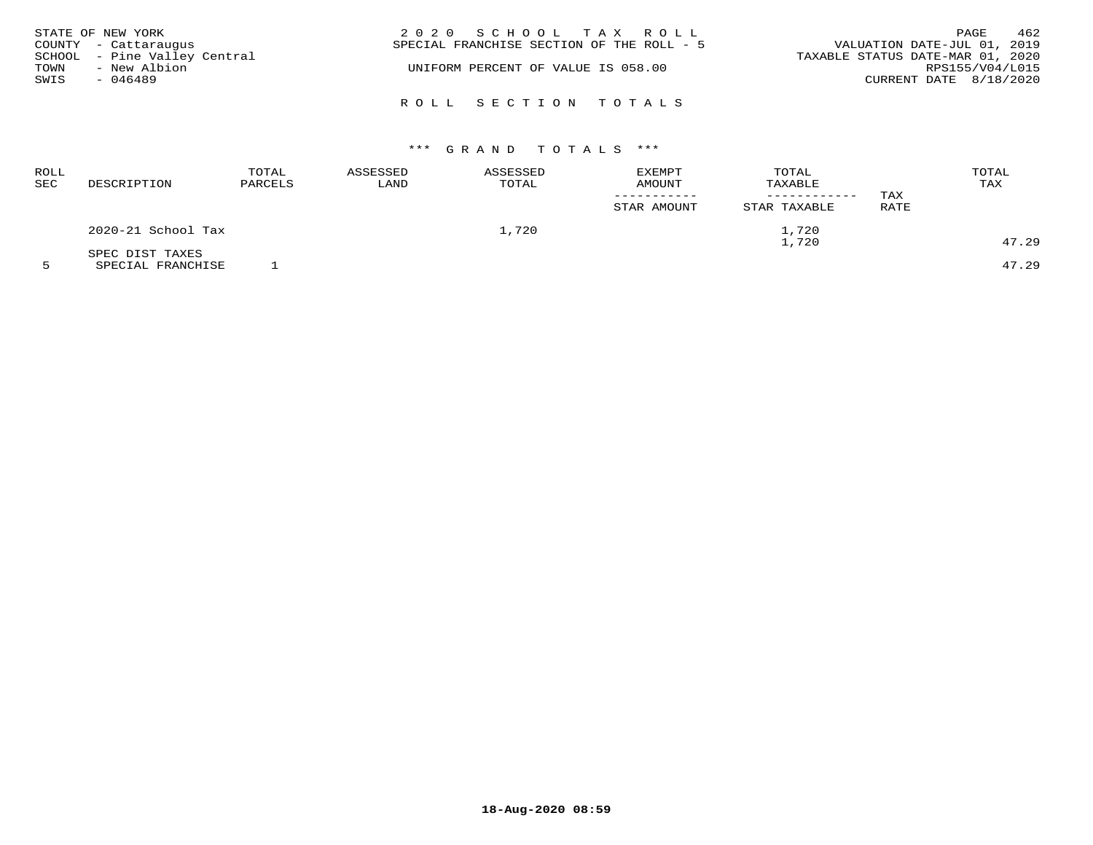| TOWN<br>SWIS | STATE OF NEW YORK<br>COUNTY - Cattaraugus<br>SCHOOL - Pine Valley Central<br>- New Albion<br>$-046489$ | 2020 SCHOOL TAX ROLL<br>SPECIAL FRANCHISE SECTION OF THE ROLL - 5<br>UNIFORM PERCENT OF VALUE IS 058.00 | PAGE<br>VALUATION DATE-JUL 01, 2019<br>TAXABLE STATUS DATE-MAR 01, 2020<br>RPS155/V04/L015<br>CURRENT DATE 8/18/2020 | 462 |
|--------------|--------------------------------------------------------------------------------------------------------|---------------------------------------------------------------------------------------------------------|----------------------------------------------------------------------------------------------------------------------|-----|
|              |                                                                                                        | ROLL SECTION TOTALS                                                                                     |                                                                                                                      |     |

| ROLL<br><b>SEC</b> | DESCRIPTION        | TOTAL<br>PARCELS | ASSESSED<br>LAND | ASSESSED<br>TOTAL | EXEMPT<br><b>AMOUNT</b><br>STAR AMOUNT | TOTAL<br>TAXABLE<br>------------<br>STAR TAXABLE | TAX<br>RATE | TOTAL<br>TAX |
|--------------------|--------------------|------------------|------------------|-------------------|----------------------------------------|--------------------------------------------------|-------------|--------------|
|                    | 2020-21 School Tax |                  |                  | 1,720             |                                        | 1,720                                            |             |              |
|                    | SPEC DIST TAXES    |                  |                  |                   | 1,720                                  |                                                  |             | 47.29        |

5 SPECIAL FRANCHISE 1 47.29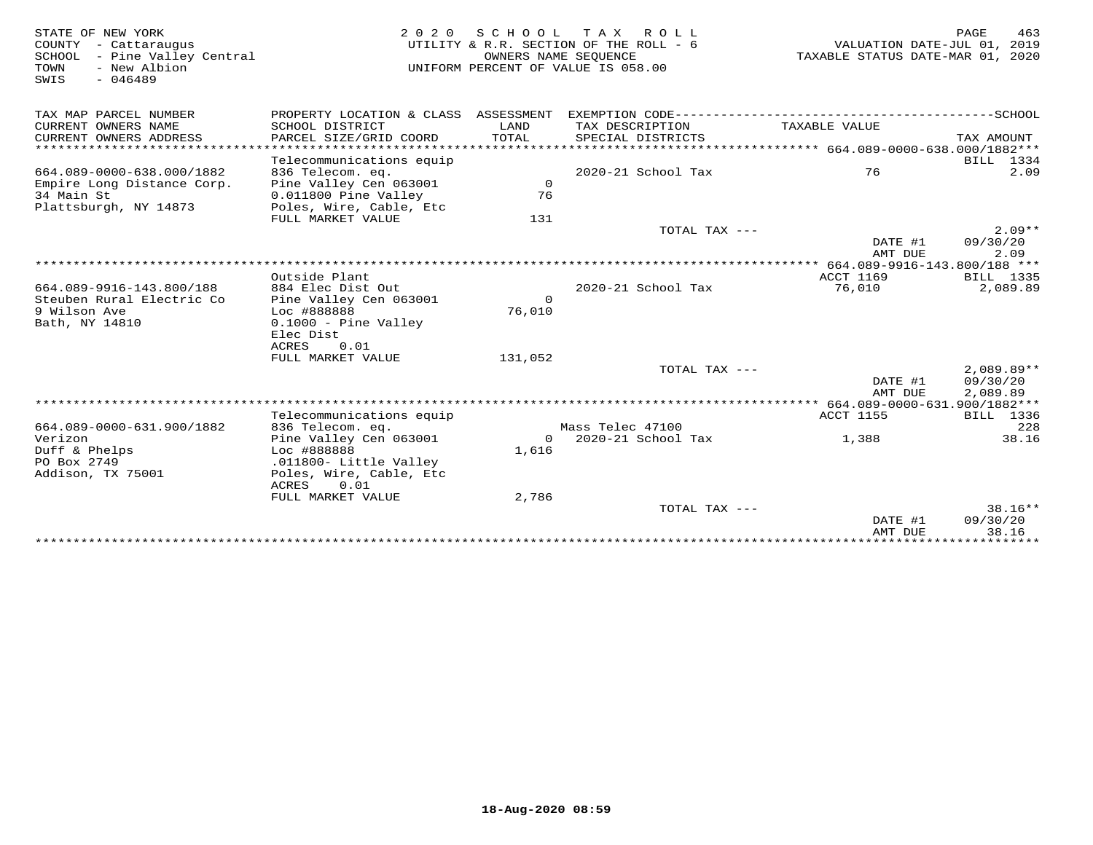| STATE OF NEW YORK<br>COUNTY - Cattaraugus<br>SCHOOL - Pine Valley Central<br>TOWN<br>- New Albion<br>$-046489$<br>SWIS | 2 0 2 0                                      | OWNERS NAME SEOUENCE | SCHOOL TAX ROLL<br>UTILITY & R.R. SECTION OF THE ROLL - 6<br>UNIFORM PERCENT OF VALUE IS 058.00 | VALUATION DATE-JUL 01, 2019<br>TAXABLE STATUS DATE-MAR 01, 2020 | PAGE<br>463          |
|------------------------------------------------------------------------------------------------------------------------|----------------------------------------------|----------------------|-------------------------------------------------------------------------------------------------|-----------------------------------------------------------------|----------------------|
| TAX MAP PARCEL NUMBER                                                                                                  | PROPERTY LOCATION & CLASS ASSESSMENT         |                      |                                                                                                 |                                                                 |                      |
| CURRENT OWNERS NAME<br>CURRENT OWNERS ADDRESS                                                                          | SCHOOL DISTRICT<br>PARCEL SIZE/GRID COORD    | LAND<br>TOTAL        | TAX DESCRIPTION<br>SPECIAL DISTRICTS                                                            | TAXABLE VALUE                                                   | TAX AMOUNT           |
|                                                                                                                        |                                              |                      |                                                                                                 |                                                                 |                      |
| 664.089-0000-638.000/1882                                                                                              | Telecommunications equip<br>836 Telecom. eq. |                      | 2020-21 School Tax                                                                              | 76                                                              | BILL 1334<br>2.09    |
| Empire Long Distance Corp.                                                                                             | Pine Valley Cen 063001                       | $\mathsf{O}$         |                                                                                                 |                                                                 |                      |
| 34 Main St                                                                                                             | 0.011800 Pine Valley                         | 76                   |                                                                                                 |                                                                 |                      |
| Plattsburgh, NY 14873                                                                                                  | Poles, Wire, Cable, Etc                      |                      |                                                                                                 |                                                                 |                      |
|                                                                                                                        | FULL MARKET VALUE                            | 131                  |                                                                                                 |                                                                 |                      |
|                                                                                                                        |                                              |                      | TOTAL TAX ---                                                                                   | DATE #1                                                         | $2.09**$<br>09/30/20 |
|                                                                                                                        |                                              |                      |                                                                                                 | AMT DUE                                                         | 2.09                 |
|                                                                                                                        |                                              |                      |                                                                                                 |                                                                 |                      |
|                                                                                                                        | Outside Plant                                |                      |                                                                                                 | <b>ACCT 1169</b>                                                | BILL 1335            |
| 664.089-9916-143.800/188                                                                                               | 884 Elec Dist Out                            |                      | 2020-21 School Tax                                                                              | 76,010                                                          | 2,089.89             |
| Steuben Rural Electric Co                                                                                              | Pine Valley Cen 063001                       | $\Omega$             |                                                                                                 |                                                                 |                      |
| 9 Wilson Ave                                                                                                           | Loc #888888                                  | 76,010               |                                                                                                 |                                                                 |                      |
| Bath, NY 14810                                                                                                         | $0.1000 -$ Pine Valley<br>Elec Dist          |                      |                                                                                                 |                                                                 |                      |
|                                                                                                                        | 0.01<br>ACRES                                |                      |                                                                                                 |                                                                 |                      |
|                                                                                                                        | FULL MARKET VALUE                            | 131,052              |                                                                                                 |                                                                 |                      |
|                                                                                                                        |                                              |                      | TOTAL TAX ---                                                                                   |                                                                 | $2,089.89**$         |
|                                                                                                                        |                                              |                      |                                                                                                 | DATE #1                                                         | 09/30/20             |
|                                                                                                                        |                                              |                      |                                                                                                 | AMT DUE                                                         | 2,089.89             |
|                                                                                                                        | Telecommunications equip                     |                      |                                                                                                 | <b>ACCT 1155</b>                                                | BILL 1336            |
| 664.089-0000-631.900/1882                                                                                              | 836 Telecom. eq.                             |                      | Mass Telec 47100                                                                                |                                                                 | 228                  |
| Verizon                                                                                                                | Pine Valley Cen 063001                       |                      | $0$ 2020-21 School Tax                                                                          | 1,388                                                           | 38.16                |
| Duff & Phelps                                                                                                          | Loc #888888                                  | 1,616                |                                                                                                 |                                                                 |                      |
| PO Box 2749                                                                                                            | .011800- Little Valley                       |                      |                                                                                                 |                                                                 |                      |
| Addison, TX 75001                                                                                                      | Poles, Wire, Cable, Etc<br>ACRES<br>0.01     |                      |                                                                                                 |                                                                 |                      |
|                                                                                                                        | FULL MARKET VALUE                            | 2,786                |                                                                                                 |                                                                 |                      |
|                                                                                                                        |                                              |                      | TOTAL TAX ---                                                                                   |                                                                 | $38.16**$            |
|                                                                                                                        |                                              |                      |                                                                                                 | DATE #1                                                         | 09/30/20             |
|                                                                                                                        |                                              |                      |                                                                                                 | AMT DUE                                                         | 38.16                |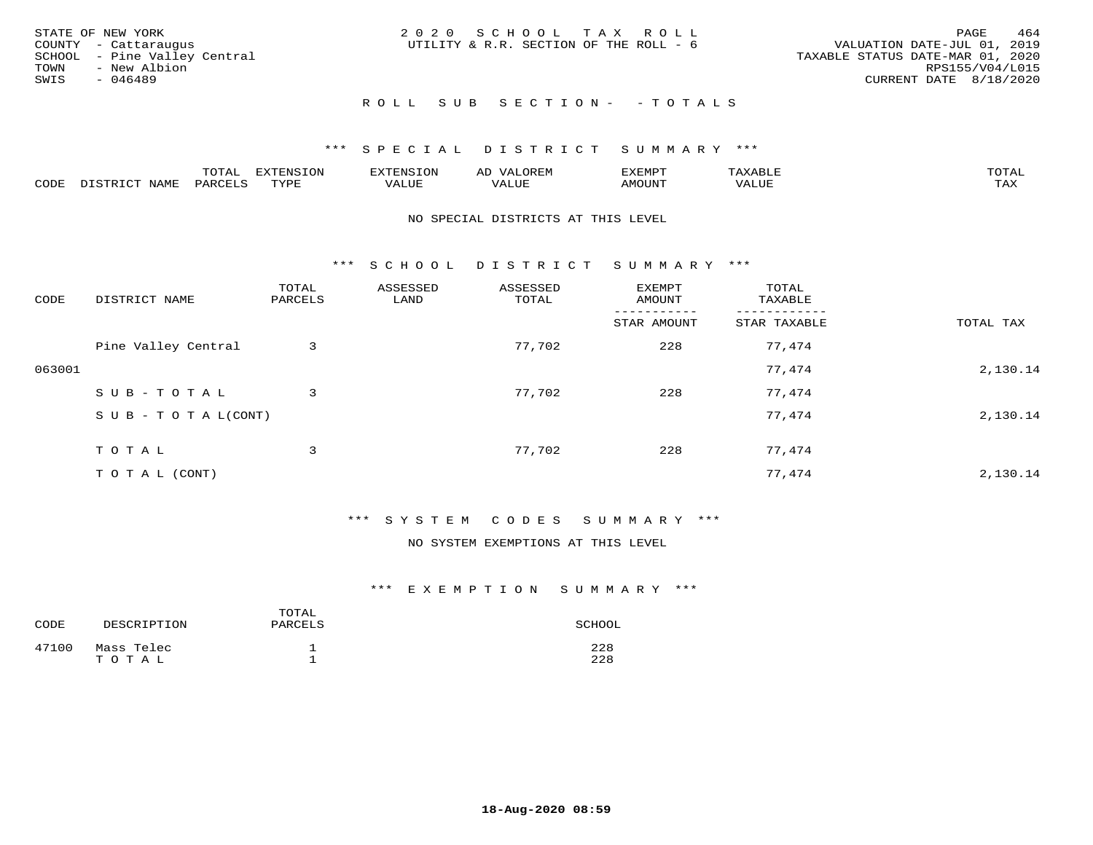| TOWN<br>SWIS | STATE OF NEW YORK<br>COUNTY - Cattaraugus<br>SCHOOL - Pine Valley Central<br>- New Albion<br>- 046489 |  |  | 2020 SCHOOL TAX ROLL<br>UTILITY & R.R. SECTION OF THE ROLL - 6 | VALUATION DATE-JUL 01, 2019<br>TAXABLE STATUS DATE-MAR 01, 2020<br>CURRENT DATE 8/18/2020 | PAGE<br>RPS155/V04/L015 | 464 |
|--------------|-------------------------------------------------------------------------------------------------------|--|--|----------------------------------------------------------------|-------------------------------------------------------------------------------------------|-------------------------|-----|
|              |                                                                                                       |  |  | ROLL SUB SECTION- - TOTALS                                     |                                                                                           |                         |     |

|      |             | $m \wedge m$<br>$\sim$ |      | אי - | ΑL   | "EMP   |       |                |
|------|-------------|------------------------|------|------|------|--------|-------|----------------|
| CODE | <b>NAMH</b> | PARTF                  | TVDF | ALUE | ALUI | AMOUNT | VALUE | max x<br>- ∠∡∡ |

#### NO SPECIAL DISTRICTS AT THIS LEVEL

\*\*\* S C H O O L D I S T R I C T S U M M A R Y \*\*\*

| CODE   | DISTRICT NAME                    | TOTAL<br>PARCELS | ASSESSED<br>LAND | ASSESSED<br>TOTAL | EXEMPT<br>AMOUNT | TOTAL<br>TAXABLE |           |
|--------|----------------------------------|------------------|------------------|-------------------|------------------|------------------|-----------|
|        |                                  |                  |                  |                   | STAR AMOUNT      | STAR TAXABLE     | TOTAL TAX |
|        | Pine Valley Central              | 3                |                  | 77,702            | 228              | 77,474           |           |
| 063001 |                                  |                  |                  |                   |                  | 77,474           | 2,130.14  |
|        | SUB-TOTAL                        | 3                |                  | 77,702            | 228              | 77,474           |           |
|        | $S \cup B - T \cup T A L (CONT)$ |                  |                  |                   |                  | 77,474           | 2,130.14  |
|        | TOTAL                            | 3                |                  | 77,702            | 228              | 77,474           |           |
|        | T O T A L (CONT)                 |                  |                  |                   |                  | 77,474           | 2,130.14  |

#### \*\*\* S Y S T E M C O D E S S U M M A R Y \*\*\*

#### NO SYSTEM EXEMPTIONS AT THIS LEVEL

| CODE  | DESCRIPTION         | TOTAL<br>PARCELS | SCHOOL     |
|-------|---------------------|------------------|------------|
| 47100 | Mass Telec<br>TOTAL |                  | 228<br>228 |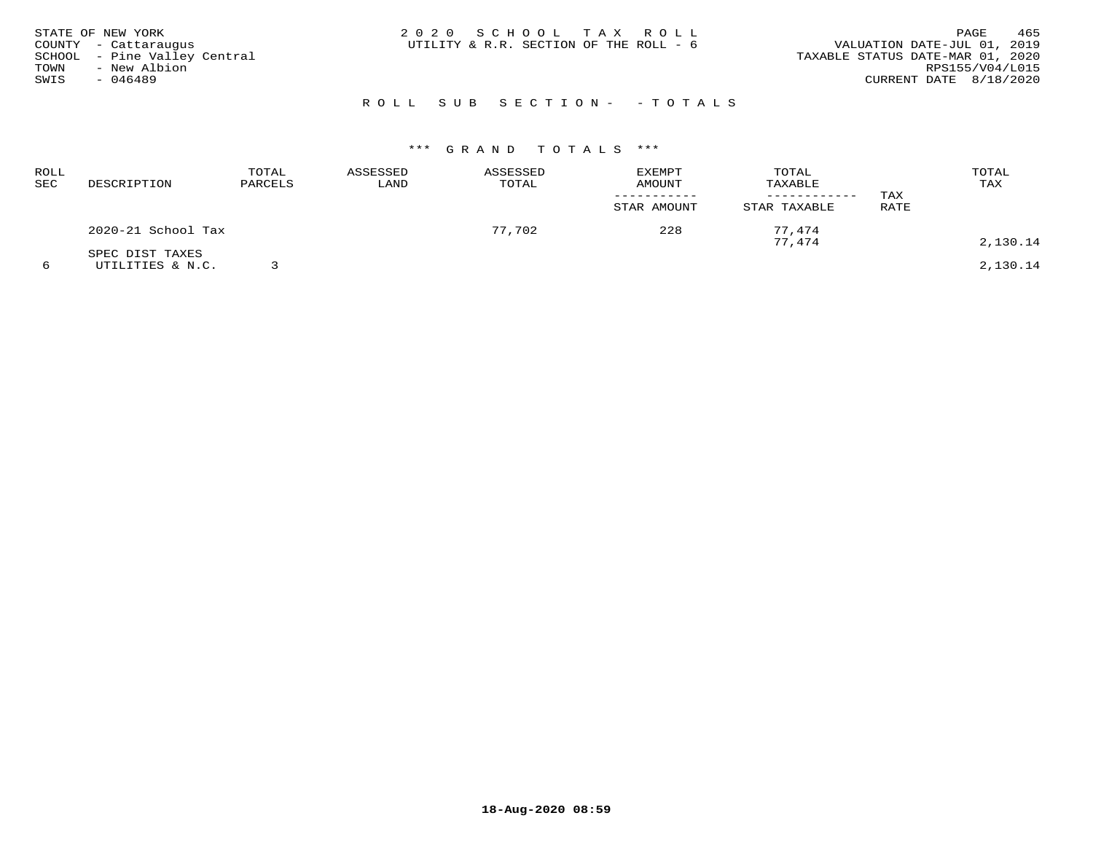| STATE OF NEW YORK<br>COUNTY - Cattaraugus<br>SCHOOL - Pine Valley Central<br>TOWN<br>- New Albion<br>SWIS<br>- 046489 | 2020 SCHOOL TAX ROLL<br>UTILITY & R.R. SECTION OF THE ROLL - 6 | 465<br>PAGE<br>VALUATION DATE-JUL 01, 2019<br>TAXABLE STATUS DATE-MAR 01, 2020<br>RPS155/V04/L015<br>CURRENT DATE 8/18/2020 |
|-----------------------------------------------------------------------------------------------------------------------|----------------------------------------------------------------|-----------------------------------------------------------------------------------------------------------------------------|
|                                                                                                                       | ROLL SUB SECTION- - TOTALS                                     |                                                                                                                             |

| <b>ROLL</b><br><b>SEC</b> | DESCRIPTION                         | TOTAL<br>PARCELS | ASSESSED<br>LAND | ASSESSED<br>TOTAL | <b>EXEMPT</b><br><b>AMOUNT</b><br>STAR AMOUNT | TOTAL<br>TAXABLE<br>STAR TAXABLE | TAX<br>RATE | TOTAL<br>TAX |
|---------------------------|-------------------------------------|------------------|------------------|-------------------|-----------------------------------------------|----------------------------------|-------------|--------------|
|                           | 2020-21 School Tax                  |                  |                  | 77,702            | 228                                           | 77.474<br>77.474                 |             | 2,130.14     |
| 6                         | SPEC DIST TAXES<br>UTILITIES & N.C. |                  |                  |                   |                                               |                                  |             | 2,130.14     |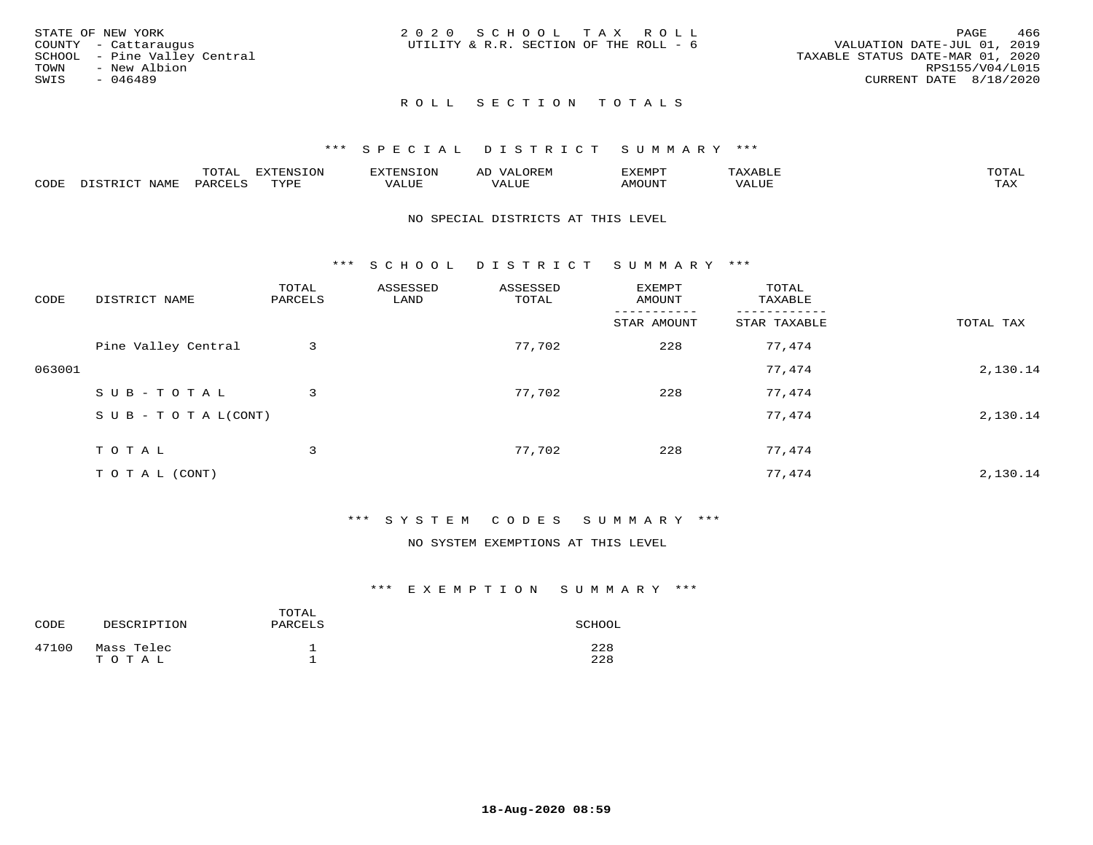| STATE OF NEW YORK            | 2020 SCHOOL TAX ROLL                   |                                  | 466<br>PAGE     |
|------------------------------|----------------------------------------|----------------------------------|-----------------|
| COUNTY - Cattaraugus         | UTILITY & R.R. SECTION OF THE ROLL - 6 | VALUATION DATE-JUL 01, 2019      |                 |
| SCHOOL - Pine Valley Central |                                        | TAXABLE STATUS DATE-MAR 01, 2020 |                 |
| TOWN<br>- New Albion         |                                        |                                  | RPS155/V04/L015 |
| SWIS<br>- 046489             |                                        | CURRENT DATE 8/18/2020           |                 |
|                              |                                        |                                  |                 |

### ROLL SECTION TOTALS

#### \*\*\* S P E C I A L D I S T R I C T S U M M A R Y \*\*\*

|      |                          | momn.<br>LUIAL     | <b>EXTENSION</b> | $117$ mm $170707$<br>אי | ΑD<br>.JREN      | 33773850<br>ivi D'<br>ניומיום בי | $max$ and $max$ | $m \wedge m \wedge n$ |
|------|--------------------------|--------------------|------------------|-------------------------|------------------|----------------------------------|-----------------|-----------------------|
| CODE | <b>NAME</b><br>DISTO TOT | PARCE <sup>T</sup> | TVDF             | VALUE                   | -- - ---<br>ALUE | TUUOM4                           | VALUE           | <b>TAY</b><br>⊥⇔∆     |

#### NO SPECIAL DISTRICTS AT THIS LEVEL

\*\*\* S C H O O L D I S T R I C T S U M M A R Y \*\*\*

| CODE   | DISTRICT NAME                    | TOTAL<br>PARCELS | ASSESSED<br>LAND | ASSESSED<br>TOTAL | EXEMPT<br>AMOUNT | TOTAL<br>TAXABLE |           |
|--------|----------------------------------|------------------|------------------|-------------------|------------------|------------------|-----------|
|        |                                  |                  |                  |                   | STAR AMOUNT      | STAR TAXABLE     | TOTAL TAX |
|        | Pine Valley Central              | 3                |                  | 77,702            | 228              | 77,474           |           |
| 063001 |                                  |                  |                  |                   |                  | 77,474           | 2,130.14  |
|        | SUB-TOTAL                        | 3                |                  | 77,702            | 228              | 77,474           |           |
|        | $S \cup B - T \cup T A L (CONT)$ |                  |                  |                   |                  | 77,474           | 2,130.14  |
|        | TOTAL                            | 3                |                  | 77,702            | 228              | 77,474           |           |
|        | T O T A L (CONT)                 |                  |                  |                   |                  | 77,474           | 2,130.14  |

#### \*\*\* S Y S T E M C O D E S S U M M A R Y \*\*\*

#### NO SYSTEM EXEMPTIONS AT THIS LEVEL

| CODE  | DESCRIPTION         | TOTAL<br>PARCELS | SCHOOL     |
|-------|---------------------|------------------|------------|
| 47100 | Mass Telec<br>TOTAL |                  | 228<br>228 |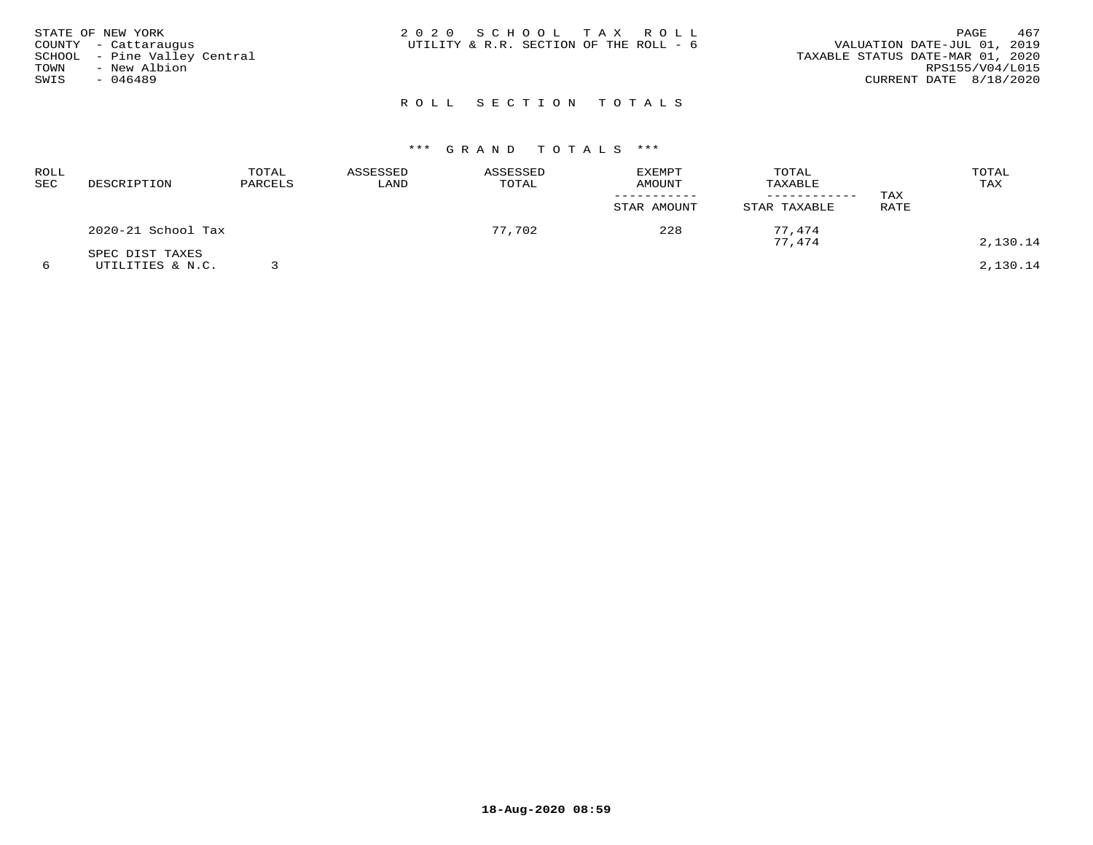| STATE OF NEW YORK<br>COUNTY - Cattaraugus<br>SCHOOL - Pine Valley Central<br>TOWN<br>- New Albion<br>SWIS<br>- 046489 | 2020 SCHOOL TAX ROLL<br>UTILITY & R.R. SECTION OF THE ROLL - 6 | 467<br>PAGE<br>VALUATION DATE-JUL 01, 2019<br>TAXABLE STATUS DATE-MAR 01, 2020<br>RPS155/V04/L015<br>CURRENT DATE 8/18/2020 |
|-----------------------------------------------------------------------------------------------------------------------|----------------------------------------------------------------|-----------------------------------------------------------------------------------------------------------------------------|
|                                                                                                                       | ROLL SECTION TOTALS                                            |                                                                                                                             |

| ROLL<br>SEC | DESCRIPTION                         | TOTAL<br>PARCELS | ASSESSED<br>LAND | ASSESSED<br>TOTAL | <b>EXEMPT</b><br>AMOUNT<br>STAR AMOUNT | TOTAL<br>TAXABLE<br>STAR TAXABLE | TAX<br>RATE | TOTAL<br>TAX |
|-------------|-------------------------------------|------------------|------------------|-------------------|----------------------------------------|----------------------------------|-------------|--------------|
|             | 2020-21 School Tax                  |                  |                  | 77,702            | 228                                    | 77.474<br>77,474                 |             | 2,130.14     |
|             | SPEC DIST TAXES<br>UTILITIES & N.C. |                  |                  |                   |                                        |                                  |             | 2,130.14     |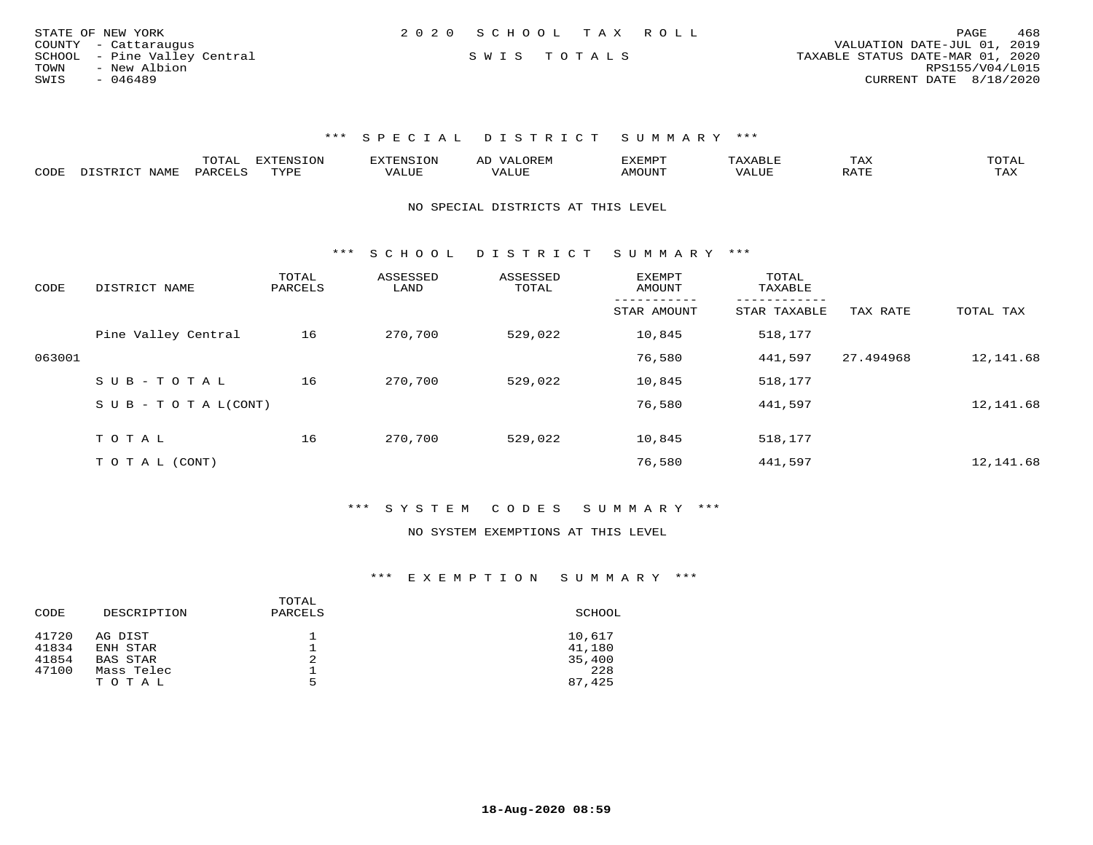|      | STATE OF NEW YORK            | 2020 SCHOOL TAX ROLL |  |                                  | PAGE                   | 468 |
|------|------------------------------|----------------------|--|----------------------------------|------------------------|-----|
|      | COUNTY - Cattaraugus         |                      |  | VALUATION DATE-JUL 01, 2019      |                        |     |
|      | SCHOOL - Pine Valley Central | SWIS TOTALS          |  | TAXABLE STATUS DATE-MAR 01, 2020 |                        |     |
| TOWN | - New Albion                 |                      |  |                                  | RPS155/V04/L015        |     |
| SWIS | - 046489                     |                      |  |                                  | CURRENT DATE 8/18/2020 |     |

## \*\*\* S P E C I A L D I S T R I C T S U M M A R Y \*\*\*

|      |            | ----- | n s   |  | א ועו | ᆠᅎᄼ                  | $m \wedge m \wedge n$ |
|------|------------|-------|-------|--|-------|----------------------|-----------------------|
| CODE | <b>BAT</b> |       | 757D1 |  |       | $\sim$ $\sim$ $\sim$ | ----<br>- 512         |

#### NO SPECIAL DISTRICTS AT THIS LEVEL

\*\*\* S C H O O L D I S T R I C T S U M M A R Y \*\*\*

| CODE   | DISTRICT NAME                    | TOTAL<br>PARCELS | ASSESSED<br>LAND | ASSESSED<br>TOTAL | <b>EXEMPT</b><br>AMOUNT | TOTAL<br>TAXABLE |           |           |
|--------|----------------------------------|------------------|------------------|-------------------|-------------------------|------------------|-----------|-----------|
|        |                                  |                  |                  |                   | STAR AMOUNT             | STAR TAXABLE     | TAX RATE  | TOTAL TAX |
|        | Pine Valley Central              | 16               | 270,700          | 529,022           | 10,845                  | 518,177          |           |           |
| 063001 |                                  |                  |                  |                   | 76,580                  | 441,597          | 27.494968 | 12,141.68 |
|        | SUB-TOTAL                        | 16               | 270,700          | 529,022           | 10,845                  | 518,177          |           |           |
|        | $S \cup B - T \cup T A L (CONT)$ |                  |                  |                   | 76,580                  | 441,597          |           | 12,141.68 |
|        | TOTAL                            | 16               | 270,700          |                   |                         |                  |           |           |
|        |                                  |                  |                  | 529,022           | 10,845                  | 518,177          |           |           |
|        | T O T A L (CONT)                 |                  |                  |                   | 76,580                  | 441,597          |           | 12,141.68 |

## \*\*\* S Y S T E M C O D E S S U M M A R Y \*\*\*

#### NO SYSTEM EXEMPTIONS AT THIS LEVEL

## \*\*\* E X E M P T I O N S U M M A R Y \*\*\*

| TOTAL<br>DESCRIPTION<br>PARCELS<br>CODE | SCHOOL |
|-----------------------------------------|--------|
| 41720<br>AG DIST<br>ᅩ                   | 10,617 |
| 41834<br>ENH STAR                       | 41,180 |
| 41854<br>2<br>BAS STAR                  | 35,400 |
| 47100<br>Mass Telec<br>ᅩ                | 228    |
| 5<br>TOTAL                              | 87,425 |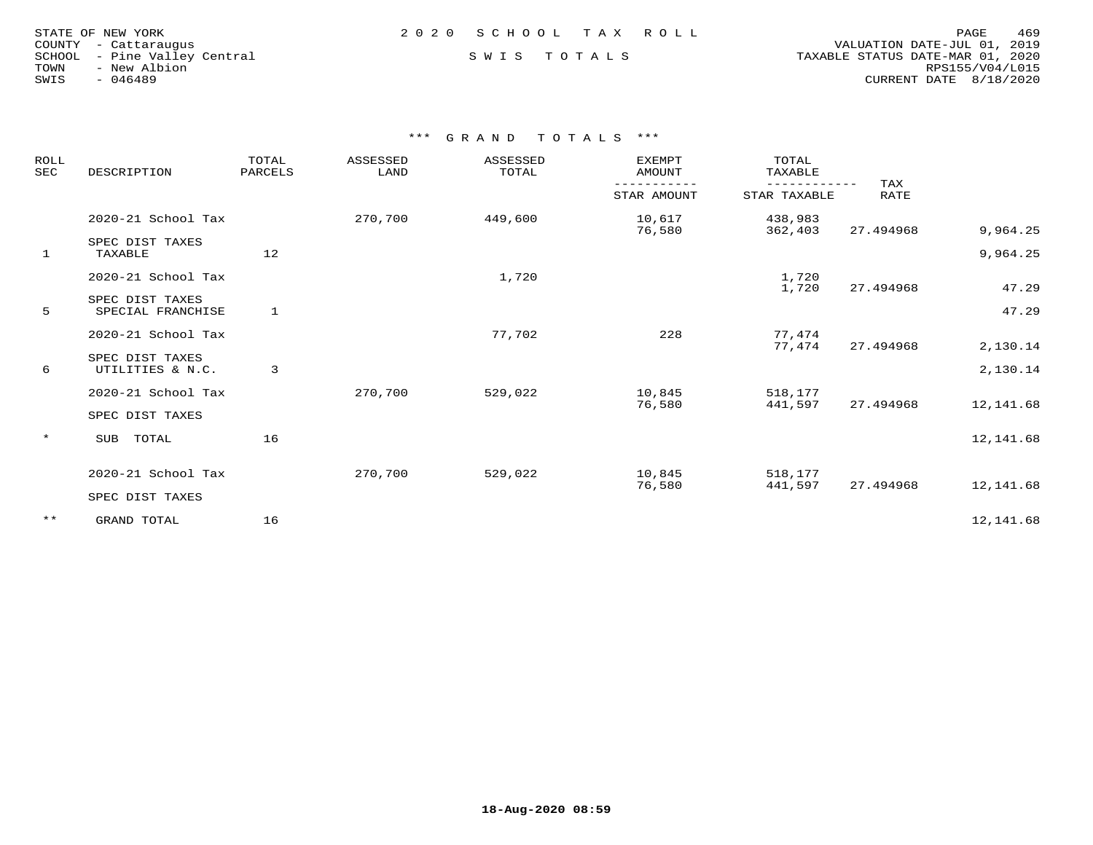| STATE OF NEW YORK    |           |                       |  |
|----------------------|-----------|-----------------------|--|
| COUNTY - Cattaraugus |           |                       |  |
| SCHOOL               |           | - Pine Valley Central |  |
| TOWN                 |           | - New Albion          |  |
| SWIS                 | $-046489$ |                       |  |

 COUNTY - Cattaraugus VALUATION DATE-JUL 01, 2019 SCHOOL - Pine Valley Central S W I S T O T A L S TAXABLE STATUS DATE-MAR 01, 2020 TOWN - New Albion RPS155/V04/L015SWIS - 046489 CURRENT DATE 8/18/2020

\*\*\* G R A N D T O T A L S \*\*\*

| ROLL<br><b>SEC</b> | DESCRIPTION                          |    | ASSESSED<br>TOTAL<br>LAND<br>TOTAL<br>PARCELS | ASSESSED    | <b>EXEMPT</b><br><b>AMOUNT</b> | TOTAL<br>TAXABLE   |           |           |
|--------------------|--------------------------------------|----|-----------------------------------------------|-------------|--------------------------------|--------------------|-----------|-----------|
|                    |                                      |    |                                               | STAR AMOUNT | STAR TAXABLE                   | TAX<br><b>RATE</b> |           |           |
|                    | 2020-21 School Tax                   |    | 270,700                                       | 449,600     | 10,617<br>76,580               | 438,983<br>362,403 | 27.494968 | 9,964.25  |
| 1                  | SPEC DIST TAXES<br>TAXABLE           | 12 |                                               |             |                                |                    |           | 9,964.25  |
|                    | 2020-21 School Tax                   |    |                                               | 1,720       |                                | 1,720<br>1,720     | 27.494968 | 47.29     |
| 5                  | SPEC DIST TAXES<br>SPECIAL FRANCHISE | 1  |                                               |             |                                |                    |           | 47.29     |
|                    | 2020-21 School Tax                   |    |                                               | 77,702      | 228                            | 77,474<br>77,474   | 27.494968 | 2,130.14  |
| 6                  | SPEC DIST TAXES<br>UTILITIES & N.C.  | 3  |                                               |             |                                |                    |           | 2,130.14  |
|                    | 2020-21 School Tax                   |    | 270,700                                       | 529,022     | 10,845<br>76,580               | 518,177<br>441,597 | 27.494968 | 12,141.68 |
|                    | SPEC DIST TAXES                      |    |                                               |             |                                |                    |           |           |
| $\star$            | TOTAL<br>SUB                         | 16 |                                               |             |                                |                    |           | 12,141.68 |
|                    | 2020-21 School Tax                   |    | 270,700                                       | 529,022     | 10,845<br>76,580               | 518,177<br>441,597 | 27.494968 | 12,141.68 |
|                    | SPEC DIST TAXES                      |    |                                               |             |                                |                    |           |           |
| $***$              | GRAND TOTAL                          | 16 |                                               |             |                                |                    |           | 12,141.68 |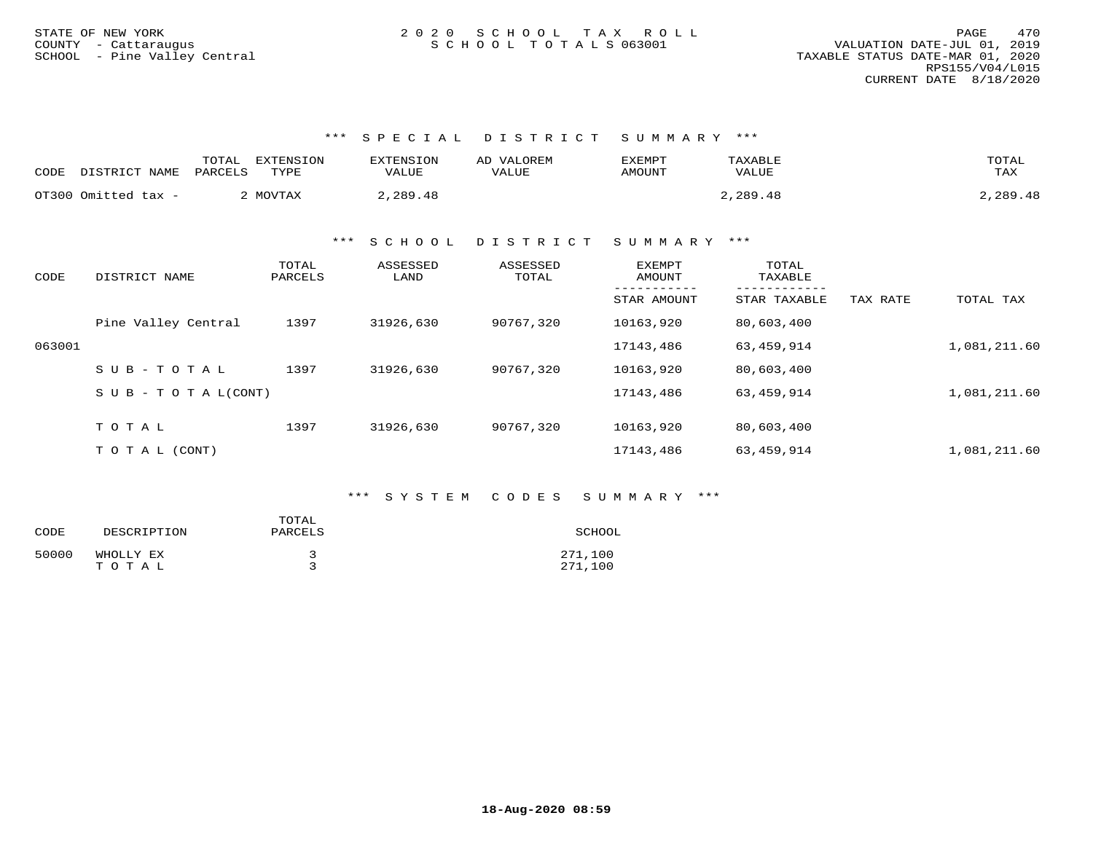\*\*\* S P E C I A L D I S T R I C T S U M M A R Y \*\*\*

| CODE | DISTRICT NAME       | EXTENSION<br>TOTAI<br>PARCELS<br>TYPE | <b>EXTENSION</b><br>VALUE | AD VALOREM<br><b>VALUE</b> | EXEMPT<br>AMOUNT | TAXABLE<br><b>VALUE</b> | TOTAL<br>TAX |
|------|---------------------|---------------------------------------|---------------------------|----------------------------|------------------|-------------------------|--------------|
|      | OT300 Omitted tax - | MOVTAX                                | 2,289.48                  |                            |                  | 2,289.48                | 2,289.48     |

\*\*\* S C H O O L D I S T R I C T S U M M A R Y \*\*\*

| CODE   | DISTRICT NAME                    | TOTAL<br>PARCELS | ASSESSED<br>LAND | ASSESSED<br>TOTAL | EXEMPT<br>AMOUNT | TOTAL<br>TAXABLE<br>-------- |          |              |
|--------|----------------------------------|------------------|------------------|-------------------|------------------|------------------------------|----------|--------------|
|        |                                  |                  |                  |                   | STAR AMOUNT      | STAR TAXABLE                 | TAX RATE | TOTAL TAX    |
|        | Pine Valley Central              | 1397             | 31926,630        | 90767,320         | 10163,920        | 80,603,400                   |          |              |
| 063001 |                                  |                  |                  |                   | 17143,486        | 63,459,914                   |          | 1,081,211.60 |
|        | $SUB - TO T AL$                  | 1397             | 31926,630        | 90767,320         | 10163,920        | 80,603,400                   |          |              |
|        | $S \cup B - T \cup T A L (CONT)$ |                  |                  |                   | 17143,486        | 63,459,914                   |          | 1,081,211.60 |
|        |                                  |                  |                  |                   |                  |                              |          |              |
|        | TOTAL                            | 1397             | 31926,630        | 90767,320         | 10163,920        | 80,603,400                   |          |              |
|        | TO TAL (CONT)                    |                  |                  |                   | 17143,486        | 63,459,914                   |          | 1,081,211.60 |

# \*\*\* S Y S T E M C O D E S S U M M A R Y \*\*\*

| CODE  | DESCRIPTION        | TOTAL<br>PARCELS | SCHOOL             |
|-------|--------------------|------------------|--------------------|
| 50000 | WHOLLY EX<br>TOTAL |                  | 271,100<br>271,100 |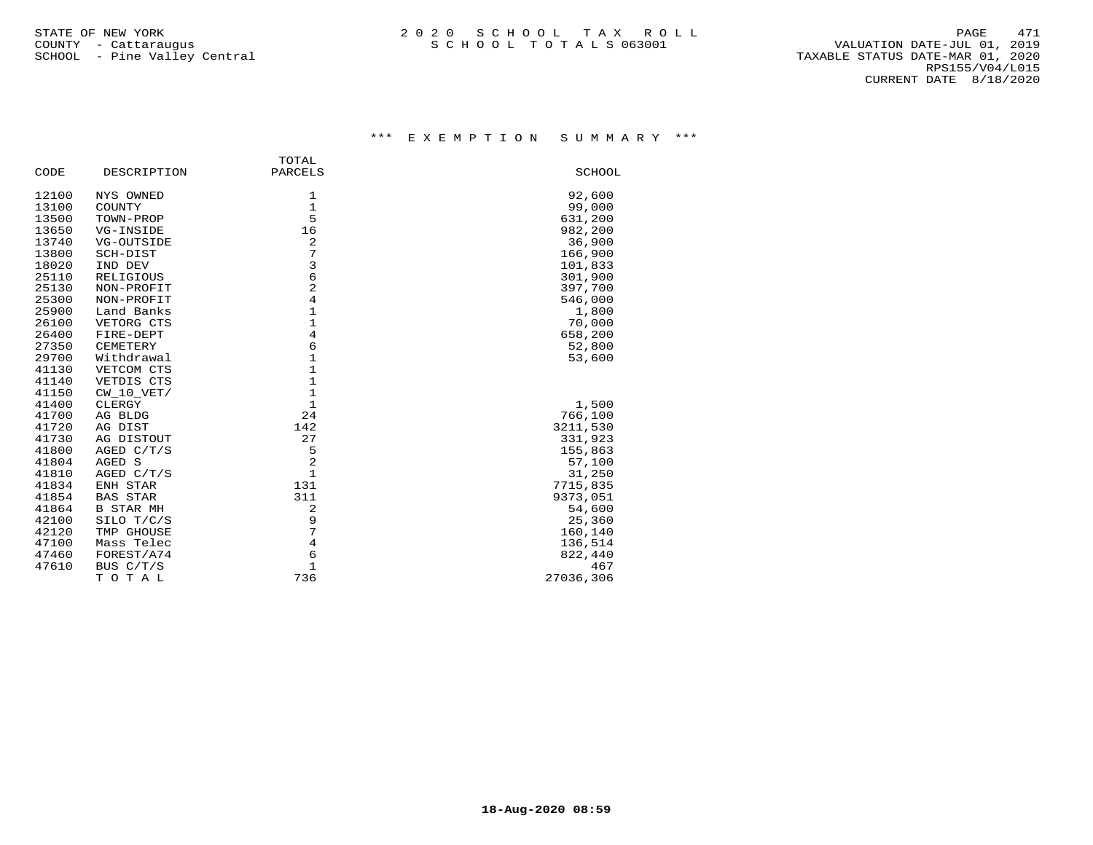## \*\*\* E X E M P T I O N S U M M A R Y \*\*\*

| DESCRIPTION      | PARCELS      | SCHOOL                                                                                                                                                                                                                                                                     |
|------------------|--------------|----------------------------------------------------------------------------------------------------------------------------------------------------------------------------------------------------------------------------------------------------------------------------|
| NYS OWNED        | 1            | 92,600                                                                                                                                                                                                                                                                     |
| COUNTY           |              | 99,000                                                                                                                                                                                                                                                                     |
| TOWN-PROP        |              | 631,200                                                                                                                                                                                                                                                                    |
| VG-INSIDE        |              | 982,200                                                                                                                                                                                                                                                                    |
| VG-OUTSIDE       |              | 36,900                                                                                                                                                                                                                                                                     |
| SCH-DIST         |              | 166,900                                                                                                                                                                                                                                                                    |
| IND DEV          | 3            | 101,833                                                                                                                                                                                                                                                                    |
| <b>RELIGIOUS</b> |              | 301,900                                                                                                                                                                                                                                                                    |
| NON-PROFIT       |              | 397,700                                                                                                                                                                                                                                                                    |
| NON-PROFIT       |              | 546,000                                                                                                                                                                                                                                                                    |
| Land Banks       |              | 1,800                                                                                                                                                                                                                                                                      |
| VETORG CTS       | $\mathbf{1}$ | 70,000                                                                                                                                                                                                                                                                     |
| FIRE-DEPT        |              | 658,200                                                                                                                                                                                                                                                                    |
| CEMETERY         |              | 52,800                                                                                                                                                                                                                                                                     |
| Withdrawal       |              | 53,600                                                                                                                                                                                                                                                                     |
| VETCOM CTS       |              |                                                                                                                                                                                                                                                                            |
| VETDIS CTS       |              |                                                                                                                                                                                                                                                                            |
| CW 10 VET/       |              |                                                                                                                                                                                                                                                                            |
| CLERGY           |              | 1,500                                                                                                                                                                                                                                                                      |
| AG BLDG          | 24           | 766,100                                                                                                                                                                                                                                                                    |
| AG DIST          |              | 3211,530                                                                                                                                                                                                                                                                   |
| AG DISTOUT       | 27           | 331,923                                                                                                                                                                                                                                                                    |
| AGED C/T/S       | 5            | 155,863                                                                                                                                                                                                                                                                    |
| AGED S           |              | 57,100                                                                                                                                                                                                                                                                     |
| AGED C/T/S       |              | 31,250                                                                                                                                                                                                                                                                     |
| ENH STAR         | 131          | 7715,835                                                                                                                                                                                                                                                                   |
| <b>BAS STAR</b>  | 311          | 9373,051                                                                                                                                                                                                                                                                   |
| <b>B STAR MH</b> | 2            | 54,600                                                                                                                                                                                                                                                                     |
| SILO T/C/S       |              | 25,360                                                                                                                                                                                                                                                                     |
| TMP GHOUSE       |              | 160,140                                                                                                                                                                                                                                                                    |
| Mass Telec       |              | 136,514                                                                                                                                                                                                                                                                    |
| FOREST/A74       | 6            | 822,440                                                                                                                                                                                                                                                                    |
| BUS C/T/S        | $\mathbf 1$  | 467                                                                                                                                                                                                                                                                        |
| TOTAL            | 736          | 27036,306                                                                                                                                                                                                                                                                  |
|                  |              | TOTAL<br>$\mathbf{1}$<br>5<br>16<br>2<br>7<br>$\epsilon$<br>$\overline{2}$<br>$\overline{4}$<br>$\mathbf 1$<br>$\overline{4}$<br>6<br>$\mathbf{1}$<br>$\mathbf{1}$<br>$\mathbf{1}$<br>$\mathbf{1}$<br>$\mathbf{1}$<br>142<br>2<br>$\mathbf{1}$<br>9<br>7<br>$\overline{4}$ |